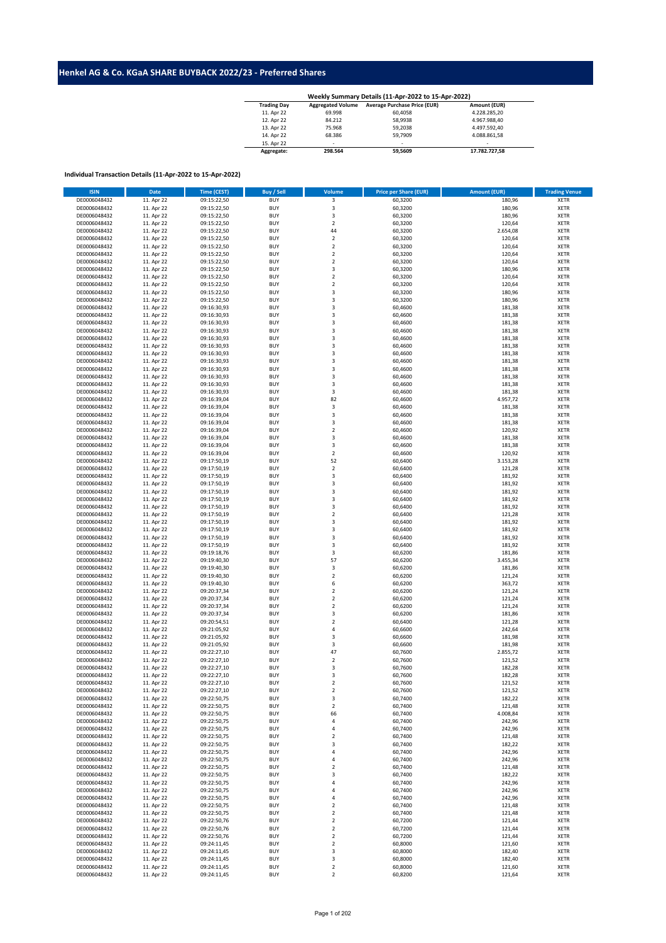## **Henkel AG & Co. KGaA SHARE BUYBACK 2022/23 - Preferred Shares**

| <b>Trading Day</b> | <b>Aggregated Volume</b> | <b>Average Purchase Price (EUR)</b> | Amount (EUR)  |
|--------------------|--------------------------|-------------------------------------|---------------|
| 11. Apr 22         | 69.998                   | 60.4058                             | 4.228.285.20  |
| 12. Apr 22         | 84.212                   | 58.9938                             | 4.967.988.40  |
| 13. Apr 22         | 75.968                   | 59.2038                             | 4.497.592.40  |
| 14. Apr 22         | 68.386                   | 59.7909                             | 4.088.861.58  |
| 15. Apr 22         | ۰                        | ۰.                                  | ۰.            |
| Aggregate:         | 298.564                  | 59.5609                             | 17.782.727.58 |

## **Individual Transaction Details (11-Apr-2022 to 15-Apr-2022)**

| <b>ISIN</b>  | <b>Date</b> | <b>Time (CEST)</b> | Buy / Sell               | Volume         | <b>Price per Share (EUR)</b> | <b>Amount (EUR)</b> | <b>Trading Venue</b> |
|--------------|-------------|--------------------|--------------------------|----------------|------------------------------|---------------------|----------------------|
| DE0006048432 | 11. Apr 22  | 09:15:22,50        | <b>BUY</b>               | 3              | 60,3200                      | 180,96              | <b>XETR</b>          |
| DE0006048432 | 11. Apr 22  | 09:15:22,50        | <b>BUY</b>               | 3              | 60,3200                      | 180,96              | <b>XETR</b>          |
| DE0006048432 | 11. Apr 22  | 09:15:22,50        | <b>BUY</b>               | 3              | 60,3200                      | 180,96              | <b>XETR</b>          |
| DE0006048432 | 11. Apr 22  | 09:15:22,50        | <b>BUY</b>               | $\overline{2}$ | 60,3200                      | 120,64              | <b>XETR</b>          |
| DE0006048432 | 11. Apr 22  | 09:15:22,50        | <b>BUY</b>               | 44             | 60,3200                      | 2.654,08            | <b>XETR</b>          |
| DE0006048432 | 11. Apr 22  | 09:15:22,50        | <b>BUY</b>               | $\overline{2}$ | 60,3200                      | 120,64              | <b>XETR</b>          |
| DE0006048432 | 11. Apr 22  | 09:15:22,50        | <b>BUY</b>               | $\mathbf 2$    | 60,3200                      | 120,64              | <b>XETR</b>          |
| DE0006048432 | 11. Apr 22  | 09:15:22,50        | <b>BUY</b>               | $\overline{2}$ | 60,3200                      | 120,64              | <b>XETR</b>          |
| DE0006048432 | 11. Apr 22  | 09:15:22,50        | <b>BUY</b>               | $\mathbf 2$    | 60,3200                      | 120,64              | <b>XETR</b>          |
| DE0006048432 | 11. Apr 22  | 09:15:22,50        | <b>BUY</b>               | 3              | 60,3200                      | 180,96              | <b>XETR</b>          |
| DE0006048432 | 11. Apr 22  | 09:15:22,50        | <b>BUY</b>               | $\mathbf 2$    | 60,3200                      | 120,64              | <b>XETR</b>          |
| DE0006048432 | 11. Apr 22  | 09:15:22,50        | <b>BUY</b>               | $\mathbf 2$    | 60,3200                      | 120,64              | <b>XETR</b>          |
| DE0006048432 | 11. Apr 22  | 09:15:22,50        | <b>BUY</b>               | 3              | 60,3200                      | 180,96              | <b>XETR</b>          |
| DE0006048432 | 11. Apr 22  | 09:15:22,50        | <b>BUY</b>               | 3              | 60,3200                      | 180,96              | <b>XETR</b>          |
| DE0006048432 | 11. Apr 22  | 09:16:30,93        | <b>BUY</b>               | 3              | 60,4600                      | 181,38              | <b>XETR</b>          |
| DE0006048432 | 11. Apr 22  | 09:16:30,93        | <b>BUY</b>               | 3              | 60,4600                      | 181,38              | <b>XETR</b>          |
| DE0006048432 |             | 09:16:30,93        | <b>BUY</b>               | 3              | 60,4600                      |                     | <b>XETR</b>          |
|              | 11. Apr 22  |                    |                          |                |                              | 181,38              |                      |
| DE0006048432 | 11. Apr 22  | 09:16:30,93        | <b>BUY</b><br><b>BUY</b> | 3              | 60,4600                      | 181,38              | <b>XETR</b>          |
| DE0006048432 | 11. Apr 22  | 09:16:30,93        |                          | 3              | 60,4600                      | 181,38              | <b>XETR</b>          |
| DE0006048432 | 11. Apr 22  | 09:16:30,93        | <b>BUY</b>               | 3              | 60,4600                      | 181,38              | <b>XETR</b>          |
| DE0006048432 | 11. Apr 22  | 09:16:30,93        | <b>BUY</b>               | $\mathsf 3$    | 60,4600                      | 181,38              | <b>XETR</b>          |
| DE0006048432 | 11. Apr 22  | 09:16:30,93        | <b>BUY</b>               | 3              | 60,4600                      | 181,38              | <b>XETR</b>          |
| DE0006048432 | 11. Apr 22  | 09:16:30,93        | <b>BUY</b>               | 3              | 60,4600                      | 181,38              | <b>XETR</b>          |
| DE0006048432 | 11. Apr 22  | 09:16:30,93        | <b>BUY</b>               | 3              | 60,4600                      | 181,38              | <b>XETR</b>          |
| DE0006048432 | 11. Apr 22  | 09:16:30,93        | <b>BUY</b>               | 3              | 60,4600                      | 181,38              | <b>XETR</b>          |
| DE0006048432 | 11. Apr 22  | 09:16:30,93        | <b>BUY</b>               | 3              | 60,4600                      | 181,38              | <b>XETR</b>          |
| DE0006048432 | 11. Apr 22  | 09:16:39,04        | <b>BUY</b>               | 82             | 60,4600                      | 4.957,72            | <b>XETR</b>          |
| DE0006048432 | 11. Apr 22  | 09:16:39,04        | <b>BUY</b>               | $\mathsf 3$    | 60,4600                      | 181,38              | <b>XETR</b>          |
| DE0006048432 | 11. Apr 22  | 09:16:39,04        | <b>BUY</b>               | 3              | 60,4600                      | 181,38              | <b>XETR</b>          |
| DE0006048432 | 11. Apr 22  | 09:16:39,04        | <b>BUY</b>               | 3              | 60,4600                      | 181,38              | <b>XETR</b>          |
| DE0006048432 | 11. Apr 22  | 09:16:39,04        | <b>BUY</b>               | $\overline{2}$ | 60,4600                      | 120,92              | <b>XETR</b>          |
| DE0006048432 | 11. Apr 22  | 09:16:39,04        | <b>BUY</b>               | 3              | 60,4600                      | 181,38              | <b>XETR</b>          |
| DE0006048432 | 11. Apr 22  | 09:16:39,04        | <b>BUY</b>               | 3              | 60,4600                      | 181,38              | <b>XETR</b>          |
| DE0006048432 | 11. Apr 22  | 09:16:39,04        | <b>BUY</b>               | $\mathbf 2$    | 60,4600                      | 120,92              | <b>XETR</b>          |
| DE0006048432 | 11. Apr 22  | 09:17:50,19        | <b>BUY</b>               | 52             | 60,6400                      | 3.153,28            | <b>XETR</b>          |
| DE0006048432 | 11. Apr 22  | 09:17:50,19        | <b>BUY</b>               | $\overline{2}$ | 60,6400                      | 121,28              | <b>XETR</b>          |
| DE0006048432 | 11. Apr 22  | 09:17:50,19        | <b>BUY</b>               | 3              | 60,6400                      | 181,92              | <b>XETR</b>          |
| DE0006048432 | 11. Apr 22  | 09:17:50,19        | <b>BUY</b>               | 3              | 60,6400                      | 181,92              | <b>XETR</b>          |
| DE0006048432 | 11. Apr 22  | 09:17:50,19        | <b>BUY</b>               | 3              | 60,6400                      | 181,92              | <b>XETR</b>          |
| DE0006048432 | 11. Apr 22  | 09:17:50,19        | <b>BUY</b>               | 3              | 60,6400                      | 181,92              | <b>XETR</b>          |
| DE0006048432 | 11. Apr 22  | 09:17:50,19        | <b>BUY</b>               | 3              | 60,6400                      | 181,92              | <b>XETR</b>          |
| DE0006048432 | 11. Apr 22  | 09:17:50,19        | <b>BUY</b>               | $\mathbf 2$    | 60,6400                      | 121,28              | <b>XETR</b>          |
| DE0006048432 | 11. Apr 22  | 09:17:50,19        | <b>BUY</b>               | 3              | 60,6400                      | 181,92              | <b>XETR</b>          |
| DE0006048432 | 11. Apr 22  | 09:17:50,19        | <b>BUY</b>               | 3              | 60,6400                      | 181,92              | <b>XETR</b>          |
| DE0006048432 | 11. Apr 22  | 09:17:50,19        | <b>BUY</b>               | 3              | 60,6400                      | 181,92              | <b>XETR</b>          |
| DE0006048432 | 11. Apr 22  | 09:17:50,19        | <b>BUY</b>               | 3              | 60,6400                      | 181,92              | <b>XETR</b>          |
| DE0006048432 | 11. Apr 22  | 09:19:18,76        | <b>BUY</b>               | 3              | 60,6200                      | 181,86              | <b>XETR</b>          |
| DE0006048432 | 11. Apr 22  | 09:19:40,30        | <b>BUY</b>               | 57             | 60,6200                      | 3.455,34            | <b>XETR</b>          |
| DE0006048432 | 11. Apr 22  | 09:19:40,30        | <b>BUY</b>               | 3              | 60,6200                      | 181,86              | <b>XETR</b>          |
| DE0006048432 | 11. Apr 22  | 09:19:40,30        | <b>BUY</b>               | $\mathbf 2$    | 60,6200                      | 121,24              | <b>XETR</b>          |
| DE0006048432 | 11. Apr 22  | 09:19:40,30        | <b>BUY</b>               | 6              | 60,6200                      | 363,72              | <b>XETR</b>          |
| DE0006048432 | 11. Apr 22  | 09:20:37,34        | <b>BUY</b>               | $\overline{2}$ | 60,6200                      | 121,24              | <b>XETR</b>          |
| DE0006048432 | 11. Apr 22  | 09:20:37,34        | <b>BUY</b>               | $\mathbf 2$    | 60,6200                      | 121,24              | <b>XETR</b>          |
| DE0006048432 | 11. Apr 22  | 09:20:37,34        | <b>BUY</b>               | $\mathbf 2$    | 60,6200                      | 121,24              | <b>XETR</b>          |
| DE0006048432 |             | 09:20:37,34        | <b>BUY</b>               | $\mathsf 3$    | 60,6200                      | 181,86              | <b>XETR</b>          |
| DE0006048432 | 11. Apr 22  |                    |                          | $\overline{2}$ |                              |                     |                      |
|              | 11. Apr 22  | 09:20:54,51        | <b>BUY</b>               |                | 60,6400                      | 121,28              | <b>XETR</b>          |
| DE0006048432 | 11. Apr 22  | 09:21:05,92        | <b>BUY</b>               | 4              | 60,6600                      | 242,64              | <b>XETR</b>          |
| DE0006048432 | 11. Apr 22  | 09:21:05,92        | <b>BUY</b>               | 3              | 60,6600                      | 181,98              | <b>XETR</b>          |
| DE0006048432 | 11. Apr 22  | 09:21:05,92        | <b>BUY</b>               | 3              | 60,6600                      | 181,98              | <b>XETR</b>          |
| DE0006048432 | 11. Apr 22  | 09:22:27,10        | <b>BUY</b>               | 47             | 60,7600                      | 2.855,72            | <b>XETR</b>          |
| DE0006048432 | 11. Apr 22  | 09:22:27,10        | <b>BUY</b>               | $\overline{2}$ | 60,7600                      | 121,52              | <b>XETR</b>          |
| DE0006048432 | 11. Apr 22  | 09:22:27,10        | <b>BUY</b>               | 3              | 60,7600                      | 182,28              | <b>XETR</b>          |
| DE0006048432 | 11. Apr 22  | 09:22:27,10        | <b>BUY</b>               | 3              | 60,7600                      | 182,28              | <b>XETR</b>          |
| DE0006048432 | 11. Apr 22  | 09:22:27,10        | <b>BUY</b>               | $\overline{2}$ | 60,7600                      | 121,52              | <b>XETR</b>          |
| DE0006048432 | 11. Apr 22  | 09:22:27,10        | <b>BUY</b>               | $\mathbf 2$    | 60,7600                      | 121,52              | XETR                 |
| DE0006048432 | 11. Apr 22  | 09:22:50,75        | BUY                      | 3              | 60,7400                      | 182,22              | <b>XETR</b>          |
| DE0006048432 | 11. Apr 22  | 09:22:50,75        | <b>BUY</b>               | $\overline{2}$ | 60,7400                      | 121,48              | XETR                 |
| DE0006048432 | 11. Apr 22  | 09:22:50,75        | <b>BUY</b>               | 66             | 60,7400                      | 4.008,84            | <b>XETR</b>          |
| DE0006048432 | 11. Apr 22  | 09:22:50,75        | <b>BUY</b>               | 4              | 60,7400                      | 242,96              | XETR                 |
| DE0006048432 | 11. Apr 22  | 09:22:50,75        | <b>BUY</b>               | 4              | 60,7400                      | 242,96              | XETR                 |
| DE0006048432 | 11. Apr 22  | 09:22:50,75        | <b>BUY</b>               | $\mathbf 2$    | 60,7400                      | 121,48              | <b>XETR</b>          |
| DE0006048432 | 11. Apr 22  | 09:22:50,75        | <b>BUY</b>               | 3              | 60,7400                      | 182,22              | <b>XETR</b>          |
| DE0006048432 | 11. Apr 22  | 09:22:50,75        | <b>BUY</b>               | 4              | 60,7400                      | 242,96              | <b>XETR</b>          |
| DE0006048432 | 11. Apr 22  | 09:22:50,75        | <b>BUY</b>               | $\overline{4}$ | 60,7400                      | 242,96              | <b>XETR</b>          |
| DE0006048432 | 11. Apr 22  | 09:22:50,75        | <b>BUY</b>               | $\mathbf 2$    | 60,7400                      | 121,48              | <b>XETR</b>          |
| DE0006048432 | 11. Apr 22  | 09:22:50,75        | <b>BUY</b>               | 3              | 60,7400                      | 182,22              | XETR                 |
| DE0006048432 | 11. Apr 22  | 09:22:50,75        | <b>BUY</b>               | 4              | 60,7400                      | 242,96              | <b>XETR</b>          |
| DE0006048432 | 11. Apr 22  | 09:22:50,75        | <b>BUY</b>               | 4              | 60,7400                      | 242,96              | <b>XETR</b>          |
| DE0006048432 | 11. Apr 22  | 09:22:50,75        | <b>BUY</b>               | 4              | 60,7400                      | 242,96              | <b>XETR</b>          |
| DE0006048432 | 11. Apr 22  | 09:22:50,75        | <b>BUY</b>               | $\mathbf 2$    | 60,7400                      | 121,48              | <b>XETR</b>          |
| DE0006048432 | 11. Apr 22  | 09:22:50,75        | <b>BUY</b>               | $\overline{2}$ | 60,7400                      | 121,48              | <b>XETR</b>          |
| DE0006048432 | 11. Apr 22  | 09:22:50,76        | <b>BUY</b>               | $\overline{2}$ | 60,7200                      | 121,44              | <b>XETR</b>          |
| DE0006048432 | 11. Apr 22  | 09:22:50,76        | <b>BUY</b>               | $\overline{2}$ | 60,7200                      | 121,44              | XETR                 |
| DE0006048432 | 11. Apr 22  | 09:22:50,76        | <b>BUY</b>               | $\overline{2}$ | 60,7200                      | 121,44              | <b>XETR</b>          |
| DE0006048432 | 11. Apr 22  | 09:24:11,45        | <b>BUY</b>               | $\mathbf 2$    | 60,8000                      | 121,60              | <b>XETR</b>          |
| DE0006048432 | 11. Apr 22  | 09:24:11,45        | <b>BUY</b>               | 3              | 60,8000                      | 182,40              | <b>XETR</b>          |
| DE0006048432 | 11. Apr 22  | 09:24:11,45        | <b>BUY</b>               | 3              | 60,8000                      | 182,40              | <b>XETR</b>          |
| DE0006048432 | 11. Apr 22  | 09:24:11,45        | <b>BUY</b>               | $\mathbf 2$    | 60,8000                      | 121,60              | <b>XETR</b>          |
| DE0006048432 | 11. Apr 22  | 09:24:11,45        | <b>BUY</b>               | $\overline{2}$ | 60,8200                      | 121,64              | <b>XETR</b>          |
|              |             |                    |                          |                |                              |                     |                      |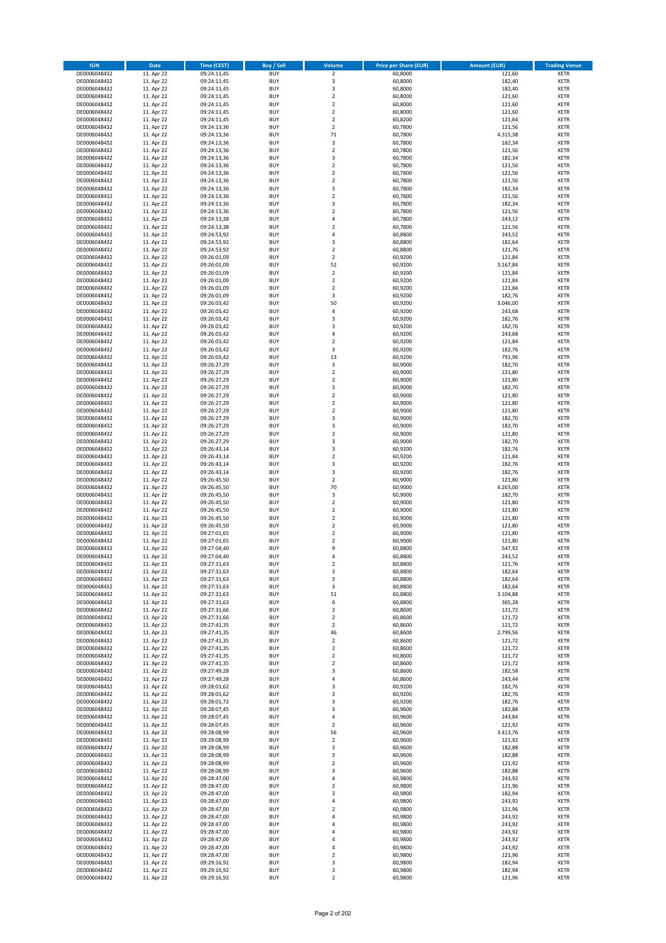| <b>ISIN</b>                  | <b>Date</b>              | <b>Time (CEST)</b>         | <b>Buy / Sell</b>        | Volume                                             | <b>Price per Share (EUR)</b> | Amount (EUR)     | <b>Trading Venue</b>       |
|------------------------------|--------------------------|----------------------------|--------------------------|----------------------------------------------------|------------------------------|------------------|----------------------------|
| DE0006048432                 | 11. Apr 22               | 09:24:11,45                | <b>BUY</b>               | $\overline{2}$                                     | 60,8000                      | 121,60           | <b>XETR</b>                |
| DE0006048432                 | 11. Apr 22               | 09:24:11,45                | <b>BUY</b>               | 3                                                  | 60,8000                      | 182,40           | <b>XETR</b>                |
| DE0006048432                 | 11. Apr 22               | 09:24:11,45                | <b>BUY</b>               | 3                                                  | 60.8000                      | 182,40           | <b>XETR</b>                |
| DE0006048432                 | 11. Apr 22               | 09:24:11,45                | <b>BUY</b>               | $\mathbf 2$                                        | 60,8000                      | 121,60           | <b>XETR</b>                |
| DE0006048432<br>DE0006048432 | 11. Apr 22<br>11. Apr 22 | 09:24:11,45<br>09:24:11,45 | <b>BUY</b><br><b>BUY</b> | $\overline{\mathbf{2}}$<br>$\mathbf 2$             | 60,8000<br>60,8000           | 121,60<br>121,60 | <b>XETR</b><br><b>XETR</b> |
| DE0006048432                 | 11. Apr 22               | 09:24:11,45                | <b>BUY</b>               | $\overline{\mathbf{2}}$                            | 60,8200                      | 121,64           | <b>XETR</b>                |
| DE0006048432                 | 11. Apr 22               | 09:24:13,36                | <b>BUY</b>               | $\overline{2}$                                     | 60,7800                      | 121,56           | <b>XETR</b>                |
| DE0006048432                 | 11. Apr 22               | 09:24:13,36                | BUY                      | $71\,$                                             | 60,7800                      | 4.315,38         | <b>XETR</b>                |
| DE0006048432                 | 11. Apr 22               | 09:24:13,36                | <b>BUY</b>               | 3                                                  | 60,7800                      | 182,34           | <b>XETR</b>                |
| DE0006048432                 | 11. Apr 22               | 09:24:13,36                | <b>BUY</b>               | $\mathbf 2$                                        | 60,7800                      | 121,56           | <b>XETR</b>                |
| DE0006048432<br>DE0006048432 | 11. Apr 22<br>11. Apr 22 | 09:24:13,36<br>09:24:13,36 | <b>BUY</b><br><b>BUY</b> | $\overline{\mathbf{3}}$<br>$\overline{2}$          | 60,7800<br>60,7800           | 182,34<br>121,56 | <b>XETR</b><br><b>XETR</b> |
| DE0006048432                 | 11. Apr 22               | 09:24:13,36                | <b>BUY</b>               | $\overline{2}$                                     | 60,7800                      | 121,56           | <b>XETR</b>                |
| DE0006048432                 | 11. Apr 22               | 09:24:13,36                | <b>BUY</b>               | $\overline{2}$                                     | 60,7800                      | 121,56           | <b>XETR</b>                |
| DE0006048432                 | 11. Apr 22               | 09:24:13,36                | BUY                      | 3                                                  | 60,7800                      | 182,34           | <b>XETR</b>                |
| DE0006048432                 | 11. Apr 22               | 09:24:13,36                | <b>BUY</b>               | $\overline{2}$                                     | 60,7800                      | 121,56           | <b>XETR</b>                |
| DE0006048432                 | 11. Apr 22               | 09:24:13,36                | <b>BUY</b>               | 3                                                  | 60,7800                      | 182,34           | <b>XETR</b>                |
| DE0006048432<br>DE0006048432 | 11. Apr 22<br>11. Apr 22 | 09:24:13,36<br>09:24:13,38 | <b>BUY</b><br><b>BUY</b> | $\overline{2}$<br>4                                | 60.7800<br>60,7800           | 121,56<br>243,12 | <b>XETR</b><br><b>XETR</b> |
| DE0006048432                 | 11. Apr 22               | 09:24:13,38                | <b>BUY</b>               | $\overline{2}$                                     | 60,7800                      | 121,56           | <b>XETR</b>                |
| DE0006048432                 | 11. Apr 22               | 09:24:53,92                | <b>BUY</b>               | 4                                                  | 60,8800                      | 243,52           | <b>XETR</b>                |
| DE0006048432                 | 11. Apr 22               | 09:24:53,92                | <b>BUY</b>               | $\overline{\mathbf{3}}$                            | 60,8800                      | 182,64           | <b>XETR</b>                |
| DE0006048432                 | 11. Apr 22               | 09:24:53,92                | <b>BUY</b>               | $\overline{2}$                                     | 60,8800                      | 121,76           | <b>XETR</b>                |
| DE0006048432                 | 11. Apr 22               | 09:26:01,09                | <b>BUY</b>               | $\mathbf 2$                                        | 60,9200                      | 121,84           | <b>XETR</b>                |
| DE0006048432                 | 11. Apr 22               | 09:26:01,09                | <b>BUY</b>               | 52                                                 | 60,9200                      | 3.167,84         | <b>XETR</b>                |
| DE0006048432<br>DE0006048432 | 11. Apr 22<br>11. Apr 22 | 09:26:01,09<br>09:26:01,09 | <b>BUY</b><br><b>BUY</b> | $\mathbf 2$<br>$\overline{2}$                      | 60,9200<br>60,9200           | 121,84<br>121,84 | <b>XETR</b><br><b>XETR</b> |
| DE0006048432                 | 11. Apr 22               | 09:26:01,09                | <b>BUY</b>               | $\mathbf 2$                                        | 60,9200                      | 121,84           | <b>XETR</b>                |
| DE0006048432                 | 11. Apr 22               | 09:26:01,09                | <b>BUY</b>               | 3                                                  | 60,9200                      | 182,76           | <b>XETR</b>                |
| DE0006048432                 | 11. Apr 22               | 09:26:03,42                | <b>BUY</b>               | 50                                                 | 60,9200                      | 3.046,00         | <b>XETR</b>                |
| DE0006048432                 | 11. Apr 22               | 09:26:03,42                | <b>BUY</b>               | 4                                                  | 60,9200                      | 243,68           | <b>XETR</b>                |
| DE0006048432                 | 11. Apr 22               | 09:26:03,42                | <b>BUY</b>               | 3                                                  | 60,9200                      | 182,76           | <b>XETR</b>                |
| DE0006048432<br>DE0006048432 | 11. Apr 22<br>11. Apr 22 | 09:26:03,42<br>09:26:03,42 | <b>BUY</b><br><b>BUY</b> | $\overline{\mathbf{3}}$<br>4                       | 60,9200<br>60,9200           | 182,76<br>243,68 | <b>XETR</b><br><b>XETR</b> |
| DE0006048432                 | 11. Apr 22               | 09:26:03,42                | <b>BUY</b>               | $\mathbf 2$                                        | 60,9200                      | 121,84           | <b>XETR</b>                |
| DE0006048432                 | 11. Apr 22               | 09:26:03,42                | <b>BUY</b>               | 3                                                  | 60,9200                      | 182,76           | <b>XETR</b>                |
| DE0006048432                 | 11. Apr 22               | 09:26:03,42                | <b>BUY</b>               | 13                                                 | 60,9200                      | 791,96           | <b>XETR</b>                |
| DE0006048432                 | 11. Apr 22               | 09:26:27,29                | <b>BUY</b>               | 3                                                  | 60,9000                      | 182,70           | <b>XETR</b>                |
| DE0006048432                 | 11. Apr 22               | 09:26:27,29                | <b>BUY</b>               | $\mathbf 2$                                        | 60,9000                      | 121,80           | <b>XETR</b>                |
| DE0006048432<br>DE0006048432 | 11. Apr 22<br>11. Apr 22 | 09:26:27,29                | <b>BUY</b><br><b>BUY</b> | $\overline{2}$<br>3                                | 60,9000<br>60,9000           | 121,80<br>182,70 | <b>XETR</b>                |
| DE0006048432                 | 11. Apr 22               | 09:26:27,29<br>09:26:27,29 | <b>BUY</b>               | $\mathbf 2$                                        | 60,9000                      | 121,80           | <b>XETR</b><br><b>XETR</b> |
| DE0006048432                 | 11. Apr 22               | 09:26:27,29                | <b>BUY</b>               | $\overline{2}$                                     | 60,9000                      | 121,80           | <b>XETR</b>                |
| DE0006048432                 | 11. Apr 22               | 09:26:27,29                | <b>BUY</b>               | $\mathbf 2$                                        | 60,9000                      | 121,80           | <b>XETR</b>                |
| DE0006048432                 | 11. Apr 22               | 09:26:27,29                | <b>BUY</b>               | 3                                                  | 60,9000                      | 182,70           | <b>XETR</b>                |
| DE0006048432                 | 11. Apr 22               | 09:26:27,29                | <b>BUY</b>               | 3                                                  | 60,9000                      | 182,70           | <b>XETR</b>                |
| DE0006048432                 | 11. Apr 22               | 09:26:27,29                | <b>BUY</b>               | $\overline{2}$<br>3                                | 60,9000                      | 121,80           | <b>XETR</b>                |
| DE0006048432<br>DE0006048432 | 11. Apr 22<br>11. Apr 22 | 09:26:27,29<br>09:26:43,14 | <b>BUY</b><br><b>BUY</b> | 3                                                  | 60,9000<br>60,9200           | 182,70<br>182,76 | <b>XETR</b><br><b>XETR</b> |
| DE0006048432                 | 11. Apr 22               | 09:26:43,14                | <b>BUY</b>               | $\overline{2}$                                     | 60,9200                      | 121,84           | <b>XETR</b>                |
| DE0006048432                 | 11. Apr 22               | 09:26:43,14                | <b>BUY</b>               | 3                                                  | 60,9200                      | 182,76           | <b>XETR</b>                |
| DE0006048432                 | 11. Apr 22               | 09:26:43,14                | <b>BUY</b>               | $\overline{\mathbf{3}}$                            | 60,9200                      | 182,76           | <b>XETR</b>                |
| DE0006048432                 | 11. Apr 22               | 09:26:45,50                | <b>BUY</b>               | $\mathbf 2$                                        | 60,9000                      | 121,80           | <b>XETR</b>                |
| DE0006048432                 | 11. Apr 22               | 09:26:45,50                | <b>BUY</b>               | 70                                                 | 60,9000                      | 4.263,00         | <b>XETR</b>                |
| DE0006048432<br>DE0006048432 | 11. Apr 22<br>11. Apr 22 | 09:26:45,50<br>09:26:45,50 | <b>BUY</b><br><b>BUY</b> | 3<br>$\overline{2}$                                | 60,9000<br>60,9000           | 182,70<br>121,80 | <b>XETR</b><br><b>XETR</b> |
| DE0006048432                 | 11. Apr 22               | 09:26:45,50                | <b>BUY</b>               | $\overline{\mathbf{2}}$                            | 60,9000                      | 121,80           | <b>XETR</b>                |
| DE0006048432                 | 11. Apr 22               | 09:26:45,50                | BUY                      | $\overline{\mathbf{2}}$                            | 60,9000                      | 121,80           | <b>XETR</b>                |
| DE0006048432                 | 11. Apr 22               | 09:26:45,50                | <b>BUY</b>               | $\overline{\mathbf{2}}$                            | 60,9000                      | 121,80           | <b>XETR</b>                |
| DE0006048432                 | 11. Apr 22               | 09:27:01,65                | <b>BUY</b>               | $\mathbf 2$                                        | 60,9000                      | 121,80           | <b>XETR</b>                |
| DE0006048432                 | 11. Apr 22               | 09:27:01,65                | BUY                      | $\overline{\mathbf{2}}$                            | 60,9000                      | 121,80           | <b>XETR</b>                |
| DE0006048432<br>DE0006048432 | 11. Apr 22               | 09:27:04,40<br>09:27:04,40 | BUY<br><b>BUY</b>        | 9<br>$\overline{a}$                                | 60,8800<br>60,8800           | 547,92<br>243,52 | <b>XETR</b><br><b>XETR</b> |
| DE0006048432                 | 11. Apr 22<br>11. Apr 22 | 09:27:31,63                | BUY                      | 2                                                  | 60,8800                      | 121,76           | <b>XETR</b>                |
| DE0006048432                 | 11. Apr 22               | 09:27:31,63                | <b>BUY</b>               | 3                                                  | 60,8800                      | 182,64           | <b>XETR</b>                |
| DE0006048432                 | 11. Apr 22               | 09:27:31,63                | <b>BUY</b>               | 3                                                  | 60,8800                      | 182,64           | <b>XETR</b>                |
| DE0006048432                 | 11. Apr 22               | 09:27:31,63                | <b>BUY</b>               | 3                                                  | 60,8800                      | 182,64           | <b>XETR</b>                |
| DE0006048432                 | 11. Apr 22               | 09:27:31,63                | <b>BUY</b>               | 51                                                 | 60,8800                      | 3.104,88         | <b>XETR</b>                |
| DE0006048432<br>DE0006048432 | 11. Apr 22<br>11. Apr 22 | 09:27:31,63<br>09:27:31,66 | <b>BUY</b><br><b>BUY</b> | 6<br>2                                             | 60,8800<br>60,8600           | 365,28<br>121,72 | <b>XETR</b><br><b>XETR</b> |
| DE0006048432                 | 11. Apr 22               | 09:27:31,66                | <b>BUY</b>               | 2                                                  | 60,8600                      | 121,72           | <b>XETR</b>                |
| DE0006048432                 | 11. Apr 22               | 09:27:41,35                | <b>BUY</b>               | $\mathbf 2$                                        | 60,8600                      | 121,72           | <b>XETR</b>                |
| DE0006048432                 | 11. Apr 22               | 09:27:41,35                | <b>BUY</b>               | 46                                                 | 60,8600                      | 2.799,56         | <b>XETR</b>                |
| DE0006048432                 | 11. Apr 22               | 09:27:41,35                | <b>BUY</b>               | $\mathbf 2$                                        | 60,8600                      | 121,72           | <b>XETR</b>                |
| DE0006048432                 | 11. Apr 22               | 09:27:41,35                | <b>BUY</b>               | $\overline{\mathbf{2}}$                            | 60,8600                      | 121,72           | <b>XETR</b>                |
| DE0006048432<br>DE0006048432 | 11. Apr 22<br>11. Apr 22 | 09:27:41,35<br>09:27:41,35 | <b>BUY</b><br><b>BUY</b> | $\mathbf 2$<br>2                                   | 60,8600<br>60,8600           | 121,72<br>121,72 | <b>XETR</b><br><b>XETR</b> |
| DE0006048432                 | 11. Apr 22               | 09:27:49,28                | <b>BUY</b>               | 3                                                  | 60,8600                      | 182,58           | <b>XETR</b>                |
| DE0006048432                 | 11. Apr 22               | 09:27:49,28                | <b>BUY</b>               | $\overline{a}$                                     | 60,8600                      | 243,44           | <b>XETR</b>                |
| DE0006048432                 | 11. Apr 22               | 09:28:01,62                | <b>BUY</b>               | $\overline{\mathbf{3}}$                            | 60,9200                      | 182,76           | <b>XETR</b>                |
| DE0006048432                 | 11. Apr 22               | 09:28:01,62                | <b>BUY</b>               | 3                                                  | 60,9200                      | 182,76           | <b>XETR</b>                |
| DE0006048432                 | 11. Apr 22               | 09:28:01,72                | <b>BUY</b>               | 3                                                  | 60,9200                      | 182,76           | <b>XETR</b>                |
| DE0006048432<br>DE0006048432 | 11. Apr 22<br>11. Apr 22 | 09:28:07,45<br>09:28:07,45 | <b>BUY</b><br><b>BUY</b> | 3<br>4                                             | 60,9600<br>60,9600           | 182,88<br>243,84 | <b>XETR</b><br><b>XETR</b> |
| DE0006048432                 | 11. Apr 22               | 09:28:07,45                | <b>BUY</b>               | $\mathbf 2$                                        | 60,9600                      | 121,92           | <b>XETR</b>                |
| DE0006048432                 | 11. Apr 22               | 09:28:08,99                | <b>BUY</b>               | 56                                                 | 60,9600                      | 3.413,76         | <b>XETR</b>                |
| DE0006048432                 | 11. Apr 22               | 09:28:08,99                | <b>BUY</b>               | $\mathbf 2$                                        | 60,9600                      | 121,92           | <b>XETR</b>                |
| DE0006048432                 | 11. Apr 22               | 09:28:08,99                | <b>BUY</b>               | 3                                                  | 60,9600                      | 182,88           | <b>XETR</b>                |
| DE0006048432                 | 11. Apr 22               | 09:28:08,99                | <b>BUY</b>               | 3                                                  | 60,9600                      | 182,88           | <b>XETR</b>                |
| DE0006048432<br>DE0006048432 | 11. Apr 22               | 09:28:08,99                | <b>BUY</b><br><b>BUY</b> | $\overline{\mathbf{2}}$<br>$\overline{\mathbf{3}}$ | 60,9600<br>60,9600           | 121,92<br>182,88 | <b>XETR</b><br><b>XETR</b> |
| DE0006048432                 | 11. Apr 22<br>11. Apr 22 | 09:28:08,99<br>09:28:47,00 | <b>BUY</b>               | 4                                                  | 60,9800                      | 243,92           | <b>XETR</b>                |
| DE0006048432                 | 11. Apr 22               | 09:28:47,00                | <b>BUY</b>               | $\overline{\mathbf{2}}$                            | 60,9800                      | 121,96           | <b>XETR</b>                |
| DE0006048432                 | 11. Apr 22               | 09:28:47,00                | <b>BUY</b>               | 3                                                  | 60,9800                      | 182,94           | <b>XETR</b>                |
| DE0006048432                 | 11. Apr 22               | 09:28:47,00                | <b>BUY</b>               | 4                                                  | 60,9800                      | 243,92           | <b>XETR</b>                |
| DE0006048432                 | 11. Apr 22               | 09:28:47,00                | <b>BUY</b>               | $\overline{2}$                                     | 60,9800                      | 121,96           | <b>XETR</b>                |
| DE0006048432                 | 11. Apr 22               | 09:28:47,00                | <b>BUY</b>               | $\overline{a}$                                     | 60,9800                      | 243,92           | <b>XETR</b>                |
| DE0006048432<br>DE0006048432 | 11. Apr 22<br>11. Apr 22 | 09:28:47,00<br>09:28:47,00 | <b>BUY</b><br><b>BUY</b> | 4<br>4                                             | 60,9800<br>60,9800           | 243,92<br>243,92 | <b>XETR</b><br><b>XETR</b> |
| DE0006048432                 | 11. Apr 22               | 09:28:47,00                | <b>BUY</b>               | $\overline{a}$                                     | 60,9800                      | 243,92           | <b>XETR</b>                |
| DE0006048432                 | 11. Apr 22               | 09:28:47,00                | <b>BUY</b>               | 4                                                  | 60,9800                      | 243,92           | <b>XETR</b>                |
| DE0006048432                 | 11. Apr 22               | 09:28:47,00                | <b>BUY</b>               | 2                                                  | 60,9800                      | 121,96           | <b>XETR</b>                |
| DE0006048432                 | 11. Apr 22               | 09:29:16,92                | <b>BUY</b>               | 3                                                  | 60,9800                      | 182,94           | <b>XETR</b>                |
| DE0006048432                 | 11. Apr 22               | 09:29:16,92                | <b>BUY</b>               | 3                                                  | 60,9800                      | 182,94           | <b>XETR</b>                |
| DE0006048432                 | 11. Apr 22               | 09:29:16,92                | <b>BUY</b>               | $\mathbf 2$                                        | 60,9800                      | 121,96           | <b>XETR</b>                |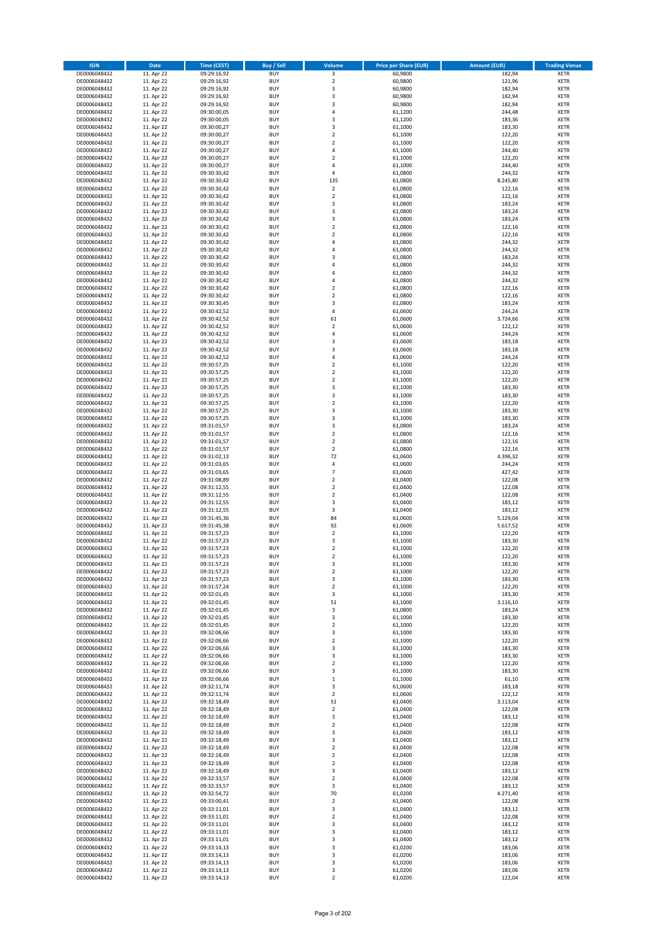| <b>ISIN</b>                  | <b>Date</b>              | <b>Time (CEST)</b>         | <b>Buy / Sell</b>        | <b>Volume</b>                | <b>Price per Share (EUR)</b> | <b>Amount (EUR)</b> | <b>Trading Venue</b>       |
|------------------------------|--------------------------|----------------------------|--------------------------|------------------------------|------------------------------|---------------------|----------------------------|
| DE0006048432                 | 11. Apr 22               | 09:29:16,92                | <b>BUY</b>               | 3                            | 60,9800                      | 182,94              | <b>XETR</b>                |
| DE0006048432                 | 11. Apr 22               | 09:29:16,92                | <b>BUY</b>               | $\mathbf 2$                  | 60,9800                      | 121,96              | <b>XETR</b>                |
| DE0006048432                 | 11. Apr 22               | 09:29:16,92                | <b>BUY</b>               | 3                            | 60,9800                      | 182,94              | <b>XETR</b>                |
| DE0006048432<br>DE0006048432 | 11. Apr 22<br>11. Apr 22 | 09:29:16,92<br>09:29:16,92 | <b>BUY</b><br><b>BUY</b> | 3<br>3                       | 60,9800<br>60,9800           | 182,94<br>182,94    | <b>XETR</b><br><b>XETR</b> |
| DE0006048432                 | 11. Apr 22               | 09:30:00,05                | <b>BUY</b>               | 4                            | 61,1200                      | 244,48              | <b>XETR</b>                |
| DE0006048432                 | 11. Apr 22               | 09:30:00,05                | <b>BUY</b>               | 3                            | 61,1200                      | 183,36              | <b>XETR</b>                |
| DE0006048432                 | 11. Apr 22               | 09:30:00,27                | <b>BUY</b>               | 3                            | 61,1000                      | 183,30              | <b>XETR</b>                |
| DE0006048432                 | 11. Apr 22               | 09:30:00,27                | <b>BUY</b>               | $\overline{2}$               | 61,1000                      | 122,20              | <b>XETR</b>                |
| DE0006048432                 | 11. Apr 22               | 09:30:00,27                | <b>BUY</b><br><b>BUY</b> | $\overline{2}$               | 61,1000                      | 122,20              | <b>XETR</b>                |
| DE0006048432<br>DE0006048432 | 11. Apr 22<br>11. Apr 22 | 09:30:00,27<br>09:30:00,27 | <b>BUY</b>               | 4<br>$\overline{\mathbf{c}}$ | 61,1000<br>61,1000           | 244,40<br>122,20    | <b>XETR</b><br><b>XETR</b> |
| DE0006048432                 | 11. Apr 22               | 09:30:00,27                | <b>BUY</b>               | 4                            | 61,1000                      | 244,40              | <b>XETR</b>                |
| DE0006048432                 | 11. Apr 22               | 09:30:30,42                | <b>BUY</b>               | 4                            | 61,0800                      | 244,32              | <b>XETR</b>                |
| DE0006048432                 | 11. Apr 22               | 09:30:30,42                | <b>BUY</b>               | 135                          | 61,0800                      | 8.245,80            | <b>XETR</b>                |
| DE0006048432                 | 11. Apr 22               | 09:30:30,42                | <b>BUY</b>               | $\mathbf 2$                  | 61,0800                      | 122,16              | <b>XETR</b>                |
| DE0006048432<br>DE0006048432 | 11. Apr 22<br>11. Apr 22 | 09:30:30,42<br>09:30:30,42 | <b>BUY</b><br><b>BUY</b> | $\mathbf 2$<br>3             | 61,0800<br>61,0800           | 122,16<br>183,24    | <b>XETR</b><br><b>XETR</b> |
| DE0006048432                 | 11. Apr 22               | 09:30:30,42                | <b>BUY</b>               | 3                            | 61,0800                      | 183,24              | <b>XETR</b>                |
| DE0006048432                 | 11. Apr 22               | 09:30:30,42                | <b>BUY</b>               | 3                            | 61,0800                      | 183,24              | <b>XETR</b>                |
| DE0006048432                 | 11. Apr 22               | 09:30:30,42                | <b>BUY</b>               | $\overline{\mathbf{c}}$      | 61,0800                      | 122,16              | <b>XETR</b>                |
| DE0006048432                 | 11. Apr 22               | 09:30:30,42                | <b>BUY</b>               | $\mathbf 2$                  | 61,0800                      | 122,16              | <b>XETR</b>                |
| DE0006048432                 | 11. Apr 22               | 09:30:30,42                | <b>BUY</b>               | 4                            | 61,0800                      | 244,32              | <b>XETR</b>                |
| DE0006048432<br>DE0006048432 | 11. Apr 22<br>11. Apr 22 | 09:30:30,42<br>09:30:30,42 | <b>BUY</b><br><b>BUY</b> | 4<br>3                       | 61,0800<br>61,0800           | 244,32<br>183,24    | <b>XETR</b><br><b>XETR</b> |
| DE0006048432                 | 11. Apr 22               | 09:30:30,42                | <b>BUY</b>               | 4                            | 61,0800                      | 244,32              | <b>XETR</b>                |
| DE0006048432                 | 11. Apr 22               | 09:30:30,42                | <b>BUY</b>               | 4                            | 61,0800                      | 244,32              | <b>XETR</b>                |
| DE0006048432                 | 11. Apr 22               | 09:30:30,42                | <b>BUY</b>               | 4                            | 61,0800                      | 244,32              | <b>XETR</b>                |
| DE0006048432                 | 11. Apr 22               | 09:30:30,42                | <b>BUY</b>               | $\mathbf 2$                  | 61,0800                      | 122,16              | <b>XETR</b>                |
| DE0006048432<br>DE0006048432 | 11. Apr 22<br>11. Apr 22 | 09:30:30,42<br>09:30:30,45 | <b>BUY</b><br><b>BUY</b> | $\overline{\mathbf{c}}$<br>3 | 61,0800<br>61,0800           | 122,16<br>183,24    | <b>XETR</b><br><b>XETR</b> |
| DE0006048432                 | 11. Apr 22               | 09:30:42,52                | <b>BUY</b>               | 4                            | 61,0600                      | 244,24              | <b>XETR</b>                |
| DE0006048432                 | 11. Apr 22               | 09:30:42,52                | <b>BUY</b>               | 61                           | 61,0600                      | 3.724,66            | <b>XETR</b>                |
| DE0006048432                 | 11. Apr 22               | 09:30:42,52                | <b>BUY</b>               | $\overline{\mathbf{c}}$      | 61,0600                      | 122,12              | <b>XETR</b>                |
| DE0006048432                 | 11. Apr 22               | 09:30:42,52                | <b>BUY</b>               | 4                            | 61,0600                      | 244,24              | <b>XETR</b>                |
| DE0006048432                 | 11. Apr 22               | 09:30:42,52                | <b>BUY</b>               | 3                            | 61,0600                      | 183,18              | <b>XETR</b>                |
| DE0006048432<br>DE0006048432 | 11. Apr 22<br>11. Apr 22 | 09:30:42,52<br>09:30:42,52 | <b>BUY</b><br><b>BUY</b> | 3<br>4                       | 61,0600<br>61,0600           | 183,18<br>244,24    | <b>XETR</b><br><b>XETR</b> |
| DE0006048432                 | 11. Apr 22               | 09:30:57,25                | <b>BUY</b>               | $\overline{\mathbf{c}}$      | 61,1000                      | 122,20              | <b>XETR</b>                |
| DE0006048432                 | 11. Apr 22               | 09:30:57,25                | <b>BUY</b>               | $\mathbf 2$                  | 61,1000                      | 122,20              | <b>XETR</b>                |
| DE0006048432                 | 11. Apr 22               | 09:30:57,25                | <b>BUY</b>               | $\overline{\mathbf{c}}$      | 61,1000                      | 122,20              | <b>XETR</b>                |
| DE0006048432                 | 11. Apr 22               | 09:30:57,25                | <b>BUY</b>               | 3                            | 61,1000                      | 183,30              | <b>XETR</b>                |
| DE0006048432                 | 11. Apr 22               | 09:30:57,25                | <b>BUY</b><br><b>BUY</b> | 3<br>$\overline{\mathbf{c}}$ | 61,1000                      | 183,30              | <b>XETR</b><br><b>XETR</b> |
| DE0006048432<br>DE0006048432 | 11. Apr 22<br>11. Apr 22 | 09:30:57,25<br>09:30:57,25 | <b>BUY</b>               | 3                            | 61,1000<br>61,1000           | 122,20<br>183,30    | <b>XETR</b>                |
| DE0006048432                 | 11. Apr 22               | 09:30:57,25                | <b>BUY</b>               | 3                            | 61,1000                      | 183,30              | <b>XETR</b>                |
| DE0006048432                 | 11. Apr 22               | 09:31:01,57                | <b>BUY</b>               | 3                            | 61,0800                      | 183,24              | <b>XETR</b>                |
| DE0006048432                 | 11. Apr 22               | 09:31:01,57                | <b>BUY</b>               | $\mathbf 2$                  | 61,0800                      | 122,16              | <b>XETR</b>                |
| DE0006048432                 | 11. Apr 22               | 09:31:01,57                | <b>BUY</b>               | $\mathbf 2$                  | 61,0800                      | 122,16              | <b>XETR</b>                |
| DE0006048432<br>DE0006048432 | 11. Apr 22<br>11. Apr 22 | 09:31:01,57<br>09:31:02,13 | <b>BUY</b><br><b>BUY</b> | $\mathbf 2$<br>72            | 61,0800<br>61,0600           | 122,16<br>4.396,32  | <b>XETR</b><br><b>XETR</b> |
| DE0006048432                 | 11. Apr 22               | 09:31:03,65                | <b>BUY</b>               | 4                            | 61,0600                      | 244,24              | <b>XETR</b>                |
| DE0006048432                 | 11. Apr 22               | 09:31:03,65                | <b>BUY</b>               | $\overline{7}$               | 61,0600                      | 427,42              | <b>XETR</b>                |
| DE0006048432                 | 11. Apr 22               | 09:31:08,89                | <b>BUY</b>               | $\mathbf 2$                  | 61,0400                      | 122,08              | <b>XETR</b>                |
| DE0006048432                 | 11. Apr 22               | 09:31:12,55                | <b>BUY</b>               | $\overline{\mathbf{c}}$      | 61,0400                      | 122,08              | <b>XETR</b>                |
| DE0006048432<br>DE0006048432 | 11. Apr 22<br>11. Apr 22 | 09:31:12,55<br>09:31:12,55 | <b>BUY</b><br><b>BUY</b> | $\mathbf 2$<br>3             | 61,0400<br>61,0400           | 122,08<br>183,12    | <b>XETR</b><br><b>XETR</b> |
| DE0006048432                 | 11. Apr 22               | 09:31:12,55                | <b>BUY</b>               | 3                            | 61,0400                      | 183,12              | <b>XETR</b>                |
| DE0006048432                 | 11. Apr 22               | 09:31:45,36                | <b>BUY</b>               | 84                           | 61,0600                      | 5.129,04            | <b>XETR</b>                |
| DE0006048432                 | 11. Apr 22               | 09:31:45,38                | <b>BUY</b>               | 92                           | 61,0600                      | 5.617,52            | <b>XETR</b>                |
| DE0006048432                 | 11. Apr 22               | 09:31:57,23                | <b>BUY</b>               | $\mathbf 2$                  | 61,1000                      | 122,20              | <b>XETR</b>                |
| DE0006048432<br>DE0006048432 | 11. Apr 22<br>11. Apr 22 | 09:31:57,23<br>09:31:57,23 | <b>BUY</b><br><b>BUY</b> | 3<br>$\overline{\mathbf{c}}$ | 61,1000<br>61,1000           | 183,30<br>122,20    | <b>XETR</b><br><b>XETR</b> |
| DE0006048432                 | 11. Apr 22               | 09:31:57,23                | <b>BUY</b>               | $\overline{2}$               | 61,1000                      | 122,20              | <b>XETR</b>                |
| DE0006048432                 | 11. Apr 22               | 09:31:57,23                | BUY                      | 3                            | 61,1000                      | 183,30              | <b>XETR</b>                |
| DE0006048432                 | 11. Apr 22               | 09:31:57,23                | <b>BUY</b>               | $\mathbf 2$                  | 61,1000                      | 122,20              | XETR                       |
| DE0006048432                 | 11. Apr 22               | 09:31:57,23                | <b>BUY</b>               | 3                            | 61,1000                      | 183,30              | XETR                       |
| DE0006048432<br>DE0006048432 | 11. Apr 22<br>11. Apr 22 | 09:31:57,24<br>09:32:01,45 | <b>BUY</b><br><b>BUY</b> | $\mathbf 2$<br>3             | 61,1000<br>61,1000           | 122,20<br>183,30    | XETR<br><b>XETR</b>        |
| DE0006048432                 | 11. Apr 22               | 09:32:01,45                | <b>BUY</b>               | 51                           | 61,1000                      | 3.116,10            | <b>XETR</b>                |
| DE0006048432                 | 11. Apr 22               | 09:32:01,45                | <b>BUY</b>               | 3                            | 61,0800                      | 183,24              | <b>XETR</b>                |
| DE0006048432                 | 11. Apr 22               | 09:32:01,45                | <b>BUY</b>               | 3                            | 61,1000                      | 183,30              | <b>XETR</b>                |
| DE0006048432                 | 11. Apr 22               | 09:32:01,45                | <b>BUY</b>               | $\mathbf 2$                  | 61,1000                      | 122,20              | <b>XETR</b>                |
| DE0006048432<br>DE0006048432 | 11. Apr 22<br>11. Apr 22 | 09:32:06,66<br>09:32:06,66 | <b>BUY</b><br><b>BUY</b> | 3<br>$\mathbf 2$             | 61,1000<br>61,1000           | 183,30<br>122,20    | <b>XETR</b><br>XETR        |
| DE0006048432                 | 11. Apr 22               | 09:32:06,66                | <b>BUY</b>               | 3                            | 61,1000                      | 183,30              | <b>XETR</b>                |
| DE0006048432                 | 11. Apr 22               | 09:32:06,66                | <b>BUY</b>               | 3                            | 61,1000                      | 183,30              | <b>XETR</b>                |
| DE0006048432                 | 11. Apr 22               | 09:32:06,66                | <b>BUY</b>               | $\overline{\mathbf{2}}$      | 61,1000                      | 122,20              | <b>XETR</b>                |
| DE0006048432                 | 11. Apr 22               | 09:32:06,66                | <b>BUY</b>               | 3                            | 61,1000                      | 183,30              | <b>XETR</b>                |
| DE0006048432<br>DE0006048432 | 11. Apr 22<br>11. Apr 22 | 09:32:06,66<br>09:32:11,74 | <b>BUY</b><br><b>BUY</b> | $\mathbf 1$<br>3             | 61,1000<br>61,0600           | 61,10<br>183,18     | <b>XETR</b><br><b>XETR</b> |
| DE0006048432                 | 11. Apr 22               | 09:32:11,74                | <b>BUY</b>               | $\mathbf 2$                  | 61,0600                      | 122,12              | <b>XETR</b>                |
| DE0006048432                 | 11. Apr 22               | 09:32:18,49                | <b>BUY</b>               | 51                           | 61,0400                      | 3.113,04            | XETR                       |
| DE0006048432                 | 11. Apr 22               | 09:32:18,49                | <b>BUY</b>               | $\mathbf 2$                  | 61,0400                      | 122,08              | <b>XETR</b>                |
| DE0006048432                 | 11. Apr 22               | 09:32:18,49                | <b>BUY</b>               | 3                            | 61,0400                      | 183,12              | <b>XETR</b>                |
| DE0006048432<br>DE0006048432 | 11. Apr 22<br>11. Apr 22 | 09:32:18,49<br>09:32:18,49 | <b>BUY</b><br><b>BUY</b> | $\mathbf 2$<br>3             | 61,0400<br>61,0400           | 122,08<br>183,12    | <b>XETR</b><br><b>XETR</b> |
| DE0006048432                 | 11. Apr 22               | 09:32:18,49                | <b>BUY</b>               | 3                            | 61,0400                      | 183,12              | <b>XETR</b>                |
| DE0006048432                 | 11. Apr 22               | 09:32:18,49                | <b>BUY</b>               | $\mathbf 2$                  | 61,0400                      | 122,08              | <b>XETR</b>                |
| DE0006048432                 | 11. Apr 22               | 09:32:18,49                | <b>BUY</b>               | $\mathbf 2$                  | 61,0400                      | 122,08              | XETR                       |
| DE0006048432                 | 11. Apr 22               | 09:32:18,49                | <b>BUY</b>               | $\mathbf 2$                  | 61,0400                      | 122,08              | <b>XETR</b>                |
| DE0006048432                 | 11. Apr 22               | 09:32:18,49                | <b>BUY</b>               | 3                            | 61,0400                      | 183,12              | <b>XETR</b>                |
| DE0006048432<br>DE0006048432 | 11. Apr 22<br>11. Apr 22 | 09:32:33,57<br>09:32:33,57 | <b>BUY</b><br><b>BUY</b> | $\mathbf 2$<br>3             | 61,0400<br>61,0400           | 122,08<br>183,12    | <b>XETR</b><br>XETR        |
| DE0006048432                 | 11. Apr 22               | 09:32:54,72                | <b>BUY</b>               | 70                           | 61,0200                      | 4.271,40            | <b>XETR</b>                |
| DE0006048432                 | 11. Apr 22               | 09:33:00,41                | <b>BUY</b>               | 2                            | 61,0400                      | 122,08              | <b>XETR</b>                |
| DE0006048432                 | 11. Apr 22               | 09:33:11,01                | <b>BUY</b>               | 3                            | 61,0400                      | 183,12              | XETR                       |
| DE0006048432                 | 11. Apr 22               | 09:33:11,01                | <b>BUY</b>               | $\mathbf 2$                  | 61,0400                      | 122,08              | <b>XETR</b>                |
| DE0006048432<br>DE0006048432 | 11. Apr 22<br>11. Apr 22 | 09:33:11,01<br>09:33:11,01 | <b>BUY</b><br><b>BUY</b> | 3<br>3                       | 61,0400<br>61,0400           | 183,12<br>183,12    | <b>XETR</b><br><b>XETR</b> |
| DE0006048432                 | 11. Apr 22               | 09:33:11,01                | <b>BUY</b>               | 3                            | 61,0400                      | 183,12              | <b>XETR</b>                |
| DE0006048432                 | 11. Apr 22               | 09:33:14,13                | <b>BUY</b>               | 3                            | 61,0200                      | 183,06              | XETR                       |
| DE0006048432                 | 11. Apr 22               | 09:33:14,13                | <b>BUY</b>               | 3                            | 61,0200                      | 183,06              | <b>XETR</b>                |
| DE0006048432                 | 11. Apr 22               | 09:33:14,13                | <b>BUY</b>               | 3                            | 61,0200                      | 183,06              | <b>XETR</b>                |
| DE0006048432<br>DE0006048432 | 11. Apr 22<br>11. Apr 22 | 09:33:14,13<br>09:33:14,13 | <b>BUY</b><br><b>BUY</b> | 3<br>$\mathbf 2$             | 61,0200<br>61,0200           | 183,06<br>122,04    | <b>XETR</b><br>XETR        |
|                              |                          |                            |                          |                              |                              |                     |                            |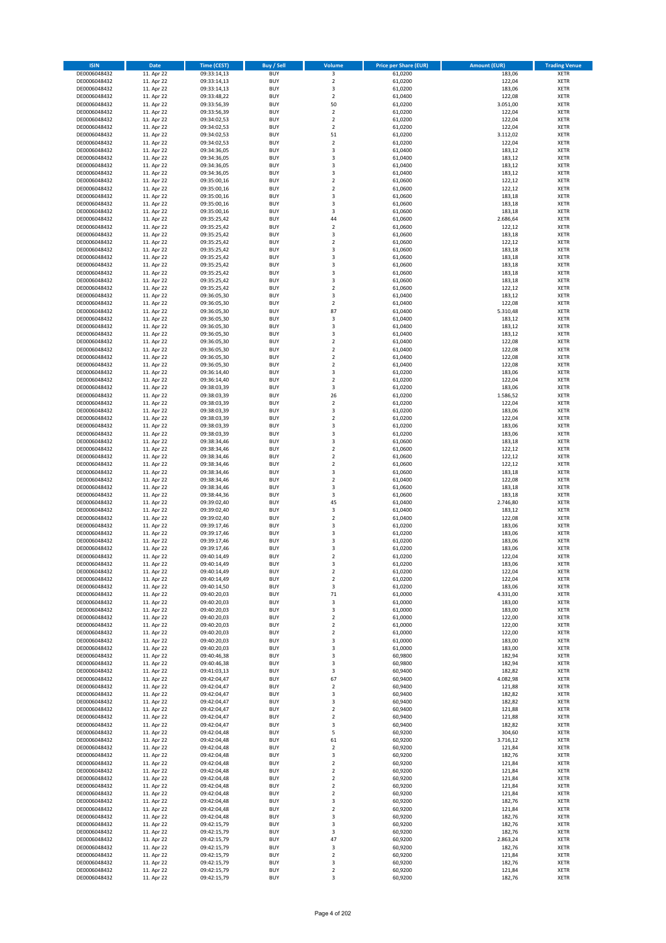| <b>ISIN</b>                  | <b>Date</b>              | <b>Time (CEST)</b>         | <b>Buy / Sell</b>        | Volume                                 | <b>Price per Share (EUR)</b> | <b>Amount (EUR)</b> | <b>Trading Venue</b>       |
|------------------------------|--------------------------|----------------------------|--------------------------|----------------------------------------|------------------------------|---------------------|----------------------------|
| DE0006048432                 | 11. Apr 22               | 09:33:14,13                | <b>BUY</b>               | 3                                      | 61,0200                      | 183,06              | <b>XETR</b>                |
| DE0006048432                 | 11. Apr 22               | 09:33:14,13                | <b>BUY</b>               | $\mathbf 2$                            | 61,0200                      | 122,04              | <b>XETR</b>                |
| DE0006048432                 | 11. Apr 22               | 09:33:14,13                | <b>BUY</b>               | 3                                      | 61,0200                      | 183,06              | <b>XETR</b>                |
| DE0006048432<br>DE0006048432 | 11. Apr 22<br>11. Apr 22 | 09:33:48,22<br>09:33:56,39 | <b>BUY</b><br><b>BUY</b> | $\mathbf 2$<br>50                      | 61,0400<br>61,0200           | 122,08<br>3.051,00  | <b>XETR</b><br><b>XETR</b> |
| DE0006048432                 | 11. Apr 22               | 09:33:56,39                | <b>BUY</b>               | $\mathbf 2$                            | 61,0200                      | 122,04              | <b>XETR</b>                |
| DE0006048432                 | 11. Apr 22               | 09:34:02,53                | <b>BUY</b>               | $\mathbf 2$                            | 61,0200                      | 122,04              | <b>XETR</b>                |
| DE0006048432                 | 11. Apr 22               | 09:34:02,53                | <b>BUY</b>               | $\overline{\mathbf{c}}$                | 61,0200                      | 122,04              | <b>XETR</b>                |
| DE0006048432                 | 11. Apr 22               | 09:34:02,53                | <b>BUY</b>               | 51                                     | 61,0200                      | 3.112,02            | <b>XETR</b>                |
| DE0006048432                 | 11. Apr 22               | 09:34:02,53                | <b>BUY</b><br><b>BUY</b> | $\overline{2}$                         | 61,0200                      | 122,04              | <b>XETR</b>                |
| DE0006048432<br>DE0006048432 | 11. Apr 22<br>11. Apr 22 | 09:34:36,05<br>09:34:36,05 | <b>BUY</b>               | 3<br>3                                 | 61,0400<br>61,0400           | 183,12<br>183,12    | <b>XETR</b><br><b>XETR</b> |
| DE0006048432                 | 11. Apr 22               | 09:34:36,05                | <b>BUY</b>               | 3                                      | 61,0400                      | 183,12              | <b>XETR</b>                |
| DE0006048432                 | 11. Apr 22               | 09:34:36,05                | <b>BUY</b>               | 3                                      | 61,0400                      | 183,12              | <b>XETR</b>                |
| DE0006048432                 | 11. Apr 22               | 09:35:00,16                | <b>BUY</b>               | $\mathbf 2$                            | 61,0600                      | 122,12              | <b>XETR</b>                |
| DE0006048432                 | 11. Apr 22               | 09:35:00,16                | <b>BUY</b>               | $\overline{\mathbf{c}}$                | 61,0600                      | 122,12              | <b>XETR</b>                |
| DE0006048432<br>DE0006048432 | 11. Apr 22<br>11. Apr 22 | 09:35:00,16<br>09:35:00,16 | <b>BUY</b><br><b>BUY</b> | 3<br>3                                 | 61,0600<br>61,0600           | 183,18<br>183,18    | <b>XETR</b><br><b>XETR</b> |
| DE0006048432                 | 11. Apr 22               | 09:35:00,16                | <b>BUY</b>               | 3                                      | 61,0600                      | 183,18              | <b>XETR</b>                |
| DE0006048432                 | 11. Apr 22               | 09:35:25,42                | <b>BUY</b>               | 44                                     | 61,0600                      | 2.686,64            | <b>XETR</b>                |
| DE0006048432                 | 11. Apr 22               | 09:35:25,42                | <b>BUY</b>               | $\overline{\mathbf{c}}$                | 61,0600                      | 122,12              | <b>XETR</b>                |
| DE0006048432                 | 11. Apr 22               | 09:35:25,42                | <b>BUY</b>               | 3                                      | 61,0600                      | 183,18              | <b>XETR</b>                |
| DE0006048432                 | 11. Apr 22               | 09:35:25,42                | <b>BUY</b>               | $\mathbf 2$                            | 61,0600                      | 122,12              | <b>XETR</b>                |
| DE0006048432<br>DE0006048432 | 11. Apr 22<br>11. Apr 22 | 09:35:25,42<br>09:35:25,42 | <b>BUY</b><br><b>BUY</b> | 3<br>3                                 | 61,0600<br>61,0600           | 183,18<br>183,18    | <b>XETR</b><br><b>XETR</b> |
| DE0006048432                 | 11. Apr 22               | 09:35:25,42                | <b>BUY</b>               | 3                                      | 61,0600                      | 183,18              | <b>XETR</b>                |
| DE0006048432                 | 11. Apr 22               | 09:35:25,42                | <b>BUY</b>               | 3                                      | 61,0600                      | 183,18              | <b>XETR</b>                |
| DE0006048432                 | 11. Apr 22               | 09:35:25,42                | <b>BUY</b>               | 3                                      | 61,0600                      | 183,18              | <b>XETR</b>                |
| DE0006048432                 | 11. Apr 22               | 09:35:25,42                | <b>BUY</b>               | $\mathbf 2$                            | 61,0600                      | 122,12              | <b>XETR</b>                |
| DE0006048432<br>DE0006048432 | 11. Apr 22<br>11. Apr 22 | 09:36:05,30<br>09:36:05,30 | <b>BUY</b><br><b>BUY</b> | 3<br>$\overline{2}$                    | 61,0400<br>61,0400           | 183,12<br>122,08    | <b>XETR</b><br><b>XETR</b> |
| DE0006048432                 | 11. Apr 22               | 09:36:05,30                | <b>BUY</b>               | 87                                     | 61,0400                      | 5.310,48            | <b>XETR</b>                |
| DE0006048432                 | 11. Apr 22               | 09:36:05,30                | <b>BUY</b>               | 3                                      | 61,0400                      | 183,12              | <b>XETR</b>                |
| DE0006048432                 | 11. Apr 22               | 09:36:05,30                | <b>BUY</b>               | 3                                      | 61,0400                      | 183,12              | <b>XETR</b>                |
| DE0006048432                 | 11. Apr 22               | 09:36:05,30                | <b>BUY</b>               | 3                                      | 61,0400                      | 183,12              | <b>XETR</b>                |
| DE0006048432                 | 11. Apr 22               | 09:36:05,30                | <b>BUY</b>               | $\mathbf 2$                            | 61,0400                      | 122,08              | <b>XETR</b>                |
| DE0006048432<br>DE0006048432 | 11. Apr 22<br>11. Apr 22 | 09:36:05,30<br>09:36:05,30 | <b>BUY</b><br><b>BUY</b> | $\overline{\mathbf{c}}$<br>$\mathbf 2$ | 61,0400<br>61,0400           | 122,08<br>122,08    | <b>XETR</b><br><b>XETR</b> |
| DE0006048432                 | 11. Apr 22               | 09:36:05,30                | <b>BUY</b>               | $\mathbf 2$                            | 61,0400                      | 122,08              | <b>XETR</b>                |
| DE0006048432                 | 11. Apr 22               | 09:36:14,40                | <b>BUY</b>               | 3                                      | 61,0200                      | 183,06              | <b>XETR</b>                |
| DE0006048432                 | 11. Apr 22               | 09:36:14,40                | <b>BUY</b>               | $\overline{\mathbf{c}}$                | 61,0200                      | 122,04              | <b>XETR</b>                |
| DE0006048432                 | 11. Apr 22               | 09:38:03,39                | <b>BUY</b>               | 3                                      | 61,0200                      | 183,06              | <b>XETR</b>                |
| DE0006048432                 | 11. Apr 22               | 09:38:03,39                | <b>BUY</b>               | 26                                     | 61,0200                      | 1.586,52            | <b>XETR</b>                |
| DE0006048432<br>DE0006048432 | 11. Apr 22<br>11. Apr 22 | 09:38:03,39<br>09:38:03,39 | <b>BUY</b><br><b>BUY</b> | $\overline{\mathbf{c}}$<br>3           | 61,0200<br>61,0200           | 122,04<br>183,06    | <b>XETR</b><br><b>XETR</b> |
| DE0006048432                 | 11. Apr 22               | 09:38:03,39                | <b>BUY</b>               | $\overline{2}$                         | 61,0200                      | 122,04              | <b>XETR</b>                |
| DE0006048432                 | 11. Apr 22               | 09:38:03,39                | <b>BUY</b>               | 3                                      | 61,0200                      | 183,06              | <b>XETR</b>                |
| DE0006048432                 | 11. Apr 22               | 09:38:03,39                | <b>BUY</b>               | 3                                      | 61,0200                      | 183,06              | <b>XETR</b>                |
| DE0006048432                 | 11. Apr 22               | 09:38:34,46                | <b>BUY</b>               | 3                                      | 61,0600                      | 183,18              | <b>XETR</b>                |
| DE0006048432<br>DE0006048432 | 11. Apr 22<br>11. Apr 22 | 09:38:34,46<br>09:38:34,46 | <b>BUY</b><br><b>BUY</b> | $\mathbf 2$<br>$\overline{\mathbf{c}}$ | 61,0600<br>61,0600           | 122,12<br>122,12    | <b>XETR</b><br><b>XETR</b> |
| DE0006048432                 | 11. Apr 22               | 09:38:34,46                | <b>BUY</b>               | $\mathbf 2$                            | 61,0600                      | 122,12              | <b>XETR</b>                |
| DE0006048432                 | 11. Apr 22               | 09:38:34,46                | <b>BUY</b>               | 3                                      | 61,0600                      | 183,18              | <b>XETR</b>                |
| DE0006048432                 | 11. Apr 22               | 09:38:34,46                | <b>BUY</b>               | $\mathbf 2$                            | 61,0400                      | 122,08              | <b>XETR</b>                |
| DE0006048432                 | 11. Apr 22               | 09:38:34,46                | <b>BUY</b>               | 3                                      | 61,0600                      | 183,18              | <b>XETR</b>                |
| DE0006048432                 | 11. Apr 22               | 09:38:44,36                | <b>BUY</b>               | 3                                      | 61,0600                      | 183,18              | <b>XETR</b>                |
| DE0006048432<br>DE0006048432 | 11. Apr 22<br>11. Apr 22 | 09:39:02,40<br>09:39:02,40 | <b>BUY</b><br><b>BUY</b> | 45<br>3                                | 61,0400<br>61,0400           | 2.746,80<br>183,12  | <b>XETR</b><br><b>XETR</b> |
| DE0006048432                 | 11. Apr 22               | 09:39:02,40                | <b>BUY</b>               | $\overline{\mathbf{c}}$                | 61,0400                      | 122,08              | <b>XETR</b>                |
| DE0006048432                 | 11. Apr 22               | 09:39:17,46                | <b>BUY</b>               | 3                                      | 61,0200                      | 183,06              | <b>XETR</b>                |
| DE0006048432                 | 11. Apr 22               | 09:39:17,46                | <b>BUY</b>               | 3                                      | 61,0200                      | 183,06              | <b>XETR</b>                |
| DE0006048432                 | 11. Apr 22               | 09:39:17,46                | <b>BUY</b>               | 3                                      | 61,0200                      | 183,06              | <b>XETR</b>                |
| DE0006048432<br>DE0006048432 | 11. Apr 22<br>11. Apr 22 | 09:39:17,46<br>09:40:14,49 | <b>BUY</b><br><b>BUY</b> | 3<br>$\overline{2}$                    | 61,0200<br>61,0200           | 183,06<br>122,04    | <b>XETR</b><br><b>XETR</b> |
| DE0006048432                 | 11. Apr 22               | 09:40:14,49                | BUY                      | 3                                      | 61,0200                      | 183,06              | <b>XETR</b>                |
| DE0006048432                 | 11. Apr 22               | 09:40:14,49                | <b>BUY</b>               | $\mathbf 2$                            | 61,0200                      | 122,04              | <b>XETR</b>                |
| DE0006048432                 | 11. Apr 22               | 09:40:14,49                | <b>BUY</b>               | $\mathbf 2$                            | 61,0200                      | 122,04              | <b>XETR</b>                |
| DE0006048432                 | 11. Apr 22               | 09:40:14,50                | <b>BUY</b>               | 3                                      | 61,0200                      | 183,06              | XETR                       |
| DE0006048432                 | 11. Apr 22               | 09:40:20,03                | <b>BUY</b>               | 71                                     | 61,0000<br>61,0000           | 4.331,00            | <b>XETR</b>                |
| DE0006048432<br>DE0006048432 | 11. Apr 22<br>11. Apr 22 | 09:40:20,03<br>09:40:20,03 | <b>BUY</b><br><b>BUY</b> | 3<br>3                                 | 61,0000                      | 183,00<br>183,00    | <b>XETR</b><br><b>XETR</b> |
| DE0006048432                 | 11. Apr 22               | 09:40:20,03                | <b>BUY</b>               | $\mathbf 2$                            | 61,0000                      | 122,00              | <b>XETR</b>                |
| DE0006048432                 | 11. Apr 22               | 09:40:20,03                | <b>BUY</b>               | $\mathbf 2$                            | 61,0000                      | 122,00              | <b>XETR</b>                |
| DE0006048432                 | 11. Apr 22               | 09:40:20,03                | <b>BUY</b>               | $\mathbf 2$                            | 61,0000                      | 122,00              | <b>XETR</b>                |
| DE0006048432                 | 11. Apr 22               | 09:40:20,03                | <b>BUY</b>               | 3                                      | 61,0000                      | 183,00              | <b>XETR</b>                |
| DE0006048432<br>DE0006048432 | 11. Apr 22<br>11. Apr 22 | 09:40:20,03<br>09:40:46,38 | <b>BUY</b><br><b>BUY</b> | 3<br>3                                 | 61,0000<br>60,9800           | 183,00<br>182,94    | <b>XETR</b><br><b>XETR</b> |
| DE0006048432                 | 11. Apr 22               | 09:40:46,38                | <b>BUY</b>               | 3                                      | 60,9800                      | 182,94              | <b>XETR</b>                |
| DE0006048432                 | 11. Apr 22               | 09:41:03,13                | <b>BUY</b>               | 3                                      | 60,9400                      | 182,82              | <b>XETR</b>                |
| DE0006048432                 | 11. Apr 22               | 09:42:04,47                | <b>BUY</b>               | 67                                     | 60,9400                      | 4.082,98            | <b>XETR</b>                |
| DE0006048432                 | 11. Apr 22               | 09:42:04,47                | <b>BUY</b>               | $\mathbf 2$                            | 60,9400                      | 121,88              | <b>XETR</b>                |
| DE0006048432<br>DE0006048432 | 11. Apr 22<br>11. Apr 22 | 09:42:04,47<br>09:42:04,47 | <b>BUY</b><br><b>BUY</b> | 3<br>3                                 | 60,9400<br>60,9400           | 182,82<br>182,82    | <b>XETR</b><br>XETR        |
| DE0006048432                 | 11. Apr 22               | 09:42:04,47                | <b>BUY</b>               | $\mathbf 2$                            | 60,9400                      | 121,88              | <b>XETR</b>                |
| DE0006048432                 | 11. Apr 22               | 09:42:04,47                | <b>BUY</b>               | $\overline{2}$                         | 60,9400                      | 121,88              | <b>XETR</b>                |
| DE0006048432                 | 11. Apr 22               | 09:42:04,47                | <b>BUY</b>               | 3                                      | 60,9400                      | 182,82              | <b>XETR</b>                |
| DE0006048432                 | 11. Apr 22               | 09:42:04,48                | <b>BUY</b>               | 5                                      | 60,9200                      | 304,60              | <b>XETR</b>                |
| DE0006048432                 | 11. Apr 22               | 09:42:04,48                | <b>BUY</b><br><b>BUY</b> | 61                                     | 60,9200                      | 3.716,12            | <b>XETR</b>                |
| DE0006048432<br>DE0006048432 | 11. Apr 22<br>11. Apr 22 | 09:42:04,48<br>09:42:04,48 | <b>BUY</b>               | 2<br>3                                 | 60,9200<br>60,9200           | 121,84<br>182,76    | <b>XETR</b><br><b>XETR</b> |
| DE0006048432                 | 11. Apr 22               | 09:42:04,48                | <b>BUY</b>               | $\mathbf 2$                            | 60,9200                      | 121,84              | <b>XETR</b>                |
| DE0006048432                 | 11. Apr 22               | 09:42:04,48                | <b>BUY</b>               | $\overline{2}$                         | 60,9200                      | 121,84              | <b>XETR</b>                |
| DE0006048432                 | 11. Apr 22               | 09:42:04,48                | <b>BUY</b>               | $\mathbf 2$                            | 60,9200                      | 121,84              | <b>XETR</b>                |
| DE0006048432                 | 11. Apr 22               | 09:42:04,48                | <b>BUY</b>               | $\overline{\mathbf{c}}$                | 60,9200                      | 121,84              | <b>XETR</b>                |
| DE0006048432                 | 11. Apr 22               | 09:42:04,48                | <b>BUY</b><br><b>BUY</b> | $\mathbf 2$                            | 60,9200                      | 121,84              | <b>XETR</b>                |
| DE0006048432<br>DE0006048432 | 11. Apr 22<br>11. Apr 22 | 09:42:04,48<br>09:42:04,48 | <b>BUY</b>               | 3<br>$\mathbf 2$                       | 60,9200<br>60,9200           | 182,76<br>121,84    | <b>XETR</b><br><b>XETR</b> |
| DE0006048432                 | 11. Apr 22               | 09:42:04,48                | <b>BUY</b>               | 3                                      | 60,9200                      | 182,76              | <b>XETR</b>                |
| DE0006048432                 | 11. Apr 22               | 09:42:15,79                | <b>BUY</b>               | 3                                      | 60,9200                      | 182,76              | <b>XETR</b>                |
| DE0006048432                 | 11. Apr 22               | 09:42:15,79                | <b>BUY</b>               | 3                                      | 60,9200                      | 182,76              | <b>XETR</b>                |
| DE0006048432                 | 11. Apr 22               | 09:42:15,79                | <b>BUY</b>               | 47                                     | 60,9200                      | 2.863,24            | <b>XETR</b>                |
| DE0006048432<br>DE0006048432 | 11. Apr 22<br>11. Apr 22 | 09:42:15,79<br>09:42:15,79 | <b>BUY</b><br><b>BUY</b> | 3<br>$\overline{2}$                    | 60,9200<br>60,9200           | 182,76<br>121,84    | XETR<br><b>XETR</b>        |
| DE0006048432                 | 11. Apr 22               | 09:42:15,79                | <b>BUY</b>               | 3                                      | 60,9200                      | 182,76              | <b>XETR</b>                |
| DE0006048432                 | 11. Apr 22               | 09:42:15,79                | <b>BUY</b>               | $\mathbf 2$                            | 60,9200                      | 121,84              | <b>XETR</b>                |
| DE0006048432                 | 11. Apr 22               | 09:42:15,79                | <b>BUY</b>               | 3                                      | 60,9200                      | 182,76              | XETR                       |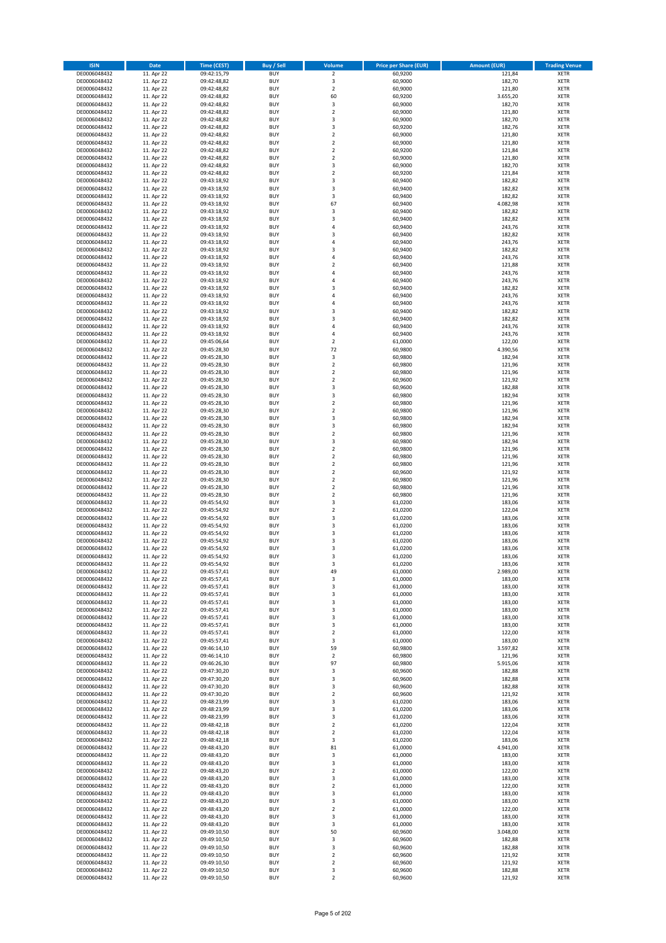| <b>ISIN</b>                  | <b>Date</b>              | <b>Time (CEST)</b>         | <b>Buy / Sell</b>        | Volume                                             | <b>Price per Share (EUR)</b> | <b>Amount (EUR)</b> | <b>Trading Venue</b>       |
|------------------------------|--------------------------|----------------------------|--------------------------|----------------------------------------------------|------------------------------|---------------------|----------------------------|
| DE0006048432                 | 11. Apr 22               | 09:42:15,79                | <b>BUY</b>               | $\overline{\mathbf{2}}$                            | 60,9200                      | 121,84              | <b>XETR</b>                |
| DE0006048432                 | 11. Apr 22               | 09:42:48,82                | <b>BUY</b>               | 3                                                  | 60,9000                      | 182,70              | <b>XETR</b>                |
| DE0006048432                 | 11. Apr 22               | 09:42:48,82                | <b>BUY</b>               | $\overline{2}$                                     | 60,9000                      | 121,80              | <b>XETR</b>                |
| DE0006048432                 | 11. Apr 22               | 09:42:48,82                | <b>BUY</b>               | 60                                                 | 60,9200                      | 3.655,20            | <b>XETR</b>                |
| DE0006048432<br>DE0006048432 | 11. Apr 22<br>11. Apr 22 | 09:42:48,82<br>09:42:48,82 | <b>BUY</b><br><b>BUY</b> | 3<br>$\mathbf 2$                                   | 60,9000<br>60,9000           | 182,70<br>121,80    | <b>XETR</b><br><b>XETR</b> |
| DE0006048432                 | 11. Apr 22               | 09:42:48,82                | <b>BUY</b>               | $\overline{\mathbf{3}}$                            | 60,9000                      | 182,70              | <b>XETR</b>                |
| DE0006048432                 | 11. Apr 22               | 09:42:48,82                | <b>BUY</b>               | 3                                                  | 60,9200                      | 182,76              | <b>XETR</b>                |
| DE0006048432                 | 11. Apr 22               | 09:42:48,82                | BUY                      | $\overline{2}$                                     | 60,9000                      | 121,80              | <b>XETR</b>                |
| DE0006048432                 | 11. Apr 22               | 09:42:48,82                | <b>BUY</b>               | $\overline{2}$                                     | 60,9000                      | 121,80              | <b>XETR</b>                |
| DE0006048432                 | 11. Apr 22               | 09:42:48,82                | <b>BUY</b>               | $\mathbf 2$                                        | 60,9200                      | 121,84              | <b>XETR</b>                |
| DE0006048432                 | 11. Apr 22               | 09:42:48,82                | <b>BUY</b>               | $\overline{\mathbf{2}}$<br>$\overline{\mathbf{3}}$ | 60,9000                      | 121,80              | <b>XETR</b>                |
| DE0006048432<br>DE0006048432 | 11. Apr 22<br>11. Apr 22 | 09:42:48,82<br>09:42:48,82 | <b>BUY</b><br><b>BUY</b> | $\overline{\mathbf{2}}$                            | 60,9000<br>60,9200           | 182,70<br>121,84    | <b>XETR</b><br><b>XETR</b> |
| DE0006048432                 | 11. Apr 22               | 09:43:18,92                | <b>BUY</b>               | $\overline{\mathbf{3}}$                            | 60,9400                      | 182,82              | <b>XETR</b>                |
| DE0006048432                 | 11. Apr 22               | 09:43:18,92                | BUY                      | 3                                                  | 60,9400                      | 182,82              | <b>XETR</b>                |
| DE0006048432                 | 11. Apr 22               | 09:43:18,92                | <b>BUY</b>               | 3                                                  | 60,9400                      | 182,82              | <b>XETR</b>                |
| DE0006048432                 | 11. Apr 22               | 09:43:18,92                | <b>BUY</b>               | 67                                                 | 60,9400                      | 4.082,98            | <b>XETR</b>                |
| DE0006048432                 | 11. Apr 22               | 09:43:18,92                | <b>BUY</b>               | 3                                                  | 60.9400                      | 182,82              | <b>XETR</b>                |
| DE0006048432<br>DE0006048432 | 11. Apr 22<br>11. Apr 22 | 09:43:18,92<br>09:43:18,92 | <b>BUY</b><br><b>BUY</b> | $\overline{\mathbf{3}}$<br>$\overline{a}$          | 60,9400<br>60,9400           | 182,82<br>243,76    | <b>XETR</b><br><b>XETR</b> |
| DE0006048432                 | 11. Apr 22               | 09:43:18,92                | <b>BUY</b>               | 3                                                  | 60,9400                      | 182,82              | <b>XETR</b>                |
| DE0006048432                 | 11. Apr 22               | 09:43:18,92                | <b>BUY</b>               | $\overline{a}$                                     | 60,9400                      | 243,76              | <b>XETR</b>                |
| DE0006048432                 | 11. Apr 22               | 09:43:18,92                | <b>BUY</b>               | $\overline{\mathbf{3}}$                            | 60,9400                      | 182,82              | <b>XETR</b>                |
| DE0006048432                 | 11. Apr 22               | 09:43:18,92                | <b>BUY</b>               | 4                                                  | 60,9400                      | 243,76              | <b>XETR</b>                |
| DE0006048432                 | 11. Apr 22               | 09:43:18,92                | <b>BUY</b>               | $\overline{2}$                                     | 60,9400                      | 121,88              | <b>XETR</b>                |
| DE0006048432                 | 11. Apr 22               | 09:43:18,92                | <b>BUY</b><br><b>BUY</b> | $\overline{a}$<br>$\overline{4}$                   | 60,9400                      | 243,76              | <b>XETR</b><br><b>XETR</b> |
| DE0006048432<br>DE0006048432 | 11. Apr 22<br>11. Apr 22 | 09:43:18,92<br>09:43:18,92 | <b>BUY</b>               | $\overline{\mathbf{3}}$                            | 60,9400<br>60,9400           | 243,76<br>182,82    | <b>XETR</b>                |
| DE0006048432                 | 11. Apr 22               | 09:43:18,92                | <b>BUY</b>               | $\overline{a}$                                     | 60,9400                      | 243,76              | <b>XETR</b>                |
| DE0006048432                 | 11. Apr 22               | 09:43:18,92                | <b>BUY</b>               | 4                                                  | 60,9400                      | 243,76              | <b>XETR</b>                |
| DE0006048432                 | 11. Apr 22               | 09:43:18,92                | <b>BUY</b>               | 3                                                  | 60,9400                      | 182,82              | <b>XETR</b>                |
| DE0006048432                 | 11. Apr 22               | 09:43:18,92                | <b>BUY</b>               | 3                                                  | 60,9400                      | 182,82              | <b>XETR</b>                |
| DE0006048432                 | 11. Apr 22               | 09:43:18,92                | <b>BUY</b>               | $\overline{a}$                                     | 60,9400                      | 243,76              | <b>XETR</b>                |
| DE0006048432<br>DE0006048432 | 11. Apr 22<br>11. Apr 22 | 09:43:18,92<br>09:45:06,64 | <b>BUY</b><br><b>BUY</b> | $\overline{4}$<br>$\mathbf 2$                      | 60,9400<br>61,0000           | 243,76<br>122,00    | <b>XETR</b><br><b>XETR</b> |
| DE0006048432                 | 11. Apr 22               | 09:45:28,30                | <b>BUY</b>               | 72                                                 | 60,9800                      | 4.390,56            | <b>XETR</b>                |
| DE0006048432                 | 11. Apr 22               | 09:45:28,30                | BUY                      | 3                                                  | 60,9800                      | 182,94              | <b>XETR</b>                |
| DE0006048432                 | 11. Apr 22               | 09:45:28,30                | <b>BUY</b>               | $\mathbf 2$                                        | 60,9800                      | 121,96              | <b>XETR</b>                |
| DE0006048432                 | 11. Apr 22               | 09:45:28,30                | <b>BUY</b>               | $\mathbf 2$                                        | 60,9800                      | 121,96              | <b>XETR</b>                |
| DE0006048432                 | 11. Apr 22               | 09:45:28,30                | <b>BUY</b>               | $\overline{\mathbf{2}}$                            | 60,9600                      | 121,92              | <b>XETR</b>                |
| DE0006048432<br>DE0006048432 | 11. Apr 22<br>11. Apr 22 | 09:45:28,30<br>09:45:28,30 | <b>BUY</b><br><b>BUY</b> | 3<br>3                                             | 60,9600<br>60,9800           | 182,88<br>182,94    | <b>XETR</b><br><b>XETR</b> |
| DE0006048432                 | 11. Apr 22               | 09:45:28,30                | <b>BUY</b>               | $\overline{\mathbf{2}}$                            | 60,9800                      | 121,96              | <b>XETR</b>                |
| DE0006048432                 | 11. Apr 22               | 09:45:28,30                | <b>BUY</b>               | $\mathbf 2$                                        | 60,9800                      | 121,96              | <b>XETR</b>                |
| DE0006048432                 | 11. Apr 22               | 09:45:28,30                | <b>BUY</b>               | 3                                                  | 60,9800                      | 182,94              | <b>XETR</b>                |
| DE0006048432                 | 11. Apr 22               | 09:45:28,30                | <b>BUY</b>               | 3                                                  | 60,9800                      | 182,94              | <b>XETR</b>                |
| DE0006048432                 | 11. Apr 22               | 09:45:28,30                | <b>BUY</b>               | $\overline{2}$                                     | 60,9800                      | 121,96              | <b>XETR</b>                |
| DE0006048432<br>DE0006048432 | 11. Apr 22<br>11. Apr 22 | 09:45:28,30<br>09:45:28,30 | <b>BUY</b><br><b>BUY</b> | 3<br>$\overline{2}$                                | 60,9800<br>60,9800           | 182,94<br>121,96    | <b>XETR</b><br><b>XETR</b> |
| DE0006048432                 | 11. Apr 22               | 09:45:28,30                | <b>BUY</b>               | $\overline{2}$                                     | 60,9800                      | 121,96              | <b>XETR</b>                |
| DE0006048432                 | 11. Apr 22               | 09:45:28,30                | <b>BUY</b>               | $\overline{2}$                                     | 60,9800                      | 121,96              | <b>XETR</b>                |
| DE0006048432                 | 11. Apr 22               | 09:45:28,30                | <b>BUY</b>               | $\overline{2}$                                     | 60,9600                      | 121,92              | <b>XETR</b>                |
| DE0006048432                 | 11. Apr 22               | 09:45:28,30                | <b>BUY</b>               | $\mathbf 2$                                        | 60,9800                      | 121,96              | <b>XETR</b>                |
| DE0006048432                 | 11. Apr 22               | 09:45:28,30                | <b>BUY</b>               | $\overline{2}$                                     | 60,9800                      | 121,96              | <b>XETR</b>                |
| DE0006048432                 | 11. Apr 22               | 09:45:28,30                | <b>BUY</b>               | $\overline{2}$                                     | 60,9800                      | 121,96              | <b>XETR</b>                |
| DE0006048432<br>DE0006048432 | 11. Apr 22<br>11. Apr 22 | 09:45:54,92<br>09:45:54,92 | <b>BUY</b><br><b>BUY</b> | $\overline{\mathbf{3}}$<br>$\overline{2}$          | 61,0200<br>61,0200           | 183,06<br>122,04    | <b>XETR</b><br><b>XETR</b> |
| DE0006048432                 | 11. Apr 22               | 09:45:54,92                | <b>BUY</b>               | $\overline{\mathbf{3}}$                            | 61,0200                      | 183,06              | <b>XETR</b>                |
| DE0006048432                 | 11. Apr 22               | 09:45:54,92                | <b>BUY</b>               | $\overline{\mathbf{3}}$                            | 61,0200                      | 183,06              | <b>XETR</b>                |
| DE0006048432                 | 11. Apr 22               | 09:45:54,92                | <b>BUY</b>               | 3                                                  | 61,0200                      | 183,06              | <b>XETR</b>                |
| DE0006048432                 | 11. Apr 22               | 09:45:54,92                | BUY                      | 3                                                  | 61,0200                      | 183,06              | <b>XETR</b>                |
| DE0006048432                 | 11. Apr 22               | 09:45:54,92                | BUY                      | $\overline{\mathbf{3}}$                            | 61,0200                      | 183,06              | <b>XETR</b>                |
| DE0006048432<br>DE0006048432 | 11. Apr 22<br>11. Apr 22 | 09:45:54,92<br>09:45:54,92 | <b>BUY</b><br><b>BUY</b> | $\overline{3}$<br>3                                | 61,0200<br>61,0200           | 183,06<br>183,06    | <b>XETR</b><br><b>XETR</b> |
| DE0006048432                 | 11. Apr 22               | 09:45:57,41                | <b>BUY</b>               | 49                                                 | 61,0000                      | 2.989,00            | <b>XETR</b>                |
| DE0006048432                 | 11. Apr 22               | 09:45:57,41                | <b>BUY</b>               | 3                                                  | 61,0000                      | 183,00              | <b>XETR</b>                |
| DE0006048432                 | 11. Apr 22               | 09:45:57,41                | <b>BUY</b>               | 3                                                  | 61,0000                      | 183,00              | <b>XETR</b>                |
| DE0006048432                 | 11. Apr 22               | 09:45:57,41                | <b>BUY</b>               | 3                                                  | 61,0000                      | 183,00              | <b>XETR</b>                |
| DE0006048432                 | 11. Apr 22               | 09:45:57,41                | <b>BUY</b>               | 3                                                  | 61,0000                      | 183,00              | <b>XETR</b>                |
| DE0006048432<br>DE0006048432 | 11. Apr 22<br>11. Apr 22 | 09:45:57,41                | <b>BUY</b><br><b>BUY</b> | 3<br>3                                             | 61,0000<br>61,0000           | 183,00<br>183,00    | <b>XETR</b>                |
| DE0006048432                 | 11. Apr 22               | 09:45:57,41<br>09:45:57,41 | <b>BUY</b>               | 3                                                  | 61,0000                      | 183,00              | <b>XETR</b><br><b>XETR</b> |
| DE0006048432                 | 11. Apr 22               | 09:45:57,41                | <b>BUY</b>               | $\mathbf 2$                                        | 61,0000                      | 122,00              | <b>XETR</b>                |
| DE0006048432                 | 11. Apr 22               | 09:45:57,41                | <b>BUY</b>               | 3                                                  | 61,0000                      | 183,00              | <b>XETR</b>                |
| DE0006048432                 | 11. Apr 22               | 09:46:14,10                | <b>BUY</b>               | 59                                                 | 60,9800                      | 3.597,82            | <b>XETR</b>                |
| DE0006048432                 | 11. Apr 22               | 09:46:14,10                | <b>BUY</b>               | $\mathbf 2$                                        | 60,9800                      | 121,96              | <b>XETR</b>                |
| DE0006048432<br>DE0006048432 | 11. Apr 22               | 09:46:26,30<br>09:47:30,20 | <b>BUY</b>               | 97                                                 | 60,9800                      | 5.915,06            | <b>XETR</b>                |
| DE0006048432                 | 11. Apr 22<br>11. Apr 22 | 09:47:30,20                | <b>BUY</b><br><b>BUY</b> | 3<br>$\overline{\mathbf{3}}$                       | 60,9600<br>60,9600           | 182,88<br>182,88    | <b>XETR</b><br><b>XETR</b> |
| DE0006048432                 | 11. Apr 22               | 09:47:30,20                | <b>BUY</b>               | 3                                                  | 60,9600                      | 182,88              | <b>XETR</b>                |
| DE0006048432                 | 11. Apr 22               | 09:47:30,20                | <b>BUY</b>               | $\mathbf 2$                                        | 60,9600                      | 121,92              | <b>XETR</b>                |
| DE0006048432                 | 11. Apr 22               | 09:48:23,99                | <b>BUY</b>               | 3                                                  | 61,0200                      | 183,06              | <b>XETR</b>                |
| DE0006048432                 | 11. Apr 22               | 09:48:23,99                | <b>BUY</b>               | 3                                                  | 61,0200                      | 183,06              | <b>XETR</b>                |
| DE0006048432                 | 11. Apr 22               | 09:48:23,99                | <b>BUY</b>               | $\overline{\mathbf{3}}$                            | 61,0200                      | 183,06<br>122,04    | <b>XETR</b>                |
| DE0006048432<br>DE0006048432 | 11. Apr 22<br>11. Apr 22 | 09:48:42,18<br>09:48:42,18 | <b>BUY</b><br><b>BUY</b> | $\mathbf 2$<br>$\overline{2}$                      | 61,0200<br>61,0200           | 122,04              | <b>XETR</b><br><b>XETR</b> |
| DE0006048432                 | 11. Apr 22               | 09:48:42,18                | <b>BUY</b>               | 3                                                  | 61,0200                      | 183,06              | <b>XETR</b>                |
| DE0006048432                 | 11. Apr 22               | 09:48:43,20                | <b>BUY</b>               | 81                                                 | 61,0000                      | 4.941,00            | <b>XETR</b>                |
| DE0006048432                 | 11. Apr 22               | 09:48:43,20                | <b>BUY</b>               | 3                                                  | 61,0000                      | 183,00              | <b>XETR</b>                |
| DE0006048432                 | 11. Apr 22               | 09:48:43,20                | <b>BUY</b>               | 3                                                  | 61,0000                      | 183,00              | <b>XETR</b>                |
| DE0006048432                 | 11. Apr 22               | 09:48:43,20                | <b>BUY</b>               | $\overline{2}$                                     | 61,0000                      | 122,00              | <b>XETR</b>                |
| DE0006048432<br>DE0006048432 | 11. Apr 22<br>11. Apr 22 | 09:48:43,20<br>09:48:43,20 | <b>BUY</b><br><b>BUY</b> | 3<br>$\overline{2}$                                | 61,0000<br>61,0000           | 183,00<br>122,00    | <b>XETR</b><br><b>XETR</b> |
| DE0006048432                 | 11. Apr 22               | 09:48:43,20                | <b>BUY</b>               | 3                                                  | 61,0000                      | 183,00              | <b>XETR</b>                |
| DE0006048432                 | 11. Apr 22               | 09:48:43,20                | <b>BUY</b>               | 3                                                  | 61,0000                      | 183,00              | <b>XETR</b>                |
| DE0006048432                 | 11. Apr 22               | 09:48:43,20                | <b>BUY</b>               | $\mathbf 2$                                        | 61,0000                      | 122,00              | <b>XETR</b>                |
| DE0006048432                 | 11. Apr 22               | 09:48:43,20                | <b>BUY</b>               | $\overline{\mathbf{3}}$                            | 61,0000                      | 183,00              | <b>XETR</b>                |
| DE0006048432                 | 11. Apr 22               | 09:48:43,20                | <b>BUY</b>               | 3                                                  | 61,0000                      | 183,00              | <b>XETR</b>                |
| DE0006048432<br>DE0006048432 | 11. Apr 22<br>11. Apr 22 | 09:49:10,50<br>09:49:10,50 | <b>BUY</b><br><b>BUY</b> | 50<br>3                                            | 60,9600<br>60,9600           | 3.048,00<br>182,88  | <b>XETR</b><br><b>XETR</b> |
| DE0006048432                 | 11. Apr 22               | 09:49:10,50                | <b>BUY</b>               | 3                                                  | 60,9600                      | 182,88              | <b>XETR</b>                |
| DE0006048432                 | 11. Apr 22               | 09:49:10,50                | <b>BUY</b>               | 2                                                  | 60,9600                      | 121,92              | <b>XETR</b>                |
| DE0006048432                 | 11. Apr 22               | 09:49:10,50                | <b>BUY</b>               | 2                                                  | 60,9600                      | 121,92              | <b>XETR</b>                |
| DE0006048432                 | 11. Apr 22               | 09:49:10,50                | <b>BUY</b>               | 3                                                  | 60,9600                      | 182,88              | <b>XETR</b>                |
| DE0006048432                 | 11. Apr 22               | 09:49:10,50                | <b>BUY</b>               | $\mathbf 2$                                        | 60,9600                      | 121,92              | <b>XETR</b>                |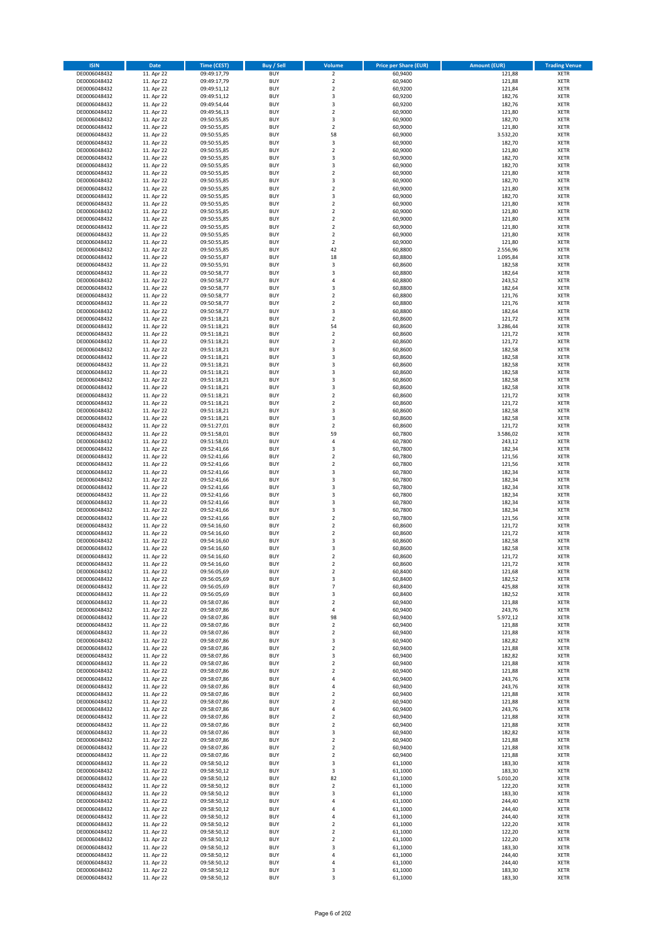| <b>ISIN</b>                  | <b>Date</b>              | <b>Time (CEST)</b>         | <b>Buy / Sell</b>        | Volume                                             | <b>Price per Share (EUR)</b> | <b>Amount (EUR)</b> | <b>Trading Venue</b>       |
|------------------------------|--------------------------|----------------------------|--------------------------|----------------------------------------------------|------------------------------|---------------------|----------------------------|
| DE0006048432                 | 11. Apr 22               | 09:49:17,79                | <b>BUY</b>               | $\overline{\mathbf{2}}$                            | 60,9400                      | 121,88              | <b>XETR</b>                |
| DE0006048432                 | 11. Apr 22               | 09:49:17,79                | <b>BUY</b>               | $\mathbf 2$                                        | 60,9400                      | 121,88              | <b>XETR</b>                |
| DE0006048432                 | 11. Apr 22               | 09:49:51,12                | <b>BUY</b>               | $\overline{2}$                                     | 60,9200                      | 121,84              | <b>XETR</b>                |
| DE0006048432<br>DE0006048432 | 11. Apr 22               | 09:49:51,12                | <b>BUY</b><br><b>BUY</b> | 3<br>3                                             | 60,9200                      | 182,76              | <b>XETR</b><br><b>XETR</b> |
| DE0006048432                 | 11. Apr 22<br>11. Apr 22 | 09:49:54,44<br>09:49:56,13 | <b>BUY</b>               | $\mathbf 2$                                        | 60,9200<br>60,9000           | 182,76<br>121,80    | <b>XETR</b>                |
| DE0006048432                 | 11. Apr 22               | 09:50:55,85                | <b>BUY</b>               | 3                                                  | 60,9000                      | 182,70              | <b>XETR</b>                |
| DE0006048432                 | 11. Apr 22               | 09:50:55,85                | <b>BUY</b>               | $\overline{2}$                                     | 60,9000                      | 121,80              | <b>XETR</b>                |
| DE0006048432                 | 11. Apr 22               | 09:50:55,85                | BUY                      | 58                                                 | 60,9000                      | 3.532,20            | <b>XETR</b>                |
| DE0006048432                 | 11. Apr 22               | 09:50:55,85                | <b>BUY</b>               | 3                                                  | 60,9000                      | 182,70              | <b>XETR</b>                |
| DE0006048432                 | 11. Apr 22               | 09:50:55,85                | <b>BUY</b>               | $\mathbf 2$                                        | 60,9000                      | 121,80              | <b>XETR</b>                |
| DE0006048432                 | 11. Apr 22<br>11. Apr 22 | 09:50:55,85                | <b>BUY</b><br><b>BUY</b> | $\overline{\mathbf{3}}$<br>$\overline{\mathbf{3}}$ | 60,9000<br>60,9000           | 182,70<br>182,70    | <b>XETR</b><br><b>XETR</b> |
| DE0006048432<br>DE0006048432 | 11. Apr 22               | 09:50:55,85<br>09:50:55,85 | <b>BUY</b>               | $\overline{2}$                                     | 60,9000                      | 121,80              | <b>XETR</b>                |
| DE0006048432                 | 11. Apr 22               | 09:50:55,85                | <b>BUY</b>               | $\overline{\mathbf{3}}$                            | 60,9000                      | 182,70              | <b>XETR</b>                |
| DE0006048432                 | 11. Apr 22               | 09:50:55,85                | BUY                      | $\overline{2}$                                     | 60,9000                      | 121,80              | <b>XETR</b>                |
| DE0006048432                 | 11. Apr 22               | 09:50:55,85                | <b>BUY</b>               | 3                                                  | 60,9000                      | 182,70              | <b>XETR</b>                |
| DE0006048432                 | 11. Apr 22               | 09:50:55,85                | <b>BUY</b>               | $\overline{2}$                                     | 60,9000                      | 121,80              | <b>XETR</b>                |
| DE0006048432                 | 11. Apr 22               | 09:50:55,85                | <b>BUY</b>               | $\overline{2}$                                     | 60,9000                      | 121,80              | <b>XETR</b>                |
| DE0006048432                 | 11. Apr 22               | 09:50:55,85                | <b>BUY</b>               | $\overline{2}$                                     | 60,9000                      | 121,80              | <b>XETR</b>                |
| DE0006048432                 | 11. Apr 22               | 09:50:55,85                | <b>BUY</b>               | $\overline{2}$                                     | 60,9000                      | 121,80              | <b>XETR</b>                |
| DE0006048432<br>DE0006048432 | 11. Apr 22<br>11. Apr 22 | 09:50:55,85<br>09:50:55,85 | <b>BUY</b><br><b>BUY</b> | $\mathbf 2$<br>$\overline{2}$                      | 60,9000<br>60,9000           | 121,80<br>121,80    | <b>XETR</b><br><b>XETR</b> |
| DE0006048432                 | 11. Apr 22               | 09:50:55,85                | <b>BUY</b>               | 42                                                 | 60,8800                      | 2.556,96            | <b>XETR</b>                |
| DE0006048432                 | 11. Apr 22               | 09:50:55,87                | <b>BUY</b>               | 18                                                 | 60,8800                      | 1.095,84            | <b>XETR</b>                |
| DE0006048432                 | 11. Apr 22               | 09:50:55,91                | <b>BUY</b>               | 3                                                  | 60,8600                      | 182,58              | <b>XETR</b>                |
| DE0006048432                 | 11. Apr 22               | 09:50:58,77                | <b>BUY</b>               | $\overline{\mathbf{3}}$                            | 60,8800                      | 182,64              | <b>XETR</b>                |
| DE0006048432                 | 11. Apr 22               | 09:50:58,77                | <b>BUY</b>               | 4                                                  | 60,8800                      | 243,52              | <b>XETR</b>                |
| DE0006048432                 | 11. Apr 22               | 09:50:58,77                | <b>BUY</b>               | 3                                                  | 60,8800                      | 182,64              | <b>XETR</b>                |
| DE0006048432                 | 11. Apr 22               | 09:50:58,77                | <b>BUY</b>               | $\overline{2}$                                     | 60,8800                      | 121,76              | <b>XETR</b>                |
| DE0006048432<br>DE0006048432 | 11. Apr 22<br>11. Apr 22 | 09:50:58,77<br>09:50:58,77 | <b>BUY</b><br><b>BUY</b> | $\mathbf 2$<br>3                                   | 60,8800<br>60,8800           | 121,76<br>182,64    | <b>XETR</b><br><b>XETR</b> |
| DE0006048432                 | 11. Apr 22               | 09:51:18,21                | <b>BUY</b>               | $\mathbf 2$                                        | 60,8600                      | 121,72              | <b>XETR</b>                |
| DE0006048432                 | 11. Apr 22               | 09:51:18,21                | <b>BUY</b>               | 54                                                 | 60,8600                      | 3.286,44            | <b>XETR</b>                |
| DE0006048432                 | 11. Apr 22               | 09:51:18,21                | <b>BUY</b>               | $\mathbf 2$                                        | 60,8600                      | 121,72              | <b>XETR</b>                |
| DE0006048432                 | 11. Apr 22               | 09:51:18,21                | <b>BUY</b>               | $\mathbf 2$                                        | 60,8600                      | 121,72              | <b>XETR</b>                |
| DE0006048432                 | 11. Apr 22               | 09:51:18,21                | <b>BUY</b>               | $\overline{\mathbf{3}}$                            | 60,8600                      | 182,58              | <b>XETR</b>                |
| DE0006048432                 | 11. Apr 22               | 09:51:18,21                | BUY                      | 3                                                  | 60,8600                      | 182,58              | <b>XETR</b>                |
| DE0006048432                 | 11. Apr 22               | 09:51:18,21                | <b>BUY</b>               | 3                                                  | 60,8600                      | 182,58              | <b>XETR</b>                |
| DE0006048432                 | 11. Apr 22               | 09:51:18,21                | <b>BUY</b>               | 3                                                  | 60,8600                      | 182,58              | <b>XETR</b>                |
| DE0006048432<br>DE0006048432 | 11. Apr 22<br>11. Apr 22 | 09:51:18,21<br>09:51:18,21 | <b>BUY</b><br><b>BUY</b> | $\overline{\mathbf{3}}$<br>3                       | 60,8600<br>60,8600           | 182,58<br>182,58    | <b>XETR</b><br><b>XETR</b> |
| DE0006048432                 | 11. Apr 22               | 09:51:18,21                | <b>BUY</b>               | $\mathbf 2$                                        | 60,8600                      | 121,72              | <b>XETR</b>                |
| DE0006048432                 | 11. Apr 22               | 09:51:18,21                | <b>BUY</b>               | $\overline{2}$                                     | 60,8600                      | 121,72              | <b>XETR</b>                |
| DE0006048432                 | 11. Apr 22               | 09:51:18,21                | <b>BUY</b>               | 3                                                  | 60,8600                      | 182,58              | <b>XETR</b>                |
| DE0006048432                 | 11. Apr 22               | 09:51:18,21                | <b>BUY</b>               | 3                                                  | 60,8600                      | 182,58              | <b>XETR</b>                |
| DE0006048432                 | 11. Apr 22               | 09:51:27,01                | <b>BUY</b>               | $\mathbf 2$                                        | 60,8600                      | 121,72              | <b>XETR</b>                |
| DE0006048432                 | 11. Apr 22               | 09:51:58,01                | <b>BUY</b>               | 59                                                 | 60,7800                      | 3.586,02            | <b>XETR</b>                |
| DE0006048432                 | 11. Apr 22               | 09:51:58,01                | <b>BUY</b>               | 4                                                  | 60,7800                      | 243,12              | <b>XETR</b>                |
| DE0006048432                 | 11. Apr 22               | 09:52:41,66                | <b>BUY</b>               | $\overline{\mathbf{3}}$                            | 60,7800                      | 182,34              | <b>XETR</b>                |
| DE0006048432<br>DE0006048432 | 11. Apr 22<br>11. Apr 22 | 09:52:41,66<br>09:52:41,66 | <b>BUY</b><br><b>BUY</b> | $\overline{2}$<br>$\overline{2}$                   | 60,7800<br>60,7800           | 121,56<br>121,56    | <b>XETR</b><br><b>XETR</b> |
| DE0006048432                 | 11. Apr 22               | 09:52:41,66                | <b>BUY</b>               | $\overline{\mathbf{3}}$                            | 60,7800                      | 182,34              | <b>XETR</b>                |
| DE0006048432                 | 11. Apr 22               | 09:52:41,66                | <b>BUY</b>               | 3                                                  | 60,7800                      | 182,34              | <b>XETR</b>                |
| DE0006048432                 | 11. Apr 22               | 09:52:41,66                | <b>BUY</b>               | $\overline{\mathbf{3}}$                            | 60,7800                      | 182,34              | <b>XETR</b>                |
| DE0006048432                 | 11. Apr 22               | 09:52:41,66                | <b>BUY</b>               | $\overline{\mathbf{3}}$                            | 60,7800                      | 182,34              | <b>XETR</b>                |
| DE0006048432                 | 11. Apr 22               | 09:52:41,66                | <b>BUY</b>               | $\overline{\mathbf{3}}$                            | 60,7800                      | 182,34              | <b>XETR</b>                |
| DE0006048432                 | 11. Apr 22               | 09:52:41,66                | <b>BUY</b>               | 3                                                  | 60,7800                      | 182,34              | <b>XETR</b>                |
| DE0006048432                 | 11. Apr 22               | 09:52:41,66                | BUY                      | $\overline{2}$                                     | 60,7800                      | 121,56              | <b>XETR</b>                |
| DE0006048432                 | 11. Apr 22               | 09:54:16,60                | <b>BUY</b>               | $\overline{2}$                                     | 60,8600                      | 121,72              | <b>XETR</b>                |
| DE0006048432<br>DE0006048432 | 11. Apr 22<br>11. Apr 22 | 09:54:16,60<br>09:54:16,60 | <b>BUY</b><br>BUY        | $\mathbf 2$<br>3                                   | 60,8600<br>60,8600           | 121,72<br>182,58    | <b>XETR</b><br><b>XETR</b> |
| DE0006048432                 | 11. Apr 22               | 09:54:16,60                | BUY                      | $\overline{\mathbf{3}}$                            | 60,8600                      | 182,58              | <b>XETR</b>                |
| DE0006048432                 | 11. Apr 22               | 09:54:16,60                | <b>BUY</b>               | $\overline{2}$                                     | 60,8600                      | 121,72              | <b>XETR</b>                |
| DE0006048432                 | 11. Apr 22               | 09:54:16,60                | BUY                      | 2                                                  | 60,8600                      | 121,72              | <b>XETR</b>                |
| DE0006048432                 | 11. Apr 22               | 09:56:05,69                | <b>BUY</b>               | $\mathbf 2$                                        | 60,8400                      | 121,68              | <b>XETR</b>                |
| DE0006048432                 | 11. Apr 22               | 09:56:05,69                | <b>BUY</b>               | 3                                                  | 60,8400                      | 182,52              | <b>XETR</b>                |
| DE0006048432                 | 11. Apr 22               | 09:56:05,69                | <b>BUY</b>               | $\overline{\phantom{a}}$                           | 60,8400                      | 425,88              | <b>XETR</b>                |
| DE0006048432<br>DE0006048432 | 11. Apr 22<br>11. Apr 22 | 09:56:05,69<br>09:58:07,86 | <b>BUY</b><br><b>BUY</b> | 3<br>$\mathbf 2$                                   | 60,8400<br>60,9400           | 182,52<br>121,88    | <b>XETR</b><br><b>XETR</b> |
| DE0006048432                 | 11. Apr 22               | 09:58:07,86                | <b>BUY</b>               | 4                                                  | 60,9400                      | 243,76              | <b>XETR</b>                |
| DE0006048432                 | 11. Apr 22               | 09:58:07,86                | <b>BUY</b>               | 98                                                 | 60,9400                      | 5.972,12            | <b>XETR</b>                |
| DE0006048432                 | 11. Apr 22               | 09:58:07,86                | <b>BUY</b>               | $\mathbf 2$                                        | 60,9400                      | 121,88              | <b>XETR</b>                |
| DE0006048432                 | 11. Apr 22               | 09:58:07,86                | <b>BUY</b>               | $\mathbf 2$                                        | 60,9400                      | 121,88              | <b>XETR</b>                |
| DE0006048432                 | 11. Apr 22               | 09:58:07,86                | <b>BUY</b>               | 3                                                  | 60,9400                      | 182,82              | <b>XETR</b>                |
| DE0006048432                 | 11. Apr 22               | 09:58:07,86                | <b>BUY</b>               | $\overline{2}$                                     | 60,9400                      | 121,88              | <b>XETR</b>                |
| DE0006048432<br>DE0006048432 | 11. Apr 22<br>11. Apr 22 | 09:58:07,86<br>09:58:07,86 | <b>BUY</b><br><b>BUY</b> | 3<br>$\overline{2}$                                | 60,9400<br>60,9400           | 182,82<br>121,88    | <b>XETR</b>                |
| DE0006048432                 | 11. Apr 22               | 09:58:07,86                | <b>BUY</b>               | 2                                                  | 60,9400                      | 121,88              | <b>XETR</b><br><b>XETR</b> |
| DE0006048432                 | 11. Apr 22               | 09:58:07,86                | <b>BUY</b>               | $\overline{a}$                                     | 60,9400                      | 243,76              | <b>XETR</b>                |
| DE0006048432                 | 11. Apr 22               | 09:58:07,86                | <b>BUY</b>               | 4                                                  | 60,9400                      | 243,76              | <b>XETR</b>                |
| DE0006048432                 | 11. Apr 22               | 09:58:07,86                | <b>BUY</b>               | $\mathbf 2$                                        | 60,9400                      | 121,88              | <b>XETR</b>                |
| DE0006048432                 | 11. Apr 22               | 09:58:07,86                | <b>BUY</b>               | $\overline{2}$                                     | 60,9400                      | 121,88              | <b>XETR</b>                |
| DE0006048432                 | 11. Apr 22               | 09:58:07,86                | <b>BUY</b>               | $\overline{4}$                                     | 60,9400                      | 243,76              | <b>XETR</b>                |
| DE0006048432                 | 11. Apr 22               | 09:58:07,86                | <b>BUY</b>               | $\overline{2}$                                     | 60,9400                      | 121,88              | <b>XETR</b>                |
| DE0006048432<br>DE0006048432 | 11. Apr 22<br>11. Apr 22 | 09:58:07,86<br>09:58:07,86 | <b>BUY</b><br><b>BUY</b> | $\mathbf 2$<br>$\overline{\mathbf{3}}$             | 60,9400<br>60,9400           | 121,88<br>182,82    | <b>XETR</b><br><b>XETR</b> |
| DE0006048432                 | 11. Apr 22               | 09:58:07,86                | <b>BUY</b>               | $\overline{2}$                                     | 60,9400                      | 121,88              | <b>XETR</b>                |
| DE0006048432                 | 11. Apr 22               | 09:58:07,86                | <b>BUY</b>               | $\mathbf 2$                                        | 60,9400                      | 121,88              | <b>XETR</b>                |
| DE0006048432                 | 11. Apr 22               | 09:58:07,86                | <b>BUY</b>               | $\mathbf 2$                                        | 60,9400                      | 121,88              | <b>XETR</b>                |
| DE0006048432                 | 11. Apr 22               | 09:58:50,12                | <b>BUY</b>               | 3                                                  | 61,1000                      | 183,30              | <b>XETR</b>                |
| DE0006048432                 | 11. Apr 22               | 09:58:50,12                | <b>BUY</b>               | 3                                                  | 61,1000                      | 183,30              | <b>XETR</b>                |
| DE0006048432                 | 11. Apr 22               | 09:58:50,12                | <b>BUY</b>               | 82                                                 | 61,1000                      | 5.010,20            | <b>XETR</b>                |
| DE0006048432                 | 11. Apr 22               | 09:58:50,12                | <b>BUY</b>               | $\overline{2}$                                     | 61,1000                      | 122,20              | <b>XETR</b>                |
| DE0006048432<br>DE0006048432 | 11. Apr 22<br>11. Apr 22 | 09:58:50,12<br>09:58:50,12 | <b>BUY</b><br><b>BUY</b> | 3<br>$\overline{4}$                                | 61,1000<br>61,1000           | 183,30<br>244,40    | <b>XETR</b><br><b>XETR</b> |
| DE0006048432                 | 11. Apr 22               | 09:58:50,12                | <b>BUY</b>               | 4                                                  | 61,1000                      | 244,40              | <b>XETR</b>                |
| DE0006048432                 | 11. Apr 22               | 09:58:50,12                | <b>BUY</b>               | $\overline{a}$                                     | 61,1000                      | 244,40              | <b>XETR</b>                |
| DE0006048432                 | 11. Apr 22               | 09:58:50,12                | <b>BUY</b>               | $\overline{2}$                                     | 61,1000                      | 122,20              | <b>XETR</b>                |
| DE0006048432                 | 11. Apr 22               | 09:58:50,12                | <b>BUY</b>               | $\mathbf 2$                                        | 61,1000                      | 122,20              | <b>XETR</b>                |
| DE0006048432                 | 11. Apr 22               | 09:58:50,12                | <b>BUY</b>               | $\overline{2}$                                     | 61,1000                      | 122,20              | <b>XETR</b>                |
| DE0006048432                 | 11. Apr 22               | 09:58:50,12                | <b>BUY</b>               | 3                                                  | 61,1000                      | 183,30              | <b>XETR</b>                |
| DE0006048432                 | 11. Apr 22               | 09:58:50,12                | <b>BUY</b>               | 4                                                  | 61,1000                      | 244,40              | <b>XETR</b>                |
| DE0006048432<br>DE0006048432 | 11. Apr 22<br>11. Apr 22 | 09:58:50,12<br>09:58:50,12 | <b>BUY</b><br><b>BUY</b> | 4<br>3                                             | 61,1000<br>61,1000           | 244,40<br>183,30    | <b>XETR</b><br><b>XETR</b> |
| DE0006048432                 | 11. Apr 22               | 09:58:50,12                | <b>BUY</b>               | 3                                                  | 61,1000                      | 183,30              | <b>XETR</b>                |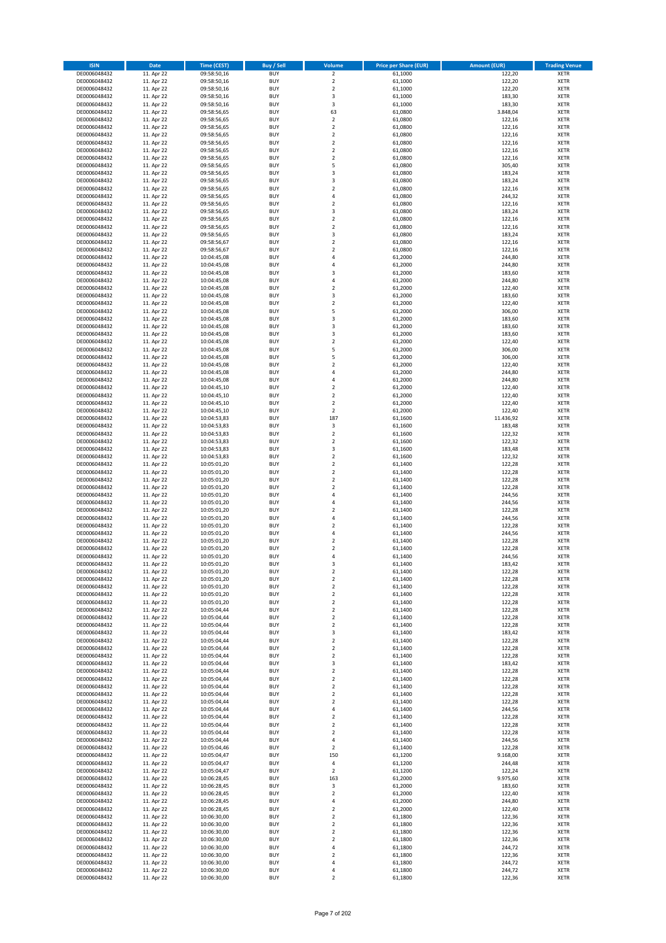| <b>ISIN</b>                  | <b>Date</b>              | <b>Time (CEST)</b>         | <b>Buy / Sell</b>        | <b>Volume</b>                | <b>Price per Share (EUR)</b> | <b>Amount (EUR)</b> | <b>Trading Venue</b>       |
|------------------------------|--------------------------|----------------------------|--------------------------|------------------------------|------------------------------|---------------------|----------------------------|
| DE0006048432                 | 11. Apr 22               | 09:58:50,16                | <b>BUY</b>               | $\overline{2}$               | 61,1000                      | 122,20              | <b>XETR</b>                |
| DE0006048432                 | 11. Apr 22               | 09:58:50,16                | <b>BUY</b>               | $\mathbf 2$                  | 61,1000                      | 122,20              | <b>XETR</b>                |
| DE0006048432                 | 11. Apr 22               | 09:58:50,16                | <b>BUY</b>               | $\overline{2}$               | 61,1000                      | 122,20              | <b>XETR</b>                |
| DE0006048432<br>DE0006048432 | 11. Apr 22<br>11. Apr 22 | 09:58:50,16<br>09:58:50,16 | <b>BUY</b><br><b>BUY</b> | 3<br>3                       | 61,1000<br>61,1000           | 183,30<br>183,30    | <b>XETR</b><br><b>XETR</b> |
| DE0006048432                 | 11. Apr 22               | 09:58:56,65                | <b>BUY</b>               | 63                           | 61,0800                      | 3.848,04            | <b>XETR</b>                |
| DE0006048432                 | 11. Apr 22               | 09:58:56,65                | <b>BUY</b>               | $\overline{\mathbf{c}}$      | 61,0800                      | 122,16              | <b>XETR</b>                |
| DE0006048432                 | 11. Apr 22               | 09:58:56,65                | <b>BUY</b>               | $\mathbf 2$                  | 61,0800                      | 122,16              | <b>XETR</b>                |
| DE0006048432                 | 11. Apr 22               | 09:58:56,65                | <b>BUY</b>               | $\overline{\mathbf{c}}$      | 61,0800                      | 122,16              | <b>XETR</b>                |
| DE0006048432                 | 11. Apr 22               | 09:58:56,65                | <b>BUY</b>               | $\overline{2}$               | 61,0800                      | 122,16              | <b>XETR</b>                |
| DE0006048432                 | 11. Apr 22               | 09:58:56,65                | <b>BUY</b>               | $\mathbf 2$                  | 61,0800                      | 122,16              | <b>XETR</b>                |
| DE0006048432<br>DE0006048432 | 11. Apr 22<br>11. Apr 22 | 09:58:56,65                | <b>BUY</b><br><b>BUY</b> | $\overline{\mathbf{c}}$<br>5 | 61,0800<br>61,0800           | 122,16<br>305,40    | <b>XETR</b><br><b>XETR</b> |
| DE0006048432                 | 11. Apr 22               | 09:58:56,65<br>09:58:56,65 | <b>BUY</b>               | 3                            | 61,0800                      | 183,24              | <b>XETR</b>                |
| DE0006048432                 | 11. Apr 22               | 09:58:56,65                | <b>BUY</b>               | 3                            | 61,0800                      | 183,24              | <b>XETR</b>                |
| DE0006048432                 | 11. Apr 22               | 09:58:56,65                | <b>BUY</b>               | $\overline{\mathbf{c}}$      | 61,0800                      | 122,16              | <b>XETR</b>                |
| DE0006048432                 | 11. Apr 22               | 09:58:56,65                | <b>BUY</b>               | 4                            | 61,0800                      | 244,32              | <b>XETR</b>                |
| DE0006048432                 | 11. Apr 22               | 09:58:56,65                | <b>BUY</b>               | $\mathbf 2$                  | 61,0800                      | 122,16              | <b>XETR</b>                |
| DE0006048432                 | 11. Apr 22               | 09:58:56,65                | <b>BUY</b>               | 3                            | 61,0800                      | 183,24              | <b>XETR</b>                |
| DE0006048432                 | 11. Apr 22               | 09:58:56,65                | <b>BUY</b>               | $\mathbf 2$                  | 61,0800                      | 122,16              | <b>XETR</b>                |
| DE0006048432<br>DE0006048432 | 11. Apr 22<br>11. Apr 22 | 09:58:56,65<br>09:58:56,65 | <b>BUY</b><br><b>BUY</b> | $\overline{\mathbf{c}}$<br>3 | 61,0800<br>61,0800           | 122,16<br>183,24    | <b>XETR</b><br><b>XETR</b> |
| DE0006048432                 | 11. Apr 22               | 09:58:56,67                | <b>BUY</b>               | $\mathbf 2$                  | 61,0800                      | 122,16              | <b>XETR</b>                |
| DE0006048432                 | 11. Apr 22               | 09:58:56,67                | <b>BUY</b>               | $\mathbf 2$                  | 61,0800                      | 122,16              | <b>XETR</b>                |
| DE0006048432                 | 11. Apr 22               | 10:04:45,08                | <b>BUY</b>               | 4                            | 61,2000                      | 244,80              | <b>XETR</b>                |
| DE0006048432                 | 11. Apr 22               | 10:04:45,08                | <b>BUY</b>               | 4                            | 61,2000                      | 244,80              | <b>XETR</b>                |
| DE0006048432                 | 11. Apr 22               | 10:04:45,08                | <b>BUY</b>               | 3                            | 61,2000                      | 183,60              | <b>XETR</b>                |
| DE0006048432                 | 11. Apr 22               | 10:04:45,08                | <b>BUY</b>               | 4                            | 61,2000                      | 244,80              | <b>XETR</b>                |
| DE0006048432<br>DE0006048432 | 11. Apr 22<br>11. Apr 22 | 10:04:45,08<br>10:04:45,08 | <b>BUY</b><br><b>BUY</b> | $\mathbf 2$<br>3             | 61,2000<br>61,2000           | 122,40<br>183,60    | <b>XETR</b><br><b>XETR</b> |
| DE0006048432                 | 11. Apr 22               | 10:04:45,08                | <b>BUY</b>               | $\mathbf 2$                  | 61,2000                      | 122,40              | <b>XETR</b>                |
| DE0006048432                 | 11. Apr 22               | 10:04:45,08                | <b>BUY</b>               | 5                            | 61,2000                      | 306,00              | <b>XETR</b>                |
| DE0006048432                 | 11. Apr 22               | 10:04:45,08                | <b>BUY</b>               | 3                            | 61,2000                      | 183,60              | <b>XETR</b>                |
| DE0006048432                 | 11. Apr 22               | 10:04:45,08                | <b>BUY</b>               | 3                            | 61,2000                      | 183,60              | <b>XETR</b>                |
| DE0006048432                 | 11. Apr 22               | 10:04:45,08                | <b>BUY</b>               | 3                            | 61,2000                      | 183,60              | <b>XETR</b>                |
| DE0006048432                 | 11. Apr 22               | 10:04:45,08                | <b>BUY</b>               | $\mathbf 2$                  | 61,2000                      | 122,40              | <b>XETR</b>                |
| DE0006048432                 | 11. Apr 22               | 10:04:45,08                | <b>BUY</b>               | 5                            | 61,2000                      | 306,00              | <b>XETR</b>                |
| DE0006048432                 | 11. Apr 22<br>11. Apr 22 | 10:04:45,08                | <b>BUY</b><br><b>BUY</b> | 5<br>$\overline{\mathbf{c}}$ | 61,2000                      | 306,00              | <b>XETR</b><br><b>XETR</b> |
| DE0006048432<br>DE0006048432 | 11. Apr 22               | 10:04:45,08<br>10:04:45,08 | <b>BUY</b>               | 4                            | 61,2000<br>61,2000           | 122,40<br>244,80    | <b>XETR</b>                |
| DE0006048432                 | 11. Apr 22               | 10:04:45,08                | <b>BUY</b>               | 4                            | 61,2000                      | 244,80              | <b>XETR</b>                |
| DE0006048432                 | 11. Apr 22               | 10:04:45,10                | <b>BUY</b>               | $\mathbf 2$                  | 61,2000                      | 122,40              | <b>XETR</b>                |
| DE0006048432                 | 11. Apr 22               | 10:04:45,10                | <b>BUY</b>               | $\mathbf 2$                  | 61,2000                      | 122,40              | <b>XETR</b>                |
| DE0006048432                 | 11. Apr 22               | 10:04:45,10                | <b>BUY</b>               | $\overline{2}$               | 61,2000                      | 122,40              | <b>XETR</b>                |
| DE0006048432                 | 11. Apr 22               | 10:04:45,10                | <b>BUY</b>               | $\mathbf 2$                  | 61,2000                      | 122,40              | <b>XETR</b>                |
| DE0006048432                 | 11. Apr 22               | 10:04:53,83                | <b>BUY</b>               | 187                          | 61,1600                      | 11.436,92           | <b>XETR</b>                |
| DE0006048432                 | 11. Apr 22               | 10:04:53,83                | <b>BUY</b>               | $\mathsf 3$                  | 61,1600                      | 183,48              | <b>XETR</b>                |
| DE0006048432<br>DE0006048432 | 11. Apr 22<br>11. Apr 22 | 10:04:53,83<br>10:04:53,83 | <b>BUY</b><br><b>BUY</b> | $\mathbf 2$<br>$\mathbf 2$   | 61,1600<br>61,1600           | 122,32<br>122,32    | <b>XETR</b><br><b>XETR</b> |
| DE0006048432                 | 11. Apr 22               | 10:04:53,83                | <b>BUY</b>               | 3                            | 61,1600                      | 183,48              | <b>XETR</b>                |
| DE0006048432                 | 11. Apr 22               | 10:04:53,83                | <b>BUY</b>               | $\overline{\mathbf{c}}$      | 61,1600                      | 122,32              | <b>XETR</b>                |
| DE0006048432                 | 11. Apr 22               | 10:05:01,20                | <b>BUY</b>               | $\mathbf 2$                  | 61,1400                      | 122,28              | <b>XETR</b>                |
| DE0006048432                 | 11. Apr 22               | 10:05:01,20                | <b>BUY</b>               | $\overline{2}$               | 61,1400                      | 122,28              | <b>XETR</b>                |
| DE0006048432                 | 11. Apr 22               | 10:05:01,20                | <b>BUY</b>               | $\mathbf 2$                  | 61,1400                      | 122,28              | <b>XETR</b>                |
| DE0006048432                 | 11. Apr 22               | 10:05:01,20                | <b>BUY</b>               | $\overline{\mathbf{c}}$      | 61,1400                      | 122,28              | <b>XETR</b>                |
| DE0006048432<br>DE0006048432 | 11. Apr 22<br>11. Apr 22 | 10:05:01,20<br>10:05:01,20 | <b>BUY</b><br><b>BUY</b> | 4<br>4                       | 61,1400<br>61,1400           | 244,56<br>244,56    | <b>XETR</b><br><b>XETR</b> |
| DE0006048432                 | 11. Apr 22               | 10:05:01,20                | <b>BUY</b>               | $\overline{\mathbf{c}}$      | 61,1400                      | 122,28              | <b>XETR</b>                |
| DE0006048432                 | 11. Apr 22               | 10:05:01,20                | <b>BUY</b>               | 4                            | 61,1400                      | 244,56              | <b>XETR</b>                |
| DE0006048432                 | 11. Apr 22               | 10:05:01,20                | <b>BUY</b>               | $\overline{\mathbf{c}}$      | 61,1400                      | 122,28              | <b>XETR</b>                |
| DE0006048432                 | 11. Apr 22               | 10:05:01,20                | <b>BUY</b>               | 4                            | 61,1400                      | 244,56              | <b>XETR</b>                |
| DE0006048432                 | 11. Apr 22               | 10:05:01,20                | <b>BUY</b>               | $\overline{\mathbf{c}}$      | 61,1400                      | 122,28              | <b>XETR</b>                |
| DE0006048432                 | 11. Apr 22               | 10:05:01,20                | <b>BUY</b>               | $\overline{\mathbf{c}}$      | 61,1400                      | 122,28              | <b>XETR</b>                |
| DE0006048432<br>DE0006048432 | 11. Apr 22<br>11. Apr 22 | 10:05:01,20<br>10:05:01,20 | <b>BUY</b><br>BUY        | 4<br>3                       | 61,1400<br>61,1400           | 244,56<br>183,42    | <b>XETR</b><br><b>XETR</b> |
| DE0006048432                 | 11. Apr 22               | 10:05:01,20                | <b>BUY</b>               | $\mathbf 2$                  | 61,1400                      | 122,28              | XETR                       |
| DE0006048432                 | 11. Apr 22               | 10:05:01,20                | <b>BUY</b>               | $\mathbf 2$                  | 61,1400                      | 122,28              | <b>XETR</b>                |
| DE0006048432                 | 11. Apr 22               | 10:05:01,20                | <b>BUY</b>               | $\mathbf 2$                  | 61,1400                      | 122,28              | XETR                       |
| DE0006048432                 | 11. Apr 22               | 10:05:01,20                | <b>BUY</b>               | $\mathbf 2$                  | 61,1400                      | 122,28              | <b>XETR</b>                |
| DE0006048432                 | 11. Apr 22               | 10:05:01,20                | <b>BUY</b>               | $\mathbf 2$                  | 61,1400                      | 122,28              | <b>XETR</b>                |
| DE0006048432                 | 11. Apr 22               | 10:05:04,44                | <b>BUY</b>               | $\overline{2}$               | 61,1400                      | 122,28              | <b>XETR</b>                |
| DE0006048432<br>DE0006048432 | 11. Apr 22<br>11. Apr 22 | 10:05:04,44<br>10:05:04,44 | <b>BUY</b><br><b>BUY</b> | $\mathbf 2$<br>$\mathbf 2$   | 61,1400<br>61,1400           | 122,28<br>122,28    | <b>XETR</b><br><b>XETR</b> |
| DE0006048432                 | 11. Apr 22               | 10:05:04,44                | <b>BUY</b>               | 3                            | 61,1400                      | 183,42              | <b>XETR</b>                |
| DE0006048432                 | 11. Apr 22               | 10:05:04,44                | <b>BUY</b>               | $\mathbf 2$                  | 61,1400                      | 122,28              | <b>XETR</b>                |
| DE0006048432                 | 11. Apr 22               | 10:05:04,44                | <b>BUY</b>               | $\overline{2}$               | 61,1400                      | 122,28              | <b>XETR</b>                |
| DE0006048432                 | 11. Apr 22               | 10:05:04,44                | <b>BUY</b>               | $\mathbf 2$                  | 61,1400                      | 122,28              | <b>XETR</b>                |
| DE0006048432                 | 11. Apr 22               | 10:05:04,44                | <b>BUY</b>               | 3                            | 61,1400                      | 183,42              | <b>XETR</b>                |
| DE0006048432                 | 11. Apr 22               | 10:05:04,44                | <b>BUY</b>               | $\mathbf 2$                  | 61,1400                      | 122,28              | <b>XETR</b>                |
| DE0006048432<br>DE0006048432 | 11. Apr 22<br>11. Apr 22 | 10:05:04,44<br>10:05:04,44 | <b>BUY</b><br><b>BUY</b> | $\mathbf 2$<br>$\mathbf 2$   | 61,1400<br>61,1400           | 122,28<br>122,28    | <b>XETR</b><br><b>XETR</b> |
| DE0006048432                 | 11. Apr 22               | 10:05:04,44                | <b>BUY</b>               | $\mathbf 2$                  | 61,1400                      | 122,28              | <b>XETR</b>                |
| DE0006048432                 | 11. Apr 22               | 10:05:04,44                | <b>BUY</b>               | $\mathbf 2$                  | 61,1400                      | 122,28              | XETR                       |
| DE0006048432                 | 11. Apr 22               | 10:05:04,44                | <b>BUY</b>               | 4                            | 61,1400                      | 244,56              | <b>XETR</b>                |
| DE0006048432                 | 11. Apr 22               | 10:05:04,44                | <b>BUY</b>               | $\overline{2}$               | 61,1400                      | 122,28              | <b>XETR</b>                |
| DE0006048432                 | 11. Apr 22               | 10:05:04,44                | <b>BUY</b>               | $\mathbf 2$                  | 61,1400                      | 122,28              | <b>XETR</b>                |
| DE0006048432                 | 11. Apr 22               | 10:05:04,44                | <b>BUY</b>               | $\overline{2}$               | 61,1400                      | 122,28              | <b>XETR</b>                |
| DE0006048432<br>DE0006048432 | 11. Apr 22<br>11. Apr 22 | 10:05:04,44<br>10:05:04,46 | <b>BUY</b><br><b>BUY</b> | 4<br>$\mathbf 2$             | 61,1400<br>61,1400           | 244,56<br>122,28    | <b>XETR</b><br><b>XETR</b> |
| DE0006048432                 | 11. Apr 22               | 10:05:04,47                | <b>BUY</b>               | 150                          | 61,1200                      | 9.168,00            | <b>XETR</b>                |
| DE0006048432                 | 11. Apr 22               | 10:05:04,47                | <b>BUY</b>               | 4                            | 61,1200                      | 244,48              | <b>XETR</b>                |
| DE0006048432                 | 11. Apr 22               | 10:05:04,47                | <b>BUY</b>               | $\mathbf 2$                  | 61,1200                      | 122,24              | <b>XETR</b>                |
| DE0006048432                 | 11. Apr 22               | 10:06:28,45                | <b>BUY</b>               | 163                          | 61,2000                      | 9.975,60            | <b>XETR</b>                |
| DE0006048432                 | 11. Apr 22               | 10:06:28,45                | <b>BUY</b>               | 3                            | 61,2000                      | 183,60              | XETR                       |
| DE0006048432                 | 11. Apr 22               | 10:06:28,45                | <b>BUY</b>               | $\mathbf 2$                  | 61,2000                      | 122,40              | <b>XETR</b>                |
| DE0006048432<br>DE0006048432 | 11. Apr 22<br>11. Apr 22 | 10:06:28,45                | <b>BUY</b><br><b>BUY</b> | 4<br>$\mathbf 2$             | 61,2000<br>61,2000           | 244,80<br>122,40    | <b>XETR</b><br><b>XETR</b> |
| DE0006048432                 | 11. Apr 22               | 10:06:28,45<br>10:06:30,00 | <b>BUY</b>               | $\mathbf 2$                  | 61,1800                      | 122,36              | <b>XETR</b>                |
| DE0006048432                 | 11. Apr 22               | 10:06:30,00                | <b>BUY</b>               | $\mathbf 2$                  | 61,1800                      | 122,36              | <b>XETR</b>                |
| DE0006048432                 | 11. Apr 22               | 10:06:30,00                | <b>BUY</b>               | $\mathbf 2$                  | 61,1800                      | 122,36              | <b>XETR</b>                |
| DE0006048432                 | 11. Apr 22               | 10:06:30,00                | <b>BUY</b>               | $\overline{\mathbf{c}}$      | 61,1800                      | 122,36              | <b>XETR</b>                |
| DE0006048432                 | 11. Apr 22               | 10:06:30,00                | <b>BUY</b>               | 4                            | 61,1800                      | 244,72              | XETR                       |
| DE0006048432                 | 11. Apr 22               | 10:06:30,00                | <b>BUY</b>               | $\overline{\mathbf{2}}$      | 61,1800                      | 122,36              | <b>XETR</b>                |
| DE0006048432<br>DE0006048432 | 11. Apr 22<br>11. Apr 22 | 10:06:30,00<br>10:06:30,00 | <b>BUY</b><br><b>BUY</b> | 4<br>4                       | 61,1800<br>61,1800           | 244,72<br>244,72    | <b>XETR</b><br><b>XETR</b> |
| DE0006048432                 | 11. Apr 22               | 10:06:30,00                | <b>BUY</b>               | $\mathbf 2$                  | 61,1800                      | 122,36              | XETR                       |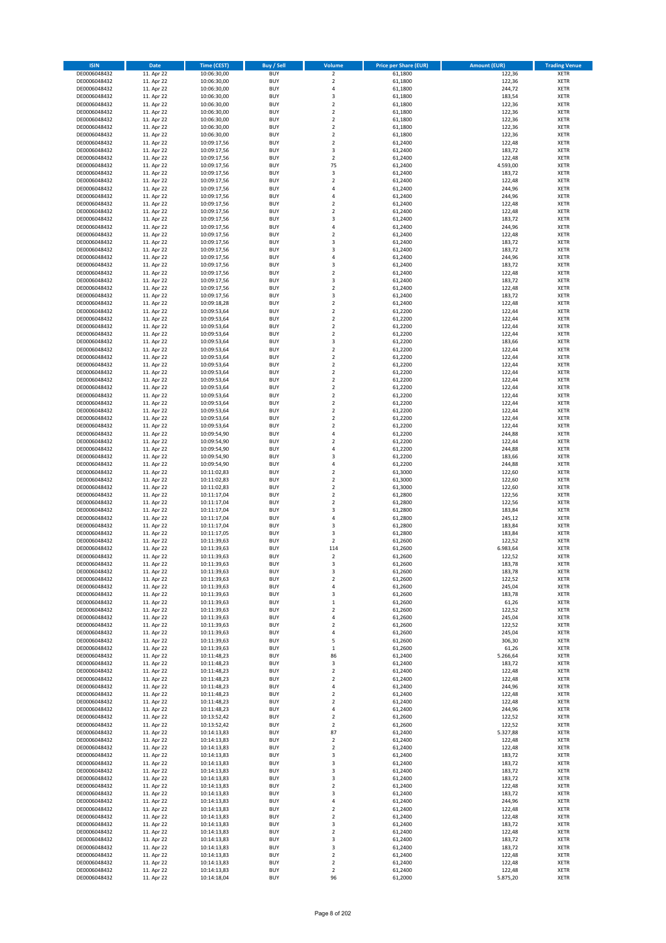| <b>ISIN</b>                  | <b>Date</b>              | Time (CEST)                | <b>Buy / Sell</b>        | Volume                        | <b>Price per Share (EUR)</b> | Amount (EUR)     | <b>Trading Venue</b>       |
|------------------------------|--------------------------|----------------------------|--------------------------|-------------------------------|------------------------------|------------------|----------------------------|
| DE0006048432                 | 11. Apr 22               | 10:06:30,00                | <b>BUY</b>               | $\overline{\mathbf{2}}$       | 61,1800                      | 122,36           | <b>XETR</b>                |
| DE0006048432                 | 11. Apr 22               | 10:06:30,00                | <b>BUY</b>               | $\mathbf 2$                   | 61,1800                      | 122,36           | <b>XETR</b>                |
| DE0006048432                 | 11. Apr 22               | 10:06:30,00                | <b>BUY</b>               | $\overline{4}$                | 61,1800                      | 244,72           | <b>XETR</b>                |
| DE0006048432                 | 11. Apr 22               | 10:06:30,00                | <b>BUY</b>               | $\mathsf 3$                   | 61,1800                      | 183,54           | <b>XETR</b>                |
| DE0006048432                 | 11. Apr 22               | 10:06:30,00                | <b>BUY</b>               | $\overline{\mathbf{2}}$       | 61,1800                      | 122,36           | <b>XETR</b>                |
| DE0006048432                 | 11. Apr 22               | 10:06:30,00                | <b>BUY</b>               | $\mathbf 2$                   | 61,1800                      | 122,36           | <b>XETR</b>                |
| DE0006048432                 | 11. Apr 22               | 10:06:30,00                | <b>BUY</b>               | $\overline{\mathbf{2}}$       | 61,1800                      | 122,36           | <b>XETR</b>                |
| DE0006048432                 | 11. Apr 22               | 10:06:30,00                | <b>BUY</b>               | $\overline{\mathbf{2}}$       | 61,1800                      | 122,36           | <b>XETR</b>                |
| DE0006048432                 | 11. Apr 22               | 10:06:30,00                | BUY                      | $\overline{\mathbf{2}}$       | 61,1800                      | 122,36           | <b>XETR</b>                |
| DE0006048432                 | 11. Apr 22               | 10:09:17,56                | <b>BUY</b>               | $\mathbf 2$                   | 61,2400                      | 122,48           | <b>XETR</b>                |
| DE0006048432                 | 11. Apr 22               | 10:09:17,56                | <b>BUY</b>               | 3                             | 61,2400                      | 183,72           | <b>XETR</b>                |
| DE0006048432                 | 11. Apr 22               | 10:09:17,56                | <b>BUY</b>               | $\overline{2}$                | 61,2400                      | 122,48           | <b>XETR</b>                |
| DE0006048432                 | 11. Apr 22               | 10:09:17,56                | <b>BUY</b>               | 75                            | 61,2400                      | 4.593,00         | <b>XETR</b>                |
| DE0006048432                 | 11. Apr 22<br>11. Apr 22 | 10:09:17,56                | <b>BUY</b><br><b>BUY</b> | 3<br>$\overline{2}$           | 61,2400                      | 183,72<br>122,48 | <b>XETR</b><br><b>XETR</b> |
| DE0006048432<br>DE0006048432 | 11. Apr 22               | 10:09:17,56<br>10:09:17,56 | BUY                      | $\overline{a}$                | 61,2400<br>61,2400           | 244,96           | <b>XETR</b>                |
| DE0006048432                 | 11. Apr 22               | 10:09:17,56                | <b>BUY</b>               | 4                             | 61,2400                      | 244,96           | <b>XETR</b>                |
| DE0006048432                 | 11. Apr 22               | 10:09:17,56                | <b>BUY</b>               | $\overline{\mathbf{2}}$       | 61,2400                      | 122,48           | <b>XETR</b>                |
| DE0006048432                 | 11. Apr 22               | 10:09:17,56                | <b>BUY</b>               | $\overline{2}$                | 61,2400                      | 122,48           | <b>XETR</b>                |
| DE0006048432                 | 11. Apr 22               | 10:09:17,56                | <b>BUY</b>               | $\overline{\mathbf{3}}$       | 61,2400                      | 183,72           | <b>XETR</b>                |
| DE0006048432                 | 11. Apr 22               | 10:09:17,56                | <b>BUY</b>               | $\overline{4}$                | 61,2400                      | 244,96           | <b>XETR</b>                |
| DE0006048432                 | 11. Apr 22               | 10:09:17,56                | <b>BUY</b>               | $\mathbf 2$                   | 61,2400                      | 122,48           | <b>XETR</b>                |
| DE0006048432                 | 11. Apr 22               | 10:09:17,56                | <b>BUY</b>               | $\overline{3}$                | 61,2400                      | 183,72           | <b>XETR</b>                |
| DE0006048432                 | 11. Apr 22               | 10:09:17,56                | <b>BUY</b>               | $\overline{\mathbf{3}}$       | 61,2400                      | 183,72           | <b>XETR</b>                |
| DE0006048432                 | 11. Apr 22               | 10:09:17,56                | <b>BUY</b>               | 4                             | 61,2400                      | 244,96           | <b>XETR</b>                |
| DE0006048432                 | 11. Apr 22               | 10:09:17,56                | <b>BUY</b>               | 3                             | 61,2400                      | 183,72           | <b>XETR</b>                |
| DE0006048432                 | 11. Apr 22               | 10:09:17,56                | <b>BUY</b>               | $\mathbf 2$                   | 61,2400                      | 122,48           | <b>XETR</b>                |
| DE0006048432                 | 11. Apr 22               | 10:09:17,56                | <b>BUY</b>               | $\overline{\mathbf{3}}$       | 61,2400                      | 183,72           | <b>XETR</b>                |
| DE0006048432                 | 11. Apr 22               | 10:09:17,56                | <b>BUY</b>               | $\mathbf 2$                   | 61,2400                      | 122,48           | <b>XETR</b>                |
| DE0006048432                 | 11. Apr 22               | 10:09:17,56                | <b>BUY</b>               | $\overline{\mathbf{3}}$       | 61,2400                      | 183,72           | <b>XETR</b>                |
| DE0006048432                 | 11. Apr 22               | 10:09:18,28                | <b>BUY</b>               | $\mathbf 2$                   | 61,2400                      | 122,48           | <b>XETR</b>                |
| DE0006048432                 | 11. Apr 22               | 10:09:53,64                | <b>BUY</b>               | $\mathbf 2$                   | 61,2200                      | 122,44           | <b>XETR</b>                |
| DE0006048432                 | 11. Apr 22               | 10:09:53,64                | <b>BUY</b>               | $\mathbf 2$                   | 61,2200                      | 122,44           | <b>XETR</b>                |
| DE0006048432                 | 11. Apr 22               | 10:09:53,64                | <b>BUY</b>               | $\mathbf 2$                   | 61,2200                      | 122,44           | <b>XETR</b>                |
| DE0006048432                 | 11. Apr 22               | 10:09:53,64                | <b>BUY</b>               | $\overline{2}$                | 61,2200                      | 122,44           | <b>XETR</b>                |
| DE0006048432<br>DE0006048432 | 11. Apr 22<br>11. Apr 22 | 10:09:53,64<br>10:09:53,64 | <b>BUY</b><br><b>BUY</b> | 3<br>$\overline{2}$           | 61,2200<br>61,2200           | 183,66<br>122,44 | <b>XETR</b><br><b>XETR</b> |
| DE0006048432                 | 11. Apr 22               | 10:09:53,64                | BUY                      | $\mathbf 2$                   | 61,2200                      | 122,44           | <b>XETR</b>                |
| DE0006048432                 | 11. Apr 22               | 10:09:53,64                | <b>BUY</b>               | $\mathbf 2$                   | 61,2200                      | 122,44           | <b>XETR</b>                |
| DE0006048432                 | 11. Apr 22               | 10:09:53,64                | <b>BUY</b>               | $\mathbf 2$                   | 61,2200                      | 122,44           | <b>XETR</b>                |
| DE0006048432                 | 11. Apr 22               | 10:09:53,64                | <b>BUY</b>               | $\overline{2}$                | 61,2200                      | 122,44           | <b>XETR</b>                |
| DE0006048432                 | 11. Apr 22               | 10:09:53,64                | <b>BUY</b>               | $\overline{2}$                | 61,2200                      | 122,44           | <b>XETR</b>                |
| DE0006048432                 | 11. Apr 22               | 10:09:53,64                | <b>BUY</b>               | $\mathbf 2$                   | 61,2200                      | 122,44           | <b>XETR</b>                |
| DE0006048432                 | 11. Apr 22               | 10:09:53,64                | <b>BUY</b>               | $\overline{2}$                | 61,2200                      | 122,44           | <b>XETR</b>                |
| DE0006048432                 | 11. Apr 22               | 10:09:53,64                | <b>BUY</b>               | $\mathbf 2$                   | 61,2200                      | 122,44           | <b>XETR</b>                |
| DE0006048432                 | 11. Apr 22               | 10:09:53,64                | <b>BUY</b>               | $\overline{2}$                | 61,2200                      | 122,44           | <b>XETR</b>                |
| DE0006048432                 | 11. Apr 22               | 10:09:53,64                | <b>BUY</b>               | $\overline{2}$                | 61,2200                      | 122,44           | <b>XETR</b>                |
| DE0006048432                 | 11. Apr 22               | 10:09:54,90                | <b>BUY</b>               | $\overline{a}$                | 61,2200                      | 244,88           | <b>XETR</b>                |
| DE0006048432                 | 11. Apr 22               | 10:09:54,90                | <b>BUY</b>               | $\overline{2}$                | 61,2200                      | 122,44           | <b>XETR</b>                |
| DE0006048432                 | 11. Apr 22               | 10:09:54,90                | <b>BUY</b>               | $\overline{a}$                | 61,2200                      | 244,88           | <b>XETR</b>                |
| DE0006048432                 | 11. Apr 22               | 10:09:54,90                | <b>BUY</b>               | $\overline{\mathbf{3}}$       | 61,2200                      | 183,66           | <b>XETR</b>                |
| DE0006048432                 | 11. Apr 22               | 10:09:54,90                | <b>BUY</b>               | $\overline{a}$                | 61,2200                      | 244,88           | <b>XETR</b>                |
| DE0006048432                 | 11. Apr 22               | 10:11:02,83                | <b>BUY</b>               | $\overline{2}$                | 61,3000                      | 122,60           | <b>XETR</b>                |
| DE0006048432<br>DE0006048432 | 11. Apr 22               | 10:11:02,83                | <b>BUY</b><br><b>BUY</b> | $\mathbf 2$<br>$\overline{2}$ | 61,3000                      | 122,60           | <b>XETR</b><br><b>XETR</b> |
|                              | 11. Apr 22<br>11. Apr 22 | 10:11:02,83<br>10:11:17,04 | <b>BUY</b>               | $\overline{2}$                | 61,3000                      | 122,60           | <b>XETR</b>                |
| DE0006048432<br>DE0006048432 | 11. Apr 22               | 10:11:17,04                | <b>BUY</b>               | $\overline{2}$                | 61,2800<br>61,2800           | 122,56<br>122,56 | <b>XETR</b>                |
| DE0006048432                 | 11. Apr 22               | 10:11:17,04                | <b>BUY</b>               | $\overline{\mathbf{3}}$       | 61,2800                      | 183,84           | <b>XETR</b>                |
| DE0006048432                 | 11. Apr 22               | 10:11:17,04                | BUY                      | $\overline{a}$                | 61,2800                      | 245,12           | <b>XETR</b>                |
| DE0006048432                 | 11. Apr 22               | 10:11:17,04                | <b>BUY</b>               | $\overline{\mathbf{3}}$       | 61,2800                      | 183,84           | <b>XETR</b>                |
| DE0006048432                 | 11. Apr 22               | 10:11:17,05                | <b>BUY</b>               | 3                             | 61,2800                      | 183,84           | <b>XETR</b>                |
| DE0006048432                 | 11. Apr 22               | 10:11:39,63                | BUY                      | $\overline{2}$                | 61,2600                      | 122,52           | <b>XETR</b>                |
| DE0006048432                 | 11. Apr 22               | 10:11:39,63                | BUY                      | 114                           | 61,2600                      | 6.983,64         | <b>XETR</b>                |
| DE0006048432                 | 11. Apr 22               | 10:11:39,63                | <b>BUY</b>               | $\overline{2}$                | 61,2600                      | 122,52           | <b>XETR</b>                |
| DE0006048432                 | 11. Apr 22               | 10:11:39,63                | BUY                      | 3                             | 61,2600                      | 183,78           | <b>XETR</b>                |
| DE0006048432                 | 11. Apr 22               | 10:11:39,63                | <b>BUY</b>               | 3                             | 61,2600                      | 183,78           | <b>XETR</b>                |
| DE0006048432                 | 11. Apr 22               | 10:11:39,63                | <b>BUY</b>               | $\mathbf 2$                   | 61,2600                      | 122,52           | <b>XETR</b>                |
| DE0006048432                 | 11. Apr 22               | 10:11:39,63                | <b>BUY</b>               | 4                             | 61,2600                      | 245,04           | <b>XETR</b>                |
| DE0006048432                 | 11. Apr 22               | 10:11:39,63                | <b>BUY</b>               | 3                             | 61,2600                      | 183,78           | <b>XETR</b>                |
| DE0006048432                 | 11. Apr 22               | 10:11:39,63                | <b>BUY</b>               | $\mathbf 1$                   | 61,2600                      | 61,26            | <b>XETR</b>                |
| DE0006048432                 | 11. Apr 22               | 10:11:39,63                | <b>BUY</b>               | $\overline{2}$                | 61,2600                      | 122,52           | <b>XETR</b>                |
| DE0006048432                 | 11. Apr 22               | 10:11:39,63                | <b>BUY</b>               | 4                             | 61,2600                      | 245,04           | <b>XETR</b>                |
| DE0006048432                 | 11. Apr 22               | 10:11:39,63                | <b>BUY</b>               | $\mathbf 2$                   | 61,2600                      | 122,52           | <b>XETR</b>                |
| DE0006048432                 | 11. Apr 22               | 10:11:39,63                | <b>BUY</b>               | 4                             | 61,2600                      | 245,04           | <b>XETR</b>                |
| DE0006048432<br>DE0006048432 | 11. Apr 22<br>11. Apr 22 | 10:11:39,63<br>10:11:39,63 | <b>BUY</b><br><b>BUY</b> | 5<br>$\mathbf 1$              | 61,2600<br>61,2600           | 306,30<br>61,26  | <b>XETR</b><br><b>XETR</b> |
| DE0006048432                 | 11. Apr 22               | 10:11:48,23                | <b>BUY</b>               | 86                            | 61,2400                      | 5.266,64         | <b>XETR</b>                |
| DE0006048432                 | 11. Apr 22               | 10:11:48,23                | <b>BUY</b>               | 3                             | 61,2400                      | 183,72           | <b>XETR</b>                |
| DE0006048432                 | 11. Apr 22               | 10:11:48,23                | <b>BUY</b>               | $\mathbf 2$                   | 61,2400                      | 122,48           | <b>XETR</b>                |
| DE0006048432                 | 11. Apr 22               | 10:11:48,23                | <b>BUY</b>               | $\overline{2}$                | 61,2400                      | 122,48           | <b>XETR</b>                |
| DE0006048432                 | 11. Apr 22               | 10:11:48,23                | <b>BUY</b>               | 4                             | 61,2400                      | 244,96           | <b>XETR</b>                |
| DE0006048432                 | 11. Apr 22               | 10:11:48,23                | <b>BUY</b>               | $\mathbf 2$                   | 61,2400                      | 122,48           | <b>XETR</b>                |
| DE0006048432                 | 11. Apr 22               | 10:11:48,23                | <b>BUY</b>               | $\mathbf 2$                   | 61,2400                      | 122,48           | <b>XETR</b>                |
| DE0006048432                 | 11. Apr 22               | 10:11:48,23                | <b>BUY</b>               | 4                             | 61,2400                      | 244,96           | <b>XETR</b>                |
| DE0006048432                 | 11. Apr 22               | 10:13:52,42                | <b>BUY</b>               | $\overline{2}$                | 61,2600                      | 122,52           | <b>XETR</b>                |
| DE0006048432                 | 11. Apr 22               | 10:13:52,42                | <b>BUY</b>               | $\mathbf 2$                   | 61,2600                      | 122,52           | <b>XETR</b>                |
| DE0006048432                 | 11. Apr 22               | 10:14:13,83                | <b>BUY</b>               | 87                            | 61,2400                      | 5.327,88         | <b>XETR</b>                |
| DE0006048432                 | 11. Apr 22               | 10:14:13,83                | <b>BUY</b>               | $\mathbf 2$                   | 61,2400                      | 122,48           | <b>XETR</b>                |
| DE0006048432                 | 11. Apr 22               | 10:14:13,83                | <b>BUY</b>               | $\mathbf 2$                   | 61,2400                      | 122,48           | <b>XETR</b>                |
| DE0006048432                 | 11. Apr 22               | 10:14:13,83                | <b>BUY</b>               | 3                             | 61,2400                      | 183,72           | <b>XETR</b>                |
| DE0006048432                 | 11. Apr 22               | 10:14:13,83                | <b>BUY</b>               | 3                             | 61,2400                      | 183,72           | <b>XETR</b>                |
| DE0006048432                 | 11. Apr 22               | 10:14:13,83                | <b>BUY</b>               | $\overline{\mathbf{3}}$       | 61,2400                      | 183,72           | <b>XETR</b>                |
| DE0006048432                 | 11. Apr 22               | 10:14:13,83                | <b>BUY</b>               | 3                             | 61,2400                      | 183,72           | <b>XETR</b>                |
| DE0006048432                 | 11. Apr 22               | 10:14:13,83                | <b>BUY</b>               | $\overline{2}$                | 61,2400                      | 122,48           | <b>XETR</b>                |
| DE0006048432                 | 11. Apr 22               | 10:14:13,83                | <b>BUY</b>               | 3                             | 61,2400                      | 183,72           | <b>XETR</b>                |
| DE0006048432<br>DE0006048432 | 11. Apr 22<br>11. Apr 22 | 10:14:13,83                | <b>BUY</b><br><b>BUY</b> | 4<br>$\mathbf 2$              | 61,2400<br>61,2400           | 244,96<br>122,48 | <b>XETR</b><br><b>XETR</b> |
| DE0006048432                 | 11. Apr 22               | 10:14:13,83<br>10:14:13,83 | <b>BUY</b>               | $\overline{\mathbf{2}}$       | 61,2400                      | 122,48           | <b>XETR</b>                |
| DE0006048432                 | 11. Apr 22               | 10:14:13,83                | <b>BUY</b>               | 3                             | 61,2400                      | 183,72           | <b>XETR</b>                |
| DE0006048432                 | 11. Apr 22               | 10:14:13,83                | <b>BUY</b>               | $\mathbf 2$                   | 61,2400                      | 122,48           | <b>XETR</b>                |
| DE0006048432                 | 11. Apr 22               | 10:14:13,83                | <b>BUY</b>               | $\overline{\mathbf{3}}$       | 61,2400                      | 183,72           | <b>XETR</b>                |
| DE0006048432                 | 11. Apr 22               | 10:14:13,83                | <b>BUY</b>               | 3                             | 61,2400                      | 183,72           | <b>XETR</b>                |
| DE0006048432                 | 11. Apr 22               | 10:14:13,83                | <b>BUY</b>               | $\mathbf 2$                   | 61,2400                      | 122,48           | <b>XETR</b>                |
| DE0006048432                 | 11. Apr 22               | 10:14:13,83                | <b>BUY</b>               | $\mathbf 2$                   | 61,2400                      | 122,48           | <b>XETR</b>                |
| DE0006048432                 | 11. Apr 22               | 10:14:13,83                | <b>BUY</b>               | $\mathbf 2$                   | 61,2400                      | 122,48           | <b>XETR</b>                |
| DE0006048432                 | 11. Apr 22               | 10:14:18,04                | <b>BUY</b>               | 96                            | 61,2000                      | 5.875,20         | <b>XETR</b>                |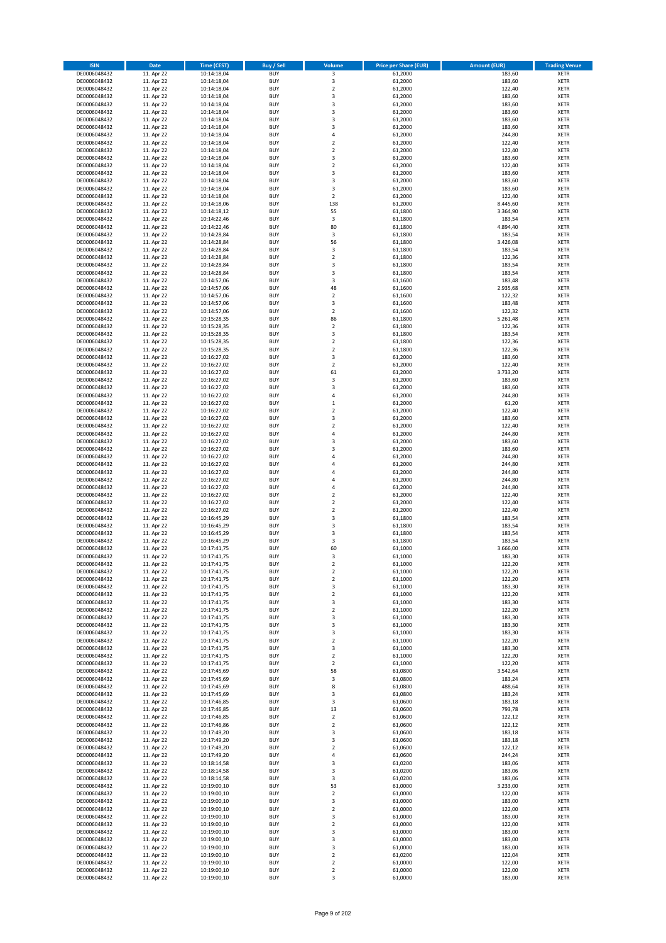| <b>ISIN</b>                  | <b>Date</b>              | Time (CEST)                | <b>Buy / Sell</b>        | Volume                                 | <b>Price per Share (EUR)</b> | <b>Amount (EUR)</b> | <b>Trading Venue</b>       |
|------------------------------|--------------------------|----------------------------|--------------------------|----------------------------------------|------------------------------|---------------------|----------------------------|
| DE0006048432                 | 11. Apr 22               | 10:14:18,04                | <b>BUY</b>               | $\overline{\mathbf{3}}$                | 61,2000                      | 183,60              | <b>XETR</b>                |
| DE0006048432                 | 11. Apr 22               | 10:14:18,04                | <b>BUY</b>               | 3                                      | 61,2000                      | 183,60              | <b>XETR</b>                |
| DE0006048432                 | 11. Apr 22               | 10:14:18,04                | <b>BUY</b>               | $\overline{2}$                         | 61,2000                      | 122,40              | <b>XETR</b>                |
| DE0006048432                 | 11. Apr 22               | 10:14:18,04                | <b>BUY</b>               | 3                                      | 61,2000                      | 183,60              | <b>XETR</b>                |
| DE0006048432<br>DE0006048432 | 11. Apr 22<br>11. Apr 22 | 10:14:18,04<br>10:14:18,04 | <b>BUY</b><br><b>BUY</b> | 3<br>3                                 | 61,2000<br>61,2000           | 183,60<br>183,60    | <b>XETR</b><br><b>XETR</b> |
| DE0006048432                 | 11. Apr 22               | 10:14:18,04                | <b>BUY</b>               | 3                                      | 61,2000                      | 183,60              | <b>XETR</b>                |
| DE0006048432                 | 11. Apr 22               | 10:14:18,04                | <b>BUY</b>               | 3                                      | 61,2000                      | 183,60              | <b>XETR</b>                |
| DE0006048432                 | 11. Apr 22               | 10:14:18,04                | <b>BUY</b>               | 4                                      | 61,2000                      | 244,80              | <b>XETR</b>                |
| DE0006048432                 | 11. Apr 22               | 10:14:18,04                | <b>BUY</b>               | $\mathbf 2$                            | 61,2000                      | 122,40              | <b>XETR</b>                |
| DE0006048432                 | 11. Apr 22               | 10:14:18,04                | <b>BUY</b>               | $\mathbf 2$                            | 61,2000                      | 122,40              | <b>XETR</b>                |
| DE0006048432<br>DE0006048432 | 11. Apr 22<br>11. Apr 22 | 10:14:18,04<br>10:14:18,04 | <b>BUY</b><br><b>BUY</b> | 3<br>$\mathbf 2$                       | 61,2000<br>61,2000           | 183,60<br>122,40    | <b>XETR</b><br><b>XETR</b> |
| DE0006048432                 | 11. Apr 22               | 10:14:18,04                | <b>BUY</b>               | 3                                      | 61,2000                      | 183,60              | <b>XETR</b>                |
| DE0006048432                 | 11. Apr 22               | 10:14:18,04                | <b>BUY</b>               | 3                                      | 61,2000                      | 183,60              | <b>XETR</b>                |
| DE0006048432                 | 11. Apr 22               | 10:14:18,04                | <b>BUY</b>               | 3                                      | 61,2000                      | 183,60              | <b>XETR</b>                |
| DE0006048432                 | 11. Apr 22               | 10:14:18,04                | <b>BUY</b>               | $\overline{\mathbf{2}}$                | 61,2000                      | 122,40              | <b>XETR</b>                |
| DE0006048432                 | 11. Apr 22               | 10:14:18,06                | <b>BUY</b>               | 138                                    | 61,2000                      | 8.445,60            | <b>XETR</b>                |
| DE0006048432<br>DE0006048432 | 11. Apr 22<br>11. Apr 22 | 10:14:18,12                | <b>BUY</b><br><b>BUY</b> | 55<br>$\mathsf 3$                      | 61,1800<br>61,1800           | 3.364,90<br>183,54  | <b>XETR</b><br><b>XETR</b> |
| DE0006048432                 | 11. Apr 22               | 10:14:22,46<br>10:14:22,46 | <b>BUY</b>               | 80                                     | 61,1800                      | 4.894,40            | <b>XETR</b>                |
| DE0006048432                 | 11. Apr 22               | 10:14:28,84                | <b>BUY</b>               | 3                                      | 61,1800                      | 183,54              | <b>XETR</b>                |
| DE0006048432                 | 11. Apr 22               | 10:14:28,84                | <b>BUY</b>               | 56                                     | 61,1800                      | 3.426,08            | <b>XETR</b>                |
| DE0006048432                 | 11. Apr 22               | 10:14:28,84                | <b>BUY</b>               | 3                                      | 61,1800                      | 183,54              | <b>XETR</b>                |
| DE0006048432                 | 11. Apr 22               | 10:14:28,84                | <b>BUY</b>               | $\mathbf 2$                            | 61,1800                      | 122,36              | <b>XETR</b>                |
| DE0006048432                 | 11. Apr 22               | 10:14:28,84                | <b>BUY</b>               | 3<br>3                                 | 61,1800                      | 183,54              | <b>XETR</b><br><b>XETR</b> |
| DE0006048432<br>DE0006048432 | 11. Apr 22<br>11. Apr 22 | 10:14:28,84<br>10:14:57,06 | <b>BUY</b><br><b>BUY</b> | 3                                      | 61,1800<br>61,1600           | 183,54<br>183,48    | <b>XETR</b>                |
| DE0006048432                 | 11. Apr 22               | 10:14:57,06                | <b>BUY</b>               | 48                                     | 61,1600                      | 2.935,68            | <b>XETR</b>                |
| DE0006048432                 | 11. Apr 22               | 10:14:57,06                | <b>BUY</b>               | $\overline{\mathbf{c}}$                | 61,1600                      | 122,32              | <b>XETR</b>                |
| DE0006048432                 | 11. Apr 22               | 10:14:57,06                | <b>BUY</b>               | 3                                      | 61,1600                      | 183,48              | <b>XETR</b>                |
| DE0006048432                 | 11. Apr 22               | 10:14:57,06                | <b>BUY</b>               | $\overline{\mathbf{2}}$                | 61,1600                      | 122,32              | <b>XETR</b>                |
| DE0006048432                 | 11. Apr 22               | 10:15:28,35                | <b>BUY</b>               | 86                                     | 61,1800                      | 5.261,48            | <b>XETR</b>                |
| DE0006048432<br>DE0006048432 | 11. Apr 22<br>11. Apr 22 | 10:15:28,35<br>10:15:28,35 | <b>BUY</b><br><b>BUY</b> | $\overline{\mathbf{c}}$<br>3           | 61,1800<br>61,1800           | 122,36<br>183,54    | <b>XETR</b><br><b>XETR</b> |
| DE0006048432                 | 11. Apr 22               | 10:15:28,35                | <b>BUY</b>               | $\mathbf 2$                            | 61,1800                      | 122,36              | <b>XETR</b>                |
| DE0006048432                 | 11. Apr 22               | 10:15:28,35                | <b>BUY</b>               | $\overline{\mathbf{c}}$                | 61,1800                      | 122,36              | <b>XETR</b>                |
| DE0006048432                 | 11. Apr 22               | 10:16:27,02                | <b>BUY</b>               | 3                                      | 61,2000                      | 183,60              | <b>XETR</b>                |
| DE0006048432                 | 11. Apr 22               | 10:16:27,02                | <b>BUY</b>               | $\overline{\mathbf{2}}$                | 61,2000                      | 122,40              | <b>XETR</b>                |
| DE0006048432                 | 11. Apr 22               | 10:16:27,02                | <b>BUY</b>               | 61                                     | 61,2000                      | 3.733,20            | <b>XETR</b>                |
| DE0006048432<br>DE0006048432 | 11. Apr 22<br>11. Apr 22 | 10:16:27,02                | <b>BUY</b><br><b>BUY</b> | 3<br>3                                 | 61,2000<br>61,2000           | 183,60<br>183,60    | <b>XETR</b><br><b>XETR</b> |
| DE0006048432                 | 11. Apr 22               | 10:16:27,02<br>10:16:27,02 | <b>BUY</b>               | 4                                      | 61,2000                      | 244,80              | <b>XETR</b>                |
| DE0006048432                 | 11. Apr 22               | 10:16:27,02                | <b>BUY</b>               | $\mathbf 1$                            | 61,2000                      | 61,20               | <b>XETR</b>                |
| DE0006048432                 | 11. Apr 22               | 10:16:27,02                | <b>BUY</b>               | $\mathbf 2$                            | 61,2000                      | 122,40              | <b>XETR</b>                |
| DE0006048432                 | 11. Apr 22               | 10:16:27,02                | <b>BUY</b>               | 3                                      | 61,2000                      | 183,60              | <b>XETR</b>                |
| DE0006048432                 | 11. Apr 22               | 10:16:27,02                | <b>BUY</b>               | $\mathbf 2$                            | 61,2000                      | 122,40              | <b>XETR</b>                |
| DE0006048432                 | 11. Apr 22               | 10:16:27,02                | <b>BUY</b>               | 4<br>3                                 | 61,2000                      | 244,80              | <b>XETR</b>                |
| DE0006048432<br>DE0006048432 | 11. Apr 22<br>11. Apr 22 | 10:16:27,02<br>10:16:27,02 | <b>BUY</b><br><b>BUY</b> | 3                                      | 61,2000<br>61,2000           | 183,60<br>183,60    | <b>XETR</b><br><b>XETR</b> |
| DE0006048432                 | 11. Apr 22               | 10:16:27,02                | <b>BUY</b>               | 4                                      | 61,2000                      | 244,80              | <b>XETR</b>                |
| DE0006048432                 | 11. Apr 22               | 10:16:27,02                | <b>BUY</b>               | 4                                      | 61,2000                      | 244,80              | <b>XETR</b>                |
| DE0006048432                 | 11. Apr 22               | 10:16:27,02                | <b>BUY</b>               | 4                                      | 61,2000                      | 244,80              | <b>XETR</b>                |
| DE0006048432                 | 11. Apr 22               | 10:16:27,02                | <b>BUY</b>               | 4                                      | 61,2000                      | 244,80              | <b>XETR</b>                |
| DE0006048432                 | 11. Apr 22               | 10:16:27,02                | <b>BUY</b>               | 4                                      | 61,2000                      | 244,80              | <b>XETR</b>                |
| DE0006048432<br>DE0006048432 | 11. Apr 22<br>11. Apr 22 | 10:16:27,02<br>10:16:27,02 | <b>BUY</b><br><b>BUY</b> | $\mathbf 2$<br>$\overline{\mathbf{c}}$ | 61,2000<br>61,2000           | 122,40<br>122,40    | <b>XETR</b><br><b>XETR</b> |
| DE0006048432                 | 11. Apr 22               | 10:16:27,02                | <b>BUY</b>               | $\mathbf 2$                            | 61,2000                      | 122,40              | <b>XETR</b>                |
| DE0006048432                 | 11. Apr 22               | 10:16:45,29                | <b>BUY</b>               | 3                                      | 61,1800                      | 183,54              | <b>XETR</b>                |
| DE0006048432                 | 11. Apr 22               | 10:16:45,29                | <b>BUY</b>               | 3                                      | 61,1800                      | 183,54              | <b>XETR</b>                |
| DE0006048432                 | 11. Apr 22               | 10:16:45,29                | <b>BUY</b>               | 3                                      | 61,1800                      | 183,54              | <b>XETR</b>                |
| DE0006048432                 | 11. Apr 22               | 10:16:45,29                | <b>BUY</b>               | 3                                      | 61,1800                      | 183,54              | <b>XETR</b>                |
| DE0006048432<br>DE0006048432 | 11. Apr 22               | 10:17:41,75<br>10:17:41,75 | <b>BUY</b><br><b>BUY</b> | 60<br>3                                | 61,1000<br>61,1000           | 3.666,00<br>183,30  | <b>XETR</b><br><b>XETR</b> |
| DE0006048432                 | 11. Apr 22<br>11. Apr 22 | 10:17:41,75                | BUY                      | 2                                      | 61,1000                      | 122,20              | <b>XETR</b>                |
| DE0006048432                 | 11. Apr 22               | 10:17:41,75                | <b>BUY</b>               | $\mathbf 2$                            | 61,1000                      | 122,20              | <b>XETR</b>                |
| DE0006048432                 | 11. Apr 22               | 10:17:41,75                | <b>BUY</b>               | $\mathbf 2$                            | 61,1000                      | 122,20              | <b>XETR</b>                |
| DE0006048432                 | 11. Apr 22               | 10:17:41,75                | <b>BUY</b>               | 3                                      | 61,1000                      | 183,30              | XETR                       |
| DE0006048432                 | 11. Apr 22               | 10:17:41,75                | <b>BUY</b>               | $\mathbf 2$                            | 61,1000                      | 122,20              | <b>XETR</b>                |
| DE0006048432<br>DE0006048432 | 11. Apr 22<br>11. Apr 22 | 10:17:41,75<br>10:17:41,75 | <b>BUY</b><br><b>BUY</b> | 3<br>$\mathbf 2$                       | 61,1000<br>61,1000           | 183,30<br>122,20    | <b>XETR</b><br><b>XETR</b> |
| DE0006048432                 | 11. Apr 22               | 10:17:41,75                | <b>BUY</b>               | 3                                      | 61,1000                      | 183,30              | <b>XETR</b>                |
| DE0006048432                 | 11. Apr 22               | 10:17:41,75                | <b>BUY</b>               | 3                                      | 61,1000                      | 183,30              | <b>XETR</b>                |
| DE0006048432                 | 11. Apr 22               | 10:17:41,75                | <b>BUY</b>               | 3                                      | 61,1000                      | 183,30              | <b>XETR</b>                |
| DE0006048432                 | 11. Apr 22               | 10:17:41,75                | <b>BUY</b>               | $\mathbf 2$                            | 61,1000                      | 122,20              | <b>XETR</b>                |
| DE0006048432                 | 11. Apr 22               | 10:17:41,75                | <b>BUY</b>               | 3                                      | 61,1000                      | 183,30              | <b>XETR</b>                |
| DE0006048432<br>DE0006048432 | 11. Apr 22<br>11. Apr 22 | 10:17:41,75<br>10:17:41,75 | <b>BUY</b><br><b>BUY</b> | $\mathbf 2$<br>$\overline{\mathbf{c}}$ | 61,1000<br>61,1000           | 122,20<br>122,20    | <b>XETR</b><br><b>XETR</b> |
| DE0006048432                 | 11. Apr 22               | 10:17:45,69                | <b>BUY</b>               | 58                                     | 61,0800                      | 3.542,64            | <b>XETR</b>                |
| DE0006048432                 | 11. Apr 22               | 10:17:45,69                | <b>BUY</b>               | 3                                      | 61,0800                      | 183,24              | <b>XETR</b>                |
| DE0006048432                 | 11. Apr 22               | 10:17:45,69                | <b>BUY</b>               | 8                                      | 61,0800                      | 488,64              | <b>XETR</b>                |
| DE0006048432                 | 11. Apr 22               | 10:17:45,69                | <b>BUY</b>               | 3                                      | 61,0800                      | 183,24              | <b>XETR</b>                |
| DE0006048432                 | 11. Apr 22               | 10:17:46,85                | <b>BUY</b>               | 3                                      | 61,0600                      | 183,18              | XETR                       |
| DE0006048432<br>DE0006048432 | 11. Apr 22<br>11. Apr 22 | 10:17:46,85<br>10:17:46,85 | <b>BUY</b><br><b>BUY</b> | 13<br>$\overline{\mathbf{2}}$          | 61,0600<br>61,0600           | 793,78<br>122,12    | <b>XETR</b><br><b>XETR</b> |
| DE0006048432                 | 11. Apr 22               | 10:17:46,86                | <b>BUY</b>               | $\mathbf 2$                            | 61,0600                      | 122,12              | <b>XETR</b>                |
| DE0006048432                 | 11. Apr 22               | 10:17:49,20                | <b>BUY</b>               | 3                                      | 61,0600                      | 183,18              | <b>XETR</b>                |
| DE0006048432                 | 11. Apr 22               | 10:17:49,20                | <b>BUY</b>               | 3                                      | 61,0600                      | 183,18              | <b>XETR</b>                |
| DE0006048432                 | 11. Apr 22               | 10:17:49,20                | <b>BUY</b>               | $\mathbf 2$                            | 61,0600                      | 122,12              | <b>XETR</b>                |
| DE0006048432                 | 11. Apr 22               | 10:17:49,20                | <b>BUY</b>               | 4                                      | 61,0600                      | 244,24              | <b>XETR</b>                |
| DE0006048432                 | 11. Apr 22               | 10:18:14,58                | <b>BUY</b><br><b>BUY</b> | 3<br>3                                 | 61,0200                      | 183,06              | <b>XETR</b><br><b>XETR</b> |
| DE0006048432<br>DE0006048432 | 11. Apr 22<br>11. Apr 22 | 10:18:14,58<br>10:18:14,58 | <b>BUY</b>               | 3                                      | 61,0200<br>61,0200           | 183,06<br>183,06    | <b>XETR</b>                |
| DE0006048432                 | 11. Apr 22               | 10:19:00,10                | <b>BUY</b>               | 53                                     | 61,0000                      | 3.233,00            | <b>XETR</b>                |
| DE0006048432                 | 11. Apr 22               | 10:19:00,10                | <b>BUY</b>               | $\mathbf 2$                            | 61,0000                      | 122,00              | <b>XETR</b>                |
| DE0006048432                 | 11. Apr 22               | 10:19:00,10                | <b>BUY</b>               | 3                                      | 61,0000                      | 183,00              | <b>XETR</b>                |
| DE0006048432                 | 11. Apr 22               | 10:19:00,10                | <b>BUY</b>               | $\mathbf 2$                            | 61,0000                      | 122,00              | <b>XETR</b>                |
| DE0006048432                 | 11. Apr 22               | 10:19:00,10                | <b>BUY</b>               | 3                                      | 61,0000                      | 183,00              | <b>XETR</b>                |
| DE0006048432<br>DE0006048432 | 11. Apr 22<br>11. Apr 22 | 10:19:00,10<br>10:19:00,10 | <b>BUY</b><br><b>BUY</b> | $\mathbf 2$<br>3                       | 61,0000<br>61,0000           | 122,00<br>183,00    | <b>XETR</b><br><b>XETR</b> |
| DE0006048432                 | 11. Apr 22               | 10:19:00,10                | <b>BUY</b>               | 3                                      | 61,0000                      | 183,00              | <b>XETR</b>                |
| DE0006048432                 | 11. Apr 22               | 10:19:00,10                | <b>BUY</b>               | 3                                      | 61,0000                      | 183,00              | XETR                       |
| DE0006048432                 | 11. Apr 22               | 10:19:00,10                | <b>BUY</b>               | $\overline{2}$                         | 61,0200                      | 122,04              | <b>XETR</b>                |
| DE0006048432                 | 11. Apr 22               | 10:19:00,10                | <b>BUY</b>               | $\mathbf 2$                            | 61,0000                      | 122,00              | <b>XETR</b>                |
| DE0006048432                 | 11. Apr 22               | 10:19:00,10                | <b>BUY</b>               | $\mathbf 2$                            | 61,0000                      | 122,00              | <b>XETR</b>                |
| DE0006048432                 | 11. Apr 22               | 10:19:00,10                | <b>BUY</b>               | 3                                      | 61,0000                      | 183,00              | <b>XETR</b>                |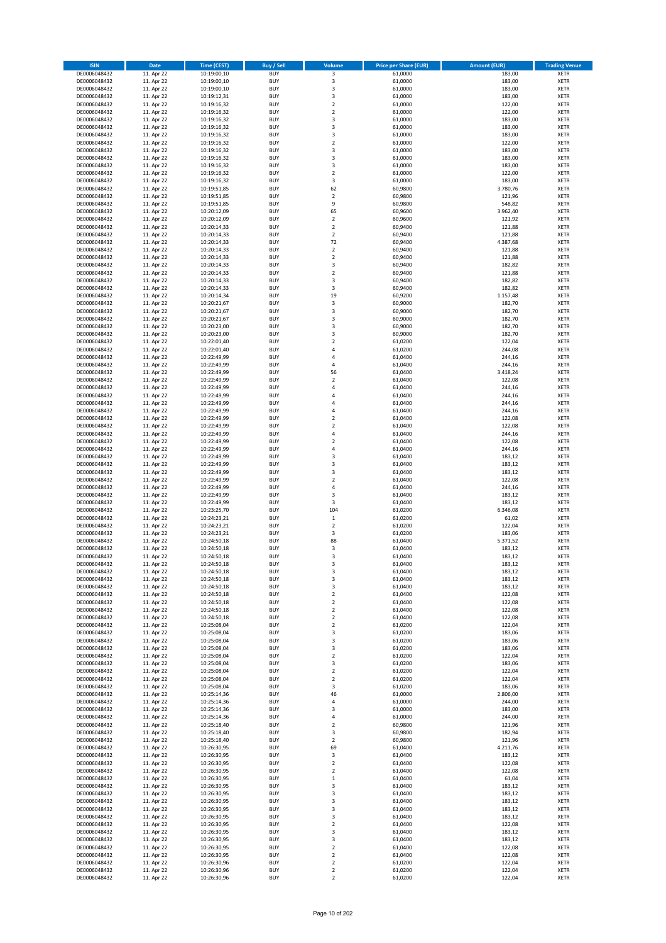| <b>ISIN</b>                  | <b>Date</b>              | <b>Time (CEST)</b>         | <b>Buy / Sell</b>        | Volume                     | <b>Price per Share (EUR)</b> | <b>Amount (EUR)</b> | <b>Trading Venue</b>       |
|------------------------------|--------------------------|----------------------------|--------------------------|----------------------------|------------------------------|---------------------|----------------------------|
| DE0006048432                 | 11. Apr 22               | 10:19:00,10                | <b>BUY</b>               | $\overline{\mathbf{3}}$    | 61,0000                      | 183,00              | <b>XETR</b>                |
| DE0006048432                 | 11. Apr 22               | 10:19:00,10                | <b>BUY</b>               | 3                          | 61,0000                      | 183,00              | <b>XETR</b>                |
| DE0006048432                 | 11. Apr 22               | 10:19:00,10                | <b>BUY</b>               | 3                          | 61,0000                      | 183,00              | <b>XETR</b>                |
| DE0006048432                 | 11. Apr 22               | 10:19:12,31                | <b>BUY</b>               | 3                          | 61,0000                      | 183,00              | <b>XETR</b>                |
| DE0006048432                 | 11. Apr 22               | 10:19:16,32                | <b>BUY</b>               | $\overline{\mathbf{c}}$    | 61,0000                      | 122,00              | <b>XETR</b>                |
| DE0006048432                 | 11. Apr 22               | 10:19:16,32                | <b>BUY</b>               | $\mathbf 2$                | 61,0000                      | 122,00              | <b>XETR</b>                |
| DE0006048432                 | 11. Apr 22               | 10:19:16,32                | <b>BUY</b>               | 3                          | 61,0000                      | 183,00              | <b>XETR</b>                |
| DE0006048432                 | 11. Apr 22               | 10:19:16,32                | <b>BUY</b>               | 3                          | 61,0000                      | 183,00              | <b>XETR</b>                |
| DE0006048432                 | 11. Apr 22               | 10:19:16,32                | <b>BUY</b><br><b>BUY</b> | 3<br>$\mathbf 2$           | 61,0000                      | 183,00<br>122,00    | <b>XETR</b><br><b>XETR</b> |
| DE0006048432<br>DE0006048432 | 11. Apr 22<br>11. Apr 22 | 10:19:16,32<br>10:19:16,32 | <b>BUY</b>               | 3                          | 61,0000<br>61,0000           | 183,00              | <b>XETR</b>                |
| DE0006048432                 | 11. Apr 22               | 10:19:16,32                | <b>BUY</b>               | 3                          | 61,0000                      | 183,00              | <b>XETR</b>                |
| DE0006048432                 | 11. Apr 22               | 10:19:16,32                | <b>BUY</b>               | 3                          | 61,0000                      | 183,00              | <b>XETR</b>                |
| DE0006048432                 | 11. Apr 22               | 10:19:16,32                | <b>BUY</b>               | $\overline{2}$             | 61,0000                      | 122,00              | <b>XETR</b>                |
| DE0006048432                 | 11. Apr 22               | 10:19:16,32                | <b>BUY</b>               | 3                          | 61,0000                      | 183,00              | <b>XETR</b>                |
| DE0006048432                 | 11. Apr 22               | 10:19:51,85                | <b>BUY</b>               | 62                         | 60,9800                      | 3.780,76            | <b>XETR</b>                |
| DE0006048432                 | 11. Apr 22               | 10:19:51,85                | <b>BUY</b>               | $\mathbf 2$                | 60,9800                      | 121,96              | <b>XETR</b>                |
| DE0006048432                 | 11. Apr 22               | 10:19:51,85                | <b>BUY</b>               | 9                          | 60,9800                      | 548,82              | <b>XETR</b>                |
| DE0006048432                 | 11. Apr 22               | 10:20:12,09                | <b>BUY</b>               | 65                         | 60,9600                      | 3.962,40            | <b>XETR</b>                |
| DE0006048432                 | 11. Apr 22               | 10:20:12,09                | <b>BUY</b>               | $\mathbf 2$                | 60,9600                      | 121,92              | <b>XETR</b>                |
| DE0006048432                 | 11. Apr 22               | 10:20:14,33                | <b>BUY</b><br><b>BUY</b> | $\overline{\mathbf{c}}$    | 60,9400                      | 121,88              | <b>XETR</b>                |
| DE0006048432<br>DE0006048432 | 11. Apr 22<br>11. Apr 22 | 10:20:14,33<br>10:20:14,33 | <b>BUY</b>               | $\mathbf 2$<br>72          | 60,9400<br>60,9400           | 121,88<br>4.387,68  | <b>XETR</b><br><b>XETR</b> |
| DE0006048432                 | 11. Apr 22               | 10:20:14,33                | <b>BUY</b>               | $\mathbf 2$                | 60,9400                      | 121,88              | <b>XETR</b>                |
| DE0006048432                 | 11. Apr 22               | 10:20:14,33                | <b>BUY</b>               | $\mathbf 2$                | 60,9400                      | 121,88              | <b>XETR</b>                |
| DE0006048432                 | 11. Apr 22               | 10:20:14,33                | <b>BUY</b>               | 3                          | 60,9400                      | 182,82              | <b>XETR</b>                |
| DE0006048432                 | 11. Apr 22               | 10:20:14,33                | <b>BUY</b>               | $\mathbf 2$                | 60,9400                      | 121,88              | <b>XETR</b>                |
| DE0006048432                 | 11. Apr 22               | 10:20:14,33                | <b>BUY</b>               | 3                          | 60,9400                      | 182,82              | <b>XETR</b>                |
| DE0006048432                 | 11. Apr 22               | 10:20:14,33                | <b>BUY</b>               | 3                          | 60,9400                      | 182,82              | <b>XETR</b>                |
| DE0006048432                 | 11. Apr 22               | 10:20:14,34                | <b>BUY</b>               | 19                         | 60,9200                      | 1.157,48            | <b>XETR</b>                |
| DE0006048432                 | 11. Apr 22               | 10:20:21,67                | <b>BUY</b>               | 3                          | 60,9000                      | 182,70              | <b>XETR</b>                |
| DE0006048432                 | 11. Apr 22               | 10:20:21,67                | <b>BUY</b>               | 3                          | 60,9000                      | 182,70              | <b>XETR</b>                |
| DE0006048432<br>DE0006048432 | 11. Apr 22<br>11. Apr 22 | 10:20:21,67<br>10:20:23,00 | <b>BUY</b><br><b>BUY</b> | 3<br>3                     | 60,9000<br>60,9000           | 182,70<br>182,70    | <b>XETR</b><br><b>XETR</b> |
| DE0006048432                 | 11. Apr 22               | 10:20:23.00                | <b>BUY</b>               | 3                          | 60,9000                      | 182,70              | <b>XETR</b>                |
| DE0006048432                 | 11. Apr 22               | 10:22:01,40                | <b>BUY</b>               | $\overline{\mathbf{c}}$    | 61,0200                      | 122,04              | <b>XETR</b>                |
| DE0006048432                 | 11. Apr 22               | 10:22:01,40                | <b>BUY</b>               | 4                          | 61,0200                      | 244,08              | <b>XETR</b>                |
| DE0006048432                 | 11. Apr 22               | 10:22:49,99                | <b>BUY</b>               | 4                          | 61,0400                      | 244,16              | <b>XETR</b>                |
| DE0006048432                 | 11. Apr 22               | 10:22:49,99                | <b>BUY</b>               | 4                          | 61,0400                      | 244,16              | <b>XETR</b>                |
| DE0006048432                 | 11. Apr 22               | 10:22:49,99                | <b>BUY</b>               | 56                         | 61,0400                      | 3.418,24            | <b>XETR</b>                |
| DE0006048432                 | 11. Apr 22               | 10:22:49,99                | <b>BUY</b>               | $\mathbf 2$                | 61,0400                      | 122,08              | <b>XETR</b>                |
| DE0006048432                 | 11. Apr 22               | 10:22:49,99                | <b>BUY</b>               | 4                          | 61,0400                      | 244,16              | <b>XETR</b>                |
| DE0006048432                 | 11. Apr 22               | 10:22:49,99                | <b>BUY</b>               | 4                          | 61,0400                      | 244,16              | <b>XETR</b>                |
| DE0006048432                 | 11. Apr 22               | 10:22:49,99                | <b>BUY</b>               | $\overline{a}$             | 61,0400                      | 244,16              | <b>XETR</b>                |
| DE0006048432                 | 11. Apr 22               | 10:22:49,99                | <b>BUY</b>               | 4                          | 61,0400                      | 244,16              | <b>XETR</b>                |
| DE0006048432                 | 11. Apr 22               | 10:22:49,99                | <b>BUY</b>               | $\overline{2}$             | 61,0400                      | 122,08              | <b>XETR</b>                |
| DE0006048432<br>DE0006048432 | 11. Apr 22<br>11. Apr 22 | 10:22:49,99<br>10:22:49,99 | <b>BUY</b><br><b>BUY</b> | $\mathbf 2$<br>4           | 61,0400<br>61,0400           | 122,08<br>244,16    | <b>XETR</b><br><b>XETR</b> |
| DE0006048432                 | 11. Apr 22               | 10:22:49,99                | <b>BUY</b>               | $\mathbf 2$                | 61,0400                      | 122,08              | <b>XETR</b>                |
| DE0006048432                 | 11. Apr 22               | 10:22:49,99                | <b>BUY</b>               | 4                          | 61,0400                      | 244,16              | <b>XETR</b>                |
| DE0006048432                 | 11. Apr 22               | 10:22:49,99                | <b>BUY</b>               | 3                          | 61,0400                      | 183,12              | <b>XETR</b>                |
| DE0006048432                 | 11. Apr 22               | 10:22:49,99                | <b>BUY</b>               | 3                          | 61,0400                      | 183,12              | <b>XETR</b>                |
| DE0006048432                 | 11. Apr 22               | 10:22:49,99                | <b>BUY</b>               | 3                          | 61,0400                      | 183,12              | <b>XETR</b>                |
| DE0006048432                 | 11. Apr 22               | 10:22:49,99                | <b>BUY</b>               | $\mathbf 2$                | 61,0400                      | 122,08              | <b>XETR</b>                |
| DE0006048432                 | 11. Apr 22               | 10:22:49,99                | <b>BUY</b>               | 4                          | 61,0400                      | 244,16              | <b>XETR</b>                |
| DE0006048432                 | 11. Apr 22               | 10:22:49,99                | <b>BUY</b>               | 3                          | 61,0400                      | 183,12              | <b>XETR</b>                |
| DE0006048432                 | 11. Apr 22               | 10:22:49,99                | <b>BUY</b>               | 3                          | 61,0400                      | 183,12              | <b>XETR</b>                |
| DE0006048432                 | 11. Apr 22               | 10:23:25,70                | <b>BUY</b>               | 104                        | 61,0200                      | 6.346,08            | <b>XETR</b>                |
| DE0006048432<br>DE0006048432 | 11. Apr 22<br>11. Apr 22 | 10:24:23,21<br>10:24:23,21 | <b>BUY</b><br><b>BUY</b> | $\,$ 1<br>$\overline{2}$   | 61,0200<br>61,0200           | 61,02<br>122,04     | <b>XETR</b><br><b>XETR</b> |
| DE0006048432                 | 11. Apr 22               | 10:24:23,21                | <b>BUY</b>               | 3                          | 61,0200                      | 183,06              | <b>XETR</b>                |
| DE0006048432                 | 11. Apr 22               | 10:24:50,18                | <b>BUY</b>               | 88                         | 61,0400                      | 5.371,52            | <b>XETR</b>                |
| DE0006048432                 | 11. Apr 22               | 10:24:50,18                | <b>BUY</b>               | 3                          | 61,0400                      | 183,12              | <b>XETR</b>                |
| DE0006048432                 | 11. Apr 22               | 10:24:50,18                | <b>BUY</b>               | 3                          | 61,0400                      | 183,12              | <b>XETR</b>                |
| DE0006048432                 | 11. Apr 22               | 10:24:50,18                | BUY                      | 3                          | 61,0400                      | 183,12              | <b>XETR</b>                |
| DE0006048432                 | 11. Apr 22               | 10:24:50,18                | <b>BUY</b>               | 3                          | 61,0400                      | 183,12              | <b>XETR</b>                |
| DE0006048432                 | 11. Apr 22               | 10:24:50,18                | <b>BUY</b>               | 3                          | 61,0400                      | 183,12              | <b>XETR</b>                |
| DE0006048432                 | 11. Apr 22               | 10:24:50,18                | <b>BUY</b>               | 3                          | 61,0400                      | 183,12              | XETR                       |
| DE0006048432<br>DE0006048432 | 11. Apr 22               | 10:24:50,18                | <b>BUY</b>               | $\mathbf 2$                | 61,0400<br>61,0400           | 122,08              | <b>XETR</b>                |
| DE0006048432                 | 11. Apr 22<br>11. Apr 22 | 10:24:50,18<br>10:24:50,18 | <b>BUY</b><br><b>BUY</b> | $\mathbf 2$<br>$\mathbf 2$ | 61,0400                      | 122,08<br>122,08    | <b>XETR</b><br><b>XETR</b> |
| DE0006048432                 | 11. Apr 22               | 10:24:50,18                | <b>BUY</b>               | $\mathbf 2$                | 61,0400                      | 122,08              | <b>XETR</b>                |
| DE0006048432                 | 11. Apr 22               | 10:25:08,04                | <b>BUY</b>               | $\mathbf 2$                | 61,0200                      | 122,04              | <b>XETR</b>                |
| DE0006048432                 | 11. Apr 22               | 10:25:08,04                | <b>BUY</b>               | 3                          | 61,0200                      | 183,06              | <b>XETR</b>                |
| DE0006048432                 | 11. Apr 22               | 10:25:08,04                | <b>BUY</b>               | 3                          | 61,0200                      | 183,06              | <b>XETR</b>                |
| DE0006048432                 | 11. Apr 22               | 10:25:08,04                | <b>BUY</b>               | 3                          | 61,0200                      | 183,06              | <b>XETR</b>                |
| DE0006048432                 | 11. Apr 22               | 10:25:08,04                | <b>BUY</b>               | $\mathbf 2$                | 61,0200                      | 122,04              | <b>XETR</b>                |
| DE0006048432                 | 11. Apr 22               | 10:25:08,04                | <b>BUY</b>               | 3                          | 61,0200                      | 183,06              | <b>XETR</b>                |
| DE0006048432                 | 11. Apr 22               | 10:25:08,04                | <b>BUY</b>               | $\mathbf 2$                | 61,0200                      | 122,04              | <b>XETR</b>                |
| DE0006048432<br>DE0006048432 | 11. Apr 22<br>11. Apr 22 | 10:25:08,04<br>10:25:08,04 | <b>BUY</b><br><b>BUY</b> | $\mathbf 2$<br>3           | 61,0200<br>61,0200           | 122,04<br>183,06    | <b>XETR</b><br><b>XETR</b> |
| DE0006048432                 | 11. Apr 22               | 10:25:14,36                | <b>BUY</b>               | 46                         | 61,0000                      | 2.806,00            | <b>XETR</b>                |
| DE0006048432                 | 11. Apr 22               | 10:25:14,36                | <b>BUY</b>               | 4                          | 61,0000                      | 244,00              | XETR                       |
| DE0006048432                 | 11. Apr 22               | 10:25:14,36                | <b>BUY</b>               | 3                          | 61,0000                      | 183,00              | <b>XETR</b>                |
| DE0006048432                 | 11. Apr 22               | 10:25:14,36                | <b>BUY</b>               | 4                          | 61,0000                      | 244,00              | <b>XETR</b>                |
| DE0006048432                 | 11. Apr 22               | 10:25:18,40                | <b>BUY</b>               | $\mathbf 2$                | 60,9800                      | 121,96              | <b>XETR</b>                |
| DE0006048432                 | 11. Apr 22               | 10:25:18,40                | <b>BUY</b>               | 3                          | 60,9800                      | 182,94              | <b>XETR</b>                |
| DE0006048432                 | 11. Apr 22               | 10:25:18,40                | <b>BUY</b>               | $\mathbf 2$                | 60,9800                      | 121,96              | <b>XETR</b>                |
| DE0006048432                 | 11. Apr 22               | 10:26:30,95                | <b>BUY</b>               | 69                         | 61,0400                      | 4.211,76            | <b>XETR</b>                |
| DE0006048432                 | 11. Apr 22               | 10:26:30,95                | <b>BUY</b>               | 3                          | 61,0400                      | 183,12              | <b>XETR</b>                |
| DE0006048432                 | 11. Apr 22               | 10:26:30,95                | <b>BUY</b>               | $\mathbf 2$                | 61,0400                      | 122,08              | <b>XETR</b>                |
| DE0006048432                 | 11. Apr 22               | 10:26:30,95                | <b>BUY</b>               | $\overline{\mathbf{2}}$    | 61,0400                      | 122,08              | <b>XETR</b>                |
| DE0006048432<br>DE0006048432 | 11. Apr 22<br>11. Apr 22 | 10:26:30,95<br>10:26:30,95 | <b>BUY</b><br><b>BUY</b> | $\mathbf 1$<br>3           | 61,0400<br>61,0400           | 61,04<br>183,12     | <b>XETR</b><br><b>XETR</b> |
| DE0006048432                 | 11. Apr 22               | 10:26:30,95                | <b>BUY</b>               | 3                          | 61,0400                      | 183,12              | <b>XETR</b>                |
| DE0006048432                 | 11. Apr 22               | 10:26:30,95                | <b>BUY</b>               | 3                          | 61,0400                      | 183,12              | <b>XETR</b>                |
| DE0006048432                 | 11. Apr 22               | 10:26:30,95                | <b>BUY</b>               | 3                          | 61,0400                      | 183,12              | <b>XETR</b>                |
| DE0006048432                 | 11. Apr 22               | 10:26:30,95                | <b>BUY</b>               | 3                          | 61,0400                      | 183,12              | <b>XETR</b>                |
| DE0006048432                 | 11. Apr 22               | 10:26:30,95                | <b>BUY</b>               | $\mathbf 2$                | 61,0400                      | 122,08              | <b>XETR</b>                |
| DE0006048432                 | 11. Apr 22               | 10:26:30,95                | <b>BUY</b>               | 3                          | 61,0400                      | 183,12              | <b>XETR</b>                |
| DE0006048432                 | 11. Apr 22               | 10:26:30,95                | <b>BUY</b>               | 3                          | 61,0400                      | 183,12              | <b>XETR</b>                |
| DE0006048432                 | 11. Apr 22               | 10:26:30,95                | <b>BUY</b>               | $\mathbf 2$                | 61,0400                      | 122,08              | XETR                       |
| DE0006048432                 | 11. Apr 22               | 10:26:30,95                | <b>BUY</b>               | $\overline{\mathbf{2}}$    | 61,0400                      | 122,08              | <b>XETR</b>                |
| DE0006048432<br>DE0006048432 | 11. Apr 22<br>11. Apr 22 | 10:26:30,96<br>10:26:30,96 | <b>BUY</b><br><b>BUY</b> | $\mathbf 2$<br>$\mathbf 2$ | 61,0200<br>61,0200           | 122,04<br>122,04    | XETR<br><b>XETR</b>        |
| DE0006048432                 | 11. Apr 22               | 10:26:30,96                | <b>BUY</b>               | $\overline{2}$             | 61,0200                      | 122,04              | <b>XETR</b>                |
|                              |                          |                            |                          |                            |                              |                     |                            |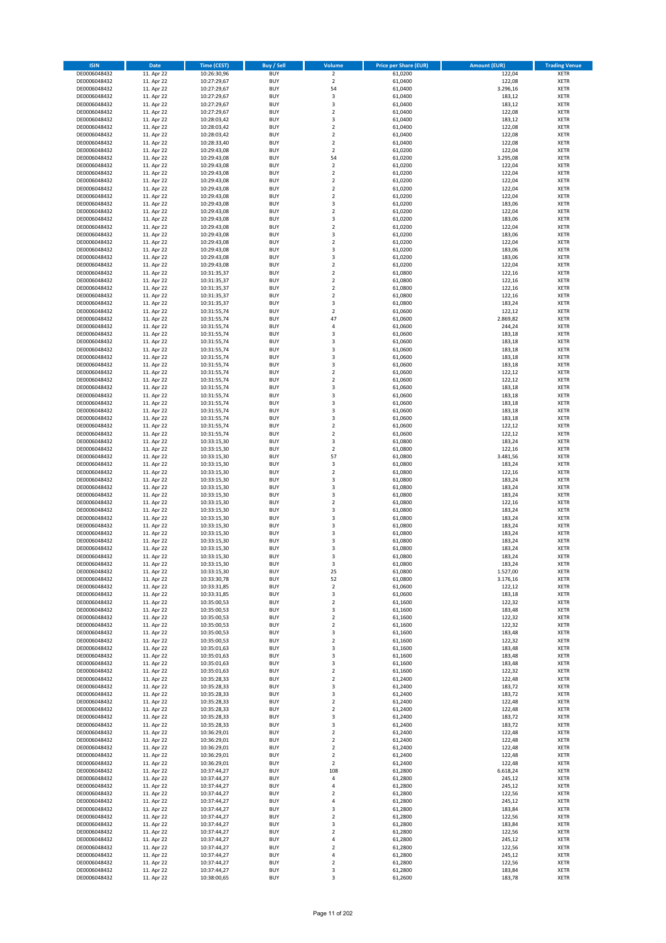| <b>ISIN</b>                  | Date                     | <b>Time (CEST)</b>         | <b>Buy / Sell</b>        | <b>Volume</b>                    | <b>Price per Share (EUR)</b> | <b>Amount (EUR)</b> | <b>Trading Venue</b>       |
|------------------------------|--------------------------|----------------------------|--------------------------|----------------------------------|------------------------------|---------------------|----------------------------|
| DE0006048432                 | 11. Apr 22               | 10:26:30,96                | <b>BUY</b>               | $\overline{2}$                   | 61,0200                      | 122,04              | <b>XETR</b>                |
| DE0006048432                 | 11. Apr 22               | 10:27:29,67                | <b>BUY</b>               | $\overline{2}$                   | 61,0400                      | 122,08              | <b>XETR</b>                |
| DE0006048432                 | 11. Apr 22               | 10:27:29,67                | <b>BUY</b>               | 54                               | 61,0400<br>61.0400           | 3.296,16            | <b>XETR</b>                |
| DE0006048432<br>DE0006048432 | 11. Apr 22<br>11. Apr 22 | 10:27:29,67<br>10:27:29,67 | <b>BUY</b><br><b>BUY</b> | 3<br>$\mathsf 3$                 | 61,0400                      | 183,12<br>183,12    | <b>XETR</b><br><b>XETR</b> |
| DE0006048432                 | 11. Apr 22               | 10:27:29,67                | <b>BUY</b>               | $\overline{2}$                   | 61,0400                      | 122,08              | <b>XETR</b>                |
| DE0006048432                 | 11. Apr 22               | 10:28:03,42                | <b>BUY</b>               | 3                                | 61,0400                      | 183,12              | <b>XETR</b>                |
| DE0006048432                 | 11. Apr 22               | 10:28:03,42                | <b>BUY</b>               | $\overline{2}$                   | 61,0400                      | 122,08              | <b>XETR</b>                |
| DE0006048432                 | 11. Apr 22               | 10:28:03,42                | <b>BUY</b>               | $\overline{2}$                   | 61,0400                      | 122,08              | <b>XETR</b>                |
| DE0006048432<br>DE0006048432 | 11. Apr 22               | 10:28:33,40                | <b>BUY</b><br><b>BUY</b> | $\overline{2}$<br>$\overline{2}$ | 61,0400                      | 122,08              | <b>XETR</b><br><b>XETR</b> |
| DE0006048432                 | 11. Apr 22<br>11. Apr 22 | 10:29:43,08<br>10:29:43,08 | <b>BUY</b>               | 54                               | 61,0200<br>61,0200           | 122,04<br>3.295,08  | <b>XETR</b>                |
| DE0006048432                 | 11. Apr 22               | 10:29:43,08                | <b>BUY</b>               | $\overline{2}$                   | 61,0200                      | 122,04              | <b>XETR</b>                |
| DE0006048432                 | 11. Apr 22               | 10:29:43,08                | <b>BUY</b>               | $\mathbf 2$                      | 61,0200                      | 122,04              | <b>XETR</b>                |
| DE0006048432                 | 11. Apr 22               | 10:29:43,08                | <b>BUY</b>               | $\overline{\mathbf{2}}$          | 61,0200                      | 122,04              | <b>XETR</b>                |
| DE0006048432                 | 11. Apr 22               | 10:29:43,08                | <b>BUY</b>               | $\overline{2}$                   | 61,0200                      | 122,04              | <b>XETR</b>                |
| DE0006048432<br>DE0006048432 | 11. Apr 22<br>11. Apr 22 | 10:29:43,08<br>10:29:43,08 | <b>BUY</b><br><b>BUY</b> | $\overline{2}$<br>3              | 61,0200<br>61,0200           | 122,04<br>183,06    | <b>XETR</b><br><b>XETR</b> |
| DE0006048432                 | 11. Apr 22               | 10:29:43,08                | <b>BUY</b>               | $\mathbf 2$                      | 61,0200                      | 122,04              | <b>XETR</b>                |
| DE0006048432                 | 11. Apr 22               | 10:29:43,08                | <b>BUY</b>               | 3                                | 61,0200                      | 183,06              | <b>XETR</b>                |
| DE0006048432                 | 11. Apr 22               | 10:29:43,08                | <b>BUY</b>               | $\mathbf 2$                      | 61,0200                      | 122,04              | <b>XETR</b>                |
| DE0006048432                 | 11. Apr 22               | 10:29:43,08                | <b>BUY</b>               | 3                                | 61,0200                      | 183,06              | <b>XETR</b>                |
| DE0006048432<br>DE0006048432 | 11. Apr 22<br>11. Apr 22 | 10:29:43,08<br>10:29:43,08 | <b>BUY</b><br><b>BUY</b> | $\mathbf 2$<br>3                 | 61,0200<br>61,0200           | 122,04<br>183,06    | <b>XETR</b><br><b>XETR</b> |
| DE0006048432                 | 11. Apr 22               | 10:29:43,08                | <b>BUY</b>               | 3                                | 61,0200                      | 183,06              | <b>XETR</b>                |
| DE0006048432                 | 11. Apr 22               | 10:29:43,08                | <b>BUY</b>               | $\mathbf 2$                      | 61,0200                      | 122,04              | <b>XETR</b>                |
| DE0006048432                 | 11. Apr 22               | 10:31:35,37                | <b>BUY</b>               | $\overline{2}$                   | 61,0800                      | 122,16              | <b>XETR</b>                |
| DE0006048432                 | 11. Apr 22               | 10:31:35,37                | <b>BUY</b>               | $\mathbf 2$                      | 61,0800                      | 122,16              | <b>XETR</b>                |
| DE0006048432                 | 11. Apr 22               | 10:31:35,37                | <b>BUY</b>               | $\overline{\mathbf{c}}$          | 61,0800                      | 122,16              | <b>XETR</b>                |
| DE0006048432<br>DE0006048432 | 11. Apr 22<br>11. Apr 22 | 10:31:35,37<br>10:31:35,37 | <b>BUY</b><br><b>BUY</b> | $\mathbf 2$<br>3                 | 61,0800<br>61,0800           | 122,16<br>183,24    | <b>XETR</b><br><b>XETR</b> |
| DE0006048432                 | 11. Apr 22               | 10:31:55,74                | <b>BUY</b>               | $\mathbf 2$                      | 61,0600                      | 122,12              | <b>XETR</b>                |
| DE0006048432                 | 11. Apr 22               | 10:31:55,74                | <b>BUY</b>               | 47                               | 61,0600                      | 2.869,82            | <b>XETR</b>                |
| DE0006048432                 | 11. Apr 22               | 10:31:55,74                | <b>BUY</b>               | 4                                | 61,0600                      | 244,24              | <b>XETR</b>                |
| DE0006048432                 | 11. Apr 22               | 10:31:55,74                | <b>BUY</b>               | 3                                | 61,0600                      | 183,18              | <b>XETR</b>                |
| DE0006048432<br>DE0006048432 | 11. Apr 22<br>11. Apr 22 | 10:31:55,74<br>10:31:55,74 | <b>BUY</b><br><b>BUY</b> | 3<br>3                           | 61,0600<br>61,0600           | 183,18<br>183,18    | <b>XETR</b>                |
| DE0006048432                 | 11. Apr 22               | 10:31:55,74                | <b>BUY</b>               | 3                                | 61,0600                      | 183,18              | <b>XETR</b><br><b>XETR</b> |
| DE0006048432                 | 11. Apr 22               | 10:31:55,74                | <b>BUY</b>               | 3                                | 61,0600                      | 183,18              | <b>XETR</b>                |
| DE0006048432                 | 11. Apr 22               | 10:31:55,74                | <b>BUY</b>               | $\overline{\mathbf{c}}$          | 61,0600                      | 122,12              | <b>XETR</b>                |
| DE0006048432                 | 11. Apr 22               | 10:31:55,74                | <b>BUY</b>               | $\mathbf 2$                      | 61,0600                      | 122,12              | <b>XETR</b>                |
| DE0006048432                 | 11. Apr 22               | 10:31:55,74                | <b>BUY</b>               | 3                                | 61,0600                      | 183,18              | <b>XETR</b>                |
| DE0006048432<br>DE0006048432 | 11. Apr 22<br>11. Apr 22 | 10:31:55,74<br>10:31:55,74 | <b>BUY</b><br><b>BUY</b> | 3<br>3                           | 61,0600<br>61,0600           | 183,18<br>183,18    | <b>XETR</b><br><b>XETR</b> |
| DE0006048432                 | 11. Apr 22               | 10:31:55,74                | <b>BUY</b>               | 3                                | 61,0600                      | 183,18              | <b>XETR</b>                |
| DE0006048432                 | 11. Apr 22               | 10:31:55,74                | <b>BUY</b>               | 3                                | 61,0600                      | 183,18              | <b>XETR</b>                |
| DE0006048432                 | 11. Apr 22               | 10:31:55,74                | <b>BUY</b>               | $\overline{2}$                   | 61,0600                      | 122,12              | <b>XETR</b>                |
| DE0006048432                 | 11. Apr 22               | 10:31:55,74                | <b>BUY</b>               | $\mathbf 2$                      | 61,0600                      | 122,12              | <b>XETR</b>                |
| DE0006048432                 | 11. Apr 22               | 10:33:15,30                | <b>BUY</b><br><b>BUY</b> | 3                                | 61,0800                      | 183,24              | <b>XETR</b>                |
| DE0006048432<br>DE0006048432 | 11. Apr 22<br>11. Apr 22 | 10:33:15,30<br>10:33:15,30 | <b>BUY</b>               | $\mathbf 2$<br>57                | 61,0800<br>61,0800           | 122,16<br>3.481,56  | <b>XETR</b><br><b>XETR</b> |
| DE0006048432                 | 11. Apr 22               | 10:33:15,30                | <b>BUY</b>               | 3                                | 61,0800                      | 183,24              | <b>XETR</b>                |
| DE0006048432                 | 11. Apr 22               | 10:33:15,30                | <b>BUY</b>               | $\mathbf 2$                      | 61,0800                      | 122,16              | <b>XETR</b>                |
| DE0006048432                 | 11. Apr 22               | 10:33:15,30                | <b>BUY</b>               | 3                                | 61,0800                      | 183,24              | <b>XETR</b>                |
| DE0006048432                 | 11. Apr 22               | 10:33:15,30                | <b>BUY</b>               | 3                                | 61,0800                      | 183,24              | <b>XETR</b>                |
| DE0006048432<br>DE0006048432 | 11. Apr 22<br>11. Apr 22 | 10:33:15,30<br>10:33:15,30 | <b>BUY</b><br><b>BUY</b> | 3<br>$\overline{\mathbf{c}}$     | 61,0800<br>61,0800           | 183,24<br>122,16    | <b>XETR</b><br><b>XETR</b> |
| DE0006048432                 | 11. Apr 22               | 10:33:15,30                | <b>BUY</b>               | 3                                | 61,0800                      | 183,24              | <b>XETR</b>                |
| DE0006048432                 | 11. Apr 22               | 10:33:15,30                | <b>BUY</b>               | 3                                | 61,0800                      | 183,24              | <b>XETR</b>                |
| DE0006048432                 | 11. Apr 22               | 10:33:15,30                | <b>BUY</b>               | 3                                | 61,0800                      | 183,24              | <b>XETR</b>                |
| DE0006048432                 | 11. Apr 22               | 10:33:15,30                | <b>BUY</b>               | 3                                | 61,0800                      | 183,24              | <b>XETR</b>                |
| DE0006048432<br>DE0006048432 | 11. Apr 22<br>11. Apr 22 | 10:33:15,30<br>10:33:15,30 | <b>BUY</b><br><b>BUY</b> | 3<br>3                           | 61,0800<br>61,0800           | 183,24<br>183,24    | <b>XETR</b><br><b>XETR</b> |
| DE0006048432                 | 11. Apr 22               | 10:33:15,30                | <b>BUY</b>               | 3                                | 61,0800                      | 183,24              | <b>XETR</b>                |
| DE0006048432                 | 11. Apr 22               | 10:33:15,30                | <b>BUY</b>               | 3                                | 61,0800                      | 183,24              | <b>XETR</b>                |
| DE0006048432                 | 11. Apr 22               | 10:33:15,30                | <b>BUY</b>               | 25                               | 61,0800                      | 1.527,00            | <b>XETR</b>                |
| DE0006048432                 | 11. Apr 22               | 10:33:30,78                | <b>BUY</b>               | 52                               | 61,0800                      | 3.176,16            | <b>XETR</b>                |
| DE0006048432<br>DE0006048432 | 11. Apr 22<br>11. Apr 22 | 10:33:31,85<br>10:33:31,85 | <b>BUY</b><br><b>BUY</b> | $\overline{2}$<br>3              | 61,0600<br>61,0600           | 122,12<br>183,18    | <b>XETR</b><br><b>XETR</b> |
| DE0006048432                 | 11. Apr 22               | 10:35:00,53                | <b>BUY</b>               | $\overline{2}$                   | 61,1600                      | 122,32              | <b>XETR</b>                |
| DE0006048432                 | 11. Apr 22               | 10:35:00,53                | <b>BUY</b>               | 3                                | 61,1600                      | 183,48              | <b>XETR</b>                |
| DE0006048432                 | 11. Apr 22               | 10:35:00,53                | <b>BUY</b>               | $\mathbf 2$                      | 61,1600                      | 122,32              | <b>XETR</b>                |
| DE0006048432                 | 11. Apr 22               | 10:35:00,53                | <b>BUY</b>               | $\overline{2}$                   | 61,1600                      | 122,32              | <b>XETR</b>                |
| DE0006048432<br>DE0006048432 | 11. Apr 22<br>11. Apr 22 | 10:35:00,53<br>10:35:00,53 | <b>BUY</b><br><b>BUY</b> | 3<br>$\mathbf 2$                 | 61,1600<br>61,1600           | 183,48<br>122,32    | <b>XETR</b><br><b>XETR</b> |
| DE0006048432                 | 11. Apr 22               | 10:35:01,63                | <b>BUY</b>               | 3                                | 61,1600                      | 183,48              | <b>XETR</b>                |
| DE0006048432                 | 11. Apr 22               | 10:35:01,63                | <b>BUY</b>               | 3                                | 61,1600                      | 183,48              | <b>XETR</b>                |
| DE0006048432                 | 11. Apr 22               | 10:35:01,63                | <b>BUY</b>               | 3                                | 61,1600                      | 183,48              | <b>XETR</b>                |
| DE0006048432                 | 11. Apr 22               | 10:35:01,63                | <b>BUY</b>               | $\overline{2}$                   | 61,1600                      | 122,32              | <b>XETR</b>                |
| DE0006048432<br>DE0006048432 | 11. Apr 22<br>11. Apr 22 | 10:35:28,33<br>10:35:28,33 | <b>BUY</b><br><b>BUY</b> | $\overline{2}$<br>3              | 61,2400<br>61,2400           | 122,48<br>183,72    | <b>XETR</b><br><b>XETR</b> |
| DE0006048432                 | 11. Apr 22               | 10:35:28,33                | <b>BUY</b>               | 3                                | 61,2400                      | 183,72              | <b>XETR</b>                |
| DE0006048432                 | 11. Apr 22               | 10:35:28,33                | <b>BUY</b>               | $\mathbf 2$                      | 61,2400                      | 122,48              | <b>XETR</b>                |
| DE0006048432                 | 11. Apr 22               | 10:35:28,33                | <b>BUY</b>               | $\overline{2}$                   | 61,2400                      | 122,48              | <b>XETR</b>                |
| DE0006048432                 | 11. Apr 22               | 10:35:28,33                | <b>BUY</b>               | 3                                | 61,2400                      | 183,72              | <b>XETR</b>                |
| DE0006048432                 | 11. Apr 22               | 10:35:28,33                | <b>BUY</b><br><b>BUY</b> | 3<br>$\overline{2}$              | 61,2400                      | 183,72<br>122,48    | <b>XETR</b>                |
| DE0006048432<br>DE0006048432 | 11. Apr 22<br>11. Apr 22 | 10:36:29,01<br>10:36:29,01 | <b>BUY</b>               | $\overline{2}$                   | 61,2400<br>61,2400           | 122,48              | <b>XETR</b><br><b>XETR</b> |
| DE0006048432                 | 11. Apr 22               | 10:36:29,01                | <b>BUY</b>               | $\mathbf 2$                      | 61,2400                      | 122,48              | <b>XETR</b>                |
| DE0006048432                 | 11. Apr 22               | 10:36:29,01                | <b>BUY</b>               | $\overline{2}$                   | 61,2400                      | 122,48              | <b>XETR</b>                |
| DE0006048432                 | 11. Apr 22               | 10:36:29,01                | <b>BUY</b>               | $\overline{2}$                   | 61,2400                      | 122,48              | <b>XETR</b>                |
| DE0006048432                 | 11. Apr 22               | 10:37:44,27                | <b>BUY</b>               | 108                              | 61,2800                      | 6.618,24            | <b>XETR</b>                |
| DE0006048432<br>DE0006048432 | 11. Apr 22<br>11. Apr 22 | 10:37:44,27<br>10:37:44,27 | <b>BUY</b><br><b>BUY</b> | $\sqrt{4}$<br>$\overline{4}$     | 61,2800<br>61,2800           | 245,12<br>245,12    | <b>XETR</b><br><b>XETR</b> |
| DE0006048432                 | 11. Apr 22               | 10:37:44,27                | <b>BUY</b>               | $\overline{2}$                   | 61,2800                      | 122,56              | <b>XETR</b>                |
| DE0006048432                 | 11. Apr 22               | 10:37:44,27                | <b>BUY</b>               | $\sqrt{4}$                       | 61,2800                      | 245,12              | <b>XETR</b>                |
| DE0006048432                 | 11. Apr 22               | 10:37:44,27                | <b>BUY</b>               | 3                                | 61,2800                      | 183,84              | <b>XETR</b>                |
| DE0006048432                 | 11. Apr 22               | 10:37:44,27                | <b>BUY</b>               | $\overline{2}$                   | 61,2800                      | 122,56              | <b>XETR</b>                |
| DE0006048432<br>DE0006048432 | 11. Apr 22<br>11. Apr 22 | 10:37:44,27<br>10:37:44,27 | <b>BUY</b><br><b>BUY</b> | 3<br>$\mathbf 2$                 | 61,2800<br>61,2800           | 183,84<br>122,56    | <b>XETR</b><br><b>XETR</b> |
| DE0006048432                 | 11. Apr 22               | 10:37:44,27                | <b>BUY</b>               | $\overline{4}$                   | 61,2800                      | 245,12              | <b>XETR</b>                |
| DE0006048432                 | 11. Apr 22               | 10:37:44,27                | <b>BUY</b>               | $\overline{2}$                   | 61,2800                      | 122,56              | <b>XETR</b>                |
| DE0006048432                 | 11. Apr 22               | 10:37:44,27                | <b>BUY</b>               | 4                                | 61,2800                      | 245,12              | <b>XETR</b>                |
| DE0006048432                 | 11. Apr 22               | 10:37:44,27                | <b>BUY</b>               | $\mathbf 2$                      | 61,2800                      | 122,56              | <b>XETR</b>                |
| DE0006048432<br>DE0006048432 | 11. Apr 22<br>11. Apr 22 | 10:37:44,27<br>10:38:00,65 | <b>BUY</b><br><b>BUY</b> | 3<br>3                           | 61,2800<br>61,2600           | 183,84<br>183,78    | <b>XETR</b><br><b>XETR</b> |
|                              |                          |                            |                          |                                  |                              |                     |                            |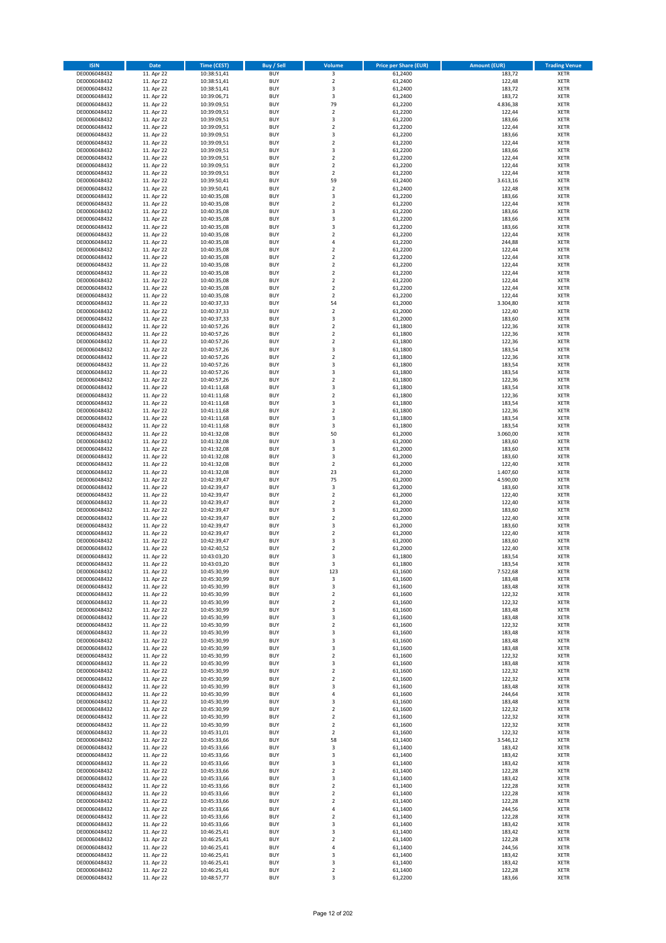| <b>ISIN</b>                  | <b>Date</b>              | <b>Time (CEST)</b>         | <b>Buy / Sell</b>        | Volume                       | <b>Price per Share (EUR)</b> | <b>Amount (EUR)</b> | <b>Trading Venue</b>       |
|------------------------------|--------------------------|----------------------------|--------------------------|------------------------------|------------------------------|---------------------|----------------------------|
| DE0006048432                 | 11. Apr 22               | 10:38:51,41                | <b>BUY</b>               | $\overline{\mathbf{3}}$      | 61,2400                      | 183,72              | <b>XETR</b>                |
| DE0006048432                 | 11. Apr 22               | 10:38:51,41                | <b>BUY</b>               | $\mathbf 2$                  | 61,2400                      | 122,48              | <b>XETR</b>                |
| DE0006048432                 | 11. Apr 22               | 10:38:51,41                | <b>BUY</b>               | 3                            | 61,2400                      | 183,72              | <b>XETR</b>                |
| DE0006048432                 | 11. Apr 22               | 10:39:06,71                | <b>BUY</b>               | 3                            | 61,2400                      | 183,72              | <b>XETR</b>                |
| DE0006048432                 | 11. Apr 22               | 10:39:09,51                | <b>BUY</b>               | 79                           | 61,2200                      | 4.836,38            | <b>XETR</b>                |
| DE0006048432                 | 11. Apr 22               | 10:39:09,51                | <b>BUY</b>               | $\mathbf 2$                  | 61,2200                      | 122,44              | <b>XETR</b>                |
| DE0006048432                 | 11. Apr 22               | 10:39:09,51                | <b>BUY</b>               | 3                            | 61,2200                      | 183,66              | <b>XETR</b>                |
| DE0006048432                 | 11. Apr 22               | 10:39:09,51                | <b>BUY</b>               | $\overline{\mathbf{c}}$      | 61,2200                      | 122,44              | <b>XETR</b>                |
| DE0006048432                 | 11. Apr 22               | 10:39:09,51                | <b>BUY</b><br><b>BUY</b> | 3<br>$\mathbf 2$             | 61,2200                      | 183,66              | <b>XETR</b><br><b>XETR</b> |
| DE0006048432<br>DE0006048432 | 11. Apr 22<br>11. Apr 22 | 10:39:09,51<br>10:39:09,51 | <b>BUY</b>               | 3                            | 61,2200<br>61,2200           | 122,44<br>183,66    | <b>XETR</b>                |
| DE0006048432                 | 11. Apr 22               | 10:39:09,51                | <b>BUY</b>               | $\overline{\mathbf{c}}$      | 61,2200                      | 122,44              | <b>XETR</b>                |
| DE0006048432                 | 11. Apr 22               | 10:39:09,51                | <b>BUY</b>               | $\mathbf 2$                  | 61,2200                      | 122,44              | <b>XETR</b>                |
| DE0006048432                 | 11. Apr 22               | 10:39:09,51                | <b>BUY</b>               | $\overline{\mathbf{c}}$      | 61,2200                      | 122,44              | <b>XETR</b>                |
| DE0006048432                 | 11. Apr 22               | 10:39:50,41                | <b>BUY</b>               | 59                           | 61,2400                      | 3.613,16            | <b>XETR</b>                |
| DE0006048432                 | 11. Apr 22               | 10:39:50,41                | <b>BUY</b>               | $\mathbf 2$                  | 61,2400                      | 122,48              | <b>XETR</b>                |
| DE0006048432                 | 11. Apr 22               | 10:40:35,08                | <b>BUY</b>               | 3                            | 61,2200                      | 183,66              | <b>XETR</b>                |
| DE0006048432                 | 11. Apr 22               | 10:40:35,08                | <b>BUY</b>               | $\mathbf 2$                  | 61,2200                      | 122,44              | <b>XETR</b>                |
| DE0006048432                 | 11. Apr 22               | 10:40:35,08                | <b>BUY</b>               | 3                            | 61,2200                      | 183,66              | <b>XETR</b>                |
| DE0006048432                 | 11. Apr 22               | 10:40:35,08                | <b>BUY</b>               | 3                            | 61,2200                      | 183,66              | <b>XETR</b>                |
| DE0006048432                 | 11. Apr 22               | 10:40:35,08                | <b>BUY</b>               | 3                            | 61,2200                      | 183,66              | <b>XETR</b>                |
| DE0006048432<br>DE0006048432 | 11. Apr 22<br>11. Apr 22 | 10:40:35,08<br>10:40:35,08 | <b>BUY</b><br><b>BUY</b> | $\mathbf 2$<br>4             | 61,2200<br>61,2200           | 122,44<br>244,88    | <b>XETR</b><br><b>XETR</b> |
| DE0006048432                 | 11. Apr 22               | 10:40:35,08                | <b>BUY</b>               | $\mathbf 2$                  | 61,2200                      | 122,44              | <b>XETR</b>                |
| DE0006048432                 | 11. Apr 22               | 10:40:35,08                | <b>BUY</b>               | $\mathbf 2$                  | 61,2200                      | 122,44              | <b>XETR</b>                |
| DE0006048432                 | 11. Apr 22               | 10:40:35,08                | <b>BUY</b>               | $\mathbf 2$                  | 61,2200                      | 122,44              | <b>XETR</b>                |
| DE0006048432                 | 11. Apr 22               | 10:40:35,08                | <b>BUY</b>               | $\mathbf 2$                  | 61,2200                      | 122,44              | <b>XETR</b>                |
| DE0006048432                 | 11. Apr 22               | 10:40:35,08                | <b>BUY</b>               | $\overline{\mathbf{c}}$      | 61,2200                      | 122,44              | <b>XETR</b>                |
| DE0006048432                 | 11. Apr 22               | 10:40:35,08                | <b>BUY</b>               | $\mathbf 2$                  | 61,2200                      | 122,44              | <b>XETR</b>                |
| DE0006048432                 | 11. Apr 22               | 10:40:35,08                | <b>BUY</b>               | $\overline{\mathbf{c}}$      | 61,2200                      | 122,44              | <b>XETR</b>                |
| DE0006048432                 | 11. Apr 22               | 10:40:37,33                | <b>BUY</b>               | 54                           | 61,2000                      | 3.304,80            | <b>XETR</b>                |
| DE0006048432                 | 11. Apr 22               | 10:40:37,33                | <b>BUY</b>               | $\overline{\mathbf{c}}$      | 61,2000                      | 122,40              | <b>XETR</b>                |
| DE0006048432                 | 11. Apr 22               | 10:40:37,33<br>10:40:57,26 | <b>BUY</b><br><b>BUY</b> | 3<br>$\mathbf 2$             | 61,2000                      | 183,60              | <b>XETR</b><br><b>XETR</b> |
| DE0006048432                 | 11. Apr 22               |                            |                          | $\overline{2}$               | 61,1800<br>61.1800           | 122,36              |                            |
| DE0006048432<br>DE0006048432 | 11. Apr 22<br>11. Apr 22 | 10:40:57,26<br>10:40:57,26 | <b>BUY</b><br><b>BUY</b> | $\mathbf 2$                  | 61,1800                      | 122,36<br>122,36    | <b>XETR</b><br><b>XETR</b> |
| DE0006048432                 | 11. Apr 22               | 10:40:57,26                | <b>BUY</b>               | 3                            | 61,1800                      | 183,54              | <b>XETR</b>                |
| DE0006048432                 | 11. Apr 22               | 10:40:57,26                | <b>BUY</b>               | $\mathbf 2$                  | 61,1800                      | 122,36              | <b>XETR</b>                |
| DE0006048432                 | 11. Apr 22               | 10:40:57,26                | <b>BUY</b>               | 3                            | 61,1800                      | 183,54              | <b>XETR</b>                |
| DE0006048432                 | 11. Apr 22               | 10:40:57,26                | <b>BUY</b>               | 3                            | 61,1800                      | 183,54              | <b>XETR</b>                |
| DE0006048432                 | 11. Apr 22               | 10:40:57,26                | <b>BUY</b>               | $\overline{\mathbf{c}}$      | 61,1800                      | 122,36              | <b>XETR</b>                |
| DE0006048432                 | 11. Apr 22               | 10:41:11,68                | <b>BUY</b>               | 3                            | 61,1800                      | 183,54              | <b>XETR</b>                |
| DE0006048432                 | 11. Apr 22               | 10:41:11,68                | <b>BUY</b>               | $\mathbf 2$                  | 61,1800                      | 122,36              | <b>XETR</b>                |
| DE0006048432                 | 11. Apr 22               | 10:41:11,68                | <b>BUY</b>               | 3                            | 61,1800                      | 183,54              | <b>XETR</b>                |
| DE0006048432                 | 11. Apr 22               | 10:41:11,68                | <b>BUY</b>               | $\mathbf 2$                  | 61,1800                      | 122,36              | <b>XETR</b>                |
| DE0006048432                 | 11. Apr 22               | 10:41:11,68                | <b>BUY</b>               | 3                            | 61,1800                      | 183,54              | <b>XETR</b>                |
| DE0006048432<br>DE0006048432 | 11. Apr 22<br>11. Apr 22 | 10:41:11,68<br>10:41:32,08 | <b>BUY</b><br><b>BUY</b> | 3<br>50                      | 61,1800<br>61,2000           | 183,54<br>3.060,00  | <b>XETR</b><br><b>XETR</b> |
| DE0006048432                 | 11. Apr 22               | 10:41:32,08                | <b>BUY</b>               | 3                            | 61,2000                      | 183,60              | <b>XETR</b>                |
| DE0006048432                 | 11. Apr 22               | 10:41:32,08                | <b>BUY</b>               | 3                            | 61,2000                      | 183,60              | <b>XETR</b>                |
| DE0006048432                 | 11. Apr 22               | 10:41:32,08                | <b>BUY</b>               | 3                            | 61,2000                      | 183,60              | <b>XETR</b>                |
| DE0006048432                 | 11. Apr 22               | 10:41:32,08                | <b>BUY</b>               | $\mathbf 2$                  | 61,2000                      | 122,40              | <b>XETR</b>                |
| DE0006048432                 | 11. Apr 22               | 10:41:32,08                | <b>BUY</b>               | 23                           | 61,2000                      | 1.407,60            | <b>XETR</b>                |
| DE0006048432                 | 11. Apr 22               | 10:42:39,47                | <b>BUY</b>               | 75                           | 61,2000                      | 4.590,00            | <b>XETR</b>                |
| DE0006048432                 | 11. Apr 22               | 10:42:39,47                | <b>BUY</b>               | 3                            | 61,2000                      | 183,60              | <b>XETR</b>                |
| DE0006048432                 | 11. Apr 22               | 10:42:39,47                | <b>BUY</b>               | $\mathbf 2$                  | 61,2000                      | 122,40              | <b>XETR</b>                |
| DE0006048432                 | 11. Apr 22               | 10:42:39,47                | <b>BUY</b>               | $\overline{\mathbf{c}}$      | 61,2000                      | 122,40              | <b>XETR</b>                |
| DE0006048432                 | 11. Apr 22               | 10:42:39,47                | <b>BUY</b>               | 3                            | 61,2000                      | 183,60              | <b>XETR</b>                |
| DE0006048432<br>DE0006048432 | 11. Apr 22<br>11. Apr 22 | 10:42:39,47<br>10:42:39,47 | <b>BUY</b><br><b>BUY</b> | $\overline{\mathbf{c}}$<br>3 | 61,2000<br>61,2000           | 122,40<br>183,60    | <b>XETR</b><br><b>XETR</b> |
| DE0006048432                 | 11. Apr 22               | 10:42:39,47                | <b>BUY</b>               | $\mathbf 2$                  | 61,2000                      | 122,40              | <b>XETR</b>                |
| DE0006048432                 | 11. Apr 22               | 10:42:39,47                | <b>BUY</b>               | 3                            | 61,2000                      | 183,60              | <b>XETR</b>                |
| DE0006048432                 | 11. Apr 22               | 10:42:40,52                | <b>BUY</b>               | $\overline{\mathbf{c}}$      | 61,2000                      | 122,40              | <b>XETR</b>                |
| DE0006048432                 | 11. Apr 22               | 10:43:03,20                | <b>BUY</b>               | 3                            | 61,1800                      | 183,54              | <b>XETR</b>                |
| DE0006048432                 | 11. Apr 22               | 10:43:03,20                | BUY                      | 3                            | 61,1800                      | 183,54              | <b>XETR</b>                |
| DE0006048432                 | 11. Apr 22               | 10:45:30,99                | <b>BUY</b>               | 123                          | 61,1600                      | 7.522,68            | <b>XETR</b>                |
| DE0006048432                 | 11. Apr 22               | 10:45:30,99                | <b>BUY</b>               | 3                            | 61,1600                      | 183,48              | <b>XETR</b>                |
| DE0006048432                 | 11. Apr 22               | 10:45:30,99                | <b>BUY</b>               | 3                            | 61,1600                      | 183,48              | XETR                       |
| DE0006048432<br>DE0006048432 | 11. Apr 22               | 10:45:30,99                | <b>BUY</b>               | $\mathbf 2$                  | 61,1600                      | 122,32              | <b>XETR</b>                |
| DE0006048432                 | 11. Apr 22<br>11. Apr 22 | 10:45:30,99<br>10:45:30,99 | <b>BUY</b><br><b>BUY</b> | $\mathbf 2$<br>3             | 61,1600<br>61,1600           | 122,32<br>183,48    | <b>XETR</b><br><b>XETR</b> |
| DE0006048432                 | 11. Apr 22               | 10:45:30,99                | <b>BUY</b>               | 3                            | 61,1600                      | 183,48              | <b>XETR</b>                |
| DE0006048432                 | 11. Apr 22               | 10:45:30,99                | <b>BUY</b>               | $\mathbf 2$                  | 61,1600                      | 122,32              | <b>XETR</b>                |
| DE0006048432                 | 11. Apr 22               | 10:45:30,99                | <b>BUY</b>               | 3                            | 61,1600                      | 183,48              | <b>XETR</b>                |
| DE0006048432                 | 11. Apr 22               | 10:45:30,99                | <b>BUY</b>               | 3                            | 61,1600                      | 183,48              | <b>XETR</b>                |
| DE0006048432                 | 11. Apr 22               | 10:45:30,99                | <b>BUY</b>               | 3                            | 61,1600                      | 183,48              | <b>XETR</b>                |
| DE0006048432                 | 11. Apr 22               | 10:45:30,99                | <b>BUY</b>               | $\mathbf 2$                  | 61,1600                      | 122,32              | <b>XETR</b>                |
| DE0006048432                 | 11. Apr 22               | 10:45:30,99                | <b>BUY</b>               | 3                            | 61,1600                      | 183,48              | <b>XETR</b>                |
| DE0006048432                 | 11. Apr 22               | 10:45:30,99                | <b>BUY</b>               | $\mathbf 2$                  | 61,1600                      | 122,32              | <b>XETR</b>                |
| DE0006048432<br>DE0006048432 | 11. Apr 22<br>11. Apr 22 | 10:45:30,99<br>10:45:30,99 | <b>BUY</b><br><b>BUY</b> | $\mathbf 2$<br>3             | 61,1600<br>61,1600           | 122,32<br>183,48    | <b>XETR</b><br><b>XETR</b> |
| DE0006048432                 | 11. Apr 22               | 10:45:30,99                | <b>BUY</b>               | 4                            | 61,1600                      | 244,64              | <b>XETR</b>                |
| DE0006048432                 | 11. Apr 22               | 10:45:30,99                | <b>BUY</b>               | 3                            | 61,1600                      | 183,48              | XETR                       |
| DE0006048432                 | 11. Apr 22               | 10:45:30,99                | <b>BUY</b>               | $\mathbf 2$                  | 61,1600                      | 122,32              | <b>XETR</b>                |
| DE0006048432                 | 11. Apr 22               | 10:45:30,99                | <b>BUY</b>               | $\overline{2}$               | 61,1600                      | 122,32              | <b>XETR</b>                |
| DE0006048432                 | 11. Apr 22               | 10:45:30,99                | <b>BUY</b>               | $\mathbf 2$                  | 61,1600                      | 122,32              | <b>XETR</b>                |
| DE0006048432                 | 11. Apr 22               | 10:45:31,01                | <b>BUY</b>               | $\overline{2}$               | 61,1600                      | 122,32              | <b>XETR</b>                |
| DE0006048432                 | 11. Apr 22               | 10:45:33,66                | <b>BUY</b>               | 58                           | 61,1400                      | 3.546,12            | <b>XETR</b>                |
| DE0006048432                 | 11. Apr 22               | 10:45:33,66                | <b>BUY</b>               | 3                            | 61,1400                      | 183,42              | <b>XETR</b>                |
| DE0006048432                 | 11. Apr 22               | 10:45:33,66                | <b>BUY</b>               | 3                            | 61,1400                      | 183,42              | <b>XETR</b>                |
| DE0006048432                 | 11. Apr 22               | 10:45:33,66                | <b>BUY</b>               | 3                            | 61,1400                      | 183,42              | <b>XETR</b>                |
| DE0006048432                 | 11. Apr 22               | 10:45:33,66                | <b>BUY</b>               | $\overline{2}$               | 61,1400                      | 122,28              | <b>XETR</b>                |
| DE0006048432<br>DE0006048432 | 11. Apr 22<br>11. Apr 22 | 10:45:33,66<br>10:45:33,66 | <b>BUY</b><br><b>BUY</b> | 3<br>$\overline{\mathbf{c}}$ | 61,1400<br>61,1400           | 183,42<br>122,28    | <b>XETR</b><br><b>XETR</b> |
| DE0006048432                 | 11. Apr 22               | 10:45:33,66                | <b>BUY</b>               | $\mathbf 2$                  | 61,1400                      | 122,28              | <b>XETR</b>                |
| DE0006048432                 | 11. Apr 22               | 10:45:33,66                | <b>BUY</b>               | $\mathbf 2$                  | 61,1400                      | 122,28              | <b>XETR</b>                |
| DE0006048432                 | 11. Apr 22               | 10:45:33,66                | <b>BUY</b>               | 4                            | 61,1400                      | 244,56              | <b>XETR</b>                |
| DE0006048432                 | 11. Apr 22               | 10:45:33,66                | <b>BUY</b>               | $\mathbf 2$                  | 61,1400                      | 122,28              | <b>XETR</b>                |
| DE0006048432                 | 11. Apr 22               | 10:45:33,66                | <b>BUY</b>               | 3                            | 61,1400                      | 183,42              | <b>XETR</b>                |
| DE0006048432                 | 11. Apr 22               | 10:46:25,41                | <b>BUY</b>               | 3                            | 61,1400                      | 183,42              | <b>XETR</b>                |
| DE0006048432                 | 11. Apr 22               | 10:46:25,41                | <b>BUY</b>               | $\overline{\mathbf{c}}$      | 61,1400                      | 122,28              | <b>XETR</b>                |
| DE0006048432                 | 11. Apr 22               | 10:46:25,41                | <b>BUY</b>               | 4                            | 61,1400                      | 244,56              | XETR                       |
| DE0006048432                 | 11. Apr 22               | 10:46:25,41                | <b>BUY</b>               | 3                            | 61,1400                      | 183,42              | <b>XETR</b>                |
| DE0006048432<br>DE0006048432 | 11. Apr 22<br>11. Apr 22 | 10:46:25,41<br>10:46:25,41 | <b>BUY</b><br><b>BUY</b> | 3<br>$\mathbf 2$             | 61,1400<br>61,1400           | 183,42<br>122,28    | XETR<br><b>XETR</b>        |
| DE0006048432                 | 11. Apr 22               | 10:48:57,77                | <b>BUY</b>               | 3                            | 61,2200                      | 183,66              | <b>XETR</b>                |
|                              |                          |                            |                          |                              |                              |                     |                            |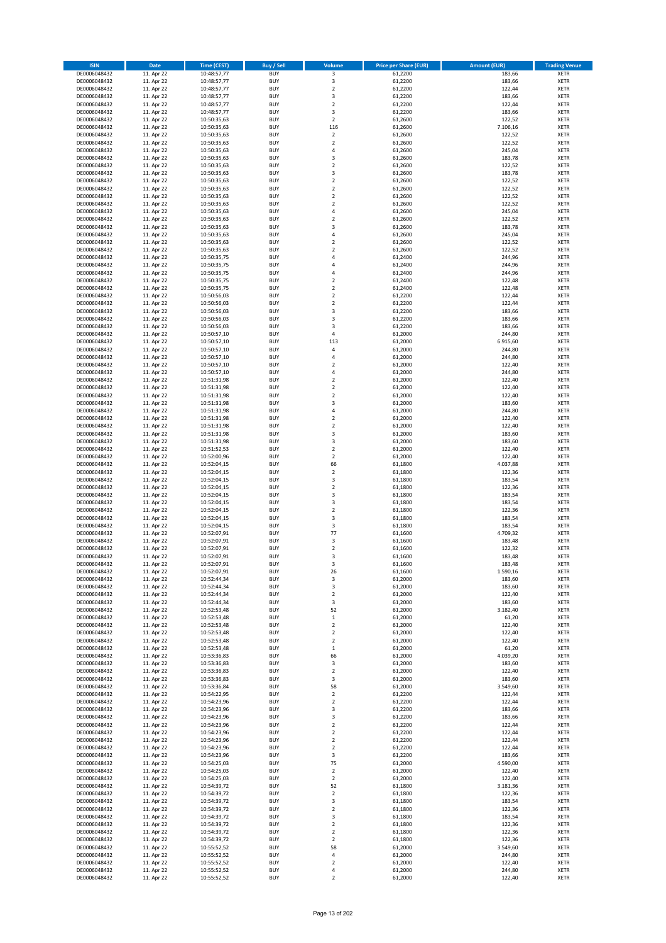| <b>ISIN</b>                  | <b>Date</b>              | <b>Time (CEST)</b>         | <b>Buy / Sell</b>        | Volume                                             | <b>Price per Share (EUR)</b> | <b>Amount (EUR)</b> | <b>Trading Venue</b>       |
|------------------------------|--------------------------|----------------------------|--------------------------|----------------------------------------------------|------------------------------|---------------------|----------------------------|
| DE0006048432                 | 11. Apr 22               | 10:48:57,77                | <b>BUY</b>               | 3                                                  | 61,2200                      | 183,66              | <b>XETR</b>                |
| DE0006048432                 | 11. Apr 22               | 10:48:57,77                | <b>BUY</b>               | 3                                                  | 61,2200                      | 183,66              | <b>XETR</b>                |
| DE0006048432                 | 11. Apr 22               | 10:48:57,77                | <b>BUY</b>               | $\overline{2}$                                     | 61,2200                      | 122,44              | <b>XETR</b>                |
| DE0006048432                 | 11. Apr 22               | 10:48:57,77                | <b>BUY</b>               | 3                                                  | 61,2200                      | 183,66              | <b>XETR</b>                |
| DE0006048432<br>DE0006048432 | 11. Apr 22<br>11. Apr 22 | 10:48:57,77<br>10:48:57,77 | <b>BUY</b><br><b>BUY</b> | $\overline{\mathbf{c}}$<br>3                       | 61,2200<br>61,2200           | 122,44<br>183,66    | <b>XETR</b><br><b>XETR</b> |
| DE0006048432                 | 11. Apr 22               | 10:50:35,63                | <b>BUY</b>               | $\overline{\mathbf{c}}$                            | 61,2600                      | 122,52              | <b>XETR</b>                |
| DE0006048432                 | 11. Apr 22               | 10:50:35,63                | <b>BUY</b>               | 116                                                | 61,2600                      | 7.106,16            | <b>XETR</b>                |
| DE0006048432                 | 11. Apr 22               | 10:50:35,63                | <b>BUY</b>               | $\mathbf 2$                                        | 61,2600                      | 122,52              | <b>XETR</b>                |
| DE0006048432                 | 11. Apr 22               | 10:50:35,63                | <b>BUY</b>               | $\overline{2}$                                     | 61,2600                      | 122,52              | <b>XETR</b>                |
| DE0006048432                 | 11. Apr 22               | 10:50:35,63                | <b>BUY</b>               | 4                                                  | 61,2600                      | 245,04              | <b>XETR</b>                |
| DE0006048432                 | 11. Apr 22               | 10:50:35,63                | <b>BUY</b>               | 3<br>$\mathbf 2$                                   | 61,2600                      | 183,78              | <b>XETR</b><br><b>XETR</b> |
| DE0006048432<br>DE0006048432 | 11. Apr 22<br>11. Apr 22 | 10:50:35,63<br>10:50:35,63 | <b>BUY</b><br><b>BUY</b> | 3                                                  | 61,2600<br>61,2600           | 122,52<br>183,78    | <b>XETR</b>                |
| DE0006048432                 | 11. Apr 22               | 10:50:35,63                | <b>BUY</b>               | $\mathbf 2$                                        | 61,2600                      | 122,52              | <b>XETR</b>                |
| DE0006048432                 | 11. Apr 22               | 10:50:35,63                | <b>BUY</b>               | $\overline{\mathbf{c}}$                            | 61,2600                      | 122,52              | <b>XETR</b>                |
| DE0006048432                 | 11. Apr 22               | 10:50:35,63                | <b>BUY</b>               | $\mathbf 2$                                        | 61,2600                      | 122,52              | <b>XETR</b>                |
| DE0006048432                 | 11. Apr 22               | 10:50:35,63                | <b>BUY</b>               | $\mathbf 2$                                        | 61,2600                      | 122,52              | <b>XETR</b>                |
| DE0006048432                 | 11. Apr 22               | 10:50:35,63                | <b>BUY</b>               | 4                                                  | 61,2600                      | 245,04              | <b>XETR</b>                |
| DE0006048432<br>DE0006048432 | 11. Apr 22<br>11. Apr 22 | 10:50:35,63                | <b>BUY</b><br><b>BUY</b> | $\mathbf 2$<br>3                                   | 61,2600<br>61,2600           | 122,52<br>183,78    | <b>XETR</b><br><b>XETR</b> |
| DE0006048432                 | 11. Apr 22               | 10:50:35,63<br>10:50:35,63 | <b>BUY</b>               | 4                                                  | 61,2600                      | 245,04              | <b>XETR</b>                |
| DE0006048432                 | 11. Apr 22               | 10:50:35,63                | <b>BUY</b>               | $\mathbf 2$                                        | 61,2600                      | 122,52              | <b>XETR</b>                |
| DE0006048432                 | 11. Apr 22               | 10:50:35,63                | <b>BUY</b>               | $\mathbf 2$                                        | 61,2600                      | 122,52              | <b>XETR</b>                |
| DE0006048432                 | 11. Apr 22               | 10:50:35,75                | <b>BUY</b>               | 4                                                  | 61,2400                      | 244,96              | <b>XETR</b>                |
| DE0006048432                 | 11. Apr 22               | 10:50:35,75                | <b>BUY</b>               | 4                                                  | 61,2400                      | 244,96              | <b>XETR</b>                |
| DE0006048432                 | 11. Apr 22               | 10:50:35,75                | <b>BUY</b>               | 4                                                  | 61,2400                      | 244,96              | <b>XETR</b>                |
| DE0006048432                 | 11. Apr 22               | 10:50:35,75                | <b>BUY</b>               | $\overline{\mathbf{c}}$                            | 61,2400                      | 122,48              | <b>XETR</b>                |
| DE0006048432                 | 11. Apr 22               | 10:50:35,75<br>10:50:56,03 | <b>BUY</b><br><b>BUY</b> | $\mathbf 2$<br>$\overline{\mathbf{c}}$             | 61,2400                      | 122,48              | <b>XETR</b><br><b>XETR</b> |
| DE0006048432<br>DE0006048432 | 11. Apr 22<br>11. Apr 22 | 10:50:56,03                | <b>BUY</b>               | $\overline{a}$                                     | 61,2200<br>61,2200           | 122,44<br>122,44    | <b>XETR</b>                |
| DE0006048432                 | 11. Apr 22               | 10:50:56,03                | <b>BUY</b>               | 3                                                  | 61,2200                      | 183,66              | <b>XETR</b>                |
| DE0006048432                 | 11. Apr 22               | 10:50:56,03                | <b>BUY</b>               | 3                                                  | 61,2200                      | 183,66              | <b>XETR</b>                |
| DE0006048432                 | 11. Apr 22               | 10:50:56,03                | <b>BUY</b>               | 3                                                  | 61,2200                      | 183,66              | <b>XETR</b>                |
| DE0006048432                 | 11. Apr 22               | 10:50:57,10                | <b>BUY</b>               | 4                                                  | 61.2000                      | 244,80              | <b>XETR</b>                |
| DE0006048432                 | 11. Apr 22               | 10:50:57,10                | <b>BUY</b>               | 113                                                | 61,2000                      | 6.915,60            | <b>XETR</b>                |
| DE0006048432                 | 11. Apr 22               | 10:50:57,10                | <b>BUY</b>               | 4                                                  | 61,2000                      | 244,80              | <b>XETR</b>                |
| DE0006048432                 | 11. Apr 22               | 10:50:57,10                | <b>BUY</b>               | 4                                                  | 61,2000                      | 244,80              | <b>XETR</b>                |
| DE0006048432                 | 11. Apr 22               | 10:50:57,10                | <b>BUY</b>               | $\overline{\mathbf{c}}$                            | 61,2000                      | 122,40              | <b>XETR</b>                |
| DE0006048432<br>DE0006048432 | 11. Apr 22<br>11. Apr 22 | 10:50:57,10<br>10:51:31,98 | <b>BUY</b><br><b>BUY</b> | 4<br>$\mathbf 2$                                   | 61,2000<br>61,2000           | 244,80<br>122,40    | <b>XETR</b><br><b>XETR</b> |
| DE0006048432                 | 11. Apr 22               | 10:51:31,98                | <b>BUY</b>               | $\mathbf 2$                                        | 61,2000                      | 122,40              | <b>XETR</b>                |
| DE0006048432                 | 11. Apr 22               | 10:51:31,98                | <b>BUY</b>               | $\mathbf 2$                                        | 61,2000                      | 122,40              | <b>XETR</b>                |
| DE0006048432                 | 11. Apr 22               | 10:51:31,98                | <b>BUY</b>               | 3                                                  | 61,2000                      | 183,60              | <b>XETR</b>                |
| DE0006048432                 | 11. Apr 22               | 10:51:31,98                | <b>BUY</b>               | 4                                                  | 61,2000                      | 244,80              | <b>XETR</b>                |
| DE0006048432                 | 11. Apr 22               | 10:51:31,98                | <b>BUY</b>               | $\overline{\mathbf{2}}$                            | 61,2000                      | 122,40              | <b>XETR</b>                |
| DE0006048432                 | 11. Apr 22               | 10:51:31,98                | <b>BUY</b>               | $\mathbf 2$                                        | 61,2000                      | 122,40              | <b>XETR</b>                |
| DE0006048432                 | 11. Apr 22               | 10:51:31,98                | <b>BUY</b>               | 3                                                  | 61,2000                      | 183,60              | <b>XETR</b>                |
| DE0006048432                 | 11. Apr 22               | 10:51:31,98                | <b>BUY</b>               | 3                                                  | 61,2000                      | 183,60              | <b>XETR</b>                |
| DE0006048432<br>DE0006048432 | 11. Apr 22               | 10:51:52,53                | <b>BUY</b><br><b>BUY</b> | $\overline{\mathbf{c}}$<br>$\overline{\mathbf{2}}$ | 61,2000                      | 122,40              | <b>XETR</b><br><b>XETR</b> |
| DE0006048432                 | 11. Apr 22<br>11. Apr 22 | 10:52:00,96<br>10:52:04,15 | <b>BUY</b>               | 66                                                 | 61,2000<br>61,1800           | 122,40<br>4.037,88  | <b>XETR</b>                |
| DE0006048432                 | 11. Apr 22               | 10:52:04,15                | <b>BUY</b>               | $\overline{\mathbf{2}}$                            | 61,1800                      | 122,36              | <b>XETR</b>                |
| DE0006048432                 | 11. Apr 22               | 10:52:04,15                | <b>BUY</b>               | 3                                                  | 61,1800                      | 183,54              | <b>XETR</b>                |
| DE0006048432                 | 11. Apr 22               | 10:52:04,15                | <b>BUY</b>               | $\overline{\mathbf{c}}$                            | 61,1800                      | 122,36              | <b>XETR</b>                |
| DE0006048432                 | 11. Apr 22               | 10:52:04,15                | <b>BUY</b>               | 3                                                  | 61,1800                      | 183,54              | <b>XETR</b>                |
| DE0006048432                 | 11. Apr 22               | 10:52:04,15                | <b>BUY</b>               | 3                                                  | 61,1800                      | 183,54              | <b>XETR</b>                |
| DE0006048432                 | 11. Apr 22               | 10:52:04,15                | <b>BUY</b>               | $\overline{\mathbf{c}}$                            | 61,1800                      | 122,36              | <b>XETR</b>                |
| DE0006048432                 | 11. Apr 22               | 10:52:04,15                | <b>BUY</b>               | 3                                                  | 61,1800                      | 183,54              | <b>XETR</b>                |
| DE0006048432<br>DE0006048432 | 11. Apr 22<br>11. Apr 22 | 10:52:04,15                | <b>BUY</b><br><b>BUY</b> | 3<br>77                                            | 61,1800<br>61,1600           | 183,54<br>4.709,32  | <b>XETR</b><br><b>XETR</b> |
| DE0006048432                 | 11. Apr 22               | 10:52:07,91<br>10:52:07,91 | <b>BUY</b>               | 3                                                  | 61,1600                      | 183,48              | <b>XETR</b>                |
| DE0006048432                 | 11. Apr 22               | 10:52:07,91                | <b>BUY</b>               | $\overline{\mathbf{c}}$                            | 61,1600                      | 122,32              | <b>XETR</b>                |
| DE0006048432                 | 11. Apr 22               | 10:52:07,91                | <b>BUY</b>               | 3                                                  | 61,1600                      | 183,48              | <b>XETR</b>                |
| DE0006048432                 | 11. Apr 22               | 10:52:07,91                | BUY                      | 3                                                  | 61,1600                      | 183,48              | <b>XETR</b>                |
| DE0006048432                 | 11. Apr 22               | 10:52:07,91                | <b>BUY</b>               | 26                                                 | 61,1600                      | 1.590,16            | <b>XETR</b>                |
| DE0006048432                 | 11. Apr 22               | 10:52:44,34                | <b>BUY</b>               | 3                                                  | 61,2000                      | 183,60              | <b>XETR</b>                |
| DE0006048432<br>DE0006048432 | 11. Apr 22               | 10:52:44,34                | <b>BUY</b><br><b>BUY</b> | 3                                                  | 61,2000                      | 183,60              | XETR<br><b>XETR</b>        |
| DE0006048432                 | 11. Apr 22<br>11. Apr 22 | 10:52:44,34<br>10:52:44,34 | <b>BUY</b>               | $\mathbf 2$<br>3                                   | 61,2000<br>61,2000           | 122,40<br>183,60    | <b>XETR</b>                |
| DE0006048432                 | 11. Apr 22               | 10:52:53,48                | <b>BUY</b>               | 52                                                 | 61,2000                      | 3.182,40            | <b>XETR</b>                |
| DE0006048432                 | 11. Apr 22               | 10:52:53,48                | <b>BUY</b>               | $\mathbf 1$                                        | 61,2000                      | 61,20               | <b>XETR</b>                |
| DE0006048432                 | 11. Apr 22               | 10:52:53,48                | <b>BUY</b>               | $\mathbf 2$                                        | 61,2000                      | 122,40              | <b>XETR</b>                |
| DE0006048432                 | 11. Apr 22               | 10:52:53,48                | <b>BUY</b>               | $\mathbf 2$                                        | 61,2000                      | 122,40              | <b>XETR</b>                |
| DE0006048432                 | 11. Apr 22               | 10:52:53,48                | <b>BUY</b>               | $\mathbf 2$                                        | 61,2000                      | 122,40              | <b>XETR</b>                |
| DE0006048432                 | 11. Apr 22               | 10:52:53,48                | <b>BUY</b>               | $\,1\,$                                            | 61,2000                      | 61,20               | <b>XETR</b>                |
| DE0006048432<br>DE0006048432 | 11. Apr 22<br>11. Apr 22 | 10:53:36,83<br>10:53:36,83 | <b>BUY</b><br><b>BUY</b> | 66<br>3                                            | 61,2000<br>61,2000           | 4.039,20<br>183,60  | <b>XETR</b><br><b>XETR</b> |
| DE0006048432                 | 11. Apr 22               | 10:53:36,83                | <b>BUY</b>               | $\mathbf 2$                                        | 61,2000                      | 122,40              | <b>XETR</b>                |
| DE0006048432                 | 11. Apr 22               | 10:53:36,83                | <b>BUY</b>               | 3                                                  | 61,2000                      | 183,60              | <b>XETR</b>                |
| DE0006048432                 | 11. Apr 22               | 10:53:36,84                | <b>BUY</b>               | 58                                                 | 61,2000                      | 3.549,60            | <b>XETR</b>                |
| DE0006048432                 | 11. Apr 22               | 10:54:22,95                | <b>BUY</b>               | $\mathbf 2$                                        | 61,2200                      | 122,44              | <b>XETR</b>                |
| DE0006048432                 | 11. Apr 22               | 10:54:23,96                | <b>BUY</b>               | $\mathbf 2$                                        | 61,2200                      | 122,44              | XETR                       |
| DE0006048432                 | 11. Apr 22               | 10:54:23,96                | <b>BUY</b>               | 3                                                  | 61,2200                      | 183,66              | <b>XETR</b>                |
| DE0006048432                 | 11. Apr 22               | 10:54:23,96                | <b>BUY</b>               | 3                                                  | 61,2200                      | 183,66              | <b>XETR</b>                |
| DE0006048432                 | 11. Apr 22               | 10:54:23,96                | <b>BUY</b>               | $\mathbf 2$                                        | 61,2200                      | 122,44              | <b>XETR</b>                |
| DE0006048432<br>DE0006048432 | 11. Apr 22<br>11. Apr 22 | 10:54:23,96<br>10:54:23,96 | <b>BUY</b><br><b>BUY</b> | $\overline{\mathbf{2}}$<br>$\mathbf 2$             | 61,2200<br>61,2200           | 122,44<br>122,44    | <b>XETR</b><br><b>XETR</b> |
| DE0006048432                 | 11. Apr 22               | 10:54:23,96                | <b>BUY</b>               | $\mathbf 2$                                        | 61,2200                      | 122,44              | <b>XETR</b>                |
| DE0006048432                 | 11. Apr 22               | 10:54:23,96                | <b>BUY</b>               | 3                                                  | 61,2200                      | 183,66              | <b>XETR</b>                |
| DE0006048432                 | 11. Apr 22               | 10:54:25,03                | <b>BUY</b>               | 75                                                 | 61,2000                      | 4.590,00            | <b>XETR</b>                |
| DE0006048432                 | 11. Apr 22               | 10:54:25,03                | <b>BUY</b>               | $\overline{\mathbf{2}}$                            | 61,2000                      | 122,40              | <b>XETR</b>                |
| DE0006048432                 | 11. Apr 22               | 10:54:25,03                | <b>BUY</b>               | 2                                                  | 61,2000                      | 122,40              | <b>XETR</b>                |
| DE0006048432                 | 11. Apr 22               | 10:54:39,72                | <b>BUY</b>               | 52                                                 | 61,1800                      | 3.181,36            | <b>XETR</b>                |
| DE0006048432                 | 11. Apr 22               | 10:54:39,72                | <b>BUY</b>               | $\mathbf 2$                                        | 61,1800                      | 122,36              | <b>XETR</b>                |
| DE0006048432                 | 11. Apr 22               | 10:54:39,72                | <b>BUY</b>               | 3                                                  | 61,1800                      | 183,54              | <b>XETR</b>                |
| DE0006048432<br>DE0006048432 | 11. Apr 22<br>11. Apr 22 | 10:54:39,72<br>10:54:39,72 | <b>BUY</b><br><b>BUY</b> | $\mathbf 2$<br>3                                   | 61,1800<br>61,1800           | 122,36<br>183,54    | <b>XETR</b><br><b>XETR</b> |
| DE0006048432                 | 11. Apr 22               | 10:54:39,72                | <b>BUY</b>               | $\mathbf 2$                                        | 61,1800                      | 122,36              | <b>XETR</b>                |
| DE0006048432                 | 11. Apr 22               | 10:54:39,72                | <b>BUY</b>               | $\mathbf 2$                                        | 61,1800                      | 122,36              | <b>XETR</b>                |
| DE0006048432                 | 11. Apr 22               | 10:54:39,72                | <b>BUY</b>               | $\overline{\mathbf{2}}$                            | 61,1800                      | 122,36              | <b>XETR</b>                |
| DE0006048432                 | 11. Apr 22               | 10:55:52,52                | <b>BUY</b>               | 58                                                 | 61,2000                      | 3.549,60            | XETR                       |
| DE0006048432                 | 11. Apr 22               | 10:55:52,52                | <b>BUY</b>               | 4                                                  | 61,2000                      | 244,80              | <b>XETR</b>                |
| DE0006048432                 | 11. Apr 22               | 10:55:52,52                | <b>BUY</b>               | $\mathbf 2$                                        | 61,2000                      | 122,40              | <b>XETR</b>                |
| DE0006048432                 | 11. Apr 22               | 10:55:52,52                | <b>BUY</b>               | 4                                                  | 61,2000                      | 244,80              | <b>XETR</b>                |
| DE0006048432                 | 11. Apr 22               | 10:55:52,52                | <b>BUY</b>               | $\overline{\mathbf{2}}$                            | 61,2000                      | 122,40              | <b>XETR</b>                |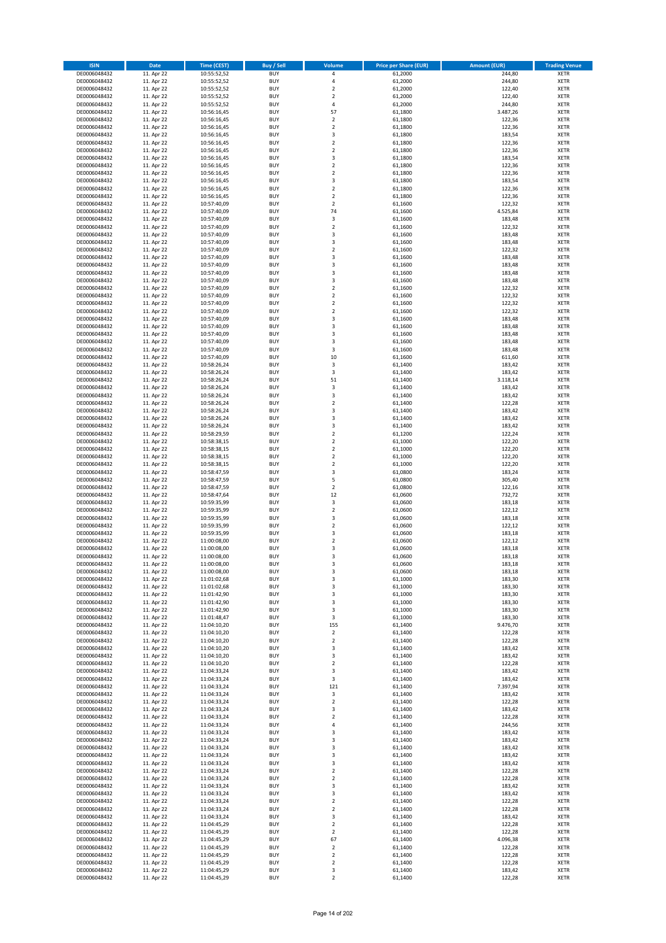| <b>ISIN</b>                  | <b>Date</b>              | <b>Time (CEST)</b>         | <b>Buy / Sell</b>        | Volume                                    | <b>Price per Share (EUR)</b> | <b>Amount (EUR)</b> | <b>Trading Venue</b>       |
|------------------------------|--------------------------|----------------------------|--------------------------|-------------------------------------------|------------------------------|---------------------|----------------------------|
| DE0006048432                 | 11. Apr 22               | 10:55:52,52                | <b>BUY</b>               | 4                                         | 61,2000                      | 244,80              | <b>XETR</b>                |
| DE0006048432                 | 11. Apr 22               | 10:55:52,52                | <b>BUY</b>               | 4                                         | 61,2000                      | 244,80              | <b>XETR</b>                |
| DE0006048432                 | 11. Apr 22               | 10:55:52,52                | <b>BUY</b>               | $\overline{\mathbf{c}}$                   | 61,2000                      | 122,40              | <b>XETR</b>                |
| DE0006048432<br>DE0006048432 | 11. Apr 22<br>11. Apr 22 | 10:55:52,52<br>10:55:52,52 | <b>BUY</b><br><b>BUY</b> | $\mathbf 2$<br>4                          | 61,2000<br>61,2000           | 122,40<br>244,80    | <b>XETR</b><br><b>XETR</b> |
| DE0006048432                 | 11. Apr 22               | 10:56:16,45                | <b>BUY</b>               | 57                                        | 61,1800                      | 3.487,26            | <b>XETR</b>                |
| DE0006048432                 | 11. Apr 22               | 10:56:16,45                | <b>BUY</b>               | $\overline{\mathbf{c}}$                   | 61,1800                      | 122,36              | <b>XETR</b>                |
| DE0006048432                 | 11. Apr 22               | 10:56:16,45                | <b>BUY</b>               | $\mathbf 2$                               | 61,1800                      | 122,36              | <b>XETR</b>                |
| DE0006048432                 | 11. Apr 22               | 10:56:16,45                | <b>BUY</b>               | 3                                         | 61,1800                      | 183,54              | <b>XETR</b>                |
| DE0006048432                 | 11. Apr 22               | 10:56:16,45                | <b>BUY</b>               | $\mathbf 2$                               | 61,1800                      | 122,36              | <b>XETR</b>                |
| DE0006048432                 | 11. Apr 22               | 10:56:16,45                | <b>BUY</b>               | $\mathbf 2$                               | 61,1800                      | 122,36              | <b>XETR</b>                |
| DE0006048432<br>DE0006048432 | 11. Apr 22<br>11. Apr 22 | 10:56:16,45                | <b>BUY</b><br><b>BUY</b> | 3<br>$\mathbf 2$                          | 61,1800<br>61,1800           | 183,54<br>122,36    | <b>XETR</b><br><b>XETR</b> |
| DE0006048432                 | 11. Apr 22               | 10:56:16,45<br>10:56:16,45 | <b>BUY</b>               | $\overline{\mathbf{c}}$                   | 61,1800                      | 122,36              | <b>XETR</b>                |
| DE0006048432                 | 11. Apr 22               | 10:56:16,45                | <b>BUY</b>               | 3                                         | 61,1800                      | 183,54              | <b>XETR</b>                |
| DE0006048432                 | 11. Apr 22               | 10:56:16,45                | <b>BUY</b>               | $\overline{\mathbf{c}}$                   | 61,1800                      | 122,36              | <b>XETR</b>                |
| DE0006048432                 | 11. Apr 22               | 10:56:16,45                | <b>BUY</b>               | $\mathbf 2$                               | 61,1800                      | 122,36              | <b>XETR</b>                |
| DE0006048432                 | 11. Apr 22               | 10:57:40,09                | <b>BUY</b>               | $\mathbf 2$                               | 61,1600                      | 122,32              | <b>XETR</b>                |
| DE0006048432                 | 11. Apr 22               | 10:57:40,09                | <b>BUY</b>               | 74                                        | 61,1600                      | 4.525,84            | <b>XETR</b>                |
| DE0006048432                 | 11. Apr 22               | 10:57:40,09                | <b>BUY</b>               | 3                                         | 61,1600                      | 183,48              | <b>XETR</b>                |
| DE0006048432                 | 11. Apr 22               | 10:57:40,09                | <b>BUY</b><br><b>BUY</b> | $\overline{\mathbf{c}}$                   | 61,1600                      | 122,32<br>183,48    | <b>XETR</b><br><b>XETR</b> |
| DE0006048432<br>DE0006048432 | 11. Apr 22<br>11. Apr 22 | 10:57:40,09<br>10:57:40,09 | <b>BUY</b>               | 3<br>3                                    | 61,1600<br>61,1600           | 183,48              | <b>XETR</b>                |
| DE0006048432                 | 11. Apr 22               | 10:57:40,09                | <b>BUY</b>               | $\mathbf 2$                               | 61,1600                      | 122,32              | <b>XETR</b>                |
| DE0006048432                 | 11. Apr 22               | 10:57:40,09                | <b>BUY</b>               | 3                                         | 61,1600                      | 183,48              | <b>XETR</b>                |
| DE0006048432                 | 11. Apr 22               | 10:57:40,09                | <b>BUY</b>               | 3                                         | 61,1600                      | 183,48              | <b>XETR</b>                |
| DE0006048432                 | 11. Apr 22               | 10:57:40,09                | <b>BUY</b>               | 3                                         | 61,1600                      | 183,48              | <b>XETR</b>                |
| DE0006048432                 | 11. Apr 22               | 10:57:40,09                | <b>BUY</b>               | 3                                         | 61,1600                      | 183,48              | <b>XETR</b>                |
| DE0006048432                 | 11. Apr 22               | 10:57:40,09                | <b>BUY</b>               | $\mathbf 2$                               | 61,1600                      | 122,32              | <b>XETR</b>                |
| DE0006048432                 | 11. Apr 22<br>11. Apr 22 | 10:57:40,09                | <b>BUY</b><br><b>BUY</b> | $\overline{\mathbf{c}}$<br>$\overline{2}$ | 61,1600<br>61,1600           | 122,32<br>122,32    | <b>XETR</b><br><b>XETR</b> |
| DE0006048432<br>DE0006048432 | 11. Apr 22               | 10:57:40,09<br>10:57:40,09 | <b>BUY</b>               | $\overline{\mathbf{c}}$                   | 61,1600                      | 122,32              | <b>XETR</b>                |
| DE0006048432                 | 11. Apr 22               | 10:57:40,09                | <b>BUY</b>               | 3                                         | 61,1600                      | 183,48              | <b>XETR</b>                |
| DE0006048432                 | 11. Apr 22               | 10:57:40,09                | <b>BUY</b>               | 3                                         | 61,1600                      | 183,48              | <b>XETR</b>                |
| DE0006048432                 | 11. Apr 22               | 10:57:40,09                | <b>BUY</b>               | 3                                         | 61,1600                      | 183,48              | <b>XETR</b>                |
| DE0006048432                 | 11. Apr 22               | 10:57:40,09                | <b>BUY</b>               | 3                                         | 61,1600                      | 183,48              | <b>XETR</b>                |
| DE0006048432                 | 11. Apr 22               | 10:57:40,09                | <b>BUY</b>               | 3                                         | 61,1600                      | 183,48              | <b>XETR</b>                |
| DE0006048432                 | 11. Apr 22               | 10:57:40,09                | <b>BUY</b>               | 10                                        | 61,1600                      | 611,60              | <b>XETR</b>                |
| DE0006048432                 | 11. Apr 22               | 10:58:26,24                | <b>BUY</b>               | 3                                         | 61,1400                      | 183,42              | <b>XETR</b>                |
| DE0006048432<br>DE0006048432 | 11. Apr 22<br>11. Apr 22 | 10:58:26,24<br>10:58:26,24 | <b>BUY</b><br><b>BUY</b> | 3<br>51                                   | 61,1400<br>61,1400           | 183,42<br>3.118,14  | <b>XETR</b><br><b>XETR</b> |
| DE0006048432                 | 11. Apr 22               | 10:58:26,24                | <b>BUY</b>               | 3                                         | 61,1400                      | 183,42              | <b>XETR</b>                |
| DE0006048432                 | 11. Apr 22               | 10:58:26,24                | <b>BUY</b>               | 3                                         | 61,1400                      | 183,42              | <b>XETR</b>                |
| DE0006048432                 | 11. Apr 22               | 10:58:26,24                | <b>BUY</b>               | $\overline{\mathbf{c}}$                   | 61,1400                      | 122,28              | <b>XETR</b>                |
| DE0006048432                 | 11. Apr 22               | 10:58:26,24                | <b>BUY</b>               | 3                                         | 61,1400                      | 183,42              | <b>XETR</b>                |
| DE0006048432                 | 11. Apr 22               | 10:58:26,24                | <b>BUY</b>               | 3                                         | 61,1400                      | 183,42              | <b>XETR</b>                |
| DE0006048432                 | 11. Apr 22               | 10:58:26,24                | <b>BUY</b>               | 3                                         | 61,1400                      | 183,42              | <b>XETR</b>                |
| DE0006048432                 | 11. Apr 22               | 10:58:29,59                | <b>BUY</b>               | $\mathbf 2$                               | 61,1200                      | 122,24              | <b>XETR</b>                |
| DE0006048432<br>DE0006048432 | 11. Apr 22<br>11. Apr 22 | 10:58:38,15<br>10:58:38,15 | <b>BUY</b><br><b>BUY</b> | $\mathbf 2$<br>$\mathbf 2$                | 61,1000<br>61,1000           | 122,20<br>122,20    | <b>XETR</b><br><b>XETR</b> |
| DE0006048432                 | 11. Apr 22               | 10:58:38,15                | <b>BUY</b>               | $\overline{\mathbf{c}}$                   | 61,1000                      | 122,20              | <b>XETR</b>                |
| DE0006048432                 | 11. Apr 22               | 10:58:38,15                | <b>BUY</b>               | $\mathbf 2$                               | 61,1000                      | 122,20              | <b>XETR</b>                |
| DE0006048432                 | 11. Apr 22               | 10:58:47,59                | <b>BUY</b>               | 3                                         | 61,0800                      | 183,24              | <b>XETR</b>                |
| DE0006048432                 | 11. Apr 22               | 10:58:47,59                | <b>BUY</b>               | 5                                         | 61,0800                      | 305,40              | <b>XETR</b>                |
| DE0006048432                 | 11. Apr 22               | 10:58:47,59                | <b>BUY</b>               | $\overline{\mathbf{c}}$                   | 61,0800                      | 122,16              | <b>XETR</b>                |
| DE0006048432                 | 11. Apr 22               | 10:58:47,64                | <b>BUY</b>               | 12                                        | 61,0600                      | 732,72              | <b>XETR</b>                |
| DE0006048432                 | 11. Apr 22               | 10:59:35,99                | <b>BUY</b>               | 3                                         | 61,0600                      | 183,18              | <b>XETR</b>                |
| DE0006048432<br>DE0006048432 | 11. Apr 22<br>11. Apr 22 | 10:59:35,99                | <b>BUY</b><br><b>BUY</b> | $\overline{\mathbf{c}}$<br>3              | 61,0600<br>61,0600           | 122,12<br>183,18    | <b>XETR</b><br><b>XETR</b> |
| DE0006048432                 | 11. Apr 22               | 10:59:35,99<br>10:59:35,99 | <b>BUY</b>               | $\overline{2}$                            | 61,0600                      | 122,12              | <b>XETR</b>                |
| DE0006048432                 | 11. Apr 22               | 10:59:35,99                | <b>BUY</b>               | 3                                         | 61,0600                      | 183,18              | <b>XETR</b>                |
| DE0006048432                 | 11. Apr 22               | 11:00:08,00                | <b>BUY</b>               | $\overline{\mathbf{c}}$                   | 61,0600                      | 122,12              | <b>XETR</b>                |
| DE0006048432                 | 11. Apr 22               | 11:00:08,00                | <b>BUY</b>               | 3                                         | 61,0600                      | 183,18              | <b>XETR</b>                |
| DE0006048432                 | 11. Apr 22               | 11:00:08,00                | <b>BUY</b>               | 3                                         | 61,0600                      | 183,18              | <b>XETR</b>                |
| DE0006048432                 | 11. Apr 22               | 11:00:08,00                | BUY                      | 3                                         | 61,0600                      | 183,18              | <b>XETR</b>                |
| DE0006048432                 | 11. Apr 22               | 11:00:08,00                | <b>BUY</b>               | 3                                         | 61,0600<br>61,1000           | 183,18              | <b>XETR</b>                |
| DE0006048432<br>DE0006048432 | 11. Apr 22<br>11. Apr 22 | 11:01:02,68<br>11:01:02,68 | <b>BUY</b><br><b>BUY</b> | 3<br>3                                    | 61,1000                      | 183,30<br>183,30    | <b>XETR</b><br>XETR        |
| DE0006048432                 | 11. Apr 22               | 11:01:42,90                | <b>BUY</b>               | 3                                         | 61,1000                      | 183,30              | <b>XETR</b>                |
| DE0006048432                 | 11. Apr 22               | 11:01:42,90                | <b>BUY</b>               | 3                                         | 61,1000                      | 183,30              | <b>XETR</b>                |
| DE0006048432                 | 11. Apr 22               | 11:01:42,90                | <b>BUY</b>               | 3                                         | 61,1000                      | 183,30              | <b>XETR</b>                |
| DE0006048432                 | 11. Apr 22               | 11:01:48,47                | <b>BUY</b>               | 3                                         | 61,1000                      | 183,30              | <b>XETR</b>                |
| DE0006048432                 | 11. Apr 22               | 11:04:10,20                | <b>BUY</b>               | 155                                       | 61,1400                      | 9.476,70            | <b>XETR</b>                |
| DE0006048432                 | 11. Apr 22               | 11:04:10,20                | <b>BUY</b>               | $\mathbf 2$                               | 61,1400                      | 122,28              | <b>XETR</b>                |
| DE0006048432<br>DE0006048432 | 11. Apr 22<br>11. Apr 22 | 11:04:10,20<br>11:04:10,20 | <b>BUY</b><br><b>BUY</b> | $\mathbf 2$<br>3                          | 61,1400<br>61,1400           | 122,28<br>183,42    | <b>XETR</b><br><b>XETR</b> |
| DE0006048432                 | 11. Apr 22               | 11:04:10,20                | <b>BUY</b>               | 3                                         | 61,1400                      | 183,42              | <b>XETR</b>                |
| DE0006048432                 | 11. Apr 22               | 11:04:10,20                | <b>BUY</b>               | $\overline{2}$                            | 61,1400                      | 122,28              | <b>XETR</b>                |
| DE0006048432                 | 11. Apr 22               | 11:04:33,24                | <b>BUY</b>               | 3                                         | 61,1400                      | 183,42              | <b>XETR</b>                |
| DE0006048432                 | 11. Apr 22               | 11:04:33,24                | <b>BUY</b>               | 3                                         | 61,1400                      | 183,42              | <b>XETR</b>                |
| DE0006048432                 | 11. Apr 22               | 11:04:33,24                | <b>BUY</b>               | 121                                       | 61,1400                      | 7.397,94            | <b>XETR</b>                |
| DE0006048432                 | 11. Apr 22               | 11:04:33,24                | <b>BUY</b>               | 3                                         | 61,1400                      | 183,42              | <b>XETR</b>                |
| DE0006048432<br>DE0006048432 | 11. Apr 22<br>11. Apr 22 | 11:04:33,24<br>11:04:33,24 | <b>BUY</b><br><b>BUY</b> | $\mathbf 2$<br>3                          | 61,1400<br>61,1400           | 122,28<br>183,42    | XETR<br><b>XETR</b>        |
| DE0006048432                 | 11. Apr 22               | 11:04:33,24                | <b>BUY</b>               | $\overline{2}$                            | 61,1400                      | 122,28              | <b>XETR</b>                |
| DE0006048432                 | 11. Apr 22               | 11:04:33,24                | <b>BUY</b>               | 4                                         | 61,1400                      | 244,56              | <b>XETR</b>                |
| DE0006048432                 | 11. Apr 22               | 11:04:33,24                | <b>BUY</b>               | 3                                         | 61,1400                      | 183,42              | <b>XETR</b>                |
| DE0006048432                 | 11. Apr 22               | 11:04:33,24                | <b>BUY</b>               | 3                                         | 61,1400                      | 183,42              | <b>XETR</b>                |
| DE0006048432                 | 11. Apr 22               | 11:04:33,24                | <b>BUY</b>               | 3                                         | 61,1400                      | 183,42              | <b>XETR</b>                |
| DE0006048432                 | 11. Apr 22               | 11:04:33,24                | <b>BUY</b>               | 3                                         | 61,1400                      | 183,42              | <b>XETR</b>                |
| DE0006048432                 | 11. Apr 22               | 11:04:33,24                | <b>BUY</b>               | 3                                         | 61,1400                      | 183,42              | <b>XETR</b>                |
| DE0006048432<br>DE0006048432 | 11. Apr 22<br>11. Apr 22 | 11:04:33,24<br>11:04:33,24 | <b>BUY</b><br><b>BUY</b> | $\mathbf 2$<br>2                          | 61,1400<br>61,1400           | 122,28<br>122,28    | <b>XETR</b><br><b>XETR</b> |
| DE0006048432                 | 11. Apr 22               | 11:04:33,24                | <b>BUY</b>               | 3                                         | 61,1400                      | 183,42              | XETR                       |
| DE0006048432                 | 11. Apr 22               | 11:04:33,24                | <b>BUY</b>               | 3                                         | 61,1400                      | 183,42              | <b>XETR</b>                |
| DE0006048432                 | 11. Apr 22               | 11:04:33,24                | <b>BUY</b>               | 2                                         | 61,1400                      | 122,28              | <b>XETR</b>                |
| DE0006048432                 | 11. Apr 22               | 11:04:33,24                | <b>BUY</b>               | $\mathbf 2$                               | 61,1400                      | 122,28              | <b>XETR</b>                |
| DE0006048432                 | 11. Apr 22               | 11:04:33,24                | <b>BUY</b>               | 3                                         | 61,1400                      | 183,42              | <b>XETR</b>                |
| DE0006048432                 | 11. Apr 22               | 11:04:45,29                | <b>BUY</b>               | $\mathbf 2$                               | 61,1400                      | 122,28              | <b>XETR</b>                |
| DE0006048432<br>DE0006048432 | 11. Apr 22<br>11. Apr 22 | 11:04:45,29<br>11:04:45,29 | <b>BUY</b><br><b>BUY</b> | $\mathbf 2$<br>67                         | 61,1400<br>61,1400           | 122,28<br>4.096,38  | <b>XETR</b><br><b>XETR</b> |
| DE0006048432                 | 11. Apr 22               | 11:04:45,29                | <b>BUY</b>               | $\mathbf 2$                               | 61,1400                      | 122,28              | XETR                       |
| DE0006048432                 | 11. Apr 22               | 11:04:45,29                | <b>BUY</b>               | $\mathbf 2$                               | 61,1400                      | 122,28              | <b>XETR</b>                |
| DE0006048432                 | 11. Apr 22               | 11:04:45,29                | <b>BUY</b>               | $\mathbf 2$                               | 61,1400                      | 122,28              | XETR                       |
| DE0006048432                 | 11. Apr 22               | 11:04:45,29                | <b>BUY</b>               | 3                                         | 61,1400                      | 183,42              | <b>XETR</b>                |
| DE0006048432                 | 11. Apr 22               | 11:04:45,29                | <b>BUY</b>               | $\overline{2}$                            | 61,1400                      | 122,28              | <b>XETR</b>                |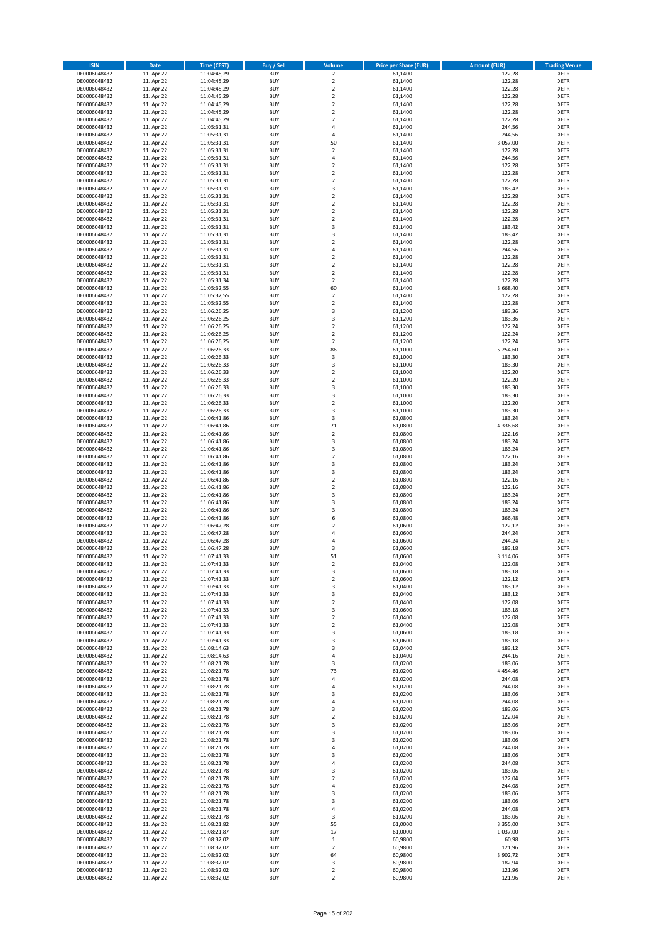| <b>ISIN</b>                  | <b>Date</b>              | Time (CEST)                | Buy / Sell               | Volume                                 | <b>Price per Share (EUR)</b> | <b>Amount (EUR)</b>  | <b>Trading Venue</b>       |
|------------------------------|--------------------------|----------------------------|--------------------------|----------------------------------------|------------------------------|----------------------|----------------------------|
| DE0006048432                 | 11. Apr 22               | 11:04:45,29                | <b>BUY</b>               | $\overline{2}$                         | 61,1400                      | 122,28               | <b>XETR</b>                |
| DE0006048432                 | 11. Apr 22               | 11:04:45,29                | <b>BUY</b>               | $\mathbf 2$                            | 61,1400                      | 122,28               | <b>XETR</b>                |
| DE0006048432                 | 11. Apr 22               | 11:04:45,29                | <b>BUY</b>               | $\overline{2}$                         | 61,1400                      | 122,28               | <b>XETR</b>                |
| DE0006048432                 | 11. Apr 22               | 11:04:45,29                | <b>BUY</b>               | $\mathbf 2$                            | 61,1400                      | 122,28               | <b>XETR</b>                |
| DE0006048432<br>DE0006048432 | 11. Apr 22<br>11. Apr 22 | 11:04:45,29<br>11:04:45,29 | <b>BUY</b><br><b>BUY</b> | $\overline{2}$<br>$\mathbf 2$          | 61,1400<br>61,1400           | 122,28<br>122,28     | <b>XETR</b><br><b>XETR</b> |
| DE0006048432                 | 11. Apr 22               | 11:04:45,29                | <b>BUY</b>               | $\overline{2}$                         | 61,1400                      | 122,28               | <b>XETR</b>                |
| DE0006048432                 | 11. Apr 22               | 11:05:31,31                | <b>BUY</b>               | 4                                      | 61,1400                      | 244,56               | <b>XETR</b>                |
| DE0006048432                 | 11. Apr 22               | 11:05:31,31                | BUY                      | $\overline{a}$                         | 61,1400                      | 244,56               | <b>XETR</b>                |
| DE0006048432                 | 11. Apr 22               | 11:05:31,31                | <b>BUY</b>               | 50                                     | 61,1400                      | 3.057,00             | <b>XETR</b>                |
| DE0006048432                 | 11. Apr 22               | 11:05:31,31                | <b>BUY</b>               | $\mathbf 2$                            | 61,1400                      | 122,28               | <b>XETR</b>                |
| DE0006048432                 | 11. Apr 22               | 11:05:31,31                | <b>BUY</b>               | $\overline{4}$<br>$\overline{2}$       | 61,1400                      | 244,56               | <b>XETR</b>                |
| DE0006048432<br>DE0006048432 | 11. Apr 22<br>11. Apr 22 | 11:05:31,31<br>11:05:31,31 | <b>BUY</b><br><b>BUY</b> | $\overline{2}$                         | 61,1400<br>61,1400           | 122,28<br>122,28     | <b>XETR</b><br><b>XETR</b> |
| DE0006048432                 | 11. Apr 22               | 11:05:31,31                | <b>BUY</b>               | $\overline{2}$                         | 61,1400                      | 122,28               | <b>XETR</b>                |
| DE0006048432                 | 11. Apr 22               | 11:05:31,31                | BUY                      | 3                                      | 61,1400                      | 183,42               | <b>XETR</b>                |
| DE0006048432                 | 11. Apr 22               | 11:05:31,31                | <b>BUY</b>               | $\overline{2}$                         | 61,1400                      | 122,28               | <b>XETR</b>                |
| DE0006048432                 | 11. Apr 22               | 11:05:31,31                | <b>BUY</b>               | $\overline{2}$                         | 61,1400                      | 122,28               | <b>XETR</b>                |
| DE0006048432                 | 11. Apr 22<br>11. Apr 22 | 11:05:31,31                | <b>BUY</b><br><b>BUY</b> | $\overline{2}$<br>$\overline{2}$       | 61,1400                      | 122,28<br>122,28     | <b>XETR</b><br><b>XETR</b> |
| DE0006048432<br>DE0006048432 | 11. Apr 22               | 11:05:31,31<br>11:05:31,31 | <b>BUY</b>               | $\overline{\mathbf{3}}$                | 61,1400<br>61,1400           | 183,42               | <b>XETR</b>                |
| DE0006048432                 | 11. Apr 22               | 11:05:31,31                | <b>BUY</b>               | $\overline{\mathbf{3}}$                | 61,1400                      | 183,42               | <b>XETR</b>                |
| DE0006048432                 | 11. Apr 22               | 11:05:31,31                | <b>BUY</b>               | $\overline{\phantom{a}}$               | 61,1400                      | 122,28               | <b>XETR</b>                |
| DE0006048432                 | 11. Apr 22               | 11:05:31,31                | <b>BUY</b>               | $\overline{4}$                         | 61,1400                      | 244,56               | <b>XETR</b>                |
| DE0006048432                 | 11. Apr 22               | 11:05:31,31                | <b>BUY</b>               | $\overline{2}$                         | 61,1400                      | 122,28               | <b>XETR</b>                |
| DE0006048432                 | 11. Apr 22               | 11:05:31,31                | <b>BUY</b>               | $\mathbf 2$                            | 61,1400                      | 122,28               | <b>XETR</b>                |
| DE0006048432<br>DE0006048432 | 11. Apr 22<br>11. Apr 22 | 11:05:31,31<br>11:05:31,34 | <b>BUY</b><br><b>BUY</b> | $\mathbf 2$<br>$\overline{2}$          | 61,1400<br>61,1400           | 122,28<br>122,28     | <b>XETR</b><br><b>XETR</b> |
| DE0006048432                 | 11. Apr 22               | 11:05:32,55                | <b>BUY</b>               | 60                                     | 61,1400                      | 3.668,40             | <b>XETR</b>                |
| DE0006048432                 | 11. Apr 22               | 11:05:32,55                | <b>BUY</b>               | $\overline{2}$                         | 61,1400                      | 122,28               | <b>XETR</b>                |
| DE0006048432                 | 11. Apr 22               | 11:05:32,55                | <b>BUY</b>               | $\mathbf 2$                            | 61,1400                      | 122,28               | <b>XETR</b>                |
| DE0006048432                 | 11. Apr 22               | 11:06:26,25                | <b>BUY</b>               | 3                                      | 61,1200                      | 183,36               | <b>XETR</b>                |
| DE0006048432                 | 11. Apr 22               | 11:06:26,25                | <b>BUY</b>               | 3                                      | 61,1200                      | 183,36               | <b>XETR</b>                |
| DE0006048432<br>DE0006048432 | 11. Apr 22<br>11. Apr 22 | 11:06:26,25<br>11:06:26,25 | <b>BUY</b><br><b>BUY</b> | $\mathbf 2$<br>$\overline{2}$          | 61,1200<br>61,1200           | 122,24<br>122,24     | <b>XETR</b><br><b>XETR</b> |
| DE0006048432                 | 11. Apr 22               | 11:06:26,25                | <b>BUY</b>               | $\mathbf 2$                            | 61,1200                      | 122,24               | <b>XETR</b>                |
| DE0006048432                 | 11. Apr 22               | 11:06:26,33                | <b>BUY</b>               | 86                                     | 61,1000                      | 5.254,60             | <b>XETR</b>                |
| DE0006048432                 | 11. Apr 22               | 11:06:26,33                | BUY                      | 3                                      | 61,1000                      | 183,30               | <b>XETR</b>                |
| DE0006048432                 | 11. Apr 22               | 11:06:26,33                | <b>BUY</b>               | 3                                      | 61,1000                      | 183,30               | <b>XETR</b>                |
| DE0006048432                 | 11. Apr 22               | 11:06:26,33                | <b>BUY</b>               | $\mathbf 2$                            | 61,1000                      | 122,20               | <b>XETR</b>                |
| DE0006048432<br>DE0006048432 | 11. Apr 22<br>11. Apr 22 | 11:06:26,33                | <b>BUY</b><br><b>BUY</b> | $\overline{2}$<br>3                    | 61,1000<br>61,1000           | 122,20<br>183,30     | <b>XETR</b>                |
| DE0006048432                 | 11. Apr 22               | 11:06:26,33<br>11:06:26,33 | <b>BUY</b>               | 3                                      | 61,1000                      | 183,30               | <b>XETR</b><br><b>XETR</b> |
| DE0006048432                 | 11. Apr 22               | 11:06:26,33                | <b>BUY</b>               | $\overline{2}$                         | 61,1000                      | 122,20               | <b>XETR</b>                |
| DE0006048432                 | 11. Apr 22               | 11:06:26,33                | <b>BUY</b>               | 3                                      | 61,1000                      | 183,30               | <b>XETR</b>                |
| DE0006048432                 | 11. Apr 22               | 11:06:41,86                | <b>BUY</b>               | 3                                      | 61,0800                      | 183,24               | <b>XETR</b>                |
| DE0006048432                 | 11. Apr 22               | 11:06:41,86                | <b>BUY</b>               | $71\,$                                 | 61,0800                      | 4.336,68             | <b>XETR</b>                |
| DE0006048432                 | 11. Apr 22               | 11:06:41,86                | <b>BUY</b>               | $\overline{2}$<br>3                    | 61,0800                      | 122,16               | <b>XETR</b>                |
| DE0006048432<br>DE0006048432 | 11. Apr 22<br>11. Apr 22 | 11:06:41,86<br>11:06:41,86 | <b>BUY</b><br><b>BUY</b> | 3                                      | 61,0800<br>61,0800           | 183,24<br>183,24     | <b>XETR</b><br><b>XETR</b> |
| DE0006048432                 | 11. Apr 22               | 11:06:41,86                | <b>BUY</b>               | $\overline{2}$                         | 61,0800                      | 122,16               | <b>XETR</b>                |
| DE0006048432                 | 11. Apr 22               | 11:06:41,86                | <b>BUY</b>               | $\overline{\mathbf{3}}$                | 61,0800                      | 183,24               | <b>XETR</b>                |
| DE0006048432                 | 11. Apr 22               | 11:06:41,86                | <b>BUY</b>               | $\overline{\mathbf{3}}$                | 61,0800                      | 183,24               | <b>XETR</b>                |
| DE0006048432                 | 11. Apr 22               | 11:06:41,86                | <b>BUY</b>               | $\mathbf 2$                            | 61,0800                      | 122,16               | <b>XETR</b>                |
| DE0006048432                 | 11. Apr 22               | 11:06:41,86                | <b>BUY</b>               | $\overline{2}$                         | 61,0800                      | 122,16               | <b>XETR</b>                |
| DE0006048432<br>DE0006048432 | 11. Apr 22<br>11. Apr 22 | 11:06:41,86<br>11:06:41,86 | <b>BUY</b><br><b>BUY</b> | $\overline{\mathbf{3}}$<br>3           | 61,0800<br>61,0800           | 183,24<br>183,24     | <b>XETR</b><br><b>XETR</b> |
| DE0006048432                 | 11. Apr 22               | 11:06:41,86                | <b>BUY</b>               | $\overline{\mathbf{3}}$                | 61,0800                      | 183,24               | <b>XETR</b>                |
| DE0006048432                 | 11. Apr 22               | 11:06:41,86                | BUY                      | 6                                      | 61,0800                      | 366,48               | <b>XETR</b>                |
| DE0006048432                 | 11. Apr 22               | 11:06:47,28                | <b>BUY</b>               | $\overline{2}$                         | 61,0600                      | 122,12               | <b>XETR</b>                |
| DE0006048432                 | 11. Apr 22               | 11:06:47,28                | <b>BUY</b>               | 4                                      | 61,0600                      | 244,24               | <b>XETR</b>                |
| DE0006048432                 | 11. Apr 22               | 11:06:47,28                | BUY                      | 4                                      | 61,0600                      | 244,24               | <b>XETR</b>                |
| DE0006048432<br>DE0006048432 | 11. Apr 22               | 11:06:47,28<br>11:07:41,33 | BUY<br><b>BUY</b>        | 3<br>51                                | 61,0600<br>61,0600           | 183,18<br>3.114,06   | <b>XETR</b><br><b>XETR</b> |
| DE0006048432                 | 11. Apr 22<br>11. Apr 22 | 11:07:41,33                | BUY                      | 2                                      | 61,0400                      | 122,08               | <b>XETR</b>                |
| DE0006048432                 | 11. Apr 22               | 11:07:41,33                | <b>BUY</b>               | 3                                      | 61,0600                      | 183,18               | <b>XETR</b>                |
| DE0006048432                 | 11. Apr 22               | 11:07:41,33                | <b>BUY</b>               | $\mathbf 2$                            | 61,0600                      | 122,12               | <b>XETR</b>                |
| DE0006048432                 | 11. Apr 22               | 11:07:41,33                | <b>BUY</b>               | 3                                      | 61,0400                      | 183,12               | <b>XETR</b>                |
| DE0006048432                 | 11. Apr 22               | 11:07:41,33                | <b>BUY</b>               | 3                                      | 61,0400                      | 183,12               | <b>XETR</b>                |
| DE0006048432                 | 11. Apr 22               | 11:07:41,33                | <b>BUY</b><br><b>BUY</b> | $\mathbf 2$                            | 61,0400                      | 122,08               | <b>XETR</b>                |
| DE0006048432<br>DE0006048432 | 11. Apr 22<br>11. Apr 22 | 11:07:41,33<br>11:07:41,33 | <b>BUY</b>               | 3<br>2                                 | 61,0600<br>61,0400           | 183,18<br>122,08     | <b>XETR</b><br><b>XETR</b> |
| DE0006048432                 | 11. Apr 22               | 11:07:41,33                | <b>BUY</b>               | $\mathbf 2$                            | 61,0400                      | 122,08               | <b>XETR</b>                |
| DE0006048432                 | 11. Apr 22               | 11:07:41,33                | <b>BUY</b>               | 3                                      | 61,0600                      | 183,18               | <b>XETR</b>                |
| DE0006048432                 | 11. Apr 22               | 11:07:41,33                | <b>BUY</b>               | 3                                      | 61,0600                      | 183,18               | <b>XETR</b>                |
| DE0006048432                 | 11. Apr 22               | 11:08:14,63                | <b>BUY</b>               | 3                                      | 61,0400                      | 183,12               | <b>XETR</b>                |
| DE0006048432<br>DE0006048432 | 11. Apr 22<br>11. Apr 22 | 11:08:14,63<br>11:08:21,78 | <b>BUY</b><br><b>BUY</b> | $\overline{4}$<br>3                    | 61,0400<br>61,0200           | 244,16<br>183,06     | <b>XETR</b><br><b>XETR</b> |
| DE0006048432                 | 11. Apr 22               | 11:08:21,78                | <b>BUY</b>               | 73                                     | 61,0200                      | 4.454,46             | <b>XETR</b>                |
| DE0006048432                 | 11. Apr 22               | 11:08:21,78                | <b>BUY</b>               | $\overline{a}$                         | 61,0200                      | 244,08               | <b>XETR</b>                |
| DE0006048432                 | 11. Apr 22               | 11:08:21,78                | <b>BUY</b>               | 4                                      | 61,0200                      | 244,08               | <b>XETR</b>                |
| DE0006048432                 | 11. Apr 22               | 11:08:21,78                | <b>BUY</b>               | 3                                      | 61,0200                      | 183,06               | <b>XETR</b>                |
| DE0006048432                 | 11. Apr 22               | 11:08:21,78                | <b>BUY</b>               | 4                                      | 61,0200                      | 244,08               | <b>XETR</b>                |
| DE0006048432                 | 11. Apr 22               | 11:08:21,78                | <b>BUY</b>               | 3                                      | 61,0200                      | 183,06               | <b>XETR</b>                |
| DE0006048432<br>DE0006048432 | 11. Apr 22<br>11. Apr 22 | 11:08:21,78<br>11:08:21,78 | <b>BUY</b><br><b>BUY</b> | $\overline{\mathbf{2}}$<br>3           | 61,0200<br>61,0200           | 122,04<br>183,06     | <b>XETR</b><br><b>XETR</b> |
| DE0006048432                 | 11. Apr 22               | 11:08:21,78                | <b>BUY</b>               | $\overline{\mathbf{3}}$                | 61,0200                      | 183,06               | <b>XETR</b>                |
| DE0006048432                 | 11. Apr 22               | 11:08:21,78                | <b>BUY</b>               | $\overline{\mathbf{3}}$                | 61,0200                      | 183,06               | <b>XETR</b>                |
| DE0006048432                 | 11. Apr 22               | 11:08:21,78                | <b>BUY</b>               | 4                                      | 61,0200                      | 244,08               | <b>XETR</b>                |
| DE0006048432                 | 11. Apr 22               | 11:08:21,78                | <b>BUY</b>               | $\overline{\mathbf{3}}$                | 61,0200                      | 183,06               | <b>XETR</b>                |
| DE0006048432                 | 11. Apr 22               | 11:08:21,78                | <b>BUY</b>               | $\overline{a}$                         | 61,0200                      | 244,08               | <b>XETR</b>                |
| DE0006048432<br>DE0006048432 | 11. Apr 22<br>11. Apr 22 | 11:08:21,78<br>11:08:21,78 | <b>BUY</b><br><b>BUY</b> | $\overline{\mathbf{3}}$<br>$\mathbf 2$ | 61,0200<br>61,0200           | 183,06<br>122,04     | <b>XETR</b><br><b>XETR</b> |
| DE0006048432                 | 11. Apr 22               | 11:08:21,78                | <b>BUY</b>               | 4                                      | 61,0200                      | 244,08               | <b>XETR</b>                |
| DE0006048432                 | 11. Apr 22               | 11:08:21,78                | <b>BUY</b>               | 3                                      | 61,0200                      | 183,06               | <b>XETR</b>                |
| DE0006048432                 | 11. Apr 22               | 11:08:21,78                | <b>BUY</b>               | $\overline{\mathbf{3}}$                | 61,0200                      | 183,06               | <b>XETR</b>                |
| DE0006048432                 | 11. Apr 22               | 11:08:21,78                | <b>BUY</b>               | 4                                      | 61,0200                      | 244,08               | <b>XETR</b>                |
| DE0006048432                 | 11. Apr 22               | 11:08:21,78                | <b>BUY</b>               | 3                                      | 61,0200                      | 183,06               | <b>XETR</b>                |
| DE0006048432<br>DE0006048432 | 11. Apr 22<br>11. Apr 22 | 11:08:21,82                | <b>BUY</b><br><b>BUY</b> | 55<br>17                               | 61,0000<br>61,0000           | 3.355,00<br>1.037,00 | <b>XETR</b><br><b>XETR</b> |
| DE0006048432                 | 11. Apr 22               | 11:08:21,87<br>11:08:32,02 | <b>BUY</b>               | $\mathbf{1}$                           | 60,9800                      | 60,98                | <b>XETR</b>                |
| DE0006048432                 | 11. Apr 22               | 11:08:32,02                | <b>BUY</b>               | $\mathbf 2$                            | 60,9800                      | 121,96               | <b>XETR</b>                |
| DE0006048432                 | 11. Apr 22               | 11:08:32,02                | <b>BUY</b>               | 64                                     | 60,9800                      | 3.902,72             | <b>XETR</b>                |
| DE0006048432                 | 11. Apr 22               | 11:08:32,02                | <b>BUY</b>               | 3                                      | 60,9800                      | 182,94               | <b>XETR</b>                |
| DE0006048432                 | 11. Apr 22               | 11:08:32,02                | <b>BUY</b>               | $\mathbf 2$                            | 60,9800                      | 121,96               | <b>XETR</b>                |
| DE0006048432                 | 11. Apr 22               | 11:08:32,02                | <b>BUY</b>               | $\mathbf 2$                            | 60,9800                      | 121,96               | <b>XETR</b>                |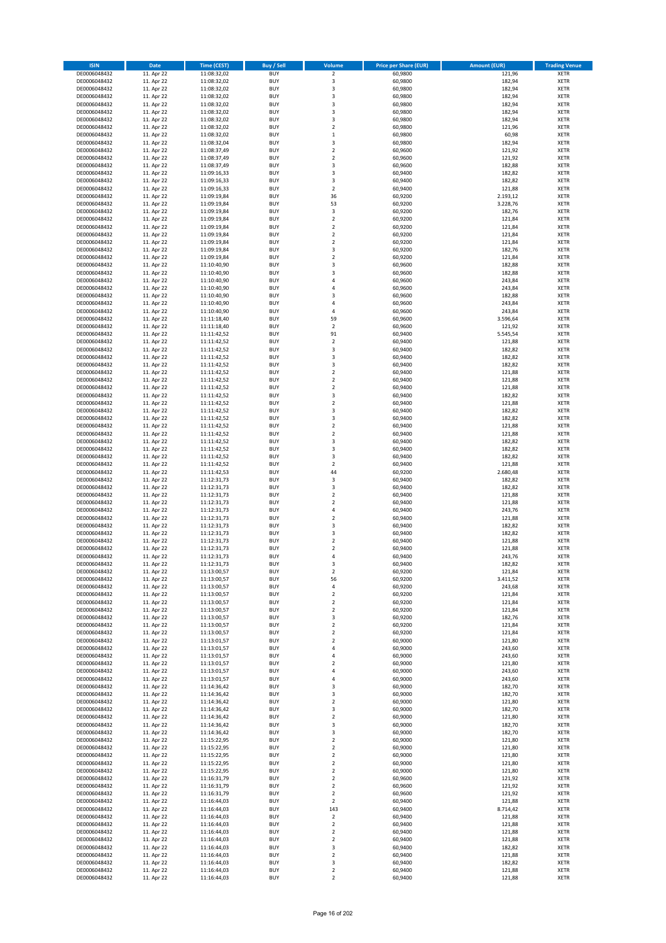| <b>ISIN</b>                  | <b>Date</b>              | Time (CEST)                | Buy / Sell               | Volume                                    | <b>Price per Share (EUR)</b> | <b>Amount (EUR)</b> | <b>Trading Venue</b>       |
|------------------------------|--------------------------|----------------------------|--------------------------|-------------------------------------------|------------------------------|---------------------|----------------------------|
| DE0006048432                 | 11. Apr 22               | 11:08:32,02                | <b>BUY</b>               | $\overline{2}$                            | 60,9800                      | 121,96              | <b>XETR</b>                |
| DE0006048432                 | 11. Apr 22               | 11:08:32,02                | <b>BUY</b>               | 3                                         | 60,9800                      | 182,94              | <b>XETR</b>                |
| DE0006048432                 | 11. Apr 22               | 11:08:32,02                | <b>BUY</b>               | $\overline{3}$                            | 60,9800                      | 182,94              | <b>XETR</b>                |
| DE0006048432                 | 11. Apr 22               | 11:08:32,02                | <b>BUY</b>               | 3                                         | 60,9800                      | 182,94              | <b>XETR</b>                |
| DE0006048432<br>DE0006048432 | 11. Apr 22<br>11. Apr 22 | 11:08:32,02<br>11:08:32,02 | <b>BUY</b><br><b>BUY</b> | 3<br>$\overline{3}$                       | 60,9800<br>60,9800           | 182,94<br>182,94    | <b>XETR</b><br><b>XETR</b> |
| DE0006048432                 | 11. Apr 22               | 11:08:32,02                | <b>BUY</b>               | $\overline{\mathbf{3}}$                   | 60,9800                      | 182,94              | <b>XETR</b>                |
| DE0006048432                 | 11. Apr 22               | 11:08:32,02                | <b>BUY</b>               | $\overline{\mathbf{2}}$                   | 60,9800                      | 121,96              | <b>XETR</b>                |
| DE0006048432                 | 11. Apr 22               | 11:08:32,02                | BUY                      | $\mathbf{1}$                              | 60,9800                      | 60,98               | <b>XETR</b>                |
| DE0006048432                 | 11. Apr 22               | 11:08:32,04                | <b>BUY</b>               | 3                                         | 60,9800                      | 182,94              | <b>XETR</b>                |
| DE0006048432                 | 11. Apr 22               | 11:08:37,49                | <b>BUY</b>               | $\mathbf 2$                               | 60,9600                      | 121,92              | <b>XETR</b>                |
| DE0006048432                 | 11. Apr 22               | 11:08:37,49                | <b>BUY</b><br><b>BUY</b> | $\overline{\mathbf{2}}$<br>$\overline{3}$ | 60,9600                      | 121,92              | <b>XETR</b>                |
| DE0006048432<br>DE0006048432 | 11. Apr 22<br>11. Apr 22 | 11:08:37,49<br>11:09:16,33 | <b>BUY</b>               | $\overline{\mathbf{3}}$                   | 60,9600<br>60,9400           | 182,88<br>182,82    | <b>XETR</b><br><b>XETR</b> |
| DE0006048432                 | 11. Apr 22               | 11:09:16,33                | <b>BUY</b>               | 3                                         | 60,9400                      | 182,82              | <b>XETR</b>                |
| DE0006048432                 | 11. Apr 22               | 11:09:16,33                | <b>BUY</b>               | $\mathbf 2$                               | 60,9400                      | 121,88              | <b>XETR</b>                |
| DE0006048432                 | 11. Apr 22               | 11:09:19,84                | <b>BUY</b>               | 36                                        | 60,9200                      | 2.193,12            | <b>XETR</b>                |
| DE0006048432                 | 11. Apr 22               | 11:09:19,84                | <b>BUY</b>               | 53                                        | 60,9200                      | 3.228,76            | <b>XETR</b>                |
| DE0006048432                 | 11. Apr 22               | 11:09:19,84                | <b>BUY</b>               | 3                                         | 60,9200                      | 182,76              | <b>XETR</b>                |
| DE0006048432<br>DE0006048432 | 11. Apr 22<br>11. Apr 22 | 11:09:19,84<br>11:09:19,84 | <b>BUY</b><br><b>BUY</b> | $\overline{2}$<br>$\overline{\mathbf{2}}$ | 60,9200<br>60,9200           | 121,84<br>121,84    | <b>XETR</b><br><b>XETR</b> |
| DE0006048432                 | 11. Apr 22               | 11:09:19,84                | <b>BUY</b>               | $\mathbf 2$                               | 60,9200                      | 121,84              | <b>XETR</b>                |
| DE0006048432                 | 11. Apr 22               | 11:09:19,84                | <b>BUY</b>               | $\overline{\mathbf{2}}$                   | 60,9200                      | 121,84              | <b>XETR</b>                |
| DE0006048432                 | 11. Apr 22               | 11:09:19,84                | <b>BUY</b>               | 3                                         | 60,9200                      | 182,76              | <b>XETR</b>                |
| DE0006048432                 | 11. Apr 22               | 11:09:19,84                | <b>BUY</b>               | $\mathbf 2$                               | 60,9200                      | 121,84              | <b>XETR</b>                |
| DE0006048432                 | 11. Apr 22               | 11:10:40,90                | <b>BUY</b>               | 3                                         | 60,9600                      | 182,88              | <b>XETR</b>                |
| DE0006048432<br>DE0006048432 | 11. Apr 22               | 11:10:40,90                | <b>BUY</b><br><b>BUY</b> | $\overline{3}$<br>$\overline{4}$          | 60,9600                      | 182,88              | <b>XETR</b><br><b>XETR</b> |
| DE0006048432                 | 11. Apr 22<br>11. Apr 22 | 11:10:40,90<br>11:10:40,90 | <b>BUY</b>               | $\overline{4}$                            | 60,9600<br>60,9600           | 243,84<br>243,84    | <b>XETR</b>                |
| DE0006048432                 | 11. Apr 22               | 11:10:40,90                | <b>BUY</b>               | $\overline{\mathbf{3}}$                   | 60,9600                      | 182,88              | <b>XETR</b>                |
| DE0006048432                 | 11. Apr 22               | 11:10:40,90                | <b>BUY</b>               | $\overline{4}$                            | 60,9600                      | 243,84              | <b>XETR</b>                |
| DE0006048432                 | 11. Apr 22               | 11:10:40,90                | <b>BUY</b>               | 4                                         | 60,9600                      | 243,84              | <b>XETR</b>                |
| DE0006048432                 | 11. Apr 22               | 11:11:18,40                | <b>BUY</b>               | 59                                        | 60,9600                      | 3.596,64            | <b>XETR</b>                |
| DE0006048432                 | 11. Apr 22               | 11:11:18,40                | <b>BUY</b>               | $\mathbf 2$                               | 60,9600                      | 121,92              | <b>XETR</b>                |
| DE0006048432<br>DE0006048432 | 11. Apr 22<br>11. Apr 22 | 11:11:42,52<br>11:11:42,52 | <b>BUY</b><br><b>BUY</b> | 91<br>$\mathbf 2$                         | 60,9400<br>60,9400           | 5.545,54<br>121,88  | <b>XETR</b><br><b>XETR</b> |
| DE0006048432                 | 11. Apr 22               | 11:11:42,52                | <b>BUY</b>               | $\overline{\mathbf{3}}$                   | 60,9400                      | 182,82              | <b>XETR</b>                |
| DE0006048432                 | 11. Apr 22               | 11:11:42,52                | <b>BUY</b>               | 3                                         | 60,9400                      | 182,82              | <b>XETR</b>                |
| DE0006048432                 | 11. Apr 22               | 11:11:42,52                | <b>BUY</b>               | 3                                         | 60,9400                      | 182,82              | <b>XETR</b>                |
| DE0006048432                 | 11. Apr 22               | 11:11:42,52                | <b>BUY</b>               | $\mathbf 2$                               | 60,9400                      | 121,88              | <b>XETR</b>                |
| DE0006048432                 | 11. Apr 22               | 11:11:42,52                | <b>BUY</b>               | $\overline{\mathbf{2}}$                   | 60,9400                      | 121,88              | <b>XETR</b>                |
| DE0006048432<br>DE0006048432 | 11. Apr 22<br>11. Apr 22 | 11:11:42,52<br>11:11:42,52 | <b>BUY</b><br><b>BUY</b> | $\mathbf 2$<br>3                          | 60,9400<br>60,9400           | 121,88<br>182,82    | <b>XETR</b><br><b>XETR</b> |
| DE0006048432                 | 11. Apr 22               | 11:11:42,52                | <b>BUY</b>               | $\overline{\mathbf{2}}$                   | 60,9400                      | 121,88              | <b>XETR</b>                |
| DE0006048432                 | 11. Apr 22               | 11:11:42,52                | <b>BUY</b>               | 3                                         | 60,9400                      | 182,82              | <b>XETR</b>                |
| DE0006048432                 | 11. Apr 22               | 11:11:42,52                | <b>BUY</b>               | 3                                         | 60,9400                      | 182,82              | <b>XETR</b>                |
| DE0006048432                 | 11. Apr 22               | 11:11:42,52                | <b>BUY</b>               | $\mathbf 2$                               | 60,9400                      | 121,88              | <b>XETR</b>                |
| DE0006048432                 | 11. Apr 22               | 11:11:42,52                | <b>BUY</b>               | $\overline{2}$                            | 60,9400                      | 121,88              | <b>XETR</b>                |
| DE0006048432<br>DE0006048432 | 11. Apr 22<br>11. Apr 22 | 11:11:42,52<br>11:11:42,52 | <b>BUY</b><br><b>BUY</b> | 3<br>3                                    | 60,9400<br>60,9400           | 182,82<br>182,82    | <b>XETR</b><br><b>XETR</b> |
| DE0006048432                 | 11. Apr 22               | 11:11:42,52                | <b>BUY</b>               | $\overline{\mathbf{3}}$                   | 60,9400                      | 182,82              | <b>XETR</b>                |
| DE0006048432                 | 11. Apr 22               | 11:11:42,52                | <b>BUY</b>               | $\overline{2}$                            | 60,9400                      | 121,88              | <b>XETR</b>                |
| DE0006048432                 | 11. Apr 22               | 11:11:42,53                | <b>BUY</b>               | 44                                        | 60,9200                      | 2.680,48            | <b>XETR</b>                |
| DE0006048432                 | 11. Apr 22               | 11:12:31,73                | <b>BUY</b>               | 3                                         | 60,9400                      | 182,82              | <b>XETR</b>                |
| DE0006048432                 | 11. Apr 22               | 11:12:31,73                | <b>BUY</b>               | 3                                         | 60,9400                      | 182,82              | <b>XETR</b>                |
| DE0006048432                 | 11. Apr 22               | 11:12:31,73                | <b>BUY</b>               | $\overline{2}$                            | 60,9400                      | 121,88              | <b>XETR</b>                |
| DE0006048432<br>DE0006048432 | 11. Apr 22<br>11. Apr 22 | 11:12:31,73<br>11:12:31,73 | <b>BUY</b><br><b>BUY</b> | $\overline{\mathbf{2}}$<br>4              | 60,9400<br>60,9400           | 121,88<br>243,76    | <b>XETR</b><br><b>XETR</b> |
| DE0006048432                 | 11. Apr 22               | 11:12:31,73                | BUY                      | $\overline{2}$                            | 60,9400                      | 121,88              | <b>XETR</b>                |
| DE0006048432                 | 11. Apr 22               | 11:12:31,73                | <b>BUY</b>               | $\overline{\mathbf{3}}$                   | 60,9400                      | 182,82              | <b>XETR</b>                |
| DE0006048432                 | 11. Apr 22               | 11:12:31,73                | <b>BUY</b>               | 3                                         | 60,9400                      | 182,82              | <b>XETR</b>                |
| DE0006048432                 | 11. Apr 22               | 11:12:31,73                | BUY                      | $\overline{\mathbf{2}}$                   | 60,9400                      | 121,88              | <b>XETR</b>                |
| DE0006048432                 | 11. Apr 22               | 11:12:31,73                | BUY                      | $\overline{\mathbf{2}}$                   | 60,9400                      | 121,88              | <b>XETR</b>                |
| DE0006048432<br>DE0006048432 | 11. Apr 22<br>11. Apr 22 | 11:12:31,73<br>11:12:31,73 | <b>BUY</b><br>BUY        | $\overline{a}$<br>3                       | 60,9400<br>60,9400           | 243,76<br>182,82    | <b>XETR</b><br><b>XETR</b> |
| DE0006048432                 | 11. Apr 22               | 11:13:00,57                | <b>BUY</b>               | $\mathbf 2$                               | 60,9200                      | 121,84              | <b>XETR</b>                |
| DE0006048432                 | 11. Apr 22               | 11:13:00,57                | <b>BUY</b>               | 56                                        | 60,9200                      | 3.411,52            | <b>XETR</b>                |
| DE0006048432                 | 11. Apr 22               | 11:13:00,57                | <b>BUY</b>               | 4                                         | 60,9200                      | 243,68              | <b>XETR</b>                |
| DE0006048432                 | 11. Apr 22               | 11:13:00,57                | <b>BUY</b>               | $\mathbf 2$                               | 60,9200                      | 121,84              | <b>XETR</b>                |
| DE0006048432                 | 11. Apr 22               | 11:13:00,57                | <b>BUY</b>               | $\mathbf 2$                               | 60,9200                      | 121,84              | <b>XETR</b>                |
| DE0006048432<br>DE0006048432 | 11. Apr 22<br>11. Apr 22 | 11:13:00,57<br>11:13:00,57 | <b>BUY</b><br><b>BUY</b> | 2<br>3                                    | 60,9200<br>60,9200           | 121,84<br>182,76    | <b>XETR</b><br><b>XETR</b> |
| DE0006048432                 | 11. Apr 22               | 11:13:00,57                | <b>BUY</b>               | $\mathbf 2$                               | 60,9200                      | 121,84              | <b>XETR</b>                |
| DE0006048432                 | 11. Apr 22               | 11:13:00,57                | <b>BUY</b>               | $\mathbf 2$                               | 60,9200                      | 121,84              | <b>XETR</b>                |
| DE0006048432                 | 11. Apr 22               | 11:13:01,57                | <b>BUY</b>               | $\mathbf 2$                               | 60,9000                      | 121,80              | <b>XETR</b>                |
| DE0006048432                 | 11. Apr 22               | 11:13:01,57                | <b>BUY</b>               | $\overline{4}$                            | 60,9000                      | 243,60              | <b>XETR</b>                |
| DE0006048432<br>DE0006048432 | 11. Apr 22<br>11. Apr 22 | 11:13:01,57<br>11:13:01,57 | <b>BUY</b><br><b>BUY</b> | $\overline{4}$<br>$\overline{\mathbf{2}}$ | 60,9000<br>60,9000           | 243,60<br>121,80    | <b>XETR</b><br><b>XETR</b> |
| DE0006048432                 | 11. Apr 22               | 11:13:01,57                | <b>BUY</b>               | 4                                         | 60,9000                      | 243,60              | <b>XETR</b>                |
| DE0006048432                 | 11. Apr 22               | 11:13:01,57                | <b>BUY</b>               | $\overline{a}$                            | 60,9000                      | 243,60              | <b>XETR</b>                |
| DE0006048432                 | 11. Apr 22               | 11:14:36,42                | <b>BUY</b>               | 3                                         | 60,9000                      | 182,70              | <b>XETR</b>                |
| DE0006048432                 | 11. Apr 22               | 11:14:36,42                | <b>BUY</b>               | 3                                         | 60,9000                      | 182,70              | <b>XETR</b>                |
| DE0006048432                 | 11. Apr 22               | 11:14:36,42                | <b>BUY</b>               | $\mathbf 2$                               | 60,9000                      | 121,80              | <b>XETR</b>                |
| DE0006048432                 | 11. Apr 22               | 11:14:36,42                | <b>BUY</b>               | 3                                         | 60,9000                      | 182,70              | <b>XETR</b>                |
| DE0006048432<br>DE0006048432 | 11. Apr 22<br>11. Apr 22 | 11:14:36,42<br>11:14:36,42 | <b>BUY</b><br><b>BUY</b> | $\overline{\mathbf{2}}$<br>3              | 60,9000<br>60,9000           | 121,80<br>182,70    | <b>XETR</b><br><b>XETR</b> |
| DE0006048432                 | 11. Apr 22               | 11:14:36,42                | <b>BUY</b>               | $\overline{\mathbf{3}}$                   | 60,9000                      | 182,70              | <b>XETR</b>                |
| DE0006048432                 | 11. Apr 22               | 11:15:22,95                | <b>BUY</b>               | $\mathbf 2$                               | 60,9000                      | 121,80              | <b>XETR</b>                |
| DE0006048432                 | 11. Apr 22               | 11:15:22,95                | <b>BUY</b>               | $\mathbf 2$                               | 60,9000                      | 121,80              | <b>XETR</b>                |
| DE0006048432                 | 11. Apr 22               | 11:15:22,95                | <b>BUY</b>               | $\mathbf 2$                               | 60,9000                      | 121,80              | <b>XETR</b>                |
| DE0006048432                 | 11. Apr 22               | 11:15:22,95                | <b>BUY</b>               | $\overline{\mathbf{2}}$                   | 60,9000                      | 121,80              | <b>XETR</b>                |
| DE0006048432<br>DE0006048432 | 11. Apr 22<br>11. Apr 22 | 11:15:22,95<br>11:16:31,79 | <b>BUY</b><br><b>BUY</b> | $\overline{\mathbf{2}}$<br>$\mathbf 2$    | 60,9000<br>60,9600           | 121,80<br>121,92    | <b>XETR</b><br><b>XETR</b> |
| DE0006048432                 | 11. Apr 22               | 11:16:31,79                | <b>BUY</b>               | $\overline{\mathbf{2}}$                   | 60,9600                      | 121,92              | <b>XETR</b>                |
| DE0006048432                 | 11. Apr 22               | 11:16:31,79                | <b>BUY</b>               | $\mathbf 2$                               | 60,9600                      | 121,92              | <b>XETR</b>                |
| DE0006048432                 | 11. Apr 22               | 11:16:44,03                | <b>BUY</b>               | $\mathbf 2$                               | 60,9400                      | 121,88              | <b>XETR</b>                |
| DE0006048432                 | 11. Apr 22               | 11:16:44,03                | <b>BUY</b>               | 143                                       | 60,9400                      | 8.714,42            | <b>XETR</b>                |
| DE0006048432                 | 11. Apr 22               | 11:16:44,03                | <b>BUY</b>               | $\mathbf 2$                               | 60,9400                      | 121,88              | <b>XETR</b>                |
| DE0006048432<br>DE0006048432 | 11. Apr 22<br>11. Apr 22 | 11:16:44,03<br>11:16:44,03 | <b>BUY</b><br><b>BUY</b> | $\mathbf 2$<br>$\mathbf 2$                | 60,9400<br>60,9400           | 121,88<br>121,88    | <b>XETR</b><br><b>XETR</b> |
| DE0006048432                 | 11. Apr 22               | 11:16:44,03                | <b>BUY</b>               | $\overline{\mathbf{2}}$                   | 60,9400                      | 121,88              | <b>XETR</b>                |
| DE0006048432                 | 11. Apr 22               | 11:16:44,03                | <b>BUY</b>               | 3                                         | 60,9400                      | 182,82              | <b>XETR</b>                |
| DE0006048432                 | 11. Apr 22               | 11:16:44,03                | <b>BUY</b>               | 2                                         | 60,9400                      | 121,88              | <b>XETR</b>                |
| DE0006048432                 | 11. Apr 22               | 11:16:44,03                | <b>BUY</b>               | 3                                         | 60,9400                      | 182,82              | <b>XETR</b>                |
| DE0006048432                 | 11. Apr 22               | 11:16:44,03                | <b>BUY</b>               | $\mathbf 2$                               | 60,9400                      | 121,88              | <b>XETR</b>                |
| DE0006048432                 | 11. Apr 22               | 11:16:44,03                | <b>BUY</b>               | $\mathbf 2$                               | 60,9400                      | 121,88              | <b>XETR</b>                |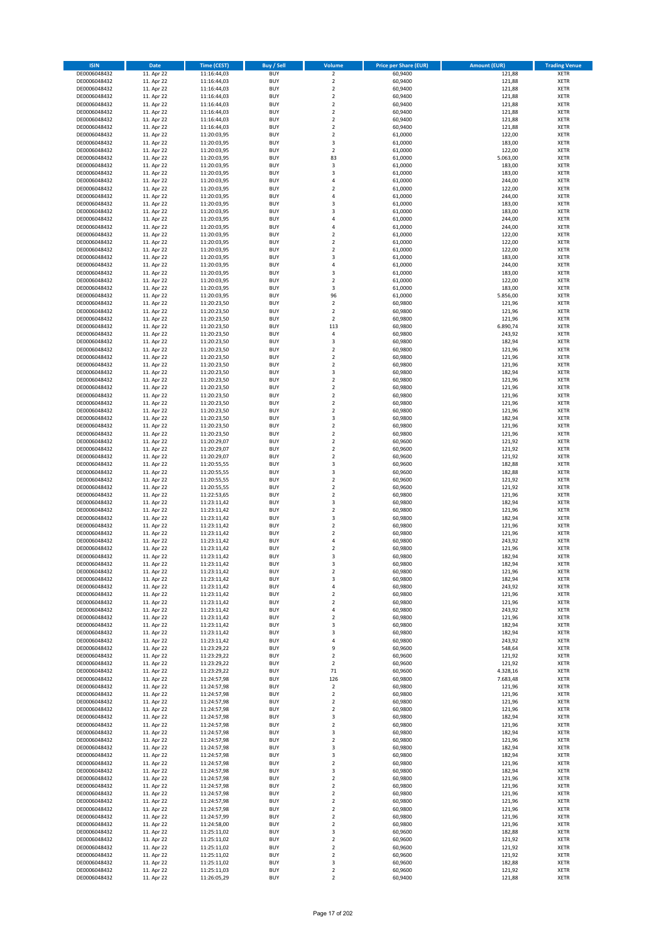| <b>ISIN</b>                  | <b>Date</b>              | <b>Time (CEST)</b>         | Buy / Sell               | Volume                                 | <b>Price per Share (EUR)</b> | <b>Amount (EUR)</b> | <b>Trading Venue</b>       |
|------------------------------|--------------------------|----------------------------|--------------------------|----------------------------------------|------------------------------|---------------------|----------------------------|
| DE0006048432                 | 11. Apr 22               | 11:16:44,03                | <b>BUY</b>               | $\overline{2}$                         | 60,9400                      | 121,88              | <b>XETR</b>                |
| DE0006048432                 | 11. Apr 22               | 11:16:44,03                | <b>BUY</b>               | $\mathbf 2$                            | 60,9400                      | 121,88              | <b>XETR</b>                |
| DE0006048432                 | 11. Apr 22               | 11:16:44,03                | <b>BUY</b>               | $\overline{2}$                         | 60,9400                      | 121,88              | <b>XETR</b>                |
| DE0006048432<br>DE0006048432 | 11. Apr 22<br>11. Apr 22 | 11:16:44,03<br>11:16:44,03 | <b>BUY</b><br><b>BUY</b> | $\mathbf 2$<br>$\mathbf 2$             | 60,9400<br>60,9400           | 121,88<br>121,88    | <b>XETR</b><br><b>XETR</b> |
| DE0006048432                 | 11. Apr 22               | 11:16:44,03                | <b>BUY</b>               | $\mathbf 2$                            | 60,9400                      | 121,88              | <b>XETR</b>                |
| DE0006048432                 | 11. Apr 22               | 11:16:44,03                | <b>BUY</b>               | $\mathbf 2$                            | 60.9400                      | 121,88              | <b>XETR</b>                |
| DE0006048432                 | 11. Apr 22               | 11:16:44,03                | <b>BUY</b>               | $\mathbf 2$                            | 60,9400                      | 121,88              | <b>XETR</b>                |
| DE0006048432                 | 11. Apr 22               | 11:20:03,95                | <b>BUY</b>               | $\overline{2}$                         | 61,0000                      | 122,00              | <b>XETR</b>                |
| DE0006048432                 | 11. Apr 22               | 11:20:03,95                | <b>BUY</b>               | 3                                      | 61,0000                      | 183,00              | <b>XETR</b>                |
| DE0006048432                 | 11. Apr 22               | 11:20:03,95                | <b>BUY</b>               | $\mathbf 2$                            | 61,0000                      | 122,00              | <b>XETR</b>                |
| DE0006048432<br>DE0006048432 | 11. Apr 22<br>11. Apr 22 | 11:20:03,95<br>11:20:03,95 | <b>BUY</b><br><b>BUY</b> | 83<br>3                                | 61,0000<br>61,0000           | 5.063,00<br>183,00  | <b>XETR</b><br><b>XETR</b> |
| DE0006048432                 | 11. Apr 22               | 11:20:03,95                | <b>BUY</b>               | 3                                      | 61,0000                      | 183,00              | <b>XETR</b>                |
| DE0006048432                 | 11. Apr 22               | 11:20:03,95                | <b>BUY</b>               | 4                                      | 61,0000                      | 244,00              | <b>XETR</b>                |
| DE0006048432                 | 11. Apr 22               | 11:20:03,95                | <b>BUY</b>               | $\overline{\mathbf{c}}$                | 61,0000                      | 122,00              | <b>XETR</b>                |
| DE0006048432                 | 11. Apr 22               | 11:20:03,95                | <b>BUY</b>               | 4                                      | 61,0000                      | 244,00              | <b>XETR</b>                |
| DE0006048432                 | 11. Apr 22               | 11:20:03,95                | <b>BUY</b>               | 3                                      | 61,0000                      | 183,00              | <b>XETR</b>                |
| DE0006048432                 | 11. Apr 22               | 11:20:03,95                | <b>BUY</b>               | 3                                      | 61,0000                      | 183,00              | <b>XETR</b>                |
| DE0006048432                 | 11. Apr 22               | 11:20:03,95                | <b>BUY</b>               | 4                                      | 61,0000                      | 244,00              | <b>XETR</b>                |
| DE0006048432<br>DE0006048432 | 11. Apr 22<br>11. Apr 22 | 11:20:03,95<br>11:20:03,95 | <b>BUY</b><br><b>BUY</b> | 4<br>$\mathbf 2$                       | 61,0000<br>61,0000           | 244,00<br>122,00    | <b>XETR</b><br><b>XETR</b> |
| DE0006048432                 | 11. Apr 22               | 11:20:03,95                | <b>BUY</b>               | $\mathbf 2$                            | 61,0000                      | 122,00              | <b>XETR</b>                |
| DE0006048432                 | 11. Apr 22               | 11:20:03,95                | <b>BUY</b>               | $\mathbf 2$                            | 61,0000                      | 122,00              | <b>XETR</b>                |
| DE0006048432                 | 11. Apr 22               | 11:20:03,95                | <b>BUY</b>               | 3                                      | 61,0000                      | 183,00              | <b>XETR</b>                |
| DE0006048432                 | 11. Apr 22               | 11:20:03,95                | <b>BUY</b>               | 4                                      | 61,0000                      | 244,00              | <b>XETR</b>                |
| DE0006048432                 | 11. Apr 22               | 11:20:03,95                | <b>BUY</b>               | 3                                      | 61,0000                      | 183,00              | <b>XETR</b>                |
| DE0006048432                 | 11. Apr 22               | 11:20:03,95                | <b>BUY</b>               | $\overline{\mathbf{c}}$                | 61,0000                      | 122,00              | <b>XETR</b>                |
| DE0006048432<br>DE0006048432 | 11. Apr 22<br>11. Apr 22 | 11:20:03,95<br>11:20:03,95 | <b>BUY</b><br><b>BUY</b> | 3<br>96                                | 61,0000<br>61,0000           | 183,00<br>5.856,00  | <b>XETR</b><br><b>XETR</b> |
| DE0006048432                 | 11. Apr 22               | 11:20:23,50                | <b>BUY</b>               | $\overline{a}$                         | 60,9800                      | 121,96              | <b>XETR</b>                |
| DE0006048432                 | 11. Apr 22               | 11:20:23,50                | <b>BUY</b>               | $\mathbf 2$                            | 60,9800                      | 121,96              | <b>XETR</b>                |
| DE0006048432                 | 11. Apr 22               | 11:20:23,50                | <b>BUY</b>               | $\mathbf 2$                            | 60,9800                      | 121,96              | <b>XETR</b>                |
| DE0006048432                 | 11. Apr 22               | 11:20:23,50                | <b>BUY</b>               | 113                                    | 60,9800                      | 6.890,74            | <b>XETR</b>                |
| DE0006048432                 | 11. Apr 22               | 11:20:23,50                | <b>BUY</b>               | 4                                      | 60,9800                      | 243,92              | <b>XETR</b>                |
| DE0006048432                 | 11. Apr 22               | 11:20:23,50                | <b>BUY</b>               | 3                                      | 60,9800                      | 182,94              | <b>XETR</b>                |
| DE0006048432<br>DE0006048432 | 11. Apr 22<br>11. Apr 22 | 11:20:23,50<br>11:20:23,50 | <b>BUY</b><br><b>BUY</b> | $\overline{\mathbf{c}}$<br>$\mathbf 2$ | 60,9800<br>60,9800           | 121,96<br>121,96    | <b>XETR</b><br><b>XETR</b> |
| DE0006048432                 | 11. Apr 22               | 11:20:23,50                | <b>BUY</b>               | $\mathbf 2$                            | 60,9800                      | 121,96              | <b>XETR</b>                |
| DE0006048432                 | 11. Apr 22               | 11:20:23,50                | <b>BUY</b>               | 3                                      | 60,9800                      | 182,94              | <b>XETR</b>                |
| DE0006048432                 | 11. Apr 22               | 11:20:23,50                | <b>BUY</b>               | $\mathbf 2$                            | 60,9800                      | 121,96              | <b>XETR</b>                |
| DE0006048432                 | 11. Apr 22               | 11:20:23,50                | <b>BUY</b>               | $\mathbf 2$                            | 60,9800                      | 121,96              | <b>XETR</b>                |
| DE0006048432                 | 11. Apr 22               | 11:20:23,50                | <b>BUY</b>               | $\mathbf 2$                            | 60,9800                      | 121,96              | <b>XETR</b>                |
| DE0006048432                 | 11. Apr 22               | 11:20:23,50                | <b>BUY</b>               | $\overline{\mathbf{c}}$                | 60,9800                      | 121,96              | <b>XETR</b>                |
| DE0006048432                 | 11. Apr 22               | 11:20:23,50                | <b>BUY</b>               | $\mathbf 2$                            | 60,9800                      | 121,96              | <b>XETR</b>                |
| DE0006048432<br>DE0006048432 | 11. Apr 22<br>11. Apr 22 | 11:20:23,50<br>11:20:23,50 | <b>BUY</b><br><b>BUY</b> | 3<br>$\mathbf 2$                       | 60,9800<br>60,9800           | 182,94<br>121,96    | <b>XETR</b><br><b>XETR</b> |
| DE0006048432                 | 11. Apr 22               | 11:20:23,50                | <b>BUY</b>               | $\mathbf 2$                            | 60,9800                      | 121,96              | <b>XETR</b>                |
| DE0006048432                 | 11. Apr 22               | 11:20:29,07                | <b>BUY</b>               | $\mathbf 2$                            | 60,9600                      | 121,92              | <b>XETR</b>                |
| DE0006048432                 | 11. Apr 22               | 11:20:29,07                | <b>BUY</b>               | $\mathbf 2$                            | 60,9600                      | 121,92              | <b>XETR</b>                |
| DE0006048432                 | 11. Apr 22               | 11:20:29,07                | <b>BUY</b>               | $\mathbf 2$                            | 60,9600                      | 121,92              | <b>XETR</b>                |
| DE0006048432                 | 11. Apr 22               | 11:20:55,55                | <b>BUY</b>               | 3                                      | 60,9600                      | 182,88              | <b>XETR</b>                |
| DE0006048432                 | 11. Apr 22               | 11:20:55,55                | <b>BUY</b><br><b>BUY</b> | 3                                      | 60,9600                      | 182,88              | <b>XETR</b>                |
| DE0006048432<br>DE0006048432 | 11. Apr 22<br>11. Apr 22 | 11:20:55,55<br>11:20:55,55 | <b>BUY</b>               | $\mathbf 2$<br>$\mathbf 2$             | 60,9600<br>60,9600           | 121,92<br>121,92    | <b>XETR</b><br><b>XETR</b> |
| DE0006048432                 | 11. Apr 22               | 11:22:53,65                | <b>BUY</b>               | $\mathbf 2$                            | 60,9800                      | 121,96              | <b>XETR</b>                |
| DE0006048432                 | 11. Apr 22               | 11:23:11,42                | <b>BUY</b>               | 3                                      | 60,9800                      | 182,94              | <b>XETR</b>                |
| DE0006048432                 | 11. Apr 22               | 11:23:11,42                | <b>BUY</b>               | $\mathbf 2$                            | 60,9800                      | 121,96              | <b>XETR</b>                |
| DE0006048432                 | 11. Apr 22               | 11:23:11,42                | <b>BUY</b>               | 3                                      | 60,9800                      | 182,94              | <b>XETR</b>                |
| DE0006048432                 | 11. Apr 22               | 11:23:11,42                | <b>BUY</b>               | $\overline{2}$                         | 60,9800                      | 121,96              | <b>XETR</b>                |
| DE0006048432<br>DE0006048432 | 11. Apr 22               | 11:23:11,42<br>11:23:11,42 | <b>BUY</b><br><b>BUY</b> | $\mathbf 2$<br>4                       | 60,9800                      | 121,96<br>243,92    | <b>XETR</b><br><b>XETR</b> |
| DE0006048432                 | 11. Apr 22<br>11. Apr 22 | 11:23:11,42                | <b>BUY</b>               | $\overline{\mathbf{c}}$                | 60,9800<br>60,9800           | 121,96              | <b>XETR</b>                |
| DE0006048432                 | 11. Apr 22               | 11:23:11,42                | <b>BUY</b>               | 3                                      | 60,9800                      | 182,94              | <b>XETR</b>                |
| DE0006048432                 | 11. Apr 22               | 11:23:11,42                | BUY                      | 3                                      | 60,9800                      | 182,94              | <b>XETR</b>                |
| DE0006048432                 | 11. Apr 22               | 11:23:11,42                | <b>BUY</b>               | $\mathbf 2$                            | 60,9800                      | 121,96              | <b>XETR</b>                |
| DE0006048432                 | 11. Apr 22               | 11:23:11,42                | <b>BUY</b>               | 3                                      | 60,9800                      | 182,94              | <b>XETR</b>                |
| DE0006048432                 | 11. Apr 22               | 11:23:11,42                | <b>BUY</b>               | 4                                      | 60,9800                      | 243,92              | XETR                       |
| DE0006048432<br>DE0006048432 | 11. Apr 22<br>11. Apr 22 | 11:23:11,42<br>11:23:11,42 | <b>BUY</b><br><b>BUY</b> | $\mathbf 2$<br>$\mathbf 2$             | 60,9800<br>60,9800           | 121,96<br>121,96    | <b>XETR</b><br><b>XETR</b> |
| DE0006048432                 | 11. Apr 22               | 11:23:11,42                | <b>BUY</b>               | 4                                      | 60,9800                      | 243,92              | <b>XETR</b>                |
| DE0006048432                 | 11. Apr 22               | 11:23:11,42                | <b>BUY</b>               | $\mathbf 2$                            | 60,9800                      | 121,96              | <b>XETR</b>                |
| DE0006048432                 | 11. Apr 22               | 11:23:11,42                | <b>BUY</b>               | 3                                      | 60,9800                      | 182,94              | <b>XETR</b>                |
| DE0006048432                 | 11. Apr 22               | 11:23:11,42                | <b>BUY</b>               | 3                                      | 60,9800                      | 182,94              | <b>XETR</b>                |
| DE0006048432                 | 11. Apr 22               | 11:23:11,42                | <b>BUY</b>               | 4                                      | 60,9800                      | 243,92              | <b>XETR</b>                |
| DE0006048432<br>DE0006048432 | 11. Apr 22<br>11. Apr 22 | 11:23:29,22<br>11:23:29,22 | <b>BUY</b><br><b>BUY</b> | 9<br>$\mathbf 2$                       | 60,9600<br>60,9600           | 548,64<br>121,92    | <b>XETR</b><br><b>XETR</b> |
| DE0006048432                 | 11. Apr 22               | 11:23:29,22                | <b>BUY</b>               | $\overline{2}$                         | 60,9600                      | 121,92              | <b>XETR</b>                |
| DE0006048432                 | 11. Apr 22               | 11:23:29,22                | <b>BUY</b>               | 71                                     | 60,9600                      | 4.328,16            | <b>XETR</b>                |
| DE0006048432                 | 11. Apr 22               | 11:24:57,98                | <b>BUY</b>               | 126                                    | 60,9800                      | 7.683,48            | <b>XETR</b>                |
| DE0006048432                 | 11. Apr 22               | 11:24:57,98                | <b>BUY</b>               | $\mathbf 2$                            | 60,9800                      | 121,96              | <b>XETR</b>                |
| DE0006048432                 | 11. Apr 22               | 11:24:57,98                | <b>BUY</b>               | $\mathbf 2$                            | 60,9800                      | 121,96              | <b>XETR</b>                |
| DE0006048432<br>DE0006048432 | 11. Apr 22<br>11. Apr 22 | 11:24:57,98                | <b>BUY</b><br><b>BUY</b> | $\mathbf 2$<br>$\mathbf 2$             | 60,9800<br>60,9800           | 121,96<br>121,96    | XETR<br><b>XETR</b>        |
| DE0006048432                 | 11. Apr 22               | 11:24:57,98<br>11:24:57,98 | <b>BUY</b>               | 3                                      | 60,9800                      | 182,94              | <b>XETR</b>                |
| DE0006048432                 | 11. Apr 22               | 11:24:57,98                | <b>BUY</b>               | $\mathbf 2$                            | 60,9800                      | 121,96              | <b>XETR</b>                |
| DE0006048432                 | 11. Apr 22               | 11:24:57,98                | <b>BUY</b>               | 3                                      | 60,9800                      | 182,94              | <b>XETR</b>                |
| DE0006048432                 | 11. Apr 22               | 11:24:57,98                | <b>BUY</b>               | $\mathbf 2$                            | 60,9800                      | 121,96              | <b>XETR</b>                |
| DE0006048432                 | 11. Apr 22               | 11:24:57,98                | <b>BUY</b>               | 3                                      | 60,9800                      | 182,94              | <b>XETR</b>                |
| DE0006048432                 | 11. Apr 22               | 11:24:57,98                | <b>BUY</b>               | 3                                      | 60,9800                      | 182,94              | <b>XETR</b>                |
| DE0006048432<br>DE0006048432 | 11. Apr 22<br>11. Apr 22 | 11:24:57,98<br>11:24:57,98 | <b>BUY</b><br><b>BUY</b> | $\mathbf 2$<br>3                       | 60,9800<br>60,9800           | 121,96<br>182,94    | <b>XETR</b><br><b>XETR</b> |
| DE0006048432                 | 11. Apr 22               | 11:24:57,98                | <b>BUY</b>               | $\mathbf 2$                            | 60,9800                      | 121,96              | <b>XETR</b>                |
| DE0006048432                 | 11. Apr 22               | 11:24:57,98                | <b>BUY</b>               | $\overline{2}$                         | 60,9800                      | 121,96              | <b>XETR</b>                |
| DE0006048432                 | 11. Apr 22               | 11:24:57,98                | <b>BUY</b>               | $\mathbf 2$                            | 60,9800                      | 121,96              | <b>XETR</b>                |
| DE0006048432                 | 11. Apr 22               | 11:24:57,98                | <b>BUY</b>               | 2                                      | 60,9800                      | 121,96              | <b>XETR</b>                |
| DE0006048432                 | 11. Apr 22               | 11:24:57,98                | <b>BUY</b>               | $\mathbf 2$                            | 60,9800                      | 121,96              | <b>XETR</b>                |
| DE0006048432                 | 11. Apr 22               | 11:24:57,99                | <b>BUY</b>               | $\mathbf 2$                            | 60,9800                      | 121,96              | <b>XETR</b>                |
| DE0006048432<br>DE0006048432 | 11. Apr 22<br>11. Apr 22 | 11:24:58,00<br>11:25:11,02 | <b>BUY</b><br><b>BUY</b> | $\mathbf 2$<br>3                       | 60,9800<br>60,9600           | 121,96<br>182,88    | <b>XETR</b><br><b>XETR</b> |
| DE0006048432                 | 11. Apr 22               | 11:25:11,02                | <b>BUY</b>               | $\overline{\mathbf{c}}$                | 60,9600                      | 121,92              | <b>XETR</b>                |
| DE0006048432                 | 11. Apr 22               | 11:25:11,02                | <b>BUY</b>               | $\mathbf 2$                            | 60,9600                      | 121,92              | XETR                       |
| DE0006048432                 | 11. Apr 22               | 11:25:11,02                | <b>BUY</b>               | $\overline{2}$                         | 60,9600                      | 121,92              | <b>XETR</b>                |
| DE0006048432                 | 11. Apr 22               | 11:25:11,02                | <b>BUY</b>               | 3                                      | 60,9600                      | 182,88              | XETR                       |
| DE0006048432                 | 11. Apr 22               | 11:25:11,03                | <b>BUY</b>               | $\mathbf 2$                            | 60,9600                      | 121,92              | <b>XETR</b>                |
| DE0006048432                 | 11. Apr 22               | 11:26:05,29                | <b>BUY</b>               | $\overline{2}$                         | 60,9400                      | 121,88              | <b>XETR</b>                |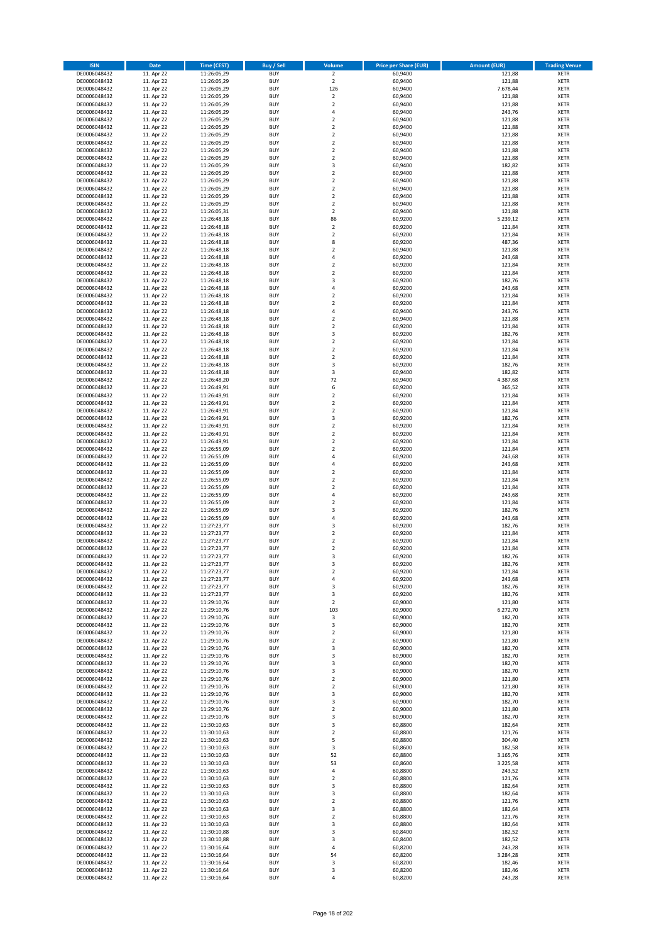| <b>ISIN</b>                  | <b>Date</b>              | Time (CEST)                | <b>Buy / Sell</b>        | Volume                                 | <b>Price per Share (EUR)</b> | <b>Amount (EUR)</b> | <b>Trading Venue</b>       |
|------------------------------|--------------------------|----------------------------|--------------------------|----------------------------------------|------------------------------|---------------------|----------------------------|
| DE0006048432                 | 11. Apr 22               | 11:26:05,29                | <b>BUY</b>               | $\overline{2}$                         | 60,9400                      | 121,88              | <b>XETR</b>                |
| DE0006048432                 | 11. Apr 22               | 11:26:05,29                | <b>BUY</b>               | $\mathbf 2$                            | 60,9400                      | 121,88              | <b>XETR</b>                |
| DE0006048432                 | 11. Apr 22               | 11:26:05,29                | <b>BUY</b>               | 126                                    | 60,9400                      | 7.678,44            | <b>XETR</b>                |
| DE0006048432<br>DE0006048432 | 11. Apr 22<br>11. Apr 22 | 11:26:05,29<br>11:26:05,29 | <b>BUY</b><br><b>BUY</b> | $\mathbf 2$<br>$\mathbf 2$             | 60,9400<br>60,9400           | 121,88<br>121,88    | <b>XETR</b><br><b>XETR</b> |
| DE0006048432                 | 11. Apr 22               | 11:26:05,29                | <b>BUY</b>               | 4                                      | 60,9400                      | 243,76              | <b>XETR</b>                |
| DE0006048432                 | 11. Apr 22               | 11:26:05,29                | <b>BUY</b>               | $\overline{\mathbf{c}}$                | 60,9400                      | 121,88              | <b>XETR</b>                |
| DE0006048432                 | 11. Apr 22               | 11:26:05,29                | <b>BUY</b>               | $\mathbf 2$                            | 60,9400                      | 121,88              | <b>XETR</b>                |
| DE0006048432                 | 11. Apr 22               | 11:26:05,29                | <b>BUY</b>               | $\overline{2}$                         | 60,9400                      | 121,88              | <b>XETR</b>                |
| DE0006048432                 | 11. Apr 22               | 11:26:05,29                | <b>BUY</b>               | $\overline{2}$                         | 60,9400                      | 121,88              | <b>XETR</b>                |
| DE0006048432                 | 11. Apr 22               | 11:26:05,29                | <b>BUY</b>               | $\mathbf 2$                            | 60,9400                      | 121,88              | <b>XETR</b>                |
| DE0006048432                 | 11. Apr 22<br>11. Apr 22 | 11:26:05,29                | <b>BUY</b><br><b>BUY</b> | $\overline{\mathbf{c}}$<br>3           | 60,9400<br>60,9400           | 121,88              | <b>XETR</b><br><b>XETR</b> |
| DE0006048432<br>DE0006048432 | 11. Apr 22               | 11:26:05,29<br>11:26:05,29 | <b>BUY</b>               | $\overline{\mathbf{c}}$                | 60,9400                      | 182,82<br>121,88    | <b>XETR</b>                |
| DE0006048432                 | 11. Apr 22               | 11:26:05,29                | <b>BUY</b>               | $\mathbf 2$                            | 60,9400                      | 121,88              | <b>XETR</b>                |
| DE0006048432                 | 11. Apr 22               | 11:26:05,29                | <b>BUY</b>               | $\mathbf 2$                            | 60,9400                      | 121,88              | <b>XETR</b>                |
| DE0006048432                 | 11. Apr 22               | 11:26:05,29                | <b>BUY</b>               | $\mathbf 2$                            | 60,9400                      | 121,88              | <b>XETR</b>                |
| DE0006048432                 | 11. Apr 22               | 11:26:05,29                | <b>BUY</b>               | $\mathbf 2$                            | 60,9400                      | 121,88              | <b>XETR</b>                |
| DE0006048432                 | 11. Apr 22               | 11:26:05,31                | <b>BUY</b>               | $\overline{\mathbf{c}}$                | 60,9400                      | 121,88              | <b>XETR</b>                |
| DE0006048432                 | 11. Apr 22               | 11:26:48,18                | <b>BUY</b>               | 86                                     | 60,9200                      | 5.239,12            | <b>XETR</b>                |
| DE0006048432                 | 11. Apr 22               | 11:26:48,18                | <b>BUY</b><br><b>BUY</b> | $\overline{\mathbf{c}}$                | 60,9200                      | 121,84              | <b>XETR</b>                |
| DE0006048432<br>DE0006048432 | 11. Apr 22<br>11. Apr 22 | 11:26:48,18<br>11:26:48,18 | <b>BUY</b>               | $\mathbf 2$<br>8                       | 60,9200<br>60,9200           | 121,84<br>487,36    | <b>XETR</b><br><b>XETR</b> |
| DE0006048432                 | 11. Apr 22               | 11:26:48,18                | <b>BUY</b>               | $\mathbf 2$                            | 60,9400                      | 121,88              | <b>XETR</b>                |
| DE0006048432                 | 11. Apr 22               | 11:26:48,18                | <b>BUY</b>               | 4                                      | 60,9200                      | 243,68              | <b>XETR</b>                |
| DE0006048432                 | 11. Apr 22               | 11:26:48,18                | <b>BUY</b>               | $\mathbf 2$                            | 60,9200                      | 121,84              | <b>XETR</b>                |
| DE0006048432                 | 11. Apr 22               | 11:26:48,18                | <b>BUY</b>               | $\mathbf 2$                            | 60,9200                      | 121,84              | <b>XETR</b>                |
| DE0006048432                 | 11. Apr 22               | 11:26:48,18                | <b>BUY</b>               | 3                                      | 60,9200                      | 182,76              | <b>XETR</b>                |
| DE0006048432                 | 11. Apr 22               | 11:26:48,18                | <b>BUY</b>               | 4                                      | 60,9200                      | 243,68              | <b>XETR</b>                |
| DE0006048432                 | 11. Apr 22               | 11:26:48,18                | <b>BUY</b><br><b>BUY</b> | $\overline{\mathbf{c}}$<br>$\mathbf 2$ | 60,9200                      | 121,84              | <b>XETR</b>                |
| DE0006048432<br>DE0006048432 | 11. Apr 22<br>11. Apr 22 | 11:26:48,18<br>11:26:48,18 | <b>BUY</b>               | 4                                      | 60,9200<br>60,9400           | 121,84<br>243,76    | <b>XETR</b><br><b>XETR</b> |
| DE0006048432                 | 11. Apr 22               | 11:26:48,18                | <b>BUY</b>               | $\mathbf 2$                            | 60,9400                      | 121,88              | <b>XETR</b>                |
| DE0006048432                 | 11. Apr 22               | 11:26:48,18                | <b>BUY</b>               | $\mathbf 2$                            | 60,9200                      | 121,84              | <b>XETR</b>                |
| DE0006048432                 | 11. Apr 22               | 11:26:48,18                | <b>BUY</b>               | 3                                      | 60,9200                      | 182,76              | <b>XETR</b>                |
| DE0006048432                 | 11. Apr 22               | 11:26:48,18                | <b>BUY</b>               | $\mathbf 2$                            | 60,9200                      | 121,84              | <b>XETR</b>                |
| DE0006048432                 | 11. Apr 22               | 11:26:48,18                | <b>BUY</b>               | $\overline{\mathbf{c}}$                | 60,9200                      | 121,84              | <b>XETR</b>                |
| DE0006048432                 | 11. Apr 22               | 11:26:48,18                | <b>BUY</b>               | $\mathbf 2$                            | 60,9200                      | 121,84              | <b>XETR</b>                |
| DE0006048432                 | 11. Apr 22               | 11:26:48,18                | <b>BUY</b>               | 3                                      | 60,9200                      | 182,76              | <b>XETR</b>                |
| DE0006048432                 | 11. Apr 22<br>11. Apr 22 | 11:26:48,18<br>11:26:48,20 | <b>BUY</b><br><b>BUY</b> | 3<br>72                                | 60,9400                      | 182,82              | <b>XETR</b><br><b>XETR</b> |
| DE0006048432<br>DE0006048432 | 11. Apr 22               | 11:26:49,91                | <b>BUY</b>               | 6                                      | 60,9400<br>60,9200           | 4.387,68<br>365,52  | <b>XETR</b>                |
| DE0006048432                 | 11. Apr 22               | 11:26:49,91                | <b>BUY</b>               | $\mathbf 2$                            | 60,9200                      | 121,84              | <b>XETR</b>                |
| DE0006048432                 | 11. Apr 22               | 11:26:49,91                | <b>BUY</b>               | $\overline{\mathbf{c}}$                | 60,9200                      | 121,84              | <b>XETR</b>                |
| DE0006048432                 | 11. Apr 22               | 11:26:49,91                | <b>BUY</b>               | $\mathbf 2$                            | 60,9200                      | 121,84              | <b>XETR</b>                |
| DE0006048432                 | 11. Apr 22               | 11:26:49,91                | <b>BUY</b>               | 3                                      | 60,9200                      | 182,76              | <b>XETR</b>                |
| DE0006048432                 | 11. Apr 22               | 11:26:49,91                | <b>BUY</b>               | $\mathbf 2$                            | 60,9200                      | 121,84              | <b>XETR</b>                |
| DE0006048432                 | 11. Apr 22               | 11:26:49,91                | <b>BUY</b>               | $\mathbf 2$                            | 60,9200                      | 121,84              | <b>XETR</b>                |
| DE0006048432                 | 11. Apr 22               | 11:26:49,91                | <b>BUY</b>               | $\mathbf 2$                            | 60,9200                      | 121,84              | <b>XETR</b>                |
| DE0006048432<br>DE0006048432 | 11. Apr 22<br>11. Apr 22 | 11:26:55,09<br>11:26:55,09 | <b>BUY</b><br><b>BUY</b> | $\overline{\mathbf{c}}$<br>4           | 60,9200<br>60,9200           | 121,84<br>243,68    | <b>XETR</b><br><b>XETR</b> |
| DE0006048432                 | 11. Apr 22               | 11:26:55,09                | <b>BUY</b>               | 4                                      | 60,9200                      | 243,68              | <b>XETR</b>                |
| DE0006048432                 | 11. Apr 22               | 11:26:55,09                | <b>BUY</b>               | $\overline{\mathbf{c}}$                | 60,9200                      | 121,84              | <b>XETR</b>                |
| DE0006048432                 | 11. Apr 22               | 11:26:55,09                | <b>BUY</b>               | $\mathbf 2$                            | 60,9200                      | 121,84              | <b>XETR</b>                |
| DE0006048432                 | 11. Apr 22               | 11:26:55,09                | <b>BUY</b>               | $\mathbf 2$                            | 60,9200                      | 121,84              | <b>XETR</b>                |
| DE0006048432                 | 11. Apr 22               | 11:26:55,09                | <b>BUY</b>               | 4                                      | 60,9200                      | 243,68              | <b>XETR</b>                |
| DE0006048432                 | 11. Apr 22               | 11:26:55,09                | <b>BUY</b>               | $\overline{\mathbf{c}}$                | 60,9200                      | 121,84              | <b>XETR</b>                |
| DE0006048432                 | 11. Apr 22               | 11:26:55,09                | <b>BUY</b>               | 3                                      | 60,9200                      | 182,76              | <b>XETR</b>                |
| DE0006048432<br>DE0006048432 | 11. Apr 22               | 11:26:55,09                | <b>BUY</b><br><b>BUY</b> | 4<br>3                                 | 60,9200                      | 243,68              | <b>XETR</b><br><b>XETR</b> |
| DE0006048432                 | 11. Apr 22<br>11. Apr 22 | 11:27:23,77<br>11:27:23,77 | <b>BUY</b>               | $\mathbf 2$                            | 60,9200<br>60,9200           | 182,76<br>121,84    | <b>XETR</b>                |
| DE0006048432                 | 11. Apr 22               | 11:27:23,77                | <b>BUY</b>               | $\overline{\mathbf{c}}$                | 60,9200                      | 121,84              | <b>XETR</b>                |
| DE0006048432                 | 11. Apr 22               | 11:27:23,77                | <b>BUY</b>               | $\overline{\mathbf{c}}$                | 60,9200                      | 121,84              | <b>XETR</b>                |
| DE0006048432                 | 11. Apr 22               | 11:27:23,77                | <b>BUY</b>               | 3                                      | 60,9200                      | 182,76              | <b>XETR</b>                |
| DE0006048432                 | 11. Apr 22               | 11:27:23,77                | BUY                      | 3                                      | 60,9200                      | 182,76              | <b>XETR</b>                |
| DE0006048432                 | 11. Apr 22               | 11:27:23,77                | <b>BUY</b>               | $\mathbf 2$                            | 60,9200                      | 121,84              | XETR                       |
| DE0006048432                 | 11. Apr 22               | 11:27:23,77                | <b>BUY</b>               | 4                                      | 60,9200                      | 243,68              | XETR                       |
| DE0006048432<br>DE0006048432 | 11. Apr 22<br>11. Apr 22 | 11:27:23,77<br>11:27:23,77 | <b>BUY</b><br><b>BUY</b> | 3<br>3                                 | 60,9200<br>60,9200           | 182,76<br>182,76    | XETR<br><b>XETR</b>        |
| DE0006048432                 | 11. Apr 22               | 11:29:10,76                | <b>BUY</b>               | $\mathbf 2$                            | 60,9000                      | 121,80              | <b>XETR</b>                |
| DE0006048432                 | 11. Apr 22               | 11:29:10,76                | <b>BUY</b>               | 103                                    | 60,9000                      | 6.272,70            | <b>XETR</b>                |
| DE0006048432                 | 11. Apr 22               | 11:29:10,76                | <b>BUY</b>               | 3                                      | 60,9000                      | 182,70              | <b>XETR</b>                |
| DE0006048432                 | 11. Apr 22               | 11:29:10,76                | <b>BUY</b>               | 3                                      | 60,9000                      | 182,70              | <b>XETR</b>                |
| DE0006048432                 | 11. Apr 22               | 11:29:10,76                | <b>BUY</b>               | $\mathbf 2$                            | 60,9000                      | 121,80              | XETR                       |
| DE0006048432                 | 11. Apr 22               | 11:29:10,76                | <b>BUY</b>               | $\mathbf 2$                            | 60,9000                      | 121,80              | <b>XETR</b>                |
| DE0006048432<br>DE0006048432 | 11. Apr 22<br>11. Apr 22 | 11:29:10,76<br>11:29:10,76 | <b>BUY</b><br><b>BUY</b> | 3<br>3                                 | 60,9000<br>60,9000           | 182,70<br>182,70    | <b>XETR</b><br><b>XETR</b> |
| DE0006048432                 | 11. Apr 22               | 11:29:10,76                | <b>BUY</b>               | 3                                      | 60,9000                      | 182,70              | <b>XETR</b>                |
| DE0006048432                 | 11. Apr 22               | 11:29:10,76                | <b>BUY</b>               | 3                                      | 60,9000                      | 182,70              | <b>XETR</b>                |
| DE0006048432                 | 11. Apr 22               | 11:29:10,76                | <b>BUY</b>               | $\mathbf 2$                            | 60,9000                      | 121,80              | <b>XETR</b>                |
| DE0006048432                 | 11. Apr 22               | 11:29:10,76                | <b>BUY</b>               | $\mathbf 2$                            | 60,9000                      | 121,80              | <b>XETR</b>                |
| DE0006048432                 | 11. Apr 22               | 11:29:10,76                | <b>BUY</b>               | 3                                      | 60,9000                      | 182,70              | <b>XETR</b>                |
| DE0006048432                 | 11. Apr 22               | 11:29:10,76                | <b>BUY</b>               | 3                                      | 60,9000                      | 182,70              | XETR                       |
| DE0006048432<br>DE0006048432 | 11. Apr 22<br>11. Apr 22 | 11:29:10,76<br>11:29:10,76 | <b>BUY</b><br><b>BUY</b> | $\mathbf 2$<br>3                       | 60,9000<br>60,9000           | 121,80<br>182,70    | <b>XETR</b><br><b>XETR</b> |
| DE0006048432                 | 11. Apr 22               | 11:30:10,63                | <b>BUY</b>               | 3                                      | 60,8800                      | 182,64              | <b>XETR</b>                |
| DE0006048432                 | 11. Apr 22               | 11:30:10,63                | <b>BUY</b>               | $\overline{2}$                         | 60,8800                      | 121,76              | <b>XETR</b>                |
| DE0006048432                 | 11. Apr 22               | 11:30:10,63                | <b>BUY</b>               | 5                                      | 60,8800                      | 304,40              | <b>XETR</b>                |
| DE0006048432                 | 11. Apr 22               | 11:30:10,63                | <b>BUY</b>               | 3                                      | 60,8600                      | 182,58              | <b>XETR</b>                |
| DE0006048432                 | 11. Apr 22               | 11:30:10,63                | <b>BUY</b>               | 52                                     | 60,8800                      | 3.165,76            | XETR                       |
| DE0006048432                 | 11. Apr 22               | 11:30:10,63                | <b>BUY</b>               | 53                                     | 60,8600                      | 3.225,58            | <b>XETR</b>                |
| DE0006048432                 | 11. Apr 22               | 11:30:10,63                | <b>BUY</b>               | 4                                      | 60,8800                      | 243,52              | <b>XETR</b>                |
| DE0006048432<br>DE0006048432 | 11. Apr 22<br>11. Apr 22 | 11:30:10,63<br>11:30:10,63 | <b>BUY</b><br><b>BUY</b> | $\mathbf 2$<br>3                       | 60,8800<br>60,8800           | 121,76<br>182,64    | <b>XETR</b><br>XETR        |
| DE0006048432                 | 11. Apr 22               | 11:30:10,63                | <b>BUY</b>               | 3                                      | 60,8800                      | 182,64              | <b>XETR</b>                |
| DE0006048432                 | 11. Apr 22               | 11:30:10,63                | <b>BUY</b>               | $\mathbf 2$                            | 60,8800                      | 121,76              | <b>XETR</b>                |
| DE0006048432                 | 11. Apr 22               | 11:30:10,63                | <b>BUY</b>               | 3                                      | 60,8800                      | 182,64              | XETR                       |
| DE0006048432                 | 11. Apr 22               | 11:30:10,63                | <b>BUY</b>               | $\mathbf 2$                            | 60,8800                      | 121,76              | <b>XETR</b>                |
| DE0006048432                 | 11. Apr 22               | 11:30:10,63                | <b>BUY</b>               | 3                                      | 60,8800                      | 182,64              | <b>XETR</b>                |
| DE0006048432                 | 11. Apr 22               | 11:30:10,88                | <b>BUY</b>               | 3                                      | 60,8400                      | 182,52              | <b>XETR</b>                |
| DE0006048432                 | 11. Apr 22               | 11:30:10,88                | <b>BUY</b>               | 3                                      | 60,8400                      | 182,52              | <b>XETR</b>                |
| DE0006048432<br>DE0006048432 | 11. Apr 22<br>11. Apr 22 | 11:30:16,64<br>11:30:16,64 | <b>BUY</b><br><b>BUY</b> | 4<br>54                                | 60,8200<br>60,8200           | 243,28<br>3.284,28  | <b>XETR</b><br><b>XETR</b> |
| DE0006048432                 | 11. Apr 22               | 11:30:16,64                | <b>BUY</b>               | 3                                      | 60,8200                      | 182,46              | <b>XETR</b>                |
| DE0006048432                 | 11. Apr 22               | 11:30:16,64                | <b>BUY</b>               | 3                                      | 60,8200                      | 182,46              | <b>XETR</b>                |
| DE0006048432                 | 11. Apr 22               | 11:30:16,64                | <b>BUY</b>               | 4                                      | 60,8200                      | 243,28              | XETR                       |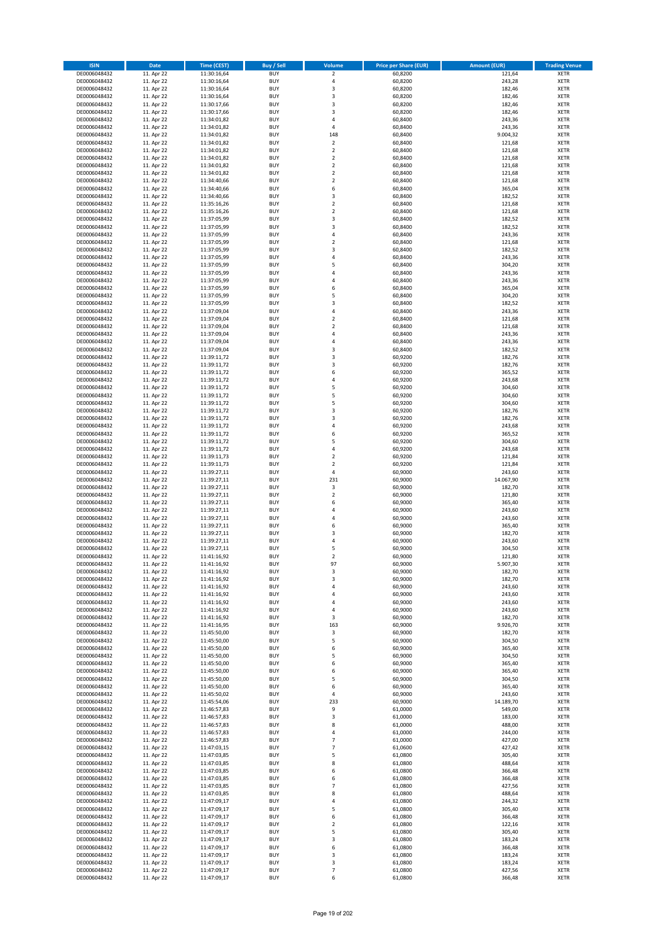| <b>ISIN</b>                  | <b>Date</b>              | Time (CEST)                | Buy / Sell               | Volume                                             | <b>Price per Share (EUR)</b> | <b>Amount (EUR)</b> | <b>Trading Venue</b>       |
|------------------------------|--------------------------|----------------------------|--------------------------|----------------------------------------------------|------------------------------|---------------------|----------------------------|
| DE0006048432                 | 11. Apr 22               | 11:30:16,64                | <b>BUY</b>               | $\overline{\mathbf{2}}$                            | 60,8200                      | 121,64              | <b>XETR</b>                |
| DE0006048432                 | 11. Apr 22               | 11:30:16,64                | <b>BUY</b>               | $\sqrt{4}$                                         | 60,8200                      | 243,28              | <b>XETR</b>                |
| DE0006048432                 | 11. Apr 22               | 11:30:16,64                | <b>BUY</b>               | 3                                                  | 60,8200                      | 182,46              | <b>XETR</b>                |
| DE0006048432                 | 11. Apr 22               | 11:30:16,64                | <b>BUY</b>               | 3                                                  | 60,8200                      | 182,46              | <b>XETR</b>                |
| DE0006048432<br>DE0006048432 | 11. Apr 22<br>11. Apr 22 | 11:30:17,66<br>11:30:17,66 | <b>BUY</b><br><b>BUY</b> | 3<br>$\overline{\mathbf{3}}$                       | 60,8200<br>60,8200           | 182,46<br>182,46    | <b>XETR</b><br><b>XETR</b> |
| DE0006048432                 | 11. Apr 22               | 11:34:01,82                | <b>BUY</b>               | $\overline{a}$                                     | 60,8400                      | 243,36              | <b>XETR</b>                |
| DE0006048432                 | 11. Apr 22               | 11:34:01,82                | <b>BUY</b>               | 4                                                  | 60,8400                      | 243,36              | <b>XETR</b>                |
| DE0006048432                 | 11. Apr 22               | 11:34:01,82                | BUY                      | 148                                                | 60,8400                      | 9.004,32            | <b>XETR</b>                |
| DE0006048432                 | 11. Apr 22               | 11:34:01,82                | <b>BUY</b>               | $\mathbf 2$                                        | 60,8400                      | 121,68              | <b>XETR</b>                |
| DE0006048432                 | 11. Apr 22               | 11:34:01,82                | <b>BUY</b>               | $\mathbf 2$                                        | 60,8400                      | 121,68              | <b>XETR</b>                |
| DE0006048432                 | 11. Apr 22               | 11:34:01,82                | <b>BUY</b><br><b>BUY</b> | $\overline{2}$<br>$\overline{2}$                   | 60,8400                      | 121,68              | <b>XETR</b>                |
| DE0006048432<br>DE0006048432 | 11. Apr 22<br>11. Apr 22 | 11:34:01,82<br>11:34:01,82 | <b>BUY</b>               | $\overline{2}$                                     | 60,8400<br>60,8400           | 121,68<br>121,68    | <b>XETR</b><br><b>XETR</b> |
| DE0006048432                 | 11. Apr 22               | 11:34:40,66                | <b>BUY</b>               | $\overline{2}$                                     | 60,8400                      | 121,68              | <b>XETR</b>                |
| DE0006048432                 | 11. Apr 22               | 11:34:40,66                | <b>BUY</b>               | 6                                                  | 60,8400                      | 365,04              | <b>XETR</b>                |
| DE0006048432                 | 11. Apr 22               | 11:34:40,66                | <b>BUY</b>               | 3                                                  | 60,8400                      | 182,52              | <b>XETR</b>                |
| DE0006048432                 | 11. Apr 22               | 11:35:16,26                | <b>BUY</b>               | $\overline{2}$                                     | 60,8400                      | 121,68              | <b>XETR</b>                |
| DE0006048432                 | 11. Apr 22               | 11:35:16,26                | <b>BUY</b>               | $\overline{2}$                                     | 60,8400                      | 121,68              | <b>XETR</b>                |
| DE0006048432<br>DE0006048432 | 11. Apr 22<br>11. Apr 22 | 11:37:05,99<br>11:37:05,99 | <b>BUY</b><br><b>BUY</b> | $\overline{\mathbf{3}}$<br>$\overline{\mathbf{3}}$ | 60,8400<br>60,8400           | 182,52<br>182,52    | <b>XETR</b><br><b>XETR</b> |
| DE0006048432                 | 11. Apr 22               | 11:37:05,99                | <b>BUY</b>               | 4                                                  | 60,8400                      | 243,36              | <b>XETR</b>                |
| DE0006048432                 | 11. Apr 22               | 11:37:05,99                | <b>BUY</b>               | $\overline{2}$                                     | 60,8400                      | 121,68              | <b>XETR</b>                |
| DE0006048432                 | 11. Apr 22               | 11:37:05,99                | <b>BUY</b>               | 3                                                  | 60,8400                      | 182,52              | <b>XETR</b>                |
| DE0006048432                 | 11. Apr 22               | 11:37:05,99                | <b>BUY</b>               | 4                                                  | 60,8400                      | 243,36              | <b>XETR</b>                |
| DE0006048432                 | 11. Apr 22               | 11:37:05,99                | <b>BUY</b>               | 5                                                  | 60,8400                      | 304,20              | <b>XETR</b>                |
| DE0006048432<br>DE0006048432 | 11. Apr 22               | 11:37:05,99                | <b>BUY</b><br><b>BUY</b> | $\overline{a}$<br>$\overline{4}$                   | 60,8400                      | 243,36              | <b>XETR</b><br><b>XETR</b> |
| DE0006048432                 | 11. Apr 22<br>11. Apr 22 | 11:37:05,99<br>11:37:05,99 | <b>BUY</b>               | 6                                                  | 60,8400<br>60,8400           | 243,36<br>365,04    | <b>XETR</b>                |
| DE0006048432                 | 11. Apr 22               | 11:37:05,99                | <b>BUY</b>               | 5                                                  | 60,8400                      | 304,20              | <b>XETR</b>                |
| DE0006048432                 | 11. Apr 22               | 11:37:05,99                | <b>BUY</b>               | $\overline{\mathbf{3}}$                            | 60,8400                      | 182,52              | <b>XETR</b>                |
| DE0006048432                 | 11. Apr 22               | 11:37:09,04                | <b>BUY</b>               | 4                                                  | 60,8400                      | 243,36              | <b>XETR</b>                |
| DE0006048432                 | 11. Apr 22               | 11:37:09,04                | <b>BUY</b>               | $\overline{\mathbf{c}}$                            | 60,8400                      | 121,68              | <b>XETR</b>                |
| DE0006048432                 | 11. Apr 22               | 11:37:09,04                | <b>BUY</b>               | $\overline{2}$                                     | 60,8400                      | 121,68              | <b>XETR</b>                |
| DE0006048432<br>DE0006048432 | 11. Apr 22<br>11. Apr 22 | 11:37:09,04<br>11:37:09,04 | <b>BUY</b><br><b>BUY</b> | $\overline{4}$<br>$\overline{4}$                   | 60,8400<br>60,8400           | 243,36<br>243,36    | <b>XETR</b><br><b>XETR</b> |
| DE0006048432                 | 11. Apr 22               | 11:37:09,04                | <b>BUY</b>               | $\overline{\mathbf{3}}$                            | 60,8400                      | 182,52              | <b>XETR</b>                |
| DE0006048432                 | 11. Apr 22               | 11:39:11,72                | <b>BUY</b>               | $\overline{\mathbf{3}}$                            | 60,9200                      | 182,76              | <b>XETR</b>                |
| DE0006048432                 | 11. Apr 22               | 11:39:11,72                | <b>BUY</b>               | 3                                                  | 60,9200                      | 182,76              | <b>XETR</b>                |
| DE0006048432                 | 11. Apr 22               | 11:39:11,72                | <b>BUY</b>               | 6                                                  | 60,9200                      | 365,52              | <b>XETR</b>                |
| DE0006048432                 | 11. Apr 22               | 11:39:11,72                | <b>BUY</b>               | $\overline{a}$                                     | 60,9200                      | 243,68              | <b>XETR</b>                |
| DE0006048432                 | 11. Apr 22<br>11. Apr 22 | 11:39:11,72                | <b>BUY</b><br><b>BUY</b> | 5<br>5                                             | 60,9200<br>60,9200           | 304,60<br>304,60    | <b>XETR</b>                |
| DE0006048432<br>DE0006048432 | 11. Apr 22               | 11:39:11,72<br>11:39:11,72 | <b>BUY</b>               | 5                                                  | 60,9200                      | 304,60              | <b>XETR</b><br><b>XETR</b> |
| DE0006048432                 | 11. Apr 22               | 11:39:11,72                | <b>BUY</b>               | $\overline{\mathbf{3}}$                            | 60,9200                      | 182,76              | <b>XETR</b>                |
| DE0006048432                 | 11. Apr 22               | 11:39:11,72                | <b>BUY</b>               | $\overline{\mathbf{3}}$                            | 60,9200                      | 182,76              | <b>XETR</b>                |
| DE0006048432                 | 11. Apr 22               | 11:39:11,72                | <b>BUY</b>               | 4                                                  | 60,9200                      | 243,68              | <b>XETR</b>                |
| DE0006048432                 | 11. Apr 22               | 11:39:11,72                | <b>BUY</b>               | 6                                                  | 60,9200                      | 365,52              | <b>XETR</b>                |
| DE0006048432<br>DE0006048432 | 11. Apr 22               | 11:39:11,72                | <b>BUY</b><br><b>BUY</b> | 5<br>4                                             | 60,9200<br>60,9200           | 304,60<br>243,68    | <b>XETR</b><br><b>XETR</b> |
| DE0006048432                 | 11. Apr 22<br>11. Apr 22 | 11:39:11,72<br>11:39:11,73 | <b>BUY</b>               | $\overline{2}$                                     | 60,9200                      | 121,84              | <b>XETR</b>                |
| DE0006048432                 | 11. Apr 22               | 11:39:11,73                | <b>BUY</b>               | $\overline{2}$                                     | 60,9200                      | 121,84              | <b>XETR</b>                |
| DE0006048432                 | 11. Apr 22               | 11:39:27,11                | <b>BUY</b>               | $\sqrt{4}$                                         | 60,9000                      | 243,60              | <b>XETR</b>                |
| DE0006048432                 | 11. Apr 22               | 11:39:27,11                | <b>BUY</b>               | 231                                                | 60,9000                      | 14.067,90           | <b>XETR</b>                |
| DE0006048432                 | 11. Apr 22               | 11:39:27,11                | <b>BUY</b>               | 3                                                  | 60,9000                      | 182,70              | <b>XETR</b>                |
| DE0006048432                 | 11. Apr 22               | 11:39:27,11                | <b>BUY</b>               | $\overline{2}$                                     | 60,9000                      | 121,80              | <b>XETR</b>                |
| DE0006048432<br>DE0006048432 | 11. Apr 22<br>11. Apr 22 | 11:39:27,11<br>11:39:27,11 | <b>BUY</b><br><b>BUY</b> | 6<br>4                                             | 60,9000<br>60,9000           | 365,40<br>243,60    | <b>XETR</b><br><b>XETR</b> |
| DE0006048432                 | 11. Apr 22               | 11:39:27,11                | BUY                      | $\overline{a}$                                     | 60,9000                      | 243,60              | <b>XETR</b>                |
| DE0006048432                 | 11. Apr 22               | 11:39:27,11                | <b>BUY</b>               | 6                                                  | 60,9000                      | 365,40              | <b>XETR</b>                |
| DE0006048432                 | 11. Apr 22               | 11:39:27,11                | <b>BUY</b>               | 3                                                  | 60,9000                      | 182,70              | <b>XETR</b>                |
| DE0006048432                 | 11. Apr 22               | 11:39:27,11                | BUY                      | $\overline{a}$                                     | 60,9000                      | 243,60              | <b>XETR</b>                |
| DE0006048432                 | 11. Apr 22               | 11:39:27,11                | BUY                      | 5                                                  | 60,9000                      | 304,50              | <b>XETR</b>                |
| DE0006048432<br>DE0006048432 | 11. Apr 22<br>11. Apr 22 | 11:41:16,92<br>11:41:16,92 | <b>BUY</b><br><b>BUY</b> | $\overline{2}$<br>97                               | 60,9000<br>60,9000           | 121,80<br>5.907,30  | <b>XETR</b><br><b>XETR</b> |
| DE0006048432                 | 11. Apr 22               | 11:41:16,92                | <b>BUY</b>               | 3                                                  | 60,9000                      | 182,70              | <b>XETR</b>                |
| DE0006048432                 | 11. Apr 22               | 11:41:16,92                | <b>BUY</b>               | 3                                                  | 60,9000                      | 182,70              | <b>XETR</b>                |
| DE0006048432                 | 11. Apr 22               | 11:41:16,92                | <b>BUY</b>               | 4                                                  | 60,9000                      | 243,60              | <b>XETR</b>                |
| DE0006048432                 | 11. Apr 22               | 11:41:16,92                | <b>BUY</b>               | 4                                                  | 60,9000                      | 243,60              | <b>XETR</b>                |
| DE0006048432                 | 11. Apr 22               | 11:41:16,92                | <b>BUY</b>               | 4                                                  | 60,9000                      | 243,60              | <b>XETR</b>                |
| DE0006048432<br>DE0006048432 | 11. Apr 22<br>11. Apr 22 | 11:41:16,92<br>11:41:16,92 | <b>BUY</b><br><b>BUY</b> | 4                                                  | 60,9000<br>60,9000           | 243,60<br>182,70    | <b>XETR</b>                |
| DE0006048432                 | 11. Apr 22               | 11:41:16,95                | <b>BUY</b>               | 3<br>163                                           | 60,9000                      | 9.926,70            | <b>XETR</b><br><b>XETR</b> |
| DE0006048432                 | 11. Apr 22               | 11:45:50,00                | <b>BUY</b>               | 3                                                  | 60,9000                      | 182,70              | <b>XETR</b>                |
| DE0006048432                 | 11. Apr 22               | 11:45:50,00                | <b>BUY</b>               | 5                                                  | 60,9000                      | 304,50              | <b>XETR</b>                |
| DE0006048432                 | 11. Apr 22               | 11:45:50,00                | <b>BUY</b>               | 6                                                  | 60,9000                      | 365,40              | <b>XETR</b>                |
| DE0006048432                 | 11. Apr 22               | 11:45:50,00                | <b>BUY</b><br><b>BUY</b> | 5<br>6                                             | 60,9000                      | 304,50              | <b>XETR</b>                |
| DE0006048432<br>DE0006048432 | 11. Apr 22<br>11. Apr 22 | 11:45:50,00<br>11:45:50,00 | <b>BUY</b>               | 6                                                  | 60,9000<br>60,9000           | 365,40<br>365,40    | <b>XETR</b><br><b>XETR</b> |
| DE0006048432                 | 11. Apr 22               | 11:45:50,00                | <b>BUY</b>               | 5                                                  | 60,9000                      | 304,50              | <b>XETR</b>                |
| DE0006048432                 | 11. Apr 22               | 11:45:50,00                | <b>BUY</b>               | 6                                                  | 60,9000                      | 365,40              | <b>XETR</b>                |
| DE0006048432                 | 11. Apr 22               | 11:45:50,02                | <b>BUY</b>               | $\sqrt{4}$                                         | 60,9000                      | 243,60              | <b>XETR</b>                |
| DE0006048432                 | 11. Apr 22               | 11:45:54,06                | <b>BUY</b>               | 233                                                | 60,9000                      | 14.189,70           | <b>XETR</b>                |
| DE0006048432                 | 11. Apr 22               | 11:46:57,83                | <b>BUY</b>               | 9                                                  | 61,0000                      | 549,00              | <b>XETR</b>                |
| DE0006048432<br>DE0006048432 | 11. Apr 22<br>11. Apr 22 | 11:46:57,83<br>11:46:57,83 | <b>BUY</b><br><b>BUY</b> | $\overline{\mathbf{3}}$<br>8                       | 61,0000<br>61,0000           | 183,00<br>488,00    | <b>XETR</b><br><b>XETR</b> |
| DE0006048432                 | 11. Apr 22               | 11:46:57,83                | <b>BUY</b>               | 4                                                  | 61,0000                      | 244,00              | <b>XETR</b>                |
| DE0006048432                 | 11. Apr 22               | 11:46:57,83                | <b>BUY</b>               | $\overline{7}$                                     | 61,0000                      | 427,00              | <b>XETR</b>                |
| DE0006048432                 | 11. Apr 22               | 11:47:03,15                | <b>BUY</b>               | 7                                                  | 61,0600                      | 427,42              | <b>XETR</b>                |
| DE0006048432                 | 11. Apr 22               | 11:47:03,85                | <b>BUY</b>               | 5                                                  | 61,0800                      | 305,40              | <b>XETR</b>                |
| DE0006048432                 | 11. Apr 22               | 11:47:03,85                | <b>BUY</b>               | 8                                                  | 61,0800                      | 488,64              | <b>XETR</b>                |
| DE0006048432                 | 11. Apr 22               | 11:47:03,85                | <b>BUY</b>               | 6                                                  | 61,0800                      | 366,48<br>366,48    | <b>XETR</b>                |
| DE0006048432<br>DE0006048432 | 11. Apr 22<br>11. Apr 22 | 11:47:03,85<br>11:47:03,85 | <b>BUY</b><br><b>BUY</b> | 6<br>$\overline{7}$                                | 61,0800<br>61,0800           | 427,56              | <b>XETR</b><br><b>XETR</b> |
| DE0006048432                 | 11. Apr 22               | 11:47:03,85                | <b>BUY</b>               | 8                                                  | 61,0800                      | 488,64              | <b>XETR</b>                |
| DE0006048432                 | 11. Apr 22               | 11:47:09,17                | <b>BUY</b>               | 4                                                  | 61,0800                      | 244,32              | <b>XETR</b>                |
| DE0006048432                 | 11. Apr 22               | 11:47:09,17                | <b>BUY</b>               | 5                                                  | 61,0800                      | 305,40              | <b>XETR</b>                |
| DE0006048432                 | 11. Apr 22               | 11:47:09,17                | <b>BUY</b>               | 6                                                  | 61,0800                      | 366,48              | <b>XETR</b>                |
| DE0006048432                 | 11. Apr 22               | 11:47:09,17                | <b>BUY</b>               | $\mathbf 2$                                        | 61,0800                      | 122,16              | <b>XETR</b>                |
| DE0006048432<br>DE0006048432 | 11. Apr 22<br>11. Apr 22 | 11:47:09,17<br>11:47:09,17 | <b>BUY</b><br><b>BUY</b> | 5<br>3                                             | 61,0800<br>61,0800           | 305,40<br>183,24    | <b>XETR</b><br><b>XETR</b> |
| DE0006048432                 | 11. Apr 22               | 11:47:09,17                | <b>BUY</b>               | 6                                                  | 61,0800                      | 366,48              | <b>XETR</b>                |
| DE0006048432                 | 11. Apr 22               | 11:47:09,17                | <b>BUY</b>               | 3                                                  | 61,0800                      | 183,24              | <b>XETR</b>                |
| DE0006048432                 | 11. Apr 22               | 11:47:09,17                | <b>BUY</b>               | 3                                                  | 61,0800                      | 183,24              | <b>XETR</b>                |
| DE0006048432                 | 11. Apr 22               | 11:47:09,17                | <b>BUY</b>               | 7                                                  | 61,0800                      | 427,56              | <b>XETR</b>                |
| DE0006048432                 | 11. Apr 22               | 11:47:09,17                | <b>BUY</b>               | 6                                                  | 61,0800                      | 366,48              | <b>XETR</b>                |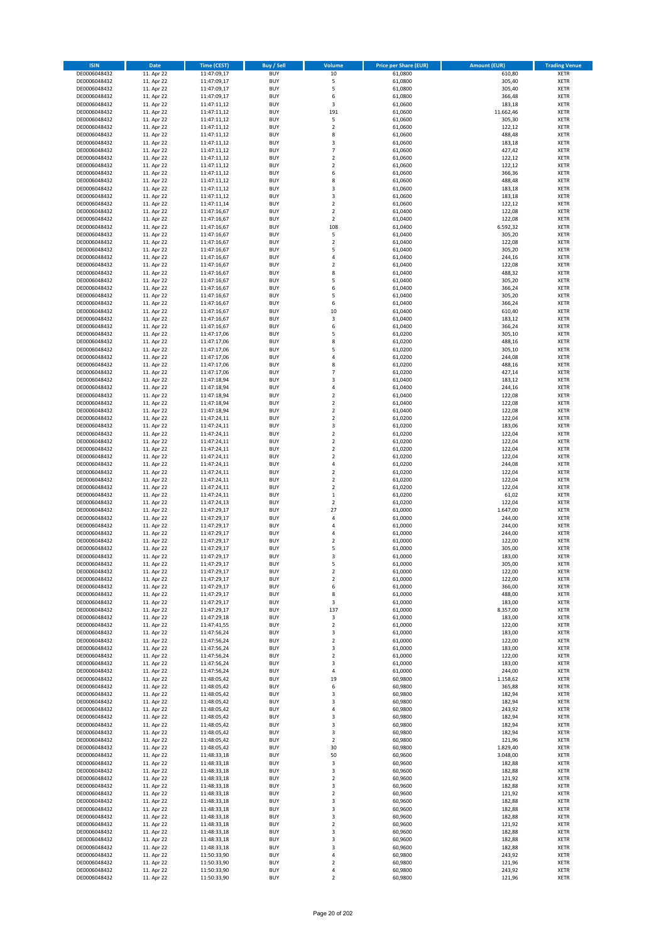| <b>ISIN</b>                  | <b>Date</b>              | <b>Time (CEST)</b>         | Buy / Sell               | Volume                                 | <b>Price per Share (EUR)</b> | <b>Amount (EUR)</b> | <b>Trading Venue</b>       |
|------------------------------|--------------------------|----------------------------|--------------------------|----------------------------------------|------------------------------|---------------------|----------------------------|
| DE0006048432                 | 11. Apr 22               | 11:47:09,17                | <b>BUY</b>               | 10                                     | 61,0800                      | 610,80              | <b>XETR</b>                |
| DE0006048432                 | 11. Apr 22               | 11:47:09,17                | <b>BUY</b>               | 5                                      | 61,0800                      | 305,40              | <b>XETR</b>                |
| DE0006048432                 | 11. Apr 22               | 11:47:09,17                | <b>BUY</b>               | 5                                      | 61,0800                      | 305,40              | <b>XETR</b>                |
| DE0006048432                 | 11. Apr 22               | 11:47:09,17                | <b>BUY</b>               | 6                                      | 61,0800                      | 366,48              | <b>XETR</b>                |
| DE0006048432<br>DE0006048432 | 11. Apr 22<br>11. Apr 22 | 11:47:11,12<br>11:47:11,12 | <b>BUY</b><br><b>BUY</b> | 3<br>191                               | 61,0600<br>61,0600           | 183,18<br>11.662,46 | <b>XETR</b><br><b>XETR</b> |
| DE0006048432                 | 11. Apr 22               | 11:47:11,12                | <b>BUY</b>               | 5                                      | 61,0600                      | 305,30              | <b>XETR</b>                |
| DE0006048432                 | 11. Apr 22               | 11:47:11,12                | <b>BUY</b>               | $\mathbf 2$                            | 61,0600                      | 122,12              | <b>XETR</b>                |
| DE0006048432                 | 11. Apr 22               | 11:47:11,12                | <b>BUY</b>               | 8                                      | 61,0600                      | 488,48              | <b>XETR</b>                |
| DE0006048432                 | 11. Apr 22               | 11:47:11,12                | <b>BUY</b>               | 3                                      | 61,0600                      | 183,18              | <b>XETR</b>                |
| DE0006048432                 | 11. Apr 22               | 11:47:11,12                | <b>BUY</b>               | $\overline{7}$                         | 61,0600                      | 427,42              | <b>XETR</b>                |
| DE0006048432                 | 11. Apr 22               | 11:47:11,12                | <b>BUY</b>               | $\mathbf 2$<br>$\mathbf 2$             | 61,0600                      | 122,12              | <b>XETR</b><br><b>XETR</b> |
| DE0006048432<br>DE0006048432 | 11. Apr 22<br>11. Apr 22 | 11:47:11,12<br>11:47:11,12 | <b>BUY</b><br><b>BUY</b> | 6                                      | 61,0600<br>61,0600           | 122,12<br>366,36    | <b>XETR</b>                |
| DE0006048432                 | 11. Apr 22               | 11:47:11,12                | <b>BUY</b>               | 8                                      | 61,0600                      | 488,48              | <b>XETR</b>                |
| DE0006048432                 | 11. Apr 22               | 11:47:11,12                | <b>BUY</b>               | 3                                      | 61,0600                      | 183,18              | <b>XETR</b>                |
| DE0006048432                 | 11. Apr 22               | 11:47:11,12                | <b>BUY</b>               | 3                                      | 61,0600                      | 183,18              | <b>XETR</b>                |
| DE0006048432                 | 11. Apr 22               | 11:47:11,14                | <b>BUY</b>               | $\mathbf 2$                            | 61,0600                      | 122,12              | <b>XETR</b>                |
| DE0006048432                 | 11. Apr 22               | 11:47:16,67                | <b>BUY</b>               | $\overline{\mathbf{c}}$                | 61,0400                      | 122,08              | <b>XETR</b>                |
| DE0006048432<br>DE0006048432 | 11. Apr 22<br>11. Apr 22 | 11:47:16,67<br>11:47:16,67 | <b>BUY</b><br><b>BUY</b> | $\mathbf 2$<br>108                     | 61,0400<br>61,0400           | 122,08<br>6.592,32  | <b>XETR</b><br><b>XETR</b> |
| DE0006048432                 | 11. Apr 22               | 11:47:16,67                | <b>BUY</b>               | 5                                      | 61,0400                      | 305,20              | <b>XETR</b>                |
| DE0006048432                 | 11. Apr 22               | 11:47:16,67                | <b>BUY</b>               | $\mathbf 2$                            | 61,0400                      | 122,08              | <b>XETR</b>                |
| DE0006048432                 | 11. Apr 22               | 11:47:16,67                | <b>BUY</b>               | 5                                      | 61,0400                      | 305,20              | <b>XETR</b>                |
| DE0006048432                 | 11. Apr 22               | 11:47:16,67                | <b>BUY</b>               | 4                                      | 61,0400                      | 244,16              | <b>XETR</b>                |
| DE0006048432                 | 11. Apr 22               | 11:47:16,67                | <b>BUY</b>               | $\mathbf 2$                            | 61,0400                      | 122,08              | <b>XETR</b>                |
| DE0006048432<br>DE0006048432 | 11. Apr 22<br>11. Apr 22 | 11:47:16,67<br>11:47:16,67 | <b>BUY</b><br><b>BUY</b> | 8<br>5                                 | 61,0400<br>61,0400           | 488,32<br>305,20    | <b>XETR</b><br><b>XETR</b> |
| DE0006048432                 | 11. Apr 22               | 11:47:16,67                | <b>BUY</b>               | 6                                      | 61,0400                      | 366,24              | <b>XETR</b>                |
| DE0006048432                 | 11. Apr 22               | 11:47:16,67                | <b>BUY</b>               | 5                                      | 61,0400                      | 305,20              | <b>XETR</b>                |
| DE0006048432                 | 11. Apr 22               | 11:47:16,67                | <b>BUY</b>               | 6                                      | 61,0400                      | 366,24              | <b>XETR</b>                |
| DE0006048432                 | 11. Apr 22               | 11:47:16,67                | <b>BUY</b>               | 10                                     | 61,0400                      | 610,40              | <b>XETR</b>                |
| DE0006048432                 | 11. Apr 22               | 11:47:16,67                | <b>BUY</b>               | 3                                      | 61,0400                      | 183,12              | <b>XETR</b>                |
| DE0006048432                 | 11. Apr 22               | 11:47:16,67                | <b>BUY</b>               | 6                                      | 61,0400                      | 366,24              | <b>XETR</b>                |
| DE0006048432<br>DE0006048432 | 11. Apr 22<br>11. Apr 22 | 11:47:17,06<br>11:47:17,06 | <b>BUY</b><br><b>BUY</b> | 5<br>8                                 | 61.0200<br>61,0200           | 305,10<br>488,16    | <b>XETR</b><br><b>XETR</b> |
| DE0006048432                 | 11. Apr 22               | 11:47:17,06                | <b>BUY</b>               | 5                                      | 61,0200                      | 305,10              | <b>XETR</b>                |
| DE0006048432                 | 11. Apr 22               | 11:47:17,06                | <b>BUY</b>               | 4                                      | 61,0200                      | 244,08              | <b>XETR</b>                |
| DE0006048432                 | 11. Apr 22               | 11:47:17,06                | <b>BUY</b>               | 8                                      | 61,0200                      | 488,16              | <b>XETR</b>                |
| DE0006048432                 | 11. Apr 22               | 11:47:17,06                | <b>BUY</b>               | $\overline{7}$                         | 61,0200                      | 427,14              | <b>XETR</b>                |
| DE0006048432                 | 11. Apr 22               | 11:47:18,94                | <b>BUY</b>               | 3                                      | 61,0400                      | 183,12              | <b>XETR</b>                |
| DE0006048432<br>DE0006048432 | 11. Apr 22<br>11. Apr 22 | 11:47:18,94                | <b>BUY</b><br><b>BUY</b> | 4<br>$\mathbf 2$                       | 61,0400<br>61,0400           | 244,16<br>122,08    | <b>XETR</b><br><b>XETR</b> |
| DE0006048432                 | 11. Apr 22               | 11:47:18,94<br>11:47:18,94 | <b>BUY</b>               | $\overline{\mathbf{c}}$                | 61,0400                      | 122,08              | <b>XETR</b>                |
| DE0006048432                 | 11. Apr 22               | 11:47:18,94                | <b>BUY</b>               | $\mathbf 2$                            | 61,0400                      | 122,08              | <b>XETR</b>                |
| DE0006048432                 | 11. Apr 22               | 11:47:24,11                | <b>BUY</b>               | $\overline{2}$                         | 61,0200                      | 122,04              | <b>XETR</b>                |
| DE0006048432                 | 11. Apr 22               | 11:47:24,11                | <b>BUY</b>               | 3                                      | 61,0200                      | 183,06              | <b>XETR</b>                |
| DE0006048432                 | 11. Apr 22               | 11:47:24,11                | <b>BUY</b>               | $\mathbf 2$                            | 61,0200                      | 122,04              | <b>XETR</b>                |
| DE0006048432<br>DE0006048432 | 11. Apr 22<br>11. Apr 22 | 11:47:24,11<br>11:47:24,11 | <b>BUY</b><br><b>BUY</b> | $\mathbf 2$<br>$\overline{\mathbf{c}}$ | 61,0200<br>61,0200           | 122,04<br>122,04    | <b>XETR</b><br><b>XETR</b> |
| DE0006048432                 | 11. Apr 22               | 11:47:24,11                | <b>BUY</b>               | $\mathbf 2$                            | 61,0200                      | 122,04              | <b>XETR</b>                |
| DE0006048432                 | 11. Apr 22               | 11:47:24,11                | <b>BUY</b>               | 4                                      | 61,0200                      | 244,08              | <b>XETR</b>                |
| DE0006048432                 | 11. Apr 22               | 11:47:24,11                | <b>BUY</b>               | $\mathbf 2$                            | 61,0200                      | 122,04              | <b>XETR</b>                |
| DE0006048432                 | 11. Apr 22               | 11:47:24,11                | <b>BUY</b>               | $\mathbf 2$                            | 61,0200                      | 122,04              | <b>XETR</b>                |
| DE0006048432                 | 11. Apr 22               | 11:47:24,11                | <b>BUY</b>               | $\mathbf 2$                            | 61,0200                      | 122,04              | <b>XETR</b>                |
| DE0006048432                 | 11. Apr 22               | 11:47:24,11                | <b>BUY</b>               | $\mathbf 1$                            | 61,0200                      | 61,02               | <b>XETR</b>                |
| DE0006048432<br>DE0006048432 | 11. Apr 22<br>11. Apr 22 | 11:47:24,13<br>11:47:29,17 | <b>BUY</b><br><b>BUY</b> | $\overline{\mathbf{c}}$<br>27          | 61,0200<br>61,0000           | 122,04<br>1.647,00  | <b>XETR</b><br><b>XETR</b> |
| DE0006048432                 | 11. Apr 22               | 11:47:29,17                | <b>BUY</b>               | 4                                      | 61,0000                      | 244,00              | <b>XETR</b>                |
| DE0006048432                 | 11. Apr 22               | 11:47:29,17                | <b>BUY</b>               | 4                                      | 61,0000                      | 244,00              | <b>XETR</b>                |
| DE0006048432                 | 11. Apr 22               | 11:47:29,17                | <b>BUY</b>               | 4                                      | 61,0000                      | 244,00              | <b>XETR</b>                |
| DE0006048432                 | 11. Apr 22               | 11:47:29,17                | <b>BUY</b>               | $\overline{\mathbf{c}}$                | 61,0000                      | 122,00              | <b>XETR</b>                |
| DE0006048432                 | 11. Apr 22               | 11:47:29,17                | <b>BUY</b>               | 5                                      | 61,0000                      | 305,00              | <b>XETR</b>                |
| DE0006048432<br>DE0006048432 | 11. Apr 22<br>11. Apr 22 | 11:47:29,17<br>11:47:29,17 | <b>BUY</b><br>BUY        | 3<br>5                                 | 61,0000<br>61,0000           | 183,00<br>305,00    | <b>XETR</b><br><b>XETR</b> |
| DE0006048432                 | 11. Apr 22               | 11:47:29,17                | <b>BUY</b>               | $\mathbf 2$                            | 61,0000                      | 122,00              | <b>XETR</b>                |
| DE0006048432                 | 11. Apr 22               | 11:47:29,17                | <b>BUY</b>               | $\mathbf 2$                            | 61,0000                      | 122,00              | <b>XETR</b>                |
| DE0006048432                 | 11. Apr 22               | 11:47:29,17                | <b>BUY</b>               | 6                                      | 61,0000                      | 366,00              | XETR                       |
| DE0006048432                 | 11. Apr 22               | 11:47:29,17                | <b>BUY</b>               | 8                                      | 61,0000                      | 488,00              | <b>XETR</b>                |
| DE0006048432                 | 11. Apr 22               | 11:47:29,17                | <b>BUY</b>               | 3                                      | 61,0000                      | 183,00              | <b>XETR</b>                |
| DE0006048432<br>DE0006048432 | 11. Apr 22<br>11. Apr 22 | 11:47:29,17<br>11:47:29,18 | <b>BUY</b><br><b>BUY</b> | 137<br>3                               | 61,0000<br>61,0000           | 8.357,00<br>183,00  | <b>XETR</b><br><b>XETR</b> |
| DE0006048432                 | 11. Apr 22               | 11:47:41,55                | <b>BUY</b>               | $\mathbf 2$                            | 61,0000                      | 122,00              | <b>XETR</b>                |
| DE0006048432                 | 11. Apr 22               | 11:47:56,24                | <b>BUY</b>               | 3                                      | 61,0000                      | 183,00              | <b>XETR</b>                |
| DE0006048432                 | 11. Apr 22               | 11:47:56,24                | <b>BUY</b>               | $\mathbf 2$                            | 61,0000                      | 122,00              | <b>XETR</b>                |
| DE0006048432                 | 11. Apr 22               | 11:47:56,24                | <b>BUY</b>               | 3                                      | 61,0000                      | 183,00              | <b>XETR</b>                |
| DE0006048432                 | 11. Apr 22               | 11:47:56,24                | <b>BUY</b>               | $\mathbf 2$                            | 61,0000                      | 122,00              | <b>XETR</b>                |
| DE0006048432<br>DE0006048432 | 11. Apr 22<br>11. Apr 22 | 11:47:56,24<br>11:47:56,24 | <b>BUY</b><br><b>BUY</b> | 3<br>4                                 | 61,0000<br>61,0000           | 183,00<br>244,00    | <b>XETR</b><br><b>XETR</b> |
| DE0006048432                 | 11. Apr 22               | 11:48:05,42                | <b>BUY</b>               | 19                                     | 60,9800                      | 1.158,62            | <b>XETR</b>                |
| DE0006048432                 | 11. Apr 22               | 11:48:05,42                | <b>BUY</b>               | 6                                      | 60,9800                      | 365,88              | <b>XETR</b>                |
| DE0006048432                 | 11. Apr 22               | 11:48:05,42                | <b>BUY</b>               | 3                                      | 60,9800                      | 182,94              | <b>XETR</b>                |
| DE0006048432                 | 11. Apr 22               | 11:48:05,42                | <b>BUY</b>               | 3                                      | 60,9800                      | 182,94              | XETR                       |
| DE0006048432                 | 11. Apr 22               | 11:48:05,42                | <b>BUY</b>               | 4                                      | 60,9800                      | 243,92              | <b>XETR</b>                |
| DE0006048432<br>DE0006048432 | 11. Apr 22<br>11. Apr 22 | 11:48:05,42<br>11:48:05,42 | <b>BUY</b><br><b>BUY</b> | 3<br>3                                 | 60,9800<br>60,9800           | 182,94<br>182,94    | <b>XETR</b><br><b>XETR</b> |
| DE0006048432                 | 11. Apr 22               | 11:48:05,42                | <b>BUY</b>               | 3                                      | 60,9800                      | 182,94              | <b>XETR</b>                |
| DE0006048432                 | 11. Apr 22               | 11:48:05,42                | <b>BUY</b>               | $\mathbf 2$                            | 60,9800                      | 121,96              | <b>XETR</b>                |
| DE0006048432                 | 11. Apr 22               | 11:48:05,42                | <b>BUY</b>               | 30                                     | 60,9800                      | 1.829,40            | <b>XETR</b>                |
| DE0006048432                 | 11. Apr 22               | 11:48:33,18                | <b>BUY</b>               | 50                                     | 60,9600                      | 3.048,00            | <b>XETR</b>                |
| DE0006048432                 | 11. Apr 22               | 11:48:33,18                | <b>BUY</b>               | 3                                      | 60,9600                      | 182,88              | <b>XETR</b>                |
| DE0006048432                 | 11. Apr 22               | 11:48:33,18                | <b>BUY</b>               | 3                                      | 60,9600                      | 182,88              | <b>XETR</b>                |
| DE0006048432<br>DE0006048432 | 11. Apr 22<br>11. Apr 22 | 11:48:33,18<br>11:48:33,18 | <b>BUY</b><br><b>BUY</b> | 2<br>3                                 | 60,9600<br>60,9600           | 121,92<br>182,88    | <b>XETR</b><br><b>XETR</b> |
| DE0006048432                 | 11. Apr 22               | 11:48:33,18                | <b>BUY</b>               | $\mathbf 2$                            | 60,9600                      | 121,92              | <b>XETR</b>                |
| DE0006048432                 | 11. Apr 22               | 11:48:33,18                | <b>BUY</b>               | 3                                      | 60,9600                      | 182,88              | <b>XETR</b>                |
| DE0006048432                 | 11. Apr 22               | 11:48:33,18                | <b>BUY</b>               | 3                                      | 60,9600                      | 182,88              | <b>XETR</b>                |
| DE0006048432                 | 11. Apr 22               | 11:48:33,18                | <b>BUY</b>               | 3                                      | 60,9600                      | 182,88              | <b>XETR</b>                |
| DE0006048432                 | 11. Apr 22               | 11:48:33,18                | <b>BUY</b>               | $\mathbf 2$                            | 60,9600                      | 121,92              | <b>XETR</b>                |
| DE0006048432<br>DE0006048432 | 11. Apr 22<br>11. Apr 22 | 11:48:33,18<br>11:48:33,18 | <b>BUY</b><br><b>BUY</b> | 3<br>3                                 | 60,9600<br>60,9600           | 182,88<br>182,88    | <b>XETR</b><br><b>XETR</b> |
| DE0006048432                 | 11. Apr 22               | 11:48:33,18                | <b>BUY</b>               | 3                                      | 60,9600                      | 182,88              | <b>XETR</b>                |
| DE0006048432                 | 11. Apr 22               | 11:50:33,90                | <b>BUY</b>               | 4                                      | 60,9800                      | 243,92              | <b>XETR</b>                |
| DE0006048432                 | 11. Apr 22               | 11:50:33,90                | <b>BUY</b>               | $\mathbf 2$                            | 60,9800                      | 121,96              | XETR                       |
| DE0006048432                 | 11. Apr 22               | 11:50:33,90                | <b>BUY</b>               | 4                                      | 60,9800                      | 243,92              | <b>XETR</b>                |
| DE0006048432                 | 11. Apr 22               | 11:50:33,90                | <b>BUY</b>               | $\overline{2}$                         | 60,9800                      | 121,96              | <b>XETR</b>                |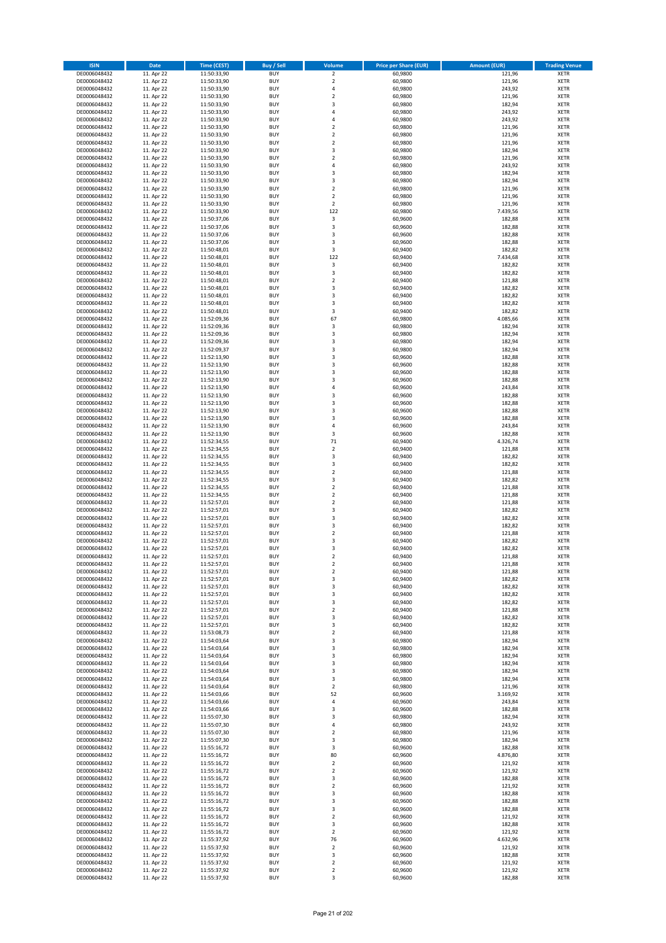| <b>ISIN</b>                  | <b>Date</b>              | <b>Time (CEST)</b>         | <b>Buy / Sell</b>        | Volume                       | <b>Price per Share (EUR)</b> | <b>Amount (EUR)</b> | <b>Trading Venue</b>       |
|------------------------------|--------------------------|----------------------------|--------------------------|------------------------------|------------------------------|---------------------|----------------------------|
| DE0006048432                 | 11. Apr 22               | 11:50:33,90                | <b>BUY</b>               | $\overline{2}$               | 60,9800                      | 121,96              | <b>XETR</b>                |
| DE0006048432                 | 11. Apr 22               | 11:50:33,90                | <b>BUY</b>               | $\mathbf 2$                  | 60,9800                      | 121,96              | <b>XETR</b>                |
| DE0006048432                 | 11. Apr 22               | 11:50:33,90                | <b>BUY</b>               | 4                            | 60,9800                      | 243,92              | <b>XETR</b>                |
| DE0006048432                 | 11. Apr 22               | 11:50:33,90                | <b>BUY</b>               | $\mathbf 2$                  | 60,9800                      | 121,96              | <b>XETR</b>                |
| DE0006048432<br>DE0006048432 | 11. Apr 22<br>11. Apr 22 | 11:50:33,90<br>11:50:33,90 | <b>BUY</b><br><b>BUY</b> | 3<br>4                       | 60,9800<br>60,9800           | 182,94<br>243,92    | <b>XETR</b><br><b>XETR</b> |
| DE0006048432                 | 11. Apr 22               | 11:50:33,90                | <b>BUY</b>               | 4                            | 60,9800                      | 243,92              | <b>XETR</b>                |
| DE0006048432                 | 11. Apr 22               | 11:50:33,90                | <b>BUY</b>               | $\mathbf 2$                  | 60,9800                      | 121,96              | <b>XETR</b>                |
| DE0006048432                 | 11. Apr 22               | 11:50:33,90                | <b>BUY</b>               | $\overline{2}$               | 60,9800                      | 121,96              | <b>XETR</b>                |
| DE0006048432                 | 11. Apr 22               | 11:50:33,90                | <b>BUY</b>               | $\overline{2}$               | 60,9800                      | 121,96              | <b>XETR</b>                |
| DE0006048432                 | 11. Apr 22               | 11:50:33,90                | <b>BUY</b>               | 3                            | 60,9800                      | 182,94              | <b>XETR</b>                |
| DE0006048432                 | 11. Apr 22               | 11:50:33,90                | <b>BUY</b>               | $\overline{\mathbf{c}}$      | 60,9800                      | 121,96              | <b>XETR</b><br><b>XETR</b> |
| DE0006048432<br>DE0006048432 | 11. Apr 22<br>11. Apr 22 | 11:50:33,90<br>11:50:33,90 | <b>BUY</b><br><b>BUY</b> | 4<br>3                       | 60,9800<br>60,9800           | 243,92<br>182,94    | <b>XETR</b>                |
| DE0006048432                 | 11. Apr 22               | 11:50:33,90                | <b>BUY</b>               | 3                            | 60,9800                      | 182,94              | <b>XETR</b>                |
| DE0006048432                 | 11. Apr 22               | 11:50:33,90                | <b>BUY</b>               | $\overline{\mathbf{c}}$      | 60,9800                      | 121,96              | <b>XETR</b>                |
| DE0006048432                 | 11. Apr 22               | 11:50:33,90                | <b>BUY</b>               | $\mathbf 2$                  | 60,9800                      | 121,96              | <b>XETR</b>                |
| DE0006048432                 | 11. Apr 22               | 11:50:33,90                | <b>BUY</b>               | $\mathbf 2$                  | 60,9800                      | 121,96              | <b>XETR</b>                |
| DE0006048432                 | 11. Apr 22               | 11:50:33,90                | <b>BUY</b>               | 122                          | 60,9800                      | 7.439,56            | <b>XETR</b>                |
| DE0006048432<br>DE0006048432 | 11. Apr 22<br>11. Apr 22 | 11:50:37,06<br>11:50:37,06 | <b>BUY</b><br><b>BUY</b> | $\mathsf 3$<br>3             | 60,9600<br>60,9600           | 182,88<br>182,88    | <b>XETR</b><br><b>XETR</b> |
| DE0006048432                 | 11. Apr 22               | 11:50:37,06                | <b>BUY</b>               | 3                            | 60,9600                      | 182,88              | <b>XETR</b>                |
| DE0006048432                 | 11. Apr 22               | 11:50:37,06                | <b>BUY</b>               | 3                            | 60,9600                      | 182,88              | <b>XETR</b>                |
| DE0006048432                 | 11. Apr 22               | 11:50:48,01                | <b>BUY</b>               | 3                            | 60,9400                      | 182,82              | <b>XETR</b>                |
| DE0006048432                 | 11. Apr 22               | 11:50:48,01                | <b>BUY</b>               | 122                          | 60,9400                      | 7.434,68            | <b>XETR</b>                |
| DE0006048432                 | 11. Apr 22               | 11:50:48,01                | <b>BUY</b>               | $\mathsf 3$                  | 60,9400                      | 182,82              | <b>XETR</b>                |
| DE0006048432                 | 11. Apr 22               | 11:50:48,01                | <b>BUY</b>               | 3                            | 60,9400                      | 182,82              | <b>XETR</b>                |
| DE0006048432<br>DE0006048432 | 11. Apr 22<br>11. Apr 22 | 11:50:48,01<br>11:50:48,01 | <b>BUY</b><br><b>BUY</b> | $\overline{\mathbf{c}}$<br>3 | 60,9400<br>60,9400           | 121,88<br>182,82    | <b>XETR</b><br><b>XETR</b> |
| DE0006048432                 | 11. Apr 22               | 11:50:48,01                | <b>BUY</b>               | 3                            | 60,9400                      | 182,82              | <b>XETR</b>                |
| DE0006048432                 | 11. Apr 22               | 11:50:48,01                | <b>BUY</b>               | 3                            | 60,9400                      | 182,82              | <b>XETR</b>                |
| DE0006048432                 | 11. Apr 22               | 11:50:48,01                | <b>BUY</b>               | 3                            | 60,9400                      | 182,82              | <b>XETR</b>                |
| DE0006048432                 | 11. Apr 22               | 11:52:09,36                | <b>BUY</b>               | 67                           | 60,9800                      | 4.085,66            | <b>XETR</b>                |
| DE0006048432                 | 11. Apr 22               | 11:52:09,36                | <b>BUY</b>               | 3                            | 60,9800                      | 182,94              | <b>XETR</b>                |
| DE0006048432<br>DE0006048432 | 11. Apr 22<br>11. Apr 22 | 11:52:09,36<br>11:52:09,36 | <b>BUY</b><br><b>BUY</b> | 3<br>3                       | 60,9800<br>60,9800           | 182,94<br>182,94    | <b>XETR</b><br><b>XETR</b> |
| DE0006048432                 | 11. Apr 22               | 11:52:09,37                | <b>BUY</b>               | 3                            | 60,9800                      | 182,94              | <b>XETR</b>                |
| DE0006048432                 | 11. Apr 22               | 11:52:13,90                | <b>BUY</b>               | 3                            | 60,9600                      | 182,88              | <b>XETR</b>                |
| DE0006048432                 | 11. Apr 22               | 11:52:13,90                | <b>BUY</b>               | 3                            | 60,9600                      | 182,88              | <b>XETR</b>                |
| DE0006048432                 | 11. Apr 22               | 11:52:13,90                | <b>BUY</b>               | 3                            | 60,9600                      | 182,88              | <b>XETR</b>                |
| DE0006048432                 | 11. Apr 22               | 11:52:13,90                | <b>BUY</b>               | 3                            | 60,9600                      | 182,88              | <b>XETR</b>                |
| DE0006048432                 | 11. Apr 22               | 11:52:13,90                | <b>BUY</b>               | 4                            | 60,9600                      | 243,84              | <b>XETR</b>                |
| DE0006048432<br>DE0006048432 | 11. Apr 22<br>11. Apr 22 | 11:52:13,90<br>11:52:13,90 | <b>BUY</b><br><b>BUY</b> | 3<br>3                       | 60,9600<br>60,9600           | 182,88<br>182,88    | <b>XETR</b><br><b>XETR</b> |
| DE0006048432                 | 11. Apr 22               | 11:52:13,90                | <b>BUY</b>               | 3                            | 60,9600                      | 182,88              | <b>XETR</b>                |
| DE0006048432                 | 11. Apr 22               | 11:52:13,90                | <b>BUY</b>               | 3                            | 60,9600                      | 182,88              | <b>XETR</b>                |
| DE0006048432                 | 11. Apr 22               | 11:52:13,90                | <b>BUY</b>               | 4                            | 60,9600                      | 243,84              | <b>XETR</b>                |
| DE0006048432                 | 11. Apr 22               | 11:52:13,90                | <b>BUY</b>               | 3                            | 60,9600                      | 182,88              | <b>XETR</b>                |
| DE0006048432                 | 11. Apr 22               | 11:52:34,55                | <b>BUY</b>               | 71                           | 60,9400                      | 4.326,74            | <b>XETR</b>                |
| DE0006048432                 | 11. Apr 22               | 11:52:34,55                | <b>BUY</b>               | $\mathbf 2$                  | 60,9400                      | 121,88              | <b>XETR</b>                |
| DE0006048432<br>DE0006048432 | 11. Apr 22<br>11. Apr 22 | 11:52:34,55                | <b>BUY</b><br><b>BUY</b> | 3<br>3                       | 60,9400<br>60,9400           | 182,82<br>182,82    | <b>XETR</b><br><b>XETR</b> |
| DE0006048432                 | 11. Apr 22               | 11:52:34,55<br>11:52:34,55 | <b>BUY</b>               | $\overline{\mathbf{c}}$      | 60,9400                      | 121,88              | <b>XETR</b>                |
| DE0006048432                 | 11. Apr 22               | 11:52:34,55                | <b>BUY</b>               | 3                            | 60,9400                      | 182,82              | <b>XETR</b>                |
| DE0006048432                 | 11. Apr 22               | 11:52:34,55                | <b>BUY</b>               | $\overline{\mathbf{c}}$      | 60,9400                      | 121,88              | <b>XETR</b>                |
| DE0006048432                 | 11. Apr 22               | 11:52:34,55                | <b>BUY</b>               | $\mathbf 2$                  | 60,9400                      | 121,88              | <b>XETR</b>                |
| DE0006048432                 | 11. Apr 22               | 11:52:57,01                | <b>BUY</b>               | $\overline{\mathbf{c}}$      | 60,9400                      | 121,88              | <b>XETR</b>                |
| DE0006048432                 | 11. Apr 22               | 11:52:57,01                | <b>BUY</b>               | 3                            | 60,9400                      | 182,82              | <b>XETR</b>                |
| DE0006048432<br>DE0006048432 | 11. Apr 22<br>11. Apr 22 | 11:52:57,01<br>11:52:57,01 | <b>BUY</b><br><b>BUY</b> | 3<br>3                       | 60,9400<br>60,9400           | 182,82<br>182,82    | <b>XETR</b><br><b>XETR</b> |
| DE0006048432                 | 11. Apr 22               | 11:52:57,01                | <b>BUY</b>               | $\mathbf 2$                  | 60,9400                      | 121,88              | <b>XETR</b>                |
| DE0006048432                 | 11. Apr 22               | 11:52:57,01                | <b>BUY</b>               | 3                            | 60,9400                      | 182,82              | <b>XETR</b>                |
| DE0006048432                 | 11. Apr 22               | 11:52:57,01                | <b>BUY</b>               | 3                            | 60,9400                      | 182,82              | <b>XETR</b>                |
| DE0006048432                 | 11. Apr 22               | 11:52:57,01                | <b>BUY</b>               | $\overline{2}$               | 60,9400                      | 121,88              | <b>XETR</b>                |
| DE0006048432                 | 11. Apr 22               | 11:52:57,01                | BUY                      | 2                            | 60,9400                      | 121,88              | <b>XETR</b>                |
| DE0006048432                 | 11. Apr 22               | 11:52:57,01                | <b>BUY</b>               | $\mathbf 2$                  | 60,9400<br>60,9400           | 121,88              | <b>XETR</b>                |
| DE0006048432<br>DE0006048432 | 11. Apr 22<br>11. Apr 22 | 11:52:57,01<br>11:52:57,01 | <b>BUY</b><br><b>BUY</b> | 3<br>3                       | 60,9400                      | 182,82<br>182,82    | <b>XETR</b><br>XETR        |
| DE0006048432                 | 11. Apr 22               | 11:52:57,01                | <b>BUY</b>               | 3                            | 60,9400                      | 182,82              | <b>XETR</b>                |
| DE0006048432                 | 11. Apr 22               | 11:52:57,01                | <b>BUY</b>               | 3                            | 60,9400                      | 182,82              | <b>XETR</b>                |
| DE0006048432                 | 11. Apr 22               | 11:52:57,01                | <b>BUY</b>               | $\mathbf 2$                  | 60,9400                      | 121,88              | <b>XETR</b>                |
| DE0006048432                 | 11. Apr 22               | 11:52:57,01                | <b>BUY</b>               | 3                            | 60,9400                      | 182,82              | <b>XETR</b>                |
| DE0006048432                 | 11. Apr 22               | 11:52:57,01                | <b>BUY</b>               | 3                            | 60,9400                      | 182,82              | <b>XETR</b>                |
| DE0006048432                 | 11. Apr 22<br>11. Apr 22 | 11:53:08,73                | <b>BUY</b><br><b>BUY</b> | $\mathbf 2$                  | 60,9400                      | 121,88              | <b>XETR</b>                |
| DE0006048432<br>DE0006048432 | 11. Apr 22               | 11:54:03,64<br>11:54:03,64 | <b>BUY</b>               | 3<br>3                       | 60,9800<br>60,9800           | 182,94<br>182,94    | <b>XETR</b><br><b>XETR</b> |
| DE0006048432                 | 11. Apr 22               | 11:54:03,64                | <b>BUY</b>               | 3                            | 60,9800                      | 182,94              | <b>XETR</b>                |
| DE0006048432                 | 11. Apr 22               | 11:54:03,64                | <b>BUY</b>               | 3                            | 60,9800                      | 182,94              | <b>XETR</b>                |
| DE0006048432                 | 11. Apr 22               | 11:54:03,64                | <b>BUY</b>               | 3                            | 60,9800                      | 182,94              | <b>XETR</b>                |
| DE0006048432                 | 11. Apr 22               | 11:54:03,64                | <b>BUY</b>               | 3                            | 60,9800                      | 182,94              | <b>XETR</b>                |
| DE0006048432                 | 11. Apr 22               | 11:54:03,64                | <b>BUY</b>               | $\mathbf 2$                  | 60,9800                      | 121,96              | <b>XETR</b>                |
| DE0006048432                 | 11. Apr 22               | 11:54:03,66                | <b>BUY</b>               | 52                           | 60,9600                      | 3.169,92            | <b>XETR</b>                |
| DE0006048432<br>DE0006048432 | 11. Apr 22<br>11. Apr 22 | 11:54:03,66<br>11:54:03,66 | <b>BUY</b><br><b>BUY</b> | 4<br>3                       | 60,9600<br>60,9600           | 243,84<br>182,88    | XETR<br><b>XETR</b>        |
| DE0006048432                 | 11. Apr 22               | 11:55:07,30                | <b>BUY</b>               | 3                            | 60,9800                      | 182,94              | <b>XETR</b>                |
| DE0006048432                 | 11. Apr 22               | 11:55:07,30                | <b>BUY</b>               | 4                            | 60,9800                      | 243,92              | <b>XETR</b>                |
| DE0006048432                 | 11. Apr 22               | 11:55:07,30                | <b>BUY</b>               | $\overline{\mathbf{c}}$      | 60,9800                      | 121,96              | <b>XETR</b>                |
| DE0006048432                 | 11. Apr 22               | 11:55:07,30                | <b>BUY</b>               | 3                            | 60,9800                      | 182,94              | <b>XETR</b>                |
| DE0006048432                 | 11. Apr 22               | 11:55:16,72                | <b>BUY</b>               | 3                            | 60,9600                      | 182,88              | <b>XETR</b>                |
| DE0006048432                 | 11. Apr 22               | 11:55:16,72                | <b>BUY</b>               | 80                           | 60,9600                      | 4.876,80            | <b>XETR</b>                |
| DE0006048432                 | 11. Apr 22               | 11:55:16,72                | <b>BUY</b>               | 2                            | 60,9600                      | 121,92              | <b>XETR</b>                |
| DE0006048432<br>DE0006048432 | 11. Apr 22<br>11. Apr 22 | 11:55:16,72<br>11:55:16,72 | <b>BUY</b><br><b>BUY</b> | $\overline{2}$<br>3          | 60,9600<br>60,9600           | 121,92<br>182,88    | <b>XETR</b><br><b>XETR</b> |
| DE0006048432                 | 11. Apr 22               | 11:55:16,72                | <b>BUY</b>               | $\overline{\mathbf{c}}$      | 60,9600                      | 121,92              | <b>XETR</b>                |
| DE0006048432                 | 11. Apr 22               | 11:55:16,72                | <b>BUY</b>               | 3                            | 60,9600                      | 182,88              | <b>XETR</b>                |
| DE0006048432                 | 11. Apr 22               | 11:55:16,72                | <b>BUY</b>               | 3                            | 60,9600                      | 182,88              | <b>XETR</b>                |
| DE0006048432                 | 11. Apr 22               | 11:55:16,72                | <b>BUY</b>               | 3                            | 60,9600                      | 182,88              | <b>XETR</b>                |
| DE0006048432                 | 11. Apr 22               | 11:55:16,72                | <b>BUY</b>               | $\mathbf 2$                  | 60,9600                      | 121,92              | <b>XETR</b>                |
| DE0006048432                 | 11. Apr 22               | 11:55:16,72                | <b>BUY</b>               | 3                            | 60,9600                      | 182,88              | <b>XETR</b>                |
| DE0006048432<br>DE0006048432 | 11. Apr 22<br>11. Apr 22 | 11:55:16,72<br>11:55:37,92 | <b>BUY</b><br><b>BUY</b> | $\mathbf 2$<br>76            | 60,9600<br>60,9600           | 121,92<br>4.632,96  | <b>XETR</b><br><b>XETR</b> |
| DE0006048432                 | 11. Apr 22               | 11:55:37,92                | <b>BUY</b>               | $\mathbf 2$                  | 60,9600                      | 121,92              | XETR                       |
| DE0006048432                 | 11. Apr 22               | 11:55:37,92                | <b>BUY</b>               | 3                            | 60,9600                      | 182,88              | <b>XETR</b>                |
| DE0006048432                 | 11. Apr 22               | 11:55:37,92                | <b>BUY</b>               | $\mathbf 2$                  | 60,9600                      | 121,92              | <b>XETR</b>                |
| DE0006048432                 | 11. Apr 22               | 11:55:37,92                | <b>BUY</b>               | $\mathbf 2$                  | 60,9600                      | 121,92              | <b>XETR</b>                |
| DE0006048432                 | 11. Apr 22               | 11:55:37,92                | <b>BUY</b>               | 3                            | 60,9600                      | 182,88              | <b>XETR</b>                |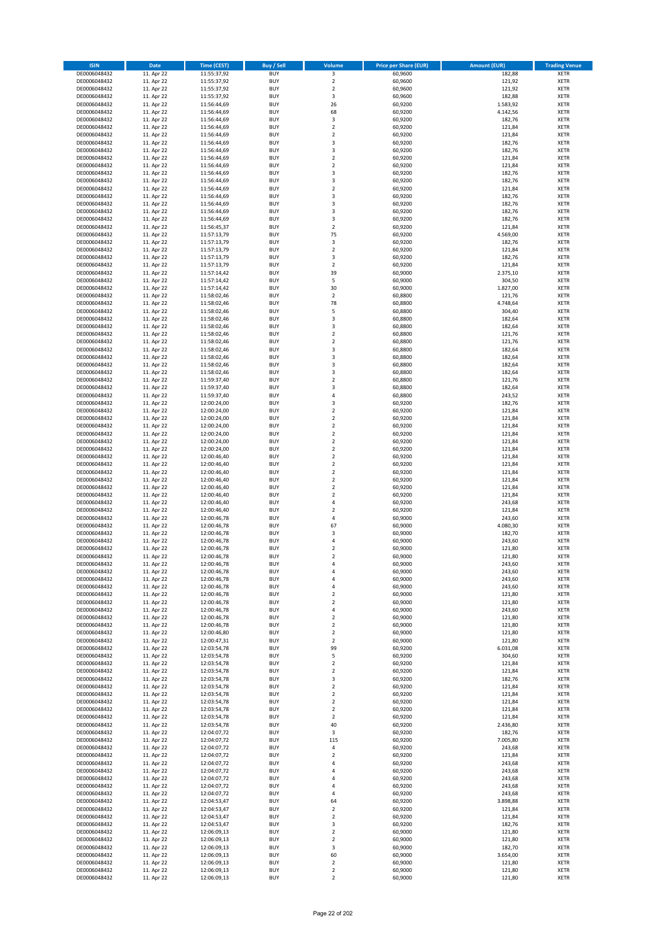| <b>ISIN</b>                  | <b>Date</b>              | <b>Time (CEST)</b>         | <b>Buy / Sell</b>        | Volume                                 | <b>Price per Share (EUR)</b> | <b>Amount (EUR)</b> | <b>Trading Venue</b>       |
|------------------------------|--------------------------|----------------------------|--------------------------|----------------------------------------|------------------------------|---------------------|----------------------------|
| DE0006048432                 | 11. Apr 22               | 11:55:37,92                | <b>BUY</b>               | $\overline{\mathbf{3}}$                | 60,9600                      | 182,88              | <b>XETR</b>                |
| DE0006048432                 | 11. Apr 22               | 11:55:37,92                | <b>BUY</b>               | $\mathbf 2$                            | 60,9600                      | 121,92              | <b>XETR</b>                |
| DE0006048432                 | 11. Apr 22               | 11:55:37,92                | <b>BUY</b>               | $\overline{2}$                         | 60,9600                      | 121,92              | <b>XETR</b>                |
| DE0006048432                 | 11. Apr 22               | 11:55:37,92                | <b>BUY</b>               | 3                                      | 60,9600                      | 182,88              | <b>XETR</b>                |
| DE0006048432                 | 11. Apr 22               | 11:56:44,69                | <b>BUY</b>               | 26                                     | 60,9200                      | 1.583,92            | <b>XETR</b>                |
| DE0006048432                 | 11. Apr 22               | 11:56:44,69                | <b>BUY</b>               | 68                                     | 60,9200                      | 4.142,56            | <b>XETR</b>                |
| DE0006048432                 | 11. Apr 22               | 11:56:44,69                | <b>BUY</b>               | 3                                      | 60,9200                      | 182,76              | <b>XETR</b>                |
| DE0006048432                 | 11. Apr 22               | 11:56:44,69                | <b>BUY</b>               | $\mathbf 2$                            | 60,9200                      | 121,84              | <b>XETR</b>                |
| DE0006048432                 | 11. Apr 22               | 11:56:44,69                | <b>BUY</b>               | $\overline{2}$                         | 60,9200                      | 121,84              | <b>XETR</b>                |
| DE0006048432                 | 11. Apr 22               | 11:56:44,69                | <b>BUY</b>               | 3                                      | 60,9200                      | 182,76              | <b>XETR</b>                |
| DE0006048432                 | 11. Apr 22               | 11:56:44,69                | <b>BUY</b>               | 3                                      | 60,9200                      | 182,76              | <b>XETR</b>                |
| DE0006048432                 | 11. Apr 22               | 11:56:44,69                | <b>BUY</b>               | $\overline{\mathbf{c}}$                | 60,9200                      | 121,84              | <b>XETR</b>                |
| DE0006048432                 | 11. Apr 22               | 11:56:44,69                | <b>BUY</b>               | $\mathbf 2$                            | 60,9200                      | 121,84              | <b>XETR</b>                |
| DE0006048432                 | 11. Apr 22               | 11:56:44,69                | <b>BUY</b><br><b>BUY</b> | 3                                      | 60,9200                      | 182,76              | <b>XETR</b>                |
| DE0006048432<br>DE0006048432 | 11. Apr 22<br>11. Apr 22 | 11:56:44,69<br>11:56:44,69 | <b>BUY</b>               | 3<br>$\overline{\mathbf{c}}$           | 60,9200<br>60,9200           | 182,76<br>121,84    | <b>XETR</b><br><b>XETR</b> |
| DE0006048432                 | 11. Apr 22               | 11:56:44,69                | <b>BUY</b>               | 3                                      | 60,9200                      | 182,76              | <b>XETR</b>                |
| DE0006048432                 | 11. Apr 22               | 11:56:44,69                | <b>BUY</b>               | 3                                      | 60,9200                      | 182,76              | <b>XETR</b>                |
| DE0006048432                 | 11. Apr 22               | 11:56:44,69                | <b>BUY</b>               | 3                                      | 60,9200                      | 182,76              | <b>XETR</b>                |
| DE0006048432                 | 11. Apr 22               | 11:56:44,69                | <b>BUY</b>               | 3                                      | 60,9200                      | 182,76              | <b>XETR</b>                |
| DE0006048432                 | 11. Apr 22               | 11:56:45,37                | <b>BUY</b>               | $\overline{\mathbf{c}}$                | 60,9200                      | 121,84              | <b>XETR</b>                |
| DE0006048432                 | 11. Apr 22               | 11:57:13,79                | <b>BUY</b>               | 75                                     | 60,9200                      | 4.569,00            | <b>XETR</b>                |
| DE0006048432                 | 11. Apr 22               | 11:57:13,79                | <b>BUY</b>               | 3                                      | 60,9200                      | 182,76              | <b>XETR</b>                |
| DE0006048432                 | 11. Apr 22               | 11:57:13,79                | <b>BUY</b>               | $\mathbf 2$                            | 60,9200                      | 121,84              | <b>XETR</b>                |
| DE0006048432                 | 11. Apr 22               | 11:57:13,79                | <b>BUY</b>               | 3                                      | 60,9200                      | 182,76              | <b>XETR</b>                |
| DE0006048432                 | 11. Apr 22               | 11:57:13,79                | <b>BUY</b>               | $\mathbf 2$                            | 60,9200                      | 121,84              | <b>XETR</b>                |
| DE0006048432                 | 11. Apr 22               | 11:57:14,42                | <b>BUY</b>               | 39                                     | 60,9000                      | 2.375,10            | <b>XETR</b>                |
| DE0006048432                 | 11. Apr 22               | 11:57:14,42                | <b>BUY</b>               | 5                                      | 60,9000                      | 304,50              | <b>XETR</b>                |
| DE0006048432                 | 11. Apr 22               | 11:57:14,42                | <b>BUY</b>               | 30                                     | 60,9000                      | 1.827,00            | <b>XETR</b>                |
| DE0006048432                 | 11. Apr 22               | 11:58:02,46                | <b>BUY</b>               | $\overline{2}$                         | 60,8800                      | 121,76              | <b>XETR</b>                |
| DE0006048432                 | 11. Apr 22               | 11:58:02,46                | <b>BUY</b>               | 78                                     | 60,8800                      | 4.748,64            | <b>XETR</b>                |
| DE0006048432                 | 11. Apr 22               | 11:58:02,46                | <b>BUY</b>               | 5                                      | 60,8800                      | 304,40              | <b>XETR</b>                |
| DE0006048432                 | 11. Apr 22               | 11:58:02,46                | <b>BUY</b>               | 3                                      | 60,8800                      | 182,64              | <b>XETR</b>                |
| DE0006048432                 | 11. Apr 22               | 11:58:02,46                | <b>BUY</b>               | 3                                      | 60,8800                      | 182,64              | <b>XETR</b>                |
| DE0006048432                 | 11. Apr 22               | 11:58:02,46                | <b>BUY</b><br><b>BUY</b> | $\mathbf 2$<br>$\overline{\mathbf{c}}$ | 60,8800                      | 121,76<br>121,76    | <b>XETR</b><br><b>XETR</b> |
| DE0006048432<br>DE0006048432 | 11. Apr 22<br>11. Apr 22 | 11:58:02,46<br>11:58:02,46 | <b>BUY</b>               | 3                                      | 60,8800<br>60,8800           | 182,64              | <b>XETR</b>                |
| DE0006048432                 | 11. Apr 22               | 11:58:02,46                | <b>BUY</b>               | 3                                      | 60,8800                      | 182,64              | <b>XETR</b>                |
| DE0006048432                 | 11. Apr 22               | 11:58:02,46                | <b>BUY</b>               | 3                                      | 60,8800                      | 182,64              | <b>XETR</b>                |
| DE0006048432                 | 11. Apr 22               | 11:58:02,46                | <b>BUY</b>               | 3                                      | 60,8800                      | 182,64              | <b>XETR</b>                |
| DE0006048432                 | 11. Apr 22               | 11:59:37,40                | <b>BUY</b>               | $\overline{\mathbf{c}}$                | 60,8800                      | 121,76              | <b>XETR</b>                |
| DE0006048432                 | 11. Apr 22               | 11:59:37,40                | <b>BUY</b>               | 3                                      | 60,8800                      | 182,64              | <b>XETR</b>                |
| DE0006048432                 | 11. Apr 22               | 11:59:37,40                | <b>BUY</b>               | 4                                      | 60,8800                      | 243,52              | <b>XETR</b>                |
| DE0006048432                 | 11. Apr 22               | 12:00:24,00                | <b>BUY</b>               | 3                                      | 60,9200                      | 182,76              | <b>XETR</b>                |
| DE0006048432                 | 11. Apr 22               | 12:00:24,00                | <b>BUY</b>               | $\mathbf 2$                            | 60,9200                      | 121,84              | <b>XETR</b>                |
| DE0006048432                 | 11. Apr 22               | 12:00:24,00                | <b>BUY</b>               | $\overline{2}$                         | 60,9200                      | 121,84              | <b>XETR</b>                |
| DE0006048432                 | 11. Apr 22               | 12:00:24,00                | <b>BUY</b>               | $\mathbf 2$                            | 60,9200                      | 121,84              | <b>XETR</b>                |
| DE0006048432                 | 11. Apr 22               | 12:00:24,00                | <b>BUY</b>               | $\mathbf 2$                            | 60,9200                      | 121,84              | <b>XETR</b>                |
| DE0006048432                 | 11. Apr 22               | 12:00:24,00                | <b>BUY</b>               | $\mathbf 2$                            | 60,9200                      | 121,84              | <b>XETR</b>                |
| DE0006048432                 | 11. Apr 22               | 12:00:24,00                | <b>BUY</b>               | $\mathbf 2$                            | 60,9200                      | 121,84              | <b>XETR</b>                |
| DE0006048432                 | 11. Apr 22               | 12:00:46,40                | <b>BUY</b>               | $\mathbf 2$                            | 60,9200                      | 121,84              | <b>XETR</b>                |
| DE0006048432                 | 11. Apr 22               | 12:00:46,40                | <b>BUY</b>               | $\mathbf 2$                            | 60,9200                      | 121,84              | <b>XETR</b>                |
| DE0006048432                 | 11. Apr 22               | 12:00:46,40                | <b>BUY</b>               | $\overline{2}$                         | 60,9200                      | 121,84              | <b>XETR</b>                |
| DE0006048432<br>DE0006048432 | 11. Apr 22               | 12:00:46,40                | <b>BUY</b><br><b>BUY</b> | $\mathbf 2$<br>$\mathbf 2$             | 60,9200                      | 121,84              | <b>XETR</b><br><b>XETR</b> |
|                              | 11. Apr 22               | 12:00:46,40                |                          | $\mathbf 2$                            | 60,9200                      | 121,84              |                            |
| DE0006048432<br>DE0006048432 | 11. Apr 22<br>11. Apr 22 | 12:00:46,40<br>12:00:46,40 | <b>BUY</b><br><b>BUY</b> | 4                                      | 60,9200<br>60,9200           | 121,84<br>243,68    | <b>XETR</b><br><b>XETR</b> |
| DE0006048432                 | 11. Apr 22               | 12:00:46,40                | <b>BUY</b>               | $\mathbf 2$                            | 60,9200                      | 121,84              | <b>XETR</b>                |
| DE0006048432                 | 11. Apr 22               | 12:00:46,78                | <b>BUY</b>               | 4                                      | 60,9000                      | 243,60              | <b>XETR</b>                |
| DE0006048432                 | 11. Apr 22               | 12:00:46,78                | <b>BUY</b>               | 67                                     | 60,9000                      | 4.080,30            | <b>XETR</b>                |
| DE0006048432                 | 11. Apr 22               | 12:00:46,78                | <b>BUY</b>               | 3                                      | 60,9000                      | 182,70              | <b>XETR</b>                |
| DE0006048432                 | 11. Apr 22               | 12:00:46,78                | <b>BUY</b>               | 4                                      | 60,9000                      | 243,60              | <b>XETR</b>                |
| DE0006048432                 | 11. Apr 22               | 12:00:46,78                | <b>BUY</b>               | $\overline{\mathbf{c}}$                | 60,9000                      | 121,80              | <b>XETR</b>                |
| DE0006048432                 | 11. Apr 22               | 12:00:46,78                | <b>BUY</b>               | $\overline{2}$                         | 60,9000                      | 121,80              | <b>XETR</b>                |
| DE0006048432                 | 11. Apr 22               | 12:00:46,78                | BUY                      | 4                                      | 60,9000                      | 243,60              | <b>XETR</b>                |
| DE0006048432                 | 11. Apr 22               | 12:00:46,78                | <b>BUY</b>               | 4                                      | 60,9000                      | 243,60              | XETR                       |
| DE0006048432                 | 11. Apr 22               | 12:00:46,78                | <b>BUY</b>               | 4                                      | 60,9000                      | 243,60              | XETR                       |
| DE0006048432                 | 11. Apr 22               | 12:00:46,78                | <b>BUY</b>               | 4                                      | 60,9000                      | 243,60              | XETR                       |
| DE0006048432                 | 11. Apr 22               | 12:00:46,78                | <b>BUY</b>               | $\mathbf 2$                            | 60,9000                      | 121,80              | <b>XETR</b>                |
| DE0006048432                 | 11. Apr 22               | 12:00:46,78                | <b>BUY</b>               | $\mathbf 2$                            | 60,9000                      | 121,80              | <b>XETR</b>                |
| DE0006048432                 | 11. Apr 22               | 12:00:46,78                | <b>BUY</b>               | 4                                      | 60,9000                      | 243,60              | <b>XETR</b>                |
| DE0006048432                 | 11. Apr 22               | 12:00:46,78                | <b>BUY</b>               | $\mathbf 2$                            | 60,9000                      | 121,80              | <b>XETR</b>                |
| DE0006048432                 | 11. Apr 22               | 12:00:46,78                | <b>BUY</b>               | $\overline{2}$                         | 60,9000                      | 121,80              | <b>XETR</b>                |
| DE0006048432                 | 11. Apr 22               | 12:00:46,80                | <b>BUY</b>               | $\mathbf 2$                            | 60,9000                      | 121,80              | <b>XETR</b>                |
| DE0006048432<br>DE0006048432 | 11. Apr 22               | 12:00:47,31                | <b>BUY</b><br><b>BUY</b> | $\mathbf 2$<br>99                      | 60,9000<br>60,9200           | 121,80<br>6.031,08  | <b>XETR</b><br><b>XETR</b> |
| DE0006048432                 | 11. Apr 22<br>11. Apr 22 | 12:03:54,78<br>12:03:54,78 | <b>BUY</b>               | 5                                      | 60,9200                      | 304,60              | <b>XETR</b>                |
| DE0006048432                 | 11. Apr 22               | 12:03:54,78                | <b>BUY</b>               | $\overline{2}$                         | 60,9200                      | 121,84              | <b>XETR</b>                |
| DE0006048432                 | 11. Apr 22               | 12:03:54,78                | <b>BUY</b>               | $\mathbf 2$                            | 60,9200                      | 121,84              | <b>XETR</b>                |
| DE0006048432                 | 11. Apr 22               | 12:03:54,78                | <b>BUY</b>               | 3                                      | 60,9200                      | 182,76              | <b>XETR</b>                |
| DE0006048432                 | 11. Apr 22               | 12:03:54,78                | <b>BUY</b>               | $\mathbf 2$                            | 60,9200                      | 121,84              | <b>XETR</b>                |
| DE0006048432                 | 11. Apr 22               | 12:03:54,78                | <b>BUY</b>               | $\mathbf 2$                            | 60,9200                      | 121,84              | <b>XETR</b>                |
| DE0006048432                 | 11. Apr 22               | 12:03:54,78                | <b>BUY</b>               | $\mathbf 2$                            | 60,9200                      | 121,84              | XETR                       |
| DE0006048432                 | 11. Apr 22               | 12:03:54,78                | <b>BUY</b>               | $\mathbf 2$                            | 60,9200                      | 121,84              | <b>XETR</b>                |
| DE0006048432                 | 11. Apr 22               | 12:03:54,78                | <b>BUY</b>               | $\overline{2}$                         | 60,9200                      | 121,84              | <b>XETR</b>                |
| DE0006048432                 | 11. Apr 22               | 12:03:54,78                | <b>BUY</b>               | 40                                     | 60,9200                      | 2.436,80            | <b>XETR</b>                |
| DE0006048432                 | 11. Apr 22               | 12:04:07,72                | <b>BUY</b>               | 3                                      | 60,9200                      | 182,76              | <b>XETR</b>                |
| DE0006048432                 | 11. Apr 22               | 12:04:07,72                | <b>BUY</b>               | 115                                    | 60,9200                      | 7.005,80            | <b>XETR</b>                |
| DE0006048432                 | 11. Apr 22               | 12:04:07,72                | <b>BUY</b>               | 4                                      | 60,9200                      | 243,68              | <b>XETR</b>                |
| DE0006048432                 | 11. Apr 22               | 12:04:07,72                | <b>BUY</b>               | $\mathbf 2$                            | 60,9200                      | 121,84              | XETR                       |
| DE0006048432                 | 11. Apr 22               | 12:04:07,72                | <b>BUY</b>               | 4                                      | 60,9200                      | 243,68              | <b>XETR</b>                |
| DE0006048432                 | 11. Apr 22               | 12:04:07,72                | <b>BUY</b>               | 4                                      | 60,9200                      | 243,68              | <b>XETR</b>                |
| DE0006048432                 | 11. Apr 22               | 12:04:07,72                | <b>BUY</b>               | 4                                      | 60,9200                      | 243,68              | <b>XETR</b>                |
| DE0006048432                 | 11. Apr 22               | 12:04:07,72                | <b>BUY</b><br><b>BUY</b> | 4<br>4                                 | 60,9200                      | 243,68              | XETR                       |
| DE0006048432<br>DE0006048432 | 11. Apr 22<br>11. Apr 22 | 12:04:07,72<br>12:04:53,47 | <b>BUY</b>               | 64                                     | 60,9200<br>60,9200           | 243,68<br>3.898,88  | <b>XETR</b><br><b>XETR</b> |
| DE0006048432                 | 11. Apr 22               | 12:04:53,47                | <b>BUY</b>               | $\mathbf 2$                            | 60,9200                      | 121,84              | <b>XETR</b>                |
| DE0006048432                 | 11. Apr 22               | 12:04:53,47                | <b>BUY</b>               | $\overline{2}$                         | 60,9200                      | 121,84              | <b>XETR</b>                |
| DE0006048432                 | 11. Apr 22               | 12:04:53,47                | <b>BUY</b>               | 3                                      | 60,9200                      | 182,76              | <b>XETR</b>                |
| DE0006048432                 | 11. Apr 22               | 12:06:09,13                | <b>BUY</b>               | $\mathbf 2$                            | 60,9000                      | 121,80              | <b>XETR</b>                |
| DE0006048432                 | 11. Apr 22               | 12:06:09,13                | <b>BUY</b>               | $\overline{2}$                         | 60,9000                      | 121,80              | <b>XETR</b>                |
| DE0006048432                 | 11. Apr 22               | 12:06:09,13                | <b>BUY</b>               | 3                                      | 60,9000                      | 182,70              | <b>XETR</b>                |
| DE0006048432                 | 11. Apr 22               | 12:06:09,13                | <b>BUY</b>               | 60                                     | 60,9000                      | 3.654,00            | <b>XETR</b>                |
| DE0006048432                 | 11. Apr 22               | 12:06:09,13                | <b>BUY</b>               | $\mathbf 2$                            | 60,9000                      | 121,80              | <b>XETR</b>                |
| DE0006048432                 | 11. Apr 22               | 12:06:09,13                | <b>BUY</b>               | $\mathbf 2$                            | 60,9000                      | 121,80              | <b>XETR</b>                |
| DE0006048432                 | 11. Apr 22               | 12:06:09,13                | <b>BUY</b>               | $\mathbf 2$                            | 60,9000                      | 121,80              | XETR                       |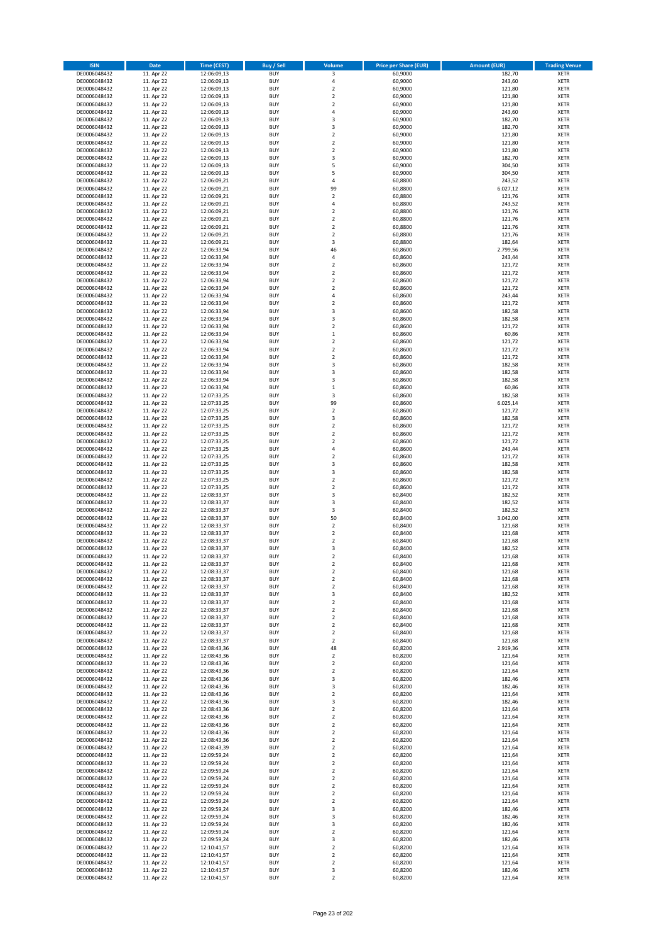| <b>ISIN</b>                  | <b>Date</b>              | <b>Time (CEST)</b>         | <b>Buy / Sell</b>        | <b>Volume</b>                          | <b>Price per Share (EUR)</b> | <b>Amount (EUR)</b> | <b>Trading Venue</b>       |
|------------------------------|--------------------------|----------------------------|--------------------------|----------------------------------------|------------------------------|---------------------|----------------------------|
| DE0006048432                 | 11. Apr 22               | 12:06:09,13                | <b>BUY</b>               | 3                                      | 60,9000                      | 182,70              | <b>XETR</b>                |
| DE0006048432                 | 11. Apr 22               | 12:06:09,13                | <b>BUY</b>               | 4                                      | 60,9000                      | 243,60              | <b>XETR</b>                |
| DE0006048432                 | 11. Apr 22               | 12:06:09,13                | <b>BUY</b>               | $\overline{\mathbf{c}}$                | 60,9000                      | 121,80              | <b>XETR</b>                |
| DE0006048432<br>DE0006048432 | 11. Apr 22<br>11. Apr 22 | 12:06:09,13<br>12:06:09,13 | <b>BUY</b><br><b>BUY</b> | $\mathbf 2$<br>$\overline{\mathbf{c}}$ | 60,9000<br>60,9000           | 121,80<br>121,80    | <b>XETR</b><br><b>XETR</b> |
| DE0006048432                 | 11. Apr 22               | 12:06:09,13                | <b>BUY</b>               | 4                                      | 60,9000                      | 243,60              | <b>XETR</b>                |
| DE0006048432                 | 11. Apr 22               | 12:06:09,13                | <b>BUY</b>               | 3                                      | 60,9000                      | 182,70              | <b>XETR</b>                |
| DE0006048432                 | 11. Apr 22               | 12:06:09,13                | <b>BUY</b>               | 3                                      | 60,9000                      | 182,70              | <b>XETR</b>                |
| DE0006048432                 | 11. Apr 22               | 12:06:09,13                | <b>BUY</b>               | $\overline{2}$                         | 60,9000                      | 121,80              | <b>XETR</b>                |
| DE0006048432                 | 11. Apr 22               | 12:06:09,13                | <b>BUY</b><br><b>BUY</b> | $\overline{2}$                         | 60,9000                      | 121,80              | <b>XETR</b>                |
| DE0006048432<br>DE0006048432 | 11. Apr 22<br>11. Apr 22 | 12:06:09,13<br>12:06:09,13 | <b>BUY</b>               | $\mathbf 2$<br>3                       | 60,9000<br>60,9000           | 121,80<br>182,70    | <b>XETR</b><br><b>XETR</b> |
| DE0006048432                 | 11. Apr 22               | 12:06:09,13                | <b>BUY</b>               | 5                                      | 60,9000                      | 304,50              | <b>XETR</b>                |
| DE0006048432                 | 11. Apr 22               | 12:06:09,13                | <b>BUY</b>               | 5                                      | 60,9000                      | 304,50              | <b>XETR</b>                |
| DE0006048432                 | 11. Apr 22               | 12:06:09,21                | <b>BUY</b>               | 4                                      | 60,8800                      | 243,52              | <b>XETR</b>                |
| DE0006048432                 | 11. Apr 22               | 12:06:09,21                | <b>BUY</b>               | 99                                     | 60,8800                      | 6.027,12            | <b>XETR</b>                |
| DE0006048432<br>DE0006048432 | 11. Apr 22<br>11. Apr 22 | 12:06:09,21<br>12:06:09,21 | <b>BUY</b><br><b>BUY</b> | $\mathbf 2$<br>4                       | 60,8800<br>60,8800           | 121,76<br>243,52    | <b>XETR</b><br><b>XETR</b> |
| DE0006048432                 | 11. Apr 22               | 12:06:09,21                | <b>BUY</b>               | $\overline{\mathbf{c}}$                | 60,8800                      | 121,76              | <b>XETR</b>                |
| DE0006048432                 | 11. Apr 22               | 12:06:09,21                | <b>BUY</b>               | $\mathbf 2$                            | 60,8800                      | 121,76              | <b>XETR</b>                |
| DE0006048432                 | 11. Apr 22               | 12:06:09,21                | <b>BUY</b>               | $\overline{\mathbf{c}}$                | 60,8800                      | 121,76              | <b>XETR</b>                |
| DE0006048432                 | 11. Apr 22               | 12:06:09,21                | <b>BUY</b>               | $\mathbf 2$                            | 60,8800                      | 121,76              | <b>XETR</b>                |
| DE0006048432<br>DE0006048432 | 11. Apr 22<br>11. Apr 22 | 12:06:09,21<br>12:06:33,94 | <b>BUY</b><br><b>BUY</b> | 3<br>46                                | 60,8800<br>60,8600           | 182,64<br>2.799,56  | <b>XETR</b><br><b>XETR</b> |
| DE0006048432                 | 11. Apr 22               | 12:06:33,94                | <b>BUY</b>               | 4                                      | 60,8600                      | 243,44              | <b>XETR</b>                |
| DE0006048432                 | 11. Apr 22               | 12:06:33,94                | <b>BUY</b>               | $\mathbf 2$                            | 60,8600                      | 121,72              | <b>XETR</b>                |
| DE0006048432                 | 11. Apr 22               | 12:06:33,94                | <b>BUY</b>               | $\mathbf 2$                            | 60,8600                      | 121,72              | <b>XETR</b>                |
| DE0006048432                 | 11. Apr 22               | 12:06:33,94                | <b>BUY</b>               | $\overline{\mathbf{c}}$                | 60,8600                      | 121,72              | <b>XETR</b>                |
| DE0006048432<br>DE0006048432 | 11. Apr 22<br>11. Apr 22 | 12:06:33,94<br>12:06:33,94 | <b>BUY</b><br><b>BUY</b> | $\mathbf 2$<br>4                       | 60,8600<br>60,8600           | 121,72<br>243,44    | <b>XETR</b><br><b>XETR</b> |
| DE0006048432                 | 11. Apr 22               | 12:06:33,94                | <b>BUY</b>               | $\mathbf 2$                            | 60,8600                      | 121,72              | <b>XETR</b>                |
| DE0006048432                 | 11. Apr 22               | 12:06:33,94                | <b>BUY</b>               | 3                                      | 60,8600                      | 182,58              | <b>XETR</b>                |
| DE0006048432                 | 11. Apr 22               | 12:06:33,94                | <b>BUY</b>               | 3                                      | 60,8600                      | 182,58              | <b>XETR</b>                |
| DE0006048432                 | 11. Apr 22               | 12:06:33,94                | <b>BUY</b>               | $\mathbf 2$                            | 60,8600                      | 121,72              | <b>XETR</b>                |
| DE0006048432                 | 11. Apr 22               | 12:06:33,94                | <b>BUY</b>               | $\mathbf 1$                            | 60,8600                      | 60,86               | <b>XETR</b>                |
| DE0006048432<br>DE0006048432 | 11. Apr 22<br>11. Apr 22 | 12:06:33,94<br>12:06:33,94 | <b>BUY</b><br><b>BUY</b> | $\mathbf 2$<br>$\overline{\mathbf{c}}$ | 60,8600<br>60,8600           | 121,72<br>121,72    | <b>XETR</b><br><b>XETR</b> |
| DE0006048432                 | 11. Apr 22               | 12:06:33,94                | <b>BUY</b>               | $\mathbf 2$                            | 60,8600                      | 121,72              | <b>XETR</b>                |
| DE0006048432                 | 11. Apr 22               | 12:06:33,94                | <b>BUY</b>               | 3                                      | 60,8600                      | 182,58              | <b>XETR</b>                |
| DE0006048432                 | 11. Apr 22               | 12:06:33,94                | <b>BUY</b>               | 3                                      | 60,8600                      | 182,58              | <b>XETR</b>                |
| DE0006048432                 | 11. Apr 22               | 12:06:33,94                | <b>BUY</b>               | 3                                      | 60,8600                      | 182,58              | <b>XETR</b>                |
| DE0006048432<br>DE0006048432 | 11. Apr 22<br>11. Apr 22 | 12:06:33,94<br>12:07:33,25 | <b>BUY</b><br><b>BUY</b> | $\mathbf 1$<br>3                       | 60,8600<br>60,8600           | 60,86<br>182,58     | <b>XETR</b><br><b>XETR</b> |
| DE0006048432                 | 11. Apr 22               | 12:07:33,25                | <b>BUY</b>               | 99                                     | 60,8600                      | 6.025,14            | <b>XETR</b>                |
| DE0006048432                 | 11. Apr 22               | 12:07:33,25                | <b>BUY</b>               | $\mathbf 2$                            | 60,8600                      | 121,72              | <b>XETR</b>                |
| DE0006048432                 | 11. Apr 22               | 12:07:33,25                | <b>BUY</b>               | 3                                      | 60,8600                      | 182,58              | <b>XETR</b>                |
| DE0006048432                 | 11. Apr 22               | 12:07:33,25                | <b>BUY</b>               | $\mathbf 2$                            | 60,8600                      | 121,72              | <b>XETR</b>                |
| DE0006048432                 | 11. Apr 22               | 12:07:33,25                | <b>BUY</b>               | $\mathbf 2$<br>$\mathbf 2$             | 60,8600                      | 121,72              | <b>XETR</b>                |
| DE0006048432<br>DE0006048432 | 11. Apr 22<br>11. Apr 22 | 12:07:33,25<br>12:07:33,25 | <b>BUY</b><br><b>BUY</b> | 4                                      | 60,8600<br>60,8600           | 121,72<br>243,44    | <b>XETR</b><br><b>XETR</b> |
| DE0006048432                 | 11. Apr 22               | 12:07:33,25                | <b>BUY</b>               | $\overline{\mathbf{c}}$                | 60,8600                      | 121,72              | <b>XETR</b>                |
| DE0006048432                 | 11. Apr 22               | 12:07:33,25                | <b>BUY</b>               | 3                                      | 60,8600                      | 182,58              | <b>XETR</b>                |
| DE0006048432                 | 11. Apr 22               | 12:07:33,25                | <b>BUY</b>               | 3                                      | 60,8600                      | 182,58              | <b>XETR</b>                |
| DE0006048432<br>DE0006048432 | 11. Apr 22               | 12:07:33,25                | <b>BUY</b><br><b>BUY</b> | $\mathbf 2$<br>$\overline{\mathbf{c}}$ | 60,8600                      | 121,72              | <b>XETR</b><br><b>XETR</b> |
| DE0006048432                 | 11. Apr 22<br>11. Apr 22 | 12:07:33,25<br>12:08:33,37 | <b>BUY</b>               | 3                                      | 60,8600<br>60,8400           | 121,72<br>182,52    | <b>XETR</b>                |
| DE0006048432                 | 11. Apr 22               | 12:08:33,37                | <b>BUY</b>               | 3                                      | 60,8400                      | 182,52              | <b>XETR</b>                |
| DE0006048432                 | 11. Apr 22               | 12:08:33,37                | <b>BUY</b>               | 3                                      | 60,8400                      | 182,52              | <b>XETR</b>                |
| DE0006048432                 | 11. Apr 22               | 12:08:33,37                | <b>BUY</b>               | 50                                     | 60,8400                      | 3.042,00            | <b>XETR</b>                |
| DE0006048432                 | 11. Apr 22               | 12:08:33,37                | <b>BUY</b>               | $\overline{2}$                         | 60,8400                      | 121,68              | <b>XETR</b>                |
| DE0006048432<br>DE0006048432 | 11. Apr 22<br>11. Apr 22 | 12:08:33,37<br>12:08:33,37 | <b>BUY</b><br><b>BUY</b> | $\mathbf 2$<br>$\overline{\mathbf{c}}$ | 60,8400<br>60,8400           | 121,68<br>121,68    | <b>XETR</b><br><b>XETR</b> |
| DE0006048432                 | 11. Apr 22               | 12:08:33,37                | <b>BUY</b>               | 3                                      | 60,8400                      | 182,52              | <b>XETR</b>                |
| DE0006048432                 | 11. Apr 22               | 12:08:33,37                | <b>BUY</b>               | $\overline{2}$                         | 60,8400                      | 121,68              | <b>XETR</b>                |
| DE0006048432                 | 11. Apr 22               | 12:08:33,37                | BUY                      | 2                                      | 60,8400                      | 121,68              | <b>XETR</b>                |
| DE0006048432                 | 11. Apr 22               | 12:08:33,37                | <b>BUY</b>               | $\mathbf 2$                            | 60,8400                      | 121,68              | <b>XETR</b>                |
| DE0006048432<br>DE0006048432 | 11. Apr 22<br>11. Apr 22 | 12:08:33,37<br>12:08:33,37 | <b>BUY</b><br><b>BUY</b> | $\mathbf 2$<br>2                       | 60,8400<br>60,8400           | 121,68<br>121,68    | <b>XETR</b><br>XETR        |
| DE0006048432                 | 11. Apr 22               | 12:08:33,37                | <b>BUY</b>               | 3                                      | 60,8400                      | 182,52              | <b>XETR</b>                |
| DE0006048432                 | 11. Apr 22               | 12:08:33,37                | <b>BUY</b>               | $\mathbf 2$                            | 60,8400                      | 121,68              | <b>XETR</b>                |
| DE0006048432                 | 11. Apr 22               | 12:08:33,37                | <b>BUY</b>               | $\mathbf 2$                            | 60,8400                      | 121,68              | <b>XETR</b>                |
| DE0006048432                 | 11. Apr 22               | 12:08:33,37                | <b>BUY</b>               | $\mathbf 2$                            | 60,8400                      | 121,68              | <b>XETR</b>                |
| DE0006048432<br>DE0006048432 | 11. Apr 22<br>11. Apr 22 | 12:08:33,37<br>12:08:33,37 | <b>BUY</b><br><b>BUY</b> | $\mathbf 2$<br>$\mathbf 2$             | 60,8400<br>60,8400           | 121,68<br>121,68    | <b>XETR</b><br><b>XETR</b> |
| DE0006048432                 | 11. Apr 22               | 12:08:33,37                | <b>BUY</b>               | $\mathbf 2$                            | 60,8400                      | 121,68              | <b>XETR</b>                |
| DE0006048432                 | 11. Apr 22               | 12:08:43,36                | <b>BUY</b>               | 48                                     | 60,8200                      | 2.919,36            | <b>XETR</b>                |
| DE0006048432                 | 11. Apr 22               | 12:08:43,36                | <b>BUY</b>               | $\mathbf 2$                            | 60,8200                      | 121,64              | <b>XETR</b>                |
| DE0006048432                 | 11. Apr 22               | 12:08:43,36                | <b>BUY</b><br><b>BUY</b> | $\overline{\mathbf{c}}$                | 60,8200                      | 121,64<br>121,64    | <b>XETR</b>                |
| DE0006048432<br>DE0006048432 | 11. Apr 22<br>11. Apr 22 | 12:08:43,36<br>12:08:43,36 | <b>BUY</b>               | $\mathbf 2$<br>3                       | 60,8200<br>60,8200           | 182,46              | <b>XETR</b><br><b>XETR</b> |
| DE0006048432                 | 11. Apr 22               | 12:08:43,36                | <b>BUY</b>               | 3                                      | 60,8200                      | 182,46              | <b>XETR</b>                |
| DE0006048432                 | 11. Apr 22               | 12:08:43,36                | <b>BUY</b>               | $\mathbf 2$                            | 60,8200                      | 121,64              | <b>XETR</b>                |
| DE0006048432                 | 11. Apr 22               | 12:08:43,36                | <b>BUY</b>               | 3                                      | 60,8200                      | 182,46              | <b>XETR</b>                |
| DE0006048432                 | 11. Apr 22               | 12:08:43,36                | <b>BUY</b>               | $\mathbf 2$                            | 60,8200                      | 121,64              | <b>XETR</b>                |
| DE0006048432<br>DE0006048432 | 11. Apr 22<br>11. Apr 22 | 12:08:43,36<br>12:08:43,36 | <b>BUY</b><br><b>BUY</b> | $\overline{2}$<br>$\mathbf 2$          | 60,8200<br>60,8200           | 121,64<br>121,64    | <b>XETR</b><br><b>XETR</b> |
| DE0006048432                 | 11. Apr 22               | 12:08:43,36                | <b>BUY</b>               | $\overline{2}$                         | 60,8200                      | 121,64              | <b>XETR</b>                |
| DE0006048432                 | 11. Apr 22               | 12:08:43,36                | <b>BUY</b>               | $\mathbf 2$                            | 60,8200                      | 121,64              | <b>XETR</b>                |
| DE0006048432                 | 11. Apr 22               | 12:08:43,39                | <b>BUY</b>               | 2                                      | 60,8200                      | 121,64              | <b>XETR</b>                |
| DE0006048432<br>DE0006048432 | 11. Apr 22               | 12:09:59,24                | <b>BUY</b><br><b>BUY</b> | $\mathbf 2$<br>$\mathbf 2$             | 60,8200<br>60,8200           | 121,64              | <b>XETR</b><br><b>XETR</b> |
| DE0006048432                 | 11. Apr 22<br>11. Apr 22 | 12:09:59,24<br>12:09:59,24 | <b>BUY</b>               | $\overline{2}$                         | 60,8200                      | 121,64<br>121,64    | <b>XETR</b>                |
| DE0006048432                 | 11. Apr 22               | 12:09:59,24                | <b>BUY</b>               | 2                                      | 60,8200                      | 121,64              | <b>XETR</b>                |
| DE0006048432                 | 11. Apr 22               | 12:09:59,24                | <b>BUY</b>               | $\overline{\mathbf{c}}$                | 60,8200                      | 121,64              | <b>XETR</b>                |
| DE0006048432                 | 11. Apr 22               | 12:09:59,24                | <b>BUY</b>               | $\mathbf 2$                            | 60,8200                      | 121,64              | <b>XETR</b>                |
| DE0006048432                 | 11. Apr 22               | 12:09:59,24                | <b>BUY</b>               | 2                                      | 60,8200                      | 121,64              | <b>XETR</b>                |
| DE0006048432<br>DE0006048432 | 11. Apr 22<br>11. Apr 22 | 12:09:59,24<br>12:09:59,24 | <b>BUY</b><br><b>BUY</b> | 3<br>3                                 | 60,8200<br>60,8200           | 182,46<br>182,46    | <b>XETR</b><br><b>XETR</b> |
| DE0006048432                 | 11. Apr 22               | 12:09:59,24                | <b>BUY</b>               | 3                                      | 60,8200                      | 182,46              | <b>XETR</b>                |
| DE0006048432                 | 11. Apr 22               | 12:09:59,24                | <b>BUY</b>               | $\mathbf 2$                            | 60,8200                      | 121,64              | <b>XETR</b>                |
| DE0006048432                 | 11. Apr 22               | 12:09:59,24                | <b>BUY</b>               | 3                                      | 60,8200                      | 182,46              | <b>XETR</b>                |
| DE0006048432                 | 11. Apr 22               | 12:10:41,57                | <b>BUY</b>               | $\mathbf 2$                            | 60,8200                      | 121,64              | XETR                       |
| DE0006048432<br>DE0006048432 | 11. Apr 22<br>11. Apr 22 | 12:10:41,57<br>12:10:41,57 | <b>BUY</b><br><b>BUY</b> | $\overline{2}$<br>$\mathbf 2$          | 60,8200<br>60,8200           | 121,64<br>121,64    | <b>XETR</b><br><b>XETR</b> |
| DE0006048432                 | 11. Apr 22               | 12:10:41,57                | <b>BUY</b>               | 3                                      | 60,8200                      | 182,46              | <b>XETR</b>                |
| DE0006048432                 | 11. Apr 22               | 12:10:41,57                | <b>BUY</b>               | $\overline{2}$                         | 60,8200                      | 121,64              | <b>XETR</b>                |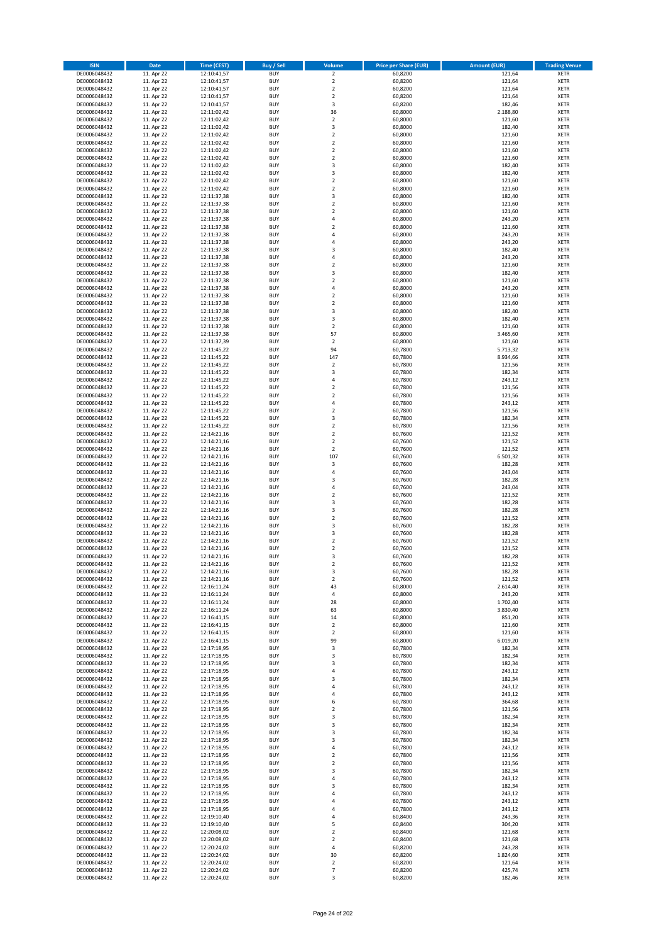| <b>ISIN</b>                  | <b>Date</b>              | <b>Time (CEST)</b>         | Buy / Sell               | Volume                                 | <b>Price per Share (EUR)</b> | <b>Amount (EUR)</b> | <b>Trading Venue</b>       |
|------------------------------|--------------------------|----------------------------|--------------------------|----------------------------------------|------------------------------|---------------------|----------------------------|
| DE0006048432                 | 11. Apr 22               | 12:10:41,57                | <b>BUY</b>               | $\overline{2}$                         | 60,8200                      | 121,64              | <b>XETR</b>                |
| DE0006048432                 | 11. Apr 22               | 12:10:41,57                | <b>BUY</b>               | $\mathbf 2$                            | 60,8200                      | 121,64              | <b>XETR</b>                |
| DE0006048432                 | 11. Apr 22               | 12:10:41,57                | <b>BUY</b>               | $\overline{2}$                         | 60,8200                      | 121,64              | <b>XETR</b>                |
| DE0006048432                 | 11. Apr 22               | 12:10:41,57                | <b>BUY</b>               | $\mathbf 2$                            | 60,8200                      | 121,64              | <b>XETR</b>                |
| DE0006048432<br>DE0006048432 | 11. Apr 22<br>11. Apr 22 | 12:10:41,57<br>12:11:02,42 | <b>BUY</b><br><b>BUY</b> | 3<br>36                                | 60,8200<br>60,8000           | 182,46<br>2.188,80  | <b>XETR</b><br><b>XETR</b> |
| DE0006048432                 | 11. Apr 22               | 12:11:02,42                | <b>BUY</b>               | $\mathbf 2$                            | 60,8000                      | 121,60              | <b>XETR</b>                |
| DE0006048432                 | 11. Apr 22               | 12:11:02,42                | <b>BUY</b>               | 3                                      | 60,8000                      | 182,40              | <b>XETR</b>                |
| DE0006048432                 | 11. Apr 22               | 12:11:02,42                | <b>BUY</b>               | $\overline{2}$                         | 60,8000                      | 121,60              | <b>XETR</b>                |
| DE0006048432                 | 11. Apr 22               | 12:11:02,42                | <b>BUY</b>               | $\overline{2}$                         | 60,8000                      | 121,60              | <b>XETR</b>                |
| DE0006048432                 | 11. Apr 22               | 12:11:02,42                | <b>BUY</b>               | $\mathbf 2$                            | 60,8000                      | 121,60              | <b>XETR</b>                |
| DE0006048432                 | 11. Apr 22               | 12:11:02,42                | <b>BUY</b>               | $\mathbf 2$<br>3                       | 60,8000                      | 121,60              | <b>XETR</b><br><b>XETR</b> |
| DE0006048432<br>DE0006048432 | 11. Apr 22<br>11. Apr 22 | 12:11:02,42<br>12:11:02,42 | <b>BUY</b><br><b>BUY</b> | 3                                      | 60,8000<br>60,8000           | 182,40<br>182,40    | <b>XETR</b>                |
| DE0006048432                 | 11. Apr 22               | 12:11:02,42                | <b>BUY</b>               | $\mathbf 2$                            | 60,8000                      | 121,60              | <b>XETR</b>                |
| DE0006048432                 | 11. Apr 22               | 12:11:02,42                | <b>BUY</b>               | $\mathbf 2$                            | 60,8000                      | 121,60              | <b>XETR</b>                |
| DE0006048432                 | 11. Apr 22               | 12:11:37,38                | <b>BUY</b>               | 3                                      | 60,8000                      | 182,40              | <b>XETR</b>                |
| DE0006048432                 | 11. Apr 22               | 12:11:37,38                | <b>BUY</b>               | $\mathbf 2$                            | 60,8000                      | 121,60              | <b>XETR</b>                |
| DE0006048432                 | 11. Apr 22               | 12:11:37,38                | <b>BUY</b>               | $\overline{\mathbf{c}}$                | 60,8000                      | 121,60              | <b>XETR</b>                |
| DE0006048432<br>DE0006048432 | 11. Apr 22<br>11. Apr 22 | 12:11:37,38<br>12:11:37,38 | <b>BUY</b><br><b>BUY</b> | 4<br>$\overline{\mathbf{c}}$           | 60,8000<br>60,8000           | 243,20<br>121,60    | <b>XETR</b><br><b>XETR</b> |
| DE0006048432                 | 11. Apr 22               | 12:11:37,38                | <b>BUY</b>               | 4                                      | 60,8000                      | 243,20              | <b>XETR</b>                |
| DE0006048432                 | 11. Apr 22               | 12:11:37,38                | <b>BUY</b>               | 4                                      | 60,8000                      | 243,20              | <b>XETR</b>                |
| DE0006048432                 | 11. Apr 22               | 12:11:37,38                | <b>BUY</b>               | 3                                      | 60,8000                      | 182,40              | <b>XETR</b>                |
| DE0006048432                 | 11. Apr 22               | 12:11:37,38                | <b>BUY</b>               | 4                                      | 60,8000                      | 243,20              | <b>XETR</b>                |
| DE0006048432                 | 11. Apr 22               | 12:11:37,38                | <b>BUY</b>               | $\mathbf 2$                            | 60,8000                      | 121,60              | <b>XETR</b>                |
| DE0006048432<br>DE0006048432 | 11. Apr 22<br>11. Apr 22 | 12:11:37,38<br>12:11:37,38 | <b>BUY</b><br><b>BUY</b> | 3<br>$\overline{\mathbf{c}}$           | 60,8000<br>60,8000           | 182,40<br>121,60    | <b>XETR</b><br><b>XETR</b> |
| DE0006048432                 | 11. Apr 22               | 12:11:37,38                | <b>BUY</b>               | 4                                      | 60,8000                      | 243,20              | <b>XETR</b>                |
| DE0006048432                 | 11. Apr 22               | 12:11:37,38                | <b>BUY</b>               | $\overline{\mathbf{c}}$                | 60,8000                      | 121,60              | <b>XETR</b>                |
| DE0006048432                 | 11. Apr 22               | 12:11:37,38                | <b>BUY</b>               | $\overline{a}$                         | 60,8000                      | 121,60              | <b>XETR</b>                |
| DE0006048432                 | 11. Apr 22               | 12:11:37,38                | <b>BUY</b>               | 3                                      | 60,8000                      | 182,40              | <b>XETR</b>                |
| DE0006048432                 | 11. Apr 22               | 12:11:37,38                | <b>BUY</b>               | 3                                      | 60,8000                      | 182,40              | <b>XETR</b>                |
| DE0006048432                 | 11. Apr 22               | 12:11:37,38                | <b>BUY</b>               | $\mathbf 2$                            | 60,8000                      | 121,60              | <b>XETR</b>                |
| DE0006048432<br>DE0006048432 | 11. Apr 22<br>11. Apr 22 | 12:11:37.38<br>12:11:37,39 | <b>BUY</b><br><b>BUY</b> | 57<br>$\mathbf 2$                      | 60,8000<br>60,8000           | 3.465,60<br>121,60  | <b>XETR</b><br><b>XETR</b> |
| DE0006048432                 | 11. Apr 22               | 12:11:45,22                | <b>BUY</b>               | 94                                     | 60,7800                      | 5.713,32            | <b>XETR</b>                |
| DE0006048432                 | 11. Apr 22               | 12:11:45,22                | <b>BUY</b>               | 147                                    | 60,7800                      | 8.934,66            | <b>XETR</b>                |
| DE0006048432                 | 11. Apr 22               | 12:11:45,22                | <b>BUY</b>               | $\mathbf 2$                            | 60,7800                      | 121,56              | <b>XETR</b>                |
| DE0006048432                 | 11. Apr 22               | 12:11:45,22                | <b>BUY</b>               | 3                                      | 60,7800                      | 182,34              | <b>XETR</b>                |
| DE0006048432                 | 11. Apr 22               | 12:11:45,22                | <b>BUY</b>               | 4                                      | 60,7800                      | 243,12              | <b>XETR</b>                |
| DE0006048432<br>DE0006048432 | 11. Apr 22<br>11. Apr 22 | 12:11:45,22<br>12:11:45,22 | <b>BUY</b><br><b>BUY</b> | $\mathbf 2$<br>$\mathbf 2$             | 60,7800<br>60,7800           | 121,56<br>121,56    | <b>XETR</b><br><b>XETR</b> |
| DE0006048432                 | 11. Apr 22               | 12:11:45,22                | <b>BUY</b>               | 4                                      | 60,7800                      | 243,12              | <b>XETR</b>                |
| DE0006048432                 | 11. Apr 22               | 12:11:45,22                | <b>BUY</b>               | $\mathbf 2$                            | 60,7800                      | 121,56              | <b>XETR</b>                |
| DE0006048432                 | 11. Apr 22               | 12:11:45,22                | <b>BUY</b>               | 3                                      | 60,7800                      | 182,34              | <b>XETR</b>                |
| DE0006048432                 | 11. Apr 22               | 12:11:45,22                | <b>BUY</b>               | $\mathbf 2$                            | 60,7800                      | 121,56              | <b>XETR</b>                |
| DE0006048432                 | 11. Apr 22               | 12:14:21,16                | <b>BUY</b>               | $\mathbf 2$                            | 60,7600                      | 121,52              | <b>XETR</b>                |
| DE0006048432<br>DE0006048432 | 11. Apr 22<br>11. Apr 22 | 12:14:21,16<br>12:14:21,16 | <b>BUY</b><br><b>BUY</b> | $\mathbf 2$<br>$\mathbf 2$             | 60,7600<br>60,7600           | 121,52<br>121,52    | <b>XETR</b><br><b>XETR</b> |
| DE0006048432                 | 11. Apr 22               | 12:14:21,16                | <b>BUY</b>               | 107                                    | 60,7600                      | 6.501,32            | <b>XETR</b>                |
| DE0006048432                 | 11. Apr 22               | 12:14:21,16                | <b>BUY</b>               | 3                                      | 60,7600                      | 182,28              | <b>XETR</b>                |
| DE0006048432                 | 11. Apr 22               | 12:14:21,16                | <b>BUY</b>               | 4                                      | 60,7600                      | 243,04              | <b>XETR</b>                |
| DE0006048432                 | 11. Apr 22               | 12:14:21,16                | <b>BUY</b>               | 3                                      | 60,7600                      | 182,28              | <b>XETR</b>                |
| DE0006048432                 | 11. Apr 22               | 12:14:21,16                | <b>BUY</b>               | 4                                      | 60,7600                      | 243,04              | <b>XETR</b>                |
| DE0006048432                 | 11. Apr 22               | 12:14:21,16                | <b>BUY</b>               | $\mathbf 2$                            | 60,7600                      | 121,52              | <b>XETR</b>                |
| DE0006048432<br>DE0006048432 | 11. Apr 22<br>11. Apr 22 | 12:14:21,16<br>12:14:21,16 | <b>BUY</b><br><b>BUY</b> | 3<br>3                                 | 60,7600<br>60,7600           | 182,28<br>182,28    | <b>XETR</b><br><b>XETR</b> |
| DE0006048432                 | 11. Apr 22               | 12:14:21,16                | <b>BUY</b>               | $\mathbf 2$                            | 60,7600                      | 121,52              | <b>XETR</b>                |
| DE0006048432                 | 11. Apr 22               | 12:14:21,16                | <b>BUY</b>               | 3                                      | 60,7600                      | 182,28              | <b>XETR</b>                |
| DE0006048432                 | 11. Apr 22               | 12:14:21,16                | <b>BUY</b>               | 3                                      | 60,7600                      | 182,28              | <b>XETR</b>                |
| DE0006048432                 | 11. Apr 22               | 12:14:21,16                | <b>BUY</b>               | $\overline{\mathbf{c}}$                | 60,7600                      | 121,52              | <b>XETR</b>                |
| DE0006048432                 | 11. Apr 22               | 12:14:21,16                | <b>BUY</b>               | $\overline{\mathbf{c}}$                | 60,7600                      | 121,52              | <b>XETR</b>                |
| DE0006048432<br>DE0006048432 | 11. Apr 22<br>11. Apr 22 | 12:14:21,16<br>12:14:21,16 | <b>BUY</b><br>BUY        | 3<br>2                                 | 60,7600<br>60,7600           | 182,28<br>121,52    | <b>XETR</b><br><b>XETR</b> |
| DE0006048432                 | 11. Apr 22               | 12:14:21,16                | <b>BUY</b>               | 3                                      | 60,7600                      | 182,28              | <b>XETR</b>                |
| DE0006048432                 | 11. Apr 22               | 12:14:21,16                | <b>BUY</b>               | $\mathbf 2$                            | 60,7600                      | 121,52              | <b>XETR</b>                |
| DE0006048432                 | 11. Apr 22               | 12:16:11,24                | <b>BUY</b>               | 43                                     | 60,8000                      | 2.614,40            | XETR                       |
| DE0006048432                 | 11. Apr 22               | 12:16:11,24                | <b>BUY</b>               | 4                                      | 60,8000                      | 243,20              | <b>XETR</b>                |
| DE0006048432                 | 11. Apr 22               | 12:16:11,24                | <b>BUY</b>               | 28                                     | 60,8000                      | 1.702,40            | <b>XETR</b>                |
| DE0006048432<br>DE0006048432 | 11. Apr 22<br>11. Apr 22 | 12:16:11,24                | <b>BUY</b><br><b>BUY</b> | 63<br>14                               | 60,8000<br>60,8000           | 3.830,40<br>851,20  | <b>XETR</b><br><b>XETR</b> |
| DE0006048432                 | 11. Apr 22               | 12:16:41,15<br>12:16:41,15 | <b>BUY</b>               | $\mathbf 2$                            | 60,8000                      | 121,60              | <b>XETR</b>                |
| DE0006048432                 | 11. Apr 22               | 12:16:41,15                | <b>BUY</b>               | $\mathbf 2$                            | 60,8000                      | 121,60              | <b>XETR</b>                |
| DE0006048432                 | 11. Apr 22               | 12:16:41,15                | <b>BUY</b>               | 99                                     | 60,8000                      | 6.019,20            | <b>XETR</b>                |
| DE0006048432                 | 11. Apr 22               | 12:17:18,95                | <b>BUY</b>               | 3                                      | 60,7800                      | 182,34              | <b>XETR</b>                |
| DE0006048432                 | 11. Apr 22               | 12:17:18,95                | <b>BUY</b>               | 3                                      | 60,7800                      | 182,34              | <b>XETR</b>                |
| DE0006048432<br>DE0006048432 | 11. Apr 22<br>11. Apr 22 | 12:17:18,95<br>12:17:18,95 | <b>BUY</b><br><b>BUY</b> | 3<br>4                                 | 60,7800<br>60,7800           | 182,34<br>243,12    | <b>XETR</b><br><b>XETR</b> |
| DE0006048432                 | 11. Apr 22               | 12:17:18,95                | <b>BUY</b>               | 3                                      | 60,7800                      | 182,34              | <b>XETR</b>                |
| DE0006048432                 | 11. Apr 22               | 12:17:18,95                | <b>BUY</b>               | 4                                      | 60,7800                      | 243,12              | <b>XETR</b>                |
| DE0006048432                 | 11. Apr 22               | 12:17:18,95                | <b>BUY</b>               | 4                                      | 60,7800                      | 243,12              | <b>XETR</b>                |
| DE0006048432                 | 11. Apr 22               | 12:17:18,95                | <b>BUY</b>               | 6                                      | 60,7800                      | 364,68              | XETR                       |
| DE0006048432                 | 11. Apr 22               | 12:17:18,95                | <b>BUY</b>               | $\mathbf 2$                            | 60,7800                      | 121,56              | <b>XETR</b>                |
| DE0006048432                 | 11. Apr 22               | 12:17:18,95                | <b>BUY</b><br><b>BUY</b> | 3                                      | 60,7800                      | 182,34              | <b>XETR</b>                |
| DE0006048432<br>DE0006048432 | 11. Apr 22<br>11. Apr 22 | 12:17:18,95<br>12:17:18,95 | <b>BUY</b>               | 3<br>3                                 | 60,7800<br>60,7800           | 182,34<br>182,34    | <b>XETR</b><br><b>XETR</b> |
| DE0006048432                 | 11. Apr 22               | 12:17:18,95                | <b>BUY</b>               | 3                                      | 60,7800                      | 182,34              | <b>XETR</b>                |
| DE0006048432                 | 11. Apr 22               | 12:17:18,95                | <b>BUY</b>               | 4                                      | 60,7800                      | 243,12              | <b>XETR</b>                |
| DE0006048432                 | 11. Apr 22               | 12:17:18,95                | <b>BUY</b>               | $\mathbf 2$                            | 60,7800                      | 121,56              | <b>XETR</b>                |
| DE0006048432                 | 11. Apr 22               | 12:17:18,95                | <b>BUY</b>               | $\mathbf 2$                            | 60,7800                      | 121,56              | <b>XETR</b>                |
| DE0006048432                 | 11. Apr 22               | 12:17:18,95                | <b>BUY</b>               | 3                                      | 60,7800                      | 182,34              | <b>XETR</b>                |
| DE0006048432<br>DE0006048432 | 11. Apr 22<br>11. Apr 22 | 12:17:18,95<br>12:17:18,95 | <b>BUY</b><br><b>BUY</b> | 4<br>3                                 | 60,7800<br>60,7800           | 243,12<br>182,34    | <b>XETR</b><br><b>XETR</b> |
| DE0006048432                 | 11. Apr 22               | 12:17:18,95                | <b>BUY</b>               | 4                                      | 60,7800                      | 243,12              | <b>XETR</b>                |
| DE0006048432                 | 11. Apr 22               | 12:17:18,95                | <b>BUY</b>               | 4                                      | 60,7800                      | 243,12              | <b>XETR</b>                |
| DE0006048432                 | 11. Apr 22               | 12:17:18,95                | <b>BUY</b>               | 4                                      | 60,7800                      | 243,12              | <b>XETR</b>                |
| DE0006048432                 | 11. Apr 22               | 12:19:10,40                | <b>BUY</b>               | 4                                      | 60,8400                      | 243,36              | <b>XETR</b>                |
| DE0006048432                 | 11. Apr 22               | 12:19:10,40                | <b>BUY</b>               | 5                                      | 60,8400                      | 304,20              | <b>XETR</b>                |
| DE0006048432<br>DE0006048432 | 11. Apr 22<br>11. Apr 22 | 12:20:08,02<br>12:20:08,02 | <b>BUY</b><br><b>BUY</b> | $\mathbf 2$<br>$\overline{\mathbf{c}}$ | 60,8400<br>60,8400           | 121,68<br>121,68    | <b>XETR</b><br><b>XETR</b> |
| DE0006048432                 | 11. Apr 22               | 12:20:24,02                | <b>BUY</b>               | 4                                      | 60,8200                      | 243,28              | XETR                       |
| DE0006048432                 | 11. Apr 22               | 12:20:24,02                | <b>BUY</b>               | 30                                     | 60,8200                      | 1.824,60            | <b>XETR</b>                |
| DE0006048432                 | 11. Apr 22               | 12:20:24,02                | <b>BUY</b>               | $\mathbf 2$                            | 60,8200                      | 121,64              | XETR                       |
| DE0006048432                 | 11. Apr 22               | 12:20:24,02                | <b>BUY</b>               | $\overline{7}$                         | 60,8200                      | 425,74              | <b>XETR</b>                |
| DE0006048432                 | 11. Apr 22               | 12:20:24,02                | <b>BUY</b>               | 3                                      | 60,8200                      | 182,46              | <b>XETR</b>                |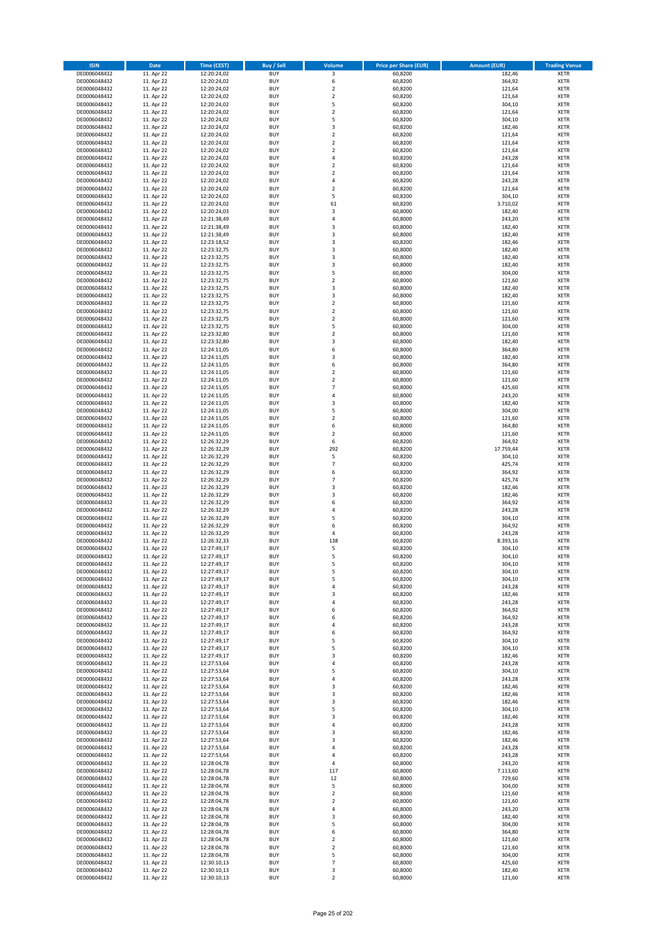| <b>ISIN</b>                  | <b>Date</b>              | <b>Time (CEST)</b>         | <b>Buy / Sell</b>        | Volume                       | <b>Price per Share (EUR)</b> | <b>Amount (EUR)</b> | <b>Trading Venue</b>       |
|------------------------------|--------------------------|----------------------------|--------------------------|------------------------------|------------------------------|---------------------|----------------------------|
| DE0006048432                 | 11. Apr 22               | 12:20:24,02                | <b>BUY</b>               | 3                            | 60,8200                      | 182,46              | <b>XETR</b>                |
| DE0006048432                 | 11. Apr 22               | 12:20:24,02                | <b>BUY</b>               | 6                            | 60,8200                      | 364,92              | <b>XETR</b>                |
| DE0006048432                 | 11. Apr 22               | 12:20:24,02                | <b>BUY</b>               | $\mathbf 2$                  | 60,8200                      | 121,64              | <b>XETR</b>                |
| DE0006048432                 | 11. Apr 22               | 12:20:24,02                | <b>BUY</b>               | $\mathbf 2$                  | 60,8200                      | 121,64              | <b>XETR</b>                |
| DE0006048432<br>DE0006048432 | 11. Apr 22<br>11. Apr 22 | 12:20:24,02<br>12:20:24,02 | <b>BUY</b><br><b>BUY</b> | 5<br>$\mathbf 2$             | 60,8200<br>60,8200           | 304,10<br>121,64    | <b>XETR</b><br><b>XETR</b> |
| DE0006048432                 | 11. Apr 22               | 12:20:24,02                | <b>BUY</b>               | 5                            | 60,8200                      | 304,10              | <b>XETR</b>                |
| DE0006048432                 | 11. Apr 22               | 12:20:24,02                | <b>BUY</b>               | 3                            | 60,8200                      | 182,46              | <b>XETR</b>                |
| DE0006048432                 | 11. Apr 22               | 12:20:24,02                | <b>BUY</b>               | $\overline{2}$               | 60,8200                      | 121,64              | <b>XETR</b>                |
| DE0006048432                 | 11. Apr 22               | 12:20:24,02                | <b>BUY</b>               | $\overline{2}$               | 60,8200                      | 121,64              | <b>XETR</b>                |
| DE0006048432                 | 11. Apr 22               | 12:20:24,02                | <b>BUY</b>               | $\mathbf 2$                  | 60,8200                      | 121,64              | <b>XETR</b>                |
| DE0006048432                 | 11. Apr 22               | 12:20:24,02                | <b>BUY</b>               | 4<br>$\mathbf 2$             | 60,8200                      | 243,28              | <b>XETR</b><br><b>XETR</b> |
| DE0006048432<br>DE0006048432 | 11. Apr 22<br>11. Apr 22 | 12:20:24,02<br>12:20:24,02 | <b>BUY</b><br><b>BUY</b> | $\overline{\mathbf{c}}$      | 60,8200<br>60,8200           | 121,64<br>121,64    | <b>XETR</b>                |
| DE0006048432                 | 11. Apr 22               | 12:20:24,02                | <b>BUY</b>               | 4                            | 60,8200                      | 243,28              | <b>XETR</b>                |
| DE0006048432                 | 11. Apr 22               | 12:20:24,02                | <b>BUY</b>               | $\overline{\mathbf{c}}$      | 60,8200                      | 121,64              | <b>XETR</b>                |
| DE0006048432                 | 11. Apr 22               | 12:20:24,02                | <b>BUY</b>               | 5                            | 60,8200                      | 304,10              | <b>XETR</b>                |
| DE0006048432                 | 11. Apr 22               | 12:20:24,02                | <b>BUY</b>               | 61                           | 60,8200                      | 3.710,02            | <b>XETR</b>                |
| DE0006048432                 | 11. Apr 22               | 12:20:24,03                | <b>BUY</b>               | 3                            | 60,8000                      | 182,40              | <b>XETR</b>                |
| DE0006048432<br>DE0006048432 | 11. Apr 22<br>11. Apr 22 | 12:21:38,49<br>12:21:38,49 | <b>BUY</b><br><b>BUY</b> | 4<br>3                       | 60,8000<br>60,8000           | 243,20<br>182,40    | <b>XETR</b><br><b>XETR</b> |
| DE0006048432                 | 11. Apr 22               | 12:21:38,49                | <b>BUY</b>               | 3                            | 60,8000                      | 182,40              | <b>XETR</b>                |
| DE0006048432                 | 11. Apr 22               | 12:23:18,52                | <b>BUY</b>               | 3                            | 60,8200                      | 182,46              | <b>XETR</b>                |
| DE0006048432                 | 11. Apr 22               | 12:23:32,75                | <b>BUY</b>               | 3                            | 60,8000                      | 182,40              | <b>XETR</b>                |
| DE0006048432                 | 11. Apr 22               | 12:23:32,75                | <b>BUY</b>               | 3                            | 60,8000                      | 182,40              | <b>XETR</b>                |
| DE0006048432                 | 11. Apr 22               | 12:23:32,75                | <b>BUY</b>               | 3                            | 60,8000                      | 182,40              | <b>XETR</b>                |
| DE0006048432<br>DE0006048432 | 11. Apr 22<br>11. Apr 22 | 12:23:32,75<br>12:23:32,75 | <b>BUY</b><br><b>BUY</b> | 5<br>$\overline{\mathbf{c}}$ | 60,8000<br>60,8000           | 304,00<br>121,60    | <b>XETR</b><br><b>XETR</b> |
| DE0006048432                 | 11. Apr 22               | 12:23:32,75                | <b>BUY</b>               | 3                            | 60,8000                      | 182,40              | <b>XETR</b>                |
| DE0006048432                 | 11. Apr 22               | 12:23:32,75                | <b>BUY</b>               | 3                            | 60,8000                      | 182,40              | <b>XETR</b>                |
| DE0006048432                 | 11. Apr 22               | 12:23:32,75                | <b>BUY</b>               | $\overline{a}$               | 60,8000                      | 121,60              | <b>XETR</b>                |
| DE0006048432                 | 11. Apr 22               | 12:23:32,75                | <b>BUY</b>               | $\overline{2}$               | 60,8000                      | 121,60              | <b>XETR</b>                |
| DE0006048432                 | 11. Apr 22               | 12:23:32,75                | <b>BUY</b>               | $\mathbf 2$                  | 60,8000                      | 121,60              | <b>XETR</b>                |
| DE0006048432                 | 11. Apr 22               | 12:23:32,75                | <b>BUY</b>               | 5                            | 60,8000                      | 304,00              | <b>XETR</b>                |
| DE0006048432<br>DE0006048432 | 11. Apr 22<br>11. Apr 22 | 12:23:32,80<br>12:23:32,80 | <b>BUY</b><br><b>BUY</b> | $\mathbf 2$<br>3             | 60,8000<br>60,8000           | 121,60<br>182,40    | <b>XETR</b><br><b>XETR</b> |
| DE0006048432                 | 11. Apr 22               | 12:24:11,05                | <b>BUY</b>               | 6                            | 60,8000                      | 364,80              | <b>XETR</b>                |
| DE0006048432                 | 11. Apr 22               | 12:24:11,05                | <b>BUY</b>               | 3                            | 60,8000                      | 182,40              | <b>XETR</b>                |
| DE0006048432                 | 11. Apr 22               | 12:24:11,05                | <b>BUY</b>               | 6                            | 60,8000                      | 364,80              | <b>XETR</b>                |
| DE0006048432                 | 11. Apr 22               | 12:24:11,05                | <b>BUY</b>               | $\mathbf 2$                  | 60,8000                      | 121,60              | <b>XETR</b>                |
| DE0006048432                 | 11. Apr 22               | 12:24:11,05                | <b>BUY</b>               | $\overline{\mathbf{c}}$      | 60,8000                      | 121,60              | <b>XETR</b>                |
| DE0006048432<br>DE0006048432 | 11. Apr 22<br>11. Apr 22 | 12:24:11,05                | <b>BUY</b><br><b>BUY</b> | $\overline{7}$<br>4          | 60,8000<br>60,8000           | 425,60<br>243,20    | <b>XETR</b><br><b>XETR</b> |
| DE0006048432                 | 11. Apr 22               | 12:24:11,05<br>12:24:11,05 | <b>BUY</b>               | 3                            | 60,8000                      | 182,40              | <b>XETR</b>                |
| DE0006048432                 | 11. Apr 22               | 12:24:11,05                | <b>BUY</b>               | 5                            | 60,8000                      | 304,00              | <b>XETR</b>                |
| DE0006048432                 | 11. Apr 22               | 12:24:11,05                | <b>BUY</b>               | $\overline{2}$               | 60,8000                      | 121,60              | <b>XETR</b>                |
| DE0006048432                 | 11. Apr 22               | 12:24:11,05                | <b>BUY</b>               | 6                            | 60,8000                      | 364,80              | <b>XETR</b>                |
| DE0006048432                 | 11. Apr 22               | 12:24:11,05                | <b>BUY</b>               | $\overline{\mathbf{c}}$      | 60,8000                      | 121,60              | <b>XETR</b>                |
| DE0006048432<br>DE0006048432 | 11. Apr 22<br>11. Apr 22 | 12:26:32,29<br>12:26:32,29 | <b>BUY</b><br><b>BUY</b> | 6<br>292                     | 60,8200<br>60,8200           | 364,92<br>17.759,44 | <b>XETR</b><br><b>XETR</b> |
| DE0006048432                 | 11. Apr 22               | 12:26:32,29                | <b>BUY</b>               | 5                            | 60,8200                      | 304,10              | <b>XETR</b>                |
| DE0006048432                 | 11. Apr 22               | 12:26:32,29                | <b>BUY</b>               | $\overline{7}$               | 60,8200                      | 425,74              | <b>XETR</b>                |
| DE0006048432                 | 11. Apr 22               | 12:26:32,29                | <b>BUY</b>               | 6                            | 60,8200                      | 364,92              | <b>XETR</b>                |
| DE0006048432                 | 11. Apr 22               | 12:26:32,29                | <b>BUY</b>               | $\overline{7}$               | 60,8200                      | 425,74              | <b>XETR</b>                |
| DE0006048432                 | 11. Apr 22               | 12:26:32,29                | <b>BUY</b>               | 3                            | 60,8200                      | 182,46              | <b>XETR</b>                |
| DE0006048432                 | 11. Apr 22               | 12:26:32,29                | <b>BUY</b>               | 3                            | 60,8200                      | 182,46              | <b>XETR</b>                |
| DE0006048432<br>DE0006048432 | 11. Apr 22<br>11. Apr 22 | 12:26:32,29<br>12:26:32,29 | <b>BUY</b><br><b>BUY</b> | 6<br>4                       | 60,8200<br>60,8200           | 364,92<br>243,28    | <b>XETR</b><br><b>XETR</b> |
| DE0006048432                 | 11. Apr 22               | 12:26:32,29                | <b>BUY</b>               | 5                            | 60,8200                      | 304,10              | <b>XETR</b>                |
| DE0006048432                 | 11. Apr 22               | 12:26:32,29                | <b>BUY</b>               | 6                            | 60,8200                      | 364,92              | <b>XETR</b>                |
| DE0006048432                 | 11. Apr 22               | 12:26:32,29                | <b>BUY</b>               | 4                            | 60,8200                      | 243,28              | <b>XETR</b>                |
| DE0006048432                 | 11. Apr 22               | 12:26:32,33                | <b>BUY</b>               | 138                          | 60,8200                      | 8.393,16            | <b>XETR</b>                |
| DE0006048432                 | 11. Apr 22               | 12:27:49,17                | <b>BUY</b>               | 5                            | 60,8200                      | 304,10              | <b>XETR</b>                |
| DE0006048432<br>DE0006048432 | 11. Apr 22<br>11. Apr 22 | 12:27:49,17<br>12:27:49,17 | <b>BUY</b><br>BUY        | 5<br>5                       | 60,8200<br>60,8200           | 304,10<br>304,10    | <b>XETR</b><br><b>XETR</b> |
| DE0006048432                 | 11. Apr 22               | 12:27:49,17                | <b>BUY</b>               | 5                            | 60,8200                      | 304,10              | <b>XETR</b>                |
| DE0006048432                 | 11. Apr 22               | 12:27:49,17                | <b>BUY</b>               | 5                            | 60,8200                      | 304,10              | <b>XETR</b>                |
| DE0006048432                 | 11. Apr 22               | 12:27:49,17                | <b>BUY</b>               | 4                            | 60,8200                      | 243,28              | XETR                       |
| DE0006048432                 | 11. Apr 22               | 12:27:49,17                | <b>BUY</b>               | 3                            | 60,8200                      | 182,46              | <b>XETR</b>                |
| DE0006048432                 | 11. Apr 22               | 12:27:49,17                | <b>BUY</b>               | 4                            | 60,8200                      | 243,28              | <b>XETR</b>                |
| DE0006048432<br>DE0006048432 | 11. Apr 22<br>11. Apr 22 | 12:27:49,17<br>12:27:49,17 | <b>BUY</b><br><b>BUY</b> | 6<br>6                       | 60,8200<br>60,8200           | 364,92<br>364,92    | <b>XETR</b><br><b>XETR</b> |
| DE0006048432                 | 11. Apr 22               | 12:27:49,17                | <b>BUY</b>               | 4                            | 60,8200                      | 243,28              | <b>XETR</b>                |
| DE0006048432                 | 11. Apr 22               | 12:27:49,17                | <b>BUY</b>               | 6                            | 60,8200                      | 364,92              | <b>XETR</b>                |
| DE0006048432                 | 11. Apr 22               | 12:27:49,17                | <b>BUY</b>               | 5                            | 60,8200                      | 304,10              | <b>XETR</b>                |
| DE0006048432                 | 11. Apr 22               | 12:27:49,17                | <b>BUY</b>               | 5                            | 60,8200                      | 304,10              | <b>XETR</b>                |
| DE0006048432<br>DE0006048432 | 11. Apr 22<br>11. Apr 22 | 12:27:49,17<br>12:27:53,64 | <b>BUY</b><br><b>BUY</b> | 3<br>4                       | 60,8200<br>60,8200           | 182,46<br>243,28    | <b>XETR</b><br><b>XETR</b> |
| DE0006048432                 | 11. Apr 22               | 12:27:53,64                | <b>BUY</b>               | 5                            | 60,8200                      | 304,10              | <b>XETR</b>                |
| DE0006048432                 | 11. Apr 22               | 12:27:53,64                | <b>BUY</b>               | 4                            | 60,8200                      | 243,28              | <b>XETR</b>                |
| DE0006048432                 | 11. Apr 22               | 12:27:53,64                | <b>BUY</b>               | 3                            | 60,8200                      | 182,46              | <b>XETR</b>                |
| DE0006048432                 | 11. Apr 22               | 12:27:53,64                | <b>BUY</b>               | 3                            | 60,8200                      | 182,46              | <b>XETR</b>                |
| DE0006048432                 | 11. Apr 22               | 12:27:53,64                | <b>BUY</b>               | 3                            | 60,8200                      | 182,46              | <b>XETR</b>                |
| DE0006048432                 | 11. Apr 22               | 12:27:53,64                | <b>BUY</b>               | 5                            | 60,8200                      | 304,10              | <b>XETR</b>                |
| DE0006048432<br>DE0006048432 | 11. Apr 22<br>11. Apr 22 | 12:27:53,64<br>12:27:53,64 | <b>BUY</b><br><b>BUY</b> | 3<br>4                       | 60,8200<br>60,8200           | 182,46<br>243,28    | <b>XETR</b><br><b>XETR</b> |
| DE0006048432                 | 11. Apr 22               | 12:27:53,64                | <b>BUY</b>               | 3                            | 60,8200                      | 182,46              | <b>XETR</b>                |
| DE0006048432                 | 11. Apr 22               | 12:27:53,64                | <b>BUY</b>               | 3                            | 60,8200                      | 182,46              | <b>XETR</b>                |
| DE0006048432                 | 11. Apr 22               | 12:27:53,64                | <b>BUY</b>               | 4                            | 60,8200                      | 243,28              | <b>XETR</b>                |
| DE0006048432                 | 11. Apr 22               | 12:27:53,64                | <b>BUY</b>               | 4                            | 60,8200                      | 243,28              | <b>XETR</b>                |
| DE0006048432                 | 11. Apr 22               | 12:28:04,78                | <b>BUY</b>               | 4                            | 60,8000                      | 243,20              | <b>XETR</b>                |
| DE0006048432<br>DE0006048432 | 11. Apr 22<br>11. Apr 22 | 12:28:04,78<br>12:28:04,78 | <b>BUY</b><br><b>BUY</b> | 117<br>12                    | 60,8000<br>60,8000           | 7.113,60<br>729,60  | <b>XETR</b><br><b>XETR</b> |
| DE0006048432                 | 11. Apr 22               | 12:28:04,78                | <b>BUY</b>               | 5                            | 60,8000                      | 304,00              | <b>XETR</b>                |
| DE0006048432                 | 11. Apr 22               | 12:28:04,78                | <b>BUY</b>               | $\mathbf 2$                  | 60,8000                      | 121,60              | <b>XETR</b>                |
| DE0006048432                 | 11. Apr 22               | 12:28:04,78                | <b>BUY</b>               | $\mathbf 2$                  | 60,8000                      | 121,60              | <b>XETR</b>                |
| DE0006048432                 | 11. Apr 22               | 12:28:04,78                | <b>BUY</b>               | 4                            | 60,8000                      | 243,20              | <b>XETR</b>                |
| DE0006048432                 | 11. Apr 22               | 12:28:04,78                | <b>BUY</b>               | 3                            | 60,8000                      | 182,40              | <b>XETR</b>                |
| DE0006048432<br>DE0006048432 | 11. Apr 22<br>11. Apr 22 | 12:28:04,78<br>12:28:04,78 | <b>BUY</b><br><b>BUY</b> | 5<br>6                       | 60,8000<br>60,8000           | 304,00<br>364,80    | <b>XETR</b><br><b>XETR</b> |
| DE0006048432                 | 11. Apr 22               | 12:28:04,78                | <b>BUY</b>               | $\overline{\mathbf{c}}$      | 60,8000                      | 121,60              | <b>XETR</b>                |
| DE0006048432                 | 11. Apr 22               | 12:28:04,78                | <b>BUY</b>               | $\mathbf 2$                  | 60,8000                      | 121,60              | <b>XETR</b>                |
| DE0006048432                 | 11. Apr 22               | 12:28:04,78                | <b>BUY</b>               | 5                            | 60,8000                      | 304,00              | <b>XETR</b>                |
| DE0006048432                 | 11. Apr 22               | 12:30:10,13                | <b>BUY</b>               | $\overline{\phantom{a}}$     | 60,8000                      | 425,60              | <b>XETR</b>                |
| DE0006048432                 | 11. Apr 22               | 12:30:10,13                | <b>BUY</b>               | 3                            | 60,8000                      | 182,40              | <b>XETR</b>                |
| DE0006048432                 | 11. Apr 22               | 12:30:10,13                | <b>BUY</b>               | $\overline{2}$               | 60,8000                      | 121,60              | <b>XETR</b>                |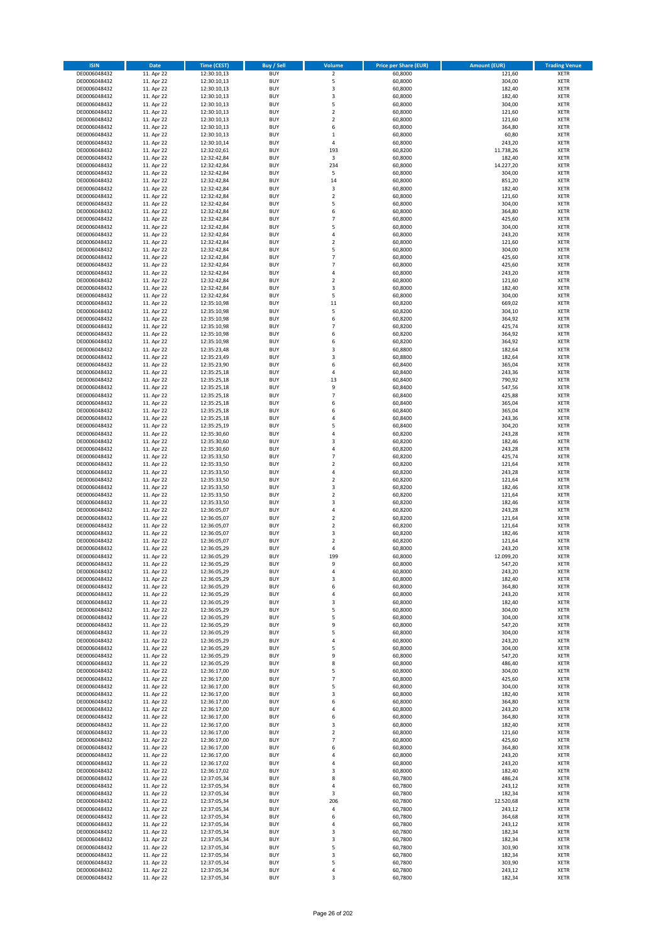| <b>ISIN</b>                  | <b>Date</b>              | <b>Time (CEST)</b>         | <b>Buy / Sell</b>        | Volume                                    | <b>Price per Share (EUR)</b> | <b>Amount (EUR)</b> | <b>Trading Venue</b>       |
|------------------------------|--------------------------|----------------------------|--------------------------|-------------------------------------------|------------------------------|---------------------|----------------------------|
| DE0006048432                 | 11. Apr 22               | 12:30:10,13                | <b>BUY</b>               | $\overline{2}$                            | 60,8000                      | 121,60              | <b>XETR</b>                |
| DE0006048432                 | 11. Apr 22               | 12:30:10,13                | <b>BUY</b>               | 5                                         | 60,8000                      | 304,00              | <b>XETR</b>                |
| DE0006048432                 | 11. Apr 22               | 12:30:10,13                | <b>BUY</b>               | 3                                         | 60,8000                      | 182,40              | <b>XETR</b>                |
| DE0006048432<br>DE0006048432 | 11. Apr 22<br>11. Apr 22 | 12:30:10,13<br>12:30:10,13 | <b>BUY</b><br><b>BUY</b> | 3<br>5                                    | 60,8000<br>60,8000           | 182,40<br>304,00    | <b>XETR</b><br><b>XETR</b> |
| DE0006048432                 | 11. Apr 22               | 12:30:10,13                | <b>BUY</b>               | $\mathbf 2$                               | 60,8000                      | 121,60              | <b>XETR</b>                |
| DE0006048432                 | 11. Apr 22               | 12:30:10,13                | <b>BUY</b>               | $\mathbf 2$                               | 60,8000                      | 121,60              | <b>XETR</b>                |
| DE0006048432                 | 11. Apr 22               | 12:30:10,13                | <b>BUY</b>               | 6                                         | 60,8000                      | 364,80              | <b>XETR</b>                |
| DE0006048432                 | 11. Apr 22               | 12:30:10,13                | <b>BUY</b>               | $\mathbf{1}$                              | 60,8000                      | 60,80               | <b>XETR</b>                |
| DE0006048432                 | 11. Apr 22               | 12:30:10,14                | <b>BUY</b>               | 4                                         | 60,8000                      | 243,20              | <b>XETR</b>                |
| DE0006048432                 | 11. Apr 22               | 12:32:02,61                | <b>BUY</b>               | 193                                       | 60,8200                      | 11.738,26           | <b>XETR</b>                |
| DE0006048432                 | 11. Apr 22<br>11. Apr 22 | 12:32:42,84                | <b>BUY</b><br><b>BUY</b> | 3<br>234                                  | 60,8000<br>60,8000           | 182,40<br>14.227,20 | <b>XETR</b><br><b>XETR</b> |
| DE0006048432<br>DE0006048432 | 11. Apr 22               | 12:32:42,84<br>12:32:42,84 | <b>BUY</b>               | 5                                         | 60,8000                      | 304,00              | <b>XETR</b>                |
| DE0006048432                 | 11. Apr 22               | 12:32:42,84                | <b>BUY</b>               | 14                                        | 60,8000                      | 851,20              | <b>XETR</b>                |
| DE0006048432                 | 11. Apr 22               | 12:32:42,84                | <b>BUY</b>               | 3                                         | 60,8000                      | 182,40              | <b>XETR</b>                |
| DE0006048432                 | 11. Apr 22               | 12:32:42,84                | <b>BUY</b>               | $\mathbf 2$                               | 60,8000                      | 121,60              | <b>XETR</b>                |
| DE0006048432                 | 11. Apr 22               | 12:32:42,84                | <b>BUY</b>               | 5                                         | 60,8000                      | 304,00              | <b>XETR</b>                |
| DE0006048432                 | 11. Apr 22               | 12:32:42,84                | <b>BUY</b>               | 6                                         | 60,8000                      | 364,80              | <b>XETR</b>                |
| DE0006048432                 | 11. Apr 22               | 12:32:42,84                | <b>BUY</b>               | $\overline{7}$                            | 60,8000                      | 425,60              | <b>XETR</b>                |
| DE0006048432                 | 11. Apr 22               | 12:32:42,84                | <b>BUY</b>               | 5                                         | 60,8000                      | 304,00              | <b>XETR</b>                |
| DE0006048432<br>DE0006048432 | 11. Apr 22<br>11. Apr 22 | 12:32:42,84<br>12:32:42,84 | <b>BUY</b><br><b>BUY</b> | 4<br>$\mathbf 2$                          | 60,8000<br>60,8000           | 243,20<br>121,60    | <b>XETR</b><br><b>XETR</b> |
| DE0006048432                 | 11. Apr 22               | 12:32:42,84                | <b>BUY</b>               | 5                                         | 60,8000                      | 304,00              | <b>XETR</b>                |
| DE0006048432                 | 11. Apr 22               | 12:32:42,84                | <b>BUY</b>               | $\overline{7}$                            | 60,8000                      | 425,60              | <b>XETR</b>                |
| DE0006048432                 | 11. Apr 22               | 12:32:42,84                | <b>BUY</b>               | $\overline{7}$                            | 60,8000                      | 425,60              | <b>XETR</b>                |
| DE0006048432                 | 11. Apr 22               | 12:32:42,84                | <b>BUY</b>               | 4                                         | 60,8000                      | 243,20              | <b>XETR</b>                |
| DE0006048432                 | 11. Apr 22               | 12:32:42,84                | <b>BUY</b>               | $\overline{\mathbf{c}}$                   | 60,8000                      | 121,60              | <b>XETR</b>                |
| DE0006048432                 | 11. Apr 22               | 12:32:42,84                | <b>BUY</b>               | 3                                         | 60,8000                      | 182,40              | <b>XETR</b>                |
| DE0006048432                 | 11. Apr 22               | 12:32:42,84                | <b>BUY</b>               | 5                                         | 60,8000                      | 304,00              | <b>XETR</b>                |
| DE0006048432<br>DE0006048432 | 11. Apr 22<br>11. Apr 22 | 12:35:10,98<br>12:35:10,98 | <b>BUY</b><br><b>BUY</b> | 11<br>5                                   | 60,8200<br>60,8200           | 669,02<br>304,10    | <b>XETR</b><br><b>XETR</b> |
| DE0006048432                 | 11. Apr 22               | 12:35:10,98                | <b>BUY</b>               | 6                                         | 60,8200                      | 364,92              | <b>XETR</b>                |
| DE0006048432                 | 11. Apr 22               | 12:35:10,98                | <b>BUY</b>               | $\overline{7}$                            | 60,8200                      | 425,74              | <b>XETR</b>                |
| DE0006048432                 | 11. Apr 22               | 12:35:10,98                | <b>BUY</b>               | 6                                         | 60,8200                      | 364,92              | <b>XETR</b>                |
| DE0006048432                 | 11. Apr 22               | 12:35:10,98                | <b>BUY</b>               | 6                                         | 60,8200                      | 364,92              | <b>XETR</b>                |
| DE0006048432                 | 11. Apr 22               | 12:35:23,48                | <b>BUY</b>               | 3                                         | 60,8800                      | 182,64              | <b>XETR</b>                |
| DE0006048432                 | 11. Apr 22               | 12:35:23,49                | <b>BUY</b>               | 3                                         | 60,8800                      | 182,64              | <b>XETR</b>                |
| DE0006048432                 | 11. Apr 22               | 12:35:23,90                | <b>BUY</b>               | 6                                         | 60,8400                      | 365,04              | <b>XETR</b>                |
| DE0006048432                 | 11. Apr 22               | 12:35:25,18                | <b>BUY</b><br><b>BUY</b> | 4<br>13                                   | 60,8400                      | 243,36              | <b>XETR</b><br><b>XETR</b> |
| DE0006048432<br>DE0006048432 | 11. Apr 22<br>11. Apr 22 | 12:35:25,18<br>12:35:25,18 | <b>BUY</b>               | 9                                         | 60,8400<br>60,8400           | 790,92<br>547,56    | <b>XETR</b>                |
| DE0006048432                 | 11. Apr 22               | 12:35:25,18                | <b>BUY</b>               | $\overline{7}$                            | 60,8400                      | 425,88              | <b>XETR</b>                |
| DE0006048432                 | 11. Apr 22               | 12:35:25,18                | <b>BUY</b>               | 6                                         | 60,8400                      | 365,04              | <b>XETR</b>                |
| DE0006048432                 | 11. Apr 22               | 12:35:25,18                | <b>BUY</b>               | 6                                         | 60,8400                      | 365,04              | <b>XETR</b>                |
| DE0006048432                 | 11. Apr 22               | 12:35:25,18                | <b>BUY</b>               | 4                                         | 60,8400                      | 243,36              | <b>XETR</b>                |
| DE0006048432                 | 11. Apr 22               | 12:35:25,19                | <b>BUY</b>               | 5                                         | 60,8400                      | 304,20              | <b>XETR</b>                |
| DE0006048432                 | 11. Apr 22               | 12:35:30,60                | <b>BUY</b>               | 4                                         | 60,8200                      | 243,28              | <b>XETR</b>                |
| DE0006048432                 | 11. Apr 22               | 12:35:30,60                | <b>BUY</b>               | 3<br>4                                    | 60,8200                      | 182,46              | <b>XETR</b>                |
| DE0006048432<br>DE0006048432 | 11. Apr 22<br>11. Apr 22 | 12:35:30,60<br>12:35:33,50 | <b>BUY</b><br><b>BUY</b> | $\overline{7}$                            | 60,8200<br>60,8200           | 243,28<br>425,74    | <b>XETR</b><br><b>XETR</b> |
| DE0006048432                 | 11. Apr 22               | 12:35:33,50                | <b>BUY</b>               | $\mathbf 2$                               | 60,8200                      | 121,64              | <b>XETR</b>                |
| DE0006048432                 | 11. Apr 22               | 12:35:33,50                | <b>BUY</b>               | 4                                         | 60,8200                      | 243,28              | <b>XETR</b>                |
| DE0006048432                 | 11. Apr 22               | 12:35:33,50                | <b>BUY</b>               | $\mathbf 2$                               | 60,8200                      | 121,64              | <b>XETR</b>                |
| DE0006048432                 | 11. Apr 22               | 12:35:33,50                | <b>BUY</b>               | 3                                         | 60,8200                      | 182,46              | <b>XETR</b>                |
| DE0006048432                 | 11. Apr 22               | 12:35:33,50                | <b>BUY</b>               | $\mathbf 2$                               | 60,8200                      | 121,64              | <b>XETR</b>                |
| DE0006048432                 | 11. Apr 22               | 12:35:33,50                | <b>BUY</b>               | 3                                         | 60,8200                      | 182,46              | <b>XETR</b>                |
| DE0006048432                 | 11. Apr 22               | 12:36:05,07                | <b>BUY</b>               | 4                                         | 60,8200                      | 243,28              | <b>XETR</b>                |
| DE0006048432<br>DE0006048432 | 11. Apr 22               | 12:36:05,07                | <b>BUY</b><br><b>BUY</b> | $\overline{\mathbf{c}}$<br>$\overline{2}$ | 60,8200                      | 121,64              | <b>XETR</b><br><b>XETR</b> |
| DE0006048432                 | 11. Apr 22<br>11. Apr 22 | 12:36:05,07<br>12:36:05,07 | <b>BUY</b>               | 3                                         | 60,8200<br>60,8200           | 121,64<br>182,46    | <b>XETR</b>                |
| DE0006048432                 | 11. Apr 22               | 12:36:05,07                | <b>BUY</b>               | $\overline{\mathbf{c}}$                   | 60,8200                      | 121,64              | <b>XETR</b>                |
| DE0006048432                 | 11. Apr 22               | 12:36:05,29                | <b>BUY</b>               | 4                                         | 60,8000                      | 243,20              | <b>XETR</b>                |
| DE0006048432                 | 11. Apr 22               | 12:36:05,29                | <b>BUY</b>               | 199                                       | 60,8000                      | 12.099,20           | <b>XETR</b>                |
| DE0006048432                 | 11. Apr 22               | 12:36:05,29                | BUY                      | 9                                         | 60,8000                      | 547,20              | <b>XETR</b>                |
| DE0006048432                 | 11. Apr 22               | 12:36:05,29                | <b>BUY</b>               | 4                                         | 60,8000                      | 243,20              | <b>XETR</b>                |
| DE0006048432                 | 11. Apr 22               | 12:36:05,29                | <b>BUY</b>               | 3                                         | 60,8000                      | 182,40              | <b>XETR</b>                |
| DE0006048432<br>DE0006048432 | 11. Apr 22<br>11. Apr 22 | 12:36:05,29<br>12:36:05,29 | <b>BUY</b><br><b>BUY</b> | 6<br>4                                    | 60,8000<br>60,8000           | 364,80<br>243,20    | XETR<br><b>XETR</b>        |
| DE0006048432                 | 11. Apr 22               | 12:36:05,29                | <b>BUY</b>               | 3                                         | 60,8000                      | 182,40              | <b>XETR</b>                |
| DE0006048432                 | 11. Apr 22               | 12:36:05,29                | <b>BUY</b>               | 5                                         | 60,8000                      | 304,00              | <b>XETR</b>                |
| DE0006048432                 | 11. Apr 22               | 12:36:05,29                | <b>BUY</b>               | 5                                         | 60,8000                      | 304,00              | <b>XETR</b>                |
| DE0006048432                 | 11. Apr 22               | 12:36:05,29                | <b>BUY</b>               | 9                                         | 60,8000                      | 547,20              | <b>XETR</b>                |
| DE0006048432                 | 11. Apr 22               | 12:36:05,29                | <b>BUY</b>               | 5                                         | 60,8000                      | 304,00              | <b>XETR</b>                |
| DE0006048432                 | 11. Apr 22               | 12:36:05,29                | <b>BUY</b>               | 4                                         | 60,8000                      | 243,20              | <b>XETR</b>                |
| DE0006048432<br>DE0006048432 | 11. Apr 22<br>11. Apr 22 | 12:36:05,29<br>12:36:05,29 | <b>BUY</b><br><b>BUY</b> | 5<br>9                                    | 60,8000<br>60,8000           | 304,00<br>547,20    | <b>XETR</b><br><b>XETR</b> |
| DE0006048432                 | 11. Apr 22               | 12:36:05,29                | <b>BUY</b>               | 8                                         | 60,8000                      | 486,40              | <b>XETR</b>                |
| DE0006048432                 | 11. Apr 22               | 12:36:17,00                | <b>BUY</b>               | 5                                         | 60,8000                      | 304,00              | <b>XETR</b>                |
| DE0006048432                 | 11. Apr 22               | 12:36:17,00                | <b>BUY</b>               | $\overline{7}$                            | 60,8000                      | 425,60              | <b>XETR</b>                |
| DE0006048432                 | 11. Apr 22               | 12:36:17,00                | <b>BUY</b>               | 5                                         | 60,8000                      | 304,00              | <b>XETR</b>                |
| DE0006048432                 | 11. Apr 22               | 12:36:17,00                | <b>BUY</b>               | 3                                         | 60,8000                      | 182,40              | <b>XETR</b>                |
| DE0006048432                 | 11. Apr 22               | 12:36:17,00                | <b>BUY</b>               | 6                                         | 60,8000                      | 364,80              | XETR                       |
| DE0006048432                 | 11. Apr 22               | 12:36:17,00                | <b>BUY</b>               | 4                                         | 60,8000                      | 243,20              | <b>XETR</b>                |
| DE0006048432<br>DE0006048432 | 11. Apr 22<br>11. Apr 22 | 12:36:17,00<br>12:36:17,00 | <b>BUY</b><br><b>BUY</b> | 6<br>3                                    | 60,8000<br>60,8000           | 364,80<br>182,40    | <b>XETR</b><br><b>XETR</b> |
| DE0006048432                 | 11. Apr 22               | 12:36:17,00                | <b>BUY</b>               | $\overline{\mathbf{2}}$                   | 60,8000                      | 121,60              | <b>XETR</b>                |
| DE0006048432                 | 11. Apr 22               | 12:36:17,00                | <b>BUY</b>               | $\overline{7}$                            | 60,8000                      | 425,60              | <b>XETR</b>                |
| DE0006048432                 | 11. Apr 22               | 12:36:17,00                | <b>BUY</b>               | 6                                         | 60,8000                      | 364,80              | <b>XETR</b>                |
| DE0006048432                 | 11. Apr 22               | 12:36:17,00                | <b>BUY</b>               | 4                                         | 60,8000                      | 243,20              | <b>XETR</b>                |
| DE0006048432                 | 11. Apr 22               | 12:36:17,02                | <b>BUY</b>               | 4                                         | 60,8000                      | 243,20              | <b>XETR</b>                |
| DE0006048432                 | 11. Apr 22               | 12:36:17,02                | <b>BUY</b>               | 3                                         | 60,8000                      | 182,40              | <b>XETR</b>                |
| DE0006048432                 | 11. Apr 22               | 12:37:05,34                | <b>BUY</b>               | 8                                         | 60,7800                      | 486,24              | <b>XETR</b>                |
| DE0006048432<br>DE0006048432 | 11. Apr 22<br>11. Apr 22 | 12:37:05,34<br>12:37:05,34 | <b>BUY</b><br><b>BUY</b> | 4<br>3                                    | 60,7800<br>60,7800           | 243,12<br>182,34    | <b>XETR</b><br><b>XETR</b> |
| DE0006048432                 | 11. Apr 22               | 12:37:05,34                | <b>BUY</b>               | 206                                       | 60,7800                      | 12.520,68           | <b>XETR</b>                |
| DE0006048432                 | 11. Apr 22               | 12:37:05,34                | <b>BUY</b>               | 4                                         | 60,7800                      | 243,12              | <b>XETR</b>                |
| DE0006048432                 | 11. Apr 22               | 12:37:05,34                | <b>BUY</b>               | 6                                         | 60,7800                      | 364,68              | <b>XETR</b>                |
| DE0006048432                 | 11. Apr 22               | 12:37:05,34                | <b>BUY</b>               | 4                                         | 60,7800                      | 243,12              | <b>XETR</b>                |
| DE0006048432                 | 11. Apr 22               | 12:37:05,34                | <b>BUY</b>               | 3                                         | 60,7800                      | 182,34              | <b>XETR</b>                |
| DE0006048432                 | 11. Apr 22               | 12:37:05,34                | <b>BUY</b>               | 3                                         | 60,7800                      | 182,34              | <b>XETR</b>                |
| DE0006048432                 | 11. Apr 22               | 12:37:05,34                | <b>BUY</b><br><b>BUY</b> | 5                                         | 60,7800                      | 303,90              | XETR<br><b>XETR</b>        |
| DE0006048432<br>DE0006048432 | 11. Apr 22<br>11. Apr 22 | 12:37:05,34<br>12:37:05,34 | <b>BUY</b>               | 3<br>5                                    | 60,7800<br>60,7800           | 182,34<br>303,90    | <b>XETR</b>                |
| DE0006048432                 | 11. Apr 22               | 12:37:05,34                | <b>BUY</b>               | 4                                         | 60,7800                      | 243,12              | <b>XETR</b>                |
| DE0006048432                 | 11. Apr 22               | 12:37:05,34                | <b>BUY</b>               | 3                                         | 60,7800                      | 182,34              | <b>XETR</b>                |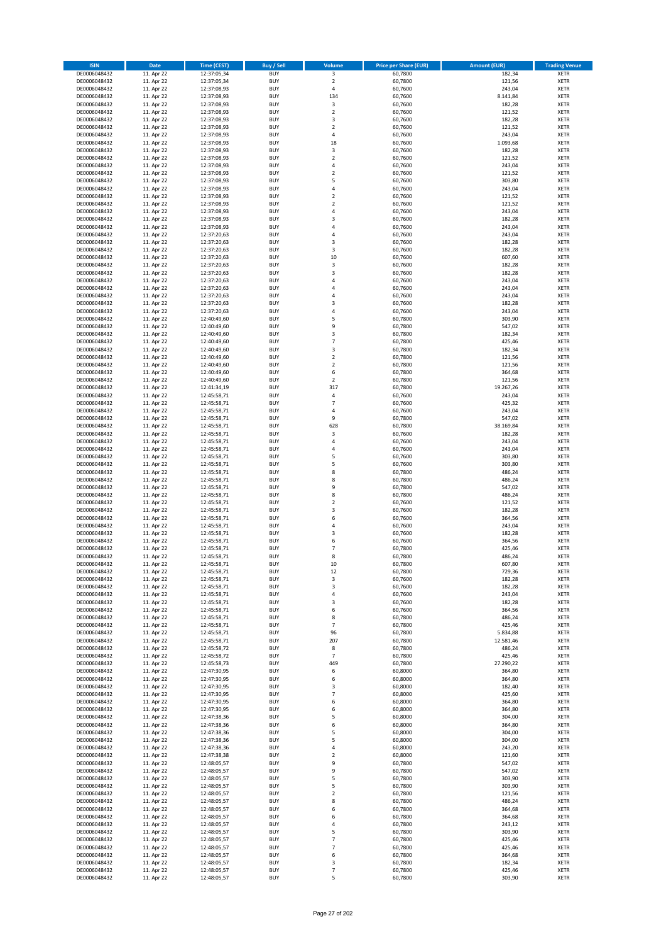| <b>ISIN</b>                  | <b>Date</b>              | <b>Time (CEST)</b>         | <b>Buy / Sell</b>        | <b>Volume</b>                    | <b>Price per Share (EUR)</b> | <b>Amount (EUR)</b> | <b>Trading Venue</b>       |
|------------------------------|--------------------------|----------------------------|--------------------------|----------------------------------|------------------------------|---------------------|----------------------------|
| DE0006048432                 | 11. Apr 22               | 12:37:05,34                | <b>BUY</b>               | 3                                | 60,7800                      | 182,34              | <b>XETR</b>                |
| DE0006048432                 | 11. Apr 22               | 12:37:05,34                | <b>BUY</b>               | $\mathbf 2$                      | 60,7800                      | 121,56              | <b>XETR</b>                |
| DE0006048432                 | 11. Apr 22               | 12:37:08,93                | <b>BUY</b>               | 4                                | 60,7600                      | 243,04              | <b>XETR</b>                |
| DE0006048432<br>DE0006048432 | 11. Apr 22<br>11. Apr 22 | 12:37:08,93<br>12:37:08,93 | <b>BUY</b><br><b>BUY</b> | 134<br>3                         | 60,7600<br>60,7600           | 8.141,84<br>182,28  | <b>XETR</b><br><b>XETR</b> |
| DE0006048432                 | 11. Apr 22               | 12:37:08,93                | <b>BUY</b>               | $\mathbf 2$                      | 60,7600                      | 121,52              | <b>XETR</b>                |
| DE0006048432                 | 11. Apr 22               | 12:37:08,93                | <b>BUY</b>               | 3                                | 60,7600                      | 182,28              | <b>XETR</b>                |
| DE0006048432                 | 11. Apr 22               | 12:37:08,93                | <b>BUY</b>               | $\overline{\mathbf{c}}$          | 60,7600                      | 121,52              | <b>XETR</b>                |
| DE0006048432                 | 11. Apr 22               | 12:37:08,93                | <b>BUY</b>               | 4                                | 60,7600                      | 243,04              | <b>XETR</b>                |
| DE0006048432                 | 11. Apr 22               | 12:37:08,93                | <b>BUY</b>               | 18                               | 60,7600                      | 1.093,68            | <b>XETR</b>                |
| DE0006048432                 | 11. Apr 22               | 12:37:08,93                | <b>BUY</b>               | 3                                | 60,7600                      | 182,28              | <b>XETR</b>                |
| DE0006048432                 | 11. Apr 22               | 12:37:08,93                | <b>BUY</b>               | $\overline{\mathbf{c}}$          | 60,7600                      | 121,52              | <b>XETR</b>                |
| DE0006048432<br>DE0006048432 | 11. Apr 22<br>11. Apr 22 | 12:37:08,93<br>12:37:08,93 | <b>BUY</b><br><b>BUY</b> | 4<br>$\overline{\mathbf{c}}$     | 60,7600<br>60,7600           | 243,04<br>121,52    | <b>XETR</b><br><b>XETR</b> |
| DE0006048432                 | 11. Apr 22               | 12:37:08,93                | <b>BUY</b>               | 5                                | 60,7600                      | 303,80              | <b>XETR</b>                |
| DE0006048432                 | 11. Apr 22               | 12:37:08,93                | <b>BUY</b>               | 4                                | 60,7600                      | 243,04              | <b>XETR</b>                |
| DE0006048432                 | 11. Apr 22               | 12:37:08,93                | <b>BUY</b>               | $\overline{\mathbf{c}}$          | 60,7600                      | 121,52              | <b>XETR</b>                |
| DE0006048432                 | 11. Apr 22               | 12:37:08,93                | <b>BUY</b>               | $\mathbf 2$                      | 60,7600                      | 121,52              | <b>XETR</b>                |
| DE0006048432                 | 11. Apr 22               | 12:37:08,93                | <b>BUY</b>               | 4                                | 60,7600                      | 243,04              | <b>XETR</b>                |
| DE0006048432                 | 11. Apr 22               | 12:37:08,93                | <b>BUY</b>               | 3                                | 60,7600                      | 182,28              | <b>XETR</b>                |
| DE0006048432                 | 11. Apr 22               | 12:37:08,93                | <b>BUY</b>               | 4                                | 60,7600                      | 243,04              | <b>XETR</b>                |
| DE0006048432<br>DE0006048432 | 11. Apr 22<br>11. Apr 22 | 12:37:20,63<br>12:37:20,63 | <b>BUY</b><br><b>BUY</b> | 4<br>3                           | 60,7600<br>60,7600           | 243,04<br>182,28    | <b>XETR</b><br><b>XETR</b> |
| DE0006048432                 | 11. Apr 22               | 12:37:20,63                | <b>BUY</b>               | 3                                | 60,7600                      | 182,28              | <b>XETR</b>                |
| DE0006048432                 | 11. Apr 22               | 12:37:20,63                | <b>BUY</b>               | 10                               | 60,7600                      | 607,60              | <b>XETR</b>                |
| DE0006048432                 | 11. Apr 22               | 12:37:20,63                | <b>BUY</b>               | 3                                | 60,7600                      | 182,28              | <b>XETR</b>                |
| DE0006048432                 | 11. Apr 22               | 12:37:20,63                | <b>BUY</b>               | 3                                | 60,7600                      | 182,28              | <b>XETR</b>                |
| DE0006048432                 | 11. Apr 22               | 12:37:20,63                | <b>BUY</b>               | 4                                | 60,7600                      | 243,04              | <b>XETR</b>                |
| DE0006048432                 | 11. Apr 22               | 12:37:20,63                | <b>BUY</b>               | 4                                | 60,7600                      | 243,04              | <b>XETR</b>                |
| DE0006048432                 | 11. Apr 22               | 12:37:20,63                | <b>BUY</b>               | $\overline{a}$                   | 60,7600                      | 243,04              | <b>XETR</b>                |
| DE0006048432<br>DE0006048432 | 11. Apr 22<br>11. Apr 22 | 12:37:20,63<br>12:37:20,63 | <b>BUY</b><br><b>BUY</b> | 3<br>4                           | 60,7600<br>60,7600           | 182,28<br>243,04    | <b>XETR</b><br><b>XETR</b> |
| DE0006048432                 | 11. Apr 22               | 12:40:49,60                | <b>BUY</b>               | 5                                | 60,7800                      | 303,90              | <b>XETR</b>                |
| DE0006048432                 | 11. Apr 22               | 12:40:49,60                | <b>BUY</b>               | 9                                | 60,7800                      | 547,02              | <b>XETR</b>                |
| DE0006048432                 | 11. Apr 22               | 12:40:49.60                | <b>BUY</b>               | 3                                | 60,7800                      | 182,34              | <b>XETR</b>                |
| DE0006048432                 | 11. Apr 22               | 12:40:49,60                | <b>BUY</b>               | $\overline{7}$                   | 60,7800                      | 425,46              | <b>XETR</b>                |
| DE0006048432                 | 11. Apr 22               | 12:40:49,60                | <b>BUY</b>               | 3                                | 60,7800                      | 182,34              | <b>XETR</b>                |
| DE0006048432                 | 11. Apr 22               | 12:40:49,60                | <b>BUY</b>               | $\mathbf 2$                      | 60,7800                      | 121,56              | <b>XETR</b>                |
| DE0006048432                 | 11. Apr 22               | 12:40:49,60                | <b>BUY</b>               | $\overline{\mathbf{c}}$          | 60,7800                      | 121,56              | <b>XETR</b>                |
| DE0006048432<br>DE0006048432 | 11. Apr 22<br>11. Apr 22 | 12:40:49,60<br>12:40:49,60 | <b>BUY</b><br><b>BUY</b> | 6<br>$\mathbf 2$                 | 60,7800<br>60,7800           | 364,68<br>121,56    | <b>XETR</b><br><b>XETR</b> |
| DE0006048432                 | 11. Apr 22               | 12:41:34,19                | <b>BUY</b>               | 317                              | 60,7800                      | 19.267,26           | <b>XETR</b>                |
| DE0006048432                 | 11. Apr 22               | 12:45:58,71                | <b>BUY</b>               | 4                                | 60,7600                      | 243,04              | <b>XETR</b>                |
| DE0006048432                 | 11. Apr 22               | 12:45:58,71                | <b>BUY</b>               | $\overline{7}$                   | 60,7600                      | 425,32              | <b>XETR</b>                |
| DE0006048432                 | 11. Apr 22               | 12:45:58,71                | <b>BUY</b>               | 4                                | 60,7600                      | 243,04              | <b>XETR</b>                |
| DE0006048432                 | 11. Apr 22               | 12:45:58,71                | <b>BUY</b>               | 9                                | 60,7800                      | 547,02              | <b>XETR</b>                |
| DE0006048432                 | 11. Apr 22               | 12:45:58,71                | <b>BUY</b>               | 628                              | 60,7800                      | 38.169,84           | <b>XETR</b>                |
| DE0006048432                 | 11. Apr 22               | 12:45:58,71                | <b>BUY</b>               | 3                                | 60,7600                      | 182,28              | <b>XETR</b>                |
| DE0006048432<br>DE0006048432 | 11. Apr 22               | 12:45:58,71                | <b>BUY</b><br><b>BUY</b> | 4<br>4                           | 60,7600                      | 243,04<br>243,04    | <b>XETR</b><br><b>XETR</b> |
| DE0006048432                 | 11. Apr 22<br>11. Apr 22 | 12:45:58,71<br>12:45:58,71 | <b>BUY</b>               | 5                                | 60,7600<br>60,7600           | 303,80              | <b>XETR</b>                |
| DE0006048432                 | 11. Apr 22               | 12:45:58,71                | <b>BUY</b>               | 5                                | 60,7600                      | 303,80              | <b>XETR</b>                |
| DE0006048432                 | 11. Apr 22               | 12:45:58,71                | <b>BUY</b>               | 8                                | 60,7800                      | 486,24              | <b>XETR</b>                |
| DE0006048432                 | 11. Apr 22               | 12:45:58,71                | <b>BUY</b>               | 8                                | 60,7800                      | 486,24              | <b>XETR</b>                |
| DE0006048432                 | 11. Apr 22               | 12:45:58,71                | <b>BUY</b>               | 9                                | 60,7800                      | 547,02              | <b>XETR</b>                |
| DE0006048432                 | 11. Apr 22               | 12:45:58,71                | <b>BUY</b>               | 8                                | 60,7800                      | 486,24              | <b>XETR</b>                |
| DE0006048432                 | 11. Apr 22               | 12:45:58,71                | <b>BUY</b>               | $\overline{\mathbf{c}}$          | 60,7600                      | 121,52              | <b>XETR</b>                |
| DE0006048432<br>DE0006048432 | 11. Apr 22               | 12:45:58,71                | <b>BUY</b><br><b>BUY</b> | 3<br>6                           | 60,7600<br>60,7600           | 182,28<br>364,56    | <b>XETR</b><br><b>XETR</b> |
| DE0006048432                 | 11. Apr 22<br>11. Apr 22 | 12:45:58,71<br>12:45:58,71 | <b>BUY</b>               | 4                                | 60,7600                      | 243,04              | <b>XETR</b>                |
| DE0006048432                 | 11. Apr 22               | 12:45:58,71                | <b>BUY</b>               | 3                                | 60,7600                      | 182,28              | <b>XETR</b>                |
| DE0006048432                 | 11. Apr 22               | 12:45:58,71                | <b>BUY</b>               | 6                                | 60,7600                      | 364,56              | <b>XETR</b>                |
| DE0006048432                 | 11. Apr 22               | 12:45:58,71                | <b>BUY</b>               | $\overline{7}$                   | 60,7800                      | 425,46              | <b>XETR</b>                |
| DE0006048432                 | 11. Apr 22               | 12:45:58,71                | <b>BUY</b>               | 8                                | 60,7800                      | 486,24              | <b>XETR</b>                |
| DE0006048432                 | 11. Apr 22               | 12:45:58,71                | BUY                      | 10                               | 60,7800                      | 607,80              | <b>XETR</b>                |
| DE0006048432                 | 11. Apr 22               | 12:45:58,71                | <b>BUY</b>               | 12                               | 60,7800                      | 729,36              | <b>XETR</b>                |
| DE0006048432<br>DE0006048432 | 11. Apr 22<br>11. Apr 22 | 12:45:58,71                | <b>BUY</b><br><b>BUY</b> | 3<br>3                           | 60,7600<br>60,7600           | 182,28              | <b>XETR</b><br>XETR        |
| DE0006048432                 | 11. Apr 22               | 12:45:58,71<br>12:45:58,71 | <b>BUY</b>               | 4                                | 60,7600                      | 182,28<br>243,04    | <b>XETR</b>                |
| DE0006048432                 | 11. Apr 22               | 12:45:58,71                | <b>BUY</b>               | 3                                | 60,7600                      | 182,28              | <b>XETR</b>                |
| DE0006048432                 | 11. Apr 22               | 12:45:58,71                | <b>BUY</b>               | 6                                | 60,7600                      | 364,56              | <b>XETR</b>                |
| DE0006048432                 | 11. Apr 22               | 12:45:58,71                | <b>BUY</b>               | 8                                | 60,7800                      | 486,24              | <b>XETR</b>                |
| DE0006048432                 | 11. Apr 22               | 12:45:58,71                | <b>BUY</b>               | $\overline{7}$                   | 60,7800                      | 425,46              | <b>XETR</b>                |
| DE0006048432                 | 11. Apr 22               | 12:45:58,71                | <b>BUY</b>               | 96                               | 60,7800                      | 5.834,88            | <b>XETR</b>                |
| DE0006048432<br>DE0006048432 | 11. Apr 22<br>11. Apr 22 | 12:45:58,71<br>12:45:58,72 | <b>BUY</b><br><b>BUY</b> | 207<br>8                         | 60,7800<br>60,7800           | 12.581,46<br>486,24 | <b>XETR</b><br><b>XETR</b> |
| DE0006048432                 | 11. Apr 22               | 12:45:58,72                | <b>BUY</b>               | $\overline{\phantom{a}}$         | 60,7800                      | 425,46              | <b>XETR</b>                |
| DE0006048432                 | 11. Apr 22               | 12:45:58,73                | <b>BUY</b>               | 449                              | 60,7800                      | 27.290,22           | <b>XETR</b>                |
| DE0006048432                 | 11. Apr 22               | 12:47:30,95                | <b>BUY</b>               | 6                                | 60,8000                      | 364,80              | <b>XETR</b>                |
| DE0006048432                 | 11. Apr 22               | 12:47:30,95                | <b>BUY</b>               | 6                                | 60,8000                      | 364,80              | <b>XETR</b>                |
| DE0006048432                 | 11. Apr 22               | 12:47:30,95                | <b>BUY</b>               | 3                                | 60,8000                      | 182,40              | <b>XETR</b>                |
| DE0006048432                 | 11. Apr 22               | 12:47:30,95                | <b>BUY</b>               | $\overline{7}$                   | 60,8000                      | 425,60              | <b>XETR</b>                |
| DE0006048432<br>DE0006048432 | 11. Apr 22<br>11. Apr 22 | 12:47:30,95<br>12:47:30,95 | <b>BUY</b><br><b>BUY</b> | 6<br>6                           | 60,8000<br>60,8000           | 364,80<br>364,80    | XETR<br><b>XETR</b>        |
| DE0006048432                 | 11. Apr 22               | 12:47:38,36                | <b>BUY</b>               | 5                                | 60,8000                      | 304,00              | <b>XETR</b>                |
| DE0006048432                 | 11. Apr 22               | 12:47:38,36                | <b>BUY</b>               | 6                                | 60,8000                      | 364,80              | <b>XETR</b>                |
| DE0006048432                 | 11. Apr 22               | 12:47:38,36                | <b>BUY</b>               | 5                                | 60,8000                      | 304,00              | <b>XETR</b>                |
| DE0006048432                 | 11. Apr 22               | 12:47:38,36                | <b>BUY</b>               | 5                                | 60,8000                      | 304,00              | <b>XETR</b>                |
| DE0006048432                 | 11. Apr 22               | 12:47:38,36                | <b>BUY</b>               | 4                                | 60,8000                      | 243,20              | <b>XETR</b>                |
| DE0006048432                 | 11. Apr 22               | 12:47:38,38                | <b>BUY</b>               | $\mathbf 2$                      | 60,8000                      | 121,60              | <b>XETR</b>                |
| DE0006048432                 | 11. Apr 22               | 12:48:05,57                | <b>BUY</b>               | 9                                | 60,7800                      | 547,02              | <b>XETR</b>                |
| DE0006048432<br>DE0006048432 | 11. Apr 22<br>11. Apr 22 | 12:48:05,57<br>12:48:05,57 | <b>BUY</b><br><b>BUY</b> | 9<br>5                           | 60,7800<br>60,7800           | 547,02<br>303,90    | <b>XETR</b><br><b>XETR</b> |
| DE0006048432                 | 11. Apr 22               | 12:48:05,57                | <b>BUY</b>               | 5                                | 60,7800                      | 303,90              | <b>XETR</b>                |
| DE0006048432                 | 11. Apr 22               | 12:48:05,57                | <b>BUY</b>               | $\mathbf 2$                      | 60,7800                      | 121,56              | <b>XETR</b>                |
| DE0006048432                 | 11. Apr 22               | 12:48:05,57                | <b>BUY</b>               | 8                                | 60,7800                      | 486,24              | <b>XETR</b>                |
| DE0006048432                 | 11. Apr 22               | 12:48:05,57                | <b>BUY</b>               | 6                                | 60,7800                      | 364,68              | <b>XETR</b>                |
| DE0006048432                 | 11. Apr 22               | 12:48:05,57                | <b>BUY</b>               | 6                                | 60,7800                      | 364,68              | <b>XETR</b>                |
| DE0006048432                 | 11. Apr 22               | 12:48:05,57                | <b>BUY</b>               | 4                                | 60,7800                      | 243,12              | <b>XETR</b>                |
| DE0006048432                 | 11. Apr 22               | 12:48:05,57                | <b>BUY</b>               | 5                                | 60,7800                      | 303,90              | <b>XETR</b>                |
| DE0006048432<br>DE0006048432 | 11. Apr 22<br>11. Apr 22 | 12:48:05,57<br>12:48:05,57 | <b>BUY</b><br><b>BUY</b> | $\overline{7}$<br>$\overline{7}$ | 60,7800<br>60,7800           | 425,46<br>425,46    | <b>XETR</b><br>XETR        |
| DE0006048432                 | 11. Apr 22               | 12:48:05,57                | <b>BUY</b>               | 6                                | 60,7800                      | 364,68              | <b>XETR</b>                |
| DE0006048432                 | 11. Apr 22               | 12:48:05,57                | <b>BUY</b>               | 3                                | 60,7800                      | 182,34              | <b>XETR</b>                |
| DE0006048432                 | 11. Apr 22               | 12:48:05,57                | <b>BUY</b>               | $\overline{7}$                   | 60,7800                      | 425,46              | <b>XETR</b>                |
| DE0006048432                 | 11. Apr 22               | 12:48:05,57                | <b>BUY</b>               | 5                                | 60,7800                      | 303,90              | <b>XETR</b>                |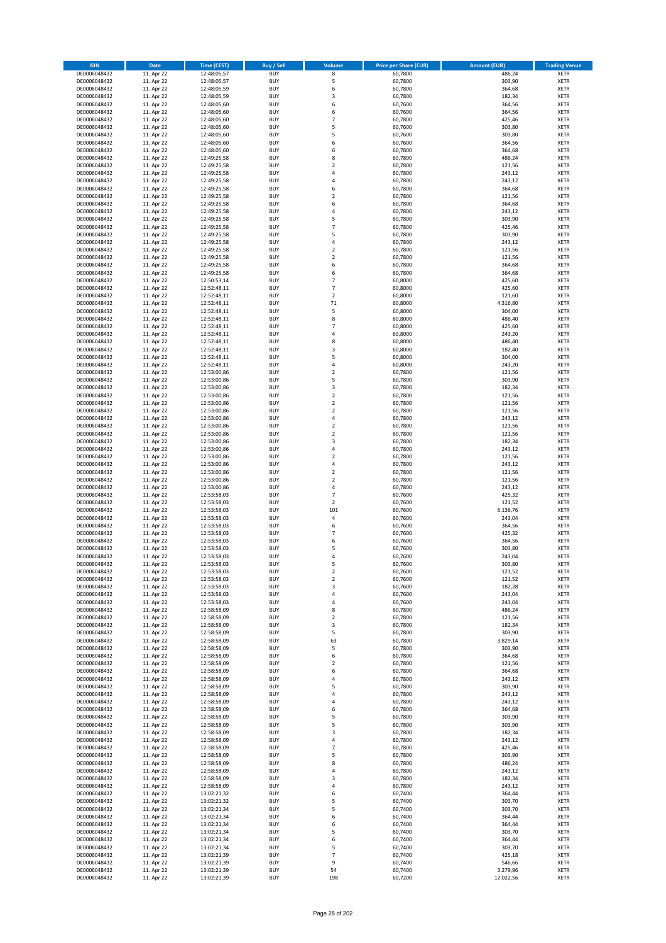| <b>ISIN</b>                  | <b>Date</b>              | <b>Time (CEST)</b>         | <b>Buy / Sell</b>        | Volume                                    | <b>Price per Share (EUR)</b> | <b>Amount (EUR)</b> | <b>Trading Venue</b>       |
|------------------------------|--------------------------|----------------------------|--------------------------|-------------------------------------------|------------------------------|---------------------|----------------------------|
| DE0006048432                 | 11. Apr 22               | 12:48:05,57                | <b>BUY</b>               | 8                                         | 60,7800                      | 486,24              | <b>XETR</b>                |
| DE0006048432                 | 11. Apr 22               | 12:48:05,57                | <b>BUY</b>               | 5                                         | 60,7800                      | 303,90              | <b>XETR</b>                |
| DE0006048432                 | 11. Apr 22               | 12:48:05,59                | <b>BUY</b>               | 6                                         | 60,7800                      | 364,68              | <b>XETR</b>                |
| DE0006048432<br>DE0006048432 | 11. Apr 22<br>11. Apr 22 | 12:48:05,59<br>12:48:05,60 | <b>BUY</b><br><b>BUY</b> | 3<br>6                                    | 60,7800<br>60,7600           | 182,34<br>364,56    | <b>XETR</b><br><b>XETR</b> |
| DE0006048432                 | 11. Apr 22               | 12:48:05,60                | <b>BUY</b>               | 6                                         | 60,7600                      | 364,56              | <b>XETR</b>                |
| DE0006048432                 | 11. Apr 22               | 12:48:05,60                | <b>BUY</b>               | $\overline{7}$                            | 60,7800                      | 425,46              | <b>XETR</b>                |
| DE0006048432                 | 11. Apr 22               | 12:48:05,60                | <b>BUY</b>               | 5                                         | 60,7600                      | 303,80              | <b>XETR</b>                |
| DE0006048432                 | 11. Apr 22               | 12:48:05,60                | <b>BUY</b>               | 5                                         | 60,7600                      | 303,80              | <b>XETR</b>                |
| DE0006048432                 | 11. Apr 22               | 12:48:05,60                | <b>BUY</b><br><b>BUY</b> | 6                                         | 60,7600                      | 364,56              | <b>XETR</b>                |
| DE0006048432<br>DE0006048432 | 11. Apr 22<br>11. Apr 22 | 12:48:05,60<br>12:49:25,58 | <b>BUY</b>               | 6<br>8                                    | 60,7800<br>60,7800           | 364,68<br>486,24    | <b>XETR</b><br><b>XETR</b> |
| DE0006048432                 | 11. Apr 22               | 12:49:25,58                | <b>BUY</b>               | $\mathbf 2$                               | 60,7800                      | 121,56              | <b>XETR</b>                |
| DE0006048432                 | 11. Apr 22               | 12:49:25,58                | <b>BUY</b>               | 4                                         | 60,7800                      | 243,12              | <b>XETR</b>                |
| DE0006048432                 | 11. Apr 22               | 12:49:25,58                | <b>BUY</b>               | 4                                         | 60,7800                      | 243,12              | <b>XETR</b>                |
| DE0006048432                 | 11. Apr 22               | 12:49:25,58                | <b>BUY</b>               | 6                                         | 60,7800                      | 364,68              | <b>XETR</b>                |
| DE0006048432<br>DE0006048432 | 11. Apr 22<br>11. Apr 22 | 12:49:25,58<br>12:49:25,58 | <b>BUY</b><br><b>BUY</b> | $\mathbf 2$<br>6                          | 60,7800<br>60,7800           | 121,56<br>364,68    | <b>XETR</b><br><b>XETR</b> |
| DE0006048432                 | 11. Apr 22               | 12:49:25,58                | <b>BUY</b>               | 4                                         | 60,7800                      | 243,12              | <b>XETR</b>                |
| DE0006048432                 | 11. Apr 22               | 12:49:25,58                | <b>BUY</b>               | 5                                         | 60,7800                      | 303,90              | <b>XETR</b>                |
| DE0006048432                 | 11. Apr 22               | 12:49:25,58                | <b>BUY</b>               | $\overline{7}$                            | 60,7800                      | 425,46              | <b>XETR</b>                |
| DE0006048432                 | 11. Apr 22               | 12:49:25,58                | <b>BUY</b>               | 5                                         | 60,7800                      | 303,90              | <b>XETR</b>                |
| DE0006048432<br>DE0006048432 | 11. Apr 22<br>11. Apr 22 | 12:49:25,58<br>12:49:25,58 | <b>BUY</b><br><b>BUY</b> | 4<br>$\mathbf 2$                          | 60,7800<br>60,7800           | 243,12<br>121,56    | <b>XETR</b><br><b>XETR</b> |
| DE0006048432                 | 11. Apr 22               | 12:49:25,58                | <b>BUY</b>               | $\mathbf 2$                               | 60,7800                      | 121,56              | <b>XETR</b>                |
| DE0006048432                 | 11. Apr 22               | 12:49:25,58                | <b>BUY</b>               | 6                                         | 60,7800                      | 364,68              | <b>XETR</b>                |
| DE0006048432                 | 11. Apr 22               | 12:49:25,58                | <b>BUY</b>               | 6                                         | 60,7800                      | 364,68              | <b>XETR</b>                |
| DE0006048432                 | 11. Apr 22               | 12:50:53,14                | <b>BUY</b>               | $\overline{7}$                            | 60,8000                      | 425,60              | <b>XETR</b>                |
| DE0006048432<br>DE0006048432 | 11. Apr 22<br>11. Apr 22 | 12:52:48,11<br>12:52:48,11 | <b>BUY</b><br><b>BUY</b> | $\overline{7}$<br>$\overline{\mathbf{c}}$ | 60,8000<br>60,8000           | 425,60<br>121,60    | <b>XETR</b><br><b>XETR</b> |
| DE0006048432                 | 11. Apr 22               | 12:52:48,11                | <b>BUY</b>               | 71                                        | 60,8000                      | 4.316,80            | <b>XETR</b>                |
| DE0006048432                 | 11. Apr 22               | 12:52:48,11                | <b>BUY</b>               | 5                                         | 60,8000                      | 304,00              | <b>XETR</b>                |
| DE0006048432                 | 11. Apr 22               | 12:52:48,11                | <b>BUY</b>               | 8                                         | 60,8000                      | 486,40              | <b>XETR</b>                |
| DE0006048432                 | 11. Apr 22               | 12:52:48,11                | <b>BUY</b>               | $\overline{7}$                            | 60,8000                      | 425,60              | <b>XETR</b>                |
| DE0006048432                 | 11. Apr 22               | 12:52:48,11                | <b>BUY</b>               | 4                                         | 60,8000                      | 243,20              | <b>XETR</b>                |
| DE0006048432<br>DE0006048432 | 11. Apr 22<br>11. Apr 22 | 12:52:48,11<br>12:52:48,11 | <b>BUY</b><br><b>BUY</b> | 8<br>3                                    | 60,8000<br>60,8000           | 486,40<br>182,40    | <b>XETR</b><br><b>XETR</b> |
| DE0006048432                 | 11. Apr 22               | 12:52:48,11                | <b>BUY</b>               | 5                                         | 60,8000                      | 304,00              | <b>XETR</b>                |
| DE0006048432                 | 11. Apr 22               | 12:52:48,11                | <b>BUY</b>               | 4                                         | 60,8000                      | 243,20              | <b>XETR</b>                |
| DE0006048432                 | 11. Apr 22               | 12:53:00,86                | <b>BUY</b>               | $\mathbf 2$                               | 60,7800                      | 121,56              | <b>XETR</b>                |
| DE0006048432                 | 11. Apr 22               | 12:53:00,86                | <b>BUY</b>               | 5                                         | 60,7800                      | 303,90              | <b>XETR</b>                |
| DE0006048432<br>DE0006048432 | 11. Apr 22<br>11. Apr 22 | 12:53:00,86<br>12:53:00,86 | <b>BUY</b><br><b>BUY</b> | 3<br>$\mathbf 2$                          | 60,7800<br>60,7800           | 182,34<br>121,56    | <b>XETR</b><br><b>XETR</b> |
| DE0006048432                 | 11. Apr 22               | 12:53:00,86                | <b>BUY</b>               | $\overline{\mathbf{c}}$                   | 60,7800                      | 121,56              | <b>XETR</b>                |
| DE0006048432                 | 11. Apr 22               | 12:53:00,86                | <b>BUY</b>               | $\mathbf 2$                               | 60,7800                      | 121,56              | <b>XETR</b>                |
| DE0006048432                 | 11. Apr 22               | 12:53:00,86                | <b>BUY</b>               | 4                                         | 60,7800                      | 243,12              | <b>XETR</b>                |
| DE0006048432                 | 11. Apr 22               | 12:53:00,86                | <b>BUY</b>               | $\mathbf 2$                               | 60,7800                      | 121,56              | <b>XETR</b>                |
| DE0006048432                 | 11. Apr 22               | 12:53:00,86                | <b>BUY</b>               | $\mathbf 2$<br>3                          | 60,7800                      | 121,56              | <b>XETR</b>                |
| DE0006048432<br>DE0006048432 | 11. Apr 22<br>11. Apr 22 | 12:53:00,86<br>12:53:00,86 | <b>BUY</b><br><b>BUY</b> | 4                                         | 60,7800<br>60,7800           | 182,34<br>243,12    | <b>XETR</b><br><b>XETR</b> |
| DE0006048432                 | 11. Apr 22               | 12:53:00,86                | <b>BUY</b>               | $\overline{\mathbf{c}}$                   | 60,7800                      | 121,56              | <b>XETR</b>                |
| DE0006048432                 | 11. Apr 22               | 12:53:00,86                | <b>BUY</b>               | 4                                         | 60,7800                      | 243,12              | <b>XETR</b>                |
| DE0006048432                 | 11. Apr 22               | 12:53:00,86                | <b>BUY</b>               | $\overline{\mathbf{2}}$                   | 60,7800                      | 121,56              | <b>XETR</b>                |
| DE0006048432                 | 11. Apr 22               | 12:53:00,86                | <b>BUY</b>               | $\overline{\mathbf{c}}$                   | 60,7800                      | 121,56              | <b>XETR</b>                |
| DE0006048432<br>DE0006048432 | 11. Apr 22<br>11. Apr 22 | 12:53:00,86<br>12:53:58,03 | <b>BUY</b><br><b>BUY</b> | 4<br>$\overline{7}$                       | 60,7800<br>60,7600           | 243,12<br>425,32    | <b>XETR</b><br><b>XETR</b> |
| DE0006048432                 | 11. Apr 22               | 12:53:58,03                | <b>BUY</b>               | $\overline{\mathbf{c}}$                   | 60,7600                      | 121,52              | <b>XETR</b>                |
| DE0006048432                 | 11. Apr 22               | 12:53:58,03                | <b>BUY</b>               | 101                                       | 60,7600                      | 6.136,76            | <b>XETR</b>                |
| DE0006048432                 | 11. Apr 22               | 12:53:58,03                | <b>BUY</b>               | 4                                         | 60,7600                      | 243,04              | <b>XETR</b>                |
| DE0006048432                 | 11. Apr 22               | 12:53:58,03                | <b>BUY</b>               | 6                                         | 60,7600                      | 364,56              | <b>XETR</b>                |
| DE0006048432<br>DE0006048432 | 11. Apr 22<br>11. Apr 22 | 12:53:58,03<br>12:53:58,03 | <b>BUY</b><br><b>BUY</b> | $\overline{7}$<br>6                       | 60,7600<br>60,7600           | 425,32<br>364,56    | <b>XETR</b><br><b>XETR</b> |
| DE0006048432                 | 11. Apr 22               | 12:53:58,03                | <b>BUY</b>               | 5                                         | 60,7600                      | 303,80              | <b>XETR</b>                |
| DE0006048432                 | 11. Apr 22               | 12:53:58,03                | <b>BUY</b>               | 4                                         | 60,7600                      | 243,04              | <b>XETR</b>                |
| DE0006048432                 | 11. Apr 22               | 12:53:58,03                | BUY                      | 5                                         | 60,7600                      | 303,80              | <b>XETR</b>                |
| DE0006048432                 | 11. Apr 22               | 12:53:58,03                | <b>BUY</b>               | $\mathbf 2$                               | 60,7600                      | 121,52              | <b>XETR</b>                |
| DE0006048432<br>DE0006048432 | 11. Apr 22<br>11. Apr 22 | 12:53:58,03<br>12:53:58,03 | <b>BUY</b><br><b>BUY</b> | $\mathbf 2$<br>3                          | 60,7600<br>60,7600           | 121,52<br>182,28    | <b>XETR</b><br><b>XETR</b> |
| DE0006048432                 | 11. Apr 22               | 12:53:58,03                | <b>BUY</b>               | 4                                         | 60,7600                      | 243,04              | <b>XETR</b>                |
| DE0006048432                 | 11. Apr 22               | 12:53:58,03                | <b>BUY</b>               | 4                                         | 60,7600                      | 243,04              | <b>XETR</b>                |
| DE0006048432                 | 11. Apr 22               | 12:58:58,09                | <b>BUY</b>               | 8                                         | 60,7800                      | 486,24              | <b>XETR</b>                |
| DE0006048432                 | 11. Apr 22               | 12:58:58,09                | <b>BUY</b>               | $\mathbf 2$                               | 60,7800                      | 121,56              | <b>XETR</b>                |
| DE0006048432<br>DE0006048432 | 11. Apr 22<br>11. Apr 22 | 12:58:58,09<br>12:58:58,09 | <b>BUY</b><br><b>BUY</b> | 3<br>5                                    | 60,7800<br>60,7800           | 182,34<br>303,90    | <b>XETR</b><br><b>XETR</b> |
| DE0006048432                 | 11. Apr 22               | 12:58:58,09                | <b>BUY</b>               | 63                                        | 60,7800                      | 3.829,14            | <b>XETR</b>                |
| DE0006048432                 | 11. Apr 22               | 12:58:58,09                | <b>BUY</b>               | 5                                         | 60,7800                      | 303,90              | <b>XETR</b>                |
| DE0006048432                 | 11. Apr 22               | 12:58:58,09                | <b>BUY</b>               | 6                                         | 60,7800                      | 364,68              | <b>XETR</b>                |
| DE0006048432<br>DE0006048432 | 11. Apr 22<br>11. Apr 22 | 12:58:58,09<br>12:58:58,09 | <b>BUY</b><br><b>BUY</b> | $\overline{\mathbf{c}}$<br>6              | 60,7800<br>60,7800           | 121,56<br>364,68    | <b>XETR</b><br><b>XETR</b> |
| DE0006048432                 | 11. Apr 22               | 12:58:58,09                | <b>BUY</b>               | 4                                         | 60,7800                      | 243,12              | <b>XETR</b>                |
| DE0006048432                 | 11. Apr 22               | 12:58:58,09                | <b>BUY</b>               | 5                                         | 60,7800                      | 303,90              | <b>XETR</b>                |
| DE0006048432                 | 11. Apr 22               | 12:58:58,09                | <b>BUY</b>               | 4                                         | 60,7800                      | 243,12              | <b>XETR</b>                |
| DE0006048432                 | 11. Apr 22               | 12:58:58,09                | <b>BUY</b>               | 4                                         | 60,7800                      | 243,12              | <b>XETR</b>                |
| DE0006048432<br>DE0006048432 | 11. Apr 22               | 12:58:58,09                | <b>BUY</b><br><b>BUY</b> | 6<br>5                                    | 60,7800                      | 364,68              | <b>XETR</b><br><b>XETR</b> |
| DE0006048432                 | 11. Apr 22<br>11. Apr 22 | 12:58:58,09<br>12:58:58,09 | <b>BUY</b>               | 5                                         | 60,7800<br>60,7800           | 303,90<br>303,90    | <b>XETR</b>                |
| DE0006048432                 | 11. Apr 22               | 12:58:58,09                | <b>BUY</b>               | 3                                         | 60,7800                      | 182,34              | <b>XETR</b>                |
| DE0006048432                 | 11. Apr 22               | 12:58:58,09                | <b>BUY</b>               | 4                                         | 60,7800                      | 243,12              | <b>XETR</b>                |
| DE0006048432                 | 11. Apr 22               | 12:58:58,09                | <b>BUY</b>               | $\overline{7}$                            | 60,7800                      | 425,46              | <b>XETR</b>                |
| DE0006048432<br>DE0006048432 | 11. Apr 22<br>11. Apr 22 | 12:58:58,09<br>12:58:58,09 | <b>BUY</b><br><b>BUY</b> | 5<br>8                                    | 60,7800<br>60,7800           | 303,90<br>486,24    | <b>XETR</b><br><b>XETR</b> |
| DE0006048432                 | 11. Apr 22               | 12:58:58,09                | <b>BUY</b>               | 4                                         | 60,7800                      | 243,12              | <b>XETR</b>                |
| DE0006048432                 | 11. Apr 22               | 12:58:58,09                | <b>BUY</b>               | 3                                         | 60,7800                      | 182,34              | <b>XETR</b>                |
| DE0006048432                 | 11. Apr 22               | 12:58:58,09                | <b>BUY</b>               | 4                                         | 60,7800                      | 243,12              | <b>XETR</b>                |
| DE0006048432                 | 11. Apr 22               | 13:02:21,32                | <b>BUY</b>               | 6                                         | 60,7400                      | 364,44              | <b>XETR</b>                |
| DE0006048432                 | 11. Apr 22               | 13:02:21,32                | <b>BUY</b><br><b>BUY</b> | 5<br>5                                    | 60,7400                      | 303,70<br>303,70    | <b>XETR</b>                |
| DE0006048432<br>DE0006048432 | 11. Apr 22<br>11. Apr 22 | 13:02:21,34<br>13:02:21,34 | <b>BUY</b>               | 6                                         | 60,7400<br>60,7400           | 364,44              | <b>XETR</b><br><b>XETR</b> |
| DE0006048432                 | 11. Apr 22               | 13:02:21,34                | <b>BUY</b>               | 6                                         | 60,7400                      | 364,44              | <b>XETR</b>                |
| DE0006048432                 | 11. Apr 22               | 13:02:21,34                | <b>BUY</b>               | 5                                         | 60,7400                      | 303,70              | <b>XETR</b>                |
| DE0006048432                 | 11. Apr 22               | 13:02:21,34                | <b>BUY</b>               | 6                                         | 60,7400                      | 364,44              | <b>XETR</b>                |
| DE0006048432<br>DE0006048432 | 11. Apr 22<br>11. Apr 22 | 13:02:21,34<br>13:02:21,39 | <b>BUY</b><br><b>BUY</b> | 5<br>7                                    | 60,7400<br>60,7400           | 303,70<br>425,18    | <b>XETR</b><br><b>XETR</b> |
| DE0006048432                 | 11. Apr 22               | 13:02:21,39                | <b>BUY</b>               | 9                                         | 60,7400                      | 546,66              | <b>XETR</b>                |
| DE0006048432                 | 11. Apr 22               | 13:02:21,39                | <b>BUY</b>               | 54                                        | 60,7400                      | 3.279,96            | <b>XETR</b>                |
| DE0006048432                 | 11. Apr 22               | 13:02:21,39                | <b>BUY</b>               | 198                                       | 60,7200                      | 12.022,56           | <b>XETR</b>                |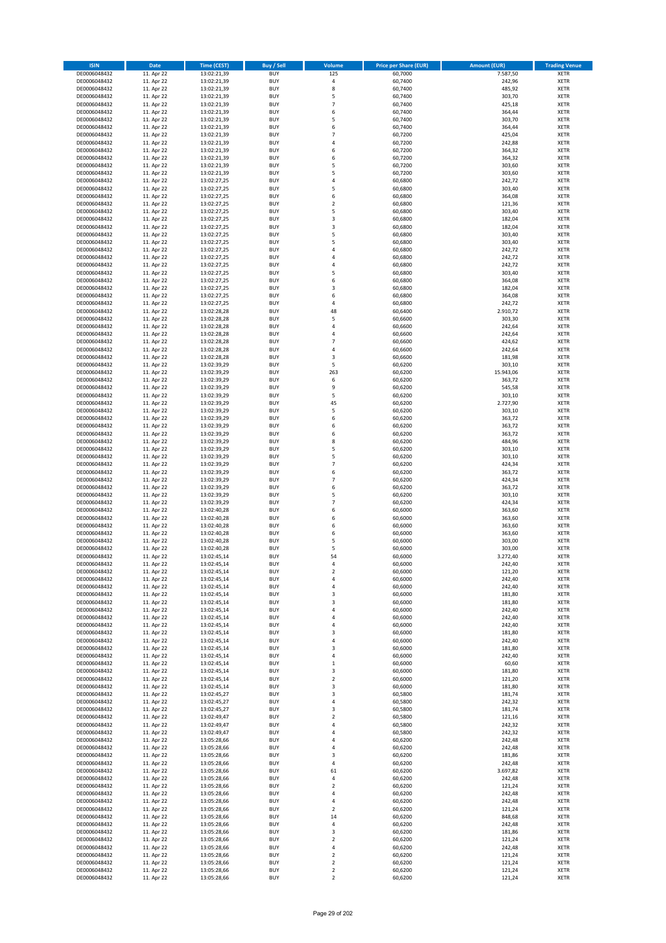| <b>ISIN</b>                  | <b>Date</b>              | Time (CEST)                | <b>Buy / Sell</b>        | Volume                           | <b>Price per Share (EUR)</b> | <b>Amount (EUR)</b> | <b>Trading Venue</b>       |
|------------------------------|--------------------------|----------------------------|--------------------------|----------------------------------|------------------------------|---------------------|----------------------------|
| DE0006048432                 | 11. Apr 22               | 13:02:21,39                | <b>BUY</b>               | 125                              | 60,7000                      | 7.587,50            | <b>XETR</b>                |
| DE0006048432                 | 11. Apr 22               | 13:02:21,39                | <b>BUY</b>               | $\sqrt{4}$                       | 60,7400                      | 242,96              | <b>XETR</b>                |
| DE0006048432                 | 11. Apr 22               | 13:02:21,39                | <b>BUY</b>               | 8                                | 60.7400                      | 485,92              | <b>XETR</b>                |
| DE0006048432                 | 11. Apr 22               | 13:02:21,39                | <b>BUY</b>               | 5                                | 60,7400                      | 303,70              | <b>XETR</b>                |
| DE0006048432<br>DE0006048432 | 11. Apr 22<br>11. Apr 22 | 13:02:21,39<br>13:02:21,39 | <b>BUY</b><br><b>BUY</b> | $\overline{7}$<br>6              | 60,7400<br>60,7400           | 425,18<br>364,44    | <b>XETR</b><br><b>XETR</b> |
| DE0006048432                 | 11. Apr 22               | 13:02:21,39                | <b>BUY</b>               | 5                                | 60.7400                      | 303,70              | <b>XETR</b>                |
| DE0006048432                 | 11. Apr 22               | 13:02:21,39                | <b>BUY</b>               | 6                                | 60,7400                      | 364,44              | <b>XETR</b>                |
| DE0006048432                 | 11. Apr 22               | 13:02:21,39                | BUY                      | $\overline{7}$                   | 60,7200                      | 425,04              | <b>XETR</b>                |
| DE0006048432                 | 11. Apr 22               | 13:02:21,39                | <b>BUY</b>               | $\overline{4}$                   | 60,7200                      | 242,88              | <b>XETR</b>                |
| DE0006048432                 | 11. Apr 22               | 13:02:21,39                | <b>BUY</b>               | 6                                | 60,7200                      | 364,32              | <b>XETR</b>                |
| DE0006048432                 | 11. Apr 22               | 13:02:21,39                | <b>BUY</b><br><b>BUY</b> | 6<br>5                           | 60,7200                      | 364,32              | <b>XETR</b>                |
| DE0006048432<br>DE0006048432 | 11. Apr 22<br>11. Apr 22 | 13:02:21,39<br>13:02:21,39 | <b>BUY</b>               | 5                                | 60,7200<br>60,7200           | 303,60<br>303,60    | <b>XETR</b><br><b>XETR</b> |
| DE0006048432                 | 11. Apr 22               | 13:02:27,25                | <b>BUY</b>               | 4                                | 60,6800                      | 242,72              | <b>XETR</b>                |
| DE0006048432                 | 11. Apr 22               | 13:02:27,25                | BUY                      | 5                                | 60,6800                      | 303,40              | <b>XETR</b>                |
| DE0006048432                 | 11. Apr 22               | 13:02:27,25                | <b>BUY</b>               | 6                                | 60,6800                      | 364,08              | <b>XETR</b>                |
| DE0006048432                 | 11. Apr 22               | 13:02:27,25                | <b>BUY</b>               | $\overline{\mathbf{2}}$          | 60,6800                      | 121,36              | <b>XETR</b>                |
| DE0006048432                 | 11. Apr 22               | 13:02:27,25                | <b>BUY</b>               | 5<br>$\overline{\mathbf{3}}$     | 60.6800                      | 303,40              | <b>XETR</b>                |
| DE0006048432<br>DE0006048432 | 11. Apr 22<br>11. Apr 22 | 13:02:27,25<br>13:02:27,25 | <b>BUY</b><br><b>BUY</b> | $\overline{3}$                   | 60,6800<br>60,6800           | 182,04<br>182,04    | <b>XETR</b><br><b>XETR</b> |
| DE0006048432                 | 11. Apr 22               | 13:02:27,25                | <b>BUY</b>               | 5                                | 60,6800                      | 303,40              | <b>XETR</b>                |
| DE0006048432                 | 11. Apr 22               | 13:02:27,25                | <b>BUY</b>               | 5                                | 60,6800                      | 303,40              | <b>XETR</b>                |
| DE0006048432                 | 11. Apr 22               | 13:02:27,25                | <b>BUY</b>               | 4                                | 60,6800                      | 242,72              | <b>XETR</b>                |
| DE0006048432                 | 11. Apr 22               | 13:02:27,25                | <b>BUY</b>               | $\overline{4}$                   | 60,6800                      | 242,72              | <b>XETR</b>                |
| DE0006048432                 | 11. Apr 22               | 13:02:27,25                | <b>BUY</b>               | 4                                | 60,6800                      | 242,72              | <b>XETR</b>                |
| DE0006048432<br>DE0006048432 | 11. Apr 22<br>11. Apr 22 | 13:02:27,25                | <b>BUY</b><br><b>BUY</b> | 5<br>6                           | 60,6800<br>60,6800           | 303,40<br>364,08    | <b>XETR</b><br><b>XETR</b> |
| DE0006048432                 | 11. Apr 22               | 13:02:27,25<br>13:02:27,25 | <b>BUY</b>               | 3                                | 60,6800                      | 182,04              | <b>XETR</b>                |
| DE0006048432                 | 11. Apr 22               | 13:02:27,25                | <b>BUY</b>               | 6                                | 60,6800                      | 364,08              | <b>XETR</b>                |
| DE0006048432                 | 11. Apr 22               | 13:02:27,25                | <b>BUY</b>               | $\overline{4}$                   | 60,6800                      | 242,72              | <b>XETR</b>                |
| DE0006048432                 | 11. Apr 22               | 13:02:28,28                | <b>BUY</b>               | 48                               | 60,6400                      | 2.910,72            | <b>XETR</b>                |
| DE0006048432                 | 11. Apr 22               | 13:02:28,28                | <b>BUY</b>               | 5                                | 60,6600                      | 303,30              | <b>XETR</b>                |
| DE0006048432                 | 11. Apr 22               | 13:02:28,28                | <b>BUY</b>               | $\overline{a}$                   | 60,6600                      | 242,64              | <b>XETR</b>                |
| DE0006048432<br>DE0006048432 | 11. Apr 22<br>11. Apr 22 | 13:02:28,28<br>13:02:28,28 | <b>BUY</b><br><b>BUY</b> | $\overline{4}$<br>$\overline{7}$ | 60,6600<br>60,6600           | 242,64<br>424,62    | <b>XETR</b><br><b>XETR</b> |
| DE0006048432                 | 11. Apr 22               | 13:02:28,28                | <b>BUY</b>               | $\overline{4}$                   | 60,6600                      | 242,64              | <b>XETR</b>                |
| DE0006048432                 | 11. Apr 22               | 13:02:28,28                | <b>BUY</b>               | $\mathsf 3$                      | 60,6600                      | 181,98              | <b>XETR</b>                |
| DE0006048432                 | 11. Apr 22               | 13:02:39,29                | <b>BUY</b>               | 5                                | 60,6200                      | 303,10              | <b>XETR</b>                |
| DE0006048432                 | 11. Apr 22               | 13:02:39,29                | <b>BUY</b>               | 263                              | 60,6200                      | 15.943,06           | <b>XETR</b>                |
| DE0006048432                 | 11. Apr 22               | 13:02:39,29                | <b>BUY</b>               | 6                                | 60,6200                      | 363,72              | <b>XETR</b>                |
| DE0006048432<br>DE0006048432 | 11. Apr 22<br>11. Apr 22 | 13:02:39,29<br>13:02:39,29 | <b>BUY</b><br><b>BUY</b> | 9<br>5                           | 60,6200<br>60,6200           | 545,58<br>303,10    | <b>XETR</b><br><b>XETR</b> |
| DE0006048432                 | 11. Apr 22               | 13:02:39,29                | <b>BUY</b>               | 45                               | 60,6200                      | 2.727,90            | <b>XETR</b>                |
| DE0006048432                 | 11. Apr 22               | 13:02:39,29                | <b>BUY</b>               | 5                                | 60,6200                      | 303,10              | <b>XETR</b>                |
| DE0006048432                 | 11. Apr 22               | 13:02:39,29                | <b>BUY</b>               | 6                                | 60,6200                      | 363,72              | <b>XETR</b>                |
| DE0006048432                 | 11. Apr 22               | 13:02:39,29                | <b>BUY</b>               | 6                                | 60,6200                      | 363,72              | <b>XETR</b>                |
| DE0006048432                 | 11. Apr 22               | 13:02:39,29                | <b>BUY</b>               | 6                                | 60,6200                      | 363,72              | <b>XETR</b>                |
| DE0006048432<br>DE0006048432 | 11. Apr 22<br>11. Apr 22 | 13:02:39,29<br>13:02:39,29 | <b>BUY</b><br><b>BUY</b> | 8<br>5                           | 60,6200<br>60,6200           | 484,96<br>303,10    | <b>XETR</b><br><b>XETR</b> |
| DE0006048432                 | 11. Apr 22               | 13:02:39,29                | <b>BUY</b>               | 5                                | 60,6200                      | 303,10              | <b>XETR</b>                |
| DE0006048432                 | 11. Apr 22               | 13:02:39,29                | <b>BUY</b>               | $\overline{7}$                   | 60,6200                      | 424,34              | <b>XETR</b>                |
| DE0006048432                 | 11. Apr 22               | 13:02:39,29                | <b>BUY</b>               | 6                                | 60,6200                      | 363,72              | <b>XETR</b>                |
| DE0006048432                 | 11. Apr 22               | 13:02:39,29                | <b>BUY</b>               | $\overline{7}$                   | 60,6200                      | 424,34              | <b>XETR</b>                |
| DE0006048432                 | 11. Apr 22               | 13:02:39,29                | <b>BUY</b>               | 6                                | 60,6200                      | 363,72              | <b>XETR</b>                |
| DE0006048432                 | 11. Apr 22               | 13:02:39,29                | <b>BUY</b>               | 5<br>$\overline{7}$              | 60,6200                      | 303,10              | <b>XETR</b>                |
| DE0006048432<br>DE0006048432 | 11. Apr 22<br>11. Apr 22 | 13:02:39,29<br>13:02:40,28 | <b>BUY</b><br><b>BUY</b> | 6                                | 60,6200<br>60,6000           | 424,34<br>363,60    | <b>XETR</b><br><b>XETR</b> |
| DE0006048432                 | 11. Apr 22               | 13:02:40,28                | BUY                      | 6                                | 60,6000                      | 363,60              | <b>XETR</b>                |
| DE0006048432                 | 11. Apr 22               | 13:02:40,28                | <b>BUY</b>               | 6                                | 60,6000                      | 363,60              | <b>XETR</b>                |
| DE0006048432                 | 11. Apr 22               | 13:02:40,28                | <b>BUY</b>               | 6                                | 60,6000                      | 363,60              | <b>XETR</b>                |
| DE0006048432                 | 11. Apr 22               | 13:02:40,28                | BUY                      | 5                                | 60,6000                      | 303,00              | <b>XETR</b>                |
| DE0006048432                 | 11. Apr 22               | 13:02:40,28                | BUY                      | 5                                | 60,6000                      | 303,00              | <b>XETR</b>                |
| DE0006048432<br>DE0006048432 | 11. Apr 22<br>11. Apr 22 | 13:02:45,14<br>13:02:45,14 | <b>BUY</b><br><b>BUY</b> | 54<br>4                          | 60,6000<br>60,6000           | 3.272,40<br>242,40  | <b>XETR</b><br><b>XETR</b> |
| DE0006048432                 | 11. Apr 22               | 13:02:45,14                | <b>BUY</b>               | $\overline{\mathbf{c}}$          | 60,6000                      | 121,20              | <b>XETR</b>                |
| DE0006048432                 | 11. Apr 22               | 13:02:45,14                | <b>BUY</b>               | 4                                | 60,6000                      | 242,40              | <b>XETR</b>                |
| DE0006048432                 | 11. Apr 22               | 13:02:45,14                | <b>BUY</b>               | 4                                | 60,6000                      | 242,40              | <b>XETR</b>                |
| DE0006048432                 | 11. Apr 22               | 13:02:45,14                | <b>BUY</b>               | 3                                | 60,6000                      | 181,80              | <b>XETR</b>                |
| DE0006048432                 | 11. Apr 22               | 13:02:45,14                | <b>BUY</b>               | 3                                | 60,6000                      | 181,80              | <b>XETR</b>                |
| DE0006048432<br>DE0006048432 | 11. Apr 22<br>11. Apr 22 | 13:02:45,14                | <b>BUY</b><br><b>BUY</b> | 4<br>4                           | 60,6000<br>60,6000           | 242,40<br>242,40    | <b>XETR</b>                |
| DE0006048432                 | 11. Apr 22               | 13:02:45,14<br>13:02:45,14 | <b>BUY</b>               | $\overline{a}$                   | 60,6000                      | 242,40              | <b>XETR</b><br><b>XETR</b> |
| DE0006048432                 | 11. Apr 22               | 13:02:45,14                | <b>BUY</b>               | 3                                | 60,6000                      | 181,80              | <b>XETR</b>                |
| DE0006048432                 | 11. Apr 22               | 13:02:45,14                | <b>BUY</b>               | 4                                | 60,6000                      | 242,40              | <b>XETR</b>                |
| DE0006048432                 | 11. Apr 22               | 13:02:45,14                | <b>BUY</b>               | 3                                | 60,6000                      | 181,80              | <b>XETR</b>                |
| DE0006048432                 | 11. Apr 22               | 13:02:45,14                | <b>BUY</b>               | 4                                | 60,6000                      | 242,40              | <b>XETR</b>                |
| DE0006048432                 | 11. Apr 22               | 13:02:45,14                | <b>BUY</b>               | $\mathbf 1$                      | 60,6000                      | 60,60               | <b>XETR</b>                |
| DE0006048432<br>DE0006048432 | 11. Apr 22<br>11. Apr 22 | 13:02:45,14<br>13:02:45,14 | <b>BUY</b><br><b>BUY</b> | 3<br>$\mathbf 2$                 | 60,6000<br>60,6000           | 181,80<br>121,20    | <b>XETR</b><br><b>XETR</b> |
| DE0006048432                 | 11. Apr 22               | 13:02:45,14                | <b>BUY</b>               | 3                                | 60,6000                      | 181,80              | <b>XETR</b>                |
| DE0006048432                 | 11. Apr 22               | 13:02:45,27                | <b>BUY</b>               | 3                                | 60,5800                      | 181,74              | <b>XETR</b>                |
| DE0006048432                 | 11. Apr 22               | 13:02:45,27                | <b>BUY</b>               | 4                                | 60,5800                      | 242,32              | <b>XETR</b>                |
| DE0006048432                 | 11. Apr 22               | 13:02:45,27                | <b>BUY</b>               | 3                                | 60,5800                      | 181,74              | <b>XETR</b>                |
| DE0006048432                 | 11. Apr 22               | 13:02:49,47                | <b>BUY</b>               | $\overline{2}$                   | 60,5800                      | 121,16              | <b>XETR</b>                |
| DE0006048432<br>DE0006048432 | 11. Apr 22<br>11. Apr 22 | 13:02:49,47<br>13:02:49,47 | <b>BUY</b><br><b>BUY</b> | 4<br>4                           | 60,5800<br>60,5800           | 242,32<br>242,32    | <b>XETR</b><br><b>XETR</b> |
| DE0006048432                 | 11. Apr 22               | 13:05:28,66                | <b>BUY</b>               | 4                                | 60,6200                      | 242,48              | <b>XETR</b>                |
| DE0006048432                 | 11. Apr 22               | 13:05:28,66                | <b>BUY</b>               | 4                                | 60,6200                      | 242,48              | <b>XETR</b>                |
| DE0006048432                 | 11. Apr 22               | 13:05:28,66                | <b>BUY</b>               | 3                                | 60,6200                      | 181,86              | <b>XETR</b>                |
| DE0006048432                 | 11. Apr 22               | 13:05:28,66                | <b>BUY</b>               | $\overline{4}$                   | 60,6200                      | 242,48              | <b>XETR</b>                |
| DE0006048432                 | 11. Apr 22               | 13:05:28,66                | <b>BUY</b>               | 61                               | 60,6200                      | 3.697,82            | <b>XETR</b>                |
| DE0006048432                 | 11. Apr 22               | 13:05:28,66                | <b>BUY</b>               | 4                                | 60,6200                      | 242,48              | <b>XETR</b>                |
| DE0006048432<br>DE0006048432 | 11. Apr 22<br>11. Apr 22 | 13:05:28,66<br>13:05:28,66 | <b>BUY</b><br><b>BUY</b> | $\overline{2}$<br>4              | 60,6200<br>60,6200           | 121,24<br>242,48    | <b>XETR</b><br><b>XETR</b> |
| DE0006048432                 | 11. Apr 22               | 13:05:28,66                | <b>BUY</b>               | 4                                | 60,6200                      | 242,48              | <b>XETR</b>                |
| DE0006048432                 | 11. Apr 22               | 13:05:28,66                | <b>BUY</b>               | 2                                | 60,6200                      | 121,24              | <b>XETR</b>                |
| DE0006048432                 | 11. Apr 22               | 13:05:28,66                | <b>BUY</b>               | 14                               | 60,6200                      | 848,68              | <b>XETR</b>                |
| DE0006048432                 | 11. Apr 22               | 13:05:28,66                | <b>BUY</b>               | 4                                | 60,6200                      | 242,48              | <b>XETR</b>                |
| DE0006048432                 | 11. Apr 22               | 13:05:28,66                | <b>BUY</b>               | 3                                | 60,6200                      | 181,86              | <b>XETR</b>                |
| DE0006048432                 | 11. Apr 22               | 13:05:28,66                | <b>BUY</b>               | 2                                | 60,6200                      | 121,24              | <b>XETR</b>                |
| DE0006048432<br>DE0006048432 | 11. Apr 22<br>11. Apr 22 | 13:05:28,66<br>13:05:28,66 | <b>BUY</b><br><b>BUY</b> | 4<br>2                           | 60,6200<br>60,6200           | 242,48<br>121,24    | <b>XETR</b><br><b>XETR</b> |
| DE0006048432                 | 11. Apr 22               | 13:05:28,66                | <b>BUY</b>               | 2                                | 60,6200                      | 121,24              | <b>XETR</b>                |
| DE0006048432                 | 11. Apr 22               | 13:05:28,66                | <b>BUY</b>               | $\mathbf 2$                      | 60,6200                      | 121,24              | <b>XETR</b>                |
| DE0006048432                 | 11. Apr 22               | 13:05:28,66                | <b>BUY</b>               | $\mathbf 2$                      | 60,6200                      | 121,24              | <b>XETR</b>                |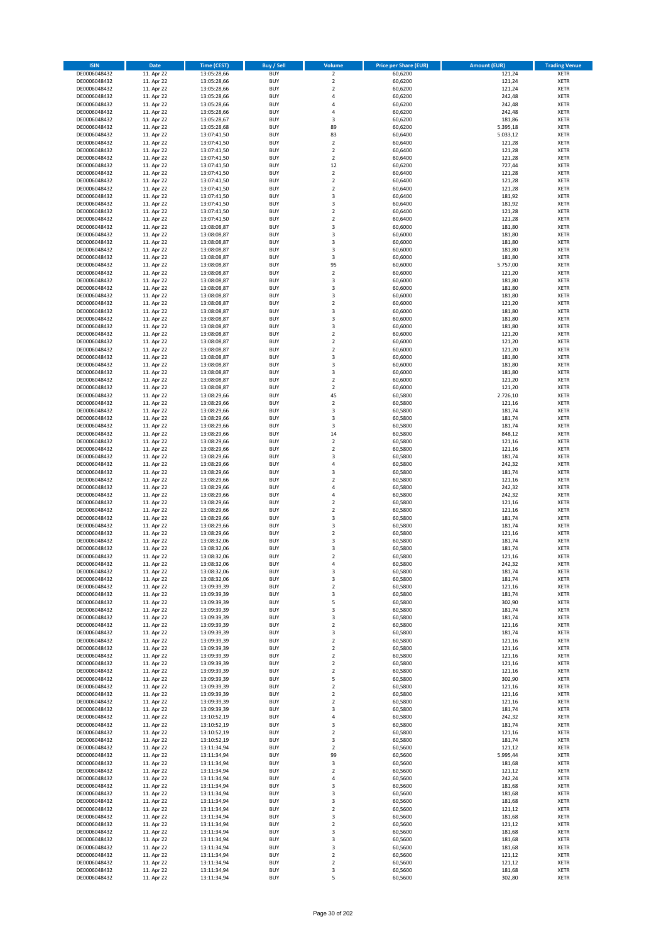| <b>ISIN</b>                  | <b>Date</b>              | <b>Time (CEST)</b>         | <b>Buy / Sell</b>        | <b>Volume</b>                 | <b>Price per Share (EUR)</b> | <b>Amount (EUR)</b> | <b>Trading Venue</b>       |
|------------------------------|--------------------------|----------------------------|--------------------------|-------------------------------|------------------------------|---------------------|----------------------------|
| DE0006048432                 | 11. Apr 22               | 13:05:28,66                | <b>BUY</b>               | $\overline{2}$                | 60,6200                      | 121,24              | <b>XETR</b>                |
| DE0006048432                 | 11. Apr 22               | 13:05:28,66                | <b>BUY</b>               | $\mathbf 2$                   | 60,6200                      | 121,24              | <b>XETR</b>                |
| DE0006048432                 | 11. Apr 22               | 13:05:28,66                | <b>BUY</b>               | $\overline{2}$                | 60,6200                      | 121,24              | <b>XETR</b>                |
| DE0006048432<br>DE0006048432 | 11. Apr 22<br>11. Apr 22 | 13:05:28,66<br>13:05:28,66 | <b>BUY</b><br><b>BUY</b> | 4<br>4                        | 60,6200<br>60,6200           | 242,48<br>242,48    | <b>XETR</b><br><b>XETR</b> |
| DE0006048432                 | 11. Apr 22               | 13:05:28,66                | <b>BUY</b>               | 4                             | 60,6200                      | 242,48              | <b>XETR</b>                |
| DE0006048432                 | 11. Apr 22               | 13:05:28,67                | <b>BUY</b>               | 3                             | 60,6200                      | 181,86              | <b>XETR</b>                |
| DE0006048432                 | 11. Apr 22               | 13:05:28,68                | <b>BUY</b>               | 89                            | 60,6200                      | 5.395,18            | <b>XETR</b>                |
| DE0006048432                 | 11. Apr 22               | 13:07:41,50                | <b>BUY</b>               | 83                            | 60,6400                      | 5.033,12            | <b>XETR</b>                |
| DE0006048432                 | 11. Apr 22               | 13:07:41,50                | <b>BUY</b>               | $\overline{2}$                | 60,6400                      | 121,28              | <b>XETR</b>                |
| DE0006048432                 | 11. Apr 22               | 13:07:41,50                | <b>BUY</b>               | $\mathbf 2$                   | 60,6400                      | 121,28              | <b>XETR</b>                |
| DE0006048432<br>DE0006048432 | 11. Apr 22<br>11. Apr 22 | 13:07:41,50                | <b>BUY</b><br><b>BUY</b> | $\overline{\mathbf{c}}$<br>12 | 60,6400<br>60,6200           | 121,28<br>727,44    | <b>XETR</b><br><b>XETR</b> |
| DE0006048432                 | 11. Apr 22               | 13:07:41,50<br>13:07:41,50 | <b>BUY</b>               | $\overline{2}$                | 60,6400                      | 121,28              | <b>XETR</b>                |
| DE0006048432                 | 11. Apr 22               | 13:07:41,50                | <b>BUY</b>               | $\mathbf 2$                   | 60,6400                      | 121,28              | <b>XETR</b>                |
| DE0006048432                 | 11. Apr 22               | 13:07:41,50                | <b>BUY</b>               | $\overline{\mathbf{c}}$       | 60,6400                      | 121,28              | <b>XETR</b>                |
| DE0006048432                 | 11. Apr 22               | 13:07:41,50                | <b>BUY</b>               | 3                             | 60,6400                      | 181,92              | <b>XETR</b>                |
| DE0006048432                 | 11. Apr 22               | 13:07:41,50                | <b>BUY</b>               | 3                             | 60,6400                      | 181,92              | <b>XETR</b>                |
| DE0006048432                 | 11. Apr 22               | 13:07:41,50                | <b>BUY</b>               | $\overline{\mathbf{c}}$       | 60,6400                      | 121,28              | <b>XETR</b>                |
| DE0006048432                 | 11. Apr 22               | 13:07:41,50                | <b>BUY</b>               | $\mathbf 2$                   | 60,6400                      | 121,28              | <b>XETR</b>                |
| DE0006048432<br>DE0006048432 | 11. Apr 22<br>11. Apr 22 | 13:08:08,87<br>13:08:08,87 | <b>BUY</b><br><b>BUY</b> | 3<br>3                        | 60,6000<br>60,6000           | 181,80<br>181,80    | <b>XETR</b><br><b>XETR</b> |
| DE0006048432                 | 11. Apr 22               | 13:08:08,87                | <b>BUY</b>               | 3                             | 60,6000                      | 181,80              | <b>XETR</b>                |
| DE0006048432                 | 11. Apr 22               | 13:08:08,87                | <b>BUY</b>               | 3                             | 60,6000                      | 181,80              | <b>XETR</b>                |
| DE0006048432                 | 11. Apr 22               | 13:08:08,87                | <b>BUY</b>               | 3                             | 60,6000                      | 181,80              | <b>XETR</b>                |
| DE0006048432                 | 11. Apr 22               | 13:08:08,87                | <b>BUY</b>               | 95                            | 60,6000                      | 5.757,00            | <b>XETR</b>                |
| DE0006048432                 | 11. Apr 22               | 13:08:08,87                | <b>BUY</b>               | $\mathbf 2$                   | 60,6000                      | 121,20              | <b>XETR</b>                |
| DE0006048432                 | 11. Apr 22               | 13:08:08,87                | <b>BUY</b>               | 3                             | 60,6000                      | 181,80              | <b>XETR</b>                |
| DE0006048432<br>DE0006048432 | 11. Apr 22<br>11. Apr 22 | 13:08:08,87<br>13:08:08,87 | <b>BUY</b><br><b>BUY</b> | 3<br>3                        | 60,6000<br>60,6000           | 181,80<br>181,80    | <b>XETR</b><br><b>XETR</b> |
| DE0006048432                 | 11. Apr 22               | 13:08:08,87                | <b>BUY</b>               | $\mathbf 2$                   | 60,6000                      | 121,20              | <b>XETR</b>                |
| DE0006048432                 | 11. Apr 22               | 13:08:08,87                | <b>BUY</b>               | 3                             | 60,6000                      | 181,80              | <b>XETR</b>                |
| DE0006048432                 | 11. Apr 22               | 13:08:08,87                | <b>BUY</b>               | 3                             | 60,6000                      | 181,80              | <b>XETR</b>                |
| DE0006048432                 | 11. Apr 22               | 13:08:08,87                | <b>BUY</b>               | 3                             | 60,6000                      | 181,80              | <b>XETR</b>                |
| DE0006048432                 | 11. Apr 22               | 13:08:08,87                | <b>BUY</b>               | $\mathbf 2$                   | 60,6000                      | 121,20              | <b>XETR</b>                |
| DE0006048432                 | 11. Apr 22               | 13:08:08,87                | <b>BUY</b>               | $\mathbf 2$                   | 60,6000                      | 121,20              | <b>XETR</b>                |
| DE0006048432<br>DE0006048432 | 11. Apr 22               | 13:08:08,87<br>13:08:08,87 | <b>BUY</b><br><b>BUY</b> | $\overline{\mathbf{c}}$<br>3  | 60,6000                      | 121,20              | <b>XETR</b>                |
| DE0006048432                 | 11. Apr 22<br>11. Apr 22 | 13:08:08,87                | <b>BUY</b>               | 3                             | 60,6000<br>60,6000           | 181,80<br>181,80    | <b>XETR</b><br><b>XETR</b> |
| DE0006048432                 | 11. Apr 22               | 13:08:08,87                | <b>BUY</b>               | 3                             | 60,6000                      | 181,80              | <b>XETR</b>                |
| DE0006048432                 | 11. Apr 22               | 13:08:08,87                | <b>BUY</b>               | $\overline{\mathbf{c}}$       | 60,6000                      | 121,20              | <b>XETR</b>                |
| DE0006048432                 | 11. Apr 22               | 13:08:08,87                | <b>BUY</b>               | $\mathbf 2$                   | 60,6000                      | 121,20              | <b>XETR</b>                |
| DE0006048432                 | 11. Apr 22               | 13:08:29,66                | <b>BUY</b>               | 45                            | 60,5800                      | 2.726,10            | <b>XETR</b>                |
| DE0006048432                 | 11. Apr 22               | 13:08:29,66                | <b>BUY</b>               | $\overline{\mathbf{c}}$       | 60,5800                      | 121,16              | <b>XETR</b>                |
| DE0006048432                 | 11. Apr 22               | 13:08:29,66                | <b>BUY</b>               | 3                             | 60,5800                      | 181,74              | <b>XETR</b>                |
| DE0006048432                 | 11. Apr 22               | 13:08:29,66                | <b>BUY</b><br><b>BUY</b> | 3                             | 60,5800                      | 181,74              | <b>XETR</b>                |
| DE0006048432<br>DE0006048432 | 11. Apr 22<br>11. Apr 22 | 13:08:29,66<br>13:08:29,66 | <b>BUY</b>               | 3<br>14                       | 60,5800<br>60,5800           | 181,74<br>848,12    | <b>XETR</b><br><b>XETR</b> |
| DE0006048432                 | 11. Apr 22               | 13:08:29,66                | <b>BUY</b>               | $\mathbf 2$                   | 60,5800                      | 121,16              | <b>XETR</b>                |
| DE0006048432                 | 11. Apr 22               | 13:08:29,66                | <b>BUY</b>               | $\mathbf 2$                   | 60,5800                      | 121,16              | <b>XETR</b>                |
| DE0006048432                 | 11. Apr 22               | 13:08:29,66                | <b>BUY</b>               | 3                             | 60,5800                      | 181,74              | <b>XETR</b>                |
| DE0006048432                 | 11. Apr 22               | 13:08:29,66                | <b>BUY</b>               | 4                             | 60,5800                      | 242,32              | <b>XETR</b>                |
| DE0006048432                 | 11. Apr 22               | 13:08:29,66                | <b>BUY</b>               | 3                             | 60,5800                      | 181,74              | <b>XETR</b>                |
| DE0006048432<br>DE0006048432 | 11. Apr 22               | 13:08:29,66                | <b>BUY</b><br><b>BUY</b> | $\mathbf 2$<br>4              | 60,5800                      | 121,16              | <b>XETR</b><br><b>XETR</b> |
| DE0006048432                 | 11. Apr 22<br>11. Apr 22 | 13:08:29,66<br>13:08:29,66 | <b>BUY</b>               | 4                             | 60,5800<br>60,5800           | 242,32<br>242,32    | <b>XETR</b>                |
| DE0006048432                 | 11. Apr 22               | 13:08:29,66                | <b>BUY</b>               | $\overline{\mathbf{c}}$       | 60,5800                      | 121,16              | <b>XETR</b>                |
| DE0006048432                 | 11. Apr 22               | 13:08:29,66                | <b>BUY</b>               | $\overline{\mathbf{c}}$       | 60,5800                      | 121,16              | <b>XETR</b>                |
| DE0006048432                 | 11. Apr 22               | 13:08:29,66                | <b>BUY</b>               | 3                             | 60,5800                      | 181,74              | <b>XETR</b>                |
| DE0006048432                 | 11. Apr 22               | 13:08:29,66                | <b>BUY</b>               | 3                             | 60,5800                      | 181,74              | <b>XETR</b>                |
| DE0006048432                 | 11. Apr 22               | 13:08:29,66                | <b>BUY</b>               | $\mathbf 2$                   | 60,5800                      | 121,16              | <b>XETR</b>                |
| DE0006048432                 | 11. Apr 22               | 13:08:32,06                | <b>BUY</b>               | 3                             | 60,5800                      | 181,74              | <b>XETR</b>                |
| DE0006048432<br>DE0006048432 | 11. Apr 22<br>11. Apr 22 | 13:08:32,06<br>13:08:32,06 | <b>BUY</b><br><b>BUY</b> | 3<br>$\overline{2}$           | 60,5800<br>60,5800           | 181,74<br>121,16    | <b>XETR</b><br><b>XETR</b> |
| DE0006048432                 | 11. Apr 22               | 13:08:32,06                | BUY                      | 4                             | 60,5800                      | 242,32              | <b>XETR</b>                |
| DE0006048432                 | 11. Apr 22               | 13:08:32,06                | <b>BUY</b>               | 3                             | 60,5800                      | 181,74              | <b>XETR</b>                |
| DE0006048432                 | 11. Apr 22               | 13:08:32,06                | <b>BUY</b>               | 3                             | 60,5800                      | 181,74              | <b>XETR</b>                |
| DE0006048432                 | 11. Apr 22               | 13:09:39,39                | <b>BUY</b>               | $\mathbf 2$                   | 60,5800                      | 121,16              | XETR                       |
| DE0006048432                 | 11. Apr 22               | 13:09:39,39                | <b>BUY</b>               | 3                             | 60,5800                      | 181,74              | <b>XETR</b>                |
| DE0006048432<br>DE0006048432 | 11. Apr 22<br>11. Apr 22 | 13:09:39,39                | <b>BUY</b><br><b>BUY</b> | 5<br>3                        | 60,5800<br>60,5800           | 302,90<br>181,74    | <b>XETR</b><br><b>XETR</b> |
| DE0006048432                 | 11. Apr 22               | 13:09:39,39<br>13:09:39,39 | <b>BUY</b>               | 3                             | 60,5800                      | 181,74              | <b>XETR</b>                |
| DE0006048432                 | 11. Apr 22               | 13:09:39,39                | <b>BUY</b>               | $\mathbf 2$                   | 60,5800                      | 121,16              | <b>XETR</b>                |
| DE0006048432                 | 11. Apr 22               | 13:09:39,39                | <b>BUY</b>               | 3                             | 60,5800                      | 181,74              | <b>XETR</b>                |
| DE0006048432                 | 11. Apr 22               | 13:09:39,39                | <b>BUY</b>               | $\mathbf 2$                   | 60,5800                      | 121,16              | <b>XETR</b>                |
| DE0006048432                 | 11. Apr 22               | 13:09:39,39                | <b>BUY</b>               | $\overline{2}$                | 60,5800                      | 121,16              | <b>XETR</b>                |
| DE0006048432<br>DE0006048432 | 11. Apr 22               | 13:09:39,39                | <b>BUY</b><br><b>BUY</b> | $\mathbf 2$<br>$\overline{2}$ | 60,5800                      | 121,16              | <b>XETR</b><br><b>XETR</b> |
| DE0006048432                 | 11. Apr 22<br>11. Apr 22 | 13:09:39,39<br>13:09:39,39 | <b>BUY</b>               | $\mathbf 2$                   | 60,5800<br>60,5800           | 121,16<br>121,16    | <b>XETR</b>                |
| DE0006048432                 | 11. Apr 22               | 13:09:39,39                | <b>BUY</b>               | 5                             | 60,5800                      | 302,90              | <b>XETR</b>                |
| DE0006048432                 | 11. Apr 22               | 13:09:39,39                | <b>BUY</b>               | $\mathbf 2$                   | 60,5800                      | 121,16              | <b>XETR</b>                |
| DE0006048432                 | 11. Apr 22               | 13:09:39,39                | <b>BUY</b>               | $\mathbf 2$                   | 60,5800                      | 121,16              | <b>XETR</b>                |
| DE0006048432                 | 11. Apr 22               | 13:09:39,39                | <b>BUY</b>               | $\mathbf 2$                   | 60,5800                      | 121,16              | XETR                       |
| DE0006048432                 | 11. Apr 22               | 13:09:39,39                | <b>BUY</b>               | 3                             | 60,5800                      | 181,74              | <b>XETR</b>                |
| DE0006048432                 | 11. Apr 22               | 13:10:52,19                | <b>BUY</b><br><b>BUY</b> | 4                             | 60,5800                      | 242,32<br>181,74    | <b>XETR</b>                |
| DE0006048432<br>DE0006048432 | 11. Apr 22<br>11. Apr 22 | 13:10:52,19<br>13:10:52,19 | <b>BUY</b>               | 3<br>$\overline{2}$           | 60,5800<br>60,5800           | 121,16              | <b>XETR</b><br><b>XETR</b> |
| DE0006048432                 | 11. Apr 22               | 13:10:52,19                | <b>BUY</b>               | 3                             | 60,5800                      | 181,74              | <b>XETR</b>                |
| DE0006048432                 | 11. Apr 22               | 13:11:34,94                | <b>BUY</b>               | $\mathbf 2$                   | 60,5600                      | 121,12              | <b>XETR</b>                |
| DE0006048432                 | 11. Apr 22               | 13:11:34,94                | <b>BUY</b>               | 99                            | 60,5600                      | 5.995,44            | <b>XETR</b>                |
| DE0006048432                 | 11. Apr 22               | 13:11:34,94                | <b>BUY</b>               | 3                             | 60,5600                      | 181,68              | <b>XETR</b>                |
| DE0006048432                 | 11. Apr 22               | 13:11:34,94                | <b>BUY</b>               | $\overline{\mathbf{c}}$       | 60,5600                      | 121,12              | <b>XETR</b>                |
| DE0006048432                 | 11. Apr 22               | 13:11:34,94                | <b>BUY</b><br><b>BUY</b> | 4                             | 60,5600                      | 242,24              | <b>XETR</b>                |
| DE0006048432<br>DE0006048432 | 11. Apr 22<br>11. Apr 22 | 13:11:34,94<br>13:11:34,94 | <b>BUY</b>               | 3<br>3                        | 60,5600<br>60,5600           | 181,68<br>181,68    | <b>XETR</b><br><b>XETR</b> |
| DE0006048432                 | 11. Apr 22               | 13:11:34,94                | <b>BUY</b>               | 3                             | 60,5600                      | 181,68              | <b>XETR</b>                |
| DE0006048432                 | 11. Apr 22               | 13:11:34,94                | <b>BUY</b>               | $\mathbf 2$                   | 60,5600                      | 121,12              | <b>XETR</b>                |
| DE0006048432                 | 11. Apr 22               | 13:11:34,94                | <b>BUY</b>               | 3                             | 60,5600                      | 181,68              | <b>XETR</b>                |
| DE0006048432                 | 11. Apr 22               | 13:11:34,94                | <b>BUY</b>               | $\mathbf 2$                   | 60,5600                      | 121,12              | <b>XETR</b>                |
| DE0006048432                 | 11. Apr 22               | 13:11:34,94                | <b>BUY</b>               | 3                             | 60,5600                      | 181,68              | <b>XETR</b>                |
| DE0006048432                 | 11. Apr 22<br>11. Apr 22 | 13:11:34,94                | <b>BUY</b><br><b>BUY</b> | 3                             | 60,5600<br>60,5600           | 181,68<br>181,68    | <b>XETR</b>                |
| DE0006048432<br>DE0006048432 | 11. Apr 22               | 13:11:34,94<br>13:11:34,94 | <b>BUY</b>               | 3<br>$\overline{2}$           | 60,5600                      | 121,12              | XETR<br><b>XETR</b>        |
| DE0006048432                 | 11. Apr 22               | 13:11:34,94                | <b>BUY</b>               | $\mathbf 2$                   | 60,5600                      | 121,12              | XETR                       |
| DE0006048432                 | 11. Apr 22               | 13:11:34,94                | <b>BUY</b>               | 3                             | 60,5600                      | 181,68              | <b>XETR</b>                |
| DE0006048432                 | 11. Apr 22               | 13:11:34,94                | <b>BUY</b>               | 5                             | 60,5600                      | 302,80              | <b>XETR</b>                |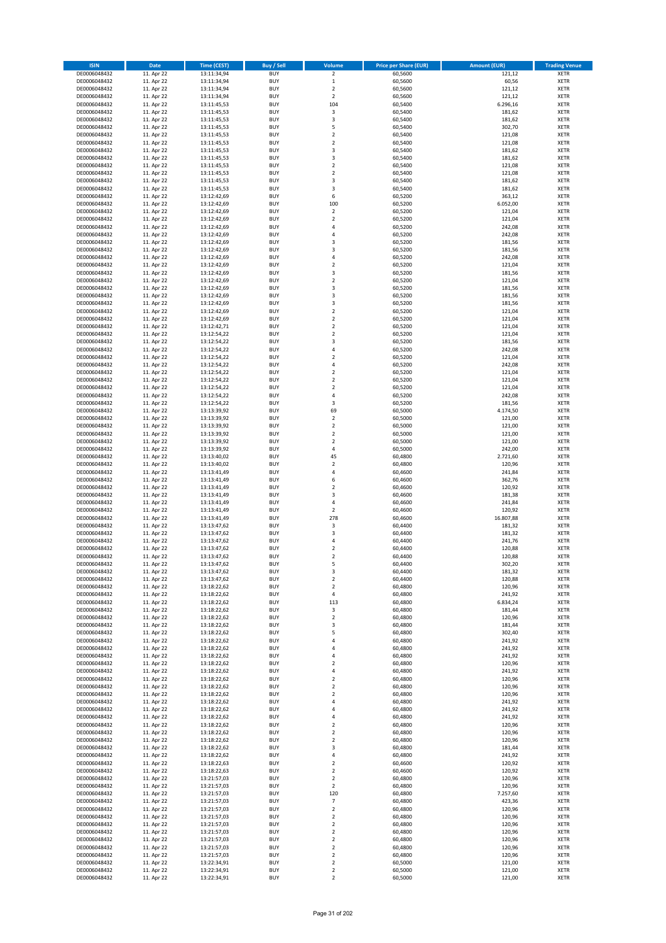| <b>ISIN</b>                  | <b>Date</b>              | Time (CEST)                | <b>Buy / Sell</b>        | Volume                                 | <b>Price per Share (EUR)</b> | <b>Amount (EUR)</b> | <b>Trading Venue</b>       |
|------------------------------|--------------------------|----------------------------|--------------------------|----------------------------------------|------------------------------|---------------------|----------------------------|
| DE0006048432                 | 11. Apr 22               | 13:11:34,94                | <b>BUY</b>               | $\overline{2}$                         | 60,5600                      | 121,12              | <b>XETR</b>                |
| DE0006048432                 | 11. Apr 22               | 13:11:34,94                | <b>BUY</b>               | $\mathbf 1$                            | 60,5600                      | 60,56               | <b>XETR</b>                |
| DE0006048432                 | 11. Apr 22               | 13:11:34,94                | <b>BUY</b>               | $\overline{2}$                         | 60,5600                      | 121,12              | <b>XETR</b>                |
| DE0006048432<br>DE0006048432 | 11. Apr 22<br>11. Apr 22 | 13:11:34,94<br>13:11:45,53 | <b>BUY</b><br><b>BUY</b> | $\mathbf 2$<br>104                     | 60,5600<br>60,5400           | 121,12<br>6.296,16  | <b>XETR</b><br><b>XETR</b> |
| DE0006048432                 | 11. Apr 22               | 13:11:45,53                | <b>BUY</b>               | $\mathsf 3$                            | 60,5400                      | 181,62              | <b>XETR</b>                |
| DE0006048432                 | 11. Apr 22               | 13:11:45,53                | <b>BUY</b>               | 3                                      | 60,5400                      | 181,62              | <b>XETR</b>                |
| DE0006048432                 | 11. Apr 22               | 13:11:45,53                | <b>BUY</b>               | 5                                      | 60,5400                      | 302,70              | <b>XETR</b>                |
| DE0006048432                 | 11. Apr 22               | 13:11:45,53                | <b>BUY</b>               | $\overline{2}$                         | 60,5400                      | 121,08              | <b>XETR</b>                |
| DE0006048432                 | 11. Apr 22               | 13:11:45,53                | <b>BUY</b><br><b>BUY</b> | $\overline{2}$                         | 60,5400                      | 121,08              | <b>XETR</b>                |
| DE0006048432<br>DE0006048432 | 11. Apr 22<br>11. Apr 22 | 13:11:45,53<br>13:11:45,53 | <b>BUY</b>               | 3<br>3                                 | 60,5400<br>60,5400           | 181,62<br>181,62    | <b>XETR</b><br><b>XETR</b> |
| DE0006048432                 | 11. Apr 22               | 13:11:45,53                | <b>BUY</b>               | $\mathbf 2$                            | 60,5400                      | 121,08              | <b>XETR</b>                |
| DE0006048432                 | 11. Apr 22               | 13:11:45,53                | <b>BUY</b>               | $\overline{\mathbf{c}}$                | 60,5400                      | 121,08              | <b>XETR</b>                |
| DE0006048432                 | 11. Apr 22               | 13:11:45,53                | <b>BUY</b>               | 3                                      | 60,5400                      | 181,62              | <b>XETR</b>                |
| DE0006048432                 | 11. Apr 22               | 13:11:45,53                | <b>BUY</b>               | 3                                      | 60,5400                      | 181,62              | <b>XETR</b>                |
| DE0006048432<br>DE0006048432 | 11. Apr 22<br>11. Apr 22 | 13:12:42,69<br>13:12:42,69 | <b>BUY</b><br><b>BUY</b> | 6<br>100                               | 60,5200<br>60,5200           | 363,12<br>6.052,00  | <b>XETR</b><br><b>XETR</b> |
| DE0006048432                 | 11. Apr 22               | 13:12:42,69                | <b>BUY</b>               | $\mathbf 2$                            | 60,5200                      | 121,04              | <b>XETR</b>                |
| DE0006048432                 | 11. Apr 22               | 13:12:42,69                | <b>BUY</b>               | $\mathbf 2$                            | 60,5200                      | 121,04              | <b>XETR</b>                |
| DE0006048432                 | 11. Apr 22               | 13:12:42,69                | <b>BUY</b>               | 4                                      | 60,5200                      | 242,08              | <b>XETR</b>                |
| DE0006048432                 | 11. Apr 22               | 13:12:42,69                | <b>BUY</b>               | 4                                      | 60,5200                      | 242,08              | <b>XETR</b>                |
| DE0006048432                 | 11. Apr 22               | 13:12:42,69                | <b>BUY</b><br><b>BUY</b> | 3<br>3                                 | 60,5200                      | 181,56              | <b>XETR</b>                |
| DE0006048432<br>DE0006048432 | 11. Apr 22<br>11. Apr 22 | 13:12:42,69<br>13:12:42,69 | <b>BUY</b>               | 4                                      | 60,5200<br>60,5200           | 181,56<br>242,08    | <b>XETR</b><br><b>XETR</b> |
| DE0006048432                 | 11. Apr 22               | 13:12:42,69                | <b>BUY</b>               | $\mathbf 2$                            | 60,5200                      | 121,04              | <b>XETR</b>                |
| DE0006048432                 | 11. Apr 22               | 13:12:42,69                | <b>BUY</b>               | 3                                      | 60,5200                      | 181,56              | <b>XETR</b>                |
| DE0006048432                 | 11. Apr 22               | 13:12:42,69                | <b>BUY</b>               | $\overline{\mathbf{c}}$                | 60,5200                      | 121,04              | <b>XETR</b>                |
| DE0006048432                 | 11. Apr 22               | 13:12:42,69                | <b>BUY</b>               | 3                                      | 60,5200                      | 181,56              | <b>XETR</b>                |
| DE0006048432<br>DE0006048432 | 11. Apr 22<br>11. Apr 22 | 13:12:42,69<br>13:12:42,69 | <b>BUY</b><br><b>BUY</b> | 3<br>3                                 | 60,5200<br>60,5200           | 181,56<br>181,56    | <b>XETR</b><br><b>XETR</b> |
| DE0006048432                 | 11. Apr 22               | 13:12:42,69                | <b>BUY</b>               | $\overline{2}$                         | 60,5200                      | 121,04              | <b>XETR</b>                |
| DE0006048432                 | 11. Apr 22               | 13:12:42,69                | <b>BUY</b>               | $\mathbf 2$                            | 60,5200                      | 121,04              | <b>XETR</b>                |
| DE0006048432                 | 11. Apr 22               | 13:12:42,71                | <b>BUY</b>               | $\mathbf 2$                            | 60,5200                      | 121,04              | <b>XETR</b>                |
| DE0006048432                 | 11. Apr 22               | 13:12:54,22                | <b>BUY</b>               | $\overline{2}$                         | 60,5200                      | 121,04              | <b>XETR</b>                |
| DE0006048432<br>DE0006048432 | 11. Apr 22               | 13:12:54,22                | <b>BUY</b><br><b>BUY</b> | 3<br>4                                 | 60,5200                      | 181,56              | <b>XETR</b><br><b>XETR</b> |
| DE0006048432                 | 11. Apr 22<br>11. Apr 22 | 13:12:54,22<br>13:12:54,22 | <b>BUY</b>               | $\overline{\mathbf{c}}$                | 60,5200<br>60,5200           | 242,08<br>121,04    | <b>XETR</b>                |
| DE0006048432                 | 11. Apr 22               | 13:12:54,22                | <b>BUY</b>               | 4                                      | 60,5200                      | 242,08              | <b>XETR</b>                |
| DE0006048432                 | 11. Apr 22               | 13:12:54,22                | <b>BUY</b>               | $\mathbf 2$                            | 60,5200                      | 121,04              | <b>XETR</b>                |
| DE0006048432                 | 11. Apr 22               | 13:12:54,22                | <b>BUY</b>               | $\mathbf 2$                            | 60,5200                      | 121,04              | <b>XETR</b>                |
| DE0006048432                 | 11. Apr 22               | 13:12:54,22                | <b>BUY</b>               | $\mathbf 2$                            | 60,5200                      | 121,04              | <b>XETR</b>                |
| DE0006048432<br>DE0006048432 | 11. Apr 22<br>11. Apr 22 | 13:12:54,22                | <b>BUY</b><br><b>BUY</b> | 4<br>3                                 | 60,5200<br>60,5200           | 242,08<br>181,56    | <b>XETR</b><br><b>XETR</b> |
| DE0006048432                 | 11. Apr 22               | 13:12:54,22<br>13:13:39,92 | <b>BUY</b>               | 69                                     | 60,5000                      | 4.174,50            | <b>XETR</b>                |
| DE0006048432                 | 11. Apr 22               | 13:13:39,92                | <b>BUY</b>               | $\overline{2}$                         | 60,5000                      | 121,00              | <b>XETR</b>                |
| DE0006048432                 | 11. Apr 22               | 13:13:39,92                | <b>BUY</b>               | $\mathbf 2$                            | 60,5000                      | 121,00              | <b>XETR</b>                |
| DE0006048432                 | 11. Apr 22               | 13:13:39,92                | <b>BUY</b>               | $\mathbf 2$                            | 60,5000                      | 121,00              | <b>XETR</b>                |
| DE0006048432                 | 11. Apr 22               | 13:13:39,92                | <b>BUY</b>               | $\mathbf 2$                            | 60,5000                      | 121,00              | <b>XETR</b>                |
| DE0006048432<br>DE0006048432 | 11. Apr 22<br>11. Apr 22 | 13:13:39,92<br>13:13:40,02 | <b>BUY</b><br><b>BUY</b> | 4<br>45                                | 60,5000<br>60,4800           | 242,00<br>2.721,60  | <b>XETR</b><br><b>XETR</b> |
| DE0006048432                 | 11. Apr 22               | 13:13:40,02                | <b>BUY</b>               | $\mathbf 2$                            | 60,4800                      | 120,96              | <b>XETR</b>                |
| DE0006048432                 | 11. Apr 22               | 13:13:41,49                | <b>BUY</b>               | 4                                      | 60,4600                      | 241,84              | <b>XETR</b>                |
| DE0006048432                 | 11. Apr 22               | 13:13:41,49                | <b>BUY</b>               | 6                                      | 60,4600                      | 362,76              | <b>XETR</b>                |
| DE0006048432                 | 11. Apr 22               | 13:13:41,49                | <b>BUY</b>               | $\overline{\mathbf{c}}$                | 60,4600                      | 120,92              | <b>XETR</b>                |
| DE0006048432<br>DE0006048432 | 11. Apr 22<br>11. Apr 22 | 13:13:41,49<br>13:13:41,49 | <b>BUY</b><br><b>BUY</b> | 3<br>4                                 | 60,4600<br>60,4600           | 181,38<br>241,84    | <b>XETR</b><br><b>XETR</b> |
| DE0006048432                 | 11. Apr 22               | 13:13:41,49                | <b>BUY</b>               | $\mathbf 2$                            | 60,4600                      | 120,92              | <b>XETR</b>                |
| DE0006048432                 | 11. Apr 22               | 13:13:41,49                | <b>BUY</b>               | 278                                    | 60,4600                      | 16.807,88           | <b>XETR</b>                |
| DE0006048432                 | 11. Apr 22               | 13:13:47,62                | <b>BUY</b>               | 3                                      | 60,4400                      | 181,32              | <b>XETR</b>                |
| DE0006048432                 | 11. Apr 22               | 13:13:47,62                | <b>BUY</b>               | 3                                      | 60,4400                      | 181,32              | <b>XETR</b>                |
| DE0006048432<br>DE0006048432 | 11. Apr 22<br>11. Apr 22 | 13:13:47,62<br>13:13:47,62 | <b>BUY</b><br><b>BUY</b> | 4<br>$\mathbf 2$                       | 60,4400<br>60,4400           | 241,76<br>120,88    | <b>XETR</b><br><b>XETR</b> |
| DE0006048432                 | 11. Apr 22               | 13:13:47,62                | <b>BUY</b>               | $\overline{2}$                         | 60,4400                      | 120,88              | <b>XETR</b>                |
| DE0006048432                 | 11. Apr 22               | 13:13:47,62                | BUY                      | 5                                      | 60,4400                      | 302,20              | <b>XETR</b>                |
| DE0006048432                 | 11. Apr 22               | 13:13:47,62                | <b>BUY</b>               | 3                                      | 60,4400                      | 181,32              | <b>XETR</b>                |
| DE0006048432                 | 11. Apr 22               | 13:13:47,62                | <b>BUY</b>               | $\mathbf 2$                            | 60,4400                      | 120,88              | <b>XETR</b>                |
| DE0006048432<br>DE0006048432 | 11. Apr 22<br>11. Apr 22 | 13:18:22,62<br>13:18:22,62 | <b>BUY</b><br><b>BUY</b> | $\mathbf 2$<br>4                       | 60,4800<br>60,4800           | 120,96<br>241,92    | XETR<br><b>XETR</b>        |
| DE0006048432                 | 11. Apr 22               | 13:18:22,62                | <b>BUY</b>               | 113                                    | 60,4800                      | 6.834,24            | <b>XETR</b>                |
| DE0006048432                 | 11. Apr 22               | 13:18:22,62                | <b>BUY</b>               | 3                                      | 60,4800                      | 181,44              | <b>XETR</b>                |
| DE0006048432                 | 11. Apr 22               | 13:18:22,62                | <b>BUY</b>               | $\mathbf 2$                            | 60,4800                      | 120,96              | <b>XETR</b>                |
| DE0006048432                 | 11. Apr 22               | 13:18:22,62                | <b>BUY</b>               | 3                                      | 60,4800                      | 181,44              | <b>XETR</b>                |
| DE0006048432<br>DE0006048432 | 11. Apr 22<br>11. Apr 22 | 13:18:22,62<br>13:18:22,62 | <b>BUY</b><br><b>BUY</b> | 5<br>4                                 | 60,4800<br>60,4800           | 302,40<br>241,92    | <b>XETR</b><br><b>XETR</b> |
| DE0006048432                 | 11. Apr 22               | 13:18:22,62                | <b>BUY</b>               | 4                                      | 60.4800                      | 241,92              | <b>XETR</b>                |
| DE0006048432                 | 11. Apr 22               | 13:18:22,62                | <b>BUY</b>               | 4                                      | 60,4800                      | 241,92              | <b>XETR</b>                |
| DE0006048432                 | 11. Apr 22               | 13:18:22,62                | <b>BUY</b>               | $\overline{\mathbf{c}}$                | 60,4800                      | 120,96              | <b>XETR</b>                |
| DE0006048432                 | 11. Apr 22               | 13:18:22,62                | <b>BUY</b>               | 4                                      | 60,4800                      | 241,92              | <b>XETR</b>                |
| DE0006048432<br>DE0006048432 | 11. Apr 22<br>11. Apr 22 | 13:18:22,62<br>13:18:22,62 | <b>BUY</b><br><b>BUY</b> | $\overline{\mathbf{c}}$<br>$\mathbf 2$ | 60,4800<br>60,4800           | 120,96<br>120,96    | <b>XETR</b><br><b>XETR</b> |
| DE0006048432                 | 11. Apr 22               | 13:18:22,62                | <b>BUY</b>               | $\mathbf 2$                            | 60,4800                      | 120,96              | <b>XETR</b>                |
| DE0006048432                 | 11. Apr 22               | 13:18:22,62                | <b>BUY</b>               | 4                                      | 60,4800                      | 241,92              | XETR                       |
| DE0006048432                 | 11. Apr 22               | 13:18:22,62                | <b>BUY</b>               | 4                                      | 60,4800                      | 241,92              | <b>XETR</b>                |
| DE0006048432                 | 11. Apr 22               | 13:18:22,62                | <b>BUY</b>               | 4                                      | 60,4800                      | 241,92              | <b>XETR</b>                |
| DE0006048432<br>DE0006048432 | 11. Apr 22<br>11. Apr 22 | 13:18:22,62<br>13:18:22,62 | <b>BUY</b><br><b>BUY</b> | $\mathbf 2$<br>$\overline{2}$          | 60,4800<br>60,4800           | 120,96<br>120,96    | <b>XETR</b><br><b>XETR</b> |
| DE0006048432                 | 11. Apr 22               | 13:18:22,62                | <b>BUY</b>               | $\mathbf 2$                            | 60,4800                      | 120,96              | <b>XETR</b>                |
| DE0006048432                 | 11. Apr 22               | 13:18:22,62                | <b>BUY</b>               | 3                                      | 60,4800                      | 181,44              | <b>XETR</b>                |
| DE0006048432                 | 11. Apr 22               | 13:18:22,62                | <b>BUY</b>               | 4                                      | 60,4800                      | 241,92              | <b>XETR</b>                |
| DE0006048432                 | 11. Apr 22               | 13:18:22,63                | <b>BUY</b>               | $\mathbf 2$                            | 60,4600                      | 120,92              | <b>XETR</b>                |
| DE0006048432                 | 11. Apr 22               | 13:18:22,63                | <b>BUY</b><br><b>BUY</b> | $\overline{2}$                         | 60,4600                      | 120,92<br>120,96    | <b>XETR</b>                |
| DE0006048432<br>DE0006048432 | 11. Apr 22<br>11. Apr 22 | 13:21:57,03<br>13:21:57,03 | <b>BUY</b>               | 2<br>$\overline{2}$                    | 60,4800<br>60,4800           | 120,96              | <b>XETR</b><br><b>XETR</b> |
| DE0006048432                 | 11. Apr 22               | 13:21:57,03                | <b>BUY</b>               | 120                                    | 60,4800                      | 7.257,60            | <b>XETR</b>                |
| DE0006048432                 | 11. Apr 22               | 13:21:57,03                | <b>BUY</b>               | $\overline{7}$                         | 60,4800                      | 423,36              | <b>XETR</b>                |
| DE0006048432                 | 11. Apr 22               | 13:21:57,03                | <b>BUY</b>               | $\mathbf 2$                            | 60,4800                      | 120,96              | <b>XETR</b>                |
| DE0006048432                 | 11. Apr 22               | 13:21:57,03                | <b>BUY</b>               | $\mathbf 2$<br>$\mathbf 2$             | 60,4800                      | 120,96              | <b>XETR</b>                |
| DE0006048432<br>DE0006048432 | 11. Apr 22<br>11. Apr 22 | 13:21:57,03<br>13:21:57,03 | <b>BUY</b><br><b>BUY</b> | $\mathbf 2$                            | 60,4800<br>60,4800           | 120,96<br>120,96    | <b>XETR</b><br><b>XETR</b> |
| DE0006048432                 | 11. Apr 22               | 13:21:57,03                | <b>BUY</b>               | $\overline{\mathbf{c}}$                | 60,4800                      | 120,96              | <b>XETR</b>                |
| DE0006048432                 | 11. Apr 22               | 13:21:57,03                | <b>BUY</b>               | $\mathbf 2$                            | 60,4800                      | 120,96              | XETR                       |
| DE0006048432                 | 11. Apr 22               | 13:21:57,03                | <b>BUY</b>               | $\overline{2}$                         | 60,4800                      | 120,96              | <b>XETR</b>                |
| DE0006048432<br>DE0006048432 | 11. Apr 22               | 13:22:34,91                | <b>BUY</b><br><b>BUY</b> | $\mathbf 2$<br>$\mathbf 2$             | 60,5000                      | 121,00<br>121,00    | XETR<br><b>XETR</b>        |
| DE0006048432                 | 11. Apr 22<br>11. Apr 22 | 13:22:34,91<br>13:22:34,91 | <b>BUY</b>               | $\overline{2}$                         | 60,5000<br>60,5000           | 121,00              | <b>XETR</b>                |
|                              |                          |                            |                          |                                        |                              |                     |                            |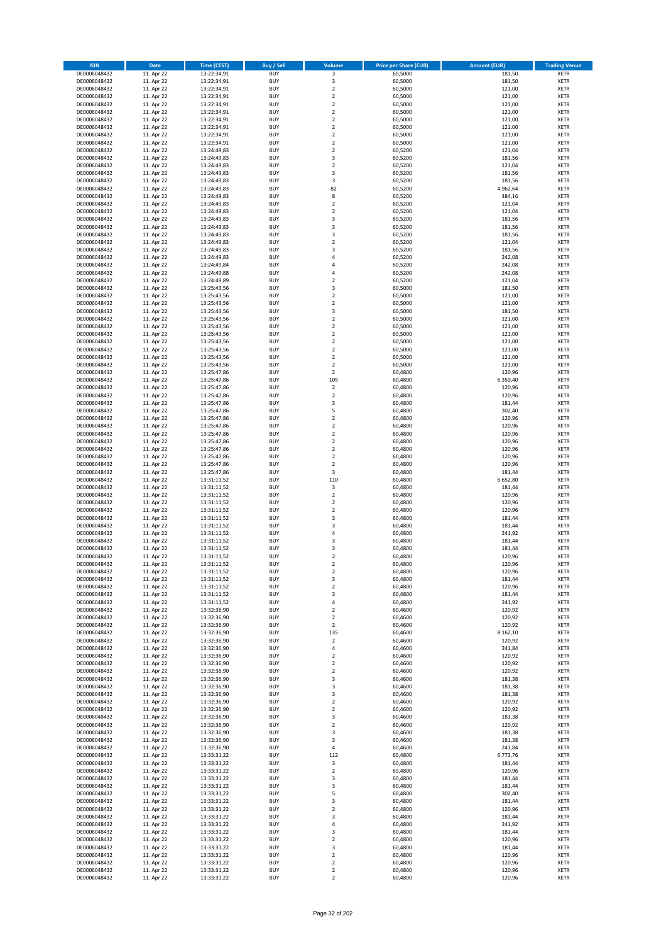| <b>ISIN</b>                  | <b>Date</b>              | Time (CEST)                | <b>Buy / Sell</b>        | Volume                                    | <b>Price per Share (EUR)</b> | Amount (EUR)     | <b>Trading Venue</b>       |
|------------------------------|--------------------------|----------------------------|--------------------------|-------------------------------------------|------------------------------|------------------|----------------------------|
| DE0006048432                 | 11. Apr 22               | 13:22:34,91                | <b>BUY</b>               | $\overline{\mathbf{3}}$                   | 60,5000                      | 181,50           | <b>XETR</b>                |
| DE0006048432                 | 11. Apr 22               | 13:22:34,91                | <b>BUY</b>               | 3                                         | 60,5000                      | 181,50           | <b>XETR</b>                |
| DE0006048432                 | 11. Apr 22               | 13:22:34,91                | <b>BUY</b>               | $\overline{2}$                            | 60.5000                      | 121,00           | <b>XETR</b>                |
| DE0006048432                 | 11. Apr 22               | 13:22:34,91                | <b>BUY</b>               | $\mathbf 2$                               | 60,5000                      | 121,00           | <b>XETR</b>                |
| DE0006048432<br>DE0006048432 | 11. Apr 22<br>11. Apr 22 | 13:22:34,91<br>13:22:34,91 | <b>BUY</b><br><b>BUY</b> | $\overline{2}$<br>$\mathbf 2$             | 60,5000<br>60,5000           | 121,00<br>121,00 | <b>XETR</b><br><b>XETR</b> |
| DE0006048432                 | 11. Apr 22               | 13:22:34,91                | <b>BUY</b>               | $\overline{2}$                            | 60,5000                      | 121,00           | <b>XETR</b>                |
| DE0006048432                 | 11. Apr 22               | 13:22:34,91                | <b>BUY</b>               | $\overline{2}$                            | 60,5000                      | 121,00           | <b>XETR</b>                |
| DE0006048432                 | 11. Apr 22               | 13:22:34,91                | BUY                      | $\overline{2}$                            | 60,5000                      | 121,00           | <b>XETR</b>                |
| DE0006048432                 | 11. Apr 22               | 13:22:34,91                | <b>BUY</b>               | $\mathbf 2$                               | 60,5000                      | 121,00           | <b>XETR</b>                |
| DE0006048432                 | 11. Apr 22               | 13:24:49,83                | <b>BUY</b>               | $\mathbf 2$                               | 60,5200                      | 121,04           | <b>XETR</b>                |
| DE0006048432                 | 11. Apr 22               | 13:24:49,83                | <b>BUY</b><br><b>BUY</b> | 3<br>$\overline{2}$                       | 60,5200                      | 181,56           | <b>XETR</b>                |
| DE0006048432<br>DE0006048432 | 11. Apr 22<br>11. Apr 22 | 13:24:49,83<br>13:24:49,83 | <b>BUY</b>               | $\overline{3}$                            | 60,5200<br>60,5200           | 121,04<br>181,56 | <b>XETR</b><br><b>XETR</b> |
| DE0006048432                 | 11. Apr 22               | 13:24:49,83                | <b>BUY</b>               | 3                                         | 60,5200                      | 181,56           | <b>XETR</b>                |
| DE0006048432                 | 11. Apr 22               | 13:24:49,83                | BUY                      | 82                                        | 60,5200                      | 4.962,64         | <b>XETR</b>                |
| DE0006048432                 | 11. Apr 22               | 13:24:49,83                | <b>BUY</b>               | 8                                         | 60,5200                      | 484,16           | <b>XETR</b>                |
| DE0006048432                 | 11. Apr 22               | 13:24:49,83                | <b>BUY</b>               | $\overline{2}$                            | 60,5200                      | 121,04           | <b>XETR</b>                |
| DE0006048432                 | 11. Apr 22               | 13:24:49.83                | <b>BUY</b>               | $\overline{2}$<br>$\overline{\mathbf{3}}$ | 60,5200                      | 121,04           | <b>XETR</b>                |
| DE0006048432<br>DE0006048432 | 11. Apr 22<br>11. Apr 22 | 13:24:49,83<br>13:24:49,83 | <b>BUY</b><br><b>BUY</b> | $\overline{3}$                            | 60,5200<br>60,5200           | 181,56<br>181,56 | <b>XETR</b><br><b>XETR</b> |
| DE0006048432                 | 11. Apr 22               | 13:24:49,83                | <b>BUY</b>               | $\overline{3}$                            | 60,5200                      | 181,56           | <b>XETR</b>                |
| DE0006048432                 | 11. Apr 22               | 13:24:49,83                | <b>BUY</b>               | $\overline{\mathbf{2}}$                   | 60,5200                      | 121,04           | <b>XETR</b>                |
| DE0006048432                 | 11. Apr 22               | 13:24:49,83                | <b>BUY</b>               | 3                                         | 60,5200                      | 181,56           | <b>XETR</b>                |
| DE0006048432                 | 11. Apr 22               | 13:24:49,83                | <b>BUY</b>               | $\overline{4}$                            | 60,5200                      | 242,08           | <b>XETR</b>                |
| DE0006048432                 | 11. Apr 22               | 13:24:49,84                | <b>BUY</b>               | 4                                         | 60,5200                      | 242,08           | <b>XETR</b>                |
| DE0006048432<br>DE0006048432 | 11. Apr 22<br>11. Apr 22 | 13:24:49,88<br>13:24:49,89 | <b>BUY</b><br><b>BUY</b> | $\overline{a}$<br>$\overline{\mathbf{2}}$ | 60,5200<br>60,5200           | 242,08<br>121,04 | <b>XETR</b><br><b>XETR</b> |
| DE0006048432                 | 11. Apr 22               | 13:25:43,56                | <b>BUY</b>               | 3                                         | 60,5000                      | 181,50           | <b>XETR</b>                |
| DE0006048432                 | 11. Apr 22               | 13:25:43,56                | <b>BUY</b>               | $\overline{\mathbf{2}}$                   | 60,5000                      | 121,00           | <b>XETR</b>                |
| DE0006048432                 | 11. Apr 22               | 13:25:43,56                | <b>BUY</b>               | $\mathbf 2$                               | 60,5000                      | 121,00           | <b>XETR</b>                |
| DE0006048432                 | 11. Apr 22               | 13:25:43,56                | <b>BUY</b>               | 3                                         | 60,5000                      | 181,50           | <b>XETR</b>                |
| DE0006048432                 | 11. Apr 22               | 13:25:43,56                | <b>BUY</b>               | $\mathbf 2$                               | 60,5000                      | 121,00           | <b>XETR</b>                |
| DE0006048432                 | 11. Apr 22               | 13:25:43,56                | <b>BUY</b>               | $\mathbf 2$                               | 60,5000                      | 121,00           | <b>XETR</b>                |
| DE0006048432<br>DE0006048432 | 11. Apr 22<br>11. Apr 22 | 13:25:43,56<br>13:25:43,56 | <b>BUY</b><br><b>BUY</b> | $\overline{\mathbf{2}}$<br>$\mathbf 2$    | 60,5000<br>60,5000           | 121,00<br>121,00 | <b>XETR</b><br><b>XETR</b> |
| DE0006048432                 | 11. Apr 22               | 13:25:43,56                | <b>BUY</b>               | $\overline{\mathbf{2}}$                   | 60,5000                      | 121,00           | <b>XETR</b>                |
| DE0006048432                 | 11. Apr 22               | 13:25:43,56                | <b>BUY</b>               | $\mathbf 2$                               | 60,5000                      | 121,00           | <b>XETR</b>                |
| DE0006048432                 | 11. Apr 22               | 13:25:43,56                | <b>BUY</b>               | $\mathbf 2$                               | 60,5000                      | 121,00           | <b>XETR</b>                |
| DE0006048432                 | 11. Apr 22               | 13:25:47,86                | <b>BUY</b>               | $\mathbf 2$                               | 60,4800                      | 120,96           | <b>XETR</b>                |
| DE0006048432                 | 11. Apr 22               | 13:25:47,86                | <b>BUY</b>               | 105                                       | 60,4800                      | 6.350,40         | <b>XETR</b>                |
| DE0006048432<br>DE0006048432 | 11. Apr 22<br>11. Apr 22 | 13:25:47,86<br>13:25:47,86 | <b>BUY</b><br><b>BUY</b> | $\mathbf 2$<br>$\mathbf 2$                | 60,4800<br>60,4800           | 120,96<br>120,96 | <b>XETR</b><br><b>XETR</b> |
| DE0006048432                 | 11. Apr 22               | 13:25:47,86                | <b>BUY</b>               | $\overline{\mathbf{3}}$                   | 60,4800                      | 181,44           | <b>XETR</b>                |
| DE0006048432                 | 11. Apr 22               | 13:25:47,86                | <b>BUY</b>               | 5                                         | 60,4800                      | 302,40           | <b>XETR</b>                |
| DE0006048432                 | 11. Apr 22               | 13:25:47,86                | <b>BUY</b>               | $\overline{2}$                            | 60,4800                      | 120,96           | <b>XETR</b>                |
| DE0006048432                 | 11. Apr 22               | 13:25:47,86                | <b>BUY</b>               | $\mathbf 2$                               | 60,4800                      | 120,96           | <b>XETR</b>                |
| DE0006048432                 | 11. Apr 22               | 13:25:47,86                | <b>BUY</b>               | $\overline{2}$                            | 60,4800                      | 120,96           | <b>XETR</b>                |
| DE0006048432<br>DE0006048432 | 11. Apr 22<br>11. Apr 22 | 13:25:47,86<br>13:25:47,86 | <b>BUY</b><br><b>BUY</b> | $\overline{2}$<br>$\overline{2}$          | 60,4800<br>60,4800           | 120,96<br>120,96 | <b>XETR</b><br><b>XETR</b> |
| DE0006048432                 | 11. Apr 22               | 13:25:47,86                | <b>BUY</b>               | $\overline{2}$                            | 60,4800                      | 120,96           | <b>XETR</b>                |
| DE0006048432                 | 11. Apr 22               | 13:25:47,86                | <b>BUY</b>               | $\mathbf 2$                               | 60,4800                      | 120,96           | <b>XETR</b>                |
| DE0006048432                 | 11. Apr 22               | 13:25:47,86                | <b>BUY</b>               | 3                                         | 60,4800                      | 181,44           | <b>XETR</b>                |
| DE0006048432                 | 11. Apr 22               | 13:31:11,52                | <b>BUY</b>               | 110                                       | 60,4800                      | 6.652,80         | <b>XETR</b>                |
| DE0006048432                 | 11. Apr 22               | 13:31:11,52                | <b>BUY</b>               | 3                                         | 60,4800                      | 181,44           | <b>XETR</b>                |
| DE0006048432                 | 11. Apr 22               | 13:31:11,52                | <b>BUY</b>               | $\overline{2}$                            | 60,4800<br>60,4800           | 120,96           | <b>XETR</b>                |
| DE0006048432<br>DE0006048432 | 11. Apr 22<br>11. Apr 22 | 13:31:11,52<br>13:31:11,52 | <b>BUY</b><br><b>BUY</b> | $\overline{2}$<br>$\overline{2}$          | 60,4800                      | 120,96<br>120,96 | <b>XETR</b><br><b>XETR</b> |
| DE0006048432                 | 11. Apr 22               | 13:31:11,52                | BUY                      | 3                                         | 60,4800                      | 181,44           | <b>XETR</b>                |
| DE0006048432                 | 11. Apr 22               | 13:31:11,52                | <b>BUY</b>               | $\overline{\mathbf{3}}$                   | 60,4800                      | 181,44           | <b>XETR</b>                |
| DE0006048432                 | 11. Apr 22               | 13:31:11,52                | <b>BUY</b>               | 4                                         | 60,4800                      | 241,92           | <b>XETR</b>                |
| DE0006048432                 | 11. Apr 22               | 13:31:11,52                | BUY                      | 3                                         | 60,4800                      | 181,44           | <b>XETR</b>                |
| DE0006048432                 | 11. Apr 22               | 13:31:11,52                | BUY                      | $\overline{\mathbf{3}}$                   | 60,4800                      | 181,44           | <b>XETR</b>                |
| DE0006048432<br>DE0006048432 | 11. Apr 22<br>11. Apr 22 | 13:31:11,52<br>13:31:11,52 | <b>BUY</b><br>BUY        | $\overline{2}$<br>2                       | 60,4800<br>60,4800           | 120,96<br>120,96 | <b>XETR</b><br><b>XETR</b> |
| DE0006048432                 | 11. Apr 22               | 13:31:11,52                | <b>BUY</b>               | $\mathbf 2$                               | 60,4800                      | 120,96           | <b>XETR</b>                |
| DE0006048432                 | 11. Apr 22               | 13:31:11,52                | <b>BUY</b>               | 3                                         | 60,4800                      | 181,44           | <b>XETR</b>                |
| DE0006048432                 | 11. Apr 22               | 13:31:11,52                | <b>BUY</b>               | $\mathbf 2$                               | 60,4800                      | 120,96           | <b>XETR</b>                |
| DE0006048432                 | 11. Apr 22               | 13:31:11,52                | <b>BUY</b>               | 3                                         | 60,4800                      | 181,44           | <b>XETR</b>                |
| DE0006048432                 | 11. Apr 22               | 13:31:11,52                | <b>BUY</b>               | 4                                         | 60,4800                      | 241,92           | <b>XETR</b>                |
| DE0006048432<br>DE0006048432 | 11. Apr 22<br>11. Apr 22 | 13:32:36,90<br>13:32:36,90 | <b>BUY</b><br><b>BUY</b> | 2<br>2                                    | 60,4600<br>60,4600           | 120,92<br>120,92 | <b>XETR</b><br><b>XETR</b> |
| DE0006048432                 | 11. Apr 22               | 13:32:36,90                | <b>BUY</b>               | $\mathbf 2$                               | 60,4600                      | 120,92           | <b>XETR</b>                |
| DE0006048432                 | 11. Apr 22               | 13:32:36,90                | <b>BUY</b>               | 135                                       | 60,4600                      | 8.162,10         | <b>XETR</b>                |
| DE0006048432                 | 11. Apr 22               | 13:32:36,90                | <b>BUY</b>               | $\mathbf 2$                               | 60,4600                      | 120,92           | <b>XETR</b>                |
| DE0006048432                 | 11. Apr 22               | 13:32:36,90                | <b>BUY</b>               | $\pmb{4}$                                 | 60,4600                      | 241,84           | <b>XETR</b>                |
| DE0006048432<br>DE0006048432 | 11. Apr 22<br>11. Apr 22 | 13:32:36,90                | <b>BUY</b><br><b>BUY</b> | $\mathbf 2$<br>$\overline{\mathbf{2}}$    | 60,4600<br>60,4600           | 120,92<br>120,92 | <b>XETR</b>                |
| DE0006048432                 | 11. Apr 22               | 13:32:36,90<br>13:32:36,90 | <b>BUY</b>               | 2                                         | 60,4600                      | 120,92           | <b>XETR</b><br><b>XETR</b> |
| DE0006048432                 | 11. Apr 22               | 13:32:36,90                | <b>BUY</b>               | 3                                         | 60,4600                      | 181,38           | <b>XETR</b>                |
| DE0006048432                 | 11. Apr 22               | 13:32:36,90                | <b>BUY</b>               | 3                                         | 60,4600                      | 181,38           | <b>XETR</b>                |
| DE0006048432                 | 11. Apr 22               | 13:32:36,90                | <b>BUY</b>               | 3                                         | 60,4600                      | 181,38           | <b>XETR</b>                |
| DE0006048432                 | 11. Apr 22               | 13:32:36,90                | <b>BUY</b>               | $\mathbf 2$                               | 60,4600                      | 120,92           | <b>XETR</b>                |
| DE0006048432                 | 11. Apr 22               | 13:32:36,90                | <b>BUY</b>               | $\mathbf 2$                               | 60,4600                      | 120,92           | <b>XETR</b>                |
| DE0006048432<br>DE0006048432 | 11. Apr 22<br>11. Apr 22 | 13:32:36,90<br>13:32:36,90 | <b>BUY</b><br><b>BUY</b> | $\overline{\mathbf{3}}$<br>$\mathbf 2$    | 60,4600<br>60,4600           | 181,38<br>120,92 | <b>XETR</b><br><b>XETR</b> |
| DE0006048432                 | 11. Apr 22               | 13:32:36,90                | <b>BUY</b>               | $\overline{\mathbf{3}}$                   | 60,4600                      | 181,38           | <b>XETR</b>                |
| DE0006048432                 | 11. Apr 22               | 13:32:36,90                | <b>BUY</b>               | 3                                         | 60,4600                      | 181,38           | <b>XETR</b>                |
| DE0006048432                 | 11. Apr 22               | 13:32:36,90                | <b>BUY</b>               | $\pmb{4}$                                 | 60,4600                      | 241,84           | <b>XETR</b>                |
| DE0006048432                 | 11. Apr 22               | 13:33:31,22                | <b>BUY</b>               | 112                                       | 60,4800                      | 6.773,76         | <b>XETR</b>                |
| DE0006048432                 | 11. Apr 22               | 13:33:31,22                | <b>BUY</b>               | 3                                         | 60,4800                      | 181,44           | <b>XETR</b>                |
| DE0006048432<br>DE0006048432 | 11. Apr 22<br>11. Apr 22 | 13:33:31,22<br>13:33:31,22 | <b>BUY</b><br><b>BUY</b> | $\overline{\mathbf{2}}$<br>3              | 60,4800<br>60,4800           | 120,96<br>181,44 | <b>XETR</b><br><b>XETR</b> |
| DE0006048432                 | 11. Apr 22               | 13:33:31,22                | <b>BUY</b>               | 3                                         | 60,4800                      | 181,44           | <b>XETR</b>                |
| DE0006048432                 | 11. Apr 22               | 13:33:31,22                | <b>BUY</b>               | 5                                         | 60,4800                      | 302,40           | <b>XETR</b>                |
| DE0006048432                 | 11. Apr 22               | 13:33:31,22                | <b>BUY</b>               | 3                                         | 60,4800                      | 181,44           | <b>XETR</b>                |
| DE0006048432                 | 11. Apr 22               | 13:33:31,22                | <b>BUY</b>               | $\mathbf 2$                               | 60,4800                      | 120,96           | <b>XETR</b>                |
| DE0006048432                 | 11. Apr 22               | 13:33:31,22                | <b>BUY</b>               | $\overline{\mathbf{3}}$                   | 60,4800                      | 181,44           | <b>XETR</b>                |
| DE0006048432                 | 11. Apr 22               | 13:33:31,22                | <b>BUY</b>               | 4<br>3                                    | 60,4800                      | 241,92           | <b>XETR</b>                |
| DE0006048432<br>DE0006048432 | 11. Apr 22<br>11. Apr 22 | 13:33:31,22<br>13:33:31,22 | <b>BUY</b><br><b>BUY</b> | $\overline{\mathbf{2}}$                   | 60,4800<br>60,4800           | 181,44<br>120,96 | <b>XETR</b><br><b>XETR</b> |
| DE0006048432                 | 11. Apr 22               | 13:33:31,22                | <b>BUY</b>               | 3                                         | 60,4800                      | 181,44           | <b>XETR</b>                |
| DE0006048432                 | 11. Apr 22               | 13:33:31,22                | <b>BUY</b>               | 2                                         | 60,4800                      | 120,96           | <b>XETR</b>                |
| DE0006048432                 | 11. Apr 22               | 13:33:31,22                | <b>BUY</b>               | 2                                         | 60,4800                      | 120,96           | <b>XETR</b>                |
| DE0006048432                 | 11. Apr 22               | 13:33:31,22                | <b>BUY</b>               | 2                                         | 60,4800                      | 120,96           | <b>XETR</b>                |
| DE0006048432                 | 11. Apr 22               | 13:33:31,22                | <b>BUY</b>               | $\mathbf 2$                               | 60,4800                      | 120,96           | <b>XETR</b>                |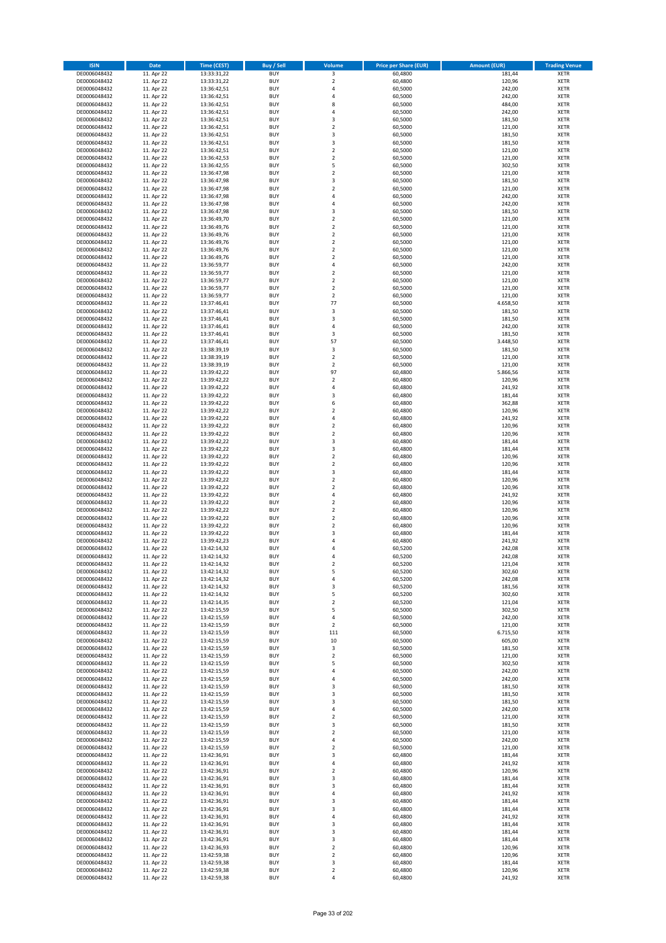| <b>ISIN</b>                  | <b>Date</b>              | Time (CEST)                | <b>Buy / Sell</b>        | Volume                                    | <b>Price per Share (EUR)</b> | Amount (EUR)       | <b>Trading Venue</b>       |
|------------------------------|--------------------------|----------------------------|--------------------------|-------------------------------------------|------------------------------|--------------------|----------------------------|
| DE0006048432                 | 11. Apr 22               | 13:33:31,22                | <b>BUY</b>               | 3                                         | 60,4800                      | 181,44             | <b>XETR</b>                |
| DE0006048432                 | 11. Apr 22               | 13:33:31,22                | <b>BUY</b>               | $\mathbf 2$                               | 60,4800                      | 120,96             | <b>XETR</b>                |
| DE0006048432                 | 11. Apr 22               | 13:36:42,51                | <b>BUY</b>               | $\overline{4}$                            | 60.5000                      | 242,00             | <b>XETR</b>                |
| DE0006048432                 | 11. Apr 22               | 13:36:42,51                | <b>BUY</b>               | $\overline{4}$                            | 60,5000                      | 242,00             | <b>XETR</b>                |
| DE0006048432                 | 11. Apr 22               | 13:36:42,51                | <b>BUY</b>               | 8                                         | 60,5000                      | 484,00             | <b>XETR</b>                |
| DE0006048432                 | 11. Apr 22               | 13:36:42,51                | <b>BUY</b>               | $\overline{a}$                            | 60,5000                      | 242,00             | <b>XETR</b>                |
| DE0006048432                 | 11. Apr 22               | 13:36:42,51                | <b>BUY</b>               | $\overline{\mathbf{3}}$                   | 60,5000                      | 181,50             | <b>XETR</b>                |
| DE0006048432                 | 11. Apr 22               | 13:36:42,51                | <b>BUY</b>               | $\overline{\mathbf{2}}$                   | 60,5000                      | 121,00             | <b>XETR</b>                |
| DE0006048432                 | 11. Apr 22               | 13:36:42,51                | BUY                      | 3                                         | 60,5000                      | 181,50             | <b>XETR</b>                |
| DE0006048432                 | 11. Apr 22               | 13:36:42,51                | <b>BUY</b>               | 3                                         | 60,5000                      | 181,50             | <b>XETR</b>                |
| DE0006048432                 | 11. Apr 22               | 13:36:42,51                | <b>BUY</b>               | $\mathbf 2$                               | 60,5000                      | 121,00             | <b>XETR</b>                |
| DE0006048432                 | 11. Apr 22               | 13:36:42,53                | <b>BUY</b>               | $\overline{2}$                            | 60,5000                      | 121,00             | <b>XETR</b>                |
| DE0006048432                 | 11. Apr 22               | 13:36:42,55                | <b>BUY</b>               | 5                                         | 60,5000                      | 302,50             | <b>XETR</b>                |
| DE0006048432                 | 11. Apr 22<br>11. Apr 22 | 13:36:47,98                | <b>BUY</b><br><b>BUY</b> | $\overline{2}$<br>$\overline{\mathbf{3}}$ | 60,5000<br>60,5000           | 121,00<br>181,50   | <b>XETR</b><br><b>XETR</b> |
| DE0006048432<br>DE0006048432 | 11. Apr 22               | 13:36:47,98<br>13:36:47,98 | BUY                      | $\overline{\phantom{a}}$                  | 60,5000                      | 121,00             | <b>XETR</b>                |
| DE0006048432                 | 11. Apr 22               | 13:36:47,98                | <b>BUY</b>               | $\overline{4}$                            | 60,5000                      | 242,00             | <b>XETR</b>                |
| DE0006048432                 | 11. Apr 22               | 13:36:47,98                | <b>BUY</b>               | $\overline{4}$                            | 60,5000                      | 242,00             | <b>XETR</b>                |
| DE0006048432                 | 11. Apr 22               | 13:36:47,98                | <b>BUY</b>               | $\overline{\mathbf{3}}$                   | 60,5000                      | 181,50             | <b>XETR</b>                |
| DE0006048432                 | 11. Apr 22               | 13:36:49,70                | <b>BUY</b>               | $\overline{2}$                            | 60,5000                      | 121,00             | <b>XETR</b>                |
| DE0006048432                 | 11. Apr 22               | 13:36:49,76                | <b>BUY</b>               | $\overline{2}$                            | 60,5000                      | 121,00             | <b>XETR</b>                |
| DE0006048432                 | 11. Apr 22               | 13:36:49,76                | <b>BUY</b>               | $\mathbf 2$                               | 60,5000                      | 121,00             | <b>XETR</b>                |
| DE0006048432                 | 11. Apr 22               | 13:36:49,76                | <b>BUY</b>               | $\overline{2}$                            | 60,5000                      | 121,00             | <b>XETR</b>                |
| DE0006048432                 | 11. Apr 22               | 13:36:49,76                | <b>BUY</b>               | $\overline{2}$                            | 60,5000                      | 121,00             | <b>XETR</b>                |
| DE0006048432                 | 11. Apr 22               | 13:36:49,76                | <b>BUY</b>               | $\overline{2}$                            | 60,5000                      | 121,00             | <b>XETR</b>                |
| DE0006048432                 | 11. Apr 22               | 13:36:59,77                | <b>BUY</b>               | 4                                         | 60,5000                      | 242,00             | <b>XETR</b>                |
| DE0006048432                 | 11. Apr 22               | 13:36:59,77                | <b>BUY</b>               | $\mathbf 2$                               | 60,5000                      | 121,00             | <b>XETR</b>                |
| DE0006048432                 | 11. Apr 22               | 13:36:59,77                | <b>BUY</b>               | $\overline{2}$                            | 60,5000                      | 121,00             | <b>XETR</b>                |
| DE0006048432                 | 11. Apr 22               | 13:36:59,77                | <b>BUY</b>               | $\mathbf 2$                               | 60,5000                      | 121,00             | <b>XETR</b>                |
| DE0006048432                 | 11. Apr 22               | 13:36:59,77                | <b>BUY</b>               | $\overline{2}$                            | 60,5000                      | 121,00             | <b>XETR</b>                |
| DE0006048432                 | 11. Apr 22               | 13:37:46,41                | <b>BUY</b>               | 77                                        | 60,5000                      | 4.658,50           | <b>XETR</b>                |
| DE0006048432                 | 11. Apr 22               | 13:37:46,41                | <b>BUY</b>               | 3                                         | 60,5000                      | 181,50             | <b>XETR</b>                |
| DE0006048432                 | 11. Apr 22               | 13:37:46,41                | <b>BUY</b>               | 3<br>$\overline{a}$                       | 60,5000                      | 181,50             | <b>XETR</b>                |
| DE0006048432                 | 11. Apr 22               | 13:37:46,41                | <b>BUY</b>               |                                           | 60,5000                      | 242,00             | <b>XETR</b>                |
| DE0006048432<br>DE0006048432 | 11. Apr 22<br>11. Apr 22 | 13:37:46,41<br>13:37:46,41 | <b>BUY</b><br><b>BUY</b> | 3<br>57                                   | 60,5000<br>60,5000           | 181,50<br>3.448,50 | <b>XETR</b><br><b>XETR</b> |
| DE0006048432                 | 11. Apr 22               | 13:38:39,19                | <b>BUY</b>               | 3                                         | 60,5000                      | 181,50             | <b>XETR</b>                |
| DE0006048432                 | 11. Apr 22               | 13:38:39,19                | <b>BUY</b>               | $\mathbf 2$                               | 60,5000                      | 121,00             | <b>XETR</b>                |
| DE0006048432                 | 11. Apr 22               | 13:38:39,19                | <b>BUY</b>               | $\mathbf 2$                               | 60,5000                      | 121,00             | <b>XETR</b>                |
| DE0006048432                 | 11. Apr 22               | 13:39:42,22                | <b>BUY</b>               | 97                                        | 60,4800                      | 5.866,56           | <b>XETR</b>                |
| DE0006048432                 | 11. Apr 22               | 13:39:42,22                | <b>BUY</b>               | $\overline{2}$                            | 60,4800                      | 120,96             | <b>XETR</b>                |
| DE0006048432                 | 11. Apr 22               | 13:39:42,22                | <b>BUY</b>               | 4                                         | 60,4800                      | 241,92             | <b>XETR</b>                |
| DE0006048432                 | 11. Apr 22               | 13:39:42,22                | <b>BUY</b>               | 3                                         | 60,4800                      | 181,44             | <b>XETR</b>                |
| DE0006048432                 | 11. Apr 22               | 13:39:42,22                | <b>BUY</b>               | 6                                         | 60,4800                      | 362,88             | <b>XETR</b>                |
| DE0006048432                 | 11. Apr 22               | 13:39:42,22                | <b>BUY</b>               | $\overline{2}$                            | 60,4800                      | 120,96             | <b>XETR</b>                |
| DE0006048432                 | 11. Apr 22               | 13:39:42,22                | <b>BUY</b>               | $\overline{4}$                            | 60,4800                      | 241,92             | <b>XETR</b>                |
| DE0006048432                 | 11. Apr 22               | 13:39:42,22                | <b>BUY</b>               | $\overline{2}$                            | 60,4800                      | 120,96             | <b>XETR</b>                |
| DE0006048432                 | 11. Apr 22               | 13:39:42,22                | <b>BUY</b>               | $\overline{\mathbf{2}}$                   | 60,4800                      | 120,96             | <b>XETR</b>                |
| DE0006048432                 | 11. Apr 22               | 13:39:42,22                | <b>BUY</b>               | 3                                         | 60,4800                      | 181,44             | <b>XETR</b>                |
| DE0006048432                 | 11. Apr 22               | 13:39:42,22                | <b>BUY</b>               | 3                                         | 60,4800                      | 181,44             | <b>XETR</b>                |
| DE0006048432                 | 11. Apr 22               | 13:39:42,22                | <b>BUY</b>               | $\overline{\mathbf{2}}$                   | 60,4800                      | 120,96             | <b>XETR</b>                |
| DE0006048432                 | 11. Apr 22               | 13:39:42,22                | <b>BUY</b>               | $\overline{2}$                            | 60,4800                      | 120,96             | <b>XETR</b>                |
| DE0006048432                 | 11. Apr 22               | 13:39:42,22                | <b>BUY</b><br><b>BUY</b> | 3                                         | 60,4800<br>60,4800           | 181,44<br>120,96   | <b>XETR</b>                |
| DE0006048432<br>DE0006048432 | 11. Apr 22<br>11. Apr 22 | 13:39:42,22<br>13:39:42,22 | <b>BUY</b>               | $\mathbf 2$<br>$\overline{\mathbf{2}}$    | 60,4800                      | 120,96             | <b>XETR</b><br><b>XETR</b> |
| DE0006048432                 | 11. Apr 22               | 13:39:42,22                | <b>BUY</b>               | 4                                         | 60,4800                      | 241,92             | <b>XETR</b>                |
| DE0006048432                 | 11. Apr 22               | 13:39:42,22                | <b>BUY</b>               | $\overline{\mathbf{2}}$                   | 60,4800                      | 120,96             | <b>XETR</b>                |
| DE0006048432                 | 11. Apr 22               | 13:39:42,22                | <b>BUY</b>               | $\overline{\mathbf{2}}$                   | 60,4800                      | 120,96             | <b>XETR</b>                |
| DE0006048432                 | 11. Apr 22               | 13:39:42,22                | <b>BUY</b>               | $\overline{\mathbf{2}}$                   | 60,4800                      | 120,96             | <b>XETR</b>                |
| DE0006048432                 | 11. Apr 22               | 13:39:42,22                | <b>BUY</b>               | $\overline{\mathbf{2}}$                   | 60,4800                      | 120,96             | <b>XETR</b>                |
| DE0006048432                 | 11. Apr 22               | 13:39:42,22                | <b>BUY</b>               | 3                                         | 60,4800                      | 181,44             | <b>XETR</b>                |
| DE0006048432                 | 11. Apr 22               | 13:39:42,23                | BUY                      | $\overline{a}$                            | 60,4800                      | 241,92             | <b>XETR</b>                |
| DE0006048432                 | 11. Apr 22               | 13:42:14,32                | BUY                      | $\overline{a}$                            | 60,5200                      | 242,08             | <b>XETR</b>                |
| DE0006048432                 | 11. Apr 22               | 13:42:14,32                | <b>BUY</b>               | $\Delta$                                  | 60,5200                      | 242,08             | <b>XETR</b>                |
| DE0006048432                 | 11. Apr 22               | 13:42:14,32                | BUY                      | 2                                         | 60,5200                      | 121,04             | <b>XETR</b>                |
| DE0006048432                 | 11. Apr 22               | 13:42:14,32                | <b>BUY</b>               | 5                                         | 60,5200                      | 302,60             | <b>XETR</b>                |
| DE0006048432                 | 11. Apr 22               | 13:42:14,32                | <b>BUY</b>               | 4                                         | 60,5200                      | 242,08             | <b>XETR</b>                |
| DE0006048432                 | 11. Apr 22               | 13:42:14,32                | <b>BUY</b>               | 3                                         | 60,5200                      | 181,56             | <b>XETR</b>                |
| DE0006048432                 | 11. Apr 22               | 13:42:14,32                | <b>BUY</b>               | 5                                         | 60,5200                      | 302,60             | <b>XETR</b>                |
| DE0006048432                 | 11. Apr 22               | 13:42:14,35                | <b>BUY</b>               | $\mathbf 2$                               | 60,5200                      | 121,04             | <b>XETR</b>                |
| DE0006048432                 | 11. Apr 22               | 13:42:15,59                | <b>BUY</b>               | 5                                         | 60,5000                      | 302,50             | <b>XETR</b>                |
| DE0006048432                 | 11. Apr 22               | 13:42:15,59                | <b>BUY</b>               | 4                                         | 60,5000                      | 242,00             | <b>XETR</b>                |
| DE0006048432                 | 11. Apr 22               | 13:42:15,59<br>13:42:15,59 | <b>BUY</b>               | $\mathbf 2$                               | 60,5000                      | 121,00             | <b>XETR</b>                |
| DE0006048432<br>DE0006048432 | 11. Apr 22<br>11. Apr 22 | 13:42:15,59                | <b>BUY</b><br><b>BUY</b> | 111<br>$10\,$                             | 60,5000<br>60,5000           | 6.715,50<br>605,00 | <b>XETR</b><br><b>XETR</b> |
| DE0006048432                 | 11. Apr 22               | 13:42:15,59                | <b>BUY</b>               | 3                                         | 60,5000                      | 181,50             | <b>XETR</b>                |
| DE0006048432                 | 11. Apr 22               | 13:42:15,59                | <b>BUY</b>               | $\mathbf 2$                               | 60,5000                      | 121,00             | <b>XETR</b>                |
| DE0006048432                 | 11. Apr 22               | 13:42:15,59                | <b>BUY</b>               | 5                                         | 60,5000                      | 302,50             | <b>XETR</b>                |
| DE0006048432                 | 11. Apr 22               | 13:42:15,59                | <b>BUY</b>               | 4                                         | 60,5000                      | 242,00             | <b>XETR</b>                |
| DE0006048432                 | 11. Apr 22               | 13:42:15,59                | <b>BUY</b>               | $\overline{a}$                            | 60,5000                      | 242,00             | <b>XETR</b>                |
| DE0006048432                 | 11. Apr 22               | 13:42:15,59                | <b>BUY</b>               | 3                                         | 60,5000                      | 181,50             | <b>XETR</b>                |
| DE0006048432                 | 11. Apr 22               | 13:42:15,59                | <b>BUY</b>               | 3                                         | 60,5000                      | 181,50             | <b>XETR</b>                |
| DE0006048432                 | 11. Apr 22               | 13:42:15,59                | <b>BUY</b>               | 3                                         | 60,5000                      | 181,50             | <b>XETR</b>                |
| DE0006048432                 | 11. Apr 22               | 13:42:15,59                | <b>BUY</b>               | $\overline{4}$                            | 60,5000                      | 242,00             | <b>XETR</b>                |
| DE0006048432                 | 11. Apr 22               | 13:42:15,59                | <b>BUY</b>               | $\overline{2}$                            | 60,5000                      | 121,00             | <b>XETR</b>                |
| DE0006048432                 | 11. Apr 22               | 13:42:15,59                | <b>BUY</b>               | 3                                         | 60,5000                      | 181,50             | <b>XETR</b>                |
| DE0006048432                 | 11. Apr 22               | 13:42:15,59                | <b>BUY</b>               | $\overline{2}$                            | 60,5000                      | 121,00             | <b>XETR</b>                |
| DE0006048432                 | 11. Apr 22               | 13:42:15,59                | <b>BUY</b>               | 4                                         | 60,5000                      | 242,00             | <b>XETR</b>                |
| DE0006048432                 | 11. Apr 22               | 13:42:15,59                | <b>BUY</b>               | $\mathbf 2$                               | 60,5000                      | 121,00             | <b>XETR</b>                |
| DE0006048432                 | 11. Apr 22               | 13:42:36,91                | <b>BUY</b>               | 3                                         | 60,4800                      | 181,44             | <b>XETR</b>                |
| DE0006048432                 | 11. Apr 22               | 13:42:36,91                | <b>BUY</b>               | 4                                         | 60,4800                      | 241,92             | <b>XETR</b>                |
| DE0006048432                 | 11. Apr 22               | 13:42:36,91                | <b>BUY</b>               | $\overline{2}$                            | 60,4800                      | 120,96             | <b>XETR</b>                |
| DE0006048432                 | 11. Apr 22               | 13:42:36,91                | <b>BUY</b>               | 3                                         | 60,4800                      | 181,44             | <b>XETR</b>                |
| DE0006048432                 | 11. Apr 22               | 13:42:36,91                | <b>BUY</b>               | 3<br>4                                    | 60,4800                      | 181,44<br>241,92   | <b>XETR</b>                |
| DE0006048432<br>DE0006048432 | 11. Apr 22<br>11. Apr 22 | 13:42:36,91<br>13:42:36,91 | <b>BUY</b><br><b>BUY</b> | 3                                         | 60,4800<br>60,4800           | 181,44             | <b>XETR</b><br><b>XETR</b> |
| DE0006048432                 | 11. Apr 22               | 13:42:36,91                | <b>BUY</b>               | 3                                         | 60,4800                      | 181,44             | <b>XETR</b>                |
| DE0006048432                 | 11. Apr 22               | 13:42:36,91                | <b>BUY</b>               | $\overline{4}$                            | 60,4800                      | 241,92             | <b>XETR</b>                |
| DE0006048432                 | 11. Apr 22               | 13:42:36,91                | <b>BUY</b>               | 3                                         | 60,4800                      | 181,44             | <b>XETR</b>                |
| DE0006048432                 | 11. Apr 22               | 13:42:36,91                | <b>BUY</b>               | 3                                         | 60,4800                      | 181,44             | <b>XETR</b>                |
| DE0006048432                 | 11. Apr 22               | 13:42:36,91                | <b>BUY</b>               | 3                                         | 60,4800                      | 181,44             | <b>XETR</b>                |
| DE0006048432                 | 11. Apr 22               | 13:42:36,93                | <b>BUY</b>               | $\mathbf 2$                               | 60,4800                      | 120,96             | <b>XETR</b>                |
| DE0006048432                 | 11. Apr 22               | 13:42:59,38                | <b>BUY</b>               | 2                                         | 60,4800                      | 120,96             | <b>XETR</b>                |
| DE0006048432                 | 11. Apr 22               | 13:42:59,38                | <b>BUY</b>               | 3                                         | 60,4800                      | 181,44             | <b>XETR</b>                |
| DE0006048432                 | 11. Apr 22               | 13:42:59,38                | <b>BUY</b>               | $\mathbf 2$                               | 60,4800                      | 120,96             | <b>XETR</b>                |
| DE0006048432                 | 11. Apr 22               | 13:42:59,38                | <b>BUY</b>               | 4                                         | 60,4800                      | 241,92             | <b>XETR</b>                |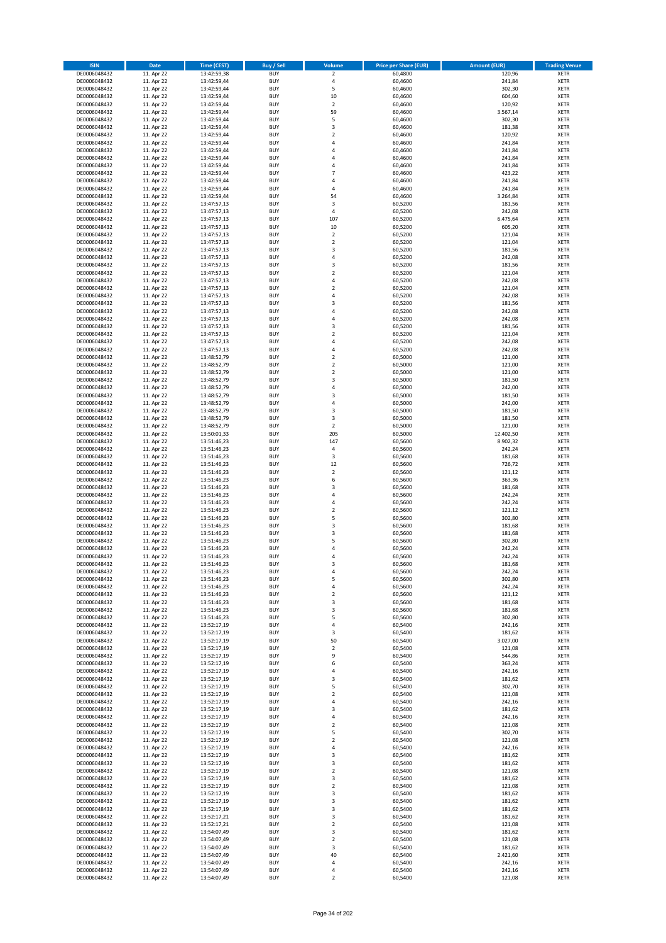| <b>ISIN</b>                  | <b>Date</b>              | <b>Time (CEST)</b>         | <b>Buy / Sell</b>        | Volume                        | <b>Price per Share (EUR)</b> | <b>Amount (EUR)</b> | <b>Trading Venue</b>       |
|------------------------------|--------------------------|----------------------------|--------------------------|-------------------------------|------------------------------|---------------------|----------------------------|
| DE0006048432                 | 11. Apr 22               | 13:42:59,38                | <b>BUY</b>               | $\overline{\mathbf{2}}$       | 60,4800                      | 120,96              | <b>XETR</b>                |
| DE0006048432                 | 11. Apr 22               | 13:42:59,44                | <b>BUY</b>               | 4                             | 60,4600                      | 241,84              | <b>XETR</b>                |
| DE0006048432                 | 11. Apr 22               | 13:42:59,44                | <b>BUY</b>               | 5                             | 60,4600                      | 302,30              | <b>XETR</b>                |
| DE0006048432                 | 11. Apr 22               | 13:42:59,44                | <b>BUY</b>               | 10                            | 60,4600                      | 604,60              | <b>XETR</b>                |
| DE0006048432<br>DE0006048432 | 11. Apr 22<br>11. Apr 22 | 13:42:59,44<br>13:42:59,44 | <b>BUY</b><br><b>BUY</b> | $\overline{\mathbf{c}}$<br>59 | 60,4600<br>60,4600           | 120,92<br>3.567,14  | <b>XETR</b><br><b>XETR</b> |
| DE0006048432                 | 11. Apr 22               | 13:42:59,44                | <b>BUY</b>               | 5                             | 60,4600                      | 302,30              | <b>XETR</b>                |
| DE0006048432                 | 11. Apr 22               | 13:42:59,44                | <b>BUY</b>               | 3                             | 60,4600                      | 181,38              | <b>XETR</b>                |
| DE0006048432                 | 11. Apr 22               | 13:42:59,44                | <b>BUY</b>               | $\overline{2}$                | 60,4600                      | 120,92              | <b>XETR</b>                |
| DE0006048432                 | 11. Apr 22               | 13:42:59,44                | <b>BUY</b>               | 4                             | 60,4600                      | 241,84              | <b>XETR</b>                |
| DE0006048432                 | 11. Apr 22               | 13:42:59,44                | <b>BUY</b>               | 4                             | 60,4600                      | 241,84              | <b>XETR</b>                |
| DE0006048432                 | 11. Apr 22               | 13:42:59,44                | <b>BUY</b>               | 4                             | 60,4600                      | 241,84              | <b>XETR</b><br><b>XETR</b> |
| DE0006048432<br>DE0006048432 | 11. Apr 22<br>11. Apr 22 | 13:42:59,44<br>13:42:59,44 | <b>BUY</b><br><b>BUY</b> | 4<br>$\overline{7}$           | 60,4600<br>60,4600           | 241,84<br>423,22    | <b>XETR</b>                |
| DE0006048432                 | 11. Apr 22               | 13:42:59,44                | <b>BUY</b>               | 4                             | 60,4600                      | 241,84              | <b>XETR</b>                |
| DE0006048432                 | 11. Apr 22               | 13:42:59,44                | <b>BUY</b>               | 4                             | 60,4600                      | 241,84              | <b>XETR</b>                |
| DE0006048432                 | 11. Apr 22               | 13:42:59,44                | <b>BUY</b>               | 54                            | 60,4600                      | 3.264,84            | <b>XETR</b>                |
| DE0006048432                 | 11. Apr 22               | 13:47:57,13                | <b>BUY</b>               | 3                             | 60,5200                      | 181,56              | <b>XETR</b>                |
| DE0006048432                 | 11. Apr 22               | 13:47:57,13                | <b>BUY</b>               | 4                             | 60,5200                      | 242,08              | <b>XETR</b>                |
| DE0006048432                 | 11. Apr 22               | 13:47:57,13                | <b>BUY</b>               | 107                           | 60,5200                      | 6.475,64            | <b>XETR</b>                |
| DE0006048432                 | 11. Apr 22               | 13:47:57,13                | <b>BUY</b>               | 10                            | 60,5200                      | 605,20              | <b>XETR</b>                |
| DE0006048432<br>DE0006048432 | 11. Apr 22<br>11. Apr 22 | 13:47:57,13<br>13:47:57,13 | <b>BUY</b><br><b>BUY</b> | $\mathbf 2$<br>$\mathbf 2$    | 60,5200<br>60,5200           | 121,04<br>121,04    | <b>XETR</b><br><b>XETR</b> |
| DE0006048432                 | 11. Apr 22               | 13:47:57,13                | <b>BUY</b>               | 3                             | 60,5200                      | 181,56              | <b>XETR</b>                |
| DE0006048432                 | 11. Apr 22               | 13:47:57,13                | <b>BUY</b>               | 4                             | 60,5200                      | 242,08              | <b>XETR</b>                |
| DE0006048432                 | 11. Apr 22               | 13:47:57,13                | <b>BUY</b>               | 3                             | 60,5200                      | 181,56              | <b>XETR</b>                |
| DE0006048432                 | 11. Apr 22               | 13:47:57,13                | <b>BUY</b>               | $\mathbf 2$                   | 60,5200                      | 121,04              | <b>XETR</b>                |
| DE0006048432                 | 11. Apr 22               | 13:47:57,13                | <b>BUY</b>               | 4                             | 60,5200                      | 242,08              | <b>XETR</b>                |
| DE0006048432                 | 11. Apr 22               | 13:47:57,13                | <b>BUY</b>               | $\mathbf 2$                   | 60,5200                      | 121,04              | <b>XETR</b>                |
| DE0006048432                 | 11. Apr 22<br>11. Apr 22 | 13:47:57,13<br>13:47:57,13 | <b>BUY</b><br><b>BUY</b> | 4<br>3                        | 60,5200                      | 242,08<br>181,56    | <b>XETR</b><br><b>XETR</b> |
| DE0006048432<br>DE0006048432 | 11. Apr 22               | 13:47:57,13                | <b>BUY</b>               | 4                             | 60,5200<br>60,5200           | 242,08              | <b>XETR</b>                |
| DE0006048432                 | 11. Apr 22               | 13:47:57,13                | <b>BUY</b>               | 4                             | 60,5200                      | 242,08              | <b>XETR</b>                |
| DE0006048432                 | 11. Apr 22               | 13:47:57,13                | <b>BUY</b>               | 3                             | 60,5200                      | 181,56              | <b>XETR</b>                |
| DE0006048432                 | 11. Apr 22               | 13:47:57,13                | <b>BUY</b>               | $\mathbf 2$                   | 60,5200                      | 121,04              | <b>XETR</b>                |
| DE0006048432                 | 11. Apr 22               | 13:47:57,13                | <b>BUY</b>               | 4                             | 60,5200                      | 242,08              | <b>XETR</b>                |
| DE0006048432                 | 11. Apr 22               | 13:47:57,13                | <b>BUY</b>               | 4                             | 60,5200                      | 242,08              | <b>XETR</b>                |
| DE0006048432                 | 11. Apr 22               | 13:48:52,79                | <b>BUY</b>               | $\overline{\mathbf{c}}$       | 60,5000                      | 121,00              | <b>XETR</b>                |
| DE0006048432                 | 11. Apr 22               | 13:48:52,79                | <b>BUY</b>               | $\overline{\mathbf{c}}$       | 60,5000                      | 121,00              | <b>XETR</b>                |
| DE0006048432<br>DE0006048432 | 11. Apr 22<br>11. Apr 22 | 13:48:52,79<br>13:48:52,79 | <b>BUY</b><br><b>BUY</b> | $\mathbf 2$<br>3              | 60,5000<br>60,5000           | 121,00<br>181,50    | <b>XETR</b><br><b>XETR</b> |
| DE0006048432                 | 11. Apr 22               | 13:48:52,79                | <b>BUY</b>               | 4                             | 60,5000                      | 242,00              | <b>XETR</b>                |
| DE0006048432                 | 11. Apr 22               | 13:48:52,79                | <b>BUY</b>               | 3                             | 60,5000                      | 181,50              | <b>XETR</b>                |
| DE0006048432                 | 11. Apr 22               | 13:48:52,79                | <b>BUY</b>               | 4                             | 60,5000                      | 242,00              | <b>XETR</b>                |
| DE0006048432                 | 11. Apr 22               | 13:48:52,79                | <b>BUY</b>               | 3                             | 60,5000                      | 181,50              | <b>XETR</b>                |
| DE0006048432                 | 11. Apr 22               | 13:48:52,79                | <b>BUY</b>               | 3                             | 60,5000                      | 181,50              | <b>XETR</b>                |
| DE0006048432                 | 11. Apr 22               | 13:48:52,79                | <b>BUY</b>               | $\mathbf 2$                   | 60,5000                      | 121,00              | <b>XETR</b>                |
| DE0006048432                 | 11. Apr 22               | 13:50:01,33                | <b>BUY</b>               | 205                           | 60,5000                      | 12.402,50           | <b>XETR</b>                |
| DE0006048432                 | 11. Apr 22               | 13:51:46,23                | <b>BUY</b><br><b>BUY</b> | 147                           | 60,5600                      | 8.902,32            | <b>XETR</b>                |
| DE0006048432<br>DE0006048432 | 11. Apr 22<br>11. Apr 22 | 13:51:46,23<br>13:51:46,23 | <b>BUY</b>               | 4<br>3                        | 60,5600<br>60,5600           | 242,24<br>181,68    | <b>XETR</b><br><b>XETR</b> |
| DE0006048432                 | 11. Apr 22               | 13:51:46,23                | <b>BUY</b>               | 12                            | 60,5600                      | 726,72              | <b>XETR</b>                |
| DE0006048432                 | 11. Apr 22               | 13:51:46,23                | <b>BUY</b>               | $\overline{2}$                | 60,5600                      | 121,12              | <b>XETR</b>                |
| DE0006048432                 | 11. Apr 22               | 13:51:46,23                | <b>BUY</b>               | 6                             | 60,5600                      | 363,36              | <b>XETR</b>                |
| DE0006048432                 | 11. Apr 22               | 13:51:46,23                | <b>BUY</b>               | 3                             | 60,5600                      | 181,68              | <b>XETR</b>                |
| DE0006048432                 | 11. Apr 22               | 13:51:46,23                | <b>BUY</b>               | 4                             | 60,5600                      | 242,24              | <b>XETR</b>                |
| DE0006048432                 | 11. Apr 22               | 13:51:46,23                | <b>BUY</b>               | 4                             | 60,5600                      | 242,24              | <b>XETR</b>                |
| DE0006048432                 | 11. Apr 22               | 13:51:46,23                | <b>BUY</b>               | $\overline{\mathbf{c}}$       | 60,5600                      | 121,12              | <b>XETR</b>                |
| DE0006048432<br>DE0006048432 | 11. Apr 22<br>11. Apr 22 | 13:51:46,23<br>13:51:46,23 | <b>BUY</b><br><b>BUY</b> | 5<br>3                        | 60,5600<br>60,5600           | 302,80<br>181,68    | <b>XETR</b><br><b>XETR</b> |
| DE0006048432                 | 11. Apr 22               | 13:51:46,23                | <b>BUY</b>               | 3                             | 60,5600                      | 181,68              | <b>XETR</b>                |
| DE0006048432                 | 11. Apr 22               | 13:51:46,23                | <b>BUY</b>               | 5                             | 60,5600                      | 302,80              | <b>XETR</b>                |
| DE0006048432                 | 11. Apr 22               | 13:51:46,23                | <b>BUY</b>               | 4                             | 60,5600                      | 242,24              | <b>XETR</b>                |
| DE0006048432                 | 11. Apr 22               | 13:51:46,23                | <b>BUY</b>               | 4                             | 60,5600                      | 242,24              | <b>XETR</b>                |
| DE0006048432                 | 11. Apr 22               | 13:51:46,23                | BUY                      | 3                             | 60,5600                      | 181,68              | <b>XETR</b>                |
| DE0006048432                 | 11. Apr 22               | 13:51:46,23                | <b>BUY</b>               | 4                             | 60,5600                      | 242,24              | <b>XETR</b>                |
| DE0006048432<br>DE0006048432 | 11. Apr 22<br>11. Apr 22 | 13:51:46,23<br>13:51:46,23 | <b>BUY</b><br><b>BUY</b> | 5<br>4                        | 60,5600<br>60,5600           | 302,80<br>242,24    | <b>XETR</b><br>XETR        |
| DE0006048432                 | 11. Apr 22               | 13:51:46,23                | <b>BUY</b>               | $\mathbf 2$                   | 60,5600                      | 121,12              | <b>XETR</b>                |
| DE0006048432                 | 11. Apr 22               | 13:51:46,23                | <b>BUY</b>               | 3                             | 60,5600                      | 181,68              | <b>XETR</b>                |
| DE0006048432                 | 11. Apr 22               | 13:51:46,23                | <b>BUY</b>               | 3                             | 60,5600                      | 181,68              | <b>XETR</b>                |
| DE0006048432                 | 11. Apr 22               | 13:51:46,23                | <b>BUY</b>               | 5                             | 60,5600                      | 302,80              | <b>XETR</b>                |
| DE0006048432                 | 11. Apr 22               | 13:52:17,19                | <b>BUY</b>               | 4                             | 60,5400                      | 242,16              | <b>XETR</b>                |
| DE0006048432                 | 11. Apr 22               | 13:52:17,19                | <b>BUY</b>               | 3                             | 60,5400                      | 181,62              | <b>XETR</b>                |
| DE0006048432<br>DE0006048432 | 11. Apr 22<br>11. Apr 22 | 13:52:17,19<br>13:52:17,19 | <b>BUY</b><br><b>BUY</b> | 50<br>$\overline{\mathbf{c}}$ | 60,5400<br>60,5400           | 3.027,00<br>121,08  | <b>XETR</b><br><b>XETR</b> |
| DE0006048432                 | 11. Apr 22               | 13:52:17,19                | <b>BUY</b>               | 9                             | 60,5400                      | 544,86              | <b>XETR</b>                |
| DE0006048432                 | 11. Apr 22               | 13:52:17,19                | <b>BUY</b>               | 6                             | 60,5400                      | 363,24              | <b>XETR</b>                |
| DE0006048432                 | 11. Apr 22               | 13:52:17,19                | <b>BUY</b>               | 4                             | 60,5400                      | 242,16              | <b>XETR</b>                |
| DE0006048432                 | 11. Apr 22               | 13:52:17,19                | <b>BUY</b>               | 3                             | 60,5400                      | 181,62              | <b>XETR</b>                |
| DE0006048432                 | 11. Apr 22               | 13:52:17,19                | <b>BUY</b>               | 5                             | 60,5400                      | 302,70              | <b>XETR</b>                |
| DE0006048432                 | 11. Apr 22               | 13:52:17,19                | <b>BUY</b>               | $\overline{2}$                | 60,5400                      | 121,08              | <b>XETR</b>                |
| DE0006048432<br>DE0006048432 | 11. Apr 22<br>11. Apr 22 | 13:52:17,19<br>13:52:17,19 | <b>BUY</b><br><b>BUY</b> | 4<br>3                        | 60,5400<br>60,5400           | 242,16<br>181,62    | XETR<br><b>XETR</b>        |
| DE0006048432                 | 11. Apr 22               | 13:52:17,19                | <b>BUY</b>               | 4                             | 60,5400                      | 242,16              | <b>XETR</b>                |
| DE0006048432                 | 11. Apr 22               | 13:52:17,19                | <b>BUY</b>               | $\mathbf 2$                   | 60,5400                      | 121,08              | <b>XETR</b>                |
| DE0006048432                 | 11. Apr 22               | 13:52:17,19                | <b>BUY</b>               | 5                             | 60,5400                      | 302,70              | <b>XETR</b>                |
| DE0006048432                 | 11. Apr 22               | 13:52:17,19                | <b>BUY</b>               | $\mathbf 2$                   | 60,5400                      | 121,08              | <b>XETR</b>                |
| DE0006048432                 | 11. Apr 22               | 13:52:17,19                | <b>BUY</b>               | 4                             | 60,5400                      | 242,16              | <b>XETR</b>                |
| DE0006048432                 | 11. Apr 22               | 13:52:17,19                | <b>BUY</b>               | 3                             | 60,5400                      | 181,62              | <b>XETR</b>                |
| DE0006048432                 | 11. Apr 22               | 13:52:17,19                | <b>BUY</b>               | 3                             | 60,5400                      | 181,62              | <b>XETR</b>                |
| DE0006048432<br>DE0006048432 | 11. Apr 22<br>11. Apr 22 | 13:52:17,19<br>13:52:17,19 | <b>BUY</b><br><b>BUY</b> | $\overline{2}$<br>3           | 60,5400<br>60,5400           | 121,08<br>181,62    | <b>XETR</b><br><b>XETR</b> |
| DE0006048432                 | 11. Apr 22               | 13:52:17,19                | <b>BUY</b>               | $\overline{\mathbf{c}}$       | 60,5400                      | 121,08              | <b>XETR</b>                |
| DE0006048432                 | 11. Apr 22               | 13:52:17,19                | <b>BUY</b>               | 3                             | 60,5400                      | 181,62              | <b>XETR</b>                |
| DE0006048432                 | 11. Apr 22               | 13:52:17,19                | <b>BUY</b>               | 3                             | 60,5400                      | 181,62              | <b>XETR</b>                |
| DE0006048432                 | 11. Apr 22               | 13:52:17,19                | <b>BUY</b>               | 3                             | 60,5400                      | 181,62              | <b>XETR</b>                |
| DE0006048432                 | 11. Apr 22               | 13:52:17,21                | <b>BUY</b>               | 3                             | 60,5400                      | 181,62              | <b>XETR</b>                |
| DE0006048432                 | 11. Apr 22               | 13:52:17,21                | <b>BUY</b>               | $\mathbf 2$                   | 60,5400                      | 121,08              | <b>XETR</b>                |
| DE0006048432<br>DE0006048432 | 11. Apr 22<br>11. Apr 22 | 13:54:07,49<br>13:54:07,49 | <b>BUY</b><br><b>BUY</b> | 3<br>$\overline{\mathbf{c}}$  | 60,5400<br>60,5400           | 181,62<br>121,08    | <b>XETR</b><br><b>XETR</b> |
| DE0006048432                 | 11. Apr 22               | 13:54:07,49                | <b>BUY</b>               | 3                             | 60,5400                      | 181,62              | XETR                       |
| DE0006048432                 | 11. Apr 22               | 13:54:07,49                | <b>BUY</b>               | 40                            | 60,5400                      | 2.421,60            | <b>XETR</b>                |
| DE0006048432                 | 11. Apr 22               | 13:54:07,49                | <b>BUY</b>               | 4                             | 60,5400                      | 242,16              | <b>XETR</b>                |
| DE0006048432                 | 11. Apr 22               | 13:54:07,49                | <b>BUY</b>               | 4                             | 60,5400                      | 242,16              | <b>XETR</b>                |
| DE0006048432                 | 11. Apr 22               | 13:54:07,49                | <b>BUY</b>               | $\mathbf 2$                   | 60,5400                      | 121,08              | <b>XETR</b>                |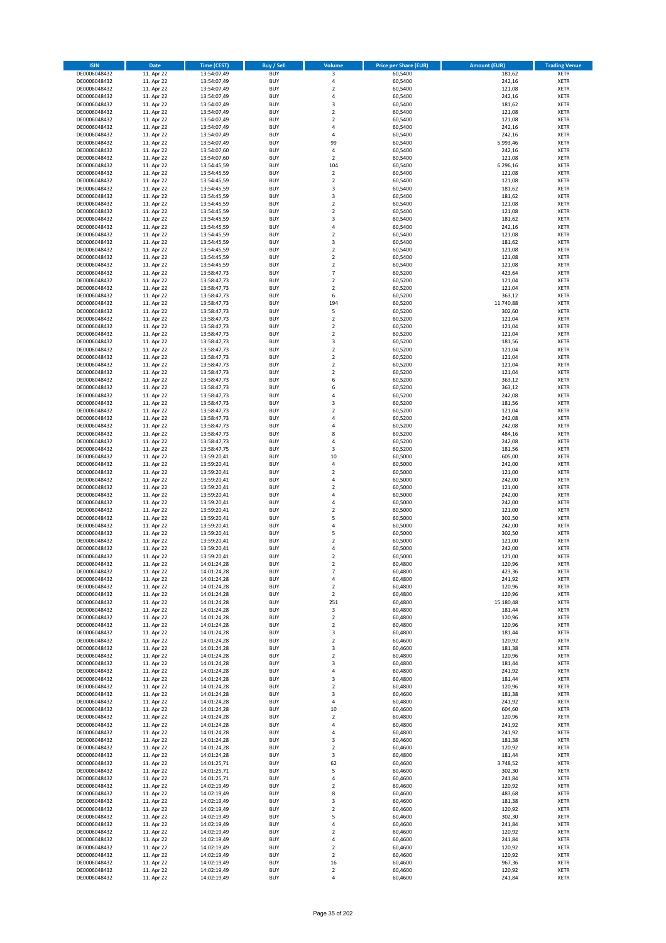| <b>ISIN</b>                  | <b>Date</b>              | Time (CEST)                | <b>Buy / Sell</b>        | Volume                                    | <b>Price per Share (EUR)</b> | <b>Amount (EUR)</b> | <b>Trading Venue</b>       |
|------------------------------|--------------------------|----------------------------|--------------------------|-------------------------------------------|------------------------------|---------------------|----------------------------|
| DE0006048432                 | 11. Apr 22               | 13:54:07,49                | <b>BUY</b>               | 3                                         | 60,5400                      | 181,62              | <b>XETR</b>                |
| DE0006048432                 | 11. Apr 22               | 13:54:07,49                | <b>BUY</b>               | 4                                         | 60,5400                      | 242,16              | <b>XETR</b>                |
| DE0006048432                 | 11. Apr 22               | 13:54:07,49                | <b>BUY</b>               | $\overline{2}$                            | 60.5400                      | 121,08              | <b>XETR</b>                |
| DE0006048432                 | 11. Apr 22               | 13:54:07,49                | <b>BUY</b>               | 4                                         | 60,5400                      | 242,16              | <b>XETR</b>                |
| DE0006048432<br>DE0006048432 | 11. Apr 22<br>11. Apr 22 | 13:54:07,49<br>13:54:07,49 | <b>BUY</b><br><b>BUY</b> | 3<br>$\mathbf 2$                          | 60,5400<br>60,5400           | 181,62<br>121,08    | <b>XETR</b><br><b>XETR</b> |
| DE0006048432                 | 11. Apr 22               | 13:54:07,49                | <b>BUY</b>               | $\overline{2}$                            | 60,5400                      | 121,08              | <b>XETR</b>                |
| DE0006048432                 | 11. Apr 22               | 13:54:07,49                | <b>BUY</b>               | 4                                         | 60,5400                      | 242,16              | <b>XETR</b>                |
| DE0006048432                 | 11. Apr 22               | 13:54:07,49                | BUY                      | $\overline{a}$                            | 60,5400                      | 242,16              | <b>XETR</b>                |
| DE0006048432                 | 11. Apr 22               | 13:54:07,49                | <b>BUY</b>               | 99                                        | 60,5400                      | 5.993,46            | <b>XETR</b>                |
| DE0006048432                 | 11. Apr 22               | 13:54:07,60                | <b>BUY</b>               | 4                                         | 60,5400                      | 242,16              | <b>XETR</b>                |
| DE0006048432                 | 11. Apr 22               | 13:54:07,60                | <b>BUY</b>               | $\overline{2}$<br>104                     | 60,5400                      | 121,08              | <b>XETR</b>                |
| DE0006048432<br>DE0006048432 | 11. Apr 22<br>11. Apr 22 | 13:54:45,59<br>13:54:45,59 | <b>BUY</b><br><b>BUY</b> | $\overline{2}$                            | 60,5400<br>60,5400           | 6.296,16<br>121,08  | <b>XETR</b><br><b>XETR</b> |
| DE0006048432                 | 11. Apr 22               | 13:54:45,59                | <b>BUY</b>               | $\overline{2}$                            | 60,5400                      | 121,08              | <b>XETR</b>                |
| DE0006048432                 | 11. Apr 22               | 13:54:45,59                | BUY                      | $\overline{3}$                            | 60,5400                      | 181,62              | <b>XETR</b>                |
| DE0006048432                 | 11. Apr 22               | 13:54:45,59                | <b>BUY</b>               | 3                                         | 60,5400                      | 181,62              | <b>XETR</b>                |
| DE0006048432                 | 11. Apr 22               | 13:54:45,59                | <b>BUY</b>               | $\overline{2}$                            | 60,5400                      | 121,08              | <b>XETR</b>                |
| DE0006048432<br>DE0006048432 | 11. Apr 22               | 13:54:45,59                | <b>BUY</b>               | $\overline{2}$<br>$\overline{\mathbf{3}}$ | 60.5400                      | 121,08              | <b>XETR</b>                |
| DE0006048432                 | 11. Apr 22<br>11. Apr 22 | 13:54:45,59<br>13:54:45,59 | <b>BUY</b><br><b>BUY</b> | $\overline{4}$                            | 60,5400<br>60,5400           | 181,62<br>242,16    | <b>XETR</b><br><b>XETR</b> |
| DE0006048432                 | 11. Apr 22               | 13:54:45,59                | <b>BUY</b>               | $\mathbf 2$                               | 60,5400                      | 121,08              | <b>XETR</b>                |
| DE0006048432                 | 11. Apr 22               | 13:54:45,59                | <b>BUY</b>               | $\overline{\mathbf{3}}$                   | 60,5400                      | 181,62              | <b>XETR</b>                |
| DE0006048432                 | 11. Apr 22               | 13:54:45,59                | <b>BUY</b>               | $\overline{2}$                            | 60,5400                      | 121,08              | <b>XETR</b>                |
| DE0006048432                 | 11. Apr 22               | 13:54:45,59                | <b>BUY</b>               | $\mathbf 2$                               | 60,5400                      | 121,08              | <b>XETR</b>                |
| DE0006048432                 | 11. Apr 22               | 13:54:45,59                | <b>BUY</b>               | $\mathbf 2$<br>$\overline{7}$             | 60,5400                      | 121,08              | <b>XETR</b>                |
| DE0006048432<br>DE0006048432 | 11. Apr 22<br>11. Apr 22 | 13:58:47,73<br>13:58:47,73 | <b>BUY</b><br><b>BUY</b> | $\overline{2}$                            | 60,5200<br>60,5200           | 423,64<br>121,04    | <b>XETR</b><br><b>XETR</b> |
| DE0006048432                 | 11. Apr 22               | 13:58:47,73                | <b>BUY</b>               | $\mathbf 2$                               | 60,5200                      | 121,04              | <b>XETR</b>                |
| DE0006048432                 | 11. Apr 22               | 13:58:47,73                | <b>BUY</b>               | 6                                         | 60,5200                      | 363,12              | <b>XETR</b>                |
| DE0006048432                 | 11. Apr 22               | 13:58:47,73                | <b>BUY</b>               | 194                                       | 60,5200                      | 11.740,88           | <b>XETR</b>                |
| DE0006048432                 | 11. Apr 22               | 13:58:47,73                | <b>BUY</b>               | 5                                         | 60,5200                      | 302,60              | <b>XETR</b>                |
| DE0006048432                 | 11. Apr 22               | 13:58:47,73                | <b>BUY</b>               | $\mathbf 2$                               | 60,5200                      | 121,04              | <b>XETR</b>                |
| DE0006048432<br>DE0006048432 | 11. Apr 22<br>11. Apr 22 | 13:58:47,73<br>13:58:47,73 | <b>BUY</b><br><b>BUY</b> | $\mathbf 2$<br>$\overline{2}$             | 60,5200<br>60,5200           | 121,04<br>121,04    | <b>XETR</b><br><b>XETR</b> |
| DE0006048432                 | 11. Apr 22               | 13:58:47,73                | <b>BUY</b>               | 3                                         | 60,5200                      | 181,56              | <b>XETR</b>                |
| DE0006048432                 | 11. Apr 22               | 13:58:47,73                | <b>BUY</b>               | $\overline{2}$                            | 60,5200                      | 121,04              | <b>XETR</b>                |
| DE0006048432                 | 11. Apr 22               | 13:58:47,73                | <b>BUY</b>               | $\mathbf 2$                               | 60,5200                      | 121,04              | <b>XETR</b>                |
| DE0006048432                 | 11. Apr 22               | 13:58:47,73                | <b>BUY</b>               | $\mathbf 2$                               | 60,5200                      | 121,04              | <b>XETR</b>                |
| DE0006048432                 | 11. Apr 22               | 13:58:47,73                | <b>BUY</b>               | $\mathbf 2$                               | 60,5200                      | 121,04              | <b>XETR</b>                |
| DE0006048432<br>DE0006048432 | 11. Apr 22<br>11. Apr 22 | 13:58:47,73<br>13:58:47,73 | <b>BUY</b><br><b>BUY</b> | 6<br>6                                    | 60,5200<br>60,5200           | 363,12<br>363,12    | <b>XETR</b><br><b>XETR</b> |
| DE0006048432                 | 11. Apr 22               | 13:58:47,73                | <b>BUY</b>               | 4                                         | 60,5200                      | 242,08              | <b>XETR</b>                |
| DE0006048432                 | 11. Apr 22               | 13:58:47,73                | <b>BUY</b>               | $\overline{\mathbf{3}}$                   | 60,5200                      | 181,56              | <b>XETR</b>                |
| DE0006048432                 | 11. Apr 22               | 13:58:47,73                | <b>BUY</b>               | $\overline{2}$                            | 60,5200                      | 121,04              | <b>XETR</b>                |
| DE0006048432                 | 11. Apr 22               | 13:58:47,73                | <b>BUY</b>               | $\overline{4}$                            | 60,5200                      | 242,08              | <b>XETR</b>                |
| DE0006048432                 | 11. Apr 22               | 13:58:47,73                | <b>BUY</b>               | 4                                         | 60,5200                      | 242,08              | <b>XETR</b>                |
| DE0006048432                 | 11. Apr 22               | 13:58:47,73                | <b>BUY</b>               | 8                                         | 60,5200                      | 484,16              | <b>XETR</b>                |
| DE0006048432<br>DE0006048432 | 11. Apr 22<br>11. Apr 22 | 13:58:47,73<br>13:58:47,75 | <b>BUY</b><br><b>BUY</b> | 4<br>3                                    | 60,5200<br>60,5200           | 242,08<br>181,56    | <b>XETR</b><br><b>XETR</b> |
| DE0006048432                 | 11. Apr 22               | 13:59:20,41                | <b>BUY</b>               | 10                                        | 60,5000                      | 605,00              | <b>XETR</b>                |
| DE0006048432                 | 11. Apr 22               | 13:59:20,41                | <b>BUY</b>               | $\overline{4}$                            | 60,5000                      | 242,00              | <b>XETR</b>                |
| DE0006048432                 | 11. Apr 22               | 13:59:20,41                | <b>BUY</b>               | $\overline{\mathbf{2}}$                   | 60,5000                      | 121,00              | <b>XETR</b>                |
| DE0006048432                 | 11. Apr 22               | 13:59:20,41                | <b>BUY</b>               | $\overline{4}$                            | 60,5000                      | 242,00              | <b>XETR</b>                |
| DE0006048432                 | 11. Apr 22               | 13:59:20,41                | <b>BUY</b>               | $\overline{2}$                            | 60,5000                      | 121,00              | <b>XETR</b>                |
| DE0006048432<br>DE0006048432 | 11. Apr 22<br>11. Apr 22 | 13:59:20,41<br>13:59:20,41 | <b>BUY</b><br><b>BUY</b> | 4<br>$\overline{a}$                       | 60,5000<br>60,5000           | 242,00<br>242,00    | <b>XETR</b><br><b>XETR</b> |
| DE0006048432                 | 11. Apr 22               | 13:59:20,41                | <b>BUY</b>               | $\overline{2}$                            | 60,5000                      | 121,00              | <b>XETR</b>                |
| DE0006048432                 | 11. Apr 22               | 13:59:20,41                | BUY                      | 5                                         | 60,5000                      | 302,50              | <b>XETR</b>                |
| DE0006048432                 | 11. Apr 22               | 13:59:20,41                | <b>BUY</b>               | $\overline{4}$                            | 60,5000                      | 242,00              | <b>XETR</b>                |
| DE0006048432                 | 11. Apr 22               | 13:59:20,41                | <b>BUY</b>               | 5                                         | 60,5000                      | 302,50              | <b>XETR</b>                |
| DE0006048432                 | 11. Apr 22               | 13:59:20,41                | BUY                      | $\overline{\mathbf{2}}$                   | 60,5000                      | 121,00              | <b>XETR</b>                |
| DE0006048432<br>DE0006048432 | 11. Apr 22               | 13:59:20,41<br>13:59:20,41 | BUY<br><b>BUY</b>        | $\overline{a}$<br>$\overline{2}$          | 60,5000<br>60,5000           | 242,00<br>121,00    | <b>XETR</b><br><b>XETR</b> |
| DE0006048432                 | 11. Apr 22<br>11. Apr 22 | 14:01:24,28                | <b>BUY</b>               | 2                                         | 60,4800                      | 120,96              | <b>XETR</b>                |
| DE0006048432                 | 11. Apr 22               | 14:01:24,28                | <b>BUY</b>               | $\overline{7}$                            | 60,4800                      | 423,36              | <b>XETR</b>                |
| DE0006048432                 | 11. Apr 22               | 14:01:24,28                | <b>BUY</b>               | 4                                         | 60,4800                      | 241,92              | <b>XETR</b>                |
| DE0006048432                 | 11. Apr 22               | 14:01:24,28                | <b>BUY</b>               | $\mathbf 2$                               | 60,4800                      | 120,96              | <b>XETR</b>                |
| DE0006048432                 | 11. Apr 22               | 14:01:24,28                | <b>BUY</b>               | $\mathbf 2$                               | 60,4800                      | 120,96              | <b>XETR</b>                |
| DE0006048432                 | 11. Apr 22               | 14:01:24,28                | <b>BUY</b>               | 251                                       | 60,4800                      | 15.180,48           | <b>XETR</b>                |
| DE0006048432<br>DE0006048432 | 11. Apr 22<br>11. Apr 22 | 14:01:24,28<br>14:01:24,28 | <b>BUY</b><br><b>BUY</b> | 3<br>2                                    | 60,4800<br>60,4800           | 181,44<br>120,96    | <b>XETR</b><br><b>XETR</b> |
| DE0006048432                 | 11. Apr 22               | 14:01:24,28                | <b>BUY</b>               | $\mathbf 2$                               | 60,4800                      | 120,96              | <b>XETR</b>                |
| DE0006048432                 | 11. Apr 22               | 14:01:24,28                | <b>BUY</b>               | 3                                         | 60,4800                      | 181,44              | <b>XETR</b>                |
| DE0006048432                 | 11. Apr 22               | 14:01:24,28                | <b>BUY</b>               | 2                                         | 60,4600                      | 120,92              | <b>XETR</b>                |
| DE0006048432                 | 11. Apr 22               | 14:01:24,28                | <b>BUY</b>               | 3                                         | 60,4600                      | 181,38              | <b>XETR</b>                |
| DE0006048432<br>DE0006048432 | 11. Apr 22<br>11. Apr 22 | 14:01:24,28<br>14:01:24,28 | <b>BUY</b><br><b>BUY</b> | $\mathbf 2$<br>3                          | 60,4800<br>60,4800           | 120,96<br>181,44    | <b>XETR</b><br><b>XETR</b> |
| DE0006048432                 | 11. Apr 22               | 14:01:24,28                | <b>BUY</b>               | 4                                         | 60,4800                      | 241,92              | <b>XETR</b>                |
| DE0006048432                 | 11. Apr 22               | 14:01:24,28                | <b>BUY</b>               | $\overline{\mathbf{3}}$                   | 60,4800                      | 181,44              | <b>XETR</b>                |
| DE0006048432                 | 11. Apr 22               | 14:01:24,28                | <b>BUY</b>               | $\mathbf 2$                               | 60,4800                      | 120,96              | <b>XETR</b>                |
| DE0006048432                 | 11. Apr 22               | 14:01:24,28                | <b>BUY</b>               | 3                                         | 60,4600                      | 181,38              | <b>XETR</b>                |
| DE0006048432                 | 11. Apr 22               | 14:01:24,28                | <b>BUY</b>               | 4                                         | 60,4800                      | 241,92              | <b>XETR</b>                |
| DE0006048432                 | 11. Apr 22               | 14:01:24,28                | <b>BUY</b>               | $10\,$                                    | 60,4600                      | 604,60              | <b>XETR</b>                |
| DE0006048432<br>DE0006048432 | 11. Apr 22<br>11. Apr 22 | 14:01:24,28<br>14:01:24,28 | <b>BUY</b><br><b>BUY</b> | $\overline{\mathbf{2}}$<br>4              | 60,4800<br>60,4800           | 120,96<br>241,92    | <b>XETR</b><br><b>XETR</b> |
| DE0006048432                 | 11. Apr 22               | 14:01:24,28                | <b>BUY</b>               | 4                                         | 60,4800                      | 241,92              | <b>XETR</b>                |
| DE0006048432                 | 11. Apr 22               | 14:01:24,28                | <b>BUY</b>               | $\overline{\mathbf{3}}$                   | 60,4600                      | 181,38              | <b>XETR</b>                |
| DE0006048432                 | 11. Apr 22               | 14:01:24,28                | <b>BUY</b>               | $\mathbf 2$                               | 60,4600                      | 120,92              | <b>XETR</b>                |
| DE0006048432                 | 11. Apr 22               | 14:01:24,28                | <b>BUY</b>               | 3                                         | 60,4800                      | 181,44              | <b>XETR</b>                |
| DE0006048432                 | 11. Apr 22               | 14:01:25,71                | <b>BUY</b>               | 62                                        | 60,4600                      | 3.748,52            | <b>XETR</b>                |
| DE0006048432<br>DE0006048432 | 11. Apr 22<br>11. Apr 22 | 14:01:25,71                | <b>BUY</b><br><b>BUY</b> | 5<br>4                                    | 60,4600<br>60,4600           | 302,30<br>241,84    | <b>XETR</b><br><b>XETR</b> |
| DE0006048432                 | 11. Apr 22               | 14:01:25,71<br>14:02:19,49 | <b>BUY</b>               | $\overline{\mathbf{2}}$                   | 60,4600                      | 120,92              | <b>XETR</b>                |
| DE0006048432                 | 11. Apr 22               | 14:02:19,49                | <b>BUY</b>               | 8                                         | 60,4600                      | 483,68              | <b>XETR</b>                |
| DE0006048432                 | 11. Apr 22               | 14:02:19,49                | <b>BUY</b>               | 3                                         | 60,4600                      | 181,38              | <b>XETR</b>                |
| DE0006048432                 | 11. Apr 22               | 14:02:19,49                | <b>BUY</b>               | $\mathbf 2$                               | 60,4600                      | 120,92              | <b>XETR</b>                |
| DE0006048432                 | 11. Apr 22               | 14:02:19,49                | <b>BUY</b>               | 5                                         | 60,4600                      | 302,30              | <b>XETR</b>                |
| DE0006048432<br>DE0006048432 | 11. Apr 22<br>11. Apr 22 | 14:02:19,49                | <b>BUY</b><br><b>BUY</b> | 4<br>$\mathbf 2$                          | 60,4600<br>60,4600           | 241,84<br>120,92    | <b>XETR</b><br><b>XETR</b> |
| DE0006048432                 | 11. Apr 22               | 14:02:19,49<br>14:02:19,49 | <b>BUY</b>               | 4                                         | 60,4600                      | 241,84              | <b>XETR</b>                |
| DE0006048432                 | 11. Apr 22               | 14:02:19,49                | <b>BUY</b>               | $\mathbf 2$                               | 60,4600                      | 120,92              | <b>XETR</b>                |
| DE0006048432                 | 11. Apr 22               | 14:02:19,49                | <b>BUY</b>               | $\overline{2}$                            | 60,4600                      | 120,92              | <b>XETR</b>                |
| DE0006048432                 | 11. Apr 22               | 14:02:19,49                | <b>BUY</b>               | 16                                        | 60,4600                      | 967,36              | <b>XETR</b>                |
| DE0006048432                 | 11. Apr 22               | 14:02:19,49                | <b>BUY</b>               | $\mathbf 2$                               | 60,4600                      | 120,92              | <b>XETR</b>                |
| DE0006048432                 | 11. Apr 22               | 14:02:19,49                | <b>BUY</b>               | 4                                         | 60,4600                      | 241,84              | <b>XETR</b>                |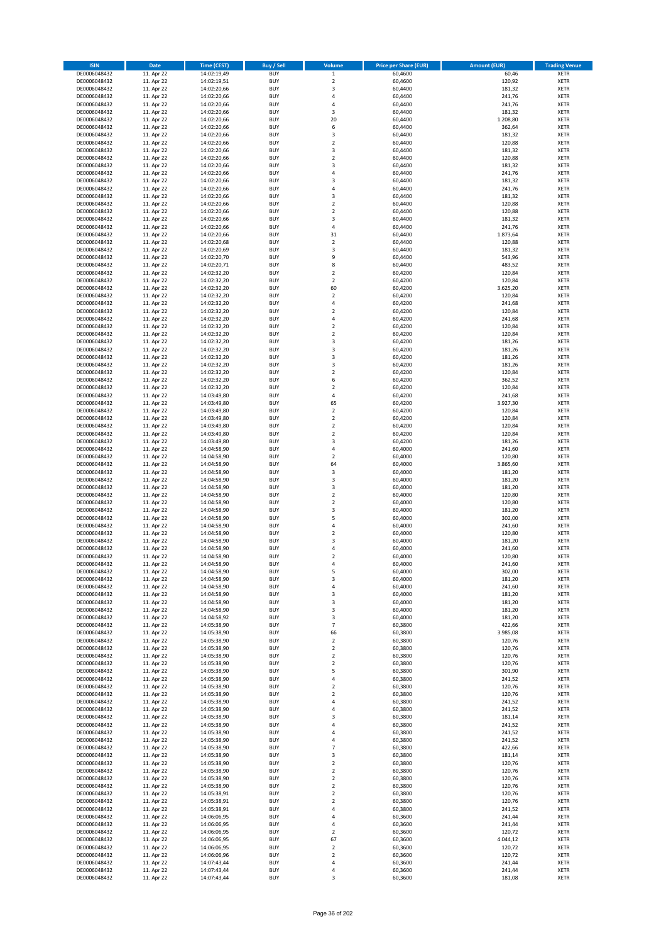| <b>ISIN</b>                  | <b>Date</b>              | <b>Time (CEST)</b>         | <b>Buy / Sell</b>        | Volume                                 | <b>Price per Share (EUR)</b> | <b>Amount (EUR)</b> | <b>Trading Venue</b>       |
|------------------------------|--------------------------|----------------------------|--------------------------|----------------------------------------|------------------------------|---------------------|----------------------------|
| DE0006048432                 | 11. Apr 22               | 14:02:19,49                | <b>BUY</b>               | $\,$ 1 $\,$                            | 60,4600                      | 60,46               | <b>XETR</b>                |
| DE0006048432                 | 11. Apr 22               | 14:02:19,51                | <b>BUY</b>               | $\mathbf 2$                            | 60,4600                      | 120,92              | <b>XETR</b>                |
| DE0006048432                 | 11. Apr 22               | 14:02:20,66                | <b>BUY</b>               | 3                                      | 60,4400                      | 181,32              | <b>XETR</b>                |
| DE0006048432                 | 11. Apr 22               | 14:02:20,66                | <b>BUY</b>               | 4                                      | 60,4400                      | 241,76              | <b>XETR</b>                |
| DE0006048432<br>DE0006048432 | 11. Apr 22<br>11. Apr 22 | 14:02:20,66<br>14:02:20,66 | <b>BUY</b><br><b>BUY</b> | 4<br>3                                 | 60,4400<br>60,4400           | 241,76<br>181,32    | <b>XETR</b><br><b>XETR</b> |
| DE0006048432                 | 11. Apr 22               | 14:02:20,66                | <b>BUY</b>               | 20                                     | 60,4400                      | 1.208,80            | <b>XETR</b>                |
| DE0006048432                 | 11. Apr 22               | 14:02:20,66                | <b>BUY</b>               | 6                                      | 60,4400                      | 362,64              | <b>XETR</b>                |
| DE0006048432                 | 11. Apr 22               | 14:02:20,66                | <b>BUY</b>               | 3                                      | 60,4400                      | 181,32              | <b>XETR</b>                |
| DE0006048432                 | 11. Apr 22               | 14:02:20,66                | <b>BUY</b>               | $\mathbf 2$                            | 60,4400                      | 120,88              | <b>XETR</b>                |
| DE0006048432                 | 11. Apr 22               | 14:02:20,66                | <b>BUY</b>               | 3                                      | 60,4400                      | 181,32              | <b>XETR</b>                |
| DE0006048432                 | 11. Apr 22               | 14:02:20,66                | <b>BUY</b>               | $\overline{\mathbf{c}}$                | 60,4400                      | 120,88              | <b>XETR</b><br><b>XETR</b> |
| DE0006048432<br>DE0006048432 | 11. Apr 22<br>11. Apr 22 | 14:02:20,66<br>14:02:20,66 | <b>BUY</b><br><b>BUY</b> | 3<br>4                                 | 60,4400<br>60,4400           | 181,32<br>241,76    | <b>XETR</b>                |
| DE0006048432                 | 11. Apr 22               | 14:02:20,66                | <b>BUY</b>               | 3                                      | 60,4400                      | 181,32              | <b>XETR</b>                |
| DE0006048432                 | 11. Apr 22               | 14:02:20,66                | <b>BUY</b>               | 4                                      | 60,4400                      | 241,76              | <b>XETR</b>                |
| DE0006048432                 | 11. Apr 22               | 14:02:20,66                | <b>BUY</b>               | 3                                      | 60,4400                      | 181,32              | <b>XETR</b>                |
| DE0006048432                 | 11. Apr 22               | 14:02:20,66                | <b>BUY</b>               | $\mathbf 2$                            | 60,4400                      | 120,88              | <b>XETR</b>                |
| DE0006048432                 | 11. Apr 22               | 14:02:20,66                | <b>BUY</b>               | $\overline{\mathbf{c}}$                | 60,4400                      | 120,88              | <b>XETR</b>                |
| DE0006048432<br>DE0006048432 | 11. Apr 22<br>11. Apr 22 | 14:02:20,66<br>14:02:20,66 | <b>BUY</b><br><b>BUY</b> | 3<br>4                                 | 60,4400<br>60,4400           | 181,32<br>241,76    | <b>XETR</b><br><b>XETR</b> |
| DE0006048432                 | 11. Apr 22               | 14:02:20,66                | <b>BUY</b>               | 31                                     | 60,4400                      | 1.873,64            | <b>XETR</b>                |
| DE0006048432                 | 11. Apr 22               | 14:02:20,68                | <b>BUY</b>               | $\mathbf 2$                            | 60,4400                      | 120,88              | <b>XETR</b>                |
| DE0006048432                 | 11. Apr 22               | 14:02:20,69                | <b>BUY</b>               | 3                                      | 60,4400                      | 181,32              | <b>XETR</b>                |
| DE0006048432                 | 11. Apr 22               | 14:02:20,70                | <b>BUY</b>               | 9                                      | 60,4400                      | 543,96              | <b>XETR</b>                |
| DE0006048432                 | 11. Apr 22               | 14:02:20,71                | <b>BUY</b>               | 8                                      | 60,4400                      | 483,52              | <b>XETR</b>                |
| DE0006048432<br>DE0006048432 | 11. Apr 22<br>11. Apr 22 | 14:02:32,20<br>14:02:32,20 | <b>BUY</b><br><b>BUY</b> | $\mathbf 2$<br>$\overline{\mathbf{c}}$ | 60,4200<br>60,4200           | 120,84<br>120,84    | <b>XETR</b><br><b>XETR</b> |
| DE0006048432                 | 11. Apr 22               | 14:02:32,20                | <b>BUY</b>               | 60                                     | 60,4200                      | 3.625,20            | <b>XETR</b>                |
| DE0006048432                 | 11. Apr 22               | 14:02:32,20                | <b>BUY</b>               | $\overline{\mathbf{c}}$                | 60,4200                      | 120,84              | <b>XETR</b>                |
| DE0006048432                 | 11. Apr 22               | 14:02:32,20                | <b>BUY</b>               | 4                                      | 60,4200                      | 241,68              | <b>XETR</b>                |
| DE0006048432                 | 11. Apr 22               | 14:02:32,20                | <b>BUY</b>               | $\overline{\mathbf{c}}$                | 60,4200                      | 120,84              | <b>XETR</b>                |
| DE0006048432                 | 11. Apr 22               | 14:02:32,20                | <b>BUY</b>               | 4                                      | 60,4200                      | 241,68              | <b>XETR</b>                |
| DE0006048432                 | 11. Apr 22               | 14:02:32,20                | <b>BUY</b>               | $\overline{\mathbf{c}}$                | 60,4200                      | 120,84              | <b>XETR</b>                |
| DE0006048432<br>DE0006048432 | 11. Apr 22<br>11. Apr 22 | 14:02:32,20<br>14:02:32,20 | <b>BUY</b><br><b>BUY</b> | $\mathbf 2$<br>3                       | 60,4200<br>60,4200           | 120,84<br>181,26    | <b>XETR</b><br><b>XETR</b> |
| DE0006048432                 | 11. Apr 22               | 14:02:32,20                | <b>BUY</b>               | 3                                      | 60,4200                      | 181,26              | <b>XETR</b>                |
| DE0006048432                 | 11. Apr 22               | 14:02:32,20                | <b>BUY</b>               | 3                                      | 60,4200                      | 181,26              | <b>XETR</b>                |
| DE0006048432                 | 11. Apr 22               | 14:02:32,20                | <b>BUY</b>               | 3                                      | 60,4200                      | 181,26              | <b>XETR</b>                |
| DE0006048432                 | 11. Apr 22               | 14:02:32,20                | <b>BUY</b>               | $\mathbf 2$                            | 60,4200                      | 120,84              | <b>XETR</b>                |
| DE0006048432                 | 11. Apr 22               | 14:02:32,20                | <b>BUY</b>               | 6                                      | 60,4200                      | 362,52              | <b>XETR</b>                |
| DE0006048432<br>DE0006048432 | 11. Apr 22<br>11. Apr 22 | 14:02:32,20<br>14:03:49,80 | <b>BUY</b><br><b>BUY</b> | $\mathbf 2$<br>4                       | 60,4200<br>60,4200           | 120,84<br>241,68    | <b>XETR</b><br><b>XETR</b> |
| DE0006048432                 | 11. Apr 22               | 14:03:49,80                | <b>BUY</b>               | 65                                     | 60,4200                      | 3.927,30            | <b>XETR</b>                |
| DE0006048432                 | 11. Apr 22               | 14:03:49,80                | <b>BUY</b>               | $\mathbf 2$                            | 60,4200                      | 120,84              | <b>XETR</b>                |
| DE0006048432                 | 11. Apr 22               | 14:03:49,80                | <b>BUY</b>               | $\overline{\mathbf{2}}$                | 60,4200                      | 120,84              | <b>XETR</b>                |
| DE0006048432                 | 11. Apr 22               | 14:03:49,80                | <b>BUY</b>               | $\mathbf 2$                            | 60,4200                      | 120,84              | <b>XETR</b>                |
| DE0006048432                 | 11. Apr 22               | 14:03:49,80                | <b>BUY</b>               | $\mathbf 2$                            | 60,4200                      | 120,84              | <b>XETR</b>                |
| DE0006048432<br>DE0006048432 | 11. Apr 22<br>11. Apr 22 | 14:03:49,80<br>14:04:58,90 | <b>BUY</b><br><b>BUY</b> | 3<br>4                                 | 60,4200<br>60,4000           | 181,26<br>241,60    | <b>XETR</b><br><b>XETR</b> |
| DE0006048432                 | 11. Apr 22               | 14:04:58,90                | <b>BUY</b>               | $\overline{\mathbf{c}}$                | 60,4000                      | 120,80              | <b>XETR</b>                |
| DE0006048432                 | 11. Apr 22               | 14:04:58,90                | <b>BUY</b>               | 64                                     | 60,4000                      | 3.865,60            | <b>XETR</b>                |
| DE0006048432                 | 11. Apr 22               | 14:04:58,90                | <b>BUY</b>               | 3                                      | 60,4000                      | 181,20              | <b>XETR</b>                |
| DE0006048432                 | 11. Apr 22               | 14:04:58,90                | <b>BUY</b>               | 3                                      | 60,4000                      | 181,20              | <b>XETR</b>                |
| DE0006048432                 | 11. Apr 22               | 14:04:58,90                | <b>BUY</b>               | 3                                      | 60,4000                      | 181,20              | <b>XETR</b>                |
| DE0006048432                 | 11. Apr 22               | 14:04:58,90                | <b>BUY</b>               | $\mathbf 2$                            | 60,4000                      | 120,80              | <b>XETR</b>                |
| DE0006048432<br>DE0006048432 | 11. Apr 22<br>11. Apr 22 | 14:04:58,90<br>14:04:58,90 | <b>BUY</b><br><b>BUY</b> | $\overline{\mathbf{c}}$<br>3           | 60,4000<br>60,4000           | 120,80<br>181,20    | <b>XETR</b><br><b>XETR</b> |
| DE0006048432                 | 11. Apr 22               | 14:04:58,90                | <b>BUY</b>               | 5                                      | 60,4000                      | 302,00              | <b>XETR</b>                |
| DE0006048432                 | 11. Apr 22               | 14:04:58,90                | <b>BUY</b>               | 4                                      | 60,4000                      | 241,60              | <b>XETR</b>                |
| DE0006048432                 | 11. Apr 22               | 14:04:58,90                | <b>BUY</b>               | $\mathbf 2$                            | 60,4000                      | 120,80              | <b>XETR</b>                |
| DE0006048432                 | 11. Apr 22               | 14:04:58,90                | <b>BUY</b>               | $\overline{3}$                         | 60,4000                      | 181,20              | <b>XETR</b>                |
| DE0006048432                 | 11. Apr 22               | 14:04:58,90                | <b>BUY</b>               | 4                                      | 60,4000                      | 241,60              | <b>XETR</b>                |
| DE0006048432<br>DE0006048432 | 11. Apr 22<br>11. Apr 22 | 14:04:58,90<br>14:04:58,90 | <b>BUY</b><br>BUY        | $\overline{2}$<br>4                    | 60,4000<br>60,4000           | 120,80<br>241,60    | <b>XETR</b><br><b>XETR</b> |
| DE0006048432                 | 11. Apr 22               | 14:04:58,90                | <b>BUY</b>               | 5                                      | 60,4000                      | 302,00              | <b>XETR</b>                |
| DE0006048432                 | 11. Apr 22               | 14:04:58,90                | <b>BUY</b>               | 3                                      | 60,4000                      | 181,20              | <b>XETR</b>                |
| DE0006048432                 | 11. Apr 22               | 14:04:58,90                | <b>BUY</b>               | 4                                      | 60,4000                      | 241,60              | <b>XETR</b>                |
| DE0006048432                 | 11. Apr 22               | 14:04:58,90                | <b>BUY</b>               | 3                                      | 60,4000                      | 181,20              | <b>XETR</b>                |
| DE0006048432                 | 11. Apr 22               | 14:04:58,90                | <b>BUY</b>               | 3                                      | 60,4000                      | 181,20              | <b>XETR</b>                |
| DE0006048432<br>DE0006048432 | 11. Apr 22<br>11. Apr 22 | 14:04:58,90                | <b>BUY</b><br><b>BUY</b> | 3                                      | 60,4000<br>60,4000           | 181,20<br>181,20    | <b>XETR</b>                |
| DE0006048432                 | 11. Apr 22               | 14:04:58,92<br>14:05:38,90 | <b>BUY</b>               | 3<br>$\overline{7}$                    | 60,3800                      | 422,66              | <b>XETR</b><br><b>XETR</b> |
| DE0006048432                 | 11. Apr 22               | 14:05:38,90                | <b>BUY</b>               | 66                                     | 60,3800                      | 3.985,08            | <b>XETR</b>                |
| DE0006048432                 | 11. Apr 22               | 14:05:38,90                | <b>BUY</b>               | 2                                      | 60,3800                      | 120,76              | <b>XETR</b>                |
| DE0006048432                 | 11. Apr 22               | 14:05:38,90                | <b>BUY</b>               | $\overline{2}$                         | 60,3800                      | 120,76              | <b>XETR</b>                |
| DE0006048432                 | 11. Apr 22               | 14:05:38,90                | <b>BUY</b>               | $\mathbf 2$                            | 60,3800                      | 120,76              | <b>XETR</b>                |
| DE0006048432                 | 11. Apr 22               | 14:05:38,90                | <b>BUY</b>               | $\overline{\mathbf{c}}$                | 60,3800                      | 120,76<br>301,90    | <b>XETR</b>                |
| DE0006048432<br>DE0006048432 | 11. Apr 22<br>11. Apr 22 | 14:05:38,90<br>14:05:38,90 | <b>BUY</b><br><b>BUY</b> | 5<br>4                                 | 60,3800<br>60,3800           | 241,52              | <b>XETR</b><br><b>XETR</b> |
| DE0006048432                 | 11. Apr 22               | 14:05:38,90                | <b>BUY</b>               | $\mathbf 2$                            | 60,3800                      | 120,76              | <b>XETR</b>                |
| DE0006048432                 | 11. Apr 22               | 14:05:38,90                | <b>BUY</b>               | $\mathbf 2$                            | 60,3800                      | 120,76              | <b>XETR</b>                |
| DE0006048432                 | 11. Apr 22               | 14:05:38,90                | <b>BUY</b>               | 4                                      | 60,3800                      | 241,52              | <b>XETR</b>                |
| DE0006048432                 | 11. Apr 22               | 14:05:38,90                | <b>BUY</b>               | 4                                      | 60,3800                      | 241,52              | <b>XETR</b>                |
| DE0006048432                 | 11. Apr 22               | 14:05:38,90                | <b>BUY</b>               | 3                                      | 60,3800                      | 181,14              | <b>XETR</b>                |
| DE0006048432<br>DE0006048432 | 11. Apr 22<br>11. Apr 22 | 14:05:38,90<br>14:05:38,90 | <b>BUY</b><br><b>BUY</b> | 4<br>4                                 | 60,3800<br>60,3800           | 241,52<br>241,52    | <b>XETR</b><br><b>XETR</b> |
| DE0006048432                 | 11. Apr 22               | 14:05:38,90                | <b>BUY</b>               | 4                                      | 60,3800                      | 241,52              | <b>XETR</b>                |
| DE0006048432                 | 11. Apr 22               | 14:05:38,90                | <b>BUY</b>               | $\overline{7}$                         | 60,3800                      | 422,66              | <b>XETR</b>                |
| DE0006048432                 | 11. Apr 22               | 14:05:38,90                | <b>BUY</b>               | 3                                      | 60,3800                      | 181,14              | <b>XETR</b>                |
| DE0006048432                 | 11. Apr 22               | 14:05:38,90                | <b>BUY</b>               | $\mathbf 2$                            | 60,3800                      | 120,76              | <b>XETR</b>                |
| DE0006048432                 | 11. Apr 22               | 14:05:38,90                | <b>BUY</b>               | $\overline{2}$                         | 60,3800                      | 120,76              | <b>XETR</b>                |
| DE0006048432                 | 11. Apr 22               | 14:05:38,90                | <b>BUY</b>               | 2                                      | 60,3800                      | 120,76              | <b>XETR</b>                |
| DE0006048432<br>DE0006048432 | 11. Apr 22<br>11. Apr 22 | 14:05:38,90<br>14:05:38,91 | BUY<br><b>BUY</b>        | $\overline{\mathbf{c}}$<br>$\mathbf 2$ | 60,3800<br>60,3800           | 120,76<br>120,76    | <b>XETR</b><br><b>XETR</b> |
| DE0006048432                 | 11. Apr 22               | 14:05:38,91                | <b>BUY</b>               | $\mathbf 2$                            | 60,3800                      | 120,76              | <b>XETR</b>                |
| DE0006048432                 | 11. Apr 22               | 14:05:38,91                | <b>BUY</b>               | 4                                      | 60,3800                      | 241,52              | <b>XETR</b>                |
| DE0006048432                 | 11. Apr 22               | 14:06:06,95                | <b>BUY</b>               | 4                                      | 60,3600                      | 241,44              | <b>XETR</b>                |
| DE0006048432                 | 11. Apr 22               | 14:06:06,95                | <b>BUY</b>               | 4                                      | 60,3600                      | 241,44              | <b>XETR</b>                |
| DE0006048432                 | 11. Apr 22               | 14:06:06,95                | <b>BUY</b>               | $\mathbf 2$                            | 60,3600                      | 120,72              | <b>XETR</b>                |
| DE0006048432<br>DE0006048432 | 11. Apr 22<br>11. Apr 22 | 14:06:06,95<br>14:06:06,95 | <b>BUY</b><br><b>BUY</b> | 67<br>$\mathbf 2$                      | 60,3600<br>60,3600           | 4.044,12<br>120,72  | <b>XETR</b><br><b>XETR</b> |
| DE0006048432                 | 11. Apr 22               | 14:06:06,96                | <b>BUY</b>               | $\overline{2}$                         | 60,3600                      | 120,72              | <b>XETR</b>                |
| DE0006048432                 | 11. Apr 22               | 14:07:43,44                | <b>BUY</b>               | 4                                      | 60,3600                      | 241,44              | XETR                       |
| DE0006048432                 | 11. Apr 22               | 14:07:43,44                | <b>BUY</b>               | 4                                      | 60,3600                      | 241,44              | <b>XETR</b>                |
| DE0006048432                 | 11. Apr 22               | 14:07:43,44                | <b>BUY</b>               | 3                                      | 60,3600                      | 181,08              | <b>XETR</b>                |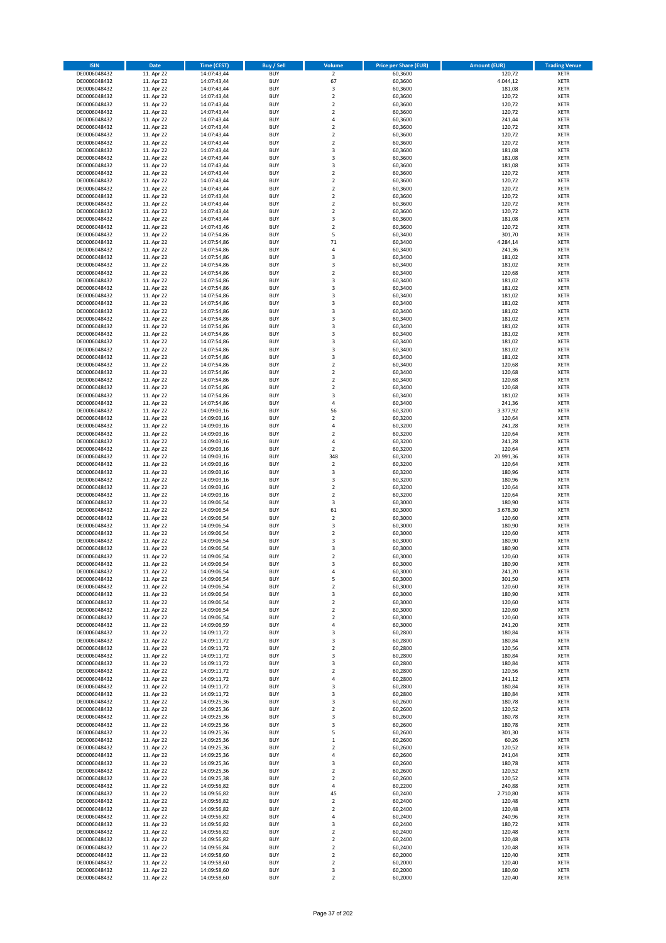| <b>ISIN</b>                  | <b>Date</b>              | <b>Time (CEST)</b>         | <b>Buy / Sell</b>        | Volume                                    | <b>Price per Share (EUR)</b> | Amount (EUR)     | <b>Trading Venue</b>       |
|------------------------------|--------------------------|----------------------------|--------------------------|-------------------------------------------|------------------------------|------------------|----------------------------|
| DE0006048432                 | 11. Apr 22               | 14:07:43,44                | <b>BUY</b>               | $\overline{2}$                            | 60,3600                      | 120,72           | <b>XETR</b>                |
| DE0006048432                 | 11. Apr 22               | 14:07:43,44                | <b>BUY</b>               | 67                                        | 60,3600                      | 4.044,12         | <b>XETR</b>                |
| DE0006048432                 | 11. Apr 22               | 14:07:43,44                | <b>BUY</b>               | 3                                         | 60,3600                      | 181,08           | <b>XETR</b>                |
| DE0006048432<br>DE0006048432 | 11. Apr 22<br>11. Apr 22 | 14:07:43,44<br>14:07:43,44 | <b>BUY</b><br><b>BUY</b> | $\mathbf 2$<br>$\overline{2}$             | 60,3600<br>60,3600           | 120,72<br>120,72 | <b>XETR</b><br><b>XETR</b> |
| DE0006048432                 | 11. Apr 22               | 14:07:43,44                | <b>BUY</b>               | $\mathbf 2$                               | 60,3600                      | 120,72           | <b>XETR</b>                |
| DE0006048432                 | 11. Apr 22               | 14:07:43,44                | <b>BUY</b>               | $\overline{a}$                            | 60,3600                      | 241,44           | <b>XETR</b>                |
| DE0006048432                 | 11. Apr 22               | 14:07:43,44                | <b>BUY</b>               | $\overline{2}$                            | 60,3600                      | 120,72           | <b>XETR</b>                |
| DE0006048432                 | 11. Apr 22               | 14:07:43,44                | BUY                      | $\overline{2}$                            | 60,3600                      | 120,72           | <b>XETR</b>                |
| DE0006048432                 | 11. Apr 22               | 14:07:43,44                | <b>BUY</b>               | $\mathbf 2$                               | 60,3600                      | 120,72           | <b>XETR</b>                |
| DE0006048432                 | 11. Apr 22               | 14:07:43,44                | <b>BUY</b>               | 3                                         | 60,3600                      | 181,08           | <b>XETR</b>                |
| DE0006048432<br>DE0006048432 | 11. Apr 22<br>11. Apr 22 | 14:07:43,44<br>14:07:43,44 | <b>BUY</b><br><b>BUY</b> | 3<br>$\overline{3}$                       | 60,3600<br>60,3600           | 181,08<br>181,08 | <b>XETR</b><br><b>XETR</b> |
| DE0006048432                 | 11. Apr 22               | 14:07:43,44                | <b>BUY</b>               | $\overline{2}$                            | 60,3600                      | 120,72           | <b>XETR</b>                |
| DE0006048432                 | 11. Apr 22               | 14:07:43,44                | <b>BUY</b>               | $\overline{2}$                            | 60,3600                      | 120,72           | <b>XETR</b>                |
| DE0006048432                 | 11. Apr 22               | 14:07:43,44                | BUY                      | $\overline{2}$                            | 60,3600                      | 120,72           | <b>XETR</b>                |
| DE0006048432                 | 11. Apr 22               | 14:07:43,44                | <b>BUY</b>               | $\overline{2}$                            | 60,3600                      | 120,72           | <b>XETR</b>                |
| DE0006048432                 | 11. Apr 22               | 14:07:43,44                | <b>BUY</b>               | $\overline{2}$                            | 60,3600                      | 120,72           | <b>XETR</b>                |
| DE0006048432                 | 11. Apr 22               | 14:07:43,44                | <b>BUY</b>               | $\overline{2}$                            | 60.3600                      | 120,72           | <b>XETR</b>                |
| DE0006048432                 | 11. Apr 22               | 14:07:43,44                | <b>BUY</b>               | $\overline{3}$                            | 60,3600                      | 181,08           | <b>XETR</b>                |
| DE0006048432<br>DE0006048432 | 11. Apr 22<br>11. Apr 22 | 14:07:43,46<br>14:07:54,86 | <b>BUY</b><br><b>BUY</b> | $\overline{2}$<br>5                       | 60,3600<br>60,3400           | 120,72<br>301,70 | <b>XETR</b><br><b>XETR</b> |
| DE0006048432                 | 11. Apr 22               | 14:07:54,86                | <b>BUY</b>               | $71\,$                                    | 60,3400                      | 4.284,14         | <b>XETR</b>                |
| DE0006048432                 | 11. Apr 22               | 14:07:54,86                | <b>BUY</b>               | 4                                         | 60,3400                      | 241,36           | <b>XETR</b>                |
| DE0006048432                 | 11. Apr 22               | 14:07:54,86                | <b>BUY</b>               | $\overline{\mathbf{3}}$                   | 60,3400                      | 181,02           | <b>XETR</b>                |
| DE0006048432                 | 11. Apr 22               | 14:07:54,86                | <b>BUY</b>               | 3                                         | 60,3400                      | 181,02           | <b>XETR</b>                |
| DE0006048432                 | 11. Apr 22               | 14:07:54,86                | <b>BUY</b>               | $\mathbf 2$                               | 60,3400                      | 120,68           | <b>XETR</b>                |
| DE0006048432                 | 11. Apr 22               | 14:07:54,86                | <b>BUY</b>               | $\overline{\mathbf{3}}$                   | 60,3400                      | 181,02           | <b>XETR</b>                |
| DE0006048432<br>DE0006048432 | 11. Apr 22<br>11. Apr 22 | 14:07:54,86<br>14:07:54,86 | <b>BUY</b><br><b>BUY</b> | 3<br>$\overline{\mathbf{3}}$              | 60,3400<br>60,3400           | 181,02<br>181,02 | <b>XETR</b><br><b>XETR</b> |
| DE0006048432                 | 11. Apr 22               | 14:07:54,86                | <b>BUY</b>               | $\overline{\mathbf{3}}$                   | 60,3400                      | 181,02           | <b>XETR</b>                |
| DE0006048432                 | 11. Apr 22               | 14:07:54,86                | <b>BUY</b>               | 3                                         | 60,3400                      | 181,02           | <b>XETR</b>                |
| DE0006048432                 | 11. Apr 22               | 14:07:54,86                | <b>BUY</b>               | 3                                         | 60,3400                      | 181,02           | <b>XETR</b>                |
| DE0006048432                 | 11. Apr 22               | 14:07:54,86                | <b>BUY</b>               | $\overline{\mathbf{3}}$                   | 60,3400                      | 181,02           | <b>XETR</b>                |
| DE0006048432                 | 11. Apr 22               | 14:07:54,86                | <b>BUY</b>               | $\overline{\mathbf{3}}$                   | 60,3400                      | 181,02           | <b>XETR</b>                |
| DE0006048432                 | 11. Apr 22               | 14:07:54,86                | <b>BUY</b>               | 3                                         | 60,3400                      | 181,02           | <b>XETR</b>                |
| DE0006048432                 | 11. Apr 22               | 14:07:54,86                | <b>BUY</b>               | $\overline{\mathbf{3}}$                   | 60,3400                      | 181,02           | <b>XETR</b>                |
| DE0006048432<br>DE0006048432 | 11. Apr 22<br>11. Apr 22 | 14:07:54,86                | BUY<br><b>BUY</b>        | 3<br>$\mathbf 2$                          | 60,3400<br>60,3400           | 181,02<br>120,68 | <b>XETR</b><br><b>XETR</b> |
| DE0006048432                 | 11. Apr 22               | 14:07:54,86<br>14:07:54,86 | <b>BUY</b>               | $\mathbf 2$                               | 60,3400                      | 120,68           | <b>XETR</b>                |
| DE0006048432                 | 11. Apr 22               | 14:07:54,86                | <b>BUY</b>               | $\overline{\mathbf{2}}$                   | 60,3400                      | 120,68           | <b>XETR</b>                |
| DE0006048432                 | 11. Apr 22               | 14:07:54,86                | <b>BUY</b>               | $\overline{2}$                            | 60,3400                      | 120,68           | <b>XETR</b>                |
| DE0006048432                 | 11. Apr 22               | 14:07:54,86                | <b>BUY</b>               | 3                                         | 60,3400                      | 181,02           | <b>XETR</b>                |
| DE0006048432                 | 11. Apr 22               | 14:07:54,86                | <b>BUY</b>               | $\overline{4}$                            | 60,3400                      | 241,36           | <b>XETR</b>                |
| DE0006048432                 | 11. Apr 22               | 14:09:03,16                | <b>BUY</b>               | 56                                        | 60,3200                      | 3.377,92         | <b>XETR</b>                |
| DE0006048432                 | 11. Apr 22               | 14:09:03,16                | <b>BUY</b>               | $\overline{2}$                            | 60,3200                      | 120,64           | <b>XETR</b>                |
| DE0006048432<br>DE0006048432 | 11. Apr 22<br>11. Apr 22 | 14:09:03,16<br>14:09:03,16 | <b>BUY</b><br><b>BUY</b> | 4<br>$\overline{2}$                       | 60,3200<br>60,3200           | 241,28<br>120,64 | <b>XETR</b><br><b>XETR</b> |
| DE0006048432                 | 11. Apr 22               | 14:09:03,16                | <b>BUY</b>               | 4                                         | 60,3200                      | 241,28           | <b>XETR</b>                |
| DE0006048432                 | 11. Apr 22               | 14:09:03,16                | <b>BUY</b>               | $\overline{2}$                            | 60,3200                      | 120,64           | <b>XETR</b>                |
| DE0006048432                 | 11. Apr 22               | 14:09:03,16                | <b>BUY</b>               | 348                                       | 60,3200                      | 20.991,36        | <b>XETR</b>                |
| DE0006048432                 | 11. Apr 22               | 14:09:03,16                | <b>BUY</b>               | $\mathbf 2$                               | 60,3200                      | 120,64           | <b>XETR</b>                |
| DE0006048432                 | 11. Apr 22               | 14:09:03,16                | <b>BUY</b>               | 3                                         | 60,3200                      | 180,96           | <b>XETR</b>                |
| DE0006048432                 | 11. Apr 22               | 14:09:03,16                | <b>BUY</b>               | 3                                         | 60,3200                      | 180,96           | <b>XETR</b>                |
| DE0006048432<br>DE0006048432 | 11. Apr 22<br>11. Apr 22 | 14:09:03,16                | <b>BUY</b><br><b>BUY</b> | $\overline{\mathbf{2}}$<br>$\overline{2}$ | 60,3200<br>60,3200           | 120,64<br>120,64 | <b>XETR</b><br><b>XETR</b> |
| DE0006048432                 | 11. Apr 22               | 14:09:03,16<br>14:09:06,54 | <b>BUY</b>               | 3                                         | 60,3000                      | 180,90           | <b>XETR</b>                |
| DE0006048432                 | 11. Apr 22               | 14:09:06,54                | <b>BUY</b>               | 61                                        | 60,3000                      | 3.678,30         | <b>XETR</b>                |
| DE0006048432                 | 11. Apr 22               | 14:09:06,54                | BUY                      | $\overline{2}$                            | 60,3000                      | 120,60           | <b>XETR</b>                |
| DE0006048432                 | 11. Apr 22               | 14:09:06,54                | <b>BUY</b>               | 3                                         | 60,3000                      | 180,90           | <b>XETR</b>                |
| DE0006048432                 | 11. Apr 22               | 14:09:06,54                | <b>BUY</b>               | $\mathbf 2$                               | 60,3000                      | 120,60           | <b>XETR</b>                |
| DE0006048432                 | 11. Apr 22               | 14:09:06,54                | BUY                      | 3                                         | 60,3000                      | 180,90           | <b>XETR</b>                |
| DE0006048432<br>DE0006048432 | 11. Apr 22               | 14:09:06,54                | BUY<br><b>BUY</b>        | $\overline{\mathbf{3}}$<br>$\overline{2}$ | 60,3000                      | 180,90           | <b>XETR</b><br><b>XETR</b> |
| DE0006048432                 | 11. Apr 22<br>11. Apr 22 | 14:09:06,54<br>14:09:06,54 | <b>BUY</b>               | 3                                         | 60,3000<br>60,3000           | 120,60<br>180,90 | <b>XETR</b>                |
| DE0006048432                 | 11. Apr 22               | 14:09:06,54                | <b>BUY</b>               | $\overline{4}$                            | 60,3000                      | 241,20           | <b>XETR</b>                |
| DE0006048432                 | 11. Apr 22               | 14:09:06,54                | <b>BUY</b>               | 5                                         | 60,3000                      | 301,50           | <b>XETR</b>                |
| DE0006048432                 | 11. Apr 22               | 14:09:06,54                | <b>BUY</b>               | $\mathbf 2$                               | 60,3000                      | 120,60           | <b>XETR</b>                |
| DE0006048432                 | 11. Apr 22               | 14:09:06,54                | <b>BUY</b>               | 3                                         | 60,3000                      | 180,90           | <b>XETR</b>                |
| DE0006048432                 | 11. Apr 22               | 14:09:06,54                | <b>BUY</b>               | $\mathbf 2$                               | 60,3000                      | 120,60           | <b>XETR</b>                |
| DE0006048432                 | 11. Apr 22               | 14:09:06,54                | <b>BUY</b><br><b>BUY</b> | 2                                         | 60,3000                      | 120,60           | <b>XETR</b>                |
| DE0006048432<br>DE0006048432 | 11. Apr 22<br>11. Apr 22 | 14:09:06,54<br>14:09:06,59 | <b>BUY</b>               | $\overline{\mathbf{c}}$<br>$\overline{4}$ | 60,3000<br>60,3000           | 120,60<br>241,20 | <b>XETR</b><br><b>XETR</b> |
| DE0006048432                 | 11. Apr 22               | 14:09:11,72                | <b>BUY</b>               | 3                                         | 60,2800                      | 180,84           | <b>XETR</b>                |
| DE0006048432                 | 11. Apr 22               | 14:09:11,72                | <b>BUY</b>               | 3                                         | 60,2800                      | 180,84           | <b>XETR</b>                |
| DE0006048432                 | 11. Apr 22               | 14:09:11,72                | <b>BUY</b>               | $\overline{\mathbf{2}}$                   | 60,2800                      | 120,56           | <b>XETR</b>                |
| DE0006048432                 | 11. Apr 22               | 14:09:11,72                | <b>BUY</b>               | 3                                         | 60,2800                      | 180,84           | <b>XETR</b>                |
| DE0006048432                 | 11. Apr 22               | 14:09:11,72                | <b>BUY</b>               | 3                                         | 60,2800                      | 180,84           | <b>XETR</b>                |
| DE0006048432<br>DE0006048432 | 11. Apr 22<br>11. Apr 22 | 14:09:11,72                | <b>BUY</b><br><b>BUY</b> | $\mathbf 2$<br>$\overline{a}$             | 60,2800<br>60,2800           | 120,56           | <b>XETR</b><br><b>XETR</b> |
| DE0006048432                 | 11. Apr 22               | 14:09:11,72<br>14:09:11,72 | <b>BUY</b>               | 3                                         | 60,2800                      | 241,12<br>180,84 | <b>XETR</b>                |
| DE0006048432                 | 11. Apr 22               | 14:09:11,72                | <b>BUY</b>               | 3                                         | 60,2800                      | 180,84           | <b>XETR</b>                |
| DE0006048432                 | 11. Apr 22               | 14:09:25,36                | <b>BUY</b>               | 3                                         | 60,2600                      | 180,78           | <b>XETR</b>                |
| DE0006048432                 | 11. Apr 22               | 14:09:25,36                | <b>BUY</b>               | $\mathbf 2$                               | 60,2600                      | 120,52           | <b>XETR</b>                |
| DE0006048432                 | 11. Apr 22               | 14:09:25,36                | <b>BUY</b>               | $\overline{\mathbf{3}}$                   | 60,2600                      | 180,78           | <b>XETR</b>                |
| DE0006048432                 | 11. Apr 22               | 14:09:25,36                | <b>BUY</b>               | 3                                         | 60,2600                      | 180,78           | <b>XETR</b>                |
| DE0006048432<br>DE0006048432 | 11. Apr 22<br>11. Apr 22 | 14:09:25,36                | <b>BUY</b><br><b>BUY</b> | 5                                         | 60,2600<br>60,2600           | 301,30<br>60,26  | <b>XETR</b><br><b>XETR</b> |
| DE0006048432                 | 11. Apr 22               | 14:09:25,36<br>14:09:25,36 | <b>BUY</b>               | $\mathbf 1$<br>$\mathbf 2$                | 60,2600                      | 120,52           | <b>XETR</b>                |
| DE0006048432                 | 11. Apr 22               | 14:09:25,36                | <b>BUY</b>               | 4                                         | 60,2600                      | 241,04           | <b>XETR</b>                |
| DE0006048432                 | 11. Apr 22               | 14:09:25,36                | <b>BUY</b>               | $\overline{\mathbf{3}}$                   | 60,2600                      | 180,78           | <b>XETR</b>                |
| DE0006048432                 | 11. Apr 22               | 14:09:25,36                | <b>BUY</b>               | $\overline{\mathbf{2}}$                   | 60,2600                      | 120,52           | <b>XETR</b>                |
| DE0006048432                 | 11. Apr 22               | 14:09:25,38                | <b>BUY</b>               | 2                                         | 60,2600                      | 120,52           | <b>XETR</b>                |
| DE0006048432                 | 11. Apr 22               | 14:09:56,82                | <b>BUY</b>               | 4                                         | 60,2200                      | 240,88           | <b>XETR</b>                |
| DE0006048432                 | 11. Apr 22               | 14:09:56,82                | <b>BUY</b>               | 45                                        | 60,2400                      | 2.710,80         | <b>XETR</b>                |
| DE0006048432<br>DE0006048432 | 11. Apr 22<br>11. Apr 22 | 14:09:56,82<br>14:09:56,82 | <b>BUY</b><br><b>BUY</b> | $\mathbf 2$<br>$\overline{\mathbf{2}}$    | 60,2400<br>60,2400           | 120,48<br>120,48 | <b>XETR</b><br><b>XETR</b> |
| DE0006048432                 | 11. Apr 22               | 14:09:56,82                | <b>BUY</b>               | $\overline{a}$                            | 60,2400                      | 240,96           | <b>XETR</b>                |
| DE0006048432                 | 11. Apr 22               | 14:09:56,82                | <b>BUY</b>               | 3                                         | 60,2400                      | 180,72           | <b>XETR</b>                |
| DE0006048432                 | 11. Apr 22               | 14:09:56,82                | <b>BUY</b>               | $\mathbf 2$                               | 60,2400                      | 120,48           | <b>XETR</b>                |
| DE0006048432                 | 11. Apr 22               | 14:09:56,82                | <b>BUY</b>               | $\overline{\mathbf{2}}$                   | 60,2400                      | 120,48           | <b>XETR</b>                |
| DE0006048432                 | 11. Apr 22               | 14:09:56,84                | <b>BUY</b>               | $\mathbf 2$                               | 60,2400                      | 120,48           | <b>XETR</b>                |
| DE0006048432                 | 11. Apr 22               | 14:09:58,60                | <b>BUY</b>               | 2                                         | 60,2000                      | 120,40           | <b>XETR</b>                |
| DE0006048432<br>DE0006048432 | 11. Apr 22<br>11. Apr 22 | 14:09:58,60<br>14:09:58,60 | <b>BUY</b><br><b>BUY</b> | 2<br>3                                    | 60,2000<br>60,2000           | 120,40<br>180,60 | <b>XETR</b><br><b>XETR</b> |
| DE0006048432                 | 11. Apr 22               | 14:09:58,60                | <b>BUY</b>               | $\mathbf 2$                               | 60,2000                      | 120,40           | <b>XETR</b>                |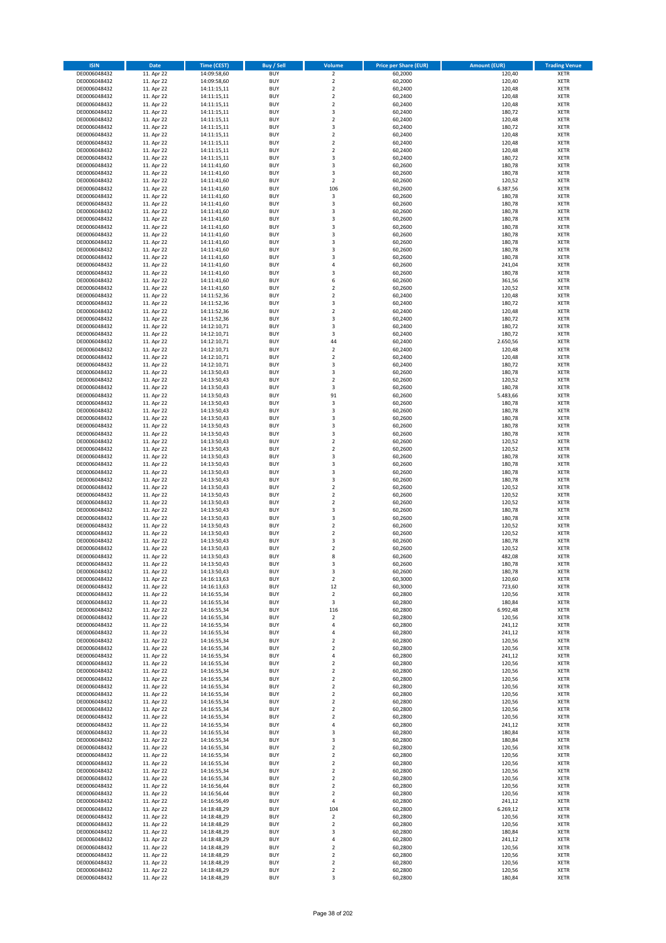| <b>ISIN</b>                  | Date                     | Time (CEST)                | <b>Buy / Sell</b>        | Volume                                             | <b>Price per Share (EUR)</b> | Amount (EUR)       | <b>Trading Venue</b>       |
|------------------------------|--------------------------|----------------------------|--------------------------|----------------------------------------------------|------------------------------|--------------------|----------------------------|
| DE0006048432                 | 11. Apr 22               | 14:09:58,60                | <b>BUY</b>               | $\overline{2}$                                     | 60,2000                      | 120,40             | <b>XETR</b>                |
| DE0006048432                 | 11. Apr 22               | 14:09:58,60                | <b>BUY</b>               | $\mathbf 2$                                        | 60,2000                      | 120,40             | <b>XETR</b>                |
| DE0006048432                 | 11. Apr 22               | 14:11:15,11                | <b>BUY</b>               | $\overline{2}$                                     | 60.2400                      | 120,48             | <b>XETR</b>                |
| DE0006048432                 | 11. Apr 22               | 14:11:15,11                | <b>BUY</b>               | $\mathbf 2$                                        | 60,2400                      | 120,48             | <b>XETR</b>                |
| DE0006048432<br>DE0006048432 | 11. Apr 22<br>11. Apr 22 | 14:11:15,11<br>14:11:15,11 | <b>BUY</b><br><b>BUY</b> | $\overline{\mathbf{2}}$<br>3                       | 60,2400<br>60,2400           | 120,48<br>180,72   | <b>XETR</b><br><b>XETR</b> |
| DE0006048432                 | 11. Apr 22               | 14:11:15,11                | <b>BUY</b>               | $\overline{2}$                                     | 60,2400                      | 120,48             | <b>XETR</b>                |
| DE0006048432                 | 11. Apr 22               | 14:11:15,11                | <b>BUY</b>               | 3                                                  | 60,2400                      | 180,72             | <b>XETR</b>                |
| DE0006048432                 | 11. Apr 22               | 14:11:15,11                | <b>BUY</b>               | $\overline{2}$                                     | 60,2400                      | 120,48             | <b>XETR</b>                |
| DE0006048432                 | 11. Apr 22               | 14:11:15,11                | <b>BUY</b>               | $\mathbf 2$                                        | 60,2400                      | 120,48             | <b>XETR</b>                |
| DE0006048432                 | 11. Apr 22               | 14:11:15,11                | <b>BUY</b>               | $\mathbf 2$                                        | 60,2400                      | 120,48             | <b>XETR</b>                |
| DE0006048432                 | 11. Apr 22               | 14:11:15,11                | <b>BUY</b><br><b>BUY</b> | $\overline{\mathbf{3}}$<br>$\overline{\mathbf{3}}$ | 60,2400                      | 180,72             | <b>XETR</b>                |
| DE0006048432<br>DE0006048432 | 11. Apr 22<br>11. Apr 22 | 14:11:41,60<br>14:11:41,60 | <b>BUY</b>               | $\overline{\mathbf{3}}$                            | 60,2600<br>60,2600           | 180,78<br>180,78   | <b>XETR</b><br><b>XETR</b> |
| DE0006048432                 | 11. Apr 22               | 14:11:41,60                | <b>BUY</b>               | $\overline{2}$                                     | 60,2600                      | 120,52             | <b>XETR</b>                |
| DE0006048432                 | 11. Apr 22               | 14:11:41,60                | <b>BUY</b>               | 106                                                | 60,2600                      | 6.387,56           | <b>XETR</b>                |
| DE0006048432                 | 11. Apr 22               | 14:11:41,60                | <b>BUY</b>               | 3                                                  | 60,2600                      | 180,78             | <b>XETR</b>                |
| DE0006048432                 | 11. Apr 22               | 14:11:41,60                | <b>BUY</b>               | 3                                                  | 60,2600                      | 180,78             | <b>XETR</b>                |
| DE0006048432                 | 11. Apr 22               | 14:11:41.60                | <b>BUY</b>               | 3                                                  | 60,2600                      | 180,78             | <b>XETR</b>                |
| DE0006048432<br>DE0006048432 | 11. Apr 22<br>11. Apr 22 | 14:11:41,60<br>14:11:41,60 | <b>BUY</b><br><b>BUY</b> | $\overline{\mathbf{3}}$<br>$\overline{\mathbf{3}}$ | 60,2600<br>60,2600           | 180,78<br>180,78   | <b>XETR</b><br><b>XETR</b> |
| DE0006048432                 | 11. Apr 22               | 14:11:41,60                | <b>BUY</b>               | $\overline{\mathbf{3}}$                            | 60,2600                      | 180,78             | <b>XETR</b>                |
| DE0006048432                 | 11. Apr 22               | 14:11:41,60                | <b>BUY</b>               | $\overline{3}$                                     | 60,2600                      | 180,78             | <b>XETR</b>                |
| DE0006048432                 | 11. Apr 22               | 14:11:41,60                | <b>BUY</b>               | 3                                                  | 60,2600                      | 180,78             | <b>XETR</b>                |
| DE0006048432                 | 11. Apr 22               | 14:11:41,60                | <b>BUY</b>               | $\overline{\mathbf{3}}$                            | 60,2600                      | 180,78             | <b>XETR</b>                |
| DE0006048432                 | 11. Apr 22               | 14:11:41,60                | <b>BUY</b>               | 4                                                  | 60,2600                      | 241,04             | <b>XETR</b>                |
| DE0006048432<br>DE0006048432 | 11. Apr 22               | 14:11:41,60                | <b>BUY</b><br><b>BUY</b> | $\overline{\mathbf{3}}$<br>6                       | 60,2600                      | 180,78             | <b>XETR</b><br><b>XETR</b> |
| DE0006048432                 | 11. Apr 22<br>11. Apr 22 | 14:11:41,60<br>14:11:41,60 | <b>BUY</b>               | $\mathbf 2$                                        | 60,2600<br>60,2600           | 361,56<br>120,52   | <b>XETR</b>                |
| DE0006048432                 | 11. Apr 22               | 14:11:52,36                | <b>BUY</b>               | $\overline{2}$                                     | 60,2400                      | 120,48             | <b>XETR</b>                |
| DE0006048432                 | 11. Apr 22               | 14:11:52,36                | <b>BUY</b>               | 3                                                  | 60,2400                      | 180,72             | <b>XETR</b>                |
| DE0006048432                 | 11. Apr 22               | 14:11:52,36                | <b>BUY</b>               | $\mathbf 2$                                        | 60,2400                      | 120,48             | <b>XETR</b>                |
| DE0006048432                 | 11. Apr 22               | 14:11:52,36                | <b>BUY</b>               | 3                                                  | 60,2400                      | 180,72             | <b>XETR</b>                |
| DE0006048432                 | 11. Apr 22               | 14:12:10,71                | <b>BUY</b>               | 3                                                  | 60,2400                      | 180,72             | <b>XETR</b>                |
| DE0006048432<br>DE0006048432 | 11. Apr 22<br>11. Apr 22 | 14:12:10,71<br>14:12:10,71 | <b>BUY</b><br><b>BUY</b> | $\overline{\mathbf{3}}$<br>44                      | 60,2400<br>60,2400           | 180,72<br>2.650,56 | <b>XETR</b><br><b>XETR</b> |
| DE0006048432                 | 11. Apr 22               | 14:12:10,71                | <b>BUY</b>               | $\overline{2}$                                     | 60,2400                      | 120,48             | <b>XETR</b>                |
| DE0006048432                 | 11. Apr 22               | 14:12:10,71                | <b>BUY</b>               | $\mathbf 2$                                        | 60,2400                      | 120,48             | <b>XETR</b>                |
| DE0006048432                 | 11. Apr 22               | 14:12:10,71                | <b>BUY</b>               | 3                                                  | 60,2400                      | 180,72             | <b>XETR</b>                |
| DE0006048432                 | 11. Apr 22               | 14:13:50,43                | <b>BUY</b>               | 3                                                  | 60,2600                      | 180,78             | <b>XETR</b>                |
| DE0006048432                 | 11. Apr 22               | 14:13:50,43                | <b>BUY</b>               | $\overline{2}$                                     | 60,2600                      | 120,52             | <b>XETR</b>                |
| DE0006048432                 | 11. Apr 22<br>11. Apr 22 | 14:13:50,43                | <b>BUY</b><br><b>BUY</b> | 3<br>91                                            | 60,2600                      | 180,78<br>5.483,66 | <b>XETR</b>                |
| DE0006048432<br>DE0006048432 | 11. Apr 22               | 14:13:50,43<br>14:13:50,43 | <b>BUY</b>               | 3                                                  | 60,2600<br>60,2600           | 180,78             | <b>XETR</b><br><b>XETR</b> |
| DE0006048432                 | 11. Apr 22               | 14:13:50,43                | <b>BUY</b>               | 3                                                  | 60,2600                      | 180,78             | <b>XETR</b>                |
| DE0006048432                 | 11. Apr 22               | 14:13:50,43                | <b>BUY</b>               | $\overline{\mathbf{3}}$                            | 60,2600                      | 180,78             | <b>XETR</b>                |
| DE0006048432                 | 11. Apr 22               | 14:13:50,43                | <b>BUY</b>               | 3                                                  | 60,2600                      | 180,78             | <b>XETR</b>                |
| DE0006048432                 | 11. Apr 22               | 14:13:50,43                | <b>BUY</b>               | $\overline{\mathbf{3}}$                            | 60,2600                      | 180,78             | <b>XETR</b>                |
| DE0006048432<br>DE0006048432 | 11. Apr 22               | 14:13:50,43<br>14:13:50,43 | <b>BUY</b><br><b>BUY</b> | $\overline{2}$<br>$\overline{2}$                   | 60,2600<br>60,2600           | 120,52<br>120,52   | <b>XETR</b><br><b>XETR</b> |
| DE0006048432                 | 11. Apr 22<br>11. Apr 22 | 14:13:50,43                | <b>BUY</b>               | $\overline{\mathbf{3}}$                            | 60,2600                      | 180,78             | <b>XETR</b>                |
| DE0006048432                 | 11. Apr 22               | 14:13:50,43                | <b>BUY</b>               | $\overline{\mathbf{3}}$                            | 60,2600                      | 180,78             | <b>XETR</b>                |
| DE0006048432                 | 11. Apr 22               | 14:13:50,43                | <b>BUY</b>               | $\overline{\mathbf{3}}$                            | 60,2600                      | 180,78             | <b>XETR</b>                |
| DE0006048432                 | 11. Apr 22               | 14:13:50,43                | <b>BUY</b>               | 3                                                  | 60,2600                      | 180,78             | <b>XETR</b>                |
| DE0006048432                 | 11. Apr 22               | 14:13:50,43                | <b>BUY</b>               | $\overline{2}$                                     | 60,2600                      | 120,52             | <b>XETR</b>                |
| DE0006048432                 | 11. Apr 22               | 14:13:50,43                | <b>BUY</b>               | $\overline{2}$                                     | 60,2600                      | 120,52             | <b>XETR</b>                |
| DE0006048432<br>DE0006048432 | 11. Apr 22<br>11. Apr 22 | 14:13:50,43<br>14:13:50,43 | <b>BUY</b><br><b>BUY</b> | $\overline{2}$<br>3                                | 60,2600<br>60,2600           | 120,52<br>180,78   | <b>XETR</b><br><b>XETR</b> |
| DE0006048432                 | 11. Apr 22               | 14:13:50,43                | <b>BUY</b>               | 3                                                  | 60,2600                      | 180,78             | <b>XETR</b>                |
| DE0006048432                 | 11. Apr 22               | 14:13:50,43                | <b>BUY</b>               | $\overline{2}$                                     | 60,2600                      | 120,52             | <b>XETR</b>                |
| DE0006048432                 | 11. Apr 22               | 14:13:50,43                | <b>BUY</b>               | $\mathbf 2$                                        | 60,2600                      | 120,52             | <b>XETR</b>                |
| DE0006048432                 | 11. Apr 22               | 14:13:50,43                | BUY                      | $\overline{\mathbf{3}}$                            | 60,2600                      | 180,78             | <b>XETR</b>                |
| DE0006048432                 | 11. Apr 22               | 14:13:50,43                | BUY                      | $\overline{2}$                                     | 60,2600                      | 120,52             | <b>XETR</b>                |
| DE0006048432<br>DE0006048432 | 11. Apr 22<br>11. Apr 22 | 14:13:50,43                | <b>BUY</b><br><b>BUY</b> | 8<br>3                                             | 60,2600<br>60,2600           | 482,08             | <b>XETR</b><br><b>XETR</b> |
| DE0006048432                 | 11. Apr 22               | 14:13:50,43<br>14:13:50,43 | <b>BUY</b>               | 3                                                  | 60,2600                      | 180,78<br>180,78   | <b>XETR</b>                |
| DE0006048432                 | 11. Apr 22               | 14:16:13,63                | <b>BUY</b>               | $\mathbf 2$                                        | 60,3000                      | 120,60             | <b>XETR</b>                |
| DE0006048432                 | 11. Apr 22               | 14:16:13,63                | <b>BUY</b>               | 12                                                 | 60,3000                      | 723,60             | <b>XETR</b>                |
| DE0006048432                 | 11. Apr 22               | 14:16:55,34                | <b>BUY</b>               | $\mathbf 2$                                        | 60,2800                      | 120,56             | <b>XETR</b>                |
| DE0006048432                 | 11. Apr 22               | 14:16:55,34                | <b>BUY</b>               | 3                                                  | 60,2800                      | 180,84             | <b>XETR</b>                |
| DE0006048432<br>DE0006048432 | 11. Apr 22<br>11. Apr 22 | 14:16:55,34<br>14:16:55,34 | <b>BUY</b><br><b>BUY</b> | 116<br>2                                           | 60,2800<br>60,2800           | 6.992,48<br>120,56 | <b>XETR</b><br><b>XETR</b> |
| DE0006048432                 | 11. Apr 22               | 14:16:55,34                | <b>BUY</b>               | $\overline{4}$                                     | 60,2800                      | 241,12             | <b>XETR</b>                |
| DE0006048432                 | 11. Apr 22               | 14:16:55,34                | <b>BUY</b>               | 4                                                  | 60,2800                      | 241,12             | <b>XETR</b>                |
| DE0006048432                 | 11. Apr 22               | 14:16:55,34                | <b>BUY</b>               | $\mathbf 2$                                        | 60,2800                      | 120,56             | <b>XETR</b>                |
| DE0006048432                 | 11. Apr 22               | 14:16:55,34                | <b>BUY</b>               | $\overline{\mathbf{2}}$                            | 60,2800                      | 120,56             | <b>XETR</b>                |
| DE0006048432                 | 11. Apr 22               | 14:16:55,34                | <b>BUY</b>               | 4                                                  | 60,2800                      | 241,12             | <b>XETR</b>                |
| DE0006048432<br>DE0006048432 | 11. Apr 22<br>11. Apr 22 | 14:16:55,34<br>14:16:55,34 | <b>BUY</b><br><b>BUY</b> | $\overline{\mathbf{2}}$<br>2                       | 60,2800<br>60,2800           | 120,56<br>120,56   | <b>XETR</b><br><b>XETR</b> |
| DE0006048432                 | 11. Apr 22               | 14:16:55,34                | <b>BUY</b>               | $\mathbf 2$                                        | 60,2800                      | 120,56             | <b>XETR</b>                |
| DE0006048432                 | 11. Apr 22               | 14:16:55,34                | <b>BUY</b>               | $\mathbf 2$                                        | 60,2800                      | 120,56             | <b>XETR</b>                |
| DE0006048432                 | 11. Apr 22               | 14:16:55,34                | <b>BUY</b>               | $\mathbf 2$                                        | 60,2800                      | 120,56             | <b>XETR</b>                |
| DE0006048432                 | 11. Apr 22               | 14:16:55,34                | <b>BUY</b>               | $\mathbf 2$                                        | 60,2800                      | 120,56             | <b>XETR</b>                |
| DE0006048432                 | 11. Apr 22               | 14:16:55,34                | <b>BUY</b>               | $\mathbf 2$                                        | 60,2800                      | 120,56             | <b>XETR</b>                |
| DE0006048432<br>DE0006048432 | 11. Apr 22<br>11. Apr 22 | 14:16:55,34<br>14:16:55,34 | <b>BUY</b><br><b>BUY</b> | $\overline{\mathbf{2}}$<br>4                       | 60,2800<br>60,2800           | 120,56<br>241,12   | <b>XETR</b><br><b>XETR</b> |
| DE0006048432                 | 11. Apr 22               | 14:16:55,34                | <b>BUY</b>               | $\overline{\mathbf{3}}$                            | 60,2800                      | 180,84             | <b>XETR</b>                |
| DE0006048432                 | 11. Apr 22               | 14:16:55,34                | <b>BUY</b>               | 3                                                  | 60,2800                      | 180,84             | <b>XETR</b>                |
| DE0006048432                 | 11. Apr 22               | 14:16:55,34                | <b>BUY</b>               | $\mathbf 2$                                        | 60,2800                      | 120,56             | <b>XETR</b>                |
| DE0006048432                 | 11. Apr 22               | 14:16:55,34                | <b>BUY</b>               | $\mathbf 2$                                        | 60,2800                      | 120,56             | <b>XETR</b>                |
| DE0006048432                 | 11. Apr 22               | 14:16:55,34                | <b>BUY</b>               | $\overline{\mathbf{2}}$                            | 60,2800                      | 120,56             | <b>XETR</b>                |
| DE0006048432<br>DE0006048432 | 11. Apr 22<br>11. Apr 22 | 14:16:55,34                | <b>BUY</b><br><b>BUY</b> | $\overline{\mathbf{2}}$                            | 60,2800<br>60,2800           | 120,56<br>120,56   | <b>XETR</b><br><b>XETR</b> |
| DE0006048432                 | 11. Apr 22               | 14:16:55,34<br>14:16:56,44 | <b>BUY</b>               | 2<br>$\overline{\mathbf{2}}$                       | 60,2800                      | 120,56             | <b>XETR</b>                |
| DE0006048432                 | 11. Apr 22               | 14:16:56,44                | <b>BUY</b>               | $\mathbf 2$                                        | 60,2800                      | 120,56             | <b>XETR</b>                |
| DE0006048432                 | 11. Apr 22               | 14:16:56,49                | <b>BUY</b>               | $\pmb{4}$                                          | 60,2800                      | 241,12             | <b>XETR</b>                |
| DE0006048432                 | 11. Apr 22               | 14:18:48,29                | <b>BUY</b>               | 104                                                | 60,2800                      | 6.269,12           | <b>XETR</b>                |
| DE0006048432                 | 11. Apr 22               | 14:18:48,29                | <b>BUY</b>               | $\mathbf 2$                                        | 60,2800                      | 120,56             | <b>XETR</b>                |
| DE0006048432                 | 11. Apr 22               | 14:18:48,29                | <b>BUY</b>               | $\mathbf 2$                                        | 60,2800                      | 120,56             | <b>XETR</b>                |
| DE0006048432<br>DE0006048432 | 11. Apr 22<br>11. Apr 22 | 14:18:48,29<br>14:18:48,29 | <b>BUY</b><br><b>BUY</b> | 3<br>4                                             | 60,2800<br>60,2800           | 180,84<br>241,12   | <b>XETR</b><br><b>XETR</b> |
| DE0006048432                 | 11. Apr 22               | 14:18:48,29                | <b>BUY</b>               | $\mathbf 2$                                        | 60,2800                      | 120,56             | <b>XETR</b>                |
| DE0006048432                 | 11. Apr 22               | 14:18:48,29                | <b>BUY</b>               | 2                                                  | 60,2800                      | 120,56             | <b>XETR</b>                |
| DE0006048432                 | 11. Apr 22               | 14:18:48,29                | <b>BUY</b>               | 2                                                  | 60,2800                      | 120,56             | <b>XETR</b>                |
| DE0006048432                 | 11. Apr 22               | 14:18:48,29                | <b>BUY</b>               | $\mathbf 2$                                        | 60,2800                      | 120,56             | <b>XETR</b>                |
| DE0006048432                 | 11. Apr 22               | 14:18:48,29                | <b>BUY</b>               | 3                                                  | 60,2800                      | 180,84             | <b>XETR</b>                |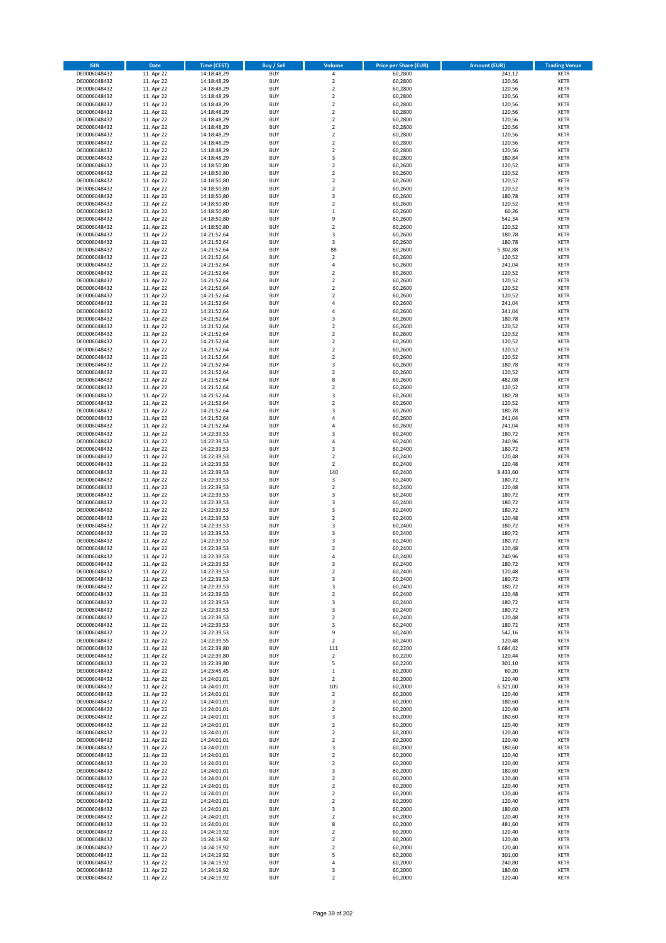| <b>ISIN</b>                  | Date                     | <b>Time (CEST)</b>         | <b>Buy / Sell</b>        | Volume                                 | <b>Price per Share (EUR)</b> | Amount (EUR)       | <b>Trading Venue</b>       |
|------------------------------|--------------------------|----------------------------|--------------------------|----------------------------------------|------------------------------|--------------------|----------------------------|
| DE0006048432                 | 11. Apr 22               | 14:18:48,29                | <b>BUY</b>               | 4                                      | 60,2800                      | 241,12             | <b>XETR</b>                |
| DE0006048432                 | 11. Apr 22               | 14:18:48,29                | <b>BUY</b>               | $\mathbf 2$                            | 60,2800                      | 120,56             | <b>XETR</b>                |
| DE0006048432                 | 11. Apr 22               | 14:18:48,29                | <b>BUY</b>               | $\overline{\mathbf{2}}$                | 60,2800                      | 120,56             | <b>XETR</b>                |
| DE0006048432                 | 11. Apr 22               | 14:18:48,29                | <b>BUY</b>               | $\mathbf 2$                            | 60,2800                      | 120,56             | <b>XETR</b>                |
| DE0006048432                 | 11. Apr 22               | 14:18:48,29                | <b>BUY</b>               | $\overline{\mathbf{2}}$                | 60,2800                      | 120,56             | <b>XETR</b>                |
| DE0006048432                 | 11. Apr 22               | 14:18:48,29                | <b>BUY</b>               | $\mathbf 2$                            | 60,2800                      | 120,56             | <b>XETR</b>                |
| DE0006048432                 | 11. Apr 22               | 14:18:48,29                | <b>BUY</b>               | $\overline{\mathbf{2}}$                | 60,2800                      | 120,56             | <b>XETR</b>                |
| DE0006048432                 | 11. Apr 22               | 14:18:48,29                | <b>BUY</b>               | $\overline{\mathbf{2}}$                | 60,2800                      | 120,56             | <b>XETR</b>                |
| DE0006048432                 | 11. Apr 22               | 14:18:48,29                | BUY                      | $\overline{\mathbf{2}}$                | 60,2800                      | 120,56             | <b>XETR</b>                |
| DE0006048432                 | 11. Apr 22               | 14:18:48,29                | <b>BUY</b>               | $\overline{2}$                         | 60,2800                      | 120,56             | <b>XETR</b>                |
| DE0006048432                 | 11. Apr 22               | 14:18:48,29                | <b>BUY</b>               | $\mathbf 2$                            | 60,2800                      | 120,56             | <b>XETR</b>                |
| DE0006048432                 | 11. Apr 22               | 14:18:48,29                | <b>BUY</b>               | $\overline{\mathbf{3}}$                | 60,2800                      | 180,84             | <b>XETR</b>                |
| DE0006048432                 | 11. Apr 22               | 14:18:50,80                | <b>BUY</b>               | $\overline{2}$                         | 60,2600                      | 120,52             | <b>XETR</b>                |
| DE0006048432                 | 11. Apr 22<br>11. Apr 22 | 14:18:50,80                | <b>BUY</b><br><b>BUY</b> | $\overline{2}$<br>$\overline{2}$       | 60,2600<br>60,2600           | 120,52<br>120,52   | <b>XETR</b><br><b>XETR</b> |
| DE0006048432<br>DE0006048432 | 11. Apr 22               | 14:18:50,80<br>14:18:50,80 | BUY                      | $\overline{2}$                         | 60,2600                      | 120,52             | <b>XETR</b>                |
| DE0006048432                 | 11. Apr 22               | 14:18:50,80                | <b>BUY</b>               | 3                                      | 60,2600                      | 180,78             | <b>XETR</b>                |
| DE0006048432                 | 11. Apr 22               | 14:18:50,80                | <b>BUY</b>               | $\overline{2}$                         | 60,2600                      | 120,52             | <b>XETR</b>                |
| DE0006048432                 | 11. Apr 22               | 14:18:50,80                | <b>BUY</b>               | $\,1\,$                                | 60.2600                      | 60,26              | <b>XETR</b>                |
| DE0006048432                 | 11. Apr 22               | 14:18:50,80                | <b>BUY</b>               | 9                                      | 60,2600                      | 542,34             | <b>XETR</b>                |
| DE0006048432                 | 11. Apr 22               | 14:18:50,80                | <b>BUY</b>               | $\overline{2}$                         | 60,2600                      | 120,52             | <b>XETR</b>                |
| DE0006048432                 | 11. Apr 22               | 14:21:52,64                | <b>BUY</b>               | $\overline{\mathbf{3}}$                | 60,2600                      | 180,78             | <b>XETR</b>                |
| DE0006048432                 | 11. Apr 22               | 14:21:52,64                | <b>BUY</b>               | 3                                      | 60,2600                      | 180,78             | <b>XETR</b>                |
| DE0006048432                 | 11. Apr 22               | 14:21:52,64                | <b>BUY</b>               | 88                                     | 60,2600                      | 5.302,88           | <b>XETR</b>                |
| DE0006048432                 | 11. Apr 22               | 14:21:52,64                | <b>BUY</b>               | $\mathbf 2$                            | 60,2600                      | 120,52             | <b>XETR</b>                |
| DE0006048432                 | 11. Apr 22               | 14:21:52,64                | <b>BUY</b>               | 4                                      | 60,2600                      | 241,04             | <b>XETR</b>                |
| DE0006048432                 | 11. Apr 22               | 14:21:52,64                | <b>BUY</b>               | $\mathbf 2$                            | 60,2600                      | 120,52             | <b>XETR</b>                |
| DE0006048432                 | 11. Apr 22               | 14:21:52,64                | <b>BUY</b>               | $\overline{2}$                         | 60,2600                      | 120,52             | <b>XETR</b>                |
| DE0006048432                 | 11. Apr 22               | 14:21:52,64                | <b>BUY</b>               | $\mathbf 2$                            | 60,2600                      | 120,52             | <b>XETR</b>                |
| DE0006048432                 | 11. Apr 22               | 14:21:52,64                | <b>BUY</b>               | $\overline{2}$                         | 60,2600                      | 120,52             | <b>XETR</b>                |
| DE0006048432                 | 11. Apr 22               | 14:21:52,64                | <b>BUY</b>               | 4                                      | 60,2600                      | 241,04             | <b>XETR</b>                |
| DE0006048432<br>DE0006048432 | 11. Apr 22<br>11. Apr 22 | 14:21:52,64                | <b>BUY</b><br><b>BUY</b> | $\overline{4}$<br>3                    | 60,2600<br>60,2600           | 241,04<br>180,78   | <b>XETR</b><br><b>XETR</b> |
| DE0006048432                 | 11. Apr 22               | 14:21:52,64<br>14:21:52,64 | <b>BUY</b>               | $\overline{2}$                         | 60,2600                      | 120,52             | <b>XETR</b>                |
| DE0006048432                 | 11. Apr 22               | 14:21:52,64                | <b>BUY</b>               | $\overline{2}$                         | 60,2600                      | 120,52             | <b>XETR</b>                |
| DE0006048432                 | 11. Apr 22               | 14:21:52,64                | <b>BUY</b>               | $\mathbf 2$                            | 60,2600                      | 120,52             | <b>XETR</b>                |
| DE0006048432                 | 11. Apr 22               | 14:21:52,64                | <b>BUY</b>               | $\overline{2}$                         | 60,2600                      | 120,52             | <b>XETR</b>                |
| DE0006048432                 | 11. Apr 22               | 14:21:52,64                | <b>BUY</b>               | $\mathbf 2$                            | 60,2600                      | 120,52             | <b>XETR</b>                |
| DE0006048432                 | 11. Apr 22               | 14:21:52,64                | <b>BUY</b>               | 3                                      | 60,2600                      | 180,78             | <b>XETR</b>                |
| DE0006048432                 | 11. Apr 22               | 14:21:52,64                | <b>BUY</b>               | $\mathbf 2$                            | 60,2600                      | 120,52             | <b>XETR</b>                |
| DE0006048432                 | 11. Apr 22               | 14:21:52,64                | <b>BUY</b>               | 8                                      | 60,2600                      | 482,08             | <b>XETR</b>                |
| DE0006048432                 | 11. Apr 22               | 14:21:52,64                | <b>BUY</b>               | $\mathbf 2$                            | 60,2600                      | 120,52             | <b>XETR</b>                |
| DE0006048432                 | 11. Apr 22               | 14:21:52,64                | <b>BUY</b>               | 3                                      | 60,2600                      | 180,78             | <b>XETR</b>                |
| DE0006048432                 | 11. Apr 22               | 14:21:52,64                | <b>BUY</b>               | $\overline{\mathbf{2}}$                | 60,2600                      | 120,52             | <b>XETR</b>                |
| DE0006048432                 | 11. Apr 22               | 14:21:52,64                | <b>BUY</b>               | $\overline{\mathbf{3}}$                | 60,2600                      | 180,78             | <b>XETR</b>                |
| DE0006048432                 | 11. Apr 22               | 14:21:52,64                | <b>BUY</b>               | $\overline{4}$                         | 60,2600                      | 241,04             | <b>XETR</b>                |
| DE0006048432                 | 11. Apr 22               | 14:21:52,64                | <b>BUY</b>               | 4                                      | 60,2600                      | 241,04             | <b>XETR</b>                |
| DE0006048432                 | 11. Apr 22               | 14:22:39,53                | <b>BUY</b>               | $\overline{3}$                         | 60,2400                      | 180,72             | <b>XETR</b>                |
| DE0006048432                 | 11. Apr 22               | 14:22:39,53                | <b>BUY</b>               | 4                                      | 60,2400                      | 240,96             | <b>XETR</b>                |
| DE0006048432                 | 11. Apr 22               | 14:22:39,53                | <b>BUY</b>               | $\overline{\mathbf{3}}$                | 60,2400                      | 180,72             | <b>XETR</b>                |
| DE0006048432                 | 11. Apr 22               | 14:22:39,53                | <b>BUY</b><br><b>BUY</b> | $\overline{\mathbf{2}}$<br>$\mathbf 2$ | 60,2400                      | 120,48             | <b>XETR</b>                |
| DE0006048432<br>DE0006048432 | 11. Apr 22<br>11. Apr 22 | 14:22:39,53<br>14:22:39,53 | <b>BUY</b>               | 140                                    | 60,2400<br>60,2400           | 120,48<br>8.433,60 | <b>XETR</b><br><b>XETR</b> |
| DE0006048432                 | 11. Apr 22               | 14:22:39,53                | <b>BUY</b>               | 3                                      | 60,2400                      | 180,72             | <b>XETR</b>                |
| DE0006048432                 | 11. Apr 22               | 14:22:39,53                | <b>BUY</b>               | $\overline{\mathbf{2}}$                | 60,2400                      | 120,48             | <b>XETR</b>                |
| DE0006048432                 | 11. Apr 22               | 14:22:39,53                | <b>BUY</b>               | $\overline{\mathbf{3}}$                | 60,2400                      | 180,72             | <b>XETR</b>                |
| DE0006048432                 | 11. Apr 22               | 14:22:39,53                | <b>BUY</b>               | 3                                      | 60,2400                      | 180,72             | <b>XETR</b>                |
| DE0006048432                 | 11. Apr 22               | 14:22:39,53                | <b>BUY</b>               | $\overline{\mathbf{3}}$                | 60,2400                      | 180,72             | <b>XETR</b>                |
| DE0006048432                 | 11. Apr 22               | 14:22:39,53                | <b>BUY</b>               | $\overline{\mathbf{2}}$                | 60,2400                      | 120,48             | <b>XETR</b>                |
| DE0006048432                 | 11. Apr 22               | 14:22:39,53                | <b>BUY</b>               | 3                                      | 60,2400                      | 180,72             | <b>XETR</b>                |
| DE0006048432                 | 11. Apr 22               | 14:22:39,53                | <b>BUY</b>               | 3                                      | 60,2400                      | 180,72             | <b>XETR</b>                |
| DE0006048432                 | 11. Apr 22               | 14:22:39,53                | BUY                      | 3                                      | 60,2400                      | 180,72             | <b>XETR</b>                |
| DE0006048432                 | 11. Apr 22               | 14:22:39,53                | BUY                      | $\overline{\mathbf{2}}$                | 60,2400                      | 120,48             | <b>XETR</b>                |
| DE0006048432                 | 11. Apr 22               | 14:22:39,53                | <b>BUY</b>               | $\overline{a}$                         | 60,2400                      | 240,96             | <b>XETR</b>                |
| DE0006048432                 | 11. Apr 22               | 14:22:39,53                | BUY                      | 3                                      | 60,2400                      | 180,72             | <b>XETR</b>                |
| DE0006048432                 | 11. Apr 22               | 14:22:39,53                | <b>BUY</b>               | $\mathbf 2$                            | 60,2400                      | 120,48             | <b>XETR</b>                |
| DE0006048432                 | 11. Apr 22               | 14:22:39,53                | <b>BUY</b>               | 3                                      | 60,2400                      | 180,72             | <b>XETR</b>                |
| DE0006048432                 | 11. Apr 22               | 14:22:39,53                | <b>BUY</b>               | 3                                      | 60,2400                      | 180,72             | <b>XETR</b>                |
| DE0006048432                 | 11. Apr 22               | 14:22:39,53                | <b>BUY</b>               | $\overline{\mathbf{2}}$                | 60,2400                      | 120,48             | <b>XETR</b>                |
| DE0006048432                 | 11. Apr 22               | 14:22:39,53                | <b>BUY</b>               | 3                                      | 60,2400                      | 180,72             | <b>XETR</b>                |
| DE0006048432                 | 11. Apr 22               | 14:22:39,53                | <b>BUY</b>               | 3                                      | 60,2400                      | 180,72             | <b>XETR</b>                |
| DE0006048432                 | 11. Apr 22               | 14:22:39,53                | <b>BUY</b>               | 2                                      | 60,2400                      | 120,48             | <b>XETR</b>                |
| DE0006048432<br>DE0006048432 | 11. Apr 22<br>11. Apr 22 | 14:22:39,53<br>14:22:39,53 | <b>BUY</b><br><b>BUY</b> | 3<br>9                                 | 60,2400<br>60,2400           | 180,72<br>542,16   | <b>XETR</b><br><b>XETR</b> |
| DE0006048432                 | 11. Apr 22               | 14:22:39,55                | <b>BUY</b>               | $\mathbf 2$                            | 60,2400                      | 120,48             | <b>XETR</b>                |
| DE0006048432                 | 11. Apr 22               | 14:22:39,80                | <b>BUY</b>               | 111                                    | 60,2200                      | 6.684,42           | <b>XETR</b>                |
| DE0006048432                 | 11. Apr 22               | 14:22:39,80                | <b>BUY</b>               | $\mathbf 2$                            | 60,2200                      | 120,44             | <b>XETR</b>                |
| DE0006048432                 | 11. Apr 22               | 14:22:39,80                | <b>BUY</b>               | 5                                      | 60,2200                      | 301,10             | <b>XETR</b>                |
| DE0006048432                 | 11. Apr 22               | 14:23:45,45                | <b>BUY</b>               | 1                                      | 60,2000                      | 60,20              | <b>XETR</b>                |
| DE0006048432                 | 11. Apr 22               | 14:24:01,01                | <b>BUY</b>               | $\mathbf 2$                            | 60,2000                      | 120,40             | <b>XETR</b>                |
| DE0006048432                 | 11. Apr 22               | 14:24:01,01                | <b>BUY</b>               | 105                                    | 60,2000                      | 6.321,00           | <b>XETR</b>                |
| DE0006048432                 | 11. Apr 22               | 14:24:01,01                | <b>BUY</b>               | $\mathbf 2$                            | 60,2000                      | 120,40             | <b>XETR</b>                |
| DE0006048432                 | 11. Apr 22               | 14:24:01,01                | <b>BUY</b>               | 3                                      | 60,2000                      | 180,60             | <b>XETR</b>                |
| DE0006048432                 | 11. Apr 22               | 14:24:01,01                | <b>BUY</b>               | $\mathbf 2$                            | 60,2000                      | 120,40             | <b>XETR</b>                |
| DE0006048432                 | 11. Apr 22               | 14:24:01,01                | <b>BUY</b>               | $\overline{\mathbf{3}}$                | 60,2000                      | 180,60             | <b>XETR</b>                |
| DE0006048432                 | 11. Apr 22               | 14:24:01,01                | <b>BUY</b>               | $\mathbf 2$                            | 60,2000                      | 120,40             | <b>XETR</b>                |
| DE0006048432                 | 11. Apr 22               | 14:24:01,01                | <b>BUY</b>               | $\overline{\mathbf{2}}$                | 60,2000                      | 120,40             | <b>XETR</b>                |
| DE0006048432                 | 11. Apr 22               | 14:24:01,01                | <b>BUY</b>               | $\mathbf 2$                            | 60,2000                      | 120,40             | <b>XETR</b>                |
| DE0006048432                 | 11. Apr 22               | 14:24:01,01                | <b>BUY</b>               | 3                                      | 60,2000                      | 180,60             | <b>XETR</b>                |
| DE0006048432<br>DE0006048432 | 11. Apr 22<br>11. Apr 22 | 14:24:01,01<br>14:24:01,01 | <b>BUY</b><br><b>BUY</b> | $\mathbf 2$<br>$\overline{\mathbf{2}}$ | 60,2000<br>60,2000           | 120,40             | <b>XETR</b><br><b>XETR</b> |
| DE0006048432                 | 11. Apr 22               | 14:24:01,01                | <b>BUY</b>               | $\overline{\mathbf{3}}$                | 60,2000                      | 120,40<br>180,60   | <b>XETR</b>                |
| DE0006048432                 | 11. Apr 22               | 14:24:01,01                | <b>BUY</b>               | $\mathbf 2$                            | 60,2000                      | 120,40             | <b>XETR</b>                |
| DE0006048432                 | 11. Apr 22               | 14:24:01,01                | <b>BUY</b>               | $\overline{\mathbf{2}}$                | 60,2000                      | 120,40             | <b>XETR</b>                |
| DE0006048432                 | 11. Apr 22               | 14:24:01,01                | <b>BUY</b>               | $\mathbf 2$                            | 60,2000                      | 120,40             | <b>XETR</b>                |
| DE0006048432                 | 11. Apr 22               | 14:24:01,01                | <b>BUY</b>               | $\mathbf 2$                            | 60,2000                      | 120,40             | <b>XETR</b>                |
| DE0006048432                 | 11. Apr 22               | 14:24:01,01                | <b>BUY</b>               | 3                                      | 60,2000                      | 180,60             | <b>XETR</b>                |
| DE0006048432                 | 11. Apr 22               | 14:24:01,01                | <b>BUY</b>               | $\overline{\mathbf{2}}$                | 60,2000                      | 120,40             | <b>XETR</b>                |
| DE0006048432                 | 11. Apr 22               | 14:24:01,01                | <b>BUY</b>               | 8                                      | 60,2000                      | 481,60             | <b>XETR</b>                |
| DE0006048432                 | 11. Apr 22               | 14:24:19,92                | <b>BUY</b>               | $\mathbf 2$                            | 60,2000                      | 120,40             | <b>XETR</b>                |
| DE0006048432                 | 11. Apr 22               | 14:24:19,92                | <b>BUY</b>               | $\overline{\mathbf{2}}$                | 60,2000                      | 120,40             | <b>XETR</b>                |
| DE0006048432                 | 11. Apr 22               | 14:24:19,92                | <b>BUY</b>               | $\mathbf 2$                            | 60,2000                      | 120,40             | <b>XETR</b>                |
| DE0006048432                 | 11. Apr 22               | 14:24:19,92                | <b>BUY</b>               | 5                                      | 60,2000                      | 301,00             | <b>XETR</b>                |
| DE0006048432                 | 11. Apr 22               | 14:24:19,92                | <b>BUY</b>               | 4                                      | 60,2000                      | 240,80             | <b>XETR</b>                |
| DE0006048432                 | 11. Apr 22               | 14:24:19,92                | <b>BUY</b>               | 3                                      | 60,2000                      | 180,60             | <b>XETR</b>                |
| DE0006048432                 | 11. Apr 22               | 14:24:19,92                | <b>BUY</b>               | $\mathbf 2$                            | 60,2000                      | 120,40             | <b>XETR</b>                |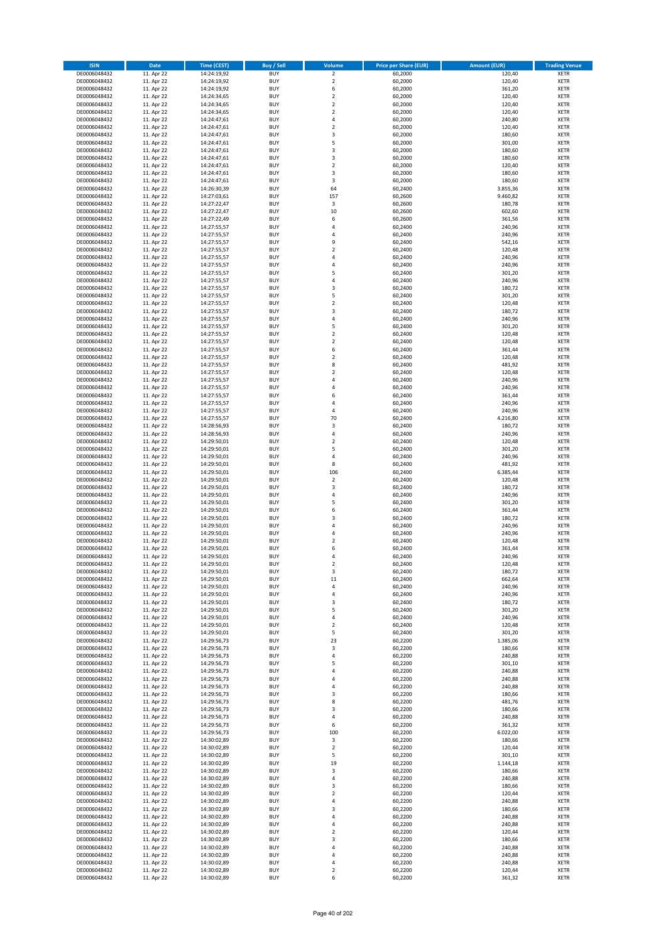| <b>ISIN</b>                  | <b>Date</b>              | Time (CEST)                | <b>Buy / Sell</b>        | <b>Volume</b>                          | <b>Price per Share (EUR)</b> | <b>Amount (EUR)</b> | <b>Trading Venue</b>       |
|------------------------------|--------------------------|----------------------------|--------------------------|----------------------------------------|------------------------------|---------------------|----------------------------|
| DE0006048432                 | 11. Apr 22               | 14:24:19,92                | <b>BUY</b>               | $\overline{2}$                         | 60,2000                      | 120,40              | <b>XETR</b>                |
| DE0006048432                 | 11. Apr 22               | 14:24:19,92                | <b>BUY</b>               | $\mathbf 2$                            | 60,2000                      | 120,40              | <b>XETR</b>                |
| DE0006048432                 | 11. Apr 22               | 14:24:19,92                | <b>BUY</b>               | 6                                      | 60,2000                      | 361,20              | <b>XETR</b>                |
| DE0006048432<br>DE0006048432 | 11. Apr 22<br>11. Apr 22 | 14:24:34,65<br>14:24:34,65 | <b>BUY</b><br><b>BUY</b> | $\mathbf 2$<br>$\overline{\mathbf{c}}$ | 60,2000<br>60,2000           | 120,40<br>120,40    | <b>XETR</b><br><b>XETR</b> |
| DE0006048432                 | 11. Apr 22               | 14:24:34,65                | <b>BUY</b>               | $\mathbf 2$                            | 60,2000                      | 120,40              | <b>XETR</b>                |
| DE0006048432                 | 11. Apr 22               | 14:24:47,61                | <b>BUY</b>               | 4                                      | 60,2000                      | 240,80              | <b>XETR</b>                |
| DE0006048432                 | 11. Apr 22               | 14:24:47,61                | <b>BUY</b>               | $\mathbf 2$                            | 60,2000                      | 120,40              | <b>XETR</b>                |
| DE0006048432                 | 11. Apr 22               | 14:24:47,61                | <b>BUY</b>               | 3                                      | 60,2000                      | 180,60              | <b>XETR</b>                |
| DE0006048432                 | 11. Apr 22               | 14:24:47,61                | <b>BUY</b>               | 5                                      | 60,2000                      | 301,00              | <b>XETR</b>                |
| DE0006048432                 | 11. Apr 22               | 14:24:47,61                | <b>BUY</b>               | 3                                      | 60,2000                      | 180,60              | <b>XETR</b>                |
| DE0006048432<br>DE0006048432 | 11. Apr 22<br>11. Apr 22 | 14:24:47,61<br>14:24:47,61 | <b>BUY</b><br><b>BUY</b> | 3<br>$\mathbf 2$                       | 60,2000<br>60,2000           | 180,60<br>120,40    | <b>XETR</b><br><b>XETR</b> |
| DE0006048432                 | 11. Apr 22               | 14:24:47,61                | <b>BUY</b>               | 3                                      | 60,2000                      | 180,60              | <b>XETR</b>                |
| DE0006048432                 | 11. Apr 22               | 14:24:47,61                | <b>BUY</b>               | 3                                      | 60,2000                      | 180,60              | <b>XETR</b>                |
| DE0006048432                 | 11. Apr 22               | 14:26:30,39                | <b>BUY</b>               | 64                                     | 60,2400                      | 3.855,36            | <b>XETR</b>                |
| DE0006048432                 | 11. Apr 22               | 14:27:03,61                | <b>BUY</b>               | 157                                    | 60,2600                      | 9.460,82            | <b>XETR</b>                |
| DE0006048432                 | 11. Apr 22               | 14:27:22,47                | <b>BUY</b>               | 3                                      | 60,2600                      | 180,78              | <b>XETR</b>                |
| DE0006048432                 | 11. Apr 22               | 14:27:22,47                | <b>BUY</b>               | 10                                     | 60,2600                      | 602,60              | <b>XETR</b>                |
| DE0006048432                 | 11. Apr 22               | 14:27:22,49                | <b>BUY</b>               | 6                                      | 60,2600                      | 361,56              | <b>XETR</b>                |
| DE0006048432<br>DE0006048432 | 11. Apr 22<br>11. Apr 22 | 14:27:55,57                | <b>BUY</b><br><b>BUY</b> | 4<br>4                                 | 60,2400<br>60,2400           | 240,96<br>240,96    | <b>XETR</b><br><b>XETR</b> |
| DE0006048432                 | 11. Apr 22               | 14:27:55,57<br>14:27:55,57 | <b>BUY</b>               | 9                                      | 60,2400                      | 542,16              | <b>XETR</b>                |
| DE0006048432                 | 11. Apr 22               | 14:27:55,57                | <b>BUY</b>               | $\mathbf 2$                            | 60,2400                      | 120,48              | <b>XETR</b>                |
| DE0006048432                 | 11. Apr 22               | 14:27:55,57                | <b>BUY</b>               | 4                                      | 60,2400                      | 240,96              | <b>XETR</b>                |
| DE0006048432                 | 11. Apr 22               | 14:27:55,57                | <b>BUY</b>               | 4                                      | 60,2400                      | 240,96              | <b>XETR</b>                |
| DE0006048432                 | 11. Apr 22               | 14:27:55,57                | <b>BUY</b>               | 5                                      | 60,2400                      | 301,20              | <b>XETR</b>                |
| DE0006048432                 | 11. Apr 22               | 14:27:55,57                | <b>BUY</b>               | 4                                      | 60,2400                      | 240,96              | <b>XETR</b>                |
| DE0006048432<br>DE0006048432 | 11. Apr 22<br>11. Apr 22 | 14:27:55,57<br>14:27:55,57 | <b>BUY</b><br><b>BUY</b> | 3<br>5                                 | 60,2400<br>60,2400           | 180,72<br>301,20    | <b>XETR</b><br><b>XETR</b> |
| DE0006048432                 | 11. Apr 22               | 14:27:55,57                | <b>BUY</b>               | $\mathbf 2$                            | 60,2400                      | 120,48              | <b>XETR</b>                |
| DE0006048432                 | 11. Apr 22               | 14:27:55,57                | <b>BUY</b>               | 3                                      | 60,2400                      | 180,72              | <b>XETR</b>                |
| DE0006048432                 | 11. Apr 22               | 14:27:55,57                | <b>BUY</b>               | 4                                      | 60,2400                      | 240,96              | <b>XETR</b>                |
| DE0006048432                 | 11. Apr 22               | 14:27:55,57                | <b>BUY</b>               | 5                                      | 60,2400                      | 301,20              | <b>XETR</b>                |
| DE0006048432                 | 11. Apr 22               | 14:27:55,57                | <b>BUY</b>               | $\mathbf 2$                            | 60,2400                      | 120,48              | <b>XETR</b>                |
| DE0006048432                 | 11. Apr 22               | 14:27:55,57                | <b>BUY</b>               | $\mathbf 2$                            | 60,2400                      | 120,48              | <b>XETR</b>                |
| DE0006048432                 | 11. Apr 22               | 14:27:55,57                | <b>BUY</b>               | 6                                      | 60,2400                      | 361,44              | <b>XETR</b>                |
| DE0006048432<br>DE0006048432 | 11. Apr 22<br>11. Apr 22 | 14:27:55,57<br>14:27:55,57 | <b>BUY</b><br><b>BUY</b> | $\mathbf 2$<br>8                       | 60,2400<br>60,2400           | 120,48<br>481,92    | <b>XETR</b><br><b>XETR</b> |
| DE0006048432                 | 11. Apr 22               | 14:27:55,57                | <b>BUY</b>               | $\overline{\mathbf{c}}$                | 60,2400                      | 120,48              | <b>XETR</b>                |
| DE0006048432                 | 11. Apr 22               | 14:27:55,57                | <b>BUY</b>               | 4                                      | 60,2400                      | 240,96              | <b>XETR</b>                |
| DE0006048432                 | 11. Apr 22               | 14:27:55,57                | <b>BUY</b>               | 4                                      | 60,2400                      | 240,96              | <b>XETR</b>                |
| DE0006048432                 | 11. Apr 22               | 14:27:55,57                | <b>BUY</b>               | 6                                      | 60,2400                      | 361,44              | <b>XETR</b>                |
| DE0006048432                 | 11. Apr 22               | 14:27:55,57                | <b>BUY</b>               | 4                                      | 60,2400                      | 240,96              | <b>XETR</b>                |
| DE0006048432                 | 11. Apr 22               | 14:27:55,57                | <b>BUY</b>               | 4                                      | 60,2400                      | 240,96              | <b>XETR</b>                |
| DE0006048432                 | 11. Apr 22               | 14:27:55,57                | <b>BUY</b>               | 70                                     | 60,2400                      | 4.216,80            | <b>XETR</b>                |
| DE0006048432<br>DE0006048432 | 11. Apr 22<br>11. Apr 22 | 14:28:56,93<br>14:28:56,93 | <b>BUY</b><br><b>BUY</b> | 3<br>4                                 | 60,2400<br>60,2400           | 180,72<br>240,96    | <b>XETR</b><br><b>XETR</b> |
| DE0006048432                 | 11. Apr 22               | 14:29:50,01                | <b>BUY</b>               | $\mathbf 2$                            | 60,2400                      | 120,48              | <b>XETR</b>                |
| DE0006048432                 | 11. Apr 22               | 14:29:50,01                | <b>BUY</b>               | 5                                      | 60,2400                      | 301,20              | <b>XETR</b>                |
| DE0006048432                 | 11. Apr 22               | 14:29:50,01                | <b>BUY</b>               | 4                                      | 60,2400                      | 240,96              | <b>XETR</b>                |
| DE0006048432                 | 11. Apr 22               | 14:29:50,01                | <b>BUY</b>               | 8                                      | 60,2400                      | 481,92              | <b>XETR</b>                |
| DE0006048432                 | 11. Apr 22               | 14:29:50,01                | <b>BUY</b>               | 106                                    | 60,2400                      | 6.385,44            | <b>XETR</b>                |
| DE0006048432                 | 11. Apr 22               | 14:29:50,01                | <b>BUY</b>               | $\mathbf 2$                            | 60,2400                      | 120,48              | <b>XETR</b>                |
| DE0006048432<br>DE0006048432 | 11. Apr 22<br>11. Apr 22 | 14:29:50,01<br>14:29:50,01 | <b>BUY</b><br><b>BUY</b> | 3<br>4                                 | 60,2400<br>60,2400           | 180,72<br>240,96    | <b>XETR</b><br><b>XETR</b> |
| DE0006048432                 | 11. Apr 22               | 14:29:50,01                | <b>BUY</b>               | 5                                      | 60,2400                      | 301,20              | <b>XETR</b>                |
| DE0006048432                 | 11. Apr 22               | 14:29:50,01                | <b>BUY</b>               | 6                                      | 60,2400                      | 361,44              | <b>XETR</b>                |
| DE0006048432                 | 11. Apr 22               | 14:29:50,01                | <b>BUY</b>               | 3                                      | 60,2400                      | 180,72              | <b>XETR</b>                |
| DE0006048432                 | 11. Apr 22               | 14:29:50,01                | <b>BUY</b>               | 4                                      | 60,2400                      | 240,96              | <b>XETR</b>                |
| DE0006048432                 | 11. Apr 22               | 14:29:50,01                | <b>BUY</b>               | 4                                      | 60,2400                      | 240,96              | <b>XETR</b>                |
| DE0006048432                 | 11. Apr 22               | 14:29:50,01                | <b>BUY</b>               | $\overline{\mathbf{c}}$                | 60,2400                      | 120,48              | <b>XETR</b>                |
| DE0006048432<br>DE0006048432 | 11. Apr 22               | 14:29:50,01<br>14:29:50,01 | <b>BUY</b><br><b>BUY</b> | 6<br>4                                 | 60,2400<br>60,2400           | 361,44<br>240,96    | <b>XETR</b><br><b>XETR</b> |
| DE0006048432                 | 11. Apr 22<br>11. Apr 22 | 14:29:50,01                | BUY                      | 2                                      | 60,2400                      | 120,48              | <b>XETR</b>                |
| DE0006048432                 | 11. Apr 22               | 14:29:50,01                | <b>BUY</b>               | 3                                      | 60,2400                      | 180,72              | <b>XETR</b>                |
| DE0006048432                 | 11. Apr 22               | 14:29:50,01                | <b>BUY</b>               | 11                                     | 60,2400                      | 662,64              | <b>XETR</b>                |
| DE0006048432                 | 11. Apr 22               | 14:29:50,01                | <b>BUY</b>               | 4                                      | 60,2400                      | 240,96              | XETR                       |
| DE0006048432                 | 11. Apr 22               | 14:29:50,01                | <b>BUY</b>               | 4                                      | 60,2400                      | 240,96              | <b>XETR</b>                |
| DE0006048432<br>DE0006048432 | 11. Apr 22               | 14:29:50,01                | <b>BUY</b><br><b>BUY</b> | 3<br>5                                 | 60,2400<br>60,2400           | 180,72<br>301,20    | <b>XETR</b>                |
| DE0006048432                 | 11. Apr 22<br>11. Apr 22 | 14:29:50,01<br>14:29:50,01 | <b>BUY</b>               | 4                                      | 60,2400                      | 240,96              | <b>XETR</b><br><b>XETR</b> |
| DE0006048432                 | 11. Apr 22               | 14:29:50,01                | <b>BUY</b>               | $\mathbf 2$                            | 60,2400                      | 120,48              | <b>XETR</b>                |
| DE0006048432                 | 11. Apr 22               | 14:29:50,01                | <b>BUY</b>               | 5                                      | 60,2400                      | 301,20              | <b>XETR</b>                |
| DE0006048432                 | 11. Apr 22               | 14:29:56,73                | <b>BUY</b>               | 23                                     | 60,2200                      | 1.385,06            | <b>XETR</b>                |
| DE0006048432                 | 11. Apr 22               | 14:29:56,73                | <b>BUY</b>               | 3                                      | 60,2200                      | 180,66              | <b>XETR</b>                |
| DE0006048432                 | 11. Apr 22               | 14:29:56,73                | <b>BUY</b>               | 4                                      | 60,2200                      | 240,88              | <b>XETR</b>                |
| DE0006048432<br>DE0006048432 | 11. Apr 22<br>11. Apr 22 | 14:29:56,73<br>14:29:56,73 | <b>BUY</b><br><b>BUY</b> | 5<br>4                                 | 60,2200<br>60,2200           | 301,10<br>240,88    | <b>XETR</b><br><b>XETR</b> |
| DE0006048432                 | 11. Apr 22               | 14:29:56,73                | <b>BUY</b>               | 4                                      | 60,2200                      | 240,88              | <b>XETR</b>                |
| DE0006048432                 | 11. Apr 22               | 14:29:56,73                | <b>BUY</b>               | 4                                      | 60,2200                      | 240,88              | <b>XETR</b>                |
| DE0006048432                 | 11. Apr 22               | 14:29:56,73                | <b>BUY</b>               | 3                                      | 60,2200                      | 180,66              | <b>XETR</b>                |
| DE0006048432                 | 11. Apr 22               | 14:29:56,73                | <b>BUY</b>               | 8                                      | 60,2200                      | 481,76              | XETR                       |
| DE0006048432                 | 11. Apr 22               | 14:29:56,73                | <b>BUY</b>               | 3                                      | 60,2200                      | 180,66              | <b>XETR</b>                |
| DE0006048432                 | 11. Apr 22               | 14:29:56,73                | <b>BUY</b>               | 4                                      | 60,2200                      | 240,88              | <b>XETR</b>                |
| DE0006048432<br>DE0006048432 | 11. Apr 22<br>11. Apr 22 | 14:29:56,73<br>14:29:56,73 | <b>BUY</b><br><b>BUY</b> | 6<br>100                               | 60,2200<br>60,2200           | 361,32<br>6.022,00  | <b>XETR</b><br><b>XETR</b> |
| DE0006048432                 | 11. Apr 22               | 14:30:02,89                | <b>BUY</b>               | 3                                      | 60,2200                      | 180,66              | <b>XETR</b>                |
| DE0006048432                 | 11. Apr 22               | 14:30:02,89                | <b>BUY</b>               | $\mathbf 2$                            | 60,2200                      | 120,44              | <b>XETR</b>                |
| DE0006048432                 | 11. Apr 22               | 14:30:02,89                | <b>BUY</b>               | 5                                      | 60,2200                      | 301,10              | <b>XETR</b>                |
| DE0006048432                 | 11. Apr 22               | 14:30:02,89                | <b>BUY</b>               | 19                                     | 60,2200                      | 1.144,18            | <b>XETR</b>                |
| DE0006048432                 | 11. Apr 22               | 14:30:02,89                | <b>BUY</b>               | 3                                      | 60,2200                      | 180,66              | <b>XETR</b>                |
| DE0006048432                 | 11. Apr 22               | 14:30:02,89                | <b>BUY</b>               | 4                                      | 60,2200                      | 240,88              | <b>XETR</b>                |
| DE0006048432                 | 11. Apr 22               | 14:30:02,89                | <b>BUY</b><br><b>BUY</b> | 3<br>$\mathbf 2$                       | 60,2200                      | 180,66              | <b>XETR</b><br><b>XETR</b> |
| DE0006048432<br>DE0006048432 | 11. Apr 22<br>11. Apr 22 | 14:30:02,89<br>14:30:02,89 | <b>BUY</b>               | 4                                      | 60,2200<br>60,2200           | 120,44<br>240,88    | <b>XETR</b>                |
| DE0006048432                 | 11. Apr 22               | 14:30:02,89                | <b>BUY</b>               | 3                                      | 60,2200                      | 180,66              | <b>XETR</b>                |
| DE0006048432                 | 11. Apr 22               | 14:30:02,89                | <b>BUY</b>               | 4                                      | 60,2200                      | 240,88              | <b>XETR</b>                |
| DE0006048432                 | 11. Apr 22               | 14:30:02,89                | <b>BUY</b>               | 4                                      | 60,2200                      | 240,88              | <b>XETR</b>                |
| DE0006048432                 | 11. Apr 22               | 14:30:02,89                | <b>BUY</b>               | $\mathbf 2$                            | 60,2200                      | 120,44              | <b>XETR</b>                |
| DE0006048432                 | 11. Apr 22               | 14:30:02,89                | <b>BUY</b>               | 3                                      | 60,2200                      | 180,66              | <b>XETR</b>                |
| DE0006048432<br>DE0006048432 | 11. Apr 22<br>11. Apr 22 | 14:30:02,89<br>14:30:02,89 | <b>BUY</b><br><b>BUY</b> | 4<br>4                                 | 60,2200<br>60,2200           | 240,88<br>240,88    | XETR<br><b>XETR</b>        |
| DE0006048432                 | 11. Apr 22               | 14:30:02,89                | <b>BUY</b>               | 4                                      | 60,2200                      | 240,88              | <b>XETR</b>                |
| DE0006048432                 | 11. Apr 22               | 14:30:02,89                | <b>BUY</b>               | $\mathbf 2$                            | 60,2200                      | 120,44              | <b>XETR</b>                |
| DE0006048432                 | 11. Apr 22               | 14:30:02,89                | <b>BUY</b>               | 6                                      | 60,2200                      | 361,32              | <b>XETR</b>                |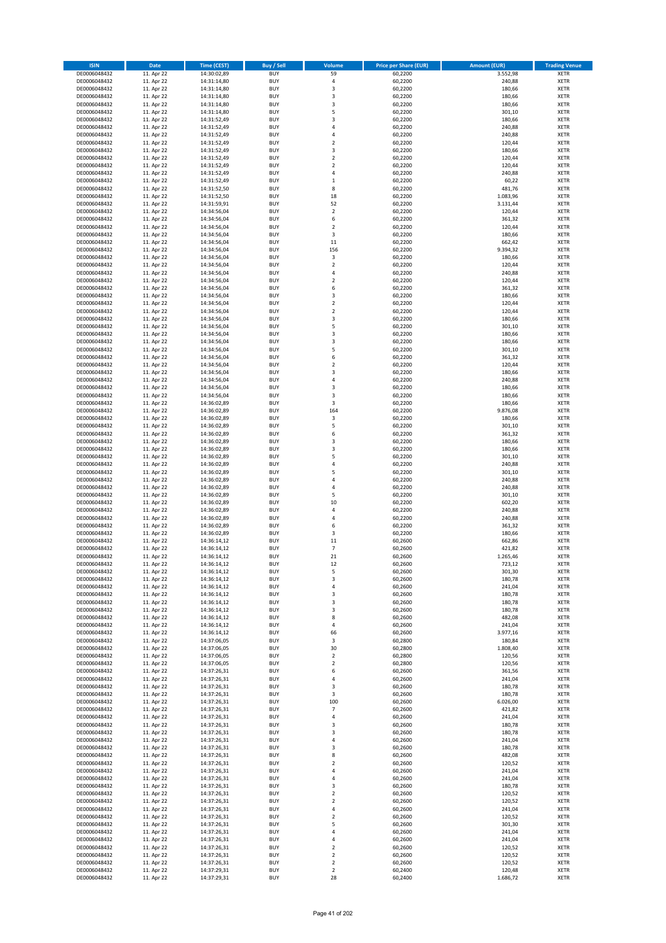| <b>ISIN</b>                  | Date                     | <b>Time (CEST)</b>         | <b>Buy / Sell</b>        | Volume                           | <b>Price per Share (EUR)</b> | <b>Amount (EUR)</b> | <b>Trading Venue</b>       |
|------------------------------|--------------------------|----------------------------|--------------------------|----------------------------------|------------------------------|---------------------|----------------------------|
| DE0006048432                 | 11. Apr 22               | 14:30:02,89                | <b>BUY</b>               | 59                               | 60,2200                      | 3.552,98            | <b>XETR</b>                |
| DE0006048432                 | 11. Apr 22               | 14:31:14,80                | <b>BUY</b>               | $\pmb{4}$                        | 60,2200                      | 240,88              | <b>XETR</b>                |
| DE0006048432                 | 11. Apr 22               | 14:31:14,80                | <b>BUY</b>               | 3                                | 60,2200                      | 180,66              | <b>XETR</b>                |
| DE0006048432                 | 11. Apr 22               | 14:31:14,80                | <b>BUY</b>               | 3                                | 60,2200                      | 180,66              | <b>XETR</b>                |
| DE0006048432                 | 11. Apr 22               | 14:31:14,80                | <b>BUY</b>               | 3                                | 60,2200                      | 180,66              | <b>XETR</b>                |
| DE0006048432                 | 11. Apr 22               | 14:31:14,80                | <b>BUY</b>               | 5                                | 60,2200                      | 301,10              | <b>XETR</b>                |
| DE0006048432                 | 11. Apr 22               | 14:31:52,49                | <b>BUY</b>               | $\overline{\mathbf{3}}$          | 60,2200                      | 180,66              | <b>XETR</b>                |
| DE0006048432                 | 11. Apr 22               | 14:31:52,49                | <b>BUY</b>               | 4                                | 60,2200                      | 240,88              | <b>XETR</b>                |
| DE0006048432                 | 11. Apr 22               | 14:31:52,49                | <b>BUY</b>               | $\overline{a}$                   | 60,2200                      | 240,88              | <b>XETR</b>                |
| DE0006048432                 | 11. Apr 22               | 14:31:52,49                | <b>BUY</b>               | $\overline{2}$                   | 60,2200                      | 120,44              | <b>XETR</b>                |
| DE0006048432                 | 11. Apr 22               | 14:31:52,49                | <b>BUY</b>               | 3                                | 60,2200                      | 180,66              | <b>XETR</b>                |
| DE0006048432                 | 11. Apr 22               | 14:31:52,49                | <b>BUY</b>               | $\overline{2}$                   | 60,2200                      | 120,44              | <b>XETR</b>                |
| DE0006048432                 | 11. Apr 22               | 14:31:52,49                | <b>BUY</b>               | $\overline{2}$<br>$\overline{4}$ | 60,2200                      | 120,44              | <b>XETR</b>                |
| DE0006048432                 | 11. Apr 22<br>11. Apr 22 | 14:31:52,49                | <b>BUY</b><br><b>BUY</b> | $\,1\,$                          | 60,2200<br>60,2200           | 240,88<br>60,22     | <b>XETR</b><br><b>XETR</b> |
| DE0006048432<br>DE0006048432 | 11. Apr 22               | 14:31:52,49<br>14:31:52,50 | BUY                      | 8                                | 60,2200                      | 481,76              | <b>XETR</b>                |
| DE0006048432                 | 11. Apr 22               | 14:31:52,50                | <b>BUY</b>               | 18                               | 60,2200                      | 1.083,96            | <b>XETR</b>                |
| DE0006048432                 | 11. Apr 22               | 14:31:59,91                | <b>BUY</b>               | 52                               | 60,2200                      | 3.131,44            | <b>XETR</b>                |
| DE0006048432                 | 11. Apr 22               | 14:34:56,04                | <b>BUY</b>               | $\mathbf 2$                      | 60,2200                      | 120,44              | <b>XETR</b>                |
| DE0006048432                 | 11. Apr 22               | 14:34:56,04                | <b>BUY</b>               | 6                                | 60,2200                      | 361,32              | <b>XETR</b>                |
| DE0006048432                 | 11. Apr 22               | 14:34:56,04                | <b>BUY</b>               | $\overline{2}$                   | 60,2200                      | 120,44              | <b>XETR</b>                |
| DE0006048432                 | 11. Apr 22               | 14:34:56,04                | <b>BUY</b>               | 3                                | 60,2200                      | 180,66              | <b>XETR</b>                |
| DE0006048432                 | 11. Apr 22               | 14:34:56,04                | <b>BUY</b>               | $11\,$                           | 60,2200                      | 662,42              | <b>XETR</b>                |
| DE0006048432                 | 11. Apr 22               | 14:34:56,04                | <b>BUY</b>               | 156                              | 60,2200                      | 9.394,32            | <b>XETR</b>                |
| DE0006048432                 | 11. Apr 22               | 14:34:56,04                | <b>BUY</b>               | 3                                | 60,2200                      | 180,66              | <b>XETR</b>                |
| DE0006048432                 | 11. Apr 22               | 14:34:56,04                | <b>BUY</b>               | $\mathbf 2$                      | 60,2200                      | 120,44              | <b>XETR</b>                |
| DE0006048432                 | 11. Apr 22               | 14:34:56,04                | <b>BUY</b>               | $\overline{4}$                   | 60,2200                      | 240,88              | <b>XETR</b>                |
| DE0006048432                 | 11. Apr 22               | 14:34:56,04                | <b>BUY</b>               | $\overline{2}$                   | 60,2200                      | 120,44              | <b>XETR</b>                |
| DE0006048432                 | 11. Apr 22               | 14:34:56,04                | <b>BUY</b>               | 6                                | 60,2200                      | 361,32              | <b>XETR</b>                |
| DE0006048432                 | 11. Apr 22               | 14:34:56,04                | <b>BUY</b>               | 3                                | 60,2200                      | 180,66              | <b>XETR</b>                |
| DE0006048432                 | 11. Apr 22               | 14:34:56,04                | <b>BUY</b>               | $\overline{2}$                   | 60,2200                      | 120,44              | <b>XETR</b>                |
| DE0006048432                 | 11. Apr 22               | 14:34:56,04                | <b>BUY</b>               | $\mathbf 2$                      | 60,2200                      | 120,44              | <b>XETR</b>                |
| DE0006048432                 | 11. Apr 22               | 14:34:56,04                | <b>BUY</b>               | 3<br>5                           | 60,2200                      | 180,66              | <b>XETR</b>                |
| DE0006048432<br>DE0006048432 | 11. Apr 22               | 14:34:56,04                | <b>BUY</b>               | $\overline{\mathbf{3}}$          | 60,2200                      | 301,10              | <b>XETR</b>                |
| DE0006048432                 | 11. Apr 22<br>11. Apr 22 | 14:34:56,04<br>14:34:56,04 | <b>BUY</b><br><b>BUY</b> | 3                                | 60,2200<br>60,2200           | 180,66<br>180,66    | <b>XETR</b><br><b>XETR</b> |
| DE0006048432                 | 11. Apr 22               | 14:34:56,04                | <b>BUY</b>               | 5                                | 60,2200                      | 301,10              | <b>XETR</b>                |
| DE0006048432                 | 11. Apr 22               | 14:34:56,04                | BUY                      | 6                                | 60,2200                      | 361,32              | <b>XETR</b>                |
| DE0006048432                 | 11. Apr 22               | 14:34:56,04                | <b>BUY</b>               | $\mathbf 2$                      | 60,2200                      | 120,44              | <b>XETR</b>                |
| DE0006048432                 | 11. Apr 22               | 14:34:56,04                | <b>BUY</b>               | 3                                | 60,2200                      | 180,66              | <b>XETR</b>                |
| DE0006048432                 | 11. Apr 22               | 14:34:56,04                | <b>BUY</b>               | $\overline{a}$                   | 60,2200                      | 240,88              | <b>XETR</b>                |
| DE0006048432                 | 11. Apr 22               | 14:34:56,04                | <b>BUY</b>               | $\overline{\mathbf{3}}$          | 60,2200                      | 180,66              | <b>XETR</b>                |
| DE0006048432                 | 11. Apr 22               | 14:34:56,04                | <b>BUY</b>               | 3                                | 60,2200                      | 180,66              | <b>XETR</b>                |
| DE0006048432                 | 11. Apr 22               | 14:36:02,89                | <b>BUY</b>               | 3                                | 60,2200                      | 180,66              | <b>XETR</b>                |
| DE0006048432                 | 11. Apr 22               | 14:36:02,89                | <b>BUY</b>               | 164                              | 60,2200                      | 9.876,08            | <b>XETR</b>                |
| DE0006048432                 | 11. Apr 22               | 14:36:02,89                | <b>BUY</b>               | 3                                | 60,2200                      | 180,66              | <b>XETR</b>                |
| DE0006048432                 | 11. Apr 22               | 14:36:02,89                | <b>BUY</b>               | 5                                | 60,2200                      | 301,10              | <b>XETR</b>                |
| DE0006048432                 | 11. Apr 22               | 14:36:02,89                | <b>BUY</b>               | 6                                | 60,2200                      | 361,32              | <b>XETR</b>                |
| DE0006048432                 | 11. Apr 22               | 14:36:02,89                | <b>BUY</b>               | 3                                | 60,2200                      | 180,66              | <b>XETR</b>                |
| DE0006048432                 | 11. Apr 22               | 14:36:02,89                | <b>BUY</b>               | 3                                | 60,2200                      | 180,66              | <b>XETR</b>                |
| DE0006048432                 | 11. Apr 22               | 14:36:02,89                | <b>BUY</b>               | 5                                | 60,2200                      | 301,10              | <b>XETR</b>                |
| DE0006048432                 | 11. Apr 22               | 14:36:02,89                | <b>BUY</b>               | $\overline{a}$                   | 60,2200                      | 240,88              | <b>XETR</b>                |
| DE0006048432                 | 11. Apr 22               | 14:36:02,89                | <b>BUY</b><br><b>BUY</b> | 5<br>$\overline{4}$              | 60,2200                      | 301,10<br>240,88    | <b>XETR</b>                |
| DE0006048432<br>DE0006048432 | 11. Apr 22<br>11. Apr 22 | 14:36:02,89<br>14:36:02,89 | <b>BUY</b>               | 4                                | 60,2200<br>60,2200           | 240,88              | <b>XETR</b><br><b>XETR</b> |
| DE0006048432                 | 11. Apr 22               | 14:36:02,89                | <b>BUY</b>               | 5                                | 60,2200                      | 301,10              | <b>XETR</b>                |
| DE0006048432                 | 11. Apr 22               | 14:36:02,89                | <b>BUY</b>               | 10                               | 60,2200                      | 602,20              | <b>XETR</b>                |
| DE0006048432                 | 11. Apr 22               | 14:36:02,89                | <b>BUY</b>               | 4                                | 60,2200                      | 240,88              | <b>XETR</b>                |
| DE0006048432                 | 11. Apr 22               | 14:36:02,89                | <b>BUY</b>               | $\overline{a}$                   | 60,2200                      | 240,88              | <b>XETR</b>                |
| DE0006048432                 | 11. Apr 22               | 14:36:02,89                | <b>BUY</b>               | 6                                | 60,2200                      | 361,32              | <b>XETR</b>                |
| DE0006048432                 | 11. Apr 22               | 14:36:02,89                | <b>BUY</b>               | 3                                | 60,2200                      | 180,66              | <b>XETR</b>                |
| DE0006048432                 | 11. Apr 22               | 14:36:14,12                | BUY                      | $11\,$                           | 60,2600                      | 662,86              | <b>XETR</b>                |
| DE0006048432                 | 11. Apr 22               | 14:36:14,12                | BUY                      | $\overline{7}$                   | 60,2600                      | 421,82              | <b>XETR</b>                |
| DE0006048432                 | 11. Apr 22               | 14:36:14,12                | <b>BUY</b>               | 21                               | 60,2600                      | 1.265,46            | <b>XETR</b>                |
| DE0006048432                 | 11. Apr 22               | 14:36:14,12                | <b>BUY</b>               | 12                               | 60,2600                      | 723,12              | <b>XETR</b>                |
| DE0006048432                 | 11. Apr 22               | 14:36:14,12                | <b>BUY</b>               | 5                                | 60,2600                      | 301,30              | <b>XETR</b>                |
| DE0006048432                 | 11. Apr 22               | 14:36:14,12                | <b>BUY</b>               | 3                                | 60,2600                      | 180,78              | <b>XETR</b>                |
| DE0006048432                 | 11. Apr 22               | 14:36:14,12                | <b>BUY</b>               | 4                                | 60,2600                      | 241,04              | <b>XETR</b>                |
| DE0006048432                 | 11. Apr 22               | 14:36:14,12                | <b>BUY</b>               | 3                                | 60,2600                      | 180,78              | <b>XETR</b>                |
| DE0006048432                 | 11. Apr 22               | 14:36:14,12                | <b>BUY</b>               | 3                                | 60,2600                      | 180,78              | <b>XETR</b>                |
| DE0006048432                 | 11. Apr 22               | 14:36:14,12                | <b>BUY</b>               | 3                                | 60,2600                      | 180,78              | <b>XETR</b>                |
| DE0006048432                 | 11. Apr 22               | 14:36:14,12                | <b>BUY</b>               | 8                                | 60,2600                      | 482,08              | <b>XETR</b>                |
| DE0006048432                 | 11. Apr 22               | 14:36:14,12                | <b>BUY</b>               | 4                                | 60,2600                      | 241,04              | <b>XETR</b>                |
| DE0006048432<br>DE0006048432 | 11. Apr 22<br>11. Apr 22 | 14:36:14,12                | <b>BUY</b><br><b>BUY</b> | 66<br>3                          | 60,2600<br>60,2800           | 3.977,16<br>180,84  | <b>XETR</b><br><b>XETR</b> |
| DE0006048432                 | 11. Apr 22               | 14:37:06,05<br>14:37:06,05 | <b>BUY</b>               | 30                               | 60,2800                      | 1.808,40            | <b>XETR</b>                |
| DE0006048432                 | 11. Apr 22               | 14:37:06,05                | <b>BUY</b>               | $\mathbf 2$                      | 60,2800                      | 120,56              | <b>XETR</b>                |
| DE0006048432                 | 11. Apr 22               | 14:37:06,05                | <b>BUY</b>               | $\overline{2}$                   | 60,2800                      | 120,56              | <b>XETR</b>                |
| DE0006048432                 | 11. Apr 22               | 14:37:26,31                | <b>BUY</b>               | 6                                | 60,2600                      | 361,56              | <b>XETR</b>                |
| DE0006048432                 | 11. Apr 22               | 14:37:26,31                | <b>BUY</b>               | $\overline{a}$                   | 60,2600                      | 241,04              | <b>XETR</b>                |
| DE0006048432                 | 11. Apr 22               | 14:37:26,31                | <b>BUY</b>               | 3                                | 60,2600                      | 180,78              | <b>XETR</b>                |
| DE0006048432                 | 11. Apr 22               | 14:37:26,31                | <b>BUY</b>               | 3                                | 60,2600                      | 180,78              | <b>XETR</b>                |
| DE0006048432                 | 11. Apr 22               | 14:37:26,31                | <b>BUY</b>               | 100                              | 60,2600                      | 6.026,00            | <b>XETR</b>                |
| DE0006048432                 | 11. Apr 22               | 14:37:26,31                | <b>BUY</b>               | $\overline{7}$                   | 60,2600                      | 421,82              | <b>XETR</b>                |
| DE0006048432                 | 11. Apr 22               | 14:37:26,31                | <b>BUY</b>               | $\overline{4}$                   | 60,2600                      | 241,04              | <b>XETR</b>                |
| DE0006048432                 | 11. Apr 22               | 14:37:26,31                | <b>BUY</b>               | 3                                | 60,2600                      | 180,78              | <b>XETR</b>                |
| DE0006048432                 | 11. Apr 22               | 14:37:26,31                | <b>BUY</b>               | 3                                | 60,2600                      | 180,78              | <b>XETR</b>                |
| DE0006048432                 | 11. Apr 22               | 14:37:26,31                | <b>BUY</b>               | 4                                | 60,2600                      | 241,04              | <b>XETR</b>                |
| DE0006048432                 | 11. Apr 22               | 14:37:26,31                | <b>BUY</b>               | 3                                | 60,2600                      | 180,78              | <b>XETR</b>                |
| DE0006048432                 | 11. Apr 22               | 14:37:26,31                | <b>BUY</b>               | 8                                | 60,2600                      | 482,08              | <b>XETR</b>                |
| DE0006048432                 | 11. Apr 22               | 14:37:26,31                | <b>BUY</b>               | $\overline{2}$                   | 60,2600                      | 120,52              | <b>XETR</b>                |
| DE0006048432                 | 11. Apr 22               | 14:37:26,31                | <b>BUY</b>               | $\overline{4}$                   | 60,2600                      | 241,04              | <b>XETR</b>                |
| DE0006048432                 | 11. Apr 22               | 14:37:26,31                | <b>BUY</b>               | 4                                | 60,2600                      | 241,04              | <b>XETR</b>                |
| DE0006048432                 | 11. Apr 22               | 14:37:26,31                | <b>BUY</b><br><b>BUY</b> | 3<br>$\mathbf 2$                 | 60,2600<br>60,2600           | 180,78<br>120,52    | <b>XETR</b><br><b>XETR</b> |
| DE0006048432<br>DE0006048432 | 11. Apr 22<br>11. Apr 22 | 14:37:26,31<br>14:37:26,31 | <b>BUY</b>               | $\mathbf 2$                      | 60,2600                      | 120,52              | <b>XETR</b>                |
| DE0006048432                 | 11. Apr 22               | 14:37:26,31                | <b>BUY</b>               | 4                                | 60,2600                      | 241,04              | <b>XETR</b>                |
| DE0006048432                 | 11. Apr 22               | 14:37:26,31                | <b>BUY</b>               | $\overline{2}$                   | 60,2600                      | 120,52              | <b>XETR</b>                |
| DE0006048432                 | 11. Apr 22               | 14:37:26,31                | <b>BUY</b>               | 5                                | 60,2600                      | 301,30              | <b>XETR</b>                |
| DE0006048432                 | 11. Apr 22               | 14:37:26,31                | <b>BUY</b>               | 4                                | 60,2600                      | 241,04              | <b>XETR</b>                |
| DE0006048432                 | 11. Apr 22               | 14:37:26,31                | <b>BUY</b>               | 4                                | 60,2600                      | 241,04              | <b>XETR</b>                |
| DE0006048432                 | 11. Apr 22               | 14:37:26,31                | <b>BUY</b>               | $\mathbf 2$                      | 60,2600                      | 120,52              | <b>XETR</b>                |
| DE0006048432                 | 11. Apr 22               | 14:37:26,31                | <b>BUY</b>               | 2                                | 60,2600                      | 120,52              | <b>XETR</b>                |
| DE0006048432                 | 11. Apr 22               | 14:37:26,31                | <b>BUY</b>               | 2                                | 60,2600                      | 120,52              | <b>XETR</b>                |
| DE0006048432                 | 11. Apr 22               | 14:37:29,31                | <b>BUY</b>               | $\mathbf 2$                      | 60,2400                      | 120,48              | <b>XETR</b>                |
| DE0006048432                 | 11. Apr 22               | 14:37:29,31                | <b>BUY</b>               | 28                               | 60,2400                      | 1.686,72            | <b>XETR</b>                |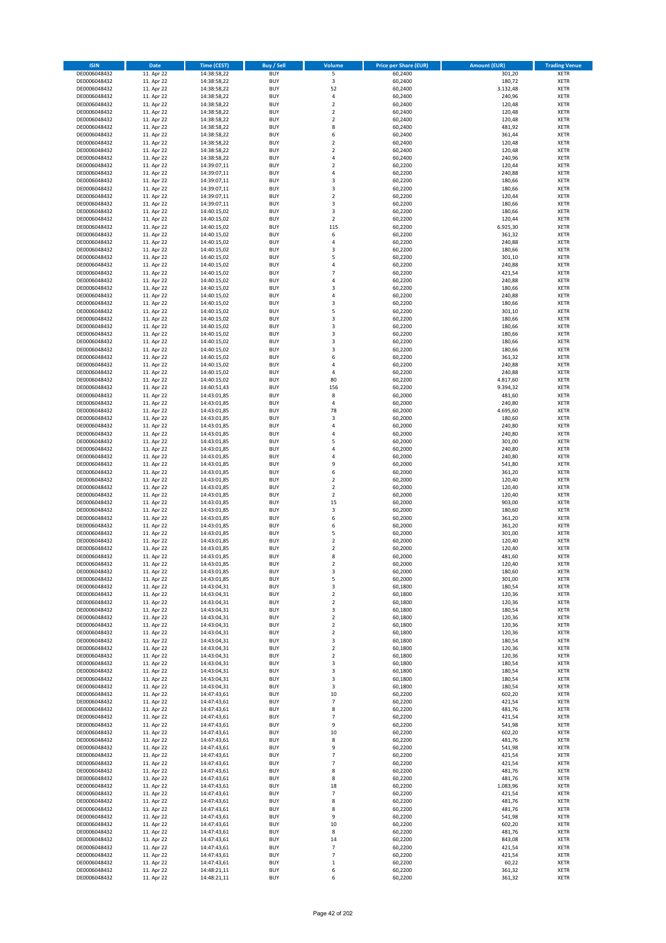| <b>ISIN</b>                  | <b>Date</b>              | <b>Time (CEST)</b>         | <b>Buy / Sell</b>        | Volume                                 | <b>Price per Share (EUR)</b> | <b>Amount (EUR)</b> | <b>Trading Venue</b>       |
|------------------------------|--------------------------|----------------------------|--------------------------|----------------------------------------|------------------------------|---------------------|----------------------------|
| DE0006048432                 | 11. Apr 22               | 14:38:58,22                | <b>BUY</b>               | $\overline{\mathsf{S}}$                | 60,2400                      | 301,20              | <b>XETR</b>                |
| DE0006048432                 | 11. Apr 22               | 14:38:58,22                | <b>BUY</b>               | 3                                      | 60,2400                      | 180,72              | <b>XETR</b>                |
| DE0006048432                 | 11. Apr 22               | 14:38:58,22                | <b>BUY</b>               | 52                                     | 60,2400                      | 3.132,48            | <b>XETR</b>                |
| DE0006048432                 | 11. Apr 22               | 14:38:58,22                | <b>BUY</b>               | 4                                      | 60,2400                      | 240,96              | <b>XETR</b>                |
| DE0006048432<br>DE0006048432 | 11. Apr 22<br>11. Apr 22 | 14:38:58,22<br>14:38:58,22 | <b>BUY</b><br><b>BUY</b> | $\overline{\mathbf{c}}$<br>$\mathbf 2$ | 60,2400<br>60,2400           | 120,48<br>120,48    | <b>XETR</b><br><b>XETR</b> |
| DE0006048432                 | 11. Apr 22               | 14:38:58,22                | <b>BUY</b>               | $\mathbf 2$                            | 60,2400                      | 120,48              | <b>XETR</b>                |
| DE0006048432                 | 11. Apr 22               | 14:38:58,22                | <b>BUY</b>               | 8                                      | 60,2400                      | 481,92              | <b>XETR</b>                |
| DE0006048432                 | 11. Apr 22               | 14:38:58,22                | <b>BUY</b>               | 6                                      | 60,2400                      | 361,44              | <b>XETR</b>                |
| DE0006048432                 | 11. Apr 22               | 14:38:58,22                | <b>BUY</b>               | $\mathbf 2$                            | 60,2400                      | 120,48              | <b>XETR</b>                |
| DE0006048432                 | 11. Apr 22               | 14:38:58,22                | <b>BUY</b>               | $\mathbf 2$                            | 60,2400                      | 120,48              | <b>XETR</b>                |
| DE0006048432                 | 11. Apr 22               | 14:38:58,22                | <b>BUY</b>               | 4                                      | 60,2400                      | 240,96              | <b>XETR</b><br><b>XETR</b> |
| DE0006048432<br>DE0006048432 | 11. Apr 22<br>11. Apr 22 | 14:39:07,11<br>14:39:07,11 | <b>BUY</b><br><b>BUY</b> | $\overline{\mathbf{c}}$<br>4           | 60,2200<br>60,2200           | 120,44<br>240,88    | <b>XETR</b>                |
| DE0006048432                 | 11. Apr 22               | 14:39:07,11                | <b>BUY</b>               | 3                                      | 60,2200                      | 180,66              | <b>XETR</b>                |
| DE0006048432                 | 11. Apr 22               | 14:39:07,11                | <b>BUY</b>               | 3                                      | 60,2200                      | 180,66              | <b>XETR</b>                |
| DE0006048432                 | 11. Apr 22               | 14:39:07,11                | <b>BUY</b>               | $\mathbf 2$                            | 60,2200                      | 120,44              | <b>XETR</b>                |
| DE0006048432                 | 11. Apr 22               | 14:39:07,11                | <b>BUY</b>               | 3                                      | 60,2200                      | 180,66              | <b>XETR</b>                |
| DE0006048432                 | 11. Apr 22               | 14:40:15,02                | <b>BUY</b>               | 3                                      | 60,2200                      | 180,66              | <b>XETR</b>                |
| DE0006048432<br>DE0006048432 | 11. Apr 22<br>11. Apr 22 | 14:40:15,02<br>14:40:15,02 | <b>BUY</b><br><b>BUY</b> | $\mathbf 2$<br>115                     | 60,2200<br>60,2200           | 120,44<br>6.925,30  | <b>XETR</b><br><b>XETR</b> |
| DE0006048432                 | 11. Apr 22               | 14:40:15,02                | <b>BUY</b>               | 6                                      | 60,2200                      | 361,32              | <b>XETR</b>                |
| DE0006048432                 | 11. Apr 22               | 14:40:15,02                | <b>BUY</b>               | 4                                      | 60,2200                      | 240,88              | <b>XETR</b>                |
| DE0006048432                 | 11. Apr 22               | 14:40:15,02                | <b>BUY</b>               | 3                                      | 60,2200                      | 180,66              | <b>XETR</b>                |
| DE0006048432                 | 11. Apr 22               | 14:40:15,02                | <b>BUY</b>               | 5                                      | 60,2200                      | 301,10              | <b>XETR</b>                |
| DE0006048432                 | 11. Apr 22               | 14:40:15,02                | <b>BUY</b>               | 4                                      | 60,2200                      | 240,88              | <b>XETR</b>                |
| DE0006048432<br>DE0006048432 | 11. Apr 22               | 14:40:15,02                | <b>BUY</b><br><b>BUY</b> | $\overline{7}$<br>4                    | 60,2200                      | 421,54              | <b>XETR</b><br><b>XETR</b> |
| DE0006048432                 | 11. Apr 22<br>11. Apr 22 | 14:40:15,02<br>14:40:15,02 | <b>BUY</b>               | 3                                      | 60,2200<br>60,2200           | 240,88<br>180,66    | <b>XETR</b>                |
| DE0006048432                 | 11. Apr 22               | 14:40:15,02                | <b>BUY</b>               | 4                                      | 60,2200                      | 240,88              | <b>XETR</b>                |
| DE0006048432                 | 11. Apr 22               | 14:40:15,02                | <b>BUY</b>               | 3                                      | 60,2200                      | 180,66              | <b>XETR</b>                |
| DE0006048432                 | 11. Apr 22               | 14:40:15,02                | <b>BUY</b>               | 5                                      | 60,2200                      | 301,10              | <b>XETR</b>                |
| DE0006048432                 | 11. Apr 22               | 14:40:15,02                | <b>BUY</b>               | 3                                      | 60,2200                      | 180,66              | <b>XETR</b>                |
| DE0006048432                 | 11. Apr 22               | 14:40:15,02                | <b>BUY</b>               | 3                                      | 60,2200                      | 180,66              | <b>XETR</b>                |
| DE0006048432<br>DE0006048432 | 11. Apr 22<br>11. Apr 22 | 14:40:15,02<br>14:40:15,02 | <b>BUY</b><br><b>BUY</b> | 3<br>3                                 | 60,2200<br>60,2200           | 180,66<br>180,66    | <b>XETR</b><br><b>XETR</b> |
| DE0006048432                 | 11. Apr 22               | 14:40:15,02                | <b>BUY</b>               | 3                                      | 60,2200                      | 180,66              | <b>XETR</b>                |
| DE0006048432                 | 11. Apr 22               | 14:40:15,02                | <b>BUY</b>               | 6                                      | 60,2200                      | 361,32              | <b>XETR</b>                |
| DE0006048432                 | 11. Apr 22               | 14:40:15,02                | <b>BUY</b>               | 4                                      | 60,2200                      | 240,88              | <b>XETR</b>                |
| DE0006048432                 | 11. Apr 22               | 14:40:15,02                | <b>BUY</b>               | 4                                      | 60,2200                      | 240,88              | <b>XETR</b>                |
| DE0006048432                 | 11. Apr 22               | 14:40:15,02                | <b>BUY</b>               | 80                                     | 60,2200                      | 4.817,60            | <b>XETR</b>                |
| DE0006048432<br>DE0006048432 | 11. Apr 22<br>11. Apr 22 | 14:40:51,43<br>14:43:01,85 | <b>BUY</b><br><b>BUY</b> | 156<br>8                               | 60,2200<br>60,2000           | 9.394,32<br>481,60  | <b>XETR</b><br><b>XETR</b> |
| DE0006048432                 | 11. Apr 22               | 14:43:01,85                | <b>BUY</b>               | 4                                      | 60,2000                      | 240,80              | <b>XETR</b>                |
| DE0006048432                 | 11. Apr 22               | 14:43:01,85                | <b>BUY</b>               | 78                                     | 60,2000                      | 4.695,60            | <b>XETR</b>                |
| DE0006048432                 | 11. Apr 22               | 14:43:01,85                | <b>BUY</b>               | 3                                      | 60,2000                      | 180,60              | <b>XETR</b>                |
| DE0006048432                 | 11. Apr 22               | 14:43:01,85                | <b>BUY</b>               | 4                                      | 60,2000                      | 240,80              | <b>XETR</b>                |
| DE0006048432                 | 11. Apr 22               | 14:43:01,85                | <b>BUY</b>               | 4                                      | 60,2000                      | 240,80              | <b>XETR</b>                |
| DE0006048432<br>DE0006048432 | 11. Apr 22<br>11. Apr 22 | 14:43:01,85<br>14:43:01,85 | <b>BUY</b><br><b>BUY</b> | 5<br>4                                 | 60,2000<br>60,2000           | 301,00<br>240,80    | <b>XETR</b><br><b>XETR</b> |
| DE0006048432                 | 11. Apr 22               | 14:43:01,85                | <b>BUY</b>               | 4                                      | 60,2000                      | 240,80              | <b>XETR</b>                |
| DE0006048432                 | 11. Apr 22               | 14:43:01,85                | <b>BUY</b>               | 9                                      | 60,2000                      | 541,80              | <b>XETR</b>                |
| DE0006048432                 | 11. Apr 22               | 14:43:01,85                | <b>BUY</b>               | 6                                      | 60,2000                      | 361,20              | <b>XETR</b>                |
| DE0006048432                 | 11. Apr 22               | 14:43:01,85                | <b>BUY</b>               | $\mathbf 2$                            | 60,2000                      | 120,40              | <b>XETR</b>                |
| DE0006048432                 | 11. Apr 22               | 14:43:01,85                | <b>BUY</b>               | $\overline{\mathbf{c}}$                | 60,2000                      | 120,40              | <b>XETR</b>                |
| DE0006048432                 | 11. Apr 22               | 14:43:01,85                | <b>BUY</b>               | $\mathbf 2$                            | 60,2000                      | 120,40              | <b>XETR</b>                |
| DE0006048432<br>DE0006048432 | 11. Apr 22<br>11. Apr 22 | 14:43:01,85<br>14:43:01,85 | <b>BUY</b><br><b>BUY</b> | 15<br>3                                | 60,2000<br>60,2000           | 903,00<br>180,60    | <b>XETR</b><br><b>XETR</b> |
| DE0006048432                 | 11. Apr 22               | 14:43:01,85                | <b>BUY</b>               | 6                                      | 60,2000                      | 361,20              | <b>XETR</b>                |
| DE0006048432                 | 11. Apr 22               | 14:43:01,85                | <b>BUY</b>               | 6                                      | 60,2000                      | 361,20              | <b>XETR</b>                |
| DE0006048432                 | 11. Apr 22               | 14:43:01,85                | <b>BUY</b>               | 5                                      | 60,2000                      | 301,00              | <b>XETR</b>                |
| DE0006048432                 | 11. Apr 22               | 14:43:01,85                | <b>BUY</b>               | $\overline{\mathbf{c}}$                | 60,2000                      | 120,40              | <b>XETR</b>                |
| DE0006048432                 | 11. Apr 22               | 14:43:01,85                | <b>BUY</b>               | $\overline{\mathbf{c}}$                | 60,2000                      | 120,40              | <b>XETR</b>                |
| DE0006048432<br>DE0006048432 | 11. Apr 22<br>11. Apr 22 | 14:43:01,85<br>14:43:01,85 | <b>BUY</b><br>BUY        | 8<br>2                                 | 60,2000<br>60,2000           | 481,60<br>120,40    | <b>XETR</b><br><b>XETR</b> |
| DE0006048432                 | 11. Apr 22               | 14:43:01,85                | <b>BUY</b>               | 3                                      | 60,2000                      | 180,60              | <b>XETR</b>                |
| DE0006048432                 | 11. Apr 22               | 14:43:01,85                | <b>BUY</b>               | 5                                      | 60,2000                      | 301,00              | <b>XETR</b>                |
| DE0006048432                 | 11. Apr 22               | 14:43:04,31                | <b>BUY</b>               | 3                                      | 60,1800                      | 180,54              | XETR                       |
| DE0006048432                 | 11. Apr 22               | 14:43:04,31                | <b>BUY</b>               | $\mathbf 2$                            | 60,1800                      | 120,36              | <b>XETR</b>                |
| DE0006048432                 | 11. Apr 22               | 14:43:04,31                | <b>BUY</b>               | $\mathbf 2$                            | 60,1800                      | 120,36              | <b>XETR</b>                |
| DE0006048432<br>DE0006048432 | 11. Apr 22<br>11. Apr 22 | 14:43:04,31                | <b>BUY</b><br><b>BUY</b> | 3<br>$\mathbf 2$                       | 60,1800<br>60,1800           | 180,54<br>120,36    | <b>XETR</b><br><b>XETR</b> |
| DE0006048432                 | 11. Apr 22               | 14:43:04,31<br>14:43:04,31 | <b>BUY</b>               | $\mathbf 2$                            | 60,1800                      | 120,36              | <b>XETR</b>                |
| DE0006048432                 | 11. Apr 22               | 14:43:04,31                | <b>BUY</b>               | $\mathbf 2$                            | 60,1800                      | 120,36              | <b>XETR</b>                |
| DE0006048432                 | 11. Apr 22               | 14:43:04,31                | <b>BUY</b>               | 3                                      | 60,1800                      | 180,54              | <b>XETR</b>                |
| DE0006048432                 | 11. Apr 22               | 14:43:04,31                | <b>BUY</b>               | $\mathbf 2$                            | 60,1800                      | 120,36              | <b>XETR</b>                |
| DE0006048432                 | 11. Apr 22               | 14:43:04,31                | <b>BUY</b>               | $\mathbf 2$                            | 60,1800                      | 120,36              | <b>XETR</b>                |
| DE0006048432<br>DE0006048432 | 11. Apr 22<br>11. Apr 22 | 14:43:04,31<br>14:43:04,31 | <b>BUY</b><br><b>BUY</b> | 3<br>3                                 | 60,1800<br>60,1800           | 180,54<br>180,54    | <b>XETR</b><br><b>XETR</b> |
| DE0006048432                 | 11. Apr 22               | 14:43:04,31                | <b>BUY</b>               | 3                                      | 60,1800                      | 180,54              | <b>XETR</b>                |
| DE0006048432                 | 11. Apr 22               | 14:43:04,31                | <b>BUY</b>               | 3                                      | 60,1800                      | 180,54              | <b>XETR</b>                |
| DE0006048432                 | 11. Apr 22               | 14:47:43,61                | <b>BUY</b>               | 10                                     | 60,2200                      | 602,20              | <b>XETR</b>                |
| DE0006048432                 | 11. Apr 22               | 14:47:43,61                | <b>BUY</b>               | $\overline{7}$                         | 60,2200                      | 421,54              | XETR                       |
| DE0006048432                 | 11. Apr 22               | 14:47:43,61                | <b>BUY</b>               | 8                                      | 60,2200                      | 481,76              | <b>XETR</b>                |
| DE0006048432<br>DE0006048432 | 11. Apr 22<br>11. Apr 22 | 14:47:43,61<br>14:47:43,61 | <b>BUY</b><br><b>BUY</b> | $\overline{7}$<br>9                    | 60,2200<br>60,2200           | 421,54<br>541,98    | <b>XETR</b><br><b>XETR</b> |
| DE0006048432                 | 11. Apr 22               | 14:47:43,61                | <b>BUY</b>               | 10                                     | 60,2200                      | 602,20              | <b>XETR</b>                |
| DE0006048432                 | 11. Apr 22               | 14:47:43,61                | <b>BUY</b>               | 8                                      | 60,2200                      | 481,76              | <b>XETR</b>                |
| DE0006048432                 | 11. Apr 22               | 14:47:43,61                | <b>BUY</b>               | 9                                      | 60,2200                      | 541,98              | <b>XETR</b>                |
| DE0006048432                 | 11. Apr 22               | 14:47:43,61                | <b>BUY</b>               | 7                                      | 60,2200                      | 421,54              | <b>XETR</b>                |
| DE0006048432                 | 11. Apr 22               | 14:47:43,61                | <b>BUY</b>               | $\overline{7}$                         | 60,2200                      | 421,54              | <b>XETR</b>                |
| DE0006048432                 | 11. Apr 22               | 14:47:43,61                | <b>BUY</b>               | 8                                      | 60,2200                      | 481,76              | <b>XETR</b>                |
| DE0006048432<br>DE0006048432 | 11. Apr 22<br>11. Apr 22 | 14:47:43,61<br>14:47:43,61 | <b>BUY</b><br><b>BUY</b> | 8<br>18                                | 60,2200<br>60,2200           | 481,76<br>1.083,96  | <b>XETR</b><br><b>XETR</b> |
| DE0006048432                 | 11. Apr 22               | 14:47:43,61                | <b>BUY</b>               | 7                                      | 60,2200                      | 421,54              | <b>XETR</b>                |
| DE0006048432                 | 11. Apr 22               | 14:47:43,61                | <b>BUY</b>               | 8                                      | 60,2200                      | 481,76              | <b>XETR</b>                |
| DE0006048432                 | 11. Apr 22               | 14:47:43,61                | <b>BUY</b>               | 8                                      | 60,2200                      | 481,76              | <b>XETR</b>                |
| DE0006048432                 | 11. Apr 22               | 14:47:43,61                | <b>BUY</b>               | 9                                      | 60,2200                      | 541,98              | <b>XETR</b>                |
| DE0006048432                 | 11. Apr 22               | 14:47:43,61                | <b>BUY</b>               | 10                                     | 60,2200                      | 602,20              | <b>XETR</b>                |
| DE0006048432<br>DE0006048432 | 11. Apr 22<br>11. Apr 22 | 14:47:43,61<br>14:47:43,61 | <b>BUY</b><br><b>BUY</b> | 8<br>14                                | 60,2200<br>60,2200           | 481,76<br>843,08    | <b>XETR</b><br><b>XETR</b> |
| DE0006048432                 | 11. Apr 22               | 14:47:43,61                | <b>BUY</b>               | $\overline{7}$                         | 60,2200                      | 421,54              | XETR                       |
| DE0006048432                 | 11. Apr 22               | 14:47:43,61                | <b>BUY</b>               | $\overline{7}$                         | 60,2200                      | 421,54              | <b>XETR</b>                |
| DE0006048432                 | 11. Apr 22               | 14:47:43,61                | <b>BUY</b>               | $\mathbf 1$                            | 60,2200                      | 60,22               | <b>XETR</b>                |
| DE0006048432                 | 11. Apr 22               | 14:48:21,11                | <b>BUY</b>               | 6                                      | 60,2200                      | 361,32              | <b>XETR</b>                |
| DE0006048432                 | 11. Apr 22               | 14:48:21,11                | <b>BUY</b>               | 6                                      | 60,2200                      | 361,32              | <b>XETR</b>                |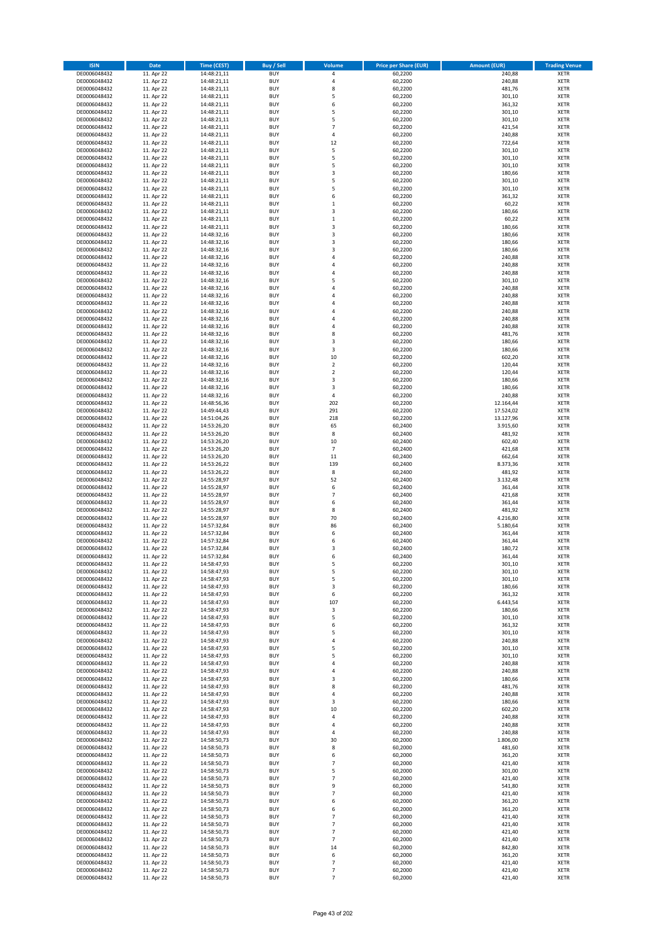| <b>ISIN</b>                  | Date                     | <b>Time (CEST)</b>         | <b>Buy / Sell</b>        | Volume                        | <b>Price per Share (EUR)</b> | <b>Amount (EUR)</b> | <b>Trading Venue</b>       |
|------------------------------|--------------------------|----------------------------|--------------------------|-------------------------------|------------------------------|---------------------|----------------------------|
| DE0006048432                 | 11. Apr 22               | 14:48:21,11                | <b>BUY</b>               | 4                             | 60,2200                      | 240,88              | <b>XETR</b>                |
| DE0006048432                 | 11. Apr 22               | 14:48:21,11                | <b>BUY</b>               | 4                             | 60,2200                      | 240,88              | <b>XETR</b>                |
| DE0006048432                 | 11. Apr 22               | 14:48:21,11                | <b>BUY</b>               | 8                             | 60,2200                      | 481,76              | <b>XETR</b>                |
| DE0006048432<br>DE0006048432 | 11. Apr 22<br>11. Apr 22 | 14:48:21,11<br>14:48:21,11 | <b>BUY</b><br><b>BUY</b> | 5<br>6                        | 60,2200<br>60,2200           | 301,10<br>361,32    | <b>XETR</b><br><b>XETR</b> |
| DE0006048432                 | 11. Apr 22               | 14:48:21,11                | <b>BUY</b>               | 5                             | 60,2200                      | 301,10              | <b>XETR</b>                |
| DE0006048432                 | 11. Apr 22               | 14:48:21,11                | <b>BUY</b>               | 5                             | 60,2200                      | 301,10              | <b>XETR</b>                |
| DE0006048432                 | 11. Apr 22               | 14:48:21,11                | <b>BUY</b>               | $\overline{7}$                | 60,2200                      | 421,54              | <b>XETR</b>                |
| DE0006048432                 | 11. Apr 22               | 14:48:21,11                | <b>BUY</b>               | 4                             | 60,2200                      | 240,88              | <b>XETR</b>                |
| DE0006048432                 | 11. Apr 22               | 14:48:21,11                | <b>BUY</b>               | 12                            | 60,2200                      | 722,64              | <b>XETR</b>                |
| DE0006048432                 | 11. Apr 22               | 14:48:21,11                | <b>BUY</b>               | 5                             | 60,2200                      | 301,10              | <b>XETR</b>                |
| DE0006048432<br>DE0006048432 | 11. Apr 22<br>11. Apr 22 | 14:48:21,11<br>14:48:21,11 | <b>BUY</b><br><b>BUY</b> | 5<br>5                        | 60,2200<br>60,2200           | 301,10<br>301,10    | <b>XETR</b><br><b>XETR</b> |
| DE0006048432                 | 11. Apr 22               | 14:48:21,11                | <b>BUY</b>               | 3                             | 60,2200                      | 180,66              | <b>XETR</b>                |
| DE0006048432                 | 11. Apr 22               | 14:48:21,11                | <b>BUY</b>               | 5                             | 60,2200                      | 301,10              | <b>XETR</b>                |
| DE0006048432                 | 11. Apr 22               | 14:48:21,11                | <b>BUY</b>               | 5                             | 60,2200                      | 301,10              | <b>XETR</b>                |
| DE0006048432                 | 11. Apr 22               | 14:48:21,11                | <b>BUY</b>               | 6                             | 60,2200                      | 361,32              | <b>XETR</b>                |
| DE0006048432                 | 11. Apr 22               | 14:48:21,11                | <b>BUY</b>               | $\mathbf 1$                   | 60,2200                      | 60,22               | <b>XETR</b>                |
| DE0006048432                 | 11. Apr 22               | 14:48:21,11                | <b>BUY</b>               | 3                             | 60,2200                      | 180,66              | <b>XETR</b>                |
| DE0006048432                 | 11. Apr 22               | 14:48:21,11                | <b>BUY</b>               | $\mathbf 1$                   | 60,2200                      | 60,22               | <b>XETR</b>                |
| DE0006048432                 | 11. Apr 22               | 14:48:21,11                | <b>BUY</b>               | 3                             | 60,2200                      | 180,66              | <b>XETR</b>                |
| DE0006048432<br>DE0006048432 | 11. Apr 22<br>11. Apr 22 | 14:48:32,16<br>14:48:32,16 | <b>BUY</b><br><b>BUY</b> | 3<br>3                        | 60,2200<br>60,2200           | 180,66<br>180,66    | <b>XETR</b><br><b>XETR</b> |
| DE0006048432                 | 11. Apr 22               | 14:48:32,16                | <b>BUY</b>               | 3                             | 60,2200                      | 180,66              | <b>XETR</b>                |
| DE0006048432                 | 11. Apr 22               | 14:48:32,16                | <b>BUY</b>               | 4                             | 60,2200                      | 240,88              | <b>XETR</b>                |
| DE0006048432                 | 11. Apr 22               | 14:48:32,16                | <b>BUY</b>               | 4                             | 60,2200                      | 240,88              | <b>XETR</b>                |
| DE0006048432                 | 11. Apr 22               | 14:48:32,16                | <b>BUY</b>               | 4                             | 60,2200                      | 240,88              | <b>XETR</b>                |
| DE0006048432                 | 11. Apr 22               | 14:48:32,16                | <b>BUY</b>               | 5                             | 60,2200                      | 301,10              | <b>XETR</b>                |
| DE0006048432                 | 11. Apr 22               | 14:48:32,16                | <b>BUY</b>               | 4                             | 60,2200                      | 240,88              | <b>XETR</b>                |
| DE0006048432                 | 11. Apr 22               | 14:48:32,16                | <b>BUY</b><br><b>BUY</b> | 4                             | 60,2200                      | 240,88              | <b>XETR</b>                |
| DE0006048432<br>DE0006048432 | 11. Apr 22<br>11. Apr 22 | 14:48:32,16<br>14:48:32,16 | <b>BUY</b>               | 4<br>4                        | 60,2200<br>60,2200           | 240,88<br>240,88    | <b>XETR</b><br><b>XETR</b> |
| DE0006048432                 | 11. Apr 22               | 14:48:32,16                | <b>BUY</b>               | 4                             | 60,2200                      | 240,88              | <b>XETR</b>                |
| DE0006048432                 | 11. Apr 22               | 14:48:32,16                | <b>BUY</b>               | 4                             | 60,2200                      | 240,88              | <b>XETR</b>                |
| DE0006048432                 | 11. Apr 22               | 14:48:32,16                | <b>BUY</b>               | 8                             | 60,2200                      | 481,76              | <b>XETR</b>                |
| DE0006048432                 | 11. Apr 22               | 14:48:32,16                | <b>BUY</b>               | 3                             | 60,2200                      | 180,66              | <b>XETR</b>                |
| DE0006048432                 | 11. Apr 22               | 14:48:32,16                | <b>BUY</b>               | 3                             | 60,2200                      | 180,66              | <b>XETR</b>                |
| DE0006048432                 | 11. Apr 22               | 14:48:32,16                | <b>BUY</b>               | 10                            | 60,2200                      | 602,20              | <b>XETR</b>                |
| DE0006048432                 | 11. Apr 22               | 14:48:32,16                | <b>BUY</b>               | $\mathbf 2$                   | 60,2200                      | 120,44              | <b>XETR</b>                |
| DE0006048432                 | 11. Apr 22<br>11. Apr 22 | 14:48:32,16                | <b>BUY</b><br><b>BUY</b> | $\mathbf 2$<br>3              | 60,2200                      | 120,44              | <b>XETR</b><br><b>XETR</b> |
| DE0006048432<br>DE0006048432 | 11. Apr 22               | 14:48:32,16<br>14:48:32,16 | <b>BUY</b>               | 3                             | 60,2200<br>60,2200           | 180,66<br>180,66    | <b>XETR</b>                |
| DE0006048432                 | 11. Apr 22               | 14:48:32,16                | <b>BUY</b>               | 4                             | 60,2200                      | 240,88              | <b>XETR</b>                |
| DE0006048432                 | 11. Apr 22               | 14:48:56,36                | <b>BUY</b>               | 202                           | 60,2200                      | 12.164,44           | <b>XETR</b>                |
| DE0006048432                 | 11. Apr 22               | 14:49:44,43                | <b>BUY</b>               | 291                           | 60,2200                      | 17.524,02           | <b>XETR</b>                |
| DE0006048432                 | 11. Apr 22               | 14:51:04,26                | <b>BUY</b>               | 218                           | 60,2200                      | 13.127,96           | <b>XETR</b>                |
| DE0006048432                 | 11. Apr 22               | 14:53:26,20                | <b>BUY</b>               | 65                            | 60,2400                      | 3.915,60            | <b>XETR</b>                |
| DE0006048432                 | 11. Apr 22               | 14:53:26,20                | <b>BUY</b>               | 8                             | 60,2400                      | 481,92              | <b>XETR</b>                |
| DE0006048432                 | 11. Apr 22               | 14:53:26,20                | <b>BUY</b>               | 10                            | 60,2400                      | 602,40              | <b>XETR</b>                |
| DE0006048432<br>DE0006048432 | 11. Apr 22<br>11. Apr 22 | 14:53:26,20<br>14:53:26,20 | <b>BUY</b><br><b>BUY</b> | $\overline{7}$<br>11          | 60,2400<br>60,2400           | 421,68<br>662,64    | <b>XETR</b><br><b>XETR</b> |
| DE0006048432                 | 11. Apr 22               | 14:53:26,22                | <b>BUY</b>               | 139                           | 60,2400                      | 8.373,36            | <b>XETR</b>                |
| DE0006048432                 | 11. Apr 22               | 14:53:26,22                | <b>BUY</b>               | 8                             | 60,2400                      | 481,92              | <b>XETR</b>                |
| DE0006048432                 | 11. Apr 22               | 14:55:28,97                | <b>BUY</b>               | 52                            | 60,2400                      | 3.132,48            | <b>XETR</b>                |
| DE0006048432                 | 11. Apr 22               | 14:55:28,97                | <b>BUY</b>               | 6                             | 60,2400                      | 361,44              | <b>XETR</b>                |
| DE0006048432                 | 11. Apr 22               | 14:55:28,97                | <b>BUY</b>               | $\overline{7}$                | 60,2400                      | 421,68              | <b>XETR</b>                |
| DE0006048432                 | 11. Apr 22               | 14:55:28,97                | <b>BUY</b>               | 6                             | 60,2400                      | 361,44              | <b>XETR</b>                |
| DE0006048432                 | 11. Apr 22               | 14:55:28,97                | <b>BUY</b>               | 8                             | 60,2400                      | 481,92              | <b>XETR</b>                |
| DE0006048432<br>DE0006048432 | 11. Apr 22               | 14:55:28,97                | <b>BUY</b><br><b>BUY</b> | 70<br>86                      | 60,2400                      | 4.216,80            | <b>XETR</b><br><b>XETR</b> |
| DE0006048432                 | 11. Apr 22<br>11. Apr 22 | 14:57:32,84<br>14:57:32,84 | <b>BUY</b>               | 6                             | 60,2400<br>60,2400           | 5.180,64<br>361,44  | <b>XETR</b>                |
| DE0006048432                 | 11. Apr 22               | 14:57:32,84                | <b>BUY</b>               | 6                             | 60,2400                      | 361,44              | <b>XETR</b>                |
| DE0006048432                 | 11. Apr 22               | 14:57:32,84                | <b>BUY</b>               | 3                             | 60,2400                      | 180,72              | <b>XETR</b>                |
| DE0006048432                 | 11. Apr 22               | 14:57:32,84                | <b>BUY</b>               | 6                             | 60,2400                      | 361,44              | <b>XETR</b>                |
| DE0006048432                 | 11. Apr 22               | 14:58:47,93                | BUY                      | 5                             | 60,2200                      | 301,10              | <b>XETR</b>                |
| DE0006048432                 | 11. Apr 22               | 14:58:47,93                | <b>BUY</b>               | 5                             | 60,2200                      | 301,10              | <b>XETR</b>                |
| DE0006048432                 | 11. Apr 22               | 14:58:47,93                | <b>BUY</b>               | 5                             | 60,2200                      | 301,10              | <b>XETR</b>                |
| DE0006048432<br>DE0006048432 | 11. Apr 22<br>11. Apr 22 | 14:58:47,93<br>14:58:47,93 | <b>BUY</b><br><b>BUY</b> | 3<br>6                        | 60,2200<br>60,2200           | 180,66<br>361,32    | XETR<br><b>XETR</b>        |
| DE0006048432                 | 11. Apr 22               | 14:58:47,93                | <b>BUY</b>               | 107                           | 60,2200                      | 6.443,54            | <b>XETR</b>                |
| DE0006048432                 | 11. Apr 22               | 14:58:47,93                | <b>BUY</b>               | 3                             | 60,2200                      | 180,66              | <b>XETR</b>                |
| DE0006048432                 | 11. Apr 22               | 14:58:47,93                | <b>BUY</b>               | 5                             | 60,2200                      | 301,10              | <b>XETR</b>                |
| DE0006048432                 | 11. Apr 22               | 14:58:47,93                | <b>BUY</b>               | 6                             | 60,2200                      | 361,32              | <b>XETR</b>                |
| DE0006048432                 | 11. Apr 22               | 14:58:47,93                | <b>BUY</b>               | 5                             | 60,2200                      | 301,10              | <b>XETR</b>                |
| DE0006048432                 | 11. Apr 22               | 14:58:47,93                | <b>BUY</b>               | 4                             | 60,2200                      | 240,88              | <b>XETR</b>                |
| DE0006048432<br>DE0006048432 | 11. Apr 22<br>11. Apr 22 | 14:58:47,93<br>14:58:47,93 | <b>BUY</b><br><b>BUY</b> | 5<br>5                        | 60,2200<br>60,2200           | 301,10<br>301,10    | <b>XETR</b><br><b>XETR</b> |
| DE0006048432                 | 11. Apr 22               | 14:58:47,93                | <b>BUY</b>               | 4                             | 60,2200                      | 240,88              | <b>XETR</b>                |
| DE0006048432                 | 11. Apr 22               | 14:58:47,93                | <b>BUY</b>               | 4                             | 60,2200                      | 240,88              | <b>XETR</b>                |
| DE0006048432                 | 11. Apr 22               | 14:58:47,93                | <b>BUY</b>               | 3                             | 60,2200                      | 180,66              | <b>XETR</b>                |
| DE0006048432                 | 11. Apr 22               | 14:58:47,93                | <b>BUY</b>               | 8                             | 60,2200                      | 481,76              | <b>XETR</b>                |
| DE0006048432                 | 11. Apr 22               | 14:58:47,93                | <b>BUY</b>               | 4                             | 60,2200                      | 240,88              | <b>XETR</b>                |
| DE0006048432                 | 11. Apr 22               | 14:58:47,93                | <b>BUY</b>               | 3                             | 60,2200                      | 180,66              | XETR                       |
| DE0006048432                 | 11. Apr 22               | 14:58:47,93                | <b>BUY</b>               | 10                            | 60,2200                      | 602,20              | <b>XETR</b>                |
| DE0006048432<br>DE0006048432 | 11. Apr 22<br>11. Apr 22 | 14:58:47,93<br>14:58:47,93 | <b>BUY</b><br><b>BUY</b> | 4<br>4                        | 60,2200<br>60,2200           | 240,88<br>240,88    | <b>XETR</b><br><b>XETR</b> |
| DE0006048432                 | 11. Apr 22               | 14:58:47,93                | <b>BUY</b>               | 4                             | 60,2200                      | 240,88              | <b>XETR</b>                |
| DE0006048432                 | 11. Apr 22               | 14:58:50,73                | <b>BUY</b>               | 30                            | 60,2000                      | 1.806,00            | <b>XETR</b>                |
| DE0006048432                 | 11. Apr 22               | 14:58:50,73                | <b>BUY</b>               | 8                             | 60,2000                      | 481,60              | <b>XETR</b>                |
| DE0006048432                 | 11. Apr 22               | 14:58:50,73                | <b>BUY</b>               | 6                             | 60,2000                      | 361,20              | <b>XETR</b>                |
| DE0006048432                 | 11. Apr 22               | 14:58:50,73                | <b>BUY</b>               | $\overline{7}$                | 60,2000                      | 421,40              | <b>XETR</b>                |
| DE0006048432                 | 11. Apr 22               | 14:58:50,73                | <b>BUY</b>               | 5                             | 60,2000                      | 301,00              | <b>XETR</b>                |
| DE0006048432                 | 11. Apr 22               | 14:58:50,73                | <b>BUY</b>               | $\overline{7}$                | 60,2000                      | 421,40              | <b>XETR</b>                |
| DE0006048432<br>DE0006048432 | 11. Apr 22<br>11. Apr 22 | 14:58:50,73<br>14:58:50,73 | <b>BUY</b><br><b>BUY</b> | 9<br>$\overline{\phantom{a}}$ | 60,2000<br>60,2000           | 541,80<br>421,40    | <b>XETR</b><br><b>XETR</b> |
| DE0006048432                 | 11. Apr 22               | 14:58:50,73                | <b>BUY</b>               | 6                             | 60,2000                      | 361,20              | <b>XETR</b>                |
| DE0006048432                 | 11. Apr 22               | 14:58:50,73                | <b>BUY</b>               | 6                             | 60,2000                      | 361,20              | <b>XETR</b>                |
| DE0006048432                 | 11. Apr 22               | 14:58:50,73                | <b>BUY</b>               | $\overline{7}$                | 60,2000                      | 421,40              | <b>XETR</b>                |
| DE0006048432                 | 11. Apr 22               | 14:58:50,73                | <b>BUY</b>               | $\overline{7}$                | 60,2000                      | 421,40              | <b>XETR</b>                |
| DE0006048432                 | 11. Apr 22               | 14:58:50,73                | <b>BUY</b>               | $\overline{7}$                | 60,2000                      | 421,40              | <b>XETR</b>                |
| DE0006048432                 | 11. Apr 22               | 14:58:50,73                | <b>BUY</b>               | $\overline{7}$                | 60,2000                      | 421,40              | <b>XETR</b>                |
| DE0006048432<br>DE0006048432 | 11. Apr 22<br>11. Apr 22 | 14:58:50,73<br>14:58:50,73 | <b>BUY</b><br><b>BUY</b> | 14<br>6                       | 60,2000<br>60,2000           | 842,80<br>361,20    | XETR<br><b>XETR</b>        |
| DE0006048432                 | 11. Apr 22               | 14:58:50,73                | <b>BUY</b>               | $\overline{7}$                | 60,2000                      | 421,40              | <b>XETR</b>                |
| DE0006048432                 | 11. Apr 22               | 14:58:50,73                | <b>BUY</b>               | $\overline{7}$                | 60,2000                      | 421,40              | <b>XETR</b>                |
| DE0006048432                 | 11. Apr 22               | 14:58:50,73                | <b>BUY</b>               | $\overline{7}$                | 60,2000                      | 421,40              | <b>XETR</b>                |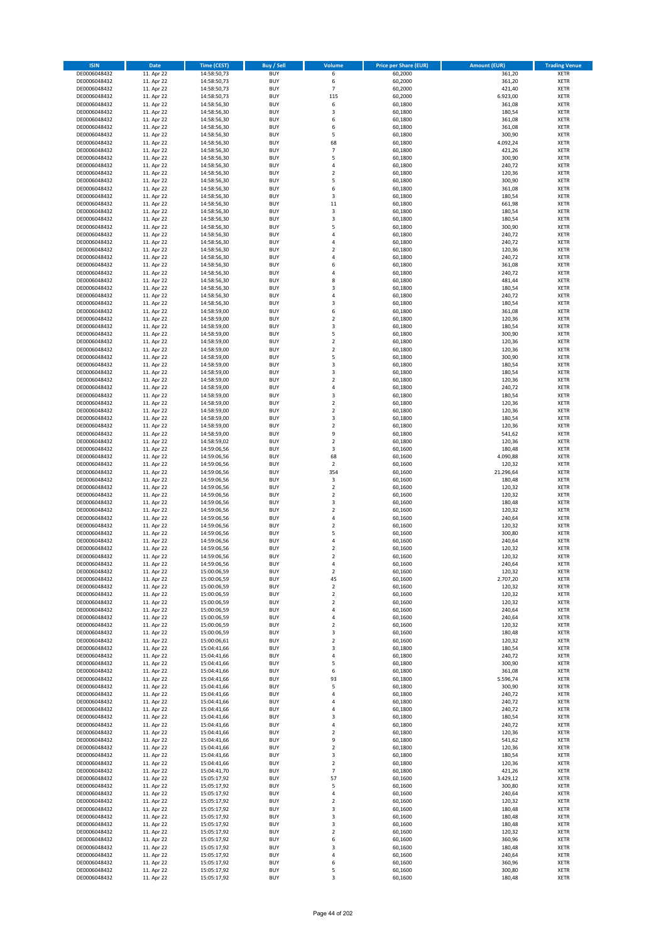| <b>ISIN</b>                  | <b>Date</b>              | <b>Time (CEST)</b>         | <b>Buy / Sell</b>        | <b>Volume</b>                          | <b>Price per Share (EUR)</b> | <b>Amount (EUR)</b> | <b>Trading Venue</b>       |
|------------------------------|--------------------------|----------------------------|--------------------------|----------------------------------------|------------------------------|---------------------|----------------------------|
| DE0006048432                 | 11. Apr 22               | 14:58:50,73                | <b>BUY</b>               | 6                                      | 60,2000                      | 361,20              | <b>XETR</b>                |
| DE0006048432                 | 11. Apr 22               | 14:58:50,73                | <b>BUY</b>               | 6                                      | 60,2000                      | 361,20              | <b>XETR</b>                |
| DE0006048432                 | 11. Apr 22               | 14:58:50,73                | <b>BUY</b>               | $\overline{7}$                         | 60,2000                      | 421,40              | <b>XETR</b>                |
| DE0006048432                 | 11. Apr 22               | 14:58:50,73                | <b>BUY</b>               | 115                                    | 60,2000                      | 6.923,00            | <b>XETR</b>                |
| DE0006048432<br>DE0006048432 | 11. Apr 22<br>11. Apr 22 | 14:58:56,30<br>14:58:56,30 | <b>BUY</b><br><b>BUY</b> | 6<br>3                                 | 60,1800<br>60,1800           | 361,08<br>180,54    | <b>XETR</b><br><b>XETR</b> |
| DE0006048432                 | 11. Apr 22               | 14:58:56,30                | <b>BUY</b>               | 6                                      | 60,1800                      | 361,08              | <b>XETR</b>                |
| DE0006048432                 | 11. Apr 22               | 14:58:56,30                | <b>BUY</b>               | 6                                      | 60,1800                      | 361,08              | <b>XETR</b>                |
| DE0006048432                 | 11. Apr 22               | 14:58:56,30                | <b>BUY</b>               | 5                                      | 60,1800                      | 300,90              | <b>XETR</b>                |
| DE0006048432                 | 11. Apr 22               | 14:58:56,30                | <b>BUY</b>               | 68                                     | 60,1800                      | 4.092,24            | <b>XETR</b>                |
| DE0006048432                 | 11. Apr 22               | 14:58:56,30                | <b>BUY</b>               | $\overline{7}$                         | 60,1800                      | 421,26              | <b>XETR</b>                |
| DE0006048432                 | 11. Apr 22               | 14:58:56,30                | <b>BUY</b>               | 5                                      | 60,1800                      | 300,90              | <b>XETR</b><br><b>XETR</b> |
| DE0006048432<br>DE0006048432 | 11. Apr 22<br>11. Apr 22 | 14:58:56,30<br>14:58:56,30 | <b>BUY</b><br><b>BUY</b> | 4<br>$\overline{\mathbf{c}}$           | 60,1800<br>60,1800           | 240,72<br>120,36    | <b>XETR</b>                |
| DE0006048432                 | 11. Apr 22               | 14:58:56,30                | <b>BUY</b>               | 5                                      | 60,1800                      | 300,90              | <b>XETR</b>                |
| DE0006048432                 | 11. Apr 22               | 14:58:56,30                | <b>BUY</b>               | 6                                      | 60,1800                      | 361,08              | <b>XETR</b>                |
| DE0006048432                 | 11. Apr 22               | 14:58:56,30                | <b>BUY</b>               | 3                                      | 60,1800                      | 180,54              | <b>XETR</b>                |
| DE0006048432                 | 11. Apr 22               | 14:58:56,30                | <b>BUY</b>               | 11                                     | 60,1800                      | 661,98              | <b>XETR</b>                |
| DE0006048432                 | 11. Apr 22               | 14:58:56,30                | <b>BUY</b>               | 3                                      | 60,1800                      | 180,54              | <b>XETR</b>                |
| DE0006048432                 | 11. Apr 22               | 14:58:56,30                | <b>BUY</b>               | 3                                      | 60,1800                      | 180,54              | <b>XETR</b>                |
| DE0006048432<br>DE0006048432 | 11. Apr 22<br>11. Apr 22 | 14:58:56,30<br>14:58:56,30 | <b>BUY</b><br><b>BUY</b> | 5<br>4                                 | 60,1800<br>60,1800           | 300,90<br>240,72    | <b>XETR</b><br><b>XETR</b> |
| DE0006048432                 | 11. Apr 22               | 14:58:56,30                | <b>BUY</b>               | 4                                      | 60,1800                      | 240,72              | <b>XETR</b>                |
| DE0006048432                 | 11. Apr 22               | 14:58:56,30                | <b>BUY</b>               | $\mathbf 2$                            | 60,1800                      | 120,36              | <b>XETR</b>                |
| DE0006048432                 | 11. Apr 22               | 14:58:56,30                | <b>BUY</b>               | 4                                      | 60,1800                      | 240,72              | <b>XETR</b>                |
| DE0006048432                 | 11. Apr 22               | 14:58:56,30                | <b>BUY</b>               | 6                                      | 60,1800                      | 361,08              | <b>XETR</b>                |
| DE0006048432                 | 11. Apr 22               | 14:58:56,30                | <b>BUY</b>               | 4                                      | 60,1800                      | 240,72              | <b>XETR</b>                |
| DE0006048432                 | 11. Apr 22               | 14:58:56,30                | <b>BUY</b>               | 8                                      | 60,1800                      | 481,44              | <b>XETR</b>                |
| DE0006048432<br>DE0006048432 | 11. Apr 22<br>11. Apr 22 | 14:58:56,30<br>14:58:56,30 | <b>BUY</b><br><b>BUY</b> | 3<br>4                                 | 60,1800<br>60,1800           | 180,54<br>240,72    | <b>XETR</b><br><b>XETR</b> |
| DE0006048432                 | 11. Apr 22               | 14:58:56,30                | <b>BUY</b>               | 3                                      | 60,1800                      | 180,54              | <b>XETR</b>                |
| DE0006048432                 | 11. Apr 22               | 14:58:59,00                | <b>BUY</b>               | 6                                      | 60,1800                      | 361,08              | <b>XETR</b>                |
| DE0006048432                 | 11. Apr 22               | 14:58:59,00                | <b>BUY</b>               | $\mathbf 2$                            | 60,1800                      | 120,36              | <b>XETR</b>                |
| DE0006048432                 | 11. Apr 22               | 14:58:59,00                | <b>BUY</b>               | 3                                      | 60,1800                      | 180,54              | <b>XETR</b>                |
| DE0006048432                 | 11. Apr 22               | 14:58:59,00                | <b>BUY</b>               | 5                                      | 60,1800                      | 300,90              | <b>XETR</b>                |
| DE0006048432                 | 11. Apr 22               | 14:58:59,00                | <b>BUY</b>               | $\mathbf 2$                            | 60,1800                      | 120,36              | <b>XETR</b>                |
| DE0006048432<br>DE0006048432 | 11. Apr 22               | 14:58:59,00                | <b>BUY</b><br><b>BUY</b> | $\overline{\mathbf{c}}$<br>5           | 60,1800                      | 120,36              | <b>XETR</b>                |
| DE0006048432                 | 11. Apr 22<br>11. Apr 22 | 14:58:59,00<br>14:58:59,00 | <b>BUY</b>               | 3                                      | 60,1800<br>60,1800           | 300,90<br>180,54    | <b>XETR</b><br><b>XETR</b> |
| DE0006048432                 | 11. Apr 22               | 14:58:59,00                | <b>BUY</b>               | 3                                      | 60,1800                      | 180,54              | <b>XETR</b>                |
| DE0006048432                 | 11. Apr 22               | 14:58:59,00                | <b>BUY</b>               | $\overline{\mathbf{c}}$                | 60,1800                      | 120,36              | <b>XETR</b>                |
| DE0006048432                 | 11. Apr 22               | 14:58:59,00                | <b>BUY</b>               | 4                                      | 60,1800                      | 240,72              | <b>XETR</b>                |
| DE0006048432                 | 11. Apr 22               | 14:58:59,00                | <b>BUY</b>               | 3                                      | 60,1800                      | 180,54              | <b>XETR</b>                |
| DE0006048432                 | 11. Apr 22               | 14:58:59,00                | <b>BUY</b>               | $\overline{\mathbf{c}}$                | 60,1800                      | 120,36              | <b>XETR</b>                |
| DE0006048432                 | 11. Apr 22               | 14:58:59,00                | <b>BUY</b>               | $\mathbf 2$                            | 60,1800                      | 120,36              | <b>XETR</b>                |
| DE0006048432                 | 11. Apr 22               | 14:58:59,00                | <b>BUY</b><br><b>BUY</b> | 3<br>$\mathbf 2$                       | 60,1800                      | 180,54              | <b>XETR</b>                |
| DE0006048432<br>DE0006048432 | 11. Apr 22<br>11. Apr 22 | 14:58:59,00<br>14:58:59,00 | <b>BUY</b>               | 9                                      | 60,1800<br>60,1800           | 120,36<br>541,62    | <b>XETR</b><br><b>XETR</b> |
| DE0006048432                 | 11. Apr 22               | 14:58:59,02                | <b>BUY</b>               | $\mathbf 2$                            | 60,1800                      | 120,36              | <b>XETR</b>                |
| DE0006048432                 | 11. Apr 22               | 14:59:06,56                | <b>BUY</b>               | 3                                      | 60,1600                      | 180,48              | <b>XETR</b>                |
| DE0006048432                 | 11. Apr 22               | 14:59:06,56                | <b>BUY</b>               | 68                                     | 60,1600                      | 4.090,88            | <b>XETR</b>                |
| DE0006048432                 | 11. Apr 22               | 14:59:06,56                | <b>BUY</b>               | $\mathbf 2$                            | 60,1600                      | 120,32              | <b>XETR</b>                |
| DE0006048432                 | 11. Apr 22               | 14:59:06,56                | <b>BUY</b>               | 354                                    | 60,1600                      | 21.296,64           | <b>XETR</b>                |
| DE0006048432<br>DE0006048432 | 11. Apr 22<br>11. Apr 22 | 14:59:06,56<br>14:59:06,56 | <b>BUY</b><br><b>BUY</b> | $\mathsf 3$<br>$\overline{\mathbf{c}}$ | 60,1600<br>60,1600           | 180,48<br>120,32    | <b>XETR</b><br><b>XETR</b> |
| DE0006048432                 | 11. Apr 22               | 14:59:06,56                | <b>BUY</b>               | $\mathbf 2$                            | 60,1600                      | 120,32              | <b>XETR</b>                |
| DE0006048432                 | 11. Apr 22               | 14:59:06,56                | <b>BUY</b>               | 3                                      | 60,1600                      | 180,48              | <b>XETR</b>                |
| DE0006048432                 | 11. Apr 22               | 14:59:06,56                | <b>BUY</b>               | $\overline{\mathbf{c}}$                | 60,1600                      | 120,32              | <b>XETR</b>                |
| DE0006048432                 | 11. Apr 22               | 14:59:06,56                | <b>BUY</b>               | 4                                      | 60,1600                      | 240,64              | <b>XETR</b>                |
| DE0006048432                 | 11. Apr 22               | 14:59:06,56                | <b>BUY</b>               | $\overline{\mathbf{2}}$                | 60,1600                      | 120,32              | <b>XETR</b>                |
| DE0006048432                 | 11. Apr 22               | 14:59:06,56                | <b>BUY</b>               | 5                                      | 60,1600                      | 300,80              | <b>XETR</b>                |
| DE0006048432<br>DE0006048432 | 11. Apr 22<br>11. Apr 22 | 14:59:06,56<br>14:59:06,56 | <b>BUY</b><br><b>BUY</b> | 4<br>$\mathbf 2$                       | 60,1600<br>60,1600           | 240,64<br>120,32    | <b>XETR</b><br><b>XETR</b> |
| DE0006048432                 | 11. Apr 22               | 14:59:06,56                | <b>BUY</b>               | $\overline{2}$                         | 60,1600                      | 120,32              | <b>XETR</b>                |
| DE0006048432                 | 11. Apr 22               | 14:59:06,56                | BUY                      | 4                                      | 60,1600                      | 240,64              | <b>XETR</b>                |
| DE0006048432                 | 11. Apr 22               | 15:00:06,59                | <b>BUY</b>               | $\mathbf 2$                            | 60,1600                      | 120,32              | <b>XETR</b>                |
| DE0006048432                 | 11. Apr 22               | 15:00:06,59                | <b>BUY</b>               | 45                                     | 60,1600                      | 2.707,20            | <b>XETR</b>                |
| DE0006048432                 | 11. Apr 22               | 15:00:06,59                | <b>BUY</b>               | 2                                      | 60,1600                      | 120,32              | XETR                       |
| DE0006048432<br>DE0006048432 | 11. Apr 22               | 15:00:06,59                | <b>BUY</b>               | $\mathbf 2$                            | 60,1600                      | 120,32              | <b>XETR</b>                |
| DE0006048432                 | 11. Apr 22<br>11. Apr 22 | 15:00:06,59<br>15:00:06,59 | <b>BUY</b><br><b>BUY</b> | $\mathbf 2$<br>4                       | 60,1600<br>60,1600           | 120,32<br>240,64    | <b>XETR</b><br><b>XETR</b> |
| DE0006048432                 | 11. Apr 22               | 15:00:06,59                | <b>BUY</b>               | 4                                      | 60,1600                      | 240,64              | <b>XETR</b>                |
| DE0006048432                 | 11. Apr 22               | 15:00:06,59                | <b>BUY</b>               | $\mathbf 2$                            | 60,1600                      | 120,32              | <b>XETR</b>                |
| DE0006048432                 | 11. Apr 22               | 15:00:06,59                | <b>BUY</b>               | 3                                      | 60,1600                      | 180,48              | <b>XETR</b>                |
| DE0006048432                 | 11. Apr 22               | 15:00:06,61                | <b>BUY</b>               | $\mathbf 2$                            | 60,1600                      | 120,32              | <b>XETR</b>                |
| DE0006048432                 | 11. Apr 22               | 15:04:41,66                | <b>BUY</b>               | 3                                      | 60,1800                      | 180,54              | <b>XETR</b>                |
| DE0006048432<br>DE0006048432 | 11. Apr 22<br>11. Apr 22 | 15:04:41,66<br>15:04:41,66 | <b>BUY</b><br><b>BUY</b> | 4<br>5                                 | 60,1800<br>60,1800           | 240,72<br>300,90    | <b>XETR</b><br><b>XETR</b> |
| DE0006048432                 | 11. Apr 22               | 15:04:41,66                | <b>BUY</b>               | 6                                      | 60,1800                      | 361,08              | <b>XETR</b>                |
| DE0006048432                 | 11. Apr 22               | 15:04:41,66                | <b>BUY</b>               | 93                                     | 60,1800                      | 5.596,74            | <b>XETR</b>                |
| DE0006048432                 | 11. Apr 22               | 15:04:41,66                | <b>BUY</b>               | 5                                      | 60,1800                      | 300,90              | <b>XETR</b>                |
| DE0006048432                 | 11. Apr 22               | 15:04:41,66                | <b>BUY</b>               | 4                                      | 60,1800                      | 240,72              | <b>XETR</b>                |
| DE0006048432                 | 11. Apr 22               | 15:04:41,66                | <b>BUY</b>               | 4                                      | 60,1800                      | 240,72              | XETR                       |
| DE0006048432<br>DE0006048432 | 11. Apr 22<br>11. Apr 22 | 15:04:41,66<br>15:04:41,66 | <b>BUY</b><br><b>BUY</b> | 4<br>3                                 | 60,1800<br>60,1800           | 240,72<br>180,54    | <b>XETR</b><br><b>XETR</b> |
| DE0006048432                 | 11. Apr 22               | 15:04:41,66                | <b>BUY</b>               | 4                                      | 60,1800                      | 240,72              | <b>XETR</b>                |
| DE0006048432                 | 11. Apr 22               | 15:04:41,66                | <b>BUY</b>               | $\overline{\mathbf{c}}$                | 60,1800                      | 120,36              | <b>XETR</b>                |
| DE0006048432                 | 11. Apr 22               | 15:04:41,66                | <b>BUY</b>               | 9                                      | 60,1800                      | 541,62              | <b>XETR</b>                |
| DE0006048432                 | 11. Apr 22               | 15:04:41,66                | <b>BUY</b>               | $\mathbf 2$                            | 60,1800                      | 120,36              | <b>XETR</b>                |
| DE0006048432                 | 11. Apr 22               | 15:04:41,66                | <b>BUY</b>               | 3                                      | 60,1800                      | 180,54              | <b>XETR</b>                |
| DE0006048432                 | 11. Apr 22               | 15:04:41,66                | <b>BUY</b>               | $\mathbf 2$                            | 60,1800                      | 120,36              | <b>XETR</b>                |
| DE0006048432<br>DE0006048432 | 11. Apr 22<br>11. Apr 22 | 15:04:41,70<br>15:05:17,92 | <b>BUY</b><br><b>BUY</b> | $\overline{7}$<br>57                   | 60,1800<br>60,1600           | 421,26<br>3.429,12  | <b>XETR</b><br><b>XETR</b> |
| DE0006048432                 | 11. Apr 22               | 15:05:17,92                | <b>BUY</b>               | 5                                      | 60,1600                      | 300,80              | <b>XETR</b>                |
| DE0006048432                 | 11. Apr 22               | 15:05:17,92                | <b>BUY</b>               | 4                                      | 60,1600                      | 240,64              | <b>XETR</b>                |
| DE0006048432                 | 11. Apr 22               | 15:05:17,92                | <b>BUY</b>               | $\mathbf 2$                            | 60,1600                      | 120,32              | <b>XETR</b>                |
| DE0006048432                 | 11. Apr 22               | 15:05:17,92                | <b>BUY</b>               | 3                                      | 60,1600                      | 180,48              | <b>XETR</b>                |
| DE0006048432                 | 11. Apr 22               | 15:05:17,92                | <b>BUY</b>               | 3                                      | 60,1600                      | 180,48              | <b>XETR</b>                |
| DE0006048432                 | 11. Apr 22               | 15:05:17,92                | <b>BUY</b><br><b>BUY</b> | 3                                      | 60,1600                      | 180,48              | <b>XETR</b>                |
| DE0006048432<br>DE0006048432 | 11. Apr 22<br>11. Apr 22 | 15:05:17,92<br>15:05:17,92 | <b>BUY</b>               | $\mathbf 2$<br>6                       | 60,1600<br>60,1600           | 120,32<br>360,96    | <b>XETR</b><br><b>XETR</b> |
| DE0006048432                 | 11. Apr 22               | 15:05:17,92                | <b>BUY</b>               | 3                                      | 60,1600                      | 180,48              | XETR                       |
| DE0006048432                 | 11. Apr 22               | 15:05:17,92                | <b>BUY</b>               | 4                                      | 60,1600                      | 240,64              | <b>XETR</b>                |
| DE0006048432                 | 11. Apr 22               | 15:05:17,92                | <b>BUY</b>               | 6                                      | 60,1600                      | 360,96              | <b>XETR</b>                |
| DE0006048432                 | 11. Apr 22               | 15:05:17,92                | <b>BUY</b>               | 5                                      | 60,1600                      | 300,80              | <b>XETR</b>                |
| DE0006048432                 | 11. Apr 22               | 15:05:17,92                | <b>BUY</b>               | 3                                      | 60,1600                      | 180,48              | <b>XETR</b>                |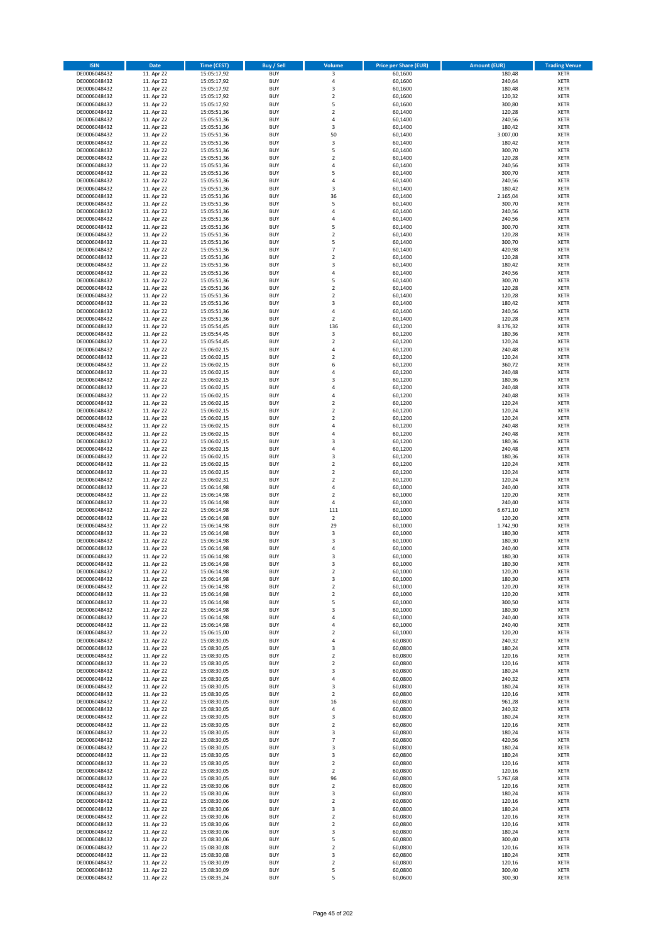| <b>ISIN</b>                  | <b>Date</b>              | <b>Time (CEST)</b>         | <b>Buy / Sell</b>        | Volume                       | <b>Price per Share (EUR)</b> | <b>Amount (EUR)</b> | <b>Trading Venue</b>       |
|------------------------------|--------------------------|----------------------------|--------------------------|------------------------------|------------------------------|---------------------|----------------------------|
| DE0006048432                 | 11. Apr 22               | 15:05:17,92                | <b>BUY</b>               | 3                            | 60,1600                      | 180,48              | <b>XETR</b>                |
| DE0006048432                 | 11. Apr 22               | 15:05:17,92                | <b>BUY</b>               | 4                            | 60,1600                      | 240,64              | <b>XETR</b>                |
| DE0006048432                 | 11. Apr 22               | 15:05:17,92                | <b>BUY</b>               | 3                            | 60,1600                      | 180,48              | <b>XETR</b>                |
| DE0006048432                 | 11. Apr 22               | 15:05:17,92                | <b>BUY</b>               | $\mathbf 2$                  | 60,1600                      | 120,32              | <b>XETR</b>                |
| DE0006048432<br>DE0006048432 | 11. Apr 22<br>11. Apr 22 | 15:05:17,92<br>15:05:51,36 | <b>BUY</b><br><b>BUY</b> | 5<br>$\mathbf 2$             | 60,1600<br>60,1400           | 300,80<br>120,28    | <b>XETR</b><br><b>XETR</b> |
| DE0006048432                 | 11. Apr 22               | 15:05:51,36                | <b>BUY</b>               | 4                            | 60,1400                      | 240,56              | <b>XETR</b>                |
| DE0006048432                 | 11. Apr 22               | 15:05:51,36                | <b>BUY</b>               | 3                            | 60,1400                      | 180,42              | <b>XETR</b>                |
| DE0006048432                 | 11. Apr 22               | 15:05:51,36                | <b>BUY</b>               | 50                           | 60,1400                      | 3.007,00            | <b>XETR</b>                |
| DE0006048432                 | 11. Apr 22               | 15:05:51,36                | <b>BUY</b>               | 3                            | 60,1400                      | 180,42              | <b>XETR</b>                |
| DE0006048432                 | 11. Apr 22               | 15:05:51,36                | <b>BUY</b>               | 5                            | 60,1400                      | 300,70              | <b>XETR</b>                |
| DE0006048432                 | 11. Apr 22               | 15:05:51,36                | <b>BUY</b>               | $\overline{\mathbf{c}}$      | 60,1400                      | 120,28              | <b>XETR</b><br><b>XETR</b> |
| DE0006048432<br>DE0006048432 | 11. Apr 22<br>11. Apr 22 | 15:05:51,36<br>15:05:51,36 | <b>BUY</b><br><b>BUY</b> | 4<br>5                       | 60,1400<br>60,1400           | 240,56<br>300,70    | <b>XETR</b>                |
| DE0006048432                 | 11. Apr 22               | 15:05:51,36                | <b>BUY</b>               | 4                            | 60,1400                      | 240,56              | <b>XETR</b>                |
| DE0006048432                 | 11. Apr 22               | 15:05:51,36                | <b>BUY</b>               | 3                            | 60,1400                      | 180,42              | <b>XETR</b>                |
| DE0006048432                 | 11. Apr 22               | 15:05:51,36                | <b>BUY</b>               | 36                           | 60,1400                      | 2.165,04            | <b>XETR</b>                |
| DE0006048432                 | 11. Apr 22               | 15:05:51,36                | <b>BUY</b>               | 5                            | 60,1400                      | 300,70              | <b>XETR</b>                |
| DE0006048432                 | 11. Apr 22               | 15:05:51,36                | <b>BUY</b>               | 4                            | 60,1400                      | 240,56              | <b>XETR</b>                |
| DE0006048432<br>DE0006048432 | 11. Apr 22<br>11. Apr 22 | 15:05:51,36<br>15:05:51,36 | <b>BUY</b><br><b>BUY</b> | 4<br>5                       | 60,1400<br>60,1400           | 240,56<br>300,70    | <b>XETR</b><br><b>XETR</b> |
| DE0006048432                 | 11. Apr 22               | 15:05:51,36                | <b>BUY</b>               | $\mathbf 2$                  | 60,1400                      | 120,28              | <b>XETR</b>                |
| DE0006048432                 | 11. Apr 22               | 15:05:51,36                | <b>BUY</b>               | 5                            | 60,1400                      | 300,70              | <b>XETR</b>                |
| DE0006048432                 | 11. Apr 22               | 15:05:51,36                | <b>BUY</b>               | $\overline{7}$               | 60,1400                      | 420,98              | <b>XETR</b>                |
| DE0006048432                 | 11. Apr 22               | 15:05:51,36                | <b>BUY</b>               | $\mathbf 2$                  | 60,1400                      | 120,28              | <b>XETR</b>                |
| DE0006048432                 | 11. Apr 22               | 15:05:51,36                | <b>BUY</b>               | 3                            | 60,1400                      | 180,42              | <b>XETR</b>                |
| DE0006048432<br>DE0006048432 | 11. Apr 22<br>11. Apr 22 | 15:05:51,36                | <b>BUY</b><br><b>BUY</b> | 4<br>5                       | 60,1400<br>60,1400           | 240,56<br>300,70    | <b>XETR</b><br><b>XETR</b> |
| DE0006048432                 | 11. Apr 22               | 15:05:51,36<br>15:05:51,36 | <b>BUY</b>               | $\mathbf 2$                  | 60,1400                      | 120,28              | <b>XETR</b>                |
| DE0006048432                 | 11. Apr 22               | 15:05:51,36                | <b>BUY</b>               | $\overline{\mathbf{c}}$      | 60,1400                      | 120,28              | <b>XETR</b>                |
| DE0006048432                 | 11. Apr 22               | 15:05:51,36                | <b>BUY</b>               | 3                            | 60,1400                      | 180,42              | <b>XETR</b>                |
| DE0006048432                 | 11. Apr 22               | 15:05:51,36                | <b>BUY</b>               | 4                            | 60,1400                      | 240,56              | <b>XETR</b>                |
| DE0006048432                 | 11. Apr 22               | 15:05:51,36                | <b>BUY</b>               | $\mathbf 2$                  | 60,1400                      | 120,28              | <b>XETR</b>                |
| DE0006048432                 | 11. Apr 22               | 15:05:54,45                | <b>BUY</b>               | 136                          | 60,1200                      | 8.176,32            | <b>XETR</b>                |
| DE0006048432<br>DE0006048432 | 11. Apr 22<br>11. Apr 22 | 15:05:54,45<br>15:05:54,45 | <b>BUY</b><br><b>BUY</b> | 3<br>$\mathbf 2$             | 60,1200<br>60,1200           | 180,36<br>120,24    | <b>XETR</b><br><b>XETR</b> |
| DE0006048432                 | 11. Apr 22               | 15:06:02,15                | <b>BUY</b>               | 4                            | 60,1200                      | 240,48              | <b>XETR</b>                |
| DE0006048432                 | 11. Apr 22               | 15:06:02,15                | <b>BUY</b>               | $\mathbf 2$                  | 60,1200                      | 120,24              | <b>XETR</b>                |
| DE0006048432                 | 11. Apr 22               | 15:06:02,15                | <b>BUY</b>               | 6                            | 60,1200                      | 360,72              | <b>XETR</b>                |
| DE0006048432                 | 11. Apr 22               | 15:06:02,15                | <b>BUY</b>               | 4                            | 60,1200                      | 240,48              | <b>XETR</b>                |
| DE0006048432                 | 11. Apr 22               | 15:06:02,15                | <b>BUY</b>               | 3                            | 60,1200                      | 180,36              | <b>XETR</b>                |
| DE0006048432<br>DE0006048432 | 11. Apr 22<br>11. Apr 22 | 15:06:02,15                | <b>BUY</b><br><b>BUY</b> | 4<br>4                       | 60,1200<br>60,1200           | 240,48<br>240,48    | <b>XETR</b><br><b>XETR</b> |
| DE0006048432                 | 11. Apr 22               | 15:06:02,15<br>15:06:02,15 | <b>BUY</b>               | $\overline{\mathbf{c}}$      | 60,1200                      | 120,24              | <b>XETR</b>                |
| DE0006048432                 | 11. Apr 22               | 15:06:02,15                | <b>BUY</b>               | $\mathbf 2$                  | 60,1200                      | 120,24              | <b>XETR</b>                |
| DE0006048432                 | 11. Apr 22               | 15:06:02,15                | <b>BUY</b>               | $\overline{\mathbf{2}}$      | 60,1200                      | 120,24              | <b>XETR</b>                |
| DE0006048432                 | 11. Apr 22               | 15:06:02,15                | <b>BUY</b>               | 4                            | 60,1200                      | 240,48              | <b>XETR</b>                |
| DE0006048432                 | 11. Apr 22               | 15:06:02,15                | <b>BUY</b>               | 4                            | 60,1200                      | 240,48              | <b>XETR</b>                |
| DE0006048432<br>DE0006048432 | 11. Apr 22<br>11. Apr 22 | 15:06:02,15                | <b>BUY</b><br><b>BUY</b> | 3<br>4                       | 60,1200<br>60,1200           | 180,36<br>240,48    | <b>XETR</b><br><b>XETR</b> |
| DE0006048432                 | 11. Apr 22               | 15:06:02,15<br>15:06:02,15 | <b>BUY</b>               | 3                            | 60,1200                      | 180,36              | <b>XETR</b>                |
| DE0006048432                 | 11. Apr 22               | 15:06:02,15                | <b>BUY</b>               | $\mathbf 2$                  | 60,1200                      | 120,24              | <b>XETR</b>                |
| DE0006048432                 | 11. Apr 22               | 15:06:02,15                | <b>BUY</b>               | $\overline{2}$               | 60,1200                      | 120,24              | <b>XETR</b>                |
| DE0006048432                 | 11. Apr 22               | 15:06:02,31                | <b>BUY</b>               | $\mathbf 2$                  | 60,1200                      | 120,24              | <b>XETR</b>                |
| DE0006048432                 | 11. Apr 22               | 15:06:14,98                | <b>BUY</b>               | 4                            | 60,1000                      | 240,40              | <b>XETR</b>                |
| DE0006048432                 | 11. Apr 22               | 15:06:14,98                | <b>BUY</b>               | $\mathbf 2$                  | 60,1000                      | 120,20              | <b>XETR</b>                |
| DE0006048432<br>DE0006048432 | 11. Apr 22<br>11. Apr 22 | 15:06:14,98<br>15:06:14,98 | <b>BUY</b><br><b>BUY</b> | 4<br>111                     | 60,1000<br>60,1000           | 240,40<br>6.671,10  | <b>XETR</b><br><b>XETR</b> |
| DE0006048432                 | 11. Apr 22               | 15:06:14,98                | <b>BUY</b>               | $\overline{2}$               | 60,1000                      | 120,20              | <b>XETR</b>                |
| DE0006048432                 | 11. Apr 22               | 15:06:14,98                | <b>BUY</b>               | 29                           | 60,1000                      | 1.742,90            | <b>XETR</b>                |
| DE0006048432                 | 11. Apr 22               | 15:06:14,98                | <b>BUY</b>               | 3                            | 60,1000                      | 180,30              | <b>XETR</b>                |
| DE0006048432                 | 11. Apr 22               | 15:06:14,98                | <b>BUY</b>               | $\overline{3}$               | 60,1000                      | 180,30              | <b>XETR</b>                |
| DE0006048432                 | 11. Apr 22               | 15:06:14,98                | <b>BUY</b>               | 4                            | 60,1000                      | 240,40              | <b>XETR</b>                |
| DE0006048432<br>DE0006048432 | 11. Apr 22<br>11. Apr 22 | 15:06:14,98<br>15:06:14,98 | <b>BUY</b><br>BUY        | 3<br>3                       | 60,1000<br>60,1000           | 180,30<br>180,30    | <b>XETR</b><br><b>XETR</b> |
| DE0006048432                 | 11. Apr 22               | 15:06:14,98                | <b>BUY</b>               | $\mathbf 2$                  | 60,1000                      | 120,20              | <b>XETR</b>                |
| DE0006048432                 | 11. Apr 22               | 15:06:14,98                | <b>BUY</b>               | 3                            | 60,1000                      | 180,30              | <b>XETR</b>                |
| DE0006048432                 | 11. Apr 22               | 15:06:14,98                | <b>BUY</b>               | 2                            | 60,1000                      | 120,20              | <b>XETR</b>                |
| DE0006048432                 | 11. Apr 22               | 15:06:14,98                | <b>BUY</b>               | $\mathbf 2$                  | 60,1000                      | 120,20              | <b>XETR</b>                |
| DE0006048432                 | 11. Apr 22               | 15:06:14,98                | <b>BUY</b>               | 5                            | 60,1000                      | 300,50              | <b>XETR</b>                |
| DE0006048432<br>DE0006048432 | 11. Apr 22<br>11. Apr 22 | 15:06:14,98<br>15:06:14,98 | <b>BUY</b><br><b>BUY</b> | 3<br>4                       | 60,1000<br>60,1000           | 180,30<br>240,40    | <b>XETR</b>                |
| DE0006048432                 | 11. Apr 22               | 15:06:14,98                | <b>BUY</b>               | 4                            | 60,1000                      | 240,40              | <b>XETR</b><br><b>XETR</b> |
| DE0006048432                 | 11. Apr 22               | 15:06:15,00                | <b>BUY</b>               | $\mathbf 2$                  | 60,1000                      | 120,20              | <b>XETR</b>                |
| DE0006048432                 | 11. Apr 22               | 15:08:30,05                | <b>BUY</b>               | 4                            | 60,0800                      | 240,32              | <b>XETR</b>                |
| DE0006048432                 | 11. Apr 22               | 15:08:30,05                | <b>BUY</b>               | 3                            | 60,0800                      | 180,24              | <b>XETR</b>                |
| DE0006048432                 | 11. Apr 22               | 15:08:30,05                | <b>BUY</b>               | $\mathbf 2$                  | 60,0800                      | 120,16              | <b>XETR</b>                |
| DE0006048432<br>DE0006048432 | 11. Apr 22<br>11. Apr 22 | 15:08:30,05<br>15:08:30,05 | <b>BUY</b><br><b>BUY</b> | $\overline{\mathbf{c}}$<br>3 | 60,0800<br>60,0800           | 120,16<br>180,24    | <b>XETR</b><br><b>XETR</b> |
| DE0006048432                 | 11. Apr 22               | 15:08:30,05                | <b>BUY</b>               | 4                            | 60,0800                      | 240,32              | <b>XETR</b>                |
| DE0006048432                 | 11. Apr 22               | 15:08:30,05                | <b>BUY</b>               | 3                            | 60,0800                      | 180,24              | <b>XETR</b>                |
| DE0006048432                 | 11. Apr 22               | 15:08:30,05                | <b>BUY</b>               | $\mathbf 2$                  | 60,0800                      | 120,16              | <b>XETR</b>                |
| DE0006048432                 | 11. Apr 22               | 15:08:30,05                | <b>BUY</b>               | 16                           | 60,0800                      | 961,28              | <b>XETR</b>                |
| DE0006048432                 | 11. Apr 22               | 15:08:30,05                | <b>BUY</b>               | 4                            | 60,0800                      | 240,32              | <b>XETR</b>                |
| DE0006048432<br>DE0006048432 | 11. Apr 22<br>11. Apr 22 | 15:08:30,05<br>15:08:30,05 | <b>BUY</b><br><b>BUY</b> | 3<br>2                       | 60,0800<br>60,0800           | 180,24<br>120,16    | <b>XETR</b><br><b>XETR</b> |
| DE0006048432                 | 11. Apr 22               | 15:08:30,05                | <b>BUY</b>               | 3                            | 60,0800                      | 180,24              | <b>XETR</b>                |
| DE0006048432                 | 11. Apr 22               | 15:08:30,05                | <b>BUY</b>               | $\overline{7}$               | 60,0800                      | 420,56              | <b>XETR</b>                |
| DE0006048432                 | 11. Apr 22               | 15:08:30,05                | <b>BUY</b>               | 3                            | 60,0800                      | 180,24              | <b>XETR</b>                |
| DE0006048432                 | 11. Apr 22               | 15:08:30,05                | <b>BUY</b>               | 3                            | 60,0800                      | 180,24              | <b>XETR</b>                |
| DE0006048432                 | 11. Apr 22               | 15:08:30,05                | <b>BUY</b>               | $\mathbf 2$                  | 60,0800                      | 120,16              | <b>XETR</b>                |
| DE0006048432                 | 11. Apr 22               | 15:08:30,05                | <b>BUY</b>               | $\mathbf 2$                  | 60,0800                      | 120,16              | <b>XETR</b>                |
| DE0006048432<br>DE0006048432 | 11. Apr 22<br>11. Apr 22 | 15:08:30,05<br>15:08:30,06 | <b>BUY</b><br><b>BUY</b> | 96<br>$\mathbf 2$            | 60,0800<br>60,0800           | 5.767,68<br>120,16  | <b>XETR</b><br><b>XETR</b> |
| DE0006048432                 | 11. Apr 22               | 15:08:30,06                | <b>BUY</b>               | 3                            | 60,0800                      | 180,24              | <b>XETR</b>                |
| DE0006048432                 | 11. Apr 22               | 15:08:30,06                | <b>BUY</b>               | 2                            | 60,0800                      | 120,16              | <b>XETR</b>                |
| DE0006048432                 | 11. Apr 22               | 15:08:30,06                | <b>BUY</b>               | 3                            | 60,0800                      | 180,24              | <b>XETR</b>                |
| DE0006048432                 | 11. Apr 22               | 15:08:30,06                | <b>BUY</b>               | $\mathbf 2$                  | 60,0800                      | 120,16              | <b>XETR</b>                |
| DE0006048432                 | 11. Apr 22               | 15:08:30,06                | <b>BUY</b>               | $\mathbf 2$                  | 60,0800                      | 120,16              | <b>XETR</b>                |
| DE0006048432<br>DE0006048432 | 11. Apr 22<br>11. Apr 22 | 15:08:30,06<br>15:08:30,06 | <b>BUY</b><br><b>BUY</b> | 3<br>5                       | 60,0800<br>60,0800           | 180,24<br>300,40    | <b>XETR</b><br><b>XETR</b> |
| DE0006048432                 | 11. Apr 22               | 15:08:30,08                | <b>BUY</b>               | $\mathbf 2$                  | 60,0800                      | 120,16              | <b>XETR</b>                |
| DE0006048432                 | 11. Apr 22               | 15:08:30,08                | <b>BUY</b>               | 3                            | 60,0800                      | 180,24              | <b>XETR</b>                |
| DE0006048432                 | 11. Apr 22               | 15:08:30,09                | <b>BUY</b>               | $\mathbf 2$                  | 60,0800                      | 120,16              | XETR                       |
| DE0006048432                 | 11. Apr 22               | 15:08:30,09                | <b>BUY</b>               | 5                            | 60,0800                      | 300,40              | <b>XETR</b>                |
| DE0006048432                 | 11. Apr 22               | 15:08:35,24                | <b>BUY</b>               | 5                            | 60,0600                      | 300,30              | <b>XETR</b>                |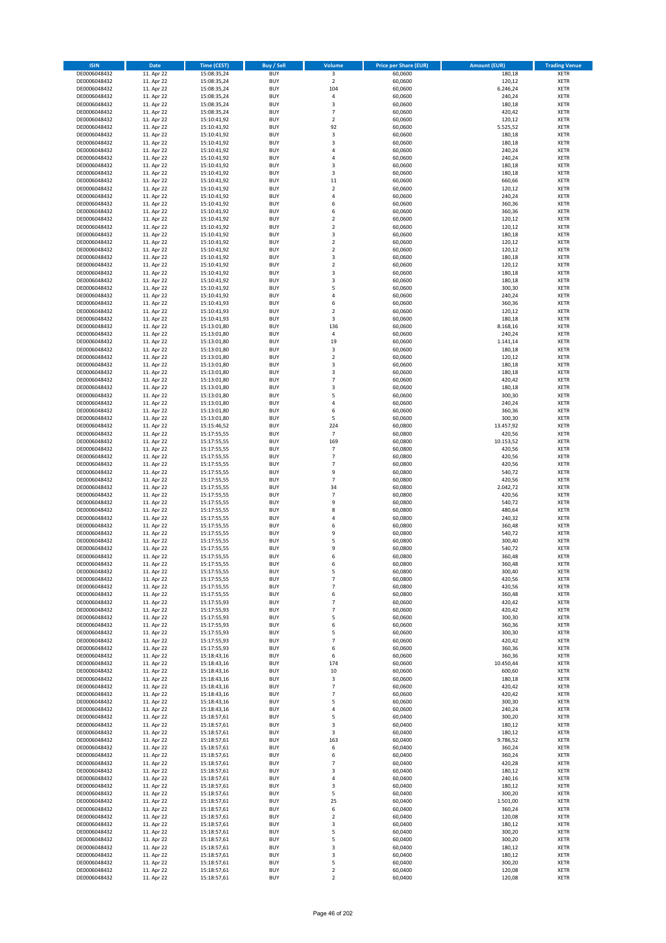| <b>ISIN</b>                  | <b>Date</b>              | <b>Time (CEST)</b>         | <b>Buy / Sell</b>        | <b>Volume</b>                          | <b>Price per Share (EUR)</b> | <b>Amount (EUR)</b> | <b>Trading Venue</b>       |
|------------------------------|--------------------------|----------------------------|--------------------------|----------------------------------------|------------------------------|---------------------|----------------------------|
| DE0006048432                 | 11. Apr 22               | 15:08:35,24                | <b>BUY</b>               | $\overline{\mathbf{3}}$                | 60,0600                      | 180,18              | <b>XETR</b>                |
| DE0006048432                 | 11. Apr 22               | 15:08:35,24                | <b>BUY</b>               | $\mathbf 2$                            | 60,0600                      | 120,12              | <b>XETR</b>                |
| DE0006048432                 | 11. Apr 22               | 15:08:35,24                | <b>BUY</b>               | 104                                    | 60,0600                      | 6.246,24            | <b>XETR</b>                |
| DE0006048432                 | 11. Apr 22               | 15:08:35,24                | <b>BUY</b>               | 4                                      | 60,0600                      | 240,24              | <b>XETR</b>                |
| DE0006048432<br>DE0006048432 | 11. Apr 22<br>11. Apr 22 | 15:08:35,24<br>15:08:35,24 | <b>BUY</b><br><b>BUY</b> | 3<br>$\overline{7}$                    | 60,0600<br>60,0600           | 180,18<br>420,42    | <b>XETR</b><br><b>XETR</b> |
| DE0006048432                 | 11. Apr 22               | 15:10:41,92                | <b>BUY</b>               | $\mathbf 2$                            | 60,0600                      | 120,12              | <b>XETR</b>                |
| DE0006048432                 | 11. Apr 22               | 15:10:41,92                | <b>BUY</b>               | 92                                     | 60,0600                      | 5.525,52            | <b>XETR</b>                |
| DE0006048432                 | 11. Apr 22               | 15:10:41,92                | <b>BUY</b>               | 3                                      | 60,0600                      | 180,18              | <b>XETR</b>                |
| DE0006048432                 | 11. Apr 22               | 15:10:41,92                | <b>BUY</b>               | 3                                      | 60,0600                      | 180,18              | <b>XETR</b>                |
| DE0006048432                 | 11. Apr 22               | 15:10:41,92                | <b>BUY</b>               | 4                                      | 60,0600                      | 240,24              | <b>XETR</b>                |
| DE0006048432                 | 11. Apr 22               | 15:10:41,92                | <b>BUY</b>               | 4                                      | 60,0600                      | 240,24              | <b>XETR</b><br><b>XETR</b> |
| DE0006048432<br>DE0006048432 | 11. Apr 22<br>11. Apr 22 | 15:10:41,92<br>15:10:41,92 | <b>BUY</b><br><b>BUY</b> | 3<br>3                                 | 60,0600<br>60,0600           | 180,18<br>180,18    | <b>XETR</b>                |
| DE0006048432                 | 11. Apr 22               | 15:10:41,92                | <b>BUY</b>               | 11                                     | 60,0600                      | 660,66              | <b>XETR</b>                |
| DE0006048432                 | 11. Apr 22               | 15:10:41,92                | <b>BUY</b>               | $\overline{\mathbf{c}}$                | 60,0600                      | 120,12              | <b>XETR</b>                |
| DE0006048432                 | 11. Apr 22               | 15:10:41,92                | <b>BUY</b>               | 4                                      | 60,0600                      | 240,24              | <b>XETR</b>                |
| DE0006048432                 | 11. Apr 22               | 15:10:41,92                | <b>BUY</b>               | 6                                      | 60,0600                      | 360,36              | <b>XETR</b>                |
| DE0006048432                 | 11. Apr 22               | 15:10:41,92                | <b>BUY</b>               | 6                                      | 60,0600                      | 360,36              | <b>XETR</b>                |
| DE0006048432<br>DE0006048432 | 11. Apr 22<br>11. Apr 22 | 15:10:41,92<br>15:10:41,92 | <b>BUY</b><br><b>BUY</b> | $\mathbf 2$<br>$\overline{\mathbf{c}}$ | 60,0600<br>60,0600           | 120,12<br>120,12    | <b>XETR</b><br><b>XETR</b> |
| DE0006048432                 | 11. Apr 22               | 15:10:41,92                | <b>BUY</b>               | 3                                      | 60,0600                      | 180,18              | <b>XETR</b>                |
| DE0006048432                 | 11. Apr 22               | 15:10:41,92                | <b>BUY</b>               | $\mathbf 2$                            | 60,0600                      | 120,12              | <b>XETR</b>                |
| DE0006048432                 | 11. Apr 22               | 15:10:41,92                | <b>BUY</b>               | $\mathbf 2$                            | 60,0600                      | 120,12              | <b>XETR</b>                |
| DE0006048432                 | 11. Apr 22               | 15:10:41,92                | <b>BUY</b>               | 3                                      | 60,0600                      | 180,18              | <b>XETR</b>                |
| DE0006048432                 | 11. Apr 22               | 15:10:41,92                | <b>BUY</b>               | $\mathbf 2$                            | 60,0600                      | 120,12              | <b>XETR</b>                |
| DE0006048432<br>DE0006048432 | 11. Apr 22<br>11. Apr 22 | 15:10:41,92<br>15:10:41,92 | <b>BUY</b><br><b>BUY</b> | 3<br>3                                 | 60,0600<br>60,0600           | 180,18<br>180,18    | <b>XETR</b><br><b>XETR</b> |
| DE0006048432                 | 11. Apr 22               | 15:10:41,92                | <b>BUY</b>               | 5                                      | 60,0600                      | 300,30              | <b>XETR</b>                |
| DE0006048432                 | 11. Apr 22               | 15:10:41,92                | <b>BUY</b>               | 4                                      | 60,0600                      | 240,24              | <b>XETR</b>                |
| DE0006048432                 | 11. Apr 22               | 15:10:41,93                | <b>BUY</b>               | 6                                      | 60,0600                      | 360,36              | <b>XETR</b>                |
| DE0006048432                 | 11. Apr 22               | 15:10:41,93                | <b>BUY</b>               | $\overline{\mathbf{c}}$                | 60,0600                      | 120,12              | <b>XETR</b>                |
| DE0006048432                 | 11. Apr 22               | 15:10:41,93                | <b>BUY</b>               | 3                                      | 60,0600                      | 180,18              | <b>XETR</b>                |
| DE0006048432                 | 11. Apr 22               | 15:13:01,80                | <b>BUY</b>               | 136                                    | 60,0600                      | 8.168,16            | <b>XETR</b>                |
| DE0006048432<br>DE0006048432 | 11. Apr 22<br>11. Apr 22 | 15:13:01,80<br>15:13:01,80 | <b>BUY</b><br><b>BUY</b> | 4<br>19                                | 60,0600<br>60,0600           | 240,24<br>1.141,14  | <b>XETR</b><br><b>XETR</b> |
| DE0006048432                 | 11. Apr 22               | 15:13:01,80                | <b>BUY</b>               | 3                                      | 60,0600                      | 180,18              | <b>XETR</b>                |
| DE0006048432                 | 11. Apr 22               | 15:13:01,80                | <b>BUY</b>               | $\mathbf 2$                            | 60,0600                      | 120,12              | <b>XETR</b>                |
| DE0006048432                 | 11. Apr 22               | 15:13:01,80                | <b>BUY</b>               | 3                                      | 60,0600                      | 180,18              | <b>XETR</b>                |
| DE0006048432                 | 11. Apr 22               | 15:13:01,80                | <b>BUY</b>               | 3                                      | 60,0600                      | 180,18              | <b>XETR</b>                |
| DE0006048432                 | 11. Apr 22               | 15:13:01,80                | <b>BUY</b>               | $\overline{7}$                         | 60,0600                      | 420,42              | <b>XETR</b>                |
| DE0006048432<br>DE0006048432 | 11. Apr 22<br>11. Apr 22 | 15:13:01,80                | <b>BUY</b><br><b>BUY</b> | 3<br>5                                 | 60,0600<br>60,0600           | 180,18<br>300,30    | <b>XETR</b><br><b>XETR</b> |
| DE0006048432                 | 11. Apr 22               | 15:13:01,80<br>15:13:01,80 | <b>BUY</b>               | 4                                      | 60,0600                      | 240,24              | <b>XETR</b>                |
| DE0006048432                 | 11. Apr 22               | 15:13:01,80                | <b>BUY</b>               | 6                                      | 60,0600                      | 360,36              | <b>XETR</b>                |
| DE0006048432                 | 11. Apr 22               | 15:13:01,80                | <b>BUY</b>               | 5                                      | 60,0600                      | 300,30              | <b>XETR</b>                |
| DE0006048432                 | 11. Apr 22               | 15:15:46,52                | <b>BUY</b>               | 224                                    | 60,0800                      | 13.457,92           | <b>XETR</b>                |
| DE0006048432                 | 11. Apr 22               | 15:17:55,55                | <b>BUY</b>               | $\overline{7}$                         | 60,0800                      | 420,56              | <b>XETR</b>                |
| DE0006048432<br>DE0006048432 | 11. Apr 22<br>11. Apr 22 | 15:17:55,55<br>15:17:55,55 | <b>BUY</b><br><b>BUY</b> | 169<br>$\overline{7}$                  | 60,0800<br>60,0800           | 10.153,52<br>420,56 | <b>XETR</b><br><b>XETR</b> |
| DE0006048432                 | 11. Apr 22               | 15:17:55,55                | <b>BUY</b>               | $\overline{7}$                         | 60,0800                      | 420,56              | <b>XETR</b>                |
| DE0006048432                 | 11. Apr 22               | 15:17:55,55                | <b>BUY</b>               | $\overline{7}$                         | 60,0800                      | 420,56              | <b>XETR</b>                |
| DE0006048432                 | 11. Apr 22               | 15:17:55,55                | <b>BUY</b>               | 9                                      | 60,0800                      | 540,72              | <b>XETR</b>                |
| DE0006048432                 | 11. Apr 22               | 15:17:55,55                | <b>BUY</b>               | $\overline{7}$                         | 60,0800                      | 420,56              | <b>XETR</b>                |
| DE0006048432                 | 11. Apr 22               | 15:17:55,55                | <b>BUY</b>               | 34                                     | 60,0800                      | 2.042,72            | <b>XETR</b>                |
| DE0006048432                 | 11. Apr 22               | 15:17:55,55                | <b>BUY</b>               | $\overline{7}$                         | 60,0800                      | 420,56              | <b>XETR</b>                |
| DE0006048432<br>DE0006048432 | 11. Apr 22<br>11. Apr 22 | 15:17:55,55<br>15:17:55,55 | <b>BUY</b><br><b>BUY</b> | 9<br>8                                 | 60,0800<br>60,0800           | 540,72<br>480,64    | <b>XETR</b><br><b>XETR</b> |
| DE0006048432                 | 11. Apr 22               | 15:17:55,55                | <b>BUY</b>               | 4                                      | 60,0800                      | 240,32              | <b>XETR</b>                |
| DE0006048432                 | 11. Apr 22               | 15:17:55,55                | <b>BUY</b>               | 6                                      | 60,0800                      | 360,48              | <b>XETR</b>                |
| DE0006048432                 | 11. Apr 22               | 15:17:55,55                | <b>BUY</b>               | 9                                      | 60,0800                      | 540,72              | <b>XETR</b>                |
| DE0006048432                 | 11. Apr 22               | 15:17:55,55                | <b>BUY</b>               | 5                                      | 60,0800                      | 300,40              | <b>XETR</b>                |
| DE0006048432                 | 11. Apr 22               | 15:17:55,55                | <b>BUY</b>               | 9                                      | 60,0800                      | 540,72              | <b>XETR</b>                |
| DE0006048432<br>DE0006048432 | 11. Apr 22<br>11. Apr 22 | 15:17:55,55<br>15:17:55,55 | <b>BUY</b><br>BUY        | 6<br>6                                 | 60,0800<br>60,0800           | 360,48<br>360,48    | <b>XETR</b><br><b>XETR</b> |
| DE0006048432                 | 11. Apr 22               | 15:17:55,55                | <b>BUY</b>               | 5                                      | 60,0800                      | 300,40              | <b>XETR</b>                |
| DE0006048432                 | 11. Apr 22               | 15:17:55,55                | <b>BUY</b>               | 7                                      | 60,0800                      | 420,56              | <b>XETR</b>                |
| DE0006048432                 | 11. Apr 22               | 15:17:55,55                | <b>BUY</b>               | $\overline{\phantom{a}}$               | 60,0800                      | 420,56              | XETR                       |
| DE0006048432                 | 11. Apr 22               | 15:17:55,55                | <b>BUY</b>               | 6                                      | 60,0800                      | 360,48              | <b>XETR</b>                |
| DE0006048432                 | 11. Apr 22               | 15:17:55,93                | <b>BUY</b>               | 7                                      | 60,0600                      | 420,42              | <b>XETR</b>                |
| DE0006048432<br>DE0006048432 | 11. Apr 22<br>11. Apr 22 | 15:17:55,93                | <b>BUY</b><br><b>BUY</b> | $\overline{7}$<br>5                    | 60,0600<br>60,0600           | 420,42<br>300,30    | <b>XETR</b><br><b>XETR</b> |
| DE0006048432                 | 11. Apr 22               | 15:17:55,93<br>15:17:55,93 | <b>BUY</b>               | 6                                      | 60,0600                      | 360,36              | <b>XETR</b>                |
| DE0006048432                 | 11. Apr 22               | 15:17:55,93                | <b>BUY</b>               | 5                                      | 60,0600                      | 300,30              | <b>XETR</b>                |
| DE0006048432                 | 11. Apr 22               | 15:17:55,93                | <b>BUY</b>               | $\overline{7}$                         | 60,0600                      | 420,42              | <b>XETR</b>                |
| DE0006048432                 | 11. Apr 22               | 15:17:55,93                | <b>BUY</b>               | 6                                      | 60,0600                      | 360,36              | <b>XETR</b>                |
| DE0006048432                 | 11. Apr 22               | 15:18:43,16                | <b>BUY</b>               | 6                                      | 60,0600                      | 360,36              | <b>XETR</b>                |
| DE0006048432<br>DE0006048432 | 11. Apr 22<br>11. Apr 22 | 15:18:43,16<br>15:18:43,16 | <b>BUY</b><br><b>BUY</b> | 174<br>10                              | 60,0600<br>60,0600           | 10.450,44<br>600,60 | <b>XETR</b><br><b>XETR</b> |
| DE0006048432                 | 11. Apr 22               | 15:18:43,16                | <b>BUY</b>               | 3                                      | 60,0600                      | 180,18              | <b>XETR</b>                |
| DE0006048432                 | 11. Apr 22               | 15:18:43,16                | <b>BUY</b>               | $\overline{7}$                         | 60,0600                      | 420,42              | <b>XETR</b>                |
| DE0006048432                 | 11. Apr 22               | 15:18:43,16                | <b>BUY</b>               | $\overline{7}$                         | 60,0600                      | 420,42              | <b>XETR</b>                |
| DE0006048432                 | 11. Apr 22               | 15:18:43,16                | <b>BUY</b>               | 5                                      | 60,0600                      | 300,30              | XETR                       |
| DE0006048432                 | 11. Apr 22               | 15:18:43,16                | <b>BUY</b>               | 4                                      | 60,0600                      | 240,24              | <b>XETR</b>                |
| DE0006048432                 | 11. Apr 22               | 15:18:57,61                | <b>BUY</b><br><b>BUY</b> | 5                                      | 60,0400                      | 300,20<br>180,12    | <b>XETR</b>                |
| DE0006048432<br>DE0006048432 | 11. Apr 22<br>11. Apr 22 | 15:18:57,61<br>15:18:57,61 | <b>BUY</b>               | 3<br>3                                 | 60,0400<br>60,0400           | 180,12              | <b>XETR</b><br><b>XETR</b> |
| DE0006048432                 | 11. Apr 22               | 15:18:57,61                | <b>BUY</b>               | 163                                    | 60,0400                      | 9.786,52            | <b>XETR</b>                |
| DE0006048432                 | 11. Apr 22               | 15:18:57,61                | <b>BUY</b>               | 6                                      | 60,0400                      | 360,24              | <b>XETR</b>                |
| DE0006048432                 | 11. Apr 22               | 15:18:57,61                | <b>BUY</b>               | 6                                      | 60,0400                      | 360,24              | <b>XETR</b>                |
| DE0006048432                 | 11. Apr 22               | 15:18:57,61                | <b>BUY</b>               | $\overline{7}$                         | 60,0400                      | 420,28              | <b>XETR</b>                |
| DE0006048432                 | 11. Apr 22               | 15:18:57,61                | <b>BUY</b>               | 3                                      | 60,0400                      | 180,12              | <b>XETR</b>                |
| DE0006048432<br>DE0006048432 | 11. Apr 22<br>11. Apr 22 | 15:18:57,61<br>15:18:57,61 | <b>BUY</b><br><b>BUY</b> | 4<br>3                                 | 60,0400<br>60,0400           | 240,16<br>180,12    | <b>XETR</b><br><b>XETR</b> |
| DE0006048432                 | 11. Apr 22               | 15:18:57,61                | <b>BUY</b>               | 5                                      | 60,0400                      | 300,20              | <b>XETR</b>                |
| DE0006048432                 | 11. Apr 22               | 15:18:57,61                | <b>BUY</b>               | 25                                     | 60,0400                      | 1.501,00            | <b>XETR</b>                |
| DE0006048432                 | 11. Apr 22               | 15:18:57,61                | <b>BUY</b>               | 6                                      | 60,0400                      | 360,24              | <b>XETR</b>                |
| DE0006048432                 | 11. Apr 22               | 15:18:57,61                | <b>BUY</b>               | $\mathbf 2$                            | 60,0400                      | 120,08              | <b>XETR</b>                |
| DE0006048432                 | 11. Apr 22               | 15:18:57,61                | <b>BUY</b>               | 3                                      | 60,0400                      | 180,12              | <b>XETR</b>                |
| DE0006048432<br>DE0006048432 | 11. Apr 22<br>11. Apr 22 | 15:18:57,61<br>15:18:57,61 | <b>BUY</b><br><b>BUY</b> | 5<br>5                                 | 60,0400<br>60,0400           | 300,20<br>300,20    | <b>XETR</b><br><b>XETR</b> |
| DE0006048432                 | 11. Apr 22               | 15:18:57,61                | <b>BUY</b>               | 3                                      | 60,0400                      | 180,12              | XETR                       |
| DE0006048432                 | 11. Apr 22               | 15:18:57,61                | <b>BUY</b>               | 3                                      | 60,0400                      | 180,12              | <b>XETR</b>                |
| DE0006048432                 | 11. Apr 22               | 15:18:57,61                | <b>BUY</b>               | 5                                      | 60,0400                      | 300,20              | XETR                       |
| DE0006048432                 | 11. Apr 22               | 15:18:57,61                | <b>BUY</b>               | $\mathbf 2$                            | 60,0400                      | 120,08              | <b>XETR</b>                |
| DE0006048432                 | 11. Apr 22               | 15:18:57,61                | <b>BUY</b>               | $\overline{2}$                         | 60,0400                      | 120,08              | <b>XETR</b>                |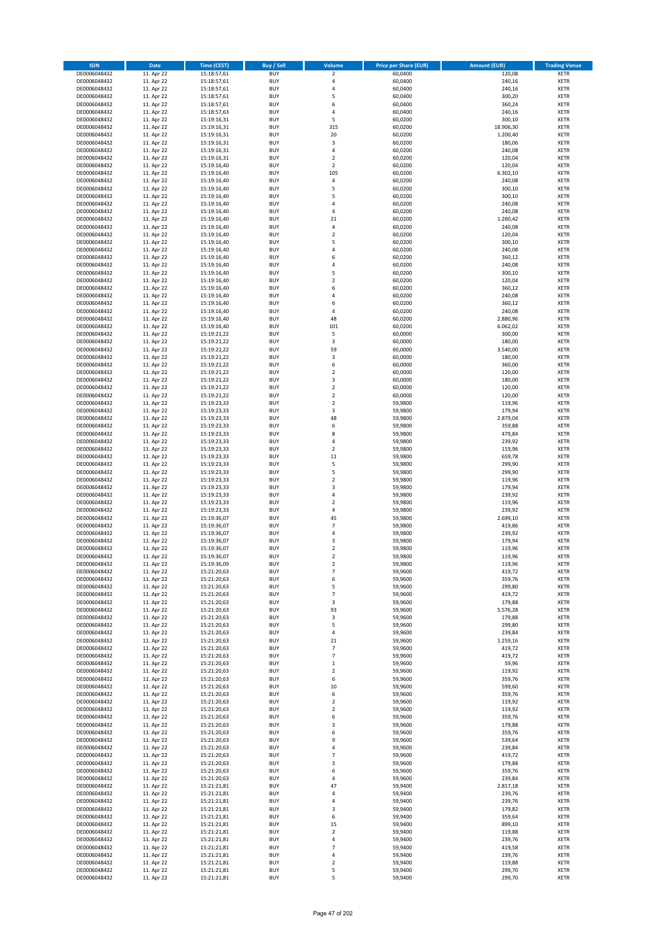| <b>ISIN</b>                  | Date                     | Time (CEST)                | <b>Buy / Sell</b>        | Volume                  | <b>Price per Share (EUR)</b> | <b>Amount (EUR)</b> | <b>Trading Venue</b>       |
|------------------------------|--------------------------|----------------------------|--------------------------|-------------------------|------------------------------|---------------------|----------------------------|
| DE0006048432                 | 11. Apr 22               | 15:18:57,61                | <b>BUY</b>               | $\overline{\mathbf{2}}$ | 60,0400                      | 120,08              | <b>XETR</b>                |
| DE0006048432                 | 11. Apr 22               | 15:18:57,61                | <b>BUY</b>               | 4                       | 60,0400                      | 240,16              | <b>XETR</b>                |
| DE0006048432                 | 11. Apr 22               | 15:18:57,61                | <b>BUY</b>               | 4                       | 60,0400                      | 240,16              | <b>XETR</b>                |
| DE0006048432                 | 11. Apr 22               | 15:18:57,61                | <b>BUY</b>               | 5                       | 60,0400                      | 300,20              | <b>XETR</b>                |
| DE0006048432                 | 11. Apr 22               | 15:18:57,61                | <b>BUY</b>               | 6                       | 60,0400                      | 360,24              | <b>XETR</b>                |
| DE0006048432                 | 11. Apr 22               | 15:18:57,63                | <b>BUY</b>               | 4                       | 60,0400                      | 240,16              | <b>XETR</b>                |
| DE0006048432                 | 11. Apr 22               | 15:19:16,31                | <b>BUY</b>               | 5                       | 60,0200                      | 300,10              | <b>XETR</b>                |
| DE0006048432                 | 11. Apr 22               | 15:19:16,31                | <b>BUY</b>               | 315                     | 60,0200                      | 18.906,30           | <b>XETR</b>                |
| DE0006048432                 | 11. Apr 22               | 15:19:16,31                | <b>BUY</b>               | 20                      | 60,0200                      | 1.200,40            | <b>XETR</b>                |
| DE0006048432                 | 11. Apr 22               | 15:19:16,31                | <b>BUY</b>               | 3                       | 60,0200                      | 180,06              | <b>XETR</b>                |
| DE0006048432                 | 11. Apr 22               | 15:19:16,31                | <b>BUY</b>               | 4                       | 60,0200                      | 240,08              | <b>XETR</b>                |
| DE0006048432                 | 11. Apr 22               | 15:19:16,31                | <b>BUY</b>               | $\overline{\mathbf{c}}$ | 60,0200                      | 120,04              | <b>XETR</b>                |
| DE0006048432<br>DE0006048432 | 11. Apr 22               | 15:19:16,40                | <b>BUY</b>               | $\mathbf 2$             | 60,0200                      | 120,04              | <b>XETR</b>                |
|                              | 11. Apr 22               | 15:19:16,40                | <b>BUY</b><br><b>BUY</b> | 105<br>4                | 60,0200                      | 6.302,10<br>240,08  | <b>XETR</b><br><b>XETR</b> |
| DE0006048432<br>DE0006048432 | 11. Apr 22<br>11. Apr 22 | 15:19:16,40<br>15:19:16,40 | <b>BUY</b>               | 5                       | 60,0200<br>60,0200           | 300,10              | <b>XETR</b>                |
| DE0006048432                 | 11. Apr 22               | 15:19:16,40                | <b>BUY</b>               | 5                       | 60,0200                      | 300,10              | <b>XETR</b>                |
| DE0006048432                 | 11. Apr 22               | 15:19:16,40                | <b>BUY</b>               | 4                       | 60,0200                      | 240,08              | <b>XETR</b>                |
| DE0006048432                 | 11. Apr 22               | 15:19:16,40                | <b>BUY</b>               | 4                       | 60,0200                      | 240,08              | <b>XETR</b>                |
| DE0006048432                 | 11. Apr 22               | 15:19:16,40                | <b>BUY</b>               | 21                      | 60,0200                      | 1.260,42            | <b>XETR</b>                |
| DE0006048432                 | 11. Apr 22               | 15:19:16,40                | <b>BUY</b>               | 4                       | 60,0200                      | 240,08              | <b>XETR</b>                |
| DE0006048432                 | 11. Apr 22               | 15:19:16,40                | <b>BUY</b>               | $\mathbf 2$             | 60,0200                      | 120,04              | <b>XETR</b>                |
| DE0006048432                 | 11. Apr 22               | 15:19:16,40                | <b>BUY</b>               | 5                       | 60,0200                      | 300,10              | <b>XETR</b>                |
| DE0006048432                 | 11. Apr 22               | 15:19:16,40                | <b>BUY</b>               | 4                       | 60,0200                      | 240,08              | <b>XETR</b>                |
| DE0006048432                 | 11. Apr 22               | 15:19:16,40                | <b>BUY</b>               | 6                       | 60,0200                      | 360,12              | <b>XETR</b>                |
| DE0006048432                 | 11. Apr 22               | 15:19:16,40                | <b>BUY</b>               | 4                       | 60,0200                      | 240,08              | <b>XETR</b>                |
| DE0006048432                 | 11. Apr 22               | 15:19:16,40                | <b>BUY</b>               | 5                       | 60,0200                      | 300,10              | <b>XETR</b>                |
| DE0006048432                 | 11. Apr 22               | 15:19:16,40                | <b>BUY</b>               | $\overline{\mathbf{c}}$ | 60,0200                      | 120,04              | <b>XETR</b>                |
| DE0006048432                 | 11. Apr 22               | 15:19:16,40                | <b>BUY</b>               | 6                       | 60,0200                      | 360,12              | <b>XETR</b>                |
| DE0006048432                 | 11. Apr 22               | 15:19:16,40                | <b>BUY</b>               | 4                       | 60,0200                      | 240,08              | <b>XETR</b>                |
| DE0006048432                 | 11. Apr 22               | 15:19:16,40                | <b>BUY</b>               | 6                       | 60,0200                      | 360,12              | <b>XETR</b>                |
| DE0006048432                 | 11. Apr 22               | 15:19:16,40                | <b>BUY</b>               | 4                       | 60,0200                      | 240,08              | <b>XETR</b>                |
| DE0006048432                 | 11. Apr 22               | 15:19:16,40                | <b>BUY</b>               | 48<br>101               | 60,0200                      | 2.880,96            | <b>XETR</b>                |
| DE0006048432                 | 11. Apr 22               | 15:19:16,40<br>15:19:21.22 | <b>BUY</b>               | 5                       | 60,0200                      | 6.062,02            | <b>XETR</b>                |
| DE0006048432<br>DE0006048432 | 11. Apr 22<br>11. Apr 22 | 15:19:21,22                | <b>BUY</b><br><b>BUY</b> | 3                       | 60,0000<br>60,0000           | 300,00<br>180,00    | <b>XETR</b><br><b>XETR</b> |
| DE0006048432                 | 11. Apr 22               | 15:19:21,22                | <b>BUY</b>               | 59                      | 60,0000                      | 3.540,00            | <b>XETR</b>                |
| DE0006048432                 | 11. Apr 22               | 15:19:21,22                | <b>BUY</b>               | 3                       | 60,0000                      | 180,00              | <b>XETR</b>                |
| DE0006048432                 | 11. Apr 22               | 15:19:21,22                | <b>BUY</b>               | 6                       | 60,0000                      | 360,00              | <b>XETR</b>                |
| DE0006048432                 | 11. Apr 22               | 15:19:21,22                | <b>BUY</b>               | $\mathbf 2$             | 60,0000                      | 120,00              | <b>XETR</b>                |
| DE0006048432                 | 11. Apr 22               | 15:19:21,22                | <b>BUY</b>               | 3                       | 60,0000                      | 180,00              | <b>XETR</b>                |
| DE0006048432                 | 11. Apr 22               | 15:19:21,22                | <b>BUY</b>               | $\mathbf 2$             | 60,0000                      | 120,00              | <b>XETR</b>                |
| DE0006048432                 | 11. Apr 22               | 15:19:21,22                | <b>BUY</b>               | $\mathbf 2$             | 60,0000                      | 120,00              | <b>XETR</b>                |
| DE0006048432                 | 11. Apr 22               | 15:19:23,33                | <b>BUY</b>               | $\overline{\mathbf{c}}$ | 59,9800                      | 119,96              | <b>XETR</b>                |
| DE0006048432                 | 11. Apr 22               | 15:19:23,33                | <b>BUY</b>               | 3                       | 59,9800                      | 179,94              | <b>XETR</b>                |
| DE0006048432                 | 11. Apr 22               | 15:19:23,33                | <b>BUY</b>               | 48                      | 59,9800                      | 2.879,04            | <b>XETR</b>                |
| DE0006048432                 | 11. Apr 22               | 15:19:23,33                | <b>BUY</b>               | 6                       | 59,9800                      | 359,88              | <b>XETR</b>                |
| DE0006048432                 | 11. Apr 22               | 15:19:23,33                | <b>BUY</b>               | 8                       | 59,9800                      | 479,84              | <b>XETR</b>                |
| DE0006048432                 | 11. Apr 22               | 15:19:23,33                | <b>BUY</b>               | 4                       | 59,9800                      | 239,92              | <b>XETR</b>                |
| DE0006048432                 | 11. Apr 22               | 15:19:23,33                | <b>BUY</b>               | $\mathbf 2$             | 59,9800                      | 119,96              | <b>XETR</b>                |
| DE0006048432                 | 11. Apr 22               | 15:19:23,33                | <b>BUY</b>               | 11                      | 59,9800                      | 659,78              | <b>XETR</b>                |
| DE0006048432                 | 11. Apr 22               | 15:19:23,33                | <b>BUY</b>               | 5                       | 59,9800                      | 299,90              | <b>XETR</b>                |
| DE0006048432                 | 11. Apr 22               | 15:19:23,33                | <b>BUY</b><br><b>BUY</b> | 5                       | 59,9800                      | 299,90              | <b>XETR</b>                |
| DE0006048432<br>DE0006048432 | 11. Apr 22               | 15:19:23,33                | <b>BUY</b>               | $\mathbf 2$<br>3        | 59,9800                      | 119,96              | <b>XETR</b><br><b>XETR</b> |
| DE0006048432                 | 11. Apr 22<br>11. Apr 22 | 15:19:23,33<br>15:19:23,33 | <b>BUY</b>               | 4                       | 59,9800<br>59,9800           | 179,94<br>239,92    | <b>XETR</b>                |
| DE0006048432                 | 11. Apr 22               | 15:19:23,33                | <b>BUY</b>               | $\overline{\mathbf{c}}$ | 59,9800                      | 119,96              | <b>XETR</b>                |
| DE0006048432                 | 11. Apr 22               | 15:19:23,33                | <b>BUY</b>               | 4                       | 59,9800                      | 239,92              | <b>XETR</b>                |
| DE0006048432                 | 11. Apr 22               | 15:19:36,07                | <b>BUY</b>               | 45                      | 59,9800                      | 2.699,10            | <b>XETR</b>                |
| DE0006048432                 | 11. Apr 22               | 15:19:36,07                | <b>BUY</b>               | $\overline{7}$          | 59,9800                      | 419,86              | <b>XETR</b>                |
| DE0006048432                 | 11. Apr 22               | 15:19:36,07                | <b>BUY</b>               | 4                       | 59,9800                      | 239,92              | <b>XETR</b>                |
| DE0006048432                 | 11. Apr 22               | 15:19:36.07                | <b>BUY</b>               | 3                       | 59,9800                      | 179,94              | <b>XETR</b>                |
| DE0006048432                 | 11. Apr 22               | 15:19:36,07                | <b>BUY</b>               | $\overline{\mathbf{c}}$ | 59,9800                      | 119,96              | <b>XETR</b>                |
| DE0006048432                 | 11. Apr 22               | 15:19:36,07                | <b>BUY</b>               | $\overline{2}$          | 59,9800                      | 119,96              | <b>XETR</b>                |
| DE0006048432                 | 11. Apr 22               | 15:19:36,09                | BUY                      | 2                       | 59,9800                      | 119,96              | <b>XETR</b>                |
| DE0006048432                 | 11. Apr 22               | 15:21:20,63                | <b>BUY</b>               | $\overline{7}$          | 59,9600                      | 419,72              | <b>XETR</b>                |
| DE0006048432                 | 11. Apr 22               | 15:21:20,63                | <b>BUY</b>               | 6                       | 59,9600                      | 359,76              | <b>XETR</b>                |
| DE0006048432                 | 11. Apr 22               | 15:21:20,63                | <b>BUY</b>               | 5                       | 59,9600                      | 299,80              | XETR                       |
| DE0006048432                 | 11. Apr 22               | 15:21:20,63                | <b>BUY</b>               | $\overline{7}$          | 59,9600                      | 419,72              | <b>XETR</b>                |
| DE0006048432                 | 11. Apr 22               | 15:21:20,63                | <b>BUY</b>               | 3                       | 59,9600                      | 179,88              | <b>XETR</b>                |
| DE0006048432                 | 11. Apr 22               | 15:21:20,63                | <b>BUY</b>               | 93                      | 59,9600                      | 5.576,28            | <b>XETR</b>                |
| DE0006048432                 | 11. Apr 22               | 15:21:20,63                | <b>BUY</b>               | 3                       | 59,9600                      | 179,88              | <b>XETR</b>                |
| DE0006048432                 | 11. Apr 22               | 15:21:20,63                | <b>BUY</b><br><b>BUY</b> | 5<br>4                  | 59,9600<br>59,9600           | 299,80              | <b>XETR</b>                |
| DE0006048432<br>DE0006048432 | 11. Apr 22<br>11. Apr 22 | 15:21:20,63<br>15:21:20,63 | <b>BUY</b>               | 21                      | 59,9600                      | 239,84<br>1.259,16  | <b>XETR</b><br><b>XETR</b> |
| DE0006048432                 | 11. Apr 22               | 15:21:20,63                | <b>BUY</b>               | $\overline{7}$          | 59,9600                      | 419,72              | <b>XETR</b>                |
| DE0006048432                 | 11. Apr 22               | 15:21:20,63                | <b>BUY</b>               | $\overline{7}$          | 59,9600                      | 419,72              | <b>XETR</b>                |
| DE0006048432                 | 11. Apr 22               | 15:21:20,63                | <b>BUY</b>               | $\mathbf 1$             | 59,9600                      | 59,96               | <b>XETR</b>                |
| DE0006048432                 | 11. Apr 22               | 15:21:20,63                | <b>BUY</b>               | $\mathbf 2$             | 59,9600                      | 119,92              | <b>XETR</b>                |
| DE0006048432                 | 11. Apr 22               | 15:21:20,63                | <b>BUY</b>               | 6                       | 59,9600                      | 359,76              | <b>XETR</b>                |
| DE0006048432                 | 11. Apr 22               | 15:21:20,63                | <b>BUY</b>               | 10                      | 59,9600                      | 599,60              | <b>XETR</b>                |
| DE0006048432                 | 11. Apr 22               | 15:21:20,63                | <b>BUY</b>               | 6                       | 59,9600                      | 359,76              | <b>XETR</b>                |
| DE0006048432                 | 11. Apr 22               | 15:21:20,63                | <b>BUY</b>               | $\mathbf 2$             | 59,9600                      | 119,92              | <b>XETR</b>                |
| DE0006048432                 | 11. Apr 22               | 15:21:20,63                | <b>BUY</b>               | $\mathbf 2$             | 59,9600                      | 119,92              | <b>XETR</b>                |
| DE0006048432                 | 11. Apr 22               | 15:21:20,63                | <b>BUY</b>               | 6                       | 59,9600                      | 359,76              | <b>XETR</b>                |
| DE0006048432                 | 11. Apr 22               | 15:21:20,63                | <b>BUY</b>               | 3                       | 59,9600                      | 179,88              | <b>XETR</b>                |
| DE0006048432                 | 11. Apr 22               | 15:21:20,63                | <b>BUY</b>               | 6                       | 59,9600                      | 359,76              | <b>XETR</b>                |
| DE0006048432                 | 11. Apr 22               | 15:21:20,63                | <b>BUY</b>               | 9                       | 59,9600                      | 539,64              | <b>XETR</b>                |
| DE0006048432                 | 11. Apr 22               | 15:21:20,63                | <b>BUY</b>               | 4                       | 59,9600                      | 239,84              | <b>XETR</b>                |
| DE0006048432                 | 11. Apr 22               | 15:21:20,63                | <b>BUY</b>               | 7                       | 59,9600                      | 419,72              | <b>XETR</b>                |
| DE0006048432                 | 11. Apr 22               | 15:21:20,63                | <b>BUY</b>               | 3                       | 59,9600                      | 179,88              | <b>XETR</b>                |
| DE0006048432                 | 11. Apr 22               | 15:21:20,63                | <b>BUY</b>               | 6                       | 59,9600                      | 359,76              | <b>XETR</b>                |
| DE0006048432                 | 11. Apr 22               | 15:21:20,63                | <b>BUY</b>               | 4                       | 59,9600                      | 239,84              | <b>XETR</b>                |
| DE0006048432                 | 11. Apr 22               | 15:21:21,81                | <b>BUY</b>               | 47<br>4                 | 59,9400                      | 2.817,18            | <b>XETR</b>                |
| DE0006048432<br>DE0006048432 | 11. Apr 22<br>11. Apr 22 | 15:21:21,81                | <b>BUY</b><br><b>BUY</b> | 4                       | 59,9400<br>59,9400           | 239,76              | <b>XETR</b><br><b>XETR</b> |
| DE0006048432                 | 11. Apr 22               | 15:21:21,81<br>15:21:21,81 | <b>BUY</b>               | 3                       | 59,9400                      | 239,76<br>179,82    | <b>XETR</b>                |
| DE0006048432                 | 11. Apr 22               | 15:21:21,81                | <b>BUY</b>               | 6                       | 59,9400                      | 359,64              | <b>XETR</b>                |
| DE0006048432                 | 11. Apr 22               | 15:21:21,81                | <b>BUY</b>               | 15                      | 59,9400                      | 899,10              | <b>XETR</b>                |
| DE0006048432                 | 11. Apr 22               | 15:21:21,81                | <b>BUY</b>               | $\mathbf 2$             | 59,9400                      | 119,88              | <b>XETR</b>                |
| DE0006048432                 | 11. Apr 22               | 15:21:21,81                | <b>BUY</b>               | 4                       | 59,9400                      | 239,76              | <b>XETR</b>                |
| DE0006048432                 | 11. Apr 22               | 15:21:21,81                | <b>BUY</b>               | $\overline{7}$          | 59,9400                      | 419,58              | XETR                       |
| DE0006048432                 | 11. Apr 22               | 15:21:21,81                | <b>BUY</b>               | 4                       | 59,9400                      | 239,76              | <b>XETR</b>                |
| DE0006048432                 | 11. Apr 22               | 15:21:21,81                | <b>BUY</b>               | $\mathbf 2$             | 59,9400                      | 119,88              | <b>XETR</b>                |
| DE0006048432                 | 11. Apr 22               | 15:21:21,81                | <b>BUY</b>               | 5                       | 59,9400                      | 299,70              | <b>XETR</b>                |
| DE0006048432                 | 11. Apr 22               | 15:21:21,81                | <b>BUY</b>               | 5                       | 59,9400                      | 299,70              | <b>XETR</b>                |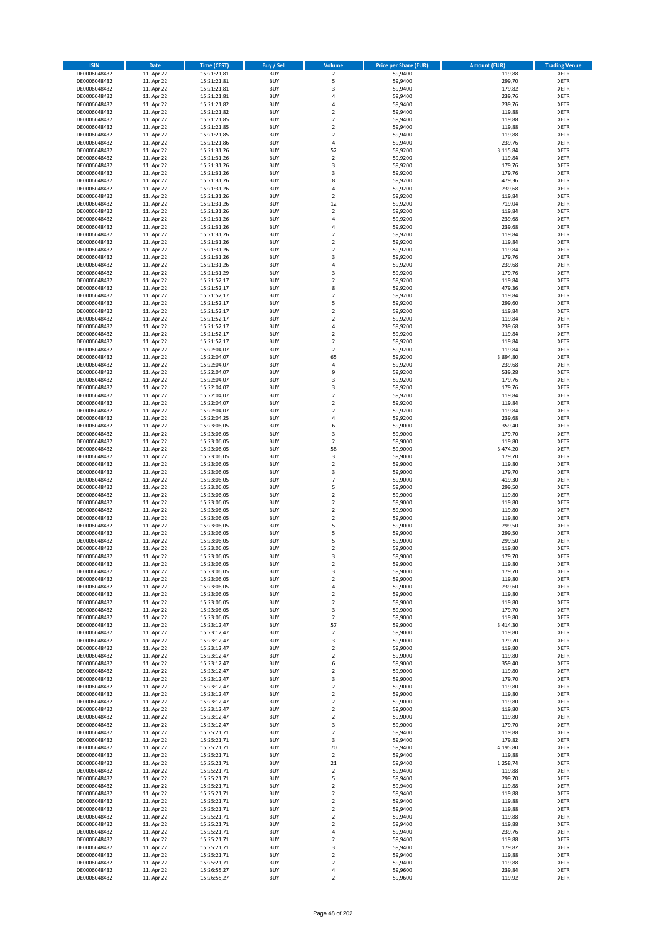| <b>ISIN</b>                  | <b>Date</b>              | <b>Time (CEST)</b>         | <b>Buy / Sell</b>        | Volume                       | <b>Price per Share (EUR)</b> | <b>Amount (EUR)</b> | <b>Trading Venue</b>       |
|------------------------------|--------------------------|----------------------------|--------------------------|------------------------------|------------------------------|---------------------|----------------------------|
| DE0006048432                 | 11. Apr 22               | 15:21:21,81                | <b>BUY</b>               | $\overline{2}$               | 59,9400                      | 119,88              | <b>XETR</b>                |
| DE0006048432                 | 11. Apr 22               | 15:21:21,81                | <b>BUY</b>               | 5                            | 59,9400                      | 299,70              | <b>XETR</b>                |
| DE0006048432                 | 11. Apr 22               | 15:21:21,81                | <b>BUY</b>               | 3                            | 59,9400                      | 179,82              | <b>XETR</b>                |
| DE0006048432<br>DE0006048432 | 11. Apr 22<br>11. Apr 22 | 15:21:21,81<br>15:21:21,82 | <b>BUY</b><br><b>BUY</b> | 4<br>4                       | 59,9400<br>59,9400           | 239,76<br>239,76    | <b>XETR</b><br><b>XETR</b> |
| DE0006048432                 | 11. Apr 22               | 15:21:21,82                | <b>BUY</b>               | $\mathbf 2$                  | 59,9400                      | 119,88              | <b>XETR</b>                |
| DE0006048432                 | 11. Apr 22               | 15:21:21,85                | <b>BUY</b>               | $\mathbf 2$                  | 59,9400                      | 119,88              | <b>XETR</b>                |
| DE0006048432                 | 11. Apr 22               | 15:21:21,85                | <b>BUY</b>               | $\mathbf 2$                  | 59,9400                      | 119,88              | <b>XETR</b>                |
| DE0006048432                 | 11. Apr 22               | 15:21:21,85                | <b>BUY</b>               | $\mathbf 2$                  | 59,9400                      | 119,88              | <b>XETR</b>                |
| DE0006048432                 | 11. Apr 22               | 15:21:21,86                | <b>BUY</b><br><b>BUY</b> | 4                            | 59,9400                      | 239,76              | <b>XETR</b>                |
| DE0006048432<br>DE0006048432 | 11. Apr 22<br>11. Apr 22 | 15:21:31,26<br>15:21:31,26 | <b>BUY</b>               | 52<br>$\mathbf 2$            | 59,9200<br>59,9200           | 3.115,84<br>119,84  | <b>XETR</b><br><b>XETR</b> |
| DE0006048432                 | 11. Apr 22               | 15:21:31,26                | <b>BUY</b>               | 3                            | 59,9200                      | 179,76              | <b>XETR</b>                |
| DE0006048432                 | 11. Apr 22               | 15:21:31,26                | <b>BUY</b>               | 3                            | 59,9200                      | 179,76              | <b>XETR</b>                |
| DE0006048432                 | 11. Apr 22               | 15:21:31,26                | <b>BUY</b>               | 8                            | 59,9200                      | 479,36              | <b>XETR</b>                |
| DE0006048432                 | 11. Apr 22               | 15:21:31,26                | <b>BUY</b>               | 4                            | 59,9200                      | 239,68              | <b>XETR</b>                |
| DE0006048432<br>DE0006048432 | 11. Apr 22               | 15:21:31,26                | <b>BUY</b><br><b>BUY</b> | $\overline{\mathbf{2}}$      | 59,9200                      | 119,84              | <b>XETR</b><br><b>XETR</b> |
| DE0006048432                 | 11. Apr 22<br>11. Apr 22 | 15:21:31,26<br>15:21:31,26 | <b>BUY</b>               | 12<br>$\mathbf 2$            | 59,9200<br>59,9200           | 719,04<br>119,84    | <b>XETR</b>                |
| DE0006048432                 | 11. Apr 22               | 15:21:31,26                | <b>BUY</b>               | 4                            | 59,9200                      | 239,68              | <b>XETR</b>                |
| DE0006048432                 | 11. Apr 22               | 15:21:31,26                | <b>BUY</b>               | 4                            | 59,9200                      | 239,68              | <b>XETR</b>                |
| DE0006048432                 | 11. Apr 22               | 15:21:31,26                | <b>BUY</b>               | $\mathbf 2$                  | 59,9200                      | 119,84              | <b>XETR</b>                |
| DE0006048432                 | 11. Apr 22               | 15:21:31,26                | <b>BUY</b>               | $\overline{\mathbf{c}}$      | 59,9200                      | 119,84              | <b>XETR</b>                |
| DE0006048432                 | 11. Apr 22               | 15:21:31,26                | <b>BUY</b><br><b>BUY</b> | $\mathbf 2$<br>3             | 59,9200                      | 119,84              | <b>XETR</b><br><b>XETR</b> |
| DE0006048432<br>DE0006048432 | 11. Apr 22<br>11. Apr 22 | 15:21:31,26<br>15:21:31,26 | <b>BUY</b>               | 4                            | 59,9200<br>59,9200           | 179,76<br>239,68    | <b>XETR</b>                |
| DE0006048432                 | 11. Apr 22               | 15:21:31,29                | <b>BUY</b>               | 3                            | 59,9200                      | 179,76              | <b>XETR</b>                |
| DE0006048432                 | 11. Apr 22               | 15:21:52,17                | <b>BUY</b>               | $\overline{\mathbf{c}}$      | 59,9200                      | 119,84              | <b>XETR</b>                |
| DE0006048432                 | 11. Apr 22               | 15:21:52,17                | <b>BUY</b>               | 8                            | 59,9200                      | 479,36              | <b>XETR</b>                |
| DE0006048432                 | 11. Apr 22               | 15:21:52,17                | <b>BUY</b>               | $\overline{\mathbf{c}}$      | 59,9200                      | 119,84              | <b>XETR</b>                |
| DE0006048432<br>DE0006048432 | 11. Apr 22               | 15:21:52,17                | <b>BUY</b><br><b>BUY</b> | 5<br>$\overline{\mathbf{2}}$ | 59,9200                      | 299,60<br>119,84    | <b>XETR</b><br><b>XETR</b> |
| DE0006048432                 | 11. Apr 22<br>11. Apr 22 | 15:21:52,17<br>15:21:52,17 | <b>BUY</b>               | $\mathbf 2$                  | 59,9200<br>59,9200           | 119,84              | <b>XETR</b>                |
| DE0006048432                 | 11. Apr 22               | 15:21:52,17                | <b>BUY</b>               | 4                            | 59,9200                      | 239,68              | <b>XETR</b>                |
| DE0006048432                 | 11. Apr 22               | 15:21:52.17                | <b>BUY</b>               | $\mathbf 2$                  | 59,9200                      | 119,84              | <b>XETR</b>                |
| DE0006048432                 | 11. Apr 22               | 15:21:52,17                | <b>BUY</b>               | $\overline{\mathbf{c}}$      | 59,9200                      | 119,84              | <b>XETR</b>                |
| DE0006048432                 | 11. Apr 22               | 15:22:04,07                | <b>BUY</b>               | $\overline{\mathbf{c}}$      | 59,9200                      | 119,84              | <b>XETR</b>                |
| DE0006048432                 | 11. Apr 22               | 15:22:04,07                | <b>BUY</b>               | 65                           | 59,9200                      | 3.894,80            | <b>XETR</b>                |
| DE0006048432<br>DE0006048432 | 11. Apr 22<br>11. Apr 22 | 15:22:04,07<br>15:22:04,07 | <b>BUY</b><br><b>BUY</b> | 4<br>9                       | 59,9200<br>59,9200           | 239,68<br>539,28    | <b>XETR</b><br><b>XETR</b> |
| DE0006048432                 | 11. Apr 22               | 15:22:04,07                | <b>BUY</b>               | 3                            | 59,9200                      | 179,76              | <b>XETR</b>                |
| DE0006048432                 | 11. Apr 22               | 15:22:04,07                | <b>BUY</b>               | 3                            | 59,9200                      | 179,76              | <b>XETR</b>                |
| DE0006048432                 | 11. Apr 22               | 15:22:04,07                | <b>BUY</b>               | $\mathbf 2$                  | 59,9200                      | 119,84              | <b>XETR</b>                |
| DE0006048432                 | 11. Apr 22               | 15:22:04,07                | <b>BUY</b>               | $\overline{\mathbf{c}}$      | 59,9200                      | 119,84              | <b>XETR</b>                |
| DE0006048432                 | 11. Apr 22               | 15:22:04,07                | <b>BUY</b>               | $\mathbf 2$                  | 59,9200                      | 119,84              | <b>XETR</b>                |
| DE0006048432<br>DE0006048432 | 11. Apr 22<br>11. Apr 22 | 15:22:04,25<br>15:23:06,05 | <b>BUY</b><br><b>BUY</b> | 4<br>6                       | 59,9200<br>59,9000           | 239,68<br>359,40    | <b>XETR</b><br><b>XETR</b> |
| DE0006048432                 | 11. Apr 22               | 15:23:06,05                | <b>BUY</b>               | 3                            | 59,9000                      | 179,70              | <b>XETR</b>                |
| DE0006048432                 | 11. Apr 22               | 15:23:06,05                | <b>BUY</b>               | $\mathbf 2$                  | 59,9000                      | 119,80              | <b>XETR</b>                |
| DE0006048432                 | 11. Apr 22               | 15:23:06,05                | <b>BUY</b>               | 58                           | 59,9000                      | 3.474,20            | <b>XETR</b>                |
| DE0006048432                 | 11. Apr 22               | 15:23:06,05                | <b>BUY</b>               | 3                            | 59,9000                      | 179,70              | <b>XETR</b>                |
| DE0006048432                 | 11. Apr 22               | 15:23:06,05                | <b>BUY</b>               | $\mathbf 2$                  | 59,9000                      | 119,80              | <b>XETR</b>                |
| DE0006048432<br>DE0006048432 | 11. Apr 22<br>11. Apr 22 | 15:23:06,05<br>15:23:06,05 | <b>BUY</b><br><b>BUY</b> | 3<br>$\overline{7}$          | 59,9000<br>59,9000           | 179,70<br>419,30    | <b>XETR</b><br><b>XETR</b> |
| DE0006048432                 | 11. Apr 22               | 15:23:06,05                | <b>BUY</b>               | 5                            | 59,9000                      | 299,50              | <b>XETR</b>                |
| DE0006048432                 | 11. Apr 22               | 15:23:06,05                | <b>BUY</b>               | $\mathbf 2$                  | 59,9000                      | 119,80              | <b>XETR</b>                |
| DE0006048432                 | 11. Apr 22               | 15:23:06,05                | <b>BUY</b>               | $\overline{\mathbf{c}}$      | 59,9000                      | 119,80              | <b>XETR</b>                |
| DE0006048432                 | 11. Apr 22               | 15:23:06,05                | <b>BUY</b>               | $\mathbf 2$                  | 59,9000                      | 119,80              | <b>XETR</b>                |
| DE0006048432                 | 11. Apr 22               | 15:23:06,05                | <b>BUY</b>               | $\mathbf 2$                  | 59,9000                      | 119,80              | <b>XETR</b>                |
| DE0006048432                 | 11. Apr 22               | 15:23:06,05                | <b>BUY</b>               | 5                            | 59,9000                      | 299,50              | <b>XETR</b>                |
| DE0006048432<br>DE0006048432 | 11. Apr 22<br>11. Apr 22 | 15:23:06,05<br>15:23:06,05 | <b>BUY</b><br><b>BUY</b> | 5<br>5                       | 59,9000<br>59,9000           | 299,50<br>299,50    | <b>XETR</b><br><b>XETR</b> |
| DE0006048432                 | 11. Apr 22               | 15:23:06,05                | <b>BUY</b>               | $\overline{\mathbf{c}}$      | 59,9000                      | 119,80              | <b>XETR</b>                |
| DE0006048432                 | 11. Apr 22               | 15:23:06,05                | <b>BUY</b>               | 3                            | 59,9000                      | 179,70              | <b>XETR</b>                |
| DE0006048432                 | 11. Apr 22               | 15:23:06,05                | BUY                      | 2                            | 59,9000                      | 119,80              | <b>XETR</b>                |
| DE0006048432                 | 11. Apr 22               | 15:23:06,05                | <b>BUY</b>               | 3                            | 59,9000                      | 179,70              | <b>XETR</b>                |
| DE0006048432                 | 11. Apr 22               | 15:23:06,05                | <b>BUY</b>               | $\mathbf 2$                  | 59,9000                      | 119,80              | <b>XETR</b>                |
| DE0006048432<br>DE0006048432 | 11. Apr 22<br>11. Apr 22 | 15:23:06,05<br>15:23:06,05 | <b>BUY</b><br><b>BUY</b> | 4<br>$\mathbf 2$             | 59,9000<br>59,9000           | 239,60<br>119,80    | XETR<br><b>XETR</b>        |
| DE0006048432                 | 11. Apr 22               | 15:23:06,05                | <b>BUY</b>               | $\mathbf 2$                  | 59,9000                      | 119,80              | <b>XETR</b>                |
| DE0006048432                 | 11. Apr 22               | 15:23:06,05                | <b>BUY</b>               | 3                            | 59,9000                      | 179,70              | <b>XETR</b>                |
| DE0006048432                 | 11. Apr 22               | 15:23:06,05                | <b>BUY</b>               | $\mathbf 2$                  | 59,9000                      | 119,80              | <b>XETR</b>                |
| DE0006048432                 | 11. Apr 22               | 15:23:12,47                | <b>BUY</b>               | 57                           | 59,9000                      | 3.414,30            | <b>XETR</b>                |
| DE0006048432                 | 11. Apr 22               | 15:23:12,47                | <b>BUY</b>               | $\mathbf 2$                  | 59,9000                      | 119,80              | <b>XETR</b>                |
| DE0006048432<br>DE0006048432 | 11. Apr 22<br>11. Apr 22 | 15:23:12,47<br>15:23:12,47 | <b>BUY</b><br><b>BUY</b> | 3<br>$\overline{2}$          | 59,9000<br>59,9000           | 179,70<br>119,80    | <b>XETR</b><br><b>XETR</b> |
| DE0006048432                 | 11. Apr 22               | 15:23:12,47                | <b>BUY</b>               | $\mathbf 2$                  | 59,9000                      | 119,80              | <b>XETR</b>                |
| DE0006048432                 | 11. Apr 22               | 15:23:12,47                | <b>BUY</b>               | 6                            | 59.9000                      | 359,40              | <b>XETR</b>                |
| DE0006048432                 | 11. Apr 22               | 15:23:12,47                | <b>BUY</b>               | $\mathbf 2$                  | 59,9000                      | 119,80              | <b>XETR</b>                |
| DE0006048432                 | 11. Apr 22               | 15:23:12,47                | <b>BUY</b>               | 3                            | 59,9000                      | 179,70              | <b>XETR</b>                |
| DE0006048432                 | 11. Apr 22               | 15:23:12,47                | <b>BUY</b>               | $\mathbf 2$                  | 59,9000                      | 119,80              | <b>XETR</b>                |
| DE0006048432<br>DE0006048432 | 11. Apr 22<br>11. Apr 22 | 15:23:12,47<br>15:23:12,47 | <b>BUY</b><br><b>BUY</b> | $\mathbf 2$<br>$\mathbf 2$   | 59,9000<br>59,9000           | 119,80<br>119,80    | <b>XETR</b><br>XETR        |
| DE0006048432                 | 11. Apr 22               | 15:23:12,47                | <b>BUY</b>               | $\mathbf 2$                  | 59,9000                      | 119,80              | <b>XETR</b>                |
| DE0006048432                 | 11. Apr 22               | 15:23:12,47                | <b>BUY</b>               | $\overline{\mathbf{2}}$      | 59,9000                      | 119,80              | <b>XETR</b>                |
| DE0006048432                 | 11. Apr 22               | 15:23:12,47                | <b>BUY</b>               | 3                            | 59,9000                      | 179,70              | <b>XETR</b>                |
| DE0006048432                 | 11. Apr 22               | 15:25:21,71                | <b>BUY</b>               | $\overline{\mathbf{2}}$      | 59,9400                      | 119,88              | <b>XETR</b>                |
| DE0006048432                 | 11. Apr 22               | 15:25:21,71                | <b>BUY</b>               | 3                            | 59,9400                      | 179,82              | <b>XETR</b>                |
| DE0006048432                 | 11. Apr 22               | 15:25:21,71                | <b>BUY</b>               | 70                           | 59,9400                      | 4.195,80            | <b>XETR</b>                |
| DE0006048432<br>DE0006048432 | 11. Apr 22<br>11. Apr 22 | 15:25:21,71<br>15:25:21,71 | <b>BUY</b><br><b>BUY</b> | $\mathbf 2$<br>21            | 59,9400<br>59,9400           | 119,88<br>1.258,74  | <b>XETR</b><br><b>XETR</b> |
| DE0006048432                 | 11. Apr 22               | 15:25:21,71                | <b>BUY</b>               | $\mathbf 2$                  | 59,9400                      | 119,88              | <b>XETR</b>                |
| DE0006048432                 | 11. Apr 22               | 15:25:21,71                | <b>BUY</b>               | 5                            | 59,9400                      | 299,70              | <b>XETR</b>                |
| DE0006048432                 | 11. Apr 22               | 15:25:21,71                | <b>BUY</b>               | $\overline{\mathbf{c}}$      | 59,9400                      | 119,88              | XETR                       |
| DE0006048432                 | 11. Apr 22               | 15:25:21,71                | <b>BUY</b>               | $\mathbf 2$                  | 59,9400                      | 119,88              | <b>XETR</b>                |
| DE0006048432                 | 11. Apr 22               | 15:25:21,71                | <b>BUY</b>               | $\mathbf 2$                  | 59,9400                      | 119,88              | <b>XETR</b>                |
| DE0006048432<br>DE0006048432 | 11. Apr 22<br>11. Apr 22 | 15:25:21,71<br>15:25:21,71 | <b>BUY</b><br><b>BUY</b> | $\mathbf 2$<br>$\mathbf 2$   | 59,9400<br>59,9400           | 119,88<br>119,88    | <b>XETR</b><br><b>XETR</b> |
| DE0006048432                 | 11. Apr 22               | 15:25:21,71                | <b>BUY</b>               | $\mathbf 2$                  | 59,9400                      | 119,88              | <b>XETR</b>                |
| DE0006048432                 | 11. Apr 22               | 15:25:21,71                | <b>BUY</b>               | 4                            | 59,9400                      | 239,76              | <b>XETR</b>                |
| DE0006048432                 | 11. Apr 22               | 15:25:21,71                | <b>BUY</b>               | $\overline{\mathbf{c}}$      | 59,9400                      | 119,88              | <b>XETR</b>                |
| DE0006048432                 | 11. Apr 22               | 15:25:21,71                | <b>BUY</b>               | 3                            | 59,9400                      | 179,82              | XETR                       |
| DE0006048432                 | 11. Apr 22               | 15:25:21,71                | <b>BUY</b>               | $\overline{\mathbf{2}}$      | 59,9400                      | 119,88              | <b>XETR</b>                |
| DE0006048432<br>DE0006048432 | 11. Apr 22<br>11. Apr 22 | 15:25:21,71<br>15:26:55,27 | <b>BUY</b><br><b>BUY</b> | $\mathbf 2$<br>4             | 59,9400<br>59,9600           | 119,88<br>239,84    | <b>XETR</b><br><b>XETR</b> |
| DE0006048432                 | 11. Apr 22               | 15:26:55,27                | <b>BUY</b>               | $\mathbf 2$                  | 59,9600                      | 119,92              | XETR                       |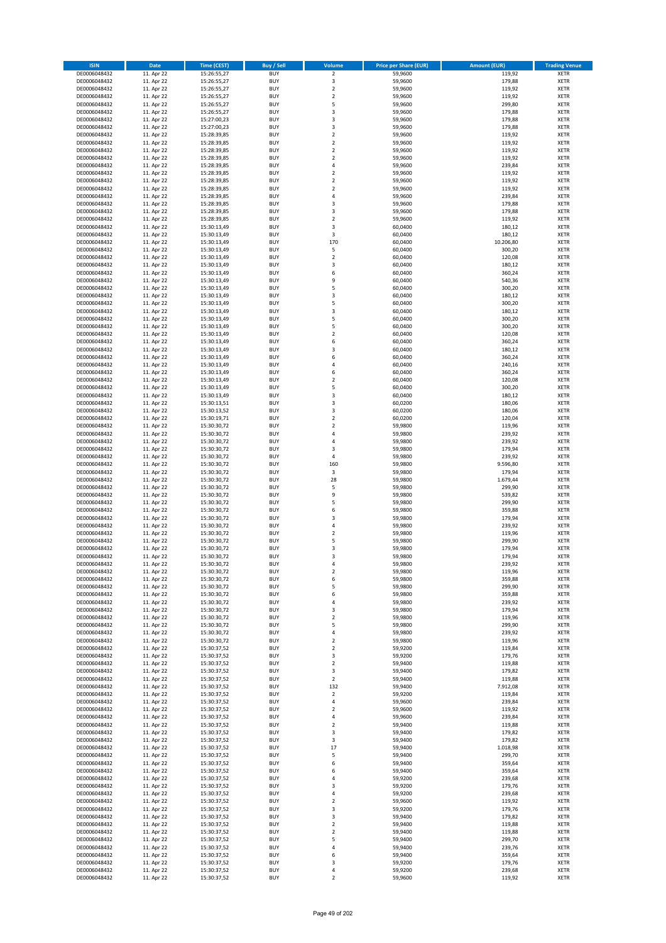| <b>ISIN</b>                  | Date                     | Time (CEST)                | <b>Buy / Sell</b>        | <b>Volume</b>                 | <b>Price per Share (EUR)</b> | <b>Amount (EUR)</b> | <b>Trading Venue</b>       |
|------------------------------|--------------------------|----------------------------|--------------------------|-------------------------------|------------------------------|---------------------|----------------------------|
| DE0006048432                 | 11. Apr 22               | 15:26:55,27                | <b>BUY</b>               | $\overline{2}$                | 59,9600                      | 119,92              | <b>XETR</b>                |
| DE0006048432                 | 11. Apr 22               | 15:26:55,27                | <b>BUY</b>               | 3                             | 59,9600                      | 179,88              | XETR                       |
| DE0006048432                 | 11. Apr 22               | 15:26:55,27                | <b>BUY</b>               | $\mathbf 2$                   | 59,9600                      | 119,92              | <b>XETR</b>                |
| DE0006048432                 | 11. Apr 22               | 15:26:55,27                | <b>BUY</b>               | $\mathbf 2$                   | 59,9600                      | 119,92              | XETR                       |
| DE0006048432                 | 11. Apr 22               | 15:26:55,27                | <b>BUY</b>               | 5                             | 59,9600                      | 299,80              | <b>XETR</b>                |
| DE0006048432                 | 11. Apr 22               | 15:26:55,27                | <b>BUY</b>               | 3                             | 59,9600                      | 179,88              | <b>XETR</b>                |
| DE0006048432                 | 11. Apr 22               | 15:27:00,23                | <b>BUY</b>               | 3                             | 59,9600                      | 179,88              | <b>XETR</b>                |
| DE0006048432                 | 11. Apr 22               | 15:27:00,23                | <b>BUY</b>               | 3                             | 59,9600                      | 179,88              | <b>XETR</b>                |
| DE0006048432                 | 11. Apr 22               | 15:28:39,85                | <b>BUY</b>               | $\overline{2}$                | 59,9600                      | 119,92              | <b>XETR</b>                |
| DE0006048432                 | 11. Apr 22               | 15:28:39,85                | <b>BUY</b>               | $\overline{2}$                | 59,9600                      | 119,92              | <b>XETR</b>                |
| DE0006048432                 | 11. Apr 22               | 15:28:39,85                | <b>BUY</b>               | $\mathbf 2$                   | 59,9600                      | 119,92              | <b>XETR</b>                |
| DE0006048432                 | 11. Apr 22               | 15:28:39,85                | <b>BUY</b>               | $\mathbf 2$                   | 59,9600                      | 119,92              | <b>XETR</b>                |
| DE0006048432                 | 11. Apr 22<br>11. Apr 22 | 15:28:39,85                | <b>BUY</b>               | $\overline{4}$                | 59,9600                      | 239,84              | <b>XETR</b>                |
| DE0006048432<br>DE0006048432 | 11. Apr 22               | 15:28:39,85                | <b>BUY</b><br><b>BUY</b> | $\overline{2}$<br>$\mathbf 2$ | 59,9600<br>59,9600           | 119,92<br>119,92    | <b>XETR</b><br><b>XETR</b> |
| DE0006048432                 | 11. Apr 22               | 15:28:39,85<br>15:28:39,85 | <b>BUY</b>               | $\overline{2}$                | 59,9600                      | 119,92              | <b>XETR</b>                |
| DE0006048432                 | 11. Apr 22               | 15:28:39,85                | <b>BUY</b>               | 4                             | 59,9600                      | 239,84              | <b>XETR</b>                |
| DE0006048432                 | 11. Apr 22               | 15:28:39,85                | <b>BUY</b>               | 3                             | 59,9600                      | 179,88              | <b>XETR</b>                |
| DE0006048432                 | 11. Apr 22               | 15:28:39,85                | <b>BUY</b>               | 3                             | 59,9600                      | 179,88              | <b>XETR</b>                |
| DE0006048432                 | 11. Apr 22               | 15:28:39,85                | <b>BUY</b>               | $\mathbf 2$                   | 59,9600                      | 119,92              | <b>XETR</b>                |
| DE0006048432                 | 11. Apr 22               | 15:30:13,49                | <b>BUY</b>               | 3                             | 60,0400                      | 180,12              | <b>XETR</b>                |
| DE0006048432                 | 11. Apr 22               | 15:30:13,49                | <b>BUY</b>               | 3                             | 60,0400                      | 180,12              | <b>XETR</b>                |
| DE0006048432                 | 11. Apr 22               | 15:30:13,49                | <b>BUY</b>               | 170                           | 60,0400                      | 10.206,80           | <b>XETR</b>                |
| DE0006048432                 | 11. Apr 22               | 15:30:13,49                | <b>BUY</b>               | 5                             | 60,0400                      | 300,20              | <b>XETR</b>                |
| DE0006048432                 | 11. Apr 22               | 15:30:13,49                | <b>BUY</b>               | $\mathbf 2$                   | 60,0400                      | 120,08              | <b>XETR</b>                |
| DE0006048432                 | 11. Apr 22               | 15:30:13,49                | <b>BUY</b>               | 3                             | 60,0400                      | 180,12              | <b>XETR</b>                |
| DE0006048432                 | 11. Apr 22               | 15:30:13,49                | <b>BUY</b>               | 6                             | 60,0400                      | 360,24              | <b>XETR</b>                |
| DE0006048432                 | 11. Apr 22               | 15:30:13,49                | <b>BUY</b>               | 9                             | 60,0400                      | 540,36              | <b>XETR</b>                |
| DE0006048432                 | 11. Apr 22               | 15:30:13,49                | <b>BUY</b>               | 5                             | 60,0400                      | 300,20              | <b>XETR</b>                |
| DE0006048432                 | 11. Apr 22               | 15:30:13,49                | <b>BUY</b>               | 3                             | 60,0400                      | 180,12              | <b>XETR</b>                |
| DE0006048432                 | 11. Apr 22               | 15:30:13,49                | <b>BUY</b>               | 5                             | 60,0400                      | 300,20              | <b>XETR</b>                |
| DE0006048432                 | 11. Apr 22               | 15:30:13,49                | <b>BUY</b>               | 3                             | 60,0400                      | 180,12              | <b>XETR</b>                |
| DE0006048432                 | 11. Apr 22               | 15:30:13,49                | <b>BUY</b>               | 5<br>5                        | 60,0400                      | 300,20              | <b>XETR</b>                |
| DE0006048432                 | 11. Apr 22               | 15:30:13,49                | <b>BUY</b>               | $\mathbf 2$                   | 60,0400                      | 300,20              | <b>XETR</b>                |
| DE0006048432<br>DE0006048432 | 11. Apr 22<br>11. Apr 22 | 15:30:13,49<br>15:30:13,49 | <b>BUY</b><br><b>BUY</b> | 6                             | 60,0400<br>60,0400           | 120,08<br>360,24    | <b>XETR</b><br><b>XETR</b> |
| DE0006048432                 | 11. Apr 22               | 15:30:13,49                | <b>BUY</b>               | 3                             | 60,0400                      | 180,12              | <b>XETR</b>                |
| DE0006048432                 | 11. Apr 22               | 15:30:13,49                | <b>BUY</b>               | 6                             | 60,0400                      | 360,24              | <b>XETR</b>                |
| DE0006048432                 | 11. Apr 22               | 15:30:13,49                | <b>BUY</b>               | $\sqrt{4}$                    | 60,0400                      | 240,16              | <b>XETR</b>                |
| DE0006048432                 | 11. Apr 22               | 15:30:13,49                | <b>BUY</b>               | 6                             | 60,0400                      | 360,24              | <b>XETR</b>                |
| DE0006048432                 | 11. Apr 22               | 15:30:13,49                | <b>BUY</b>               | $\overline{2}$                | 60,0400                      | 120,08              | <b>XETR</b>                |
| DE0006048432                 | 11. Apr 22               | 15:30:13,49                | <b>BUY</b>               | 5                             | 60,0400                      | 300,20              | <b>XETR</b>                |
| DE0006048432                 | 11. Apr 22               | 15:30:13,49                | <b>BUY</b>               | 3                             | 60,0400                      | 180,12              | <b>XETR</b>                |
| DE0006048432                 | 11. Apr 22               | 15:30:13,51                | <b>BUY</b>               | 3                             | 60,0200                      | 180,06              | <b>XETR</b>                |
| DE0006048432                 | 11. Apr 22               | 15:30:13,52                | <b>BUY</b>               | $\mathsf 3$                   | 60,0200                      | 180,06              | <b>XETR</b>                |
| DE0006048432                 | 11. Apr 22               | 15:30:19,71                | <b>BUY</b>               | $\overline{2}$                | 60,0200                      | 120,04              | <b>XETR</b>                |
| DE0006048432                 | 11. Apr 22               | 15:30:30,72                | <b>BUY</b>               | $\mathbf 2$                   | 59,9800                      | 119,96              | <b>XETR</b>                |
| DE0006048432                 | 11. Apr 22               | 15:30:30,72                | <b>BUY</b>               | $\overline{4}$                | 59,9800                      | 239,92              | <b>XETR</b>                |
| DE0006048432                 | 11. Apr 22               | 15:30:30,72                | <b>BUY</b>               | 4                             | 59,9800                      | 239,92              | <b>XETR</b>                |
| DE0006048432                 | 11. Apr 22               | 15:30:30,72                | <b>BUY</b>               | 3                             | 59,9800                      | 179,94              | <b>XETR</b>                |
| DE0006048432                 | 11. Apr 22               | 15:30:30,72                | <b>BUY</b>               | $\pmb{4}$                     | 59,9800                      | 239,92              | <b>XETR</b>                |
| DE0006048432                 | 11. Apr 22               | 15:30:30,72                | <b>BUY</b>               | 160                           | 59,9800                      | 9.596,80            | <b>XETR</b>                |
| DE0006048432                 | 11. Apr 22               | 15:30:30,72                | <b>BUY</b><br><b>BUY</b> | 3<br>28                       | 59,9800                      | 179,94<br>1.679,44  | <b>XETR</b><br><b>XETR</b> |
| DE0006048432<br>DE0006048432 | 11. Apr 22<br>11. Apr 22 | 15:30:30,72<br>15:30:30,72 | <b>BUY</b>               | 5                             | 59,9800<br>59,9800           | 299,90              | <b>XETR</b>                |
| DE0006048432                 | 11. Apr 22               | 15:30:30,72                | <b>BUY</b>               | 9                             | 59,9800                      | 539,82              | <b>XETR</b>                |
| DE0006048432                 | 11. Apr 22               | 15:30:30,72                | <b>BUY</b>               | 5                             | 59,9800                      | 299,90              | <b>XETR</b>                |
| DE0006048432                 | 11. Apr 22               | 15:30:30,72                | <b>BUY</b>               | 6                             | 59,9800                      | 359,88              | <b>XETR</b>                |
| DE0006048432                 | 11. Apr 22               | 15:30:30,72                | <b>BUY</b>               | 3                             | 59,9800                      | 179,94              | <b>XETR</b>                |
| DE0006048432                 | 11. Apr 22               | 15:30:30,72                | <b>BUY</b>               | 4                             | 59,9800                      | 239,92              | <b>XETR</b>                |
| DE0006048432                 | 11. Apr 22               | 15:30:30,72                | <b>BUY</b>               | $\mathbf 2$                   | 59,9800                      | 119,96              | <b>XETR</b>                |
| DE0006048432                 | 11. Apr 22               | 15:30:30,72                | <b>BUY</b>               | 5                             | 59,9800                      | 299,90              | <b>XETR</b>                |
| DE0006048432                 | 11. Apr 22               | 15:30:30,72                | <b>BUY</b>               | 3                             | 59,9800                      | 179,94              | <b>XETR</b>                |
| DE0006048432                 | 11. Apr 22               | 15:30:30,72                | <b>BUY</b>               | 3                             | 59,9800                      | 179,94              | <b>XETR</b>                |
| DE0006048432                 | 11. Apr 22               | 15:30:30,72                | BUY                      | 4                             | 59,9800                      | 239,92              | XETR                       |
| DE0006048432                 | 11. Apr 22               | 15:30:30,72                | <b>BUY</b>               | $\mathbf 2$                   | 59,9800                      | 119,96              | <b>XETR</b>                |
| DE0006048432                 | 11. Apr 22               | 15:30:30,72                | <b>BUY</b>               | 6                             | 59,9800                      | 359,88              | <b>XETR</b>                |
| DE0006048432                 | 11. Apr 22               | 15:30:30,72                | <b>BUY</b>               | 5                             | 59,9800                      | 299,90              | <b>XETR</b>                |
| DE0006048432                 | 11. Apr 22               | 15:30:30,72                | <b>BUY</b>               | 6                             | 59,9800                      | 359,88              | <b>XETR</b>                |
| DE0006048432                 | 11. Apr 22               | 15:30:30,72                | <b>BUY</b>               | 4                             | 59,9800                      | 239,92              | <b>XETR</b>                |
| DE0006048432                 | 11. Apr 22               | 15:30:30,72                | <b>BUY</b>               | 3                             | 59,9800                      | 179,94              | <b>XETR</b>                |
| DE0006048432                 | 11. Apr 22               | 15:30:30,72                | <b>BUY</b>               | $\mathbf 2$                   | 59,9800                      | 119,96              | <b>XETR</b>                |
| DE0006048432                 | 11. Apr 22               | 15:30:30,72                | <b>BUY</b>               | 5                             | 59,9800                      | 299,90              | XETR                       |
| DE0006048432<br>DE0006048432 | 11. Apr 22<br>11. Apr 22 | 15:30:30,72<br>15:30:30,72 | <b>BUY</b><br><b>BUY</b> | $\pmb{4}$<br>$\overline{2}$   | 59,9800<br>59,9800           | 239,92<br>119,96    | <b>XETR</b><br>XETR        |
| DE0006048432                 | 11. Apr 22               | 15:30:37,52                | <b>BUY</b>               | $\overline{2}$                | 59,9200                      | 119,84              | <b>XETR</b>                |
| DE0006048432                 | 11. Apr 22               | 15:30:37,52                | <b>BUY</b>               | 3                             | 59,9200                      | 179,76              | XETR                       |
| DE0006048432                 | 11. Apr 22               | 15:30:37,52                | <b>BUY</b>               | $\overline{2}$                | 59,9400                      | 119,88              | <b>XETR</b>                |
| DE0006048432                 | 11. Apr 22               | 15:30:37,52                | <b>BUY</b>               | 3                             | 59,9400                      | 179,82              | <b>XETR</b>                |
| DE0006048432                 | 11. Apr 22               | 15:30:37,52                | <b>BUY</b>               | $\overline{2}$                | 59,9400                      | 119,88              | <b>XETR</b>                |
| DE0006048432                 | 11. Apr 22               | 15:30:37,52                | <b>BUY</b>               | 132                           | 59,9400                      | 7.912,08            | <b>XETR</b>                |
| DE0006048432                 | 11. Apr 22               | 15:30:37,52                | <b>BUY</b>               | $\overline{2}$                | 59,9200                      | 119,84              | <b>XETR</b>                |
| DE0006048432                 | 11. Apr 22               | 15:30:37,52                | <b>BUY</b>               | 4                             | 59,9600                      | 239,84              | XETR                       |
| DE0006048432                 | 11. Apr 22               | 15:30:37,52                | <b>BUY</b>               | $\overline{2}$                | 59,9600                      | 119,92              | <b>XETR</b>                |
| DE0006048432                 | 11. Apr 22               | 15:30:37,52                | <b>BUY</b>               | $\sqrt{4}$                    | 59,9600                      | 239,84              | <b>XETR</b>                |
| DE0006048432                 | 11. Apr 22               | 15:30:37,52                | <b>BUY</b>               | $\mathbf 2$                   | 59,9400                      | 119,88              | <b>XETR</b>                |
| DE0006048432                 | 11. Apr 22               | 15:30:37,52                | <b>BUY</b>               | 3                             | 59,9400                      | 179,82              | XETR                       |
| DE0006048432                 | 11. Apr 22               | 15:30:37,52                | <b>BUY</b>               | 3                             | 59,9400                      | 179,82              | <b>XETR</b>                |
| DE0006048432                 | 11. Apr 22               | 15:30:37,52                | <b>BUY</b>               | 17                            | 59,9400                      | 1.018,98            | XETR                       |
| DE0006048432                 | 11. Apr 22               | 15:30:37,52                | <b>BUY</b>               | 5                             | 59,9400                      | 299,70              | <b>XETR</b>                |
| DE0006048432                 | 11. Apr 22               | 15:30:37,52                | <b>BUY</b>               | 6                             | 59,9400                      | 359,64              | XETR                       |
| DE0006048432                 | 11. Apr 22               | 15:30:37,52                | <b>BUY</b>               | 6                             | 59,9400                      | 359,64              | <b>XETR</b>                |
| DE0006048432                 | 11. Apr 22               | 15:30:37,52                | <b>BUY</b>               | 4                             | 59,9200                      | 239,68              | <b>XETR</b>                |
| DE0006048432                 | 11. Apr 22               | 15:30:37,52                | <b>BUY</b>               | 3<br>4                        | 59,9200<br>59,9200           | 179,76              | <b>XETR</b>                |
| DE0006048432                 | 11. Apr 22               | 15:30:37,52                | <b>BUY</b><br><b>BUY</b> |                               |                              | 239,68              | <b>XETR</b>                |
| DE0006048432<br>DE0006048432 | 11. Apr 22<br>11. Apr 22 | 15:30:37,52<br>15:30:37,52 | <b>BUY</b>               | $\overline{2}$<br>3           | 59,9600<br>59,9200           | 119,92<br>179,76    | XETR<br>XETR               |
| DE0006048432                 | 11. Apr 22               | 15:30:37,52                | <b>BUY</b>               | 3                             | 59,9400                      | 179,82              | <b>XETR</b>                |
| DE0006048432                 | 11. Apr 22               | 15:30:37,52                | <b>BUY</b>               | $\mathbf 2$                   | 59,9400                      | 119,88              | <b>XETR</b>                |
| DE0006048432                 | 11. Apr 22               | 15:30:37,52                | <b>BUY</b>               | $\mathbf 2$                   | 59,9400                      | 119,88              | <b>XETR</b>                |
| DE0006048432                 | 11. Apr 22               | 15:30:37,52                | <b>BUY</b>               | 5                             | 59,9400                      | 299,70              | XETR                       |
| DE0006048432                 | 11. Apr 22               | 15:30:37,52                | <b>BUY</b>               | 4                             | 59,9400                      | 239,76              | XETR                       |
| DE0006048432                 | 11. Apr 22               | 15:30:37,52                | <b>BUY</b>               | 6                             | 59,9400                      | 359,64              | <b>XETR</b>                |
| DE0006048432                 | 11. Apr 22               | 15:30:37,52                | <b>BUY</b>               | 3                             | 59,9200                      | 179,76              | XETR                       |
| DE0006048432                 | 11. Apr 22               | 15:30:37,52                | <b>BUY</b>               | $\sqrt{4}$                    | 59,9200                      | 239,68              | <b>XETR</b>                |
| DE0006048432                 | 11. Apr 22               | 15:30:37,52                | <b>BUY</b>               | $\mathbf 2$                   | 59,9600                      | 119,92              | <b>XETR</b>                |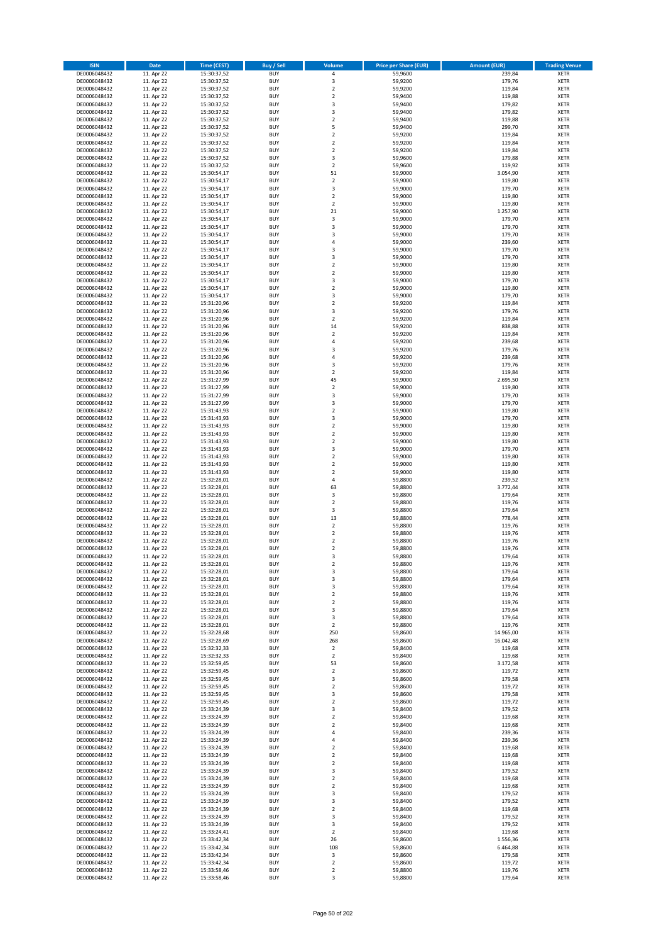| <b>ISIN</b>                  | Date                     | Time (CEST)                | <b>Buy / Sell</b>        | Volume                     | <b>Price per Share (EUR)</b> | Amount (EUR)       | <b>Trading Venue</b>       |
|------------------------------|--------------------------|----------------------------|--------------------------|----------------------------|------------------------------|--------------------|----------------------------|
| DE0006048432                 | 11. Apr 22               | 15:30:37,52                | <b>BUY</b>               | 4                          | 59,9600                      | 239,84             | <b>XETR</b>                |
| DE0006048432                 | 11. Apr 22               | 15:30:37,52                | <b>BUY</b>               | 3                          | 59,9200                      | 179,76             | <b>XETR</b>                |
| DE0006048432                 | 11. Apr 22               | 15:30:37,52                | <b>BUY</b>               | $\overline{2}$             | 59,9200                      | 119,84             | <b>XETR</b>                |
| DE0006048432                 | 11. Apr 22               | 15:30:37,52                | <b>BUY</b>               | $\mathbf 2$                | 59,9400                      | 119,88             | <b>XETR</b>                |
| DE0006048432                 | 11. Apr 22               | 15:30:37,52                | <b>BUY</b>               | 3                          | 59,9400                      | 179,82             | <b>XETR</b>                |
| DE0006048432                 | 11. Apr 22               | 15:30:37,52                | <b>BUY</b>               | $\overline{3}$             | 59,9400                      | 179,82             | <b>XETR</b>                |
| DE0006048432                 | 11. Apr 22               | 15:30:37,52                | <b>BUY</b>               | $\overline{2}$             | 59,9400                      | 119,88             | <b>XETR</b>                |
| DE0006048432                 | 11. Apr 22               | 15:30:37,52                | <b>BUY</b>               | 5                          | 59,9400                      | 299,70             | <b>XETR</b>                |
| DE0006048432                 | 11. Apr 22               | 15:30:37,52                | <b>BUY</b>               | $\overline{2}$             | 59,9200                      | 119,84             | <b>XETR</b>                |
| DE0006048432                 | 11. Apr 22               | 15:30:37,52                | <b>BUY</b>               | $\mathbf 2$                | 59,9200                      | 119,84             | <b>XETR</b>                |
| DE0006048432                 | 11. Apr 22               | 15:30:37,52                | <b>BUY</b>               | $\mathbf 2$                | 59,9200                      | 119,84             | <b>XETR</b>                |
| DE0006048432                 | 11. Apr 22               | 15:30:37,52                | <b>BUY</b>               | 3                          | 59,9600                      | 179,88             | <b>XETR</b>                |
| DE0006048432<br>DE0006048432 | 11. Apr 22               | 15:30:37,52<br>15:30:54,17 | <b>BUY</b>               | $\mathbf 2$                | 59,9600                      | 119,92             | <b>XETR</b>                |
|                              | 11. Apr 22               |                            | <b>BUY</b><br><b>BUY</b> | 51<br>$\mathbf 2$          | 59,9000<br>59,9000           | 3.054,90           | <b>XETR</b>                |
| DE0006048432<br>DE0006048432 | 11. Apr 22<br>11. Apr 22 | 15:30:54,17<br>15:30:54,17 | <b>BUY</b>               | 3                          | 59,9000                      | 119,80<br>179,70   | <b>XETR</b><br><b>XETR</b> |
| DE0006048432                 | 11. Apr 22               | 15:30:54,17                | <b>BUY</b>               | $\overline{2}$             | 59,9000                      | 119,80             | <b>XETR</b>                |
| DE0006048432                 | 11. Apr 22               | 15:30:54,17                | <b>BUY</b>               | $\overline{2}$             | 59,9000                      | 119,80             | <b>XETR</b>                |
| DE0006048432                 | 11. Apr 22               | 15:30:54.17                | <b>BUY</b>               | 21                         | 59.9000                      | 1.257,90           | <b>XETR</b>                |
| DE0006048432                 | 11. Apr 22               | 15:30:54,17                | <b>BUY</b>               | 3                          | 59,9000                      | 179,70             | <b>XETR</b>                |
| DE0006048432                 | 11. Apr 22               | 15:30:54,17                | <b>BUY</b>               | $\overline{\mathbf{3}}$    | 59,9000                      | 179,70             | <b>XETR</b>                |
| DE0006048432                 | 11. Apr 22               | 15:30:54,17                | <b>BUY</b>               | $\overline{\mathbf{3}}$    | 59,9000                      | 179,70             | <b>XETR</b>                |
| DE0006048432                 | 11. Apr 22               | 15:30:54,17                | <b>BUY</b>               | $\overline{a}$             | 59,9000                      | 239,60             | <b>XETR</b>                |
| DE0006048432                 | 11. Apr 22               | 15:30:54,17                | <b>BUY</b>               | $\overline{\mathbf{3}}$    | 59,9000                      | 179,70             | <b>XETR</b>                |
| DE0006048432                 | 11. Apr 22               | 15:30:54,17                | <b>BUY</b>               | 3                          | 59,9000                      | 179,70             | <b>XETR</b>                |
| DE0006048432                 | 11. Apr 22               | 15:30:54,17                | <b>BUY</b>               | $\mathbf 2$                | 59,9000                      | 119,80             | <b>XETR</b>                |
| DE0006048432                 | 11. Apr 22               | 15:30:54,17                | <b>BUY</b>               | $\mathbf 2$                | 59,9000                      | 119,80             | <b>XETR</b>                |
| DE0006048432                 | 11. Apr 22               | 15:30:54,17                | <b>BUY</b>               | $\overline{\mathbf{3}}$    | 59,9000                      | 179,70             | <b>XETR</b>                |
| DE0006048432                 | 11. Apr 22               | 15:30:54,17                | <b>BUY</b>               | $\mathbf 2$                | 59,9000                      | 119,80             | <b>XETR</b>                |
| DE0006048432                 | 11. Apr 22               | 15:30:54,17                | <b>BUY</b>               | $\overline{\mathbf{3}}$    | 59,9000                      | 179,70             | <b>XETR</b>                |
| DE0006048432                 | 11. Apr 22               | 15:31:20,96                | <b>BUY</b>               | $\mathbf 2$                | 59,9200                      | 119,84             | <b>XETR</b>                |
| DE0006048432                 | 11. Apr 22               | 15:31:20,96                | <b>BUY</b>               | 3                          | 59,9200                      | 179,76             | <b>XETR</b>                |
| DE0006048432                 | 11. Apr 22               | 15:31:20,96                | <b>BUY</b>               | $\mathbf 2$                | 59,9200                      | 119,84             | <b>XETR</b>                |
| DE0006048432                 | 11. Apr 22               | 15:31:20,96                | <b>BUY</b>               | 14                         | 59,9200                      | 838,88             | <b>XETR</b>                |
| DE0006048432                 | 11. Apr 22               | 15:31:20,96                | <b>BUY</b>               | $\overline{2}$<br>4        | 59,9200                      | 119,84             | <b>XETR</b>                |
| DE0006048432<br>DE0006048432 | 11. Apr 22<br>11. Apr 22 | 15:31:20,96<br>15:31:20,96 | <b>BUY</b><br><b>BUY</b> | $\overline{\mathbf{3}}$    | 59,9200<br>59,9200           | 239,68<br>179,76   | <b>XETR</b><br><b>XETR</b> |
| DE0006048432                 | 11. Apr 22               | 15:31:20,96                | <b>BUY</b>               | $\overline{4}$             | 59,9200                      | 239,68             | <b>XETR</b>                |
| DE0006048432                 | 11. Apr 22               | 15:31:20,96                | <b>BUY</b>               | 3                          | 59,9200                      | 179,76             | <b>XETR</b>                |
| DE0006048432                 | 11. Apr 22               | 15:31:20,96                | <b>BUY</b>               | $\mathbf 2$                | 59,9200                      | 119,84             | <b>XETR</b>                |
| DE0006048432                 | 11. Apr 22               | 15:31:27,99                | <b>BUY</b>               | 45                         | 59,9000                      | 2.695,50           | <b>XETR</b>                |
| DE0006048432                 | 11. Apr 22               | 15:31:27,99                | <b>BUY</b>               | $\mathbf 2$                | 59,9000                      | 119,80             | <b>XETR</b>                |
| DE0006048432                 | 11. Apr 22               | 15:31:27,99                | <b>BUY</b>               | 3                          | 59,9000                      | 179,70             | <b>XETR</b>                |
| DE0006048432                 | 11. Apr 22               | 15:31:27,99                | <b>BUY</b>               | $\overline{\mathbf{3}}$    | 59,9000                      | 179,70             | <b>XETR</b>                |
| DE0006048432                 | 11. Apr 22               | 15:31:43,93                | <b>BUY</b>               | $\overline{2}$             | 59,9000                      | 119,80             | <b>XETR</b>                |
| DE0006048432                 | 11. Apr 22               | 15:31:43,93                | <b>BUY</b>               | 3                          | 59,9000                      | 179,70             | <b>XETR</b>                |
| DE0006048432                 | 11. Apr 22               | 15:31:43,93                | <b>BUY</b>               | $\mathbf 2$                | 59,9000                      | 119,80             | <b>XETR</b>                |
| DE0006048432                 | 11. Apr 22               | 15:31:43,93                | <b>BUY</b>               | $\overline{2}$             | 59,9000                      | 119,80             | <b>XETR</b>                |
| DE0006048432                 | 11. Apr 22               | 15:31:43,93                | <b>BUY</b>               | $\overline{2}$             | 59,9000                      | 119,80             | <b>XETR</b>                |
| DE0006048432                 | 11. Apr 22               | 15:31:43,93                | <b>BUY</b>               | 3                          | 59,9000                      | 179,70             | <b>XETR</b>                |
| DE0006048432                 | 11. Apr 22               | 15:31:43,93                | <b>BUY</b>               | $\overline{2}$             | 59,9000                      | 119,80             | <b>XETR</b>                |
| DE0006048432                 | 11. Apr 22               | 15:31:43,93                | <b>BUY</b>               | $\overline{2}$             | 59,9000                      | 119,80             | <b>XETR</b>                |
| DE0006048432                 | 11. Apr 22               | 15:31:43,93                | <b>BUY</b>               | $\overline{2}$             | 59,9000                      | 119,80             | <b>XETR</b>                |
| DE0006048432<br>DE0006048432 | 11. Apr 22               | 15:32:28,01                | <b>BUY</b><br><b>BUY</b> | $\overline{4}$<br>63       | 59,8800                      | 239,52             | <b>XETR</b><br><b>XETR</b> |
|                              | 11. Apr 22<br>11. Apr 22 | 15:32:28,01                | <b>BUY</b>               | 3                          | 59,8800                      | 3.772,44<br>179,64 | <b>XETR</b>                |
| DE0006048432<br>DE0006048432 | 11. Apr 22               | 15:32:28,01<br>15:32:28,01 | <b>BUY</b>               | $\overline{2}$             | 59,8800<br>59,8800           | 119,76             | <b>XETR</b>                |
| DE0006048432                 | 11. Apr 22               | 15:32:28,01                | <b>BUY</b>               | 3                          | 59,8800                      | 179,64             | <b>XETR</b>                |
| DE0006048432                 | 11. Apr 22               | 15:32:28,01                | <b>BUY</b>               | 13                         | 59,8800                      | 778,44             | <b>XETR</b>                |
| DE0006048432                 | 11. Apr 22               | 15:32:28,01                | <b>BUY</b>               | $\overline{2}$             | 59,8800                      | 119,76             | <b>XETR</b>                |
| DE0006048432                 | 11. Apr 22               | 15:32:28,01                | <b>BUY</b>               | $\mathbf 2$                | 59,8800                      | 119,76             | <b>XETR</b>                |
| DE0006048432                 | 11. Apr 22               | 15:32:28,01                | BUY                      | $\overline{2}$             | 59,8800                      | 119,76             | <b>XETR</b>                |
| DE0006048432                 | 11. Apr 22               | 15:32:28,01                | <b>BUY</b>               | $\mathbf 2$                | 59,8800                      | 119,76             | <b>XETR</b>                |
| DE0006048432                 | 11. Apr 22               | 15:32:28,01                | <b>BUY</b>               | $\overline{3}$             | 59,8800                      | 179,64             | <b>XETR</b>                |
| DE0006048432                 | 11. Apr 22               | 15:32:28,01                | BUY                      | 2                          | 59,8800                      | 119,76             | <b>XETR</b>                |
| DE0006048432                 | 11. Apr 22               | 15:32:28,01                | <b>BUY</b>               | 3                          | 59,8800                      | 179,64             | <b>XETR</b>                |
| DE0006048432                 | 11. Apr 22               | 15:32:28,01                | <b>BUY</b>               | 3                          | 59,8800                      | 179,64             | <b>XETR</b>                |
| DE0006048432                 | 11. Apr 22               | 15:32:28,01                | <b>BUY</b>               | 3                          | 59,8800                      | 179,64             | <b>XETR</b>                |
| DE0006048432                 | 11. Apr 22               | 15:32:28,01                | <b>BUY</b>               | $\overline{2}$             | 59,8800                      | 119,76             | <b>XETR</b>                |
| DE0006048432                 | 11. Apr 22               | 15:32:28,01                | <b>BUY</b>               | $\mathbf 2$                | 59,8800                      | 119,76             | <b>XETR</b>                |
| DE0006048432                 | 11. Apr 22               | 15:32:28,01                | <b>BUY</b>               | 3                          | 59,8800                      | 179,64             | <b>XETR</b>                |
| DE0006048432                 | 11. Apr 22               | 15:32:28,01                | <b>BUY</b>               | 3                          | 59,8800                      | 179,64             | <b>XETR</b>                |
| DE0006048432                 | 11. Apr 22               | 15:32:28,01                | <b>BUY</b>               | $\mathbf 2$                | 59,8800                      | 119,76             | <b>XETR</b>                |
| DE0006048432                 | 11. Apr 22               | 15:32:28,68                | <b>BUY</b>               | 250                        | 59,8600                      | 14.965,00          | <b>XETR</b>                |
| DE0006048432<br>DE0006048432 | 11. Apr 22               | 15:32:28,69<br>15:32:32,33 | <b>BUY</b><br><b>BUY</b> | 268                        | 59,8600<br>59,8400           | 16.042,48          | <b>XETR</b><br><b>XETR</b> |
| DE0006048432                 | 11. Apr 22<br>11. Apr 22 | 15:32:32,33                | <b>BUY</b>               | $\mathbf 2$<br>$\mathbf 2$ | 59,8400                      | 119,68<br>119,68   | <b>XETR</b>                |
| DE0006048432                 | 11. Apr 22               | 15:32:59,45                | <b>BUY</b>               | 53                         | 59,8600                      | 3.172,58           | <b>XETR</b>                |
| DE0006048432                 | 11. Apr 22               | 15:32:59,45                | <b>BUY</b>               | $\mathbf 2$                | 59,8600                      | 119,72             | <b>XETR</b>                |
| DE0006048432                 | 11. Apr 22               | 15:32:59,45                | <b>BUY</b>               | 3                          | 59,8600                      | 179,58             | <b>XETR</b>                |
| DE0006048432                 | 11. Apr 22               | 15:32:59,45                | <b>BUY</b>               | $\mathbf 2$                | 59,8600                      | 119,72             | <b>XETR</b>                |
| DE0006048432                 | 11. Apr 22               | 15:32:59,45                | <b>BUY</b>               | 3                          | 59,8600                      | 179,58             | <b>XETR</b>                |
| DE0006048432                 | 11. Apr 22               | 15:32:59,45                | <b>BUY</b>               | $\mathbf 2$                | 59,8600                      | 119,72             | <b>XETR</b>                |
| DE0006048432                 | 11. Apr 22               | 15:33:24,39                | <b>BUY</b>               | 3                          | 59,8400                      | 179,52             | <b>XETR</b>                |
| DE0006048432                 | 11. Apr 22               | 15:33:24,39                | <b>BUY</b>               | $\overline{2}$             | 59,8400                      | 119,68             | <b>XETR</b>                |
| DE0006048432                 | 11. Apr 22               | 15:33:24,39                | <b>BUY</b>               | $\mathbf 2$                | 59,8400                      | 119,68             | <b>XETR</b>                |
| DE0006048432                 | 11. Apr 22               | 15:33:24,39                | <b>BUY</b>               | $\overline{4}$             | 59,8400                      | 239,36             | <b>XETR</b>                |
| DE0006048432                 | 11. Apr 22               | 15:33:24,39                | <b>BUY</b>               | 4                          | 59,8400                      | 239,36             | <b>XETR</b>                |
| DE0006048432                 | 11. Apr 22               | 15:33:24,39                | <b>BUY</b>               | $\overline{2}$             | 59,8400                      | 119,68             | <b>XETR</b>                |
| DE0006048432                 | 11. Apr 22               | 15:33:24,39                | <b>BUY</b>               | $\mathbf 2$                | 59,8400                      | 119,68             | <b>XETR</b>                |
| DE0006048432                 | 11. Apr 22               | 15:33:24,39                | <b>BUY</b>               | $\overline{2}$             | 59,8400                      | 119,68             | <b>XETR</b>                |
| DE0006048432                 | 11. Apr 22               | 15:33:24,39                | <b>BUY</b>               | 3                          | 59,8400                      | 179,52             | <b>XETR</b>                |
| DE0006048432                 | 11. Apr 22               | 15:33:24,39                | <b>BUY</b>               | $\mathbf 2$                | 59,8400                      | 119,68             | <b>XETR</b>                |
| DE0006048432                 | 11. Apr 22               | 15:33:24,39                | <b>BUY</b><br><b>BUY</b> | $\overline{2}$             | 59,8400                      | 119,68<br>179,52   | <b>XETR</b>                |
| DE0006048432<br>DE0006048432 | 11. Apr 22<br>11. Apr 22 | 15:33:24,39<br>15:33:24,39 | <b>BUY</b>               | 3<br>3                     | 59,8400<br>59,8400           | 179,52             | <b>XETR</b><br><b>XETR</b> |
| DE0006048432                 | 11. Apr 22               | 15:33:24,39                | <b>BUY</b>               | $\mathbf 2$                | 59,8400                      | 119,68             | <b>XETR</b>                |
| DE0006048432                 | 11. Apr 22               | 15:33:24,39                | <b>BUY</b>               | 3                          | 59,8400                      | 179,52             | <b>XETR</b>                |
| DE0006048432                 | 11. Apr 22               | 15:33:24,39                | <b>BUY</b>               | 3                          | 59,8400                      | 179,52             | <b>XETR</b>                |
| DE0006048432                 | 11. Apr 22               | 15:33:24,41                | <b>BUY</b>               | $\mathbf 2$                | 59,8400                      | 119,68             | <b>XETR</b>                |
| DE0006048432                 | 11. Apr 22               | 15:33:42,34                | <b>BUY</b>               | 26                         | 59,8600                      | 1.556,36           | <b>XETR</b>                |
| DE0006048432                 | 11. Apr 22               | 15:33:42,34                | <b>BUY</b>               | 108                        | 59,8600                      | 6.464,88           | <b>XETR</b>                |
| DE0006048432                 | 11. Apr 22               | 15:33:42,34                | <b>BUY</b>               | 3                          | 59,8600                      | 179,58             | <b>XETR</b>                |
| DE0006048432                 | 11. Apr 22               | 15:33:42,34                | <b>BUY</b>               | $\mathbf 2$                | 59,8600                      | 119,72             | <b>XETR</b>                |
| DE0006048432                 | 11. Apr 22               | 15:33:58,46                | <b>BUY</b>               | $\mathbf 2$                | 59,8800                      | 119,76             | <b>XETR</b>                |
| DE0006048432                 | 11. Apr 22               | 15:33:58,46                | <b>BUY</b>               | 3                          | 59,8800                      | 179,64             | <b>XETR</b>                |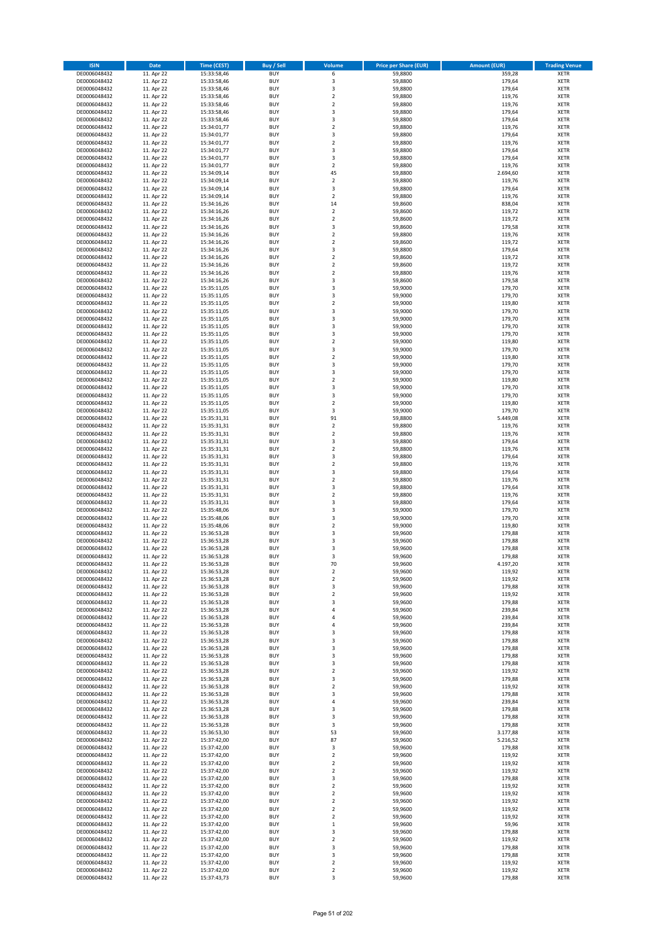| <b>ISIN</b>                  | Date                     | Time (CEST)                | <b>Buy / Sell</b>        | Volume                                             | <b>Price per Share (EUR)</b> | Amount (EUR)       | <b>Trading Venue</b>       |
|------------------------------|--------------------------|----------------------------|--------------------------|----------------------------------------------------|------------------------------|--------------------|----------------------------|
| DE0006048432                 | 11. Apr 22               | 15:33:58,46                | <b>BUY</b>               | 6                                                  | 59,8800                      | 359,28             | <b>XETR</b>                |
| DE0006048432                 | 11. Apr 22               | 15:33:58,46                | <b>BUY</b>               | 3                                                  | 59,8800                      | 179,64             | <b>XETR</b>                |
| DE0006048432                 | 11. Apr 22               | 15:33:58,46                | <b>BUY</b>               | $\overline{\mathbf{3}}$                            | 59,8800                      | 179,64             | <b>XETR</b>                |
| DE0006048432                 | 11. Apr 22               | 15:33:58,46                | <b>BUY</b>               | $\mathbf 2$                                        | 59,8800                      | 119,76             | <b>XETR</b>                |
| DE0006048432<br>DE0006048432 | 11. Apr 22<br>11. Apr 22 | 15:33:58,46<br>15:33:58,46 | <b>BUY</b><br><b>BUY</b> | $\overline{2}$<br>3                                | 59,8800<br>59,8800           | 119,76<br>179,64   | <b>XETR</b><br><b>XETR</b> |
| DE0006048432                 | 11. Apr 22               | 15:33:58,46                | <b>BUY</b>               | 3                                                  | 59,8800                      | 179,64             | <b>XETR</b>                |
| DE0006048432                 | 11. Apr 22               | 15:34:01,77                | <b>BUY</b>               | $\overline{2}$                                     | 59,8800                      | 119,76             | <b>XETR</b>                |
| DE0006048432                 | 11. Apr 22               | 15:34:01,77                | <b>BUY</b>               | 3                                                  | 59,8800                      | 179,64             | <b>XETR</b>                |
| DE0006048432                 | 11. Apr 22               | 15:34:01,77                | <b>BUY</b>               | $\overline{2}$                                     | 59,8800                      | 119,76             | <b>XETR</b>                |
| DE0006048432                 | 11. Apr 22               | 15:34:01,77                | <b>BUY</b>               | 3                                                  | 59,8800                      | 179,64             | <b>XETR</b>                |
| DE0006048432                 | 11. Apr 22               | 15:34:01,77                | <b>BUY</b><br><b>BUY</b> | 3<br>$\overline{2}$                                | 59,8800                      | 179,64             | <b>XETR</b>                |
| DE0006048432<br>DE0006048432 | 11. Apr 22<br>11. Apr 22 | 15:34:01,77<br>15:34:09,14 | <b>BUY</b>               | 45                                                 | 59,8800<br>59,8800           | 119,76<br>2.694,60 | <b>XETR</b><br><b>XETR</b> |
| DE0006048432                 | 11. Apr 22               | 15:34:09,14                | <b>BUY</b>               | $\overline{2}$                                     | 59,8800                      | 119,76             | <b>XETR</b>                |
| DE0006048432                 | 11. Apr 22               | 15:34:09,14                | <b>BUY</b>               | 3                                                  | 59,8800                      | 179,64             | <b>XETR</b>                |
| DE0006048432                 | 11. Apr 22               | 15:34:09,14                | <b>BUY</b>               | $\mathbf 2$                                        | 59,8800                      | 119,76             | <b>XETR</b>                |
| DE0006048432                 | 11. Apr 22               | 15:34:16,26                | <b>BUY</b>               | 14                                                 | 59,8600                      | 838,04             | <b>XETR</b>                |
| DE0006048432                 | 11. Apr 22               | 15:34:16,26                | <b>BUY</b>               | $\mathbf 2$                                        | 59.8600                      | 119,72             | <b>XETR</b>                |
| DE0006048432<br>DE0006048432 | 11. Apr 22<br>11. Apr 22 | 15:34:16,26<br>15:34:16,26 | <b>BUY</b><br><b>BUY</b> | $\overline{2}$<br>$\overline{\mathbf{3}}$          | 59,8600<br>59,8600           | 119,72<br>179,58   | <b>XETR</b><br><b>XETR</b> |
| DE0006048432                 | 11. Apr 22               | 15:34:16,26                | <b>BUY</b>               | $\mathbf 2$                                        | 59,8800                      | 119,76             | <b>XETR</b>                |
| DE0006048432                 | 11. Apr 22               | 15:34:16,26                | <b>BUY</b>               | $\overline{2}$                                     | 59,8600                      | 119,72             | <b>XETR</b>                |
| DE0006048432                 | 11. Apr 22               | 15:34:16,26                | <b>BUY</b>               | 3                                                  | 59,8800                      | 179,64             | <b>XETR</b>                |
| DE0006048432                 | 11. Apr 22               | 15:34:16,26                | <b>BUY</b>               | $\mathbf 2$                                        | 59,8600                      | 119,72             | <b>XETR</b>                |
| DE0006048432                 | 11. Apr 22               | 15:34:16,26                | <b>BUY</b>               | $\mathbf 2$                                        | 59,8600                      | 119,72             | <b>XETR</b>                |
| DE0006048432<br>DE0006048432 | 11. Apr 22<br>11. Apr 22 | 15:34:16,26                | <b>BUY</b><br><b>BUY</b> | $\mathbf 2$<br>$\overline{\mathbf{3}}$             | 59,8800<br>59,8600           | 119,76<br>179,58   | <b>XETR</b><br><b>XETR</b> |
| DE0006048432                 | 11. Apr 22               | 15:34:16,26<br>15:35:11,05 | <b>BUY</b>               | 3                                                  | 59,9000                      | 179,70             | <b>XETR</b>                |
| DE0006048432                 | 11. Apr 22               | 15:35:11,05                | <b>BUY</b>               | $\overline{\mathbf{3}}$                            | 59,9000                      | 179,70             | <b>XETR</b>                |
| DE0006048432                 | 11. Apr 22               | 15:35:11,05                | <b>BUY</b>               | $\mathbf 2$                                        | 59,9000                      | 119,80             | <b>XETR</b>                |
| DE0006048432                 | 11. Apr 22               | 15:35:11,05                | <b>BUY</b>               | 3                                                  | 59,9000                      | 179,70             | <b>XETR</b>                |
| DE0006048432                 | 11. Apr 22               | 15:35:11,05                | <b>BUY</b>               | 3                                                  | 59,9000                      | 179,70             | <b>XETR</b>                |
| DE0006048432                 | 11. Apr 22               | 15:35:11,05                | <b>BUY</b>               | 3                                                  | 59,9000                      | 179,70             | <b>XETR</b>                |
| DE0006048432<br>DE0006048432 | 11. Apr 22<br>11. Apr 22 | 15:35:11,05<br>15:35:11,05 | <b>BUY</b><br><b>BUY</b> | $\overline{\mathbf{3}}$<br>$\mathbf 2$             | 59,9000<br>59,9000           | 179,70<br>119,80   | <b>XETR</b><br><b>XETR</b> |
| DE0006048432                 | 11. Apr 22               | 15:35:11,05                | <b>BUY</b>               | $\overline{\mathbf{3}}$                            | 59,9000                      | 179,70             | <b>XETR</b>                |
| DE0006048432                 | 11. Apr 22               | 15:35:11,05                | <b>BUY</b>               | $\mathbf 2$                                        | 59,9000                      | 119,80             | <b>XETR</b>                |
| DE0006048432                 | 11. Apr 22               | 15:35:11,05                | <b>BUY</b>               | 3                                                  | 59,9000                      | 179,70             | <b>XETR</b>                |
| DE0006048432                 | 11. Apr 22               | 15:35:11,05                | <b>BUY</b>               | 3                                                  | 59,9000                      | 179,70             | <b>XETR</b>                |
| DE0006048432                 | 11. Apr 22               | 15:35:11,05                | <b>BUY</b>               | $\overline{\mathbf{2}}$                            | 59,9000                      | 119,80             | <b>XETR</b>                |
| DE0006048432<br>DE0006048432 | 11. Apr 22<br>11. Apr 22 | 15:35:11,05                | <b>BUY</b><br><b>BUY</b> | 3<br>3                                             | 59,9000<br>59,9000           | 179,70<br>179,70   | <b>XETR</b><br><b>XETR</b> |
| DE0006048432                 | 11. Apr 22               | 15:35:11,05<br>15:35:11,05 | <b>BUY</b>               | $\overline{\mathbf{2}}$                            | 59,9000                      | 119,80             | <b>XETR</b>                |
| DE0006048432                 | 11. Apr 22               | 15:35:11,05                | <b>BUY</b>               | 3                                                  | 59,9000                      | 179,70             | <b>XETR</b>                |
| DE0006048432                 | 11. Apr 22               | 15:35:31,31                | <b>BUY</b>               | 91                                                 | 59,8800                      | 5.449,08           | <b>XETR</b>                |
| DE0006048432                 | 11. Apr 22               | 15:35:31,31                | <b>BUY</b>               | $\mathbf 2$                                        | 59,8800                      | 119,76             | <b>XETR</b>                |
| DE0006048432                 | 11. Apr 22               | 15:35:31,31                | <b>BUY</b>               | $\mathbf 2$                                        | 59,8800                      | 119,76             | <b>XETR</b>                |
| DE0006048432<br>DE0006048432 | 11. Apr 22<br>11. Apr 22 | 15:35:31,31<br>15:35:31,31 | <b>BUY</b><br><b>BUY</b> | 3<br>$\overline{\mathbf{2}}$                       | 59,8800<br>59,8800           | 179,64<br>119,76   | <b>XETR</b><br><b>XETR</b> |
| DE0006048432                 | 11. Apr 22               | 15:35:31,31                | <b>BUY</b>               | $\overline{\mathbf{3}}$                            | 59,8800                      | 179,64             | <b>XETR</b>                |
| DE0006048432                 | 11. Apr 22               | 15:35:31,31                | <b>BUY</b>               | $\overline{2}$                                     | 59,8800                      | 119,76             | <b>XETR</b>                |
| DE0006048432                 | 11. Apr 22               | 15:35:31,31                | <b>BUY</b>               | 3                                                  | 59,8800                      | 179,64             | <b>XETR</b>                |
| DE0006048432                 | 11. Apr 22               | 15:35:31,31                | <b>BUY</b>               | $\mathbf 2$                                        | 59,8800                      | 119,76             | <b>XETR</b>                |
| DE0006048432                 | 11. Apr 22               | 15:35:31,31                | <b>BUY</b>               | $\overline{\mathbf{3}}$                            | 59,8800                      | 179,64             | <b>XETR</b>                |
| DE0006048432                 | 11. Apr 22               | 15:35:31,31                | <b>BUY</b>               | $\overline{2}$                                     | 59,8800                      | 119,76             | <b>XETR</b>                |
| DE0006048432<br>DE0006048432 | 11. Apr 22<br>11. Apr 22 | 15:35:31,31<br>15:35:48,06 | <b>BUY</b><br><b>BUY</b> | $\overline{\mathbf{3}}$<br>$\overline{\mathbf{3}}$ | 59,8800<br>59,9000           | 179,64<br>179,70   | <b>XETR</b><br><b>XETR</b> |
| DE0006048432                 | 11. Apr 22               | 15:35:48,06                | <b>BUY</b>               | 3                                                  | 59,9000                      | 179,70             | <b>XETR</b>                |
| DE0006048432                 | 11. Apr 22               | 15:35:48,06                | <b>BUY</b>               | $\overline{2}$                                     | 59,9000                      | 119,80             | <b>XETR</b>                |
| DE0006048432                 | 11. Apr 22               | 15:36:53,28                | <b>BUY</b>               | 3                                                  | 59,9600                      | 179,88             | <b>XETR</b>                |
| DE0006048432                 | 11. Apr 22               | 15:36:53,28                | BUY                      | $\overline{\mathbf{3}}$                            | 59,9600                      | 179,88             | <b>XETR</b>                |
| DE0006048432                 | 11. Apr 22               | 15:36:53,28                | BUY                      | $\overline{\mathbf{3}}$                            | 59,9600                      | 179,88             | <b>XETR</b>                |
| DE0006048432<br>DE0006048432 | 11. Apr 22<br>11. Apr 22 | 15:36:53,28<br>15:36:53,28 | <b>BUY</b><br><b>BUY</b> | $\overline{3}$<br>70                               | 59,9600<br>59,9600           | 179,88<br>4.197,20 | <b>XETR</b><br><b>XETR</b> |
| DE0006048432                 | 11. Apr 22               | 15:36:53,28                | <b>BUY</b>               | $\mathbf 2$                                        | 59,9600                      | 119,92             | <b>XETR</b>                |
| DE0006048432                 | 11. Apr 22               | 15:36:53,28                | <b>BUY</b>               | $\mathbf 2$                                        | 59,9600                      | 119,92             | <b>XETR</b>                |
| DE0006048432                 | 11. Apr 22               | 15:36:53,28                | <b>BUY</b>               | 3                                                  | 59,9600                      | 179,88             | <b>XETR</b>                |
| DE0006048432                 | 11. Apr 22               | 15:36:53,28                | <b>BUY</b>               | $\overline{2}$                                     | 59,9600                      | 119,92             | <b>XETR</b>                |
| DE0006048432                 | 11. Apr 22               | 15:36:53,28                | <b>BUY</b>               | 3                                                  | 59,9600                      | 179,88             | <b>XETR</b>                |
| DE0006048432<br>DE0006048432 | 11. Apr 22<br>11. Apr 22 | 15:36:53,28<br>15:36:53,28 | <b>BUY</b><br><b>BUY</b> | 4<br>4                                             | 59,9600<br>59,9600           | 239,84<br>239,84   | <b>XETR</b>                |
| DE0006048432                 | 11. Apr 22               | 15:36:53,28                | <b>BUY</b>               | $\overline{a}$                                     | 59,9600                      | 239,84             | <b>XETR</b><br><b>XETR</b> |
| DE0006048432                 | 11. Apr 22               | 15:36:53,28                | <b>BUY</b>               | 3                                                  | 59,9600                      | 179,88             | <b>XETR</b>                |
| DE0006048432                 | 11. Apr 22               | 15:36:53,28                | <b>BUY</b>               | 3                                                  | 59,9600                      | 179,88             | <b>XETR</b>                |
| DE0006048432                 | 11. Apr 22               | 15:36:53,28                | <b>BUY</b>               | 3                                                  | 59,9600                      | 179,88             | <b>XETR</b>                |
| DE0006048432<br>DE0006048432 | 11. Apr 22<br>11. Apr 22 | 15:36:53,28                | <b>BUY</b><br><b>BUY</b> | 3<br>$\overline{\mathbf{3}}$                       | 59,9600<br>59,9600           | 179,88<br>179,88   | <b>XETR</b>                |
| DE0006048432                 | 11. Apr 22               | 15:36:53,28<br>15:36:53,28 | <b>BUY</b>               | $\mathbf 2$                                        | 59,9600                      | 119,92             | <b>XETR</b><br><b>XETR</b> |
| DE0006048432                 | 11. Apr 22               | 15:36:53,28                | <b>BUY</b>               | 3                                                  | 59,9600                      | 179,88             | <b>XETR</b>                |
| DE0006048432                 | 11. Apr 22               | 15:36:53,28                | <b>BUY</b>               | $\mathbf 2$                                        | 59,9600                      | 119,92             | <b>XETR</b>                |
| DE0006048432                 | 11. Apr 22               | 15:36:53,28                | <b>BUY</b>               | 3                                                  | 59,9600                      | 179,88             | <b>XETR</b>                |
| DE0006048432                 | 11. Apr 22               | 15:36:53,28                | <b>BUY</b>               | 4                                                  | 59,9600                      | 239,84             | <b>XETR</b>                |
| DE0006048432                 | 11. Apr 22               | 15:36:53,28                | <b>BUY</b>               | 3                                                  | 59,9600                      | 179,88             | <b>XETR</b>                |
| DE0006048432                 | 11. Apr 22               | 15:36:53,28                | <b>BUY</b>               | $\overline{\mathbf{3}}$                            | 59,9600                      | 179,88<br>179,88   | <b>XETR</b>                |
| DE0006048432<br>DE0006048432 | 11. Apr 22<br>11. Apr 22 | 15:36:53,28<br>15:36:53,30 | <b>BUY</b><br><b>BUY</b> | 3<br>53                                            | 59,9600<br>59,9600           | 3.177,88           | <b>XETR</b><br><b>XETR</b> |
| DE0006048432                 | 11. Apr 22               | 15:37:42,00                | <b>BUY</b>               | 87                                                 | 59,9600                      | 5.216,52           | <b>XETR</b>                |
| DE0006048432                 | 11. Apr 22               | 15:37:42,00                | <b>BUY</b>               | 3                                                  | 59,9600                      | 179,88             | <b>XETR</b>                |
| DE0006048432                 | 11. Apr 22               | 15:37:42,00                | <b>BUY</b>               | $\mathbf 2$                                        | 59,9600                      | 119,92             | <b>XETR</b>                |
| DE0006048432                 | 11. Apr 22               | 15:37:42,00                | <b>BUY</b>               | $\overline{2}$                                     | 59,9600                      | 119,92             | <b>XETR</b>                |
| DE0006048432                 | 11. Apr 22               | 15:37:42,00                | <b>BUY</b>               | $\overline{2}$                                     | 59,9600                      | 119,92             | <b>XETR</b>                |
| DE0006048432<br>DE0006048432 | 11. Apr 22<br>11. Apr 22 | 15:37:42,00<br>15:37:42,00 | <b>BUY</b><br><b>BUY</b> | 3<br>$\overline{2}$                                | 59,9600<br>59,9600           | 179,88<br>119,92   | <b>XETR</b><br><b>XETR</b> |
| DE0006048432                 | 11. Apr 22               | 15:37:42,00                | <b>BUY</b>               | $\mathbf 2$                                        | 59,9600                      | 119,92             | <b>XETR</b>                |
| DE0006048432                 | 11. Apr 22               | 15:37:42,00                | <b>BUY</b>               | $\mathbf 2$                                        | 59,9600                      | 119,92             | <b>XETR</b>                |
| DE0006048432                 | 11. Apr 22               | 15:37:42,00                | <b>BUY</b>               | $\mathbf 2$                                        | 59,9600                      | 119,92             | <b>XETR</b>                |
| DE0006048432                 | 11. Apr 22               | 15:37:42,00                | <b>BUY</b>               | $\overline{2}$                                     | 59,9600                      | 119,92             | <b>XETR</b>                |
| DE0006048432                 | 11. Apr 22               | 15:37:42,00                | <b>BUY</b>               | $\mathbf 1$                                        | 59,9600                      | 59,96              | <b>XETR</b>                |
| DE0006048432<br>DE0006048432 | 11. Apr 22<br>11. Apr 22 | 15:37:42,00<br>15:37:42,00 | <b>BUY</b><br><b>BUY</b> | 3<br>$\overline{2}$                                | 59,9600<br>59,9600           | 179,88<br>119,92   | <b>XETR</b><br><b>XETR</b> |
| DE0006048432                 | 11. Apr 22               | 15:37:42,00                | <b>BUY</b>               | 3                                                  | 59,9600                      | 179,88             | <b>XETR</b>                |
| DE0006048432                 | 11. Apr 22               | 15:37:42,00                | <b>BUY</b>               | 3                                                  | 59,9600                      | 179,88             | <b>XETR</b>                |
| DE0006048432                 | 11. Apr 22               | 15:37:42,00                | <b>BUY</b>               | 2                                                  | 59,9600                      | 119,92             | <b>XETR</b>                |
| DE0006048432                 | 11. Apr 22               | 15:37:42,00                | <b>BUY</b>               | $\mathbf 2$                                        | 59,9600                      | 119,92             | <b>XETR</b>                |
| DE0006048432                 | 11. Apr 22               | 15:37:43,73                | <b>BUY</b>               | 3                                                  | 59,9600                      | 179,88             | <b>XETR</b>                |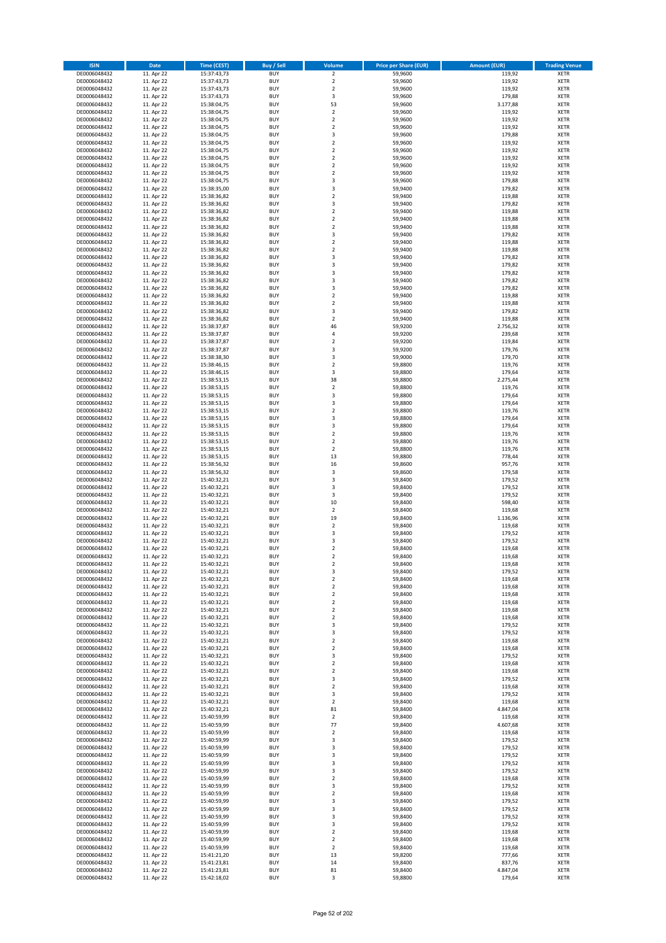| <b>ISIN</b>                  | <b>Date</b>              | <b>Time (CEST)</b>         | <b>Buy / Sell</b>        | <b>Volume</b>                          | <b>Price per Share (EUR)</b> | <b>Amount (EUR)</b> | <b>Trading Venue</b>       |
|------------------------------|--------------------------|----------------------------|--------------------------|----------------------------------------|------------------------------|---------------------|----------------------------|
| DE0006048432                 | 11. Apr 22               | 15:37:43,73                | <b>BUY</b>               | $\overline{2}$                         | 59,9600                      | 119,92              | <b>XETR</b>                |
| DE0006048432                 | 11. Apr 22               | 15:37:43,73                | <b>BUY</b>               | $\mathbf 2$                            | 59,9600                      | 119,92              | <b>XETR</b>                |
| DE0006048432                 | 11. Apr 22               | 15:37:43,73                | <b>BUY</b>               | $\overline{2}$                         | 59,9600                      | 119,92              | <b>XETR</b>                |
| DE0006048432<br>DE0006048432 | 11. Apr 22               | 15:37:43,73                | <b>BUY</b><br><b>BUY</b> | 3<br>53                                | 59,9600<br>59,9600           | 179,88              | <b>XETR</b><br><b>XETR</b> |
| DE0006048432                 | 11. Apr 22<br>11. Apr 22 | 15:38:04,75<br>15:38:04,75 | <b>BUY</b>               | $\mathbf 2$                            | 59,9600                      | 3.177,88<br>119,92  | <b>XETR</b>                |
| DE0006048432                 | 11. Apr 22               | 15:38:04,75                | <b>BUY</b>               | $\mathbf 2$                            | 59,9600                      | 119,92              | <b>XETR</b>                |
| DE0006048432                 | 11. Apr 22               | 15:38:04,75                | <b>BUY</b>               | $\overline{\mathbf{c}}$                | 59,9600                      | 119,92              | <b>XETR</b>                |
| DE0006048432                 | 11. Apr 22               | 15:38:04,75                | <b>BUY</b>               | 3                                      | 59,9600                      | 179,88              | <b>XETR</b>                |
| DE0006048432                 | 11. Apr 22               | 15:38:04,75                | <b>BUY</b>               | $\mathbf 2$                            | 59,9600                      | 119,92              | <b>XETR</b>                |
| DE0006048432                 | 11. Apr 22               | 15:38:04,75                | <b>BUY</b>               | $\mathbf 2$                            | 59,9600                      | 119,92              | <b>XETR</b>                |
| DE0006048432                 | 11. Apr 22<br>11. Apr 22 | 15:38:04,75                | <b>BUY</b><br><b>BUY</b> | $\overline{\mathbf{c}}$<br>$\mathbf 2$ | 59,9600                      | 119,92<br>119,92    | <b>XETR</b><br><b>XETR</b> |
| DE0006048432<br>DE0006048432 | 11. Apr 22               | 15:38:04,75<br>15:38:04,75 | <b>BUY</b>               | $\overline{\mathbf{c}}$                | 59,9600<br>59,9600           | 119,92              | <b>XETR</b>                |
| DE0006048432                 | 11. Apr 22               | 15:38:04,75                | <b>BUY</b>               | 3                                      | 59,9600                      | 179,88              | <b>XETR</b>                |
| DE0006048432                 | 11. Apr 22               | 15:38:35,00                | <b>BUY</b>               | 3                                      | 59,9400                      | 179,82              | <b>XETR</b>                |
| DE0006048432                 | 11. Apr 22               | 15:38:36,82                | <b>BUY</b>               | $\mathbf 2$                            | 59,9400                      | 119,88              | <b>XETR</b>                |
| DE0006048432                 | 11. Apr 22               | 15:38:36,82                | <b>BUY</b>               | 3                                      | 59,9400                      | 179,82              | <b>XETR</b>                |
| DE0006048432                 | 11. Apr 22               | 15:38:36,82                | <b>BUY</b>               | $\overline{\mathbf{c}}$                | 59,9400                      | 119,88              | <b>XETR</b>                |
| DE0006048432                 | 11. Apr 22               | 15:38:36,82                | <b>BUY</b>               | $\mathbf 2$                            | 59,9400                      | 119,88              | <b>XETR</b>                |
| DE0006048432                 | 11. Apr 22               | 15:38:36,82                | <b>BUY</b>               | $\overline{\mathbf{c}}$                | 59,9400                      | 119,88              | <b>XETR</b>                |
| DE0006048432<br>DE0006048432 | 11. Apr 22<br>11. Apr 22 | 15:38:36,82<br>15:38:36,82 | <b>BUY</b><br><b>BUY</b> | 3<br>$\mathbf 2$                       | 59,9400<br>59,9400           | 179,82<br>119,88    | <b>XETR</b><br><b>XETR</b> |
| DE0006048432                 | 11. Apr 22               | 15:38:36,82                | <b>BUY</b>               | $\mathbf 2$                            | 59,9400                      | 119,88              | <b>XETR</b>                |
| DE0006048432                 | 11. Apr 22               | 15:38:36,82                | <b>BUY</b>               | 3                                      | 59,9400                      | 179,82              | <b>XETR</b>                |
| DE0006048432                 | 11. Apr 22               | 15:38:36,82                | <b>BUY</b>               | 3                                      | 59,9400                      | 179,82              | <b>XETR</b>                |
| DE0006048432                 | 11. Apr 22               | 15:38:36,82                | <b>BUY</b>               | 3                                      | 59,9400                      | 179,82              | <b>XETR</b>                |
| DE0006048432                 | 11. Apr 22               | 15:38:36,82                | <b>BUY</b>               | 3                                      | 59,9400                      | 179,82              | <b>XETR</b>                |
| DE0006048432                 | 11. Apr 22               | 15:38:36,82                | <b>BUY</b>               | 3                                      | 59,9400                      | 179,82              | <b>XETR</b>                |
| DE0006048432                 | 11. Apr 22               | 15:38:36,82                | <b>BUY</b>               | $\overline{\mathbf{c}}$                | 59,9400                      | 119,88              | <b>XETR</b>                |
| DE0006048432<br>DE0006048432 | 11. Apr 22<br>11. Apr 22 | 15:38:36,82<br>15:38:36,82 | <b>BUY</b><br><b>BUY</b> | $\mathbf 2$<br>3                       | 59,9400<br>59,9400           | 119,88<br>179,82    | <b>XETR</b><br><b>XETR</b> |
| DE0006048432                 | 11. Apr 22               | 15:38:36,82                | <b>BUY</b>               | $\mathbf 2$                            | 59,9400                      | 119,88              | <b>XETR</b>                |
| DE0006048432                 | 11. Apr 22               | 15:38:37,87                | <b>BUY</b>               | 46                                     | 59,9200                      | 2.756,32            | <b>XETR</b>                |
| DE0006048432                 | 11. Apr 22               | 15:38:37,87                | <b>BUY</b>               | 4                                      | 59,9200                      | 239,68              | <b>XETR</b>                |
| DE0006048432                 | 11. Apr 22               | 15:38:37,87                | <b>BUY</b>               | $\mathbf 2$                            | 59,9200                      | 119,84              | <b>XETR</b>                |
| DE0006048432                 | 11. Apr 22               | 15:38:37,87                | <b>BUY</b>               | 3                                      | 59,9200                      | 179,76              | <b>XETR</b>                |
| DE0006048432                 | 11. Apr 22               | 15:38:38,30                | <b>BUY</b>               | 3                                      | 59,9000                      | 179,70              | <b>XETR</b>                |
| DE0006048432                 | 11. Apr 22               | 15:38:46,15                | <b>BUY</b>               | $\mathbf 2$                            | 59,8800                      | 119,76              | <b>XETR</b>                |
| DE0006048432                 | 11. Apr 22               | 15:38:46,15                | <b>BUY</b>               | 3                                      | 59,8800                      | 179,64              | <b>XETR</b>                |
| DE0006048432                 | 11. Apr 22<br>11. Apr 22 | 15:38:53,15                | <b>BUY</b><br><b>BUY</b> | 38<br>$\mathbf 2$                      | 59,8800<br>59,8800           | 2.275,44<br>119,76  | <b>XETR</b>                |
| DE0006048432<br>DE0006048432 | 11. Apr 22               | 15:38:53,15<br>15:38:53,15 | <b>BUY</b>               | 3                                      | 59,8800                      | 179,64              | <b>XETR</b><br><b>XETR</b> |
| DE0006048432                 | 11. Apr 22               | 15:38:53,15                | <b>BUY</b>               | 3                                      | 59,8800                      | 179,64              | <b>XETR</b>                |
| DE0006048432                 | 11. Apr 22               | 15:38:53,15                | <b>BUY</b>               | $\mathbf 2$                            | 59,8800                      | 119,76              | <b>XETR</b>                |
| DE0006048432                 | 11. Apr 22               | 15:38:53,15                | <b>BUY</b>               | 3                                      | 59,8800                      | 179,64              | <b>XETR</b>                |
| DE0006048432                 | 11. Apr 22               | 15:38:53,15                | <b>BUY</b>               | 3                                      | 59,8800                      | 179,64              | <b>XETR</b>                |
| DE0006048432                 | 11. Apr 22               | 15:38:53,15                | <b>BUY</b>               | $\mathbf 2$                            | 59,8800                      | 119,76              | <b>XETR</b>                |
| DE0006048432                 | 11. Apr 22               | 15:38:53,15                | <b>BUY</b>               | $\mathbf 2$                            | 59,8800                      | 119,76              | <b>XETR</b>                |
| DE0006048432                 | 11. Apr 22               | 15:38:53,15                | <b>BUY</b>               | $\mathbf 2$                            | 59,8800                      | 119,76              | <b>XETR</b>                |
| DE0006048432<br>DE0006048432 | 11. Apr 22<br>11. Apr 22 | 15:38:53,15<br>15:38:56,32 | <b>BUY</b><br><b>BUY</b> | 13<br>16                               | 59,8800<br>59,8600           | 778,44<br>957,76    | <b>XETR</b><br><b>XETR</b> |
| DE0006048432                 | 11. Apr 22               | 15:38:56,32                | <b>BUY</b>               | 3                                      | 59,8600                      | 179,58              | <b>XETR</b>                |
| DE0006048432                 | 11. Apr 22               | 15:40:32,21                | <b>BUY</b>               | 3                                      | 59,8400                      | 179,52              | <b>XETR</b>                |
| DE0006048432                 | 11. Apr 22               | 15:40:32,21                | <b>BUY</b>               | 3                                      | 59,8400                      | 179,52              | <b>XETR</b>                |
| DE0006048432                 | 11. Apr 22               | 15:40:32,21                | <b>BUY</b>               | 3                                      | 59,8400                      | 179,52              | <b>XETR</b>                |
| DE0006048432                 | 11. Apr 22               | 15:40:32,21                | <b>BUY</b>               | 10                                     | 59,8400                      | 598,40              | <b>XETR</b>                |
| DE0006048432                 | 11. Apr 22               | 15:40:32,21                | <b>BUY</b>               | $\mathbf 2$                            | 59,8400                      | 119,68              | <b>XETR</b>                |
| DE0006048432                 | 11. Apr 22               | 15:40:32,21                | <b>BUY</b>               | 19                                     | 59,8400                      | 1.136,96            | <b>XETR</b>                |
| DE0006048432                 | 11. Apr 22               | 15:40:32,21                | <b>BUY</b><br><b>BUY</b> | $\overline{2}$                         | 59,8400                      | 119,68<br>179,52    | <b>XETR</b>                |
| DE0006048432<br>DE0006048432 | 11. Apr 22<br>11. Apr 22 | 15:40:32,21<br>15:40:32,21 | <b>BUY</b>               | 3<br>3                                 | 59,8400<br>59,8400           | 179,52              | <b>XETR</b><br><b>XETR</b> |
| DE0006048432                 | 11. Apr 22               | 15:40:32,21                | <b>BUY</b>               | $\overline{\mathbf{c}}$                | 59,8400                      | 119,68              | <b>XETR</b>                |
| DE0006048432                 | 11. Apr 22               | 15:40:32,21                | <b>BUY</b>               | $\overline{2}$                         | 59,8400                      | 119,68              | <b>XETR</b>                |
| DE0006048432                 | 11. Apr 22               | 15:40:32,21                | <b>BUY</b>               | 2                                      | 59,8400                      | 119,68              | <b>XETR</b>                |
| DE0006048432                 | 11. Apr 22               | 15:40:32,21                | <b>BUY</b>               | 3                                      | 59,8400                      | 179,52              | XETR                       |
| DE0006048432                 | 11. Apr 22               | 15:40:32,21                | <b>BUY</b>               | $\mathbf 2$                            | 59,8400                      | 119,68              | XETR                       |
| DE0006048432                 | 11. Apr 22               | 15:40:32,21                | <b>BUY</b>               | 2                                      | 59,8400                      | 119,68              | XETR                       |
| DE0006048432<br>DE0006048432 | 11. Apr 22<br>11. Apr 22 | 15:40:32,21<br>15:40:32,21 | <b>BUY</b><br><b>BUY</b> | $\mathbf 2$<br>$\mathbf 2$             | 59,8400<br>59,8400           | 119,68<br>119,68    | <b>XETR</b><br><b>XETR</b> |
| DE0006048432                 | 11. Apr 22               | 15:40:32,21                | <b>BUY</b>               | $\mathbf 2$                            | 59,8400                      | 119,68              | <b>XETR</b>                |
| DE0006048432                 | 11. Apr 22               | 15:40:32,21                | <b>BUY</b>               | $\mathbf 2$                            | 59,8400                      | 119,68              | <b>XETR</b>                |
| DE0006048432                 | 11. Apr 22               | 15:40:32,21                | <b>BUY</b>               | 3                                      | 59,8400                      | 179,52              | <b>XETR</b>                |
| DE0006048432                 | 11. Apr 22               | 15:40:32,21                | <b>BUY</b>               | 3                                      | 59,8400                      | 179,52              | XETR                       |
| DE0006048432                 | 11. Apr 22               | 15:40:32,21                | <b>BUY</b>               | $\mathbf 2$                            | 59,8400                      | 119,68              | XETR                       |
| DE0006048432                 | 11. Apr 22               | 15:40:32,21                | <b>BUY</b>               | $\overline{2}$                         | 59,8400                      | 119,68              | <b>XETR</b>                |
| DE0006048432                 | 11. Apr 22               | 15:40:32,21                | <b>BUY</b>               | 3                                      | 59,8400<br>59.8400           | 179,52              | <b>XETR</b>                |
| DE0006048432<br>DE0006048432 | 11. Apr 22<br>11. Apr 22 | 15:40:32,21<br>15:40:32,21 | <b>BUY</b><br><b>BUY</b> | $\overline{2}$<br>$\mathbf 2$          | 59,8400                      | 119,68<br>119,68    | <b>XETR</b><br><b>XETR</b> |
| DE0006048432                 | 11. Apr 22               | 15:40:32,21                | <b>BUY</b>               | 3                                      | 59,8400                      | 179,52              | <b>XETR</b>                |
| DE0006048432                 | 11. Apr 22               | 15:40:32,21                | <b>BUY</b>               | $\mathbf 2$                            | 59,8400                      | 119,68              | <b>XETR</b>                |
| DE0006048432                 | 11. Apr 22               | 15:40:32,21                | <b>BUY</b>               | 3                                      | 59,8400                      | 179,52              | <b>XETR</b>                |
| DE0006048432                 | 11. Apr 22               | 15:40:32,21                | <b>BUY</b>               | $\mathbf 2$                            | 59,8400                      | 119,68              | XETR                       |
| DE0006048432                 | 11. Apr 22               | 15:40:32,21                | <b>BUY</b>               | 81                                     | 59,8400                      | 4.847,04            | <b>XETR</b>                |
| DE0006048432                 | 11. Apr 22               | 15:40:59,99                | <b>BUY</b>               | $\overline{2}$                         | 59,8400                      | 119,68              | <b>XETR</b>                |
| DE0006048432<br>DE0006048432 | 11. Apr 22<br>11. Apr 22 | 15:40:59,99<br>15:40:59,99 | <b>BUY</b><br><b>BUY</b> | 77<br>$\overline{\mathbf{c}}$          | 59,8400<br>59,8400           | 4.607,68<br>119,68  | <b>XETR</b><br><b>XETR</b> |
| DE0006048432                 | 11. Apr 22               | 15:40:59,99                | <b>BUY</b>               | 3                                      | 59,8400                      | 179,52              | <b>XETR</b>                |
| DE0006048432                 | 11. Apr 22               | 15:40:59,99                | <b>BUY</b>               | 3                                      | 59,8400                      | 179,52              | <b>XETR</b>                |
| DE0006048432                 | 11. Apr 22               | 15:40:59,99                | <b>BUY</b>               | 3                                      | 59,8400                      | 179,52              | XETR                       |
| DE0006048432                 | 11. Apr 22               | 15:40:59,99                | <b>BUY</b>               | 3                                      | 59,8400                      | 179,52              | <b>XETR</b>                |
| DE0006048432                 | 11. Apr 22               | 15:40:59,99                | <b>BUY</b>               | 3                                      | 59,8400                      | 179,52              | <b>XETR</b>                |
| DE0006048432                 | 11. Apr 22               | 15:40:59,99                | <b>BUY</b>               | $\mathbf 2$                            | 59,8400                      | 119,68              | <b>XETR</b>                |
| DE0006048432                 | 11. Apr 22               | 15:40:59,99                | <b>BUY</b>               | 3                                      | 59,8400                      | 179,52              | XETR                       |
| DE0006048432<br>DE0006048432 | 11. Apr 22<br>11. Apr 22 | 15:40:59,99<br>15:40:59,99 | <b>BUY</b><br><b>BUY</b> | $\mathbf 2$<br>3                       | 59,8400<br>59,8400           | 119,68<br>179,52    | <b>XETR</b><br><b>XETR</b> |
| DE0006048432                 | 11. Apr 22               | 15:40:59,99                | <b>BUY</b>               | 3                                      | 59,8400                      | 179,52              | XETR                       |
| DE0006048432                 | 11. Apr 22               | 15:40:59,99                | <b>BUY</b>               | 3                                      | 59,8400                      | 179,52              | <b>XETR</b>                |
| DE0006048432                 | 11. Apr 22               | 15:40:59,99                | <b>BUY</b>               | 3                                      | 59,8400                      | 179,52              | <b>XETR</b>                |
| DE0006048432                 | 11. Apr 22               | 15:40:59,99                | <b>BUY</b>               | $\mathbf 2$                            | 59,8400                      | 119,68              | <b>XETR</b>                |
| DE0006048432                 | 11. Apr 22               | 15:40:59,99                | <b>BUY</b>               | $\overline{2}$                         | 59,8400                      | 119,68              | <b>XETR</b>                |
| DE0006048432                 | 11. Apr 22               | 15:40:59,99                | <b>BUY</b>               | $\overline{2}$                         | 59,8400                      | 119,68              | XETR                       |
| DE0006048432<br>DE0006048432 | 11. Apr 22<br>11. Apr 22 | 15:41:21,20<br>15:41:23,81 | <b>BUY</b><br><b>BUY</b> | 13<br>14                               | 59,8200<br>59,8400           | 777,66<br>837,76    | <b>XETR</b><br><b>XETR</b> |
| DE0006048432                 | 11. Apr 22               | 15:41:23,81                | <b>BUY</b>               | 81                                     | 59,8400                      | 4.847,04            | <b>XETR</b>                |
| DE0006048432                 | 11. Apr 22               | 15:42:18,02                | <b>BUY</b>               | 3                                      | 59,8800                      | 179,64              | XETR                       |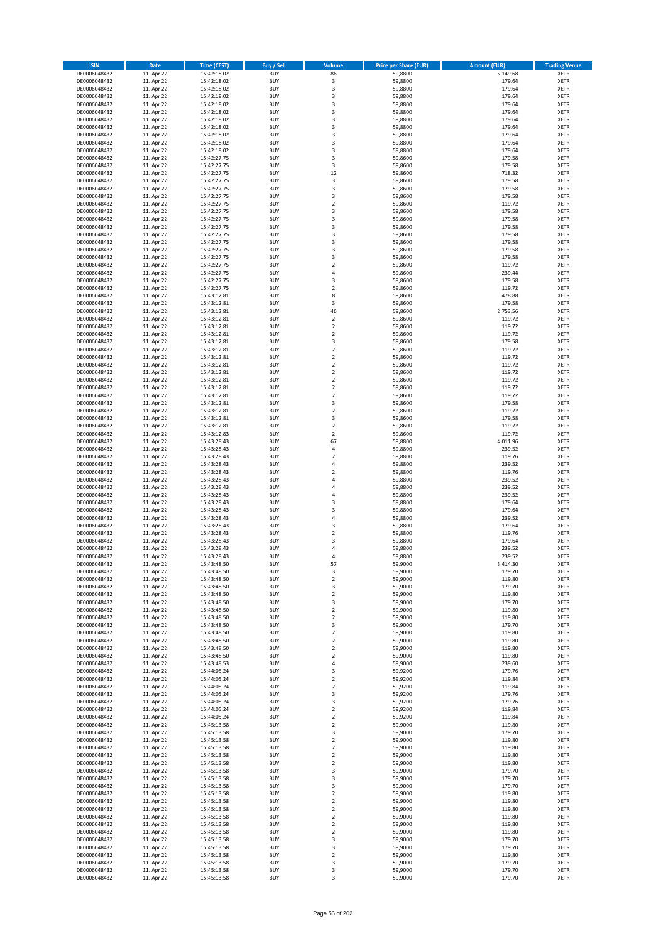| <b>ISIN</b>                  | <b>Date</b>              | <b>Time (CEST)</b>         | <b>Buy / Sell</b>        | Volume                                             | <b>Price per Share (EUR)</b> | <b>Amount (EUR)</b> | <b>Trading Venue</b>       |
|------------------------------|--------------------------|----------------------------|--------------------------|----------------------------------------------------|------------------------------|---------------------|----------------------------|
| DE0006048432                 | 11. Apr 22               | 15:42:18,02                | <b>BUY</b>               | 86                                                 | 59,8800                      | 5.149,68            | <b>XETR</b>                |
| DE0006048432                 | 11. Apr 22               | 15:42:18,02                | <b>BUY</b>               | 3                                                  | 59,8800                      | 179,64              | <b>XETR</b>                |
| DE0006048432                 | 11. Apr 22               | 15:42:18,02                | <b>BUY</b>               | 3                                                  | 59,8800                      | 179,64              | <b>XETR</b>                |
| DE0006048432                 | 11. Apr 22               | 15:42:18,02                | <b>BUY</b>               | 3                                                  | 59,8800                      | 179,64              | <b>XETR</b>                |
| DE0006048432<br>DE0006048432 | 11. Apr 22<br>11. Apr 22 | 15:42:18,02<br>15:42:18,02 | <b>BUY</b><br><b>BUY</b> | 3<br>$\overline{\mathbf{3}}$                       | 59,8800<br>59,8800           | 179,64<br>179,64    | <b>XETR</b><br><b>XETR</b> |
| DE0006048432                 | 11. Apr 22               | 15:42:18,02                | <b>BUY</b>               | $\overline{\mathbf{3}}$                            | 59,8800                      | 179,64              | <b>XETR</b>                |
| DE0006048432                 | 11. Apr 22               | 15:42:18,02                | <b>BUY</b>               | 3                                                  | 59,8800                      | 179,64              | <b>XETR</b>                |
| DE0006048432                 | 11. Apr 22               | 15:42:18,02                | BUY                      | $\overline{3}$                                     | 59,8800                      | 179,64              | <b>XETR</b>                |
| DE0006048432                 | 11. Apr 22               | 15:42:18,02                | <b>BUY</b>               | 3                                                  | 59,8800                      | 179,64              | <b>XETR</b>                |
| DE0006048432                 | 11. Apr 22               | 15:42:18,02                | <b>BUY</b>               | 3                                                  | 59,8800                      | 179,64              | <b>XETR</b>                |
| DE0006048432                 | 11. Apr 22               | 15:42:27,75                | <b>BUY</b><br><b>BUY</b> | 3<br>3                                             | 59,8600                      | 179,58              | <b>XETR</b>                |
| DE0006048432<br>DE0006048432 | 11. Apr 22<br>11. Apr 22 | 15:42:27,75<br>15:42:27,75 | <b>BUY</b>               | 12                                                 | 59,8600<br>59,8600           | 179,58<br>718,32    | <b>XETR</b><br><b>XETR</b> |
| DE0006048432                 | 11. Apr 22               | 15:42:27,75                | <b>BUY</b>               | 3                                                  | 59,8600                      | 179,58              | <b>XETR</b>                |
| DE0006048432                 | 11. Apr 22               | 15:42:27,75                | <b>BUY</b>               | 3                                                  | 59,8600                      | 179,58              | <b>XETR</b>                |
| DE0006048432                 | 11. Apr 22               | 15:42:27,75                | <b>BUY</b>               | 3                                                  | 59,8600                      | 179,58              | <b>XETR</b>                |
| DE0006048432                 | 11. Apr 22               | 15:42:27,75                | <b>BUY</b>               | $\overline{2}$                                     | 59,8600                      | 119,72              | <b>XETR</b>                |
| DE0006048432                 | 11. Apr 22               | 15:42:27,75                | <b>BUY</b>               | 3                                                  | 59,8600                      | 179,58              | <b>XETR</b>                |
| DE0006048432<br>DE0006048432 | 11. Apr 22<br>11. Apr 22 | 15:42:27,75<br>15:42:27,75 | <b>BUY</b><br><b>BUY</b> | $\overline{\mathbf{3}}$<br>$\overline{\mathbf{3}}$ | 59,8600<br>59,8600           | 179,58<br>179,58    | <b>XETR</b><br><b>XETR</b> |
| DE0006048432                 | 11. Apr 22               | 15:42:27,75                | <b>BUY</b>               | $\overline{\mathbf{3}}$                            | 59,8600                      | 179,58              | <b>XETR</b>                |
| DE0006048432                 | 11. Apr 22               | 15:42:27,75                | <b>BUY</b>               | $\overline{\mathbf{3}}$                            | 59,8600                      | 179,58              | <b>XETR</b>                |
| DE0006048432                 | 11. Apr 22               | 15:42:27,75                | <b>BUY</b>               | 3                                                  | 59,8600                      | 179,58              | <b>XETR</b>                |
| DE0006048432                 | 11. Apr 22               | 15:42:27,75                | <b>BUY</b>               | 3                                                  | 59,8600                      | 179,58              | <b>XETR</b>                |
| DE0006048432                 | 11. Apr 22               | 15:42:27,75                | <b>BUY</b>               | $\overline{2}$                                     | 59,8600                      | 119,72              | <b>XETR</b>                |
| DE0006048432                 | 11. Apr 22               | 15:42:27,75                | <b>BUY</b><br><b>BUY</b> | $\overline{4}$<br>$\overline{\mathbf{3}}$          | 59,8600                      | 239,44              | <b>XETR</b><br><b>XETR</b> |
| DE0006048432<br>DE0006048432 | 11. Apr 22<br>11. Apr 22 | 15:42:27,75<br>15:42:27,75 | <b>BUY</b>               | $\mathbf 2$                                        | 59,8600<br>59,8600           | 179,58<br>119,72    | <b>XETR</b>                |
| DE0006048432                 | 11. Apr 22               | 15:43:12,81                | <b>BUY</b>               | 8                                                  | 59,8600                      | 478,88              | <b>XETR</b>                |
| DE0006048432                 | 11. Apr 22               | 15:43:12,81                | <b>BUY</b>               | 3                                                  | 59,8600                      | 179,58              | <b>XETR</b>                |
| DE0006048432                 | 11. Apr 22               | 15:43:12,81                | <b>BUY</b>               | 46                                                 | 59,8600                      | 2.753,56            | <b>XETR</b>                |
| DE0006048432                 | 11. Apr 22               | 15:43:12,81                | <b>BUY</b>               | $\mathbf 2$                                        | 59,8600                      | 119,72              | <b>XETR</b>                |
| DE0006048432                 | 11. Apr 22               | 15:43:12,81                | <b>BUY</b>               | $\mathbf 2$                                        | 59,8600                      | 119,72              | <b>XETR</b>                |
| DE0006048432<br>DE0006048432 | 11. Apr 22<br>11. Apr 22 | 15:43:12,81<br>15:43:12,81 | <b>BUY</b><br><b>BUY</b> | $\overline{2}$<br>3                                | 59,8600<br>59,8600           | 119,72<br>179,58    | <b>XETR</b><br><b>XETR</b> |
| DE0006048432                 | 11. Apr 22               | 15:43:12,81                | <b>BUY</b>               | $\overline{2}$                                     | 59,8600                      | 119,72              | <b>XETR</b>                |
| DE0006048432                 | 11. Apr 22               | 15:43:12,81                | <b>BUY</b>               | $\mathbf 2$                                        | 59,8600                      | 119,72              | <b>XETR</b>                |
| DE0006048432                 | 11. Apr 22               | 15:43:12,81                | <b>BUY</b>               | $\mathbf 2$                                        | 59,8600                      | 119,72              | <b>XETR</b>                |
| DE0006048432                 | 11. Apr 22               | 15:43:12,81                | <b>BUY</b>               | $\mathbf 2$                                        | 59,8600                      | 119,72              | <b>XETR</b>                |
| DE0006048432                 | 11. Apr 22               | 15:43:12,81                | <b>BUY</b>               | $\overline{\mathbf{2}}$                            | 59,8600                      | 119,72              | <b>XETR</b>                |
| DE0006048432<br>DE0006048432 | 11. Apr 22<br>11. Apr 22 | 15:43:12,81                | <b>BUY</b><br><b>BUY</b> | $\mathbf 2$<br>$\mathbf 2$                         | 59,8600<br>59,8600           | 119,72<br>119,72    | <b>XETR</b><br><b>XETR</b> |
| DE0006048432                 | 11. Apr 22               | 15:43:12,81<br>15:43:12,81 | <b>BUY</b>               | $\overline{\mathbf{3}}$                            | 59,8600                      | 179,58              | <b>XETR</b>                |
| DE0006048432                 | 11. Apr 22               | 15:43:12,81                | <b>BUY</b>               | $\mathbf 2$                                        | 59,8600                      | 119,72              | <b>XETR</b>                |
| DE0006048432                 | 11. Apr 22               | 15:43:12,81                | <b>BUY</b>               | 3                                                  | 59,8600                      | 179,58              | <b>XETR</b>                |
| DE0006048432                 | 11. Apr 22               | 15:43:12,81                | <b>BUY</b>               | $\mathbf 2$                                        | 59,8600                      | 119,72              | <b>XETR</b>                |
| DE0006048432                 | 11. Apr 22               | 15:43:12,83                | <b>BUY</b>               | $\overline{2}$                                     | 59,8600                      | 119,72              | <b>XETR</b>                |
| DE0006048432<br>DE0006048432 | 11. Apr 22<br>11. Apr 22 | 15:43:28,43<br>15:43:28,43 | <b>BUY</b><br><b>BUY</b> | 67<br>$\overline{a}$                               | 59,8800<br>59,8800           | 4.011,96<br>239,52  | <b>XETR</b><br><b>XETR</b> |
| DE0006048432                 | 11. Apr 22               | 15:43:28,43                | <b>BUY</b>               | $\overline{2}$                                     | 59,8800                      | 119,76              | <b>XETR</b>                |
| DE0006048432                 | 11. Apr 22               | 15:43:28,43                | <b>BUY</b>               | $\overline{a}$                                     | 59,8800                      | 239,52              | <b>XETR</b>                |
| DE0006048432                 | 11. Apr 22               | 15:43:28,43                | <b>BUY</b>               | $\overline{\mathbf{2}}$                            | 59,8800                      | 119,76              | <b>XETR</b>                |
| DE0006048432                 | 11. Apr 22               | 15:43:28,43                | <b>BUY</b>               | 4                                                  | 59,8800                      | 239,52              | <b>XETR</b>                |
| DE0006048432                 | 11. Apr 22               | 15:43:28,43                | <b>BUY</b>               | $\overline{a}$                                     | 59,8800                      | 239,52              | <b>XETR</b>                |
| DE0006048432                 | 11. Apr 22               | 15:43:28,43                | <b>BUY</b>               | 4                                                  | 59,8800                      | 239,52              | <b>XETR</b>                |
| DE0006048432<br>DE0006048432 | 11. Apr 22<br>11. Apr 22 | 15:43:28,43<br>15:43:28,43 | <b>BUY</b><br><b>BUY</b> | $\overline{3}$<br>$\overline{\mathbf{3}}$          | 59,8800<br>59,8800           | 179,64<br>179,64    | <b>XETR</b><br><b>XETR</b> |
| DE0006048432                 | 11. Apr 22               | 15:43:28,43                | <b>BUY</b>               | $\overline{a}$                                     | 59,8800                      | 239,52              | <b>XETR</b>                |
| DE0006048432                 | 11. Apr 22               | 15:43:28,43                | <b>BUY</b>               | $\overline{\mathbf{3}}$                            | 59,8800                      | 179,64              | <b>XETR</b>                |
| DE0006048432                 | 11. Apr 22               | 15:43:28,43                | <b>BUY</b>               | $\mathbf 2$                                        | 59,8800                      | 119,76              | <b>XETR</b>                |
| DE0006048432                 | 11. Apr 22               | 15:43:28,43                | BUY                      | 3                                                  | 59,8800                      | 179,64              | <b>XETR</b>                |
| DE0006048432                 | 11. Apr 22               | 15:43:28,43                | BUY                      | $\overline{a}$                                     | 59,8800                      | 239,52              | <b>XETR</b>                |
| DE0006048432<br>DE0006048432 | 11. Apr 22<br>11. Apr 22 | 15:43:28,43<br>15:43:48,50 | <b>BUY</b><br><b>BUY</b> | $\overline{a}$<br>57                               | 59,8800<br>59,9000           | 239,52<br>3.414,30  | <b>XETR</b><br><b>XETR</b> |
| DE0006048432                 | 11. Apr 22               | 15:43:48,50                | <b>BUY</b>               | 3                                                  | 59,9000                      | 179,70              | <b>XETR</b>                |
| DE0006048432                 | 11. Apr 22               | 15:43:48,50                | <b>BUY</b>               | $\mathbf 2$                                        | 59,9000                      | 119,80              | <b>XETR</b>                |
| DE0006048432                 | 11. Apr 22               | 15:43:48,50                | <b>BUY</b>               | 3                                                  | 59,9000                      | 179,70              | <b>XETR</b>                |
| DE0006048432                 | 11. Apr 22               | 15:43:48,50                | <b>BUY</b>               | $\mathbf 2$                                        | 59,9000                      | 119,80              | <b>XETR</b>                |
| DE0006048432                 | 11. Apr 22               | 15:43:48,50                | <b>BUY</b>               | 3                                                  | 59,9000                      | 179,70              | <b>XETR</b>                |
| DE0006048432<br>DE0006048432 | 11. Apr 22               | 15:43:48,50                | <b>BUY</b>               | 2                                                  | 59,9000                      | 119,80              | <b>XETR</b>                |
| DE0006048432                 | 11. Apr 22<br>11. Apr 22 | 15:43:48,50<br>15:43:48,50 | <b>BUY</b><br><b>BUY</b> | 2<br>3                                             | 59,9000<br>59,9000           | 119,80<br>179,70    | <b>XETR</b><br><b>XETR</b> |
| DE0006048432                 | 11. Apr 22               | 15:43:48,50                | <b>BUY</b>               | $\mathbf 2$                                        | 59,9000                      | 119,80              | <b>XETR</b>                |
| DE0006048432                 | 11. Apr 22               | 15:43:48,50                | <b>BUY</b>               | 2                                                  | 59,9000                      | 119,80              | <b>XETR</b>                |
| DE0006048432                 | 11. Apr 22               | 15:43:48,50                | <b>BUY</b>               | $\overline{2}$                                     | 59,9000                      | 119,80              | <b>XETR</b>                |
| DE0006048432                 | 11. Apr 22               | 15:43:48,50                | <b>BUY</b>               | $\mathbf 2$                                        | 59,9000                      | 119,80              | <b>XETR</b>                |
| DE0006048432<br>DE0006048432 | 11. Apr 22               | 15:43:48,53                | <b>BUY</b>               | 4<br>3                                             | 59,9000                      | 239,60              | <b>XETR</b>                |
| DE0006048432                 | 11. Apr 22<br>11. Apr 22 | 15:44:05,24<br>15:44:05,24 | <b>BUY</b><br><b>BUY</b> | $\mathbf 2$                                        | 59,9200<br>59,9200           | 179,76<br>119,84    | <b>XETR</b><br><b>XETR</b> |
| DE0006048432                 | 11. Apr 22               | 15:44:05,24                | <b>BUY</b>               | $\mathbf 2$                                        | 59,9200                      | 119,84              | <b>XETR</b>                |
| DE0006048432                 | 11. Apr 22               | 15:44:05,24                | <b>BUY</b>               | 3                                                  | 59,9200                      | 179,76              | <b>XETR</b>                |
| DE0006048432                 | 11. Apr 22               | 15:44:05,24                | <b>BUY</b>               | 3                                                  | 59,9200                      | 179,76              | <b>XETR</b>                |
| DE0006048432                 | 11. Apr 22               | 15:44:05,24                | <b>BUY</b>               | $\mathbf 2$                                        | 59,9200                      | 119,84              | <b>XETR</b>                |
| DE0006048432                 | 11. Apr 22               | 15:44:05,24                | <b>BUY</b>               | $\overline{2}$                                     | 59,9200                      | 119,84              | <b>XETR</b>                |
| DE0006048432<br>DE0006048432 | 11. Apr 22<br>11. Apr 22 | 15:45:13,58<br>15:45:13,58 | <b>BUY</b><br><b>BUY</b> | 2<br>$\overline{\mathbf{3}}$                       | 59,9000<br>59,9000           | 119,80<br>179,70    | <b>XETR</b><br><b>XETR</b> |
| DE0006048432                 | 11. Apr 22               | 15:45:13,58                | <b>BUY</b>               | $\mathbf 2$                                        | 59,9000                      | 119,80              | <b>XETR</b>                |
| DE0006048432                 | 11. Apr 22               | 15:45:13,58                | <b>BUY</b>               | $\mathbf 2$                                        | 59,9000                      | 119,80              | <b>XETR</b>                |
| DE0006048432                 | 11. Apr 22               | 15:45:13,58                | <b>BUY</b>               | $\mathbf 2$                                        | 59,9000                      | 119,80              | <b>XETR</b>                |
| DE0006048432                 | 11. Apr 22               | 15:45:13,58                | <b>BUY</b>               | $\overline{2}$                                     | 59,9000                      | 119,80              | <b>XETR</b>                |
| DE0006048432                 | 11. Apr 22               | 15:45:13,58                | <b>BUY</b>               | $\overline{\mathbf{3}}$                            | 59,9000                      | 179,70              | <b>XETR</b>                |
| DE0006048432                 | 11. Apr 22               | 15:45:13,58                | <b>BUY</b>               | 3                                                  | 59,9000                      | 179,70              | <b>XETR</b>                |
| DE0006048432<br>DE0006048432 | 11. Apr 22<br>11. Apr 22 | 15:45:13,58<br>15:45:13,58 | <b>BUY</b><br><b>BUY</b> | 3<br>$\mathbf 2$                                   | 59,9000<br>59,9000           | 179,70<br>119,80    | <b>XETR</b><br><b>XETR</b> |
| DE0006048432                 | 11. Apr 22               | 15:45:13,58                | <b>BUY</b>               | $\mathbf 2$                                        | 59,9000                      | 119,80              | <b>XETR</b>                |
| DE0006048432                 | 11. Apr 22               | 15:45:13,58                | <b>BUY</b>               | $\mathbf 2$                                        | 59,9000                      | 119,80              | <b>XETR</b>                |
| DE0006048432                 | 11. Apr 22               | 15:45:13,58                | <b>BUY</b>               | $\overline{2}$                                     | 59,9000                      | 119,80              | <b>XETR</b>                |
| DE0006048432                 | 11. Apr 22               | 15:45:13,58                | <b>BUY</b>               | $\mathbf 2$                                        | 59,9000                      | 119,80              | <b>XETR</b>                |
| DE0006048432                 | 11. Apr 22               | 15:45:13,58                | <b>BUY</b>               | $\mathbf 2$                                        | 59,9000                      | 119,80              | <b>XETR</b>                |
| DE0006048432<br>DE0006048432 | 11. Apr 22<br>11. Apr 22 | 15:45:13,58<br>15:45:13,58 | <b>BUY</b><br><b>BUY</b> | 3<br>3                                             | 59,9000<br>59,9000           | 179,70<br>179,70    | <b>XETR</b><br><b>XETR</b> |
| DE0006048432                 | 11. Apr 22               | 15:45:13,58                | <b>BUY</b>               | 2                                                  | 59,9000                      | 119,80              | <b>XETR</b>                |
| DE0006048432                 | 11. Apr 22               | 15:45:13,58                | <b>BUY</b>               | 3                                                  | 59,9000                      | 179,70              | <b>XETR</b>                |
| DE0006048432                 | 11. Apr 22               | 15:45:13,58                | <b>BUY</b>               | 3                                                  | 59,9000                      | 179,70              | <b>XETR</b>                |
| DE0006048432                 | 11. Apr 22               | 15:45:13,58                | <b>BUY</b>               | 3                                                  | 59,9000                      | 179,70              | <b>XETR</b>                |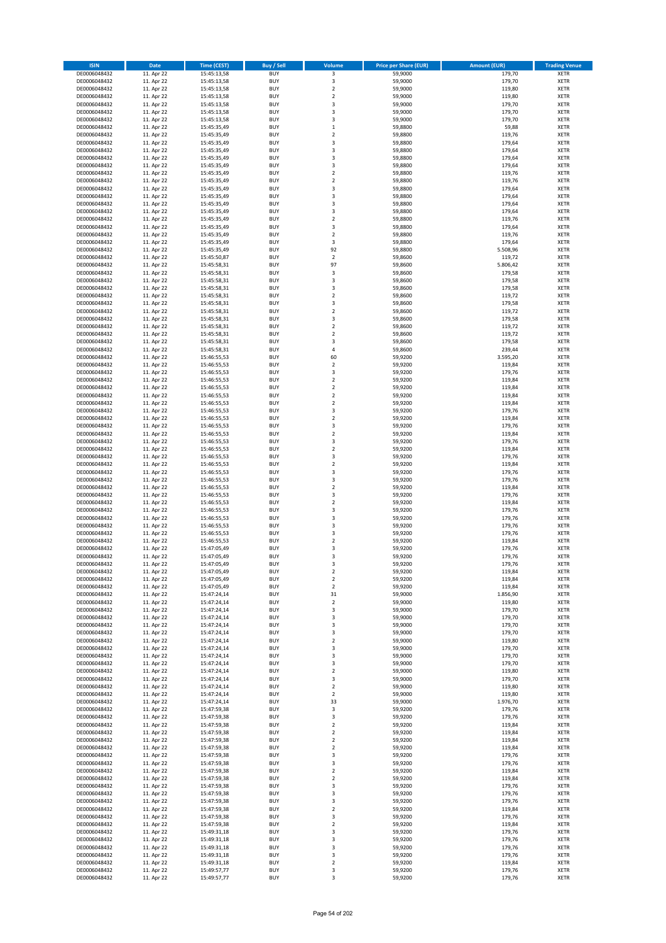| <b>ISIN</b>                  | <b>Date</b>              | Time (CEST)                | <b>Buy / Sell</b>        | Volume                                    | <b>Price per Share (EUR)</b> | <b>Amount (EUR)</b> | <b>Trading Venue</b>       |
|------------------------------|--------------------------|----------------------------|--------------------------|-------------------------------------------|------------------------------|---------------------|----------------------------|
| DE0006048432                 | 11. Apr 22               | 15:45:13,58                | <b>BUY</b>               | 3                                         | 59,9000                      | 179,70              | <b>XETR</b>                |
| DE0006048432                 | 11. Apr 22               | 15:45:13,58                | <b>BUY</b>               | 3                                         | 59,9000                      | 179,70              | <b>XETR</b>                |
| DE0006048432                 | 11. Apr 22               | 15:45:13,58                | <b>BUY</b>               | $\overline{2}$                            | 59,9000                      | 119,80              | <b>XETR</b>                |
| DE0006048432<br>DE0006048432 | 11. Apr 22<br>11. Apr 22 | 15:45:13,58<br>15:45:13,58 | <b>BUY</b><br><b>BUY</b> | $\mathbf 2$<br>3                          | 59,9000<br>59,9000           | 119,80<br>179,70    | <b>XETR</b><br><b>XETR</b> |
| DE0006048432                 | 11. Apr 22               | 15:45:13,58                | <b>BUY</b>               | $\overline{\mathbf{3}}$                   | 59,9000                      | 179,70              | <b>XETR</b>                |
| DE0006048432                 | 11. Apr 22               | 15:45:13,58                | <b>BUY</b>               | $\overline{\mathbf{3}}$                   | 59,9000                      | 179,70              | <b>XETR</b>                |
| DE0006048432                 | 11. Apr 22               | 15:45:35,49                | <b>BUY</b>               | $\mathbf{1}$                              | 59,8800                      | 59,88               | <b>XETR</b>                |
| DE0006048432                 | 11. Apr 22               | 15:45:35,49                | <b>BUY</b>               | $\overline{2}$                            | 59,8800                      | 119,76              | <b>XETR</b>                |
| DE0006048432                 | 11. Apr 22               | 15:45:35,49                | <b>BUY</b><br><b>BUY</b> | 3                                         | 59,8800                      | 179,64              | <b>XETR</b>                |
| DE0006048432<br>DE0006048432 | 11. Apr 22<br>11. Apr 22 | 15:45:35,49<br>15:45:35,49 | <b>BUY</b>               | 3<br>3                                    | 59,8800<br>59,8800           | 179,64<br>179,64    | <b>XETR</b><br><b>XETR</b> |
| DE0006048432                 | 11. Apr 22               | 15:45:35,49                | <b>BUY</b>               | $\overline{\mathbf{3}}$                   | 59,8800                      | 179,64              | <b>XETR</b>                |
| DE0006048432                 | 11. Apr 22               | 15:45:35,49                | <b>BUY</b>               | $\overline{2}$                            | 59,8800                      | 119,76              | <b>XETR</b>                |
| DE0006048432                 | 11. Apr 22               | 15:45:35,49                | <b>BUY</b>               | $\overline{2}$                            | 59,8800                      | 119,76              | <b>XETR</b>                |
| DE0006048432                 | 11. Apr 22               | 15:45:35,49                | <b>BUY</b>               | $\overline{3}$                            | 59,8800                      | 179,64              | <b>XETR</b>                |
| DE0006048432<br>DE0006048432 | 11. Apr 22<br>11. Apr 22 | 15:45:35,49<br>15:45:35,49 | <b>BUY</b><br><b>BUY</b> | 3<br>3                                    | 59,8800<br>59,8800           | 179,64<br>179,64    | <b>XETR</b><br><b>XETR</b> |
| DE0006048432                 | 11. Apr 22               | 15:45:35,49                | <b>BUY</b>               | 3                                         | 59.8800                      | 179,64              | <b>XETR</b>                |
| DE0006048432                 | 11. Apr 22               | 15:45:35,49                | <b>BUY</b>               | $\overline{2}$                            | 59,8800                      | 119,76              | <b>XETR</b>                |
| DE0006048432                 | 11. Apr 22               | 15:45:35,49                | <b>BUY</b>               | $\overline{\mathbf{3}}$                   | 59,8800                      | 179,64              | <b>XETR</b>                |
| DE0006048432                 | 11. Apr 22               | 15:45:35,49                | <b>BUY</b>               | $\mathbf 2$                               | 59,8800                      | 119,76              | <b>XETR</b>                |
| DE0006048432<br>DE0006048432 | 11. Apr 22<br>11. Apr 22 | 15:45:35,49<br>15:45:35,49 | <b>BUY</b><br><b>BUY</b> | 3<br>92                                   | 59,8800<br>59,8800           | 179,64<br>5.508,96  | <b>XETR</b><br><b>XETR</b> |
| DE0006048432                 | 11. Apr 22               | 15:45:50,87                | <b>BUY</b>               | $\mathbf 2$                               | 59,8600                      | 119,72              | <b>XETR</b>                |
| DE0006048432                 | 11. Apr 22               | 15:45:58,31                | <b>BUY</b>               | 97                                        | 59,8600                      | 5.806,42            | <b>XETR</b>                |
| DE0006048432                 | 11. Apr 22               | 15:45:58,31                | <b>BUY</b>               | 3                                         | 59,8600                      | 179,58              | <b>XETR</b>                |
| DE0006048432                 | 11. Apr 22               | 15:45:58,31                | <b>BUY</b>               | $\overline{\mathbf{3}}$                   | 59,8600                      | 179,58              | <b>XETR</b>                |
| DE0006048432<br>DE0006048432 | 11. Apr 22<br>11. Apr 22 | 15:45:58,31                | <b>BUY</b><br><b>BUY</b> | 3<br>$\overline{2}$                       | 59,8600<br>59,8600           | 179,58<br>119,72    | <b>XETR</b><br><b>XETR</b> |
| DE0006048432                 | 11. Apr 22               | 15:45:58,31<br>15:45:58,31 | <b>BUY</b>               | 3                                         | 59,8600                      | 179,58              | <b>XETR</b>                |
| DE0006048432                 | 11. Apr 22               | 15:45:58,31                | <b>BUY</b>               | $\mathbf 2$                               | 59,8600                      | 119,72              | <b>XETR</b>                |
| DE0006048432                 | 11. Apr 22               | 15:45:58,31                | <b>BUY</b>               | 3                                         | 59,8600                      | 179,58              | <b>XETR</b>                |
| DE0006048432                 | 11. Apr 22               | 15:45:58,31                | <b>BUY</b>               | $\mathbf 2$                               | 59,8600                      | 119,72              | <b>XETR</b>                |
| DE0006048432<br>DE0006048432 | 11. Apr 22               | 15:45:58,31                | <b>BUY</b>               | $\overline{2}$                            | 59,8600                      | 119,72              | <b>XETR</b>                |
| DE0006048432                 | 11. Apr 22<br>11. Apr 22 | 15:45:58,31<br>15:45:58,31 | <b>BUY</b><br><b>BUY</b> | 3<br>$\overline{4}$                       | 59,8600<br>59,8600           | 179,58<br>239,44    | <b>XETR</b><br><b>XETR</b> |
| DE0006048432                 | 11. Apr 22               | 15:46:55,53                | <b>BUY</b>               | 60                                        | 59,9200                      | 3.595,20            | <b>XETR</b>                |
| DE0006048432                 | 11. Apr 22               | 15:46:55,53                | <b>BUY</b>               | $\mathbf 2$                               | 59,9200                      | 119,84              | <b>XETR</b>                |
| DE0006048432                 | 11. Apr 22               | 15:46:55,53                | <b>BUY</b>               | 3                                         | 59,9200                      | 179,76              | <b>XETR</b>                |
| DE0006048432                 | 11. Apr 22               | 15:46:55,53                | <b>BUY</b>               | $\overline{2}$                            | 59,9200                      | 119,84              | <b>XETR</b>                |
| DE0006048432<br>DE0006048432 | 11. Apr 22<br>11. Apr 22 | 15:46:55,53                | <b>BUY</b><br><b>BUY</b> | $\mathbf 2$<br>$\mathbf 2$                | 59,9200<br>59,9200           | 119,84<br>119,84    | <b>XETR</b><br><b>XETR</b> |
| DE0006048432                 | 11. Apr 22               | 15:46:55,53<br>15:46:55,53 | <b>BUY</b>               | $\overline{2}$                            | 59,9200                      | 119,84              | <b>XETR</b>                |
| DE0006048432                 | 11. Apr 22               | 15:46:55,53                | <b>BUY</b>               | 3                                         | 59,9200                      | 179,76              | <b>XETR</b>                |
| DE0006048432                 | 11. Apr 22               | 15:46:55,53                | <b>BUY</b>               | $\overline{2}$                            | 59,9200                      | 119,84              | <b>XETR</b>                |
| DE0006048432                 | 11. Apr 22               | 15:46:55,53                | <b>BUY</b>               | 3                                         | 59,9200                      | 179,76              | <b>XETR</b>                |
| DE0006048432                 | 11. Apr 22               | 15:46:55,53                | <b>BUY</b>               | $\overline{2}$<br>3                       | 59,9200                      | 119,84              | <b>XETR</b>                |
| DE0006048432<br>DE0006048432 | 11. Apr 22<br>11. Apr 22 | 15:46:55,53<br>15:46:55,53 | <b>BUY</b><br><b>BUY</b> | $\overline{2}$                            | 59,9200<br>59,9200           | 179,76<br>119,84    | <b>XETR</b><br><b>XETR</b> |
| DE0006048432                 | 11. Apr 22               | 15:46:55,53                | <b>BUY</b>               | $\overline{\mathbf{3}}$                   | 59,9200                      | 179,76              | <b>XETR</b>                |
| DE0006048432                 | 11. Apr 22               | 15:46:55,53                | <b>BUY</b>               | $\overline{2}$                            | 59,9200                      | 119,84              | <b>XETR</b>                |
| DE0006048432                 | 11. Apr 22               | 15:46:55,53                | <b>BUY</b>               | $\overline{\mathbf{3}}$                   | 59,9200                      | 179,76              | <b>XETR</b>                |
| DE0006048432                 | 11. Apr 22               | 15:46:55,53                | <b>BUY</b>               | 3                                         | 59,9200                      | 179,76              | <b>XETR</b>                |
| DE0006048432<br>DE0006048432 | 11. Apr 22<br>11. Apr 22 | 15:46:55,53<br>15:46:55,53 | <b>BUY</b><br><b>BUY</b> | $\overline{2}$<br>$\overline{\mathbf{3}}$ | 59,9200<br>59,9200           | 119,84<br>179,76    | <b>XETR</b><br><b>XETR</b> |
| DE0006048432                 | 11. Apr 22               | 15:46:55,53                | <b>BUY</b>               | $\overline{2}$                            | 59,9200                      | 119,84              | <b>XETR</b>                |
| DE0006048432                 | 11. Apr 22               | 15:46:55,53                | <b>BUY</b>               | 3                                         | 59,9200                      | 179,76              | <b>XETR</b>                |
| DE0006048432                 | 11. Apr 22               | 15:46:55,53                | <b>BUY</b>               | $\overline{\mathbf{3}}$                   | 59,9200                      | 179,76              | <b>XETR</b>                |
| DE0006048432                 | 11. Apr 22               | 15:46:55,53                | <b>BUY</b>               | 3                                         | 59,9200                      | 179,76              | <b>XETR</b>                |
| DE0006048432<br>DE0006048432 | 11. Apr 22<br>11. Apr 22 | 15:46:55,53<br>15:46:55,53 | <b>BUY</b><br>BUY        | 3<br>$\overline{2}$                       | 59,9200<br>59,9200           | 179,76<br>119,84    | <b>XETR</b><br><b>XETR</b> |
| DE0006048432                 | 11. Apr 22               | 15:47:05,49                | <b>BUY</b>               | 3                                         | 59,9200                      | 179,76              | <b>XETR</b>                |
| DE0006048432                 | 11. Apr 22               | 15:47:05,49                | <b>BUY</b>               | $\overline{3}$                            | 59,9200                      | 179,76              | <b>XETR</b>                |
| DE0006048432                 | 11. Apr 22               | 15:47:05,49                | <b>BUY</b>               | 3                                         | 59,9200                      | 179,76              | <b>XETR</b>                |
| DE0006048432                 | 11. Apr 22               | 15:47:05,49                | <b>BUY</b>               | $\mathbf 2$                               | 59,9200                      | 119,84              | <b>XETR</b>                |
| DE0006048432<br>DE0006048432 | 11. Apr 22<br>11. Apr 22 | 15:47:05,49<br>15:47:05,49 | <b>BUY</b><br><b>BUY</b> | $\mathbf 2$<br>$\mathbf 2$                | 59,9200<br>59,9200           | 119,84<br>119,84    | <b>XETR</b><br><b>XETR</b> |
| DE0006048432                 | 11. Apr 22               | 15:47:24,14                | <b>BUY</b>               | 31                                        | 59,9000                      | 1.856,90            | <b>XETR</b>                |
| DE0006048432                 | 11. Apr 22               | 15:47:24,14                | <b>BUY</b>               | $\mathbf 2$                               | 59,9000                      | 119,80              | <b>XETR</b>                |
| DE0006048432                 | 11. Apr 22               | 15:47:24,14                | <b>BUY</b>               | 3                                         | 59,9000                      | 179,70              | <b>XETR</b>                |
| DE0006048432                 | 11. Apr 22               | 15:47:24,14                | <b>BUY</b>               | 3                                         | 59,9000                      | 179,70              | <b>XETR</b>                |
| DE0006048432<br>DE0006048432 | 11. Apr 22<br>11. Apr 22 | 15:47:24,14<br>15:47:24,14 | <b>BUY</b><br><b>BUY</b> | 3<br>3                                    | 59,9000<br>59,9000           | 179,70<br>179,70    | <b>XETR</b><br><b>XETR</b> |
| DE0006048432                 | 11. Apr 22               | 15:47:24,14                | <b>BUY</b>               | 2                                         | 59,9000                      | 119,80              | <b>XETR</b>                |
| DE0006048432                 | 11. Apr 22               | 15:47:24,14                | <b>BUY</b>               | 3                                         | 59,9000                      | 179,70              | <b>XETR</b>                |
| DE0006048432                 | 11. Apr 22               | 15:47:24,14                | <b>BUY</b>               | 3                                         | 59,9000                      | 179,70              | <b>XETR</b>                |
| DE0006048432                 | 11. Apr 22               | 15:47:24,14                | <b>BUY</b>               | $\overline{\mathbf{3}}$                   | 59,9000                      | 179,70              | <b>XETR</b>                |
| DE0006048432<br>DE0006048432 | 11. Apr 22<br>11. Apr 22 | 15:47:24,14<br>15:47:24,14 | <b>BUY</b><br><b>BUY</b> | $\mathbf 2$<br>3                          | 59,9000<br>59,9000           | 119,80              | <b>XETR</b><br><b>XETR</b> |
| DE0006048432                 | 11. Apr 22               | 15:47:24,14                | <b>BUY</b>               | $\mathbf 2$                               | 59,9000                      | 179,70<br>119,80    | <b>XETR</b>                |
| DE0006048432                 | 11. Apr 22               | 15:47:24,14                | <b>BUY</b>               | $\mathbf 2$                               | 59,9000                      | 119,80              | <b>XETR</b>                |
| DE0006048432                 | 11. Apr 22               | 15:47:24,14                | <b>BUY</b>               | 33                                        | 59,9000                      | 1.976,70            | <b>XETR</b>                |
| DE0006048432                 | 11. Apr 22               | 15:47:59,38                | <b>BUY</b>               | 3                                         | 59,9200                      | 179,76              | <b>XETR</b>                |
| DE0006048432<br>DE0006048432 | 11. Apr 22<br>11. Apr 22 | 15:47:59,38<br>15:47:59,38 | <b>BUY</b><br><b>BUY</b> | $\overline{\mathbf{3}}$<br>$\mathbf 2$    | 59,9200<br>59,9200           | 179,76<br>119,84    | <b>XETR</b><br><b>XETR</b> |
| DE0006048432                 | 11. Apr 22               | 15:47:59,38                | <b>BUY</b>               | $\overline{\mathbf{2}}$                   | 59,9200                      | 119,84              | <b>XETR</b>                |
| DE0006048432                 | 11. Apr 22               | 15:47:59,38                | <b>BUY</b>               | $\mathbf 2$                               | 59,9200                      | 119,84              | <b>XETR</b>                |
| DE0006048432                 | 11. Apr 22               | 15:47:59,38                | <b>BUY</b>               | $\mathbf 2$                               | 59,9200                      | 119,84              | <b>XETR</b>                |
| DE0006048432                 | 11. Apr 22               | 15:47:59,38                | <b>BUY</b>               | 3                                         | 59,9200                      | 179,76              | <b>XETR</b>                |
| DE0006048432<br>DE0006048432 | 11. Apr 22<br>11. Apr 22 | 15:47:59,38<br>15:47:59,38 | <b>BUY</b><br><b>BUY</b> | 3<br>$\overline{\mathbf{2}}$              | 59,9200<br>59,9200           | 179,76<br>119,84    | <b>XETR</b><br><b>XETR</b> |
| DE0006048432                 | 11. Apr 22               | 15:47:59,38                | <b>BUY</b>               | $\mathbf 2$                               | 59,9200                      | 119,84              | <b>XETR</b>                |
| DE0006048432                 | 11. Apr 22               | 15:47:59,38                | <b>BUY</b>               | $\overline{\mathbf{3}}$                   | 59,9200                      | 179,76              | <b>XETR</b>                |
| DE0006048432                 | 11. Apr 22               | 15:47:59,38                | <b>BUY</b>               | 3                                         | 59,9200                      | 179,76              | <b>XETR</b>                |
| DE0006048432                 | 11. Apr 22               | 15:47:59,38                | <b>BUY</b>               | 3                                         | 59,9200                      | 179,76              | <b>XETR</b>                |
| DE0006048432                 | 11. Apr 22               | 15:47:59,38                | <b>BUY</b><br><b>BUY</b> | $\mathbf 2$<br>3                          | 59,9200                      | 119,84              | <b>XETR</b><br><b>XETR</b> |
| DE0006048432<br>DE0006048432 | 11. Apr 22<br>11. Apr 22 | 15:47:59,38<br>15:47:59,38 | <b>BUY</b>               | $\mathbf 2$                               | 59,9200<br>59,9200           | 179,76<br>119,84    | <b>XETR</b>                |
| DE0006048432                 | 11. Apr 22               | 15:49:31,18                | <b>BUY</b>               | 3                                         | 59,9200                      | 179,76              | <b>XETR</b>                |
| DE0006048432                 | 11. Apr 22               | 15:49:31,18                | <b>BUY</b>               | 3                                         | 59,9200                      | 179,76              | <b>XETR</b>                |
| DE0006048432                 | 11. Apr 22               | 15:49:31,18                | <b>BUY</b>               | 3                                         | 59,9200                      | 179,76              | <b>XETR</b>                |
| DE0006048432                 | 11. Apr 22               | 15:49:31,18                | <b>BUY</b>               | 3                                         | 59,9200                      | 179,76              | <b>XETR</b>                |
| DE0006048432<br>DE0006048432 | 11. Apr 22<br>11. Apr 22 | 15:49:31,18<br>15:49:57,77 | <b>BUY</b><br><b>BUY</b> | $\mathbf 2$<br>3                          | 59,9200<br>59,9200           | 119,84<br>179,76    | <b>XETR</b><br><b>XETR</b> |
| DE0006048432                 | 11. Apr 22               | 15:49:57,77                | <b>BUY</b>               | 3                                         | 59,9200                      | 179,76              | <b>XETR</b>                |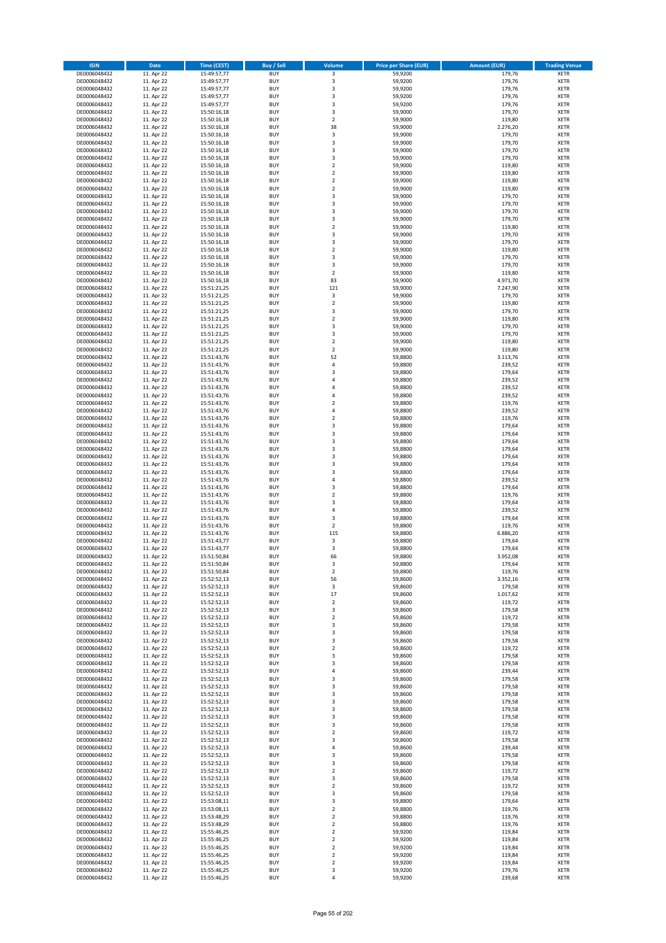| <b>ISIN</b>                  | <b>Date</b>              | <b>Time (CEST)</b>         | <b>Buy / Sell</b>        | Volume                                 | <b>Price per Share (EUR)</b> | <b>Amount (EUR)</b> | <b>Trading Venue</b>       |
|------------------------------|--------------------------|----------------------------|--------------------------|----------------------------------------|------------------------------|---------------------|----------------------------|
| DE0006048432                 | 11. Apr 22               | 15:49:57,77                | <b>BUY</b>               | $\overline{\mathbf{3}}$                | 59,9200                      | 179,76              | <b>XETR</b>                |
| DE0006048432                 | 11. Apr 22               | 15:49:57,77                | <b>BUY</b>               | 3                                      | 59,9200                      | 179,76              | <b>XETR</b>                |
| DE0006048432                 | 11. Apr 22               | 15:49:57,77                | <b>BUY</b>               | 3                                      | 59,9200                      | 179,76              | <b>XETR</b>                |
| DE0006048432                 | 11. Apr 22               | 15:49:57,77                | <b>BUY</b>               | 3                                      | 59,9200                      | 179,76              | <b>XETR</b>                |
| DE0006048432<br>DE0006048432 | 11. Apr 22<br>11. Apr 22 | 15:49:57,77<br>15:50:16,18 | <b>BUY</b><br><b>BUY</b> | 3<br>3                                 | 59,9200<br>59,9000           | 179,76<br>179,70    | <b>XETR</b><br><b>XETR</b> |
| DE0006048432                 | 11. Apr 22               | 15:50:16,18                | <b>BUY</b>               | $\overline{\mathbf{c}}$                | 59,9000                      | 119,80              | <b>XETR</b>                |
| DE0006048432                 | 11. Apr 22               | 15:50:16,18                | <b>BUY</b>               | 38                                     | 59,9000                      | 2.276,20            | <b>XETR</b>                |
| DE0006048432                 | 11. Apr 22               | 15:50:16,18                | <b>BUY</b>               | 3                                      | 59,9000                      | 179,70              | <b>XETR</b>                |
| DE0006048432                 | 11. Apr 22               | 15:50:16,18                | <b>BUY</b>               | 3                                      | 59,9000                      | 179,70              | <b>XETR</b>                |
| DE0006048432                 | 11. Apr 22               | 15:50:16,18                | <b>BUY</b>               | 3                                      | 59,9000                      | 179,70              | <b>XETR</b>                |
| DE0006048432                 | 11. Apr 22               | 15:50:16,18                | <b>BUY</b>               | 3<br>$\mathbf 2$                       | 59,9000                      | 179,70              | <b>XETR</b><br><b>XETR</b> |
| DE0006048432<br>DE0006048432 | 11. Apr 22<br>11. Apr 22 | 15:50:16,18<br>15:50:16,18 | <b>BUY</b><br><b>BUY</b> | $\overline{\mathbf{c}}$                | 59,9000<br>59,9000           | 119,80<br>119,80    | <b>XETR</b>                |
| DE0006048432                 | 11. Apr 22               | 15:50:16,18                | <b>BUY</b>               | $\mathbf 2$                            | 59,9000                      | 119,80              | <b>XETR</b>                |
| DE0006048432                 | 11. Apr 22               | 15:50:16,18                | <b>BUY</b>               | $\overline{\mathbf{c}}$                | 59,9000                      | 119,80              | <b>XETR</b>                |
| DE0006048432                 | 11. Apr 22               | 15:50:16,18                | <b>BUY</b>               | 3                                      | 59,9000                      | 179,70              | <b>XETR</b>                |
| DE0006048432                 | 11. Apr 22               | 15:50:16,18                | <b>BUY</b>               | 3                                      | 59,9000                      | 179,70              | <b>XETR</b>                |
| DE0006048432                 | 11. Apr 22               | 15:50:16,18                | <b>BUY</b>               | 3                                      | 59,9000                      | 179,70              | <b>XETR</b>                |
| DE0006048432<br>DE0006048432 | 11. Apr 22<br>11. Apr 22 | 15:50:16,18<br>15:50:16,18 | <b>BUY</b><br><b>BUY</b> | 3<br>$\overline{\mathbf{c}}$           | 59,9000<br>59,9000           | 179,70<br>119,80    | <b>XETR</b><br><b>XETR</b> |
| DE0006048432                 | 11. Apr 22               | 15:50:16,18                | <b>BUY</b>               | 3                                      | 59,9000                      | 179,70              | <b>XETR</b>                |
| DE0006048432                 | 11. Apr 22               | 15:50:16,18                | <b>BUY</b>               | 3                                      | 59,9000                      | 179,70              | <b>XETR</b>                |
| DE0006048432                 | 11. Apr 22               | 15:50:16,18                | <b>BUY</b>               | $\mathbf 2$                            | 59,9000                      | 119,80              | <b>XETR</b>                |
| DE0006048432                 | 11. Apr 22               | 15:50:16,18                | <b>BUY</b>               | 3                                      | 59,9000                      | 179,70              | <b>XETR</b>                |
| DE0006048432                 | 11. Apr 22               | 15:50:16,18                | <b>BUY</b>               | 3                                      | 59,9000                      | 179,70              | <b>XETR</b>                |
| DE0006048432<br>DE0006048432 | 11. Apr 22<br>11. Apr 22 | 15:50:16,18<br>15:50:16,18 | <b>BUY</b><br><b>BUY</b> | $\mathbf 2$<br>83                      | 59,9000<br>59,9000           | 119,80<br>4.971,70  | <b>XETR</b><br><b>XETR</b> |
| DE0006048432                 | 11. Apr 22               | 15:51:21,25                | <b>BUY</b>               | 121                                    | 59,9000                      | 7.247,90            | <b>XETR</b>                |
| DE0006048432                 | 11. Apr 22               | 15:51:21,25                | <b>BUY</b>               | 3                                      | 59,9000                      | 179,70              | <b>XETR</b>                |
| DE0006048432                 | 11. Apr 22               | 15:51:21,25                | <b>BUY</b>               | $\overline{a}$                         | 59,9000                      | 119,80              | <b>XETR</b>                |
| DE0006048432                 | 11. Apr 22               | 15:51:21,25                | <b>BUY</b>               | 3                                      | 59,9000                      | 179,70              | <b>XETR</b>                |
| DE0006048432                 | 11. Apr 22               | 15:51:21,25                | <b>BUY</b>               | $\mathbf 2$                            | 59,9000                      | 119,80              | <b>XETR</b>                |
| DE0006048432                 | 11. Apr 22               | 15:51:21,25                | <b>BUY</b>               | 3                                      | 59,9000                      | 179,70              | <b>XETR</b>                |
| DE0006048432<br>DE0006048432 | 11. Apr 22<br>11. Apr 22 | 15:51:21,25<br>15:51:21,25 | <b>BUY</b><br><b>BUY</b> | 3<br>$\mathbf 2$                       | 59,9000<br>59,9000           | 179,70<br>119,80    | <b>XETR</b><br><b>XETR</b> |
| DE0006048432                 | 11. Apr 22               | 15:51:21,25                | <b>BUY</b>               | $\overline{\mathbf{2}}$                | 59,9000                      | 119,80              | <b>XETR</b>                |
| DE0006048432                 | 11. Apr 22               | 15:51:43,76                | <b>BUY</b>               | 52                                     | 59,8800                      | 3.113,76            | <b>XETR</b>                |
| DE0006048432                 | 11. Apr 22               | 15:51:43,76                | <b>BUY</b>               | 4                                      | 59,8800                      | 239,52              | <b>XETR</b>                |
| DE0006048432                 | 11. Apr 22               | 15:51:43,76                | <b>BUY</b>               | 3                                      | 59,8800                      | 179,64              | <b>XETR</b>                |
| DE0006048432                 | 11. Apr 22               | 15:51:43,76                | <b>BUY</b>               | 4                                      | 59,8800                      | 239,52              | <b>XETR</b>                |
| DE0006048432<br>DE0006048432 | 11. Apr 22<br>11. Apr 22 | 15:51:43,76                | <b>BUY</b><br><b>BUY</b> | 4<br>4                                 | 59,8800<br>59,8800           | 239,52<br>239,52    | <b>XETR</b><br><b>XETR</b> |
| DE0006048432                 | 11. Apr 22               | 15:51:43,76<br>15:51:43,76 | <b>BUY</b>               | $\overline{\mathbf{c}}$                | 59,8800                      | 119,76              | <b>XETR</b>                |
| DE0006048432                 | 11. Apr 22               | 15:51:43,76                | <b>BUY</b>               | 4                                      | 59,8800                      | 239,52              | <b>XETR</b>                |
| DE0006048432                 | 11. Apr 22               | 15:51:43,76                | <b>BUY</b>               | $\overline{\mathbf{2}}$                | 59,8800                      | 119,76              | <b>XETR</b>                |
| DE0006048432                 | 11. Apr 22               | 15:51:43,76                | <b>BUY</b>               | 3                                      | 59,8800                      | 179,64              | <b>XETR</b>                |
| DE0006048432                 | 11. Apr 22               | 15:51:43,76                | <b>BUY</b>               | 3                                      | 59,8800                      | 179,64              | <b>XETR</b>                |
| DE0006048432<br>DE0006048432 | 11. Apr 22<br>11. Apr 22 | 15:51:43,76<br>15:51:43,76 | <b>BUY</b><br><b>BUY</b> | 3<br>3                                 | 59,8800<br>59,8800           | 179,64<br>179,64    | <b>XETR</b><br><b>XETR</b> |
| DE0006048432                 | 11. Apr 22               | 15:51:43,76                | <b>BUY</b>               | 3                                      | 59,8800                      | 179,64              | <b>XETR</b>                |
| DE0006048432                 | 11. Apr 22               | 15:51:43,76                | <b>BUY</b>               | 3                                      | 59,8800                      | 179,64              | <b>XETR</b>                |
| DE0006048432                 | 11. Apr 22               | 15:51:43,76                | <b>BUY</b>               | 3                                      | 59,8800                      | 179,64              | <b>XETR</b>                |
| DE0006048432                 | 11. Apr 22               | 15:51:43,76                | <b>BUY</b>               | 4                                      | 59,8800                      | 239,52              | <b>XETR</b>                |
| DE0006048432                 | 11. Apr 22               | 15:51:43,76                | <b>BUY</b>               | 3                                      | 59,8800                      | 179,64              | <b>XETR</b>                |
| DE0006048432                 | 11. Apr 22               | 15:51:43,76                | <b>BUY</b>               | $\mathbf 2$                            | 59,8800                      | 119,76              | <b>XETR</b>                |
| DE0006048432<br>DE0006048432 | 11. Apr 22<br>11. Apr 22 | 15:51:43,76<br>15:51:43,76 | <b>BUY</b><br><b>BUY</b> | 3<br>4                                 | 59,8800<br>59,8800           | 179,64<br>239,52    | <b>XETR</b><br><b>XETR</b> |
| DE0006048432                 | 11. Apr 22               | 15:51:43,76                | <b>BUY</b>               | 3                                      | 59,8800                      | 179,64              | <b>XETR</b>                |
| DE0006048432                 | 11. Apr 22               | 15:51:43,76                | <b>BUY</b>               | $\overline{\mathbf{2}}$                | 59,8800                      | 119,76              | <b>XETR</b>                |
| DE0006048432                 | 11. Apr 22               | 15:51:43,76                | <b>BUY</b>               | 115                                    | 59,8800                      | 6.886,20            | <b>XETR</b>                |
| DE0006048432                 | 11. Apr 22               | 15:51:43,77                | <b>BUY</b>               | 3                                      | 59,8800                      | 179,64              | <b>XETR</b>                |
| DE0006048432                 | 11. Apr 22               | 15:51:43,77                | <b>BUY</b>               | 3                                      | 59,8800                      | 179,64              | <b>XETR</b>                |
| DE0006048432<br>DE0006048432 | 11. Apr 22<br>11. Apr 22 | 15:51:50,84<br>15:51:50,84 | <b>BUY</b><br>BUY        | 66<br>3                                | 59,8800<br>59,8800           | 3.952,08<br>179,64  | <b>XETR</b><br><b>XETR</b> |
| DE0006048432                 | 11. Apr 22               | 15:51:50,84                | <b>BUY</b>               | $\mathbf 2$                            | 59,8800                      | 119,76              | <b>XETR</b>                |
| DE0006048432                 | 11. Apr 22               | 15:52:52,13                | <b>BUY</b>               | 56                                     | 59,8600                      | 3.352,16            | <b>XETR</b>                |
| DE0006048432                 | 11. Apr 22               | 15:52:52,13                | <b>BUY</b>               | 3                                      | 59,8600                      | 179,58              | XETR                       |
| DE0006048432                 | 11. Apr 22               | 15:52:52,13                | <b>BUY</b>               | 17                                     | 59,8600                      | 1.017,62            | <b>XETR</b>                |
| DE0006048432                 | 11. Apr 22               | 15:52:52,13                | <b>BUY</b>               | $\mathbf 2$                            | 59,8600                      | 119,72              | <b>XETR</b>                |
| DE0006048432<br>DE0006048432 | 11. Apr 22<br>11. Apr 22 | 15:52:52,13                | <b>BUY</b><br><b>BUY</b> | 3<br>$\mathbf 2$                       | 59,8600<br>59,8600           | 179,58<br>119,72    | <b>XETR</b><br><b>XETR</b> |
| DE0006048432                 | 11. Apr 22               | 15:52:52,13<br>15:52:52,13 | <b>BUY</b>               | 3                                      | 59,8600                      | 179,58              | <b>XETR</b>                |
| DE0006048432                 | 11. Apr 22               | 15:52:52,13                | <b>BUY</b>               | 3                                      | 59,8600                      | 179,58              | <b>XETR</b>                |
| DE0006048432                 | 11. Apr 22               | 15:52:52,13                | <b>BUY</b>               | 3                                      | 59,8600                      | 179,58              | <b>XETR</b>                |
| DE0006048432                 | 11. Apr 22               | 15:52:52,13                | <b>BUY</b>               | $\overline{\mathbf{c}}$                | 59.8600                      | 119,72              | <b>XETR</b>                |
| DE0006048432                 | 11. Apr 22               | 15:52:52,13                | <b>BUY</b>               | 3                                      | 59,8600                      | 179,58              | <b>XETR</b>                |
| DE0006048432<br>DE0006048432 | 11. Apr 22<br>11. Apr 22 | 15:52:52,13<br>15:52:52,13 | <b>BUY</b><br><b>BUY</b> | 3<br>4                                 | 59,8600<br>59,8600           | 179,58<br>239,44    | <b>XETR</b><br><b>XETR</b> |
| DE0006048432                 | 11. Apr 22               | 15:52:52,13                | <b>BUY</b>               | 3                                      | 59,8600                      | 179,58              | <b>XETR</b>                |
| DE0006048432                 | 11. Apr 22               | 15:52:52,13                | <b>BUY</b>               | 3                                      | 59,8600                      | 179,58              | <b>XETR</b>                |
| DE0006048432                 | 11. Apr 22               | 15:52:52,13                | <b>BUY</b>               | 3                                      | 59,8600                      | 179,58              | <b>XETR</b>                |
| DE0006048432                 | 11. Apr 22               | 15:52:52,13                | <b>BUY</b>               | 3                                      | 59,8600                      | 179,58              | XETR                       |
| DE0006048432                 | 11. Apr 22               | 15:52:52,13                | <b>BUY</b>               | 3                                      | 59,8600                      | 179,58              | <b>XETR</b>                |
| DE0006048432                 | 11. Apr 22               | 15:52:52,13                | <b>BUY</b>               | 3                                      | 59,8600                      | 179,58              | <b>XETR</b>                |
| DE0006048432<br>DE0006048432 | 11. Apr 22<br>11. Apr 22 | 15:52:52,13<br>15:52:52,13 | <b>BUY</b><br><b>BUY</b> | 3<br>$\overline{\mathbf{c}}$           | 59,8600<br>59,8600           | 179,58<br>119,72    | <b>XETR</b><br><b>XETR</b> |
| DE0006048432                 | 11. Apr 22               | 15:52:52,13                | <b>BUY</b>               | 3                                      | 59,8600                      | 179,58              | <b>XETR</b>                |
| DE0006048432                 | 11. Apr 22               | 15:52:52,13                | <b>BUY</b>               | 4                                      | 59,8600                      | 239,44              | <b>XETR</b>                |
| DE0006048432                 | 11. Apr 22               | 15:52:52,13                | <b>BUY</b>               | 3                                      | 59,8600                      | 179,58              | <b>XETR</b>                |
| DE0006048432                 | 11. Apr 22               | 15:52:52,13                | <b>BUY</b>               | 3                                      | 59,8600                      | 179,58              | <b>XETR</b>                |
| DE0006048432                 | 11. Apr 22               | 15:52:52,13                | <b>BUY</b>               | $\overline{\mathbf{2}}$                | 59,8600                      | 119,72              | <b>XETR</b>                |
| DE0006048432                 | 11. Apr 22               | 15:52:52,13                | <b>BUY</b>               | 3                                      | 59,8600                      | 179,58              | <b>XETR</b>                |
| DE0006048432<br>DE0006048432 | 11. Apr 22<br>11. Apr 22 | 15:52:52,13<br>15:52:52,13 | <b>BUY</b><br><b>BUY</b> | $\overline{\mathbf{c}}$<br>3           | 59,8600<br>59,8600           | 119,72<br>179,58    | <b>XETR</b><br><b>XETR</b> |
| DE0006048432                 | 11. Apr 22               | 15:53:08,11                | <b>BUY</b>               | 3                                      | 59,8800                      | 179,64              | <b>XETR</b>                |
| DE0006048432                 | 11. Apr 22               | 15:53:08,11                | <b>BUY</b>               | $\mathbf 2$                            | 59,8800                      | 119,76              | <b>XETR</b>                |
| DE0006048432                 | 11. Apr 22               | 15:53:48,29                | <b>BUY</b>               | $\mathbf 2$                            | 59,8800                      | 119,76              | <b>XETR</b>                |
| DE0006048432                 | 11. Apr 22               | 15:53:48,29                | <b>BUY</b>               | $\mathbf 2$                            | 59,8800                      | 119,76              | <b>XETR</b>                |
| DE0006048432                 | 11. Apr 22               | 15:55:46,25                | <b>BUY</b>               | $\mathbf 2$                            | 59,9200                      | 119,84              | <b>XETR</b>                |
| DE0006048432                 | 11. Apr 22<br>11. Apr 22 | 15:55:46,25                | <b>BUY</b>               | $\overline{\mathbf{c}}$                | 59,9200<br>59,9200           | 119,84<br>119,84    | <b>XETR</b>                |
| DE0006048432<br>DE0006048432 | 11. Apr 22               | 15:55:46,25<br>15:55:46,25 | <b>BUY</b><br><b>BUY</b> | $\mathbf 2$<br>$\overline{\mathbf{2}}$ | 59,9200                      | 119,84              | XETR<br><b>XETR</b>        |
| DE0006048432                 | 11. Apr 22               | 15:55:46,25                | <b>BUY</b>               | $\mathbf 2$                            | 59,9200                      | 119,84              | XETR                       |
| DE0006048432                 | 11. Apr 22               | 15:55:46,25                | <b>BUY</b>               | 3                                      | 59,9200                      | 179,76              | <b>XETR</b>                |
| DE0006048432                 | 11. Apr 22               | 15:55:46,25                | <b>BUY</b>               | 4                                      | 59,9200                      | 239,68              | <b>XETR</b>                |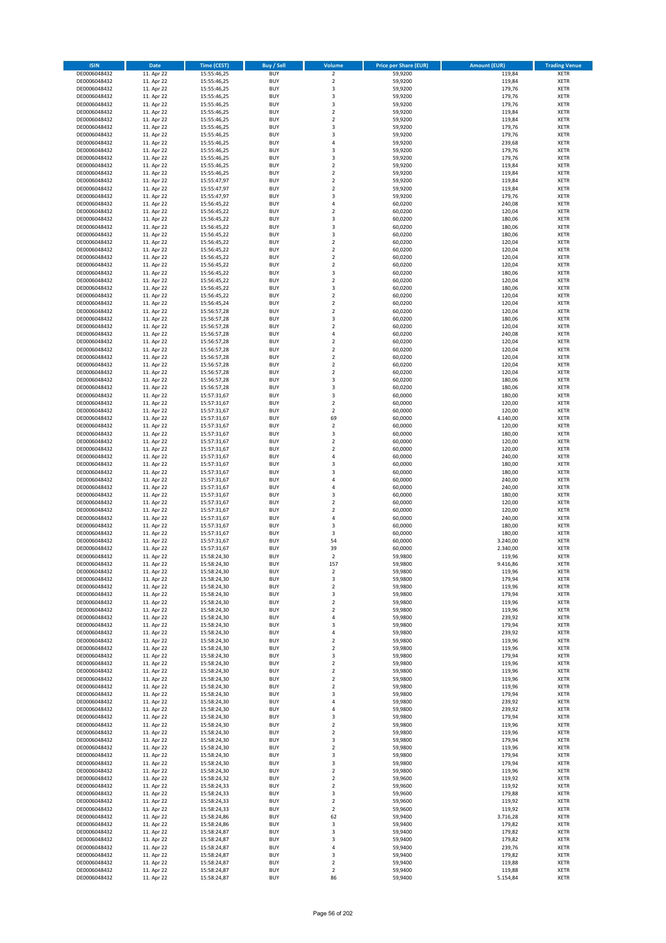| <b>ISIN</b>                  | <b>Date</b>              | <b>Time (CEST)</b>         | <b>Buy / Sell</b>        | Volume                                    | <b>Price per Share (EUR)</b> | <b>Amount (EUR)</b> | <b>Trading Venue</b>       |
|------------------------------|--------------------------|----------------------------|--------------------------|-------------------------------------------|------------------------------|---------------------|----------------------------|
| DE0006048432                 | 11. Apr 22               | 15:55:46,25                | <b>BUY</b>               | $\overline{\mathbf{2}}$                   | 59,9200                      | 119,84              | <b>XETR</b>                |
| DE0006048432                 | 11. Apr 22               | 15:55:46,25                | <b>BUY</b>               | $\mathbf 2$                               | 59,9200                      | 119,84              | <b>XETR</b>                |
| DE0006048432                 | 11. Apr 22               | 15:55:46,25                | <b>BUY</b>               | 3                                         | 59,9200                      | 179,76              | <b>XETR</b>                |
| DE0006048432                 | 11. Apr 22               | 15:55:46,25                | <b>BUY</b>               | 3                                         | 59,9200                      | 179,76              | <b>XETR</b>                |
| DE0006048432                 | 11. Apr 22               | 15:55:46,25                | <b>BUY</b>               | 3                                         | 59,9200                      | 179,76              | <b>XETR</b>                |
| DE0006048432                 | 11. Apr 22               | 15:55:46,25                | <b>BUY</b>               | $\mathbf 2$                               | 59,9200                      | 119,84              | <b>XETR</b>                |
| DE0006048432                 | 11. Apr 22               | 15:55:46,25                | <b>BUY</b>               | $\overline{\mathbf{2}}$                   | 59,9200                      | 119,84              | <b>XETR</b>                |
| DE0006048432                 | 11. Apr 22               | 15:55:46,25                | <b>BUY</b>               | 3                                         | 59,9200                      | 179,76              | <b>XETR</b>                |
| DE0006048432                 | 11. Apr 22               | 15:55:46,25                | <b>BUY</b>               | $\overline{3}$                            | 59,9200                      | 179,76              | <b>XETR</b>                |
| DE0006048432                 | 11. Apr 22               | 15:55:46,25                | <b>BUY</b>               | $\overline{4}$                            | 59,9200                      | 239,68              | <b>XETR</b>                |
| DE0006048432                 | 11. Apr 22               | 15:55:46,25                | <b>BUY</b>               | 3                                         | 59,9200                      | 179,76              | <b>XETR</b>                |
| DE0006048432                 | 11. Apr 22               | 15:55:46,25                | <b>BUY</b>               | 3                                         | 59,9200                      | 179,76              | <b>XETR</b>                |
| DE0006048432                 | 11. Apr 22               | 15:55:46,25                | <b>BUY</b>               | $\overline{2}$                            | 59,9200                      | 119,84              | <b>XETR</b>                |
| DE0006048432                 | 11. Apr 22               | 15:55:46,25                | <b>BUY</b>               | $\overline{\mathbf{2}}$<br>$\overline{2}$ | 59,9200                      | 119,84              | <b>XETR</b>                |
| DE0006048432<br>DE0006048432 | 11. Apr 22<br>11. Apr 22 | 15:55:47,97<br>15:55:47,97 | <b>BUY</b><br>BUY        | $\overline{2}$                            | 59,9200<br>59,9200           | 119,84<br>119,84    | <b>XETR</b><br><b>XETR</b> |
| DE0006048432                 | 11. Apr 22               | 15:55:47,97                | <b>BUY</b>               | 3                                         | 59,9200                      | 179,76              | <b>XETR</b>                |
| DE0006048432                 | 11. Apr 22               | 15:56:45,22                | <b>BUY</b>               | 4                                         | 60,0200                      | 240,08              | <b>XETR</b>                |
| DE0006048432                 | 11. Apr 22               | 15:56:45,22                | <b>BUY</b>               | $\overline{\mathbf{2}}$                   | 60,0200                      | 120,04              | <b>XETR</b>                |
| DE0006048432                 | 11. Apr 22               | 15:56:45,22                | <b>BUY</b>               | $\overline{\mathbf{3}}$                   | 60,0200                      | 180,06              | <b>XETR</b>                |
| DE0006048432                 | 11. Apr 22               | 15:56:45,22                | <b>BUY</b>               | $\overline{\mathbf{3}}$                   | 60,0200                      | 180,06              | <b>XETR</b>                |
| DE0006048432                 | 11. Apr 22               | 15:56:45,22                | <b>BUY</b>               | 3                                         | 60,0200                      | 180,06              | <b>XETR</b>                |
| DE0006048432                 | 11. Apr 22               | 15:56:45,22                | <b>BUY</b>               | $\overline{\mathbf{2}}$                   | 60,0200                      | 120,04              | <b>XETR</b>                |
| DE0006048432                 | 11. Apr 22               | 15:56:45,22                | <b>BUY</b>               | $\overline{2}$                            | 60,0200                      | 120,04              | <b>XETR</b>                |
| DE0006048432                 | 11. Apr 22               | 15:56:45,22                | <b>BUY</b>               | $\mathbf 2$                               | 60,0200                      | 120,04              | <b>XETR</b>                |
| DE0006048432                 | 11. Apr 22               | 15:56:45,22                | <b>BUY</b>               | $\mathbf 2$                               | 60,0200                      | 120,04              | <b>XETR</b>                |
| DE0006048432                 | 11. Apr 22               | 15:56:45,22                | <b>BUY</b>               | 3                                         | 60,0200                      | 180,06              | <b>XETR</b>                |
| DE0006048432                 | 11. Apr 22               | 15:56:45,22                | <b>BUY</b>               | $\overline{2}$                            | 60,0200                      | 120,04              | <b>XETR</b>                |
| DE0006048432                 | 11. Apr 22               | 15:56:45,22                | <b>BUY</b>               | 3                                         | 60,0200                      | 180,06              | <b>XETR</b>                |
| DE0006048432                 | 11. Apr 22               | 15:56:45,22                | <b>BUY</b>               | $\overline{2}$                            | 60,0200                      | 120,04              | <b>XETR</b>                |
| DE0006048432                 | 11. Apr 22               | 15:56:45,24                | <b>BUY</b>               | $\mathbf 2$                               | 60,0200                      | 120,04              | <b>XETR</b>                |
| DE0006048432                 | 11. Apr 22               | 15:56:57,28                | <b>BUY</b>               | $\mathbf 2$                               | 60,0200                      | 120,04              | <b>XETR</b>                |
| DE0006048432                 | 11. Apr 22               | 15:56:57,28                | <b>BUY</b>               | 3                                         | 60,0200                      | 180,06              | <b>XETR</b>                |
| DE0006048432                 | 11. Apr 22               | 15:56:57,28                | <b>BUY</b>               | $\overline{2}$                            | 60,0200                      | 120,04              | <b>XETR</b>                |
| DE0006048432<br>DE0006048432 | 11. Apr 22               | 15:56:57,28                | <b>BUY</b>               | $\overline{4}$                            | 60,0200                      | 240,08              | <b>XETR</b>                |
| DE0006048432                 | 11. Apr 22<br>11. Apr 22 | 15:56:57,28<br>15:56:57,28 | <b>BUY</b><br><b>BUY</b> | $\mathbf 2$<br>$\overline{2}$             | 60,0200<br>60,0200           | 120,04<br>120,04    | <b>XETR</b><br><b>XETR</b> |
| DE0006048432                 | 11. Apr 22               | 15:56:57,28                | <b>BUY</b>               | $\mathbf 2$                               | 60,0200                      | 120,04              | <b>XETR</b>                |
| DE0006048432                 | 11. Apr 22               | 15:56:57,28                | <b>BUY</b>               | $\mathbf 2$                               | 60,0200                      | 120,04              | <b>XETR</b>                |
| DE0006048432                 | 11. Apr 22               | 15:56:57,28                | <b>BUY</b>               | $\mathbf 2$                               | 60,0200                      | 120,04              | <b>XETR</b>                |
| DE0006048432                 | 11. Apr 22               | 15:56:57,28                | <b>BUY</b>               | 3                                         | 60,0200                      | 180,06              | <b>XETR</b>                |
| DE0006048432                 | 11. Apr 22               | 15:56:57,28                | <b>BUY</b>               | 3                                         | 60,0200                      | 180,06              | <b>XETR</b>                |
| DE0006048432                 | 11. Apr 22               | 15:57:31,67                | <b>BUY</b>               | 3                                         | 60,0000                      | 180,00              | <b>XETR</b>                |
| DE0006048432                 | 11. Apr 22               | 15:57:31,67                | <b>BUY</b>               | $\overline{2}$                            | 60,0000                      | 120,00              | <b>XETR</b>                |
| DE0006048432                 | 11. Apr 22               | 15:57:31,67                | <b>BUY</b>               | $\mathbf 2$                               | 60,0000                      | 120,00              | <b>XETR</b>                |
| DE0006048432                 | 11. Apr 22               | 15:57:31,67                | <b>BUY</b>               | 69                                        | 60,0000                      | 4.140,00            | <b>XETR</b>                |
| DE0006048432                 | 11. Apr 22               | 15:57:31,67                | <b>BUY</b>               | $\mathbf 2$                               | 60,0000                      | 120,00              | <b>XETR</b>                |
| DE0006048432                 | 11. Apr 22               | 15:57:31,67                | <b>BUY</b>               | 3                                         | 60,0000                      | 180,00              | <b>XETR</b>                |
| DE0006048432                 | 11. Apr 22               | 15:57:31,67                | <b>BUY</b>               | $\overline{2}$                            | 60,0000                      | 120,00              | <b>XETR</b>                |
| DE0006048432                 | 11. Apr 22               | 15:57:31,67                | <b>BUY</b>               | $\overline{2}$                            | 60,0000                      | 120,00              | <b>XETR</b>                |
| DE0006048432                 | 11. Apr 22               | 15:57:31,67                | <b>BUY</b>               | $\overline{a}$                            | 60,0000                      | 240,00              | <b>XETR</b>                |
| DE0006048432                 | 11. Apr 22               | 15:57:31,67                | <b>BUY</b>               | $\overline{3}$                            | 60,0000                      | 180,00              | <b>XETR</b>                |
| DE0006048432                 | 11. Apr 22               | 15:57:31,67                | <b>BUY</b>               | $\overline{\mathbf{3}}$                   | 60,0000                      | 180,00              | <b>XETR</b>                |
| DE0006048432                 | 11. Apr 22               | 15:57:31,67                | <b>BUY</b><br><b>BUY</b> | 4<br>4                                    | 60,0000                      | 240,00              | <b>XETR</b><br><b>XETR</b> |
| DE0006048432                 | 11. Apr 22<br>11. Apr 22 | 15:57:31,67<br>15:57:31,67 | <b>BUY</b>               | $\overline{3}$                            | 60,0000                      | 240,00<br>180,00    | <b>XETR</b>                |
| DE0006048432<br>DE0006048432 | 11. Apr 22               |                            | <b>BUY</b>               | $\overline{2}$                            | 60,0000<br>60,0000           | 120,00              | <b>XETR</b>                |
| DE0006048432                 | 11. Apr 22               | 15:57:31,67<br>15:57:31,67 | <b>BUY</b>               | $\overline{2}$                            | 60,0000                      | 120,00              | <b>XETR</b>                |
| DE0006048432                 | 11. Apr 22               | 15:57:31,67                | <b>BUY</b>               | $\overline{a}$                            | 60,0000                      | 240,00              | <b>XETR</b>                |
| DE0006048432                 | 11. Apr 22               | 15:57:31,67                | <b>BUY</b>               | 3                                         | 60,0000                      | 180,00              | <b>XETR</b>                |
| DE0006048432                 | 11. Apr 22               | 15:57:31,67                | <b>BUY</b>               | 3                                         | 60,0000                      | 180,00              | <b>XETR</b>                |
| DE0006048432                 | 11. Apr 22               | 15:57:31,67                | BUY                      | 54                                        | 60,0000                      | 3.240,00            | <b>XETR</b>                |
| DE0006048432                 | 11. Apr 22               | 15:57:31,67                | BUY                      | 39                                        | 60,0000                      | 2.340,00            | <b>XETR</b>                |
| DE0006048432                 | 11. Apr 22               | 15:58:24,30                | <b>BUY</b>               | $\overline{2}$                            | 59,9800                      | 119,96              | <b>XETR</b>                |
| DE0006048432                 | 11. Apr 22               | 15:58:24,30                | BUY                      | 157                                       | 59,9800                      | 9.416,86            | <b>XETR</b>                |
| DE0006048432                 | 11. Apr 22               | 15:58:24,30                | <b>BUY</b>               | $\mathbf 2$                               | 59,9800                      | 119,96              | <b>XETR</b>                |
| DE0006048432                 | 11. Apr 22               | 15:58:24,30                | <b>BUY</b>               | 3                                         | 59,9800                      | 179,94              | <b>XETR</b>                |
| DE0006048432                 | 11. Apr 22               | 15:58:24,30                | <b>BUY</b>               | $\mathbf 2$                               | 59,9800                      | 119,96              | <b>XETR</b>                |
| DE0006048432                 | 11. Apr 22               | 15:58:24,30                | <b>BUY</b>               | 3                                         | 59,9800                      | 179,94              | <b>XETR</b>                |
| DE0006048432                 | 11. Apr 22               | 15:58:24,30                | <b>BUY</b>               | $\mathbf 2$                               | 59,9800                      | 119,96              | <b>XETR</b>                |
| DE0006048432                 | 11. Apr 22               | 15:58:24,30                | <b>BUY</b>               | $\overline{2}$                            | 59,9800                      | 119,96              | <b>XETR</b>                |
| DE0006048432                 | 11. Apr 22               | 15:58:24,30                | <b>BUY</b>               | 4                                         | 59,9800                      | 239,92              | <b>XETR</b>                |
| DE0006048432                 | 11. Apr 22               | 15:58:24,30                | <b>BUY</b>               | $\overline{\mathbf{3}}$                   | 59,9800                      | 179,94              | <b>XETR</b>                |
| DE0006048432                 | 11. Apr 22               | 15:58:24,30                | <b>BUY</b>               | 4                                         | 59,9800                      | 239,92              | <b>XETR</b>                |
| DE0006048432<br>DE0006048432 | 11. Apr 22               | 15:58:24,30                | <b>BUY</b><br><b>BUY</b> | $\mathbf 2$<br>$\overline{2}$             | 59,9800<br>59,9800           | 119,96              | <b>XETR</b><br><b>XETR</b> |
| DE0006048432                 | 11. Apr 22<br>11. Apr 22 | 15:58:24,30<br>15:58:24,30 | <b>BUY</b>               | 3                                         | 59,9800                      | 119,96<br>179,94    | <b>XETR</b>                |
| DE0006048432                 | 11. Apr 22               | 15:58:24,30                | <b>BUY</b>               | $\overline{2}$                            | 59,9800                      | 119,96              | <b>XETR</b>                |
| DE0006048432                 | 11. Apr 22               | 15:58:24,30                | <b>BUY</b>               | $\mathbf 2$                               | 59,9800                      | 119,96              | <b>XETR</b>                |
| DE0006048432                 | 11. Apr 22               | 15:58:24,30                | <b>BUY</b>               | $\mathbf 2$                               | 59,9800                      | 119,96              | <b>XETR</b>                |
| DE0006048432                 | 11. Apr 22               | 15:58:24,30                | <b>BUY</b>               | $\mathbf 2$                               | 59,9800                      | 119,96              | <b>XETR</b>                |
| DE0006048432                 | 11. Apr 22               | 15:58:24,30                | <b>BUY</b>               | 3                                         | 59,9800                      | 179,94              | <b>XETR</b>                |
| DE0006048432                 | 11. Apr 22               | 15:58:24,30                | <b>BUY</b>               | 4                                         | 59,9800                      | 239,92              | <b>XETR</b>                |
| DE0006048432                 | 11. Apr 22               | 15:58:24,30                | <b>BUY</b>               | $\overline{4}$                            | 59,9800                      | 239,92              | <b>XETR</b>                |
| DE0006048432                 | 11. Apr 22               | 15:58:24,30                | <b>BUY</b>               | $\overline{\mathbf{3}}$                   | 59,9800                      | 179,94              | <b>XETR</b>                |
| DE0006048432                 | 11. Apr 22               | 15:58:24,30                | <b>BUY</b>               | $\mathbf 2$                               | 59,9800                      | 119,96              | <b>XETR</b>                |
| DE0006048432                 | 11. Apr 22               | 15:58:24,30                | <b>BUY</b>               | $\overline{2}$                            | 59,9800                      | 119,96              | <b>XETR</b>                |
| DE0006048432                 | 11. Apr 22               | 15:58:24,30                | <b>BUY</b>               | 3                                         | 59,9800                      | 179,94              | <b>XETR</b>                |
| DE0006048432                 | 11. Apr 22               | 15:58:24,30                | <b>BUY</b>               | $\mathbf 2$                               | 59,9800                      | 119,96              | <b>XETR</b>                |
| DE0006048432                 | 11. Apr 22               | 15:58:24,30                | <b>BUY</b>               | 3                                         | 59,9800                      | 179,94              | <b>XETR</b>                |
| DE0006048432                 | 11. Apr 22               | 15:58:24,30                | <b>BUY</b>               | 3                                         | 59,9800                      | 179,94              | <b>XETR</b>                |
| DE0006048432                 | 11. Apr 22               | 15:58:24,30                | <b>BUY</b>               | $\overline{2}$                            | 59,9800                      | 119,96              | <b>XETR</b>                |
| DE0006048432                 | 11. Apr 22               | 15:58:24,32                | <b>BUY</b>               | $\mathbf 2$                               | 59,9600                      | 119,92              | <b>XETR</b>                |
| DE0006048432                 | 11. Apr 22               | 15:58:24,33                | <b>BUY</b><br><b>BUY</b> | $\overline{2}$                            | 59,9600<br>59,9600           | 119,92<br>179,88    | <b>XETR</b>                |
| DE0006048432<br>DE0006048432 | 11. Apr 22<br>11. Apr 22 | 15:58:24,33<br>15:58:24,33 | <b>BUY</b>               | 3<br>$\mathbf 2$                          | 59,9600                      | 119,92              | <b>XETR</b><br><b>XETR</b> |
| DE0006048432                 | 11. Apr 22               | 15:58:24,33                | <b>BUY</b>               | $\mathbf 2$                               | 59,9600                      | 119,92              | <b>XETR</b>                |
| DE0006048432                 | 11. Apr 22               | 15:58:24,86                | <b>BUY</b>               | 62                                        | 59,9400                      | 3.716,28            | <b>XETR</b>                |
| DE0006048432                 | 11. Apr 22               | 15:58:24,86                | <b>BUY</b>               | 3                                         | 59,9400                      | 179,82              | <b>XETR</b>                |
| DE0006048432                 | 11. Apr 22               | 15:58:24,87                | <b>BUY</b>               | 3                                         | 59,9400                      | 179,82              | <b>XETR</b>                |
| DE0006048432                 | 11. Apr 22               | 15:58:24,87                | <b>BUY</b>               | 3                                         | 59,9400                      | 179,82              | <b>XETR</b>                |
| DE0006048432                 | 11. Apr 22               | 15:58:24,87                | <b>BUY</b>               | $\overline{4}$                            | 59,9400                      | 239,76              | <b>XETR</b>                |
| DE0006048432                 | 11. Apr 22               | 15:58:24,87                | <b>BUY</b>               | 3                                         | 59,9400                      | 179,82              | <b>XETR</b>                |
| DE0006048432                 | 11. Apr 22               | 15:58:24,87                | <b>BUY</b>               | $\mathbf 2$                               | 59,9400                      | 119,88              | <b>XETR</b>                |
| DE0006048432                 | 11. Apr 22               | 15:58:24,87                | <b>BUY</b>               | $\mathbf 2$                               | 59,9400                      | 119,88              | <b>XETR</b>                |
| DE0006048432                 | 11. Apr 22               | 15:58:24,87                | <b>BUY</b>               | 86                                        | 59,9400                      | 5.154,84            | <b>XETR</b>                |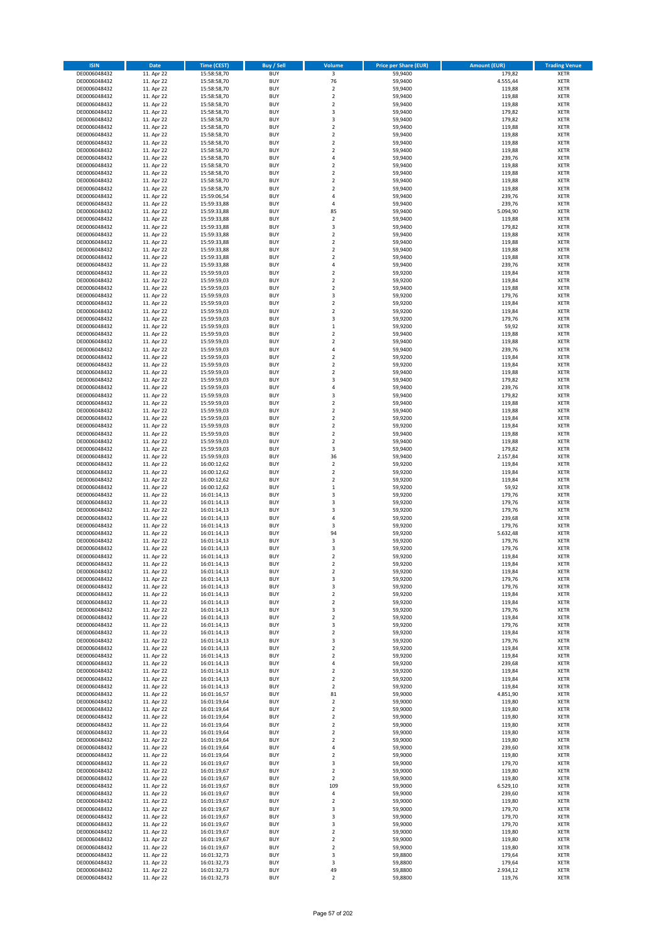| <b>ISIN</b>                  | Date                     | Time (CEST)                | <b>Buy / Sell</b>        | Volume                           | <b>Price per Share (EUR)</b> | <b>Amount (EUR)</b> | <b>Trading Venue</b>       |
|------------------------------|--------------------------|----------------------------|--------------------------|----------------------------------|------------------------------|---------------------|----------------------------|
| DE0006048432                 | 11. Apr 22               | 15:58:58,70                | <b>BUY</b>               | $\overline{\mathbf{3}}$          | 59,9400                      | 179,82              | <b>XETR</b>                |
| DE0006048432                 | 11. Apr 22               | 15:58:58,70                | <b>BUY</b>               | 76                               | 59,9400                      | 4.555,44            | XETR                       |
| DE0006048432                 | 11. Apr 22               | 15:58:58,70                | <b>BUY</b>               | $\overline{2}$                   | 59,9400                      | 119,88              | <b>XETR</b>                |
| DE0006048432<br>DE0006048432 | 11. Apr 22<br>11. Apr 22 | 15:58:58,70<br>15:58:58,70 | <b>BUY</b><br><b>BUY</b> | $\mathbf 2$<br>$\mathbf 2$       | 59,9400<br>59,9400           | 119,88<br>119,88    | XETR<br><b>XETR</b>        |
| DE0006048432                 | 11. Apr 22               | 15:58:58,70                | <b>BUY</b>               | 3                                | 59,9400                      | 179,82              | <b>XETR</b>                |
| DE0006048432                 | 11. Apr 22               | 15:58:58,70                | <b>BUY</b>               | 3                                | 59,9400                      | 179,82              | <b>XETR</b>                |
| DE0006048432                 | 11. Apr 22               | 15:58:58,70                | <b>BUY</b>               | $\mathbf 2$                      | 59,9400                      | 119,88              | <b>XETR</b>                |
| DE0006048432                 | 11. Apr 22               | 15:58:58,70                | <b>BUY</b>               | $\overline{2}$                   | 59,9400                      | 119,88              | <b>XETR</b>                |
| DE0006048432                 | 11. Apr 22               | 15:58:58,70                | <b>BUY</b>               | $\overline{2}$                   | 59,9400                      | 119,88              | <b>XETR</b>                |
| DE0006048432<br>DE0006048432 | 11. Apr 22<br>11. Apr 22 | 15:58:58,70<br>15:58:58,70 | <b>BUY</b><br><b>BUY</b> | $\mathbf 2$<br>4                 | 59,9400<br>59,9400           | 119,88<br>239,76    | <b>XETR</b><br><b>XETR</b> |
| DE0006048432                 | 11. Apr 22               | 15:58:58,70                | <b>BUY</b>               | $\mathbf 2$                      | 59,9400                      | 119,88              | <b>XETR</b>                |
| DE0006048432                 | 11. Apr 22               | 15:58:58,70                | <b>BUY</b>               | $\mathbf 2$                      | 59,9400                      | 119,88              | <b>XETR</b>                |
| DE0006048432                 | 11. Apr 22               | 15:58:58,70                | <b>BUY</b>               | $\mathbf 2$                      | 59,9400                      | 119,88              | <b>XETR</b>                |
| DE0006048432                 | 11. Apr 22               | 15:58:58,70                | <b>BUY</b>               | $\mathbf 2$                      | 59,9400                      | 119,88              | <b>XETR</b>                |
| DE0006048432                 | 11. Apr 22               | 15:59:06,54                | <b>BUY</b>               | 4                                | 59,9400                      | 239,76              | <b>XETR</b>                |
| DE0006048432                 | 11. Apr 22               | 15:59:33,88                | <b>BUY</b>               | $\pmb{4}$                        | 59,9400                      | 239,76              | <b>XETR</b>                |
| DE0006048432<br>DE0006048432 | 11. Apr 22<br>11. Apr 22 | 15:59:33,88<br>15:59:33,88 | <b>BUY</b><br><b>BUY</b> | 85<br>$\mathbf 2$                | 59,9400<br>59,9400           | 5.094,90<br>119,88  | <b>XETR</b><br><b>XETR</b> |
| DE0006048432                 | 11. Apr 22               | 15:59:33,88                | <b>BUY</b>               | 3                                | 59,9400                      | 179,82              | <b>XETR</b>                |
| DE0006048432                 | 11. Apr 22               | 15:59:33,88                | <b>BUY</b>               | $\mathbf 2$                      | 59,9400                      | 119,88              | <b>XETR</b>                |
| DE0006048432                 | 11. Apr 22               | 15:59:33,88                | <b>BUY</b>               | $\mathbf 2$                      | 59,9400                      | 119,88              | <b>XETR</b>                |
| DE0006048432                 | 11. Apr 22               | 15:59:33,88                | <b>BUY</b>               | $\mathbf 2$                      | 59,9400                      | 119,88              | <b>XETR</b>                |
| DE0006048432                 | 11. Apr 22               | 15:59:33,88                | <b>BUY</b>               | $\overline{2}$                   | 59,9400                      | 119,88              | <b>XETR</b>                |
| DE0006048432<br>DE0006048432 | 11. Apr 22<br>11. Apr 22 | 15:59:33,88<br>15:59:59,03 | <b>BUY</b><br><b>BUY</b> | 4<br>$\mathbf 2$                 | 59,9400<br>59,9200           | 239,76<br>119,84    | <b>XETR</b><br><b>XETR</b> |
| DE0006048432                 | 11. Apr 22               | 15:59:59,03                | <b>BUY</b>               | $\mathbf 2$                      | 59,9200                      | 119,84              | <b>XETR</b>                |
| DE0006048432                 | 11. Apr 22               | 15:59:59,03                | <b>BUY</b>               | $\mathbf 2$                      | 59,9400                      | 119,88              | <b>XETR</b>                |
| DE0006048432                 | 11. Apr 22               | 15:59:59,03                | <b>BUY</b>               | 3                                | 59,9200                      | 179,76              | <b>XETR</b>                |
| DE0006048432                 | 11. Apr 22               | 15:59:59,03                | <b>BUY</b>               | $\overline{\mathbf{2}}$          | 59,9200                      | 119,84              | <b>XETR</b>                |
| DE0006048432                 | 11. Apr 22               | 15:59:59,03                | <b>BUY</b>               | $\mathbf 2$                      | 59,9200                      | 119,84              | <b>XETR</b>                |
| DE0006048432                 | 11. Apr 22<br>11. Apr 22 | 15:59:59,03                | <b>BUY</b><br><b>BUY</b> | 3<br>$\,1\,$                     | 59,9200                      | 179,76<br>59,92     | <b>XETR</b><br><b>XETR</b> |
| DE0006048432<br>DE0006048432 | 11. Apr 22               | 15:59:59,03<br>15:59:59,03 | <b>BUY</b>               | $\mathbf 2$                      | 59,9200<br>59,9400           | 119,88              | <b>XETR</b>                |
| DE0006048432                 | 11. Apr 22               | 15:59:59,03                | <b>BUY</b>               | $\overline{2}$                   | 59,9400                      | 119,88              | <b>XETR</b>                |
| DE0006048432                 | 11. Apr 22               | 15:59:59,03                | <b>BUY</b>               | 4                                | 59,9400                      | 239,76              | <b>XETR</b>                |
| DE0006048432                 | 11. Apr 22               | 15:59:59,03                | <b>BUY</b>               | $\mathbf 2$                      | 59,9200                      | 119,84              | <b>XETR</b>                |
| DE0006048432                 | 11. Apr 22               | 15:59:59,03                | <b>BUY</b>               | $\overline{2}$                   | 59,9200                      | 119,84              | <b>XETR</b>                |
| DE0006048432                 | 11. Apr 22               | 15:59:59,03                | <b>BUY</b>               | $\mathbf 2$                      | 59,9400                      | 119,88              | <b>XETR</b>                |
| DE0006048432<br>DE0006048432 | 11. Apr 22<br>11. Apr 22 | 15:59:59,03<br>15:59:59,03 | <b>BUY</b><br><b>BUY</b> | 3<br>4                           | 59,9400<br>59,9400           | 179,82<br>239,76    | <b>XETR</b><br><b>XETR</b> |
| DE0006048432                 | 11. Apr 22               | 15:59:59,03                | <b>BUY</b>               | $\mathsf 3$                      | 59,9400                      | 179,82              | <b>XETR</b>                |
| DE0006048432                 | 11. Apr 22               | 15:59:59,03                | <b>BUY</b>               | $\overline{2}$                   | 59,9400                      | 119,88              | <b>XETR</b>                |
| DE0006048432                 | 11. Apr 22               | 15:59:59,03                | <b>BUY</b>               | $\mathbf 2$                      | 59,9400                      | 119,88              | <b>XETR</b>                |
| DE0006048432                 | 11. Apr 22               | 15:59:59,03                | <b>BUY</b>               | $\overline{2}$                   | 59,9200                      | 119,84              | <b>XETR</b>                |
| DE0006048432                 | 11. Apr 22               | 15:59:59,03                | <b>BUY</b>               | $\mathbf 2$                      | 59,9200                      | 119,84              | <b>XETR</b>                |
| DE0006048432<br>DE0006048432 | 11. Apr 22<br>11. Apr 22 | 15:59:59,03                | <b>BUY</b><br><b>BUY</b> | $\mathbf 2$<br>$\overline{2}$    | 59,9400<br>59,9400           | 119,88<br>119,88    | <b>XETR</b><br><b>XETR</b> |
| DE0006048432                 | 11. Apr 22               | 15:59:59,03<br>15:59:59,03 | <b>BUY</b>               | 3                                | 59,9400                      | 179,82              | <b>XETR</b>                |
| DE0006048432                 | 11. Apr 22               | 15:59:59,03                | <b>BUY</b>               | 36                               | 59,9400                      | 2.157,84            | <b>XETR</b>                |
| DE0006048432                 | 11. Apr 22               | 16:00:12,62                | <b>BUY</b>               | $\mathbf 2$                      | 59,9200                      | 119,84              | <b>XETR</b>                |
| DE0006048432                 | 11. Apr 22               | 16:00:12,62                | <b>BUY</b>               | $\overline{2}$                   | 59,9200                      | 119,84              | <b>XETR</b>                |
| DE0006048432                 | 11. Apr 22               | 16:00:12,62                | <b>BUY</b>               | $\mathbf 2$                      | 59,9200                      | 119,84              | <b>XETR</b>                |
| DE0006048432<br>DE0006048432 | 11. Apr 22<br>11. Apr 22 | 16:00:12,62<br>16:01:14,13 | <b>BUY</b><br><b>BUY</b> | $\,1\,$<br>3                     | 59,9200<br>59,9200           | 59,92<br>179,76     | <b>XETR</b><br><b>XETR</b> |
| DE0006048432                 | 11. Apr 22               | 16:01:14,13                | <b>BUY</b>               | 3                                | 59,9200                      | 179,76              | <b>XETR</b>                |
| DE0006048432                 | 11. Apr 22               | 16:01:14,13                | <b>BUY</b>               | 3                                | 59,9200                      | 179,76              | <b>XETR</b>                |
| DE0006048432                 | 11. Apr 22               | 16:01:14,13                | <b>BUY</b>               | $\overline{4}$                   | 59,9200                      | 239,68              | <b>XETR</b>                |
| DE0006048432                 | 11. Apr 22               | 16:01:14,13                | <b>BUY</b>               | 3                                | 59,9200                      | 179,76              | <b>XETR</b>                |
| DE0006048432                 | 11. Apr 22               | 16:01:14,13                | <b>BUY</b>               | 94                               | 59,9200                      | 5.632,48            | <b>XETR</b>                |
| DE0006048432<br>DE0006048432 | 11. Apr 22<br>11. Apr 22 | 16:01:14,13<br>16:01:14,13 | <b>BUY</b><br><b>BUY</b> | 3<br>3                           | 59,9200<br>59,9200           | 179,76<br>179,76    | <b>XETR</b><br><b>XETR</b> |
| DE0006048432                 | 11. Apr 22               | 16:01:14,13                | <b>BUY</b>               | 2                                | 59,9200                      | 119,84              | <b>XETR</b>                |
| DE0006048432                 | 11. Apr 22               | 16:01:14,13                | <b>BUY</b>               | $\mathbf 2$                      | 59,9200                      | 119,84              | XETR                       |
| DE0006048432                 | 11. Apr 22               | 16:01:14,13                | <b>BUY</b>               | $\mathbf 2$                      | 59,9200                      | 119,84              | <b>XETR</b>                |
| DE0006048432                 | 11. Apr 22               | 16:01:14,13                | <b>BUY</b>               | 3                                | 59,9200                      | 179,76              | <b>XETR</b>                |
| DE0006048432                 | 11. Apr 22               | 16:01:14,13                | <b>BUY</b>               | 3                                | 59,9200                      | 179,76              | <b>XETR</b>                |
| DE0006048432                 | 11. Apr 22               | 16:01:14,13                | <b>BUY</b>               | $\overline{2}$                   | 59,9200                      | 119,84              | <b>XETR</b>                |
| DE0006048432<br>DE0006048432 | 11. Apr 22<br>11. Apr 22 | 16:01:14,13<br>16:01:14,13 | <b>BUY</b><br><b>BUY</b> | $\mathbf 2$<br>3                 | 59,9200<br>59,9200           | 119,84<br>179,76    | <b>XETR</b><br><b>XETR</b> |
| DE0006048432                 | 11. Apr 22               | 16:01:14,13                | <b>BUY</b>               | $\mathbf 2$                      | 59,9200                      | 119,84              | <b>XETR</b>                |
| DE0006048432                 | 11. Apr 22               | 16:01:14,13                | <b>BUY</b>               | 3                                | 59,9200                      | 179,76              | XETR                       |
| DE0006048432                 | 11. Apr 22               | 16:01:14,13                | <b>BUY</b>               | $\mathbf 2$                      | 59,9200                      | 119,84              | XETR                       |
| DE0006048432                 | 11. Apr 22               | 16:01:14,13                | <b>BUY</b>               | 3                                | 59,9200                      | 179,76              | XETR                       |
| DE0006048432                 | 11. Apr 22               | 16:01:14,13                | <b>BUY</b>               | $\overline{2}$                   | 59,9200                      | 119,84              | <b>XETR</b>                |
| DE0006048432<br>DE0006048432 | 11. Apr 22<br>11. Apr 22 | 16:01:14,13<br>16:01:14,13 | <b>BUY</b><br><b>BUY</b> | $\mathbf 2$<br>$\sqrt{4}$        | 59,9200<br>59.9200           | 119,84<br>239,68    | XETR<br><b>XETR</b>        |
| DE0006048432                 | 11. Apr 22               | 16:01:14,13                | <b>BUY</b>               | $\overline{2}$                   | 59,9200                      | 119,84              | XETR                       |
| DE0006048432                 | 11. Apr 22               | 16:01:14,13                | <b>BUY</b>               | $\overline{2}$                   | 59,9200                      | 119,84              | <b>XETR</b>                |
| DE0006048432                 | 11. Apr 22               | 16:01:14,13                | <b>BUY</b>               | $\overline{2}$                   | 59,9200                      | 119,84              | <b>XETR</b>                |
| DE0006048432                 | 11. Apr 22               | 16:01:16,57                | <b>BUY</b>               | 81                               | 59,9000                      | 4.851,90            | <b>XETR</b>                |
| DE0006048432                 | 11. Apr 22               | 16:01:19,64                | <b>BUY</b>               | $\mathbf 2$                      | 59,9000                      | 119,80              | XETR                       |
| DE0006048432                 | 11. Apr 22               | 16:01:19,64                | <b>BUY</b>               | $\overline{2}$                   | 59,9000                      | 119,80              | <b>XETR</b>                |
| DE0006048432<br>DE0006048432 | 11. Apr 22<br>11. Apr 22 | 16:01:19,64<br>16:01:19,64 | <b>BUY</b><br><b>BUY</b> | $\overline{2}$<br>$\mathbf 2$    | 59,9000<br>59,9000           | 119,80<br>119,80    | <b>XETR</b><br><b>XETR</b> |
| DE0006048432                 | 11. Apr 22               | 16:01:19,64                | <b>BUY</b>               | $\overline{2}$                   | 59,9000                      | 119,80              | XETR                       |
| DE0006048432                 | 11. Apr 22               | 16:01:19,64                | <b>BUY</b>               | $\mathbf 2$                      | 59,9000                      | 119,80              | XETR                       |
| DE0006048432                 | 11. Apr 22               | 16:01:19,64                | <b>BUY</b>               | $\pmb{4}$                        | 59,9000                      | 239,60              | XETR                       |
| DE0006048432                 | 11. Apr 22               | 16:01:19,64                | <b>BUY</b>               | $\overline{2}$                   | 59,9000                      | 119,80              | XETR                       |
| DE0006048432                 | 11. Apr 22               | 16:01:19,67                | <b>BUY</b>               | 3                                | 59,9000                      | 179,70              | XETR                       |
| DE0006048432<br>DE0006048432 | 11. Apr 22<br>11. Apr 22 | 16:01:19,67<br>16:01:19,67 | <b>BUY</b><br><b>BUY</b> | $\overline{2}$<br>$\overline{2}$ | 59,9000<br>59,9000           | 119,80<br>119,80    | <b>XETR</b><br><b>XETR</b> |
| DE0006048432                 | 11. Apr 22               | 16:01:19,67                | <b>BUY</b>               | 109                              | 59,9000                      | 6.529,10            | <b>XETR</b>                |
| DE0006048432                 | 11. Apr 22               | 16:01:19,67                | <b>BUY</b>               | $\pmb{4}$                        | 59,9000                      | 239,60              | XETR                       |
| DE0006048432                 | 11. Apr 22               | 16:01:19,67                | <b>BUY</b>               | $\mathbf 2$                      | 59,9000                      | 119,80              | XETR                       |
| DE0006048432                 | 11. Apr 22               | 16:01:19,67                | <b>BUY</b>               | 3                                | 59,9000                      | 179,70              | XETR                       |
| DE0006048432                 | 11. Apr 22               | 16:01:19,67                | <b>BUY</b>               | 3                                | 59,9000                      | 179,70              | <b>XETR</b>                |
| DE0006048432                 | 11. Apr 22<br>11. Apr 22 | 16:01:19,67                | <b>BUY</b><br><b>BUY</b> | 3<br>$\mathbf 2$                 | 59,9000<br>59,9000           | 179,70<br>119,80    | <b>XETR</b>                |
| DE0006048432<br>DE0006048432 | 11. Apr 22               | 16:01:19,67<br>16:01:19,67 | <b>BUY</b>               | $\overline{2}$                   | 59,9000                      | 119,80              | XETR<br>XETR               |
| DE0006048432                 | 11. Apr 22               | 16:01:19,67                | <b>BUY</b>               | $\overline{2}$                   | 59,9000                      | 119,80              | XETR                       |
| DE0006048432                 | 11. Apr 22               | 16:01:32,73                | <b>BUY</b>               | 3                                | 59,8800                      | 179,64              | <b>XETR</b>                |
| DE0006048432                 | 11. Apr 22               | 16:01:32,73                | <b>BUY</b>               | 3                                | 59,8800                      | 179,64              | XETR                       |
| DE0006048432                 | 11. Apr 22               | 16:01:32,73                | <b>BUY</b>               | 49                               | 59,8800                      | 2.934,12            | <b>XETR</b>                |
| DE0006048432                 | 11. Apr 22               | 16:01:32,73                | <b>BUY</b>               | $\mathbf 2$                      | 59,8800                      | 119,76              | XETR                       |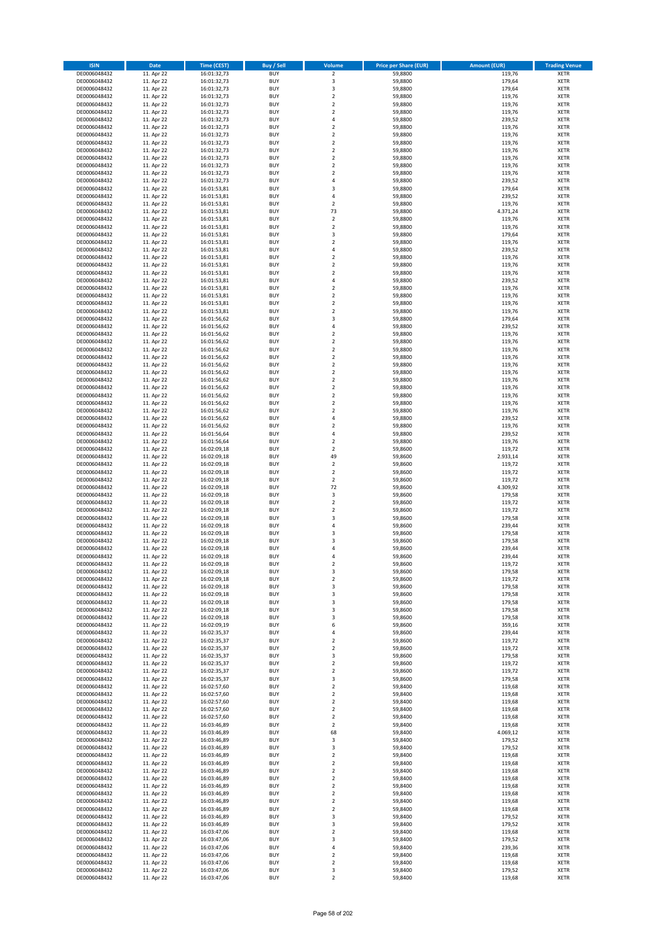| <b>ISIN</b>                  | <b>Date</b>              | <b>Time (CEST)</b>         | <b>Buy / Sell</b>        | <b>Volume</b>                             | <b>Price per Share (EUR)</b> | <b>Amount (EUR)</b> | <b>Trading Venue</b>       |
|------------------------------|--------------------------|----------------------------|--------------------------|-------------------------------------------|------------------------------|---------------------|----------------------------|
| DE0006048432                 | 11. Apr 22               | 16:01:32,73                | <b>BUY</b>               | $\overline{2}$                            | 59,8800                      | 119,76              | <b>XETR</b>                |
| DE0006048432                 | 11. Apr 22               | 16:01:32,73                | <b>BUY</b>               | 3                                         | 59,8800                      | 179,64              | <b>XETR</b>                |
| DE0006048432                 | 11. Apr 22               | 16:01:32,73                | <b>BUY</b>               | 3                                         | 59,8800                      | 179,64              | <b>XETR</b>                |
| DE0006048432<br>DE0006048432 | 11. Apr 22<br>11. Apr 22 | 16:01:32,73<br>16:01:32,73 | <b>BUY</b><br><b>BUY</b> | $\mathbf 2$<br>$\overline{\mathbf{c}}$    | 59,8800<br>59,8800           | 119,76<br>119,76    | <b>XETR</b><br><b>XETR</b> |
| DE0006048432                 | 11. Apr 22               | 16:01:32,73                | <b>BUY</b>               | $\mathbf 2$                               | 59,8800                      | 119,76              | <b>XETR</b>                |
| DE0006048432                 | 11. Apr 22               | 16:01:32,73                | <b>BUY</b>               | 4                                         | 59,8800                      | 239,52              | <b>XETR</b>                |
| DE0006048432                 | 11. Apr 22               | 16:01:32,73                | <b>BUY</b>               | $\mathbf 2$                               | 59,8800                      | 119,76              | <b>XETR</b>                |
| DE0006048432                 | 11. Apr 22               | 16:01:32,73                | <b>BUY</b>               | $\overline{2}$                            | 59,8800                      | 119,76              | <b>XETR</b>                |
| DE0006048432                 | 11. Apr 22               | 16:01:32,73                | <b>BUY</b><br><b>BUY</b> | $\overline{2}$                            | 59,8800                      | 119,76              | <b>XETR</b>                |
| DE0006048432<br>DE0006048432 | 11. Apr 22<br>11. Apr 22 | 16:01:32,73<br>16:01:32,73 | <b>BUY</b>               | $\mathbf 2$<br>$\overline{\mathbf{c}}$    | 59,8800<br>59,8800           | 119,76<br>119,76    | <b>XETR</b><br><b>XETR</b> |
| DE0006048432                 | 11. Apr 22               | 16:01:32,73                | <b>BUY</b>               | $\mathbf 2$                               | 59,8800                      | 119,76              | <b>XETR</b>                |
| DE0006048432                 | 11. Apr 22               | 16:01:32,73                | <b>BUY</b>               | $\overline{\mathbf{c}}$                   | 59,8800                      | 119,76              | <b>XETR</b>                |
| DE0006048432                 | 11. Apr 22               | 16:01:32,73                | <b>BUY</b>               | 4                                         | 59,8800                      | 239,52              | <b>XETR</b>                |
| DE0006048432                 | 11. Apr 22               | 16:01:53,81                | <b>BUY</b>               | 3                                         | 59,8800                      | 179,64              | <b>XETR</b>                |
| DE0006048432<br>DE0006048432 | 11. Apr 22<br>11. Apr 22 | 16:01:53,81<br>16:01:53,81 | <b>BUY</b><br><b>BUY</b> | 4<br>$\mathbf 2$                          | 59,8800<br>59,8800           | 239,52<br>119,76    | <b>XETR</b><br><b>XETR</b> |
| DE0006048432                 | 11. Apr 22               | 16:01:53,81                | <b>BUY</b>               | 73                                        | 59,8800                      | 4.371,24            | <b>XETR</b>                |
| DE0006048432                 | 11. Apr 22               | 16:01:53,81                | <b>BUY</b>               | $\mathbf 2$                               | 59,8800                      | 119,76              | <b>XETR</b>                |
| DE0006048432                 | 11. Apr 22               | 16:01:53,81                | <b>BUY</b>               | $\overline{\mathbf{c}}$                   | 59,8800                      | 119,76              | <b>XETR</b>                |
| DE0006048432                 | 11. Apr 22               | 16:01:53,81                | <b>BUY</b>               | 3                                         | 59,8800                      | 179,64              | <b>XETR</b>                |
| DE0006048432                 | 11. Apr 22               | 16:01:53,81                | <b>BUY</b>               | $\mathbf 2$                               | 59,8800                      | 119,76              | <b>XETR</b>                |
| DE0006048432<br>DE0006048432 | 11. Apr 22<br>11. Apr 22 | 16:01:53,81<br>16:01:53,81 | <b>BUY</b><br><b>BUY</b> | 4<br>$\mathbf 2$                          | 59,8800<br>59,8800           | 239,52<br>119,76    | <b>XETR</b><br><b>XETR</b> |
| DE0006048432                 | 11. Apr 22               | 16:01:53,81                | <b>BUY</b>               | $\mathbf 2$                               | 59,8800                      | 119,76              | <b>XETR</b>                |
| DE0006048432                 | 11. Apr 22               | 16:01:53,81                | <b>BUY</b>               | $\mathbf 2$                               | 59,8800                      | 119,76              | <b>XETR</b>                |
| DE0006048432                 | 11. Apr 22               | 16:01:53,81                | <b>BUY</b>               | 4                                         | 59,8800                      | 239,52              | <b>XETR</b>                |
| DE0006048432                 | 11. Apr 22               | 16:01:53,81                | <b>BUY</b>               | $\mathbf 2$                               | 59,8800                      | 119,76              | <b>XETR</b>                |
| DE0006048432<br>DE0006048432 | 11. Apr 22<br>11. Apr 22 | 16:01:53,81<br>16:01:53,81 | <b>BUY</b><br><b>BUY</b> | $\overline{\mathbf{c}}$<br>$\overline{2}$ | 59,8800<br>59,8800           | 119,76<br>119,76    | <b>XETR</b><br><b>XETR</b> |
| DE0006048432                 | 11. Apr 22               | 16:01:53,81                | <b>BUY</b>               | $\overline{\mathbf{c}}$                   | 59,8800                      | 119,76              | <b>XETR</b>                |
| DE0006048432                 | 11. Apr 22               | 16:01:56,62                | <b>BUY</b>               | 3                                         | 59,8800                      | 179,64              | <b>XETR</b>                |
| DE0006048432                 | 11. Apr 22               | 16:01:56,62                | <b>BUY</b>               | 4                                         | 59,8800                      | 239,52              | <b>XETR</b>                |
| DE0006048432                 | 11. Apr 22               | 16:01:56,62                | <b>BUY</b>               | $\mathbf 2$                               | 59,8800                      | 119,76              | <b>XETR</b>                |
| DE0006048432                 | 11. Apr 22               | 16:01:56,62                | <b>BUY</b>               | $\mathbf 2$                               | 59,8800                      | 119,76              | <b>XETR</b>                |
| DE0006048432<br>DE0006048432 | 11. Apr 22<br>11. Apr 22 | 16:01:56,62<br>16:01:56,62 | <b>BUY</b><br><b>BUY</b> | $\overline{\mathbf{c}}$<br>$\mathbf 2$    | 59,8800<br>59,8800           | 119,76<br>119,76    | <b>XETR</b><br><b>XETR</b> |
| DE0006048432                 | 11. Apr 22               | 16:01:56,62                | <b>BUY</b>               | $\mathbf 2$                               | 59,8800                      | 119,76              | <b>XETR</b>                |
| DE0006048432                 | 11. Apr 22               | 16:01:56,62                | <b>BUY</b>               | $\mathbf 2$                               | 59,8800                      | 119,76              | <b>XETR</b>                |
| DE0006048432                 | 11. Apr 22               | 16:01:56,62                | <b>BUY</b>               | $\mathbf 2$                               | 59,8800                      | 119,76              | <b>XETR</b>                |
| DE0006048432                 | 11. Apr 22               | 16:01:56,62                | <b>BUY</b>               | $\mathbf 2$                               | 59,8800                      | 119,76              | <b>XETR</b>                |
| DE0006048432                 | 11. Apr 22               | 16:01:56,62                | <b>BUY</b><br><b>BUY</b> | $\mathbf 2$<br>$\overline{\mathbf{c}}$    | 59,8800                      | 119,76              | <b>XETR</b><br><b>XETR</b> |
| DE0006048432<br>DE0006048432 | 11. Apr 22<br>11. Apr 22 | 16:01:56,62<br>16:01:56,62 | <b>BUY</b>               | $\mathbf 2$                               | 59,8800<br>59,8800           | 119,76<br>119,76    | <b>XETR</b>                |
| DE0006048432                 | 11. Apr 22               | 16:01:56,62                | <b>BUY</b>               | 4                                         | 59,8800                      | 239,52              | <b>XETR</b>                |
| DE0006048432                 | 11. Apr 22               | 16:01:56,62                | <b>BUY</b>               | $\mathbf 2$                               | 59,8800                      | 119,76              | <b>XETR</b>                |
| DE0006048432                 | 11. Apr 22               | 16:01:56,64                | <b>BUY</b>               | 4                                         | 59,8800                      | 239,52              | <b>XETR</b>                |
| DE0006048432                 | 11. Apr 22               | 16:01:56,64                | <b>BUY</b>               | $\mathbf 2$                               | 59,8800                      | 119,76              | <b>XETR</b>                |
| DE0006048432<br>DE0006048432 | 11. Apr 22<br>11. Apr 22 | 16:02:09,18<br>16:02:09,18 | <b>BUY</b><br><b>BUY</b> | $\mathbf 2$<br>49                         | 59,8600<br>59,8600           | 119,72<br>2.933,14  | <b>XETR</b><br><b>XETR</b> |
| DE0006048432                 | 11. Apr 22               | 16:02:09,18                | <b>BUY</b>               | $\mathbf 2$                               | 59,8600                      | 119,72              | <b>XETR</b>                |
| DE0006048432                 | 11. Apr 22               | 16:02:09,18                | <b>BUY</b>               | $\overline{2}$                            | 59,8600                      | 119,72              | <b>XETR</b>                |
| DE0006048432                 | 11. Apr 22               | 16:02:09,18                | <b>BUY</b>               | $\mathbf 2$                               | 59,8600                      | 119,72              | <b>XETR</b>                |
| DE0006048432                 | 11. Apr 22               | 16:02:09,18                | <b>BUY</b>               | 72                                        | 59,8600                      | 4.309,92            | <b>XETR</b>                |
| DE0006048432                 | 11. Apr 22               | 16:02:09,18<br>16:02:09,18 | <b>BUY</b><br><b>BUY</b> | 3<br>$\overline{\mathbf{c}}$              | 59,8600                      | 179,58              | <b>XETR</b><br><b>XETR</b> |
| DE0006048432<br>DE0006048432 | 11. Apr 22<br>11. Apr 22 | 16:02:09,18                | <b>BUY</b>               | $\overline{\mathbf{c}}$                   | 59,8600<br>59,8600           | 119,72<br>119,72    | <b>XETR</b>                |
| DE0006048432                 | 11. Apr 22               | 16:02:09,18                | <b>BUY</b>               | 3                                         | 59,8600                      | 179,58              | <b>XETR</b>                |
| DE0006048432                 | 11. Apr 22               | 16:02:09,18                | <b>BUY</b>               | 4                                         | 59,8600                      | 239,44              | <b>XETR</b>                |
| DE0006048432                 | 11. Apr 22               | 16:02:09,18                | <b>BUY</b>               | 3                                         | 59,8600                      | 179,58              | <b>XETR</b>                |
| DE0006048432                 | 11. Apr 22               | 16:02:09,18                | <b>BUY</b>               | 3<br>$\overline{a}$                       | 59,8600                      | 179,58              | <b>XETR</b>                |
| DE0006048432<br>DE0006048432 | 11. Apr 22<br>11. Apr 22 | 16:02:09,18<br>16:02:09,18 | <b>BUY</b><br><b>BUY</b> | 4                                         | 59,8600<br>59,8600           | 239,44<br>239,44    | <b>XETR</b><br><b>XETR</b> |
| DE0006048432                 | 11. Apr 22               | 16:02:09,18                | BUY                      | 2                                         | 59,8600                      | 119,72              | <b>XETR</b>                |
| DE0006048432                 | 11. Apr 22               | 16:02:09,18                | <b>BUY</b>               | 3                                         | 59,8600                      | 179,58              | <b>XETR</b>                |
| DE0006048432                 | 11. Apr 22               | 16:02:09,18                | <b>BUY</b>               | $\mathbf 2$                               | 59,8600                      | 119,72              | <b>XETR</b>                |
| DE0006048432                 | 11. Apr 22               | 16:02:09,18                | <b>BUY</b>               | 3                                         | 59,8600                      | 179,58              | XETR                       |
| DE0006048432<br>DE0006048432 | 11. Apr 22<br>11. Apr 22 | 16:02:09,18<br>16:02:09,18 | <b>BUY</b><br><b>BUY</b> | 3<br>3                                    | 59,8600<br>59,8600           | 179,58<br>179,58    | <b>XETR</b><br><b>XETR</b> |
| DE0006048432                 | 11. Apr 22               | 16:02:09,18                | <b>BUY</b>               | 3                                         | 59,8600                      | 179,58              | <b>XETR</b>                |
| DE0006048432                 | 11. Apr 22               | 16:02:09,18                | <b>BUY</b>               | 3                                         | 59,8600                      | 179,58              | <b>XETR</b>                |
| DE0006048432                 | 11. Apr 22               | 16:02:09,19                | <b>BUY</b>               | 6                                         | 59,8600                      | 359,16              | <b>XETR</b>                |
| DE0006048432                 | 11. Apr 22               | 16:02:35,37                | <b>BUY</b>               | 4                                         | 59,8600                      | 239,44              | <b>XETR</b>                |
| DE0006048432<br>DE0006048432 | 11. Apr 22<br>11. Apr 22 | 16:02:35,37<br>16:02:35,37 | <b>BUY</b><br><b>BUY</b> | $\mathbf 2$<br>$\overline{\mathbf{2}}$    | 59,8600<br>59.8600           | 119,72<br>119,72    | <b>XETR</b><br><b>XETR</b> |
| DE0006048432                 | 11. Apr 22               | 16:02:35,37                | <b>BUY</b>               | 3                                         | 59,8600                      | 179,58              | <b>XETR</b>                |
| DE0006048432                 | 11. Apr 22               | 16:02:35,37                | <b>BUY</b>               | $\overline{\mathbf{2}}$                   | 59,8600                      | 119,72              | <b>XETR</b>                |
| DE0006048432                 | 11. Apr 22               | 16:02:35,37                | <b>BUY</b>               | $\mathbf 2$                               | 59,8600                      | 119,72              | <b>XETR</b>                |
| DE0006048432                 | 11. Apr 22               | 16:02:35,37                | <b>BUY</b>               | 3                                         | 59,8600                      | 179,58              | <b>XETR</b>                |
| DE0006048432<br>DE0006048432 | 11. Apr 22<br>11. Apr 22 | 16:02:57,60<br>16:02:57,60 | <b>BUY</b><br><b>BUY</b> | $\mathbf 2$<br>$\mathbf 2$                | 59,8400<br>59,8400           | 119,68<br>119,68    | <b>XETR</b><br><b>XETR</b> |
| DE0006048432                 | 11. Apr 22               | 16:02:57,60                | <b>BUY</b>               | $\mathbf 2$                               | 59,8400                      | 119,68              | XETR                       |
| DE0006048432                 | 11. Apr 22               | 16:02:57,60                | <b>BUY</b>               | $\mathbf 2$                               | 59,8400                      | 119,68              | <b>XETR</b>                |
| DE0006048432                 | 11. Apr 22               | 16:02:57,60                | <b>BUY</b>               | $\overline{\mathbf{2}}$                   | 59,8400                      | 119,68              | <b>XETR</b>                |
| DE0006048432                 | 11. Apr 22               | 16:03:46,89                | <b>BUY</b>               | $\mathbf 2$                               | 59,8400                      | 119,68              | <b>XETR</b>                |
| DE0006048432<br>DE0006048432 | 11. Apr 22<br>11. Apr 22 | 16:03:46,89<br>16:03:46,89 | <b>BUY</b><br><b>BUY</b> | 68<br>3                                   | 59,8400<br>59,8400           | 4.069,12<br>179,52  | <b>XETR</b><br><b>XETR</b> |
| DE0006048432                 | 11. Apr 22               | 16:03:46,89                | <b>BUY</b>               | 3                                         | 59,8400                      | 179,52              | <b>XETR</b>                |
| DE0006048432                 | 11. Apr 22               | 16:03:46,89                | <b>BUY</b>               | $\mathbf 2$                               | 59,8400                      | 119,68              | <b>XETR</b>                |
| DE0006048432                 | 11. Apr 22               | 16:03:46,89                | <b>BUY</b>               | $\mathbf 2$                               | 59,8400                      | 119,68              | <b>XETR</b>                |
| DE0006048432                 | 11. Apr 22               | 16:03:46,89                | <b>BUY</b>               | $\overline{\mathbf{2}}$                   | 59,8400                      | 119,68              | <b>XETR</b>                |
| DE0006048432                 | 11. Apr 22               | 16:03:46,89                | <b>BUY</b>               | $\mathbf 2$                               | 59,8400                      | 119,68              | <b>XETR</b>                |
| DE0006048432<br>DE0006048432 | 11. Apr 22<br>11. Apr 22 | 16:03:46,89                | <b>BUY</b><br><b>BUY</b> | $\overline{\mathbf{c}}$<br>$\mathbf 2$    | 59,8400<br>59,8400           | 119,68<br>119,68    | <b>XETR</b><br><b>XETR</b> |
| DE0006048432                 | 11. Apr 22               | 16:03:46,89<br>16:03:46,89 | <b>BUY</b>               | 2                                         | 59,8400                      | 119,68              | <b>XETR</b>                |
| DE0006048432                 | 11. Apr 22               | 16:03:46,89                | <b>BUY</b>               | $\mathbf 2$                               | 59,8400                      | 119,68              | <b>XETR</b>                |
| DE0006048432                 | 11. Apr 22               | 16:03:46,89                | <b>BUY</b>               | 3                                         | 59,8400                      | 179,52              | <b>XETR</b>                |
| DE0006048432                 | 11. Apr 22               | 16:03:46,89                | <b>BUY</b>               | 3                                         | 59,8400                      | 179,52              | <b>XETR</b>                |
| DE0006048432                 | 11. Apr 22               | 16:03:47,06                | <b>BUY</b><br><b>BUY</b> | $\mathbf 2$<br>3                          | 59,8400                      | 119,68              | <b>XETR</b><br><b>XETR</b> |
| DE0006048432<br>DE0006048432 | 11. Apr 22<br>11. Apr 22 | 16:03:47,06<br>16:03:47,06 | <b>BUY</b>               | 4                                         | 59,8400<br>59,8400           | 179,52<br>239,36    | XETR                       |
| DE0006048432                 | 11. Apr 22               | 16:03:47,06                | <b>BUY</b>               | $\overline{\mathbf{2}}$                   | 59,8400                      | 119,68              | <b>XETR</b>                |
| DE0006048432                 | 11. Apr 22               | 16:03:47,06                | <b>BUY</b>               | $\mathbf 2$                               | 59,8400                      | 119,68              | <b>XETR</b>                |
| DE0006048432                 | 11. Apr 22               | 16:03:47,06                | <b>BUY</b>               | 3                                         | 59,8400                      | 179,52              | <b>XETR</b>                |
| DE0006048432                 | 11. Apr 22               | 16:03:47,06                | <b>BUY</b>               | $\mathbf 2$                               | 59,8400                      | 119,68              | <b>XETR</b>                |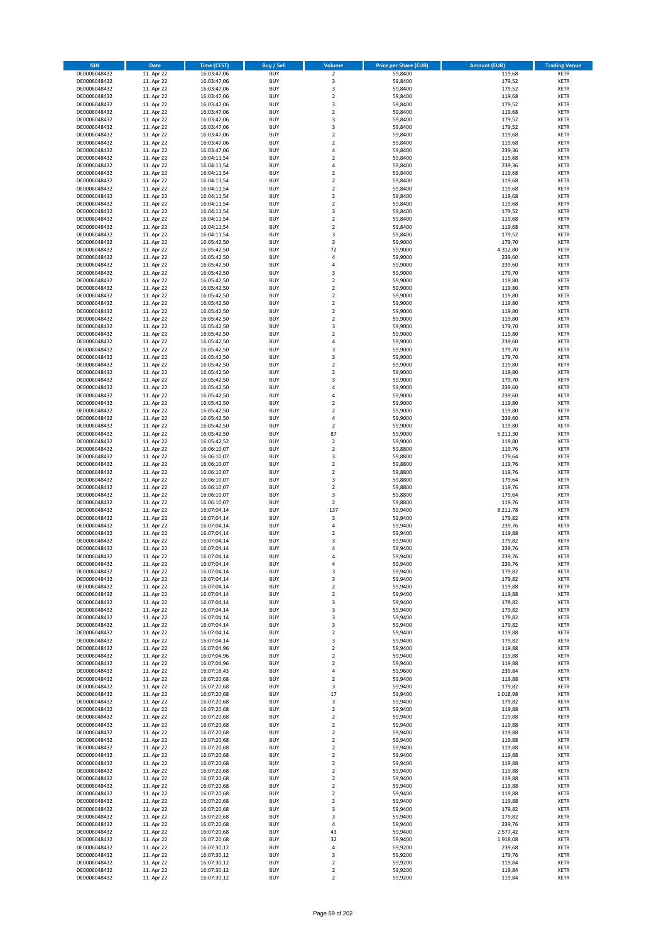| <b>ISIN</b>                  | <b>Date</b>              | <b>Time (CEST)</b>         | <b>Buy / Sell</b>        | <b>Volume</b>                             | <b>Price per Share (EUR)</b> | <b>Amount (EUR)</b> | <b>Trading Venue</b>       |
|------------------------------|--------------------------|----------------------------|--------------------------|-------------------------------------------|------------------------------|---------------------|----------------------------|
| DE0006048432                 | 11. Apr 22               | 16:03:47,06                | <b>BUY</b>               | $\overline{2}$                            | 59,8400                      | 119,68              | <b>XETR</b>                |
| DE0006048432                 | 11. Apr 22               | 16:03:47,06                | <b>BUY</b>               | 3                                         | 59,8400                      | 179,52              | <b>XETR</b>                |
| DE0006048432                 | 11. Apr 22               | 16:03:47,06                | <b>BUY</b>               | 3                                         | 59,8400                      | 179,52              | <b>XETR</b>                |
| DE0006048432<br>DE0006048432 | 11. Apr 22<br>11. Apr 22 | 16:03:47,06<br>16:03:47,06 | <b>BUY</b><br><b>BUY</b> | $\mathbf 2$<br>3                          | 59,8400<br>59,8400           | 119,68<br>179,52    | <b>XETR</b><br><b>XETR</b> |
| DE0006048432                 | 11. Apr 22               | 16:03:47,06                | <b>BUY</b>               | $\mathbf 2$                               | 59,8400                      | 119,68              | <b>XETR</b>                |
| DE0006048432                 | 11. Apr 22               | 16:03:47,06                | <b>BUY</b>               | 3                                         | 59,8400                      | 179,52              | <b>XETR</b>                |
| DE0006048432                 | 11. Apr 22               | 16:03:47,06                | <b>BUY</b>               | 3                                         | 59,8400                      | 179,52              | <b>XETR</b>                |
| DE0006048432                 | 11. Apr 22               | 16:03:47,06                | <b>BUY</b>               | $\overline{2}$                            | 59,8400                      | 119,68              | <b>XETR</b>                |
| DE0006048432                 | 11. Apr 22               | 16:03:47,06                | <b>BUY</b><br><b>BUY</b> | $\overline{2}$                            | 59,8400                      | 119,68              | <b>XETR</b>                |
| DE0006048432<br>DE0006048432 | 11. Apr 22<br>11. Apr 22 | 16:03:47,06<br>16:04:11,54 | <b>BUY</b>               | 4<br>$\overline{\mathbf{c}}$              | 59,8400<br>59,8400           | 239,36<br>119,68    | <b>XETR</b><br><b>XETR</b> |
| DE0006048432                 | 11. Apr 22               | 16:04:11,54                | <b>BUY</b>               | 4                                         | 59,8400                      | 239,36              | <b>XETR</b>                |
| DE0006048432                 | 11. Apr 22               | 16:04:11,54                | <b>BUY</b>               | $\overline{\mathbf{c}}$                   | 59,8400                      | 119,68              | <b>XETR</b>                |
| DE0006048432                 | 11. Apr 22               | 16:04:11,54                | <b>BUY</b>               | $\overline{\mathbf{c}}$                   | 59,8400                      | 119,68              | <b>XETR</b>                |
| DE0006048432                 | 11. Apr 22               | 16:04:11,54                | <b>BUY</b>               | $\overline{\mathbf{c}}$                   | 59,8400                      | 119,68              | <b>XETR</b>                |
| DE0006048432                 | 11. Apr 22               | 16:04:11,54                | <b>BUY</b><br><b>BUY</b> | $\mathbf 2$                               | 59,8400                      | 119,68              | <b>XETR</b><br><b>XETR</b> |
| DE0006048432<br>DE0006048432 | 11. Apr 22<br>11. Apr 22 | 16:04:11,54<br>16:04:11,54 | <b>BUY</b>               | $\mathbf 2$<br>3                          | 59,8400<br>59,8400           | 119,68<br>179,52    | <b>XETR</b>                |
| DE0006048432                 | 11. Apr 22               | 16:04:11,54                | <b>BUY</b>               | $\mathbf 2$                               | 59,8400                      | 119,68              | <b>XETR</b>                |
| DE0006048432                 | 11. Apr 22               | 16:04:11,54                | <b>BUY</b>               | $\overline{\mathbf{c}}$                   | 59,8400                      | 119,68              | <b>XETR</b>                |
| DE0006048432                 | 11. Apr 22               | 16:04:11,54                | <b>BUY</b>               | 3                                         | 59,8400                      | 179,52              | <b>XETR</b>                |
| DE0006048432                 | 11. Apr 22               | 16:05:42,50                | <b>BUY</b>               | 3                                         | 59,9000                      | 179,70              | <b>XETR</b>                |
| DE0006048432                 | 11. Apr 22               | 16:05:42,50                | <b>BUY</b><br><b>BUY</b> | 72                                        | 59,9000                      | 4.312,80            | <b>XETR</b><br><b>XETR</b> |
| DE0006048432<br>DE0006048432 | 11. Apr 22<br>11. Apr 22 | 16:05:42,50<br>16:05:42,50 | <b>BUY</b>               | 4<br>4                                    | 59,9000<br>59,9000           | 239,60<br>239,60    | <b>XETR</b>                |
| DE0006048432                 | 11. Apr 22               | 16:05:42,50                | <b>BUY</b>               | 3                                         | 59,9000                      | 179,70              | <b>XETR</b>                |
| DE0006048432                 | 11. Apr 22               | 16:05:42,50                | <b>BUY</b>               | $\overline{\mathbf{c}}$                   | 59,9000                      | 119,80              | <b>XETR</b>                |
| DE0006048432                 | 11. Apr 22               | 16:05:42,50                | <b>BUY</b>               | $\mathbf 2$                               | 59,9000                      | 119,80              | <b>XETR</b>                |
| DE0006048432                 | 11. Apr 22               | 16:05:42,50                | <b>BUY</b>               | $\overline{\mathbf{c}}$                   | 59,9000                      | 119,80              | <b>XETR</b>                |
| DE0006048432<br>DE0006048432 | 11. Apr 22<br>11. Apr 22 | 16:05:42,50                | <b>BUY</b><br><b>BUY</b> | $\overline{2}$<br>$\overline{\mathbf{c}}$ | 59,9000                      | 119,80<br>119,80    | <b>XETR</b><br><b>XETR</b> |
| DE0006048432                 | 11. Apr 22               | 16:05:42,50<br>16:05:42,50 | <b>BUY</b>               | $\mathbf 2$                               | 59,9000<br>59,9000           | 119,80              | <b>XETR</b>                |
| DE0006048432                 | 11. Apr 22               | 16:05:42,50                | <b>BUY</b>               | 3                                         | 59,9000                      | 179,70              | <b>XETR</b>                |
| DE0006048432                 | 11. Apr 22               | 16:05:42,50                | <b>BUY</b>               | $\mathbf 2$                               | 59,9000                      | 119,80              | <b>XETR</b>                |
| DE0006048432                 | 11. Apr 22               | 16:05:42,50                | <b>BUY</b>               | 4                                         | 59,9000                      | 239,60              | <b>XETR</b>                |
| DE0006048432                 | 11. Apr 22               | 16:05:42,50                | <b>BUY</b>               | 3                                         | 59,9000                      | 179,70              | <b>XETR</b>                |
| DE0006048432                 | 11. Apr 22               | 16:05:42,50                | <b>BUY</b>               | 3                                         | 59,9000                      | 179,70              | <b>XETR</b>                |
| DE0006048432<br>DE0006048432 | 11. Apr 22<br>11. Apr 22 | 16:05:42,50<br>16:05:42,50 | <b>BUY</b><br><b>BUY</b> | $\mathbf 2$<br>$\mathbf 2$                | 59,9000<br>59,9000           | 119,80<br>119,80    | <b>XETR</b><br><b>XETR</b> |
| DE0006048432                 | 11. Apr 22               | 16:05:42,50                | <b>BUY</b>               | 3                                         | 59,9000                      | 179,70              | <b>XETR</b>                |
| DE0006048432                 | 11. Apr 22               | 16:05:42,50                | <b>BUY</b>               | 4                                         | 59,9000                      | 239,60              | <b>XETR</b>                |
| DE0006048432                 | 11. Apr 22               | 16:05:42,50                | <b>BUY</b>               | 4                                         | 59,9000                      | 239,60              | <b>XETR</b>                |
| DE0006048432                 | 11. Apr 22               | 16:05:42,50                | <b>BUY</b>               | $\overline{\mathbf{c}}$                   | 59,9000                      | 119,80              | <b>XETR</b>                |
| DE0006048432                 | 11. Apr 22               | 16:05:42,50                | <b>BUY</b>               | $\mathbf 2$                               | 59,9000                      | 119,80              | <b>XETR</b>                |
| DE0006048432<br>DE0006048432 | 11. Apr 22<br>11. Apr 22 | 16:05:42,50<br>16:05:42,50 | <b>BUY</b><br><b>BUY</b> | 4<br>$\mathbf 2$                          | 59,9000<br>59,9000           | 239,60<br>119,80    | <b>XETR</b><br><b>XETR</b> |
| DE0006048432                 | 11. Apr 22               | 16:05:42,50                | <b>BUY</b>               | 87                                        | 59,9000                      | 5.211,30            | <b>XETR</b>                |
| DE0006048432                 | 11. Apr 22               | 16:05:42,52                | <b>BUY</b>               | $\mathbf 2$                               | 59,9000                      | 119,80              | <b>XETR</b>                |
| DE0006048432                 | 11. Apr 22               | 16:06:10,07                | <b>BUY</b>               | $\mathbf 2$                               | 59,8800                      | 119,76              | <b>XETR</b>                |
| DE0006048432                 | 11. Apr 22               | 16:06:10,07                | <b>BUY</b>               | 3                                         | 59,8800                      | 179,64              | <b>XETR</b>                |
| DE0006048432                 | 11. Apr 22               | 16:06:10,07                | <b>BUY</b>               | $\mathbf 2$                               | 59,8800                      | 119,76              | <b>XETR</b>                |
| DE0006048432<br>DE0006048432 | 11. Apr 22<br>11. Apr 22 | 16:06:10,07                | <b>BUY</b><br><b>BUY</b> | $\overline{2}$<br>3                       | 59,8800<br>59,8800           | 119,76<br>179,64    | <b>XETR</b><br><b>XETR</b> |
| DE0006048432                 | 11. Apr 22               | 16:06:10,07<br>16:06:10,07 | <b>BUY</b>               | $\overline{\mathbf{c}}$                   | 59,8800                      | 119,76              | <b>XETR</b>                |
| DE0006048432                 | 11. Apr 22               | 16:06:10,07                | <b>BUY</b>               | 3                                         | 59,8800                      | 179,64              | <b>XETR</b>                |
| DE0006048432                 | 11. Apr 22               | 16:06:10,07                | <b>BUY</b>               | $\overline{\mathbf{c}}$                   | 59,8800                      | 119,76              | <b>XETR</b>                |
| DE0006048432                 | 11. Apr 22               | 16:07:04,14                | <b>BUY</b>               | 137                                       | 59,9400                      | 8.211,78            | <b>XETR</b>                |
| DE0006048432                 | 11. Apr 22               | 16:07:04,14                | <b>BUY</b>               | 3                                         | 59,9400                      | 179,82              | <b>XETR</b>                |
| DE0006048432                 | 11. Apr 22               | 16:07:04,14                | <b>BUY</b>               | 4                                         | 59,9400                      | 239,76              | <b>XETR</b>                |
| DE0006048432<br>DE0006048432 | 11. Apr 22<br>11. Apr 22 | 16:07:04,14<br>16:07:04,14 | <b>BUY</b><br><b>BUY</b> | $\mathbf 2$<br>3                          | 59,9400<br>59,9400           | 119,88<br>179,82    | <b>XETR</b><br><b>XETR</b> |
| DE0006048432                 | 11. Apr 22               | 16:07:04,14                | <b>BUY</b>               | $\overline{a}$                            | 59,9400                      | 239,76              | <b>XETR</b>                |
| DE0006048432                 | 11. Apr 22               | 16:07:04,14                | <b>BUY</b>               | 4                                         | 59,9400                      | 239,76              | <b>XETR</b>                |
| DE0006048432                 | 11. Apr 22               | 16:07:04,14                | BUY                      | 4                                         | 59,9400                      | 239,76              | <b>XETR</b>                |
| DE0006048432                 | 11. Apr 22               | 16:07:04,14                | <b>BUY</b>               | 3                                         | 59,9400                      | 179,82              | <b>XETR</b>                |
| DE0006048432                 | 11. Apr 22               | 16:07:04,14                | <b>BUY</b>               | 3                                         | 59,9400                      | 179,82              | <b>XETR</b>                |
| DE0006048432<br>DE0006048432 | 11. Apr 22<br>11. Apr 22 | 16:07:04,14<br>16:07:04,14 | <b>BUY</b><br><b>BUY</b> | $\mathbf 2$<br>$\mathbf 2$                | 59,9400<br>59,9400           | 119,88<br>119,88    | XETR<br><b>XETR</b>        |
| DE0006048432                 | 11. Apr 22               | 16:07:04,14                | <b>BUY</b>               | 3                                         | 59,9400                      | 179,82              | <b>XETR</b>                |
| DE0006048432                 | 11. Apr 22               | 16:07:04,14                | <b>BUY</b>               | 3                                         | 59,9400                      | 179,82              | <b>XETR</b>                |
| DE0006048432                 | 11. Apr 22               | 16:07:04,14                | <b>BUY</b>               | 3                                         | 59,9400                      | 179,82              | <b>XETR</b>                |
| DE0006048432                 | 11. Apr 22               | 16:07:04,14                | <b>BUY</b>               | 3                                         | 59,9400                      | 179,82              | <b>XETR</b>                |
| DE0006048432                 | 11. Apr 22               | 16:07:04,14                | <b>BUY</b>               | $\mathbf 2$                               | 59,9400                      | 119,88              | <b>XETR</b>                |
| DE0006048432<br>DE0006048432 | 11. Apr 22<br>11. Apr 22 | 16:07:04,14<br>16:07:04,96 | <b>BUY</b><br><b>BUY</b> | 3<br>$\overline{2}$                       | 59,9400<br>59,9400           | 179,82<br>119,88    | <b>XETR</b><br><b>XETR</b> |
| DE0006048432                 | 11. Apr 22               | 16:07:04,96                | <b>BUY</b>               | $\mathbf 2$                               | 59,9400                      | 119,88              | <b>XETR</b>                |
| DE0006048432                 | 11. Apr 22               | 16:07:04,96                | <b>BUY</b>               | $\overline{2}$                            | 59.9400                      | 119,88              | <b>XETR</b>                |
| DE0006048432                 | 11. Apr 22               | 16:07:16,43                | <b>BUY</b>               | 4                                         | 59,9600                      | 239,84              | <b>XETR</b>                |
| DE0006048432                 | 11. Apr 22               | 16:07:20,68                | <b>BUY</b>               | $\overline{\mathbf{c}}$                   | 59,9400                      | 119,88              | <b>XETR</b>                |
| DE0006048432                 | 11. Apr 22               | 16:07:20,68                | <b>BUY</b>               | 3                                         | 59,9400                      | 179,82              | <b>XETR</b>                |
| DE0006048432<br>DE0006048432 | 11. Apr 22<br>11. Apr 22 | 16:07:20,68<br>16:07:20,68 | <b>BUY</b><br><b>BUY</b> | 17<br>3                                   | 59,9400<br>59,9400           | 1.018,98<br>179,82  | <b>XETR</b><br>XETR        |
| DE0006048432                 | 11. Apr 22               | 16:07:20,68                | <b>BUY</b>               | $\mathbf 2$                               | 59,9400                      | 119,88              | <b>XETR</b>                |
| DE0006048432                 | 11. Apr 22               | 16:07:20,68                | <b>BUY</b>               | $\overline{2}$                            | 59,9400                      | 119,88              | <b>XETR</b>                |
| DE0006048432                 | 11. Apr 22               | 16:07:20,68                | <b>BUY</b>               | $\mathbf 2$                               | 59,9400                      | 119,88              | <b>XETR</b>                |
| DE0006048432                 | 11. Apr 22               | 16:07:20,68                | <b>BUY</b>               | $\overline{2}$                            | 59,9400                      | 119,88              | <b>XETR</b>                |
| DE0006048432                 | 11. Apr 22               | 16:07:20,68                | <b>BUY</b>               | $\mathbf 2$                               | 59,9400                      | 119,88              | <b>XETR</b>                |
| DE0006048432                 | 11. Apr 22               | 16:07:20,68                | <b>BUY</b><br><b>BUY</b> | $\mathbf 2$                               | 59,9400                      | 119,88              | <b>XETR</b>                |
| DE0006048432<br>DE0006048432 | 11. Apr 22<br>11. Apr 22 | 16:07:20,68<br>16:07:20,68 | <b>BUY</b>               | $\mathbf 2$<br>$\mathbf 2$                | 59,9400<br>59,9400           | 119,88<br>119,88    | <b>XETR</b><br><b>XETR</b> |
| DE0006048432                 | 11. Apr 22               | 16:07:20,68                | <b>BUY</b>               | $\overline{\mathbf{2}}$                   | 59,9400                      | 119,88              | <b>XETR</b>                |
| DE0006048432                 | 11. Apr 22               | 16:07:20,68                | <b>BUY</b>               | $\mathbf 2$                               | 59,9400                      | 119,88              | <b>XETR</b>                |
| DE0006048432                 | 11. Apr 22               | 16:07:20,68                | <b>BUY</b>               | $\overline{\mathbf{2}}$                   | 59,9400                      | 119,88              | <b>XETR</b>                |
| DE0006048432                 | 11. Apr 22               | 16:07:20,68                | <b>BUY</b>               | $\mathbf 2$                               | 59,9400                      | 119,88              | <b>XETR</b>                |
| DE0006048432                 | 11. Apr 22               | 16:07:20,68                | <b>BUY</b>               | 2                                         | 59,9400                      | 119,88              | <b>XETR</b>                |
| DE0006048432<br>DE0006048432 | 11. Apr 22<br>11. Apr 22 | 16:07:20,68<br>16:07:20,68 | <b>BUY</b><br><b>BUY</b> | 3<br>3                                    | 59,9400<br>59,9400           | 179,82<br>179,82    | <b>XETR</b><br><b>XETR</b> |
| DE0006048432                 | 11. Apr 22               | 16:07:20,68                | <b>BUY</b>               | 4                                         | 59,9400                      | 239,76              | <b>XETR</b>                |
| DE0006048432                 | 11. Apr 22               | 16:07:20,68                | <b>BUY</b>               | 43                                        | 59,9400                      | 2.577,42            | <b>XETR</b>                |
| DE0006048432                 | 11. Apr 22               | 16:07:20,68                | <b>BUY</b>               | 32                                        | 59,9400                      | 1.918,08            | <b>XETR</b>                |
| DE0006048432                 | 11. Apr 22               | 16:07:30,12                | <b>BUY</b>               | 4                                         | 59,9200                      | 239,68              | XETR                       |
| DE0006048432                 | 11. Apr 22               | 16:07:30,12                | <b>BUY</b>               | 3                                         | 59,9200                      | 179,76              | <b>XETR</b>                |
| DE0006048432<br>DE0006048432 | 11. Apr 22<br>11. Apr 22 | 16:07:30,12<br>16:07:30,12 | <b>BUY</b><br><b>BUY</b> | $\mathbf 2$<br>$\mathbf 2$                | 59,9200<br>59,9200           | 119,84<br>119,84    | <b>XETR</b><br><b>XETR</b> |
| DE0006048432                 | 11. Apr 22               | 16:07:30,12                | <b>BUY</b>               | $\mathbf 2$                               | 59,9200                      | 119,84              | XETR                       |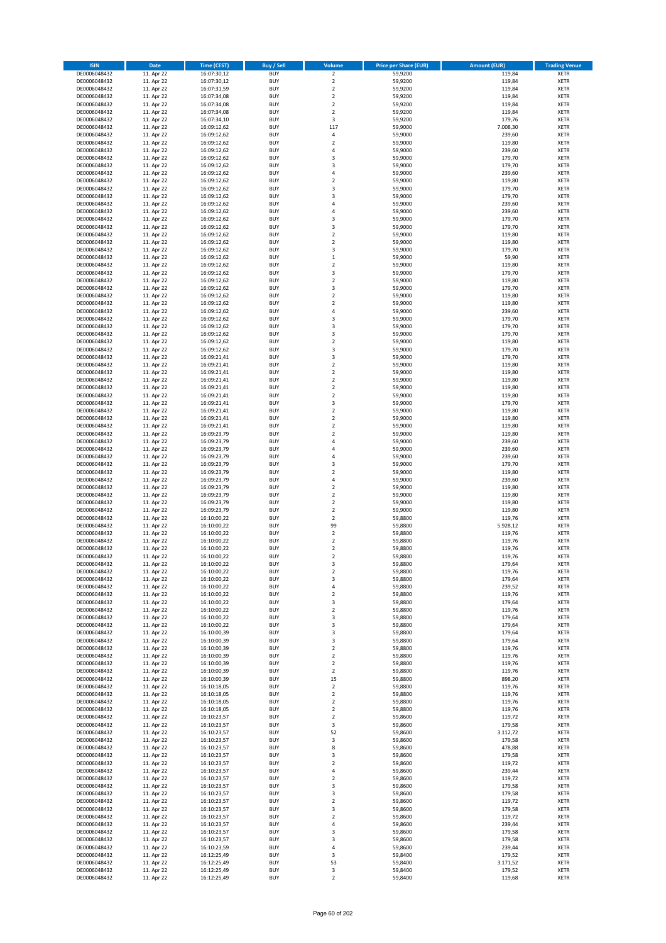| <b>ISIN</b>                  | <b>Date</b>              | <b>Time (CEST)</b>         | <b>Buy / Sell</b>        | Volume                                 | <b>Price per Share (EUR)</b> | <b>Amount (EUR)</b> | <b>Trading Venue</b>       |
|------------------------------|--------------------------|----------------------------|--------------------------|----------------------------------------|------------------------------|---------------------|----------------------------|
| DE0006048432                 | 11. Apr 22               | 16:07:30,12                | <b>BUY</b>               | $\overline{2}$                         | 59,9200                      | 119,84              | <b>XETR</b>                |
| DE0006048432                 | 11. Apr 22               | 16:07:30,12                | <b>BUY</b>               | $\mathbf 2$                            | 59,9200                      | 119,84              | <b>XETR</b>                |
| DE0006048432                 | 11. Apr 22               | 16:07:31,59                | <b>BUY</b>               | $\overline{2}$                         | 59,9200                      | 119,84              | <b>XETR</b>                |
| DE0006048432<br>DE0006048432 | 11. Apr 22<br>11. Apr 22 | 16:07:34,08<br>16:07:34,08 | <b>BUY</b><br><b>BUY</b> | $\mathbf 2$<br>$\mathbf 2$             | 59,9200<br>59,9200           | 119,84<br>119,84    | <b>XETR</b><br><b>XETR</b> |
| DE0006048432                 | 11. Apr 22               | 16:07:34,08                | <b>BUY</b>               | $\mathbf 2$                            | 59,9200                      | 119,84              | <b>XETR</b>                |
| DE0006048432                 | 11. Apr 22               | 16:07:34,10                | <b>BUY</b>               | 3                                      | 59,9200                      | 179,76              | <b>XETR</b>                |
| DE0006048432                 | 11. Apr 22               | 16:09:12,62                | <b>BUY</b>               | 117                                    | 59,9000                      | 7.008,30            | <b>XETR</b>                |
| DE0006048432                 | 11. Apr 22               | 16:09:12,62                | <b>BUY</b>               | 4                                      | 59,9000                      | 239,60              | <b>XETR</b>                |
| DE0006048432                 | 11. Apr 22               | 16:09:12,62                | <b>BUY</b>               | $\mathbf 2$                            | 59,9000                      | 119,80              | <b>XETR</b>                |
| DE0006048432                 | 11. Apr 22               | 16:09:12,62                | <b>BUY</b>               | 4                                      | 59,9000                      | 239,60              | <b>XETR</b>                |
| DE0006048432<br>DE0006048432 | 11. Apr 22<br>11. Apr 22 | 16:09:12,62                | <b>BUY</b><br><b>BUY</b> | 3<br>3                                 | 59,9000<br>59,9000           | 179,70<br>179,70    | <b>XETR</b><br><b>XETR</b> |
| DE0006048432                 | 11. Apr 22               | 16:09:12,62<br>16:09:12,62 | <b>BUY</b>               | 4                                      | 59,9000                      | 239,60              | <b>XETR</b>                |
| DE0006048432                 | 11. Apr 22               | 16:09:12,62                | <b>BUY</b>               | $\mathbf 2$                            | 59,9000                      | 119,80              | <b>XETR</b>                |
| DE0006048432                 | 11. Apr 22               | 16:09:12,62                | <b>BUY</b>               | 3                                      | 59,9000                      | 179,70              | <b>XETR</b>                |
| DE0006048432                 | 11. Apr 22               | 16:09:12,62                | <b>BUY</b>               | 3                                      | 59,9000                      | 179,70              | <b>XETR</b>                |
| DE0006048432                 | 11. Apr 22               | 16:09:12,62                | <b>BUY</b>               | 4                                      | 59,9000                      | 239,60              | <b>XETR</b>                |
| DE0006048432                 | 11. Apr 22               | 16:09:12,62                | <b>BUY</b>               | 4                                      | 59,9000                      | 239,60              | <b>XETR</b>                |
| DE0006048432                 | 11. Apr 22               | 16:09:12,62                | <b>BUY</b>               | 3                                      | 59,9000                      | 179,70              | <b>XETR</b>                |
| DE0006048432                 | 11. Apr 22               | 16:09:12,62                | <b>BUY</b>               | 3                                      | 59,9000                      | 179,70              | <b>XETR</b>                |
| DE0006048432<br>DE0006048432 | 11. Apr 22<br>11. Apr 22 | 16:09:12,62<br>16:09:12,62 | <b>BUY</b><br><b>BUY</b> | $\mathbf 2$<br>$\mathbf 2$             | 59,9000<br>59,9000           | 119,80<br>119,80    | <b>XETR</b><br><b>XETR</b> |
| DE0006048432                 | 11. Apr 22               | 16:09:12,62                | <b>BUY</b>               | 3                                      | 59,9000                      | 179,70              | <b>XETR</b>                |
| DE0006048432                 | 11. Apr 22               | 16:09:12,62                | <b>BUY</b>               | $\mathbf 1$                            | 59,9000                      | 59,90               | <b>XETR</b>                |
| DE0006048432                 | 11. Apr 22               | 16:09:12,62                | <b>BUY</b>               | $\mathbf 2$                            | 59,9000                      | 119,80              | <b>XETR</b>                |
| DE0006048432                 | 11. Apr 22               | 16:09:12,62                | <b>BUY</b>               | 3                                      | 59,9000                      | 179,70              | <b>XETR</b>                |
| DE0006048432                 | 11. Apr 22               | 16:09:12,62                | <b>BUY</b>               | $\overline{\mathbf{c}}$                | 59,9000                      | 119,80              | <b>XETR</b>                |
| DE0006048432                 | 11. Apr 22               | 16:09:12,62                | <b>BUY</b>               | 3                                      | 59,9000                      | 179,70              | <b>XETR</b>                |
| DE0006048432                 | 11. Apr 22               | 16:09:12,62                | <b>BUY</b><br><b>BUY</b> | $\overline{\mathbf{c}}$<br>$\mathbf 2$ | 59,9000                      | 119,80              | <b>XETR</b>                |
| DE0006048432<br>DE0006048432 | 11. Apr 22<br>11. Apr 22 | 16:09:12,62<br>16:09:12,62 | <b>BUY</b>               | 4                                      | 59,9000<br>59,9000           | 119,80<br>239,60    | <b>XETR</b><br><b>XETR</b> |
| DE0006048432                 | 11. Apr 22               | 16:09:12,62                | <b>BUY</b>               | 3                                      | 59,9000                      | 179,70              | <b>XETR</b>                |
| DE0006048432                 | 11. Apr 22               | 16:09:12,62                | <b>BUY</b>               | 3                                      | 59,9000                      | 179,70              | <b>XETR</b>                |
| DE0006048432                 | 11. Apr 22               | 16:09:12,62                | <b>BUY</b>               | 3                                      | 59,9000                      | 179,70              | <b>XETR</b>                |
| DE0006048432                 | 11. Apr 22               | 16:09:12,62                | <b>BUY</b>               | $\mathbf 2$                            | 59,9000                      | 119,80              | <b>XETR</b>                |
| DE0006048432                 | 11. Apr 22               | 16:09:12,62                | <b>BUY</b>               | 3                                      | 59,9000                      | 179,70              | <b>XETR</b>                |
| DE0006048432                 | 11. Apr 22               | 16:09:21,41                | <b>BUY</b>               | 3                                      | 59,9000                      | 179,70              | <b>XETR</b>                |
| DE0006048432                 | 11. Apr 22               | 16:09:21,41                | <b>BUY</b>               | $\mathbf 2$                            | 59,9000                      | 119,80              | <b>XETR</b>                |
| DE0006048432<br>DE0006048432 | 11. Apr 22<br>11. Apr 22 | 16:09:21,41<br>16:09:21,41 | <b>BUY</b><br><b>BUY</b> | $\mathbf 2$<br>$\mathbf 2$             | 59,9000<br>59,9000           | 119,80<br>119,80    | <b>XETR</b><br><b>XETR</b> |
| DE0006048432                 | 11. Apr 22               | 16:09:21,41                | <b>BUY</b>               | $\mathbf 2$                            | 59,9000                      | 119,80              | <b>XETR</b>                |
| DE0006048432                 | 11. Apr 22               | 16:09:21,41                | <b>BUY</b>               | $\mathbf 2$                            | 59,9000                      | 119,80              | <b>XETR</b>                |
| DE0006048432                 | 11. Apr 22               | 16:09:21,41                | <b>BUY</b>               | 3                                      | 59,9000                      | 179,70              | <b>XETR</b>                |
| DE0006048432                 | 11. Apr 22               | 16:09:21,41                | <b>BUY</b>               | $\mathbf 2$                            | 59,9000                      | 119,80              | <b>XETR</b>                |
| DE0006048432                 | 11. Apr 22               | 16:09:21,41                | <b>BUY</b>               | $\overline{\mathbf{2}}$                | 59,9000                      | 119,80              | <b>XETR</b>                |
| DE0006048432                 | 11. Apr 22               | 16:09:21,41                | <b>BUY</b>               | $\mathbf 2$                            | 59,9000                      | 119,80              | <b>XETR</b>                |
| DE0006048432                 | 11. Apr 22               | 16:09:23,79                | <b>BUY</b>               | $\mathbf 2$                            | 59,9000                      | 119,80              | <b>XETR</b>                |
| DE0006048432                 | 11. Apr 22               | 16:09:23,79                | <b>BUY</b>               | 4                                      | 59,9000                      | 239,60              | <b>XETR</b>                |
| DE0006048432<br>DE0006048432 | 11. Apr 22<br>11. Apr 22 | 16:09:23,79<br>16:09:23,79 | <b>BUY</b><br><b>BUY</b> | 4<br>4                                 | 59,9000<br>59,9000           | 239,60<br>239,60    | <b>XETR</b><br><b>XETR</b> |
| DE0006048432                 | 11. Apr 22               | 16:09:23,79                | <b>BUY</b>               | 3                                      | 59,9000                      | 179,70              | <b>XETR</b>                |
| DE0006048432                 | 11. Apr 22               | 16:09:23,79                | <b>BUY</b>               | $\overline{\mathbf{c}}$                | 59,9000                      | 119,80              | <b>XETR</b>                |
| DE0006048432                 | 11. Apr 22               | 16:09:23,79                | <b>BUY</b>               | 4                                      | 59,9000                      | 239,60              | <b>XETR</b>                |
| DE0006048432                 | 11. Apr 22               | 16:09:23,79                | <b>BUY</b>               | $\overline{\mathbf{c}}$                | 59,9000                      | 119,80              | <b>XETR</b>                |
| DE0006048432                 | 11. Apr 22               | 16:09:23,79                | <b>BUY</b>               | $\mathbf 2$                            | 59,9000                      | 119,80              | <b>XETR</b>                |
| DE0006048432                 | 11. Apr 22               | 16:09:23,79                | <b>BUY</b>               | $\overline{\mathbf{c}}$                | 59,9000                      | 119,80              | <b>XETR</b>                |
| DE0006048432                 | 11. Apr 22               | 16:09:23,79                | <b>BUY</b>               | $\mathbf 2$                            | 59,9000                      | 119,80              | <b>XETR</b>                |
| DE0006048432<br>DE0006048432 | 11. Apr 22               | 16:10:00,22                | <b>BUY</b><br><b>BUY</b> | $\mathbf 2$<br>99                      | 59,8800                      | 119,76              | <b>XETR</b><br><b>XETR</b> |
| DE0006048432                 | 11. Apr 22<br>11. Apr 22 | 16:10:00,22<br>16:10:00,22 | <b>BUY</b>               | $\mathbf 2$                            | 59,8800<br>59,8800           | 5.928,12<br>119,76  | <b>XETR</b>                |
| DE0006048432                 | 11. Apr 22               | 16:10:00,22                | <b>BUY</b>               | $\overline{\mathbf{c}}$                | 59,8800                      | 119,76              | <b>XETR</b>                |
| DE0006048432                 | 11. Apr 22               | 16:10:00,22                | <b>BUY</b>               | $\overline{\mathbf{c}}$                | 59,8800                      | 119,76              | <b>XETR</b>                |
| DE0006048432                 | 11. Apr 22               | 16:10:00,22                | <b>BUY</b>               | $\overline{2}$                         | 59,8800                      | 119,76              | <b>XETR</b>                |
| DE0006048432                 | 11. Apr 22               | 16:10:00,22                | BUY                      | 3                                      | 59,8800                      | 179,64              | <b>XETR</b>                |
| DE0006048432                 | 11. Apr 22               | 16:10:00,22                | <b>BUY</b>               | $\mathbf 2$                            | 59,8800                      | 119,76              | <b>XETR</b>                |
| DE0006048432<br>DE0006048432 | 11. Apr 22<br>11. Apr 22 | 16:10:00,22<br>16:10:00,22 | <b>BUY</b><br><b>BUY</b> | 3                                      | 59,8800<br>59,8800           | 179,64<br>239,52    | <b>XETR</b>                |
| DE0006048432                 | 11. Apr 22               | 16:10:00,22                | <b>BUY</b>               | 4<br>$\mathbf 2$                       | 59,8800                      | 119,76              | XETR<br><b>XETR</b>        |
| DE0006048432                 | 11. Apr 22               | 16:10:00,22                | <b>BUY</b>               | 3                                      | 59,8800                      | 179,64              | <b>XETR</b>                |
| DE0006048432                 | 11. Apr 22               | 16:10:00,22                | <b>BUY</b>               | $\overline{\mathbf{2}}$                | 59,8800                      | 119,76              | <b>XETR</b>                |
| DE0006048432                 | 11. Apr 22               | 16:10:00,22                | <b>BUY</b>               | 3                                      | 59,8800                      | 179,64              | <b>XETR</b>                |
| DE0006048432                 | 11. Apr 22               | 16:10:00,22                | <b>BUY</b>               | 3                                      | 59,8800                      | 179,64              | <b>XETR</b>                |
| DE0006048432                 | 11. Apr 22               | 16:10:00,39                | <b>BUY</b>               | 3                                      | 59,8800                      | 179,64              | XETR                       |
| DE0006048432<br>DE0006048432 | 11. Apr 22<br>11. Apr 22 | 16:10:00,39<br>16:10:00,39 | <b>BUY</b><br><b>BUY</b> | 3<br>$\overline{2}$                    | 59,8800<br>59,8800           | 179,64<br>119,76    | <b>XETR</b><br><b>XETR</b> |
| DE0006048432                 | 11. Apr 22               | 16:10:00,39                | <b>BUY</b>               | $\mathbf 2$                            | 59,8800                      | 119,76              | <b>XETR</b>                |
| DE0006048432                 | 11. Apr 22               | 16:10:00,39                | <b>BUY</b>               | $\overline{\mathbf{2}}$                | 59,8800                      | 119,76              | <b>XETR</b>                |
| DE0006048432                 | 11. Apr 22               | 16:10:00,39                | <b>BUY</b>               | $\mathbf 2$                            | 59,8800                      | 119,76              | <b>XETR</b>                |
| DE0006048432                 | 11. Apr 22               | 16:10:00,39                | <b>BUY</b>               | 15                                     | 59,8800                      | 898,20              | <b>XETR</b>                |
| DE0006048432                 | 11. Apr 22               | 16:10:18,05                | <b>BUY</b>               | $\mathbf 2$                            | 59,8800                      | 119,76              | <b>XETR</b>                |
| DE0006048432                 | 11. Apr 22               | 16:10:18,05                | <b>BUY</b>               | $\mathbf 2$                            | 59,8800                      | 119,76              | <b>XETR</b>                |
| DE0006048432                 | 11. Apr 22               | 16:10:18,05                | <b>BUY</b>               | $\mathbf 2$                            | 59,8800                      | 119,76              | XETR                       |
| DE0006048432<br>DE0006048432 | 11. Apr 22<br>11. Apr 22 | 16:10:18,05<br>16:10:23,57 | <b>BUY</b><br><b>BUY</b> | $\mathbf 2$<br>$\overline{2}$          | 59,8800<br>59,8600           | 119,76<br>119,72    | <b>XETR</b><br><b>XETR</b> |
| DE0006048432                 | 11. Apr 22               | 16:10:23,57                | <b>BUY</b>               | 3                                      | 59,8600                      | 179,58              | <b>XETR</b>                |
| DE0006048432                 | 11. Apr 22               | 16:10:23,57                | <b>BUY</b>               | 52                                     | 59,8600                      | 3.112,72            | <b>XETR</b>                |
| DE0006048432                 | 11. Apr 22               | 16:10:23,57                | <b>BUY</b>               | 3                                      | 59,8600                      | 179,58              | <b>XETR</b>                |
| DE0006048432                 | 11. Apr 22               | 16:10:23,57                | <b>BUY</b>               | 8                                      | 59,8600                      | 478,88              | <b>XETR</b>                |
| DE0006048432                 | 11. Apr 22               | 16:10:23,57                | <b>BUY</b>               | 3                                      | 59,8600                      | 179,58              | <b>XETR</b>                |
| DE0006048432                 | 11. Apr 22               | 16:10:23,57                | <b>BUY</b>               | $\mathbf 2$                            | 59,8600                      | 119,72              | <b>XETR</b>                |
| DE0006048432                 | 11. Apr 22               | 16:10:23,57                | <b>BUY</b>               | 4                                      | 59,8600                      | 239,44              | <b>XETR</b>                |
| DE0006048432<br>DE0006048432 | 11. Apr 22<br>11. Apr 22 | 16:10:23,57                | <b>BUY</b><br><b>BUY</b> | $\mathbf 2$<br>3                       | 59,8600<br>59,8600           | 119,72<br>179,58    | <b>XETR</b><br><b>XETR</b> |
| DE0006048432                 | 11. Apr 22               | 16:10:23,57<br>16:10:23,57 | <b>BUY</b>               | 3                                      | 59,8600                      | 179,58              | <b>XETR</b>                |
| DE0006048432                 | 11. Apr 22               | 16:10:23,57                | <b>BUY</b>               | $\mathbf 2$                            | 59,8600                      | 119,72              | <b>XETR</b>                |
| DE0006048432                 | 11. Apr 22               | 16:10:23,57                | <b>BUY</b>               | 3                                      | 59,8600                      | 179,58              | <b>XETR</b>                |
| DE0006048432                 | 11. Apr 22               | 16:10:23,57                | <b>BUY</b>               | $\mathbf 2$                            | 59,8600                      | 119,72              | <b>XETR</b>                |
| DE0006048432                 | 11. Apr 22               | 16:10:23,57                | <b>BUY</b>               | 4                                      | 59,8600                      | 239,44              | <b>XETR</b>                |
| DE0006048432                 | 11. Apr 22               | 16:10:23,57                | <b>BUY</b>               | 3                                      | 59,8600                      | 179,58              | <b>XETR</b>                |
| DE0006048432                 | 11. Apr 22               | 16:10:23,57                | <b>BUY</b>               | 3                                      | 59,8600                      | 179,58              | <b>XETR</b>                |
| DE0006048432<br>DE0006048432 | 11. Apr 22<br>11. Apr 22 | 16:10:23,59<br>16:12:25,49 | <b>BUY</b><br><b>BUY</b> | 4<br>3                                 | 59,8600<br>59,8400           | 239,44<br>179,52    | XETR<br><b>XETR</b>        |
| DE0006048432                 | 11. Apr 22               | 16:12:25,49                | <b>BUY</b>               | 53                                     | 59,8400                      | 3.171,52            | <b>XETR</b>                |
| DE0006048432                 | 11. Apr 22               | 16:12:25,49                | <b>BUY</b>               | 3                                      | 59,8400                      | 179,52              | <b>XETR</b>                |
| DE0006048432                 | 11. Apr 22               | 16:12:25,49                | <b>BUY</b>               | $\mathbf 2$                            | 59,8400                      | 119,68              | XETR                       |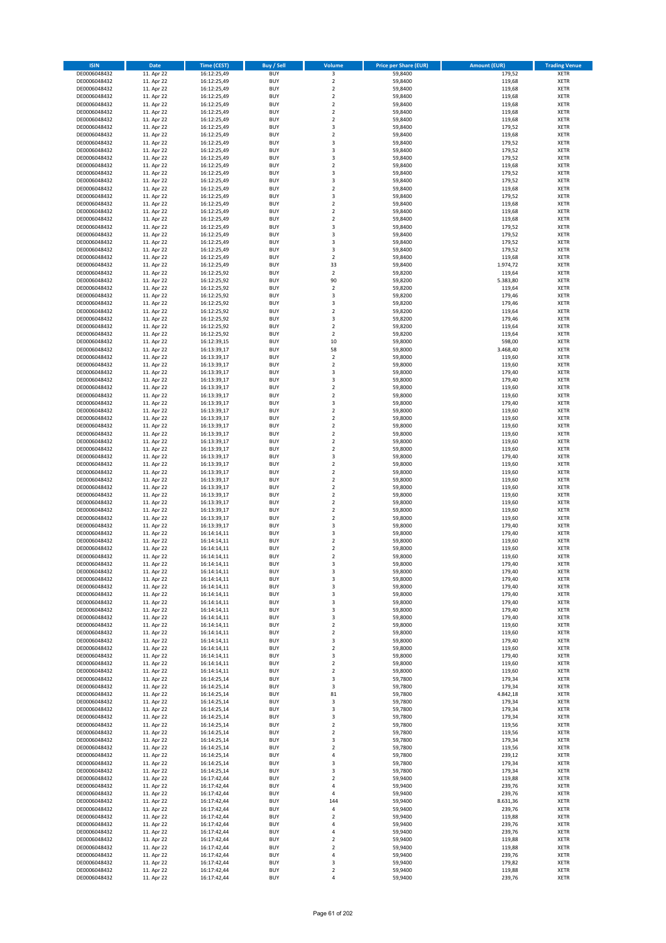| <b>ISIN</b>                  | <b>Date</b>              | <b>Time (CEST)</b>         | <b>Buy / Sell</b>        | Volume                                 | <b>Price per Share (EUR)</b> | <b>Amount (EUR)</b> | <b>Trading Venue</b>       |
|------------------------------|--------------------------|----------------------------|--------------------------|----------------------------------------|------------------------------|---------------------|----------------------------|
| DE0006048432                 | 11. Apr 22               | 16:12:25,49                | <b>BUY</b>               | $\overline{\mathbf{3}}$                | 59,8400                      | 179,52              | <b>XETR</b>                |
| DE0006048432                 | 11. Apr 22               | 16:12:25,49                | <b>BUY</b>               | $\mathbf 2$                            | 59,8400                      | 119,68              | <b>XETR</b>                |
| DE0006048432                 | 11. Apr 22               | 16:12:25,49                | <b>BUY</b>               | $\overline{2}$                         | 59,8400                      | 119,68              | <b>XETR</b>                |
| DE0006048432<br>DE0006048432 | 11. Apr 22<br>11. Apr 22 | 16:12:25,49<br>16:12:25,49 | <b>BUY</b><br><b>BUY</b> | $\mathbf 2$<br>$\mathbf 2$             | 59,8400<br>59,8400           | 119,68<br>119,68    | <b>XETR</b><br><b>XETR</b> |
| DE0006048432                 | 11. Apr 22               | 16:12:25,49                | <b>BUY</b>               | $\mathbf 2$                            | 59,8400                      | 119,68              | <b>XETR</b>                |
| DE0006048432                 | 11. Apr 22               | 16:12:25,49                | <b>BUY</b>               | $\mathbf 2$                            | 59,8400                      | 119,68              | <b>XETR</b>                |
| DE0006048432                 | 11. Apr 22               | 16:12:25,49                | <b>BUY</b>               | 3                                      | 59,8400                      | 179,52              | <b>XETR</b>                |
| DE0006048432                 | 11. Apr 22               | 16:12:25,49                | <b>BUY</b>               | $\overline{2}$                         | 59,8400                      | 119,68              | <b>XETR</b>                |
| DE0006048432                 | 11. Apr 22               | 16:12:25,49                | <b>BUY</b><br><b>BUY</b> | 3                                      | 59,8400                      | 179,52              | <b>XETR</b><br><b>XETR</b> |
| DE0006048432<br>DE0006048432 | 11. Apr 22<br>11. Apr 22 | 16:12:25,49<br>16:12:25,49 | <b>BUY</b>               | 3<br>3                                 | 59,8400<br>59,8400           | 179,52<br>179,52    | <b>XETR</b>                |
| DE0006048432                 | 11. Apr 22               | 16:12:25,49                | <b>BUY</b>               | $\mathbf 2$                            | 59,8400                      | 119,68              | <b>XETR</b>                |
| DE0006048432                 | 11. Apr 22               | 16:12:25,49                | <b>BUY</b>               | 3                                      | 59,8400                      | 179,52              | <b>XETR</b>                |
| DE0006048432                 | 11. Apr 22               | 16:12:25,49                | <b>BUY</b>               | 3                                      | 59,8400                      | 179,52              | <b>XETR</b>                |
| DE0006048432                 | 11. Apr 22               | 16:12:25,49                | <b>BUY</b>               | $\overline{\mathbf{c}}$                | 59,8400                      | 119,68              | <b>XETR</b>                |
| DE0006048432                 | 11. Apr 22               | 16:12:25,49                | <b>BUY</b><br><b>BUY</b> | 3                                      | 59,8400                      | 179,52              | <b>XETR</b><br><b>XETR</b> |
| DE0006048432<br>DE0006048432 | 11. Apr 22<br>11. Apr 22 | 16:12:25,49<br>16:12:25,49 | <b>BUY</b>               | $\mathbf 2$<br>$\overline{\mathbf{c}}$ | 59,8400<br>59,8400           | 119,68<br>119,68    | <b>XETR</b>                |
| DE0006048432                 | 11. Apr 22               | 16:12:25,49                | <b>BUY</b>               | $\mathbf 2$                            | 59,8400                      | 119,68              | <b>XETR</b>                |
| DE0006048432                 | 11. Apr 22               | 16:12:25,49                | <b>BUY</b>               | 3                                      | 59,8400                      | 179,52              | <b>XETR</b>                |
| DE0006048432                 | 11. Apr 22               | 16:12:25,49                | <b>BUY</b>               | 3                                      | 59,8400                      | 179,52              | <b>XETR</b>                |
| DE0006048432                 | 11. Apr 22               | 16:12:25,49                | <b>BUY</b>               | 3                                      | 59,8400                      | 179,52              | <b>XETR</b>                |
| DE0006048432<br>DE0006048432 | 11. Apr 22<br>11. Apr 22 | 16:12:25,49<br>16:12:25,49 | <b>BUY</b><br><b>BUY</b> | 3<br>$\mathbf 2$                       | 59,8400<br>59,8400           | 179,52<br>119,68    | <b>XETR</b><br><b>XETR</b> |
| DE0006048432                 | 11. Apr 22               | 16:12:25,49                | <b>BUY</b>               | 33                                     | 59,8400                      | 1.974,72            | <b>XETR</b>                |
| DE0006048432                 | 11. Apr 22               | 16:12:25,92                | <b>BUY</b>               | $\mathbf 2$                            | 59,8200                      | 119,64              | <b>XETR</b>                |
| DE0006048432                 | 11. Apr 22               | 16:12:25,92                | <b>BUY</b>               | 90                                     | 59,8200                      | 5.383.80            | <b>XETR</b>                |
| DE0006048432                 | 11. Apr 22               | 16:12:25,92                | <b>BUY</b>               | $\mathbf 2$                            | 59,8200                      | 119,64              | <b>XETR</b>                |
| DE0006048432                 | 11. Apr 22               | 16:12:25,92                | <b>BUY</b>               | 3                                      | 59,8200                      | 179,46              | <b>XETR</b>                |
| DE0006048432<br>DE0006048432 | 11. Apr 22<br>11. Apr 22 | 16:12:25,92<br>16:12:25,92 | <b>BUY</b><br><b>BUY</b> | 3<br>$\overline{2}$                    | 59,8200<br>59,8200           | 179,46<br>119,64    | <b>XETR</b><br><b>XETR</b> |
| DE0006048432                 | 11. Apr 22               | 16:12:25,92                | <b>BUY</b>               | 3                                      | 59,8200                      | 179,46              | <b>XETR</b>                |
| DE0006048432                 | 11. Apr 22               | 16:12:25,92                | <b>BUY</b>               | $\mathbf 2$                            | 59,8200                      | 119,64              | <b>XETR</b>                |
| DE0006048432                 | 11. Apr 22               | 16:12:25,92                | <b>BUY</b>               | $\overline{2}$                         | 59,8200                      | 119,64              | <b>XETR</b>                |
| DE0006048432                 | 11. Apr 22               | 16:12:39,15                | <b>BUY</b>               | 10                                     | 59,8000                      | 598,00              | <b>XETR</b>                |
| DE0006048432                 | 11. Apr 22               | 16:13:39,17                | <b>BUY</b>               | 58                                     | 59,8000                      | 3.468,40            | <b>XETR</b>                |
| DE0006048432<br>DE0006048432 | 11. Apr 22<br>11. Apr 22 | 16:13:39,17<br>16:13:39,17 | <b>BUY</b><br><b>BUY</b> | $\mathbf 2$<br>$\overline{2}$          | 59,8000<br>59,8000           | 119,60<br>119,60    | <b>XETR</b><br><b>XETR</b> |
| DE0006048432                 | 11. Apr 22               | 16:13:39,17                | <b>BUY</b>               | 3                                      | 59,8000                      | 179,40              | <b>XETR</b>                |
| DE0006048432                 | 11. Apr 22               | 16:13:39,17                | <b>BUY</b>               | 3                                      | 59,8000                      | 179,40              | <b>XETR</b>                |
| DE0006048432                 | 11. Apr 22               | 16:13:39,17                | <b>BUY</b>               | $\mathbf 2$                            | 59,8000                      | 119,60              | <b>XETR</b>                |
| DE0006048432                 | 11. Apr 22               | 16:13:39,17                | <b>BUY</b>               | $\mathbf 2$                            | 59,8000                      | 119,60              | <b>XETR</b>                |
| DE0006048432                 | 11. Apr 22               | 16:13:39,17                | <b>BUY</b>               | 3                                      | 59,8000                      | 179,40              | <b>XETR</b>                |
| DE0006048432                 | 11. Apr 22               | 16:13:39,17                | <b>BUY</b><br><b>BUY</b> | $\mathbf 2$<br>$\overline{2}$          | 59,8000                      | 119,60              | <b>XETR</b><br><b>XETR</b> |
| DE0006048432<br>DE0006048432 | 11. Apr 22<br>11. Apr 22 | 16:13:39,17<br>16:13:39,17 | <b>BUY</b>               | $\mathbf 2$                            | 59,8000<br>59,8000           | 119,60<br>119,60    | <b>XETR</b>                |
| DE0006048432                 | 11. Apr 22               | 16:13:39,17                | <b>BUY</b>               | $\mathbf 2$                            | 59,8000                      | 119,60              | <b>XETR</b>                |
| DE0006048432                 | 11. Apr 22               | 16:13:39,17                | <b>BUY</b>               | $\mathbf 2$                            | 59,8000                      | 119,60              | <b>XETR</b>                |
| DE0006048432                 | 11. Apr 22               | 16:13:39,17                | <b>BUY</b>               | $\overline{\mathbf{c}}$                | 59,8000                      | 119,60              | <b>XETR</b>                |
| DE0006048432                 | 11. Apr 22               | 16:13:39,17                | <b>BUY</b>               | 3                                      | 59,8000                      | 179,40              | <b>XETR</b>                |
| DE0006048432                 | 11. Apr 22               | 16:13:39,17                | <b>BUY</b>               | $\mathbf 2$                            | 59,8000                      | 119,60              | <b>XETR</b>                |
| DE0006048432<br>DE0006048432 | 11. Apr 22<br>11. Apr 22 | 16:13:39,17<br>16:13:39,17 | <b>BUY</b><br><b>BUY</b> | $\overline{2}$<br>$\mathbf 2$          | 59,8000<br>59,8000           | 119,60<br>119,60    | <b>XETR</b><br><b>XETR</b> |
| DE0006048432                 | 11. Apr 22               | 16:13:39,17                | <b>BUY</b>               | $\mathbf 2$                            | 59,8000                      | 119,60              | <b>XETR</b>                |
| DE0006048432                 | 11. Apr 22               | 16:13:39,17                | <b>BUY</b>               | $\mathbf 2$                            | 59,8000                      | 119,60              | <b>XETR</b>                |
| DE0006048432                 | 11. Apr 22               | 16:13:39,17                | <b>BUY</b>               | $\overline{\mathbf{c}}$                | 59,8000                      | 119,60              | <b>XETR</b>                |
| DE0006048432                 | 11. Apr 22               | 16:13:39,17                | <b>BUY</b>               | $\mathbf 2$                            | 59,8000                      | 119,60              | <b>XETR</b>                |
| DE0006048432                 | 11. Apr 22               | 16:13:39,17                | <b>BUY</b>               | $\mathbf 2$                            | 59,8000                      | 119,60              | <b>XETR</b>                |
| DE0006048432<br>DE0006048432 | 11. Apr 22<br>11. Apr 22 | 16:13:39,17<br>16:14:14,11 | <b>BUY</b><br><b>BUY</b> | 3<br>3                                 | 59,8000<br>59,8000           | 179,40<br>179,40    | <b>XETR</b><br><b>XETR</b> |
| DE0006048432                 | 11. Apr 22               | 16:14:14,11                | <b>BUY</b>               | $\overline{\mathbf{c}}$                | 59,8000                      | 119,60              | <b>XETR</b>                |
| DE0006048432                 | 11. Apr 22               | 16:14:14,11                | <b>BUY</b>               | $\overline{\mathbf{c}}$                | 59,8000                      | 119,60              | <b>XETR</b>                |
| DE0006048432                 | 11. Apr 22               | 16:14:14,11                | <b>BUY</b>               | $\overline{2}$                         | 59,8000                      | 119,60              | <b>XETR</b>                |
| DE0006048432                 | 11. Apr 22               | 16:14:14,11                | <b>BUY</b>               | 3                                      | 59,8000                      | 179,40              | <b>XETR</b>                |
| DE0006048432                 | 11. Apr 22               | 16:14:14,11                | <b>BUY</b><br><b>BUY</b> | 3                                      | 59,8000                      | 179,40              | XETR                       |
| DE0006048432<br>DE0006048432 | 11. Apr 22<br>11. Apr 22 | 16:14:14,11<br>16:14:14,11 | <b>BUY</b>               | 3<br>3                                 | 59,8000<br>59,8000           | 179,40<br>179,40    | XETR<br>XETR               |
| DE0006048432                 | 11. Apr 22               | 16:14:14,11                | <b>BUY</b>               | 3                                      | 59,8000                      | 179,40              | <b>XETR</b>                |
| DE0006048432                 | 11. Apr 22               | 16:14:14,11                | <b>BUY</b>               | 3                                      | 59,8000                      | 179,40              | XETR                       |
| DE0006048432                 | 11. Apr 22               | 16:14:14,11                | <b>BUY</b>               | 3                                      | 59,8000                      | 179,40              | <b>XETR</b>                |
| DE0006048432                 | 11. Apr 22               | 16:14:14,11                | <b>BUY</b>               | 3                                      | 59,8000                      | 179,40              | <b>XETR</b>                |
| DE0006048432                 | 11. Apr 22               | 16:14:14,11                | <b>BUY</b><br><b>BUY</b> | $\mathbf 2$<br>$\mathbf 2$             | 59,8000<br>59,8000           | 119,60<br>119,60    | <b>XETR</b>                |
| DE0006048432<br>DE0006048432 | 11. Apr 22<br>11. Apr 22 | 16:14:14,11<br>16:14:14,11 | <b>BUY</b>               | 3                                      | 59,8000                      | 179,40              | XETR<br>XETR               |
| DE0006048432                 | 11. Apr 22               | 16:14:14,11                | <b>BUY</b>               | $\overline{2}$                         | 59,8000                      | 119,60              | <b>XETR</b>                |
| DE0006048432                 | 11. Apr 22               | 16:14:14,11                | <b>BUY</b>               | 3                                      | 59,8000                      | 179,40              | <b>XETR</b>                |
| DE0006048432                 | 11. Apr 22               | 16:14:14,11                | <b>BUY</b>               | $\overline{2}$                         | 59,8000                      | 119,60              | <b>XETR</b>                |
| DE0006048432                 | 11. Apr 22               | 16:14:14,11                | <b>BUY</b>               | $\mathbf 2$                            | 59,8000                      | 119,60              | <b>XETR</b>                |
| DE0006048432<br>DE0006048432 | 11. Apr 22<br>11. Apr 22 | 16:14:25,14<br>16:14:25,14 | <b>BUY</b><br><b>BUY</b> | 3<br>3                                 | 59,7800<br>59,7800           | 179,34<br>179,34    | <b>XETR</b><br><b>XETR</b> |
| DE0006048432                 | 11. Apr 22               | 16:14:25,14                | <b>BUY</b>               | 81                                     | 59,7800                      | 4.842,18            | <b>XETR</b>                |
| DE0006048432                 | 11. Apr 22               | 16:14:25,14                | <b>BUY</b>               | 3                                      | 59,7800                      | 179,34              | XETR                       |
| DE0006048432                 | 11. Apr 22               | 16:14:25,14                | <b>BUY</b>               | 3                                      | 59,7800                      | 179,34              | <b>XETR</b>                |
| DE0006048432                 | 11. Apr 22               | 16:14:25,14                | <b>BUY</b>               | 3                                      | 59,7800                      | 179,34              | <b>XETR</b>                |
| DE0006048432                 | 11. Apr 22               | 16:14:25,14                | <b>BUY</b>               | $\mathbf 2$                            | 59,7800                      | 119,56              | <b>XETR</b>                |
| DE0006048432<br>DE0006048432 | 11. Apr 22<br>11. Apr 22 | 16:14:25,14<br>16:14:25,14 | <b>BUY</b><br><b>BUY</b> | $\overline{2}$<br>3                    | 59,7800<br>59,7800           | 119,56<br>179,34    | <b>XETR</b><br><b>XETR</b> |
| DE0006048432                 | 11. Apr 22               | 16:14:25,14                | <b>BUY</b>               | $\mathbf 2$                            | 59,7800                      | 119,56              | <b>XETR</b>                |
| DE0006048432                 | 11. Apr 22               | 16:14:25,14                | <b>BUY</b>               | 4                                      | 59,7800                      | 239,12              | XETR                       |
| DE0006048432                 | 11. Apr 22               | 16:14:25,14                | <b>BUY</b>               | 3                                      | 59,7800                      | 179,34              | <b>XETR</b>                |
| DE0006048432                 | 11. Apr 22               | 16:14:25,14                | <b>BUY</b>               | 3                                      | 59,7800                      | 179,34              | <b>XETR</b>                |
| DE0006048432                 | 11. Apr 22               | 16:17:42,44                | <b>BUY</b>               | $\mathbf 2$                            | 59,9400                      | 119,88              | <b>XETR</b>                |
| DE0006048432<br>DE0006048432 | 11. Apr 22<br>11. Apr 22 | 16:17:42,44<br>16:17:42,44 | <b>BUY</b><br><b>BUY</b> | 4<br>4                                 | 59,9400<br>59,9400           | 239,76<br>239,76    | XETR<br><b>XETR</b>        |
| DE0006048432                 | 11. Apr 22               | 16:17:42,44                | <b>BUY</b>               | 144                                    | 59,9400                      | 8.631,36            | <b>XETR</b>                |
| DE0006048432                 | 11. Apr 22               | 16:17:42,44                | <b>BUY</b>               | 4                                      | 59,9400                      | 239,76              | XETR                       |
| DE0006048432                 | 11. Apr 22               | 16:17:42,44                | <b>BUY</b>               | $\mathbf 2$                            | 59,9400                      | 119,88              | <b>XETR</b>                |
| DE0006048432                 | 11. Apr 22               | 16:17:42,44                | <b>BUY</b>               | 4                                      | 59,9400                      | 239,76              | <b>XETR</b>                |
| DE0006048432                 | 11. Apr 22               | 16:17:42,44                | <b>BUY</b>               | 4                                      | 59,9400                      | 239,76              | <b>XETR</b>                |
| DE0006048432<br>DE0006048432 | 11. Apr 22<br>11. Apr 22 | 16:17:42,44<br>16:17:42,44 | <b>BUY</b><br><b>BUY</b> | $\overline{\mathbf{c}}$<br>$\mathbf 2$ | 59,9400<br>59,9400           | 119,88<br>119,88    | <b>XETR</b><br>XETR        |
| DE0006048432                 | 11. Apr 22               | 16:17:42,44                | <b>BUY</b>               | 4                                      | 59,9400                      | 239,76              | <b>XETR</b>                |
| DE0006048432                 | 11. Apr 22               | 16:17:42,44                | <b>BUY</b>               | 3                                      | 59,9400                      | 179,82              | <b>XETR</b>                |
| DE0006048432                 | 11. Apr 22               | 16:17:42,44                | <b>BUY</b>               | $\mathbf 2$                            | 59,9400                      | 119,88              | <b>XETR</b>                |
| DE0006048432                 | 11. Apr 22               | 16:17:42,44                | <b>BUY</b>               | 4                                      | 59,9400                      | 239,76              | XETR                       |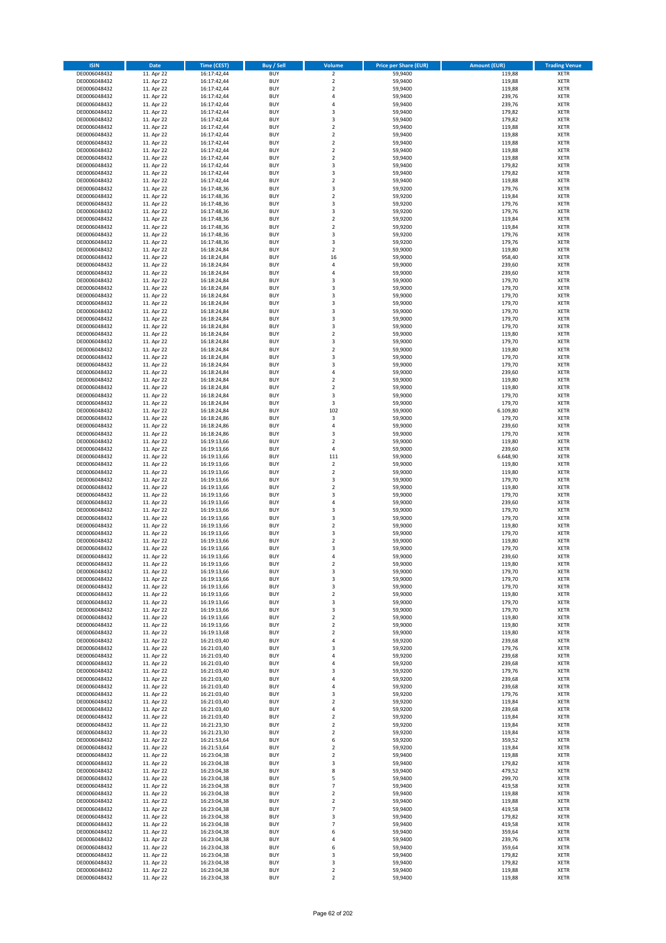| <b>ISIN</b>                  | <b>Date</b>              | Time (CEST)                | <b>Buy / Sell</b>        | Volume                                    | <b>Price per Share (EUR)</b> | Amount (EUR)     | <b>Trading Venue</b>       |
|------------------------------|--------------------------|----------------------------|--------------------------|-------------------------------------------|------------------------------|------------------|----------------------------|
| DE0006048432                 | 11. Apr 22               | 16:17:42,44                | <b>BUY</b>               | $\overline{2}$                            | 59,9400                      | 119,88           | <b>XETR</b>                |
| DE0006048432                 | 11. Apr 22               | 16:17:42,44                | <b>BUY</b>               | $\mathbf 2$                               | 59,9400                      | 119,88           | <b>XETR</b>                |
| DE0006048432                 | 11. Apr 22               | 16:17:42,44                | <b>BUY</b>               | $\mathbf 2$                               | 59.9400                      | 119,88           | <b>XETR</b>                |
| DE0006048432                 | 11. Apr 22               | 16:17:42,44                | <b>BUY</b>               | 4                                         | 59,9400                      | 239,76           | <b>XETR</b>                |
| DE0006048432<br>DE0006048432 | 11. Apr 22<br>11. Apr 22 | 16:17:42,44<br>16:17:42,44 | <b>BUY</b><br><b>BUY</b> | $\overline{4}$<br>$\overline{3}$          | 59,9400<br>59,9400           | 239,76<br>179,82 | <b>XETR</b><br><b>XETR</b> |
| DE0006048432                 | 11. Apr 22               | 16:17:42,44                | <b>BUY</b>               | $\overline{\mathbf{3}}$                   | 59.9400                      | 179,82           | <b>XETR</b>                |
| DE0006048432                 | 11. Apr 22               | 16:17:42,44                | <b>BUY</b>               | $\overline{2}$                            | 59,9400                      | 119,88           | <b>XETR</b>                |
| DE0006048432                 | 11. Apr 22               | 16:17:42,44                | <b>BUY</b>               | $\overline{2}$                            | 59,9400                      | 119,88           | <b>XETR</b>                |
| DE0006048432                 | 11. Apr 22               | 16:17:42,44                | <b>BUY</b>               | $\mathbf 2$                               | 59,9400                      | 119,88           | <b>XETR</b>                |
| DE0006048432                 | 11. Apr 22               | 16:17:42,44                | <b>BUY</b>               | $\mathbf 2$                               | 59,9400                      | 119,88           | <b>XETR</b>                |
| DE0006048432<br>DE0006048432 | 11. Apr 22<br>11. Apr 22 | 16:17:42,44<br>16:17:42,44 | <b>BUY</b><br><b>BUY</b> | $\overline{2}$<br>$\overline{3}$          | 59,9400<br>59,9400           | 119,88<br>179,82 | <b>XETR</b><br><b>XETR</b> |
| DE0006048432                 | 11. Apr 22               | 16:17:42,44                | <b>BUY</b>               | $\overline{\mathbf{3}}$                   | 59,9400                      | 179,82           | <b>XETR</b>                |
| DE0006048432                 | 11. Apr 22               | 16:17:42,44                | <b>BUY</b>               | $\overline{2}$                            | 59,9400                      | 119,88           | <b>XETR</b>                |
| DE0006048432                 | 11. Apr 22               | 16:17:48,36                | <b>BUY</b>               | 3                                         | 59,9200                      | 179,76           | <b>XETR</b>                |
| DE0006048432                 | 11. Apr 22               | 16:17:48,36                | <b>BUY</b>               | $\overline{2}$                            | 59,9200                      | 119,84           | <b>XETR</b>                |
| DE0006048432                 | 11. Apr 22               | 16:17:48,36                | <b>BUY</b>               | 3                                         | 59,9200                      | 179,76           | <b>XETR</b>                |
| DE0006048432<br>DE0006048432 | 11. Apr 22<br>11. Apr 22 | 16:17:48,36<br>16:17:48,36 | <b>BUY</b><br><b>BUY</b> | 3<br>$\overline{2}$                       | 59,9200<br>59,9200           | 179,76<br>119,84 | <b>XETR</b><br><b>XETR</b> |
| DE0006048432                 | 11. Apr 22               | 16:17:48,36                | <b>BUY</b>               | $\overline{2}$                            | 59,9200                      | 119,84           | <b>XETR</b>                |
| DE0006048432                 | 11. Apr 22               | 16:17:48,36                | <b>BUY</b>               | 3                                         | 59,9200                      | 179,76           | <b>XETR</b>                |
| DE0006048432                 | 11. Apr 22               | 16:17:48,36                | <b>BUY</b>               | 3                                         | 59,9200                      | 179,76           | <b>XETR</b>                |
| DE0006048432                 | 11. Apr 22               | 16:18:24,84                | <b>BUY</b>               | $\mathbf 2$                               | 59,9000                      | 119,80           | <b>XETR</b>                |
| DE0006048432                 | 11. Apr 22               | 16:18:24,84                | <b>BUY</b>               | 16                                        | 59,9000                      | 958,40           | <b>XETR</b>                |
| DE0006048432                 | 11. Apr 22               | 16:18:24,84                | <b>BUY</b>               | 4<br>$\overline{a}$                       | 59,9000                      | 239,60           | <b>XETR</b>                |
| DE0006048432<br>DE0006048432 | 11. Apr 22<br>11. Apr 22 | 16:18:24,84<br>16:18:24,84 | <b>BUY</b><br><b>BUY</b> | $\overline{\mathbf{3}}$                   | 59,9000<br>59,9000           | 239,60<br>179,70 | <b>XETR</b><br><b>XETR</b> |
| DE0006048432                 | 11. Apr 22               | 16:18:24,84                | <b>BUY</b>               | $\overline{\mathbf{3}}$                   | 59,9000                      | 179,70           | <b>XETR</b>                |
| DE0006048432                 | 11. Apr 22               | 16:18:24,84                | <b>BUY</b>               | $\overline{\mathbf{3}}$                   | 59,9000                      | 179,70           | <b>XETR</b>                |
| DE0006048432                 | 11. Apr 22               | 16:18:24,84                | <b>BUY</b>               | 3                                         | 59,9000                      | 179,70           | <b>XETR</b>                |
| DE0006048432                 | 11. Apr 22               | 16:18:24,84                | <b>BUY</b>               | 3                                         | 59,9000                      | 179,70           | <b>XETR</b>                |
| DE0006048432                 | 11. Apr 22               | 16:18:24,84                | <b>BUY</b>               | 3                                         | 59,9000                      | 179,70           | <b>XETR</b>                |
| DE0006048432<br>DE0006048432 | 11. Apr 22<br>11. Apr 22 | 16:18:24,84<br>16:18:24,84 | <b>BUY</b><br><b>BUY</b> | 3<br>$\overline{2}$                       | 59,9000<br>59,9000           | 179,70<br>119,80 | <b>XETR</b><br><b>XETR</b> |
| DE0006048432                 | 11. Apr 22               | 16:18:24,84                | <b>BUY</b>               | 3                                         | 59,9000                      | 179,70           | <b>XETR</b>                |
| DE0006048432                 | 11. Apr 22               | 16:18:24,84                | <b>BUY</b>               | $\overline{2}$                            | 59,9000                      | 119,80           | <b>XETR</b>                |
| DE0006048432                 | 11. Apr 22               | 16:18:24,84                | <b>BUY</b>               | 3                                         | 59,9000                      | 179,70           | <b>XETR</b>                |
| DE0006048432                 | 11. Apr 22               | 16:18:24,84                | <b>BUY</b>               | 3                                         | 59,9000                      | 179,70           | <b>XETR</b>                |
| DE0006048432                 | 11. Apr 22               | 16:18:24,84                | <b>BUY</b>               | 4                                         | 59,9000                      | 239,60           | <b>XETR</b>                |
| DE0006048432<br>DE0006048432 | 11. Apr 22<br>11. Apr 22 | 16:18:24,84                | <b>BUY</b><br><b>BUY</b> | $\overline{2}$<br>$\overline{2}$          | 59,9000<br>59,9000           | 119,80<br>119,80 | <b>XETR</b>                |
| DE0006048432                 | 11. Apr 22               | 16:18:24,84<br>16:18:24,84 | <b>BUY</b>               | 3                                         | 59,9000                      | 179,70           | <b>XETR</b><br><b>XETR</b> |
| DE0006048432                 | 11. Apr 22               | 16:18:24,84                | <b>BUY</b>               | 3                                         | 59,9000                      | 179,70           | <b>XETR</b>                |
| DE0006048432                 | 11. Apr 22               | 16:18:24,84                | <b>BUY</b>               | 102                                       | 59,9000                      | 6.109,80         | <b>XETR</b>                |
| DE0006048432                 | 11. Apr 22               | 16:18:24,86                | <b>BUY</b>               | 3                                         | 59,9000                      | 179,70           | <b>XETR</b>                |
| DE0006048432                 | 11. Apr 22               | 16:18:24,86                | <b>BUY</b>               | $\pmb{4}$                                 | 59,9000                      | 239,60           | <b>XETR</b>                |
| DE0006048432                 | 11. Apr 22               | 16:18:24,86                | <b>BUY</b>               | $\overline{\mathbf{3}}$                   | 59,9000                      | 179,70           | <b>XETR</b>                |
| DE0006048432<br>DE0006048432 | 11. Apr 22<br>11. Apr 22 | 16:19:13,66<br>16:19:13,66 | <b>BUY</b><br><b>BUY</b> | $\overline{2}$<br>4                       | 59,9000<br>59,9000           | 119,80<br>239,60 | <b>XETR</b><br><b>XETR</b> |
| DE0006048432                 | 11. Apr 22               | 16:19:13,66                | <b>BUY</b>               | 111                                       | 59,9000                      | 6.648,90         | <b>XETR</b>                |
| DE0006048432                 | 11. Apr 22               | 16:19:13,66                | <b>BUY</b>               | $\mathbf 2$                               | 59,9000                      | 119,80           | <b>XETR</b>                |
| DE0006048432                 | 11. Apr 22               | 16:19:13,66                | <b>BUY</b>               | $\overline{2}$                            | 59,9000                      | 119,80           | <b>XETR</b>                |
| DE0006048432                 | 11. Apr 22               | 16:19:13,66                | <b>BUY</b>               | 3                                         | 59,9000                      | 179,70           | <b>XETR</b>                |
| DE0006048432                 | 11. Apr 22               | 16:19:13,66                | <b>BUY</b>               | $\overline{2}$                            | 59,9000                      | 119,80           | <b>XETR</b>                |
| DE0006048432<br>DE0006048432 | 11. Apr 22<br>11. Apr 22 | 16:19:13,66<br>16:19:13,66 | <b>BUY</b><br><b>BUY</b> | $\overline{3}$<br>$\overline{a}$          | 59,9000<br>59,9000           | 179,70<br>239,60 | <b>XETR</b><br><b>XETR</b> |
| DE0006048432                 | 11. Apr 22               | 16:19:13,66                | <b>BUY</b>               | $\overline{\mathbf{3}}$                   | 59,9000                      | 179,70           | <b>XETR</b>                |
| DE0006048432                 | 11. Apr 22               | 16:19:13,66                | <b>BUY</b>               | 3                                         | 59,9000                      | 179,70           | <b>XETR</b>                |
| DE0006048432                 | 11. Apr 22               | 16:19:13,66                | <b>BUY</b>               | $\overline{2}$                            | 59,9000                      | 119,80           | <b>XETR</b>                |
| DE0006048432                 | 11. Apr 22               | 16:19:13,66                | <b>BUY</b>               | 3                                         | 59,9000                      | 179,70           | <b>XETR</b>                |
| DE0006048432                 | 11. Apr 22               | 16:19:13,66                | BUY                      | $\overline{2}$                            | 59,9000                      | 119,80           | <b>XETR</b>                |
| DE0006048432<br>DE0006048432 | 11. Apr 22               | 16:19:13,66<br>16:19:13,66 | BUY<br><b>BUY</b>        | $\overline{\mathbf{3}}$<br>$\overline{a}$ | 59,9000<br>59,9000           | 179,70<br>239,60 | <b>XETR</b><br><b>XETR</b> |
| DE0006048432                 | 11. Apr 22<br>11. Apr 22 | 16:19:13,66                | BUY                      | 2                                         | 59,9000                      | 119,80           | <b>XETR</b>                |
| DE0006048432                 | 11. Apr 22               | 16:19:13,66                | <b>BUY</b>               | 3                                         | 59,9000                      | 179,70           | <b>XETR</b>                |
| DE0006048432                 | 11. Apr 22               | 16:19:13,66                | <b>BUY</b>               | 3                                         | 59,9000                      | 179,70           | <b>XETR</b>                |
| DE0006048432                 | 11. Apr 22               | 16:19:13,66                | <b>BUY</b>               | 3                                         | 59,9000                      | 179,70           | <b>XETR</b>                |
| DE0006048432                 | 11. Apr 22               | 16:19:13,66                | <b>BUY</b>               | $\overline{2}$                            | 59,9000                      | 119,80           | <b>XETR</b>                |
| DE0006048432<br>DE0006048432 | 11. Apr 22<br>11. Apr 22 | 16:19:13,66<br>16:19:13,66 | <b>BUY</b><br><b>BUY</b> | 3<br>3                                    | 59,9000<br>59,9000           | 179,70<br>179,70 | <b>XETR</b><br><b>XETR</b> |
| DE0006048432                 | 11. Apr 22               | 16:19:13,66                | <b>BUY</b>               | 2                                         | 59,9000                      | 119,80           | <b>XETR</b>                |
| DE0006048432                 | 11. Apr 22               | 16:19:13,66                | <b>BUY</b>               | $\mathbf 2$                               | 59,9000                      | 119,80           | <b>XETR</b>                |
| DE0006048432                 | 11. Apr 22               | 16:19:13,68                | <b>BUY</b>               | $\mathbf 2$                               | 59,9000                      | 119,80           | <b>XETR</b>                |
| DE0006048432                 | 11. Apr 22               | 16:21:03,40                | <b>BUY</b>               | 4                                         | 59,9200                      | 239,68           | <b>XETR</b>                |
| DE0006048432                 | 11. Apr 22               | 16:21:03,40                | <b>BUY</b>               | 3                                         | 59,9200                      | 179,76           | <b>XETR</b>                |
| DE0006048432<br>DE0006048432 | 11. Apr 22<br>11. Apr 22 | 16:21:03,40<br>16:21:03,40 | <b>BUY</b><br><b>BUY</b> | 4<br>$\overline{4}$                       | 59,9200<br>59,9200           | 239,68<br>239,68 | <b>XETR</b><br><b>XETR</b> |
| DE0006048432                 | 11. Apr 22               | 16:21:03,40                | <b>BUY</b>               | 3                                         | 59,9200                      | 179,76           | <b>XETR</b>                |
| DE0006048432                 | 11. Apr 22               | 16:21:03,40                | <b>BUY</b>               | $\overline{a}$                            | 59,9200                      | 239,68           | <b>XETR</b>                |
| DE0006048432                 | 11. Apr 22               | 16:21:03,40                | <b>BUY</b>               | 4                                         | 59,9200                      | 239,68           | <b>XETR</b>                |
| DE0006048432                 | 11. Apr 22               | 16:21:03,40                | <b>BUY</b>               | 3                                         | 59,9200                      | 179,76           | <b>XETR</b>                |
| DE0006048432                 | 11. Apr 22               | 16:21:03,40                | <b>BUY</b>               | $\mathbf 2$                               | 59,9200                      | 119,84           | <b>XETR</b>                |
| DE0006048432<br>DE0006048432 | 11. Apr 22<br>11. Apr 22 | 16:21:03,40<br>16:21:03,40 | <b>BUY</b><br><b>BUY</b> | $\overline{4}$<br>$\overline{2}$          | 59,9200<br>59,9200           | 239,68<br>119,84 | <b>XETR</b><br><b>XETR</b> |
| DE0006048432                 | 11. Apr 22               | 16:21:23,30                | <b>BUY</b>               | 2                                         | 59,9200                      | 119,84           | <b>XETR</b>                |
| DE0006048432                 | 11. Apr 22               | 16:21:23,30                | <b>BUY</b>               | $\overline{2}$                            | 59,9200                      | 119,84           | <b>XETR</b>                |
| DE0006048432                 | 11. Apr 22               | 16:21:53,64                | <b>BUY</b>               | 6                                         | 59,9200                      | 359,52           | <b>XETR</b>                |
| DE0006048432                 | 11. Apr 22               | 16:21:53,64                | <b>BUY</b>               | $\mathbf 2$                               | 59,9200                      | 119,84           | <b>XETR</b>                |
| DE0006048432                 | 11. Apr 22               | 16:23:04,38                | <b>BUY</b>               | $\mathbf 2$                               | 59,9400                      | 119,88           | <b>XETR</b>                |
| DE0006048432                 | 11. Apr 22               | 16:23:04,38                | <b>BUY</b>               | 3<br>8                                    | 59,9400                      | 179,82<br>479,52 | <b>XETR</b>                |
| DE0006048432<br>DE0006048432 | 11. Apr 22<br>11. Apr 22 | 16:23:04,38<br>16:23:04,38 | <b>BUY</b><br><b>BUY</b> | 5                                         | 59,9400<br>59,9400           | 299,70           | <b>XETR</b><br><b>XETR</b> |
| DE0006048432                 | 11. Apr 22               | 16:23:04,38                | <b>BUY</b>               | 7                                         | 59,9400                      | 419,58           | <b>XETR</b>                |
| DE0006048432                 | 11. Apr 22               | 16:23:04,38                | <b>BUY</b>               | $\mathbf 2$                               | 59,9400                      | 119,88           | <b>XETR</b>                |
| DE0006048432                 | 11. Apr 22               | 16:23:04,38                | <b>BUY</b>               | $\mathbf 2$                               | 59,9400                      | 119,88           | <b>XETR</b>                |
| DE0006048432                 | 11. Apr 22               | 16:23:04,38                | <b>BUY</b>               | $\overline{7}$                            | 59,9400                      | 419,58           | <b>XETR</b>                |
| DE0006048432                 | 11. Apr 22               | 16:23:04,38                | <b>BUY</b>               | 3                                         | 59,9400                      | 179,82           | <b>XETR</b>                |
| DE0006048432<br>DE0006048432 | 11. Apr 22<br>11. Apr 22 | 16:23:04,38<br>16:23:04,38 | <b>BUY</b><br><b>BUY</b> | 7<br>6                                    | 59,9400<br>59,9400           | 419,58<br>359,64 | <b>XETR</b><br><b>XETR</b> |
| DE0006048432                 | 11. Apr 22               | 16:23:04,38                | <b>BUY</b>               | 4                                         | 59,9400                      | 239,76           | <b>XETR</b>                |
| DE0006048432                 | 11. Apr 22               | 16:23:04,38                | <b>BUY</b>               | 6                                         | 59,9400                      | 359,64           | <b>XETR</b>                |
| DE0006048432                 | 11. Apr 22               | 16:23:04,38                | <b>BUY</b>               | 3                                         | 59,9400                      | 179,82           | <b>XETR</b>                |
| DE0006048432                 | 11. Apr 22               | 16:23:04,38                | <b>BUY</b>               | 3                                         | 59,9400                      | 179,82           | <b>XETR</b>                |
| DE0006048432                 | 11. Apr 22               | 16:23:04,38                | <b>BUY</b>               | 2                                         | 59,9400                      | 119,88           | <b>XETR</b>                |
| DE0006048432                 | 11. Apr 22               | 16:23:04,38                | <b>BUY</b>               | $\mathbf 2$                               | 59,9400                      | 119,88           | <b>XETR</b>                |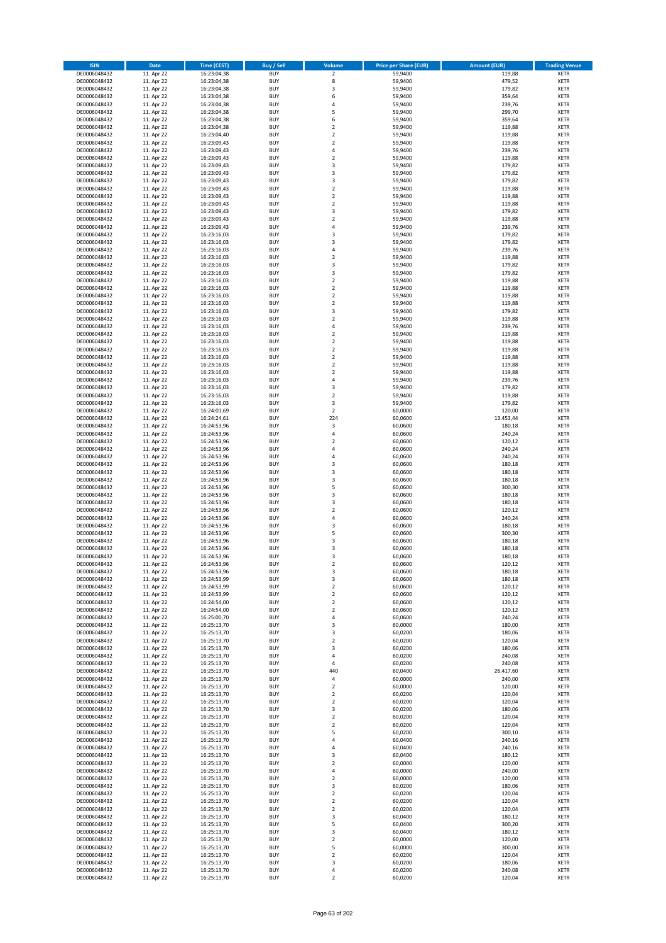| <b>ISIN</b>                  | <b>Date</b>              | <b>Time (CEST)</b>         | <b>Buy / Sell</b>        | Volume                                             | <b>Price per Share (EUR)</b> | <b>Amount (EUR)</b> | <b>Trading Venue</b>       |
|------------------------------|--------------------------|----------------------------|--------------------------|----------------------------------------------------|------------------------------|---------------------|----------------------------|
| DE0006048432                 | 11. Apr 22               | 16:23:04,38                | <b>BUY</b>               | $\overline{\mathbf{2}}$                            | 59,9400                      | 119,88              | <b>XETR</b>                |
| DE0006048432                 | 11. Apr 22               | 16:23:04,38                | <b>BUY</b>               | 8                                                  | 59,9400                      | 479,52              | <b>XETR</b>                |
| DE0006048432                 | 11. Apr 22               | 16:23:04,38                | <b>BUY</b>               | $\overline{\mathbf{3}}$                            | 59.9400                      | 179,82              | <b>XETR</b>                |
| DE0006048432                 | 11. Apr 22               | 16:23:04,38                | <b>BUY</b>               | 6                                                  | 59,9400                      | 359,64              | <b>XETR</b>                |
| DE0006048432                 | 11. Apr 22               | 16:23:04,38                | <b>BUY</b>               | $\overline{4}$                                     | 59,9400                      | 239,76              | <b>XETR</b>                |
| DE0006048432                 | 11. Apr 22               | 16:23:04,38                | <b>BUY</b>               | 5                                                  | 59,9400                      | 299,70              | <b>XETR</b>                |
| DE0006048432                 | 11. Apr 22               | 16:23:04,38                | <b>BUY</b>               | 6                                                  | 59,9400                      | 359,64              | <b>XETR</b>                |
| DE0006048432                 | 11. Apr 22               | 16:23:04,38                | <b>BUY</b>               | $\overline{2}$                                     | 59,9400                      | 119,88              | <b>XETR</b>                |
| DE0006048432                 | 11. Apr 22               | 16:23:04,40                | <b>BUY</b>               | $\overline{2}$                                     | 59,9400                      | 119,88              | <b>XETR</b>                |
| DE0006048432                 | 11. Apr 22               | 16:23:09,43                | <b>BUY</b>               | $\overline{2}$                                     | 59,9400                      | 119,88              | <b>XETR</b>                |
| DE0006048432                 | 11. Apr 22               | 16:23:09,43                | <b>BUY</b>               | 4                                                  | 59,9400                      | 239,76              | <b>XETR</b>                |
| DE0006048432                 | 11. Apr 22               | 16:23:09,43                | <b>BUY</b>               | $\overline{2}$                                     | 59,9400                      | 119,88              | <b>XETR</b>                |
| DE0006048432                 | 11. Apr 22               | 16:23:09,43                | <b>BUY</b>               | $\overline{\mathbf{3}}$<br>$\overline{\mathbf{3}}$ | 59,9400                      | 179,82              | <b>XETR</b>                |
| DE0006048432                 | 11. Apr 22<br>11. Apr 22 | 16:23:09,43                | <b>BUY</b><br><b>BUY</b> | 3                                                  | 59,9400                      | 179,82<br>179,82    | <b>XETR</b><br><b>XETR</b> |
| DE0006048432<br>DE0006048432 | 11. Apr 22               | 16:23:09,43<br>16:23:09,43 | <b>BUY</b>               | $\overline{\mathbf{2}}$                            | 59,9400<br>59,9400           | 119,88              | <b>XETR</b>                |
| DE0006048432                 | 11. Apr 22               | 16:23:09,43                | <b>BUY</b>               | $\overline{2}$                                     | 59,9400                      | 119,88              | <b>XETR</b>                |
| DE0006048432                 | 11. Apr 22               | 16:23:09,43                | <b>BUY</b>               | $\overline{\mathbf{2}}$                            | 59,9400                      | 119,88              | <b>XETR</b>                |
| DE0006048432                 | 11. Apr 22               | 16:23:09,43                | <b>BUY</b>               | 3                                                  | 59.9400                      | 179,82              | <b>XETR</b>                |
| DE0006048432                 | 11. Apr 22               | 16:23:09,43                | <b>BUY</b>               | $\overline{2}$                                     | 59,9400                      | 119,88              | <b>XETR</b>                |
| DE0006048432                 | 11. Apr 22               | 16:23:09,43                | <b>BUY</b>               | $\overline{4}$                                     | 59,9400                      | 239,76              | <b>XETR</b>                |
| DE0006048432                 | 11. Apr 22               | 16:23:16,03                | <b>BUY</b>               | 3                                                  | 59,9400                      | 179,82              | <b>XETR</b>                |
| DE0006048432                 | 11. Apr 22               | 16:23:16,03                | <b>BUY</b>               | $\overline{3}$                                     | 59,9400                      | 179,82              | <b>XETR</b>                |
| DE0006048432                 | 11. Apr 22               | 16:23:16,03                | <b>BUY</b>               | 4                                                  | 59,9400                      | 239,76              | <b>XETR</b>                |
| DE0006048432                 | 11. Apr 22               | 16:23:16,03                | <b>BUY</b>               | $\overline{\mathbf{2}}$                            | 59,9400                      | 119,88              | <b>XETR</b>                |
| DE0006048432                 | 11. Apr 22               | 16:23:16,03                | <b>BUY</b>               | 3                                                  | 59,9400                      | 179,82              | <b>XETR</b>                |
| DE0006048432                 | 11. Apr 22               | 16:23:16,03                | <b>BUY</b>               | 3                                                  | 59,9400                      | 179,82              | <b>XETR</b>                |
| DE0006048432                 | 11. Apr 22               | 16:23:16,03                | <b>BUY</b>               | $\overline{\mathbf{2}}$                            | 59,9400                      | 119,88              | <b>XETR</b>                |
| DE0006048432                 | 11. Apr 22               | 16:23:16,03                | <b>BUY</b>               | $\mathbf 2$                                        | 59,9400                      | 119,88              | <b>XETR</b>                |
| DE0006048432                 | 11. Apr 22               | 16:23:16,03                | <b>BUY</b>               | $\overline{\mathbf{2}}$                            | 59,9400                      | 119,88              | <b>XETR</b>                |
| DE0006048432                 | 11. Apr 22               | 16:23:16,03                | <b>BUY</b>               | $\mathbf 2$                                        | 59,9400                      | 119,88              | <b>XETR</b>                |
| DE0006048432                 | 11. Apr 22               | 16:23:16,03                | <b>BUY</b>               | 3                                                  | 59,9400                      | 179,82              | <b>XETR</b>                |
| DE0006048432                 | 11. Apr 22               | 16:23:16,03                | <b>BUY</b>               | $\mathbf 2$<br>$\overline{4}$                      | 59,9400                      | 119,88              | <b>XETR</b>                |
| DE0006048432                 | 11. Apr 22               | 16:23:16,03                | <b>BUY</b>               |                                                    | 59,9400                      | 239,76              | <b>XETR</b>                |
| DE0006048432<br>DE0006048432 | 11. Apr 22<br>11. Apr 22 | 16:23:16,03<br>16:23:16,03 | <b>BUY</b><br><b>BUY</b> | $\overline{\mathbf{2}}$<br>$\mathbf 2$             | 59,9400<br>59,9400           | 119,88<br>119,88    | <b>XETR</b><br><b>XETR</b> |
| DE0006048432                 | 11. Apr 22               | 16:23:16,03                | <b>BUY</b>               | $\overline{\mathbf{2}}$                            | 59,9400                      | 119,88              | <b>XETR</b>                |
| DE0006048432                 | 11. Apr 22               | 16:23:16,03                | <b>BUY</b>               | $\mathbf 2$                                        | 59,9400                      | 119,88              | <b>XETR</b>                |
| DE0006048432                 | 11. Apr 22               | 16:23:16,03                | <b>BUY</b>               | $\mathbf 2$                                        | 59,9400                      | 119,88              | <b>XETR</b>                |
| DE0006048432                 | 11. Apr 22               | 16:23:16,03                | <b>BUY</b>               | $\mathbf 2$                                        | 59,9400                      | 119,88              | <b>XETR</b>                |
| DE0006048432                 | 11. Apr 22               | 16:23:16,03                | <b>BUY</b>               | $\overline{a}$                                     | 59,9400                      | 239,76              | <b>XETR</b>                |
| DE0006048432                 | 11. Apr 22               | 16:23:16,03                | <b>BUY</b>               | 3                                                  | 59,9400                      | 179,82              | <b>XETR</b>                |
| DE0006048432                 | 11. Apr 22               | 16:23:16,03                | <b>BUY</b>               | $\mathbf 2$                                        | 59,9400                      | 119,88              | <b>XETR</b>                |
| DE0006048432                 | 11. Apr 22               | 16:23:16,03                | <b>BUY</b>               | 3                                                  | 59,9400                      | 179,82              | <b>XETR</b>                |
| DE0006048432                 | 11. Apr 22               | 16:24:01,69                | <b>BUY</b>               | $\mathbf 2$                                        | 60,0000                      | 120,00              | <b>XETR</b>                |
| DE0006048432                 | 11. Apr 22               | 16:24:24,61                | <b>BUY</b>               | 224                                                | 60,0600                      | 13.453,44           | <b>XETR</b>                |
| DE0006048432                 | 11. Apr 22               | 16:24:53,96                | <b>BUY</b>               | 3                                                  | 60,0600                      | 180,18              | <b>XETR</b>                |
| DE0006048432                 | 11. Apr 22               | 16:24:53,96                | <b>BUY</b>               | $\overline{a}$                                     | 60,0600                      | 240,24              | <b>XETR</b>                |
| DE0006048432                 | 11. Apr 22               | 16:24:53,96                | <b>BUY</b>               | $\overline{2}$                                     | 60,0600                      | 120,12              | <b>XETR</b>                |
| DE0006048432                 | 11. Apr 22               | 16:24:53,96                | <b>BUY</b>               | $\overline{a}$                                     | 60,0600                      | 240,24              | <b>XETR</b>                |
| DE0006048432                 | 11. Apr 22               | 16:24:53,96                | <b>BUY</b>               | $\overline{a}$                                     | 60,0600                      | 240,24              | <b>XETR</b>                |
| DE0006048432                 | 11. Apr 22               | 16:24:53,96                | <b>BUY</b>               | $\overline{3}$                                     | 60,0600                      | 180,18              | <b>XETR</b>                |
| DE0006048432                 | 11. Apr 22               | 16:24:53,96                | <b>BUY</b><br><b>BUY</b> | $\overline{\mathbf{3}}$<br>3                       | 60,0600                      | 180,18<br>180,18    | <b>XETR</b>                |
| DE0006048432<br>DE0006048432 | 11. Apr 22<br>11. Apr 22 | 16:24:53,96<br>16:24:53,96 | <b>BUY</b>               | 5                                                  | 60,0600<br>60,0600           | 300,30              | <b>XETR</b><br><b>XETR</b> |
| DE0006048432                 | 11. Apr 22               | 16:24:53,96                | <b>BUY</b>               | $\overline{3}$                                     | 60,0600                      | 180,18              | <b>XETR</b>                |
| DE0006048432                 | 11. Apr 22               | 16:24:53,96                | <b>BUY</b>               | $\overline{3}$                                     | 60,0600                      | 180,18              | <b>XETR</b>                |
| DE0006048432                 | 11. Apr 22               | 16:24:53,96                | <b>BUY</b>               | $\overline{2}$                                     | 60,0600                      | 120,12              | <b>XETR</b>                |
| DE0006048432                 | 11. Apr 22               | 16:24:53,96                | <b>BUY</b>               | $\overline{a}$                                     | 60,0600                      | 240,24              | <b>XETR</b>                |
| DE0006048432                 | 11. Apr 22               | 16:24:53,96                | <b>BUY</b>               | $\overline{\mathbf{3}}$                            | 60,0600                      | 180,18              | <b>XETR</b>                |
| DE0006048432                 | 11. Apr 22               | 16:24:53,96                | <b>BUY</b>               | 5                                                  | 60,0600                      | 300,30              | <b>XETR</b>                |
| DE0006048432                 | 11. Apr 22               | 16:24:53,96                | BUY                      | $\overline{\mathbf{3}}$                            | 60,0600                      | 180,18              | <b>XETR</b>                |
| DE0006048432                 | 11. Apr 22               | 16:24:53,96                | BUY                      | $\overline{\mathbf{3}}$                            | 60,0600                      | 180,18              | <b>XETR</b>                |
| DE0006048432                 | 11. Apr 22               | 16:24:53,96                | <b>BUY</b>               | $\overline{3}$                                     | 60,0600                      | 180,18              | <b>XETR</b>                |
| DE0006048432                 | 11. Apr 22               | 16:24:53,96                | <b>BUY</b>               | 2                                                  | 60,0600                      | 120,12              | <b>XETR</b>                |
| DE0006048432                 | 11. Apr 22               | 16:24:53,96                | <b>BUY</b>               | 3                                                  | 60,0600                      | 180,18              | <b>XETR</b>                |
| DE0006048432                 | 11. Apr 22               | 16:24:53,99                | <b>BUY</b>               | 3                                                  | 60,0600                      | 180,18              | <b>XETR</b>                |
| DE0006048432                 | 11. Apr 22               | 16:24:53,99                | <b>BUY</b>               | $\mathbf 2$                                        | 60,0600                      | 120,12              | <b>XETR</b>                |
| DE0006048432                 | 11. Apr 22               | 16:24:53,99                | <b>BUY</b>               | $\overline{2}$                                     | 60,0600                      | 120,12              | <b>XETR</b>                |
| DE0006048432                 | 11. Apr 22               | 16:24:54,00                | <b>BUY</b>               | $\mathbf 2$                                        | 60,0600                      | 120,12              | <b>XETR</b>                |
| DE0006048432                 | 11. Apr 22               | 16:24:54,00                | <b>BUY</b>               | 2                                                  | 60,0600                      | 120,12              | <b>XETR</b>                |
| DE0006048432                 | 11. Apr 22               | 16:25:00,70                | <b>BUY</b>               | 4                                                  | 60,0600                      | 240,24              | <b>XETR</b>                |
| DE0006048432                 | 11. Apr 22               | 16:25:13,70                | <b>BUY</b>               | 3                                                  | 60,0000                      | 180,00              | <b>XETR</b>                |
| DE0006048432<br>DE0006048432 | 11. Apr 22<br>11. Apr 22 | 16:25:13,70                | <b>BUY</b><br><b>BUY</b> | 3<br>$\mathbf 2$                                   | 60,0200<br>60,0200           | 180,06<br>120,04    | <b>XETR</b><br><b>XETR</b> |
| DE0006048432                 | 11. Apr 22               | 16:25:13,70<br>16:25:13,70 | <b>BUY</b>               | 3                                                  | 60,0200                      | 180,06              | <b>XETR</b>                |
| DE0006048432                 | 11. Apr 22               | 16:25:13,70                | <b>BUY</b>               | 4                                                  | 60,0200                      | 240,08              | <b>XETR</b>                |
| DE0006048432                 | 11. Apr 22               | 16:25:13,70                | <b>BUY</b>               | 4                                                  | 60,0200                      | 240,08              | <b>XETR</b>                |
| DE0006048432                 | 11. Apr 22               | 16:25:13,70                | <b>BUY</b>               | 440                                                | 60,0400                      | 26.417,60           | <b>XETR</b>                |
| DE0006048432                 | 11. Apr 22               | 16:25:13,70                | <b>BUY</b>               | $\pmb{4}$                                          | 60,0000                      | 240,00              | <b>XETR</b>                |
| DE0006048432                 | 11. Apr 22               | 16:25:13,70                | <b>BUY</b>               | $\mathbf 2$                                        | 60,0000                      | 120,00              | <b>XETR</b>                |
| DE0006048432                 | 11. Apr 22               | 16:25:13,70                | <b>BUY</b>               | $\mathbf 2$                                        | 60,0200                      | 120,04              | <b>XETR</b>                |
| DE0006048432                 | 11. Apr 22               | 16:25:13,70                | <b>BUY</b>               | $\mathbf 2$                                        | 60,0200                      | 120,04              | <b>XETR</b>                |
| DE0006048432                 | 11. Apr 22               | 16:25:13,70                | <b>BUY</b>               | 3                                                  | 60,0200                      | 180,06              | <b>XETR</b>                |
| DE0006048432                 | 11. Apr 22               | 16:25:13,70                | <b>BUY</b>               | $\overline{2}$                                     | 60,0200                      | 120,04              | <b>XETR</b>                |
| DE0006048432                 | 11. Apr 22               | 16:25:13,70                | <b>BUY</b>               | $\mathbf 2$                                        | 60,0200                      | 120,04              | <b>XETR</b>                |
| DE0006048432                 | 11. Apr 22               | 16:25:13,70                | <b>BUY</b>               | 5                                                  | 60,0200                      | 300,10              | <b>XETR</b>                |
| DE0006048432                 | 11. Apr 22               | 16:25:13,70                | <b>BUY</b>               | 4                                                  | 60,0400                      | 240,16              | <b>XETR</b>                |
| DE0006048432                 | 11. Apr 22               | 16:25:13,70                | <b>BUY</b>               | $\overline{4}$                                     | 60,0400                      | 240,16              | <b>XETR</b>                |
| DE0006048432                 | 11. Apr 22               | 16:25:13,70                | <b>BUY</b>               | 3                                                  | 60,0400                      | 180,12              | <b>XETR</b>                |
| DE0006048432                 | 11. Apr 22               | 16:25:13,70                | <b>BUY</b>               | $\overline{2}$                                     | 60,0000                      | 120,00              | <b>XETR</b>                |
| DE0006048432                 | 11. Apr 22               | 16:25:13,70                | <b>BUY</b>               | $\overline{4}$                                     | 60,0000                      | 240,00              | <b>XETR</b>                |
| DE0006048432                 | 11. Apr 22               | 16:25:13,70                | <b>BUY</b>               | $\mathbf 2$                                        | 60,0000                      | 120,00              | <b>XETR</b>                |
| DE0006048432                 | 11. Apr 22               | 16:25:13,70                | <b>BUY</b>               | 3                                                  | 60,0200                      | 180,06              | <b>XETR</b>                |
| DE0006048432                 | 11. Apr 22               | 16:25:13,70                | <b>BUY</b><br><b>BUY</b> | $\mathbf 2$                                        | 60,0200<br>60,0200           | 120,04              | <b>XETR</b><br><b>XETR</b> |
| DE0006048432<br>DE0006048432 | 11. Apr 22<br>11. Apr 22 | 16:25:13,70<br>16:25:13,70 | <b>BUY</b>               | $\mathbf 2$<br>$\mathbf 2$                         | 60,0200                      | 120,04<br>120,04    | <b>XETR</b>                |
| DE0006048432                 | 11. Apr 22               | 16:25:13,70                | <b>BUY</b>               | $\overline{\mathbf{3}}$                            | 60,0400                      | 180,12              | <b>XETR</b>                |
| DE0006048432                 | 11. Apr 22               | 16:25:13,70                | <b>BUY</b>               | 5                                                  | 60,0400                      | 300,20              | <b>XETR</b>                |
| DE0006048432                 | 11. Apr 22               | 16:25:13,70                | <b>BUY</b>               | 3                                                  | 60,0400                      | 180,12              | <b>XETR</b>                |
| DE0006048432                 | 11. Apr 22               | 16:25:13,70                | <b>BUY</b>               | $\overline{2}$                                     | 60,0000                      | 120,00              | <b>XETR</b>                |
| DE0006048432                 | 11. Apr 22               | 16:25:13,70                | <b>BUY</b>               | 5                                                  | 60,0000                      | 300,00              | <b>XETR</b>                |
| DE0006048432                 | 11. Apr 22               | 16:25:13,70                | <b>BUY</b>               | 2                                                  | 60,0200                      | 120,04              | <b>XETR</b>                |
| DE0006048432                 | 11. Apr 22               | 16:25:13,70                | <b>BUY</b>               | 3                                                  | 60,0200                      | 180,06              | <b>XETR</b>                |
| DE0006048432                 | 11. Apr 22               | 16:25:13,70                | <b>BUY</b>               | 4                                                  | 60,0200                      | 240,08              | <b>XETR</b>                |
| DE0006048432                 | 11. Apr 22               | 16:25:13,70                | <b>BUY</b>               | $\mathbf 2$                                        | 60,0200                      | 120,04              | <b>XETR</b>                |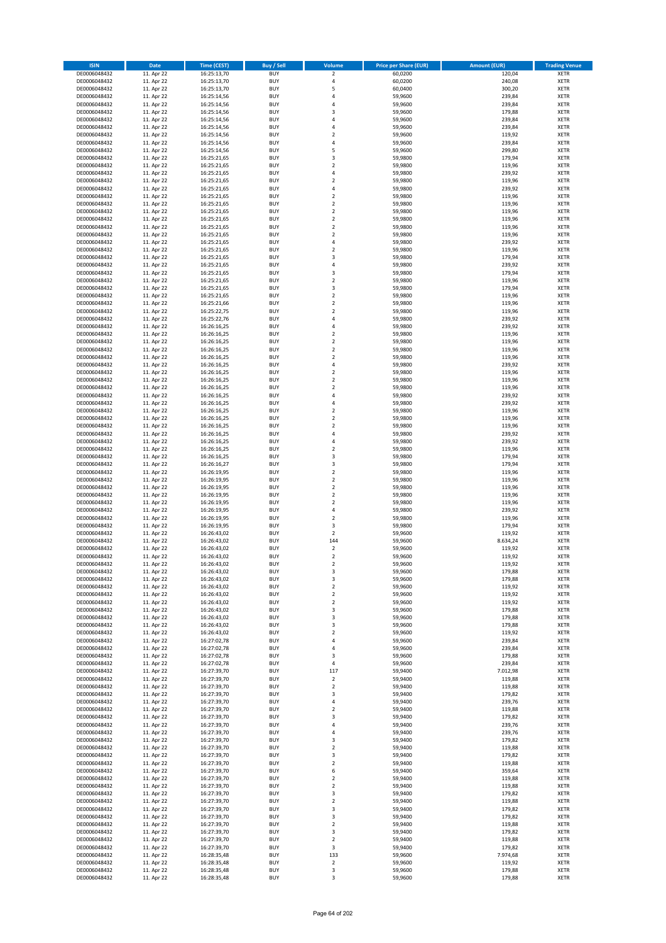| <b>ISIN</b>                  | <b>Date</b>              | <b>Time (CEST)</b>         | <b>Buy / Sell</b>        | Volume                                    | <b>Price per Share (EUR)</b> | Amount (EUR)       | <b>Trading Venue</b>       |
|------------------------------|--------------------------|----------------------------|--------------------------|-------------------------------------------|------------------------------|--------------------|----------------------------|
| DE0006048432                 | 11. Apr 22               | 16:25:13,70                | <b>BUY</b>               | $\mathbf 2$                               | 60,0200                      | 120,04             | <b>XETR</b>                |
| DE0006048432                 | 11. Apr 22               | 16:25:13,70                | <b>BUY</b>               | 4                                         | 60,0200                      | 240,08             | <b>XETR</b>                |
| DE0006048432                 | 11. Apr 22               | 16:25:13,70                | <b>BUY</b>               | 5                                         | 60,0400                      | 300,20             | <b>XETR</b>                |
| DE0006048432                 | 11. Apr 22               | 16:25:14,56                | <b>BUY</b>               | 4                                         | 59,9600                      | 239,84             | <b>XETR</b>                |
| DE0006048432                 | 11. Apr 22               | 16:25:14,56                | <b>BUY</b>               | $\overline{4}$                            | 59,9600                      | 239,84             | <b>XETR</b>                |
| DE0006048432                 | 11. Apr 22               | 16:25:14,56                | <b>BUY</b>               | $\overline{3}$                            | 59,9600                      | 179,88             | <b>XETR</b>                |
| DE0006048432                 | 11. Apr 22               | 16:25:14,56                | <b>BUY</b>               | $\overline{a}$                            | 59,9600                      | 239,84             | <b>XETR</b>                |
| DE0006048432                 | 11. Apr 22               | 16:25:14,56                | <b>BUY</b>               | 4<br>$\overline{\phantom{a}}$             | 59,9600                      | 239,84             | <b>XETR</b>                |
| DE0006048432<br>DE0006048432 | 11. Apr 22<br>11. Apr 22 | 16:25:14,56                | BUY<br><b>BUY</b>        | $\overline{4}$                            | 59,9600<br>59,9600           | 119,92<br>239,84   | <b>XETR</b>                |
| DE0006048432                 | 11. Apr 22               | 16:25:14,56<br>16:25:14,56 | <b>BUY</b>               | 5                                         | 59,9600                      | 299,80             | <b>XETR</b><br><b>XETR</b> |
| DE0006048432                 | 11. Apr 22               | 16:25:21,65                | <b>BUY</b>               | $\overline{\mathbf{3}}$                   | 59,9800                      | 179,94             | <b>XETR</b>                |
| DE0006048432                 | 11. Apr 22               | 16:25:21,65                | <b>BUY</b>               | $\overline{2}$                            | 59,9800                      | 119,96             | <b>XETR</b>                |
| DE0006048432                 | 11. Apr 22               | 16:25:21,65                | <b>BUY</b>               | $\overline{a}$                            | 59,9800                      | 239,92             | <b>XETR</b>                |
| DE0006048432                 | 11. Apr 22               | 16:25:21,65                | <b>BUY</b>               | $\overline{2}$                            | 59,9800                      | 119,96             | <b>XETR</b>                |
| DE0006048432                 | 11. Apr 22               | 16:25:21,65                | BUY                      | $\overline{a}$                            | 59,9800                      | 239,92             | <b>XETR</b>                |
| DE0006048432                 | 11. Apr 22               | 16:25:21,65                | <b>BUY</b>               | $\overline{2}$                            | 59,9800                      | 119,96             | <b>XETR</b>                |
| DE0006048432                 | 11. Apr 22               | 16:25:21,65                | <b>BUY</b>               | $\overline{2}$                            | 59,9800                      | 119,96             | <b>XETR</b>                |
| DE0006048432                 | 11. Apr 22               | 16:25:21,65                | <b>BUY</b>               | $\overline{2}$                            | 59.9800                      | 119,96             | <b>XETR</b>                |
| DE0006048432                 | 11. Apr 22               | 16:25:21,65                | <b>BUY</b>               | $\overline{2}$                            | 59,9800                      | 119,96             | <b>XETR</b>                |
| DE0006048432                 | 11. Apr 22               | 16:25:21,65                | <b>BUY</b>               | $\overline{2}$                            | 59,9800                      | 119,96             | <b>XETR</b>                |
| DE0006048432                 | 11. Apr 22               | 16:25:21,65                | <b>BUY</b><br><b>BUY</b> | $\mathbf 2$<br>$\overline{a}$             | 59,9800                      | 119,96             | <b>XETR</b><br><b>XETR</b> |
| DE0006048432<br>DE0006048432 | 11. Apr 22<br>11. Apr 22 | 16:25:21,65<br>16:25:21,65 | <b>BUY</b>               | $\overline{2}$                            | 59,9800<br>59,9800           | 239,92<br>119,96   | <b>XETR</b>                |
| DE0006048432                 | 11. Apr 22               | 16:25:21,65                | <b>BUY</b>               | $\overline{\mathbf{3}}$                   | 59,9800                      | 179,94             | <b>XETR</b>                |
| DE0006048432                 | 11. Apr 22               | 16:25:21,65                | <b>BUY</b>               | 4                                         | 59,9800                      | 239,92             | <b>XETR</b>                |
| DE0006048432                 | 11. Apr 22               | 16:25:21,65                | <b>BUY</b>               | 3                                         | 59,9800                      | 179,94             | <b>XETR</b>                |
| DE0006048432                 | 11. Apr 22               | 16:25:21,65                | <b>BUY</b>               | $\overline{2}$                            | 59,9800                      | 119,96             | <b>XETR</b>                |
| DE0006048432                 | 11. Apr 22               | 16:25:21,65                | <b>BUY</b>               | 3                                         | 59,9800                      | 179,94             | <b>XETR</b>                |
| DE0006048432                 | 11. Apr 22               | 16:25:21,65                | <b>BUY</b>               | $\overline{2}$                            | 59,9800                      | 119,96             | <b>XETR</b>                |
| DE0006048432                 | 11. Apr 22               | 16:25:21,66                | <b>BUY</b>               | $\mathbf 2$                               | 59,9800                      | 119,96             | <b>XETR</b>                |
| DE0006048432                 | 11. Apr 22               | 16:25:22,75                | <b>BUY</b>               | $\mathbf 2$                               | 59,9800                      | 119,96             | <b>XETR</b>                |
| DE0006048432                 | 11. Apr 22               | 16:25:22,76                | <b>BUY</b>               | 4                                         | 59,9800                      | 239,92             | <b>XETR</b>                |
| DE0006048432                 | 11. Apr 22               | 16:26:16,25                | <b>BUY</b>               | $\overline{a}$                            | 59,9800                      | 239,92             | <b>XETR</b>                |
| DE0006048432                 | 11. Apr 22               | 16:26:16,25                | <b>BUY</b>               | $\overline{2}$                            | 59,9800                      | 119,96             | <b>XETR</b>                |
| DE0006048432                 | 11. Apr 22<br>11. Apr 22 | 16:26:16,25<br>16:26:16,25 | <b>BUY</b><br><b>BUY</b> | $\mathbf 2$<br>$\overline{2}$             | 59,9800                      | 119,96             | <b>XETR</b>                |
| DE0006048432<br>DE0006048432 | 11. Apr 22               | 16:26:16,25                | <b>BUY</b>               | $\mathbf 2$                               | 59,9800<br>59,9800           | 119,96<br>119,96   | <b>XETR</b><br><b>XETR</b> |
| DE0006048432                 | 11. Apr 22               | 16:26:16,25                | <b>BUY</b>               | 4                                         | 59,9800                      | 239,92             | <b>XETR</b>                |
| DE0006048432                 | 11. Apr 22               | 16:26:16,25                | <b>BUY</b>               | $\overline{\mathbf{c}}$                   | 59,9800                      | 119,96             | <b>XETR</b>                |
| DE0006048432                 | 11. Apr 22               | 16:26:16,25                | <b>BUY</b>               | $\overline{2}$                            | 59,9800                      | 119,96             | <b>XETR</b>                |
| DE0006048432                 | 11. Apr 22               | 16:26:16,25                | <b>BUY</b>               | $\overline{2}$                            | 59,9800                      | 119,96             | <b>XETR</b>                |
| DE0006048432                 | 11. Apr 22               | 16:26:16,25                | <b>BUY</b>               | 4                                         | 59,9800                      | 239,92             | <b>XETR</b>                |
| DE0006048432                 | 11. Apr 22               | 16:26:16,25                | <b>BUY</b>               | 4                                         | 59,9800                      | 239,92             | <b>XETR</b>                |
| DE0006048432                 | 11. Apr 22               | 16:26:16,25                | <b>BUY</b>               | $\overline{2}$                            | 59,9800                      | 119,96             | <b>XETR</b>                |
| DE0006048432                 | 11. Apr 22               | 16:26:16,25                | <b>BUY</b>               | $\overline{2}$                            | 59,9800                      | 119,96             | <b>XETR</b>                |
| DE0006048432                 | 11. Apr 22               | 16:26:16,25                | <b>BUY</b>               | $\overline{2}$                            | 59,9800                      | 119,96             | <b>XETR</b>                |
| DE0006048432                 | 11. Apr 22               | 16:26:16,25                | <b>BUY</b>               | $\overline{a}$                            | 59,9800                      | 239,92             | <b>XETR</b>                |
| DE0006048432                 | 11. Apr 22               | 16:26:16,25                | <b>BUY</b>               | $\overline{4}$                            | 59,9800                      | 239,92             | <b>XETR</b>                |
| DE0006048432                 | 11. Apr 22               | 16:26:16,25                | <b>BUY</b>               | $\overline{2}$<br>$\overline{\mathbf{3}}$ | 59,9800                      | 119,96<br>179,94   | <b>XETR</b>                |
| DE0006048432<br>DE0006048432 | 11. Apr 22<br>11. Apr 22 | 16:26:16,25<br>16:26:16,27 | <b>BUY</b><br><b>BUY</b> | $\overline{3}$                            | 59,9800<br>59,9800           | 179,94             | <b>XETR</b><br><b>XETR</b> |
| DE0006048432                 | 11. Apr 22               | 16:26:19,95                | <b>BUY</b>               | $\overline{2}$                            | 59,9800                      | 119,96             | <b>XETR</b>                |
| DE0006048432                 | 11. Apr 22               | 16:26:19,95                | <b>BUY</b>               | $\mathbf 2$                               | 59,9800                      | 119,96             | <b>XETR</b>                |
| DE0006048432                 | 11. Apr 22               | 16:26:19,95                | <b>BUY</b>               | $\overline{2}$                            | 59,9800                      | 119,96             | <b>XETR</b>                |
| DE0006048432                 | 11. Apr 22               | 16:26:19,95                | <b>BUY</b>               | $\overline{2}$                            | 59,9800                      | 119,96             | <b>XETR</b>                |
| DE0006048432                 | 11. Apr 22               | 16:26:19,95                | <b>BUY</b>               | $\overline{2}$                            | 59,9800                      | 119,96             | <b>XETR</b>                |
| DE0006048432                 | 11. Apr 22               | 16:26:19,95                | <b>BUY</b>               | 4                                         | 59,9800                      | 239,92             | <b>XETR</b>                |
| DE0006048432                 | 11. Apr 22               | 16:26:19,95                | <b>BUY</b>               | $\overline{2}$                            | 59,9800                      | 119,96             | <b>XETR</b>                |
| DE0006048432                 | 11. Apr 22               | 16:26:19,95                | <b>BUY</b>               | 3                                         | 59,9800                      | 179,94             | <b>XETR</b>                |
| DE0006048432                 | 11. Apr 22               | 16:26:43,02                | <b>BUY</b>               | $\mathbf 2$                               | 59,9600                      | 119,92             | <b>XETR</b>                |
| DE0006048432                 | 11. Apr 22               | 16:26:43,02                | BUY                      | 144                                       | 59,9600                      | 8.634,24           | <b>XETR</b>                |
| DE0006048432                 | 11. Apr 22               | 16:26:43,02                | BUY<br><b>BUY</b>        | $\mathbf 2$<br>$\overline{2}$             | 59,9600                      | 119,92             | <b>XETR</b>                |
| DE0006048432<br>DE0006048432 | 11. Apr 22<br>11. Apr 22 | 16:26:43,02<br>16:26:43,02 | BUY                      | 2                                         | 59,9600<br>59,9600           | 119,92             | <b>XETR</b><br><b>XETR</b> |
| DE0006048432                 | 11. Apr 22               | 16:26:43,02                | <b>BUY</b>               | 3                                         | 59,9600                      | 119,92<br>179,88   | <b>XETR</b>                |
| DE0006048432                 | 11. Apr 22               | 16:26:43,02                | <b>BUY</b>               | 3                                         | 59,9600                      | 179,88             | <b>XETR</b>                |
| DE0006048432                 | 11. Apr 22               | 16:26:43,02                | <b>BUY</b>               | $\mathbf 2$                               | 59,9600                      | 119,92             | <b>XETR</b>                |
| DE0006048432                 | 11. Apr 22               | 16:26:43,02                | <b>BUY</b>               | $\overline{2}$                            | 59,9600                      | 119,92             | <b>XETR</b>                |
| DE0006048432                 | 11. Apr 22               | 16:26:43,02                | <b>BUY</b>               | $\mathbf 2$                               | 59,9600                      | 119,92             | <b>XETR</b>                |
| DE0006048432                 | 11. Apr 22               | 16:26:43,02                | <b>BUY</b>               | 3                                         | 59,9600                      | 179,88             | <b>XETR</b>                |
| DE0006048432                 | 11. Apr 22               | 16:26:43,02                | <b>BUY</b>               | 3                                         | 59,9600                      | 179,88             | <b>XETR</b>                |
| DE0006048432                 | 11. Apr 22               | 16:26:43,02                | <b>BUY</b>               | 3                                         | 59,9600                      | 179,88             | <b>XETR</b>                |
| DE0006048432                 | 11. Apr 22               | 16:26:43,02                | <b>BUY</b>               | $\mathbf 2$                               | 59,9600                      | 119,92             | <b>XETR</b>                |
| DE0006048432<br>DE0006048432 | 11. Apr 22<br>11. Apr 22 | 16:27:02,78<br>16:27:02,78 | <b>BUY</b><br><b>BUY</b> | 4<br>$\overline{4}$                       | 59,9600<br>59.9600           | 239,84<br>239,84   | <b>XETR</b><br><b>XETR</b> |
| DE0006048432                 | 11. Apr 22               | 16:27:02,78                | <b>BUY</b>               | 3                                         | 59,9600                      | 179,88             | <b>XETR</b>                |
| DE0006048432                 | 11. Apr 22               | 16:27:02,78                | <b>BUY</b>               | 4                                         | 59,9600                      | 239,84             | <b>XETR</b>                |
| DE0006048432                 | 11. Apr 22               | 16:27:39,70                | <b>BUY</b>               | 117                                       | 59,9400                      | 7.012,98           | <b>XETR</b>                |
| DE0006048432                 | 11. Apr 22               | 16:27:39,70                | <b>BUY</b>               | $\mathbf 2$                               | 59,9400                      | 119,88             | <b>XETR</b>                |
| DE0006048432                 | 11. Apr 22               | 16:27:39,70                | <b>BUY</b>               | $\mathbf 2$                               | 59,9400                      | 119,88             | <b>XETR</b>                |
| DE0006048432                 | 11. Apr 22               | 16:27:39,70                | <b>BUY</b>               | 3                                         | 59,9400                      | 179,82             | <b>XETR</b>                |
| DE0006048432                 | 11. Apr 22               | 16:27:39,70                | <b>BUY</b>               | 4                                         | 59,9400                      | 239,76             | <b>XETR</b>                |
| DE0006048432                 | 11. Apr 22               | 16:27:39,70                | <b>BUY</b>               | $\mathbf 2$                               | 59,9400                      | 119,88             | <b>XETR</b>                |
| DE0006048432                 | 11. Apr 22               | 16:27:39,70                | <b>BUY</b>               | $\overline{\mathbf{3}}$                   | 59,9400                      | 179,82             | <b>XETR</b>                |
| DE0006048432                 | 11. Apr 22               | 16:27:39,70                | <b>BUY</b><br><b>BUY</b> | 4<br>4                                    | 59,9400                      | 239,76             | <b>XETR</b><br><b>XETR</b> |
| DE0006048432<br>DE0006048432 | 11. Apr 22<br>11. Apr 22 | 16:27:39,70<br>16:27:39,70 | <b>BUY</b>               | $\overline{\mathbf{3}}$                   | 59,9400<br>59,9400           | 239,76<br>179,82   | <b>XETR</b>                |
| DE0006048432                 | 11. Apr 22               | 16:27:39,70                | <b>BUY</b>               | $\overline{2}$                            | 59,9400                      | 119,88             | <b>XETR</b>                |
| DE0006048432                 | 11. Apr 22               | 16:27:39,70                | <b>BUY</b>               | 3                                         | 59,9400                      | 179,82             | <b>XETR</b>                |
| DE0006048432                 | 11. Apr 22               | 16:27:39,70                | <b>BUY</b>               | $\overline{2}$                            | 59,9400                      | 119,88             | <b>XETR</b>                |
| DE0006048432                 | 11. Apr 22               | 16:27:39,70                | <b>BUY</b>               | 6                                         | 59,9400                      | 359,64             | <b>XETR</b>                |
| DE0006048432                 | 11. Apr 22               | 16:27:39,70                | <b>BUY</b>               | $\mathbf 2$                               | 59,9400                      | 119,88             | <b>XETR</b>                |
| DE0006048432                 | 11. Apr 22               | 16:27:39,70                | <b>BUY</b>               | $\overline{2}$                            | 59,9400                      | 119,88             | <b>XETR</b>                |
| DE0006048432                 | 11. Apr 22               | 16:27:39,70                | <b>BUY</b>               | 3                                         | 59,9400                      | 179,82             | <b>XETR</b>                |
| DE0006048432                 | 11. Apr 22               | 16:27:39,70                | <b>BUY</b>               | $\mathbf 2$                               | 59,9400                      | 119,88             | <b>XETR</b>                |
| DE0006048432                 | 11. Apr 22               | 16:27:39,70                | <b>BUY</b>               | 3                                         | 59,9400                      | 179,82             | <b>XETR</b>                |
| DE0006048432                 | 11. Apr 22               | 16:27:39,70                | <b>BUY</b>               | 3                                         | 59,9400                      | 179,82             | <b>XETR</b>                |
| DE0006048432                 | 11. Apr 22               | 16:27:39,70                | <b>BUY</b>               | $\mathbf 2$                               | 59,9400                      | 119,88             | <b>XETR</b>                |
| DE0006048432                 | 11. Apr 22               | 16:27:39,70                | <b>BUY</b>               | 3                                         | 59,9400                      | 179,82             | <b>XETR</b>                |
| DE0006048432                 | 11. Apr 22               | 16:27:39,70                | <b>BUY</b>               | $\overline{2}$                            | 59,9400                      | 119,88             | <b>XETR</b>                |
| DE0006048432<br>DE0006048432 | 11. Apr 22<br>11. Apr 22 | 16:27:39,70<br>16:28:35,48 | <b>BUY</b><br><b>BUY</b> | 3<br>133                                  | 59,9400<br>59,9600           | 179,82<br>7.974,68 | <b>XETR</b><br><b>XETR</b> |
| DE0006048432                 | 11. Apr 22               | 16:28:35,48                | <b>BUY</b>               | $\mathbf 2$                               | 59,9600                      | 119,92             | <b>XETR</b>                |
| DE0006048432                 | 11. Apr 22               | 16:28:35,48                | <b>BUY</b>               | 3                                         | 59,9600                      | 179,88             | <b>XETR</b>                |
| DE0006048432                 | 11. Apr 22               | 16:28:35,48                | <b>BUY</b>               | 3                                         | 59,9600                      | 179,88             | <b>XETR</b>                |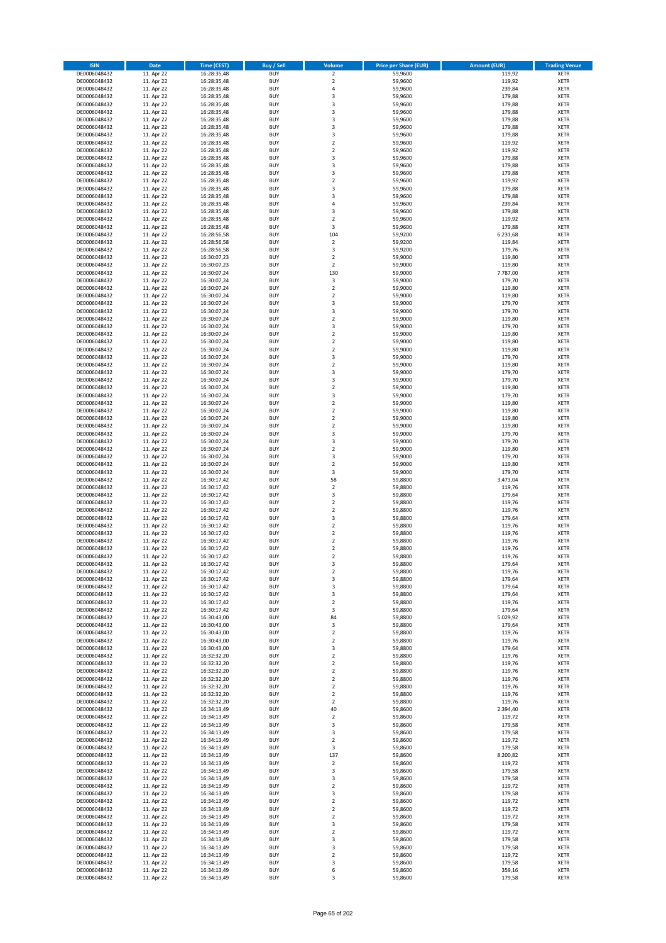| <b>ISIN</b>                  | <b>Date</b>              | <b>Time (CEST)</b>         | <b>Buy / Sell</b>        | Volume                                             | <b>Price per Share (EUR)</b> | <b>Amount (EUR)</b> | <b>Trading Venue</b>       |
|------------------------------|--------------------------|----------------------------|--------------------------|----------------------------------------------------|------------------------------|---------------------|----------------------------|
| DE0006048432                 | 11. Apr 22               | 16:28:35,48                | <b>BUY</b>               | $\overline{\mathbf{2}}$                            | 59,9600                      | 119,92              | <b>XETR</b>                |
| DE0006048432                 | 11. Apr 22               | 16:28:35,48                | <b>BUY</b>               | $\mathbf 2$                                        | 59,9600                      | 119,92              | <b>XETR</b>                |
| DE0006048432                 | 11. Apr 22               | 16:28:35,48                | <b>BUY</b>               | $\overline{4}$                                     | 59,9600                      | 239,84              | <b>XETR</b>                |
| DE0006048432                 | 11. Apr 22               | 16:28:35,48                | <b>BUY</b>               | $\mathsf 3$                                        | 59,9600                      | 179,88              | <b>XETR</b>                |
| DE0006048432                 | 11. Apr 22               | 16:28:35,48                | <b>BUY</b>               | 3                                                  | 59,9600                      | 179,88              | <b>XETR</b>                |
| DE0006048432                 | 11. Apr 22               | 16:28:35,48                | <b>BUY</b>               | $\overline{\mathbf{3}}$                            | 59,9600                      | 179,88              | <b>XETR</b>                |
| DE0006048432                 | 11. Apr 22               | 16:28:35,48                | <b>BUY</b>               | $\overline{\mathbf{3}}$                            | 59,9600                      | 179,88              | <b>XETR</b>                |
| DE0006048432                 | 11. Apr 22               | 16:28:35,48                | <b>BUY</b>               | 3                                                  | 59,9600                      | 179,88              | <b>XETR</b>                |
| DE0006048432<br>DE0006048432 | 11. Apr 22<br>11. Apr 22 | 16:28:35,48                | BUY<br><b>BUY</b>        | $\overline{\mathbf{3}}$<br>$\overline{2}$          | 59,9600<br>59,9600           | 179,88<br>119,92    | <b>XETR</b>                |
| DE0006048432                 | 11. Apr 22               | 16:28:35,48<br>16:28:35,48 | <b>BUY</b>               | $\mathbf 2$                                        | 59,9600                      | 119,92              | <b>XETR</b><br><b>XETR</b> |
| DE0006048432                 | 11. Apr 22               | 16:28:35,48                | <b>BUY</b>               | 3                                                  | 59,9600                      | 179,88              | <b>XETR</b>                |
| DE0006048432                 | 11. Apr 22               | 16:28:35,48                | <b>BUY</b>               | $\overline{\mathbf{3}}$                            | 59,9600                      | 179,88              | <b>XETR</b>                |
| DE0006048432                 | 11. Apr 22               | 16:28:35,48                | <b>BUY</b>               | $\overline{\mathbf{3}}$                            | 59,9600                      | 179,88              | <b>XETR</b>                |
| DE0006048432                 | 11. Apr 22               | 16:28:35,48                | <b>BUY</b>               | $\overline{2}$                                     | 59,9600                      | 119,92              | <b>XETR</b>                |
| DE0006048432                 | 11. Apr 22               | 16:28:35,48                | BUY                      | $\overline{3}$                                     | 59,9600                      | 179,88              | <b>XETR</b>                |
| DE0006048432                 | 11. Apr 22               | 16:28:35,48                | <b>BUY</b>               | $\overline{\mathbf{3}}$                            | 59,9600                      | 179,88              | <b>XETR</b>                |
| DE0006048432                 | 11. Apr 22               | 16:28:35,48                | <b>BUY</b>               | 4                                                  | 59,9600                      | 239,84              | <b>XETR</b>                |
| DE0006048432                 | 11. Apr 22               | 16:28:35,48                | <b>BUY</b>               | 3                                                  | 59.9600                      | 179,88              | <b>XETR</b>                |
| DE0006048432                 | 11. Apr 22               | 16:28:35,48                | <b>BUY</b>               | $\overline{2}$                                     | 59,9600                      | 119,92              | <b>XETR</b>                |
| DE0006048432                 | 11. Apr 22               | 16:28:35,48                | <b>BUY</b><br><b>BUY</b> | 3                                                  | 59,9600                      | 179,88              | <b>XETR</b>                |
| DE0006048432<br>DE0006048432 | 11. Apr 22<br>11. Apr 22 | 16:28:56,58<br>16:28:56,58 | <b>BUY</b>               | 104<br>$\mathbf 2$                                 | 59,9200<br>59,9200           | 6.231,68<br>119,84  | <b>XETR</b><br><b>XETR</b> |
| DE0006048432                 | 11. Apr 22               | 16:28:56,58                | <b>BUY</b>               | 3                                                  | 59,9200                      | 179,76              | <b>XETR</b>                |
| DE0006048432                 | 11. Apr 22               | 16:30:07,23                | <b>BUY</b>               | $\mathbf 2$                                        | 59,9000                      | 119,80              | <b>XETR</b>                |
| DE0006048432                 | 11. Apr 22               | 16:30:07,23                | <b>BUY</b>               | $\mathbf 2$                                        | 59,9000                      | 119,80              | <b>XETR</b>                |
| DE0006048432                 | 11. Apr 22               | 16:30:07,24                | <b>BUY</b>               | 130                                                | 59,9000                      | 7.787,00            | <b>XETR</b>                |
| DE0006048432                 | 11. Apr 22               | 16:30:07,24                | <b>BUY</b>               | 3                                                  | 59,9000                      | 179,70              | <b>XETR</b>                |
| DE0006048432                 | 11. Apr 22               | 16:30:07,24                | <b>BUY</b>               | $\mathbf 2$                                        | 59,9000                      | 119,80              | <b>XETR</b>                |
| DE0006048432                 | 11. Apr 22               | 16:30:07,24                | <b>BUY</b>               | $\overline{2}$                                     | 59,9000                      | 119,80              | <b>XETR</b>                |
| DE0006048432                 | 11. Apr 22               | 16:30:07,24                | <b>BUY</b>               | 3                                                  | 59,9000                      | 179,70              | <b>XETR</b>                |
| DE0006048432                 | 11. Apr 22               | 16:30:07,24                | <b>BUY</b>               | 3                                                  | 59,9000                      | 179,70              | <b>XETR</b>                |
| DE0006048432<br>DE0006048432 | 11. Apr 22               | 16:30:07,24                | <b>BUY</b><br><b>BUY</b> | $\mathbf 2$<br>3                                   | 59,9000<br>59,9000           | 119,80              | <b>XETR</b><br><b>XETR</b> |
| DE0006048432                 | 11. Apr 22<br>11. Apr 22 | 16:30:07,24<br>16:30:07,24 | <b>BUY</b>               | $\overline{2}$                                     | 59,9000                      | 179,70<br>119,80    | <b>XETR</b>                |
| DE0006048432                 | 11. Apr 22               | 16:30:07,24                | <b>BUY</b>               | $\mathbf 2$                                        | 59,9000                      | 119,80              | <b>XETR</b>                |
| DE0006048432                 | 11. Apr 22               | 16:30:07,24                | <b>BUY</b>               | $\overline{2}$                                     | 59,9000                      | 119,80              | <b>XETR</b>                |
| DE0006048432                 | 11. Apr 22               | 16:30:07,24                | <b>BUY</b>               | 3                                                  | 59,9000                      | 179,70              | <b>XETR</b>                |
| DE0006048432                 | 11. Apr 22               | 16:30:07,24                | <b>BUY</b>               | $\mathbf 2$                                        | 59,9000                      | 119,80              | <b>XETR</b>                |
| DE0006048432                 | 11. Apr 22               | 16:30:07,24                | <b>BUY</b>               | 3                                                  | 59,9000                      | 179,70              | <b>XETR</b>                |
| DE0006048432                 | 11. Apr 22               | 16:30:07,24                | <b>BUY</b>               | 3                                                  | 59,9000                      | 179,70              | <b>XETR</b>                |
| DE0006048432                 | 11. Apr 22               | 16:30:07,24                | <b>BUY</b>               | $\overline{2}$                                     | 59,9000                      | 119,80              | <b>XETR</b>                |
| DE0006048432                 | 11. Apr 22               | 16:30:07,24                | <b>BUY</b>               | 3                                                  | 59,9000                      | 179,70              | <b>XETR</b>                |
| DE0006048432                 | 11. Apr 22               | 16:30:07,24                | <b>BUY</b>               | $\overline{\mathbf{2}}$                            | 59,9000                      | 119,80              | <b>XETR</b>                |
| DE0006048432                 | 11. Apr 22               | 16:30:07,24                | <b>BUY</b>               | $\mathbf 2$                                        | 59,9000                      | 119,80              | <b>XETR</b>                |
| DE0006048432<br>DE0006048432 | 11. Apr 22<br>11. Apr 22 | 16:30:07,24<br>16:30:07,24 | <b>BUY</b><br><b>BUY</b> | $\overline{\mathbf{2}}$<br>$\mathbf 2$             | 59,9000<br>59,9000           | 119,80<br>119,80    | <b>XETR</b><br><b>XETR</b> |
| DE0006048432                 | 11. Apr 22               | 16:30:07,24                | <b>BUY</b>               | 3                                                  | 59,9000                      | 179,70              | <b>XETR</b>                |
| DE0006048432                 | 11. Apr 22               | 16:30:07,24                | <b>BUY</b>               | 3                                                  | 59,9000                      | 179,70              | <b>XETR</b>                |
| DE0006048432                 | 11. Apr 22               | 16:30:07,24                | <b>BUY</b>               | $\overline{\mathbf{2}}$                            | 59,9000                      | 119,80              | <b>XETR</b>                |
| DE0006048432                 | 11. Apr 22               | 16:30:07,24                | <b>BUY</b>               | $\overline{\mathbf{3}}$                            | 59,9000                      | 179,70              | <b>XETR</b>                |
| DE0006048432                 | 11. Apr 22               | 16:30:07,24                | <b>BUY</b>               | $\overline{2}$                                     | 59,9000                      | 119,80              | <b>XETR</b>                |
| DE0006048432                 | 11. Apr 22               | 16:30:07,24                | <b>BUY</b>               | 3                                                  | 59,9000                      | 179,70              | <b>XETR</b>                |
| DE0006048432                 | 11. Apr 22               | 16:30:17,42                | <b>BUY</b>               | 58                                                 | 59,8800                      | 3.473,04            | <b>XETR</b>                |
| DE0006048432                 | 11. Apr 22               | 16:30:17,42                | <b>BUY</b>               | $\overline{2}$                                     | 59,8800                      | 119,76              | <b>XETR</b>                |
| DE0006048432                 | 11. Apr 22               | 16:30:17,42                | <b>BUY</b>               | 3                                                  | 59,8800                      | 179,64              | <b>XETR</b>                |
| DE0006048432                 | 11. Apr 22               | 16:30:17,42                | <b>BUY</b><br><b>BUY</b> | $\overline{\mathbf{2}}$<br>$\overline{\mathbf{2}}$ | 59,8800                      | 119,76              | <b>XETR</b><br><b>XETR</b> |
| DE0006048432<br>DE0006048432 | 11. Apr 22<br>11. Apr 22 | 16:30:17,42<br>16:30:17,42 | <b>BUY</b>               | 3                                                  | 59,8800<br>59,8800           | 119,76<br>179,64    | <b>XETR</b>                |
| DE0006048432                 | 11. Apr 22               | 16:30:17,42                | <b>BUY</b>               | $\overline{\mathbf{2}}$                            | 59,8800                      | 119,76              | <b>XETR</b>                |
| DE0006048432                 | 11. Apr 22               | 16:30:17,42                | <b>BUY</b>               | $\mathbf 2$                                        | 59,8800                      | 119,76              | <b>XETR</b>                |
| DE0006048432                 | 11. Apr 22               | 16:30:17,42                | BUY                      | $\overline{\mathbf{2}}$                            | 59,8800                      | 119,76              | <b>XETR</b>                |
| DE0006048432                 | 11. Apr 22               | 16:30:17,42                | BUY                      | $\mathbf 2$                                        | 59,8800                      | 119,76              | <b>XETR</b>                |
| DE0006048432                 | 11. Apr 22               | 16:30:17,42                | <b>BUY</b>               | $\overline{2}$                                     | 59,8800                      | 119,76              | <b>XETR</b>                |
| DE0006048432                 | 11. Apr 22               | 16:30:17,42                | <b>BUY</b>               | 3                                                  | 59,8800                      | 179,64              | <b>XETR</b>                |
| DE0006048432                 | 11. Apr 22               | 16:30:17,42                | <b>BUY</b>               | $\mathbf 2$                                        | 59,8800                      | 119,76              | <b>XETR</b>                |
| DE0006048432                 | 11. Apr 22               | 16:30:17,42                | <b>BUY</b>               | 3                                                  | 59,8800                      | 179,64              | <b>XETR</b>                |
| DE0006048432<br>DE0006048432 | 11. Apr 22               | 16:30:17,42                | <b>BUY</b><br><b>BUY</b> | 3                                                  | 59,8800                      | 179,64              | <b>XETR</b><br><b>XETR</b> |
| DE0006048432                 | 11. Apr 22<br>11. Apr 22 | 16:30:17,42<br>16:30:17,42 | <b>BUY</b>               | 3<br>$\mathbf 2$                                   | 59,8800<br>59,8800           | 179,64<br>119,76    | <b>XETR</b>                |
| DE0006048432                 | 11. Apr 22               | 16:30:17,42                | <b>BUY</b>               | 3                                                  | 59,8800                      | 179,64              | <b>XETR</b>                |
| DE0006048432                 | 11. Apr 22               | 16:30:43,00                | <b>BUY</b>               | 84                                                 | 59,8800                      | 5.029,92            | <b>XETR</b>                |
| DE0006048432                 | 11. Apr 22               | 16:30:43,00                | <b>BUY</b>               | 3                                                  | 59,8800                      | 179,64              | <b>XETR</b>                |
| DE0006048432                 | 11. Apr 22               | 16:30:43,00                | <b>BUY</b>               | $\mathbf 2$                                        | 59,8800                      | 119,76              | <b>XETR</b>                |
| DE0006048432                 | 11. Apr 22               | 16:30:43,00                | <b>BUY</b>               | 2                                                  | 59,8800                      | 119,76              | <b>XETR</b>                |
| DE0006048432                 | 11. Apr 22               | 16:30:43,00                | <b>BUY</b>               | 3                                                  | 59,8800                      | 179,64              | <b>XETR</b>                |
| DE0006048432                 | 11. Apr 22               | 16:32:32,20                | <b>BUY</b>               | $\mathbf 2$                                        | 59,8800                      | 119,76              | <b>XETR</b>                |
| DE0006048432<br>DE0006048432 | 11. Apr 22               | 16:32:32,20                | <b>BUY</b><br><b>BUY</b> | $\overline{2}$                                     | 59,8800<br>59,8800           | 119,76              | <b>XETR</b>                |
| DE0006048432                 | 11. Apr 22<br>11. Apr 22 | 16:32:32,20<br>16:32:32,20 | <b>BUY</b>               | 2<br>$\mathbf 2$                                   | 59,8800                      | 119,76<br>119,76    | <b>XETR</b><br><b>XETR</b> |
| DE0006048432                 | 11. Apr 22               | 16:32:32,20                | <b>BUY</b>               | $\mathbf 2$                                        | 59,8800                      | 119,76              | <b>XETR</b>                |
| DE0006048432                 | 11. Apr 22               | 16:32:32,20                | <b>BUY</b>               | $\mathbf 2$                                        | 59,8800                      | 119,76              | <b>XETR</b>                |
| DE0006048432                 | 11. Apr 22               | 16:32:32,20                | <b>BUY</b>               | $\mathbf 2$                                        | 59,8800                      | 119,76              | <b>XETR</b>                |
| DE0006048432                 | 11. Apr 22               | 16:34:13,49                | <b>BUY</b>               | 40                                                 | 59,8600                      | 2.394,40            | <b>XETR</b>                |
| DE0006048432                 | 11. Apr 22               | 16:34:13,49                | <b>BUY</b>               | $\overline{2}$                                     | 59,8600                      | 119,72              | <b>XETR</b>                |
| DE0006048432                 | 11. Apr 22               | 16:34:13,49                | <b>BUY</b>               | 3                                                  | 59,8600                      | 179,58              | <b>XETR</b>                |
| DE0006048432                 | 11. Apr 22               | 16:34:13,49                | <b>BUY</b>               | 3                                                  | 59,8600                      | 179,58              | <b>XETR</b>                |
| DE0006048432                 | 11. Apr 22               | 16:34:13,49                | <b>BUY</b>               | $\mathbf 2$                                        | 59,8600                      | 119,72              | <b>XETR</b>                |
| DE0006048432                 | 11. Apr 22               | 16:34:13,49                | <b>BUY</b><br><b>BUY</b> | 3                                                  | 59,8600                      | 179,58<br>8.200,82  | <b>XETR</b>                |
| DE0006048432<br>DE0006048432 | 11. Apr 22<br>11. Apr 22 | 16:34:13,49<br>16:34:13,49 | <b>BUY</b>               | 137<br>$\mathbf 2$                                 | 59,8600<br>59,8600           | 119,72              | <b>XETR</b><br><b>XETR</b> |
| DE0006048432                 | 11. Apr 22               | 16:34:13,49                | <b>BUY</b>               | 3                                                  | 59,8600                      | 179,58              | <b>XETR</b>                |
| DE0006048432                 | 11. Apr 22               | 16:34:13,49                | <b>BUY</b>               | 3                                                  | 59,8600                      | 179,58              | <b>XETR</b>                |
| DE0006048432                 | 11. Apr 22               | 16:34:13,49                | <b>BUY</b>               | $\overline{2}$                                     | 59,8600                      | 119,72              | <b>XETR</b>                |
| DE0006048432                 | 11. Apr 22               | 16:34:13,49                | <b>BUY</b>               | 3                                                  | 59,8600                      | 179,58              | <b>XETR</b>                |
| DE0006048432                 | 11. Apr 22               | 16:34:13,49                | <b>BUY</b>               | $\mathbf 2$                                        | 59,8600                      | 119,72              | <b>XETR</b>                |
| DE0006048432                 | 11. Apr 22               | 16:34:13,49                | <b>BUY</b>               | $\mathbf 2$                                        | 59,8600                      | 119,72              | <b>XETR</b>                |
| DE0006048432                 | 11. Apr 22               | 16:34:13,49                | <b>BUY</b>               | $\overline{2}$                                     | 59,8600                      | 119,72              | <b>XETR</b>                |
| DE0006048432                 | 11. Apr 22               | 16:34:13,49                | <b>BUY</b>               | 3                                                  | 59,8600                      | 179,58              | <b>XETR</b>                |
| DE0006048432                 | 11. Apr 22               | 16:34:13,49                | <b>BUY</b>               | $\mathbf 2$                                        | 59,8600                      | 119,72              | <b>XETR</b>                |
| DE0006048432                 | 11. Apr 22               | 16:34:13,49                | <b>BUY</b>               | 3                                                  | 59,8600                      | 179,58              | <b>XETR</b>                |
| DE0006048432<br>DE0006048432 | 11. Apr 22<br>11. Apr 22 | 16:34:13,49<br>16:34:13,49 | <b>BUY</b><br><b>BUY</b> | 3<br>2                                             | 59,8600<br>59,8600           | 179,58<br>119,72    | <b>XETR</b><br><b>XETR</b> |
| DE0006048432                 | 11. Apr 22               | 16:34:13,49                | <b>BUY</b>               | 3                                                  | 59,8600                      | 179,58              | <b>XETR</b>                |
| DE0006048432                 | 11. Apr 22               | 16:34:13,49                | <b>BUY</b>               | 6                                                  | 59,8600                      | 359,16              | <b>XETR</b>                |
| DE0006048432                 | 11. Apr 22               | 16:34:13,49                | <b>BUY</b>               | 3                                                  | 59,8600                      | 179,58              | <b>XETR</b>                |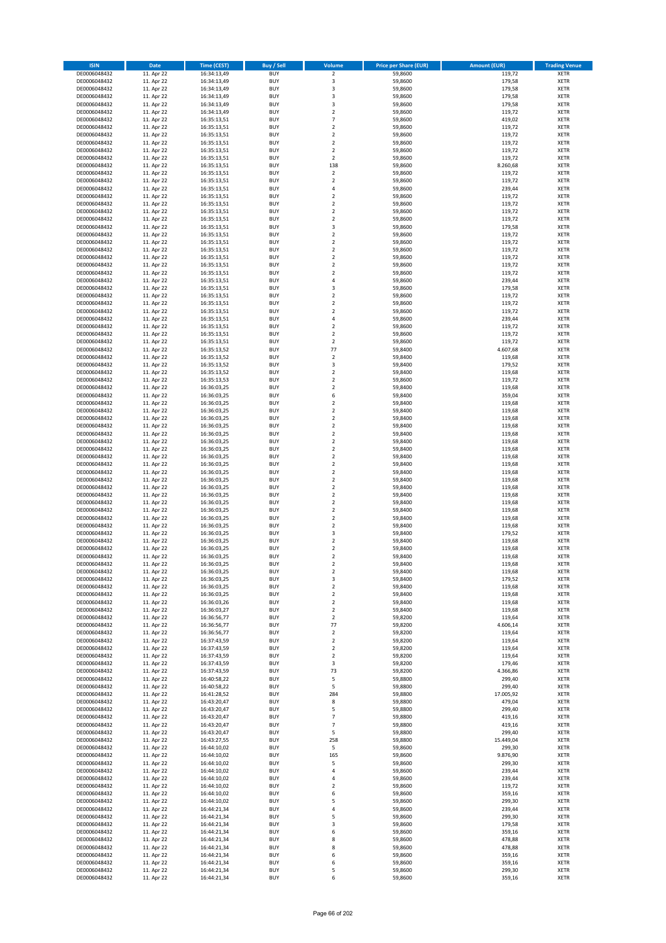| <b>ISIN</b>                  | <b>Date</b>              | <b>Time (CEST)</b>         | <b>Buy / Sell</b>        | <b>Volume</b>                          | <b>Price per Share (EUR)</b> | <b>Amount (EUR)</b> | <b>Trading Venue</b>       |
|------------------------------|--------------------------|----------------------------|--------------------------|----------------------------------------|------------------------------|---------------------|----------------------------|
| DE0006048432                 | 11. Apr 22               | 16:34:13,49                | <b>BUY</b>               | $\overline{2}$                         | 59,8600                      | 119,72              | <b>XETR</b>                |
| DE0006048432                 | 11. Apr 22               | 16:34:13,49                | <b>BUY</b>               | 3                                      | 59,8600                      | 179,58              | <b>XETR</b>                |
| DE0006048432                 | 11. Apr 22               | 16:34:13,49                | <b>BUY</b>               | 3                                      | 59,8600                      | 179,58              | <b>XETR</b>                |
| DE0006048432<br>DE0006048432 | 11. Apr 22<br>11. Apr 22 | 16:34:13,49<br>16:34:13,49 | <b>BUY</b><br><b>BUY</b> | 3<br>3                                 | 59,8600<br>59,8600           | 179,58<br>179,58    | <b>XETR</b><br><b>XETR</b> |
| DE0006048432                 | 11. Apr 22               | 16:34:13,49                | <b>BUY</b>               | $\mathbf 2$                            | 59,8600                      | 119,72              | <b>XETR</b>                |
| DE0006048432                 | 11. Apr 22               | 16:35:13,51                | <b>BUY</b>               | $\overline{7}$                         | 59,8600                      | 419,02              | <b>XETR</b>                |
| DE0006048432                 | 11. Apr 22               | 16:35:13,51                | <b>BUY</b>               | $\mathbf 2$                            | 59,8600                      | 119,72              | <b>XETR</b>                |
| DE0006048432                 | 11. Apr 22               | 16:35:13,51                | <b>BUY</b>               | $\overline{2}$                         | 59,8600                      | 119,72              | <b>XETR</b>                |
| DE0006048432                 | 11. Apr 22               | 16:35:13,51                | <b>BUY</b>               | $\overline{2}$                         | 59,8600                      | 119,72              | <b>XETR</b>                |
| DE0006048432                 | 11. Apr 22               | 16:35:13,51                | <b>BUY</b>               | $\mathbf 2$                            | 59,8600                      | 119,72              | <b>XETR</b>                |
| DE0006048432<br>DE0006048432 | 11. Apr 22<br>11. Apr 22 | 16:35:13,51                | <b>BUY</b><br><b>BUY</b> | $\overline{\mathbf{c}}$<br>138         | 59,8600<br>59,8600           | 119,72<br>8.260,68  | <b>XETR</b><br><b>XETR</b> |
| DE0006048432                 | 11. Apr 22               | 16:35:13,51<br>16:35:13,51 | <b>BUY</b>               | $\overline{2}$                         | 59,8600                      | 119,72              | <b>XETR</b>                |
| DE0006048432                 | 11. Apr 22               | 16:35:13,51                | <b>BUY</b>               | $\mathbf 2$                            | 59,8600                      | 119,72              | <b>XETR</b>                |
| DE0006048432                 | 11. Apr 22               | 16:35:13,51                | <b>BUY</b>               | 4                                      | 59,8600                      | 239,44              | <b>XETR</b>                |
| DE0006048432                 | 11. Apr 22               | 16:35:13,51                | <b>BUY</b>               | $\mathbf 2$                            | 59,8600                      | 119,72              | <b>XETR</b>                |
| DE0006048432                 | 11. Apr 22               | 16:35:13,51                | <b>BUY</b>               | $\mathbf 2$                            | 59,8600                      | 119,72              | <b>XETR</b>                |
| DE0006048432                 | 11. Apr 22               | 16:35:13,51                | <b>BUY</b>               | $\overline{\mathbf{c}}$                | 59,8600                      | 119,72              | <b>XETR</b>                |
| DE0006048432                 | 11. Apr 22               | 16:35:13,51                | <b>BUY</b>               | $\mathbf 2$                            | 59,8600                      | 119,72              | <b>XETR</b>                |
| DE0006048432<br>DE0006048432 | 11. Apr 22<br>11. Apr 22 | 16:35:13,51<br>16:35:13,51 | <b>BUY</b><br><b>BUY</b> | 3<br>$\mathbf 2$                       | 59,8600<br>59,8600           | 179,58<br>119,72    | <b>XETR</b><br><b>XETR</b> |
| DE0006048432                 | 11. Apr 22               | 16:35:13,51                | <b>BUY</b>               | $\mathbf 2$                            | 59,8600                      | 119,72              | <b>XETR</b>                |
| DE0006048432                 | 11. Apr 22               | 16:35:13,51                | <b>BUY</b>               | $\mathbf 2$                            | 59,8600                      | 119,72              | <b>XETR</b>                |
| DE0006048432                 | 11. Apr 22               | 16:35:13,51                | <b>BUY</b>               | $\mathbf 2$                            | 59,8600                      | 119,72              | <b>XETR</b>                |
| DE0006048432                 | 11. Apr 22               | 16:35:13,51                | <b>BUY</b>               | $\mathbf 2$                            | 59,8600                      | 119,72              | <b>XETR</b>                |
| DE0006048432                 | 11. Apr 22               | 16:35:13,51                | <b>BUY</b>               | $\mathbf 2$                            | 59,8600                      | 119,72              | <b>XETR</b>                |
| DE0006048432                 | 11. Apr 22               | 16:35:13,51                | <b>BUY</b>               | 4                                      | 59,8600                      | 239,44              | <b>XETR</b>                |
| DE0006048432<br>DE0006048432 | 11. Apr 22<br>11. Apr 22 | 16:35:13,51<br>16:35:13,51 | <b>BUY</b><br><b>BUY</b> | 3<br>$\overline{\mathbf{c}}$           | 59,8600<br>59,8600           | 179,58<br>119,72    | <b>XETR</b><br><b>XETR</b> |
| DE0006048432                 | 11. Apr 22               | 16:35:13,51                | <b>BUY</b>               | $\overline{2}$                         | 59,8600                      | 119,72              | <b>XETR</b>                |
| DE0006048432                 | 11. Apr 22               | 16:35:13,51                | <b>BUY</b>               | $\overline{\mathbf{c}}$                | 59,8600                      | 119,72              | <b>XETR</b>                |
| DE0006048432                 | 11. Apr 22               | 16:35:13,51                | <b>BUY</b>               | 4                                      | 59,8600                      | 239,44              | <b>XETR</b>                |
| DE0006048432                 | 11. Apr 22               | 16:35:13,51                | <b>BUY</b>               | $\overline{\mathbf{c}}$                | 59,8600                      | 119,72              | <b>XETR</b>                |
| DE0006048432                 | 11. Apr 22               | 16:35:13,51                | <b>BUY</b>               | $\overline{2}$                         | 59,8600                      | 119,72              | <b>XETR</b>                |
| DE0006048432                 | 11. Apr 22               | 16:35:13,51                | <b>BUY</b>               | $\mathbf 2$                            | 59,8600                      | 119,72              | <b>XETR</b>                |
| DE0006048432                 | 11. Apr 22               | 16:35:13,52                | <b>BUY</b>               | 77                                     | 59,8400                      | 4.607,68            | <b>XETR</b>                |
| DE0006048432                 | 11. Apr 22               | 16:35:13,52                | <b>BUY</b>               | $\mathbf 2$                            | 59,8400                      | 119,68              | <b>XETR</b>                |
| DE0006048432<br>DE0006048432 | 11. Apr 22<br>11. Apr 22 | 16:35:13,52<br>16:35:13,52 | <b>BUY</b><br><b>BUY</b> | 3<br>$\mathbf 2$                       | 59,8400<br>59,8400           | 179,52<br>119,68    | <b>XETR</b><br><b>XETR</b> |
| DE0006048432                 | 11. Apr 22               | 16:35:13,53                | <b>BUY</b>               | $\overline{\mathbf{c}}$                | 59,8600                      | 119,72              | <b>XETR</b>                |
| DE0006048432                 | 11. Apr 22               | 16:36:03,25                | <b>BUY</b>               | $\mathbf 2$                            | 59,8400                      | 119,68              | <b>XETR</b>                |
| DE0006048432                 | 11. Apr 22               | 16:36:03,25                | <b>BUY</b>               | 6                                      | 59,8400                      | 359,04              | <b>XETR</b>                |
| DE0006048432                 | 11. Apr 22               | 16:36:03,25                | <b>BUY</b>               | $\overline{\mathbf{c}}$                | 59,8400                      | 119,68              | <b>XETR</b>                |
| DE0006048432                 | 11. Apr 22               | 16:36:03,25                | <b>BUY</b>               | $\mathbf 2$                            | 59,8400                      | 119,68              | <b>XETR</b>                |
| DE0006048432                 | 11. Apr 22               | 16:36:03,25                | <b>BUY</b>               | $\overline{2}$                         | 59,8400                      | 119,68              | <b>XETR</b>                |
| DE0006048432                 | 11. Apr 22               | 16:36:03,25                | <b>BUY</b>               | $\mathbf 2$                            | 59,8400                      | 119,68              | <b>XETR</b>                |
| DE0006048432<br>DE0006048432 | 11. Apr 22<br>11. Apr 22 | 16:36:03,25<br>16:36:03,25 | <b>BUY</b><br><b>BUY</b> | $\mathbf 2$<br>$\mathbf 2$             | 59,8400<br>59,8400           | 119,68<br>119,68    | <b>XETR</b><br><b>XETR</b> |
| DE0006048432                 | 11. Apr 22               | 16:36:03,25                | <b>BUY</b>               | $\mathbf 2$                            | 59,8400                      | 119,68              | <b>XETR</b>                |
| DE0006048432                 | 11. Apr 22               | 16:36:03,25                | <b>BUY</b>               | $\overline{\mathbf{c}}$                | 59,8400                      | 119,68              | <b>XETR</b>                |
| DE0006048432                 | 11. Apr 22               | 16:36:03,25                | <b>BUY</b>               | $\mathbf 2$                            | 59,8400                      | 119,68              | <b>XETR</b>                |
| DE0006048432                 | 11. Apr 22               | 16:36:03,25                | <b>BUY</b>               | $\overline{2}$                         | 59,8400                      | 119,68              | <b>XETR</b>                |
| DE0006048432                 | 11. Apr 22               | 16:36:03,25                | <b>BUY</b>               | $\mathbf 2$                            | 59,8400                      | 119,68              | <b>XETR</b>                |
| DE0006048432                 | 11. Apr 22               | 16:36:03,25                | <b>BUY</b>               | $\overline{\mathbf{c}}$                | 59,8400                      | 119,68              | <b>XETR</b>                |
| DE0006048432<br>DE0006048432 | 11. Apr 22<br>11. Apr 22 | 16:36:03,25<br>16:36:03,25 | <b>BUY</b><br><b>BUY</b> | $\mathbf 2$<br>$\overline{\mathbf{c}}$ | 59,8400<br>59,8400           | 119,68<br>119,68    | <b>XETR</b><br><b>XETR</b> |
| DE0006048432                 | 11. Apr 22               | 16:36:03,25                | <b>BUY</b>               | $\mathbf 2$                            | 59,8400                      | 119,68              | <b>XETR</b>                |
| DE0006048432                 | 11. Apr 22               | 16:36:03,25                | <b>BUY</b>               | $\mathbf 2$                            | 59,8400                      | 119,68              | <b>XETR</b>                |
| DE0006048432                 | 11. Apr 22               | 16:36:03,25                | <b>BUY</b>               | $\overline{2}$                         | 59,8400                      | 119,68              | <b>XETR</b>                |
| DE0006048432                 | 11. Apr 22               | 16:36:03,25                | <b>BUY</b>               | 3                                      | 59,8400                      | 179,52              | <b>XETR</b>                |
| DE0006048432                 | 11. Apr 22               | 16:36:03,25                | <b>BUY</b>               | $\overline{\mathbf{c}}$                | 59,8400                      | 119,68              | <b>XETR</b>                |
| DE0006048432                 | 11. Apr 22               | 16:36:03,25                | <b>BUY</b>               | $\overline{\mathbf{c}}$                | 59,8400                      | 119,68              | <b>XETR</b>                |
| DE0006048432<br>DE0006048432 | 11. Apr 22<br>11. Apr 22 | 16:36:03,25<br>16:36:03,25 | <b>BUY</b><br>BUY        | $\overline{2}$<br>2                    | 59,8400<br>59,8400           | 119,68<br>119,68    | <b>XETR</b><br><b>XETR</b> |
| DE0006048432                 | 11. Apr 22               | 16:36:03,25                | <b>BUY</b>               | $\mathbf 2$                            | 59,8400                      | 119,68              | <b>XETR</b>                |
| DE0006048432                 | 11. Apr 22               | 16:36:03,25                | <b>BUY</b>               | 3                                      | 59,8400                      | 179,52              | <b>XETR</b>                |
| DE0006048432                 | 11. Apr 22               | 16:36:03,25                | <b>BUY</b>               | 2                                      | 59,8400                      | 119,68              | XETR                       |
| DE0006048432                 | 11. Apr 22               | 16:36:03,25                | <b>BUY</b>               | $\mathbf 2$                            | 59.8400                      | 119,68              | <b>XETR</b>                |
| DE0006048432                 | 11. Apr 22               | 16:36:03,26                | <b>BUY</b>               | $\mathbf 2$                            | 59,8400                      | 119,68              | <b>XETR</b>                |
| DE0006048432                 | 11. Apr 22               | 16:36:03,27                | <b>BUY</b>               | $\overline{2}$                         | 59,8400                      | 119,68              | <b>XETR</b>                |
| DE0006048432<br>DE0006048432 | 11. Apr 22               | 16:36:56,77<br>16:36:56,77 | <b>BUY</b><br><b>BUY</b> | $\mathbf 2$<br>77                      | 59,8200<br>59,8200           | 119,64<br>4.606,14  | <b>XETR</b><br><b>XETR</b> |
| DE0006048432                 | 11. Apr 22<br>11. Apr 22 | 16:36:56,77                | <b>BUY</b>               | $\mathbf 2$                            | 59,8200                      | 119,64              | <b>XETR</b>                |
| DE0006048432                 | 11. Apr 22               | 16:37:43,59                | <b>BUY</b>               | $\mathbf 2$                            | 59,8200                      | 119,64              | <b>XETR</b>                |
| DE0006048432                 | 11. Apr 22               | 16:37:43,59                | <b>BUY</b>               | $\overline{2}$                         | 59,8200                      | 119,64              | <b>XETR</b>                |
| DE0006048432                 | 11. Apr 22               | 16:37:43,59                | <b>BUY</b>               | $\mathbf 2$                            | 59,8200                      | 119,64              | <b>XETR</b>                |
| DE0006048432                 | 11. Apr 22               | 16:37:43,59                | <b>BUY</b>               | 3                                      | 59,8200                      | 179,46              | <b>XETR</b>                |
| DE0006048432                 | 11. Apr 22               | 16:37:43,59                | <b>BUY</b><br><b>BUY</b> | 73<br>5                                | 59,8200                      | 4.366,86            | <b>XETR</b>                |
| DE0006048432<br>DE0006048432 | 11. Apr 22<br>11. Apr 22 | 16:40:58,22<br>16:40:58,22 | <b>BUY</b>               | 5                                      | 59,8800<br>59,8800           | 299,40<br>299,40    | <b>XETR</b><br><b>XETR</b> |
| DE0006048432                 | 11. Apr 22               | 16:41:28,52                | <b>BUY</b>               | 284                                    | 59,8800                      | 17.005,92           | <b>XETR</b>                |
| DE0006048432                 | 11. Apr 22               | 16:43:20,47                | <b>BUY</b>               | 8                                      | 59,8800                      | 479,04              | XETR                       |
| DE0006048432                 | 11. Apr 22               | 16:43:20,47                | <b>BUY</b>               | 5                                      | 59,8800                      | 299,40              | <b>XETR</b>                |
| DE0006048432                 | 11. Apr 22               | 16:43:20,47                | <b>BUY</b>               | $\overline{7}$                         | 59,8800                      | 419,16              | <b>XETR</b>                |
| DE0006048432                 | 11. Apr 22               | 16:43:20,47                | <b>BUY</b>               | $\overline{7}$                         | 59,8800                      | 419,16              | <b>XETR</b>                |
| DE0006048432                 | 11. Apr 22               | 16:43:20,47                | <b>BUY</b><br><b>BUY</b> | 5                                      | 59,8800                      | 299,40              | <b>XETR</b>                |
| DE0006048432<br>DE0006048432 | 11. Apr 22<br>11. Apr 22 | 16:43:27,55<br>16:44:10,02 | <b>BUY</b>               | 258<br>5                               | 59,8800<br>59,8600           | 15.449,04<br>299,30 | <b>XETR</b><br><b>XETR</b> |
| DE0006048432                 | 11. Apr 22               | 16:44:10,02                | <b>BUY</b>               | 165                                    | 59,8600                      | 9.876,90            | <b>XETR</b>                |
| DE0006048432                 | 11. Apr 22               | 16:44:10,02                | <b>BUY</b>               | 5                                      | 59,8600                      | 299,30              | <b>XETR</b>                |
| DE0006048432                 | 11. Apr 22               | 16:44:10,02                | <b>BUY</b>               | 4                                      | 59,8600                      | 239,44              | <b>XETR</b>                |
| DE0006048432                 | 11. Apr 22               | 16:44:10,02                | <b>BUY</b>               | 4                                      | 59,8600                      | 239,44              | <b>XETR</b>                |
| DE0006048432                 | 11. Apr 22               | 16:44:10,02                | <b>BUY</b>               | $\overline{\mathbf{c}}$                | 59,8600                      | 119,72              | <b>XETR</b>                |
| DE0006048432                 | 11. Apr 22               | 16:44:10,02                | <b>BUY</b>               | 6                                      | 59,8600                      | 359,16              | <b>XETR</b>                |
| DE0006048432<br>DE0006048432 | 11. Apr 22<br>11. Apr 22 | 16:44:10,02                | <b>BUY</b><br><b>BUY</b> | 5<br>4                                 | 59,8600<br>59,8600           | 299,30<br>239,44    | <b>XETR</b><br><b>XETR</b> |
| DE0006048432                 | 11. Apr 22               | 16:44:21,34<br>16:44:21,34 | <b>BUY</b>               | 5                                      | 59,8600                      | 299,30              | <b>XETR</b>                |
| DE0006048432                 | 11. Apr 22               | 16:44:21,34                | <b>BUY</b>               | 3                                      | 59,8600                      | 179,58              | <b>XETR</b>                |
| DE0006048432                 | 11. Apr 22               | 16:44:21,34                | <b>BUY</b>               | 6                                      | 59,8600                      | 359,16              | <b>XETR</b>                |
| DE0006048432                 | 11. Apr 22               | 16:44:21,34                | <b>BUY</b>               | 8                                      | 59,8600                      | 478,88              | <b>XETR</b>                |
| DE0006048432                 | 11. Apr 22               | 16:44:21,34                | <b>BUY</b>               | 8                                      | 59,8600                      | 478,88              | XETR                       |
| DE0006048432                 | 11. Apr 22               | 16:44:21,34                | <b>BUY</b>               | 6                                      | 59,8600                      | 359,16              | <b>XETR</b>                |
| DE0006048432<br>DE0006048432 | 11. Apr 22<br>11. Apr 22 | 16:44:21,34<br>16:44:21,34 | <b>BUY</b><br><b>BUY</b> | 6<br>5                                 | 59,8600<br>59,8600           | 359,16<br>299,30    | <b>XETR</b><br><b>XETR</b> |
| DE0006048432                 | 11. Apr 22               | 16:44:21,34                | <b>BUY</b>               | 6                                      | 59,8600                      | 359,16              | <b>XETR</b>                |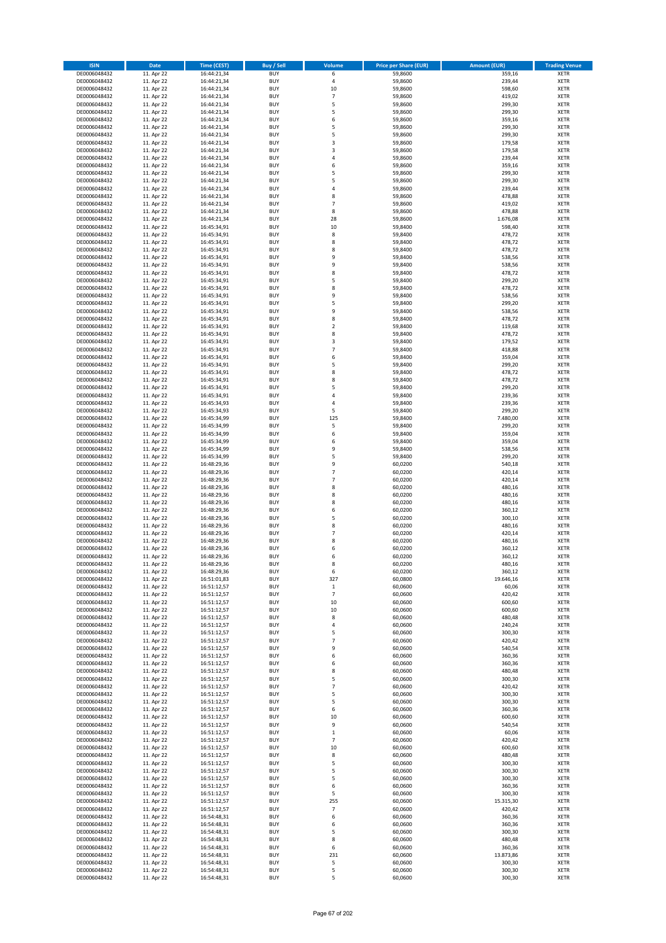| <b>ISIN</b>                  | <b>Date</b>              | <b>Time (CEST)</b>         | <b>Buy / Sell</b>        | Volume                           | <b>Price per Share (EUR)</b> | Amount (EUR)        | <b>Trading Venue</b>       |
|------------------------------|--------------------------|----------------------------|--------------------------|----------------------------------|------------------------------|---------------------|----------------------------|
| DE0006048432                 | 11. Apr 22               | 16:44:21,34                | <b>BUY</b>               | 6                                | 59,8600                      | 359,16              | <b>XETR</b>                |
| DE0006048432                 | 11. Apr 22               | 16:44:21,34                | <b>BUY</b>               | $\pmb{4}$                        | 59,8600                      | 239,44              | <b>XETR</b>                |
| DE0006048432                 | 11. Apr 22               | 16:44:21,34                | <b>BUY</b>               | $10\,$                           | 59,8600                      | 598,60              | <b>XETR</b>                |
| DE0006048432                 | 11. Apr 22               | 16:44:21,34                | <b>BUY</b>               | $\overline{7}$                   | 59,8600                      | 419,02              | <b>XETR</b>                |
| DE0006048432                 | 11. Apr 22               | 16:44:21,34                | <b>BUY</b>               | 5                                | 59,8600                      | 299,30              | <b>XETR</b>                |
| DE0006048432                 | 11. Apr 22               | 16:44:21,34                | <b>BUY</b>               | 5                                | 59,8600                      | 299,30              | <b>XETR</b>                |
| DE0006048432                 | 11. Apr 22               | 16:44:21,34                | <b>BUY</b>               | 6                                | 59,8600                      | 359,16              | <b>XETR</b>                |
| DE0006048432                 | 11. Apr 22               | 16:44:21,34                | <b>BUY</b>               | 5                                | 59,8600                      | 299,30              | <b>XETR</b>                |
| DE0006048432                 | 11. Apr 22               | 16:44:21,34                | BUY                      | 5                                | 59,8600                      | 299,30              | <b>XETR</b>                |
| DE0006048432                 | 11. Apr 22               | 16:44:21,34                | <b>BUY</b>               | 3                                | 59,8600                      | 179,58              | <b>XETR</b>                |
| DE0006048432                 | 11. Apr 22               | 16:44:21,34                | <b>BUY</b>               | 3                                | 59,8600                      | 179,58              | <b>XETR</b>                |
| DE0006048432                 | 11. Apr 22               | 16:44:21,34                | <b>BUY</b>               | $\overline{4}$                   | 59,8600                      | 239,44              | <b>XETR</b>                |
| DE0006048432                 | 11. Apr 22               | 16:44:21,34                | <b>BUY</b>               | 6<br>5                           | 59,8600                      | 359,16              | <b>XETR</b>                |
| DE0006048432                 | 11. Apr 22               | 16:44:21,34                | <b>BUY</b><br><b>BUY</b> | 5                                | 59,8600<br>59,8600           | 299,30              | <b>XETR</b>                |
| DE0006048432<br>DE0006048432 | 11. Apr 22<br>11. Apr 22 | 16:44:21,34<br>16:44:21,34 | <b>BUY</b>               | $\overline{a}$                   | 59,8600                      | 299,30<br>239,44    | <b>XETR</b><br><b>XETR</b> |
| DE0006048432                 | 11. Apr 22               | 16:44:21,34                | <b>BUY</b>               | 8                                | 59,8600                      | 478,88              | <b>XETR</b>                |
| DE0006048432                 | 11. Apr 22               | 16:44:21,34                | <b>BUY</b>               | $\overline{7}$                   | 59,8600                      | 419,02              | <b>XETR</b>                |
| DE0006048432                 | 11. Apr 22               | 16:44:21,34                | <b>BUY</b>               | 8                                | 59.8600                      | 478,88              | <b>XETR</b>                |
| DE0006048432                 | 11. Apr 22               | 16:44:21,34                | <b>BUY</b>               | 28                               | 59,8600                      | 1.676,08            | <b>XETR</b>                |
| DE0006048432                 | 11. Apr 22               | 16:45:34,91                | <b>BUY</b>               | 10                               | 59,8400                      | 598,40              | <b>XETR</b>                |
| DE0006048432                 | 11. Apr 22               | 16:45:34,91                | <b>BUY</b>               | 8                                | 59,8400                      | 478,72              | <b>XETR</b>                |
| DE0006048432                 | 11. Apr 22               | 16:45:34,91                | <b>BUY</b>               | 8                                | 59,8400                      | 478,72              | <b>XETR</b>                |
| DE0006048432                 | 11. Apr 22               | 16:45:34,91                | <b>BUY</b>               | 8                                | 59,8400                      | 478,72              | <b>XETR</b>                |
| DE0006048432                 | 11. Apr 22               | 16:45:34,91                | <b>BUY</b>               | 9                                | 59,8400                      | 538,56              | <b>XETR</b>                |
| DE0006048432                 | 11. Apr 22               | 16:45:34,91                | <b>BUY</b>               | 9                                | 59,8400                      | 538,56              | <b>XETR</b>                |
| DE0006048432                 | 11. Apr 22               | 16:45:34,91                | <b>BUY</b>               | 8                                | 59,8400                      | 478,72              | <b>XETR</b>                |
| DE0006048432                 | 11. Apr 22               | 16:45:34,91                | <b>BUY</b>               | 5                                | 59,8400                      | 299,20              | <b>XETR</b>                |
| DE0006048432                 | 11. Apr 22               | 16:45:34,91                | <b>BUY</b>               | 8                                | 59,8400                      | 478,72              | <b>XETR</b>                |
| DE0006048432                 | 11. Apr 22               | 16:45:34,91                | <b>BUY</b>               | 9                                | 59,8400                      | 538,56              | <b>XETR</b>                |
| DE0006048432                 | 11. Apr 22               | 16:45:34,91                | <b>BUY</b>               | 5                                | 59,8400                      | 299,20              | <b>XETR</b>                |
| DE0006048432                 | 11. Apr 22               | 16:45:34,91                | <b>BUY</b>               | 9                                | 59,8400                      | 538,56              | <b>XETR</b>                |
| DE0006048432                 | 11. Apr 22               | 16:45:34,91                | <b>BUY</b>               | 8                                | 59,8400                      | 478,72              | <b>XETR</b>                |
| DE0006048432                 | 11. Apr 22               | 16:45:34,91                | <b>BUY</b>               | $\overline{2}$                   | 59,8400                      | 119,68              | <b>XETR</b>                |
| DE0006048432                 | 11. Apr 22               | 16:45:34,91                | <b>BUY</b><br><b>BUY</b> | 8<br>3                           | 59,8400                      | 478,72<br>179,52    | <b>XETR</b>                |
| DE0006048432<br>DE0006048432 | 11. Apr 22<br>11. Apr 22 | 16:45:34,91<br>16:45:34,91 | <b>BUY</b>               | $\overline{7}$                   | 59,8400<br>59,8400           | 418,88              | <b>XETR</b><br><b>XETR</b> |
| DE0006048432                 | 11. Apr 22               | 16:45:34,91                | <b>BUY</b>               | 6                                | 59,8400                      | 359,04              | <b>XETR</b>                |
| DE0006048432                 | 11. Apr 22               | 16:45:34,91                | <b>BUY</b>               | 5                                | 59,8400                      | 299,20              | <b>XETR</b>                |
| DE0006048432                 | 11. Apr 22               | 16:45:34,91                | <b>BUY</b>               | 8                                | 59,8400                      | 478,72              | <b>XETR</b>                |
| DE0006048432                 | 11. Apr 22               | 16:45:34,91                | <b>BUY</b>               | 8                                | 59,8400                      | 478,72              | <b>XETR</b>                |
| DE0006048432                 | 11. Apr 22               | 16:45:34,91                | <b>BUY</b>               | 5                                | 59,8400                      | 299,20              | <b>XETR</b>                |
| DE0006048432                 | 11. Apr 22               | 16:45:34,91                | <b>BUY</b>               | 4                                | 59,8400                      | 239,36              | <b>XETR</b>                |
| DE0006048432                 | 11. Apr 22               | 16:45:34,93                | <b>BUY</b>               | 4                                | 59,8400                      | 239,36              | <b>XETR</b>                |
| DE0006048432                 | 11. Apr 22               | 16:45:34,93                | <b>BUY</b>               | 5                                | 59,8400                      | 299,20              | <b>XETR</b>                |
| DE0006048432                 | 11. Apr 22               | 16:45:34,99                | <b>BUY</b>               | 125                              | 59,8400                      | 7.480,00            | <b>XETR</b>                |
| DE0006048432                 | 11. Apr 22               | 16:45:34,99                | <b>BUY</b>               | 5                                | 59,8400                      | 299,20              | <b>XETR</b>                |
| DE0006048432                 | 11. Apr 22               | 16:45:34,99                | <b>BUY</b>               | 6                                | 59,8400                      | 359,04              | <b>XETR</b>                |
| DE0006048432                 | 11. Apr 22               | 16:45:34,99                | <b>BUY</b>               | 6                                | 59,8400                      | 359,04              | <b>XETR</b>                |
| DE0006048432                 | 11. Apr 22               | 16:45:34,99                | <b>BUY</b>               | 9                                | 59,8400                      | 538,56              | <b>XETR</b>                |
| DE0006048432                 | 11. Apr 22               | 16:45:34,99                | <b>BUY</b>               | 5                                | 59,8400                      | 299,20              | <b>XETR</b>                |
| DE0006048432                 | 11. Apr 22               | 16:48:29,36                | <b>BUY</b>               | 9                                | 60,0200                      | 540,18              | <b>XETR</b>                |
| DE0006048432                 | 11. Apr 22               | 16:48:29,36                | <b>BUY</b>               | $\overline{7}$<br>$\overline{7}$ | 60,0200                      | 420,14              | <b>XETR</b>                |
| DE0006048432<br>DE0006048432 | 11. Apr 22               | 16:48:29,36                | <b>BUY</b><br><b>BUY</b> | 8                                | 60,0200                      | 420,14              | <b>XETR</b><br><b>XETR</b> |
|                              | 11. Apr 22<br>11. Apr 22 | 16:48:29,36                | <b>BUY</b>               | 8                                | 60,0200<br>60,0200           | 480,16<br>480,16    | <b>XETR</b>                |
| DE0006048432<br>DE0006048432 | 11. Apr 22               | 16:48:29,36<br>16:48:29,36 | <b>BUY</b>               | 8                                | 60,0200                      | 480,16              | <b>XETR</b>                |
| DE0006048432                 | 11. Apr 22               | 16:48:29,36                | <b>BUY</b>               | 6                                | 60,0200                      | 360,12              | <b>XETR</b>                |
| DE0006048432                 | 11. Apr 22               | 16:48:29,36                | BUY                      | 5                                | 60,0200                      | 300,10              | <b>XETR</b>                |
| DE0006048432                 | 11. Apr 22               | 16:48:29,36                | <b>BUY</b>               | 8                                | 60,0200                      | 480,16              | <b>XETR</b>                |
| DE0006048432                 | 11. Apr 22               | 16:48:29,36                | <b>BUY</b>               | $\overline{7}$                   | 60,0200                      | 420,14              | <b>XETR</b>                |
| DE0006048432                 | 11. Apr 22               | 16:48:29,36                | BUY                      | 8                                | 60,0200                      | 480,16              | <b>XETR</b>                |
| DE0006048432                 | 11. Apr 22               | 16:48:29,36                | BUY                      | 6                                | 60,0200                      | 360,12              | <b>XETR</b>                |
| DE0006048432                 | 11. Apr 22               | 16:48:29,36                | <b>BUY</b>               | 6                                | 60,0200                      | 360,12              | <b>XETR</b>                |
| DE0006048432                 | 11. Apr 22               | 16:48:29,36                | BUY                      | 8                                | 60,0200                      | 480,16              | <b>XETR</b>                |
| DE0006048432                 | 11. Apr 22               | 16:48:29,36                | <b>BUY</b>               | 6                                | 60,0200                      | 360,12              | <b>XETR</b>                |
| DE0006048432                 | 11. Apr 22               | 16:51:01,83                | <b>BUY</b>               | 327                              | 60,0800                      | 19.646,16           | <b>XETR</b>                |
| DE0006048432                 | 11. Apr 22               | 16:51:12,57                | <b>BUY</b>               | $\,$ 1                           | 60,0600                      | 60,06               | <b>XETR</b>                |
| DE0006048432                 | 11. Apr 22               | 16:51:12,57                | <b>BUY</b>               | $\overline{7}$                   | 60,0600                      | 420,42              | <b>XETR</b>                |
| DE0006048432                 | 11. Apr 22               | 16:51:12,57                | <b>BUY</b>               | $10\,$                           | 60,0600                      | 600,60              | <b>XETR</b>                |
| DE0006048432                 | 11. Apr 22               | 16:51:12,57                | <b>BUY</b>               | $10\,$                           | 60,0600                      | 600,60              | <b>XETR</b>                |
| DE0006048432                 | 11. Apr 22               | 16:51:12,57                | <b>BUY</b>               | 8                                | 60,0600                      | 480,48              | <b>XETR</b>                |
| DE0006048432                 | 11. Apr 22               | 16:51:12,57                | <b>BUY</b>               | $\overline{4}$                   | 60,0600                      | 240,24              | <b>XETR</b>                |
| DE0006048432<br>DE0006048432 | 11. Apr 22               | 16:51:12,57                | <b>BUY</b>               | 5                                | 60,0600                      | 300,30              | <b>XETR</b>                |
| DE0006048432                 | 11. Apr 22               | 16:51:12,57                | <b>BUY</b><br><b>BUY</b> | 7<br>9                           | 60,0600                      | 420,42              | <b>XETR</b><br><b>XETR</b> |
| DE0006048432                 | 11. Apr 22<br>11. Apr 22 | 16:51:12,57<br>16:51:12,57 | <b>BUY</b>               | 6                                | 60,0600<br>60,0600           | 540,54<br>360,36    | <b>XETR</b>                |
| DE0006048432                 | 11. Apr 22               | 16:51:12,57                | <b>BUY</b>               | 6                                | 60,0600                      | 360,36              | <b>XETR</b>                |
| DE0006048432                 | 11. Apr 22               | 16:51:12,57                | <b>BUY</b>               | 8                                | 60,0600                      | 480,48              | <b>XETR</b>                |
| DE0006048432                 | 11. Apr 22               | 16:51:12,57                | <b>BUY</b>               | 5                                | 60,0600                      | 300,30              | <b>XETR</b>                |
| DE0006048432                 | 11. Apr 22               | 16:51:12,57                | <b>BUY</b>               | $\overline{7}$                   | 60,0600                      | 420,42              | <b>XETR</b>                |
| DE0006048432                 | 11. Apr 22               | 16:51:12,57                | <b>BUY</b>               | 5                                | 60,0600                      | 300,30              | <b>XETR</b>                |
| DE0006048432                 | 11. Apr 22               | 16:51:12,57                | <b>BUY</b>               | 5                                | 60,0600                      | 300,30              | <b>XETR</b>                |
| DE0006048432                 | 11. Apr 22               | 16:51:12,57                | <b>BUY</b>               | 6                                | 60,0600                      | 360,36              | <b>XETR</b>                |
| DE0006048432                 | 11. Apr 22               | 16:51:12,57                | <b>BUY</b>               | 10                               | 60,0600                      | 600,60              | <b>XETR</b>                |
| DE0006048432                 | 11. Apr 22               | 16:51:12,57                | <b>BUY</b>               | 9                                | 60,0600                      | 540,54              | <b>XETR</b>                |
| DE0006048432                 | 11. Apr 22               | 16:51:12,57                | <b>BUY</b>               | $\mathbf 1$                      | 60,0600                      | 60,06               | <b>XETR</b>                |
| DE0006048432                 | 11. Apr 22               | 16:51:12,57                | <b>BUY</b>               | $\overline{7}$                   | 60,0600                      | 420,42              | <b>XETR</b>                |
| DE0006048432                 | 11. Apr 22               | 16:51:12,57                | <b>BUY</b>               | $10\,$                           | 60,0600                      | 600,60              | <b>XETR</b>                |
| DE0006048432                 | 11. Apr 22               | 16:51:12,57                | <b>BUY</b>               | 8                                | 60,0600                      | 480,48              | <b>XETR</b>                |
| DE0006048432                 | 11. Apr 22               | 16:51:12,57                | <b>BUY</b>               | 5                                | 60,0600                      | 300,30              | <b>XETR</b>                |
| DE0006048432                 | 11. Apr 22               | 16:51:12,57                | <b>BUY</b>               | 5                                | 60,0600                      | 300,30              | <b>XETR</b>                |
| DE0006048432                 | 11. Apr 22               | 16:51:12,57                | <b>BUY</b>               | 5                                | 60,0600                      | 300,30              | <b>XETR</b>                |
| DE0006048432                 | 11. Apr 22               | 16:51:12,57                | <b>BUY</b>               | 6                                | 60,0600                      | 360,36              | <b>XETR</b>                |
| DE0006048432                 | 11. Apr 22               | 16:51:12,57                | <b>BUY</b>               | 5                                | 60,0600                      | 300,30              | <b>XETR</b>                |
| DE0006048432<br>DE0006048432 | 11. Apr 22<br>11. Apr 22 | 16:51:12,57                | <b>BUY</b><br><b>BUY</b> | 255<br>$\overline{7}$            | 60,0600<br>60,0600           | 15.315,30<br>420,42 | <b>XETR</b><br><b>XETR</b> |
| DE0006048432                 | 11. Apr 22               | 16:51:12,57<br>16:54:48,31 | <b>BUY</b>               | 6                                | 60,0600                      | 360,36              | <b>XETR</b>                |
| DE0006048432                 | 11. Apr 22               | 16:54:48,31                | <b>BUY</b>               | 6                                | 60,0600                      | 360,36              | <b>XETR</b>                |
| DE0006048432                 | 11. Apr 22               | 16:54:48,31                | <b>BUY</b>               | 5                                | 60,0600                      | 300,30              | <b>XETR</b>                |
| DE0006048432                 | 11. Apr 22               | 16:54:48,31                | <b>BUY</b>               | 8                                | 60,0600                      | 480,48              | <b>XETR</b>                |
| DE0006048432                 | 11. Apr 22               | 16:54:48,31                | <b>BUY</b>               | 6                                | 60,0600                      | 360,36              | <b>XETR</b>                |
| DE0006048432                 | 11. Apr 22               | 16:54:48,31                | <b>BUY</b>               | 231                              | 60,0600                      | 13.873,86           | <b>XETR</b>                |
| DE0006048432                 | 11. Apr 22               | 16:54:48,31                | <b>BUY</b>               | 5                                | 60,0600                      | 300,30              | <b>XETR</b>                |
| DE0006048432                 | 11. Apr 22               | 16:54:48,31                | <b>BUY</b>               | 5                                | 60,0600                      | 300,30              | <b>XETR</b>                |
| DE0006048432                 | 11. Apr 22               | 16:54:48,31                | <b>BUY</b>               | 5                                | 60,0600                      | 300,30              | <b>XETR</b>                |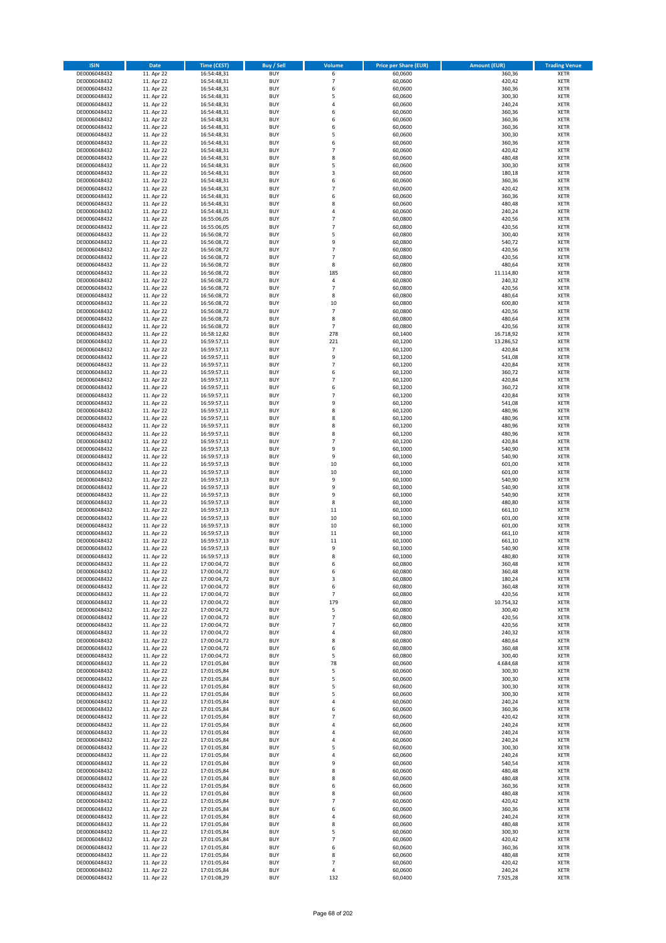| <b>ISIN</b>                  | <b>Date</b>              | <b>Time (CEST)</b>         | <b>Buy / Sell</b>        | Volume                  | <b>Price per Share (EUR)</b> | <b>Amount (EUR)</b> | <b>Trading Venue</b>       |
|------------------------------|--------------------------|----------------------------|--------------------------|-------------------------|------------------------------|---------------------|----------------------------|
| DE0006048432                 | 11. Apr 22               | 16:54:48,31                | <b>BUY</b>               | 6                       | 60,0600                      | 360,36              | <b>XETR</b>                |
| DE0006048432                 | 11. Apr 22               | 16:54:48,31                | <b>BUY</b>               | 7                       | 60,0600                      | 420,42              | <b>XETR</b>                |
| DE0006048432                 | 11. Apr 22               | 16:54:48,31                | <b>BUY</b>               | 6                       | 60,0600                      | 360,36              | <b>XETR</b>                |
| DE0006048432                 | 11. Apr 22               | 16:54:48,31                | <b>BUY</b>               | 5                       | 60,0600                      | 300,30              | <b>XETR</b>                |
| DE0006048432                 | 11. Apr 22               | 16:54:48,31                | <b>BUY</b>               | $\overline{4}$          | 60,0600                      | 240,24              | <b>XETR</b>                |
| DE0006048432                 | 11. Apr 22               | 16:54:48,31                | <b>BUY</b>               | 6                       | 60,0600                      | 360,36              | <b>XETR</b>                |
| DE0006048432                 | 11. Apr 22               | 16:54:48,31                | <b>BUY</b>               | 6                       | 60,0600                      | 360,36              | <b>XETR</b>                |
| DE0006048432                 | 11. Apr 22               | 16:54:48,31                | <b>BUY</b>               | 6<br>5                  | 60,0600                      | 360,36              | <b>XETR</b>                |
| DE0006048432<br>DE0006048432 | 11. Apr 22<br>11. Apr 22 | 16:54:48,31                | BUY<br><b>BUY</b>        | 6                       | 60,0600<br>60,0600           | 300,30<br>360,36    | <b>XETR</b><br><b>XETR</b> |
| DE0006048432                 | 11. Apr 22               | 16:54:48,31<br>16:54:48,31 | <b>BUY</b>               | $\overline{7}$          | 60,0600                      | 420,42              | <b>XETR</b>                |
| DE0006048432                 | 11. Apr 22               | 16:54:48,31                | <b>BUY</b>               | 8                       | 60,0600                      | 480,48              | <b>XETR</b>                |
| DE0006048432                 | 11. Apr 22               | 16:54:48,31                | <b>BUY</b>               | 5                       | 60,0600                      | 300,30              | <b>XETR</b>                |
| DE0006048432                 | 11. Apr 22               | 16:54:48,31                | <b>BUY</b>               | $\overline{\mathbf{3}}$ | 60,0600                      | 180,18              | <b>XETR</b>                |
| DE0006048432                 | 11. Apr 22               | 16:54:48,31                | <b>BUY</b>               | 6                       | 60,0600                      | 360,36              | <b>XETR</b>                |
| DE0006048432                 | 11. Apr 22               | 16:54:48,31                | BUY                      | $\overline{7}$          | 60,0600                      | 420,42              | <b>XETR</b>                |
| DE0006048432                 | 11. Apr 22               | 16:54:48,31                | <b>BUY</b>               | 6                       | 60,0600                      | 360,36              | <b>XETR</b>                |
| DE0006048432                 | 11. Apr 22               | 16:54:48,31                | <b>BUY</b>               | 8                       | 60,0600                      | 480,48              | <b>XETR</b>                |
| DE0006048432                 | 11. Apr 22               | 16:54:48,31                | <b>BUY</b>               | $\overline{4}$          | 60.0600                      | 240,24              | <b>XETR</b>                |
| DE0006048432                 | 11. Apr 22               | 16:55:06,05                | <b>BUY</b>               | $\overline{7}$          | 60,0800                      | 420,56              | <b>XETR</b>                |
| DE0006048432                 | 11. Apr 22               | 16:55:06,05                | <b>BUY</b><br><b>BUY</b> | $\overline{7}$<br>5     | 60,0800                      | 420,56<br>300,40    | <b>XETR</b>                |
| DE0006048432<br>DE0006048432 | 11. Apr 22<br>11. Apr 22 | 16:56:08,72<br>16:56:08,72 | <b>BUY</b>               | 9                       | 60,0800<br>60,0800           | 540,72              | <b>XETR</b><br><b>XETR</b> |
| DE0006048432                 | 11. Apr 22               | 16:56:08,72                | <b>BUY</b>               | $\overline{7}$          | 60,0800                      | 420,56              | <b>XETR</b>                |
| DE0006048432                 | 11. Apr 22               | 16:56:08,72                | <b>BUY</b>               | $\overline{7}$          | 60,0800                      | 420,56              | <b>XETR</b>                |
| DE0006048432                 | 11. Apr 22               | 16:56:08,72                | <b>BUY</b>               | 8                       | 60,0800                      | 480,64              | <b>XETR</b>                |
| DE0006048432                 | 11. Apr 22               | 16:56:08,72                | <b>BUY</b>               | 185                     | 60,0800                      | 11.114,80           | <b>XETR</b>                |
| DE0006048432                 | 11. Apr 22               | 16:56:08,72                | <b>BUY</b>               | $\sqrt{4}$              | 60,0800                      | 240,32              | <b>XETR</b>                |
| DE0006048432                 | 11. Apr 22               | 16:56:08,72                | <b>BUY</b>               | $\overline{7}$          | 60,0800                      | 420,56              | <b>XETR</b>                |
| DE0006048432                 | 11. Apr 22               | 16:56:08,72                | <b>BUY</b>               | 8                       | 60,0800                      | 480,64              | <b>XETR</b>                |
| DE0006048432                 | 11. Apr 22               | 16:56:08,72                | <b>BUY</b>               | $10\,$                  | 60,0800                      | 600,80              | <b>XETR</b>                |
| DE0006048432<br>DE0006048432 | 11. Apr 22<br>11. Apr 22 | 16:56:08,72                | <b>BUY</b><br><b>BUY</b> | $\overline{7}$          | 60,0800                      | 420,56              | <b>XETR</b>                |
| DE0006048432                 | 11. Apr 22               | 16:56:08,72<br>16:56:08,72 | <b>BUY</b>               | 8<br>$\overline{7}$     | 60,0800<br>60,0800           | 480,64<br>420,56    | <b>XETR</b><br><b>XETR</b> |
| DE0006048432                 | 11. Apr 22               | 16:58:12,82                | <b>BUY</b>               | 278                     | 60,1400                      | 16.718,92           | <b>XETR</b>                |
| DE0006048432                 | 11. Apr 22               | 16:59:57,11                | <b>BUY</b>               | 221                     | 60,1200                      | 13.286,52           | <b>XETR</b>                |
| DE0006048432                 | 11. Apr 22               | 16:59:57,11                | <b>BUY</b>               | $\overline{7}$          | 60,1200                      | 420,84              | <b>XETR</b>                |
| DE0006048432                 | 11. Apr 22               | 16:59:57,11                | BUY                      | 9                       | 60,1200                      | 541,08              | <b>XETR</b>                |
| DE0006048432                 | 11. Apr 22               | 16:59:57,11                | <b>BUY</b>               | $\overline{7}$          | 60,1200                      | 420,84              | <b>XETR</b>                |
| DE0006048432                 | 11. Apr 22               | 16:59:57,11                | <b>BUY</b>               | 6                       | 60,1200                      | 360,72              | <b>XETR</b>                |
| DE0006048432                 | 11. Apr 22               | 16:59:57,11                | <b>BUY</b>               | $\overline{7}$          | 60,1200                      | 420,84              | <b>XETR</b>                |
| DE0006048432                 | 11. Apr 22               | 16:59:57,11                | <b>BUY</b>               | 6                       | 60,1200                      | 360,72              | <b>XETR</b>                |
| DE0006048432                 | 11. Apr 22               | 16:59:57,11                | <b>BUY</b>               | $\overline{7}$          | 60,1200                      | 420,84              | <b>XETR</b>                |
| DE0006048432                 | 11. Apr 22               | 16:59:57,11                | <b>BUY</b>               | 9                       | 60,1200                      | 541,08              | <b>XETR</b>                |
| DE0006048432<br>DE0006048432 | 11. Apr 22               | 16:59:57,11                | <b>BUY</b><br><b>BUY</b> | 8<br>8                  | 60,1200<br>60,1200           | 480,96<br>480,96    | <b>XETR</b><br><b>XETR</b> |
| DE0006048432                 | 11. Apr 22<br>11. Apr 22 | 16:59:57,11<br>16:59:57,11 | <b>BUY</b>               | 8                       | 60,1200                      | 480,96              | <b>XETR</b>                |
| DE0006048432                 | 11. Apr 22               | 16:59:57,11                | <b>BUY</b>               | 8                       | 60,1200                      | 480,96              | <b>XETR</b>                |
| DE0006048432                 | 11. Apr 22               | 16:59:57,11                | <b>BUY</b>               | $\overline{7}$          | 60,1200                      | 420,84              | <b>XETR</b>                |
| DE0006048432                 | 11. Apr 22               | 16:59:57,13                | <b>BUY</b>               | 9                       | 60,1000                      | 540,90              | <b>XETR</b>                |
| DE0006048432                 | 11. Apr 22               | 16:59:57,13                | <b>BUY</b>               | 9                       | 60,1000                      | 540,90              | <b>XETR</b>                |
| DE0006048432                 | 11. Apr 22               | 16:59:57,13                | <b>BUY</b>               | 10                      | 60,1000                      | 601,00              | <b>XETR</b>                |
| DE0006048432                 | 11. Apr 22               | 16:59:57,13                | <b>BUY</b>               | 10                      | 60,1000                      | 601,00              | <b>XETR</b>                |
| DE0006048432                 | 11. Apr 22               | 16:59:57,13                | <b>BUY</b>               | 9                       | 60,1000                      | 540,90              | <b>XETR</b>                |
| DE0006048432                 | 11. Apr 22               | 16:59:57,13                | <b>BUY</b>               | 9                       | 60,1000                      | 540,90              | <b>XETR</b>                |
| DE0006048432                 | 11. Apr 22               | 16:59:57,13                | <b>BUY</b>               | 9                       | 60,1000                      | 540,90              | <b>XETR</b>                |
| DE0006048432<br>DE0006048432 | 11. Apr 22<br>11. Apr 22 | 16:59:57,13<br>16:59:57,13 | <b>BUY</b><br><b>BUY</b> | 8<br>$11\,$             | 60,1000<br>60,1000           | 480,80<br>661,10    | <b>XETR</b><br><b>XETR</b> |
| DE0006048432                 | 11. Apr 22               | 16:59:57,13                | BUY                      | 10                      | 60,1000                      | 601,00              | <b>XETR</b>                |
| DE0006048432                 | 11. Apr 22               | 16:59:57,13                | <b>BUY</b>               | 10                      | 60,1000                      | 601,00              | <b>XETR</b>                |
| DE0006048432                 | 11. Apr 22               | 16:59:57,13                | <b>BUY</b>               | $11\,$                  | 60,1000                      | 661,10              | <b>XETR</b>                |
| DE0006048432                 | 11. Apr 22               | 16:59:57,13                | BUY                      | $11\,$                  | 60,1000                      | 661,10              | <b>XETR</b>                |
| DE0006048432                 | 11. Apr 22               | 16:59:57,13                | BUY                      | 9                       | 60,1000                      | 540,90              | <b>XETR</b>                |
| DE0006048432                 | 11. Apr 22               | 16:59:57,13                | <b>BUY</b>               | 8                       | 60,1000                      | 480,80              | <b>XETR</b>                |
| DE0006048432                 | 11. Apr 22               | 17:00:04,72                | BUY                      | 6                       | 60,0800                      | 360,48              | <b>XETR</b>                |
| DE0006048432                 | 11. Apr 22               | 17:00:04,72                | <b>BUY</b>               | 6                       | 60,0800                      | 360,48              | <b>XETR</b>                |
| DE0006048432                 | 11. Apr 22               | 17:00:04,72                | <b>BUY</b>               | 3                       | 60,0800                      | 180,24              | <b>XETR</b>                |
| DE0006048432<br>DE0006048432 | 11. Apr 22<br>11. Apr 22 | 17:00:04,72<br>17:00:04,72 | <b>BUY</b><br><b>BUY</b> | 6<br>$\overline{7}$     | 60,0800<br>60,0800           | 360,48<br>420,56    | <b>XETR</b><br><b>XETR</b> |
| DE0006048432                 | 11. Apr 22               | 17:00:04,72                | <b>BUY</b>               | 179                     | 60,0800                      | 10.754,32           | <b>XETR</b>                |
| DE0006048432                 | 11. Apr 22               | 17:00:04,72                | <b>BUY</b>               | 5                       | 60,0800                      | 300,40              | <b>XETR</b>                |
| DE0006048432                 | 11. Apr 22               | 17:00:04,72                | <b>BUY</b>               | $\overline{7}$          | 60,0800                      | 420,56              | <b>XETR</b>                |
| DE0006048432                 | 11. Apr 22               | 17:00:04,72                | <b>BUY</b>               | $\overline{7}$          | 60,0800                      | 420,56              | <b>XETR</b>                |
| DE0006048432                 | 11. Apr 22               | 17:00:04,72                | <b>BUY</b>               | 4                       | 60,0800                      | 240,32              | <b>XETR</b>                |
| DE0006048432                 | 11. Apr 22               | 17:00:04,72                | <b>BUY</b>               | 8                       | 60,0800                      | 480,64              | <b>XETR</b>                |
| DE0006048432                 | 11. Apr 22               | 17:00:04,72                | <b>BUY</b>               | 6                       | 60,0800                      | 360,48              | <b>XETR</b>                |
| DE0006048432                 | 11. Apr 22               | 17:00:04,72                | <b>BUY</b>               | 5                       | 60,0800                      | 300,40              | <b>XETR</b>                |
| DE0006048432<br>DE0006048432 | 11. Apr 22<br>11. Apr 22 | 17:01:05,84<br>17:01:05,84 | <b>BUY</b><br><b>BUY</b> | 78<br>5                 | 60,0600<br>60,0600           | 4.684,68<br>300,30  | <b>XETR</b><br><b>XETR</b> |
| DE0006048432                 | 11. Apr 22               | 17:01:05,84                | <b>BUY</b>               | 5                       | 60,0600                      | 300,30              | <b>XETR</b>                |
| DE0006048432                 | 11. Apr 22               | 17:01:05,84                | <b>BUY</b>               | 5                       | 60,0600                      | 300,30              | <b>XETR</b>                |
| DE0006048432                 | 11. Apr 22               | 17:01:05,84                | <b>BUY</b>               | 5                       | 60,0600                      | 300,30              | <b>XETR</b>                |
| DE0006048432                 | 11. Apr 22               | 17:01:05,84                | <b>BUY</b>               | 4                       | 60,0600                      | 240,24              | <b>XETR</b>                |
| DE0006048432                 | 11. Apr 22               | 17:01:05,84                | <b>BUY</b>               | 6                       | 60,0600                      | 360,36              | <b>XETR</b>                |
| DE0006048432                 | 11. Apr 22               | 17:01:05,84                | <b>BUY</b>               | 7                       | 60,0600                      | 420,42              | <b>XETR</b>                |
| DE0006048432                 | 11. Apr 22               | 17:01:05,84                | <b>BUY</b>               | 4                       | 60,0600                      | 240,24              | <b>XETR</b>                |
| DE0006048432                 | 11. Apr 22               | 17:01:05,84                | <b>BUY</b>               | 4                       | 60,0600                      | 240,24              | <b>XETR</b>                |
| DE0006048432                 | 11. Apr 22               | 17:01:05,84                | <b>BUY</b>               | 4<br>5                  | 60,0600                      | 240,24              | <b>XETR</b>                |
| DE0006048432<br>DE0006048432 | 11. Apr 22<br>11. Apr 22 | 17:01:05,84<br>17:01:05,84 | <b>BUY</b><br><b>BUY</b> | 4                       | 60,0600<br>60,0600           | 300,30<br>240,24    | <b>XETR</b><br><b>XETR</b> |
| DE0006048432                 | 11. Apr 22               | 17:01:05,84                | <b>BUY</b>               | 9                       | 60,0600                      | 540,54              | <b>XETR</b>                |
| DE0006048432                 | 11. Apr 22               | 17:01:05,84                | <b>BUY</b>               | 8                       | 60,0600                      | 480,48              | <b>XETR</b>                |
| DE0006048432                 | 11. Apr 22               | 17:01:05,84                | <b>BUY</b>               | 8                       | 60,0600                      | 480,48              | <b>XETR</b>                |
| DE0006048432                 | 11. Apr 22               | 17:01:05,84                | <b>BUY</b>               | 6                       | 60,0600                      | 360,36              | <b>XETR</b>                |
| DE0006048432                 | 11. Apr 22               | 17:01:05,84                | <b>BUY</b>               | 8                       | 60,0600                      | 480,48              | <b>XETR</b>                |
| DE0006048432                 | 11. Apr 22               | 17:01:05,84                | <b>BUY</b>               | 7                       | 60,0600                      | 420,42              | <b>XETR</b>                |
| DE0006048432                 | 11. Apr 22               | 17:01:05,84                | <b>BUY</b>               | 6                       | 60,0600                      | 360,36              | <b>XETR</b>                |
| DE0006048432                 | 11. Apr 22               | 17:01:05,84                | <b>BUY</b>               | 4                       | 60,0600                      | 240,24              | <b>XETR</b>                |
| DE0006048432                 | 11. Apr 22               | 17:01:05,84                | <b>BUY</b>               | 8                       | 60,0600                      | 480,48              | <b>XETR</b>                |
| DE0006048432                 | 11. Apr 22               | 17:01:05,84                | <b>BUY</b><br><b>BUY</b> | 5<br>$\overline{7}$     | 60,0600                      | 300,30              | <b>XETR</b>                |
| DE0006048432<br>DE0006048432 | 11. Apr 22<br>11. Apr 22 | 17:01:05,84<br>17:01:05,84 | <b>BUY</b>               | 6                       | 60,0600<br>60,0600           | 420,42<br>360,36    | <b>XETR</b><br><b>XETR</b> |
| DE0006048432                 | 11. Apr 22               | 17:01:05,84                | <b>BUY</b>               | 8                       | 60,0600                      | 480,48              | <b>XETR</b>                |
| DE0006048432                 | 11. Apr 22               | 17:01:05,84                | <b>BUY</b>               | $\overline{7}$          | 60,0600                      | 420,42              | <b>XETR</b>                |
| DE0006048432                 | 11. Apr 22               | 17:01:05,84                | <b>BUY</b>               | 4                       | 60,0600                      | 240,24              | <b>XETR</b>                |
| DE0006048432                 | 11. Apr 22               | 17:01:08,29                | <b>BUY</b>               | 132                     | 60,0400                      | 7.925,28            | <b>XETR</b>                |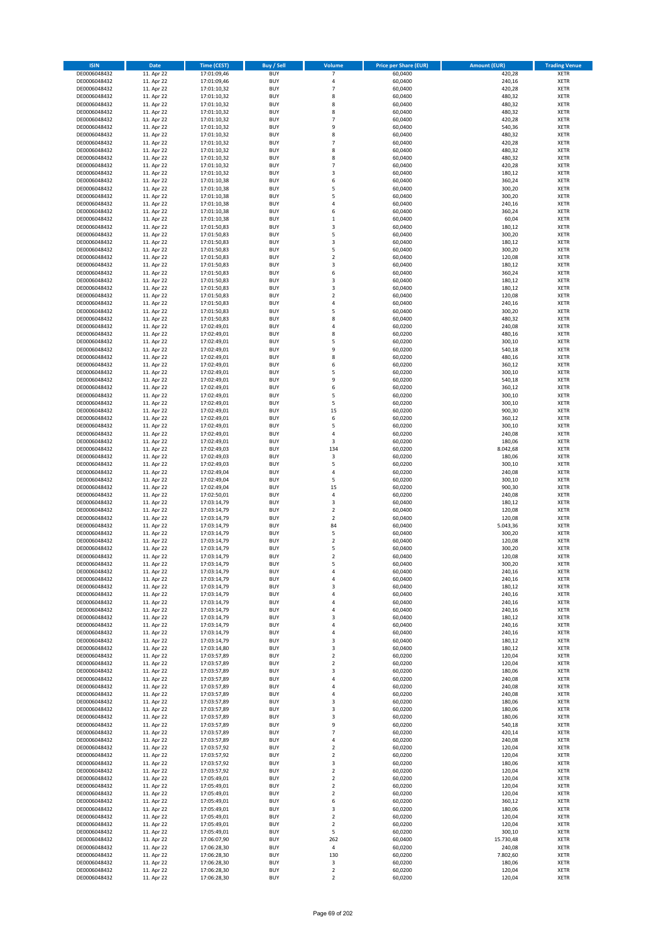| <b>ISIN</b>                  | <b>Date</b>              | <b>Time (CEST)</b>         | <b>Buy / Sell</b>        | Volume                  | <b>Price per Share (EUR)</b> | <b>Amount (EUR)</b> | <b>Trading Venue</b>       |
|------------------------------|--------------------------|----------------------------|--------------------------|-------------------------|------------------------------|---------------------|----------------------------|
| DE0006048432                 | 11. Apr 22               | 17:01:09,46                | <b>BUY</b>               | $\overline{7}$          | 60,0400                      | 420,28              | <b>XETR</b>                |
| DE0006048432                 | 11. Apr 22               | 17:01:09,46                | <b>BUY</b>               | 4                       | 60,0400                      | 240,16              | <b>XETR</b>                |
| DE0006048432                 | 11. Apr 22               | 17:01:10,32                | <b>BUY</b>               | $\overline{7}$          | 60,0400                      | 420,28              | <b>XETR</b>                |
| DE0006048432                 | 11. Apr 22               | 17:01:10,32                | <b>BUY</b>               | 8                       | 60,0400                      | 480,32              | <b>XETR</b>                |
| DE0006048432                 | 11. Apr 22               | 17:01:10,32                | <b>BUY</b>               | 8                       | 60,0400                      | 480,32              | <b>XETR</b>                |
| DE0006048432                 | 11. Apr 22               | 17:01:10,32                | <b>BUY</b>               | 8                       | 60,0400                      | 480,32              | <b>XETR</b>                |
| DE0006048432                 | 11. Apr 22               | 17:01:10,32                | <b>BUY</b>               | $\overline{7}$          | 60,0400                      | 420,28              | <b>XETR</b>                |
| DE0006048432                 | 11. Apr 22               | 17:01:10,32                | <b>BUY</b>               | 9                       | 60,0400                      | 540,36              | <b>XETR</b>                |
| DE0006048432                 | 11. Apr 22               | 17:01:10,32                | <b>BUY</b>               | 8                       | 60,0400                      | 480,32              | <b>XETR</b>                |
| DE0006048432                 | 11. Apr 22               | 17:01:10,32                | <b>BUY</b>               | $\overline{7}$          | 60,0400                      | 420,28              | <b>XETR</b>                |
| DE0006048432                 | 11. Apr 22               | 17:01:10,32                | <b>BUY</b>               | 8                       | 60,0400                      | 480,32              | <b>XETR</b>                |
| DE0006048432                 | 11. Apr 22               | 17:01:10,32                | <b>BUY</b>               | 8                       | 60,0400                      | 480,32              | <b>XETR</b>                |
| DE0006048432                 | 11. Apr 22               | 17:01:10,32                | <b>BUY</b>               | $\overline{7}$          | 60,0400                      | 420,28              | <b>XETR</b>                |
| DE0006048432                 | 11. Apr 22<br>11. Apr 22 | 17:01:10,32                | <b>BUY</b>               | 3<br>6                  | 60,0400                      | 180,12              | <b>XETR</b>                |
| DE0006048432<br>DE0006048432 | 11. Apr 22               | 17:01:10,38<br>17:01:10,38 | <b>BUY</b><br><b>BUY</b> | 5                       | 60,0400<br>60,0400           | 360,24<br>300,20    | <b>XETR</b><br><b>XETR</b> |
| DE0006048432                 | 11. Apr 22               | 17:01:10,38                | <b>BUY</b>               | 5                       | 60,0400                      | 300,20              | <b>XETR</b>                |
| DE0006048432                 | 11. Apr 22               | 17:01:10,38                | <b>BUY</b>               | 4                       | 60,0400                      | 240,16              | <b>XETR</b>                |
| DE0006048432                 | 11. Apr 22               | 17:01:10,38                | <b>BUY</b>               | 6                       | 60,0400                      | 360,24              | <b>XETR</b>                |
| DE0006048432                 | 11. Apr 22               | 17:01:10,38                | <b>BUY</b>               | $\mathbf 1$             | 60,0400                      | 60,04               | <b>XETR</b>                |
| DE0006048432                 | 11. Apr 22               | 17:01:50,83                | <b>BUY</b>               | 3                       | 60,0400                      | 180,12              | <b>XETR</b>                |
| DE0006048432                 | 11. Apr 22               | 17:01:50,83                | <b>BUY</b>               | 5                       | 60,0400                      | 300,20              | <b>XETR</b>                |
| DE0006048432                 | 11. Apr 22               | 17:01:50,83                | <b>BUY</b>               | 3                       | 60,0400                      | 180,12              | <b>XETR</b>                |
| DE0006048432                 | 11. Apr 22               | 17:01:50,83                | <b>BUY</b>               | 5                       | 60,0400                      | 300,20              | <b>XETR</b>                |
| DE0006048432                 | 11. Apr 22               | 17:01:50,83                | <b>BUY</b>               | $\mathbf 2$             | 60,0400                      | 120,08              | <b>XETR</b>                |
| DE0006048432                 | 11. Apr 22               | 17:01:50,83                | <b>BUY</b>               | 3                       | 60,0400                      | 180,12              | <b>XETR</b>                |
| DE0006048432                 | 11. Apr 22               | 17:01:50,83                | <b>BUY</b>               | 6                       | 60,0400                      | 360,24              | <b>XETR</b>                |
| DE0006048432                 | 11. Apr 22               | 17:01:50,83                | <b>BUY</b>               | 3                       | 60,0400                      | 180,12              | <b>XETR</b>                |
| DE0006048432                 | 11. Apr 22               | 17:01:50,83                | <b>BUY</b>               | 3                       | 60,0400                      | 180,12              | <b>XETR</b>                |
| DE0006048432                 | 11. Apr 22               | 17:01:50,83                | <b>BUY</b>               | $\overline{\mathbf{c}}$ | 60,0400                      | 120,08              | <b>XETR</b>                |
| DE0006048432                 | 11. Apr 22               | 17:01:50,83                | <b>BUY</b>               | 4                       | 60,0400                      | 240,16              | <b>XETR</b>                |
| DE0006048432                 | 11. Apr 22               | 17:01:50,83                | <b>BUY</b>               | 5                       | 60,0400                      | 300,20              | <b>XETR</b>                |
| DE0006048432                 | 11. Apr 22               | 17:01:50,83                | <b>BUY</b>               | 8                       | 60,0400                      | 480,32              | <b>XETR</b>                |
| DE0006048432                 | 11. Apr 22               | 17:02:49,01                | <b>BUY</b>               | 4                       | 60,0200                      | 240,08              | <b>XETR</b>                |
| DE0006048432                 | 11. Apr 22               | 17:02:49,01                | <b>BUY</b><br><b>BUY</b> | 8<br>5                  | 60,0200                      | 480,16<br>300,10    | <b>XETR</b><br><b>XETR</b> |
| DE0006048432<br>DE0006048432 | 11. Apr 22<br>11. Apr 22 | 17:02:49,01<br>17:02:49,01 | <b>BUY</b>               | 9                       | 60,0200<br>60,0200           | 540,18              | <b>XETR</b>                |
| DE0006048432                 | 11. Apr 22               | 17:02:49,01                | <b>BUY</b>               | 8                       | 60,0200                      | 480,16              | <b>XETR</b>                |
| DE0006048432                 | 11. Apr 22               | 17:02:49,01                | <b>BUY</b>               | 6                       | 60,0200                      | 360,12              | <b>XETR</b>                |
| DE0006048432                 | 11. Apr 22               | 17:02:49,01                | <b>BUY</b>               | 5                       | 60,0200                      | 300,10              | <b>XETR</b>                |
| DE0006048432                 | 11. Apr 22               | 17:02:49,01                | <b>BUY</b>               | 9                       | 60,0200                      | 540,18              | <b>XETR</b>                |
| DE0006048432                 | 11. Apr 22               | 17:02:49,01                | <b>BUY</b>               | 6                       | 60,0200                      | 360,12              | <b>XETR</b>                |
| DE0006048432                 | 11. Apr 22               | 17:02:49,01                | <b>BUY</b>               | 5                       | 60,0200                      | 300,10              | <b>XETR</b>                |
| DE0006048432                 | 11. Apr 22               | 17:02:49,01                | <b>BUY</b>               | 5                       | 60,0200                      | 300,10              | <b>XETR</b>                |
| DE0006048432                 | 11. Apr 22               | 17:02:49,01                | <b>BUY</b>               | 15                      | 60,0200                      | 900,30              | <b>XETR</b>                |
| DE0006048432                 | 11. Apr 22               | 17:02:49,01                | <b>BUY</b>               | 6                       | 60,0200                      | 360,12              | <b>XETR</b>                |
| DE0006048432                 | 11. Apr 22               | 17:02:49,01                | <b>BUY</b>               | 5                       | 60,0200                      | 300,10              | <b>XETR</b>                |
| DE0006048432                 | 11. Apr 22               | 17:02:49,01                | <b>BUY</b>               | 4                       | 60,0200                      | 240,08              | <b>XETR</b>                |
| DE0006048432                 | 11. Apr 22               | 17:02:49,01                | <b>BUY</b>               | 3                       | 60,0200                      | 180,06              | <b>XETR</b>                |
| DE0006048432                 | 11. Apr 22               | 17:02:49,03                | <b>BUY</b>               | 134                     | 60,0200                      | 8.042,68            | <b>XETR</b>                |
| DE0006048432                 | 11. Apr 22               | 17:02:49,03                | <b>BUY</b>               | 3                       | 60,0200                      | 180,06              | <b>XETR</b>                |
| DE0006048432                 | 11. Apr 22               | 17:02:49,03                | <b>BUY</b>               | 5                       | 60,0200                      | 300,10              | <b>XETR</b>                |
| DE0006048432                 | 11. Apr 22               | 17:02:49,04                | <b>BUY</b>               | 4                       | 60,0200                      | 240,08              | <b>XETR</b>                |
| DE0006048432<br>DE0006048432 | 11. Apr 22               | 17:02:49,04                | <b>BUY</b><br><b>BUY</b> | 5<br>15                 | 60,0200                      | 300,10              | <b>XETR</b><br><b>XETR</b> |
|                              | 11. Apr 22<br>11. Apr 22 | 17:02:49,04                | <b>BUY</b>               | 4                       | 60,0200                      | 900,30<br>240,08    | <b>XETR</b>                |
| DE0006048432<br>DE0006048432 | 11. Apr 22               | 17:02:50,01<br>17:03:14,79 | <b>BUY</b>               | 3                       | 60,0200<br>60,0400           | 180,12              | <b>XETR</b>                |
| DE0006048432                 | 11. Apr 22               | 17:03:14,79                | <b>BUY</b>               | $\overline{\mathbf{c}}$ | 60,0400                      | 120,08              | <b>XETR</b>                |
| DE0006048432                 | 11. Apr 22               | 17:03:14,79                | <b>BUY</b>               | $\overline{\mathbf{c}}$ | 60,0400                      | 120,08              | <b>XETR</b>                |
| DE0006048432                 | 11. Apr 22               | 17:03:14,79                | <b>BUY</b>               | 84                      | 60,0400                      | 5.043,36            | <b>XETR</b>                |
| DE0006048432                 | 11. Apr 22               | 17:03:14,79                | <b>BUY</b>               | 5                       | 60,0400                      | 300,20              | <b>XETR</b>                |
| DE0006048432                 | 11. Apr 22               | 17:03:14,79                | <b>BUY</b>               | $\overline{\mathbf{c}}$ | 60,0400                      | 120,08              | <b>XETR</b>                |
| DE0006048432                 | 11. Apr 22               | 17:03:14,79                | <b>BUY</b>               | 5                       | 60,0400                      | 300,20              | <b>XETR</b>                |
| DE0006048432                 | 11. Apr 22               | 17:03:14,79                | <b>BUY</b>               | $\overline{2}$          | 60,0400                      | 120,08              | <b>XETR</b>                |
| DE0006048432                 | 11. Apr 22               | 17:03:14,79                | BUY                      | 5                       | 60,0400                      | 300,20              | <b>XETR</b>                |
| DE0006048432                 | 11. Apr 22               | 17:03:14,79                | <b>BUY</b>               | 4                       | 60,0400                      | 240,16              | <b>XETR</b>                |
| DE0006048432                 | 11. Apr 22               | 17:03:14,79                | <b>BUY</b>               | 4                       | 60,0400                      | 240,16              | <b>XETR</b>                |
| DE0006048432                 | 11. Apr 22               | 17:03:14,79                | <b>BUY</b>               | 3                       | 60,0400                      | 180,12              | XETR                       |
| DE0006048432                 | 11. Apr 22               | 17:03:14,79                | <b>BUY</b>               | 4                       | 60,0400                      | 240,16              | <b>XETR</b>                |
| DE0006048432                 | 11. Apr 22               | 17:03:14,79                | <b>BUY</b>               | 4                       | 60,0400                      | 240,16              | <b>XETR</b>                |
| DE0006048432                 | 11. Apr 22               | 17:03:14,79                | <b>BUY</b>               | 4                       | 60,0400                      | 240,16              | <b>XETR</b>                |
| DE0006048432                 | 11. Apr 22               | 17:03:14,79                | <b>BUY</b>               | 3                       | 60,0400                      | 180,12              | <b>XETR</b>                |
| DE0006048432                 | 11. Apr 22               | 17:03:14,79                | <b>BUY</b>               | 4                       | 60,0400                      | 240,16              | <b>XETR</b>                |
| DE0006048432                 | 11. Apr 22               | 17:03:14,79                | <b>BUY</b>               | 4                       | 60,0400                      | 240,16              | <b>XETR</b>                |
| DE0006048432<br>DE0006048432 | 11. Apr 22               | 17:03:14,79                | <b>BUY</b><br><b>BUY</b> | 3<br>3                  | 60,0400<br>60,0400           | 180,12<br>180,12    | <b>XETR</b><br><b>XETR</b> |
| DE0006048432                 | 11. Apr 22<br>11. Apr 22 | 17:03:14,80<br>17:03:57,89 | <b>BUY</b>               | $\mathbf 2$             | 60,0200                      | 120,04              | <b>XETR</b>                |
| DE0006048432                 | 11. Apr 22               | 17:03:57,89                | <b>BUY</b>               | $\overline{2}$          | 60,0200                      | 120,04              | <b>XETR</b>                |
| DE0006048432                 | 11. Apr 22               | 17:03:57,89                | <b>BUY</b>               | 3                       | 60,0200                      | 180,06              | <b>XETR</b>                |
| DE0006048432                 | 11. Apr 22               | 17:03:57,89                | <b>BUY</b>               | 4                       | 60,0200                      | 240,08              | <b>XETR</b>                |
| DE0006048432                 | 11. Apr 22               | 17:03:57,89                | <b>BUY</b>               | 4                       | 60,0200                      | 240,08              | <b>XETR</b>                |
| DE0006048432                 | 11. Apr 22               | 17:03:57,89                | <b>BUY</b>               | 4                       | 60,0200                      | 240,08              | <b>XETR</b>                |
| DE0006048432                 | 11. Apr 22               | 17:03:57,89                | <b>BUY</b>               | 3                       | 60,0200                      | 180,06              | XETR                       |
| DE0006048432                 | 11. Apr 22               | 17:03:57,89                | <b>BUY</b>               | 3                       | 60,0200                      | 180,06              | <b>XETR</b>                |
| DE0006048432                 | 11. Apr 22               | 17:03:57,89                | <b>BUY</b>               | 3                       | 60,0200                      | 180,06              | <b>XETR</b>                |
| DE0006048432                 | 11. Apr 22               | 17:03:57,89                | <b>BUY</b>               | 9                       | 60,0200                      | 540,18              | <b>XETR</b>                |
| DE0006048432                 | 11. Apr 22               | 17:03:57,89                | <b>BUY</b>               | $\overline{7}$          | 60,0200                      | 420,14              | <b>XETR</b>                |
| DE0006048432                 | 11. Apr 22               | 17:03:57,89                | <b>BUY</b>               | 4                       | 60,0200                      | 240,08              | <b>XETR</b>                |
| DE0006048432                 | 11. Apr 22               | 17:03:57,92                | <b>BUY</b>               | $\mathbf 2$             | 60,0200                      | 120,04              | <b>XETR</b>                |
| DE0006048432                 | 11. Apr 22               | 17:03:57,92                | <b>BUY</b>               | $\mathbf 2$             | 60,0200                      | 120,04              | <b>XETR</b>                |
| DE0006048432                 | 11. Apr 22               | 17:03:57,92                | <b>BUY</b>               | 3                       | 60,0200                      | 180,06              | <b>XETR</b>                |
| DE0006048432                 | 11. Apr 22               | 17:03:57,92                | <b>BUY</b>               | $\overline{2}$          | 60,0200                      | 120,04              | <b>XETR</b>                |
| DE0006048432                 | 11. Apr 22               | 17:05:49,01                | <b>BUY</b>               | $\mathbf 2$             | 60,0200                      | 120,04              | <b>XETR</b>                |
| DE0006048432                 | 11. Apr 22               | 17:05:49,01                | <b>BUY</b>               | $\overline{\mathbf{c}}$ | 60,0200                      | 120,04              | <b>XETR</b>                |
| DE0006048432<br>DE0006048432 | 11. Apr 22<br>11. Apr 22 | 17:05:49,01<br>17:05:49,01 | <b>BUY</b><br><b>BUY</b> | $\mathbf 2$<br>6        | 60,0200<br>60,0200           | 120,04<br>360,12    | <b>XETR</b><br><b>XETR</b> |
| DE0006048432                 | 11. Apr 22               | 17:05:49,01                | <b>BUY</b>               | 3                       | 60,0200                      | 180,06              | <b>XETR</b>                |
| DE0006048432                 | 11. Apr 22               | 17:05:49,01                | <b>BUY</b>               | $\mathbf 2$             | 60,0200                      | 120,04              | <b>XETR</b>                |
| DE0006048432                 | 11. Apr 22               | 17:05:49,01                | <b>BUY</b>               | $\mathbf 2$             | 60,0200                      | 120,04              | <b>XETR</b>                |
| DE0006048432                 | 11. Apr 22               | 17:05:49,01                | <b>BUY</b>               | 5                       | 60,0200                      | 300,10              | <b>XETR</b>                |
| DE0006048432                 | 11. Apr 22               | 17:06:07,90                | <b>BUY</b>               | 262                     | 60,0400                      | 15.730,48           | <b>XETR</b>                |
| DE0006048432                 | 11. Apr 22               | 17:06:28,30                | <b>BUY</b>               | $\sqrt{4}$              | 60,0200                      | 240,08              | XETR                       |
| DE0006048432                 | 11. Apr 22               | 17:06:28,30                | <b>BUY</b>               | 130                     | 60,0200                      | 7.802,60            | <b>XETR</b>                |
| DE0006048432                 | 11. Apr 22               | 17:06:28,30                | <b>BUY</b>               | 3                       | 60,0200                      | 180,06              | <b>XETR</b>                |
| DE0006048432                 | 11. Apr 22               | 17:06:28,30                | <b>BUY</b>               | $\mathbf 2$             | 60,0200                      | 120,04              | <b>XETR</b>                |
| DE0006048432                 | 11. Apr 22               | 17:06:28,30                | <b>BUY</b>               | $\mathbf 2$             | 60,0200                      | 120,04              | XETR                       |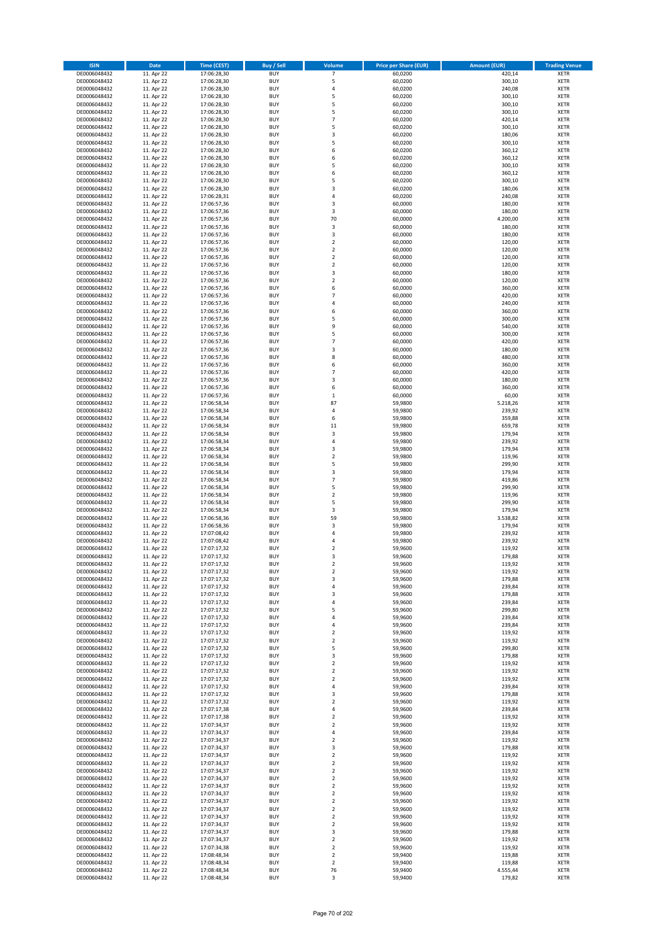| <b>ISIN</b>                  | <b>Date</b>              | <b>Time (CEST)</b>         | <b>Buy / Sell</b>        | <b>Volume</b>                 | <b>Price per Share (EUR)</b> | <b>Amount (EUR)</b> | <b>Trading Venue</b>       |
|------------------------------|--------------------------|----------------------------|--------------------------|-------------------------------|------------------------------|---------------------|----------------------------|
| DE0006048432                 | 11. Apr 22               | 17:06:28,30                | <b>BUY</b>               | $\overline{7}$                | 60,0200                      | 420,14              | <b>XETR</b>                |
| DE0006048432                 | 11. Apr 22               | 17:06:28,30                | <b>BUY</b>               | 5                             | 60,0200                      | 300,10              | <b>XETR</b>                |
| DE0006048432                 | 11. Apr 22               | 17:06:28,30                | <b>BUY</b>               | 4                             | 60,0200                      | 240,08              | <b>XETR</b>                |
| DE0006048432                 | 11. Apr 22               | 17:06:28,30                | <b>BUY</b>               | 5                             | 60,0200                      | 300,10              | <b>XETR</b>                |
| DE0006048432<br>DE0006048432 | 11. Apr 22<br>11. Apr 22 | 17:06:28,30<br>17:06:28,30 | <b>BUY</b><br><b>BUY</b> | 5<br>5                        | 60,0200<br>60,0200           | 300,10<br>300,10    | <b>XETR</b><br><b>XETR</b> |
| DE0006048432                 | 11. Apr 22               | 17:06:28,30                | <b>BUY</b>               | $\overline{7}$                | 60,0200                      | 420,14              | <b>XETR</b>                |
| DE0006048432                 | 11. Apr 22               | 17:06:28,30                | <b>BUY</b>               | 5                             | 60,0200                      | 300,10              | <b>XETR</b>                |
| DE0006048432                 | 11. Apr 22               | 17:06:28,30                | <b>BUY</b>               | 3                             | 60,0200                      | 180,06              | <b>XETR</b>                |
| DE0006048432                 | 11. Apr 22               | 17:06:28,30                | <b>BUY</b>               | 5                             | 60,0200                      | 300,10              | <b>XETR</b>                |
| DE0006048432                 | 11. Apr 22               | 17:06:28,30                | <b>BUY</b>               | 6                             | 60,0200                      | 360,12              | <b>XETR</b>                |
| DE0006048432                 | 11. Apr 22               | 17:06:28,30                | <b>BUY</b>               | 6                             | 60,0200                      | 360,12              | <b>XETR</b>                |
| DE0006048432<br>DE0006048432 | 11. Apr 22<br>11. Apr 22 | 17:06:28,30<br>17:06:28,30 | <b>BUY</b><br><b>BUY</b> | 5<br>6                        | 60,0200<br>60,0200           | 300,10<br>360,12    | <b>XETR</b><br><b>XETR</b> |
| DE0006048432                 | 11. Apr 22               | 17:06:28,30                | <b>BUY</b>               | 5                             | 60,0200                      | 300,10              | <b>XETR</b>                |
| DE0006048432                 | 11. Apr 22               | 17:06:28,30                | <b>BUY</b>               | 3                             | 60,0200                      | 180,06              | <b>XETR</b>                |
| DE0006048432                 | 11. Apr 22               | 17:06:28,31                | <b>BUY</b>               | 4                             | 60,0200                      | 240,08              | <b>XETR</b>                |
| DE0006048432                 | 11. Apr 22               | 17:06:57,36                | <b>BUY</b>               | 3                             | 60,0000                      | 180,00              | <b>XETR</b>                |
| DE0006048432                 | 11. Apr 22               | 17:06:57,36                | <b>BUY</b>               | 3                             | 60,0000                      | 180,00              | <b>XETR</b>                |
| DE0006048432                 | 11. Apr 22               | 17:06:57,36                | <b>BUY</b>               | 70                            | 60,0000                      | 4.200,00            | <b>XETR</b>                |
| DE0006048432                 | 11. Apr 22               | 17:06:57,36                | <b>BUY</b>               | 3                             | 60,0000                      | 180,00              | <b>XETR</b>                |
| DE0006048432<br>DE0006048432 | 11. Apr 22<br>11. Apr 22 | 17:06:57,36<br>17:06:57,36 | <b>BUY</b><br><b>BUY</b> | 3<br>$\mathbf 2$              | 60,0000<br>60,0000           | 180,00<br>120,00    | <b>XETR</b><br><b>XETR</b> |
| DE0006048432                 | 11. Apr 22               | 17:06:57,36                | <b>BUY</b>               | $\mathbf 2$                   | 60,0000                      | 120,00              | <b>XETR</b>                |
| DE0006048432                 | 11. Apr 22               | 17:06:57,36                | <b>BUY</b>               | $\mathbf 2$                   | 60,0000                      | 120,00              | <b>XETR</b>                |
| DE0006048432                 | 11. Apr 22               | 17:06:57,36                | <b>BUY</b>               | $\mathbf 2$                   | 60,0000                      | 120,00              | <b>XETR</b>                |
| DE0006048432                 | 11. Apr 22               | 17:06:57,36                | <b>BUY</b>               | 3                             | 60,0000                      | 180,00              | <b>XETR</b>                |
| DE0006048432                 | 11. Apr 22               | 17:06:57,36                | <b>BUY</b>               | $\overline{\mathbf{c}}$       | 60,0000                      | 120,00              | <b>XETR</b>                |
| DE0006048432                 | 11. Apr 22               | 17:06:57,36                | <b>BUY</b>               | 6                             | 60,0000                      | 360,00              | <b>XETR</b>                |
| DE0006048432                 | 11. Apr 22               | 17:06:57,36                | <b>BUY</b>               | $\overline{7}$                | 60,0000                      | 420,00              | <b>XETR</b>                |
| DE0006048432<br>DE0006048432 | 11. Apr 22<br>11. Apr 22 | 17:06:57,36<br>17:06:57,36 | <b>BUY</b><br><b>BUY</b> | 4<br>6                        | 60,0000<br>60,0000           | 240,00<br>360,00    | <b>XETR</b><br><b>XETR</b> |
| DE0006048432                 | 11. Apr 22               | 17:06:57,36                | <b>BUY</b>               | 5                             | 60,0000                      | 300,00              | <b>XETR</b>                |
| DE0006048432                 | 11. Apr 22               | 17:06:57,36                | <b>BUY</b>               | 9                             | 60,0000                      | 540,00              | <b>XETR</b>                |
| DE0006048432                 | 11. Apr 22               | 17:06:57,36                | <b>BUY</b>               | 5                             | 60,0000                      | 300,00              | <b>XETR</b>                |
| DE0006048432                 | 11. Apr 22               | 17:06:57,36                | <b>BUY</b>               | $\overline{7}$                | 60,0000                      | 420,00              | <b>XETR</b>                |
| DE0006048432                 | 11. Apr 22               | 17:06:57,36                | <b>BUY</b>               | 3                             | 60,0000                      | 180,00              | <b>XETR</b>                |
| DE0006048432                 | 11. Apr 22               | 17:06:57,36                | <b>BUY</b>               | 8                             | 60,0000                      | 480,00              | <b>XETR</b>                |
| DE0006048432                 | 11. Apr 22               | 17:06:57,36                | <b>BUY</b>               | 6                             | 60,0000                      | 360,00              | <b>XETR</b>                |
| DE0006048432                 | 11. Apr 22               | 17:06:57,36                | <b>BUY</b>               | $\overline{7}$                | 60,0000                      | 420,00              | <b>XETR</b>                |
| DE0006048432<br>DE0006048432 | 11. Apr 22<br>11. Apr 22 | 17:06:57,36<br>17:06:57,36 | <b>BUY</b><br><b>BUY</b> | 3<br>6                        | 60,0000<br>60,0000           | 180,00<br>360,00    | <b>XETR</b><br><b>XETR</b> |
| DE0006048432                 | 11. Apr 22               | 17:06:57,36                | <b>BUY</b>               | $\mathbf 1$                   | 60,0000                      | 60,00               | <b>XETR</b>                |
| DE0006048432                 | 11. Apr 22               | 17:06:58,34                | <b>BUY</b>               | 87                            | 59,9800                      | 5.218,26            | <b>XETR</b>                |
| DE0006048432                 | 11. Apr 22               | 17:06:58,34                | <b>BUY</b>               | 4                             | 59,9800                      | 239,92              | <b>XETR</b>                |
| DE0006048432                 | 11. Apr 22               | 17:06:58,34                | <b>BUY</b>               | 6                             | 59,9800                      | 359,88              | <b>XETR</b>                |
| DE0006048432                 | 11. Apr 22               | 17:06:58,34                | <b>BUY</b>               | 11                            | 59,9800                      | 659,78              | <b>XETR</b>                |
| DE0006048432                 | 11. Apr 22               | 17:06:58,34                | <b>BUY</b>               | 3                             | 59,9800                      | 179,94              | <b>XETR</b>                |
| DE0006048432                 | 11. Apr 22               | 17:06:58,34                | <b>BUY</b>               | 4                             | 59,9800                      | 239,92              | <b>XETR</b>                |
| DE0006048432                 | 11. Apr 22               | 17:06:58,34                | <b>BUY</b>               | 3                             | 59,9800                      | 179,94              | <b>XETR</b>                |
| DE0006048432<br>DE0006048432 | 11. Apr 22<br>11. Apr 22 | 17:06:58,34<br>17:06:58,34 | <b>BUY</b><br><b>BUY</b> | $\overline{\mathbf{c}}$<br>5  | 59,9800<br>59,9800           | 119,96<br>299,90    | <b>XETR</b><br><b>XETR</b> |
| DE0006048432                 | 11. Apr 22               | 17:06:58,34                | <b>BUY</b>               | 3                             | 59,9800                      | 179,94              | <b>XETR</b>                |
| DE0006048432                 | 11. Apr 22               | 17:06:58,34                | <b>BUY</b>               | $\overline{7}$                | 59,9800                      | 419,86              | <b>XETR</b>                |
| DE0006048432                 | 11. Apr 22               | 17:06:58,34                | <b>BUY</b>               | 5                             | 59,9800                      | 299,90              | <b>XETR</b>                |
| DE0006048432                 | 11. Apr 22               | 17:06:58,34                | <b>BUY</b>               | $\mathbf 2$                   | 59,9800                      | 119,96              | <b>XETR</b>                |
| DE0006048432                 | 11. Apr 22               | 17:06:58,34                | <b>BUY</b>               | 5                             | 59,9800                      | 299,90              | <b>XETR</b>                |
| DE0006048432                 | 11. Apr 22               | 17:06:58,34                | <b>BUY</b>               | 3                             | 59,9800                      | 179,94              | <b>XETR</b>                |
| DE0006048432                 | 11. Apr 22               | 17:06:58,36                | <b>BUY</b>               | 59                            | 59,9800                      | 3.538,82            | <b>XETR</b>                |
| DE0006048432<br>DE0006048432 | 11. Apr 22               | 17:06:58,36                | <b>BUY</b><br><b>BUY</b> | 3                             | 59,9800                      | 179,94<br>239,92    | <b>XETR</b>                |
| DE0006048432                 | 11. Apr 22<br>11. Apr 22 | 17:07:08,42<br>17:07:08,42 | <b>BUY</b>               | 4<br>4                        | 59,9800<br>59,9800           | 239,92              | <b>XETR</b><br><b>XETR</b> |
| DE0006048432                 | 11. Apr 22               | 17:07:17,32                | <b>BUY</b>               | $\overline{\mathbf{c}}$       | 59,9600                      | 119,92              | <b>XETR</b>                |
| DE0006048432                 | 11. Apr 22               | 17:07:17,32                | <b>BUY</b>               | 3                             | 59,9600                      | 179,88              | <b>XETR</b>                |
| DE0006048432                 | 11. Apr 22               | 17:07:17,32                | BUY                      | 2                             | 59,9600                      | 119,92              | <b>XETR</b>                |
| DE0006048432                 | 11. Apr 22               | 17:07:17,32                | <b>BUY</b>               | $\mathbf 2$                   | 59,9600                      | 119,92              | <b>XETR</b>                |
| DE0006048432                 | 11. Apr 22               | 17:07:17,32                | <b>BUY</b>               | 3                             | 59,9600                      | 179,88              | <b>XETR</b>                |
| DE0006048432                 | 11. Apr 22               | 17:07:17,32                | <b>BUY</b>               | 4                             | 59,9600                      | 239,84              | XETR                       |
| DE0006048432<br>DE0006048432 | 11. Apr 22<br>11. Apr 22 | 17:07:17,32<br>17:07:17,32 | <b>BUY</b><br><b>BUY</b> | 3<br>4                        | 59,9600<br>59,9600           | 179,88<br>239,84    | <b>XETR</b><br><b>XETR</b> |
| DE0006048432                 | 11. Apr 22               | 17:07:17,32                | <b>BUY</b>               | 5                             | 59,9600                      | 299,80              | <b>XETR</b>                |
| DE0006048432                 | 11. Apr 22               | 17:07:17,32                | <b>BUY</b>               | 4                             | 59,9600                      | 239,84              | <b>XETR</b>                |
| DE0006048432                 | 11. Apr 22               | 17:07:17,32                | <b>BUY</b>               | 4                             | 59,9600                      | 239,84              | <b>XETR</b>                |
| DE0006048432                 | 11. Apr 22               | 17:07:17,32                | <b>BUY</b>               | $\mathbf 2$                   | 59,9600                      | 119,92              | <b>XETR</b>                |
| DE0006048432                 | 11. Apr 22               | 17:07:17,32                | <b>BUY</b>               | $\mathbf 2$                   | 59,9600                      | 119,92              | <b>XETR</b>                |
| DE0006048432                 | 11. Apr 22               | 17:07:17,32                | <b>BUY</b>               | 5                             | 59,9600                      | 299,80              | <b>XETR</b>                |
| DE0006048432<br>DE0006048432 | 11. Apr 22<br>11. Apr 22 | 17:07:17,32<br>17:07:17,32 | <b>BUY</b><br><b>BUY</b> | 3<br>$\overline{2}$           | 59,9600<br>59,9600           | 179,88<br>119,92    | <b>XETR</b><br><b>XETR</b> |
| DE0006048432                 | 11. Apr 22               | 17:07:17,32                | <b>BUY</b>               | $\mathbf 2$                   | 59,9600                      | 119,92              | <b>XETR</b>                |
| DE0006048432                 | 11. Apr 22               | 17:07:17,32                | <b>BUY</b>               | $\mathbf 2$                   | 59,9600                      | 119,92              | <b>XETR</b>                |
| DE0006048432                 | 11. Apr 22               | 17:07:17,32                | <b>BUY</b>               | 4                             | 59,9600                      | 239,84              | <b>XETR</b>                |
| DE0006048432                 | 11. Apr 22               | 17:07:17,32                | <b>BUY</b>               | 3                             | 59,9600                      | 179,88              | <b>XETR</b>                |
| DE0006048432                 | 11. Apr 22               | 17:07:17,32                | <b>BUY</b>               | $\mathbf 2$                   | 59,9600                      | 119,92              | XETR                       |
| DE0006048432                 | 11. Apr 22               | 17:07:17,38                | <b>BUY</b>               | 4                             | 59,9600                      | 239,84              | <b>XETR</b>                |
| DE0006048432<br>DE0006048432 | 11. Apr 22<br>11. Apr 22 | 17:07:17,38                | <b>BUY</b><br><b>BUY</b> | $\overline{2}$<br>$\mathbf 2$ | 59,9600<br>59,9600           | 119,92<br>119,92    | <b>XETR</b><br><b>XETR</b> |
| DE0006048432                 | 11. Apr 22               | 17:07:34,37<br>17:07:34,37 | <b>BUY</b>               | 4                             | 59,9600                      | 239,84              | <b>XETR</b>                |
| DE0006048432                 | 11. Apr 22               | 17:07:34,37                | <b>BUY</b>               | $\mathbf 2$                   | 59,9600                      | 119,92              | <b>XETR</b>                |
| DE0006048432                 | 11. Apr 22               | 17:07:34,37                | <b>BUY</b>               | 3                             | 59,9600                      | 179,88              | <b>XETR</b>                |
| DE0006048432                 | 11. Apr 22               | 17:07:34,37                | <b>BUY</b>               | $\mathbf 2$                   | 59,9600                      | 119,92              | <b>XETR</b>                |
| DE0006048432                 | 11. Apr 22               | 17:07:34,37                | <b>BUY</b>               | $\mathbf 2$                   | 59,9600                      | 119,92              | <b>XETR</b>                |
| DE0006048432                 | 11. Apr 22               | 17:07:34,37                | <b>BUY</b>               | $\overline{2}$                | 59,9600                      | 119,92              | <b>XETR</b>                |
| DE0006048432                 | 11. Apr 22               | 17:07:34,37                | <b>BUY</b>               | $\mathbf 2$                   | 59,9600                      | 119,92              | <b>XETR</b>                |
| DE0006048432                 | 11. Apr 22               | 17:07:34,37                | <b>BUY</b>               | $\overline{2}$                | 59,9600                      | 119,92              | XETR                       |
| DE0006048432<br>DE0006048432 | 11. Apr 22<br>11. Apr 22 | 17:07:34,37<br>17:07:34,37 | <b>BUY</b><br><b>BUY</b> | $\mathbf 2$<br>$\mathbf 2$    | 59,9600<br>59,9600           | 119,92<br>119,92    | <b>XETR</b><br><b>XETR</b> |
| DE0006048432                 | 11. Apr 22               | 17:07:34,37                | <b>BUY</b>               | $\mathbf 2$                   | 59,9600                      | 119,92              | <b>XETR</b>                |
| DE0006048432                 | 11. Apr 22               | 17:07:34,37                | <b>BUY</b>               | $\mathbf 2$                   | 59,9600                      | 119,92              | <b>XETR</b>                |
| DE0006048432                 | 11. Apr 22               | 17:07:34,37                | <b>BUY</b>               | $\mathbf 2$                   | 59,9600                      | 119,92              | <b>XETR</b>                |
| DE0006048432                 | 11. Apr 22               | 17:07:34,37                | <b>BUY</b>               | 3                             | 59,9600                      | 179,88              | <b>XETR</b>                |
| DE0006048432                 | 11. Apr 22               | 17:07:34,37                | <b>BUY</b>               | $\overline{\mathbf{c}}$       | 59,9600                      | 119,92              | <b>XETR</b>                |
| DE0006048432                 | 11. Apr 22               | 17:07:34,38                | <b>BUY</b>               | $\mathbf 2$                   | 59,9600                      | 119,92              | XETR                       |
| DE0006048432                 | 11. Apr 22               | 17:08:48,34                | <b>BUY</b><br><b>BUY</b> | $\overline{2}$<br>$\mathbf 2$ | 59,9400                      | 119,88<br>119,88    | <b>XETR</b><br><b>XETR</b> |
| DE0006048432<br>DE0006048432 | 11. Apr 22<br>11. Apr 22 | 17:08:48,34<br>17:08:48,34 | <b>BUY</b>               | 76                            | 59,9400<br>59,9400           | 4.555,44            | <b>XETR</b>                |
| DE0006048432                 | 11. Apr 22               | 17:08:48,34                | <b>BUY</b>               | 3                             | 59,9400                      | 179,82              | XETR                       |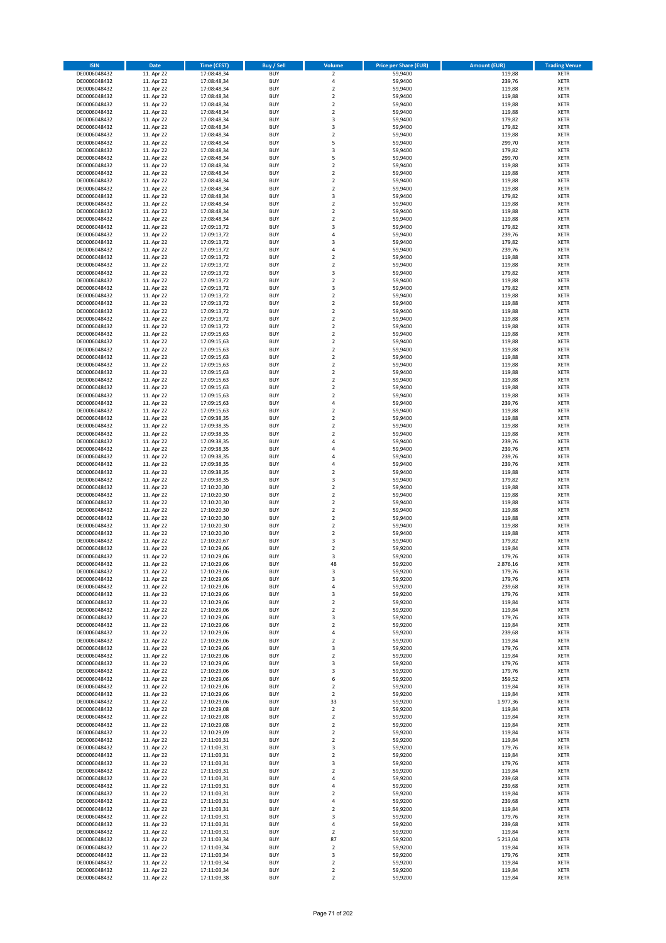| <b>ISIN</b>                  | Date                     | <b>Time (CEST)</b>         | <b>Buy / Sell</b>        | <b>Volume</b>                             | <b>Price per Share (EUR)</b> | <b>Amount (EUR)</b> | <b>Trading Venue</b>       |
|------------------------------|--------------------------|----------------------------|--------------------------|-------------------------------------------|------------------------------|---------------------|----------------------------|
| DE0006048432                 | 11. Apr 22               | 17:08:48,34                | <b>BUY</b>               | $\overline{2}$                            | 59,9400                      | 119,88              | <b>XETR</b>                |
| DE0006048432                 | 11. Apr 22               | 17:08:48,34                | <b>BUY</b>               | 4                                         | 59,9400                      | 239,76              | <b>XETR</b>                |
| DE0006048432                 | 11. Apr 22               | 17:08:48,34                | <b>BUY</b>               | $\mathbf 2$                               | 59,9400<br>59,9400           | 119,88              | <b>XETR</b>                |
| DE0006048432<br>DE0006048432 | 11. Apr 22<br>11. Apr 22 | 17:08:48,34<br>17:08:48,34 | <b>BUY</b><br><b>BUY</b> | $\overline{2}$<br>$\mathbf 2$             | 59,9400                      | 119,88<br>119,88    | <b>XETR</b><br><b>XETR</b> |
| DE0006048432                 | 11. Apr 22               | 17:08:48,34                | <b>BUY</b>               | $\overline{2}$                            | 59,9400                      | 119,88              | <b>XETR</b>                |
| DE0006048432                 | 11. Apr 22               | 17:08:48,34                | <b>BUY</b>               | 3                                         | 59,9400                      | 179,82              | <b>XETR</b>                |
| DE0006048432                 | 11. Apr 22               | 17:08:48,34                | <b>BUY</b>               | 3                                         | 59,9400                      | 179,82              | <b>XETR</b>                |
| DE0006048432                 | 11. Apr 22               | 17:08:48,34                | <b>BUY</b>               | $\mathbf 2$                               | 59,9400                      | 119,88              | <b>XETR</b>                |
| DE0006048432                 | 11. Apr 22               | 17:08:48,34                | <b>BUY</b>               | 5                                         | 59,9400                      | 299,70              | <b>XETR</b>                |
| DE0006048432<br>DE0006048432 | 11. Apr 22<br>11. Apr 22 | 17:08:48,34<br>17:08:48,34 | <b>BUY</b><br><b>BUY</b> | 3<br>5                                    | 59,9400<br>59,9400           | 179,82<br>299,70    | <b>XETR</b><br><b>XETR</b> |
| DE0006048432                 | 11. Apr 22               | 17:08:48,34                | <b>BUY</b>               | $\overline{2}$                            | 59,9400                      | 119,88              | <b>XETR</b>                |
| DE0006048432                 | 11. Apr 22               | 17:08:48,34                | <b>BUY</b>               | $\mathbf 2$                               | 59,9400                      | 119,88              | <b>XETR</b>                |
| DE0006048432                 | 11. Apr 22               | 17:08:48,34                | <b>BUY</b>               | $\overline{\mathbf{c}}$                   | 59,9400                      | 119,88              | <b>XETR</b>                |
| DE0006048432                 | 11. Apr 22               | 17:08:48,34<br>17:08:48,34 | <b>BUY</b>               | $\overline{2}$                            | 59,9400                      | 119,88              | <b>XETR</b>                |
| DE0006048432<br>DE0006048432 | 11. Apr 22<br>11. Apr 22 | 17:08:48,34                | <b>BUY</b><br><b>BUY</b> | 3<br>$\mathbf 2$                          | 59,9400<br>59,9400           | 179,82<br>119,88    | <b>XETR</b><br><b>XETR</b> |
| DE0006048432                 | 11. Apr 22               | 17:08:48,34                | <b>BUY</b>               | $\mathbf 2$                               | 59,9400                      | 119,88              | <b>XETR</b>                |
| DE0006048432                 | 11. Apr 22               | 17:08:48,34                | <b>BUY</b>               | $\overline{\mathbf{c}}$                   | 59,9400                      | 119,88              | <b>XETR</b>                |
| DE0006048432                 | 11. Apr 22               | 17:09:13,72                | <b>BUY</b>               | 3                                         | 59,9400                      | 179,82              | <b>XETR</b>                |
| DE0006048432                 | 11. Apr 22               | 17:09:13,72                | <b>BUY</b>               | $\overline{a}$                            | 59,9400                      | 239,76              | <b>XETR</b>                |
| DE0006048432<br>DE0006048432 | 11. Apr 22               | 17:09:13,72                | <b>BUY</b><br><b>BUY</b> | 3<br>4                                    | 59,9400<br>59,9400           | 179,82<br>239,76    | <b>XETR</b><br><b>XETR</b> |
| DE0006048432                 | 11. Apr 22<br>11. Apr 22 | 17:09:13,72<br>17:09:13,72 | <b>BUY</b>               | $\mathbf 2$                               | 59,9400                      | 119,88              | <b>XETR</b>                |
| DE0006048432                 | 11. Apr 22               | 17:09:13,72                | <b>BUY</b>               | $\overline{\mathbf{c}}$                   | 59,9400                      | 119,88              | <b>XETR</b>                |
| DE0006048432                 | 11. Apr 22               | 17:09:13,72                | <b>BUY</b>               | 3                                         | 59,9400                      | 179,82              | <b>XETR</b>                |
| DE0006048432                 | 11. Apr 22               | 17:09:13,72                | <b>BUY</b>               | $\mathbf 2$                               | 59,9400                      | 119,88              | <b>XETR</b>                |
| DE0006048432                 | 11. Apr 22               | 17:09:13,72                | <b>BUY</b>               | 3                                         | 59,9400                      | 179,82              | <b>XETR</b>                |
| DE0006048432<br>DE0006048432 | 11. Apr 22<br>11. Apr 22 | 17:09:13,72<br>17:09:13,72 | <b>BUY</b><br><b>BUY</b> | $\overline{2}$<br>$\mathbf 2$             | 59,9400<br>59,9400           | 119,88<br>119,88    | <b>XETR</b><br><b>XETR</b> |
| DE0006048432                 | 11. Apr 22               | 17:09:13,72                | <b>BUY</b>               | $\mathbf 2$                               | 59,9400                      | 119,88              | <b>XETR</b>                |
| DE0006048432                 | 11. Apr 22               | 17:09:13,72                | <b>BUY</b>               | $\mathbf 2$                               | 59,9400                      | 119,88              | <b>XETR</b>                |
| DE0006048432                 | 11. Apr 22               | 17:09:13,72                | <b>BUY</b>               | $\mathbf 2$                               | 59,9400                      | 119,88              | <b>XETR</b>                |
| DE0006048432                 | 11. Apr 22               | 17:09:15,63                | <b>BUY</b>               | $\mathbf 2$                               | 59,9400                      | 119,88              | <b>XETR</b>                |
| DE0006048432                 | 11. Apr 22               | 17:09:15,63                | <b>BUY</b>               | $\overline{\mathbf{c}}$<br>$\overline{2}$ | 59,9400                      | 119,88              | <b>XETR</b>                |
| DE0006048432<br>DE0006048432 | 11. Apr 22<br>11. Apr 22 | 17:09:15,63<br>17:09:15,63 | <b>BUY</b><br><b>BUY</b> | $\overline{2}$                            | 59,9400<br>59,9400           | 119,88<br>119,88    | <b>XETR</b><br><b>XETR</b> |
| DE0006048432                 | 11. Apr 22               | 17:09:15,63                | <b>BUY</b>               | $\mathbf 2$                               | 59,9400                      | 119,88              | <b>XETR</b>                |
| DE0006048432                 | 11. Apr 22               | 17:09:15,63                | <b>BUY</b>               | $\mathbf 2$                               | 59,9400                      | 119,88              | <b>XETR</b>                |
| DE0006048432                 | 11. Apr 22               | 17:09:15,63                | <b>BUY</b>               | $\mathbf 2$                               | 59,9400                      | 119,88              | <b>XETR</b>                |
| DE0006048432                 | 11. Apr 22               | 17:09:15,63                | <b>BUY</b>               | $\overline{2}$                            | 59,9400                      | 119,88              | <b>XETR</b>                |
| DE0006048432                 | 11. Apr 22               | 17:09:15,63                | <b>BUY</b>               | $\overline{\mathbf{c}}$                   | 59,9400                      | 119,88              | <b>XETR</b>                |
| DE0006048432<br>DE0006048432 | 11. Apr 22<br>11. Apr 22 | 17:09:15,63<br>17:09:15,63 | <b>BUY</b><br><b>BUY</b> | $\overline{4}$<br>$\overline{2}$          | 59,9400<br>59,9400           | 239,76<br>119,88    | <b>XETR</b><br><b>XETR</b> |
| DE0006048432                 | 11. Apr 22               | 17:09:38,35                | <b>BUY</b>               | $\mathbf 2$                               | 59,9400                      | 119,88              | <b>XETR</b>                |
| DE0006048432                 | 11. Apr 22               | 17:09:38,35                | <b>BUY</b>               | $\overline{2}$                            | 59,9400                      | 119,88              | <b>XETR</b>                |
| DE0006048432                 | 11. Apr 22               | 17:09:38,35                | <b>BUY</b>               | $\mathbf 2$                               | 59,9400                      | 119,88              | <b>XETR</b>                |
| DE0006048432                 | 11. Apr 22               | 17:09:38,35                | <b>BUY</b>               | $\overline{a}$                            | 59,9400                      | 239,76              | <b>XETR</b>                |
| DE0006048432                 | 11. Apr 22               | 17:09:38,35                | <b>BUY</b>               | 4                                         | 59,9400                      | 239,76              | <b>XETR</b>                |
| DE0006048432<br>DE0006048432 | 11. Apr 22<br>11. Apr 22 | 17:09:38,35<br>17:09:38,35 | <b>BUY</b><br><b>BUY</b> | $\overline{4}$<br>4                       | 59,9400<br>59,9400           | 239,76<br>239,76    | <b>XETR</b><br><b>XETR</b> |
| DE0006048432                 | 11. Apr 22               | 17:09:38,35                | <b>BUY</b>               | $\mathbf 2$                               | 59,9400                      | 119,88              | <b>XETR</b>                |
| DE0006048432                 | 11. Apr 22               | 17:09:38,35                | <b>BUY</b>               | 3                                         | 59,9400                      | 179,82              | <b>XETR</b>                |
| DE0006048432                 | 11. Apr 22               | 17:10:20,30                | <b>BUY</b>               | $\overline{2}$                            | 59,9400                      | 119,88              | <b>XETR</b>                |
| DE0006048432                 | 11. Apr 22               | 17:10:20,30                | <b>BUY</b>               | $\overline{2}$                            | 59,9400                      | 119,88              | <b>XETR</b>                |
| DE0006048432<br>DE0006048432 | 11. Apr 22<br>11. Apr 22 | 17:10:20,30<br>17:10:20,30 | <b>BUY</b><br><b>BUY</b> | $\overline{2}$<br>$\overline{2}$          | 59,9400<br>59,9400           | 119,88<br>119,88    | <b>XETR</b><br><b>XETR</b> |
| DE0006048432                 | 11. Apr 22               | 17:10:20,30                | <b>BUY</b>               | $\mathbf 2$                               | 59,9400                      | 119,88              | <b>XETR</b>                |
| DE0006048432                 | 11. Apr 22               | 17:10:20,30                | <b>BUY</b>               | $\mathbf 2$                               | 59,9400                      | 119,88              | <b>XETR</b>                |
| DE0006048432                 | 11. Apr 22               | 17:10:20,30                | <b>BUY</b>               | $\overline{2}$                            | 59,9400                      | 119,88              | <b>XETR</b>                |
| DE0006048432                 | 11. Apr 22               | 17:10:20,67                | <b>BUY</b>               | 3                                         | 59,9400                      | 179,82              | <b>XETR</b>                |
| DE0006048432                 | 11. Apr 22               | 17:10:29,06                | <b>BUY</b>               | $\overline{2}$                            | 59,9200                      | 119,84              | <b>XETR</b>                |
| DE0006048432<br>DE0006048432 | 11. Apr 22<br>11. Apr 22 | 17:10:29,06<br>17:10:29,06 | <b>BUY</b><br><b>BUY</b> | 3<br>48                                   | 59,9200<br>59,9200           | 179,76<br>2.876,16  | <b>XETR</b><br><b>XETR</b> |
| DE0006048432                 | 11. Apr 22               | 17:10:29,06                | <b>BUY</b>               | 3                                         | 59,9200                      | 179,76              | <b>XETR</b>                |
| DE0006048432                 | 11. Apr 22               | 17:10:29,06                | <b>BUY</b>               | 3                                         | 59,9200                      | 179,76              | <b>XETR</b>                |
| DE0006048432                 | 11. Apr 22               | 17:10:29,06                | <b>BUY</b>               | 4                                         | 59,9200                      | 239,68              | <b>XETR</b>                |
| DE0006048432                 | 11. Apr 22               | 17:10:29,06                | <b>BUY</b>               | 3                                         | 59,9200                      | 179,76              | <b>XETR</b>                |
| DE0006048432<br>DE0006048432 | 11. Apr 22<br>11. Apr 22 | 17:10:29,06<br>17:10:29,06 | <b>BUY</b><br><b>BUY</b> | $\overline{2}$<br>$\mathbf 2$             | 59,9200<br>59,9200           | 119,84<br>119,84    | <b>XETR</b><br><b>XETR</b> |
| DE0006048432                 | 11. Apr 22               | 17:10:29,06                | <b>BUY</b>               | 3                                         | 59,9200                      | 179,76              | <b>XETR</b>                |
| DE0006048432                 | 11. Apr 22               | 17:10:29,06                | <b>BUY</b>               | $\overline{2}$                            | 59,9200                      | 119,84              | <b>XETR</b>                |
| DE0006048432                 | 11. Apr 22               | 17:10:29,06                | <b>BUY</b>               | 4                                         | 59,9200                      | 239,68              | <b>XETR</b>                |
| DE0006048432                 | 11. Apr 22               | 17:10:29,06                | <b>BUY</b>               | $\mathbf 2$                               | 59,9200                      | 119,84              | <b>XETR</b>                |
| DE0006048432                 | 11. Apr 22               | 17:10:29,06                | <b>BUY</b>               | 3                                         | 59,9200                      | 179,76              | <b>XETR</b>                |
| DE0006048432<br>DE0006048432 | 11. Apr 22<br>11. Apr 22 | 17:10:29,06<br>17:10:29,06 | <b>BUY</b><br><b>BUY</b> | $\overline{2}$<br>3                       | 59,9200<br>59,9200           | 119,84<br>179,76    | <b>XETR</b><br><b>XETR</b> |
| DE0006048432                 | 11. Apr 22               | 17:10:29,06                | <b>BUY</b>               | 3                                         | 59,9200                      | 179,76              | <b>XETR</b>                |
| DE0006048432                 | 11. Apr 22               | 17:10:29,06                | <b>BUY</b>               | 6                                         | 59,9200                      | 359,52              | <b>XETR</b>                |
| DE0006048432                 | 11. Apr 22               | 17:10:29,06                | <b>BUY</b>               | $\overline{2}$                            | 59,9200                      | 119,84              | <b>XETR</b>                |
| DE0006048432                 | 11. Apr 22               | 17:10:29,06                | <b>BUY</b>               | $\mathbf 2$                               | 59,9200                      | 119,84              | <b>XETR</b>                |
| DE0006048432<br>DE0006048432 | 11. Apr 22<br>11. Apr 22 | 17:10:29,06<br>17:10:29,08 | <b>BUY</b><br><b>BUY</b> | 33<br>$\overline{2}$                      | 59,9200<br>59,9200           | 1.977,36<br>119,84  | <b>XETR</b><br><b>XETR</b> |
| DE0006048432                 | 11. Apr 22               | 17:10:29,08                | <b>BUY</b>               | $\mathbf 2$                               | 59,9200                      | 119,84              | <b>XETR</b>                |
| DE0006048432                 | 11. Apr 22               | 17:10:29,08                | <b>BUY</b>               | $\overline{2}$                            | 59,9200                      | 119,84              | <b>XETR</b>                |
| DE0006048432                 | 11. Apr 22               | 17:10:29,09                | <b>BUY</b>               | $\overline{2}$                            | 59,9200                      | 119,84              | <b>XETR</b>                |
| DE0006048432                 | 11. Apr 22               | 17:11:03,31                | <b>BUY</b>               | $\overline{2}$                            | 59,9200                      | 119,84              | <b>XETR</b>                |
| DE0006048432                 | 11. Apr 22<br>11. Apr 22 | 17:11:03,31                | <b>BUY</b><br><b>BUY</b> | 3<br>$\mathbf 2$                          | 59,9200                      | 179,76              | <b>XETR</b><br><b>XETR</b> |
| DE0006048432<br>DE0006048432 | 11. Apr 22               | 17:11:03,31<br>17:11:03,31 | <b>BUY</b>               | 3                                         | 59,9200<br>59,9200           | 119,84<br>179,76    | <b>XETR</b>                |
| DE0006048432                 | 11. Apr 22               | 17:11:03,31                | <b>BUY</b>               | $\mathbf 2$                               | 59,9200                      | 119,84              | <b>XETR</b>                |
| DE0006048432                 | 11. Apr 22               | 17:11:03,31                | <b>BUY</b>               | $\sqrt{4}$                                | 59,9200                      | 239,68              | <b>XETR</b>                |
| DE0006048432                 | 11. Apr 22               | 17:11:03,31                | <b>BUY</b>               | $\overline{4}$                            | 59,9200                      | 239,68              | <b>XETR</b>                |
| DE0006048432                 | 11. Apr 22               | 17:11:03,31                | <b>BUY</b>               | $\overline{2}$                            | 59,9200                      | 119,84              | <b>XETR</b>                |
| DE0006048432<br>DE0006048432 | 11. Apr 22<br>11. Apr 22 | 17:11:03,31<br>17:11:03,31 | <b>BUY</b><br><b>BUY</b> | $\sqrt{4}$<br>$\overline{2}$              | 59,9200<br>59,9200           | 239,68<br>119,84    | <b>XETR</b><br><b>XETR</b> |
| DE0006048432                 | 11. Apr 22               | 17:11:03,31                | <b>BUY</b>               | 3                                         | 59,9200                      | 179,76              | <b>XETR</b>                |
| DE0006048432                 | 11. Apr 22               | 17:11:03,31                | <b>BUY</b>               | $\sqrt{4}$                                | 59,9200                      | 239,68              | <b>XETR</b>                |
| DE0006048432                 | 11. Apr 22               | 17:11:03,31                | <b>BUY</b>               | $\overline{2}$                            | 59,9200                      | 119,84              | <b>XETR</b>                |
| DE0006048432                 | 11. Apr 22               | 17:11:03,34                | <b>BUY</b>               | 87                                        | 59,9200                      | 5.213,04            | <b>XETR</b>                |
| DE0006048432                 | 11. Apr 22               | 17:11:03,34                | <b>BUY</b>               | $\overline{2}$                            | 59,9200                      | 119,84              | <b>XETR</b>                |
| DE0006048432<br>DE0006048432 | 11. Apr 22<br>11. Apr 22 | 17:11:03,34<br>17:11:03,34 | <b>BUY</b><br><b>BUY</b> | 3<br>$\mathbf 2$                          | 59,9200<br>59,9200           | 179,76<br>119,84    | <b>XETR</b><br><b>XETR</b> |
| DE0006048432                 | 11. Apr 22               | 17:11:03,34                | <b>BUY</b>               | $\mathbf 2$                               | 59,9200                      | 119,84              | <b>XETR</b>                |
| DE0006048432                 | 11. Apr 22               | 17:11:03,38                | <b>BUY</b>               | $\mathbf 2$                               | 59,9200                      | 119,84              | <b>XETR</b>                |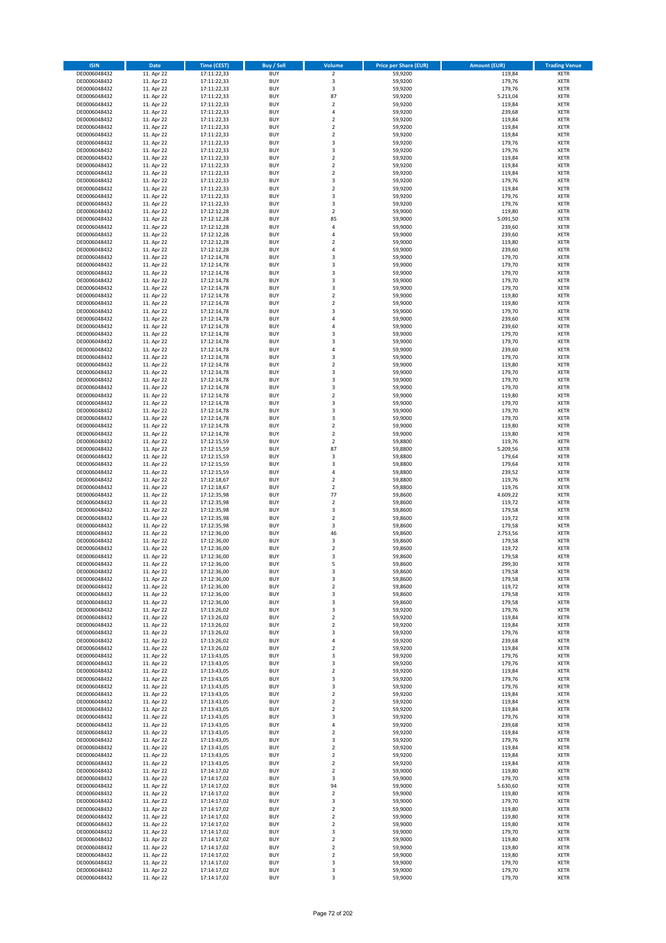| <b>ISIN</b>                  | <b>Date</b>              | <b>Time (CEST)</b>         | <b>Buy / Sell</b>        | Volume                                    | <b>Price per Share (EUR)</b> | <b>Amount (EUR)</b> | <b>Trading Venue</b>       |
|------------------------------|--------------------------|----------------------------|--------------------------|-------------------------------------------|------------------------------|---------------------|----------------------------|
| DE0006048432                 | 11. Apr 22               | 17:11:22,33                | <b>BUY</b>               | $\overline{2}$                            | 59,9200                      | 119,84              | <b>XETR</b>                |
| DE0006048432                 | 11. Apr 22               | 17:11:22,33                | <b>BUY</b>               | 3                                         | 59,9200                      | 179,76              | <b>XETR</b>                |
| DE0006048432                 | 11. Apr 22               | 17:11:22,33                | <b>BUY</b>               | 3                                         | 59,9200                      | 179,76              | <b>XETR</b>                |
| DE0006048432<br>DE0006048432 | 11. Apr 22<br>11. Apr 22 | 17:11:22,33<br>17:11:22,33 | <b>BUY</b><br><b>BUY</b> | 87<br>$\overline{\mathbf{c}}$             | 59,9200<br>59,9200           | 5.213,04<br>119,84  | <b>XETR</b><br><b>XETR</b> |
| DE0006048432                 | 11. Apr 22               | 17:11:22,33                | <b>BUY</b>               | 4                                         | 59,9200                      | 239,68              | <b>XETR</b>                |
| DE0006048432                 | 11. Apr 22               | 17:11:22,33                | <b>BUY</b>               | $\overline{\mathbf{c}}$                   | 59,9200                      | 119,84              | <b>XETR</b>                |
| DE0006048432                 | 11. Apr 22               | 17:11:22,33                | <b>BUY</b>               | $\mathbf 2$                               | 59,9200                      | 119,84              | <b>XETR</b>                |
| DE0006048432                 | 11. Apr 22               | 17:11:22,33                | <b>BUY</b>               | $\overline{2}$                            | 59,9200                      | 119,84              | <b>XETR</b>                |
| DE0006048432                 | 11. Apr 22               | 17:11:22,33                | <b>BUY</b><br><b>BUY</b> | 3                                         | 59,9200                      | 179,76              | <b>XETR</b><br><b>XETR</b> |
| DE0006048432<br>DE0006048432 | 11. Apr 22<br>11. Apr 22 | 17:11:22,33<br>17:11:22,33 | <b>BUY</b>               | 3<br>$\overline{\mathbf{c}}$              | 59,9200<br>59,9200           | 179,76<br>119,84    | <b>XETR</b>                |
| DE0006048432                 | 11. Apr 22               | 17:11:22,33                | <b>BUY</b>               | $\mathbf 2$                               | 59,9200                      | 119,84              | <b>XETR</b>                |
| DE0006048432                 | 11. Apr 22               | 17:11:22,33                | <b>BUY</b>               | $\overline{\mathbf{c}}$                   | 59,9200                      | 119,84              | <b>XETR</b>                |
| DE0006048432                 | 11. Apr 22               | 17:11:22,33                | <b>BUY</b>               | 3                                         | 59,9200                      | 179,76              | <b>XETR</b>                |
| DE0006048432                 | 11. Apr 22               | 17:11:22,33                | <b>BUY</b>               | $\overline{\mathbf{c}}$                   | 59,9200                      | 119,84              | <b>XETR</b>                |
| DE0006048432<br>DE0006048432 | 11. Apr 22<br>11. Apr 22 | 17:11:22,33<br>17:11:22,33 | <b>BUY</b><br><b>BUY</b> | 3<br>3                                    | 59,9200<br>59,9200           | 179,76<br>179,76    | <b>XETR</b><br><b>XETR</b> |
| DE0006048432                 | 11. Apr 22               | 17:12:12,28                | <b>BUY</b>               | $\overline{\mathbf{c}}$                   | 59,9000                      | 119,80              | <b>XETR</b>                |
| DE0006048432                 | 11. Apr 22               | 17:12:12,28                | <b>BUY</b>               | 85                                        | 59,9000                      | 5.091,50            | <b>XETR</b>                |
| DE0006048432                 | 11. Apr 22               | 17:12:12,28                | <b>BUY</b>               | 4                                         | 59,9000                      | 239,60              | <b>XETR</b>                |
| DE0006048432                 | 11. Apr 22               | 17:12:12,28                | <b>BUY</b>               | 4                                         | 59,9000                      | 239,60              | <b>XETR</b>                |
| DE0006048432                 | 11. Apr 22               | 17:12:12,28                | <b>BUY</b><br><b>BUY</b> | $\overline{\mathbf{c}}$<br>4              | 59,9000                      | 119,80              | <b>XETR</b><br><b>XETR</b> |
| DE0006048432<br>DE0006048432 | 11. Apr 22<br>11. Apr 22 | 17:12:12,28<br>17:12:14,78 | <b>BUY</b>               | 3                                         | 59,9000<br>59,9000           | 239,60<br>179,70    | <b>XETR</b>                |
| DE0006048432                 | 11. Apr 22               | 17:12:14,78                | <b>BUY</b>               | 3                                         | 59,9000                      | 179,70              | <b>XETR</b>                |
| DE0006048432                 | 11. Apr 22               | 17:12:14,78                | <b>BUY</b>               | 3                                         | 59,9000                      | 179,70              | <b>XETR</b>                |
| DE0006048432                 | 11. Apr 22               | 17:12:14,78                | <b>BUY</b>               | 3                                         | 59,9000                      | 179,70              | <b>XETR</b>                |
| DE0006048432                 | 11. Apr 22               | 17:12:14,78                | <b>BUY</b>               | 3                                         | 59,9000                      | 179,70              | <b>XETR</b>                |
| DE0006048432<br>DE0006048432 | 11. Apr 22<br>11. Apr 22 | 17:12:14,78<br>17:12:14,78 | <b>BUY</b><br><b>BUY</b> | $\overline{\mathbf{c}}$<br>$\overline{2}$ | 59,9000<br>59,9000           | 119,80<br>119,80    | <b>XETR</b><br><b>XETR</b> |
| DE0006048432                 | 11. Apr 22               | 17:12:14,78                | <b>BUY</b>               | 3                                         | 59,9000                      | 179,70              | <b>XETR</b>                |
| DE0006048432                 | 11. Apr 22               | 17:12:14,78                | <b>BUY</b>               | 4                                         | 59,9000                      | 239,60              | <b>XETR</b>                |
| DE0006048432                 | 11. Apr 22               | 17:12:14,78                | <b>BUY</b>               | 4                                         | 59,9000                      | 239,60              | <b>XETR</b>                |
| DE0006048432                 | 11. Apr 22               | 17:12:14.78                | <b>BUY</b>               | 3                                         | 59,9000                      | 179,70              | <b>XETR</b>                |
| DE0006048432<br>DE0006048432 | 11. Apr 22               | 17:12:14,78                | <b>BUY</b><br><b>BUY</b> | 3<br>4                                    | 59,9000                      | 179,70              | <b>XETR</b><br><b>XETR</b> |
| DE0006048432                 | 11. Apr 22<br>11. Apr 22 | 17:12:14,78<br>17:12:14,78 | <b>BUY</b>               | 3                                         | 59,9000<br>59,9000           | 239,60<br>179,70    | <b>XETR</b>                |
| DE0006048432                 | 11. Apr 22               | 17:12:14,78                | <b>BUY</b>               | $\overline{\mathbf{c}}$                   | 59,9000                      | 119,80              | <b>XETR</b>                |
| DE0006048432                 | 11. Apr 22               | 17:12:14,78                | <b>BUY</b>               | 3                                         | 59,9000                      | 179,70              | <b>XETR</b>                |
| DE0006048432                 | 11. Apr 22               | 17:12:14,78                | <b>BUY</b>               | 3                                         | 59,9000                      | 179,70              | <b>XETR</b>                |
| DE0006048432                 | 11. Apr 22               | 17:12:14,78                | <b>BUY</b>               | 3                                         | 59,9000                      | 179,70              | <b>XETR</b>                |
| DE0006048432<br>DE0006048432 | 11. Apr 22<br>11. Apr 22 | 17:12:14,78                | <b>BUY</b><br><b>BUY</b> | $\mathbf 2$<br>3                          | 59,9000<br>59,9000           | 119,80<br>179,70    | <b>XETR</b><br><b>XETR</b> |
| DE0006048432                 | 11. Apr 22               | 17:12:14,78<br>17:12:14,78 | <b>BUY</b>               | 3                                         | 59,9000                      | 179,70              | <b>XETR</b>                |
| DE0006048432                 | 11. Apr 22               | 17:12:14,78                | <b>BUY</b>               | 3                                         | 59,9000                      | 179,70              | <b>XETR</b>                |
| DE0006048432                 | 11. Apr 22               | 17:12:14,78                | <b>BUY</b>               | $\mathbf 2$                               | 59,9000                      | 119,80              | <b>XETR</b>                |
| DE0006048432                 | 11. Apr 22               | 17:12:14,78                | <b>BUY</b>               | $\mathbf 2$                               | 59,9000                      | 119,80              | <b>XETR</b>                |
| DE0006048432                 | 11. Apr 22               | 17:12:15,59                | <b>BUY</b>               | $\mathbf 2$                               | 59,8800                      | 119,76              | <b>XETR</b>                |
| DE0006048432<br>DE0006048432 | 11. Apr 22<br>11. Apr 22 | 17:12:15,59<br>17:12:15,59 | <b>BUY</b><br><b>BUY</b> | 87<br>3                                   | 59,8800<br>59,8800           | 5.209,56<br>179,64  | <b>XETR</b><br><b>XETR</b> |
| DE0006048432                 | 11. Apr 22               | 17:12:15,59                | <b>BUY</b>               | 3                                         | 59,8800                      | 179,64              | <b>XETR</b>                |
| DE0006048432                 | 11. Apr 22               | 17:12:15,59                | <b>BUY</b>               | 4                                         | 59,8800                      | 239,52              | <b>XETR</b>                |
| DE0006048432                 | 11. Apr 22               | 17:12:18,67                | <b>BUY</b>               | $\mathbf 2$                               | 59,8800                      | 119,76              | <b>XETR</b>                |
| DE0006048432                 | 11. Apr 22               | 17:12:18,67                | <b>BUY</b>               | $\mathbf 2$                               | 59,8800                      | 119,76              | <b>XETR</b>                |
| DE0006048432                 | 11. Apr 22               | 17:12:35,98                | <b>BUY</b>               | 77                                        | 59,8600<br>59,8600           | 4.609,22            | <b>XETR</b>                |
| DE0006048432<br>DE0006048432 | 11. Apr 22<br>11. Apr 22 | 17:12:35,98<br>17:12:35,98 | <b>BUY</b><br><b>BUY</b> | $\overline{\mathbf{c}}$<br>3              | 59,8600                      | 119,72<br>179,58    | <b>XETR</b><br><b>XETR</b> |
| DE0006048432                 | 11. Apr 22               | 17:12:35,98                | <b>BUY</b>               | $\mathbf 2$                               | 59,8600                      | 119,72              | <b>XETR</b>                |
| DE0006048432                 | 11. Apr 22               | 17:12:35,98                | <b>BUY</b>               | 3                                         | 59,8600                      | 179,58              | <b>XETR</b>                |
| DE0006048432                 | 11. Apr 22               | 17:12:36,00                | <b>BUY</b>               | 46                                        | 59,8600                      | 2.753,56            | <b>XETR</b>                |
| DE0006048432                 | 11. Apr 22               | 17:12:36,00                | <b>BUY</b>               | 3<br>$\mathbf 2$                          | 59,8600                      | 179,58              | <b>XETR</b><br><b>XETR</b> |
| DE0006048432<br>DE0006048432 | 11. Apr 22<br>11. Apr 22 | 17:12:36,00<br>17:12:36,00 | <b>BUY</b><br><b>BUY</b> | 3                                         | 59,8600<br>59,8600           | 119,72<br>179,58    | <b>XETR</b>                |
| DE0006048432                 | 11. Apr 22               | 17:12:36,00                | BUY                      | 5                                         | 59,8600                      | 299,30              | <b>XETR</b>                |
| DE0006048432                 | 11. Apr 22               | 17:12:36,00                | <b>BUY</b>               | 3                                         | 59,8600                      | 179,58              | <b>XETR</b>                |
| DE0006048432                 | 11. Apr 22               | 17:12:36,00                | <b>BUY</b>               | 3                                         | 59,8600                      | 179,58              | <b>XETR</b>                |
| DE0006048432                 | 11. Apr 22               | 17:12:36,00                | <b>BUY</b>               | $\mathbf 2$                               | 59,8600                      | 119,72              | XETR                       |
| DE0006048432<br>DE0006048432 | 11. Apr 22<br>11. Apr 22 | 17:12:36,00<br>17:12:36,00 | <b>BUY</b><br><b>BUY</b> | 3<br>3                                    | 59,8600<br>59,8600           | 179,58<br>179,58    | <b>XETR</b><br><b>XETR</b> |
| DE0006048432                 | 11. Apr 22               | 17:13:26,02                | <b>BUY</b>               | 3                                         | 59,9200                      | 179,76              | <b>XETR</b>                |
| DE0006048432                 | 11. Apr 22               | 17:13:26,02                | <b>BUY</b>               | $\mathbf 2$                               | 59,9200                      | 119,84              | <b>XETR</b>                |
| DE0006048432                 | 11. Apr 22               | 17:13:26,02                | <b>BUY</b>               | $\mathbf 2$                               | 59,9200                      | 119,84              | <b>XETR</b>                |
| DE0006048432                 | 11. Apr 22               | 17:13:26,02                | <b>BUY</b>               | 3                                         | 59,9200                      | 179,76              | <b>XETR</b>                |
| DE0006048432<br>DE0006048432 | 11. Apr 22<br>11. Apr 22 | 17:13:26,02<br>17:13:26,02 | <b>BUY</b><br><b>BUY</b> | 4<br>$\overline{\mathbf{c}}$              | 59,9200<br>59,9200           | 239,68<br>119,84    | <b>XETR</b><br><b>XETR</b> |
| DE0006048432                 | 11. Apr 22               | 17:13:43,05                | <b>BUY</b>               | 3                                         | 59,9200                      | 179,76              | <b>XETR</b>                |
| DE0006048432                 | 11. Apr 22               | 17:13:43,05                | <b>BUY</b>               | 3                                         | 59,9200                      | 179,76              | <b>XETR</b>                |
| DE0006048432                 | 11. Apr 22               | 17:13:43,05                | <b>BUY</b>               | $\mathbf 2$                               | 59,9200                      | 119,84              | <b>XETR</b>                |
| DE0006048432                 | 11. Apr 22               | 17:13:43,05                | <b>BUY</b>               | 3                                         | 59,9200                      | 179,76              | <b>XETR</b>                |
| DE0006048432<br>DE0006048432 | 11. Apr 22<br>11. Apr 22 | 17:13:43,05<br>17:13:43,05 | <b>BUY</b><br><b>BUY</b> | 3<br>$\mathbf 2$                          | 59,9200<br>59,9200           | 179,76<br>119,84    | <b>XETR</b><br><b>XETR</b> |
| DE0006048432                 | 11. Apr 22               | 17:13:43,05                | <b>BUY</b>               | $\mathbf 2$                               | 59,9200                      | 119,84              | XETR                       |
| DE0006048432                 | 11. Apr 22               | 17:13:43,05                | <b>BUY</b>               | $\mathbf 2$                               | 59,9200                      | 119,84              | <b>XETR</b>                |
| DE0006048432                 | 11. Apr 22               | 17:13:43,05                | <b>BUY</b>               | 3                                         | 59,9200                      | 179,76              | <b>XETR</b>                |
| DE0006048432                 | 11. Apr 22               | 17:13:43,05                | <b>BUY</b>               | 4                                         | 59,9200                      | 239,68              | <b>XETR</b>                |
| DE0006048432<br>DE0006048432 | 11. Apr 22<br>11. Apr 22 | 17:13:43,05<br>17:13:43,05 | <b>BUY</b><br><b>BUY</b> | $\overline{\mathbf{c}}$<br>3              | 59,9200<br>59,9200           | 119,84<br>179,76    | <b>XETR</b><br><b>XETR</b> |
| DE0006048432                 | 11. Apr 22               | 17:13:43,05                | <b>BUY</b>               | $\mathbf 2$                               | 59,9200                      | 119,84              | <b>XETR</b>                |
| DE0006048432                 | 11. Apr 22               | 17:13:43,05                | <b>BUY</b>               | $\mathbf 2$                               | 59,9200                      | 119,84              | <b>XETR</b>                |
| DE0006048432                 | 11. Apr 22               | 17:13:43,05                | <b>BUY</b>               | $\mathbf 2$                               | 59,9200                      | 119,84              | <b>XETR</b>                |
| DE0006048432                 | 11. Apr 22               | 17:14:17,02                | <b>BUY</b>               | $\overline{2}$                            | 59,9000                      | 119,80              | <b>XETR</b>                |
| DE0006048432<br>DE0006048432 | 11. Apr 22<br>11. Apr 22 | 17:14:17,02                | <b>BUY</b><br><b>BUY</b> | 3<br>94                                   | 59,9000<br>59,9000           | 179,70<br>5.630,60  | <b>XETR</b><br><b>XETR</b> |
| DE0006048432                 | 11. Apr 22               | 17:14:17,02<br>17:14:17,02 | <b>BUY</b>               | $\mathbf 2$                               | 59,9000                      | 119,80              | <b>XETR</b>                |
| DE0006048432                 | 11. Apr 22               | 17:14:17,02                | <b>BUY</b>               | 3                                         | 59,9000                      | 179,70              | <b>XETR</b>                |
| DE0006048432                 | 11. Apr 22               | 17:14:17,02                | <b>BUY</b>               | $\mathbf 2$                               | 59,9000                      | 119,80              | <b>XETR</b>                |
| DE0006048432                 | 11. Apr 22               | 17:14:17,02                | <b>BUY</b>               | $\mathbf 2$                               | 59,9000                      | 119,80              | <b>XETR</b>                |
| DE0006048432                 | 11. Apr 22<br>11. Apr 22 | 17:14:17,02                | <b>BUY</b><br><b>BUY</b> | $\mathbf 2$                               | 59,9000<br>59,9000           | 119,80<br>179,70    | <b>XETR</b>                |
| DE0006048432<br>DE0006048432 | 11. Apr 22               | 17:14:17,02<br>17:14:17,02 | <b>BUY</b>               | 3<br>$\overline{\mathbf{c}}$              | 59,9000                      | 119,80              | <b>XETR</b><br><b>XETR</b> |
| DE0006048432                 | 11. Apr 22               | 17:14:17,02                | <b>BUY</b>               | $\mathbf 2$                               | 59,9000                      | 119,80              | XETR                       |
| DE0006048432                 | 11. Apr 22               | 17:14:17,02                | <b>BUY</b>               | $\overline{2}$                            | 59,9000                      | 119,80              | <b>XETR</b>                |
| DE0006048432                 | 11. Apr 22               | 17:14:17,02                | <b>BUY</b>               | 3                                         | 59,9000                      | 179,70              | <b>XETR</b>                |
| DE0006048432                 | 11. Apr 22               | 17:14:17,02                | <b>BUY</b>               | 3                                         | 59,9000                      | 179,70              | <b>XETR</b>                |
| DE0006048432                 | 11. Apr 22               | 17:14:17,02                | <b>BUY</b>               | 3                                         | 59,9000                      | 179,70              | <b>XETR</b>                |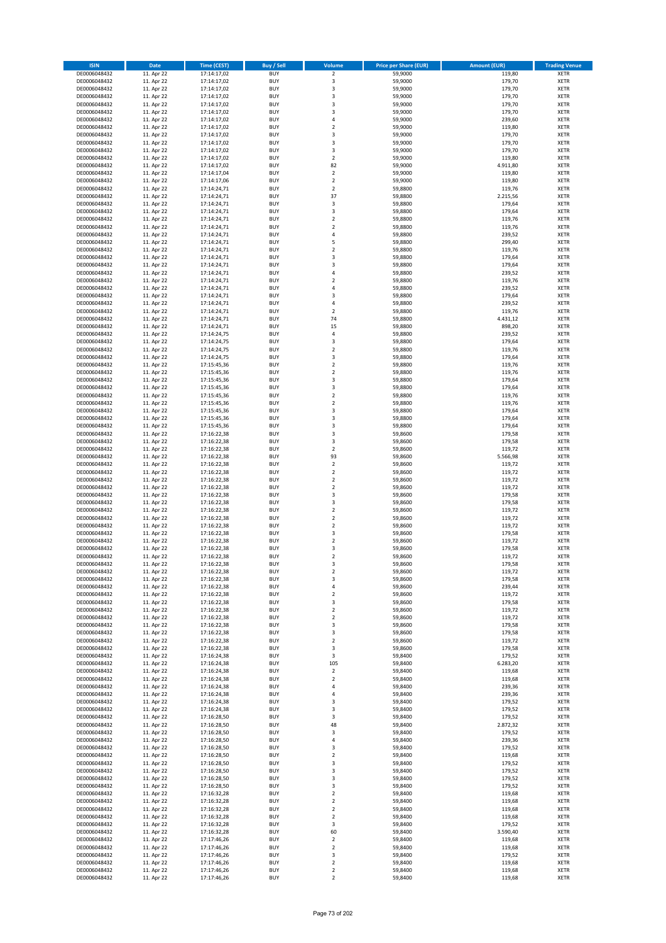| <b>ISIN</b>                  | <b>Date</b>              | Time (CEST)                | <b>Buy / Sell</b>        | Volume                                 | <b>Price per Share (EUR)</b> | <b>Amount (EUR)</b> | <b>Trading Venue</b>       |
|------------------------------|--------------------------|----------------------------|--------------------------|----------------------------------------|------------------------------|---------------------|----------------------------|
| DE0006048432                 | 11. Apr 22               | 17:14:17,02                | <b>BUY</b>               | $\overline{2}$                         | 59,9000                      | 119,80              | <b>XETR</b>                |
| DE0006048432                 | 11. Apr 22               | 17:14:17,02                | <b>BUY</b>               | 3                                      | 59,9000                      | 179,70              | <b>XETR</b>                |
| DE0006048432                 | 11. Apr 22               | 17:14:17,02                | <b>BUY</b>               | 3                                      | 59,9000                      | 179,70              | <b>XETR</b>                |
| DE0006048432<br>DE0006048432 | 11. Apr 22<br>11. Apr 22 | 17:14:17,02<br>17:14:17,02 | <b>BUY</b><br><b>BUY</b> | 3<br>3                                 | 59,9000<br>59,9000           | 179,70<br>179,70    | <b>XETR</b><br><b>XETR</b> |
| DE0006048432                 | 11. Apr 22               | 17:14:17,02                | <b>BUY</b>               | 3                                      | 59,9000                      | 179,70              | <b>XETR</b>                |
| DE0006048432                 | 11. Apr 22               | 17:14:17,02                | <b>BUY</b>               | 4                                      | 59,9000                      | 239,60              | <b>XETR</b>                |
| DE0006048432                 | 11. Apr 22               | 17:14:17,02                | <b>BUY</b>               | $\mathbf 2$                            | 59,9000                      | 119,80              | <b>XETR</b>                |
| DE0006048432                 | 11. Apr 22               | 17:14:17,02                | <b>BUY</b>               | 3                                      | 59,9000                      | 179,70              | <b>XETR</b>                |
| DE0006048432                 | 11. Apr 22<br>11. Apr 22 | 17:14:17,02                | <b>BUY</b><br><b>BUY</b> | 3<br>3                                 | 59,9000<br>59,9000           | 179,70<br>179,70    | <b>XETR</b><br><b>XETR</b> |
| DE0006048432<br>DE0006048432 | 11. Apr 22               | 17:14:17,02<br>17:14:17,02 | <b>BUY</b>               | $\overline{\mathbf{c}}$                | 59,9000                      | 119,80              | <b>XETR</b>                |
| DE0006048432                 | 11. Apr 22               | 17:14:17,02                | <b>BUY</b>               | 82                                     | 59,9000                      | 4.911,80            | <b>XETR</b>                |
| DE0006048432                 | 11. Apr 22               | 17:14:17,04                | <b>BUY</b>               | $\overline{\mathbf{2}}$                | 59,9000                      | 119,80              | <b>XETR</b>                |
| DE0006048432                 | 11. Apr 22               | 17:14:17,06                | <b>BUY</b>               | $\mathbf 2$                            | 59,9000                      | 119,80              | <b>XETR</b>                |
| DE0006048432<br>DE0006048432 | 11. Apr 22               | 17:14:24,71                | <b>BUY</b>               | $\overline{\mathbf{c}}$                | 59,8800                      | 119,76<br>2.215,56  | <b>XETR</b>                |
| DE0006048432                 | 11. Apr 22<br>11. Apr 22 | 17:14:24,71<br>17:14:24,71 | <b>BUY</b><br><b>BUY</b> | 37<br>3                                | 59,8800<br>59,8800           | 179,64              | <b>XETR</b><br><b>XETR</b> |
| DE0006048432                 | 11. Apr 22               | 17:14:24,71                | <b>BUY</b>               | 3                                      | 59,8800                      | 179,64              | <b>XETR</b>                |
| DE0006048432                 | 11. Apr 22               | 17:14:24,71                | <b>BUY</b>               | $\mathbf 2$                            | 59,8800                      | 119,76              | <b>XETR</b>                |
| DE0006048432                 | 11. Apr 22               | 17:14:24,71                | <b>BUY</b>               | $\overline{\mathbf{c}}$                | 59,8800                      | 119,76              | <b>XETR</b>                |
| DE0006048432                 | 11. Apr 22               | 17:14:24,71                | <b>BUY</b>               | 4                                      | 59,8800                      | 239,52              | <b>XETR</b>                |
| DE0006048432<br>DE0006048432 | 11. Apr 22<br>11. Apr 22 | 17:14:24,71<br>17:14:24,71 | <b>BUY</b><br><b>BUY</b> | 5<br>$\mathbf 2$                       | 59,8800<br>59,8800           | 299,40<br>119,76    | <b>XETR</b><br><b>XETR</b> |
| DE0006048432                 | 11. Apr 22               | 17:14:24,71                | <b>BUY</b>               | 3                                      | 59,8800                      | 179,64              | <b>XETR</b>                |
| DE0006048432                 | 11. Apr 22               | 17:14:24,71                | <b>BUY</b>               | 3                                      | 59,8800                      | 179,64              | <b>XETR</b>                |
| DE0006048432                 | 11. Apr 22               | 17:14:24,71                | <b>BUY</b>               | 4                                      | 59,8800                      | 239,52              | <b>XETR</b>                |
| DE0006048432                 | 11. Apr 22               | 17:14:24,71                | <b>BUY</b>               | $\overline{\mathbf{c}}$                | 59,8800                      | 119,76              | <b>XETR</b>                |
| DE0006048432<br>DE0006048432 | 11. Apr 22<br>11. Apr 22 | 17:14:24,71<br>17:14:24,71 | <b>BUY</b><br><b>BUY</b> | 4<br>3                                 | 59,8800<br>59,8800           | 239,52<br>179,64    | <b>XETR</b><br><b>XETR</b> |
| DE0006048432                 | 11. Apr 22               | 17:14:24,71                | <b>BUY</b>               | 4                                      | 59,8800                      | 239,52              | <b>XETR</b>                |
| DE0006048432                 | 11. Apr 22               | 17:14:24,71                | <b>BUY</b>               | $\overline{\mathbf{c}}$                | 59,8800                      | 119,76              | <b>XETR</b>                |
| DE0006048432                 | 11. Apr 22               | 17:14:24,71                | <b>BUY</b>               | 74                                     | 59,8800                      | 4.431,12            | <b>XETR</b>                |
| DE0006048432                 | 11. Apr 22               | 17:14:24,71                | <b>BUY</b>               | 15                                     | 59,8800                      | 898,20              | <b>XETR</b>                |
| DE0006048432                 | 11. Apr 22<br>11. Apr 22 | 17:14:24,75                | <b>BUY</b><br><b>BUY</b> | 4                                      | 59,8800                      | 239,52<br>179,64    | <b>XETR</b><br><b>XETR</b> |
| DE0006048432<br>DE0006048432 | 11. Apr 22               | 17:14:24,75<br>17:14:24,75 | <b>BUY</b>               | 3<br>$\overline{\mathbf{c}}$           | 59,8800<br>59,8800           | 119,76              | <b>XETR</b>                |
| DE0006048432                 | 11. Apr 22               | 17:14:24,75                | <b>BUY</b>               | 3                                      | 59,8800                      | 179,64              | <b>XETR</b>                |
| DE0006048432                 | 11. Apr 22               | 17:15:45,36                | <b>BUY</b>               | $\overline{2}$                         | 59,8800                      | 119,76              | <b>XETR</b>                |
| DE0006048432                 | 11. Apr 22               | 17:15:45,36                | <b>BUY</b>               | $\mathbf 2$                            | 59,8800                      | 119,76              | <b>XETR</b>                |
| DE0006048432                 | 11. Apr 22               | 17:15:45,36                | <b>BUY</b>               | 3                                      | 59,8800                      | 179,64              | <b>XETR</b>                |
| DE0006048432<br>DE0006048432 | 11. Apr 22<br>11. Apr 22 | 17:15:45,36<br>17:15:45,36 | <b>BUY</b><br><b>BUY</b> | 3<br>$\mathbf 2$                       | 59,8800<br>59,8800           | 179,64<br>119,76    | <b>XETR</b><br><b>XETR</b> |
| DE0006048432                 | 11. Apr 22               | 17:15:45,36                | <b>BUY</b>               | $\overline{\mathbf{c}}$                | 59,8800                      | 119,76              | <b>XETR</b>                |
| DE0006048432                 | 11. Apr 22               | 17:15:45,36                | <b>BUY</b>               | 3                                      | 59,8800                      | 179,64              | <b>XETR</b>                |
| DE0006048432                 | 11. Apr 22               | 17:15:45,36                | <b>BUY</b>               | 3                                      | 59,8800                      | 179,64              | <b>XETR</b>                |
| DE0006048432                 | 11. Apr 22               | 17:15:45,36                | <b>BUY</b>               | 3                                      | 59,8800                      | 179,64              | <b>XETR</b>                |
| DE0006048432                 | 11. Apr 22               | 17:16:22,38                | <b>BUY</b>               | 3<br>3                                 | 59,8600                      | 179,58              | <b>XETR</b>                |
| DE0006048432<br>DE0006048432 | 11. Apr 22<br>11. Apr 22 | 17:16:22,38<br>17:16:22,38 | <b>BUY</b><br><b>BUY</b> | $\mathbf 2$                            | 59,8600<br>59,8600           | 179,58<br>119,72    | <b>XETR</b><br><b>XETR</b> |
| DE0006048432                 | 11. Apr 22               | 17:16:22,38                | <b>BUY</b>               | 93                                     | 59,8600                      | 5.566,98            | <b>XETR</b>                |
| DE0006048432                 | 11. Apr 22               | 17:16:22,38                | <b>BUY</b>               | $\mathbf 2$                            | 59,8600                      | 119,72              | <b>XETR</b>                |
| DE0006048432                 | 11. Apr 22               | 17:16:22,38                | <b>BUY</b>               | $\overline{2}$                         | 59,8600                      | 119,72              | <b>XETR</b>                |
| DE0006048432<br>DE0006048432 | 11. Apr 22               | 17:16:22,38                | <b>BUY</b><br><b>BUY</b> | $\mathbf 2$<br>$\overline{\mathbf{c}}$ | 59,8600                      | 119,72              | <b>XETR</b><br><b>XETR</b> |
| DE0006048432                 | 11. Apr 22<br>11. Apr 22 | 17:16:22,38<br>17:16:22,38 | <b>BUY</b>               | 3                                      | 59,8600<br>59,8600           | 119,72<br>179,58    | <b>XETR</b>                |
| DE0006048432                 | 11. Apr 22               | 17:16:22,38                | <b>BUY</b>               | 3                                      | 59,8600                      | 179,58              | <b>XETR</b>                |
| DE0006048432                 | 11. Apr 22               | 17:16:22,38                | <b>BUY</b>               | $\mathbf 2$                            | 59,8600                      | 119,72              | <b>XETR</b>                |
| DE0006048432                 | 11. Apr 22               | 17:16:22,38                | <b>BUY</b>               | $\mathbf 2$                            | 59,8600                      | 119,72              | <b>XETR</b>                |
| DE0006048432                 | 11. Apr 22               | 17:16:22,38                | <b>BUY</b>               | $\overline{2}$                         | 59,8600                      | 119,72              | <b>XETR</b>                |
| DE0006048432<br>DE0006048432 | 11. Apr 22<br>11. Apr 22 | 17:16:22,38<br>17:16:22,38 | <b>BUY</b><br><b>BUY</b> | 3<br>$\overline{\mathbf{c}}$           | 59,8600<br>59,8600           | 179,58<br>119,72    | <b>XETR</b><br><b>XETR</b> |
| DE0006048432                 | 11. Apr 22               | 17:16:22,38                | <b>BUY</b>               | 3                                      | 59,8600                      | 179,58              | <b>XETR</b>                |
| DE0006048432                 | 11. Apr 22               | 17:16:22,38                | <b>BUY</b>               | $\overline{2}$                         | 59,8600                      | 119,72              | <b>XETR</b>                |
| DE0006048432                 | 11. Apr 22               | 17:16:22,38                | BUY                      | 3                                      | 59,8600                      | 179,58              | <b>XETR</b>                |
| DE0006048432                 | 11. Apr 22               | 17:16:22,38                | <b>BUY</b>               | $\mathbf 2$                            | 59,8600                      | 119,72              | <b>XETR</b>                |
| DE0006048432<br>DE0006048432 | 11. Apr 22<br>11. Apr 22 | 17:16:22,38<br>17:16:22,38 | <b>BUY</b><br><b>BUY</b> | 3<br>4                                 | 59,8600<br>59,8600           | 179,58<br>239,44    | <b>XETR</b><br>XETR        |
| DE0006048432                 | 11. Apr 22               | 17:16:22,38                | <b>BUY</b>               | $\mathbf 2$                            | 59,8600                      | 119,72              | <b>XETR</b>                |
| DE0006048432                 | 11. Apr 22               | 17:16:22,38                | <b>BUY</b>               | 3                                      | 59,8600                      | 179,58              | <b>XETR</b>                |
| DE0006048432                 | 11. Apr 22               | 17:16:22,38                | <b>BUY</b>               | $\mathbf 2$                            | 59,8600                      | 119,72              | <b>XETR</b>                |
| DE0006048432                 | 11. Apr 22               | 17:16:22,38                | <b>BUY</b>               | $\mathbf 2$                            | 59,8600                      | 119,72              | <b>XETR</b>                |
| DE0006048432<br>DE0006048432 | 11. Apr 22<br>11. Apr 22 | 17:16:22,38<br>17:16:22,38 | <b>BUY</b><br><b>BUY</b> | 3<br>3                                 | 59,8600<br>59,8600           | 179,58<br>179,58    | <b>XETR</b><br><b>XETR</b> |
| DE0006048432                 | 11. Apr 22               | 17:16:22,38                | <b>BUY</b>               | $\mathbf 2$                            | 59,8600                      | 119,72              | <b>XETR</b>                |
| DE0006048432                 | 11. Apr 22               | 17:16:22,38                | <b>BUY</b>               | 3                                      | 59.8600                      | 179,58              | <b>XETR</b>                |
| DE0006048432                 | 11. Apr 22               | 17:16:24,38                | <b>BUY</b>               | 3                                      | 59,8400                      | 179,52              | <b>XETR</b>                |
| DE0006048432                 | 11. Apr 22               | 17:16:24,38                | <b>BUY</b>               | 105                                    | 59,8400                      | 6.283,20            | <b>XETR</b>                |
| DE0006048432<br>DE0006048432 | 11. Apr 22<br>11. Apr 22 | 17:16:24,38<br>17:16:24,38 | <b>BUY</b><br><b>BUY</b> | $\mathbf 2$<br>$\mathbf 2$             | 59,8400<br>59,8400           | 119,68<br>119,68    | <b>XETR</b><br><b>XETR</b> |
| DE0006048432                 | 11. Apr 22               | 17:16:24,38                | <b>BUY</b>               | 4                                      | 59,8400                      | 239,36              | <b>XETR</b>                |
| DE0006048432                 | 11. Apr 22               | 17:16:24,38                | <b>BUY</b>               | 4                                      | 59,8400                      | 239,36              | <b>XETR</b>                |
| DE0006048432                 | 11. Apr 22               | 17:16:24,38                | <b>BUY</b>               | 3                                      | 59,8400                      | 179,52              | XETR                       |
| DE0006048432                 | 11. Apr 22               | 17:16:24,38                | <b>BUY</b><br><b>BUY</b> | 3<br>3                                 | 59,8400                      | 179,52              | <b>XETR</b><br><b>XETR</b> |
| DE0006048432<br>DE0006048432 | 11. Apr 22<br>11. Apr 22 | 17:16:28,50<br>17:16:28,50 | <b>BUY</b>               | 48                                     | 59,8400<br>59,8400           | 179,52<br>2.872,32  | <b>XETR</b>                |
| DE0006048432                 | 11. Apr 22               | 17:16:28,50                | <b>BUY</b>               | 3                                      | 59,8400                      | 179,52              | <b>XETR</b>                |
| DE0006048432                 | 11. Apr 22               | 17:16:28,50                | <b>BUY</b>               | 4                                      | 59,8400                      | 239,36              | <b>XETR</b>                |
| DE0006048432                 | 11. Apr 22               | 17:16:28,50                | <b>BUY</b>               | 3                                      | 59,8400                      | 179,52              | <b>XETR</b>                |
| DE0006048432                 | 11. Apr 22               | 17:16:28,50                | <b>BUY</b>               | $\mathbf 2$                            | 59,8400                      | 119,68              | <b>XETR</b>                |
| DE0006048432<br>DE0006048432 | 11. Apr 22<br>11. Apr 22 | 17:16:28,50<br>17:16:28,50 | <b>BUY</b><br><b>BUY</b> | 3<br>3                                 | 59,8400<br>59,8400           | 179,52<br>179,52    | <b>XETR</b><br><b>XETR</b> |
| DE0006048432                 | 11. Apr 22               | 17:16:28,50                | <b>BUY</b>               | 3                                      | 59,8400                      | 179,52              | <b>XETR</b>                |
| DE0006048432                 | 11. Apr 22               | 17:16:28,50                | <b>BUY</b>               | 3                                      | 59,8400                      | 179,52              | <b>XETR</b>                |
| DE0006048432                 | 11. Apr 22               | 17:16:32,28                | <b>BUY</b>               | $\mathbf 2$                            | 59,8400                      | 119,68              | <b>XETR</b>                |
| DE0006048432                 | 11. Apr 22               | 17:16:32,28                | <b>BUY</b>               | 2                                      | 59,8400                      | 119,68              | <b>XETR</b>                |
| DE0006048432<br>DE0006048432 | 11. Apr 22<br>11. Apr 22 | 17:16:32,28<br>17:16:32,28 | <b>BUY</b><br><b>BUY</b> | $\mathbf 2$<br>$\mathbf 2$             | 59,8400<br>59,8400           | 119,68<br>119,68    | <b>XETR</b><br><b>XETR</b> |
| DE0006048432                 | 11. Apr 22               | 17:16:32,28                | <b>BUY</b>               | 3                                      | 59,8400                      | 179,52              | <b>XETR</b>                |
| DE0006048432                 | 11. Apr 22               | 17:16:32,28                | <b>BUY</b>               | 60                                     | 59,8400                      | 3.590,40            | <b>XETR</b>                |
| DE0006048432                 | 11. Apr 22               | 17:17:46,26                | <b>BUY</b>               | $\overline{\mathbf{c}}$                | 59,8400                      | 119,68              | <b>XETR</b>                |
| DE0006048432                 | 11. Apr 22               | 17:17:46,26                | <b>BUY</b>               | $\mathbf 2$                            | 59,8400                      | 119,68              | XETR                       |
| DE0006048432<br>DE0006048432 | 11. Apr 22<br>11. Apr 22 | 17:17:46,26<br>17:17:46,26 | <b>BUY</b><br><b>BUY</b> | 3<br>$\mathbf 2$                       | 59,8400<br>59,8400           | 179,52<br>119,68    | <b>XETR</b><br>XETR        |
| DE0006048432                 | 11. Apr 22               | 17:17:46,26                | <b>BUY</b>               | $\mathbf 2$                            | 59,8400                      | 119,68              | <b>XETR</b>                |
| DE0006048432                 | 11. Apr 22               | 17:17:46,26                | <b>BUY</b>               | $\overline{2}$                         | 59,8400                      | 119,68              | <b>XETR</b>                |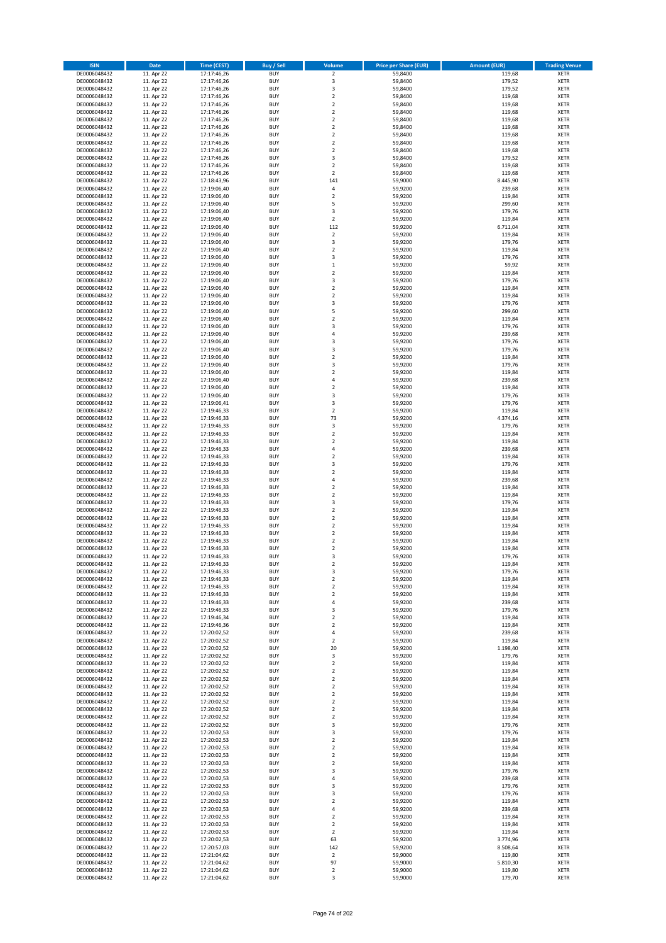| <b>ISIN</b>                  | <b>Date</b>              | <b>Time (CEST)</b>         | <b>Buy / Sell</b>        | Volume                                 | <b>Price per Share (EUR)</b> | <b>Amount (EUR)</b> | <b>Trading Venue</b>       |
|------------------------------|--------------------------|----------------------------|--------------------------|----------------------------------------|------------------------------|---------------------|----------------------------|
| DE0006048432                 | 11. Apr 22               | 17:17:46,26                | <b>BUY</b>               | $\overline{2}$                         | 59,8400                      | 119,68              | <b>XETR</b>                |
| DE0006048432                 | 11. Apr 22               | 17:17:46,26                | <b>BUY</b>               | 3                                      | 59,8400                      | 179,52              | <b>XETR</b>                |
| DE0006048432                 | 11. Apr 22               | 17:17:46,26                | <b>BUY</b>               | 3                                      | 59,8400                      | 179,52              | <b>XETR</b>                |
| DE0006048432<br>DE0006048432 | 11. Apr 22<br>11. Apr 22 | 17:17:46,26<br>17:17:46,26 | <b>BUY</b><br><b>BUY</b> | $\mathbf 2$<br>$\overline{\mathbf{c}}$ | 59,8400<br>59,8400           | 119,68<br>119,68    | <b>XETR</b><br><b>XETR</b> |
| DE0006048432                 | 11. Apr 22               | 17:17:46,26                | <b>BUY</b>               | $\mathbf 2$                            | 59,8400                      | 119,68              | <b>XETR</b>                |
| DE0006048432                 | 11. Apr 22               | 17:17:46,26                | <b>BUY</b>               | $\mathbf 2$                            | 59.8400                      | 119,68              | <b>XETR</b>                |
| DE0006048432                 | 11. Apr 22               | 17:17:46,26                | <b>BUY</b>               | $\mathbf 2$                            | 59,8400                      | 119,68              | <b>XETR</b>                |
| DE0006048432                 | 11. Apr 22               | 17:17:46,26                | <b>BUY</b>               | $\overline{2}$                         | 59,8400                      | 119,68              | <b>XETR</b>                |
| DE0006048432                 | 11. Apr 22               | 17:17:46,26                | <b>BUY</b>               | $\overline{2}$                         | 59,8400                      | 119,68              | <b>XETR</b>                |
| DE0006048432                 | 11. Apr 22               | 17:17:46,26                | <b>BUY</b>               | $\mathbf 2$                            | 59,8400                      | 119,68              | <b>XETR</b>                |
| DE0006048432                 | 11. Apr 22               | 17:17:46,26                | <b>BUY</b>               | 3                                      | 59,8400                      | 179,52              | <b>XETR</b>                |
| DE0006048432<br>DE0006048432 | 11. Apr 22<br>11. Apr 22 | 17:17:46,26                | <b>BUY</b><br><b>BUY</b> | $\mathbf 2$<br>$\overline{2}$          | 59,8400<br>59,8400           | 119,68<br>119,68    | <b>XETR</b><br><b>XETR</b> |
| DE0006048432                 | 11. Apr 22               | 17:17:46,26<br>17:18:43,96 | <b>BUY</b>               | 141                                    | 59,9000                      | 8.445,90            | <b>XETR</b>                |
| DE0006048432                 | 11. Apr 22               | 17:19:06,40                | <b>BUY</b>               | 4                                      | 59,9200                      | 239,68              | <b>XETR</b>                |
| DE0006048432                 | 11. Apr 22               | 17:19:06,40                | <b>BUY</b>               | $\mathbf 2$                            | 59,9200                      | 119,84              | <b>XETR</b>                |
| DE0006048432                 | 11. Apr 22               | 17:19:06,40                | <b>BUY</b>               | 5                                      | 59,9200                      | 299,60              | <b>XETR</b>                |
| DE0006048432                 | 11. Apr 22               | 17:19:06,40                | <b>BUY</b>               | 3                                      | 59,9200                      | 179,76              | <b>XETR</b>                |
| DE0006048432                 | 11. Apr 22               | 17:19:06,40                | <b>BUY</b>               | $\mathbf 2$                            | 59,9200                      | 119,84              | <b>XETR</b>                |
| DE0006048432                 | 11. Apr 22               | 17:19:06,40                | <b>BUY</b>               | 112                                    | 59,9200                      | 6.711,04            | <b>XETR</b>                |
| DE0006048432<br>DE0006048432 | 11. Apr 22<br>11. Apr 22 | 17:19:06,40<br>17:19:06,40 | <b>BUY</b><br><b>BUY</b> | $\mathbf 2$<br>3                       | 59,9200<br>59,9200           | 119,84<br>179,76    | <b>XETR</b><br><b>XETR</b> |
| DE0006048432                 | 11. Apr 22               | 17:19:06,40                | <b>BUY</b>               | $\mathbf 2$                            | 59,9200                      | 119,84              | <b>XETR</b>                |
| DE0006048432                 | 11. Apr 22               | 17:19:06,40                | <b>BUY</b>               | 3                                      | 59,9200                      | 179,76              | <b>XETR</b>                |
| DE0006048432                 | 11. Apr 22               | 17:19:06,40                | <b>BUY</b>               | $\mathbf 1$                            | 59,9200                      | 59,92               | <b>XETR</b>                |
| DE0006048432                 | 11. Apr 22               | 17:19:06,40                | <b>BUY</b>               | $\mathbf 2$                            | 59,9200                      | 119,84              | <b>XETR</b>                |
| DE0006048432                 | 11. Apr 22               | 17:19:06,40                | <b>BUY</b>               | 3                                      | 59,9200                      | 179,76              | <b>XETR</b>                |
| DE0006048432                 | 11. Apr 22               | 17:19:06,40                | <b>BUY</b>               | $\mathbf 2$                            | 59,9200                      | 119,84              | <b>XETR</b>                |
| DE0006048432                 | 11. Apr 22               | 17:19:06,40                | <b>BUY</b>               | $\overline{\mathbf{c}}$                | 59,9200                      | 119,84              | <b>XETR</b>                |
| DE0006048432<br>DE0006048432 | 11. Apr 22<br>11. Apr 22 | 17:19:06,40<br>17:19:06,40 | <b>BUY</b><br><b>BUY</b> | 3<br>5                                 | 59,9200<br>59,9200           | 179,76<br>299,60    | <b>XETR</b><br><b>XETR</b> |
| DE0006048432                 | 11. Apr 22               | 17:19:06,40                | <b>BUY</b>               | $\mathbf 2$                            | 59,9200                      | 119,84              | <b>XETR</b>                |
| DE0006048432                 | 11. Apr 22               | 17:19:06,40                | <b>BUY</b>               | 3                                      | 59,9200                      | 179,76              | <b>XETR</b>                |
| DE0006048432                 | 11. Apr 22               | 17:19:06,40                | <b>BUY</b>               | 4                                      | 59,9200                      | 239,68              | <b>XETR</b>                |
| DE0006048432                 | 11. Apr 22               | 17:19:06,40                | <b>BUY</b>               | 3                                      | 59,9200                      | 179,76              | <b>XETR</b>                |
| DE0006048432                 | 11. Apr 22               | 17:19:06,40                | <b>BUY</b>               | 3                                      | 59,9200                      | 179,76              | <b>XETR</b>                |
| DE0006048432                 | 11. Apr 22               | 17:19:06,40                | <b>BUY</b>               | $\mathbf 2$                            | 59,9200                      | 119,84              | <b>XETR</b>                |
| DE0006048432                 | 11. Apr 22               | 17:19:06,40                | <b>BUY</b>               | 3                                      | 59,9200                      | 179,76              | <b>XETR</b>                |
| DE0006048432                 | 11. Apr 22               | 17:19:06,40                | <b>BUY</b>               | $\mathbf 2$                            | 59,9200                      | 119,84              | <b>XETR</b>                |
| DE0006048432<br>DE0006048432 | 11. Apr 22<br>11. Apr 22 | 17:19:06,40<br>17:19:06,40 | <b>BUY</b><br><b>BUY</b> | 4<br>$\mathbf 2$                       | 59,9200<br>59,9200           | 239,68<br>119,84    | <b>XETR</b><br><b>XETR</b> |
| DE0006048432                 | 11. Apr 22               | 17:19:06,40                | <b>BUY</b>               | 3                                      | 59,9200                      | 179,76              | <b>XETR</b>                |
| DE0006048432                 | 11. Apr 22               | 17:19:06,41                | <b>BUY</b>               | 3                                      | 59,9200                      | 179,76              | <b>XETR</b>                |
| DE0006048432                 | 11. Apr 22               | 17:19:46,33                | <b>BUY</b>               | $\mathbf 2$                            | 59,9200                      | 119,84              | <b>XETR</b>                |
| DE0006048432                 | 11. Apr 22               | 17:19:46,33                | <b>BUY</b>               | 73                                     | 59,9200                      | 4.374,16            | <b>XETR</b>                |
| DE0006048432                 | 11. Apr 22               | 17:19:46,33                | <b>BUY</b>               | 3                                      | 59,9200                      | 179,76              | <b>XETR</b>                |
| DE0006048432                 | 11. Apr 22               | 17:19:46,33                | <b>BUY</b>               | $\mathbf 2$                            | 59,9200                      | 119,84              | <b>XETR</b>                |
| DE0006048432                 | 11. Apr 22               | 17:19:46,33                | <b>BUY</b>               | $\mathbf 2$                            | 59,9200                      | 119,84              | <b>XETR</b>                |
| DE0006048432                 | 11. Apr 22               | 17:19:46,33                | <b>BUY</b>               | 4                                      | 59,9200                      | 239,68              | <b>XETR</b>                |
| DE0006048432<br>DE0006048432 | 11. Apr 22<br>11. Apr 22 | 17:19:46,33<br>17:19:46,33 | <b>BUY</b><br><b>BUY</b> | $\overline{\mathbf{c}}$<br>3           | 59,9200<br>59,9200           | 119,84<br>179,76    | <b>XETR</b><br><b>XETR</b> |
| DE0006048432                 | 11. Apr 22               | 17:19:46,33                | <b>BUY</b>               | $\overline{2}$                         | 59,9200                      | 119,84              | <b>XETR</b>                |
| DE0006048432                 | 11. Apr 22               | 17:19:46,33                | <b>BUY</b>               | 4                                      | 59,9200                      | 239,68              | <b>XETR</b>                |
| DE0006048432                 | 11. Apr 22               | 17:19:46,33                | <b>BUY</b>               | $\overline{\mathbf{c}}$                | 59,9200                      | 119,84              | <b>XETR</b>                |
| DE0006048432                 | 11. Apr 22               | 17:19:46,33                | <b>BUY</b>               | $\mathbf 2$                            | 59,9200                      | 119,84              | <b>XETR</b>                |
| DE0006048432                 | 11. Apr 22               | 17:19:46,33                | <b>BUY</b>               | 3                                      | 59,9200                      | 179,76              | <b>XETR</b>                |
| DE0006048432                 | 11. Apr 22               | 17:19:46,33                | <b>BUY</b>               | $\mathbf 2$                            | 59,9200                      | 119,84              | <b>XETR</b>                |
| DE0006048432                 | 11. Apr 22               | 17:19:46,33                | <b>BUY</b>               | $\mathbf 2$                            | 59,9200                      | 119,84              | <b>XETR</b>                |
| DE0006048432                 | 11. Apr 22               | 17:19:46,33                | <b>BUY</b><br><b>BUY</b> | $\overline{2}$                         | 59,9200                      | 119,84              | <b>XETR</b>                |
| DE0006048432<br>DE0006048432 | 11. Apr 22<br>11. Apr 22 | 17:19:46,33<br>17:19:46,33 | <b>BUY</b>               | $\mathbf 2$<br>$\overline{\mathbf{c}}$ | 59,9200<br>59,9200           | 119,84<br>119,84    | <b>XETR</b><br><b>XETR</b> |
| DE0006048432                 | 11. Apr 22               | 17:19:46,33                | <b>BUY</b>               | $\overline{\mathbf{c}}$                | 59,9200                      | 119,84              | <b>XETR</b>                |
| DE0006048432                 | 11. Apr 22               | 17:19:46,33                | <b>BUY</b>               | 3                                      | 59,9200                      | 179,76              | <b>XETR</b>                |
| DE0006048432                 | 11. Apr 22               | 17:19:46,33                | BUY                      | 2                                      | 59,9200                      | 119,84              | <b>XETR</b>                |
| DE0006048432                 | 11. Apr 22               | 17:19:46,33                | <b>BUY</b>               | 3                                      | 59,9200                      | 179,76              | XETR                       |
| DE0006048432                 | 11. Apr 22               | 17:19:46,33                | <b>BUY</b>               | $\mathbf 2$                            | 59,9200                      | 119,84              | XETR                       |
| DE0006048432                 | 11. Apr 22               | 17:19:46,33                | <b>BUY</b>               | $\mathbf 2$                            | 59,9200                      | 119,84              | XETR                       |
| DE0006048432                 | 11. Apr 22               | 17:19:46,33                | <b>BUY</b>               | $\mathbf 2$                            | 59,9200                      | 119,84              | <b>XETR</b>                |
| DE0006048432<br>DE0006048432 | 11. Apr 22<br>11. Apr 22 | 17:19:46,33<br>17:19:46,33 | <b>BUY</b><br><b>BUY</b> | 4<br>3                                 | 59,9200<br>59,9200           | 239,68<br>179,76    | <b>XETR</b><br><b>XETR</b> |
| DE0006048432                 | 11. Apr 22               | 17:19:46,34                | <b>BUY</b>               | $\mathbf 2$                            | 59,9200                      | 119,84              | <b>XETR</b>                |
| DE0006048432                 | 11. Apr 22               | 17:19:46,36                | <b>BUY</b>               | $\mathbf 2$                            | 59,9200                      | 119,84              | <b>XETR</b>                |
| DE0006048432                 | 11. Apr 22               | 17:20:02,52                | <b>BUY</b>               | 4                                      | 59,9200                      | 239,68              | XETR                       |
| DE0006048432                 | 11. Apr 22               | 17:20:02,52                | <b>BUY</b>               | $\mathbf 2$                            | 59,9200                      | 119,84              | <b>XETR</b>                |
| DE0006048432                 | 11. Apr 22               | 17:20:02,52                | <b>BUY</b>               | 20                                     | 59,9200                      | 1.198,40            | <b>XETR</b>                |
| DE0006048432                 | 11. Apr 22               | 17:20:02,52                | <b>BUY</b>               | 3                                      | 59,9200                      | 179,76              | <b>XETR</b>                |
| DE0006048432<br>DE0006048432 | 11. Apr 22<br>11. Apr 22 | 17:20:02,52<br>17:20:02,52 | <b>BUY</b><br><b>BUY</b> | $\overline{2}$<br>$\mathbf 2$          | 59,9200<br>59,9200           | 119,84<br>119,84    | <b>XETR</b><br><b>XETR</b> |
| DE0006048432                 | 11. Apr 22               | 17:20:02,52                | <b>BUY</b>               | $\mathbf 2$                            | 59,9200                      | 119,84              | <b>XETR</b>                |
| DE0006048432                 | 11. Apr 22               | 17:20:02,52                | <b>BUY</b>               | $\mathbf 2$                            | 59,9200                      | 119,84              | <b>XETR</b>                |
| DE0006048432                 | 11. Apr 22               | 17:20:02,52                | <b>BUY</b>               | $\mathbf 2$                            | 59,9200                      | 119,84              | <b>XETR</b>                |
| DE0006048432                 | 11. Apr 22               | 17:20:02,52                | <b>BUY</b>               | $\mathbf 2$                            | 59,9200                      | 119,84              | XETR                       |
| DE0006048432                 | 11. Apr 22               | 17:20:02,52                | <b>BUY</b>               | $\mathbf 2$                            | 59,9200                      | 119,84              | <b>XETR</b>                |
| DE0006048432                 | 11. Apr 22               | 17:20:02,52                | <b>BUY</b>               | $\overline{2}$                         | 59,9200                      | 119,84              | <b>XETR</b>                |
| DE0006048432                 | 11. Apr 22               | 17:20:02,52                | <b>BUY</b>               | 3                                      | 59,9200                      | 179,76              | <b>XETR</b>                |
| DE0006048432<br>DE0006048432 | 11. Apr 22<br>11. Apr 22 | 17:20:02,53<br>17:20:02,53 | <b>BUY</b><br><b>BUY</b> | 3<br>$\mathbf 2$                       | 59,9200<br>59,9200           | 179,76<br>119,84    | <b>XETR</b><br><b>XETR</b> |
| DE0006048432                 | 11. Apr 22               | 17:20:02,53                | <b>BUY</b>               | $\mathbf 2$                            | 59,9200                      | 119,84              | <b>XETR</b>                |
| DE0006048432                 | 11. Apr 22               | 17:20:02,53                | <b>BUY</b>               | $\mathbf 2$                            | 59,9200                      | 119,84              | XETR                       |
| DE0006048432                 | 11. Apr 22               | 17:20:02,53                | <b>BUY</b>               | $\mathbf 2$                            | 59,9200                      | 119,84              | <b>XETR</b>                |
| DE0006048432                 | 11. Apr 22               | 17:20:02,53                | <b>BUY</b>               | 3                                      | 59,9200                      | 179,76              | <b>XETR</b>                |
| DE0006048432                 | 11. Apr 22               | 17:20:02,53                | <b>BUY</b>               | 4                                      | 59,9200                      | 239,68              | <b>XETR</b>                |
| DE0006048432                 | 11. Apr 22               | 17:20:02,53                | <b>BUY</b>               | 3                                      | 59,9200                      | 179,76              | XETR                       |
| DE0006048432                 | 11. Apr 22               | 17:20:02,53                | <b>BUY</b>               | 3                                      | 59,9200                      | 179,76              | <b>XETR</b>                |
| DE0006048432<br>DE0006048432 | 11. Apr 22<br>11. Apr 22 | 17:20:02,53<br>17:20:02,53 | <b>BUY</b><br><b>BUY</b> | $\mathbf 2$<br>4                       | 59,9200<br>59,9200           | 119,84<br>239,68    | <b>XETR</b><br>XETR        |
| DE0006048432                 | 11. Apr 22               | 17:20:02,53                | <b>BUY</b>               | $\mathbf 2$                            | 59,9200                      | 119,84              | <b>XETR</b>                |
| DE0006048432                 | 11. Apr 22               | 17:20:02,53                | <b>BUY</b>               | $\mathbf 2$                            | 59,9200                      | 119,84              | <b>XETR</b>                |
| DE0006048432                 | 11. Apr 22               | 17:20:02,53                | <b>BUY</b>               | $\mathbf 2$                            | 59,9200                      | 119,84              | <b>XETR</b>                |
| DE0006048432                 | 11. Apr 22               | 17:20:02,53                | <b>BUY</b>               | 63                                     | 59,9200                      | 3.774,96            | <b>XETR</b>                |
| DE0006048432                 | 11. Apr 22               | 17:20:57,03                | <b>BUY</b>               | 142                                    | 59,9200                      | 8.508,64            | XETR                       |
| DE0006048432                 | 11. Apr 22               | 17:21:04,62                | <b>BUY</b>               | $\overline{2}$                         | 59,9000                      | 119,80              | <b>XETR</b>                |
| DE0006048432<br>DE0006048432 | 11. Apr 22               | 17:21:04,62                | <b>BUY</b>               | 97                                     | 59,9000                      | 5.810,30            | <b>XETR</b>                |
| DE0006048432                 | 11. Apr 22<br>11. Apr 22 | 17:21:04,62<br>17:21:04,62 | <b>BUY</b><br><b>BUY</b> | $\mathbf 2$<br>3                       | 59,9000<br>59,9000           | 119,80<br>179,70    | <b>XETR</b><br>XETR        |
|                              |                          |                            |                          |                                        |                              |                     |                            |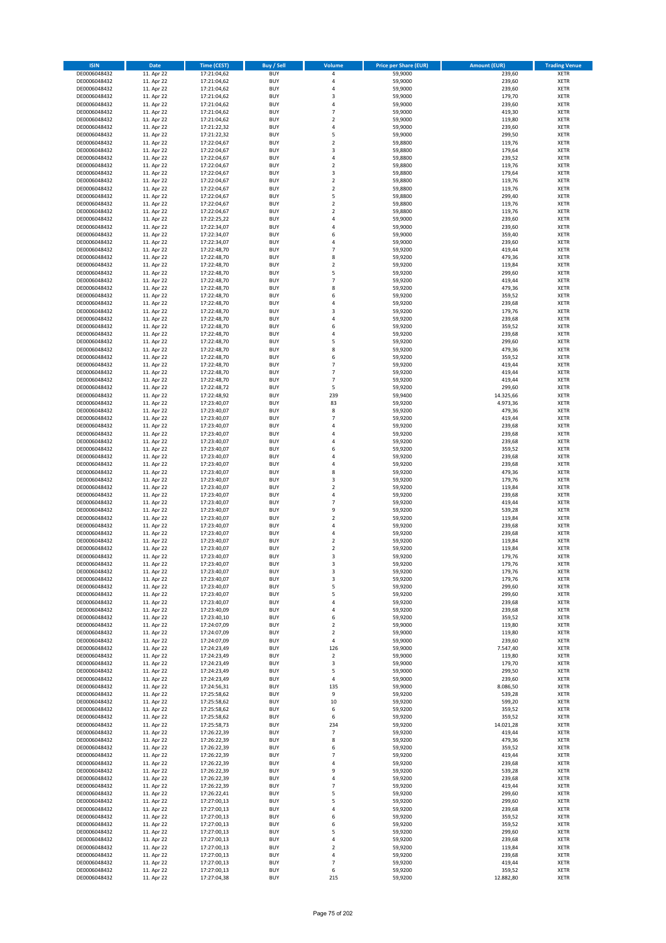| <b>ISIN</b>                  | Date                     | Time (CEST)                | <b>Buy / Sell</b>        | <b>Volume</b>                             | <b>Price per Share (EUR)</b> | <b>Amount (EUR)</b> | <b>Trading Venue</b>       |
|------------------------------|--------------------------|----------------------------|--------------------------|-------------------------------------------|------------------------------|---------------------|----------------------------|
| DE0006048432                 | 11. Apr 22               | 17:21:04,62                | <b>BUY</b>               | $\sqrt{4}$                                | 59,9000                      | 239,60              | <b>XETR</b>                |
| DE0006048432                 | 11. Apr 22               | 17:21:04,62                | <b>BUY</b>               | 4                                         | 59,9000                      | 239,60              | XETR                       |
| DE0006048432                 | 11. Apr 22               | 17:21:04,62                | <b>BUY</b>               | 4                                         | 59,9000                      | 239,60              | <b>XETR</b>                |
| DE0006048432<br>DE0006048432 | 11. Apr 22<br>11. Apr 22 | 17:21:04,62<br>17:21:04,62 | <b>BUY</b><br><b>BUY</b> | $\mathsf 3$<br>4                          | 59,9000<br>59,9000           | 179,70<br>239,60    | XETR<br><b>XETR</b>        |
| DE0006048432                 | 11. Apr 22               | 17:21:04,62                | <b>BUY</b>               | $\overline{7}$                            | 59,9000                      | 419,30              | <b>XETR</b>                |
| DE0006048432                 | 11. Apr 22               | 17:21:04,62                | <b>BUY</b>               | $\overline{2}$                            | 59,9000                      | 119,80              | <b>XETR</b>                |
| DE0006048432                 | 11. Apr 22               | 17:21:22,32                | <b>BUY</b>               | $\sqrt{4}$                                | 59,9000                      | 239,60              | <b>XETR</b>                |
| DE0006048432                 | 11. Apr 22               | 17:21:22,32                | <b>BUY</b>               | 5                                         | 59,9000                      | 299,50              | <b>XETR</b>                |
| DE0006048432                 | 11. Apr 22               | 17:22:04,67                | <b>BUY</b>               | $\mathbf 2$                               | 59,8800                      | 119,76              | <b>XETR</b>                |
| DE0006048432                 | 11. Apr 22               | 17:22:04,67                | <b>BUY</b>               | $\mathsf 3$                               | 59,8800                      | 179,64              | <b>XETR</b>                |
| DE0006048432                 | 11. Apr 22<br>11. Apr 22 | 17:22:04,67                | <b>BUY</b><br><b>BUY</b> | 4<br>$\mathbf 2$                          | 59,8800                      | 239,52<br>119,76    | <b>XETR</b><br><b>XETR</b> |
| DE0006048432<br>DE0006048432 | 11. Apr 22               | 17:22:04,67<br>17:22:04,67 | <b>BUY</b>               | 3                                         | 59,8800<br>59,8800           | 179,64              | <b>XETR</b>                |
| DE0006048432                 | 11. Apr 22               | 17:22:04,67                | <b>BUY</b>               | $\mathbf 2$                               | 59,8800                      | 119,76              | <b>XETR</b>                |
| DE0006048432                 | 11. Apr 22               | 17:22:04,67                | <b>BUY</b>               | $\mathbf 2$                               | 59,8800                      | 119,76              | <b>XETR</b>                |
| DE0006048432                 | 11. Apr 22               | 17:22:04,67                | <b>BUY</b>               | 5                                         | 59,8800                      | 299,40              | <b>XETR</b>                |
| DE0006048432                 | 11. Apr 22               | 17:22:04,67                | <b>BUY</b>               | $\overline{2}$                            | 59,8800                      | 119,76              | <b>XETR</b>                |
| DE0006048432                 | 11. Apr 22               | 17:22:04,67                | <b>BUY</b>               | $\overline{2}$                            | 59,8800                      | 119,76              | <b>XETR</b>                |
| DE0006048432                 | 11. Apr 22               | 17:22:25,22                | <b>BUY</b>               | $\overline{4}$                            | 59,9000                      | 239,60              | <b>XETR</b>                |
| DE0006048432<br>DE0006048432 | 11. Apr 22<br>11. Apr 22 | 17:22:34,07<br>17:22:34,07 | <b>BUY</b><br><b>BUY</b> | $\overline{4}$<br>6                       | 59,9000<br>59,9000           | 239,60<br>359,40    | <b>XETR</b><br><b>XETR</b> |
| DE0006048432                 | 11. Apr 22               | 17:22:34,07                | <b>BUY</b>               | $\overline{4}$                            | 59,9000                      | 239,60              | <b>XETR</b>                |
| DE0006048432                 | 11. Apr 22               | 17:22:48,70                | <b>BUY</b>               | $\overline{7}$                            | 59,9200                      | 419,44              | <b>XETR</b>                |
| DE0006048432                 | 11. Apr 22               | 17:22:48,70                | <b>BUY</b>               | 8                                         | 59,9200                      | 479,36              | <b>XETR</b>                |
| DE0006048432                 | 11. Apr 22               | 17:22:48,70                | <b>BUY</b>               | $\mathbf 2$                               | 59,9200                      | 119,84              | <b>XETR</b>                |
| DE0006048432                 | 11. Apr 22               | 17:22:48,70                | <b>BUY</b>               | 5                                         | 59,9200                      | 299,60              | <b>XETR</b>                |
| DE0006048432                 | 11. Apr 22               | 17:22:48,70                | <b>BUY</b>               | $\overline{7}$                            | 59,9200                      | 419,44              | <b>XETR</b>                |
| DE0006048432<br>DE0006048432 | 11. Apr 22<br>11. Apr 22 | 17:22:48,70<br>17:22:48,70 | <b>BUY</b><br><b>BUY</b> | 8<br>6                                    | 59,9200<br>59,9200           | 479,36<br>359,52    | <b>XETR</b><br><b>XETR</b> |
| DE0006048432                 | 11. Apr 22               | 17:22:48,70                | <b>BUY</b>               | 4                                         | 59,9200                      | 239,68              | <b>XETR</b>                |
| DE0006048432                 | 11. Apr 22               | 17:22:48,70                | <b>BUY</b>               | 3                                         | 59,9200                      | 179,76              | <b>XETR</b>                |
| DE0006048432                 | 11. Apr 22               | 17:22:48,70                | <b>BUY</b>               | 4                                         | 59,9200                      | 239,68              | <b>XETR</b>                |
| DE0006048432                 | 11. Apr 22               | 17:22:48,70                | <b>BUY</b>               | 6                                         | 59,9200                      | 359,52              | <b>XETR</b>                |
| DE0006048432                 | 11. Apr 22               | 17:22:48,70                | <b>BUY</b>               | $\overline{4}$                            | 59,9200                      | 239,68              | <b>XETR</b>                |
| DE0006048432                 | 11. Apr 22               | 17:22:48,70                | <b>BUY</b>               | 5                                         | 59,9200                      | 299,60              | <b>XETR</b>                |
| DE0006048432                 | 11. Apr 22               | 17:22:48,70                | <b>BUY</b><br><b>BUY</b> | 8<br>6                                    | 59,9200<br>59,9200           | 479,36<br>359,52    | <b>XETR</b><br><b>XETR</b> |
| DE0006048432<br>DE0006048432 | 11. Apr 22<br>11. Apr 22 | 17:22:48,70<br>17:22:48,70 | <b>BUY</b>               | $\overline{7}$                            | 59,9200                      | 419,44              | <b>XETR</b>                |
| DE0006048432                 | 11. Apr 22               | 17:22:48,70                | <b>BUY</b>               | $\overline{7}$                            | 59,9200                      | 419,44              | <b>XETR</b>                |
| DE0006048432                 | 11. Apr 22               | 17:22:48,70                | <b>BUY</b>               | $\overline{7}$                            | 59,9200                      | 419,44              | <b>XETR</b>                |
| DE0006048432                 | 11. Apr 22               | 17:22:48,72                | <b>BUY</b>               | 5                                         | 59,9200                      | 299,60              | <b>XETR</b>                |
| DE0006048432                 | 11. Apr 22               | 17:22:48,92                | <b>BUY</b>               | 239                                       | 59,9400                      | 14.325,66           | <b>XETR</b>                |
| DE0006048432                 | 11. Apr 22               | 17:23:40,07                | <b>BUY</b>               | 83                                        | 59,9200                      | 4.973,36            | <b>XETR</b>                |
| DE0006048432                 | 11. Apr 22               | 17:23:40,07                | <b>BUY</b>               | 8                                         | 59,9200                      | 479,36              | <b>XETR</b>                |
| DE0006048432<br>DE0006048432 | 11. Apr 22<br>11. Apr 22 | 17:23:40,07<br>17:23:40,07 | <b>BUY</b><br><b>BUY</b> | $\overline{7}$<br>4                       | 59,9200<br>59,9200           | 419,44<br>239,68    | <b>XETR</b><br><b>XETR</b> |
| DE0006048432                 | 11. Apr 22               | 17:23:40,07                | <b>BUY</b>               | $\overline{a}$                            | 59,9200                      | 239,68              | <b>XETR</b>                |
| DE0006048432                 | 11. Apr 22               | 17:23:40,07                | <b>BUY</b>               | 4                                         | 59,9200                      | 239,68              | <b>XETR</b>                |
| DE0006048432                 | 11. Apr 22               | 17:23:40,07                | <b>BUY</b>               | 6                                         | 59,9200                      | 359,52              | <b>XETR</b>                |
| DE0006048432                 | 11. Apr 22               | 17:23:40,07                | <b>BUY</b>               | $\overline{a}$                            | 59,9200                      | 239,68              | <b>XETR</b>                |
| DE0006048432                 | 11. Apr 22               | 17:23:40,07                | <b>BUY</b>               | $\overline{4}$                            | 59,9200                      | 239,68              | <b>XETR</b>                |
| DE0006048432                 | 11. Apr 22               | 17:23:40,07                | <b>BUY</b>               | 8                                         | 59,9200                      | 479,36              | <b>XETR</b>                |
| DE0006048432<br>DE0006048432 | 11. Apr 22<br>11. Apr 22 | 17:23:40,07<br>17:23:40,07 | <b>BUY</b><br><b>BUY</b> | 3<br>$\mathbf 2$                          | 59,9200<br>59,9200           | 179,76<br>119,84    | <b>XETR</b><br><b>XETR</b> |
| DE0006048432                 | 11. Apr 22               | 17:23:40,07                | <b>BUY</b>               | $\pmb{4}$                                 | 59,9200                      | 239,68              | <b>XETR</b>                |
| DE0006048432                 | 11. Apr 22               | 17:23:40,07                | <b>BUY</b>               | $\overline{7}$                            | 59,9200                      | 419,44              | <b>XETR</b>                |
| DE0006048432                 | 11. Apr 22               | 17:23:40,07                | <b>BUY</b>               | 9                                         | 59,9200                      | 539,28              | <b>XETR</b>                |
| DE0006048432                 | 11. Apr 22               | 17:23:40,07                | <b>BUY</b>               | $\mathbf 2$                               | 59,9200                      | 119,84              | <b>XETR</b>                |
| DE0006048432                 | 11. Apr 22               | 17:23:40,07                | <b>BUY</b>               | 4                                         | 59,9200                      | 239,68              | <b>XETR</b>                |
| DE0006048432                 | 11. Apr 22               | 17:23:40,07                | <b>BUY</b>               | 4                                         | 59,9200                      | 239,68              | <b>XETR</b>                |
| DE0006048432<br>DE0006048432 | 11. Apr 22<br>11. Apr 22 | 17:23:40,07<br>17:23:40,07 | <b>BUY</b><br><b>BUY</b> | $\overline{\mathbf{2}}$<br>$\overline{2}$ | 59,9200<br>59,9200           | 119,84<br>119,84    | <b>XETR</b><br><b>XETR</b> |
| DE0006048432                 | 11. Apr 22               | 17:23:40,07                | <b>BUY</b>               | 3                                         | 59,9200                      | 179,76              | <b>XETR</b>                |
| DE0006048432                 | 11. Apr 22               | 17:23:40,07                | BUY                      | 3                                         | 59,9200                      | 179,76              | XETR                       |
| DE0006048432                 | 11. Apr 22               | 17:23:40,07                | <b>BUY</b>               | 3                                         | 59,9200                      | 179,76              | <b>XETR</b>                |
| DE0006048432                 | 11. Apr 22               | 17:23:40,07                | <b>BUY</b>               | 3                                         | 59,9200                      | 179,76              | <b>XETR</b>                |
| DE0006048432                 | 11. Apr 22               | 17:23:40,07                | <b>BUY</b>               | 5                                         | 59,9200                      | 299,60              | <b>XETR</b>                |
| DE0006048432                 | 11. Apr 22               | 17:23:40,07                | <b>BUY</b>               | 5                                         | 59,9200                      | 299,60              | <b>XETR</b>                |
| DE0006048432<br>DE0006048432 | 11. Apr 22<br>11. Apr 22 | 17:23:40,07<br>17:23:40,09 | <b>BUY</b><br><b>BUY</b> | 4<br>4                                    | 59,9200<br>59,9200           | 239,68<br>239,68    | <b>XETR</b><br><b>XETR</b> |
| DE0006048432                 | 11. Apr 22               | 17:23:40,10                | <b>BUY</b>               | 6                                         | 59,9200                      | 359,52              | <b>XETR</b>                |
| DE0006048432                 | 11. Apr 22               | 17:24:07,09                | <b>BUY</b>               | $\overline{2}$                            | 59,9000                      | 119,80              | XETR                       |
| DE0006048432                 | 11. Apr 22               | 17:24:07,09                | <b>BUY</b>               | $\overline{2}$                            | 59,9000                      | 119,80              | <b>XETR</b>                |
| DE0006048432                 | 11. Apr 22               | 17:24:07,09                | <b>BUY</b>               | 4                                         | 59,9000                      | 239,60              | XETR                       |
| DE0006048432                 | 11. Apr 22               | 17:24:23,49                | <b>BUY</b>               | 126                                       | 59,9000                      | 7.547,40            | <b>XETR</b>                |
| DE0006048432<br>DE0006048432 | 11. Apr 22<br>11. Apr 22 | 17:24:23,49<br>17:24:23,49 | <b>BUY</b><br><b>BUY</b> | $\mathbf 2$<br>3                          | 59,9000<br>59,9000           | 119,80<br>179,70    | XETR<br><b>XETR</b>        |
| DE0006048432                 | 11. Apr 22               | 17:24:23,49                | <b>BUY</b>               | 5                                         | 59,9000                      | 299,50              | XETR                       |
| DE0006048432                 | 11. Apr 22               | 17:24:23,49                | <b>BUY</b>               | $\overline{4}$                            | 59,9000                      | 239,60              | <b>XETR</b>                |
| DE0006048432                 | 11. Apr 22               | 17:24:56,31                | <b>BUY</b>               | 135                                       | 59,9000                      | 8.086,50            | <b>XETR</b>                |
| DE0006048432                 | 11. Apr 22               | 17:25:58,62                | <b>BUY</b>               | 9                                         | 59,9200                      | 539,28              | <b>XETR</b>                |
| DE0006048432                 | 11. Apr 22               | 17:25:58,62                | <b>BUY</b>               | $10\,$                                    | 59,9200                      | 599,20              | XETR                       |
| DE0006048432                 | 11. Apr 22               | 17:25:58,62                | <b>BUY</b>               | 6                                         | 59,9200                      | 359,52              | <b>XETR</b>                |
| DE0006048432<br>DE0006048432 | 11. Apr 22<br>11. Apr 22 | 17:25:58,62<br>17:25:58,73 | <b>BUY</b><br><b>BUY</b> | 6<br>234                                  | 59,9200<br>59,9200           | 359,52<br>14.021,28 | <b>XETR</b><br><b>XETR</b> |
| DE0006048432                 | 11. Apr 22               | 17:26:22,39                | <b>BUY</b>               | $\overline{7}$                            | 59,9200                      | 419,44              | XETR                       |
| DE0006048432                 | 11. Apr 22               | 17:26:22,39                | <b>BUY</b>               | 8                                         | 59,9200                      | 479,36              | <b>XETR</b>                |
| DE0006048432                 | 11. Apr 22               | 17:26:22,39                | <b>BUY</b>               | 6                                         | 59,9200                      | 359,52              | XETR                       |
| DE0006048432                 | 11. Apr 22               | 17:26:22,39                | <b>BUY</b>               | $\overline{7}$                            | 59,9200                      | 419,44              | <b>XETR</b>                |
| DE0006048432                 | 11. Apr 22               | 17:26:22,39                | <b>BUY</b>               | 4                                         | 59,9200                      | 239,68              | XETR                       |
| DE0006048432                 | 11. Apr 22               | 17:26:22,39                | <b>BUY</b>               | 9                                         | 59,9200                      | 539,28              | <b>XETR</b>                |
| DE0006048432<br>DE0006048432 | 11. Apr 22<br>11. Apr 22 | 17:26:22,39<br>17:26:22,39 | <b>BUY</b><br><b>BUY</b> | $\sqrt{4}$<br>$\overline{7}$              | 59,9200<br>59,9200           | 239,68<br>419,44    | <b>XETR</b><br><b>XETR</b> |
| DE0006048432                 | 11. Apr 22               | 17:26:22,41                | <b>BUY</b>               | 5                                         | 59,9200                      | 299,60              | XETR                       |
| DE0006048432                 | 11. Apr 22               | 17:27:00,13                | <b>BUY</b>               | 5                                         | 59,9200                      | 299,60              | XETR                       |
| DE0006048432                 | 11. Apr 22               | 17:27:00,13                | <b>BUY</b>               | 4                                         | 59,9200                      | 239,68              | XETR                       |
| DE0006048432                 | 11. Apr 22               | 17:27:00,13                | <b>BUY</b>               | 6                                         | 59,9200                      | 359,52              | <b>XETR</b>                |
| DE0006048432                 | 11. Apr 22               | 17:27:00,13                | <b>BUY</b>               | 6                                         | 59,9200                      | 359,52              | <b>XETR</b>                |
| DE0006048432                 | 11. Apr 22               | 17:27:00,13                | <b>BUY</b>               | 5                                         | 59,9200                      | 299,60              | <b>XETR</b>                |
| DE0006048432<br>DE0006048432 | 11. Apr 22<br>11. Apr 22 | 17:27:00,13<br>17:27:00,13 | <b>BUY</b><br><b>BUY</b> | 4<br>$\overline{2}$                       | 59,9200<br>59,9200           | 239,68<br>119,84    | XETR<br>XETR               |
| DE0006048432                 | 11. Apr 22               | 17:27:00,13                | <b>BUY</b>               | $\sqrt{4}$                                | 59,9200                      | 239,68              | <b>XETR</b>                |
| DE0006048432                 | 11. Apr 22               | 17:27:00,13                | <b>BUY</b>               | $\overline{7}$                            | 59,9200                      | 419,44              | XETR                       |
| DE0006048432                 | 11. Apr 22               | 17:27:00,13                | <b>BUY</b>               | 6                                         | 59,9200                      | 359,52              | <b>XETR</b>                |
| DE0006048432                 | 11. Apr 22               | 17:27:04,38                | <b>BUY</b>               | 215                                       | 59,9200                      | 12.882,80           | XETR                       |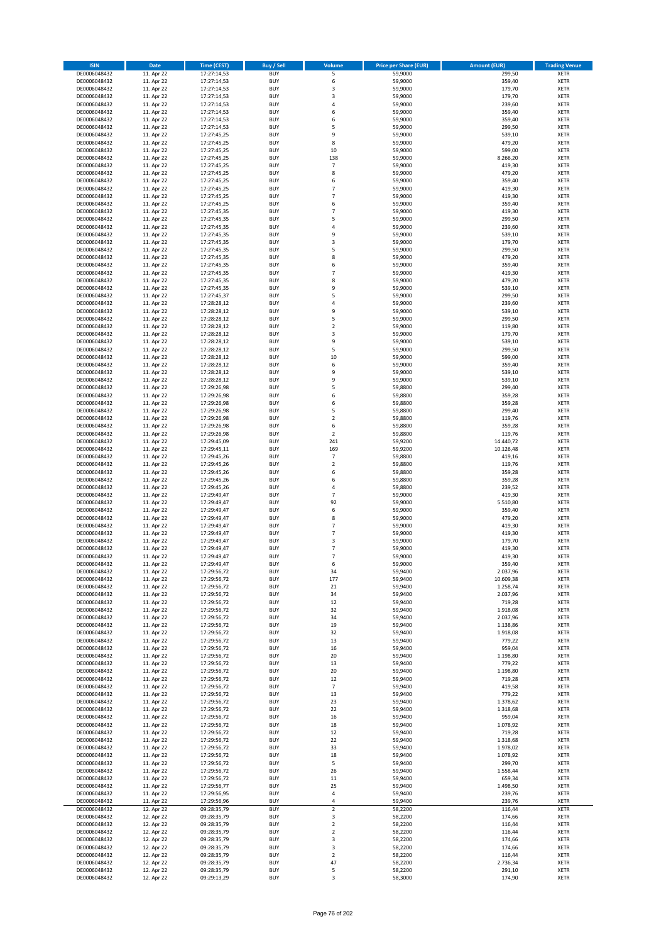| <b>ISIN</b>                  | Date                     | <b>Time (CEST)</b>         | <b>Buy / Sell</b>        | <b>Volume</b>                 | <b>Price per Share (EUR)</b> | <b>Amount (EUR)</b>   | <b>Trading Venue</b>       |
|------------------------------|--------------------------|----------------------------|--------------------------|-------------------------------|------------------------------|-----------------------|----------------------------|
| DE0006048432                 | 11. Apr 22               | 17:27:14,53                | <b>BUY</b>               | $\overline{\mathsf{s}}$       | 59,9000                      | 299,50                | <b>XETR</b>                |
| DE0006048432                 | 11. Apr 22               | 17:27:14,53                | <b>BUY</b>               | 6                             | 59,9000                      | 359,40                | <b>XETR</b>                |
| DE0006048432                 | 11. Apr 22               | 17:27:14,53                | <b>BUY</b>               | 3                             | 59,9000                      | 179,70                | <b>XETR</b>                |
| DE0006048432                 | 11. Apr 22               | 17:27:14,53                | <b>BUY</b>               | 3                             | 59,9000                      | 179,70                | <b>XETR</b>                |
| DE0006048432<br>DE0006048432 | 11. Apr 22<br>11. Apr 22 | 17:27:14,53<br>17:27:14,53 | <b>BUY</b><br><b>BUY</b> | 4<br>6                        | 59,9000<br>59,9000           | 239,60<br>359,40      | <b>XETR</b><br><b>XETR</b> |
| DE0006048432                 | 11. Apr 22               | 17:27:14,53                | <b>BUY</b>               | 6                             | 59,9000                      | 359,40                | <b>XETR</b>                |
| DE0006048432                 | 11. Apr 22               | 17:27:14,53                | <b>BUY</b>               | 5                             | 59,9000                      | 299,50                | <b>XETR</b>                |
| DE0006048432                 | 11. Apr 22               | 17:27:45,25                | <b>BUY</b>               | 9                             | 59,9000                      | 539,10                | <b>XETR</b>                |
| DE0006048432                 | 11. Apr 22               | 17:27:45,25                | <b>BUY</b>               | 8                             | 59,9000                      | 479,20                | <b>XETR</b>                |
| DE0006048432                 | 11. Apr 22               | 17:27:45,25                | <b>BUY</b>               | 10                            | 59,9000                      | 599,00                | <b>XETR</b>                |
| DE0006048432                 | 11. Apr 22               | 17:27:45,25                | <b>BUY</b>               | 138                           | 59,9000                      | 8.266,20              | <b>XETR</b>                |
| DE0006048432<br>DE0006048432 | 11. Apr 22<br>11. Apr 22 | 17:27:45,25                | <b>BUY</b><br><b>BUY</b> | $\overline{7}$<br>8           | 59,9000<br>59,9000           | 419,30<br>479,20      | <b>XETR</b><br><b>XETR</b> |
| DE0006048432                 | 11. Apr 22               | 17:27:45,25<br>17:27:45,25 | <b>BUY</b>               | 6                             | 59,9000                      | 359,40                | <b>XETR</b>                |
| DE0006048432                 | 11. Apr 22               | 17:27:45,25                | <b>BUY</b>               | $\overline{7}$                | 59,9000                      | 419,30                | <b>XETR</b>                |
| DE0006048432                 | 11. Apr 22               | 17:27:45,25                | <b>BUY</b>               | $\overline{7}$                | 59,9000                      | 419,30                | <b>XETR</b>                |
| DE0006048432                 | 11. Apr 22               | 17:27:45,25                | <b>BUY</b>               | 6                             | 59,9000                      | 359,40                | <b>XETR</b>                |
| DE0006048432                 | 11. Apr 22               | 17:27:45,35                | <b>BUY</b>               | $\overline{7}$                | 59,9000                      | 419,30                | <b>XETR</b>                |
| DE0006048432                 | 11. Apr 22               | 17:27:45,35                | <b>BUY</b>               | 5                             | 59,9000                      | 299,50                | <b>XETR</b>                |
| DE0006048432                 | 11. Apr 22               | 17:27:45,35                | <b>BUY</b>               | 4                             | 59,9000                      | 239,60                | <b>XETR</b>                |
| DE0006048432                 | 11. Apr 22<br>11. Apr 22 | 17:27:45,35                | <b>BUY</b><br><b>BUY</b> | 9<br>3                        | 59,9000                      | 539,10<br>179,70      | <b>XETR</b><br><b>XETR</b> |
| DE0006048432<br>DE0006048432 | 11. Apr 22               | 17:27:45,35<br>17:27:45,35 | <b>BUY</b>               | 5                             | 59,9000<br>59,9000           | 299,50                | <b>XETR</b>                |
| DE0006048432                 | 11. Apr 22               | 17:27:45,35                | <b>BUY</b>               | 8                             | 59,9000                      | 479,20                | <b>XETR</b>                |
| DE0006048432                 | 11. Apr 22               | 17:27:45,35                | <b>BUY</b>               | 6                             | 59,9000                      | 359,40                | <b>XETR</b>                |
| DE0006048432                 | 11. Apr 22               | 17:27:45,35                | <b>BUY</b>               | $\overline{7}$                | 59,9000                      | 419,30                | <b>XETR</b>                |
| DE0006048432                 | 11. Apr 22               | 17:27:45,35                | <b>BUY</b>               | 8                             | 59,9000                      | 479,20                | <b>XETR</b>                |
| DE0006048432                 | 11. Apr 22               | 17:27:45,35                | <b>BUY</b>               | 9                             | 59,9000                      | 539,10                | <b>XETR</b>                |
| DE0006048432                 | 11. Apr 22               | 17:27:45,37                | <b>BUY</b>               | 5                             | 59,9000                      | 299,50                | <b>XETR</b>                |
| DE0006048432<br>DE0006048432 | 11. Apr 22<br>11. Apr 22 | 17:28:28,12<br>17:28:28,12 | <b>BUY</b><br><b>BUY</b> | 4<br>9                        | 59,9000<br>59,9000           | 239,60<br>539,10      | <b>XETR</b><br><b>XETR</b> |
| DE0006048432                 | 11. Apr 22               | 17:28:28,12                | <b>BUY</b>               | 5                             | 59,9000                      | 299,50                | <b>XETR</b>                |
| DE0006048432                 | 11. Apr 22               | 17:28:28,12                | <b>BUY</b>               | $\mathbf 2$                   | 59,9000                      | 119,80                | <b>XETR</b>                |
| DE0006048432                 | 11. Apr 22               | 17:28:28,12                | <b>BUY</b>               | 3                             | 59,9000                      | 179,70                | <b>XETR</b>                |
| DE0006048432                 | 11. Apr 22               | 17:28:28,12                | <b>BUY</b>               | 9                             | 59,9000                      | 539,10                | <b>XETR</b>                |
| DE0006048432                 | 11. Apr 22               | 17:28:28,12                | <b>BUY</b>               | 5                             | 59,9000                      | 299,50                | <b>XETR</b>                |
| DE0006048432                 | 11. Apr 22               | 17:28:28,12                | <b>BUY</b>               | 10                            | 59,9000                      | 599,00                | <b>XETR</b>                |
| DE0006048432                 | 11. Apr 22               | 17:28:28,12                | <b>BUY</b>               | 6                             | 59,9000                      | 359,40                | <b>XETR</b>                |
| DE0006048432                 | 11. Apr 22               | 17:28:28,12<br>17:28:28,12 | <b>BUY</b>               | 9<br>9                        | 59,9000                      | 539,10                | <b>XETR</b>                |
| DE0006048432<br>DE0006048432 | 11. Apr 22<br>11. Apr 22 | 17:29:26,98                | <b>BUY</b><br><b>BUY</b> | 5                             | 59,9000<br>59,8800           | 539,10<br>299,40      | <b>XETR</b><br><b>XETR</b> |
| DE0006048432                 | 11. Apr 22               | 17:29:26,98                | <b>BUY</b>               | 6                             | 59,8800                      | 359,28                | <b>XETR</b>                |
| DE0006048432                 | 11. Apr 22               | 17:29:26,98                | <b>BUY</b>               | 6                             | 59,8800                      | 359,28                | <b>XETR</b>                |
| DE0006048432                 | 11. Apr 22               | 17:29:26,98                | <b>BUY</b>               | 5                             | 59,8800                      | 299,40                | <b>XETR</b>                |
| DE0006048432                 | 11. Apr 22               | 17:29:26,98                | <b>BUY</b>               | $\mathbf 2$                   | 59,8800                      | 119,76                | <b>XETR</b>                |
| DE0006048432                 | 11. Apr 22               | 17:29:26,98                | <b>BUY</b>               | 6                             | 59,8800                      | 359,28                | <b>XETR</b>                |
| DE0006048432                 | 11. Apr 22               | 17:29:26,98                | <b>BUY</b>               | 2                             | 59,8800                      | 119,76                | <b>XETR</b>                |
| DE0006048432                 | 11. Apr 22               | 17:29:45,09                | <b>BUY</b>               | 241                           | 59,9200                      | 14.440,72             | <b>XETR</b>                |
| DE0006048432<br>DE0006048432 | 11. Apr 22<br>11. Apr 22 | 17:29:45,11<br>17:29:45,26 | <b>BUY</b><br><b>BUY</b> | 169<br>$\overline{7}$         | 59,9200<br>59,8800           | 10.126,48<br>419,16   | <b>XETR</b><br><b>XETR</b> |
| DE0006048432                 | 11. Apr 22               | 17:29:45,26                | <b>BUY</b>               | $\overline{\mathbf{c}}$       | 59,8800                      | 119,76                | <b>XETR</b>                |
| DE0006048432                 | 11. Apr 22               | 17:29:45,26                | <b>BUY</b>               | 6                             | 59,8800                      | 359,28                | <b>XETR</b>                |
| DE0006048432                 | 11. Apr 22               | 17:29:45,26                | <b>BUY</b>               | 6                             | 59,8800                      | 359,28                | <b>XETR</b>                |
| DE0006048432                 | 11. Apr 22               | 17:29:45,26                | <b>BUY</b>               | 4                             | 59,8800                      | 239,52                | <b>XETR</b>                |
| DE0006048432                 | 11. Apr 22               | 17:29:49,47                | <b>BUY</b>               | $\overline{7}$                | 59,9000                      | 419,30                | <b>XETR</b>                |
| DE0006048432                 | 11. Apr 22               | 17:29:49,47                | <b>BUY</b>               | 92                            | 59,9000                      | 5.510,80              | <b>XETR</b>                |
| DE0006048432                 | 11. Apr 22               | 17:29:49,47                | <b>BUY</b>               | 6                             | 59,9000                      | 359,40                | <b>XETR</b>                |
| DE0006048432                 | 11. Apr 22<br>11. Apr 22 | 17:29:49,47                | <b>BUY</b><br><b>BUY</b> | 8<br>$\overline{7}$           | 59,9000<br>59,9000           | 479,20<br>419,30      | <b>XETR</b><br><b>XETR</b> |
| DE0006048432<br>DE0006048432 | 11. Apr 22               | 17:29:49,47<br>17:29:49,47 | <b>BUY</b>               | $\overline{7}$                | 59,9000                      | 419,30                | <b>XETR</b>                |
| DE0006048432                 | 11. Apr 22               | 17:29:49,47                | <b>BUY</b>               | 3                             | 59,9000                      | 179,70                | <b>XETR</b>                |
| DE0006048432                 | 11. Apr 22               | 17:29:49,47                | <b>BUY</b>               | $\overline{7}$                | 59,9000                      | 419,30                | <b>XETR</b>                |
| DE0006048432                 | 11. Apr 22               | 17:29:49,47                | <b>BUY</b>               | $\overline{7}$                | 59,9000                      | 419,30                | <b>XETR</b>                |
| DE0006048432                 | 11. Apr 22               | 17:29:49,47                | <b>BUY</b>               | 6                             | 59,9000                      | 359,40                | <b>XETR</b>                |
| DE0006048432                 | 11. Apr 22               | 17:29:56,72                | <b>BUY</b>               | 34                            | 59,9400                      | 2.037,96              | <b>XETR</b>                |
| DE0006048432<br>DE0006048432 | 11. Apr 22<br>11. Apr 22 | 17:29:56,72<br>17:29:56,72 | <b>BUY</b><br><b>BUY</b> | 177<br>21                     | 59,9400<br>59.9400           | 10.609,38<br>1.258,74 | <b>XETR</b><br><b>XETR</b> |
| DE0006048432                 | 11. Apr 22               | 17:29:56,72                | <b>BUY</b>               | 34                            | 59,9400                      | 2.037,96              | <b>XETR</b>                |
| DE0006048432                 | 11. Apr 22               | 17:29:56,72                | <b>BUY</b>               | 12                            | 59,9400                      | 719,28                | <b>XETR</b>                |
| DE0006048432                 | 11. Apr 22               | 17:29:56,72                | <b>BUY</b>               | 32                            | 59,9400                      | 1.918,08              | <b>XETR</b>                |
| DE0006048432                 | 11. Apr 22               | 17:29:56,72                | <b>BUY</b>               | 34                            | 59,9400                      | 2.037,96              | <b>XETR</b>                |
| DE0006048432                 | 11. Apr 22               | 17:29:56,72                | <b>BUY</b>               | 19                            | 59,9400                      | 1.138,86              | <b>XETR</b>                |
| DE0006048432<br>DE0006048432 | 11. Apr 22<br>11. Apr 22 | 17:29:56,72<br>17:29:56,72 | <b>BUY</b><br><b>BUY</b> | 32<br>13                      | 59,9400<br>59,9400           | 1.918,08<br>779,22    | <b>XETR</b><br><b>XETR</b> |
| DE0006048432                 | 11. Apr 22               | 17:29:56,72                | <b>BUY</b>               | 16                            | 59,9400                      | 959,04                | <b>XETR</b>                |
| DE0006048432                 | 11. Apr 22               | 17:29:56,72                | <b>BUY</b>               | 20                            | 59,9400                      | 1.198,80              | <b>XETR</b>                |
| DE0006048432                 | 11. Apr 22               | 17:29:56,72                | <b>BUY</b>               | 13                            | 59,9400                      | 779,22                | <b>XETR</b>                |
| DE0006048432                 | 11. Apr 22               | 17:29:56,72                | <b>BUY</b>               | 20                            | 59,9400                      | 1.198,80              | <b>XETR</b>                |
| DE0006048432                 | 11. Apr 22               | 17:29:56,72                | <b>BUY</b>               | 12                            | 59,9400                      | 719,28                | <b>XETR</b>                |
| DE0006048432                 | 11. Apr 22               | 17:29:56,72                | <b>BUY</b>               | $\overline{7}$                | 59,9400                      | 419,58                | <b>XETR</b>                |
| DE0006048432<br>DE0006048432 | 11. Apr 22<br>11. Apr 22 | 17:29:56,72<br>17:29:56,72 | <b>BUY</b><br><b>BUY</b> | 13<br>23                      | 59,9400<br>59,9400           | 779,22<br>1.378,62    | <b>XETR</b><br><b>XETR</b> |
| DE0006048432                 | 11. Apr 22               | 17:29:56,72                | <b>BUY</b>               | 22                            | 59,9400                      | 1.318,68              | <b>XETR</b>                |
| DE0006048432                 | 11. Apr 22               | 17:29:56,72                | <b>BUY</b>               | 16                            | 59,9400                      | 959,04                | <b>XETR</b>                |
| DE0006048432                 | 11. Apr 22               | 17:29:56,72                | <b>BUY</b>               | 18                            | 59,9400                      | 1.078,92              | <b>XETR</b>                |
| DE0006048432                 | 11. Apr 22               | 17:29:56,72                | <b>BUY</b>               | 12                            | 59,9400                      | 719,28                | <b>XETR</b>                |
| DE0006048432                 | 11. Apr 22               | 17:29:56,72                | <b>BUY</b>               | 22                            | 59,9400                      | 1.318,68              | <b>XETR</b>                |
| DE0006048432                 | 11. Apr 22               | 17:29:56,72                | <b>BUY</b>               | 33                            | 59,9400                      | 1.978,02              | <b>XETR</b>                |
| DE0006048432                 | 11. Apr 22               | 17:29:56,72                | <b>BUY</b>               | 18                            | 59,9400                      | 1.078,92              | <b>XETR</b>                |
| DE0006048432<br>DE0006048432 | 11. Apr 22<br>11. Apr 22 | 17:29:56,72<br>17:29:56,72 | <b>BUY</b><br><b>BUY</b> | 5<br>26                       | 59,9400<br>59,9400           | 299,70<br>1.558,44    | <b>XETR</b><br><b>XETR</b> |
| DE0006048432                 | 11. Apr 22               | 17:29:56,72                | <b>BUY</b>               | 11                            | 59,9400                      | 659,34                | <b>XETR</b>                |
| DE0006048432                 | 11. Apr 22               | 17:29:56,77                | <b>BUY</b>               | 25                            | 59,9400                      | 1.498,50              | <b>XETR</b>                |
| DE0006048432                 | 11. Apr 22               | 17:29:56,95                | <b>BUY</b>               | 4                             | 59,9400                      | 239,76                | <b>XETR</b>                |
| DE0006048432                 | 11. Apr 22               | 17:29:56,96                | <b>BUY</b>               | 4                             | 59,9400                      | 239,76                | <b>XETR</b>                |
| DE0006048432                 | 12. Apr 22               | 09:28:35,79                | <b>BUY</b>               | $\overline{\mathbf{2}}$       | 58,2200                      | 116,44                | <b>XETR</b>                |
| DE0006048432                 | 12. Apr 22               | 09:28:35,79                | <b>BUY</b>               | 3                             | 58,2200                      | 174,66                | <b>XETR</b>                |
| DE0006048432                 | 12. Apr 22               | 09:28:35,79                | <b>BUY</b><br><b>BUY</b> | $\mathbf 2$<br>$\overline{2}$ | 58,2200                      | 116,44                | <b>XETR</b><br><b>XETR</b> |
| DE0006048432<br>DE0006048432 | 12. Apr 22<br>12. Apr 22 | 09:28:35,79<br>09:28:35,79 | <b>BUY</b>               | 3                             | 58,2200<br>58,2200           | 116,44<br>174,66      | <b>XETR</b>                |
| DE0006048432                 | 12. Apr 22               | 09:28:35,79                | <b>BUY</b>               | 3                             | 58,2200                      | 174,66                | <b>XETR</b>                |
| DE0006048432                 | 12. Apr 22               | 09:28:35,79                | <b>BUY</b>               | $\mathbf 2$                   | 58,2200                      | 116,44                | XETR                       |
| DE0006048432                 | 12. Apr 22               | 09:28:35,79                | <b>BUY</b>               | 47                            | 58,2200                      | 2.736,34              | <b>XETR</b>                |
| DE0006048432                 | 12. Apr 22               | 09:28:35,79                | <b>BUY</b>               | 5                             | 58,2200                      | 291,10                | <b>XETR</b>                |
| DE0006048432                 | 12. Apr 22               | 09:29:13,29                | <b>BUY</b>               | 3                             | 58,3000                      | 174,90                | <b>XETR</b>                |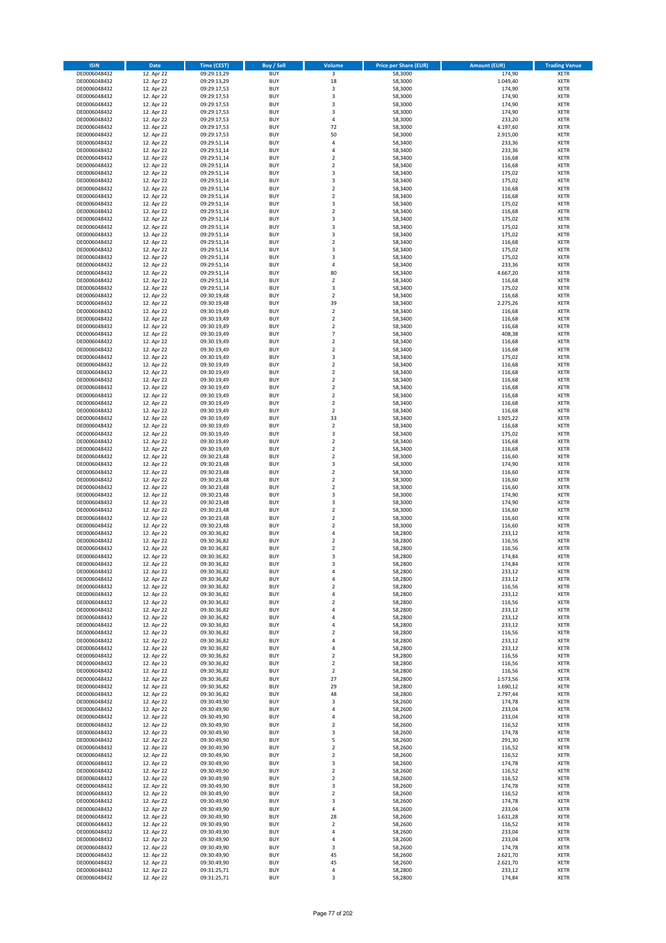| <b>ISIN</b>                  | Date                     | <b>Time (CEST)</b>         | <b>Buy / Sell</b>        | <b>Volume</b>                              | <b>Price per Share (EUR)</b> | <b>Amount (EUR)</b>  | <b>Trading Venue</b>       |
|------------------------------|--------------------------|----------------------------|--------------------------|--------------------------------------------|------------------------------|----------------------|----------------------------|
| DE0006048432                 | 12. Apr 22               | 09:29:13,29                | <b>BUY</b>               | $\overline{\mathbf{3}}$                    | 58,3000                      | 174,90               | <b>XETR</b>                |
| DE0006048432<br>DE0006048432 | 12. Apr 22               | 09:29:13,29                | <b>BUY</b>               | 18                                         | 58,3000                      | 1.049,40             | XETR                       |
| DE0006048432                 | 12. Apr 22<br>12. Apr 22 | 09:29:17,53<br>09:29:17,53 | <b>BUY</b><br><b>BUY</b> | $\mathsf 3$<br>3                           | 58,3000<br>58,3000           | 174,90<br>174,90     | XETR<br><b>XETR</b>        |
| DE0006048432                 | 12. Apr 22               | 09:29:17,53                | <b>BUY</b>               | 3                                          | 58,3000                      | 174,90               | <b>XETR</b>                |
| DE0006048432                 | 12. Apr 22               | 09:29:17,53                | <b>BUY</b>               | 3                                          | 58,3000                      | 174,90               | <b>XETR</b>                |
| DE0006048432                 | 12. Apr 22               | 09:29:17,53                | <b>BUY</b>               | $\pmb{4}$                                  | 58,3000                      | 233,20               | <b>XETR</b>                |
| DE0006048432<br>DE0006048432 | 12. Apr 22<br>12. Apr 22 | 09:29:17,53<br>09:29:17,53 | <b>BUY</b><br><b>BUY</b> | 72<br>50                                   | 58,3000<br>58,3000           | 4.197,60<br>2.915,00 | <b>XETR</b><br><b>XETR</b> |
| DE0006048432                 | 12. Apr 22               | 09:29:51,14                | <b>BUY</b>               | 4                                          | 58,3400                      | 233,36               | <b>XETR</b>                |
| DE0006048432                 | 12. Apr 22               | 09:29:51,14                | <b>BUY</b>               | $\overline{4}$                             | 58,3400                      | 233,36               | <b>XETR</b>                |
| DE0006048432                 | 12. Apr 22               | 09:29:51,14                | <b>BUY</b>               | $\mathbf 2$                                | 58,3400                      | 116,68               | <b>XETR</b>                |
| DE0006048432                 | 12. Apr 22               | 09:29:51,14                | <b>BUY</b><br><b>BUY</b> | $\mathbf 2$<br>3                           | 58,3400                      | 116,68<br>175,02     | <b>XETR</b>                |
| DE0006048432<br>DE0006048432 | 12. Apr 22<br>12. Apr 22 | 09:29:51,14<br>09:29:51,14 | <b>BUY</b>               | 3                                          | 58,3400<br>58,3400           | 175,02               | <b>XETR</b><br><b>XETR</b> |
| DE0006048432                 | 12. Apr 22               | 09:29:51,14                | <b>BUY</b>               | $\mathbf 2$                                | 58,3400                      | 116,68               | <b>XETR</b>                |
| DE0006048432                 | 12. Apr 22               | 09:29:51,14                | <b>BUY</b>               | $\overline{2}$                             | 58,3400                      | 116,68               | <b>XETR</b>                |
| DE0006048432                 | 12. Apr 22               | 09:29:51,14                | <b>BUY</b>               | $\overline{\mathbf{3}}$                    | 58,3400                      | 175,02               | <b>XETR</b>                |
| DE0006048432<br>DE0006048432 | 12. Apr 22<br>12. Apr 22 | 09:29:51,14<br>09:29:51,14 | <b>BUY</b><br><b>BUY</b> | $\mathbf 2$<br>3                           | 58,3400<br>58,3400           | 116,68<br>175,02     | <b>XETR</b><br><b>XETR</b> |
| DE0006048432                 | 12. Apr 22               | 09:29:51,14                | <b>BUY</b>               | 3                                          | 58,3400                      | 175,02               | <b>XETR</b>                |
| DE0006048432                 | 12. Apr 22               | 09:29:51,14                | <b>BUY</b>               | 3                                          | 58,3400                      | 175,02               | <b>XETR</b>                |
| DE0006048432                 | 12. Apr 22               | 09:29:51,14                | <b>BUY</b>               | $\mathbf 2$                                | 58,3400                      | 116,68               | <b>XETR</b>                |
| DE0006048432                 | 12. Apr 22               | 09:29:51,14                | <b>BUY</b><br><b>BUY</b> | 3<br>3                                     | 58,3400                      | 175,02<br>175,02     | <b>XETR</b><br><b>XETR</b> |
| DE0006048432<br>DE0006048432 | 12. Apr 22<br>12. Apr 22 | 09:29:51,14<br>09:29:51,14 | <b>BUY</b>               | $\pmb{4}$                                  | 58,3400<br>58,3400           | 233,36               | <b>XETR</b>                |
| DE0006048432                 | 12. Apr 22               | 09:29:51,14                | <b>BUY</b>               | 80                                         | 58,3400                      | 4.667,20             | <b>XETR</b>                |
| DE0006048432                 | 12. Apr 22               | 09:29:51,14                | <b>BUY</b>               | $\mathbf 2$                                | 58,3400                      | 116,68               | <b>XETR</b>                |
| DE0006048432                 | 12. Apr 22               | 09:29:51,14                | <b>BUY</b>               | 3                                          | 58,3400                      | 175,02               | <b>XETR</b>                |
| DE0006048432<br>DE0006048432 | 12. Apr 22<br>12. Apr 22 | 09:30:19,48<br>09:30:19,48 | <b>BUY</b><br><b>BUY</b> | $\mathbf 2$<br>39                          | 58,3400<br>58,3400           | 116,68<br>2.275,26   | <b>XETR</b><br><b>XETR</b> |
| DE0006048432                 | 12. Apr 22               | 09:30:19,49                | <b>BUY</b>               | $\mathbf 2$                                | 58,3400                      | 116,68               | <b>XETR</b>                |
| DE0006048432                 | 12. Apr 22               | 09:30:19,49                | <b>BUY</b>               | $\mathbf 2$                                | 58,3400                      | 116,68               | <b>XETR</b>                |
| DE0006048432                 | 12. Apr 22               | 09:30:19,49                | <b>BUY</b>               | $\mathbf 2$                                | 58,3400                      | 116,68               | <b>XETR</b>                |
| DE0006048432                 | 12. Apr 22               | 09:30:19,49                | <b>BUY</b><br><b>BUY</b> | $\overline{\phantom{a}}$<br>$\overline{2}$ | 58,3400                      | 408,38               | <b>XETR</b><br><b>XETR</b> |
| DE0006048432<br>DE0006048432 | 12. Apr 22<br>12. Apr 22 | 09:30:19,49<br>09:30:19,49 | <b>BUY</b>               | $\mathbf 2$                                | 58,3400<br>58,3400           | 116,68<br>116,68     | <b>XETR</b>                |
| DE0006048432                 | 12. Apr 22               | 09:30:19,49                | <b>BUY</b>               | 3                                          | 58,3400                      | 175,02               | <b>XETR</b>                |
| DE0006048432                 | 12. Apr 22               | 09:30:19,49                | <b>BUY</b>               | $\mathbf 2$                                | 58,3400                      | 116,68               | <b>XETR</b>                |
| DE0006048432                 | 12. Apr 22               | 09:30:19,49                | <b>BUY</b>               | $\mathbf 2$                                | 58,3400                      | 116,68               | <b>XETR</b>                |
| DE0006048432<br>DE0006048432 | 12. Apr 22<br>12. Apr 22 | 09:30:19,49<br>09:30:19,49 | <b>BUY</b><br><b>BUY</b> | $\mathbf 2$<br>$\overline{2}$              | 58,3400<br>58,3400           | 116,68<br>116,68     | <b>XETR</b><br><b>XETR</b> |
| DE0006048432                 | 12. Apr 22               | 09:30:19,49                | <b>BUY</b>               | $\overline{2}$                             | 58,3400                      | 116,68               | <b>XETR</b>                |
| DE0006048432                 | 12. Apr 22               | 09:30:19,49                | <b>BUY</b>               | $\mathbf 2$                                | 58,3400                      | 116,68               | <b>XETR</b>                |
| DE0006048432                 | 12. Apr 22               | 09:30:19,49                | <b>BUY</b>               | $\overline{2}$                             | 58,3400                      | 116,68               | <b>XETR</b>                |
| DE0006048432                 | 12. Apr 22               | 09:30:19,49                | <b>BUY</b>               | 33                                         | 58,3400                      | 1.925,22             | <b>XETR</b>                |
| DE0006048432<br>DE0006048432 | 12. Apr 22<br>12. Apr 22 | 09:30:19,49<br>09:30:19,49 | <b>BUY</b><br><b>BUY</b> | $\mathbf 2$<br>$\mathsf 3$                 | 58,3400<br>58,3400           | 116,68<br>175,02     | <b>XETR</b><br><b>XETR</b> |
| DE0006048432                 | 12. Apr 22               | 09:30:19,49                | <b>BUY</b>               | $\overline{2}$                             | 58,3400                      | 116,68               | <b>XETR</b>                |
| DE0006048432                 | 12. Apr 22               | 09:30:19,49                | <b>BUY</b>               | $\mathbf 2$                                | 58,3400                      | 116,68               | <b>XETR</b>                |
| DE0006048432                 | 12. Apr 22               | 09:30:23,48                | <b>BUY</b>               | $\mathbf 2$                                | 58,3000                      | 116,60               | <b>XETR</b>                |
| DE0006048432<br>DE0006048432 | 12. Apr 22<br>12. Apr 22 | 09:30:23,48<br>09:30:23,48 | <b>BUY</b><br><b>BUY</b> | 3<br>$\mathbf 2$                           | 58,3000<br>58,3000           | 174,90<br>116,60     | <b>XETR</b><br><b>XETR</b> |
| DE0006048432                 | 12. Apr 22               | 09:30:23,48                | <b>BUY</b>               | $\mathbf 2$                                | 58,3000                      | 116,60               | <b>XETR</b>                |
| DE0006048432                 | 12. Apr 22               | 09:30:23,48                | <b>BUY</b>               | $\mathbf 2$                                | 58,3000                      | 116,60               | <b>XETR</b>                |
| DE0006048432                 | 12. Apr 22               | 09:30:23,48                | <b>BUY</b>               | 3                                          | 58,3000                      | 174,90               | <b>XETR</b>                |
| DE0006048432                 | 12. Apr 22               | 09:30:23,48                | <b>BUY</b>               | 3                                          | 58,3000                      | 174,90               | <b>XETR</b>                |
| DE0006048432<br>DE0006048432 | 12. Apr 22<br>12. Apr 22 | 09:30:23,48<br>09:30:23,48 | <b>BUY</b><br><b>BUY</b> | $\mathbf 2$<br>$\overline{2}$              | 58,3000<br>58,3000           | 116,60<br>116,60     | <b>XETR</b><br><b>XETR</b> |
| DE0006048432                 | 12. Apr 22               | 09:30:23,48                | <b>BUY</b>               | $\mathbf 2$                                | 58,3000                      | 116,60               | <b>XETR</b>                |
| DE0006048432                 | 12. Apr 22               | 09:30:36,82                | <b>BUY</b>               | $\overline{4}$                             | 58,2800                      | 233,12               | <b>XETR</b>                |
| DE0006048432                 | 12. Apr 22               | 09:30:36,82                | <b>BUY</b>               | $\mathbf 2$                                | 58,2800                      | 116,56               | <b>XETR</b>                |
| DE0006048432<br>DE0006048432 | 12. Apr 22<br>12. Apr 22 | 09:30:36,82<br>09:30:36,82 | <b>BUY</b><br><b>BUY</b> | $\overline{2}$<br>3                        | 58,2800<br>58,2800           | 116,56<br>174,84     | <b>XETR</b><br><b>XETR</b> |
| DE0006048432                 | 12. Apr 22               | 09:30:36,82                | <b>BUY</b>               | 3                                          | 58,2800                      | 174,84               | <b>XETR</b>                |
| DE0006048432                 | 12. Apr 22               | 09:30:36,82                | <b>BUY</b>               | 4                                          | 58,2800                      | 233,12               | <b>XETR</b>                |
| DE0006048432                 | 12. Apr 22               | 09:30:36,82                | <b>BUY</b>               | 4                                          | 58,2800                      | 233,12               | XETR                       |
| DE0006048432<br>DE0006048432 | 12. Apr 22<br>12. Apr 22 | 09:30:36,82<br>09:30:36,82 | <b>BUY</b><br><b>BUY</b> | $\mathbf 2$<br>4                           | 58,2800<br>58,2800           | 116,56<br>233,12     | <b>XETR</b><br><b>XETR</b> |
| DE0006048432                 | 12. Apr 22               | 09:30:36,82                | <b>BUY</b>               | $\overline{2}$                             | 58,2800                      | 116,56               | <b>XETR</b>                |
| DE0006048432                 | 12. Apr 22               | 09:30:36,82                | <b>BUY</b>               | 4                                          | 58,2800                      | 233,12               | <b>XETR</b>                |
| DE0006048432                 | 12. Apr 22               | 09:30:36,82                | <b>BUY</b>               | $\overline{4}$                             | 58,2800                      | 233,12               | <b>XETR</b>                |
| DE0006048432                 | 12. Apr 22               | 09:30:36,82                | <b>BUY</b>               | 4                                          | 58,2800                      | 233,12               | <b>XETR</b>                |
| DE0006048432<br>DE0006048432 | 12. Apr 22<br>12. Apr 22 | 09:30:36,82<br>09:30:36,82 | <b>BUY</b><br><b>BUY</b> | $\overline{2}$<br>4                        | 58,2800<br>58,2800           | 116,56<br>233,12     | <b>XETR</b><br><b>XETR</b> |
| DE0006048432                 | 12. Apr 22               | 09:30:36,82                | <b>BUY</b>               | $\pmb{4}$                                  | 58,2800                      | 233,12               | <b>XETR</b>                |
| DE0006048432                 | 12. Apr 22               | 09:30:36,82                | <b>BUY</b>               | $\overline{2}$                             | 58,2800                      | 116,56               | <b>XETR</b>                |
| DE0006048432                 | 12. Apr 22               | 09:30:36,82                | <b>BUY</b><br><b>BUY</b> | $\overline{2}$                             | 58,2800                      | 116,56               | <b>XETR</b>                |
| DE0006048432<br>DE0006048432 | 12. Apr 22<br>12. Apr 22 | 09:30:36,82<br>09:30:36,82 | <b>BUY</b>               | $\overline{2}$<br>27                       | 58,2800<br>58,2800           | 116,56<br>1.573,56   | <b>XETR</b><br><b>XETR</b> |
| DE0006048432                 | 12. Apr 22               | 09:30:36,82                | <b>BUY</b>               | 29                                         | 58,2800                      | 1.690,12             | <b>XETR</b>                |
| DE0006048432                 | 12. Apr 22               | 09:30:36,82                | <b>BUY</b>               | 48                                         | 58,2800                      | 2.797,44             | <b>XETR</b>                |
| DE0006048432                 | 12. Apr 22               | 09:30:49,90                | <b>BUY</b>               | 3                                          | 58,2600                      | 174,78               | <b>XETR</b>                |
| DE0006048432<br>DE0006048432 | 12. Apr 22<br>12. Apr 22 | 09:30:49,90<br>09:30:49,90 | <b>BUY</b><br><b>BUY</b> | $\overline{4}$<br>4                        | 58,2600<br>58,2600           | 233,04<br>233,04     | <b>XETR</b><br><b>XETR</b> |
| DE0006048432                 | 12. Apr 22               | 09:30:49,90                | <b>BUY</b>               | $\overline{2}$                             | 58,2600                      | 116,52               | <b>XETR</b>                |
| DE0006048432                 | 12. Apr 22               | 09:30:49,90                | <b>BUY</b>               | 3                                          | 58,2600                      | 174,78               | <b>XETR</b>                |
| DE0006048432                 | 12. Apr 22               | 09:30:49,90                | <b>BUY</b>               | 5                                          | 58,2600                      | 291,30               | <b>XETR</b>                |
| DE0006048432<br>DE0006048432 | 12. Apr 22<br>12. Apr 22 | 09:30:49,90<br>09:30:49,90 | <b>BUY</b><br><b>BUY</b> | $\mathbf 2$<br>$\mathbf 2$                 | 58,2600<br>58,2600           | 116,52<br>116,52     | <b>XETR</b><br><b>XETR</b> |
| DE0006048432                 | 12. Apr 22               | 09:30:49,90                | <b>BUY</b>               | 3                                          | 58,2600                      | 174,78               | <b>XETR</b>                |
| DE0006048432                 | 12. Apr 22               | 09:30:49,90                | <b>BUY</b>               | $\mathbf 2$                                | 58,2600                      | 116,52               | <b>XETR</b>                |
| DE0006048432                 | 12. Apr 22               | 09:30:49,90                | <b>BUY</b>               | $\overline{2}$                             | 58,2600                      | 116,52               | <b>XETR</b>                |
| DE0006048432                 | 12. Apr 22               | 09:30:49,90                | <b>BUY</b>               | 3                                          | 58,2600                      | 174,78               | XETR                       |
| DE0006048432<br>DE0006048432 | 12. Apr 22<br>12. Apr 22 | 09:30:49,90<br>09:30:49,90 | <b>BUY</b><br><b>BUY</b> | $\overline{2}$<br>3                        | 58,2600<br>58,2600           | 116,52<br>174,78     | <b>XETR</b><br><b>XETR</b> |
| DE0006048432                 | 12. Apr 22               | 09:30:49,90                | <b>BUY</b>               | $\pmb{4}$                                  | 58,2600                      | 233,04               | <b>XETR</b>                |
| DE0006048432                 | 12. Apr 22               | 09:30:49,90                | <b>BUY</b>               | 28                                         | 58,2600                      | 1.631,28             | <b>XETR</b>                |
| DE0006048432                 | 12. Apr 22               | 09:30:49,90                | <b>BUY</b>               | $\overline{2}$                             | 58,2600                      | 116,52               | <b>XETR</b>                |
| DE0006048432<br>DE0006048432 | 12. Apr 22<br>12. Apr 22 | 09:30:49,90<br>09:30:49,90 | <b>BUY</b><br><b>BUY</b> | $\overline{4}$<br>4                        | 58,2600<br>58,2600           | 233,04<br>233,04     | <b>XETR</b><br><b>XETR</b> |
| DE0006048432                 | 12. Apr 22               | 09:30:49,90                | <b>BUY</b>               | 3                                          | 58,2600                      | 174,78               | <b>XETR</b>                |
| DE0006048432                 | 12. Apr 22               | 09:30:49,90                | <b>BUY</b>               | 45                                         | 58,2600                      | 2.621,70             | XETR                       |
| DE0006048432                 | 12. Apr 22               | 09:30:49,90                | <b>BUY</b>               | 45                                         | 58,2600                      | 2.621,70             | <b>XETR</b>                |
| DE0006048432<br>DE0006048432 | 12. Apr 22<br>12. Apr 22 | 09:31:25,71<br>09:31:25,71 | BUY<br><b>BUY</b>        | 4<br>3                                     | 58,2800<br>58,2800           | 233,12<br>174,84     | <b>XETR</b><br><b>XETR</b> |
|                              |                          |                            |                          |                                            |                              |                      |                            |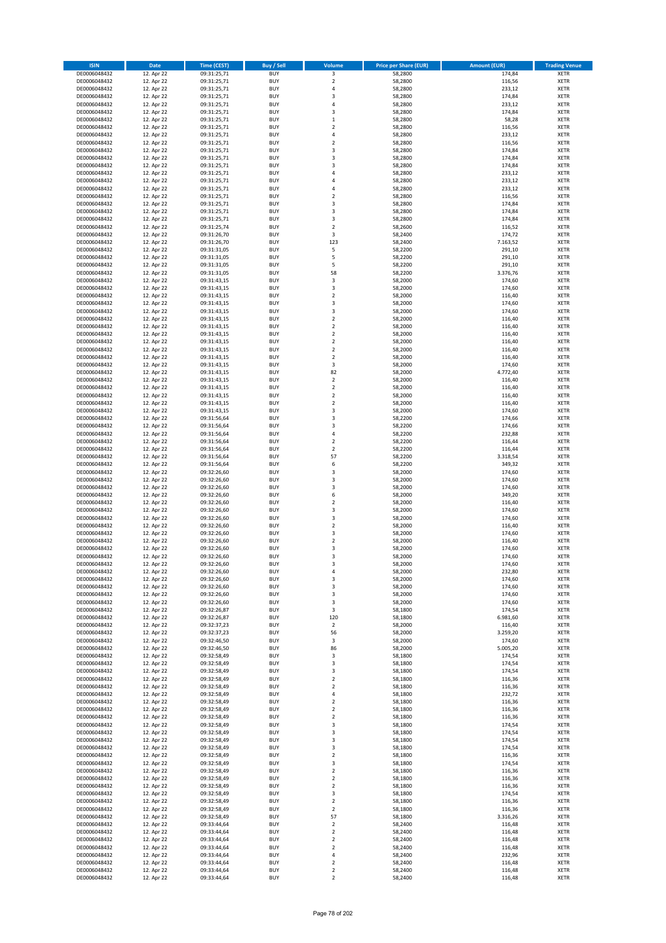| <b>ISIN</b>                  | <b>Date</b>              | <b>Time (CEST)</b>         | <b>Buy / Sell</b>        | <b>Volume</b>                          | <b>Price per Share (EUR)</b> | <b>Amount (EUR)</b> | <b>Trading Venue</b>       |
|------------------------------|--------------------------|----------------------------|--------------------------|----------------------------------------|------------------------------|---------------------|----------------------------|
| DE0006048432                 | 12. Apr 22               | 09:31:25,71                | <b>BUY</b>               | 3                                      | 58,2800                      | 174,84              | <b>XETR</b>                |
| DE0006048432                 | 12. Apr 22               | 09:31:25,71                | <b>BUY</b>               | $\mathbf 2$                            | 58,2800                      | 116,56              | <b>XETR</b>                |
| DE0006048432                 | 12. Apr 22               | 09:31:25,71                | <b>BUY</b>               | 4                                      | 58,2800                      | 233,12              | <b>XETR</b>                |
| DE0006048432                 | 12. Apr 22               | 09:31:25,71                | <b>BUY</b>               | 3                                      | 58,2800                      | 174,84              | <b>XETR</b>                |
| DE0006048432<br>DE0006048432 | 12. Apr 22<br>12. Apr 22 | 09:31:25,71<br>09:31:25,71 | <b>BUY</b><br><b>BUY</b> | 4<br>3                                 | 58,2800<br>58,2800           | 233,12<br>174,84    | <b>XETR</b><br><b>XETR</b> |
| DE0006048432                 | 12. Apr 22               | 09:31:25,71                | <b>BUY</b>               | $\mathbf 1$                            | 58,2800                      | 58,28               | <b>XETR</b>                |
| DE0006048432                 | 12. Apr 22               | 09:31:25,71                | <b>BUY</b>               | $\mathbf 2$                            | 58,2800                      | 116,56              | <b>XETR</b>                |
| DE0006048432                 | 12. Apr 22               | 09:31:25,71                | <b>BUY</b>               | 4                                      | 58,2800                      | 233,12              | <b>XETR</b>                |
| DE0006048432                 | 12. Apr 22               | 09:31:25,71                | <b>BUY</b>               | $\mathbf 2$                            | 58,2800                      | 116,56              | <b>XETR</b>                |
| DE0006048432                 | 12. Apr 22               | 09:31:25,71                | <b>BUY</b>               | 3                                      | 58,2800                      | 174,84              | <b>XETR</b>                |
| DE0006048432<br>DE0006048432 | 12. Apr 22<br>12. Apr 22 | 09:31:25,71<br>09:31:25,71 | <b>BUY</b><br><b>BUY</b> | 3<br>3                                 | 58,2800<br>58,2800           | 174,84<br>174,84    | <b>XETR</b><br><b>XETR</b> |
| DE0006048432                 | 12. Apr 22               | 09:31:25,71                | <b>BUY</b>               | 4                                      | 58,2800                      | 233,12              | <b>XETR</b>                |
| DE0006048432                 | 12. Apr 22               | 09:31:25,71                | <b>BUY</b>               | 4                                      | 58,2800                      | 233,12              | <b>XETR</b>                |
| DE0006048432                 | 12. Apr 22               | 09:31:25,71                | <b>BUY</b>               | 4                                      | 58,2800                      | 233,12              | <b>XETR</b>                |
| DE0006048432                 | 12. Apr 22               | 09:31:25,71                | <b>BUY</b>               | $\overline{\mathbf{c}}$                | 58,2800                      | 116,56              | <b>XETR</b>                |
| DE0006048432                 | 12. Apr 22               | 09:31:25,71                | <b>BUY</b>               | 3                                      | 58,2800                      | 174,84              | <b>XETR</b>                |
| DE0006048432<br>DE0006048432 | 12. Apr 22<br>12. Apr 22 | 09:31:25,71                | <b>BUY</b><br><b>BUY</b> | 3<br>3                                 | 58,2800<br>58,2800           | 174,84<br>174,84    | <b>XETR</b><br><b>XETR</b> |
| DE0006048432                 | 12. Apr 22               | 09:31:25,71<br>09:31:25,74 | <b>BUY</b>               | $\overline{\mathbf{c}}$                | 58,2600                      | 116,52              | <b>XETR</b>                |
| DE0006048432                 | 12. Apr 22               | 09:31:26,70                | <b>BUY</b>               | 3                                      | 58,2400                      | 174,72              | <b>XETR</b>                |
| DE0006048432                 | 12. Apr 22               | 09:31:26,70                | <b>BUY</b>               | 123                                    | 58,2400                      | 7.163,52            | <b>XETR</b>                |
| DE0006048432                 | 12. Apr 22               | 09:31:31,05                | <b>BUY</b>               | 5                                      | 58,2200                      | 291,10              | <b>XETR</b>                |
| DE0006048432                 | 12. Apr 22               | 09:31:31,05                | <b>BUY</b>               | 5                                      | 58,2200                      | 291,10              | <b>XETR</b>                |
| DE0006048432                 | 12. Apr 22               | 09:31:31,05                | <b>BUY</b>               | 5                                      | 58,2200                      | 291,10              | <b>XETR</b>                |
| DE0006048432<br>DE0006048432 | 12. Apr 22<br>12. Apr 22 | 09:31:31,05<br>09:31:43,15 | <b>BUY</b><br><b>BUY</b> | 58<br>3                                | 58,2200<br>58,2000           | 3.376,76<br>174,60  | <b>XETR</b><br><b>XETR</b> |
| DE0006048432                 | 12. Apr 22               | 09:31:43,15                | <b>BUY</b>               | 3                                      | 58,2000                      | 174,60              | <b>XETR</b>                |
| DE0006048432                 | 12. Apr 22               | 09:31:43,15                | <b>BUY</b>               | $\overline{\mathbf{c}}$                | 58,2000                      | 116,40              | <b>XETR</b>                |
| DE0006048432                 | 12. Apr 22               | 09:31:43,15                | <b>BUY</b>               | 3                                      | 58,2000                      | 174,60              | <b>XETR</b>                |
| DE0006048432                 | 12. Apr 22               | 09:31:43,15                | <b>BUY</b>               | 3                                      | 58,2000                      | 174,60              | <b>XETR</b>                |
| DE0006048432                 | 12. Apr 22               | 09:31:43,15                | <b>BUY</b>               | $\mathbf 2$                            | 58,2000                      | 116,40              | <b>XETR</b>                |
| DE0006048432<br>DE0006048432 | 12. Apr 22<br>12. Apr 22 | 09:31:43,15<br>09:31:43,15 | <b>BUY</b><br><b>BUY</b> | $\mathbf 2$<br>$\overline{2}$          | 58,2000<br>58,2000           | 116,40<br>116,40    | <b>XETR</b><br><b>XETR</b> |
| DE0006048432                 | 12. Apr 22               | 09:31:43,15                | <b>BUY</b>               | $\mathbf 2$                            | 58,2000                      | 116,40              | <b>XETR</b>                |
| DE0006048432                 | 12. Apr 22               | 09:31:43,15                | <b>BUY</b>               | $\overline{\mathbf{c}}$                | 58,2000                      | 116,40              | <b>XETR</b>                |
| DE0006048432                 | 12. Apr 22               | 09:31:43,15                | <b>BUY</b>               | $\mathbf 2$                            | 58,2000                      | 116,40              | <b>XETR</b>                |
| DE0006048432                 | 12. Apr 22               | 09:31:43,15                | <b>BUY</b>               | 3                                      | 58,2000                      | 174,60              | <b>XETR</b>                |
| DE0006048432                 | 12. Apr 22               | 09:31:43,15                | <b>BUY</b>               | 82                                     | 58,2000                      | 4.772,40            | <b>XETR</b>                |
| DE0006048432                 | 12. Apr 22<br>12. Apr 22 | 09:31:43,15                | <b>BUY</b><br><b>BUY</b> | $\mathbf 2$<br>$\mathbf 2$             | 58,2000<br>58,2000           | 116,40<br>116,40    | <b>XETR</b><br><b>XETR</b> |
| DE0006048432<br>DE0006048432 | 12. Apr 22               | 09:31:43,15<br>09:31:43,15 | <b>BUY</b>               | $\mathbf 2$                            | 58,2000                      | 116,40              | <b>XETR</b>                |
| DE0006048432                 | 12. Apr 22               | 09:31:43,15                | <b>BUY</b>               | $\overline{\mathbf{c}}$                | 58,2000                      | 116,40              | <b>XETR</b>                |
| DE0006048432                 | 12. Apr 22               | 09:31:43,15                | <b>BUY</b>               | 3                                      | 58,2000                      | 174,60              | <b>XETR</b>                |
| DE0006048432                 | 12. Apr 22               | 09:31:56,64                | <b>BUY</b>               | 3                                      | 58,2200                      | 174,66              | <b>XETR</b>                |
| DE0006048432                 | 12. Apr 22               | 09:31:56,64                | <b>BUY</b>               | 3                                      | 58,2200                      | 174,66              | <b>XETR</b>                |
| DE0006048432                 | 12. Apr 22               | 09:31:56,64                | <b>BUY</b>               | 4                                      | 58,2200                      | 232,88              | <b>XETR</b>                |
| DE0006048432<br>DE0006048432 | 12. Apr 22<br>12. Apr 22 | 09:31:56,64<br>09:31:56,64 | <b>BUY</b><br><b>BUY</b> | $\mathbf 2$<br>$\overline{\mathbf{c}}$ | 58,2200<br>58,2200           | 116,44<br>116,44    | <b>XETR</b><br><b>XETR</b> |
| DE0006048432                 | 12. Apr 22               | 09:31:56,64                | <b>BUY</b>               | 57                                     | 58,2200                      | 3.318,54            | <b>XETR</b>                |
| DE0006048432                 | 12. Apr 22               | 09:31:56,64                | <b>BUY</b>               | 6                                      | 58,2200                      | 349,32              | <b>XETR</b>                |
| DE0006048432                 | 12. Apr 22               | 09:32:26,60                | <b>BUY</b>               | 3                                      | 58,2000                      | 174,60              | <b>XETR</b>                |
| DE0006048432                 | 12. Apr 22               | 09:32:26,60                | <b>BUY</b>               | 3                                      | 58,2000                      | 174,60              | <b>XETR</b>                |
| DE0006048432                 | 12. Apr 22               | 09:32:26,60                | <b>BUY</b>               | 3                                      | 58,2000                      | 174,60              | <b>XETR</b>                |
| DE0006048432<br>DE0006048432 | 12. Apr 22<br>12. Apr 22 | 09:32:26,60<br>09:32:26,60 | <b>BUY</b><br><b>BUY</b> | 6<br>$\overline{\mathbf{c}}$           | 58,2000<br>58,2000           | 349,20<br>116,40    | <b>XETR</b><br><b>XETR</b> |
| DE0006048432                 | 12. Apr 22               | 09:32:26,60                | <b>BUY</b>               | 3                                      | 58,2000                      | 174,60              | <b>XETR</b>                |
| DE0006048432                 | 12. Apr 22               | 09:32:26,60                | <b>BUY</b>               | 3                                      | 58,2000                      | 174,60              | <b>XETR</b>                |
| DE0006048432                 | 12. Apr 22               | 09:32:26,60                | <b>BUY</b>               | $\overline{2}$                         | 58,2000                      | 116,40              | <b>XETR</b>                |
| DE0006048432                 | 12. Apr 22               | 09:32:26,60                | <b>BUY</b>               | 3                                      | 58,2000                      | 174,60              | <b>XETR</b>                |
| DE0006048432                 | 12. Apr 22               | 09:32:26,60                | <b>BUY</b>               | $\overline{\mathbf{c}}$                | 58,2000                      | 116,40              | <b>XETR</b>                |
| DE0006048432<br>DE0006048432 | 12. Apr 22               | 09:32:26,60<br>09:32:26,60 | <b>BUY</b><br><b>BUY</b> | 3<br>3                                 | 58,2000<br>58,2000           | 174,60<br>174,60    | <b>XETR</b><br><b>XETR</b> |
| DE0006048432                 | 12. Apr 22<br>12. Apr 22 | 09:32:26,60                | BUY                      | 3                                      | 58,2000                      | 174,60              | <b>XETR</b>                |
| DE0006048432                 | 12. Apr 22               | 09:32:26,60                | <b>BUY</b>               | 4                                      | 58,2000                      | 232,80              | <b>XETR</b>                |
| DE0006048432                 | 12. Apr 22               | 09:32:26,60                | <b>BUY</b>               | 3                                      | 58,2000                      | 174,60              | <b>XETR</b>                |
| DE0006048432                 | 12. Apr 22               | 09:32:26,60                | <b>BUY</b>               | 3                                      | 58,2000                      | 174,60              | XETR                       |
| DE0006048432                 | 12. Apr 22               | 09:32:26,60                | <b>BUY</b>               | 3                                      | 58,2000                      | 174,60              | <b>XETR</b>                |
| DE0006048432<br>DE0006048432 | 12. Apr 22<br>12. Apr 22 | 09:32:26,60<br>09:32:26,87 | <b>BUY</b><br><b>BUY</b> | 3<br>3                                 | 58,2000<br>58,1800           | 174,60<br>174,54    | <b>XETR</b><br><b>XETR</b> |
| DE0006048432                 | 12. Apr 22               | 09:32:26,87                | <b>BUY</b>               | 120                                    | 58,1800                      | 6.981,60            | <b>XETR</b>                |
| DE0006048432                 | 12. Apr 22               | 09:32:37,23                | <b>BUY</b>               | $\mathbf 2$                            | 58,2000                      | 116,40              | <b>XETR</b>                |
| DE0006048432                 | 12. Apr 22               | 09:32:37,23                | <b>BUY</b>               | 56                                     | 58,2000                      | 3.259,20            | <b>XETR</b>                |
| DE0006048432                 | 12. Apr 22               | 09:32:46,50                | <b>BUY</b>               | 3                                      | 58,2000                      | 174,60              | <b>XETR</b>                |
| DE0006048432                 | 12. Apr 22               | 09:32:46,50                | <b>BUY</b>               | 86                                     | 58,2000                      | 5.005,20            | <b>XETR</b>                |
| DE0006048432<br>DE0006048432 | 12. Apr 22<br>12. Apr 22 | 09:32:58,49<br>09:32:58,49 | <b>BUY</b><br><b>BUY</b> | 3<br>3                                 | 58,1800<br>58,1800           | 174,54<br>174,54    | <b>XETR</b><br><b>XETR</b> |
| DE0006048432                 | 12. Apr 22               | 09:32:58,49                | <b>BUY</b>               | 3                                      | 58,1800                      | 174,54              | <b>XETR</b>                |
| DE0006048432                 | 12. Apr 22               | 09:32:58,49                | <b>BUY</b>               | $\overline{\mathbf{c}}$                | 58,1800                      | 116,36              | <b>XETR</b>                |
| DE0006048432                 | 12. Apr 22               | 09:32:58,49                | <b>BUY</b>               | $\mathbf 2$                            | 58,1800                      | 116,36              | <b>XETR</b>                |
| DE0006048432                 | 12. Apr 22               | 09:32:58,49                | <b>BUY</b>               | 4                                      | 58,1800                      | 232,72              | <b>XETR</b>                |
| DE0006048432                 | 12. Apr 22               | 09:32:58,49                | <b>BUY</b>               | $\mathbf 2$                            | 58,1800                      | 116,36              | XETR<br><b>XETR</b>        |
| DE0006048432<br>DE0006048432 | 12. Apr 22<br>12. Apr 22 | 09:32:58,49<br>09:32:58,49 | <b>BUY</b><br><b>BUY</b> | $\mathbf 2$<br>$\overline{\mathbf{c}}$ | 58,1800<br>58,1800           | 116,36<br>116,36    | <b>XETR</b>                |
| DE0006048432                 | 12. Apr 22               | 09:32:58,49                | <b>BUY</b>               | 3                                      | 58,1800                      | 174,54              | <b>XETR</b>                |
| DE0006048432                 | 12. Apr 22               | 09:32:58,49                | <b>BUY</b>               | 3                                      | 58,1800                      | 174,54              | <b>XETR</b>                |
| DE0006048432                 | 12. Apr 22               | 09:32:58,49                | <b>BUY</b>               | 3                                      | 58,1800                      | 174,54              | <b>XETR</b>                |
| DE0006048432                 | 12. Apr 22               | 09:32:58,49                | <b>BUY</b>               | 3                                      | 58,1800                      | 174,54              | <b>XETR</b>                |
| DE0006048432                 | 12. Apr 22               | 09:32:58,49                | <b>BUY</b>               | $\mathbf 2$                            | 58,1800                      | 116,36              | <b>XETR</b>                |
| DE0006048432                 | 12. Apr 22               | 09:32:58,49                | <b>BUY</b>               | 3                                      | 58,1800                      | 174,54              | <b>XETR</b>                |
| DE0006048432<br>DE0006048432 | 12. Apr 22<br>12. Apr 22 | 09:32:58,49<br>09:32:58,49 | <b>BUY</b><br><b>BUY</b> | $\overline{2}$<br>$\mathbf 2$          | 58,1800<br>58,1800           | 116,36<br>116,36    | <b>XETR</b><br><b>XETR</b> |
| DE0006048432                 | 12. Apr 22               | 09:32:58,49                | <b>BUY</b>               | $\overline{2}$                         | 58,1800                      | 116,36              | <b>XETR</b>                |
| DE0006048432                 | 12. Apr 22               | 09:32:58,49                | <b>BUY</b>               | 3                                      | 58,1800                      | 174,54              | <b>XETR</b>                |
| DE0006048432                 | 12. Apr 22               | 09:32:58,49                | <b>BUY</b>               | $\mathbf 2$                            | 58,1800                      | 116,36              | <b>XETR</b>                |
| DE0006048432                 | 12. Apr 22               | 09:32:58,49                | <b>BUY</b>               | $\mathbf 2$                            | 58,1800                      | 116,36              | <b>XETR</b>                |
| DE0006048432                 | 12. Apr 22               | 09:32:58,49                | <b>BUY</b>               | 57                                     | 58,1800                      | 3.316,26            | <b>XETR</b>                |
| DE0006048432<br>DE0006048432 | 12. Apr 22<br>12. Apr 22 | 09:33:44,64<br>09:33:44,64 | <b>BUY</b><br><b>BUY</b> | $\mathbf 2$<br>$\mathbf 2$             | 58,2400<br>58,2400           | 116,48<br>116,48    | <b>XETR</b><br><b>XETR</b> |
| DE0006048432                 | 12. Apr 22               | 09:33:44,64                | <b>BUY</b>               | $\overline{\mathbf{c}}$                | 58,2400                      | 116,48              | <b>XETR</b>                |
| DE0006048432                 | 12. Apr 22               | 09:33:44,64                | <b>BUY</b>               | $\mathbf 2$                            | 58,2400                      | 116,48              | XETR                       |
| DE0006048432                 | 12. Apr 22               | 09:33:44,64                | <b>BUY</b>               | 4                                      | 58,2400                      | 232,96              | <b>XETR</b>                |
| DE0006048432                 | 12. Apr 22               | 09:33:44,64                | <b>BUY</b>               | $\mathbf 2$                            | 58,2400                      | 116,48              | <b>XETR</b>                |
| DE0006048432                 | 12. Apr 22               | 09:33:44,64                | <b>BUY</b>               | $\mathbf 2$                            | 58,2400                      | 116,48              | <b>XETR</b>                |
| DE0006048432                 | 12. Apr 22               | 09:33:44,64                | <b>BUY</b>               | $\overline{2}$                         | 58,2400                      | 116,48              | <b>XETR</b>                |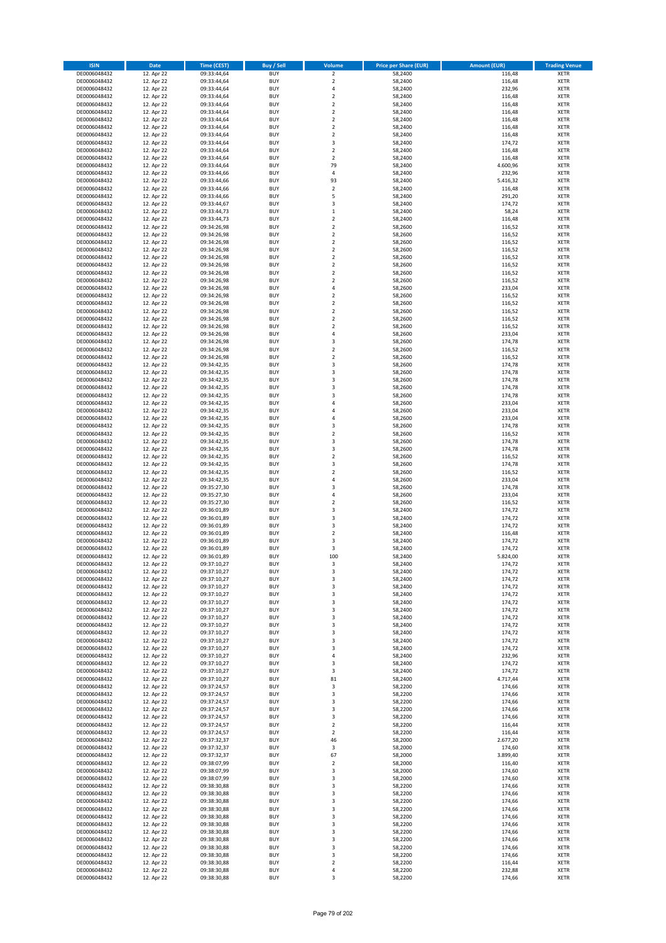| <b>ISIN</b>                  | <b>Date</b>              | <b>Time (CEST)</b>         | <b>Buy / Sell</b>        | Volume                  | <b>Price per Share (EUR)</b> | <b>Amount (EUR)</b> | <b>Trading Venue</b>       |
|------------------------------|--------------------------|----------------------------|--------------------------|-------------------------|------------------------------|---------------------|----------------------------|
| DE0006048432                 | 12. Apr 22               | 09:33:44,64                | <b>BUY</b>               | $\overline{\mathbf{2}}$ | 58,2400                      | 116,48              | <b>XETR</b>                |
| DE0006048432                 | 12. Apr 22               | 09:33:44,64                | <b>BUY</b>               | $\mathbf 2$             | 58,2400                      | 116,48              | <b>XETR</b>                |
| DE0006048432                 | 12. Apr 22               | 09:33:44,64                | <b>BUY</b>               | $\overline{4}$          | 58,2400                      | 232,96              | <b>XETR</b>                |
| DE0006048432                 | 12. Apr 22               | 09:33:44,64                | <b>BUY</b>               | $\mathbf 2$             | 58,2400                      | 116,48              | <b>XETR</b>                |
| DE0006048432                 | 12. Apr 22               | 09:33:44,64                | <b>BUY</b>               | $\overline{2}$          | 58,2400                      | 116,48              | <b>XETR</b>                |
| DE0006048432                 | 12. Apr 22               | 09:33:44,64                | <b>BUY</b>               | $\mathbf 2$             | 58,2400                      | 116,48              | <b>XETR</b>                |
| DE0006048432                 | 12. Apr 22               | 09:33:44,64                | <b>BUY</b>               | $\overline{2}$          | 58,2400                      | 116,48              | <b>XETR</b>                |
| DE0006048432                 | 12. Apr 22               | 09:33:44,64                | <b>BUY</b>               | $\overline{2}$          | 58,2400                      | 116,48              | <b>XETR</b>                |
| DE0006048432                 | 12. Apr 22               | 09:33:44,64                | BUY                      | $\overline{2}$          | 58,2400                      | 116,48              | <b>XETR</b>                |
| DE0006048432                 | 12. Apr 22               | 09:33:44,64                | <b>BUY</b>               | 3                       | 58,2400                      | 174,72              | <b>XETR</b>                |
| DE0006048432                 | 12. Apr 22               | 09:33:44,64                | <b>BUY</b>               | $\mathbf 2$             | 58,2400                      | 116,48              | <b>XETR</b>                |
| DE0006048432                 | 12. Apr 22               | 09:33:44,64                | <b>BUY</b>               | $\overline{2}$          | 58,2400                      | 116,48              | <b>XETR</b>                |
| DE0006048432                 | 12. Apr 22               | 09:33:44,64                | <b>BUY</b>               | 79<br>$\overline{4}$    | 58,2400                      | 4.600,96            | <b>XETR</b>                |
| DE0006048432                 | 12. Apr 22<br>12. Apr 22 | 09:33:44,66                | <b>BUY</b><br><b>BUY</b> | 93                      | 58,2400                      | 232,96<br>5.416,32  | <b>XETR</b><br><b>XETR</b> |
| DE0006048432<br>DE0006048432 | 12. Apr 22               | 09:33:44,66<br>09:33:44,66 | BUY                      | $\overline{2}$          | 58,2400<br>58,2400           | 116,48              | <b>XETR</b>                |
| DE0006048432                 | 12. Apr 22               | 09:33:44,66                | <b>BUY</b>               | 5                       | 58,2400                      | 291,20              | <b>XETR</b>                |
| DE0006048432                 | 12. Apr 22               | 09:33:44,67                | <b>BUY</b>               | 3                       | 58,2400                      | 174,72              | <b>XETR</b>                |
| DE0006048432                 | 12. Apr 22               | 09:33:44,73                | <b>BUY</b>               | $\mathbf 1$             | 58,2400                      | 58,24               | <b>XETR</b>                |
| DE0006048432                 | 12. Apr 22               | 09:33:44,73                | <b>BUY</b>               | $\overline{2}$          | 58,2400                      | 116,48              | <b>XETR</b>                |
| DE0006048432                 | 12. Apr 22               | 09:34:26,98                | <b>BUY</b>               | $\overline{2}$          | 58,2600                      | 116,52              | <b>XETR</b>                |
| DE0006048432                 | 12. Apr 22               | 09:34:26,98                | <b>BUY</b>               | $\mathbf 2$             | 58,2600                      | 116,52              | <b>XETR</b>                |
| DE0006048432                 | 12. Apr 22               | 09:34:26,98                | <b>BUY</b>               | $\overline{2}$          | 58,2600                      | 116,52              | <b>XETR</b>                |
| DE0006048432                 | 12. Apr 22               | 09:34:26,98                | <b>BUY</b>               | $\overline{2}$          | 58,2600                      | 116,52              | <b>XETR</b>                |
| DE0006048432                 | 12. Apr 22               | 09:34:26,98                | <b>BUY</b>               | $\mathbf 2$             | 58,2600                      | 116,52              | <b>XETR</b>                |
| DE0006048432                 | 12. Apr 22               | 09:34:26,98                | <b>BUY</b>               | $\mathbf 2$             | 58,2600                      | 116,52              | <b>XETR</b>                |
| DE0006048432                 | 12. Apr 22               | 09:34:26,98                | <b>BUY</b>               | $\mathbf 2$             | 58,2600                      | 116,52              | <b>XETR</b>                |
| DE0006048432                 | 12. Apr 22               | 09:34:26,98                | <b>BUY</b>               | $\overline{2}$          | 58,2600                      | 116,52              | <b>XETR</b>                |
| DE0006048432                 | 12. Apr 22               | 09:34:26,98                | <b>BUY</b>               | 4                       | 58,2600                      | 233,04              | <b>XETR</b>                |
| DE0006048432                 | 12. Apr 22               | 09:34:26,98                | <b>BUY</b>               | $\overline{2}$          | 58,2600                      | 116,52              | <b>XETR</b>                |
| DE0006048432                 | 12. Apr 22               | 09:34:26,98                | <b>BUY</b>               | $\mathbf 2$             | 58,2600                      | 116,52              | <b>XETR</b>                |
| DE0006048432                 | 12. Apr 22               | 09:34:26,98                | <b>BUY</b>               | $\mathbf 2$             | 58,2600                      | 116,52              | <b>XETR</b>                |
| DE0006048432                 | 12. Apr 22               | 09:34:26,98                | <b>BUY</b>               | $\mathbf 2$             | 58,2600                      | 116,52              | <b>XETR</b>                |
| DE0006048432                 | 12. Apr 22               | 09:34:26,98                | <b>BUY</b>               | $\overline{2}$<br>4     | 58,2600                      | 116,52              | <b>XETR</b>                |
| DE0006048432<br>DE0006048432 | 12. Apr 22<br>12. Apr 22 | 09:34:26,98<br>09:34:26,98 | <b>BUY</b><br><b>BUY</b> | 3                       | 58,2600<br>58,2600           | 233,04<br>174,78    | <b>XETR</b><br><b>XETR</b> |
| DE0006048432                 | 12. Apr 22               | 09:34:26,98                | <b>BUY</b>               | $\overline{2}$          | 58,2600                      | 116,52              | <b>XETR</b>                |
| DE0006048432                 | 12. Apr 22               | 09:34:26,98                | <b>BUY</b>               | $\mathbf 2$             | 58,2600                      | 116,52              | <b>XETR</b>                |
| DE0006048432                 | 12. Apr 22               | 09:34:42,35                | <b>BUY</b>               | 3                       | 58,2600                      | 174,78              | <b>XETR</b>                |
| DE0006048432                 | 12. Apr 22               | 09:34:42,35                | <b>BUY</b>               | 3                       | 58,2600                      | 174,78              | <b>XETR</b>                |
| DE0006048432                 | 12. Apr 22               | 09:34:42,35                | <b>BUY</b>               | $\overline{\mathbf{3}}$ | 58,2600                      | 174,78              | <b>XETR</b>                |
| DE0006048432                 | 12. Apr 22               | 09:34:42,35                | <b>BUY</b>               | 3                       | 58,2600                      | 174,78              | <b>XETR</b>                |
| DE0006048432                 | 12. Apr 22               | 09:34:42,35                | <b>BUY</b>               | 3                       | 58,2600                      | 174,78              | <b>XETR</b>                |
| DE0006048432                 | 12. Apr 22               | 09:34:42,35                | <b>BUY</b>               | $\overline{a}$          | 58,2600                      | 233,04              | <b>XETR</b>                |
| DE0006048432                 | 12. Apr 22               | 09:34:42,35                | <b>BUY</b>               | $\overline{a}$          | 58,2600                      | 233,04              | <b>XETR</b>                |
| DE0006048432                 | 12. Apr 22               | 09:34:42,35                | <b>BUY</b>               | 4                       | 58,2600                      | 233,04              | <b>XETR</b>                |
| DE0006048432                 | 12. Apr 22               | 09:34:42,35                | <b>BUY</b>               | $\overline{\mathbf{3}}$ | 58,2600                      | 174,78              | <b>XETR</b>                |
| DE0006048432                 | 12. Apr 22               | 09:34:42,35                | <b>BUY</b>               | $\overline{2}$          | 58,2600                      | 116,52              | <b>XETR</b>                |
| DE0006048432                 | 12. Apr 22               | 09:34:42,35                | <b>BUY</b>               | 3                       | 58,2600                      | 174,78              | <b>XETR</b>                |
| DE0006048432                 | 12. Apr 22               | 09:34:42,35                | <b>BUY</b>               | 3                       | 58,2600                      | 174,78              | <b>XETR</b>                |
| DE0006048432                 | 12. Apr 22               | 09:34:42,35                | <b>BUY</b>               | $\overline{2}$          | 58,2600                      | 116,52              | <b>XETR</b>                |
| DE0006048432                 | 12. Apr 22               | 09:34:42,35                | <b>BUY</b>               | $\overline{\mathbf{3}}$ | 58,2600                      | 174,78              | <b>XETR</b>                |
| DE0006048432                 | 12. Apr 22               | 09:34:42,35                | <b>BUY</b><br><b>BUY</b> | $\overline{2}$<br>4     | 58,2600                      | 116,52<br>233,04    | <b>XETR</b>                |
| DE0006048432<br>DE0006048432 | 12. Apr 22<br>12. Apr 22 | 09:34:42,35<br>09:35:27,30 | <b>BUY</b>               | $\overline{\mathbf{3}}$ | 58,2600<br>58,2600           | 174,78              | <b>XETR</b><br><b>XETR</b> |
| DE0006048432                 | 12. Apr 22               | 09:35:27,30                | <b>BUY</b>               | 4                       | 58,2600                      | 233,04              | <b>XETR</b>                |
| DE0006048432                 | 12. Apr 22               | 09:35:27,30                | <b>BUY</b>               | $\overline{2}$          | 58,2600                      | 116,52              | <b>XETR</b>                |
| DE0006048432                 | 12. Apr 22               | 09:36:01,89                | <b>BUY</b>               | 3                       | 58,2400                      | 174,72              | <b>XETR</b>                |
| DE0006048432                 | 12. Apr 22               | 09:36:01,89                | <b>BUY</b>               | $\overline{\mathbf{3}}$ | 58,2400                      | 174,72              | <b>XETR</b>                |
| DE0006048432                 | 12. Apr 22               | 09:36:01,89                | <b>BUY</b>               | 3                       | 58,2400                      | 174,72              | <b>XETR</b>                |
| DE0006048432                 | 12. Apr 22               | 09:36:01,89                | <b>BUY</b>               | $\mathbf 2$             | 58,2400                      | 116,48              | <b>XETR</b>                |
| DE0006048432                 | 12. Apr 22               | 09:36:01,89                | BUY                      | 3                       | 58,2400                      | 174,72              | <b>XETR</b>                |
| DE0006048432                 | 12. Apr 22               | 09:36:01,89                | BUY                      | 3                       | 58,2400                      | 174,72              | <b>XETR</b>                |
| DE0006048432                 | 12. Apr 22               | 09:36:01,89                | <b>BUY</b>               | 100                     | 58,2400                      | 5.824,00            | <b>XETR</b>                |
| DE0006048432                 | 12. Apr 22               | 09:37:10,27                | BUY                      | 3                       | 58,2400                      | 174,72              | <b>XETR</b>                |
| DE0006048432                 | 12. Apr 22               | 09:37:10,27                | <b>BUY</b>               | 3                       | 58,2400                      | 174,72              | <b>XETR</b>                |
| DE0006048432                 | 12. Apr 22               | 09:37:10,27                | <b>BUY</b>               | 3                       | 58,2400                      | 174,72              | <b>XETR</b>                |
| DE0006048432                 | 12. Apr 22               | 09:37:10,27                | <b>BUY</b>               | 3                       | 58,2400                      | 174,72              | <b>XETR</b>                |
| DE0006048432                 | 12. Apr 22               | 09:37:10,27                | <b>BUY</b>               | 3                       | 58,2400                      | 174,72              | <b>XETR</b>                |
| DE0006048432                 | 12. Apr 22               | 09:37:10,27                | <b>BUY</b>               | 3                       | 58,2400                      | 174,72              | <b>XETR</b>                |
| DE0006048432                 | 12. Apr 22               | 09:37:10,27                | <b>BUY</b>               | 3                       | 58,2400                      | 174,72              | <b>XETR</b>                |
| DE0006048432                 | 12. Apr 22               | 09:37:10,27                | <b>BUY</b>               | 3                       | 58,2400                      | 174,72              | <b>XETR</b>                |
| DE0006048432                 | 12. Apr 22               | 09:37:10,27                | <b>BUY</b><br><b>BUY</b> | 3                       | 58,2400                      | 174,72              | <b>XETR</b>                |
| DE0006048432<br>DE0006048432 | 12. Apr 22<br>12. Apr 22 | 09:37:10,27<br>09:37:10,27 | <b>BUY</b>               | 3<br>3                  | 58,2400<br>58,2400           | 174,72<br>174,72    | <b>XETR</b><br><b>XETR</b> |
| DE0006048432                 | 12. Apr 22               | 09:37:10,27                | <b>BUY</b>               | 3                       | 58,2400                      | 174,72              | <b>XETR</b>                |
| DE0006048432                 | 12. Apr 22               | 09:37:10,27                | <b>BUY</b>               | 4                       | 58,2400                      | 232,96              | <b>XETR</b>                |
| DE0006048432                 | 12. Apr 22               | 09:37:10,27                | <b>BUY</b>               | 3                       | 58,2400                      | 174,72              | <b>XETR</b>                |
| DE0006048432                 | 12. Apr 22               | 09:37:10,27                | <b>BUY</b>               | 3                       | 58,2400                      | 174,72              | <b>XETR</b>                |
| DE0006048432                 | 12. Apr 22               | 09:37:10,27                | <b>BUY</b>               | 81                      | 58,2400                      | 4.717,44            | <b>XETR</b>                |
| DE0006048432                 | 12. Apr 22               | 09:37:24,57                | <b>BUY</b>               | 3                       | 58,2200                      | 174,66              | <b>XETR</b>                |
| DE0006048432                 | 12. Apr 22               | 09:37:24,57                | <b>BUY</b>               | 3                       | 58,2200                      | 174,66              | <b>XETR</b>                |
| DE0006048432                 | 12. Apr 22               | 09:37:24,57                | <b>BUY</b>               | 3                       | 58,2200                      | 174,66              | <b>XETR</b>                |
| DE0006048432                 | 12. Apr 22               | 09:37:24,57                | <b>BUY</b>               | 3                       | 58,2200                      | 174,66              | <b>XETR</b>                |
| DE0006048432                 | 12. Apr 22               | 09:37:24,57                | <b>BUY</b>               | $\overline{\mathbf{3}}$ | 58,2200                      | 174,66              | <b>XETR</b>                |
| DE0006048432                 | 12. Apr 22               | 09:37:24,57                | <b>BUY</b>               | $\mathbf 2$             | 58,2200                      | 116,44              | <b>XETR</b>                |
| DE0006048432                 | 12. Apr 22               | 09:37:24,57                | <b>BUY</b>               | $\overline{2}$          | 58,2200                      | 116,44              | <b>XETR</b>                |
| DE0006048432                 | 12. Apr 22               | 09:37:32,37                | <b>BUY</b>               | 46                      | 58,2000                      | 2.677,20            | <b>XETR</b>                |
| DE0006048432                 | 12. Apr 22               | 09:37:32,37                | <b>BUY</b>               | 3                       | 58,2000                      | 174,60              | <b>XETR</b>                |
| DE0006048432                 | 12. Apr 22               | 09:37:32,37                | <b>BUY</b>               | 67                      | 58,2000                      | 3.899,40            | <b>XETR</b>                |
| DE0006048432                 | 12. Apr 22               | 09:38:07,99                | <b>BUY</b>               | $\overline{2}$          | 58,2000                      | 116,40              | <b>XETR</b>                |
| DE0006048432                 | 12. Apr 22               | 09:38:07,99                | <b>BUY</b>               | 3                       | 58,2000                      | 174,60              | <b>XETR</b>                |
| DE0006048432                 | 12. Apr 22               | 09:38:07,99                | <b>BUY</b>               | 3                       | 58,2000                      | 174,60              | <b>XETR</b>                |
| DE0006048432                 | 12. Apr 22               | 09:38:30,88                | <b>BUY</b><br><b>BUY</b> | 3<br>3                  | 58,2200<br>58,2200           | 174,66<br>174,66    | <b>XETR</b><br><b>XETR</b> |
| DE0006048432<br>DE0006048432 | 12. Apr 22               | 09:38:30,88<br>09:38:30,88 | <b>BUY</b>               | 3                       | 58,2200                      | 174,66              | <b>XETR</b>                |
| DE0006048432                 | 12. Apr 22<br>12. Apr 22 | 09:38:30,88                | <b>BUY</b>               | 3                       | 58,2200                      | 174,66              | <b>XETR</b>                |
| DE0006048432                 | 12. Apr 22               | 09:38:30,88                | <b>BUY</b>               | $\overline{\mathbf{3}}$ | 58,2200                      | 174,66              | <b>XETR</b>                |
| DE0006048432                 | 12. Apr 22               | 09:38:30,88                | <b>BUY</b>               | 3                       | 58,2200                      | 174,66              | <b>XETR</b>                |
| DE0006048432                 | 12. Apr 22               | 09:38:30,88                | <b>BUY</b>               | 3                       | 58,2200                      | 174,66              | <b>XETR</b>                |
| DE0006048432                 | 12. Apr 22               | 09:38:30,88                | <b>BUY</b>               | 3                       | 58,2200                      | 174,66              | <b>XETR</b>                |
| DE0006048432                 | 12. Apr 22               | 09:38:30,88                | <b>BUY</b>               | 3                       | 58,2200                      | 174,66              | <b>XETR</b>                |
| DE0006048432                 | 12. Apr 22               | 09:38:30,88                | <b>BUY</b>               | 3                       | 58,2200                      | 174,66              | <b>XETR</b>                |
| DE0006048432                 | 12. Apr 22               | 09:38:30,88                | <b>BUY</b>               | 2                       | 58,2200                      | 116,44              | <b>XETR</b>                |
| DE0006048432                 | 12. Apr 22               | 09:38:30,88                | <b>BUY</b>               | 4                       | 58,2200                      | 232,88              | <b>XETR</b>                |
| DE0006048432                 | 12. Apr 22               | 09:38:30,88                | <b>BUY</b>               | 3                       | 58,2200                      | 174,66              | <b>XETR</b>                |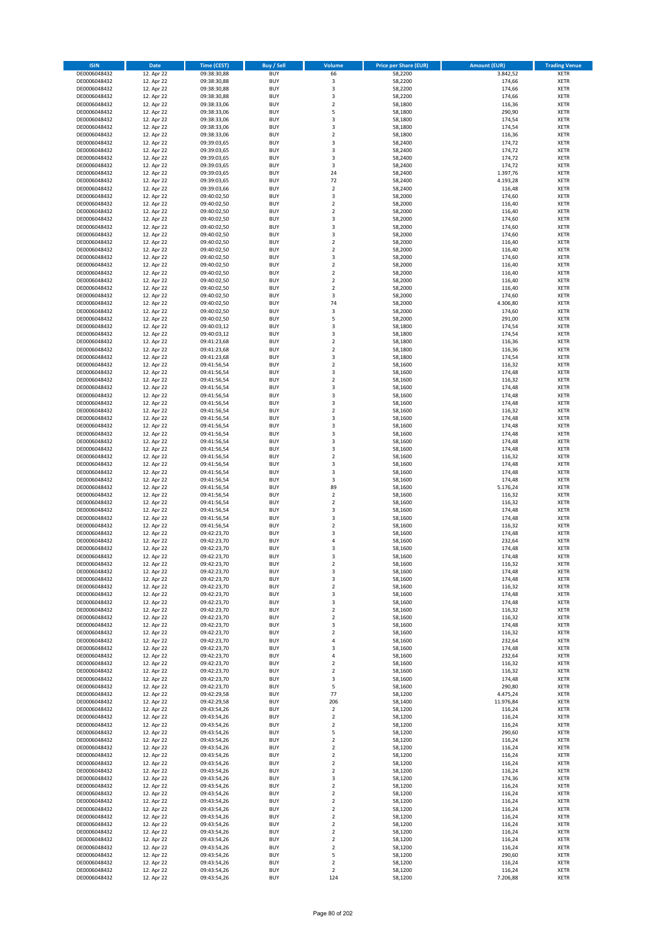| <b>ISIN</b>                  | <b>Date</b>              | <b>Time (CEST)</b>         | <b>Buy / Sell</b>        | <b>Volume</b>                          | <b>Price per Share (EUR)</b> | <b>Amount (EUR)</b> | <b>Trading Venue</b>       |
|------------------------------|--------------------------|----------------------------|--------------------------|----------------------------------------|------------------------------|---------------------|----------------------------|
| DE0006048432                 | 12. Apr 22               | 09:38:30,88                | <b>BUY</b>               | 66                                     | 58,2200                      | 3.842,52            | <b>XETR</b>                |
| DE0006048432                 | 12. Apr 22               | 09:38:30,88                | <b>BUY</b>               | 3                                      | 58,2200                      | 174,66              | <b>XETR</b>                |
| DE0006048432                 | 12. Apr 22               | 09:38:30,88                | <b>BUY</b>               | 3                                      | 58,2200                      | 174,66              | <b>XETR</b>                |
| DE0006048432<br>DE0006048432 | 12. Apr 22<br>12. Apr 22 | 09:38:30,88<br>09:38:33,06 | <b>BUY</b><br><b>BUY</b> | 3<br>$\overline{\mathbf{c}}$           | 58,2200<br>58,1800           | 174,66<br>116,36    | <b>XETR</b><br><b>XETR</b> |
| DE0006048432                 | 12. Apr 22               | 09:38:33,06                | <b>BUY</b>               | 5                                      | 58,1800                      | 290,90              | <b>XETR</b>                |
| DE0006048432                 | 12. Apr 22               | 09:38:33,06                | <b>BUY</b>               | 3                                      | 58,1800                      | 174,54              | <b>XETR</b>                |
| DE0006048432                 | 12. Apr 22               | 09:38:33,06                | <b>BUY</b>               | 3                                      | 58,1800                      | 174,54              | <b>XETR</b>                |
| DE0006048432                 | 12. Apr 22               | 09:38:33,06                | <b>BUY</b>               | $\overline{2}$                         | 58,1800                      | 116,36              | <b>XETR</b>                |
| DE0006048432                 | 12. Apr 22               | 09:39:03,65                | <b>BUY</b><br><b>BUY</b> | 3                                      | 58,2400                      | 174,72              | <b>XETR</b><br><b>XETR</b> |
| DE0006048432<br>DE0006048432 | 12. Apr 22<br>12. Apr 22 | 09:39:03,65<br>09:39:03,65 | <b>BUY</b>               | 3<br>3                                 | 58,2400<br>58,2400           | 174,72<br>174,72    | <b>XETR</b>                |
| DE0006048432                 | 12. Apr 22               | 09:39:03,65                | <b>BUY</b>               | 3                                      | 58,2400                      | 174,72              | <b>XETR</b>                |
| DE0006048432                 | 12. Apr 22               | 09:39:03,65                | <b>BUY</b>               | 24                                     | 58,2400                      | 1.397,76            | <b>XETR</b>                |
| DE0006048432                 | 12. Apr 22               | 09:39:03,65                | <b>BUY</b>               | 72                                     | 58,2400                      | 4.193,28            | <b>XETR</b>                |
| DE0006048432                 | 12. Apr 22               | 09:39:03,66                | <b>BUY</b>               | $\mathbf 2$                            | 58,2400                      | 116,48              | <b>XETR</b>                |
| DE0006048432<br>DE0006048432 | 12. Apr 22<br>12. Apr 22 | 09:40:02,50<br>09:40:02,50 | <b>BUY</b><br><b>BUY</b> | 3<br>$\mathbf 2$                       | 58,2000<br>58,2000           | 174,60<br>116,40    | <b>XETR</b><br><b>XETR</b> |
| DE0006048432                 | 12. Apr 22               | 09:40:02,50                | <b>BUY</b>               | $\overline{\mathbf{c}}$                | 58,2000                      | 116,40              | <b>XETR</b>                |
| DE0006048432                 | 12. Apr 22               | 09:40:02,50                | <b>BUY</b>               | 3                                      | 58,2000                      | 174,60              | <b>XETR</b>                |
| DE0006048432                 | 12. Apr 22               | 09:40:02,50                | <b>BUY</b>               | 3                                      | 58,2000                      | 174,60              | <b>XETR</b>                |
| DE0006048432                 | 12. Apr 22               | 09:40:02,50                | <b>BUY</b>               | 3                                      | 58,2000                      | 174,60              | <b>XETR</b>                |
| DE0006048432                 | 12. Apr 22               | 09:40:02,50                | <b>BUY</b>               | $\mathbf 2$                            | 58,2000                      | 116,40              | <b>XETR</b>                |
| DE0006048432<br>DE0006048432 | 12. Apr 22<br>12. Apr 22 | 09:40:02,50<br>09:40:02,50 | <b>BUY</b><br><b>BUY</b> | $\mathbf 2$<br>3                       | 58,2000<br>58,2000           | 116,40<br>174,60    | <b>XETR</b><br><b>XETR</b> |
| DE0006048432                 | 12. Apr 22               | 09:40:02,50                | <b>BUY</b>               | $\mathbf 2$                            | 58,2000                      | 116,40              | <b>XETR</b>                |
| DE0006048432                 | 12. Apr 22               | 09:40:02,50                | <b>BUY</b>               | $\mathbf 2$                            | 58,2000                      | 116,40              | <b>XETR</b>                |
| DE0006048432                 | 12. Apr 22               | 09:40:02,50                | <b>BUY</b>               | $\overline{\mathbf{c}}$                | 58,2000                      | 116,40              | <b>XETR</b>                |
| DE0006048432                 | 12. Apr 22               | 09:40:02,50                | <b>BUY</b>               | $\mathbf 2$                            | 58,2000                      | 116,40              | <b>XETR</b>                |
| DE0006048432<br>DE0006048432 | 12. Apr 22<br>12. Apr 22 | 09:40:02,50<br>09:40:02,50 | <b>BUY</b><br><b>BUY</b> | 3<br>74                                | 58,2000<br>58,2000           | 174,60<br>4.306,80  | <b>XETR</b><br><b>XETR</b> |
| DE0006048432                 | 12. Apr 22               | 09:40:02,50                | <b>BUY</b>               | 3                                      | 58,2000                      | 174,60              | <b>XETR</b>                |
| DE0006048432                 | 12. Apr 22               | 09:40:02,50                | <b>BUY</b>               | 5                                      | 58,2000                      | 291,00              | <b>XETR</b>                |
| DE0006048432                 | 12. Apr 22               | 09:40:03,12                | <b>BUY</b>               | 3                                      | 58,1800                      | 174,54              | <b>XETR</b>                |
| DE0006048432                 | 12. Apr 22               | 09:40:03,12                | <b>BUY</b>               | 3                                      | 58,1800                      | 174,54              | <b>XETR</b>                |
| DE0006048432                 | 12. Apr 22               | 09:41:23,68                | <b>BUY</b>               | $\mathbf 2$                            | 58,1800                      | 116,36              | <b>XETR</b>                |
| DE0006048432<br>DE0006048432 | 12. Apr 22<br>12. Apr 22 | 09:41:23,68<br>09:41:23,68 | <b>BUY</b><br><b>BUY</b> | $\overline{\mathbf{c}}$<br>3           | 58,1800<br>58,1800           | 116,36<br>174,54    | <b>XETR</b><br><b>XETR</b> |
| DE0006048432                 | 12. Apr 22               | 09:41:56,54                | <b>BUY</b>               | $\mathbf 2$                            | 58,1600                      | 116,32              | <b>XETR</b>                |
| DE0006048432                 | 12. Apr 22               | 09:41:56,54                | <b>BUY</b>               | 3                                      | 58,1600                      | 174,48              | <b>XETR</b>                |
| DE0006048432                 | 12. Apr 22               | 09:41:56,54                | <b>BUY</b>               | $\mathbf 2$                            | 58,1600                      | 116,32              | <b>XETR</b>                |
| DE0006048432                 | 12. Apr 22               | 09:41:56,54                | <b>BUY</b>               | 3                                      | 58,1600                      | 174,48              | <b>XETR</b>                |
| DE0006048432                 | 12. Apr 22               | 09:41:56,54                | <b>BUY</b>               | 3                                      | 58,1600                      | 174,48              | <b>XETR</b>                |
| DE0006048432<br>DE0006048432 | 12. Apr 22<br>12. Apr 22 | 09:41:56,54<br>09:41:56,54 | <b>BUY</b><br><b>BUY</b> | 3<br>$\mathbf 2$                       | 58,1600<br>58,1600           | 174,48<br>116,32    | <b>XETR</b><br><b>XETR</b> |
| DE0006048432                 | 12. Apr 22               | 09:41:56,54                | <b>BUY</b>               | 3                                      | 58,1600                      | 174,48              | <b>XETR</b>                |
| DE0006048432                 | 12. Apr 22               | 09:41:56,54                | <b>BUY</b>               | 3                                      | 58,1600                      | 174,48              | <b>XETR</b>                |
| DE0006048432                 | 12. Apr 22               | 09:41:56,54                | <b>BUY</b>               | 3                                      | 58,1600                      | 174,48              | <b>XETR</b>                |
| DE0006048432                 | 12. Apr 22               | 09:41:56,54                | <b>BUY</b>               | 3                                      | 58,1600                      | 174,48              | <b>XETR</b>                |
| DE0006048432<br>DE0006048432 | 12. Apr 22<br>12. Apr 22 | 09:41:56,54<br>09:41:56,54 | <b>BUY</b><br><b>BUY</b> | 3<br>$\overline{\mathbf{c}}$           | 58,1600<br>58,1600           | 174,48<br>116,32    | <b>XETR</b><br><b>XETR</b> |
| DE0006048432                 | 12. Apr 22               | 09:41:56,54                | <b>BUY</b>               | 3                                      | 58,1600                      | 174,48              | <b>XETR</b>                |
| DE0006048432                 | 12. Apr 22               | 09:41:56,54                | <b>BUY</b>               | 3                                      | 58,1600                      | 174,48              | <b>XETR</b>                |
| DE0006048432                 | 12. Apr 22               | 09:41:56,54                | <b>BUY</b>               | 3                                      | 58,1600                      | 174,48              | <b>XETR</b>                |
| DE0006048432                 | 12. Apr 22               | 09:41:56,54                | <b>BUY</b>               | 89                                     | 58,1600                      | 5.176,24            | <b>XETR</b>                |
| DE0006048432<br>DE0006048432 | 12. Apr 22<br>12. Apr 22 | 09:41:56,54<br>09:41:56,54 | <b>BUY</b><br><b>BUY</b> | $\mathbf 2$<br>$\overline{\mathbf{c}}$ | 58,1600<br>58,1600           | 116,32<br>116,32    | <b>XETR</b><br><b>XETR</b> |
| DE0006048432                 | 12. Apr 22               | 09:41:56,54                | <b>BUY</b>               | 3                                      | 58,1600                      | 174,48              | <b>XETR</b>                |
| DE0006048432                 | 12. Apr 22               | 09:41:56,54                | <b>BUY</b>               | 3                                      | 58,1600                      | 174,48              | <b>XETR</b>                |
| DE0006048432                 | 12. Apr 22               | 09:41:56,54                | <b>BUY</b>               | $\overline{2}$                         | 58,1600                      | 116,32              | <b>XETR</b>                |
| DE0006048432                 | 12. Apr 22               | 09:42:23,70                | <b>BUY</b>               | 3                                      | 58,1600                      | 174,48              | <b>XETR</b>                |
| DE0006048432                 | 12. Apr 22               | 09:42:23,70                | <b>BUY</b>               | 4                                      | 58,1600                      | 232,64              | <b>XETR</b>                |
| DE0006048432<br>DE0006048432 | 12. Apr 22<br>12. Apr 22 | 09:42:23,70<br>09:42:23,70 | <b>BUY</b><br><b>BUY</b> | 3<br>3                                 | 58,1600<br>58,1600           | 174,48<br>174,48    | <b>XETR</b><br><b>XETR</b> |
| DE0006048432                 | 12. Apr 22               | 09:42:23,70                | BUY                      | 2                                      | 58,1600                      | 116,32              | <b>XETR</b>                |
| DE0006048432                 | 12. Apr 22               | 09:42:23,70                | <b>BUY</b>               | 3                                      | 58,1600                      | 174,48              | XETR                       |
| DE0006048432                 | 12. Apr 22               | 09:42:23,70                | <b>BUY</b>               | 3                                      | 58,1600                      | 174,48              | XETR                       |
| DE0006048432                 | 12. Apr 22               | 09:42:23,70                | <b>BUY</b>               | $\mathbf 2$                            | 58,1600                      | 116,32              | XETR                       |
| DE0006048432<br>DE0006048432 | 12. Apr 22<br>12. Apr 22 | 09:42:23,70<br>09:42:23,70 | <b>BUY</b><br><b>BUY</b> | 3<br>3                                 | 58,1600<br>58,1600           | 174,48<br>174,48    | <b>XETR</b><br><b>XETR</b> |
| DE0006048432                 | 12. Apr 22               | 09:42:23,70                | <b>BUY</b>               | $\overline{\mathbf{2}}$                | 58,1600                      | 116,32              | <b>XETR</b>                |
| DE0006048432                 | 12. Apr 22               | 09:42:23,70                | <b>BUY</b>               | $\mathbf 2$                            | 58,1600                      | 116,32              | <b>XETR</b>                |
| DE0006048432                 | 12. Apr 22               | 09:42:23,70                | <b>BUY</b>               | 3                                      | 58,1600                      | 174,48              | <b>XETR</b>                |
| DE0006048432                 | 12. Apr 22               | 09:42:23,70                | <b>BUY</b><br><b>BUY</b> | $\mathbf 2$                            | 58,1600                      | 116,32              | <b>XETR</b>                |
| DE0006048432<br>DE0006048432 | 12. Apr 22<br>12. Apr 22 | 09:42:23,70<br>09:42:23,70 | <b>BUY</b>               | 4<br>3                                 | 58,1600<br>58,1600           | 232,64<br>174,48    | XETR<br><b>XETR</b>        |
| DE0006048432                 | 12. Apr 22               | 09:42:23,70                | <b>BUY</b>               | 4                                      | 58,1600                      | 232,64              | <b>XETR</b>                |
| DE0006048432                 | 12. Apr 22               | 09:42:23,70                | <b>BUY</b>               | $\overline{\mathbf{2}}$                | 58,1600                      | 116,32              | <b>XETR</b>                |
| DE0006048432                 | 12. Apr 22               | 09:42:23,70                | <b>BUY</b>               | $\mathbf 2$                            | 58,1600                      | 116,32              | <b>XETR</b>                |
| DE0006048432                 | 12. Apr 22               | 09:42:23,70                | <b>BUY</b>               | 3                                      | 58,1600                      | 174,48              | <b>XETR</b>                |
| DE0006048432<br>DE0006048432 | 12. Apr 22<br>12. Apr 22 | 09:42:23,70<br>09:42:29,58 | <b>BUY</b><br><b>BUY</b> | 5<br>77                                | 58,1600<br>58,1200           | 290,80<br>4.475,24  | <b>XETR</b><br><b>XETR</b> |
| DE0006048432                 | 12. Apr 22               | 09:42:29,58                | <b>BUY</b>               | 206                                    | 58,1400                      | 11.976,84           | XETR                       |
| DE0006048432                 | 12. Apr 22               | 09:43:54,26                | <b>BUY</b>               | $\mathbf 2$                            | 58,1200                      | 116,24              | <b>XETR</b>                |
| DE0006048432                 | 12. Apr 22               | 09:43:54,26                | <b>BUY</b>               | $\overline{\mathbf{2}}$                | 58,1200                      | 116,24              | <b>XETR</b>                |
| DE0006048432                 | 12. Apr 22               | 09:43:54,26                | <b>BUY</b>               | $\mathbf 2$                            | 58,1200                      | 116,24              | <b>XETR</b>                |
| DE0006048432<br>DE0006048432 | 12. Apr 22<br>12. Apr 22 | 09:43:54,26<br>09:43:54,26 | <b>BUY</b><br><b>BUY</b> | 5<br>$\mathbf 2$                       | 58,1200<br>58,1200           | 290,60<br>116,24    | <b>XETR</b><br><b>XETR</b> |
| DE0006048432                 | 12. Apr 22               | 09:43:54,26                | <b>BUY</b>               | $\mathbf 2$                            | 58,1200                      | 116,24              | <b>XETR</b>                |
| DE0006048432                 | 12. Apr 22               | 09:43:54,26                | <b>BUY</b>               | $\mathbf 2$                            | 58,1200                      | 116,24              | XETR                       |
| DE0006048432                 | 12. Apr 22               | 09:43:54,26                | <b>BUY</b>               | $\mathbf 2$                            | 58,1200                      | 116,24              | <b>XETR</b>                |
| DE0006048432                 | 12. Apr 22               | 09:43:54,26                | <b>BUY</b>               | $\overline{2}$                         | 58,1200                      | 116,24              | <b>XETR</b>                |
| DE0006048432<br>DE0006048432 | 12. Apr 22<br>12. Apr 22 | 09:43:54,26<br>09:43:54,26 | <b>BUY</b><br><b>BUY</b> | 3<br>$\overline{\mathbf{c}}$           | 58,1200<br>58,1200           | 174,36<br>116,24    | <b>XETR</b><br>XETR        |
| DE0006048432                 | 12. Apr 22               | 09:43:54,26                | <b>BUY</b>               | $\mathbf 2$                            | 58,1200                      | 116,24              | <b>XETR</b>                |
| DE0006048432                 | 12. Apr 22               | 09:43:54,26                | <b>BUY</b>               | $\mathbf 2$                            | 58,1200                      | 116,24              | <b>XETR</b>                |
| DE0006048432                 | 12. Apr 22               | 09:43:54,26                | <b>BUY</b>               | $\mathbf 2$                            | 58,1200                      | 116,24              | XETR                       |
| DE0006048432                 | 12. Apr 22               | 09:43:54,26                | <b>BUY</b>               | $\overline{2}$                         | 58,1200                      | 116,24              | <b>XETR</b>                |
| DE0006048432                 | 12. Apr 22               | 09:43:54,26                | <b>BUY</b>               | $\mathbf 2$                            | 58,1200                      | 116,24              | <b>XETR</b>                |
| DE0006048432<br>DE0006048432 | 12. Apr 22<br>12. Apr 22 | 09:43:54,26<br>09:43:54,26 | <b>BUY</b><br><b>BUY</b> | $\mathbf 2$<br>$\overline{2}$          | 58,1200<br>58,1200           | 116,24<br>116,24    | <b>XETR</b><br><b>XETR</b> |
| DE0006048432                 | 12. Apr 22               | 09:43:54,26                | <b>BUY</b>               | $\mathbf 2$                            | 58,1200                      | 116,24              | <b>XETR</b>                |
| DE0006048432                 | 12. Apr 22               | 09:43:54,26                | <b>BUY</b>               | 5                                      | 58,1200                      | 290,60              | <b>XETR</b>                |
| DE0006048432                 | 12. Apr 22               | 09:43:54,26                | <b>BUY</b>               | $\mathbf 2$                            | 58,1200                      | 116,24              | <b>XETR</b>                |
| DE0006048432                 | 12. Apr 22               | 09:43:54,26                | <b>BUY</b>               | $\overline{2}$                         | 58,1200                      | 116,24              | <b>XETR</b>                |
| DE0006048432                 | 12. Apr 22               | 09:43:54,26                | <b>BUY</b>               | 124                                    | 58,1200                      | 7.206,88            | XETR                       |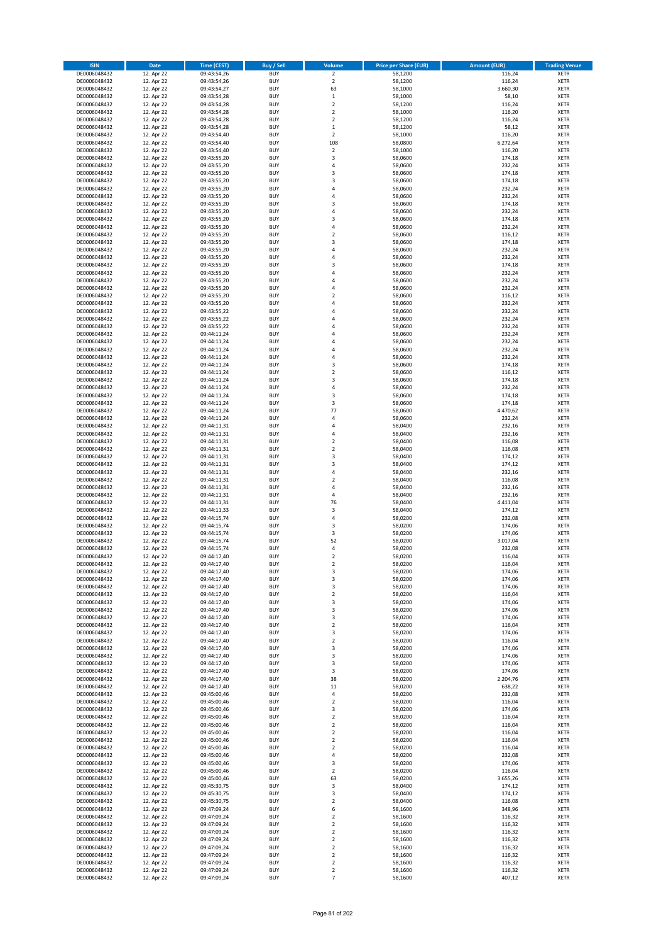| <b>ISIN</b>                  | Date                     | <b>Time (CEST)</b>         | <b>Buy / Sell</b>        | Volume                                 | <b>Price per Share (EUR)</b> | <b>Amount (EUR)</b> | <b>Trading Venue</b>       |
|------------------------------|--------------------------|----------------------------|--------------------------|----------------------------------------|------------------------------|---------------------|----------------------------|
| DE0006048432                 | 12. Apr 22               | 09:43:54,26                | <b>BUY</b>               | $\overline{2}$                         | 58,1200                      | 116,24              | <b>XETR</b>                |
| DE0006048432                 | 12. Apr 22               | 09:43:54,26                | <b>BUY</b>               | $\mathbf 2$                            | 58,1200                      | 116,24              | <b>XETR</b>                |
| DE0006048432                 | 12. Apr 22               | 09:43:54,27                | <b>BUY</b>               | 63                                     | 58,1000                      | 3.660,30            | <b>XETR</b>                |
| DE0006048432<br>DE0006048432 | 12. Apr 22<br>12. Apr 22 | 09:43:54,28<br>09:43:54,28 | <b>BUY</b><br><b>BUY</b> | $\mathbf 1$<br>$\mathbf 2$             | 58,1000<br>58,1200           | 58,10<br>116,24     | <b>XETR</b><br><b>XETR</b> |
| DE0006048432                 | 12. Apr 22               | 09:43:54,28                | <b>BUY</b>               | $\mathbf 2$                            | 58,1000                      | 116,20              | <b>XETR</b>                |
| DE0006048432                 | 12. Apr 22               | 09:43:54,28                | <b>BUY</b>               | $\mathbf 2$                            | 58.1200                      | 116,24              | <b>XETR</b>                |
| DE0006048432                 | 12. Apr 22               | 09:43:54,28                | <b>BUY</b>               | $\mathbf 1$                            | 58,1200                      | 58,12               | <b>XETR</b>                |
| DE0006048432                 | 12. Apr 22               | 09:43:54,40                | <b>BUY</b>               | $\mathbf 2$                            | 58,1000                      | 116,20              | <b>XETR</b>                |
| DE0006048432                 | 12. Apr 22<br>12. Apr 22 | 09:43:54,40                | <b>BUY</b><br><b>BUY</b> | 108<br>$\mathbf 2$                     | 58,0800<br>58,1000           | 6.272,64<br>116,20  | <b>XETR</b><br><b>XETR</b> |
| DE0006048432<br>DE0006048432 | 12. Apr 22               | 09:43:54,40<br>09:43:55,20 | <b>BUY</b>               | 3                                      | 58,0600                      | 174,18              | <b>XETR</b>                |
| DE0006048432                 | 12. Apr 22               | 09:43:55,20                | <b>BUY</b>               | 4                                      | 58,0600                      | 232,24              | <b>XETR</b>                |
| DE0006048432                 | 12. Apr 22               | 09:43:55,20                | <b>BUY</b>               | 3                                      | 58,0600                      | 174,18              | <b>XETR</b>                |
| DE0006048432                 | 12. Apr 22               | 09:43:55,20                | <b>BUY</b>               | 3                                      | 58,0600                      | 174,18              | <b>XETR</b>                |
| DE0006048432                 | 12. Apr 22               | 09:43:55,20                | <b>BUY</b>               | 4                                      | 58,0600                      | 232,24              | <b>XETR</b>                |
| DE0006048432<br>DE0006048432 | 12. Apr 22<br>12. Apr 22 | 09:43:55,20<br>09:43:55,20 | <b>BUY</b><br><b>BUY</b> | 4<br>3                                 | 58,0600<br>58,0600           | 232,24<br>174,18    | <b>XETR</b><br><b>XETR</b> |
| DE0006048432                 | 12. Apr 22               | 09:43:55,20                | <b>BUY</b>               | 4                                      | 58,0600                      | 232,24              | <b>XETR</b>                |
| DE0006048432                 | 12. Apr 22               | 09:43:55,20                | <b>BUY</b>               | 3                                      | 58,0600                      | 174,18              | <b>XETR</b>                |
| DE0006048432                 | 12. Apr 22               | 09:43:55,20                | <b>BUY</b>               | 4                                      | 58,0600                      | 232,24              | <b>XETR</b>                |
| DE0006048432                 | 12. Apr 22               | 09:43:55,20                | <b>BUY</b>               | $\mathbf 2$                            | 58,0600                      | 116,12              | <b>XETR</b>                |
| DE0006048432                 | 12. Apr 22               | 09:43:55,20                | <b>BUY</b><br><b>BUY</b> | 3<br>4                                 | 58,0600                      | 174,18              | <b>XETR</b><br><b>XETR</b> |
| DE0006048432<br>DE0006048432 | 12. Apr 22<br>12. Apr 22 | 09:43:55,20<br>09:43:55,20 | <b>BUY</b>               | 4                                      | 58,0600<br>58,0600           | 232,24<br>232,24    | <b>XETR</b>                |
| DE0006048432                 | 12. Apr 22               | 09:43:55,20                | <b>BUY</b>               | 3                                      | 58,0600                      | 174,18              | <b>XETR</b>                |
| DE0006048432                 | 12. Apr 22               | 09:43:55,20                | <b>BUY</b>               | 4                                      | 58,0600                      | 232,24              | <b>XETR</b>                |
| DE0006048432                 | 12. Apr 22               | 09:43:55,20                | <b>BUY</b>               | 4                                      | 58,0600                      | 232,24              | <b>XETR</b>                |
| DE0006048432                 | 12. Apr 22               | 09:43:55,20                | <b>BUY</b>               | 4                                      | 58,0600                      | 232,24              | <b>XETR</b>                |
| DE0006048432<br>DE0006048432 | 12. Apr 22<br>12. Apr 22 | 09:43:55,20<br>09:43:55,20 | <b>BUY</b><br><b>BUY</b> | $\overline{\mathbf{c}}$<br>4           | 58,0600<br>58,0600           | 116,12<br>232,24    | <b>XETR</b><br><b>XETR</b> |
| DE0006048432                 | 12. Apr 22               | 09:43:55,22                | <b>BUY</b>               | 4                                      | 58,0600                      | 232,24              | <b>XETR</b>                |
| DE0006048432                 | 12. Apr 22               | 09:43:55,22                | <b>BUY</b>               | 4                                      | 58,0600                      | 232,24              | <b>XETR</b>                |
| DE0006048432                 | 12. Apr 22               | 09:43:55,22                | <b>BUY</b>               | 4                                      | 58,0600                      | 232,24              | <b>XETR</b>                |
| DE0006048432                 | 12. Apr 22               | 09:44:11,24                | <b>BUY</b>               | 4                                      | 58,0600                      | 232,24              | <b>XETR</b>                |
| DE0006048432<br>DE0006048432 | 12. Apr 22<br>12. Apr 22 | 09:44:11,24                | <b>BUY</b><br><b>BUY</b> | 4<br>$\overline{a}$                    | 58,0600                      | 232,24              | <b>XETR</b><br><b>XETR</b> |
| DE0006048432                 | 12. Apr 22               | 09:44:11,24<br>09:44:11,24 | <b>BUY</b>               | 4                                      | 58,0600<br>58,0600           | 232,24<br>232,24    | <b>XETR</b>                |
| DE0006048432                 | 12. Apr 22               | 09:44:11,24                | <b>BUY</b>               | 3                                      | 58,0600                      | 174,18              | <b>XETR</b>                |
| DE0006048432                 | 12. Apr 22               | 09:44:11,24                | <b>BUY</b>               | $\mathbf 2$                            | 58,0600                      | 116,12              | <b>XETR</b>                |
| DE0006048432                 | 12. Apr 22               | 09:44:11,24                | <b>BUY</b>               | 3                                      | 58,0600                      | 174,18              | <b>XETR</b>                |
| DE0006048432                 | 12. Apr 22               | 09:44:11,24                | <b>BUY</b>               | 4                                      | 58,0600                      | 232,24              | <b>XETR</b>                |
| DE0006048432<br>DE0006048432 | 12. Apr 22<br>12. Apr 22 | 09:44:11,24                | <b>BUY</b><br><b>BUY</b> | 3<br>3                                 | 58,0600<br>58,0600           | 174,18<br>174,18    | <b>XETR</b><br><b>XETR</b> |
| DE0006048432                 | 12. Apr 22               | 09:44:11,24<br>09:44:11,24 | <b>BUY</b>               | 77                                     | 58,0600                      | 4.470,62            | <b>XETR</b>                |
| DE0006048432                 | 12. Apr 22               | 09:44:11,24                | <b>BUY</b>               | 4                                      | 58,0600                      | 232,24              | <b>XETR</b>                |
| DE0006048432                 | 12. Apr 22               | 09:44:11,31                | <b>BUY</b>               | 4                                      | 58,0400                      | 232,16              | <b>XETR</b>                |
| DE0006048432                 | 12. Apr 22               | 09:44:11,31                | <b>BUY</b>               | 4                                      | 58,0400                      | 232,16              | <b>XETR</b>                |
| DE0006048432                 | 12. Apr 22               | 09:44:11,31                | <b>BUY</b>               | $\mathbf 2$                            | 58,0400                      | 116,08              | <b>XETR</b>                |
| DE0006048432<br>DE0006048432 | 12. Apr 22<br>12. Apr 22 | 09:44:11,31<br>09:44:11,31 | <b>BUY</b><br><b>BUY</b> | $\overline{\mathbf{c}}$<br>3           | 58,0400<br>58,0400           | 116,08<br>174,12    | <b>XETR</b><br><b>XETR</b> |
| DE0006048432                 | 12. Apr 22               | 09:44:11,31                | <b>BUY</b>               | 3                                      | 58,0400                      | 174,12              | <b>XETR</b>                |
| DE0006048432                 | 12. Apr 22               | 09:44:11,31                | <b>BUY</b>               | 4                                      | 58,0400                      | 232,16              | <b>XETR</b>                |
| DE0006048432                 | 12. Apr 22               | 09:44:11,31                | <b>BUY</b>               | $\mathbf 2$                            | 58,0400                      | 116,08              | <b>XETR</b>                |
| DE0006048432                 | 12. Apr 22               | 09:44:11,31                | <b>BUY</b>               | 4                                      | 58,0400                      | 232,16              | <b>XETR</b>                |
| DE0006048432                 | 12. Apr 22               | 09:44:11,31                | <b>BUY</b>               | 4<br>76                                | 58,0400                      | 232,16              | <b>XETR</b>                |
| DE0006048432<br>DE0006048432 | 12. Apr 22<br>12. Apr 22 | 09:44:11,31<br>09:44:11,33 | <b>BUY</b><br><b>BUY</b> | 3                                      | 58,0400<br>58,0400           | 4.411,04<br>174,12  | <b>XETR</b><br><b>XETR</b> |
| DE0006048432                 | 12. Apr 22               | 09:44:15,74                | <b>BUY</b>               | 4                                      | 58,0200                      | 232,08              | <b>XETR</b>                |
| DE0006048432                 | 12. Apr 22               | 09:44:15,74                | <b>BUY</b>               | 3                                      | 58,0200                      | 174,06              | <b>XETR</b>                |
| DE0006048432                 | 12. Apr 22               | 09:44:15,74                | <b>BUY</b>               | 3                                      | 58,0200                      | 174,06              | <b>XETR</b>                |
| DE0006048432                 | 12. Apr 22               | 09:44:15,74                | <b>BUY</b>               | 52                                     | 58,0200                      | 3.017,04            | <b>XETR</b><br><b>XETR</b> |
| DE0006048432<br>DE0006048432 | 12. Apr 22<br>12. Apr 22 | 09:44:15,74<br>09:44:17,40 | <b>BUY</b><br><b>BUY</b> | 4<br>$\overline{2}$                    | 58,0200<br>58,0200           | 232,08<br>116,04    | <b>XETR</b>                |
| DE0006048432                 | 12. Apr 22               | 09:44:17,40                | BUY                      | 2                                      | 58,0200                      | 116,04              | <b>XETR</b>                |
| DE0006048432                 | 12. Apr 22               | 09:44:17,40                | <b>BUY</b>               | 3                                      | 58,0200                      | 174,06              | <b>XETR</b>                |
| DE0006048432                 | 12. Apr 22               | 09:44:17,40                | <b>BUY</b>               | 3                                      | 58,0200                      | 174,06              | <b>XETR</b>                |
| DE0006048432                 | 12. Apr 22               | 09:44:17,40                | <b>BUY</b>               | 3                                      | 58,0200                      | 174,06              | XETR                       |
| DE0006048432<br>DE0006048432 | 12. Apr 22<br>12. Apr 22 | 09:44:17,40<br>09:44:17,40 | <b>BUY</b><br><b>BUY</b> | $\mathbf 2$<br>3                       | 58,0200<br>58,0200           | 116,04<br>174,06    | <b>XETR</b><br><b>XETR</b> |
| DE0006048432                 | 12. Apr 22               | 09:44:17,40                | <b>BUY</b>               | 3                                      | 58,0200                      | 174,06              | <b>XETR</b>                |
| DE0006048432                 | 12. Apr 22               | 09:44:17,40                | <b>BUY</b>               | 3                                      | 58,0200                      | 174,06              | <b>XETR</b>                |
| DE0006048432                 | 12. Apr 22               | 09:44:17,40                | <b>BUY</b>               | $\mathbf 2$                            | 58,0200                      | 116,04              | <b>XETR</b>                |
| DE0006048432                 | 12. Apr 22               | 09:44:17,40                | <b>BUY</b>               | 3                                      | 58,0200                      | 174,06              | <b>XETR</b>                |
| DE0006048432<br>DE0006048432 | 12. Apr 22<br>12. Apr 22 | 09:44:17,40<br>09:44:17,40 | <b>BUY</b><br><b>BUY</b> | $\mathbf 2$<br>3                       | 58,0200<br>58,0200           | 116,04<br>174,06    | <b>XETR</b><br><b>XETR</b> |
| DE0006048432                 | 12. Apr 22               | 09:44:17,40                | <b>BUY</b>               | 3                                      | 58,0200                      | 174,06              | <b>XETR</b>                |
| DE0006048432                 | 12. Apr 22               | 09:44:17,40                | <b>BUY</b>               | 3                                      | 58,0200                      | 174,06              | <b>XETR</b>                |
| DE0006048432                 | 12. Apr 22               | 09:44:17,40                | <b>BUY</b>               | 3                                      | 58,0200                      | 174,06              | <b>XETR</b>                |
| DE0006048432                 | 12. Apr 22               | 09:44:17,40                | <b>BUY</b>               | 38                                     | 58,0200                      | 2.204,76            | <b>XETR</b>                |
| DE0006048432<br>DE0006048432 | 12. Apr 22<br>12. Apr 22 | 09:44:17,40<br>09:45:00,46 | <b>BUY</b><br><b>BUY</b> | 11<br>4                                | 58,0200<br>58,0200           | 638,22<br>232,08    | <b>XETR</b><br><b>XETR</b> |
| DE0006048432                 | 12. Apr 22               | 09:45:00,46                | <b>BUY</b>               | $\mathbf 2$                            | 58,0200                      | 116,04              | XETR                       |
| DE0006048432                 | 12. Apr 22               | 09:45:00,46                | <b>BUY</b>               | 3                                      | 58,0200                      | 174,06              | <b>XETR</b>                |
| DE0006048432                 | 12. Apr 22               | 09:45:00,46                | <b>BUY</b>               | $\overline{2}$                         | 58,0200                      | 116,04              | <b>XETR</b>                |
| DE0006048432                 | 12. Apr 22               | 09:45:00,46                | <b>BUY</b>               | $\mathbf 2$                            | 58,0200                      | 116,04              | <b>XETR</b>                |
| DE0006048432<br>DE0006048432 | 12. Apr 22<br>12. Apr 22 | 09:45:00,46<br>09:45:00,46 | <b>BUY</b><br><b>BUY</b> | $\overline{2}$<br>$\mathbf 2$          | 58,0200<br>58,0200           | 116,04<br>116,04    | <b>XETR</b><br><b>XETR</b> |
| DE0006048432                 | 12. Apr 22               | 09:45:00,46                | <b>BUY</b>               | $\mathbf 2$                            | 58,0200                      | 116,04              | <b>XETR</b>                |
| DE0006048432                 | 12. Apr 22               | 09:45:00,46                | <b>BUY</b>               | 4                                      | 58,0200                      | 232,08              | <b>XETR</b>                |
| DE0006048432                 | 12. Apr 22               | 09:45:00,46                | <b>BUY</b>               | 3                                      | 58,0200                      | 174,06              | <b>XETR</b>                |
| DE0006048432                 | 12. Apr 22               | 09:45:00,46                | <b>BUY</b>               | $\mathbf 2$                            | 58,0200                      | 116,04              | <b>XETR</b>                |
| DE0006048432                 | 12. Apr 22               | 09:45:00,46                | <b>BUY</b><br><b>BUY</b> | 63<br>3                                | 58,0200                      | 3.655,26            | <b>XETR</b>                |
| DE0006048432<br>DE0006048432 | 12. Apr 22<br>12. Apr 22 | 09:45:30,75<br>09:45:30,75 | <b>BUY</b>               | 3                                      | 58,0400<br>58,0400           | 174,12<br>174,12    | <b>XETR</b><br><b>XETR</b> |
| DE0006048432                 | 12. Apr 22               | 09:45:30,75                | <b>BUY</b>               | $\mathbf 2$                            | 58,0400                      | 116,08              | <b>XETR</b>                |
| DE0006048432                 | 12. Apr 22               | 09:47:09,24                | <b>BUY</b>               | 6                                      | 58,1600                      | 348,96              | <b>XETR</b>                |
| DE0006048432                 | 12. Apr 22               | 09:47:09,24                | <b>BUY</b>               | $\mathbf 2$                            | 58,1600                      | 116,32              | <b>XETR</b>                |
| DE0006048432                 | 12. Apr 22               | 09:47:09,24                | <b>BUY</b>               | $\mathbf 2$                            | 58,1600                      | 116,32              | <b>XETR</b>                |
| DE0006048432<br>DE0006048432 | 12. Apr 22<br>12. Apr 22 | 09:47:09,24<br>09:47:09,24 | <b>BUY</b><br><b>BUY</b> | $\mathbf 2$<br>$\overline{\mathbf{c}}$ | 58,1600<br>58,1600           | 116,32<br>116,32    | <b>XETR</b><br><b>XETR</b> |
| DE0006048432                 | 12. Apr 22               | 09:47:09,24                | <b>BUY</b>               | $\mathbf 2$                            | 58,1600                      | 116,32              | XETR                       |
| DE0006048432                 | 12. Apr 22               | 09:47:09,24                | <b>BUY</b>               | $\overline{2}$                         | 58,1600                      | 116,32              | <b>XETR</b>                |
| DE0006048432                 | 12. Apr 22               | 09:47:09,24                | <b>BUY</b>               | $\mathbf 2$                            | 58,1600                      | 116,32              | <b>XETR</b>                |
| DE0006048432                 | 12. Apr 22               | 09:47:09,24                | <b>BUY</b>               | $\mathbf 2$                            | 58,1600                      | 116,32              | <b>XETR</b>                |
| DE0006048432                 | 12. Apr 22               | 09:47:09,24                | <b>BUY</b>               | $\overline{7}$                         | 58,1600                      | 407,12              | <b>XETR</b>                |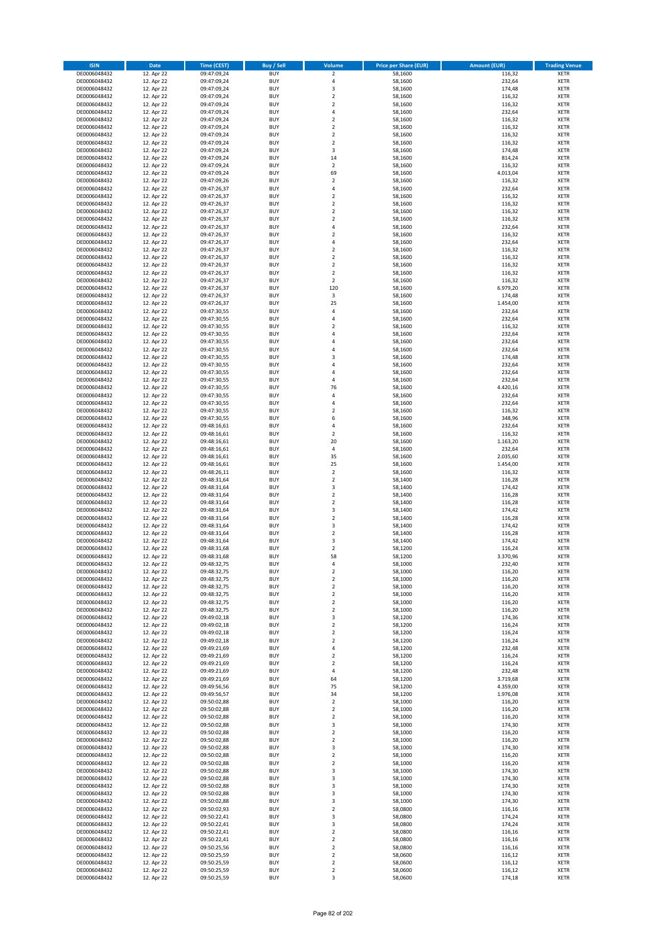| <b>ISIN</b>                  | Date                     | Time (CEST)                | <b>Buy / Sell</b>        | <b>Volume</b>                 | <b>Price per Share (EUR)</b> | <b>Amount (EUR)</b> | <b>Trading Venue</b>       |
|------------------------------|--------------------------|----------------------------|--------------------------|-------------------------------|------------------------------|---------------------|----------------------------|
| DE0006048432                 | 12. Apr 22               | 09:47:09,24                | <b>BUY</b>               | $\overline{2}$                | 58,1600                      | 116,32              | <b>XETR</b>                |
| DE0006048432                 | 12. Apr 22               | 09:47:09,24                | <b>BUY</b>               | $\sqrt{4}$                    | 58,1600                      | 232,64              | XETR                       |
| DE0006048432                 | 12. Apr 22               | 09:47:09,24                | <b>BUY</b>               | 3                             | 58,1600                      | 174,48              | <b>XETR</b>                |
| DE0006048432<br>DE0006048432 | 12. Apr 22<br>12. Apr 22 | 09:47:09,24<br>09:47:09,24 | <b>BUY</b><br><b>BUY</b> | $\mathbf 2$<br>$\overline{2}$ | 58,1600<br>58,1600           | 116,32<br>116,32    | XETR<br><b>XETR</b>        |
| DE0006048432                 | 12. Apr 22               | 09:47:09,24                | <b>BUY</b>               | $\overline{4}$                | 58,1600                      | 232,64              | <b>XETR</b>                |
| DE0006048432                 | 12. Apr 22               | 09:47:09,24                | <b>BUY</b>               | $\mathbf 2$                   | 58,1600                      | 116,32              | <b>XETR</b>                |
| DE0006048432                 | 12. Apr 22               | 09:47:09,24                | <b>BUY</b>               | $\mathbf 2$                   | 58,1600                      | 116,32              | <b>XETR</b>                |
| DE0006048432                 | 12. Apr 22               | 09:47:09,24                | <b>BUY</b>               | $\overline{2}$                | 58,1600                      | 116,32              | <b>XETR</b>                |
| DE0006048432                 | 12. Apr 22               | 09:47:09,24                | <b>BUY</b>               | $\overline{2}$                | 58,1600                      | 116,32              | <b>XETR</b>                |
| DE0006048432                 | 12. Apr 22               | 09:47:09,24                | <b>BUY</b>               | $\mathsf 3$                   | 58,1600                      | 174,48              | <b>XETR</b>                |
| DE0006048432<br>DE0006048432 | 12. Apr 22<br>12. Apr 22 | 09:47:09,24                | <b>BUY</b><br><b>BUY</b> | 14<br>$\mathbf 2$             | 58,1600<br>58,1600           | 814,24<br>116,32    | <b>XETR</b><br><b>XETR</b> |
| DE0006048432                 | 12. Apr 22               | 09:47:09,24<br>09:47:09,24 | <b>BUY</b>               | 69                            | 58,1600                      | 4.013,04            | <b>XETR</b>                |
| DE0006048432                 | 12. Apr 22               | 09:47:09,26                | <b>BUY</b>               | $\mathbf 2$                   | 58,1600                      | 116,32              | <b>XETR</b>                |
| DE0006048432                 | 12. Apr 22               | 09:47:26,37                | <b>BUY</b>               | 4                             | 58,1600                      | 232,64              | <b>XETR</b>                |
| DE0006048432                 | 12. Apr 22               | 09:47:26,37                | <b>BUY</b>               | $\overline{2}$                | 58,1600                      | 116,32              | <b>XETR</b>                |
| DE0006048432                 | 12. Apr 22               | 09:47:26,37                | <b>BUY</b>               | $\overline{2}$                | 58,1600                      | 116,32              | <b>XETR</b>                |
| DE0006048432                 | 12. Apr 22               | 09:47:26,37                | <b>BUY</b>               | $\overline{2}$                | 58,1600                      | 116,32              | <b>XETR</b>                |
| DE0006048432                 | 12. Apr 22               | 09:47:26,37                | <b>BUY</b>               | $\mathbf 2$                   | 58,1600                      | 116,32              | <b>XETR</b>                |
| DE0006048432                 | 12. Apr 22               | 09:47:26,37                | <b>BUY</b>               | 4                             | 58,1600                      | 232,64              | <b>XETR</b>                |
| DE0006048432<br>DE0006048432 | 12. Apr 22<br>12. Apr 22 | 09:47:26,37<br>09:47:26,37 | <b>BUY</b><br><b>BUY</b> | $\mathbf 2$<br>$\overline{4}$ | 58,1600<br>58,1600           | 116,32<br>232,64    | <b>XETR</b><br><b>XETR</b> |
| DE0006048432                 | 12. Apr 22               | 09:47:26,37                | <b>BUY</b>               | $\mathbf 2$                   | 58,1600                      | 116,32              | <b>XETR</b>                |
| DE0006048432                 | 12. Apr 22               | 09:47:26,37                | <b>BUY</b>               | $\overline{2}$                | 58,1600                      | 116,32              | <b>XETR</b>                |
| DE0006048432                 | 12. Apr 22               | 09:47:26,37                | <b>BUY</b>               | $\mathbf 2$                   | 58,1600                      | 116,32              | <b>XETR</b>                |
| DE0006048432                 | 12. Apr 22               | 09:47:26,37                | <b>BUY</b>               | $\overline{2}$                | 58,1600                      | 116,32              | <b>XETR</b>                |
| DE0006048432                 | 12. Apr 22               | 09:47:26,37                | <b>BUY</b>               | $\overline{2}$                | 58,1600                      | 116,32              | <b>XETR</b>                |
| DE0006048432                 | 12. Apr 22<br>12. Apr 22 | 09:47:26,37                | <b>BUY</b>               | 120                           | 58,1600                      | 6.979,20            | <b>XETR</b>                |
| DE0006048432<br>DE0006048432 | 12. Apr 22               | 09:47:26,37                | <b>BUY</b><br><b>BUY</b> | 3<br>25                       | 58,1600<br>58,1600           | 174,48<br>1.454,00  | <b>XETR</b><br><b>XETR</b> |
| DE0006048432                 | 12. Apr 22               | 09:47:26,37<br>09:47:30,55 | <b>BUY</b>               | $\sqrt{4}$                    | 58,1600                      | 232,64              | <b>XETR</b>                |
| DE0006048432                 | 12. Apr 22               | 09:47:30,55                | <b>BUY</b>               | 4                             | 58,1600                      | 232,64              | <b>XETR</b>                |
| DE0006048432                 | 12. Apr 22               | 09:47:30,55                | <b>BUY</b>               | $\overline{\mathbf{c}}$       | 58,1600                      | 116,32              | <b>XETR</b>                |
| DE0006048432                 | 12. Apr 22               | 09:47:30,55                | <b>BUY</b>               | $\overline{4}$                | 58,1600                      | 232,64              | <b>XETR</b>                |
| DE0006048432                 | 12. Apr 22               | 09:47:30,55                | <b>BUY</b>               | 4                             | 58,1600                      | 232,64              | <b>XETR</b>                |
| DE0006048432                 | 12. Apr 22               | 09:47:30,55                | <b>BUY</b>               | $\overline{a}$                | 58,1600                      | 232,64              | <b>XETR</b>                |
| DE0006048432                 | 12. Apr 22               | 09:47:30,55                | <b>BUY</b>               | 3                             | 58,1600                      | 174,48              | <b>XETR</b>                |
| DE0006048432<br>DE0006048432 | 12. Apr 22<br>12. Apr 22 | 09:47:30,55<br>09:47:30,55 | <b>BUY</b><br><b>BUY</b> | 4<br>4                        | 58,1600<br>58,1600           | 232,64<br>232,64    | <b>XETR</b><br><b>XETR</b> |
| DE0006048432                 | 12. Apr 22               | 09:47:30,55                | <b>BUY</b>               | $\overline{4}$                | 58,1600                      | 232,64              | <b>XETR</b>                |
| DE0006048432                 | 12. Apr 22               | 09:47:30,55                | <b>BUY</b>               | 76                            | 58,1600                      | 4.420,16            | <b>XETR</b>                |
| DE0006048432                 | 12. Apr 22               | 09:47:30,55                | <b>BUY</b>               | 4                             | 58,1600                      | 232,64              | <b>XETR</b>                |
| DE0006048432                 | 12. Apr 22               | 09:47:30,55                | <b>BUY</b>               | 4                             | 58,1600                      | 232,64              | <b>XETR</b>                |
| DE0006048432                 | 12. Apr 22               | 09:47:30,55                | <b>BUY</b>               | $\mathbf 2$                   | 58,1600                      | 116,32              | <b>XETR</b>                |
| DE0006048432                 | 12. Apr 22               | 09:47:30,55                | <b>BUY</b>               | 6                             | 58,1600                      | 348,96              | <b>XETR</b>                |
| DE0006048432                 | 12. Apr 22               | 09:48:16,61                | <b>BUY</b>               | $\sqrt{4}$                    | 58,1600                      | 232,64              | <b>XETR</b>                |
| DE0006048432<br>DE0006048432 | 12. Apr 22<br>12. Apr 22 | 09:48:16,61<br>09:48:16,61 | <b>BUY</b><br><b>BUY</b> | $\overline{2}$<br>20          | 58,1600<br>58,1600           | 116,32<br>1.163,20  | <b>XETR</b><br><b>XETR</b> |
| DE0006048432                 | 12. Apr 22               | 09:48:16,61                | <b>BUY</b>               | $\sqrt{4}$                    | 58,1600                      | 232,64              | <b>XETR</b>                |
| DE0006048432                 | 12. Apr 22               | 09:48:16,61                | <b>BUY</b>               | 35                            | 58,1600                      | 2.035,60            | <b>XETR</b>                |
| DE0006048432                 | 12. Apr 22               | 09:48:16,61                | <b>BUY</b>               | 25                            | 58,1600                      | 1.454,00            | <b>XETR</b>                |
| DE0006048432                 | 12. Apr 22               | 09:48:26,11                | <b>BUY</b>               | $\overline{2}$                | 58,1600                      | 116,32              | <b>XETR</b>                |
| DE0006048432                 | 12. Apr 22               | 09:48:31,64                | <b>BUY</b>               | $\mathbf 2$                   | 58,1400                      | 116,28              | <b>XETR</b>                |
| DE0006048432                 | 12. Apr 22               | 09:48:31,64                | <b>BUY</b>               | 3                             | 58,1400                      | 174,42              | <b>XETR</b>                |
| DE0006048432<br>DE0006048432 | 12. Apr 22<br>12. Apr 22 | 09:48:31,64<br>09:48:31,64 | <b>BUY</b><br><b>BUY</b> | $\mathbf 2$<br>$\overline{2}$ | 58,1400<br>58,1400           | 116,28<br>116,28    | <b>XETR</b><br><b>XETR</b> |
| DE0006048432                 | 12. Apr 22               | 09:48:31,64                | <b>BUY</b>               | 3                             | 58,1400                      | 174,42              | <b>XETR</b>                |
| DE0006048432                 | 12. Apr 22               | 09:48:31,64                | <b>BUY</b>               | $\mathbf 2$                   | 58,1400                      | 116,28              | <b>XETR</b>                |
| DE0006048432                 | 12. Apr 22               | 09:48:31,64                | <b>BUY</b>               | 3                             | 58,1400                      | 174,42              | <b>XETR</b>                |
| DE0006048432                 | 12. Apr 22               | 09:48:31,64                | <b>BUY</b>               | $\mathbf 2$                   | 58,1400                      | 116,28              | <b>XETR</b>                |
| DE0006048432                 | 12. Apr 22               | 09:48:31,64                | <b>BUY</b>               | 3                             | 58,1400                      | 174,42              | <b>XETR</b>                |
| DE0006048432                 | 12. Apr 22               | 09:48:31,68                | <b>BUY</b>               | $\overline{2}$                | 58,1200                      | 116,24              | <b>XETR</b>                |
| DE0006048432                 | 12. Apr 22               | 09:48:31,68<br>09:48:32,75 | <b>BUY</b>               | 58                            | 58,1200                      | 3.370,96            | <b>XETR</b>                |
| DE0006048432<br>DE0006048432 | 12. Apr 22<br>12. Apr 22 | 09:48:32,75                | BUY<br><b>BUY</b>        | 4<br>$\mathbf 2$              | 58,1000<br>58,1000           | 232,40<br>116,20    | XETR<br><b>XETR</b>        |
| DE0006048432                 | 12. Apr 22               | 09:48:32,75                | <b>BUY</b>               | $\overline{2}$                | 58,1000                      | 116,20              | <b>XETR</b>                |
| DE0006048432                 | 12. Apr 22               | 09:48:32,75                | <b>BUY</b>               | $\overline{2}$                | 58,1000                      | 116,20              | <b>XETR</b>                |
| DE0006048432                 | 12. Apr 22               | 09:48:32,75                | <b>BUY</b>               | $\overline{2}$                | 58,1000                      | 116,20              | <b>XETR</b>                |
| DE0006048432                 | 12. Apr 22               | 09:48:32,75                | <b>BUY</b>               | $\overline{2}$                | 58,1000                      | 116,20              | <b>XETR</b>                |
| DE0006048432                 | 12. Apr 22               | 09:48:32,75                | <b>BUY</b>               | $\overline{2}$                | 58,1000                      | 116,20              | <b>XETR</b>                |
| DE0006048432<br>DE0006048432 | 12. Apr 22<br>12. Apr 22 | 09:49:02,18<br>09:49:02,18 | <b>BUY</b><br><b>BUY</b> | 3<br>$\overline{2}$           | 58,1200<br>58,1200           | 174,36<br>116,24    | <b>XETR</b><br>XETR        |
| DE0006048432                 | 12. Apr 22               | 09:49:02,18                | <b>BUY</b>               | $\mathbf 2$                   | 58,1200                      | 116,24              | <b>XETR</b>                |
| DE0006048432                 | 12. Apr 22               | 09:49:02,18                | <b>BUY</b>               | $\overline{2}$                | 58,1200                      | 116,24              | XETR                       |
| DE0006048432                 | 12. Apr 22               | 09:49:21,69                | <b>BUY</b>               | $\pmb{4}$                     | 58,1200                      | 232,48              | <b>XETR</b>                |
| DE0006048432                 | 12. Apr 22               | 09:49:21,69                | <b>BUY</b>               | $\overline{2}$                | 58,1200                      | 116,24              | XETR                       |
| DE0006048432                 | 12. Apr 22               | 09:49:21,69                | <b>BUY</b>               | $\overline{2}$                | 58,1200                      | 116,24              | <b>XETR</b>                |
| DE0006048432<br>DE0006048432 | 12. Apr 22<br>12. Apr 22 | 09:49:21,69<br>09:49:21,69 | <b>BUY</b><br><b>BUY</b> | $\pmb{4}$<br>64               | 58,1200<br>58,1200           | 232,48<br>3.719,68  | XETR<br><b>XETR</b>        |
| DE0006048432                 | 12. Apr 22               | 09:49:56,56                | <b>BUY</b>               | 75                            | 58,1200                      | 4.359,00            | <b>XETR</b>                |
| DE0006048432                 | 12. Apr 22               | 09:49:56,57                | <b>BUY</b>               | 34                            | 58,1200                      | 1.976,08            | <b>XETR</b>                |
| DE0006048432                 | 12. Apr 22               | 09:50:02,88                | <b>BUY</b>               | $\mathbf 2$                   | 58,1000                      | 116,20              | XETR                       |
| DE0006048432                 | 12. Apr 22               | 09:50:02,88                | <b>BUY</b>               | $\overline{2}$                | 58,1000                      | 116,20              | <b>XETR</b>                |
| DE0006048432                 | 12. Apr 22               | 09:50:02,88                | <b>BUY</b>               | $\overline{2}$                | 58,1000                      | 116,20              | <b>XETR</b>                |
| DE0006048432                 | 12. Apr 22               | 09:50:02,88                | <b>BUY</b>               | 3                             | 58,1000                      | 174,30              | XETR                       |
| DE0006048432<br>DE0006048432 | 12. Apr 22<br>12. Apr 22 | 09:50:02,88<br>09:50:02,88 | <b>BUY</b><br><b>BUY</b> | $\overline{2}$<br>$\mathbf 2$ | 58,1000<br>58,1000           | 116,20<br>116,20    | XETR<br>XETR               |
| DE0006048432                 | 12. Apr 22               | 09:50:02,88                | <b>BUY</b>               | 3                             | 58,1000                      | 174,30              | XETR                       |
| DE0006048432                 | 12. Apr 22               | 09:50:02,88                | <b>BUY</b>               | $\overline{2}$                | 58,1000                      | 116,20              | <b>XETR</b>                |
| DE0006048432                 | 12. Apr 22               | 09:50:02,88                | <b>BUY</b>               | $\overline{2}$                | 58,1000                      | 116,20              | <b>XETR</b>                |
| DE0006048432                 | 12. Apr 22               | 09:50:02,88                | <b>BUY</b>               | 3                             | 58,1000                      | 174,30              | <b>XETR</b>                |
| DE0006048432                 | 12. Apr 22               | 09:50:02,88                | <b>BUY</b>               | 3                             | 58,1000                      | 174,30              | <b>XETR</b>                |
| DE0006048432                 | 12. Apr 22               | 09:50:02,88                | <b>BUY</b>               | 3                             | 58,1000                      | 174,30              | <b>XETR</b>                |
| DE0006048432                 | 12. Apr 22               | 09:50:02,88                | <b>BUY</b>               | 3                             | 58,1000                      | 174,30              | XETR                       |
| DE0006048432<br>DE0006048432 | 12. Apr 22<br>12. Apr 22 | 09:50:02,88<br>09:50:02,93 | <b>BUY</b><br><b>BUY</b> | 3<br>$\mathbf 2$              | 58,1000<br>58,0800           | 174,30<br>116,16    | XETR<br>XETR               |
| DE0006048432                 | 12. Apr 22               | 09:50:22,41                | <b>BUY</b>               | 3                             | 58,0800                      | 174,24              | <b>XETR</b>                |
| DE0006048432                 | 12. Apr 22               | 09:50:22,41                | <b>BUY</b>               | 3                             | 58,0800                      | 174,24              | <b>XETR</b>                |
| DE0006048432                 | 12. Apr 22               | 09:50:22,41                | <b>BUY</b>               | $\mathbf 2$                   | 58,0800                      | 116,16              | XETR                       |
| DE0006048432                 | 12. Apr 22               | 09:50:22,41                | <b>BUY</b>               | $\overline{2}$                | 58,0800                      | 116,16              | <b>XETR</b>                |
| DE0006048432                 | 12. Apr 22               | 09:50:25,56                | <b>BUY</b>               | $\mathbf 2$                   | 58,0800                      | 116,16              | XETR                       |
| DE0006048432                 | 12. Apr 22               | 09:50:25,59                | <b>BUY</b>               | $\overline{2}$                | 58,0600                      | 116,12              | <b>XETR</b>                |
| DE0006048432<br>DE0006048432 | 12. Apr 22<br>12. Apr 22 | 09:50:25,59<br>09:50:25,59 | <b>BUY</b><br><b>BUY</b> | $\mathbf 2$<br>$\mathbf 2$    | 58,0600<br>58,0600           | 116,12<br>116,12    | XETR<br><b>XETR</b>        |
| DE0006048432                 | 12. Apr 22               | 09:50:25,59                | <b>BUY</b>               | 3                             | 58,0600                      | 174,18              | <b>XETR</b>                |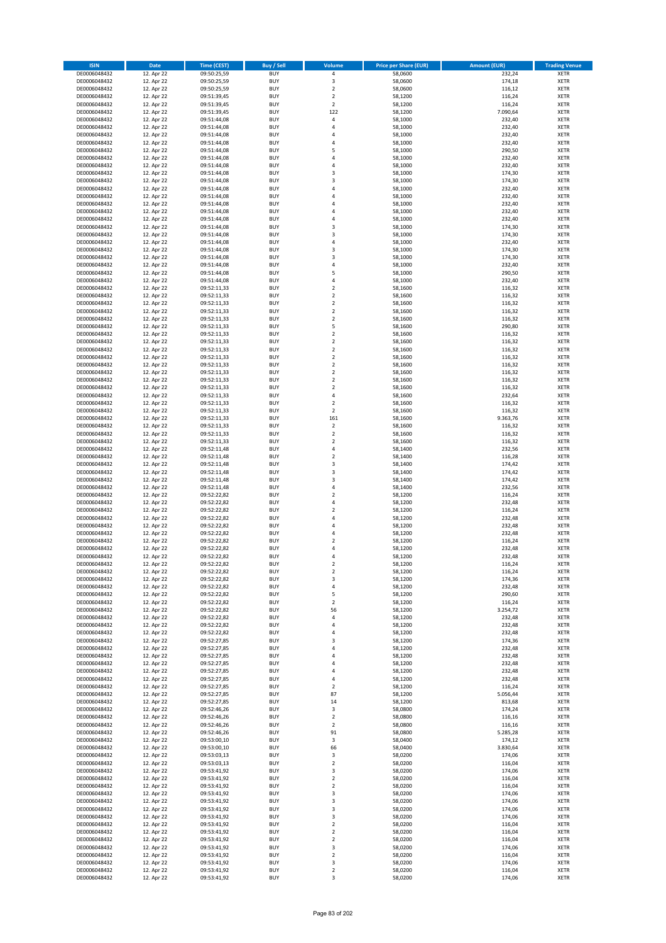| <b>ISIN</b>                  | Date                     | Time (CEST)                | <b>Buy / Sell</b>        | <b>Volume</b>                 | <b>Price per Share (EUR)</b> | <b>Amount (EUR)</b> | <b>Trading Venue</b>       |
|------------------------------|--------------------------|----------------------------|--------------------------|-------------------------------|------------------------------|---------------------|----------------------------|
| DE0006048432                 | 12. Apr 22               | 09:50:25,59                | <b>BUY</b>               | $\pmb{4}$                     | 58,0600                      | 232,24              | <b>XETR</b>                |
| DE0006048432                 | 12. Apr 22               | 09:50:25,59                | <b>BUY</b>               | 3                             | 58,0600                      | 174,18              | XETR                       |
| DE0006048432                 | 12. Apr 22               | 09:50:25,59                | <b>BUY</b>               | $\mathbf 2$                   | 58,0600                      | 116,12              | <b>XETR</b>                |
| DE0006048432<br>DE0006048432 | 12. Apr 22<br>12. Apr 22 | 09:51:39,45<br>09:51:39,45 | <b>BUY</b><br><b>BUY</b> | $\mathbf 2$<br>$\mathbf 2$    | 58,1200<br>58,1200           | 116,24<br>116,24    | XETR<br><b>XETR</b>        |
| DE0006048432                 | 12. Apr 22               | 09:51:39,45                | <b>BUY</b>               | 122                           | 58,1200                      | 7.090,64            | <b>XETR</b>                |
| DE0006048432                 | 12. Apr 22               | 09:51:44,08                | <b>BUY</b>               | $\pmb{4}$                     | 58,1000                      | 232,40              | <b>XETR</b>                |
| DE0006048432                 | 12. Apr 22               | 09:51:44,08                | <b>BUY</b>               | 4                             | 58,1000                      | 232,40              | <b>XETR</b>                |
| DE0006048432                 | 12. Apr 22               | 09:51:44,08                | <b>BUY</b>               | $\overline{a}$                | 58,1000                      | 232,40              | <b>XETR</b>                |
| DE0006048432                 | 12. Apr 22               | 09:51:44,08                | <b>BUY</b><br><b>BUY</b> | 4<br>5                        | 58,1000                      | 232,40              | <b>XETR</b><br><b>XETR</b> |
| DE0006048432<br>DE0006048432 | 12. Apr 22<br>12. Apr 22 | 09:51:44,08<br>09:51:44,08 | <b>BUY</b>               | 4                             | 58,1000<br>58,1000           | 290,50<br>232,40    | <b>XETR</b>                |
| DE0006048432                 | 12. Apr 22               | 09:51:44,08                | <b>BUY</b>               | $\overline{4}$                | 58,1000                      | 232,40              | <b>XETR</b>                |
| DE0006048432                 | 12. Apr 22               | 09:51:44,08                | <b>BUY</b>               | 3                             | 58,1000                      | 174,30              | <b>XETR</b>                |
| DE0006048432                 | 12. Apr 22               | 09:51:44,08                | <b>BUY</b>               | 3                             | 58,1000                      | 174,30              | <b>XETR</b>                |
| DE0006048432                 | 12. Apr 22               | 09:51:44,08                | <b>BUY</b>               | $\overline{a}$                | 58,1000                      | 232,40              | <b>XETR</b>                |
| DE0006048432<br>DE0006048432 | 12. Apr 22<br>12. Apr 22 | 09:51:44,08<br>09:51:44,08 | <b>BUY</b><br><b>BUY</b> | 4<br>4                        | 58,1000<br>58,1000           | 232,40<br>232,40    | <b>XETR</b><br><b>XETR</b> |
| DE0006048432                 | 12. Apr 22               | 09:51:44,08                | <b>BUY</b>               | 4                             | 58,1000                      | 232,40              | <b>XETR</b>                |
| DE0006048432                 | 12. Apr 22               | 09:51:44,08                | <b>BUY</b>               | $\overline{4}$                | 58,1000                      | 232,40              | <b>XETR</b>                |
| DE0006048432                 | 12. Apr 22               | 09:51:44,08                | <b>BUY</b>               | 3                             | 58,1000                      | 174,30              | <b>XETR</b>                |
| DE0006048432                 | 12. Apr 22               | 09:51:44,08                | <b>BUY</b>               | 3                             | 58,1000                      | 174,30              | <b>XETR</b>                |
| DE0006048432<br>DE0006048432 | 12. Apr 22<br>12. Apr 22 | 09:51:44,08<br>09:51:44,08 | <b>BUY</b><br><b>BUY</b> | $\overline{4}$<br>3           | 58,1000<br>58,1000           | 232,40<br>174,30    | <b>XETR</b><br><b>XETR</b> |
| DE0006048432                 | 12. Apr 22               | 09:51:44,08                | <b>BUY</b>               | 3                             | 58,1000                      | 174,30              | <b>XETR</b>                |
| DE0006048432                 | 12. Apr 22               | 09:51:44,08                | <b>BUY</b>               | 4                             | 58,1000                      | 232,40              | <b>XETR</b>                |
| DE0006048432                 | 12. Apr 22               | 09:51:44,08                | <b>BUY</b>               | 5                             | 58,1000                      | 290,50              | <b>XETR</b>                |
| DE0006048432                 | 12. Apr 22               | 09:51:44,08                | <b>BUY</b>               | 4                             | 58,1000                      | 232,40              | <b>XETR</b>                |
| DE0006048432<br>DE0006048432 | 12. Apr 22<br>12. Apr 22 | 09:52:11,33<br>09:52:11,33 | <b>BUY</b><br><b>BUY</b> | $\mathbf 2$<br>$\mathbf 2$    | 58,1600<br>58,1600           | 116,32<br>116,32    | <b>XETR</b><br><b>XETR</b> |
| DE0006048432                 | 12. Apr 22               | 09:52:11,33                | <b>BUY</b>               | $\overline{2}$                | 58,1600                      | 116,32              | <b>XETR</b>                |
| DE0006048432                 | 12. Apr 22               | 09:52:11,33                | <b>BUY</b>               | $\overline{2}$                | 58,1600                      | 116,32              | <b>XETR</b>                |
| DE0006048432                 | 12. Apr 22               | 09:52:11,33                | <b>BUY</b>               | $\overline{2}$                | 58,1600                      | 116,32              | <b>XETR</b>                |
| DE0006048432                 | 12. Apr 22               | 09:52:11,33                | <b>BUY</b>               | 5                             | 58,1600                      | 290,80              | <b>XETR</b>                |
| DE0006048432                 | 12. Apr 22               | 09:52:11,33                | <b>BUY</b>               | $\mathbf 2$                   | 58,1600                      | 116,32              | <b>XETR</b>                |
| DE0006048432<br>DE0006048432 | 12. Apr 22<br>12. Apr 22 | 09:52:11,33<br>09:52:11,33 | <b>BUY</b><br><b>BUY</b> | $\mathbf 2$<br>$\overline{2}$ | 58,1600<br>58,1600           | 116,32<br>116,32    | <b>XETR</b><br><b>XETR</b> |
| DE0006048432                 | 12. Apr 22               | 09:52:11,33                | <b>BUY</b>               | $\mathbf 2$                   | 58,1600                      | 116,32              | <b>XETR</b>                |
| DE0006048432                 | 12. Apr 22               | 09:52:11,33                | <b>BUY</b>               | $\overline{2}$                | 58,1600                      | 116,32              | <b>XETR</b>                |
| DE0006048432                 | 12. Apr 22               | 09:52:11,33                | <b>BUY</b>               | $\mathbf 2$                   | 58,1600                      | 116,32              | <b>XETR</b>                |
| DE0006048432                 | 12. Apr 22               | 09:52:11,33                | <b>BUY</b>               | $\mathbf 2$                   | 58,1600                      | 116,32              | <b>XETR</b>                |
| DE0006048432<br>DE0006048432 | 12. Apr 22<br>12. Apr 22 | 09:52:11,33                | <b>BUY</b><br><b>BUY</b> | $\overline{2}$<br>$\pmb{4}$   | 58,1600<br>58,1600           | 116,32<br>232,64    | <b>XETR</b><br><b>XETR</b> |
| DE0006048432                 | 12. Apr 22               | 09:52:11,33<br>09:52:11,33 | <b>BUY</b>               | $\overline{2}$                | 58,1600                      | 116,32              | <b>XETR</b>                |
| DE0006048432                 | 12. Apr 22               | 09:52:11,33                | <b>BUY</b>               | $\overline{2}$                | 58,1600                      | 116,32              | <b>XETR</b>                |
| DE0006048432                 | 12. Apr 22               | 09:52:11,33                | <b>BUY</b>               | 161                           | 58,1600                      | 9.363,76            | <b>XETR</b>                |
| DE0006048432                 | 12. Apr 22               | 09:52:11,33                | <b>BUY</b>               | $\mathbf 2$                   | 58,1600                      | 116,32              | <b>XETR</b>                |
| DE0006048432                 | 12. Apr 22               | 09:52:11,33                | <b>BUY</b>               | $\mathbf 2$                   | 58,1600                      | 116,32              | <b>XETR</b>                |
| DE0006048432<br>DE0006048432 | 12. Apr 22<br>12. Apr 22 | 09:52:11,33<br>09:52:11,48 | <b>BUY</b><br><b>BUY</b> | $\overline{2}$<br>$\pmb{4}$   | 58,1600<br>58,1400           | 116,32<br>232,56    | <b>XETR</b><br><b>XETR</b> |
| DE0006048432                 | 12. Apr 22               | 09:52:11,48                | <b>BUY</b>               | $\overline{2}$                | 58,1400                      | 116,28              | <b>XETR</b>                |
| DE0006048432                 | 12. Apr 22               | 09:52:11,48                | <b>BUY</b>               | 3                             | 58,1400                      | 174,42              | <b>XETR</b>                |
| DE0006048432                 | 12. Apr 22               | 09:52:11,48                | <b>BUY</b>               | 3                             | 58,1400                      | 174,42              | <b>XETR</b>                |
| DE0006048432                 | 12. Apr 22               | 09:52:11,48                | <b>BUY</b>               | $\mathsf 3$                   | 58,1400                      | 174,42              | <b>XETR</b>                |
| DE0006048432<br>DE0006048432 | 12. Apr 22<br>12. Apr 22 | 09:52:11,48<br>09:52:22,82 | <b>BUY</b><br><b>BUY</b> | 4<br>$\mathbf 2$              | 58,1400<br>58,1200           | 232,56<br>116,24    | <b>XETR</b><br><b>XETR</b> |
| DE0006048432                 | 12. Apr 22               | 09:52:22,82                | <b>BUY</b>               | $\overline{4}$                | 58,1200                      | 232,48              | <b>XETR</b>                |
| DE0006048432                 | 12. Apr 22               | 09:52:22,82                | <b>BUY</b>               | $\mathbf 2$                   | 58,1200                      | 116,24              | <b>XETR</b>                |
| DE0006048432                 | 12. Apr 22               | 09:52:22,82                | <b>BUY</b>               | $\overline{a}$                | 58,1200                      | 232,48              | <b>XETR</b>                |
| DE0006048432                 | 12. Apr 22               | 09:52:22,82                | <b>BUY</b>               | $\overline{4}$                | 58,1200                      | 232,48              | <b>XETR</b>                |
| DE0006048432<br>DE0006048432 | 12. Apr 22<br>12. Apr 22 | 09:52:22,82<br>09:52:22,82 | <b>BUY</b><br><b>BUY</b> | 4<br>$\overline{2}$           | 58,1200<br>58,1200           | 232,48<br>116,24    | <b>XETR</b><br><b>XETR</b> |
| DE0006048432                 | 12. Apr 22               | 09:52:22,82                | <b>BUY</b>               | $\overline{4}$                | 58,1200                      | 232,48              | <b>XETR</b>                |
| DE0006048432                 | 12. Apr 22               | 09:52:22,82                | <b>BUY</b>               | $\overline{4}$                | 58,1200                      | 232,48              | <b>XETR</b>                |
| DE0006048432                 | 12. Apr 22               | 09:52:22,82                | BUY                      | 2                             | 58,1200                      | 116,24              | XETR                       |
| DE0006048432                 | 12. Apr 22               | 09:52:22,82                | <b>BUY</b>               | $\mathbf 2$                   | 58,1200                      | 116,24              | <b>XETR</b>                |
| DE0006048432<br>DE0006048432 | 12. Apr 22<br>12. Apr 22 | 09:52:22,82<br>09:52:22,82 | <b>BUY</b><br><b>BUY</b> | 3<br>4                        | 58,1200<br>58,1200           | 174,36<br>232,48    | <b>XETR</b><br><b>XETR</b> |
| DE0006048432                 | 12. Apr 22               | 09:52:22,82                | <b>BUY</b>               | 5                             | 58,1200                      | 290,60              | <b>XETR</b>                |
| DE0006048432                 | 12. Apr 22               | 09:52:22,82                | <b>BUY</b>               | $\mathbf 2$                   | 58,1200                      | 116,24              | <b>XETR</b>                |
| DE0006048432                 | 12. Apr 22               | 09:52:22,82                | <b>BUY</b>               | 56                            | 58,1200                      | 3.254,72            | <b>XETR</b>                |
| DE0006048432                 | 12. Apr 22               | 09:52:22,82                | <b>BUY</b>               | $\sqrt{4}$                    | 58,1200                      | 232,48              | <b>XETR</b>                |
| DE0006048432<br>DE0006048432 | 12. Apr 22<br>12. Apr 22 | 09:52:22,82<br>09:52:22,82 | <b>BUY</b><br><b>BUY</b> | $\overline{4}$<br>4           | 58,1200<br>58,1200           | 232,48<br>232,48    | XETR<br><b>XETR</b>        |
| DE0006048432                 | 12. Apr 22               | 09:52:27,85                | <b>BUY</b>               | 3                             | 58,1200                      | 174,36              | XETR                       |
| DE0006048432                 | 12. Apr 22               | 09:52:27,85                | <b>BUY</b>               | 4                             | 58,1200                      | 232,48              | <b>XETR</b>                |
| DE0006048432                 | 12. Apr 22               | 09:52:27,85                | <b>BUY</b>               | $\overline{4}$                | 58,1200                      | 232,48              | XETR                       |
| DE0006048432                 | 12. Apr 22               | 09:52:27,85                | <b>BUY</b>               | $\overline{4}$                | 58,1200                      | 232,48              | <b>XETR</b>                |
| DE0006048432<br>DE0006048432 | 12. Apr 22<br>12. Apr 22 | 09:52:27,85<br>09:52:27,85 | <b>BUY</b><br><b>BUY</b> | $\sqrt{4}$<br>$\overline{4}$  | 58,1200<br>58,1200           | 232,48<br>232,48    | XETR<br><b>XETR</b>        |
| DE0006048432                 | 12. Apr 22               | 09:52:27,85                | <b>BUY</b>               | $\overline{2}$                | 58,1200                      | 116,24              | <b>XETR</b>                |
| DE0006048432                 | 12. Apr 22               | 09:52:27,85                | <b>BUY</b>               | 87                            | 58,1200                      | 5.056,44            | <b>XETR</b>                |
| DE0006048432                 | 12. Apr 22               | 09:52:27,85                | <b>BUY</b>               | 14                            | 58,1200                      | 813,68              | XETR                       |
| DE0006048432                 | 12. Apr 22               | 09:52:46,26                | <b>BUY</b>               | 3                             | 58,0800                      | 174,24              | <b>XETR</b>                |
| DE0006048432<br>DE0006048432 | 12. Apr 22<br>12. Apr 22 | 09:52:46,26<br>09:52:46,26 | <b>BUY</b><br><b>BUY</b> | $\overline{2}$<br>$\mathbf 2$ | 58,0800<br>58,0800           | 116,16<br>116,16    | <b>XETR</b><br>XETR        |
| DE0006048432                 | 12. Apr 22               | 09:52:46,26                | <b>BUY</b>               | 91                            | 58,0800                      | 5.285,28            | XETR                       |
| DE0006048432                 | 12. Apr 22               | 09:53:00,10                | <b>BUY</b>               | 3                             | 58,0400                      | 174,12              | XETR                       |
| DE0006048432                 | 12. Apr 22               | 09:53:00,10                | <b>BUY</b>               | 66                            | 58,0400                      | 3.830,64            | XETR                       |
| DE0006048432                 | 12. Apr 22               | 09:53:03,13                | <b>BUY</b>               | 3                             | 58,0200                      | 174,06              | <b>XETR</b>                |
| DE0006048432<br>DE0006048432 | 12. Apr 22<br>12. Apr 22 | 09:53:03,13<br>09:53:41,92 | <b>BUY</b><br><b>BUY</b> | $\mathbf 2$<br>3              | 58,0200<br>58,0200           | 116,04<br>174,06    | <b>XETR</b><br><b>XETR</b> |
| DE0006048432                 | 12. Apr 22               | 09:53:41,92                | <b>BUY</b>               | $\mathbf 2$                   | 58,0200                      | 116,04              | <b>XETR</b>                |
| DE0006048432                 | 12. Apr 22               | 09:53:41,92                | <b>BUY</b>               | $\overline{2}$                | 58,0200                      | 116,04              | <b>XETR</b>                |
| DE0006048432                 | 12. Apr 22               | 09:53:41,92                | <b>BUY</b>               | 3                             | 58,0200                      | 174,06              | XETR                       |
| DE0006048432                 | 12. Apr 22               | 09:53:41,92                | <b>BUY</b>               | 3                             | 58,0200                      | 174,06              | XETR                       |
| DE0006048432<br>DE0006048432 | 12. Apr 22<br>12. Apr 22 | 09:53:41,92<br>09:53:41,92 | <b>BUY</b><br><b>BUY</b> | 3<br>3                        | 58,0200<br>58,0200           | 174,06<br>174,06    | XETR<br><b>XETR</b>        |
| DE0006048432                 | 12. Apr 22               | 09:53:41,92                | <b>BUY</b>               | $\mathbf 2$                   | 58,0200                      | 116,04              | <b>XETR</b>                |
| DE0006048432                 | 12. Apr 22               | 09:53:41,92                | <b>BUY</b>               | $\overline{2}$                | 58,0200                      | 116,04              | XETR                       |
| DE0006048432                 | 12. Apr 22               | 09:53:41,92                | <b>BUY</b>               | $\overline{2}$                | 58,0200                      | 116,04              | XETR                       |
| DE0006048432                 | 12. Apr 22               | 09:53:41,92                | <b>BUY</b>               | 3                             | 58,0200                      | 174,06              | XETR                       |
| DE0006048432<br>DE0006048432 | 12. Apr 22<br>12. Apr 22 | 09:53:41,92<br>09:53:41,92 | <b>BUY</b><br><b>BUY</b> | $\overline{2}$<br>3           | 58,0200<br>58,0200           | 116,04<br>174,06    | <b>XETR</b><br>XETR        |
| DE0006048432                 | 12. Apr 22               | 09:53:41,92                | <b>BUY</b>               | $\mathbf 2$                   | 58,0200                      | 116,04              | <b>XETR</b>                |
| DE0006048432                 | 12. Apr 22               | 09:53:41,92                | <b>BUY</b>               | 3                             | 58,0200                      | 174,06              | XETR                       |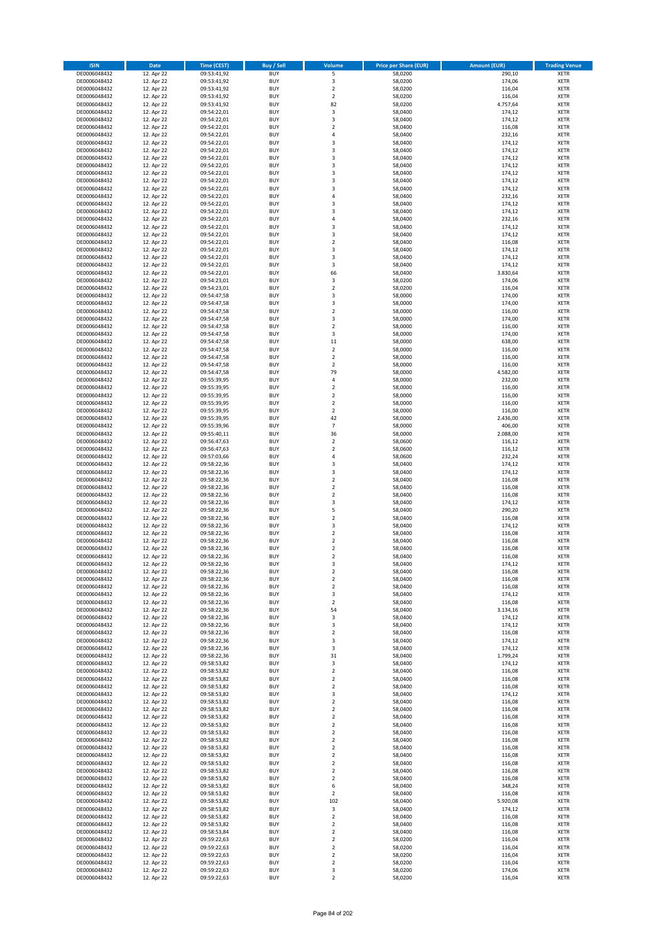| <b>ISIN</b>                  | <b>Date</b>              | <b>Time (CEST)</b>         | <b>Buy / Sell</b>        | Volume                        | <b>Price per Share (EUR)</b> | <b>Amount (EUR)</b> | <b>Trading Venue</b>       |
|------------------------------|--------------------------|----------------------------|--------------------------|-------------------------------|------------------------------|---------------------|----------------------------|
| DE0006048432                 | 12. Apr 22               | 09:53:41,92                | <b>BUY</b>               | 5                             | 58,0200                      | 290,10              | <b>XETR</b>                |
| DE0006048432                 | 12. Apr 22               | 09:53:41,92                | <b>BUY</b>               | 3                             | 58,0200                      | 174,06              | <b>XETR</b>                |
| DE0006048432                 | 12. Apr 22               | 09:53:41,92                | <b>BUY</b>               | $\overline{2}$                | 58,0200                      | 116,04              | <b>XETR</b>                |
| DE0006048432<br>DE0006048432 | 12. Apr 22<br>12. Apr 22 | 09:53:41,92<br>09:53:41,92 | <b>BUY</b><br><b>BUY</b> | $\mathbf 2$<br>82             | 58,0200<br>58,0200           | 116,04<br>4.757,64  | <b>XETR</b><br><b>XETR</b> |
| DE0006048432                 | 12. Apr 22               | 09:54:22,01                | <b>BUY</b>               | 3                             | 58,0400                      | 174,12              | <b>XETR</b>                |
| DE0006048432                 | 12. Apr 22               | 09:54:22,01                | <b>BUY</b>               | 3                             | 58,0400                      | 174,12              | <b>XETR</b>                |
| DE0006048432                 | 12. Apr 22               | 09:54:22,01                | <b>BUY</b>               | $\overline{\mathbf{c}}$       | 58,0400                      | 116,08              | <b>XETR</b>                |
| DE0006048432                 | 12. Apr 22               | 09:54:22,01                | <b>BUY</b>               | 4                             | 58,0400                      | 232,16              | <b>XETR</b>                |
| DE0006048432                 | 12. Apr 22               | 09:54:22,01                | <b>BUY</b><br><b>BUY</b> | 3                             | 58,0400                      | 174,12              | <b>XETR</b>                |
| DE0006048432<br>DE0006048432 | 12. Apr 22<br>12. Apr 22 | 09:54:22,01<br>09:54:22,01 | <b>BUY</b>               | 3<br>3                        | 58,0400<br>58,0400           | 174,12<br>174,12    | <b>XETR</b><br><b>XETR</b> |
| DE0006048432                 | 12. Apr 22               | 09:54:22,01                | <b>BUY</b>               | 3                             | 58,0400                      | 174,12              | <b>XETR</b>                |
| DE0006048432                 | 12. Apr 22               | 09:54:22,01                | <b>BUY</b>               | 3                             | 58,0400                      | 174,12              | <b>XETR</b>                |
| DE0006048432                 | 12. Apr 22               | 09:54:22,01                | <b>BUY</b>               | 3                             | 58,0400                      | 174,12              | <b>XETR</b>                |
| DE0006048432                 | 12. Apr 22               | 09:54:22,01                | <b>BUY</b>               | 3                             | 58,0400                      | 174,12              | <b>XETR</b>                |
| DE0006048432                 | 12. Apr 22               | 09:54:22,01                | <b>BUY</b>               | 4                             | 58,0400                      | 232,16              | <b>XETR</b>                |
| DE0006048432<br>DE0006048432 | 12. Apr 22<br>12. Apr 22 | 09:54:22,01<br>09:54:22,01 | <b>BUY</b><br><b>BUY</b> | 3<br>3                        | 58,0400<br>58,0400           | 174,12<br>174,12    | <b>XETR</b><br><b>XETR</b> |
| DE0006048432                 | 12. Apr 22               | 09:54:22,01                | <b>BUY</b>               | 4                             | 58,0400                      | 232,16              | <b>XETR</b>                |
| DE0006048432                 | 12. Apr 22               | 09:54:22,01                | <b>BUY</b>               | 3                             | 58,0400                      | 174,12              | <b>XETR</b>                |
| DE0006048432                 | 12. Apr 22               | 09:54:22,01                | <b>BUY</b>               | 3                             | 58,0400                      | 174,12              | <b>XETR</b>                |
| DE0006048432                 | 12. Apr 22               | 09:54:22,01                | <b>BUY</b>               | $\mathbf 2$                   | 58,0400                      | 116,08              | <b>XETR</b>                |
| DE0006048432<br>DE0006048432 | 12. Apr 22               | 09:54:22,01                | <b>BUY</b><br><b>BUY</b> | 3<br>3                        | 58,0400<br>58,0400           | 174,12<br>174,12    | <b>XETR</b><br><b>XETR</b> |
| DE0006048432                 | 12. Apr 22<br>12. Apr 22 | 09:54:22,01<br>09:54:22,01 | <b>BUY</b>               | 3                             | 58,0400                      | 174,12              | <b>XETR</b>                |
| DE0006048432                 | 12. Apr 22               | 09:54:22,01                | <b>BUY</b>               | 66                            | 58,0400                      | 3.830,64            | <b>XETR</b>                |
| DE0006048432                 | 12. Apr 22               | 09:54:23,01                | <b>BUY</b>               | 3                             | 58,0200                      | 174,06              | <b>XETR</b>                |
| DE0006048432                 | 12. Apr 22               | 09:54:23,01                | <b>BUY</b>               | $\mathbf 2$                   | 58,0200                      | 116,04              | <b>XETR</b>                |
| DE0006048432                 | 12. Apr 22               | 09:54:47,58                | <b>BUY</b>               | 3                             | 58,0000                      | 174,00              | <b>XETR</b>                |
| DE0006048432<br>DE0006048432 | 12. Apr 22<br>12. Apr 22 | 09:54:47,58<br>09:54:47,58 | <b>BUY</b><br><b>BUY</b> | 3<br>$\overline{\mathbf{c}}$  | 58,0000<br>58,0000           | 174,00<br>116,00    | <b>XETR</b><br><b>XETR</b> |
| DE0006048432                 | 12. Apr 22               | 09:54:47,58                | <b>BUY</b>               | 3                             | 58,0000                      | 174,00              | <b>XETR</b>                |
| DE0006048432                 | 12. Apr 22               | 09:54:47,58                | <b>BUY</b>               | $\overline{2}$                | 58,0000                      | 116,00              | <b>XETR</b>                |
| DE0006048432                 | 12. Apr 22               | 09:54:47.58                | <b>BUY</b>               | 3                             | 58,0000                      | 174,00              | <b>XETR</b>                |
| DE0006048432                 | 12. Apr 22               | 09:54:47,58                | <b>BUY</b>               | 11                            | 58,0000                      | 638,00              | <b>XETR</b>                |
| DE0006048432                 | 12. Apr 22               | 09:54:47,58                | <b>BUY</b>               | $\overline{\mathbf{c}}$       | 58,0000                      | 116,00              | <b>XETR</b>                |
| DE0006048432<br>DE0006048432 | 12. Apr 22<br>12. Apr 22 | 09:54:47,58<br>09:54:47,58 | <b>BUY</b><br><b>BUY</b> | $\mathbf 2$<br>$\mathbf 2$    | 58,0000<br>58,0000           | 116,00<br>116,00    | <b>XETR</b><br><b>XETR</b> |
| DE0006048432                 | 12. Apr 22               | 09:54:47,58                | <b>BUY</b>               | 79                            | 58,0000                      | 4.582,00            | <b>XETR</b>                |
| DE0006048432                 | 12. Apr 22               | 09:55:39,95                | <b>BUY</b>               | 4                             | 58,0000                      | 232,00              | <b>XETR</b>                |
| DE0006048432                 | 12. Apr 22               | 09:55:39,95                | <b>BUY</b>               | $\mathbf 2$                   | 58,0000                      | 116,00              | <b>XETR</b>                |
| DE0006048432                 | 12. Apr 22               | 09:55:39,95                | <b>BUY</b>               | $\mathbf 2$                   | 58,0000                      | 116,00              | <b>XETR</b>                |
| DE0006048432                 | 12. Apr 22               | 09:55:39,95                | <b>BUY</b>               | $\overline{2}$                | 58,0000                      | 116,00              | <b>XETR</b>                |
| DE0006048432<br>DE0006048432 | 12. Apr 22<br>12. Apr 22 | 09:55:39,95                | <b>BUY</b><br><b>BUY</b> | $\mathbf 2$<br>42             | 58,0000<br>58,0000           | 116,00<br>2.436,00  | <b>XETR</b><br><b>XETR</b> |
| DE0006048432                 | 12. Apr 22               | 09:55:39,95<br>09:55:39,96 | <b>BUY</b>               | $\overline{7}$                | 58,0000                      | 406,00              | <b>XETR</b>                |
| DE0006048432                 | 12. Apr 22               | 09:55:40,11                | <b>BUY</b>               | 36                            | 58,0000                      | 2.088,00            | <b>XETR</b>                |
| DE0006048432                 | 12. Apr 22               | 09:56:47,63                | <b>BUY</b>               | $\mathbf 2$                   | 58,0600                      | 116,12              | <b>XETR</b>                |
| DE0006048432                 | 12. Apr 22               | 09:56:47,63                | <b>BUY</b>               | $\mathbf 2$                   | 58,0600                      | 116,12              | <b>XETR</b>                |
| DE0006048432                 | 12. Apr 22               | 09:57:03,66                | <b>BUY</b>               | 4                             | 58,0600                      | 232,24              | <b>XETR</b>                |
| DE0006048432                 | 12. Apr 22               | 09:58:22,36                | <b>BUY</b>               | 3                             | 58,0400                      | 174,12              | <b>XETR</b>                |
| DE0006048432<br>DE0006048432 | 12. Apr 22<br>12. Apr 22 | 09:58:22,36<br>09:58:22,36 | <b>BUY</b><br><b>BUY</b> | 3<br>$\mathbf 2$              | 58,0400<br>58,0400           | 174,12<br>116,08    | <b>XETR</b><br><b>XETR</b> |
| DE0006048432                 | 12. Apr 22               | 09:58:22,36                | <b>BUY</b>               | $\overline{\mathbf{c}}$       | 58,0400                      | 116,08              | <b>XETR</b>                |
| DE0006048432                 | 12. Apr 22               | 09:58:22,36                | <b>BUY</b>               | $\mathbf 2$                   | 58,0400                      | 116,08              | <b>XETR</b>                |
| DE0006048432                 | 12. Apr 22               | 09:58:22,36                | <b>BUY</b>               | 3                             | 58,0400                      | 174,12              | <b>XETR</b>                |
| DE0006048432                 | 12. Apr 22               | 09:58:22,36                | <b>BUY</b>               | 5                             | 58,0400                      | 290,20              | <b>XETR</b>                |
| DE0006048432                 | 12. Apr 22               | 09:58:22,36                | <b>BUY</b>               | $\overline{\mathbf{c}}$       | 58,0400                      | 116,08              | <b>XETR</b>                |
| DE0006048432<br>DE0006048432 | 12. Apr 22<br>12. Apr 22 | 09:58:22,36<br>09:58:22,36 | <b>BUY</b><br><b>BUY</b> | 3<br>$\mathbf 2$              | 58,0400<br>58,0400           | 174,12<br>116,08    | <b>XETR</b><br><b>XETR</b> |
| DE0006048432                 | 12. Apr 22               | 09:58:22,36                | <b>BUY</b>               | $\overline{\mathbf{c}}$       | 58,0400                      | 116,08              | <b>XETR</b>                |
| DE0006048432                 | 12. Apr 22               | 09:58:22,36                | <b>BUY</b>               | $\overline{\mathbf{c}}$       | 58,0400                      | 116,08              | <b>XETR</b>                |
| DE0006048432                 | 12. Apr 22               | 09:58:22,36                | <b>BUY</b>               | $\overline{2}$                | 58,0400                      | 116,08              | <b>XETR</b>                |
| DE0006048432                 | 12. Apr 22               | 09:58:22,36                | BUY                      | 3                             | 58,0400                      | 174,12              | <b>XETR</b>                |
| DE0006048432                 | 12. Apr 22               | 09:58:22,36                | <b>BUY</b>               | $\mathbf 2$                   | 58,0400                      | 116,08              | <b>XETR</b>                |
| DE0006048432                 | 12. Apr 22               | 09:58:22,36                | <b>BUY</b><br><b>BUY</b> | $\mathbf 2$                   | 58,0400<br>58,0400           | 116,08<br>116,08    | <b>XETR</b>                |
| DE0006048432<br>DE0006048432 | 12. Apr 22<br>12. Apr 22 | 09:58:22,36<br>09:58:22,36 | <b>BUY</b>               | $\mathbf 2$<br>3              | 58,0400                      | 174,12              | XETR<br><b>XETR</b>        |
| DE0006048432                 | 12. Apr 22               | 09:58:22,36                | <b>BUY</b>               | $\mathbf 2$                   | 58,0400                      | 116,08              | <b>XETR</b>                |
| DE0006048432                 | 12. Apr 22               | 09:58:22,36                | <b>BUY</b>               | 54                            | 58,0400                      | 3.134,16            | <b>XETR</b>                |
| DE0006048432                 | 12. Apr 22               | 09:58:22,36                | <b>BUY</b>               | 3                             | 58,0400                      | 174,12              | <b>XETR</b>                |
| DE0006048432                 | 12. Apr 22               | 09:58:22,36                | <b>BUY</b>               | 3                             | 58,0400                      | 174,12              | <b>XETR</b>                |
| DE0006048432<br>DE0006048432 | 12. Apr 22<br>12. Apr 22 | 09:58:22,36<br>09:58:22,36 | <b>BUY</b><br><b>BUY</b> | $\mathbf 2$<br>3              | 58,0400<br>58,0400           | 116,08<br>174,12    | <b>XETR</b><br><b>XETR</b> |
| DE0006048432                 | 12. Apr 22               | 09:58:22,36                | <b>BUY</b>               | 3                             | 58,0400                      | 174,12              | <b>XETR</b>                |
| DE0006048432                 | 12. Apr 22               | 09:58:22,36                | <b>BUY</b>               | 31                            | 58,0400                      | 1.799,24            | <b>XETR</b>                |
| DE0006048432                 | 12. Apr 22               | 09:58:53,82                | <b>BUY</b>               | 3                             | 58,0400                      | 174,12              | <b>XETR</b>                |
| DE0006048432                 | 12. Apr 22               | 09:58:53,82                | <b>BUY</b>               | $\mathbf 2$                   | 58,0400                      | 116,08              | <b>XETR</b>                |
| DE0006048432<br>DE0006048432 | 12. Apr 22<br>12. Apr 22 | 09:58:53,82                | <b>BUY</b><br><b>BUY</b> | $\mathbf 2$<br>$\mathbf 2$    | 58,0400<br>58,0400           | 116,08<br>116,08    | <b>XETR</b><br><b>XETR</b> |
| DE0006048432                 | 12. Apr 22               | 09:58:53,82<br>09:58:53,82 | <b>BUY</b>               | 3                             | 58,0400                      | 174,12              | <b>XETR</b>                |
| DE0006048432                 | 12. Apr 22               | 09:58:53,82                | <b>BUY</b>               | $\mathbf 2$                   | 58,0400                      | 116,08              | XETR                       |
| DE0006048432                 | 12. Apr 22               | 09:58:53,82                | <b>BUY</b>               | $\mathbf 2$                   | 58,0400                      | 116,08              | <b>XETR</b>                |
| DE0006048432                 | 12. Apr 22               | 09:58:53,82                | <b>BUY</b>               | $\overline{2}$                | 58,0400                      | 116,08              | <b>XETR</b>                |
| DE0006048432                 | 12. Apr 22               | 09:58:53,82                | <b>BUY</b>               | $\mathbf 2$                   | 58,0400                      | 116,08              | <b>XETR</b>                |
| DE0006048432                 | 12. Apr 22               | 09:58:53,82                | <b>BUY</b>               | $\overline{2}$                | 58,0400                      | 116,08              | <b>XETR</b>                |
| DE0006048432<br>DE0006048432 | 12. Apr 22<br>12. Apr 22 | 09:58:53,82<br>09:58:53,82 | <b>BUY</b><br><b>BUY</b> | $\mathbf 2$<br>$\mathbf 2$    | 58,0400<br>58,0400           | 116,08<br>116,08    | <b>XETR</b><br><b>XETR</b> |
| DE0006048432                 | 12. Apr 22               | 09:58:53,82                | <b>BUY</b>               | $\mathbf 2$                   | 58,0400                      | 116,08              | <b>XETR</b>                |
| DE0006048432                 | 12. Apr 22               | 09:58:53,82                | <b>BUY</b>               | $\mathbf 2$                   | 58,0400                      | 116,08              | <b>XETR</b>                |
| DE0006048432                 | 12. Apr 22               | 09:58:53,82                | <b>BUY</b>               | $\overline{2}$                | 58,0400                      | 116,08              | <b>XETR</b>                |
| DE0006048432                 | 12. Apr 22               | 09:58:53,82                | <b>BUY</b>               | 2                             | 58,0400                      | 116,08              | <b>XETR</b>                |
| DE0006048432                 | 12. Apr 22               | 09:58:53,82                | <b>BUY</b>               | 6                             | 58,0400                      | 348,24              | <b>XETR</b>                |
| DE0006048432<br>DE0006048432 | 12. Apr 22<br>12. Apr 22 | 09:58:53,82<br>09:58:53,82 | <b>BUY</b><br><b>BUY</b> | $\mathbf 2$<br>102            | 58,0400<br>58,0400           | 116,08<br>5.920,08  | <b>XETR</b><br><b>XETR</b> |
| DE0006048432                 | 12. Apr 22               | 09:58:53,82                | <b>BUY</b>               | 3                             | 58,0400                      | 174,12              | <b>XETR</b>                |
| DE0006048432                 | 12. Apr 22               | 09:58:53,82                | <b>BUY</b>               | $\mathbf 2$                   | 58,0400                      | 116,08              | <b>XETR</b>                |
| DE0006048432                 | 12. Apr 22               | 09:58:53,82                | <b>BUY</b>               | $\mathbf 2$                   | 58,0400                      | 116,08              | <b>XETR</b>                |
| DE0006048432                 | 12. Apr 22               | 09:58:53,84                | <b>BUY</b>               | $\mathbf 2$                   | 58,0400                      | 116,08              | <b>XETR</b>                |
| DE0006048432                 | 12. Apr 22               | 09:59:22,63                | <b>BUY</b>               | $\overline{\mathbf{c}}$       | 58,0200                      | 116,04              | <b>XETR</b>                |
| DE0006048432<br>DE0006048432 | 12. Apr 22<br>12. Apr 22 | 09:59:22,63<br>09:59:22,63 | <b>BUY</b><br><b>BUY</b> | $\mathbf 2$<br>$\overline{2}$ | 58,0200<br>58,0200           | 116,04<br>116,04    | XETR<br><b>XETR</b>        |
| DE0006048432                 | 12. Apr 22               | 09:59:22,63                | <b>BUY</b>               | $\mathbf 2$                   | 58,0200                      | 116,04              | <b>XETR</b>                |
| DE0006048432                 | 12. Apr 22               | 09:59:22,63                | <b>BUY</b>               | 3                             | 58,0200                      | 174,06              | <b>XETR</b>                |
| DE0006048432                 | 12. Apr 22               | 09:59:22,63                | <b>BUY</b>               | $\mathbf 2$                   | 58,0200                      | 116,04              | <b>XETR</b>                |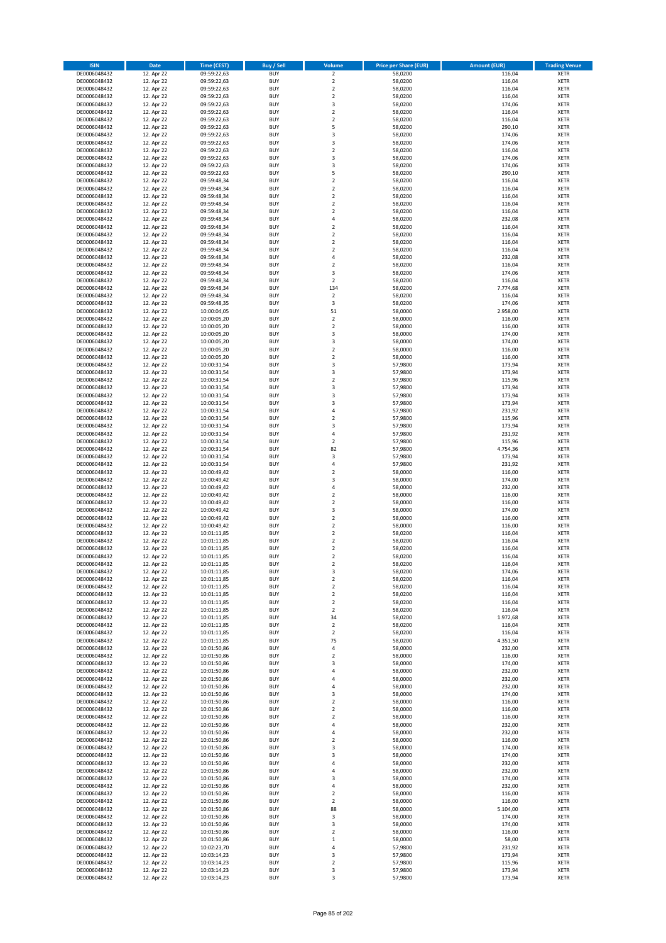| <b>ISIN</b>                  | <b>Date</b>              | <b>Time (CEST)</b>         | <b>Buy / Sell</b>        | <b>Volume</b>                  | <b>Price per Share (EUR)</b> | <b>Amount (EUR)</b> | <b>Trading Venue</b>       |
|------------------------------|--------------------------|----------------------------|--------------------------|--------------------------------|------------------------------|---------------------|----------------------------|
| DE0006048432                 | 12. Apr 22               | 09:59:22,63                | <b>BUY</b>               | $\overline{2}$                 | 58,0200                      | 116,04              | <b>XETR</b>                |
| DE0006048432                 | 12. Apr 22               | 09:59:22,63                | <b>BUY</b>               | $\mathbf 2$                    | 58,0200                      | 116,04              | <b>XETR</b>                |
| DE0006048432                 | 12. Apr 22               | 09:59:22,63                | <b>BUY</b>               | $\overline{2}$                 | 58,0200                      | 116,04              | <b>XETR</b>                |
| DE0006048432                 | 12. Apr 22               | 09:59:22,63                | <b>BUY</b>               | $\mathbf 2$                    | 58,0200                      | 116,04              | <b>XETR</b>                |
| DE0006048432<br>DE0006048432 | 12. Apr 22<br>12. Apr 22 | 09:59:22,63<br>09:59:22,63 | <b>BUY</b><br><b>BUY</b> | 3<br>$\mathbf 2$               | 58,0200<br>58,0200           | 174,06<br>116,04    | <b>XETR</b><br><b>XETR</b> |
| DE0006048432                 | 12. Apr 22               | 09:59:22,63                | <b>BUY</b>               | $\mathbf 2$                    | 58.0200                      | 116,04              | <b>XETR</b>                |
| DE0006048432                 | 12. Apr 22               | 09:59:22,63                | <b>BUY</b>               | 5                              | 58,0200                      | 290,10              | <b>XETR</b>                |
| DE0006048432                 | 12. Apr 22               | 09:59:22,63                | <b>BUY</b>               | 3                              | 58,0200                      | 174,06              | <b>XETR</b>                |
| DE0006048432                 | 12. Apr 22               | 09:59:22,63                | <b>BUY</b>               | 3                              | 58,0200                      | 174,06              | <b>XETR</b>                |
| DE0006048432                 | 12. Apr 22               | 09:59:22,63                | <b>BUY</b>               | $\mathbf 2$                    | 58,0200                      | 116,04              | <b>XETR</b>                |
| DE0006048432                 | 12. Apr 22               | 09:59:22,63                | <b>BUY</b>               | 3<br>3                         | 58,0200                      | 174,06              | <b>XETR</b><br><b>XETR</b> |
| DE0006048432<br>DE0006048432 | 12. Apr 22<br>12. Apr 22 | 09:59:22,63<br>09:59:22,63 | <b>BUY</b><br><b>BUY</b> | 5                              | 58,0200<br>58,0200           | 174,06<br>290,10    | <b>XETR</b>                |
| DE0006048432                 | 12. Apr 22               | 09:59:48,34                | <b>BUY</b>               | $\mathbf 2$                    | 58,0200                      | 116,04              | <b>XETR</b>                |
| DE0006048432                 | 12. Apr 22               | 09:59:48,34                | <b>BUY</b>               | $\overline{\mathbf{c}}$        | 58,0200                      | 116,04              | <b>XETR</b>                |
| DE0006048432                 | 12. Apr 22               | 09:59:48,34                | <b>BUY</b>               | $\mathbf 2$                    | 58,0200                      | 116,04              | <b>XETR</b>                |
| DE0006048432                 | 12. Apr 22               | 09:59:48,34                | <b>BUY</b>               | $\mathbf 2$                    | 58,0200                      | 116,04              | <b>XETR</b>                |
| DE0006048432                 | 12. Apr 22               | 09:59:48,34                | <b>BUY</b>               | $\overline{\mathbf{c}}$        | 58,0200                      | 116,04              | <b>XETR</b>                |
| DE0006048432<br>DE0006048432 | 12. Apr 22<br>12. Apr 22 | 09:59:48,34                | <b>BUY</b><br><b>BUY</b> | 4<br>$\overline{\mathbf{c}}$   | 58,0200<br>58,0200           | 232,08<br>116,04    | <b>XETR</b><br><b>XETR</b> |
| DE0006048432                 | 12. Apr 22               | 09:59:48,34<br>09:59:48,34 | <b>BUY</b>               | $\mathbf 2$                    | 58,0200                      | 116,04              | <b>XETR</b>                |
| DE0006048432                 | 12. Apr 22               | 09:59:48,34                | <b>BUY</b>               | $\mathbf 2$                    | 58,0200                      | 116,04              | <b>XETR</b>                |
| DE0006048432                 | 12. Apr 22               | 09:59:48,34                | <b>BUY</b>               | $\mathbf 2$                    | 58,0200                      | 116,04              | <b>XETR</b>                |
| DE0006048432                 | 12. Apr 22               | 09:59:48,34                | <b>BUY</b>               | 4                              | 58,0200                      | 232,08              | <b>XETR</b>                |
| DE0006048432                 | 12. Apr 22               | 09:59:48,34                | <b>BUY</b>               | $\mathbf 2$                    | 58,0200                      | 116,04              | <b>XETR</b>                |
| DE0006048432                 | 12. Apr 22               | 09:59:48,34                | <b>BUY</b>               | 3                              | 58,0200                      | 174,06              | <b>XETR</b>                |
| DE0006048432                 | 12. Apr 22               | 09:59:48,34                | <b>BUY</b><br><b>BUY</b> | $\overline{\mathbf{c}}$        | 58,0200                      | 116,04              | <b>XETR</b>                |
| DE0006048432<br>DE0006048432 | 12. Apr 22<br>12. Apr 22 | 09:59:48,34<br>09:59:48,34 | <b>BUY</b>               | 134<br>$\overline{\mathbf{c}}$ | 58,0200<br>58,0200           | 7.774,68<br>116,04  | <b>XETR</b><br><b>XETR</b> |
| DE0006048432                 | 12. Apr 22               | 09:59:48,35                | <b>BUY</b>               | 3                              | 58,0200                      | 174,06              | <b>XETR</b>                |
| DE0006048432                 | 12. Apr 22               | 10:00:04,05                | <b>BUY</b>               | 51                             | 58,0000                      | 2.958,00            | <b>XETR</b>                |
| DE0006048432                 | 12. Apr 22               | 10:00:05,20                | <b>BUY</b>               | $\mathbf 2$                    | 58,0000                      | 116,00              | <b>XETR</b>                |
| DE0006048432                 | 12. Apr 22               | 10:00:05,20                | <b>BUY</b>               | $\mathbf 2$                    | 58,0000                      | 116,00              | <b>XETR</b>                |
| DE0006048432                 | 12. Apr 22               | 10:00:05,20                | <b>BUY</b>               | 3                              | 58,0000                      | 174,00              | <b>XETR</b>                |
| DE0006048432                 | 12. Apr 22               | 10:00:05,20                | <b>BUY</b>               | 3                              | 58,0000                      | 174,00              | <b>XETR</b>                |
| DE0006048432                 | 12. Apr 22               | 10:00:05,20                | <b>BUY</b>               | $\overline{\mathbf{c}}$        | 58,0000                      | 116,00              | <b>XETR</b>                |
| DE0006048432                 | 12. Apr 22               | 10:00:05,20                | <b>BUY</b><br><b>BUY</b> | $\mathbf 2$<br>3               | 58,0000                      | 116,00              | <b>XETR</b><br><b>XETR</b> |
| DE0006048432<br>DE0006048432 | 12. Apr 22<br>12. Apr 22 | 10:00:31,54<br>10:00:31,54 | <b>BUY</b>               | 3                              | 57,9800<br>57,9800           | 173,94<br>173,94    | <b>XETR</b>                |
| DE0006048432                 | 12. Apr 22               | 10:00:31,54                | <b>BUY</b>               | $\overline{\mathbf{c}}$        | 57,9800                      | 115,96              | <b>XETR</b>                |
| DE0006048432                 | 12. Apr 22               | 10:00:31,54                | <b>BUY</b>               | 3                              | 57,9800                      | 173,94              | <b>XETR</b>                |
| DE0006048432                 | 12. Apr 22               | 10:00:31,54                | <b>BUY</b>               | 3                              | 57,9800                      | 173,94              | <b>XETR</b>                |
| DE0006048432                 | 12. Apr 22               | 10:00:31,54                | <b>BUY</b>               | 3                              | 57,9800                      | 173,94              | <b>XETR</b>                |
| DE0006048432                 | 12. Apr 22               | 10:00:31,54                | <b>BUY</b>               | 4                              | 57,9800                      | 231,92              | <b>XETR</b>                |
| DE0006048432                 | 12. Apr 22               | 10:00:31,54                | <b>BUY</b>               | $\overline{2}$                 | 57,9800                      | 115,96              | <b>XETR</b>                |
| DE0006048432                 | 12. Apr 22               | 10:00:31,54                | <b>BUY</b>               | 3                              | 57,9800                      | 173,94              | <b>XETR</b>                |
| DE0006048432<br>DE0006048432 | 12. Apr 22<br>12. Apr 22 | 10:00:31,54<br>10:00:31,54 | <b>BUY</b><br><b>BUY</b> | 4<br>$\mathbf 2$               | 57,9800<br>57,9800           | 231,92<br>115,96    | <b>XETR</b><br><b>XETR</b> |
| DE0006048432                 | 12. Apr 22               | 10:00:31,54                | <b>BUY</b>               | 82                             | 57,9800                      | 4.754,36            | <b>XETR</b>                |
| DE0006048432                 | 12. Apr 22               | 10:00:31,54                | <b>BUY</b>               | 3                              | 57,9800                      | 173,94              | <b>XETR</b>                |
| DE0006048432                 | 12. Apr 22               | 10:00:31,54                | <b>BUY</b>               | 4                              | 57,9800                      | 231,92              | <b>XETR</b>                |
| DE0006048432                 | 12. Apr 22               | 10:00:49,42                | <b>BUY</b>               | $\overline{\mathbf{c}}$        | 58,0000                      | 116,00              | <b>XETR</b>                |
| DE0006048432                 | 12. Apr 22               | 10:00:49,42                | <b>BUY</b>               | 3                              | 58,0000                      | 174,00              | <b>XETR</b>                |
| DE0006048432                 | 12. Apr 22               | 10:00:49,42                | <b>BUY</b>               | 4                              | 58,0000                      | 232,00              | <b>XETR</b>                |
| DE0006048432                 | 12. Apr 22               | 10:00:49,42                | <b>BUY</b>               | $\mathbf 2$                    | 58,0000                      | 116,00              | <b>XETR</b>                |
| DE0006048432<br>DE0006048432 | 12. Apr 22<br>12. Apr 22 | 10:00:49,42<br>10:00:49,42 | <b>BUY</b><br><b>BUY</b> | $\overline{\mathbf{c}}$<br>3   | 58,0000<br>58,0000           | 116,00<br>174,00    | <b>XETR</b><br><b>XETR</b> |
| DE0006048432                 | 12. Apr 22               | 10:00:49,42                | <b>BUY</b>               | $\overline{\mathbf{c}}$        | 58,0000                      | 116,00              | <b>XETR</b>                |
| DE0006048432                 | 12. Apr 22               | 10:00:49,42                | <b>BUY</b>               | $\overline{2}$                 | 58,0000                      | 116,00              | <b>XETR</b>                |
| DE0006048432                 | 12. Apr 22               | 10:01:11,85                | <b>BUY</b>               | $\mathbf 2$                    | 58,0200                      | 116,04              | <b>XETR</b>                |
| DE0006048432                 | 12. Apr 22               | 10:01:11,85                | <b>BUY</b>               | $\overline{\mathbf{c}}$        | 58,0200                      | 116,04              | <b>XETR</b>                |
| DE0006048432                 | 12. Apr 22               | 10:01:11,85                | <b>BUY</b>               | $\overline{\mathbf{c}}$        | 58,0200                      | 116,04              | <b>XETR</b>                |
| DE0006048432                 | 12. Apr 22               | 10:01:11,85                | <b>BUY</b>               | $\overline{2}$                 | 58,0200                      | 116,04              | <b>XETR</b>                |
| DE0006048432                 | 12. Apr 22               | 10:01:11,85                | BUY                      | 2                              | 58,0200                      | 116,04              | <b>XETR</b>                |
| DE0006048432<br>DE0006048432 | 12. Apr 22<br>12. Apr 22 | 10:01:11,85<br>10:01:11,85 | <b>BUY</b><br><b>BUY</b> | 3<br>$\mathbf 2$               | 58,0200<br>58,0200           | 174,06<br>116,04    | <b>XETR</b><br><b>XETR</b> |
| DE0006048432                 | 12. Apr 22               | 10:01:11,85                | <b>BUY</b>               | 2                              | 58,0200                      | 116,04              | <b>XETR</b>                |
| DE0006048432                 | 12. Apr 22               | 10:01:11,85                | <b>BUY</b>               | $\mathbf 2$                    | 58,0200                      | 116,04              | <b>XETR</b>                |
| DE0006048432                 | 12. Apr 22               | 10:01:11,85                | <b>BUY</b>               | $\mathbf 2$                    | 58,0200                      | 116,04              | <b>XETR</b>                |
| DE0006048432                 | 12. Apr 22               | 10:01:11,85                | <b>BUY</b>               | $\mathbf 2$                    | 58,0200                      | 116,04              | <b>XETR</b>                |
| DE0006048432                 | 12. Apr 22               | 10:01:11,85                | <b>BUY</b>               | 34                             | 58,0200                      | 1.972,68            | <b>XETR</b>                |
| DE0006048432                 | 12. Apr 22               | 10:01:11,85                | <b>BUY</b>               | $\mathbf 2$                    | 58,0200                      | 116,04              | <b>XETR</b>                |
| DE0006048432<br>DE0006048432 | 12. Apr 22<br>12. Apr 22 | 10:01:11,85<br>10:01:11,85 | <b>BUY</b><br><b>BUY</b> | $\mathbf 2$<br>75              | 58,0200<br>58,0200           | 116,04<br>4.351,50  | <b>XETR</b><br><b>XETR</b> |
| DE0006048432                 | 12. Apr 22               | 10:01:50,86                | <b>BUY</b>               | 4                              | 58,0000                      | 232,00              | <b>XETR</b>                |
| DE0006048432                 | 12. Apr 22               | 10:01:50,86                | <b>BUY</b>               | $\mathbf 2$                    | 58,0000                      | 116,00              | <b>XETR</b>                |
| DE0006048432                 | 12. Apr 22               | 10:01:50,86                | <b>BUY</b>               | 3                              | 58,0000                      | 174,00              | <b>XETR</b>                |
| DE0006048432                 | 12. Apr 22               | 10:01:50,86                | <b>BUY</b>               | 4                              | 58,0000                      | 232,00              | <b>XETR</b>                |
| DE0006048432                 | 12. Apr 22               | 10:01:50,86                | <b>BUY</b>               | 4                              | 58,0000                      | 232,00              | <b>XETR</b>                |
| DE0006048432                 | 12. Apr 22               | 10:01:50,86                | <b>BUY</b>               | 4                              | 58,0000                      | 232,00              | <b>XETR</b>                |
| DE0006048432<br>DE0006048432 | 12. Apr 22<br>12. Apr 22 | 10:01:50,86<br>10:01:50,86 | <b>BUY</b><br><b>BUY</b> | 3<br>$\mathbf 2$               | 58,0000<br>58,0000           | 174,00<br>116,00    | <b>XETR</b><br><b>XETR</b> |
| DE0006048432                 | 12. Apr 22               | 10:01:50,86                | <b>BUY</b>               | $\mathbf 2$                    | 58,0000                      | 116,00              | <b>XETR</b>                |
| DE0006048432                 | 12. Apr 22               | 10:01:50,86                | <b>BUY</b>               | $\overline{\mathbf{c}}$        | 58,0000                      | 116,00              | <b>XETR</b>                |
| DE0006048432                 | 12. Apr 22               | 10:01:50,86                | <b>BUY</b>               | 4                              | 58,0000                      | 232,00              | <b>XETR</b>                |
| DE0006048432                 | 12. Apr 22               | 10:01:50,86                | <b>BUY</b>               | 4                              | 58,0000                      | 232,00              | <b>XETR</b>                |
| DE0006048432                 | 12. Apr 22               | 10:01:50,86                | <b>BUY</b>               | $\mathbf 2$                    | 58,0000                      | 116,00              | <b>XETR</b>                |
| DE0006048432                 | 12. Apr 22               | 10:01:50,86                | <b>BUY</b>               | 3                              | 58,0000                      | 174,00              | <b>XETR</b>                |
| DE0006048432<br>DE0006048432 | 12. Apr 22<br>12. Apr 22 | 10:01:50,86<br>10:01:50,86 | <b>BUY</b><br><b>BUY</b> | 3<br>4                         | 58,0000<br>58,0000           | 174,00<br>232,00    | <b>XETR</b><br><b>XETR</b> |
| DE0006048432                 | 12. Apr 22               | 10:01:50,86                | <b>BUY</b>               | 4                              | 58,0000                      | 232,00              | <b>XETR</b>                |
| DE0006048432                 | 12. Apr 22               | 10:01:50,86                | <b>BUY</b>               | 3                              | 58,0000                      | 174,00              | <b>XETR</b>                |
| DE0006048432                 | 12. Apr 22               | 10:01:50,86                | <b>BUY</b>               | 4                              | 58,0000                      | 232,00              | <b>XETR</b>                |
| DE0006048432                 | 12. Apr 22               | 10:01:50,86                | <b>BUY</b>               | $\mathbf 2$                    | 58,0000                      | 116,00              | <b>XETR</b>                |
| DE0006048432                 | 12. Apr 22               | 10:01:50,86                | <b>BUY</b>               | $\mathbf 2$                    | 58,0000                      | 116,00              | <b>XETR</b>                |
| DE0006048432                 | 12. Apr 22               | 10:01:50,86                | <b>BUY</b>               | 88                             | 58,0000                      | 5.104,00            | <b>XETR</b>                |
| DE0006048432                 | 12. Apr 22               | 10:01:50,86                | <b>BUY</b>               | 3                              | 58,0000                      | 174,00              | <b>XETR</b>                |
| DE0006048432                 | 12. Apr 22               | 10:01:50,86                | <b>BUY</b>               | 3                              | 58,0000                      | 174,00              | <b>XETR</b>                |
| DE0006048432<br>DE0006048432 | 12. Apr 22<br>12. Apr 22 | 10:01:50,86<br>10:01:50,86 | <b>BUY</b><br><b>BUY</b> | $\mathbf 2$<br>$\mathbf 1$     | 58,0000<br>58,0000           | 116,00<br>58,00     | <b>XETR</b><br><b>XETR</b> |
| DE0006048432                 | 12. Apr 22               | 10:02:23,70                | <b>BUY</b>               | 4                              | 57,9800                      | 231,92              | <b>XETR</b>                |
| DE0006048432                 | 12. Apr 22               | 10:03:14,23                | <b>BUY</b>               | 3                              | 57,9800                      | 173,94              | <b>XETR</b>                |
| DE0006048432                 | 12. Apr 22               | 10:03:14,23                | <b>BUY</b>               | $\mathbf 2$                    | 57,9800                      | 115,96              | <b>XETR</b>                |
| DE0006048432                 | 12. Apr 22               | 10:03:14,23                | <b>BUY</b>               | 3                              | 57,9800                      | 173,94              | <b>XETR</b>                |
| DE0006048432                 | 12. Apr 22               | 10:03:14,23                | <b>BUY</b>               | 3                              | 57,9800                      | 173,94              | <b>XETR</b>                |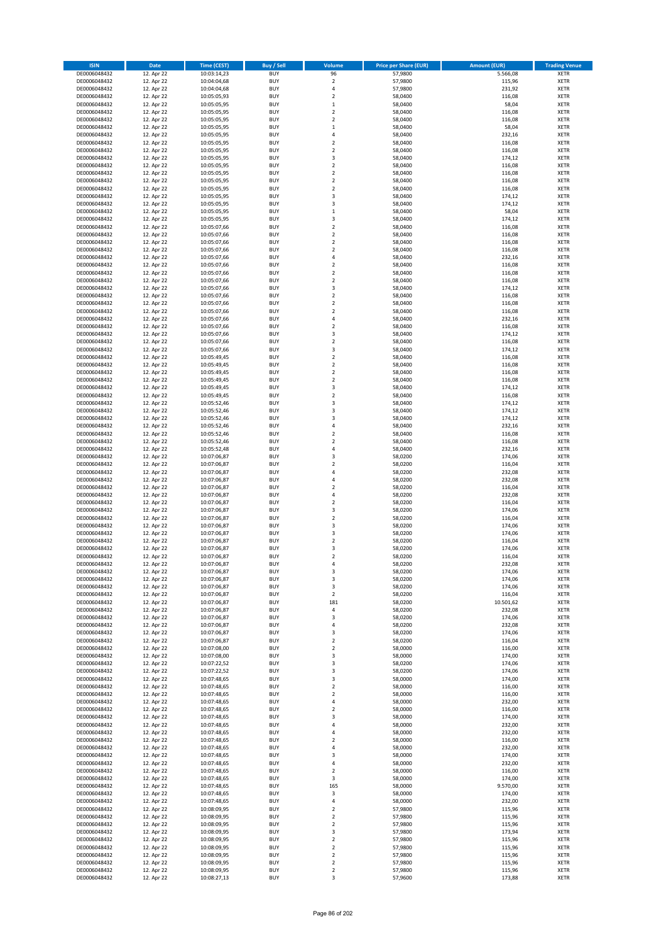| <b>ISIN</b>                  | <b>Date</b>              | <b>Time (CEST)</b>         | <b>Buy / Sell</b>        | Volume                                    | <b>Price per Share (EUR)</b> | <b>Amount (EUR)</b> | <b>Trading Venue</b>       |
|------------------------------|--------------------------|----------------------------|--------------------------|-------------------------------------------|------------------------------|---------------------|----------------------------|
| DE0006048432                 | 12. Apr 22               | 10:03:14,23                | <b>BUY</b>               | 96                                        | 57,9800                      | 5.566,08            | <b>XETR</b>                |
| DE0006048432                 | 12. Apr 22               | 10:04:04,68                | <b>BUY</b>               | $\mathbf 2$                               | 57,9800                      | 115,96              | <b>XETR</b>                |
| DE0006048432                 | 12. Apr 22               | 10:04:04,68                | <b>BUY</b>               | $\overline{4}$                            | 57,9800                      | 231,92              | <b>XETR</b>                |
| DE0006048432                 | 12. Apr 22               | 10:05:05,93                | <b>BUY</b>               | $\mathbf 2$                               | 58,0400                      | 116,08              | <b>XETR</b>                |
| DE0006048432                 | 12. Apr 22               | 10:05:05,95                | <b>BUY</b>               | $\,1\,$                                   | 58,0400                      | 58,04               | <b>XETR</b>                |
| DE0006048432                 | 12. Apr 22               | 10:05:05,95                | <b>BUY</b>               | $\mathbf 2$                               | 58,0400                      | 116,08              | <b>XETR</b>                |
| DE0006048432                 | 12. Apr 22               | 10:05:05,95                | <b>BUY</b>               | $\overline{2}$                            | 58,0400                      | 116,08              | <b>XETR</b>                |
| DE0006048432                 | 12. Apr 22               | 10:05:05,95                | <b>BUY</b>               | $\mathbf{1}$<br>$\overline{a}$            | 58,0400                      | 58,04               | <b>XETR</b>                |
| DE0006048432                 | 12. Apr 22<br>12. Apr 22 | 10:05:05,95                | BUY<br><b>BUY</b>        | $\overline{2}$                            | 58,0400<br>58,0400           | 232,16<br>116,08    | <b>XETR</b>                |
| DE0006048432<br>DE0006048432 | 12. Apr 22               | 10:05:05,95<br>10:05:05,95 | <b>BUY</b>               | $\mathbf 2$                               | 58,0400                      | 116,08              | <b>XETR</b><br><b>XETR</b> |
| DE0006048432                 | 12. Apr 22               | 10:05:05,95                | <b>BUY</b>               | 3                                         | 58,0400                      | 174,12              | <b>XETR</b>                |
| DE0006048432                 | 12. Apr 22               | 10:05:05,95                | <b>BUY</b>               | $\overline{2}$                            | 58,0400                      | 116,08              | <b>XETR</b>                |
| DE0006048432                 | 12. Apr 22               | 10:05:05,95                | <b>BUY</b>               | $\overline{2}$                            | 58,0400                      | 116,08              | <b>XETR</b>                |
| DE0006048432                 | 12. Apr 22               | 10:05:05,95                | <b>BUY</b>               | $\overline{2}$                            | 58,0400                      | 116,08              | <b>XETR</b>                |
| DE0006048432                 | 12. Apr 22               | 10:05:05,95                | BUY                      | $\overline{2}$                            | 58,0400                      | 116,08              | <b>XETR</b>                |
| DE0006048432                 | 12. Apr 22               | 10:05:05,95                | <b>BUY</b>               | 3                                         | 58,0400                      | 174,12              | <b>XETR</b>                |
| DE0006048432                 | 12. Apr 22               | 10:05:05,95                | <b>BUY</b>               | 3                                         | 58,0400                      | 174,12              | <b>XETR</b>                |
| DE0006048432                 | 12. Apr 22               | 10:05:05,95                | <b>BUY</b>               | $\,1\,$                                   | 58,0400                      | 58,04               | <b>XETR</b>                |
| DE0006048432                 | 12. Apr 22               | 10:05:05,95                | <b>BUY</b>               | $\overline{\mathbf{3}}$                   | 58,0400                      | 174,12              | <b>XETR</b>                |
| DE0006048432                 | 12. Apr 22               | 10:05:07,66                | <b>BUY</b>               | $\overline{2}$                            | 58,0400                      | 116,08              | <b>XETR</b>                |
| DE0006048432                 | 12. Apr 22               | 10:05:07,66                | <b>BUY</b><br><b>BUY</b> | $\mathbf 2$<br>$\overline{2}$             | 58,0400                      | 116,08              | <b>XETR</b><br><b>XETR</b> |
| DE0006048432<br>DE0006048432 | 12. Apr 22<br>12. Apr 22 | 10:05:07,66<br>10:05:07,66 | <b>BUY</b>               | $\overline{2}$                            | 58,0400<br>58,0400           | 116,08<br>116,08    | <b>XETR</b>                |
| DE0006048432                 | 12. Apr 22               | 10:05:07,66                | <b>BUY</b>               | $\overline{4}$                            | 58,0400                      | 232,16              | <b>XETR</b>                |
| DE0006048432                 | 12. Apr 22               | 10:05:07,66                | <b>BUY</b>               | $\overline{\mathbf{c}}$                   | 58,0400                      | 116,08              | <b>XETR</b>                |
| DE0006048432                 | 12. Apr 22               | 10:05:07,66                | <b>BUY</b>               | $\mathbf 2$                               | 58,0400                      | 116,08              | <b>XETR</b>                |
| DE0006048432                 | 12. Apr 22               | 10:05:07,66                | <b>BUY</b>               | $\overline{2}$                            | 58,0400                      | 116,08              | <b>XETR</b>                |
| DE0006048432                 | 12. Apr 22               | 10:05:07,66                | <b>BUY</b>               | 3                                         | 58,0400                      | 174,12              | <b>XETR</b>                |
| DE0006048432                 | 12. Apr 22               | 10:05:07,66                | <b>BUY</b>               | $\overline{2}$                            | 58,0400                      | 116,08              | <b>XETR</b>                |
| DE0006048432                 | 12. Apr 22               | 10:05:07,66                | <b>BUY</b>               | $\mathbf 2$                               | 58,0400                      | 116,08              | <b>XETR</b>                |
| DE0006048432                 | 12. Apr 22               | 10:05:07,66                | <b>BUY</b>               | $\mathbf 2$                               | 58,0400                      | 116,08              | <b>XETR</b>                |
| DE0006048432                 | 12. Apr 22               | 10:05:07,66                | <b>BUY</b>               | 4                                         | 58,0400                      | 232,16              | <b>XETR</b>                |
| DE0006048432                 | 12. Apr 22               | 10:05:07,66                | <b>BUY</b>               | $\overline{2}$                            | 58,0400                      | 116,08              | <b>XETR</b>                |
| DE0006048432                 | 12. Apr 22               | 10:05:07,66                | <b>BUY</b>               | $\overline{\mathbf{3}}$                   | 58,0400                      | 174,12              | <b>XETR</b>                |
| DE0006048432<br>DE0006048432 | 12. Apr 22<br>12. Apr 22 | 10:05:07,66                | <b>BUY</b><br><b>BUY</b> | $\mathbf 2$<br>$\overline{\mathbf{3}}$    | 58,0400<br>58,0400           | 116,08              | <b>XETR</b><br><b>XETR</b> |
| DE0006048432                 | 12. Apr 22               | 10:05:07,66<br>10:05:49,45 | BUY                      | $\mathbf 2$                               | 58,0400                      | 174,12<br>116,08    | <b>XETR</b>                |
| DE0006048432                 | 12. Apr 22               | 10:05:49,45                | <b>BUY</b>               | $\mathbf 2$                               | 58,0400                      | 116,08              | <b>XETR</b>                |
| DE0006048432                 | 12. Apr 22               | 10:05:49,45                | <b>BUY</b>               | $\mathbf 2$                               | 58,0400                      | 116,08              | <b>XETR</b>                |
| DE0006048432                 | 12. Apr 22               | 10:05:49,45                | <b>BUY</b>               | $\overline{\mathbf{2}}$                   | 58,0400                      | 116,08              | <b>XETR</b>                |
| DE0006048432                 | 12. Apr 22               | 10:05:49,45                | <b>BUY</b>               | 3                                         | 58,0400                      | 174,12              | <b>XETR</b>                |
| DE0006048432                 | 12. Apr 22               | 10:05:49,45                | <b>BUY</b>               | $\mathbf 2$                               | 58,0400                      | 116,08              | <b>XETR</b>                |
| DE0006048432                 | 12. Apr 22               | 10:05:52,46                | <b>BUY</b>               | $\overline{\mathbf{3}}$                   | 58,0400                      | 174,12              | <b>XETR</b>                |
| DE0006048432                 | 12. Apr 22               | 10:05:52,46                | <b>BUY</b>               | $\overline{\mathbf{3}}$                   | 58,0400                      | 174,12              | <b>XETR</b>                |
| DE0006048432                 | 12. Apr 22               | 10:05:52,46                | <b>BUY</b>               | $\overline{\mathbf{3}}$                   | 58,0400                      | 174,12              | <b>XETR</b>                |
| DE0006048432                 | 12. Apr 22               | 10:05:52,46                | <b>BUY</b>               | 4                                         | 58,0400                      | 232,16              | <b>XETR</b>                |
| DE0006048432                 | 12. Apr 22               | 10:05:52,46                | <b>BUY</b>               | $\overline{2}$                            | 58,0400                      | 116,08              | <b>XETR</b>                |
| DE0006048432                 | 12. Apr 22               | 10:05:52,46                | <b>BUY</b>               | $\overline{2}$                            | 58,0400                      | 116,08              | <b>XETR</b>                |
| DE0006048432                 | 12. Apr 22               | 10:05:52,48                | <b>BUY</b>               | $\overline{a}$<br>$\overline{\mathbf{3}}$ | 58,0400                      | 232,16              | <b>XETR</b>                |
| DE0006048432<br>DE0006048432 | 12. Apr 22<br>12. Apr 22 | 10:07:06,87<br>10:07:06,87 | <b>BUY</b><br><b>BUY</b> | $\overline{2}$                            | 58,0200<br>58,0200           | 174,06<br>116,04    | <b>XETR</b><br><b>XETR</b> |
| DE0006048432                 | 12. Apr 22               | 10:07:06,87                | <b>BUY</b>               | $\overline{4}$                            | 58,0200                      | 232,08              | <b>XETR</b>                |
| DE0006048432                 | 12. Apr 22               | 10:07:06,87                | <b>BUY</b>               | $\overline{4}$                            | 58,0200                      | 232,08              | <b>XETR</b>                |
| DE0006048432                 | 12. Apr 22               | 10:07:06,87                | <b>BUY</b>               | $\overline{2}$                            | 58,0200                      | 116,04              | <b>XETR</b>                |
| DE0006048432                 | 12. Apr 22               | 10:07:06,87                | <b>BUY</b>               | 4                                         | 58,0200                      | 232,08              | <b>XETR</b>                |
| DE0006048432                 | 12. Apr 22               | 10:07:06,87                | <b>BUY</b>               | $\overline{\mathbf{2}}$                   | 58,0200                      | 116,04              | <b>XETR</b>                |
| DE0006048432                 | 12. Apr 22               | 10:07:06,87                | <b>BUY</b>               | 3                                         | 58,0200                      | 174,06              | <b>XETR</b>                |
| DE0006048432                 | 12. Apr 22               | 10:07:06,87                | BUY                      | $\overline{\mathbf{2}}$                   | 58,0200                      | 116,04              | <b>XETR</b>                |
| DE0006048432                 | 12. Apr 22               | 10:07:06,87                | <b>BUY</b>               | 3                                         | 58,0200                      | 174,06              | <b>XETR</b>                |
| DE0006048432                 | 12. Apr 22               | 10:07:06,87                | <b>BUY</b>               | 3                                         | 58,0200                      | 174,06              | <b>XETR</b>                |
| DE0006048432                 | 12. Apr 22               | 10:07:06,87                | BUY                      | $\overline{\mathbf{2}}$                   | 58,0200                      | 116,04              | <b>XETR</b>                |
| DE0006048432                 | 12. Apr 22               | 10:07:06,87                | BUY                      | $\overline{\mathbf{3}}$                   | 58,0200                      | 174,06              | <b>XETR</b>                |
| DE0006048432                 | 12. Apr 22               | 10:07:06,87                | <b>BUY</b>               | $\overline{2}$<br>4                       | 58,0200<br>58,0200           | 116,04              | <b>XETR</b>                |
| DE0006048432<br>DE0006048432 | 12. Apr 22<br>12. Apr 22 | 10:07:06,87<br>10:07:06,87 | <b>BUY</b><br><b>BUY</b> | 3                                         | 58,0200                      | 232,08<br>174,06    | <b>XETR</b><br><b>XETR</b> |
| DE0006048432                 | 12. Apr 22               | 10:07:06,87                | <b>BUY</b>               | 3                                         | 58,0200                      | 174,06              | <b>XETR</b>                |
| DE0006048432                 | 12. Apr 22               | 10:07:06,87                | <b>BUY</b>               | 3                                         | 58,0200                      | 174,06              | <b>XETR</b>                |
| DE0006048432                 | 12. Apr 22               | 10:07:06,87                | <b>BUY</b>               | $\overline{2}$                            | 58,0200                      | 116,04              | <b>XETR</b>                |
| DE0006048432                 | 12. Apr 22               | 10:07:06,87                | <b>BUY</b>               | 181                                       | 58,0200                      | 10.501,62           | <b>XETR</b>                |
| DE0006048432                 | 12. Apr 22               | 10:07:06,87                | <b>BUY</b>               | 4                                         | 58,0200                      | 232,08              | <b>XETR</b>                |
| DE0006048432                 | 12. Apr 22               | 10:07:06,87                | <b>BUY</b>               | 3                                         | 58,0200                      | 174,06              | <b>XETR</b>                |
| DE0006048432                 | 12. Apr 22               | 10:07:06,87                | <b>BUY</b>               | $\overline{a}$                            | 58,0200                      | 232,08              | <b>XETR</b>                |
| DE0006048432                 | 12. Apr 22               | 10:07:06,87                | <b>BUY</b>               | 3                                         | 58,0200                      | 174,06              | <b>XETR</b>                |
| DE0006048432<br>DE0006048432 | 12. Apr 22               | 10:07:06,87                | <b>BUY</b><br><b>BUY</b> | $\mathbf 2$<br>$\overline{\mathbf{2}}$    | 58,0200                      | 116,04              | <b>XETR</b><br><b>XETR</b> |
|                              | 12. Apr 22               | 10:07:08,00                |                          |                                           | 58,0000                      | 116,00              |                            |
| DE0006048432<br>DE0006048432 | 12. Apr 22<br>12. Apr 22 | 10:07:08,00<br>10:07:22,52 | <b>BUY</b><br><b>BUY</b> | 3<br>3                                    | 58,0000<br>58,0200           | 174,00<br>174,06    | <b>XETR</b><br><b>XETR</b> |
| DE0006048432                 | 12. Apr 22               | 10:07:22,52                | <b>BUY</b>               | 3                                         | 58,0200                      | 174,06              | <b>XETR</b>                |
| DE0006048432                 | 12. Apr 22               | 10:07:48,65                | <b>BUY</b>               | 3                                         | 58,0000                      | 174,00              | <b>XETR</b>                |
| DE0006048432                 | 12. Apr 22               | 10:07:48,65                | <b>BUY</b>               | $\mathbf 2$                               | 58,0000                      | 116,00              | <b>XETR</b>                |
| DE0006048432                 | 12. Apr 22               | 10:07:48,65                | <b>BUY</b>               | $\mathbf 2$                               | 58,0000                      | 116,00              | <b>XETR</b>                |
| DE0006048432                 | 12. Apr 22               | 10:07:48,65                | <b>BUY</b>               | 4                                         | 58,0000                      | 232,00              | <b>XETR</b>                |
| DE0006048432                 | 12. Apr 22               | 10:07:48,65                | <b>BUY</b>               | $\overline{\mathbf{c}}$                   | 58,0000                      | 116,00              | <b>XETR</b>                |
| DE0006048432                 | 12. Apr 22               | 10:07:48,65                | <b>BUY</b>               | $\overline{\mathbf{3}}$                   | 58,0000                      | 174,00              | <b>XETR</b>                |
| DE0006048432                 | 12. Apr 22               | 10:07:48,65                | <b>BUY</b>               | 4                                         | 58,0000                      | 232,00              | <b>XETR</b>                |
| DE0006048432                 | 12. Apr 22               | 10:07:48,65                | <b>BUY</b>               | 4                                         | 58,0000                      | 232,00              | <b>XETR</b>                |
| DE0006048432                 | 12. Apr 22               | 10:07:48,65                | <b>BUY</b><br><b>BUY</b> | $\overline{2}$<br>4                       | 58,0000                      | 116,00<br>232,00    | <b>XETR</b><br><b>XETR</b> |
| DE0006048432<br>DE0006048432 | 12. Apr 22<br>12. Apr 22 | 10:07:48,65<br>10:07:48,65 | <b>BUY</b>               | $\overline{\mathbf{3}}$                   | 58,0000<br>58,0000           | 174,00              | <b>XETR</b>                |
| DE0006048432                 | 12. Apr 22               | 10:07:48,65                | <b>BUY</b>               | 4                                         | 58,0000                      | 232,00              | <b>XETR</b>                |
| DE0006048432                 | 12. Apr 22               | 10:07:48,65                | <b>BUY</b>               | $\overline{2}$                            | 58,0000                      | 116,00              | <b>XETR</b>                |
| DE0006048432                 | 12. Apr 22               | 10:07:48,65                | <b>BUY</b>               | 3                                         | 58,0000                      | 174,00              | <b>XETR</b>                |
| DE0006048432                 | 12. Apr 22               | 10:07:48,65                | <b>BUY</b>               | 165                                       | 58,0000                      | 9.570,00            | <b>XETR</b>                |
| DE0006048432                 | 12. Apr 22               | 10:07:48,65                | <b>BUY</b>               | 3                                         | 58,0000                      | 174,00              | <b>XETR</b>                |
| DE0006048432                 | 12. Apr 22               | 10:07:48,65                | <b>BUY</b>               | 4                                         | 58,0000                      | 232,00              | <b>XETR</b>                |
| DE0006048432                 | 12. Apr 22               | 10:08:09,95                | <b>BUY</b>               | $\overline{\mathbf{c}}$                   | 57,9800                      | 115,96              | <b>XETR</b>                |
| DE0006048432                 | 12. Apr 22               | 10:08:09,95                | <b>BUY</b>               | $\overline{2}$                            | 57,9800                      | 115,96              | <b>XETR</b>                |
| DE0006048432                 | 12. Apr 22               | 10:08:09,95                | <b>BUY</b>               | $\mathbf 2$                               | 57,9800                      | 115,96              | <b>XETR</b>                |
| DE0006048432                 | 12. Apr 22               | 10:08:09,95                | <b>BUY</b>               | 3                                         | 57,9800                      | 173,94              | <b>XETR</b>                |
| DE0006048432                 | 12. Apr 22               | 10:08:09,95                | <b>BUY</b>               | $\overline{2}$                            | 57,9800                      | 115,96              | <b>XETR</b>                |
| DE0006048432                 | 12. Apr 22               | 10:08:09,95                | <b>BUY</b>               | $\mathbf 2$                               | 57,9800                      | 115,96              | <b>XETR</b>                |
| DE0006048432                 | 12. Apr 22               | 10:08:09,95                | <b>BUY</b>               | 2                                         | 57,9800                      | 115,96              | <b>XETR</b>                |
| DE0006048432<br>DE0006048432 | 12. Apr 22<br>12. Apr 22 | 10:08:09,95<br>10:08:09,95 | <b>BUY</b><br><b>BUY</b> | $\mathbf 2$<br>$\mathbf 2$                | 57,9800<br>57,9800           | 115,96<br>115,96    | <b>XETR</b><br><b>XETR</b> |
| DE0006048432                 | 12. Apr 22               | 10:08:27,13                | <b>BUY</b>               | 3                                         | 57,9600                      | 173,88              | <b>XETR</b>                |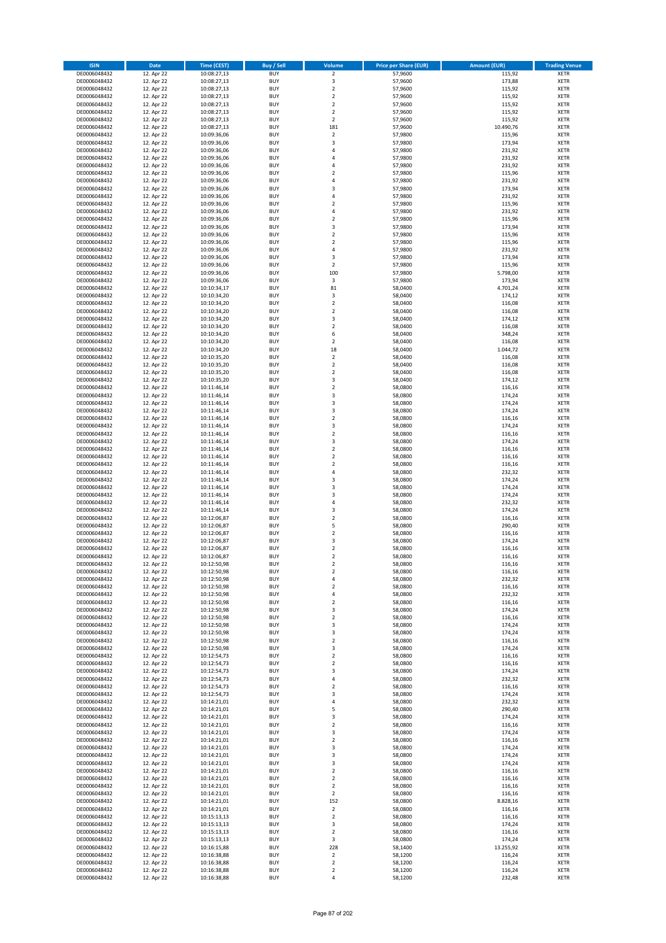| <b>ISIN</b>                  | <b>Date</b>              | <b>Time (CEST)</b>         | <b>Buy / Sell</b>        | Volume                                             | <b>Price per Share (EUR)</b> | <b>Amount (EUR)</b> | <b>Trading Venue</b>       |
|------------------------------|--------------------------|----------------------------|--------------------------|----------------------------------------------------|------------------------------|---------------------|----------------------------|
| DE0006048432                 | 12. Apr 22               | 10:08:27,13                | <b>BUY</b>               | $\overline{2}$                                     | 57,9600                      | 115,92              | <b>XETR</b>                |
| DE0006048432                 | 12. Apr 22               | 10:08:27,13                | <b>BUY</b>               | 3                                                  | 57,9600                      | 173,88              | <b>XETR</b>                |
| DE0006048432                 | 12. Apr 22               | 10:08:27,13                | <b>BUY</b>               | $\overline{2}$                                     | 57,9600                      | 115,92              | <b>XETR</b>                |
| DE0006048432<br>DE0006048432 | 12. Apr 22<br>12. Apr 22 | 10:08:27,13<br>10:08:27,13 | <b>BUY</b><br><b>BUY</b> | $\mathbf 2$<br>$\overline{\mathbf{c}}$             | 57,9600<br>57,9600           | 115,92<br>115,92    | <b>XETR</b><br><b>XETR</b> |
| DE0006048432                 | 12. Apr 22               | 10:08:27,13                | <b>BUY</b>               | $\mathbf 2$                                        | 57,9600                      | 115,92              | <b>XETR</b>                |
| DE0006048432                 | 12. Apr 22               | 10:08:27,13                | <b>BUY</b>               | $\overline{\mathbf{c}}$                            | 57,9600                      | 115,92              | <b>XETR</b>                |
| DE0006048432                 | 12. Apr 22               | 10:08:27,13                | <b>BUY</b>               | 181                                                | 57,9600                      | 10.490,76           | <b>XETR</b>                |
| DE0006048432                 | 12. Apr 22               | 10:09:36,06                | <b>BUY</b>               | $\mathbf 2$                                        | 57,9800                      | 115,96              | <b>XETR</b>                |
| DE0006048432                 | 12. Apr 22               | 10:09:36,06                | <b>BUY</b>               | 3                                                  | 57,9800                      | 173,94              | <b>XETR</b>                |
| DE0006048432                 | 12. Apr 22               | 10:09:36,06                | <b>BUY</b>               | 4                                                  | 57,9800                      | 231,92              | <b>XETR</b>                |
| DE0006048432<br>DE0006048432 | 12. Apr 22<br>12. Apr 22 | 10:09:36,06                | <b>BUY</b><br><b>BUY</b> | 4<br>4                                             | 57,9800<br>57,9800           | 231,92<br>231,92    | <b>XETR</b><br><b>XETR</b> |
| DE0006048432                 | 12. Apr 22               | 10:09:36,06<br>10:09:36,06 | <b>BUY</b>               | $\overline{\mathbf{c}}$                            | 57,9800                      | 115,96              | <b>XETR</b>                |
| DE0006048432                 | 12. Apr 22               | 10:09:36,06                | <b>BUY</b>               | 4                                                  | 57,9800                      | 231,92              | <b>XETR</b>                |
| DE0006048432                 | 12. Apr 22               | 10:09:36,06                | <b>BUY</b>               | 3                                                  | 57,9800                      | 173,94              | <b>XETR</b>                |
| DE0006048432                 | 12. Apr 22               | 10:09:36,06                | <b>BUY</b>               | 4                                                  | 57,9800                      | 231,92              | <b>XETR</b>                |
| DE0006048432                 | 12. Apr 22               | 10:09:36,06                | <b>BUY</b>               | $\mathbf 2$                                        | 57,9800                      | 115,96              | <b>XETR</b>                |
| DE0006048432                 | 12. Apr 22               | 10:09:36,06                | <b>BUY</b>               | 4                                                  | 57,9800                      | 231,92              | <b>XETR</b>                |
| DE0006048432                 | 12. Apr 22               | 10:09:36,06                | <b>BUY</b>               | $\mathbf 2$                                        | 57,9800                      | 115,96              | <b>XETR</b>                |
| DE0006048432                 | 12. Apr 22               | 10:09:36,06                | <b>BUY</b>               | 3                                                  | 57,9800                      | 173,94              | <b>XETR</b>                |
| DE0006048432<br>DE0006048432 | 12. Apr 22<br>12. Apr 22 | 10:09:36,06<br>10:09:36,06 | <b>BUY</b><br><b>BUY</b> | $\mathbf 2$<br>$\mathbf 2$                         | 57,9800<br>57,9800           | 115,96<br>115,96    | <b>XETR</b><br><b>XETR</b> |
| DE0006048432                 | 12. Apr 22               | 10:09:36,06                | <b>BUY</b>               | 4                                                  | 57,9800                      | 231,92              | <b>XETR</b>                |
| DE0006048432                 | 12. Apr 22               | 10:09:36,06                | <b>BUY</b>               | 3                                                  | 57,9800                      | 173,94              | <b>XETR</b>                |
| DE0006048432                 | 12. Apr 22               | 10:09:36,06                | <b>BUY</b>               | $\mathbf 2$                                        | 57,9800                      | 115,96              | <b>XETR</b>                |
| DE0006048432                 | 12. Apr 22               | 10:09:36,06                | <b>BUY</b>               | 100                                                | 57,9800                      | 5.798,00            | <b>XETR</b>                |
| DE0006048432                 | 12. Apr 22               | 10:09:36,06                | <b>BUY</b>               | 3                                                  | 57,9800                      | 173,94              | <b>XETR</b>                |
| DE0006048432                 | 12. Apr 22               | 10:10:34,17                | <b>BUY</b>               | 81                                                 | 58,0400                      | 4.701,24            | <b>XETR</b>                |
| DE0006048432                 | 12. Apr 22               | 10:10:34,20                | <b>BUY</b><br><b>BUY</b> | 3<br>$\mathbf 2$                                   | 58,0400                      | 174,12              | <b>XETR</b>                |
| DE0006048432<br>DE0006048432 | 12. Apr 22<br>12. Apr 22 | 10:10:34,20<br>10:10:34,20 | <b>BUY</b>               | $\overline{\mathbf{c}}$                            | 58,0400<br>58,0400           | 116,08<br>116,08    | <b>XETR</b><br><b>XETR</b> |
| DE0006048432                 | 12. Apr 22               | 10:10:34,20                | <b>BUY</b>               | 3                                                  | 58,0400                      | 174,12              | <b>XETR</b>                |
| DE0006048432                 | 12. Apr 22               | 10:10:34,20                | <b>BUY</b>               | $\mathbf 2$                                        | 58,0400                      | 116,08              | <b>XETR</b>                |
| DE0006048432                 | 12. Apr 22               | 10:10:34,20                | <b>BUY</b>               | 6                                                  | 58,0400                      | 348,24              | <b>XETR</b>                |
| DE0006048432                 | 12. Apr 22               | 10:10:34,20                | <b>BUY</b>               | $\mathbf 2$                                        | 58,0400                      | 116,08              | <b>XETR</b>                |
| DE0006048432                 | 12. Apr 22               | 10:10:34,20                | <b>BUY</b>               | 18                                                 | 58,0400                      | 1.044,72            | <b>XETR</b>                |
| DE0006048432                 | 12. Apr 22               | 10:10:35,20                | <b>BUY</b>               | $\mathbf 2$                                        | 58,0400                      | 116,08              | <b>XETR</b>                |
| DE0006048432                 | 12. Apr 22               | 10:10:35,20                | <b>BUY</b>               | $\mathbf 2$                                        | 58,0400                      | 116,08              | <b>XETR</b>                |
| DE0006048432                 | 12. Apr 22<br>12. Apr 22 | 10:10:35,20                | <b>BUY</b><br><b>BUY</b> | $\mathbf 2$<br>3                                   | 58,0400                      | 116,08              | <b>XETR</b><br><b>XETR</b> |
| DE0006048432<br>DE0006048432 | 12. Apr 22               | 10:10:35,20<br>10:11:46,14 | <b>BUY</b>               | $\mathbf 2$                                        | 58,0400<br>58,0800           | 174,12<br>116,16    | <b>XETR</b>                |
| DE0006048432                 | 12. Apr 22               | 10:11:46,14                | <b>BUY</b>               | 3                                                  | 58,0800                      | 174,24              | <b>XETR</b>                |
| DE0006048432                 | 12. Apr 22               | 10:11:46,14                | <b>BUY</b>               | 3                                                  | 58,0800                      | 174,24              | <b>XETR</b>                |
| DE0006048432                 | 12. Apr 22               | 10:11:46,14                | <b>BUY</b>               | 3                                                  | 58,0800                      | 174,24              | <b>XETR</b>                |
| DE0006048432                 | 12. Apr 22               | 10:11:46,14                | <b>BUY</b>               | $\overline{2}$                                     | 58,0800                      | 116,16              | <b>XETR</b>                |
| DE0006048432                 | 12. Apr 22               | 10:11:46,14                | <b>BUY</b>               | 3                                                  | 58,0800                      | 174,24              | <b>XETR</b>                |
| DE0006048432                 | 12. Apr 22               | 10:11:46,14                | <b>BUY</b>               | $\mathbf 2$                                        | 58,0800                      | 116,16              | <b>XETR</b>                |
| DE0006048432                 | 12. Apr 22               | 10:11:46,14                | <b>BUY</b>               | 3                                                  | 58,0800                      | 174,24              | <b>XETR</b>                |
| DE0006048432<br>DE0006048432 | 12. Apr 22<br>12. Apr 22 | 10:11:46,14<br>10:11:46,14 | <b>BUY</b><br><b>BUY</b> | $\overline{\mathbf{c}}$<br>$\overline{\mathbf{c}}$ | 58,0800<br>58,0800           | 116,16<br>116,16    | <b>XETR</b><br><b>XETR</b> |
| DE0006048432                 | 12. Apr 22               | 10:11:46,14                | <b>BUY</b>               | $\mathbf 2$                                        | 58,0800                      | 116,16              | <b>XETR</b>                |
| DE0006048432                 | 12. Apr 22               | 10:11:46,14                | <b>BUY</b>               | 4                                                  | 58,0800                      | 232,32              | <b>XETR</b>                |
| DE0006048432                 | 12. Apr 22               | 10:11:46,14                | <b>BUY</b>               | 3                                                  | 58,0800                      | 174,24              | <b>XETR</b>                |
| DE0006048432                 | 12. Apr 22               | 10:11:46,14                | <b>BUY</b>               | 3                                                  | 58,0800                      | 174,24              | <b>XETR</b>                |
| DE0006048432                 | 12. Apr 22               | 10:11:46,14                | <b>BUY</b>               | 3                                                  | 58,0800                      | 174,24              | <b>XETR</b>                |
| DE0006048432                 | 12. Apr 22               | 10:11:46,14                | <b>BUY</b>               | 4                                                  | 58,0800                      | 232,32              | <b>XETR</b>                |
| DE0006048432                 | 12. Apr 22               | 10:11:46,14                | <b>BUY</b>               | 3                                                  | 58,0800                      | 174,24              | <b>XETR</b>                |
| DE0006048432<br>DE0006048432 | 12. Apr 22               | 10:12:06,87                | <b>BUY</b><br><b>BUY</b> | $\overline{\mathbf{c}}$<br>5                       | 58,0800                      | 116,16              | <b>XETR</b><br><b>XETR</b> |
| DE0006048432                 | 12. Apr 22<br>12. Apr 22 | 10:12:06,87<br>10:12:06,87 | <b>BUY</b>               | $\mathbf 2$                                        | 58,0800<br>58,0800           | 290,40<br>116,16    | <b>XETR</b>                |
| DE0006048432                 | 12. Apr 22               | 10:12:06,87                | <b>BUY</b>               | 3                                                  | 58,0800                      | 174,24              | <b>XETR</b>                |
| DE0006048432                 | 12. Apr 22               | 10:12:06,87                | <b>BUY</b>               | $\overline{\mathbf{c}}$                            | 58,0800                      | 116,16              | <b>XETR</b>                |
| DE0006048432                 | 12. Apr 22               | 10:12:06,87                | <b>BUY</b>               | $\overline{2}$                                     | 58,0800                      | 116,16              | <b>XETR</b>                |
| DE0006048432                 | 12. Apr 22               | 10:12:50,98                | BUY                      | 2                                                  | 58,0800                      | 116,16              | <b>XETR</b>                |
| DE0006048432                 | 12. Apr 22               | 10:12:50,98                | <b>BUY</b>               | $\mathbf 2$                                        | 58,0800                      | 116,16              | XETR                       |
| DE0006048432                 | 12. Apr 22<br>12. Apr 22 | 10:12:50,98<br>10:12:50,98 | <b>BUY</b><br><b>BUY</b> | 4                                                  | 58,0800<br>58,0800           | 232,32<br>116,16    | XETR                       |
| DE0006048432<br>DE0006048432 | 12. Apr 22               | 10:12:50,98                | <b>BUY</b>               | $\mathbf 2$<br>4                                   | 58,0800                      | 232,32              | XETR<br><b>XETR</b>        |
| DE0006048432                 | 12. Apr 22               | 10:12:50,98                | <b>BUY</b>               | $\mathbf 2$                                        | 58,0800                      | 116,16              | <b>XETR</b>                |
| DE0006048432                 | 12. Apr 22               | 10:12:50,98                | <b>BUY</b>               | 3                                                  | 58,0800                      | 174,24              | <b>XETR</b>                |
| DE0006048432                 | 12. Apr 22               | 10:12:50,98                | <b>BUY</b>               | $\mathbf 2$                                        | 58,0800                      | 116,16              | <b>XETR</b>                |
| DE0006048432                 | 12. Apr 22               | 10:12:50,98                | <b>BUY</b>               | 3                                                  | 58,0800                      | 174,24              | <b>XETR</b>                |
| DE0006048432                 | 12. Apr 22               | 10:12:50,98                | <b>BUY</b>               | 3                                                  | 58,0800                      | 174,24              | <b>XETR</b>                |
| DE0006048432                 | 12. Apr 22               | 10:12:50,98                | <b>BUY</b>               | $\mathbf 2$                                        | 58,0800<br>58,0800           | 116,16              | <b>XETR</b>                |
| DE0006048432<br>DE0006048432 | 12. Apr 22<br>12. Apr 22 | 10:12:50,98<br>10:12:54,73 | <b>BUY</b><br><b>BUY</b> | 3<br>$\mathbf 2$                                   | 58,0800                      | 174,24<br>116,16    | <b>XETR</b><br><b>XETR</b> |
| DE0006048432                 | 12. Apr 22               | 10:12:54,73                | <b>BUY</b>               | $\overline{2}$                                     | 58,0800                      | 116,16              | <b>XETR</b>                |
| DE0006048432                 | 12. Apr 22               | 10:12:54,73                | <b>BUY</b>               | 3                                                  | 58,0800                      | 174,24              | <b>XETR</b>                |
| DE0006048432                 | 12. Apr 22               | 10:12:54,73                | <b>BUY</b>               | 4                                                  | 58,0800                      | 232,32              | <b>XETR</b>                |
| DE0006048432                 | 12. Apr 22               | 10:12:54,73                | <b>BUY</b>               | $\overline{2}$                                     | 58,0800                      | 116,16              | <b>XETR</b>                |
| DE0006048432                 | 12. Apr 22               | 10:12:54,73                | <b>BUY</b>               | 3                                                  | 58,0800                      | 174,24              | <b>XETR</b>                |
| DE0006048432                 | 12. Apr 22               | 10:14:21,01                | <b>BUY</b>               | 4                                                  | 58,0800                      | 232,32              | XETR                       |
| DE0006048432<br>DE0006048432 | 12. Apr 22<br>12. Apr 22 | 10:14:21,01<br>10:14:21,01 | <b>BUY</b><br><b>BUY</b> | 5<br>3                                             | 58,0800<br>58,0800           | 290,40<br>174,24    | <b>XETR</b><br><b>XETR</b> |
| DE0006048432                 | 12. Apr 22               | 10:14:21,01                | <b>BUY</b>               | $\mathbf 2$                                        | 58,0800                      | 116,16              | <b>XETR</b>                |
| DE0006048432                 | 12. Apr 22               | 10:14:21,01                | <b>BUY</b>               | 3                                                  | 58,0800                      | 174,24              | <b>XETR</b>                |
| DE0006048432                 | 12. Apr 22               | 10:14:21,01                | <b>BUY</b>               | $\mathbf 2$                                        | 58,0800                      | 116,16              | <b>XETR</b>                |
| DE0006048432                 | 12. Apr 22               | 10:14:21,01                | <b>BUY</b>               | 3                                                  | 58,0800                      | 174,24              | <b>XETR</b>                |
| DE0006048432                 | 12. Apr 22               | 10:14:21,01                | <b>BUY</b>               | 3                                                  | 58,0800                      | 174,24              | <b>XETR</b>                |
| DE0006048432                 | 12. Apr 22               | 10:14:21,01                | <b>BUY</b>               | 3                                                  | 58,0800                      | 174,24              | <b>XETR</b>                |
| DE0006048432                 | 12. Apr 22               | 10:14:21,01                | <b>BUY</b>               | $\overline{2}$                                     | 58,0800                      | 116,16              | <b>XETR</b>                |
| DE0006048432<br>DE0006048432 | 12. Apr 22<br>12. Apr 22 | 10:14:21,01<br>10:14:21,01 | <b>BUY</b><br><b>BUY</b> | $\mathbf 2$<br>$\overline{2}$                      | 58,0800<br>58,0800           | 116,16<br>116,16    | <b>XETR</b><br><b>XETR</b> |
| DE0006048432                 | 12. Apr 22               | 10:14:21,01                | <b>BUY</b>               | $\overline{\mathbf{2}}$                            | 58,0800                      | 116,16              | <b>XETR</b>                |
| DE0006048432                 | 12. Apr 22               | 10:14:21,01                | <b>BUY</b>               | 152                                                | 58,0800                      | 8.828,16            | <b>XETR</b>                |
| DE0006048432                 | 12. Apr 22               | 10:14:21,01                | <b>BUY</b>               | $\mathbf 2$                                        | 58,0800                      | 116,16              | <b>XETR</b>                |
| DE0006048432                 | 12. Apr 22               | 10:15:13,13                | <b>BUY</b>               | $\mathbf 2$                                        | 58,0800                      | 116,16              | <b>XETR</b>                |
| DE0006048432                 | 12. Apr 22               | 10:15:13,13                | <b>BUY</b>               | 3                                                  | 58,0800                      | 174,24              | <b>XETR</b>                |
| DE0006048432                 | 12. Apr 22               | 10:15:13,13                | <b>BUY</b>               | $\mathbf 2$                                        | 58,0800                      | 116,16              | <b>XETR</b>                |
| DE0006048432                 | 12. Apr 22               | 10:15:13,13                | <b>BUY</b>               | 3                                                  | 58,0800                      | 174,24              | <b>XETR</b>                |
| DE0006048432<br>DE0006048432 | 12. Apr 22<br>12. Apr 22 | 10:16:15,88<br>10:16:38,88 | <b>BUY</b><br><b>BUY</b> | 228<br>$\overline{2}$                              | 58,1400<br>58,1200           | 13.255,92<br>116,24 | XETR<br><b>XETR</b>        |
| DE0006048432                 | 12. Apr 22               | 10:16:38,88                | <b>BUY</b>               | $\mathbf 2$                                        | 58,1200                      | 116,24              | <b>XETR</b>                |
| DE0006048432                 | 12. Apr 22               | 10:16:38,88                | <b>BUY</b>               | $\mathbf 2$                                        | 58,1200                      | 116,24              | <b>XETR</b>                |
| DE0006048432                 | 12. Apr 22               | 10:16:38,88                | <b>BUY</b>               | 4                                                  | 58,1200                      | 232,48              | XETR                       |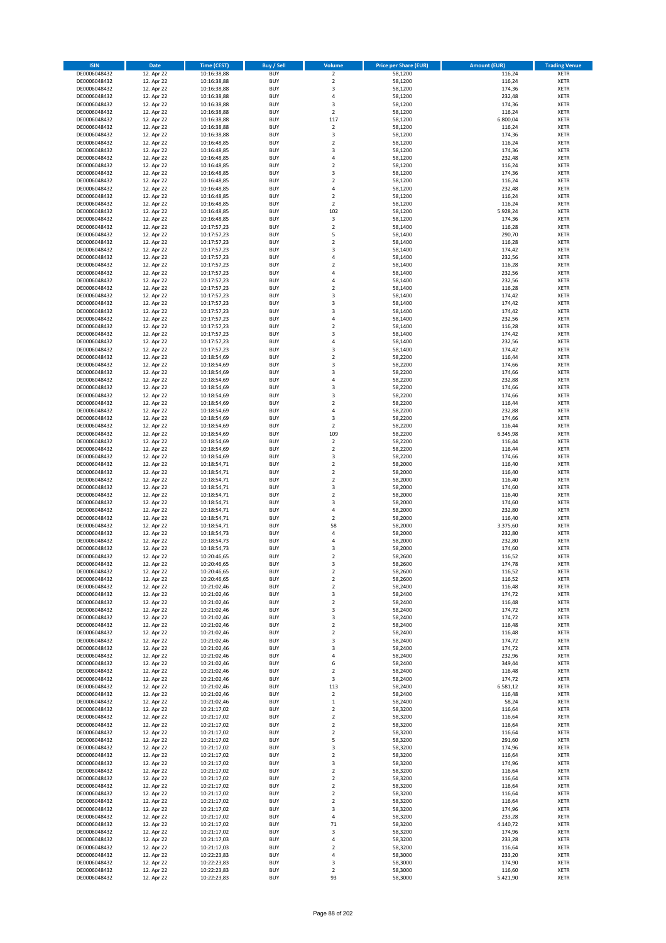| <b>ISIN</b>                  | <b>Date</b>              | <b>Time (CEST)</b>         | <b>Buy / Sell</b>        | Volume                                 | <b>Price per Share (EUR)</b> | <b>Amount (EUR)</b> | <b>Trading Venue</b>       |
|------------------------------|--------------------------|----------------------------|--------------------------|----------------------------------------|------------------------------|---------------------|----------------------------|
| DE0006048432                 | 12. Apr 22               | 10:16:38,88                | <b>BUY</b>               | $\overline{2}$                         | 58,1200                      | 116,24              | <b>XETR</b>                |
| DE0006048432                 | 12. Apr 22               | 10:16:38,88                | <b>BUY</b>               | $\mathbf 2$                            | 58,1200                      | 116,24              | <b>XETR</b>                |
| DE0006048432                 | 12. Apr 22               | 10:16:38,88                | <b>BUY</b>               | 3                                      | 58,1200                      | 174,36              | <b>XETR</b>                |
| DE0006048432<br>DE0006048432 | 12. Apr 22<br>12. Apr 22 | 10:16:38,88<br>10:16:38,88 | <b>BUY</b><br><b>BUY</b> | 4<br>3                                 | 58,1200<br>58,1200           | 232,48<br>174,36    | <b>XETR</b><br><b>XETR</b> |
| DE0006048432                 | 12. Apr 22               | 10:16:38,88                | <b>BUY</b>               | $\mathbf 2$                            | 58,1200                      | 116,24              | <b>XETR</b>                |
| DE0006048432                 | 12. Apr 22               | 10:16:38,88                | <b>BUY</b>               | 117                                    | 58,1200                      | 6.800,04            | <b>XETR</b>                |
| DE0006048432                 | 12. Apr 22               | 10:16:38,88                | <b>BUY</b>               | $\mathbf 2$                            | 58,1200                      | 116,24              | <b>XETR</b>                |
| DE0006048432                 | 12. Apr 22               | 10:16:38,88                | <b>BUY</b>               | 3                                      | 58,1200                      | 174,36              | <b>XETR</b>                |
| DE0006048432                 | 12. Apr 22               | 10:16:48,85                | <b>BUY</b><br><b>BUY</b> | $\mathbf 2$                            | 58,1200                      | 116,24              | <b>XETR</b>                |
| DE0006048432<br>DE0006048432 | 12. Apr 22<br>12. Apr 22 | 10:16:48,85<br>10:16:48,85 | <b>BUY</b>               | 3<br>4                                 | 58,1200<br>58,1200           | 174,36<br>232,48    | <b>XETR</b><br><b>XETR</b> |
| DE0006048432                 | 12. Apr 22               | 10:16:48,85                | <b>BUY</b>               | $\overline{\mathbf{c}}$                | 58,1200                      | 116,24              | <b>XETR</b>                |
| DE0006048432                 | 12. Apr 22               | 10:16:48,85                | <b>BUY</b>               | 3                                      | 58,1200                      | 174,36              | <b>XETR</b>                |
| DE0006048432                 | 12. Apr 22               | 10:16:48,85                | <b>BUY</b>               | $\mathbf 2$                            | 58,1200                      | 116,24              | <b>XETR</b>                |
| DE0006048432                 | 12. Apr 22               | 10:16:48,85                | <b>BUY</b>               | 4                                      | 58,1200                      | 232,48              | <b>XETR</b>                |
| DE0006048432<br>DE0006048432 | 12. Apr 22<br>12. Apr 22 | 10:16:48,85<br>10:16:48,85 | <b>BUY</b><br><b>BUY</b> | $\overline{\mathbf{c}}$<br>$\mathbf 2$ | 58,1200<br>58,1200           | 116,24<br>116,24    | <b>XETR</b><br><b>XETR</b> |
| DE0006048432                 | 12. Apr 22               | 10:16:48,85                | <b>BUY</b>               | 102                                    | 58,1200                      | 5.928,24            | <b>XETR</b>                |
| DE0006048432                 | 12. Apr 22               | 10:16:48,85                | <b>BUY</b>               | $\mathsf 3$                            | 58,1200                      | 174,36              | <b>XETR</b>                |
| DE0006048432                 | 12. Apr 22               | 10:17:57,23                | <b>BUY</b>               | $\overline{\mathbf{c}}$                | 58,1400                      | 116,28              | <b>XETR</b>                |
| DE0006048432                 | 12. Apr 22               | 10:17:57,23                | <b>BUY</b>               | 5                                      | 58,1400                      | 290,70              | <b>XETR</b>                |
| DE0006048432                 | 12. Apr 22               | 10:17:57,23                | <b>BUY</b>               | $\mathbf 2$                            | 58,1400                      | 116,28              | <b>XETR</b>                |
| DE0006048432<br>DE0006048432 | 12. Apr 22<br>12. Apr 22 | 10:17:57,23<br>10:17:57,23 | <b>BUY</b><br><b>BUY</b> | 3<br>4                                 | 58,1400<br>58,1400           | 174,42<br>232,56    | <b>XETR</b><br><b>XETR</b> |
| DE0006048432                 | 12. Apr 22               | 10:17:57,23                | <b>BUY</b>               | $\mathbf 2$                            | 58,1400                      | 116,28              | <b>XETR</b>                |
| DE0006048432                 | 12. Apr 22               | 10:17:57,23                | <b>BUY</b>               | 4                                      | 58,1400                      | 232,56              | <b>XETR</b>                |
| DE0006048432                 | 12. Apr 22               | 10:17:57,23                | <b>BUY</b>               | 4                                      | 58,1400                      | 232,56              | <b>XETR</b>                |
| DE0006048432                 | 12. Apr 22               | 10:17:57,23                | <b>BUY</b>               | $\mathbf 2$                            | 58,1400                      | 116,28              | <b>XETR</b>                |
| DE0006048432<br>DE0006048432 | 12. Apr 22<br>12. Apr 22 | 10:17:57,23<br>10:17:57,23 | <b>BUY</b><br><b>BUY</b> | 3<br>3                                 | 58,1400<br>58,1400           | 174,42<br>174,42    | <b>XETR</b><br><b>XETR</b> |
| DE0006048432                 | 12. Apr 22               | 10:17:57,23                | <b>BUY</b>               | 3                                      | 58,1400                      | 174,42              | <b>XETR</b>                |
| DE0006048432                 | 12. Apr 22               | 10:17:57,23                | <b>BUY</b>               | 4                                      | 58,1400                      | 232,56              | <b>XETR</b>                |
| DE0006048432                 | 12. Apr 22               | 10:17:57,23                | <b>BUY</b>               | $\overline{\mathbf{c}}$                | 58,1400                      | 116,28              | <b>XETR</b>                |
| DE0006048432                 | 12. Apr 22               | 10:17:57,23                | <b>BUY</b>               | 3                                      | 58,1400                      | 174,42              | <b>XETR</b>                |
| DE0006048432                 | 12. Apr 22<br>12. Apr 22 | 10:17:57,23<br>10:17:57,23 | <b>BUY</b>               | 4                                      | 58,1400                      | 232,56              | <b>XETR</b>                |
| DE0006048432<br>DE0006048432 | 12. Apr 22               | 10:18:54,69                | <b>BUY</b><br><b>BUY</b> | 3<br>$\mathbf 2$                       | 58,1400<br>58,2200           | 174,42<br>116,44    | <b>XETR</b><br><b>XETR</b> |
| DE0006048432                 | 12. Apr 22               | 10:18:54,69                | <b>BUY</b>               | 3                                      | 58,2200                      | 174,66              | <b>XETR</b>                |
| DE0006048432                 | 12. Apr 22               | 10:18:54,69                | <b>BUY</b>               | 3                                      | 58,2200                      | 174,66              | <b>XETR</b>                |
| DE0006048432                 | 12. Apr 22               | 10:18:54,69                | <b>BUY</b>               | 4                                      | 58,2200                      | 232,88              | <b>XETR</b>                |
| DE0006048432                 | 12. Apr 22               | 10:18:54,69                | <b>BUY</b>               | 3                                      | 58,2200                      | 174,66              | <b>XETR</b>                |
| DE0006048432                 | 12. Apr 22               | 10:18:54,69                | <b>BUY</b>               | 3                                      | 58,2200                      | 174,66              | <b>XETR</b>                |
| DE0006048432<br>DE0006048432 | 12. Apr 22<br>12. Apr 22 | 10:18:54,69<br>10:18:54,69 | <b>BUY</b><br><b>BUY</b> | $\overline{\mathbf{c}}$<br>4           | 58,2200<br>58,2200           | 116,44<br>232,88    | <b>XETR</b><br><b>XETR</b> |
| DE0006048432                 | 12. Apr 22               | 10:18:54,69                | <b>BUY</b>               | 3                                      | 58,2200                      | 174,66              | <b>XETR</b>                |
| DE0006048432                 | 12. Apr 22               | 10:18:54,69                | <b>BUY</b>               | $\mathbf 2$                            | 58,2200                      | 116,44              | <b>XETR</b>                |
| DE0006048432                 | 12. Apr 22               | 10:18:54,69                | <b>BUY</b>               | 109                                    | 58,2200                      | 6.345,98            | <b>XETR</b>                |
| DE0006048432                 | 12. Apr 22               | 10:18:54,69                | <b>BUY</b>               | $\mathbf 2$                            | 58,2200                      | 116,44              | <b>XETR</b>                |
| DE0006048432<br>DE0006048432 | 12. Apr 22<br>12. Apr 22 | 10:18:54,69<br>10:18:54,69 | <b>BUY</b><br><b>BUY</b> | $\mathbf 2$<br>3                       | 58,2200<br>58,2200           | 116,44<br>174,66    | <b>XETR</b><br><b>XETR</b> |
| DE0006048432                 | 12. Apr 22               | 10:18:54,71                | <b>BUY</b>               | $\mathbf 2$                            | 58,2000                      | 116,40              | <b>XETR</b>                |
| DE0006048432                 | 12. Apr 22               | 10:18:54,71                | <b>BUY</b>               | $\overline{2}$                         | 58,2000                      | 116,40              | <b>XETR</b>                |
| DE0006048432                 | 12. Apr 22               | 10:18:54,71                | <b>BUY</b>               | $\mathbf 2$                            | 58,2000                      | 116,40              | <b>XETR</b>                |
| DE0006048432                 | 12. Apr 22               | 10:18:54,71                | <b>BUY</b>               | 3                                      | 58,2000                      | 174,60              | <b>XETR</b>                |
| DE0006048432                 | 12. Apr 22               | 10:18:54,71                | <b>BUY</b>               | $\mathbf 2$                            | 58,2000                      | 116,40              | <b>XETR</b>                |
| DE0006048432<br>DE0006048432 | 12. Apr 22<br>12. Apr 22 | 10:18:54,71<br>10:18:54,71 | <b>BUY</b><br><b>BUY</b> | 3<br>4                                 | 58,2000<br>58,2000           | 174,60<br>232,80    | <b>XETR</b><br><b>XETR</b> |
| DE0006048432                 | 12. Apr 22               | 10:18:54,71                | <b>BUY</b>               | $\overline{\mathbf{c}}$                | 58,2000                      | 116,40              | <b>XETR</b>                |
| DE0006048432                 | 12. Apr 22               | 10:18:54,71                | <b>BUY</b>               | 58                                     | 58,2000                      | 3.375,60            | <b>XETR</b>                |
| DE0006048432                 | 12. Apr 22               | 10:18:54,73                | <b>BUY</b>               | 4                                      | 58,2000                      | 232,80              | <b>XETR</b>                |
| DE0006048432                 | 12. Apr 22               | 10:18:54,73                | <b>BUY</b>               | 4                                      | 58,2000                      | 232,80              | <b>XETR</b>                |
| DE0006048432<br>DE0006048432 | 12. Apr 22<br>12. Apr 22 | 10:18:54,73<br>10:20:46,65 | <b>BUY</b><br><b>BUY</b> | 3<br>$\overline{2}$                    | 58,2000<br>58,2600           | 174,60<br>116,52    | <b>XETR</b><br><b>XETR</b> |
| DE0006048432                 | 12. Apr 22               | 10:20:46,65                | BUY                      | 3                                      | 58,2600                      | 174,78              | <b>XETR</b>                |
| DE0006048432                 | 12. Apr 22               | 10:20:46,65                | <b>BUY</b>               | $\mathbf 2$                            | 58,2600                      | 116,52              | XETR                       |
| DE0006048432                 | 12. Apr 22               | 10:20:46,65                | <b>BUY</b>               | $\mathbf 2$                            | 58,2600                      | 116,52              | XETR                       |
| DE0006048432                 | 12. Apr 22               | 10:21:02,46                | <b>BUY</b>               | $\mathbf 2$                            | 58,2400                      | 116,48              | XETR                       |
| DE0006048432<br>DE0006048432 | 12. Apr 22<br>12. Apr 22 | 10:21:02,46<br>10:21:02,46 | <b>BUY</b><br><b>BUY</b> | 3<br>$\mathbf 2$                       | 58,2400<br>58,2400           | 174,72<br>116,48    | <b>XETR</b><br><b>XETR</b> |
| DE0006048432                 | 12. Apr 22               | 10:21:02,46                | <b>BUY</b>               | 3                                      | 58,2400                      | 174,72              | <b>XETR</b>                |
| DE0006048432                 | 12. Apr 22               | 10:21:02,46                | <b>BUY</b>               | 3                                      | 58,2400                      | 174,72              | <b>XETR</b>                |
| DE0006048432                 | 12. Apr 22               | 10:21:02,46                | <b>BUY</b>               | $\overline{\mathbf{c}}$                | 58,2400                      | 116,48              | <b>XETR</b>                |
| DE0006048432                 | 12. Apr 22               | 10:21:02,46                | <b>BUY</b>               | $\mathbf 2$                            | 58,2400                      | 116,48              | <b>XETR</b>                |
| DE0006048432<br>DE0006048432 | 12. Apr 22<br>12. Apr 22 | 10:21:02,46<br>10:21:02,46 | <b>BUY</b><br><b>BUY</b> | 3<br>3                                 | 58,2400<br>58,2400           | 174,72<br>174,72    | <b>XETR</b><br><b>XETR</b> |
| DE0006048432                 | 12. Apr 22               | 10:21:02,46                | <b>BUY</b>               | 4                                      | 58,2400                      | 232,96              | <b>XETR</b>                |
| DE0006048432                 | 12. Apr 22               | 10:21:02,46                | <b>BUY</b>               | 6                                      | 58,2400                      | 349,44              | <b>XETR</b>                |
| DE0006048432                 | 12. Apr 22               | 10:21:02,46                | <b>BUY</b>               | $\mathbf 2$                            | 58,2400                      | 116,48              | <b>XETR</b>                |
| DE0006048432                 | 12. Apr 22               | 10:21:02,46                | <b>BUY</b>               | 3                                      | 58,2400                      | 174,72              | <b>XETR</b>                |
| DE0006048432<br>DE0006048432 | 12. Apr 22<br>12. Apr 22 | 10:21:02,46<br>10:21:02,46 | <b>BUY</b><br><b>BUY</b> | 113<br>$\mathbf 2$                     | 58,2400<br>58,2400           | 6.581,12<br>116,48  | <b>XETR</b><br><b>XETR</b> |
| DE0006048432                 | 12. Apr 22               | 10:21:02,46                | <b>BUY</b>               | $\mathbf 1$                            | 58,2400                      | 58,24               | XETR                       |
| DE0006048432                 | 12. Apr 22               | 10:21:17,02                | <b>BUY</b>               | $\overline{2}$                         | 58,3200                      | 116,64              | <b>XETR</b>                |
| DE0006048432                 | 12. Apr 22               | 10:21:17,02                | <b>BUY</b>               | $\overline{\mathbf{2}}$                | 58,3200                      | 116,64              | <b>XETR</b>                |
| DE0006048432                 | 12. Apr 22               | 10:21:17,02                | <b>BUY</b>               | $\mathbf 2$                            | 58,3200                      | 116,64              | <b>XETR</b>                |
| DE0006048432                 | 12. Apr 22<br>12. Apr 22 | 10:21:17,02                | <b>BUY</b><br><b>BUY</b> | $\overline{\mathbf{2}}$<br>5           | 58,3200<br>58,3200           | 116,64<br>291,60    | <b>XETR</b><br><b>XETR</b> |
| DE0006048432<br>DE0006048432 | 12. Apr 22               | 10:21:17,02<br>10:21:17,02 | <b>BUY</b>               | 3                                      | 58,3200                      | 174,96              | <b>XETR</b>                |
| DE0006048432                 | 12. Apr 22               | 10:21:17,02                | <b>BUY</b>               | $\mathbf 2$                            | 58,3200                      | 116,64              | XETR                       |
| DE0006048432                 | 12. Apr 22               | 10:21:17,02                | <b>BUY</b>               | 3                                      | 58,3200                      | 174,96              | <b>XETR</b>                |
| DE0006048432                 | 12. Apr 22               | 10:21:17,02                | <b>BUY</b>               | $\overline{\mathbf{2}}$                | 58,3200                      | 116,64              | <b>XETR</b>                |
| DE0006048432                 | 12. Apr 22               | 10:21:17,02                | <b>BUY</b>               | $\mathbf 2$                            | 58,3200                      | 116,64              | <b>XETR</b>                |
| DE0006048432<br>DE0006048432 | 12. Apr 22               | 10:21:17,02<br>10:21:17,02 | <b>BUY</b><br><b>BUY</b> | $\overline{\mathbf{2}}$<br>$\mathbf 2$ | 58,3200                      | 116,64              | XETR<br><b>XETR</b>        |
| DE0006048432                 | 12. Apr 22<br>12. Apr 22 | 10:21:17,02                | <b>BUY</b>               | $\mathbf 2$                            | 58,3200<br>58,3200           | 116,64<br>116,64    | <b>XETR</b>                |
| DE0006048432                 | 12. Apr 22               | 10:21:17,02                | <b>BUY</b>               | 3                                      | 58,3200                      | 174,96              | XETR                       |
| DE0006048432                 | 12. Apr 22               | 10:21:17,02                | <b>BUY</b>               | 4                                      | 58,3200                      | 233,28              | <b>XETR</b>                |
| DE0006048432                 | 12. Apr 22               | 10:21:17,02                | <b>BUY</b>               | 71                                     | 58,3200                      | 4.140,72            | <b>XETR</b>                |
| DE0006048432                 | 12. Apr 22               | 10:21:17,02                | <b>BUY</b>               | 3                                      | 58,3200                      | 174,96              | <b>XETR</b>                |
| DE0006048432<br>DE0006048432 | 12. Apr 22<br>12. Apr 22 | 10:21:17,03<br>10:21:17,03 | <b>BUY</b><br><b>BUY</b> | 4<br>$\overline{\mathbf{c}}$           | 58,3200<br>58,3200           | 233,28<br>116,64    | <b>XETR</b><br>XETR        |
| DE0006048432                 | 12. Apr 22               | 10:22:23,83                | <b>BUY</b>               | 4                                      | 58,3000                      | 233,20              | <b>XETR</b>                |
| DE0006048432                 | 12. Apr 22               | 10:22:23,83                | <b>BUY</b>               | 3                                      | 58,3000                      | 174,90              | <b>XETR</b>                |
| DE0006048432                 | 12. Apr 22               | 10:22:23,83                | <b>BUY</b>               | $\mathbf 2$                            | 58,3000                      | 116,60              | <b>XETR</b>                |
| DE0006048432                 | 12. Apr 22               | 10:22:23,83                | <b>BUY</b>               | 93                                     | 58,3000                      | 5.421,90            | XETR                       |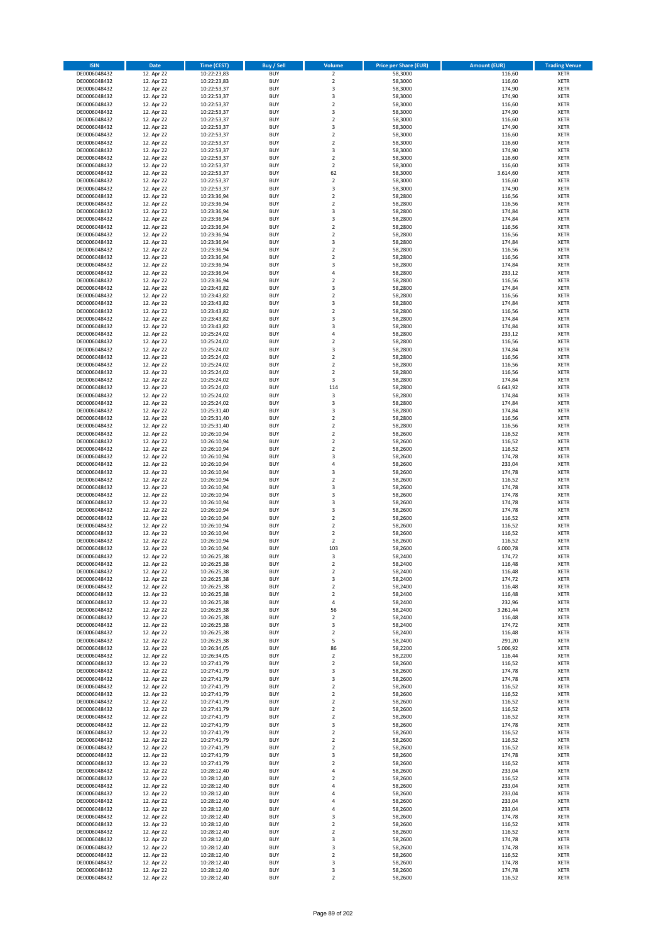| <b>ISIN</b>                  | <b>Date</b>              | <b>Time (CEST)</b>         | <b>Buy / Sell</b>        | Volume                                 | <b>Price per Share (EUR)</b> | <b>Amount (EUR)</b> | <b>Trading Venue</b>       |
|------------------------------|--------------------------|----------------------------|--------------------------|----------------------------------------|------------------------------|---------------------|----------------------------|
| DE0006048432                 | 12. Apr 22               | 10:22:23,83                | <b>BUY</b>               | $\overline{\mathbf{2}}$                | 58,3000                      | 116,60              | <b>XETR</b>                |
| DE0006048432                 | 12. Apr 22               | 10:22:23,83                | <b>BUY</b>               | $\mathbf 2$                            | 58,3000                      | 116,60              | <b>XETR</b>                |
| DE0006048432                 | 12. Apr 22               | 10:22:53,37                | <b>BUY</b>               | 3                                      | 58,3000                      | 174,90              | <b>XETR</b>                |
| DE0006048432                 | 12. Apr 22               | 10:22:53,37                | <b>BUY</b>               | 3                                      | 58,3000                      | 174,90              | <b>XETR</b>                |
| DE0006048432                 | 12. Apr 22               | 10:22:53,37                | <b>BUY</b>               | $\overline{\mathbf{2}}$                | 58,3000                      | 116,60              | <b>XETR</b>                |
| DE0006048432                 | 12. Apr 22               | 10:22:53,37                | <b>BUY</b>               | 3                                      | 58,3000                      | 174,90              | <b>XETR</b>                |
| DE0006048432                 | 12. Apr 22               | 10:22:53,37                | <b>BUY</b>               | $\overline{\mathbf{2}}$                | 58,3000                      | 116,60              | <b>XETR</b>                |
| DE0006048432                 | 12. Apr 22               | 10:22:53,37                | <b>BUY</b>               | 3                                      | 58,3000                      | 174,90              | <b>XETR</b>                |
| DE0006048432                 | 12. Apr 22               | 10:22:53,37                | BUY                      | $\overline{\mathbf{2}}$                | 58,3000                      | 116,60              | <b>XETR</b>                |
| DE0006048432                 | 12. Apr 22               | 10:22:53,37                | <b>BUY</b>               | $\overline{2}$                         | 58,3000                      | 116,60              | <b>XETR</b>                |
| DE0006048432                 | 12. Apr 22               | 10:22:53,37                | <b>BUY</b>               | 3                                      | 58,3000                      | 174,90              | <b>XETR</b>                |
| DE0006048432                 | 12. Apr 22               | 10:22:53,37                | <b>BUY</b>               | $\overline{2}$                         | 58,3000                      | 116,60              | <b>XETR</b>                |
| DE0006048432                 | 12. Apr 22               | 10:22:53,37                | <b>BUY</b>               | $\overline{2}$                         | 58,3000                      | 116,60<br>3.614,60  | <b>XETR</b>                |
| DE0006048432                 | 12. Apr 22<br>12. Apr 22 | 10:22:53,37                | <b>BUY</b><br><b>BUY</b> | 62<br>$\overline{2}$                   | 58,3000                      | 116,60              | <b>XETR</b><br><b>XETR</b> |
| DE0006048432<br>DE0006048432 | 12. Apr 22               | 10:22:53,37<br>10:22:53,37 | BUY                      | 3                                      | 58,3000<br>58,3000           | 174,90              | <b>XETR</b>                |
| DE0006048432                 | 12. Apr 22               | 10:23:36,94                | <b>BUY</b>               | $\overline{2}$                         | 58,2800                      | 116,56              | <b>XETR</b>                |
| DE0006048432                 | 12. Apr 22               | 10:23:36,94                | <b>BUY</b>               | $\overline{2}$                         | 58,2800                      | 116,56              | <b>XETR</b>                |
| DE0006048432                 | 12. Apr 22               | 10:23:36,94                | <b>BUY</b>               | 3                                      | 58,2800                      | 174,84              | <b>XETR</b>                |
| DE0006048432                 | 12. Apr 22               | 10:23:36,94                | <b>BUY</b>               | $\overline{3}$                         | 58,2800                      | 174,84              | <b>XETR</b>                |
| DE0006048432                 | 12. Apr 22               | 10:23:36,94                | <b>BUY</b>               | $\overline{2}$                         | 58,2800                      | 116,56              | <b>XETR</b>                |
| DE0006048432                 | 12. Apr 22               | 10:23:36,94                | <b>BUY</b>               | $\mathbf 2$                            | 58,2800                      | 116,56              | <b>XETR</b>                |
| DE0006048432                 | 12. Apr 22               | 10:23:36,94                | <b>BUY</b>               | $\overline{\mathbf{3}}$                | 58,2800                      | 174,84              | <b>XETR</b>                |
| DE0006048432                 | 12. Apr 22               | 10:23:36,94                | <b>BUY</b>               | $\overline{2}$                         | 58,2800                      | 116,56              | <b>XETR</b>                |
| DE0006048432                 | 12. Apr 22               | 10:23:36,94                | <b>BUY</b>               | $\overline{2}$                         | 58,2800                      | 116,56              | <b>XETR</b>                |
| DE0006048432                 | 12. Apr 22               | 10:23:36,94                | <b>BUY</b>               | 3                                      | 58,2800                      | 174,84              | <b>XETR</b>                |
| DE0006048432                 | 12. Apr 22               | 10:23:36,94                | <b>BUY</b>               | $\overline{4}$                         | 58,2800                      | 233,12              | <b>XETR</b>                |
| DE0006048432                 | 12. Apr 22               | 10:23:36,94                | <b>BUY</b>               | $\overline{2}$                         | 58,2800                      | 116,56              | <b>XETR</b>                |
| DE0006048432                 | 12. Apr 22               | 10:23:43,82                | <b>BUY</b>               | 3                                      | 58,2800                      | 174,84              | <b>XETR</b>                |
| DE0006048432                 | 12. Apr 22               | 10:23:43,82                | <b>BUY</b>               | $\overline{2}$                         | 58,2800                      | 116,56              | <b>XETR</b>                |
| DE0006048432                 | 12. Apr 22               | 10:23:43,82                | <b>BUY</b>               | 3                                      | 58,2800                      | 174,84              | <b>XETR</b>                |
| DE0006048432                 | 12. Apr 22               | 10:23:43,82                | <b>BUY</b>               | $\mathbf 2$                            | 58,2800                      | 116,56              | <b>XETR</b>                |
| DE0006048432                 | 12. Apr 22               | 10:23:43,82                | <b>BUY</b>               | 3<br>$\overline{\mathbf{3}}$           | 58,2800                      | 174,84              | <b>XETR</b>                |
| DE0006048432                 | 12. Apr 22<br>12. Apr 22 | 10:23:43,82                | <b>BUY</b>               | $\overline{4}$                         | 58,2800                      | 174,84              | <b>XETR</b>                |
| DE0006048432<br>DE0006048432 | 12. Apr 22               | 10:25:24,02<br>10:25:24,02 | <b>BUY</b><br><b>BUY</b> | $\mathbf 2$                            | 58,2800<br>58,2800           | 233,12<br>116,56    | <b>XETR</b><br><b>XETR</b> |
| DE0006048432                 | 12. Apr 22               | 10:25:24,02                | <b>BUY</b>               | $\overline{\mathbf{3}}$                | 58,2800                      | 174,84              | <b>XETR</b>                |
| DE0006048432                 | 12. Apr 22               | 10:25:24,02                | <b>BUY</b>               | $\mathbf 2$                            | 58,2800                      | 116,56              | <b>XETR</b>                |
| DE0006048432                 | 12. Apr 22               | 10:25:24,02                | <b>BUY</b>               | $\mathbf 2$                            | 58,2800                      | 116,56              | <b>XETR</b>                |
| DE0006048432                 | 12. Apr 22               | 10:25:24,02                | <b>BUY</b>               | $\mathbf 2$                            | 58,2800                      | 116,56              | <b>XETR</b>                |
| DE0006048432                 | 12. Apr 22               | 10:25:24,02                | <b>BUY</b>               | 3                                      | 58,2800                      | 174,84              | <b>XETR</b>                |
| DE0006048432                 | 12. Apr 22               | 10:25:24,02                | <b>BUY</b>               | 114                                    | 58,2800                      | 6.643,92            | <b>XETR</b>                |
| DE0006048432                 | 12. Apr 22               | 10:25:24,02                | <b>BUY</b>               | 3                                      | 58,2800                      | 174,84              | <b>XETR</b>                |
| DE0006048432                 | 12. Apr 22               | 10:25:24,02                | <b>BUY</b>               | 3                                      | 58,2800                      | 174,84              | <b>XETR</b>                |
| DE0006048432                 | 12. Apr 22               | 10:25:31,40                | <b>BUY</b>               | $\overline{3}$                         | 58,2800                      | 174,84              | <b>XETR</b>                |
| DE0006048432                 | 12. Apr 22               | 10:25:31,40                | <b>BUY</b>               | $\overline{2}$                         | 58,2800                      | 116,56              | <b>XETR</b>                |
| DE0006048432                 | 12. Apr 22               | 10:25:31,40                | <b>BUY</b>               | $\mathbf 2$                            | 58,2800                      | 116,56              | <b>XETR</b>                |
| DE0006048432                 | 12. Apr 22               | 10:26:10,94                | <b>BUY</b>               | $\overline{2}$                         | 58,2600                      | 116,52              | <b>XETR</b>                |
| DE0006048432                 | 12. Apr 22               | 10:26:10,94                | <b>BUY</b>               | $\overline{2}$                         | 58,2600                      | 116,52              | <b>XETR</b>                |
| DE0006048432                 | 12. Apr 22               | 10:26:10,94                | <b>BUY</b>               | $\overline{2}$                         | 58,2600                      | 116,52              | <b>XETR</b>                |
| DE0006048432                 | 12. Apr 22               | 10:26:10,94                | <b>BUY</b>               | $\overline{\mathbf{3}}$                | 58,2600                      | 174,78              | <b>XETR</b>                |
| DE0006048432                 | 12. Apr 22               | 10:26:10,94                | <b>BUY</b>               | $\overline{a}$                         | 58,2600                      | 233,04              | <b>XETR</b>                |
| DE0006048432                 | 12. Apr 22               | 10:26:10,94                | <b>BUY</b><br><b>BUY</b> | $\overline{\mathbf{3}}$                | 58,2600                      | 174,78<br>116,52    | <b>XETR</b>                |
| DE0006048432<br>DE0006048432 | 12. Apr 22<br>12. Apr 22 | 10:26:10,94<br>10:26:10,94 | <b>BUY</b>               | $\mathbf 2$<br>$\overline{\mathbf{3}}$ | 58,2600<br>58,2600           | 174,78              | <b>XETR</b><br><b>XETR</b> |
| DE0006048432                 | 12. Apr 22               | 10:26:10,94                | <b>BUY</b>               | $\overline{3}$                         | 58,2600                      | 174,78              | <b>XETR</b>                |
| DE0006048432                 | 12. Apr 22               | 10:26:10,94                | <b>BUY</b>               | $\overline{3}$                         | 58,2600                      | 174,78              | <b>XETR</b>                |
| DE0006048432                 | 12. Apr 22               | 10:26:10,94                | <b>BUY</b>               | $\overline{\mathbf{3}}$                | 58,2600                      | 174,78              | <b>XETR</b>                |
| DE0006048432                 | 12. Apr 22               | 10:26:10,94                | BUY                      | $\overline{2}$                         | 58,2600                      | 116,52              | <b>XETR</b>                |
| DE0006048432                 | 12. Apr 22               | 10:26:10,94                | <b>BUY</b>               | $\overline{2}$                         | 58,2600                      | 116,52              | <b>XETR</b>                |
| DE0006048432                 | 12. Apr 22               | 10:26:10,94                | <b>BUY</b>               | $\mathbf 2$                            | 58,2600                      | 116,52              | <b>XETR</b>                |
| DE0006048432                 | 12. Apr 22               | 10:26:10,94                | BUY                      | $\overline{2}$                         | 58,2600                      | 116,52              | <b>XETR</b>                |
| DE0006048432                 | 12. Apr 22               | 10:26:10,94                | BUY                      | 103                                    | 58,2600                      | 6.000,78            | <b>XETR</b>                |
| DE0006048432                 | 12. Apr 22               | 10:26:25,38                | <b>BUY</b>               | 3                                      | 58,2400                      | 174,72              | <b>XETR</b>                |
| DE0006048432                 | 12. Apr 22               | 10:26:25,38                | BUY                      | 2                                      | 58,2400                      | 116,48              | <b>XETR</b>                |
| DE0006048432                 | 12. Apr 22               | 10:26:25,38                | <b>BUY</b>               | $\mathbf 2$                            | 58,2400                      | 116,48              | <b>XETR</b>                |
| DE0006048432                 | 12. Apr 22               | 10:26:25,38                | <b>BUY</b>               | 3                                      | 58,2400                      | 174,72              | <b>XETR</b>                |
| DE0006048432                 | 12. Apr 22               | 10:26:25,38                | <b>BUY</b>               | $\mathbf 2$                            | 58,2400                      | 116,48              | <b>XETR</b>                |
| DE0006048432                 | 12. Apr 22               | 10:26:25,38                | <b>BUY</b>               | $\overline{2}$                         | 58,2400                      | 116,48              | <b>XETR</b>                |
| DE0006048432                 | 12. Apr 22               | 10:26:25,38                | <b>BUY</b>               | 4                                      | 58,2400                      | 232,96              | <b>XETR</b>                |
| DE0006048432                 | 12. Apr 22               | 10:26:25,38                | <b>BUY</b>               | 56                                     | 58,2400                      | 3.261,44            | <b>XETR</b>                |
| DE0006048432                 | 12. Apr 22               | 10:26:25,38                | <b>BUY</b>               | 2                                      | 58,2400                      | 116,48              | <b>XETR</b>                |
| DE0006048432                 | 12. Apr 22               | 10:26:25,38                | <b>BUY</b><br><b>BUY</b> | 3                                      | 58,2400                      | 174,72              | <b>XETR</b>                |
| DE0006048432                 | 12. Apr 22               | 10:26:25,38                |                          | $\mathbf 2$                            | 58,2400                      | 116,48              | <b>XETR</b>                |
| DE0006048432<br>DE0006048432 | 12. Apr 22<br>12. Apr 22 | 10:26:25,38<br>10:26:34,05 | <b>BUY</b><br><b>BUY</b> | 5<br>86                                | 58,2400<br>58,2200           | 291,20<br>5.006,92  | <b>XETR</b><br><b>XETR</b> |
| DE0006048432                 | 12. Apr 22               | 10:26:34,05                | <b>BUY</b>               | $\mathbf 2$                            | 58,2200                      | 116,44              | <b>XETR</b>                |
| DE0006048432                 | 12. Apr 22               | 10:27:41,79                | <b>BUY</b>               | $\overline{2}$                         | 58,2600                      | 116,52              | <b>XETR</b>                |
| DE0006048432                 | 12. Apr 22               | 10:27:41,79                | <b>BUY</b>               | 3                                      | 58,2600                      | 174,78              | <b>XETR</b>                |
| DE0006048432                 | 12. Apr 22               | 10:27:41,79                | <b>BUY</b>               | $\overline{\mathbf{3}}$                | 58,2600                      | 174,78              | <b>XETR</b>                |
| DE0006048432                 | 12. Apr 22               | 10:27:41,79                | <b>BUY</b>               | $\mathbf 2$                            | 58,2600                      | 116,52              | <b>XETR</b>                |
| DE0006048432                 | 12. Apr 22               | 10:27:41,79                | <b>BUY</b>               | $\mathbf 2$                            | 58,2600                      | 116,52              | <b>XETR</b>                |
| DE0006048432                 | 12. Apr 22               | 10:27:41,79                | <b>BUY</b>               | $\mathbf 2$                            | 58,2600                      | 116,52              | <b>XETR</b>                |
| DE0006048432                 | 12. Apr 22               | 10:27:41,79                | <b>BUY</b>               | $\mathbf 2$                            | 58,2600                      | 116,52              | <b>XETR</b>                |
| DE0006048432                 | 12. Apr 22               | 10:27:41,79                | <b>BUY</b>               | $\overline{\mathbf{2}}$                | 58,2600                      | 116,52              | <b>XETR</b>                |
| DE0006048432                 | 12. Apr 22               | 10:27:41,79                | <b>BUY</b>               | 3                                      | 58,2600                      | 174,78              | <b>XETR</b>                |
| DE0006048432                 | 12. Apr 22               | 10:27:41,79                | <b>BUY</b>               | $\overline{\mathbf{2}}$                | 58,2600                      | 116,52              | <b>XETR</b>                |
| DE0006048432                 | 12. Apr 22               | 10:27:41,79                | <b>BUY</b>               | $\mathbf 2$                            | 58,2600                      | 116,52              | <b>XETR</b>                |
| DE0006048432                 | 12. Apr 22               | 10:27:41,79                | <b>BUY</b>               | $\mathbf 2$                            | 58,2600                      | 116,52              | <b>XETR</b>                |
| DE0006048432                 | 12. Apr 22               | 10:27:41,79                | <b>BUY</b>               | 3                                      | 58,2600                      | 174,78              | <b>XETR</b>                |
| DE0006048432                 | 12. Apr 22               | 10:27:41,79                | <b>BUY</b>               | $\overline{\mathbf{2}}$                | 58,2600                      | 116,52              | <b>XETR</b>                |
| DE0006048432                 | 12. Apr 22               | 10:28:12,40                | <b>BUY</b>               | $\overline{4}$                         | 58,2600                      | 233,04              | <b>XETR</b>                |
| DE0006048432                 | 12. Apr 22               | 10:28:12,40                | <b>BUY</b>               | $\mathbf 2$                            | 58,2600                      | 116,52              | <b>XETR</b>                |
| DE0006048432                 | 12. Apr 22               | 10:28:12,40                | <b>BUY</b><br><b>BUY</b> | 4<br>4                                 | 58,2600                      | 233,04              | <b>XETR</b>                |
| DE0006048432                 | 12. Apr 22               | 10:28:12,40                | <b>BUY</b>               | $\overline{4}$                         | 58,2600                      | 233,04              | <b>XETR</b><br><b>XETR</b> |
| DE0006048432<br>DE0006048432 | 12. Apr 22<br>12. Apr 22 | 10:28:12,40<br>10:28:12,40 | <b>BUY</b>               | 4                                      | 58,2600<br>58,2600           | 233,04<br>233,04    | <b>XETR</b>                |
| DE0006048432                 | 12. Apr 22               | 10:28:12,40                | <b>BUY</b>               | $\overline{\mathbf{3}}$                | 58,2600                      | 174,78              | <b>XETR</b>                |
| DE0006048432                 | 12. Apr 22               | 10:28:12,40                | <b>BUY</b>               | $\mathbf 2$                            | 58,2600                      | 116,52              | <b>XETR</b>                |
| DE0006048432                 | 12. Apr 22               | 10:28:12,40                | <b>BUY</b>               | $\mathbf 2$                            | 58,2600                      | 116,52              | <b>XETR</b>                |
| DE0006048432                 | 12. Apr 22               | 10:28:12,40                | <b>BUY</b>               | 3                                      | 58,2600                      | 174,78              | <b>XETR</b>                |
| DE0006048432                 | 12. Apr 22               | 10:28:12,40                | <b>BUY</b>               | 3                                      | 58,2600                      | 174,78              | <b>XETR</b>                |
| DE0006048432                 | 12. Apr 22               | 10:28:12,40                | <b>BUY</b>               | 2                                      | 58,2600                      | 116,52              | <b>XETR</b>                |
| DE0006048432                 | 12. Apr 22               | 10:28:12,40                | <b>BUY</b>               | 3                                      | 58,2600                      | 174,78              | <b>XETR</b>                |
| DE0006048432                 | 12. Apr 22               | 10:28:12,40                | <b>BUY</b>               | 3                                      | 58,2600                      | 174,78              | <b>XETR</b>                |
| DE0006048432                 | 12. Apr 22               | 10:28:12,40                | <b>BUY</b>               | $\mathbf 2$                            | 58,2600                      | 116,52              | <b>XETR</b>                |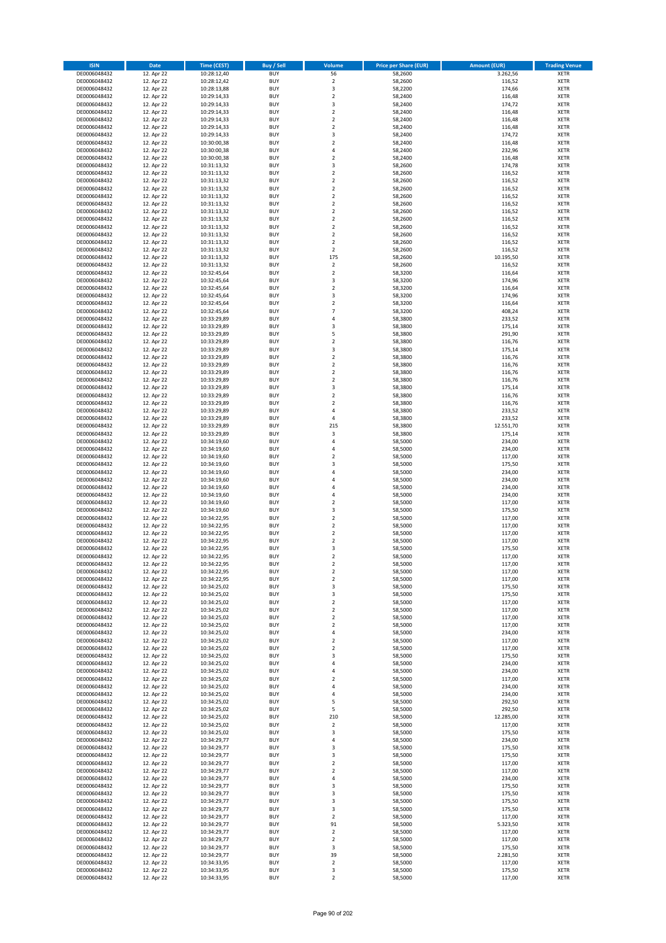| <b>ISIN</b>                  | <b>Date</b>              | Time (CEST)                | <b>Buy / Sell</b>        | Volume                                 | <b>Price per Share (EUR)</b> | <b>Amount (EUR)</b> | <b>Trading Venue</b>       |
|------------------------------|--------------------------|----------------------------|--------------------------|----------------------------------------|------------------------------|---------------------|----------------------------|
| DE0006048432                 | 12. Apr 22               | 10:28:12,40                | <b>BUY</b>               | 56                                     | 58,2600                      | 3.262,56            | <b>XETR</b>                |
| DE0006048432                 | 12. Apr 22               | 10:28:12,42                | <b>BUY</b>               | $\mathbf 2$                            | 58,2600                      | 116,52              | <b>XETR</b>                |
| DE0006048432                 | 12. Apr 22               | 10:28:13,88                | <b>BUY</b>               | 3                                      | 58,2200                      | 174,66              | <b>XETR</b>                |
| DE0006048432                 | 12. Apr 22               | 10:29:14,33                | <b>BUY</b>               | $\mathbf 2$                            | 58,2400                      | 116,48              | <b>XETR</b>                |
| DE0006048432<br>DE0006048432 | 12. Apr 22<br>12. Apr 22 | 10:29:14,33<br>10:29:14,33 | <b>BUY</b><br><b>BUY</b> | 3<br>$\mathbf 2$                       | 58,2400<br>58,2400           | 174,72<br>116,48    | <b>XETR</b><br><b>XETR</b> |
| DE0006048432                 | 12. Apr 22               | 10:29:14,33                | <b>BUY</b>               | $\overline{\mathbf{2}}$                | 58,2400                      | 116,48              | <b>XETR</b>                |
| DE0006048432                 | 12. Apr 22               | 10:29:14,33                | <b>BUY</b>               | $\overline{\mathbf{2}}$                | 58,2400                      | 116,48              | <b>XETR</b>                |
| DE0006048432                 | 12. Apr 22               | 10:29:14,33                | BUY                      | 3                                      | 58,2400                      | 174,72              | <b>XETR</b>                |
| DE0006048432                 | 12. Apr 22               | 10:30:00,38                | <b>BUY</b>               | $\overline{2}$                         | 58,2400                      | 116,48              | <b>XETR</b>                |
| DE0006048432                 | 12. Apr 22               | 10:30:00,38                | <b>BUY</b>               | 4                                      | 58,2400                      | 232,96              | <b>XETR</b>                |
| DE0006048432<br>DE0006048432 | 12. Apr 22<br>12. Apr 22 | 10:30:00,38<br>10:31:13,32 | <b>BUY</b><br><b>BUY</b> | $\overline{2}$<br>$\overline{3}$       | 58,2400<br>58,2600           | 116,48<br>174,78    | <b>XETR</b><br><b>XETR</b> |
| DE0006048432                 | 12. Apr 22               | 10:31:13,32                | <b>BUY</b>               | $\overline{2}$                         | 58,2600                      | 116,52              | <b>XETR</b>                |
| DE0006048432                 | 12. Apr 22               | 10:31:13,32                | <b>BUY</b>               | $\overline{2}$                         | 58,2600                      | 116,52              | <b>XETR</b>                |
| DE0006048432                 | 12. Apr 22               | 10:31:13,32                | BUY                      | $\overline{2}$                         | 58,2600                      | 116,52              | <b>XETR</b>                |
| DE0006048432                 | 12. Apr 22               | 10:31:13,32                | <b>BUY</b>               | $\overline{2}$                         | 58,2600                      | 116,52              | <b>XETR</b>                |
| DE0006048432                 | 12. Apr 22               | 10:31:13,32                | <b>BUY</b>               | $\overline{2}$                         | 58,2600                      | 116,52              | <b>XETR</b>                |
| DE0006048432<br>DE0006048432 | 12. Apr 22<br>12. Apr 22 | 10:31:13,32<br>10:31:13,32 | <b>BUY</b><br><b>BUY</b> | $\overline{2}$<br>$\overline{2}$       | 58,2600<br>58,2600           | 116,52<br>116,52    | <b>XETR</b><br><b>XETR</b> |
| DE0006048432                 | 12. Apr 22               | 10:31:13,32                | <b>BUY</b>               | $\overline{2}$                         | 58,2600                      | 116,52              | <b>XETR</b>                |
| DE0006048432                 | 12. Apr 22               | 10:31:13,32                | <b>BUY</b>               | $\mathbf 2$                            | 58,2600                      | 116,52              | <b>XETR</b>                |
| DE0006048432                 | 12. Apr 22               | 10:31:13,32                | <b>BUY</b>               | $\overline{2}$                         | 58,2600                      | 116,52              | <b>XETR</b>                |
| DE0006048432                 | 12. Apr 22               | 10:31:13,32                | <b>BUY</b>               | $\overline{2}$                         | 58,2600                      | 116,52              | <b>XETR</b>                |
| DE0006048432                 | 12. Apr 22               | 10:31:13,32                | <b>BUY</b>               | 175                                    | 58,2600                      | 10.195,50           | <b>XETR</b>                |
| DE0006048432                 | 12. Apr 22               | 10:31:13,32                | <b>BUY</b>               | $\mathbf 2$                            | 58,2600                      | 116,52              | <b>XETR</b>                |
| DE0006048432<br>DE0006048432 | 12. Apr 22<br>12. Apr 22 | 10:32:45,64<br>10:32:45,64 | <b>BUY</b><br><b>BUY</b> | $\mathbf 2$<br>$\overline{\mathbf{3}}$ | 58,3200<br>58,3200           | 116,64<br>174,96    | <b>XETR</b><br><b>XETR</b> |
| DE0006048432                 | 12. Apr 22               | 10:32:45,64                | <b>BUY</b>               | $\mathbf 2$                            | 58,3200                      | 116,64              | <b>XETR</b>                |
| DE0006048432                 | 12. Apr 22               | 10:32:45,64                | <b>BUY</b>               | $\overline{\mathbf{3}}$                | 58,3200                      | 174,96              | <b>XETR</b>                |
| DE0006048432                 | 12. Apr 22               | 10:32:45,64                | <b>BUY</b>               | $\overline{2}$                         | 58,3200                      | 116,64              | <b>XETR</b>                |
| DE0006048432                 | 12. Apr 22               | 10:32:45,64                | <b>BUY</b>               | 7                                      | 58,3200                      | 408,24              | <b>XETR</b>                |
| DE0006048432                 | 12. Apr 22               | 10:33:29,89                | <b>BUY</b>               | 4                                      | 58,3800                      | 233,52              | <b>XETR</b>                |
| DE0006048432<br>DE0006048432 | 12. Apr 22<br>12. Apr 22 | 10:33:29,89<br>10:33:29,89 | <b>BUY</b><br><b>BUY</b> | $\overline{\mathbf{3}}$<br>5           | 58,3800<br>58,3800           | 175,14<br>291,90    | <b>XETR</b><br><b>XETR</b> |
| DE0006048432                 | 12. Apr 22               | 10:33:29,89                | <b>BUY</b>               | $\mathbf 2$                            | 58,3800                      | 116,76              | <b>XETR</b>                |
| DE0006048432                 | 12. Apr 22               | 10:33:29,89                | <b>BUY</b>               | $\overline{\mathbf{3}}$                | 58,3800                      | 175,14              | <b>XETR</b>                |
| DE0006048432                 | 12. Apr 22               | 10:33:29,89                | <b>BUY</b>               | $\mathbf 2$                            | 58,3800                      | 116,76              | <b>XETR</b>                |
| DE0006048432                 | 12. Apr 22               | 10:33:29,89                | <b>BUY</b>               | $\mathbf 2$                            | 58,3800                      | 116,76              | <b>XETR</b>                |
| DE0006048432                 | 12. Apr 22               | 10:33:29,89                | <b>BUY</b>               | $\mathbf 2$                            | 58,3800                      | 116,76              | <b>XETR</b>                |
| DE0006048432                 | 12. Apr 22               | 10:33:29,89                | <b>BUY</b><br><b>BUY</b> | $\overline{\mathbf{2}}$<br>3           | 58,3800                      | 116,76              | <b>XETR</b>                |
| DE0006048432<br>DE0006048432 | 12. Apr 22<br>12. Apr 22 | 10:33:29,89<br>10:33:29,89 | <b>BUY</b>               | $\mathbf 2$                            | 58,3800<br>58,3800           | 175,14<br>116,76    | <b>XETR</b><br><b>XETR</b> |
| DE0006048432                 | 12. Apr 22               | 10:33:29,89                | <b>BUY</b>               | $\overline{\mathbf{2}}$                | 58,3800                      | 116,76              | <b>XETR</b>                |
| DE0006048432                 | 12. Apr 22               | 10:33:29,89                | <b>BUY</b>               | $\overline{a}$                         | 58,3800                      | 233,52              | <b>XETR</b>                |
| DE0006048432                 | 12. Apr 22               | 10:33:29,89                | <b>BUY</b>               | 4                                      | 58,3800                      | 233,52              | <b>XETR</b>                |
| DE0006048432                 | 12. Apr 22               | 10:33:29,89                | <b>BUY</b>               | 215                                    | 58,3800                      | 12.551,70           | <b>XETR</b>                |
| DE0006048432                 | 12. Apr 22               | 10:33:29,89                | <b>BUY</b>               | 3                                      | 58,3800                      | 175,14              | <b>XETR</b>                |
| DE0006048432<br>DE0006048432 | 12. Apr 22<br>12. Apr 22 | 10:34:19,60<br>10:34:19,60 | <b>BUY</b><br><b>BUY</b> | 4<br>$\overline{a}$                    | 58,5000<br>58,5000           | 234,00<br>234,00    | <b>XETR</b><br><b>XETR</b> |
| DE0006048432                 | 12. Apr 22               | 10:34:19,60                | <b>BUY</b>               | $\overline{\mathbf{2}}$                | 58,5000                      | 117,00              | <b>XETR</b>                |
| DE0006048432                 | 12. Apr 22               | 10:34:19,60                | <b>BUY</b>               | $\overline{\mathbf{3}}$                | 58,5000                      | 175,50              | <b>XETR</b>                |
| DE0006048432                 | 12. Apr 22               | 10:34:19,60                | <b>BUY</b>               | $\overline{4}$                         | 58,5000                      | 234,00              | <b>XETR</b>                |
| DE0006048432                 | 12. Apr 22               | 10:34:19,60                | <b>BUY</b>               | $\overline{4}$                         | 58,5000                      | 234,00              | <b>XETR</b>                |
| DE0006048432                 | 12. Apr 22               | 10:34:19,60                | <b>BUY</b>               | $\overline{a}$                         | 58,5000                      | 234,00              | <b>XETR</b>                |
| DE0006048432<br>DE0006048432 | 12. Apr 22<br>12. Apr 22 | 10:34:19,60<br>10:34:19,60 | <b>BUY</b><br><b>BUY</b> | 4<br>$\overline{2}$                    | 58,5000<br>58,5000           | 234,00<br>117,00    | <b>XETR</b><br><b>XETR</b> |
| DE0006048432                 | 12. Apr 22               | 10:34:19,60                | <b>BUY</b>               | $\overline{\mathbf{3}}$                | 58,5000                      | 175,50              | <b>XETR</b>                |
| DE0006048432                 | 12. Apr 22               | 10:34:22,95                | BUY                      | $\overline{\mathbf{2}}$                | 58,5000                      | 117,00              | <b>XETR</b>                |
| DE0006048432                 | 12. Apr 22               | 10:34:22,95                | <b>BUY</b>               | $\overline{2}$                         | 58,5000                      | 117,00              | <b>XETR</b>                |
| DE0006048432                 | 12. Apr 22               | 10:34:22,95                | <b>BUY</b>               | $\mathbf 2$                            | 58,5000                      | 117,00              | <b>XETR</b>                |
| DE0006048432                 | 12. Apr 22               | 10:34:22,95                | BUY                      | $\overline{\mathbf{2}}$                | 58,5000                      | 117,00              | <b>XETR</b>                |
| DE0006048432                 | 12. Apr 22               | 10:34:22,95                | BUY<br><b>BUY</b>        | 3<br>$\overline{2}$                    | 58,5000                      | 175,50              | <b>XETR</b>                |
| DE0006048432<br>DE0006048432 | 12. Apr 22<br>12. Apr 22 | 10:34:22,95<br>10:34:22,95 | BUY                      | 2                                      | 58,5000<br>58,5000           | 117,00<br>117,00    | <b>XETR</b><br><b>XETR</b> |
| DE0006048432                 | 12. Apr 22               | 10:34:22,95                | <b>BUY</b>               | $\mathbf 2$                            | 58,5000                      | 117,00              | <b>XETR</b>                |
| DE0006048432                 | 12. Apr 22               | 10:34:22,95                | <b>BUY</b>               | $\mathbf 2$                            | 58,5000                      | 117,00              | <b>XETR</b>                |
| DE0006048432                 | 12. Apr 22               | 10:34:25,02                | <b>BUY</b>               | 3                                      | 58,5000                      | 175,50              | <b>XETR</b>                |
| DE0006048432                 | 12. Apr 22               | 10:34:25,02                | <b>BUY</b>               | 3                                      | 58,5000                      | 175,50              | <b>XETR</b>                |
| DE0006048432<br>DE0006048432 | 12. Apr 22<br>12. Apr 22 | 10:34:25,02                | <b>BUY</b><br><b>BUY</b> | $\mathbf 2$<br>2                       | 58,5000<br>58,5000           | 117,00<br>117,00    | <b>XETR</b><br><b>XETR</b> |
| DE0006048432                 | 12. Apr 22               | 10:34:25,02<br>10:34:25,02 | <b>BUY</b>               | 2                                      | 58,5000                      | 117,00              | <b>XETR</b>                |
| DE0006048432                 | 12. Apr 22               | 10:34:25,02                | <b>BUY</b>               | $\mathbf 2$                            | 58,5000                      | 117,00              | <b>XETR</b>                |
| DE0006048432                 | 12. Apr 22               | 10:34:25,02                | <b>BUY</b>               | 4                                      | 58,5000                      | 234,00              | <b>XETR</b>                |
| DE0006048432                 | 12. Apr 22               | 10:34:25,02                | <b>BUY</b>               | $\mathbf 2$                            | 58,5000                      | 117,00              | <b>XETR</b>                |
| DE0006048432                 | 12. Apr 22               | 10:34:25,02                | <b>BUY</b>               | $\overline{2}$                         | 58,5000                      | 117,00              | <b>XETR</b>                |
| DE0006048432<br>DE0006048432 | 12. Apr 22<br>12. Apr 22 | 10:34:25,02<br>10:34:25,02 | <b>BUY</b><br><b>BUY</b> | 3<br>4                                 | 58,5000<br>58,5000           | 175,50<br>234,00    | <b>XETR</b><br><b>XETR</b> |
| DE0006048432                 | 12. Apr 22               | 10:34:25,02                | <b>BUY</b>               | 4                                      | 58,5000                      | 234,00              | <b>XETR</b>                |
| DE0006048432                 | 12. Apr 22               | 10:34:25,02                | <b>BUY</b>               | $\overline{2}$                         | 58,5000                      | 117,00              | <b>XETR</b>                |
| DE0006048432                 | 12. Apr 22               | 10:34:25,02                | <b>BUY</b>               | 4                                      | 58,5000                      | 234,00              | <b>XETR</b>                |
| DE0006048432                 | 12. Apr 22               | 10:34:25,02                | <b>BUY</b>               | 4                                      | 58,5000                      | 234,00              | <b>XETR</b>                |
| DE0006048432                 | 12. Apr 22               | 10:34:25,02                | <b>BUY</b>               | 5                                      | 58,5000                      | 292,50              | <b>XETR</b>                |
| DE0006048432<br>DE0006048432 | 12. Apr 22<br>12. Apr 22 | 10:34:25,02<br>10:34:25,02 | <b>BUY</b><br><b>BUY</b> | 5<br>210                               | 58,5000<br>58,5000           | 292,50<br>12.285,00 | <b>XETR</b><br><b>XETR</b> |
| DE0006048432                 | 12. Apr 22               | 10:34:25,02                | <b>BUY</b>               | $\mathbf 2$                            | 58,5000                      | 117,00              | <b>XETR</b>                |
| DE0006048432                 | 12. Apr 22               | 10:34:25,02                | <b>BUY</b>               | 3                                      | 58,5000                      | 175,50              | <b>XETR</b>                |
| DE0006048432                 | 12. Apr 22               | 10:34:29,77                | <b>BUY</b>               | 4                                      | 58,5000                      | 234,00              | <b>XETR</b>                |
| DE0006048432                 | 12. Apr 22               | 10:34:29,77                | <b>BUY</b>               | $\overline{\mathbf{3}}$                | 58,5000                      | 175,50              | <b>XETR</b>                |
| DE0006048432                 | 12. Apr 22               | 10:34:29,77                | <b>BUY</b>               | 3                                      | 58,5000                      | 175,50              | <b>XETR</b>                |
| DE0006048432                 | 12. Apr 22               | 10:34:29,77                | <b>BUY</b>               | $\overline{2}$                         | 58,5000                      | 117,00              | <b>XETR</b>                |
| DE0006048432<br>DE0006048432 | 12. Apr 22<br>12. Apr 22 | 10:34:29,77<br>10:34:29,77 | <b>BUY</b><br><b>BUY</b> | $\overline{2}$<br>4                    | 58,5000<br>58,5000           | 117,00<br>234,00    | <b>XETR</b><br><b>XETR</b> |
| DE0006048432                 | 12. Apr 22               | 10:34:29,77                | <b>BUY</b>               | $\overline{\mathbf{3}}$                | 58,5000                      | 175,50              | <b>XETR</b>                |
| DE0006048432                 | 12. Apr 22               | 10:34:29,77                | <b>BUY</b>               | 3                                      | 58,5000                      | 175,50              | <b>XETR</b>                |
| DE0006048432                 | 12. Apr 22               | 10:34:29,77                | <b>BUY</b>               | 3                                      | 58,5000                      | 175,50              | <b>XETR</b>                |
| DE0006048432                 | 12. Apr 22               | 10:34:29,77                | <b>BUY</b>               | 3                                      | 58,5000                      | 175,50              | <b>XETR</b>                |
| DE0006048432                 | 12. Apr 22               | 10:34:29,77                | <b>BUY</b>               | $\overline{2}$                         | 58,5000                      | 117,00              | <b>XETR</b>                |
| DE0006048432<br>DE0006048432 | 12. Apr 22<br>12. Apr 22 | 10:34:29,77                | <b>BUY</b><br><b>BUY</b> | 91<br>$\mathbf 2$                      | 58,5000<br>58,5000           | 5.323,50<br>117,00  | <b>XETR</b><br><b>XETR</b> |
| DE0006048432                 | 12. Apr 22               | 10:34:29,77<br>10:34:29,77 | <b>BUY</b>               | $\overline{2}$                         | 58,5000                      | 117,00              | <b>XETR</b>                |
| DE0006048432                 | 12. Apr 22               | 10:34:29,77                | <b>BUY</b>               | 3                                      | 58,5000                      | 175,50              | <b>XETR</b>                |
| DE0006048432                 | 12. Apr 22               | 10:34:29,77                | <b>BUY</b>               | 39                                     | 58,5000                      | 2.281,50            | <b>XETR</b>                |
| DE0006048432                 | 12. Apr 22               | 10:34:33,95                | <b>BUY</b>               | $\mathbf 2$                            | 58,5000                      | 117,00              | <b>XETR</b>                |
| DE0006048432                 | 12. Apr 22               | 10:34:33,95                | <b>BUY</b>               | 3                                      | 58,5000                      | 175,50              | <b>XETR</b>                |
| DE0006048432                 | 12. Apr 22               | 10:34:33,95                | <b>BUY</b>               | $\mathbf 2$                            | 58,5000                      | 117,00              | <b>XETR</b>                |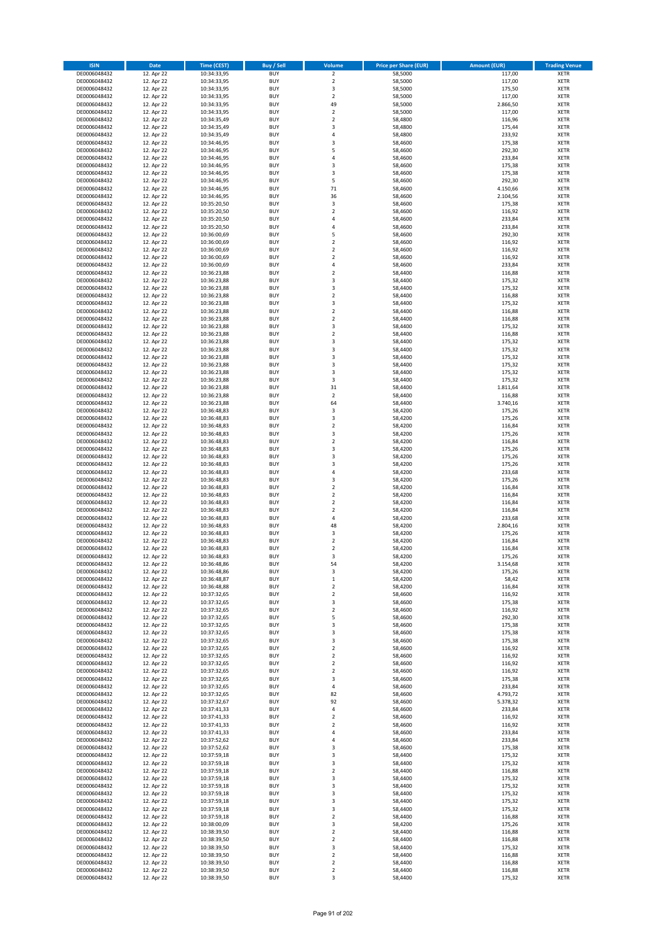| <b>ISIN</b>                  | <b>Date</b>              | <b>Time (CEST)</b>         | <b>Buy / Sell</b>        | <b>Volume</b>                 | <b>Price per Share (EUR)</b> | <b>Amount (EUR)</b> | <b>Trading Venue</b>       |
|------------------------------|--------------------------|----------------------------|--------------------------|-------------------------------|------------------------------|---------------------|----------------------------|
| DE0006048432                 | 12. Apr 22               | 10:34:33,95                | <b>BUY</b>               | $\overline{2}$                | 58,5000                      | 117,00              | <b>XETR</b>                |
| DE0006048432                 | 12. Apr 22               | 10:34:33,95                | <b>BUY</b>               | $\mathbf 2$                   | 58,5000                      | 117,00              | <b>XETR</b>                |
| DE0006048432                 | 12. Apr 22               | 10:34:33,95                | <b>BUY</b>               | 3                             | 58,5000                      | 175,50              | <b>XETR</b>                |
| DE0006048432                 | 12. Apr 22               | 10:34:33,95                | <b>BUY</b>               | $\mathbf 2$                   | 58,5000                      | 117,00              | <b>XETR</b>                |
| DE0006048432                 | 12. Apr 22               | 10:34:33,95                | <b>BUY</b>               | 49                            | 58,5000                      | 2.866,50            | <b>XETR</b>                |
| DE0006048432                 | 12. Apr 22               | 10:34:33,95                | <b>BUY</b>               | $\mathbf 2$                   | 58,5000                      | 117,00              | <b>XETR</b>                |
| DE0006048432                 | 12. Apr 22               | 10:34:35,49                | <b>BUY</b>               | $\mathbf 2$                   | 58,4800                      | 116,96              | <b>XETR</b>                |
| DE0006048432                 | 12. Apr 22               | 10:34:35,49                | <b>BUY</b>               | 3                             | 58,4800                      | 175,44              | <b>XETR</b>                |
| DE0006048432                 | 12. Apr 22<br>12. Apr 22 | 10:34:35,49                | <b>BUY</b><br><b>BUY</b> | 4<br>3                        | 58,4800<br>58,4600           | 233,92<br>175,38    | <b>XETR</b><br><b>XETR</b> |
| DE0006048432<br>DE0006048432 | 12. Apr 22               | 10:34:46,95<br>10:34:46,95 | <b>BUY</b>               | 5                             | 58,4600                      | 292,30              | <b>XETR</b>                |
| DE0006048432                 | 12. Apr 22               | 10:34:46,95                | <b>BUY</b>               | 4                             | 58,4600                      | 233,84              | <b>XETR</b>                |
| DE0006048432                 | 12. Apr 22               | 10:34:46,95                | <b>BUY</b>               | 3                             | 58,4600                      | 175,38              | <b>XETR</b>                |
| DE0006048432                 | 12. Apr 22               | 10:34:46,95                | <b>BUY</b>               | 3                             | 58,4600                      | 175,38              | <b>XETR</b>                |
| DE0006048432                 | 12. Apr 22               | 10:34:46,95                | <b>BUY</b>               | 5                             | 58,4600                      | 292,30              | <b>XETR</b>                |
| DE0006048432                 | 12. Apr 22               | 10:34:46,95                | <b>BUY</b>               | 71                            | 58,4600                      | 4.150,66            | <b>XETR</b>                |
| DE0006048432                 | 12. Apr 22               | 10:34:46,95                | <b>BUY</b>               | 36                            | 58,4600                      | 2.104,56            | <b>XETR</b>                |
| DE0006048432                 | 12. Apr 22               | 10:35:20,50                | <b>BUY</b>               | 3                             | 58,4600                      | 175,38              | <b>XETR</b>                |
| DE0006048432                 | 12. Apr 22               | 10:35:20,50                | <b>BUY</b>               | $\overline{\mathbf{c}}$       | 58,4600                      | 116,92              | <b>XETR</b>                |
| DE0006048432                 | 12. Apr 22               | 10:35:20,50                | <b>BUY</b>               | 4                             | 58,4600                      | 233,84              | <b>XETR</b>                |
| DE0006048432                 | 12. Apr 22               | 10:35:20,50                | <b>BUY</b>               | 4                             | 58,4600                      | 233,84              | <b>XETR</b>                |
| DE0006048432<br>DE0006048432 | 12. Apr 22<br>12. Apr 22 | 10:36:00,69<br>10:36:00,69 | <b>BUY</b><br><b>BUY</b> | 5<br>$\mathbf 2$              | 58,4600<br>58,4600           | 292,30<br>116,92    | <b>XETR</b><br><b>XETR</b> |
| DE0006048432                 | 12. Apr 22               | 10:36:00,69                | <b>BUY</b>               | $\mathbf 2$                   | 58,4600                      | 116,92              | <b>XETR</b>                |
| DE0006048432                 | 12. Apr 22               | 10:36:00,69                | <b>BUY</b>               | $\mathbf 2$                   | 58,4600                      | 116,92              | <b>XETR</b>                |
| DE0006048432                 | 12. Apr 22               | 10:36:00,69                | <b>BUY</b>               | 4                             | 58,4600                      | 233,84              | <b>XETR</b>                |
| DE0006048432                 | 12. Apr 22               | 10:36:23,88                | <b>BUY</b>               | $\mathbf 2$                   | 58,4400                      | 116,88              | <b>XETR</b>                |
| DE0006048432                 | 12. Apr 22               | 10:36:23,88                | <b>BUY</b>               | 3                             | 58,4400                      | 175,32              | <b>XETR</b>                |
| DE0006048432                 | 12. Apr 22               | 10:36:23,88                | <b>BUY</b>               | 3                             | 58,4400                      | 175,32              | <b>XETR</b>                |
| DE0006048432                 | 12. Apr 22               | 10:36:23,88                | <b>BUY</b>               | $\overline{\mathbf{c}}$       | 58,4400                      | 116,88              | <b>XETR</b>                |
| DE0006048432                 | 12. Apr 22               | 10:36:23,88                | <b>BUY</b>               | 3                             | 58,4400                      | 175,32              | <b>XETR</b>                |
| DE0006048432                 | 12. Apr 22               | 10:36:23,88                | <b>BUY</b>               | $\overline{\mathbf{c}}$       | 58,4400                      | 116,88              | <b>XETR</b>                |
| DE0006048432<br>DE0006048432 | 12. Apr 22               | 10:36:23,88<br>10:36:23,88 | <b>BUY</b><br><b>BUY</b> | $\mathbf 2$<br>3              | 58,4400<br>58,4400           | 116,88<br>175,32    | <b>XETR</b><br><b>XETR</b> |
| DE0006048432                 | 12. Apr 22<br>12. Apr 22 | 10:36:23,88                | <b>BUY</b>               | $\mathbf 2$                   | 58,4400                      | 116,88              | <b>XETR</b>                |
| DE0006048432                 | 12. Apr 22               | 10:36:23,88                | <b>BUY</b>               | 3                             | 58,4400                      | 175,32              | <b>XETR</b>                |
| DE0006048432                 | 12. Apr 22               | 10:36:23,88                | <b>BUY</b>               | 3                             | 58,4400                      | 175,32              | <b>XETR</b>                |
| DE0006048432                 | 12. Apr 22               | 10:36:23,88                | <b>BUY</b>               | 3                             | 58,4400                      | 175,32              | <b>XETR</b>                |
| DE0006048432                 | 12. Apr 22               | 10:36:23,88                | <b>BUY</b>               | 3                             | 58,4400                      | 175,32              | <b>XETR</b>                |
| DE0006048432                 | 12. Apr 22               | 10:36:23,88                | <b>BUY</b>               | 3                             | 58,4400                      | 175,32              | <b>XETR</b>                |
| DE0006048432                 | 12. Apr 22               | 10:36:23,88                | <b>BUY</b>               | 3                             | 58,4400                      | 175,32              | <b>XETR</b>                |
| DE0006048432                 | 12. Apr 22               | 10:36:23,88                | <b>BUY</b>               | 31                            | 58,4400                      | 1.811,64            | <b>XETR</b>                |
| DE0006048432                 | 12. Apr 22               | 10:36:23,88                | <b>BUY</b>               | $\mathbf 2$                   | 58,4400                      | 116,88              | <b>XETR</b>                |
| DE0006048432                 | 12. Apr 22               | 10:36:23,88                | <b>BUY</b>               | 64                            | 58,4400                      | 3.740,16            | <b>XETR</b>                |
| DE0006048432                 | 12. Apr 22               | 10:36:48,83                | <b>BUY</b>               | 3                             | 58,4200                      | 175,26              | <b>XETR</b>                |
| DE0006048432                 | 12. Apr 22               | 10:36:48,83                | <b>BUY</b>               | 3                             | 58,4200                      | 175,26              | <b>XETR</b>                |
| DE0006048432<br>DE0006048432 | 12. Apr 22<br>12. Apr 22 | 10:36:48,83<br>10:36:48,83 | <b>BUY</b><br><b>BUY</b> | $\mathbf 2$<br>3              | 58,4200<br>58,4200           | 116,84<br>175,26    | <b>XETR</b><br><b>XETR</b> |
| DE0006048432                 | 12. Apr 22               | 10:36:48,83                | <b>BUY</b>               | $\mathbf 2$                   | 58,4200                      | 116,84              | <b>XETR</b>                |
| DE0006048432                 | 12. Apr 22               | 10:36:48,83                | <b>BUY</b>               | 3                             | 58,4200                      | 175,26              | <b>XETR</b>                |
| DE0006048432                 | 12. Apr 22               | 10:36:48,83                | <b>BUY</b>               | 3                             | 58,4200                      | 175,26              | <b>XETR</b>                |
| DE0006048432                 | 12. Apr 22               | 10:36:48,83                | <b>BUY</b>               | 3                             | 58,4200                      | 175,26              | <b>XETR</b>                |
| DE0006048432                 | 12. Apr 22               | 10:36:48,83                | <b>BUY</b>               | 4                             | 58,4200                      | 233,68              | <b>XETR</b>                |
| DE0006048432                 | 12. Apr 22               | 10:36:48,83                | <b>BUY</b>               | 3                             | 58,4200                      | 175,26              | <b>XETR</b>                |
| DE0006048432                 | 12. Apr 22               | 10:36:48,83                | <b>BUY</b>               | $\overline{\mathbf{c}}$       | 58,4200                      | 116,84              | <b>XETR</b>                |
| DE0006048432                 | 12. Apr 22               | 10:36:48,83                | <b>BUY</b>               | $\mathbf 2$                   | 58,4200                      | 116,84              | <b>XETR</b>                |
| DE0006048432                 | 12. Apr 22               | 10:36:48,83                | <b>BUY</b>               | $\overline{\mathbf{c}}$       | 58,4200                      | 116,84              | <b>XETR</b>                |
| DE0006048432                 | 12. Apr 22               | 10:36:48,83                | <b>BUY</b>               | $\overline{\mathbf{c}}$<br>4  | 58,4200                      | 116,84              | <b>XETR</b>                |
| DE0006048432<br>DE0006048432 | 12. Apr 22<br>12. Apr 22 | 10:36:48,83<br>10:36:48,83 | <b>BUY</b><br><b>BUY</b> | 48                            | 58,4200<br>58,4200           | 233,68<br>2.804,16  | <b>XETR</b><br><b>XETR</b> |
| DE0006048432                 | 12. Apr 22               | 10:36:48,83                | <b>BUY</b>               | 3                             | 58,4200                      | 175,26              | <b>XETR</b>                |
| DE0006048432                 | 12. Apr 22               | 10:36:48,83                | <b>BUY</b>               | $\overline{\mathbf{c}}$       | 58,4200                      | 116,84              | <b>XETR</b>                |
| DE0006048432                 | 12. Apr 22               | 10:36:48,83                | <b>BUY</b>               | $\overline{\mathbf{c}}$       | 58,4200                      | 116,84              | <b>XETR</b>                |
| DE0006048432                 | 12. Apr 22               | 10:36:48,83                | <b>BUY</b>               | 3                             | 58,4200                      | 175,26              | <b>XETR</b>                |
| DE0006048432                 | 12. Apr 22               | 10:36:48,86                | BUY                      | 54                            | 58,4200                      | 3.154,68            | <b>XETR</b>                |
| DE0006048432                 | 12. Apr 22               | 10:36:48,86                | <b>BUY</b>               | 3                             | 58,4200                      | 175,26              | <b>XETR</b>                |
| DE0006048432                 | 12. Apr 22               | 10:36:48,87                | <b>BUY</b>               | $\mathbf 1$                   | 58,4200                      | 58,42               | <b>XETR</b>                |
| DE0006048432                 | 12. Apr 22               | 10:36:48,88                | <b>BUY</b>               | $\mathbf 2$                   | 58,4200                      | 116,84              | XETR                       |
| DE0006048432                 | 12. Apr 22<br>12. Apr 22 | 10:37:32,65                | <b>BUY</b>               | $\mathbf 2$                   | 58,4600                      | 116,92              | <b>XETR</b>                |
| DE0006048432<br>DE0006048432 | 12. Apr 22               | 10:37:32,65<br>10:37:32,65 | <b>BUY</b><br><b>BUY</b> | 3<br>$\mathbf 2$              | 58,4600<br>58,4600           | 175,38<br>116,92    | <b>XETR</b><br><b>XETR</b> |
| DE0006048432                 | 12. Apr 22               | 10:37:32,65                | <b>BUY</b>               | 5                             | 58,4600                      | 292,30              | <b>XETR</b>                |
| DE0006048432                 | 12. Apr 22               | 10:37:32,65                | <b>BUY</b>               | 3                             | 58,4600                      | 175,38              | <b>XETR</b>                |
| DE0006048432                 | 12. Apr 22               | 10:37:32,65                | <b>BUY</b>               | 3                             | 58,4600                      | 175,38              | <b>XETR</b>                |
| DE0006048432                 | 12. Apr 22               | 10:37:32,65                | <b>BUY</b>               | 3                             | 58,4600                      | 175,38              | <b>XETR</b>                |
| DE0006048432                 | 12. Apr 22               | 10:37:32,65                | <b>BUY</b>               | $\overline{\mathbf{c}}$       | 58,4600                      | 116,92              | <b>XETR</b>                |
| DE0006048432                 | 12. Apr 22               | 10:37:32,65                | <b>BUY</b>               | $\mathbf 2$                   | 58,4600                      | 116,92              | <b>XETR</b>                |
| DE0006048432                 | 12. Apr 22               | 10:37:32,65                | <b>BUY</b>               | $\overline{2}$                | 58,4600                      | 116,92              | <b>XETR</b>                |
| DE0006048432                 | 12. Apr 22               | 10:37:32,65                | <b>BUY</b>               | $\mathbf 2$                   | 58,4600                      | 116,92              | <b>XETR</b>                |
| DE0006048432                 | 12. Apr 22               | 10:37:32,65                | <b>BUY</b><br><b>BUY</b> | 3<br>4                        | 58,4600<br>58,4600           | 175,38              | <b>XETR</b><br><b>XETR</b> |
| DE0006048432<br>DE0006048432 | 12. Apr 22<br>12. Apr 22 | 10:37:32,65<br>10:37:32,65 | <b>BUY</b>               | 82                            | 58,4600                      | 233,84<br>4.793,72  | <b>XETR</b>                |
| DE0006048432                 | 12. Apr 22               | 10:37:32,67                | <b>BUY</b>               | 92                            | 58,4600                      | 5.378,32            | XETR                       |
| DE0006048432                 | 12. Apr 22               | 10:37:41,33                | <b>BUY</b>               | 4                             | 58,4600                      | 233,84              | <b>XETR</b>                |
| DE0006048432                 | 12. Apr 22               | 10:37:41,33                | <b>BUY</b>               | $\overline{\mathbf{c}}$       | 58,4600                      | 116,92              | <b>XETR</b>                |
| DE0006048432                 | 12. Apr 22               | 10:37:41,33                | <b>BUY</b>               | 2                             | 58,4600                      | 116,92              | <b>XETR</b>                |
| DE0006048432                 | 12. Apr 22               | 10:37:41,33                | <b>BUY</b>               | 4                             | 58,4600                      | 233,84              | <b>XETR</b>                |
| DE0006048432                 | 12. Apr 22               | 10:37:52,62                | <b>BUY</b>               | 4                             | 58,4600                      | 233,84              | <b>XETR</b>                |
| DE0006048432                 | 12. Apr 22               | 10:37:52,62                | <b>BUY</b>               | 3                             | 58,4600                      | 175,38              | <b>XETR</b>                |
| DE0006048432                 | 12. Apr 22               | 10:37:59,18                | <b>BUY</b>               | 3                             | 58,4400                      | 175,32              | <b>XETR</b>                |
| DE0006048432                 | 12. Apr 22               | 10:37:59,18                | <b>BUY</b>               | 3                             | 58,4400                      | 175,32              | <b>XETR</b>                |
| DE0006048432<br>DE0006048432 | 12. Apr 22<br>12. Apr 22 | 10:37:59,18<br>10:37:59,18 | <b>BUY</b><br><b>BUY</b> | $\overline{2}$<br>3           | 58,4400<br>58,4400           | 116,88<br>175,32    | <b>XETR</b><br><b>XETR</b> |
| DE0006048432                 | 12. Apr 22               | 10:37:59,18                | <b>BUY</b>               | 3                             | 58,4400                      | 175,32              | <b>XETR</b>                |
| DE0006048432                 | 12. Apr 22               | 10:37:59,18                | <b>BUY</b>               | 3                             | 58,4400                      | 175,32              | <b>XETR</b>                |
| DE0006048432                 | 12. Apr 22               | 10:37:59,18                | <b>BUY</b>               | 3                             | 58,4400                      | 175,32              | <b>XETR</b>                |
| DE0006048432                 | 12. Apr 22               | 10:37:59,18                | <b>BUY</b>               | 3                             | 58,4400                      | 175,32              | <b>XETR</b>                |
| DE0006048432                 | 12. Apr 22               | 10:37:59,18                | <b>BUY</b>               | $\mathbf 2$                   | 58,4400                      | 116,88              | <b>XETR</b>                |
| DE0006048432                 | 12. Apr 22               | 10:38:00,09                | <b>BUY</b>               | 3                             | 58,4200                      | 175,26              | <b>XETR</b>                |
| DE0006048432                 | 12. Apr 22               | 10:38:39,50                | <b>BUY</b>               | $\mathbf 2$                   | 58,4400                      | 116,88              | <b>XETR</b>                |
| DE0006048432                 | 12. Apr 22               | 10:38:39,50                | <b>BUY</b>               | $\overline{\mathbf{c}}$       | 58,4400                      | 116,88              | <b>XETR</b>                |
| DE0006048432                 | 12. Apr 22               | 10:38:39,50                | <b>BUY</b>               | 3                             | 58,4400                      | 175,32              | XETR                       |
| DE0006048432<br>DE0006048432 | 12. Apr 22<br>12. Apr 22 | 10:38:39,50                | <b>BUY</b><br><b>BUY</b> | $\overline{2}$<br>$\mathbf 2$ | 58,4400<br>58,4400           | 116,88<br>116,88    | <b>XETR</b><br>XETR        |
| DE0006048432                 | 12. Apr 22               | 10:38:39,50<br>10:38:39,50 | <b>BUY</b>               | $\mathbf 2$                   | 58,4400                      | 116,88              | <b>XETR</b>                |
| DE0006048432                 | 12. Apr 22               | 10:38:39,50                | <b>BUY</b>               | 3                             | 58,4400                      | 175,32              | <b>XETR</b>                |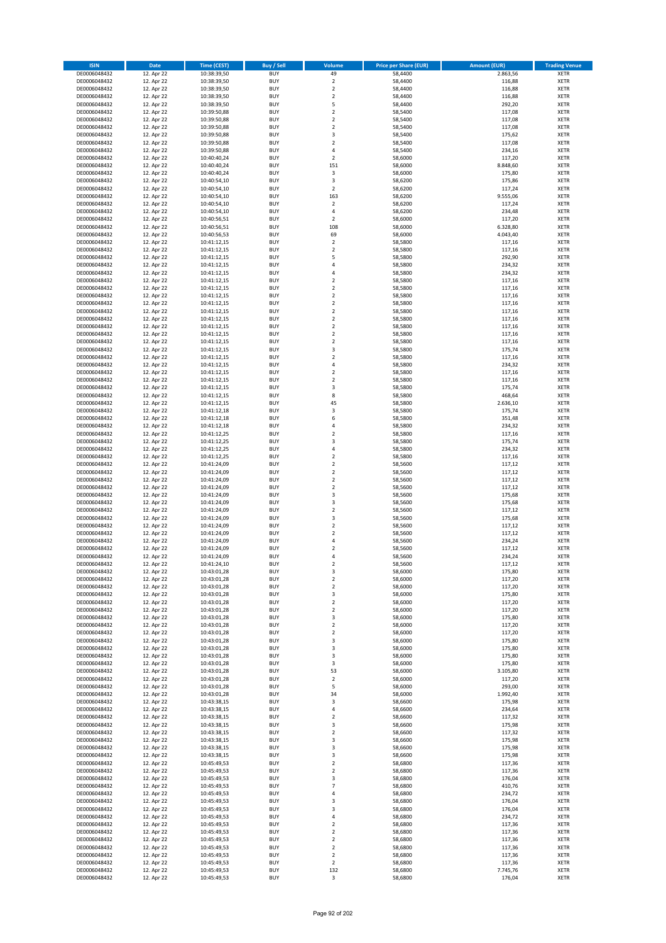| <b>ISIN</b>                  | <b>Date</b>              | <b>Time (CEST)</b>         | <b>Buy / Sell</b>        | <b>Volume</b>                             | <b>Price per Share (EUR)</b> | <b>Amount (EUR)</b> | <b>Trading Venue</b>       |
|------------------------------|--------------------------|----------------------------|--------------------------|-------------------------------------------|------------------------------|---------------------|----------------------------|
| DE0006048432                 | 12. Apr 22               | 10:38:39,50                | <b>BUY</b>               | 49                                        | 58,4400                      | 2.863,56            | <b>XETR</b>                |
| DE0006048432                 | 12. Apr 22               | 10:38:39,50                | <b>BUY</b>               | $\mathbf 2$                               | 58,4400                      | 116,88              | <b>XETR</b>                |
| DE0006048432                 | 12. Apr 22               | 10:38:39,50                | <b>BUY</b>               | $\overline{2}$                            | 58,4400                      | 116,88              | <b>XETR</b>                |
| DE0006048432<br>DE0006048432 | 12. Apr 22<br>12. Apr 22 | 10:38:39,50<br>10:38:39,50 | <b>BUY</b><br><b>BUY</b> | $\mathbf 2$<br>5                          | 58,4400<br>58,4400           | 116,88<br>292,20    | <b>XETR</b><br><b>XETR</b> |
| DE0006048432                 | 12. Apr 22               | 10:39:50,88                | <b>BUY</b>               | $\mathbf 2$                               | 58,5400                      | 117,08              | <b>XETR</b>                |
| DE0006048432                 | 12. Apr 22               | 10:39:50,88                | <b>BUY</b>               | $\mathbf 2$                               | 58,5400                      | 117,08              | <b>XETR</b>                |
| DE0006048432                 | 12. Apr 22               | 10:39:50,88                | <b>BUY</b>               | $\mathbf 2$                               | 58,5400                      | 117,08              | <b>XETR</b>                |
| DE0006048432                 | 12. Apr 22               | 10:39:50,88                | <b>BUY</b>               | 3                                         | 58,5400                      | 175,62              | <b>XETR</b>                |
| DE0006048432                 | 12. Apr 22               | 10:39:50,88                | <b>BUY</b><br><b>BUY</b> | $\mathbf 2$                               | 58,5400                      | 117,08              | <b>XETR</b>                |
| DE0006048432<br>DE0006048432 | 12. Apr 22<br>12. Apr 22 | 10:39:50,88<br>10:40:40,24 | <b>BUY</b>               | 4<br>$\overline{\mathbf{c}}$              | 58,5400<br>58,6000           | 234,16<br>117,20    | <b>XETR</b><br><b>XETR</b> |
| DE0006048432                 | 12. Apr 22               | 10:40:40,24                | <b>BUY</b>               | 151                                       | 58,6000                      | 8.848,60            | <b>XETR</b>                |
| DE0006048432                 | 12. Apr 22               | 10:40:40,24                | <b>BUY</b>               | 3                                         | 58,6000                      | 175,80              | <b>XETR</b>                |
| DE0006048432                 | 12. Apr 22               | 10:40:54,10                | <b>BUY</b>               | 3                                         | 58,6200                      | 175,86              | <b>XETR</b>                |
| DE0006048432                 | 12. Apr 22               | 10:40:54,10                | <b>BUY</b>               | $\overline{\mathbf{2}}$                   | 58,6200                      | 117,24              | <b>XETR</b>                |
| DE0006048432<br>DE0006048432 | 12. Apr 22<br>12. Apr 22 | 10:40:54,10<br>10:40:54,10 | <b>BUY</b><br><b>BUY</b> | 163<br>$\mathbf 2$                        | 58,6200<br>58,6200           | 9.555,06<br>117,24  | <b>XETR</b><br><b>XETR</b> |
| DE0006048432                 | 12. Apr 22               | 10:40:54,10                | <b>BUY</b>               | 4                                         | 58,6200                      | 234,48              | <b>XETR</b>                |
| DE0006048432                 | 12. Apr 22               | 10:40:56,51                | <b>BUY</b>               | $\mathbf 2$                               | 58,6000                      | 117,20              | <b>XETR</b>                |
| DE0006048432                 | 12. Apr 22               | 10:40:56,51                | <b>BUY</b>               | 108                                       | 58,6000                      | 6.328,80            | <b>XETR</b>                |
| DE0006048432                 | 12. Apr 22               | 10:40:56,53                | <b>BUY</b>               | 69                                        | 58,6000                      | 4.043,40            | <b>XETR</b>                |
| DE0006048432<br>DE0006048432 | 12. Apr 22<br>12. Apr 22 | 10:41:12,15                | <b>BUY</b><br><b>BUY</b> | $\mathbf 2$<br>$\mathbf 2$                | 58,5800<br>58,5800           | 117,16<br>117,16    | <b>XETR</b><br><b>XETR</b> |
| DE0006048432                 | 12. Apr 22               | 10:41:12,15<br>10:41:12,15 | <b>BUY</b>               | 5                                         | 58,5800                      | 292,90              | <b>XETR</b>                |
| DE0006048432                 | 12. Apr 22               | 10:41:12,15                | <b>BUY</b>               | 4                                         | 58,5800                      | 234,32              | <b>XETR</b>                |
| DE0006048432                 | 12. Apr 22               | 10:41:12,15                | <b>BUY</b>               | 4                                         | 58,5800                      | 234,32              | <b>XETR</b>                |
| DE0006048432                 | 12. Apr 22               | 10:41:12,15                | <b>BUY</b>               | $\overline{\mathbf{c}}$                   | 58,5800                      | 117,16              | <b>XETR</b>                |
| DE0006048432                 | 12. Apr 22               | 10:41:12,15                | <b>BUY</b>               | $\mathbf 2$                               | 58,5800                      | 117,16              | <b>XETR</b>                |
| DE0006048432<br>DE0006048432 | 12. Apr 22<br>12. Apr 22 | 10:41:12,15<br>10:41:12,15 | <b>BUY</b><br><b>BUY</b> | $\overline{\mathbf{c}}$<br>$\overline{a}$ | 58,5800<br>58,5800           | 117,16<br>117,16    | <b>XETR</b><br><b>XETR</b> |
| DE0006048432                 | 12. Apr 22               | 10:41:12,15                | <b>BUY</b>               | $\overline{\mathbf{c}}$                   | 58,5800                      | 117,16              | <b>XETR</b>                |
| DE0006048432                 | 12. Apr 22               | 10:41:12,15                | <b>BUY</b>               | $\mathbf 2$                               | 58,5800                      | 117,16              | <b>XETR</b>                |
| DE0006048432                 | 12. Apr 22               | 10:41:12,15                | <b>BUY</b>               | $\mathbf 2$                               | 58,5800                      | 117,16              | <b>XETR</b>                |
| DE0006048432                 | 12. Apr 22               | 10:41:12,15                | <b>BUY</b>               | $\overline{2}$                            | 58,5800                      | 117,16              | <b>XETR</b>                |
| DE0006048432                 | 12. Apr 22               | 10:41:12,15                | <b>BUY</b><br><b>BUY</b> | $\mathbf 2$<br>3                          | 58,5800                      | 117,16              | <b>XETR</b><br><b>XETR</b> |
| DE0006048432<br>DE0006048432 | 12. Apr 22<br>12. Apr 22 | 10:41:12,15<br>10:41:12,15 | <b>BUY</b>               | $\mathbf 2$                               | 58,5800<br>58,5800           | 175,74<br>117,16    | <b>XETR</b>                |
| DE0006048432                 | 12. Apr 22               | 10:41:12,15                | <b>BUY</b>               | 4                                         | 58,5800                      | 234,32              | <b>XETR</b>                |
| DE0006048432                 | 12. Apr 22               | 10:41:12,15                | <b>BUY</b>               | $\mathbf 2$                               | 58,5800                      | 117,16              | <b>XETR</b>                |
| DE0006048432                 | 12. Apr 22               | 10:41:12,15                | <b>BUY</b>               | $\overline{\mathbf{c}}$                   | 58,5800                      | 117,16              | <b>XETR</b>                |
| DE0006048432                 | 12. Apr 22               | 10:41:12,15                | <b>BUY</b>               | 3                                         | 58,5800                      | 175,74              | <b>XETR</b>                |
| DE0006048432                 | 12. Apr 22               | 10:41:12,15                | <b>BUY</b><br><b>BUY</b> | 8<br>45                                   | 58,5800                      | 468,64              | <b>XETR</b><br><b>XETR</b> |
| DE0006048432<br>DE0006048432 | 12. Apr 22<br>12. Apr 22 | 10:41:12,15<br>10:41:12,18 | <b>BUY</b>               | 3                                         | 58,5800<br>58,5800           | 2.636,10<br>175,74  | <b>XETR</b>                |
| DE0006048432                 | 12. Apr 22               | 10:41:12,18                | <b>BUY</b>               | 6                                         | 58,5800                      | 351,48              | <b>XETR</b>                |
| DE0006048432                 | 12. Apr 22               | 10:41:12,18                | <b>BUY</b>               | 4                                         | 58,5800                      | 234,32              | <b>XETR</b>                |
| DE0006048432                 | 12. Apr 22               | 10:41:12,25                | <b>BUY</b>               | $\mathbf 2$                               | 58,5800                      | 117,16              | <b>XETR</b>                |
| DE0006048432                 | 12. Apr 22               | 10:41:12,25                | <b>BUY</b>               | 3                                         | 58,5800                      | 175,74              | <b>XETR</b>                |
| DE0006048432<br>DE0006048432 | 12. Apr 22<br>12. Apr 22 | 10:41:12,25<br>10:41:12,25 | <b>BUY</b><br><b>BUY</b> | 4<br>$\overline{\mathbf{c}}$              | 58,5800<br>58,5800           | 234,32<br>117,16    | <b>XETR</b><br><b>XETR</b> |
| DE0006048432                 | 12. Apr 22               | 10:41:24,09                | <b>BUY</b>               | $\mathbf 2$                               | 58,5600                      | 117,12              | <b>XETR</b>                |
| DE0006048432                 | 12. Apr 22               | 10:41:24,09                | <b>BUY</b>               | $\overline{2}$                            | 58,5600                      | 117,12              | <b>XETR</b>                |
| DE0006048432                 | 12. Apr 22               | 10:41:24,09                | <b>BUY</b>               | $\mathbf 2$                               | 58,5600                      | 117,12              | <b>XETR</b>                |
| DE0006048432                 | 12. Apr 22               | 10:41:24,09                | <b>BUY</b>               | $\mathbf 2$                               | 58,5600                      | 117,12              | <b>XETR</b>                |
| DE0006048432                 | 12. Apr 22               | 10:41:24,09                | <b>BUY</b>               | 3                                         | 58,5600                      | 175,68              | <b>XETR</b>                |
| DE0006048432<br>DE0006048432 | 12. Apr 22<br>12. Apr 22 | 10:41:24,09<br>10:41:24,09 | <b>BUY</b><br><b>BUY</b> | 3<br>$\overline{\mathbf{c}}$              | 58,5600<br>58,5600           | 175,68<br>117,12    | <b>XETR</b><br><b>XETR</b> |
| DE0006048432                 | 12. Apr 22               | 10:41:24,09                | <b>BUY</b>               | 3                                         | 58,5600                      | 175,68              | <b>XETR</b>                |
| DE0006048432                 | 12. Apr 22               | 10:41:24,09                | <b>BUY</b>               | $\overline{2}$                            | 58,5600                      | 117,12              | <b>XETR</b>                |
| DE0006048432                 | 12. Apr 22               | 10:41:24,09                | <b>BUY</b>               | $\mathbf 2$                               | 58,5600                      | 117,12              | <b>XETR</b>                |
| DE0006048432                 | 12. Apr 22               | 10:41:24,09                | <b>BUY</b>               | 4                                         | 58,5600                      | 234,24              | <b>XETR</b>                |
| DE0006048432<br>DE0006048432 | 12. Apr 22<br>12. Apr 22 | 10:41:24,09<br>10:41:24,09 | <b>BUY</b><br><b>BUY</b> | $\overline{\mathbf{c}}$<br>4              | 58,5600<br>58,5600           | 117,12<br>234,24    | <b>XETR</b><br><b>XETR</b> |
| DE0006048432                 | 12. Apr 22               | 10:41:24,10                | BUY                      | 2                                         | 58,5600                      | 117,12              | <b>XETR</b>                |
| DE0006048432                 | 12. Apr 22               | 10:43:01,28                | <b>BUY</b>               | 3                                         | 58,6000                      | 175,80              | <b>XETR</b>                |
| DE0006048432                 | 12. Apr 22               | 10:43:01,28                | <b>BUY</b>               | $\mathbf 2$                               | 58,6000                      | 117,20              | <b>XETR</b>                |
| DE0006048432                 | 12. Apr 22               | 10:43:01,28                | <b>BUY</b>               | $\mathbf 2$                               | 58,6000                      | 117,20              | XETR                       |
| DE0006048432                 | 12. Apr 22<br>12. Apr 22 | 10:43:01,28                | <b>BUY</b>               | 3                                         | 58,6000<br>58,6000           | 175,80              | <b>XETR</b>                |
| DE0006048432<br>DE0006048432 | 12. Apr 22               | 10:43:01,28<br>10:43:01,28 | <b>BUY</b><br><b>BUY</b> | $\mathbf 2$<br>$\overline{\mathbf{2}}$    | 58,6000                      | 117,20<br>117,20    | <b>XETR</b><br><b>XETR</b> |
| DE0006048432                 | 12. Apr 22               | 10:43:01,28                | <b>BUY</b>               | 3                                         | 58,6000                      | 175,80              | <b>XETR</b>                |
| DE0006048432                 | 12. Apr 22               | 10:43:01,28                | <b>BUY</b>               | $\mathbf 2$                               | 58,6000                      | 117,20              | <b>XETR</b>                |
| DE0006048432                 | 12. Apr 22               | 10:43:01,28                | <b>BUY</b>               | $\mathbf 2$                               | 58,6000                      | 117,20              | XETR                       |
| DE0006048432<br>DE0006048432 | 12. Apr 22<br>12. Apr 22 | 10:43:01,28<br>10:43:01,28 | <b>BUY</b><br><b>BUY</b> | 3<br>3                                    | 58,6000<br>58,6000           | 175,80<br>175,80    | <b>XETR</b><br><b>XETR</b> |
| DE0006048432                 | 12. Apr 22               | 10:43:01,28                | <b>BUY</b>               | 3                                         | 58,6000                      | 175,80              | <b>XETR</b>                |
| DE0006048432                 | 12. Apr 22               | 10:43:01,28                | <b>BUY</b>               | 3                                         | 58,6000                      | 175,80              | <b>XETR</b>                |
| DE0006048432                 | 12. Apr 22               | 10:43:01,28                | <b>BUY</b>               | 53                                        | 58,6000                      | 3.105,80            | <b>XETR</b>                |
| DE0006048432                 | 12. Apr 22               | 10:43:01,28                | <b>BUY</b>               | $\overline{2}$                            | 58,6000                      | 117,20              | <b>XETR</b>                |
| DE0006048432                 | 12. Apr 22               | 10:43:01,28                | <b>BUY</b><br><b>BUY</b> | 5                                         | 58,6000                      | 293,00              | <b>XETR</b>                |
| DE0006048432<br>DE0006048432 | 12. Apr 22<br>12. Apr 22 | 10:43:01,28<br>10:43:38,15 | <b>BUY</b>               | 34<br>3                                   | 58,6000<br>58,6600           | 1.992,40<br>175,98  | <b>XETR</b><br>XETR        |
| DE0006048432                 | 12. Apr 22               | 10:43:38,15                | <b>BUY</b>               | 4                                         | 58,6600                      | 234,64              | <b>XETR</b>                |
| DE0006048432                 | 12. Apr 22               | 10:43:38,15                | <b>BUY</b>               | $\overline{\mathbf{c}}$                   | 58,6600                      | 117,32              | <b>XETR</b>                |
| DE0006048432                 | 12. Apr 22               | 10:43:38,15                | <b>BUY</b>               | 3                                         | 58,6600                      | 175,98              | <b>XETR</b>                |
| DE0006048432                 | 12. Apr 22               | 10:43:38,15                | <b>BUY</b>               | $\overline{\mathbf{c}}$                   | 58,6600                      | 117,32              | <b>XETR</b>                |
| DE0006048432<br>DE0006048432 | 12. Apr 22<br>12. Apr 22 | 10:43:38,15<br>10:43:38,15 | <b>BUY</b><br><b>BUY</b> | 3<br>3                                    | 58,6600<br>58,6600           | 175,98<br>175,98    | <b>XETR</b><br><b>XETR</b> |
| DE0006048432                 | 12. Apr 22               | 10:43:38,15                | <b>BUY</b>               | 3                                         | 58,6600                      | 175,98              | <b>XETR</b>                |
| DE0006048432                 | 12. Apr 22               | 10:45:49,53                | <b>BUY</b>               | $\mathbf 2$                               | 58,6800                      | 117,36              | <b>XETR</b>                |
| DE0006048432                 | 12. Apr 22               | 10:45:49,53                | <b>BUY</b>               | $\overline{\mathbf{2}}$                   | 58,6800                      | 117,36              | <b>XETR</b>                |
| DE0006048432                 | 12. Apr 22               | 10:45:49,53                | <b>BUY</b>               | 3                                         | 58,6800                      | 176,04              | <b>XETR</b>                |
| DE0006048432<br>DE0006048432 | 12. Apr 22               | 10:45:49,53                | <b>BUY</b><br><b>BUY</b> | $\overline{7}$<br>4                       | 58,6800<br>58,6800           | 410,76<br>234,72    | XETR<br><b>XETR</b>        |
| DE0006048432                 | 12. Apr 22<br>12. Apr 22 | 10:45:49,53<br>10:45:49,53 | <b>BUY</b>               | 3                                         | 58,6800                      | 176,04              | <b>XETR</b>                |
| DE0006048432                 | 12. Apr 22               | 10:45:49,53                | <b>BUY</b>               | 3                                         | 58,6800                      | 176,04              | <b>XETR</b>                |
| DE0006048432                 | 12. Apr 22               | 10:45:49,53                | <b>BUY</b>               | 4                                         | 58,6800                      | 234,72              | <b>XETR</b>                |
| DE0006048432                 | 12. Apr 22               | 10:45:49,53                | <b>BUY</b>               | $\mathbf 2$                               | 58,6800                      | 117,36              | <b>XETR</b>                |
| DE0006048432                 | 12. Apr 22               | 10:45:49,53                | <b>BUY</b>               | $\mathbf 2$                               | 58,6800                      | 117,36              | <b>XETR</b>                |
| DE0006048432<br>DE0006048432 | 12. Apr 22<br>12. Apr 22 | 10:45:49,53<br>10:45:49,53 | <b>BUY</b><br><b>BUY</b> | $\overline{2}$<br>$\mathbf 2$             | 58,6800<br>58,6800           | 117,36<br>117,36    | <b>XETR</b><br>XETR        |
| DE0006048432                 | 12. Apr 22               | 10:45:49,53                | <b>BUY</b>               | $\overline{2}$                            | 58,6800                      | 117,36              | <b>XETR</b>                |
| DE0006048432                 | 12. Apr 22               | 10:45:49,53                | <b>BUY</b>               | $\mathbf 2$                               | 58,6800                      | 117,36              | <b>XETR</b>                |
| DE0006048432                 | 12. Apr 22               | 10:45:49,53                | <b>BUY</b>               | 132                                       | 58,6800                      | 7.745,76            | <b>XETR</b>                |
| DE0006048432                 | 12. Apr 22               | 10:45:49,53                | <b>BUY</b>               | 3                                         | 58,6800                      | 176,04              | XETR                       |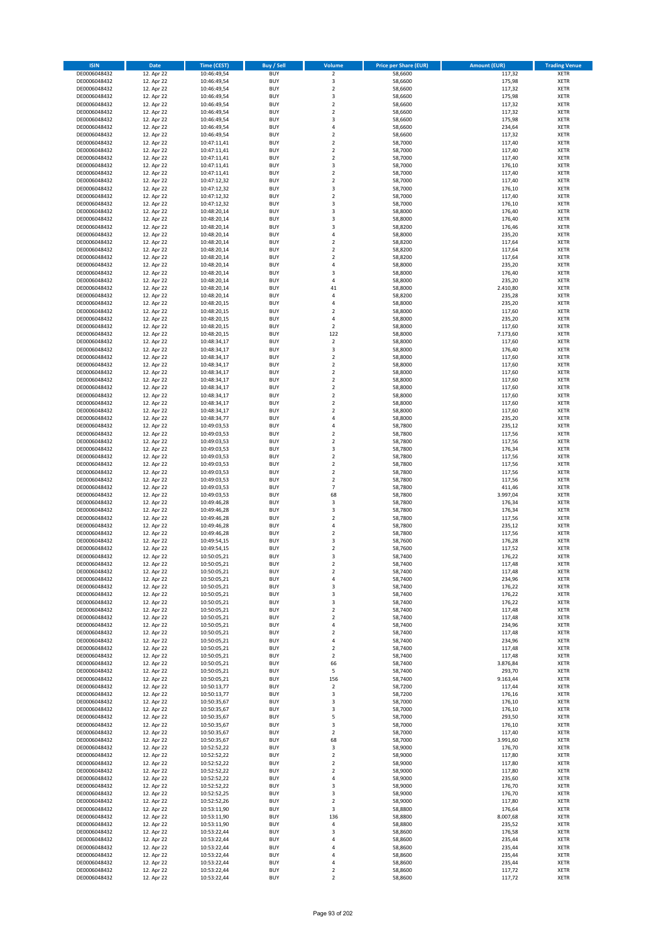| <b>ISIN</b>                  | <b>Date</b>              | Time (CEST)                | <b>Buy / Sell</b>        | Volume                                    | <b>Price per Share (EUR)</b> | Amount (EUR)       | <b>Trading Venue</b>       |
|------------------------------|--------------------------|----------------------------|--------------------------|-------------------------------------------|------------------------------|--------------------|----------------------------|
| DE0006048432                 | 12. Apr 22               | 10:46:49,54                | <b>BUY</b>               | $\overline{2}$                            | 58,6600                      | 117,32             | <b>XETR</b>                |
| DE0006048432                 | 12. Apr 22               | 10:46:49,54                | <b>BUY</b>               | 3                                         | 58,6600                      | 175,98             | <b>XETR</b>                |
| DE0006048432                 | 12. Apr 22               | 10:46:49,54                | <b>BUY</b>               | $\overline{2}$                            | 58,6600                      | 117,32             | <b>XETR</b>                |
| DE0006048432                 | 12. Apr 22               | 10:46:49,54                | <b>BUY</b>               | 3                                         | 58,6600                      | 175,98             | <b>XETR</b>                |
| DE0006048432<br>DE0006048432 | 12. Apr 22<br>12. Apr 22 | 10:46:49,54<br>10:46:49,54 | <b>BUY</b><br><b>BUY</b> | $\overline{2}$<br>$\mathbf 2$             | 58,6600<br>58,6600           | 117,32<br>117,32   | <b>XETR</b><br><b>XETR</b> |
| DE0006048432                 | 12. Apr 22               | 10:46:49,54                | <b>BUY</b>               | 3                                         | 58,6600                      | 175,98             | <b>XETR</b>                |
| DE0006048432                 | 12. Apr 22               | 10:46:49,54                | <b>BUY</b>               | 4                                         | 58,6600                      | 234,64             | <b>XETR</b>                |
| DE0006048432                 | 12. Apr 22               | 10:46:49,54                | BUY                      | $\overline{2}$                            | 58,6600                      | 117,32             | <b>XETR</b>                |
| DE0006048432                 | 12. Apr 22               | 10:47:11,41                | <b>BUY</b>               | $\overline{2}$                            | 58,7000                      | 117,40             | <b>XETR</b>                |
| DE0006048432                 | 12. Apr 22               | 10:47:11,41                | <b>BUY</b>               | $\mathbf 2$                               | 58,7000                      | 117,40             | <b>XETR</b>                |
| DE0006048432                 | 12. Apr 22               | 10:47:11,41                | <b>BUY</b>               | $\overline{2}$<br>$\overline{\mathbf{3}}$ | 58,7000                      | 117,40             | <b>XETR</b>                |
| DE0006048432<br>DE0006048432 | 12. Apr 22<br>12. Apr 22 | 10:47:11,41<br>10:47:11,41 | <b>BUY</b><br><b>BUY</b> | $\overline{2}$                            | 58,7000<br>58,7000           | 176,10<br>117,40   | <b>XETR</b><br><b>XETR</b> |
| DE0006048432                 | 12. Apr 22               | 10:47:12,32                | <b>BUY</b>               | $\overline{2}$                            | 58,7000                      | 117,40             | <b>XETR</b>                |
| DE0006048432                 | 12. Apr 22               | 10:47:12,32                | <b>BUY</b>               | 3                                         | 58,7000                      | 176,10             | <b>XETR</b>                |
| DE0006048432                 | 12. Apr 22               | 10:47:12,32                | <b>BUY</b>               | $\overline{2}$                            | 58,7000                      | 117,40             | <b>XETR</b>                |
| DE0006048432                 | 12. Apr 22               | 10:47:12,32                | <b>BUY</b>               | 3                                         | 58,7000                      | 176,10             | <b>XETR</b>                |
| DE0006048432                 | 12. Apr 22               | 10:48:20,14                | <b>BUY</b>               | 3<br>$\overline{\mathbf{3}}$              | 58,8000                      | 176,40             | <b>XETR</b>                |
| DE0006048432<br>DE0006048432 | 12. Apr 22<br>12. Apr 22 | 10:48:20,14<br>10:48:20,14 | <b>BUY</b><br><b>BUY</b> | $\overline{\mathbf{3}}$                   | 58,8000<br>58,8200           | 176,40<br>176,46   | <b>XETR</b><br><b>XETR</b> |
| DE0006048432                 | 12. Apr 22               | 10:48:20,14                | <b>BUY</b>               | 4                                         | 58,8000                      | 235,20             | <b>XETR</b>                |
| DE0006048432                 | 12. Apr 22               | 10:48:20,14                | <b>BUY</b>               | $\overline{2}$                            | 58,8200                      | 117,64             | <b>XETR</b>                |
| DE0006048432                 | 12. Apr 22               | 10:48:20,14                | <b>BUY</b>               | $\overline{2}$                            | 58,8200                      | 117,64             | <b>XETR</b>                |
| DE0006048432                 | 12. Apr 22               | 10:48:20,14                | <b>BUY</b>               | $\overline{2}$                            | 58,8200                      | 117,64             | <b>XETR</b>                |
| DE0006048432                 | 12. Apr 22               | 10:48:20,14                | <b>BUY</b>               | 4                                         | 58,8000                      | 235,20             | <b>XETR</b>                |
| DE0006048432                 | 12. Apr 22               | 10:48:20,14<br>10:48:20,14 | <b>BUY</b><br><b>BUY</b> | $\overline{\mathbf{3}}$<br>$\overline{4}$ | 58,8000                      | 176,40             | <b>XETR</b><br><b>XETR</b> |
| DE0006048432<br>DE0006048432 | 12. Apr 22<br>12. Apr 22 | 10:48:20,14                | <b>BUY</b>               | 41                                        | 58,8000<br>58,8000           | 235,20<br>2.410,80 | <b>XETR</b>                |
| DE0006048432                 | 12. Apr 22               | 10:48:20,14                | <b>BUY</b>               | 4                                         | 58,8200                      | 235,28             | <b>XETR</b>                |
| DE0006048432                 | 12. Apr 22               | 10:48:20,15                | <b>BUY</b>               | 4                                         | 58,8000                      | 235,20             | <b>XETR</b>                |
| DE0006048432                 | 12. Apr 22               | 10:48:20,15                | <b>BUY</b>               | $\overline{2}$                            | 58,8000                      | 117,60             | <b>XETR</b>                |
| DE0006048432                 | 12. Apr 22               | 10:48:20,15                | <b>BUY</b>               | 4                                         | 58,8000                      | 235,20             | <b>XETR</b>                |
| DE0006048432                 | 12. Apr 22               | 10:48:20,15                | <b>BUY</b>               | $\mathbf 2$                               | 58,8000                      | 117,60             | <b>XETR</b>                |
| DE0006048432<br>DE0006048432 | 12. Apr 22<br>12. Apr 22 | 10:48:20,15<br>10:48:34,17 | <b>BUY</b><br><b>BUY</b> | 122<br>$\mathbf 2$                        | 58,8000<br>58,8000           | 7.173,60<br>117,60 | <b>XETR</b><br><b>XETR</b> |
| DE0006048432                 | 12. Apr 22               | 10:48:34,17                | <b>BUY</b>               | 3                                         | 58,8000                      | 176,40             | <b>XETR</b>                |
| DE0006048432                 | 12. Apr 22               | 10:48:34,17                | <b>BUY</b>               | $\mathbf 2$                               | 58,8000                      | 117,60             | <b>XETR</b>                |
| DE0006048432                 | 12. Apr 22               | 10:48:34,17                | <b>BUY</b>               | $\mathbf 2$                               | 58,8000                      | 117,60             | <b>XETR</b>                |
| DE0006048432                 | 12. Apr 22               | 10:48:34,17                | <b>BUY</b>               | $\mathbf 2$                               | 58,8000                      | 117,60             | <b>XETR</b>                |
| DE0006048432                 | 12. Apr 22               | 10:48:34,17                | <b>BUY</b>               | $\overline{2}$                            | 58,8000                      | 117,60             | <b>XETR</b>                |
| DE0006048432                 | 12. Apr 22<br>12. Apr 22 | 10:48:34,17                | <b>BUY</b><br><b>BUY</b> | $\overline{2}$                            | 58,8000                      | 117,60<br>117,60   | <b>XETR</b>                |
| DE0006048432<br>DE0006048432 | 12. Apr 22               | 10:48:34,17<br>10:48:34,17 | <b>BUY</b>               | $\mathbf 2$<br>$\overline{2}$             | 58,8000<br>58,8000           | 117,60             | <b>XETR</b><br><b>XETR</b> |
| DE0006048432                 | 12. Apr 22               | 10:48:34,17                | <b>BUY</b>               | $\mathbf 2$                               | 58,8000                      | 117,60             | <b>XETR</b>                |
| DE0006048432                 | 12. Apr 22               | 10:48:34,77                | <b>BUY</b>               | $\overline{4}$                            | 58,8000                      | 235,20             | <b>XETR</b>                |
| DE0006048432                 | 12. Apr 22               | 10:49:03,53                | <b>BUY</b>               | 4                                         | 58,7800                      | 235,12             | <b>XETR</b>                |
| DE0006048432                 | 12. Apr 22               | 10:49:03,53                | <b>BUY</b>               | $\overline{2}$                            | 58,7800                      | 117,56             | <b>XETR</b>                |
| DE0006048432<br>DE0006048432 | 12. Apr 22               | 10:49:03,53                | <b>BUY</b><br><b>BUY</b> | $\overline{2}$<br>3                       | 58,7800<br>58,7800           | 117,56<br>176,34   | <b>XETR</b><br><b>XETR</b> |
| DE0006048432                 | 12. Apr 22<br>12. Apr 22 | 10:49:03,53<br>10:49:03,53 | <b>BUY</b>               | $\overline{2}$                            | 58,7800                      | 117,56             | <b>XETR</b>                |
| DE0006048432                 | 12. Apr 22               | 10:49:03,53                | <b>BUY</b>               | $\overline{2}$                            | 58,7800                      | 117,56             | <b>XETR</b>                |
| DE0006048432                 | 12. Apr 22               | 10:49:03,53                | <b>BUY</b>               | $\overline{2}$                            | 58,7800                      | 117,56             | <b>XETR</b>                |
| DE0006048432                 | 12. Apr 22               | 10:49:03,53                | <b>BUY</b>               | $\mathbf 2$                               | 58,7800                      | 117,56             | <b>XETR</b>                |
| DE0006048432                 | 12. Apr 22               | 10:49:03,53                | <b>BUY</b>               | $\overline{7}$                            | 58,7800                      | 411,46             | <b>XETR</b>                |
| DE0006048432                 | 12. Apr 22               | 10:49:03,53                | <b>BUY</b>               | 68                                        | 58,7800                      | 3.997,04           | <b>XETR</b>                |
| DE0006048432<br>DE0006048432 | 12. Apr 22<br>12. Apr 22 | 10:49:46,28<br>10:49:46,28 | <b>BUY</b><br><b>BUY</b> | 3<br>$\overline{\mathbf{3}}$              | 58,7800<br>58,7800           | 176,34<br>176,34   | <b>XETR</b><br><b>XETR</b> |
| DE0006048432                 | 12. Apr 22               | 10:49:46,28                | BUY                      | $\overline{2}$                            | 58,7800                      | 117,56             | <b>XETR</b>                |
| DE0006048432                 | 12. Apr 22               | 10:49:46,28                | <b>BUY</b>               | $\overline{4}$                            | 58,7800                      | 235,12             | <b>XETR</b>                |
| DE0006048432                 | 12. Apr 22               | 10:49:46,28                | <b>BUY</b>               | $\mathbf 2$                               | 58,7800                      | 117,56             | <b>XETR</b>                |
| DE0006048432                 | 12. Apr 22               | 10:49:54,15                | BUY                      | 3                                         | 58,7600                      | 176,28             | <b>XETR</b>                |
| DE0006048432                 | 12. Apr 22               | 10:49:54,15                | BUY                      | $\overline{2}$<br>$\overline{3}$          | 58,7600                      | 117,52             | <b>XETR</b>                |
| DE0006048432<br>DE0006048432 | 12. Apr 22<br>12. Apr 22 | 10:50:05,21<br>10:50:05,21 | <b>BUY</b><br><b>BUY</b> | $\overline{\mathbf{2}}$                   | 58,7400<br>58,7400           | 176,22<br>117,48   | <b>XETR</b><br><b>XETR</b> |
| DE0006048432                 | 12. Apr 22               | 10:50:05,21                | <b>BUY</b>               | $\mathbf 2$                               | 58,7400                      | 117,48             | <b>XETR</b>                |
| DE0006048432                 | 12. Apr 22               | 10:50:05,21                | <b>BUY</b>               | 4                                         | 58,7400                      | 234,96             | <b>XETR</b>                |
| DE0006048432                 | 12. Apr 22               | 10:50:05,21                | <b>BUY</b>               | 3                                         | 58,7400                      | 176,22             | <b>XETR</b>                |
| DE0006048432                 | 12. Apr 22               | 10:50:05,21                | <b>BUY</b>               | 3                                         | 58,7400                      | 176,22             | <b>XETR</b>                |
| DE0006048432<br>DE0006048432 | 12. Apr 22               | 10:50:05,21<br>10:50:05,21 | <b>BUY</b><br><b>BUY</b> | 3<br>2                                    | 58,7400<br>58,7400           | 176,22<br>117,48   | <b>XETR</b><br><b>XETR</b> |
| DE0006048432                 | 12. Apr 22<br>12. Apr 22 | 10:50:05,21                | <b>BUY</b>               | $\overline{\mathbf{2}}$                   | 58,7400                      | 117,48             | <b>XETR</b>                |
| DE0006048432                 | 12. Apr 22               | 10:50:05,21                | <b>BUY</b>               | $\overline{a}$                            | 58,7400                      | 234,96             | <b>XETR</b>                |
| DE0006048432                 | 12. Apr 22               | 10:50:05,21                | <b>BUY</b>               | $\mathbf 2$                               | 58,7400                      | 117,48             | <b>XETR</b>                |
| DE0006048432                 | 12. Apr 22               | 10:50:05,21                | <b>BUY</b>               | 4                                         | 58,7400                      | 234,96             | <b>XETR</b>                |
| DE0006048432                 | 12. Apr 22               | 10:50:05,21                | <b>BUY</b>               | $\overline{2}$                            | 58,7400                      | 117,48             | <b>XETR</b>                |
| DE0006048432<br>DE0006048432 | 12. Apr 22<br>12. Apr 22 | 10:50:05,21<br>10:50:05,21 | <b>BUY</b><br><b>BUY</b> | $\mathbf 2$<br>66                         | 58,7400<br>58,7400           | 117,48<br>3.876,84 | <b>XETR</b>                |
| DE0006048432                 | 12. Apr 22               | 10:50:05,21                | <b>BUY</b>               | 5                                         | 58,7400                      | 293,70             | <b>XETR</b><br><b>XETR</b> |
| DE0006048432                 | 12. Apr 22               | 10:50:05,21                | <b>BUY</b>               | 156                                       | 58,7400                      | 9.163,44           | <b>XETR</b>                |
| DE0006048432                 | 12. Apr 22               | 10:50:13,77                | <b>BUY</b>               | $\mathbf 2$                               | 58,7200                      | 117,44             | <b>XETR</b>                |
| DE0006048432                 | 12. Apr 22               | 10:50:13,77                | <b>BUY</b>               | 3                                         | 58,7200                      | 176,16             | <b>XETR</b>                |
| DE0006048432                 | 12. Apr 22               | 10:50:35,67                | <b>BUY</b>               | 3                                         | 58,7000                      | 176,10             | <b>XETR</b>                |
| DE0006048432<br>DE0006048432 | 12. Apr 22<br>12. Apr 22 | 10:50:35,67                | <b>BUY</b><br><b>BUY</b> | 3<br>5                                    | 58,7000<br>58,7000           | 176,10<br>293,50   | <b>XETR</b><br><b>XETR</b> |
| DE0006048432                 | 12. Apr 22               | 10:50:35,67<br>10:50:35,67 | <b>BUY</b>               | 3                                         | 58,7000                      | 176,10             | <b>XETR</b>                |
| DE0006048432                 | 12. Apr 22               | 10:50:35,67                | <b>BUY</b>               | $\overline{2}$                            | 58,7000                      | 117,40             | <b>XETR</b>                |
| DE0006048432                 | 12. Apr 22               | 10:50:35,67                | <b>BUY</b>               | 68                                        | 58,7000                      | 3.991,60           | <b>XETR</b>                |
| DE0006048432                 | 12. Apr 22               | 10:52:52,22                | <b>BUY</b>               | 3                                         | 58,9000                      | 176,70             | <b>XETR</b>                |
| DE0006048432                 | 12. Apr 22               | 10:52:52,22                | <b>BUY</b>               | $\mathbf 2$                               | 58,9000                      | 117,80             | <b>XETR</b>                |
| DE0006048432                 | 12. Apr 22               | 10:52:52,22                | <b>BUY</b>               | $\overline{2}$                            | 58,9000                      | 117,80             | <b>XETR</b>                |
| DE0006048432<br>DE0006048432 | 12. Apr 22<br>12. Apr 22 | 10:52:52,22<br>10:52:52,22 | <b>BUY</b><br><b>BUY</b> | $\overline{2}$<br>4                       | 58,9000<br>58,9000           | 117,80<br>235,60   | <b>XETR</b><br><b>XETR</b> |
| DE0006048432                 | 12. Apr 22               | 10:52:52,22                | <b>BUY</b>               | 3                                         | 58,9000                      | 176,70             | <b>XETR</b>                |
| DE0006048432                 | 12. Apr 22               | 10:52:52,25                | <b>BUY</b>               | 3                                         | 58,9000                      | 176,70             | <b>XETR</b>                |
| DE0006048432                 | 12. Apr 22               | 10:52:52,26                | <b>BUY</b>               | $\mathbf 2$                               | 58,9000                      | 117,80             | <b>XETR</b>                |
| DE0006048432                 | 12. Apr 22               | 10:53:11,90                | <b>BUY</b>               | 3                                         | 58,8800                      | 176,64             | <b>XETR</b>                |
| DE0006048432                 | 12. Apr 22               | 10:53:11,90                | <b>BUY</b>               | 136                                       | 58,8800                      | 8.007,68           | <b>XETR</b>                |
| DE0006048432<br>DE0006048432 | 12. Apr 22<br>12. Apr 22 | 10:53:11,90<br>10:53:22,44 | <b>BUY</b><br><b>BUY</b> | 4<br>3                                    | 58,8800<br>58,8600           | 235,52<br>176,58   | <b>XETR</b><br><b>XETR</b> |
| DE0006048432                 | 12. Apr 22               | 10:53:22,44                | <b>BUY</b>               | 4                                         | 58,8600                      | 235,44             | <b>XETR</b>                |
| DE0006048432                 | 12. Apr 22               | 10:53:22,44                | <b>BUY</b>               | 4                                         | 58,8600                      | 235,44             | <b>XETR</b>                |
| DE0006048432                 | 12. Apr 22               | 10:53:22,44                | <b>BUY</b>               | 4                                         | 58,8600                      | 235,44             | <b>XETR</b>                |
| DE0006048432                 | 12. Apr 22               | 10:53:22,44                | <b>BUY</b>               | 4                                         | 58,8600                      | 235,44             | <b>XETR</b>                |
| DE0006048432                 | 12. Apr 22               | 10:53:22,44                | <b>BUY</b>               | $\mathbf 2$                               | 58,8600                      | 117,72             | <b>XETR</b>                |
| DE0006048432                 | 12. Apr 22               | 10:53:22,44                | <b>BUY</b>               | $\mathbf 2$                               | 58,8600                      | 117,72             | <b>XETR</b>                |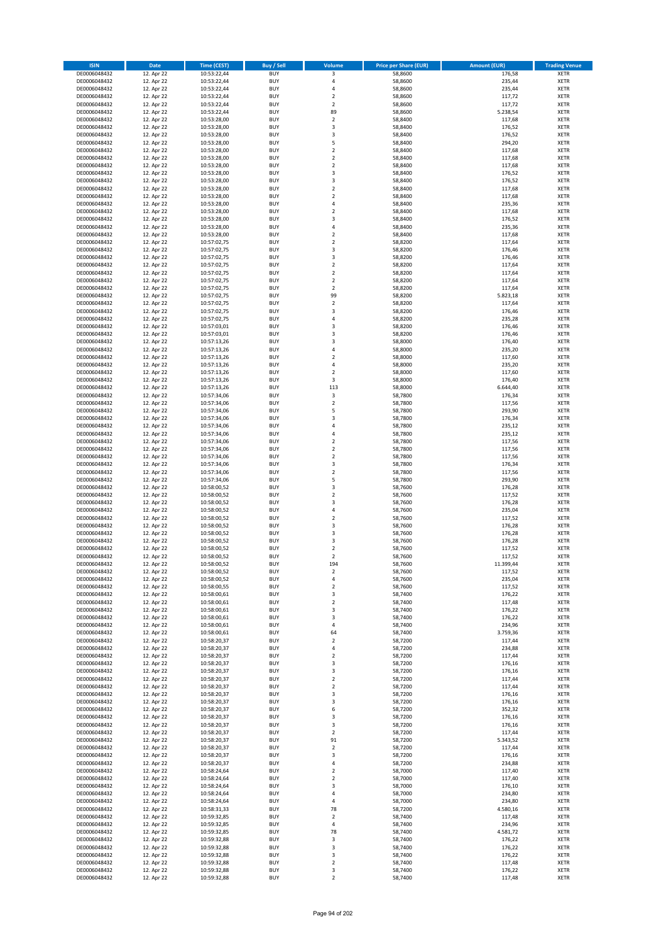| <b>ISIN</b>                  | <b>Date</b>              | <b>Time (CEST)</b>         | <b>Buy / Sell</b>        | <b>Volume</b>                                      | <b>Price per Share (EUR)</b> | <b>Amount (EUR)</b> | <b>Trading Venue</b>       |
|------------------------------|--------------------------|----------------------------|--------------------------|----------------------------------------------------|------------------------------|---------------------|----------------------------|
| DE0006048432                 | 12. Apr 22               | 10:53:22,44                | <b>BUY</b>               | 3                                                  | 58,8600                      | 176,58              | <b>XETR</b>                |
| DE0006048432                 | 12. Apr 22               | 10:53:22,44                | <b>BUY</b>               | 4                                                  | 58,8600                      | 235,44              | <b>XETR</b>                |
| DE0006048432                 | 12. Apr 22               | 10:53:22,44                | <b>BUY</b>               | 4                                                  | 58,8600                      | 235,44              | <b>XETR</b>                |
| DE0006048432<br>DE0006048432 | 12. Apr 22<br>12. Apr 22 | 10:53:22,44<br>10:53:22,44 | <b>BUY</b><br><b>BUY</b> | $\mathbf 2$<br>$\overline{\mathbf{c}}$             | 58,8600<br>58,8600           | 117,72<br>117,72    | <b>XETR</b><br><b>XETR</b> |
| DE0006048432                 | 12. Apr 22               | 10:53:22,44                | <b>BUY</b>               | 89                                                 | 58,8600                      | 5.238,54            | <b>XETR</b>                |
| DE0006048432                 | 12. Apr 22               | 10:53:28,00                | <b>BUY</b>               | $\overline{\mathbf{c}}$                            | 58,8400                      | 117,68              | <b>XETR</b>                |
| DE0006048432                 | 12. Apr 22               | 10:53:28,00                | <b>BUY</b>               | 3                                                  | 58,8400                      | 176,52              | <b>XETR</b>                |
| DE0006048432                 | 12. Apr 22               | 10:53:28,00                | <b>BUY</b>               | 3                                                  | 58,8400                      | 176,52              | <b>XETR</b>                |
| DE0006048432                 | 12. Apr 22               | 10:53:28,00                | <b>BUY</b><br><b>BUY</b> | 5                                                  | 58,8400                      | 294,20              | <b>XETR</b>                |
| DE0006048432<br>DE0006048432 | 12. Apr 22<br>12. Apr 22 | 10:53:28,00<br>10:53:28,00 | <b>BUY</b>               | $\mathbf 2$<br>$\overline{\mathbf{c}}$             | 58,8400<br>58,8400           | 117,68<br>117,68    | <b>XETR</b><br><b>XETR</b> |
| DE0006048432                 | 12. Apr 22               | 10:53:28,00                | <b>BUY</b>               | $\mathbf 2$                                        | 58,8400                      | 117,68              | <b>XETR</b>                |
| DE0006048432                 | 12. Apr 22               | 10:53:28,00                | <b>BUY</b>               | 3                                                  | 58,8400                      | 176,52              | <b>XETR</b>                |
| DE0006048432                 | 12. Apr 22               | 10:53:28,00                | <b>BUY</b>               | 3                                                  | 58,8400                      | 176,52              | <b>XETR</b>                |
| DE0006048432                 | 12. Apr 22               | 10:53:28,00                | <b>BUY</b>               | $\overline{\mathbf{c}}$                            | 58,8400                      | 117,68              | <b>XETR</b>                |
| DE0006048432<br>DE0006048432 | 12. Apr 22<br>12. Apr 22 | 10:53:28,00<br>10:53:28,00 | <b>BUY</b><br><b>BUY</b> | $\mathbf 2$<br>4                                   | 58,8400<br>58,8400           | 117,68<br>235,36    | <b>XETR</b><br><b>XETR</b> |
| DE0006048432                 | 12. Apr 22               | 10:53:28,00                | <b>BUY</b>               | $\overline{\mathbf{c}}$                            | 58,8400                      | 117,68              | <b>XETR</b>                |
| DE0006048432                 | 12. Apr 22               | 10:53:28,00                | <b>BUY</b>               | 3                                                  | 58,8400                      | 176,52              | <b>XETR</b>                |
| DE0006048432                 | 12. Apr 22               | 10:53:28,00                | <b>BUY</b>               | 4                                                  | 58,8400                      | 235,36              | <b>XETR</b>                |
| DE0006048432                 | 12. Apr 22               | 10:53:28,00                | <b>BUY</b>               | $\mathbf 2$                                        | 58,8400                      | 117,68              | <b>XETR</b>                |
| DE0006048432                 | 12. Apr 22               | 10:57:02,75                | <b>BUY</b><br><b>BUY</b> | $\overline{\mathbf{c}}$<br>3                       | 58,8200                      | 117,64              | <b>XETR</b>                |
| DE0006048432<br>DE0006048432 | 12. Apr 22<br>12. Apr 22 | 10:57:02,75<br>10:57:02,75 | <b>BUY</b>               | 3                                                  | 58,8200<br>58,8200           | 176,46<br>176,46    | <b>XETR</b><br><b>XETR</b> |
| DE0006048432                 | 12. Apr 22               | 10:57:02,75                | <b>BUY</b>               | $\mathbf 2$                                        | 58,8200                      | 117,64              | <b>XETR</b>                |
| DE0006048432                 | 12. Apr 22               | 10:57:02,75                | <b>BUY</b>               | $\mathbf 2$                                        | 58,8200                      | 117,64              | <b>XETR</b>                |
| DE0006048432                 | 12. Apr 22               | 10:57:02,75                | <b>BUY</b>               | $\overline{\mathbf{c}}$                            | 58,8200                      | 117,64              | <b>XETR</b>                |
| DE0006048432                 | 12. Apr 22               | 10:57:02,75                | <b>BUY</b>               | $\mathbf 2$                                        | 58,8200                      | 117,64              | <b>XETR</b>                |
| DE0006048432<br>DE0006048432 | 12. Apr 22<br>12. Apr 22 | 10:57:02,75<br>10:57:02,75 | <b>BUY</b><br><b>BUY</b> | 99<br>$\mathbf 2$                                  | 58,8200<br>58,8200           | 5.823,18<br>117,64  | <b>XETR</b><br><b>XETR</b> |
| DE0006048432                 | 12. Apr 22               | 10:57:02,75                | <b>BUY</b>               | 3                                                  | 58,8200                      | 176,46              | <b>XETR</b>                |
| DE0006048432                 | 12. Apr 22               | 10:57:02,75                | <b>BUY</b>               | 4                                                  | 58,8200                      | 235,28              | <b>XETR</b>                |
| DE0006048432                 | 12. Apr 22               | 10:57:03,01                | <b>BUY</b>               | 3                                                  | 58,8200                      | 176,46              | <b>XETR</b>                |
| DE0006048432                 | 12. Apr 22               | 10:57:03,01                | <b>BUY</b>               | 3                                                  | 58,8200                      | 176,46              | <b>XETR</b>                |
| DE0006048432                 | 12. Apr 22               | 10:57:13,26                | <b>BUY</b><br><b>BUY</b> | 3<br>4                                             | 58,8000                      | 176,40              | <b>XETR</b><br><b>XETR</b> |
| DE0006048432<br>DE0006048432 | 12. Apr 22<br>12. Apr 22 | 10:57:13,26<br>10:57:13,26 | <b>BUY</b>               | $\overline{\mathbf{c}}$                            | 58,8000<br>58,8000           | 235,20<br>117,60    | <b>XETR</b>                |
| DE0006048432                 | 12. Apr 22               | 10:57:13,26                | <b>BUY</b>               | 4                                                  | 58,8000                      | 235,20              | <b>XETR</b>                |
| DE0006048432                 | 12. Apr 22               | 10:57:13,26                | <b>BUY</b>               | $\mathbf 2$                                        | 58,8000                      | 117,60              | <b>XETR</b>                |
| DE0006048432                 | 12. Apr 22               | 10:57:13,26                | <b>BUY</b>               | 3                                                  | 58,8000                      | 176,40              | <b>XETR</b>                |
| DE0006048432                 | 12. Apr 22               | 10:57:13,26                | <b>BUY</b>               | 113                                                | 58,8000                      | 6.644,40            | <b>XETR</b>                |
| DE0006048432                 | 12. Apr 22               | 10:57:34,06                | <b>BUY</b><br><b>BUY</b> | 3<br>$\overline{\mathbf{c}}$                       | 58,7800                      | 176,34              | <b>XETR</b><br><b>XETR</b> |
| DE0006048432<br>DE0006048432 | 12. Apr 22<br>12. Apr 22 | 10:57:34,06<br>10:57:34,06 | <b>BUY</b>               | 5                                                  | 58,7800<br>58,7800           | 117,56<br>293,90    | <b>XETR</b>                |
| DE0006048432                 | 12. Apr 22               | 10:57:34,06                | <b>BUY</b>               | 3                                                  | 58,7800                      | 176,34              | <b>XETR</b>                |
| DE0006048432                 | 12. Apr 22               | 10:57:34,06                | <b>BUY</b>               | 4                                                  | 58,7800                      | 235,12              | <b>XETR</b>                |
| DE0006048432                 | 12. Apr 22               | 10:57:34,06                | <b>BUY</b>               | 4                                                  | 58,7800                      | 235,12              | <b>XETR</b>                |
| DE0006048432                 | 12. Apr 22               | 10:57:34,06                | <b>BUY</b>               | $\mathbf 2$                                        | 58,7800                      | 117,56              | <b>XETR</b>                |
| DE0006048432<br>DE0006048432 | 12. Apr 22<br>12. Apr 22 | 10:57:34,06<br>10:57:34,06 | <b>BUY</b><br><b>BUY</b> | $\overline{\mathbf{c}}$<br>$\overline{\mathbf{c}}$ | 58,7800<br>58,7800           | 117,56<br>117,56    | <b>XETR</b><br><b>XETR</b> |
| DE0006048432                 | 12. Apr 22               | 10:57:34,06                | <b>BUY</b>               | 3                                                  | 58,7800                      | 176,34              | <b>XETR</b>                |
| DE0006048432                 | 12. Apr 22               | 10:57:34,06                | <b>BUY</b>               | $\overline{2}$                                     | 58,7800                      | 117,56              | <b>XETR</b>                |
| DE0006048432                 | 12. Apr 22               | 10:57:34,06                | <b>BUY</b>               | 5                                                  | 58,7800                      | 293,90              | <b>XETR</b>                |
| DE0006048432                 | 12. Apr 22               | 10:58:00,52                | <b>BUY</b>               | 3                                                  | 58,7600                      | 176,28              | <b>XETR</b>                |
| DE0006048432                 | 12. Apr 22               | 10:58:00,52                | <b>BUY</b>               | $\mathbf 2$                                        | 58,7600                      | 117,52              | <b>XETR</b>                |
| DE0006048432<br>DE0006048432 | 12. Apr 22<br>12. Apr 22 | 10:58:00,52<br>10:58:00,52 | <b>BUY</b><br><b>BUY</b> | 3<br>4                                             | 58,7600<br>58,7600           | 176,28<br>235,04    | <b>XETR</b><br><b>XETR</b> |
| DE0006048432                 | 12. Apr 22               | 10:58:00,52                | <b>BUY</b>               | $\overline{\mathbf{c}}$                            | 58,7600                      | 117,52              | <b>XETR</b>                |
| DE0006048432                 | 12. Apr 22               | 10:58:00,52                | <b>BUY</b>               | 3                                                  | 58,7600                      | 176,28              | <b>XETR</b>                |
| DE0006048432                 | 12. Apr 22               | 10:58:00,52                | <b>BUY</b>               | 3                                                  | 58,7600                      | 176,28              | <b>XETR</b>                |
| DE0006048432                 | 12. Apr 22               | 10:58:00,52                | <b>BUY</b>               | 3                                                  | 58,7600                      | 176,28              | <b>XETR</b>                |
| DE0006048432<br>DE0006048432 | 12. Apr 22<br>12. Apr 22 | 10:58:00,52<br>10:58:00,52 | <b>BUY</b><br><b>BUY</b> | $\overline{\mathbf{c}}$<br>$\overline{2}$          | 58,7600<br>58,7600           | 117,52<br>117,52    | <b>XETR</b><br><b>XETR</b> |
| DE0006048432                 | 12. Apr 22               | 10:58:00,52                | BUY                      | 194                                                | 58,7600                      | 11.399,44           | <b>XETR</b>                |
| DE0006048432                 | 12. Apr 22               | 10:58:00,52                | <b>BUY</b>               | 2                                                  | 58,7600                      | 117,52              | <b>XETR</b>                |
| DE0006048432                 | 12. Apr 22               | 10:58:00,52                | <b>BUY</b>               | 4                                                  | 58,7600                      | 235,04              | <b>XETR</b>                |
| DE0006048432                 | 12. Apr 22               | 10:58:00,55                | <b>BUY</b>               | $\mathbf 2$                                        | 58,7600                      | 117,52              | XETR                       |
| DE0006048432<br>DE0006048432 | 12. Apr 22<br>12. Apr 22 | 10:58:00,61<br>10:58:00,61 | <b>BUY</b><br><b>BUY</b> | 3<br>$\mathbf 2$                                   | 58,7400<br>58,7400           | 176,22<br>117,48    | <b>XETR</b><br><b>XETR</b> |
| DE0006048432                 | 12. Apr 22               | 10:58:00,61                | <b>BUY</b>               | 3                                                  | 58,7400                      | 176,22              | <b>XETR</b>                |
| DE0006048432                 | 12. Apr 22               | 10:58:00,61                | <b>BUY</b>               | 3                                                  | 58,7400                      | 176,22              | <b>XETR</b>                |
| DE0006048432                 | 12. Apr 22               | 10:58:00,61                | <b>BUY</b>               | 4                                                  | 58,7400                      | 234,96              | <b>XETR</b>                |
| DE0006048432                 | 12. Apr 22               | 10:58:00,61                | <b>BUY</b>               | 64                                                 | 58,7400                      | 3.759,36            | <b>XETR</b>                |
| DE0006048432<br>DE0006048432 | 12. Apr 22               | 10:58:20,37                | <b>BUY</b><br><b>BUY</b> | $\mathbf 2$<br>4                                   | 58,7200                      | 117,44              | <b>XETR</b><br><b>XETR</b> |
| DE0006048432                 | 12. Apr 22<br>12. Apr 22 | 10:58:20,37<br>10:58:20,37 | <b>BUY</b>               | $\mathbf 2$                                        | 58,7200<br>58,7200           | 234,88<br>117,44    | <b>XETR</b>                |
| DE0006048432                 | 12. Apr 22               | 10:58:20,37                | <b>BUY</b>               | 3                                                  | 58,7200                      | 176,16              | <b>XETR</b>                |
| DE0006048432                 | 12. Apr 22               | 10:58:20,37                | <b>BUY</b>               | 3                                                  | 58,7200                      | 176,16              | <b>XETR</b>                |
| DE0006048432                 | 12. Apr 22               | 10:58:20,37                | <b>BUY</b>               | $\overline{\mathbf{c}}$                            | 58,7200                      | 117,44              | <b>XETR</b>                |
| DE0006048432                 | 12. Apr 22               | 10:58:20,37                | <b>BUY</b>               | $\mathbf 2$                                        | 58,7200                      | 117,44              | <b>XETR</b>                |
| DE0006048432<br>DE0006048432 | 12. Apr 22<br>12. Apr 22 | 10:58:20,37<br>10:58:20,37 | <b>BUY</b><br><b>BUY</b> | 3<br>3                                             | 58,7200<br>58,7200           | 176,16<br>176,16    | <b>XETR</b><br>XETR        |
| DE0006048432                 | 12. Apr 22               | 10:58:20,37                | <b>BUY</b>               | 6                                                  | 58,7200                      | 352,32              | <b>XETR</b>                |
| DE0006048432                 | 12. Apr 22               | 10:58:20,37                | <b>BUY</b>               | 3                                                  | 58,7200                      | 176,16              | <b>XETR</b>                |
| DE0006048432                 | 12. Apr 22               | 10:58:20,37                | <b>BUY</b>               | 3                                                  | 58,7200                      | 176,16              | <b>XETR</b>                |
| DE0006048432                 | 12. Apr 22               | 10:58:20,37                | <b>BUY</b>               | $\overline{\mathbf{c}}$                            | 58,7200                      | 117,44              | <b>XETR</b>                |
| DE0006048432<br>DE0006048432 | 12. Apr 22<br>12. Apr 22 | 10:58:20,37                | <b>BUY</b><br><b>BUY</b> | 91<br>2                                            | 58,7200<br>58,7200           | 5.343,52<br>117,44  | <b>XETR</b><br><b>XETR</b> |
| DE0006048432                 | 12. Apr 22               | 10:58:20,37<br>10:58:20,37 | <b>BUY</b>               | 3                                                  | 58,7200                      | 176,16              | <b>XETR</b>                |
| DE0006048432                 | 12. Apr 22               | 10:58:20,37                | <b>BUY</b>               | 4                                                  | 58,7200                      | 234,88              | <b>XETR</b>                |
| DE0006048432                 | 12. Apr 22               | 10:58:24,64                | <b>BUY</b>               | $\overline{2}$                                     | 58,7000                      | 117,40              | <b>XETR</b>                |
| DE0006048432                 | 12. Apr 22               | 10:58:24,64                | <b>BUY</b>               | 2                                                  | 58,7000                      | 117,40              | <b>XETR</b>                |
| DE0006048432                 | 12. Apr 22               | 10:58:24,64                | <b>BUY</b>               | 3                                                  | 58,7000                      | 176,10              | <b>XETR</b>                |
| DE0006048432<br>DE0006048432 | 12. Apr 22               | 10:58:24,64                | <b>BUY</b><br><b>BUY</b> | 4<br>4                                             | 58,7000<br>58,7000           | 234,80              | <b>XETR</b><br><b>XETR</b> |
| DE0006048432                 | 12. Apr 22<br>12. Apr 22 | 10:58:24,64<br>10:58:31,33 | <b>BUY</b>               | 78                                                 | 58,7200                      | 234,80<br>4.580,16  | <b>XETR</b>                |
| DE0006048432                 | 12. Apr 22               | 10:59:32,85                | <b>BUY</b>               | $\mathbf 2$                                        | 58,7400                      | 117,48              | <b>XETR</b>                |
| DE0006048432                 | 12. Apr 22               | 10:59:32,85                | <b>BUY</b>               | 4                                                  | 58,7400                      | 234,96              | <b>XETR</b>                |
| DE0006048432                 | 12. Apr 22               | 10:59:32,85                | <b>BUY</b>               | 78                                                 | 58,7400                      | 4.581,72            | <b>XETR</b>                |
| DE0006048432                 | 12. Apr 22<br>12. Apr 22 | 10:59:32,88                | <b>BUY</b><br><b>BUY</b> | 3                                                  | 58,7400                      | 176,22<br>176,22    | <b>XETR</b>                |
| DE0006048432<br>DE0006048432 | 12. Apr 22               | 10:59:32,88<br>10:59:32,88 | <b>BUY</b>               | 3<br>3                                             | 58,7400<br>58,7400           | 176,22              | XETR<br><b>XETR</b>        |
| DE0006048432                 | 12. Apr 22               | 10:59:32,88                | <b>BUY</b>               | $\mathbf 2$                                        | 58,7400                      | 117,48              | <b>XETR</b>                |
| DE0006048432                 | 12. Apr 22               | 10:59:32,88                | <b>BUY</b>               | 3                                                  | 58,7400                      | 176,22              | <b>XETR</b>                |
| DE0006048432                 | 12. Apr 22               | 10:59:32,88                | <b>BUY</b>               | $\overline{2}$                                     | 58,7400                      | 117,48              | <b>XETR</b>                |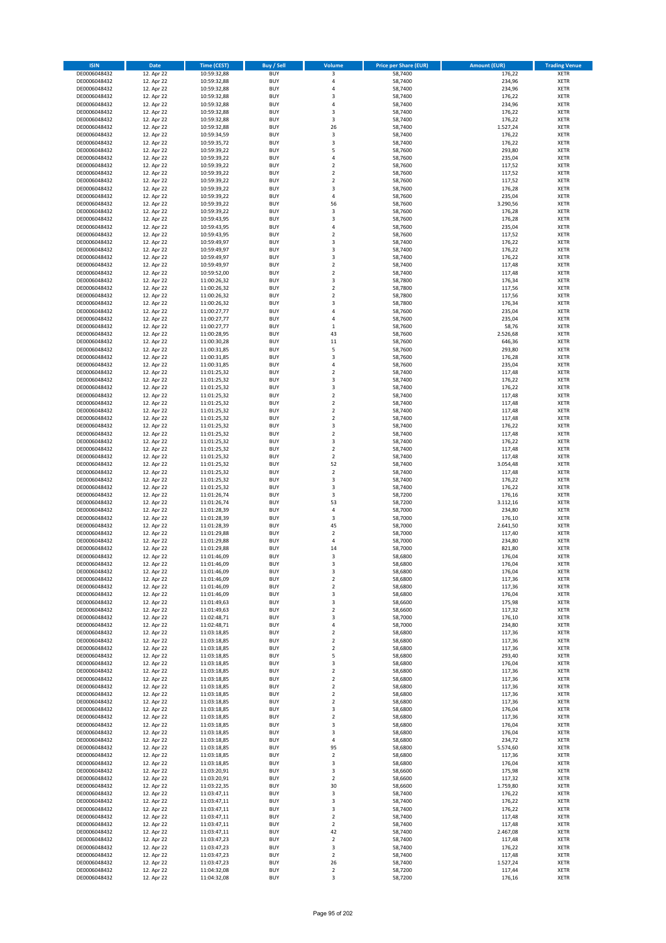| <b>ISIN</b>                  | <b>Date</b>              | Time (CEST)                | <b>Buy / Sell</b>        | <b>Volume</b>                          | <b>Price per Share (EUR)</b> | <b>Amount (EUR)</b> | <b>Trading Venue</b>       |
|------------------------------|--------------------------|----------------------------|--------------------------|----------------------------------------|------------------------------|---------------------|----------------------------|
| DE0006048432                 | 12. Apr 22               | 10:59:32,88                | <b>BUY</b>               | 3                                      | 58,7400                      | 176,22              | <b>XETR</b>                |
| DE0006048432                 | 12. Apr 22               | 10:59:32,88                | <b>BUY</b>               | 4                                      | 58,7400                      | 234,96              | <b>XETR</b>                |
| DE0006048432                 | 12. Apr 22               | 10:59:32,88                | <b>BUY</b>               | 4                                      | 58,7400                      | 234,96              | <b>XETR</b>                |
| DE0006048432<br>DE0006048432 | 12. Apr 22<br>12. Apr 22 | 10:59:32,88<br>10:59:32,88 | <b>BUY</b><br><b>BUY</b> | 3<br>4                                 | 58,7400<br>58,7400           | 176,22<br>234,96    | <b>XETR</b><br><b>XETR</b> |
| DE0006048432                 | 12. Apr 22               | 10:59:32,88                | <b>BUY</b>               | 3                                      | 58,7400                      | 176,22              | <b>XETR</b>                |
| DE0006048432                 | 12. Apr 22               | 10:59:32,88                | <b>BUY</b>               | 3                                      | 58,7400                      | 176,22              | <b>XETR</b>                |
| DE0006048432                 | 12. Apr 22               | 10:59:32,88                | <b>BUY</b>               | 26                                     | 58,7400                      | 1.527,24            | <b>XETR</b>                |
| DE0006048432                 | 12. Apr 22               | 10:59:34,59                | <b>BUY</b>               | 3                                      | 58,7400                      | 176,22              | <b>XETR</b>                |
| DE0006048432                 | 12. Apr 22               | 10:59:35,72                | <b>BUY</b>               | 3                                      | 58,7400                      | 176,22              | <b>XETR</b>                |
| DE0006048432                 | 12. Apr 22               | 10:59:39,22                | <b>BUY</b>               | 5                                      | 58,7600                      | 293,80              | <b>XETR</b>                |
| DE0006048432<br>DE0006048432 | 12. Apr 22<br>12. Apr 22 | 10:59:39,22                | <b>BUY</b><br><b>BUY</b> | 4<br>$\overline{\mathbf{c}}$           | 58,7600<br>58,7600           | 235,04<br>117,52    | <b>XETR</b><br><b>XETR</b> |
| DE0006048432                 | 12. Apr 22               | 10:59:39,22<br>10:59:39,22 | <b>BUY</b>               | $\overline{\mathbf{c}}$                | 58,7600                      | 117,52              | <b>XETR</b>                |
| DE0006048432                 | 12. Apr 22               | 10:59:39,22                | <b>BUY</b>               | $\mathbf 2$                            | 58,7600                      | 117,52              | <b>XETR</b>                |
| DE0006048432                 | 12. Apr 22               | 10:59:39,22                | <b>BUY</b>               | 3                                      | 58,7600                      | 176,28              | <b>XETR</b>                |
| DE0006048432                 | 12. Apr 22               | 10:59:39,22                | <b>BUY</b>               | 4                                      | 58,7600                      | 235,04              | <b>XETR</b>                |
| DE0006048432                 | 12. Apr 22               | 10:59:39,22                | <b>BUY</b>               | 56                                     | 58,7600                      | 3.290,56            | <b>XETR</b>                |
| DE0006048432                 | 12. Apr 22               | 10:59:39,22                | <b>BUY</b>               | 3                                      | 58,7600                      | 176,28              | <b>XETR</b>                |
| DE0006048432                 | 12. Apr 22               | 10:59:43,95                | <b>BUY</b>               | 3                                      | 58,7600                      | 176,28              | <b>XETR</b>                |
| DE0006048432<br>DE0006048432 | 12. Apr 22<br>12. Apr 22 | 10:59:43,95<br>10:59:43,95 | <b>BUY</b><br><b>BUY</b> | 4<br>$\mathbf 2$                       | 58,7600<br>58,7600           | 235,04<br>117,52    | <b>XETR</b><br><b>XETR</b> |
| DE0006048432                 | 12. Apr 22               | 10:59:49,97                | <b>BUY</b>               | 3                                      | 58,7400                      | 176,22              | <b>XETR</b>                |
| DE0006048432                 | 12. Apr 22               | 10:59:49,97                | <b>BUY</b>               | 3                                      | 58,7400                      | 176,22              | <b>XETR</b>                |
| DE0006048432                 | 12. Apr 22               | 10:59:49,97                | <b>BUY</b>               | 3                                      | 58,7400                      | 176,22              | <b>XETR</b>                |
| DE0006048432                 | 12. Apr 22               | 10:59:49,97                | <b>BUY</b>               | $\mathbf 2$                            | 58,7400                      | 117,48              | <b>XETR</b>                |
| DE0006048432                 | 12. Apr 22               | 10:59:52,00                | <b>BUY</b>               | $\mathbf 2$                            | 58,7400                      | 117,48              | <b>XETR</b>                |
| DE0006048432                 | 12. Apr 22               | 11:00:26,32                | <b>BUY</b>               | 3                                      | 58,7800                      | 176,34              | <b>XETR</b>                |
| DE0006048432<br>DE0006048432 | 12. Apr 22<br>12. Apr 22 | 11:00:26,32<br>11:00:26,32 | <b>BUY</b><br><b>BUY</b> | $\mathbf 2$<br>$\overline{\mathbf{c}}$ | 58,7800<br>58,7800           | 117,56<br>117,56    | <b>XETR</b><br><b>XETR</b> |
| DE0006048432                 | 12. Apr 22               | 11:00:26,32                | <b>BUY</b>               | 3                                      | 58,7800                      | 176,34              | <b>XETR</b>                |
| DE0006048432                 | 12. Apr 22               | 11:00:27,77                | <b>BUY</b>               | 4                                      | 58,7600                      | 235,04              | <b>XETR</b>                |
| DE0006048432                 | 12. Apr 22               | 11:00:27,77                | <b>BUY</b>               | 4                                      | 58,7600                      | 235,04              | <b>XETR</b>                |
| DE0006048432                 | 12. Apr 22               | 11:00:27,77                | <b>BUY</b>               | $\mathbf 1$                            | 58,7600                      | 58,76               | <b>XETR</b>                |
| DE0006048432                 | 12. Apr 22               | 11:00:28,95                | <b>BUY</b>               | 43                                     | 58,7600                      | 2.526,68            | <b>XETR</b>                |
| DE0006048432                 | 12. Apr 22               | 11:00:30,28                | <b>BUY</b>               | 11                                     | 58,7600                      | 646,36              | <b>XETR</b>                |
| DE0006048432<br>DE0006048432 | 12. Apr 22<br>12. Apr 22 | 11:00:31,85<br>11:00:31,85 | <b>BUY</b><br><b>BUY</b> | 5<br>3                                 | 58,7600<br>58,7600           | 293,80<br>176,28    | <b>XETR</b><br><b>XETR</b> |
| DE0006048432                 | 12. Apr 22               | 11:00:31,85                | <b>BUY</b>               | 4                                      | 58,7600                      | 235,04              | <b>XETR</b>                |
| DE0006048432                 | 12. Apr 22               | 11:01:25,32                | <b>BUY</b>               | $\mathbf 2$                            | 58,7400                      | 117,48              | <b>XETR</b>                |
| DE0006048432                 | 12. Apr 22               | 11:01:25,32                | <b>BUY</b>               | 3                                      | 58,7400                      | 176,22              | <b>XETR</b>                |
| DE0006048432                 | 12. Apr 22               | 11:01:25,32                | <b>BUY</b>               | 3                                      | 58,7400                      | 176,22              | <b>XETR</b>                |
| DE0006048432                 | 12. Apr 22               | 11:01:25,32                | <b>BUY</b>               | $\mathbf 2$                            | 58,7400                      | 117,48              | <b>XETR</b>                |
| DE0006048432                 | 12. Apr 22               | 11:01:25,32                | <b>BUY</b>               | $\overline{\mathbf{c}}$                | 58,7400                      | 117,48              | <b>XETR</b>                |
| DE0006048432                 | 12. Apr 22               | 11:01:25,32                | <b>BUY</b>               | $\mathbf 2$                            | 58,7400                      | 117,48              | <b>XETR</b>                |
| DE0006048432<br>DE0006048432 | 12. Apr 22<br>12. Apr 22 | 11:01:25,32<br>11:01:25,32 | <b>BUY</b><br><b>BUY</b> | $\overline{2}$<br>3                    | 58,7400<br>58,7400           | 117,48<br>176,22    | <b>XETR</b><br><b>XETR</b> |
| DE0006048432                 | 12. Apr 22               | 11:01:25,32                | <b>BUY</b>               | $\mathbf 2$                            | 58,7400                      | 117,48              | <b>XETR</b>                |
| DE0006048432                 | 12. Apr 22               | 11:01:25,32                | <b>BUY</b>               | 3                                      | 58,7400                      | 176,22              | <b>XETR</b>                |
| DE0006048432                 | 12. Apr 22               | 11:01:25,32                | <b>BUY</b>               | $\overline{\mathbf{c}}$                | 58,7400                      | 117,48              | <b>XETR</b>                |
| DE0006048432                 | 12. Apr 22               | 11:01:25,32                | <b>BUY</b>               | $\overline{2}$                         | 58,7400                      | 117,48              | <b>XETR</b>                |
| DE0006048432                 | 12. Apr 22               | 11:01:25,32                | <b>BUY</b>               | 52                                     | 58,7400                      | 3.054,48            | <b>XETR</b>                |
| DE0006048432                 | 12. Apr 22               | 11:01:25,32                | <b>BUY</b><br><b>BUY</b> | $\overline{2}$                         | 58,7400                      | 117,48              | <b>XETR</b>                |
| DE0006048432<br>DE0006048432 | 12. Apr 22<br>12. Apr 22 | 11:01:25,32<br>11:01:25,32 | <b>BUY</b>               | 3<br>3                                 | 58,7400<br>58,7400           | 176,22<br>176,22    | <b>XETR</b><br><b>XETR</b> |
| DE0006048432                 | 12. Apr 22               | 11:01:26,74                | <b>BUY</b>               | 3                                      | 58,7200                      | 176,16              | <b>XETR</b>                |
| DE0006048432                 | 12. Apr 22               | 11:01:26,74                | <b>BUY</b>               | 53                                     | 58,7200                      | 3.112,16            | <b>XETR</b>                |
| DE0006048432                 | 12. Apr 22               | 11:01:28,39                | <b>BUY</b>               | 4                                      | 58,7000                      | 234,80              | <b>XETR</b>                |
| DE0006048432                 | 12. Apr 22               | 11:01:28,39                | <b>BUY</b>               | 3                                      | 58,7000                      | 176,10              | <b>XETR</b>                |
| DE0006048432                 | 12. Apr 22               | 11:01:28,39                | <b>BUY</b>               | 45                                     | 58,7000                      | 2.641,50            | <b>XETR</b>                |
| DE0006048432                 | 12. Apr 22               | 11:01:29,88                | <b>BUY</b>               | $\mathbf 2$                            | 58,7000                      | 117,40              | <b>XETR</b>                |
| DE0006048432<br>DE0006048432 | 12. Apr 22<br>12. Apr 22 | 11:01:29,88<br>11:01:29,88 | <b>BUY</b><br><b>BUY</b> | 4<br>14                                | 58,7000<br>58,7000           | 234,80<br>821,80    | <b>XETR</b><br><b>XETR</b> |
| DE0006048432                 | 12. Apr 22               | 11:01:46,09                | <b>BUY</b>               | 3                                      | 58,6800                      | 176,04              | <b>XETR</b>                |
| DE0006048432                 | 12. Apr 22               | 11:01:46,09                | BUY                      | 3                                      | 58,6800                      | 176,04              | <b>XETR</b>                |
| DE0006048432                 | 12. Apr 22               | 11:01:46,09                | <b>BUY</b>               | 3                                      | 58,6800                      | 176,04              | <b>XETR</b>                |
| DE0006048432                 | 12. Apr 22               | 11:01:46,09                | <b>BUY</b>               | $\mathbf 2$                            | 58,6800                      | 117,36              | <b>XETR</b>                |
| DE0006048432                 | 12. Apr 22               | 11:01:46,09                | <b>BUY</b>               | 2                                      | 58,6800                      | 117,36              | XETR                       |
| DE0006048432<br>DE0006048432 | 12. Apr 22<br>12. Apr 22 | 11:01:46,09                | <b>BUY</b>               | 3                                      | 58,6800                      | 176,04<br>175,98    | <b>XETR</b>                |
| DE0006048432                 | 12. Apr 22               | 11:01:49,63<br>11:01:49,63 | <b>BUY</b><br><b>BUY</b> | 3<br>$\mathbf 2$                       | 58,6600<br>58,6600           | 117,32              | <b>XETR</b><br><b>XETR</b> |
| DE0006048432                 | 12. Apr 22               | 11:02:48,71                | <b>BUY</b>               | 3                                      | 58,7000                      | 176,10              | <b>XETR</b>                |
| DE0006048432                 | 12. Apr 22               | 11:02:48,71                | <b>BUY</b>               | 4                                      | 58,7000                      | 234,80              | <b>XETR</b>                |
| DE0006048432                 | 12. Apr 22               | 11:03:18,85                | <b>BUY</b>               | $\mathbf 2$                            | 58,6800                      | 117,36              | <b>XETR</b>                |
| DE0006048432                 | 12. Apr 22               | 11:03:18,85                | <b>BUY</b>               | $\mathbf 2$                            | 58,6800                      | 117,36              | <b>XETR</b>                |
| DE0006048432                 | 12. Apr 22               | 11:03:18,85                | <b>BUY</b>               | $\overline{2}$                         | 58,6800                      | 117,36              | <b>XETR</b>                |
| DE0006048432<br>DE0006048432 | 12. Apr 22<br>12. Apr 22 | 11:03:18,85<br>11:03:18,85 | <b>BUY</b><br><b>BUY</b> | 5<br>3                                 | 58,6800<br>58,6800           | 293,40<br>176,04    | <b>XETR</b><br><b>XETR</b> |
| DE0006048432                 | 12. Apr 22               | 11:03:18,85                | <b>BUY</b>               | $\mathbf 2$                            | 58,6800                      | 117,36              | <b>XETR</b>                |
| DE0006048432                 | 12. Apr 22               | 11:03:18,85                | <b>BUY</b>               | $\mathbf 2$                            | 58,6800                      | 117,36              | <b>XETR</b>                |
| DE0006048432                 | 12. Apr 22               | 11:03:18,85                | <b>BUY</b>               | $\mathbf 2$                            | 58,6800                      | 117,36              | <b>XETR</b>                |
| DE0006048432                 | 12. Apr 22               | 11:03:18,85                | <b>BUY</b>               | $\mathbf 2$                            | 58,6800                      | 117,36              | <b>XETR</b>                |
| DE0006048432                 | 12. Apr 22               | 11:03:18,85                | <b>BUY</b>               | $\mathbf 2$                            | 58,6800                      | 117,36              | XETR                       |
| DE0006048432                 | 12. Apr 22               | 11:03:18,85                | <b>BUY</b>               | 3                                      | 58,6800                      | 176,04              | <b>XETR</b>                |
| DE0006048432<br>DE0006048432 | 12. Apr 22<br>12. Apr 22 | 11:03:18,85<br>11:03:18,85 | <b>BUY</b><br><b>BUY</b> | $\overline{2}$<br>3                    | 58,6800<br>58,6800           | 117,36<br>176,04    | <b>XETR</b><br><b>XETR</b> |
| DE0006048432                 | 12. Apr 22               | 11:03:18,85                | <b>BUY</b>               | 3                                      | 58,6800                      | 176,04              | <b>XETR</b>                |
| DE0006048432                 | 12. Apr 22               | 11:03:18,85                | <b>BUY</b>               | 4                                      | 58,6800                      | 234,72              | <b>XETR</b>                |
| DE0006048432                 | 12. Apr 22               | 11:03:18,85                | <b>BUY</b>               | 95                                     | 58,6800                      | 5.574,60            | <b>XETR</b>                |
| DE0006048432                 | 12. Apr 22               | 11:03:18,85                | <b>BUY</b>               | $\mathbf 2$                            | 58,6800                      | 117,36              | <b>XETR</b>                |
| DE0006048432                 | 12. Apr 22               | 11:03:18,85                | <b>BUY</b>               | 3                                      | 58,6800                      | 176,04              | <b>XETR</b>                |
| DE0006048432<br>DE0006048432 | 12. Apr 22<br>12. Apr 22 | 11:03:20,91<br>11:03:20,91 | <b>BUY</b><br><b>BUY</b> | 3<br>2                                 | 58,6600<br>58,6600           | 175,98<br>117,32    | <b>XETR</b><br><b>XETR</b> |
| DE0006048432                 | 12. Apr 22               | 11:03:22,35                | <b>BUY</b>               | 30                                     | 58,6600                      | 1.759,80            | <b>XETR</b>                |
| DE0006048432                 | 12. Apr 22               | 11:03:47,11                | <b>BUY</b>               | 3                                      | 58,7400                      | 176,22              | <b>XETR</b>                |
| DE0006048432                 | 12. Apr 22               | 11:03:47,11                | <b>BUY</b>               | 3                                      | 58,7400                      | 176,22              | <b>XETR</b>                |
| DE0006048432                 | 12. Apr 22               | 11:03:47,11                | <b>BUY</b>               | 3                                      | 58,7400                      | 176,22              | <b>XETR</b>                |
| DE0006048432                 | 12. Apr 22               | 11:03:47,11                | <b>BUY</b>               | $\mathbf 2$                            | 58,7400                      | 117,48              | <b>XETR</b>                |
| DE0006048432                 | 12. Apr 22               | 11:03:47,11                | <b>BUY</b><br><b>BUY</b> | $\mathbf 2$                            | 58,7400                      | 117,48              | <b>XETR</b>                |
| DE0006048432<br>DE0006048432 | 12. Apr 22<br>12. Apr 22 | 11:03:47,11<br>11:03:47,23 | <b>BUY</b>               | 42<br>$\overline{\mathbf{c}}$          | 58,7400<br>58,7400           | 2.467,08<br>117,48  | <b>XETR</b><br><b>XETR</b> |
| DE0006048432                 | 12. Apr 22               | 11:03:47,23                | <b>BUY</b>               | 3                                      | 58,7400                      | 176,22              | XETR                       |
| DE0006048432                 | 12. Apr 22               | 11:03:47,23                | <b>BUY</b>               | $\overline{2}$                         | 58,7400                      | 117,48              | <b>XETR</b>                |
| DE0006048432                 | 12. Apr 22               | 11:03:47,23                | <b>BUY</b>               | 26                                     | 58,7400                      | 1.527,24            | XETR                       |
| DE0006048432                 | 12. Apr 22               | 11:04:32,08                | <b>BUY</b>               | $\mathbf 2$                            | 58,7200                      | 117,44              | <b>XETR</b>                |
| DE0006048432                 | 12. Apr 22               | 11:04:32,08                | <b>BUY</b>               | 3                                      | 58,7200                      | 176,16              | <b>XETR</b>                |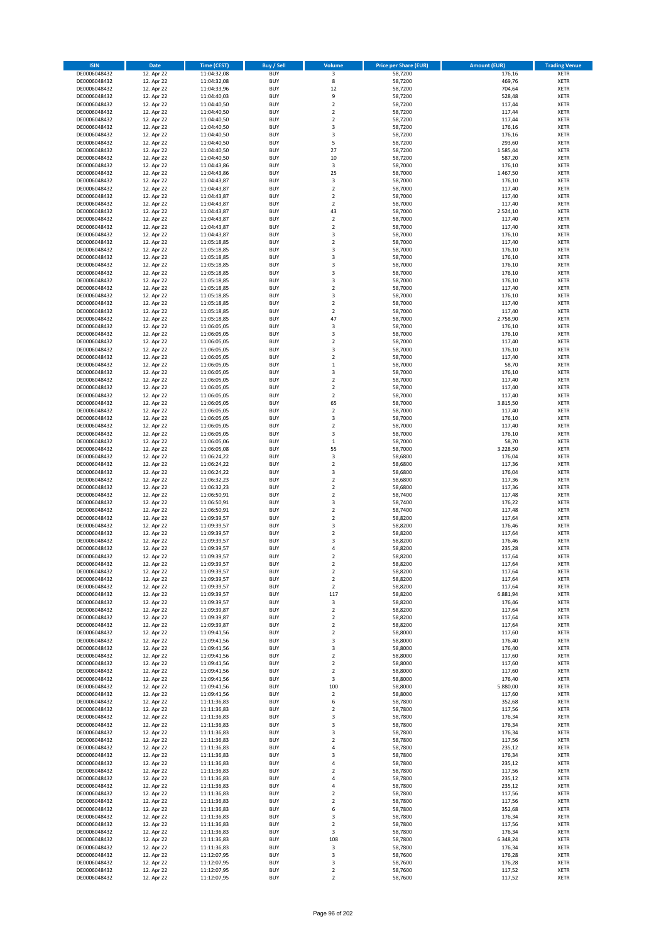| <b>ISIN</b>                  | <b>Date</b>              | Time (CEST)                | <b>Buy / Sell</b>        | Volume                                 | <b>Price per Share (EUR)</b> | <b>Amount (EUR)</b> | <b>Trading Venue</b>       |
|------------------------------|--------------------------|----------------------------|--------------------------|----------------------------------------|------------------------------|---------------------|----------------------------|
| DE0006048432                 | 12. Apr 22               | 11:04:32,08                | <b>BUY</b>               | $\overline{\mathbf{3}}$                | 58,7200                      | 176,16              | <b>XETR</b>                |
| DE0006048432                 | 12. Apr 22               | 11:04:32,08                | <b>BUY</b>               | 8                                      | 58,7200                      | 469,76              | <b>XETR</b>                |
| DE0006048432                 | 12. Apr 22               | 11:04:33,96                | <b>BUY</b>               | 12                                     | 58,7200                      | 704,64              | <b>XETR</b>                |
| DE0006048432<br>DE0006048432 | 12. Apr 22<br>12. Apr 22 | 11:04:40,03<br>11:04:40,50 | <b>BUY</b><br><b>BUY</b> | 9<br>$\mathbf 2$                       | 58,7200<br>58,7200           | 528,48<br>117,44    | <b>XETR</b><br><b>XETR</b> |
| DE0006048432                 | 12. Apr 22               | 11:04:40,50                | <b>BUY</b>               | $\mathbf 2$                            | 58,7200                      | 117,44              | <b>XETR</b>                |
| DE0006048432                 | 12. Apr 22               | 11:04:40,50                | <b>BUY</b>               | $\mathbf 2$                            | 58.7200                      | 117,44              | <b>XETR</b>                |
| DE0006048432                 | 12. Apr 22               | 11:04:40,50                | <b>BUY</b>               | 3                                      | 58,7200                      | 176,16              | <b>XETR</b>                |
| DE0006048432                 | 12. Apr 22               | 11:04:40,50                | <b>BUY</b>               | 3                                      | 58,7200                      | 176,16              | <b>XETR</b>                |
| DE0006048432                 | 12. Apr 22               | 11:04:40,50                | <b>BUY</b>               | 5                                      | 58,7200                      | 293,60              | <b>XETR</b>                |
| DE0006048432                 | 12. Apr 22               | 11:04:40,50                | <b>BUY</b>               | 27                                     | 58,7200                      | 1.585,44            | <b>XETR</b>                |
| DE0006048432<br>DE0006048432 | 12. Apr 22<br>12. Apr 22 | 11:04:40,50                | <b>BUY</b><br><b>BUY</b> | 10<br>3                                | 58,7200<br>58,7000           | 587,20<br>176,10    | <b>XETR</b><br><b>XETR</b> |
| DE0006048432                 | 12. Apr 22               | 11:04:43,86<br>11:04:43,86 | <b>BUY</b>               | 25                                     | 58,7000                      | 1.467,50            | <b>XETR</b>                |
| DE0006048432                 | 12. Apr 22               | 11:04:43,87                | <b>BUY</b>               | 3                                      | 58,7000                      | 176,10              | <b>XETR</b>                |
| DE0006048432                 | 12. Apr 22               | 11:04:43,87                | <b>BUY</b>               | $\overline{\mathbf{c}}$                | 58,7000                      | 117,40              | <b>XETR</b>                |
| DE0006048432                 | 12. Apr 22               | 11:04:43,87                | <b>BUY</b>               | $\mathbf 2$                            | 58,7000                      | 117,40              | <b>XETR</b>                |
| DE0006048432                 | 12. Apr 22               | 11:04:43,87                | <b>BUY</b>               | $\mathbf 2$                            | 58,7000                      | 117,40              | <b>XETR</b>                |
| DE0006048432                 | 12. Apr 22               | 11:04:43,87                | <b>BUY</b>               | 43                                     | 58,7000                      | 2.524,10            | <b>XETR</b>                |
| DE0006048432                 | 12. Apr 22               | 11:04:43,87                | <b>BUY</b>               | $\mathbf 2$                            | 58,7000                      | 117,40              | <b>XETR</b>                |
| DE0006048432                 | 12. Apr 22               | 11:04:43,87                | <b>BUY</b><br><b>BUY</b> | $\overline{\mathbf{c}}$                | 58,7000                      | 117,40              | <b>XETR</b>                |
| DE0006048432<br>DE0006048432 | 12. Apr 22<br>12. Apr 22 | 11:04:43,87<br>11:05:18,85 | <b>BUY</b>               | 3<br>$\mathbf 2$                       | 58,7000<br>58,7000           | 176,10<br>117,40    | <b>XETR</b><br><b>XETR</b> |
| DE0006048432                 | 12. Apr 22               | 11:05:18,85                | <b>BUY</b>               | 3                                      | 58,7000                      | 176,10              | <b>XETR</b>                |
| DE0006048432                 | 12. Apr 22               | 11:05:18,85                | <b>BUY</b>               | 3                                      | 58,7000                      | 176,10              | <b>XETR</b>                |
| DE0006048432                 | 12. Apr 22               | 11:05:18,85                | <b>BUY</b>               | 3                                      | 58,7000                      | 176,10              | <b>XETR</b>                |
| DE0006048432                 | 12. Apr 22               | 11:05:18,85                | <b>BUY</b>               | 3                                      | 58,7000                      | 176,10              | <b>XETR</b>                |
| DE0006048432                 | 12. Apr 22               | 11:05:18,85                | <b>BUY</b>               | 3                                      | 58,7000                      | 176,10              | <b>XETR</b>                |
| DE0006048432                 | 12. Apr 22               | 11:05:18,85                | <b>BUY</b>               | $\mathbf 2$                            | 58,7000                      | 117,40              | <b>XETR</b>                |
| DE0006048432                 | 12. Apr 22<br>12. Apr 22 | 11:05:18,85                | <b>BUY</b><br><b>BUY</b> | 3<br>$\mathbf 2$                       | 58,7000<br>58,7000           | 176,10<br>117,40    | <b>XETR</b><br><b>XETR</b> |
| DE0006048432<br>DE0006048432 | 12. Apr 22               | 11:05:18,85<br>11:05:18,85 | <b>BUY</b>               | $\overline{\mathbf{c}}$                | 58,7000                      | 117,40              | <b>XETR</b>                |
| DE0006048432                 | 12. Apr 22               | 11:05:18,85                | <b>BUY</b>               | 47                                     | 58,7000                      | 2.758,90            | <b>XETR</b>                |
| DE0006048432                 | 12. Apr 22               | 11:06:05,05                | <b>BUY</b>               | 3                                      | 58,7000                      | 176,10              | <b>XETR</b>                |
| DE0006048432                 | 12. Apr 22               | 11:06:05,05                | <b>BUY</b>               | 3                                      | 58,7000                      | 176,10              | <b>XETR</b>                |
| DE0006048432                 | 12. Apr 22               | 11:06:05,05                | <b>BUY</b>               | $\mathbf 2$                            | 58,7000                      | 117,40              | <b>XETR</b>                |
| DE0006048432                 | 12. Apr 22               | 11:06:05,05                | <b>BUY</b>               | 3                                      | 58,7000                      | 176,10              | <b>XETR</b>                |
| DE0006048432                 | 12. Apr 22               | 11:06:05,05                | <b>BUY</b>               | $\mathbf 2$                            | 58,7000                      | 117,40              | <b>XETR</b>                |
| DE0006048432                 | 12. Apr 22               | 11:06:05,05                | <b>BUY</b>               | $\mathbf 1$                            | 58,7000                      | 58,70               | <b>XETR</b>                |
| DE0006048432<br>DE0006048432 | 12. Apr 22<br>12. Apr 22 | 11:06:05,05<br>11:06:05,05 | <b>BUY</b><br><b>BUY</b> | 3<br>$\mathbf 2$                       | 58,7000<br>58,7000           | 176,10<br>117,40    | <b>XETR</b><br><b>XETR</b> |
| DE0006048432                 | 12. Apr 22               | 11:06:05,05                | <b>BUY</b>               | $\mathbf 2$                            | 58,7000                      | 117,40              | <b>XETR</b>                |
| DE0006048432                 | 12. Apr 22               | 11:06:05,05                | <b>BUY</b>               | $\mathbf 2$                            | 58,7000                      | 117,40              | <b>XETR</b>                |
| DE0006048432                 | 12. Apr 22               | 11:06:05,05                | <b>BUY</b>               | 65                                     | 58,7000                      | 3.815,50            | <b>XETR</b>                |
| DE0006048432                 | 12. Apr 22               | 11:06:05,05                | <b>BUY</b>               | $\mathbf 2$                            | 58,7000                      | 117,40              | <b>XETR</b>                |
| DE0006048432                 | 12. Apr 22               | 11:06:05,05                | <b>BUY</b>               | 3                                      | 58,7000                      | 176,10              | <b>XETR</b>                |
| DE0006048432                 | 12. Apr 22               | 11:06:05,05                | <b>BUY</b>               | $\mathbf 2$                            | 58,7000                      | 117,40              | <b>XETR</b>                |
| DE0006048432                 | 12. Apr 22               | 11:06:05,05                | <b>BUY</b>               | 3                                      | 58,7000                      | 176,10              | <b>XETR</b>                |
| DE0006048432                 | 12. Apr 22               | 11:06:05,06                | <b>BUY</b>               | $\mathbf 1$                            | 58,7000                      | 58,70               | <b>XETR</b>                |
| DE0006048432<br>DE0006048432 | 12. Apr 22<br>12. Apr 22 | 11:06:05,08<br>11:06:24,22 | <b>BUY</b><br><b>BUY</b> | 55<br>3                                | 58,7000<br>58,6800           | 3.228,50<br>176,04  | <b>XETR</b><br><b>XETR</b> |
| DE0006048432                 | 12. Apr 22               | 11:06:24,22                | <b>BUY</b>               | $\mathbf 2$                            | 58,6800                      | 117,36              | <b>XETR</b>                |
| DE0006048432                 | 12. Apr 22               | 11:06:24,22                | <b>BUY</b>               | 3                                      | 58,6800                      | 176,04              | <b>XETR</b>                |
| DE0006048432                 | 12. Apr 22               | 11:06:32,23                | <b>BUY</b>               | $\mathbf 2$                            | 58,6800                      | 117,36              | <b>XETR</b>                |
| DE0006048432                 | 12. Apr 22               | 11:06:32,23                | <b>BUY</b>               | $\overline{\mathbf{c}}$                | 58,6800                      | 117,36              | <b>XETR</b>                |
| DE0006048432                 | 12. Apr 22               | 11:06:50,91                | <b>BUY</b>               | $\mathbf 2$                            | 58,7400                      | 117,48              | <b>XETR</b>                |
| DE0006048432                 | 12. Apr 22               | 11:06:50,91                | <b>BUY</b>               | 3                                      | 58,7400                      | 176,22              | <b>XETR</b>                |
| DE0006048432                 | 12. Apr 22               | 11:06:50,91                | <b>BUY</b>               | $\mathbf 2$                            | 58,7400                      | 117,48              | <b>XETR</b>                |
| DE0006048432<br>DE0006048432 | 12. Apr 22               | 11:09:39,57                | <b>BUY</b><br><b>BUY</b> | $\mathbf 2$<br>3                       | 58,8200                      | 117,64              | <b>XETR</b><br><b>XETR</b> |
| DE0006048432                 | 12. Apr 22<br>12. Apr 22 | 11:09:39,57<br>11:09:39,57 | <b>BUY</b>               | $\mathbf 2$                            | 58,8200<br>58,8200           | 176,46<br>117,64    | <b>XETR</b>                |
| DE0006048432                 | 12. Apr 22               | 11:09:39,57                | <b>BUY</b>               | $\overline{3}$                         | 58,8200                      | 176,46              | <b>XETR</b>                |
| DE0006048432                 | 12. Apr 22               | 11:09:39,57                | <b>BUY</b>               | 4                                      | 58,8200                      | 235,28              | <b>XETR</b>                |
| DE0006048432                 | 12. Apr 22               | 11:09:39,57                | <b>BUY</b>               | $\overline{2}$                         | 58,8200                      | 117,64              | <b>XETR</b>                |
| DE0006048432                 | 12. Apr 22               | 11:09:39,57                | BUY                      | 2                                      | 58,8200                      | 117,64              | <b>XETR</b>                |
| DE0006048432                 | 12. Apr 22               | 11:09:39,57                | <b>BUY</b>               | $\mathbf 2$                            | 58,8200                      | 117,64              | <b>XETR</b>                |
| DE0006048432                 | 12. Apr 22               | 11:09:39,57                | <b>BUY</b>               | $\mathbf 2$                            | 58,8200                      | 117,64              | <b>XETR</b>                |
| DE0006048432<br>DE0006048432 | 12. Apr 22<br>12. Apr 22 | 11:09:39,57<br>11:09:39,57 | <b>BUY</b><br><b>BUY</b> | $\mathbf 2$<br>117                     | 58,8200<br>58,8200           | 117,64<br>6.881,94  | XETR<br><b>XETR</b>        |
| DE0006048432                 | 12. Apr 22               | 11:09:39,57                | <b>BUY</b>               | 3                                      | 58,8200                      | 176,46              | <b>XETR</b>                |
| DE0006048432                 | 12. Apr 22               | 11:09:39,87                | <b>BUY</b>               | $\mathbf 2$                            | 58,8200                      | 117,64              | <b>XETR</b>                |
| DE0006048432                 | 12. Apr 22               | 11:09:39,87                | <b>BUY</b>               | $\mathbf 2$                            | 58,8200                      | 117,64              | <b>XETR</b>                |
| DE0006048432                 | 12. Apr 22               | 11:09:39,87                | <b>BUY</b>               | $\mathbf 2$                            | 58,8200                      | 117,64              | <b>XETR</b>                |
| DE0006048432                 | 12. Apr 22               | 11:09:41,56                | <b>BUY</b>               | $\mathbf 2$                            | 58,8000                      | 117,60              | <b>XETR</b>                |
| DE0006048432                 | 12. Apr 22               | 11:09:41,56                | <b>BUY</b>               | 3                                      | 58,8000                      | 176,40              | <b>XETR</b>                |
| DE0006048432                 | 12. Apr 22               | 11:09:41,56                | <b>BUY</b>               | 3                                      | 58,8000                      | 176,40              | <b>XETR</b>                |
| DE0006048432<br>DE0006048432 | 12. Apr 22<br>12. Apr 22 | 11:09:41,56<br>11:09:41,56 | <b>BUY</b><br><b>BUY</b> | $\mathbf 2$<br>$\overline{\mathbf{2}}$ | 58,8000<br>58,8000           | 117,60<br>117,60    | <b>XETR</b><br><b>XETR</b> |
| DE0006048432                 | 12. Apr 22               | 11:09:41,56                | <b>BUY</b>               | $\mathbf 2$                            | 58,8000                      | 117,60              | <b>XETR</b>                |
| DE0006048432                 | 12. Apr 22               | 11:09:41,56                | <b>BUY</b>               | 3                                      | 58,8000                      | 176,40              | <b>XETR</b>                |
| DE0006048432                 | 12. Apr 22               | 11:09:41,56                | <b>BUY</b>               | 100                                    | 58,8000                      | 5.880,00            | <b>XETR</b>                |
| DE0006048432                 | 12. Apr 22               | 11:09:41,56                | <b>BUY</b>               | $\mathbf 2$                            | 58,8000                      | 117,60              | <b>XETR</b>                |
| DE0006048432                 | 12. Apr 22               | 11:11:36,83                | <b>BUY</b>               | 6                                      | 58,7800                      | 352,68              | XETR                       |
| DE0006048432                 | 12. Apr 22               | 11:11:36,83                | <b>BUY</b>               | $\mathbf 2$                            | 58,7800                      | 117,56              | <b>XETR</b>                |
| DE0006048432<br>DE0006048432 | 12. Apr 22<br>12. Apr 22 | 11:11:36,83<br>11:11:36,83 | <b>BUY</b><br><b>BUY</b> | 3<br>3                                 | 58,7800<br>58,7800           | 176,34<br>176,34    | <b>XETR</b><br><b>XETR</b> |
| DE0006048432                 | 12. Apr 22               | 11:11:36,83                | <b>BUY</b>               | 3                                      | 58,7800                      | 176,34              | <b>XETR</b>                |
| DE0006048432                 | 12. Apr 22               | 11:11:36,83                | <b>BUY</b>               | $\mathbf 2$                            | 58,7800                      | 117,56              | <b>XETR</b>                |
| DE0006048432                 | 12. Apr 22               | 11:11:36,83                | <b>BUY</b>               | 4                                      | 58,7800                      | 235,12              | <b>XETR</b>                |
| DE0006048432                 | 12. Apr 22               | 11:11:36,83                | <b>BUY</b>               | 3                                      | 58,7800                      | 176,34              | <b>XETR</b>                |
| DE0006048432                 | 12. Apr 22               | 11:11:36,83                | <b>BUY</b>               | 4                                      | 58,7800                      | 235,12              | <b>XETR</b>                |
| DE0006048432                 | 12. Apr 22               | 11:11:36,83                | <b>BUY</b>               | $\overline{\mathbf{c}}$                | 58,7800                      | 117,56              | <b>XETR</b>                |
| DE0006048432                 | 12. Apr 22               | 11:11:36,83                | <b>BUY</b>               | 4                                      | 58,7800                      | 235,12              | <b>XETR</b>                |
| DE0006048432                 | 12. Apr 22               | 11:11:36,83                | <b>BUY</b>               | 4                                      | 58,7800                      | 235,12              | <b>XETR</b>                |
| DE0006048432<br>DE0006048432 | 12. Apr 22<br>12. Apr 22 | 11:11:36,83<br>11:11:36,83 | <b>BUY</b><br><b>BUY</b> | $\mathbf 2$<br>$\mathbf 2$             | 58,7800<br>58,7800           | 117,56<br>117,56    | <b>XETR</b><br><b>XETR</b> |
| DE0006048432                 | 12. Apr 22               | 11:11:36,83                | <b>BUY</b>               | 6                                      | 58,7800                      | 352,68              | <b>XETR</b>                |
| DE0006048432                 | 12. Apr 22               | 11:11:36,83                | <b>BUY</b>               | 3                                      | 58,7800                      | 176,34              | <b>XETR</b>                |
| DE0006048432                 | 12. Apr 22               | 11:11:36,83                | <b>BUY</b>               | $\mathbf 2$                            | 58,7800                      | 117,56              | <b>XETR</b>                |
| DE0006048432                 | 12. Apr 22               | 11:11:36,83                | <b>BUY</b>               | 3                                      | 58,7800                      | 176,34              | <b>XETR</b>                |
| DE0006048432                 | 12. Apr 22               | 11:11:36,83                | <b>BUY</b>               | 108                                    | 58,7800                      | 6.348,24            | <b>XETR</b>                |
| DE0006048432                 | 12. Apr 22               | 11:11:36,83                | <b>BUY</b>               | 3                                      | 58,7800                      | 176,34              | XETR                       |
| DE0006048432                 | 12. Apr 22               | 11:12:07,95                | <b>BUY</b>               | 3                                      | 58,7600                      | 176,28              | <b>XETR</b>                |
| DE0006048432<br>DE0006048432 | 12. Apr 22<br>12. Apr 22 | 11:12:07,95<br>11:12:07,95 | <b>BUY</b><br><b>BUY</b> | 3<br>$\mathbf 2$                       | 58,7600<br>58,7600           | 176,28<br>117,52    | <b>XETR</b><br><b>XETR</b> |
| DE0006048432                 | 12. Apr 22               | 11:12:07,95                | <b>BUY</b>               | $\overline{2}$                         | 58,7600                      | 117,52              | <b>XETR</b>                |
|                              |                          |                            |                          |                                        |                              |                     |                            |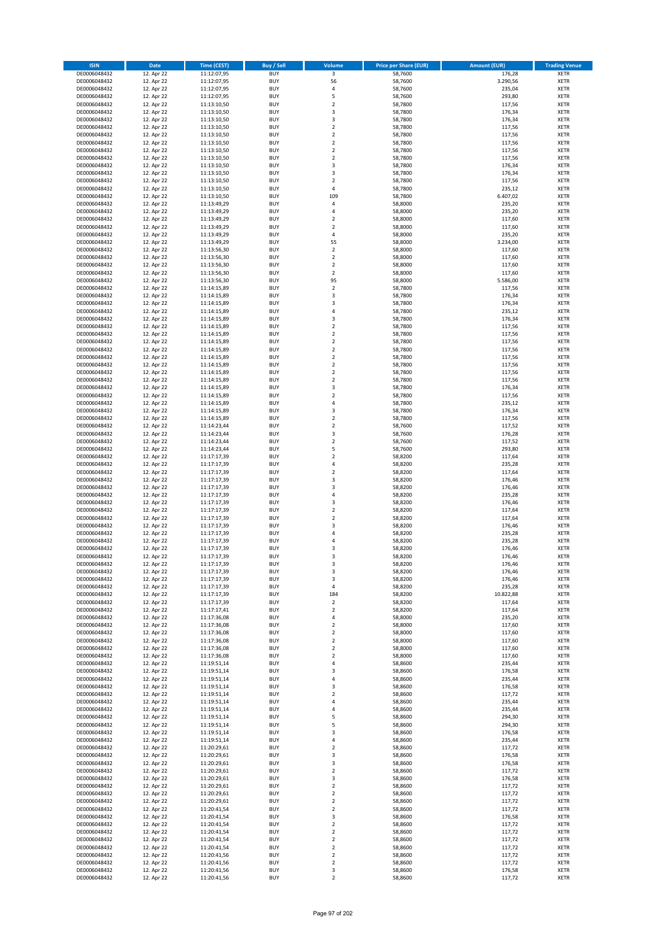| <b>ISIN</b>                  | <b>Date</b>              | Time (CEST)                | <b>Buy / Sell</b>        | Volume                                 | <b>Price per Share (EUR)</b> | Amount (EUR)     | <b>Trading Venue</b>       |
|------------------------------|--------------------------|----------------------------|--------------------------|----------------------------------------|------------------------------|------------------|----------------------------|
| DE0006048432                 | 12. Apr 22               | 11:12:07,95                | <b>BUY</b>               | $\overline{\mathbf{3}}$                | 58,7600                      | 176,28           | <b>XETR</b>                |
| DE0006048432                 | 12. Apr 22               | 11:12:07,95                | <b>BUY</b>               | 56                                     | 58,7600                      | 3.290,56         | <b>XETR</b>                |
| DE0006048432                 | 12. Apr 22               | 11:12:07,95                | <b>BUY</b>               | 4                                      | 58,7600                      | 235,04           | <b>XETR</b>                |
| DE0006048432<br>DE0006048432 | 12. Apr 22<br>12. Apr 22 | 11:12:07,95<br>11:13:10,50 | <b>BUY</b><br><b>BUY</b> | 5<br>$\mathbf 2$                       | 58,7600<br>58,7800           | 293,80<br>117,56 | <b>XETR</b><br><b>XETR</b> |
| DE0006048432                 | 12. Apr 22               | 11:13:10,50                | <b>BUY</b>               | 3                                      | 58,7800                      | 176,34           | <b>XETR</b>                |
| DE0006048432                 | 12. Apr 22               | 11:13:10,50                | <b>BUY</b>               | 3                                      | 58,7800                      | 176,34           | <b>XETR</b>                |
| DE0006048432                 | 12. Apr 22               | 11:13:10,50                | <b>BUY</b>               | $\mathbf 2$                            | 58,7800                      | 117,56           | <b>XETR</b>                |
| DE0006048432                 | 12. Apr 22               | 11:13:10,50                | <b>BUY</b>               | $\overline{2}$                         | 58,7800                      | 117,56           | <b>XETR</b>                |
| DE0006048432                 | 12. Apr 22               | 11:13:10,50                | <b>BUY</b>               | $\overline{2}$                         | 58,7800                      | 117,56           | <b>XETR</b>                |
| DE0006048432                 | 12. Apr 22               | 11:13:10,50                | <b>BUY</b>               | $\mathbf 2$                            | 58,7800                      | 117,56           | <b>XETR</b>                |
| DE0006048432<br>DE0006048432 | 12. Apr 22<br>12. Apr 22 | 11:13:10,50<br>11:13:10,50 | <b>BUY</b><br><b>BUY</b> | $\mathbf 2$<br>3                       | 58,7800<br>58,7800           | 117,56<br>176,34 | <b>XETR</b><br><b>XETR</b> |
| DE0006048432                 | 12. Apr 22               | 11:13:10,50                | <b>BUY</b>               | 3                                      | 58,7800                      | 176,34           | <b>XETR</b>                |
| DE0006048432                 | 12. Apr 22               | 11:13:10,50                | <b>BUY</b>               | $\mathbf 2$                            | 58,7800                      | 117,56           | <b>XETR</b>                |
| DE0006048432                 | 12. Apr 22               | 11:13:10,50                | <b>BUY</b>               | 4                                      | 58,7800                      | 235,12           | <b>XETR</b>                |
| DE0006048432                 | 12. Apr 22               | 11:13:10,50                | <b>BUY</b>               | 109                                    | 58,7800                      | 6.407,02         | <b>XETR</b>                |
| DE0006048432                 | 12. Apr 22               | 11:13:49,29                | <b>BUY</b>               | 4                                      | 58,8000                      | 235,20           | <b>XETR</b>                |
| DE0006048432                 | 12. Apr 22               | 11:13:49,29                | <b>BUY</b>               | 4                                      | 58,8000                      | 235,20           | <b>XETR</b>                |
| DE0006048432                 | 12. Apr 22               | 11:13:49,29                | <b>BUY</b>               | $\mathbf 2$                            | 58,8000                      | 117,60           | <b>XETR</b>                |
| DE0006048432<br>DE0006048432 | 12. Apr 22<br>12. Apr 22 | 11:13:49,29<br>11:13:49,29 | <b>BUY</b><br><b>BUY</b> | $\overline{\mathbf{c}}$<br>4           | 58,8000<br>58,8000           | 117,60<br>235,20 | <b>XETR</b><br><b>XETR</b> |
| DE0006048432                 | 12. Apr 22               | 11:13:49,29                | <b>BUY</b>               | 55                                     | 58,8000                      | 3.234,00         | <b>XETR</b>                |
| DE0006048432                 | 12. Apr 22               | 11:13:56,30                | <b>BUY</b>               | $\mathbf 2$                            | 58,8000                      | 117,60           | <b>XETR</b>                |
| DE0006048432                 | 12. Apr 22               | 11:13:56,30                | <b>BUY</b>               | $\mathbf 2$                            | 58,8000                      | 117,60           | <b>XETR</b>                |
| DE0006048432                 | 12. Apr 22               | 11:13:56,30                | <b>BUY</b>               | $\mathbf 2$                            | 58,8000                      | 117,60           | <b>XETR</b>                |
| DE0006048432                 | 12. Apr 22               | 11:13:56,30                | <b>BUY</b>               | $\mathbf 2$                            | 58,8000                      | 117,60           | <b>XETR</b>                |
| DE0006048432                 | 12. Apr 22               | 11:13:56,30                | <b>BUY</b>               | 95                                     | 58,8000                      | 5.586.00         | <b>XETR</b>                |
| DE0006048432<br>DE0006048432 | 12. Apr 22<br>12. Apr 22 | 11:14:15,89<br>11:14:15,89 | <b>BUY</b><br><b>BUY</b> | $\mathbf 2$<br>3                       | 58,7800<br>58,7800           | 117,56<br>176,34 | <b>XETR</b><br><b>XETR</b> |
| DE0006048432                 | 12. Apr 22               | 11:14:15,89                | <b>BUY</b>               | 3                                      | 58,7800                      | 176,34           | <b>XETR</b>                |
| DE0006048432                 | 12. Apr 22               | 11:14:15,89                | <b>BUY</b>               | 4                                      | 58,7800                      | 235,12           | <b>XETR</b>                |
| DE0006048432                 | 12. Apr 22               | 11:14:15,89                | <b>BUY</b>               | 3                                      | 58,7800                      | 176,34           | <b>XETR</b>                |
| DE0006048432                 | 12. Apr 22               | 11:14:15,89                | <b>BUY</b>               | $\mathbf 2$                            | 58,7800                      | 117,56           | <b>XETR</b>                |
| DE0006048432                 | 12. Apr 22               | 11:14:15,89                | <b>BUY</b>               | $\overline{2}$                         | 58,7800                      | 117,56           | <b>XETR</b>                |
| DE0006048432                 | 12. Apr 22               | 11:14:15,89                | <b>BUY</b>               | $\mathbf 2$                            | 58,7800                      | 117,56           | <b>XETR</b>                |
| DE0006048432<br>DE0006048432 | 12. Apr 22<br>12. Apr 22 | 11:14:15,89<br>11:14:15,89 | <b>BUY</b><br><b>BUY</b> | $\overline{\mathbf{c}}$<br>$\mathbf 2$ | 58,7800<br>58,7800           | 117,56<br>117,56 | <b>XETR</b><br><b>XETR</b> |
| DE0006048432                 | 12. Apr 22               | 11:14:15,89                | <b>BUY</b>               | $\mathbf 2$                            | 58,7800                      | 117,56           | <b>XETR</b>                |
| DE0006048432                 | 12. Apr 22               | 11:14:15,89                | <b>BUY</b>               | $\mathbf 2$                            | 58,7800                      | 117,56           | <b>XETR</b>                |
| DE0006048432                 | 12. Apr 22               | 11:14:15,89                | <b>BUY</b>               | $\mathbf 2$                            | 58,7800                      | 117,56           | <b>XETR</b>                |
| DE0006048432                 | 12. Apr 22               | 11:14:15,89                | <b>BUY</b>               | 3                                      | 58,7800                      | 176,34           | <b>XETR</b>                |
| DE0006048432                 | 12. Apr 22               | 11:14:15,89                | <b>BUY</b>               | $\mathbf 2$                            | 58,7800                      | 117,56           | <b>XETR</b>                |
| DE0006048432                 | 12. Apr 22               | 11:14:15,89                | <b>BUY</b>               | 4                                      | 58,7800                      | 235,12           | <b>XETR</b>                |
| DE0006048432                 | 12. Apr 22               | 11:14:15,89                | <b>BUY</b>               | 3                                      | 58,7800                      | 176,34           | <b>XETR</b>                |
| DE0006048432<br>DE0006048432 | 12. Apr 22<br>12. Apr 22 | 11:14:15,89<br>11:14:23,44 | <b>BUY</b><br><b>BUY</b> | $\overline{\mathbf{2}}$<br>$\mathbf 2$ | 58,7800<br>58,7600           | 117,56<br>117,52 | <b>XETR</b><br><b>XETR</b> |
| DE0006048432                 | 12. Apr 22               | 11:14:23,44                | <b>BUY</b>               | 3                                      | 58,7600                      | 176,28           | <b>XETR</b>                |
| DE0006048432                 | 12. Apr 22               | 11:14:23,44                | <b>BUY</b>               | $\mathbf 2$                            | 58,7600                      | 117,52           | <b>XETR</b>                |
| DE0006048432                 | 12. Apr 22               | 11:14:23,44                | <b>BUY</b>               | 5                                      | 58,7600                      | 293,80           | <b>XETR</b>                |
| DE0006048432                 | 12. Apr 22               | 11:17:17,39                | <b>BUY</b>               | $\mathbf 2$                            | 58,8200                      | 117,64           | <b>XETR</b>                |
| DE0006048432                 | 12. Apr 22               | 11:17:17,39                | <b>BUY</b>               | 4                                      | 58,8200                      | 235,28           | <b>XETR</b>                |
| DE0006048432                 | 12. Apr 22               | 11:17:17,39                | <b>BUY</b><br><b>BUY</b> | $\mathbf 2$                            | 58,8200                      | 117,64           | <b>XETR</b>                |
| DE0006048432<br>DE0006048432 | 12. Apr 22<br>12. Apr 22 | 11:17:17,39<br>11:17:17,39 | <b>BUY</b>               | 3<br>3                                 | 58,8200<br>58,8200           | 176,46<br>176,46 | <b>XETR</b><br><b>XETR</b> |
| DE0006048432                 | 12. Apr 22               | 11:17:17,39                | <b>BUY</b>               | 4                                      | 58,8200                      | 235,28           | <b>XETR</b>                |
| DE0006048432                 | 12. Apr 22               | 11:17:17,39                | <b>BUY</b>               | 3                                      | 58,8200                      | 176,46           | <b>XETR</b>                |
| DE0006048432                 | 12. Apr 22               | 11:17:17,39                | <b>BUY</b>               | $\mathbf 2$                            | 58,8200                      | 117,64           | <b>XETR</b>                |
| DE0006048432                 | 12. Apr 22               | 11:17:17,39                | <b>BUY</b>               | $\mathbf 2$                            | 58,8200                      | 117,64           | <b>XETR</b>                |
| DE0006048432                 | 12. Apr 22               | 11:17:17,39                | <b>BUY</b>               | 3                                      | 58,8200                      | 176,46           | <b>XETR</b>                |
| DE0006048432                 | 12. Apr 22               | 11:17:17,39                | <b>BUY</b>               | 4                                      | 58,8200                      | 235,28           | <b>XETR</b>                |
| DE0006048432<br>DE0006048432 | 12. Apr 22<br>12. Apr 22 | 11:17:17,39<br>11:17:17,39 | <b>BUY</b><br><b>BUY</b> | 4<br>3                                 | 58,8200<br>58,8200           | 235,28<br>176,46 | <b>XETR</b><br><b>XETR</b> |
| DE0006048432                 | 12. Apr 22               | 11:17:17,39                | <b>BUY</b>               | 3                                      | 58,8200                      | 176,46           | <b>XETR</b>                |
| DE0006048432                 | 12. Apr 22               | 11:17:17,39                | BUY                      | 3                                      | 58,8200                      | 176,46           | <b>XETR</b>                |
| DE0006048432                 | 12. Apr 22               | 11:17:17,39                | <b>BUY</b>               | 3                                      | 58,8200                      | 176,46           | <b>XETR</b>                |
| DE0006048432                 | 12. Apr 22               | 11:17:17,39                | <b>BUY</b>               | 3                                      | 58,8200                      | 176,46           | <b>XETR</b>                |
| DE0006048432                 | 12. Apr 22               | 11:17:17,39                | <b>BUY</b>               | 4                                      | 58,8200                      | 235,28           | XETR                       |
| DE0006048432<br>DE0006048432 | 12. Apr 22<br>12. Apr 22 | 11:17:17,39<br>11:17:17,39 | <b>BUY</b>               | 184                                    | 58,8200                      | 10.822,88        | <b>XETR</b>                |
| DE0006048432                 | 12. Apr 22               | 11:17:17,41                | <b>BUY</b><br><b>BUY</b> | 2<br>$\mathbf 2$                       | 58,8200<br>58,8200           | 117,64<br>117,64 | <b>XETR</b><br><b>XETR</b> |
| DE0006048432                 | 12. Apr 22               | 11:17:36,08                | <b>BUY</b>               | 4                                      | 58,8000                      | 235,20           | <b>XETR</b>                |
| DE0006048432                 | 12. Apr 22               | 11:17:36,08                | <b>BUY</b>               | $\mathbf 2$                            | 58,8000                      | 117,60           | <b>XETR</b>                |
| DE0006048432                 | 12. Apr 22               | 11:17:36,08                | <b>BUY</b>               | $\mathbf 2$                            | 58,8000                      | 117,60           | <b>XETR</b>                |
| DE0006048432                 | 12. Apr 22               | 11:17:36,08                | <b>BUY</b>               | $\mathbf 2$                            | 58,8000                      | 117,60           | <b>XETR</b>                |
| DE0006048432                 | 12. Apr 22               | 11:17:36,08                | <b>BUY</b>               | $\overline{2}$                         | 58,8000                      | 117,60           | <b>XETR</b>                |
| DE0006048432<br>DE0006048432 | 12. Apr 22<br>12. Apr 22 | 11:17:36,08<br>11:19:51,14 | <b>BUY</b><br><b>BUY</b> | $\mathbf 2$<br>4                       | 58,8000<br>58,8600           | 117,60<br>235,44 | <b>XETR</b><br><b>XETR</b> |
| DE0006048432                 | 12. Apr 22               | 11:19:51,14                | <b>BUY</b>               | 3                                      | 58,8600                      | 176,58           | <b>XETR</b>                |
| DE0006048432                 | 12. Apr 22               | 11:19:51,14                | <b>BUY</b>               | 4                                      | 58,8600                      | 235,44           | <b>XETR</b>                |
| DE0006048432                 | 12. Apr 22               | 11:19:51,14                | <b>BUY</b>               | 3                                      | 58,8600                      | 176,58           | <b>XETR</b>                |
| DE0006048432                 | 12. Apr 22               | 11:19:51,14                | <b>BUY</b>               | $\overline{2}$                         | 58,8600                      | 117,72           | <b>XETR</b>                |
| DE0006048432                 | 12. Apr 22               | 11:19:51,14                | <b>BUY</b>               | 4                                      | 58,8600                      | 235,44           | XETR                       |
| DE0006048432                 | 12. Apr 22               | 11:19:51,14                | <b>BUY</b>               | 4                                      | 58,8600                      | 235,44           | <b>XETR</b>                |
| DE0006048432<br>DE0006048432 | 12. Apr 22<br>12. Apr 22 | 11:19:51,14<br>11:19:51,14 | <b>BUY</b><br><b>BUY</b> | 5<br>5                                 | 58,8600<br>58,8600           | 294,30<br>294,30 | <b>XETR</b><br><b>XETR</b> |
| DE0006048432                 | 12. Apr 22               | 11:19:51,14                | <b>BUY</b>               | 3                                      | 58,8600                      | 176,58           | <b>XETR</b>                |
| DE0006048432                 | 12. Apr 22               | 11:19:51,14                | <b>BUY</b>               | 4                                      | 58,8600                      | 235,44           | <b>XETR</b>                |
| DE0006048432                 | 12. Apr 22               | 11:20:29,61                | <b>BUY</b>               | $\mathbf 2$                            | 58,8600                      | 117,72           | <b>XETR</b>                |
| DE0006048432                 | 12. Apr 22               | 11:20:29,61                | <b>BUY</b>               | 3                                      | 58,8600                      | 176,58           | <b>XETR</b>                |
| DE0006048432                 | 12. Apr 22               | 11:20:29,61                | <b>BUY</b>               | 3                                      | 58,8600                      | 176,58           | <b>XETR</b>                |
| DE0006048432<br>DE0006048432 | 12. Apr 22<br>12. Apr 22 | 11:20:29,61<br>11:20:29,61 | <b>BUY</b><br><b>BUY</b> | $\overline{2}$<br>3                    | 58,8600<br>58,8600           | 117,72<br>176,58 | <b>XETR</b><br><b>XETR</b> |
| DE0006048432                 | 12. Apr 22               | 11:20:29,61                | <b>BUY</b>               | $\overline{\mathbf{c}}$                | 58,8600                      | 117,72           | <b>XETR</b>                |
| DE0006048432                 | 12. Apr 22               | 11:20:29,61                | <b>BUY</b>               | $\mathbf 2$                            | 58,8600                      | 117,72           | <b>XETR</b>                |
| DE0006048432                 | 12. Apr 22               | 11:20:29,61                | <b>BUY</b>               | 2                                      | 58,8600                      | 117,72           | <b>XETR</b>                |
| DE0006048432                 | 12. Apr 22               | 11:20:41,54                | <b>BUY</b>               | $\mathbf 2$                            | 58,8600                      | 117,72           | <b>XETR</b>                |
| DE0006048432                 | 12. Apr 22               | 11:20:41,54                | <b>BUY</b>               | 3                                      | 58,8600                      | 176,58           | <b>XETR</b>                |
| DE0006048432                 | 12. Apr 22               | 11:20:41,54                | <b>BUY</b><br><b>BUY</b> | $\mathbf 2$                            | 58,8600                      | 117,72           | <b>XETR</b>                |
| DE0006048432<br>DE0006048432 | 12. Apr 22<br>12. Apr 22 | 11:20:41,54<br>11:20:41,54 | <b>BUY</b>               | $\mathbf 2$<br>$\overline{\mathbf{c}}$ | 58,8600<br>58,8600           | 117,72<br>117,72 | <b>XETR</b><br><b>XETR</b> |
| DE0006048432                 | 12. Apr 22               | 11:20:41,54                | <b>BUY</b>               | $\mathbf 2$                            | 58,8600                      | 117,72           | <b>XETR</b>                |
| DE0006048432                 | 12. Apr 22               | 11:20:41,56                | <b>BUY</b>               | $\overline{2}$                         | 58,8600                      | 117,72           | <b>XETR</b>                |
| DE0006048432                 | 12. Apr 22               | 11:20:41,56                | <b>BUY</b>               | $\mathbf 2$                            | 58,8600                      | 117,72           | <b>XETR</b>                |
| DE0006048432                 | 12. Apr 22               | 11:20:41,56                | <b>BUY</b>               | 3                                      | 58,8600                      | 176,58           | <b>XETR</b>                |
| DE0006048432                 | 12. Apr 22               | 11:20:41,56                | <b>BUY</b>               | $\overline{2}$                         | 58,8600                      | 117,72           | <b>XETR</b>                |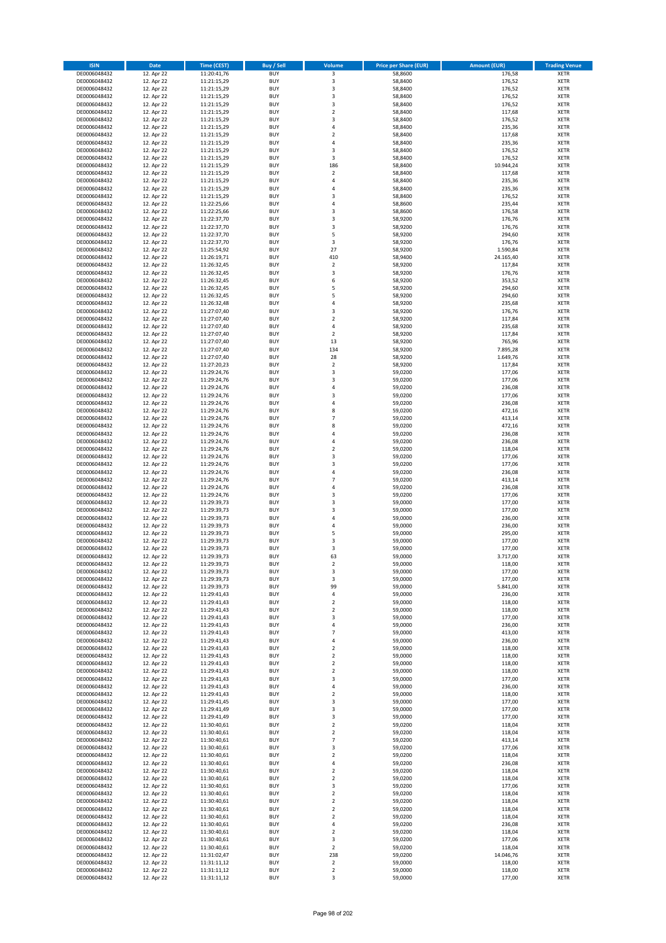| <b>ISIN</b>                  | Date                     | Time (CEST)                | Buy / Sell               | Volume                           | <b>Price per Share (EUR)</b> | <b>Amount (EUR)</b> | <b>Trading Venue</b>       |
|------------------------------|--------------------------|----------------------------|--------------------------|----------------------------------|------------------------------|---------------------|----------------------------|
| DE0006048432                 | 12. Apr 22               | 11:20:41,76                | <b>BUY</b>               | $\overline{\mathbf{3}}$          | 58,8600                      | 176,58              | <b>XETR</b>                |
| DE0006048432                 | 12. Apr 22               | 11:21:15,29                | <b>BUY</b>               | 3                                | 58,8400                      | 176,52              | XETR                       |
| DE0006048432                 | 12. Apr 22               | 11:21:15,29                | <b>BUY</b>               | 3                                | 58,8400                      | 176,52              | <b>XETR</b>                |
| DE0006048432<br>DE0006048432 | 12. Apr 22<br>12. Apr 22 | 11:21:15,29<br>11:21:15,29 | <b>BUY</b><br><b>BUY</b> | $\mathsf 3$<br>3                 | 58,8400<br>58,8400           | 176,52<br>176,52    | <b>XETR</b><br><b>XETR</b> |
| DE0006048432                 | 12. Apr 22               | 11:21:15,29                | <b>BUY</b>               | $\mathbf 2$                      | 58,8400                      | 117,68              | <b>XETR</b>                |
| DE0006048432                 | 12. Apr 22               | 11:21:15,29                | <b>BUY</b>               | 3                                | 58,8400                      | 176,52              | <b>XETR</b>                |
| DE0006048432                 | 12. Apr 22               | 11:21:15,29                | <b>BUY</b>               | $\pmb{4}$                        | 58,8400                      | 235,36              | <b>XETR</b>                |
| DE0006048432                 | 12. Apr 22               | 11:21:15,29                | <b>BUY</b>               | $\overline{2}$                   | 58,8400                      | 117,68              | <b>XETR</b>                |
| DE0006048432                 | 12. Apr 22               | 11:21:15,29                | <b>BUY</b><br><b>BUY</b> | $\sqrt{4}$                       | 58,8400                      | 235,36              | <b>XETR</b><br><b>XETR</b> |
| DE0006048432<br>DE0006048432 | 12. Apr 22<br>12. Apr 22 | 11:21:15,29<br>11:21:15,29 | <b>BUY</b>               | $\mathsf 3$<br>3                 | 58,8400<br>58,8400           | 176,52<br>176,52    | <b>XETR</b>                |
| DE0006048432                 | 12. Apr 22               | 11:21:15,29                | <b>BUY</b>               | 186                              | 58,8400                      | 10.944,24           | <b>XETR</b>                |
| DE0006048432                 | 12. Apr 22               | 11:21:15,29                | <b>BUY</b>               | $\overline{2}$                   | 58,8400                      | 117,68              | <b>XETR</b>                |
| DE0006048432                 | 12. Apr 22               | 11:21:15,29                | <b>BUY</b>               | 4                                | 58,8400                      | 235,36              | <b>XETR</b>                |
| DE0006048432                 | 12. Apr 22               | 11:21:15,29                | <b>BUY</b>               | $\overline{a}$                   | 58,8400                      | 235,36              | <b>XETR</b>                |
| DE0006048432<br>DE0006048432 | 12. Apr 22<br>12. Apr 22 | 11:21:15,29<br>11:22:25,66 | <b>BUY</b><br><b>BUY</b> | 3<br>$\pmb{4}$                   | 58,8400<br>58,8600           | 176,52<br>235,44    | <b>XETR</b><br><b>XETR</b> |
| DE0006048432                 | 12. Apr 22               | 11:22:25,66                | <b>BUY</b>               | 3                                | 58,8600                      | 176,58              | <b>XETR</b>                |
| DE0006048432                 | 12. Apr 22               | 11:22:37,70                | <b>BUY</b>               | 3                                | 58,9200                      | 176,76              | <b>XETR</b>                |
| DE0006048432                 | 12. Apr 22               | 11:22:37,70                | <b>BUY</b>               | 3                                | 58,9200                      | 176,76              | <b>XETR</b>                |
| DE0006048432                 | 12. Apr 22               | 11:22:37,70                | <b>BUY</b>               | 5                                | 58,9200                      | 294,60              | <b>XETR</b>                |
| DE0006048432<br>DE0006048432 | 12. Apr 22<br>12. Apr 22 | 11:22:37,70<br>11:25:54,92 | <b>BUY</b><br><b>BUY</b> | 3<br>27                          | 58,9200<br>58,9200           | 176,76<br>1.590,84  | <b>XETR</b><br><b>XETR</b> |
| DE0006048432                 | 12. Apr 22               | 11:26:19,71                | <b>BUY</b>               | 410                              | 58,9400                      | 24.165,40           | <b>XETR</b>                |
| DE0006048432                 | 12. Apr 22               | 11:26:32,45                | <b>BUY</b>               | $\mathbf 2$                      | 58,9200                      | 117,84              | <b>XETR</b>                |
| DE0006048432                 | 12. Apr 22               | 11:26:32,45                | <b>BUY</b>               | $\mathsf 3$                      | 58,9200                      | 176,76              | <b>XETR</b>                |
| DE0006048432                 | 12. Apr 22               | 11:26:32,45                | <b>BUY</b>               | 6                                | 58,9200                      | 353,52              | <b>XETR</b>                |
| DE0006048432<br>DE0006048432 | 12. Apr 22<br>12. Apr 22 | 11:26:32,45<br>11:26:32,45 | <b>BUY</b><br><b>BUY</b> | 5<br>5                           | 58,9200<br>58,9200           | 294,60<br>294,60    | <b>XETR</b><br><b>XETR</b> |
| DE0006048432                 | 12. Apr 22               | 11:26:32,48                | <b>BUY</b>               | $\sqrt{4}$                       | 58,9200                      | 235,68              | <b>XETR</b>                |
| DE0006048432                 | 12. Apr 22               | 11:27:07,40                | <b>BUY</b>               | 3                                | 58,9200                      | 176,76              | <b>XETR</b>                |
| DE0006048432                 | 12. Apr 22               | 11:27:07,40                | <b>BUY</b>               | $\mathbf 2$                      | 58,9200                      | 117,84              | <b>XETR</b>                |
| DE0006048432                 | 12. Apr 22               | 11:27:07,40                | <b>BUY</b>               | $\overline{4}$                   | 58,9200                      | 235,68              | <b>XETR</b>                |
| DE0006048432                 | 12. Apr 22               | 11:27:07,40                | <b>BUY</b>               | $\mathbf 2$                      | 58,9200                      | 117,84              | <b>XETR</b>                |
| DE0006048432<br>DE0006048432 | 12. Apr 22<br>12. Apr 22 | 11:27:07,40<br>11:27:07,40 | <b>BUY</b><br><b>BUY</b> | 13<br>134                        | 58,9200<br>58,9200           | 765,96<br>7.895,28  | <b>XETR</b><br><b>XETR</b> |
| DE0006048432                 | 12. Apr 22               | 11:27:07,40                | <b>BUY</b>               | 28                               | 58,9200                      | 1.649,76            | <b>XETR</b>                |
| DE0006048432                 | 12. Apr 22               | 11:27:20,23                | <b>BUY</b>               | $\overline{2}$                   | 58,9200                      | 117,84              | <b>XETR</b>                |
| DE0006048432                 | 12. Apr 22               | 11:29:24,76                | <b>BUY</b>               | 3                                | 59,0200                      | 177,06              | <b>XETR</b>                |
| DE0006048432                 | 12. Apr 22               | 11:29:24,76                | <b>BUY</b>               | 3                                | 59,0200                      | 177,06              | <b>XETR</b>                |
| DE0006048432<br>DE0006048432 | 12. Apr 22<br>12. Apr 22 | 11:29:24,76                | <b>BUY</b><br><b>BUY</b> | 4<br>$\mathsf 3$                 | 59,0200<br>59,0200           | 236,08<br>177,06    | <b>XETR</b><br><b>XETR</b> |
| DE0006048432                 | 12. Apr 22               | 11:29:24,76<br>11:29:24,76 | <b>BUY</b>               | 4                                | 59,0200                      | 236,08              | <b>XETR</b>                |
| DE0006048432                 | 12. Apr 22               | 11:29:24,76                | <b>BUY</b>               | 8                                | 59,0200                      | 472,16              | <b>XETR</b>                |
| DE0006048432                 | 12. Apr 22               | 11:29:24,76                | <b>BUY</b>               | $\overline{7}$                   | 59,0200                      | 413,14              | <b>XETR</b>                |
| DE0006048432                 | 12. Apr 22               | 11:29:24,76                | <b>BUY</b>               | 8                                | 59,0200                      | 472,16              | <b>XETR</b>                |
| DE0006048432                 | 12. Apr 22               | 11:29:24,76                | <b>BUY</b>               | $\overline{4}$                   | 59,0200                      | 236,08              | <b>XETR</b>                |
| DE0006048432<br>DE0006048432 | 12. Apr 22<br>12. Apr 22 | 11:29:24,76<br>11:29:24,76 | <b>BUY</b><br><b>BUY</b> | 4<br>$\mathbf 2$                 | 59,0200<br>59,0200           | 236,08<br>118,04    | <b>XETR</b><br><b>XETR</b> |
| DE0006048432                 | 12. Apr 22               | 11:29:24,76                | <b>BUY</b>               | 3                                | 59,0200                      | 177,06              | <b>XETR</b>                |
| DE0006048432                 | 12. Apr 22               | 11:29:24,76                | <b>BUY</b>               | 3                                | 59,0200                      | 177,06              | <b>XETR</b>                |
| DE0006048432                 | 12. Apr 22               | 11:29:24,76                | <b>BUY</b>               | 4                                | 59,0200                      | 236,08              | <b>XETR</b>                |
| DE0006048432                 | 12. Apr 22               | 11:29:24,76                | <b>BUY</b>               | $\overline{7}$                   | 59,0200                      | 413,14              | <b>XETR</b>                |
| DE0006048432<br>DE0006048432 | 12. Apr 22<br>12. Apr 22 | 11:29:24,76<br>11:29:24,76 | <b>BUY</b><br><b>BUY</b> | 4<br>3                           | 59,0200<br>59,0200           | 236,08<br>177,06    | <b>XETR</b><br><b>XETR</b> |
| DE0006048432                 | 12. Apr 22               | 11:29:39,73                | <b>BUY</b>               | 3                                | 59,0000                      | 177,00              | <b>XETR</b>                |
| DE0006048432                 | 12. Apr 22               | 11:29:39,73                | <b>BUY</b>               | 3                                | 59,0000                      | 177,00              | <b>XETR</b>                |
| DE0006048432                 | 12. Apr 22               | 11:29:39,73                | <b>BUY</b>               | $\overline{4}$                   | 59,0000                      | 236,00              | <b>XETR</b>                |
| DE0006048432                 | 12. Apr 22               | 11:29:39,73                | <b>BUY</b>               | 4                                | 59,0000                      | 236,00              | <b>XETR</b>                |
| DE0006048432<br>DE0006048432 | 12. Apr 22<br>12. Apr 22 | 11:29:39,73<br>11:29:39,73 | <b>BUY</b><br><b>BUY</b> | 5<br>3                           | 59,0000<br>59,0000           | 295,00<br>177,00    | <b>XETR</b><br><b>XETR</b> |
| DE0006048432                 | 12. Apr 22               | 11:29:39,73                | <b>BUY</b>               | 3                                | 59,0000                      | 177,00              | <b>XETR</b>                |
| DE0006048432                 | 12. Apr 22               | 11:29:39,73                | <b>BUY</b>               | 63                               | 59,0000                      | 3.717,00            | <b>XETR</b>                |
| DE0006048432                 | 12. Apr 22               | 11:29:39,73                | <b>BUY</b>               | $\mathbf 2$                      | 59,0000                      | 118,00              | XETR                       |
| DE0006048432                 | 12. Apr 22               | 11:29:39,73                | <b>BUY</b>               | 3                                | 59,0000                      | 177,00              | <b>XETR</b>                |
| DE0006048432<br>DE0006048432 | 12. Apr 22<br>12. Apr 22 | 11:29:39,73<br>11:29:39,73 | <b>BUY</b><br><b>BUY</b> | 3<br>99                          | 59,0000<br>59,0000           | 177,00<br>5.841,00  | <b>XETR</b><br><b>XETR</b> |
| DE0006048432                 | 12. Apr 22               | 11:29:41,43                | <b>BUY</b>               | $\pmb{4}$                        | 59,0000                      | 236,00              | <b>XETR</b>                |
| DE0006048432                 | 12. Apr 22               | 11:29:41,43                | <b>BUY</b>               | $\mathbf 2$                      | 59,0000                      | 118,00              | <b>XETR</b>                |
| DE0006048432                 | 12. Apr 22               | 11:29:41,43                | <b>BUY</b>               | $\mathbf 2$                      | 59,0000                      | 118,00              | <b>XETR</b>                |
| DE0006048432                 | 12. Apr 22               | 11:29:41,43                | <b>BUY</b>               | 3                                | 59,0000                      | 177,00              | <b>XETR</b>                |
| DE0006048432<br>DE0006048432 | 12. Apr 22<br>12. Apr 22 | 11:29:41,43<br>11:29:41,43 | <b>BUY</b><br><b>BUY</b> | 4<br>$\overline{7}$              | 59,0000<br>59,0000           | 236,00<br>413,00    | XETR<br><b>XETR</b>        |
| DE0006048432                 | 12. Apr 22               | 11:29:41,43                | <b>BUY</b>               | 4                                | 59,0000                      | 236,00              | XETR                       |
| DE0006048432                 | 12. Apr 22               | 11:29:41,43                | <b>BUY</b>               | $\overline{2}$                   | 59,0000                      | 118,00              | <b>XETR</b>                |
| DE0006048432                 | 12. Apr 22               | 11:29:41,43                | <b>BUY</b>               | $\mathbf 2$                      | 59,0000                      | 118,00              | XETR                       |
| DE0006048432                 | 12. Apr 22<br>12. Apr 22 | 11:29:41,43                | <b>BUY</b><br><b>BUY</b> | $\overline{2}$<br>$\overline{2}$ | 59,0000<br>59,0000           | 118,00<br>118,00    | <b>XETR</b>                |
| DE0006048432<br>DE0006048432 | 12. Apr 22               | 11:29:41,43<br>11:29:41,43 | <b>BUY</b>               | 3                                | 59,0000                      | 177,00              | <b>XETR</b><br><b>XETR</b> |
| DE0006048432                 | 12. Apr 22               | 11:29:41,43                | <b>BUY</b>               | 4                                | 59,0000                      | 236,00              | <b>XETR</b>                |
| DE0006048432                 | 12. Apr 22               | 11:29:41,43                | <b>BUY</b>               | $\overline{2}$                   | 59,0000                      | 118,00              | <b>XETR</b>                |
| DE0006048432                 | 12. Apr 22               | 11:29:41,45                | <b>BUY</b>               | 3                                | 59,0000                      | 177,00              | XETR                       |
| DE0006048432<br>DE0006048432 | 12. Apr 22               | 11:29:41,49                | <b>BUY</b><br><b>BUY</b> | 3<br>3                           | 59,0000<br>59,0000           | 177,00              | <b>XETR</b><br><b>XETR</b> |
| DE0006048432                 | 12. Apr 22<br>12. Apr 22 | 11:29:41,49<br>11:30:40,61 | <b>BUY</b>               | $\mathbf 2$                      | 59,0200                      | 177,00<br>118,04    | <b>XETR</b>                |
| DE0006048432                 | 12. Apr 22               | 11:30:40,61                | <b>BUY</b>               | $\overline{2}$                   | 59,0200                      | 118,04              | XETR                       |
| DE0006048432                 | 12. Apr 22               | 11:30:40,61                | <b>BUY</b>               | $\overline{7}$                   | 59,0200                      | 413,14              | XETR                       |
| DE0006048432                 | 12. Apr 22               | 11:30:40,61                | <b>BUY</b>               | 3                                | 59,0200                      | 177,06              | XETR                       |
| DE0006048432                 | 12. Apr 22               | 11:30:40,61                | <b>BUY</b>               | $\mathbf 2$                      | 59,0200                      | 118,04              | XETR                       |
| DE0006048432<br>DE0006048432 | 12. Apr 22<br>12. Apr 22 | 11:30:40,61<br>11:30:40,61 | <b>BUY</b><br><b>BUY</b> | 4<br>$\overline{2}$              | 59,0200<br>59,0200           | 236,08<br>118,04    | XETR<br><b>XETR</b>        |
| DE0006048432                 | 12. Apr 22               | 11:30:40,61                | <b>BUY</b>               | $\mathbf 2$                      | 59,0200                      | 118,04              | <b>XETR</b>                |
| DE0006048432                 | 12. Apr 22               | 11:30:40,61                | <b>BUY</b>               | 3                                | 59,0200                      | 177,06              | <b>XETR</b>                |
| DE0006048432                 | 12. Apr 22               | 11:30:40,61                | <b>BUY</b>               | $\mathbf 2$                      | 59,0200                      | 118,04              | XETR                       |
| DE0006048432                 | 12. Apr 22               | 11:30:40,61                | <b>BUY</b>               | $\mathbf 2$                      | 59,0200                      | 118,04              | XETR                       |
| DE0006048432<br>DE0006048432 | 12. Apr 22<br>12. Apr 22 | 11:30:40,61<br>11:30:40,61 | <b>BUY</b><br><b>BUY</b> | $\mathbf 2$<br>$\mathbf 2$       | 59,0200<br>59,0200           | 118,04<br>118,04    | XETR<br><b>XETR</b>        |
| DE0006048432                 | 12. Apr 22               | 11:30:40,61                | <b>BUY</b>               | $\sqrt{4}$                       | 59,0200                      | 236,08              | <b>XETR</b>                |
| DE0006048432                 | 12. Apr 22               | 11:30:40,61                | <b>BUY</b>               | $\mathbf 2$                      | 59,0200                      | 118,04              | <b>XETR</b>                |
| DE0006048432                 | 12. Apr 22               | 11:30:40,61                | <b>BUY</b>               | 3                                | 59,0200                      | 177,06              | <b>XETR</b>                |
| DE0006048432                 | 12. Apr 22               | 11:30:40,61                | <b>BUY</b>               | $\overline{2}$                   | 59,0200                      | 118,04              | XETR                       |
| DE0006048432<br>DE0006048432 | 12. Apr 22<br>12. Apr 22 | 11:31:02,47                | <b>BUY</b>               | 238<br>$\mathbf 2$               | 59,0200<br>59,0000           | 14.046,76<br>118,00 | <b>XETR</b>                |
| DE0006048432                 | 12. Apr 22               | 11:31:11,12<br>11:31:11,12 | <b>BUY</b><br><b>BUY</b> | $\mathbf 2$                      | 59,0000                      | 118,00              | XETR<br><b>XETR</b>        |
| DE0006048432                 | 12. Apr 22               | 11:31:11,12                | <b>BUY</b>               | 3                                | 59,0000                      | 177,00              | XETR                       |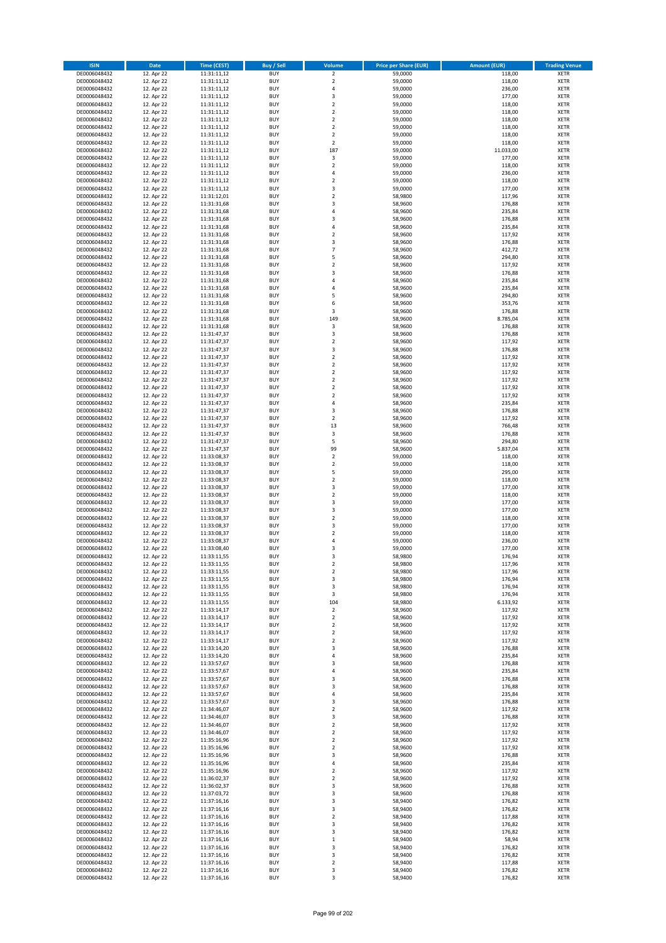| <b>ISIN</b>                  | <b>Date</b>              | Time (CEST)                | <b>Buy / Sell</b>        | Volume                                             | <b>Price per Share (EUR)</b> | <b>Amount (EUR)</b> | <b>Trading Venue</b>       |
|------------------------------|--------------------------|----------------------------|--------------------------|----------------------------------------------------|------------------------------|---------------------|----------------------------|
| DE0006048432                 | 12. Apr 22               | 11:31:11,12                | <b>BUY</b>               | $\overline{\mathbf{2}}$                            | 59,0000                      | 118,00              | <b>XETR</b>                |
| DE0006048432                 | 12. Apr 22               | 11:31:11,12                | <b>BUY</b>               | $\mathbf 2$                                        | 59,0000                      | 118,00              | <b>XETR</b>                |
| DE0006048432                 | 12. Apr 22               | 11:31:11,12                | <b>BUY</b>               | $\overline{4}$                                     | 59.0000                      | 236,00              | <b>XETR</b>                |
| DE0006048432                 | 12. Apr 22               | 11:31:11,12                | <b>BUY</b>               | 3                                                  | 59,0000                      | 177,00              | <b>XETR</b>                |
| DE0006048432<br>DE0006048432 | 12. Apr 22<br>12. Apr 22 | 11:31:11,12<br>11:31:11,12 | <b>BUY</b><br><b>BUY</b> | $\overline{2}$<br>$\mathbf 2$                      | 59,0000<br>59,0000           | 118,00<br>118,00    | <b>XETR</b><br><b>XETR</b> |
| DE0006048432                 | 12. Apr 22               | 11:31:11,12                | <b>BUY</b>               | $\overline{2}$                                     | 59,0000                      | 118,00              | <b>XETR</b>                |
| DE0006048432                 | 12. Apr 22               | 11:31:11,12                | <b>BUY</b>               | $\overline{2}$                                     | 59,0000                      | 118,00              | <b>XETR</b>                |
| DE0006048432                 | 12. Apr 22               | 11:31:11,12                | <b>BUY</b>               | $\mathbf 2$                                        | 59,0000                      | 118,00              | <b>XETR</b>                |
| DE0006048432                 | 12. Apr 22               | 11:31:11,12                | <b>BUY</b>               | $\overline{2}$                                     | 59,0000                      | 118,00              | <b>XETR</b>                |
| DE0006048432                 | 12. Apr 22               | 11:31:11,12                | <b>BUY</b>               | 187                                                | 59,0000                      | 11.033,00           | <b>XETR</b>                |
| DE0006048432                 | 12. Apr 22               | 11:31:11,12                | <b>BUY</b><br><b>BUY</b> | 3<br>$\overline{2}$                                | 59,0000                      | 177,00              | <b>XETR</b>                |
| DE0006048432<br>DE0006048432 | 12. Apr 22<br>12. Apr 22 | 11:31:11,12<br>11:31:11,12 | <b>BUY</b>               | $\overline{a}$                                     | 59,0000<br>59,0000           | 118,00<br>236,00    | <b>XETR</b><br><b>XETR</b> |
| DE0006048432                 | 12. Apr 22               | 11:31:11,12                | <b>BUY</b>               | $\overline{2}$                                     | 59,0000                      | 118,00              | <b>XETR</b>                |
| DE0006048432                 | 12. Apr 22               | 11:31:11,12                | <b>BUY</b>               | 3                                                  | 59,0000                      | 177,00              | <b>XETR</b>                |
| DE0006048432                 | 12. Apr 22               | 11:31:12,01                | <b>BUY</b>               | $\overline{2}$                                     | 58,9800                      | 117,96              | <b>XETR</b>                |
| DE0006048432                 | 12. Apr 22               | 11:31:31,68                | <b>BUY</b>               | 3                                                  | 58,9600                      | 176,88              | <b>XETR</b>                |
| DE0006048432                 | 12. Apr 22<br>12. Apr 22 | 11:31:31,68                | <b>BUY</b>               | $\overline{4}$<br>$\overline{\mathbf{3}}$          | 58.9600                      | 235,84              | <b>XETR</b>                |
| DE0006048432<br>DE0006048432 | 12. Apr 22               | 11:31:31,68<br>11:31:31,68 | <b>BUY</b><br><b>BUY</b> | $\overline{a}$                                     | 58,9600<br>58,9600           | 176,88<br>235,84    | <b>XETR</b><br><b>XETR</b> |
| DE0006048432                 | 12. Apr 22               | 11:31:31,68                | <b>BUY</b>               | $\mathbf 2$                                        | 58,9600                      | 117,92              | <b>XETR</b>                |
| DE0006048432                 | 12. Apr 22               | 11:31:31,68                | <b>BUY</b>               | $\overline{3}$                                     | 58,9600                      | 176,88              | <b>XETR</b>                |
| DE0006048432                 | 12. Apr 22               | 11:31:31,68                | <b>BUY</b>               | $\overline{7}$                                     | 58,9600                      | 412,72              | <b>XETR</b>                |
| DE0006048432                 | 12. Apr 22               | 11:31:31,68                | <b>BUY</b>               | 5                                                  | 58,9600                      | 294,80              | <b>XETR</b>                |
| DE0006048432                 | 12. Apr 22               | 11:31:31,68                | <b>BUY</b>               | $\mathbf 2$                                        | 58,9600                      | 117,92              | <b>XETR</b>                |
| DE0006048432<br>DE0006048432 | 12. Apr 22<br>12. Apr 22 | 11:31:31,68                | <b>BUY</b><br><b>BUY</b> | $\overline{\mathbf{3}}$<br>$\overline{4}$          | 58,9600<br>58,9600           | 176,88<br>235,84    | <b>XETR</b><br><b>XETR</b> |
| DE0006048432                 | 12. Apr 22               | 11:31:31,68<br>11:31:31,68 | <b>BUY</b>               | $\overline{4}$                                     | 58,9600                      | 235,84              | <b>XETR</b>                |
| DE0006048432                 | 12. Apr 22               | 11:31:31,68                | <b>BUY</b>               | 5                                                  | 58,9600                      | 294,80              | <b>XETR</b>                |
| DE0006048432                 | 12. Apr 22               | 11:31:31,68                | <b>BUY</b>               | 6                                                  | 58,9600                      | 353,76              | <b>XETR</b>                |
| DE0006048432                 | 12. Apr 22               | 11:31:31,68                | <b>BUY</b>               | 3                                                  | 58,9600                      | 176,88              | <b>XETR</b>                |
| DE0006048432                 | 12. Apr 22               | 11:31:31,68                | <b>BUY</b>               | 149                                                | 58,9600                      | 8.785,04            | <b>XETR</b>                |
| DE0006048432                 | 12. Apr 22               | 11:31:31,68                | <b>BUY</b>               | 3                                                  | 58,9600                      | 176,88              | <b>XETR</b>                |
| DE0006048432<br>DE0006048432 | 12. Apr 22<br>12. Apr 22 | 11:31:47,37<br>11:31:47,37 | <b>BUY</b><br><b>BUY</b> | 3<br>$\mathbf 2$                                   | 58,9600<br>58,9600           | 176,88<br>117,92    | <b>XETR</b><br><b>XETR</b> |
| DE0006048432                 | 12. Apr 22               | 11:31:47,37                | <b>BUY</b>               | $\overline{\mathbf{3}}$                            | 58,9600                      | 176,88              | <b>XETR</b>                |
| DE0006048432                 | 12. Apr 22               | 11:31:47,37                | <b>BUY</b>               | $\mathbf 2$                                        | 58,9600                      | 117,92              | <b>XETR</b>                |
| DE0006048432                 | 12. Apr 22               | 11:31:47,37                | <b>BUY</b>               | $\mathbf 2$                                        | 58,9600                      | 117,92              | <b>XETR</b>                |
| DE0006048432                 | 12. Apr 22               | 11:31:47,37                | <b>BUY</b>               | $\mathbf 2$                                        | 58,9600                      | 117,92              | <b>XETR</b>                |
| DE0006048432                 | 12. Apr 22               | 11:31:47,37                | <b>BUY</b>               | $\overline{2}$                                     | 58,9600                      | 117,92              | <b>XETR</b>                |
| DE0006048432<br>DE0006048432 | 12. Apr 22<br>12. Apr 22 | 11:31:47,37<br>11:31:47,37 | <b>BUY</b><br><b>BUY</b> | $\overline{2}$<br>$\mathbf 2$                      | 58,9600<br>58,9600           | 117,92<br>117,92    | <b>XETR</b><br><b>XETR</b> |
| DE0006048432                 | 12. Apr 22               | 11:31:47,37                | <b>BUY</b>               | $\overline{a}$                                     | 58,9600                      | 235,84              | <b>XETR</b>                |
| DE0006048432                 | 12. Apr 22               | 11:31:47,37                | <b>BUY</b>               | 3                                                  | 58,9600                      | 176,88              | <b>XETR</b>                |
| DE0006048432                 | 12. Apr 22               | 11:31:47,37                | <b>BUY</b>               | $\overline{2}$                                     | 58,9600                      | 117,92              | <b>XETR</b>                |
| DE0006048432                 | 12. Apr 22               | 11:31:47,37                | <b>BUY</b>               | 13                                                 | 58,9600                      | 766,48              | <b>XETR</b>                |
| DE0006048432                 | 12. Apr 22               | 11:31:47,37                | <b>BUY</b>               | 3                                                  | 58,9600                      | 176,88              | <b>XETR</b>                |
| DE0006048432<br>DE0006048432 | 12. Apr 22<br>12. Apr 22 | 11:31:47,37<br>11:31:47,37 | <b>BUY</b><br><b>BUY</b> | 5<br>99                                            | 58,9600<br>58,9600           | 294,80<br>5.837,04  | <b>XETR</b><br><b>XETR</b> |
| DE0006048432                 | 12. Apr 22               | 11:33:08,37                | <b>BUY</b>               | $\overline{2}$                                     | 59,0000                      | 118,00              | <b>XETR</b>                |
| DE0006048432                 | 12. Apr 22               | 11:33:08,37                | <b>BUY</b>               | $\overline{2}$                                     | 59,0000                      | 118,00              | <b>XETR</b>                |
| DE0006048432                 | 12. Apr 22               | 11:33:08,37                | <b>BUY</b>               | 5                                                  | 59,0000                      | 295,00              | <b>XETR</b>                |
| DE0006048432                 | 12. Apr 22               | 11:33:08,37                | <b>BUY</b>               | $\mathbf 2$                                        | 59,0000                      | 118,00              | <b>XETR</b>                |
| DE0006048432                 | 12. Apr 22               | 11:33:08,37                | <b>BUY</b>               | $\overline{\mathbf{3}}$                            | 59,0000                      | 177,00              | <b>XETR</b>                |
| DE0006048432                 | 12. Apr 22<br>12. Apr 22 | 11:33:08,37                | <b>BUY</b>               | $\overline{2}$                                     | 59,0000                      | 118,00              | <b>XETR</b>                |
| DE0006048432<br>DE0006048432 | 12. Apr 22               | 11:33:08,37<br>11:33:08,37 | <b>BUY</b><br><b>BUY</b> | $\overline{\mathbf{3}}$<br>$\overline{\mathbf{3}}$ | 59,0000<br>59,0000           | 177,00<br>177,00    | <b>XETR</b><br><b>XETR</b> |
| DE0006048432                 | 12. Apr 22               | 11:33:08,37                | BUY                      | $\overline{2}$                                     | 59,0000                      | 118,00              | <b>XETR</b>                |
| DE0006048432                 | 12. Apr 22               | 11:33:08,37                | <b>BUY</b>               | 3                                                  | 59,0000                      | 177,00              | <b>XETR</b>                |
| DE0006048432                 | 12. Apr 22               | 11:33:08,37                | <b>BUY</b>               | $\mathbf 2$                                        | 59,0000                      | 118,00              | <b>XETR</b>                |
| DE0006048432                 | 12. Apr 22               | 11:33:08,37                | BUY                      | 4                                                  | 59,0000                      | 236,00              | <b>XETR</b>                |
| DE0006048432                 | 12. Apr 22               | 11:33:08,40                | BUY                      | $\overline{\mathbf{3}}$                            | 59,0000                      | 177,00              | <b>XETR</b>                |
| DE0006048432<br>DE0006048432 | 12. Apr 22<br>12. Apr 22 | 11:33:11,55<br>11:33:11,55 | <b>BUY</b><br>BUY        | $\overline{3}$<br>2                                | 58,9800<br>58,9800           | 176,94<br>117,96    | <b>XETR</b><br><b>XETR</b> |
| DE0006048432                 | 12. Apr 22               | 11:33:11,55                | <b>BUY</b>               | $\mathbf 2$                                        | 58,9800                      | 117,96              | <b>XETR</b>                |
| DE0006048432                 | 12. Apr 22               | 11:33:11,55                | <b>BUY</b>               | 3                                                  | 58,9800                      | 176,94              | <b>XETR</b>                |
| DE0006048432                 | 12. Apr 22               | 11:33:11,55                | <b>BUY</b>               | 3                                                  | 58,9800                      | 176,94              | <b>XETR</b>                |
| DE0006048432                 | 12. Apr 22               | 11:33:11,55                | <b>BUY</b>               | 3                                                  | 58,9800                      | 176,94              | <b>XETR</b>                |
| DE0006048432                 | 12. Apr 22               | 11:33:11,55                | <b>BUY</b>               | 104                                                | 58,9800                      | 6.133,92            | <b>XETR</b>                |
| DE0006048432<br>DE0006048432 | 12. Apr 22<br>12. Apr 22 | 11:33:14,17                | <b>BUY</b><br><b>BUY</b> | $\mathbf 2$                                        | 58,9600<br>58,9600           | 117,92<br>117,92    | <b>XETR</b>                |
| DE0006048432                 | 12. Apr 22               | 11:33:14,17<br>11:33:14,17 | <b>BUY</b>               | 2<br>$\mathbf 2$                                   | 58,9600                      | 117,92              | <b>XETR</b><br><b>XETR</b> |
| DE0006048432                 | 12. Apr 22               | 11:33:14,17                | <b>BUY</b>               | $\mathbf 2$                                        | 58,9600                      | 117,92              | <b>XETR</b>                |
| DE0006048432                 | 12. Apr 22               | 11:33:14,17                | <b>BUY</b>               | 2                                                  | 58,9600                      | 117,92              | <b>XETR</b>                |
| DE0006048432                 | 12. Apr 22               | 11:33:14,20                | <b>BUY</b>               | 3                                                  | 58,9600                      | 176,88              | <b>XETR</b>                |
| DE0006048432                 | 12. Apr 22               | 11:33:14,20                | <b>BUY</b>               | 4<br>$\overline{\mathbf{3}}$                       | 58,9600                      | 235,84              | <b>XETR</b>                |
| DE0006048432<br>DE0006048432 | 12. Apr 22<br>12. Apr 22 | 11:33:57,67<br>11:33:57,67 | <b>BUY</b><br><b>BUY</b> | 4                                                  | 58,9600<br>58,9600           | 176,88<br>235,84    | <b>XETR</b><br><b>XETR</b> |
| DE0006048432                 | 12. Apr 22               | 11:33:57,67                | <b>BUY</b>               | $\overline{\mathbf{3}}$                            | 58,9600                      | 176,88              | <b>XETR</b>                |
| DE0006048432                 | 12. Apr 22               | 11:33:57,67                | <b>BUY</b>               | 3                                                  | 58,9600                      | 176,88              | <b>XETR</b>                |
| DE0006048432                 | 12. Apr 22               | 11:33:57,67                | <b>BUY</b>               | 4                                                  | 58,9600                      | 235,84              | <b>XETR</b>                |
| DE0006048432                 | 12. Apr 22               | 11:33:57,67                | <b>BUY</b>               | 3                                                  | 58,9600                      | 176,88              | <b>XETR</b>                |
| DE0006048432                 | 12. Apr 22               | 11:34:46,07                | <b>BUY</b>               | $\mathbf 2$                                        | 58,9600                      | 117,92              | <b>XETR</b>                |
| DE0006048432<br>DE0006048432 | 12. Apr 22<br>12. Apr 22 | 11:34:46,07<br>11:34:46,07 | <b>BUY</b><br><b>BUY</b> | $\overline{\mathbf{3}}$<br>$\mathbf 2$             | 58,9600<br>58,9600           | 176,88<br>117,92    | <b>XETR</b><br><b>XETR</b> |
| DE0006048432                 | 12. Apr 22               | 11:34:46,07                | <b>BUY</b>               | $\overline{\mathbf{2}}$                            | 58,9600                      | 117,92              | <b>XETR</b>                |
| DE0006048432                 | 12. Apr 22               | 11:35:16,96                | <b>BUY</b>               | $\mathbf 2$                                        | 58,9600                      | 117,92              | <b>XETR</b>                |
| DE0006048432                 | 12. Apr 22               | 11:35:16,96                | <b>BUY</b>               | $\mathbf 2$                                        | 58,9600                      | 117,92              | <b>XETR</b>                |
| DE0006048432                 | 12. Apr 22               | 11:35:16,96                | <b>BUY</b>               | 3                                                  | 58,9600                      | 176,88              | <b>XETR</b>                |
| DE0006048432                 | 12. Apr 22               | 11:35:16,96                | <b>BUY</b>               | 4                                                  | 58,9600                      | 235,84              | <b>XETR</b>                |
| DE0006048432                 | 12. Apr 22               | 11:35:16,96                | <b>BUY</b>               | $\overline{\mathbf{2}}$                            | 58,9600                      | 117,92              | <b>XETR</b>                |
| DE0006048432<br>DE0006048432 | 12. Apr 22<br>12. Apr 22 | 11:36:02,37<br>11:36:02,37 | <b>BUY</b><br><b>BUY</b> | 2<br>$\overline{\mathbf{3}}$                       | 58,9600<br>58,9600           | 117,92<br>176,88    | <b>XETR</b><br><b>XETR</b> |
| DE0006048432                 | 12. Apr 22               | 11:37:03,72                | <b>BUY</b>               | 3                                                  | 58,9600                      | 176,88              | <b>XETR</b>                |
| DE0006048432                 | 12. Apr 22               | 11:37:16,16                | <b>BUY</b>               | 3                                                  | 58,9400                      | 176,82              | <b>XETR</b>                |
| DE0006048432                 | 12. Apr 22               | 11:37:16,16                | <b>BUY</b>               | 3                                                  | 58,9400                      | 176,82              | <b>XETR</b>                |
| DE0006048432                 | 12. Apr 22               | 11:37:16,16                | <b>BUY</b>               | $\overline{2}$                                     | 58,9400                      | 117,88              | <b>XETR</b>                |
| DE0006048432                 | 12. Apr 22               | 11:37:16,16                | <b>BUY</b>               | 3                                                  | 58,9400                      | 176,82              | <b>XETR</b>                |
| DE0006048432<br>DE0006048432 | 12. Apr 22<br>12. Apr 22 | 11:37:16,16<br>11:37:16,16 | <b>BUY</b><br><b>BUY</b> | 3<br>$\mathbf{1}$                                  | 58,9400<br>58,9400           | 176,82<br>58,94     | <b>XETR</b><br><b>XETR</b> |
| DE0006048432                 | 12. Apr 22               | 11:37:16,16                | <b>BUY</b>               | 3                                                  | 58,9400                      | 176,82              | <b>XETR</b>                |
| DE0006048432                 | 12. Apr 22               | 11:37:16,16                | <b>BUY</b>               | 3                                                  | 58,9400                      | 176,82              | <b>XETR</b>                |
| DE0006048432                 | 12. Apr 22               | 11:37:16,16                | <b>BUY</b>               | $\mathbf 2$                                        | 58,9400                      | 117,88              | <b>XETR</b>                |
| DE0006048432                 | 12. Apr 22               | 11:37:16,16                | <b>BUY</b>               | 3                                                  | 58,9400                      | 176,82              | <b>XETR</b>                |
| DE0006048432                 | 12. Apr 22               | 11:37:16,16                | <b>BUY</b>               | 3                                                  | 58,9400                      | 176,82              | <b>XETR</b>                |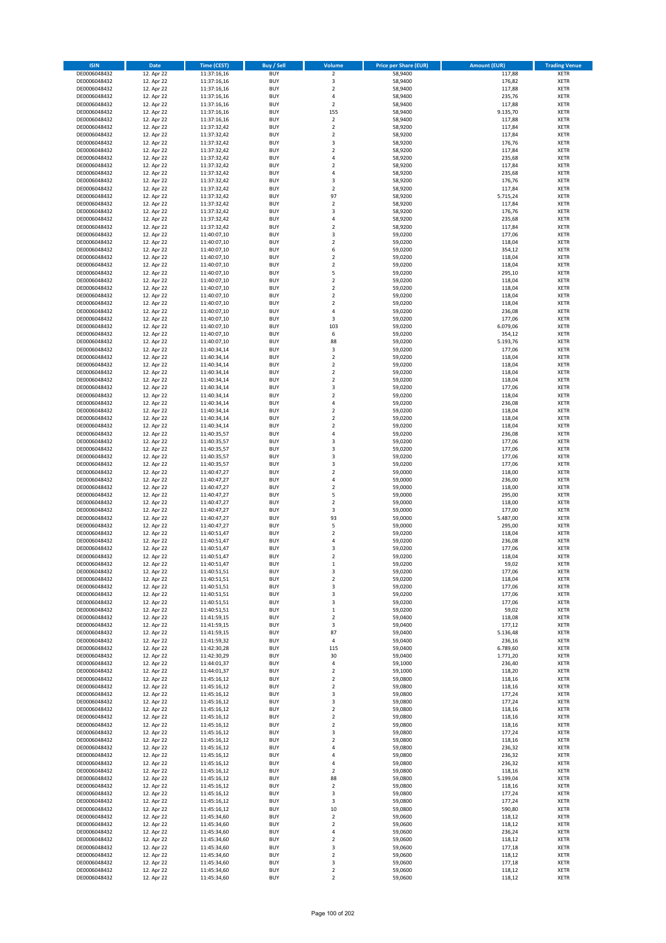| <b>ISIN</b>                  | <b>Date</b>              | Time (CEST)                | <b>Buy / Sell</b>        | Volume                                 | <b>Price per Share (EUR)</b> | <b>Amount (EUR)</b>  | <b>Trading Venue</b>       |
|------------------------------|--------------------------|----------------------------|--------------------------|----------------------------------------|------------------------------|----------------------|----------------------------|
| DE0006048432                 | 12. Apr 22               | 11:37:16,16                | <b>BUY</b>               | $\overline{2}$                         | 58,9400                      | 117,88               | <b>XETR</b>                |
| DE0006048432                 | 12. Apr 22               | 11:37:16,16                | <b>BUY</b>               | 3                                      | 58,9400                      | 176,82               | <b>XETR</b>                |
| DE0006048432                 | 12. Apr 22               | 11:37:16,16                | <b>BUY</b>               | $\overline{2}$                         | 58,9400                      | 117,88               | <b>XETR</b>                |
| DE0006048432<br>DE0006048432 | 12. Apr 22<br>12. Apr 22 | 11:37:16,16<br>11:37:16,16 | <b>BUY</b><br><b>BUY</b> | 4<br>$\overline{\mathbf{c}}$           | 58,9400<br>58,9400           | 235,76<br>117,88     | <b>XETR</b><br><b>XETR</b> |
| DE0006048432                 | 12. Apr 22               | 11:37:16,16                | <b>BUY</b>               | 155                                    | 58,9400                      | 9.135,70             | <b>XETR</b>                |
| DE0006048432                 | 12. Apr 22               | 11:37:16,16                | <b>BUY</b>               | $\overline{2}$                         | 58,9400                      | 117,88               | <b>XETR</b>                |
| DE0006048432                 | 12. Apr 22               | 11:37:32,42                | <b>BUY</b>               | $\mathbf 2$                            | 58,9200                      | 117,84               | <b>XETR</b>                |
| DE0006048432                 | 12. Apr 22               | 11:37:32,42                | <b>BUY</b><br><b>BUY</b> | $\overline{2}$<br>3                    | 58,9200                      | 117,84               | <b>XETR</b>                |
| DE0006048432<br>DE0006048432 | 12. Apr 22<br>12. Apr 22 | 11:37:32,42<br>11:37:32,42 | <b>BUY</b>               | $\mathbf 2$                            | 58,9200<br>58,9200           | 176,76<br>117,84     | <b>XETR</b><br><b>XETR</b> |
| DE0006048432                 | 12. Apr 22               | 11:37:32,42                | <b>BUY</b>               | 4                                      | 58,9200                      | 235,68               | <b>XETR</b>                |
| DE0006048432                 | 12. Apr 22               | 11:37:32,42                | <b>BUY</b>               | $\overline{\mathbf{c}}$                | 58,9200                      | 117,84               | <b>XETR</b>                |
| DE0006048432                 | 12. Apr 22               | 11:37:32,42                | <b>BUY</b>               | 4                                      | 58,9200                      | 235,68               | <b>XETR</b>                |
| DE0006048432                 | 12. Apr 22               | 11:37:32,42                | <b>BUY</b>               | 3                                      | 58,9200                      | 176,76               | <b>XETR</b>                |
| DE0006048432<br>DE0006048432 | 12. Apr 22<br>12. Apr 22 | 11:37:32,42<br>11:37:32,42 | <b>BUY</b><br><b>BUY</b> | $\overline{\mathbf{c}}$<br>97          | 58,9200<br>58,9200           | 117,84<br>5.715,24   | <b>XETR</b><br><b>XETR</b> |
| DE0006048432                 | 12. Apr 22               | 11:37:32,42                | <b>BUY</b>               | $\mathbf 2$                            | 58,9200                      | 117,84               | <b>XETR</b>                |
| DE0006048432                 | 12. Apr 22               | 11:37:32,42                | <b>BUY</b>               | 3                                      | 58,9200                      | 176,76               | <b>XETR</b>                |
| DE0006048432                 | 12. Apr 22               | 11:37:32,42                | <b>BUY</b>               | 4                                      | 58,9200                      | 235,68               | <b>XETR</b>                |
| DE0006048432                 | 12. Apr 22               | 11:37:32,42                | <b>BUY</b>               | $\overline{\mathbf{c}}$                | 58,9200                      | 117,84               | <b>XETR</b>                |
| DE0006048432<br>DE0006048432 | 12. Apr 22<br>12. Apr 22 | 11:40:07,10<br>11:40:07,10 | <b>BUY</b><br><b>BUY</b> | 3<br>$\mathbf 2$                       | 59,0200<br>59,0200           | 177,06<br>118,04     | <b>XETR</b><br><b>XETR</b> |
| DE0006048432                 | 12. Apr 22               | 11:40:07,10                | <b>BUY</b>               | 6                                      | 59,0200                      | 354,12               | <b>XETR</b>                |
| DE0006048432                 | 12. Apr 22               | 11:40:07,10                | <b>BUY</b>               | $\mathbf 2$                            | 59,0200                      | 118,04               | <b>XETR</b>                |
| DE0006048432                 | 12. Apr 22               | 11:40:07,10                | <b>BUY</b>               | $\mathbf 2$                            | 59,0200                      | 118,04               | <b>XETR</b>                |
| DE0006048432                 | 12. Apr 22               | 11:40:07,10                | <b>BUY</b>               | 5                                      | 59,0200                      | 295,10               | <b>XETR</b>                |
| DE0006048432<br>DE0006048432 | 12. Apr 22<br>12. Apr 22 | 11:40:07,10<br>11:40:07,10 | <b>BUY</b><br><b>BUY</b> | $\overline{\mathbf{c}}$<br>$\mathbf 2$ | 59,0200<br>59,0200           | 118,04<br>118,04     | <b>XETR</b><br><b>XETR</b> |
| DE0006048432                 | 12. Apr 22               | 11:40:07,10                | <b>BUY</b>               | $\overline{\mathbf{c}}$                | 59,0200                      | 118,04               | <b>XETR</b>                |
| DE0006048432                 | 12. Apr 22               | 11:40:07,10                | <b>BUY</b>               | $\mathbf 2$                            | 59,0200                      | 118,04               | <b>XETR</b>                |
| DE0006048432                 | 12. Apr 22               | 11:40:07,10                | <b>BUY</b>               | 4                                      | 59,0200                      | 236,08               | <b>XETR</b>                |
| DE0006048432                 | 12. Apr 22               | 11:40:07,10                | <b>BUY</b>               | 3                                      | 59,0200                      | 177,06               | <b>XETR</b>                |
| DE0006048432<br>DE0006048432 | 12. Apr 22<br>12. Apr 22 | 11:40:07,10                | <b>BUY</b><br><b>BUY</b> | 103<br>6                               | 59,0200<br>59,0200           | 6.079,06             | <b>XETR</b><br><b>XETR</b> |
| DE0006048432                 | 12. Apr 22               | 11:40:07,10<br>11:40:07,10 | <b>BUY</b>               | 88                                     | 59,0200                      | 354,12<br>5.193,76   | <b>XETR</b>                |
| DE0006048432                 | 12. Apr 22               | 11:40:34,14                | <b>BUY</b>               | 3                                      | 59,0200                      | 177,06               | <b>XETR</b>                |
| DE0006048432                 | 12. Apr 22               | 11:40:34,14                | <b>BUY</b>               | $\mathbf 2$                            | 59,0200                      | 118,04               | <b>XETR</b>                |
| DE0006048432                 | 12. Apr 22               | 11:40:34,14                | <b>BUY</b>               | $\overline{2}$                         | 59,0200                      | 118,04               | <b>XETR</b>                |
| DE0006048432<br>DE0006048432 | 12. Apr 22<br>12. Apr 22 | 11:40:34,14                | <b>BUY</b><br><b>BUY</b> | $\mathbf 2$<br>$\mathbf 2$             | 59,0200                      | 118,04               | <b>XETR</b><br><b>XETR</b> |
| DE0006048432                 | 12. Apr 22               | 11:40:34,14<br>11:40:34,14 | <b>BUY</b>               | 3                                      | 59,0200<br>59,0200           | 118,04<br>177,06     | <b>XETR</b>                |
| DE0006048432                 | 12. Apr 22               | 11:40:34,14                | <b>BUY</b>               | $\mathbf 2$                            | 59,0200                      | 118,04               | <b>XETR</b>                |
| DE0006048432                 | 12. Apr 22               | 11:40:34,14                | <b>BUY</b>               | 4                                      | 59,0200                      | 236,08               | <b>XETR</b>                |
| DE0006048432                 | 12. Apr 22               | 11:40:34,14                | <b>BUY</b>               | $\mathbf 2$                            | 59,0200                      | 118,04               | <b>XETR</b>                |
| DE0006048432                 | 12. Apr 22               | 11:40:34,14                | <b>BUY</b>               | $\overline{2}$                         | 59,0200                      | 118,04               | <b>XETR</b>                |
| DE0006048432<br>DE0006048432 | 12. Apr 22<br>12. Apr 22 | 11:40:34,14<br>11:40:35,57 | <b>BUY</b><br><b>BUY</b> | $\mathbf 2$<br>4                       | 59,0200<br>59,0200           | 118,04<br>236,08     | <b>XETR</b><br><b>XETR</b> |
| DE0006048432                 | 12. Apr 22               | 11:40:35,57                | <b>BUY</b>               | 3                                      | 59,0200                      | 177,06               | <b>XETR</b>                |
| DE0006048432                 | 12. Apr 22               | 11:40:35,57                | <b>BUY</b>               | 3                                      | 59,0200                      | 177,06               | <b>XETR</b>                |
| DE0006048432                 | 12. Apr 22               | 11:40:35,57                | <b>BUY</b>               | 3                                      | 59,0200                      | 177,06               | <b>XETR</b>                |
| DE0006048432                 | 12. Apr 22               | 11:40:35,57                | <b>BUY</b>               | 3                                      | 59,0200                      | 177,06               | <b>XETR</b>                |
| DE0006048432<br>DE0006048432 | 12. Apr 22<br>12. Apr 22 | 11:40:47,27<br>11:40:47,27 | <b>BUY</b><br><b>BUY</b> | $\overline{\mathbf{c}}$<br>4           | 59,0000<br>59,0000           | 118,00<br>236,00     | <b>XETR</b><br><b>XETR</b> |
| DE0006048432                 | 12. Apr 22               | 11:40:47,27                | <b>BUY</b>               | $\overline{\mathbf{c}}$                | 59,0000                      | 118,00               | <b>XETR</b>                |
| DE0006048432                 | 12. Apr 22               | 11:40:47,27                | <b>BUY</b>               | 5                                      | 59,0000                      | 295,00               | <b>XETR</b>                |
| DE0006048432                 | 12. Apr 22               | 11:40:47,27                | <b>BUY</b>               | $\overline{\mathbf{c}}$                | 59,0000                      | 118,00               | <b>XETR</b>                |
| DE0006048432                 | 12. Apr 22               | 11:40:47,27                | <b>BUY</b>               | 3                                      | 59,0000                      | 177,00               | <b>XETR</b>                |
| DE0006048432<br>DE0006048432 | 12. Apr 22<br>12. Apr 22 | 11:40:47,27<br>11:40:47,27 | <b>BUY</b><br><b>BUY</b> | 93<br>5                                | 59,0000<br>59,0000           | 5.487,00<br>295,00   | <b>XETR</b><br><b>XETR</b> |
| DE0006048432                 | 12. Apr 22               | 11:40:51,47                | <b>BUY</b>               | $\mathbf 2$                            | 59,0200                      | 118,04               | <b>XETR</b>                |
| DE0006048432                 | 12. Apr 22               | 11:40:51,47                | <b>BUY</b>               | 4                                      | 59,0200                      | 236,08               | <b>XETR</b>                |
| DE0006048432                 | 12. Apr 22               | 11:40:51,47                | <b>BUY</b>               | 3                                      | 59,0200                      | 177,06               | <b>XETR</b>                |
| DE0006048432                 | 12. Apr 22               | 11:40:51,47                | <b>BUY</b>               | $\overline{2}$                         | 59,0200                      | 118,04               | <b>XETR</b>                |
| DE0006048432<br>DE0006048432 | 12. Apr 22<br>12. Apr 22 | 11:40:51,47<br>11:40:51,51 | BUY<br><b>BUY</b>        | $\mathbf 1$<br>3                       | 59,0200<br>59,0200           | 59,02<br>177,06      | <b>XETR</b><br><b>XETR</b> |
| DE0006048432                 | 12. Apr 22               | 11:40:51,51                | <b>BUY</b>               | $\mathbf 2$                            | 59,0200                      | 118,04               | <b>XETR</b>                |
| DE0006048432                 | 12. Apr 22               | 11:40:51,51                | <b>BUY</b>               | 3                                      | 59,0200                      | 177,06               | XETR                       |
| DE0006048432                 | 12. Apr 22               | 11:40:51,51                | <b>BUY</b>               | 3                                      | 59,0200                      | 177,06               | <b>XETR</b>                |
| DE0006048432<br>DE0006048432 | 12. Apr 22               | 11:40:51,51                | <b>BUY</b><br><b>BUY</b> | 3                                      | 59,0200<br>59,0200           | 177,06<br>59,02      | <b>XETR</b><br><b>XETR</b> |
| DE0006048432                 | 12. Apr 22<br>12. Apr 22 | 11:40:51,51<br>11:41:59,15 | <b>BUY</b>               | $\mathbf 1$<br>$\mathbf 2$             | 59,0400                      | 118,08               | <b>XETR</b>                |
| DE0006048432                 | 12. Apr 22               | 11:41:59,15                | <b>BUY</b>               | 3                                      | 59,0400                      | 177,12               | <b>XETR</b>                |
| DE0006048432                 | 12. Apr 22               | 11:41:59,15                | <b>BUY</b>               | 87                                     | 59,0400                      | 5.136,48             | <b>XETR</b>                |
| DE0006048432                 | 12. Apr 22               | 11:41:59,32                | <b>BUY</b>               | 4                                      | 59,0400                      | 236,16               | <b>XETR</b>                |
| DE0006048432<br>DE0006048432 | 12. Apr 22<br>12. Apr 22 | 11:42:30,28<br>11:42:30,29 | <b>BUY</b><br><b>BUY</b> | 115<br>30                              | 59.0400<br>59,0400           | 6.789,60<br>1.771,20 | <b>XETR</b><br><b>XETR</b> |
| DE0006048432                 | 12. Apr 22               | 11:44:01,37                | <b>BUY</b>               | 4                                      | 59,1000                      | 236,40               | <b>XETR</b>                |
| DE0006048432                 | 12. Apr 22               | 11:44:01,37                | <b>BUY</b>               | $\mathbf 2$                            | 59,1000                      | 118,20               | <b>XETR</b>                |
| DE0006048432                 | 12. Apr 22               | 11:45:16,12                | <b>BUY</b>               | $\overline{\mathbf{c}}$                | 59,0800                      | 118,16               | <b>XETR</b>                |
| DE0006048432                 | 12. Apr 22               | 11:45:16,12                | <b>BUY</b>               | $\mathbf 2$                            | 59,0800                      | 118,16               | <b>XETR</b>                |
| DE0006048432<br>DE0006048432 | 12. Apr 22<br>12. Apr 22 | 11:45:16,12<br>11:45:16,12 | <b>BUY</b><br><b>BUY</b> | 3<br>3                                 | 59,0800<br>59,0800           | 177,24<br>177,24     | <b>XETR</b><br>XETR        |
| DE0006048432                 | 12. Apr 22               | 11:45:16,12                | <b>BUY</b>               | $\mathbf 2$                            | 59,0800                      | 118,16               | <b>XETR</b>                |
| DE0006048432                 | 12. Apr 22               | 11:45:16,12                | <b>BUY</b>               | $\overline{2}$                         | 59,0800                      | 118,16               | <b>XETR</b>                |
| DE0006048432                 | 12. Apr 22               | 11:45:16,12                | <b>BUY</b>               | $\mathbf 2$                            | 59,0800                      | 118,16               | <b>XETR</b>                |
| DE0006048432                 | 12. Apr 22               | 11:45:16,12                | <b>BUY</b><br><b>BUY</b> | 3<br>$\mathbf 2$                       | 59,0800<br>59,0800           | 177,24               | <b>XETR</b><br><b>XETR</b> |
| DE0006048432<br>DE0006048432 | 12. Apr 22<br>12. Apr 22 | 11:45:16,12<br>11:45:16,12 | <b>BUY</b>               | 4                                      | 59,0800                      | 118,16<br>236,32     | <b>XETR</b>                |
| DE0006048432                 | 12. Apr 22               | 11:45:16,12                | <b>BUY</b>               | 4                                      | 59,0800                      | 236,32               | <b>XETR</b>                |
| DE0006048432                 | 12. Apr 22               | 11:45:16,12                | <b>BUY</b>               | 4                                      | 59,0800                      | 236,32               | <b>XETR</b>                |
| DE0006048432                 | 12. Apr 22               | 11:45:16,12                | <b>BUY</b>               | $\mathbf 2$                            | 59,0800                      | 118,16               | <b>XETR</b>                |
| DE0006048432                 | 12. Apr 22               | 11:45:16,12                | <b>BUY</b><br><b>BUY</b> | 88                                     | 59,0800                      | 5.199,04             | <b>XETR</b>                |
| DE0006048432<br>DE0006048432 | 12. Apr 22<br>12. Apr 22 | 11:45:16,12<br>11:45:16,12 | <b>BUY</b>               | $\mathbf 2$<br>3                       | 59,0800<br>59,0800           | 118,16<br>177,24     | <b>XETR</b><br><b>XETR</b> |
| DE0006048432                 | 12. Apr 22               | 11:45:16,12                | <b>BUY</b>               | 3                                      | 59,0800                      | 177,24               | <b>XETR</b>                |
| DE0006048432                 | 12. Apr 22               | 11:45:16,12                | <b>BUY</b>               | 10                                     | 59,0800                      | 590,80               | <b>XETR</b>                |
| DE0006048432                 | 12. Apr 22               | 11:45:34,60                | <b>BUY</b>               | $\mathbf 2$                            | 59,0600                      | 118,12               | <b>XETR</b>                |
| DE0006048432                 | 12. Apr 22<br>12. Apr 22 | 11:45:34,60                | <b>BUY</b><br><b>BUY</b> | $\mathbf 2$                            | 59,0600<br>59,0600           | 118,12<br>236,24     | <b>XETR</b>                |
| DE0006048432<br>DE0006048432 | 12. Apr 22               | 11:45:34,60<br>11:45:34,60 | <b>BUY</b>               | 4<br>$\overline{\mathbf{c}}$           | 59,0600                      | 118,12               | <b>XETR</b><br><b>XETR</b> |
| DE0006048432                 | 12. Apr 22               | 11:45:34,60                | <b>BUY</b>               | 3                                      | 59,0600                      | 177,18               | XETR                       |
| DE0006048432                 | 12. Apr 22               | 11:45:34,60                | <b>BUY</b>               | $\overline{2}$                         | 59,0600                      | 118,12               | <b>XETR</b>                |
| DE0006048432                 | 12. Apr 22               | 11:45:34,60                | <b>BUY</b>               | 3                                      | 59,0600                      | 177,18               | XETR                       |
| DE0006048432<br>DE0006048432 | 12. Apr 22<br>12. Apr 22 | 11:45:34,60<br>11:45:34,60 | <b>BUY</b><br><b>BUY</b> | $\mathbf 2$<br>$\overline{2}$          | 59,0600<br>59,0600           | 118,12<br>118,12     | <b>XETR</b><br><b>XETR</b> |
|                              |                          |                            |                          |                                        |                              |                      |                            |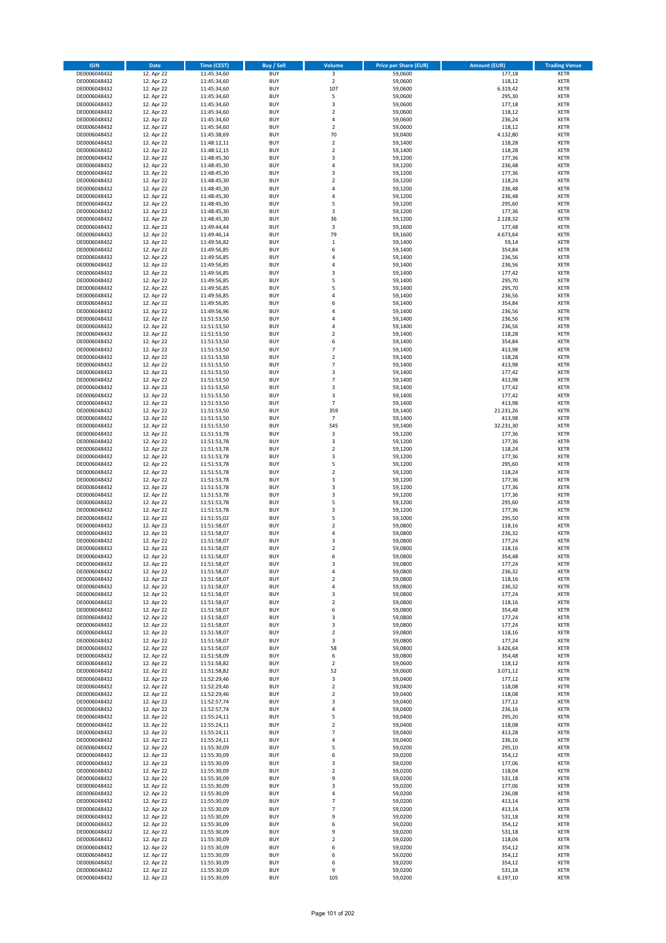| <b>ISIN</b>                  | <b>Date</b>              | Time (CEST)                | <b>Buy / Sell</b>        | Volume                       | <b>Price per Share (EUR)</b> | <b>Amount (EUR)</b> | <b>Trading Venue</b>       |
|------------------------------|--------------------------|----------------------------|--------------------------|------------------------------|------------------------------|---------------------|----------------------------|
| DE0006048432                 | 12. Apr 22               | 11:45:34,60                | <b>BUY</b>               | $\overline{\mathbf{3}}$      | 59,0600                      | 177,18              | <b>XETR</b>                |
| DE0006048432                 | 12. Apr 22               | 11:45:34,60                | <b>BUY</b>               | $\mathbf 2$                  | 59,0600                      | 118,12              | <b>XETR</b>                |
| DE0006048432                 | 12. Apr 22               | 11:45:34,60                | <b>BUY</b>               | 107                          | 59,0600                      | 6.319,42            | <b>XETR</b>                |
| DE0006048432<br>DE0006048432 | 12. Apr 22<br>12. Apr 22 | 11:45:34,60<br>11:45:34,60 | <b>BUY</b><br><b>BUY</b> | 5<br>3                       | 59,0600<br>59,0600           | 295,30<br>177,18    | <b>XETR</b><br><b>XETR</b> |
| DE0006048432                 | 12. Apr 22               | 11:45:34,60                | <b>BUY</b>               | $\mathbf 2$                  | 59,0600                      | 118,12              | <b>XETR</b>                |
| DE0006048432                 | 12. Apr 22               | 11:45:34,60                | <b>BUY</b>               | 4                            | 59,0600                      | 236,24              | <b>XETR</b>                |
| DE0006048432                 | 12. Apr 22               | 11:45:34,60                | <b>BUY</b>               | $\mathbf 2$                  | 59,0600                      | 118,12              | <b>XETR</b>                |
| DE0006048432                 | 12. Apr 22               | 11:45:38,69                | <b>BUY</b><br><b>BUY</b> | 70<br>$\mathbf 2$            | 59,0400                      | 4.132,80            | <b>XETR</b>                |
| DE0006048432<br>DE0006048432 | 12. Apr 22<br>12. Apr 22 | 11:48:12,11<br>11:48:12,15 | <b>BUY</b>               | $\mathbf 2$                  | 59,1400<br>59,1400           | 118,28<br>118,28    | <b>XETR</b><br><b>XETR</b> |
| DE0006048432                 | 12. Apr 22               | 11:48:45,30                | <b>BUY</b>               | 3                            | 59,1200                      | 177,36              | <b>XETR</b>                |
| DE0006048432                 | 12. Apr 22               | 11:48:45,30                | <b>BUY</b>               | 4                            | 59,1200                      | 236,48              | <b>XETR</b>                |
| DE0006048432                 | 12. Apr 22               | 11:48:45,30                | <b>BUY</b>               | 3                            | 59,1200                      | 177,36              | <b>XETR</b>                |
| DE0006048432                 | 12. Apr 22               | 11:48:45,30                | <b>BUY</b>               | $\mathbf 2$                  | 59,1200                      | 118,24              | <b>XETR</b>                |
| DE0006048432<br>DE0006048432 | 12. Apr 22<br>12. Apr 22 | 11:48:45,30<br>11:48:45,30 | <b>BUY</b><br><b>BUY</b> | 4<br>4                       | 59,1200<br>59,1200           | 236,48<br>236,48    | <b>XETR</b><br><b>XETR</b> |
| DE0006048432                 | 12. Apr 22               | 11:48:45,30                | <b>BUY</b>               | 5                            | 59,1200                      | 295,60              | <b>XETR</b>                |
| DE0006048432                 | 12. Apr 22               | 11:48:45,30                | <b>BUY</b>               | 3                            | 59,1200                      | 177,36              | <b>XETR</b>                |
| DE0006048432                 | 12. Apr 22               | 11:48:45,30                | <b>BUY</b>               | 36                           | 59,1200                      | 2.128,32            | <b>XETR</b>                |
| DE0006048432                 | 12. Apr 22               | 11:49:44,44                | <b>BUY</b>               | 3                            | 59,1600                      | 177,48              | <b>XETR</b>                |
| DE0006048432<br>DE0006048432 | 12. Apr 22               | 11:49:46,14<br>11:49:56,82 | <b>BUY</b><br><b>BUY</b> | 79<br>$\mathbf 1$            | 59,1600<br>59,1400           | 4.673,64            | <b>XETR</b><br><b>XETR</b> |
| DE0006048432                 | 12. Apr 22<br>12. Apr 22 | 11:49:56,85                | <b>BUY</b>               | 6                            | 59,1400                      | 59,14<br>354,84     | <b>XETR</b>                |
| DE0006048432                 | 12. Apr 22               | 11:49:56,85                | <b>BUY</b>               | 4                            | 59,1400                      | 236,56              | <b>XETR</b>                |
| DE0006048432                 | 12. Apr 22               | 11:49:56,85                | <b>BUY</b>               | 4                            | 59,1400                      | 236,56              | <b>XETR</b>                |
| DE0006048432                 | 12. Apr 22               | 11:49:56,85                | <b>BUY</b>               | 3                            | 59,1400                      | 177,42              | <b>XETR</b>                |
| DE0006048432                 | 12. Apr 22               | 11:49:56,85                | <b>BUY</b><br><b>BUY</b> | 5                            | 59,1400                      | 295,70              | <b>XETR</b>                |
| DE0006048432<br>DE0006048432 | 12. Apr 22<br>12. Apr 22 | 11:49:56,85<br>11:49:56,85 | <b>BUY</b>               | 5<br>4                       | 59,1400<br>59,1400           | 295,70<br>236,56    | <b>XETR</b><br><b>XETR</b> |
| DE0006048432                 | 12. Apr 22               | 11:49:56,85                | <b>BUY</b>               | 6                            | 59,1400                      | 354,84              | <b>XETR</b>                |
| DE0006048432                 | 12. Apr 22               | 11:49:56,96                | <b>BUY</b>               | 4                            | 59,1400                      | 236,56              | <b>XETR</b>                |
| DE0006048432                 | 12. Apr 22               | 11:51:53,50                | <b>BUY</b>               | 4                            | 59,1400                      | 236,56              | <b>XETR</b>                |
| DE0006048432                 | 12. Apr 22               | 11:51:53,50                | <b>BUY</b>               | 4                            | 59,1400                      | 236,56              | <b>XETR</b>                |
| DE0006048432<br>DE0006048432 | 12. Apr 22<br>12. Apr 22 | 11:51:53,50                | <b>BUY</b><br><b>BUY</b> | $\mathbf 2$<br>6             | 59,1400<br>59,1400           | 118,28<br>354,84    | <b>XETR</b><br><b>XETR</b> |
| DE0006048432                 | 12. Apr 22               | 11:51:53,50<br>11:51:53,50 | <b>BUY</b>               | $\overline{7}$               | 59,1400                      | 413,98              | <b>XETR</b>                |
| DE0006048432                 | 12. Apr 22               | 11:51:53,50                | <b>BUY</b>               | $\mathbf 2$                  | 59,1400                      | 118,28              | <b>XETR</b>                |
| DE0006048432                 | 12. Apr 22               | 11:51:53,50                | <b>BUY</b>               | $\overline{7}$               | 59,1400                      | 413,98              | <b>XETR</b>                |
| DE0006048432                 | 12. Apr 22               | 11:51:53,50                | <b>BUY</b>               | 3                            | 59,1400                      | 177,42              | <b>XETR</b>                |
| DE0006048432                 | 12. Apr 22               | 11:51:53,50                | <b>BUY</b>               | $\overline{7}$               | 59,1400                      | 413,98              | <b>XETR</b>                |
| DE0006048432<br>DE0006048432 | 12. Apr 22<br>12. Apr 22 | 11:51:53,50<br>11:51:53,50 | <b>BUY</b><br><b>BUY</b> | 3<br>3                       | 59,1400<br>59,1400           | 177,42<br>177,42    | <b>XETR</b><br><b>XETR</b> |
| DE0006048432                 | 12. Apr 22               | 11:51:53,50                | <b>BUY</b>               | $\overline{7}$               | 59,1400                      | 413,98              | <b>XETR</b>                |
| DE0006048432                 | 12. Apr 22               | 11:51:53,50                | <b>BUY</b>               | 359                          | 59,1400                      | 21.231,26           | <b>XETR</b>                |
| DE0006048432                 | 12. Apr 22               | 11:51:53,50                | <b>BUY</b>               | $\overline{7}$               | 59,1400                      | 413,98              | <b>XETR</b>                |
| DE0006048432                 | 12. Apr 22               | 11:51:53,50                | <b>BUY</b>               | 545                          | 59,1400                      | 32.231,30           | <b>XETR</b>                |
| DE0006048432                 | 12. Apr 22               | 11:51:53,78                | <b>BUY</b>               | 3                            | 59,1200                      | 177,36              | <b>XETR</b>                |
| DE0006048432<br>DE0006048432 | 12. Apr 22<br>12. Apr 22 | 11:51:53,78<br>11:51:53,78 | <b>BUY</b><br><b>BUY</b> | 3<br>$\mathbf 2$             | 59,1200<br>59,1200           | 177,36<br>118,24    | <b>XETR</b><br><b>XETR</b> |
| DE0006048432                 | 12. Apr 22               | 11:51:53,78                | <b>BUY</b>               | 3                            | 59,1200                      | 177,36              | <b>XETR</b>                |
| DE0006048432                 | 12. Apr 22               | 11:51:53,78                | <b>BUY</b>               | 5                            | 59,1200                      | 295,60              | <b>XETR</b>                |
| DE0006048432                 | 12. Apr 22               | 11:51:53,78                | <b>BUY</b>               | $\overline{2}$               | 59,1200                      | 118,24              | <b>XETR</b>                |
| DE0006048432                 | 12. Apr 22               | 11:51:53,78                | <b>BUY</b>               | 3                            | 59,1200                      | 177,36              | <b>XETR</b>                |
| DE0006048432<br>DE0006048432 | 12. Apr 22<br>12. Apr 22 | 11:51:53,78<br>11:51:53,78 | <b>BUY</b><br><b>BUY</b> | 3<br>3                       | 59,1200<br>59,1200           | 177,36<br>177,36    | <b>XETR</b><br><b>XETR</b> |
| DE0006048432                 | 12. Apr 22               | 11:51:53,78                | <b>BUY</b>               | 5                            | 59,1200                      | 295,60              | <b>XETR</b>                |
| DE0006048432                 | 12. Apr 22               | 11:51:53,78                | <b>BUY</b>               | 3                            | 59,1200                      | 177,36              | <b>XETR</b>                |
| DE0006048432                 | 12. Apr 22               | 11:51:55,02                | <b>BUY</b>               | 5                            | 59,1000                      | 295,50              | <b>XETR</b>                |
| DE0006048432                 | 12. Apr 22               | 11:51:58,07                | <b>BUY</b>               | $\overline{2}$               | 59,0800                      | 118,16              | <b>XETR</b>                |
| DE0006048432<br>DE0006048432 | 12. Apr 22<br>12. Apr 22 | 11:51:58,07<br>11:51:58,07 | <b>BUY</b><br><b>BUY</b> | 4<br>3                       | 59,0800<br>59,0800           | 236,32<br>177,24    | <b>XETR</b><br><b>XETR</b> |
| DE0006048432                 | 12. Apr 22               | 11:51:58,07                | <b>BUY</b>               | $\overline{\mathbf{c}}$      | 59,0800                      | 118,16              | <b>XETR</b>                |
| DE0006048432                 | 12. Apr 22               | 11:51:58,07                | <b>BUY</b>               | 6                            | 59,0800                      | 354,48              | <b>XETR</b>                |
| DE0006048432                 | 12. Apr 22               | 11:51:58,07                | BUY                      | 3                            | 59,0800                      | 177,24              | <b>XETR</b>                |
| DE0006048432                 | 12. Apr 22               | 11:51:58,07                | <b>BUY</b>               | 4                            | 59,0800                      | 236,32              | <b>XETR</b>                |
| DE0006048432<br>DE0006048432 | 12. Apr 22<br>12. Apr 22 | 11:51:58,07<br>11:51:58,07 | <b>BUY</b><br><b>BUY</b> | $\mathbf 2$<br>4             | 59,0800<br>59,0800           | 118,16<br>236,32    | XETR<br>XETR               |
| DE0006048432                 | 12. Apr 22               | 11:51:58,07                | <b>BUY</b>               | 3                            | 59,0800                      | 177,24              | <b>XETR</b>                |
| DE0006048432                 | 12. Apr 22               | 11:51:58,07                | <b>BUY</b>               | $\mathbf 2$                  | 59,0800                      | 118,16              | <b>XETR</b>                |
| DE0006048432                 | 12. Apr 22               | 11:51:58,07                | <b>BUY</b>               | 6                            | 59,0800                      | 354,48              | <b>XETR</b>                |
| DE0006048432                 | 12. Apr 22               | 11:51:58,07                | <b>BUY</b>               | 3                            | 59,0800                      | 177,24              | <b>XETR</b>                |
| DE0006048432<br>DE0006048432 | 12. Apr 22<br>12. Apr 22 | 11:51:58,07<br>11:51:58,07 | <b>BUY</b><br><b>BUY</b> | 3<br>$\mathbf 2$             | 59,0800<br>59,0800           | 177,24<br>118,16    | <b>XETR</b><br><b>XETR</b> |
| DE0006048432                 | 12. Apr 22               | 11:51:58,07                | <b>BUY</b>               | 3                            | 59,0800                      | 177,24              | <b>XETR</b>                |
| DE0006048432                 | 12. Apr 22               | 11:51:58,07                | <b>BUY</b>               | 58                           | 59,0800                      | 3.426,64            | <b>XETR</b>                |
| DE0006048432                 | 12. Apr 22               | 11:51:58,09                | <b>BUY</b>               | 6                            | 59,0800                      | 354,48              | <b>XETR</b>                |
| DE0006048432                 | 12. Apr 22               | 11:51:58,82                | <b>BUY</b>               | $\overline{2}$               | 59.0600                      | 118,12              | <b>XETR</b>                |
| DE0006048432<br>DE0006048432 | 12. Apr 22<br>12. Apr 22 | 11:51:58,82<br>11:52:29,46 | <b>BUY</b><br><b>BUY</b> | 52<br>3                      | 59,0600<br>59,0400           | 3.071,12<br>177,12  | <b>XETR</b><br><b>XETR</b> |
| DE0006048432                 | 12. Apr 22               | 11:52:29,46                | <b>BUY</b>               | $\mathbf 2$                  | 59,0400                      | 118,08              | <b>XETR</b>                |
| DE0006048432                 | 12. Apr 22               | 11:52:29,46                | <b>BUY</b>               | $\mathbf 2$                  | 59,0400                      | 118,08              | <b>XETR</b>                |
| DE0006048432                 | 12. Apr 22               | 11:52:57,74                | <b>BUY</b>               | 3                            | 59,0400                      | 177,12              | XETR                       |
| DE0006048432                 | 12. Apr 22               | 11:52:57,74                | <b>BUY</b>               | 4                            | 59,0400                      | 236,16              | <b>XETR</b>                |
| DE0006048432<br>DE0006048432 | 12. Apr 22<br>12. Apr 22 | 11:55:24,11<br>11:55:24,11 | <b>BUY</b><br><b>BUY</b> | 5<br>$\mathbf 2$             | 59,0400<br>59,0400           | 295,20<br>118,08    | <b>XETR</b><br><b>XETR</b> |
| DE0006048432                 | 12. Apr 22               | 11:55:24,11                | <b>BUY</b>               | $\overline{7}$               | 59,0400                      | 413,28              | <b>XETR</b>                |
| DE0006048432                 | 12. Apr 22               | 11:55:24,11                | <b>BUY</b>               | 4                            | 59,0400                      | 236,16              | <b>XETR</b>                |
| DE0006048432                 | 12. Apr 22               | 11:55:30,09                | <b>BUY</b>               | 5                            | 59,0200                      | 295,10              | <b>XETR</b>                |
| DE0006048432                 | 12. Apr 22               | 11:55:30,09                | <b>BUY</b>               | 6                            | 59,0200                      | 354,12              | <b>XETR</b>                |
| DE0006048432<br>DE0006048432 | 12. Apr 22               | 11:55:30,09                | <b>BUY</b><br><b>BUY</b> | 3<br>$\overline{\mathbf{c}}$ | 59,0200                      | 177,06              | <b>XETR</b><br><b>XETR</b> |
| DE0006048432                 | 12. Apr 22<br>12. Apr 22 | 11:55:30,09<br>11:55:30,09 | <b>BUY</b>               | 9                            | 59,0200<br>59,0200           | 118,04<br>531,18    | <b>XETR</b>                |
| DE0006048432                 | 12. Apr 22               | 11:55:30,09                | <b>BUY</b>               | 3                            | 59,0200                      | 177,06              | <b>XETR</b>                |
| DE0006048432                 | 12. Apr 22               | 11:55:30,09                | <b>BUY</b>               | 4                            | 59,0200                      | 236,08              | <b>XETR</b>                |
| DE0006048432                 | 12. Apr 22               | 11:55:30,09                | <b>BUY</b>               | $\overline{7}$               | 59,0200                      | 413,14              | <b>XETR</b>                |
| DE0006048432                 | 12. Apr 22               | 11:55:30,09                | <b>BUY</b><br><b>BUY</b> | $\overline{7}$<br>9          | 59,0200                      | 413,14              | <b>XETR</b><br><b>XETR</b> |
| DE0006048432<br>DE0006048432 | 12. Apr 22<br>12. Apr 22 | 11:55:30,09<br>11:55:30,09 | <b>BUY</b>               | 6                            | 59,0200<br>59,0200           | 531,18<br>354,12    | <b>XETR</b>                |
| DE0006048432                 | 12. Apr 22               | 11:55:30,09                | <b>BUY</b>               | 9                            | 59,0200                      | 531,18              | <b>XETR</b>                |
| DE0006048432                 | 12. Apr 22               | 11:55:30,09                | <b>BUY</b>               | $\overline{\mathbf{c}}$      | 59,0200                      | 118,04              | <b>XETR</b>                |
| DE0006048432                 | 12. Apr 22               | 11:55:30,09                | <b>BUY</b>               | 6                            | 59,0200                      | 354,12              | XETR                       |
| DE0006048432                 | 12. Apr 22               | 11:55:30,09                | <b>BUY</b>               | 6                            | 59,0200                      | 354,12              | <b>XETR</b>                |
| DE0006048432<br>DE0006048432 | 12. Apr 22<br>12. Apr 22 | 11:55:30,09<br>11:55:30,09 | <b>BUY</b><br><b>BUY</b> | 6<br>9                       | 59,0200<br>59,0200           | 354,12<br>531,18    | <b>XETR</b><br><b>XETR</b> |
| DE0006048432                 | 12. Apr 22               | 11:55:30,09                | <b>BUY</b>               | 105                          | 59,0200                      | 6.197,10            | XETR                       |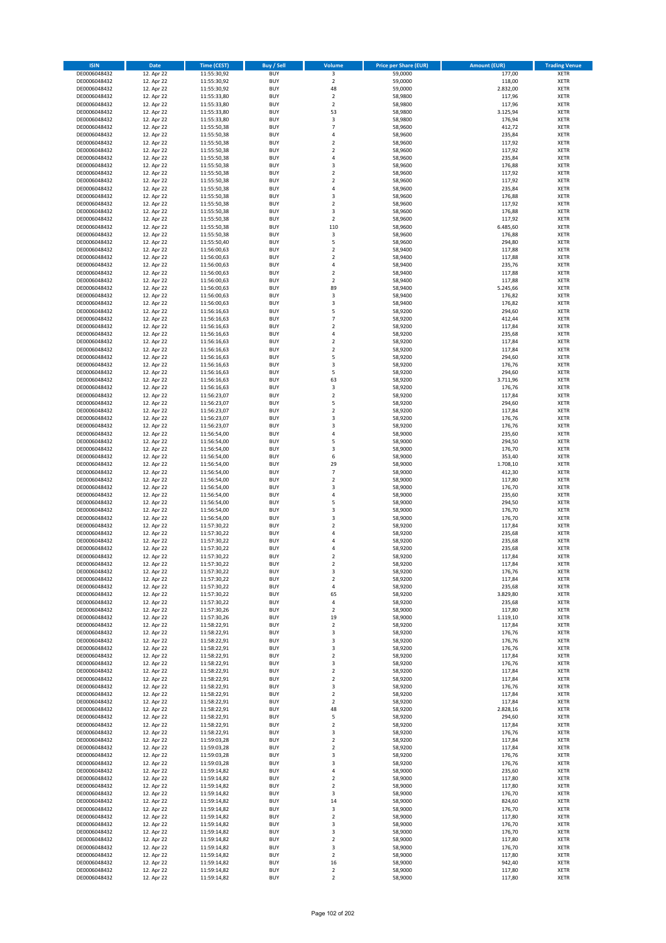| <b>ISIN</b>                  | Date                     | Time (CEST)                | Buy / Sell               | Volume                     | <b>Price per Share (EUR)</b> | <b>Amount (EUR)</b> | <b>Trading Venue</b>       |
|------------------------------|--------------------------|----------------------------|--------------------------|----------------------------|------------------------------|---------------------|----------------------------|
| DE0006048432                 | 12. Apr 22               | 11:55:30,92                | <b>BUY</b>               | $\overline{\mathbf{3}}$    | 59,0000                      | 177,00              | <b>XETR</b>                |
| DE0006048432                 | 12. Apr 22               | 11:55:30,92                | <b>BUY</b>               | $\mathbf 2$                | 59,0000                      | 118,00              | XETR                       |
| DE0006048432                 | 12. Apr 22               | 11:55:30,92                | <b>BUY</b>               | 48                         | 59,0000                      | 2.832,00            | <b>XETR</b>                |
| DE0006048432                 | 12. Apr 22               | 11:55:33,80                | <b>BUY</b>               | $\mathbf 2$                | 58,9800                      | 117,96              | <b>XETR</b>                |
| DE0006048432<br>DE0006048432 | 12. Apr 22<br>12. Apr 22 | 11:55:33,80<br>11:55:33,80 | <b>BUY</b><br><b>BUY</b> | $\mathbf 2$<br>53          | 58,9800<br>58,9800           | 117,96<br>3.125,94  | <b>XETR</b><br><b>XETR</b> |
| DE0006048432                 | 12. Apr 22               | 11:55:33,80                | <b>BUY</b>               | 3                          | 58,9800                      | 176,94              | <b>XETR</b>                |
| DE0006048432                 | 12. Apr 22               | 11:55:50,38                | <b>BUY</b>               | $\overline{7}$             | 58,9600                      | 412,72              | <b>XETR</b>                |
| DE0006048432                 | 12. Apr 22               | 11:55:50,38                | <b>BUY</b>               | $\overline{4}$             | 58,9600                      | 235,84              | <b>XETR</b>                |
| DE0006048432                 | 12. Apr 22               | 11:55:50,38                | <b>BUY</b>               | $\mathbf 2$                | 58,9600                      | 117,92              | <b>XETR</b>                |
| DE0006048432                 | 12. Apr 22               | 11:55:50,38                | <b>BUY</b>               | $\mathbf 2$                | 58,9600                      | 117,92              | <b>XETR</b>                |
| DE0006048432                 | 12. Apr 22               | 11:55:50,38                | <b>BUY</b>               | 4<br>3                     | 58,9600                      | 235,84              | <b>XETR</b>                |
| DE0006048432<br>DE0006048432 | 12. Apr 22<br>12. Apr 22 | 11:55:50,38<br>11:55:50,38 | <b>BUY</b><br><b>BUY</b> | $\overline{2}$             | 58,9600<br>58,9600           | 176,88<br>117,92    | <b>XETR</b><br><b>XETR</b> |
| DE0006048432                 | 12. Apr 22               | 11:55:50,38                | <b>BUY</b>               | $\mathbf 2$                | 58,9600                      | 117,92              | <b>XETR</b>                |
| DE0006048432                 | 12. Apr 22               | 11:55:50,38                | <b>BUY</b>               | $\overline{4}$             | 58,9600                      | 235,84              | <b>XETR</b>                |
| DE0006048432                 | 12. Apr 22               | 11:55:50,38                | <b>BUY</b>               | 3                          | 58,9600                      | 176,88              | <b>XETR</b>                |
| DE0006048432                 | 12. Apr 22               | 11:55:50,38                | <b>BUY</b>               | $\overline{2}$             | 58,9600                      | 117,92              | <b>XETR</b>                |
| DE0006048432                 | 12. Apr 22               | 11:55:50,38                | <b>BUY</b>               | 3                          | 58,9600                      | 176,88              | <b>XETR</b>                |
| DE0006048432<br>DE0006048432 | 12. Apr 22<br>12. Apr 22 | 11:55:50,38<br>11:55:50,38 | <b>BUY</b><br><b>BUY</b> | $\mathbf 2$<br>110         | 58,9600<br>58,9600           | 117,92<br>6.485,60  | <b>XETR</b><br><b>XETR</b> |
| DE0006048432                 | 12. Apr 22               | 11:55:50,38                | <b>BUY</b>               | 3                          | 58,9600                      | 176,88              | <b>XETR</b>                |
| DE0006048432                 | 12. Apr 22               | 11:55:50,40                | <b>BUY</b>               | 5                          | 58,9600                      | 294,80              | <b>XETR</b>                |
| DE0006048432                 | 12. Apr 22               | 11:56:00,63                | <b>BUY</b>               | $\mathbf 2$                | 58,9400                      | 117,88              | <b>XETR</b>                |
| DE0006048432                 | 12. Apr 22               | 11:56:00,63                | <b>BUY</b>               | $\overline{2}$             | 58,9400                      | 117,88              | <b>XETR</b>                |
| DE0006048432                 | 12. Apr 22               | 11:56:00,63                | <b>BUY</b>               | 4                          | 58,9400                      | 235,76              | <b>XETR</b>                |
| DE0006048432                 | 12. Apr 22               | 11:56:00,63                | <b>BUY</b>               | $\mathbf 2$<br>$\mathbf 2$ | 58,9400                      | 117,88              | <b>XETR</b>                |
| DE0006048432<br>DE0006048432 | 12. Apr 22<br>12. Apr 22 | 11:56:00,63<br>11:56:00,63 | <b>BUY</b><br><b>BUY</b> | 89                         | 58,9400<br>58,9400           | 117,88<br>5.245,66  | <b>XETR</b><br><b>XETR</b> |
| DE0006048432                 | 12. Apr 22               | 11:56:00,63                | <b>BUY</b>               | 3                          | 58,9400                      | 176,82              | <b>XETR</b>                |
| DE0006048432                 | 12. Apr 22               | 11:56:00,63                | <b>BUY</b>               | $\overline{\mathbf{3}}$    | 58,9400                      | 176,82              | <b>XETR</b>                |
| DE0006048432                 | 12. Apr 22               | 11:56:16,63                | <b>BUY</b>               | 5                          | 58,9200                      | 294,60              | <b>XETR</b>                |
| DE0006048432                 | 12. Apr 22               | 11:56:16,63                | <b>BUY</b>               | $\overline{7}$             | 58,9200                      | 412,44              | <b>XETR</b>                |
| DE0006048432                 | 12. Apr 22               | 11:56:16,63                | <b>BUY</b>               | $\overline{2}$             | 58,9200                      | 117,84              | <b>XETR</b>                |
| DE0006048432<br>DE0006048432 | 12. Apr 22<br>12. Apr 22 | 11:56:16.63<br>11:56:16,63 | <b>BUY</b><br><b>BUY</b> | 4<br>$\mathbf 2$           | 58,9200<br>58,9200           | 235,68<br>117,84    | <b>XETR</b><br><b>XETR</b> |
| DE0006048432                 | 12. Apr 22               | 11:56:16,63                | <b>BUY</b>               | $\overline{2}$             | 58,9200                      | 117,84              | <b>XETR</b>                |
| DE0006048432                 | 12. Apr 22               | 11:56:16,63                | <b>BUY</b>               | 5                          | 58,9200                      | 294,60              | <b>XETR</b>                |
| DE0006048432                 | 12. Apr 22               | 11:56:16,63                | <b>BUY</b>               | 3                          | 58,9200                      | 176,76              | <b>XETR</b>                |
| DE0006048432                 | 12. Apr 22               | 11:56:16,63                | <b>BUY</b>               | 5                          | 58,9200                      | 294,60              | <b>XETR</b>                |
| DE0006048432                 | 12. Apr 22               | 11:56:16,63                | <b>BUY</b>               | 63                         | 58,9200                      | 3.711,96            | <b>XETR</b>                |
| DE0006048432                 | 12. Apr 22               | 11:56:16,63                | <b>BUY</b>               | 3                          | 58,9200                      | 176,76              | <b>XETR</b>                |
| DE0006048432<br>DE0006048432 | 12. Apr 22<br>12. Apr 22 | 11:56:23,07<br>11:56:23,07 | <b>BUY</b><br><b>BUY</b> | $\mathbf 2$<br>5           | 58,9200<br>58,9200           | 117,84<br>294,60    | <b>XETR</b><br><b>XETR</b> |
| DE0006048432                 | 12. Apr 22               | 11:56:23,07                | <b>BUY</b>               | $\mathbf 2$                | 58,9200                      | 117,84              | <b>XETR</b>                |
| DE0006048432                 | 12. Apr 22               | 11:56:23,07                | <b>BUY</b>               | 3                          | 58,9200                      | 176,76              | <b>XETR</b>                |
| DE0006048432                 | 12. Apr 22               | 11:56:23,07                | <b>BUY</b>               | $\mathsf 3$                | 58,9200                      | 176,76              | <b>XETR</b>                |
| DE0006048432                 | 12. Apr 22               | 11:56:54,00                | <b>BUY</b>               | 4                          | 58,9000                      | 235,60              | <b>XETR</b>                |
| DE0006048432                 | 12. Apr 22               | 11:56:54,00                | <b>BUY</b>               | 5                          | 58,9000                      | 294,50              | <b>XETR</b>                |
| DE0006048432                 | 12. Apr 22               | 11:56:54,00                | <b>BUY</b>               | 3                          | 58,9000                      | 176,70              | <b>XETR</b>                |
| DE0006048432                 | 12. Apr 22               | 11:56:54,00                | <b>BUY</b>               | 6                          | 58,9000                      | 353,40              | <b>XETR</b>                |
| DE0006048432<br>DE0006048432 | 12. Apr 22<br>12. Apr 22 | 11:56:54,00<br>11:56:54,00 | <b>BUY</b><br><b>BUY</b> | 29<br>$\overline{7}$       | 58,9000<br>58,9000           | 1.708,10<br>412,30  | <b>XETR</b><br><b>XETR</b> |
| DE0006048432                 | 12. Apr 22               | 11:56:54,00                | <b>BUY</b>               | $\mathbf 2$                | 58,9000                      | 117,80              | <b>XETR</b>                |
| DE0006048432                 | 12. Apr 22               | 11:56:54,00                | <b>BUY</b>               | 3                          | 58,9000                      | 176,70              | <b>XETR</b>                |
| DE0006048432                 | 12. Apr 22               | 11:56:54,00                | <b>BUY</b>               | $\pmb{4}$                  | 58,9000                      | 235,60              | <b>XETR</b>                |
| DE0006048432                 | 12. Apr 22               | 11:56:54,00                | <b>BUY</b>               | 5                          | 58,9000                      | 294,50              | <b>XETR</b>                |
| DE0006048432                 | 12. Apr 22               | 11:56:54,00                | <b>BUY</b>               | 3                          | 58,9000                      | 176,70              | <b>XETR</b>                |
| DE0006048432                 | 12. Apr 22               | 11:56:54,00                | <b>BUY</b>               | 3                          | 58,9000                      | 176,70              | <b>XETR</b>                |
| DE0006048432<br>DE0006048432 | 12. Apr 22<br>12. Apr 22 | 11:57:30,22<br>11:57:30,22 | <b>BUY</b><br><b>BUY</b> | $\mathbf 2$<br>4           | 58,9200<br>58,9200           | 117,84<br>235,68    | <b>XETR</b><br><b>XETR</b> |
| DE0006048432                 | 12. Apr 22               | 11:57:30,22                | <b>BUY</b>               | $\overline{a}$             | 58,9200                      | 235,68              | <b>XETR</b>                |
| DE0006048432                 | 12. Apr 22               | 11:57:30,22                | <b>BUY</b>               | $\overline{4}$             | 58,9200                      | 235,68              | <b>XETR</b>                |
| DE0006048432                 | 12. Apr 22               | 11:57:30,22                | <b>BUY</b>               | $\overline{2}$             | 58,9200                      | 117,84              | <b>XETR</b>                |
| DE0006048432                 | 12. Apr 22               | 11:57:30,22                | BUY                      | $\mathbf 2$                | 58,9200                      | 117,84              | XETR                       |
| DE0006048432                 | 12. Apr 22               | 11:57:30,22                | <b>BUY</b>               | 3                          | 58,9200                      | 176,76              | <b>XETR</b>                |
| DE0006048432<br>DE0006048432 | 12. Apr 22<br>12. Apr 22 | 11:57:30,22<br>11:57:30,22 | <b>BUY</b><br><b>BUY</b> | $\overline{2}$<br>4        | 58,9200<br>58,9200           | 117,84<br>235,68    | <b>XETR</b><br><b>XETR</b> |
| DE0006048432                 | 12. Apr 22               | 11:57:30,22                | <b>BUY</b>               | 65                         | 58,9200                      | 3.829,80            | <b>XETR</b>                |
| DE0006048432                 | 12. Apr 22               | 11:57:30,22                | <b>BUY</b>               | 4                          | 58,9200                      | 235,68              | <b>XETR</b>                |
| DE0006048432                 | 12. Apr 22               | 11:57:30,26                | <b>BUY</b>               | $\mathbf 2$                | 58,9000                      | 117,80              | <b>XETR</b>                |
| DE0006048432                 | 12. Apr 22               | 11:57:30,26                | <b>BUY</b>               | 19                         | 58,9000                      | 1.119,10            | <b>XETR</b>                |
| DE0006048432                 | 12. Apr 22               | 11:58:22,91                | <b>BUY</b>               | $\mathbf 2$                | 58,9200                      | 117,84              | XETR                       |
| DE0006048432                 | 12. Apr 22               | 11:58:22,91                | <b>BUY</b>               | 3                          | 58,9200                      | 176,76              | <b>XETR</b>                |
| DE0006048432<br>DE0006048432 | 12. Apr 22<br>12. Apr 22 | 11:58:22,91<br>11:58:22,91 | <b>BUY</b><br><b>BUY</b> | 3<br>3                     | 58,9200<br>58,9200           | 176,76<br>176,76    | XETR<br><b>XETR</b>        |
| DE0006048432                 | 12. Apr 22               | 11:58:22,91                | <b>BUY</b>               | $\mathbf 2$                | 58,9200                      | 117,84              | XETR                       |
| DE0006048432                 | 12. Apr 22               | 11:58:22,91                | <b>BUY</b>               | 3                          | 58,9200                      | 176,76              | <b>XETR</b>                |
| DE0006048432                 | 12. Apr 22               | 11:58:22,91                | <b>BUY</b>               | $\mathbf 2$                | 58,9200                      | 117,84              | <b>XETR</b>                |
| DE0006048432                 | 12. Apr 22               | 11:58:22,91                | <b>BUY</b>               | $\mathbf 2$                | 58,9200                      | 117,84              | <b>XETR</b>                |
| DE0006048432                 | 12. Apr 22               | 11:58:22,91                | <b>BUY</b>               | 3                          | 58,9200                      | 176,76              | <b>XETR</b>                |
| DE0006048432                 | 12. Apr 22               | 11:58:22,91                | <b>BUY</b>               | $\overline{2}$             | 58,9200                      | 117,84<br>117,84    | <b>XETR</b>                |
| DE0006048432<br>DE0006048432 | 12. Apr 22<br>12. Apr 22 | 11:58:22,91<br>11:58:22,91 | <b>BUY</b><br><b>BUY</b> | $\overline{2}$<br>48       | 58,9200<br>58,9200           | 2.828,16            | XETR<br><b>XETR</b>        |
| DE0006048432                 | 12. Apr 22               | 11:58:22,91                | <b>BUY</b>               | 5                          | 58,9200                      | 294,60              | <b>XETR</b>                |
| DE0006048432                 | 12. Apr 22               | 11:58:22,91                | <b>BUY</b>               | $\mathbf 2$                | 58,9200                      | 117,84              | <b>XETR</b>                |
| DE0006048432                 | 12. Apr 22               | 11:58:22,91                | <b>BUY</b>               | 3                          | 58,9200                      | 176,76              | XETR                       |
| DE0006048432                 | 12. Apr 22               | 11:59:03,28                | <b>BUY</b>               | $\mathbf 2$                | 58,9200                      | 117,84              | <b>XETR</b>                |
| DE0006048432                 | 12. Apr 22               | 11:59:03,28                | <b>BUY</b>               | $\overline{2}$             | 58,9200                      | 117,84              | XETR                       |
| DE0006048432                 | 12. Apr 22               | 11:59:03,28                | <b>BUY</b>               | 3                          | 58,9200                      | 176,76              | <b>XETR</b>                |
| DE0006048432<br>DE0006048432 | 12. Apr 22<br>12. Apr 22 | 11:59:03,28<br>11:59:14,82 | <b>BUY</b><br><b>BUY</b> | 3<br>$\pmb{4}$             | 58,9200<br>58,9000           | 176,76<br>235,60    | XETR<br><b>XETR</b>        |
| DE0006048432                 | 12. Apr 22               | 11:59:14,82                | <b>BUY</b>               | $\mathbf 2$                | 58,9000                      | 117,80              | <b>XETR</b>                |
| DE0006048432                 | 12. Apr 22               | 11:59:14,82                | <b>BUY</b>               | $\overline{2}$             | 58,9000                      | 117,80              | <b>XETR</b>                |
| DE0006048432                 | 12. Apr 22               | 11:59:14,82                | <b>BUY</b>               | 3                          | 58,9000                      | 176,70              | <b>XETR</b>                |
| DE0006048432                 | 12. Apr 22               | 11:59:14,82                | <b>BUY</b>               | 14                         | 58,9000                      | 824,60              | XETR                       |
| DE0006048432                 | 12. Apr 22               | 11:59:14,82                | <b>BUY</b>               | 3                          | 58,9000                      | 176,70              | XETR                       |
| DE0006048432                 | 12. Apr 22               | 11:59:14,82                | <b>BUY</b>               | $\mathbf 2$                | 58,9000                      | 117,80              | <b>XETR</b>                |
| DE0006048432                 | 12. Apr 22               | 11:59:14,82                | <b>BUY</b>               | 3                          | 58,9000                      | 176,70              | <b>XETR</b>                |
| DE0006048432<br>DE0006048432 | 12. Apr 22<br>12. Apr 22 | 11:59:14,82<br>11:59:14,82 | <b>BUY</b><br><b>BUY</b> | 3<br>$\overline{2}$        | 58,9000<br>58,9000           | 176,70<br>117,80    | <b>XETR</b><br><b>XETR</b> |
| DE0006048432                 | 12. Apr 22               | 11:59:14,82                | <b>BUY</b>               | 3                          | 58,9000                      | 176,70              | XETR                       |
| DE0006048432                 | 12. Apr 22               | 11:59:14,82                | <b>BUY</b>               | $\overline{2}$             | 58,9000                      | 117,80              | <b>XETR</b>                |
| DE0006048432                 | 12. Apr 22               | 11:59:14,82                | <b>BUY</b>               | 16                         | 58,9000                      | 942,40              | XETR                       |
| DE0006048432                 | 12. Apr 22               | 11:59:14,82                | <b>BUY</b>               | $\mathbf 2$                | 58,9000                      | 117,80              | <b>XETR</b>                |
| DE0006048432                 | 12. Apr 22               | 11:59:14,82                | <b>BUY</b>               | $\overline{2}$             | 58,9000                      | 117,80              | <b>XETR</b>                |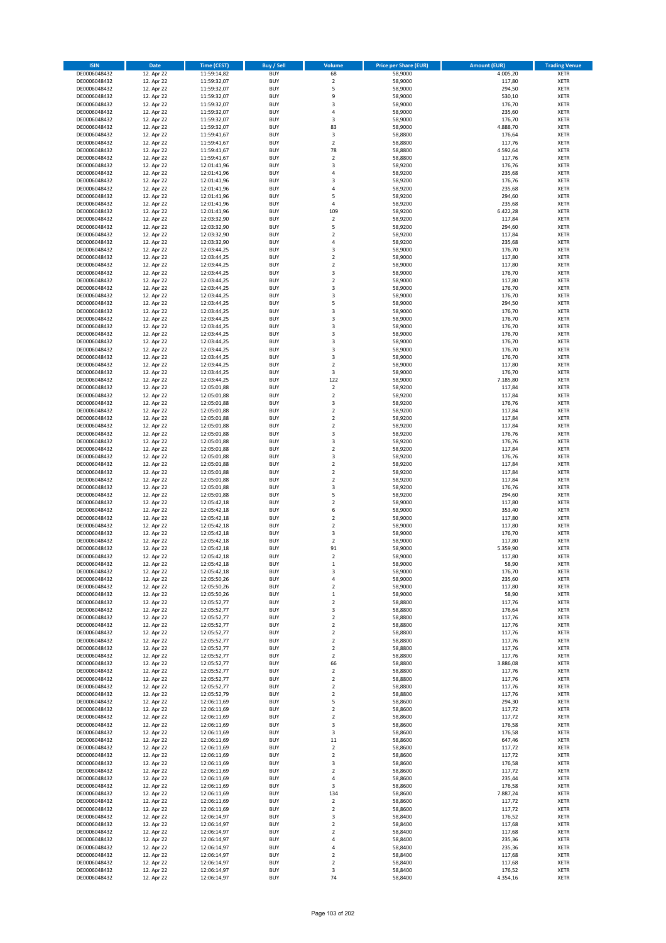| <b>ISIN</b>                  | <b>Date</b>              | Time (CEST)                | <b>Buy / Sell</b>        | Volume                       | <b>Price per Share (EUR)</b> | <b>Amount (EUR)</b> | <b>Trading Venue</b>       |
|------------------------------|--------------------------|----------------------------|--------------------------|------------------------------|------------------------------|---------------------|----------------------------|
| DE0006048432                 | 12. Apr 22               | 11:59:14,82                | <b>BUY</b>               | 68                           | 58,9000                      | 4.005,20            | <b>XETR</b>                |
| DE0006048432                 | 12. Apr 22               | 11:59:32,07                | <b>BUY</b>               | $\mathbf 2$                  | 58,9000                      | 117,80              | <b>XETR</b>                |
| DE0006048432                 | 12. Apr 22               | 11:59:32,07                | <b>BUY</b>               | 5                            | 58,9000                      | 294,50              | <b>XETR</b>                |
| DE0006048432                 | 12. Apr 22               | 11:59:32,07                | <b>BUY</b>               | 9                            | 58,9000                      | 530,10              | <b>XETR</b>                |
| DE0006048432<br>DE0006048432 | 12. Apr 22<br>12. Apr 22 | 11:59:32,07<br>11:59:32,07 | <b>BUY</b><br><b>BUY</b> | 3<br>4                       | 58,9000<br>58,9000           | 176,70<br>235,60    | <b>XETR</b><br><b>XETR</b> |
| DE0006048432                 | 12. Apr 22               | 11:59:32,07                | <b>BUY</b>               | 3                            | 58,9000                      | 176,70              | <b>XETR</b>                |
| DE0006048432                 | 12. Apr 22               | 11:59:32,07                | <b>BUY</b>               | 83                           | 58,9000                      | 4.888,70            | <b>XETR</b>                |
| DE0006048432                 | 12. Apr 22               | 11:59:41,67                | <b>BUY</b>               | 3                            | 58,8800                      | 176,64              | <b>XETR</b>                |
| DE0006048432                 | 12. Apr 22               | 11:59:41,67                | <b>BUY</b>               | $\overline{2}$               | 58,8800                      | 117,76              | <b>XETR</b>                |
| DE0006048432                 | 12. Apr 22               | 11:59:41,67                | <b>BUY</b>               | 78                           | 58,8800                      | 4.592,64            | <b>XETR</b>                |
| DE0006048432                 | 12. Apr 22               | 11:59:41,67                | <b>BUY</b>               | $\overline{\mathbf{c}}$      | 58,8800                      | 117,76              | <b>XETR</b>                |
| DE0006048432<br>DE0006048432 | 12. Apr 22<br>12. Apr 22 | 12:01:41,96<br>12:01:41,96 | <b>BUY</b><br><b>BUY</b> | 3<br>4                       | 58,9200<br>58,9200           | 176,76<br>235,68    | <b>XETR</b><br><b>XETR</b> |
| DE0006048432                 | 12. Apr 22               | 12:01:41,96                | <b>BUY</b>               | 3                            | 58,9200                      | 176,76              | <b>XETR</b>                |
| DE0006048432                 | 12. Apr 22               | 12:01:41,96                | <b>BUY</b>               | 4                            | 58,9200                      | 235,68              | <b>XETR</b>                |
| DE0006048432                 | 12. Apr 22               | 12:01:41,96                | <b>BUY</b>               | 5                            | 58,9200                      | 294,60              | <b>XETR</b>                |
| DE0006048432                 | 12. Apr 22               | 12:01:41,96                | <b>BUY</b>               | 4                            | 58,9200                      | 235,68              | <b>XETR</b>                |
| DE0006048432                 | 12. Apr 22               | 12:01:41,96                | <b>BUY</b>               | 109                          | 58,9200                      | 6.422,28            | <b>XETR</b>                |
| DE0006048432<br>DE0006048432 | 12. Apr 22<br>12. Apr 22 | 12:03:32,90                | <b>BUY</b><br><b>BUY</b> | $\mathbf 2$<br>5             | 58,9200<br>58,9200           | 117,84<br>294,60    | <b>XETR</b><br><b>XETR</b> |
| DE0006048432                 | 12. Apr 22               | 12:03:32,90<br>12:03:32,90 | <b>BUY</b>               | $\mathbf 2$                  | 58,9200                      | 117,84              | <b>XETR</b>                |
| DE0006048432                 | 12. Apr 22               | 12:03:32,90                | <b>BUY</b>               | 4                            | 58,9200                      | 235,68              | <b>XETR</b>                |
| DE0006048432                 | 12. Apr 22               | 12:03:44,25                | <b>BUY</b>               | 3                            | 58,9000                      | 176,70              | <b>XETR</b>                |
| DE0006048432                 | 12. Apr 22               | 12:03:44,25                | <b>BUY</b>               | $\mathbf 2$                  | 58,9000                      | 117,80              | <b>XETR</b>                |
| DE0006048432                 | 12. Apr 22               | 12:03:44,25                | <b>BUY</b>               | $\mathbf 2$                  | 58,9000                      | 117,80              | <b>XETR</b>                |
| DE0006048432<br>DE0006048432 | 12. Apr 22               | 12:03:44,25                | <b>BUY</b><br><b>BUY</b> | 3<br>$\overline{\mathbf{c}}$ | 58,9000                      | 176,70              | <b>XETR</b><br><b>XETR</b> |
| DE0006048432                 | 12. Apr 22<br>12. Apr 22 | 12:03:44,25<br>12:03:44,25 | <b>BUY</b>               | 3                            | 58,9000<br>58,9000           | 117,80<br>176,70    | <b>XETR</b>                |
| DE0006048432                 | 12. Apr 22               | 12:03:44,25                | <b>BUY</b>               | 3                            | 58,9000                      | 176,70              | <b>XETR</b>                |
| DE0006048432                 | 12. Apr 22               | 12:03:44,25                | <b>BUY</b>               | 5                            | 58,9000                      | 294,50              | <b>XETR</b>                |
| DE0006048432                 | 12. Apr 22               | 12:03:44,25                | <b>BUY</b>               | 3                            | 58,9000                      | 176,70              | <b>XETR</b>                |
| DE0006048432                 | 12. Apr 22               | 12:03:44,25                | <b>BUY</b>               | 3                            | 58,9000                      | 176,70              | <b>XETR</b>                |
| DE0006048432                 | 12. Apr 22               | 12:03:44,25                | <b>BUY</b>               | 3                            | 58,9000                      | 176,70              | <b>XETR</b>                |
| DE0006048432<br>DE0006048432 | 12. Apr 22<br>12. Apr 22 | 12:03:44.25<br>12:03:44,25 | <b>BUY</b><br><b>BUY</b> | 3<br>3                       | 58,9000<br>58,9000           | 176,70<br>176,70    | <b>XETR</b><br><b>XETR</b> |
| DE0006048432                 | 12. Apr 22               | 12:03:44,25                | <b>BUY</b>               | 3                            | 58,9000                      | 176,70              | <b>XETR</b>                |
| DE0006048432                 | 12. Apr 22               | 12:03:44,25                | <b>BUY</b>               | 3                            | 58,9000                      | 176,70              | <b>XETR</b>                |
| DE0006048432                 | 12. Apr 22               | 12:03:44,25                | <b>BUY</b>               | $\mathbf 2$                  | 58,9000                      | 117,80              | <b>XETR</b>                |
| DE0006048432                 | 12. Apr 22               | 12:03:44,25                | <b>BUY</b>               | 3                            | 58,9000                      | 176,70              | <b>XETR</b>                |
| DE0006048432                 | 12. Apr 22               | 12:03:44,25                | <b>BUY</b>               | 122                          | 58,9000                      | 7.185,80            | <b>XETR</b>                |
| DE0006048432                 | 12. Apr 22               | 12:05:01,88                | <b>BUY</b><br><b>BUY</b> | $\mathbf 2$                  | 58,9200                      | 117,84              | <b>XETR</b>                |
| DE0006048432<br>DE0006048432 | 12. Apr 22<br>12. Apr 22 | 12:05:01,88<br>12:05:01,88 | <b>BUY</b>               | $\mathbf 2$<br>3             | 58,9200<br>58,9200           | 117,84<br>176,76    | <b>XETR</b><br><b>XETR</b> |
| DE0006048432                 | 12. Apr 22               | 12:05:01,88                | <b>BUY</b>               | $\mathbf 2$                  | 58,9200                      | 117,84              | <b>XETR</b>                |
| DE0006048432                 | 12. Apr 22               | 12:05:01,88                | <b>BUY</b>               | $\overline{2}$               | 58,9200                      | 117,84              | <b>XETR</b>                |
| DE0006048432                 | 12. Apr 22               | 12:05:01,88                | <b>BUY</b>               | $\mathbf 2$                  | 58,9200                      | 117,84              | <b>XETR</b>                |
| DE0006048432                 | 12. Apr 22               | 12:05:01,88                | <b>BUY</b>               | 3                            | 58,9200                      | 176,76              | <b>XETR</b>                |
| DE0006048432                 | 12. Apr 22               | 12:05:01,88                | <b>BUY</b><br><b>BUY</b> | 3<br>$\overline{\mathbf{c}}$ | 58,9200                      | 176,76              | <b>XETR</b><br><b>XETR</b> |
| DE0006048432<br>DE0006048432 | 12. Apr 22<br>12. Apr 22 | 12:05:01,88<br>12:05:01,88 | <b>BUY</b>               | 3                            | 58,9200<br>58,9200           | 117,84<br>176,76    | <b>XETR</b>                |
| DE0006048432                 | 12. Apr 22               | 12:05:01,88                | <b>BUY</b>               | $\mathbf 2$                  | 58,9200                      | 117,84              | <b>XETR</b>                |
| DE0006048432                 | 12. Apr 22               | 12:05:01,88                | <b>BUY</b>               | $\overline{2}$               | 58,9200                      | 117,84              | <b>XETR</b>                |
| DE0006048432                 | 12. Apr 22               | 12:05:01,88                | <b>BUY</b>               | $\mathbf 2$                  | 58,9200                      | 117,84              | <b>XETR</b>                |
| DE0006048432                 | 12. Apr 22               | 12:05:01,88                | <b>BUY</b>               | 3                            | 58,9200                      | 176,76              | <b>XETR</b>                |
| DE0006048432                 | 12. Apr 22               | 12:05:01,88                | <b>BUY</b>               | 5                            | 58,9200                      | 294,60              | <b>XETR</b>                |
| DE0006048432<br>DE0006048432 | 12. Apr 22<br>12. Apr 22 | 12:05:42,18<br>12:05:42,18 | <b>BUY</b><br><b>BUY</b> | $\overline{\mathbf{c}}$<br>6 | 58,9000<br>58,9000           | 117,80<br>353,40    | <b>XETR</b><br><b>XETR</b> |
| DE0006048432                 | 12. Apr 22               | 12:05:42,18                | <b>BUY</b>               | $\overline{\mathbf{c}}$      | 58,9000                      | 117,80              | <b>XETR</b>                |
| DE0006048432                 | 12. Apr 22               | 12:05:42,18                | <b>BUY</b>               | $\overline{2}$               | 58,9000                      | 117,80              | <b>XETR</b>                |
| DE0006048432                 | 12. Apr 22               | 12:05:42,18                | <b>BUY</b>               | 3                            | 58,9000                      | 176,70              | <b>XETR</b>                |
| DE0006048432                 | 12. Apr 22               | 12:05:42,18                | <b>BUY</b>               | $\overline{\mathbf{c}}$      | 58,9000                      | 117,80              | <b>XETR</b>                |
| DE0006048432                 | 12. Apr 22               | 12:05:42,18                | <b>BUY</b>               | 91                           | 58,9000                      | 5.359,90            | <b>XETR</b>                |
| DE0006048432                 | 12. Apr 22               | 12:05:42,18<br>12:05:42,18 | <b>BUY</b>               | $\overline{2}$               | 58,9000<br>58,9000           | 117,80              | <b>XETR</b>                |
| DE0006048432<br>DE0006048432 | 12. Apr 22<br>12. Apr 22 | 12:05:42,18                | BUY<br><b>BUY</b>        | $\mathbf 1$<br>3             | 58,9000                      | 58,90<br>176,70     | <b>XETR</b><br>XETR        |
| DE0006048432                 | 12. Apr 22               | 12:05:50,26                | <b>BUY</b>               | 4                            | 58,9000                      | 235,60              | XETR                       |
| DE0006048432                 | 12. Apr 22               | 12:05:50,26                | <b>BUY</b>               | $\mathbf 2$                  | 58,9000                      | 117,80              | XETR                       |
| DE0006048432                 | 12. Apr 22               | 12:05:50,26                | <b>BUY</b>               | $\mathbf 1$                  | 58,9000                      | 58,90               | <b>XETR</b>                |
| DE0006048432                 | 12. Apr 22               | 12:05:52,77                | <b>BUY</b>               | $\mathbf 2$                  | 58,8800                      | 117,76              | <b>XETR</b>                |
| DE0006048432                 | 12. Apr 22               | 12:05:52,77                | <b>BUY</b>               | 3                            | 58,8800                      | 176,64              | <b>XETR</b>                |
| DE0006048432<br>DE0006048432 | 12. Apr 22<br>12. Apr 22 | 12:05:52,77<br>12:05:52,77 | <b>BUY</b><br><b>BUY</b> | $\mathbf 2$<br>$\mathbf 2$   | 58,8800<br>58,8800           | 117,76<br>117,76    | <b>XETR</b><br><b>XETR</b> |
| DE0006048432                 | 12. Apr 22               | 12:05:52,77                | <b>BUY</b>               | $\mathbf 2$                  | 58,8800                      | 117,76              | XETR                       |
| DE0006048432                 | 12. Apr 22               | 12:05:52,77                | <b>BUY</b>               | $\mathbf 2$                  | 58,8800                      | 117,76              | <b>XETR</b>                |
| DE0006048432                 | 12. Apr 22               | 12:05:52,77                | <b>BUY</b>               | $\overline{2}$               | 58,8800                      | 117,76              | <b>XETR</b>                |
| DE0006048432                 | 12. Apr 22               | 12:05:52,77                | <b>BUY</b>               | $\mathbf 2$                  | 58,8800                      | 117,76              | <b>XETR</b>                |
| DE0006048432                 | 12. Apr 22               | 12:05:52,77                | <b>BUY</b>               | 66                           | 58,8800                      | 3.886,08            | <b>XETR</b>                |
| DE0006048432<br>DE0006048432 | 12. Apr 22<br>12. Apr 22 | 12:05:52,77<br>12:05:52,77 | <b>BUY</b><br><b>BUY</b> | $\mathbf 2$<br>$\mathbf 2$   | 58,8800<br>58,8800           | 117,76<br>117,76    | <b>XETR</b><br><b>XETR</b> |
| DE0006048432                 | 12. Apr 22               | 12:05:52,77                | <b>BUY</b>               | $\mathbf 2$                  | 58,8800                      | 117,76              | <b>XETR</b>                |
| DE0006048432                 | 12. Apr 22               | 12:05:52,79                | <b>BUY</b>               | $\mathbf 2$                  | 58,8800                      | 117,76              | <b>XETR</b>                |
| DE0006048432                 | 12. Apr 22               | 12:06:11,69                | <b>BUY</b>               | 5                            | 58,8600                      | 294,30              | XETR                       |
| DE0006048432                 | 12. Apr 22               | 12:06:11,69                | <b>BUY</b>               | $\mathbf 2$                  | 58,8600                      | 117,72              | <b>XETR</b>                |
| DE0006048432                 | 12. Apr 22               | 12:06:11,69                | <b>BUY</b>               | $\overline{2}$               | 58,8600                      | 117,72              | <b>XETR</b>                |
| DE0006048432<br>DE0006048432 | 12. Apr 22<br>12. Apr 22 | 12:06:11,69<br>12:06:11,69 | <b>BUY</b><br><b>BUY</b> | 3<br>3                       | 58,8600<br>58,8600           | 176,58<br>176,58    | <b>XETR</b><br><b>XETR</b> |
| DE0006048432                 | 12. Apr 22               | 12:06:11,69                | <b>BUY</b>               | 11                           | 58,8600                      | 647,46              | <b>XETR</b>                |
| DE0006048432                 | 12. Apr 22               | 12:06:11,69                | <b>BUY</b>               | $\mathbf 2$                  | 58,8600                      | 117,72              | <b>XETR</b>                |
| DE0006048432                 | 12. Apr 22               | 12:06:11,69                | <b>BUY</b>               | $\mathbf 2$                  | 58,8600                      | 117,72              | <b>XETR</b>                |
| DE0006048432                 | 12. Apr 22               | 12:06:11,69                | <b>BUY</b>               | 3                            | 58,8600                      | 176,58              | <b>XETR</b>                |
| DE0006048432                 | 12. Apr 22               | 12:06:11,69                | <b>BUY</b>               | $\overline{2}$               | 58,8600                      | 117,72              | <b>XETR</b>                |
| DE0006048432                 | 12. Apr 22               | 12:06:11,69                | <b>BUY</b>               | 4                            | 58,8600                      | 235,44              | <b>XETR</b>                |
| DE0006048432<br>DE0006048432 | 12. Apr 22<br>12. Apr 22 | 12:06:11,69<br>12:06:11,69 | <b>BUY</b><br><b>BUY</b> | 3<br>134                     | 58,8600<br>58,8600           | 176,58<br>7.887,24  | XETR<br><b>XETR</b>        |
| DE0006048432                 | 12. Apr 22               | 12:06:11,69                | <b>BUY</b>               | $\mathbf 2$                  | 58,8600                      | 117,72              | <b>XETR</b>                |
| DE0006048432                 | 12. Apr 22               | 12:06:11,69                | <b>BUY</b>               | $\mathbf 2$                  | 58,8600                      | 117,72              | <b>XETR</b>                |
| DE0006048432                 | 12. Apr 22               | 12:06:14,97                | <b>BUY</b>               | 3                            | 58,8400                      | 176,52              | <b>XETR</b>                |
| DE0006048432                 | 12. Apr 22               | 12:06:14,97                | <b>BUY</b>               | $\mathbf 2$                  | 58,8400                      | 117,68              | <b>XETR</b>                |
| DE0006048432                 | 12. Apr 22               | 12:06:14,97                | <b>BUY</b>               | $\mathbf 2$                  | 58,8400                      | 117,68              | <b>XETR</b>                |
| DE0006048432<br>DE0006048432 | 12. Apr 22<br>12. Apr 22 | 12:06:14,97<br>12:06:14,97 | <b>BUY</b><br><b>BUY</b> | 4<br>4                       | 58,8400<br>58,8400           | 235,36<br>235,36    | <b>XETR</b><br>XETR        |
| DE0006048432                 | 12. Apr 22               | 12:06:14,97                | <b>BUY</b>               | $\overline{2}$               | 58,8400                      | 117,68              | <b>XETR</b>                |
| DE0006048432                 | 12. Apr 22               | 12:06:14,97                | <b>BUY</b>               | $\mathbf 2$                  | 58,8400                      | 117,68              | <b>XETR</b>                |
| DE0006048432                 | 12. Apr 22               | 12:06:14,97                | <b>BUY</b>               | 3                            | 58,8400                      | 176,52              | <b>XETR</b>                |
| DE0006048432                 | 12. Apr 22               | 12:06:14,97                | <b>BUY</b>               | 74                           | 58,8400                      | 4.354,16            | XETR                       |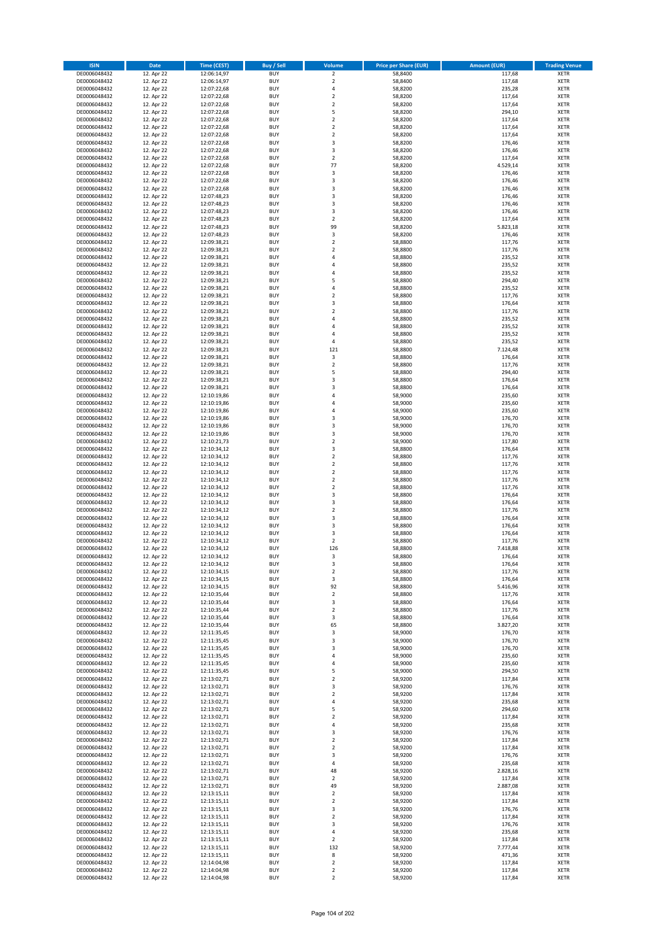| <b>ISIN</b>                  | <b>Date</b>              | Time (CEST)                | <b>Buy / Sell</b>        | Volume                                 | <b>Price per Share (EUR)</b> | <b>Amount (EUR)</b> | <b>Trading Venue</b>       |
|------------------------------|--------------------------|----------------------------|--------------------------|----------------------------------------|------------------------------|---------------------|----------------------------|
| DE0006048432                 | 12. Apr 22               | 12:06:14,97                | <b>BUY</b>               | $\overline{2}$                         | 58,8400                      | 117,68              | <b>XETR</b>                |
| DE0006048432                 | 12. Apr 22               | 12:06:14,97                | <b>BUY</b>               | $\mathbf 2$                            | 58,8400                      | 117,68              | <b>XETR</b>                |
| DE0006048432                 | 12. Apr 22               | 12:07:22,68                | <b>BUY</b>               | 4                                      | 58,8200                      | 235,28              | <b>XETR</b>                |
| DE0006048432                 | 12. Apr 22               | 12:07:22,68                | <b>BUY</b>               | $\mathbf 2$                            | 58,8200                      | 117,64              | <b>XETR</b>                |
| DE0006048432                 | 12. Apr 22               | 12:07:22,68                | <b>BUY</b>               | $\overline{\mathbf{c}}$                | 58,8200                      | 117,64              | <b>XETR</b>                |
| DE0006048432                 | 12. Apr 22               | 12:07:22,68                | <b>BUY</b>               | 5<br>$\mathbf 2$                       | 58,8200<br>58.8200           | 294,10              | <b>XETR</b>                |
| DE0006048432<br>DE0006048432 | 12. Apr 22<br>12. Apr 22 | 12:07:22,68<br>12:07:22,68 | <b>BUY</b><br><b>BUY</b> | $\mathbf 2$                            | 58,8200                      | 117,64<br>117,64    | <b>XETR</b><br><b>XETR</b> |
| DE0006048432                 | 12. Apr 22               | 12:07:22,68                | <b>BUY</b>               | $\overline{2}$                         | 58,8200                      | 117,64              | <b>XETR</b>                |
| DE0006048432                 | 12. Apr 22               | 12:07:22,68                | <b>BUY</b>               | 3                                      | 58,8200                      | 176,46              | <b>XETR</b>                |
| DE0006048432                 | 12. Apr 22               | 12:07:22,68                | <b>BUY</b>               | 3                                      | 58,8200                      | 176,46              | <b>XETR</b>                |
| DE0006048432                 | 12. Apr 22               | 12:07:22,68                | <b>BUY</b>               | $\overline{\mathbf{c}}$                | 58,8200                      | 117,64              | <b>XETR</b>                |
| DE0006048432                 | 12. Apr 22               | 12:07:22,68                | <b>BUY</b>               | 77                                     | 58,8200                      | 4.529,14            | <b>XETR</b>                |
| DE0006048432                 | 12. Apr 22               | 12:07:22,68                | <b>BUY</b>               | 3                                      | 58,8200                      | 176,46              | <b>XETR</b>                |
| DE0006048432                 | 12. Apr 22               | 12:07:22,68                | <b>BUY</b>               | 3                                      | 58,8200                      | 176,46              | <b>XETR</b>                |
| DE0006048432                 | 12. Apr 22               | 12:07:22,68                | <b>BUY</b>               | 3                                      | 58,8200                      | 176,46              | <b>XETR</b>                |
| DE0006048432<br>DE0006048432 | 12. Apr 22               | 12:07:48,23                | <b>BUY</b>               | 3                                      | 58,8200                      | 176,46              | <b>XETR</b>                |
| DE0006048432                 | 12. Apr 22<br>12. Apr 22 | 12:07:48,23<br>12:07:48,23 | <b>BUY</b><br><b>BUY</b> | 3<br>3                                 | 58,8200<br>58,8200           | 176,46<br>176,46    | <b>XETR</b><br><b>XETR</b> |
| DE0006048432                 | 12. Apr 22               | 12:07:48,23                | <b>BUY</b>               | $\mathbf 2$                            | 58,8200                      | 117,64              | <b>XETR</b>                |
| DE0006048432                 | 12. Apr 22               | 12:07:48,23                | <b>BUY</b>               | 99                                     | 58,8200                      | 5.823,18            | <b>XETR</b>                |
| DE0006048432                 | 12. Apr 22               | 12:07:48,23                | <b>BUY</b>               | 3                                      | 58,8200                      | 176,46              | <b>XETR</b>                |
| DE0006048432                 | 12. Apr 22               | 12:09:38,21                | <b>BUY</b>               | $\mathbf 2$                            | 58,8800                      | 117,76              | <b>XETR</b>                |
| DE0006048432                 | 12. Apr 22               | 12:09:38,21                | <b>BUY</b>               | $\mathbf 2$                            | 58,8800                      | 117,76              | <b>XETR</b>                |
| DE0006048432                 | 12. Apr 22               | 12:09:38,21                | <b>BUY</b>               | 4                                      | 58,8800                      | 235,52              | <b>XETR</b>                |
| DE0006048432                 | 12. Apr 22               | 12:09:38,21                | <b>BUY</b>               | 4                                      | 58,8800                      | 235,52              | <b>XETR</b>                |
| DE0006048432                 | 12. Apr 22               | 12:09:38,21                | <b>BUY</b>               | 4                                      | 58,8800                      | 235,52              | <b>XETR</b>                |
| DE0006048432<br>DE0006048432 | 12. Apr 22               | 12:09:38,21                | <b>BUY</b><br><b>BUY</b> | 5<br>4                                 | 58,8800                      | 294,40<br>235,52    | <b>XETR</b>                |
| DE0006048432                 | 12. Apr 22<br>12. Apr 22 | 12:09:38,21<br>12:09:38,21 | <b>BUY</b>               | $\overline{\mathbf{c}}$                | 58,8800<br>58,8800           | 117,76              | <b>XETR</b><br><b>XETR</b> |
| DE0006048432                 | 12. Apr 22               | 12:09:38,21                | <b>BUY</b>               | 3                                      | 58,8800                      | 176,64              | <b>XETR</b>                |
| DE0006048432                 | 12. Apr 22               | 12:09:38,21                | <b>BUY</b>               | $\overline{\mathbf{c}}$                | 58,8800                      | 117,76              | <b>XETR</b>                |
| DE0006048432                 | 12. Apr 22               | 12:09:38,21                | <b>BUY</b>               | 4                                      | 58,8800                      | 235,52              | <b>XETR</b>                |
| DE0006048432                 | 12. Apr 22               | 12:09:38,21                | <b>BUY</b>               | 4                                      | 58,8800                      | 235,52              | <b>XETR</b>                |
| DE0006048432                 | 12. Apr 22               | 12:09:38,21                | <b>BUY</b>               | 4                                      | 58,8800                      | 235,52              | <b>XETR</b>                |
| DE0006048432                 | 12. Apr 22               | 12:09:38,21                | <b>BUY</b>               | 4                                      | 58,8800                      | 235,52              | <b>XETR</b>                |
| DE0006048432                 | 12. Apr 22               | 12:09:38,21                | <b>BUY</b>               | 121                                    | 58,8800                      | 7.124,48            | <b>XETR</b>                |
| DE0006048432                 | 12. Apr 22               | 12:09:38,21                | <b>BUY</b>               | 3                                      | 58,8800                      | 176,64              | <b>XETR</b>                |
| DE0006048432                 | 12. Apr 22               | 12:09:38,21                | <b>BUY</b>               | $\overline{2}$                         | 58,8800                      | 117,76              | <b>XETR</b>                |
| DE0006048432<br>DE0006048432 | 12. Apr 22<br>12. Apr 22 | 12:09:38,21<br>12:09:38,21 | <b>BUY</b><br><b>BUY</b> | 5<br>3                                 | 58,8800<br>58,8800           | 294,40<br>176,64    | <b>XETR</b><br><b>XETR</b> |
| DE0006048432                 | 12. Apr 22               | 12:09:38,21                | <b>BUY</b>               | 3                                      | 58,8800                      | 176,64              | <b>XETR</b>                |
| DE0006048432                 | 12. Apr 22               | 12:10:19,86                | <b>BUY</b>               | 4                                      | 58,9000                      | 235,60              | <b>XETR</b>                |
| DE0006048432                 | 12. Apr 22               | 12:10:19,86                | <b>BUY</b>               | $\overline{a}$                         | 58,9000                      | 235,60              | <b>XETR</b>                |
| DE0006048432                 | 12. Apr 22               | 12:10:19,86                | <b>BUY</b>               | 4                                      | 58,9000                      | 235,60              | <b>XETR</b>                |
| DE0006048432                 | 12. Apr 22               | 12:10:19,86                | <b>BUY</b>               | 3                                      | 58,9000                      | 176,70              | <b>XETR</b>                |
| DE0006048432                 | 12. Apr 22               | 12:10:19,86                | <b>BUY</b>               | 3                                      | 58,9000                      | 176,70              | <b>XETR</b>                |
| DE0006048432                 | 12. Apr 22               | 12:10:19,86                | <b>BUY</b>               | 3                                      | 58,9000                      | 176,70              | <b>XETR</b>                |
| DE0006048432                 | 12. Apr 22               | 12:10:21,73                | <b>BUY</b>               | $\mathbf 2$                            | 58,9000                      | 117,80              | <b>XETR</b>                |
| DE0006048432                 | 12. Apr 22               | 12:10:34,12                | <b>BUY</b>               | 3                                      | 58,8800                      | 176,64              | <b>XETR</b>                |
| DE0006048432<br>DE0006048432 | 12. Apr 22<br>12. Apr 22 | 12:10:34,12<br>12:10:34,12 | <b>BUY</b><br><b>BUY</b> | $\overline{\mathbf{c}}$<br>$\mathbf 2$ | 58,8800<br>58,8800           | 117,76<br>117,76    | <b>XETR</b><br><b>XETR</b> |
| DE0006048432                 | 12. Apr 22               | 12:10:34,12                | <b>BUY</b>               | $\overline{2}$                         | 58,8800                      | 117,76              | <b>XETR</b>                |
| DE0006048432                 | 12. Apr 22               | 12:10:34,12                | <b>BUY</b>               | $\mathbf 2$                            | 58,8800                      | 117,76              | <b>XETR</b>                |
| DE0006048432                 | 12. Apr 22               | 12:10:34,12                | <b>BUY</b>               | $\mathbf 2$                            | 58,8800                      | 117,76              | <b>XETR</b>                |
| DE0006048432                 | 12. Apr 22               | 12:10:34,12                | <b>BUY</b>               | 3                                      | 58,8800                      | 176,64              | <b>XETR</b>                |
| DE0006048432                 | 12. Apr 22               | 12:10:34,12                | <b>BUY</b>               | 3                                      | 58,8800                      | 176,64              | <b>XETR</b>                |
| DE0006048432                 | 12. Apr 22               | 12:10:34,12                | <b>BUY</b>               | $\mathbf 2$                            | 58,8800                      | 117,76              | <b>XETR</b>                |
| DE0006048432                 | 12. Apr 22               | 12:10:34,12                | <b>BUY</b>               | 3                                      | 58,8800                      | 176,64              | <b>XETR</b>                |
| DE0006048432                 | 12. Apr 22               | 12:10:34,12                | <b>BUY</b>               | 3                                      | 58,8800                      | 176,64              | <b>XETR</b>                |
| DE0006048432<br>DE0006048432 | 12. Apr 22               | 12:10:34,12<br>12:10:34,12 | <b>BUY</b><br><b>BUY</b> | 3<br>$\overline{\mathbf{c}}$           | 58,8800                      | 176,64              | <b>XETR</b><br><b>XETR</b> |
| DE0006048432                 | 12. Apr 22<br>12. Apr 22 | 12:10:34,12                | <b>BUY</b>               | 126                                    | 58,8800<br>58,8800           | 117,76<br>7.418,88  | <b>XETR</b>                |
| DE0006048432                 | 12. Apr 22               | 12:10:34,12                | <b>BUY</b>               | 3                                      | 58,8800                      | 176,64              | <b>XETR</b>                |
| DE0006048432                 | 12. Apr 22               | 12:10:34,12                | BUY                      | 3                                      | 58,8800                      | 176,64              | <b>XETR</b>                |
| DE0006048432                 | 12. Apr 22               | 12:10:34,15                | <b>BUY</b>               | $\mathbf 2$                            | 58,8800                      | 117,76              | XETR                       |
| DE0006048432                 | 12. Apr 22               | 12:10:34,15                | <b>BUY</b>               | 3                                      | 58,8800                      | 176,64              | XETR                       |
| DE0006048432                 | 12. Apr 22               | 12:10:34,15                | <b>BUY</b>               | 92                                     | 58,8800                      | 5.416,96            | XETR                       |
| DE0006048432                 | 12. Apr 22               | 12:10:35,44                | <b>BUY</b>               | $\mathbf 2$                            | 58,8800                      | 117,76              | <b>XETR</b>                |
| DE0006048432                 | 12. Apr 22               | 12:10:35,44                | <b>BUY</b>               | 3                                      | 58,8800                      | 176,64              | <b>XETR</b>                |
| DE0006048432                 | 12. Apr 22               | 12:10:35,44                | <b>BUY</b>               | $\overline{2}$                         | 58,8800                      | 117,76              | <b>XETR</b>                |
| DE0006048432<br>DE0006048432 | 12. Apr 22<br>12. Apr 22 | 12:10:35,44<br>12:10:35,44 | <b>BUY</b><br><b>BUY</b> | 3<br>65                                | 58,8800<br>58,8800           | 176,64<br>3.827,20  | <b>XETR</b><br><b>XETR</b> |
| DE0006048432                 | 12. Apr 22               | 12:11:35,45                | <b>BUY</b>               | 3                                      | 58,9000                      | 176,70              | <b>XETR</b>                |
| DE0006048432                 | 12. Apr 22               | 12:11:35,45                | <b>BUY</b>               | 3                                      | 58,9000                      | 176,70              | <b>XETR</b>                |
| DE0006048432                 | 12. Apr 22               | 12:11:35,45                | <b>BUY</b>               | 3                                      | 58,9000                      | 176,70              | <b>XETR</b>                |
| DE0006048432                 | 12. Apr 22               | 12:11:35,45                | <b>BUY</b>               | 4                                      | 58,9000                      | 235,60              | <b>XETR</b>                |
| DE0006048432                 | 12. Apr 22               | 12:11:35,45                | <b>BUY</b>               | 4                                      | 58,9000                      | 235,60              | <b>XETR</b>                |
| DE0006048432                 | 12. Apr 22               | 12:11:35,45                | <b>BUY</b>               | 5                                      | 58,9000                      | 294,50              | <b>XETR</b>                |
| DE0006048432                 | 12. Apr 22               | 12:13:02,71                | <b>BUY</b><br><b>BUY</b> | $\mathbf 2$<br>3                       | 58,9200                      | 117,84              | <b>XETR</b>                |
| DE0006048432<br>DE0006048432 | 12. Apr 22<br>12. Apr 22 | 12:13:02,71<br>12:13:02,71 | <b>BUY</b>               | $\overline{2}$                         | 58,9200<br>58,9200           | 176,76<br>117,84    | <b>XETR</b><br><b>XETR</b> |
| DE0006048432                 | 12. Apr 22               | 12:13:02,71                | <b>BUY</b>               | 4                                      | 58,9200                      | 235,68              | XETR                       |
| DE0006048432                 | 12. Apr 22               | 12:13:02,71                | <b>BUY</b>               | 5                                      | 58,9200                      | 294,60              | <b>XETR</b>                |
| DE0006048432                 | 12. Apr 22               | 12:13:02,71                | <b>BUY</b>               | $\overline{2}$                         | 58,9200                      | 117,84              | <b>XETR</b>                |
| DE0006048432                 | 12. Apr 22               | 12:13:02,71                | <b>BUY</b>               | 4                                      | 58,9200                      | 235,68              | <b>XETR</b>                |
| DE0006048432                 | 12. Apr 22               | 12:13:02,71                | <b>BUY</b>               | 3                                      | 58,9200                      | 176,76              | <b>XETR</b>                |
| DE0006048432                 | 12. Apr 22               | 12:13:02,71                | <b>BUY</b>               | $\mathbf 2$                            | 58,9200                      | 117,84              | <b>XETR</b>                |
| DE0006048432                 | 12. Apr 22               | 12:13:02,71                | <b>BUY</b>               | $\mathbf 2$                            | 58,9200                      | 117,84              | <b>XETR</b>                |
| DE0006048432                 | 12. Apr 22               | 12:13:02,71                | <b>BUY</b>               | 3                                      | 58,9200                      | 176,76              | XETR                       |
| DE0006048432<br>DE0006048432 | 12. Apr 22               | 12:13:02,71                | <b>BUY</b><br><b>BUY</b> | 4<br>48                                | 58,9200                      | 235,68              | <b>XETR</b><br><b>XETR</b> |
| DE0006048432                 | 12. Apr 22<br>12. Apr 22 | 12:13:02,71<br>12:13:02,71 | <b>BUY</b>               | $\mathbf 2$                            | 58,9200<br>58,9200           | 2.828,16<br>117,84  | <b>XETR</b>                |
| DE0006048432                 | 12. Apr 22               | 12:13:02,71                | <b>BUY</b>               | 49                                     | 58,9200                      | 2.887,08            | XETR                       |
| DE0006048432                 | 12. Apr 22               | 12:13:15,11                | <b>BUY</b>               | $\mathbf 2$                            | 58,9200                      | 117,84              | <b>XETR</b>                |
| DE0006048432                 | 12. Apr 22               | 12:13:15,11                | <b>BUY</b>               | $\mathbf 2$                            | 58,9200                      | 117,84              | <b>XETR</b>                |
| DE0006048432                 | 12. Apr 22               | 12:13:15,11                | <b>BUY</b>               | 3                                      | 58,9200                      | 176,76              | <b>XETR</b>                |
| DE0006048432                 | 12. Apr 22               | 12:13:15,11                | <b>BUY</b>               | $\mathbf 2$                            | 58,9200                      | 117,84              | <b>XETR</b>                |
| DE0006048432                 | 12. Apr 22               | 12:13:15,11                | <b>BUY</b>               | 3                                      | 58,9200                      | 176,76              | <b>XETR</b>                |
| DE0006048432                 | 12. Apr 22               | 12:13:15,11                | <b>BUY</b>               | 4                                      | 58,9200                      | 235,68              | <b>XETR</b>                |
| DE0006048432                 | 12. Apr 22<br>12. Apr 22 | 12:13:15,11                | <b>BUY</b><br><b>BUY</b> | $\overline{2}$<br>132                  | 58,9200<br>58,9200           | 117,84<br>7.777,44  | <b>XETR</b><br>XETR        |
| DE0006048432<br>DE0006048432 | 12. Apr 22               | 12:13:15,11<br>12:13:15,11 | <b>BUY</b>               | 8                                      | 58,9200                      | 471,36              | <b>XETR</b>                |
| DE0006048432                 | 12. Apr 22               | 12:14:04,98                | <b>BUY</b>               | $\mathbf 2$                            | 58,9200                      | 117,84              | <b>XETR</b>                |
| DE0006048432                 | 12. Apr 22               | 12:14:04,98                | <b>BUY</b>               | $\mathbf 2$                            | 58,9200                      | 117,84              | <b>XETR</b>                |
| DE0006048432                 | 12. Apr 22               | 12:14:04,98                | <b>BUY</b>               | $\mathbf 2$                            | 58,9200                      | 117,84              | XETR                       |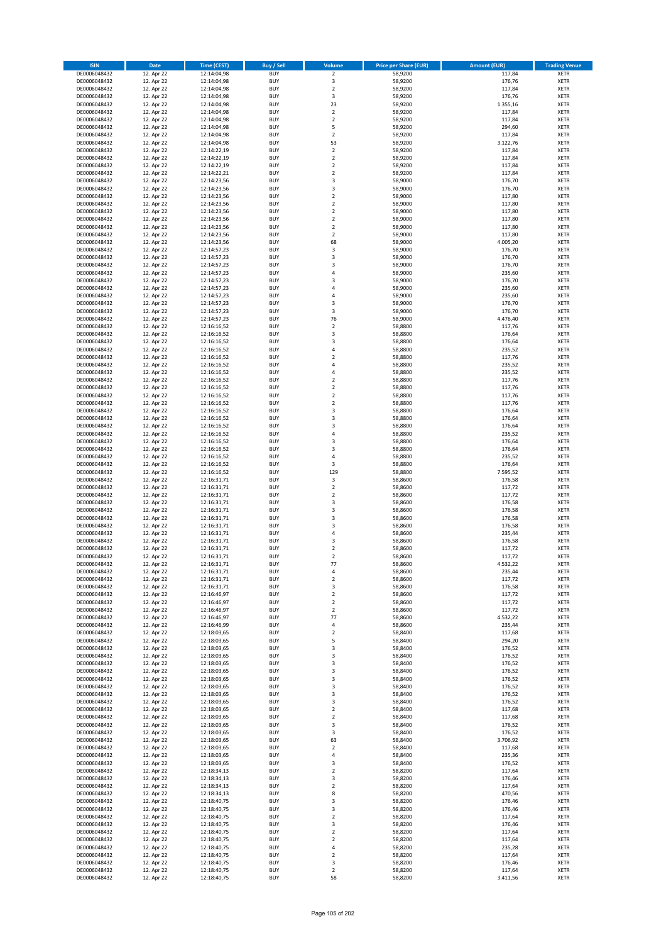| <b>ISIN</b>                  | <b>Date</b>              | Time (CEST)                | <b>Buy / Sell</b>        | Volume                                    | <b>Price per Share (EUR)</b> | <b>Amount (EUR)</b> | <b>Trading Venue</b>       |
|------------------------------|--------------------------|----------------------------|--------------------------|-------------------------------------------|------------------------------|---------------------|----------------------------|
| DE0006048432                 | 12. Apr 22               | 12:14:04,98                | <b>BUY</b>               | $\overline{2}$                            | 58,9200                      | 117,84              | <b>XETR</b>                |
| DE0006048432                 | 12. Apr 22               | 12:14:04,98                | <b>BUY</b>               | 3                                         | 58,9200                      | 176,76              | <b>XETR</b>                |
| DE0006048432                 | 12. Apr 22               | 12:14:04,98                | <b>BUY</b>               | $\overline{2}$                            | 58,9200                      | 117,84              | <b>XETR</b>                |
| DE0006048432<br>DE0006048432 | 12. Apr 22<br>12. Apr 22 | 12:14:04,98<br>12:14:04,98 | <b>BUY</b><br><b>BUY</b> | 3<br>23                                   | 58,9200<br>58,9200           | 176,76<br>1.355,16  | <b>XETR</b><br><b>XETR</b> |
| DE0006048432                 | 12. Apr 22               | 12:14:04,98                | <b>BUY</b>               | $\mathbf 2$                               | 58,9200                      | 117,84              | <b>XETR</b>                |
| DE0006048432                 | 12. Apr 22               | 12:14:04,98                | <b>BUY</b>               | $\mathbf 2$                               | 58.9200                      | 117,84              | <b>XETR</b>                |
| DE0006048432                 | 12. Apr 22               | 12:14:04,98                | <b>BUY</b>               | 5                                         | 58,9200                      | 294,60              | <b>XETR</b>                |
| DE0006048432                 | 12. Apr 22               | 12:14:04,98                | <b>BUY</b>               | $\mathbf 2$                               | 58,9200                      | 117,84              | <b>XETR</b>                |
| DE0006048432                 | 12. Apr 22               | 12:14:04,98                | <b>BUY</b><br><b>BUY</b> | 53                                        | 58,9200                      | 3.122,76            | <b>XETR</b>                |
| DE0006048432<br>DE0006048432 | 12. Apr 22<br>12. Apr 22 | 12:14:22,19<br>12:14:22,19 | <b>BUY</b>               | $\mathbf 2$<br>$\overline{\mathbf{c}}$    | 58,9200<br>58,9200           | 117,84<br>117,84    | <b>XETR</b><br><b>XETR</b> |
| DE0006048432                 | 12. Apr 22               | 12:14:22,19                | <b>BUY</b>               | $\mathbf 2$                               | 58,9200                      | 117,84              | <b>XETR</b>                |
| DE0006048432                 | 12. Apr 22               | 12:14:22,21                | <b>BUY</b>               | $\overline{\mathbf{c}}$                   | 58,9200                      | 117,84              | <b>XETR</b>                |
| DE0006048432                 | 12. Apr 22               | 12:14:23,56                | <b>BUY</b>               | 3                                         | 58,9000                      | 176,70              | <b>XETR</b>                |
| DE0006048432                 | 12. Apr 22               | 12:14:23,56                | <b>BUY</b>               | 3                                         | 58,9000                      | 176,70              | <b>XETR</b>                |
| DE0006048432<br>DE0006048432 | 12. Apr 22<br>12. Apr 22 | 12:14:23,56<br>12:14:23,56 | <b>BUY</b><br><b>BUY</b> | $\mathbf 2$<br>$\mathbf 2$                | 58,9000<br>58,9000           | 117,80<br>117,80    | <b>XETR</b><br><b>XETR</b> |
| DE0006048432                 | 12. Apr 22               | 12:14:23,56                | <b>BUY</b>               | $\overline{\mathbf{c}}$                   | 58,9000                      | 117,80              | <b>XETR</b>                |
| DE0006048432                 | 12. Apr 22               | 12:14:23,56                | <b>BUY</b>               | $\mathbf 2$                               | 58,9000                      | 117,80              | <b>XETR</b>                |
| DE0006048432                 | 12. Apr 22               | 12:14:23,56                | <b>BUY</b>               | $\overline{\mathbf{c}}$                   | 58,9000                      | 117,80              | <b>XETR</b>                |
| DE0006048432                 | 12. Apr 22               | 12:14:23,56                | <b>BUY</b>               | $\mathbf 2$                               | 58,9000                      | 117,80              | <b>XETR</b>                |
| DE0006048432                 | 12. Apr 22               | 12:14:23,56                | <b>BUY</b><br><b>BUY</b> | 68                                        | 58,9000                      | 4.005,20            | <b>XETR</b>                |
| DE0006048432<br>DE0006048432 | 12. Apr 22<br>12. Apr 22 | 12:14:57,23<br>12:14:57,23 | <b>BUY</b>               | 3<br>3                                    | 58,9000<br>58,9000           | 176,70<br>176,70    | <b>XETR</b><br><b>XETR</b> |
| DE0006048432                 | 12. Apr 22               | 12:14:57,23                | <b>BUY</b>               | 3                                         | 58,9000                      | 176,70              | <b>XETR</b>                |
| DE0006048432                 | 12. Apr 22               | 12:14:57,23                | <b>BUY</b>               | 4                                         | 58,9000                      | 235,60              | <b>XETR</b>                |
| DE0006048432                 | 12. Apr 22               | 12:14:57,23                | <b>BUY</b>               | 3                                         | 58,9000                      | 176,70              | <b>XETR</b>                |
| DE0006048432                 | 12. Apr 22               | 12:14:57,23                | <b>BUY</b>               | 4                                         | 58,9000                      | 235,60              | <b>XETR</b>                |
| DE0006048432<br>DE0006048432 | 12. Apr 22<br>12. Apr 22 | 12:14:57,23<br>12:14:57,23 | <b>BUY</b><br><b>BUY</b> | 4<br>3                                    | 58,9000<br>58,9000           | 235,60<br>176,70    | <b>XETR</b><br><b>XETR</b> |
| DE0006048432                 | 12. Apr 22               | 12:14:57,23                | <b>BUY</b>               | 3                                         | 58,9000                      | 176,70              | <b>XETR</b>                |
| DE0006048432                 | 12. Apr 22               | 12:14:57,23                | <b>BUY</b>               | 76                                        | 58,9000                      | 4.476,40            | <b>XETR</b>                |
| DE0006048432                 | 12. Apr 22               | 12:16:16,52                | <b>BUY</b>               | $\mathbf 2$                               | 58,8800                      | 117,76              | <b>XETR</b>                |
| DE0006048432                 | 12. Apr 22               | 12:16:16,52                | <b>BUY</b>               | 3                                         | 58,8800                      | 176,64              | <b>XETR</b>                |
| DE0006048432<br>DE0006048432 | 12. Apr 22               | 12:16:16,52                | <b>BUY</b>               | 3<br>4                                    | 58,8800                      | 176,64              | <b>XETR</b>                |
| DE0006048432                 | 12. Apr 22<br>12. Apr 22 | 12:16:16,52<br>12:16:16,52 | <b>BUY</b><br><b>BUY</b> | $\overline{\mathbf{c}}$                   | 58,8800<br>58,8800           | 235,52<br>117,76    | <b>XETR</b><br><b>XETR</b> |
| DE0006048432                 | 12. Apr 22               | 12:16:16,52                | <b>BUY</b>               | 4                                         | 58,8800                      | 235,52              | <b>XETR</b>                |
| DE0006048432                 | 12. Apr 22               | 12:16:16,52                | <b>BUY</b>               | 4                                         | 58,8800                      | 235,52              | <b>XETR</b>                |
| DE0006048432                 | 12. Apr 22               | 12:16:16,52                | <b>BUY</b>               | $\overline{\mathbf{c}}$                   | 58,8800                      | 117,76              | <b>XETR</b>                |
| DE0006048432                 | 12. Apr 22               | 12:16:16,52                | <b>BUY</b>               | $\mathbf 2$                               | 58,8800                      | 117,76              | <b>XETR</b>                |
| DE0006048432                 | 12. Apr 22               | 12:16:16,52                | <b>BUY</b><br><b>BUY</b> | $\mathbf 2$<br>$\overline{\mathbf{c}}$    | 58,8800                      | 117,76              | <b>XETR</b><br><b>XETR</b> |
| DE0006048432<br>DE0006048432 | 12. Apr 22<br>12. Apr 22 | 12:16:16,52<br>12:16:16,52 | <b>BUY</b>               | 3                                         | 58,8800<br>58,8800           | 117,76<br>176,64    | <b>XETR</b>                |
| DE0006048432                 | 12. Apr 22               | 12:16:16,52                | <b>BUY</b>               | 3                                         | 58,8800                      | 176,64              | <b>XETR</b>                |
| DE0006048432                 | 12. Apr 22               | 12:16:16,52                | <b>BUY</b>               | 3                                         | 58,8800                      | 176,64              | <b>XETR</b>                |
| DE0006048432                 | 12. Apr 22               | 12:16:16,52                | <b>BUY</b>               | 4                                         | 58,8800                      | 235,52              | <b>XETR</b>                |
| DE0006048432                 | 12. Apr 22               | 12:16:16,52                | <b>BUY</b>               | 3                                         | 58,8800                      | 176,64              | <b>XETR</b>                |
| DE0006048432<br>DE0006048432 | 12. Apr 22<br>12. Apr 22 | 12:16:16,52<br>12:16:16,52 | <b>BUY</b><br><b>BUY</b> | 3<br>4                                    | 58,8800<br>58,8800           | 176,64<br>235,52    | <b>XETR</b><br><b>XETR</b> |
| DE0006048432                 | 12. Apr 22               | 12:16:16,52                | <b>BUY</b>               | 3                                         | 58,8800                      | 176,64              | <b>XETR</b>                |
| DE0006048432                 | 12. Apr 22               | 12:16:16,52                | <b>BUY</b>               | 129                                       | 58,8800                      | 7.595,52            | <b>XETR</b>                |
| DE0006048432                 | 12. Apr 22               | 12:16:31,71                | <b>BUY</b>               | $\mathsf 3$                               | 58,8600                      | 176,58              | <b>XETR</b>                |
| DE0006048432                 | 12. Apr 22               | 12:16:31,71                | <b>BUY</b>               | $\mathbf 2$                               | 58,8600                      | 117,72              | <b>XETR</b>                |
| DE0006048432                 | 12. Apr 22               | 12:16:31,71                | <b>BUY</b>               | $\mathbf 2$                               | 58,8600                      | 117,72              | <b>XETR</b>                |
| DE0006048432<br>DE0006048432 | 12. Apr 22<br>12. Apr 22 | 12:16:31,71<br>12:16:31,71 | <b>BUY</b><br><b>BUY</b> | 3<br>3                                    | 58,8600<br>58,8600           | 176,58<br>176,58    | <b>XETR</b><br><b>XETR</b> |
| DE0006048432                 | 12. Apr 22               | 12:16:31,71                | <b>BUY</b>               | 3                                         | 58,8600                      | 176,58              | <b>XETR</b>                |
| DE0006048432                 | 12. Apr 22               | 12:16:31,71                | <b>BUY</b>               | 3                                         | 58,8600                      | 176,58              | <b>XETR</b>                |
| DE0006048432                 | 12. Apr 22               | 12:16:31,71                | <b>BUY</b>               | 4                                         | 58,8600                      | 235,44              | <b>XETR</b>                |
| DE0006048432                 | 12. Apr 22               | 12:16:31,71<br>12:16:31,71 | <b>BUY</b>               | 3                                         | 58,8600                      | 176,58              | <b>XETR</b><br><b>XETR</b> |
| DE0006048432<br>DE0006048432 | 12. Apr 22<br>12. Apr 22 | 12:16:31,71                | <b>BUY</b><br><b>BUY</b> | $\overline{\mathbf{c}}$<br>$\overline{2}$ | 58,8600<br>58,8600           | 117,72<br>117,72    | <b>XETR</b>                |
| DE0006048432                 | 12. Apr 22               | 12:16:31,71                | BUY                      | 77                                        | 58,8600                      | 4.532,22            | <b>XETR</b>                |
| DE0006048432                 | 12. Apr 22               | 12:16:31,71                | <b>BUY</b>               | 4                                         | 58,8600                      | 235,44              | <b>XETR</b>                |
| DE0006048432                 | 12. Apr 22               | 12:16:31,71                | <b>BUY</b>               | $\mathbf 2$                               | 58,8600                      | 117,72              | XETR                       |
| DE0006048432                 | 12. Apr 22               | 12:16:31,71                | <b>BUY</b>               | 3                                         | 58,8600                      | 176,58              | XETR                       |
| DE0006048432<br>DE0006048432 | 12. Apr 22<br>12. Apr 22 | 12:16:46,97<br>12:16:46,97 | <b>BUY</b><br><b>BUY</b> | $\mathbf 2$<br>$\mathbf 2$                | 58,8600<br>58,8600           | 117,72<br>117,72    | <b>XETR</b><br><b>XETR</b> |
| DE0006048432                 | 12. Apr 22               | 12:16:46,97                | <b>BUY</b>               | $\mathbf 2$                               | 58,8600                      | 117,72              | <b>XETR</b>                |
| DE0006048432                 | 12. Apr 22               | 12:16:46,97                | <b>BUY</b>               | 77                                        | 58,8600                      | 4.532,22            | <b>XETR</b>                |
| DE0006048432                 | 12. Apr 22               | 12:16:46,99                | <b>BUY</b>               | 4                                         | 58,8600                      | 235,44              | <b>XETR</b>                |
| DE0006048432                 | 12. Apr 22               | 12:18:03,65                | <b>BUY</b>               | $\mathbf 2$                               | 58,8400                      | 117,68              | XETR                       |
| DE0006048432<br>DE0006048432 | 12. Apr 22<br>12. Apr 22 | 12:18:03,65<br>12:18:03,65 | <b>BUY</b><br><b>BUY</b> | 5<br>3                                    | 58,8400<br>58,8400           | 294,20<br>176,52    | <b>XETR</b><br><b>XETR</b> |
| DE0006048432                 | 12. Apr 22               | 12:18:03,65                | <b>BUY</b>               | 3                                         | 58,8400                      | 176,52              | <b>XETR</b>                |
| DE0006048432                 | 12. Apr 22               | 12:18:03,65                | <b>BUY</b>               | 3                                         | 58,8400                      | 176,52              | <b>XETR</b>                |
| DE0006048432                 | 12. Apr 22               | 12:18:03,65                | <b>BUY</b>               | 3                                         | 58,8400                      | 176,52              | <b>XETR</b>                |
| DE0006048432                 | 12. Apr 22               | 12:18:03,65                | <b>BUY</b>               | 3                                         | 58,8400                      | 176,52              | <b>XETR</b>                |
| DE0006048432<br>DE0006048432 | 12. Apr 22<br>12. Apr 22 | 12:18:03,65<br>12:18:03,65 | <b>BUY</b><br><b>BUY</b> | 3<br>3                                    | 58,8400<br>58,8400           | 176,52<br>176,52    | <b>XETR</b><br><b>XETR</b> |
| DE0006048432                 | 12. Apr 22               | 12:18:03,65                | <b>BUY</b>               | 3                                         | 58,8400                      | 176,52              | XETR                       |
| DE0006048432                 | 12. Apr 22               | 12:18:03,65                | <b>BUY</b>               | $\mathbf 2$                               | 58,8400                      | 117,68              | <b>XETR</b>                |
| DE0006048432                 | 12. Apr 22               | 12:18:03,65                | <b>BUY</b>               | $\overline{2}$                            | 58,8400                      | 117,68              | <b>XETR</b>                |
| DE0006048432                 | 12. Apr 22               | 12:18:03,65                | <b>BUY</b>               | 3                                         | 58,8400                      | 176,52              | <b>XETR</b>                |
| DE0006048432<br>DE0006048432 | 12. Apr 22<br>12. Apr 22 | 12:18:03,65<br>12:18:03,65 | <b>BUY</b><br><b>BUY</b> | 3<br>63                                   | 58,8400<br>58,8400           | 176,52<br>3.706,92  | <b>XETR</b><br><b>XETR</b> |
| DE0006048432                 | 12. Apr 22               | 12:18:03,65                | <b>BUY</b>               | $\mathbf 2$                               | 58,8400                      | 117,68              | <b>XETR</b>                |
| DE0006048432                 | 12. Apr 22               | 12:18:03,65                | <b>BUY</b>               | 4                                         | 58,8400                      | 235,36              | XETR                       |
| DE0006048432                 | 12. Apr 22               | 12:18:03,65                | <b>BUY</b>               | 3                                         | 58,8400                      | 176,52              | <b>XETR</b>                |
| DE0006048432                 | 12. Apr 22               | 12:18:34,13                | <b>BUY</b>               | $\overline{2}$                            | 58,8200                      | 117,64              | <b>XETR</b>                |
| DE0006048432                 | 12. Apr 22               | 12:18:34,13                | <b>BUY</b>               | 3                                         | 58,8200                      | 176,46              | <b>XETR</b>                |
| DE0006048432<br>DE0006048432 | 12. Apr 22<br>12. Apr 22 | 12:18:34,13<br>12:18:34,13 | <b>BUY</b><br><b>BUY</b> | $\overline{\mathbf{c}}$<br>8              | 58,8200<br>58,8200           | 117,64<br>470,56    | XETR<br><b>XETR</b>        |
| DE0006048432                 | 12. Apr 22               | 12:18:40,75                | <b>BUY</b>               | 3                                         | 58,8200                      | 176,46              | <b>XETR</b>                |
| DE0006048432                 | 12. Apr 22               | 12:18:40,75                | <b>BUY</b>               | 3                                         | 58,8200                      | 176,46              | XETR                       |
| DE0006048432                 | 12. Apr 22               | 12:18:40,75                | <b>BUY</b>               | $\mathbf 2$                               | 58,8200                      | 117,64              | <b>XETR</b>                |
| DE0006048432                 | 12. Apr 22               | 12:18:40,75                | <b>BUY</b>               | 3                                         | 58,8200                      | 176,46              | <b>XETR</b>                |
| DE0006048432<br>DE0006048432 | 12. Apr 22               | 12:18:40,75                | <b>BUY</b><br><b>BUY</b> | $\mathbf 2$<br>$\overline{\mathbf{c}}$    | 58,8200                      | 117,64              | <b>XETR</b><br><b>XETR</b> |
| DE0006048432                 | 12. Apr 22<br>12. Apr 22 | 12:18:40,75<br>12:18:40,75 | <b>BUY</b>               | 4                                         | 58,8200<br>58,8200           | 117,64<br>235,28    | <b>XETR</b>                |
| DE0006048432                 | 12. Apr 22               | 12:18:40,75                | <b>BUY</b>               | $\overline{2}$                            | 58,8200                      | 117,64              | <b>XETR</b>                |
| DE0006048432                 | 12. Apr 22               | 12:18:40,75                | <b>BUY</b>               | 3                                         | 58,8200                      | 176,46              | <b>XETR</b>                |
| DE0006048432                 | 12. Apr 22               | 12:18:40,75                | <b>BUY</b>               | $\mathbf 2$                               | 58,8200                      | 117,64              | <b>XETR</b>                |
| DE0006048432                 | 12. Apr 22               | 12:18:40,75                | <b>BUY</b>               | 58                                        | 58,8200                      | 3.411,56            | XETR                       |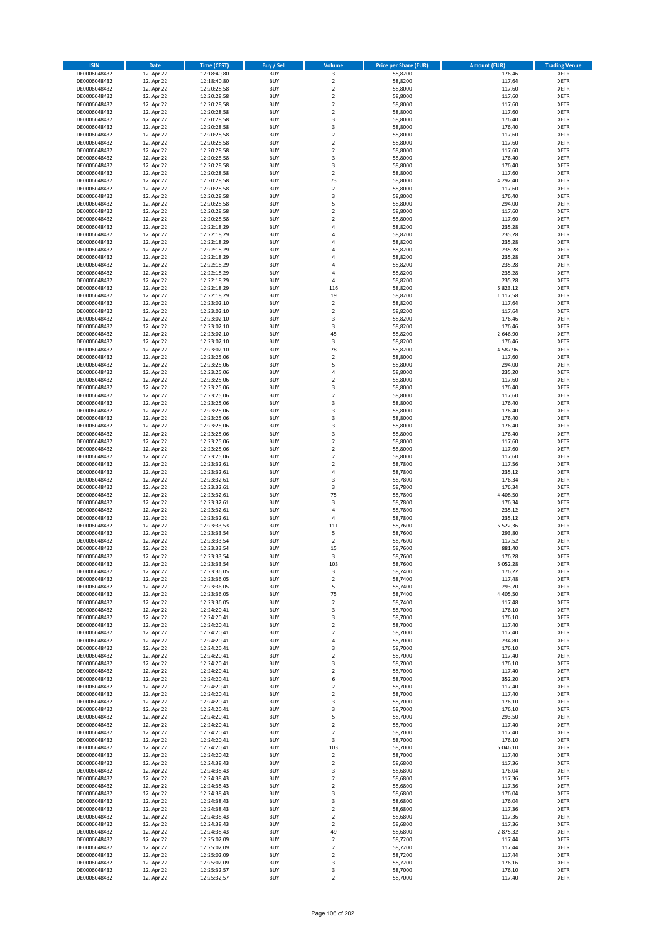| <b>ISIN</b>                  | <b>Date</b>              | Time (CEST)                | <b>Buy / Sell</b>        | Volume                        | <b>Price per Share (EUR)</b> | <b>Amount (EUR)</b>  | <b>Trading Venue</b>       |
|------------------------------|--------------------------|----------------------------|--------------------------|-------------------------------|------------------------------|----------------------|----------------------------|
| DE0006048432                 | 12. Apr 22               | 12:18:40,80                | <b>BUY</b>               | $\overline{\mathbf{3}}$       | 58,8200                      | 176,46               | <b>XETR</b>                |
| DE0006048432                 | 12. Apr 22               | 12:18:40,80                | <b>BUY</b>               | $\mathbf 2$                   | 58,8200                      | 117,64               | <b>XETR</b>                |
| DE0006048432                 | 12. Apr 22               | 12:20:28,58                | <b>BUY</b>               | $\overline{2}$                | 58,8000                      | 117,60               | <b>XETR</b>                |
| DE0006048432<br>DE0006048432 | 12. Apr 22<br>12. Apr 22 | 12:20:28,58<br>12:20:28,58 | <b>BUY</b><br><b>BUY</b> | $\mathbf 2$<br>$\mathbf 2$    | 58,8000<br>58,8000           | 117,60<br>117,60     | <b>XETR</b><br><b>XETR</b> |
| DE0006048432                 | 12. Apr 22               | 12:20:28,58                | <b>BUY</b>               | $\mathbf 2$                   | 58,8000                      | 117,60               | <b>XETR</b>                |
| DE0006048432                 | 12. Apr 22               | 12:20:28,58                | <b>BUY</b>               | 3                             | 58,8000                      | 176,40               | <b>XETR</b>                |
| DE0006048432                 | 12. Apr 22               | 12:20:28,58                | <b>BUY</b>               | 3                             | 58,8000                      | 176,40               | <b>XETR</b>                |
| DE0006048432                 | 12. Apr 22               | 12:20:28,58                | <b>BUY</b>               | $\overline{2}$                | 58,8000                      | 117,60               | <b>XETR</b>                |
| DE0006048432                 | 12. Apr 22               | 12:20:28,58                | <b>BUY</b>               | $\overline{2}$                | 58,8000                      | 117,60               | <b>XETR</b>                |
| DE0006048432                 | 12. Apr 22               | 12:20:28,58                | <b>BUY</b>               | $\mathbf 2$                   | 58,8000                      | 117,60               | <b>XETR</b>                |
| DE0006048432<br>DE0006048432 | 12. Apr 22<br>12. Apr 22 | 12:20:28,58<br>12:20:28,58 | <b>BUY</b><br><b>BUY</b> | 3<br>3                        | 58,8000<br>58,8000           | 176,40<br>176,40     | <b>XETR</b><br><b>XETR</b> |
| DE0006048432                 | 12. Apr 22               | 12:20:28,58                | <b>BUY</b>               | $\overline{\mathbf{c}}$       | 58,8000                      | 117,60               | <b>XETR</b>                |
| DE0006048432                 | 12. Apr 22               | 12:20:28,58                | <b>BUY</b>               | 73                            | 58,8000                      | 4.292,40             | <b>XETR</b>                |
| DE0006048432                 | 12. Apr 22               | 12:20:28,58                | <b>BUY</b>               | $\mathbf 2$                   | 58,8000                      | 117,60               | <b>XETR</b>                |
| DE0006048432                 | 12. Apr 22               | 12:20:28,58                | <b>BUY</b>               | 3                             | 58,8000                      | 176,40               | <b>XETR</b>                |
| DE0006048432                 | 12. Apr 22               | 12:20:28,58                | <b>BUY</b>               | 5                             | 58,8000                      | 294,00               | <b>XETR</b>                |
| DE0006048432                 | 12. Apr 22               | 12:20:28,58                | <b>BUY</b>               | $\overline{\mathbf{c}}$       | 58,8000                      | 117,60               | <b>XETR</b>                |
| DE0006048432                 | 12. Apr 22               | 12:20:28,58                | <b>BUY</b>               | $\mathbf 2$                   | 58,8000                      | 117,60               | <b>XETR</b>                |
| DE0006048432<br>DE0006048432 | 12. Apr 22<br>12. Apr 22 | 12:22:18,29<br>12:22:18,29 | <b>BUY</b><br><b>BUY</b> | 4<br>4                        | 58,8200<br>58,8200           | 235,28<br>235,28     | <b>XETR</b><br><b>XETR</b> |
| DE0006048432                 | 12. Apr 22               | 12:22:18,29                | <b>BUY</b>               | 4                             | 58,8200                      | 235,28               | <b>XETR</b>                |
| DE0006048432                 | 12. Apr 22               | 12:22:18,29                | <b>BUY</b>               | 4                             | 58,8200                      | 235,28               | <b>XETR</b>                |
| DE0006048432                 | 12. Apr 22               | 12:22:18,29                | <b>BUY</b>               | 4                             | 58,8200                      | 235,28               | <b>XETR</b>                |
| DE0006048432                 | 12. Apr 22               | 12:22:18,29                | <b>BUY</b>               | 4                             | 58,8200                      | 235,28               | <b>XETR</b>                |
| DE0006048432                 | 12. Apr 22               | 12:22:18,29                | <b>BUY</b>               | 4                             | 58,8200                      | 235,28               | <b>XETR</b>                |
| DE0006048432                 | 12. Apr 22               | 12:22:18,29                | <b>BUY</b>               | 4                             | 58,8200                      | 235,28               | <b>XETR</b>                |
| DE0006048432<br>DE0006048432 | 12. Apr 22<br>12. Apr 22 | 12:22:18,29<br>12:22:18,29 | <b>BUY</b><br><b>BUY</b> | 116<br>19                     | 58,8200<br>58,8200           | 6.823,12<br>1.117,58 | <b>XETR</b><br><b>XETR</b> |
| DE0006048432                 | 12. Apr 22               | 12:23:02,10                | <b>BUY</b>               | $\mathbf 2$                   | 58,8200                      | 117,64               | <b>XETR</b>                |
| DE0006048432                 | 12. Apr 22               | 12:23:02,10                | <b>BUY</b>               | $\mathbf 2$                   | 58,8200                      | 117,64               | <b>XETR</b>                |
| DE0006048432                 | 12. Apr 22               | 12:23:02,10                | <b>BUY</b>               | 3                             | 58,8200                      | 176,46               | <b>XETR</b>                |
| DE0006048432                 | 12. Apr 22               | 12:23:02,10                | <b>BUY</b>               | 3                             | 58,8200                      | 176,46               | <b>XETR</b>                |
| DE0006048432                 | 12. Apr 22               | 12:23:02,10                | <b>BUY</b>               | 45                            | 58,8200                      | 2.646,90             | <b>XETR</b>                |
| DE0006048432                 | 12. Apr 22               | 12:23:02,10                | <b>BUY</b>               | 3                             | 58,8200                      | 176,46               | <b>XETR</b>                |
| DE0006048432<br>DE0006048432 | 12. Apr 22<br>12. Apr 22 | 12:23:02,10<br>12:23:25,06 | <b>BUY</b><br><b>BUY</b> | 78<br>$\mathbf 2$             | 58,8200<br>58,8000           | 4.587,96<br>117,60   | <b>XETR</b><br><b>XETR</b> |
| DE0006048432                 | 12. Apr 22               | 12:23:25,06                | <b>BUY</b>               | 5                             | 58,8000                      | 294,00               | <b>XETR</b>                |
| DE0006048432                 | 12. Apr 22               | 12:23:25,06                | <b>BUY</b>               | 4                             | 58,8000                      | 235,20               | <b>XETR</b>                |
| DE0006048432                 | 12. Apr 22               | 12:23:25,06                | <b>BUY</b>               | $\overline{\mathbf{c}}$       | 58,8000                      | 117,60               | <b>XETR</b>                |
| DE0006048432                 | 12. Apr 22               | 12:23:25,06                | <b>BUY</b>               | 3                             | 58,8000                      | 176,40               | <b>XETR</b>                |
| DE0006048432                 | 12. Apr 22               | 12:23:25,06                | <b>BUY</b>               | $\mathbf 2$                   | 58,8000                      | 117,60               | <b>XETR</b>                |
| DE0006048432                 | 12. Apr 22               | 12:23:25,06                | <b>BUY</b>               | 3                             | 58,8000                      | 176,40               | <b>XETR</b>                |
| DE0006048432                 | 12. Apr 22               | 12:23:25,06                | <b>BUY</b>               | 3                             | 58,8000                      | 176,40               | <b>XETR</b>                |
| DE0006048432<br>DE0006048432 | 12. Apr 22<br>12. Apr 22 | 12:23:25,06<br>12:23:25,06 | <b>BUY</b><br><b>BUY</b> | 3<br>3                        | 58,8000<br>58,8000           | 176,40<br>176,40     | <b>XETR</b><br><b>XETR</b> |
| DE0006048432                 | 12. Apr 22               | 12:23:25,06                | <b>BUY</b>               | 3                             | 58,8000                      | 176,40               | <b>XETR</b>                |
| DE0006048432                 | 12. Apr 22               | 12:23:25,06                | <b>BUY</b>               | $\mathbf 2$                   | 58,8000                      | 117,60               | <b>XETR</b>                |
| DE0006048432                 | 12. Apr 22               | 12:23:25,06                | <b>BUY</b>               | $\overline{\mathbf{c}}$       | 58,8000                      | 117,60               | <b>XETR</b>                |
| DE0006048432                 | 12. Apr 22               | 12:23:25,06                | <b>BUY</b>               | $\overline{\mathbf{c}}$       | 58,8000                      | 117,60               | <b>XETR</b>                |
| DE0006048432                 | 12. Apr 22               | 12:23:32,61                | <b>BUY</b>               | $\mathbf 2$                   | 58,7800                      | 117,56               | <b>XETR</b>                |
| DE0006048432                 | 12. Apr 22               | 12:23:32,61                | <b>BUY</b>               | 4                             | 58,7800                      | 235,12               | <b>XETR</b>                |
| DE0006048432<br>DE0006048432 | 12. Apr 22<br>12. Apr 22 | 12:23:32,61<br>12:23:32,61 | <b>BUY</b><br><b>BUY</b> | 3<br>3                        | 58,7800<br>58,7800           | 176,34<br>176,34     | <b>XETR</b><br><b>XETR</b> |
| DE0006048432                 | 12. Apr 22               | 12:23:32,61                | <b>BUY</b>               | 75                            | 58,7800                      | 4.408,50             | <b>XETR</b>                |
| DE0006048432                 | 12. Apr 22               | 12:23:32,61                | <b>BUY</b>               | 3                             | 58,7800                      | 176,34               | <b>XETR</b>                |
| DE0006048432                 | 12. Apr 22               | 12:23:32,61                | <b>BUY</b>               | 4                             | 58,7800                      | 235,12               | <b>XETR</b>                |
| DE0006048432                 | 12. Apr 22               | 12:23:32,61                | <b>BUY</b>               | 4                             | 58,7800                      | 235,12               | <b>XETR</b>                |
| DE0006048432                 | 12. Apr 22               | 12:23:33,53                | <b>BUY</b>               | 111                           | 58,7600                      | 6.522,36             | <b>XETR</b>                |
| DE0006048432                 | 12. Apr 22               | 12:23:33,54                | <b>BUY</b>               | 5                             | 58,7600                      | 293,80               | <b>XETR</b>                |
| DE0006048432<br>DE0006048432 | 12. Apr 22<br>12. Apr 22 | 12:23:33,54<br>12:23:33,54 | <b>BUY</b><br><b>BUY</b> | $\overline{\mathbf{c}}$<br>15 | 58,7600<br>58,7600           | 117,52<br>881,40     | <b>XETR</b><br><b>XETR</b> |
| DE0006048432                 | 12. Apr 22               | 12:23:33,54                | <b>BUY</b>               | 3                             | 58,7600                      | 176,28               | <b>XETR</b>                |
| DE0006048432                 | 12. Apr 22               | 12:23:33,54                | BUY                      | 103                           | 58,7600                      | 6.052,28             | <b>XETR</b>                |
| DE0006048432                 | 12. Apr 22               | 12:23:36,05                | <b>BUY</b>               | 3                             | 58,7400                      | 176,22               | <b>XETR</b>                |
| DE0006048432                 | 12. Apr 22               | 12:23:36,05                | <b>BUY</b>               | $\mathbf 2$                   | 58,7400                      | 117,48               | <b>XETR</b>                |
| DE0006048432                 | 12. Apr 22               | 12:23:36,05                | <b>BUY</b>               | 5                             | 58,7400                      | 293,70               | XETR                       |
| DE0006048432                 | 12. Apr 22<br>12. Apr 22 | 12:23:36,05                | <b>BUY</b>               | 75                            | 58,7400<br>58,7400           | 4.405,50             | <b>XETR</b>                |
| DE0006048432<br>DE0006048432 | 12. Apr 22               | 12:23:36,05<br>12:24:20,41 | <b>BUY</b><br><b>BUY</b> | $\mathbf 2$<br>3              | 58,7000                      | 117,48<br>176,10     | <b>XETR</b><br><b>XETR</b> |
| DE0006048432                 | 12. Apr 22               | 12:24:20,41                | <b>BUY</b>               | 3                             | 58,7000                      | 176,10               | <b>XETR</b>                |
| DE0006048432                 | 12. Apr 22               | 12:24:20,41                | <b>BUY</b>               | $\mathbf 2$                   | 58,7000                      | 117,40               | <b>XETR</b>                |
| DE0006048432                 | 12. Apr 22               | 12:24:20,41                | <b>BUY</b>               | $\mathbf 2$                   | 58,7000                      | 117,40               | <b>XETR</b>                |
| DE0006048432                 | 12. Apr 22               | 12:24:20,41                | <b>BUY</b>               | 4                             | 58,7000                      | 234,80               | <b>XETR</b>                |
| DE0006048432                 | 12. Apr 22               | 12:24:20,41                | <b>BUY</b>               | 3                             | 58,7000                      | 176,10               | <b>XETR</b>                |
| DE0006048432<br>DE0006048432 | 12. Apr 22<br>12. Apr 22 | 12:24:20,41<br>12:24:20,41 | <b>BUY</b><br><b>BUY</b> | $\mathbf 2$<br>3              | 58,7000<br>58,7000           | 117,40<br>176,10     | <b>XETR</b><br><b>XETR</b> |
| DE0006048432                 | 12. Apr 22               | 12:24:20,41                | <b>BUY</b>               | $\mathbf 2$                   | 58,7000                      | 117,40               | <b>XETR</b>                |
| DE0006048432                 | 12. Apr 22               | 12:24:20,41                | <b>BUY</b>               | 6                             | 58,7000                      | 352,20               | <b>XETR</b>                |
| DE0006048432                 | 12. Apr 22               | 12:24:20,41                | <b>BUY</b>               | $\mathbf 2$                   | 58,7000                      | 117,40               | <b>XETR</b>                |
| DE0006048432                 | 12. Apr 22               | 12:24:20,41                | <b>BUY</b>               | $\mathbf 2$                   | 58,7000                      | 117,40               | <b>XETR</b>                |
| DE0006048432                 | 12. Apr 22               | 12:24:20,41                | <b>BUY</b>               | 3                             | 58,7000                      | 176,10               | XETR                       |
| DE0006048432<br>DE0006048432 | 12. Apr 22<br>12. Apr 22 | 12:24:20,41<br>12:24:20,41 | <b>BUY</b><br><b>BUY</b> | 3<br>5                        | 58,7000<br>58,7000           | 176,10<br>293,50     | <b>XETR</b><br><b>XETR</b> |
| DE0006048432                 | 12. Apr 22               | 12:24:20,41                | <b>BUY</b>               | $\mathbf 2$                   | 58,7000                      | 117,40               | <b>XETR</b>                |
| DE0006048432                 | 12. Apr 22               | 12:24:20,41                | <b>BUY</b>               | $\overline{\mathbf{2}}$       | 58,7000                      | 117,40               | <b>XETR</b>                |
| DE0006048432                 | 12. Apr 22               | 12:24:20,41                | <b>BUY</b>               | 3                             | 58,7000                      | 176,10               | <b>XETR</b>                |
| DE0006048432                 | 12. Apr 22               | 12:24:20,41                | <b>BUY</b>               | 103                           | 58,7000                      | 6.046,10             | <b>XETR</b>                |
| DE0006048432                 | 12. Apr 22               | 12:24:20,42                | <b>BUY</b>               | $\mathbf 2$                   | 58,7000                      | 117,40               | <b>XETR</b>                |
| DE0006048432                 | 12. Apr 22               | 12:24:38,43                | <b>BUY</b>               | $\mathbf 2$                   | 58,6800                      | 117,36               | <b>XETR</b>                |
| DE0006048432<br>DE0006048432 | 12. Apr 22               | 12:24:38,43                | <b>BUY</b><br><b>BUY</b> | 3<br>$\mathbf 2$              | 58,6800<br>58,6800           | 176,04<br>117,36     | <b>XETR</b><br><b>XETR</b> |
| DE0006048432                 | 12. Apr 22<br>12. Apr 22 | 12:24:38,43<br>12:24:38,43 | <b>BUY</b>               | $\overline{\mathbf{2}}$       | 58,6800                      | 117,36               | <b>XETR</b>                |
| DE0006048432                 | 12. Apr 22               | 12:24:38,43                | <b>BUY</b>               | 3                             | 58,6800                      | 176,04               | <b>XETR</b>                |
| DE0006048432                 | 12. Apr 22               | 12:24:38,43                | <b>BUY</b>               | 3                             | 58,6800                      | 176,04               | <b>XETR</b>                |
| DE0006048432                 | 12. Apr 22               | 12:24:38,43                | <b>BUY</b>               | $\mathbf 2$                   | 58,6800                      | 117,36               | <b>XETR</b>                |
| DE0006048432                 | 12. Apr 22               | 12:24:38,43                | <b>BUY</b>               | $\mathbf 2$                   | 58,6800                      | 117,36               | <b>XETR</b>                |
| DE0006048432                 | 12. Apr 22               | 12:24:38,43                | <b>BUY</b>               | $\mathbf 2$                   | 58,6800                      | 117,36               | <b>XETR</b>                |
| DE0006048432<br>DE0006048432 | 12. Apr 22<br>12. Apr 22 | 12:24:38,43<br>12:25:02,09 | <b>BUY</b><br><b>BUY</b> | 49<br>$\overline{\mathbf{c}}$ | 58,6800<br>58,7200           | 2.875,32<br>117,44   | <b>XETR</b><br><b>XETR</b> |
| DE0006048432                 | 12. Apr 22               | 12:25:02,09                | <b>BUY</b>               | $\mathbf 2$                   | 58,7200                      | 117,44               | XETR                       |
| DE0006048432                 | 12. Apr 22               | 12:25:02,09                | <b>BUY</b>               | $\overline{\mathbf{2}}$       | 58,7200                      | 117,44               | <b>XETR</b>                |
| DE0006048432                 | 12. Apr 22               | 12:25:02,09                | <b>BUY</b>               | 3                             | 58,7200                      | 176,16               | <b>XETR</b>                |
| DE0006048432                 | 12. Apr 22               | 12:25:32,57                | <b>BUY</b>               | 3                             | 58,7000                      | 176,10               | <b>XETR</b>                |
| DE0006048432                 | 12. Apr 22               | 12:25:32,57                | <b>BUY</b>               | $\overline{2}$                | 58,7000                      | 117,40               | <b>XETR</b>                |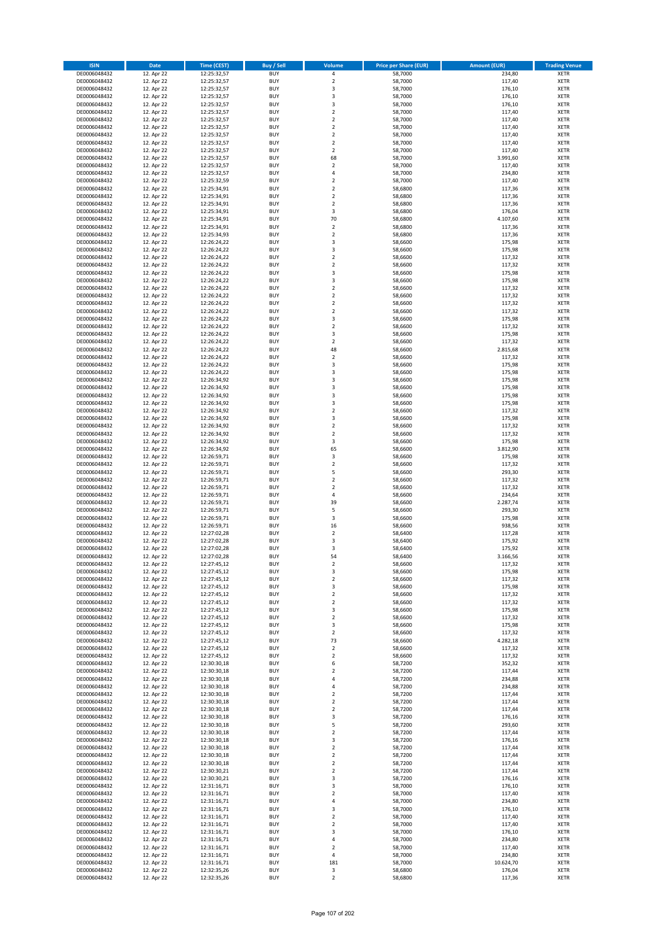| <b>ISIN</b>                  | <b>Date</b>              | <b>Time (CEST)</b>         | <b>Buy / Sell</b>        | Volume                                 | <b>Price per Share (EUR)</b> | <b>Amount (EUR)</b> | <b>Trading Venue</b>       |
|------------------------------|--------------------------|----------------------------|--------------------------|----------------------------------------|------------------------------|---------------------|----------------------------|
| DE0006048432                 | 12. Apr 22               | 12:25:32,57                | <b>BUY</b>               | 4                                      | 58,7000                      | 234,80              | <b>XETR</b>                |
| DE0006048432                 | 12. Apr 22               | 12:25:32,57                | <b>BUY</b>               | $\mathbf 2$                            | 58,7000                      | 117,40              | <b>XETR</b>                |
| DE0006048432                 | 12. Apr 22               | 12:25:32,57                | <b>BUY</b>               | 3                                      | 58,7000                      | 176,10              | <b>XETR</b>                |
| DE0006048432<br>DE0006048432 | 12. Apr 22<br>12. Apr 22 | 12:25:32,57<br>12:25:32,57 | <b>BUY</b><br><b>BUY</b> | 3<br>3                                 | 58,7000<br>58,7000           | 176,10<br>176,10    | <b>XETR</b><br><b>XETR</b> |
| DE0006048432                 | 12. Apr 22               | 12:25:32,57                | <b>BUY</b>               | $\mathbf 2$                            | 58,7000                      | 117,40              | <b>XETR</b>                |
| DE0006048432                 | 12. Apr 22               | 12:25:32,57                | <b>BUY</b>               | $\mathbf 2$                            | 58,7000                      | 117,40              | <b>XETR</b>                |
| DE0006048432                 | 12. Apr 22               | 12:25:32,57                | <b>BUY</b>               | $\mathbf 2$                            | 58,7000                      | 117,40              | <b>XETR</b>                |
| DE0006048432                 | 12. Apr 22               | 12:25:32,57                | <b>BUY</b>               | $\overline{2}$                         | 58,7000                      | 117,40              | <b>XETR</b>                |
| DE0006048432                 | 12. Apr 22               | 12:25:32,57                | <b>BUY</b>               | $\overline{2}$                         | 58,7000                      | 117,40              | <b>XETR</b>                |
| DE0006048432                 | 12. Apr 22               | 12:25:32,57                | <b>BUY</b>               | $\mathbf 2$                            | 58,7000                      | 117,40              | <b>XETR</b>                |
| DE0006048432<br>DE0006048432 | 12. Apr 22<br>12. Apr 22 | 12:25:32,57                | <b>BUY</b><br><b>BUY</b> | 68<br>$\mathbf 2$                      | 58,7000<br>58,7000           | 3.991,60<br>117,40  | <b>XETR</b><br><b>XETR</b> |
| DE0006048432                 | 12. Apr 22               | 12:25:32,57<br>12:25:32,57 | <b>BUY</b>               | 4                                      | 58,7000                      | 234,80              | <b>XETR</b>                |
| DE0006048432                 | 12. Apr 22               | 12:25:32,59                | <b>BUY</b>               | $\mathbf 2$                            | 58,7000                      | 117,40              | <b>XETR</b>                |
| DE0006048432                 | 12. Apr 22               | 12:25:34,91                | <b>BUY</b>               | $\overline{\mathbf{c}}$                | 58,6800                      | 117,36              | <b>XETR</b>                |
| DE0006048432                 | 12. Apr 22               | 12:25:34,91                | <b>BUY</b>               | $\mathbf 2$                            | 58,6800                      | 117,36              | <b>XETR</b>                |
| DE0006048432                 | 12. Apr 22               | 12:25:34,91                | <b>BUY</b>               | $\mathbf 2$                            | 58,6800                      | 117,36              | <b>XETR</b>                |
| DE0006048432                 | 12. Apr 22               | 12:25:34,91                | <b>BUY</b>               | 3                                      | 58,6800                      | 176,04              | <b>XETR</b>                |
| DE0006048432                 | 12. Apr 22               | 12:25:34,91                | <b>BUY</b>               | 70                                     | 58,6800                      | 4.107,60            | <b>XETR</b>                |
| DE0006048432<br>DE0006048432 | 12. Apr 22<br>12. Apr 22 | 12:25:34,91<br>12:25:34,93 | <b>BUY</b><br><b>BUY</b> | $\overline{\mathbf{c}}$<br>$\mathbf 2$ | 58,6800<br>58,6800           | 117,36<br>117,36    | <b>XETR</b><br><b>XETR</b> |
| DE0006048432                 | 12. Apr 22               | 12:26:24,22                | <b>BUY</b>               | 3                                      | 58,6600                      | 175,98              | <b>XETR</b>                |
| DE0006048432                 | 12. Apr 22               | 12:26:24,22                | <b>BUY</b>               | 3                                      | 58,6600                      | 175,98              | <b>XETR</b>                |
| DE0006048432                 | 12. Apr 22               | 12:26:24,22                | <b>BUY</b>               | $\mathbf 2$                            | 58,6600                      | 117,32              | <b>XETR</b>                |
| DE0006048432                 | 12. Apr 22               | 12:26:24,22                | <b>BUY</b>               | $\mathbf 2$                            | 58,6600                      | 117,32              | <b>XETR</b>                |
| DE0006048432                 | 12. Apr 22               | 12:26:24,22                | <b>BUY</b>               | 3                                      | 58,6600                      | 175,98              | <b>XETR</b>                |
| DE0006048432                 | 12. Apr 22               | 12:26:24,22                | <b>BUY</b>               | 3                                      | 58,6600                      | 175,98              | <b>XETR</b>                |
| DE0006048432<br>DE0006048432 | 12. Apr 22<br>12. Apr 22 | 12:26:24,22<br>12:26:24,22 | <b>BUY</b><br><b>BUY</b> | $\mathbf 2$<br>$\overline{\mathbf{c}}$ | 58,6600<br>58,6600           | 117,32<br>117,32    | <b>XETR</b><br><b>XETR</b> |
| DE0006048432                 | 12. Apr 22               | 12:26:24,22                | <b>BUY</b>               | $\overline{2}$                         | 58,6600                      | 117,32              | <b>XETR</b>                |
| DE0006048432                 | 12. Apr 22               | 12:26:24,22                | <b>BUY</b>               | $\overline{\mathbf{c}}$                | 58,6600                      | 117,32              | <b>XETR</b>                |
| DE0006048432                 | 12. Apr 22               | 12:26:24,22                | <b>BUY</b>               | 3                                      | 58,6600                      | 175,98              | <b>XETR</b>                |
| DE0006048432                 | 12. Apr 22               | 12:26:24,22                | <b>BUY</b>               | $\mathbf 2$                            | 58,6600                      | 117,32              | <b>XETR</b>                |
| DE0006048432                 | 12. Apr 22               | 12:26:24,22                | <b>BUY</b>               | 3                                      | 58,6600                      | 175,98              | <b>XETR</b>                |
| DE0006048432                 | 12. Apr 22               | 12:26:24,22                | <b>BUY</b>               | $\mathbf 2$                            | 58,6600                      | 117,32              | <b>XETR</b>                |
| DE0006048432                 | 12. Apr 22               | 12:26:24,22                | <b>BUY</b><br><b>BUY</b> | 48<br>$\mathbf 2$                      | 58,6600                      | 2.815,68            | <b>XETR</b>                |
| DE0006048432<br>DE0006048432 | 12. Apr 22<br>12. Apr 22 | 12:26:24,22<br>12:26:24,22 | <b>BUY</b>               | 3                                      | 58,6600<br>58,6600           | 117,32<br>175,98    | <b>XETR</b><br><b>XETR</b> |
| DE0006048432                 | 12. Apr 22               | 12:26:24,22                | <b>BUY</b>               | 3                                      | 58,6600                      | 175,98              | <b>XETR</b>                |
| DE0006048432                 | 12. Apr 22               | 12:26:34,92                | <b>BUY</b>               | 3                                      | 58,6600                      | 175,98              | <b>XETR</b>                |
| DE0006048432                 | 12. Apr 22               | 12:26:34,92                | <b>BUY</b>               | 3                                      | 58,6600                      | 175,98              | <b>XETR</b>                |
| DE0006048432                 | 12. Apr 22               | 12:26:34,92                | <b>BUY</b>               | 3                                      | 58,6600                      | 175,98              | <b>XETR</b>                |
| DE0006048432                 | 12. Apr 22               | 12:26:34,92                | <b>BUY</b>               | 3                                      | 58,6600                      | 175,98              | <b>XETR</b>                |
| DE0006048432                 | 12. Apr 22               | 12:26:34,92                | <b>BUY</b>               | $\mathbf 2$                            | 58,6600                      | 117,32              | <b>XETR</b>                |
| DE0006048432<br>DE0006048432 | 12. Apr 22<br>12. Apr 22 | 12:26:34,92                | <b>BUY</b><br><b>BUY</b> | 3<br>$\mathbf 2$                       | 58,6600<br>58,6600           | 175,98<br>117,32    | <b>XETR</b><br><b>XETR</b> |
| DE0006048432                 | 12. Apr 22               | 12:26:34,92<br>12:26:34,92 | <b>BUY</b>               | $\mathbf 2$                            | 58,6600                      | 117,32              | <b>XETR</b>                |
| DE0006048432                 | 12. Apr 22               | 12:26:34,92                | <b>BUY</b>               | 3                                      | 58,6600                      | 175,98              | <b>XETR</b>                |
| DE0006048432                 | 12. Apr 22               | 12:26:34,92                | <b>BUY</b>               | 65                                     | 58,6600                      | 3.812,90            | <b>XETR</b>                |
| DE0006048432                 | 12. Apr 22               | 12:26:59,71                | <b>BUY</b>               | 3                                      | 58,6600                      | 175,98              | <b>XETR</b>                |
| DE0006048432                 | 12. Apr 22               | 12:26:59,71                | <b>BUY</b>               | $\mathbf 2$                            | 58,6600                      | 117,32              | <b>XETR</b>                |
| DE0006048432                 | 12. Apr 22               | 12:26:59,71                | <b>BUY</b>               | 5                                      | 58,6600                      | 293,30              | <b>XETR</b>                |
| DE0006048432<br>DE0006048432 | 12. Apr 22<br>12. Apr 22 | 12:26:59,71<br>12:26:59,71 | <b>BUY</b><br><b>BUY</b> | $\mathbf 2$<br>$\overline{\mathbf{c}}$ | 58,6600<br>58,6600           | 117,32<br>117,32    | <b>XETR</b><br><b>XETR</b> |
| DE0006048432                 | 12. Apr 22               | 12:26:59,71                | <b>BUY</b>               | 4                                      | 58,6600                      | 234,64              | <b>XETR</b>                |
| DE0006048432                 | 12. Apr 22               | 12:26:59,71                | <b>BUY</b>               | 39                                     | 58,6600                      | 2.287,74            | <b>XETR</b>                |
| DE0006048432                 | 12. Apr 22               | 12:26:59,71                | <b>BUY</b>               | 5                                      | 58,6600                      | 293,30              | <b>XETR</b>                |
| DE0006048432                 | 12. Apr 22               | 12:26:59,71                | <b>BUY</b>               | 3                                      | 58,6600                      | 175,98              | <b>XETR</b>                |
| DE0006048432                 | 12. Apr 22               | 12:26:59,71                | <b>BUY</b>               | 16                                     | 58,6600                      | 938,56              | <b>XETR</b>                |
| DE0006048432                 | 12. Apr 22               | 12:27:02,28                | <b>BUY</b>               | $\mathbf 2$                            | 58,6400                      | 117,28              | <b>XETR</b>                |
| DE0006048432<br>DE0006048432 | 12. Apr 22<br>12. Apr 22 | 12:27:02,28<br>12:27:02,28 | <b>BUY</b><br><b>BUY</b> | 3<br>3                                 | 58,6400<br>58,6400           | 175,92<br>175,92    | <b>XETR</b><br><b>XETR</b> |
| DE0006048432                 | 12. Apr 22               | 12:27:02,28                | <b>BUY</b>               | 54                                     | 58,6400                      | 3.166,56            | <b>XETR</b>                |
| DE0006048432                 | 12. Apr 22               | 12:27:45,12                | BUY                      | 2                                      | 58,6600                      | 117,32              | <b>XETR</b>                |
| DE0006048432                 | 12. Apr 22               | 12:27:45,12                | <b>BUY</b>               | 3                                      | 58,6600                      | 175,98              | <b>XETR</b>                |
| DE0006048432                 | 12. Apr 22               | 12:27:45,12                | <b>BUY</b>               | $\mathbf 2$                            | 58,6600                      | 117,32              | <b>XETR</b>                |
| DE0006048432                 | 12. Apr 22               | 12:27:45,12                | <b>BUY</b>               | 3                                      | 58,6600                      | 175,98              | XETR                       |
| DE0006048432<br>DE0006048432 | 12. Apr 22<br>12. Apr 22 | 12:27:45,12                | <b>BUY</b>               | $\mathbf 2$                            | 58,6600                      | 117,32              | <b>XETR</b>                |
| DE0006048432                 | 12. Apr 22               | 12:27:45,12<br>12:27:45,12 | <b>BUY</b><br><b>BUY</b> | $\mathbf 2$<br>3                       | 58,6600<br>58,6600           | 117,32<br>175,98    | <b>XETR</b><br><b>XETR</b> |
| DE0006048432                 | 12. Apr 22               | 12:27:45,12                | <b>BUY</b>               | $\mathbf 2$                            | 58,6600                      | 117,32              | <b>XETR</b>                |
| DE0006048432                 | 12. Apr 22               | 12:27:45,12                | <b>BUY</b>               | 3                                      | 58,6600                      | 175,98              | <b>XETR</b>                |
| DE0006048432                 | 12. Apr 22               | 12:27:45,12                | <b>BUY</b>               | $\mathbf 2$                            | 58,6600                      | 117,32              | <b>XETR</b>                |
| DE0006048432                 | 12. Apr 22               | 12:27:45,12                | <b>BUY</b>               | 73                                     | 58,6600                      | 4.282,18            | <b>XETR</b>                |
| DE0006048432                 | 12. Apr 22               | 12:27:45,12                | <b>BUY</b>               | $\mathbf 2$                            | 58,6600                      | 117,32              | <b>XETR</b>                |
| DE0006048432<br>DE0006048432 | 12. Apr 22<br>12. Apr 22 | 12:27:45,12<br>12:30:30,18 | <b>BUY</b><br><b>BUY</b> | $\mathbf 2$<br>6                       | 58,6600<br>58,7200           | 117,32<br>352,32    | <b>XETR</b><br><b>XETR</b> |
| DE0006048432                 | 12. Apr 22               | 12:30:30,18                | <b>BUY</b>               | $\mathbf 2$                            | 58,7200                      | 117,44              | <b>XETR</b>                |
| DE0006048432                 | 12. Apr 22               | 12:30:30,18                | <b>BUY</b>               | 4                                      | 58,7200                      | 234,88              | <b>XETR</b>                |
| DE0006048432                 | 12. Apr 22               | 12:30:30,18                | <b>BUY</b>               | 4                                      | 58,7200                      | 234,88              | <b>XETR</b>                |
| DE0006048432                 | 12. Apr 22               | 12:30:30,18                | <b>BUY</b>               | $\mathbf 2$                            | 58,7200                      | 117,44              | <b>XETR</b>                |
| DE0006048432                 | 12. Apr 22               | 12:30:30,18                | <b>BUY</b>               | $\mathbf 2$                            | 58,7200                      | 117,44              | XETR                       |
| DE0006048432                 | 12. Apr 22               | 12:30:30,18                | <b>BUY</b>               | $\mathbf 2$                            | 58,7200                      | 117,44              | <b>XETR</b>                |
| DE0006048432<br>DE0006048432 | 12. Apr 22<br>12. Apr 22 | 12:30:30,18<br>12:30:30,18 | <b>BUY</b><br><b>BUY</b> | 3<br>5                                 | 58,7200<br>58,7200           | 176,16<br>293,60    | <b>XETR</b><br><b>XETR</b> |
| DE0006048432                 | 12. Apr 22               | 12:30:30,18                | <b>BUY</b>               | $\overline{\mathbf{c}}$                | 58,7200                      | 117,44              | <b>XETR</b>                |
| DE0006048432                 | 12. Apr 22               | 12:30:30,18                | <b>BUY</b>               | 3                                      | 58,7200                      | 176,16              | <b>XETR</b>                |
| DE0006048432                 | 12. Apr 22               | 12:30:30,18                | <b>BUY</b>               | $\mathbf 2$                            | 58,7200                      | 117,44              | <b>XETR</b>                |
| DE0006048432                 | 12. Apr 22               | 12:30:30,18                | <b>BUY</b>               | $\mathbf 2$                            | 58,7200                      | 117,44              | <b>XETR</b>                |
| DE0006048432                 | 12. Apr 22               | 12:30:30,18                | <b>BUY</b>               | $\mathbf 2$                            | 58,7200                      | 117,44              | <b>XETR</b>                |
| DE0006048432                 | 12. Apr 22               | 12:30:30,21                | <b>BUY</b>               | $\overline{2}$                         | 58,7200                      | 117,44              | <b>XETR</b>                |
| DE0006048432<br>DE0006048432 | 12. Apr 22<br>12. Apr 22 | 12:30:30,21<br>12:31:16,71 | <b>BUY</b><br><b>BUY</b> | 3<br>3                                 | 58,7200<br>58,7000           | 176,16<br>176,10    | <b>XETR</b><br><b>XETR</b> |
| DE0006048432                 | 12. Apr 22               | 12:31:16,71                | <b>BUY</b>               | $\mathbf 2$                            | 58,7000                      | 117,40              | <b>XETR</b>                |
| DE0006048432                 | 12. Apr 22               | 12:31:16,71                | <b>BUY</b>               | 4                                      | 58,7000                      | 234,80              | <b>XETR</b>                |
| DE0006048432                 | 12. Apr 22               | 12:31:16,71                | <b>BUY</b>               | 3                                      | 58,7000                      | 176,10              | <b>XETR</b>                |
| DE0006048432                 | 12. Apr 22               | 12:31:16,71                | <b>BUY</b>               | $\mathbf 2$                            | 58,7000                      | 117,40              | <b>XETR</b>                |
| DE0006048432                 | 12. Apr 22               | 12:31:16,71                | <b>BUY</b>               | $\mathbf 2$                            | 58,7000                      | 117,40              | <b>XETR</b>                |
| DE0006048432                 | 12. Apr 22               | 12:31:16,71                | <b>BUY</b>               | 3                                      | 58,7000                      | 176,10              | <b>XETR</b>                |
| DE0006048432<br>DE0006048432 | 12. Apr 22<br>12. Apr 22 | 12:31:16,71<br>12:31:16,71 | <b>BUY</b><br><b>BUY</b> | 4<br>$\overline{\mathbf{c}}$           | 58,7000<br>58,7000           | 234,80<br>117,40    | <b>XETR</b><br>XETR        |
| DE0006048432                 | 12. Apr 22               | 12:31:16,71                | <b>BUY</b>               | 4                                      | 58,7000                      | 234,80              | <b>XETR</b>                |
| DE0006048432                 | 12. Apr 22               | 12:31:16,71                | <b>BUY</b>               | 181                                    | 58,7000                      | 10.624,70           | <b>XETR</b>                |
| DE0006048432                 | 12. Apr 22               | 12:32:35,26                | <b>BUY</b>               | 3                                      | 58,6800                      | 176,04              | <b>XETR</b>                |
| DE0006048432                 | 12. Apr 22               | 12:32:35,26                | <b>BUY</b>               | $\mathbf 2$                            | 58,6800                      | 117,36              | <b>XETR</b>                |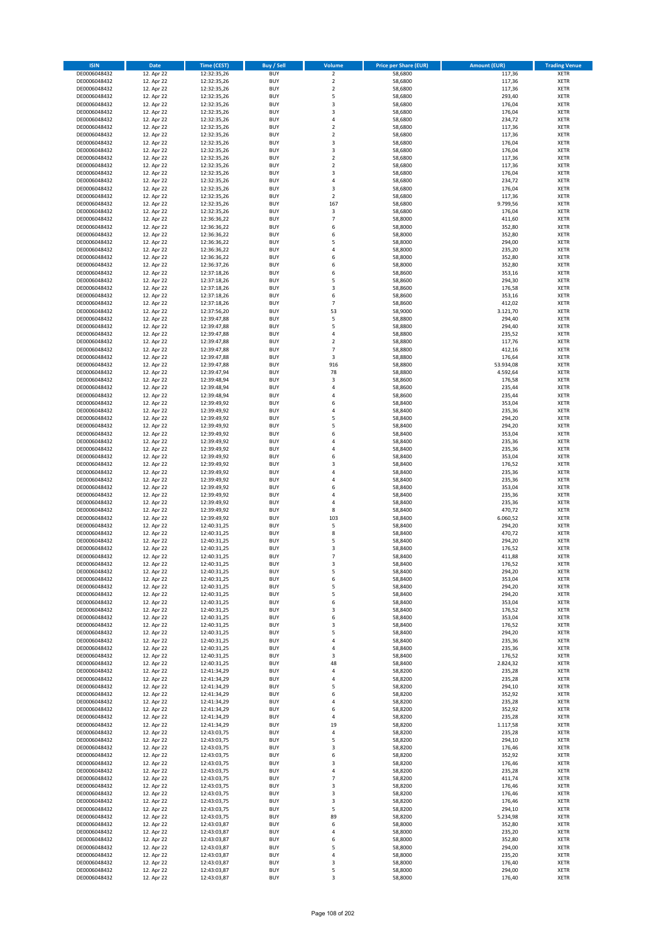| <b>ISIN</b>                  | <b>Date</b>              | Time (CEST)                | <b>Buy / Sell</b>        | Volume                                    | <b>Price per Share (EUR)</b> | <b>Amount (EUR)</b> | <b>Trading Venue</b>       |
|------------------------------|--------------------------|----------------------------|--------------------------|-------------------------------------------|------------------------------|---------------------|----------------------------|
| DE0006048432                 | 12. Apr 22               | 12:32:35,26                | <b>BUY</b>               | $\overline{\mathbf{2}}$                   | 58,6800                      | 117,36              | <b>XETR</b>                |
| DE0006048432                 | 12. Apr 22               | 12:32:35,26                | <b>BUY</b>               | $\mathbf 2$                               | 58,6800                      | 117,36              | <b>XETR</b>                |
| DE0006048432                 | 12. Apr 22               | 12:32:35,26                | <b>BUY</b>               | $\mathbf 2$                               | 58,6800                      | 117,36              | <b>XETR</b>                |
| DE0006048432                 | 12. Apr 22               | 12:32:35,26                | <b>BUY</b>               | 5                                         | 58,6800                      | 293,40              | <b>XETR</b>                |
| DE0006048432                 | 12. Apr 22               | 12:32:35,26                | <b>BUY</b>               | 3                                         | 58,6800                      | 176,04              | <b>XETR</b>                |
| DE0006048432                 | 12. Apr 22               | 12:32:35,26                | <b>BUY</b>               | $\overline{3}$                            | 58,6800                      | 176,04              | <b>XETR</b>                |
| DE0006048432                 | 12. Apr 22               | 12:32:35,26                | <b>BUY</b>               | $\overline{a}$                            | 58,6800                      | 234,72              | <b>XETR</b>                |
| DE0006048432                 | 12. Apr 22               | 12:32:35,26                | <b>BUY</b>               | $\overline{2}$                            | 58,6800                      | 117,36              | <b>XETR</b>                |
| DE0006048432                 | 12. Apr 22               | 12:32:35,26                | BUY                      | $\overline{2}$                            | 58,6800                      | 117,36              | <b>XETR</b>                |
| DE0006048432                 | 12. Apr 22               | 12:32:35,26                | <b>BUY</b>               | 3                                         | 58,6800                      | 176,04              | <b>XETR</b>                |
| DE0006048432                 | 12. Apr 22               | 12:32:35,26                | <b>BUY</b>               | 3                                         | 58,6800                      | 176,04              | <b>XETR</b>                |
| DE0006048432                 | 12. Apr 22               | 12:32:35,26                | <b>BUY</b>               | $\overline{2}$                            | 58,6800                      | 117,36              | <b>XETR</b>                |
| DE0006048432                 | 12. Apr 22               | 12:32:35,26                | <b>BUY</b>               | $\overline{2}$<br>$\overline{\mathbf{3}}$ | 58,6800                      | 117,36              | <b>XETR</b>                |
| DE0006048432                 | 12. Apr 22<br>12. Apr 22 | 12:32:35,26<br>12:32:35,26 | <b>BUY</b><br><b>BUY</b> | 4                                         | 58,6800<br>58,6800           | 176,04<br>234,72    | <b>XETR</b><br><b>XETR</b> |
| DE0006048432<br>DE0006048432 | 12. Apr 22               | 12:32:35,26                | BUY                      | 3                                         | 58,6800                      | 176,04              | <b>XETR</b>                |
| DE0006048432                 | 12. Apr 22               | 12:32:35,26                | <b>BUY</b>               | $\mathbf 2$                               | 58,6800                      | 117,36              | <b>XETR</b>                |
| DE0006048432                 | 12. Apr 22               | 12:32:35,26                | <b>BUY</b>               | 167                                       | 58,6800                      | 9.799,56            | <b>XETR</b>                |
| DE0006048432                 | 12. Apr 22               | 12:32:35,26                | <b>BUY</b>               | 3                                         | 58.6800                      | 176,04              | <b>XETR</b>                |
| DE0006048432                 | 12. Apr 22               | 12:36:36,22                | <b>BUY</b>               | $\overline{7}$                            | 58,8000                      | 411,60              | <b>XETR</b>                |
| DE0006048432                 | 12. Apr 22               | 12:36:36,22                | <b>BUY</b>               | 6                                         | 58,8000                      | 352,80              | <b>XETR</b>                |
| DE0006048432                 | 12. Apr 22               | 12:36:36,22                | <b>BUY</b>               | 6                                         | 58,8000                      | 352,80              | <b>XETR</b>                |
| DE0006048432                 | 12. Apr 22               | 12:36:36,22                | <b>BUY</b>               | 5                                         | 58,8000                      | 294,00              | <b>XETR</b>                |
| DE0006048432                 | 12. Apr 22               | 12:36:36,22                | <b>BUY</b>               | 4                                         | 58,8000                      | 235,20              | <b>XETR</b>                |
| DE0006048432                 | 12. Apr 22               | 12:36:36,22                | <b>BUY</b>               | 6                                         | 58,8000                      | 352,80              | <b>XETR</b>                |
| DE0006048432                 | 12. Apr 22               | 12:36:37,26                | <b>BUY</b>               | 6                                         | 58,8000                      | 352,80              | <b>XETR</b>                |
| DE0006048432                 | 12. Apr 22               | 12:37:18,26                | <b>BUY</b>               | 6                                         | 58,8600                      | 353,16              | <b>XETR</b>                |
| DE0006048432                 | 12. Apr 22               | 12:37:18,26                | <b>BUY</b>               | 5                                         | 58,8600                      | 294,30              | <b>XETR</b>                |
| DE0006048432                 | 12. Apr 22               | 12:37:18,26                | <b>BUY</b>               | 3                                         | 58,8600                      | 176,58              | <b>XETR</b>                |
| DE0006048432                 | 12. Apr 22               | 12:37:18,26                | <b>BUY</b>               | 6                                         | 58,8600                      | 353,16              | <b>XETR</b>                |
| DE0006048432                 | 12. Apr 22               | 12:37:18,26                | <b>BUY</b>               | $\overline{7}$                            | 58,8600                      | 412,02              | <b>XETR</b>                |
| DE0006048432<br>DE0006048432 | 12. Apr 22<br>12. Apr 22 | 12:37:56,20                | <b>BUY</b><br><b>BUY</b> | 53<br>5                                   | 58,9000<br>58,8800           | 3.121,70<br>294,40  | <b>XETR</b><br><b>XETR</b> |
| DE0006048432                 | 12. Apr 22               | 12:39:47,88<br>12:39:47,88 | <b>BUY</b>               | 5                                         | 58,8800                      | 294,40              | <b>XETR</b>                |
| DE0006048432                 | 12. Apr 22               | 12:39:47,88                | <b>BUY</b>               | $\overline{4}$                            | 58,8800                      | 235,52              | <b>XETR</b>                |
| DE0006048432                 | 12. Apr 22               | 12:39:47,88                | <b>BUY</b>               | $\mathbf 2$                               | 58,8800                      | 117,76              | <b>XETR</b>                |
| DE0006048432                 | 12. Apr 22               | 12:39:47,88                | <b>BUY</b>               | 7                                         | 58,8800                      | 412,16              | <b>XETR</b>                |
| DE0006048432                 | 12. Apr 22               | 12:39:47,88                | <b>BUY</b>               | 3                                         | 58,8800                      | 176,64              | <b>XETR</b>                |
| DE0006048432                 | 12. Apr 22               | 12:39:47,88                | <b>BUY</b>               | 916                                       | 58,8800                      | 53.934,08           | <b>XETR</b>                |
| DE0006048432                 | 12. Apr 22               | 12:39:47,94                | <b>BUY</b>               | 78                                        | 58,8800                      | 4.592,64            | <b>XETR</b>                |
| DE0006048432                 | 12. Apr 22               | 12:39:48,94                | <b>BUY</b>               | 3                                         | 58,8600                      | 176,58              | <b>XETR</b>                |
| DE0006048432                 | 12. Apr 22               | 12:39:48,94                | <b>BUY</b>               | 4                                         | 58,8600                      | 235,44              | <b>XETR</b>                |
| DE0006048432                 | 12. Apr 22               | 12:39:48,94                | <b>BUY</b>               | 4                                         | 58,8600                      | 235,44              | <b>XETR</b>                |
| DE0006048432                 | 12. Apr 22               | 12:39:49,92                | <b>BUY</b>               | 6                                         | 58,8400                      | 353,04              | <b>XETR</b>                |
| DE0006048432                 | 12. Apr 22               | 12:39:49,92                | <b>BUY</b>               | $\overline{a}$                            | 58,8400                      | 235,36              | <b>XETR</b>                |
| DE0006048432                 | 12. Apr 22               | 12:39:49,92                | <b>BUY</b>               | 5                                         | 58,8400                      | 294,20              | <b>XETR</b>                |
| DE0006048432                 | 12. Apr 22               | 12:39:49,92                | <b>BUY</b>               | 5                                         | 58,8400                      | 294,20              | <b>XETR</b>                |
| DE0006048432                 | 12. Apr 22               | 12:39:49,92                | <b>BUY</b>               | 6                                         | 58,8400                      | 353,04              | <b>XETR</b>                |
| DE0006048432                 | 12. Apr 22               | 12:39:49,92                | <b>BUY</b>               | 4                                         | 58,8400                      | 235,36              | <b>XETR</b>                |
| DE0006048432                 | 12. Apr 22               | 12:39:49,92                | <b>BUY</b>               | $\overline{a}$                            | 58,8400                      | 235,36              | <b>XETR</b>                |
| DE0006048432                 | 12. Apr 22               | 12:39:49,92                | <b>BUY</b><br><b>BUY</b> | 6<br>$\overline{3}$                       | 58,8400                      | 353,04              | <b>XETR</b>                |
| DE0006048432<br>DE0006048432 | 12. Apr 22<br>12. Apr 22 | 12:39:49,92<br>12:39:49,92 | <b>BUY</b>               | $\overline{4}$                            | 58,8400<br>58,8400           | 176,52<br>235,36    | <b>XETR</b><br><b>XETR</b> |
| DE0006048432                 | 12. Apr 22               | 12:39:49,92                | <b>BUY</b>               | $\overline{4}$                            | 58,8400                      | 235,36              | <b>XETR</b>                |
| DE0006048432                 | 12. Apr 22               | 12:39:49,92                | <b>BUY</b>               | 6                                         | 58,8400                      | 353,04              | <b>XETR</b>                |
| DE0006048432                 | 12. Apr 22               | 12:39:49,92                | <b>BUY</b>               | $\overline{a}$                            | 58,8400                      | 235,36              | <b>XETR</b>                |
| DE0006048432                 | 12. Apr 22               | 12:39:49,92                | <b>BUY</b>               | $\overline{a}$                            | 58,8400                      | 235,36              | <b>XETR</b>                |
| DE0006048432                 | 12. Apr 22               | 12:39:49,92                | <b>BUY</b>               | 8                                         | 58,8400                      | 470,72              | <b>XETR</b>                |
| DE0006048432                 | 12. Apr 22               | 12:39:49,92                | BUY                      | 103                                       | 58,8400                      | 6.060,52            | <b>XETR</b>                |
| DE0006048432                 | 12. Apr 22               | 12:40:31,25                | <b>BUY</b>               | 5                                         | 58,8400                      | 294,20              | <b>XETR</b>                |
| DE0006048432                 | 12. Apr 22               | 12:40:31,25                | <b>BUY</b>               | 8                                         | 58,8400                      | 470,72              | <b>XETR</b>                |
| DE0006048432                 | 12. Apr 22               | 12:40:31,25                | BUY                      | 5                                         | 58,8400                      | 294,20              | <b>XETR</b>                |
| DE0006048432                 | 12. Apr 22               | 12:40:31,25                | BUY                      | 3                                         | 58,8400                      | 176,52              | <b>XETR</b>                |
| DE0006048432                 | 12. Apr 22               | 12:40:31,25                | <b>BUY</b>               | $\overline{7}$                            | 58,8400                      | 411,88              | <b>XETR</b>                |
| DE0006048432                 | 12. Apr 22               | 12:40:31,25                | <b>BUY</b>               | 3                                         | 58,8400                      | 176,52              | <b>XETR</b>                |
| DE0006048432                 | 12. Apr 22               | 12:40:31,25                | <b>BUY</b>               | 5                                         | 58,8400                      | 294,20              | <b>XETR</b>                |
| DE0006048432                 | 12. Apr 22               | 12:40:31,25                | <b>BUY</b>               | 6                                         | 58,8400                      | 353,04              | <b>XETR</b>                |
| DE0006048432                 | 12. Apr 22               | 12:40:31,25                | <b>BUY</b>               | 5                                         | 58,8400                      | 294,20              | <b>XETR</b>                |
| DE0006048432                 | 12. Apr 22               | 12:40:31,25                | <b>BUY</b>               | 5<br>6                                    | 58,8400                      | 294,20              | <b>XETR</b>                |
| DE0006048432<br>DE0006048432 | 12. Apr 22               | 12:40:31,25                | <b>BUY</b><br><b>BUY</b> | 3                                         | 58,8400<br>58,8400           | 353,04<br>176,52    | <b>XETR</b><br><b>XETR</b> |
| DE0006048432                 | 12. Apr 22<br>12. Apr 22 | 12:40:31,25<br>12:40:31,25 | <b>BUY</b>               | 6                                         | 58,8400                      | 353,04              | <b>XETR</b>                |
| DE0006048432                 | 12. Apr 22               | 12:40:31,25                | <b>BUY</b>               | 3                                         | 58,8400                      | 176,52              | <b>XETR</b>                |
| DE0006048432                 | 12. Apr 22               | 12:40:31,25                | <b>BUY</b>               | 5                                         | 58,8400                      | 294,20              | <b>XETR</b>                |
| DE0006048432                 | 12. Apr 22               | 12:40:31,25                | <b>BUY</b>               | 4                                         | 58,8400                      | 235,36              | <b>XETR</b>                |
| DE0006048432                 | 12. Apr 22               | 12:40:31,25                | <b>BUY</b>               | 4                                         | 58,8400                      | 235,36              | <b>XETR</b>                |
| DE0006048432                 | 12. Apr 22               | 12:40:31,25                | <b>BUY</b>               | 3                                         | 58,8400                      | 176,52              | <b>XETR</b>                |
| DE0006048432                 | 12. Apr 22               | 12:40:31,25                | <b>BUY</b>               | 48                                        | 58,8400                      | 2.824,32            | <b>XETR</b>                |
| DE0006048432                 | 12. Apr 22               | 12:41:34,29                | <b>BUY</b>               | 4                                         | 58,8200                      | 235,28              | <b>XETR</b>                |
| DE0006048432                 | 12. Apr 22               | 12:41:34,29                | <b>BUY</b>               | $\overline{a}$                            | 58,8200                      | 235,28              | <b>XETR</b>                |
| DE0006048432                 | 12. Apr 22               | 12:41:34,29                | <b>BUY</b>               | 5                                         | 58,8200                      | 294,10              | <b>XETR</b>                |
| DE0006048432                 | 12. Apr 22               | 12:41:34,29                | <b>BUY</b>               | 6                                         | 58,8200                      | 352,92              | <b>XETR</b>                |
| DE0006048432                 | 12. Apr 22               | 12:41:34,29                | <b>BUY</b>               | 4                                         | 58,8200                      | 235,28              | <b>XETR</b>                |
| DE0006048432                 | 12. Apr 22               | 12:41:34,29                | <b>BUY</b>               | 6                                         | 58,8200                      | 352,92              | <b>XETR</b>                |
| DE0006048432<br>DE0006048432 | 12. Apr 22<br>12. Apr 22 | 12:41:34,29<br>12:41:34,29 | <b>BUY</b><br><b>BUY</b> | 4<br>19                                   | 58,8200<br>58,8200           | 235,28<br>1.117,58  | <b>XETR</b><br><b>XETR</b> |
| DE0006048432                 | 12. Apr 22               | 12:43:03,75                | <b>BUY</b>               | 4                                         | 58,8200                      | 235,28              | <b>XETR</b>                |
| DE0006048432                 | 12. Apr 22               | 12:43:03,75                | <b>BUY</b>               | 5                                         | 58,8200                      | 294,10              | <b>XETR</b>                |
| DE0006048432                 | 12. Apr 22               | 12:43:03,75                | <b>BUY</b>               | 3                                         | 58,8200                      | 176,46              | <b>XETR</b>                |
| DE0006048432                 | 12. Apr 22               | 12:43:03,75                | <b>BUY</b>               | 6                                         | 58,8200                      | 352,92              | <b>XETR</b>                |
| DE0006048432                 | 12. Apr 22               | 12:43:03,75                | <b>BUY</b>               | $\overline{\mathbf{3}}$                   | 58,8200                      | 176,46              | <b>XETR</b>                |
| DE0006048432                 | 12. Apr 22               | 12:43:03,75                | <b>BUY</b>               | $\overline{4}$                            | 58,8200                      | 235,28              | <b>XETR</b>                |
| DE0006048432                 | 12. Apr 22               | 12:43:03,75                | <b>BUY</b>               | $\overline{7}$                            | 58,8200                      | 411,74              | <b>XETR</b>                |
| DE0006048432                 | 12. Apr 22               | 12:43:03,75                | <b>BUY</b>               | $\overline{\mathbf{3}}$                   | 58,8200                      | 176,46              | <b>XETR</b>                |
| DE0006048432                 | 12. Apr 22               | 12:43:03,75                | <b>BUY</b>               | 3                                         | 58,8200                      | 176,46              | <b>XETR</b>                |
| DE0006048432                 | 12. Apr 22               | 12:43:03,75                | <b>BUY</b>               | 3                                         | 58,8200                      | 176,46              | <b>XETR</b>                |
| DE0006048432                 | 12. Apr 22               | 12:43:03,75                | <b>BUY</b>               | 5                                         | 58,8200                      | 294,10              | <b>XETR</b>                |
| DE0006048432                 | 12. Apr 22               | 12:43:03,75                | <b>BUY</b>               | 89                                        | 58,8200                      | 5.234,98            | <b>XETR</b>                |
| DE0006048432                 | 12. Apr 22               | 12:43:03,87                | <b>BUY</b>               | 6                                         | 58,8000                      | 352,80              | <b>XETR</b>                |
| DE0006048432                 | 12. Apr 22               | 12:43:03,87                | <b>BUY</b>               | 4                                         | 58,8000                      | 235,20              | <b>XETR</b>                |
| DE0006048432                 | 12. Apr 22               | 12:43:03,87                | <b>BUY</b>               | 6                                         | 58,8000                      | 352,80              | <b>XETR</b>                |
| DE0006048432                 | 12. Apr 22               | 12:43:03,87                | <b>BUY</b>               | 5                                         | 58,8000                      | 294,00              | <b>XETR</b>                |
| DE0006048432                 | 12. Apr 22               | 12:43:03,87                | <b>BUY</b>               | 4                                         | 58,8000                      | 235,20              | <b>XETR</b>                |
| DE0006048432<br>DE0006048432 | 12. Apr 22               | 12:43:03,87                | <b>BUY</b><br><b>BUY</b> | 3<br>5                                    | 58,8000<br>58,8000           | 176,40              | <b>XETR</b>                |
| DE0006048432                 | 12. Apr 22<br>12. Apr 22 | 12:43:03,87<br>12:43:03,87 | <b>BUY</b>               | 3                                         | 58,8000                      | 294,00<br>176,40    | <b>XETR</b><br><b>XETR</b> |
|                              |                          |                            |                          |                                           |                              |                     |                            |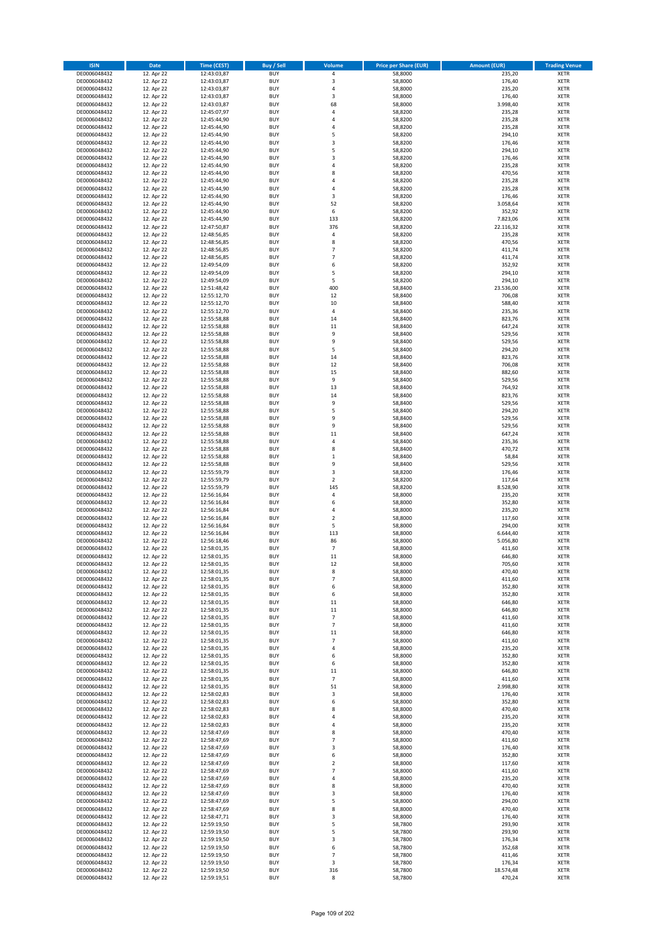| <b>ISIN</b>                  | Date                     | Time (CEST)                | <b>Buy / Sell</b>        | <b>Volume</b>                | <b>Price per Share (EUR)</b> | <b>Amount (EUR)</b> | <b>Trading Venue</b>       |
|------------------------------|--------------------------|----------------------------|--------------------------|------------------------------|------------------------------|---------------------|----------------------------|
| DE0006048432                 | 12. Apr 22               | 12:43:03,87                | <b>BUY</b>               | $\pmb{4}$                    | 58,8000                      | 235,20              | <b>XETR</b>                |
| DE0006048432                 | 12. Apr 22               | 12:43:03,87                | <b>BUY</b>               | $\mathsf 3$                  | 58,8000                      | 176,40              | XETR                       |
| DE0006048432                 | 12. Apr 22               | 12:43:03,87                | <b>BUY</b>               | 4                            | 58,8000                      | 235,20              | <b>XETR</b>                |
| DE0006048432<br>DE0006048432 | 12. Apr 22<br>12. Apr 22 | 12:43:03,87<br>12:43:03,87 | <b>BUY</b><br><b>BUY</b> | $\mathsf 3$<br>68            | 58,8000<br>58,8000           | 176,40<br>3.998,40  | <b>XETR</b><br><b>XETR</b> |
| DE0006048432                 | 12. Apr 22               | 12:45:07,97                | <b>BUY</b>               | 4                            | 58,8200                      | 235,28              | <b>XETR</b>                |
| DE0006048432                 | 12. Apr 22               | 12:45:44,90                | <b>BUY</b>               | $\overline{4}$               | 58,8200                      | 235,28              | <b>XETR</b>                |
| DE0006048432                 | 12. Apr 22               | 12:45:44,90                | <b>BUY</b>               | 4                            | 58,8200                      | 235,28              | <b>XETR</b>                |
| DE0006048432                 | 12. Apr 22               | 12:45:44,90                | <b>BUY</b>               | 5                            | 58,8200                      | 294,10              | <b>XETR</b>                |
| DE0006048432                 | 12. Apr 22               | 12:45:44,90                | <b>BUY</b>               | 3                            | 58,8200                      | 176,46              | <b>XETR</b>                |
| DE0006048432                 | 12. Apr 22               | 12:45:44,90                | <b>BUY</b>               | 5                            | 58,8200                      | 294,10              | <b>XETR</b>                |
| DE0006048432<br>DE0006048432 | 12. Apr 22<br>12. Apr 22 | 12:45:44,90<br>12:45:44,90 | <b>BUY</b><br><b>BUY</b> | 3<br>$\overline{4}$          | 58,8200<br>58,8200           | 176,46<br>235,28    | <b>XETR</b><br><b>XETR</b> |
| DE0006048432                 | 12. Apr 22               | 12:45:44,90                | <b>BUY</b>               | 8                            | 58,8200                      | 470,56              | <b>XETR</b>                |
| DE0006048432                 | 12. Apr 22               | 12:45:44,90                | <b>BUY</b>               | 4                            | 58,8200                      | 235,28              | <b>XETR</b>                |
| DE0006048432                 | 12. Apr 22               | 12:45:44,90                | <b>BUY</b>               | $\overline{4}$               | 58,8200                      | 235,28              | <b>XETR</b>                |
| DE0006048432                 | 12. Apr 22               | 12:45:44,90                | <b>BUY</b>               | 3                            | 58,8200                      | 176,46              | <b>XETR</b>                |
| DE0006048432                 | 12. Apr 22               | 12:45:44,90                | <b>BUY</b>               | 52                           | 58,8200                      | 3.058,64            | <b>XETR</b>                |
| DE0006048432                 | 12. Apr 22               | 12:45:44,90                | <b>BUY</b>               | 6                            | 58,8200                      | 352,92              | <b>XETR</b>                |
| DE0006048432                 | 12. Apr 22               | 12:45:44,90                | <b>BUY</b>               | 133                          | 58,8200                      | 7.823,06            | <b>XETR</b>                |
| DE0006048432                 | 12. Apr 22               | 12:47:50,87                | <b>BUY</b><br><b>BUY</b> | 376                          | 58,8200                      | 22.116,32           | <b>XETR</b>                |
| DE0006048432<br>DE0006048432 | 12. Apr 22<br>12. Apr 22 | 12:48:56,85<br>12:48:56,85 | <b>BUY</b>               | 4<br>8                       | 58,8200<br>58,8200           | 235,28<br>470,56    | <b>XETR</b><br><b>XETR</b> |
| DE0006048432                 | 12. Apr 22               | 12:48:56,85                | <b>BUY</b>               | $\overline{7}$               | 58,8200                      | 411,74              | <b>XETR</b>                |
| DE0006048432                 | 12. Apr 22               | 12:48:56,85                | <b>BUY</b>               | $\overline{7}$               | 58,8200                      | 411,74              | <b>XETR</b>                |
| DE0006048432                 | 12. Apr 22               | 12:49:54,09                | <b>BUY</b>               | 6                            | 58,8200                      | 352,92              | <b>XETR</b>                |
| DE0006048432                 | 12. Apr 22               | 12:49:54,09                | <b>BUY</b>               | 5                            | 58,8200                      | 294,10              | <b>XETR</b>                |
| DE0006048432                 | 12. Apr 22               | 12:49:54,09                | <b>BUY</b>               | 5                            | 58,8200                      | 294,10              | <b>XETR</b>                |
| DE0006048432                 | 12. Apr 22               | 12:51:48,42                | <b>BUY</b>               | 400                          | 58,8400                      | 23.536,00           | <b>XETR</b>                |
| DE0006048432                 | 12. Apr 22               | 12:55:12,70                | <b>BUY</b><br><b>BUY</b> | 12<br>10                     | 58,8400                      | 706,08              | <b>XETR</b>                |
| DE0006048432<br>DE0006048432 | 12. Apr 22<br>12. Apr 22 | 12:55:12,70<br>12:55:12,70 | <b>BUY</b>               | $\pmb{4}$                    | 58,8400<br>58,8400           | 588,40<br>235,36    | <b>XETR</b><br><b>XETR</b> |
| DE0006048432                 | 12. Apr 22               | 12:55:58,88                | <b>BUY</b>               | 14                           | 58,8400                      | 823,76              | <b>XETR</b>                |
| DE0006048432                 | 12. Apr 22               | 12:55:58,88                | <b>BUY</b>               | 11                           | 58,8400                      | 647,24              | <b>XETR</b>                |
| DE0006048432                 | 12. Apr 22               | 12:55:58,88                | <b>BUY</b>               | 9                            | 58,8400                      | 529,56              | <b>XETR</b>                |
| DE0006048432                 | 12. Apr 22               | 12:55:58,88                | <b>BUY</b>               | 9                            | 58,8400                      | 529,56              | <b>XETR</b>                |
| DE0006048432                 | 12. Apr 22               | 12:55:58,88                | <b>BUY</b>               | 5                            | 58,8400                      | 294,20              | <b>XETR</b>                |
| DE0006048432                 | 12. Apr 22               | 12:55:58,88                | <b>BUY</b>               | 14                           | 58,8400                      | 823,76              | <b>XETR</b>                |
| DE0006048432                 | 12. Apr 22               | 12:55:58,88                | <b>BUY</b>               | 12                           | 58,8400                      | 706,08              | <b>XETR</b>                |
| DE0006048432                 | 12. Apr 22               | 12:55:58,88                | <b>BUY</b><br><b>BUY</b> | 15<br>9                      | 58,8400                      | 882,60              | <b>XETR</b><br><b>XETR</b> |
| DE0006048432<br>DE0006048432 | 12. Apr 22<br>12. Apr 22 | 12:55:58,88<br>12:55:58,88 | <b>BUY</b>               | 13                           | 58,8400<br>58,8400           | 529,56<br>764,92    | <b>XETR</b>                |
| DE0006048432                 | 12. Apr 22               | 12:55:58,88                | <b>BUY</b>               | 14                           | 58,8400                      | 823,76              | <b>XETR</b>                |
| DE0006048432                 | 12. Apr 22               | 12:55:58,88                | <b>BUY</b>               | 9                            | 58,8400                      | 529,56              | <b>XETR</b>                |
| DE0006048432                 | 12. Apr 22               | 12:55:58,88                | <b>BUY</b>               | 5                            | 58,8400                      | 294,20              | <b>XETR</b>                |
| DE0006048432                 | 12. Apr 22               | 12:55:58,88                | <b>BUY</b>               | 9                            | 58,8400                      | 529,56              | <b>XETR</b>                |
| DE0006048432                 | 12. Apr 22               | 12:55:58,88                | <b>BUY</b>               | 9                            | 58,8400                      | 529,56              | <b>XETR</b>                |
| DE0006048432                 | 12. Apr 22               | 12:55:58,88                | <b>BUY</b>               | 11                           | 58,8400                      | 647,24              | <b>XETR</b>                |
| DE0006048432                 | 12. Apr 22               | 12:55:58,88                | <b>BUY</b>               | $\pmb{4}$                    | 58,8400                      | 235,36              | <b>XETR</b>                |
| DE0006048432<br>DE0006048432 | 12. Apr 22<br>12. Apr 22 | 12:55:58,88<br>12:55:58,88 | <b>BUY</b><br><b>BUY</b> | 8<br>$\,1\,$                 | 58,8400<br>58,8400           | 470,72<br>58,84     | <b>XETR</b><br><b>XETR</b> |
| DE0006048432                 | 12. Apr 22               | 12:55:58,88                | <b>BUY</b>               | 9                            | 58,8400                      | 529,56              | <b>XETR</b>                |
| DE0006048432                 | 12. Apr 22               | 12:55:59,79                | <b>BUY</b>               | 3                            | 58,8200                      | 176,46              | <b>XETR</b>                |
| DE0006048432                 | 12. Apr 22               | 12:55:59,79                | <b>BUY</b>               | $\mathbf 2$                  | 58,8200                      | 117,64              | <b>XETR</b>                |
| DE0006048432                 | 12. Apr 22               | 12:55:59,79                | <b>BUY</b>               | 145                          | 58,8200                      | 8.528,90            | <b>XETR</b>                |
| DE0006048432                 | 12. Apr 22               | 12:56:16,84                | <b>BUY</b>               | 4                            | 58,8000                      | 235,20              | <b>XETR</b>                |
| DE0006048432                 | 12. Apr 22               | 12:56:16,84                | <b>BUY</b>               | 6                            | 58,8000                      | 352,80              | <b>XETR</b>                |
| DE0006048432                 | 12. Apr 22               | 12:56:16,84                | <b>BUY</b>               | 4                            | 58,8000                      | 235,20              | <b>XETR</b>                |
| DE0006048432<br>DE0006048432 | 12. Apr 22               | 12:56:16,84                | <b>BUY</b><br><b>BUY</b> | $\overline{2}$<br>5          | 58,8000                      | 117,60              | <b>XETR</b><br><b>XETR</b> |
| DE0006048432                 | 12. Apr 22<br>12. Apr 22 | 12:56:16,84<br>12:56:16,84 | <b>BUY</b>               | 113                          | 58,8000<br>58,8000           | 294,00<br>6.644,40  | <b>XETR</b>                |
| DE0006048432                 | 12. Apr 22               | 12:56:18,46                | <b>BUY</b>               | 86                           | 58,8000                      | 5.056,80            | <b>XETR</b>                |
| DE0006048432                 | 12. Apr 22               | 12:58:01,35                | <b>BUY</b>               | $\overline{7}$               | 58,8000                      | 411,60              | <b>XETR</b>                |
| DE0006048432                 | 12. Apr 22               | 12:58:01,35                | <b>BUY</b>               | 11                           | 58,8000                      | 646,80              | <b>XETR</b>                |
| DE0006048432                 | 12. Apr 22               | 12:58:01,35                | BUY                      | 12                           | 58,8000                      | 705,60              | XETR                       |
| DE0006048432                 | 12. Apr 22               | 12:58:01,35                | <b>BUY</b>               | 8                            | 58,8000                      | 470,40              | <b>XETR</b>                |
| DE0006048432                 | 12. Apr 22               | 12:58:01,35                | <b>BUY</b>               | $\overline{7}$               | 58,8000                      | 411,60              | <b>XETR</b>                |
| DE0006048432<br>DE0006048432 | 12. Apr 22<br>12. Apr 22 | 12:58:01,35<br>12:58:01,35 | <b>BUY</b><br><b>BUY</b> | 6<br>6                       | 58,8000<br>58,8000           | 352,80<br>352,80    | <b>XETR</b><br><b>XETR</b> |
| DE0006048432                 | 12. Apr 22               | 12:58:01,35                | <b>BUY</b>               | 11                           | 58,8000                      | 646,80              | <b>XETR</b>                |
| DE0006048432                 | 12. Apr 22               | 12:58:01,35                | <b>BUY</b>               | 11                           | 58,8000                      | 646,80              | <b>XETR</b>                |
| DE0006048432                 | 12. Apr 22               | 12:58:01,35                | <b>BUY</b>               | $\overline{7}$               | 58,8000                      | 411,60              | <b>XETR</b>                |
| DE0006048432                 | 12. Apr 22               | 12:58:01,35                | <b>BUY</b>               | $\overline{7}$               | 58,8000                      | 411,60              | XETR                       |
| DE0006048432                 | 12. Apr 22               | 12:58:01,35                | <b>BUY</b>               | 11                           | 58,8000                      | 646,80              | <b>XETR</b>                |
| DE0006048432                 | 12. Apr 22               | 12:58:01,35                | <b>BUY</b>               | $\overline{7}$               | 58,8000                      | 411,60              | XETR                       |
| DE0006048432<br>DE0006048432 | 12. Apr 22<br>12. Apr 22 | 12:58:01,35<br>12:58:01,35 | <b>BUY</b><br><b>BUY</b> | 4<br>6                       | 58,8000<br>58,8000           | 235,20<br>352,80    | <b>XETR</b><br>XETR        |
| DE0006048432                 | 12. Apr 22               | 12:58:01,35                | <b>BUY</b>               | 6                            | 58,8000                      | 352,80              | <b>XETR</b>                |
| DE0006048432                 | 12. Apr 22               | 12:58:01,35                | <b>BUY</b>               | 11                           | 58,8000                      | 646,80              | XETR                       |
| DE0006048432                 | 12. Apr 22               | 12:58:01,35                | <b>BUY</b>               | $\overline{7}$               | 58,8000                      | 411,60              | <b>XETR</b>                |
| DE0006048432                 | 12. Apr 22               | 12:58:01,35                | <b>BUY</b>               | 51                           | 58,8000                      | 2.998,80            | <b>XETR</b>                |
| DE0006048432                 | 12. Apr 22               | 12:58:02,83                | <b>BUY</b>               | 3                            | 58,8000                      | 176,40              | <b>XETR</b>                |
| DE0006048432                 | 12. Apr 22               | 12:58:02,83                | <b>BUY</b>               | 6                            | 58,8000                      | 352,80              | XETR                       |
| DE0006048432                 | 12. Apr 22               | 12:58:02,83                | <b>BUY</b>               | 8                            | 58,8000                      | 470,40              | <b>XETR</b>                |
| DE0006048432<br>DE0006048432 | 12. Apr 22<br>12. Apr 22 | 12:58:02,83<br>12:58:02,83 | <b>BUY</b><br><b>BUY</b> | $\overline{4}$<br>$\sqrt{4}$ | 58,8000<br>58,8000           | 235,20<br>235,20    | <b>XETR</b><br><b>XETR</b> |
| DE0006048432                 | 12. Apr 22               | 12:58:47,69                | <b>BUY</b>               | 8                            | 58,8000                      | 470,40              | XETR                       |
| DE0006048432                 | 12. Apr 22               | 12:58:47,69                | <b>BUY</b>               | $\overline{7}$               | 58,8000                      | 411,60              | XETR                       |
| DE0006048432                 | 12. Apr 22               | 12:58:47,69                | <b>BUY</b>               | 3                            | 58,8000                      | 176,40              | XETR                       |
| DE0006048432                 | 12. Apr 22               | 12:58:47,69                | <b>BUY</b>               | 6                            | 58,8000                      | 352,80              | <b>XETR</b>                |
| DE0006048432                 | 12. Apr 22               | 12:58:47,69                | <b>BUY</b>               | $\overline{2}$               | 58,8000                      | 117,60              | XETR                       |
| DE0006048432                 | 12. Apr 22               | 12:58:47,69                | <b>BUY</b>               | $\overline{7}$               | 58,8000                      | 411,60              | <b>XETR</b>                |
| DE0006048432                 | 12. Apr 22               | 12:58:47,69                | <b>BUY</b>               | $\sqrt{4}$                   | 58,8000                      | 235,20              | <b>XETR</b>                |
| DE0006048432<br>DE0006048432 | 12. Apr 22               | 12:58:47,69                | <b>BUY</b><br><b>BUY</b> | 8<br>3                       | 58,8000<br>58,8000           | 470,40<br>176,40    | <b>XETR</b><br>XETR        |
| DE0006048432                 | 12. Apr 22<br>12. Apr 22 | 12:58:47,69<br>12:58:47,69 | <b>BUY</b>               | 5                            | 58,8000                      | 294,00              | XETR                       |
| DE0006048432                 | 12. Apr 22               | 12:58:47,69                | <b>BUY</b>               | 8                            | 58,8000                      | 470,40              | XETR                       |
| DE0006048432                 | 12. Apr 22               | 12:58:47,71                | <b>BUY</b>               | 3                            | 58,8000                      | 176,40              | <b>XETR</b>                |
| DE0006048432                 | 12. Apr 22               | 12:59:19,50                | <b>BUY</b>               | 5                            | 58,7800                      | 293,90              | <b>XETR</b>                |
| DE0006048432                 | 12. Apr 22               | 12:59:19,50                | <b>BUY</b>               | 5                            | 58,7800                      | 293,90              | <b>XETR</b>                |
| DE0006048432                 | 12. Apr 22               | 12:59:19,50                | <b>BUY</b>               | 3                            | 58,7800                      | 176,34              | <b>XETR</b>                |
| DE0006048432                 | 12. Apr 22               | 12:59:19,50                | <b>BUY</b><br><b>BUY</b> | 6<br>$\overline{7}$          | 58,7800                      | 352,68              | XETR<br><b>XETR</b>        |
| DE0006048432<br>DE0006048432 | 12. Apr 22<br>12. Apr 22 | 12:59:19,50<br>12:59:19,50 | <b>BUY</b>               | 3                            | 58,7800<br>58,7800           | 411,46<br>176,34    | XETR                       |
| DE0006048432                 | 12. Apr 22               | 12:59:19,50                | <b>BUY</b>               | 316                          | 58,7800                      | 18.574,48           | <b>XETR</b>                |
| DE0006048432                 | 12. Apr 22               | 12:59:19,51                | <b>BUY</b>               | 8                            | 58,7800                      | 470,24              | XETR                       |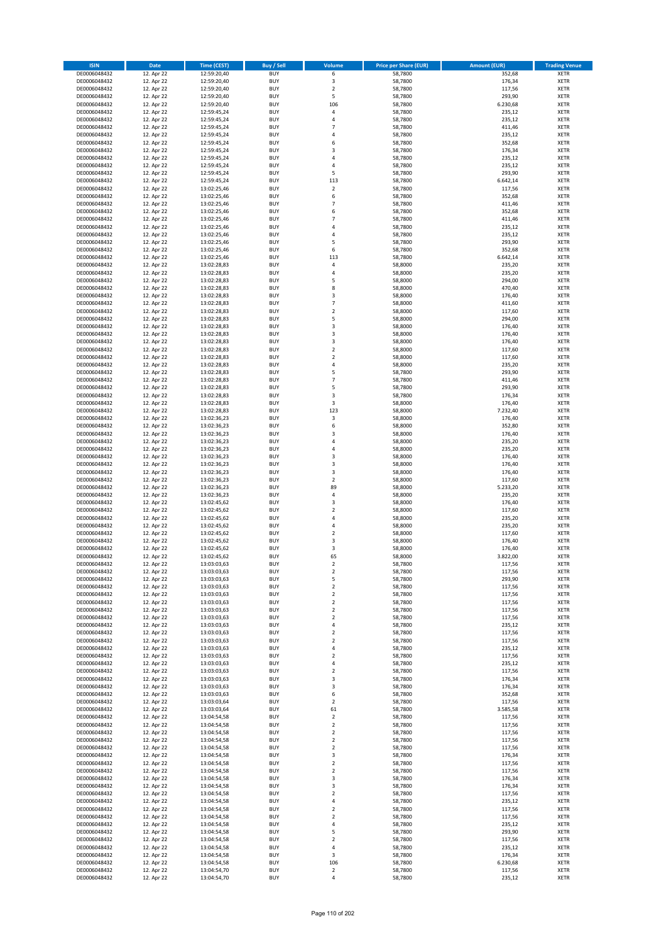| <b>ISIN</b>                  | <b>Date</b>              | Time (CEST)                | <b>Buy / Sell</b>        | Volume                                 | <b>Price per Share (EUR)</b> | <b>Amount (EUR)</b> | <b>Trading Venue</b>       |
|------------------------------|--------------------------|----------------------------|--------------------------|----------------------------------------|------------------------------|---------------------|----------------------------|
| DE0006048432                 | 12. Apr 22               | 12:59:20,40                | <b>BUY</b>               | 6                                      | 58,7800                      | 352,68              | <b>XETR</b>                |
| DE0006048432                 | 12. Apr 22               | 12:59:20,40                | <b>BUY</b>               | 3                                      | 58,7800                      | 176,34              | <b>XETR</b>                |
| DE0006048432                 | 12. Apr 22               | 12:59:20,40                | <b>BUY</b>               | $\overline{2}$                         | 58,7800                      | 117,56              | <b>XETR</b>                |
| DE0006048432<br>DE0006048432 | 12. Apr 22<br>12. Apr 22 | 12:59:20,40<br>12:59:20,40 | <b>BUY</b><br><b>BUY</b> | 5<br>106                               | 58,7800<br>58,7800           | 293,90<br>6.230,68  | <b>XETR</b><br><b>XETR</b> |
| DE0006048432                 | 12. Apr 22               | 12:59:45,24                | <b>BUY</b>               | 4                                      | 58,7800                      | 235,12              | <b>XETR</b>                |
| DE0006048432                 | 12. Apr 22               | 12:59:45,24                | <b>BUY</b>               | 4                                      | 58,7800                      | 235,12              | <b>XETR</b>                |
| DE0006048432                 | 12. Apr 22               | 12:59:45,24                | <b>BUY</b>               | $\overline{7}$                         | 58,7800                      | 411,46              | <b>XETR</b>                |
| DE0006048432                 | 12. Apr 22               | 12:59:45,24                | <b>BUY</b>               | 4                                      | 58,7800                      | 235,12              | <b>XETR</b>                |
| DE0006048432                 | 12. Apr 22               | 12:59:45,24                | <b>BUY</b>               | 6                                      | 58,7800                      | 352,68              | <b>XETR</b>                |
| DE0006048432                 | 12. Apr 22               | 12:59:45,24                | <b>BUY</b>               | 3                                      | 58,7800                      | 176,34              | <b>XETR</b>                |
| DE0006048432<br>DE0006048432 | 12. Apr 22<br>12. Apr 22 | 12:59:45,24                | <b>BUY</b><br><b>BUY</b> | 4<br>4                                 | 58,7800<br>58,7800           | 235,12<br>235,12    | <b>XETR</b><br><b>XETR</b> |
| DE0006048432                 | 12. Apr 22               | 12:59:45,24<br>12:59:45,24 | <b>BUY</b>               | 5                                      | 58,7800                      | 293,90              | <b>XETR</b>                |
| DE0006048432                 | 12. Apr 22               | 12:59:45,24                | <b>BUY</b>               | 113                                    | 58,7800                      | 6.642,14            | <b>XETR</b>                |
| DE0006048432                 | 12. Apr 22               | 13:02:25,46                | <b>BUY</b>               | $\mathbf 2$                            | 58,7800                      | 117,56              | <b>XETR</b>                |
| DE0006048432                 | 12. Apr 22               | 13:02:25,46                | <b>BUY</b>               | 6                                      | 58,7800                      | 352,68              | <b>XETR</b>                |
| DE0006048432                 | 12. Apr 22               | 13:02:25,46                | <b>BUY</b>               | $\overline{7}$                         | 58,7800                      | 411,46              | <b>XETR</b>                |
| DE0006048432                 | 12. Apr 22               | 13:02:25,46                | <b>BUY</b>               | 6                                      | 58,7800                      | 352,68              | <b>XETR</b>                |
| DE0006048432                 | 12. Apr 22               | 13:02:25,46                | <b>BUY</b>               | $\overline{7}$                         | 58,7800                      | 411,46              | <b>XETR</b>                |
| DE0006048432<br>DE0006048432 | 12. Apr 22<br>12. Apr 22 | 13:02:25,46<br>13:02:25,46 | <b>BUY</b><br><b>BUY</b> | 4<br>4                                 | 58,7800<br>58,7800           | 235,12<br>235,12    | <b>XETR</b><br><b>XETR</b> |
| DE0006048432                 | 12. Apr 22               | 13:02:25,46                | <b>BUY</b>               | 5                                      | 58,7800                      | 293,90              | <b>XETR</b>                |
| DE0006048432                 | 12. Apr 22               | 13:02:25,46                | <b>BUY</b>               | 6                                      | 58,7800                      | 352,68              | <b>XETR</b>                |
| DE0006048432                 | 12. Apr 22               | 13:02:25,46                | <b>BUY</b>               | 113                                    | 58,7800                      | 6.642,14            | <b>XETR</b>                |
| DE0006048432                 | 12. Apr 22               | 13:02:28,83                | <b>BUY</b>               | 4                                      | 58,8000                      | 235,20              | <b>XETR</b>                |
| DE0006048432                 | 12. Apr 22               | 13:02:28,83                | <b>BUY</b>               | 4                                      | 58,8000                      | 235,20              | <b>XETR</b>                |
| DE0006048432                 | 12. Apr 22               | 13:02:28,83                | <b>BUY</b>               | 5                                      | 58,8000                      | 294,00              | <b>XETR</b>                |
| DE0006048432<br>DE0006048432 | 12. Apr 22<br>12. Apr 22 | 13:02:28,83<br>13:02:28,83 | <b>BUY</b><br><b>BUY</b> | 8<br>3                                 | 58,8000<br>58,8000           | 470,40<br>176,40    | <b>XETR</b><br><b>XETR</b> |
| DE0006048432                 | 12. Apr 22               | 13:02:28,83                | <b>BUY</b>               | $\overline{7}$                         | 58,8000                      | 411,60              | <b>XETR</b>                |
| DE0006048432                 | 12. Apr 22               | 13:02:28,83                | <b>BUY</b>               | $\mathbf 2$                            | 58,8000                      | 117,60              | <b>XETR</b>                |
| DE0006048432                 | 12. Apr 22               | 13:02:28,83                | <b>BUY</b>               | 5                                      | 58,8000                      | 294,00              | <b>XETR</b>                |
| DE0006048432                 | 12. Apr 22               | 13:02:28,83                | <b>BUY</b>               | 3                                      | 58,8000                      | 176,40              | <b>XETR</b>                |
| DE0006048432                 | 12. Apr 22               | 13:02:28,83                | <b>BUY</b>               | 3                                      | 58,8000                      | 176,40              | <b>XETR</b>                |
| DE0006048432                 | 12. Apr 22               | 13:02:28,83                | <b>BUY</b>               | 3                                      | 58,8000                      | 176,40              | <b>XETR</b>                |
| DE0006048432                 | 12. Apr 22               | 13:02:28,83                | <b>BUY</b><br><b>BUY</b> | $\overline{\mathbf{c}}$<br>$\mathbf 2$ | 58,8000<br>58,8000           | 117,60<br>117,60    | <b>XETR</b><br><b>XETR</b> |
| DE0006048432<br>DE0006048432 | 12. Apr 22<br>12. Apr 22 | 13:02:28,83<br>13:02:28,83 | <b>BUY</b>               | 4                                      | 58,8000                      | 235,20              | <b>XETR</b>                |
| DE0006048432                 | 12. Apr 22               | 13:02:28,83                | <b>BUY</b>               | 5                                      | 58,7800                      | 293,90              | <b>XETR</b>                |
| DE0006048432                 | 12. Apr 22               | 13:02:28,83                | <b>BUY</b>               | $\overline{7}$                         | 58,7800                      | 411,46              | <b>XETR</b>                |
| DE0006048432                 | 12. Apr 22               | 13:02:28,83                | <b>BUY</b>               | 5                                      | 58,7800                      | 293,90              | <b>XETR</b>                |
| DE0006048432                 | 12. Apr 22               | 13:02:28,83                | <b>BUY</b>               | 3                                      | 58,7800                      | 176,34              | <b>XETR</b>                |
| DE0006048432                 | 12. Apr 22               | 13:02:28,83                | <b>BUY</b>               | 3                                      | 58,8000                      | 176,40              | <b>XETR</b>                |
| DE0006048432                 | 12. Apr 22               | 13:02:28,83                | <b>BUY</b>               | 123                                    | 58,8000                      | 7.232,40            | <b>XETR</b>                |
| DE0006048432<br>DE0006048432 | 12. Apr 22<br>12. Apr 22 | 13:02:36,23<br>13:02:36,23 | <b>BUY</b><br><b>BUY</b> | 3<br>6                                 | 58,8000<br>58,8000           | 176,40<br>352,80    | <b>XETR</b><br><b>XETR</b> |
| DE0006048432                 | 12. Apr 22               | 13:02:36,23                | <b>BUY</b>               | 3                                      | 58,8000                      | 176,40              | <b>XETR</b>                |
| DE0006048432                 | 12. Apr 22               | 13:02:36,23                | <b>BUY</b>               | 4                                      | 58,8000                      | 235,20              | <b>XETR</b>                |
| DE0006048432                 | 12. Apr 22               | 13:02:36,23                | <b>BUY</b>               | 4                                      | 58,8000                      | 235,20              | <b>XETR</b>                |
| DE0006048432                 | 12. Apr 22               | 13:02:36,23                | <b>BUY</b>               | 3                                      | 58,8000                      | 176,40              | <b>XETR</b>                |
| DE0006048432                 | 12. Apr 22               | 13:02:36,23                | <b>BUY</b>               | 3                                      | 58,8000                      | 176,40              | <b>XETR</b>                |
| DE0006048432                 | 12. Apr 22               | 13:02:36,23                | <b>BUY</b><br><b>BUY</b> | 3                                      | 58,8000                      | 176,40              | <b>XETR</b>                |
| DE0006048432<br>DE0006048432 | 12. Apr 22<br>12. Apr 22 | 13:02:36,23<br>13:02:36,23 | <b>BUY</b>               | $\mathbf 2$<br>89                      | 58,8000<br>58,8000           | 117,60<br>5.233,20  | <b>XETR</b><br><b>XETR</b> |
| DE0006048432                 | 12. Apr 22               | 13:02:36,23                | <b>BUY</b>               | 4                                      | 58,8000                      | 235,20              | <b>XETR</b>                |
| DE0006048432                 | 12. Apr 22               | 13:02:45,62                | <b>BUY</b>               | 3                                      | 58,8000                      | 176,40              | <b>XETR</b>                |
| DE0006048432                 | 12. Apr 22               | 13:02:45,62                | <b>BUY</b>               | $\overline{\mathbf{c}}$                | 58,8000                      | 117,60              | <b>XETR</b>                |
| DE0006048432                 | 12. Apr 22               | 13:02:45,62                | <b>BUY</b>               | 4                                      | 58,8000                      | 235,20              | <b>XETR</b>                |
| DE0006048432                 | 12. Apr 22               | 13:02:45,62                | <b>BUY</b>               | 4                                      | 58,8000                      | 235,20              | <b>XETR</b>                |
| DE0006048432<br>DE0006048432 | 12. Apr 22               | 13:02:45,62                | <b>BUY</b><br><b>BUY</b> | $\mathbf 2$<br>3                       | 58,8000                      | 117,60              | <b>XETR</b><br><b>XETR</b> |
| DE0006048432                 | 12. Apr 22<br>12. Apr 22 | 13:02:45,62<br>13:02:45,62 | <b>BUY</b>               | 3                                      | 58,8000<br>58,8000           | 176,40<br>176,40    | <b>XETR</b>                |
| DE0006048432                 | 12. Apr 22               | 13:02:45,62                | <b>BUY</b>               | 65                                     | 58,8000                      | 3.822,00            | <b>XETR</b>                |
| DE0006048432                 | 12. Apr 22               | 13:03:03,63                | BUY                      | 2                                      | 58,7800                      | 117,56              | <b>XETR</b>                |
| DE0006048432                 | 12. Apr 22               | 13:03:03,63                | <b>BUY</b>               | $\mathbf 2$                            | 58,7800                      | 117,56              | <b>XETR</b>                |
| DE0006048432                 | 12. Apr 22               | 13:03:03,63                | <b>BUY</b>               | 5                                      | 58,7800                      | 293,90              | <b>XETR</b>                |
| DE0006048432                 | 12. Apr 22               | 13:03:03,63                | <b>BUY</b>               | 2                                      | 58,7800                      | 117,56              | XETR                       |
| DE0006048432<br>DE0006048432 | 12. Apr 22<br>12. Apr 22 | 13:03:03,63<br>13:03:03,63 | <b>BUY</b><br><b>BUY</b> | $\mathbf 2$<br>$\mathbf 2$             | 58,7800<br>58,7800           | 117,56<br>117,56    | <b>XETR</b><br><b>XETR</b> |
| DE0006048432                 | 12. Apr 22               | 13:03:03,63                | <b>BUY</b>               | $\mathbf 2$                            | 58,7800                      | 117,56              | <b>XETR</b>                |
| DE0006048432                 | 12. Apr 22               | 13:03:03,63                | <b>BUY</b>               | $\mathbf 2$                            | 58,7800                      | 117,56              | <b>XETR</b>                |
| DE0006048432                 | 12. Apr 22               | 13:03:03,63                | <b>BUY</b>               | 4                                      | 58,7800                      | 235,12              | <b>XETR</b>                |
| DE0006048432                 | 12. Apr 22               | 13:03:03,63                | <b>BUY</b>               | $\mathbf 2$                            | 58,7800                      | 117,56              | <b>XETR</b>                |
| DE0006048432                 | 12. Apr 22               | 13:03:03,63                | <b>BUY</b>               | $\mathbf 2$                            | 58,7800                      | 117,56              | <b>XETR</b>                |
| DE0006048432<br>DE0006048432 | 12. Apr 22<br>12. Apr 22 | 13:03:03,63<br>13:03:03,63 | <b>BUY</b><br><b>BUY</b> | 4<br>$\mathbf 2$                       | 58,7800<br>58,7800           | 235,12<br>117,56    | <b>XETR</b><br><b>XETR</b> |
| DE0006048432                 | 12. Apr 22               | 13:03:03,63                | <b>BUY</b>               | 4                                      | 58,7800                      | 235,12              | <b>XETR</b>                |
| DE0006048432                 | 12. Apr 22               | 13:03:03,63                | <b>BUY</b>               | $\mathbf 2$                            | 58,7800                      | 117,56              | <b>XETR</b>                |
| DE0006048432                 | 12. Apr 22               | 13:03:03,63                | <b>BUY</b>               | 3                                      | 58,7800                      | 176,34              | <b>XETR</b>                |
| DE0006048432                 | 12. Apr 22               | 13:03:03,63                | <b>BUY</b>               | 3                                      | 58,7800                      | 176,34              | <b>XETR</b>                |
| DE0006048432                 | 12. Apr 22               | 13:03:03,63                | <b>BUY</b>               | 6                                      | 58,7800                      | 352,68              | <b>XETR</b>                |
| DE0006048432                 | 12. Apr 22               | 13:03:03,64                | <b>BUY</b>               | $\mathbf 2$                            | 58,7800                      | 117,56              | XETR<br><b>XETR</b>        |
| DE0006048432<br>DE0006048432 | 12. Apr 22<br>12. Apr 22 | 13:03:03,64<br>13:04:54,58 | <b>BUY</b><br><b>BUY</b> | 61<br>$\overline{2}$                   | 58,7800<br>58,7800           | 3.585,58<br>117,56  | <b>XETR</b>                |
| DE0006048432                 | 12. Apr 22               | 13:04:54,58                | <b>BUY</b>               | $\mathbf 2$                            | 58,7800                      | 117,56              | <b>XETR</b>                |
| DE0006048432                 | 12. Apr 22               | 13:04:54,58                | <b>BUY</b>               | $\overline{2}$                         | 58,7800                      | 117,56              | <b>XETR</b>                |
| DE0006048432                 | 12. Apr 22               | 13:04:54,58                | <b>BUY</b>               | $\mathbf 2$                            | 58,7800                      | 117,56              | <b>XETR</b>                |
| DE0006048432                 | 12. Apr 22               | 13:04:54,58                | <b>BUY</b>               | 2                                      | 58,7800                      | 117,56              | <b>XETR</b>                |
| DE0006048432                 | 12. Apr 22               | 13:04:54,58                | <b>BUY</b>               | 3                                      | 58,7800                      | 176,34              | <b>XETR</b>                |
| DE0006048432                 | 12. Apr 22               | 13:04:54,58                | <b>BUY</b><br><b>BUY</b> | $\mathbf 2$<br>$\overline{2}$          | 58,7800                      | 117,56              | <b>XETR</b><br><b>XETR</b> |
| DE0006048432<br>DE0006048432 | 12. Apr 22<br>12. Apr 22 | 13:04:54,58<br>13:04:54,58 | <b>BUY</b>               | 3                                      | 58,7800<br>58,7800           | 117,56<br>176,34    | <b>XETR</b>                |
| DE0006048432                 | 12. Apr 22               | 13:04:54,58                | <b>BUY</b>               | 3                                      | 58,7800                      | 176,34              | <b>XETR</b>                |
| DE0006048432                 | 12. Apr 22               | 13:04:54,58                | <b>BUY</b>               | $\mathbf 2$                            | 58,7800                      | 117,56              | <b>XETR</b>                |
| DE0006048432                 | 12. Apr 22               | 13:04:54,58                | <b>BUY</b>               | 4                                      | 58,7800                      | 235,12              | <b>XETR</b>                |
| DE0006048432                 | 12. Apr 22               | 13:04:54,58                | <b>BUY</b>               | $\mathbf 2$                            | 58,7800                      | 117,56              | <b>XETR</b>                |
| DE0006048432                 | 12. Apr 22               | 13:04:54,58                | <b>BUY</b>               | $\mathbf 2$                            | 58,7800                      | 117,56              | <b>XETR</b>                |
| DE0006048432<br>DE0006048432 | 12. Apr 22<br>12. Apr 22 | 13:04:54,58<br>13:04:54,58 | <b>BUY</b><br><b>BUY</b> | 4<br>5                                 | 58,7800<br>58,7800           | 235,12<br>293,90    | <b>XETR</b><br><b>XETR</b> |
| DE0006048432                 | 12. Apr 22               | 13:04:54,58                | <b>BUY</b>               | $\overline{\mathbf{c}}$                | 58,7800                      | 117,56              | <b>XETR</b>                |
| DE0006048432                 | 12. Apr 22               | 13:04:54,58                | <b>BUY</b>               | 4                                      | 58,7800                      | 235,12              | XETR                       |
| DE0006048432                 | 12. Apr 22               | 13:04:54,58                | <b>BUY</b>               | 3                                      | 58,7800                      | 176,34              | <b>XETR</b>                |
| DE0006048432                 | 12. Apr 22               | 13:04:54,58                | <b>BUY</b>               | 106                                    | 58,7800                      | 6.230,68            | <b>XETR</b>                |
| DE0006048432                 | 12. Apr 22               | 13:04:54,70                | <b>BUY</b>               | $\mathbf 2$                            | 58,7800                      | 117,56              | <b>XETR</b>                |
| DE0006048432                 | 12. Apr 22               | 13:04:54,70                | <b>BUY</b>               | 4                                      | 58,7800                      | 235,12              | <b>XETR</b>                |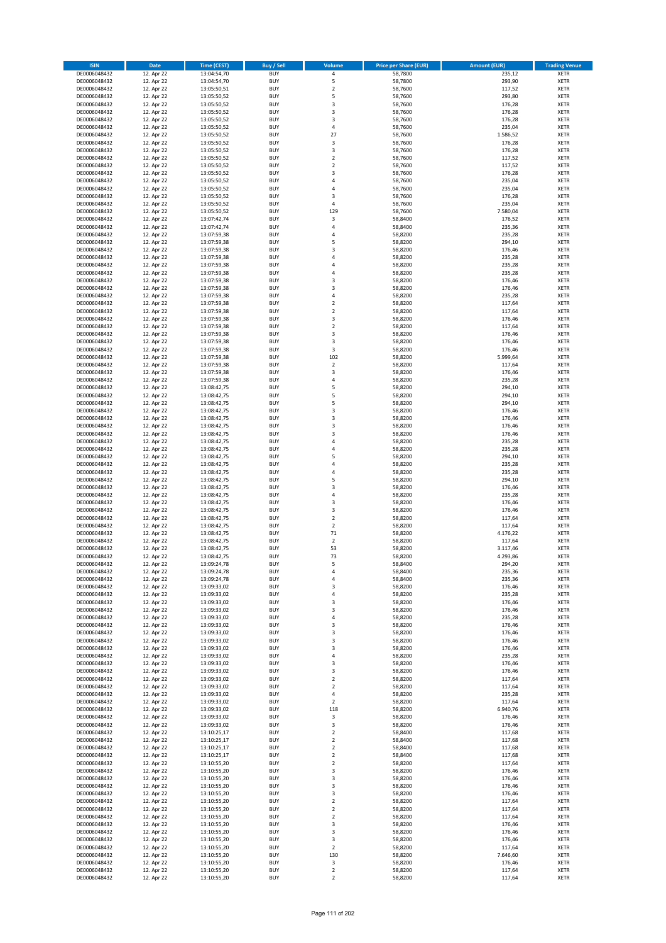| <b>ISIN</b>                  | <b>Date</b>              | <b>Time (CEST)</b>         | <b>Buy / Sell</b>        | <b>Volume</b>                          | <b>Price per Share (EUR)</b> | <b>Amount (EUR)</b> | <b>Trading Venue</b>       |
|------------------------------|--------------------------|----------------------------|--------------------------|----------------------------------------|------------------------------|---------------------|----------------------------|
| DE0006048432                 | 12. Apr 22               | 13:04:54,70                | <b>BUY</b>               | 4                                      | 58,7800                      | 235,12              | <b>XETR</b>                |
| DE0006048432                 | 12. Apr 22               | 13:04:54,70                | <b>BUY</b>               | 5                                      | 58,7800                      | 293,90              | <b>XETR</b>                |
| DE0006048432                 | 12. Apr 22               | 13:05:50,51                | <b>BUY</b>               | $\mathbf 2$                            | 58,7600                      | 117,52              | <b>XETR</b>                |
| DE0006048432<br>DE0006048432 | 12. Apr 22<br>12. Apr 22 | 13:05:50,52<br>13:05:50,52 | <b>BUY</b><br><b>BUY</b> | 5<br>3                                 | 58,7600<br>58,7600           | 293,80<br>176,28    | <b>XETR</b><br><b>XETR</b> |
| DE0006048432                 | 12. Apr 22               | 13:05:50,52                | <b>BUY</b>               | 3                                      | 58,7600                      | 176,28              | <b>XETR</b>                |
| DE0006048432                 | 12. Apr 22               | 13:05:50,52                | <b>BUY</b>               | 3                                      | 58,7600                      | 176,28              | <b>XETR</b>                |
| DE0006048432                 | 12. Apr 22               | 13:05:50,52                | <b>BUY</b>               | 4                                      | 58,7600                      | 235,04              | <b>XETR</b>                |
| DE0006048432                 | 12. Apr 22               | 13:05:50,52                | <b>BUY</b>               | 27                                     | 58,7600                      | 1.586,52            | <b>XETR</b>                |
| DE0006048432                 | 12. Apr 22               | 13:05:50,52                | <b>BUY</b>               | 3                                      | 58,7600                      | 176,28              | <b>XETR</b>                |
| DE0006048432                 | 12. Apr 22               | 13:05:50,52                | <b>BUY</b>               | 3                                      | 58,7600                      | 176,28              | <b>XETR</b>                |
| DE0006048432                 | 12. Apr 22<br>12. Apr 22 | 13:05:50,52                | <b>BUY</b><br><b>BUY</b> | $\overline{\mathbf{c}}$<br>$\mathbf 2$ | 58,7600                      | 117,52              | <b>XETR</b><br><b>XETR</b> |
| DE0006048432<br>DE0006048432 | 12. Apr 22               | 13:05:50,52<br>13:05:50,52 | <b>BUY</b>               | 3                                      | 58,7600<br>58,7600           | 117,52<br>176,28    | <b>XETR</b>                |
| DE0006048432                 | 12. Apr 22               | 13:05:50,52                | <b>BUY</b>               | 4                                      | 58,7600                      | 235,04              | <b>XETR</b>                |
| DE0006048432                 | 12. Apr 22               | 13:05:50,52                | <b>BUY</b>               | 4                                      | 58,7600                      | 235,04              | <b>XETR</b>                |
| DE0006048432                 | 12. Apr 22               | 13:05:50,52                | <b>BUY</b>               | 3                                      | 58,7600                      | 176,28              | <b>XETR</b>                |
| DE0006048432                 | 12. Apr 22               | 13:05:50,52                | <b>BUY</b>               | 4                                      | 58,7600                      | 235,04              | <b>XETR</b>                |
| DE0006048432                 | 12. Apr 22               | 13:05:50,52                | <b>BUY</b>               | 129                                    | 58,7600                      | 7.580,04            | <b>XETR</b>                |
| DE0006048432                 | 12. Apr 22               | 13:07:42,74                | <b>BUY</b>               | $\mathsf 3$                            | 58,8400                      | 176,52              | <b>XETR</b>                |
| DE0006048432                 | 12. Apr 22               | 13:07:42,74                | <b>BUY</b>               | 4                                      | 58,8400                      | 235,36              | <b>XETR</b>                |
| DE0006048432<br>DE0006048432 | 12. Apr 22<br>12. Apr 22 | 13:07:59,38<br>13:07:59,38 | <b>BUY</b><br><b>BUY</b> | 4<br>5                                 | 58,8200<br>58,8200           | 235,28<br>294,10    | <b>XETR</b><br><b>XETR</b> |
| DE0006048432                 | 12. Apr 22               | 13:07:59,38                | <b>BUY</b>               | 3                                      | 58,8200                      | 176,46              | <b>XETR</b>                |
| DE0006048432                 | 12. Apr 22               | 13:07:59,38                | <b>BUY</b>               | 4                                      | 58,8200                      | 235,28              | <b>XETR</b>                |
| DE0006048432                 | 12. Apr 22               | 13:07:59,38                | <b>BUY</b>               | 4                                      | 58,8200                      | 235,28              | <b>XETR</b>                |
| DE0006048432                 | 12. Apr 22               | 13:07:59,38                | <b>BUY</b>               | 4                                      | 58,8200                      | 235,28              | <b>XETR</b>                |
| DE0006048432                 | 12. Apr 22               | 13:07:59,38                | <b>BUY</b>               | 3                                      | 58,8200                      | 176,46              | <b>XETR</b>                |
| DE0006048432                 | 12. Apr 22               | 13:07:59,38                | <b>BUY</b>               | 3                                      | 58,8200                      | 176,46              | <b>XETR</b>                |
| DE0006048432                 | 12. Apr 22               | 13:07:59,38                | <b>BUY</b>               | 4<br>$\mathbf 2$                       | 58,8200                      | 235,28              | <b>XETR</b>                |
| DE0006048432<br>DE0006048432 | 12. Apr 22<br>12. Apr 22 | 13:07:59,38<br>13:07:59,38 | <b>BUY</b><br><b>BUY</b> | $\overline{\mathbf{c}}$                | 58,8200<br>58,8200           | 117,64<br>117,64    | <b>XETR</b><br><b>XETR</b> |
| DE0006048432                 | 12. Apr 22               | 13:07:59,38                | <b>BUY</b>               | 3                                      | 58,8200                      | 176,46              | <b>XETR</b>                |
| DE0006048432                 | 12. Apr 22               | 13:07:59,38                | <b>BUY</b>               | $\mathbf 2$                            | 58,8200                      | 117,64              | <b>XETR</b>                |
| DE0006048432                 | 12. Apr 22               | 13:07:59,38                | <b>BUY</b>               | 3                                      | 58,8200                      | 176,46              | <b>XETR</b>                |
| DE0006048432                 | 12. Apr 22               | 13:07:59,38                | <b>BUY</b>               | 3                                      | 58,8200                      | 176,46              | <b>XETR</b>                |
| DE0006048432                 | 12. Apr 22               | 13:07:59,38                | <b>BUY</b>               | 3                                      | 58,8200                      | 176,46              | <b>XETR</b>                |
| DE0006048432                 | 12. Apr 22               | 13:07:59,38                | <b>BUY</b>               | 102                                    | 58,8200                      | 5.999,64            | <b>XETR</b>                |
| DE0006048432                 | 12. Apr 22               | 13:07:59,38                | <b>BUY</b>               | $\mathbf 2$                            | 58,8200                      | 117,64              | <b>XETR</b>                |
| DE0006048432<br>DE0006048432 | 12. Apr 22<br>12. Apr 22 | 13:07:59,38<br>13:07:59,38 | <b>BUY</b><br><b>BUY</b> | 3<br>4                                 | 58,8200<br>58,8200           | 176,46<br>235,28    | <b>XETR</b><br><b>XETR</b> |
| DE0006048432                 | 12. Apr 22               | 13:08:42,75                | <b>BUY</b>               | 5                                      | 58,8200                      | 294,10              | <b>XETR</b>                |
| DE0006048432                 | 12. Apr 22               | 13:08:42,75                | <b>BUY</b>               | 5                                      | 58,8200                      | 294,10              | <b>XETR</b>                |
| DE0006048432                 | 12. Apr 22               | 13:08:42,75                | <b>BUY</b>               | 5                                      | 58,8200                      | 294,10              | <b>XETR</b>                |
| DE0006048432                 | 12. Apr 22               | 13:08:42,75                | <b>BUY</b>               | 3                                      | 58,8200                      | 176,46              | <b>XETR</b>                |
| DE0006048432                 | 12. Apr 22               | 13:08:42,75                | <b>BUY</b>               | 3                                      | 58,8200                      | 176,46              | <b>XETR</b>                |
| DE0006048432                 | 12. Apr 22               | 13:08:42,75                | <b>BUY</b>               | 3                                      | 58,8200                      | 176,46              | <b>XETR</b>                |
| DE0006048432                 | 12. Apr 22               | 13:08:42,75                | <b>BUY</b>               | 3                                      | 58,8200                      | 176,46              | <b>XETR</b>                |
| DE0006048432<br>DE0006048432 | 12. Apr 22<br>12. Apr 22 | 13:08:42,75<br>13:08:42,75 | <b>BUY</b><br><b>BUY</b> | 4<br>4                                 | 58,8200<br>58,8200           | 235,28<br>235,28    | <b>XETR</b><br><b>XETR</b> |
| DE0006048432                 | 12. Apr 22               | 13:08:42,75                | <b>BUY</b>               | 5                                      | 58,8200                      | 294,10              | <b>XETR</b>                |
| DE0006048432                 | 12. Apr 22               | 13:08:42,75                | <b>BUY</b>               | 4                                      | 58,8200                      | 235,28              | <b>XETR</b>                |
| DE0006048432                 | 12. Apr 22               | 13:08:42,75                | <b>BUY</b>               | 4                                      | 58,8200                      | 235,28              | <b>XETR</b>                |
| DE0006048432                 | 12. Apr 22               | 13:08:42,75                | <b>BUY</b>               | 5                                      | 58,8200                      | 294,10              | <b>XETR</b>                |
| DE0006048432                 | 12. Apr 22               | 13:08:42,75                | <b>BUY</b>               | 3                                      | 58,8200                      | 176,46              | <b>XETR</b>                |
| DE0006048432                 | 12. Apr 22               | 13:08:42,75                | <b>BUY</b>               | 4                                      | 58,8200                      | 235,28              | <b>XETR</b>                |
| DE0006048432                 | 12. Apr 22               | 13:08:42,75                | <b>BUY</b>               | 3                                      | 58,8200                      | 176,46              | <b>XETR</b>                |
| DE0006048432<br>DE0006048432 | 12. Apr 22<br>12. Apr 22 | 13:08:42,75<br>13:08:42,75 | <b>BUY</b><br><b>BUY</b> | 3<br>$\overline{\mathbf{c}}$           | 58,8200<br>58,8200           | 176,46<br>117,64    | <b>XETR</b><br><b>XETR</b> |
| DE0006048432                 | 12. Apr 22               | 13:08:42,75                | <b>BUY</b>               | $\overline{2}$                         | 58,8200                      | 117,64              | <b>XETR</b>                |
| DE0006048432                 | 12. Apr 22               | 13:08:42,75                | <b>BUY</b>               | 71                                     | 58,8200                      | 4.176,22            | <b>XETR</b>                |
| DE0006048432                 | 12. Apr 22               | 13:08:42,75                | <b>BUY</b>               | $\overline{\mathbf{c}}$                | 58,8200                      | 117,64              | <b>XETR</b>                |
| DE0006048432                 | 12. Apr 22               | 13:08:42,75                | <b>BUY</b>               | 53                                     | 58,8200                      | 3.117,46            | <b>XETR</b>                |
| DE0006048432                 | 12. Apr 22               | 13:08:42,75                | <b>BUY</b>               | 73                                     | 58,8200                      | 4.293,86            | <b>XETR</b>                |
| DE0006048432                 | 12. Apr 22               | 13:09:24,78                | BUY                      | 5                                      | 58,8400                      | 294,20              | <b>XETR</b>                |
| DE0006048432<br>DE0006048432 | 12. Apr 22<br>12. Apr 22 | 13:09:24,78<br>13:09:24,78 | <b>BUY</b><br><b>BUY</b> | 4<br>4                                 | 58,8400<br>58,8400           | 235,36<br>235,36    | XETR<br>XETR               |
| DE0006048432                 | 12. Apr 22               | 13:09:33,02                | <b>BUY</b>               | 3                                      | 58,8200                      | 176,46              | XETR                       |
| DE0006048432                 | 12. Apr 22               | 13:09:33,02                | <b>BUY</b>               | 4                                      | 58,8200                      | 235,28              | <b>XETR</b>                |
| DE0006048432                 | 12. Apr 22               | 13:09:33,02                | <b>BUY</b>               | 3                                      | 58,8200                      | 176,46              | <b>XETR</b>                |
| DE0006048432                 | 12. Apr 22               | 13:09:33,02                | <b>BUY</b>               | 3                                      | 58,8200                      | 176,46              | <b>XETR</b>                |
| DE0006048432                 | 12. Apr 22               | 13:09:33,02                | <b>BUY</b>               | 4                                      | 58,8200                      | 235,28              | <b>XETR</b>                |
| DE0006048432                 | 12. Apr 22               | 13:09:33,02                | <b>BUY</b>               | 3                                      | 58,8200                      | 176,46              | <b>XETR</b>                |
| DE0006048432<br>DE0006048432 | 12. Apr 22<br>12. Apr 22 | 13:09:33,02<br>13:09:33,02 | <b>BUY</b><br><b>BUY</b> | 3<br>3                                 | 58,8200<br>58,8200           | 176,46<br>176,46    | XETR<br>XETR               |
| DE0006048432                 | 12. Apr 22               | 13:09:33,02                | <b>BUY</b>               | 3                                      | 58,8200                      | 176,46              | <b>XETR</b>                |
| DE0006048432                 | 12. Apr 22               | 13:09:33,02                | <b>BUY</b>               | 4                                      | 58,8200                      | 235,28              | <b>XETR</b>                |
| DE0006048432                 | 12. Apr 22               | 13:09:33,02                | <b>BUY</b>               | 3                                      | 58,8200                      | 176,46              | <b>XETR</b>                |
| DE0006048432                 | 12. Apr 22               | 13:09:33,02                | <b>BUY</b>               | 3                                      | 58,8200                      | 176,46              | <b>XETR</b>                |
| DE0006048432                 | 12. Apr 22               | 13:09:33,02                | <b>BUY</b>               | $\mathbf 2$                            | 58,8200                      | 117,64              | <b>XETR</b>                |
| DE0006048432                 | 12. Apr 22<br>12. Apr 22 | 13:09:33,02                | <b>BUY</b><br><b>BUY</b> | $\overline{2}$<br>4                    | 58,8200<br>58,8200           | 117,64<br>235,28    | <b>XETR</b><br><b>XETR</b> |
| DE0006048432<br>DE0006048432 | 12. Apr 22               | 13:09:33,02<br>13:09:33,02 | <b>BUY</b>               | $\mathbf 2$                            | 58,8200                      | 117,64              | XETR                       |
| DE0006048432                 | 12. Apr 22               | 13:09:33,02                | <b>BUY</b>               | 118                                    | 58,8200                      | 6.940,76            | <b>XETR</b>                |
| DE0006048432                 | 12. Apr 22               | 13:09:33,02                | <b>BUY</b>               | 3                                      | 58,8200                      | 176,46              | <b>XETR</b>                |
| DE0006048432                 | 12. Apr 22               | 13:09:33,02                | <b>BUY</b>               | 3                                      | 58,8200                      | 176,46              | <b>XETR</b>                |
| DE0006048432                 | 12. Apr 22               | 13:10:25,17                | <b>BUY</b>               | $\overline{2}$                         | 58,8400                      | 117,68              | <b>XETR</b>                |
| DE0006048432                 | 12. Apr 22               | 13:10:25,17                | <b>BUY</b>               | $\mathbf 2$                            | 58,8400                      | 117,68              | <b>XETR</b>                |
| DE0006048432                 | 12. Apr 22               | 13:10:25,17                | <b>BUY</b>               | $\mathbf 2$                            | 58,8400                      | 117,68              | <b>XETR</b>                |
| DE0006048432<br>DE0006048432 | 12. Apr 22               | 13:10:25,17                | <b>BUY</b><br><b>BUY</b> | $\mathbf 2$<br>$\mathbf 2$             | 58,8400<br>58,8200           | 117,68              | XETR<br><b>XETR</b>        |
| DE0006048432                 | 12. Apr 22<br>12. Apr 22 | 13:10:55,20<br>13:10:55,20 | <b>BUY</b>               | 3                                      | 58,8200                      | 117,64<br>176,46    | <b>XETR</b>                |
| DE0006048432                 | 12. Apr 22               | 13:10:55,20                | <b>BUY</b>               | 3                                      | 58,8200                      | 176,46              | <b>XETR</b>                |
| DE0006048432                 | 12. Apr 22               | 13:10:55,20                | <b>BUY</b>               | 3                                      | 58,8200                      | 176,46              | XETR                       |
| DE0006048432                 | 12. Apr 22               | 13:10:55,20                | <b>BUY</b>               | 3                                      | 58,8200                      | 176,46              | <b>XETR</b>                |
| DE0006048432                 | 12. Apr 22               | 13:10:55,20                | <b>BUY</b>               | $\mathbf 2$                            | 58,8200                      | 117,64              | <b>XETR</b>                |
| DE0006048432                 | 12. Apr 22               | 13:10:55,20                | <b>BUY</b>               | $\mathbf 2$                            | 58,8200                      | 117,64              | XETR                       |
| DE0006048432                 | 12. Apr 22               | 13:10:55,20                | <b>BUY</b>               | $\mathbf 2$                            | 58,8200                      | 117,64              | <b>XETR</b>                |
| DE0006048432<br>DE0006048432 | 12. Apr 22<br>12. Apr 22 | 13:10:55,20<br>13:10:55,20 | <b>BUY</b><br><b>BUY</b> | 3<br>3                                 | 58,8200<br>58,8200           | 176,46<br>176,46    | <b>XETR</b><br><b>XETR</b> |
| DE0006048432                 | 12. Apr 22               | 13:10:55,20                | <b>BUY</b>               | 3                                      | 58,8200                      | 176,46              | <b>XETR</b>                |
| DE0006048432                 | 12. Apr 22               | 13:10:55,20                | <b>BUY</b>               | $\mathbf 2$                            | 58,8200                      | 117,64              | XETR                       |
| DE0006048432                 | 12. Apr 22               | 13:10:55,20                | <b>BUY</b>               | 130                                    | 58,8200                      | 7.646,60            | <b>XETR</b>                |
| DE0006048432                 | 12. Apr 22               | 13:10:55,20                | <b>BUY</b>               | 3                                      | 58,8200                      | 176,46              | <b>XETR</b>                |
| DE0006048432                 | 12. Apr 22               | 13:10:55,20                | <b>BUY</b>               | $\mathbf 2$                            | 58,8200                      | 117,64              | <b>XETR</b>                |
| DE0006048432                 | 12. Apr 22               | 13:10:55,20                | <b>BUY</b>               | $\mathbf 2$                            | 58,8200                      | 117,64              | XETR                       |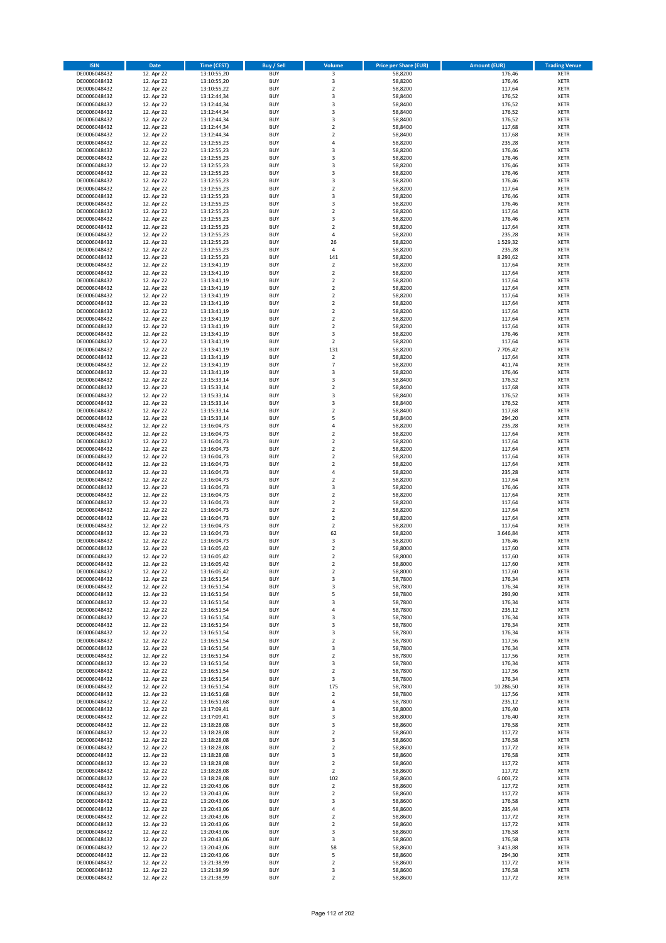| <b>ISIN</b>                  | <b>Date</b>              | Time (CEST)                | <b>Buy / Sell</b>        | Volume                                    | <b>Price per Share (EUR)</b> | <b>Amount (EUR)</b> | <b>Trading Venue</b>       |
|------------------------------|--------------------------|----------------------------|--------------------------|-------------------------------------------|------------------------------|---------------------|----------------------------|
| DE0006048432                 | 12. Apr 22               | 13:10:55,20                | <b>BUY</b>               | $\overline{\mathbf{3}}$                   | 58,8200                      | 176,46              | <b>XETR</b>                |
| DE0006048432                 | 12. Apr 22               | 13:10:55,20                | <b>BUY</b>               | 3                                         | 58,8200                      | 176,46              | <b>XETR</b>                |
| DE0006048432                 | 12. Apr 22               | 13:10:55,22                | <b>BUY</b>               | $\overline{2}$                            | 58,8200                      | 117,64              | <b>XETR</b>                |
| DE0006048432<br>DE0006048432 | 12. Apr 22<br>12. Apr 22 | 13:12:44,34<br>13:12:44,34 | <b>BUY</b><br><b>BUY</b> | 3<br>3                                    | 58,8400<br>58,8400           | 176,52<br>176,52    | <b>XETR</b><br><b>XETR</b> |
| DE0006048432                 | 12. Apr 22               | 13:12:44,34                | <b>BUY</b>               | 3                                         | 58,8400                      | 176,52              | <b>XETR</b>                |
| DE0006048432                 | 12. Apr 22               | 13:12:44.34                | <b>BUY</b>               | 3                                         | 58,8400                      | 176,52              | <b>XETR</b>                |
| DE0006048432                 | 12. Apr 22               | 13:12:44,34                | <b>BUY</b>               | $\mathbf 2$                               | 58,8400                      | 117,68              | <b>XETR</b>                |
| DE0006048432                 | 12. Apr 22               | 13:12:44,34                | <b>BUY</b>               | $\overline{2}$                            | 58,8400                      | 117,68              | <b>XETR</b>                |
| DE0006048432                 | 12. Apr 22               | 13:12:55,23                | <b>BUY</b>               | 4                                         | 58,8200                      | 235,28              | <b>XETR</b>                |
| DE0006048432                 | 12. Apr 22               | 13:12:55,23                | <b>BUY</b>               | 3                                         | 58,8200                      | 176,46              | <b>XETR</b>                |
| DE0006048432<br>DE0006048432 | 12. Apr 22<br>12. Apr 22 | 13:12:55,23<br>13:12:55,23 | <b>BUY</b><br><b>BUY</b> | 3<br>3                                    | 58,8200<br>58,8200           | 176,46<br>176,46    | <b>XETR</b><br><b>XETR</b> |
| DE0006048432                 | 12. Apr 22               | 13:12:55,23                | <b>BUY</b>               | 3                                         | 58,8200                      | 176,46              | <b>XETR</b>                |
| DE0006048432                 | 12. Apr 22               | 13:12:55,23                | <b>BUY</b>               | 3                                         | 58,8200                      | 176,46              | <b>XETR</b>                |
| DE0006048432                 | 12. Apr 22               | 13:12:55,23                | <b>BUY</b>               | $\overline{\mathbf{c}}$                   | 58,8200                      | 117,64              | <b>XETR</b>                |
| DE0006048432                 | 12. Apr 22               | 13:12:55,23                | <b>BUY</b>               | 3                                         | 58,8200                      | 176,46              | <b>XETR</b>                |
| DE0006048432                 | 12. Apr 22               | 13:12:55,23                | <b>BUY</b>               | 3                                         | 58,8200                      | 176,46              | <b>XETR</b>                |
| DE0006048432                 | 12. Apr 22               | 13:12:55,23                | <b>BUY</b>               | $\overline{\mathbf{c}}$                   | 58,8200                      | 117,64              | <b>XETR</b>                |
| DE0006048432                 | 12. Apr 22               | 13:12:55,23                | <b>BUY</b>               | 3                                         | 58,8200                      | 176,46              | <b>XETR</b>                |
| DE0006048432                 | 12. Apr 22               | 13:12:55,23                | <b>BUY</b>               | $\overline{\mathbf{c}}$                   | 58,8200                      | 117,64              | <b>XETR</b>                |
| DE0006048432<br>DE0006048432 | 12. Apr 22<br>12. Apr 22 | 13:12:55,23<br>13:12:55,23 | <b>BUY</b><br><b>BUY</b> | 4<br>26                                   | 58,8200<br>58,8200           | 235,28<br>1.529,32  | <b>XETR</b><br><b>XETR</b> |
| DE0006048432                 | 12. Apr 22               | 13:12:55,23                | <b>BUY</b>               | 4                                         | 58,8200                      | 235,28              | <b>XETR</b>                |
| DE0006048432                 | 12. Apr 22               | 13:12:55,23                | <b>BUY</b>               | 141                                       | 58,8200                      | 8.293,62            | <b>XETR</b>                |
| DE0006048432                 | 12. Apr 22               | 13:13:41,19                | <b>BUY</b>               | $\mathbf 2$                               | 58,8200                      | 117,64              | <b>XETR</b>                |
| DE0006048432                 | 12. Apr 22               | 13:13:41,19                | <b>BUY</b>               | $\mathbf 2$                               | 58,8200                      | 117,64              | <b>XETR</b>                |
| DE0006048432                 | 12. Apr 22               | 13:13:41,19                | <b>BUY</b>               | $\overline{\mathbf{c}}$                   | 58,8200                      | 117,64              | <b>XETR</b>                |
| DE0006048432                 | 12. Apr 22               | 13:13:41,19                | <b>BUY</b>               | $\mathbf 2$                               | 58,8200                      | 117,64              | <b>XETR</b>                |
| DE0006048432                 | 12. Apr 22               | 13:13:41,19                | <b>BUY</b>               | $\overline{\mathbf{c}}$<br>$\overline{a}$ | 58,8200                      | 117,64              | <b>XETR</b>                |
| DE0006048432<br>DE0006048432 | 12. Apr 22<br>12. Apr 22 | 13:13:41,19<br>13:13:41,19 | <b>BUY</b><br><b>BUY</b> | $\overline{2}$                            | 58,8200<br>58,8200           | 117,64<br>117,64    | <b>XETR</b><br><b>XETR</b> |
| DE0006048432                 | 12. Apr 22               | 13:13:41,19                | <b>BUY</b>               | $\mathbf 2$                               | 58,8200                      | 117,64              | <b>XETR</b>                |
| DE0006048432                 | 12. Apr 22               | 13:13:41,19                | <b>BUY</b>               | $\overline{2}$                            | 58,8200                      | 117,64              | <b>XETR</b>                |
| DE0006048432                 | 12. Apr 22               | 13:13:41,19                | <b>BUY</b>               | 3                                         | 58,8200                      | 176,46              | <b>XETR</b>                |
| DE0006048432                 | 12. Apr 22               | 13:13:41,19                | <b>BUY</b>               | $\mathbf 2$                               | 58,8200                      | 117,64              | <b>XETR</b>                |
| DE0006048432                 | 12. Apr 22               | 13:13:41,19                | <b>BUY</b>               | 131                                       | 58,8200                      | 7.705,42            | <b>XETR</b>                |
| DE0006048432                 | 12. Apr 22               | 13:13:41,19                | <b>BUY</b>               | $\mathbf 2$                               | 58,8200                      | 117,64              | <b>XETR</b>                |
| DE0006048432                 | 12. Apr 22               | 13:13:41,19                | <b>BUY</b>               | $\overline{7}$                            | 58,8200                      | 411,74              | <b>XETR</b>                |
| DE0006048432                 | 12. Apr 22               | 13:13:41,19                | <b>BUY</b>               | 3                                         | 58,8200                      | 176,46              | <b>XETR</b>                |
| DE0006048432<br>DE0006048432 | 12. Apr 22<br>12. Apr 22 | 13:15:33,14<br>13:15:33,14 | <b>BUY</b><br><b>BUY</b> | 3<br>$\mathbf 2$                          | 58,8400<br>58,8400           | 176,52<br>117,68    | <b>XETR</b><br><b>XETR</b> |
| DE0006048432                 | 12. Apr 22               | 13:15:33,14                | <b>BUY</b>               | 3                                         | 58,8400                      | 176,52              | <b>XETR</b>                |
| DE0006048432                 | 12. Apr 22               | 13:15:33,14                | <b>BUY</b>               | 3                                         | 58,8400                      | 176,52              | <b>XETR</b>                |
| DE0006048432                 | 12. Apr 22               | 13:15:33,14                | <b>BUY</b>               | $\mathbf 2$                               | 58,8400                      | 117,68              | <b>XETR</b>                |
| DE0006048432                 | 12. Apr 22               | 13:15:33,14                | <b>BUY</b>               | 5                                         | 58,8400                      | 294,20              | <b>XETR</b>                |
| DE0006048432                 | 12. Apr 22               | 13:16:04,73                | <b>BUY</b>               | 4                                         | 58,8200                      | 235,28              | <b>XETR</b>                |
| DE0006048432                 | 12. Apr 22               | 13:16:04,73                | <b>BUY</b>               | $\mathbf 2$                               | 58,8200                      | 117,64              | <b>XETR</b>                |
| DE0006048432                 | 12. Apr 22               | 13:16:04,73                | <b>BUY</b>               | $\mathbf 2$                               | 58,8200                      | 117,64              | <b>XETR</b>                |
| DE0006048432                 | 12. Apr 22               | 13:16:04,73                | <b>BUY</b>               | $\overline{\mathbf{c}}$                   | 58,8200                      | 117,64              | <b>XETR</b>                |
| DE0006048432<br>DE0006048432 | 12. Apr 22<br>12. Apr 22 | 13:16:04,73<br>13:16:04,73 | <b>BUY</b><br><b>BUY</b> | $\mathbf 2$<br>$\mathbf 2$                | 58,8200<br>58,8200           | 117,64<br>117,64    | <b>XETR</b><br><b>XETR</b> |
| DE0006048432                 | 12. Apr 22               | 13:16:04,73                | <b>BUY</b>               | 4                                         | 58,8200                      | 235,28              | <b>XETR</b>                |
| DE0006048432                 | 12. Apr 22               | 13:16:04,73                | <b>BUY</b>               | $\mathbf 2$                               | 58,8200                      | 117,64              | <b>XETR</b>                |
| DE0006048432                 | 12. Apr 22               | 13:16:04,73                | <b>BUY</b>               | 3                                         | 58,8200                      | 176,46              | <b>XETR</b>                |
| DE0006048432                 | 12. Apr 22               | 13:16:04,73                | <b>BUY</b>               | $\overline{a}$                            | 58,8200                      | 117,64              | <b>XETR</b>                |
| DE0006048432                 | 12. Apr 22               | 13:16:04,73                | <b>BUY</b>               | $\overline{\mathbf{c}}$                   | 58,8200                      | 117,64              | <b>XETR</b>                |
| DE0006048432                 | 12. Apr 22               | 13:16:04,73                | <b>BUY</b>               | $\mathbf 2$                               | 58,8200                      | 117,64              | <b>XETR</b>                |
| DE0006048432                 | 12. Apr 22               | 13:16:04,73                | <b>BUY</b>               | $\mathbf 2$                               | 58,8200                      | 117,64              | <b>XETR</b>                |
| DE0006048432                 | 12. Apr 22               | 13:16:04,73                | <b>BUY</b><br><b>BUY</b> | $\overline{2}$                            | 58,8200                      | 117,64              | <b>XETR</b>                |
| DE0006048432<br>DE0006048432 | 12. Apr 22<br>12. Apr 22 | 13:16:04,73<br>13:16:04,73 | <b>BUY</b>               | 62<br>3                                   | 58,8200<br>58,8200           | 3.646,84<br>176,46  | <b>XETR</b><br><b>XETR</b> |
| DE0006048432                 | 12. Apr 22               | 13:16:05,42                | <b>BUY</b>               | $\mathbf 2$                               | 58,8000                      | 117,60              | <b>XETR</b>                |
| DE0006048432                 | 12. Apr 22               | 13:16:05,42                | <b>BUY</b>               | $\overline{2}$                            | 58,8000                      | 117,60              | <b>XETR</b>                |
| DE0006048432                 | 12. Apr 22               | 13:16:05,42                | BUY                      | 2                                         | 58,8000                      | 117,60              | <b>XETR</b>                |
| DE0006048432                 | 12. Apr 22               | 13:16:05,42                | <b>BUY</b>               | $\mathbf 2$                               | 58,8000                      | 117,60              | <b>XETR</b>                |
| DE0006048432                 | 12. Apr 22               | 13:16:51,54                | <b>BUY</b>               | 3                                         | 58,7800                      | 176,34              | <b>XETR</b>                |
| DE0006048432                 | 12. Apr 22               | 13:16:51,54                | <b>BUY</b>               | 3                                         | 58,7800                      | 176,34              | XETR                       |
| DE0006048432<br>DE0006048432 | 12. Apr 22<br>12. Apr 22 | 13:16:51,54<br>13:16:51,54 | <b>BUY</b><br><b>BUY</b> | 5<br>3                                    | 58,7800<br>58,7800           | 293,90<br>176,34    | <b>XETR</b><br><b>XETR</b> |
| DE0006048432                 | 12. Apr 22               | 13:16:51,54                | <b>BUY</b>               | 4                                         | 58,7800                      | 235,12              | <b>XETR</b>                |
| DE0006048432                 | 12. Apr 22               | 13:16:51,54                | <b>BUY</b>               | 3                                         | 58,7800                      | 176,34              | <b>XETR</b>                |
| DE0006048432                 | 12. Apr 22               | 13:16:51,54                | <b>BUY</b>               | 3                                         | 58,7800                      | 176,34              | <b>XETR</b>                |
| DE0006048432                 | 12. Apr 22               | 13:16:51,54                | <b>BUY</b>               | 3                                         | 58,7800                      | 176,34              | XETR                       |
| DE0006048432                 | 12. Apr 22               | 13:16:51,54                | <b>BUY</b>               | $\mathbf 2$                               | 58,7800                      | 117,56              | <b>XETR</b>                |
| DE0006048432                 | 12. Apr 22               | 13:16:51,54                | <b>BUY</b>               | 3                                         | 58,7800                      | 176,34              | <b>XETR</b>                |
| DE0006048432<br>DE0006048432 | 12. Apr 22<br>12. Apr 22 | 13:16:51,54<br>13:16:51,54 | <b>BUY</b><br><b>BUY</b> | $\mathbf 2$<br>3                          | 58,7800<br>58,7800           | 117,56<br>176,34    | <b>XETR</b><br><b>XETR</b> |
| DE0006048432                 | 12. Apr 22               | 13:16:51,54                | <b>BUY</b>               | $\mathbf 2$                               | 58,7800                      | 117,56              | <b>XETR</b>                |
| DE0006048432                 | 12. Apr 22               | 13:16:51,54                | <b>BUY</b>               | 3                                         | 58,7800                      | 176,34              | <b>XETR</b>                |
| DE0006048432                 | 12. Apr 22               | 13:16:51,54                | <b>BUY</b>               | 175                                       | 58,7800                      | 10.286,50           | <b>XETR</b>                |
| DE0006048432                 | 12. Apr 22               | 13:16:51,68                | <b>BUY</b>               | $\mathbf 2$                               | 58,7800                      | 117,56              | <b>XETR</b>                |
| DE0006048432                 | 12. Apr 22               | 13:16:51,68                | <b>BUY</b>               | 4                                         | 58,7800                      | 235,12              | XETR                       |
| DE0006048432                 | 12. Apr 22               | 13:17:09,41                | <b>BUY</b>               | 3                                         | 58,8000                      | 176,40              | <b>XETR</b>                |
| DE0006048432                 | 12. Apr 22               | 13:17:09,41                | <b>BUY</b>               | 3                                         | 58,8000                      | 176,40              | <b>XETR</b>                |
| DE0006048432<br>DE0006048432 | 12. Apr 22<br>12. Apr 22 | 13:18:28,08<br>13:18:28,08 | <b>BUY</b><br><b>BUY</b> | 3<br>$\overline{2}$                       | 58,8600<br>58,8600           | 176,58<br>117,72    | <b>XETR</b><br><b>XETR</b> |
| DE0006048432                 | 12. Apr 22               | 13:18:28,08                | <b>BUY</b>               | 3                                         | 58,8600                      | 176,58              | <b>XETR</b>                |
| DE0006048432                 | 12. Apr 22               | 13:18:28,08                | <b>BUY</b>               | $\mathbf 2$                               | 58,8600                      | 117,72              | <b>XETR</b>                |
| DE0006048432                 | 12. Apr 22               | 13:18:28,08                | <b>BUY</b>               | 3                                         | 58,8600                      | 176,58              | <b>XETR</b>                |
| DE0006048432                 | 12. Apr 22               | 13:18:28,08                | <b>BUY</b>               | $\mathbf 2$                               | 58,8600                      | 117,72              | <b>XETR</b>                |
| DE0006048432                 | 12. Apr 22               | 13:18:28,08                | <b>BUY</b>               | $\overline{2}$                            | 58,8600                      | 117,72              | <b>XETR</b>                |
| DE0006048432                 | 12. Apr 22               | 13:18:28,08                | <b>BUY</b>               | 102                                       | 58,8600                      | 6.003,72            | <b>XETR</b>                |
| DE0006048432                 | 12. Apr 22               | 13:20:43,06                | <b>BUY</b>               | $\mathbf 2$                               | 58,8600                      | 117,72              | <b>XETR</b>                |
| DE0006048432                 | 12. Apr 22               | 13:20:43,06                | <b>BUY</b><br><b>BUY</b> | $\mathbf 2$                               | 58,8600                      | 117,72              | <b>XETR</b>                |
| DE0006048432<br>DE0006048432 | 12. Apr 22<br>12. Apr 22 | 13:20:43,06<br>13:20:43,06 | <b>BUY</b>               | 3<br>4                                    | 58,8600<br>58,8600           | 176,58<br>235,44    | <b>XETR</b><br><b>XETR</b> |
| DE0006048432                 | 12. Apr 22               | 13:20:43,06                | <b>BUY</b>               | $\mathbf 2$                               | 58,8600                      | 117,72              | <b>XETR</b>                |
| DE0006048432                 | 12. Apr 22               | 13:20:43,06                | <b>BUY</b>               | $\mathbf 2$                               | 58,8600                      | 117,72              | <b>XETR</b>                |
| DE0006048432                 | 12. Apr 22               | 13:20:43,06                | <b>BUY</b>               | 3                                         | 58,8600                      | 176,58              | <b>XETR</b>                |
| DE0006048432                 | 12. Apr 22               | 13:20:43,06                | <b>BUY</b>               | 3                                         | 58,8600                      | 176,58              | <b>XETR</b>                |
| DE0006048432                 | 12. Apr 22               | 13:20:43,06                | <b>BUY</b>               | 58                                        | 58,8600                      | 3.413,88            | XETR                       |
| DE0006048432                 | 12. Apr 22               | 13:20:43,06                | <b>BUY</b>               | 5                                         | 58,8600                      | 294,30              | <b>XETR</b>                |
| DE0006048432<br>DE0006048432 | 12. Apr 22<br>12. Apr 22 | 13:21:38,99<br>13:21:38,99 | <b>BUY</b><br><b>BUY</b> | $\mathbf 2$<br>3                          | 58,8600<br>58,8600           | 117,72<br>176,58    | <b>XETR</b><br><b>XETR</b> |
| DE0006048432                 | 12. Apr 22               | 13:21:38,99                | <b>BUY</b>               | $\mathbf 2$                               | 58,8600                      | 117,72              | XETR                       |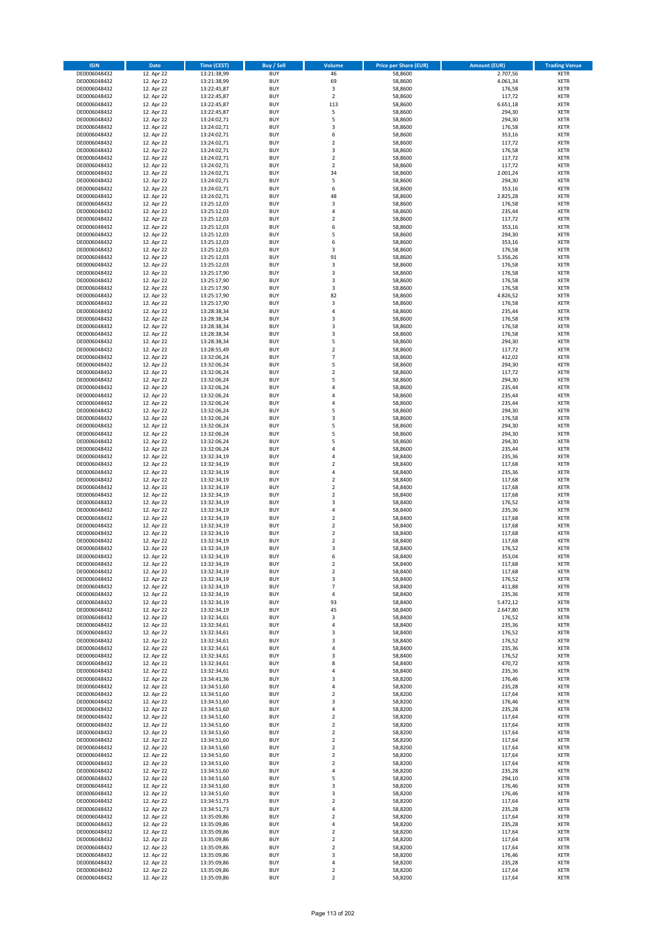| <b>ISIN</b>                  | <b>Date</b>              | <b>Time (CEST)</b>         | <b>Buy / Sell</b>        | <b>Volume</b>                             | <b>Price per Share (EUR)</b> | <b>Amount (EUR)</b>  | <b>Trading Venue</b>       |
|------------------------------|--------------------------|----------------------------|--------------------------|-------------------------------------------|------------------------------|----------------------|----------------------------|
| DE0006048432                 | 12. Apr 22               | 13:21:38,99                | <b>BUY</b>               | 46                                        | 58,8600                      | 2.707,56             | <b>XETR</b>                |
| DE0006048432                 | 12. Apr 22               | 13:21:38,99                | <b>BUY</b>               | 69                                        | 58,8600                      | 4.061,34             | <b>XETR</b>                |
| DE0006048432                 | 12. Apr 22               | 13:22:45,87                | <b>BUY</b>               | 3                                         | 58,8600                      | 176,58               | <b>XETR</b>                |
| DE0006048432<br>DE0006048432 | 12. Apr 22<br>12. Apr 22 | 13:22:45,87<br>13:22:45,87 | <b>BUY</b><br><b>BUY</b> | $\mathbf 2$<br>113                        | 58,8600<br>58,8600           | 117,72<br>6.651,18   | <b>XETR</b><br><b>XETR</b> |
| DE0006048432                 | 12. Apr 22               | 13:22:45,87                | <b>BUY</b>               | 5                                         | 58,8600                      | 294,30               | <b>XETR</b>                |
| DE0006048432                 | 12. Apr 22               | 13:24:02,71                | <b>BUY</b>               | 5                                         | 58,8600                      | 294,30               | <b>XETR</b>                |
| DE0006048432                 | 12. Apr 22               | 13:24:02,71                | <b>BUY</b>               | 3                                         | 58,8600                      | 176,58               | <b>XETR</b>                |
| DE0006048432                 | 12. Apr 22               | 13:24:02,71                | <b>BUY</b>               | 6                                         | 58,8600                      | 353,16               | <b>XETR</b>                |
| DE0006048432                 | 12. Apr 22               | 13:24:02,71                | <b>BUY</b>               | $\mathbf 2$                               | 58,8600                      | 117,72               | <b>XETR</b>                |
| DE0006048432                 | 12. Apr 22               | 13:24:02,71                | <b>BUY</b>               | 3                                         | 58,8600                      | 176,58               | <b>XETR</b>                |
| DE0006048432                 | 12. Apr 22<br>12. Apr 22 | 13:24:02,71                | <b>BUY</b><br><b>BUY</b> | $\overline{\mathbf{c}}$<br>$\mathbf 2$    | 58,8600                      | 117,72<br>117,72     | <b>XETR</b><br><b>XETR</b> |
| DE0006048432<br>DE0006048432 | 12. Apr 22               | 13:24:02,71<br>13:24:02,71 | <b>BUY</b>               | 34                                        | 58,8600<br>58,8600           | 2.001,24             | <b>XETR</b>                |
| DE0006048432                 | 12. Apr 22               | 13:24:02,71                | <b>BUY</b>               | 5                                         | 58,8600                      | 294,30               | <b>XETR</b>                |
| DE0006048432                 | 12. Apr 22               | 13:24:02,71                | <b>BUY</b>               | 6                                         | 58,8600                      | 353,16               | <b>XETR</b>                |
| DE0006048432                 | 12. Apr 22               | 13:24:02,71                | <b>BUY</b>               | 48                                        | 58,8600                      | 2.825,28             | <b>XETR</b>                |
| DE0006048432                 | 12. Apr 22               | 13:25:12,03                | <b>BUY</b>               | 3                                         | 58,8600                      | 176,58               | <b>XETR</b>                |
| DE0006048432                 | 12. Apr 22               | 13:25:12,03                | <b>BUY</b>               | 4                                         | 58,8600                      | 235,44               | <b>XETR</b>                |
| DE0006048432                 | 12. Apr 22               | 13:25:12,03                | <b>BUY</b>               | $\mathbf 2$                               | 58,8600                      | 117,72               | <b>XETR</b>                |
| DE0006048432<br>DE0006048432 | 12. Apr 22<br>12. Apr 22 | 13:25:12,03<br>13:25:12,03 | <b>BUY</b><br><b>BUY</b> | 6<br>5                                    | 58,8600<br>58,8600           | 353,16<br>294,30     | <b>XETR</b><br><b>XETR</b> |
| DE0006048432                 | 12. Apr 22               | 13:25:12,03                | <b>BUY</b>               | 6                                         | 58,8600                      | 353,16               | <b>XETR</b>                |
| DE0006048432                 | 12. Apr 22               | 13:25:12,03                | <b>BUY</b>               | 3                                         | 58,8600                      | 176,58               | <b>XETR</b>                |
| DE0006048432                 | 12. Apr 22               | 13:25:12,03                | <b>BUY</b>               | 91                                        | 58,8600                      | 5.356,26             | <b>XETR</b>                |
| DE0006048432                 | 12. Apr 22               | 13:25:12,03                | <b>BUY</b>               | 3                                         | 58,8600                      | 176,58               | <b>XETR</b>                |
| DE0006048432                 | 12. Apr 22               | 13:25:17,90                | <b>BUY</b>               | 3                                         | 58,8600                      | 176,58               | <b>XETR</b>                |
| DE0006048432                 | 12. Apr 22               | 13:25:17,90                | <b>BUY</b>               | 3                                         | 58,8600                      | 176,58               | <b>XETR</b>                |
| DE0006048432<br>DE0006048432 | 12. Apr 22<br>12. Apr 22 | 13:25:17,90<br>13:25:17,90 | <b>BUY</b><br><b>BUY</b> | 3<br>82                                   | 58,8600<br>58,8600           | 176,58<br>4.826,52   | <b>XETR</b><br><b>XETR</b> |
| DE0006048432                 | 12. Apr 22               | 13:25:17,90                | <b>BUY</b>               | 3                                         | 58,8600                      | 176,58               | <b>XETR</b>                |
| DE0006048432                 | 12. Apr 22               | 13:28:38,34                | <b>BUY</b>               | 4                                         | 58,8600                      | 235,44               | <b>XETR</b>                |
| DE0006048432                 | 12. Apr 22               | 13:28:38,34                | <b>BUY</b>               | 3                                         | 58,8600                      | 176,58               | <b>XETR</b>                |
| DE0006048432                 | 12. Apr 22               | 13:28:38,34                | <b>BUY</b>               | 3                                         | 58,8600                      | 176,58               | <b>XETR</b>                |
| DE0006048432                 | 12. Apr 22               | 13:28:38,34                | <b>BUY</b>               | 3                                         | 58,8600                      | 176,58               | <b>XETR</b>                |
| DE0006048432                 | 12. Apr 22               | 13:28:38,34                | <b>BUY</b>               | 5                                         | 58,8600                      | 294,30               | <b>XETR</b>                |
| DE0006048432                 | 12. Apr 22<br>12. Apr 22 | 13:28:55,49                | <b>BUY</b><br><b>BUY</b> | $\overline{\mathbf{c}}$<br>$\overline{7}$ | 58,8600<br>58,8600           | 117,72<br>412,02     | <b>XETR</b><br><b>XETR</b> |
| DE0006048432<br>DE0006048432 | 12. Apr 22               | 13:32:06,24<br>13:32:06,24 | <b>BUY</b>               | 5                                         | 58,8600                      | 294,30               | <b>XETR</b>                |
| DE0006048432                 | 12. Apr 22               | 13:32:06,24                | <b>BUY</b>               | $\mathbf 2$                               | 58,8600                      | 117,72               | <b>XETR</b>                |
| DE0006048432                 | 12. Apr 22               | 13:32:06,24                | <b>BUY</b>               | 5                                         | 58,8600                      | 294,30               | <b>XETR</b>                |
| DE0006048432                 | 12. Apr 22               | 13:32:06,24                | <b>BUY</b>               | 4                                         | 58,8600                      | 235,44               | <b>XETR</b>                |
| DE0006048432                 | 12. Apr 22               | 13:32:06,24                | <b>BUY</b>               | 4                                         | 58,8600                      | 235,44               | <b>XETR</b>                |
| DE0006048432                 | 12. Apr 22               | 13:32:06,24                | <b>BUY</b>               | 4                                         | 58,8600                      | 235,44               | <b>XETR</b>                |
| DE0006048432                 | 12. Apr 22               | 13:32:06,24                | <b>BUY</b>               | 5                                         | 58,8600                      | 294,30               | <b>XETR</b>                |
| DE0006048432<br>DE0006048432 | 12. Apr 22<br>12. Apr 22 | 13:32:06,24                | <b>BUY</b><br><b>BUY</b> | 3<br>5                                    | 58,8600<br>58,8600           | 176,58<br>294,30     | <b>XETR</b><br><b>XETR</b> |
| DE0006048432                 | 12. Apr 22               | 13:32:06,24<br>13:32:06,24 | <b>BUY</b>               | 5                                         | 58,8600                      | 294,30               | <b>XETR</b>                |
| DE0006048432                 | 12. Apr 22               | 13:32:06,24                | <b>BUY</b>               | 5                                         | 58,8600                      | 294,30               | <b>XETR</b>                |
| DE0006048432                 | 12. Apr 22               | 13:32:06,24                | <b>BUY</b>               | 4                                         | 58,8600                      | 235,44               | <b>XETR</b>                |
| DE0006048432                 | 12. Apr 22               | 13:32:34,19                | <b>BUY</b>               | 4                                         | 58,8400                      | 235,36               | <b>XETR</b>                |
| DE0006048432                 | 12. Apr 22               | 13:32:34,19                | <b>BUY</b>               | $\overline{\mathbf{c}}$                   | 58,8400                      | 117,68               | <b>XETR</b>                |
| DE0006048432                 | 12. Apr 22               | 13:32:34,19                | <b>BUY</b>               | 4                                         | 58,8400                      | 235,36               | <b>XETR</b>                |
| DE0006048432<br>DE0006048432 | 12. Apr 22<br>12. Apr 22 | 13:32:34,19<br>13:32:34,19 | <b>BUY</b><br><b>BUY</b> | $\mathbf 2$<br>$\mathbf 2$                | 58,8400<br>58,8400           | 117,68<br>117,68     | <b>XETR</b><br><b>XETR</b> |
| DE0006048432                 | 12. Apr 22               | 13:32:34,19                | <b>BUY</b>               | $\mathbf 2$                               | 58,8400                      | 117,68               | <b>XETR</b>                |
| DE0006048432                 | 12. Apr 22               | 13:32:34,19                | <b>BUY</b>               | 3                                         | 58,8400                      | 176,52               | <b>XETR</b>                |
| DE0006048432                 | 12. Apr 22               | 13:32:34,19                | <b>BUY</b>               | 4                                         | 58,8400                      | 235,36               | <b>XETR</b>                |
| DE0006048432                 | 12. Apr 22               | 13:32:34,19                | <b>BUY</b>               | $\overline{\mathbf{c}}$                   | 58,8400                      | 117,68               | <b>XETR</b>                |
| DE0006048432                 | 12. Apr 22               | 13:32:34,19                | <b>BUY</b>               | $\overline{2}$                            | 58,8400                      | 117,68               | <b>XETR</b>                |
| DE0006048432                 | 12. Apr 22               | 13:32:34,19                | <b>BUY</b>               | $\mathbf 2$                               | 58,8400                      | 117,68               | <b>XETR</b>                |
| DE0006048432<br>DE0006048432 | 12. Apr 22<br>12. Apr 22 | 13:32:34,19<br>13:32:34,19 | <b>BUY</b><br><b>BUY</b> | $\overline{\mathbf{c}}$<br>3              | 58,8400<br>58,8400           | 117,68<br>176,52     | <b>XETR</b><br><b>XETR</b> |
| DE0006048432                 | 12. Apr 22               | 13:32:34,19                | <b>BUY</b>               | 6                                         | 58,8400                      | 353,04               | <b>XETR</b>                |
| DE0006048432                 | 12. Apr 22               | 13:32:34,19                | BUY                      | 2                                         | 58,8400                      | 117,68               | <b>XETR</b>                |
| DE0006048432                 | 12. Apr 22               | 13:32:34,19                | <b>BUY</b>               | $\mathbf 2$                               | 58,8400                      | 117,68               | <b>XETR</b>                |
| DE0006048432                 | 12. Apr 22               | 13:32:34,19                | <b>BUY</b>               | 3                                         | 58,8400                      | 176,52               | <b>XETR</b>                |
| DE0006048432                 | 12. Apr 22               | 13:32:34,19                | <b>BUY</b>               | $\overline{\phantom{a}}$                  | 58,8400                      | 411,88               | XETR                       |
| DE0006048432                 | 12. Apr 22               | 13:32:34,19                | <b>BUY</b>               | 4                                         | 58,8400                      | 235,36               | <b>XETR</b>                |
| DE0006048432<br>DE0006048432 | 12. Apr 22<br>12. Apr 22 | 13:32:34,19<br>13:32:34,19 | <b>BUY</b><br><b>BUY</b> | 93<br>45                                  | 58,8400<br>58,8400           | 5.472,12<br>2.647,80 | <b>XETR</b><br><b>XETR</b> |
| DE0006048432                 | 12. Apr 22               | 13:32:34,61                | <b>BUY</b>               | 3                                         | 58,8400                      | 176,52               | <b>XETR</b>                |
| DE0006048432                 | 12. Apr 22               | 13:32:34,61                | <b>BUY</b>               | 4                                         | 58,8400                      | 235,36               | <b>XETR</b>                |
| DE0006048432                 | 12. Apr 22               | 13:32:34,61                | <b>BUY</b>               | 3                                         | 58,8400                      | 176,52               | <b>XETR</b>                |
| DE0006048432                 | 12. Apr 22               | 13:32:34,61                | <b>BUY</b>               | 3                                         | 58,8400                      | 176,52               | <b>XETR</b>                |
| DE0006048432                 | 12. Apr 22               | 13:32:34,61                | <b>BUY</b>               | 4                                         | 58,8400                      | 235,36               | <b>XETR</b>                |
| DE0006048432<br>DE0006048432 | 12. Apr 22<br>12. Apr 22 | 13:32:34,61<br>13:32:34,61 | <b>BUY</b><br><b>BUY</b> | 3<br>8                                    | 58,8400<br>58,8400           | 176,52<br>470,72     | <b>XETR</b><br><b>XETR</b> |
| DE0006048432                 | 12. Apr 22               | 13:32:34,61                | <b>BUY</b>               | 4                                         | 58,8400                      | 235,36               | <b>XETR</b>                |
| DE0006048432                 | 12. Apr 22               | 13:34:41,36                | <b>BUY</b>               | 3                                         | 58,8200                      | 176,46               | <b>XETR</b>                |
| DE0006048432                 | 12. Apr 22               | 13:34:51,60                | <b>BUY</b>               | 4                                         | 58,8200                      | 235,28               | <b>XETR</b>                |
| DE0006048432                 | 12. Apr 22               | 13:34:51,60                | <b>BUY</b>               | $\mathbf 2$                               | 58,8200                      | 117,64               | <b>XETR</b>                |
| DE0006048432                 | 12. Apr 22               | 13:34:51,60                | <b>BUY</b>               | 3                                         | 58,8200                      | 176,46               | XETR                       |
| DE0006048432                 | 12. Apr 22               | 13:34:51,60                | <b>BUY</b>               | 4                                         | 58,8200                      | 235,28               | <b>XETR</b>                |
| DE0006048432<br>DE0006048432 | 12. Apr 22<br>12. Apr 22 | 13:34:51,60<br>13:34:51,60 | <b>BUY</b><br><b>BUY</b> | $\overline{2}$<br>$\mathbf 2$             | 58,8200<br>58,8200           | 117,64<br>117,64     | <b>XETR</b><br><b>XETR</b> |
| DE0006048432                 | 12. Apr 22               | 13:34:51,60                | <b>BUY</b>               | $\overline{2}$                            | 58,8200                      | 117,64               | <b>XETR</b>                |
| DE0006048432                 | 12. Apr 22               | 13:34:51,60                | <b>BUY</b>               | $\mathbf 2$                               | 58,8200                      | 117,64               | <b>XETR</b>                |
| DE0006048432                 | 12. Apr 22               | 13:34:51,60                | <b>BUY</b>               | $\mathbf 2$                               | 58,8200                      | 117,64               | <b>XETR</b>                |
| DE0006048432                 | 12. Apr 22               | 13:34:51,60                | <b>BUY</b>               | $\mathbf 2$                               | 58,8200                      | 117,64               | <b>XETR</b>                |
| DE0006048432                 | 12. Apr 22               | 13:34:51,60                | <b>BUY</b>               | $\mathbf 2$                               | 58,8200                      | 117,64               | <b>XETR</b>                |
| DE0006048432<br>DE0006048432 | 12. Apr 22<br>12. Apr 22 | 13:34:51,60<br>13:34:51,60 | <b>BUY</b><br><b>BUY</b> | 4<br>5                                    | 58,8200<br>58,8200           | 235,28<br>294,10     | <b>XETR</b><br><b>XETR</b> |
| DE0006048432                 | 12. Apr 22               | 13:34:51,60                | <b>BUY</b>               | 3                                         | 58,8200                      | 176,46               | XETR                       |
| DE0006048432                 | 12. Apr 22               | 13:34:51,60                | <b>BUY</b>               | 3                                         | 58,8200                      | 176,46               | <b>XETR</b>                |
| DE0006048432                 | 12. Apr 22               | 13:34:51,73                | <b>BUY</b>               | $\mathbf 2$                               | 58,8200                      | 117,64               | <b>XETR</b>                |
| DE0006048432                 | 12. Apr 22               | 13:34:51,73                | <b>BUY</b>               | 4                                         | 58,8200                      | 235,28               | <b>XETR</b>                |
| DE0006048432                 | 12. Apr 22               | 13:35:09,86                | <b>BUY</b>               | $\mathbf 2$                               | 58,8200                      | 117,64               | <b>XETR</b>                |
| DE0006048432                 | 12. Apr 22               | 13:35:09,86                | <b>BUY</b>               | 4                                         | 58,8200                      | 235,28               | <b>XETR</b>                |
| DE0006048432                 | 12. Apr 22               | 13:35:09,86                | <b>BUY</b>               | $\mathbf 2$                               | 58,8200                      | 117,64               | <b>XETR</b>                |
| DE0006048432<br>DE0006048432 | 12. Apr 22<br>12. Apr 22 | 13:35:09,86<br>13:35:09,86 | <b>BUY</b><br><b>BUY</b> | $\overline{\mathbf{c}}$<br>$\mathbf 2$    | 58,8200<br>58,8200           | 117,64<br>117,64     | <b>XETR</b><br>XETR        |
| DE0006048432                 | 12. Apr 22               | 13:35:09,86                | <b>BUY</b>               | 3                                         | 58,8200                      | 176,46               | <b>XETR</b>                |
| DE0006048432                 | 12. Apr 22               | 13:35:09,86                | <b>BUY</b>               | 4                                         | 58,8200                      | 235,28               | <b>XETR</b>                |
| DE0006048432                 | 12. Apr 22               | 13:35:09,86                | <b>BUY</b>               | $\mathbf 2$                               | 58,8200                      | 117,64               | <b>XETR</b>                |
| DE0006048432                 | 12. Apr 22               | 13:35:09,86                | <b>BUY</b>               | $\mathbf 2$                               | 58,8200                      | 117,64               | <b>XETR</b>                |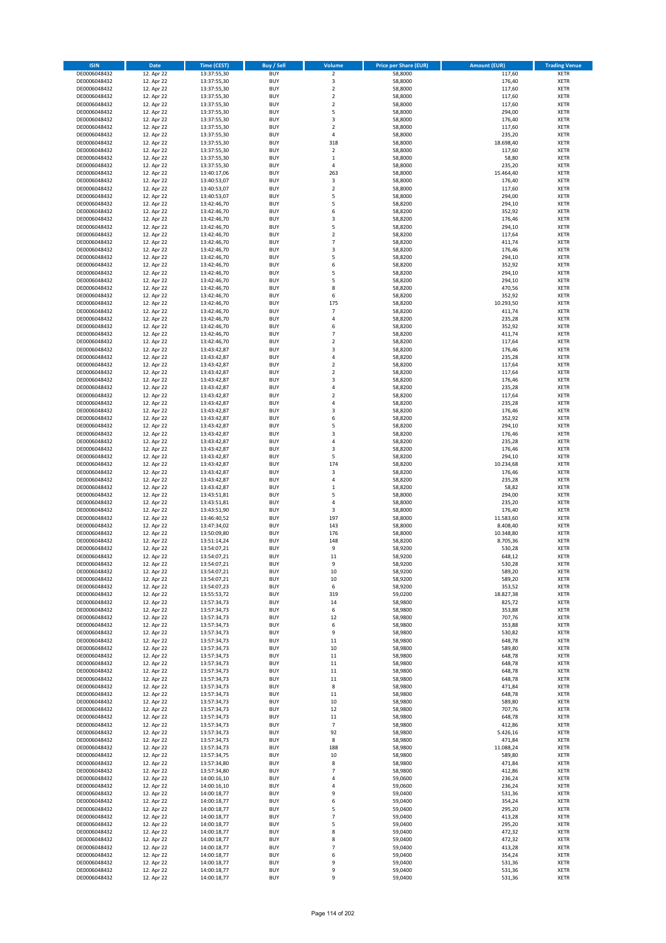| <b>ISIN</b>                  | Date                     | Time (CEST)                | <b>Buy / Sell</b>        | Volume                        | <b>Price per Share (EUR)</b> | <b>Amount (EUR)</b>   | <b>Trading Venue</b>       |
|------------------------------|--------------------------|----------------------------|--------------------------|-------------------------------|------------------------------|-----------------------|----------------------------|
| DE0006048432                 | 12. Apr 22               | 13:37:55,30                | <b>BUY</b>               | $\overline{2}$                | 58,8000                      | 117,60                | <b>XETR</b>                |
| DE0006048432                 | 12. Apr 22               | 13:37:55,30                | <b>BUY</b>               | 3                             | 58,8000                      | 176,40                | XETR                       |
| DE0006048432                 | 12. Apr 22               | 13:37:55,30                | <b>BUY</b>               | $\overline{2}$                | 58,8000                      | 117,60                | <b>XETR</b>                |
| DE0006048432                 | 12. Apr 22               | 13:37:55,30                | <b>BUY</b>               | $\mathbf 2$                   | 58,8000                      | 117,60                | XETR                       |
| DE0006048432<br>DE0006048432 | 12. Apr 22<br>12. Apr 22 | 13:37:55,30<br>13:37:55,30 | <b>BUY</b><br><b>BUY</b> | $\mathbf 2$<br>5              | 58,8000<br>58,8000           | 117,60<br>294,00      | <b>XETR</b><br><b>XETR</b> |
| DE0006048432                 | 12. Apr 22               | 13:37:55,30                | <b>BUY</b>               | 3                             | 58,8000                      | 176,40                | <b>XETR</b>                |
| DE0006048432                 | 12. Apr 22               | 13:37:55,30                | <b>BUY</b>               | $\overline{2}$                | 58,8000                      | 117,60                | <b>XETR</b>                |
| DE0006048432                 | 12. Apr 22               | 13:37:55,30                | <b>BUY</b>               | $\overline{4}$                | 58,8000                      | 235,20                | <b>XETR</b>                |
| DE0006048432                 | 12. Apr 22               | 13:37:55,30                | <b>BUY</b>               | 318                           | 58,8000                      | 18.698,40             | <b>XETR</b>                |
| DE0006048432                 | 12. Apr 22               | 13:37:55,30                | <b>BUY</b>               | $\mathbf 2$                   | 58,8000                      | 117,60                | <b>XETR</b>                |
| DE0006048432                 | 12. Apr 22               | 13:37:55,30                | <b>BUY</b>               | $\,1\,$<br>$\overline{4}$     | 58,8000                      | 58,80                 | <b>XETR</b>                |
| DE0006048432<br>DE0006048432 | 12. Apr 22<br>12. Apr 22 | 13:37:55,30<br>13:40:17,06 | <b>BUY</b><br><b>BUY</b> | 263                           | 58,8000<br>58,8000           | 235,20<br>15.464,40   | <b>XETR</b><br><b>XETR</b> |
| DE0006048432                 | 12. Apr 22               | 13:40:53,07                | <b>BUY</b>               | $\mathsf 3$                   | 58,8000                      | 176,40                | <b>XETR</b>                |
| DE0006048432                 | 12. Apr 22               | 13:40:53,07                | <b>BUY</b>               | $\mathbf 2$                   | 58,8000                      | 117,60                | <b>XETR</b>                |
| DE0006048432                 | 12. Apr 22               | 13:40:53,07                | <b>BUY</b>               | 5                             | 58,8000                      | 294,00                | <b>XETR</b>                |
| DE0006048432                 | 12. Apr 22               | 13:42:46,70                | <b>BUY</b>               | 5                             | 58,8200                      | 294,10                | <b>XETR</b>                |
| DE0006048432                 | 12. Apr 22               | 13:42:46,70                | <b>BUY</b>               | 6                             | 58,8200                      | 352,92                | <b>XETR</b>                |
| DE0006048432<br>DE0006048432 | 12. Apr 22<br>12. Apr 22 | 13:42:46,70<br>13:42:46,70 | <b>BUY</b><br><b>BUY</b> | 3<br>5                        | 58,8200<br>58,8200           | 176,46<br>294,10      | <b>XETR</b><br><b>XETR</b> |
| DE0006048432                 | 12. Apr 22               | 13:42:46,70                | <b>BUY</b>               | $\mathbf 2$                   | 58,8200                      | 117,64                | <b>XETR</b>                |
| DE0006048432                 | 12. Apr 22               | 13:42:46,70                | <b>BUY</b>               | $\overline{7}$                | 58,8200                      | 411,74                | <b>XETR</b>                |
| DE0006048432                 | 12. Apr 22               | 13:42:46,70                | <b>BUY</b>               | 3                             | 58,8200                      | 176,46                | <b>XETR</b>                |
| DE0006048432                 | 12. Apr 22               | 13:42:46,70                | <b>BUY</b>               | 5                             | 58,8200                      | 294,10                | <b>XETR</b>                |
| DE0006048432                 | 12. Apr 22               | 13:42:46,70                | <b>BUY</b>               | 6                             | 58,8200                      | 352,92                | <b>XETR</b>                |
| DE0006048432                 | 12. Apr 22               | 13:42:46,70                | <b>BUY</b>               | 5<br>5                        | 58,8200                      | 294,10                | <b>XETR</b>                |
| DE0006048432<br>DE0006048432 | 12. Apr 22<br>12. Apr 22 | 13:42:46,70<br>13:42:46,70 | <b>BUY</b><br><b>BUY</b> | 8                             | 58,8200<br>58,8200           | 294,10<br>470,56      | <b>XETR</b><br><b>XETR</b> |
| DE0006048432                 | 12. Apr 22               | 13:42:46,70                | <b>BUY</b>               | 6                             | 58,8200                      | 352,92                | <b>XETR</b>                |
| DE0006048432                 | 12. Apr 22               | 13:42:46,70                | <b>BUY</b>               | 175                           | 58,8200                      | 10.293,50             | <b>XETR</b>                |
| DE0006048432                 | 12. Apr 22               | 13:42:46,70                | <b>BUY</b>               | $\overline{7}$                | 58,8200                      | 411,74                | <b>XETR</b>                |
| DE0006048432                 | 12. Apr 22               | 13:42:46,70                | <b>BUY</b>               | 4                             | 58,8200                      | 235,28                | <b>XETR</b>                |
| DE0006048432                 | 12. Apr 22               | 13:42:46,70                | <b>BUY</b>               | 6                             | 58,8200                      | 352,92                | <b>XETR</b>                |
| DE0006048432<br>DE0006048432 | 12. Apr 22<br>12. Apr 22 | 13:42:46,70<br>13:42:46,70 | <b>BUY</b><br><b>BUY</b> | $\overline{7}$<br>$\mathbf 2$ | 58,8200<br>58,8200           | 411,74<br>117,64      | <b>XETR</b><br><b>XETR</b> |
| DE0006048432                 | 12. Apr 22               | 13:43:42,87                | <b>BUY</b>               | 3                             | 58,8200                      | 176,46                | <b>XETR</b>                |
| DE0006048432                 | 12. Apr 22               | 13:43:42,87                | <b>BUY</b>               | $\overline{4}$                | 58,8200                      | 235,28                | <b>XETR</b>                |
| DE0006048432                 | 12. Apr 22               | 13:43:42,87                | <b>BUY</b>               | $\mathbf 2$                   | 58,8200                      | 117,64                | <b>XETR</b>                |
| DE0006048432                 | 12. Apr 22               | 13:43:42,87                | <b>BUY</b>               | $\mathbf 2$                   | 58,8200                      | 117,64                | <b>XETR</b>                |
| DE0006048432                 | 12. Apr 22               | 13:43:42,87                | <b>BUY</b>               | 3                             | 58,8200                      | 176,46                | <b>XETR</b>                |
| DE0006048432                 | 12. Apr 22               | 13:43:42,87                | <b>BUY</b>               | 4                             | 58,8200                      | 235,28                | <b>XETR</b>                |
| DE0006048432<br>DE0006048432 | 12. Apr 22<br>12. Apr 22 | 13:43:42,87<br>13:43:42,87 | <b>BUY</b><br><b>BUY</b> | $\mathbf 2$<br>4              | 58,8200<br>58,8200           | 117,64<br>235,28      | <b>XETR</b><br><b>XETR</b> |
| DE0006048432                 | 12. Apr 22               | 13:43:42,87                | <b>BUY</b>               | 3                             | 58,8200                      | 176,46                | <b>XETR</b>                |
| DE0006048432                 | 12. Apr 22               | 13:43:42,87                | <b>BUY</b>               | 6                             | 58,8200                      | 352,92                | <b>XETR</b>                |
| DE0006048432                 | 12. Apr 22               | 13:43:42,87                | <b>BUY</b>               | 5                             | 58,8200                      | 294,10                | <b>XETR</b>                |
| DE0006048432                 | 12. Apr 22               | 13:43:42,87                | <b>BUY</b>               | 3                             | 58,8200                      | 176,46                | <b>XETR</b>                |
| DE0006048432                 | 12. Apr 22               | 13:43:42,87                | <b>BUY</b>               | 4                             | 58,8200                      | 235,28                | <b>XETR</b>                |
| DE0006048432                 | 12. Apr 22               | 13:43:42,87                | <b>BUY</b>               | 3                             | 58,8200                      | 176,46                | <b>XETR</b>                |
| DE0006048432                 | 12. Apr 22               | 13:43:42,87                | <b>BUY</b>               | 5                             | 58,8200                      | 294,10                | <b>XETR</b>                |
| DE0006048432<br>DE0006048432 | 12. Apr 22<br>12. Apr 22 | 13:43:42,87<br>13:43:42,87 | <b>BUY</b><br><b>BUY</b> | 174<br>3                      | 58,8200<br>58,8200           | 10.234,68<br>176,46   | <b>XETR</b><br><b>XETR</b> |
| DE0006048432                 | 12. Apr 22               | 13:43:42,87                | <b>BUY</b>               | $\sqrt{4}$                    | 58,8200                      | 235,28                | <b>XETR</b>                |
| DE0006048432                 | 12. Apr 22               | 13:43:42,87                | <b>BUY</b>               | $\,1\,$                       | 58,8200                      | 58,82                 | <b>XETR</b>                |
| DE0006048432                 | 12. Apr 22               | 13:43:51,81                | <b>BUY</b>               | 5                             | 58,8000                      | 294,00                | <b>XETR</b>                |
| DE0006048432                 | 12. Apr 22               | 13:43:51,81                | <b>BUY</b>               | $\overline{4}$                | 58,8000                      | 235,20                | <b>XETR</b>                |
| DE0006048432                 | 12. Apr 22               | 13:43:51,90                | <b>BUY</b>               | 3                             | 58,8000                      | 176,40                | <b>XETR</b>                |
| DE0006048432                 | 12. Apr 22               | 13:46:40,52                | <b>BUY</b>               | 197                           | 58,8000                      | 11.583,60             | <b>XETR</b>                |
| DE0006048432<br>DE0006048432 | 12. Apr 22<br>12. Apr 22 | 13:47:34,02<br>13:50:09,80 | <b>BUY</b><br><b>BUY</b> | 143<br>176                    | 58,8000<br>58,8000           | 8.408,40<br>10.348,80 | <b>XETR</b><br><b>XETR</b> |
| DE0006048432                 | 12. Apr 22               | 13:51:14,24                | <b>BUY</b>               | 148                           | 58,8200                      | 8.705,36              | <b>XETR</b>                |
| DE0006048432                 | 12. Apr 22               | 13:54:07,21                | <b>BUY</b>               | 9                             | 58,9200                      | 530,28                | <b>XETR</b>                |
| DE0006048432                 | 12. Apr 22               | 13:54:07,21                | <b>BUY</b>               | 11                            | 58,9200                      | 648,12                | <b>XETR</b>                |
| DE0006048432                 | 12. Apr 22               | 13:54:07,21                | BUY                      | 9                             | 58,9200                      | 530,28                | XETR                       |
| DE0006048432                 | 12. Apr 22               | 13:54:07,21                | <b>BUY</b>               | $10\,$                        | 58,9200                      | 589,20                | <b>XETR</b>                |
| DE0006048432                 | 12. Apr 22<br>12. Apr 22 | 13:54:07,21                | <b>BUY</b><br><b>BUY</b> | $10\,$                        | 58,9200<br>58,9200           | 589,20                | <b>XETR</b>                |
| DE0006048432<br>DE0006048432 | 12. Apr 22               | 13:54:07,23<br>13:55:53,72 | <b>BUY</b>               | 6<br>319                      | 59,0200                      | 353,52<br>18.827,38   | <b>XETR</b><br><b>XETR</b> |
| DE0006048432                 | 12. Apr 22               | 13:57:34,73                | <b>BUY</b>               | 14                            | 58,9800                      | 825,72                | <b>XETR</b>                |
| DE0006048432                 | 12. Apr 22               | 13:57:34,73                | <b>BUY</b>               | 6                             | 58,9800                      | 353,88                | <b>XETR</b>                |
| DE0006048432                 | 12. Apr 22               | 13:57:34,73                | <b>BUY</b>               | 12                            | 58,9800                      | 707,76                | <b>XETR</b>                |
| DE0006048432                 | 12. Apr 22               | 13:57:34,73                | <b>BUY</b>               | 6                             | 58,9800                      | 353,88                | XETR                       |
| DE0006048432                 | 12. Apr 22               | 13:57:34,73                | <b>BUY</b>               | 9                             | 58,9800                      | 530,82                | <b>XETR</b>                |
| DE0006048432<br>DE0006048432 | 12. Apr 22<br>12. Apr 22 | 13:57:34,73<br>13:57:34,73 | <b>BUY</b><br><b>BUY</b> | $11\,$<br>10                  | 58,9800<br>58,9800           | 648,78<br>589,80      | XETR<br><b>XETR</b>        |
| DE0006048432                 | 12. Apr 22               | 13:57:34,73                | <b>BUY</b>               | 11                            | 58,9800                      | 648,78                | XETR                       |
| DE0006048432                 | 12. Apr 22               | 13:57:34,73                | <b>BUY</b>               | 11                            | 58,9800                      | 648,78                | <b>XETR</b>                |
| DE0006048432                 | 12. Apr 22               | 13:57:34,73                | <b>BUY</b>               | 11                            | 58,9800                      | 648,78                | XETR                       |
| DE0006048432                 | 12. Apr 22               | 13:57:34,73                | <b>BUY</b>               | 11                            | 58,9800                      | 648,78                | <b>XETR</b>                |
| DE0006048432                 | 12. Apr 22               | 13:57:34,73                | <b>BUY</b>               | 8                             | 58,9800                      | 471,84                | <b>XETR</b>                |
| DE0006048432<br>DE0006048432 | 12. Apr 22<br>12. Apr 22 | 13:57:34,73<br>13:57:34,73 | <b>BUY</b><br><b>BUY</b> | 11<br>$10\,$                  | 58,9800<br>58,9800           | 648,78<br>589,80      | <b>XETR</b><br>XETR        |
| DE0006048432                 | 12. Apr 22               | 13:57:34,73                | <b>BUY</b>               | 12                            | 58,9800                      | 707,76                | <b>XETR</b>                |
| DE0006048432                 | 12. Apr 22               | 13:57:34,73                | <b>BUY</b>               | 11                            | 58,9800                      | 648,78                | <b>XETR</b>                |
| DE0006048432                 | 12. Apr 22               | 13:57:34,73                | <b>BUY</b>               | $\overline{7}$                | 58,9800                      | 412,86                | <b>XETR</b>                |
| DE0006048432                 | 12. Apr 22               | 13:57:34,73                | <b>BUY</b>               | 92                            | 58,9800                      | 5.426,16              | XETR                       |
| DE0006048432                 | 12. Apr 22               | 13:57:34,73                | <b>BUY</b>               | 8                             | 58,9800                      | 471,84                | <b>XETR</b>                |
| DE0006048432                 | 12. Apr 22               | 13:57:34,73                | <b>BUY</b>               | 188                           | 58,9800                      | 11.088,24             | XETR                       |
| DE0006048432<br>DE0006048432 | 12. Apr 22<br>12. Apr 22 | 13:57:34,75<br>13:57:34,80 | <b>BUY</b><br><b>BUY</b> | 10<br>8                       | 58,9800<br>58,9800           | 589,80<br>471,84      | <b>XETR</b><br>XETR        |
| DE0006048432                 | 12. Apr 22               | 13:57:34,80                | <b>BUY</b>               | $\overline{7}$                | 58,9800                      | 412,86                | <b>XETR</b>                |
| DE0006048432                 | 12. Apr 22               | 14:00:16,10                | <b>BUY</b>               | $\sqrt{4}$                    | 59,0600                      | 236,24                | <b>XETR</b>                |
| DE0006048432                 | 12. Apr 22               | 14:00:16,10                | <b>BUY</b>               | 4                             | 59,0600                      | 236,24                | <b>XETR</b>                |
| DE0006048432                 | 12. Apr 22               | 14:00:18,77                | <b>BUY</b>               | 9                             | 59,0400                      | 531,36                | XETR                       |
| DE0006048432                 | 12. Apr 22               | 14:00:18,77                | <b>BUY</b>               | 6                             | 59,0400                      | 354,24                | XETR                       |
| DE0006048432                 | 12. Apr 22               | 14:00:18,77                | <b>BUY</b>               | 5                             | 59,0400                      | 295,20                | XETR                       |
| DE0006048432                 | 12. Apr 22               | 14:00:18,77                | <b>BUY</b>               | $\overline{7}$                | 59,0400                      | 413,28                | <b>XETR</b>                |
| DE0006048432                 | 12. Apr 22               | 14:00:18,77                | <b>BUY</b>               | 5                             | 59,0400                      | 295,20                | <b>XETR</b>                |
| DE0006048432<br>DE0006048432 | 12. Apr 22<br>12. Apr 22 | 14:00:18,77<br>14:00:18,77 | <b>BUY</b><br><b>BUY</b> | 8<br>8                        | 59,0400<br>59,0400           | 472,32<br>472,32      | <b>XETR</b><br><b>XETR</b> |
| DE0006048432                 | 12. Apr 22               | 14:00:18,77                | <b>BUY</b>               | $\overline{7}$                | 59,0400                      | 413,28                | XETR                       |
| DE0006048432                 | 12. Apr 22               | 14:00:18,77                | <b>BUY</b>               | 6                             | 59,0400                      | 354,24                | <b>XETR</b>                |
| DE0006048432                 | 12. Apr 22               | 14:00:18,77                | <b>BUY</b>               | 9                             | 59,0400                      | 531,36                | XETR                       |
| DE0006048432                 | 12. Apr 22               | 14:00:18,77                | <b>BUY</b>               | 9                             | 59,0400                      | 531,36                | <b>XETR</b>                |
| DE0006048432                 | 12. Apr 22               | 14:00:18,77                | <b>BUY</b>               | 9                             | 59,0400                      | 531,36                | <b>XETR</b>                |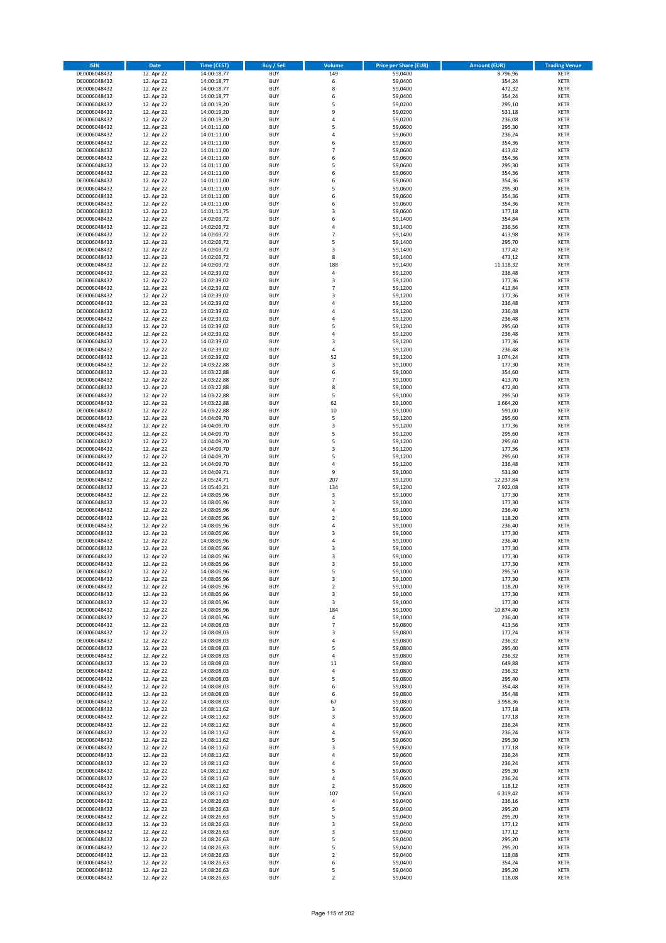| <b>ISIN</b>                  | <b>Date</b>              | <b>Time (CEST)</b>         | <b>Buy / Sell</b>        | Volume                  | <b>Price per Share (EUR)</b> | <b>Amount (EUR)</b>   | <b>Trading Venue</b>       |
|------------------------------|--------------------------|----------------------------|--------------------------|-------------------------|------------------------------|-----------------------|----------------------------|
| DE0006048432                 | 12. Apr 22               | 14:00:18,77                | <b>BUY</b>               | 149                     | 59,0400                      | 8.796,96              | <b>XETR</b>                |
| DE0006048432                 | 12. Apr 22               | 14:00:18,77                | <b>BUY</b>               | 6                       | 59,0400                      | 354,24                | <b>XETR</b>                |
| DE0006048432                 | 12. Apr 22               | 14:00:18,77                | <b>BUY</b>               | 8                       | 59,0400                      | 472,32                | <b>XETR</b>                |
| DE0006048432<br>DE0006048432 | 12. Apr 22<br>12. Apr 22 | 14:00:18,77<br>14:00:19,20 | <b>BUY</b><br><b>BUY</b> | 6<br>5                  | 59,0400<br>59,0200           | 354,24<br>295,10      | <b>XETR</b><br><b>XETR</b> |
| DE0006048432                 | 12. Apr 22               | 14:00:19,20                | <b>BUY</b>               | 9                       | 59,0200                      | 531,18                | <b>XETR</b>                |
| DE0006048432                 | 12. Apr 22               | 14:00:19,20                | <b>BUY</b>               | 4                       | 59,0200                      | 236,08                | <b>XETR</b>                |
| DE0006048432                 | 12. Apr 22               | 14:01:11,00                | <b>BUY</b>               | 5                       | 59,0600                      | 295,30                | <b>XETR</b>                |
| DE0006048432                 | 12. Apr 22               | 14:01:11,00                | <b>BUY</b>               | 4                       | 59,0600                      | 236,24                | <b>XETR</b>                |
| DE0006048432                 | 12. Apr 22               | 14:01:11,00                | <b>BUY</b>               | 6                       | 59,0600                      | 354,36                | <b>XETR</b>                |
| DE0006048432                 | 12. Apr 22               | 14:01:11,00                | <b>BUY</b>               | $\overline{7}$          | 59,0600                      | 413,42                | <b>XETR</b>                |
| DE0006048432<br>DE0006048432 | 12. Apr 22<br>12. Apr 22 | 14:01:11,00<br>14:01:11,00 | <b>BUY</b><br><b>BUY</b> | 6<br>5                  | 59,0600<br>59,0600           | 354,36<br>295,30      | <b>XETR</b><br><b>XETR</b> |
| DE0006048432                 | 12. Apr 22               | 14:01:11,00                | <b>BUY</b>               | 6                       | 59,0600                      | 354,36                | <b>XETR</b>                |
| DE0006048432                 | 12. Apr 22               | 14:01:11,00                | <b>BUY</b>               | 6                       | 59,0600                      | 354,36                | <b>XETR</b>                |
| DE0006048432                 | 12. Apr 22               | 14:01:11,00                | <b>BUY</b>               | 5                       | 59,0600                      | 295,30                | <b>XETR</b>                |
| DE0006048432                 | 12. Apr 22               | 14:01:11,00                | <b>BUY</b>               | 6                       | 59,0600                      | 354,36                | <b>XETR</b>                |
| DE0006048432                 | 12. Apr 22               | 14:01:11,00                | <b>BUY</b>               | 6                       | 59,0600                      | 354,36                | <b>XETR</b>                |
| DE0006048432                 | 12. Apr 22               | 14:01:11,75                | <b>BUY</b>               | 3                       | 59,0600                      | 177,18                | <b>XETR</b>                |
| DE0006048432                 | 12. Apr 22               | 14:02:03,72                | <b>BUY</b>               | 6                       | 59,1400                      | 354,84                | <b>XETR</b>                |
| DE0006048432<br>DE0006048432 | 12. Apr 22<br>12. Apr 22 | 14:02:03,72<br>14:02:03,72 | <b>BUY</b><br><b>BUY</b> | 4<br>$\overline{7}$     | 59,1400<br>59,1400           | 236,56<br>413,98      | <b>XETR</b><br><b>XETR</b> |
| DE0006048432                 | 12. Apr 22               | 14:02:03,72                | <b>BUY</b>               | 5                       | 59,1400                      | 295,70                | <b>XETR</b>                |
| DE0006048432                 | 12. Apr 22               | 14:02:03,72                | <b>BUY</b>               | 3                       | 59,1400                      | 177,42                | <b>XETR</b>                |
| DE0006048432                 | 12. Apr 22               | 14:02:03,72                | <b>BUY</b>               | 8                       | 59,1400                      | 473,12                | <b>XETR</b>                |
| DE0006048432                 | 12. Apr 22               | 14:02:03,72                | <b>BUY</b>               | 188                     | 59,1400                      | 11.118,32             | <b>XETR</b>                |
| DE0006048432                 | 12. Apr 22               | 14:02:39,02                | <b>BUY</b>               | 4                       | 59,1200                      | 236,48                | <b>XETR</b>                |
| DE0006048432                 | 12. Apr 22               | 14:02:39,02                | <b>BUY</b>               | 3<br>$\overline{7}$     | 59,1200                      | 177,36                | <b>XETR</b>                |
| DE0006048432<br>DE0006048432 | 12. Apr 22<br>12. Apr 22 | 14:02:39,02<br>14:02:39,02 | <b>BUY</b><br><b>BUY</b> | 3                       | 59,1200<br>59,1200           | 413,84<br>177,36      | <b>XETR</b><br><b>XETR</b> |
| DE0006048432                 | 12. Apr 22               | 14:02:39,02                | <b>BUY</b>               | 4                       | 59,1200                      | 236,48                | <b>XETR</b>                |
| DE0006048432                 | 12. Apr 22               | 14:02:39,02                | <b>BUY</b>               | 4                       | 59,1200                      | 236,48                | <b>XETR</b>                |
| DE0006048432                 | 12. Apr 22               | 14:02:39,02                | <b>BUY</b>               | 4                       | 59,1200                      | 236,48                | <b>XETR</b>                |
| DE0006048432                 | 12. Apr 22               | 14:02:39,02                | <b>BUY</b>               | 5                       | 59,1200                      | 295,60                | <b>XETR</b>                |
| DE0006048432                 | 12. Apr 22               | 14:02:39,02                | <b>BUY</b>               | 4                       | 59.1200                      | 236,48                | <b>XETR</b>                |
| DE0006048432                 | 12. Apr 22               | 14:02:39,02                | <b>BUY</b>               | 3                       | 59,1200                      | 177,36                | <b>XETR</b>                |
| DE0006048432<br>DE0006048432 | 12. Apr 22<br>12. Apr 22 | 14:02:39,02<br>14:02:39,02 | <b>BUY</b><br><b>BUY</b> | 4<br>52                 | 59,1200<br>59,1200           | 236,48<br>3.074,24    | <b>XETR</b><br><b>XETR</b> |
| DE0006048432                 | 12. Apr 22               | 14:03:22,88                | <b>BUY</b>               | 3                       | 59,1000                      | 177,30                | <b>XETR</b>                |
| DE0006048432                 | 12. Apr 22               | 14:03:22,88                | <b>BUY</b>               | 6                       | 59,1000                      | 354,60                | <b>XETR</b>                |
| DE0006048432                 | 12. Apr 22               | 14:03:22,88                | <b>BUY</b>               | $\overline{7}$          | 59,1000                      | 413,70                | <b>XETR</b>                |
| DE0006048432                 | 12. Apr 22               | 14:03:22,88                | <b>BUY</b>               | 8                       | 59,1000                      | 472,80                | <b>XETR</b>                |
| DE0006048432                 | 12. Apr 22               | 14:03:22,88                | <b>BUY</b>               | 5                       | 59,1000                      | 295,50                | <b>XETR</b>                |
| DE0006048432                 | 12. Apr 22               | 14:03:22,88                | <b>BUY</b>               | 62                      | 59,1000                      | 3.664,20              | <b>XETR</b>                |
| DE0006048432                 | 12. Apr 22               | 14:03:22,88                | <b>BUY</b>               | 10                      | 59,1000                      | 591,00                | <b>XETR</b>                |
| DE0006048432<br>DE0006048432 | 12. Apr 22<br>12. Apr 22 | 14:04:09,70<br>14:04:09,70 | <b>BUY</b><br><b>BUY</b> | 5<br>3                  | 59,1200<br>59,1200           | 295,60<br>177,36      | <b>XETR</b><br><b>XETR</b> |
| DE0006048432                 | 12. Apr 22               | 14:04:09,70                | <b>BUY</b>               | 5                       | 59,1200                      | 295,60                | <b>XETR</b>                |
| DE0006048432                 | 12. Apr 22               | 14:04:09,70                | <b>BUY</b>               | 5                       | 59,1200                      | 295,60                | <b>XETR</b>                |
| DE0006048432                 | 12. Apr 22               | 14:04:09,70                | <b>BUY</b>               | 3                       | 59,1200                      | 177,36                | <b>XETR</b>                |
| DE0006048432                 | 12. Apr 22               | 14:04:09,70                | <b>BUY</b>               | 5                       | 59,1200                      | 295,60                | <b>XETR</b>                |
| DE0006048432                 | 12. Apr 22               | 14:04:09,70                | <b>BUY</b>               | 4                       | 59,1200                      | 236,48                | <b>XETR</b>                |
| DE0006048432                 | 12. Apr 22               | 14:04:09,71                | <b>BUY</b>               | 9                       | 59,1000                      | 531,90                | <b>XETR</b>                |
| DE0006048432<br>DE0006048432 | 12. Apr 22<br>12. Apr 22 | 14:05:24,71<br>14:05:40,21 | <b>BUY</b><br><b>BUY</b> | 207<br>134              | 59,1200<br>59,1200           | 12.237,84<br>7.922,08 | <b>XETR</b><br><b>XETR</b> |
| DE0006048432                 | 12. Apr 22               | 14:08:05,96                | <b>BUY</b>               | 3                       | 59,1000                      | 177,30                | <b>XETR</b>                |
| DE0006048432                 | 12. Apr 22               | 14:08:05,96                | <b>BUY</b>               | 3                       | 59,1000                      | 177,30                | <b>XETR</b>                |
| DE0006048432                 | 12. Apr 22               | 14:08:05,96                | <b>BUY</b>               | 4                       | 59,1000                      | 236,40                | <b>XETR</b>                |
| DE0006048432                 | 12. Apr 22               | 14:08:05,96                | <b>BUY</b>               | $\overline{\mathbf{c}}$ | 59,1000                      | 118,20                | <b>XETR</b>                |
| DE0006048432                 | 12. Apr 22               | 14:08:05,96                | <b>BUY</b>               | 4                       | 59,1000                      | 236,40                | <b>XETR</b>                |
| DE0006048432                 | 12. Apr 22               | 14:08:05,96                | <b>BUY</b>               | 3                       | 59,1000                      | 177,30                | <b>XETR</b>                |
| DE0006048432<br>DE0006048432 | 12. Apr 22<br>12. Apr 22 | 14:08:05,96<br>14:08:05,96 | <b>BUY</b><br><b>BUY</b> | 4<br>3                  | 59,1000<br>59,1000           | 236,40<br>177,30      | <b>XETR</b><br><b>XETR</b> |
| DE0006048432                 | 12. Apr 22               | 14:08:05,96                | <b>BUY</b>               | 3                       | 59,1000                      | 177,30                | <b>XETR</b>                |
| DE0006048432                 | 12. Apr 22               | 14:08:05,96                | BUY                      | 3                       | 59,1000                      | 177,30                | <b>XETR</b>                |
| DE0006048432                 | 12. Apr 22               | 14:08:05,96                | <b>BUY</b>               | 5                       | 59,1000                      | 295,50                | <b>XETR</b>                |
| DE0006048432                 | 12. Apr 22               | 14:08:05,96                | <b>BUY</b>               | 3                       | 59,1000                      | 177,30                | <b>XETR</b>                |
| DE0006048432                 | 12. Apr 22               | 14:08:05,96                | <b>BUY</b>               | $\mathbf 2$             | 59,1000                      | 118,20                | <b>XETR</b>                |
| DE0006048432                 | 12. Apr 22<br>12. Apr 22 | 14:08:05,96                | <b>BUY</b>               | 3                       | 59,1000                      | 177,30                | <b>XETR</b>                |
| DE0006048432<br>DE0006048432 | 12. Apr 22               | 14:08:05,96<br>14:08:05,96 | <b>BUY</b><br><b>BUY</b> | 3<br>184                | 59,1000<br>59,1000           | 177,30<br>10.874,40   | <b>XETR</b><br><b>XETR</b> |
| DE0006048432                 | 12. Apr 22               | 14:08:05,96                | <b>BUY</b>               | 4                       | 59,1000                      | 236,40                | <b>XETR</b>                |
| DE0006048432                 | 12. Apr 22               | 14:08:08,03                | <b>BUY</b>               | $\overline{7}$          | 59,0800                      | 413,56                | <b>XETR</b>                |
| DE0006048432                 | 12. Apr 22               | 14:08:08,03                | <b>BUY</b>               | 3                       | 59,0800                      | 177,24                | <b>XETR</b>                |
| DE0006048432                 | 12. Apr 22               | 14:08:08,03                | <b>BUY</b>               | 4                       | 59,0800                      | 236,32                | <b>XETR</b>                |
| DE0006048432                 | 12. Apr 22               | 14:08:08,03                | <b>BUY</b>               | 5                       | 59,0800                      | 295,40                | <b>XETR</b>                |
| DE0006048432<br>DE0006048432 | 12. Apr 22<br>12. Apr 22 | 14:08:08,03<br>14:08:08,03 | <b>BUY</b><br><b>BUY</b> | 4<br>11                 | 59,0800<br>59,0800           | 236,32<br>649,88      | <b>XETR</b><br><b>XETR</b> |
| DE0006048432                 | 12. Apr 22               | 14:08:08,03                | <b>BUY</b>               | 4                       | 59,0800                      | 236,32                | <b>XETR</b>                |
| DE0006048432                 | 12. Apr 22               | 14:08:08,03                | <b>BUY</b>               | 5                       | 59,0800                      | 295,40                | <b>XETR</b>                |
| DE0006048432                 | 12. Apr 22               | 14:08:08,03                | <b>BUY</b>               | 6                       | 59,0800                      | 354,48                | <b>XETR</b>                |
| DE0006048432                 | 12. Apr 22               | 14:08:08,03                | <b>BUY</b>               | 6                       | 59,0800                      | 354,48                | <b>XETR</b>                |
| DE0006048432                 | 12. Apr 22               | 14:08:08,03                | <b>BUY</b>               | 67                      | 59,0800                      | 3.958,36              | <b>XETR</b>                |
| DE0006048432                 | 12. Apr 22               | 14:08:11,62                | <b>BUY</b>               | 3                       | 59,0600                      | 177,18                | <b>XETR</b>                |
| DE0006048432<br>DE0006048432 | 12. Apr 22<br>12. Apr 22 | 14:08:11,62<br>14:08:11,62 | <b>BUY</b><br><b>BUY</b> | 3<br>4                  | 59,0600<br>59,0600           | 177,18<br>236,24      | <b>XETR</b><br><b>XETR</b> |
| DE0006048432                 | 12. Apr 22               | 14:08:11,62                | <b>BUY</b>               | 4                       | 59,0600                      | 236,24                | <b>XETR</b>                |
| DE0006048432                 | 12. Apr 22               | 14:08:11,62                | <b>BUY</b>               | 5                       | 59,0600                      | 295,30                | <b>XETR</b>                |
| DE0006048432                 | 12. Apr 22               | 14:08:11,62                | <b>BUY</b>               | 3                       | 59,0600                      | 177,18                | <b>XETR</b>                |
| DE0006048432                 | 12. Apr 22               | 14:08:11,62                | <b>BUY</b>               | 4                       | 59,0600                      | 236,24                | <b>XETR</b>                |
| DE0006048432                 | 12. Apr 22               | 14:08:11,62                | <b>BUY</b>               | 4                       | 59,0600                      | 236,24                | <b>XETR</b>                |
| DE0006048432                 | 12. Apr 22               | 14:08:11,62                | <b>BUY</b>               | 5                       | 59,0600                      | 295,30                | <b>XETR</b>                |
| DE0006048432<br>DE0006048432 | 12. Apr 22<br>12. Apr 22 | 14:08:11,62<br>14:08:11,62 | <b>BUY</b><br><b>BUY</b> | 4<br>2                  | 59,0600<br>59,0600           | 236,24<br>118,12      | <b>XETR</b><br><b>XETR</b> |
| DE0006048432                 | 12. Apr 22               | 14:08:11,62                | <b>BUY</b>               | 107                     | 59,0600                      | 6.319,42              | <b>XETR</b>                |
| DE0006048432                 | 12. Apr 22               | 14:08:26,63                | <b>BUY</b>               | 4                       | 59,0400                      | 236,16                | <b>XETR</b>                |
| DE0006048432                 | 12. Apr 22               | 14:08:26,63                | <b>BUY</b>               | 5                       | 59,0400                      | 295,20                | <b>XETR</b>                |
| DE0006048432                 | 12. Apr 22               | 14:08:26,63                | <b>BUY</b>               | 5                       | 59,0400                      | 295,20                | <b>XETR</b>                |
| DE0006048432                 | 12. Apr 22               | 14:08:26,63                | <b>BUY</b>               | 3                       | 59,0400                      | 177,12                | <b>XETR</b>                |
| DE0006048432<br>DE0006048432 | 12. Apr 22<br>12. Apr 22 | 14:08:26,63                | <b>BUY</b><br><b>BUY</b> | 3<br>5                  | 59,0400<br>59,0400           | 177,12<br>295,20      | <b>XETR</b><br><b>XETR</b> |
| DE0006048432                 | 12. Apr 22               | 14:08:26,63<br>14:08:26,63 | <b>BUY</b>               | 5                       | 59,0400                      | 295,20                | <b>XETR</b>                |
| DE0006048432                 | 12. Apr 22               | 14:08:26,63                | <b>BUY</b>               | $\overline{2}$          | 59,0400                      | 118,08                | <b>XETR</b>                |
| DE0006048432                 | 12. Apr 22               | 14:08:26,63                | <b>BUY</b>               | 6                       | 59,0400                      | 354,24                | XETR                       |
| DE0006048432                 | 12. Apr 22               | 14:08:26,63                | <b>BUY</b>               | 5                       | 59,0400                      | 295,20                | <b>XETR</b>                |
| DE0006048432                 | 12. Apr 22               | 14:08:26,63                | <b>BUY</b>               | $\overline{2}$          | 59,0400                      | 118,08                | <b>XETR</b>                |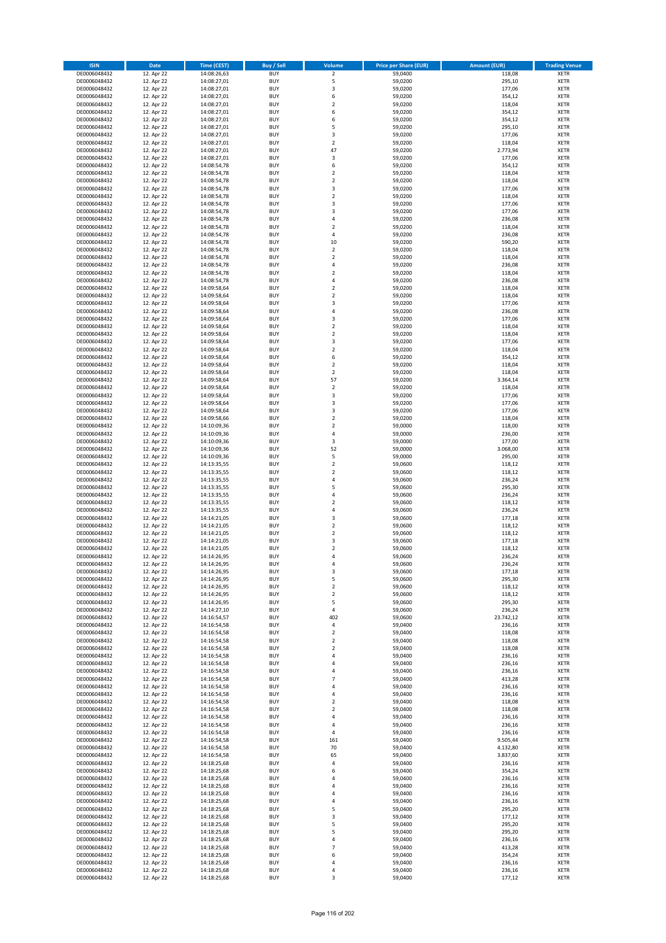| <b>ISIN</b>                  | <b>Date</b>              | <b>Time (CEST)</b>         | <b>Buy / Sell</b>        | <b>Volume</b>                | <b>Price per Share (EUR)</b> | <b>Amount (EUR)</b> | <b>Trading Venue</b>       |
|------------------------------|--------------------------|----------------------------|--------------------------|------------------------------|------------------------------|---------------------|----------------------------|
| DE0006048432                 | 12. Apr 22               | 14:08:26,63                | <b>BUY</b>               | $\overline{2}$               | 59,0400                      | 118,08              | <b>XETR</b>                |
| DE0006048432                 | 12. Apr 22               | 14:08:27,01                | <b>BUY</b>               | 5                            | 59,0200                      | 295,10              | <b>XETR</b>                |
| DE0006048432                 | 12. Apr 22               | 14:08:27,01                | <b>BUY</b>               | 3                            | 59,0200                      | 177,06              | <b>XETR</b>                |
| DE0006048432                 | 12. Apr 22               | 14:08:27,01                | <b>BUY</b>               | 6                            | 59,0200                      | 354,12              | <b>XETR</b>                |
| DE0006048432<br>DE0006048432 | 12. Apr 22<br>12. Apr 22 | 14:08:27,01<br>14:08:27,01 | <b>BUY</b><br><b>BUY</b> | $\overline{\mathbf{c}}$<br>6 | 59,0200<br>59,0200           | 118,04<br>354,12    | <b>XETR</b><br><b>XETR</b> |
| DE0006048432                 | 12. Apr 22               | 14:08:27,01                | <b>BUY</b>               | 6                            | 59,0200                      | 354,12              | <b>XETR</b>                |
| DE0006048432                 | 12. Apr 22               | 14:08:27,01                | <b>BUY</b>               | 5                            | 59,0200                      | 295,10              | <b>XETR</b>                |
| DE0006048432                 | 12. Apr 22               | 14:08:27,01                | <b>BUY</b>               | 3                            | 59,0200                      | 177,06              | <b>XETR</b>                |
| DE0006048432                 | 12. Apr 22               | 14:08:27,01                | <b>BUY</b>               | $\overline{2}$               | 59,0200                      | 118,04              | <b>XETR</b>                |
| DE0006048432                 | 12. Apr 22               | 14:08:27,01                | <b>BUY</b>               | 47                           | 59,0200                      | 2.773,94            | <b>XETR</b>                |
| DE0006048432                 | 12. Apr 22               | 14:08:27,01                | <b>BUY</b>               | 3                            | 59,0200                      | 177,06              | <b>XETR</b>                |
| DE0006048432<br>DE0006048432 | 12. Apr 22<br>12. Apr 22 | 14:08:54,78<br>14:08:54,78 | <b>BUY</b><br><b>BUY</b> | 6<br>$\overline{\mathbf{c}}$ | 59,0200<br>59,0200           | 354,12<br>118,04    | <b>XETR</b><br><b>XETR</b> |
| DE0006048432                 | 12. Apr 22               | 14:08:54,78                | <b>BUY</b>               | $\overline{\mathbf{c}}$      | 59,0200                      | 118,04              | <b>XETR</b>                |
| DE0006048432                 | 12. Apr 22               | 14:08:54,78                | <b>BUY</b>               | 3                            | 59,0200                      | 177,06              | <b>XETR</b>                |
| DE0006048432                 | 12. Apr 22               | 14:08:54,78                | <b>BUY</b>               | $\mathbf 2$                  | 59,0200                      | 118,04              | <b>XETR</b>                |
| DE0006048432                 | 12. Apr 22               | 14:08:54,78                | <b>BUY</b>               | 3                            | 59,0200                      | 177,06              | <b>XETR</b>                |
| DE0006048432                 | 12. Apr 22               | 14:08:54,78                | <b>BUY</b>               | 3                            | 59,0200                      | 177,06              | <b>XETR</b>                |
| DE0006048432<br>DE0006048432 | 12. Apr 22<br>12. Apr 22 | 14:08:54,78<br>14:08:54,78 | <b>BUY</b><br><b>BUY</b> | 4<br>$\overline{\mathbf{c}}$ | 59,0200<br>59,0200           | 236,08<br>118,04    | <b>XETR</b><br><b>XETR</b> |
| DE0006048432                 | 12. Apr 22               | 14:08:54,78                | <b>BUY</b>               | 4                            | 59,0200                      | 236,08              | <b>XETR</b>                |
| DE0006048432                 | 12. Apr 22               | 14:08:54,78                | <b>BUY</b>               | 10                           | 59,0200                      | 590,20              | <b>XETR</b>                |
| DE0006048432                 | 12. Apr 22               | 14:08:54,78                | <b>BUY</b>               | $\mathbf 2$                  | 59,0200                      | 118,04              | <b>XETR</b>                |
| DE0006048432                 | 12. Apr 22               | 14:08:54,78                | <b>BUY</b>               | $\mathbf 2$                  | 59,0200                      | 118,04              | <b>XETR</b>                |
| DE0006048432                 | 12. Apr 22               | 14:08:54,78                | <b>BUY</b>               | 4                            | 59,0200                      | 236,08              | <b>XETR</b>                |
| DE0006048432<br>DE0006048432 | 12. Apr 22<br>12. Apr 22 | 14:08:54,78                | <b>BUY</b><br><b>BUY</b> | $\mathbf 2$<br>4             | 59,0200                      | 118,04              | <b>XETR</b><br><b>XETR</b> |
| DE0006048432                 | 12. Apr 22               | 14:08:54,78<br>14:09:58,64 | <b>BUY</b>               | $\mathbf 2$                  | 59,0200<br>59,0200           | 236,08<br>118,04    | <b>XETR</b>                |
| DE0006048432                 | 12. Apr 22               | 14:09:58,64                | <b>BUY</b>               | $\overline{\mathbf{c}}$      | 59,0200                      | 118,04              | <b>XETR</b>                |
| DE0006048432                 | 12. Apr 22               | 14:09:58,64                | <b>BUY</b>               | 3                            | 59,0200                      | 177,06              | <b>XETR</b>                |
| DE0006048432                 | 12. Apr 22               | 14:09:58,64                | <b>BUY</b>               | 4                            | 59,0200                      | 236,08              | <b>XETR</b>                |
| DE0006048432                 | 12. Apr 22               | 14:09:58,64                | <b>BUY</b>               | 3                            | 59,0200                      | 177,06              | <b>XETR</b>                |
| DE0006048432                 | 12. Apr 22               | 14:09:58,64                | <b>BUY</b>               | $\mathbf 2$                  | 59,0200                      | 118,04              | <b>XETR</b>                |
| DE0006048432<br>DE0006048432 | 12. Apr 22<br>12. Apr 22 | 14:09:58,64<br>14:09:58,64 | <b>BUY</b><br><b>BUY</b> | $\mathbf 2$<br>3             | 59,0200<br>59,0200           | 118,04<br>177,06    | <b>XETR</b><br><b>XETR</b> |
| DE0006048432                 | 12. Apr 22               | 14:09:58,64                | <b>BUY</b>               | $\overline{\mathbf{c}}$      | 59,0200                      | 118,04              | <b>XETR</b>                |
| DE0006048432                 | 12. Apr 22               | 14:09:58,64                | <b>BUY</b>               | 6                            | 59,0200                      | 354,12              | <b>XETR</b>                |
| DE0006048432                 | 12. Apr 22               | 14:09:58,64                | <b>BUY</b>               | $\overline{\mathbf{c}}$      | 59,0200                      | 118,04              | <b>XETR</b>                |
| DE0006048432                 | 12. Apr 22               | 14:09:58,64                | <b>BUY</b>               | $\mathbf 2$                  | 59,0200                      | 118,04              | <b>XETR</b>                |
| DE0006048432                 | 12. Apr 22               | 14:09:58,64                | <b>BUY</b>               | 57                           | 59,0200                      | 3.364,14            | <b>XETR</b>                |
| DE0006048432                 | 12. Apr 22               | 14:09:58,64                | <b>BUY</b><br><b>BUY</b> | $\mathbf 2$                  | 59,0200                      | 118,04              | <b>XETR</b>                |
| DE0006048432<br>DE0006048432 | 12. Apr 22<br>12. Apr 22 | 14:09:58,64<br>14:09:58,64 | <b>BUY</b>               | 3<br>3                       | 59,0200<br>59,0200           | 177,06<br>177,06    | <b>XETR</b><br><b>XETR</b> |
| DE0006048432                 | 12. Apr 22               | 14:09:58,64                | <b>BUY</b>               | 3                            | 59,0200                      | 177,06              | <b>XETR</b>                |
| DE0006048432                 | 12. Apr 22               | 14:09:58,66                | <b>BUY</b>               | $\overline{2}$               | 59,0200                      | 118,04              | <b>XETR</b>                |
| DE0006048432                 | 12. Apr 22               | 14:10:09,36                | <b>BUY</b>               | $\mathbf 2$                  | 59,0000                      | 118,00              | <b>XETR</b>                |
| DE0006048432                 | 12. Apr 22               | 14:10:09,36                | <b>BUY</b>               | 4                            | 59,0000                      | 236,00              | <b>XETR</b>                |
| DE0006048432                 | 12. Apr 22               | 14:10:09,36                | <b>BUY</b><br><b>BUY</b> | 3<br>52                      | 59,0000                      | 177,00              | <b>XETR</b><br><b>XETR</b> |
| DE0006048432<br>DE0006048432 | 12. Apr 22<br>12. Apr 22 | 14:10:09,36<br>14:10:09,36 | <b>BUY</b>               | 5                            | 59,0000<br>59,0000           | 3.068,00<br>295,00  | <b>XETR</b>                |
| DE0006048432                 | 12. Apr 22               | 14:13:35,55                | <b>BUY</b>               | $\mathbf 2$                  | 59,0600                      | 118,12              | <b>XETR</b>                |
| DE0006048432                 | 12. Apr 22               | 14:13:35,55                | <b>BUY</b>               | $\overline{2}$               | 59,0600                      | 118,12              | <b>XETR</b>                |
| DE0006048432                 | 12. Apr 22               | 14:13:35,55                | <b>BUY</b>               | 4                            | 59,0600                      | 236,24              | <b>XETR</b>                |
| DE0006048432                 | 12. Apr 22               | 14:13:35,55                | <b>BUY</b>               | 5                            | 59,0600                      | 295,30              | <b>XETR</b>                |
| DE0006048432                 | 12. Apr 22               | 14:13:35,55                | <b>BUY</b>               | 4                            | 59,0600                      | 236,24              | <b>XETR</b>                |
| DE0006048432<br>DE0006048432 | 12. Apr 22<br>12. Apr 22 | 14:13:35,55<br>14:13:35,55 | <b>BUY</b><br><b>BUY</b> | $\overline{\mathbf{c}}$<br>4 | 59,0600<br>59,0600           | 118,12<br>236,24    | <b>XETR</b><br><b>XETR</b> |
| DE0006048432                 | 12. Apr 22               | 14:14:21,05                | <b>BUY</b>               | 3                            | 59,0600                      | 177,18              | <b>XETR</b>                |
| DE0006048432                 | 12. Apr 22               | 14:14:21,05                | <b>BUY</b>               | $\overline{2}$               | 59,0600                      | 118,12              | <b>XETR</b>                |
| DE0006048432                 | 12. Apr 22               | 14:14:21,05                | <b>BUY</b>               | $\mathbf 2$                  | 59,0600                      | 118,12              | <b>XETR</b>                |
| DE0006048432                 | 12. Apr 22               | 14:14:21,05                | <b>BUY</b>               | 3                            | 59,0600                      | 177,18              | <b>XETR</b>                |
| DE0006048432                 | 12. Apr 22               | 14:14:21,05                | <b>BUY</b>               | $\overline{\mathbf{c}}$      | 59,0600                      | 118,12              | <b>XETR</b>                |
| DE0006048432                 | 12. Apr 22               | 14:14:26,95<br>14:14:26,95 | <b>BUY</b>               | 4                            | 59,0600<br>59,0600           | 236,24              | <b>XETR</b>                |
| DE0006048432<br>DE0006048432 | 12. Apr 22<br>12. Apr 22 | 14:14:26,95                | BUY<br><b>BUY</b>        | 4<br>3                       | 59,0600                      | 236,24<br>177,18    | <b>XETR</b><br><b>XETR</b> |
| DE0006048432                 | 12. Apr 22               | 14:14:26,95                | <b>BUY</b>               | 5                            | 59,0600                      | 295,30              | <b>XETR</b>                |
| DE0006048432                 | 12. Apr 22               | 14:14:26,95                | <b>BUY</b>               | $\mathbf 2$                  | 59,0600                      | 118,12              | XETR                       |
| DE0006048432                 | 12. Apr 22               | 14:14:26,95                | <b>BUY</b>               | $\mathbf 2$                  | 59,0600                      | 118,12              | <b>XETR</b>                |
| DE0006048432                 | 12. Apr 22               | 14:14:26,95                | <b>BUY</b>               | 5                            | 59,0600                      | 295,30              | <b>XETR</b>                |
| DE0006048432                 | 12. Apr 22               | 14:14:27,10                | <b>BUY</b>               | 4                            | 59,0600                      | 236,24              | <b>XETR</b>                |
| DE0006048432<br>DE0006048432 | 12. Apr 22<br>12. Apr 22 | 14:16:54,57<br>14:16:54,58 | <b>BUY</b><br><b>BUY</b> | 402<br>4                     | 59,0600<br>59,0400           | 23.742,12<br>236,16 | <b>XETR</b><br><b>XETR</b> |
| DE0006048432                 | 12. Apr 22               | 14:16:54,58                | <b>BUY</b>               | $\mathbf 2$                  | 59,0400                      | 118,08              | <b>XETR</b>                |
| DE0006048432                 | 12. Apr 22               | 14:16:54,58                | <b>BUY</b>               | $\mathbf 2$                  | 59,0400                      | 118,08              | <b>XETR</b>                |
| DE0006048432                 | 12. Apr 22               | 14:16:54,58                | <b>BUY</b>               | $\mathbf 2$                  | 59,0400                      | 118,08              | <b>XETR</b>                |
| DE0006048432                 | 12. Apr 22               | 14:16:54,58                | <b>BUY</b>               | 4                            | 59,0400                      | 236,16              | <b>XETR</b>                |
| DE0006048432                 | 12. Apr 22               | 14:16:54,58                | <b>BUY</b>               | 4                            | 59.0400                      | 236,16              | <b>XETR</b>                |
| DE0006048432<br>DE0006048432 | 12. Apr 22<br>12. Apr 22 | 14:16:54,58<br>14:16:54,58 | <b>BUY</b><br><b>BUY</b> | 4<br>$\overline{7}$          | 59,0400<br>59,0400           | 236,16<br>413,28    | <b>XETR</b><br><b>XETR</b> |
| DE0006048432                 | 12. Apr 22               | 14:16:54,58                | <b>BUY</b>               | 4                            | 59,0400                      | 236,16              | <b>XETR</b>                |
| DE0006048432                 | 12. Apr 22               | 14:16:54,58                | <b>BUY</b>               | 4                            | 59,0400                      | 236,16              | <b>XETR</b>                |
| DE0006048432                 | 12. Apr 22               | 14:16:54,58                | <b>BUY</b>               | $\mathbf 2$                  | 59,0400                      | 118,08              | XETR                       |
| DE0006048432                 | 12. Apr 22               | 14:16:54,58                | <b>BUY</b>               | $\mathbf 2$                  | 59,0400                      | 118,08              | <b>XETR</b>                |
| DE0006048432                 | 12. Apr 22               | 14:16:54,58                | <b>BUY</b>               | 4                            | 59,0400                      | 236,16              | <b>XETR</b>                |
| DE0006048432<br>DE0006048432 | 12. Apr 22<br>12. Apr 22 | 14:16:54,58<br>14:16:54,58 | <b>BUY</b><br><b>BUY</b> | 4<br>4                       | 59,0400<br>59,0400           | 236,16<br>236,16    | <b>XETR</b><br><b>XETR</b> |
| DE0006048432                 | 12. Apr 22               | 14:16:54,58                | <b>BUY</b>               | 161                          | 59,0400                      | 9.505,44            | <b>XETR</b>                |
| DE0006048432                 | 12. Apr 22               | 14:16:54,58                | <b>BUY</b>               | 70                           | 59,0400                      | 4.132,80            | <b>XETR</b>                |
| DE0006048432                 | 12. Apr 22               | 14:16:54,58                | <b>BUY</b>               | 65                           | 59,0400                      | 3.837,60            | <b>XETR</b>                |
| DE0006048432                 | 12. Apr 22               | 14:18:25,68                | <b>BUY</b>               | 4                            | 59,0400                      | 236,16              | <b>XETR</b>                |
| DE0006048432                 | 12. Apr 22               | 14:18:25,68                | <b>BUY</b>               | 6                            | 59,0400                      | 354,24              | <b>XETR</b>                |
| DE0006048432                 | 12. Apr 22               | 14:18:25,68                | <b>BUY</b><br><b>BUY</b> | 4                            | 59,0400                      | 236,16              | <b>XETR</b>                |
| DE0006048432<br>DE0006048432 | 12. Apr 22<br>12. Apr 22 | 14:18:25,68<br>14:18:25,68 | <b>BUY</b>               | 4<br>4                       | 59,0400<br>59,0400           | 236,16<br>236,16    | <b>XETR</b><br><b>XETR</b> |
| DE0006048432                 | 12. Apr 22               | 14:18:25,68                | <b>BUY</b>               | 4                            | 59,0400                      | 236,16              | <b>XETR</b>                |
| DE0006048432                 | 12. Apr 22               | 14:18:25,68                | <b>BUY</b>               | 5                            | 59,0400                      | 295,20              | <b>XETR</b>                |
| DE0006048432                 | 12. Apr 22               | 14:18:25,68                | <b>BUY</b>               | 3                            | 59,0400                      | 177,12              | <b>XETR</b>                |
| DE0006048432                 | 12. Apr 22               | 14:18:25,68                | <b>BUY</b>               | 5                            | 59,0400                      | 295,20              | <b>XETR</b>                |
| DE0006048432                 | 12. Apr 22               | 14:18:25,68                | <b>BUY</b>               | 5                            | 59,0400                      | 295,20              | <b>XETR</b>                |
| DE0006048432<br>DE0006048432 | 12. Apr 22<br>12. Apr 22 | 14:18:25,68<br>14:18:25,68 | <b>BUY</b><br><b>BUY</b> | 4<br>$\overline{7}$          | 59,0400<br>59,0400           | 236,16<br>413,28    | <b>XETR</b><br>XETR        |
| DE0006048432                 | 12. Apr 22               | 14:18:25,68                | <b>BUY</b>               | 6                            | 59,0400                      | 354,24              | <b>XETR</b>                |
| DE0006048432                 | 12. Apr 22               | 14:18:25,68                | <b>BUY</b>               | 4                            | 59,0400                      | 236,16              | <b>XETR</b>                |
| DE0006048432                 | 12. Apr 22               | 14:18:25,68                | <b>BUY</b>               | 4                            | 59,0400                      | 236,16              | <b>XETR</b>                |
| DE0006048432                 | 12. Apr 22               | 14:18:25,68                | <b>BUY</b>               | 3                            | 59,0400                      | 177,12              | <b>XETR</b>                |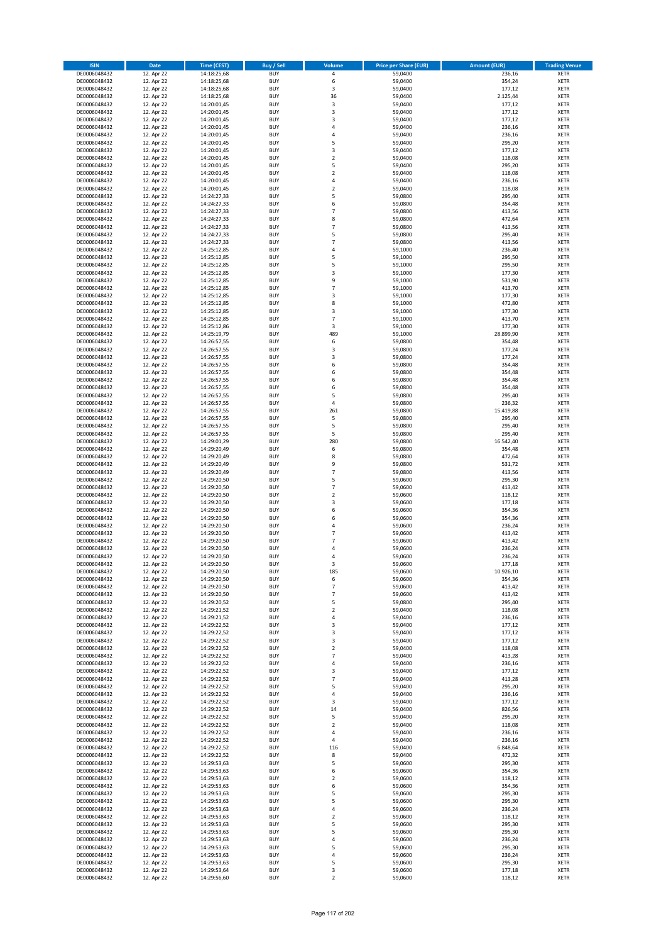| <b>ISIN</b>                  | <b>Date</b>              | <b>Time (CEST)</b>         | <b>Buy / Sell</b>        | Volume                           | <b>Price per Share (EUR)</b> | <b>Amount (EUR)</b> | <b>Trading Venue</b>       |
|------------------------------|--------------------------|----------------------------|--------------------------|----------------------------------|------------------------------|---------------------|----------------------------|
| DE0006048432                 | 12. Apr 22               | 14:18:25,68                | <b>BUY</b>               | 4                                | 59,0400                      | 236,16              | <b>XETR</b>                |
| DE0006048432                 | 12. Apr 22               | 14:18:25,68                | <b>BUY</b>               | 6                                | 59,0400                      | 354,24              | <b>XETR</b>                |
| DE0006048432                 | 12. Apr 22               | 14:18:25,68                | <b>BUY</b>               | 3                                | 59,0400                      | 177,12              | <b>XETR</b>                |
| DE0006048432<br>DE0006048432 | 12. Apr 22<br>12. Apr 22 | 14:18:25,68<br>14:20:01,45 | <b>BUY</b><br><b>BUY</b> | 36<br>3                          | 59,0400<br>59,0400           | 2.125,44<br>177,12  | <b>XETR</b><br><b>XETR</b> |
| DE0006048432                 | 12. Apr 22               | 14:20:01,45                | <b>BUY</b>               | 3                                | 59,0400                      | 177,12              | <b>XETR</b>                |
| DE0006048432                 | 12. Apr 22               | 14:20:01,45                | <b>BUY</b>               | 3                                | 59,0400                      | 177,12              | <b>XETR</b>                |
| DE0006048432                 | 12. Apr 22               | 14:20:01,45                | <b>BUY</b>               | 4                                | 59,0400                      | 236,16              | <b>XETR</b>                |
| DE0006048432                 | 12. Apr 22               | 14:20:01,45                | <b>BUY</b>               | 4                                | 59,0400                      | 236,16              | <b>XETR</b>                |
| DE0006048432                 | 12. Apr 22               | 14:20:01,45                | <b>BUY</b>               | 5                                | 59,0400                      | 295,20              | <b>XETR</b>                |
| DE0006048432                 | 12. Apr 22               | 14:20:01,45                | <b>BUY</b>               | 3                                | 59,0400                      | 177,12              | <b>XETR</b>                |
| DE0006048432<br>DE0006048432 | 12. Apr 22<br>12. Apr 22 | 14:20:01,45<br>14:20:01,45 | <b>BUY</b><br><b>BUY</b> | $\overline{\mathbf{c}}$<br>5     | 59,0400<br>59,0400           | 118,08<br>295,20    | <b>XETR</b><br><b>XETR</b> |
| DE0006048432                 | 12. Apr 22               | 14:20:01,45                | <b>BUY</b>               | $\overline{\mathbf{c}}$          | 59,0400                      | 118,08              | <b>XETR</b>                |
| DE0006048432                 | 12. Apr 22               | 14:20:01,45                | <b>BUY</b>               | 4                                | 59,0400                      | 236,16              | <b>XETR</b>                |
| DE0006048432                 | 12. Apr 22               | 14:20:01,45                | <b>BUY</b>               | $\overline{\mathbf{c}}$          | 59,0400                      | 118,08              | <b>XETR</b>                |
| DE0006048432                 | 12. Apr 22               | 14:24:27,33                | <b>BUY</b>               | 5                                | 59,0800                      | 295,40              | <b>XETR</b>                |
| DE0006048432                 | 12. Apr 22               | 14:24:27,33                | <b>BUY</b>               | 6                                | 59,0800                      | 354,48              | <b>XETR</b>                |
| DE0006048432                 | 12. Apr 22               | 14:24:27,33                | <b>BUY</b>               | $\overline{7}$                   | 59,0800                      | 413,56              | <b>XETR</b>                |
| DE0006048432                 | 12. Apr 22               | 14:24:27,33                | <b>BUY</b>               | 8                                | 59,0800                      | 472,64              | <b>XETR</b>                |
| DE0006048432<br>DE0006048432 | 12. Apr 22<br>12. Apr 22 | 14:24:27,33<br>14:24:27,33 | <b>BUY</b><br><b>BUY</b> | $\overline{7}$<br>5              | 59,0800<br>59,0800           | 413,56<br>295,40    | <b>XETR</b><br><b>XETR</b> |
| DE0006048432                 | 12. Apr 22               | 14:24:27,33                | <b>BUY</b>               | $\overline{7}$                   | 59,0800                      | 413,56              | <b>XETR</b>                |
| DE0006048432                 | 12. Apr 22               | 14:25:12,85                | <b>BUY</b>               | 4                                | 59,1000                      | 236,40              | <b>XETR</b>                |
| DE0006048432                 | 12. Apr 22               | 14:25:12,85                | <b>BUY</b>               | 5                                | 59,1000                      | 295,50              | <b>XETR</b>                |
| DE0006048432                 | 12. Apr 22               | 14:25:12,85                | <b>BUY</b>               | 5                                | 59,1000                      | 295,50              | <b>XETR</b>                |
| DE0006048432                 | 12. Apr 22               | 14:25:12,85                | <b>BUY</b>               | 3                                | 59,1000                      | 177,30              | <b>XETR</b>                |
| DE0006048432                 | 12. Apr 22               | 14:25:12,85                | <b>BUY</b>               | 9                                | 59,1000                      | 531,90              | <b>XETR</b>                |
| DE0006048432<br>DE0006048432 | 12. Apr 22<br>12. Apr 22 | 14:25:12,85<br>14:25:12,85 | <b>BUY</b><br><b>BUY</b> | $\overline{7}$<br>3              | 59,1000<br>59,1000           | 413,70<br>177,30    | <b>XETR</b><br><b>XETR</b> |
| DE0006048432                 | 12. Apr 22               | 14:25:12,85                | <b>BUY</b>               | 8                                | 59,1000                      | 472,80              | <b>XETR</b>                |
| DE0006048432                 | 12. Apr 22               | 14:25:12,85                | <b>BUY</b>               | 3                                | 59,1000                      | 177,30              | <b>XETR</b>                |
| DE0006048432                 | 12. Apr 22               | 14:25:12,85                | <b>BUY</b>               | $\overline{7}$                   | 59,1000                      | 413,70              | <b>XETR</b>                |
| DE0006048432                 | 12. Apr 22               | 14:25:12,86                | <b>BUY</b>               | 3                                | 59,1000                      | 177,30              | <b>XETR</b>                |
| DE0006048432                 | 12. Apr 22               | 14:25:19,79                | <b>BUY</b>               | 489                              | 59,1000                      | 28.899.90           | <b>XETR</b>                |
| DE0006048432                 | 12. Apr 22               | 14:26:57,55                | <b>BUY</b>               | 6                                | 59,0800                      | 354,48              | <b>XETR</b>                |
| DE0006048432<br>DE0006048432 | 12. Apr 22<br>12. Apr 22 | 14:26:57,55<br>14:26:57,55 | <b>BUY</b><br><b>BUY</b> | 3<br>3                           | 59,0800<br>59,0800           | 177,24<br>177,24    | <b>XETR</b><br><b>XETR</b> |
| DE0006048432                 | 12. Apr 22               | 14:26:57,55                | <b>BUY</b>               | 6                                | 59,0800                      | 354,48              | <b>XETR</b>                |
| DE0006048432                 | 12. Apr 22               | 14:26:57,55                | <b>BUY</b>               | 6                                | 59,0800                      | 354,48              | <b>XETR</b>                |
| DE0006048432                 | 12. Apr 22               | 14:26:57,55                | <b>BUY</b>               | 6                                | 59,0800                      | 354,48              | <b>XETR</b>                |
| DE0006048432                 | 12. Apr 22               | 14:26:57,55                | <b>BUY</b>               | 6                                | 59,0800                      | 354,48              | <b>XETR</b>                |
| DE0006048432                 | 12. Apr 22               | 14:26:57,55                | <b>BUY</b>               | 5                                | 59,0800                      | 295,40              | <b>XETR</b>                |
| DE0006048432                 | 12. Apr 22               | 14:26:57,55                | <b>BUY</b>               | 4                                | 59,0800                      | 236,32              | <b>XETR</b>                |
| DE0006048432                 | 12. Apr 22               | 14:26:57,55                | <b>BUY</b>               | 261                              | 59,0800                      | 15.419,88           | <b>XETR</b>                |
| DE0006048432<br>DE0006048432 | 12. Apr 22<br>12. Apr 22 | 14:26:57,55<br>14:26:57,55 | <b>BUY</b><br><b>BUY</b> | 5<br>5                           | 59,0800<br>59,0800           | 295,40<br>295,40    | <b>XETR</b><br><b>XETR</b> |
| DE0006048432                 | 12. Apr 22               | 14:26:57,55                | <b>BUY</b>               | 5                                | 59,0800                      | 295,40              | <b>XETR</b>                |
| DE0006048432                 | 12. Apr 22               | 14:29:01,29                | <b>BUY</b>               | 280                              | 59,0800                      | 16.542,40           | <b>XETR</b>                |
| DE0006048432                 | 12. Apr 22               | 14:29:20,49                | <b>BUY</b>               | 6                                | 59,0800                      | 354,48              | <b>XETR</b>                |
| DE0006048432                 | 12. Apr 22               | 14:29:20,49                | <b>BUY</b>               | 8                                | 59,0800                      | 472,64              | <b>XETR</b>                |
| DE0006048432                 | 12. Apr 22               | 14:29:20,49                | <b>BUY</b>               | 9                                | 59,0800                      | 531,72              | <b>XETR</b>                |
| DE0006048432                 | 12. Apr 22               | 14:29:20,49                | <b>BUY</b>               | $\overline{7}$                   | 59,0800                      | 413,56              | <b>XETR</b>                |
| DE0006048432<br>DE0006048432 | 12. Apr 22<br>12. Apr 22 | 14:29:20,50<br>14:29:20,50 | <b>BUY</b><br><b>BUY</b> | 5<br>$\overline{7}$              | 59,0600<br>59,0600           | 295,30<br>413,42    | <b>XETR</b><br><b>XETR</b> |
| DE0006048432                 | 12. Apr 22               | 14:29:20,50                | <b>BUY</b>               | $\overline{a}$                   | 59,0600                      | 118,12              | <b>XETR</b>                |
| DE0006048432                 | 12. Apr 22               | 14:29:20,50                | <b>BUY</b>               | 3                                | 59,0600                      | 177,18              | <b>XETR</b>                |
| DE0006048432                 | 12. Apr 22               | 14:29:20,50                | <b>BUY</b>               | 6                                | 59,0600                      | 354,36              | <b>XETR</b>                |
| DE0006048432                 | 12. Apr 22               | 14:29:20,50                | <b>BUY</b>               | 6                                | 59,0600                      | 354,36              | <b>XETR</b>                |
| DE0006048432                 | 12. Apr 22               | 14:29:20,50                | <b>BUY</b>               | 4                                | 59,0600                      | 236,24              | <b>XETR</b>                |
| DE0006048432<br>DE0006048432 | 12. Apr 22               | 14:29:20,50                | <b>BUY</b><br><b>BUY</b> | $\overline{7}$<br>$\overline{7}$ | 59,0600                      | 413,42<br>413,42    | <b>XETR</b><br><b>XETR</b> |
| DE0006048432                 | 12. Apr 22<br>12. Apr 22 | 14:29:20,50<br>14:29:20,50 | <b>BUY</b>               | 4                                | 59,0600<br>59,0600           | 236,24              | <b>XETR</b>                |
| DE0006048432                 | 12. Apr 22               | 14:29:20,50                | <b>BUY</b>               | 4                                | 59,0600                      | 236,24              | <b>XETR</b>                |
| DE0006048432                 | 12. Apr 22               | 14:29:20,50                | BUY                      | 3                                | 59,0600                      | 177,18              | <b>XETR</b>                |
| DE0006048432                 | 12. Apr 22               | 14:29:20,50                | <b>BUY</b>               | 185                              | 59,0600                      | 10.926,10           | <b>XETR</b>                |
| DE0006048432                 | 12. Apr 22               | 14:29:20,50                | <b>BUY</b>               | 6                                | 59,0600                      | 354,36              | <b>XETR</b>                |
| DE0006048432                 | 12. Apr 22               | 14:29:20,50                | <b>BUY</b>               | $\overline{\phantom{a}}$         | 59,0600                      | 413,42              | XETR                       |
| DE0006048432<br>DE0006048432 | 12. Apr 22<br>12. Apr 22 | 14:29:20,50<br>14:29:20,52 | <b>BUY</b><br><b>BUY</b> | $\overline{7}$<br>5              | 59,0600<br>59,0800           | 413,42<br>295,40    | <b>XETR</b><br><b>XETR</b> |
| DE0006048432                 | 12. Apr 22               | 14:29:21,52                | <b>BUY</b>               | $\mathbf 2$                      | 59,0400                      | 118,08              | <b>XETR</b>                |
| DE0006048432                 | 12. Apr 22               | 14:29:21,52                | <b>BUY</b>               | 4                                | 59,0400                      | 236,16              | <b>XETR</b>                |
| DE0006048432                 | 12. Apr 22               | 14:29:22,52                | <b>BUY</b>               | 3                                | 59,0400                      | 177,12              | <b>XETR</b>                |
| DE0006048432                 | 12. Apr 22               | 14:29:22,52                | <b>BUY</b>               | 3                                | 59,0400                      | 177,12              | <b>XETR</b>                |
| DE0006048432                 | 12. Apr 22               | 14:29:22,52                | <b>BUY</b>               | 3                                | 59,0400                      | 177,12              | <b>XETR</b>                |
| DE0006048432<br>DE0006048432 | 12. Apr 22<br>12. Apr 22 | 14:29:22,52<br>14:29:22,52 | <b>BUY</b><br><b>BUY</b> | $\overline{2}$<br>$\overline{7}$ | 59.0400<br>59,0400           | 118,08<br>413,28    | <b>XETR</b><br><b>XETR</b> |
| DE0006048432                 | 12. Apr 22               | 14:29:22,52                | <b>BUY</b>               | 4                                | 59,0400                      | 236,16              | <b>XETR</b>                |
| DE0006048432                 | 12. Apr 22               | 14:29:22,52                | <b>BUY</b>               | 3                                | 59,0400                      | 177,12              | <b>XETR</b>                |
| DE0006048432                 | 12. Apr 22               | 14:29:22,52                | <b>BUY</b>               | $\overline{7}$                   | 59,0400                      | 413,28              | <b>XETR</b>                |
| DE0006048432                 | 12. Apr 22               | 14:29:22,52                | <b>BUY</b>               | 5                                | 59,0400                      | 295,20              | <b>XETR</b>                |
| DE0006048432                 | 12. Apr 22               | 14:29:22,52                | <b>BUY</b>               | 4                                | 59,0400                      | 236,16              | <b>XETR</b>                |
| DE0006048432                 | 12. Apr 22               | 14:29:22,52                | <b>BUY</b>               | 3                                | 59,0400                      | 177,12              | XETR<br><b>XETR</b>        |
| DE0006048432<br>DE0006048432 | 12. Apr 22<br>12. Apr 22 | 14:29:22,52<br>14:29:22,52 | <b>BUY</b><br><b>BUY</b> | 14<br>5                          | 59,0400<br>59,0400           | 826,56<br>295,20    | <b>XETR</b>                |
| DE0006048432                 | 12. Apr 22               | 14:29:22,52                | <b>BUY</b>               | $\mathbf 2$                      | 59,0400                      | 118,08              | <b>XETR</b>                |
| DE0006048432                 | 12. Apr 22               | 14:29:22,52                | <b>BUY</b>               | 4                                | 59,0400                      | 236,16              | <b>XETR</b>                |
| DE0006048432                 | 12. Apr 22               | 14:29:22,52                | <b>BUY</b>               | 4                                | 59,0400                      | 236,16              | <b>XETR</b>                |
| DE0006048432                 | 12. Apr 22               | 14:29:22,52                | <b>BUY</b>               | 116                              | 59,0400                      | 6.848,64            | <b>XETR</b>                |
| DE0006048432                 | 12. Apr 22               | 14:29:22,52                | <b>BUY</b>               | 8                                | 59,0400                      | 472,32              | <b>XETR</b>                |
| DE0006048432                 | 12. Apr 22               | 14:29:53,63                | <b>BUY</b>               | 5                                | 59,0600                      | 295,30              | <b>XETR</b>                |
| DE0006048432<br>DE0006048432 | 12. Apr 22<br>12. Apr 22 | 14:29:53,63<br>14:29:53,63 | <b>BUY</b><br><b>BUY</b> | 6<br>2                           | 59,0600<br>59,0600           | 354,36<br>118,12    | <b>XETR</b><br><b>XETR</b> |
| DE0006048432                 | 12. Apr 22               | 14:29:53,63                | <b>BUY</b>               | 6                                | 59,0600                      | 354,36              | <b>XETR</b>                |
| DE0006048432                 | 12. Apr 22               | 14:29:53,63                | <b>BUY</b>               | 5                                | 59,0600                      | 295,30              | <b>XETR</b>                |
| DE0006048432                 | 12. Apr 22               | 14:29:53,63                | <b>BUY</b>               | 5                                | 59,0600                      | 295,30              | <b>XETR</b>                |
| DE0006048432                 | 12. Apr 22               | 14:29:53,63                | <b>BUY</b>               | 4                                | 59,0600                      | 236,24              | <b>XETR</b>                |
| DE0006048432                 | 12. Apr 22               | 14:29:53,63                | <b>BUY</b>               | $\mathbf 2$                      | 59,0600                      | 118,12              | <b>XETR</b>                |
| DE0006048432<br>DE0006048432 | 12. Apr 22<br>12. Apr 22 | 14:29:53,63<br>14:29:53,63 | <b>BUY</b><br><b>BUY</b> | 5<br>5                           | 59,0600<br>59,0600           | 295,30<br>295,30    | <b>XETR</b><br><b>XETR</b> |
| DE0006048432                 | 12. Apr 22               | 14:29:53,63                | <b>BUY</b>               | 4                                | 59,0600                      | 236,24              | <b>XETR</b>                |
| DE0006048432                 | 12. Apr 22               | 14:29:53,63                | <b>BUY</b>               | 5                                | 59,0600                      | 295,30              | <b>XETR</b>                |
| DE0006048432                 | 12. Apr 22               | 14:29:53,63                | <b>BUY</b>               | 4                                | 59,0600                      | 236,24              | <b>XETR</b>                |
| DE0006048432                 | 12. Apr 22               | 14:29:53,63                | <b>BUY</b>               | 5                                | 59,0600                      | 295,30              | <b>XETR</b>                |
| DE0006048432                 | 12. Apr 22               | 14:29:53,64                | <b>BUY</b>               | 3                                | 59,0600                      | 177,18              | <b>XETR</b>                |
| DE0006048432                 | 12. Apr 22               | 14:29:56,60                | <b>BUY</b>               | $\overline{2}$                   | 59,0600                      | 118,12              | <b>XETR</b>                |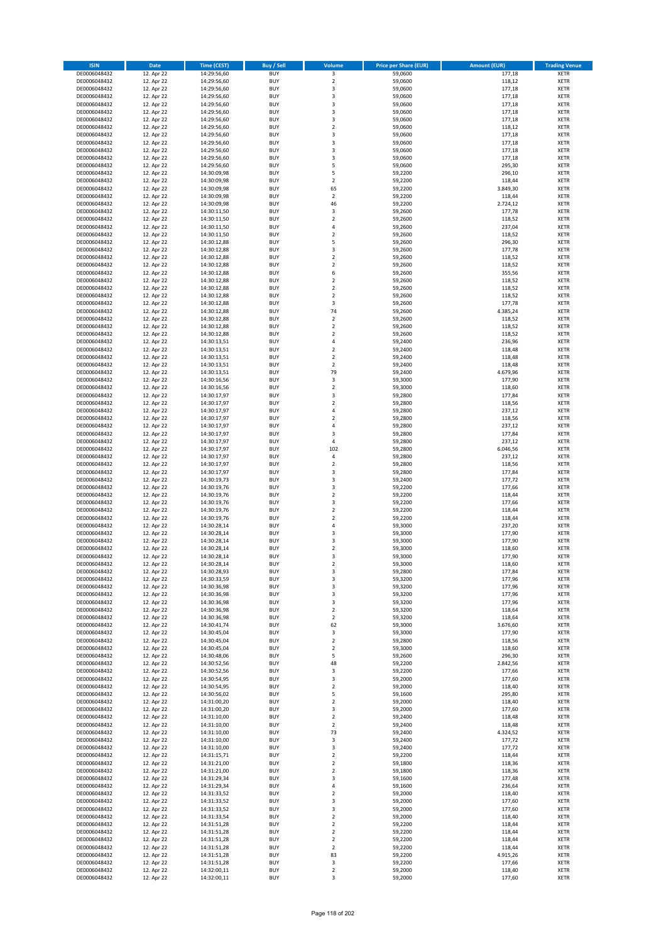| <b>ISIN</b>                  | <b>Date</b>              | <b>Time (CEST)</b>         | <b>Buy / Sell</b>        | Volume                                 | <b>Price per Share (EUR)</b> | <b>Amount (EUR)</b> | <b>Trading Venue</b>       |
|------------------------------|--------------------------|----------------------------|--------------------------|----------------------------------------|------------------------------|---------------------|----------------------------|
| DE0006048432                 | 12. Apr 22               | 14:29:56,60                | <b>BUY</b>               | 3                                      | 59,0600                      | 177,18              | <b>XETR</b>                |
| DE0006048432                 | 12. Apr 22               | 14:29:56,60                | <b>BUY</b>               | $\mathbf 2$                            | 59,0600                      | 118,12              | <b>XETR</b>                |
| DE0006048432                 | 12. Apr 22               | 14:29:56,60                | <b>BUY</b>               | 3                                      | 59,0600                      | 177,18              | <b>XETR</b>                |
| DE0006048432<br>DE0006048432 | 12. Apr 22<br>12. Apr 22 | 14:29:56,60<br>14:29:56,60 | <b>BUY</b><br><b>BUY</b> | 3<br>3                                 | 59,0600<br>59,0600           | 177,18<br>177,18    | <b>XETR</b><br><b>XETR</b> |
| DE0006048432                 | 12. Apr 22               | 14:29:56,60                | <b>BUY</b>               | 3                                      | 59,0600                      | 177,18              | <b>XETR</b>                |
| DE0006048432                 | 12. Apr 22               | 14:29:56,60                | <b>BUY</b>               | 3                                      | 59,0600                      | 177,18              | <b>XETR</b>                |
| DE0006048432                 | 12. Apr 22               | 14:29:56,60                | <b>BUY</b>               | $\overline{\mathbf{c}}$                | 59,0600                      | 118,12              | <b>XETR</b>                |
| DE0006048432                 | 12. Apr 22               | 14:29:56,60                | <b>BUY</b><br><b>BUY</b> | 3<br>3                                 | 59,0600                      | 177,18              | <b>XETR</b>                |
| DE0006048432<br>DE0006048432 | 12. Apr 22<br>12. Apr 22 | 14:29:56,60<br>14:29:56,60 | <b>BUY</b>               | 3                                      | 59,0600<br>59,0600           | 177,18<br>177,18    | <b>XETR</b><br><b>XETR</b> |
| DE0006048432                 | 12. Apr 22               | 14:29:56,60                | <b>BUY</b>               | 3                                      | 59,0600                      | 177,18              | <b>XETR</b>                |
| DE0006048432                 | 12. Apr 22               | 14:29:56,60                | <b>BUY</b>               | 5                                      | 59,0600                      | 295,30              | <b>XETR</b>                |
| DE0006048432                 | 12. Apr 22               | 14:30:09,98                | <b>BUY</b>               | 5                                      | 59,2200                      | 296,10              | <b>XETR</b>                |
| DE0006048432                 | 12. Apr 22               | 14:30:09,98                | <b>BUY</b>               | $\mathbf 2$                            | 59,2200                      | 118,44              | <b>XETR</b>                |
| DE0006048432<br>DE0006048432 | 12. Apr 22<br>12. Apr 22 | 14:30:09,98<br>14:30:09,98 | <b>BUY</b><br><b>BUY</b> | 65<br>$\mathbf 2$                      | 59,2200<br>59,2200           | 3.849,30<br>118,44  | <b>XETR</b><br><b>XETR</b> |
| DE0006048432                 | 12. Apr 22               | 14:30:09,98                | <b>BUY</b>               | 46                                     | 59,2200                      | 2.724,12            | <b>XETR</b>                |
| DE0006048432                 | 12. Apr 22               | 14:30:11,50                | <b>BUY</b>               | 3                                      | 59,2600                      | 177,78              | <b>XETR</b>                |
| DE0006048432                 | 12. Apr 22               | 14:30:11,50                | <b>BUY</b>               | $\mathbf 2$                            | 59,2600                      | 118,52              | <b>XETR</b>                |
| DE0006048432                 | 12. Apr 22               | 14:30:11,50                | <b>BUY</b>               | 4                                      | 59,2600                      | 237,04              | <b>XETR</b>                |
| DE0006048432<br>DE0006048432 | 12. Apr 22               | 14:30:11,50                | <b>BUY</b><br><b>BUY</b> | $\mathbf 2$<br>5                       | 59,2600<br>59,2600           | 118,52              | <b>XETR</b><br><b>XETR</b> |
| DE0006048432                 | 12. Apr 22<br>12. Apr 22 | 14:30:12,88<br>14:30:12,88 | <b>BUY</b>               | 3                                      | 59,2600                      | 296,30<br>177,78    | <b>XETR</b>                |
| DE0006048432                 | 12. Apr 22               | 14:30:12,88                | <b>BUY</b>               | $\mathbf 2$                            | 59,2600                      | 118,52              | <b>XETR</b>                |
| DE0006048432                 | 12. Apr 22               | 14:30:12,88                | <b>BUY</b>               | $\mathbf 2$                            | 59,2600                      | 118,52              | <b>XETR</b>                |
| DE0006048432                 | 12. Apr 22               | 14:30:12,88                | <b>BUY</b>               | 6                                      | 59,2600                      | 355,56              | <b>XETR</b>                |
| DE0006048432                 | 12. Apr 22               | 14:30:12,88<br>14:30:12,88 | <b>BUY</b><br><b>BUY</b> | $\overline{\mathbf{c}}$                | 59,2600                      | 118,52<br>118,52    | <b>XETR</b>                |
| DE0006048432<br>DE0006048432 | 12. Apr 22<br>12. Apr 22 | 14:30:12,88                | <b>BUY</b>               | $\mathbf 2$<br>$\overline{\mathbf{c}}$ | 59,2600<br>59,2600           | 118,52              | <b>XETR</b><br><b>XETR</b> |
| DE0006048432                 | 12. Apr 22               | 14:30:12,88                | <b>BUY</b>               | 3                                      | 59,2600                      | 177,78              | <b>XETR</b>                |
| DE0006048432                 | 12. Apr 22               | 14:30:12,88                | <b>BUY</b>               | 74                                     | 59,2600                      | 4.385,24            | <b>XETR</b>                |
| DE0006048432                 | 12. Apr 22               | 14:30:12,88                | <b>BUY</b>               | $\mathbf 2$                            | 59,2600                      | 118,52              | <b>XETR</b>                |
| DE0006048432                 | 12. Apr 22               | 14:30:12,88                | <b>BUY</b>               | $\mathbf 2$                            | 59,2600                      | 118,52              | <b>XETR</b>                |
| DE0006048432<br>DE0006048432 | 12. Apr 22<br>12. Apr 22 | 14:30:12,88<br>14:30:13,51 | <b>BUY</b><br><b>BUY</b> | $\overline{2}$<br>4                    | 59,2600<br>59,2400           | 118,52<br>236,96    | <b>XETR</b><br><b>XETR</b> |
| DE0006048432                 | 12. Apr 22               | 14:30:13,51                | <b>BUY</b>               | $\overline{\mathbf{c}}$                | 59,2400                      | 118,48              | <b>XETR</b>                |
| DE0006048432                 | 12. Apr 22               | 14:30:13,51                | <b>BUY</b>               | $\mathbf 2$                            | 59,2400                      | 118,48              | <b>XETR</b>                |
| DE0006048432                 | 12. Apr 22               | 14:30:13,51                | <b>BUY</b>               | $\mathbf 2$                            | 59,2400                      | 118,48              | <b>XETR</b>                |
| DE0006048432                 | 12. Apr 22               | 14:30:13,51                | <b>BUY</b>               | 79                                     | 59,2400                      | 4.679,96            | <b>XETR</b>                |
| DE0006048432<br>DE0006048432 | 12. Apr 22<br>12. Apr 22 | 14:30:16,56<br>14:30:16,56 | <b>BUY</b><br><b>BUY</b> | 3<br>$\mathbf 2$                       | 59,3000<br>59,3000           | 177,90<br>118,60    | <b>XETR</b><br><b>XETR</b> |
| DE0006048432                 | 12. Apr 22               | 14:30:17,97                | <b>BUY</b>               | 3                                      | 59,2800                      | 177,84              | <b>XETR</b>                |
| DE0006048432                 | 12. Apr 22               | 14:30:17,97                | <b>BUY</b>               | $\overline{\mathbf{c}}$                | 59,2800                      | 118,56              | <b>XETR</b>                |
| DE0006048432                 | 12. Apr 22               | 14:30:17,97                | <b>BUY</b>               | 4                                      | 59,2800                      | 237,12              | <b>XETR</b>                |
| DE0006048432                 | 12. Apr 22               | 14:30:17,97                | <b>BUY</b>               | $\overline{2}$                         | 59,2800                      | 118,56              | <b>XETR</b>                |
| DE0006048432                 | 12. Apr 22               | 14:30:17,97                | <b>BUY</b>               | 4                                      | 59,2800                      | 237,12              | <b>XETR</b>                |
| DE0006048432<br>DE0006048432 | 12. Apr 22<br>12. Apr 22 | 14:30:17,97<br>14:30:17,97 | <b>BUY</b><br><b>BUY</b> | 3<br>4                                 | 59,2800<br>59,2800           | 177,84<br>237,12    | <b>XETR</b><br><b>XETR</b> |
| DE0006048432                 | 12. Apr 22               | 14:30:17,97                | <b>BUY</b>               | 102                                    | 59,2800                      | 6.046,56            | <b>XETR</b>                |
| DE0006048432                 | 12. Apr 22               | 14:30:17,97                | <b>BUY</b>               | 4                                      | 59,2800                      | 237,12              | <b>XETR</b>                |
| DE0006048432                 | 12. Apr 22               | 14:30:17,97                | <b>BUY</b>               | $\mathbf 2$                            | 59,2800                      | 118,56              | <b>XETR</b>                |
| DE0006048432                 | 12. Apr 22               | 14:30:17,97                | <b>BUY</b>               | 3                                      | 59,2800                      | 177,84              | <b>XETR</b>                |
| DE0006048432<br>DE0006048432 | 12. Apr 22<br>12. Apr 22 | 14:30:19,73<br>14:30:19,76 | <b>BUY</b><br><b>BUY</b> | 3<br>3                                 | 59,2400<br>59,2200           | 177,72<br>177,66    | <b>XETR</b><br><b>XETR</b> |
| DE0006048432                 | 12. Apr 22               | 14:30:19,76                | <b>BUY</b>               | $\mathbf 2$                            | 59,2200                      | 118,44              | <b>XETR</b>                |
| DE0006048432                 | 12. Apr 22               | 14:30:19,76                | <b>BUY</b>               | 3                                      | 59,2200                      | 177,66              | <b>XETR</b>                |
| DE0006048432                 | 12. Apr 22               | 14:30:19,76                | <b>BUY</b>               | $\overline{\mathbf{c}}$                | 59,2200                      | 118,44              | <b>XETR</b>                |
| DE0006048432                 | 12. Apr 22               | 14:30:19,76                | <b>BUY</b>               | $\overline{\mathbf{c}}$                | 59,2200                      | 118,44              | <b>XETR</b>                |
| DE0006048432<br>DE0006048432 | 12. Apr 22<br>12. Apr 22 | 14:30:28,14                | <b>BUY</b><br><b>BUY</b> | 4<br>3                                 | 59,3000<br>59,3000           | 237,20<br>177,90    | <b>XETR</b><br><b>XETR</b> |
| DE0006048432                 | 12. Apr 22               | 14:30:28,14<br>14:30:28,14 | <b>BUY</b>               | 3                                      | 59,3000                      | 177,90              | <b>XETR</b>                |
| DE0006048432                 | 12. Apr 22               | 14:30:28,14                | <b>BUY</b>               | $\overline{\mathbf{c}}$                | 59,3000                      | 118,60              | <b>XETR</b>                |
| DE0006048432                 | 12. Apr 22               | 14:30:28,14                | <b>BUY</b>               | 3                                      | 59,3000                      | 177,90              | <b>XETR</b>                |
| DE0006048432                 | 12. Apr 22               | 14:30:28,14                | BUY                      | 2                                      | 59,3000                      | 118,60              | <b>XETR</b>                |
| DE0006048432<br>DE0006048432 | 12. Apr 22<br>12. Apr 22 | 14:30:28,93<br>14:30:33,59 | <b>BUY</b><br><b>BUY</b> | 3<br>3                                 | 59,2800<br>59,3200           | 177,84<br>177,96    | XETR<br>XETR               |
| DE0006048432                 | 12. Apr 22               | 14:30:36,98                | <b>BUY</b>               | 3                                      | 59,3200                      | 177,96              | XETR                       |
| DE0006048432                 | 12. Apr 22               | 14:30:36,98                | <b>BUY</b>               | 3                                      | 59,3200                      | 177,96              | <b>XETR</b>                |
| DE0006048432                 | 12. Apr 22               | 14:30:36,98                | <b>BUY</b>               | 3                                      | 59,3200                      | 177,96              | <b>XETR</b>                |
| DE0006048432                 | 12. Apr 22               | 14:30:36,98                | <b>BUY</b>               | $\overline{2}$                         | 59,3200                      | 118,64              | <b>XETR</b>                |
| DE0006048432                 | 12. Apr 22               | 14:30:36,98<br>14:30:41,74 | <b>BUY</b><br><b>BUY</b> | $\mathbf 2$                            | 59,3200<br>59,3000           | 118,64              | <b>XETR</b>                |
| DE0006048432<br>DE0006048432 | 12. Apr 22<br>12. Apr 22 | 14:30:45,04                | <b>BUY</b>               | 62<br>3                                | 59,3000                      | 3.676,60<br>177,90  | <b>XETR</b><br>XETR        |
| DE0006048432                 | 12. Apr 22               | 14:30:45,04                | <b>BUY</b>               | $\mathbf 2$                            | 59,2800                      | 118,56              | <b>XETR</b>                |
| DE0006048432                 | 12. Apr 22               | 14:30:45,04                | <b>BUY</b>               | $\overline{2}$                         | 59,3000                      | 118,60              | <b>XETR</b>                |
| DE0006048432                 | 12. Apr 22               | 14:30:48,06                | <b>BUY</b>               | 5                                      | 59,2600                      | 296,30              | <b>XETR</b>                |
| DE0006048432<br>DE0006048432 | 12. Apr 22<br>12. Apr 22 | 14:30:52,56<br>14:30:52,56 | <b>BUY</b><br><b>BUY</b> | 48<br>3                                | 59,2200<br>59,2200           | 2.842,56<br>177,66  | <b>XETR</b><br><b>XETR</b> |
| DE0006048432                 | 12. Apr 22               | 14:30:54,95                | <b>BUY</b>               | 3                                      | 59,2000                      | 177,60              | <b>XETR</b>                |
| DE0006048432                 | 12. Apr 22               | 14:30:54,95                | <b>BUY</b>               | $\mathbf 2$                            | 59,2000                      | 118,40              | <b>XETR</b>                |
| DE0006048432                 | 12. Apr 22               | 14:30:56,02                | <b>BUY</b>               | 5                                      | 59,1600                      | 295,80              | <b>XETR</b>                |
| DE0006048432                 | 12. Apr 22               | 14:31:00,20                | <b>BUY</b>               | $\mathbf 2$                            | 59,2000                      | 118,40              | XETR                       |
| DE0006048432<br>DE0006048432 | 12. Apr 22<br>12. Apr 22 | 14:31:00,20<br>14:31:10,00 | <b>BUY</b><br><b>BUY</b> | 3<br>$\overline{2}$                    | 59,2000<br>59,2400           | 177,60<br>118,48    | <b>XETR</b><br><b>XETR</b> |
| DE0006048432                 | 12. Apr 22               | 14:31:10,00                | <b>BUY</b>               | $\mathbf 2$                            | 59,2400                      | 118,48              | <b>XETR</b>                |
| DE0006048432                 | 12. Apr 22               | 14:31:10,00                | <b>BUY</b>               | 73                                     | 59,2400                      | 4.324,52            | <b>XETR</b>                |
| DE0006048432                 | 12. Apr 22               | 14:31:10,00                | <b>BUY</b>               | 3                                      | 59,2400                      | 177,72              | <b>XETR</b>                |
| DE0006048432                 | 12. Apr 22               | 14:31:10,00                | <b>BUY</b>               | 3                                      | 59,2400                      | 177,72              | <b>XETR</b>                |
| DE0006048432<br>DE0006048432 | 12. Apr 22               | 14:31:15,71                | <b>BUY</b><br><b>BUY</b> | $\mathbf 2$<br>$\mathbf 2$             | 59,2200<br>59,1800           | 118,44              | XETR<br><b>XETR</b>        |
| DE0006048432                 | 12. Apr 22<br>12. Apr 22 | 14:31:21,00<br>14:31:21,00 | <b>BUY</b>               | $\overline{2}$                         | 59,1800                      | 118,36<br>118,36    | <b>XETR</b>                |
| DE0006048432                 | 12. Apr 22               | 14:31:29,34                | <b>BUY</b>               | 3                                      | 59,1600                      | 177,48              | <b>XETR</b>                |
| DE0006048432                 | 12. Apr 22               | 14:31:29,34                | <b>BUY</b>               | 4                                      | 59,1600                      | 236,64              | XETR                       |
| DE0006048432                 | 12. Apr 22               | 14:31:33,52                | <b>BUY</b>               | $\mathbf 2$                            | 59,2000                      | 118,40              | <b>XETR</b>                |
| DE0006048432                 | 12. Apr 22               | 14:31:33,52                | <b>BUY</b>               | 3                                      | 59,2000                      | 177,60              | <b>XETR</b>                |
| DE0006048432<br>DE0006048432 | 12. Apr 22<br>12. Apr 22 | 14:31:33,52<br>14:31:33,54 | <b>BUY</b><br><b>BUY</b> | 3<br>$\mathbf 2$                       | 59,2000<br>59,2000           | 177,60<br>118,40    | <b>XETR</b><br><b>XETR</b> |
| DE0006048432                 | 12. Apr 22               | 14:31:51,28                | <b>BUY</b>               | $\mathbf 2$                            | 59,2200                      | 118,44              | <b>XETR</b>                |
| DE0006048432                 | 12. Apr 22               | 14:31:51,28                | <b>BUY</b>               | $\mathbf 2$                            | 59,2200                      | 118,44              | <b>XETR</b>                |
| DE0006048432                 | 12. Apr 22               | 14:31:51,28                | <b>BUY</b>               | $\overline{2}$                         | 59,2200                      | 118,44              | <b>XETR</b>                |
| DE0006048432                 | 12. Apr 22               | 14:31:51,28                | <b>BUY</b>               | $\mathbf 2$                            | 59,2200                      | 118,44              | XETR                       |
| DE0006048432<br>DE0006048432 | 12. Apr 22<br>12. Apr 22 | 14:31:51,28<br>14:31:51,28 | <b>BUY</b><br><b>BUY</b> | 83<br>3                                | 59,2200<br>59,2200           | 4.915,26<br>177,66  | <b>XETR</b><br><b>XETR</b> |
| DE0006048432                 | 12. Apr 22               | 14:32:00,11                | <b>BUY</b>               | $\mathbf 2$                            | 59,2000                      | 118,40              | <b>XETR</b>                |
| DE0006048432                 | 12. Apr 22               | 14:32:00,11                | <b>BUY</b>               | 3                                      | 59,2000                      | 177,60              | XETR                       |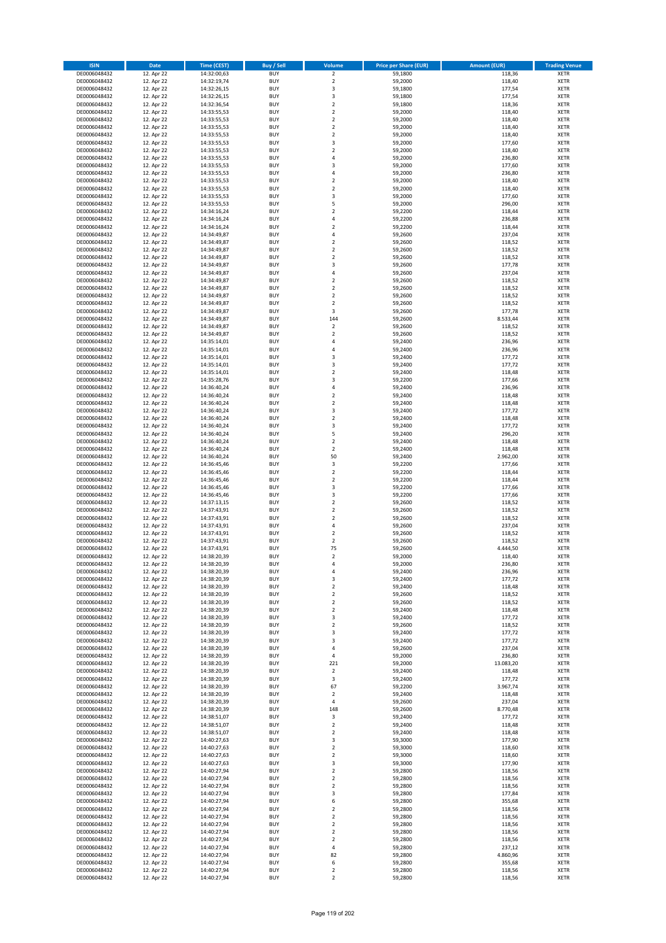| <b>ISIN</b>                  | <b>Date</b>              | <b>Time (CEST)</b>         | <b>Buy / Sell</b>        | Volume                                    | <b>Price per Share (EUR)</b> | <b>Amount (EUR)</b> | <b>Trading Venue</b>       |
|------------------------------|--------------------------|----------------------------|--------------------------|-------------------------------------------|------------------------------|---------------------|----------------------------|
| DE0006048432                 | 12. Apr 22               | 14:32:00,63                | <b>BUY</b>               | $\overline{\mathbf{2}}$                   | 59,1800                      | 118,36              | <b>XETR</b>                |
| DE0006048432                 | 12. Apr 22               | 14:32:19,74                | <b>BUY</b>               | $\mathbf 2$                               | 59,2000                      | 118,40              | <b>XETR</b>                |
| DE0006048432                 | 12. Apr 22               | 14:32:26,15                | <b>BUY</b>               | 3                                         | 59,1800                      | 177,54              | <b>XETR</b>                |
| DE0006048432                 | 12. Apr 22               | 14:32:26,15                | <b>BUY</b>               | 3                                         | 59,1800                      | 177,54              | <b>XETR</b>                |
| DE0006048432                 | 12. Apr 22               | 14:32:36,54                | <b>BUY</b>               | $\overline{2}$                            | 59,1800                      | 118,36              | <b>XETR</b>                |
| DE0006048432                 | 12. Apr 22               | 14:33:55,53                | <b>BUY</b>               | $\mathbf 2$                               | 59,2000                      | 118,40              | <b>XETR</b>                |
| DE0006048432                 | 12. Apr 22               | 14:33:55,53                | <b>BUY</b>               | $\overline{2}$                            | 59,2000                      | 118,40              | <b>XETR</b>                |
| DE0006048432                 | 12. Apr 22               | 14:33:55,53                | <b>BUY</b>               | $\overline{2}$                            | 59,2000                      | 118,40              | <b>XETR</b>                |
| DE0006048432                 | 12. Apr 22               | 14:33:55,53                | BUY                      | $\overline{2}$                            | 59,2000                      | 118,40              | <b>XETR</b>                |
| DE0006048432                 | 12. Apr 22               | 14:33:55,53                | <b>BUY</b>               | 3                                         | 59,2000                      | 177,60              | <b>XETR</b>                |
| DE0006048432                 | 12. Apr 22               | 14:33:55,53                | <b>BUY</b>               | $\mathbf 2$                               | 59,2000                      | 118,40              | <b>XETR</b>                |
| DE0006048432                 | 12. Apr 22               | 14:33:55,53                | <b>BUY</b>               | $\overline{4}$                            | 59,2000                      | 236,80              | <b>XETR</b>                |
| DE0006048432                 | 12. Apr 22               | 14:33:55,53                | <b>BUY</b>               | $\overline{\mathbf{3}}$<br>$\overline{a}$ | 59,2000                      | 177,60              | <b>XETR</b>                |
| DE0006048432                 | 12. Apr 22               | 14:33:55,53                | <b>BUY</b><br><b>BUY</b> | $\overline{2}$                            | 59,2000                      | 236,80              | <b>XETR</b>                |
| DE0006048432<br>DE0006048432 | 12. Apr 22<br>12. Apr 22 | 14:33:55,53<br>14:33:55,53 | BUY                      | $\overline{2}$                            | 59,2000<br>59,2000           | 118,40<br>118,40    | <b>XETR</b><br><b>XETR</b> |
| DE0006048432                 | 12. Apr 22               | 14:33:55,53                | <b>BUY</b>               | 3                                         | 59,2000                      | 177,60              | <b>XETR</b>                |
| DE0006048432                 | 12. Apr 22               | 14:33:55,53                | <b>BUY</b>               | 5                                         | 59,2000                      | 296,00              | <b>XETR</b>                |
| DE0006048432                 | 12. Apr 22               | 14:34:16,24                | <b>BUY</b>               | $\overline{2}$                            | 59,2200                      | 118,44              | <b>XETR</b>                |
| DE0006048432                 | 12. Apr 22               | 14:34:16,24                | <b>BUY</b>               | $\overline{4}$                            | 59,2200                      | 236,88              | <b>XETR</b>                |
| DE0006048432                 | 12. Apr 22               | 14:34:16,24                | <b>BUY</b>               | $\overline{2}$                            | 59,2200                      | 118,44              | <b>XETR</b>                |
| DE0006048432                 | 12. Apr 22               | 14:34:49,87                | <b>BUY</b>               | 4                                         | 59,2600                      | 237,04              | <b>XETR</b>                |
| DE0006048432                 | 12. Apr 22               | 14:34:49,87                | <b>BUY</b>               | $\overline{2}$                            | 59,2600                      | 118,52              | <b>XETR</b>                |
| DE0006048432                 | 12. Apr 22               | 14:34:49,87                | <b>BUY</b>               | $\overline{2}$                            | 59,2600                      | 118,52              | <b>XETR</b>                |
| DE0006048432                 | 12. Apr 22               | 14:34:49,87                | <b>BUY</b>               | $\mathbf 2$                               | 59,2600                      | 118,52              | <b>XETR</b>                |
| DE0006048432                 | 12. Apr 22               | 14:34:49,87                | <b>BUY</b>               | 3                                         | 59,2600                      | 177,78              | <b>XETR</b>                |
| DE0006048432                 | 12. Apr 22               | 14:34:49,87                | <b>BUY</b>               | $\overline{4}$                            | 59,2600                      | 237,04              | <b>XETR</b>                |
| DE0006048432                 | 12. Apr 22               | 14:34:49,87                | <b>BUY</b>               | $\overline{2}$                            | 59,2600                      | 118,52              | <b>XETR</b>                |
| DE0006048432                 | 12. Apr 22               | 14:34:49,87                | <b>BUY</b>               | $\mathbf 2$                               | 59,2600                      | 118,52              | <b>XETR</b>                |
| DE0006048432                 | 12. Apr 22               | 14:34:49,87                | <b>BUY</b>               | $\overline{2}$                            | 59,2600                      | 118,52              | <b>XETR</b>                |
| DE0006048432                 | 12. Apr 22               | 14:34:49,87                | <b>BUY</b>               | $\mathbf 2$                               | 59,2600                      | 118,52              | <b>XETR</b>                |
| DE0006048432                 | 12. Apr 22               | 14:34:49,87                | <b>BUY</b>               | 3                                         | 59,2600                      | 177,78              | <b>XETR</b>                |
| DE0006048432                 | 12. Apr 22               | 14:34:49,87                | <b>BUY</b>               | 144                                       | 59,2600                      | 8.533,44            | <b>XETR</b>                |
| DE0006048432                 | 12. Apr 22               | 14:34:49,87                | <b>BUY</b>               | $\mathbf 2$                               | 59,2600                      | 118,52              | <b>XETR</b>                |
| DE0006048432<br>DE0006048432 | 12. Apr 22               | 14:34:49,87<br>14:35:14,01 | <b>BUY</b>               | $\overline{2}$<br>4                       | 59,2600                      | 118,52              | <b>XETR</b>                |
| DE0006048432                 | 12. Apr 22<br>12. Apr 22 | 14:35:14,01                | <b>BUY</b><br><b>BUY</b> | 4                                         | 59,2400<br>59,2400           | 236,96<br>236,96    | <b>XETR</b><br><b>XETR</b> |
| DE0006048432                 | 12. Apr 22               | 14:35:14,01                | <b>BUY</b>               | $\overline{3}$                            | 59,2400                      | 177,72              | <b>XETR</b>                |
| DE0006048432                 | 12. Apr 22               | 14:35:14,01                | <b>BUY</b>               | 3                                         | 59,2400                      | 177,72              | <b>XETR</b>                |
| DE0006048432                 | 12. Apr 22               | 14:35:14,01                | <b>BUY</b>               | $\mathbf 2$                               | 59,2400                      | 118,48              | <b>XETR</b>                |
| DE0006048432                 | 12. Apr 22               | 14:35:28,76                | <b>BUY</b>               | $\overline{3}$                            | 59,2200                      | 177,66              | <b>XETR</b>                |
| DE0006048432                 | 12. Apr 22               | 14:36:40,24                | <b>BUY</b>               | 4                                         | 59,2400                      | 236,96              | <b>XETR</b>                |
| DE0006048432                 | 12. Apr 22               | 14:36:40,24                | <b>BUY</b>               | $\mathbf 2$                               | 59,2400                      | 118,48              | <b>XETR</b>                |
| DE0006048432                 | 12. Apr 22               | 14:36:40,24                | <b>BUY</b>               | $\overline{2}$                            | 59,2400                      | 118,48              | <b>XETR</b>                |
| DE0006048432                 | 12. Apr 22               | 14:36:40,24                | <b>BUY</b>               | 3                                         | 59,2400                      | 177,72              | <b>XETR</b>                |
| DE0006048432                 | 12. Apr 22               | 14:36:40,24                | <b>BUY</b>               | $\overline{2}$                            | 59,2400                      | 118,48              | <b>XETR</b>                |
| DE0006048432                 | 12. Apr 22               | 14:36:40,24                | <b>BUY</b>               | 3                                         | 59,2400                      | 177,72              | <b>XETR</b>                |
| DE0006048432                 | 12. Apr 22               | 14:36:40,24                | <b>BUY</b>               | 5                                         | 59,2400                      | 296,20              | <b>XETR</b>                |
| DE0006048432                 | 12. Apr 22               | 14:36:40,24                | <b>BUY</b>               | $\overline{2}$                            | 59,2400                      | 118,48              | <b>XETR</b>                |
| DE0006048432                 | 12. Apr 22               | 14:36:40,24                | <b>BUY</b>               | $\overline{2}$                            | 59,2400                      | 118,48              | <b>XETR</b>                |
| DE0006048432                 | 12. Apr 22               | 14:36:40,24                | <b>BUY</b>               | 50                                        | 59,2400                      | 2.962,00            | <b>XETR</b>                |
| DE0006048432                 | 12. Apr 22               | 14:36:45,46                | <b>BUY</b>               | 3                                         | 59,2200                      | 177,66              | <b>XETR</b>                |
| DE0006048432                 | 12. Apr 22               | 14:36:45,46                | <b>BUY</b>               | $\overline{\mathbf{2}}$                   | 59,2200                      | 118,44              | <b>XETR</b>                |
| DE0006048432<br>DE0006048432 | 12. Apr 22               | 14:36:45,46                | <b>BUY</b><br><b>BUY</b> | $\mathbf 2$<br>$\overline{\mathbf{3}}$    | 59,2200                      | 118,44              | <b>XETR</b><br><b>XETR</b> |
|                              | 12. Apr 22<br>12. Apr 22 | 14:36:45,46<br>14:36:45,46 | <b>BUY</b>               | 3                                         | 59,2200                      | 177,66              | <b>XETR</b>                |
| DE0006048432<br>DE0006048432 | 12. Apr 22               | 14:37:13,15                | <b>BUY</b>               | $\overline{\mathbf{2}}$                   | 59,2200<br>59,2600           | 177,66<br>118,52    | <b>XETR</b>                |
| DE0006048432                 | 12. Apr 22               | 14:37:43,91                | <b>BUY</b>               | $\overline{\mathbf{2}}$                   | 59,2600                      | 118,52              | <b>XETR</b>                |
| DE0006048432                 | 12. Apr 22               | 14:37:43,91                | <b>BUY</b>               | $\overline{\mathbf{2}}$                   | 59,2600                      | 118,52              | <b>XETR</b>                |
| DE0006048432                 | 12. Apr 22               | 14:37:43,91                | <b>BUY</b>               | $\overline{4}$                            | 59,2600                      | 237,04              | <b>XETR</b>                |
| DE0006048432                 | 12. Apr 22               | 14:37:43,91                | <b>BUY</b>               | $\mathbf 2$                               | 59,2600                      | 118,52              | <b>XETR</b>                |
| DE0006048432                 | 12. Apr 22               | 14:37:43,91                | BUY                      | $\overline{\mathbf{2}}$                   | 59,2600                      | 118,52              | <b>XETR</b>                |
| DE0006048432                 | 12. Apr 22               | 14:37:43,91                | BUY                      | 75                                        | 59,2600                      | 4.444,50            | <b>XETR</b>                |
| DE0006048432                 | 12. Apr 22               | 14:38:20,39                | <b>BUY</b>               | $\overline{2}$                            | 59,2000                      | 118,40              | <b>XETR</b>                |
| DE0006048432                 | 12. Apr 22               | 14:38:20,39                | <b>BUY</b>               | 4                                         | 59,2000                      | 236,80              | <b>XETR</b>                |
| DE0006048432                 | 12. Apr 22               | 14:38:20,39                | <b>BUY</b>               | 4                                         | 59,2400                      | 236,96              | <b>XETR</b>                |
| DE0006048432                 | 12. Apr 22               | 14:38:20,39                | <b>BUY</b>               | 3                                         | 59,2400                      | 177,72              | <b>XETR</b>                |
| DE0006048432                 | 12. Apr 22               | 14:38:20,39                | <b>BUY</b>               | $\mathbf 2$                               | 59,2400                      | 118,48              | <b>XETR</b>                |
| DE0006048432                 | 12. Apr 22               | 14:38:20,39                | <b>BUY</b>               | $\overline{\mathbf{2}}$                   | 59,2600                      | 118,52              | <b>XETR</b>                |
| DE0006048432                 | 12. Apr 22               | 14:38:20,39                | <b>BUY</b>               | $\mathbf 2$                               | 59,2600                      | 118,52              | <b>XETR</b>                |
| DE0006048432                 | 12. Apr 22               | 14:38:20,39                | <b>BUY</b>               | 2                                         | 59,2400                      | 118,48              | <b>XETR</b>                |
| DE0006048432                 | 12. Apr 22               | 14:38:20,39                | <b>BUY</b>               | 3                                         | 59,2400                      | 177,72              | <b>XETR</b>                |
| DE0006048432                 | 12. Apr 22               | 14:38:20,39                | <b>BUY</b><br><b>BUY</b> | $\mathbf 2$                               | 59,2600                      | 118,52              | <b>XETR</b>                |
| DE0006048432<br>DE0006048432 | 12. Apr 22               | 14:38:20,39                | <b>BUY</b>               | 3<br>3                                    | 59,2400                      | 177,72              | <b>XETR</b><br><b>XETR</b> |
| DE0006048432                 | 12. Apr 22<br>12. Apr 22 | 14:38:20,39<br>14:38:20,39 | <b>BUY</b>               | $\overline{4}$                            | 59,2400<br>59,2600           | 177,72<br>237,04    | <b>XETR</b>                |
| DE0006048432                 | 12. Apr 22               | 14:38:20,39                | <b>BUY</b>               | 4                                         | 59,2000                      | 236,80              | <b>XETR</b>                |
| DE0006048432                 | 12. Apr 22               | 14:38:20,39                | <b>BUY</b>               | 221                                       | 59,2000                      | 13.083,20           | <b>XETR</b>                |
| DE0006048432                 | 12. Apr 22               | 14:38:20,39                | <b>BUY</b>               | $\mathbf 2$                               | 59,2400                      | 118,48              | <b>XETR</b>                |
| DE0006048432                 | 12. Apr 22               | 14:38:20,39                | <b>BUY</b>               | 3                                         | 59,2400                      | 177,72              | <b>XETR</b>                |
| DE0006048432                 | 12. Apr 22               | 14:38:20,39                | <b>BUY</b>               | 67                                        | 59,2200                      | 3.967,74            | <b>XETR</b>                |
| DE0006048432                 | 12. Apr 22               | 14:38:20,39                | <b>BUY</b>               | $\mathbf 2$                               | 59,2400                      | 118,48              | <b>XETR</b>                |
| DE0006048432                 | 12. Apr 22               | 14:38:20,39                | <b>BUY</b>               | 4                                         | 59,2600                      | 237,04              | <b>XETR</b>                |
| DE0006048432                 | 12. Apr 22               | 14:38:20,39                | <b>BUY</b>               | 148                                       | 59,2600                      | 8.770,48            | <b>XETR</b>                |
| DE0006048432                 | 12. Apr 22               | 14:38:51,07                | <b>BUY</b>               | 3                                         | 59,2400                      | 177,72              | <b>XETR</b>                |
| DE0006048432                 | 12. Apr 22               | 14:38:51,07                | <b>BUY</b>               | $\mathbf 2$                               | 59,2400                      | 118,48              | <b>XETR</b>                |
| DE0006048432                 | 12. Apr 22               | 14:38:51,07                | <b>BUY</b>               | $\overline{\mathbf{2}}$                   | 59,2400                      | 118,48              | <b>XETR</b>                |
| DE0006048432                 | 12. Apr 22               | 14:40:27,63                | <b>BUY</b>               | 3                                         | 59,3000                      | 177,90              | <b>XETR</b>                |
| DE0006048432                 | 12. Apr 22               | 14:40:27,63                | <b>BUY</b>               | $\mathbf 2$                               | 59,3000                      | 118,60              | <b>XETR</b>                |
| DE0006048432                 | 12. Apr 22               | 14:40:27,63                | <b>BUY</b>               | $\mathbf 2$                               | 59,3000                      | 118,60              | <b>XETR</b>                |
| DE0006048432                 | 12. Apr 22               | 14:40:27,63                | <b>BUY</b>               | 3                                         | 59,3000                      | 177,90              | <b>XETR</b>                |
| DE0006048432                 | 12. Apr 22               | 14:40:27,94                | <b>BUY</b>               | $\overline{2}$                            | 59,2800                      | 118,56              | <b>XETR</b>                |
| DE0006048432                 | 12. Apr 22               | 14:40:27,94                | <b>BUY</b>               | 2                                         | 59,2800                      | 118,56              | <b>XETR</b>                |
| DE0006048432                 | 12. Apr 22               | 14:40:27,94                | <b>BUY</b><br><b>BUY</b> | $\overline{2}$                            | 59,2800                      | 118,56              | <b>XETR</b>                |
| DE0006048432<br>DE0006048432 | 12. Apr 22<br>12. Apr 22 | 14:40:27,94<br>14:40:27,94 | <b>BUY</b>               | 3<br>6                                    | 59,2800<br>59,2800           | 177,84<br>355,68    | <b>XETR</b><br><b>XETR</b> |
| DE0006048432                 | 12. Apr 22               | 14:40:27,94                | <b>BUY</b>               | 2                                         | 59,2800                      | 118,56              | <b>XETR</b>                |
| DE0006048432                 | 12. Apr 22               | 14:40:27,94                | <b>BUY</b>               | $\overline{2}$                            | 59,2800                      | 118,56              | <b>XETR</b>                |
| DE0006048432                 | 12. Apr 22               | 14:40:27,94                | <b>BUY</b>               | $\mathbf 2$                               | 59,2800                      | 118,56              | <b>XETR</b>                |
| DE0006048432                 | 12. Apr 22               | 14:40:27,94                | <b>BUY</b>               | $\mathbf 2$                               | 59,2800                      | 118,56              | <b>XETR</b>                |
| DE0006048432                 | 12. Apr 22               | 14:40:27,94                | <b>BUY</b>               | $\overline{2}$                            | 59,2800                      | 118,56              | <b>XETR</b>                |
| DE0006048432                 | 12. Apr 22               | 14:40:27,94                | <b>BUY</b>               | 4                                         | 59,2800                      | 237,12              | <b>XETR</b>                |
| DE0006048432                 | 12. Apr 22               | 14:40:27,94                | <b>BUY</b>               | 82                                        | 59,2800                      | 4.860,96            | <b>XETR</b>                |
| DE0006048432                 | 12. Apr 22               | 14:40:27,94                | <b>BUY</b>               | 6                                         | 59,2800                      | 355,68              | <b>XETR</b>                |
| DE0006048432                 | 12. Apr 22               | 14:40:27,94                | <b>BUY</b>               | $\mathbf 2$                               | 59,2800                      | 118,56              | <b>XETR</b>                |
| DE0006048432                 | 12. Apr 22               | 14:40:27,94                | <b>BUY</b>               | $\mathbf 2$                               | 59,2800                      | 118,56              | <b>XETR</b>                |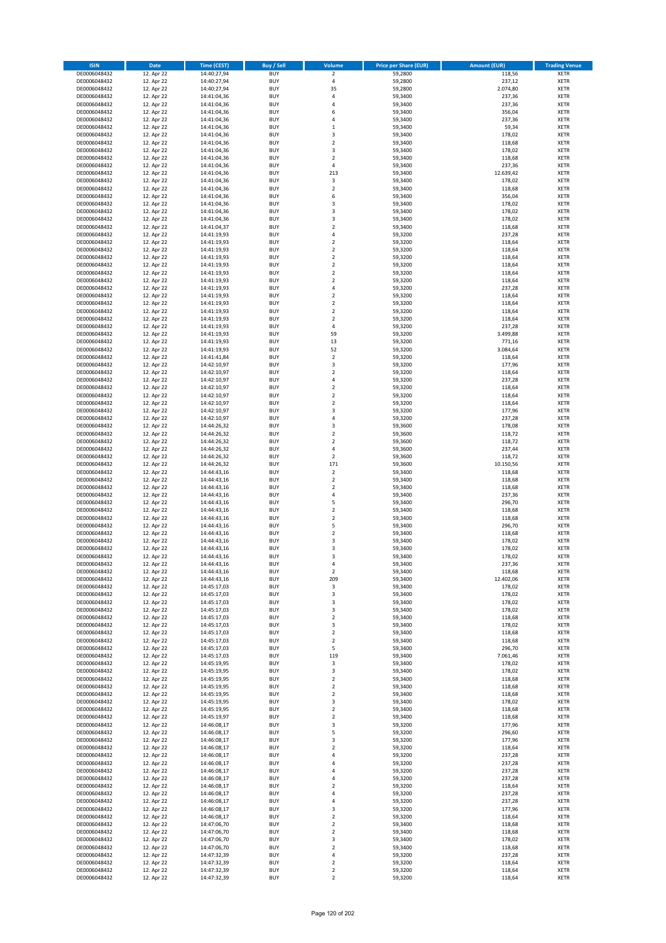| <b>ISIN</b>                  | <b>Date</b>              | <b>Time (CEST)</b>         | Buy / Sell               | Volume                       | <b>Price per Share (EUR)</b> | <b>Amount (EUR)</b> | <b>Trading Venue</b>       |
|------------------------------|--------------------------|----------------------------|--------------------------|------------------------------|------------------------------|---------------------|----------------------------|
| DE0006048432                 | 12. Apr 22               | 14:40:27,94                | <b>BUY</b>               | $\overline{2}$               | 59,2800                      | 118,56              | <b>XETR</b>                |
| DE0006048432                 | 12. Apr 22               | 14:40:27,94                | <b>BUY</b>               | 4                            | 59,2800                      | 237,12              | <b>XETR</b>                |
| DE0006048432                 | 12. Apr 22               | 14:40:27,94                | <b>BUY</b>               | 35                           | 59,2800                      | 2.074,80            | <b>XETR</b>                |
| DE0006048432<br>DE0006048432 | 12. Apr 22<br>12. Apr 22 | 14:41:04,36<br>14:41:04,36 | <b>BUY</b><br><b>BUY</b> | 4<br>4                       | 59,3400<br>59,3400           | 237,36<br>237,36    | <b>XETR</b><br><b>XETR</b> |
| DE0006048432                 | 12. Apr 22               | 14:41:04,36                | <b>BUY</b>               | 6                            | 59,3400                      | 356,04              | <b>XETR</b>                |
| DE0006048432                 | 12. Apr 22               | 14:41:04,36                | <b>BUY</b>               | 4                            | 59,3400                      | 237,36              | <b>XETR</b>                |
| DE0006048432                 | 12. Apr 22               | 14:41:04,36                | <b>BUY</b>               | $\mathbf 1$                  | 59,3400                      | 59,34               | <b>XETR</b>                |
| DE0006048432                 | 12. Apr 22               | 14:41:04,36                | <b>BUY</b>               | 3                            | 59,3400                      | 178,02              | <b>XETR</b>                |
| DE0006048432                 | 12. Apr 22               | 14:41:04,36                | <b>BUY</b>               | $\mathbf 2$                  | 59,3400                      | 118,68              | <b>XETR</b>                |
| DE0006048432                 | 12. Apr 22               | 14:41:04,36                | <b>BUY</b>               | 3                            | 59,3400                      | 178,02              | <b>XETR</b>                |
| DE0006048432<br>DE0006048432 | 12. Apr 22<br>12. Apr 22 | 14:41:04,36<br>14:41:04,36 | <b>BUY</b><br><b>BUY</b> | $\overline{\mathbf{c}}$<br>4 | 59,3400<br>59,3400           | 118,68<br>237,36    | <b>XETR</b><br><b>XETR</b> |
| DE0006048432                 | 12. Apr 22               | 14:41:04,36                | <b>BUY</b>               | 213                          | 59,3400                      | 12.639,42           | <b>XETR</b>                |
| DE0006048432                 | 12. Apr 22               | 14:41:04,36                | <b>BUY</b>               | 3                            | 59,3400                      | 178,02              | <b>XETR</b>                |
| DE0006048432                 | 12. Apr 22               | 14:41:04,36                | <b>BUY</b>               | $\mathbf 2$                  | 59,3400                      | 118,68              | <b>XETR</b>                |
| DE0006048432                 | 12. Apr 22               | 14:41:04,36                | <b>BUY</b>               | 6                            | 59,3400                      | 356,04              | <b>XETR</b>                |
| DE0006048432                 | 12. Apr 22               | 14:41:04,36                | <b>BUY</b>               | 3                            | 59,3400                      | 178,02              | <b>XETR</b>                |
| DE0006048432                 | 12. Apr 22               | 14:41:04,36                | <b>BUY</b>               | 3                            | 59,3400                      | 178,02              | <b>XETR</b>                |
| DE0006048432                 | 12. Apr 22               | 14:41:04,36                | <b>BUY</b>               | 3                            | 59,3400                      | 178,02              | <b>XETR</b>                |
| DE0006048432<br>DE0006048432 | 12. Apr 22<br>12. Apr 22 | 14:41:04,37<br>14:41:19,93 | <b>BUY</b><br><b>BUY</b> | $\overline{\mathbf{c}}$<br>4 | 59,3400<br>59,3200           | 118,68<br>237,28    | <b>XETR</b><br><b>XETR</b> |
| DE0006048432                 | 12. Apr 22               | 14:41:19,93                | <b>BUY</b>               | $\mathbf 2$                  | 59,3200                      | 118,64              | <b>XETR</b>                |
| DE0006048432                 | 12. Apr 22               | 14:41:19,93                | <b>BUY</b>               | $\mathbf 2$                  | 59,3200                      | 118,64              | <b>XETR</b>                |
| DE0006048432                 | 12. Apr 22               | 14:41:19,93                | <b>BUY</b>               | $\mathbf 2$                  | 59,3200                      | 118,64              | <b>XETR</b>                |
| DE0006048432                 | 12. Apr 22               | 14:41:19,93                | <b>BUY</b>               | $\mathbf 2$                  | 59,3200                      | 118,64              | <b>XETR</b>                |
| DE0006048432                 | 12. Apr 22               | 14:41:19,93                | <b>BUY</b>               | $\mathbf 2$                  | 59,3200                      | 118,64              | <b>XETR</b>                |
| DE0006048432                 | 12. Apr 22               | 14:41:19,93                | <b>BUY</b>               | $\overline{\mathbf{c}}$      | 59,3200                      | 118,64              | <b>XETR</b>                |
| DE0006048432<br>DE0006048432 | 12. Apr 22<br>12. Apr 22 | 14:41:19,93<br>14:41:19,93 | <b>BUY</b><br><b>BUY</b> | 4<br>$\overline{\mathbf{c}}$ | 59,3200<br>59,3200           | 237,28<br>118,64    | <b>XETR</b><br><b>XETR</b> |
| DE0006048432                 | 12. Apr 22               | 14:41:19,93                | <b>BUY</b>               | $\overline{a}$               | 59,3200                      | 118,64              | <b>XETR</b>                |
| DE0006048432                 | 12. Apr 22               | 14:41:19,93                | <b>BUY</b>               | $\overline{2}$               | 59,3200                      | 118,64              | <b>XETR</b>                |
| DE0006048432                 | 12. Apr 22               | 14:41:19,93                | <b>BUY</b>               | $\mathbf 2$                  | 59,3200                      | 118,64              | <b>XETR</b>                |
| DE0006048432                 | 12. Apr 22               | 14:41:19,93                | <b>BUY</b>               | 4                            | 59,3200                      | 237,28              | <b>XETR</b>                |
| DE0006048432                 | 12. Apr 22               | 14:41:19,93                | <b>BUY</b>               | 59                           | 59.3200                      | 3.499,88            | <b>XETR</b>                |
| DE0006048432                 | 12. Apr 22               | 14:41:19,93                | <b>BUY</b>               | 13                           | 59,3200                      | 771,16              | <b>XETR</b>                |
| DE0006048432<br>DE0006048432 | 12. Apr 22               | 14:41:19,93                | <b>BUY</b><br><b>BUY</b> | 52<br>$\mathbf 2$            | 59,3200<br>59,3200           | 3.084,64<br>118,64  | <b>XETR</b><br><b>XETR</b> |
| DE0006048432                 | 12. Apr 22<br>12. Apr 22 | 14:41:41,84<br>14:42:10,97 | <b>BUY</b>               | 3                            | 59,3200                      | 177,96              | <b>XETR</b>                |
| DE0006048432                 | 12. Apr 22               | 14:42:10,97                | <b>BUY</b>               | $\mathbf 2$                  | 59,3200                      | 118,64              | <b>XETR</b>                |
| DE0006048432                 | 12. Apr 22               | 14:42:10,97                | <b>BUY</b>               | 4                            | 59,3200                      | 237,28              | <b>XETR</b>                |
| DE0006048432                 | 12. Apr 22               | 14:42:10,97                | <b>BUY</b>               | $\mathbf 2$                  | 59,3200                      | 118,64              | <b>XETR</b>                |
| DE0006048432                 | 12. Apr 22               | 14:42:10,97                | <b>BUY</b>               | $\mathbf 2$                  | 59,3200                      | 118,64              | <b>XETR</b>                |
| DE0006048432                 | 12. Apr 22               | 14:42:10,97                | <b>BUY</b>               | $\overline{\mathbf{c}}$      | 59,3200                      | 118,64              | <b>XETR</b>                |
| DE0006048432                 | 12. Apr 22               | 14:42:10,97                | <b>BUY</b>               | 3                            | 59,3200                      | 177,96              | <b>XETR</b>                |
| DE0006048432                 | 12. Apr 22               | 14:42:10,97                | <b>BUY</b><br><b>BUY</b> | 4                            | 59,3200                      | 237,28<br>178,08    | <b>XETR</b>                |
| DE0006048432<br>DE0006048432 | 12. Apr 22<br>12. Apr 22 | 14:44:26,32<br>14:44:26,32 | <b>BUY</b>               | 3<br>$\mathbf 2$             | 59,3600<br>59,3600           | 118,72              | <b>XETR</b><br><b>XETR</b> |
| DE0006048432                 | 12. Apr 22               | 14:44:26,32                | <b>BUY</b>               | $\mathbf 2$                  | 59,3600                      | 118,72              | <b>XETR</b>                |
| DE0006048432                 | 12. Apr 22               | 14:44:26,32                | <b>BUY</b>               | 4                            | 59,3600                      | 237,44              | <b>XETR</b>                |
| DE0006048432                 | 12. Apr 22               | 14:44:26,32                | <b>BUY</b>               | $\overline{2}$               | 59,3600                      | 118,72              | <b>XETR</b>                |
| DE0006048432                 | 12. Apr 22               | 14:44:26,32                | <b>BUY</b>               | 171                          | 59,3600                      | 10.150,56           | <b>XETR</b>                |
| DE0006048432                 | 12. Apr 22               | 14:44:43,16                | <b>BUY</b>               | $\overline{2}$               | 59,3400                      | 118,68              | <b>XETR</b>                |
| DE0006048432<br>DE0006048432 | 12. Apr 22               | 14:44:43,16                | <b>BUY</b><br><b>BUY</b> | $\mathbf 2$<br>$\mathbf 2$   | 59,3400                      | 118,68              | <b>XETR</b><br><b>XETR</b> |
| DE0006048432                 | 12. Apr 22<br>12. Apr 22 | 14:44:43,16<br>14:44:43,16 | <b>BUY</b>               | 4                            | 59,3400<br>59,3400           | 118,68<br>237,36    | <b>XETR</b>                |
| DE0006048432                 | 12. Apr 22               | 14:44:43,16                | <b>BUY</b>               | 5                            | 59,3400                      | 296,70              | <b>XETR</b>                |
| DE0006048432                 | 12. Apr 22               | 14:44:43,16                | <b>BUY</b>               | $\mathbf 2$                  | 59,3400                      | 118,68              | <b>XETR</b>                |
| DE0006048432                 | 12. Apr 22               | 14:44:43,16                | <b>BUY</b>               | $\mathbf 2$                  | 59,3400                      | 118,68              | <b>XETR</b>                |
| DE0006048432                 | 12. Apr 22               | 14:44:43,16                | <b>BUY</b>               | 5                            | 59,3400                      | 296,70              | <b>XETR</b>                |
| DE0006048432                 | 12. Apr 22               | 14:44:43,16                | <b>BUY</b>               | $\mathbf 2$                  | 59,3400                      | 118,68              | <b>XETR</b>                |
| DE0006048432                 | 12. Apr 22               | 14:44:43,16                | <b>BUY</b><br><b>BUY</b> | 3<br>3                       | 59,3400                      | 178,02              | <b>XETR</b><br><b>XETR</b> |
| DE0006048432<br>DE0006048432 | 12. Apr 22<br>12. Apr 22 | 14:44:43,16<br>14:44:43,16 | <b>BUY</b>               | 3                            | 59,3400<br>59,3400           | 178,02<br>178,02    | <b>XETR</b>                |
| DE0006048432                 | 12. Apr 22               | 14:44:43,16                | BUY                      | 4                            | 59,3400                      | 237,36              | <b>XETR</b>                |
| DE0006048432                 | 12. Apr 22               | 14:44:43,16                | <b>BUY</b>               | $\mathbf 2$                  | 59,3400                      | 118,68              | <b>XETR</b>                |
| DE0006048432                 | 12. Apr 22               | 14:44:43,16                | <b>BUY</b>               | 209                          | 59,3400                      | 12.402,06           | <b>XETR</b>                |
| DE0006048432                 | 12. Apr 22               | 14:45:17,03                | <b>BUY</b>               | 3                            | 59,3400                      | 178,02              | XETR                       |
| DE0006048432                 | 12. Apr 22               | 14:45:17,03                | <b>BUY</b>               | 3                            | 59,3400                      | 178,02              | <b>XETR</b>                |
| DE0006048432<br>DE0006048432 | 12. Apr 22<br>12. Apr 22 | 14:45:17,03<br>14:45:17,03 | <b>BUY</b><br><b>BUY</b> | 3<br>3                       | 59,3400<br>59,3400           | 178,02<br>178,02    | <b>XETR</b><br><b>XETR</b> |
| DE0006048432                 | 12. Apr 22               | 14:45:17,03                | <b>BUY</b>               | $\mathbf 2$                  | 59,3400                      | 118,68              | <b>XETR</b>                |
| DE0006048432                 | 12. Apr 22               | 14:45:17,03                | <b>BUY</b>               | 3                            | 59,3400                      | 178,02              | <b>XETR</b>                |
| DE0006048432                 | 12. Apr 22               | 14:45:17,03                | <b>BUY</b>               | $\mathbf 2$                  | 59,3400                      | 118,68              | <b>XETR</b>                |
| DE0006048432                 | 12. Apr 22               | 14:45:17,03                | <b>BUY</b>               | $\mathbf 2$                  | 59,3400                      | 118,68              | <b>XETR</b>                |
| DE0006048432                 | 12. Apr 22               | 14:45:17,03                | <b>BUY</b>               | 5                            | 59,3400                      | 296,70              | <b>XETR</b>                |
| DE0006048432<br>DE0006048432 | 12. Apr 22               | 14:45:17,03                | <b>BUY</b><br><b>BUY</b> | 119<br>3                     | 59,3400                      | 7.061,46            | <b>XETR</b><br><b>XETR</b> |
| DE0006048432                 | 12. Apr 22<br>12. Apr 22 | 14:45:19,95<br>14:45:19,95 | <b>BUY</b>               | 3                            | 59,3400<br>59,3400           | 178,02<br>178,02    | <b>XETR</b>                |
| DE0006048432                 | 12. Apr 22               | 14:45:19,95                | <b>BUY</b>               | $\overline{\mathbf{c}}$      | 59,3400                      | 118,68              | <b>XETR</b>                |
| DE0006048432                 | 12. Apr 22               | 14:45:19,95                | <b>BUY</b>               | $\mathbf 2$                  | 59,3400                      | 118,68              | <b>XETR</b>                |
| DE0006048432                 | 12. Apr 22               | 14:45:19,95                | <b>BUY</b>               | $\mathbf 2$                  | 59,3400                      | 118,68              | <b>XETR</b>                |
| DE0006048432                 | 12. Apr 22               | 14:45:19,95                | <b>BUY</b>               | 3                            | 59,3400                      | 178,02              | XETR                       |
| DE0006048432                 | 12. Apr 22               | 14:45:19,95                | <b>BUY</b>               | $\mathbf 2$                  | 59,3400                      | 118,68              | <b>XETR</b>                |
| DE0006048432                 | 12. Apr 22               | 14:45:19,97                | <b>BUY</b>               | $\overline{\mathbf{2}}$      | 59,3400                      | 118,68<br>177,96    | <b>XETR</b>                |
| DE0006048432<br>DE0006048432 | 12. Apr 22<br>12. Apr 22 | 14:46:08,17<br>14:46:08,17 | <b>BUY</b><br><b>BUY</b> | 3<br>5                       | 59,3200<br>59,3200           | 296,60              | <b>XETR</b><br><b>XETR</b> |
| DE0006048432                 | 12. Apr 22               | 14:46:08,17                | <b>BUY</b>               | 3                            | 59,3200                      | 177,96              | <b>XETR</b>                |
| DE0006048432                 | 12. Apr 22               | 14:46:08,17                | <b>BUY</b>               | $\mathbf 2$                  | 59,3200                      | 118,64              | <b>XETR</b>                |
| DE0006048432                 | 12. Apr 22               | 14:46:08,17                | <b>BUY</b>               | 4                            | 59,3200                      | 237,28              | <b>XETR</b>                |
| DE0006048432                 | 12. Apr 22               | 14:46:08,17                | <b>BUY</b>               | 4                            | 59,3200                      | 237,28              | <b>XETR</b>                |
| DE0006048432                 | 12. Apr 22               | 14:46:08,17                | <b>BUY</b>               | 4                            | 59,3200                      | 237,28              | <b>XETR</b>                |
| DE0006048432                 | 12. Apr 22               | 14:46:08,17                | <b>BUY</b><br><b>BUY</b> | 4                            | 59,3200                      | 237,28              | <b>XETR</b>                |
| DE0006048432<br>DE0006048432 | 12. Apr 22<br>12. Apr 22 | 14:46:08,17<br>14:46:08,17 | <b>BUY</b>               | 2<br>4                       | 59,3200<br>59,3200           | 118,64<br>237,28    | <b>XETR</b><br><b>XETR</b> |
| DE0006048432                 | 12. Apr 22               | 14:46:08,17                | <b>BUY</b>               | 4                            | 59,3200                      | 237,28              | <b>XETR</b>                |
| DE0006048432                 | 12. Apr 22               | 14:46:08,17                | <b>BUY</b>               | 3                            | 59,3200                      | 177,96              | <b>XETR</b>                |
| DE0006048432                 | 12. Apr 22               | 14:46:08,17                | <b>BUY</b>               | $\mathbf 2$                  | 59,3200                      | 118,64              | <b>XETR</b>                |
| DE0006048432                 | 12. Apr 22               | 14:47:06,70                | <b>BUY</b>               | $\mathbf 2$                  | 59,3400                      | 118,68              | <b>XETR</b>                |
| DE0006048432                 | 12. Apr 22               | 14:47:06,70                | <b>BUY</b>               | $\mathbf 2$                  | 59,3400                      | 118,68              | <b>XETR</b>                |
| DE0006048432                 | 12. Apr 22               | 14:47:06,70                | <b>BUY</b>               | 3                            | 59,3400                      | 178,02              | <b>XETR</b>                |
| DE0006048432<br>DE0006048432 | 12. Apr 22<br>12. Apr 22 | 14:47:06,70<br>14:47:32,39 | <b>BUY</b><br><b>BUY</b> | $\mathbf 2$<br>4             | 59,3400<br>59,3200           | 118,68<br>237,28    | XETR<br><b>XETR</b>        |
| DE0006048432                 | 12. Apr 22               | 14:47:32,39                | <b>BUY</b>               | $\mathbf 2$                  | 59,3200                      | 118,64              | XETR                       |
| DE0006048432                 | 12. Apr 22               | 14:47:32,39                | <b>BUY</b>               | $\mathbf 2$                  | 59,3200                      | 118,64              | <b>XETR</b>                |
| DE0006048432                 | 12. Apr 22               | 14:47:32,39                | <b>BUY</b>               | $\overline{2}$               | 59,3200                      | 118,64              | <b>XETR</b>                |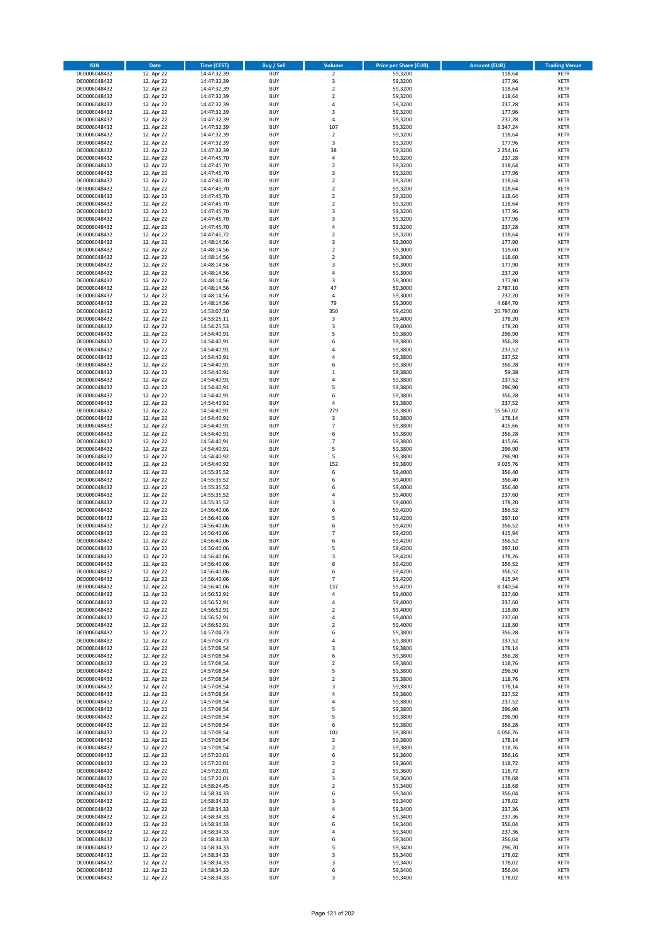| <b>ISIN</b>                  | <b>Date</b>              | <b>Time (CEST)</b>         | <b>Buy / Sell</b>        | Volume                        | <b>Price per Share (EUR)</b> | <b>Amount (EUR)</b> | <b>Trading Venue</b>       |
|------------------------------|--------------------------|----------------------------|--------------------------|-------------------------------|------------------------------|---------------------|----------------------------|
| DE0006048432                 | 12. Apr 22               | 14:47:32,39                | <b>BUY</b>               | $\overline{2}$                | 59,3200                      | 118,64              | <b>XETR</b>                |
| DE0006048432                 | 12. Apr 22               | 14:47:32,39                | <b>BUY</b>               | 3                             | 59,3200                      | 177,96              | <b>XETR</b>                |
| DE0006048432                 | 12. Apr 22               | 14:47:32,39                | <b>BUY</b>               | $\overline{2}$                | 59,3200                      | 118,64              | <b>XETR</b>                |
| DE0006048432                 | 12. Apr 22               | 14:47:32,39                | <b>BUY</b>               | $\mathbf 2$                   | 59,3200                      | 118,64              | <b>XETR</b>                |
| DE0006048432<br>DE0006048432 | 12. Apr 22<br>12. Apr 22 | 14:47:32,39<br>14:47:32,39 | <b>BUY</b><br><b>BUY</b> | 4<br>3                        | 59,3200<br>59,3200           | 237,28<br>177,96    | <b>XETR</b><br><b>XETR</b> |
| DE0006048432                 | 12. Apr 22               | 14:47:32,39                | <b>BUY</b>               | 4                             | 59,3200                      | 237,28              | <b>XETR</b>                |
| DE0006048432                 | 12. Apr 22               | 14:47:32,39                | <b>BUY</b>               | 107                           | 59,3200                      | 6.347,24            | <b>XETR</b>                |
| DE0006048432                 | 12. Apr 22               | 14:47:32,39                | <b>BUY</b>               | $\overline{\mathbf{2}}$       | 59,3200                      | 118,64              | <b>XETR</b>                |
| DE0006048432                 | 12. Apr 22               | 14:47:32,39                | <b>BUY</b>               | 3                             | 59,3200                      | 177,96              | <b>XETR</b>                |
| DE0006048432                 | 12. Apr 22               | 14:47:32,39                | <b>BUY</b>               | 38                            | 59,3200                      | 2.254,16            | <b>XETR</b>                |
| DE0006048432                 | 12. Apr 22               | 14:47:45,70                | <b>BUY</b>               | 4                             | 59,3200                      | 237,28              | <b>XETR</b><br><b>XETR</b> |
| DE0006048432<br>DE0006048432 | 12. Apr 22<br>12. Apr 22 | 14:47:45,70<br>14:47:45,70 | <b>BUY</b><br><b>BUY</b> | $\overline{\mathbf{c}}$<br>3  | 59,3200<br>59,3200           | 118,64<br>177,96    | <b>XETR</b>                |
| DE0006048432                 | 12. Apr 22               | 14:47:45,70                | <b>BUY</b>               | $\overline{\mathbf{c}}$       | 59,3200                      | 118,64              | <b>XETR</b>                |
| DE0006048432                 | 12. Apr 22               | 14:47:45,70                | <b>BUY</b>               | $\overline{\mathbf{c}}$       | 59,3200                      | 118,64              | <b>XETR</b>                |
| DE0006048432                 | 12. Apr 22               | 14:47:45,70                | <b>BUY</b>               | $\mathbf 2$                   | 59,3200                      | 118,64              | <b>XETR</b>                |
| DE0006048432                 | 12. Apr 22               | 14:47:45,70                | <b>BUY</b>               | $\mathbf 2$                   | 59,3200                      | 118,64              | <b>XETR</b>                |
| DE0006048432                 | 12. Apr 22               | 14:47:45,70                | <b>BUY</b>               | 3<br>3                        | 59,3200                      | 177,96              | <b>XETR</b>                |
| DE0006048432<br>DE0006048432 | 12. Apr 22<br>12. Apr 22 | 14:47:45,70<br>14:47:45,70 | <b>BUY</b><br><b>BUY</b> | 4                             | 59,3200<br>59,3200           | 177,96<br>237,28    | <b>XETR</b><br><b>XETR</b> |
| DE0006048432                 | 12. Apr 22               | 14:47:45,72                | <b>BUY</b>               | $\mathbf 2$                   | 59,3200                      | 118,64              | <b>XETR</b>                |
| DE0006048432                 | 12. Apr 22               | 14:48:14,56                | <b>BUY</b>               | 3                             | 59,3000                      | 177,90              | <b>XETR</b>                |
| DE0006048432                 | 12. Apr 22               | 14:48:14,56                | <b>BUY</b>               | $\mathbf 2$                   | 59,3000                      | 118,60              | <b>XETR</b>                |
| DE0006048432                 | 12. Apr 22               | 14:48:14,56                | <b>BUY</b>               | $\mathbf 2$                   | 59,3000                      | 118,60              | <b>XETR</b>                |
| DE0006048432                 | 12. Apr 22               | 14:48:14,56                | <b>BUY</b>               | 3                             | 59,3000                      | 177,90              | <b>XETR</b>                |
| DE0006048432<br>DE0006048432 | 12. Apr 22<br>12. Apr 22 | 14:48:14,56<br>14:48:14,56 | <b>BUY</b><br><b>BUY</b> | 4<br>3                        | 59,3000<br>59,3000           | 237,20<br>177,90    | <b>XETR</b><br><b>XETR</b> |
| DE0006048432                 | 12. Apr 22               | 14:48:14,56                | <b>BUY</b>               | 47                            | 59,3000                      | 2.787,10            | <b>XETR</b>                |
| DE0006048432                 | 12. Apr 22               | 14:48:14,56                | <b>BUY</b>               | 4                             | 59,3000                      | 237,20              | <b>XETR</b>                |
| DE0006048432                 | 12. Apr 22               | 14:48:14,56                | <b>BUY</b>               | 79                            | 59,3000                      | 4.684,70            | <b>XETR</b>                |
| DE0006048432                 | 12. Apr 22               | 14:53:07,50                | <b>BUY</b>               | 350                           | 59,4200                      | 20.797,00           | <b>XETR</b>                |
| DE0006048432                 | 12. Apr 22               | 14:53:25,11                | <b>BUY</b>               | $\mathsf 3$                   | 59,4000                      | 178,20              | <b>XETR</b>                |
| DE0006048432<br>DE0006048432 | 12. Apr 22<br>12. Apr 22 | 14:54:25,53<br>14:54:40,91 | <b>BUY</b><br><b>BUY</b> | 3<br>5                        | 59,4000<br>59,3800           | 178,20<br>296,90    | <b>XETR</b><br><b>XETR</b> |
| DE0006048432                 | 12. Apr 22               | 14:54:40,91                | <b>BUY</b>               | 6                             | 59,3800                      | 356,28              | <b>XETR</b>                |
| DE0006048432                 | 12. Apr 22               | 14:54:40,91                | <b>BUY</b>               | $\overline{a}$                | 59,3800                      | 237,52              | <b>XETR</b>                |
| DE0006048432                 | 12. Apr 22               | 14:54:40,91                | <b>BUY</b>               | 4                             | 59,3800                      | 237,52              | <b>XETR</b>                |
| DE0006048432                 | 12. Apr 22               | 14:54:40,91                | <b>BUY</b>               | 6                             | 59,3800                      | 356,28              | <b>XETR</b>                |
| DE0006048432                 | 12. Apr 22               | 14:54:40,91                | <b>BUY</b>               | $\mathbf 1$                   | 59,3800                      | 59,38               | <b>XETR</b>                |
| DE0006048432                 | 12. Apr 22<br>12. Apr 22 | 14:54:40,91                | <b>BUY</b><br><b>BUY</b> | 4<br>5                        | 59,3800<br>59,3800           | 237,52<br>296,90    | <b>XETR</b><br><b>XETR</b> |
| DE0006048432<br>DE0006048432 | 12. Apr 22               | 14:54:40,91<br>14:54:40,91 | <b>BUY</b>               | 6                             | 59,3800                      | 356,28              | <b>XETR</b>                |
| DE0006048432                 | 12. Apr 22               | 14:54:40,91                | <b>BUY</b>               | 4                             | 59,3800                      | 237,52              | <b>XETR</b>                |
| DE0006048432                 | 12. Apr 22               | 14:54:40,91                | <b>BUY</b>               | 279                           | 59,3800                      | 16.567,02           | <b>XETR</b>                |
| DE0006048432                 | 12. Apr 22               | 14:54:40,91                | <b>BUY</b>               | 3                             | 59,3800                      | 178,14              | <b>XETR</b>                |
| DE0006048432                 | 12. Apr 22               | 14:54:40,91                | <b>BUY</b>               | $\overline{7}$                | 59,3800                      | 415,66              | <b>XETR</b>                |
| DE0006048432                 | 12. Apr 22               | 14:54:40,91                | <b>BUY</b>               | 6                             | 59,3800                      | 356,28              | <b>XETR</b>                |
| DE0006048432<br>DE0006048432 | 12. Apr 22<br>12. Apr 22 | 14:54:40,91<br>14:54:40,91 | <b>BUY</b><br><b>BUY</b> | $\overline{7}$<br>5           | 59,3800<br>59,3800           | 415,66<br>296,90    | <b>XETR</b><br><b>XETR</b> |
| DE0006048432                 | 12. Apr 22               | 14:54:40,92                | <b>BUY</b>               | 5                             | 59,3800                      | 296,90              | <b>XETR</b>                |
| DE0006048432                 | 12. Apr 22               | 14:54:40,92                | <b>BUY</b>               | 152                           | 59,3800                      | 9.025,76            | <b>XETR</b>                |
| DE0006048432                 | 12. Apr 22               | 14:55:35,52                | <b>BUY</b>               | 6                             | 59,4000                      | 356,40              | <b>XETR</b>                |
| DE0006048432                 | 12. Apr 22               | 14:55:35,52                | <b>BUY</b>               | 6                             | 59,4000                      | 356,40              | <b>XETR</b>                |
| DE0006048432                 | 12. Apr 22               | 14:55:35,52                | <b>BUY</b>               | 6                             | 59,4000                      | 356,40              | <b>XETR</b>                |
| DE0006048432<br>DE0006048432 | 12. Apr 22<br>12. Apr 22 | 14:55:35,52<br>14:55:35,52 | <b>BUY</b><br><b>BUY</b> | 4<br>3                        | 59,4000<br>59,4000           | 237,60<br>178,20    | <b>XETR</b><br><b>XETR</b> |
| DE0006048432                 | 12. Apr 22               | 14:56:40,06                | <b>BUY</b>               | 6                             | 59,4200                      | 356,52              | <b>XETR</b>                |
| DE0006048432                 | 12. Apr 22               | 14:56:40,06                | <b>BUY</b>               | 5                             | 59,4200                      | 297,10              | <b>XETR</b>                |
| DE0006048432                 | 12. Apr 22               | 14:56:40,06                | <b>BUY</b>               | 6                             | 59,4200                      | 356,52              | <b>XETR</b>                |
| DE0006048432                 | 12. Apr 22               | 14:56:40,06                | <b>BUY</b>               | $\overline{7}$                | 59,4200                      | 415,94              | <b>XETR</b>                |
| DE0006048432                 | 12. Apr 22               | 14:56:40,06                | <b>BUY</b>               | 6                             | 59,4200                      | 356,52              | <b>XETR</b>                |
| DE0006048432<br>DE0006048432 | 12. Apr 22               | 14:56:40,06<br>14:56:40,06 | <b>BUY</b><br><b>BUY</b> | 5<br>3                        | 59,4200<br>59,4200           | 297,10<br>178,26    | <b>XETR</b><br><b>XETR</b> |
| DE0006048432                 | 12. Apr 22<br>12. Apr 22 | 14:56:40,06                | BUY                      | 6                             | 59,4200                      | 356,52              | <b>XETR</b>                |
| DE0006048432                 | 12. Apr 22               | 14:56:40,06                | <b>BUY</b>               | 6                             | 59,4200                      | 356,52              | <b>XETR</b>                |
| DE0006048432                 | 12. Apr 22               | 14:56:40,06                | <b>BUY</b>               | 7                             | 59,4200                      | 415,94              | <b>XETR</b>                |
| DE0006048432                 | 12. Apr 22               | 14:56:40,06                | <b>BUY</b>               | 137                           | 59,4200                      | 8.140,54            | <b>XETR</b>                |
| DE0006048432                 | 12. Apr 22               | 14:56:52,91                | <b>BUY</b>               | 4                             | 59,4000                      | 237,60              | <b>XETR</b>                |
| DE0006048432<br>DE0006048432 | 12. Apr 22<br>12. Apr 22 | 14:56:52,91<br>14:56:52,91 | <b>BUY</b><br><b>BUY</b> | 4<br>$\mathbf 2$              | 59,4000<br>59,4000           | 237,60<br>118,80    | <b>XETR</b><br><b>XETR</b> |
| DE0006048432                 | 12. Apr 22               | 14:56:52,91                | <b>BUY</b>               | 4                             | 59,4000                      | 237,60              | <b>XETR</b>                |
| DE0006048432                 | 12. Apr 22               | 14:56:52,91                | <b>BUY</b>               | $\mathbf 2$                   | 59,4000                      | 118,80              | <b>XETR</b>                |
| DE0006048432                 | 12. Apr 22               | 14:57:04,73                | <b>BUY</b>               | 6                             | 59,3800                      | 356,28              | <b>XETR</b>                |
| DE0006048432                 | 12. Apr 22               | 14:57:04,73                | <b>BUY</b>               | 4                             | 59,3800                      | 237,52              | <b>XETR</b>                |
| DE0006048432                 | 12. Apr 22               | 14:57:08,54                | <b>BUY</b>               | 3                             | 59,3800                      | 178,14              | <b>XETR</b>                |
| DE0006048432<br>DE0006048432 | 12. Apr 22<br>12. Apr 22 | 14:57:08,54<br>14:57:08,54 | <b>BUY</b><br><b>BUY</b> | 6<br>$\overline{\mathbf{c}}$  | 59,3800<br>59,3800           | 356,28<br>118,76    | <b>XETR</b><br><b>XETR</b> |
| DE0006048432                 | 12. Apr 22               | 14:57:08,54                | <b>BUY</b>               | 5                             | 59,3800                      | 296,90              | <b>XETR</b>                |
| DE0006048432                 | 12. Apr 22               | 14:57:08,54                | <b>BUY</b>               | $\overline{\mathbf{c}}$       | 59,3800                      | 118,76              | <b>XETR</b>                |
| DE0006048432                 | 12. Apr 22               | 14:57:08,54                | <b>BUY</b>               | 3                             | 59,3800                      | 178,14              | <b>XETR</b>                |
| DE0006048432                 | 12. Apr 22               | 14:57:08,54                | <b>BUY</b>               | 4                             | 59,3800                      | 237,52              | <b>XETR</b>                |
| DE0006048432                 | 12. Apr 22               | 14:57:08,54                | <b>BUY</b>               | 4                             | 59,3800                      | 237,52              | <b>XETR</b>                |
| DE0006048432<br>DE0006048432 | 12. Apr 22<br>12. Apr 22 | 14:57:08,54<br>14:57:08,54 | <b>BUY</b><br><b>BUY</b> | 5<br>5                        | 59,3800<br>59,3800           | 296,90<br>296,90    | <b>XETR</b><br><b>XETR</b> |
| DE0006048432                 | 12. Apr 22               | 14:57:08,54                | <b>BUY</b>               | 6                             | 59,3800                      | 356,28              | <b>XETR</b>                |
| DE0006048432                 | 12. Apr 22               | 14:57:08,54                | <b>BUY</b>               | 102                           | 59,3800                      | 6.056,76            | <b>XETR</b>                |
| DE0006048432                 | 12. Apr 22               | 14:57:08,54                | <b>BUY</b>               | 3                             | 59,3800                      | 178,14              | <b>XETR</b>                |
| DE0006048432                 | 12. Apr 22               | 14:57:08,54                | <b>BUY</b>               | 2                             | 59,3800                      | 118,76              | <b>XETR</b>                |
| DE0006048432                 | 12. Apr 22               | 14:57:20,01                | <b>BUY</b>               | 6                             | 59,3600                      | 356,16              | <b>XETR</b>                |
| DE0006048432                 | 12. Apr 22               | 14:57:20,01                | <b>BUY</b><br><b>BUY</b> | $\mathbf 2$<br>$\overline{2}$ | 59,3600                      | 118,72              | <b>XETR</b><br><b>XETR</b> |
| DE0006048432<br>DE0006048432 | 12. Apr 22<br>12. Apr 22 | 14:57:20,01<br>14:57:20,01 | <b>BUY</b>               | 3                             | 59,3600<br>59,3600           | 118,72<br>178,08    | <b>XETR</b>                |
| DE0006048432                 | 12. Apr 22               | 14:58:24,45                | <b>BUY</b>               | $\overline{\mathbf{c}}$       | 59,3400                      | 118,68              | <b>XETR</b>                |
| DE0006048432                 | 12. Apr 22               | 14:58:34,33                | <b>BUY</b>               | 6                             | 59,3400                      | 356,04              | <b>XETR</b>                |
| DE0006048432                 | 12. Apr 22               | 14:58:34,33                | <b>BUY</b>               | 3                             | 59,3400                      | 178,02              | <b>XETR</b>                |
| DE0006048432                 | 12. Apr 22               | 14:58:34,33                | <b>BUY</b>               | 4                             | 59,3400                      | 237,36              | <b>XETR</b>                |
| DE0006048432                 | 12. Apr 22               | 14:58:34,33                | <b>BUY</b>               | 4                             | 59,3400                      | 237,36              | <b>XETR</b>                |
| DE0006048432<br>DE0006048432 | 12. Apr 22<br>12. Apr 22 | 14:58:34,33<br>14:58:34,33 | <b>BUY</b><br><b>BUY</b> | 6<br>4                        | 59,3400<br>59,3400           | 356,04<br>237,36    | <b>XETR</b><br><b>XETR</b> |
| DE0006048432                 | 12. Apr 22               | 14:58:34,33                | <b>BUY</b>               | 6                             | 59,3400                      | 356,04              | <b>XETR</b>                |
| DE0006048432                 | 12. Apr 22               | 14:58:34,33                | <b>BUY</b>               | 5                             | 59,3400                      | 296,70              | <b>XETR</b>                |
| DE0006048432                 | 12. Apr 22               | 14:58:34,33                | <b>BUY</b>               | 3                             | 59,3400                      | 178,02              | <b>XETR</b>                |
| DE0006048432                 | 12. Apr 22               | 14:58:34,33                | <b>BUY</b>               | 3                             | 59,3400                      | 178,02              | XETR                       |
| DE0006048432                 | 12. Apr 22               | 14:58:34,33                | <b>BUY</b>               | 6                             | 59,3400                      | 356,04              | <b>XETR</b>                |
| DE0006048432                 | 12. Apr 22               | 14:58:34,33                | <b>BUY</b>               | 3                             | 59,3400                      | 178,02              | <b>XETR</b>                |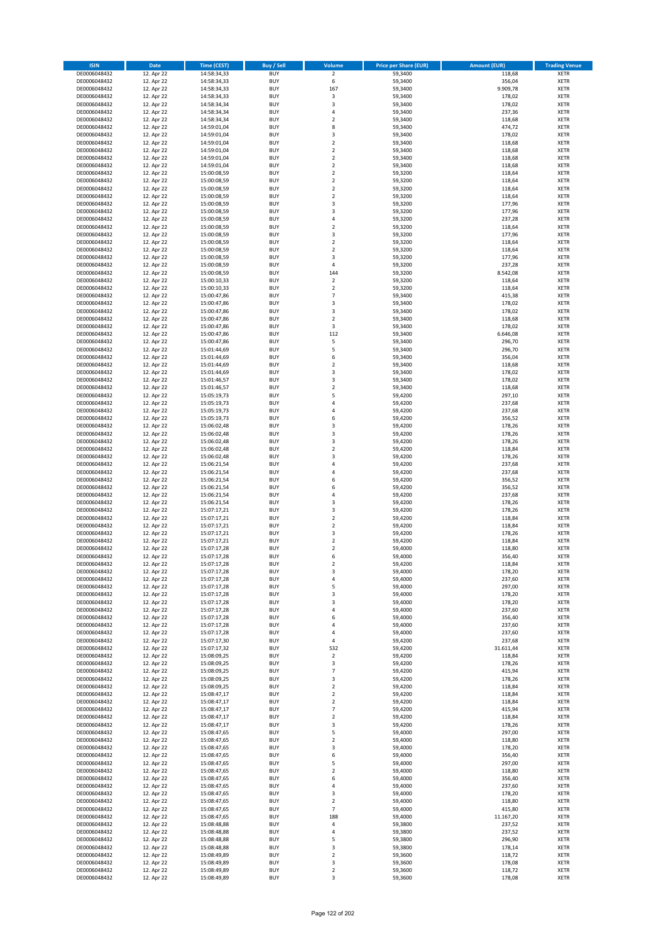| <b>ISIN</b>                  | <b>Date</b>              | <b>Time (CEST)</b>         | <b>Buy / Sell</b>        | <b>Volume</b>                 | <b>Price per Share (EUR)</b> | <b>Amount (EUR)</b> | <b>Trading Venue</b>       |
|------------------------------|--------------------------|----------------------------|--------------------------|-------------------------------|------------------------------|---------------------|----------------------------|
| DE0006048432                 | 12. Apr 22               | 14:58:34,33                | <b>BUY</b>               | $\overline{2}$                | 59,3400                      | 118,68              | <b>XETR</b>                |
| DE0006048432                 | 12. Apr 22               | 14:58:34,33                | <b>BUY</b>               | 6                             | 59,3400                      | 356,04              | <b>XETR</b>                |
| DE0006048432                 | 12. Apr 22               | 14:58:34,33                | <b>BUY</b>               | 167                           | 59,3400                      | 9.909,78            | <b>XETR</b>                |
| DE0006048432                 | 12. Apr 22               | 14:58:34,33                | <b>BUY</b>               | $\mathsf 3$                   | 59,3400                      | 178,02              | <b>XETR</b>                |
| DE0006048432                 | 12. Apr 22               | 14:58:34,34                | <b>BUY</b>               | 3                             | 59,3400                      | 178,02              | <b>XETR</b>                |
| DE0006048432                 | 12. Apr 22               | 14:58:34,34                | <b>BUY</b>               | 4                             | 59,3400                      | 237,36              | <b>XETR</b>                |
| DE0006048432                 | 12. Apr 22               | 14:58:34,34                | <b>BUY</b>               | $\overline{\mathbf{c}}$       | 59,3400                      | 118,68              | <b>XETR</b>                |
| DE0006048432                 | 12. Apr 22               | 14:59:01,04                | <b>BUY</b>               | 8                             | 59,3400                      | 474,72              | <b>XETR</b>                |
| DE0006048432                 | 12. Apr 22               | 14:59:01,04                | <b>BUY</b>               | 3                             | 59,3400                      | 178,02              | <b>XETR</b>                |
| DE0006048432                 | 12. Apr 22               | 14:59:01,04                | <b>BUY</b>               | $\mathbf 2$                   | 59,3400                      | 118,68              | <b>XETR</b>                |
| DE0006048432                 | 12. Apr 22               | 14:59:01,04                | <b>BUY</b>               | $\mathbf 2$                   | 59,3400                      | 118,68              | <b>XETR</b>                |
| DE0006048432                 | 12. Apr 22               | 14:59:01,04                | <b>BUY</b>               | $\overline{\mathbf{c}}$       | 59,3400                      | 118,68              | <b>XETR</b>                |
| DE0006048432                 | 12. Apr 22               | 14:59:01,04                | <b>BUY</b>               | $\mathbf 2$                   | 59,3400                      | 118,68              | <b>XETR</b>                |
| DE0006048432                 | 12. Apr 22               | 15:00:08,59                | <b>BUY</b>               | $\overline{\mathbf{c}}$       | 59,3200                      | 118,64              | <b>XETR</b>                |
| DE0006048432                 | 12. Apr 22               | 15:00:08,59                | <b>BUY</b>               | $\mathbf 2$                   | 59,3200                      | 118,64              | <b>XETR</b>                |
| DE0006048432                 | 12. Apr 22               | 15:00:08,59                | <b>BUY</b>               | $\overline{\mathbf{c}}$       | 59,3200                      | 118,64              | <b>XETR</b>                |
| DE0006048432                 | 12. Apr 22               | 15:00:08,59                | <b>BUY</b>               | $\mathbf 2$                   | 59,3200                      | 118,64              | <b>XETR</b>                |
| DE0006048432                 | 12. Apr 22               | 15:00:08,59                | <b>BUY</b>               | 3                             | 59,3200                      | 177,96              | <b>XETR</b>                |
| DE0006048432                 | 12. Apr 22               | 15:00:08,59                | <b>BUY</b>               | 3                             | 59,3200                      | 177,96              | <b>XETR</b>                |
| DE0006048432                 | 12. Apr 22               | 15:00:08,59                | <b>BUY</b>               | 4                             | 59,3200                      | 237,28              | <b>XETR</b>                |
| DE0006048432                 | 12. Apr 22               | 15:00:08,59                | <b>BUY</b>               | $\overline{\mathbf{c}}$       | 59,3200                      | 118,64              | <b>XETR</b>                |
| DE0006048432                 | 12. Apr 22               | 15:00:08,59                | <b>BUY</b>               | 3                             | 59,3200                      | 177,96              | <b>XETR</b>                |
| DE0006048432                 | 12. Apr 22               | 15:00:08,59                | <b>BUY</b>               | $\mathbf 2$                   | 59,3200                      | 118,64              | <b>XETR</b>                |
| DE0006048432                 | 12. Apr 22               | 15:00:08,59                | <b>BUY</b>               | $\mathbf 2$                   | 59,3200                      | 118,64              | <b>XETR</b>                |
| DE0006048432                 | 12. Apr 22               | 15:00:08,59                | <b>BUY</b>               | 3                             | 59,3200                      | 177,96              | <b>XETR</b>                |
| DE0006048432                 | 12. Apr 22               | 15:00:08,59                | <b>BUY</b>               | 4                             | 59,3200                      | 237,28              | <b>XETR</b>                |
| DE0006048432                 | 12. Apr 22               | 15:00:08,59                | <b>BUY</b>               | 144                           | 59,3200                      | 8.542,08            | <b>XETR</b>                |
| DE0006048432                 | 12. Apr 22               | 15:00:10,33                | <b>BUY</b><br><b>BUY</b> | $\overline{2}$                | 59,3200                      | 118,64              | <b>XETR</b>                |
| DE0006048432                 | 12. Apr 22               | 15:00:10,33                | <b>BUY</b>               | $\mathbf 2$<br>$\overline{7}$ | 59,3200                      | 118,64              | <b>XETR</b><br><b>XETR</b> |
| DE0006048432                 | 12. Apr 22               | 15:00:47,86                | <b>BUY</b>               | 3                             | 59,3400                      | 415,38              |                            |
| DE0006048432<br>DE0006048432 | 12. Apr 22<br>12. Apr 22 | 15:00:47,86                | <b>BUY</b>               | 3                             | 59,3400                      | 178,02<br>178,02    | <b>XETR</b><br><b>XETR</b> |
| DE0006048432                 | 12. Apr 22               | 15:00:47,86<br>15:00:47,86 | <b>BUY</b>               | $\mathbf 2$                   | 59,3400<br>59,3400           | 118,68              | <b>XETR</b>                |
| DE0006048432                 | 12. Apr 22               | 15:00:47,86                | <b>BUY</b>               | 3                             | 59,3400                      | 178,02              | <b>XETR</b>                |
| DE0006048432                 | 12. Apr 22               | 15:00:47,86                | <b>BUY</b>               | 112                           | 59,3400                      | 6.646,08            | <b>XETR</b>                |
| DE0006048432                 | 12. Apr 22               | 15:00:47,86                | <b>BUY</b>               | 5                             | 59,3400                      | 296,70              | <b>XETR</b>                |
| DE0006048432                 | 12. Apr 22               | 15:01:44,69                | <b>BUY</b>               | 5                             | 59,3400                      | 296,70              | <b>XETR</b>                |
| DE0006048432                 | 12. Apr 22               | 15:01:44,69                | <b>BUY</b>               | 6                             | 59,3400                      | 356,04              | <b>XETR</b>                |
| DE0006048432                 | 12. Apr 22               | 15:01:44,69                | <b>BUY</b>               | $\overline{\mathbf{c}}$       | 59,3400                      | 118,68              | <b>XETR</b>                |
| DE0006048432                 | 12. Apr 22               | 15:01:44,69                | <b>BUY</b>               | 3                             | 59,3400                      | 178,02              | <b>XETR</b>                |
| DE0006048432                 | 12. Apr 22               | 15:01:46,57                | <b>BUY</b>               | 3                             | 59,3400                      | 178,02              | <b>XETR</b>                |
| DE0006048432                 | 12. Apr 22               | 15:01:46,57                | <b>BUY</b>               | $\mathbf 2$                   | 59,3400                      | 118,68              | <b>XETR</b>                |
| DE0006048432                 | 12. Apr 22               | 15:05:19,73                | <b>BUY</b>               | 5                             | 59,4200                      | 297,10              | <b>XETR</b>                |
| DE0006048432                 | 12. Apr 22               | 15:05:19,73                | <b>BUY</b>               | 4                             | 59,4200                      | 237,68              | <b>XETR</b>                |
| DE0006048432                 | 12. Apr 22               | 15:05:19,73                | <b>BUY</b>               | 4                             | 59,4200                      | 237,68              | <b>XETR</b>                |
| DE0006048432                 | 12. Apr 22               | 15:05:19,73                | <b>BUY</b>               | 6                             | 59,4200                      | 356,52              | <b>XETR</b>                |
| DE0006048432                 | 12. Apr 22               | 15:06:02,48                | <b>BUY</b>               | 3                             | 59,4200                      | 178,26              | <b>XETR</b>                |
| DE0006048432                 | 12. Apr 22               | 15:06:02,48                | <b>BUY</b>               | 3                             | 59,4200                      | 178,26              | <b>XETR</b>                |
| DE0006048432                 | 12. Apr 22               | 15:06:02,48                | <b>BUY</b>               | 3                             | 59,4200                      | 178,26              | <b>XETR</b>                |
| DE0006048432                 | 12. Apr 22               | 15:06:02,48                | <b>BUY</b>               | $\overline{\mathbf{c}}$       | 59,4200                      | 118,84              | <b>XETR</b>                |
| DE0006048432                 | 12. Apr 22               | 15:06:02,48                | <b>BUY</b>               | 3                             | 59,4200                      | 178,26              | <b>XETR</b>                |
| DE0006048432                 | 12. Apr 22               | 15:06:21,54                | <b>BUY</b>               | 4                             | 59,4200                      | 237,68              | <b>XETR</b>                |
| DE0006048432                 | 12. Apr 22               | 15:06:21,54                | <b>BUY</b>               | 4                             | 59,4200                      | 237,68              | <b>XETR</b>                |
| DE0006048432                 | 12. Apr 22               | 15:06:21,54                | <b>BUY</b>               | 6                             | 59,4200                      | 356,52              | <b>XETR</b>                |
| DE0006048432                 | 12. Apr 22               | 15:06:21,54                | <b>BUY</b>               | 6                             | 59,4200                      | 356,52              | <b>XETR</b>                |
| DE0006048432                 | 12. Apr 22               | 15:06:21,54                | <b>BUY</b>               | 4                             | 59,4200                      | 237,68              | <b>XETR</b>                |
| DE0006048432                 | 12. Apr 22               | 15:06:21,54                | <b>BUY</b>               | 3                             | 59,4200                      | 178,26              | <b>XETR</b>                |
| DE0006048432                 | 12. Apr 22               | 15:07:17,21                | <b>BUY</b>               | 3                             | 59,4200                      | 178,26              | <b>XETR</b>                |
| DE0006048432                 | 12. Apr 22               | 15:07:17,21                | <b>BUY</b>               | $\mathbf 2$                   | 59,4200                      | 118,84              | <b>XETR</b>                |
| DE0006048432                 | 12. Apr 22               | 15:07:17,21                | <b>BUY</b>               | $\overline{2}$                | 59,4200                      | 118,84              | <b>XETR</b>                |
| DE0006048432                 | 12. Apr 22               | 15:07:17,21                | <b>BUY</b>               | 3                             | 59,4200                      | 178,26              | <b>XETR</b>                |
| DE0006048432                 | 12. Apr 22               | 15:07:17,21                | <b>BUY</b>               | $\overline{\mathbf{c}}$       | 59,4200                      | 118,84              | <b>XETR</b>                |
| DE0006048432                 | 12. Apr 22               | 15:07:17,28                | <b>BUY</b>               | $\overline{\mathbf{c}}$       | 59,4000                      | 118,80              | <b>XETR</b>                |
| DE0006048432                 | 12. Apr 22               | 15:07:17,28                | <b>BUY</b>               | 6                             | 59,4000                      | 356,40              | <b>XETR</b>                |
| DE0006048432                 | 12. Apr 22               | 15:07:17,28                | BUY                      | 2                             | 59,4200                      | 118,84              | <b>XETR</b>                |
| DE0006048432                 | 12. Apr 22               | 15:07:17,28                | <b>BUY</b>               | 3                             | 59,4000                      | 178,20              | XETR                       |
| DE0006048432                 | 12. Apr 22               | 15:07:17,28                | <b>BUY</b>               | 4                             | 59,4000                      | 237,60              | XETR                       |
| DE0006048432                 | 12. Apr 22               | 15:07:17,28                | <b>BUY</b>               | 5                             | 59,4000                      | 297,00              | XETR                       |
| DE0006048432                 | 12. Apr 22               | 15:07:17,28                | <b>BUY</b>               | 3                             | 59,4000                      | 178,20              | <b>XETR</b>                |
| DE0006048432                 | 12. Apr 22               | 15:07:17,28                | <b>BUY</b>               | 3                             | 59,4000                      | 178,20              | <b>XETR</b>                |
| DE0006048432                 | 12. Apr 22<br>12. Apr 22 | 15:07:17,28                | <b>BUY</b><br><b>BUY</b> | 4<br>6                        | 59,4000                      | 237,60<br>356,40    | <b>XETR</b>                |
| DE0006048432                 |                          | 15:07:17,28                |                          | 4                             | 59,4000                      |                     | <b>XETR</b>                |
| DE0006048432<br>DE0006048432 | 12. Apr 22<br>12. Apr 22 | 15:07:17,28<br>15:07:17,28 | <b>BUY</b><br><b>BUY</b> | 4                             | 59,4000<br>59,4000           | 237,60<br>237,60    | <b>XETR</b><br>XETR        |
| DE0006048432                 | 12. Apr 22               | 15:07:17,30                | <b>BUY</b>               | 4                             | 59,4200                      | 237,68              | XETR                       |
| DE0006048432                 | 12. Apr 22               | 15:07:17,32                | <b>BUY</b>               | 532                           | 59,4200                      | 31.611,44           | <b>XETR</b>                |
| DE0006048432                 | 12. Apr 22               | 15:08:09,25                | <b>BUY</b>               | $\mathbf 2$                   | 59,4200                      | 118,84              | <b>XETR</b>                |
| DE0006048432                 | 12. Apr 22               | 15:08:09,25                | <b>BUY</b>               | 3                             | 59,4200                      | 178,26              | <b>XETR</b>                |
| DE0006048432                 | 12. Apr 22               | 15:08:09,25                | <b>BUY</b>               | $\overline{7}$                | 59,4200                      | 415,94              | <b>XETR</b>                |
| DE0006048432                 | 12. Apr 22               | 15:08:09,25                | <b>BUY</b>               | 3                             | 59,4200                      | 178,26              | <b>XETR</b>                |
| DE0006048432                 | 12. Apr 22               | 15:08:09,25                | <b>BUY</b>               | $\mathbf 2$                   | 59,4200                      | 118,84              | <b>XETR</b>                |
| DE0006048432                 | 12. Apr 22               | 15:08:47,17                | <b>BUY</b>               | $\mathbf 2$                   | 59,4200                      | 118,84              | <b>XETR</b>                |
| DE0006048432                 | 12. Apr 22               | 15:08:47,17                | <b>BUY</b>               | $\mathbf 2$                   | 59,4200                      | 118,84              | XETR                       |
| DE0006048432                 | 12. Apr 22               | 15:08:47,17                | <b>BUY</b>               | $\overline{7}$                | 59,4200                      | 415,94              | <b>XETR</b>                |
| DE0006048432                 | 12. Apr 22               | 15:08:47,17                | <b>BUY</b>               | $\overline{2}$                | 59,4200                      | 118,84              | <b>XETR</b>                |
| DE0006048432                 | 12. Apr 22               | 15:08:47,17                | <b>BUY</b>               | 3                             | 59,4200                      | 178,26              | <b>XETR</b>                |
| DE0006048432                 | 12. Apr 22               | 15:08:47,65                | <b>BUY</b>               | 5                             | 59,4000                      | 297,00              | <b>XETR</b>                |
| DE0006048432                 | 12. Apr 22               | 15:08:47,65                | <b>BUY</b>               | $\mathbf 2$                   | 59,4000                      | 118,80              | <b>XETR</b>                |
| DE0006048432                 | 12. Apr 22               | 15:08:47,65                | <b>BUY</b>               | 3                             | 59,4000                      | 178,20              | <b>XETR</b>                |
| DE0006048432                 | 12. Apr 22               | 15:08:47,65                | <b>BUY</b>               | 6                             | 59,4000                      | 356,40              | <b>XETR</b>                |
| DE0006048432                 | 12. Apr 22               | 15:08:47,65                | <b>BUY</b>               | 5                             | 59,4000                      | 297,00              | <b>XETR</b>                |
| DE0006048432                 | 12. Apr 22               | 15:08:47,65                | <b>BUY</b>               | $\overline{2}$                | 59,4000                      | 118,80              | <b>XETR</b>                |
| DE0006048432                 | 12. Apr 22               | 15:08:47,65                | <b>BUY</b>               | 6                             | 59,4000                      | 356,40              | <b>XETR</b>                |
| DE0006048432                 | 12. Apr 22               | 15:08:47,65                | <b>BUY</b>               | 4                             | 59,4000                      | 237,60              | XETR                       |
| DE0006048432                 | 12. Apr 22               | 15:08:47,65                | <b>BUY</b>               | 3                             | 59,4000                      | 178,20              | <b>XETR</b>                |
| DE0006048432                 | 12. Apr 22               | 15:08:47,65                | <b>BUY</b>               | $\mathbf 2$                   | 59,4000                      | 118,80              | <b>XETR</b>                |
| DE0006048432                 | 12. Apr 22               | 15:08:47,65                | <b>BUY</b>               | $\overline{7}$                | 59,4000                      | 415,80              | XETR                       |
| DE0006048432                 | 12. Apr 22               | 15:08:47,65                | <b>BUY</b>               | 188                           | 59,4000                      | 11.167,20           | <b>XETR</b>                |
| DE0006048432                 | 12. Apr 22               | 15:08:48,88                | <b>BUY</b>               | 4                             | 59,3800                      | 237,52              | <b>XETR</b>                |
| DE0006048432                 | 12. Apr 22               | 15:08:48,88                | <b>BUY</b>               | 4                             | 59,3800                      | 237,52              | <b>XETR</b>                |
| DE0006048432<br>DE0006048432 | 12. Apr 22<br>12. Apr 22 | 15:08:48,88<br>15:08:48,88 | <b>BUY</b><br><b>BUY</b> | 5<br>3                        | 59,3800<br>59,3800           | 296,90<br>178,14    | <b>XETR</b><br>XETR        |
| DE0006048432                 | 12. Apr 22               | 15:08:49,89                | <b>BUY</b>               | $\overline{\mathbf{2}}$       | 59,3600                      | 118,72              | <b>XETR</b>                |
| DE0006048432                 | 12. Apr 22               | 15:08:49,89                | <b>BUY</b>               | 3                             | 59,3600                      | 178,08              | <b>XETR</b>                |
| DE0006048432                 | 12. Apr 22               | 15:08:49,89                | <b>BUY</b>               | $\mathbf 2$                   | 59,3600                      | 118,72              | <b>XETR</b>                |
| DE0006048432                 | 12. Apr 22               | 15:08:49,89                | <b>BUY</b>               | 3                             | 59,3600                      | 178,08              | XETR                       |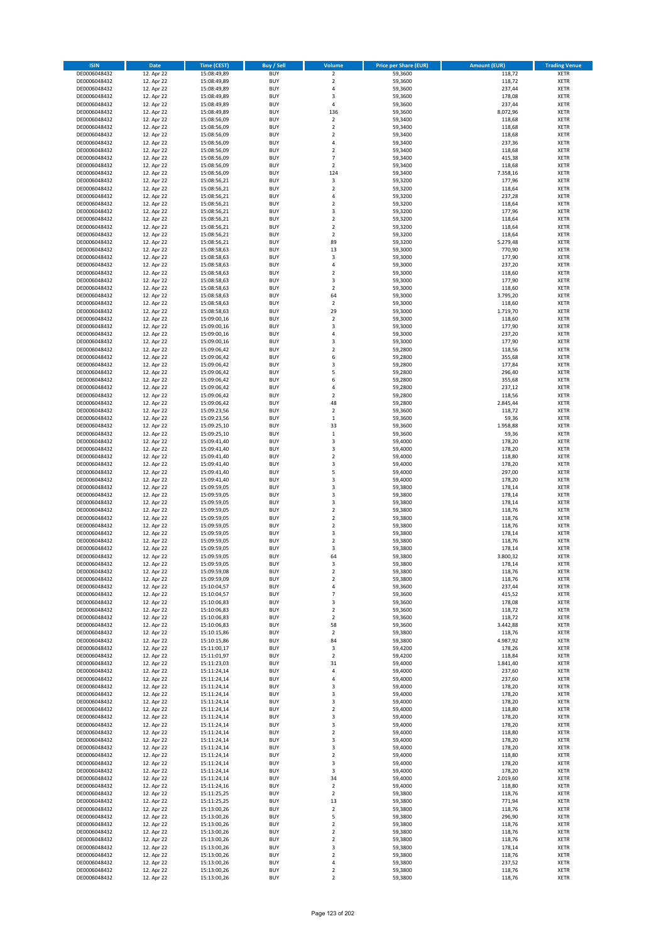| <b>ISIN</b>                  | <b>Date</b>              | <b>Time (CEST)</b>         | <b>Buy / Sell</b>        | <b>Volume</b>                 | <b>Price per Share (EUR)</b> | <b>Amount (EUR)</b> | <b>Trading Venue</b>       |
|------------------------------|--------------------------|----------------------------|--------------------------|-------------------------------|------------------------------|---------------------|----------------------------|
| DE0006048432                 | 12. Apr 22               | 15:08:49,89                | <b>BUY</b>               | $\overline{\mathbf{2}}$       | 59,3600                      | 118,72              | <b>XETR</b>                |
| DE0006048432                 | 12. Apr 22               | 15:08:49,89                | <b>BUY</b>               | $\mathbf 2$                   | 59,3600                      | 118,72              | <b>XETR</b>                |
| DE0006048432                 | 12. Apr 22               | 15:08:49,89                | <b>BUY</b>               | 4                             | 59,3600                      | 237,44              | <b>XETR</b>                |
| DE0006048432<br>DE0006048432 | 12. Apr 22<br>12. Apr 22 | 15:08:49,89<br>15:08:49,89 | <b>BUY</b><br><b>BUY</b> | 3<br>4                        | 59,3600<br>59,3600           | 178,08<br>237,44    | <b>XETR</b><br><b>XETR</b> |
| DE0006048432                 | 12. Apr 22               | 15:08:49,89                | <b>BUY</b>               | 136                           | 59,3600                      | 8.072,96            | <b>XETR</b>                |
| DE0006048432                 | 12. Apr 22               | 15:08:56,09                | <b>BUY</b>               | $\overline{\mathbf{2}}$       | 59,3400                      | 118,68              | <b>XETR</b>                |
| DE0006048432                 | 12. Apr 22               | 15:08:56,09                | <b>BUY</b>               | $\mathbf 2$                   | 59,3400                      | 118,68              | <b>XETR</b>                |
| DE0006048432                 | 12. Apr 22               | 15:08:56,09                | <b>BUY</b>               | $\overline{\mathbf{c}}$       | 59,3400                      | 118,68              | <b>XETR</b>                |
| DE0006048432                 | 12. Apr 22               | 15:08:56,09                | <b>BUY</b><br><b>BUY</b> | 4                             | 59,3400                      | 237,36              | <b>XETR</b>                |
| DE0006048432<br>DE0006048432 | 12. Apr 22<br>12. Apr 22 | 15:08:56,09<br>15:08:56,09 | <b>BUY</b>               | $\mathbf 2$<br>$\overline{7}$ | 59,3400<br>59,3400           | 118,68<br>415,38    | <b>XETR</b><br><b>XETR</b> |
| DE0006048432                 | 12. Apr 22               | 15:08:56,09                | <b>BUY</b>               | $\mathbf 2$                   | 59,3400                      | 118,68              | <b>XETR</b>                |
| DE0006048432                 | 12. Apr 22               | 15:08:56,09                | <b>BUY</b>               | 124                           | 59,3400                      | 7.358,16            | <b>XETR</b>                |
| DE0006048432                 | 12. Apr 22               | 15:08:56,21                | <b>BUY</b>               | 3                             | 59,3200                      | 177,96              | <b>XETR</b>                |
| DE0006048432                 | 12. Apr 22               | 15:08:56,21                | <b>BUY</b>               | $\overline{\mathbf{c}}$       | 59,3200                      | 118,64              | <b>XETR</b>                |
| DE0006048432                 | 12. Apr 22               | 15:08:56,21                | <b>BUY</b><br><b>BUY</b> | 4                             | 59,3200                      | 237,28              | <b>XETR</b><br><b>XETR</b> |
| DE0006048432<br>DE0006048432 | 12. Apr 22<br>12. Apr 22 | 15:08:56,21<br>15:08:56,21 | <b>BUY</b>               | $\mathbf 2$<br>3              | 59,3200<br>59,3200           | 118,64<br>177,96    | <b>XETR</b>                |
| DE0006048432                 | 12. Apr 22               | 15:08:56,21                | <b>BUY</b>               | $\mathbf 2$                   | 59,3200                      | 118,64              | <b>XETR</b>                |
| DE0006048432                 | 12. Apr 22               | 15:08:56,21                | <b>BUY</b>               | $\overline{\mathbf{c}}$       | 59,3200                      | 118,64              | <b>XETR</b>                |
| DE0006048432                 | 12. Apr 22               | 15:08:56,21                | <b>BUY</b>               | $\mathbf 2$                   | 59,3200                      | 118,64              | <b>XETR</b>                |
| DE0006048432                 | 12. Apr 22               | 15:08:56,21                | <b>BUY</b>               | 89                            | 59,3200                      | 5.279,48            | <b>XETR</b>                |
| DE0006048432<br>DE0006048432 | 12. Apr 22               | 15:08:58,63                | <b>BUY</b><br><b>BUY</b> | 13<br>3                       | 59,3000<br>59,3000           | 770,90              | <b>XETR</b><br><b>XETR</b> |
| DE0006048432                 | 12. Apr 22<br>12. Apr 22 | 15:08:58,63<br>15:08:58,63 | <b>BUY</b>               | 4                             | 59,3000                      | 177,90<br>237,20    | <b>XETR</b>                |
| DE0006048432                 | 12. Apr 22               | 15:08:58,63                | <b>BUY</b>               | $\mathbf 2$                   | 59,3000                      | 118,60              | <b>XETR</b>                |
| DE0006048432                 | 12. Apr 22               | 15:08:58,63                | <b>BUY</b>               | 3                             | 59,3000                      | 177,90              | <b>XETR</b>                |
| DE0006048432                 | 12. Apr 22               | 15:08:58,63                | <b>BUY</b>               | $\mathbf 2$                   | 59,3000                      | 118,60              | <b>XETR</b>                |
| DE0006048432                 | 12. Apr 22               | 15:08:58,63                | <b>BUY</b>               | 64                            | 59,3000                      | 3.795,20            | <b>XETR</b>                |
| DE0006048432<br>DE0006048432 | 12. Apr 22<br>12. Apr 22 | 15:08:58,63<br>15:08:58,63 | <b>BUY</b><br><b>BUY</b> | $\mathbf 2$<br>29             | 59,3000<br>59,3000           | 118,60<br>1.719,70  | <b>XETR</b><br><b>XETR</b> |
| DE0006048432                 | 12. Apr 22               | 15:09:00,16                | <b>BUY</b>               | $\mathbf 2$                   | 59,3000                      | 118,60              | <b>XETR</b>                |
| DE0006048432                 | 12. Apr 22               | 15:09:00,16                | <b>BUY</b>               | 3                             | 59,3000                      | 177,90              | <b>XETR</b>                |
| DE0006048432                 | 12. Apr 22               | 15:09:00,16                | <b>BUY</b>               | 4                             | 59,3000                      | 237,20              | <b>XETR</b>                |
| DE0006048432                 | 12. Apr 22               | 15:09:00,16                | <b>BUY</b>               | 3                             | 59,3000                      | 177,90              | <b>XETR</b>                |
| DE0006048432                 | 12. Apr 22               | 15:09:06,42                | <b>BUY</b>               | $\overline{\mathbf{c}}$       | 59,2800                      | 118,56              | <b>XETR</b>                |
| DE0006048432<br>DE0006048432 | 12. Apr 22<br>12. Apr 22 | 15:09:06,42<br>15:09:06,42 | <b>BUY</b><br><b>BUY</b> | 6<br>3                        | 59,2800<br>59,2800           | 355,68<br>177,84    | <b>XETR</b><br><b>XETR</b> |
| DE0006048432                 | 12. Apr 22               | 15:09:06,42                | <b>BUY</b>               | 5                             | 59,2800                      | 296,40              | <b>XETR</b>                |
| DE0006048432                 | 12. Apr 22               | 15:09:06,42                | <b>BUY</b>               | 6                             | 59,2800                      | 355,68              | <b>XETR</b>                |
| DE0006048432                 | 12. Apr 22               | 15:09:06,42                | <b>BUY</b>               | 4                             | 59,2800                      | 237,12              | <b>XETR</b>                |
| DE0006048432                 | 12. Apr 22               | 15:09:06,42                | <b>BUY</b>               | $\mathbf 2$                   | 59,2800                      | 118,56              | <b>XETR</b>                |
| DE0006048432                 | 12. Apr 22               | 15:09:06,42                | <b>BUY</b>               | 48                            | 59,2800                      | 2.845,44            | <b>XETR</b>                |
| DE0006048432                 | 12. Apr 22               | 15:09:23,56                | <b>BUY</b><br><b>BUY</b> | $\mathbf 2$<br>$\mathbf 1$    | 59,3600                      | 118,72              | <b>XETR</b><br><b>XETR</b> |
| DE0006048432<br>DE0006048432 | 12. Apr 22<br>12. Apr 22 | 15:09:23,56<br>15:09:25,10 | <b>BUY</b>               | 33                            | 59,3600<br>59,3600           | 59,36<br>1.958,88   | <b>XETR</b>                |
| DE0006048432                 | 12. Apr 22               | 15:09:25,10                | <b>BUY</b>               | $\,$ 1                        | 59,3600                      | 59,36               | <b>XETR</b>                |
| DE0006048432                 | 12. Apr 22               | 15:09:41,40                | <b>BUY</b>               | 3                             | 59,4000                      | 178,20              | <b>XETR</b>                |
| DE0006048432                 | 12. Apr 22               | 15:09:41,40                | <b>BUY</b>               | 3                             | 59,4000                      | 178,20              | <b>XETR</b>                |
| DE0006048432                 | 12. Apr 22               | 15:09:41,40                | <b>BUY</b>               | $\overline{\mathbf{c}}$       | 59,4000                      | 118,80              | <b>XETR</b>                |
| DE0006048432                 | 12. Apr 22               | 15:09:41,40                | <b>BUY</b>               | 3                             | 59,4000                      | 178,20              | <b>XETR</b>                |
| DE0006048432<br>DE0006048432 | 12. Apr 22<br>12. Apr 22 | 15:09:41,40<br>15:09:41,40 | <b>BUY</b><br><b>BUY</b> | 5<br>3                        | 59,4000<br>59,4000           | 297,00<br>178,20    | <b>XETR</b><br><b>XETR</b> |
| DE0006048432                 | 12. Apr 22               | 15:09:59,05                | <b>BUY</b>               | 3                             | 59,3800                      | 178,14              | <b>XETR</b>                |
| DE0006048432                 | 12. Apr 22               | 15:09:59,05                | <b>BUY</b>               | 3                             | 59,3800                      | 178,14              | <b>XETR</b>                |
| DE0006048432                 | 12. Apr 22               | 15:09:59,05                | <b>BUY</b>               | 3                             | 59,3800                      | 178,14              | <b>XETR</b>                |
| DE0006048432                 | 12. Apr 22               | 15:09:59,05                | <b>BUY</b>               | $\overline{\mathbf{c}}$       | 59,3800                      | 118,76              | <b>XETR</b>                |
| DE0006048432                 | 12. Apr 22               | 15:09:59,05                | <b>BUY</b>               | $\overline{\mathbf{c}}$       | 59,3800                      | 118,76              | <b>XETR</b>                |
| DE0006048432<br>DE0006048432 | 12. Apr 22<br>12. Apr 22 | 15:09:59,05<br>15:09:59,05 | <b>BUY</b><br><b>BUY</b> | $\overline{2}$<br>3           | 59,3800<br>59,3800           | 118,76<br>178,14    | <b>XETR</b><br><b>XETR</b> |
| DE0006048432                 | 12. Apr 22               | 15:09:59,05                | <b>BUY</b>               | $\overline{\mathbf{c}}$       | 59,3800                      | 118,76              | <b>XETR</b>                |
| DE0006048432                 | 12. Apr 22               | 15:09:59,05                | <b>BUY</b>               | 3                             | 59,3800                      | 178,14              | <b>XETR</b>                |
| DE0006048432                 | 12. Apr 22               | 15:09:59,05                | <b>BUY</b>               | 64                            | 59,3800                      | 3.800,32            | <b>XETR</b>                |
| DE0006048432                 | 12. Apr 22               | 15:09:59,05                | <b>BUY</b>               | 3                             | 59,3800                      | 178,14              | <b>XETR</b>                |
| DE0006048432                 | 12. Apr 22               | 15:09:59,08                | <b>BUY</b><br><b>BUY</b> | $\mathbf 2$                   | 59,3800                      | 118,76              | XETR                       |
| DE0006048432<br>DE0006048432 | 12. Apr 22<br>12. Apr 22 | 15:09:59,09<br>15:10:04,57 | <b>BUY</b>               | $\mathbf 2$<br>4              | 59,3800<br>59,3600           | 118,76<br>237,44    | XETR<br>XETR               |
| DE0006048432                 | 12. Apr 22               | 15:10:04,57                | <b>BUY</b>               | $\overline{7}$                | 59,3600                      | 415,52              | <b>XETR</b>                |
| DE0006048432                 | 12. Apr 22               | 15:10:06,83                | <b>BUY</b>               | 3                             | 59,3600                      | 178,08              | <b>XETR</b>                |
| DE0006048432                 | 12. Apr 22               | 15:10:06,83                | <b>BUY</b>               | $\overline{\mathbf{2}}$       | 59,3600                      | 118,72              | <b>XETR</b>                |
| DE0006048432                 | 12. Apr 22               | 15:10:06,83                | <b>BUY</b>               | $\mathbf 2$                   | 59,3600                      | 118,72              | <b>XETR</b>                |
| DE0006048432<br>DE0006048432 | 12. Apr 22<br>12. Apr 22 | 15:10:06,83<br>15:10:15,86 | <b>BUY</b><br><b>BUY</b> | 58<br>$\mathbf 2$             | 59,3600<br>59,3800           | 3.442,88<br>118,76  | <b>XETR</b><br><b>XETR</b> |
| DE0006048432                 | 12. Apr 22               | 15:10:15,86                | <b>BUY</b>               | 84                            | 59,3800                      | 4.987,92            | XETR                       |
| DE0006048432                 | 12. Apr 22               | 15:11:00,17                | <b>BUY</b>               | 3                             | 59,4200                      | 178,26              | <b>XETR</b>                |
| DE0006048432                 | 12. Apr 22               | 15:11:01,97                | <b>BUY</b>               | $\mathbf 2$                   | 59,4200                      | 118,84              | <b>XETR</b>                |
| DE0006048432                 | 12. Apr 22               | 15:11:23,03                | <b>BUY</b>               | 31                            | 59,4000                      | 1.841,40            | <b>XETR</b>                |
| DE0006048432                 | 12. Apr 22               | 15:11:24,14                | <b>BUY</b>               | 4                             | 59,4000                      | 237,60              | <b>XETR</b>                |
| DE0006048432<br>DE0006048432 | 12. Apr 22<br>12. Apr 22 | 15:11:24,14<br>15:11:24,14 | <b>BUY</b><br><b>BUY</b> | 4<br>3                        | 59,4000<br>59,4000           | 237,60<br>178,20    | <b>XETR</b><br><b>XETR</b> |
| DE0006048432                 | 12. Apr 22               | 15:11:24,14                | <b>BUY</b>               | 3                             | 59,4000                      | 178,20              | <b>XETR</b>                |
| DE0006048432                 | 12. Apr 22               | 15:11:24,14                | <b>BUY</b>               | 3                             | 59,4000                      | 178,20              | XETR                       |
| DE0006048432                 | 12. Apr 22               | 15:11:24,14                | <b>BUY</b>               | $\mathbf 2$                   | 59,4000                      | 118,80              | <b>XETR</b>                |
| DE0006048432                 | 12. Apr 22               | 15:11:24,14                | <b>BUY</b>               | 3                             | 59,4000                      | 178,20              | <b>XETR</b>                |
| DE0006048432                 | 12. Apr 22               | 15:11:24,14                | <b>BUY</b>               | 3                             | 59,4000                      | 178,20              | <b>XETR</b>                |
| DE0006048432<br>DE0006048432 | 12. Apr 22<br>12. Apr 22 | 15:11:24,14<br>15:11:24,14 | <b>BUY</b><br><b>BUY</b> | $\overline{\mathbf{2}}$<br>3  | 59,4000<br>59,4000           | 118,80<br>178,20    | <b>XETR</b><br><b>XETR</b> |
| DE0006048432                 | 12. Apr 22               | 15:11:24,14                | <b>BUY</b>               | 3                             | 59,4000                      | 178,20              | <b>XETR</b>                |
| DE0006048432                 | 12. Apr 22               | 15:11:24,14                | <b>BUY</b>               | $\mathbf 2$                   | 59,4000                      | 118,80              | XETR                       |
| DE0006048432                 | 12. Apr 22               | 15:11:24,14                | <b>BUY</b>               | 3                             | 59,4000                      | 178,20              | <b>XETR</b>                |
| DE0006048432                 | 12. Apr 22               | 15:11:24,14                | <b>BUY</b>               | 3                             | 59,4000                      | 178,20              | <b>XETR</b>                |
| DE0006048432                 | 12. Apr 22               | 15:11:24,14                | <b>BUY</b>               | 34                            | 59,4000                      | 2.019,60            | <b>XETR</b>                |
| DE0006048432                 | 12. Apr 22               | 15:11:24,16                | <b>BUY</b><br><b>BUY</b> | $\mathbf 2$                   | 59,4000<br>59,3800           | 118,80              | XETR                       |
| DE0006048432<br>DE0006048432 | 12. Apr 22<br>12. Apr 22 | 15:11:25,25<br>15:11:25,25 | <b>BUY</b>               | $\overline{\mathbf{2}}$<br>13 | 59,3800                      | 118,76<br>771,94    | <b>XETR</b><br><b>XETR</b> |
| DE0006048432                 | 12. Apr 22               | 15:13:00,26                | <b>BUY</b>               | $\mathbf 2$                   | 59,3800                      | 118,76              | XETR                       |
| DE0006048432                 | 12. Apr 22               | 15:13:00,26                | <b>BUY</b>               | 5                             | 59,3800                      | 296,90              | <b>XETR</b>                |
| DE0006048432                 | 12. Apr 22               | 15:13:00,26                | <b>BUY</b>               | $\mathbf 2$                   | 59,3800                      | 118,76              | <b>XETR</b>                |
| DE0006048432                 | 12. Apr 22               | 15:13:00,26                | <b>BUY</b>               | $\mathbf 2$                   | 59,3800                      | 118,76              | <b>XETR</b>                |
| DE0006048432                 | 12. Apr 22               | 15:13:00,26                | <b>BUY</b>               | $\overline{2}$                | 59,3800                      | 118,76              | <b>XETR</b>                |
| DE0006048432<br>DE0006048432 | 12. Apr 22<br>12. Apr 22 | 15:13:00,26<br>15:13:00,26 | <b>BUY</b><br><b>BUY</b> | 3<br>$\overline{2}$           | 59,3800<br>59,3800           | 178,14<br>118,76    | XETR<br><b>XETR</b>        |
| DE0006048432                 | 12. Apr 22               | 15:13:00,26                | <b>BUY</b>               | 4                             | 59,3800                      | 237,52              | <b>XETR</b>                |
| DE0006048432                 | 12. Apr 22               | 15:13:00,26                | <b>BUY</b>               | $\mathbf 2$                   | 59,3800                      | 118,76              | <b>XETR</b>                |
| DE0006048432                 | 12. Apr 22               | 15:13:00,26                | <b>BUY</b>               | $\mathbf 2$                   | 59,3800                      | 118,76              | XETR                       |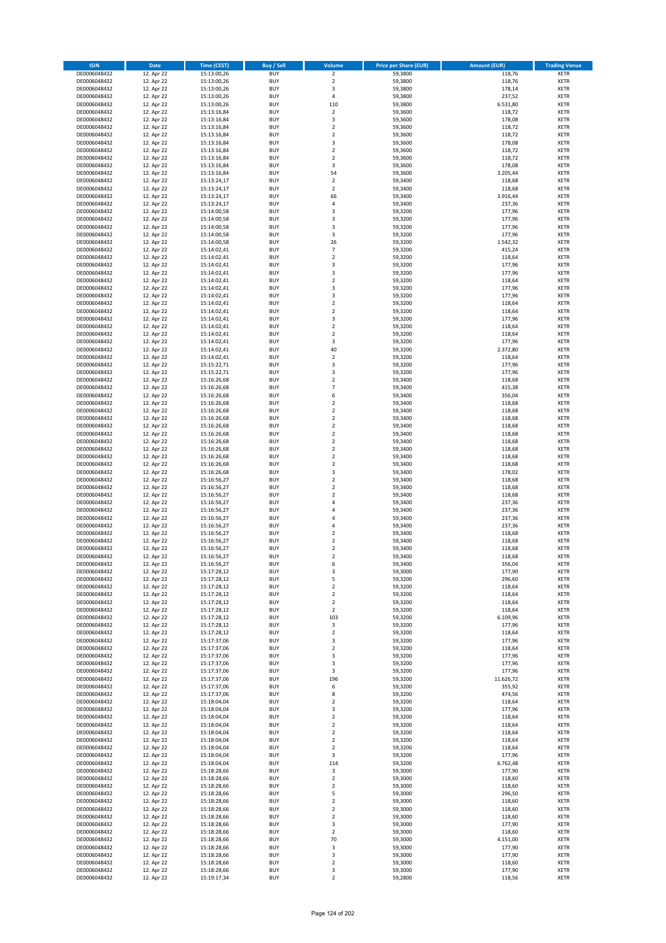| <b>ISIN</b>                  | <b>Date</b>              | Time (CEST)                | <b>Buy / Sell</b>        | Volume                                    | <b>Price per Share (EUR)</b> | <b>Amount (EUR)</b> | <b>Trading Venue</b>       |
|------------------------------|--------------------------|----------------------------|--------------------------|-------------------------------------------|------------------------------|---------------------|----------------------------|
| DE0006048432                 | 12. Apr 22               | 15:13:00,26                | <b>BUY</b>               | $\overline{2}$                            | 59,3800                      | 118,76              | <b>XETR</b>                |
| DE0006048432                 | 12. Apr 22               | 15:13:00,26                | <b>BUY</b>               | $\mathbf 2$                               | 59,3800                      | 118,76              | <b>XETR</b>                |
| DE0006048432                 | 12. Apr 22               | 15:13:00,26                | <b>BUY</b>               | 3                                         | 59,3800                      | 178,14              | <b>XETR</b>                |
| DE0006048432<br>DE0006048432 | 12. Apr 22<br>12. Apr 22 | 15:13:00,26<br>15:13:00,26 | <b>BUY</b><br><b>BUY</b> | 4<br>110                                  | 59,3800<br>59,3800           | 237,52<br>6.531,80  | <b>XETR</b><br><b>XETR</b> |
| DE0006048432                 | 12. Apr 22               | 15:13:16,84                | <b>BUY</b>               | $\mathbf 2$                               | 59,3600                      | 118,72              | <b>XETR</b>                |
| DE0006048432                 | 12. Apr 22               | 15:13:16,84                | <b>BUY</b>               | 3                                         | 59,3600                      | 178,08              | <b>XETR</b>                |
| DE0006048432                 | 12. Apr 22               | 15:13:16,84                | <b>BUY</b>               | $\overline{\mathbf{c}}$                   | 59,3600                      | 118,72              | <b>XETR</b>                |
| DE0006048432                 | 12. Apr 22               | 15:13:16,84                | <b>BUY</b>               | $\overline{2}$                            | 59,3600                      | 118,72              | <b>XETR</b>                |
| DE0006048432                 | 12. Apr 22               | 15:13:16,84                | <b>BUY</b><br><b>BUY</b> | 3                                         | 59,3600                      | 178,08              | <b>XETR</b><br><b>XETR</b> |
| DE0006048432<br>DE0006048432 | 12. Apr 22<br>12. Apr 22 | 15:13:16,84<br>15:13:16,84 | <b>BUY</b>               | $\mathbf 2$<br>$\overline{\mathbf{c}}$    | 59,3600<br>59,3600           | 118,72<br>118,72    | <b>XETR</b>                |
| DE0006048432                 | 12. Apr 22               | 15:13:16,84                | <b>BUY</b>               | 3                                         | 59,3600                      | 178,08              | <b>XETR</b>                |
| DE0006048432                 | 12. Apr 22               | 15:13:16,84                | <b>BUY</b>               | 54                                        | 59,3600                      | 3.205,44            | <b>XETR</b>                |
| DE0006048432                 | 12. Apr 22               | 15:13:24,17                | <b>BUY</b>               | $\mathbf 2$                               | 59,3400                      | 118,68              | <b>XETR</b>                |
| DE0006048432                 | 12. Apr 22               | 15:13:24,17                | <b>BUY</b>               | $\overline{2}$                            | 59,3400                      | 118,68              | <b>XETR</b>                |
| DE0006048432<br>DE0006048432 | 12. Apr 22<br>12. Apr 22 | 15:13:24,17<br>15:13:24,17 | <b>BUY</b><br><b>BUY</b> | 66<br>4                                   | 59,3400<br>59,3400           | 3.916,44<br>237,36  | <b>XETR</b><br><b>XETR</b> |
| DE0006048432                 | 12. Apr 22               | 15:14:00,58                | <b>BUY</b>               | 3                                         | 59,3200                      | 177,96              | <b>XETR</b>                |
| DE0006048432                 | 12. Apr 22               | 15:14:00,58                | <b>BUY</b>               | 3                                         | 59,3200                      | 177,96              | <b>XETR</b>                |
| DE0006048432                 | 12. Apr 22               | 15:14:00,58                | <b>BUY</b>               | 3                                         | 59,3200                      | 177,96              | <b>XETR</b>                |
| DE0006048432                 | 12. Apr 22               | 15:14:00,58                | <b>BUY</b>               | 3                                         | 59,3200                      | 177,96              | <b>XETR</b>                |
| DE0006048432                 | 12. Apr 22               | 15:14:00,58                | <b>BUY</b><br><b>BUY</b> | 26<br>$\overline{7}$                      | 59,3200                      | 1.542,32            | <b>XETR</b><br><b>XETR</b> |
| DE0006048432<br>DE0006048432 | 12. Apr 22<br>12. Apr 22 | 15:14:02,41<br>15:14:02,41 | <b>BUY</b>               | $\mathbf 2$                               | 59,3200<br>59,3200           | 415,24<br>118,64    | <b>XETR</b>                |
| DE0006048432                 | 12. Apr 22               | 15:14:02,41                | <b>BUY</b>               | 3                                         | 59,3200                      | 177,96              | <b>XETR</b>                |
| DE0006048432                 | 12. Apr 22               | 15:14:02,41                | <b>BUY</b>               | 3                                         | 59,3200                      | 177,96              | <b>XETR</b>                |
| DE0006048432                 | 12. Apr 22               | 15:14:02,41                | <b>BUY</b>               | $\overline{\mathbf{c}}$                   | 59,3200                      | 118,64              | <b>XETR</b>                |
| DE0006048432                 | 12. Apr 22               | 15:14:02,41                | <b>BUY</b>               | 3                                         | 59,3200                      | 177,96              | <b>XETR</b>                |
| DE0006048432<br>DE0006048432 | 12. Apr 22<br>12. Apr 22 | 15:14:02,41<br>15:14:02,41 | <b>BUY</b><br><b>BUY</b> | 3<br>$\overline{a}$                       | 59,3200<br>59,3200           | 177,96<br>118,64    | <b>XETR</b><br><b>XETR</b> |
| DE0006048432                 | 12. Apr 22               | 15:14:02,41                | <b>BUY</b>               | $\overline{2}$                            | 59,3200                      | 118,64              | <b>XETR</b>                |
| DE0006048432                 | 12. Apr 22               | 15:14:02,41                | <b>BUY</b>               | 3                                         | 59,3200                      | 177,96              | <b>XETR</b>                |
| DE0006048432                 | 12. Apr 22               | 15:14:02,41                | <b>BUY</b>               | $\mathbf 2$                               | 59,3200                      | 118,64              | <b>XETR</b>                |
| DE0006048432                 | 12. Apr 22               | 15:14:02.41                | <b>BUY</b>               | $\overline{2}$                            | 59,3200                      | 118,64              | <b>XETR</b>                |
| DE0006048432                 | 12. Apr 22               | 15:14:02,41                | <b>BUY</b>               | 3                                         | 59,3200                      | 177,96              | <b>XETR</b>                |
| DE0006048432<br>DE0006048432 | 12. Apr 22<br>12. Apr 22 | 15:14:02,41<br>15:14:02,41 | <b>BUY</b><br><b>BUY</b> | 40<br>$\mathbf 2$                         | 59,3200<br>59,3200           | 2.372,80<br>118,64  | <b>XETR</b><br><b>XETR</b> |
| DE0006048432                 | 12. Apr 22               | 15:15:22,71                | <b>BUY</b>               | 3                                         | 59,3200                      | 177,96              | <b>XETR</b>                |
| DE0006048432                 | 12. Apr 22               | 15:15:22,71                | <b>BUY</b>               | 3                                         | 59,3200                      | 177,96              | <b>XETR</b>                |
| DE0006048432                 | 12. Apr 22               | 15:16:26,68                | <b>BUY</b>               | $\overline{\mathbf{c}}$                   | 59,3400                      | 118,68              | <b>XETR</b>                |
| DE0006048432                 | 12. Apr 22               | 15:16:26,68                | <b>BUY</b>               | $\overline{7}$                            | 59,3400                      | 415,38              | <b>XETR</b>                |
| DE0006048432<br>DE0006048432 | 12. Apr 22<br>12. Apr 22 | 15:16:26,68                | <b>BUY</b><br><b>BUY</b> | 6<br>$\overline{\mathbf{c}}$              | 59,3400<br>59,3400           | 356,04<br>118,68    | <b>XETR</b><br><b>XETR</b> |
| DE0006048432                 | 12. Apr 22               | 15:16:26,68<br>15:16:26,68 | <b>BUY</b>               | $\mathbf 2$                               | 59,3400                      | 118,68              | <b>XETR</b>                |
| DE0006048432                 | 12. Apr 22               | 15:16:26,68                | <b>BUY</b>               | $\overline{2}$                            | 59,3400                      | 118,68              | <b>XETR</b>                |
| DE0006048432                 | 12. Apr 22               | 15:16:26,68                | <b>BUY</b>               | $\mathbf 2$                               | 59,3400                      | 118,68              | <b>XETR</b>                |
| DE0006048432                 | 12. Apr 22               | 15:16:26,68                | <b>BUY</b>               | $\mathbf 2$                               | 59,3400                      | 118,68              | <b>XETR</b>                |
| DE0006048432                 | 12. Apr 22               | 15:16:26,68                | <b>BUY</b>               | $\mathbf 2$                               | 59,3400                      | 118,68              | <b>XETR</b>                |
| DE0006048432<br>DE0006048432 | 12. Apr 22<br>12. Apr 22 | 15:16:26,68<br>15:16:26,68 | <b>BUY</b><br><b>BUY</b> | $\mathbf 2$<br>$\mathbf 2$                | 59,3400<br>59,3400           | 118,68<br>118,68    | <b>XETR</b><br><b>XETR</b> |
| DE0006048432                 | 12. Apr 22               | 15:16:26,68                | <b>BUY</b>               | $\mathbf 2$                               | 59,3400                      | 118,68              | <b>XETR</b>                |
| DE0006048432                 | 12. Apr 22               | 15:16:26,68                | <b>BUY</b>               | 3                                         | 59,3400                      | 178,02              | <b>XETR</b>                |
| DE0006048432                 | 12. Apr 22               | 15:16:56,27                | <b>BUY</b>               | $\mathbf 2$                               | 59,3400                      | 118,68              | <b>XETR</b>                |
| DE0006048432                 | 12. Apr 22               | 15:16:56,27                | <b>BUY</b>               | $\overline{\mathbf{c}}$                   | 59,3400                      | 118,68              | <b>XETR</b>                |
| DE0006048432                 | 12. Apr 22               | 15:16:56,27                | <b>BUY</b>               | $\mathbf 2$                               | 59,3400                      | 118,68              | <b>XETR</b>                |
| DE0006048432<br>DE0006048432 | 12. Apr 22<br>12. Apr 22 | 15:16:56,27<br>15:16:56,27 | <b>BUY</b><br><b>BUY</b> | 4<br>4                                    | 59,3400<br>59,3400           | 237,36<br>237,36    | <b>XETR</b><br><b>XETR</b> |
| DE0006048432                 | 12. Apr 22               | 15:16:56,27                | <b>BUY</b>               | 4                                         | 59,3400                      | 237,36              | <b>XETR</b>                |
| DE0006048432                 | 12. Apr 22               | 15:16:56,27                | <b>BUY</b>               | 4                                         | 59,3400                      | 237,36              | <b>XETR</b>                |
| DE0006048432                 | 12. Apr 22               | 15:16:56,27                | <b>BUY</b>               | $\mathbf 2$                               | 59,3400                      | 118,68              | <b>XETR</b>                |
| DE0006048432                 | 12. Apr 22               | 15:16:56,27                | <b>BUY</b>               | $\overline{\mathbf{c}}$                   | 59,3400                      | 118,68              | <b>XETR</b>                |
| DE0006048432<br>DE0006048432 | 12. Apr 22<br>12. Apr 22 | 15:16:56,27<br>15:16:56,27 | <b>BUY</b><br><b>BUY</b> | $\overline{\mathbf{c}}$<br>$\overline{2}$ | 59,3400<br>59,3400           | 118,68<br>118,68    | <b>XETR</b><br><b>XETR</b> |
| DE0006048432                 | 12. Apr 22               | 15:16:56,27                | BUY                      | 6                                         | 59,3400                      | 356,04              | <b>XETR</b>                |
| DE0006048432                 | 12. Apr 22               | 15:17:28,12                | <b>BUY</b>               | 3                                         | 59,3000                      | 177,90              | <b>XETR</b>                |
| DE0006048432                 | 12. Apr 22               | 15:17:28,12                | <b>BUY</b>               | 5                                         | 59,3200                      | 296,60              | <b>XETR</b>                |
| DE0006048432                 | 12. Apr 22               | 15:17:28,12                | <b>BUY</b>               | $\mathbf 2$                               | 59,3200                      | 118,64              | XETR                       |
| DE0006048432<br>DE0006048432 | 12. Apr 22<br>12. Apr 22 | 15:17:28,12<br>15:17:28,12 | <b>BUY</b><br><b>BUY</b> | $\mathbf 2$<br>$\mathbf 2$                | 59,3200<br>59,3200           | 118,64<br>118,64    | <b>XETR</b><br><b>XETR</b> |
| DE0006048432                 | 12. Apr 22               | 15:17:28,12                | <b>BUY</b>               | $\mathbf 2$                               | 59,3200                      | 118,64              | <b>XETR</b>                |
| DE0006048432                 | 12. Apr 22               | 15:17:28,12                | <b>BUY</b>               | 103                                       | 59,3200                      | 6.109,96            | <b>XETR</b>                |
| DE0006048432                 | 12. Apr 22               | 15:17:28,12                | <b>BUY</b>               | 3                                         | 59,3200                      | 177,96              | <b>XETR</b>                |
| DE0006048432                 | 12. Apr 22               | 15:17:28,12                | <b>BUY</b>               | $\mathbf 2$                               | 59,3200                      | 118,64              | XETR                       |
| DE0006048432<br>DE0006048432 | 12. Apr 22<br>12. Apr 22 | 15:17:37,06<br>15:17:37,06 | <b>BUY</b><br><b>BUY</b> | 3<br>$\mathbf 2$                          | 59,3200<br>59,3200           | 177,96<br>118,64    | <b>XETR</b><br><b>XETR</b> |
| DE0006048432                 | 12. Apr 22               | 15:17:37,06                | <b>BUY</b>               | 3                                         | 59,3200                      | 177,96              | <b>XETR</b>                |
| DE0006048432                 | 12. Apr 22               | 15:17:37,06                | <b>BUY</b>               | 3                                         | 59,3200                      | 177,96              | <b>XETR</b>                |
| DE0006048432                 | 12. Apr 22               | 15:17:37,06                | <b>BUY</b>               | 3                                         | 59,3200                      | 177,96              | <b>XETR</b>                |
| DE0006048432                 | 12. Apr 22               | 15:17:37,06                | <b>BUY</b>               | 196                                       | 59,3200                      | 11.626,72           | <b>XETR</b>                |
| DE0006048432<br>DE0006048432 | 12. Apr 22<br>12. Apr 22 | 15:17:37,06<br>15:17:37,06 | <b>BUY</b><br><b>BUY</b> | 6<br>8                                    | 59,3200<br>59,3200           | 355,92<br>474,56    | <b>XETR</b><br><b>XETR</b> |
| DE0006048432                 | 12. Apr 22               | 15:18:04,04                | <b>BUY</b>               | $\mathbf 2$                               | 59,3200                      | 118,64              | XETR                       |
| DE0006048432                 | 12. Apr 22               | 15:18:04,04                | <b>BUY</b>               | 3                                         | 59,3200                      | 177,96              | <b>XETR</b>                |
| DE0006048432                 | 12. Apr 22               | 15:18:04,04                | <b>BUY</b>               | $\overline{2}$                            | 59,3200                      | 118,64              | <b>XETR</b>                |
| DE0006048432                 | 12. Apr 22               | 15:18:04,04                | <b>BUY</b>               | $\mathbf 2$                               | 59,3200                      | 118,64              | <b>XETR</b>                |
| DE0006048432                 | 12. Apr 22               | 15:18:04,04                | <b>BUY</b><br><b>BUY</b> | $\overline{2}$<br>$\mathbf 2$             | 59,3200<br>59,3200           | 118,64              | <b>XETR</b><br><b>XETR</b> |
| DE0006048432<br>DE0006048432 | 12. Apr 22<br>12. Apr 22 | 15:18:04,04<br>15:18:04,04 | <b>BUY</b>               | $\mathbf 2$                               | 59,3200                      | 118,64<br>118,64    | <b>XETR</b>                |
| DE0006048432                 | 12. Apr 22               | 15:18:04,04                | <b>BUY</b>               | 3                                         | 59,3200                      | 177,96              | <b>XETR</b>                |
| DE0006048432                 | 12. Apr 22               | 15:18:04,04                | <b>BUY</b>               | 114                                       | 59,3200                      | 6.762,48            | <b>XETR</b>                |
| DE0006048432                 | 12. Apr 22               | 15:18:28,66                | <b>BUY</b>               | 3                                         | 59,3000                      | 177,90              | <b>XETR</b>                |
| DE0006048432                 | 12. Apr 22               | 15:18:28,66                | <b>BUY</b>               | $\mathbf 2$                               | 59,3000                      | 118,60              | <b>XETR</b>                |
| DE0006048432<br>DE0006048432 | 12. Apr 22<br>12. Apr 22 | 15:18:28,66<br>15:18:28,66 | <b>BUY</b><br><b>BUY</b> | $\overline{2}$<br>5                       | 59,3000<br>59,3000           | 118,60<br>296,50    | XETR<br><b>XETR</b>        |
| DE0006048432                 | 12. Apr 22               | 15:18:28,66                | <b>BUY</b>               | $\mathbf 2$                               | 59,3000                      | 118,60              | <b>XETR</b>                |
| DE0006048432                 | 12. Apr 22               | 15:18:28,66                | <b>BUY</b>               | $\mathbf 2$                               | 59,3000                      | 118,60              | <b>XETR</b>                |
| DE0006048432                 | 12. Apr 22               | 15:18:28,66                | <b>BUY</b>               | $\mathbf 2$                               | 59,3000                      | 118,60              | <b>XETR</b>                |
| DE0006048432                 | 12. Apr 22               | 15:18:28,66                | <b>BUY</b>               | 3                                         | 59,3000                      | 177,90              | <b>XETR</b>                |
| DE0006048432<br>DE0006048432 | 12. Apr 22               | 15:18:28,66                | <b>BUY</b><br><b>BUY</b> | $\mathbf 2$<br>70                         | 59,3000                      | 118,60              | <b>XETR</b><br><b>XETR</b> |
| DE0006048432                 | 12. Apr 22<br>12. Apr 22 | 15:18:28,66<br>15:18:28,66 | <b>BUY</b>               | 3                                         | 59,3000<br>59,3000           | 4.151,00<br>177,90  | XETR                       |
| DE0006048432                 | 12. Apr 22               | 15:18:28,66                | <b>BUY</b>               | 3                                         | 59,3000                      | 177,90              | <b>XETR</b>                |
| DE0006048432                 | 12. Apr 22               | 15:18:28,66                | <b>BUY</b>               | $\mathbf 2$                               | 59,3000                      | 118,60              | <b>XETR</b>                |
| DE0006048432                 | 12. Apr 22               | 15:18:28,66                | <b>BUY</b>               | 3                                         | 59,3000                      | 177,90              | <b>XETR</b>                |
| DE0006048432                 | 12. Apr 22               | 15:19:17,34                | <b>BUY</b>               | $\mathbf 2$                               | 59,2800                      | 118,56              | XETR                       |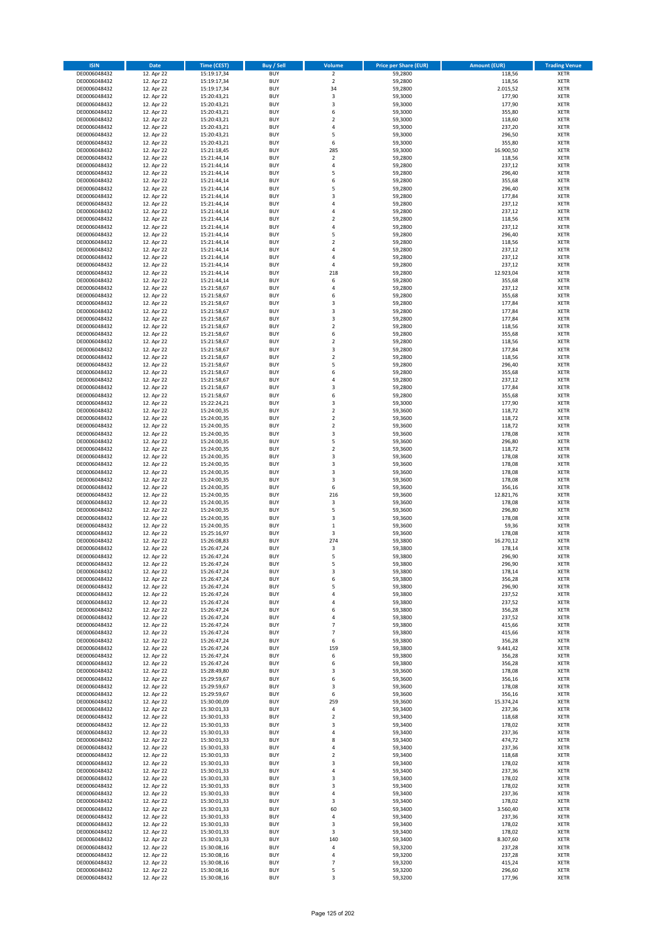| <b>ISIN</b>                  | Date                     | Time (CEST)                | <b>Buy / Sell</b>        | Volume              | <b>Price per Share (EUR)</b> | <b>Amount (EUR)</b> | <b>Trading Venue</b>       |
|------------------------------|--------------------------|----------------------------|--------------------------|---------------------|------------------------------|---------------------|----------------------------|
| DE0006048432                 | 12. Apr 22               | 15:19:17,34                | <b>BUY</b>               | $\overline{2}$      | 59,2800                      | 118,56              | <b>XETR</b>                |
| DE0006048432                 | 12. Apr 22               | 15:19:17,34                | <b>BUY</b>               | $\mathbf 2$         | 59,2800                      | 118,56              | XETR                       |
| DE0006048432                 | 12. Apr 22               | 15:19:17,34                | <b>BUY</b>               | 34                  | 59,2800                      | 2.015,52            | <b>XETR</b>                |
| DE0006048432                 | 12. Apr 22               | 15:20:43,21                | <b>BUY</b>               | $\mathsf 3$         | 59,3000                      | 177,90              | XETR                       |
| DE0006048432                 | 12. Apr 22               | 15:20:43,21                | <b>BUY</b>               | 3                   | 59,3000                      | 177,90              | <b>XETR</b>                |
| DE0006048432                 | 12. Apr 22               | 15:20:43,21                | <b>BUY</b>               | 6                   | 59,3000                      | 355,80              | <b>XETR</b>                |
| DE0006048432                 | 12. Apr 22               | 15:20:43,21                | <b>BUY</b>               | $\mathbf 2$         | 59,3000                      | 118,60              | <b>XETR</b>                |
| DE0006048432                 | 12. Apr 22               | 15:20:43,21                | <b>BUY</b>               | $\sqrt{4}$          | 59,3000                      | 237,20              | <b>XETR</b>                |
| DE0006048432                 | 12. Apr 22               | 15:20:43,21                | <b>BUY</b>               | 5                   | 59,3000                      | 296,50              | <b>XETR</b>                |
| DE0006048432                 | 12. Apr 22               | 15:20:43,21                | <b>BUY</b>               | 6                   | 59,3000                      | 355,80              | <b>XETR</b>                |
| DE0006048432                 | 12. Apr 22               | 15:21:18,45                | <b>BUY</b>               | 285                 | 59,3000                      | 16.900,50           | <b>XETR</b>                |
| DE0006048432                 | 12. Apr 22               | 15:21:44,14                | <b>BUY</b>               | $\mathbf 2$         | 59,2800                      | 118,56              | <b>XETR</b>                |
| DE0006048432<br>DE0006048432 | 12. Apr 22               | 15:21:44,14                | <b>BUY</b>               | $\sqrt{4}$          | 59,2800                      | 237,12              | <b>XETR</b>                |
|                              | 12. Apr 22<br>12. Apr 22 | 15:21:44,14                | <b>BUY</b><br><b>BUY</b> | 5<br>6              | 59,2800                      | 296,40<br>355,68    | <b>XETR</b><br><b>XETR</b> |
| DE0006048432<br>DE0006048432 | 12. Apr 22               | 15:21:44,14<br>15:21:44,14 | <b>BUY</b>               | 5                   | 59,2800<br>59,2800           | 296,40              | <b>XETR</b>                |
| DE0006048432                 | 12. Apr 22               | 15:21:44,14                | <b>BUY</b>               | 3                   | 59,2800                      | 177,84              | <b>XETR</b>                |
| DE0006048432                 | 12. Apr 22               | 15:21:44,14                | <b>BUY</b>               | $\sqrt{4}$          | 59,2800                      | 237,12              | <b>XETR</b>                |
| DE0006048432                 | 12. Apr 22               | 15:21:44,14                | <b>BUY</b>               | 4                   | 59,2800                      | 237,12              | <b>XETR</b>                |
| DE0006048432                 | 12. Apr 22               | 15:21:44,14                | <b>BUY</b>               | $\mathbf 2$         | 59,2800                      | 118,56              | <b>XETR</b>                |
| DE0006048432                 | 12. Apr 22               | 15:21:44,14                | <b>BUY</b>               | 4                   | 59,2800                      | 237,12              | <b>XETR</b>                |
| DE0006048432                 | 12. Apr 22               | 15:21:44,14                | <b>BUY</b>               | 5                   | 59,2800                      | 296,40              | <b>XETR</b>                |
| DE0006048432                 | 12. Apr 22               | 15:21:44,14                | <b>BUY</b>               | $\overline{2}$      | 59,2800                      | 118,56              | <b>XETR</b>                |
| DE0006048432                 | 12. Apr 22               | 15:21:44,14                | <b>BUY</b>               | $\sqrt{4}$          | 59,2800                      | 237,12              | <b>XETR</b>                |
| DE0006048432                 | 12. Apr 22               | 15:21:44,14                | <b>BUY</b>               | $\sqrt{4}$          | 59,2800                      | 237,12              | <b>XETR</b>                |
| DE0006048432                 | 12. Apr 22               | 15:21:44,14                | <b>BUY</b>               | 4                   | 59,2800                      | 237,12              | <b>XETR</b>                |
| DE0006048432                 | 12. Apr 22               | 15:21:44,14                | <b>BUY</b>               | 218                 | 59,2800                      | 12.923,04           | <b>XETR</b>                |
| DE0006048432                 | 12. Apr 22               | 15:21:44,14                | <b>BUY</b>               | 6                   | 59,2800                      | 355,68              | <b>XETR</b>                |
| DE0006048432                 | 12. Apr 22               | 15:21:58,67                | <b>BUY</b>               | 4                   | 59,2800                      | 237,12              | <b>XETR</b>                |
| DE0006048432                 | 12. Apr 22               | 15:21:58,67                | <b>BUY</b>               | 6                   | 59,2800                      | 355,68              | <b>XETR</b>                |
| DE0006048432                 | 12. Apr 22               | 15:21:58,67                | <b>BUY</b>               | 3                   | 59,2800                      | 177,84              | <b>XETR</b>                |
| DE0006048432                 | 12. Apr 22               | 15:21:58,67                | <b>BUY</b>               | 3                   | 59,2800                      | 177,84              | <b>XETR</b>                |
| DE0006048432                 | 12. Apr 22               | 15:21:58,67                | <b>BUY</b>               | 3<br>$\overline{2}$ | 59,2800                      | 177,84              | <b>XETR</b>                |
| DE0006048432<br>DE0006048432 | 12. Apr 22               | 15:21:58,67                | <b>BUY</b>               |                     | 59,2800                      | 118,56              | <b>XETR</b>                |
|                              | 12. Apr 22<br>12. Apr 22 | 15:21:58,67                | <b>BUY</b><br><b>BUY</b> | 6<br>$\overline{2}$ | 59,2800                      | 355,68<br>118,56    | <b>XETR</b><br><b>XETR</b> |
| DE0006048432<br>DE0006048432 | 12. Apr 22               | 15:21:58,67<br>15:21:58,67 | <b>BUY</b>               | 3                   | 59,2800<br>59,2800           | 177,84              | <b>XETR</b>                |
| DE0006048432                 | 12. Apr 22               | 15:21:58,67                | <b>BUY</b>               | $\mathbf 2$         | 59,2800                      | 118,56              | <b>XETR</b>                |
| DE0006048432                 | 12. Apr 22               | 15:21:58,67                | <b>BUY</b>               | 5                   | 59,2800                      | 296,40              | <b>XETR</b>                |
| DE0006048432                 | 12. Apr 22               | 15:21:58,67                | <b>BUY</b>               | 6                   | 59,2800                      | 355,68              | <b>XETR</b>                |
| DE0006048432                 | 12. Apr 22               | 15:21:58,67                | <b>BUY</b>               | $\overline{4}$      | 59,2800                      | 237,12              | <b>XETR</b>                |
| DE0006048432                 | 12. Apr 22               | 15:21:58,67                | <b>BUY</b>               | 3                   | 59,2800                      | 177,84              | <b>XETR</b>                |
| DE0006048432                 | 12. Apr 22               | 15:21:58,67                | <b>BUY</b>               | 6                   | 59,2800                      | 355,68              | <b>XETR</b>                |
| DE0006048432                 | 12. Apr 22               | 15:22:24,21                | <b>BUY</b>               | 3                   | 59,3000                      | 177,90              | <b>XETR</b>                |
| DE0006048432                 | 12. Apr 22               | 15:24:00,35                | <b>BUY</b>               | $\mathbf 2$         | 59,3600                      | 118,72              | <b>XETR</b>                |
| DE0006048432                 | 12. Apr 22               | 15:24:00,35                | <b>BUY</b>               | $\overline{2}$      | 59,3600                      | 118,72              | <b>XETR</b>                |
| DE0006048432                 | 12. Apr 22               | 15:24:00,35                | <b>BUY</b>               | $\mathbf 2$         | 59,3600                      | 118,72              | <b>XETR</b>                |
| DE0006048432                 | 12. Apr 22               | 15:24:00,35                | <b>BUY</b>               | 3                   | 59,3600                      | 178,08              | <b>XETR</b>                |
| DE0006048432                 | 12. Apr 22               | 15:24:00,35                | <b>BUY</b>               | 5                   | 59,3600                      | 296,80              | <b>XETR</b>                |
| DE0006048432                 | 12. Apr 22               | 15:24:00,35                | <b>BUY</b>               | $\mathbf 2$         | 59,3600                      | 118,72              | <b>XETR</b>                |
| DE0006048432                 | 12. Apr 22               | 15:24:00,35                | <b>BUY</b>               | 3                   | 59,3600                      | 178,08              | <b>XETR</b>                |
| DE0006048432                 | 12. Apr 22               | 15:24:00,35                | <b>BUY</b>               | 3                   | 59,3600                      | 178,08              | <b>XETR</b>                |
| DE0006048432                 | 12. Apr 22               | 15:24:00,35                | <b>BUY</b>               | 3                   | 59,3600                      | 178,08              | <b>XETR</b>                |
| DE0006048432<br>DE0006048432 | 12. Apr 22               | 15:24:00,35                | <b>BUY</b><br><b>BUY</b> | $\mathsf 3$<br>6    | 59,3600                      | 178,08              | <b>XETR</b><br><b>XETR</b> |
|                              | 12. Apr 22               | 15:24:00,35                | <b>BUY</b>               | 216                 | 59,3600                      | 356,16              |                            |
| DE0006048432<br>DE0006048432 | 12. Apr 22<br>12. Apr 22 | 15:24:00,35<br>15:24:00,35 | <b>BUY</b>               | 3                   | 59,3600<br>59,3600           | 12.821,76<br>178,08 | <b>XETR</b><br><b>XETR</b> |
| DE0006048432                 | 12. Apr 22               | 15:24:00,35                | <b>BUY</b>               | 5                   | 59,3600                      | 296,80              | <b>XETR</b>                |
| DE0006048432                 | 12. Apr 22               | 15:24:00,35                | <b>BUY</b>               | 3                   | 59,3600                      | 178,08              | <b>XETR</b>                |
| DE0006048432                 | 12. Apr 22               | 15:24:00,35                | <b>BUY</b>               | $\mathbf 1$         | 59,3600                      | 59,36               | <b>XETR</b>                |
| DE0006048432                 | 12. Apr 22               | 15:25:16,97                | <b>BUY</b>               | 3                   | 59,3600                      | 178,08              | <b>XETR</b>                |
| DE0006048432                 | 12. Apr 22               | 15:26:08,83                | <b>BUY</b>               | 274                 | 59,3800                      | 16.270,12           | <b>XETR</b>                |
| DE0006048432                 | 12. Apr 22               | 15:26:47,24                | <b>BUY</b>               | 3                   | 59,3800                      | 178,14              | <b>XETR</b>                |
| DE0006048432                 | 12. Apr 22               | 15:26:47,24                | <b>BUY</b>               | 5                   | 59,3800                      | 296,90              | <b>XETR</b>                |
| DE0006048432                 | 12. Apr 22               | 15:26:47,24                | BUY                      | 5                   | 59,3800                      | 296,90              | XETR                       |
| DE0006048432                 | 12. Apr 22               | 15:26:47,24                | <b>BUY</b>               | 3                   | 59,3800                      | 178,14              | <b>XETR</b>                |
| DE0006048432                 | 12. Apr 22               | 15:26:47,24                | <b>BUY</b>               | 6                   | 59,3800                      | 356,28              | <b>XETR</b>                |
| DE0006048432                 | 12. Apr 22               | 15:26:47,24                | <b>BUY</b>               | 5                   | 59,3800                      | 296,90              | <b>XETR</b>                |
| DE0006048432                 | 12. Apr 22               | 15:26:47,24                | <b>BUY</b>               | 4                   | 59,3800                      | 237,52              | <b>XETR</b>                |
| DE0006048432                 | 12. Apr 22               | 15:26:47,24                | <b>BUY</b>               | 4                   | 59,3800                      | 237,52              | <b>XETR</b>                |
| DE0006048432                 | 12. Apr 22               | 15:26:47,24                | <b>BUY</b>               | 6                   | 59,3800                      | 356,28              | <b>XETR</b>                |
| DE0006048432                 | 12. Apr 22               | 15:26:47,24                | <b>BUY</b>               | 4                   | 59,3800                      | 237,52              | <b>XETR</b>                |
| DE0006048432                 | 12. Apr 22               | 15:26:47,24                | <b>BUY</b>               | $\overline{7}$      | 59,3800                      | 415,66              | XETR                       |
| DE0006048432                 | 12. Apr 22               | 15:26:47,24                | <b>BUY</b>               | $\overline{7}$      | 59,3800                      | 415,66              | <b>XETR</b>                |
| DE0006048432<br>DE0006048432 | 12. Apr 22               | 15:26:47,24                | <b>BUY</b><br><b>BUY</b> | 6<br>159            | 59,3800<br>59,3800           | 356,28              | XETR<br><b>XETR</b>        |
| DE0006048432                 | 12. Apr 22<br>12. Apr 22 | 15:26:47,24<br>15:26:47,24 | <b>BUY</b>               | 6                   | 59,3800                      | 9.441,42<br>356,28  | XETR                       |
| DE0006048432                 | 12. Apr 22               | 15:26:47,24                | <b>BUY</b>               | 6                   | 59,3800                      | 356,28              | <b>XETR</b>                |
| DE0006048432                 | 12. Apr 22               | 15:28:49,80                | <b>BUY</b>               | 3                   | 59,3600                      | 178,08              | XETR                       |
| DE0006048432                 | 12. Apr 22               | 15:29:59,67                | <b>BUY</b>               | 6                   | 59,3600                      | 356,16              | <b>XETR</b>                |
| DE0006048432                 | 12. Apr 22               | 15:29:59,67                | <b>BUY</b>               | 3                   | 59,3600                      | 178,08              | <b>XETR</b>                |
| DE0006048432                 | 12. Apr 22               | 15:29:59,67                | <b>BUY</b>               | 6                   | 59,3600                      | 356,16              | <b>XETR</b>                |
| DE0006048432                 | 12. Apr 22               | 15:30:00,09                | <b>BUY</b>               | 259                 | 59,3600                      | 15.374,24           | XETR                       |
| DE0006048432                 | 12. Apr 22               | 15:30:01,33                | <b>BUY</b>               | $\sqrt{4}$          | 59,3400                      | 237,36              | <b>XETR</b>                |
| DE0006048432                 | 12. Apr 22               | 15:30:01,33                | <b>BUY</b>               | $\overline{2}$      | 59,3400                      | 118,68              | <b>XETR</b>                |
| DE0006048432                 | 12. Apr 22               | 15:30:01,33                | <b>BUY</b>               | 3                   | 59,3400                      | 178,02              | XETR                       |
| DE0006048432                 | 12. Apr 22               | 15:30:01,33                | <b>BUY</b>               | 4                   | 59,3400                      | 237,36              | XETR                       |
| DE0006048432                 | 12. Apr 22               | 15:30:01,33                | <b>BUY</b>               | 8                   | 59,3400                      | 474,72              | XETR                       |
| DE0006048432                 | 12. Apr 22               | 15:30:01,33                | <b>BUY</b>               | 4                   | 59,3400                      | 237,36              | XETR                       |
| DE0006048432                 | 12. Apr 22               | 15:30:01,33                | <b>BUY</b>               | $\mathbf 2$         | 59,3400                      | 118,68              | <b>XETR</b>                |
| DE0006048432                 | 12. Apr 22               | 15:30:01,33                | <b>BUY</b>               | 3                   | 59,3400                      | 178,02              | XETR                       |
| DE0006048432                 | 12. Apr 22               | 15:30:01,33                | <b>BUY</b>               | $\sqrt{4}$          | 59,3400                      | 237,36              | <b>XETR</b>                |
| DE0006048432                 | 12. Apr 22               | 15:30:01,33                | <b>BUY</b>               | 3                   | 59,3400                      | 178,02              | <b>XETR</b>                |
| DE0006048432                 | 12. Apr 22               | 15:30:01,33                | <b>BUY</b><br><b>BUY</b> | 3<br>$\sqrt{4}$     | 59,3400<br>59,3400           | 178,02              | <b>XETR</b>                |
| DE0006048432<br>DE0006048432 | 12. Apr 22               | 15:30:01,33<br>15:30:01,33 | <b>BUY</b>               | 3                   | 59,3400                      | 237,36              | XETR<br>XETR               |
| DE0006048432                 | 12. Apr 22<br>12. Apr 22 | 15:30:01,33                | <b>BUY</b>               | 60                  | 59,3400                      | 178,02<br>3.560,40  | XETR                       |
| DE0006048432                 | 12. Apr 22               | 15:30:01,33                | <b>BUY</b>               | $\sqrt{4}$          | 59,3400                      | 237,36              | <b>XETR</b>                |
| DE0006048432                 | 12. Apr 22               | 15:30:01,33                | <b>BUY</b>               | 3                   | 59,3400                      | 178,02              | <b>XETR</b>                |
| DE0006048432                 | 12. Apr 22               | 15:30:01,33                | <b>BUY</b>               | 3                   | 59,3400                      | 178,02              | XETR                       |
| DE0006048432                 | 12. Apr 22               | 15:30:01,33                | <b>BUY</b>               | 140                 | 59,3400                      | 8.307,60            | XETR                       |
| DE0006048432                 | 12. Apr 22               | 15:30:08,16                | <b>BUY</b>               | $\sqrt{4}$          | 59,3200                      | 237,28              | XETR                       |
| DE0006048432                 | 12. Apr 22               | 15:30:08,16                | <b>BUY</b>               | $\pmb{4}$           | 59,3200                      | 237,28              | <b>XETR</b>                |
| DE0006048432                 | 12. Apr 22               | 15:30:08,16                | <b>BUY</b>               | $\overline{7}$      | 59,3200                      | 415,24              | XETR                       |
| DE0006048432                 | 12. Apr 22               | 15:30:08,16                | <b>BUY</b>               | 5                   | 59,3200                      | 296,60              | <b>XETR</b>                |
| DE0006048432                 | 12. Apr 22               | 15:30:08,16                | <b>BUY</b>               | 3                   | 59,3200                      | 177,96              | XETR                       |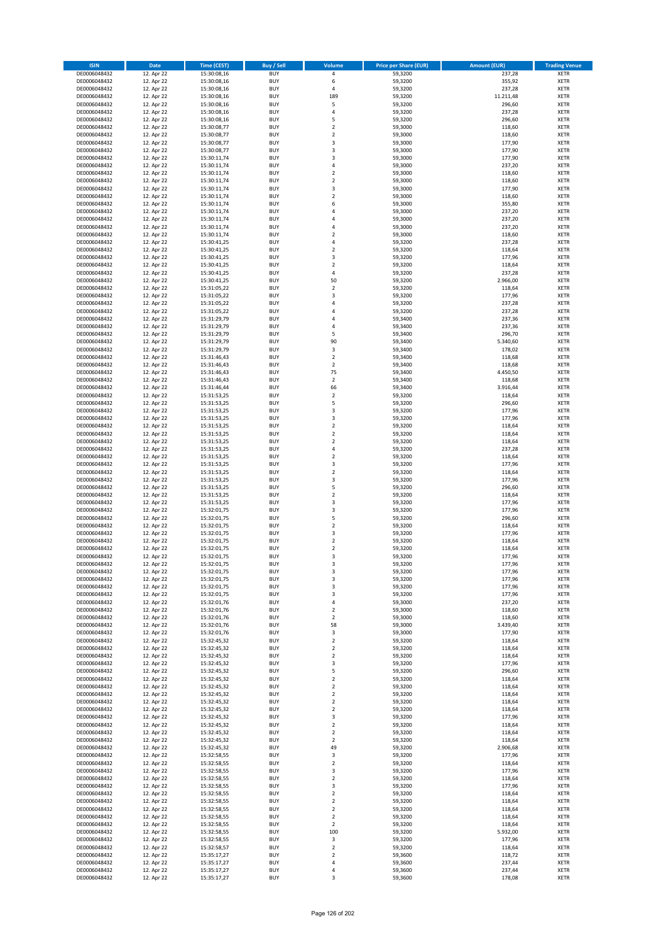| <b>ISIN</b>                  | <b>Date</b>              | <b>Time (CEST)</b>         | <b>Buy / Sell</b>        | <b>Volume</b>                 | <b>Price per Share (EUR)</b> | <b>Amount (EUR)</b> | <b>Trading Venue</b>       |
|------------------------------|--------------------------|----------------------------|--------------------------|-------------------------------|------------------------------|---------------------|----------------------------|
| DE0006048432                 | 12. Apr 22               | 15:30:08,16                | <b>BUY</b>               | 4                             | 59,3200                      | 237,28              | <b>XETR</b>                |
| DE0006048432                 | 12. Apr 22               | 15:30:08,16                | <b>BUY</b>               | 6                             | 59,3200                      | 355,92              | <b>XETR</b>                |
| DE0006048432                 | 12. Apr 22               | 15:30:08,16                | <b>BUY</b>               | 4                             | 59,3200                      | 237,28              | <b>XETR</b>                |
| DE0006048432<br>DE0006048432 | 12. Apr 22<br>12. Apr 22 | 15:30:08,16<br>15:30:08,16 | <b>BUY</b><br><b>BUY</b> | 189<br>5                      | 59,3200<br>59,3200           | 11.211,48<br>296,60 | <b>XETR</b><br><b>XETR</b> |
| DE0006048432                 | 12. Apr 22               | 15:30:08,16                | <b>BUY</b>               | 4                             | 59,3200                      | 237,28              | <b>XETR</b>                |
| DE0006048432                 | 12. Apr 22               | 15:30:08,16                | <b>BUY</b>               | 5                             | 59,3200                      | 296,60              | <b>XETR</b>                |
| DE0006048432                 | 12. Apr 22               | 15:30:08,77                | <b>BUY</b>               | $\overline{\mathbf{c}}$       | 59,3000                      | 118,60              | <b>XETR</b>                |
| DE0006048432                 | 12. Apr 22               | 15:30:08,77                | <b>BUY</b>               | $\overline{2}$                | 59,3000                      | 118,60              | <b>XETR</b>                |
| DE0006048432                 | 12. Apr 22               | 15:30:08,77                | <b>BUY</b><br><b>BUY</b> | 3                             | 59,3000                      | 177,90              | <b>XETR</b>                |
| DE0006048432<br>DE0006048432 | 12. Apr 22<br>12. Apr 22 | 15:30:08,77<br>15:30:11,74 | <b>BUY</b>               | 3<br>3                        | 59,3000<br>59,3000           | 177,90<br>177,90    | <b>XETR</b><br><b>XETR</b> |
| DE0006048432                 | 12. Apr 22               | 15:30:11,74                | <b>BUY</b>               | 4                             | 59,3000                      | 237,20              | <b>XETR</b>                |
| DE0006048432                 | 12. Apr 22               | 15:30:11,74                | <b>BUY</b>               | $\overline{\mathbf{c}}$       | 59,3000                      | 118,60              | <b>XETR</b>                |
| DE0006048432                 | 12. Apr 22               | 15:30:11,74                | <b>BUY</b>               | $\overline{\mathbf{c}}$       | 59,3000                      | 118,60              | <b>XETR</b>                |
| DE0006048432                 | 12. Apr 22               | 15:30:11,74                | <b>BUY</b>               | 3                             | 59,3000                      | 177,90              | <b>XETR</b>                |
| DE0006048432<br>DE0006048432 | 12. Apr 22<br>12. Apr 22 | 15:30:11,74<br>15:30:11,74 | <b>BUY</b><br><b>BUY</b> | $\mathbf 2$<br>6              | 59,3000<br>59,3000           | 118,60<br>355,80    | <b>XETR</b><br><b>XETR</b> |
| DE0006048432                 | 12. Apr 22               | 15:30:11,74                | <b>BUY</b>               | 4                             | 59,3000                      | 237,20              | <b>XETR</b>                |
| DE0006048432                 | 12. Apr 22               | 15:30:11,74                | <b>BUY</b>               | 4                             | 59,3000                      | 237,20              | <b>XETR</b>                |
| DE0006048432                 | 12. Apr 22               | 15:30:11,74                | <b>BUY</b>               | 4                             | 59,3000                      | 237,20              | <b>XETR</b>                |
| DE0006048432                 | 12. Apr 22               | 15:30:11,74                | <b>BUY</b>               | $\mathbf 2$                   | 59,3000                      | 118,60              | <b>XETR</b>                |
| DE0006048432                 | 12. Apr 22               | 15:30:41,25                | <b>BUY</b>               | 4                             | 59,3200                      | 237,28              | <b>XETR</b>                |
| DE0006048432<br>DE0006048432 | 12. Apr 22<br>12. Apr 22 | 15:30:41,25<br>15:30:41,25 | <b>BUY</b><br><b>BUY</b> | $\mathbf 2$<br>3              | 59,3200<br>59,3200           | 118,64<br>177,96    | <b>XETR</b><br><b>XETR</b> |
| DE0006048432                 | 12. Apr 22               | 15:30:41,25                | <b>BUY</b>               | $\mathbf 2$                   | 59,3200                      | 118,64              | <b>XETR</b>                |
| DE0006048432                 | 12. Apr 22               | 15:30:41,25                | <b>BUY</b>               | 4                             | 59,3200                      | 237,28              | <b>XETR</b>                |
| DE0006048432                 | 12. Apr 22               | 15:30:41,25                | <b>BUY</b>               | 50                            | 59,3200                      | 2.966.00            | <b>XETR</b>                |
| DE0006048432                 | 12. Apr 22               | 15:31:05,22                | <b>BUY</b>               | $\mathbf 2$                   | 59,3200                      | 118,64              | <b>XETR</b>                |
| DE0006048432<br>DE0006048432 | 12. Apr 22<br>12. Apr 22 | 15:31:05,22<br>15:31:05,22 | <b>BUY</b><br><b>BUY</b> | 3<br>4                        | 59,3200<br>59,3200           | 177,96<br>237,28    | <b>XETR</b><br><b>XETR</b> |
| DE0006048432                 | 12. Apr 22               | 15:31:05,22                | <b>BUY</b>               | 4                             | 59,3200                      | 237,28              | <b>XETR</b>                |
| DE0006048432                 | 12. Apr 22               | 15:31:29,79                | <b>BUY</b>               | 4                             | 59,3400                      | 237,36              | <b>XETR</b>                |
| DE0006048432                 | 12. Apr 22               | 15:31:29,79                | <b>BUY</b>               | 4                             | 59,3400                      | 237,36              | <b>XETR</b>                |
| DE0006048432                 | 12. Apr 22               | 15:31:29,79                | <b>BUY</b>               | 5                             | 59,3400                      | 296,70              | <b>XETR</b>                |
| DE0006048432                 | 12. Apr 22               | 15:31:29,79                | <b>BUY</b>               | 90                            | 59,3400                      | 5.340,60            | <b>XETR</b>                |
| DE0006048432<br>DE0006048432 | 12. Apr 22<br>12. Apr 22 | 15:31:29,79<br>15:31:46,43 | <b>BUY</b><br><b>BUY</b> | 3<br>$\mathbf 2$              | 59,3400<br>59,3400           | 178,02<br>118,68    | <b>XETR</b><br><b>XETR</b> |
| DE0006048432                 | 12. Apr 22               | 15:31:46,43                | <b>BUY</b>               | $\overline{2}$                | 59,3400                      | 118,68              | <b>XETR</b>                |
| DE0006048432                 | 12. Apr 22               | 15:31:46,43                | <b>BUY</b>               | 75                            | 59,3400                      | 4.450,50            | <b>XETR</b>                |
| DE0006048432                 | 12. Apr 22               | 15:31:46,43                | <b>BUY</b>               | $\mathbf 2$                   | 59,3400                      | 118,68              | <b>XETR</b>                |
| DE0006048432                 | 12. Apr 22               | 15:31:46,44                | <b>BUY</b>               | 66                            | 59,3400                      | 3.916,44            | <b>XETR</b>                |
| DE0006048432                 | 12. Apr 22               | 15:31:53,25                | <b>BUY</b>               | $\mathbf 2$                   | 59,3200                      | 118,64              | <b>XETR</b>                |
| DE0006048432<br>DE0006048432 | 12. Apr 22<br>12. Apr 22 | 15:31:53,25<br>15:31:53,25 | <b>BUY</b><br><b>BUY</b> | 5<br>3                        | 59,3200<br>59,3200           | 296,60<br>177,96    | <b>XETR</b><br><b>XETR</b> |
| DE0006048432                 | 12. Apr 22               | 15:31:53,25                | <b>BUY</b>               | 3                             | 59,3200                      | 177,96              | <b>XETR</b>                |
| DE0006048432                 | 12. Apr 22               | 15:31:53,25                | <b>BUY</b>               | $\mathbf 2$                   | 59,3200                      | 118,64              | <b>XETR</b>                |
| DE0006048432                 | 12. Apr 22               | 15:31:53,25                | <b>BUY</b>               | $\mathbf 2$                   | 59,3200                      | 118,64              | <b>XETR</b>                |
| DE0006048432                 | 12. Apr 22               | 15:31:53,25                | <b>BUY</b>               | $\mathbf 2$                   | 59,3200                      | 118,64              | <b>XETR</b>                |
| DE0006048432<br>DE0006048432 | 12. Apr 22<br>12. Apr 22 | 15:31:53,25<br>15:31:53,25 | <b>BUY</b><br><b>BUY</b> | 4<br>$\overline{\mathbf{c}}$  | 59,3200<br>59,3200           | 237,28<br>118,64    | <b>XETR</b><br><b>XETR</b> |
| DE0006048432                 | 12. Apr 22               | 15:31:53,25                | <b>BUY</b>               | 3                             | 59,3200                      | 177,96              | <b>XETR</b>                |
| DE0006048432                 | 12. Apr 22               | 15:31:53,25                | <b>BUY</b>               | $\overline{2}$                | 59,3200                      | 118,64              | <b>XETR</b>                |
| DE0006048432                 | 12. Apr 22               | 15:31:53,25                | <b>BUY</b>               | 3                             | 59,3200                      | 177,96              | <b>XETR</b>                |
| DE0006048432                 | 12. Apr 22               | 15:31:53,25                | <b>BUY</b>               | 5                             | 59,3200                      | 296,60              | <b>XETR</b>                |
| DE0006048432                 | 12. Apr 22               | 15:31:53,25                | <b>BUY</b>               | $\mathbf 2$                   | 59,3200                      | 118,64              | <b>XETR</b>                |
| DE0006048432<br>DE0006048432 | 12. Apr 22<br>12. Apr 22 | 15:31:53,25<br>15:32:01,75 | <b>BUY</b><br><b>BUY</b> | 3<br>3                        | 59,3200<br>59,3200           | 177,96<br>177,96    | <b>XETR</b><br><b>XETR</b> |
| DE0006048432                 | 12. Apr 22               | 15:32:01,75                | <b>BUY</b>               | 5                             | 59,3200                      | 296,60              | <b>XETR</b>                |
| DE0006048432                 | 12. Apr 22               | 15:32:01,75                | <b>BUY</b>               | $\overline{2}$                | 59,3200                      | 118,64              | <b>XETR</b>                |
| DE0006048432                 | 12. Apr 22               | 15:32:01,75                | <b>BUY</b>               | 3                             | 59,3200                      | 177,96              | <b>XETR</b>                |
| DE0006048432                 | 12. Apr 22               | 15:32:01,75                | <b>BUY</b>               | $\overline{\mathbf{c}}$       | 59,3200                      | 118,64              | <b>XETR</b>                |
| DE0006048432<br>DE0006048432 | 12. Apr 22<br>12. Apr 22 | 15:32:01,75<br>15:32:01,75 | <b>BUY</b><br><b>BUY</b> | $\overline{\mathbf{c}}$<br>3  | 59,3200<br>59,3200           | 118,64<br>177,96    | <b>XETR</b><br><b>XETR</b> |
| DE0006048432                 | 12. Apr 22               | 15:32:01,75                | BUY                      | 3                             | 59,3200                      | 177,96              | <b>XETR</b>                |
| DE0006048432                 | 12. Apr 22               | 15:32:01,75                | <b>BUY</b>               | 3                             | 59,3200                      | 177,96              | XETR                       |
| DE0006048432                 | 12. Apr 22               | 15:32:01,75                | <b>BUY</b>               | 3                             | 59,3200                      | 177,96              | XETR                       |
| DE0006048432                 | 12. Apr 22               | 15:32:01,75                | <b>BUY</b>               | 3                             | 59,3200                      | 177,96              | XETR                       |
| DE0006048432<br>DE0006048432 | 12. Apr 22<br>12. Apr 22 | 15:32:01,75<br>15:32:01,76 | <b>BUY</b><br><b>BUY</b> | 3<br>4                        | 59,3200<br>59,3000           | 177,96<br>237,20    | <b>XETR</b><br><b>XETR</b> |
| DE0006048432                 | 12. Apr 22               | 15:32:01,76                | <b>BUY</b>               | $\overline{2}$                | 59,3000                      | 118,60              | <b>XETR</b>                |
| DE0006048432                 | 12. Apr 22               | 15:32:01,76                | <b>BUY</b>               | $\mathbf 2$                   | 59,3000                      | 118,60              | <b>XETR</b>                |
| DE0006048432                 | 12. Apr 22               | 15:32:01,76                | <b>BUY</b>               | 58                            | 59,3000                      | 3.439,40            | <b>XETR</b>                |
| DE0006048432                 | 12. Apr 22               | 15:32:01,76                | <b>BUY</b>               | 3                             | 59,3000                      | 177,90              | XETR                       |
| DE0006048432<br>DE0006048432 | 12. Apr 22<br>12. Apr 22 | 15:32:45,32<br>15:32:45,32 | <b>BUY</b><br><b>BUY</b> | $\mathbf 2$<br>$\overline{2}$ | 59,3200<br>59,3200           | 118,64<br>118,64    | XETR<br><b>XETR</b>        |
| DE0006048432                 | 12. Apr 22               | 15:32:45,32                | <b>BUY</b>               | $\mathbf 2$                   | 59,3200                      | 118,64              | <b>XETR</b>                |
| DE0006048432                 | 12. Apr 22               | 15:32:45,32                | <b>BUY</b>               | 3                             | 59,3200                      | 177,96              | <b>XETR</b>                |
| DE0006048432                 | 12. Apr 22               | 15:32:45,32                | <b>BUY</b>               | 5                             | 59,3200                      | 296,60              | <b>XETR</b>                |
| DE0006048432                 | 12. Apr 22               | 15:32:45,32                | <b>BUY</b>               | $\mathbf 2$                   | 59,3200                      | 118,64              | <b>XETR</b>                |
| DE0006048432                 | 12. Apr 22               | 15:32:45,32                | <b>BUY</b><br><b>BUY</b> | $\mathbf 2$                   | 59,3200                      | 118,64              | <b>XETR</b>                |
| DE0006048432<br>DE0006048432 | 12. Apr 22<br>12. Apr 22 | 15:32:45,32<br>15:32:45,32 | <b>BUY</b>               | $\mathbf 2$<br>$\mathbf 2$    | 59,3200<br>59,3200           | 118,64<br>118,64    | <b>XETR</b><br>XETR        |
| DE0006048432                 | 12. Apr 22               | 15:32:45,32                | <b>BUY</b>               | $\overline{2}$                | 59,3200                      | 118,64              | <b>XETR</b>                |
| DE0006048432                 | 12. Apr 22               | 15:32:45,32                | <b>BUY</b>               | 3                             | 59,3200                      | 177,96              | <b>XETR</b>                |
| DE0006048432                 | 12. Apr 22               | 15:32:45,32                | <b>BUY</b>               | $\mathbf 2$                   | 59,3200                      | 118,64              | <b>XETR</b>                |
| DE0006048432                 | 12. Apr 22               | 15:32:45,32                | <b>BUY</b><br><b>BUY</b> | $\overline{2}$                | 59,3200<br>59,3200           | 118,64              | <b>XETR</b><br><b>XETR</b> |
| DE0006048432<br>DE0006048432 | 12. Apr 22<br>12. Apr 22 | 15:32:45,32<br>15:32:45,32 | <b>BUY</b>               | $\mathbf 2$<br>49             | 59,3200                      | 118,64<br>2.906,68  | <b>XETR</b>                |
| DE0006048432                 | 12. Apr 22               | 15:32:58,55                | <b>BUY</b>               | 3                             | 59,3200                      | 177,96              | XETR                       |
| DE0006048432                 | 12. Apr 22               | 15:32:58,55                | <b>BUY</b>               | $\mathbf 2$                   | 59,3200                      | 118,64              | <b>XETR</b>                |
| DE0006048432                 | 12. Apr 22               | 15:32:58,55                | <b>BUY</b>               | 3                             | 59,3200                      | 177,96              | <b>XETR</b>                |
| DE0006048432                 | 12. Apr 22               | 15:32:58,55                | <b>BUY</b>               | $\mathbf 2$                   | 59,3200                      | 118,64              | <b>XETR</b>                |
| DE0006048432<br>DE0006048432 | 12. Apr 22               | 15:32:58,55                | <b>BUY</b><br><b>BUY</b> | 3<br>$\mathbf 2$              | 59,3200                      | 177,96              | XETR<br><b>XETR</b>        |
| DE0006048432                 | 12. Apr 22<br>12. Apr 22 | 15:32:58,55<br>15:32:58,55 | <b>BUY</b>               | $\mathbf 2$                   | 59,3200<br>59,3200           | 118,64<br>118,64    | <b>XETR</b>                |
| DE0006048432                 | 12. Apr 22               | 15:32:58,55                | <b>BUY</b>               | $\mathbf 2$                   | 59,3200                      | 118,64              | XETR                       |
| DE0006048432                 | 12. Apr 22               | 15:32:58,55                | <b>BUY</b>               | $\overline{2}$                | 59,3200                      | 118,64              | <b>XETR</b>                |
| DE0006048432                 | 12. Apr 22               | 15:32:58,55                | <b>BUY</b>               | $\mathbf 2$                   | 59,3200                      | 118,64              | <b>XETR</b>                |
| DE0006048432                 | 12. Apr 22               | 15:32:58,55                | <b>BUY</b>               | 100                           | 59,3200                      | 5.932,00            | <b>XETR</b>                |
| DE0006048432<br>DE0006048432 | 12. Apr 22<br>12. Apr 22 | 15:32:58,55<br>15:32:58,57 | <b>BUY</b><br><b>BUY</b> | 3<br>$\mathbf 2$              | 59,3200<br>59,3200           | 177,96<br>118,64    | <b>XETR</b><br><b>XETR</b> |
| DE0006048432                 | 12. Apr 22               | 15:35:17,27                | <b>BUY</b>               | $\overline{\mathbf{2}}$       | 59,3600                      | 118,72              | <b>XETR</b>                |
| DE0006048432                 | 12. Apr 22               | 15:35:17,27                | <b>BUY</b>               | 4                             | 59,3600                      | 237,44              | <b>XETR</b>                |
| DE0006048432                 | 12. Apr 22               | 15:35:17,27                | <b>BUY</b>               | 4                             | 59,3600                      | 237,44              | <b>XETR</b>                |
| DE0006048432                 | 12. Apr 22               | 15:35:17,27                | <b>BUY</b>               | 3                             | 59,3600                      | 178,08              | XETR                       |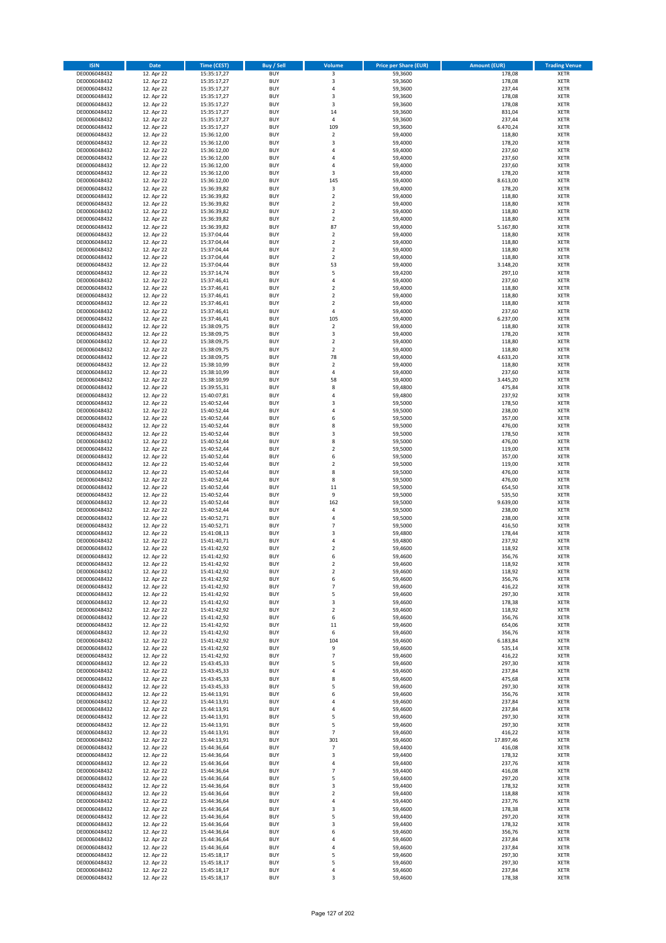| <b>ISIN</b>                  | <b>Date</b>              | <b>Time (CEST)</b>         | <b>Buy / Sell</b>        | <b>Volume</b>                          | <b>Price per Share (EUR)</b> | <b>Amount (EUR)</b> | <b>Trading Venue</b>       |
|------------------------------|--------------------------|----------------------------|--------------------------|----------------------------------------|------------------------------|---------------------|----------------------------|
| DE0006048432                 | 12. Apr 22               | 15:35:17,27                | <b>BUY</b>               | 3                                      | 59,3600                      | 178,08              | <b>XETR</b>                |
| DE0006048432                 | 12. Apr 22               | 15:35:17,27                | <b>BUY</b>               | 3                                      | 59,3600                      | 178,08              | <b>XETR</b>                |
| DE0006048432                 | 12. Apr 22               | 15:35:17,27                | <b>BUY</b>               | 4                                      | 59,3600                      | 237,44              | <b>XETR</b>                |
| DE0006048432                 | 12. Apr 22               | 15:35:17,27                | <b>BUY</b>               | 3                                      | 59,3600                      | 178,08              | <b>XETR</b>                |
| DE0006048432<br>DE0006048432 | 12. Apr 22<br>12. Apr 22 | 15:35:17,27<br>15:35:17,27 | <b>BUY</b><br><b>BUY</b> | 3<br>14                                | 59,3600<br>59,3600           | 178,08<br>831,04    | <b>XETR</b><br><b>XETR</b> |
| DE0006048432                 | 12. Apr 22               | 15:35:17,27                | <b>BUY</b>               | 4                                      | 59,3600                      | 237,44              | <b>XETR</b>                |
| DE0006048432                 | 12. Apr 22               | 15:35:17,27                | <b>BUY</b>               | 109                                    | 59,3600                      | 6.470,24            | <b>XETR</b>                |
| DE0006048432                 | 12. Apr 22               | 15:36:12,00                | <b>BUY</b>               | $\mathbf 2$                            | 59,4000                      | 118,80              | <b>XETR</b>                |
| DE0006048432                 | 12. Apr 22               | 15:36:12,00                | <b>BUY</b>               | 3                                      | 59,4000                      | 178,20              | <b>XETR</b>                |
| DE0006048432                 | 12. Apr 22               | 15:36:12,00                | <b>BUY</b>               | 4                                      | 59,4000                      | 237,60              | <b>XETR</b>                |
| DE0006048432                 | 12. Apr 22               | 15:36:12,00                | <b>BUY</b>               | 4<br>4                                 | 59,4000                      | 237,60              | <b>XETR</b><br><b>XETR</b> |
| DE0006048432<br>DE0006048432 | 12. Apr 22<br>12. Apr 22 | 15:36:12,00<br>15:36:12,00 | <b>BUY</b><br><b>BUY</b> | 3                                      | 59,4000<br>59,4000           | 237,60<br>178,20    | <b>XETR</b>                |
| DE0006048432                 | 12. Apr 22               | 15:36:12,00                | <b>BUY</b>               | 145                                    | 59,4000                      | 8.613,00            | <b>XETR</b>                |
| DE0006048432                 | 12. Apr 22               | 15:36:39,82                | <b>BUY</b>               | 3                                      | 59,4000                      | 178,20              | <b>XETR</b>                |
| DE0006048432                 | 12. Apr 22               | 15:36:39,82                | <b>BUY</b>               | $\mathbf 2$                            | 59,4000                      | 118,80              | <b>XETR</b>                |
| DE0006048432                 | 12. Apr 22               | 15:36:39,82                | <b>BUY</b>               | $\mathbf 2$                            | 59,4000                      | 118,80              | <b>XETR</b>                |
| DE0006048432                 | 12. Apr 22               | 15:36:39,82                | <b>BUY</b>               | $\overline{\mathbf{c}}$                | 59,4000                      | 118,80              | <b>XETR</b>                |
| DE0006048432<br>DE0006048432 | 12. Apr 22<br>12. Apr 22 | 15:36:39,82                | <b>BUY</b><br><b>BUY</b> | $\mathbf 2$<br>87                      | 59,4000<br>59,4000           | 118,80<br>5.167,80  | <b>XETR</b><br><b>XETR</b> |
| DE0006048432                 | 12. Apr 22               | 15:36:39,82<br>15:37:04,44 | <b>BUY</b>               | $\mathbf 2$                            | 59,4000                      | 118,80              | <b>XETR</b>                |
| DE0006048432                 | 12. Apr 22               | 15:37:04,44                | <b>BUY</b>               | $\mathbf 2$                            | 59,4000                      | 118,80              | <b>XETR</b>                |
| DE0006048432                 | 12. Apr 22               | 15:37:04,44                | <b>BUY</b>               | $\mathbf 2$                            | 59,4000                      | 118,80              | <b>XETR</b>                |
| DE0006048432                 | 12. Apr 22               | 15:37:04,44                | <b>BUY</b>               | $\mathbf 2$                            | 59,4000                      | 118,80              | <b>XETR</b>                |
| DE0006048432                 | 12. Apr 22               | 15:37:04,44                | <b>BUY</b>               | 53                                     | 59,4000                      | 3.148,20            | <b>XETR</b>                |
| DE0006048432                 | 12. Apr 22               | 15:37:14,74                | <b>BUY</b>               | 5                                      | 59,4200                      | 297,10              | <b>XETR</b>                |
| DE0006048432                 | 12. Apr 22               | 15:37:46,41                | <b>BUY</b>               | 4                                      | 59,4000                      | 237,60              | <b>XETR</b>                |
| DE0006048432                 | 12. Apr 22               | 15:37:46,41                | <b>BUY</b><br><b>BUY</b> | $\mathbf 2$<br>$\overline{\mathbf{c}}$ | 59,4000                      | 118,80              | <b>XETR</b><br><b>XETR</b> |
| DE0006048432<br>DE0006048432 | 12. Apr 22<br>12. Apr 22 | 15:37:46,41<br>15:37:46,41 | <b>BUY</b>               | $\overline{2}$                         | 59,4000<br>59,4000           | 118,80<br>118,80    | <b>XETR</b>                |
| DE0006048432                 | 12. Apr 22               | 15:37:46,41                | <b>BUY</b>               | 4                                      | 59,4000                      | 237,60              | <b>XETR</b>                |
| DE0006048432                 | 12. Apr 22               | 15:37:46,41                | <b>BUY</b>               | 105                                    | 59,4000                      | 6.237,00            | <b>XETR</b>                |
| DE0006048432                 | 12. Apr 22               | 15:38:09,75                | <b>BUY</b>               | $\overline{2}$                         | 59,4000                      | 118,80              | <b>XETR</b>                |
| DE0006048432                 | 12. Apr 22               | 15:38:09,75                | <b>BUY</b>               | 3                                      | 59,4000                      | 178,20              | <b>XETR</b>                |
| DE0006048432                 | 12. Apr 22               | 15:38:09,75                | <b>BUY</b>               | $\mathbf 2$                            | 59,4000                      | 118,80              | <b>XETR</b>                |
| DE0006048432                 | 12. Apr 22               | 15:38:09,75                | <b>BUY</b>               | $\overline{\mathbf{2}}$                | 59,4000                      | 118,80              | <b>XETR</b>                |
| DE0006048432                 | 12. Apr 22               | 15:38:09,75                | <b>BUY</b>               | 78                                     | 59,4000                      | 4.633,20            | <b>XETR</b>                |
| DE0006048432                 | 12. Apr 22<br>12. Apr 22 | 15:38:10,99                | <b>BUY</b><br><b>BUY</b> | $\overline{\mathbf{c}}$<br>4           | 59,4000<br>59,4000           | 118,80<br>237,60    | <b>XETR</b><br><b>XETR</b> |
| DE0006048432<br>DE0006048432 | 12. Apr 22               | 15:38:10,99<br>15:38:10,99 | <b>BUY</b>               | 58                                     | 59,4000                      | 3.445,20            | <b>XETR</b>                |
| DE0006048432                 | 12. Apr 22               | 15:39:55,31                | <b>BUY</b>               | 8                                      | 59,4800                      | 475,84              | <b>XETR</b>                |
| DE0006048432                 | 12. Apr 22               | 15:40:07,81                | <b>BUY</b>               | 4                                      | 59,4800                      | 237,92              | <b>XETR</b>                |
| DE0006048432                 | 12. Apr 22               | 15:40:52,44                | <b>BUY</b>               | 3                                      | 59,5000                      | 178,50              | <b>XETR</b>                |
| DE0006048432                 | 12. Apr 22               | 15:40:52,44                | <b>BUY</b>               | 4                                      | 59,5000                      | 238,00              | <b>XETR</b>                |
| DE0006048432                 | 12. Apr 22               | 15:40:52,44                | <b>BUY</b>               | 6                                      | 59,5000                      | 357,00              | <b>XETR</b>                |
| DE0006048432                 | 12. Apr 22               | 15:40:52,44                | <b>BUY</b>               | 8                                      | 59,5000                      | 476,00              | <b>XETR</b>                |
| DE0006048432                 | 12. Apr 22               | 15:40:52,44                | <b>BUY</b>               | 3                                      | 59,5000                      | 178,50              | <b>XETR</b>                |
| DE0006048432<br>DE0006048432 | 12. Apr 22<br>12. Apr 22 | 15:40:52,44                | <b>BUY</b><br><b>BUY</b> | 8<br>$\overline{\mathbf{c}}$           | 59,5000<br>59,5000           | 476,00<br>119,00    | <b>XETR</b><br><b>XETR</b> |
| DE0006048432                 | 12. Apr 22               | 15:40:52,44<br>15:40:52,44 | <b>BUY</b>               | 6                                      | 59,5000                      | 357,00              | <b>XETR</b>                |
| DE0006048432                 | 12. Apr 22               | 15:40:52,44                | <b>BUY</b>               | $\mathbf 2$                            | 59,5000                      | 119,00              | <b>XETR</b>                |
| DE0006048432                 | 12. Apr 22               | 15:40:52,44                | <b>BUY</b>               | 8                                      | 59,5000                      | 476,00              | <b>XETR</b>                |
| DE0006048432                 | 12. Apr 22               | 15:40:52,44                | <b>BUY</b>               | 8                                      | 59,5000                      | 476,00              | <b>XETR</b>                |
| DE0006048432                 | 12. Apr 22               | 15:40:52,44                | <b>BUY</b>               | 11                                     | 59,5000                      | 654,50              | <b>XETR</b>                |
| DE0006048432                 | 12. Apr 22               | 15:40:52,44                | <b>BUY</b>               | 9                                      | 59,5000                      | 535,50              | <b>XETR</b>                |
| DE0006048432                 | 12. Apr 22               | 15:40:52,44                | <b>BUY</b>               | 162                                    | 59,5000                      | 9.639,00            | <b>XETR</b>                |
| DE0006048432<br>DE0006048432 | 12. Apr 22               | 15:40:52,44                | <b>BUY</b><br><b>BUY</b> | 4<br>4                                 | 59,5000<br>59,5000           | 238,00<br>238,00    | <b>XETR</b><br><b>XETR</b> |
| DE0006048432                 | 12. Apr 22<br>12. Apr 22 | 15:40:52,71<br>15:40:52,71 | <b>BUY</b>               | $\overline{7}$                         | 59,5000                      | 416,50              | <b>XETR</b>                |
| DE0006048432                 | 12. Apr 22               | 15:41:08,13                | <b>BUY</b>               | 3                                      | 59,4800                      | 178,44              | <b>XETR</b>                |
| DE0006048432                 | 12. Apr 22               | 15:41:40,71                | <b>BUY</b>               | 4                                      | 59,4800                      | 237,92              | <b>XETR</b>                |
| DE0006048432                 | 12. Apr 22               | 15:41:42,92                | <b>BUY</b>               | $\mathbf 2$                            | 59,4600                      | 118,92              | <b>XETR</b>                |
| DE0006048432                 | 12. Apr 22               | 15:41:42,92                | <b>BUY</b>               | 6                                      | 59,4600                      | 356,76              | <b>XETR</b>                |
| DE0006048432                 | 12. Apr 22               | 15:41:42,92                | BUY                      | 2                                      | 59,4600                      | 118,92              | <b>XETR</b>                |
| DE0006048432<br>DE0006048432 | 12. Apr 22               | 15:41:42,92                | <b>BUY</b>               | 2                                      | 59,4600<br>59,4600           | 118,92              | <b>XETR</b>                |
| DE0006048432                 | 12. Apr 22<br>12. Apr 22 | 15:41:42,92<br>15:41:42,92 | <b>BUY</b><br><b>BUY</b> | 6<br>$\overline{\phantom{a}}$          | 59,4600                      | 356,76<br>416,22    | <b>XETR</b><br>XETR        |
| DE0006048432                 | 12. Apr 22               | 15:41:42,92                | <b>BUY</b>               | 5                                      | 59,4600                      | 297,30              | <b>XETR</b>                |
| DE0006048432                 | 12. Apr 22               | 15:41:42,92                | <b>BUY</b>               | 3                                      | 59,4600                      | 178,38              | <b>XETR</b>                |
| DE0006048432                 | 12. Apr 22               | 15:41:42,92                | <b>BUY</b>               | $\mathbf 2$                            | 59,4600                      | 118,92              | <b>XETR</b>                |
| DE0006048432                 | 12. Apr 22               | 15:41:42,92                | <b>BUY</b>               | 6                                      | 59,4600                      | 356,76              | <b>XETR</b>                |
| DE0006048432                 | 12. Apr 22               | 15:41:42,92                | <b>BUY</b>               | 11                                     | 59,4600                      | 654,06              | <b>XETR</b>                |
| DE0006048432                 | 12. Apr 22               | 15:41:42,92                | <b>BUY</b><br><b>BUY</b> | 6                                      | 59,4600                      | 356,76              | <b>XETR</b>                |
| DE0006048432<br>DE0006048432 | 12. Apr 22               | 15:41:42,92                | <b>BUY</b>               | 104<br>9                               | 59,4600<br>59.4600           | 6.183,84            | <b>XETR</b><br><b>XETR</b> |
| DE0006048432                 | 12. Apr 22<br>12. Apr 22 | 15:41:42,92<br>15:41:42,92 | <b>BUY</b>               | $\overline{\phantom{a}}$               | 59,4600                      | 535,14<br>416,22    | <b>XETR</b>                |
| DE0006048432                 | 12. Apr 22               | 15:43:45,33                | <b>BUY</b>               | 5                                      | 59,4600                      | 297,30              | <b>XETR</b>                |
| DE0006048432                 | 12. Apr 22               | 15:43:45,33                | <b>BUY</b>               | 4                                      | 59,4600                      | 237,84              | <b>XETR</b>                |
| DE0006048432                 | 12. Apr 22               | 15:43:45,33                | <b>BUY</b>               | 8                                      | 59,4600                      | 475,68              | <b>XETR</b>                |
| DE0006048432                 | 12. Apr 22               | 15:43:45,33                | <b>BUY</b>               | 5                                      | 59,4600                      | 297,30              | <b>XETR</b>                |
| DE0006048432                 | 12. Apr 22<br>12. Apr 22 | 15:44:13,91<br>15:44:13,91 | <b>BUY</b>               | 6                                      | 59,4600                      | 356,76<br>237,84    | <b>XETR</b>                |
| DE0006048432                 | 12. Apr 22               |                            | <b>BUY</b>               | 4<br>4                                 | 59,4600<br>59,4600           | 237,84              | XETR<br><b>XETR</b>        |
| DE0006048432<br>DE0006048432 | 12. Apr 22               | 15:44:13,91<br>15:44:13,91 | <b>BUY</b><br><b>BUY</b> | 5                                      | 59,4600                      | 297,30              | <b>XETR</b>                |
| DE0006048432                 | 12. Apr 22               | 15:44:13,91                | <b>BUY</b>               | 5                                      | 59,4600                      | 297,30              | <b>XETR</b>                |
| DE0006048432                 | 12. Apr 22               | 15:44:13,91                | <b>BUY</b>               | 7                                      | 59,4600                      | 416,22              | <b>XETR</b>                |
| DE0006048432                 | 12. Apr 22               | 15:44:13,91                | <b>BUY</b>               | 301                                    | 59,4600                      | 17.897,46           | <b>XETR</b>                |
| DE0006048432                 | 12. Apr 22               | 15:44:36,64                | <b>BUY</b>               | $\overline{\phantom{a}}$               | 59,4400                      | 416,08              | <b>XETR</b>                |
| DE0006048432                 | 12. Apr 22               | 15:44:36,64                | <b>BUY</b>               | 3                                      | 59,4400                      | 178,32              | <b>XETR</b>                |
| DE0006048432                 | 12. Apr 22               | 15:44:36,64                | <b>BUY</b>               | 4                                      | 59,4400                      | 237,76              | <b>XETR</b>                |
| DE0006048432<br>DE0006048432 | 12. Apr 22<br>12. Apr 22 | 15:44:36,64<br>15:44:36,64 | <b>BUY</b><br><b>BUY</b> | $\overline{7}$<br>5                    | 59,4400<br>59,4400           | 416,08<br>297,20    | <b>XETR</b><br><b>XETR</b> |
| DE0006048432                 | 12. Apr 22               | 15:44:36,64                | <b>BUY</b>               | 3                                      | 59,4400                      | 178,32              | <b>XETR</b>                |
| DE0006048432                 | 12. Apr 22               | 15:44:36,64                | <b>BUY</b>               | $\mathbf 2$                            | 59,4400                      | 118,88              | <b>XETR</b>                |
| DE0006048432                 | 12. Apr 22               | 15:44:36,64                | <b>BUY</b>               | 4                                      | 59,4400                      | 237,76              | <b>XETR</b>                |
| DE0006048432                 | 12. Apr 22               | 15:44:36,64                | <b>BUY</b>               | 3                                      | 59,4600                      | 178,38              | <b>XETR</b>                |
| DE0006048432                 | 12. Apr 22               | 15:44:36,64                | <b>BUY</b>               | 5                                      | 59,4400                      | 297,20              | <b>XETR</b>                |
| DE0006048432                 | 12. Apr 22               | 15:44:36,64                | <b>BUY</b>               | 3                                      | 59,4400                      | 178,32              | <b>XETR</b>                |
| DE0006048432                 | 12. Apr 22               | 15:44:36,64                | <b>BUY</b>               | 6                                      | 59,4600                      | 356,76              | <b>XETR</b>                |
| DE0006048432<br>DE0006048432 | 12. Apr 22<br>12. Apr 22 | 15:44:36,64<br>15:44:36,64 | <b>BUY</b><br><b>BUY</b> | 4<br>4                                 | 59,4600<br>59,4600           | 237,84<br>237,84    | <b>XETR</b><br>XETR        |
| DE0006048432                 | 12. Apr 22               | 15:45:18,17                | <b>BUY</b>               | 5                                      | 59,4600                      | 297,30              | <b>XETR</b>                |
| DE0006048432                 | 12. Apr 22               | 15:45:18,17                | <b>BUY</b>               | 5                                      | 59,4600                      | 297,30              | XETR                       |
| DE0006048432                 | 12. Apr 22               | 15:45:18,17                | <b>BUY</b>               | 4                                      | 59,4600                      | 237,84              | <b>XETR</b>                |
| DE0006048432                 | 12. Apr 22               | 15:45:18,17                | <b>BUY</b>               | 3                                      | 59,4600                      | 178,38              | <b>XETR</b>                |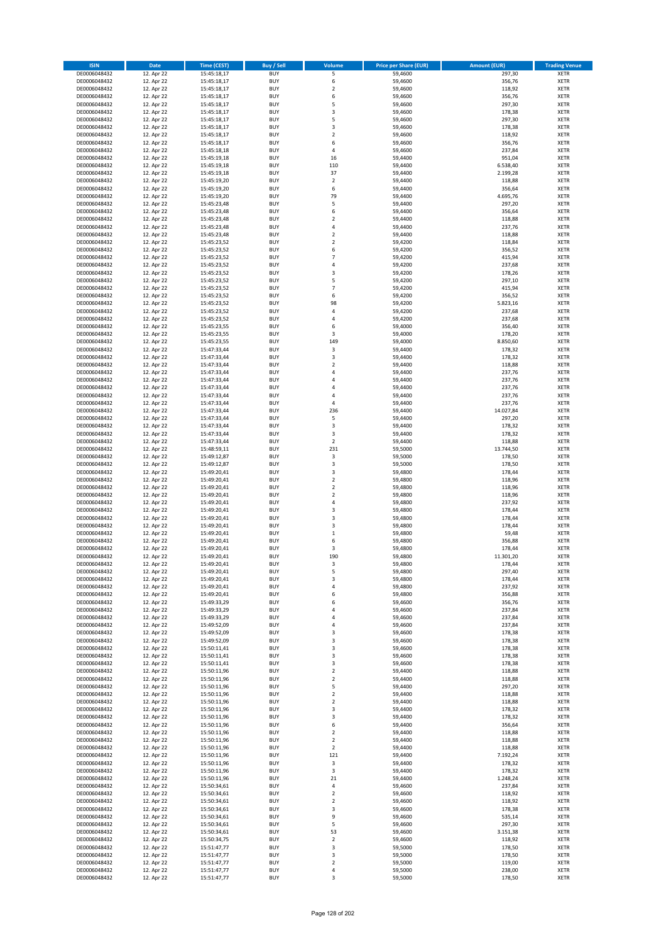| <b>ISIN</b>                  | <b>Date</b>              | <b>Time (CEST)</b>         | <b>Buy / Sell</b>        | <b>Volume</b>                          | <b>Price per Share (EUR)</b> | <b>Amount (EUR)</b> | <b>Trading Venue</b>       |
|------------------------------|--------------------------|----------------------------|--------------------------|----------------------------------------|------------------------------|---------------------|----------------------------|
| DE0006048432                 | 12. Apr 22               | 15:45:18,17                | <b>BUY</b>               | 5                                      | 59,4600                      | 297,30              | <b>XETR</b>                |
| DE0006048432                 | 12. Apr 22               | 15:45:18,17                | <b>BUY</b>               | 6                                      | 59,4600                      | 356,76              | <b>XETR</b>                |
| DE0006048432                 | 12. Apr 22               | 15:45:18,17                | <b>BUY</b>               | $\overline{\mathbf{c}}$                | 59,4600                      | 118,92              | <b>XETR</b>                |
| DE0006048432<br>DE0006048432 | 12. Apr 22<br>12. Apr 22 | 15:45:18,17<br>15:45:18,17 | <b>BUY</b><br><b>BUY</b> | 6<br>5                                 | 59,4600<br>59,4600           | 356,76<br>297,30    | <b>XETR</b><br><b>XETR</b> |
| DE0006048432                 | 12. Apr 22               | 15:45:18,17                | <b>BUY</b>               | 3                                      | 59,4600                      | 178,38              | <b>XETR</b>                |
| DE0006048432                 | 12. Apr 22               | 15:45:18,17                | <b>BUY</b>               | 5                                      | 59,4600                      | 297,30              | <b>XETR</b>                |
| DE0006048432                 | 12. Apr 22               | 15:45:18,17                | <b>BUY</b>               | 3                                      | 59,4600                      | 178,38              | <b>XETR</b>                |
| DE0006048432                 | 12. Apr 22               | 15:45:18,17                | <b>BUY</b>               | $\overline{2}$                         | 59,4600                      | 118,92              | <b>XETR</b>                |
| DE0006048432                 | 12. Apr 22               | 15:45:18,17                | <b>BUY</b>               | 6                                      | 59,4600                      | 356,76              | <b>XETR</b>                |
| DE0006048432                 | 12. Apr 22               | 15:45:18,18                | <b>BUY</b>               | 4                                      | 59,4600                      | 237,84              | <b>XETR</b>                |
| DE0006048432<br>DE0006048432 | 12. Apr 22<br>12. Apr 22 | 15:45:19,18                | <b>BUY</b><br><b>BUY</b> | 16<br>110                              | 59,4400<br>59,4400           | 951,04<br>6.538,40  | <b>XETR</b><br><b>XETR</b> |
| DE0006048432                 | 12. Apr 22               | 15:45:19,18<br>15:45:19,18 | <b>BUY</b>               | 37                                     | 59,4400                      | 2.199,28            | <b>XETR</b>                |
| DE0006048432                 | 12. Apr 22               | 15:45:19,20                | <b>BUY</b>               | $\mathbf 2$                            | 59,4400                      | 118,88              | <b>XETR</b>                |
| DE0006048432                 | 12. Apr 22               | 15:45:19,20                | <b>BUY</b>               | 6                                      | 59,4400                      | 356,64              | <b>XETR</b>                |
| DE0006048432                 | 12. Apr 22               | 15:45:19,20                | <b>BUY</b>               | 79                                     | 59,4400                      | 4.695,76            | <b>XETR</b>                |
| DE0006048432                 | 12. Apr 22               | 15:45:23,48                | <b>BUY</b>               | 5                                      | 59,4400                      | 297,20              | <b>XETR</b>                |
| DE0006048432                 | 12. Apr 22               | 15:45:23,48                | <b>BUY</b>               | 6                                      | 59.4400                      | 356,64              | <b>XETR</b>                |
| DE0006048432                 | 12. Apr 22               | 15:45:23,48                | <b>BUY</b>               | $\mathbf 2$                            | 59,4400                      | 118,88              | <b>XETR</b>                |
| DE0006048432<br>DE0006048432 | 12. Apr 22<br>12. Apr 22 | 15:45:23,48<br>15:45:23,48 | <b>BUY</b><br><b>BUY</b> | 4<br>$\mathbf 2$                       | 59,4400<br>59,4400           | 237,76<br>118,88    | <b>XETR</b><br><b>XETR</b> |
| DE0006048432                 | 12. Apr 22               | 15:45:23,52                | <b>BUY</b>               | $\mathbf 2$                            | 59,4200                      | 118,84              | <b>XETR</b>                |
| DE0006048432                 | 12. Apr 22               | 15:45:23,52                | <b>BUY</b>               | 6                                      | 59,4200                      | 356,52              | <b>XETR</b>                |
| DE0006048432                 | 12. Apr 22               | 15:45:23,52                | <b>BUY</b>               | $\overline{7}$                         | 59,4200                      | 415,94              | <b>XETR</b>                |
| DE0006048432                 | 12. Apr 22               | 15:45:23,52                | <b>BUY</b>               | 4                                      | 59,4200                      | 237,68              | <b>XETR</b>                |
| DE0006048432                 | 12. Apr 22               | 15:45:23,52                | <b>BUY</b>               | 3                                      | 59,4200                      | 178,26              | <b>XETR</b>                |
| DE0006048432                 | 12. Apr 22               | 15:45:23,52                | <b>BUY</b><br><b>BUY</b> | 5<br>$\overline{7}$                    | 59,4200                      | 297,10<br>415,94    | <b>XETR</b>                |
| DE0006048432<br>DE0006048432 | 12. Apr 22<br>12. Apr 22 | 15:45:23,52<br>15:45:23,52 | <b>BUY</b>               | 6                                      | 59,4200<br>59,4200           | 356,52              | <b>XETR</b><br><b>XETR</b> |
| DE0006048432                 | 12. Apr 22               | 15:45:23,52                | <b>BUY</b>               | 98                                     | 59,4200                      | 5.823,16            | <b>XETR</b>                |
| DE0006048432                 | 12. Apr 22               | 15:45:23,52                | <b>BUY</b>               | 4                                      | 59,4200                      | 237,68              | <b>XETR</b>                |
| DE0006048432                 | 12. Apr 22               | 15:45:23,52                | <b>BUY</b>               | 4                                      | 59,4200                      | 237,68              | <b>XETR</b>                |
| DE0006048432                 | 12. Apr 22               | 15:45:23,55                | <b>BUY</b>               | 6                                      | 59,4000                      | 356,40              | <b>XETR</b>                |
| DE0006048432                 | 12. Apr 22               | 15:45:23,55                | <b>BUY</b>               | 3                                      | 59,4000                      | 178,20              | <b>XETR</b>                |
| DE0006048432                 | 12. Apr 22               | 15:45:23,55                | <b>BUY</b>               | 149                                    | 59,4000                      | 8.850,60            | <b>XETR</b>                |
| DE0006048432<br>DE0006048432 | 12. Apr 22<br>12. Apr 22 | 15:47:33,44<br>15:47:33,44 | <b>BUY</b><br><b>BUY</b> | 3<br>3                                 | 59,4400<br>59,4400           | 178,32<br>178,32    | <b>XETR</b><br><b>XETR</b> |
| DE0006048432                 | 12. Apr 22               | 15:47:33,44                | <b>BUY</b>               | $\overline{\mathbf{c}}$                | 59,4400                      | 118,88              | <b>XETR</b>                |
| DE0006048432                 | 12. Apr 22               | 15:47:33,44                | <b>BUY</b>               | 4                                      | 59,4400                      | 237,76              | <b>XETR</b>                |
| DE0006048432                 | 12. Apr 22               | 15:47:33,44                | <b>BUY</b>               | 4                                      | 59,4400                      | 237,76              | <b>XETR</b>                |
| DE0006048432                 | 12. Apr 22               | 15:47:33,44                | <b>BUY</b>               | 4                                      | 59,4400                      | 237,76              | <b>XETR</b>                |
| DE0006048432                 | 12. Apr 22               | 15:47:33,44                | <b>BUY</b>               | 4                                      | 59,4400                      | 237,76              | <b>XETR</b>                |
| DE0006048432                 | 12. Apr 22               | 15:47:33,44                | <b>BUY</b>               | 4                                      | 59,4400                      | 237,76              | <b>XETR</b>                |
| DE0006048432                 | 12. Apr 22               | 15:47:33,44                | <b>BUY</b>               | 236                                    | 59,4400                      | 14.027,84           | <b>XETR</b>                |
| DE0006048432<br>DE0006048432 | 12. Apr 22<br>12. Apr 22 | 15:47:33,44<br>15:47:33,44 | <b>BUY</b><br><b>BUY</b> | 5<br>3                                 | 59,4400<br>59,4400           | 297,20<br>178,32    | <b>XETR</b><br><b>XETR</b> |
| DE0006048432                 | 12. Apr 22               | 15:47:33,44                | <b>BUY</b>               | 3                                      | 59,4400                      | 178,32              | <b>XETR</b>                |
| DE0006048432                 | 12. Apr 22               | 15:47:33,44                | <b>BUY</b>               | $\mathbf 2$                            | 59,4400                      | 118,88              | <b>XETR</b>                |
| DE0006048432                 | 12. Apr 22               | 15:48:59,11                | <b>BUY</b>               | 231                                    | 59,5000                      | 13.744,50           | <b>XETR</b>                |
| DE0006048432                 | 12. Apr 22               | 15:49:12,87                | <b>BUY</b>               | 3                                      | 59,5000                      | 178,50              | <b>XETR</b>                |
| DE0006048432                 | 12. Apr 22               | 15:49:12,87                | <b>BUY</b>               | 3                                      | 59,5000                      | 178,50              | <b>XETR</b>                |
| DE0006048432                 | 12. Apr 22               | 15:49:20,41                | <b>BUY</b><br><b>BUY</b> | 3                                      | 59,4800                      | 178,44              | <b>XETR</b>                |
| DE0006048432<br>DE0006048432 | 12. Apr 22<br>12. Apr 22 | 15:49:20,41<br>15:49:20,41 | <b>BUY</b>               | $\mathbf 2$<br>$\overline{\mathbf{c}}$ | 59,4800<br>59,4800           | 118,96<br>118,96    | <b>XETR</b><br><b>XETR</b> |
| DE0006048432                 | 12. Apr 22               | 15:49:20,41                | <b>BUY</b>               | $\mathbf 2$                            | 59,4800                      | 118,96              | <b>XETR</b>                |
| DE0006048432                 | 12. Apr 22               | 15:49:20,41                | <b>BUY</b>               | 4                                      | 59,4800                      | 237,92              | <b>XETR</b>                |
| DE0006048432                 | 12. Apr 22               | 15:49:20,41                | <b>BUY</b>               | 3                                      | 59,4800                      | 178,44              | <b>XETR</b>                |
| DE0006048432                 | 12. Apr 22               | 15:49:20,41                | <b>BUY</b>               | 3                                      | 59,4800                      | 178,44              | <b>XETR</b>                |
| DE0006048432                 | 12. Apr 22               | 15:49:20,41                | <b>BUY</b>               | 3                                      | 59,4800                      | 178,44              | <b>XETR</b>                |
| DE0006048432                 | 12. Apr 22               | 15:49:20,41                | <b>BUY</b>               | $\mathbf 1$                            | 59,4800                      | 59,48               | <b>XETR</b>                |
| DE0006048432<br>DE0006048432 | 12. Apr 22<br>12. Apr 22 | 15:49:20,41<br>15:49:20,41 | <b>BUY</b><br><b>BUY</b> | 6<br>3                                 | 59,4800<br>59,4800           | 356,88<br>178,44    | <b>XETR</b><br><b>XETR</b> |
| DE0006048432                 | 12. Apr 22               | 15:49:20,41                | <b>BUY</b>               | 190                                    | 59,4800                      | 11.301,20           | <b>XETR</b>                |
| DE0006048432                 | 12. Apr 22               | 15:49:20,41                | BUY                      | 3                                      | 59,4800                      | 178,44              | <b>XETR</b>                |
| DE0006048432                 | 12. Apr 22               | 15:49:20,41                | <b>BUY</b>               | 5                                      | 59,4800                      | 297,40              | <b>XETR</b>                |
| DE0006048432                 | 12. Apr 22               | 15:49:20,41                | <b>BUY</b>               | 3                                      | 59,4800                      | 178,44              | <b>XETR</b>                |
| DE0006048432                 | 12. Apr 22               | 15:49:20,41                | <b>BUY</b>               | 4                                      | 59,4800                      | 237,92              | XETR                       |
| DE0006048432<br>DE0006048432 | 12. Apr 22<br>12. Apr 22 | 15:49:20,41                | <b>BUY</b>               | 6                                      | 59,4800                      | 356,88              | <b>XETR</b>                |
| DE0006048432                 | 12. Apr 22               | 15:49:33,29<br>15:49:33,29 | <b>BUY</b><br><b>BUY</b> | 6<br>4                                 | 59,4600<br>59,4600           | 356,76<br>237,84    | <b>XETR</b><br><b>XETR</b> |
| DE0006048432                 | 12. Apr 22               | 15:49:33,29                | <b>BUY</b>               | 4                                      | 59,4600                      | 237,84              | <b>XETR</b>                |
| DE0006048432                 | 12. Apr 22               | 15:49:52,09                | <b>BUY</b>               | 4                                      | 59,4600                      | 237,84              | <b>XETR</b>                |
| DE0006048432                 | 12. Apr 22               | 15:49:52,09                | <b>BUY</b>               | 3                                      | 59,4600                      | 178,38              | <b>XETR</b>                |
| DE0006048432                 | 12. Apr 22               | 15:49:52,09                | <b>BUY</b>               | 3                                      | 59,4600                      | 178,38              | <b>XETR</b>                |
| DE0006048432                 | 12. Apr 22               | 15:50:11,41                | <b>BUY</b>               | 3                                      | 59.4600                      | 178,38              | <b>XETR</b>                |
| DE0006048432<br>DE0006048432 | 12. Apr 22<br>12. Apr 22 | 15:50:11,41<br>15:50:11,41 | <b>BUY</b><br><b>BUY</b> | 3<br>3                                 | 59,4600<br>59,4600           | 178,38<br>178,38    | <b>XETR</b><br><b>XETR</b> |
| DE0006048432                 | 12. Apr 22               | 15:50:11,96                | <b>BUY</b>               | $\mathbf 2$                            | 59,4400                      | 118,88              | <b>XETR</b>                |
| DE0006048432                 | 12. Apr 22               | 15:50:11,96                | <b>BUY</b>               | $\mathbf 2$                            | 59,4400                      | 118,88              | <b>XETR</b>                |
| DE0006048432                 | 12. Apr 22               | 15:50:11,96                | <b>BUY</b>               | 5                                      | 59,4400                      | 297,20              | <b>XETR</b>                |
| DE0006048432                 | 12. Apr 22               | 15:50:11,96                | <b>BUY</b>               | $\mathbf 2$                            | 59,4400                      | 118,88              | <b>XETR</b>                |
| DE0006048432                 | 12. Apr 22               | 15:50:11,96                | <b>BUY</b>               | $\mathbf 2$                            | 59,4400                      | 118,88              | XETR                       |
| DE0006048432<br>DE0006048432 | 12. Apr 22<br>12. Apr 22 | 15:50:11,96                | <b>BUY</b><br><b>BUY</b> | 3<br>3                                 | 59,4400<br>59,4400           | 178,32<br>178,32    | <b>XETR</b><br><b>XETR</b> |
| DE0006048432                 | 12. Apr 22               | 15:50:11,96<br>15:50:11,96 | <b>BUY</b>               | 6                                      | 59,4400                      | 356,64              | <b>XETR</b>                |
| DE0006048432                 | 12. Apr 22               | 15:50:11,96                | <b>BUY</b>               | $\overline{\mathbf{c}}$                | 59,4400                      | 118,88              | <b>XETR</b>                |
| DE0006048432                 | 12. Apr 22               | 15:50:11,96                | <b>BUY</b>               | $\mathbf 2$                            | 59,4400                      | 118,88              | <b>XETR</b>                |
| DE0006048432                 | 12. Apr 22               | 15:50:11,96                | <b>BUY</b>               | $\mathbf 2$                            | 59,4400                      | 118,88              | <b>XETR</b>                |
| DE0006048432                 | 12. Apr 22               | 15:50:11,96                | <b>BUY</b>               | 121                                    | 59,4400                      | 7.192,24            | <b>XETR</b>                |
| DE0006048432                 | 12. Apr 22               | 15:50:11,96                | <b>BUY</b>               | 3                                      | 59,4400                      | 178,32              | <b>XETR</b>                |
| DE0006048432<br>DE0006048432 | 12. Apr 22               | 15:50:11,96                | <b>BUY</b><br><b>BUY</b> | 3<br>21                                | 59,4400<br>59,4400           | 178,32<br>1.248,24  | <b>XETR</b><br><b>XETR</b> |
| DE0006048432                 | 12. Apr 22<br>12. Apr 22 | 15:50:11,96<br>15:50:34,61 | <b>BUY</b>               | 4                                      | 59,4600                      | 237,84              | <b>XETR</b>                |
| DE0006048432                 | 12. Apr 22               | 15:50:34,61                | <b>BUY</b>               | $\mathbf 2$                            | 59,4600                      | 118,92              | <b>XETR</b>                |
| DE0006048432                 | 12. Apr 22               | 15:50:34,61                | <b>BUY</b>               | $\mathbf 2$                            | 59,4600                      | 118,92              | <b>XETR</b>                |
| DE0006048432                 | 12. Apr 22               | 15:50:34,61                | <b>BUY</b>               | 3                                      | 59,4600                      | 178,38              | <b>XETR</b>                |
| DE0006048432                 | 12. Apr 22               | 15:50:34,61                | <b>BUY</b>               | 9                                      | 59,4600                      | 535,14              | <b>XETR</b>                |
| DE0006048432                 | 12. Apr 22               | 15:50:34,61                | <b>BUY</b>               | 5                                      | 59,4600                      | 297,30              | <b>XETR</b>                |
| DE0006048432<br>DE0006048432 | 12. Apr 22<br>12. Apr 22 | 15:50:34,61<br>15:50:34,75 | <b>BUY</b><br><b>BUY</b> | 53<br>$\overline{\mathbf{c}}$          | 59,4600<br>59,4600           | 3.151,38<br>118,92  | <b>XETR</b><br><b>XETR</b> |
| DE0006048432                 | 12. Apr 22               | 15:51:47,77                | <b>BUY</b>               | 3                                      | 59,5000                      | 178,50              | XETR                       |
| DE0006048432                 | 12. Apr 22               | 15:51:47,77                | <b>BUY</b>               | 3                                      | 59,5000                      | 178,50              | <b>XETR</b>                |
| DE0006048432                 | 12. Apr 22               | 15:51:47,77                | <b>BUY</b>               | $\mathbf 2$                            | 59,5000                      | 119,00              | XETR                       |
| DE0006048432                 | 12. Apr 22               | 15:51:47,77                | <b>BUY</b>               | 4                                      | 59,5000                      | 238,00              | <b>XETR</b>                |
| DE0006048432                 | 12. Apr 22               | 15:51:47,77                | <b>BUY</b>               | 3                                      | 59,5000                      | 178,50              | <b>XETR</b>                |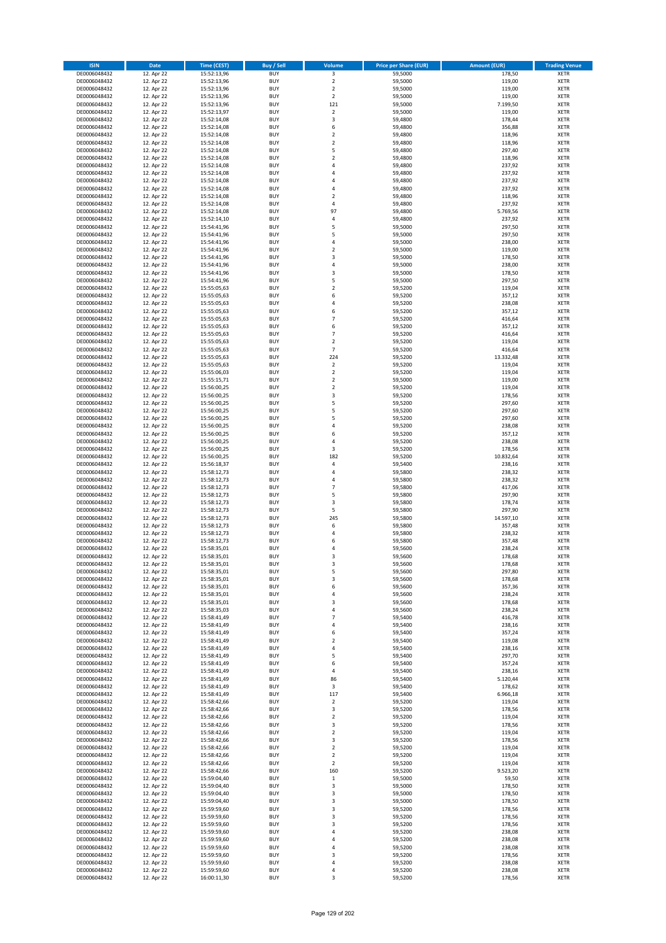| <b>ISIN</b>                  | Date                     | Time (CEST)                | <b>Buy / Sell</b>        | <b>Volume</b>                 | <b>Price per Share (EUR)</b> | <b>Amount (EUR)</b> | <b>Trading Venue</b>       |
|------------------------------|--------------------------|----------------------------|--------------------------|-------------------------------|------------------------------|---------------------|----------------------------|
| DE0006048432                 | 12. Apr 22               | 15:52:13,96                | <b>BUY</b>               | $\overline{\mathbf{3}}$       | 59,5000                      | 178,50              | <b>XETR</b>                |
| DE0006048432                 | 12. Apr 22               | 15:52:13,96                | <b>BUY</b>               | $\mathbf 2$                   | 59,5000                      | 119,00              | XETR                       |
| DE0006048432                 | 12. Apr 22               | 15:52:13,96                | <b>BUY</b>               | $\overline{2}$                | 59,5000                      | 119,00              | <b>XETR</b>                |
| DE0006048432                 | 12. Apr 22               | 15:52:13,96                | <b>BUY</b>               | $\mathbf 2$                   | 59,5000                      | 119,00              | <b>XETR</b>                |
| DE0006048432<br>DE0006048432 | 12. Apr 22<br>12. Apr 22 | 15:52:13,96<br>15:52:13,97 | <b>BUY</b><br><b>BUY</b> | 121<br>$\mathbf 2$            | 59,5000<br>59,5000           | 7.199,50<br>119,00  | <b>XETR</b><br><b>XETR</b> |
| DE0006048432                 | 12. Apr 22               | 15:52:14,08                | <b>BUY</b>               | 3                             | 59,4800                      | 178,44              | <b>XETR</b>                |
| DE0006048432                 | 12. Apr 22               | 15:52:14,08                | <b>BUY</b>               | 6                             | 59,4800                      | 356,88              | <b>XETR</b>                |
| DE0006048432                 | 12. Apr 22               | 15:52:14,08                | <b>BUY</b>               | $\overline{2}$                | 59,4800                      | 118,96              | <b>XETR</b>                |
| DE0006048432                 | 12. Apr 22               | 15:52:14,08                | <b>BUY</b>               | $\overline{2}$                | 59,4800                      | 118,96              | <b>XETR</b>                |
| DE0006048432                 | 12. Apr 22               | 15:52:14,08                | <b>BUY</b>               | 5                             | 59,4800                      | 297,40              | <b>XETR</b>                |
| DE0006048432                 | 12. Apr 22               | 15:52:14,08                | <b>BUY</b>               | $\mathbf 2$                   | 59,4800                      | 118,96              | <b>XETR</b>                |
| DE0006048432<br>DE0006048432 | 12. Apr 22<br>12. Apr 22 | 15:52:14,08<br>15:52:14,08 | <b>BUY</b><br><b>BUY</b> | $\overline{4}$<br>4           | 59,4800<br>59,4800           | 237,92<br>237,92    | <b>XETR</b><br><b>XETR</b> |
| DE0006048432                 | 12. Apr 22               | 15:52:14,08                | <b>BUY</b>               | 4                             | 59,4800                      | 237,92              | <b>XETR</b>                |
| DE0006048432                 | 12. Apr 22               | 15:52:14,08                | <b>BUY</b>               | $\overline{4}$                | 59,4800                      | 237,92              | <b>XETR</b>                |
| DE0006048432                 | 12. Apr 22               | 15:52:14,08                | <b>BUY</b>               | $\overline{2}$                | 59,4800                      | 118,96              | <b>XETR</b>                |
| DE0006048432                 | 12. Apr 22               | 15:52:14,08                | <b>BUY</b>               | $\pmb{4}$                     | 59,4800                      | 237,92              | <b>XETR</b>                |
| DE0006048432                 | 12. Apr 22               | 15:52:14,08                | <b>BUY</b>               | 97                            | 59,4800                      | 5.769,56            | <b>XETR</b>                |
| DE0006048432<br>DE0006048432 | 12. Apr 22<br>12. Apr 22 | 15:52:14,10                | <b>BUY</b><br><b>BUY</b> | 4<br>5                        | 59,4800<br>59,5000           | 237,92<br>297,50    | <b>XETR</b><br><b>XETR</b> |
| DE0006048432                 | 12. Apr 22               | 15:54:41,96<br>15:54:41,96 | <b>BUY</b>               | 5                             | 59,5000                      | 297,50              | <b>XETR</b>                |
| DE0006048432                 | 12. Apr 22               | 15:54:41,96                | <b>BUY</b>               | $\overline{4}$                | 59,5000                      | 238,00              | <b>XETR</b>                |
| DE0006048432                 | 12. Apr 22               | 15:54:41,96                | <b>BUY</b>               | $\mathbf 2$                   | 59,5000                      | 119,00              | <b>XETR</b>                |
| DE0006048432                 | 12. Apr 22               | 15:54:41,96                | <b>BUY</b>               | 3                             | 59,5000                      | 178,50              | <b>XETR</b>                |
| DE0006048432                 | 12. Apr 22               | 15:54:41,96                | <b>BUY</b>               | 4                             | 59,5000                      | 238,00              | <b>XETR</b>                |
| DE0006048432<br>DE0006048432 | 12. Apr 22               | 15:54:41,96                | <b>BUY</b><br><b>BUY</b> | 3<br>5                        | 59,5000                      | 178,50              | <b>XETR</b><br><b>XETR</b> |
| DE0006048432                 | 12. Apr 22<br>12. Apr 22 | 15:54:41,96<br>15:55:05,63 | <b>BUY</b>               | $\overline{2}$                | 59,5000<br>59,5200           | 297,50<br>119,04    | <b>XETR</b>                |
| DE0006048432                 | 12. Apr 22               | 15:55:05,63                | <b>BUY</b>               | 6                             | 59,5200                      | 357,12              | <b>XETR</b>                |
| DE0006048432                 | 12. Apr 22               | 15:55:05,63                | <b>BUY</b>               | 4                             | 59,5200                      | 238,08              | <b>XETR</b>                |
| DE0006048432                 | 12. Apr 22               | 15:55:05,63                | <b>BUY</b>               | 6                             | 59,5200                      | 357,12              | <b>XETR</b>                |
| DE0006048432                 | 12. Apr 22               | 15:55:05,63                | <b>BUY</b>               | $\overline{7}$                | 59,5200                      | 416,64              | <b>XETR</b>                |
| DE0006048432                 | 12. Apr 22               | 15:55:05,63                | <b>BUY</b>               | 6                             | 59,5200                      | 357,12              | <b>XETR</b>                |
| DE0006048432<br>DE0006048432 | 12. Apr 22<br>12. Apr 22 | 15:55:05,63<br>15:55:05,63 | <b>BUY</b><br><b>BUY</b> | $\overline{7}$<br>$\mathbf 2$ | 59,5200<br>59,5200           | 416,64<br>119,04    | <b>XETR</b><br><b>XETR</b> |
| DE0006048432                 | 12. Apr 22               | 15:55:05,63                | <b>BUY</b>               | $\overline{7}$                | 59,5200                      | 416,64              | <b>XETR</b>                |
| DE0006048432                 | 12. Apr 22               | 15:55:05,63                | <b>BUY</b>               | 224                           | 59,5200                      | 13.332,48           | <b>XETR</b>                |
| DE0006048432                 | 12. Apr 22               | 15:55:05,63                | <b>BUY</b>               | $\mathbf 2$                   | 59,5200                      | 119,04              | <b>XETR</b>                |
| DE0006048432                 | 12. Apr 22               | 15:55:06,03                | <b>BUY</b>               | $\mathbf 2$                   | 59,5200                      | 119,04              | <b>XETR</b>                |
| DE0006048432                 | 12. Apr 22               | 15:55:15,71                | <b>BUY</b>               | $\mathbf 2$                   | 59,5000                      | 119,00              | <b>XETR</b>                |
| DE0006048432<br>DE0006048432 | 12. Apr 22<br>12. Apr 22 | 15:56:00,25                | <b>BUY</b><br><b>BUY</b> | $\mathbf 2$<br>3              | 59,5200<br>59,5200           | 119,04<br>178,56    | <b>XETR</b><br><b>XETR</b> |
| DE0006048432                 | 12. Apr 22               | 15:56:00,25<br>15:56:00,25 | <b>BUY</b>               | 5                             | 59,5200                      | 297,60              | <b>XETR</b>                |
| DE0006048432                 | 12. Apr 22               | 15:56:00,25                | <b>BUY</b>               | 5                             | 59,5200                      | 297,60              | <b>XETR</b>                |
| DE0006048432                 | 12. Apr 22               | 15:56:00,25                | <b>BUY</b>               | 5                             | 59,5200                      | 297,60              | <b>XETR</b>                |
| DE0006048432                 | 12. Apr 22               | 15:56:00,25                | <b>BUY</b>               | 4                             | 59,5200                      | 238,08              | <b>XETR</b>                |
| DE0006048432                 | 12. Apr 22               | 15:56:00,25                | <b>BUY</b>               | 6                             | 59,5200                      | 357,12              | <b>XETR</b>                |
| DE0006048432<br>DE0006048432 | 12. Apr 22               | 15:56:00,25                | <b>BUY</b><br><b>BUY</b> | 4<br>3                        | 59,5200<br>59,5200           | 238,08              | <b>XETR</b><br><b>XETR</b> |
| DE0006048432                 | 12. Apr 22<br>12. Apr 22 | 15:56:00,25<br>15:56:00,25 | <b>BUY</b>               | 182                           | 59,5200                      | 178,56<br>10.832,64 | <b>XETR</b>                |
| DE0006048432                 | 12. Apr 22               | 15:56:18,37                | <b>BUY</b>               | $\sqrt{4}$                    | 59,5400                      | 238,16              | <b>XETR</b>                |
| DE0006048432                 | 12. Apr 22               | 15:58:12,73                | <b>BUY</b>               | 4                             | 59,5800                      | 238,32              | <b>XETR</b>                |
| DE0006048432                 | 12. Apr 22               | 15:58:12,73                | <b>BUY</b>               | $\sqrt{4}$                    | 59,5800                      | 238,32              | <b>XETR</b>                |
| DE0006048432                 | 12. Apr 22               | 15:58:12,73                | <b>BUY</b>               | $\overline{7}$                | 59,5800                      | 417,06              | <b>XETR</b>                |
| DE0006048432                 | 12. Apr 22               | 15:58:12,73                | <b>BUY</b>               | 5                             | 59,5800                      | 297,90              | <b>XETR</b>                |
| DE0006048432<br>DE0006048432 | 12. Apr 22<br>12. Apr 22 | 15:58:12,73<br>15:58:12,73 | <b>BUY</b><br><b>BUY</b> | 3<br>5                        | 59,5800<br>59,5800           | 178,74<br>297,90    | <b>XETR</b><br><b>XETR</b> |
| DE0006048432                 | 12. Apr 22               | 15:58:12,73                | <b>BUY</b>               | 245                           | 59,5800                      | 14.597,10           | <b>XETR</b>                |
| DE0006048432                 | 12. Apr 22               | 15:58:12,73                | <b>BUY</b>               | 6                             | 59,5800                      | 357,48              | <b>XETR</b>                |
| DE0006048432                 | 12. Apr 22               | 15:58:12,73                | <b>BUY</b>               | 4                             | 59,5800                      | 238,32              | <b>XETR</b>                |
| DE0006048432                 | 12. Apr 22               | 15:58:12,73                | <b>BUY</b>               | 6                             | 59,5800                      | 357,48              | <b>XETR</b>                |
| DE0006048432                 | 12. Apr 22               | 15:58:35,01                | <b>BUY</b>               | $\overline{4}$                | 59,5600                      | 238,24              | <b>XETR</b>                |
| DE0006048432<br>DE0006048432 | 12. Apr 22<br>12. Apr 22 | 15:58:35,01<br>15:58:35,01 | <b>BUY</b><br>BUY        | 3<br>3                        | 59,5600<br>59,5600           | 178,68              | <b>XETR</b><br>XETR        |
| DE0006048432                 | 12. Apr 22               | 15:58:35,01                | <b>BUY</b>               | 5                             | 59,5600                      | 178,68<br>297,80    | <b>XETR</b>                |
| DE0006048432                 | 12. Apr 22               | 15:58:35,01                | <b>BUY</b>               | 3                             | 59,5600                      | 178,68              | <b>XETR</b>                |
| DE0006048432                 | 12. Apr 22               | 15:58:35,01                | <b>BUY</b>               | 6                             | 59,5600                      | 357,36              | <b>XETR</b>                |
| DE0006048432                 | 12. Apr 22               | 15:58:35,01                | <b>BUY</b>               | 4                             | 59,5600                      | 238,24              | <b>XETR</b>                |
| DE0006048432                 | 12. Apr 22               | 15:58:35,01                | <b>BUY</b>               | 3                             | 59,5600                      | 178,68              | <b>XETR</b>                |
| DE0006048432                 | 12. Apr 22               | 15:58:35,03                | <b>BUY</b><br><b>BUY</b> | $\sqrt{4}$<br>$\overline{7}$  | 59,5600                      | 238,24              | <b>XETR</b>                |
| DE0006048432<br>DE0006048432 | 12. Apr 22<br>12. Apr 22 | 15:58:41,49<br>15:58:41,49 | <b>BUY</b>               | 4                             | 59,5400<br>59,5400           | 416,78<br>238,16    | <b>XETR</b><br>XETR        |
| DE0006048432                 | 12. Apr 22               | 15:58:41,49                | <b>BUY</b>               | 6                             | 59,5400                      | 357,24              | <b>XETR</b>                |
| DE0006048432                 | 12. Apr 22               | 15:58:41,49                | <b>BUY</b>               | $\overline{2}$                | 59,5400                      | 119,08              | XETR                       |
| DE0006048432                 | 12. Apr 22               | 15:58:41,49                | <b>BUY</b>               | $\sqrt{4}$                    | 59,5400                      | 238,16              | <b>XETR</b>                |
| DE0006048432                 | 12. Apr 22               | 15:58:41,49                | <b>BUY</b>               | 5                             | 59,5400                      | 297,70              | XETR                       |
| DE0006048432<br>DE0006048432 | 12. Apr 22<br>12. Apr 22 | 15:58:41,49<br>15:58:41,49 | <b>BUY</b><br><b>BUY</b> | 6<br>$\sqrt{4}$               | 59,5400<br>59,5400           | 357,24<br>238,16    | <b>XETR</b><br>XETR        |
| DE0006048432                 | 12. Apr 22               | 15:58:41,49                | <b>BUY</b>               | 86                            | 59,5400                      | 5.120,44            | <b>XETR</b>                |
| DE0006048432                 | 12. Apr 22               | 15:58:41,49                | <b>BUY</b>               | 3                             | 59,5400                      | 178,62              | <b>XETR</b>                |
| DE0006048432                 | 12. Apr 22               | 15:58:41,49                | <b>BUY</b>               | 117                           | 59,5400                      | 6.966,18            | <b>XETR</b>                |
| DE0006048432                 | 12. Apr 22               | 15:58:42,66                | <b>BUY</b>               | $\mathbf 2$                   | 59,5200                      | 119,04              | XETR                       |
| DE0006048432                 | 12. Apr 22               | 15:58:42,66                | <b>BUY</b>               | 3                             | 59,5200                      | 178,56              | <b>XETR</b>                |
| DE0006048432                 | 12. Apr 22               | 15:58:42,66                | <b>BUY</b><br><b>BUY</b> | $\overline{2}$                | 59,5200                      | 119,04<br>178,56    | <b>XETR</b>                |
| DE0006048432<br>DE0006048432 | 12. Apr 22<br>12. Apr 22 | 15:58:42,66<br>15:58:42,66 | <b>BUY</b>               | 3<br>$\overline{2}$           | 59,5200<br>59,5200           | 119,04              | <b>XETR</b><br>XETR        |
| DE0006048432                 | 12. Apr 22               | 15:58:42,66                | <b>BUY</b>               | 3                             | 59,5200                      | 178,56              | XETR                       |
| DE0006048432                 | 12. Apr 22               | 15:58:42,66                | <b>BUY</b>               | $\overline{2}$                | 59,5200                      | 119,04              | XETR                       |
| DE0006048432                 | 12. Apr 22               | 15:58:42,66                | <b>BUY</b>               | $\overline{2}$                | 59,5200                      | 119,04              | <b>XETR</b>                |
| DE0006048432                 | 12. Apr 22               | 15:58:42,66                | <b>BUY</b>               | $\overline{2}$                | 59,5200                      | 119,04              | XETR                       |
| DE0006048432                 | 12. Apr 22               | 15:58:42,66                | <b>BUY</b>               | 160                           | 59,5200                      | 9.523,20            | <b>XETR</b>                |
| DE0006048432<br>DE0006048432 | 12. Apr 22<br>12. Apr 22 | 15:59:04,40<br>15:59:04,40 | <b>BUY</b><br><b>BUY</b> | $\,$ 1<br>3                   | 59,5000<br>59,5000           | 59,50<br>178,50     | <b>XETR</b><br><b>XETR</b> |
| DE0006048432                 | 12. Apr 22               | 15:59:04,40                | <b>BUY</b>               | $\mathsf 3$                   | 59,5000                      | 178,50              | XETR                       |
| DE0006048432                 | 12. Apr 22               | 15:59:04,40                | <b>BUY</b>               | 3                             | 59,5000                      | 178,50              | XETR                       |
| DE0006048432                 | 12. Apr 22               | 15:59:59,60                | <b>BUY</b>               | 3                             | 59,5200                      | 178,56              | XETR                       |
| DE0006048432                 | 12. Apr 22               | 15:59:59,60                | <b>BUY</b>               | 3                             | 59,5200                      | 178,56              | <b>XETR</b>                |
| DE0006048432                 | 12. Apr 22               | 15:59:59,60                | <b>BUY</b>               | 3                             | 59,5200                      | 178,56              | <b>XETR</b>                |
| DE0006048432<br>DE0006048432 | 12. Apr 22               | 15:59:59,60                | <b>BUY</b><br><b>BUY</b> | $\sqrt{4}$<br>$\overline{4}$  | 59,5200                      | 238,08              | XETR<br><b>XETR</b>        |
| DE0006048432                 | 12. Apr 22<br>12. Apr 22 | 15:59:59,60<br>15:59:59,60 | <b>BUY</b>               | $\overline{4}$                | 59,5200<br>59,5200           | 238,08<br>238,08    | XETR                       |
| DE0006048432                 | 12. Apr 22               | 15:59:59,60                | <b>BUY</b>               | 3                             | 59,5200                      | 178,56              | <b>XETR</b>                |
| DE0006048432                 | 12. Apr 22               | 15:59:59,60                | <b>BUY</b>               | 4                             | 59,5200                      | 238,08              | XETR                       |
| DE0006048432                 | 12. Apr 22               | 15:59:59,60                | <b>BUY</b>               | $\pmb{4}$                     | 59,5200                      | 238,08              | <b>XETR</b>                |
| DE0006048432                 | 12. Apr 22               | 16:00:11,30                | <b>BUY</b>               | 3                             | 59,5200                      | 178,56              | XETR                       |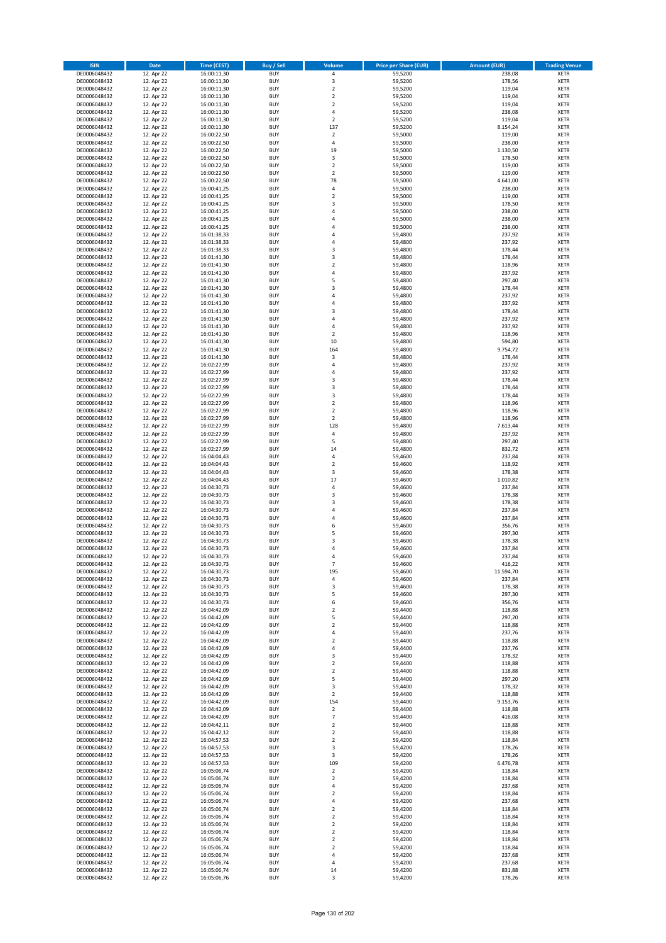| <b>ISIN</b>                  | <b>Date</b>              | <b>Time (CEST)</b>         | <b>Buy / Sell</b>        | <b>Volume</b>                          | <b>Price per Share (EUR)</b> | <b>Amount (EUR)</b> | <b>Trading Venue</b>       |
|------------------------------|--------------------------|----------------------------|--------------------------|----------------------------------------|------------------------------|---------------------|----------------------------|
| DE0006048432                 | 12. Apr 22               | 16:00:11,30                | <b>BUY</b>               | 4                                      | 59,5200                      | 238,08              | <b>XETR</b>                |
| DE0006048432                 | 12. Apr 22               | 16:00:11,30                | <b>BUY</b>               | 3                                      | 59,5200                      | 178,56              | <b>XETR</b>                |
| DE0006048432                 | 12. Apr 22               | 16:00:11,30                | <b>BUY</b>               | $\mathbf 2$                            | 59,5200                      | 119,04              | <b>XETR</b>                |
| DE0006048432<br>DE0006048432 | 12. Apr 22<br>12. Apr 22 | 16:00:11,30<br>16:00:11,30 | <b>BUY</b><br><b>BUY</b> | $\mathbf 2$<br>$\overline{\mathbf{c}}$ | 59,5200<br>59,5200           | 119,04<br>119,04    | <b>XETR</b><br><b>XETR</b> |
| DE0006048432                 | 12. Apr 22               | 16:00:11,30                | <b>BUY</b>               | 4                                      | 59,5200                      | 238,08              | <b>XETR</b>                |
| DE0006048432                 | 12. Apr 22               | 16:00:11,30                | <b>BUY</b>               | $\overline{\mathbf{c}}$                | 59,5200                      | 119,04              | <b>XETR</b>                |
| DE0006048432                 | 12. Apr 22               | 16:00:11,30                | <b>BUY</b>               | 137                                    | 59,5200                      | 8.154,24            | <b>XETR</b>                |
| DE0006048432                 | 12. Apr 22               | 16:00:22,50                | <b>BUY</b>               | $\mathbf 2$                            | 59,5000                      | 119,00              | <b>XETR</b>                |
| DE0006048432                 | 12. Apr 22               | 16:00:22,50                | <b>BUY</b><br><b>BUY</b> | 4                                      | 59,5000                      | 238,00              | <b>XETR</b><br><b>XETR</b> |
| DE0006048432<br>DE0006048432 | 12. Apr 22<br>12. Apr 22 | 16:00:22,50<br>16:00:22,50 | <b>BUY</b>               | 19<br>3                                | 59,5000<br>59,5000           | 1.130,50<br>178,50  | <b>XETR</b>                |
| DE0006048432                 | 12. Apr 22               | 16:00:22,50                | <b>BUY</b>               | $\mathbf 2$                            | 59,5000                      | 119,00              | <b>XETR</b>                |
| DE0006048432                 | 12. Apr 22               | 16:00:22,50                | <b>BUY</b>               | $\overline{\mathbf{c}}$                | 59,5000                      | 119,00              | <b>XETR</b>                |
| DE0006048432                 | 12. Apr 22               | 16:00:22,50                | <b>BUY</b>               | 78                                     | 59,5000                      | 4.641,00            | <b>XETR</b>                |
| DE0006048432                 | 12. Apr 22               | 16:00:41,25                | <b>BUY</b>               | 4                                      | 59,5000                      | 238,00              | <b>XETR</b>                |
| DE0006048432<br>DE0006048432 | 12. Apr 22<br>12. Apr 22 | 16:00:41,25<br>16:00:41,25 | <b>BUY</b><br><b>BUY</b> | $\overline{\mathbf{c}}$<br>3           | 59,5000<br>59,5000           | 119,00<br>178,50    | <b>XETR</b><br><b>XETR</b> |
| DE0006048432                 | 12. Apr 22               | 16:00:41,25                | <b>BUY</b>               | 4                                      | 59,5000                      | 238,00              | <b>XETR</b>                |
| DE0006048432                 | 12. Apr 22               | 16:00:41,25                | <b>BUY</b>               | 4                                      | 59,5000                      | 238,00              | <b>XETR</b>                |
| DE0006048432                 | 12. Apr 22               | 16:00:41,25                | <b>BUY</b>               | 4                                      | 59,5000                      | 238,00              | <b>XETR</b>                |
| DE0006048432                 | 12. Apr 22               | 16:01:38,33                | <b>BUY</b>               | 4                                      | 59,4800                      | 237,92              | <b>XETR</b>                |
| DE0006048432                 | 12. Apr 22               | 16:01:38,33                | <b>BUY</b>               | 4                                      | 59,4800                      | 237,92              | <b>XETR</b>                |
| DE0006048432<br>DE0006048432 | 12. Apr 22<br>12. Apr 22 | 16:01:38,33<br>16:01:41,30 | <b>BUY</b><br><b>BUY</b> | 3<br>3                                 | 59,4800<br>59,4800           | 178,44<br>178,44    | <b>XETR</b><br><b>XETR</b> |
| DE0006048432                 | 12. Apr 22               | 16:01:41,30                | <b>BUY</b>               | $\mathbf 2$                            | 59,4800                      | 118,96              | <b>XETR</b>                |
| DE0006048432                 | 12. Apr 22               | 16:01:41,30                | <b>BUY</b>               | 4                                      | 59,4800                      | 237,92              | <b>XETR</b>                |
| DE0006048432                 | 12. Apr 22               | 16:01:41,30                | <b>BUY</b>               | 5                                      | 59,4800                      | 297,40              | <b>XETR</b>                |
| DE0006048432                 | 12. Apr 22               | 16:01:41,30                | <b>BUY</b>               | 3                                      | 59,4800                      | 178,44              | <b>XETR</b>                |
| DE0006048432<br>DE0006048432 | 12. Apr 22<br>12. Apr 22 | 16:01:41,30<br>16:01:41,30 | <b>BUY</b><br><b>BUY</b> | 4<br>4                                 | 59,4800<br>59,4800           | 237,92<br>237,92    | <b>XETR</b><br><b>XETR</b> |
| DE0006048432                 | 12. Apr 22               | 16:01:41,30                | <b>BUY</b>               | 3                                      | 59,4800                      | 178,44              | <b>XETR</b>                |
| DE0006048432                 | 12. Apr 22               | 16:01:41,30                | <b>BUY</b>               | 4                                      | 59,4800                      | 237,92              | <b>XETR</b>                |
| DE0006048432                 | 12. Apr 22               | 16:01:41,30                | <b>BUY</b>               | 4                                      | 59,4800                      | 237,92              | <b>XETR</b>                |
| DE0006048432                 | 12. Apr 22               | 16:01:41,30                | <b>BUY</b>               | $\mathbf 2$                            | 59,4800                      | 118,96              | <b>XETR</b>                |
| DE0006048432                 | 12. Apr 22<br>12. Apr 22 | 16:01:41,30                | <b>BUY</b>               | 10                                     | 59,4800                      | 594,80              | <b>XETR</b>                |
| DE0006048432<br>DE0006048432 | 12. Apr 22               | 16:01:41,30<br>16:01:41,30 | <b>BUY</b><br><b>BUY</b> | 164<br>3                               | 59,4800<br>59,4800           | 9.754,72<br>178,44  | <b>XETR</b><br><b>XETR</b> |
| DE0006048432                 | 12. Apr 22               | 16:02:27,99                | <b>BUY</b>               | 4                                      | 59,4800                      | 237,92              | <b>XETR</b>                |
| DE0006048432                 | 12. Apr 22               | 16:02:27,99                | <b>BUY</b>               | 4                                      | 59,4800                      | 237,92              | <b>XETR</b>                |
| DE0006048432                 | 12. Apr 22               | 16:02:27,99                | <b>BUY</b>               | 3                                      | 59,4800                      | 178,44              | <b>XETR</b>                |
| DE0006048432                 | 12. Apr 22               | 16:02:27,99                | <b>BUY</b>               | 3                                      | 59,4800                      | 178,44              | <b>XETR</b>                |
| DE0006048432                 | 12. Apr 22               | 16:02:27,99                | <b>BUY</b>               | 3                                      | 59,4800                      | 178,44              | <b>XETR</b>                |
| DE0006048432<br>DE0006048432 | 12. Apr 22<br>12. Apr 22 | 16:02:27,99<br>16:02:27,99 | <b>BUY</b><br><b>BUY</b> | $\overline{\mathbf{c}}$<br>$\mathbf 2$ | 59,4800<br>59,4800           | 118,96<br>118,96    | <b>XETR</b><br><b>XETR</b> |
| DE0006048432                 | 12. Apr 22               | 16:02:27,99                | <b>BUY</b>               | $\overline{2}$                         | 59,4800                      | 118,96              | <b>XETR</b>                |
| DE0006048432                 | 12. Apr 22               | 16:02:27,99                | <b>BUY</b>               | 128                                    | 59,4800                      | 7.613,44            | <b>XETR</b>                |
| DE0006048432                 | 12. Apr 22               | 16:02:27,99                | <b>BUY</b>               | 4                                      | 59,4800                      | 237,92              | <b>XETR</b>                |
| DE0006048432                 | 12. Apr 22               | 16:02:27,99                | <b>BUY</b>               | 5                                      | 59,4800                      | 297,40              | <b>XETR</b>                |
| DE0006048432<br>DE0006048432 | 12. Apr 22<br>12. Apr 22 | 16:02:27,99<br>16:04:04,43 | <b>BUY</b><br><b>BUY</b> | 14<br>4                                | 59,4800<br>59,4600           | 832,72<br>237,84    | <b>XETR</b><br><b>XETR</b> |
| DE0006048432                 | 12. Apr 22               | 16:04:04,43                | <b>BUY</b>               | $\mathbf 2$                            | 59,4600                      | 118,92              | <b>XETR</b>                |
| DE0006048432                 | 12. Apr 22               | 16:04:04,43                | <b>BUY</b>               | 3                                      | 59,4600                      | 178,38              | <b>XETR</b>                |
| DE0006048432                 | 12. Apr 22               | 16:04:04,43                | <b>BUY</b>               | 17                                     | 59,4600                      | 1.010,82            | <b>XETR</b>                |
| DE0006048432                 | 12. Apr 22               | 16:04:30,73                | <b>BUY</b>               | 4                                      | 59,4600                      | 237,84              | <b>XETR</b>                |
| DE0006048432                 | 12. Apr 22               | 16:04:30,73                | <b>BUY</b>               | 3                                      | 59,4600                      | 178,38              | <b>XETR</b>                |
| DE0006048432<br>DE0006048432 | 12. Apr 22<br>12. Apr 22 | 16:04:30,73<br>16:04:30,73 | <b>BUY</b><br><b>BUY</b> | 3<br>4                                 | 59,4600<br>59,4600           | 178,38<br>237,84    | <b>XETR</b><br><b>XETR</b> |
| DE0006048432                 | 12. Apr 22               | 16:04:30,73                | <b>BUY</b>               | 4                                      | 59,4600                      | 237,84              | <b>XETR</b>                |
| DE0006048432                 | 12. Apr 22               | 16:04:30,73                | <b>BUY</b>               | 6                                      | 59,4600                      | 356,76              | <b>XETR</b>                |
| DE0006048432                 | 12. Apr 22               | 16:04:30,73                | <b>BUY</b>               | 5                                      | 59,4600                      | 297,30              | <b>XETR</b>                |
| DE0006048432                 | 12. Apr 22               | 16:04:30,73                | <b>BUY</b>               | $\overline{3}$                         | 59,4600                      | 178,38              | <b>XETR</b>                |
| DE0006048432<br>DE0006048432 | 12. Apr 22<br>12. Apr 22 | 16:04:30,73<br>16:04:30,73 | <b>BUY</b><br><b>BUY</b> | 4<br>4                                 | 59,4600<br>59,4600           | 237,84<br>237,84    | <b>XETR</b><br><b>XETR</b> |
| DE0006048432                 | 12. Apr 22               | 16:04:30,73                | BUY                      | $\overline{\phantom{a}}$               | 59,4600                      | 416,22              | <b>XETR</b>                |
| DE0006048432                 | 12. Apr 22               | 16:04:30,73                | <b>BUY</b>               | 195                                    | 59,4600                      | 11.594,70           | <b>XETR</b>                |
| DE0006048432                 | 12. Apr 22               | 16:04:30,73                | <b>BUY</b>               | 4                                      | 59,4600                      | 237,84              | <b>XETR</b>                |
| DE0006048432                 | 12. Apr 22               | 16:04:30,73                | <b>BUY</b>               | 3                                      | 59,4600                      | 178,38              | XETR                       |
| DE0006048432<br>DE0006048432 | 12. Apr 22<br>12. Apr 22 | 16:04:30,73<br>16:04:30,73 | <b>BUY</b><br><b>BUY</b> | 5<br>6                                 | 59,4600<br>59,4600           | 297,30<br>356,76    | <b>XETR</b><br><b>XETR</b> |
| DE0006048432                 | 12. Apr 22               | 16:04:42,09                | <b>BUY</b>               | $\overline{2}$                         | 59,4400                      | 118,88              | <b>XETR</b>                |
| DE0006048432                 | 12. Apr 22               | 16:04:42,09                | <b>BUY</b>               | 5                                      | 59,4400                      | 297,20              | <b>XETR</b>                |
| DE0006048432                 | 12. Apr 22               | 16:04:42,09                | <b>BUY</b>               | $\mathbf 2$                            | 59,4400                      | 118,88              | <b>XETR</b>                |
| DE0006048432                 | 12. Apr 22               | 16:04:42,09                | <b>BUY</b>               | 4                                      | 59,4400                      | 237,76              | XETR                       |
| DE0006048432<br>DE0006048432 | 12. Apr 22<br>12. Apr 22 | 16:04:42,09<br>16:04:42,09 | <b>BUY</b><br><b>BUY</b> | $\mathbf 2$<br>4                       | 59,4400<br>59,4400           | 118,88<br>237,76    | <b>XETR</b><br><b>XETR</b> |
| DE0006048432                 | 12. Apr 22               | 16:04:42,09                | <b>BUY</b>               | 3                                      | 59,4400                      | 178,32              | <b>XETR</b>                |
| DE0006048432                 | 12. Apr 22               | 16:04:42,09                | <b>BUY</b>               | $\overline{2}$                         | 59.4400                      | 118,88              | <b>XETR</b>                |
| DE0006048432                 | 12. Apr 22               | 16:04:42,09                | <b>BUY</b>               | $\mathbf 2$                            | 59,4400                      | 118,88              | <b>XETR</b>                |
| DE0006048432                 | 12. Apr 22               | 16:04:42,09                | <b>BUY</b>               | 5                                      | 59,4400                      | 297,20              | <b>XETR</b>                |
| DE0006048432<br>DE0006048432 | 12. Apr 22<br>12. Apr 22 | 16:04:42,09<br>16:04:42,09 | <b>BUY</b><br><b>BUY</b> | 3<br>$\overline{2}$                    | 59,4400<br>59,4400           | 178,32<br>118,88    | <b>XETR</b><br><b>XETR</b> |
| DE0006048432                 | 12. Apr 22               | 16:04:42,09                | <b>BUY</b>               | 154                                    | 59,4400                      | 9.153,76            | XETR                       |
| DE0006048432                 | 12. Apr 22               | 16:04:42,09                | <b>BUY</b>               | $\mathbf 2$                            | 59,4400                      | 118,88              | <b>XETR</b>                |
| DE0006048432                 | 12. Apr 22               | 16:04:42,09                | <b>BUY</b>               | $\overline{7}$                         | 59,4400                      | 416,08              | <b>XETR</b>                |
| DE0006048432                 | 12. Apr 22               | 16:04:42,11                | <b>BUY</b>               | $\mathbf 2$                            | 59,4400                      | 118,88              | <b>XETR</b>                |
| DE0006048432                 | 12. Apr 22               | 16:04:42,12                | <b>BUY</b><br><b>BUY</b> | $\overline{2}$<br>$\mathbf 2$          | 59,4400<br>59,4200           | 118,88              | <b>XETR</b><br><b>XETR</b> |
| DE0006048432<br>DE0006048432 | 12. Apr 22<br>12. Apr 22 | 16:04:57,53<br>16:04:57,53 | <b>BUY</b>               | 3                                      | 59,4200                      | 118,84<br>178,26    | <b>XETR</b>                |
| DE0006048432                 | 12. Apr 22               | 16:04:57,53                | <b>BUY</b>               | 3                                      | 59,4200                      | 178,26              | <b>XETR</b>                |
| DE0006048432                 | 12. Apr 22               | 16:04:57,53                | <b>BUY</b>               | 109                                    | 59,4200                      | 6.476,78            | <b>XETR</b>                |
| DE0006048432                 | 12. Apr 22               | 16:05:06,74                | <b>BUY</b>               | $\mathbf 2$                            | 59,4200                      | 118,84              | <b>XETR</b>                |
| DE0006048432                 | 12. Apr 22               | 16:05:06,74                | <b>BUY</b>               | $\mathbf 2$                            | 59,4200                      | 118,84              | <b>XETR</b>                |
| DE0006048432<br>DE0006048432 | 12. Apr 22               | 16:05:06,74                | <b>BUY</b><br><b>BUY</b> | 4<br>$\mathbf 2$                       | 59,4200<br>59,4200           | 237,68              | XETR<br><b>XETR</b>        |
| DE0006048432                 | 12. Apr 22<br>12. Apr 22 | 16:05:06,74<br>16:05:06,74 | <b>BUY</b>               | 4                                      | 59,4200                      | 118,84<br>237,68    | <b>XETR</b>                |
| DE0006048432                 | 12. Apr 22               | 16:05:06,74                | <b>BUY</b>               | $\mathbf 2$                            | 59,4200                      | 118,84              | <b>XETR</b>                |
| DE0006048432                 | 12. Apr 22               | 16:05:06,74                | <b>BUY</b>               | $\mathbf 2$                            | 59,4200                      | 118,84              | <b>XETR</b>                |
| DE0006048432                 | 12. Apr 22               | 16:05:06,74                | <b>BUY</b>               | $\mathbf 2$                            | 59,4200                      | 118,84              | <b>XETR</b>                |
| DE0006048432                 | 12. Apr 22               | 16:05:06,74                | <b>BUY</b>               | $\mathbf 2$                            | 59,4200                      | 118,84              | <b>XETR</b>                |
| DE0006048432<br>DE0006048432 | 12. Apr 22<br>12. Apr 22 | 16:05:06,74<br>16:05:06,74 | <b>BUY</b><br><b>BUY</b> | $\overline{\mathbf{c}}$<br>$\mathbf 2$ | 59,4200<br>59,4200           | 118,84<br>118,84    | <b>XETR</b><br><b>XETR</b> |
| DE0006048432                 | 12. Apr 22               | 16:05:06,74                | <b>BUY</b>               | 4                                      | 59,4200                      | 237,68              | <b>XETR</b>                |
| DE0006048432                 | 12. Apr 22               | 16:05:06,74                | <b>BUY</b>               | 4                                      | 59,4200                      | 237,68              | <b>XETR</b>                |
| DE0006048432                 | 12. Apr 22               | 16:05:06,74                | <b>BUY</b>               | 14                                     | 59,4200                      | 831,88              | <b>XETR</b>                |
| DE0006048432                 | 12. Apr 22               | 16:05:06,76                | <b>BUY</b>               | 3                                      | 59,4200                      | 178,26              | XETR                       |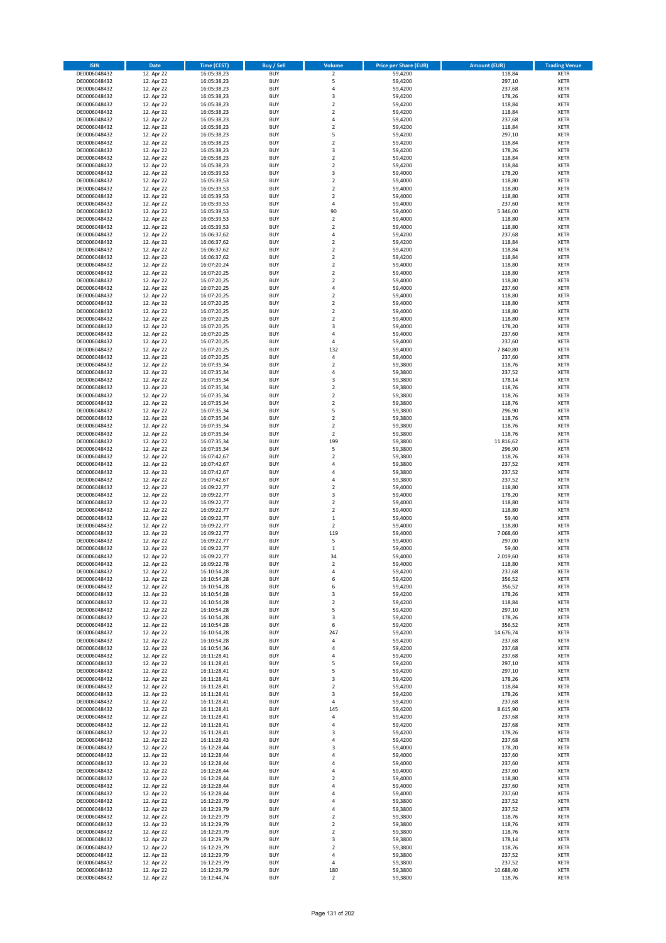| <b>ISIN</b>                  | <b>Date</b>              | <b>Time (CEST)</b>         | <b>Buy / Sell</b>        | <b>Volume</b>                          | <b>Price per Share (EUR)</b> | <b>Amount (EUR)</b> | <b>Trading Venue</b>       |
|------------------------------|--------------------------|----------------------------|--------------------------|----------------------------------------|------------------------------|---------------------|----------------------------|
| DE0006048432                 | 12. Apr 22               | 16:05:38,23                | <b>BUY</b>               | $\overline{\mathbf{2}}$                | 59,4200                      | 118,84              | <b>XETR</b>                |
| DE0006048432                 | 12. Apr 22               | 16:05:38,23                | <b>BUY</b>               | 5                                      | 59,4200                      | 297,10              | <b>XETR</b>                |
| DE0006048432                 | 12. Apr 22               | 16:05:38,23                | <b>BUY</b>               | 4                                      | 59,4200                      | 237,68              | <b>XETR</b>                |
| DE0006048432<br>DE0006048432 | 12. Apr 22<br>12. Apr 22 | 16:05:38,23<br>16:05:38,23 | <b>BUY</b><br><b>BUY</b> | 3<br>$\overline{\mathbf{c}}$           | 59,4200<br>59,4200           | 178,26<br>118,84    | <b>XETR</b><br><b>XETR</b> |
| DE0006048432                 | 12. Apr 22               | 16:05:38,23                | <b>BUY</b>               | $\mathbf 2$                            | 59,4200                      | 118,84              | <b>XETR</b>                |
| DE0006048432                 | 12. Apr 22               | 16:05:38,23                | <b>BUY</b>               | 4                                      | 59,4200                      | 237,68              | <b>XETR</b>                |
| DE0006048432                 | 12. Apr 22               | 16:05:38,23                | <b>BUY</b>               | $\mathbf 2$                            | 59,4200                      | 118,84              | <b>XETR</b>                |
| DE0006048432                 | 12. Apr 22               | 16:05:38,23                | <b>BUY</b>               | 5                                      | 59,4200                      | 297,10              | <b>XETR</b>                |
| DE0006048432                 | 12. Apr 22               | 16:05:38,23                | <b>BUY</b>               | $\mathbf 2$                            | 59,4200                      | 118,84              | <b>XETR</b>                |
| DE0006048432                 | 12. Apr 22               | 16:05:38,23                | <b>BUY</b>               | 3                                      | 59,4200                      | 178,26              | <b>XETR</b>                |
| DE0006048432                 | 12. Apr 22<br>12. Apr 22 | 16:05:38,23                | <b>BUY</b><br><b>BUY</b> | $\overline{\mathbf{c}}$<br>$\mathbf 2$ | 59,4200                      | 118,84              | <b>XETR</b><br><b>XETR</b> |
| DE0006048432<br>DE0006048432 | 12. Apr 22               | 16:05:38,23<br>16:05:39,53 | <b>BUY</b>               | 3                                      | 59,4200<br>59,4000           | 118,84<br>178,20    | <b>XETR</b>                |
| DE0006048432                 | 12. Apr 22               | 16:05:39,53                | <b>BUY</b>               | $\mathbf 2$                            | 59,4000                      | 118,80              | <b>XETR</b>                |
| DE0006048432                 | 12. Apr 22               | 16:05:39,53                | <b>BUY</b>               | $\overline{\mathbf{c}}$                | 59,4000                      | 118,80              | <b>XETR</b>                |
| DE0006048432                 | 12. Apr 22               | 16:05:39,53                | <b>BUY</b>               | $\mathbf 2$                            | 59,4000                      | 118,80              | <b>XETR</b>                |
| DE0006048432                 | 12. Apr 22               | 16:05:39,53                | <b>BUY</b>               | 4                                      | 59,4000                      | 237,60              | <b>XETR</b>                |
| DE0006048432                 | 12. Apr 22               | 16:05:39,53                | <b>BUY</b>               | 90                                     | 59,4000                      | 5.346,00            | <b>XETR</b>                |
| DE0006048432                 | 12. Apr 22               | 16:05:39,53                | <b>BUY</b>               | $\mathbf 2$                            | 59,4000                      | 118,80              | <b>XETR</b>                |
| DE0006048432<br>DE0006048432 | 12. Apr 22<br>12. Apr 22 | 16:05:39,53<br>16:06:37,62 | <b>BUY</b><br><b>BUY</b> | $\overline{\mathbf{c}}$<br>4           | 59,4000<br>59,4200           | 118,80<br>237,68    | <b>XETR</b><br><b>XETR</b> |
| DE0006048432                 | 12. Apr 22               | 16:06:37,62                | <b>BUY</b>               | $\mathbf 2$                            | 59,4200                      | 118,84              | <b>XETR</b>                |
| DE0006048432                 | 12. Apr 22               | 16:06:37,62                | <b>BUY</b>               | $\mathbf 2$                            | 59,4200                      | 118,84              | <b>XETR</b>                |
| DE0006048432                 | 12. Apr 22               | 16:06:37,62                | <b>BUY</b>               | $\mathbf 2$                            | 59,4200                      | 118,84              | <b>XETR</b>                |
| DE0006048432                 | 12. Apr 22               | 16:07:20,24                | <b>BUY</b>               | $\mathbf 2$                            | 59,4000                      | 118,80              | <b>XETR</b>                |
| DE0006048432                 | 12. Apr 22               | 16:07:20,25                | <b>BUY</b>               | $\mathbf 2$                            | 59,4000                      | 118,80              | <b>XETR</b>                |
| DE0006048432                 | 12. Apr 22               | 16:07:20,25                | <b>BUY</b>               | $\overline{\mathbf{c}}$                | 59,4000                      | 118,80              | <b>XETR</b>                |
| DE0006048432<br>DE0006048432 | 12. Apr 22<br>12. Apr 22 | 16:07:20,25<br>16:07:20,25 | <b>BUY</b><br><b>BUY</b> | 4<br>$\overline{\mathbf{c}}$           | 59,4000<br>59,4000           | 237,60<br>118,80    | <b>XETR</b><br><b>XETR</b> |
| DE0006048432                 | 12. Apr 22               | 16:07:20,25                | <b>BUY</b>               | $\overline{2}$                         | 59,4000                      | 118,80              | <b>XETR</b>                |
| DE0006048432                 | 12. Apr 22               | 16:07:20,25                | <b>BUY</b>               | $\overline{\mathbf{c}}$                | 59,4000                      | 118,80              | <b>XETR</b>                |
| DE0006048432                 | 12. Apr 22               | 16:07:20,25                | <b>BUY</b>               | $\mathbf 2$                            | 59,4000                      | 118,80              | <b>XETR</b>                |
| DE0006048432                 | 12. Apr 22               | 16:07:20,25                | <b>BUY</b>               | 3                                      | 59,4000                      | 178,20              | <b>XETR</b>                |
| DE0006048432                 | 12. Apr 22               | 16:07:20,25                | <b>BUY</b>               | 4                                      | 59,4000                      | 237,60              | <b>XETR</b>                |
| DE0006048432                 | 12. Apr 22               | 16:07:20,25                | <b>BUY</b>               | 4                                      | 59,4000                      | 237,60              | <b>XETR</b>                |
| DE0006048432                 | 12. Apr 22               | 16:07:20,25<br>16:07:20,25 | <b>BUY</b><br><b>BUY</b> | 132<br>4                               | 59,4000<br>59,4000           | 7.840,80<br>237,60  | <b>XETR</b><br><b>XETR</b> |
| DE0006048432<br>DE0006048432 | 12. Apr 22<br>12. Apr 22 | 16:07:35,34                | <b>BUY</b>               | $\mathbf 2$                            | 59,3800                      | 118,76              | <b>XETR</b>                |
| DE0006048432                 | 12. Apr 22               | 16:07:35,34                | <b>BUY</b>               | 4                                      | 59,3800                      | 237,52              | <b>XETR</b>                |
| DE0006048432                 | 12. Apr 22               | 16:07:35,34                | <b>BUY</b>               | 3                                      | 59,3800                      | 178,14              | <b>XETR</b>                |
| DE0006048432                 | 12. Apr 22               | 16:07:35,34                | <b>BUY</b>               | $\mathbf 2$                            | 59,3800                      | 118,76              | <b>XETR</b>                |
| DE0006048432                 | 12. Apr 22               | 16:07:35,34                | <b>BUY</b>               | $\mathbf 2$                            | 59,3800                      | 118,76              | <b>XETR</b>                |
| DE0006048432                 | 12. Apr 22               | 16:07:35,34                | <b>BUY</b>               | $\overline{\mathbf{c}}$                | 59,3800                      | 118,76              | <b>XETR</b>                |
| DE0006048432                 | 12. Apr 22               | 16:07:35,34                | <b>BUY</b>               | 5                                      | 59,3800                      | 296,90              | <b>XETR</b>                |
| DE0006048432                 | 12. Apr 22               | 16:07:35,34                | <b>BUY</b>               | $\overline{2}$                         | 59,3800                      | 118,76              | <b>XETR</b>                |
| DE0006048432<br>DE0006048432 | 12. Apr 22<br>12. Apr 22 | 16:07:35,34<br>16:07:35,34 | <b>BUY</b><br><b>BUY</b> | $\mathbf 2$<br>$\mathbf 2$             | 59,3800<br>59,3800           | 118,76<br>118,76    | <b>XETR</b><br><b>XETR</b> |
| DE0006048432                 | 12. Apr 22               | 16:07:35,34                | <b>BUY</b>               | 199                                    | 59,3800                      | 11.816,62           | <b>XETR</b>                |
| DE0006048432                 | 12. Apr 22               | 16:07:35,34                | <b>BUY</b>               | 5                                      | 59,3800                      | 296,90              | <b>XETR</b>                |
| DE0006048432                 | 12. Apr 22               | 16:07:42,67                | <b>BUY</b>               | $\overline{\mathbf{c}}$                | 59,3800                      | 118,76              | <b>XETR</b>                |
| DE0006048432                 | 12. Apr 22               | 16:07:42,67                | <b>BUY</b>               | 4                                      | 59,3800                      | 237,52              | <b>XETR</b>                |
| DE0006048432                 | 12. Apr 22               | 16:07:42,67                | <b>BUY</b>               | 4                                      | 59,3800                      | 237,52              | <b>XETR</b>                |
| DE0006048432                 | 12. Apr 22               | 16:07:42,67                | <b>BUY</b>               | 4                                      | 59,3800                      | 237,52              | <b>XETR</b>                |
| DE0006048432<br>DE0006048432 | 12. Apr 22<br>12. Apr 22 | 16:09:22,77<br>16:09:22,77 | <b>BUY</b><br><b>BUY</b> | $\overline{\mathbf{c}}$<br>3           | 59,4000<br>59,4000           | 118,80<br>178,20    | <b>XETR</b><br><b>XETR</b> |
| DE0006048432                 | 12. Apr 22               | 16:09:22,77                | <b>BUY</b>               | $\overline{\mathbf{c}}$                | 59,4000                      | 118,80              | <b>XETR</b>                |
| DE0006048432                 | 12. Apr 22               | 16:09:22,77                | <b>BUY</b>               | $\overline{\mathbf{c}}$                | 59,4000                      | 118,80              | <b>XETR</b>                |
| DE0006048432                 | 12. Apr 22               | 16:09:22,77                | <b>BUY</b>               | $\mathbf 1$                            | 59,4000                      | 59,40               | <b>XETR</b>                |
| DE0006048432                 | 12. Apr 22               | 16:09:22,77                | <b>BUY</b>               | $\overline{2}$                         | 59,4000                      | 118,80              | <b>XETR</b>                |
| DE0006048432                 | 12. Apr 22               | 16:09:22,77                | <b>BUY</b>               | 119                                    | 59,4000                      | 7.068,60            | <b>XETR</b>                |
| DE0006048432                 | 12. Apr 22               | 16:09:22,77                | <b>BUY</b>               | 5                                      | 59,4000                      | 297,00              | <b>XETR</b>                |
| DE0006048432<br>DE0006048432 | 12. Apr 22<br>12. Apr 22 | 16:09:22,77<br>16:09:22,77 | <b>BUY</b><br><b>BUY</b> | $\mathbf 1$<br>34                      | 59,4000<br>59,4000           | 59,40<br>2.019,60   | <b>XETR</b><br><b>XETR</b> |
| DE0006048432                 | 12. Apr 22               | 16:09:22,78                | BUY                      | 2                                      | 59,4000                      | 118,80              | <b>XETR</b>                |
| DE0006048432                 | 12. Apr 22               | 16:10:54,28                | <b>BUY</b>               | 4                                      | 59,4200                      | 237,68              | XETR                       |
| DE0006048432                 | 12. Apr 22               | 16:10:54,28                | <b>BUY</b>               | 6                                      | 59,4200                      | 356,52              | XETR                       |
| DE0006048432                 | 12. Apr 22               | 16:10:54,28                | <b>BUY</b>               | 6                                      | 59,4200                      | 356,52              | XETR                       |
| DE0006048432                 | 12. Apr 22               | 16:10:54,28                | <b>BUY</b>               | 3                                      | 59,4200                      | 178,26              | <b>XETR</b>                |
| DE0006048432<br>DE0006048432 | 12. Apr 22<br>12. Apr 22 | 16:10:54,28<br>16:10:54,28 | <b>BUY</b><br><b>BUY</b> | $\mathbf 2$<br>5                       | 59,4200<br>59,4200           | 118,84<br>297,10    | <b>XETR</b><br><b>XETR</b> |
| DE0006048432                 | 12. Apr 22               | 16:10:54,28                | <b>BUY</b>               | 3                                      | 59,4200                      | 178,26              | <b>XETR</b>                |
| DE0006048432                 | 12. Apr 22               | 16:10:54,28                | <b>BUY</b>               | 6                                      | 59,4200                      | 356,52              | <b>XETR</b>                |
| DE0006048432                 | 12. Apr 22               | 16:10:54,28                | <b>BUY</b>               | 247                                    | 59,4200                      | 14.676,74           | <b>XETR</b>                |
| DE0006048432                 | 12. Apr 22               | 16:10:54,28                | <b>BUY</b>               | 4                                      | 59,4200                      | 237,68              | <b>XETR</b>                |
| DE0006048432                 | 12. Apr 22               | 16:10:54,36                | <b>BUY</b>               | 4                                      | 59,4200                      | 237,68              | <b>XETR</b>                |
| DE0006048432                 | 12. Apr 22               | 16:11:28,41                | <b>BUY</b>               | 4                                      | 59,4200                      | 237,68              | <b>XETR</b>                |
| DE0006048432<br>DE0006048432 | 12. Apr 22<br>12. Apr 22 | 16:11:28,41<br>16:11:28,41 | <b>BUY</b><br><b>BUY</b> | 5<br>5                                 | 59,4200<br>59,4200           | 297,10<br>297,10    | <b>XETR</b><br><b>XETR</b> |
| DE0006048432                 | 12. Apr 22               | 16:11:28,41                | <b>BUY</b>               | 3                                      | 59,4200                      | 178,26              | <b>XETR</b>                |
| DE0006048432                 | 12. Apr 22               | 16:11:28,41                | <b>BUY</b>               | $\overline{2}$                         | 59,4200                      | 118,84              | <b>XETR</b>                |
| DE0006048432                 | 12. Apr 22               | 16:11:28,41                | <b>BUY</b>               | 3                                      | 59,4200                      | 178,26              | <b>XETR</b>                |
| DE0006048432                 | 12. Apr 22               | 16:11:28,41                | <b>BUY</b>               | 4                                      | 59,4200                      | 237,68              | XETR                       |
| DE0006048432                 | 12. Apr 22               | 16:11:28,41                | <b>BUY</b>               | 145                                    | 59,4200                      | 8.615,90            | <b>XETR</b>                |
| DE0006048432                 | 12. Apr 22               | 16:11:28,41                | <b>BUY</b>               | 4                                      | 59,4200                      | 237,68              | <b>XETR</b>                |
| DE0006048432<br>DE0006048432 | 12. Apr 22<br>12. Apr 22 | 16:11:28,41<br>16:11:28,41 | <b>BUY</b><br><b>BUY</b> | 4<br>3                                 | 59,4200<br>59,4200           | 237,68<br>178,26    | <b>XETR</b><br><b>XETR</b> |
| DE0006048432                 | 12. Apr 22               | 16:11:28,43                | <b>BUY</b>               | 4                                      | 59,4200                      | 237,68              | <b>XETR</b>                |
| DE0006048432                 | 12. Apr 22               | 16:12:28,44                | <b>BUY</b>               | 3                                      | 59,4000                      | 178,20              | <b>XETR</b>                |
| DE0006048432                 | 12. Apr 22               | 16:12:28,44                | <b>BUY</b>               | 4                                      | 59,4000                      | 237,60              | XETR                       |
| DE0006048432                 | 12. Apr 22               | 16:12:28,44                | <b>BUY</b>               | 4                                      | 59,4000                      | 237,60              | <b>XETR</b>                |
| DE0006048432                 | 12. Apr 22               | 16:12:28,44                | <b>BUY</b>               | 4                                      | 59,4000                      | 237,60              | <b>XETR</b>                |
| DE0006048432                 | 12. Apr 22               | 16:12:28,44                | <b>BUY</b>               | $\mathbf 2$                            | 59,4000                      | 118,80              | <b>XETR</b>                |
| DE0006048432<br>DE0006048432 | 12. Apr 22<br>12. Apr 22 | 16:12:28,44                | <b>BUY</b><br><b>BUY</b> | 4<br>4                                 | 59,4000<br>59,4000           | 237,60<br>237,60    | XETR<br><b>XETR</b>        |
| DE0006048432                 | 12. Apr 22               | 16:12:28,44<br>16:12:29,79 | <b>BUY</b>               | 4                                      | 59,3800                      | 237,52              | <b>XETR</b>                |
| DE0006048432                 | 12. Apr 22               | 16:12:29,79                | <b>BUY</b>               | 4                                      | 59,3800                      | 237,52              | <b>XETR</b>                |
| DE0006048432                 | 12. Apr 22               | 16:12:29,79                | <b>BUY</b>               | $\mathbf 2$                            | 59,3800                      | 118,76              | <b>XETR</b>                |
| DE0006048432                 | 12. Apr 22               | 16:12:29,79                | <b>BUY</b>               | $\mathbf 2$                            | 59,3800                      | 118,76              | <b>XETR</b>                |
| DE0006048432                 | 12. Apr 22               | 16:12:29,79                | <b>BUY</b>               | $\mathbf 2$                            | 59,3800                      | 118,76              | <b>XETR</b>                |
| DE0006048432                 | 12. Apr 22               | 16:12:29,79                | <b>BUY</b>               | 3                                      | 59,3800                      | 178,14              | <b>XETR</b>                |
| DE0006048432                 | 12. Apr 22               | 16:12:29,79                | <b>BUY</b><br><b>BUY</b> | $\overline{\mathbf{c}}$<br>4           | 59,3800                      | 118,76              | XETR<br><b>XETR</b>        |
| DE0006048432<br>DE0006048432 | 12. Apr 22<br>12. Apr 22 | 16:12:29,79<br>16:12:29,79 | <b>BUY</b>               | 4                                      | 59,3800<br>59,3800           | 237,52<br>237,52    | <b>XETR</b>                |
| DE0006048432                 | 12. Apr 22               | 16:12:29,79                | <b>BUY</b>               | 180                                    | 59,3800                      | 10.688,40           | <b>XETR</b>                |
| DE0006048432                 | 12. Apr 22               | 16:12:44,74                | <b>BUY</b>               | $\mathbf 2$                            | 59,3800                      | 118,76              | XETR                       |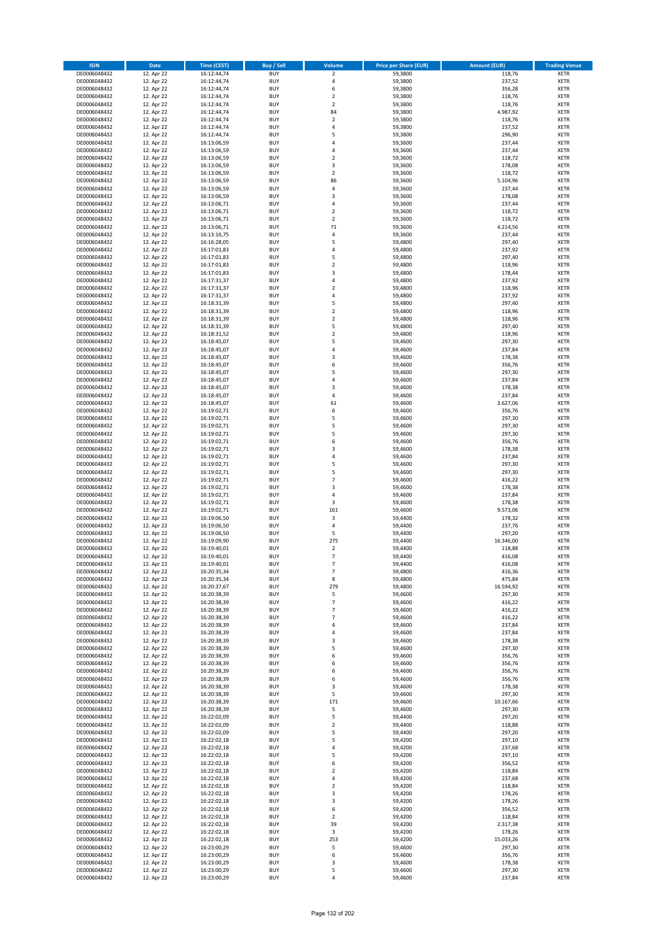| <b>ISIN</b>                  | <b>Date</b>              | Time (CEST)                | <b>Buy / Sell</b>        | <b>Volume</b>                          | <b>Price per Share (EUR)</b> | <b>Amount (EUR)</b> | <b>Trading Venue</b>       |
|------------------------------|--------------------------|----------------------------|--------------------------|----------------------------------------|------------------------------|---------------------|----------------------------|
| DE0006048432                 | 12. Apr 22               | 16:12:44,74                | <b>BUY</b>               | $\overline{\mathbf{2}}$                | 59,3800                      | 118,76              | <b>XETR</b>                |
| DE0006048432                 | 12. Apr 22               | 16:12:44,74                | <b>BUY</b>               | 4                                      | 59,3800                      | 237,52              | <b>XETR</b>                |
| DE0006048432                 | 12. Apr 22               | 16:12:44,74                | <b>BUY</b>               | 6                                      | 59,3800                      | 356,28              | <b>XETR</b>                |
| DE0006048432<br>DE0006048432 | 12. Apr 22<br>12. Apr 22 | 16:12:44,74<br>16:12:44,74 | <b>BUY</b><br><b>BUY</b> | $\mathbf 2$<br>$\overline{\mathbf{c}}$ | 59,3800<br>59,3800           | 118,76<br>118,76    | <b>XETR</b><br><b>XETR</b> |
| DE0006048432                 | 12. Apr 22               | 16:12:44,74                | <b>BUY</b>               | 84                                     | 59,3800                      | 4.987,92            | <b>XETR</b>                |
| DE0006048432                 | 12. Apr 22               | 16:12:44,74                | <b>BUY</b>               | $\mathbf 2$                            | 59,3800                      | 118,76              | <b>XETR</b>                |
| DE0006048432                 | 12. Apr 22               | 16:12:44,74                | <b>BUY</b>               | 4                                      | 59,3800                      | 237,52              | <b>XETR</b>                |
| DE0006048432                 | 12. Apr 22               | 16:12:44,74                | <b>BUY</b>               | 5                                      | 59,3800                      | 296,90              | <b>XETR</b>                |
| DE0006048432                 | 12. Apr 22               | 16:13:06,59                | <b>BUY</b>               | 4                                      | 59,3600                      | 237,44              | <b>XETR</b>                |
| DE0006048432                 | 12. Apr 22               | 16:13:06,59                | <b>BUY</b>               | 4                                      | 59,3600                      | 237,44              | <b>XETR</b>                |
| DE0006048432                 | 12. Apr 22<br>12. Apr 22 | 16:13:06,59                | <b>BUY</b><br><b>BUY</b> | $\overline{\mathbf{c}}$<br>3           | 59,3600                      | 118,72              | <b>XETR</b><br><b>XETR</b> |
| DE0006048432<br>DE0006048432 | 12. Apr 22               | 16:13:06,59<br>16:13:06,59 | <b>BUY</b>               | $\overline{\mathbf{2}}$                | 59,3600<br>59,3600           | 178,08<br>118,72    | <b>XETR</b>                |
| DE0006048432                 | 12. Apr 22               | 16:13:06,59                | <b>BUY</b>               | 86                                     | 59,3600                      | 5.104,96            | <b>XETR</b>                |
| DE0006048432                 | 12. Apr 22               | 16:13:06,59                | <b>BUY</b>               | 4                                      | 59,3600                      | 237,44              | <b>XETR</b>                |
| DE0006048432                 | 12. Apr 22               | 16:13:06,59                | <b>BUY</b>               | 3                                      | 59,3600                      | 178,08              | <b>XETR</b>                |
| DE0006048432                 | 12. Apr 22               | 16:13:06,71                | <b>BUY</b>               | 4                                      | 59,3600                      | 237,44              | <b>XETR</b>                |
| DE0006048432                 | 12. Apr 22               | 16:13:06,71                | <b>BUY</b>               | $\overline{\mathbf{c}}$                | 59,3600                      | 118,72              | <b>XETR</b>                |
| DE0006048432                 | 12. Apr 22               | 16:13:06,71                | <b>BUY</b>               | $\mathbf 2$                            | 59,3600                      | 118,72              | <b>XETR</b>                |
| DE0006048432                 | 12. Apr 22               | 16:13:06,71                | <b>BUY</b>               | 71                                     | 59,3600                      | 4.214,56            | <b>XETR</b>                |
| DE0006048432<br>DE0006048432 | 12. Apr 22<br>12. Apr 22 | 16:13:16,75<br>16:16:28,05 | <b>BUY</b><br><b>BUY</b> | 4<br>5                                 | 59,3600<br>59,4800           | 237,44<br>297,40    | <b>XETR</b><br><b>XETR</b> |
| DE0006048432                 | 12. Apr 22               | 16:17:01,83                | <b>BUY</b>               | 4                                      | 59,4800                      | 237,92              | <b>XETR</b>                |
| DE0006048432                 | 12. Apr 22               | 16:17:01,83                | <b>BUY</b>               | 5                                      | 59,4800                      | 297,40              | <b>XETR</b>                |
| DE0006048432                 | 12. Apr 22               | 16:17:01,83                | <b>BUY</b>               | $\mathbf 2$                            | 59,4800                      | 118,96              | <b>XETR</b>                |
| DE0006048432                 | 12. Apr 22               | 16:17:01,83                | <b>BUY</b>               | 3                                      | 59,4800                      | 178,44              | <b>XETR</b>                |
| DE0006048432                 | 12. Apr 22               | 16:17:31,37                | <b>BUY</b>               | 4                                      | 59,4800                      | 237,92              | <b>XETR</b>                |
| DE0006048432                 | 12. Apr 22               | 16:17:31,37                | <b>BUY</b>               | $\mathbf 2$                            | 59,4800                      | 118,96              | <b>XETR</b>                |
| DE0006048432                 | 12. Apr 22               | 16:17:31,37                | <b>BUY</b><br><b>BUY</b> | 4<br>5                                 | 59,4800                      | 237,92              | <b>XETR</b>                |
| DE0006048432<br>DE0006048432 | 12. Apr 22<br>12. Apr 22 | 16:18:31,39<br>16:18:31,39 | <b>BUY</b>               | $\overline{\mathbf{c}}$                | 59,4800<br>59,4800           | 297,40<br>118,96    | <b>XETR</b><br><b>XETR</b> |
| DE0006048432                 | 12. Apr 22               | 16:18:31,39                | <b>BUY</b>               | $\mathbf 2$                            | 59,4800                      | 118,96              | <b>XETR</b>                |
| DE0006048432                 | 12. Apr 22               | 16:18:31,39                | <b>BUY</b>               | 5                                      | 59,4800                      | 297,40              | <b>XETR</b>                |
| DE0006048432                 | 12. Apr 22               | 16:18:31,52                | <b>BUY</b>               | $\mathbf 2$                            | 59,4800                      | 118,96              | <b>XETR</b>                |
| DE0006048432                 | 12. Apr 22               | 16:18:45,07                | <b>BUY</b>               | 5                                      | 59,4600                      | 297,30              | <b>XETR</b>                |
| DE0006048432                 | 12. Apr 22               | 16:18:45,07                | <b>BUY</b>               | 4                                      | 59,4600                      | 237,84              | <b>XETR</b>                |
| DE0006048432                 | 12. Apr 22               | 16:18:45,07                | <b>BUY</b>               | 3                                      | 59,4600                      | 178,38              | <b>XETR</b>                |
| DE0006048432                 | 12. Apr 22               | 16:18:45,07                | <b>BUY</b>               | 6                                      | 59,4600                      | 356,76              | <b>XETR</b>                |
| DE0006048432                 | 12. Apr 22<br>12. Apr 22 | 16:18:45,07                | <b>BUY</b>               | 5<br>4                                 | 59,4600                      | 297,30              | <b>XETR</b>                |
| DE0006048432<br>DE0006048432 | 12. Apr 22               | 16:18:45,07<br>16:18:45,07 | <b>BUY</b><br><b>BUY</b> | 3                                      | 59,4600<br>59,4600           | 237,84<br>178,38    | <b>XETR</b><br><b>XETR</b> |
| DE0006048432                 | 12. Apr 22               | 16:18:45,07                | <b>BUY</b>               | 4                                      | 59,4600                      | 237,84              | <b>XETR</b>                |
| DE0006048432                 | 12. Apr 22               | 16:18:45,07                | <b>BUY</b>               | 61                                     | 59,4600                      | 3.627,06            | <b>XETR</b>                |
| DE0006048432                 | 12. Apr 22               | 16:19:02,71                | <b>BUY</b>               | 6                                      | 59,4600                      | 356,76              | <b>XETR</b>                |
| DE0006048432                 | 12. Apr 22               | 16:19:02,71                | <b>BUY</b>               | 5                                      | 59,4600                      | 297,30              | <b>XETR</b>                |
| DE0006048432                 | 12. Apr 22               | 16:19:02,71                | <b>BUY</b>               | 5                                      | 59,4600                      | 297,30              | <b>XETR</b>                |
| DE0006048432                 | 12. Apr 22               | 16:19:02,71                | <b>BUY</b>               | 5                                      | 59,4600                      | 297,30              | <b>XETR</b>                |
| DE0006048432                 | 12. Apr 22               | 16:19:02,71                | <b>BUY</b>               | 6                                      | 59,4600                      | 356,76              | <b>XETR</b>                |
| DE0006048432<br>DE0006048432 | 12. Apr 22<br>12. Apr 22 | 16:19:02,71<br>16:19:02,71 | <b>BUY</b><br><b>BUY</b> | 3<br>4                                 | 59,4600<br>59,4600           | 178,38<br>237,84    | <b>XETR</b><br><b>XETR</b> |
| DE0006048432                 | 12. Apr 22               | 16:19:02,71                | <b>BUY</b>               | 5                                      | 59,4600                      | 297,30              | <b>XETR</b>                |
| DE0006048432                 | 12. Apr 22               | 16:19:02,71                | <b>BUY</b>               | 5                                      | 59,4600                      | 297,30              | <b>XETR</b>                |
| DE0006048432                 | 12. Apr 22               | 16:19:02,71                | <b>BUY</b>               | $\overline{7}$                         | 59,4600                      | 416,22              | <b>XETR</b>                |
| DE0006048432                 | 12. Apr 22               | 16:19:02,71                | <b>BUY</b>               | 3                                      | 59,4600                      | 178,38              | <b>XETR</b>                |
| DE0006048432                 | 12. Apr 22               | 16:19:02,71                | <b>BUY</b>               | 4                                      | 59,4600                      | 237,84              | <b>XETR</b>                |
| DE0006048432                 | 12. Apr 22               | 16:19:02,71                | <b>BUY</b>               | 3                                      | 59,4600                      | 178,38              | <b>XETR</b>                |
| DE0006048432                 | 12. Apr 22               | 16:19:02,71                | <b>BUY</b>               | 161                                    | 59,4600                      | 9.573,06            | <b>XETR</b>                |
| DE0006048432<br>DE0006048432 | 12. Apr 22               | 16:19:06,50                | <b>BUY</b><br><b>BUY</b> | 3<br>4                                 | 59,4400<br>59,4400           | 178,32              | <b>XETR</b><br><b>XETR</b> |
| DE0006048432                 | 12. Apr 22<br>12. Apr 22 | 16:19:06,50<br>16:19:06,50 | <b>BUY</b>               | 5                                      | 59,4400                      | 237,76<br>297,20    | <b>XETR</b>                |
| DE0006048432                 | 12. Apr 22               | 16:19:09,90                | <b>BUY</b>               | 275                                    | 59,4400                      | 16.346,00           | <b>XETR</b>                |
| DE0006048432                 | 12. Apr 22               | 16:19:40,01                | <b>BUY</b>               | $\mathbf 2$                            | 59,4400                      | 118,88              | <b>XETR</b>                |
| DE0006048432                 | 12. Apr 22               | 16:19:40,01                | <b>BUY</b>               | $\overline{7}$                         | 59,4400                      | 416,08              | <b>XETR</b>                |
| DE0006048432                 | 12. Apr 22               | 16:19:40,01                | BUY                      | 7                                      | 59,4400                      | 416,08              | <b>XETR</b>                |
| DE0006048432                 | 12. Apr 22               | 16:20:35,34                | <b>BUY</b>               | $\overline{7}$                         | 59,4800                      | 416,36              | <b>XETR</b>                |
| DE0006048432                 | 12. Apr 22               | 16:20:35,34                | <b>BUY</b><br><b>BUY</b> | 8                                      | 59,4800<br>59,4800           | 475,84<br>16.594,92 | <b>XETR</b>                |
| DE0006048432<br>DE0006048432 | 12. Apr 22<br>12. Apr 22 | 16:20:37,67<br>16:20:38,39 | <b>BUY</b>               | 279<br>5                               | 59,4600                      | 297,30              | XETR<br><b>XETR</b>        |
| DE0006048432                 | 12. Apr 22               | 16:20:38,39                | <b>BUY</b>               | $\overline{\phantom{a}}$               | 59,4600                      | 416,22              | <b>XETR</b>                |
| DE0006048432                 | 12. Apr 22               | 16:20:38,39                | <b>BUY</b>               | $\overline{7}$                         | 59,4600                      | 416,22              | <b>XETR</b>                |
| DE0006048432                 | 12. Apr 22               | 16:20:38,39                | <b>BUY</b>               | $\overline{7}$                         | 59,4600                      | 416,22              | <b>XETR</b>                |
| DE0006048432                 | 12. Apr 22               | 16:20:38,39                | <b>BUY</b>               | 4                                      | 59,4600                      | 237,84              | <b>XETR</b>                |
| DE0006048432                 | 12. Apr 22               | 16:20:38,39                | <b>BUY</b>               | 4                                      | 59,4600                      | 237,84              | XETR                       |
| DE0006048432                 | 12. Apr 22               | 16:20:38,39                | <b>BUY</b>               | 3                                      | 59,4600                      | 178,38              | <b>XETR</b>                |
| DE0006048432<br>DE0006048432 | 12. Apr 22<br>12. Apr 22 | 16:20:38,39<br>16:20:38,39 | <b>BUY</b><br><b>BUY</b> | 5<br>6                                 | 59,4600<br>59,4600           | 297,30<br>356,76    | <b>XETR</b><br><b>XETR</b> |
| DE0006048432                 | 12. Apr 22               | 16:20:38,39                | <b>BUY</b>               | 6                                      | 59,4600                      | 356,76              | <b>XETR</b>                |
| DE0006048432                 | 12. Apr 22               | 16:20:38,39                | <b>BUY</b>               | 6                                      | 59,4600                      | 356,76              | <b>XETR</b>                |
| DE0006048432                 | 12. Apr 22               | 16:20:38,39                | <b>BUY</b>               | 6                                      | 59,4600                      | 356,76              | <b>XETR</b>                |
| DE0006048432                 | 12. Apr 22               | 16:20:38,39                | <b>BUY</b>               | 3                                      | 59,4600                      | 178,38              | <b>XETR</b>                |
| DE0006048432                 | 12. Apr 22               | 16:20:38,39                | <b>BUY</b>               | 5                                      | 59,4600                      | 297,30              | <b>XETR</b>                |
| DE0006048432                 | 12. Apr 22               | 16:20:38,39                | <b>BUY</b>               | 171                                    | 59,4600                      | 10.167,66           | XETR                       |
| DE0006048432                 | 12. Apr 22               | 16:20:38,39                | <b>BUY</b>               | 5                                      | 59,4600                      | 297,30              | <b>XETR</b>                |
| DE0006048432<br>DE0006048432 | 12. Apr 22<br>12. Apr 22 | 16:22:02,09<br>16:22:02,09 | <b>BUY</b><br><b>BUY</b> | 5<br>$\mathbf 2$                       | 59,4400<br>59,4400           | 297,20<br>118,88    | <b>XETR</b><br><b>XETR</b> |
| DE0006048432                 | 12. Apr 22               | 16:22:02,09                | <b>BUY</b>               | 5                                      | 59,4400                      | 297,20              | <b>XETR</b>                |
| DE0006048432                 | 12. Apr 22               | 16:22:02,18                | <b>BUY</b>               | 5                                      | 59,4200                      | 297,10              | <b>XETR</b>                |
| DE0006048432                 | 12. Apr 22               | 16:22:02,18                | <b>BUY</b>               | 4                                      | 59,4200                      | 237,68              | <b>XETR</b>                |
| DE0006048432                 | 12. Apr 22               | 16:22:02,18                | <b>BUY</b>               | 5                                      | 59,4200                      | 297,10              | <b>XETR</b>                |
| DE0006048432                 | 12. Apr 22               | 16:22:02,18                | <b>BUY</b>               | 6                                      | 59,4200                      | 356,52              | <b>XETR</b>                |
| DE0006048432                 | 12. Apr 22               | 16:22:02,18                | <b>BUY</b>               | $\overline{\mathbf{2}}$                | 59,4200                      | 118,84              | <b>XETR</b>                |
| DE0006048432<br>DE0006048432 | 12. Apr 22<br>12. Apr 22 | 16:22:02,18<br>16:22:02,18 | <b>BUY</b><br><b>BUY</b> | 4<br>$\overline{\mathbf{c}}$           | 59,4200<br>59,4200           | 237,68<br>118,84    | <b>XETR</b><br>XETR        |
| DE0006048432                 | 12. Apr 22               | 16:22:02,18                | <b>BUY</b>               | 3                                      | 59,4200                      | 178,26              | <b>XETR</b>                |
| DE0006048432                 | 12. Apr 22               | 16:22:02,18                | <b>BUY</b>               | 3                                      | 59,4200                      | 178,26              | <b>XETR</b>                |
| DE0006048432                 | 12. Apr 22               | 16:22:02,18                | <b>BUY</b>               | 6                                      | 59,4200                      | 356,52              | <b>XETR</b>                |
| DE0006048432                 | 12. Apr 22               | 16:22:02,18                | <b>BUY</b>               | $\mathbf 2$                            | 59,4200                      | 118,84              | <b>XETR</b>                |
| DE0006048432                 | 12. Apr 22               | 16:22:02,18                | <b>BUY</b>               | 39                                     | 59,4200                      | 2.317,38            | <b>XETR</b>                |
| DE0006048432                 | 12. Apr 22               | 16:22:02,18                | <b>BUY</b>               | 3                                      | 59,4200                      | 178,26              | <b>XETR</b>                |
| DE0006048432                 | 12. Apr 22<br>12. Apr 22 | 16:22:02,18                | <b>BUY</b><br><b>BUY</b> | 253<br>5                               | 59,4200<br>59,4600           | 15.033,26           | <b>XETR</b><br>XETR        |
| DE0006048432<br>DE0006048432 | 12. Apr 22               | 16:23:00,29<br>16:23:00,29 | <b>BUY</b>               | 6                                      | 59,4600                      | 297,30<br>356,76    | <b>XETR</b>                |
| DE0006048432                 | 12. Apr 22               | 16:23:00,29                | <b>BUY</b>               | 3                                      | 59,4600                      | 178,38              | <b>XETR</b>                |
| DE0006048432                 | 12. Apr 22               | 16:23:00,29                | <b>BUY</b>               | 5                                      | 59,4600                      | 297,30              | <b>XETR</b>                |
| DE0006048432                 | 12. Apr 22               | 16:23:00,29                | <b>BUY</b>               | 4                                      | 59,4600                      | 237,84              | XETR                       |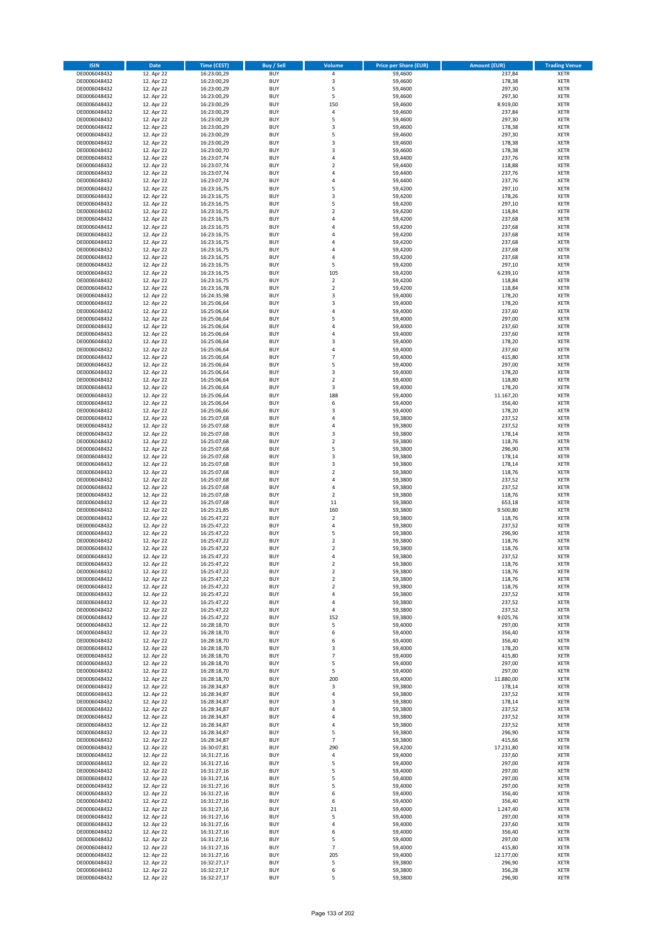| <b>ISIN</b>                  | <b>Date</b>              | <b>Time (CEST)</b>         | <b>Buy / Sell</b>        | <b>Volume</b>                | <b>Price per Share (EUR)</b> | <b>Amount (EUR)</b> | <b>Trading Venue</b>       |
|------------------------------|--------------------------|----------------------------|--------------------------|------------------------------|------------------------------|---------------------|----------------------------|
| DE0006048432                 | 12. Apr 22               | 16:23:00,29                | <b>BUY</b>               | 4                            | 59,4600                      | 237,84              | <b>XETR</b>                |
| DE0006048432                 | 12. Apr 22               | 16:23:00,29                | <b>BUY</b>               | 3                            | 59,4600                      | 178,38              | <b>XETR</b>                |
| DE0006048432                 | 12. Apr 22               | 16:23:00,29                | <b>BUY</b>               | 5                            | 59,4600                      | 297,30              | <b>XETR</b>                |
| DE0006048432<br>DE0006048432 | 12. Apr 22<br>12. Apr 22 | 16:23:00,29<br>16:23:00,29 | <b>BUY</b><br><b>BUY</b> | 5<br>150                     | 59,4600<br>59,4600           | 297,30<br>8.919,00  | <b>XETR</b><br><b>XETR</b> |
| DE0006048432                 | 12. Apr 22               | 16:23:00,29                | <b>BUY</b>               | 4                            | 59,4600                      | 237,84              | <b>XETR</b>                |
| DE0006048432                 | 12. Apr 22               | 16:23:00,29                | <b>BUY</b>               | 5                            | 59,4600                      | 297,30              | <b>XETR</b>                |
| DE0006048432                 | 12. Apr 22               | 16:23:00,29                | <b>BUY</b>               | 3                            | 59,4600                      | 178,38              | <b>XETR</b>                |
| DE0006048432                 | 12. Apr 22               | 16:23:00,29                | <b>BUY</b>               | 5                            | 59,4600                      | 297,30              | <b>XETR</b>                |
| DE0006048432                 | 12. Apr 22               | 16:23:00,29                | <b>BUY</b>               | 3                            | 59,4600                      | 178,38              | <b>XETR</b>                |
| DE0006048432                 | 12. Apr 22               | 16:23:00,70                | <b>BUY</b>               | 3                            | 59,4600                      | 178,38              | <b>XETR</b>                |
| DE0006048432                 | 12. Apr 22<br>12. Apr 22 | 16:23:07,74                | <b>BUY</b><br><b>BUY</b> | 4<br>$\overline{\mathbf{c}}$ | 59,4400                      | 237,76              | <b>XETR</b><br><b>XETR</b> |
| DE0006048432<br>DE0006048432 | 12. Apr 22               | 16:23:07,74<br>16:23:07,74 | <b>BUY</b>               | 4                            | 59,4400<br>59,4400           | 118,88<br>237,76    | <b>XETR</b>                |
| DE0006048432                 | 12. Apr 22               | 16:23:07,74                | <b>BUY</b>               | 4                            | 59,4400                      | 237,76              | <b>XETR</b>                |
| DE0006048432                 | 12. Apr 22               | 16:23:16,75                | <b>BUY</b>               | 5                            | 59,4200                      | 297,10              | <b>XETR</b>                |
| DE0006048432                 | 12. Apr 22               | 16:23:16,75                | <b>BUY</b>               | 3                            | 59,4200                      | 178,26              | <b>XETR</b>                |
| DE0006048432                 | 12. Apr 22               | 16:23:16,75                | <b>BUY</b>               | 5                            | 59,4200                      | 297,10              | <b>XETR</b>                |
| DE0006048432                 | 12. Apr 22               | 16:23:16,75                | <b>BUY</b>               | $\overline{\mathbf{c}}$      | 59,4200                      | 118,84              | <b>XETR</b>                |
| DE0006048432                 | 12. Apr 22               | 16:23:16,75                | <b>BUY</b>               | 4                            | 59,4200                      | 237,68              | <b>XETR</b>                |
| DE0006048432                 | 12. Apr 22               | 16:23:16,75                | <b>BUY</b>               | 4                            | 59,4200                      | 237,68              | <b>XETR</b>                |
| DE0006048432<br>DE0006048432 | 12. Apr 22<br>12. Apr 22 | 16:23:16,75<br>16:23:16,75 | <b>BUY</b><br><b>BUY</b> | 4<br>4                       | 59,4200<br>59,4200           | 237,68<br>237,68    | <b>XETR</b><br><b>XETR</b> |
| DE0006048432                 | 12. Apr 22               | 16:23:16,75                | <b>BUY</b>               | 4                            | 59,4200                      | 237,68              | <b>XETR</b>                |
| DE0006048432                 | 12. Apr 22               | 16:23:16,75                | <b>BUY</b>               | 4                            | 59,4200                      | 237,68              | <b>XETR</b>                |
| DE0006048432                 | 12. Apr 22               | 16:23:16,75                | <b>BUY</b>               | 5                            | 59,4200                      | 297,10              | <b>XETR</b>                |
| DE0006048432                 | 12. Apr 22               | 16:23:16,75                | <b>BUY</b>               | 105                          | 59,4200                      | 6.239,10            | <b>XETR</b>                |
| DE0006048432                 | 12. Apr 22               | 16:23:16,75                | <b>BUY</b>               | $\overline{\mathbf{2}}$      | 59,4200                      | 118,84              | <b>XETR</b>                |
| DE0006048432                 | 12. Apr 22               | 16:23:16,78                | <b>BUY</b>               | $\mathbf 2$                  | 59,4200                      | 118,84              | <b>XETR</b>                |
| DE0006048432                 | 12. Apr 22               | 16:24:35,98                | <b>BUY</b>               | 3<br>3                       | 59,4000                      | 178,20              | <b>XETR</b>                |
| DE0006048432<br>DE0006048432 | 12. Apr 22<br>12. Apr 22 | 16:25:06,64<br>16:25:06,64 | <b>BUY</b><br><b>BUY</b> | 4                            | 59,4000<br>59,4000           | 178,20<br>237,60    | <b>XETR</b><br><b>XETR</b> |
| DE0006048432                 | 12. Apr 22               | 16:25:06,64                | <b>BUY</b>               | 5                            | 59,4000                      | 297,00              | <b>XETR</b>                |
| DE0006048432                 | 12. Apr 22               | 16:25:06,64                | <b>BUY</b>               | 4                            | 59,4000                      | 237,60              | <b>XETR</b>                |
| DE0006048432                 | 12. Apr 22               | 16:25:06.64                | <b>BUY</b>               | 4                            | 59,4000                      | 237,60              | <b>XETR</b>                |
| DE0006048432                 | 12. Apr 22               | 16:25:06,64                | <b>BUY</b>               | 3                            | 59,4000                      | 178,20              | <b>XETR</b>                |
| DE0006048432                 | 12. Apr 22               | 16:25:06,64                | <b>BUY</b>               | 4                            | 59,4000                      | 237,60              | <b>XETR</b>                |
| DE0006048432                 | 12. Apr 22               | 16:25:06,64                | <b>BUY</b>               | $\overline{7}$               | 59,4000                      | 415,80              | <b>XETR</b>                |
| DE0006048432                 | 12. Apr 22               | 16:25:06,64                | <b>BUY</b>               | 5                            | 59,4000                      | 297,00              | <b>XETR</b>                |
| DE0006048432<br>DE0006048432 | 12. Apr 22<br>12. Apr 22 | 16:25:06,64<br>16:25:06,64 | <b>BUY</b><br><b>BUY</b> | 3<br>$\overline{\mathbf{c}}$ | 59,4000<br>59,4000           | 178,20<br>118,80    | <b>XETR</b><br><b>XETR</b> |
| DE0006048432                 | 12. Apr 22               | 16:25:06,64                | <b>BUY</b>               | 3                            | 59,4000                      | 178,20              | <b>XETR</b>                |
| DE0006048432                 | 12. Apr 22               | 16:25:06,64                | <b>BUY</b>               | 188                          | 59,4000                      | 11.167,20           | <b>XETR</b>                |
| DE0006048432                 | 12. Apr 22               | 16:25:06,64                | <b>BUY</b>               | 6                            | 59,4000                      | 356,40              | <b>XETR</b>                |
| DE0006048432                 | 12. Apr 22               | 16:25:06,66                | <b>BUY</b>               | 3                            | 59,4000                      | 178,20              | <b>XETR</b>                |
| DE0006048432                 | 12. Apr 22               | 16:25:07,68                | <b>BUY</b>               | 4                            | 59,3800                      | 237,52              | <b>XETR</b>                |
| DE0006048432                 | 12. Apr 22               | 16:25:07,68                | <b>BUY</b>               | 4                            | 59,3800                      | 237,52              | <b>XETR</b>                |
| DE0006048432                 | 12. Apr 22               | 16:25:07,68                | <b>BUY</b>               | 3<br>$\mathbf 2$             | 59,3800                      | 178,14              | <b>XETR</b>                |
| DE0006048432<br>DE0006048432 | 12. Apr 22<br>12. Apr 22 | 16:25:07,68<br>16:25:07,68 | <b>BUY</b><br><b>BUY</b> | 5                            | 59,3800<br>59,3800           | 118,76<br>296,90    | <b>XETR</b><br><b>XETR</b> |
| DE0006048432                 | 12. Apr 22               | 16:25:07,68                | <b>BUY</b>               | 3                            | 59,3800                      | 178,14              | <b>XETR</b>                |
| DE0006048432                 | 12. Apr 22               | 16:25:07,68                | <b>BUY</b>               | 3                            | 59,3800                      | 178,14              | <b>XETR</b>                |
| DE0006048432                 | 12. Apr 22               | 16:25:07,68                | <b>BUY</b>               | $\overline{\mathbf{c}}$      | 59,3800                      | 118,76              | <b>XETR</b>                |
| DE0006048432                 | 12. Apr 22               | 16:25:07,68                | <b>BUY</b>               | 4                            | 59,3800                      | 237,52              | <b>XETR</b>                |
| DE0006048432                 | 12. Apr 22               | 16:25:07,68                | <b>BUY</b>               | 4                            | 59,3800                      | 237,52              | <b>XETR</b>                |
| DE0006048432                 | 12. Apr 22               | 16:25:07,68                | <b>BUY</b>               | $\mathbf 2$                  | 59,3800                      | 118,76              | <b>XETR</b>                |
| DE0006048432<br>DE0006048432 | 12. Apr 22<br>12. Apr 22 | 16:25:07,68<br>16:25:21,85 | <b>BUY</b><br><b>BUY</b> | 11<br>160                    | 59,3800<br>59,3800           | 653,18<br>9.500,80  | <b>XETR</b><br><b>XETR</b> |
| DE0006048432                 | 12. Apr 22               | 16:25:47,22                | <b>BUY</b>               | $\mathbf 2$                  | 59,3800                      | 118,76              | <b>XETR</b>                |
| DE0006048432                 | 12. Apr 22               | 16:25:47,22                | <b>BUY</b>               | 4                            | 59,3800                      | 237,52              | <b>XETR</b>                |
| DE0006048432                 | 12. Apr 22               | 16:25:47,22                | <b>BUY</b>               | 5                            | 59,3800                      | 296,90              | <b>XETR</b>                |
| DE0006048432                 | 12. Apr 22               | 16:25:47,22                | <b>BUY</b>               | $\overline{\mathbf{c}}$      | 59,3800                      | 118,76              | <b>XETR</b>                |
| DE0006048432                 | 12. Apr 22               | 16:25:47,22                | <b>BUY</b>               | $\overline{\mathbf{c}}$      | 59,3800                      | 118,76              | <b>XETR</b>                |
| DE0006048432                 | 12. Apr 22               | 16:25:47,22                | <b>BUY</b>               | 4                            | 59,3800                      | 237,52              | <b>XETR</b>                |
| DE0006048432<br>DE0006048432 | 12. Apr 22<br>12. Apr 22 | 16:25:47,22<br>16:25:47,22 | BUY<br><b>BUY</b>        | 2<br>$\mathbf 2$             | 59,3800<br>59,3800           | 118,76<br>118,76    | <b>XETR</b><br>XETR        |
| DE0006048432                 | 12. Apr 22               | 16:25:47,22                | <b>BUY</b>               | $\mathbf 2$                  | 59,3800                      | 118,76              | XETR                       |
| DE0006048432                 | 12. Apr 22               | 16:25:47,22                | <b>BUY</b>               | $\mathbf 2$                  | 59,3800                      | 118,76              | XETR                       |
| DE0006048432                 | 12. Apr 22               | 16:25:47,22                | <b>BUY</b>               | 4                            | 59,3800                      | 237,52              | <b>XETR</b>                |
| DE0006048432                 | 12. Apr 22               | 16:25:47,22                | <b>BUY</b>               | 4                            | 59,3800                      | 237,52              | XETR                       |
| DE0006048432                 | 12. Apr 22               | 16:25:47,22                | <b>BUY</b>               | 4                            | 59,3800                      | 237,52              | <b>XETR</b>                |
| DE0006048432<br>DE0006048432 | 12. Apr 22<br>12. Apr 22 | 16:25:47,22<br>16:28:18,70 | <b>BUY</b><br><b>BUY</b> | 152<br>5                     | 59,3800<br>59,4000           | 9.025,76<br>297,00  | <b>XETR</b><br><b>XETR</b> |
| DE0006048432                 | 12. Apr 22               | 16:28:18,70                | <b>BUY</b>               | 6                            | 59,4000                      | 356,40              | XETR                       |
| DE0006048432                 | 12. Apr 22               | 16:28:18,70                | <b>BUY</b>               | 6                            | 59,4000                      | 356,40              | XETR                       |
| DE0006048432                 | 12. Apr 22               | 16:28:18,70                | <b>BUY</b>               | 3                            | 59,4000                      | 178,20              | <b>XETR</b>                |
| DE0006048432                 | 12. Apr 22               | 16:28:18,70                | <b>BUY</b>               | $\overline{7}$               | 59,4000                      | 415,80              | <b>XETR</b>                |
| DE0006048432                 | 12. Apr 22               | 16:28:18,70                | <b>BUY</b>               | 5                            | 59,4000                      | 297,00              | <b>XETR</b>                |
| DE0006048432                 | 12. Apr 22               | 16:28:18,70                | <b>BUY</b><br><b>BUY</b> | 5<br>200                     | 59,4000                      | 297,00              | <b>XETR</b>                |
| DE0006048432<br>DE0006048432 | 12. Apr 22<br>12. Apr 22 | 16:28:18,70<br>16:28:34,87 | <b>BUY</b>               | 3                            | 59,4000<br>59,3800           | 11.880,00<br>178,14 | <b>XETR</b><br><b>XETR</b> |
| DE0006048432                 | 12. Apr 22               | 16:28:34,87                | <b>BUY</b>               | 4                            | 59,3800                      | 237,52              | <b>XETR</b>                |
| DE0006048432                 | 12. Apr 22               | 16:28:34,87                | <b>BUY</b>               | 3                            | 59,3800                      | 178,14              | XETR                       |
| DE0006048432                 | 12. Apr 22               | 16:28:34,87                | <b>BUY</b>               | 4                            | 59,3800                      | 237,52              | <b>XETR</b>                |
| DE0006048432                 | 12. Apr 22               | 16:28:34,87                | <b>BUY</b>               | 4                            | 59,3800                      | 237,52              | <b>XETR</b>                |
| DE0006048432                 | 12. Apr 22               | 16:28:34,87                | <b>BUY</b>               | 4                            | 59,3800                      | 237,52              | <b>XETR</b>                |
| DE0006048432<br>DE0006048432 | 12. Apr 22<br>12. Apr 22 | 16:28:34,87<br>16:28:34,87 | <b>BUY</b><br><b>BUY</b> | 5<br>$\overline{7}$          | 59,3800<br>59,3800           | 296,90<br>415,66    | <b>XETR</b><br><b>XETR</b> |
| DE0006048432                 | 12. Apr 22               | 16:30:07,81                | <b>BUY</b>               | 290                          | 59,4200                      | 17.231,80           | <b>XETR</b>                |
| DE0006048432                 | 12. Apr 22               | 16:31:27,16                | <b>BUY</b>               | 4                            | 59,4000                      | 237,60              | XETR                       |
| DE0006048432                 | 12. Apr 22               | 16:31:27,16                | <b>BUY</b>               | 5                            | 59,4000                      | 297,00              | <b>XETR</b>                |
| DE0006048432                 | 12. Apr 22               | 16:31:27,16                | <b>BUY</b>               | 5                            | 59,4000                      | 297,00              | <b>XETR</b>                |
| DE0006048432                 | 12. Apr 22               | 16:31:27,16                | <b>BUY</b>               | 5                            | 59,4000                      | 297,00              | <b>XETR</b>                |
| DE0006048432                 | 12. Apr 22               | 16:31:27,16                | <b>BUY</b>               | 5                            | 59,4000                      | 297,00              | XETR                       |
| DE0006048432<br>DE0006048432 | 12. Apr 22<br>12. Apr 22 | 16:31:27,16<br>16:31:27,16 | <b>BUY</b><br><b>BUY</b> | 6<br>6                       | 59,4000<br>59,4000           | 356,40<br>356,40    | <b>XETR</b><br><b>XETR</b> |
| DE0006048432                 | 12. Apr 22               | 16:31:27,16                | <b>BUY</b>               | 21                           | 59,4000                      | 1.247,40            | XETR                       |
| DE0006048432                 | 12. Apr 22               | 16:31:27,16                | <b>BUY</b>               | 5                            | 59,4000                      | 297,00              | <b>XETR</b>                |
| DE0006048432                 | 12. Apr 22               | 16:31:27,16                | <b>BUY</b>               | 4                            | 59,4000                      | 237,60              | <b>XETR</b>                |
| DE0006048432                 | 12. Apr 22               | 16:31:27,16                | <b>BUY</b>               | 6                            | 59,4000                      | 356,40              | <b>XETR</b>                |
| DE0006048432                 | 12. Apr 22               | 16:31:27,16                | <b>BUY</b>               | 5                            | 59,4000                      | 297,00              | <b>XETR</b>                |
| DE0006048432                 | 12. Apr 22               | 16:31:27,16                | <b>BUY</b>               | $\overline{7}$               | 59,4000                      | 415,80              | XETR                       |
| DE0006048432<br>DE0006048432 | 12. Apr 22<br>12. Apr 22 | 16:31:27,16<br>16:32:27,17 | <b>BUY</b><br><b>BUY</b> | 205<br>5                     | 59,4000<br>59,3800           | 12.177,00<br>296,90 | <b>XETR</b><br><b>XETR</b> |
| DE0006048432                 | 12. Apr 22               | 16:32:27,17                | <b>BUY</b>               | 6                            | 59,3800                      | 356,28              | <b>XETR</b>                |
| DE0006048432                 | 12. Apr 22               | 16:32:27,17                | <b>BUY</b>               | 5                            | 59,3800                      | 296,90              | XETR                       |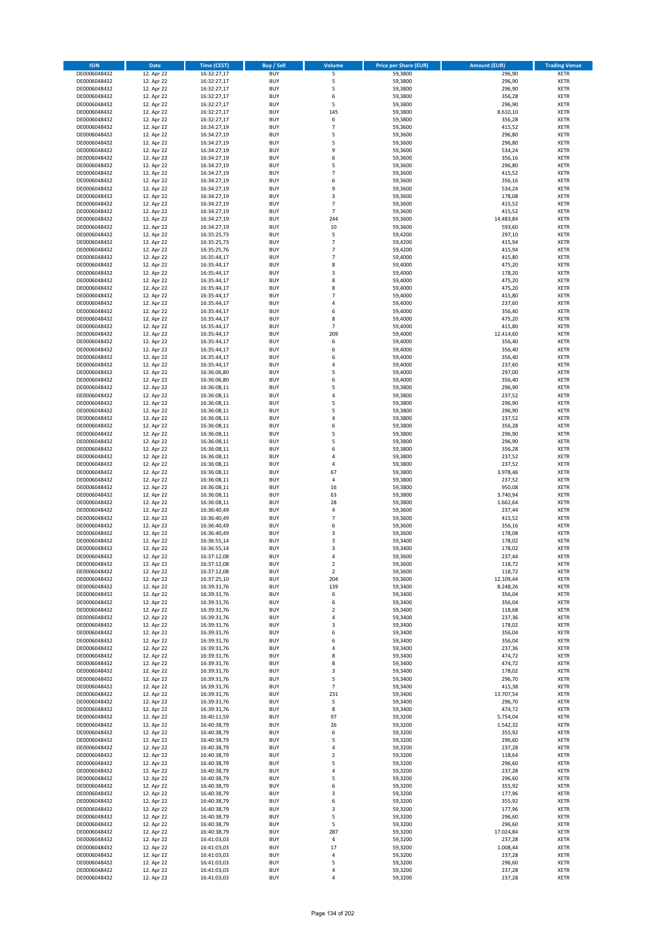| <b>ISIN</b>                  | <b>Date</b>              | <b>Time (CEST)</b>         | <b>Buy / Sell</b>        | <b>Volume</b>       | <b>Price per Share (EUR)</b> | <b>Amount (EUR)</b>   | <b>Trading Venue</b>       |
|------------------------------|--------------------------|----------------------------|--------------------------|---------------------|------------------------------|-----------------------|----------------------------|
| DE0006048432                 | 12. Apr 22               | 16:32:27,17                | <b>BUY</b>               | 5                   | 59,3800                      | 296,90                | <b>XETR</b>                |
| DE0006048432                 | 12. Apr 22               | 16:32:27,17                | <b>BUY</b>               | 5                   | 59,3800                      | 296,90                | <b>XETR</b>                |
| DE0006048432                 | 12. Apr 22               | 16:32:27,17                | <b>BUY</b>               | 5                   | 59,3800                      | 296,90                | <b>XETR</b>                |
| DE0006048432<br>DE0006048432 | 12. Apr 22<br>12. Apr 22 | 16:32:27,17<br>16:32:27,17 | <b>BUY</b><br><b>BUY</b> | 6<br>5              | 59,3800<br>59,3800           | 356,28<br>296,90      | <b>XETR</b><br><b>XETR</b> |
| DE0006048432                 | 12. Apr 22               | 16:32:27,17                | <b>BUY</b>               | 145                 | 59,3800                      | 8.610,10              | <b>XETR</b>                |
| DE0006048432                 | 12. Apr 22               | 16:32:27,17                | <b>BUY</b>               | 6                   | 59,3800                      | 356,28                | <b>XETR</b>                |
| DE0006048432                 | 12. Apr 22               | 16:34:27,19                | <b>BUY</b>               | $\overline{7}$      | 59,3600                      | 415,52                | <b>XETR</b>                |
| DE0006048432                 | 12. Apr 22               | 16:34:27,19                | <b>BUY</b>               | 5                   | 59,3600                      | 296,80                | <b>XETR</b>                |
| DE0006048432                 | 12. Apr 22               | 16:34:27,19                | <b>BUY</b>               | 5                   | 59,3600                      | 296,80                | <b>XETR</b>                |
| DE0006048432                 | 12. Apr 22               | 16:34:27,19                | <b>BUY</b>               | 9                   | 59,3600                      | 534,24                | <b>XETR</b>                |
| DE0006048432<br>DE0006048432 | 12. Apr 22<br>12. Apr 22 | 16:34:27,19<br>16:34:27,19 | <b>BUY</b><br><b>BUY</b> | 6<br>5              | 59,3600<br>59,3600           | 356,16<br>296,80      | <b>XETR</b><br><b>XETR</b> |
| DE0006048432                 | 12. Apr 22               | 16:34:27,19                | <b>BUY</b>               | $\overline{7}$      | 59,3600                      | 415,52                | <b>XETR</b>                |
| DE0006048432                 | 12. Apr 22               | 16:34:27,19                | <b>BUY</b>               | 6                   | 59,3600                      | 356,16                | <b>XETR</b>                |
| DE0006048432                 | 12. Apr 22               | 16:34:27,19                | <b>BUY</b>               | 9                   | 59,3600                      | 534,24                | <b>XETR</b>                |
| DE0006048432                 | 12. Apr 22               | 16:34:27,19                | <b>BUY</b>               | 3                   | 59,3600                      | 178,08                | <b>XETR</b>                |
| DE0006048432                 | 12. Apr 22               | 16:34:27,19                | <b>BUY</b>               | $\overline{7}$      | 59,3600                      | 415,52                | <b>XETR</b>                |
| DE0006048432                 | 12. Apr 22               | 16:34:27,19                | <b>BUY</b>               | $\overline{7}$      | 59,3600                      | 415,52                | <b>XETR</b>                |
| DE0006048432                 | 12. Apr 22               | 16:34:27,19                | <b>BUY</b>               | 244                 | 59,3600                      | 14.483,84             | <b>XETR</b>                |
| DE0006048432                 | 12. Apr 22               | 16:34:27,19                | <b>BUY</b>               | 10                  | 59,3600                      | 593,60                | <b>XETR</b>                |
| DE0006048432<br>DE0006048432 | 12. Apr 22<br>12. Apr 22 | 16:35:25,73<br>16:35:25,73 | <b>BUY</b><br><b>BUY</b> | 5<br>$\overline{7}$ | 59,4200<br>59,4200           | 297,10<br>415,94      | <b>XETR</b><br><b>XETR</b> |
| DE0006048432                 | 12. Apr 22               | 16:35:25,76                | <b>BUY</b>               | $\overline{7}$      | 59,4200                      | 415,94                | <b>XETR</b>                |
| DE0006048432                 | 12. Apr 22               | 16:35:44,17                | <b>BUY</b>               | $\overline{7}$      | 59,4000                      | 415,80                | <b>XETR</b>                |
| DE0006048432                 | 12. Apr 22               | 16:35:44,17                | <b>BUY</b>               | 8                   | 59,4000                      | 475,20                | <b>XETR</b>                |
| DE0006048432                 | 12. Apr 22               | 16:35:44,17                | <b>BUY</b>               | 3                   | 59,4000                      | 178,20                | <b>XETR</b>                |
| DE0006048432                 | 12. Apr 22               | 16:35:44,17                | <b>BUY</b>               | 8                   | 59,4000                      | 475,20                | <b>XETR</b>                |
| DE0006048432                 | 12. Apr 22               | 16:35:44,17                | <b>BUY</b>               | 8                   | 59,4000                      | 475,20                | <b>XETR</b>                |
| DE0006048432                 | 12. Apr 22<br>12. Apr 22 | 16:35:44,17                | <b>BUY</b><br><b>BUY</b> | $\overline{7}$<br>4 | 59,4000                      | 415,80                | <b>XETR</b><br><b>XETR</b> |
| DE0006048432<br>DE0006048432 | 12. Apr 22               | 16:35:44,17<br>16:35:44,17 | <b>BUY</b>               | 6                   | 59,4000<br>59,4000           | 237,60<br>356,40      | <b>XETR</b>                |
| DE0006048432                 | 12. Apr 22               | 16:35:44,17                | <b>BUY</b>               | 8                   | 59,4000                      | 475,20                | <b>XETR</b>                |
| DE0006048432                 | 12. Apr 22               | 16:35:44,17                | <b>BUY</b>               | $\overline{7}$      | 59,4000                      | 415,80                | <b>XETR</b>                |
| DE0006048432                 | 12. Apr 22               | 16:35:44,17                | <b>BUY</b>               | 209                 | 59,4000                      | 12.414,60             | <b>XETR</b>                |
| DE0006048432                 | 12. Apr 22               | 16:35:44,17                | <b>BUY</b>               | 6                   | 59,4000                      | 356,40                | <b>XETR</b>                |
| DE0006048432                 | 12. Apr 22               | 16:35:44,17                | <b>BUY</b>               | 6                   | 59,4000                      | 356,40                | <b>XETR</b>                |
| DE0006048432                 | 12. Apr 22               | 16:35:44,17                | <b>BUY</b>               | 6                   | 59,4000                      | 356,40                | <b>XETR</b>                |
| DE0006048432                 | 12. Apr 22               | 16:35:44,17                | <b>BUY</b>               | 4                   | 59,4000                      | 237,60                | <b>XETR</b>                |
| DE0006048432<br>DE0006048432 | 12. Apr 22<br>12. Apr 22 | 16:36:06,80<br>16:36:06,80 | <b>BUY</b><br><b>BUY</b> | 5<br>6              | 59,4000<br>59,4000           | 297,00                | <b>XETR</b><br><b>XETR</b> |
| DE0006048432                 | 12. Apr 22               | 16:36:08,11                | <b>BUY</b>               | 5                   | 59,3800                      | 356,40<br>296,90      | <b>XETR</b>                |
| DE0006048432                 | 12. Apr 22               | 16:36:08,11                | <b>BUY</b>               | 4                   | 59,3800                      | 237,52                | <b>XETR</b>                |
| DE0006048432                 | 12. Apr 22               | 16:36:08,11                | <b>BUY</b>               | 5                   | 59,3800                      | 296,90                | <b>XETR</b>                |
| DE0006048432                 | 12. Apr 22               | 16:36:08,11                | <b>BUY</b>               | 5                   | 59,3800                      | 296,90                | <b>XETR</b>                |
| DE0006048432                 | 12. Apr 22               | 16:36:08,11                | <b>BUY</b>               | 4                   | 59,3800                      | 237,52                | <b>XETR</b>                |
| DE0006048432                 | 12. Apr 22               | 16:36:08,11                | <b>BUY</b>               | 6                   | 59,3800                      | 356,28                | <b>XETR</b>                |
| DE0006048432                 | 12. Apr 22               | 16:36:08,11                | <b>BUY</b>               | 5                   | 59,3800                      | 296,90                | <b>XETR</b>                |
| DE0006048432                 | 12. Apr 22               | 16:36:08,11                | <b>BUY</b><br><b>BUY</b> | 5<br>6              | 59,3800                      | 296,90                | <b>XETR</b><br><b>XETR</b> |
| DE0006048432<br>DE0006048432 | 12. Apr 22<br>12. Apr 22 | 16:36:08,11<br>16:36:08,11 | <b>BUY</b>               | 4                   | 59,3800<br>59,3800           | 356,28<br>237,52      | <b>XETR</b>                |
| DE0006048432                 | 12. Apr 22               | 16:36:08,11                | <b>BUY</b>               | 4                   | 59,3800                      | 237,52                | <b>XETR</b>                |
| DE0006048432                 | 12. Apr 22               | 16:36:08,11                | <b>BUY</b>               | 67                  | 59,3800                      | 3.978,46              | <b>XETR</b>                |
| DE0006048432                 | 12. Apr 22               | 16:36:08,11                | <b>BUY</b>               | 4                   | 59,3800                      | 237,52                | <b>XETR</b>                |
| DE0006048432                 | 12. Apr 22               | 16:36:08,11                | <b>BUY</b>               | 16                  | 59,3800                      | 950,08                | <b>XETR</b>                |
| DE0006048432                 | 12. Apr 22               | 16:36:08,11                | <b>BUY</b>               | 63                  | 59,3800                      | 3.740,94              | <b>XETR</b>                |
| DE0006048432                 | 12. Apr 22               | 16:36:08,11                | <b>BUY</b>               | 28                  | 59,3800                      | 1.662,64              | <b>XETR</b>                |
| DE0006048432                 | 12. Apr 22               | 16:36:40,49                | <b>BUY</b>               | 4                   | 59,3600                      | 237,44                | <b>XETR</b>                |
| DE0006048432<br>DE0006048432 | 12. Apr 22<br>12. Apr 22 | 16:36:40,49<br>16:36:40,49 | <b>BUY</b><br><b>BUY</b> | $\overline{7}$<br>6 | 59,3600<br>59,3600           | 415,52<br>356,16      | <b>XETR</b><br><b>XETR</b> |
| DE0006048432                 | 12. Apr 22               | 16:36:40,49                | <b>BUY</b>               | 3                   | 59,3600                      | 178,08                | <b>XETR</b>                |
| DE0006048432                 | 12. Apr 22               | 16:36:55,14                | <b>BUY</b>               | 3                   | 59,3400                      | 178,02                | <b>XETR</b>                |
| DE0006048432                 | 12. Apr 22               | 16:36:55,14                | <b>BUY</b>               | 3                   | 59,3400                      | 178,02                | <b>XETR</b>                |
| DE0006048432                 | 12. Apr 22               | 16:37:12,08                | <b>BUY</b>               | 4                   | 59,3600                      | 237,44                | <b>XETR</b>                |
| DE0006048432                 | 12. Apr 22               | 16:37:12,08                | BUY                      | 2                   | 59,3600                      | 118,72                | <b>XETR</b>                |
| DE0006048432                 | 12. Apr 22               | 16:37:12,08                | <b>BUY</b>               | $\mathbf 2$         | 59,3600                      | 118,72                | <b>XETR</b>                |
| DE0006048432<br>DE0006048432 | 12. Apr 22<br>12. Apr 22 | 16:37:25,10<br>16:39:31,76 | <b>BUY</b><br><b>BUY</b> | 204<br>139          | 59,3600<br>59,3400           | 12.109,44<br>8.248,26 | <b>XETR</b><br>XETR        |
| DE0006048432                 | 12. Apr 22               | 16:39:31,76                | <b>BUY</b>               | 6                   | 59,3400                      | 356,04                | <b>XETR</b>                |
| DE0006048432                 | 12. Apr 22               | 16:39:31,76                | <b>BUY</b>               | 6                   | 59,3400                      | 356,04                | <b>XETR</b>                |
| DE0006048432                 | 12. Apr 22               | 16:39:31,76                | <b>BUY</b>               | $\mathbf 2$         | 59,3400                      | 118,68                | <b>XETR</b>                |
| DE0006048432                 | 12. Apr 22               | 16:39:31,76                | <b>BUY</b>               | 4                   | 59,3400                      | 237,36                | <b>XETR</b>                |
| DE0006048432                 | 12. Apr 22               | 16:39:31,76                | <b>BUY</b>               | 3                   | 59,3400                      | 178,02                | <b>XETR</b>                |
| DE0006048432                 | 12. Apr 22               | 16:39:31,76                | <b>BUY</b>               | 6                   | 59,3400                      | 356,04                | <b>XETR</b>                |
| DE0006048432<br>DE0006048432 | 12. Apr 22<br>12. Apr 22 | 16:39:31,76<br>16:39:31,76 | <b>BUY</b><br><b>BUY</b> | 6<br>4              | 59,3400<br>59,3400           | 356,04<br>237,36      | <b>XETR</b><br><b>XETR</b> |
| DE0006048432                 | 12. Apr 22               | 16:39:31,76                | <b>BUY</b>               | 8                   | 59,3400                      | 474,72                | <b>XETR</b>                |
| DE0006048432                 | 12. Apr 22               | 16:39:31,76                | <b>BUY</b>               | 8                   | 59,3400                      | 474,72                | <b>XETR</b>                |
| DE0006048432                 | 12. Apr 22               | 16:39:31,76                | <b>BUY</b>               | 3                   | 59,3400                      | 178,02                | <b>XETR</b>                |
| DE0006048432                 | 12. Apr 22               | 16:39:31,76                | <b>BUY</b>               | 5                   | 59,3400                      | 296,70                | <b>XETR</b>                |
| DE0006048432                 | 12. Apr 22               | 16:39:31,76                | <b>BUY</b>               | $\overline{7}$      | 59,3400                      | 415,38                | <b>XETR</b>                |
| DE0006048432                 | 12. Apr 22<br>12. Apr 22 | 16:39:31,76<br>16:39:31,76 | <b>BUY</b>               | 231<br>5            | 59,3400                      | 13.707,54             | <b>XETR</b>                |
| DE0006048432<br>DE0006048432 | 12. Apr 22               | 16:39:31,76                | <b>BUY</b><br><b>BUY</b> | 8                   | 59,3400<br>59,3400           | 296,70<br>474,72      | XETR<br><b>XETR</b>        |
| DE0006048432                 | 12. Apr 22               | 16:40:11,59                | <b>BUY</b>               | 97                  | 59,3200                      | 5.754,04              | <b>XETR</b>                |
| DE0006048432                 | 12. Apr 22               | 16:40:38,79                | <b>BUY</b>               | 26                  | 59,3200                      | 1.542,32              | <b>XETR</b>                |
| DE0006048432                 | 12. Apr 22               | 16:40:38,79                | <b>BUY</b>               | 6                   | 59,3200                      | 355,92                | <b>XETR</b>                |
| DE0006048432                 | 12. Apr 22               | 16:40:38,79                | <b>BUY</b>               | 5                   | 59,3200                      | 296,60                | <b>XETR</b>                |
| DE0006048432                 | 12. Apr 22               | 16:40:38,79                | <b>BUY</b>               | 4                   | 59,3200                      | 237,28                | <b>XETR</b>                |
| DE0006048432                 | 12. Apr 22               | 16:40:38,79                | <b>BUY</b>               | $\mathbf 2$         | 59,3200                      | 118,64                | <b>XETR</b>                |
| DE0006048432                 | 12. Apr 22               | 16:40:38,79                | <b>BUY</b>               | 5                   | 59,3200                      | 296,60                | <b>XETR</b>                |
| DE0006048432<br>DE0006048432 | 12. Apr 22<br>12. Apr 22 | 16:40:38,79<br>16:40:38,79 | <b>BUY</b><br><b>BUY</b> | 4<br>5              | 59,3200<br>59,3200           | 237,28<br>296,60      | <b>XETR</b><br><b>XETR</b> |
| DE0006048432                 | 12. Apr 22               | 16:40:38,79                | <b>BUY</b>               | 6                   | 59,3200                      | 355,92                | <b>XETR</b>                |
| DE0006048432                 | 12. Apr 22               | 16:40:38,79                | <b>BUY</b>               | 3                   | 59,3200                      | 177,96                | <b>XETR</b>                |
| DE0006048432                 | 12. Apr 22               | 16:40:38,79                | <b>BUY</b>               | 6                   | 59,3200                      | 355,92                | <b>XETR</b>                |
| DE0006048432                 | 12. Apr 22               | 16:40:38,79                | <b>BUY</b>               | 3                   | 59,3200                      | 177,96                | <b>XETR</b>                |
| DE0006048432                 | 12. Apr 22               | 16:40:38,79                | <b>BUY</b>               | 5                   | 59,3200                      | 296,60                | <b>XETR</b>                |
| DE0006048432                 | 12. Apr 22               | 16:40:38,79                | <b>BUY</b>               | 5                   | 59,3200                      | 296,60                | <b>XETR</b>                |
| DE0006048432<br>DE0006048432 | 12. Apr 22<br>12. Apr 22 | 16:40:38,79<br>16:41:03,03 | <b>BUY</b><br><b>BUY</b> | 287<br>4            | 59,3200<br>59,3200           | 17.024,84<br>237,28   | <b>XETR</b><br><b>XETR</b> |
| DE0006048432                 | 12. Apr 22               | 16:41:03,03                | <b>BUY</b>               | 17                  | 59,3200                      | 1.008,44              | XETR                       |
| DE0006048432                 | 12. Apr 22               | 16:41:03,03                | <b>BUY</b>               | 4                   | 59,3200                      | 237,28                | <b>XETR</b>                |
| DE0006048432                 | 12. Apr 22               | 16:41:03,03                | <b>BUY</b>               | 5                   | 59,3200                      | 296,60                | XETR                       |
| DE0006048432                 | 12. Apr 22               | 16:41:03,03                | <b>BUY</b>               | 4                   | 59,3200                      | 237,28                | <b>XETR</b>                |
| DE0006048432                 | 12. Apr 22               | 16:41:03,03                | <b>BUY</b>               | 4                   | 59,3200                      | 237,28                | <b>XETR</b>                |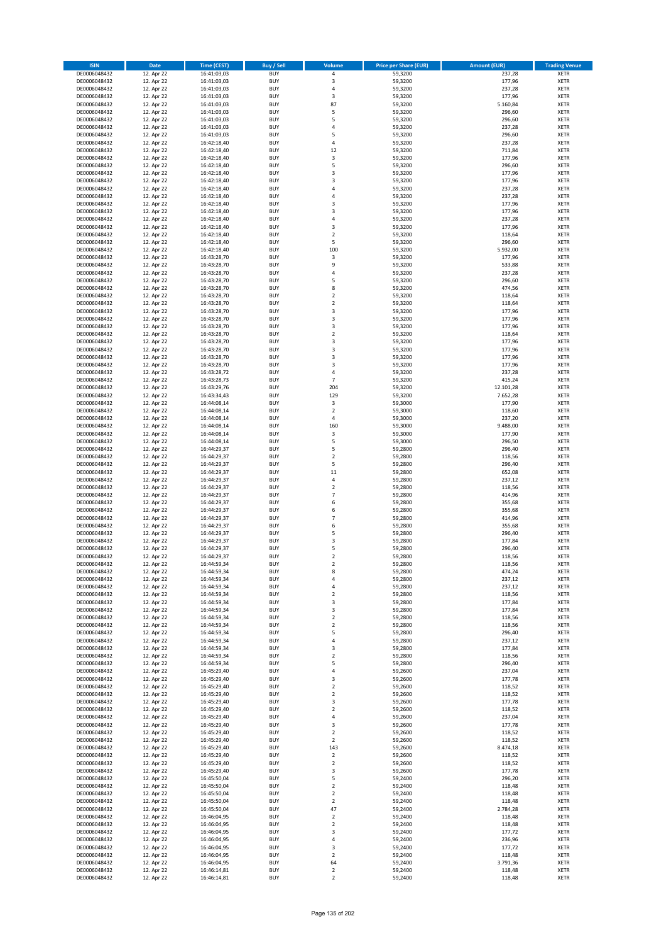| <b>ISIN</b>                  | <b>Date</b>              | <b>Time (CEST)</b>         | <b>Buy / Sell</b>        | Volume                       | <b>Price per Share (EUR)</b> | <b>Amount (EUR)</b> | <b>Trading Venue</b>       |
|------------------------------|--------------------------|----------------------------|--------------------------|------------------------------|------------------------------|---------------------|----------------------------|
| DE0006048432                 | 12. Apr 22               | 16:41:03,03                | <b>BUY</b>               | 4                            | 59,3200                      | 237,28              | <b>XETR</b>                |
| DE0006048432                 | 12. Apr 22               | 16:41:03,03                | <b>BUY</b>               | 3                            | 59,3200                      | 177,96              | <b>XETR</b>                |
| DE0006048432                 | 12. Apr 22               | 16:41:03,03                | <b>BUY</b>               | 4                            | 59,3200                      | 237,28              | <b>XETR</b>                |
| DE0006048432<br>DE0006048432 | 12. Apr 22<br>12. Apr 22 | 16:41:03,03<br>16:41:03,03 | <b>BUY</b><br><b>BUY</b> | 3<br>87                      | 59,3200<br>59,3200           | 177,96<br>5.160,84  | <b>XETR</b><br><b>XETR</b> |
| DE0006048432                 | 12. Apr 22               | 16:41:03,03                | <b>BUY</b>               | 5                            | 59,3200                      | 296,60              | <b>XETR</b>                |
| DE0006048432                 | 12. Apr 22               | 16:41:03,03                | <b>BUY</b>               | 5                            | 59,3200                      | 296,60              | <b>XETR</b>                |
| DE0006048432                 | 12. Apr 22               | 16:41:03,03                | <b>BUY</b>               | 4                            | 59,3200                      | 237,28              | <b>XETR</b>                |
| DE0006048432                 | 12. Apr 22               | 16:41:03,03                | <b>BUY</b>               | 5                            | 59,3200                      | 296,60              | <b>XETR</b>                |
| DE0006048432                 | 12. Apr 22               | 16:42:18,40                | <b>BUY</b>               | 4                            | 59,3200                      | 237,28              | <b>XETR</b>                |
| DE0006048432                 | 12. Apr 22               | 16:42:18,40                | <b>BUY</b>               | 12                           | 59,3200                      | 711,84              | <b>XETR</b>                |
| DE0006048432<br>DE0006048432 | 12. Apr 22<br>12. Apr 22 | 16:42:18,40<br>16:42:18,40 | <b>BUY</b><br><b>BUY</b> | 3<br>5                       | 59,3200<br>59,3200           | 177,96<br>296,60    | <b>XETR</b><br><b>XETR</b> |
| DE0006048432                 | 12. Apr 22               | 16:42:18,40                | <b>BUY</b>               | 3                            | 59,3200                      | 177,96              | <b>XETR</b>                |
| DE0006048432                 | 12. Apr 22               | 16:42:18,40                | <b>BUY</b>               | 3                            | 59,3200                      | 177,96              | <b>XETR</b>                |
| DE0006048432                 | 12. Apr 22               | 16:42:18,40                | <b>BUY</b>               | 4                            | 59,3200                      | 237,28              | <b>XETR</b>                |
| DE0006048432                 | 12. Apr 22               | 16:42:18,40                | <b>BUY</b>               | 4                            | 59,3200                      | 237,28              | <b>XETR</b>                |
| DE0006048432                 | 12. Apr 22               | 16:42:18,40                | <b>BUY</b>               | 3                            | 59,3200                      | 177,96              | <b>XETR</b>                |
| DE0006048432                 | 12. Apr 22               | 16:42:18,40                | <b>BUY</b>               | 3                            | 59,3200                      | 177,96              | <b>XETR</b>                |
| DE0006048432                 | 12. Apr 22               | 16:42:18,40                | <b>BUY</b>               | 4                            | 59,3200                      | 237,28              | <b>XETR</b>                |
| DE0006048432<br>DE0006048432 | 12. Apr 22<br>12. Apr 22 | 16:42:18,40<br>16:42:18,40 | <b>BUY</b><br><b>BUY</b> | 3<br>$\mathbf 2$             | 59,3200<br>59,3200           | 177,96<br>118,64    | <b>XETR</b><br><b>XETR</b> |
| DE0006048432                 | 12. Apr 22               | 16:42:18,40                | <b>BUY</b>               | 5                            | 59,3200                      | 296,60              | <b>XETR</b>                |
| DE0006048432                 | 12. Apr 22               | 16:42:18,40                | <b>BUY</b>               | 100                          | 59,3200                      | 5.932,00            | <b>XETR</b>                |
| DE0006048432                 | 12. Apr 22               | 16:43:28,70                | <b>BUY</b>               | 3                            | 59,3200                      | 177,96              | <b>XETR</b>                |
| DE0006048432                 | 12. Apr 22               | 16:43:28,70                | <b>BUY</b>               | 9                            | 59,3200                      | 533,88              | <b>XETR</b>                |
| DE0006048432                 | 12. Apr 22               | 16:43:28,70                | <b>BUY</b>               | 4                            | 59,3200                      | 237,28              | <b>XETR</b>                |
| DE0006048432                 | 12. Apr 22               | 16:43:28,70                | <b>BUY</b>               | 5                            | 59,3200                      | 296,60              | <b>XETR</b>                |
| DE0006048432<br>DE0006048432 | 12. Apr 22<br>12. Apr 22 | 16:43:28,70<br>16:43:28,70 | <b>BUY</b><br><b>BUY</b> | 8<br>$\overline{\mathbf{c}}$ | 59,3200<br>59,3200           | 474,56<br>118,64    | <b>XETR</b><br><b>XETR</b> |
| DE0006048432                 | 12. Apr 22               | 16:43:28,70                | <b>BUY</b>               | $\mathbf 2$                  | 59,3200                      | 118,64              | <b>XETR</b>                |
| DE0006048432                 | 12. Apr 22               | 16:43:28,70                | <b>BUY</b>               | 3                            | 59,3200                      | 177,96              | <b>XETR</b>                |
| DE0006048432                 | 12. Apr 22               | 16:43:28,70                | <b>BUY</b>               | 3                            | 59,3200                      | 177,96              | <b>XETR</b>                |
| DE0006048432                 | 12. Apr 22               | 16:43:28,70                | <b>BUY</b>               | 3                            | 59,3200                      | 177,96              | <b>XETR</b>                |
| DE0006048432                 | 12. Apr 22               | 16:43:28,70                | <b>BUY</b>               | $\mathbf 2$                  | 59,3200                      | 118,64              | <b>XETR</b>                |
| DE0006048432                 | 12. Apr 22               | 16:43:28,70                | <b>BUY</b>               | 3                            | 59,3200                      | 177,96              | <b>XETR</b>                |
| DE0006048432                 | 12. Apr 22               | 16:43:28,70                | <b>BUY</b><br><b>BUY</b> | 3<br>3                       | 59,3200<br>59,3200           | 177,96<br>177,96    | <b>XETR</b><br><b>XETR</b> |
| DE0006048432<br>DE0006048432 | 12. Apr 22<br>12. Apr 22 | 16:43:28,70<br>16:43:28,70 | <b>BUY</b>               | 3                            | 59,3200                      | 177,96              | <b>XETR</b>                |
| DE0006048432                 | 12. Apr 22               | 16:43:28,72                | <b>BUY</b>               | 4                            | 59,3200                      | 237,28              | <b>XETR</b>                |
| DE0006048432                 | 12. Apr 22               | 16:43:28,73                | <b>BUY</b>               | $\overline{7}$               | 59,3200                      | 415,24              | <b>XETR</b>                |
| DE0006048432                 | 12. Apr 22               | 16:43:29,76                | <b>BUY</b>               | 204                          | 59,3200                      | 12.101,28           | <b>XETR</b>                |
| DE0006048432                 | 12. Apr 22               | 16:43:34,43                | <b>BUY</b>               | 129                          | 59,3200                      | 7.652,28            | <b>XETR</b>                |
| DE0006048432                 | 12. Apr 22               | 16:44:08,14                | <b>BUY</b>               | 3                            | 59,3000                      | 177,90              | <b>XETR</b>                |
| DE0006048432                 | 12. Apr 22               | 16:44:08,14                | <b>BUY</b>               | $\mathbf 2$                  | 59,3000                      | 118,60              | <b>XETR</b>                |
| DE0006048432<br>DE0006048432 | 12. Apr 22<br>12. Apr 22 | 16:44:08,14<br>16:44:08,14 | <b>BUY</b><br><b>BUY</b> | 4<br>160                     | 59,3000<br>59,3000           | 237,20<br>9.488,00  | <b>XETR</b><br><b>XETR</b> |
| DE0006048432                 | 12. Apr 22               | 16:44:08,14                | <b>BUY</b>               | 3                            | 59,3000                      | 177,90              | <b>XETR</b>                |
| DE0006048432                 | 12. Apr 22               | 16:44:08,14                | <b>BUY</b>               | 5                            | 59,3000                      | 296,50              | <b>XETR</b>                |
| DE0006048432                 | 12. Apr 22               | 16:44:29,37                | <b>BUY</b>               | 5                            | 59,2800                      | 296,40              | <b>XETR</b>                |
| DE0006048432                 | 12. Apr 22               | 16:44:29,37                | <b>BUY</b>               | $\overline{\mathbf{c}}$      | 59,2800                      | 118,56              | <b>XETR</b>                |
| DE0006048432                 | 12. Apr 22               | 16:44:29,37                | <b>BUY</b>               | 5                            | 59,2800                      | 296,40              | <b>XETR</b>                |
| DE0006048432                 | 12. Apr 22               | 16:44:29,37                | <b>BUY</b><br><b>BUY</b> | 11                           | 59,2800                      | 652,08              | <b>XETR</b>                |
| DE0006048432<br>DE0006048432 | 12. Apr 22<br>12. Apr 22 | 16:44:29,37<br>16:44:29,37 | <b>BUY</b>               | 4<br>$\overline{\mathbf{c}}$ | 59,2800<br>59,2800           | 237,12<br>118,56    | <b>XETR</b><br><b>XETR</b> |
| DE0006048432                 | 12. Apr 22               | 16:44:29,37                | <b>BUY</b>               | $\overline{7}$               | 59,2800                      | 414,96              | <b>XETR</b>                |
| DE0006048432                 | 12. Apr 22               | 16:44:29,37                | <b>BUY</b>               | 6                            | 59,2800                      | 355,68              | <b>XETR</b>                |
| DE0006048432                 | 12. Apr 22               | 16:44:29,37                | <b>BUY</b>               | 6                            | 59,2800                      | 355,68              | <b>XETR</b>                |
| DE0006048432                 | 12. Apr 22               | 16:44:29,37                | <b>BUY</b>               | $\overline{7}$               | 59,2800                      | 414,96              | <b>XETR</b>                |
| DE0006048432                 | 12. Apr 22               | 16:44:29,37                | <b>BUY</b>               | 6                            | 59,2800                      | 355,68              | <b>XETR</b>                |
| DE0006048432                 | 12. Apr 22               | 16:44:29,37                | <b>BUY</b>               | 5                            | 59,2800                      | 296,40              | <b>XETR</b>                |
| DE0006048432<br>DE0006048432 | 12. Apr 22<br>12. Apr 22 | 16:44:29,37<br>16:44:29,37 | <b>BUY</b><br><b>BUY</b> | 3<br>5                       | 59,2800<br>59,2800           | 177,84<br>296,40    | <b>XETR</b><br><b>XETR</b> |
| DE0006048432                 | 12. Apr 22               | 16:44:29,37                | <b>BUY</b>               | $\overline{2}$               | 59,2800                      | 118,56              | <b>XETR</b>                |
| DE0006048432                 | 12. Apr 22               | 16:44:59,34                | BUY                      | 2                            | 59,2800                      | 118,56              | <b>XETR</b>                |
| DE0006048432                 | 12. Apr 22               | 16:44:59,34                | <b>BUY</b>               | 8                            | 59,2800                      | 474,24              | <b>XETR</b>                |
| DE0006048432                 | 12. Apr 22               | 16:44:59,34                | <b>BUY</b>               | 4                            | 59,2800                      | 237,12              | <b>XETR</b>                |
| DE0006048432                 | 12. Apr 22               | 16:44:59,34                | <b>BUY</b>               | 4                            | 59,2800                      | 237,12              | XETR                       |
| DE0006048432                 | 12. Apr 22<br>12. Apr 22 | 16:44:59,34<br>16:44:59,34 | <b>BUY</b>               | $\mathbf 2$                  | 59,2800                      | 118,56              | <b>XETR</b>                |
| DE0006048432<br>DE0006048432 | 12. Apr 22               | 16:44:59,34                | <b>BUY</b><br><b>BUY</b> | 3<br>3                       | 59,2800<br>59,2800           | 177,84<br>177,84    | <b>XETR</b><br><b>XETR</b> |
| DE0006048432                 | 12. Apr 22               | 16:44:59,34                | <b>BUY</b>               | $\mathbf 2$                  | 59,2800                      | 118,56              | <b>XETR</b>                |
| DE0006048432                 | 12. Apr 22               | 16:44:59,34                | <b>BUY</b>               | $\mathbf 2$                  | 59,2800                      | 118,56              | <b>XETR</b>                |
| DE0006048432                 | 12. Apr 22               | 16:44:59,34                | <b>BUY</b>               | 5                            | 59,2800                      | 296,40              | <b>XETR</b>                |
| DE0006048432                 | 12. Apr 22               | 16:44:59,34                | <b>BUY</b>               | 4                            | 59,2800                      | 237,12              | <b>XETR</b>                |
| DE0006048432                 | 12. Apr 22               | 16:44:59,34                | <b>BUY</b>               | 3                            | 59,2800                      | 177,84              | <b>XETR</b>                |
| DE0006048432<br>DE0006048432 | 12. Apr 22<br>12. Apr 22 | 16:44:59,34<br>16:44:59,34 | <b>BUY</b><br><b>BUY</b> | $\mathbf 2$<br>5             | 59,2800<br>59,2800           | 118,56<br>296,40    | <b>XETR</b><br><b>XETR</b> |
| DE0006048432                 | 12. Apr 22               | 16:45:29,40                | <b>BUY</b>               | 4                            | 59,2600                      | 237,04              | <b>XETR</b>                |
| DE0006048432                 | 12. Apr 22               | 16:45:29,40                | <b>BUY</b>               | 3                            | 59,2600                      | 177,78              | <b>XETR</b>                |
| DE0006048432                 | 12. Apr 22               | 16:45:29,40                | <b>BUY</b>               | $\mathbf 2$                  | 59,2600                      | 118,52              | <b>XETR</b>                |
| DE0006048432                 | 12. Apr 22               | 16:45:29,40                | <b>BUY</b>               | $\mathbf 2$                  | 59,2600                      | 118,52              | <b>XETR</b>                |
| DE0006048432                 | 12. Apr 22               | 16:45:29,40                | <b>BUY</b>               | 3                            | 59,2600                      | 177,78              | XETR                       |
| DE0006048432                 | 12. Apr 22               | 16:45:29,40                | <b>BUY</b>               | $\mathbf 2$                  | 59,2600                      | 118,52              | <b>XETR</b>                |
| DE0006048432<br>DE0006048432 | 12. Apr 22<br>12. Apr 22 | 16:45:29,40<br>16:45:29,40 | <b>BUY</b><br><b>BUY</b> | 4<br>3                       | 59,2600<br>59,2600           | 237,04<br>177,78    | <b>XETR</b><br><b>XETR</b> |
| DE0006048432                 | 12. Apr 22               | 16:45:29,40                | <b>BUY</b>               | $\overline{2}$               | 59,2600                      | 118,52              | <b>XETR</b>                |
| DE0006048432                 | 12. Apr 22               | 16:45:29,40                | <b>BUY</b>               | $\mathbf 2$                  | 59,2600                      | 118,52              | <b>XETR</b>                |
| DE0006048432                 | 12. Apr 22               | 16:45:29,40                | <b>BUY</b>               | 143                          | 59,2600                      | 8.474,18            | <b>XETR</b>                |
| DE0006048432                 | 12. Apr 22               | 16:45:29,40                | <b>BUY</b>               | $\mathbf 2$                  | 59,2600                      | 118,52              | <b>XETR</b>                |
| DE0006048432                 | 12. Apr 22               | 16:45:29,40                | <b>BUY</b>               | $\mathbf 2$                  | 59,2600                      | 118,52              | <b>XETR</b>                |
| DE0006048432                 | 12. Apr 22               | 16:45:29,40                | <b>BUY</b>               | 3                            | 59,2600                      | 177,78              | <b>XETR</b>                |
| DE0006048432<br>DE0006048432 | 12. Apr 22<br>12. Apr 22 | 16:45:50,04<br>16:45:50,04 | <b>BUY</b><br><b>BUY</b> | 5<br>$\overline{2}$          | 59,2400<br>59,2400           | 296,20<br>118,48    | <b>XETR</b><br><b>XETR</b> |
| DE0006048432                 | 12. Apr 22               | 16:45:50,04                | <b>BUY</b>               | $\mathbf 2$                  | 59,2400                      | 118,48              | <b>XETR</b>                |
| DE0006048432                 | 12. Apr 22               | 16:45:50,04                | <b>BUY</b>               | $\mathbf 2$                  | 59,2400                      | 118,48              | <b>XETR</b>                |
| DE0006048432                 | 12. Apr 22               | 16:45:50,04                | <b>BUY</b>               | 47                           | 59,2400                      | 2.784,28            | <b>XETR</b>                |
| DE0006048432                 | 12. Apr 22               | 16:46:04,95                | <b>BUY</b>               | $\mathbf 2$                  | 59,2400                      | 118,48              | <b>XETR</b>                |
| DE0006048432                 | 12. Apr 22               | 16:46:04,95                | <b>BUY</b>               | $\mathbf 2$                  | 59,2400                      | 118,48              | <b>XETR</b>                |
| DE0006048432<br>DE0006048432 | 12. Apr 22<br>12. Apr 22 | 16:46:04,95<br>16:46:04,95 | <b>BUY</b><br><b>BUY</b> | 3<br>4                       | 59,2400<br>59,2400           | 177,72<br>236,96    | <b>XETR</b><br><b>XETR</b> |
| DE0006048432                 | 12. Apr 22               | 16:46:04,95                | <b>BUY</b>               | 3                            | 59,2400                      | 177,72              | XETR                       |
| DE0006048432                 | 12. Apr 22               | 16:46:04,95                | <b>BUY</b>               | $\overline{2}$               | 59,2400                      | 118,48              | <b>XETR</b>                |
| DE0006048432                 | 12. Apr 22               | 16:46:04,95                | <b>BUY</b>               | 64                           | 59,2400                      | 3.791,36            | <b>XETR</b>                |
| DE0006048432                 | 12. Apr 22               | 16:46:14,81                | <b>BUY</b>               | $\mathbf 2$                  | 59,2400                      | 118,48              | <b>XETR</b>                |
| DE0006048432                 | 12. Apr 22               | 16:46:14,81                | <b>BUY</b>               | $\overline{2}$               | 59,2400                      | 118,48              | <b>XETR</b>                |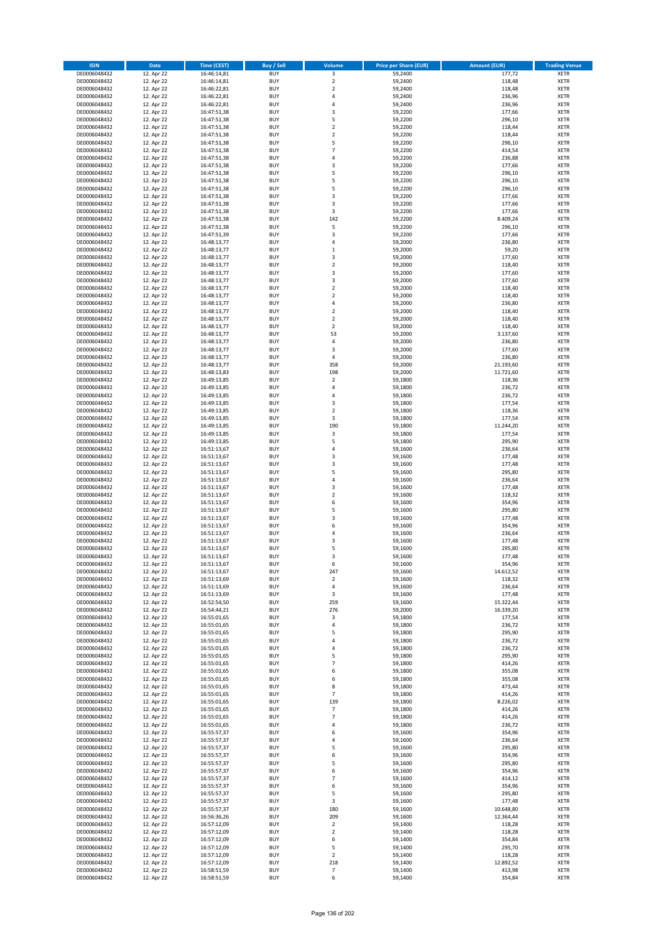| <b>ISIN</b>                  | Date                     | Time (CEST)                | <b>Buy / Sell</b>        | <b>Volume</b>                | <b>Price per Share (EUR)</b> | <b>Amount (EUR)</b>    | <b>Trading Venue</b>       |
|------------------------------|--------------------------|----------------------------|--------------------------|------------------------------|------------------------------|------------------------|----------------------------|
| DE0006048432                 | 12. Apr 22               | 16:46:14,81                | <b>BUY</b>               | $\overline{\mathbf{3}}$      | 59,2400                      | 177,72                 | <b>XETR</b>                |
| DE0006048432                 | 12. Apr 22               | 16:46:14,81                | <b>BUY</b>               | $\mathbf 2$                  | 59,2400                      | 118,48                 | XETR                       |
| DE0006048432                 | 12. Apr 22               | 16:46:22,81                | <b>BUY</b>               | $\overline{2}$               | 59,2400                      | 118,48                 | <b>XETR</b>                |
| DE0006048432<br>DE0006048432 | 12. Apr 22<br>12. Apr 22 | 16:46:22,81<br>16:46:22,81 | <b>BUY</b><br><b>BUY</b> | $\sqrt{4}$<br>4              | 59,2400<br>59,2400           | 236,96<br>236,96       | XETR<br><b>XETR</b>        |
| DE0006048432                 | 12. Apr 22               | 16:47:51,38                | <b>BUY</b>               | 3                            | 59,2200                      | 177,66                 | <b>XETR</b>                |
| DE0006048432                 | 12. Apr 22               | 16:47:51,38                | <b>BUY</b>               | 5                            | 59,2200                      | 296,10                 | <b>XETR</b>                |
| DE0006048432                 | 12. Apr 22               | 16:47:51,38                | <b>BUY</b>               | $\mathbf 2$                  | 59,2200                      | 118,44                 | <b>XETR</b>                |
| DE0006048432                 | 12. Apr 22               | 16:47:51,38                | <b>BUY</b>               | $\overline{2}$               | 59,2200                      | 118,44                 | <b>XETR</b>                |
| DE0006048432                 | 12. Apr 22               | 16:47:51,38                | <b>BUY</b><br><b>BUY</b> | 5<br>$\overline{7}$          | 59,2200                      | 296,10                 | <b>XETR</b><br><b>XETR</b> |
| DE0006048432<br>DE0006048432 | 12. Apr 22<br>12. Apr 22 | 16:47:51,38<br>16:47:51,38 | <b>BUY</b>               | 4                            | 59,2200<br>59,2200           | 414,54<br>236,88       | <b>XETR</b>                |
| DE0006048432                 | 12. Apr 22               | 16:47:51,38                | <b>BUY</b>               | 3                            | 59,2200                      | 177,66                 | <b>XETR</b>                |
| DE0006048432                 | 12. Apr 22               | 16:47:51,38                | <b>BUY</b>               | 5                            | 59,2200                      | 296,10                 | <b>XETR</b>                |
| DE0006048432                 | 12. Apr 22               | 16:47:51,38                | <b>BUY</b>               | 5                            | 59,2200                      | 296,10                 | <b>XETR</b>                |
| DE0006048432                 | 12. Apr 22               | 16:47:51,38                | <b>BUY</b>               | 5                            | 59,2200                      | 296,10                 | <b>XETR</b>                |
| DE0006048432                 | 12. Apr 22               | 16:47:51,38                | <b>BUY</b><br><b>BUY</b> | 3                            | 59,2200                      | 177,66                 | <b>XETR</b><br><b>XETR</b> |
| DE0006048432<br>DE0006048432 | 12. Apr 22<br>12. Apr 22 | 16:47:51,38<br>16:47:51,38 | <b>BUY</b>               | 3<br>3                       | 59,2200<br>59,2200           | 177,66<br>177,66       | <b>XETR</b>                |
| DE0006048432                 | 12. Apr 22               | 16:47:51,38                | <b>BUY</b>               | 142                          | 59,2200                      | 8.409,24               | <b>XETR</b>                |
| DE0006048432                 | 12. Apr 22               | 16:47:51,38                | <b>BUY</b>               | 5                            | 59,2200                      | 296,10                 | <b>XETR</b>                |
| DE0006048432                 | 12. Apr 22               | 16:47:51,39                | <b>BUY</b>               | 3                            | 59,2200                      | 177,66                 | <b>XETR</b>                |
| DE0006048432                 | 12. Apr 22               | 16:48:13,77                | <b>BUY</b>               | $\overline{4}$               | 59,2000                      | 236,80                 | <b>XETR</b>                |
| DE0006048432<br>DE0006048432 | 12. Apr 22               | 16:48:13,77                | <b>BUY</b><br><b>BUY</b> | $\,$ 1<br>3                  | 59,2000<br>59,2000           | 59,20                  | <b>XETR</b><br><b>XETR</b> |
| DE0006048432                 | 12. Apr 22<br>12. Apr 22 | 16:48:13,77<br>16:48:13,77 | <b>BUY</b>               | $\mathbf 2$                  | 59,2000                      | 177,60<br>118,40       | <b>XETR</b>                |
| DE0006048432                 | 12. Apr 22               | 16:48:13,77                | <b>BUY</b>               | 3                            | 59,2000                      | 177,60                 | <b>XETR</b>                |
| DE0006048432                 | 12. Apr 22               | 16:48:13,77                | <b>BUY</b>               | 3                            | 59,2000                      | 177,60                 | <b>XETR</b>                |
| DE0006048432                 | 12. Apr 22               | 16:48:13,77                | <b>BUY</b>               | $\overline{2}$               | 59,2000                      | 118,40                 | <b>XETR</b>                |
| DE0006048432                 | 12. Apr 22               | 16:48:13,77                | <b>BUY</b>               | $\overline{2}$               | 59,2000                      | 118,40                 | <b>XETR</b>                |
| DE0006048432<br>DE0006048432 | 12. Apr 22<br>12. Apr 22 | 16:48:13,77<br>16:48:13,77 | <b>BUY</b><br><b>BUY</b> | $\sqrt{4}$<br>$\overline{2}$ | 59,2000<br>59,2000           | 236,80<br>118,40       | <b>XETR</b><br><b>XETR</b> |
| DE0006048432                 | 12. Apr 22               | 16:48:13,77                | <b>BUY</b>               | $\mathbf 2$                  | 59,2000                      | 118,40                 | <b>XETR</b>                |
| DE0006048432                 | 12. Apr 22               | 16:48:13,77                | <b>BUY</b>               | $\mathbf 2$                  | 59,2000                      | 118,40                 | <b>XETR</b>                |
| DE0006048432                 | 12. Apr 22               | 16:48:13,77                | <b>BUY</b>               | 53                           | 59,2000                      | 3.137,60               | <b>XETR</b>                |
| DE0006048432                 | 12. Apr 22               | 16:48:13,77                | <b>BUY</b>               | $\pmb{4}$                    | 59,2000                      | 236,80                 | <b>XETR</b>                |
| DE0006048432                 | 12. Apr 22               | 16:48:13,77                | <b>BUY</b><br><b>BUY</b> | 3<br>$\overline{4}$          | 59,2000<br>59,2000           | 177,60<br>236,80       | <b>XETR</b><br><b>XETR</b> |
| DE0006048432<br>DE0006048432 | 12. Apr 22<br>12. Apr 22 | 16:48:13,77<br>16:48:13,77 | <b>BUY</b>               | 358                          | 59,2000                      | 21.193,60              | <b>XETR</b>                |
| DE0006048432                 | 12. Apr 22               | 16:48:13,83                | <b>BUY</b>               | 198                          | 59,2000                      | 11.721,60              | <b>XETR</b>                |
| DE0006048432                 | 12. Apr 22               | 16:49:13,85                | <b>BUY</b>               | $\mathbf 2$                  | 59,1800                      | 118,36                 | <b>XETR</b>                |
| DE0006048432                 | 12. Apr 22               | 16:49:13,85                | <b>BUY</b>               | 4                            | 59,1800                      | 236,72                 | <b>XETR</b>                |
| DE0006048432                 | 12. Apr 22               | 16:49:13,85                | <b>BUY</b>               | $\pmb{4}$                    | 59,1800                      | 236,72                 | <b>XETR</b>                |
| DE0006048432                 | 12. Apr 22               | 16:49:13,85                | <b>BUY</b><br><b>BUY</b> | 3<br>$\overline{2}$          | 59,1800                      | 177,54                 | <b>XETR</b>                |
| DE0006048432<br>DE0006048432 | 12. Apr 22<br>12. Apr 22 | 16:49:13,85<br>16:49:13,85 | <b>BUY</b>               | 3                            | 59,1800<br>59,1800           | 118,36<br>177,54       | <b>XETR</b><br><b>XETR</b> |
| DE0006048432                 | 12. Apr 22               | 16:49:13,85                | <b>BUY</b>               | 190                          | 59,1800                      | 11.244,20              | <b>XETR</b>                |
| DE0006048432                 | 12. Apr 22               | 16:49:13,85                | <b>BUY</b>               | 3                            | 59,1800                      | 177,54                 | <b>XETR</b>                |
| DE0006048432                 | 12. Apr 22               | 16:49:13,85                | <b>BUY</b>               | 5                            | 59,1800                      | 295,90                 | <b>XETR</b>                |
| DE0006048432                 | 12. Apr 22               | 16:51:13,67                | <b>BUY</b>               | $\sqrt{4}$                   | 59,1600                      | 236,64                 | <b>XETR</b>                |
| DE0006048432<br>DE0006048432 | 12. Apr 22<br>12. Apr 22 | 16:51:13,67<br>16:51:13,67 | <b>BUY</b><br><b>BUY</b> | 3<br>3                       | 59,1600<br>59,1600           | 177,48<br>177,48       | <b>XETR</b><br><b>XETR</b> |
| DE0006048432                 | 12. Apr 22               | 16:51:13,67                | <b>BUY</b>               | 5                            | 59,1600                      | 295,80                 | <b>XETR</b>                |
| DE0006048432                 | 12. Apr 22               | 16:51:13,67                | <b>BUY</b>               | $\sqrt{4}$                   | 59,1600                      | 236,64                 | <b>XETR</b>                |
| DE0006048432                 | 12. Apr 22               | 16:51:13,67                | <b>BUY</b>               | 3                            | 59,1600                      | 177,48                 | <b>XETR</b>                |
| DE0006048432                 | 12. Apr 22               | 16:51:13,67                | <b>BUY</b>               | $\mathbf 2$                  | 59,1600                      | 118,32                 | <b>XETR</b>                |
| DE0006048432                 | 12. Apr 22               | 16:51:13,67                | <b>BUY</b>               | 6                            | 59,1600                      | 354,96                 | <b>XETR</b>                |
| DE0006048432<br>DE0006048432 | 12. Apr 22<br>12. Apr 22 | 16:51:13,67<br>16:51:13,67 | <b>BUY</b><br><b>BUY</b> | 5<br>3                       | 59,1600<br>59,1600           | 295,80<br>177,48       | <b>XETR</b><br><b>XETR</b> |
| DE0006048432                 | 12. Apr 22               | 16:51:13,67                | <b>BUY</b>               | 6                            | 59,1600                      | 354,96                 | <b>XETR</b>                |
| DE0006048432                 | 12. Apr 22               | 16:51:13,67                | <b>BUY</b>               | 4                            | 59,1600                      | 236,64                 | <b>XETR</b>                |
| DE0006048432                 | 12. Apr 22               | 16:51:13,67                | <b>BUY</b>               | 3                            | 59,1600                      | 177,48                 | <b>XETR</b>                |
| DE0006048432                 | 12. Apr 22               | 16:51:13,67                | <b>BUY</b>               | 5                            | 59,1600                      | 295,80                 | <b>XETR</b>                |
| DE0006048432<br>DE0006048432 | 12. Apr 22<br>12. Apr 22 | 16:51:13,67<br>16:51:13,67 | <b>BUY</b><br>BUY        | 3<br>6                       | 59,1600<br>59,1600           | 177,48<br>354,96       | <b>XETR</b><br>XETR        |
| DE0006048432                 | 12. Apr 22               | 16:51:13,67                | <b>BUY</b>               | 247                          | 59,1600                      | 14.612,52              | <b>XETR</b>                |
| DE0006048432                 | 12. Apr 22               | 16:51:13,69                | <b>BUY</b>               | $\overline{2}$               | 59,1600                      | 118,32                 | <b>XETR</b>                |
| DE0006048432                 | 12. Apr 22               | 16:51:13,69                | <b>BUY</b>               | $\pmb{4}$                    | 59,1600                      | 236,64                 | <b>XETR</b>                |
| DE0006048432                 | 12. Apr 22               | 16:51:13,69                | <b>BUY</b>               | 3                            | 59,1600                      | 177,48                 | <b>XETR</b>                |
| DE0006048432                 | 12. Apr 22               | 16:52:54,50                | <b>BUY</b>               | 259<br>276                   | 59,1600                      | 15.322,44              | <b>XETR</b>                |
| DE0006048432<br>DE0006048432 | 12. Apr 22<br>12. Apr 22 | 16:54:44,21<br>16:55:01,65 | <b>BUY</b><br><b>BUY</b> | 3                            | 59,2000<br>59,1800           | 16.339,20<br>177,54    | <b>XETR</b><br><b>XETR</b> |
| DE0006048432                 | 12. Apr 22               | 16:55:01,65                | <b>BUY</b>               | 4                            | 59,1800                      | 236,72                 | XETR                       |
| DE0006048432                 | 12. Apr 22               | 16:55:01,65                | <b>BUY</b>               | 5                            | 59,1800                      | 295,90                 | <b>XETR</b>                |
| DE0006048432                 | 12. Apr 22               | 16:55:01,65                | <b>BUY</b>               | $\sqrt{4}$                   | 59,1800                      | 236,72                 | XETR                       |
| DE0006048432                 | 12. Apr 22               | 16:55:01,65                | <b>BUY</b>               | 4<br>5                       | 59,1800                      | 236,72                 | <b>XETR</b>                |
| DE0006048432<br>DE0006048432 | 12. Apr 22<br>12. Apr 22 | 16:55:01,65<br>16:55:01,65 | <b>BUY</b><br><b>BUY</b> | $\overline{7}$               | 59,1800<br>59,1800           | 295,90<br>414,26       | XETR<br><b>XETR</b>        |
| DE0006048432                 | 12. Apr 22               | 16:55:01,65                | <b>BUY</b>               | 6                            | 59,1800                      | 355,08                 | XETR                       |
| DE0006048432                 | 12. Apr 22               | 16:55:01,65                | <b>BUY</b>               | 6                            | 59,1800                      | 355,08                 | <b>XETR</b>                |
| DE0006048432                 | 12. Apr 22               | 16:55:01,65                | <b>BUY</b>               | 8                            | 59,1800                      | 473,44                 | <b>XETR</b>                |
| DE0006048432                 | 12. Apr 22               | 16:55:01,65                | <b>BUY</b>               | $\overline{7}$               | 59,1800                      | 414,26                 | <b>XETR</b>                |
| DE0006048432<br>DE0006048432 | 12. Apr 22<br>12. Apr 22 | 16:55:01,65<br>16:55:01,65 | <b>BUY</b><br><b>BUY</b> | 139<br>$\overline{7}$        | 59,1800<br>59,1800           | 8.226,02<br>414,26     | XETR<br><b>XETR</b>        |
| DE0006048432                 | 12. Apr 22               | 16:55:01,65                | <b>BUY</b>               | $\overline{7}$               | 59,1800                      | 414,26                 | <b>XETR</b>                |
| DE0006048432                 | 12. Apr 22               | 16:55:01,65                | <b>BUY</b>               | $\sqrt{4}$                   | 59,1800                      | 236,72                 | XETR                       |
| DE0006048432                 | 12. Apr 22               | 16:55:57,37                | <b>BUY</b>               | 6                            | 59,1600                      | 354,96                 | XETR                       |
| DE0006048432                 | 12. Apr 22               | 16:55:57,37                | <b>BUY</b>               | 4                            | 59,1600                      | 236,64                 | XETR                       |
| DE0006048432<br>DE0006048432 | 12. Apr 22<br>12. Apr 22 | 16:55:57,37<br>16:55:57,37 | <b>BUY</b><br><b>BUY</b> | 5<br>6                       | 59,1600<br>59,1600           | 295,80<br>354,96       | XETR<br><b>XETR</b>        |
| DE0006048432                 | 12. Apr 22               | 16:55:57,37                | <b>BUY</b>               | 5                            | 59,1600                      | 295,80                 | XETR                       |
| DE0006048432                 | 12. Apr 22               | 16:55:57,37                | <b>BUY</b>               | 6                            | 59,1600                      | 354,96                 | <b>XETR</b>                |
| DE0006048432                 | 12. Apr 22               | 16:55:57,37                | <b>BUY</b>               | $\overline{7}$               | 59,1600                      | 414,12                 | <b>XETR</b>                |
| DE0006048432                 | 12. Apr 22               | 16:55:57,37                | <b>BUY</b>               | 6                            | 59,1600                      | 354,96                 | <b>XETR</b>                |
| DE0006048432                 | 12. Apr 22               | 16:55:57,37                | <b>BUY</b>               | 5                            | 59,1600                      | 295,80                 | XETR                       |
| DE0006048432                 | 12. Apr 22               | 16:55:57,37                | <b>BUY</b>               | 3                            | 59,1600                      | 177,48                 | XETR                       |
| DE0006048432<br>DE0006048432 | 12. Apr 22<br>12. Apr 22 | 16:55:57,37<br>16:56:36,26 | <b>BUY</b><br><b>BUY</b> | 180<br>209                   | 59,1600<br>59,1600           | 10.648,80<br>12.364,44 | XETR<br><b>XETR</b>        |
| DE0006048432                 | 12. Apr 22               | 16:57:12,09                | <b>BUY</b>               | $\overline{2}$               | 59,1400                      | 118,28                 | <b>XETR</b>                |
| DE0006048432                 | 12. Apr 22               | 16:57:12,09                | <b>BUY</b>               | $\mathbf 2$                  | 59,1400                      | 118,28                 | XETR                       |
| DE0006048432                 | 12. Apr 22               | 16:57:12,09                | <b>BUY</b>               | 6                            | 59,1400                      | 354,84                 | XETR                       |
| DE0006048432                 | 12. Apr 22               | 16:57:12,09                | <b>BUY</b>               | 5                            | 59,1400                      | 295,70                 | XETR                       |
| DE0006048432<br>DE0006048432 | 12. Apr 22<br>12. Apr 22 | 16:57:12,09<br>16:57:12,09 | <b>BUY</b><br><b>BUY</b> | $\overline{2}$<br>218        | 59,1400<br>59,1400           | 118,28<br>12.892,52    | <b>XETR</b><br>XETR        |
| DE0006048432                 | 12. Apr 22               | 16:58:51,59                | <b>BUY</b>               | $\overline{7}$               | 59,1400                      | 413,98                 | <b>XETR</b>                |
| DE0006048432                 | 12. Apr 22               | 16:58:51,59                | <b>BUY</b>               | 6                            | 59,1400                      | 354,84                 | XETR                       |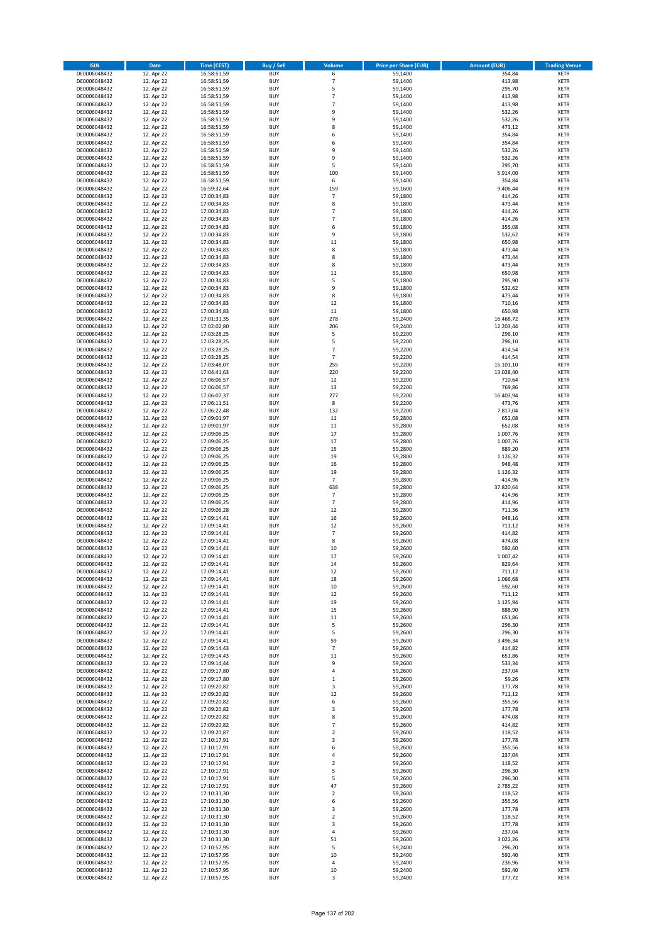| <b>ISIN</b>                  | Date                     | Time (CEST)                | <b>Buy / Sell</b>        | <b>Volume</b>                    | <b>Price per Share (EUR)</b> | <b>Amount (EUR)</b> | <b>Trading Venue</b>       |
|------------------------------|--------------------------|----------------------------|--------------------------|----------------------------------|------------------------------|---------------------|----------------------------|
| DE0006048432                 | 12. Apr 22               | 16:58:51,59                | <b>BUY</b>               | 6                                | 59,1400                      | 354,84              | <b>XETR</b>                |
| DE0006048432                 | 12. Apr 22               | 16:58:51,59                | <b>BUY</b>               | $\overline{7}$                   | 59,1400                      | 413,98              | XETR                       |
| DE0006048432                 | 12. Apr 22               | 16:58:51,59                | <b>BUY</b>               | 5                                | 59,1400                      | 295,70              | <b>XETR</b>                |
| DE0006048432                 | 12. Apr 22               | 16:58:51,59                | <b>BUY</b>               | $\overline{7}$                   | 59,1400                      | 413,98              | <b>XETR</b>                |
| DE0006048432<br>DE0006048432 | 12. Apr 22<br>12. Apr 22 | 16:58:51,59<br>16:58:51,59 | <b>BUY</b><br><b>BUY</b> | $\overline{7}$<br>9              | 59,1400<br>59,1400           | 413,98<br>532,26    | <b>XETR</b><br><b>XETR</b> |
| DE0006048432                 | 12. Apr 22               | 16:58:51,59                | <b>BUY</b>               | 9                                | 59,1400                      | 532,26              | <b>XETR</b>                |
| DE0006048432                 | 12. Apr 22               | 16:58:51,59                | <b>BUY</b>               | 8                                | 59,1400                      | 473,12              | <b>XETR</b>                |
| DE0006048432                 | 12. Apr 22               | 16:58:51,59                | <b>BUY</b>               | 6                                | 59,1400                      | 354,84              | <b>XETR</b>                |
| DE0006048432                 | 12. Apr 22               | 16:58:51,59                | <b>BUY</b>               | 6                                | 59,1400                      | 354,84              | <b>XETR</b>                |
| DE0006048432                 | 12. Apr 22               | 16:58:51,59                | <b>BUY</b>               | 9                                | 59,1400                      | 532,26              | <b>XETR</b>                |
| DE0006048432                 | 12. Apr 22               | 16:58:51,59                | <b>BUY</b>               | 9<br>5                           | 59,1400                      | 532,26              | <b>XETR</b>                |
| DE0006048432<br>DE0006048432 | 12. Apr 22<br>12. Apr 22 | 16:58:51,59<br>16:58:51,59 | <b>BUY</b><br><b>BUY</b> | 100                              | 59,1400<br>59,1400           | 295,70<br>5.914,00  | <b>XETR</b><br><b>XETR</b> |
| DE0006048432                 | 12. Apr 22               | 16:58:51,59                | <b>BUY</b>               | 6                                | 59,1400                      | 354,84              | <b>XETR</b>                |
| DE0006048432                 | 12. Apr 22               | 16:59:32,64                | <b>BUY</b>               | 159                              | 59,1600                      | 9.406,44            | <b>XETR</b>                |
| DE0006048432                 | 12. Apr 22               | 17:00:34,83                | <b>BUY</b>               | $\overline{7}$                   | 59,1800                      | 414,26              | <b>XETR</b>                |
| DE0006048432                 | 12. Apr 22               | 17:00:34,83                | <b>BUY</b>               | 8                                | 59,1800                      | 473,44              | <b>XETR</b>                |
| DE0006048432                 | 12. Apr 22               | 17:00:34,83                | <b>BUY</b>               | $\overline{7}$                   | 59,1800                      | 414,26              | <b>XETR</b>                |
| DE0006048432<br>DE0006048432 | 12. Apr 22<br>12. Apr 22 | 17:00:34,83<br>17:00:34,83 | <b>BUY</b><br><b>BUY</b> | $\overline{7}$<br>6              | 59,1800<br>59,1800           | 414,26<br>355,08    | <b>XETR</b><br><b>XETR</b> |
| DE0006048432                 | 12. Apr 22               | 17:00:34,83                | <b>BUY</b>               | 9                                | 59,1800                      | 532,62              | <b>XETR</b>                |
| DE0006048432                 | 12. Apr 22               | 17:00:34,83                | <b>BUY</b>               | 11                               | 59,1800                      | 650,98              | <b>XETR</b>                |
| DE0006048432                 | 12. Apr 22               | 17:00:34,83                | <b>BUY</b>               | 8                                | 59,1800                      | 473,44              | <b>XETR</b>                |
| DE0006048432                 | 12. Apr 22               | 17:00:34,83                | <b>BUY</b>               | 8                                | 59,1800                      | 473,44              | <b>XETR</b>                |
| DE0006048432                 | 12. Apr 22               | 17:00:34,83                | <b>BUY</b>               | 8                                | 59,1800                      | 473,44              | <b>XETR</b>                |
| DE0006048432<br>DE0006048432 | 12. Apr 22<br>12. Apr 22 | 17:00:34,83                | <b>BUY</b><br><b>BUY</b> | 11<br>5                          | 59,1800<br>59,1800           | 650,98<br>295,90    | <b>XETR</b><br><b>XETR</b> |
| DE0006048432                 | 12. Apr 22               | 17:00:34,83<br>17:00:34,83 | <b>BUY</b>               | 9                                | 59,1800                      | 532,62              | <b>XETR</b>                |
| DE0006048432                 | 12. Apr 22               | 17:00:34,83                | <b>BUY</b>               | 8                                | 59,1800                      | 473,44              | <b>XETR</b>                |
| DE0006048432                 | 12. Apr 22               | 17:00:34,83                | <b>BUY</b>               | 12                               | 59,1800                      | 710,16              | <b>XETR</b>                |
| DE0006048432                 | 12. Apr 22               | 17:00:34,83                | <b>BUY</b>               | 11                               | 59,1800                      | 650,98              | <b>XETR</b>                |
| DE0006048432                 | 12. Apr 22               | 17:01:31,35                | <b>BUY</b>               | 278                              | 59,2400                      | 16.468,72           | <b>XETR</b>                |
| DE0006048432                 | 12. Apr 22               | 17:02:02,80                | <b>BUY</b>               | 206                              | 59,2400                      | 12.203,44           | <b>XETR</b>                |
| DE0006048432<br>DE0006048432 | 12. Apr 22<br>12. Apr 22 | 17:03:28,25<br>17:03:28,25 | <b>BUY</b><br><b>BUY</b> | 5<br>5                           | 59,2200<br>59,2200           | 296,10<br>296,10    | <b>XETR</b><br><b>XETR</b> |
| DE0006048432                 | 12. Apr 22               | 17:03:28,25                | <b>BUY</b>               | $\overline{7}$                   | 59,2200                      | 414,54              | <b>XETR</b>                |
| DE0006048432                 | 12. Apr 22               | 17:03:28,25                | <b>BUY</b>               | $\overline{7}$                   | 59,2200                      | 414,54              | <b>XETR</b>                |
| DE0006048432                 | 12. Apr 22               | 17:03:48,07                | <b>BUY</b>               | 255                              | 59,2200                      | 15.101,10           | <b>XETR</b>                |
| DE0006048432                 | 12. Apr 22               | 17:04:41,63                | <b>BUY</b>               | 220                              | 59,2200                      | 13.028,40           | <b>XETR</b>                |
| DE0006048432                 | 12. Apr 22               | 17:06:06,57                | <b>BUY</b>               | 12                               | 59,2200                      | 710,64              | <b>XETR</b>                |
| DE0006048432<br>DE0006048432 | 12. Apr 22<br>12. Apr 22 | 17:06:06,57                | <b>BUY</b><br><b>BUY</b> | 13<br>277                        | 59,2200<br>59,2200           | 769,86<br>16.403,94 | <b>XETR</b><br><b>XETR</b> |
| DE0006048432                 | 12. Apr 22               | 17:06:07,37<br>17:06:11,51 | <b>BUY</b>               | 8                                | 59,2200                      | 473,76              | <b>XETR</b>                |
| DE0006048432                 | 12. Apr 22               | 17:06:22,48                | <b>BUY</b>               | 132                              | 59,2200                      | 7.817,04            | <b>XETR</b>                |
| DE0006048432                 | 12. Apr 22               | 17:09:01,97                | <b>BUY</b>               | 11                               | 59,2800                      | 652,08              | <b>XETR</b>                |
| DE0006048432                 | 12. Apr 22               | 17:09:01,97                | <b>BUY</b>               | 11                               | 59,2800                      | 652,08              | <b>XETR</b>                |
| DE0006048432                 | 12. Apr 22               | 17:09:06,25                | <b>BUY</b>               | 17                               | 59,2800                      | 1.007,76            | <b>XETR</b>                |
| DE0006048432<br>DE0006048432 | 12. Apr 22<br>12. Apr 22 | 17:09:06,25<br>17:09:06,25 | <b>BUY</b><br><b>BUY</b> | 17<br>15                         | 59,2800<br>59,2800           | 1.007,76<br>889,20  | <b>XETR</b><br><b>XETR</b> |
| DE0006048432                 | 12. Apr 22               | 17:09:06,25                | <b>BUY</b>               | 19                               | 59,2800                      | 1.126,32            | <b>XETR</b>                |
| DE0006048432                 | 12. Apr 22               | 17:09:06,25                | <b>BUY</b>               | 16                               | 59,2800                      | 948,48              | <b>XETR</b>                |
| DE0006048432                 | 12. Apr 22               | 17:09:06,25                | <b>BUY</b>               | 19                               | 59,2800                      | 1.126,32            | <b>XETR</b>                |
| DE0006048432                 | 12. Apr 22               | 17:09:06,25                | <b>BUY</b>               | $\overline{7}$                   | 59,2800                      | 414,96              | <b>XETR</b>                |
| DE0006048432                 | 12. Apr 22               | 17:09:06,25                | <b>BUY</b>               | 638                              | 59,2800                      | 37.820,64           | <b>XETR</b>                |
| DE0006048432                 | 12. Apr 22               | 17:09:06,25                | <b>BUY</b>               | $\overline{7}$<br>$\overline{7}$ | 59,2800                      | 414,96              | <b>XETR</b>                |
| DE0006048432<br>DE0006048432 | 12. Apr 22<br>12. Apr 22 | 17:09:06,25<br>17:09:06,28 | <b>BUY</b><br><b>BUY</b> | 12                               | 59,2800<br>59,2800           | 414,96<br>711,36    | <b>XETR</b><br><b>XETR</b> |
| DE0006048432                 | 12. Apr 22               | 17:09:14,41                | <b>BUY</b>               | 16                               | 59,2600                      | 948,16              | <b>XETR</b>                |
| DE0006048432                 | 12. Apr 22               | 17:09:14,41                | <b>BUY</b>               | 12                               | 59,2600                      | 711,12              | <b>XETR</b>                |
| DE0006048432                 | 12. Apr 22               | 17:09:14,41                | <b>BUY</b>               | $\overline{7}$                   | 59,2600                      | 414,82              | <b>XETR</b>                |
| DE0006048432                 | 12. Apr 22               | 17:09:14,41                | <b>BUY</b>               | 8                                | 59,2600                      | 474,08              | <b>XETR</b>                |
| DE0006048432                 | 12. Apr 22               | 17:09:14,41                | <b>BUY</b>               | 10                               | 59,2600                      | 592,60              | <b>XETR</b>                |
| DE0006048432<br>DE0006048432 | 12. Apr 22<br>12. Apr 22 | 17:09:14,41<br>17:09:14,41 | <b>BUY</b><br>BUY        | 17<br>14                         | 59,2600<br>59,2600           | 1.007,42<br>829,64  | <b>XETR</b><br>XETR        |
| DE0006048432                 | 12. Apr 22               | 17:09:14,41                | <b>BUY</b>               | 12                               | 59,2600                      | 711,12              | <b>XETR</b>                |
| DE0006048432                 | 12. Apr 22               | 17:09:14,41                | <b>BUY</b>               | 18                               | 59,2600                      | 1.066,68            | <b>XETR</b>                |
| DE0006048432                 | 12. Apr 22               | 17:09:14,41                | <b>BUY</b>               | $10\,$                           | 59,2600                      | 592,60              | <b>XETR</b>                |
| DE0006048432                 | 12. Apr 22               | 17:09:14,41                | <b>BUY</b>               | 12                               | 59,2600                      | 711,12              | <b>XETR</b>                |
| DE0006048432                 | 12. Apr 22               | 17:09:14,41                | <b>BUY</b>               | 19                               | 59,2600                      | 1.125,94            | <b>XETR</b>                |
| DE0006048432<br>DE0006048432 | 12. Apr 22<br>12. Apr 22 | 17:09:14,41<br>17:09:14,41 | <b>BUY</b><br><b>BUY</b> | 15<br>11                         | 59,2600<br>59,2600           | 888,90<br>651,86    | <b>XETR</b><br><b>XETR</b> |
| DE0006048432                 | 12. Apr 22               | 17:09:14,41                | <b>BUY</b>               | 5                                | 59,2600                      | 296,30              | XETR                       |
| DE0006048432                 | 12. Apr 22               | 17:09:14,41                | <b>BUY</b>               | 5                                | 59,2600                      | 296,30              | <b>XETR</b>                |
| DE0006048432                 | 12. Apr 22               | 17:09:14,41                | <b>BUY</b>               | 59                               | 59,2600                      | 3.496,34            | XETR                       |
| DE0006048432                 | 12. Apr 22               | 17:09:14,43                | <b>BUY</b>               | $\overline{7}$                   | 59,2600                      | 414,82              | <b>XETR</b>                |
| DE0006048432                 | 12. Apr 22               | 17:09:14,43                | <b>BUY</b>               | 11                               | 59,2600                      | 651,86              | XETR                       |
| DE0006048432<br>DE0006048432 | 12. Apr 22<br>12. Apr 22 | 17:09:14,44<br>17:09:17,80 | <b>BUY</b><br><b>BUY</b> | 9<br>$\pmb{4}$                   | 59,2600<br>59,2600           | 533,34<br>237,04    | <b>XETR</b><br>XETR        |
| DE0006048432                 | 12. Apr 22               | 17:09:17,80                | <b>BUY</b>               | $\,1\,$                          | 59,2600                      | 59,26               | <b>XETR</b>                |
| DE0006048432                 | 12. Apr 22               | 17:09:20,82                | <b>BUY</b>               | 3                                | 59,2600                      | 177,78              | <b>XETR</b>                |
| DE0006048432                 | 12. Apr 22               | 17:09:20,82                | <b>BUY</b>               | 12                               | 59,2600                      | 711,12              | <b>XETR</b>                |
| DE0006048432                 | 12. Apr 22               | 17:09:20,82                | <b>BUY</b>               | 6                                | 59,2600                      | 355,56              | XETR                       |
| DE0006048432                 | 12. Apr 22               | 17:09:20,82                | <b>BUY</b>               | $\mathsf 3$                      | 59,2600                      | 177,78              | <b>XETR</b>                |
| DE0006048432                 | 12. Apr 22               | 17:09:20,82                | <b>BUY</b>               | 8                                | 59,2600                      | 474,08              | <b>XETR</b>                |
| DE0006048432<br>DE0006048432 | 12. Apr 22<br>12. Apr 22 | 17:09:20,82<br>17:09:20,87 | <b>BUY</b><br><b>BUY</b> | $\overline{7}$<br>$\overline{2}$ | 59,2600<br>59,2600           | 414,82<br>118,52    | <b>XETR</b><br>XETR        |
| DE0006048432                 | 12. Apr 22               | 17:10:17,91                | <b>BUY</b>               | 3                                | 59,2600                      | 177,78              | XETR                       |
| DE0006048432                 | 12. Apr 22               | 17:10:17,91                | <b>BUY</b>               | 6                                | 59,2600                      | 355,56              | XETR                       |
| DE0006048432                 | 12. Apr 22               | 17:10:17,91                | <b>BUY</b>               | 4                                | 59,2600                      | 237,04              | XETR                       |
| DE0006048432                 | 12. Apr 22               | 17:10:17,91                | <b>BUY</b>               | $\mathbf 2$                      | 59,2600                      | 118,52              | XETR                       |
| DE0006048432                 | 12. Apr 22               | 17:10:17,91                | <b>BUY</b>               | 5                                | 59,2600                      | 296,30              | <b>XETR</b>                |
| DE0006048432                 | 12. Apr 22               | 17:10:17,91                | <b>BUY</b>               | 5                                | 59,2600                      | 296,30              | XETR                       |
| DE0006048432<br>DE0006048432 | 12. Apr 22<br>12. Apr 22 | 17:10:17,91<br>17:10:31,30 | <b>BUY</b><br><b>BUY</b> | 47<br>$\mathbf 2$                | 59,2600<br>59,2600           | 2.785,22<br>118,52  | <b>XETR</b><br>XETR        |
| DE0006048432                 | 12. Apr 22               | 17:10:31,30                | <b>BUY</b>               | 6                                | 59,2600                      | 355,56              | XETR                       |
| DE0006048432                 | 12. Apr 22               | 17:10:31,30                | <b>BUY</b>               | 3                                | 59,2600                      | 177,78              | XETR                       |
| DE0006048432                 | 12. Apr 22               | 17:10:31,30                | <b>BUY</b>               | $\overline{2}$                   | 59,2600                      | 118,52              | <b>XETR</b>                |
| DE0006048432                 | 12. Apr 22               | 17:10:31,30                | <b>BUY</b>               | 3                                | 59,2600                      | 177,78              | <b>XETR</b>                |
| DE0006048432                 | 12. Apr 22               | 17:10:31,30                | <b>BUY</b>               | $\pmb{4}$                        | 59,2600                      | 237,04              | XETR                       |
| DE0006048432                 | 12. Apr 22               | 17:10:31,30                | <b>BUY</b>               | 51                               | 59,2600                      | 3.022,26            | XETR                       |
| DE0006048432<br>DE0006048432 | 12. Apr 22<br>12. Apr 22 | 17:10:57,95<br>17:10:57,95 | <b>BUY</b><br><b>BUY</b> | 5<br>$10\,$                      | 59,2400<br>59,2400           | 296,20<br>592,40    | XETR<br><b>XETR</b>        |
| DE0006048432                 | 12. Apr 22               | 17:10:57,95                | <b>BUY</b>               | 4                                | 59,2400                      | 236,96              | XETR                       |
| DE0006048432                 | 12. Apr 22               | 17:10:57,95                | <b>BUY</b>               | $10\,$                           | 59,2400                      | 592,40              | <b>XETR</b>                |
| DE0006048432                 | 12. Apr 22               | 17:10:57,95                | <b>BUY</b>               | 3                                | 59,2400                      | 177,72              | <b>XETR</b>                |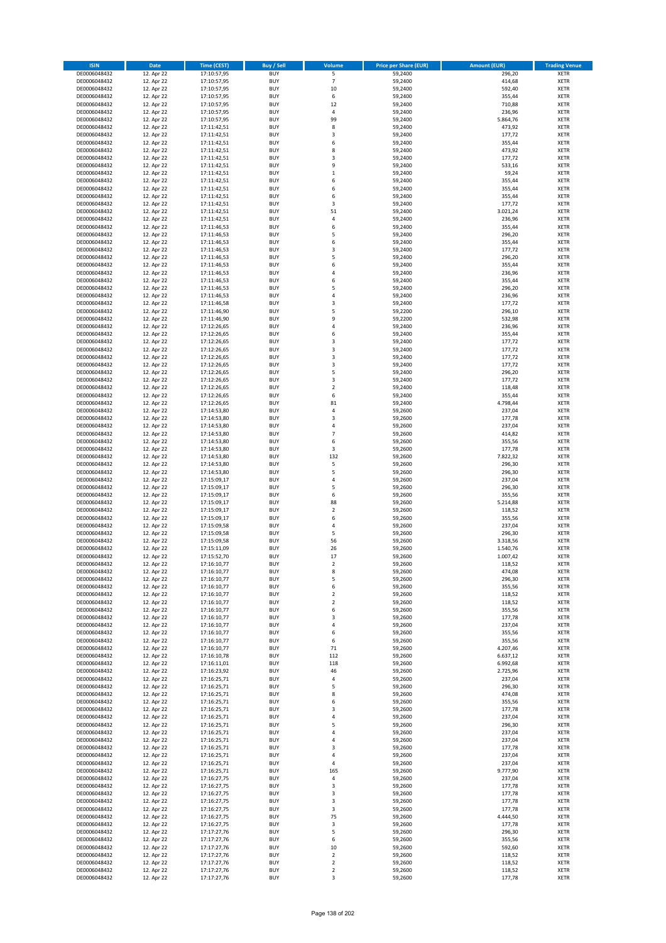| <b>ISIN</b>                  | <b>Date</b>              | Time (CEST)                | <b>Buy / Sell</b>        | Volume                  | <b>Price per Share (EUR)</b> | <b>Amount (EUR)</b>  | <b>Trading Venue</b>       |
|------------------------------|--------------------------|----------------------------|--------------------------|-------------------------|------------------------------|----------------------|----------------------------|
| DE0006048432                 | 12. Apr 22               | 17:10:57,95                | <b>BUY</b>               | $\overline{\mathsf{S}}$ | 59,2400                      | 296,20               | <b>XETR</b>                |
| DE0006048432                 | 12. Apr 22               | 17:10:57,95                | <b>BUY</b>               | $\overline{7}$          | 59,2400                      | 414,68               | <b>XETR</b>                |
| DE0006048432                 | 12. Apr 22               | 17:10:57,95                | <b>BUY</b>               | 10                      | 59,2400                      | 592,40               | <b>XETR</b>                |
| DE0006048432<br>DE0006048432 | 12. Apr 22<br>12. Apr 22 | 17:10:57,95<br>17:10:57,95 | <b>BUY</b><br><b>BUY</b> | 6<br>12                 | 59,2400<br>59,2400           | 355,44<br>710,88     | <b>XETR</b><br><b>XETR</b> |
| DE0006048432                 | 12. Apr 22               | 17:10:57,95                | <b>BUY</b>               | 4                       | 59,2400                      | 236,96               | <b>XETR</b>                |
| DE0006048432                 | 12. Apr 22               | 17:10:57,95                | <b>BUY</b>               | 99                      | 59,2400                      | 5.864,76             | <b>XETR</b>                |
| DE0006048432                 | 12. Apr 22               | 17:11:42,51                | <b>BUY</b>               | 8                       | 59,2400                      | 473,92               | <b>XETR</b>                |
| DE0006048432                 | 12. Apr 22               | 17:11:42,51                | <b>BUY</b>               | 3                       | 59,2400                      | 177,72               | <b>XETR</b>                |
| DE0006048432                 | 12. Apr 22               | 17:11:42,51                | <b>BUY</b><br><b>BUY</b> | 6                       | 59,2400                      | 355,44               | <b>XETR</b><br><b>XETR</b> |
| DE0006048432<br>DE0006048432 | 12. Apr 22<br>12. Apr 22 | 17:11:42,51<br>17:11:42,51 | <b>BUY</b>               | 8<br>3                  | 59,2400<br>59,2400           | 473,92<br>177,72     | <b>XETR</b>                |
| DE0006048432                 | 12. Apr 22               | 17:11:42,51                | <b>BUY</b>               | 9                       | 59,2400                      | 533,16               | <b>XETR</b>                |
| DE0006048432                 | 12. Apr 22               | 17:11:42,51                | <b>BUY</b>               | $\mathbf 1$             | 59,2400                      | 59,24                | <b>XETR</b>                |
| DE0006048432                 | 12. Apr 22               | 17:11:42,51                | <b>BUY</b>               | 6                       | 59,2400                      | 355,44               | <b>XETR</b>                |
| DE0006048432                 | 12. Apr 22               | 17:11:42,51                | <b>BUY</b>               | 6                       | 59,2400                      | 355,44               | <b>XETR</b>                |
| DE0006048432<br>DE0006048432 | 12. Apr 22<br>12. Apr 22 | 17:11:42,51<br>17:11:42,51 | <b>BUY</b><br><b>BUY</b> | 6<br>3                  | 59,2400<br>59,2400           | 355,44<br>177,72     | <b>XETR</b><br><b>XETR</b> |
| DE0006048432                 | 12. Apr 22               | 17:11:42,51                | <b>BUY</b>               | 51                      | 59,2400                      | 3.021,24             | <b>XETR</b>                |
| DE0006048432                 | 12. Apr 22               | 17:11:42,51                | <b>BUY</b>               | 4                       | 59,2400                      | 236,96               | <b>XETR</b>                |
| DE0006048432                 | 12. Apr 22               | 17:11:46,53                | <b>BUY</b>               | 6                       | 59,2400                      | 355,44               | <b>XETR</b>                |
| DE0006048432                 | 12. Apr 22               | 17:11:46,53                | <b>BUY</b>               | 5                       | 59,2400                      | 296,20               | <b>XETR</b>                |
| DE0006048432<br>DE0006048432 | 12. Apr 22<br>12. Apr 22 | 17:11:46,53                | <b>BUY</b><br><b>BUY</b> | 6<br>3                  | 59,2400<br>59,2400           | 355,44<br>177,72     | <b>XETR</b><br><b>XETR</b> |
| DE0006048432                 | 12. Apr 22               | 17:11:46,53<br>17:11:46,53 | <b>BUY</b>               | 5                       | 59,2400                      | 296,20               | <b>XETR</b>                |
| DE0006048432                 | 12. Apr 22               | 17:11:46,53                | <b>BUY</b>               | 6                       | 59,2400                      | 355,44               | <b>XETR</b>                |
| DE0006048432                 | 12. Apr 22               | 17:11:46,53                | <b>BUY</b>               | 4                       | 59,2400                      | 236,96               | <b>XETR</b>                |
| DE0006048432                 | 12. Apr 22               | 17:11:46,53                | <b>BUY</b>               | 6                       | 59,2400                      | 355,44               | <b>XETR</b>                |
| DE0006048432                 | 12. Apr 22               | 17:11:46,53                | <b>BUY</b><br><b>BUY</b> | 5<br>4                  | 59,2400                      | 296,20               | <b>XETR</b><br><b>XETR</b> |
| DE0006048432<br>DE0006048432 | 12. Apr 22<br>12. Apr 22 | 17:11:46,53<br>17:11:46,58 | <b>BUY</b>               | 3                       | 59,2400<br>59,2400           | 236,96<br>177,72     | <b>XETR</b>                |
| DE0006048432                 | 12. Apr 22               | 17:11:46,90                | <b>BUY</b>               | 5                       | 59,2200                      | 296,10               | <b>XETR</b>                |
| DE0006048432                 | 12. Apr 22               | 17:11:46,90                | <b>BUY</b>               | 9                       | 59,2200                      | 532,98               | <b>XETR</b>                |
| DE0006048432                 | 12. Apr 22               | 17:12:26,65                | <b>BUY</b>               | 4                       | 59,2400                      | 236,96               | <b>XETR</b>                |
| DE0006048432                 | 12. Apr 22               | 17:12:26,65                | <b>BUY</b>               | 6                       | 59,2400                      | 355,44               | <b>XETR</b>                |
| DE0006048432<br>DE0006048432 | 12. Apr 22<br>12. Apr 22 | 17:12:26,65<br>17:12:26,65 | <b>BUY</b><br><b>BUY</b> | 3<br>3                  | 59,2400<br>59,2400           | 177,72<br>177,72     | <b>XETR</b><br><b>XETR</b> |
| DE0006048432                 | 12. Apr 22               | 17:12:26,65                | <b>BUY</b>               | 3                       | 59,2400                      | 177,72               | <b>XETR</b>                |
| DE0006048432                 | 12. Apr 22               | 17:12:26,65                | <b>BUY</b>               | 3                       | 59,2400                      | 177,72               | <b>XETR</b>                |
| DE0006048432                 | 12. Apr 22               | 17:12:26,65                | <b>BUY</b>               | 5                       | 59,2400                      | 296,20               | <b>XETR</b>                |
| DE0006048432                 | 12. Apr 22               | 17:12:26,65                | <b>BUY</b>               | 3                       | 59,2400                      | 177,72               | <b>XETR</b>                |
| DE0006048432                 | 12. Apr 22               | 17:12:26,65                | <b>BUY</b>               | $\mathbf 2$             | 59,2400                      | 118,48               | <b>XETR</b>                |
| DE0006048432<br>DE0006048432 | 12. Apr 22<br>12. Apr 22 | 17:12:26,65<br>17:12:26,65 | <b>BUY</b><br><b>BUY</b> | 6<br>81                 | 59,2400<br>59,2400           | 355,44<br>4.798,44   | <b>XETR</b><br><b>XETR</b> |
| DE0006048432                 | 12. Apr 22               | 17:14:53,80                | <b>BUY</b>               | 4                       | 59,2600                      | 237,04               | <b>XETR</b>                |
| DE0006048432                 | 12. Apr 22               | 17:14:53,80                | <b>BUY</b>               | 3                       | 59,2600                      | 177,78               | <b>XETR</b>                |
| DE0006048432                 | 12. Apr 22               | 17:14:53,80                | <b>BUY</b>               | 4                       | 59,2600                      | 237,04               | <b>XETR</b>                |
| DE0006048432                 | 12. Apr 22               | 17:14:53,80                | <b>BUY</b>               | $\overline{7}$          | 59,2600                      | 414,82               | <b>XETR</b>                |
| DE0006048432<br>DE0006048432 | 12. Apr 22<br>12. Apr 22 | 17:14:53,80                | <b>BUY</b><br><b>BUY</b> | 6<br>3                  | 59,2600<br>59,2600           | 355,56<br>177,78     | <b>XETR</b><br><b>XETR</b> |
| DE0006048432                 | 12. Apr 22               | 17:14:53,80<br>17:14:53,80 | <b>BUY</b>               | 132                     | 59,2600                      | 7.822,32             | <b>XETR</b>                |
| DE0006048432                 | 12. Apr 22               | 17:14:53,80                | <b>BUY</b>               | 5                       | 59,2600                      | 296,30               | <b>XETR</b>                |
| DE0006048432                 | 12. Apr 22               | 17:14:53,80                | <b>BUY</b>               | 5                       | 59,2600                      | 296,30               | <b>XETR</b>                |
| DE0006048432                 | 12. Apr 22               | 17:15:09,17                | <b>BUY</b>               | 4                       | 59,2600                      | 237,04               | <b>XETR</b>                |
| DE0006048432<br>DE0006048432 | 12. Apr 22<br>12. Apr 22 | 17:15:09,17                | <b>BUY</b><br><b>BUY</b> | 5<br>6                  | 59,2600                      | 296,30<br>355,56     | <b>XETR</b><br><b>XETR</b> |
| DE0006048432                 | 12. Apr 22               | 17:15:09,17<br>17:15:09,17 | <b>BUY</b>               | 88                      | 59,2600<br>59,2600           | 5.214,88             | <b>XETR</b>                |
| DE0006048432                 | 12. Apr 22               | 17:15:09,17                | <b>BUY</b>               | $\overline{\mathbf{c}}$ | 59,2600                      | 118,52               | <b>XETR</b>                |
| DE0006048432                 | 12. Apr 22               | 17:15:09,17                | <b>BUY</b>               | 6                       | 59,2600                      | 355,56               | <b>XETR</b>                |
| DE0006048432                 | 12. Apr 22               | 17:15:09,58                | <b>BUY</b>               | 4                       | 59,2600                      | 237,04               | <b>XETR</b>                |
| DE0006048432                 | 12. Apr 22               | 17:15:09,58                | <b>BUY</b>               | 5                       | 59,2600                      | 296,30               | <b>XETR</b>                |
| DE0006048432<br>DE0006048432 | 12. Apr 22<br>12. Apr 22 | 17:15:09,58<br>17:15:11,09 | <b>BUY</b><br><b>BUY</b> | 56<br>26                | 59,2600<br>59,2600           | 3.318,56<br>1.540,76 | <b>XETR</b><br><b>XETR</b> |
| DE0006048432                 | 12. Apr 22               | 17:15:52,70                | <b>BUY</b>               | 17                      | 59,2600                      | 1.007,42             | <b>XETR</b>                |
| DE0006048432                 | 12. Apr 22               | 17:16:10,77                | BUY                      | 2                       | 59,2600                      | 118,52               | <b>XETR</b>                |
| DE0006048432                 | 12. Apr 22               | 17:16:10,77                | <b>BUY</b>               | 8                       | 59,2600                      | 474,08               | XETR                       |
| DE0006048432                 | 12. Apr 22               | 17:16:10,77                | <b>BUY</b>               | 5                       | 59,2600                      | 296,30               | XETR                       |
| DE0006048432<br>DE0006048432 | 12. Apr 22<br>12. Apr 22 | 17:16:10,77<br>17:16:10,77 | <b>BUY</b><br><b>BUY</b> | 6<br>$\mathbf 2$        | 59,2600<br>59,2600           | 355,56<br>118,52     | XETR<br><b>XETR</b>        |
| DE0006048432                 | 12. Apr 22               | 17:16:10,77                | <b>BUY</b>               | $\mathbf 2$             | 59,2600                      | 118,52               | <b>XETR</b>                |
| DE0006048432                 | 12. Apr 22               | 17:16:10,77                | <b>BUY</b>               | 6                       | 59,2600                      | 355,56               | <b>XETR</b>                |
| DE0006048432                 | 12. Apr 22               | 17:16:10,77                | <b>BUY</b>               | 3                       | 59,2600                      | 177,78               | <b>XETR</b>                |
| DE0006048432                 | 12. Apr 22               | 17:16:10,77                | <b>BUY</b>               | 4                       | 59,2600                      | 237,04               | <b>XETR</b>                |
| DE0006048432<br>DE0006048432 | 12. Apr 22<br>12. Apr 22 | 17:16:10,77<br>17:16:10,77 | <b>BUY</b><br><b>BUY</b> | 6<br>6                  | 59,2600<br>59,2600           | 355,56<br>355,56     | XETR<br>XETR               |
| DE0006048432                 | 12. Apr 22               | 17:16:10,77                | <b>BUY</b>               | 71                      | 59,2600                      | 4.207,46             | <b>XETR</b>                |
| DE0006048432                 | 12. Apr 22               | 17:16:10,78                | <b>BUY</b>               | 112                     | 59,2600                      | 6.637,12             | <b>XETR</b>                |
| DE0006048432                 | 12. Apr 22               | 17:16:11,01                | <b>BUY</b>               | 118                     | 59,2600                      | 6.992,68             | <b>XETR</b>                |
| DE0006048432                 | 12. Apr 22               | 17:16:23,92                | <b>BUY</b>               | 46                      | 59,2600                      | 2.725,96             | <b>XETR</b>                |
| DE0006048432<br>DE0006048432 | 12. Apr 22<br>12. Apr 22 | 17:16:25,71<br>17:16:25,71 | <b>BUY</b><br><b>BUY</b> | 4<br>5                  | 59,2600<br>59,2600           | 237,04<br>296,30     | <b>XETR</b><br><b>XETR</b> |
| DE0006048432                 | 12. Apr 22               | 17:16:25,71                | <b>BUY</b>               | 8                       | 59,2600                      | 474,08               | <b>XETR</b>                |
| DE0006048432                 | 12. Apr 22               | 17:16:25,71                | <b>BUY</b>               | 6                       | 59,2600                      | 355,56               | XETR                       |
| DE0006048432                 | 12. Apr 22               | 17:16:25,71                | <b>BUY</b>               | 3                       | 59,2600                      | 177,78               | <b>XETR</b>                |
| DE0006048432                 | 12. Apr 22               | 17:16:25,71                | <b>BUY</b>               | 4                       | 59,2600                      | 237,04               | <b>XETR</b>                |
| DE0006048432<br>DE0006048432 | 12. Apr 22<br>12. Apr 22 | 17:16:25,71                | <b>BUY</b><br><b>BUY</b> | 5<br>4                  | 59,2600<br>59,2600           | 296,30<br>237,04     | <b>XETR</b><br><b>XETR</b> |
| DE0006048432                 | 12. Apr 22               | 17:16:25,71<br>17:16:25,71 | <b>BUY</b>               | 4                       | 59,2600                      | 237,04               | <b>XETR</b>                |
| DE0006048432                 | 12. Apr 22               | 17:16:25,71                | <b>BUY</b>               | 3                       | 59,2600                      | 177,78               | <b>XETR</b>                |
| DE0006048432                 | 12. Apr 22               | 17:16:25,71                | <b>BUY</b>               | 4                       | 59,2600                      | 237,04               | XETR                       |
| DE0006048432                 | 12. Apr 22               | 17:16:25,71                | <b>BUY</b>               | 4                       | 59,2600                      | 237,04               | <b>XETR</b>                |
| DE0006048432                 | 12. Apr 22               | 17:16:25,71                | <b>BUY</b>               | 165                     | 59,2600                      | 9.777,90             | <b>XETR</b>                |
| DE0006048432<br>DE0006048432 | 12. Apr 22<br>12. Apr 22 | 17:16:27,75<br>17:16:27,75 | <b>BUY</b><br><b>BUY</b> | 4<br>3                  | 59,2600<br>59,2600           | 237,04<br>177,78     | <b>XETR</b><br>XETR        |
| DE0006048432                 | 12. Apr 22               | 17:16:27,75                | <b>BUY</b>               | 3                       | 59,2600                      | 177,78               | <b>XETR</b>                |
| DE0006048432                 | 12. Apr 22               | 17:16:27,75                | <b>BUY</b>               | 3                       | 59,2600                      | 177,78               | <b>XETR</b>                |
| DE0006048432                 | 12. Apr 22               | 17:16:27,75                | <b>BUY</b>               | 3                       | 59,2600                      | 177,78               | XETR                       |
| DE0006048432                 | 12. Apr 22               | 17:16:27,75                | <b>BUY</b>               | 75                      | 59,2600                      | 4.444,50             | <b>XETR</b>                |
| DE0006048432                 | 12. Apr 22               | 17:16:27,75                | <b>BUY</b><br><b>BUY</b> | 3                       | 59,2600                      | 177,78               | <b>XETR</b>                |
| DE0006048432<br>DE0006048432 | 12. Apr 22<br>12. Apr 22 | 17:17:27,76<br>17:17:27,76 | <b>BUY</b>               | 5<br>6                  | 59,2600<br>59,2600           | 296,30<br>355,56     | <b>XETR</b><br><b>XETR</b> |
| DE0006048432                 | 12. Apr 22               | 17:17:27,76                | <b>BUY</b>               | 10                      | 59,2600                      | 592,60               | XETR                       |
| DE0006048432                 | 12. Apr 22               | 17:17:27,76                | <b>BUY</b>               | $\overline{2}$          | 59,2600                      | 118,52               | <b>XETR</b>                |
| DE0006048432                 | 12. Apr 22               | 17:17:27,76                | <b>BUY</b>               | $\mathbf 2$             | 59,2600                      | 118,52               | <b>XETR</b>                |
| DE0006048432                 | 12. Apr 22               | 17:17:27,76                | <b>BUY</b>               | $\mathbf 2$             | 59,2600                      | 118,52               | <b>XETR</b>                |
| DE0006048432                 | 12. Apr 22               | 17:17:27,76                | <b>BUY</b>               | 3                       | 59,2600                      | 177,78               | XETR                       |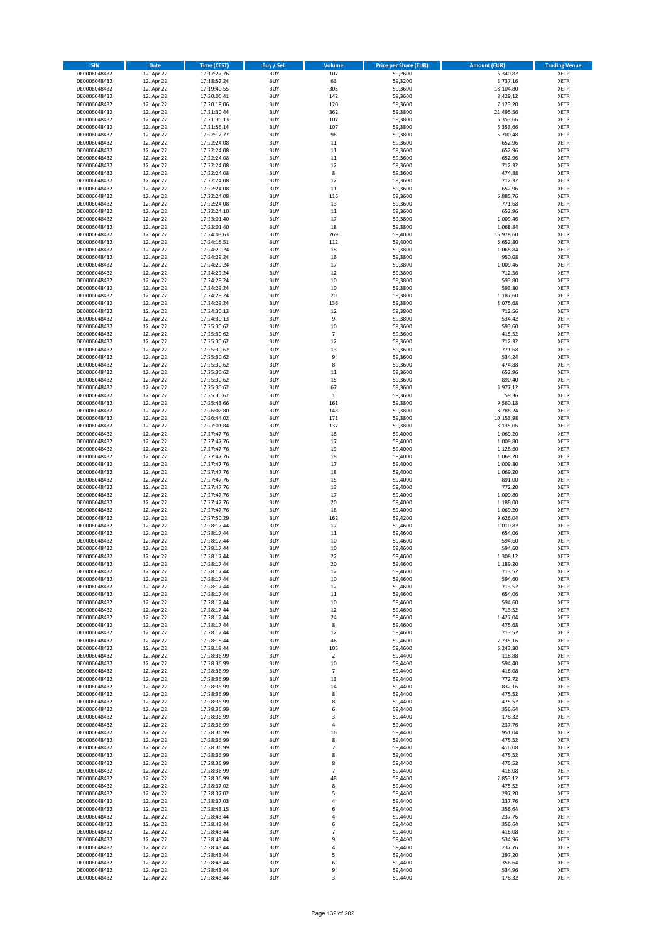| <b>ISIN</b>                  | Date                     | Time (CEST)                | <b>Buy / Sell</b>        | Volume               | <b>Price per Share (EUR)</b> | <b>Amount (EUR)</b> | <b>Trading Venue</b>       |
|------------------------------|--------------------------|----------------------------|--------------------------|----------------------|------------------------------|---------------------|----------------------------|
| DE0006048432                 | 12. Apr 22               | 17:17:27,76                | <b>BUY</b>               | 107                  | 59,2600                      | 6.340,82            | <b>XETR</b>                |
| DE0006048432                 | 12. Apr 22               | 17:18:52,24                | <b>BUY</b>               | 63                   | 59,3200                      | 3.737,16            | XETR                       |
| DE0006048432                 | 12. Apr 22               | 17:19:40,55                | <b>BUY</b>               | 305                  | 59,3600                      | 18.104,80           | <b>XETR</b>                |
| DE0006048432                 | 12. Apr 22               | 17:20:06,41                | <b>BUY</b>               | 142                  | 59,3600                      | 8.429,12            | XETR                       |
| DE0006048432                 | 12. Apr 22               | 17:20:19,06                | <b>BUY</b>               | 120                  | 59,3600                      | 7.123,20            | <b>XETR</b>                |
| DE0006048432                 | 12. Apr 22               | 17:21:30,44                | <b>BUY</b>               | 362                  | 59,3800                      | 21.495,56           | <b>XETR</b>                |
| DE0006048432                 | 12. Apr 22               | 17:21:35,13                | <b>BUY</b>               | 107                  | 59,3800                      | 6.353,66            | <b>XETR</b>                |
| DE0006048432                 | 12. Apr 22               | 17:21:56,14                | <b>BUY</b>               | 107                  | 59,3800                      | 6.353,66            | <b>XETR</b>                |
| DE0006048432                 | 12. Apr 22               | 17:22:12,77                | <b>BUY</b>               | 96                   | 59,3800                      | 5.700,48            | <b>XETR</b>                |
| DE0006048432                 | 12. Apr 22               | 17:22:24,08                | <b>BUY</b>               | $11\,$               | 59,3600                      | 652,96              | <b>XETR</b>                |
| DE0006048432                 | 12. Apr 22               | 17:22:24,08                | <b>BUY</b>               | 11                   | 59,3600                      | 652,96              | <b>XETR</b>                |
| DE0006048432                 | 12. Apr 22               | 17:22:24,08                | <b>BUY</b>               | 11                   | 59,3600                      | 652,96              | <b>XETR</b>                |
| DE0006048432                 | 12. Apr 22<br>12. Apr 22 | 17:22:24,08                | <b>BUY</b>               | 12                   | 59,3600                      | 712,32              | <b>XETR</b>                |
| DE0006048432                 |                          | 17:22:24,08                | <b>BUY</b><br><b>BUY</b> | 8<br>12              | 59,3600                      | 474,88<br>712,32    | <b>XETR</b><br><b>XETR</b> |
| DE0006048432<br>DE0006048432 | 12. Apr 22<br>12. Apr 22 | 17:22:24,08<br>17:22:24,08 | <b>BUY</b>               | 11                   | 59,3600<br>59,3600           | 652,96              | <b>XETR</b>                |
| DE0006048432                 | 12. Apr 22               | 17:22:24,08                | <b>BUY</b>               | 116                  | 59,3600                      | 6.885,76            | <b>XETR</b>                |
| DE0006048432                 | 12. Apr 22               | 17:22:24,08                | <b>BUY</b>               | 13                   | 59,3600                      | 771,68              | <b>XETR</b>                |
| DE0006048432                 | 12. Apr 22               | 17:22:24,10                | <b>BUY</b>               | 11                   | 59,3600                      | 652,96              | <b>XETR</b>                |
| DE0006048432                 | 12. Apr 22               | 17:23:01,40                | <b>BUY</b>               | 17                   | 59,3800                      | 1.009,46            | <b>XETR</b>                |
| DE0006048432                 | 12. Apr 22               | 17:23:01,40                | <b>BUY</b>               | 18                   | 59,3800                      | 1.068,84            | <b>XETR</b>                |
| DE0006048432                 | 12. Apr 22               | 17:24:03,63                | <b>BUY</b>               | 269                  | 59,4000                      | 15.978,60           | <b>XETR</b>                |
| DE0006048432                 | 12. Apr 22               | 17:24:15,51                | <b>BUY</b>               | 112                  | 59,4000                      | 6.652,80            | <b>XETR</b>                |
| DE0006048432                 | 12. Apr 22               | 17:24:29,24                | <b>BUY</b>               | 18                   | 59,3800                      | 1.068,84            | <b>XETR</b>                |
| DE0006048432                 | 12. Apr 22               | 17:24:29,24                | <b>BUY</b>               | 16                   | 59,3800                      | 950,08              | <b>XETR</b>                |
| DE0006048432                 | 12. Apr 22               | 17:24:29,24                | <b>BUY</b>               | 17                   | 59,3800                      | 1.009,46            | <b>XETR</b>                |
| DE0006048432                 | 12. Apr 22               | 17:24:29,24                | <b>BUY</b>               | 12                   | 59,3800                      | 712,56              | <b>XETR</b>                |
| DE0006048432                 | 12. Apr 22               | 17:24:29,24                | <b>BUY</b>               | 10                   | 59,3800                      | 593,80              | <b>XETR</b>                |
| DE0006048432                 | 12. Apr 22               | 17:24:29,24                | <b>BUY</b>               | 10                   | 59,3800                      | 593,80              | <b>XETR</b>                |
| DE0006048432                 | 12. Apr 22               | 17:24:29,24                | <b>BUY</b>               | 20                   | 59,3800                      | 1.187,60            | <b>XETR</b>                |
| DE0006048432                 | 12. Apr 22               | 17:24:29,24                | <b>BUY</b>               | 136                  | 59,3800                      | 8.075,68            | <b>XETR</b>                |
| DE0006048432                 | 12. Apr 22               | 17:24:30,13                | <b>BUY</b>               | 12                   | 59,3800                      | 712,56              | <b>XETR</b>                |
| DE0006048432                 | 12. Apr 22               | 17:24:30,13                | <b>BUY</b>               | 9<br>10              | 59,3800                      | 534,42              | <b>XETR</b>                |
| DE0006048432<br>DE0006048432 | 12. Apr 22<br>12. Apr 22 | 17:25:30,62                | <b>BUY</b><br><b>BUY</b> |                      | 59,3600                      | 593,60              | <b>XETR</b>                |
| DE0006048432                 | 12. Apr 22               | 17:25:30,62<br>17:25:30,62 | <b>BUY</b>               | $\overline{7}$<br>12 | 59,3600<br>59,3600           | 415,52<br>712,32    | <b>XETR</b><br><b>XETR</b> |
| DE0006048432                 | 12. Apr 22               | 17:25:30,62                | <b>BUY</b>               | 13                   | 59,3600                      | 771,68              | <b>XETR</b>                |
| DE0006048432                 | 12. Apr 22               | 17:25:30,62                | <b>BUY</b>               | 9                    | 59,3600                      | 534,24              | <b>XETR</b>                |
| DE0006048432                 | 12. Apr 22               | 17:25:30,62                | <b>BUY</b>               | 8                    | 59,3600                      | 474,88              | <b>XETR</b>                |
| DE0006048432                 | 12. Apr 22               | 17:25:30,62                | <b>BUY</b>               | 11                   | 59,3600                      | 652,96              | <b>XETR</b>                |
| DE0006048432                 | 12. Apr 22               | 17:25:30,62                | <b>BUY</b>               | 15                   | 59,3600                      | 890,40              | <b>XETR</b>                |
| DE0006048432                 | 12. Apr 22               | 17:25:30,62                | <b>BUY</b>               | 67                   | 59,3600                      | 3.977,12            | <b>XETR</b>                |
| DE0006048432                 | 12. Apr 22               | 17:25:30,62                | <b>BUY</b>               | $\,$ 1               | 59,3600                      | 59,36               | <b>XETR</b>                |
| DE0006048432                 | 12. Apr 22               | 17:25:43,66                | <b>BUY</b>               | 161                  | 59,3800                      | 9.560,18            | <b>XETR</b>                |
| DE0006048432                 | 12. Apr 22               | 17:26:02,80                | <b>BUY</b>               | 148                  | 59,3800                      | 8.788,24            | <b>XETR</b>                |
| DE0006048432                 | 12. Apr 22               | 17:26:44,02                | <b>BUY</b>               | 171                  | 59,3800                      | 10.153,98           | <b>XETR</b>                |
| DE0006048432                 | 12. Apr 22               | 17:27:01,84                | <b>BUY</b>               | 137                  | 59,3800                      | 8.135,06            | <b>XETR</b>                |
| DE0006048432                 | 12. Apr 22               | 17:27:47,76                | <b>BUY</b>               | 18                   | 59,4000                      | 1.069,20            | <b>XETR</b>                |
| DE0006048432                 | 12. Apr 22               | 17:27:47,76                | <b>BUY</b>               | 17                   | 59,4000                      | 1.009,80            | <b>XETR</b>                |
| DE0006048432                 | 12. Apr 22               | 17:27:47,76                | <b>BUY</b>               | 19                   | 59,4000                      | 1.128,60            | <b>XETR</b>                |
| DE0006048432                 | 12. Apr 22               | 17:27:47,76                | <b>BUY</b>               | 18                   | 59,4000                      | 1.069,20            | <b>XETR</b>                |
| DE0006048432                 | 12. Apr 22               | 17:27:47,76                | <b>BUY</b>               | 17                   | 59,4000                      | 1.009,80            | <b>XETR</b>                |
| DE0006048432                 | 12. Apr 22               | 17:27:47,76                | <b>BUY</b>               | 18                   | 59,4000                      | 1.069,20            | <b>XETR</b><br><b>XETR</b> |
| DE0006048432<br>DE0006048432 | 12. Apr 22               | 17:27:47,76                | <b>BUY</b><br><b>BUY</b> | 15<br>13             | 59,4000                      | 891,00              | <b>XETR</b>                |
| DE0006048432                 | 12. Apr 22<br>12. Apr 22 | 17:27:47,76<br>17:27:47,76 | <b>BUY</b>               | 17                   | 59,4000<br>59,4000           | 772,20<br>1.009,80  | <b>XETR</b>                |
| DE0006048432                 | 12. Apr 22               | 17:27:47,76                | <b>BUY</b>               | 20                   | 59,4000                      | 1.188,00            | <b>XETR</b>                |
| DE0006048432                 | 12. Apr 22               | 17:27:47,76                | <b>BUY</b>               | 18                   | 59,4000                      | 1.069,20            | <b>XETR</b>                |
| DE0006048432                 | 12. Apr 22               | 17:27:50,29                | <b>BUY</b>               | 162                  | 59,4200                      | 9.626,04            | <b>XETR</b>                |
| DE0006048432                 | 12. Apr 22               | 17:28:17,44                | <b>BUY</b>               | 17                   | 59,4600                      | 1.010,82            | <b>XETR</b>                |
| DE0006048432                 | 12. Apr 22               | 17:28:17,44                | <b>BUY</b>               | 11                   | 59,4600                      | 654,06              | <b>XETR</b>                |
| DE0006048432                 | 12. Apr 22               | 17:28:17,44                | <b>BUY</b>               | 10                   | 59,4600                      | 594,60              | <b>XETR</b>                |
| DE0006048432                 | 12. Apr 22               | 17:28:17,44                | <b>BUY</b>               | 10                   | 59,4600                      | 594,60              | <b>XETR</b>                |
| DE0006048432                 | 12. Apr 22               | 17:28:17,44                | <b>BUY</b>               | 22                   | 59,4600                      | 1.308,12            | <b>XETR</b>                |
| DE0006048432                 | 12. Apr 22               | 17:28:17,44                | BUY                      | 20                   | 59,4600                      | 1.189,20            | XETR                       |
| DE0006048432                 | 12. Apr 22               | 17:28:17,44                | <b>BUY</b>               | 12                   | 59,4600                      | 713,52              | <b>XETR</b>                |
| DE0006048432                 | 12. Apr 22               | 17:28:17,44                | <b>BUY</b>               | $10\,$               | 59,4600                      | 594,60              | <b>XETR</b>                |
| DE0006048432                 | 12. Apr 22               | 17:28:17,44                | <b>BUY</b>               | 12                   | 59,4600                      | 713,52              | <b>XETR</b>                |
| DE0006048432                 | 12. Apr 22               | 17:28:17,44                | <b>BUY</b>               | 11                   | 59,4600                      | 654,06              | <b>XETR</b>                |
| DE0006048432                 | 12. Apr 22               | 17:28:17,44                | <b>BUY</b>               | 10                   | 59,4600                      | 594,60              | <b>XETR</b>                |
| DE0006048432                 | 12. Apr 22               | 17:28:17,44                | <b>BUY</b>               | 12                   | 59,4600                      | 713,52              | <b>XETR</b>                |
| DE0006048432                 | 12. Apr 22               | 17:28:17,44                | <b>BUY</b>               | 24                   | 59,4600                      | 1.427,04            | <b>XETR</b>                |
| DE0006048432<br>DE0006048432 | 12. Apr 22               | 17:28:17,44                | <b>BUY</b>               | 8                    | 59,4600                      | 475,68              | XETR                       |
| DE0006048432                 | 12. Apr 22<br>12. Apr 22 | 17:28:17,44<br>17:28:18,44 | <b>BUY</b><br><b>BUY</b> | 12<br>46             | 59,4600<br>59,4600           | 713,52<br>2.735,16  | <b>XETR</b><br>XETR        |
| DE0006048432                 | 12. Apr 22               | 17:28:18,44                | <b>BUY</b>               | 105                  | 59,4600                      | 6.243,30            | <b>XETR</b>                |
| DE0006048432                 | 12. Apr 22               | 17:28:36,99                | <b>BUY</b>               | $\mathbf 2$          | 59,4400                      | 118,88              | XETR                       |
| DE0006048432                 | 12. Apr 22               | 17:28:36,99                | <b>BUY</b>               | 10                   | 59,4400                      | 594,40              | <b>XETR</b>                |
| DE0006048432                 | 12. Apr 22               | 17:28:36,99                | <b>BUY</b>               | $\overline{7}$       | 59,4400                      | 416,08              | <b>XETR</b>                |
| DE0006048432                 | 12. Apr 22               | 17:28:36,99                | <b>BUY</b>               | 13                   | 59,4400                      | 772,72              | <b>XETR</b>                |
| DE0006048432                 | 12. Apr 22               | 17:28:36,99                | <b>BUY</b>               | 14                   | 59,4400                      | 832,16              | <b>XETR</b>                |
| DE0006048432                 | 12. Apr 22               | 17:28:36,99                | <b>BUY</b>               | 8                    | 59,4400                      | 475,52              | <b>XETR</b>                |
| DE0006048432                 | 12. Apr 22               | 17:28:36,99                | <b>BUY</b>               | 8                    | 59,4400                      | 475,52              | XETR                       |
| DE0006048432                 | 12. Apr 22               | 17:28:36,99                | <b>BUY</b>               | 6                    | 59,4400                      | 356,64              | <b>XETR</b>                |
| DE0006048432                 | 12. Apr 22               | 17:28:36,99                | <b>BUY</b>               | 3                    | 59,4400                      | 178,32              | <b>XETR</b>                |
| DE0006048432                 | 12. Apr 22               | 17:28:36,99                | <b>BUY</b>               | 4                    | 59,4400                      | 237,76              | <b>XETR</b>                |
| DE0006048432                 | 12. Apr 22               | 17:28:36,99                | <b>BUY</b>               | 16                   | 59,4400                      | 951,04              | XETR                       |
| DE0006048432                 | 12. Apr 22               | 17:28:36,99                | <b>BUY</b>               | 8                    | 59,4400                      | 475,52              | <b>XETR</b>                |
| DE0006048432                 | 12. Apr 22               | 17:28:36,99                | <b>BUY</b>               | $\overline{7}$       | 59,4400                      | 416,08              | XETR                       |
| DE0006048432                 | 12. Apr 22               | 17:28:36,99                | <b>BUY</b>               | 8                    | 59,4400                      | 475,52              | XETR                       |
| DE0006048432                 | 12. Apr 22               | 17:28:36,99                | <b>BUY</b><br><b>BUY</b> | 8<br>$\overline{7}$  | 59,4400<br>59,4400           | 475,52              | XETR<br><b>XETR</b>        |
| DE0006048432<br>DE0006048432 | 12. Apr 22<br>12. Apr 22 | 17:28:36,99<br>17:28:36,99 | <b>BUY</b>               | 48                   | 59,4400                      | 416,08<br>2.853,12  | <b>XETR</b>                |
| DE0006048432                 | 12. Apr 22               | 17:28:37,02                | <b>BUY</b>               | 8                    | 59,4400                      | 475,52              | <b>XETR</b>                |
| DE0006048432                 | 12. Apr 22               | 17:28:37,02                | <b>BUY</b>               | 5                    | 59,4400                      | 297,20              | <b>XETR</b>                |
| DE0006048432                 | 12. Apr 22               | 17:28:37,03                | <b>BUY</b>               | 4                    | 59,4400                      | 237,76              | XETR                       |
| DE0006048432                 | 12. Apr 22               | 17:28:43,15                | <b>BUY</b>               | 6                    | 59,4400                      | 356,64              | XETR                       |
| DE0006048432                 | 12. Apr 22               | 17:28:43,44                | <b>BUY</b>               | 4                    | 59,4400                      | 237,76              | <b>XETR</b>                |
| DE0006048432                 | 12. Apr 22               | 17:28:43,44                | <b>BUY</b>               | 6                    | 59,4400                      | 356,64              | <b>XETR</b>                |
| DE0006048432                 | 12. Apr 22               | 17:28:43,44                | <b>BUY</b>               | $\overline{7}$       | 59,4400                      | 416,08              | <b>XETR</b>                |
| DE0006048432                 | 12. Apr 22               | 17:28:43,44                | <b>BUY</b>               | 9                    | 59,4400                      | 534,96              | XETR                       |
| DE0006048432                 | 12. Apr 22               | 17:28:43,44                | <b>BUY</b>               | 4                    | 59,4400                      | 237,76              | XETR                       |
| DE0006048432                 | 12. Apr 22               | 17:28:43,44                | <b>BUY</b>               | 5                    | 59,4400                      | 297,20              | <b>XETR</b>                |
| DE0006048432                 | 12. Apr 22               | 17:28:43,44                | <b>BUY</b>               | 6                    | 59,4400                      | 356,64              | XETR                       |
| DE0006048432                 | 12. Apr 22               | 17:28:43,44                | <b>BUY</b>               | 9                    | 59,4400                      | 534,96              | <b>XETR</b>                |
| DE0006048432                 | 12. Apr 22               | 17:28:43,44                | <b>BUY</b>               | 3                    | 59,4400                      | 178,32              | <b>XETR</b>                |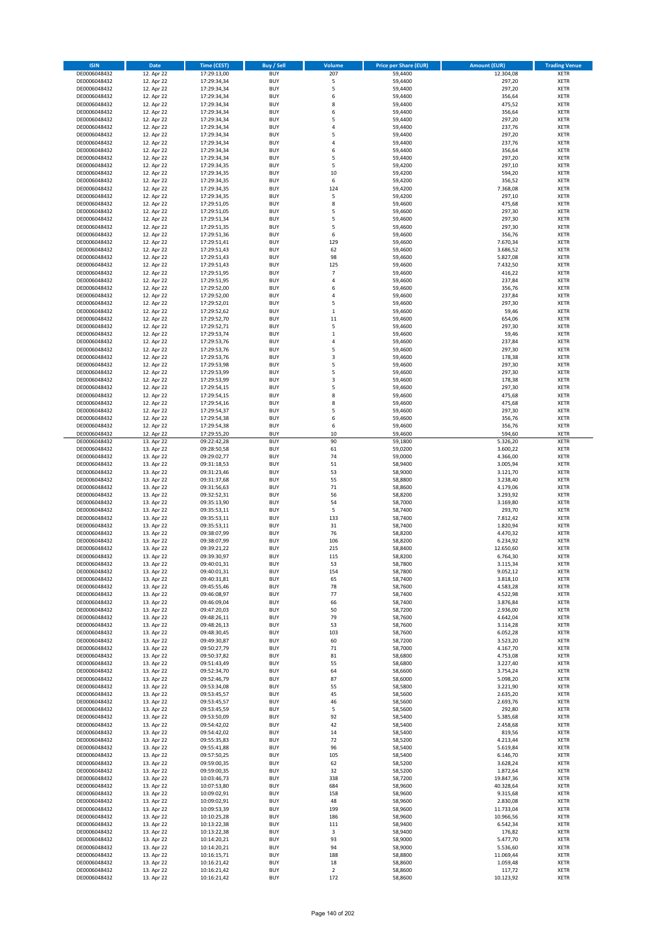| <b>ISIN</b>                  | <b>Date</b>              | Time (CEST)                | <b>Buy / Sell</b>        | Volume                   | <b>Price per Share (EUR)</b> | <b>Amount (EUR)</b>   | <b>Trading Venue</b>       |
|------------------------------|--------------------------|----------------------------|--------------------------|--------------------------|------------------------------|-----------------------|----------------------------|
| DE0006048432                 | 12. Apr 22               | 17:29:13,00                | <b>BUY</b>               | 207                      | 59,4400                      | 12.304,08             | <b>XETR</b>                |
| DE0006048432                 | 12. Apr 22               | 17:29:34,34                | <b>BUY</b>               | 5                        | 59,4400                      | 297,20                | <b>XETR</b>                |
| DE0006048432                 | 12. Apr 22               | 17:29:34,34                | <b>BUY</b>               | 5                        | 59,4400                      | 297,20                | <b>XETR</b>                |
| DE0006048432                 | 12. Apr 22               | 17:29:34,34                | <b>BUY</b>               | 6                        | 59,4400                      | 356,64                | <b>XETR</b>                |
| DE0006048432                 | 12. Apr 22               | 17:29:34,34                | <b>BUY</b>               | 8                        | 59,4400                      | 475,52                | <b>XETR</b>                |
| DE0006048432                 | 12. Apr 22               | 17:29:34,34                | <b>BUY</b>               | 6                        | 59,4400                      | 356,64                | <b>XETR</b>                |
| DE0006048432                 | 12. Apr 22               | 17:29:34,34                | <b>BUY</b>               | 5                        | 59,4400                      | 297,20                | <b>XETR</b>                |
| DE0006048432                 | 12. Apr 22               | 17:29:34,34                | <b>BUY</b>               | 4                        | 59,4400                      | 237,76                | <b>XETR</b>                |
| DE0006048432                 | 12. Apr 22<br>12. Apr 22 | 17:29:34,34                | BUY<br>BUY               | 5<br>4                   | 59,4400<br>59,4400           | 297,20<br>237,76      | <b>XETR</b><br><b>XETR</b> |
| DE0006048432<br>DE0006048432 | 12. Apr 22               | 17:29:34,34<br>17:29:34,34 | <b>BUY</b>               | 6                        | 59,4400                      | 356,64                | <b>XETR</b>                |
| DE0006048432                 | 12. Apr 22               | 17:29:34,34                | <b>BUY</b>               | 5                        | 59,4400                      | 297,20                | <b>XETR</b>                |
| DE0006048432                 | 12. Apr 22               | 17:29:34,35                | <b>BUY</b>               | 5                        | 59,4200                      | 297,10                | <b>XETR</b>                |
| DE0006048432                 | 12. Apr 22               | 17:29:34,35                | <b>BUY</b>               | 10                       | 59,4200                      | 594,20                | <b>XETR</b>                |
| DE0006048432                 | 12. Apr 22               | 17:29:34,35                | <b>BUY</b>               | 6                        | 59,4200                      | 356,52                | <b>XETR</b>                |
| DE0006048432                 | 12. Apr 22               | 17:29:34,35                | BUY                      | 124                      | 59,4200                      | 7.368,08              | <b>XETR</b>                |
| DE0006048432                 | 12. Apr 22               | 17:29:34,35                | <b>BUY</b>               | 5                        | 59,4200                      | 297,10                | <b>XETR</b>                |
| DE0006048432                 | 12. Apr 22               | 17:29:51,05                | <b>BUY</b>               | 8                        | 59,4600                      | 475,68                | <b>XETR</b>                |
| DE0006048432                 | 12. Apr 22               | 17:29:51,05                | <b>BUY</b>               | 5                        | 59,4600                      | 297,30                | <b>XETR</b>                |
| DE0006048432                 | 12. Apr 22               | 17:29:51,34                | <b>BUY</b>               | 5                        | 59,4600                      | 297,30                | <b>XETR</b>                |
| DE0006048432                 | 12. Apr 22               | 17:29:51,35                | <b>BUY</b>               | 5                        | 59,4600                      | 297,30                | <b>XETR</b>                |
| DE0006048432<br>DE0006048432 | 12. Apr 22<br>12. Apr 22 | 17:29:51,36<br>17:29:51,41 | <b>BUY</b><br><b>BUY</b> | 6<br>129                 | 59,4600<br>59,4600           | 356,76<br>7.670,34    | <b>XETR</b><br><b>XETR</b> |
| DE0006048432                 | 12. Apr 22               | 17:29:51,43                | BUY                      | 62                       | 59,4600                      | 3.686,52              | <b>XETR</b>                |
| DE0006048432                 | 12. Apr 22               | 17:29:51,43                | <b>BUY</b>               | 98                       | 59,4600                      | 5.827,08              | <b>XETR</b>                |
| DE0006048432                 | 12. Apr 22               | 17:29:51,43                | <b>BUY</b>               | 125                      | 59,4600                      | 7.432,50              | <b>XETR</b>                |
| DE0006048432                 | 12. Apr 22               | 17:29:51,95                | <b>BUY</b>               | $\overline{\phantom{a}}$ | 59,4600                      | 416,22                | <b>XETR</b>                |
| DE0006048432                 | 12. Apr 22               | 17:29:51,95                | <b>BUY</b>               | 4                        | 59,4600                      | 237,84                | <b>XETR</b>                |
| DE0006048432                 | 12. Apr 22               | 17:29:52,00                | <b>BUY</b>               | 6                        | 59,4600                      | 356,76                | <b>XETR</b>                |
| DE0006048432                 | 12. Apr 22               | 17:29:52,00                | <b>BUY</b>               | 4                        | 59,4600                      | 237,84                | <b>XETR</b>                |
| DE0006048432                 | 12. Apr 22               | 17:29:52,01                | <b>BUY</b>               | 5                        | 59,4600                      | 297,30                | <b>XETR</b>                |
| DE0006048432<br>DE0006048432 | 12. Apr 22               | 17:29:52,62                | <b>BUY</b><br><b>BUY</b> | $\mathbf 1$<br>11        | 59,4600                      | 59,46                 | <b>XETR</b><br><b>XETR</b> |
| DE0006048432                 | 12. Apr 22<br>12. Apr 22 | 17:29:52,70<br>17:29:52,71 | <b>BUY</b>               | 5                        | 59,4600<br>59,4600           | 654,06<br>297,30      | <b>XETR</b>                |
| DE0006048432                 | 12. Apr 22               | 17:29:53,74                | <b>BUY</b>               | $\mathbf 1$              | 59,4600                      | 59,46                 | <b>XETR</b>                |
| DE0006048432                 | 12. Apr 22               | 17:29:53,76                | <b>BUY</b>               | 4                        | 59,4600                      | 237,84                | <b>XETR</b>                |
| DE0006048432                 | 12. Apr 22               | 17:29:53,76                | <b>BUY</b>               | 5                        | 59,4600                      | 297,30                | <b>XETR</b>                |
| DE0006048432                 | 12. Apr 22               | 17:29:53,76                | <b>BUY</b>               | 3                        | 59,4600                      | 178,38                | <b>XETR</b>                |
| DE0006048432                 | 12. Apr 22               | 17:29:53,98                | <b>BUY</b>               | 5                        | 59,4600                      | 297,30                | <b>XETR</b>                |
| DE0006048432                 | 12. Apr 22               | 17:29:53,99                | <b>BUY</b>               | 5                        | 59,4600                      | 297,30                | <b>XETR</b>                |
| DE0006048432                 | 12. Apr 22               | 17:29:53,99                | <b>BUY</b>               | 3                        | 59,4600                      | 178,38                | <b>XETR</b>                |
| DE0006048432                 | 12. Apr 22               | 17:29:54,15                | <b>BUY</b>               | 5                        | 59,4600                      | 297,30                | <b>XETR</b>                |
| DE0006048432                 | 12. Apr 22               | 17:29:54,15                | <b>BUY</b>               | 8                        | 59,4600                      | 475,68                | <b>XETR</b>                |
| DE0006048432                 | 12. Apr 22               | 17:29:54,16                | BUY<br>BUY               | 8<br>5                   | 59,4600                      | 475,68                | <b>XETR</b>                |
| DE0006048432<br>DE0006048432 | 12. Apr 22<br>12. Apr 22 | 17:29:54,37<br>17:29:54,38 | <b>BUY</b>               | 6                        | 59,4600<br>59,4600           | 297,30<br>356,76      | <b>XETR</b><br><b>XETR</b> |
| DE0006048432                 | 12. Apr 22               | 17:29:54,38                | <b>BUY</b>               | 6                        | 59,4600                      | 356,76                | <b>XETR</b>                |
| DE0006048432                 | 12. Apr 22               | 17:29:55,20                | BUY                      | 10                       | 59,4600                      | 594,60                | <b>XETR</b>                |
| DE0006048432                 | 13. Apr 22               | 09:22:42,28                | <b>BUY</b>               | 90                       | 59,1800                      | 5.326,20              | <b>XETR</b>                |
| DE0006048432                 | 13. Apr 22               | 09:28:50,58                | <b>BUY</b>               | 61                       | 59,0200                      | 3.600,22              | <b>XETR</b>                |
| DE0006048432                 | 13. Apr 22               | 09:29:02,77                | <b>BUY</b>               | 74                       | 59,0000                      | 4.366,00              | <b>XETR</b>                |
| DE0006048432                 | 13. Apr 22               | 09:31:18,53                | <b>BUY</b>               | 51                       | 58,9400                      | 3.005,94              | <b>XETR</b>                |
| DE0006048432                 | 13. Apr 22               | 09:31:23,46                | <b>BUY</b>               | 53                       | 58,9000                      | 3.121,70              | <b>XETR</b>                |
| DE0006048432<br>DE0006048432 | 13. Apr 22<br>13. Apr 22 | 09:31:37,68<br>09:31:56,63 | <b>BUY</b><br><b>BUY</b> | 55<br>71                 | 58,8800<br>58,8600           | 3.238,40<br>4.179,06  | <b>XETR</b><br><b>XETR</b> |
| DE0006048432                 | 13. Apr 22               | 09:32:52,31                | <b>BUY</b>               | 56                       | 58,8200                      | 3.293,92              | <b>XETR</b>                |
| DE0006048432                 | 13. Apr 22               | 09:35:13,90                | <b>BUY</b>               | 54                       | 58,7000                      | 3.169,80              | <b>XETR</b>                |
| DE0006048432                 | 13. Apr 22               | 09:35:53,11                | <b>BUY</b>               | 5                        | 58,7400                      | 293,70                | <b>XETR</b>                |
| DE0006048432                 | 13. Apr 22               | 09:35:53,11                | <b>BUY</b>               | 133                      | 58,7400                      | 7.812,42              | <b>XETR</b>                |
| DE0006048432                 | 13. Apr 22               | 09:35:53,11                | <b>BUY</b>               | 31                       | 58,7400                      | 1.820,94              | <b>XETR</b>                |
| DE0006048432                 | 13. Apr 22               | 09:38:07,99                | <b>BUY</b>               | 76                       | 58,8200                      | 4.470,32              | <b>XETR</b>                |
| DE0006048432                 | 13. Apr 22               | 09:38:07,99                | BUY                      | 106                      | 58,8200                      | 6.234,92              | <b>XETR</b>                |
| DE0006048432                 | 13. Apr 22               | 09:39:21,22                | BUY                      | 215                      | 58,8400                      | 12.650,60             | <b>XETR</b>                |
| DE0006048432                 | 13. Apr 22               | 09:39:30,97                | <b>BUY</b>               | 115                      | 58,8200                      | 6.764,30              | <b>XETR</b>                |
| DE0006048432<br>DE0006048432 | 13. Apr 22<br>13. Apr 22 | 09:40:01,31<br>09:40:01,31 | <b>BUY</b><br><b>BUY</b> | 53<br>154                | 58,7800<br>58,7800           | 3.115,34<br>9.052,12  | <b>XETR</b><br><b>XETR</b> |
| DE0006048432                 | 13. Apr 22               | 09:40:31,81                | <b>BUY</b>               | 65                       | 58,7400                      | 3.818,10              | <b>XETR</b>                |
| DE0006048432                 | 13. Apr 22               | 09:45:55,46                | <b>BUY</b>               | 78                       | 58,7600                      | 4.583,28              | <b>XETR</b>                |
| DE0006048432                 | 13. Apr 22               | 09:46:08,97                | <b>BUY</b>               | 77                       | 58,7400                      | 4.522,98              | <b>XETR</b>                |
| DE0006048432                 | 13. Apr 22               | 09:46:09,04                | <b>BUY</b>               | 66                       | 58,7400                      | 3.876,84              | <b>XETR</b>                |
| DE0006048432                 | 13. Apr 22               | 09:47:20,03                | <b>BUY</b>               | 50                       | 58,7200                      | 2.936,00              | <b>XETR</b>                |
| DE0006048432                 | 13. Apr 22               | 09:48:26,11                | <b>BUY</b>               | 79                       | 58,7600                      | 4.642,04              | <b>XETR</b>                |
| DE0006048432                 | 13. Apr 22               | 09:48:26,13                | <b>BUY</b>               | 53                       | 58,7600                      | 3.114,28              | <b>XETR</b>                |
| DE0006048432                 | 13. Apr 22               | 09:48:30,45                | <b>BUY</b>               | 103                      | 58,7600                      | 6.052,28              | <b>XETR</b>                |
| DE0006048432<br>DE0006048432 | 13. Apr 22<br>13. Apr 22 | 09:49:30,87<br>09:50:27,79 | <b>BUY</b><br><b>BUY</b> | 60<br>71                 | 58,7200<br>58,7000           | 3.523,20<br>4.167,70  | <b>XETR</b><br><b>XETR</b> |
| DE0006048432                 | 13. Apr 22               | 09:50:37,82                | <b>BUY</b>               | 81                       | 58,6800                      | 4.753,08              | <b>XETR</b>                |
| DE0006048432                 | 13. Apr 22               | 09:51:43,49                | <b>BUY</b>               | 55                       | 58,6800                      | 3.227,40              | <b>XETR</b>                |
| DE0006048432                 | 13. Apr 22               | 09:52:34,70                | <b>BUY</b>               | 64                       | 58,6600                      | 3.754,24              | <b>XETR</b>                |
| DE0006048432                 | 13. Apr 22               | 09:52:46,79                | <b>BUY</b>               | 87                       | 58,6000                      | 5.098,20              | <b>XETR</b>                |
| DE0006048432                 | 13. Apr 22               | 09:53:34,08                | <b>BUY</b>               | 55                       | 58,5800                      | 3.221,90              | <b>XETR</b>                |
| DE0006048432                 | 13. Apr 22               | 09:53:45,57                | <b>BUY</b>               | 45                       | 58,5600                      | 2.635,20              | <b>XETR</b>                |
| DE0006048432                 | 13. Apr 22               | 09:53:45,57                | <b>BUY</b>               | 46                       | 58,5600                      | 2.693,76              | <b>XETR</b>                |
| DE0006048432                 | 13. Apr 22               | 09:53:45,59                | <b>BUY</b><br><b>BUY</b> | 5                        | 58,5600                      | 292,80                | <b>XETR</b>                |
| DE0006048432<br>DE0006048432 | 13. Apr 22<br>13. Apr 22 | 09:53:50,09<br>09:54:42,02 | <b>BUY</b>               | 92<br>42                 | 58,5400<br>58,5400           | 5.385,68<br>2.458,68  | <b>XETR</b><br><b>XETR</b> |
| DE0006048432                 | 13. Apr 22               | 09:54:42,02                | <b>BUY</b>               | 14                       | 58,5400                      | 819,56                | <b>XETR</b>                |
| DE0006048432                 | 13. Apr 22               | 09:55:35,83                | <b>BUY</b>               | 72                       | 58,5200                      | 4.213,44              | <b>XETR</b>                |
| DE0006048432                 | 13. Apr 22               | 09:55:41,88                | <b>BUY</b>               | 96                       | 58,5400                      | 5.619,84              | <b>XETR</b>                |
| DE0006048432                 | 13. Apr 22               | 09:57:50,25                | <b>BUY</b>               | 105                      | 58,5400                      | 6.146,70              | <b>XETR</b>                |
| DE0006048432                 | 13. Apr 22               | 09:59:00,35                | <b>BUY</b>               | 62                       | 58,5200                      | 3.628,24              | <b>XETR</b>                |
| DE0006048432                 | 13. Apr 22               | 09:59:00,35                | <b>BUY</b>               | 32                       | 58,5200                      | 1.872,64              | <b>XETR</b>                |
| DE0006048432                 | 13. Apr 22               | 10:03:46,73                | <b>BUY</b>               | 338                      | 58,7200                      | 19.847,36             | <b>XETR</b>                |
| DE0006048432                 | 13. Apr 22               | 10:07:53,80                | <b>BUY</b>               | 684                      | 58,9600                      | 40.328,64             | <b>XETR</b>                |
| DE0006048432                 | 13. Apr 22               | 10:09:02,91                | <b>BUY</b>               | 158                      | 58,9600                      | 9.315,68              | <b>XETR</b>                |
| DE0006048432<br>DE0006048432 | 13. Apr 22<br>13. Apr 22 | 10:09:02,91<br>10:09:53,39 | <b>BUY</b><br><b>BUY</b> | 48<br>199                | 58,9600<br>58,9600           | 2.830,08<br>11.733,04 | <b>XETR</b><br><b>XETR</b> |
| DE0006048432                 | 13. Apr 22               | 10:10:25,28                | <b>BUY</b>               | 186                      | 58,9600                      | 10.966,56             | <b>XETR</b>                |
| DE0006048432                 | 13. Apr 22               | 10:13:22,38                | <b>BUY</b>               | 111                      | 58,9400                      | 6.542,34              | <b>XETR</b>                |
| DE0006048432                 | 13. Apr 22               | 10:13:22,38                | <b>BUY</b>               | 3                        | 58,9400                      | 176,82                | <b>XETR</b>                |
| DE0006048432                 | 13. Apr 22               | 10:14:20,21                | <b>BUY</b>               | 93                       | 58,9000                      | 5.477,70              | <b>XETR</b>                |
| DE0006048432                 | 13. Apr 22               | 10:14:20,21                | <b>BUY</b>               | 94                       | 58,9000                      | 5.536,60              | <b>XETR</b>                |
| DE0006048432                 | 13. Apr 22               | 10:16:15,71                | <b>BUY</b>               | 188                      | 58,8800                      | 11.069,44             | <b>XETR</b>                |
| DE0006048432                 | 13. Apr 22               | 10:16:21,42                | <b>BUY</b>               | 18                       | 58,8600                      | 1.059,48              | <b>XETR</b>                |
| DE0006048432                 | 13. Apr 22               | 10:16:21,42                | <b>BUY</b>               | $\mathbf 2$              | 58,8600                      | 117,72                | <b>XETR</b>                |
| DE0006048432                 | 13. Apr 22               | 10:16:21,42                | BUY                      | 172                      | 58,8600                      | 10.123,92             | <b>XETR</b>                |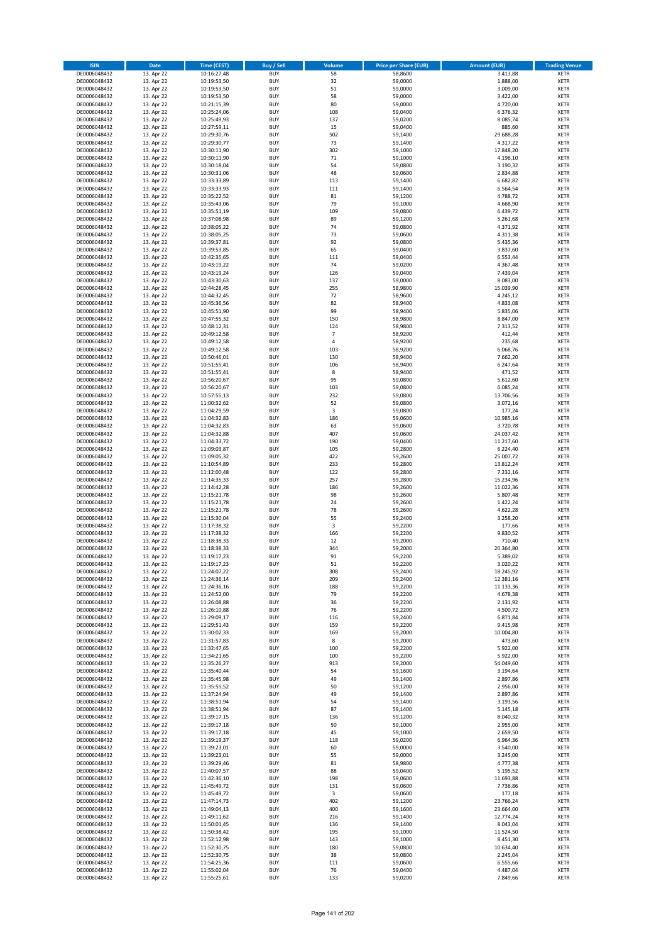| <b>ISIN</b>                  | Date                     | Time (CEST)                | <b>Buy / Sell</b>        | Volume              | <b>Price per Share (EUR)</b> | <b>Amount (EUR)</b>   | <b>Trading Venue</b>       |
|------------------------------|--------------------------|----------------------------|--------------------------|---------------------|------------------------------|-----------------------|----------------------------|
| DE0006048432                 | 13. Apr 22               | 10:16:27,48                | <b>BUY</b>               | 58                  | 58,8600                      | 3.413,88              | <b>XETR</b>                |
| DE0006048432                 | 13. Apr 22               | 10:19:53,50                | <b>BUY</b>               | 32                  | 59,0000                      | 1.888,00              | XETR                       |
| DE0006048432                 | 13. Apr 22               | 10:19:53,50                | <b>BUY</b>               | 51                  | 59,0000                      | 3.009,00              | <b>XETR</b>                |
| DE0006048432                 | 13. Apr 22               | 10:19:53,50                | <b>BUY</b>               | 58                  | 59,0000                      | 3.422,00              | XETR                       |
| DE0006048432                 | 13. Apr 22               | 10:21:15,39                | <b>BUY</b>               | 80                  | 59,0000                      | 4.720,00              | <b>XETR</b>                |
| DE0006048432                 | 13. Apr 22               | 10:25:24,06                | <b>BUY</b>               | 108                 | 59,0400                      | 6.376,32              | <b>XETR</b>                |
| DE0006048432                 | 13. Apr 22               | 10:25:49,93                | <b>BUY</b>               | 137                 | 59,0200                      | 8.085,74              | <b>XETR</b>                |
| DE0006048432                 | 13. Apr 22               | 10:27:59,11                | <b>BUY</b>               | 15                  | 59,0400                      | 885,60                | <b>XETR</b>                |
| DE0006048432                 | 13. Apr 22               | 10:29:30,76                | <b>BUY</b><br><b>BUY</b> | 502<br>73           | 59,1400                      | 29.688,28             | <b>XETR</b><br><b>XETR</b> |
| DE0006048432<br>DE0006048432 | 13. Apr 22<br>13. Apr 22 | 10:29:30,77<br>10:30:11,90 | <b>BUY</b>               | 302                 | 59,1400<br>59,1000           | 4.317,22<br>17.848,20 | <b>XETR</b>                |
| DE0006048432                 | 13. Apr 22               | 10:30:11,90                | <b>BUY</b>               | 71                  | 59,1000                      | 4.196,10              | <b>XETR</b>                |
| DE0006048432                 | 13. Apr 22               | 10:30:18,04                | <b>BUY</b>               | 54                  | 59,0800                      | 3.190,32              | <b>XETR</b>                |
| DE0006048432                 | 13. Apr 22               | 10:30:31,06                | <b>BUY</b>               | 48                  | 59,0600                      | 2.834,88              | <b>XETR</b>                |
| DE0006048432                 | 13. Apr 22               | 10:33:33,89                | <b>BUY</b>               | 113                 | 59,1400                      | 6.682,82              | <b>XETR</b>                |
| DE0006048432                 | 13. Apr 22               | 10:33:33,93                | <b>BUY</b>               | 111                 | 59,1400                      | 6.564,54              | <b>XETR</b>                |
| DE0006048432                 | 13. Apr 22               | 10:35:22,52                | <b>BUY</b>               | 81                  | 59,1200                      | 4.788,72              | <b>XETR</b>                |
| DE0006048432                 | 13. Apr 22               | 10:35:43,06                | <b>BUY</b>               | 79                  | 59,1000                      | 4.668,90              | <b>XETR</b>                |
| DE0006048432                 | 13. Apr 22               | 10:35:51,19                | <b>BUY</b>               | 109                 | 59,0800                      | 6.439,72              | <b>XETR</b>                |
| DE0006048432                 | 13. Apr 22               | 10:37:08,98                | <b>BUY</b>               | 89                  | 59,1200                      | 5.261,68              | <b>XETR</b>                |
| DE0006048432                 | 13. Apr 22               | 10:38:05,22                | <b>BUY</b>               | 74                  | 59,0800                      | 4.371,92              | <b>XETR</b>                |
| DE0006048432                 | 13. Apr 22               | 10:38:05,25                | <b>BUY</b><br><b>BUY</b> | 73<br>92            | 59,0600                      | 4.311,38              | <b>XETR</b><br><b>XETR</b> |
| DE0006048432<br>DE0006048432 | 13. Apr 22<br>13. Apr 22 | 10:39:37,81<br>10:39:53,85 | <b>BUY</b>               | 65                  | 59,0800<br>59,0400           | 5.435,36<br>3.837,60  | <b>XETR</b>                |
| DE0006048432                 | 13. Apr 22               | 10:42:35,65                | <b>BUY</b>               | 111                 | 59,0400                      | 6.553,44              | <b>XETR</b>                |
| DE0006048432                 | 13. Apr 22               | 10:43:19,22                | <b>BUY</b>               | 74                  | 59,0200                      | 4.367,48              | <b>XETR</b>                |
| DE0006048432                 | 13. Apr 22               | 10:43:19,24                | <b>BUY</b>               | 126                 | 59,0400                      | 7.439,04              | <b>XETR</b>                |
| DE0006048432                 | 13. Apr 22               | 10:43:30,63                | <b>BUY</b>               | 137                 | 59,0000                      | 8.083,00              | <b>XETR</b>                |
| DE0006048432                 | 13. Apr 22               | 10:44:28,45                | <b>BUY</b>               | 255                 | 58,9800                      | 15.039,90             | <b>XETR</b>                |
| DE0006048432                 | 13. Apr 22               | 10:44:32,45                | <b>BUY</b>               | 72                  | 58,9600                      | 4.245,12              | <b>XETR</b>                |
| DE0006048432                 | 13. Apr 22               | 10:45:36,56                | <b>BUY</b>               | 82                  | 58,9400                      | 4.833,08              | <b>XETR</b>                |
| DE0006048432                 | 13. Apr 22               | 10:45:51,90                | <b>BUY</b>               | 99                  | 58,9400                      | 5.835,06              | <b>XETR</b>                |
| DE0006048432                 | 13. Apr 22               | 10:47:55,32                | <b>BUY</b>               | 150<br>124          | 58,9800                      | 8.847,00              | <b>XETR</b>                |
| DE0006048432                 | 13. Apr 22               | 10:48:12,31<br>10:49:12,58 | <b>BUY</b>               |                     | 58,9800                      | 7.313,52              | <b>XETR</b>                |
| DE0006048432<br>DE0006048432 | 13. Apr 22<br>13. Apr 22 | 10:49:12,58                | <b>BUY</b><br><b>BUY</b> | $\overline{7}$<br>4 | 58,9200<br>58,9200           | 412,44<br>235,68      | <b>XETR</b><br><b>XETR</b> |
| DE0006048432                 | 13. Apr 22               | 10:49:12,58                | <b>BUY</b>               | 103                 | 58,9200                      | 6.068,76              | <b>XETR</b>                |
| DE0006048432                 | 13. Apr 22               | 10:50:46,01                | <b>BUY</b>               | 130                 | 58,9400                      | 7.662,20              | <b>XETR</b>                |
| DE0006048432                 | 13. Apr 22               | 10:51:55,41                | <b>BUY</b>               | 106                 | 58,9400                      | 6.247,64              | <b>XETR</b>                |
| DE0006048432                 | 13. Apr 22               | 10:51:55,41                | <b>BUY</b>               | 8                   | 58,9400                      | 471,52                | <b>XETR</b>                |
| DE0006048432                 | 13. Apr 22               | 10:56:20,67                | <b>BUY</b>               | 95                  | 59,0800                      | 5.612,60              | <b>XETR</b>                |
| DE0006048432                 | 13. Apr 22               | 10:56:20,67                | <b>BUY</b>               | 103                 | 59,0800                      | 6.085,24              | <b>XETR</b>                |
| DE0006048432                 | 13. Apr 22               | 10:57:55,13                | <b>BUY</b>               | 232                 | 59,0800                      | 13.706,56             | <b>XETR</b>                |
| DE0006048432                 | 13. Apr 22               | 11:00:32,62                | <b>BUY</b>               | 52                  | 59,0800                      | 3.072,16              | <b>XETR</b>                |
| DE0006048432                 | 13. Apr 22               | 11:04:29,59                | <b>BUY</b>               | 3                   | 59,0800                      | 177,24                | <b>XETR</b>                |
| DE0006048432                 | 13. Apr 22               | 11:04:32,83                | <b>BUY</b>               | 186                 | 59,0600                      | 10.985,16             | <b>XETR</b>                |
| DE0006048432<br>DE0006048432 | 13. Apr 22<br>13. Apr 22 | 11:04:32,83<br>11:04:32,88 | <b>BUY</b><br><b>BUY</b> | 63<br>407           | 59,0600<br>59,0600           | 3.720,78<br>24.037,42 | <b>XETR</b><br><b>XETR</b> |
| DE0006048432                 | 13. Apr 22               | 11:04:33,72                | <b>BUY</b>               | 190                 | 59,0400                      | 11.217,60             | <b>XETR</b>                |
| DE0006048432                 | 13. Apr 22               | 11:09:03,87                | <b>BUY</b>               | 105                 | 59,2800                      | 6.224,40              | <b>XETR</b>                |
| DE0006048432                 | 13. Apr 22               | 11:09:05,32                | <b>BUY</b>               | 422                 | 59,2600                      | 25.007,72             | <b>XETR</b>                |
| DE0006048432                 | 13. Apr 22               | 11:10:54,89                | <b>BUY</b>               | 233                 | 59,2800                      | 13.812,24             | <b>XETR</b>                |
| DE0006048432                 | 13. Apr 22               | 11:12:00,48                | <b>BUY</b>               | 122                 | 59,2800                      | 7.232,16              | <b>XETR</b>                |
| DE0006048432                 | 13. Apr 22               | 11:14:35,33                | <b>BUY</b>               | 257                 | 59,2800                      | 15.234,96             | <b>XETR</b>                |
| DE0006048432                 | 13. Apr 22               | 11:14:42,28                | <b>BUY</b>               | 186                 | 59,2600                      | 11.022,36             | <b>XETR</b>                |
| DE0006048432                 | 13. Apr 22               | 11:15:21,78                | <b>BUY</b>               | 98                  | 59,2600                      | 5.807,48              | <b>XETR</b>                |
| DE0006048432                 | 13. Apr 22               | 11:15:21,78                | <b>BUY</b>               | 24                  | 59,2600                      | 1.422,24              | <b>XETR</b>                |
| DE0006048432                 | 13. Apr 22               | 11:15:21,78                | <b>BUY</b>               | 78                  | 59,2600                      | 4.622,28              | <b>XETR</b>                |
| DE0006048432                 | 13. Apr 22               | 11:15:30,04                | <b>BUY</b>               | 55                  | 59,2400                      | 3.258,20              | <b>XETR</b>                |
| DE0006048432<br>DE0006048432 | 13. Apr 22<br>13. Apr 22 | 11:17:38,32<br>11:17:38,32 | <b>BUY</b><br><b>BUY</b> | 3<br>166            | 59,2200<br>59,2200           | 177,66<br>9.830,52    | <b>XETR</b><br><b>XETR</b> |
| DE0006048432                 | 13. Apr 22               | 11:18:38,33                | <b>BUY</b>               | 12                  | 59,2000                      | 710,40                | <b>XETR</b>                |
| DE0006048432                 | 13. Apr 22               | 11:18:38,33                | <b>BUY</b>               | 344                 | 59,2000                      | 20.364,80             | <b>XETR</b>                |
| DE0006048432                 | 13. Apr 22               | 11:19:17,23                | <b>BUY</b>               | 91                  | 59,2200                      | 5.389,02              | <b>XETR</b>                |
| DE0006048432                 | 13. Apr 22               | 11:19:17,23                | <b>BUY</b>               | 51                  | 59,2200                      | 3.020,22              | XETR                       |
| DE0006048432                 | 13. Apr 22               | 11:24:07,22                | <b>BUY</b>               | 308                 | 59,2400                      | 18.245,92             | XETR                       |
| DE0006048432                 | 13. Apr 22               | 11:24:36,14                | <b>BUY</b>               | 209                 | 59,2400                      | 12.381,16             | XETR                       |
| DE0006048432                 | 13. Apr 22               | 11:24:36,16                | <b>BUY</b>               | 188                 | 59,2200                      | 11.133,36             | XETR                       |
| DE0006048432                 | 13. Apr 22               | 11:24:52,00                | <b>BUY</b>               | 79                  | 59,2200                      | 4.678,38              | XETR                       |
| DE0006048432                 | 13. Apr 22<br>13. Apr 22 | 11:26:08,88                | <b>BUY</b>               | 36<br>76            | 59,2200                      | 2.131,92              | XETR                       |
| DE0006048432<br>DE0006048432 | 13. Apr 22               | 11:26:10,88<br>11:29:09,17 | <b>BUY</b><br><b>BUY</b> | 116                 | 59,2200<br>59,2400           | 4.500,72<br>6.871,84  | <b>XETR</b><br><b>XETR</b> |
| DE0006048432                 | 13. Apr 22               | 11:29:51,43                | <b>BUY</b>               | 159                 | 59,2200                      | 9.415,98              | XETR                       |
| DE0006048432                 | 13. Apr 22               | 11:30:02,33                | <b>BUY</b>               | 169                 | 59,2000                      | 10.004,80             | <b>XETR</b>                |
| DE0006048432                 | 13. Apr 22               | 11:31:57,83                | <b>BUY</b>               | 8                   | 59,2000                      | 473,60                | XETR                       |
| DE0006048432                 | 13. Apr 22               | 11:32:47,65                | <b>BUY</b>               | 100                 | 59,2200                      | 5.922,00              | <b>XETR</b>                |
| DE0006048432                 | 13. Apr 22               | 11:34:21,65                | <b>BUY</b>               | 100                 | 59,2200                      | 5.922,00              | XETR                       |
| DE0006048432                 | 13. Apr 22               | 11:35:26,27                | <b>BUY</b>               | 913                 | 59,2000                      | 54.049,60             | <b>XETR</b>                |
| DE0006048432                 | 13. Apr 22               | 11:35:40,44                | <b>BUY</b>               | 54                  | 59,1600                      | 3.194,64              | XETR                       |
| DE0006048432                 | 13. Apr 22               | 11:35:45,98                | <b>BUY</b><br><b>BUY</b> | 49                  | 59,1400                      | 2.897,86              | XETR                       |
| DE0006048432<br>DE0006048432 | 13. Apr 22<br>13. Apr 22 | 11:35:55,52<br>11:37:24,94 | <b>BUY</b>               | 50<br>49            | 59,1200<br>59,1400           | 2.956,00              | XETR<br><b>XETR</b>        |
| DE0006048432                 | 13. Apr 22               | 11:38:51,94                | <b>BUY</b>               | 54                  | 59,1400                      | 2.897,86<br>3.193,56  | XETR                       |
| DE0006048432                 | 13. Apr 22               | 11:38:51,94                | <b>BUY</b>               | 87                  | 59,1400                      | 5.145,18              | XETR                       |
| DE0006048432                 | 13. Apr 22               | 11:39:17,15                | <b>BUY</b>               | 136                 | 59,1200                      | 8.040,32              | <b>XETR</b>                |
| DE0006048432                 | 13. Apr 22               | 11:39:17,18                | <b>BUY</b>               | 50                  | 59,1000                      | 2.955,00              | <b>XETR</b>                |
| DE0006048432                 | 13. Apr 22               | 11:39:17,18                | <b>BUY</b>               | 45                  | 59,1000                      | 2.659,50              | XETR                       |
| DE0006048432                 | 13. Apr 22               | 11:39:19,37                | <b>BUY</b>               | 118                 | 59,0200                      | 6.964,36              | <b>XETR</b>                |
| DE0006048432                 | 13. Apr 22               | 11:39:23,01                | <b>BUY</b>               | 60                  | 59,0000                      | 3.540,00              | XETR                       |
| DE0006048432                 | 13. Apr 22               | 11:39:23,01                | <b>BUY</b>               | 55                  | 59,0000                      | 3.245,00              | XETR                       |
| DE0006048432                 | 13. Apr 22               | 11:39:29,46                | <b>BUY</b>               | 81                  | 58,9800                      | 4.777,38              | XETR                       |
| DE0006048432                 | 13. Apr 22               | 11:40:07,57                | <b>BUY</b>               | 88                  | 59,0400                      | 5.195,52              | <b>XETR</b>                |
| DE0006048432                 | 13. Apr 22               | 11:42:36,10                | <b>BUY</b>               | 198                 | 59,0600                      | 11.693,88             | XETR                       |
| DE0006048432<br>DE0006048432 | 13. Apr 22<br>13. Apr 22 | 11:45:49,72<br>11:45:49,72 | <b>BUY</b><br><b>BUY</b> | 131<br>$\mathsf 3$  | 59,0600<br>59,0600           | 7.736,86<br>177,18    | <b>XETR</b><br>XETR        |
| DE0006048432                 | 13. Apr 22               | 11:47:14,73                | <b>BUY</b>               | 402                 | 59,1200                      | 23.766,24             | XETR                       |
| DE0006048432                 | 13. Apr 22               | 11:49:04,13                | <b>BUY</b>               | 400                 | 59,1600                      | 23.664,00             | XETR                       |
| DE0006048432                 | 13. Apr 22               | 11:49:11,62                | <b>BUY</b>               | 216                 | 59,1400                      | 12.774,24             | XETR                       |
| DE0006048432                 | 13. Apr 22               | 11:50:01,45                | <b>BUY</b>               | 136                 | 59,1400                      | 8.043,04              | <b>XETR</b>                |
| DE0006048432                 | 13. Apr 22               | 11:50:38,42                | <b>BUY</b>               | 195                 | 59,1000                      | 11.524,50             | XETR                       |
| DE0006048432                 | 13. Apr 22               | 11:52:12,98                | <b>BUY</b>               | 143                 | 59,1000                      | 8.451,30              | XETR                       |
| DE0006048432                 | 13. Apr 22               | 11:52:30,75                | <b>BUY</b>               | 180                 | 59,0800                      | 10.634,40             | XETR                       |
| DE0006048432                 | 13. Apr 22               | 11:52:30,75                | <b>BUY</b>               | 38                  | 59,0800                      | 2.245,04              | XETR                       |
| DE0006048432                 | 13. Apr 22               | 11:54:25,36                | <b>BUY</b>               | 111                 | 59,0600                      | 6.555,66              | XETR                       |
| DE0006048432<br>DE0006048432 | 13. Apr 22               | 11:55:02,04                | <b>BUY</b>               | 76<br>133           | 59,0400<br>59,0200           | 4.487,04<br>7.849,66  | <b>XETR</b>                |
|                              | 13. Apr 22               | 11:55:25,61                | <b>BUY</b>               |                     |                              |                       | XETR                       |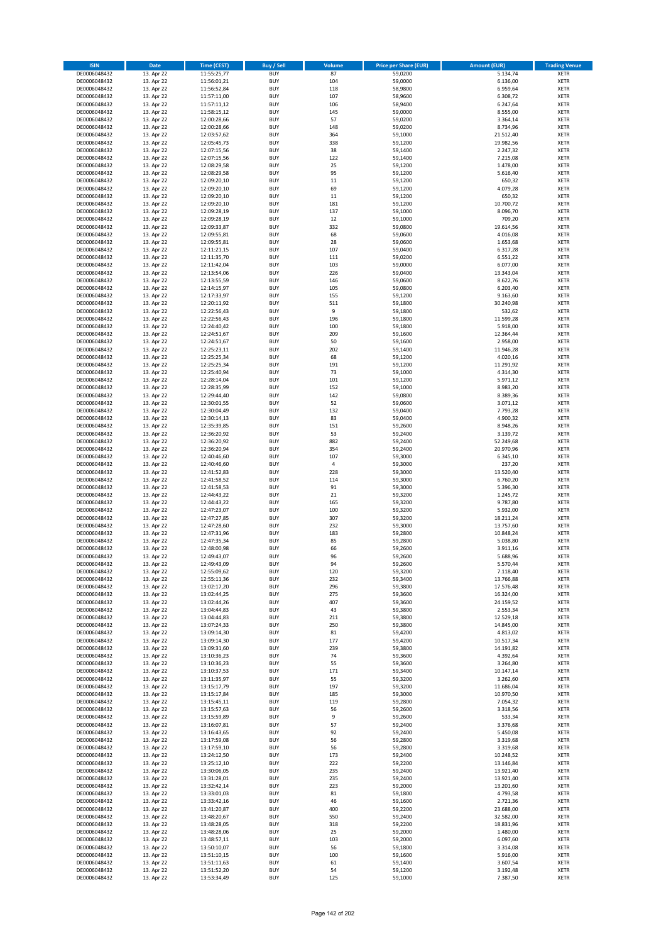| <b>ISIN</b>                  | Date                     | Time (CEST)                | Buy / Sell               | Volume         | <b>Price per Share (EUR)</b> | <b>Amount (EUR)</b>    | <b>Trading Venue</b>       |
|------------------------------|--------------------------|----------------------------|--------------------------|----------------|------------------------------|------------------------|----------------------------|
| DE0006048432                 | 13. Apr 22               | 11:55:25,77                | <b>BUY</b>               | 87             | 59,0200                      | 5.134,74               | <b>XETR</b>                |
| DE0006048432                 | 13. Apr 22               | 11:56:01,21                | <b>BUY</b>               | 104            | 59,0000                      | 6.136,00               | XETR                       |
| DE0006048432                 | 13. Apr 22               | 11:56:52,84                | <b>BUY</b>               | 118            | 58,9800                      | 6.959,64               | <b>XETR</b>                |
| DE0006048432<br>DE0006048432 | 13. Apr 22<br>13. Apr 22 | 11:57:11,00<br>11:57:11,12 | <b>BUY</b><br><b>BUY</b> | 107<br>106     | 58,9600<br>58,9400           | 6.308,72<br>6.247,64   | XETR<br><b>XETR</b>        |
| DE0006048432                 | 13. Apr 22               | 11:58:15,12                | <b>BUY</b>               | 145            | 59,0000                      | 8.555,00               | <b>XETR</b>                |
| DE0006048432                 | 13. Apr 22               | 12:00:28,66                | <b>BUY</b>               | 57             | 59.0200                      | 3.364,14               | <b>XETR</b>                |
| DE0006048432                 | 13. Apr 22               | 12:00:28,66                | <b>BUY</b>               | 148            | 59,0200                      | 8.734,96               | <b>XETR</b>                |
| DE0006048432                 | 13. Apr 22               | 12:03:57,62                | <b>BUY</b>               | 364            | 59,1000                      | 21.512,40              | <b>XETR</b>                |
| DE0006048432                 | 13. Apr 22               | 12:05:45,73                | <b>BUY</b>               | 338            | 59,1200                      | 19.982,56              | <b>XETR</b>                |
| DE0006048432                 | 13. Apr 22               | 12:07:15,56                | <b>BUY</b>               | 38             | 59,1400                      | 2.247,32               | <b>XETR</b>                |
| DE0006048432<br>DE0006048432 | 13. Apr 22<br>13. Apr 22 | 12:07:15,56<br>12:08:29,58 | <b>BUY</b><br><b>BUY</b> | 122<br>25      | 59,1400<br>59,1200           | 7.215,08<br>1.478,00   | <b>XETR</b><br><b>XETR</b> |
| DE0006048432                 | 13. Apr 22               | 12:08:29,58                | <b>BUY</b>               | 95             | 59,1200                      | 5.616,40               | <b>XETR</b>                |
| DE0006048432                 | 13. Apr 22               | 12:09:20,10                | <b>BUY</b>               | 11             | 59,1200                      | 650,32                 | <b>XETR</b>                |
| DE0006048432                 | 13. Apr 22               | 12:09:20,10                | <b>BUY</b>               | 69             | 59,1200                      | 4.079,28               | <b>XETR</b>                |
| DE0006048432                 | 13. Apr 22               | 12:09:20,10                | <b>BUY</b>               | $11\,$         | 59,1200                      | 650,32                 | <b>XETR</b>                |
| DE0006048432                 | 13. Apr 22               | 12:09:20,10                | <b>BUY</b>               | 181            | 59,1200                      | 10.700,72              | <b>XETR</b>                |
| DE0006048432                 | 13. Apr 22               | 12:09:28,19                | <b>BUY</b>               | 137            | 59,1000                      | 8.096,70               | <b>XETR</b>                |
| DE0006048432                 | 13. Apr 22               | 12:09:28,19                | <b>BUY</b>               | 12             | 59,1000                      | 709,20                 | <b>XETR</b>                |
| DE0006048432<br>DE0006048432 | 13. Apr 22<br>13. Apr 22 | 12:09:33,87<br>12:09:55,81 | <b>BUY</b><br><b>BUY</b> | 332<br>68      | 59,0800<br>59,0600           | 19.614,56<br>4.016,08  | <b>XETR</b><br><b>XETR</b> |
| DE0006048432                 | 13. Apr 22               | 12:09:55,81                | <b>BUY</b>               | 28             | 59,0600                      | 1.653,68               | <b>XETR</b>                |
| DE0006048432                 | 13. Apr 22               | 12:11:21,15                | <b>BUY</b>               | 107            | 59,0400                      | 6.317,28               | <b>XETR</b>                |
| DE0006048432                 | 13. Apr 22               | 12:11:35,70                | <b>BUY</b>               | 111            | 59,0200                      | 6.551,22               | <b>XETR</b>                |
| DE0006048432                 | 13. Apr 22               | 12:11:42,04                | <b>BUY</b>               | 103            | 59,0000                      | 6.077,00               | <b>XETR</b>                |
| DE0006048432                 | 13. Apr 22               | 12:13:54,06                | <b>BUY</b>               | 226            | 59,0400                      | 13.343,04              | <b>XETR</b>                |
| DE0006048432                 | 13. Apr 22               | 12:13:55,59                | <b>BUY</b>               | 146            | 59,0600                      | 8.622,76               | <b>XETR</b>                |
| DE0006048432<br>DE0006048432 | 13. Apr 22<br>13. Apr 22 | 12:14:15,97<br>12:17:33,97 | <b>BUY</b><br><b>BUY</b> | 105<br>155     | 59,0800<br>59,1200           | 6.203,40<br>9.163,60   | <b>XETR</b><br><b>XETR</b> |
| DE0006048432                 | 13. Apr 22               | 12:20:11,92                | <b>BUY</b>               | 511            | 59,1800                      | 30.240,98              | <b>XETR</b>                |
| DE0006048432                 | 13. Apr 22               | 12:22:56,43                | <b>BUY</b>               | 9              | 59,1800                      | 532,62                 | <b>XETR</b>                |
| DE0006048432                 | 13. Apr 22               | 12:22:56,43                | <b>BUY</b>               | 196            | 59,1800                      | 11.599,28              | <b>XETR</b>                |
| DE0006048432                 | 13. Apr 22               | 12:24:40,42                | <b>BUY</b>               | 100            | 59,1800                      | 5.918,00               | <b>XETR</b>                |
| DE0006048432                 | 13. Apr 22               | 12:24:51,67                | <b>BUY</b>               | 209            | 59,1600                      | 12.364,44              | <b>XETR</b>                |
| DE0006048432                 | 13. Apr 22               | 12:24:51,67                | <b>BUY</b>               | 50             | 59,1600                      | 2.958,00               | <b>XETR</b>                |
| DE0006048432                 | 13. Apr 22               | 12:25:23,11                | <b>BUY</b><br><b>BUY</b> | 202<br>68      | 59,1400                      | 11.946,28              | <b>XETR</b>                |
| DE0006048432<br>DE0006048432 | 13. Apr 22<br>13. Apr 22 | 12:25:25,34<br>12:25:25,34 | <b>BUY</b>               | 191            | 59,1200<br>59,1200           | 4.020,16<br>11.291,92  | <b>XETR</b><br><b>XETR</b> |
| DE0006048432                 | 13. Apr 22               | 12:25:40,94                | <b>BUY</b>               | 73             | 59,1000                      | 4.314,30               | <b>XETR</b>                |
| DE0006048432                 | 13. Apr 22               | 12:28:14,04                | <b>BUY</b>               | 101            | 59,1200                      | 5.971,12               | <b>XETR</b>                |
| DE0006048432                 | 13. Apr 22               | 12:28:35,99                | <b>BUY</b>               | 152            | 59,1000                      | 8.983,20               | <b>XETR</b>                |
| DE0006048432                 | 13. Apr 22               | 12:29:44,40                | <b>BUY</b>               | 142            | 59,0800                      | 8.389,36               | <b>XETR</b>                |
| DE0006048432                 | 13. Apr 22               | 12:30:01,55                | <b>BUY</b>               | 52             | 59,0600                      | 3.071,12               | <b>XETR</b>                |
| DE0006048432                 | 13. Apr 22               | 12:30:04,49                | <b>BUY</b>               | 132            | 59,0400                      | 7.793,28               | <b>XETR</b>                |
| DE0006048432<br>DE0006048432 | 13. Apr 22<br>13. Apr 22 | 12:30:14,13<br>12:35:39,85 | <b>BUY</b><br><b>BUY</b> | 83<br>151      | 59,0400<br>59,2600           | 4.900,32<br>8.948,26   | <b>XETR</b><br><b>XETR</b> |
| DE0006048432                 | 13. Apr 22               | 12:36:20,92                | <b>BUY</b>               | 53             | 59,2400                      | 3.139,72               | <b>XETR</b>                |
| DE0006048432                 | 13. Apr 22               | 12:36:20,92                | <b>BUY</b>               | 882            | 59,2400                      | 52.249,68              | <b>XETR</b>                |
| DE0006048432                 | 13. Apr 22               | 12:36:20,94                | <b>BUY</b>               | 354            | 59,2400                      | 20.970,96              | <b>XETR</b>                |
| DE0006048432                 | 13. Apr 22               | 12:40:46,60                | <b>BUY</b>               | 107            | 59,3000                      | 6.345,10               | <b>XETR</b>                |
| DE0006048432                 | 13. Apr 22               | 12:40:46,60                | <b>BUY</b>               | $\overline{4}$ | 59,3000                      | 237,20                 | <b>XETR</b>                |
| DE0006048432                 | 13. Apr 22               | 12:41:52,83                | <b>BUY</b>               | 228            | 59,3000                      | 13.520,40              | <b>XETR</b>                |
| DE0006048432<br>DE0006048432 | 13. Apr 22<br>13. Apr 22 | 12:41:58,52<br>12:41:58,53 | <b>BUY</b><br><b>BUY</b> | 114<br>91      | 59,3000<br>59,3000           | 6.760,20<br>5.396,30   | <b>XETR</b><br><b>XETR</b> |
| DE0006048432                 | 13. Apr 22               | 12:44:43,22                | <b>BUY</b>               | 21             | 59,3200                      | 1.245,72               | <b>XETR</b>                |
| DE0006048432                 | 13. Apr 22               | 12:44:43,22                | <b>BUY</b>               | 165            | 59,3200                      | 9.787,80               | <b>XETR</b>                |
| DE0006048432                 | 13. Apr 22               | 12:47:23,07                | <b>BUY</b>               | 100            | 59,3200                      | 5.932,00               | <b>XETR</b>                |
| DE0006048432                 | 13. Apr 22               | 12:47:27,85                | <b>BUY</b>               | 307            | 59,3200                      | 18.211,24              | <b>XETR</b>                |
| DE0006048432                 | 13. Apr 22               | 12:47:28,60                | <b>BUY</b>               | 232            | 59,3000                      | 13.757,60              | <b>XETR</b>                |
| DE0006048432                 | 13. Apr 22               | 12:47:31,96                | <b>BUY</b>               | 183            | 59,2800                      | 10.848,24              | <b>XETR</b>                |
| DE0006048432<br>DE0006048432 | 13. Apr 22<br>13. Apr 22 | 12:47:35,34<br>12:48:00,98 | <b>BUY</b><br><b>BUY</b> | 85<br>66       | 59,2800<br>59,2600           | 5.038,80<br>3.911,16   | <b>XETR</b><br><b>XETR</b> |
| DE0006048432                 | 13. Apr 22               | 12:49:43,07                | <b>BUY</b>               | 96             | 59,2600                      | 5.688,96               | <b>XETR</b>                |
| DE0006048432                 | 13. Apr 22               | 12:49:43,09                | <b>BUY</b>               | 94             | 59,2600                      | 5.570,44               | XETR                       |
| DE0006048432                 | 13. Apr 22               | 12:55:09,62                | <b>BUY</b>               | 120            | 59,3200                      | 7.118,40               | XETR                       |
| DE0006048432                 | 13. Apr 22               | 12:55:11,36                | <b>BUY</b>               | 232            | 59,3400                      | 13.766,88              | XETR                       |
| DE0006048432                 | 13. Apr 22               | 13:02:17,20                | <b>BUY</b>               | 296            | 59,3800                      | 17.576,48              | XETR                       |
| DE0006048432                 | 13. Apr 22               | 13:02:44,25                | <b>BUY</b>               | 275            | 59.3600                      | 16.324,00              | XETR                       |
| DE0006048432<br>DE0006048432 | 13. Apr 22<br>13. Apr 22 | 13:02:44,26<br>13:04:44,83 | <b>BUY</b><br><b>BUY</b> | 407<br>43      | 59,3600<br>59,3800           | 24.159,52<br>2.553,34  | XETR<br><b>XETR</b>        |
| DE0006048432                 | 13. Apr 22               | 13:04:44,83                | <b>BUY</b>               | 211            | 59,3800                      | 12.529,18              | <b>XETR</b>                |
| DE0006048432                 | 13. Apr 22               | 13:07:24,33                | <b>BUY</b>               | 250            | 59,3800                      | 14.845,00              | XETR                       |
| DE0006048432                 | 13. Apr 22               | 13:09:14,30                | <b>BUY</b>               | 81             | 59,4200                      | 4.813,02               | <b>XETR</b>                |
| DE0006048432                 | 13. Apr 22               | 13:09:14,30                | <b>BUY</b>               | 177            | 59,4200                      | 10.517,34              | XETR                       |
| DE0006048432                 | 13. Apr 22               | 13:09:31,60                | <b>BUY</b>               | 239            | 59,3800                      | 14.191,82              | <b>XETR</b>                |
| DE0006048432<br>DE0006048432 | 13. Apr 22<br>13. Apr 22 | 13:10:36,23<br>13:10:36,23 | <b>BUY</b><br><b>BUY</b> | 74<br>55       | 59,3600<br>59.3600           | 4.392,64<br>3.264,80   | XETR<br><b>XETR</b>        |
| DE0006048432                 | 13. Apr 22               | 13:10:37,53                | <b>BUY</b>               | 171            | 59,3400                      | 10.147,14              | XETR                       |
| DE0006048432                 | 13. Apr 22               | 13:11:35,97                | <b>BUY</b>               | 55             | 59,3200                      | 3.262,60               | XETR                       |
| DE0006048432                 | 13. Apr 22               | 13:15:17,79                | <b>BUY</b>               | 197            | 59,3200                      | 11.686,04              | XETR                       |
| DE0006048432                 | 13. Apr 22               | 13:15:17,84                | <b>BUY</b>               | 185            | 59,3000                      | 10.970,50              | XETR                       |
| DE0006048432                 | 13. Apr 22               | 13:15:45,11                | <b>BUY</b>               | 119            | 59,2800                      | 7.054,32               | XETR                       |
| DE0006048432                 | 13. Apr 22               | 13:15:57,63                | <b>BUY</b>               | 56             | 59,2600                      | 3.318,56               | XETR                       |
| DE0006048432<br>DE0006048432 | 13. Apr 22<br>13. Apr 22 | 13:15:59,89<br>13:16:07,81 | <b>BUY</b><br><b>BUY</b> | 9<br>57        | 59,2600<br>59,2400           | 533,34<br>3.376,68     | <b>XETR</b><br><b>XETR</b> |
| DE0006048432                 | 13. Apr 22               | 13:16:43,65                | <b>BUY</b>               | 92             | 59,2400                      | 5.450,08               | XETR                       |
| DE0006048432                 | 13. Apr 22               | 13:17:59,08                | <b>BUY</b>               | 56             | 59,2800                      | 3.319,68               | <b>XETR</b>                |
| DE0006048432                 | 13. Apr 22               | 13:17:59,10                | <b>BUY</b>               | 56             | 59,2800                      | 3.319,68               | XETR                       |
| DE0006048432                 | 13. Apr 22               | 13:24:12,50                | <b>BUY</b>               | 173            | 59,2400                      | 10.248,52              | XETR                       |
| DE0006048432                 | 13. Apr 22               | 13:25:12,10                | <b>BUY</b>               | 222            | 59,2200                      | 13.146,84              | XETR                       |
| DE0006048432<br>DE0006048432 | 13. Apr 22<br>13. Apr 22 | 13:30:06,05                | <b>BUY</b><br><b>BUY</b> | 235<br>235     | 59,2400<br>59,2400           | 13.921,40<br>13.921,40 | <b>XETR</b><br>XETR        |
| DE0006048432                 | 13. Apr 22               | 13:31:28,01<br>13:32:42,14 | <b>BUY</b>               | 223            | 59,2000                      | 13.201,60              | <b>XETR</b>                |
| DE0006048432                 | 13. Apr 22               | 13:33:01,03                | <b>BUY</b>               | 81             | 59,1800                      | 4.793,58               | XETR                       |
| DE0006048432                 | 13. Apr 22               | 13:33:42,16                | <b>BUY</b>               | 46             | 59,1600                      | 2.721,36               | XETR                       |
| DE0006048432                 | 13. Apr 22               | 13:41:20,87                | <b>BUY</b>               | 400            | 59,2200                      | 23.688,00              | XETR                       |
| DE0006048432                 | 13. Apr 22               | 13:48:20,67                | <b>BUY</b>               | 550            | 59,2400                      | 32.582,00              | XETR                       |
| DE0006048432                 | 13. Apr 22               | 13:48:28,05                | <b>BUY</b>               | 318            | 59,2200                      | 18.831,96              | <b>XETR</b>                |
| DE0006048432<br>DE0006048432 | 13. Apr 22<br>13. Apr 22 | 13:48:28,06<br>13:48:57,11 | <b>BUY</b><br><b>BUY</b> | 25<br>103      | 59,2000<br>59,2000           | 1.480,00<br>6.097,60   | <b>XETR</b><br>XETR        |
| DE0006048432                 | 13. Apr 22               | 13:50:10,07                | <b>BUY</b>               | 56             | 59,1800                      | 3.314,08               | XETR                       |
| DE0006048432                 | 13. Apr 22               | 13:51:10,15                | <b>BUY</b>               | 100            | 59,1600                      | 5.916,00               | XETR                       |
| DE0006048432                 | 13. Apr 22               | 13:51:11,63                | <b>BUY</b>               | 61             | 59,1400                      | 3.607,54               | XETR                       |
| DE0006048432                 | 13. Apr 22               | 13:51:52,20                | <b>BUY</b>               | 54             | 59,1200                      | 3.192,48               | <b>XETR</b>                |
| DE0006048432                 | 13. Apr 22               | 13:53:34,49                | <b>BUY</b>               | 125            | 59,1000                      | 7.387,50               | XETR                       |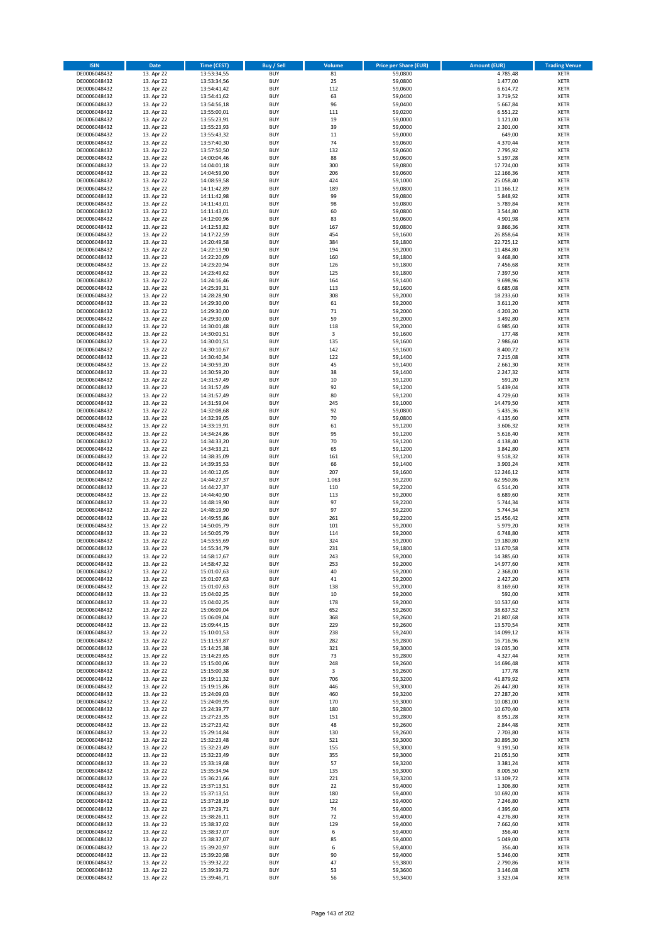| <b>ISIN</b>                  | Date                     | Time (CEST)                | <b>Buy / Sell</b>        | Volume       | <b>Price per Share (EUR)</b> | <b>Amount (EUR)</b>    | <b>Trading Venue</b>       |
|------------------------------|--------------------------|----------------------------|--------------------------|--------------|------------------------------|------------------------|----------------------------|
| DE0006048432                 | 13. Apr 22               | 13:53:34,55                | <b>BUY</b>               | 81           | 59,0800                      | 4.785,48               | <b>XETR</b>                |
| DE0006048432                 | 13. Apr 22               | 13:53:34,56                | <b>BUY</b>               | 25           | 59,0800                      | 1.477,00               | XETR                       |
| DE0006048432                 | 13. Apr 22               | 13:54:41,42                | <b>BUY</b>               | 112          | 59,0600                      | 6.614,72               | <b>XETR</b>                |
| DE0006048432                 | 13. Apr 22               | 13:54:41,62                | <b>BUY</b>               | 63           | 59,0400                      | 3.719,52               | <b>XETR</b>                |
| DE0006048432<br>DE0006048432 | 13. Apr 22<br>13. Apr 22 | 13:54:56,18<br>13:55:00,01 | <b>BUY</b><br><b>BUY</b> | 96<br>111    | 59,0400<br>59,0200           | 5.667,84<br>6.551,22   | <b>XETR</b><br><b>XETR</b> |
| DE0006048432                 | 13. Apr 22               | 13:55:23,91                | <b>BUY</b>               | 19           | 59,0000                      | 1.121,00               | <b>XETR</b>                |
| DE0006048432                 | 13. Apr 22               | 13:55:23,93                | <b>BUY</b>               | 39           | 59,0000                      | 2.301,00               | <b>XETR</b>                |
| DE0006048432                 | 13. Apr 22               | 13:55:43,32                | <b>BUY</b>               | 11           | 59,0000                      | 649,00                 | <b>XETR</b>                |
| DE0006048432                 | 13. Apr 22               | 13:57:40,30                | <b>BUY</b>               | 74           | 59,0600                      | 4.370,44               | <b>XETR</b>                |
| DE0006048432                 | 13. Apr 22               | 13:57:50,50                | <b>BUY</b>               | 132          | 59,0600                      | 7.795,92               | <b>XETR</b>                |
| DE0006048432                 | 13. Apr 22               | 14:00:04,46                | <b>BUY</b>               | 88           | 59,0600                      | 5.197,28               | <b>XETR</b>                |
| DE0006048432<br>DE0006048432 | 13. Apr 22<br>13. Apr 22 | 14:04:01,18<br>14:04:59,90 | <b>BUY</b><br><b>BUY</b> | 300<br>206   | 59,0800<br>59,0600           | 17.724,00<br>12.166,36 | <b>XETR</b><br><b>XETR</b> |
| DE0006048432                 | 13. Apr 22               | 14:08:59,58                | <b>BUY</b>               | 424          | 59,1000                      | 25.058,40              | <b>XETR</b>                |
| DE0006048432                 | 13. Apr 22               | 14:11:42,89                | <b>BUY</b>               | 189          | 59,0800                      | 11.166,12              | <b>XETR</b>                |
| DE0006048432                 | 13. Apr 22               | 14:11:42,98                | <b>BUY</b>               | 99           | 59,0800                      | 5.848,92               | <b>XETR</b>                |
| DE0006048432                 | 13. Apr 22               | 14:11:43,01                | <b>BUY</b>               | 98           | 59,0800                      | 5.789,84               | <b>XETR</b>                |
| DE0006048432                 | 13. Apr 22               | 14:11:43,01                | <b>BUY</b>               | 60           | 59,0800                      | 3.544,80               | <b>XETR</b>                |
| DE0006048432<br>DE0006048432 | 13. Apr 22<br>13. Apr 22 | 14:12:00,96                | <b>BUY</b><br><b>BUY</b> | 83<br>167    | 59,0600<br>59,0800           | 4.901,98<br>9.866,36   | <b>XETR</b><br><b>XETR</b> |
| DE0006048432                 | 13. Apr 22               | 14:12:53,82<br>14:17:22,59 | <b>BUY</b>               | 454          | 59,1600                      | 26.858,64              | <b>XETR</b>                |
| DE0006048432                 | 13. Apr 22               | 14:20:49,58                | <b>BUY</b>               | 384          | 59,1800                      | 22.725,12              | <b>XETR</b>                |
| DE0006048432                 | 13. Apr 22               | 14:22:13,90                | <b>BUY</b>               | 194          | 59,2000                      | 11.484,80              | <b>XETR</b>                |
| DE0006048432                 | 13. Apr 22               | 14:22:20,09                | <b>BUY</b>               | 160          | 59,1800                      | 9.468,80               | <b>XETR</b>                |
| DE0006048432                 | 13. Apr 22               | 14:23:20,94                | <b>BUY</b>               | 126          | 59,1800                      | 7.456,68               | <b>XETR</b>                |
| DE0006048432<br>DE0006048432 | 13. Apr 22               | 14:23:49,62                | <b>BUY</b>               | 125          | 59,1800                      | 7.397,50               | <b>XETR</b>                |
| DE0006048432                 | 13. Apr 22<br>13. Apr 22 | 14:24:16,46<br>14:25:39,31 | <b>BUY</b><br><b>BUY</b> | 164<br>113   | 59,1400<br>59,1600           | 9.698,96<br>6.685,08   | <b>XETR</b><br><b>XETR</b> |
| DE0006048432                 | 13. Apr 22               | 14:28:28,90                | <b>BUY</b>               | 308          | 59,2000                      | 18.233,60              | <b>XETR</b>                |
| DE0006048432                 | 13. Apr 22               | 14:29:30,00                | <b>BUY</b>               | 61           | 59,2000                      | 3.611,20               | <b>XETR</b>                |
| DE0006048432                 | 13. Apr 22               | 14:29:30,00                | <b>BUY</b>               | 71           | 59,2000                      | 4.203,20               | <b>XETR</b>                |
| DE0006048432                 | 13. Apr 22               | 14:29:30,00                | <b>BUY</b>               | 59           | 59,2000                      | 3.492,80               | <b>XETR</b>                |
| DE0006048432                 | 13. Apr 22               | 14:30:01,48                | <b>BUY</b>               | 118          | 59,2000                      | 6.985,60               | <b>XETR</b>                |
| DE0006048432                 | 13. Apr 22               | 14:30:01,51<br>14:30:01,51 | <b>BUY</b>               | 3            | 59,1600                      | 177,48                 | <b>XETR</b>                |
| DE0006048432<br>DE0006048432 | 13. Apr 22<br>13. Apr 22 | 14:30:10,67                | <b>BUY</b><br><b>BUY</b> | 135<br>142   | 59,1600<br>59,1600           | 7.986,60<br>8.400,72   | <b>XETR</b><br><b>XETR</b> |
| DE0006048432                 | 13. Apr 22               | 14:30:40,34                | <b>BUY</b>               | 122          | 59,1400                      | 7.215,08               | <b>XETR</b>                |
| DE0006048432                 | 13. Apr 22               | 14:30:59,20                | <b>BUY</b>               | 45           | 59,1400                      | 2.661,30               | <b>XETR</b>                |
| DE0006048432                 | 13. Apr 22               | 14:30:59,20                | <b>BUY</b>               | 38           | 59,1400                      | 2.247,32               | <b>XETR</b>                |
| DE0006048432                 | 13. Apr 22               | 14:31:57,49                | <b>BUY</b>               | 10           | 59,1200                      | 591,20                 | <b>XETR</b>                |
| DE0006048432                 | 13. Apr 22               | 14:31:57,49                | <b>BUY</b>               | 92           | 59,1200                      | 5.439,04               | <b>XETR</b>                |
| DE0006048432                 | 13. Apr 22               | 14:31:57,49                | <b>BUY</b>               | 80           | 59,1200                      | 4.729,60               | <b>XETR</b>                |
| DE0006048432                 | 13. Apr 22               | 14:31:59,04                | <b>BUY</b><br><b>BUY</b> | 245<br>92    | 59,1000                      | 14.479,50              | <b>XETR</b>                |
| DE0006048432<br>DE0006048432 | 13. Apr 22<br>13. Apr 22 | 14:32:08,68<br>14:32:39,05 | <b>BUY</b>               | 70           | 59,0800<br>59,0800           | 5.435,36<br>4.135,60   | <b>XETR</b><br><b>XETR</b> |
| DE0006048432                 | 13. Apr 22               | 14:33:19,91                | <b>BUY</b>               | 61           | 59,1200                      | 3.606,32               | <b>XETR</b>                |
| DE0006048432                 | 13. Apr 22               | 14:34:24,86                | <b>BUY</b>               | 95           | 59,1200                      | 5.616,40               | <b>XETR</b>                |
| DE0006048432                 | 13. Apr 22               | 14:34:33,20                | <b>BUY</b>               | 70           | 59,1200                      | 4.138,40               | <b>XETR</b>                |
| DE0006048432                 | 13. Apr 22               | 14:34:33,21                | <b>BUY</b>               | 65           | 59,1200                      | 3.842,80               | <b>XETR</b>                |
| DE0006048432                 | 13. Apr 22               | 14:38:35,09                | <b>BUY</b>               | 161          | 59,1200                      | 9.518,32               | <b>XETR</b>                |
| DE0006048432                 | 13. Apr 22               | 14:39:35,53                | <b>BUY</b>               | 66           | 59,1400                      | 3.903,24               | <b>XETR</b>                |
| DE0006048432                 | 13. Apr 22               | 14:40:12,05                | <b>BUY</b>               | 207<br>1.063 | 59,1600                      | 12.246,12              | <b>XETR</b><br><b>XETR</b> |
| DE0006048432<br>DE0006048432 | 13. Apr 22<br>13. Apr 22 | 14:44:27,37<br>14:44:27,37 | <b>BUY</b><br><b>BUY</b> | 110          | 59,2200<br>59,2200           | 62.950,86<br>6.514,20  | <b>XETR</b>                |
| DE0006048432                 | 13. Apr 22               | 14:44:40,90                | <b>BUY</b>               | 113          | 59,2000                      | 6.689,60               | <b>XETR</b>                |
| DE0006048432                 | 13. Apr 22               | 14:48:19,90                | <b>BUY</b>               | 97           | 59,2200                      | 5.744,34               | <b>XETR</b>                |
| DE0006048432                 | 13. Apr 22               | 14:48:19,90                | <b>BUY</b>               | 97           | 59,2200                      | 5.744,34               | <b>XETR</b>                |
| DE0006048432                 | 13. Apr 22               | 14:49:55,86                | <b>BUY</b>               | 261          | 59,2200                      | 15.456,42              | <b>XETR</b>                |
| DE0006048432                 | 13. Apr 22               | 14:50:05,79                | <b>BUY</b>               | 101          | 59,2000                      | 5.979,20               | <b>XETR</b>                |
| DE0006048432                 | 13. Apr 22               | 14:50:05,79                | <b>BUY</b>               | 114          | 59,2000                      | 6.748,80               | <b>XETR</b>                |
| DE0006048432<br>DE0006048432 | 13. Apr 22<br>13. Apr 22 | 14:53:55,69<br>14:55:34,79 | <b>BUY</b><br><b>BUY</b> | 324<br>231   | 59,2000<br>59,1800           | 19.180,80<br>13.670,58 | <b>XETR</b><br><b>XETR</b> |
| DE0006048432                 | 13. Apr 22               | 14:58:17,67                | <b>BUY</b>               | 243          | 59,2000                      | 14.385,60              | <b>XETR</b>                |
| DE0006048432                 | 13. Apr 22               | 14:58:47,32                | <b>BUY</b>               | 253          | 59,2000                      | 14.977,60              | XETR                       |
| DE0006048432                 | 13. Apr 22               | 15:01:07,63                | <b>BUY</b>               | 40           | 59,2000                      | 2.368,00               | XETR                       |
| DE0006048432                 | 13. Apr 22               | 15:01:07,63                | <b>BUY</b>               | $41\,$       | 59,2000                      | 2.427,20               | XETR                       |
| DE0006048432                 | 13. Apr 22               | 15:01:07,63                | <b>BUY</b>               | 138          | 59,2000                      | 8.169,60               | XETR                       |
| DE0006048432                 | 13. Apr 22               | 15:04:02,25                | <b>BUY</b>               | 10           | 59,2000                      | 592,00                 | XETR                       |
| DE0006048432<br>DE0006048432 | 13. Apr 22<br>13. Apr 22 | 15:04:02,25<br>15:06:09,04 | <b>BUY</b><br><b>BUY</b> | 178<br>652   | 59,2000<br>59,2600           | 10.537,60              | XETR                       |
| DE0006048432                 | 13. Apr 22               | 15:06:09,04                | <b>BUY</b>               | 368          | 59,2600                      | 38.637,52<br>21.807,68 | <b>XETR</b><br><b>XETR</b> |
| DE0006048432                 | 13. Apr 22               | 15:09:44,15                | <b>BUY</b>               | 229          | 59,2600                      | 13.570,54              | XETR                       |
| DE0006048432                 | 13. Apr 22               | 15:10:01,53                | <b>BUY</b>               | 238          | 59,2400                      | 14.099,12              | <b>XETR</b>                |
| DE0006048432                 | 13. Apr 22               | 15:11:53,87                | <b>BUY</b>               | 282          | 59,2800                      | 16.716,96              | XETR                       |
| DE0006048432                 | 13. Apr 22               | 15:14:25,38                | <b>BUY</b>               | 321          | 59,3000                      | 19.035,30              | <b>XETR</b>                |
| DE0006048432                 | 13. Apr 22               | 15:14:29,65                | <b>BUY</b>               | 73           | 59,2800                      | 4.327,44               | XETR                       |
| DE0006048432<br>DE0006048432 | 13. Apr 22<br>13. Apr 22 | 15:15:00,06<br>15:15:00,38 | <b>BUY</b><br><b>BUY</b> | 248<br>3     | 59,2600<br>59,2600           | 14.696,48<br>177,78    | <b>XETR</b><br>XETR        |
| DE0006048432                 | 13. Apr 22               | 15:19:11,32                | <b>BUY</b>               | 706          | 59,3200                      | 41.879,92              | <b>XETR</b>                |
| DE0006048432                 | 13. Apr 22               | 15:19:15,86                | <b>BUY</b>               | 446          | 59,3000                      | 26.447,80              | XETR                       |
| DE0006048432                 | 13. Apr 22               | 15:24:09,03                | <b>BUY</b>               | 460          | 59,3200                      | 27.287,20              | <b>XETR</b>                |
| DE0006048432                 | 13. Apr 22               | 15:24:09,95                | <b>BUY</b>               | 170          | 59,3000                      | 10.081,00              | XETR                       |
| DE0006048432                 | 13. Apr 22               | 15:24:39,77                | <b>BUY</b>               | 180          | 59,2800                      | 10.670,40              | XETR                       |
| DE0006048432                 | 13. Apr 22               | 15:27:23,35                | <b>BUY</b>               | 151          | 59,2800                      | 8.951,28               | <b>XETR</b>                |
| DE0006048432<br>DE0006048432 | 13. Apr 22<br>13. Apr 22 | 15:27:23,42<br>15:29:14,84 | <b>BUY</b><br><b>BUY</b> | 48<br>130    | 59,2600<br>59,2600           | 2.844,48<br>7.703,80   | <b>XETR</b><br>XETR        |
| DE0006048432                 | 13. Apr 22               | 15:32:23,48                | <b>BUY</b>               | 521          | 59,3000                      | 30.895,30              | <b>XETR</b>                |
| DE0006048432                 | 13. Apr 22               | 15:32:23,49                | <b>BUY</b>               | 155          | 59,3000                      | 9.191,50               | XETR                       |
| DE0006048432                 | 13. Apr 22               | 15:32:23,49                | <b>BUY</b>               | 355          | 59,3000                      | 21.051,50              | XETR                       |
| DE0006048432                 | 13. Apr 22               | 15:33:19,68                | <b>BUY</b>               | 57           | 59,3200                      | 3.381,24               | XETR                       |
| DE0006048432                 | 13. Apr 22               | 15:35:34,94                | <b>BUY</b>               | 135          | 59,3000                      | 8.005,50               | <b>XETR</b>                |
| DE0006048432                 | 13. Apr 22               | 15:36:21,66                | <b>BUY</b>               | 221          | 59,3200                      | 13.109,72              | XETR                       |
| DE0006048432                 | 13. Apr 22               | 15:37:13,51                | <b>BUY</b>               | 22           | 59,4000                      | 1.306,80               | XETR                       |
| DE0006048432<br>DE0006048432 | 13. Apr 22               | 15:37:13,51                | <b>BUY</b><br><b>BUY</b> | 180<br>122   | 59,4000<br>59,4000           | 10.692,00              | <b>XETR</b><br>XETR        |
| DE0006048432                 | 13. Apr 22<br>13. Apr 22 | 15:37:28,19<br>15:37:29,71 | <b>BUY</b>               | 74           | 59,4000                      | 7.246,80<br>4.395,60   | XETR                       |
| DE0006048432                 | 13. Apr 22               | 15:38:26,11                | <b>BUY</b>               | 72           | 59,4000                      | 4.276,80               | XETR                       |
| DE0006048432                 | 13. Apr 22               | 15:38:37,02                | <b>BUY</b>               | 129          | 59,4000                      | 7.662,60               | <b>XETR</b>                |
| DE0006048432                 | 13. Apr 22               | 15:38:37,07                | <b>BUY</b>               | 6            | 59,4000                      | 356,40                 | <b>XETR</b>                |
| DE0006048432                 | 13. Apr 22               | 15:38:37,07                | <b>BUY</b>               | 85           | 59,4000                      | 5.049,00               | XETR                       |
| DE0006048432                 | 13. Apr 22               | 15:39:20,97                | <b>BUY</b>               | 6            | 59,4000                      | 356,40                 | XETR                       |
| DE0006048432                 | 13. Apr 22               | 15:39:20,98                | <b>BUY</b>               | 90           | 59,4000                      | 5.346,00               | XETR                       |
| DE0006048432<br>DE0006048432 | 13. Apr 22<br>13. Apr 22 | 15:39:32,22<br>15:39:39,72 | <b>BUY</b><br><b>BUY</b> | 47<br>53     | 59,3800<br>59,3600           | 2.790,86<br>3.146,08   | XETR<br><b>XETR</b>        |
| DE0006048432                 | 13. Apr 22               | 15:39:46,71                | <b>BUY</b>               | 56           | 59,3400                      | 3.323,04               | XETR                       |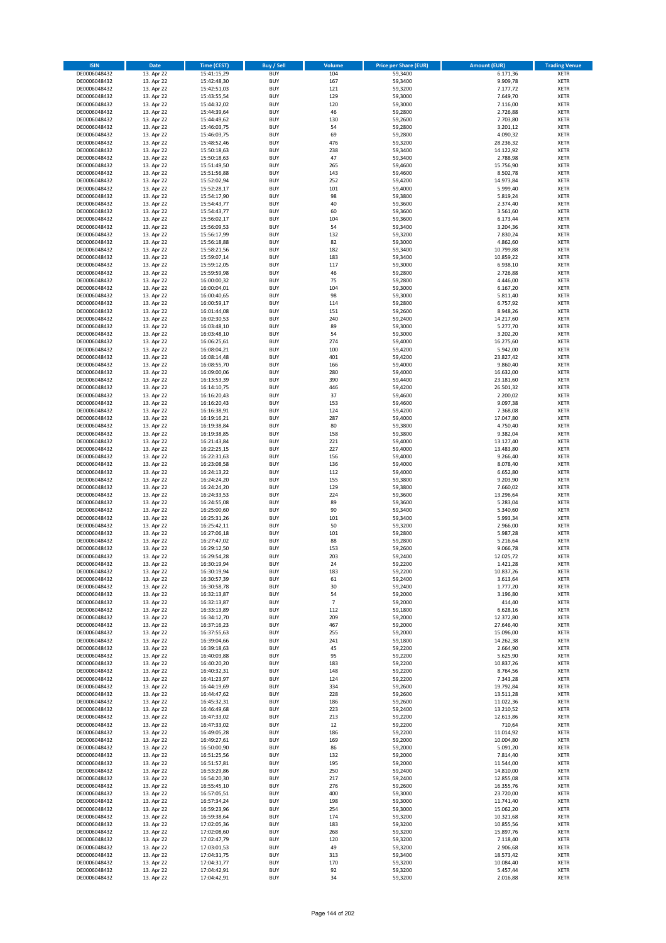| <b>ISIN</b>                  | Date                     | Time (CEST)                | <b>Buy / Sell</b>        | Volume                   | <b>Price per Share (EUR)</b> | <b>Amount (EUR)</b>    | <b>Trading Venue</b>       |
|------------------------------|--------------------------|----------------------------|--------------------------|--------------------------|------------------------------|------------------------|----------------------------|
| DE0006048432                 | 13. Apr 22               | 15:41:15,29                | <b>BUY</b>               | 104                      | 59,3400                      | 6.171,36               | <b>XETR</b>                |
| DE0006048432                 | 13. Apr 22               | 15:42:48,30                | <b>BUY</b>               | 167                      | 59,3400                      | 9.909,78               | XETR                       |
| DE0006048432                 | 13. Apr 22               | 15:42:51,03                | <b>BUY</b>               | 121                      | 59,3200                      | 7.177,72               | <b>XETR</b>                |
| DE0006048432                 | 13. Apr 22               | 15:43:55,54                | <b>BUY</b>               | 129                      | 59,3000                      | 7.649,70               | <b>XETR</b>                |
| DE0006048432                 | 13. Apr 22               | 15:44:32,02                | <b>BUY</b>               | 120                      | 59,3000                      | 7.116,00               | <b>XETR</b>                |
| DE0006048432                 | 13. Apr 22               | 15:44:39,64                | <b>BUY</b>               | 46                       | 59,2800                      | 2.726,88               | <b>XETR</b>                |
| DE0006048432                 | 13. Apr 22               | 15:44:49,62                | <b>BUY</b>               | 130                      | 59,2600                      | 7.703,80               | <b>XETR</b>                |
| DE0006048432                 | 13. Apr 22               | 15:46:03,75                | <b>BUY</b>               | 54                       | 59,2800                      | 3.201,12               | <b>XETR</b>                |
| DE0006048432                 | 13. Apr 22               | 15:46:03,75                | <b>BUY</b>               | 69                       | 59,2800                      | 4.090,32               | <b>XETR</b>                |
| DE0006048432                 | 13. Apr 22               | 15:48:52,46                | <b>BUY</b>               | 476                      | 59,3200                      | 28.236,32              | <b>XETR</b>                |
| DE0006048432                 | 13. Apr 22               | 15:50:18,63                | <b>BUY</b>               | 238                      | 59,3400                      | 14.122,92              | <b>XETR</b>                |
| DE0006048432                 | 13. Apr 22               | 15:50:18,63                | <b>BUY</b>               | 47                       | 59,3400                      | 2.788,98               | <b>XETR</b>                |
| DE0006048432                 | 13. Apr 22<br>13. Apr 22 | 15:51:49,50                | <b>BUY</b>               | 265                      | 59,4600                      | 15.756,90              | <b>XETR</b>                |
| DE0006048432                 |                          | 15:51:56,88<br>15:52:02,94 | <b>BUY</b><br><b>BUY</b> | 143<br>252               | 59,4600                      | 8.502,78               | <b>XETR</b><br><b>XETR</b> |
| DE0006048432<br>DE0006048432 | 13. Apr 22<br>13. Apr 22 | 15:52:28,17                | <b>BUY</b>               | 101                      | 59,4200<br>59,4000           | 14.973,84<br>5.999,40  | <b>XETR</b>                |
| DE0006048432                 | 13. Apr 22               | 15:54:17,90                | <b>BUY</b>               | 98                       | 59,3800                      | 5.819,24               | <b>XETR</b>                |
| DE0006048432                 | 13. Apr 22               | 15:54:43,77                | <b>BUY</b>               | 40                       | 59,3600                      | 2.374,40               | <b>XETR</b>                |
| DE0006048432                 | 13. Apr 22               | 15:54:43,77                | <b>BUY</b>               | 60                       | 59,3600                      | 3.561,60               | <b>XETR</b>                |
| DE0006048432                 | 13. Apr 22               | 15:56:02,17                | <b>BUY</b>               | 104                      | 59,3600                      | 6.173,44               | <b>XETR</b>                |
| DE0006048432                 | 13. Apr 22               | 15:56:09,53                | <b>BUY</b>               | 54                       | 59,3400                      | 3.204,36               | <b>XETR</b>                |
| DE0006048432                 | 13. Apr 22               | 15:56:17,99                | <b>BUY</b>               | 132                      | 59,3200                      | 7.830,24               | <b>XETR</b>                |
| DE0006048432                 | 13. Apr 22               | 15:56:18,88                | <b>BUY</b>               | 82                       | 59,3000                      | 4.862,60               | <b>XETR</b>                |
| DE0006048432                 | 13. Apr 22               | 15:58:21,56                | <b>BUY</b>               | 182                      | 59,3400                      | 10.799,88              | <b>XETR</b>                |
| DE0006048432                 | 13. Apr 22               | 15:59:07,14                | <b>BUY</b>               | 183                      | 59,3400                      | 10.859,22              | <b>XETR</b>                |
| DE0006048432                 | 13. Apr 22               | 15:59:12,05                | <b>BUY</b>               | 117                      | 59,3000                      | 6.938,10               | <b>XETR</b>                |
| DE0006048432                 | 13. Apr 22               | 15:59:59,98                | <b>BUY</b>               | 46                       | 59,2800                      | 2.726,88               | <b>XETR</b>                |
| DE0006048432                 | 13. Apr 22               | 16:00:00,32                | <b>BUY</b>               | 75                       | 59,2800                      | 4.446,00               | <b>XETR</b>                |
| DE0006048432                 | 13. Apr 22               | 16:00:04,01                | <b>BUY</b>               | 104                      | 59,3000                      | 6.167,20               | <b>XETR</b>                |
| DE0006048432                 | 13. Apr 22               | 16:00:40,65                | <b>BUY</b>               | 98                       | 59,3000                      | 5.811,40               | <b>XETR</b>                |
| DE0006048432                 | 13. Apr 22               | 16:00:59,17                | <b>BUY</b>               | 114                      | 59,2800                      | 6.757,92               | <b>XETR</b>                |
| DE0006048432                 | 13. Apr 22               | 16:01:44,08                | <b>BUY</b>               | 151                      | 59,2600                      | 8.948,26               | <b>XETR</b>                |
| DE0006048432                 | 13. Apr 22               | 16:02:30,53                | <b>BUY</b>               | 240                      | 59,2400                      | 14.217,60              | <b>XETR</b>                |
| DE0006048432                 | 13. Apr 22               | 16:03:48,10                | <b>BUY</b>               | 89                       | 59,3000                      | 5.277,70               | <b>XETR</b>                |
| DE0006048432                 | 13. Apr 22<br>13. Apr 22 | 16:03:48,10                | <b>BUY</b><br><b>BUY</b> | 54<br>274                | 59,3000                      | 3.202,20<br>16.275,60  | <b>XETR</b>                |
| DE0006048432<br>DE0006048432 | 13. Apr 22               | 16:06:25,61<br>16:08:04,21 | <b>BUY</b>               | 100                      | 59,4000<br>59,4200           | 5.942,00               | <b>XETR</b><br><b>XETR</b> |
| DE0006048432                 | 13. Apr 22               | 16:08:14,48                | <b>BUY</b>               | 401                      | 59,4200                      | 23.827,42              | <b>XETR</b>                |
| DE0006048432                 | 13. Apr 22               | 16:08:55,70                | <b>BUY</b>               | 166                      | 59,4000                      | 9.860,40               | <b>XETR</b>                |
| DE0006048432                 | 13. Apr 22               | 16:09:00,06                | <b>BUY</b>               | 280                      | 59,4000                      | 16.632,00              | <b>XETR</b>                |
| DE0006048432                 | 13. Apr 22               | 16:13:53,39                | <b>BUY</b>               | 390                      | 59,4400                      | 23.181,60              | <b>XETR</b>                |
| DE0006048432                 | 13. Apr 22               | 16:14:10,75                | <b>BUY</b>               | 446                      | 59,4200                      | 26.501,32              | <b>XETR</b>                |
| DE0006048432                 | 13. Apr 22               | 16:16:20,43                | <b>BUY</b>               | 37                       | 59,4600                      | 2.200,02               | <b>XETR</b>                |
| DE0006048432                 | 13. Apr 22               | 16:16:20,43                | <b>BUY</b>               | 153                      | 59,4600                      | 9.097,38               | <b>XETR</b>                |
| DE0006048432                 | 13. Apr 22               | 16:16:38,91                | <b>BUY</b>               | 124                      | 59,4200                      | 7.368,08               | <b>XETR</b>                |
| DE0006048432                 | 13. Apr 22               | 16:19:16,21                | <b>BUY</b>               | 287                      | 59,4000                      | 17.047,80              | <b>XETR</b>                |
| DE0006048432                 | 13. Apr 22               | 16:19:38,84                | <b>BUY</b>               | 80                       | 59,3800                      | 4.750,40               | <b>XETR</b>                |
| DE0006048432                 | 13. Apr 22               | 16:19:38,85                | <b>BUY</b>               | 158                      | 59,3800                      | 9.382,04               | <b>XETR</b>                |
| DE0006048432                 | 13. Apr 22               | 16:21:43,84                | <b>BUY</b>               | 221                      | 59,4000                      | 13.127,40              | <b>XETR</b>                |
| DE0006048432                 | 13. Apr 22               | 16:22:25,15                | <b>BUY</b>               | 227                      | 59,4000                      | 13.483,80              | <b>XETR</b>                |
| DE0006048432                 | 13. Apr 22               | 16:22:31,63                | <b>BUY</b>               | 156                      | 59,4000                      | 9.266,40               | <b>XETR</b>                |
| DE0006048432                 | 13. Apr 22               | 16:23:08,58                | <b>BUY</b>               | 136                      | 59,4000                      | 8.078,40               | <b>XETR</b>                |
| DE0006048432                 | 13. Apr 22               | 16:24:13,22                | <b>BUY</b>               | 112                      | 59,4000                      | 6.652,80               | <b>XETR</b>                |
| DE0006048432<br>DE0006048432 | 13. Apr 22               | 16:24:24,20                | <b>BUY</b><br><b>BUY</b> | 155<br>129               | 59,3800                      | 9.203,90               | <b>XETR</b><br><b>XETR</b> |
| DE0006048432                 | 13. Apr 22<br>13. Apr 22 | 16:24:24,20                | <b>BUY</b>               | 224                      | 59,3800                      | 7.660,02               | <b>XETR</b>                |
| DE0006048432                 | 13. Apr 22               | 16:24:33,53<br>16:24:55,08 | <b>BUY</b>               | 89                       | 59,3600<br>59,3600           | 13.296,64<br>5.283,04  | <b>XETR</b>                |
| DE0006048432                 | 13. Apr 22               | 16:25:00,60                | <b>BUY</b>               | 90                       | 59,3400                      | 5.340,60               | <b>XETR</b>                |
| DE0006048432                 | 13. Apr 22               | 16:25:31,26                | <b>BUY</b>               | 101                      | 59,3400                      | 5.993,34               | <b>XETR</b>                |
| DE0006048432                 | 13. Apr 22               | 16:25:42,11                | <b>BUY</b>               | 50                       | 59,3200                      | 2.966,00               | <b>XETR</b>                |
| DE0006048432                 | 13. Apr 22               | 16:27:06,18                | <b>BUY</b>               | 101                      | 59,2800                      | 5.987,28               | <b>XETR</b>                |
| DE0006048432                 | 13. Apr 22               | 16:27:47,02                | <b>BUY</b>               | 88                       | 59,2800                      | 5.216,64               | <b>XETR</b>                |
| DE0006048432                 | 13. Apr 22               | 16:29:12,50                | <b>BUY</b>               | 153                      | 59,2600                      | 9.066,78               | <b>XETR</b>                |
| DE0006048432                 | 13. Apr 22               | 16:29:54,28                | <b>BUY</b>               | 203                      | 59,2400                      | 12.025,72              | <b>XETR</b>                |
| DE0006048432                 | 13. Apr 22               | 16:30:19,94                | <b>BUY</b>               | 24                       | 59,2200                      | 1.421,28               | XETR                       |
| DE0006048432                 | 13. Apr 22               | 16:30:19,94                | <b>BUY</b>               | 183                      | 59,2200                      | 10.837,26              | XETR                       |
| DE0006048432                 | 13. Apr 22               | 16:30:57,39                | <b>BUY</b>               | 61                       | 59,2400                      | 3.613,64               | XETR                       |
| DE0006048432                 | 13. Apr 22               | 16:30:58,78                | <b>BUY</b>               | 30                       | 59,2400                      | 1.777,20               | XETR                       |
| DE0006048432                 | 13. Apr 22               | 16:32:13,87                | <b>BUY</b>               | 54                       | 59,2000                      | 3.196,80               | XETR                       |
| DE0006048432                 | 13. Apr 22               | 16:32:13,87                | <b>BUY</b>               | $\overline{\phantom{a}}$ | 59,2000                      | 414,40                 | XETR                       |
| DE0006048432                 | 13. Apr 22               | 16:33:13,89                | <b>BUY</b>               | 112                      | 59,1800                      | 6.628,16               | <b>XETR</b>                |
| DE0006048432                 | 13. Apr 22               | 16:34:12,70                | <b>BUY</b>               | 209                      | 59,2000                      | 12.372,80              | <b>XETR</b>                |
| DE0006048432                 | 13. Apr 22               | 16:37:16,23                | <b>BUY</b>               | 467                      | 59,2000                      | 27.646,40              | XETR                       |
| DE0006048432                 | 13. Apr 22               | 16:37:55,63                | <b>BUY</b>               | 255                      | 59,2000                      | 15.096,00              | <b>XETR</b>                |
| DE0006048432<br>DE0006048432 | 13. Apr 22               | 16:39:04,66                | <b>BUY</b><br><b>BUY</b> | 241<br>45                | 59,1800<br>59,2200           | 14.262,38              | XETR<br><b>XETR</b>        |
| DE0006048432                 | 13. Apr 22<br>13. Apr 22 | 16:39:18,63<br>16:40:03,88 | <b>BUY</b>               | 95                       | 59,2200                      | 2.664,90<br>5.625,90   | XETR                       |
| DE0006048432                 | 13. Apr 22               | 16:40:20,20                | <b>BUY</b>               | 183                      | 59,2200                      | 10.837,26              | <b>XETR</b>                |
| DE0006048432                 | 13. Apr 22               | 16:40:32,31                | <b>BUY</b>               | 148                      | 59,2200                      | 8.764,56               | XETR                       |
| DE0006048432                 | 13. Apr 22               | 16:41:23,97                | <b>BUY</b>               | 124                      | 59,2200                      | 7.343,28               | XETR                       |
| DE0006048432                 | 13. Apr 22               | 16:44:19,69                | <b>BUY</b>               | 334                      | 59,2600                      | 19.792,84              | XETR                       |
| DE0006048432                 | 13. Apr 22               | 16:44:47,62                | <b>BUY</b>               | 228                      | 59,2600                      | 13.511,28              | <b>XETR</b>                |
| DE0006048432                 | 13. Apr 22               | 16:45:32,31                | <b>BUY</b>               | 186                      | 59,2600                      | 11.022,36              | XETR                       |
| DE0006048432                 | 13. Apr 22               | 16:46:49,68                | <b>BUY</b>               | 223                      | 59,2400                      | 13.210,52              | XETR                       |
| DE0006048432                 | 13. Apr 22               | 16:47:33,02                | <b>BUY</b>               | 213                      | 59,2200                      | 12.613,86              | <b>XETR</b>                |
| DE0006048432                 | 13. Apr 22               | 16:47:33,02                | <b>BUY</b>               | 12                       | 59,2200                      | 710,64                 | <b>XETR</b>                |
| DE0006048432                 | 13. Apr 22               | 16:49:05,28                | <b>BUY</b>               | 186                      | 59,2200                      | 11.014,92              | XETR                       |
| DE0006048432                 | 13. Apr 22               | 16:49:27,61                | <b>BUY</b>               | 169                      | 59,2000                      | 10.004,80              | XETR                       |
| DE0006048432                 | 13. Apr 22               | 16:50:00,90                | <b>BUY</b>               | 86                       | 59,2000                      | 5.091,20               | XETR                       |
| DE0006048432                 | 13. Apr 22               | 16:51:25,56                | <b>BUY</b>               | 132                      | 59,2000                      | 7.814,40               | XETR                       |
| DE0006048432                 | 13. Apr 22               | 16:51:57,81                | <b>BUY</b>               | 195                      | 59,2000                      | 11.544,00              | XETR                       |
| DE0006048432                 | 13. Apr 22               | 16:53:29,86                | <b>BUY</b>               | 250                      | 59,2400                      | 14.810,00              | <b>XETR</b>                |
| DE0006048432                 | 13. Apr 22               | 16:54:20,30                | <b>BUY</b>               | 217                      | 59,2400                      | 12.855,08              | XETR                       |
| DE0006048432                 | 13. Apr 22               | 16:55:45,10                | <b>BUY</b><br><b>BUY</b> | 276<br>400               | 59,2600<br>59,3000           | 16.355,76              | <b>XETR</b>                |
| DE0006048432<br>DE0006048432 | 13. Apr 22<br>13. Apr 22 | 16:57:05,51<br>16:57:34,24 | <b>BUY</b>               | 198                      | 59,3000                      | 23.720,00<br>11.741,40 | XETR<br>XETR               |
| DE0006048432                 | 13. Apr 22               | 16:59:23,96                | <b>BUY</b>               | 254                      | 59,3000                      | 15.062,20              | XETR                       |
| DE0006048432                 | 13. Apr 22               | 16:59:38,64                | <b>BUY</b>               | 174                      | 59,3200                      | 10.321,68              | XETR                       |
| DE0006048432                 | 13. Apr 22               | 17:02:05,36                | <b>BUY</b>               | 183                      | 59,3200                      | 10.855,56              | <b>XETR</b>                |
| DE0006048432                 | 13. Apr 22               | 17:02:08,60                | <b>BUY</b>               | 268                      | 59,3200                      | 15.897,76              | XETR                       |
| DE0006048432                 | 13. Apr 22               | 17:02:47,79                | <b>BUY</b>               | 120                      | 59,3200                      | 7.118,40               | XETR                       |
| DE0006048432                 | 13. Apr 22               | 17:03:01,53                | <b>BUY</b>               | 49                       | 59,3200                      | 2.906,68               | XETR                       |
| DE0006048432                 | 13. Apr 22               | 17:04:31,75                | <b>BUY</b>               | 313                      | 59,3400                      | 18.573,42              | XETR                       |
| DE0006048432                 | 13. Apr 22               | 17:04:31,77                | <b>BUY</b>               | 170                      | 59,3200                      | 10.084,40              | XETR                       |
| DE0006048432                 | 13. Apr 22               | 17:04:42,91                | <b>BUY</b>               | 92                       | 59,3200                      | 5.457,44               | <b>XETR</b>                |
| DE0006048432                 | 13. Apr 22               | 17:04:42,91                | <b>BUY</b>               | 34                       | 59,3200                      | 2.016,88               | XETR                       |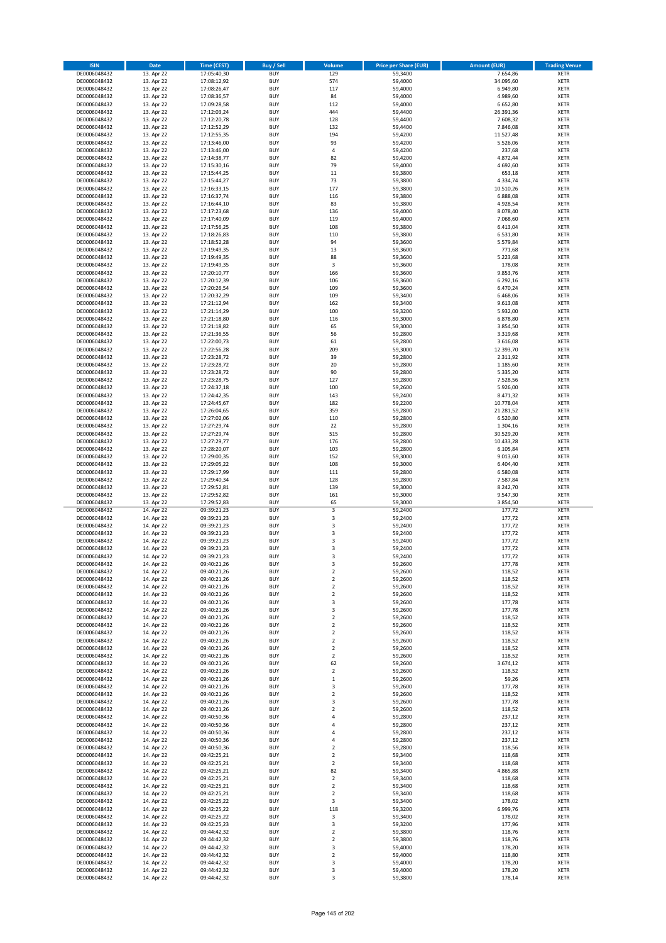| <b>ISIN</b>                  | Date                     | <b>Time (CEST)</b>         | <b>Buy / Sell</b>        | <b>Volume</b>                    | <b>Price per Share (EUR)</b> | <b>Amount (EUR)</b>   | <b>Trading Venue</b>       |
|------------------------------|--------------------------|----------------------------|--------------------------|----------------------------------|------------------------------|-----------------------|----------------------------|
| DE0006048432                 | 13. Apr 22               | 17:05:40,30                | <b>BUY</b>               | 129                              | 59,3400                      | 7.654,86              | <b>XETR</b>                |
| DE0006048432                 | 13. Apr 22               | 17:08:12,92                | <b>BUY</b>               | 574                              | 59,4000                      | 34.095,60             | <b>XETR</b>                |
| DE0006048432                 | 13. Apr 22               | 17:08:26,47                | <b>BUY</b>               | 117                              | 59,4000                      | 6.949.80              | <b>XETR</b>                |
| DE0006048432                 | 13. Apr 22               | 17:08:36,57                | <b>BUY</b>               | 84                               | 59,4000                      | 4.989,60              | <b>XETR</b>                |
| DE0006048432<br>DE0006048432 | 13. Apr 22<br>13. Apr 22 | 17:09:28,58<br>17:12:03,24 | <b>BUY</b><br><b>BUY</b> | 112<br>444                       | 59,4000<br>59,4400           | 6.652,80<br>26.391,36 | <b>XETR</b><br><b>XETR</b> |
| DE0006048432                 | 13. Apr 22               | 17:12:20,78                | <b>BUY</b>               | 128                              | 59,4400                      | 7.608,32              | <b>XETR</b>                |
| DE0006048432                 | 13. Apr 22               | 17:12:52,29                | <b>BUY</b>               | 132                              | 59,4400                      | 7.846,08              | <b>XETR</b>                |
| DE0006048432                 | 13. Apr 22               | 17:12:55,35                | <b>BUY</b>               | 194                              | 59,4200                      | 11.527,48             | <b>XETR</b>                |
| DE0006048432                 | 13. Apr 22               | 17:13:46,00                | <b>BUY</b>               | 93                               | 59,4200                      | 5.526,06              | <b>XETR</b>                |
| DE0006048432                 | 13. Apr 22               | 17:13:46,00                | <b>BUY</b>               | $\sqrt{4}$                       | 59,4200                      | 237,68                | <b>XETR</b>                |
| DE0006048432                 | 13. Apr 22<br>13. Apr 22 | 17:14:38,77                | <b>BUY</b>               | 82<br>79                         | 59,4200                      | 4.872,44              | <b>XETR</b>                |
| DE0006048432<br>DE0006048432 | 13. Apr 22               | 17:15:30,16<br>17:15:44,25 | <b>BUY</b><br><b>BUY</b> | 11                               | 59,4000<br>59,3800           | 4.692,60<br>653,18    | <b>XETR</b><br><b>XETR</b> |
| DE0006048432                 | 13. Apr 22               | 17:15:44,27                | <b>BUY</b>               | 73                               | 59,3800                      | 4.334,74              | <b>XETR</b>                |
| DE0006048432                 | 13. Apr 22               | 17:16:33,15                | <b>BUY</b>               | 177                              | 59,3800                      | 10.510,26             | <b>XETR</b>                |
| DE0006048432                 | 13. Apr 22               | 17:16:37,74                | <b>BUY</b>               | 116                              | 59,3800                      | 6.888,08              | <b>XETR</b>                |
| DE0006048432                 | 13. Apr 22               | 17:16:44,10                | <b>BUY</b>               | 83                               | 59,3800                      | 4.928,54              | <b>XETR</b>                |
| DE0006048432                 | 13. Apr 22               | 17:17:23,68                | <b>BUY</b>               | 136                              | 59,4000                      | 8.078,40              | <b>XETR</b>                |
| DE0006048432<br>DE0006048432 | 13. Apr 22<br>13. Apr 22 | 17:17:40,09<br>17:17:56,25 | <b>BUY</b><br><b>BUY</b> | 119<br>108                       | 59,4000<br>59,3800           | 7.068,60<br>6.413,04  | <b>XETR</b><br><b>XETR</b> |
| DE0006048432                 | 13. Apr 22               | 17:18:26,83                | <b>BUY</b>               | 110                              | 59,3800                      | 6.531,80              | <b>XETR</b>                |
| DE0006048432                 | 13. Apr 22               | 17:18:52,28                | <b>BUY</b>               | 94                               | 59,3600                      | 5.579,84              | <b>XETR</b>                |
| DE0006048432                 | 13. Apr 22               | 17:19:49,35                | <b>BUY</b>               | 13                               | 59,3600                      | 771,68                | <b>XETR</b>                |
| DE0006048432                 | 13. Apr 22               | 17:19:49,35                | <b>BUY</b>               | 88                               | 59,3600                      | 5.223,68              | <b>XETR</b>                |
| DE0006048432                 | 13. Apr 22               | 17:19:49,35                | <b>BUY</b>               | 3                                | 59,3600                      | 178,08                | <b>XETR</b>                |
| DE0006048432<br>DE0006048432 | 13. Apr 22<br>13. Apr 22 | 17:20:10,77<br>17:20:12,39 | <b>BUY</b><br><b>BUY</b> | 166<br>106                       | 59,3600<br>59,3600           | 9.853,76<br>6.292,16  | <b>XETR</b><br><b>XETR</b> |
| DE0006048432                 | 13. Apr 22               | 17:20:26,54                | <b>BUY</b>               | 109                              | 59,3600                      | 6.470,24              | <b>XETR</b>                |
| DE0006048432                 | 13. Apr 22               | 17:20:32,29                | <b>BUY</b>               | 109                              | 59,3400                      | 6.468,06              | <b>XETR</b>                |
| DE0006048432                 | 13. Apr 22               | 17:21:12,94                | <b>BUY</b>               | 162                              | 59,3400                      | 9.613,08              | <b>XETR</b>                |
| DE0006048432                 | 13. Apr 22               | 17:21:14,29                | <b>BUY</b>               | 100                              | 59,3200                      | 5.932,00              | <b>XETR</b>                |
| DE0006048432                 | 13. Apr 22               | 17:21:18,80                | <b>BUY</b>               | 116                              | 59,3000                      | 6.878,80              | <b>XETR</b>                |
| DE0006048432                 | 13. Apr 22               | 17:21:18,82                | <b>BUY</b>               | 65                               | 59,3000                      | 3.854,50              | <b>XETR</b>                |
| DE0006048432<br>DE0006048432 | 13. Apr 22<br>13. Apr 22 | 17:21:36,55<br>17:22:00,73 | <b>BUY</b><br><b>BUY</b> | 56<br>61                         | 59,2800<br>59,2800           | 3.319,68<br>3.616,08  | <b>XETR</b><br><b>XETR</b> |
| DE0006048432                 | 13. Apr 22               | 17:22:56,28                | <b>BUY</b>               | 209                              | 59,3000                      | 12.393,70             | <b>XETR</b>                |
| DE0006048432                 | 13. Apr 22               | 17:23:28,72                | <b>BUY</b>               | 39                               | 59,2800                      | 2.311,92              | <b>XETR</b>                |
| DE0006048432                 | 13. Apr 22               | 17:23:28,72                | <b>BUY</b>               | 20                               | 59,2800                      | 1.185,60              | <b>XETR</b>                |
| DE0006048432                 | 13. Apr 22               | 17:23:28,72                | <b>BUY</b>               | 90                               | 59,2800                      | 5.335,20              | <b>XETR</b>                |
| DE0006048432                 | 13. Apr 22               | 17:23:28,75                | <b>BUY</b><br><b>BUY</b> | 127<br>100                       | 59,2800                      | 7.528,56              | <b>XETR</b>                |
| DE0006048432<br>DE0006048432 | 13. Apr 22<br>13. Apr 22 | 17:24:37,18<br>17:24:42,35 | <b>BUY</b>               | 143                              | 59,2600<br>59,2400           | 5.926,00<br>8.471,32  | <b>XETR</b><br><b>XETR</b> |
| DE0006048432                 | 13. Apr 22               | 17:24:45,67                | <b>BUY</b>               | 182                              | 59,2200                      | 10.778,04             | <b>XETR</b>                |
| DE0006048432                 | 13. Apr 22               | 17:26:04,65                | <b>BUY</b>               | 359                              | 59,2800                      | 21.281,52             | <b>XETR</b>                |
| DE0006048432                 | 13. Apr 22               | 17:27:02,06                | <b>BUY</b>               | 110                              | 59,2800                      | 6.520,80              | <b>XETR</b>                |
| DE0006048432                 | 13. Apr 22               | 17:27:29,74                | <b>BUY</b>               | 22                               | 59,2800                      | 1.304,16              | <b>XETR</b>                |
| DE0006048432                 | 13. Apr 22               | 17:27:29,74                | <b>BUY</b>               | 515                              | 59,2800                      | 30.529,20             | <b>XETR</b>                |
| DE0006048432<br>DE0006048432 | 13. Apr 22<br>13. Apr 22 | 17:27:29,77<br>17:28:20,07 | <b>BUY</b><br><b>BUY</b> | 176<br>103                       | 59,2800<br>59,2800           | 10.433,28<br>6.105,84 | <b>XETR</b><br><b>XETR</b> |
| DE0006048432                 | 13. Apr 22               | 17:29:00,35                | <b>BUY</b>               | 152                              | 59,3000                      | 9.013,60              | <b>XETR</b>                |
| DE0006048432                 | 13. Apr 22               | 17:29:05,22                | <b>BUY</b>               | 108                              | 59,3000                      | 6.404,40              | <b>XETR</b>                |
| DE0006048432                 | 13. Apr 22               | 17:29:17,99                | <b>BUY</b>               | 111                              | 59,2800                      | 6.580,08              | <b>XETR</b>                |
| DE0006048432                 | 13. Apr 22               | 17:29:40,34                | <b>BUY</b>               | 128                              | 59,2800                      | 7.587,84              | <b>XETR</b>                |
| DE0006048432<br>DE0006048432 | 13. Apr 22<br>13. Apr 22 | 17:29:52,81                | <b>BUY</b><br><b>BUY</b> | 139                              | 59,3000                      | 8.242,70              | <b>XETR</b><br><b>XETR</b> |
| DE0006048432                 | 13. Apr 22               | 17:29:52,82<br>17:29:52,83 | <b>BUY</b>               | 161<br>65                        | 59,3000<br>59,3000           | 9.547,30<br>3.854,50  | <b>XETR</b>                |
| DE0006048432                 | 14. Apr 22               | 09:39:21,23                | <b>BUY</b>               | 3                                | 59,2400                      | 177,72                | <b>XETR</b>                |
| DE0006048432                 | 14. Apr 22               | 09:39:21,23                | <b>BUY</b>               | $\mathsf 3$                      | 59,2400                      | 177,72                | <b>XETR</b>                |
| DE0006048432                 | 14. Apr 22               | 09:39:21,23                | <b>BUY</b>               | $\mathsf 3$                      | 59,2400                      | 177,72                | <b>XETR</b>                |
| DE0006048432                 | 14. Apr 22               | 09:39:21,23                | <b>BUY</b>               | $\overline{\mathbf{3}}$          | 59,2400                      | 177,72                | <b>XETR</b>                |
| DE0006048432<br>DE0006048432 | 14. Apr 22<br>14. Apr 22 | 09:39:21,23<br>09:39:21,23 | <b>BUY</b><br><b>BUY</b> | 3<br>3                           | 59,2400<br>59,2400           | 177,72<br>177,72      | <b>XETR</b><br><b>XETR</b> |
| DE0006048432                 | 14. Apr 22               | 09:39:21,23                | <b>BUY</b>               | 3                                | 59,2400                      | 177,72                | <b>XETR</b>                |
| DE0006048432                 | 14. Apr 22               | 09:40:21,26                | <b>BUY</b>               | 3                                | 59,2600                      | 177,78                | <b>XETR</b>                |
| DE0006048432                 | 14. Apr 22               | 09:40:21,26                | <b>BUY</b>               | $\mathbf 2$                      | 59,2600                      | 118,52                | <b>XETR</b>                |
| DE0006048432                 | 14. Apr 22               | 09:40:21,26                | <b>BUY</b>               | $\mathbf 2$                      | 59,2600                      | 118,52                | <b>XETR</b>                |
| DE0006048432                 | 14. Apr 22               | 09:40:21,26                | <b>BUY</b>               | $\mathbf 2$                      | 59,2600                      | 118,52                | <b>XETR</b>                |
| DE0006048432<br>DE0006048432 | 14. Apr 22<br>14. Apr 22 | 09:40:21,26<br>09:40:21,26 | <b>BUY</b><br><b>BUY</b> | $\overline{2}$<br>$\mathsf 3$    | 59,2600<br>59,2600           | 118,52<br>177,78      | <b>XETR</b><br><b>XETR</b> |
| DE0006048432                 | 14. Apr 22               | 09:40:21,26                | <b>BUY</b>               | 3                                | 59,2600                      | 177,78                | <b>XETR</b>                |
| DE0006048432                 | 14. Apr 22               | 09:40:21,26                | <b>BUY</b>               | $\mathbf 2$                      | 59,2600                      | 118,52                | <b>XETR</b>                |
| DE0006048432                 | 14. Apr 22               | 09:40:21,26                | <b>BUY</b>               | $\mathbf 2$                      | 59,2600                      | 118,52                | <b>XETR</b>                |
| DE0006048432                 | 14. Apr 22               | 09:40:21,26                | <b>BUY</b>               | $\mathbf 2$                      | 59,2600                      | 118,52                | <b>XETR</b>                |
| DE0006048432<br>DE0006048432 | 14. Apr 22<br>14. Apr 22 | 09:40:21,26                | <b>BUY</b><br><b>BUY</b> | $\overline{2}$<br>$\overline{2}$ | 59,2600<br>59,2600           | 118,52<br>118,52      | <b>XETR</b><br><b>XETR</b> |
| DE0006048432                 | 14. Apr 22               | 09:40:21,26<br>09:40:21,26 | <b>BUY</b>               | $\overline{2}$                   | 59,2600                      | 118,52                | <b>XETR</b>                |
| DE0006048432                 | 14. Apr 22               | 09:40:21,26                | <b>BUY</b>               | 62                               | 59,2600                      | 3.674,12              | <b>XETR</b>                |
| DE0006048432                 | 14. Apr 22               | 09:40:21,26                | <b>BUY</b>               | $\overline{2}$                   | 59,2600                      | 118,52                | <b>XETR</b>                |
| DE0006048432                 | 14. Apr 22               | 09:40:21,26                | <b>BUY</b>               | $\mathbf 1$                      | 59,2600                      | 59,26                 | <b>XETR</b>                |
| DE0006048432                 | 14. Apr 22               | 09:40:21,26                | <b>BUY</b>               | 3                                | 59,2600                      | 177,78                | <b>XETR</b>                |
| DE0006048432                 | 14. Apr 22               | 09:40:21,26                | <b>BUY</b>               | $\overline{2}$                   | 59,2600                      | 118,52                | <b>XETR</b>                |
| DE0006048432<br>DE0006048432 | 14. Apr 22<br>14. Apr 22 | 09:40:21,26<br>09:40:21,26 | <b>BUY</b><br><b>BUY</b> | 3<br>$\mathbf 2$                 | 59,2600<br>59,2600           | 177,78<br>118,52      | <b>XETR</b><br><b>XETR</b> |
| DE0006048432                 | 14. Apr 22               | 09:40:50,36                | <b>BUY</b>               | 4                                | 59,2800                      | 237,12                | <b>XETR</b>                |
| DE0006048432                 | 14. Apr 22               | 09:40:50,36                | <b>BUY</b>               | 4                                | 59,2800                      | 237,12                | <b>XETR</b>                |
| DE0006048432                 | 14. Apr 22               | 09:40:50,36                | <b>BUY</b>               | 4                                | 59,2800                      | 237,12                | <b>XETR</b>                |
| DE0006048432                 | 14. Apr 22               | 09:40:50,36                | <b>BUY</b>               | 4                                | 59,2800                      | 237,12                | <b>XETR</b>                |
| DE0006048432                 | 14. Apr 22               | 09:40:50,36                | <b>BUY</b>               | $\mathbf 2$                      | 59,2800                      | 118,56                | <b>XETR</b>                |
| DE0006048432<br>DE0006048432 | 14. Apr 22<br>14. Apr 22 | 09:42:25,21<br>09:42:25,21 | <b>BUY</b><br><b>BUY</b> | $\overline{2}$<br>$\overline{2}$ | 59,3400<br>59,3400           | 118,68<br>118,68      | <b>XETR</b><br><b>XETR</b> |
| DE0006048432                 | 14. Apr 22               | 09:42:25,21                | <b>BUY</b>               | 82                               | 59,3400                      | 4.865,88              | <b>XETR</b>                |
| DE0006048432                 | 14. Apr 22               | 09:42:25,21                | <b>BUY</b>               | $\overline{2}$                   | 59,3400                      | 118,68                | <b>XETR</b>                |
| DE0006048432                 | 14. Apr 22               | 09:42:25,21                | <b>BUY</b>               | $\overline{2}$                   | 59,3400                      | 118,68                | <b>XETR</b>                |
| DE0006048432                 | 14. Apr 22               | 09:42:25,21                | <b>BUY</b>               | $\mathbf 2$                      | 59,3400                      | 118,68                | <b>XETR</b>                |
| DE0006048432                 | 14. Apr 22               | 09:42:25,22                | <b>BUY</b>               | 3                                | 59,3400                      | 178,02                | <b>XETR</b>                |
| DE0006048432<br>DE0006048432 | 14. Apr 22<br>14. Apr 22 | 09:42:25,22<br>09:42:25,22 | <b>BUY</b><br><b>BUY</b> | 118<br>3                         | 59,3200<br>59,3400           | 6.999,76<br>178,02    | <b>XETR</b><br><b>XETR</b> |
| DE0006048432                 | 14. Apr 22               | 09:42:25,23                | <b>BUY</b>               | 3                                | 59,3200                      | 177,96                | <b>XETR</b>                |
| DE0006048432                 | 14. Apr 22               | 09:44:42,32                | <b>BUY</b>               | $\mathbf 2$                      | 59,3800                      | 118,76                | <b>XETR</b>                |
| DE0006048432                 | 14. Apr 22               | 09:44:42,32                | <b>BUY</b>               | $\overline{2}$                   | 59,3800                      | 118,76                | <b>XETR</b>                |
| DE0006048432                 | 14. Apr 22               | 09:44:42,32                | <b>BUY</b>               | 3                                | 59,4000                      | 178,20                | <b>XETR</b>                |
| DE0006048432                 | 14. Apr 22               | 09:44:42,32                | <b>BUY</b>               | $\overline{2}$                   | 59,4000                      | 118,80                | <b>XETR</b>                |
| DE0006048432<br>DE0006048432 | 14. Apr 22<br>14. Apr 22 | 09:44:42,32<br>09:44:42,32 | <b>BUY</b><br><b>BUY</b> | 3<br>3                           | 59,4000                      | 178,20<br>178,20      | <b>XETR</b><br><b>XETR</b> |
| DE0006048432                 | 14. Apr 22               | 09:44:42,32                | <b>BUY</b>               | 3                                | 59,4000<br>59,3800           | 178,14                | <b>XETR</b>                |
|                              |                          |                            |                          |                                  |                              |                       |                            |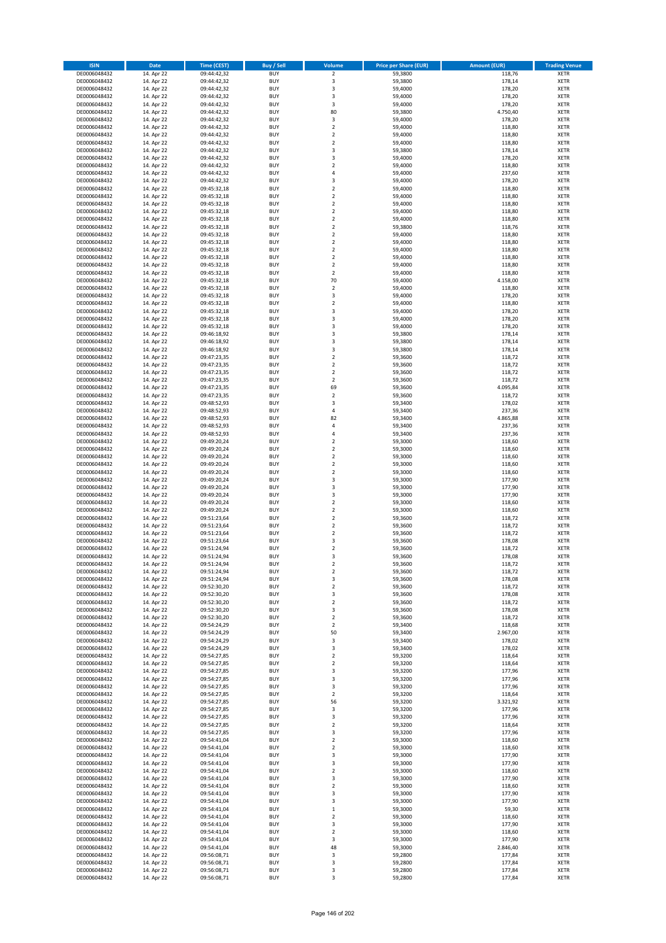| <b>ISIN</b>                  | <b>Date</b>              | <b>Time (CEST)</b>         | <b>Buy / Sell</b>        | Volume                                             | <b>Price per Share (EUR)</b> | Amount (EUR)       | <b>Trading Venue</b>       |
|------------------------------|--------------------------|----------------------------|--------------------------|----------------------------------------------------|------------------------------|--------------------|----------------------------|
| DE0006048432                 | 14. Apr 22               | 09:44:42,32                | <b>BUY</b>               | $\overline{\mathbf{2}}$                            | 59,3800                      | 118,76             | <b>XETR</b>                |
| DE0006048432                 | 14. Apr 22               | 09:44:42,32                | <b>BUY</b>               | 3                                                  | 59,3800                      | 178,14             | <b>XETR</b>                |
| DE0006048432                 | 14. Apr 22               | 09:44:42,32                | <b>BUY</b>               | 3                                                  | 59,4000                      | 178,20             | <b>XETR</b>                |
| DE0006048432                 | 14. Apr 22               | 09:44:42,32                | <b>BUY</b>               | 3                                                  | 59,4000                      | 178,20             | <b>XETR</b>                |
| DE0006048432<br>DE0006048432 | 14. Apr 22<br>14. Apr 22 | 09:44:42,32<br>09:44:42,32 | <b>BUY</b><br><b>BUY</b> | 3<br>80                                            | 59,4000<br>59,3800           | 178,20<br>4.750,40 | <b>XETR</b><br><b>XETR</b> |
| DE0006048432                 | 14. Apr 22               | 09:44:42,32                | <b>BUY</b>               | 3                                                  | 59,4000                      | 178,20             | <b>XETR</b>                |
| DE0006048432                 | 14. Apr 22               | 09:44:42,32                | <b>BUY</b>               | $\overline{\mathbf{2}}$                            | 59,4000                      | 118,80             | <b>XETR</b>                |
| DE0006048432                 | 14. Apr 22               | 09:44:42,32                | BUY                      | $\overline{\mathbf{2}}$                            | 59,4000                      | 118,80             | <b>XETR</b>                |
| DE0006048432                 | 14. Apr 22               | 09:44:42,32                | <b>BUY</b>               | $\overline{2}$                                     | 59,4000                      | 118,80             | <b>XETR</b>                |
| DE0006048432                 | 14. Apr 22               | 09:44:42,32                | <b>BUY</b>               | 3                                                  | 59,3800                      | 178,14             | <b>XETR</b>                |
| DE0006048432                 | 14. Apr 22               | 09:44:42,32                | <b>BUY</b>               | 3<br>$\overline{2}$                                | 59,4000                      | 178,20             | <b>XETR</b>                |
| DE0006048432<br>DE0006048432 | 14. Apr 22<br>14. Apr 22 | 09:44:42,32<br>09:44:42,32 | <b>BUY</b><br><b>BUY</b> | $\overline{a}$                                     | 59,4000<br>59,4000           | 118,80<br>237,60   | <b>XETR</b><br><b>XETR</b> |
| DE0006048432                 | 14. Apr 22               | 09:44:42,32                | <b>BUY</b>               | $\overline{\mathbf{3}}$                            | 59,4000                      | 178,20             | <b>XETR</b>                |
| DE0006048432                 | 14. Apr 22               | 09:45:32,18                | BUY                      | $\overline{2}$                                     | 59,4000                      | 118,80             | <b>XETR</b>                |
| DE0006048432                 | 14. Apr 22               | 09:45:32,18                | <b>BUY</b>               | $\overline{2}$                                     | 59,4000                      | 118,80             | <b>XETR</b>                |
| DE0006048432                 | 14. Apr 22               | 09:45:32,18                | <b>BUY</b>               | $\overline{\mathbf{2}}$                            | 59,4000                      | 118,80             | <b>XETR</b>                |
| DE0006048432                 | 14. Apr 22               | 09:45:32,18                | <b>BUY</b>               | $\overline{2}$                                     | 59,4000                      | 118,80             | <b>XETR</b>                |
| DE0006048432<br>DE0006048432 | 14. Apr 22<br>14. Apr 22 | 09:45:32,18<br>09:45:32,18 | <b>BUY</b><br><b>BUY</b> | $\overline{2}$<br>$\overline{\mathbf{2}}$          | 59,4000<br>59,3800           | 118,80<br>118,76   | <b>XETR</b><br><b>XETR</b> |
| DE0006048432                 | 14. Apr 22               | 09:45:32,18                | <b>BUY</b>               | $\mathbf 2$                                        | 59,4000                      | 118,80             | <b>XETR</b>                |
| DE0006048432                 | 14. Apr 22               | 09:45:32,18                | <b>BUY</b>               | $\overline{2}$                                     | 59,4000                      | 118,80             | <b>XETR</b>                |
| DE0006048432                 | 14. Apr 22               | 09:45:32,18                | <b>BUY</b>               | $\overline{2}$                                     | 59,4000                      | 118,80             | <b>XETR</b>                |
| DE0006048432                 | 14. Apr 22               | 09:45:32,18                | <b>BUY</b>               | $\overline{2}$                                     | 59,4000                      | 118,80             | <b>XETR</b>                |
| DE0006048432                 | 14. Apr 22               | 09:45:32,18                | <b>BUY</b>               | $\mathbf 2$                                        | 59,4000                      | 118,80             | <b>XETR</b>                |
| DE0006048432                 | 14. Apr 22               | 09:45:32,18                | <b>BUY</b><br><b>BUY</b> | $\mathbf 2$<br>70                                  | 59,4000                      | 118,80             | <b>XETR</b><br><b>XETR</b> |
| DE0006048432<br>DE0006048432 | 14. Apr 22<br>14. Apr 22 | 09:45:32,18<br>09:45:32,18 | <b>BUY</b>               | $\mathbf 2$                                        | 59,4000<br>59,4000           | 4.158,00<br>118,80 | <b>XETR</b>                |
| DE0006048432                 | 14. Apr 22               | 09:45:32,18                | <b>BUY</b>               | $\overline{\mathbf{3}}$                            | 59,4000                      | 178,20             | <b>XETR</b>                |
| DE0006048432                 | 14. Apr 22               | 09:45:32,18                | <b>BUY</b>               | $\mathbf 2$                                        | 59,4000                      | 118,80             | <b>XETR</b>                |
| DE0006048432                 | 14. Apr 22               | 09:45:32,18                | <b>BUY</b>               | 3                                                  | 59,4000                      | 178,20             | <b>XETR</b>                |
| DE0006048432                 | 14. Apr 22               | 09:45:32,18                | <b>BUY</b>               | 3                                                  | 59,4000                      | 178,20             | <b>XETR</b>                |
| DE0006048432                 | 14. Apr 22               | 09:45:32,18                | <b>BUY</b>               | $\overline{\mathbf{3}}$                            | 59,4000                      | 178,20             | <b>XETR</b>                |
| DE0006048432<br>DE0006048432 | 14. Apr 22<br>14. Apr 22 | 09:46:18,92<br>09:46:18,92 | <b>BUY</b><br><b>BUY</b> | $\overline{\mathbf{3}}$<br>3                       | 59,3800<br>59,3800           | 178,14<br>178,14   | <b>XETR</b><br><b>XETR</b> |
| DE0006048432                 | 14. Apr 22               | 09:46:18,92                | <b>BUY</b>               | $\overline{\mathbf{3}}$                            | 59,3800                      | 178,14             | <b>XETR</b>                |
| DE0006048432                 | 14. Apr 22               | 09:47:23,35                | <b>BUY</b>               | $\mathbf 2$                                        | 59,3600                      | 118,72             | <b>XETR</b>                |
| DE0006048432                 | 14. Apr 22               | 09:47:23,35                | <b>BUY</b>               | $\mathbf 2$                                        | 59,3600                      | 118,72             | <b>XETR</b>                |
| DE0006048432                 | 14. Apr 22               | 09:47:23,35                | <b>BUY</b>               | $\mathbf 2$                                        | 59,3600                      | 118,72             | <b>XETR</b>                |
| DE0006048432                 | 14. Apr 22               | 09:47:23,35                | <b>BUY</b>               | $\overline{2}$                                     | 59,3600                      | 118,72             | <b>XETR</b>                |
| DE0006048432                 | 14. Apr 22               | 09:47:23,35                | <b>BUY</b>               | 69                                                 | 59,3600                      | 4.095,84           | <b>XETR</b>                |
| DE0006048432<br>DE0006048432 | 14. Apr 22<br>14. Apr 22 | 09:47:23,35<br>09:48:52,93 | <b>BUY</b><br><b>BUY</b> | $\mathbf 2$<br>3                                   | 59,3600<br>59,3400           | 118,72<br>178,02   | <b>XETR</b><br><b>XETR</b> |
| DE0006048432                 | 14. Apr 22               | 09:48:52,93                | <b>BUY</b>               | $\overline{4}$                                     | 59,3400                      | 237,36             | <b>XETR</b>                |
| DE0006048432                 | 14. Apr 22               | 09:48:52,93                | <b>BUY</b>               | 82                                                 | 59,3400                      | 4.865,88           | <b>XETR</b>                |
| DE0006048432                 | 14. Apr 22               | 09:48:52,93                | <b>BUY</b>               | $\sqrt{4}$                                         | 59,3400                      | 237,36             | <b>XETR</b>                |
| DE0006048432                 | 14. Apr 22               | 09:48:52,93                | <b>BUY</b>               | $\overline{a}$                                     | 59,3400                      | 237,36             | <b>XETR</b>                |
| DE0006048432                 | 14. Apr 22               | 09:49:20,24                | <b>BUY</b><br><b>BUY</b> | $\overline{2}$<br>$\overline{\mathbf{2}}$          | 59,3000                      | 118,60             | <b>XETR</b><br><b>XETR</b> |
| DE0006048432<br>DE0006048432 | 14. Apr 22<br>14. Apr 22 | 09:49:20,24<br>09:49:20,24 | <b>BUY</b>               | $\overline{2}$                                     | 59,3000<br>59,3000           | 118,60<br>118,60   | <b>XETR</b>                |
| DE0006048432                 | 14. Apr 22               | 09:49:20,24                | <b>BUY</b>               | $\overline{2}$                                     | 59,3000                      | 118,60             | <b>XETR</b>                |
| DE0006048432                 | 14. Apr 22               | 09:49:20,24                | <b>BUY</b>               | $\overline{\mathbf{2}}$                            | 59,3000                      | 118,60             | <b>XETR</b>                |
| DE0006048432                 | 14. Apr 22               | 09:49:20,24                | <b>BUY</b>               | 3                                                  | 59,3000                      | 177,90             | <b>XETR</b>                |
| DE0006048432                 | 14. Apr 22               | 09:49:20,24                | <b>BUY</b>               | $\overline{\mathbf{3}}$                            | 59,3000                      | 177,90             | <b>XETR</b>                |
| DE0006048432                 | 14. Apr 22               | 09:49:20,24                | <b>BUY</b>               | $\overline{\mathbf{3}}$                            | 59,3000                      | 177,90             | <b>XETR</b>                |
| DE0006048432<br>DE0006048432 | 14. Apr 22<br>14. Apr 22 | 09:49:20,24<br>09:49:20,24 | <b>BUY</b><br><b>BUY</b> | $\overline{\mathbf{2}}$<br>$\overline{\mathbf{2}}$ | 59,3000<br>59,3000           | 118,60<br>118,60   | <b>XETR</b><br><b>XETR</b> |
| DE0006048432                 | 14. Apr 22               | 09:51:23,64                | BUY                      | $\overline{\mathbf{2}}$                            | 59,3600                      | 118,72             | <b>XETR</b>                |
| DE0006048432                 | 14. Apr 22               | 09:51:23,64                | <b>BUY</b>               | $\overline{\mathbf{2}}$                            | 59,3600                      | 118,72             | <b>XETR</b>                |
| DE0006048432                 | 14. Apr 22               | 09:51:23,64                | <b>BUY</b>               | $\mathbf 2$                                        | 59,3600                      | 118,72             | <b>XETR</b>                |
| DE0006048432                 | 14. Apr 22               | 09:51:23,64                | BUY                      | $\overline{\mathbf{3}}$                            | 59,3600                      | 178,08             | <b>XETR</b>                |
| DE0006048432                 | 14. Apr 22               | 09:51:24,94                | BUY                      | $\overline{\mathbf{2}}$                            | 59,3600                      | 118,72             | <b>XETR</b>                |
| DE0006048432<br>DE0006048432 | 14. Apr 22               | 09:51:24,94                | <b>BUY</b>               | $\overline{3}$                                     | 59,3600                      | 178,08             | <b>XETR</b>                |
| DE0006048432                 | 14. Apr 22<br>14. Apr 22 | 09:51:24,94<br>09:51:24,94 | <b>BUY</b><br><b>BUY</b> | 2<br>$\mathbf 2$                                   | 59,3600<br>59,3600           | 118,72<br>118,72   | <b>XETR</b><br><b>XETR</b> |
| DE0006048432                 | 14. Apr 22               | 09:51:24,94                | <b>BUY</b>               | 3                                                  | 59,3600                      | 178,08             | <b>XETR</b>                |
| DE0006048432                 | 14. Apr 22               | 09:52:30,20                | <b>BUY</b>               | $\mathbf 2$                                        | 59,3600                      | 118,72             | <b>XETR</b>                |
| DE0006048432                 | 14. Apr 22               | 09:52:30,20                | <b>BUY</b>               | 3                                                  | 59,3600                      | 178,08             | <b>XETR</b>                |
| DE0006048432                 | 14. Apr 22               | 09:52:30,20                | <b>BUY</b>               | $\mathbf 2$                                        | 59,3600                      | 118,72             | <b>XETR</b>                |
| DE0006048432<br>DE0006048432 | 14. Apr 22<br>14. Apr 22 | 09:52:30,20                | <b>BUY</b><br><b>BUY</b> | 3                                                  | 59,3600<br>59,3600           | 178,08             | <b>XETR</b>                |
| DE0006048432                 | 14. Apr 22               | 09:52:30,20<br>09:54:24,29 | <b>BUY</b>               | 2<br>$\mathbf 2$                                   | 59,3400                      | 118,72<br>118,68   | <b>XETR</b><br><b>XETR</b> |
| DE0006048432                 | 14. Apr 22               | 09:54:24,29                | <b>BUY</b>               | 50                                                 | 59,3400                      | 2.967,00           | <b>XETR</b>                |
| DE0006048432                 | 14. Apr 22               | 09:54:24,29                | <b>BUY</b>               | 3                                                  | 59,3400                      | 178,02             | <b>XETR</b>                |
| DE0006048432                 | 14. Apr 22               | 09:54:24,29                | <b>BUY</b>               | 3                                                  | 59,3400                      | 178,02             | <b>XETR</b>                |
| DE0006048432                 | 14. Apr 22               | 09:54:27,85                | <b>BUY</b>               | $\mathbf 2$                                        | 59,3200                      | 118,64             | <b>XETR</b>                |
| DE0006048432<br>DE0006048432 | 14. Apr 22<br>14. Apr 22 | 09:54:27,85<br>09:54:27,85 | <b>BUY</b><br><b>BUY</b> | $\overline{\mathbf{2}}$<br>3                       | 59,3200<br>59,3200           | 118,64<br>177,96   | <b>XETR</b><br><b>XETR</b> |
| DE0006048432                 | 14. Apr 22               | 09:54:27,85                | <b>BUY</b>               | 3                                                  | 59,3200                      | 177,96             | <b>XETR</b>                |
| DE0006048432                 | 14. Apr 22               | 09:54:27,85                | <b>BUY</b>               | 3                                                  | 59,3200                      | 177,96             | <b>XETR</b>                |
| DE0006048432                 | 14. Apr 22               | 09:54:27,85                | <b>BUY</b>               | $\mathbf 2$                                        | 59,3200                      | 118,64             | <b>XETR</b>                |
| DE0006048432                 | 14. Apr 22               | 09:54:27,85                | <b>BUY</b>               | 56                                                 | 59,3200                      | 3.321,92           | <b>XETR</b>                |
| DE0006048432                 | 14. Apr 22               | 09:54:27,85                | <b>BUY</b>               | 3                                                  | 59,3200                      | 177,96             | <b>XETR</b>                |
| DE0006048432<br>DE0006048432 | 14. Apr 22<br>14. Apr 22 | 09:54:27,85<br>09:54:27,85 | <b>BUY</b><br><b>BUY</b> | $\overline{\mathbf{3}}$<br>$\mathbf 2$             | 59,3200<br>59,3200           | 177,96<br>118,64   | <b>XETR</b><br><b>XETR</b> |
| DE0006048432                 | 14. Apr 22               | 09:54:27,85                | <b>BUY</b>               | $\overline{\mathbf{3}}$                            | 59,3200                      | 177,96             | <b>XETR</b>                |
| DE0006048432                 | 14. Apr 22               | 09:54:41,04                | <b>BUY</b>               | $\overline{2}$                                     | 59,3000                      | 118,60             | <b>XETR</b>                |
| DE0006048432                 | 14. Apr 22               | 09:54:41,04                | <b>BUY</b>               | $\mathbf 2$                                        | 59,3000                      | 118,60             | <b>XETR</b>                |
| DE0006048432                 | 14. Apr 22               | 09:54:41,04                | <b>BUY</b>               | 3                                                  | 59,3000                      | 177,90             | <b>XETR</b>                |
| DE0006048432                 | 14. Apr 22               | 09:54:41,04                | <b>BUY</b>               | 3                                                  | 59,3000                      | 177,90             | <b>XETR</b>                |
| DE0006048432                 | 14. Apr 22               | 09:54:41,04                | <b>BUY</b>               | $\overline{2}$                                     | 59,3000                      | 118,60             | <b>XETR</b>                |
| DE0006048432<br>DE0006048432 | 14. Apr 22<br>14. Apr 22 | 09:54:41,04<br>09:54:41,04 | <b>BUY</b><br><b>BUY</b> | 3<br>$\overline{2}$                                | 59,3000<br>59,3000           | 177,90<br>118,60   | <b>XETR</b><br><b>XETR</b> |
| DE0006048432                 | 14. Apr 22               | 09:54:41,04                | <b>BUY</b>               | 3                                                  | 59,3000                      | 177,90             | <b>XETR</b>                |
| DE0006048432                 | 14. Apr 22               | 09:54:41,04                | <b>BUY</b>               | 3                                                  | 59,3000                      | 177,90             | <b>XETR</b>                |
| DE0006048432                 | 14. Apr 22               | 09:54:41,04                | <b>BUY</b>               | $\mathbf 1$                                        | 59,3000                      | 59,30              | <b>XETR</b>                |
| DE0006048432                 | 14. Apr 22               | 09:54:41,04                | <b>BUY</b>               | $\overline{2}$                                     | 59,3000                      | 118,60             | <b>XETR</b>                |
| DE0006048432                 | 14. Apr 22               | 09:54:41,04                | <b>BUY</b>               | 3                                                  | 59,3000                      | 177,90             | <b>XETR</b>                |
| DE0006048432<br>DE0006048432 | 14. Apr 22<br>14. Apr 22 | 09:54:41,04                | <b>BUY</b><br><b>BUY</b> | $\mathbf 2$<br>3                                   | 59,3000<br>59,3000           | 118,60<br>177,90   | <b>XETR</b><br><b>XETR</b> |
| DE0006048432                 | 14. Apr 22               | 09:54:41,04<br>09:54:41,04 | <b>BUY</b>               | 48                                                 | 59,3000                      | 2.846,40           | <b>XETR</b>                |
| DE0006048432                 | 14. Apr 22               | 09:56:08,71                | <b>BUY</b>               | 3                                                  | 59,2800                      | 177,84             | <b>XETR</b>                |
| DE0006048432                 | 14. Apr 22               | 09:56:08,71                | <b>BUY</b>               | 3                                                  | 59,2800                      | 177,84             | <b>XETR</b>                |
| DE0006048432                 | 14. Apr 22               | 09:56:08,71                | <b>BUY</b>               | 3                                                  | 59,2800                      | 177,84             | <b>XETR</b>                |
| DE0006048432                 | 14. Apr 22               | 09:56:08,71                | <b>BUY</b>               | 3                                                  | 59,2800                      | 177,84             | <b>XETR</b>                |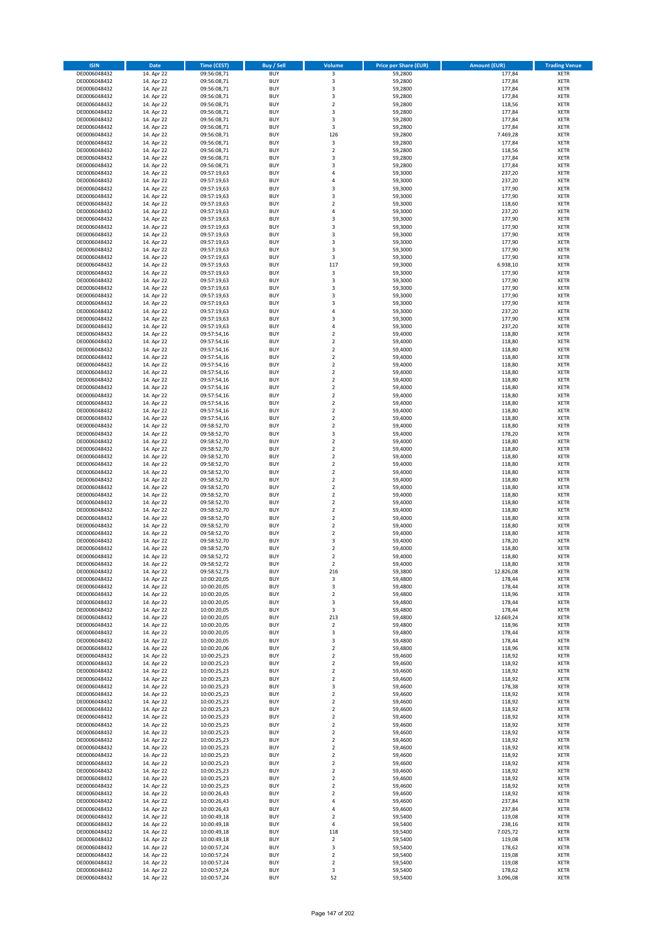| <b>ISIN</b>                  | <b>Date</b>              | <b>Time (CEST)</b>         | <b>Buy / Sell</b>        | Volume                                             | <b>Price per Share (EUR)</b> | <b>Amount (EUR)</b> | <b>Trading Venue</b>       |
|------------------------------|--------------------------|----------------------------|--------------------------|----------------------------------------------------|------------------------------|---------------------|----------------------------|
| DE0006048432                 | 14. Apr 22               | 09:56:08,71                | <b>BUY</b>               | 3                                                  | 59,2800                      | 177,84              | <b>XETR</b>                |
| DE0006048432                 | 14. Apr 22               | 09:56:08,71                | <b>BUY</b>               | 3                                                  | 59,2800                      | 177,84              | <b>XETR</b>                |
| DE0006048432                 | 14. Apr 22               | 09:56:08,71                | <b>BUY</b>               | $\overline{\mathbf{3}}$                            | 59,2800                      | 177,84              | <b>XETR</b>                |
| DE0006048432                 | 14. Apr 22               | 09:56:08,71                | <b>BUY</b>               | 3                                                  | 59,2800                      | 177,84              | <b>XETR</b>                |
| DE0006048432<br>DE0006048432 | 14. Apr 22<br>14. Apr 22 | 09:56:08,71<br>09:56:08,71 | <b>BUY</b><br><b>BUY</b> | $\overline{2}$<br>$\overline{\mathbf{3}}$          | 59,2800<br>59,2800           | 118,56<br>177,84    | <b>XETR</b><br><b>XETR</b> |
| DE0006048432                 | 14. Apr 22               | 09:56:08,71                | <b>BUY</b>               | 3                                                  | 59,2800                      | 177,84              | <b>XETR</b>                |
| DE0006048432                 | 14. Apr 22               | 09:56:08,71                | <b>BUY</b>               | 3                                                  | 59,2800                      | 177,84              | <b>XETR</b>                |
| DE0006048432                 | 14. Apr 22               | 09:56:08,71                | BUY                      | 126                                                | 59,2800                      | 7.469,28            | <b>XETR</b>                |
| DE0006048432                 | 14. Apr 22               | 09:56:08,71                | <b>BUY</b>               | 3                                                  | 59,2800                      | 177,84              | <b>XETR</b>                |
| DE0006048432                 | 14. Apr 22               | 09:56:08,71                | <b>BUY</b>               | $\mathbf 2$                                        | 59,2800                      | 118,56              | <b>XETR</b>                |
| DE0006048432<br>DE0006048432 | 14. Apr 22<br>14. Apr 22 | 09:56:08,71<br>09:56:08,71 | <b>BUY</b><br><b>BUY</b> | $\overline{\mathbf{3}}$<br>$\overline{\mathbf{3}}$ | 59,2800<br>59,2800           | 177,84<br>177,84    | <b>XETR</b><br><b>XETR</b> |
| DE0006048432                 | 14. Apr 22               | 09:57:19,63                | <b>BUY</b>               | $\overline{a}$                                     | 59,3000                      | 237,20              | <b>XETR</b>                |
| DE0006048432                 | 14. Apr 22               | 09:57:19,63                | <b>BUY</b>               | 4                                                  | 59,3000                      | 237,20              | <b>XETR</b>                |
| DE0006048432                 | 14. Apr 22               | 09:57:19,63                | BUY                      | $\overline{3}$                                     | 59,3000                      | 177,90              | <b>XETR</b>                |
| DE0006048432                 | 14. Apr 22               | 09:57:19,63                | <b>BUY</b>               | 3                                                  | 59,3000                      | 177,90              | <b>XETR</b>                |
| DE0006048432                 | 14. Apr 22               | 09:57:19,63                | <b>BUY</b>               | $\overline{2}$                                     | 59,3000                      | 118,60              | <b>XETR</b>                |
| DE0006048432<br>DE0006048432 | 14. Apr 22<br>14. Apr 22 | 09:57:19,63                | <b>BUY</b><br><b>BUY</b> | $\overline{4}$<br>$\overline{\mathbf{3}}$          | 59,3000<br>59,3000           | 237,20<br>177,90    | <b>XETR</b><br><b>XETR</b> |
| DE0006048432                 | 14. Apr 22               | 09:57:19,63<br>09:57:19,63 | <b>BUY</b>               | $\overline{\mathbf{3}}$                            | 59,3000                      | 177,90              | <b>XETR</b>                |
| DE0006048432                 | 14. Apr 22               | 09:57:19,63                | <b>BUY</b>               | $\overline{\mathbf{3}}$                            | 59,3000                      | 177,90              | <b>XETR</b>                |
| DE0006048432                 | 14. Apr 22               | 09:57:19,63                | <b>BUY</b>               | $\overline{3}$                                     | 59,3000                      | 177,90              | <b>XETR</b>                |
| DE0006048432                 | 14. Apr 22               | 09:57:19,63                | <b>BUY</b>               | 3                                                  | 59,3000                      | 177,90              | <b>XETR</b>                |
| DE0006048432                 | 14. Apr 22               | 09:57:19,63                | <b>BUY</b>               | 3                                                  | 59,3000                      | 177,90              | <b>XETR</b>                |
| DE0006048432                 | 14. Apr 22               | 09:57:19,63                | <b>BUY</b>               | 117                                                | 59,3000                      | 6.938,10            | <b>XETR</b>                |
| DE0006048432<br>DE0006048432 | 14. Apr 22<br>14. Apr 22 | 09:57:19,63<br>09:57:19,63 | <b>BUY</b><br><b>BUY</b> | 3<br>3                                             | 59,3000<br>59,3000           | 177,90<br>177,90    | <b>XETR</b><br><b>XETR</b> |
| DE0006048432                 | 14. Apr 22               | 09:57:19,63                | <b>BUY</b>               | 3                                                  | 59,3000                      | 177,90              | <b>XETR</b>                |
| DE0006048432                 | 14. Apr 22               | 09:57:19,63                | <b>BUY</b>               | 3                                                  | 59,3000                      | 177,90              | <b>XETR</b>                |
| DE0006048432                 | 14. Apr 22               | 09:57:19,63                | <b>BUY</b>               | $\overline{\mathbf{3}}$                            | 59,3000                      | 177,90              | <b>XETR</b>                |
| DE0006048432                 | 14. Apr 22               | 09:57:19,63                | <b>BUY</b>               | 4                                                  | 59,3000                      | 237,20              | <b>XETR</b>                |
| DE0006048432                 | 14. Apr 22               | 09:57:19,63                | <b>BUY</b>               | 3                                                  | 59,3000                      | 177,90              | <b>XETR</b>                |
| DE0006048432<br>DE0006048432 | 14. Apr 22<br>14. Apr 22 | 09:57:19,63<br>09:57:54,16 | <b>BUY</b><br><b>BUY</b> | $\overline{a}$<br>$\overline{2}$                   | 59,3000<br>59,4000           | 237,20<br>118,80    | <b>XETR</b><br><b>XETR</b> |
| DE0006048432                 | 14. Apr 22               | 09:57:54,16                | <b>BUY</b>               | $\mathbf 2$                                        | 59,4000                      | 118,80              | <b>XETR</b>                |
| DE0006048432                 | 14. Apr 22               | 09:57:54,16                | <b>BUY</b>               | $\overline{2}$                                     | 59,4000                      | 118,80              | <b>XETR</b>                |
| DE0006048432                 | 14. Apr 22               | 09:57:54,16                | BUY                      | $\mathbf 2$                                        | 59,4000                      | 118,80              | <b>XETR</b>                |
| DE0006048432                 | 14. Apr 22               | 09:57:54,16                | <b>BUY</b>               | $\mathbf 2$                                        | 59,4000                      | 118,80              | <b>XETR</b>                |
| DE0006048432                 | 14. Apr 22               | 09:57:54,16                | <b>BUY</b>               | $\mathbf 2$                                        | 59,4000                      | 118,80              | <b>XETR</b>                |
| DE0006048432                 | 14. Apr 22               | 09:57:54,16                | <b>BUY</b>               | $\overline{2}$<br>$\overline{2}$                   | 59,4000                      | 118,80              | <b>XETR</b>                |
| DE0006048432<br>DE0006048432 | 14. Apr 22<br>14. Apr 22 | 09:57:54,16<br>09:57:54,16 | <b>BUY</b><br><b>BUY</b> | $\mathbf 2$                                        | 59,4000<br>59,4000           | 118,80<br>118,80    | <b>XETR</b><br><b>XETR</b> |
| DE0006048432                 | 14. Apr 22               | 09:57:54,16                | <b>BUY</b>               | $\overline{2}$                                     | 59,4000                      | 118,80              | <b>XETR</b>                |
| DE0006048432                 | 14. Apr 22               | 09:57:54,16                | <b>BUY</b>               | $\mathbf 2$                                        | 59,4000                      | 118,80              | <b>XETR</b>                |
| DE0006048432                 | 14. Apr 22               | 09:57:54,16                | <b>BUY</b>               | $\overline{2}$                                     | 59,4000                      | 118,80              | <b>XETR</b>                |
| DE0006048432                 | 14. Apr 22               | 09:58:52,70                | <b>BUY</b>               | $\mathbf 2$                                        | 59,4000                      | 118,80              | <b>XETR</b>                |
| DE0006048432                 | 14. Apr 22               | 09:58:52,70                | <b>BUY</b>               | 3                                                  | 59,4000                      | 178,20              | <b>XETR</b>                |
| DE0006048432<br>DE0006048432 | 14. Apr 22<br>14. Apr 22 | 09:58:52,70<br>09:58:52,70 | <b>BUY</b><br><b>BUY</b> | $\overline{2}$<br>$\overline{2}$                   | 59,4000<br>59,4000           | 118,80<br>118,80    | <b>XETR</b><br><b>XETR</b> |
| DE0006048432                 | 14. Apr 22               | 09:58:52,70                | <b>BUY</b>               | $\overline{2}$                                     | 59,4000                      | 118,80              | <b>XETR</b>                |
| DE0006048432                 | 14. Apr 22               | 09:58:52,70                | <b>BUY</b>               | $\overline{2}$                                     | 59,4000                      | 118,80              | <b>XETR</b>                |
| DE0006048432                 | 14. Apr 22               | 09:58:52,70                | <b>BUY</b>               | $\overline{2}$                                     | 59,4000                      | 118,80              | <b>XETR</b>                |
| DE0006048432                 | 14. Apr 22               | 09:58:52,70                | <b>BUY</b>               | $\mathbf 2$                                        | 59,4000                      | 118,80              | <b>XETR</b>                |
| DE0006048432                 | 14. Apr 22               | 09:58:52,70                | <b>BUY</b>               | $\overline{2}$                                     | 59,4000                      | 118,80              | <b>XETR</b>                |
| DE0006048432<br>DE0006048432 | 14. Apr 22<br>14. Apr 22 | 09:58:52,70<br>09:58:52,70 | <b>BUY</b><br><b>BUY</b> | $\overline{2}$<br>$\overline{2}$                   | 59,4000<br>59,4000           | 118,80<br>118,80    | <b>XETR</b><br><b>XETR</b> |
| DE0006048432                 | 14. Apr 22               | 09:58:52,70                | <b>BUY</b>               | $\overline{2}$                                     | 59,4000                      | 118,80              | <b>XETR</b>                |
| DE0006048432                 | 14. Apr 22               | 09:58:52,70                | BUY                      | $\overline{2}$                                     | 59,4000                      | 118,80              | <b>XETR</b>                |
| DE0006048432                 | 14. Apr 22               | 09:58:52,70                | <b>BUY</b>               | $\overline{2}$                                     | 59,4000                      | 118,80              | <b>XETR</b>                |
| DE0006048432                 | 14. Apr 22               | 09:58:52,70                | <b>BUY</b>               | $\mathbf 2$                                        | 59,4000                      | 118,80              | <b>XETR</b>                |
| DE0006048432                 | 14. Apr 22               | 09:58:52,70                | BUY                      | 3                                                  | 59,4000                      | 178,20              | <b>XETR</b>                |
| DE0006048432<br>DE0006048432 | 14. Apr 22               | 09:58:52,70                | BUY<br><b>BUY</b>        | $\overline{2}$<br>$\overline{2}$                   | 59,4000                      | 118,80              | <b>XETR</b>                |
| DE0006048432                 | 14. Apr 22<br>14. Apr 22 | 09:58:52,72<br>09:58:52,72 | <b>BUY</b>               | 2                                                  | 59,4000<br>59,4000           | 118,80<br>118,80    | <b>XETR</b><br><b>XETR</b> |
| DE0006048432                 | 14. Apr 22               | 09:58:52,73                | <b>BUY</b>               | 216                                                | 59,3800                      | 12.826,08           | <b>XETR</b>                |
| DE0006048432                 | 14. Apr 22               | 10:00:20,05                | <b>BUY</b>               | 3                                                  | 59,4800                      | 178,44              | <b>XETR</b>                |
| DE0006048432                 | 14. Apr 22               | 10:00:20,05                | <b>BUY</b>               | 3                                                  | 59,4800                      | 178,44              | <b>XETR</b>                |
| DE0006048432                 | 14. Apr 22               | 10:00:20,05                | <b>BUY</b>               | $\overline{2}$                                     | 59,4800                      | 118,96              | <b>XETR</b>                |
| DE0006048432                 | 14. Apr 22               | 10:00:20,05                | <b>BUY</b>               | 3                                                  | 59,4800                      | 178,44              | <b>XETR</b>                |
| DE0006048432<br>DE0006048432 | 14. Apr 22<br>14. Apr 22 | 10:00:20,05<br>10:00:20,05 | <b>BUY</b><br><b>BUY</b> | 3<br>213                                           | 59,4800<br>59,4800           | 178,44<br>12.669,24 | <b>XETR</b><br><b>XETR</b> |
| DE0006048432                 | 14. Apr 22               | 10:00:20,05                | <b>BUY</b>               | $\mathbf 2$                                        | 59,4800                      | 118,96              | <b>XETR</b>                |
| DE0006048432                 | 14. Apr 22               | 10:00:20,05                | <b>BUY</b>               | 3                                                  | 59,4800                      | 178,44              | <b>XETR</b>                |
| DE0006048432                 | 14. Apr 22               | 10:00:20,05                | <b>BUY</b>               | 3                                                  | 59,4800                      | 178,44              | <b>XETR</b>                |
| DE0006048432                 | 14. Apr 22               | 10:00:20,06                | <b>BUY</b>               | $\overline{2}$                                     | 59,4800                      | 118,96              | <b>XETR</b>                |
| DE0006048432                 | 14. Apr 22<br>14. Apr 22 | 10:00:25,23                | <b>BUY</b><br><b>BUY</b> | $\mathbf 2$<br>$\overline{2}$                      | 59,4600                      | 118,92              | <b>XETR</b>                |
| DE0006048432<br>DE0006048432 | 14. Apr 22               | 10:00:25,23<br>10:00:25,23 | <b>BUY</b>               | 2                                                  | 59,4600<br>59,4600           | 118,92<br>118,92    | <b>XETR</b><br><b>XETR</b> |
| DE0006048432                 | 14. Apr 22               | 10:00:25,23                | <b>BUY</b>               | $\mathbf 2$                                        | 59,4600                      | 118,92              | <b>XETR</b>                |
| DE0006048432                 | 14. Apr 22               | 10:00:25,23                | <b>BUY</b>               | 3                                                  | 59,4600                      | 178,38              | <b>XETR</b>                |
| DE0006048432                 | 14. Apr 22               | 10:00:25,23                | <b>BUY</b>               | $\mathbf 2$                                        | 59,4600                      | 118,92              | <b>XETR</b>                |
| DE0006048432                 | 14. Apr 22               | 10:00:25,23                | <b>BUY</b>               | $\mathbf 2$                                        | 59,4600                      | 118,92              | <b>XETR</b>                |
| DE0006048432                 | 14. Apr 22               | 10:00:25,23                | <b>BUY</b>               | $\mathbf 2$                                        | 59,4600                      | 118,92              | <b>XETR</b>                |
| DE0006048432<br>DE0006048432 | 14. Apr 22<br>14. Apr 22 | 10:00:25,23<br>10:00:25,23 | <b>BUY</b><br><b>BUY</b> | $\overline{2}$<br>2                                | 59,4600<br>59,4600           | 118,92<br>118,92    | <b>XETR</b><br><b>XETR</b> |
| DE0006048432                 | 14. Apr 22               | 10:00:25,23                | <b>BUY</b>               | $\overline{2}$                                     | 59,4600                      | 118,92              | <b>XETR</b>                |
| DE0006048432                 | 14. Apr 22               | 10:00:25,23                | <b>BUY</b>               | $\mathbf 2$                                        | 59,4600                      | 118,92              | <b>XETR</b>                |
| DE0006048432                 | 14. Apr 22               | 10:00:25,23                | <b>BUY</b>               | $\mathbf 2$                                        | 59,4600                      | 118,92              | <b>XETR</b>                |
| DE0006048432                 | 14. Apr 22               | 10:00:25,23                | <b>BUY</b>               | $\mathbf 2$                                        | 59,4600                      | 118,92              | <b>XETR</b>                |
| DE0006048432                 | 14. Apr 22               | 10:00:25,23                | <b>BUY</b>               | $\overline{2}$                                     | 59,4600                      | 118,92              | <b>XETR</b>                |
| DE0006048432<br>DE0006048432 | 14. Apr 22<br>14. Apr 22 | 10:00:25,23                | <b>BUY</b><br><b>BUY</b> | $\overline{2}$                                     | 59,4600<br>59,4600           | 118,92<br>118,92    | <b>XETR</b><br><b>XETR</b> |
| DE0006048432                 | 14. Apr 22               | 10:00:25,23<br>10:00:25,23 | <b>BUY</b>               | 2<br>$\overline{2}$                                | 59,4600                      | 118,92              | <b>XETR</b>                |
| DE0006048432                 | 14. Apr 22               | 10:00:26,43                | <b>BUY</b>               | $\mathbf 2$                                        | 59,4600                      | 118,92              | <b>XETR</b>                |
| DE0006048432                 | 14. Apr 22               | 10:00:26,43                | <b>BUY</b>               | 4                                                  | 59,4600                      | 237,84              | <b>XETR</b>                |
| DE0006048432                 | 14. Apr 22               | 10:00:26,43                | <b>BUY</b>               | 4                                                  | 59,4600                      | 237,84              | <b>XETR</b>                |
| DE0006048432                 | 14. Apr 22               | 10:00:49,18                | <b>BUY</b>               | $\overline{2}$                                     | 59,5400                      | 119,08              | <b>XETR</b>                |
| DE0006048432                 | 14. Apr 22               | 10:00:49,18                | <b>BUY</b>               | 4                                                  | 59,5400                      | 238,16              | <b>XETR</b>                |
| DE0006048432<br>DE0006048432 | 14. Apr 22<br>14. Apr 22 | 10:00:49,18<br>10:00:49,18 | <b>BUY</b><br><b>BUY</b> | 118<br>$\overline{2}$                              | 59,5400<br>59,5400           | 7.025,72<br>119,08  | <b>XETR</b><br><b>XETR</b> |
| DE0006048432                 | 14. Apr 22               | 10:00:57,24                | <b>BUY</b>               | 3                                                  | 59,5400                      | 178,62              | <b>XETR</b>                |
| DE0006048432                 | 14. Apr 22               | 10:00:57,24                | <b>BUY</b>               | 2                                                  | 59,5400                      | 119,08              | <b>XETR</b>                |
| DE0006048432                 | 14. Apr 22               | 10:00:57,24                | <b>BUY</b>               | 2                                                  | 59,5400                      | 119,08              | <b>XETR</b>                |
| DE0006048432                 | 14. Apr 22               | 10:00:57,24                | <b>BUY</b>               | 3                                                  | 59,5400                      | 178,62              | <b>XETR</b>                |
| DE0006048432                 | 14. Apr 22               | 10:00:57,24                | <b>BUY</b>               | 52                                                 | 59,5400                      | 3.096,08            | <b>XETR</b>                |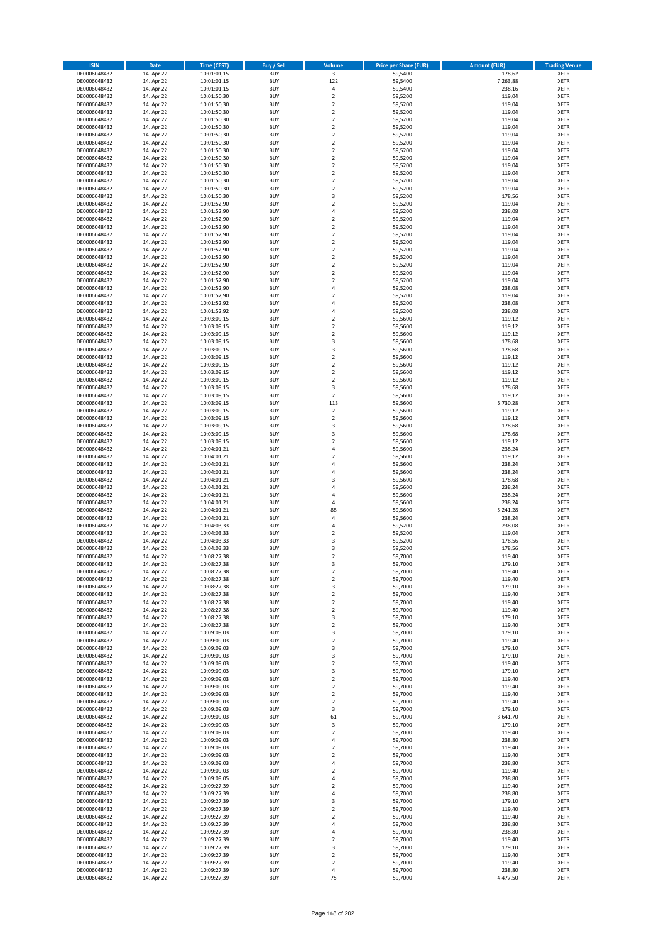| <b>ISIN</b>                  | <b>Date</b>              | Time (CEST)                | <b>Buy / Sell</b>        | Volume                                 | <b>Price per Share (EUR)</b> | <b>Amount (EUR)</b> | <b>Trading Venue</b>       |
|------------------------------|--------------------------|----------------------------|--------------------------|----------------------------------------|------------------------------|---------------------|----------------------------|
| DE0006048432                 | 14. Apr 22               | 10:01:01,15                | <b>BUY</b>               | $\overline{\mathbf{3}}$                | 59,5400                      | 178,62              | <b>XETR</b>                |
| DE0006048432                 | 14. Apr 22               | 10:01:01,15                | <b>BUY</b>               | 122                                    | 59,5400                      | 7.263,88            | <b>XETR</b>                |
| DE0006048432                 | 14. Apr 22               | 10:01:01,15                | <b>BUY</b>               | 4                                      | 59,5400                      | 238,16              | <b>XETR</b>                |
| DE0006048432<br>DE0006048432 | 14. Apr 22<br>14. Apr 22 | 10:01:50,30<br>10:01:50,30 | <b>BUY</b><br><b>BUY</b> | $\mathbf 2$<br>$\overline{\mathbf{c}}$ | 59,5200<br>59,5200           | 119,04<br>119,04    | <b>XETR</b><br><b>XETR</b> |
| DE0006048432                 | 14. Apr 22               | 10:01:50,30                | <b>BUY</b>               | $\mathbf 2$                            | 59,5200                      | 119,04              | <b>XETR</b>                |
| DE0006048432                 | 14. Apr 22               | 10:01:50,30                | <b>BUY</b>               | $\mathbf 2$                            | 59,5200                      | 119,04              | <b>XETR</b>                |
| DE0006048432                 | 14. Apr 22               | 10:01:50,30                | <b>BUY</b>               | $\mathbf 2$                            | 59,5200                      | 119,04              | <b>XETR</b>                |
| DE0006048432                 | 14. Apr 22               | 10:01:50,30                | <b>BUY</b>               | $\overline{2}$                         | 59,5200                      | 119,04              | <b>XETR</b>                |
| DE0006048432                 | 14. Apr 22               | 10:01:50,30                | <b>BUY</b><br><b>BUY</b> | $\overline{2}$                         | 59,5200                      | 119,04              | <b>XETR</b><br><b>XETR</b> |
| DE0006048432<br>DE0006048432 | 14. Apr 22<br>14. Apr 22 | 10:01:50,30<br>10:01:50,30 | <b>BUY</b>               | $\mathbf 2$<br>$\overline{\mathbf{c}}$ | 59,5200<br>59,5200           | 119,04<br>119,04    | <b>XETR</b>                |
| DE0006048432                 | 14. Apr 22               | 10:01:50,30                | <b>BUY</b>               | $\mathbf 2$                            | 59,5200                      | 119,04              | <b>XETR</b>                |
| DE0006048432                 | 14. Apr 22               | 10:01:50,30                | <b>BUY</b>               | $\overline{\mathbf{c}}$                | 59,5200                      | 119,04              | <b>XETR</b>                |
| DE0006048432                 | 14. Apr 22               | 10:01:50,30                | <b>BUY</b>               | $\mathbf 2$                            | 59,5200                      | 119,04              | <b>XETR</b>                |
| DE0006048432                 | 14. Apr 22               | 10:01:50,30                | <b>BUY</b>               | $\overline{\mathbf{c}}$                | 59,5200                      | 119,04              | <b>XETR</b>                |
| DE0006048432<br>DE0006048432 | 14. Apr 22<br>14. Apr 22 | 10:01:50,30<br>10:01:52,90 | <b>BUY</b><br><b>BUY</b> | 3<br>$\mathbf 2$                       | 59,5200<br>59,5200           | 178,56<br>119,04    | <b>XETR</b><br><b>XETR</b> |
| DE0006048432                 | 14. Apr 22               | 10:01:52,90                | <b>BUY</b>               | 4                                      | 59,5200                      | 238,08              | <b>XETR</b>                |
| DE0006048432                 | 14. Apr 22               | 10:01:52,90                | <b>BUY</b>               | $\mathbf 2$                            | 59,5200                      | 119,04              | <b>XETR</b>                |
| DE0006048432                 | 14. Apr 22               | 10:01:52,90                | <b>BUY</b>               | $\overline{\mathbf{c}}$                | 59,5200                      | 119,04              | <b>XETR</b>                |
| DE0006048432                 | 14. Apr 22               | 10:01:52,90                | <b>BUY</b>               | $\mathbf 2$                            | 59,5200                      | 119,04              | <b>XETR</b>                |
| DE0006048432                 | 14. Apr 22               | 10:01:52,90                | <b>BUY</b>               | $\mathbf 2$                            | 59,5200                      | 119,04              | <b>XETR</b>                |
| DE0006048432<br>DE0006048432 | 14. Apr 22<br>14. Apr 22 | 10:01:52,90<br>10:01:52,90 | <b>BUY</b><br><b>BUY</b> | $\mathbf 2$<br>$\mathbf 2$             | 59,5200<br>59,5200           | 119,04<br>119,04    | <b>XETR</b><br><b>XETR</b> |
| DE0006048432                 | 14. Apr 22               | 10:01:52,90                | <b>BUY</b>               | $\mathbf 2$                            | 59,5200                      | 119,04              | <b>XETR</b>                |
| DE0006048432                 | 14. Apr 22               | 10:01:52,90                | <b>BUY</b>               | $\mathbf 2$                            | 59,5200                      | 119,04              | <b>XETR</b>                |
| DE0006048432                 | 14. Apr 22               | 10:01:52,90                | <b>BUY</b>               | $\overline{\mathbf{c}}$                | 59,5200                      | 119,04              | <b>XETR</b>                |
| DE0006048432                 | 14. Apr 22               | 10:01:52,90                | <b>BUY</b>               | 4                                      | 59,5200                      | 238,08              | <b>XETR</b>                |
| DE0006048432<br>DE0006048432 | 14. Apr 22<br>14. Apr 22 | 10:01:52,90<br>10:01:52,92 | <b>BUY</b><br><b>BUY</b> | $\overline{\mathbf{c}}$<br>4           | 59,5200<br>59,5200           | 119,04<br>238,08    | <b>XETR</b><br><b>XETR</b> |
| DE0006048432                 | 14. Apr 22               | 10:01:52,92                | <b>BUY</b>               | 4                                      | 59,5200                      | 238,08              | <b>XETR</b>                |
| DE0006048432                 | 14. Apr 22               | 10:03:09,15                | <b>BUY</b>               | $\mathbf 2$                            | 59,5600                      | 119,12              | <b>XETR</b>                |
| DE0006048432                 | 14. Apr 22               | 10:03:09,15                | <b>BUY</b>               | $\mathbf 2$                            | 59,5600                      | 119,12              | <b>XETR</b>                |
| DE0006048432                 | 14. Apr 22               | 10:03:09,15                | <b>BUY</b>               | $\mathbf 2$                            | 59,5600                      | 119,12              | <b>XETR</b>                |
| DE0006048432                 | 14. Apr 22               | 10:03:09,15                | <b>BUY</b>               | 3                                      | 59,5600                      | 178,68              | <b>XETR</b>                |
| DE0006048432<br>DE0006048432 | 14. Apr 22<br>14. Apr 22 | 10:03:09,15<br>10:03:09,15 | <b>BUY</b><br><b>BUY</b> | 3<br>$\mathbf 2$                       | 59,5600<br>59,5600           | 178,68<br>119,12    | <b>XETR</b><br><b>XETR</b> |
| DE0006048432                 | 14. Apr 22               | 10:03:09,15                | <b>BUY</b>               | $\mathbf 2$                            | 59,5600                      | 119,12              | <b>XETR</b>                |
| DE0006048432                 | 14. Apr 22               | 10:03:09,15                | <b>BUY</b>               | $\mathbf 2$                            | 59,5600                      | 119,12              | <b>XETR</b>                |
| DE0006048432                 | 14. Apr 22               | 10:03:09,15                | <b>BUY</b>               | $\overline{\mathbf{c}}$                | 59,5600                      | 119,12              | <b>XETR</b>                |
| DE0006048432                 | 14. Apr 22               | 10:03:09,15                | <b>BUY</b>               | 3                                      | 59,5600                      | 178,68              | <b>XETR</b>                |
| DE0006048432                 | 14. Apr 22               | 10:03:09,15                | <b>BUY</b>               | $\mathbf 2$                            | 59,5600                      | 119,12              | <b>XETR</b>                |
| DE0006048432<br>DE0006048432 | 14. Apr 22<br>14. Apr 22 | 10:03:09,15<br>10:03:09,15 | <b>BUY</b><br><b>BUY</b> | 113<br>$\mathbf 2$                     | 59,5600<br>59,5600           | 6.730,28<br>119,12  | <b>XETR</b><br><b>XETR</b> |
| DE0006048432                 | 14. Apr 22               | 10:03:09,15                | <b>BUY</b>               | $\overline{2}$                         | 59,5600                      | 119,12              | <b>XETR</b>                |
| DE0006048432                 | 14. Apr 22               | 10:03:09,15                | <b>BUY</b>               | 3                                      | 59,5600                      | 178,68              | <b>XETR</b>                |
| DE0006048432                 | 14. Apr 22               | 10:03:09,15                | <b>BUY</b>               | 3                                      | 59,5600                      | 178,68              | <b>XETR</b>                |
| DE0006048432                 | 14. Apr 22               | 10:03:09,15                | <b>BUY</b>               | $\mathbf 2$                            | 59,5600                      | 119,12              | <b>XETR</b>                |
| DE0006048432<br>DE0006048432 | 14. Apr 22<br>14. Apr 22 | 10:04:01,21<br>10:04:01,21 | <b>BUY</b><br><b>BUY</b> | 4<br>$\overline{\mathbf{c}}$           | 59,5600<br>59,5600           | 238,24<br>119,12    | <b>XETR</b><br><b>XETR</b> |
| DE0006048432                 | 14. Apr 22               | 10:04:01,21                | <b>BUY</b>               | 4                                      | 59,5600                      | 238,24              | <b>XETR</b>                |
| DE0006048432                 | 14. Apr 22               | 10:04:01,21                | <b>BUY</b>               | 4                                      | 59,5600                      | 238,24              | <b>XETR</b>                |
| DE0006048432                 | 14. Apr 22               | 10:04:01,21                | <b>BUY</b>               | 3                                      | 59,5600                      | 178,68              | <b>XETR</b>                |
| DE0006048432                 | 14. Apr 22               | 10:04:01,21                | <b>BUY</b>               | 4                                      | 59,5600                      | 238,24              | <b>XETR</b>                |
| DE0006048432                 | 14. Apr 22               | 10:04:01,21                | <b>BUY</b>               | 4                                      | 59,5600                      | 238,24              | <b>XETR</b>                |
| DE0006048432<br>DE0006048432 | 14. Apr 22<br>14. Apr 22 | 10:04:01,21<br>10:04:01,21 | <b>BUY</b><br><b>BUY</b> | 4<br>88                                | 59,5600<br>59,5600           | 238,24<br>5.241,28  | <b>XETR</b><br><b>XETR</b> |
| DE0006048432                 | 14. Apr 22               | 10:04:01,21                | <b>BUY</b>               | 4                                      | 59,5600                      | 238,24              | <b>XETR</b>                |
| DE0006048432                 | 14. Apr 22               | 10:04:03,33                | <b>BUY</b>               | 4                                      | 59,5200                      | 238,08              | <b>XETR</b>                |
| DE0006048432                 | 14. Apr 22               | 10:04:03,33                | <b>BUY</b>               | $\mathbf 2$                            | 59,5200                      | 119,04              | <b>XETR</b>                |
| DE0006048432                 | 14. Apr 22               | 10:04:03,33                | <b>BUY</b>               | 3                                      | 59,5200                      | 178,56              | <b>XETR</b>                |
| DE0006048432<br>DE0006048432 | 14. Apr 22<br>14. Apr 22 | 10:04:03,33<br>10:08:27,38 | <b>BUY</b><br><b>BUY</b> | 3<br>$\overline{2}$                    | 59,5200<br>59,7000           | 178,56<br>119,40    | <b>XETR</b><br><b>XETR</b> |
| DE0006048432                 | 14. Apr 22               | 10:08:27,38                | BUY                      | 3                                      | 59,7000                      | 179,10              | <b>XETR</b>                |
| DE0006048432                 | 14. Apr 22               | 10:08:27,38                | <b>BUY</b>               | $\mathbf 2$                            | 59,7000                      | 119,40              | <b>XETR</b>                |
| DE0006048432                 | 14. Apr 22               | 10:08:27,38                | <b>BUY</b>               | $\mathbf 2$                            | 59,7000                      | 119,40              | <b>XETR</b>                |
| DE0006048432                 | 14. Apr 22               | 10:08:27,38                | <b>BUY</b>               | 3                                      | 59,7000                      | 179,10              | XETR                       |
| DE0006048432<br>DE0006048432 | 14. Apr 22<br>14. Apr 22 | 10:08:27,38<br>10:08:27,38 | <b>BUY</b><br><b>BUY</b> | $\mathbf 2$<br>$\mathbf 2$             | 59,7000<br>59,7000           | 119,40<br>119,40    | <b>XETR</b><br><b>XETR</b> |
| DE0006048432                 | 14. Apr 22               | 10:08:27,38                | <b>BUY</b>               | $\overline{2}$                         | 59,7000                      | 119,40              | <b>XETR</b>                |
| DE0006048432                 | 14. Apr 22               | 10:08:27,38                | <b>BUY</b>               | 3                                      | 59,7000                      | 179,10              | <b>XETR</b>                |
| DE0006048432                 | 14. Apr 22               | 10:08:27,38                | <b>BUY</b>               | $\mathbf 2$                            | 59,7000                      | 119,40              | <b>XETR</b>                |
| DE0006048432                 | 14. Apr 22               | 10:09:09,03                | <b>BUY</b>               | 3                                      | 59,7000                      | 179,10              | <b>XETR</b>                |
| DE0006048432<br>DE0006048432 | 14. Apr 22<br>14. Apr 22 | 10:09:09,03<br>10:09:09,03 | <b>BUY</b><br><b>BUY</b> | $\mathbf 2$<br>3                       | 59,7000<br>59.7000           | 119,40<br>179,10    | <b>XETR</b><br><b>XETR</b> |
| DE0006048432                 | 14. Apr 22               | 10:09:09,03                | <b>BUY</b>               | 3                                      | 59,7000                      | 179,10              | <b>XETR</b>                |
| DE0006048432                 | 14. Apr 22               | 10:09:09,03                | <b>BUY</b>               | $\overline{2}$                         | 59,7000                      | 119,40              | <b>XETR</b>                |
| DE0006048432                 | 14. Apr 22               | 10:09:09,03                | <b>BUY</b>               | 3                                      | 59,7000                      | 179,10              | <b>XETR</b>                |
| DE0006048432                 | 14. Apr 22               | 10:09:09,03                | <b>BUY</b>               | $\mathbf 2$                            | 59,7000                      | 119,40              | <b>XETR</b>                |
| DE0006048432<br>DE0006048432 | 14. Apr 22<br>14. Apr 22 | 10:09:09,03<br>10:09:09,03 | <b>BUY</b><br><b>BUY</b> | $\mathbf 2$<br>$\mathbf 2$             | 59,7000<br>59,7000           | 119,40<br>119,40    | <b>XETR</b><br><b>XETR</b> |
| DE0006048432                 | 14. Apr 22               | 10:09:09,03                | <b>BUY</b>               | $\mathbf 2$                            | 59,7000                      | 119,40              | <b>XETR</b>                |
| DE0006048432                 | 14. Apr 22               | 10:09:09,03                | <b>BUY</b>               | 3                                      | 59,7000                      | 179,10              | <b>XETR</b>                |
| DE0006048432                 | 14. Apr 22               | 10:09:09,03                | <b>BUY</b>               | 61                                     | 59,7000                      | 3.641,70            | <b>XETR</b>                |
| DE0006048432                 | 14. Apr 22               | 10:09:09,03                | <b>BUY</b>               | 3                                      | 59,7000                      | 179,10              | <b>XETR</b>                |
| DE0006048432                 | 14. Apr 22               | 10:09:09,03                | <b>BUY</b><br><b>BUY</b> | $\overline{\mathbf{c}}$<br>4           | 59,7000<br>59,7000           | 119,40              | <b>XETR</b><br><b>XETR</b> |
| DE0006048432<br>DE0006048432 | 14. Apr 22<br>14. Apr 22 | 10:09:09,03<br>10:09:09,03 | <b>BUY</b>               | $\mathbf 2$                            | 59,7000                      | 238,80<br>119,40    | <b>XETR</b>                |
| DE0006048432                 | 14. Apr 22               | 10:09:09,03                | <b>BUY</b>               | $\mathbf 2$                            | 59,7000                      | 119,40              | <b>XETR</b>                |
| DE0006048432                 | 14. Apr 22               | 10:09:09,03                | <b>BUY</b>               | 4                                      | 59,7000                      | 238,80              | <b>XETR</b>                |
| DE0006048432                 | 14. Apr 22               | 10:09:09,03                | <b>BUY</b>               | $\overline{2}$                         | 59,7000                      | 119,40              | <b>XETR</b>                |
| DE0006048432                 | 14. Apr 22               | 10:09:09,05                | <b>BUY</b>               | 4                                      | 59,7000                      | 238,80              | <b>XETR</b>                |
| DE0006048432<br>DE0006048432 | 14. Apr 22               | 10:09:27,39                | <b>BUY</b><br><b>BUY</b> | $\overline{\mathbf{c}}$<br>4           | 59,7000<br>59,7000           | 119,40<br>238,80    | <b>XETR</b><br><b>XETR</b> |
| DE0006048432                 | 14. Apr 22<br>14. Apr 22 | 10:09:27,39<br>10:09:27,39 | <b>BUY</b>               | 3                                      | 59,7000                      | 179,10              | <b>XETR</b>                |
| DE0006048432                 | 14. Apr 22               | 10:09:27,39                | <b>BUY</b>               | $\mathbf 2$                            | 59,7000                      | 119,40              | <b>XETR</b>                |
| DE0006048432                 | 14. Apr 22               | 10:09:27,39                | <b>BUY</b>               | $\overline{\mathbf{c}}$                | 59,7000                      | 119,40              | <b>XETR</b>                |
| DE0006048432                 | 14. Apr 22               | 10:09:27,39                | <b>BUY</b>               | 4                                      | 59,7000                      | 238,80              | <b>XETR</b>                |
| DE0006048432                 | 14. Apr 22               | 10:09:27,39                | <b>BUY</b>               | 4                                      | 59,7000                      | 238,80              | <b>XETR</b>                |
| DE0006048432<br>DE0006048432 | 14. Apr 22<br>14. Apr 22 | 10:09:27,39<br>10:09:27,39 | <b>BUY</b><br><b>BUY</b> | $\overline{\mathbf{c}}$<br>3           | 59,7000<br>59,7000           | 119,40<br>179,10    | <b>XETR</b><br>XETR        |
| DE0006048432                 | 14. Apr 22               | 10:09:27,39                | <b>BUY</b>               | $\overline{2}$                         | 59,7000                      | 119,40              | <b>XETR</b>                |
| DE0006048432                 | 14. Apr 22               | 10:09:27,39                | <b>BUY</b>               | $\mathbf 2$                            | 59,7000                      | 119,40              | <b>XETR</b>                |
| DE0006048432                 | 14. Apr 22               | 10:09:27,39                | <b>BUY</b>               | 4                                      | 59,7000                      | 238,80              | <b>XETR</b>                |
| DE0006048432                 | 14. Apr 22               | 10:09:27,39                | <b>BUY</b>               | 75                                     | 59,7000                      | 4.477,50            | <b>XETR</b>                |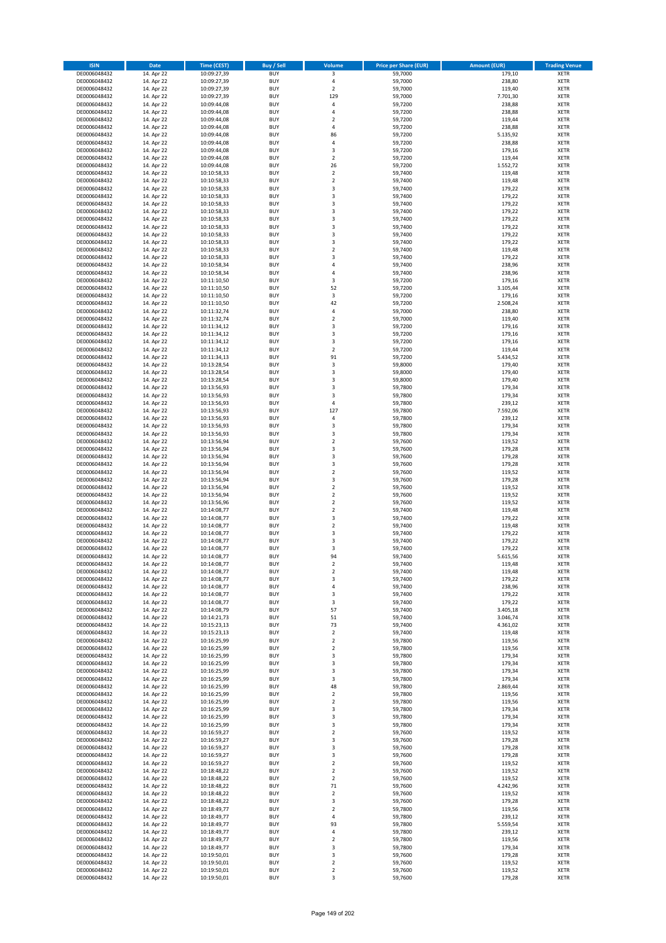| <b>ISIN</b>                  | <b>Date</b>              | <b>Time (CEST)</b>         | <b>Buy / Sell</b>        | Volume                                 | <b>Price per Share (EUR)</b> | <b>Amount (EUR)</b> | <b>Trading Venue</b>       |
|------------------------------|--------------------------|----------------------------|--------------------------|----------------------------------------|------------------------------|---------------------|----------------------------|
| DE0006048432                 | 14. Apr 22               | 10:09:27,39                | <b>BUY</b>               | 3                                      | 59,7000                      | 179,10              | <b>XETR</b>                |
| DE0006048432                 | 14. Apr 22               | 10:09:27,39                | <b>BUY</b>               | 4                                      | 59,7000                      | 238,80              | <b>XETR</b>                |
| DE0006048432                 | 14. Apr 22               | 10:09:27,39                | <b>BUY</b>               | $\overline{2}$                         | 59,7000                      | 119,40              | <b>XETR</b>                |
| DE0006048432<br>DE0006048432 | 14. Apr 22<br>14. Apr 22 | 10:09:27,39<br>10:09:44,08 | <b>BUY</b><br><b>BUY</b> | 129<br>4                               | 59,7000<br>59,7200           | 7.701,30<br>238,88  | <b>XETR</b><br><b>XETR</b> |
| DE0006048432                 | 14. Apr 22               | 10:09:44,08                | <b>BUY</b>               | 4                                      | 59,7200                      | 238,88              | <b>XETR</b>                |
| DE0006048432                 | 14. Apr 22               | 10:09:44,08                | <b>BUY</b>               | $\overline{\mathbf{c}}$                | 59,7200                      | 119,44              | <b>XETR</b>                |
| DE0006048432                 | 14. Apr 22               | 10:09:44,08                | <b>BUY</b>               | 4                                      | 59,7200                      | 238,88              | <b>XETR</b>                |
| DE0006048432                 | 14. Apr 22               | 10:09:44,08                | <b>BUY</b>               | 86                                     | 59,7200                      | 5.135,92            | <b>XETR</b>                |
| DE0006048432                 | 14. Apr 22               | 10:09:44,08                | <b>BUY</b><br><b>BUY</b> | 4                                      | 59,7200                      | 238,88              | <b>XETR</b><br><b>XETR</b> |
| DE0006048432<br>DE0006048432 | 14. Apr 22<br>14. Apr 22 | 10:09:44,08<br>10:09:44,08 | <b>BUY</b>               | 3<br>$\overline{\mathbf{c}}$           | 59,7200<br>59,7200           | 179,16<br>119,44    | <b>XETR</b>                |
| DE0006048432                 | 14. Apr 22               | 10:09:44,08                | <b>BUY</b>               | 26                                     | 59,7200                      | 1.552,72            | <b>XETR</b>                |
| DE0006048432                 | 14. Apr 22               | 10:10:58,33                | <b>BUY</b>               | $\overline{\mathbf{c}}$                | 59,7400                      | 119,48              | <b>XETR</b>                |
| DE0006048432                 | 14. Apr 22               | 10:10:58,33                | <b>BUY</b>               | $\mathbf 2$                            | 59,7400                      | 119,48              | <b>XETR</b>                |
| DE0006048432                 | 14. Apr 22               | 10:10:58,33                | <b>BUY</b>               | 3                                      | 59,7400                      | 179,22              | <b>XETR</b>                |
| DE0006048432<br>DE0006048432 | 14. Apr 22<br>14. Apr 22 | 10:10:58,33<br>10:10:58,33 | <b>BUY</b><br><b>BUY</b> | 3<br>3                                 | 59,7400<br>59,7400           | 179,22<br>179,22    | <b>XETR</b><br><b>XETR</b> |
| DE0006048432                 | 14. Apr 22               | 10:10:58,33                | <b>BUY</b>               | 3                                      | 59.7400                      | 179,22              | <b>XETR</b>                |
| DE0006048432                 | 14. Apr 22               | 10:10:58,33                | <b>BUY</b>               | 3                                      | 59,7400                      | 179,22              | <b>XETR</b>                |
| DE0006048432                 | 14. Apr 22               | 10:10:58,33                | <b>BUY</b>               | 3                                      | 59,7400                      | 179,22              | <b>XETR</b>                |
| DE0006048432                 | 14. Apr 22               | 10:10:58,33                | <b>BUY</b>               | 3                                      | 59,7400                      | 179,22              | <b>XETR</b>                |
| DE0006048432                 | 14. Apr 22               | 10:10:58,33                | <b>BUY</b>               | 3                                      | 59,7400                      | 179,22              | <b>XETR</b>                |
| DE0006048432<br>DE0006048432 | 14. Apr 22<br>14. Apr 22 | 10:10:58,33<br>10:10:58,33 | <b>BUY</b><br><b>BUY</b> | $\mathbf 2$<br>3                       | 59,7400<br>59,7400           | 119,48<br>179,22    | <b>XETR</b><br><b>XETR</b> |
| DE0006048432                 | 14. Apr 22               | 10:10:58,34                | <b>BUY</b>               | 4                                      | 59,7400                      | 238,96              | <b>XETR</b>                |
| DE0006048432                 | 14. Apr 22               | 10:10:58,34                | <b>BUY</b>               | 4                                      | 59,7400                      | 238,96              | <b>XETR</b>                |
| DE0006048432                 | 14. Apr 22               | 10:11:10,50                | <b>BUY</b>               | 3                                      | 59,7200                      | 179,16              | <b>XETR</b>                |
| DE0006048432                 | 14. Apr 22               | 10:11:10,50                | <b>BUY</b>               | 52                                     | 59,7200                      | 3.105,44            | <b>XETR</b>                |
| DE0006048432<br>DE0006048432 | 14. Apr 22<br>14. Apr 22 | 10:11:10,50<br>10:11:10,50 | <b>BUY</b><br><b>BUY</b> | 3<br>42                                | 59,7200<br>59,7200           | 179,16<br>2.508,24  | <b>XETR</b><br><b>XETR</b> |
| DE0006048432                 | 14. Apr 22               | 10:11:32,74                | <b>BUY</b>               | 4                                      | 59,7000                      | 238,80              | <b>XETR</b>                |
| DE0006048432                 | 14. Apr 22               | 10:11:32,74                | <b>BUY</b>               | $\mathbf 2$                            | 59,7000                      | 119,40              | <b>XETR</b>                |
| DE0006048432                 | 14. Apr 22               | 10:11:34,12                | <b>BUY</b>               | 3                                      | 59,7200                      | 179,16              | <b>XETR</b>                |
| DE0006048432                 | 14. Apr 22               | 10:11:34.12                | <b>BUY</b>               | 3                                      | 59.7200                      | 179,16              | <b>XETR</b>                |
| DE0006048432                 | 14. Apr 22               | 10:11:34,12                | <b>BUY</b>               | 3                                      | 59,7200                      | 179,16              | <b>XETR</b>                |
| DE0006048432<br>DE0006048432 | 14. Apr 22<br>14. Apr 22 | 10:11:34,12<br>10:11:34,13 | <b>BUY</b><br><b>BUY</b> | $\overline{\mathbf{c}}$<br>91          | 59,7200<br>59,7200           | 119,44<br>5.434,52  | <b>XETR</b><br><b>XETR</b> |
| DE0006048432                 | 14. Apr 22               | 10:13:28,54                | <b>BUY</b>               | 3                                      | 59,8000                      | 179,40              | <b>XETR</b>                |
| DE0006048432                 | 14. Apr 22               | 10:13:28,54                | <b>BUY</b>               | 3                                      | 59,8000                      | 179,40              | <b>XETR</b>                |
| DE0006048432                 | 14. Apr 22               | 10:13:28,54                | <b>BUY</b>               | 3                                      | 59,8000                      | 179,40              | <b>XETR</b>                |
| DE0006048432                 | 14. Apr 22               | 10:13:56,93                | <b>BUY</b>               | 3                                      | 59,7800                      | 179,34              | <b>XETR</b>                |
| DE0006048432                 | 14. Apr 22               | 10:13:56,93                | <b>BUY</b>               | 3                                      | 59,7800                      | 179,34              | <b>XETR</b>                |
| DE0006048432<br>DE0006048432 | 14. Apr 22<br>14. Apr 22 | 10:13:56,93<br>10:13:56,93 | <b>BUY</b><br><b>BUY</b> | 4<br>127                               | 59,7800<br>59,7800           | 239,12<br>7.592,06  | <b>XETR</b><br><b>XETR</b> |
| DE0006048432                 | 14. Apr 22               | 10:13:56,93                | <b>BUY</b>               | 4                                      | 59,7800                      | 239,12              | <b>XETR</b>                |
| DE0006048432                 | 14. Apr 22               | 10:13:56,93                | <b>BUY</b>               | 3                                      | 59,7800                      | 179,34              | <b>XETR</b>                |
| DE0006048432                 | 14. Apr 22               | 10:13:56,93                | <b>BUY</b>               | 3                                      | 59,7800                      | 179,34              | <b>XETR</b>                |
| DE0006048432                 | 14. Apr 22               | 10:13:56,94                | <b>BUY</b>               | $\mathbf 2$                            | 59,7600                      | 119,52              | <b>XETR</b>                |
| DE0006048432<br>DE0006048432 | 14. Apr 22<br>14. Apr 22 | 10:13:56,94<br>10:13:56,94 | <b>BUY</b><br><b>BUY</b> | 3<br>3                                 | 59,7600<br>59,7600           | 179,28<br>179,28    | <b>XETR</b><br><b>XETR</b> |
| DE0006048432                 | 14. Apr 22               | 10:13:56,94                | <b>BUY</b>               | 3                                      | 59,7600                      | 179,28              | <b>XETR</b>                |
| DE0006048432                 | 14. Apr 22               | 10:13:56,94                | <b>BUY</b>               | $\overline{2}$                         | 59,7600                      | 119,52              | <b>XETR</b>                |
| DE0006048432                 | 14. Apr 22               | 10:13:56,94                | <b>BUY</b>               | 3                                      | 59,7600                      | 179,28              | <b>XETR</b>                |
| DE0006048432                 | 14. Apr 22               | 10:13:56,94                | <b>BUY</b>               | $\overline{\mathbf{c}}$                | 59,7600                      | 119,52              | <b>XETR</b>                |
| DE0006048432                 | 14. Apr 22               | 10:13:56,94                | <b>BUY</b>               | $\mathbf 2$                            | 59,7600                      | 119,52              | <b>XETR</b>                |
| DE0006048432<br>DE0006048432 | 14. Apr 22<br>14. Apr 22 | 10:13:56,96<br>10:14:08,77 | <b>BUY</b><br><b>BUY</b> | $\overline{\mathbf{c}}$<br>$\mathbf 2$ | 59,7600<br>59,7400           | 119,52<br>119,48    | <b>XETR</b><br><b>XETR</b> |
| DE0006048432                 | 14. Apr 22               | 10:14:08,77                | <b>BUY</b>               | 3                                      | 59,7400                      | 179,22              | <b>XETR</b>                |
| DE0006048432                 | 14. Apr 22               | 10:14:08,77                | <b>BUY</b>               | $\overline{2}$                         | 59,7400                      | 119,48              | <b>XETR</b>                |
| DE0006048432                 | 14. Apr 22               | 10:14:08,77                | <b>BUY</b>               | 3                                      | 59,7400                      | 179,22              | <b>XETR</b>                |
| DE0006048432                 | 14. Apr 22               | 10:14:08,77                | <b>BUY</b>               | 3                                      | 59,7400                      | 179,22              | <b>XETR</b>                |
| DE0006048432<br>DE0006048432 | 14. Apr 22<br>14. Apr 22 | 10:14:08,77<br>10:14:08,77 | <b>BUY</b><br><b>BUY</b> | 3<br>94                                | 59,7400<br>59,7400           | 179,22<br>5.615,56  | <b>XETR</b><br><b>XETR</b> |
| DE0006048432                 | 14. Apr 22               | 10:14:08,77                | BUY                      | 2                                      | 59,7400                      | 119,48              | <b>XETR</b>                |
| DE0006048432                 | 14. Apr 22               | 10:14:08,77                | <b>BUY</b>               | $\mathbf 2$                            | 59,7400                      | 119,48              | <b>XETR</b>                |
| DE0006048432                 | 14. Apr 22               | 10:14:08,77                | <b>BUY</b>               | 3                                      | 59,7400                      | 179,22              | <b>XETR</b>                |
| DE0006048432                 | 14. Apr 22               | 10:14:08,77                | <b>BUY</b>               | 4                                      | 59,7400                      | 238,96              | XETR                       |
| DE0006048432                 | 14. Apr 22               | 10:14:08,77                | <b>BUY</b>               | 3                                      | 59.7400<br>59,7400           | 179,22              | <b>XETR</b>                |
| DE0006048432<br>DE0006048432 | 14. Apr 22<br>14. Apr 22 | 10:14:08,77<br>10:14:08,79 | <b>BUY</b><br><b>BUY</b> | 3<br>57                                | 59,7400                      | 179,22<br>3.405,18  | <b>XETR</b><br><b>XETR</b> |
| DE0006048432                 | 14. Apr 22               | 10:14:21,73                | <b>BUY</b>               | 51                                     | 59,7400                      | 3.046,74            | <b>XETR</b>                |
| DE0006048432                 | 14. Apr 22               | 10:15:23,13                | <b>BUY</b>               | 73                                     | 59,7400                      | 4.361,02            | <b>XETR</b>                |
| DE0006048432                 | 14. Apr 22               | 10:15:23,13                | <b>BUY</b>               | $\mathbf 2$                            | 59,7400                      | 119,48              | XETR                       |
| DE0006048432                 | 14. Apr 22               | 10:16:25,99                | <b>BUY</b>               | $\mathbf 2$<br>$\overline{2}$          | 59,7800<br>59.7800           | 119,56              | <b>XETR</b>                |
| DE0006048432<br>DE0006048432 | 14. Apr 22<br>14. Apr 22 | 10:16:25,99<br>10:16:25,99 | <b>BUY</b><br><b>BUY</b> | 3                                      | 59,7800                      | 119,56<br>179,34    | <b>XETR</b><br><b>XETR</b> |
| DE0006048432                 | 14. Apr 22               | 10:16:25,99                | <b>BUY</b>               | 3                                      | 59,7800                      | 179,34              | <b>XETR</b>                |
| DE0006048432                 | 14. Apr 22               | 10:16:25,99                | <b>BUY</b>               | 3                                      | 59,7800                      | 179,34              | <b>XETR</b>                |
| DE0006048432                 | 14. Apr 22               | 10:16:25,99                | <b>BUY</b>               | 3                                      | 59,7800                      | 179,34              | <b>XETR</b>                |
| DE0006048432                 | 14. Apr 22               | 10:16:25,99                | <b>BUY</b>               | 48                                     | 59,7800                      | 2.869,44            | <b>XETR</b>                |
| DE0006048432<br>DE0006048432 | 14. Apr 22<br>14. Apr 22 | 10:16:25,99<br>10:16:25,99 | <b>BUY</b><br><b>BUY</b> | $\mathbf 2$<br>$\mathbf 2$             | 59,7800<br>59,7800           | 119,56<br>119,56    | <b>XETR</b><br>XETR        |
| DE0006048432                 | 14. Apr 22               | 10:16:25,99                | <b>BUY</b>               | 3                                      | 59,7800                      | 179,34              | <b>XETR</b>                |
| DE0006048432                 | 14. Apr 22               | 10:16:25,99                | <b>BUY</b>               | 3                                      | 59,7800                      | 179,34              | <b>XETR</b>                |
| DE0006048432                 | 14. Apr 22               | 10:16:25,99                | <b>BUY</b>               | 3                                      | 59,7800                      | 179,34              | <b>XETR</b>                |
| DE0006048432                 | 14. Apr 22               | 10:16:59,27                | <b>BUY</b>               | $\overline{\mathbf{c}}$                | 59,7600                      | 119,52              | <b>XETR</b>                |
| DE0006048432<br>DE0006048432 | 14. Apr 22<br>14. Apr 22 | 10:16:59,27<br>10:16:59,27 | <b>BUY</b><br><b>BUY</b> | 3<br>3                                 | 59,7600<br>59,7600           | 179,28<br>179,28    | <b>XETR</b><br><b>XETR</b> |
| DE0006048432                 | 14. Apr 22               | 10:16:59,27                | <b>BUY</b>               | 3                                      | 59,7600                      | 179,28              | <b>XETR</b>                |
| DE0006048432                 | 14. Apr 22               | 10:16:59,27                | <b>BUY</b>               | $\mathbf 2$                            | 59,7600                      | 119,52              | <b>XETR</b>                |
| DE0006048432                 | 14. Apr 22               | 10:18:48,22                | <b>BUY</b>               | $\overline{2}$                         | 59,7600                      | 119,52              | <b>XETR</b>                |
| DE0006048432                 | 14. Apr 22               | 10:18:48,22                | <b>BUY</b>               | 2                                      | 59,7600                      | 119,52              | <b>XETR</b>                |
| DE0006048432                 | 14. Apr 22               | 10:18:48,22                | <b>BUY</b>               | 71                                     | 59,7600                      | 4.242,96            | XETR                       |
| DE0006048432<br>DE0006048432 | 14. Apr 22<br>14. Apr 22 | 10:18:48,22<br>10:18:48,22 | <b>BUY</b><br><b>BUY</b> | $\mathbf 2$<br>3                       | 59,7600<br>59,7600           | 119,52<br>179,28    | <b>XETR</b><br><b>XETR</b> |
| DE0006048432                 | 14. Apr 22               | 10:18:49,77                | <b>BUY</b>               | $\mathbf 2$                            | 59,7800                      | 119,56              | <b>XETR</b>                |
| DE0006048432                 | 14. Apr 22               | 10:18:49,77                | <b>BUY</b>               | 4                                      | 59,7800                      | 239,12              | <b>XETR</b>                |
| DE0006048432                 | 14. Apr 22               | 10:18:49,77                | <b>BUY</b>               | 93                                     | 59,7800                      | 5.559,54            | <b>XETR</b>                |
| DE0006048432                 | 14. Apr 22               | 10:18:49,77                | <b>BUY</b>               | 4                                      | 59,7800                      | 239,12              | <b>XETR</b>                |
| DE0006048432<br>DE0006048432 | 14. Apr 22<br>14. Apr 22 | 10:18:49,77<br>10:18:49,77 | <b>BUY</b><br><b>BUY</b> | $\overline{\mathbf{c}}$<br>3           | 59,7800<br>59,7800           | 119,56<br>179,34    | <b>XETR</b><br>XETR        |
| DE0006048432                 | 14. Apr 22               | 10:19:50,01                | <b>BUY</b>               | 3                                      | 59,7600                      | 179,28              | <b>XETR</b>                |
| DE0006048432                 | 14. Apr 22               | 10:19:50,01                | <b>BUY</b>               | $\mathbf 2$                            | 59,7600                      | 119,52              | <b>XETR</b>                |
| DE0006048432                 | 14. Apr 22               | 10:19:50,01                | <b>BUY</b>               | $\mathbf 2$                            | 59,7600                      | 119,52              | <b>XETR</b>                |
| DE0006048432                 | 14. Apr 22               | 10:19:50,01                | <b>BUY</b>               | 3                                      | 59,7600                      | 179,28              | XETR                       |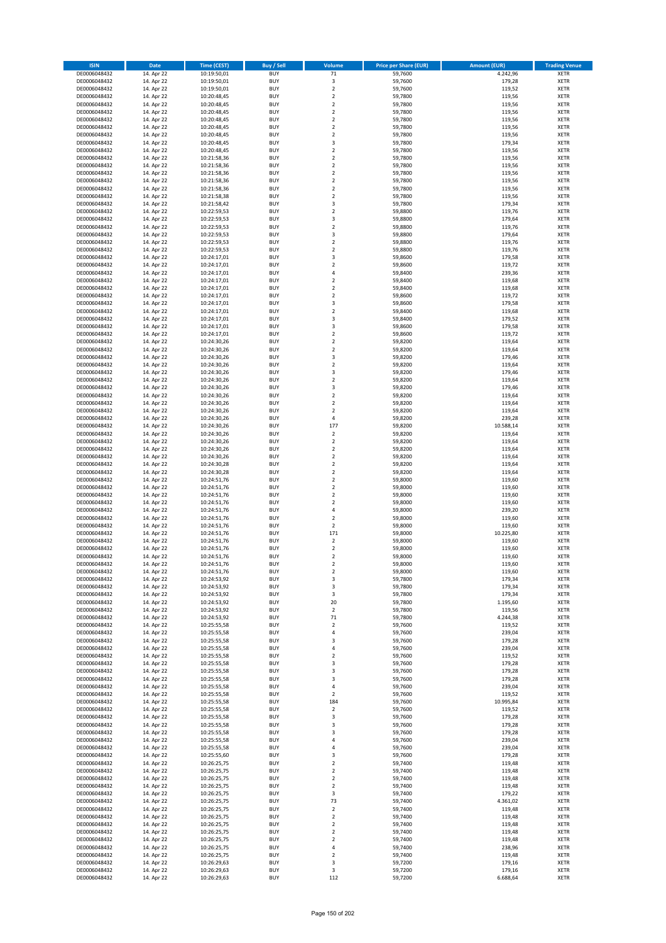| <b>ISIN</b>                  | <b>Date</b>              | Time (CEST)                | <b>Buy / Sell</b>        | Volume                                    | <b>Price per Share (EUR)</b> | <b>Amount (EUR)</b> | <b>Trading Venue</b>       |
|------------------------------|--------------------------|----------------------------|--------------------------|-------------------------------------------|------------------------------|---------------------|----------------------------|
| DE0006048432                 | 14. Apr 22               | 10:19:50,01                | <b>BUY</b>               | 71                                        | 59,7600                      | 4.242,96            | <b>XETR</b>                |
| DE0006048432                 | 14. Apr 22               | 10:19:50,01                | <b>BUY</b>               | 3                                         | 59,7600                      | 179,28              | <b>XETR</b>                |
| DE0006048432                 | 14. Apr 22               | 10:19:50,01                | <b>BUY</b>               | $\overline{2}$                            | 59,7600                      | 119,52              | <b>XETR</b>                |
| DE0006048432                 | 14. Apr 22               | 10:20:48,45                | <b>BUY</b>               | $\mathbf 2$                               | 59,7800                      | 119,56              | <b>XETR</b>                |
| DE0006048432                 | 14. Apr 22               | 10:20:48,45                | <b>BUY</b>               | $\overline{\mathbf{2}}$                   | 59,7800                      | 119,56              | <b>XETR</b>                |
| DE0006048432                 | 14. Apr 22               | 10:20:48,45                | <b>BUY</b>               | $\mathbf 2$                               | 59,7800                      | 119,56              | <b>XETR</b>                |
| DE0006048432                 | 14. Apr 22               | 10:20:48,45                | <b>BUY</b>               | $\overline{\mathbf{2}}$                   | 59,7800                      | 119,56              | <b>XETR</b>                |
| DE0006048432                 | 14. Apr 22               | 10:20:48,45                | <b>BUY</b>               | $\overline{\mathbf{2}}$                   | 59,7800                      | 119,56              | <b>XETR</b>                |
| DE0006048432<br>DE0006048432 | 14. Apr 22<br>14. Apr 22 | 10:20:48,45                | BUY<br><b>BUY</b>        | $\overline{\mathbf{2}}$<br>3              | 59,7800<br>59,7800           | 119,56<br>179,34    | <b>XETR</b><br><b>XETR</b> |
| DE0006048432                 | 14. Apr 22               | 10:20:48,45<br>10:20:48,45 | <b>BUY</b>               | $\mathbf 2$                               | 59,7800                      | 119,56              | <b>XETR</b>                |
| DE0006048432                 | 14. Apr 22               | 10:21:58,36                | <b>BUY</b>               | $\overline{\mathbf{2}}$                   | 59,7800                      | 119,56              | <b>XETR</b>                |
| DE0006048432                 | 14. Apr 22               | 10:21:58,36                | <b>BUY</b>               | $\overline{2}$                            | 59,7800                      | 119,56              | <b>XETR</b>                |
| DE0006048432                 | 14. Apr 22               | 10:21:58,36                | <b>BUY</b>               | $\overline{\mathbf{2}}$                   | 59,7800                      | 119,56              | <b>XETR</b>                |
| DE0006048432                 | 14. Apr 22               | 10:21:58,36                | <b>BUY</b>               | $\overline{\mathbf{2}}$                   | 59,7800                      | 119,56              | <b>XETR</b>                |
| DE0006048432                 | 14. Apr 22               | 10:21:58,36                | BUY                      | $\overline{2}$                            | 59,7800                      | 119,56              | <b>XETR</b>                |
| DE0006048432                 | 14. Apr 22               | 10:21:58,38                | <b>BUY</b>               | $\overline{2}$                            | 59,7800                      | 119,56              | <b>XETR</b>                |
| DE0006048432                 | 14. Apr 22               | 10:21:58,42                | <b>BUY</b>               | 3                                         | 59,7800                      | 179,34              | <b>XETR</b>                |
| DE0006048432                 | 14. Apr 22               | 10:22:59,53                | <b>BUY</b>               | $\overline{2}$                            | 59.8800                      | 119,76              | <b>XETR</b>                |
| DE0006048432                 | 14. Apr 22               | 10:22:59,53                | <b>BUY</b>               | $\overline{\mathbf{3}}$                   | 59,8800                      | 179,64              | <b>XETR</b>                |
| DE0006048432<br>DE0006048432 | 14. Apr 22<br>14. Apr 22 | 10:22:59,53<br>10:22:59,53 | <b>BUY</b><br><b>BUY</b> | $\overline{\mathbf{2}}$<br>3              | 59,8800<br>59,8800           | 119,76<br>179,64    | <b>XETR</b><br><b>XETR</b> |
| DE0006048432                 | 14. Apr 22               | 10:22:59,53                | <b>BUY</b>               | $\overline{\mathbf{2}}$                   | 59,8800                      | 119,76              | <b>XETR</b>                |
| DE0006048432                 | 14. Apr 22               | 10:22:59,53                | <b>BUY</b>               | $\overline{2}$                            | 59,8800                      | 119,76              | <b>XETR</b>                |
| DE0006048432                 | 14. Apr 22               | 10:24:17,01                | <b>BUY</b>               | 3                                         | 59,8600                      | 179,58              | <b>XETR</b>                |
| DE0006048432                 | 14. Apr 22               | 10:24:17,01                | <b>BUY</b>               | $\overline{\mathbf{2}}$                   | 59,8600                      | 119,72              | <b>XETR</b>                |
| DE0006048432                 | 14. Apr 22               | 10:24:17,01                | <b>BUY</b>               | $\overline{4}$                            | 59,8400                      | 239,36              | <b>XETR</b>                |
| DE0006048432                 | 14. Apr 22               | 10:24:17,01                | <b>BUY</b>               | $\overline{2}$                            | 59,8400                      | 119,68              | <b>XETR</b>                |
| DE0006048432                 | 14. Apr 22               | 10:24:17,01                | <b>BUY</b>               | $\mathbf 2$                               | 59,8400                      | 119,68              | <b>XETR</b>                |
| DE0006048432                 | 14. Apr 22               | 10:24:17,01                | <b>BUY</b>               | $\overline{2}$                            | 59,8600                      | 119,72              | <b>XETR</b>                |
| DE0006048432                 | 14. Apr 22               | 10:24:17,01                | <b>BUY</b>               | 3                                         | 59,8600                      | 179,58              | <b>XETR</b>                |
| DE0006048432<br>DE0006048432 | 14. Apr 22<br>14. Apr 22 | 10:24:17,01                | <b>BUY</b><br><b>BUY</b> | $\mathbf 2$                               | 59,8400<br>59,8400           | 119,68<br>179,52    | <b>XETR</b><br><b>XETR</b> |
| DE0006048432                 | 14. Apr 22               | 10:24:17,01<br>10:24:17,01 | <b>BUY</b>               | 3<br>3                                    | 59,8600                      | 179,58              | <b>XETR</b>                |
| DE0006048432                 | 14. Apr 22               | 10:24:17,01                | <b>BUY</b>               | $\overline{2}$                            | 59,8600                      | 119,72              | <b>XETR</b>                |
| DE0006048432                 | 14. Apr 22               | 10:24:30,26                | <b>BUY</b>               | $\mathbf 2$                               | 59,8200                      | 119,64              | <b>XETR</b>                |
| DE0006048432                 | 14. Apr 22               | 10:24:30,26                | <b>BUY</b>               | $\overline{2}$                            | 59,8200                      | 119,64              | <b>XETR</b>                |
| DE0006048432                 | 14. Apr 22               | 10:24:30,26                | <b>BUY</b>               | 3                                         | 59,8200                      | 179,46              | <b>XETR</b>                |
| DE0006048432                 | 14. Apr 22               | 10:24:30,26                | <b>BUY</b>               | $\mathbf 2$                               | 59,8200                      | 119,64              | <b>XETR</b>                |
| DE0006048432                 | 14. Apr 22               | 10:24:30,26                | <b>BUY</b>               | 3                                         | 59,8200                      | 179,46              | <b>XETR</b>                |
| DE0006048432                 | 14. Apr 22               | 10:24:30,26                | <b>BUY</b>               | $\overline{2}$                            | 59,8200                      | 119,64              | <b>XETR</b>                |
| DE0006048432                 | 14. Apr 22               | 10:24:30,26                | <b>BUY</b>               | 3                                         | 59,8200                      | 179,46              | <b>XETR</b>                |
| DE0006048432                 | 14. Apr 22               | 10:24:30,26                | <b>BUY</b>               | $\mathbf 2$                               | 59,8200                      | 119,64              | <b>XETR</b>                |
| DE0006048432                 | 14. Apr 22               | 10:24:30,26                | <b>BUY</b><br><b>BUY</b> | $\overline{\mathbf{2}}$                   | 59,8200                      | 119,64              | <b>XETR</b>                |
| DE0006048432<br>DE0006048432 | 14. Apr 22<br>14. Apr 22 | 10:24:30,26<br>10:24:30,26 | <b>BUY</b>               | $\overline{\mathbf{2}}$<br>$\sqrt{4}$     | 59,8200<br>59,8200           | 119,64<br>239,28    | <b>XETR</b><br><b>XETR</b> |
| DE0006048432                 | 14. Apr 22               | 10:24:30,26                | <b>BUY</b>               | 177                                       | 59,8200                      | 10.588,14           | <b>XETR</b>                |
| DE0006048432                 | 14. Apr 22               | 10:24:30,26                | <b>BUY</b>               | $\mathbf 2$                               | 59,8200                      | 119,64              | <b>XETR</b>                |
| DE0006048432                 | 14. Apr 22               | 10:24:30,26                | <b>BUY</b>               | $\mathbf 2$                               | 59,8200                      | 119,64              | <b>XETR</b>                |
| DE0006048432                 | 14. Apr 22               | 10:24:30,26                | <b>BUY</b>               | $\overline{\mathbf{2}}$                   | 59,8200                      | 119,64              | <b>XETR</b>                |
| DE0006048432                 | 14. Apr 22               | 10:24:30,26                | <b>BUY</b>               | $\overline{\mathbf{2}}$                   | 59,8200                      | 119,64              | <b>XETR</b>                |
| DE0006048432                 | 14. Apr 22               | 10:24:30,28                | <b>BUY</b>               | $\overline{2}$                            | 59,8200                      | 119,64              | <b>XETR</b>                |
| DE0006048432                 | 14. Apr 22               | 10:24:30,28                | <b>BUY</b>               | $\overline{\mathbf{2}}$                   | 59,8200                      | 119,64              | <b>XETR</b>                |
| DE0006048432                 | 14. Apr 22               | 10:24:51,76                | <b>BUY</b>               | $\mathbf 2$                               | 59,8000                      | 119,60              | <b>XETR</b>                |
| DE0006048432                 | 14. Apr 22               | 10:24:51,76<br>10:24:51,76 | <b>BUY</b>               | $\overline{\mathbf{2}}$<br>$\overline{2}$ | 59,8000                      | 119,60              | <b>XETR</b>                |
| DE0006048432<br>DE0006048432 | 14. Apr 22<br>14. Apr 22 | 10:24:51,76                | <b>BUY</b><br><b>BUY</b> | $\overline{\mathbf{2}}$                   | 59,8000<br>59,8000           | 119,60<br>119,60    | <b>XETR</b><br><b>XETR</b> |
| DE0006048432                 | 14. Apr 22               | 10:24:51,76                | <b>BUY</b>               | 4                                         | 59,8000                      | 239,20              | <b>XETR</b>                |
| DE0006048432                 | 14. Apr 22               | 10:24:51,76                | BUY                      | $\overline{\mathbf{2}}$                   | 59,8000                      | 119,60              | <b>XETR</b>                |
| DE0006048432                 | 14. Apr 22               | 10:24:51,76                | <b>BUY</b>               | $\overline{2}$                            | 59,8000                      | 119,60              | <b>XETR</b>                |
| DE0006048432                 | 14. Apr 22               | 10:24:51,76                | <b>BUY</b>               | 171                                       | 59,8000                      | 10.225,80           | <b>XETR</b>                |
| DE0006048432                 | 14. Apr 22               | 10:24:51,76                | BUY                      | $\overline{2}$                            | 59,8000                      | 119,60              | <b>XETR</b>                |
| DE0006048432                 | 14. Apr 22               | 10:24:51,76                | BUY                      | $\mathbf 2$                               | 59,8000                      | 119,60              | <b>XETR</b>                |
| DE0006048432                 | 14. Apr 22               | 10:24:51,76                | <b>BUY</b>               | $\overline{2}$                            | 59,8000                      | 119,60              | <b>XETR</b>                |
| DE0006048432                 | 14. Apr 22               | 10:24:51,76                | <b>BUY</b>               | 2                                         | 59,8000                      | 119,60              | <b>XETR</b>                |
| DE0006048432<br>DE0006048432 | 14. Apr 22<br>14. Apr 22 | 10:24:51,76<br>10:24:53,92 | <b>BUY</b><br><b>BUY</b> | $\mathbf 2$<br>3                          | 59,8000<br>59,7800           | 119,60<br>179,34    | <b>XETR</b><br><b>XETR</b> |
| DE0006048432                 | 14. Apr 22               | 10:24:53,92                | <b>BUY</b>               | 3                                         | 59,7800                      | 179,34              | <b>XETR</b>                |
| DE0006048432                 | 14. Apr 22               | 10:24:53,92                | <b>BUY</b>               | 3                                         | 59,7800                      | 179,34              | <b>XETR</b>                |
| DE0006048432                 | 14. Apr 22               | 10:24:53,92                | <b>BUY</b>               | 20                                        | 59,7800                      | 1.195,60            | <b>XETR</b>                |
| DE0006048432                 | 14. Apr 22               | 10:24:53,92                | <b>BUY</b>               | 2                                         | 59,7800                      | 119,56              | <b>XETR</b>                |
| DE0006048432                 | 14. Apr 22               | 10:24:53,92                | <b>BUY</b>               | 71                                        | 59,7800                      | 4.244,38            | <b>XETR</b>                |
| DE0006048432                 | 14. Apr 22               | 10:25:55,58                | <b>BUY</b>               | $\mathbf 2$                               | 59,7600                      | 119,52              | <b>XETR</b>                |
| DE0006048432                 | 14. Apr 22               | 10:25:55,58                | <b>BUY</b>               | 4                                         | 59,7600                      | 239,04              | <b>XETR</b>                |
| DE0006048432                 | 14. Apr 22               | 10:25:55,58                | <b>BUY</b>               | 3                                         | 59,7600                      | 179,28              | <b>XETR</b>                |
| DE0006048432                 | 14. Apr 22               | 10:25:55,58                | <b>BUY</b>               | $\overline{4}$                            | 59,7600                      | 239,04              | <b>XETR</b>                |
| DE0006048432<br>DE0006048432 | 14. Apr 22<br>14. Apr 22 | 10:25:55,58<br>10:25:55,58 | <b>BUY</b><br><b>BUY</b> | $\mathbf 2$<br>$\overline{\mathbf{3}}$    | 59,7600<br>59,7600           | 119,52<br>179,28    | <b>XETR</b><br><b>XETR</b> |
| DE0006048432                 | 14. Apr 22               | 10:25:55,58                | <b>BUY</b>               | 3                                         | 59,7600                      | 179,28              | <b>XETR</b>                |
| DE0006048432                 | 14. Apr 22               | 10:25:55,58                | <b>BUY</b>               | $\overline{\mathbf{3}}$                   | 59,7600                      | 179,28              | <b>XETR</b>                |
| DE0006048432                 | 14. Apr 22               | 10:25:55,58                | <b>BUY</b>               | 4                                         | 59,7600                      | 239,04              | <b>XETR</b>                |
| DE0006048432                 | 14. Apr 22               | 10:25:55,58                | <b>BUY</b>               | $\mathbf 2$                               | 59,7600                      | 119,52              | <b>XETR</b>                |
| DE0006048432                 | 14. Apr 22               | 10:25:55,58                | <b>BUY</b>               | 184                                       | 59,7600                      | 10.995,84           | <b>XETR</b>                |
| DE0006048432                 | 14. Apr 22               | 10:25:55,58                | <b>BUY</b>               | $\mathbf 2$                               | 59,7600                      | 119,52              | <b>XETR</b>                |
| DE0006048432                 | 14. Apr 22               | 10:25:55,58                | <b>BUY</b>               | 3                                         | 59,7600                      | 179,28              | <b>XETR</b>                |
| DE0006048432                 | 14. Apr 22               | 10:25:55,58                | <b>BUY</b>               | 3                                         | 59,7600                      | 179,28              | <b>XETR</b>                |
| DE0006048432                 | 14. Apr 22               | 10:25:55,58                | <b>BUY</b><br><b>BUY</b> | $\overline{\mathbf{3}}$<br>4              | 59,7600                      | 179,28<br>239,04    | <b>XETR</b><br><b>XETR</b> |
| DE0006048432<br>DE0006048432 | 14. Apr 22<br>14. Apr 22 | 10:25:55,58<br>10:25:55,58 | <b>BUY</b>               | 4                                         | 59,7600<br>59,7600           | 239,04              | <b>XETR</b>                |
| DE0006048432                 | 14. Apr 22               | 10:25:55,60                | <b>BUY</b>               | 3                                         | 59,7600                      | 179,28              | <b>XETR</b>                |
| DE0006048432                 | 14. Apr 22               | 10:26:25,75                | <b>BUY</b>               | $\overline{\mathbf{2}}$                   | 59,7400                      | 119,48              | <b>XETR</b>                |
| DE0006048432                 | 14. Apr 22               | 10:26:25,75                | <b>BUY</b>               | $\overline{\mathbf{2}}$                   | 59,7400                      | 119,48              | <b>XETR</b>                |
| DE0006048432                 | 14. Apr 22               | 10:26:25,75                | <b>BUY</b>               | 2                                         | 59,7400                      | 119,48              | <b>XETR</b>                |
| DE0006048432                 | 14. Apr 22               | 10:26:25,75                | <b>BUY</b>               | $\overline{\mathbf{2}}$                   | 59,7400                      | 119,48              | <b>XETR</b>                |
| DE0006048432                 | 14. Apr 22               | 10:26:25,75                | <b>BUY</b>               | 3                                         | 59,7400                      | 179,22              | <b>XETR</b>                |
| DE0006048432                 | 14. Apr 22               | 10:26:25,75                | <b>BUY</b>               | 73                                        | 59,7400                      | 4.361,02            | <b>XETR</b>                |
| DE0006048432                 | 14. Apr 22               | 10:26:25,75                | <b>BUY</b>               | $\mathbf 2$                               | 59,7400                      | 119,48              | <b>XETR</b>                |
| DE0006048432                 | 14. Apr 22               | 10:26:25,75                | <b>BUY</b>               | $\overline{\mathbf{2}}$                   | 59,7400                      | 119,48              | <b>XETR</b>                |
| DE0006048432                 | 14. Apr 22               | 10:26:25,75                | <b>BUY</b>               | $\mathbf 2$                               | 59,7400                      | 119,48              | <b>XETR</b>                |
| DE0006048432<br>DE0006048432 | 14. Apr 22<br>14. Apr 22 | 10:26:25,75<br>10:26:25,75 | <b>BUY</b><br><b>BUY</b> | $\mathbf 2$<br>$\overline{\mathbf{2}}$    | 59,7400<br>59,7400           | 119,48<br>119,48    | <b>XETR</b><br><b>XETR</b> |
| DE0006048432                 | 14. Apr 22               | 10:26:25,75                | <b>BUY</b>               | 4                                         | 59,7400                      | 238,96              | <b>XETR</b>                |
| DE0006048432                 | 14. Apr 22               | 10:26:25,75                | <b>BUY</b>               | 2                                         | 59,7400                      | 119,48              | <b>XETR</b>                |
| DE0006048432                 | 14. Apr 22               | 10:26:29,63                | <b>BUY</b>               | 3                                         | 59,7200                      | 179,16              | <b>XETR</b>                |
| DE0006048432                 | 14. Apr 22               | 10:26:29,63                | <b>BUY</b>               | 3                                         | 59,7200                      | 179,16              | <b>XETR</b>                |
| DE0006048432                 | 14. Apr 22               | 10:26:29,63                | <b>BUY</b>               | 112                                       | 59,7200                      | 6.688,64            | <b>XETR</b>                |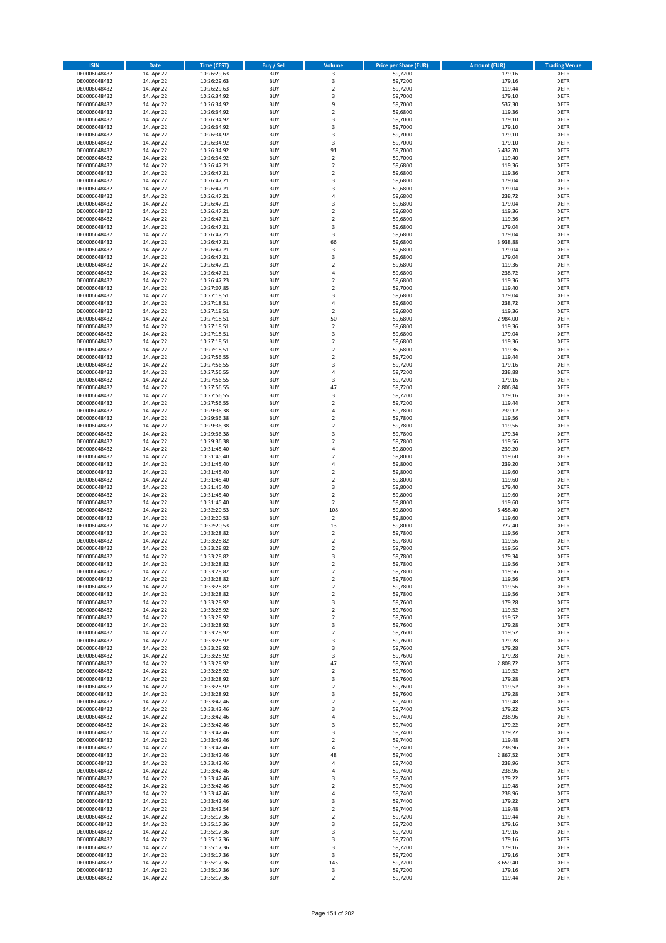| <b>ISIN</b>                  | <b>Date</b>              | <b>Time (CEST)</b>         | <b>Buy / Sell</b>        | Volume                                 | <b>Price per Share (EUR)</b> | <b>Amount (EUR)</b> | <b>Trading Venue</b>       |
|------------------------------|--------------------------|----------------------------|--------------------------|----------------------------------------|------------------------------|---------------------|----------------------------|
| DE0006048432                 | 14. Apr 22               | 10:26:29,63                | <b>BUY</b>               | $\overline{\mathbf{3}}$                | 59,7200                      | 179,16              | <b>XETR</b>                |
| DE0006048432                 | 14. Apr 22               | 10:26:29,63                | <b>BUY</b>               | 3                                      | 59,7200                      | 179,16              | <b>XETR</b>                |
| DE0006048432                 | 14. Apr 22               | 10:26:29,63                | <b>BUY</b>               | $\overline{2}$                         | 59,7200                      | 119,44              | <b>XETR</b>                |
| DE0006048432                 | 14. Apr 22               | 10:26:34,92                | <b>BUY</b>               | 3                                      | 59,7000                      | 179,10              | <b>XETR</b>                |
| DE0006048432                 | 14. Apr 22               | 10:26:34,92                | <b>BUY</b>               | 9                                      | 59,7000                      | 537,30              | <b>XETR</b>                |
| DE0006048432                 | 14. Apr 22               | 10:26:34,92                | <b>BUY</b>               | $\mathbf 2$                            | 59,6800                      | 119,36              | <b>XETR</b>                |
| DE0006048432                 | 14. Apr 22               | 10:26:34,92                | <b>BUY</b>               | $\overline{\mathbf{3}}$                | 59,7000                      | 179,10              | <b>XETR</b>                |
| DE0006048432                 | 14. Apr 22               | 10:26:34,92                | <b>BUY</b>               | 3                                      | 59,7000                      | 179,10              | <b>XETR</b>                |
| DE0006048432                 | 14. Apr 22               | 10:26:34,92                | BUY                      | 3                                      | 59,7000                      | 179,10              | <b>XETR</b>                |
| DE0006048432                 | 14. Apr 22               | 10:26:34,92                | <b>BUY</b>               | 3                                      | 59,7000                      | 179,10              | <b>XETR</b>                |
| DE0006048432                 | 14. Apr 22               | 10:26:34,92                | <b>BUY</b>               | 91                                     | 59,7000                      | 5.432,70            | <b>XETR</b>                |
| DE0006048432                 | 14. Apr 22               | 10:26:34,92                | <b>BUY</b>               | $\overline{2}$                         | 59,7000                      | 119,40              | <b>XETR</b>                |
| DE0006048432                 | 14. Apr 22               | 10:26:47,21                | <b>BUY</b>               | $\overline{2}$                         | 59,6800                      | 119,36              | <b>XETR</b>                |
| DE0006048432<br>DE0006048432 | 14. Apr 22<br>14. Apr 22 | 10:26:47,21                | <b>BUY</b><br><b>BUY</b> | $\overline{\mathbf{2}}$<br>3           | 59,6800                      | 119,36<br>179,04    | <b>XETR</b><br><b>XETR</b> |
| DE0006048432                 | 14. Apr 22               | 10:26:47,21<br>10:26:47,21 | BUY                      | $\overline{3}$                         | 59,6800<br>59,6800           | 179,04              | <b>XETR</b>                |
| DE0006048432                 | 14. Apr 22               | 10:26:47,21                | <b>BUY</b>               | 4                                      | 59,6800                      | 238,72              | <b>XETR</b>                |
| DE0006048432                 | 14. Apr 22               | 10:26:47,21                | <b>BUY</b>               | $\overline{\mathbf{3}}$                | 59,6800                      | 179,04              | <b>XETR</b>                |
| DE0006048432                 | 14. Apr 22               | 10:26:47,21                | <b>BUY</b>               | $\overline{2}$                         | 59.6800                      | 119,36              | <b>XETR</b>                |
| DE0006048432                 | 14. Apr 22               | 10:26:47,21                | <b>BUY</b>               | $\overline{2}$                         | 59,6800                      | 119,36              | <b>XETR</b>                |
| DE0006048432                 | 14. Apr 22               | 10:26:47,21                | <b>BUY</b>               | $\overline{\mathbf{3}}$                | 59,6800                      | 179,04              | <b>XETR</b>                |
| DE0006048432                 | 14. Apr 22               | 10:26:47,21                | <b>BUY</b>               | 3                                      | 59,6800                      | 179,04              | <b>XETR</b>                |
| DE0006048432                 | 14. Apr 22               | 10:26:47,21                | <b>BUY</b>               | 66                                     | 59,6800                      | 3.938,88            | <b>XETR</b>                |
| DE0006048432                 | 14. Apr 22               | 10:26:47,21                | <b>BUY</b>               | 3                                      | 59,6800                      | 179,04              | <b>XETR</b>                |
| DE0006048432                 | 14. Apr 22               | 10:26:47,21                | <b>BUY</b>               | 3                                      | 59,6800                      | 179,04              | <b>XETR</b>                |
| DE0006048432                 | 14. Apr 22               | 10:26:47,21                | <b>BUY</b>               | $\overline{2}$                         | 59,6800                      | 119,36              | <b>XETR</b>                |
| DE0006048432                 | 14. Apr 22               | 10:26:47,21                | <b>BUY</b>               | $\overline{4}$                         | 59,6800                      | 238,72              | <b>XETR</b>                |
| DE0006048432                 | 14. Apr 22               | 10:26:47,23                | <b>BUY</b>               | $\overline{2}$                         | 59,6800                      | 119,36              | <b>XETR</b>                |
| DE0006048432                 | 14. Apr 22               | 10:27:07,85                | <b>BUY</b>               | $\mathbf 2$                            | 59,7000                      | 119,40              | <b>XETR</b>                |
| DE0006048432                 | 14. Apr 22               | 10:27:18,51                | <b>BUY</b>               | $\overline{\mathbf{3}}$                | 59,6800                      | 179,04              | <b>XETR</b>                |
| DE0006048432                 | 14. Apr 22               | 10:27:18,51                | <b>BUY</b>               | $\overline{4}$                         | 59,6800                      | 238,72              | <b>XETR</b>                |
| DE0006048432                 | 14. Apr 22               | 10:27:18,51                | <b>BUY</b>               | $\mathbf 2$                            | 59,6800                      | 119,36              | <b>XETR</b>                |
| DE0006048432                 | 14. Apr 22               | 10:27:18,51                | <b>BUY</b>               | 50                                     | 59,6800                      | 2.984,00            | <b>XETR</b>                |
| DE0006048432                 | 14. Apr 22               | 10:27:18,51                | <b>BUY</b>               | $\mathbf 2$<br>$\overline{\mathbf{3}}$ | 59,6800                      | 119,36              | <b>XETR</b>                |
| DE0006048432<br>DE0006048432 | 14. Apr 22<br>14. Apr 22 | 10:27:18,51<br>10:27:18,51 | <b>BUY</b><br><b>BUY</b> | $\mathbf 2$                            | 59,6800<br>59,6800           | 179,04<br>119,36    | <b>XETR</b><br><b>XETR</b> |
| DE0006048432                 | 14. Apr 22               | 10:27:18,51                | <b>BUY</b>               | $\overline{2}$                         | 59,6800                      | 119,36              | <b>XETR</b>                |
| DE0006048432                 | 14. Apr 22               | 10:27:56,55                | <b>BUY</b>               | $\mathbf 2$                            | 59,7200                      | 119,44              | <b>XETR</b>                |
| DE0006048432                 | 14. Apr 22               | 10:27:56,55                | <b>BUY</b>               | 3                                      | 59,7200                      | 179,16              | <b>XETR</b>                |
| DE0006048432                 | 14. Apr 22               | 10:27:56,55                | <b>BUY</b>               | 4                                      | 59,7200                      | 238,88              | <b>XETR</b>                |
| DE0006048432                 | 14. Apr 22               | 10:27:56,55                | <b>BUY</b>               | $\overline{\mathbf{3}}$                | 59,7200                      | 179,16              | <b>XETR</b>                |
| DE0006048432                 | 14. Apr 22               | 10:27:56,55                | <b>BUY</b>               | 47                                     | 59,7200                      | 2.806,84            | <b>XETR</b>                |
| DE0006048432                 | 14. Apr 22               | 10:27:56,55                | <b>BUY</b>               | 3                                      | 59,7200                      | 179,16              | <b>XETR</b>                |
| DE0006048432                 | 14. Apr 22               | 10:27:56,55                | <b>BUY</b>               | $\overline{2}$                         | 59,7200                      | 119,44              | <b>XETR</b>                |
| DE0006048432                 | 14. Apr 22               | 10:29:36,38                | <b>BUY</b>               | $\overline{4}$                         | 59,7800                      | 239,12              | <b>XETR</b>                |
| DE0006048432                 | 14. Apr 22               | 10:29:36,38                | <b>BUY</b>               | $\overline{2}$                         | 59,7800                      | 119,56              | <b>XETR</b>                |
| DE0006048432                 | 14. Apr 22               | 10:29:36,38                | <b>BUY</b>               | $\mathbf 2$                            | 59,7800                      | 119,56              | <b>XETR</b>                |
| DE0006048432                 | 14. Apr 22               | 10:29:36,38                | <b>BUY</b>               | 3                                      | 59,7800                      | 179,34              | <b>XETR</b>                |
| DE0006048432                 | 14. Apr 22               | 10:29:36,38                | <b>BUY</b>               | $\overline{2}$                         | 59,7800                      | 119,56              | <b>XETR</b>                |
| DE0006048432                 | 14. Apr 22               | 10:31:45,40                | <b>BUY</b>               | $\overline{a}$                         | 59,8000                      | 239,20              | <b>XETR</b>                |
| DE0006048432                 | 14. Apr 22               | 10:31:45,40                | <b>BUY</b>               | $\overline{2}$                         | 59,8000                      | 119,60              | <b>XETR</b>                |
| DE0006048432                 | 14. Apr 22               | 10:31:45,40                | <b>BUY</b>               | $\overline{a}$                         | 59,8000                      | 239,20              | <b>XETR</b>                |
| DE0006048432                 | 14. Apr 22               | 10:31:45,40                | <b>BUY</b><br><b>BUY</b> | $\overline{2}$                         | 59,8000                      | 119,60<br>119,60    | <b>XETR</b>                |
| DE0006048432<br>DE0006048432 | 14. Apr 22<br>14. Apr 22 | 10:31:45,40<br>10:31:45,40 | <b>BUY</b>               | $\mathbf 2$<br>$\overline{\mathbf{3}}$ | 59,8000<br>59,8000           | 179,40              | <b>XETR</b><br><b>XETR</b> |
| DE0006048432                 | 14. Apr 22               | 10:31:45,40                | <b>BUY</b>               | $\overline{2}$                         | 59,8000                      | 119,60              | <b>XETR</b>                |
| DE0006048432                 | 14. Apr 22               | 10:31:45,40                | <b>BUY</b>               | $\overline{2}$                         | 59,8000                      | 119,60              | <b>XETR</b>                |
| DE0006048432                 | 14. Apr 22               | 10:32:20,53                | <b>BUY</b>               | 108                                    | 59,8000                      | 6.458,40            | <b>XETR</b>                |
| DE0006048432                 | 14. Apr 22               | 10:32:20,53                | <b>BUY</b>               | $\overline{2}$                         | 59,8000                      | 119,60              | <b>XETR</b>                |
| DE0006048432                 | 14. Apr 22               | 10:32:20,53                | <b>BUY</b>               | 13                                     | 59,8000                      | 777,40              | <b>XETR</b>                |
| DE0006048432                 | 14. Apr 22               | 10:33:28,82                | <b>BUY</b>               | $\mathbf 2$                            | 59,7800                      | 119,56              | <b>XETR</b>                |
| DE0006048432                 | 14. Apr 22               | 10:33:28,82                | BUY                      | $\overline{2}$                         | 59,7800                      | 119,56              | <b>XETR</b>                |
| DE0006048432                 | 14. Apr 22               | 10:33:28,82                | BUY                      | $\mathbf 2$                            | 59,7800                      | 119,56              | <b>XETR</b>                |
| DE0006048432                 | 14. Apr 22               | 10:33:28,82                | <b>BUY</b>               | $\overline{3}$                         | 59,7800                      | 179,34              | <b>XETR</b>                |
| DE0006048432                 | 14. Apr 22               | 10:33:28,82                | <b>BUY</b>               | 2                                      | 59,7800                      | 119,56              | <b>XETR</b>                |
| DE0006048432                 | 14. Apr 22               | 10:33:28,82                | <b>BUY</b>               | $\mathbf 2$                            | 59,7800                      | 119,56              | <b>XETR</b>                |
| DE0006048432                 | 14. Apr 22               | 10:33:28,82                | <b>BUY</b>               | $\mathbf 2$                            | 59,7800                      | 119,56              | <b>XETR</b>                |
| DE0006048432                 | 14. Apr 22               | 10:33:28,82                | <b>BUY</b>               | $\mathbf 2$                            | 59,7800                      | 119,56              | <b>XETR</b>                |
| DE0006048432                 | 14. Apr 22               | 10:33:28,82                | <b>BUY</b>               | $\overline{2}$                         | 59,7800                      | 119,56              | <b>XETR</b>                |
| DE0006048432                 | 14. Apr 22               | 10:33:28,92                | <b>BUY</b>               | 3                                      | 59,7600                      | 179,28              | <b>XETR</b>                |
| DE0006048432                 | 14. Apr 22               | 10:33:28,92                | <b>BUY</b>               | 2                                      | 59,7600                      | 119,52              | <b>XETR</b>                |
| DE0006048432                 | 14. Apr 22               | 10:33:28,92                | <b>BUY</b>               | 2                                      | 59,7600                      | 119,52              | <b>XETR</b>                |
| DE0006048432                 | 14. Apr 22               | 10:33:28,92<br>10:33:28,92 | <b>BUY</b><br><b>BUY</b> | 3<br>$\mathbf 2$                       | 59,7600                      | 179,28              | <b>XETR</b>                |
| DE0006048432<br>DE0006048432 | 14. Apr 22<br>14. Apr 22 | 10:33:28,92                | <b>BUY</b>               | 3                                      | 59,7600<br>59,7600           | 119,52<br>179,28    | <b>XETR</b><br><b>XETR</b> |
| DE0006048432                 | 14. Apr 22               | 10:33:28,92                | <b>BUY</b>               | 3                                      | 59,7600                      | 179,28              | <b>XETR</b>                |
| DE0006048432                 | 14. Apr 22               | 10:33:28,92                | <b>BUY</b>               | 3                                      | 59,7600                      | 179,28              | <b>XETR</b>                |
| DE0006048432                 | 14. Apr 22               | 10:33:28,92                | <b>BUY</b>               | 47                                     | 59,7600                      | 2.808,72            | <b>XETR</b>                |
| DE0006048432                 | 14. Apr 22               | 10:33:28,92                | <b>BUY</b>               | $\mathbf 2$                            | 59,7600                      | 119,52              | <b>XETR</b>                |
| DE0006048432                 | 14. Apr 22               | 10:33:28,92                | <b>BUY</b>               | 3                                      | 59,7600                      | 179,28              | <b>XETR</b>                |
| DE0006048432                 | 14. Apr 22               | 10:33:28,92                | <b>BUY</b>               | $\mathbf 2$                            | 59,7600                      | 119,52              | <b>XETR</b>                |
| DE0006048432                 | 14. Apr 22               | 10:33:28,92                | <b>BUY</b>               | 3                                      | 59,7600                      | 179,28              | <b>XETR</b>                |
| DE0006048432                 | 14. Apr 22               | 10:33:42,46                | <b>BUY</b>               | $\mathbf 2$                            | 59,7400                      | 119,48              | <b>XETR</b>                |
| DE0006048432                 | 14. Apr 22               | 10:33:42,46                | <b>BUY</b>               | 3                                      | 59,7400                      | 179,22              | <b>XETR</b>                |
| DE0006048432                 | 14. Apr 22               | 10:33:42,46                | <b>BUY</b>               | 4                                      | 59,7400                      | 238,96              | <b>XETR</b>                |
| DE0006048432                 | 14. Apr 22               | 10:33:42,46                | <b>BUY</b>               | 3                                      | 59,7400                      | 179,22              | <b>XETR</b>                |
| DE0006048432                 | 14. Apr 22               | 10:33:42,46                | <b>BUY</b>               | $\overline{\mathbf{3}}$                | 59,7400                      | 179,22              | <b>XETR</b>                |
| DE0006048432                 | 14. Apr 22               | 10:33:42,46                | <b>BUY</b>               | $\mathbf 2$                            | 59,7400                      | 119,48              | <b>XETR</b>                |
| DE0006048432                 | 14. Apr 22               | 10:33:42,46                | <b>BUY</b>               | 4                                      | 59,7400                      | 238,96              | <b>XETR</b>                |
| DE0006048432                 | 14. Apr 22               | 10:33:42,46                | <b>BUY</b>               | 48                                     | 59,7400                      | 2.867,52            | <b>XETR</b>                |
| DE0006048432                 | 14. Apr 22               | 10:33:42,46                | <b>BUY</b>               | $\overline{a}$                         | 59,7400                      | 238,96              | <b>XETR</b>                |
| DE0006048432                 | 14. Apr 22               | 10:33:42,46                | <b>BUY</b>               | 4                                      | 59,7400                      | 238,96<br>179,22    | <b>XETR</b>                |
| DE0006048432                 | 14. Apr 22               | 10:33:42,46                | <b>BUY</b><br><b>BUY</b> | 3                                      | 59,7400                      |                     | <b>XETR</b><br><b>XETR</b> |
| DE0006048432<br>DE0006048432 | 14. Apr 22<br>14. Apr 22 | 10:33:42,46<br>10:33:42,46 | <b>BUY</b>               | 2<br>4                                 | 59,7400<br>59,7400           | 119,48<br>238,96    | <b>XETR</b>                |
| DE0006048432                 | 14. Apr 22               | 10:33:42,46                | <b>BUY</b>               | 3                                      | 59,7400                      | 179,22              | <b>XETR</b>                |
| DE0006048432                 | 14. Apr 22               | 10:33:42,54                | <b>BUY</b>               | $\mathbf 2$                            | 59,7400                      | 119,48              | <b>XETR</b>                |
| DE0006048432                 | 14. Apr 22               | 10:35:17,36                | <b>BUY</b>               | $\overline{2}$                         | 59,7200                      | 119,44              | <b>XETR</b>                |
| DE0006048432                 | 14. Apr 22               | 10:35:17,36                | <b>BUY</b>               | 3                                      | 59,7200                      | 179,16              | <b>XETR</b>                |
| DE0006048432                 | 14. Apr 22               | 10:35:17,36                | <b>BUY</b>               | 3                                      | 59,7200                      | 179,16              | <b>XETR</b>                |
| DE0006048432                 | 14. Apr 22               | 10:35:17,36                | <b>BUY</b>               | 3                                      | 59,7200                      | 179,16              | <b>XETR</b>                |
| DE0006048432                 | 14. Apr 22               | 10:35:17,36                | <b>BUY</b>               | 3                                      | 59,7200                      | 179,16              | <b>XETR</b>                |
| DE0006048432                 | 14. Apr 22               | 10:35:17,36                | <b>BUY</b>               | 3                                      | 59,7200                      | 179,16              | <b>XETR</b>                |
| DE0006048432                 | 14. Apr 22               | 10:35:17,36                | <b>BUY</b>               | 145                                    | 59,7200                      | 8.659,40            | <b>XETR</b>                |
| DE0006048432                 | 14. Apr 22               | 10:35:17,36                | <b>BUY</b>               | 3                                      | 59,7200                      | 179,16              | <b>XETR</b>                |
| DE0006048432                 | 14. Apr 22               | 10:35:17,36                | <b>BUY</b>               | $\mathbf 2$                            | 59,7200                      | 119,44              | <b>XETR</b>                |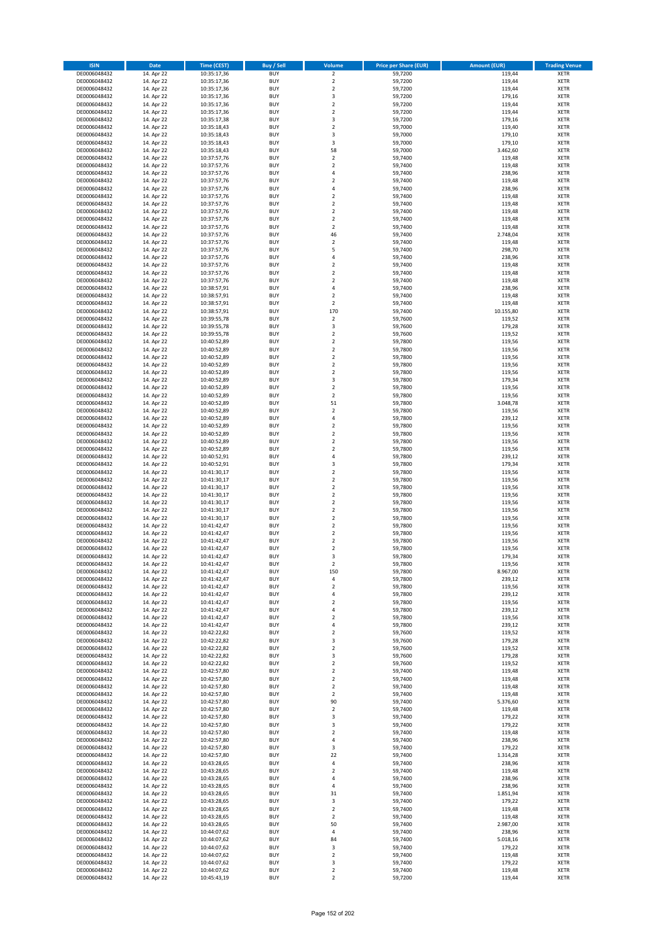| <b>ISIN</b>                  | <b>Date</b>              | <b>Time (CEST)</b>         | <b>Buy / Sell</b>        | Volume                                             | <b>Price per Share (EUR)</b> | <b>Amount (EUR)</b> | <b>Trading Venue</b>       |
|------------------------------|--------------------------|----------------------------|--------------------------|----------------------------------------------------|------------------------------|---------------------|----------------------------|
| DE0006048432                 | 14. Apr 22               | 10:35:17,36                | <b>BUY</b>               | $\overline{2}$                                     | 59,7200                      | 119,44              | <b>XETR</b>                |
| DE0006048432                 | 14. Apr 22               | 10:35:17,36                | <b>BUY</b>               | $\mathbf 2$                                        | 59,7200                      | 119,44              | <b>XETR</b>                |
| DE0006048432                 | 14. Apr 22               | 10:35:17,36                | <b>BUY</b>               | $\overline{2}$                                     | 59,7200                      | 119,44              | <b>XETR</b>                |
| DE0006048432<br>DE0006048432 | 14. Apr 22<br>14. Apr 22 | 10:35:17,36<br>10:35:17,36 | <b>BUY</b><br><b>BUY</b> | 3<br>$\overline{\mathbf{c}}$                       | 59,7200<br>59,7200           | 179,16<br>119,44    | <b>XETR</b><br><b>XETR</b> |
| DE0006048432                 | 14. Apr 22               | 10:35:17,36                | <b>BUY</b>               | $\mathbf 2$                                        | 59,7200                      | 119,44              | <b>XETR</b>                |
| DE0006048432                 | 14. Apr 22               | 10:35:17,38                | <b>BUY</b>               | 3                                                  | 59,7200                      | 179,16              | <b>XETR</b>                |
| DE0006048432                 | 14. Apr 22               | 10:35:18,43                | <b>BUY</b>               | $\overline{\mathbf{c}}$                            | 59,7000                      | 119,40              | <b>XETR</b>                |
| DE0006048432                 | 14. Apr 22               | 10:35:18,43                | <b>BUY</b>               | 3                                                  | 59,7000                      | 179,10              | <b>XETR</b>                |
| DE0006048432                 | 14. Apr 22               | 10:35:18,43                | <b>BUY</b>               | 3                                                  | 59,7000                      | 179,10              | <b>XETR</b>                |
| DE0006048432                 | 14. Apr 22               | 10:35:18,43                | <b>BUY</b>               | 58                                                 | 59,7000                      | 3.462,60            | <b>XETR</b>                |
| DE0006048432                 | 14. Apr 22<br>14. Apr 22 | 10:37:57,76                | <b>BUY</b><br><b>BUY</b> | $\overline{\mathbf{c}}$<br>$\mathbf 2$             | 59,7400                      | 119,48              | <b>XETR</b><br><b>XETR</b> |
| DE0006048432<br>DE0006048432 | 14. Apr 22               | 10:37:57,76<br>10:37:57,76 | <b>BUY</b>               | 4                                                  | 59,7400<br>59,7400           | 119,48<br>238,96    | <b>XETR</b>                |
| DE0006048432                 | 14. Apr 22               | 10:37:57,76                | <b>BUY</b>               | $\mathbf 2$                                        | 59,7400                      | 119,48              | <b>XETR</b>                |
| DE0006048432                 | 14. Apr 22               | 10:37:57,76                | <b>BUY</b>               | 4                                                  | 59,7400                      | 238,96              | <b>XETR</b>                |
| DE0006048432                 | 14. Apr 22               | 10:37:57,76                | <b>BUY</b>               | $\mathbf 2$                                        | 59,7400                      | 119,48              | <b>XETR</b>                |
| DE0006048432                 | 14. Apr 22               | 10:37:57,76                | <b>BUY</b>               | $\mathbf 2$                                        | 59,7400                      | 119,48              | <b>XETR</b>                |
| DE0006048432                 | 14. Apr 22               | 10:37:57,76                | <b>BUY</b>               | $\overline{\mathbf{c}}$                            | 59.7400                      | 119,48              | <b>XETR</b>                |
| DE0006048432                 | 14. Apr 22               | 10:37:57,76                | <b>BUY</b>               | $\mathbf 2$                                        | 59,7400                      | 119,48              | <b>XETR</b>                |
| DE0006048432<br>DE0006048432 | 14. Apr 22<br>14. Apr 22 | 10:37:57,76<br>10:37:57,76 | <b>BUY</b><br><b>BUY</b> | $\overline{2}$<br>46                               | 59,7400<br>59,7400           | 119,48<br>2.748,04  | <b>XETR</b><br><b>XETR</b> |
| DE0006048432                 | 14. Apr 22               | 10:37:57,76                | <b>BUY</b>               | $\mathbf 2$                                        | 59,7400                      | 119,48              | <b>XETR</b>                |
| DE0006048432                 | 14. Apr 22               | 10:37:57,76                | <b>BUY</b>               | 5                                                  | 59,7400                      | 298,70              | <b>XETR</b>                |
| DE0006048432                 | 14. Apr 22               | 10:37:57,76                | <b>BUY</b>               | 4                                                  | 59,7400                      | 238,96              | <b>XETR</b>                |
| DE0006048432                 | 14. Apr 22               | 10:37:57,76                | <b>BUY</b>               | $\mathbf 2$                                        | 59,7400                      | 119,48              | <b>XETR</b>                |
| DE0006048432                 | 14. Apr 22               | 10:37:57,76                | <b>BUY</b>               | $\mathbf 2$                                        | 59,7400                      | 119,48              | <b>XETR</b>                |
| DE0006048432                 | 14. Apr 22               | 10:37:57,76                | <b>BUY</b>               | $\overline{\mathbf{c}}$                            | 59,7400                      | 119,48              | <b>XETR</b>                |
| DE0006048432<br>DE0006048432 | 14. Apr 22<br>14. Apr 22 | 10:38:57,91<br>10:38:57,91 | <b>BUY</b><br><b>BUY</b> | 4<br>$\overline{\mathbf{c}}$                       | 59,7400<br>59,7400           | 238,96<br>119,48    | <b>XETR</b><br><b>XETR</b> |
| DE0006048432                 | 14. Apr 22               | 10:38:57,91                | <b>BUY</b>               | $\mathbf 2$                                        | 59,7400                      | 119,48              | <b>XETR</b>                |
| DE0006048432                 | 14. Apr 22               | 10:38:57,91                | <b>BUY</b>               | 170                                                | 59,7400                      | 10.155,80           | <b>XETR</b>                |
| DE0006048432                 | 14. Apr 22               | 10:39:55,78                | <b>BUY</b>               | $\mathbf 2$                                        | 59,7600                      | 119,52              | <b>XETR</b>                |
| DE0006048432                 | 14. Apr 22               | 10:39:55,78                | <b>BUY</b>               | 3                                                  | 59,7600                      | 179,28              | <b>XETR</b>                |
| DE0006048432                 | 14. Apr 22               | 10:39:55,78                | <b>BUY</b>               | $\mathbf 2$                                        | 59,7600                      | 119,52              | <b>XETR</b>                |
| DE0006048432                 | 14. Apr 22               | 10:40:52,89                | <b>BUY</b>               | $\mathbf 2$                                        | 59,7800                      | 119,56              | <b>XETR</b>                |
| DE0006048432                 | 14. Apr 22               | 10:40:52,89                | <b>BUY</b><br><b>BUY</b> | $\overline{\mathbf{c}}$<br>$\mathbf 2$             | 59,7800                      | 119,56              | <b>XETR</b>                |
| DE0006048432<br>DE0006048432 | 14. Apr 22<br>14. Apr 22 | 10:40:52,89<br>10:40:52,89 | <b>BUY</b>               | $\mathbf 2$                                        | 59,7800<br>59,7800           | 119,56<br>119,56    | <b>XETR</b><br><b>XETR</b> |
| DE0006048432                 | 14. Apr 22               | 10:40:52,89                | <b>BUY</b>               | $\mathbf 2$                                        | 59,7800                      | 119,56              | <b>XETR</b>                |
| DE0006048432                 | 14. Apr 22               | 10:40:52,89                | <b>BUY</b>               | 3                                                  | 59,7800                      | 179,34              | <b>XETR</b>                |
| DE0006048432                 | 14. Apr 22               | 10:40:52,89                | <b>BUY</b>               | $\mathbf 2$                                        | 59,7800                      | 119,56              | <b>XETR</b>                |
| DE0006048432                 | 14. Apr 22               | 10:40:52,89                | <b>BUY</b>               | $\mathbf 2$                                        | 59,7800                      | 119,56              | <b>XETR</b>                |
| DE0006048432                 | 14. Apr 22               | 10:40:52,89                | <b>BUY</b>               | 51                                                 | 59,7800                      | 3.048,78            | <b>XETR</b>                |
| DE0006048432                 | 14. Apr 22               | 10:40:52,89                | <b>BUY</b>               | $\mathbf 2$                                        | 59,7800                      | 119,56              | <b>XETR</b>                |
| DE0006048432                 | 14. Apr 22               | 10:40:52,89                | <b>BUY</b>               | 4                                                  | 59,7800                      | 239,12              | <b>XETR</b>                |
| DE0006048432<br>DE0006048432 | 14. Apr 22<br>14. Apr 22 | 10:40:52,89<br>10:40:52,89 | <b>BUY</b><br><b>BUY</b> | $\mathbf 2$<br>$\mathbf 2$                         | 59,7800<br>59,7800           | 119,56<br>119,56    | <b>XETR</b><br><b>XETR</b> |
| DE0006048432                 | 14. Apr 22               | 10:40:52,89                | <b>BUY</b>               | $\mathbf 2$                                        | 59,7800                      | 119,56              | <b>XETR</b>                |
| DE0006048432                 | 14. Apr 22               | 10:40:52,89                | <b>BUY</b>               | $\overline{\mathbf{c}}$                            | 59,7800                      | 119,56              | <b>XETR</b>                |
| DE0006048432                 | 14. Apr 22               | 10:40:52,91                | <b>BUY</b>               | 4                                                  | 59,7800                      | 239,12              | <b>XETR</b>                |
| DE0006048432                 | 14. Apr 22               | 10:40:52,91                | <b>BUY</b>               | 3                                                  | 59,7800                      | 179,34              | <b>XETR</b>                |
| DE0006048432                 | 14. Apr 22               | 10:41:30,17                | <b>BUY</b>               | $\overline{2}$                                     | 59,7800                      | 119,56              | <b>XETR</b>                |
| DE0006048432<br>DE0006048432 | 14. Apr 22               | 10:41:30,17                | <b>BUY</b><br><b>BUY</b> | $\mathbf 2$<br>$\overline{\mathbf{c}}$             | 59,7800                      | 119,56              | <b>XETR</b><br><b>XETR</b> |
| DE0006048432                 | 14. Apr 22<br>14. Apr 22 | 10:41:30,17<br>10:41:30,17 | <b>BUY</b>               | $\mathbf 2$                                        | 59,7800<br>59,7800           | 119,56<br>119,56    | <b>XETR</b>                |
| DE0006048432                 | 14. Apr 22               | 10:41:30,17                | <b>BUY</b>               | $\overline{\mathbf{c}}$                            | 59,7800                      | 119,56              | <b>XETR</b>                |
| DE0006048432                 | 14. Apr 22               | 10:41:30,17                | <b>BUY</b>               | $\mathbf 2$                                        | 59,7800                      | 119,56              | <b>XETR</b>                |
| DE0006048432                 | 14. Apr 22               | 10:41:30,17                | <b>BUY</b>               | $\overline{\mathbf{c}}$                            | 59,7800                      | 119,56              | <b>XETR</b>                |
| DE0006048432                 | 14. Apr 22               | 10:41:42,47                | <b>BUY</b>               | $\overline{2}$                                     | 59,7800                      | 119,56              | <b>XETR</b>                |
| DE0006048432                 | 14. Apr 22               | 10:41:42,47                | <b>BUY</b>               | $\mathbf 2$                                        | 59,7800                      | 119,56              | <b>XETR</b>                |
| DE0006048432<br>DE0006048432 | 14. Apr 22<br>14. Apr 22 | 10:41:42,47<br>10:41:42,47 | <b>BUY</b><br><b>BUY</b> | $\overline{\mathbf{c}}$<br>$\overline{\mathbf{c}}$ | 59,7800<br>59,7800           | 119,56<br>119,56    | <b>XETR</b><br><b>XETR</b> |
| DE0006048432                 | 14. Apr 22               | 10:41:42,47                | <b>BUY</b>               | 3                                                  | 59,7800                      | 179,34              | <b>XETR</b>                |
| DE0006048432                 | 14. Apr 22               | 10:41:42,47                | BUY                      | $\mathbf 2$                                        | 59,7800                      | 119,56              | <b>XETR</b>                |
| DE0006048432                 | 14. Apr 22               | 10:41:42,47                | <b>BUY</b>               | 150                                                | 59,7800                      | 8.967,00            | XETR                       |
| DE0006048432                 | 14. Apr 22               | 10:41:42,47                | <b>BUY</b>               | 4                                                  | 59,7800                      | 239,12              | XETR                       |
| DE0006048432                 | 14. Apr 22               | 10:41:42,47                | <b>BUY</b>               | $\mathbf 2$                                        | 59,7800                      | 119,56              | XETR                       |
| DE0006048432                 | 14. Apr 22               | 10:41:42,47                | <b>BUY</b>               | 4                                                  | 59,7800                      | 239,12              | <b>XETR</b>                |
| DE0006048432<br>DE0006048432 | 14. Apr 22<br>14. Apr 22 | 10:41:42,47<br>10:41:42,47 | <b>BUY</b><br><b>BUY</b> | $\mathbf 2$<br>4                                   | 59,7800<br>59,7800           | 119,56<br>239,12    | <b>XETR</b><br><b>XETR</b> |
| DE0006048432                 | 14. Apr 22               | 10:41:42,47                | <b>BUY</b>               | $\mathbf 2$                                        | 59,7800                      | 119,56              | <b>XETR</b>                |
| DE0006048432                 | 14. Apr 22               | 10:41:42,47                | <b>BUY</b>               | 4                                                  | 59,7800                      | 239,12              | <b>XETR</b>                |
| DE0006048432                 | 14. Apr 22               | 10:42:22,82                | <b>BUY</b>               | $\mathbf 2$                                        | 59,7600                      | 119,52              | <b>XETR</b>                |
| DE0006048432                 | 14. Apr 22               | 10:42:22,82                | <b>BUY</b>               | 3                                                  | 59,7600                      | 179,28              | XETR                       |
| DE0006048432                 | 14. Apr 22               | 10:42:22,82                | <b>BUY</b>               | $\overline{2}$                                     | 59.7600                      | 119,52              | <b>XETR</b>                |
| DE0006048432<br>DE0006048432 | 14. Apr 22<br>14. Apr 22 | 10:42:22,82<br>10:42:22,82 | <b>BUY</b><br><b>BUY</b> | 3<br>$\overline{2}$                                | 59,7600<br>59,7600           | 179,28<br>119,52    | <b>XETR</b><br><b>XETR</b> |
| DE0006048432                 | 14. Apr 22               | 10:42:57,80                | <b>BUY</b>               | $\mathbf 2$                                        | 59,7400                      | 119,48              | <b>XETR</b>                |
| DE0006048432                 | 14. Apr 22               | 10:42:57,80                | <b>BUY</b>               | $\overline{2}$                                     | 59,7400                      | 119,48              | <b>XETR</b>                |
| DE0006048432                 | 14. Apr 22               | 10:42:57,80                | <b>BUY</b>               | $\mathbf 2$                                        | 59,7400                      | 119,48              | <b>XETR</b>                |
| DE0006048432                 | 14. Apr 22               | 10:42:57,80                | <b>BUY</b>               | $\mathbf 2$                                        | 59,7400                      | 119,48              | <b>XETR</b>                |
| DE0006048432                 | 14. Apr 22               | 10:42:57,80                | <b>BUY</b>               | 90                                                 | 59,7400                      | 5.376,60            | XETR                       |
| DE0006048432                 | 14. Apr 22               | 10:42:57,80                | <b>BUY</b>               | $\mathbf 2$                                        | 59,7400                      | 119,48              | <b>XETR</b>                |
| DE0006048432<br>DE0006048432 | 14. Apr 22<br>14. Apr 22 | 10:42:57,80<br>10:42:57,80 | <b>BUY</b><br><b>BUY</b> | 3<br>3                                             | 59,7400<br>59,7400           | 179,22<br>179,22    | <b>XETR</b><br><b>XETR</b> |
| DE0006048432                 | 14. Apr 22               | 10:42:57,80                | <b>BUY</b>               | $\overline{\mathbf{c}}$                            | 59,7400                      | 119,48              | <b>XETR</b>                |
| DE0006048432                 | 14. Apr 22               | 10:42:57,80                | <b>BUY</b>               | 4                                                  | 59,7400                      | 238,96              | <b>XETR</b>                |
| DE0006048432                 | 14. Apr 22               | 10:42:57,80                | <b>BUY</b>               | 3                                                  | 59,7400                      | 179,22              | <b>XETR</b>                |
| DE0006048432                 | 14. Apr 22               | 10:42:57,80                | <b>BUY</b>               | 22                                                 | 59,7400                      | 1.314,28            | XETR                       |
| DE0006048432                 | 14. Apr 22               | 10:43:28,65                | <b>BUY</b>               | 4                                                  | 59,7400                      | 238,96              | <b>XETR</b>                |
| DE0006048432<br>DE0006048432 | 14. Apr 22<br>14. Apr 22 | 10:43:28,65                | <b>BUY</b><br><b>BUY</b> | $\overline{2}$<br>4                                | 59,7400<br>59,7400           | 119,48<br>238,96    | <b>XETR</b><br><b>XETR</b> |
| DE0006048432                 | 14. Apr 22               | 10:43:28,65<br>10:43:28,65 | <b>BUY</b>               | 4                                                  | 59,7400                      | 238,96              | XETR                       |
| DE0006048432                 | 14. Apr 22               | 10:43:28,65                | <b>BUY</b>               | 31                                                 | 59,7400                      | 1.851,94            | <b>XETR</b>                |
| DE0006048432                 | 14. Apr 22               | 10:43:28,65                | <b>BUY</b>               | 3                                                  | 59,7400                      | 179,22              | <b>XETR</b>                |
| DE0006048432                 | 14. Apr 22               | 10:43:28,65                | <b>BUY</b>               | $\mathbf 2$                                        | 59,7400                      | 119,48              | XETR                       |
| DE0006048432                 | 14. Apr 22               | 10:43:28,65                | <b>BUY</b>               | $\mathbf 2$                                        | 59,7400                      | 119,48              | <b>XETR</b>                |
| DE0006048432                 | 14. Apr 22               | 10:43:28,65                | <b>BUY</b>               | 50                                                 | 59,7400                      | 2.987,00            | <b>XETR</b>                |
| DE0006048432<br>DE0006048432 | 14. Apr 22<br>14. Apr 22 | 10:44:07,62<br>10:44:07,62 | <b>BUY</b><br><b>BUY</b> | 4<br>84                                            | 59,7400<br>59,7400           | 238,96<br>5.018,16  | <b>XETR</b><br><b>XETR</b> |
| DE0006048432                 | 14. Apr 22               | 10:44:07,62                | <b>BUY</b>               | 3                                                  | 59,7400                      | 179,22              | XETR                       |
| DE0006048432                 | 14. Apr 22               | 10:44:07,62                | <b>BUY</b>               | $\overline{2}$                                     | 59,7400                      | 119,48              | <b>XETR</b>                |
| DE0006048432                 | 14. Apr 22               | 10:44:07,62                | <b>BUY</b>               | 3                                                  | 59,7400                      | 179,22              | <b>XETR</b>                |
| DE0006048432                 | 14. Apr 22               | 10:44:07,62                | <b>BUY</b>               | $\mathbf 2$                                        | 59,7400                      | 119,48              | <b>XETR</b>                |
| DE0006048432                 | 14. Apr 22               | 10:45:43,19                | <b>BUY</b>               | $\mathbf 2$                                        | 59,7200                      | 119,44              | XETR                       |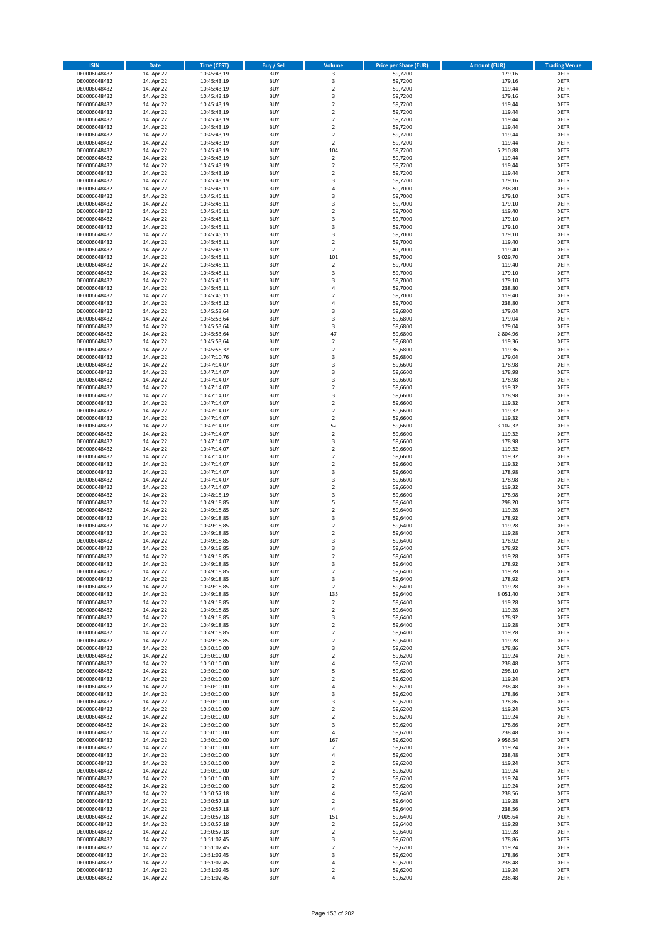| <b>ISIN</b>                  | <b>Date</b>              | <b>Time (CEST)</b>         | <b>Buy / Sell</b>        | Volume                                    | <b>Price per Share (EUR)</b> | <b>Amount (EUR)</b> | <b>Trading Venue</b>       |
|------------------------------|--------------------------|----------------------------|--------------------------|-------------------------------------------|------------------------------|---------------------|----------------------------|
| DE0006048432                 | 14. Apr 22               | 10:45:43,19                | <b>BUY</b>               | $\overline{\mathbf{3}}$                   | 59,7200                      | 179,16              | <b>XETR</b>                |
| DE0006048432                 | 14. Apr 22               | 10:45:43,19                | <b>BUY</b>               | 3                                         | 59,7200                      | 179,16              | <b>XETR</b>                |
| DE0006048432                 | 14. Apr 22               | 10:45:43,19                | <b>BUY</b>               | $\overline{2}$                            | 59,7200                      | 119,44              | <b>XETR</b>                |
| DE0006048432                 | 14. Apr 22               | 10:45:43,19                | <b>BUY</b>               | 3                                         | 59,7200                      | 179,16              | <b>XETR</b>                |
| DE0006048432                 | 14. Apr 22               | 10:45:43,19                | <b>BUY</b>               | $\overline{2}$                            | 59,7200                      | 119,44              | <b>XETR</b>                |
| DE0006048432                 | 14. Apr 22               | 10:45:43,19                | <b>BUY</b>               | $\mathbf 2$                               | 59,7200                      | 119,44              | <b>XETR</b>                |
| DE0006048432                 | 14. Apr 22               | 10:45:43,19                | <b>BUY</b>               | $\overline{2}$                            | 59,7200                      | 119,44              | <b>XETR</b>                |
| DE0006048432                 | 14. Apr 22               | 10:45:43,19                | <b>BUY</b>               | $\overline{2}$                            | 59,7200                      | 119,44              | <b>XETR</b>                |
| DE0006048432                 | 14. Apr 22               | 10:45:43,19                | BUY                      | $\overline{2}$                            | 59,7200                      | 119,44              | <b>XETR</b>                |
| DE0006048432                 | 14. Apr 22               | 10:45:43,19                | <b>BUY</b>               | $\overline{2}$                            | 59,7200                      | 119,44              | <b>XETR</b>                |
| DE0006048432                 | 14. Apr 22               | 10:45:43,19                | <b>BUY</b>               | 104                                       | 59,7200                      | 6.210,88            | <b>XETR</b>                |
| DE0006048432                 | 14. Apr 22               | 10:45:43,19                | <b>BUY</b>               | $\overline{2}$                            | 59,7200                      | 119,44              | <b>XETR</b>                |
| DE0006048432                 | 14. Apr 22               | 10:45:43,19                | <b>BUY</b>               | $\mathbf 2$                               | 59,7200                      | 119,44              | <b>XETR</b>                |
| DE0006048432                 | 14. Apr 22               | 10:45:43,19                | <b>BUY</b>               | $\overline{2}$<br>$\overline{\mathbf{3}}$ | 59,7200                      | 119,44              | <b>XETR</b>                |
| DE0006048432<br>DE0006048432 | 14. Apr 22<br>14. Apr 22 | 10:45:43,19<br>10:45:45,11 | <b>BUY</b><br>BUY        | $\overline{a}$                            | 59,7200<br>59,7000           | 179,16<br>238,80    | <b>XETR</b><br><b>XETR</b> |
| DE0006048432                 | 14. Apr 22               | 10:45:45,11                | <b>BUY</b>               | $\overline{\mathbf{3}}$                   | 59,7000                      | 179,10              | <b>XETR</b>                |
| DE0006048432                 | 14. Apr 22               | 10:45:45,11                | <b>BUY</b>               | 3                                         | 59,7000                      | 179,10              | <b>XETR</b>                |
| DE0006048432                 | 14. Apr 22               | 10:45:45,11                | <b>BUY</b>               | $\overline{2}$                            | 59,7000                      | 119,40              | <b>XETR</b>                |
| DE0006048432                 | 14. Apr 22               | 10:45:45,11                | <b>BUY</b>               | $\overline{\mathbf{3}}$                   | 59,7000                      | 179,10              | <b>XETR</b>                |
| DE0006048432                 | 14. Apr 22               | 10:45:45,11                | <b>BUY</b>               | $\overline{\mathbf{3}}$                   | 59,7000                      | 179,10              | <b>XETR</b>                |
| DE0006048432                 | 14. Apr 22               | 10:45:45,11                | <b>BUY</b>               | $\overline{\mathbf{3}}$                   | 59,7000                      | 179,10              | <b>XETR</b>                |
| DE0006048432                 | 14. Apr 22               | 10:45:45,11                | <b>BUY</b>               | $\overline{2}$                            | 59,7000                      | 119,40              | <b>XETR</b>                |
| DE0006048432                 | 14. Apr 22               | 10:45:45,11                | <b>BUY</b>               | $\overline{2}$                            | 59,7000                      | 119,40              | <b>XETR</b>                |
| DE0006048432                 | 14. Apr 22               | 10:45:45,11                | <b>BUY</b>               | 101                                       | 59,7000                      | 6.029,70            | <b>XETR</b>                |
| DE0006048432                 | 14. Apr 22               | 10:45:45,11                | <b>BUY</b>               | $\mathbf 2$                               | 59,7000                      | 119,40              | <b>XETR</b>                |
| DE0006048432                 | 14. Apr 22               | 10:45:45,11                | <b>BUY</b>               | 3                                         | 59,7000                      | 179,10              | <b>XETR</b>                |
| DE0006048432                 | 14. Apr 22               | 10:45:45,11                | <b>BUY</b>               | $\overline{\mathbf{3}}$                   | 59,7000                      | 179,10              | <b>XETR</b>                |
| DE0006048432                 | 14. Apr 22               | 10:45:45,11                | <b>BUY</b>               | 4                                         | 59,7000                      | 238,80              | <b>XETR</b>                |
| DE0006048432                 | 14. Apr 22               | 10:45:45,11                | <b>BUY</b>               | $\overline{2}$                            | 59,7000                      | 119,40              | <b>XETR</b>                |
| DE0006048432                 | 14. Apr 22               | 10:45:45,12                | <b>BUY</b>               | 4                                         | 59,7000                      | 238,80              | <b>XETR</b>                |
| DE0006048432<br>DE0006048432 | 14. Apr 22               | 10:45:53,64                | <b>BUY</b><br><b>BUY</b> | 3                                         | 59,6800                      | 179,04              | <b>XETR</b>                |
| DE0006048432                 | 14. Apr 22<br>14. Apr 22 | 10:45:53,64                | <b>BUY</b>               | 3<br>3                                    | 59,6800<br>59,6800           | 179,04<br>179,04    | <b>XETR</b><br><b>XETR</b> |
| DE0006048432                 | 14. Apr 22               | 10:45:53,64<br>10:45:53,64 | <b>BUY</b>               | 47                                        | 59,6800                      | 2.804,96            | <b>XETR</b>                |
| DE0006048432                 | 14. Apr 22               | 10:45:53,64                | <b>BUY</b>               | $\mathbf 2$                               | 59,6800                      | 119,36              | <b>XETR</b>                |
| DE0006048432                 | 14. Apr 22               | 10:45:55,32                | <b>BUY</b>               | $\overline{2}$                            | 59,6800                      | 119,36              | <b>XETR</b>                |
| DE0006048432                 | 14. Apr 22               | 10:47:10,76                | BUY                      | 3                                         | 59,6800                      | 179,04              | <b>XETR</b>                |
| DE0006048432                 | 14. Apr 22               | 10:47:14,07                | <b>BUY</b>               | 3                                         | 59,6600                      | 178,98              | <b>XETR</b>                |
| DE0006048432                 | 14. Apr 22               | 10:47:14,07                | <b>BUY</b>               | 3                                         | 59,6600                      | 178,98              | <b>XETR</b>                |
| DE0006048432                 | 14. Apr 22               | 10:47:14,07                | <b>BUY</b>               | $\overline{\mathbf{3}}$                   | 59,6600                      | 178,98              | <b>XETR</b>                |
| DE0006048432                 | 14. Apr 22               | 10:47:14,07                | <b>BUY</b>               | $\overline{2}$                            | 59,6600                      | 119,32              | <b>XETR</b>                |
| DE0006048432                 | 14. Apr 22               | 10:47:14,07                | <b>BUY</b>               | 3                                         | 59,6600                      | 178,98              | <b>XETR</b>                |
| DE0006048432                 | 14. Apr 22               | 10:47:14,07                | <b>BUY</b>               | $\overline{2}$                            | 59,6600                      | 119,32              | <b>XETR</b>                |
| DE0006048432                 | 14. Apr 22               | 10:47:14,07                | <b>BUY</b>               | $\mathbf 2$                               | 59,6600                      | 119,32              | <b>XETR</b>                |
| DE0006048432                 | 14. Apr 22               | 10:47:14,07                | <b>BUY</b>               | $\overline{2}$                            | 59,6600                      | 119,32              | <b>XETR</b>                |
| DE0006048432                 | 14. Apr 22               | 10:47:14,07                | <b>BUY</b>               | 52                                        | 59,6600                      | 3.102,32            | <b>XETR</b>                |
| DE0006048432                 | 14. Apr 22               | 10:47:14,07                | <b>BUY</b>               | $\mathbf 2$                               | 59,6600                      | 119,32              | <b>XETR</b>                |
| DE0006048432                 | 14. Apr 22               | 10:47:14,07                | <b>BUY</b>               | 3                                         | 59,6600                      | 178,98              | <b>XETR</b>                |
| DE0006048432                 | 14. Apr 22               | 10:47:14,07                | <b>BUY</b>               | $\overline{2}$                            | 59,6600                      | 119,32              | <b>XETR</b>                |
| DE0006048432                 | 14. Apr 22               | 10:47:14,07                | <b>BUY</b>               | $\overline{2}$                            | 59,6600                      | 119,32              | <b>XETR</b>                |
| DE0006048432                 | 14. Apr 22               | 10:47:14,07                | <b>BUY</b>               | $\overline{2}$                            | 59,6600                      | 119,32              | <b>XETR</b>                |
| DE0006048432<br>DE0006048432 | 14. Apr 22<br>14. Apr 22 | 10:47:14,07                | <b>BUY</b><br><b>BUY</b> | 3<br>3                                    | 59,6600<br>59,6600           | 178,98<br>178,98    | <b>XETR</b><br><b>XETR</b> |
| DE0006048432                 | 14. Apr 22               | 10:47:14,07<br>10:47:14,07 | <b>BUY</b>               | $\overline{2}$                            | 59,6600                      | 119,32              | <b>XETR</b>                |
| DE0006048432                 | 14. Apr 22               | 10:48:15,19                | <b>BUY</b>               | $\overline{\mathbf{3}}$                   | 59,6600                      | 178,98              | <b>XETR</b>                |
| DE0006048432                 | 14. Apr 22               | 10:49:18,85                | <b>BUY</b>               | 5                                         | 59,6400                      | 298,20              | <b>XETR</b>                |
| DE0006048432                 | 14. Apr 22               | 10:49:18,85                | <b>BUY</b>               | $\overline{2}$                            | 59,6400                      | 119,28              | <b>XETR</b>                |
| DE0006048432                 | 14. Apr 22               | 10:49:18,85                | BUY                      | 3                                         | 59,6400                      | 178,92              | <b>XETR</b>                |
| DE0006048432                 | 14. Apr 22               | 10:49:18,85                | <b>BUY</b>               | $\overline{2}$                            | 59,6400                      | 119,28              | <b>XETR</b>                |
| DE0006048432                 | 14. Apr 22               | 10:49:18,85                | <b>BUY</b>               | $\mathbf 2$                               | 59,6400                      | 119,28              | <b>XETR</b>                |
| DE0006048432                 | 14. Apr 22               | 10:49:18,85                | BUY                      | $\overline{\mathbf{3}}$                   | 59,6400                      | 178,92              | <b>XETR</b>                |
| DE0006048432                 | 14. Apr 22               | 10:49:18,85                | BUY                      | $\overline{\mathbf{3}}$                   | 59,6400                      | 178,92              | <b>XETR</b>                |
| DE0006048432                 | 14. Apr 22               | 10:49:18,85                | <b>BUY</b>               | $\overline{2}$                            | 59,6400                      | 119,28              | <b>XETR</b>                |
| DE0006048432                 | 14. Apr 22               | 10:49:18,85                | <b>BUY</b>               | 3                                         | 59,6400                      | 178,92              | <b>XETR</b>                |
| DE0006048432                 | 14. Apr 22               | 10:49:18,85                | <b>BUY</b>               | $\mathbf 2$                               | 59,6400                      | 119,28              | <b>XETR</b>                |
| DE0006048432                 | 14. Apr 22               | 10:49:18,85                | <b>BUY</b>               | 3                                         | 59,6400                      | 178,92              | <b>XETR</b>                |
| DE0006048432                 | 14. Apr 22               | 10:49:18,85                | <b>BUY</b>               | $\mathbf 2$                               | 59,6400                      | 119,28              | <b>XETR</b>                |
| DE0006048432                 | 14. Apr 22               | 10:49:18,85                | <b>BUY</b>               | 135                                       | 59,6400                      | 8.051,40            | <b>XETR</b>                |
| DE0006048432                 | 14. Apr 22               | 10:49:18,85                | <b>BUY</b>               | $\mathbf 2$                               | 59,6400                      | 119,28              | <b>XETR</b>                |
| DE0006048432                 | 14. Apr 22               | 10:49:18,85                | <b>BUY</b>               | $\mathbf 2$                               | 59,6400                      | 119,28              | <b>XETR</b>                |
| DE0006048432<br>DE0006048432 | 14. Apr 22<br>14. Apr 22 | 10:49:18,85<br>10:49:18,85 | <b>BUY</b><br><b>BUY</b> | 3<br>$\mathbf 2$                          | 59,6400<br>59,6400           | 178,92<br>119,28    | <b>XETR</b><br><b>XETR</b> |
| DE0006048432                 | 14. Apr 22               | 10:49:18,85                | <b>BUY</b>               | $\mathbf 2$                               | 59,6400                      | 119,28              | <b>XETR</b>                |
| DE0006048432                 | 14. Apr 22               | 10:49:18,85                | <b>BUY</b>               | 2                                         | 59,6400                      | 119,28              | <b>XETR</b>                |
| DE0006048432                 | 14. Apr 22               | 10:50:10,00                | <b>BUY</b>               | 3                                         | 59,6200                      | 178,86              | <b>XETR</b>                |
| DE0006048432                 | 14. Apr 22               | 10:50:10,00                | <b>BUY</b>               | $\mathbf 2$                               | 59,6200                      | 119,24              | <b>XETR</b>                |
| DE0006048432                 | 14. Apr 22               | 10:50:10,00                | <b>BUY</b>               | 4                                         | 59,6200                      | 238,48              | <b>XETR</b>                |
| DE0006048432                 | 14. Apr 22               | 10:50:10,00                | <b>BUY</b>               | 5                                         | 59,6200                      | 298,10              | <b>XETR</b>                |
| DE0006048432                 | 14. Apr 22               | 10:50:10,00                | <b>BUY</b>               | $\overline{\mathbf{2}}$                   | 59,6200                      | 119,24              | <b>XETR</b>                |
| DE0006048432                 | 14. Apr 22               | 10:50:10,00                | <b>BUY</b>               | 4                                         | 59,6200                      | 238,48              | <b>XETR</b>                |
| DE0006048432                 | 14. Apr 22               | 10:50:10,00                | <b>BUY</b>               | 3                                         | 59,6200                      | 178,86              | <b>XETR</b>                |
| DE0006048432                 | 14. Apr 22               | 10:50:10,00                | <b>BUY</b>               | 3                                         | 59,6200                      | 178,86              | <b>XETR</b>                |
| DE0006048432                 | 14. Apr 22               | 10:50:10,00                | <b>BUY</b>               | $\mathbf 2$                               | 59,6200                      | 119,24              | <b>XETR</b>                |
| DE0006048432                 | 14. Apr 22               | 10:50:10,00                | <b>BUY</b>               | $\overline{\mathbf{2}}$                   | 59,6200                      | 119,24              | <b>XETR</b>                |
| DE0006048432<br>DE0006048432 | 14. Apr 22<br>14. Apr 22 | 10:50:10,00<br>10:50:10,00 | <b>BUY</b><br><b>BUY</b> | 3<br>$\pmb{4}$                            | 59,6200<br>59,6200           | 178,86<br>238,48    | <b>XETR</b><br><b>XETR</b> |
| DE0006048432                 | 14. Apr 22               | 10:50:10,00                | <b>BUY</b>               | 167                                       | 59,6200                      | 9.956,54            | <b>XETR</b>                |
| DE0006048432                 | 14. Apr 22               | 10:50:10,00                | <b>BUY</b>               | $\mathbf 2$                               | 59,6200                      | 119,24              | <b>XETR</b>                |
| DE0006048432                 | 14. Apr 22               | 10:50:10,00                | <b>BUY</b>               | 4                                         | 59,6200                      | 238,48              | <b>XETR</b>                |
| DE0006048432                 | 14. Apr 22               | 10:50:10,00                | <b>BUY</b>               | $\overline{\mathbf{2}}$                   | 59,6200                      | 119,24              | <b>XETR</b>                |
| DE0006048432                 | 14. Apr 22               | 10:50:10,00                | <b>BUY</b>               | $\overline{\mathbf{2}}$                   | 59,6200                      | 119,24              | <b>XETR</b>                |
| DE0006048432                 | 14. Apr 22               | 10:50:10,00                | <b>BUY</b>               | 2                                         | 59,6200                      | 119,24              | <b>XETR</b>                |
| DE0006048432                 | 14. Apr 22               | 10:50:10,00                | <b>BUY</b>               | $\overline{\mathbf{2}}$                   | 59,6200                      | 119,24              | <b>XETR</b>                |
| DE0006048432                 | 14. Apr 22               | 10:50:57,18                | <b>BUY</b>               | 4                                         | 59,6400                      | 238,56              | <b>XETR</b>                |
| DE0006048432                 | 14. Apr 22               | 10:50:57,18                | <b>BUY</b>               | $\overline{\mathbf{2}}$                   | 59,6400                      | 119,28              | <b>XETR</b>                |
| DE0006048432                 | 14. Apr 22               | 10:50:57,18                | <b>BUY</b>               | 4                                         | 59,6400                      | 238,56              | <b>XETR</b>                |
| DE0006048432                 | 14. Apr 22               | 10:50:57,18                | <b>BUY</b>               | 151                                       | 59,6400                      | 9.005,64            | <b>XETR</b>                |
| DE0006048432                 | 14. Apr 22               | 10:50:57,18                | <b>BUY</b>               | $\mathbf 2$                               | 59,6400                      | 119,28              | <b>XETR</b>                |
| DE0006048432                 | 14. Apr 22               | 10:50:57,18                | <b>BUY</b>               | $\mathbf 2$                               | 59,6400                      | 119,28              | <b>XETR</b>                |
| DE0006048432                 | 14. Apr 22               | 10:51:02,45                | <b>BUY</b>               | 3                                         | 59,6200                      | 178,86              | <b>XETR</b>                |
| DE0006048432                 | 14. Apr 22               | 10:51:02,45                | <b>BUY</b>               | $\mathbf 2$                               | 59,6200                      | 119,24              | <b>XETR</b>                |
| DE0006048432                 | 14. Apr 22               | 10:51:02,45                | <b>BUY</b>               | 3                                         | 59,6200                      | 178,86              | <b>XETR</b>                |
| DE0006048432                 | 14. Apr 22               | 10:51:02,45                | <b>BUY</b>               | 4                                         | 59,6200                      | 238,48              | <b>XETR</b>                |
| DE0006048432                 | 14. Apr 22               | 10:51:02,45                | <b>BUY</b>               | $\mathbf 2$                               | 59,6200                      | 119,24              | <b>XETR</b>                |
| DE0006048432                 | 14. Apr 22               | 10:51:02,45                | <b>BUY</b>               | 4                                         | 59,6200                      | 238,48              | <b>XETR</b>                |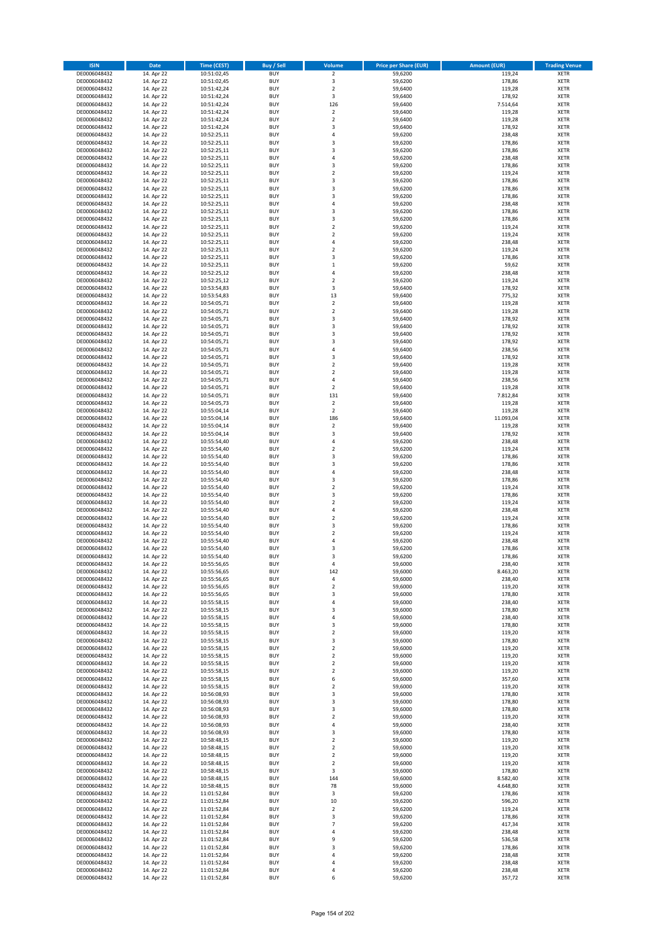| <b>ISIN</b>                  | <b>Date</b>              | <b>Time (CEST)</b>         | <b>Buy / Sell</b>        | Volume                                             | <b>Price per Share (EUR)</b> | <b>Amount (EUR)</b>  | <b>Trading Venue</b>       |
|------------------------------|--------------------------|----------------------------|--------------------------|----------------------------------------------------|------------------------------|----------------------|----------------------------|
| DE0006048432                 | 14. Apr 22               | 10:51:02,45                | <b>BUY</b>               | $\overline{2}$                                     | 59,6200                      | 119,24               | <b>XETR</b>                |
| DE0006048432                 | 14. Apr 22               | 10:51:02,45                | <b>BUY</b>               | 3                                                  | 59,6200                      | 178,86               | <b>XETR</b>                |
| DE0006048432                 | 14. Apr 22               | 10:51:42,24                | <b>BUY</b>               | $\overline{2}$                                     | 59,6400                      | 119,28               | <b>XETR</b>                |
| DE0006048432<br>DE0006048432 | 14. Apr 22<br>14. Apr 22 | 10:51:42,24<br>10:51:42,24 | <b>BUY</b><br><b>BUY</b> | 3<br>126                                           | 59,6400<br>59,6400           | 178,92<br>7.514,64   | <b>XETR</b><br><b>XETR</b> |
| DE0006048432                 | 14. Apr 22               | 10:51:42,24                | <b>BUY</b>               | $\mathbf 2$                                        | 59,6400                      | 119,28               | <b>XETR</b>                |
| DE0006048432                 | 14. Apr 22               | 10:51:42,24                | <b>BUY</b>               | $\mathbf 2$                                        | 59,6400                      | 119,28               | <b>XETR</b>                |
| DE0006048432                 | 14. Apr 22               | 10:51:42,24                | <b>BUY</b>               | 3                                                  | 59,6400                      | 178,92               | <b>XETR</b>                |
| DE0006048432                 | 14. Apr 22               | 10:52:25,11                | <b>BUY</b>               | 4                                                  | 59,6200                      | 238,48               | <b>XETR</b>                |
| DE0006048432                 | 14. Apr 22               | 10:52:25,11                | <b>BUY</b>               | 3                                                  | 59,6200                      | 178,86               | <b>XETR</b>                |
| DE0006048432                 | 14. Apr 22               | 10:52:25,11                | <b>BUY</b>               | 3                                                  | 59,6200                      | 178,86               | <b>XETR</b>                |
| DE0006048432<br>DE0006048432 | 14. Apr 22<br>14. Apr 22 | 10:52:25,11<br>10:52:25,11 | <b>BUY</b><br><b>BUY</b> | 4<br>3                                             | 59,6200<br>59,6200           | 238,48<br>178,86     | <b>XETR</b><br><b>XETR</b> |
| DE0006048432                 | 14. Apr 22               | 10:52:25,11                | <b>BUY</b>               | $\overline{\mathbf{c}}$                            | 59,6200                      | 119,24               | <b>XETR</b>                |
| DE0006048432                 | 14. Apr 22               | 10:52:25,11                | <b>BUY</b>               | 3                                                  | 59,6200                      | 178,86               | <b>XETR</b>                |
| DE0006048432                 | 14. Apr 22               | 10:52:25,11                | <b>BUY</b>               | 3                                                  | 59,6200                      | 178,86               | <b>XETR</b>                |
| DE0006048432                 | 14. Apr 22               | 10:52:25,11                | <b>BUY</b>               | 3                                                  | 59,6200                      | 178,86               | <b>XETR</b>                |
| DE0006048432                 | 14. Apr 22               | 10:52:25,11                | <b>BUY</b>               | 4                                                  | 59,6200                      | 238,48               | <b>XETR</b>                |
| DE0006048432                 | 14. Apr 22               | 10:52:25,11                | <b>BUY</b>               | 3                                                  | 59,6200                      | 178,86               | <b>XETR</b>                |
| DE0006048432<br>DE0006048432 | 14. Apr 22<br>14. Apr 22 | 10:52:25,11<br>10:52:25,11 | <b>BUY</b><br><b>BUY</b> | 3<br>$\overline{\mathbf{c}}$                       | 59,6200<br>59,6200           | 178,86<br>119,24     | <b>XETR</b><br><b>XETR</b> |
| DE0006048432                 | 14. Apr 22               | 10:52:25,11                | <b>BUY</b>               | $\mathbf 2$                                        | 59,6200                      | 119,24               | <b>XETR</b>                |
| DE0006048432                 | 14. Apr 22               | 10:52:25,11                | <b>BUY</b>               | 4                                                  | 59,6200                      | 238,48               | <b>XETR</b>                |
| DE0006048432                 | 14. Apr 22               | 10:52:25,11                | <b>BUY</b>               | $\mathbf 2$                                        | 59,6200                      | 119,24               | <b>XETR</b>                |
| DE0006048432                 | 14. Apr 22               | 10:52:25,11                | <b>BUY</b>               | 3                                                  | 59,6200                      | 178,86               | <b>XETR</b>                |
| DE0006048432                 | 14. Apr 22               | 10:52:25,11                | <b>BUY</b>               | $\mathbf 1$                                        | 59,6200                      | 59,62                | <b>XETR</b>                |
| DE0006048432                 | 14. Apr 22               | 10:52:25,12                | <b>BUY</b>               | 4                                                  | 59,6200                      | 238,48               | <b>XETR</b>                |
| DE0006048432                 | 14. Apr 22               | 10:52:25,12                | <b>BUY</b><br><b>BUY</b> | $\overline{\mathbf{c}}$                            | 59,6200                      | 119,24               | <b>XETR</b>                |
| DE0006048432<br>DE0006048432 | 14. Apr 22<br>14. Apr 22 | 10:53:54,83<br>10:53:54,83 | <b>BUY</b>               | 3<br>13                                            | 59,6400<br>59,6400           | 178,92<br>775,32     | <b>XETR</b><br><b>XETR</b> |
| DE0006048432                 | 14. Apr 22               | 10:54:05,71                | <b>BUY</b>               | $\overline{\mathbf{c}}$                            | 59,6400                      | 119,28               | <b>XETR</b>                |
| DE0006048432                 | 14. Apr 22               | 10:54:05,71                | <b>BUY</b>               | $\mathbf 2$                                        | 59,6400                      | 119,28               | <b>XETR</b>                |
| DE0006048432                 | 14. Apr 22               | 10:54:05,71                | <b>BUY</b>               | 3                                                  | 59,6400                      | 178,92               | <b>XETR</b>                |
| DE0006048432                 | 14. Apr 22               | 10:54:05,71                | <b>BUY</b>               | 3                                                  | 59,6400                      | 178,92               | <b>XETR</b>                |
| DE0006048432                 | 14. Apr 22               | 10:54:05,71                | <b>BUY</b>               | 3                                                  | 59,6400                      | 178,92               | <b>XETR</b>                |
| DE0006048432                 | 14. Apr 22               | 10:54:05,71                | <b>BUY</b>               | 3                                                  | 59,6400                      | 178,92               | <b>XETR</b>                |
| DE0006048432                 | 14. Apr 22               | 10:54:05,71                | <b>BUY</b>               | 4                                                  | 59,6400                      | 238,56               | <b>XETR</b>                |
| DE0006048432                 | 14. Apr 22               | 10:54:05,71                | <b>BUY</b><br><b>BUY</b> | 3                                                  | 59,6400                      | 178,92               | <b>XETR</b>                |
| DE0006048432<br>DE0006048432 | 14. Apr 22<br>14. Apr 22 | 10:54:05,71<br>10:54:05,71 | <b>BUY</b>               | $\overline{\mathbf{c}}$<br>$\overline{\mathbf{c}}$ | 59,6400<br>59,6400           | 119,28<br>119,28     | <b>XETR</b><br><b>XETR</b> |
| DE0006048432                 | 14. Apr 22               | 10:54:05,71                | <b>BUY</b>               | 4                                                  | 59,6400                      | 238,56               | <b>XETR</b>                |
| DE0006048432                 | 14. Apr 22               | 10:54:05,71                | <b>BUY</b>               | $\mathbf 2$                                        | 59,6400                      | 119,28               | <b>XETR</b>                |
| DE0006048432                 | 14. Apr 22               | 10:54:05,71                | <b>BUY</b>               | 131                                                | 59,6400                      | 7.812,84             | <b>XETR</b>                |
| DE0006048432                 | 14. Apr 22               | 10:54:05,73                | <b>BUY</b>               | $\overline{\mathbf{c}}$                            | 59,6400                      | 119,28               | <b>XETR</b>                |
| DE0006048432                 | 14. Apr 22               | 10:55:04,14                | <b>BUY</b>               | $\mathbf 2$                                        | 59,6400                      | 119,28               | <b>XETR</b>                |
| DE0006048432                 | 14. Apr 22               | 10:55:04,14                | <b>BUY</b>               | 186                                                | 59,6400                      | 11.093,04            | <b>XETR</b>                |
| DE0006048432                 | 14. Apr 22               | 10:55:04,14                | <b>BUY</b>               | $\mathbf 2$                                        | 59,6400                      | 119,28               | <b>XETR</b>                |
| DE0006048432                 | 14. Apr 22               | 10:55:04,14                | <b>BUY</b>               | 3                                                  | 59,6400                      | 178,92               | <b>XETR</b>                |
| DE0006048432<br>DE0006048432 | 14. Apr 22<br>14. Apr 22 | 10:55:54,40<br>10:55:54,40 | <b>BUY</b><br><b>BUY</b> | 4<br>$\mathbf 2$                                   | 59,6200<br>59,6200           | 238,48<br>119,24     | <b>XETR</b><br><b>XETR</b> |
| DE0006048432                 | 14. Apr 22               | 10:55:54,40                | <b>BUY</b>               | 3                                                  | 59,6200                      | 178,86               | <b>XETR</b>                |
| DE0006048432                 | 14. Apr 22               | 10:55:54,40                | <b>BUY</b>               | 3                                                  | 59,6200                      | 178,86               | <b>XETR</b>                |
| DE0006048432                 | 14. Apr 22               | 10:55:54,40                | <b>BUY</b>               | 4                                                  | 59,6200                      | 238,48               | <b>XETR</b>                |
| DE0006048432                 | 14. Apr 22               | 10:55:54,40                | <b>BUY</b>               | 3                                                  | 59,6200                      | 178,86               | <b>XETR</b>                |
| DE0006048432                 | 14. Apr 22               | 10:55:54,40                | <b>BUY</b>               | $\overline{\mathbf{c}}$                            | 59,6200                      | 119,24               | <b>XETR</b>                |
| DE0006048432                 | 14. Apr 22               | 10:55:54,40                | <b>BUY</b>               | 3                                                  | 59,6200                      | 178,86               | <b>XETR</b>                |
| DE0006048432                 | 14. Apr 22               | 10:55:54,40                | <b>BUY</b>               | $\overline{\mathbf{c}}$                            | 59,6200                      | 119,24               | <b>XETR</b>                |
| DE0006048432<br>DE0006048432 | 14. Apr 22<br>14. Apr 22 | 10:55:54,40<br>10:55:54,40 | <b>BUY</b><br><b>BUY</b> | 4<br>$\overline{\mathbf{c}}$                       | 59,6200<br>59,6200           | 238,48<br>119,24     | <b>XETR</b><br><b>XETR</b> |
| DE0006048432                 | 14. Apr 22               | 10:55:54,40                | <b>BUY</b>               | 3                                                  | 59,6200                      | 178,86               | <b>XETR</b>                |
| DE0006048432                 | 14. Apr 22               | 10:55:54,40                | <b>BUY</b>               | $\mathbf 2$                                        | 59,6200                      | 119,24               | <b>XETR</b>                |
| DE0006048432                 | 14. Apr 22               | 10:55:54,40                | <b>BUY</b>               | 4                                                  | 59,6200                      | 238,48               | <b>XETR</b>                |
| DE0006048432                 | 14. Apr 22               | 10:55:54,40                | <b>BUY</b>               | 3                                                  | 59,6200                      | 178,86               | <b>XETR</b>                |
| DE0006048432                 | 14. Apr 22               | 10:55:54,40                | <b>BUY</b>               | 3                                                  | 59,6200                      | 178,86               | <b>XETR</b>                |
| DE0006048432                 | 14. Apr 22               | 10:55:56,65                | BUY                      | 4                                                  | 59,6000                      | 238,40               | <b>XETR</b>                |
| DE0006048432<br>DE0006048432 | 14. Apr 22<br>14. Apr 22 | 10:55:56,65<br>10:55:56,65 | <b>BUY</b><br><b>BUY</b> | 142<br>4                                           | 59,6000<br>59,6000           | 8.463,20<br>238,40   | <b>XETR</b><br><b>XETR</b> |
| DE0006048432                 | 14. Apr 22               | 10:55:56,65                | <b>BUY</b>               | $\mathbf 2$                                        | 59,6000                      | 119,20               | XETR                       |
| DE0006048432                 | 14. Apr 22               | 10:55:56,65                | <b>BUY</b>               | 3                                                  | 59,6000                      | 178,80               | <b>XETR</b>                |
| DE0006048432                 | 14. Apr 22               | 10:55:58,15                | <b>BUY</b>               | 4                                                  | 59,6000                      | 238,40               | <b>XETR</b>                |
| DE0006048432                 | 14. Apr 22               | 10:55:58,15                | <b>BUY</b>               | 3                                                  | 59,6000                      | 178,80               | <b>XETR</b>                |
| DE0006048432                 | 14. Apr 22               | 10:55:58,15                | <b>BUY</b>               | 4                                                  | 59,6000                      | 238,40               | <b>XETR</b>                |
| DE0006048432                 | 14. Apr 22               | 10:55:58,15                | <b>BUY</b>               | 3                                                  | 59,6000                      | 178,80               | <b>XETR</b>                |
| DE0006048432                 | 14. Apr 22               | 10:55:58,15                | <b>BUY</b>               | $\mathbf 2$                                        | 59,6000                      | 119,20               | <b>XETR</b>                |
| DE0006048432<br>DE0006048432 | 14. Apr 22<br>14. Apr 22 | 10:55:58,15<br>10:55:58,15 | <b>BUY</b><br><b>BUY</b> | 3<br>$\mathbf 2$                                   | 59,6000<br>59,6000           | 178,80<br>119,20     | <b>XETR</b><br><b>XETR</b> |
| DE0006048432                 | 14. Apr 22               | 10:55:58,15                | <b>BUY</b>               | $\mathbf 2$                                        | 59,6000                      | 119,20               | <b>XETR</b>                |
| DE0006048432                 | 14. Apr 22               | 10:55:58,15                | <b>BUY</b>               | $\overline{2}$                                     | 59,6000                      | 119,20               | <b>XETR</b>                |
| DE0006048432                 | 14. Apr 22               | 10:55:58,15                | <b>BUY</b>               | $\mathbf 2$                                        | 59,6000                      | 119,20               | <b>XETR</b>                |
| DE0006048432                 | 14. Apr 22               | 10:55:58,15                | <b>BUY</b>               | 6                                                  | 59,6000                      | 357,60               | <b>XETR</b>                |
| DE0006048432                 | 14. Apr 22               | 10:55:58,15                | <b>BUY</b>               | $\mathbf 2$                                        | 59,6000                      | 119,20               | <b>XETR</b>                |
| DE0006048432                 | 14. Apr 22               | 10:56:08,93                | <b>BUY</b>               | 3                                                  | 59,6000                      | 178,80               | <b>XETR</b>                |
| DE0006048432<br>DE0006048432 | 14. Apr 22<br>14. Apr 22 | 10:56:08,93<br>10:56:08,93 | <b>BUY</b><br><b>BUY</b> | 3<br>3                                             | 59,6000<br>59,6000           | 178,80<br>178,80     | XETR<br><b>XETR</b>        |
| DE0006048432                 | 14. Apr 22               | 10:56:08,93                | <b>BUY</b>               | $\overline{2}$                                     | 59,6000                      | 119,20               | <b>XETR</b>                |
| DE0006048432                 | 14. Apr 22               | 10:56:08,93                | <b>BUY</b>               | 4                                                  | 59,6000                      | 238,40               | <b>XETR</b>                |
| DE0006048432                 | 14. Apr 22               | 10:56:08,93                | <b>BUY</b>               | 3                                                  | 59,6000                      | 178,80               | <b>XETR</b>                |
| DE0006048432                 | 14. Apr 22               | 10:58:48,15                | <b>BUY</b>               | $\mathbf 2$                                        | 59,6000                      | 119,20               | <b>XETR</b>                |
| DE0006048432                 | 14. Apr 22               | 10:58:48,15                | <b>BUY</b>               | $\mathbf 2$                                        | 59,6000                      | 119,20               | <b>XETR</b>                |
| DE0006048432                 | 14. Apr 22               | 10:58:48,15                | <b>BUY</b>               | $\mathbf 2$                                        | 59,6000                      | 119,20               | <b>XETR</b>                |
| DE0006048432                 | 14. Apr 22               | 10:58:48,15                | <b>BUY</b>               | $\mathbf 2$                                        | 59,6000                      | 119,20               | <b>XETR</b>                |
| DE0006048432                 | 14. Apr 22               | 10:58:48,15                | <b>BUY</b><br><b>BUY</b> | 3                                                  | 59,6000                      | 178,80               | <b>XETR</b>                |
| DE0006048432<br>DE0006048432 | 14. Apr 22<br>14. Apr 22 | 10:58:48,15<br>10:58:48,15 | <b>BUY</b>               | 144<br>78                                          | 59,6000<br>59,6000           | 8.582,40<br>4.648,80 | <b>XETR</b><br><b>XETR</b> |
| DE0006048432                 | 14. Apr 22               | 11:01:52,84                | <b>BUY</b>               | 3                                                  | 59,6200                      | 178,86               | <b>XETR</b>                |
| DE0006048432                 | 14. Apr 22               | 11:01:52,84                | <b>BUY</b>               | 10                                                 | 59,6200                      | 596,20               | <b>XETR</b>                |
| DE0006048432                 | 14. Apr 22               | 11:01:52,84                | <b>BUY</b>               | $\mathbf 2$                                        | 59,6200                      | 119,24               | <b>XETR</b>                |
| DE0006048432                 | 14. Apr 22               | 11:01:52,84                | <b>BUY</b>               | 3                                                  | 59,6200                      | 178,86               | <b>XETR</b>                |
| DE0006048432                 | 14. Apr 22               | 11:01:52,84                | <b>BUY</b>               | $\overline{7}$                                     | 59,6200                      | 417,34               | <b>XETR</b>                |
| DE0006048432                 | 14. Apr 22               | 11:01:52,84                | <b>BUY</b>               | 4                                                  | 59,6200                      | 238,48               | <b>XETR</b>                |
| DE0006048432                 | 14. Apr 22<br>14. Apr 22 | 11:01:52,84                | <b>BUY</b><br><b>BUY</b> | 9<br>3                                             | 59,6200<br>59,6200           | 536,58<br>178,86     | <b>XETR</b><br>XETR        |
| DE0006048432<br>DE0006048432 | 14. Apr 22               | 11:01:52,84<br>11:01:52,84 | <b>BUY</b>               | 4                                                  | 59,6200                      | 238,48               | <b>XETR</b>                |
| DE0006048432                 | 14. Apr 22               | 11:01:52,84                | <b>BUY</b>               | 4                                                  | 59,6200                      | 238,48               | <b>XETR</b>                |
| DE0006048432                 | 14. Apr 22               | 11:01:52,84                | <b>BUY</b>               | 4                                                  | 59,6200                      | 238,48               | <b>XETR</b>                |
| DE0006048432                 | 14. Apr 22               | 11:01:52,84                | <b>BUY</b>               | 6                                                  | 59,6200                      | 357,72               | <b>XETR</b>                |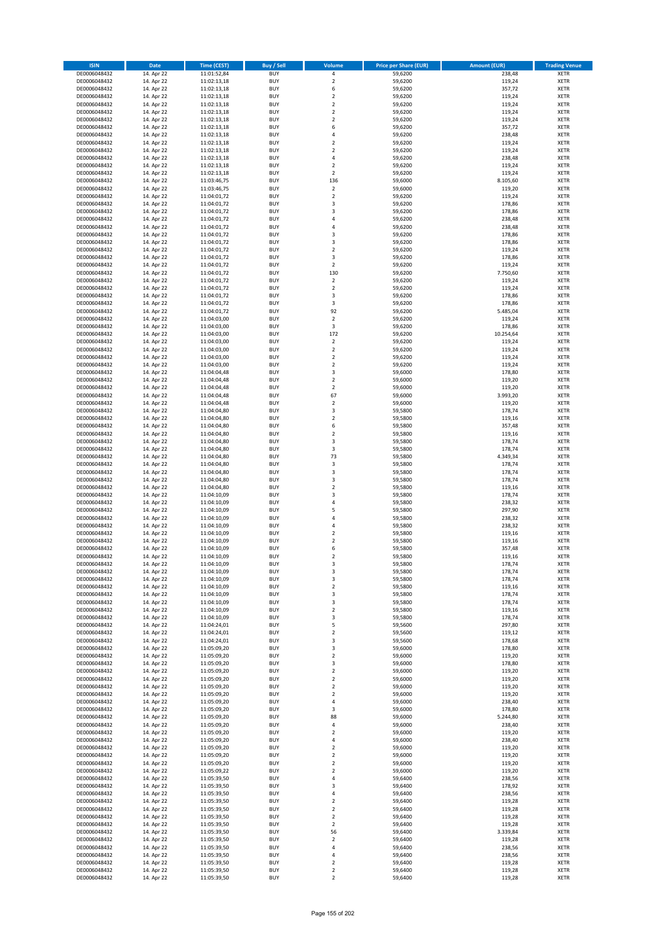| <b>ISIN</b>                  | <b>Date</b>              | <b>Time (CEST)</b>         | Buy / Sell               | Volume                       | <b>Price per Share (EUR)</b> | <b>Amount (EUR)</b> | <b>Trading Venue</b>       |
|------------------------------|--------------------------|----------------------------|--------------------------|------------------------------|------------------------------|---------------------|----------------------------|
| DE0006048432                 | 14. Apr 22               | 11:01:52,84                | <b>BUY</b>               | 4                            | 59,6200                      | 238,48              | <b>XETR</b>                |
| DE0006048432                 | 14. Apr 22               | 11:02:13,18                | <b>BUY</b>               | $\mathbf 2$                  | 59,6200                      | 119,24              | <b>XETR</b>                |
| DE0006048432                 | 14. Apr 22               | 11:02:13,18                | <b>BUY</b>               | 6                            | 59,6200                      | 357,72              | <b>XETR</b>                |
| DE0006048432<br>DE0006048432 | 14. Apr 22<br>14. Apr 22 | 11:02:13,18<br>11:02:13,18 | <b>BUY</b><br><b>BUY</b> | $\mathbf 2$<br>$\mathbf 2$   | 59,6200<br>59,6200           | 119,24<br>119,24    | <b>XETR</b><br><b>XETR</b> |
| DE0006048432                 | 14. Apr 22               | 11:02:13,18                | <b>BUY</b>               | $\mathbf 2$                  | 59,6200                      | 119,24              | <b>XETR</b>                |
| DE0006048432                 | 14. Apr 22               | 11:02:13,18                | <b>BUY</b>               | $\mathbf 2$                  | 59,6200                      | 119,24              | <b>XETR</b>                |
| DE0006048432                 | 14. Apr 22               | 11:02:13,18                | <b>BUY</b>               | 6                            | 59,6200                      | 357,72              | <b>XETR</b>                |
| DE0006048432                 | 14. Apr 22               | 11:02:13,18                | <b>BUY</b>               | 4                            | 59,6200                      | 238,48              | <b>XETR</b>                |
| DE0006048432                 | 14. Apr 22               | 11:02:13,18                | <b>BUY</b>               | $\mathbf 2$                  | 59,6200                      | 119,24              | <b>XETR</b>                |
| DE0006048432                 | 14. Apr 22               | 11:02:13,18                | <b>BUY</b>               | $\mathbf 2$                  | 59,6200                      | 119,24              | <b>XETR</b>                |
| DE0006048432<br>DE0006048432 | 14. Apr 22<br>14. Apr 22 | 11:02:13,18<br>11:02:13,18 | <b>BUY</b><br><b>BUY</b> | 4<br>$\mathbf 2$             | 59,6200<br>59,6200           | 238,48<br>119,24    | <b>XETR</b><br><b>XETR</b> |
| DE0006048432                 | 14. Apr 22               | 11:02:13,18                | <b>BUY</b>               | $\overline{\mathbf{c}}$      | 59,6200                      | 119,24              | <b>XETR</b>                |
| DE0006048432                 | 14. Apr 22               | 11:03:46,75                | <b>BUY</b>               | 136                          | 59,6000                      | 8.105,60            | <b>XETR</b>                |
| DE0006048432                 | 14. Apr 22               | 11:03:46,75                | <b>BUY</b>               | $\mathbf 2$                  | 59,6000                      | 119,20              | <b>XETR</b>                |
| DE0006048432                 | 14. Apr 22               | 11:04:01,72                | <b>BUY</b>               | $\mathbf 2$                  | 59,6200                      | 119,24              | <b>XETR</b>                |
| DE0006048432                 | 14. Apr 22               | 11:04:01,72                | <b>BUY</b>               | 3                            | 59,6200                      | 178,86              | <b>XETR</b>                |
| DE0006048432                 | 14. Apr 22               | 11:04:01,72                | <b>BUY</b>               | 3                            | 59,6200                      | 178,86              | <b>XETR</b>                |
| DE0006048432                 | 14. Apr 22               | 11:04:01,72                | <b>BUY</b>               | 4                            | 59,6200                      | 238,48              | <b>XETR</b>                |
| DE0006048432<br>DE0006048432 | 14. Apr 22<br>14. Apr 22 | 11:04:01,72<br>11:04:01,72 | <b>BUY</b><br><b>BUY</b> | 4<br>3                       | 59,6200<br>59,6200           | 238,48<br>178,86    | <b>XETR</b><br><b>XETR</b> |
| DE0006048432                 | 14. Apr 22               | 11:04:01,72                | <b>BUY</b>               | 3                            | 59,6200                      | 178,86              | <b>XETR</b>                |
| DE0006048432                 | 14. Apr 22               | 11:04:01,72                | <b>BUY</b>               | $\mathbf 2$                  | 59,6200                      | 119,24              | <b>XETR</b>                |
| DE0006048432                 | 14. Apr 22               | 11:04:01,72                | <b>BUY</b>               | 3                            | 59,6200                      | 178,86              | <b>XETR</b>                |
| DE0006048432                 | 14. Apr 22               | 11:04:01,72                | <b>BUY</b>               | $\mathbf 2$                  | 59,6200                      | 119,24              | <b>XETR</b>                |
| DE0006048432                 | 14. Apr 22               | 11:04:01,72                | <b>BUY</b>               | 130                          | 59,6200                      | 7.750,60            | <b>XETR</b>                |
| DE0006048432                 | 14. Apr 22               | 11:04:01,72                | <b>BUY</b>               | $\overline{2}$               | 59,6200                      | 119,24              | <b>XETR</b>                |
| DE0006048432<br>DE0006048432 | 14. Apr 22<br>14. Apr 22 | 11:04:01,72<br>11:04:01,72 | <b>BUY</b><br><b>BUY</b> | $\mathbf 2$<br>3             | 59,6200<br>59,6200           | 119,24<br>178,86    | <b>XETR</b><br><b>XETR</b> |
| DE0006048432                 | 14. Apr 22               | 11:04:01,72                | <b>BUY</b>               | 3                            | 59,6200                      | 178,86              | <b>XETR</b>                |
| DE0006048432                 | 14. Apr 22               | 11:04:01,72                | <b>BUY</b>               | 92                           | 59,6200                      | 5.485,04            | <b>XETR</b>                |
| DE0006048432                 | 14. Apr 22               | 11:04:03,00                | <b>BUY</b>               | $\mathbf 2$                  | 59,6200                      | 119,24              | <b>XETR</b>                |
| DE0006048432                 | 14. Apr 22               | 11:04:03,00                | <b>BUY</b>               | 3                            | 59,6200                      | 178,86              | <b>XETR</b>                |
| DE0006048432                 | 14. Apr 22               | 11:04:03.00                | <b>BUY</b>               | 172                          | 59,6200                      | 10.254.64           | <b>XETR</b>                |
| DE0006048432                 | 14. Apr 22               | 11:04:03,00                | <b>BUY</b>               | $\mathbf 2$                  | 59,6200                      | 119,24              | <b>XETR</b>                |
| DE0006048432                 | 14. Apr 22               | 11:04:03,00                | <b>BUY</b>               | $\overline{\mathbf{c}}$      | 59,6200                      | 119,24              | <b>XETR</b>                |
| DE0006048432                 | 14. Apr 22               | 11:04:03,00                | <b>BUY</b><br><b>BUY</b> | $\mathbf 2$                  | 59,6200                      | 119,24              | <b>XETR</b>                |
| DE0006048432<br>DE0006048432 | 14. Apr 22<br>14. Apr 22 | 11:04:03,00<br>11:04:04,48 | <b>BUY</b>               | $\mathbf 2$<br>3             | 59,6200<br>59,6000           | 119,24<br>178,80    | <b>XETR</b><br><b>XETR</b> |
| DE0006048432                 | 14. Apr 22               | 11:04:04,48                | <b>BUY</b>               | $\mathbf 2$                  | 59,6000                      | 119,20              | <b>XETR</b>                |
| DE0006048432                 | 14. Apr 22               | 11:04:04,48                | <b>BUY</b>               | $\mathbf 2$                  | 59,6000                      | 119,20              | <b>XETR</b>                |
| DE0006048432                 | 14. Apr 22               | 11:04:04,48                | <b>BUY</b>               | 67                           | 59,6000                      | 3.993,20            | <b>XETR</b>                |
| DE0006048432                 | 14. Apr 22               | 11:04:04,48                | <b>BUY</b>               | $\overline{\mathbf{c}}$      | 59,6000                      | 119,20              | <b>XETR</b>                |
| DE0006048432                 | 14. Apr 22               | 11:04:04,80                | <b>BUY</b>               | 3                            | 59,5800                      | 178,74              | <b>XETR</b>                |
| DE0006048432                 | 14. Apr 22               | 11:04:04,80                | <b>BUY</b>               | $\overline{2}$               | 59,5800                      | 119,16              | <b>XETR</b>                |
| DE0006048432                 | 14. Apr 22               | 11:04:04,80                | <b>BUY</b>               | 6                            | 59,5800                      | 357,48              | <b>XETR</b>                |
| DE0006048432<br>DE0006048432 | 14. Apr 22<br>14. Apr 22 | 11:04:04,80<br>11:04:04,80 | <b>BUY</b><br><b>BUY</b> | $\mathbf 2$<br>3             | 59,5800<br>59,5800           | 119,16<br>178,74    | <b>XETR</b><br><b>XETR</b> |
| DE0006048432                 | 14. Apr 22               | 11:04:04,80                | <b>BUY</b>               | 3                            | 59,5800                      | 178,74              | <b>XETR</b>                |
| DE0006048432                 | 14. Apr 22               | 11:04:04,80                | <b>BUY</b>               | 73                           | 59,5800                      | 4.349,34            | <b>XETR</b>                |
| DE0006048432                 | 14. Apr 22               | 11:04:04,80                | <b>BUY</b>               | 3                            | 59,5800                      | 178,74              | <b>XETR</b>                |
| DE0006048432                 | 14. Apr 22               | 11:04:04,80                | <b>BUY</b>               | 3                            | 59,5800                      | 178,74              | <b>XETR</b>                |
| DE0006048432                 | 14. Apr 22               | 11:04:04,80                | <b>BUY</b>               | 3                            | 59,5800                      | 178,74              | <b>XETR</b>                |
| DE0006048432                 | 14. Apr 22               | 11:04:04,80                | <b>BUY</b>               | $\overline{\mathbf{c}}$      | 59,5800                      | 119,16              | <b>XETR</b>                |
| DE0006048432<br>DE0006048432 | 14. Apr 22<br>14. Apr 22 | 11:04:10,09<br>11:04:10,09 | <b>BUY</b><br><b>BUY</b> | 3<br>4                       | 59,5800<br>59,5800           | 178,74<br>238,32    | <b>XETR</b><br><b>XETR</b> |
| DE0006048432                 | 14. Apr 22               | 11:04:10,09                | <b>BUY</b>               | 5                            | 59,5800                      | 297,90              | <b>XETR</b>                |
| DE0006048432                 | 14. Apr 22               | 11:04:10,09                | <b>BUY</b>               | 4                            | 59,5800                      | 238,32              | <b>XETR</b>                |
| DE0006048432                 | 14. Apr 22               | 11:04:10,09                | <b>BUY</b>               | 4                            | 59,5800                      | 238,32              | <b>XETR</b>                |
| DE0006048432                 | 14. Apr 22               | 11:04:10,09                | <b>BUY</b>               | $\mathbf 2$                  | 59,5800                      | 119,16              | <b>XETR</b>                |
| DE0006048432                 | 14. Apr 22               | 11:04:10,09                | <b>BUY</b>               | $\overline{\mathbf{c}}$      | 59,5800                      | 119,16              | <b>XETR</b>                |
| DE0006048432                 | 14. Apr 22               | 11:04:10,09                | <b>BUY</b>               | 6                            | 59,5800                      | 357,48              | <b>XETR</b>                |
| DE0006048432<br>DE0006048432 | 14. Apr 22<br>14. Apr 22 | 11:04:10,09<br>11:04:10,09 | <b>BUY</b><br>BUY        | $\overline{2}$<br>3          | 59,5800<br>59,5800           | 119,16<br>178,74    | <b>XETR</b><br><b>XETR</b> |
| DE0006048432                 | 14. Apr 22               | 11:04:10,09                | <b>BUY</b>               | 3                            | 59,5800                      | 178,74              | <b>XETR</b>                |
| DE0006048432                 | 14. Apr 22               | 11:04:10,09                | <b>BUY</b>               | 3                            | 59,5800                      | 178,74              | <b>XETR</b>                |
| DE0006048432                 | 14. Apr 22               | 11:04:10,09                | <b>BUY</b>               | $\mathbf 2$                  | 59,5800                      | 119,16              | XETR                       |
| DE0006048432                 | 14. Apr 22               | 11:04:10,09                | <b>BUY</b>               | 3                            | 59,5800                      | 178,74              | <b>XETR</b>                |
| DE0006048432                 | 14. Apr 22               | 11:04:10,09                | <b>BUY</b>               | 3                            | 59,5800                      | 178,74              | <b>XETR</b>                |
| DE0006048432                 | 14. Apr 22               | 11:04:10,09                | <b>BUY</b>               | $\mathbf 2$                  | 59,5800                      | 119,16              | <b>XETR</b>                |
| DE0006048432<br>DE0006048432 | 14. Apr 22               | 11:04:10,09<br>11:04:24,01 | <b>BUY</b><br><b>BUY</b> | 3<br>5                       | 59,5800<br>59,5600           | 178,74              | <b>XETR</b><br><b>XETR</b> |
| DE0006048432                 | 14. Apr 22<br>14. Apr 22 | 11:04:24,01                | <b>BUY</b>               | $\mathbf 2$                  | 59,5600                      | 297,80<br>119,12    | <b>XETR</b>                |
| DE0006048432                 | 14. Apr 22               | 11:04:24,01                | <b>BUY</b>               | 3                            | 59,5600                      | 178,68              | <b>XETR</b>                |
| DE0006048432                 | 14. Apr 22               | 11:05:09,20                | <b>BUY</b>               | 3                            | 59,6000                      | 178,80              | <b>XETR</b>                |
| DE0006048432                 | 14. Apr 22               | 11:05:09,20                | <b>BUY</b>               | $\mathbf 2$                  | 59,6000                      | 119,20              | <b>XETR</b>                |
| DE0006048432                 | 14. Apr 22               | 11:05:09,20                | <b>BUY</b>               | 3                            | 59,6000                      | 178,80              | <b>XETR</b>                |
| DE0006048432                 | 14. Apr 22               | 11:05:09,20                | <b>BUY</b><br><b>BUY</b> | $\mathbf 2$<br>$\mathbf 2$   | 59,6000                      | 119,20              | <b>XETR</b>                |
| DE0006048432<br>DE0006048432 | 14. Apr 22<br>14. Apr 22 | 11:05:09,20<br>11:05:09,20 | <b>BUY</b>               | $\mathbf 2$                  | 59,6000<br>59,6000           | 119,20<br>119,20    | <b>XETR</b><br><b>XETR</b> |
| DE0006048432                 | 14. Apr 22               | 11:05:09,20                | <b>BUY</b>               | $\overline{2}$               | 59,6000                      | 119,20              | <b>XETR</b>                |
| DE0006048432                 | 14. Apr 22               | 11:05:09,20                | <b>BUY</b>               | 4                            | 59,6000                      | 238,40              | XETR                       |
| DE0006048432                 | 14. Apr 22               | 11:05:09,20                | <b>BUY</b>               | 3                            | 59,6000                      | 178,80              | <b>XETR</b>                |
| DE0006048432                 | 14. Apr 22               | 11:05:09,20                | <b>BUY</b>               | 88                           | 59,6000                      | 5.244,80            | <b>XETR</b>                |
| DE0006048432                 | 14. Apr 22               | 11:05:09,20                | <b>BUY</b>               | 4                            | 59,6000                      | 238,40              | <b>XETR</b>                |
| DE0006048432<br>DE0006048432 | 14. Apr 22<br>14. Apr 22 | 11:05:09,20<br>11:05:09,20 | <b>BUY</b><br><b>BUY</b> | $\overline{\mathbf{c}}$<br>4 | 59,6000<br>59,6000           | 119,20<br>238,40    | <b>XETR</b><br><b>XETR</b> |
| DE0006048432                 | 14. Apr 22               | 11:05:09,20                | <b>BUY</b>               | $\mathbf 2$                  | 59,6000                      | 119,20              | <b>XETR</b>                |
| DE0006048432                 | 14. Apr 22               | 11:05:09,20                | <b>BUY</b>               | $\mathbf 2$                  | 59,6000                      | 119,20              | <b>XETR</b>                |
| DE0006048432                 | 14. Apr 22               | 11:05:09,20                | <b>BUY</b>               | $\mathbf 2$                  | 59,6000                      | 119,20              | <b>XETR</b>                |
| DE0006048432                 | 14. Apr 22               | 11:05:09,22                | <b>BUY</b>               | $\overline{2}$               | 59,6000                      | 119,20              | <b>XETR</b>                |
| DE0006048432                 | 14. Apr 22               | 11:05:39,50                | <b>BUY</b>               | 4                            | 59,6400                      | 238,56              | <b>XETR</b>                |
| DE0006048432                 | 14. Apr 22               | 11:05:39,50                | <b>BUY</b>               | 3                            | 59,6400                      | 178,92              | <b>XETR</b>                |
| DE0006048432<br>DE0006048432 | 14. Apr 22               | 11:05:39,50                | <b>BUY</b><br><b>BUY</b> | 4<br>$\mathbf 2$             | 59,6400<br>59,6400           | 238,56              | <b>XETR</b><br><b>XETR</b> |
| DE0006048432                 | 14. Apr 22<br>14. Apr 22 | 11:05:39,50<br>11:05:39,50 | <b>BUY</b>               | $\mathbf 2$                  | 59,6400                      | 119,28<br>119,28    | <b>XETR</b>                |
| DE0006048432                 | 14. Apr 22               | 11:05:39,50                | <b>BUY</b>               | $\mathbf 2$                  | 59,6400                      | 119,28              | <b>XETR</b>                |
| DE0006048432                 | 14. Apr 22               | 11:05:39,50                | <b>BUY</b>               | $\mathbf 2$                  | 59,6400                      | 119,28              | <b>XETR</b>                |
| DE0006048432                 | 14. Apr 22               | 11:05:39,50                | <b>BUY</b>               | 56                           | 59,6400                      | 3.339,84            | <b>XETR</b>                |
| DE0006048432                 | 14. Apr 22               | 11:05:39,50                | <b>BUY</b>               | $\overline{\mathbf{c}}$      | 59,6400                      | 119,28              | <b>XETR</b>                |
| DE0006048432                 | 14. Apr 22               | 11:05:39,50                | <b>BUY</b>               | 4                            | 59,6400                      | 238,56              | XETR                       |
| DE0006048432<br>DE0006048432 | 14. Apr 22<br>14. Apr 22 | 11:05:39,50<br>11:05:39,50 | <b>BUY</b><br><b>BUY</b> | 4<br>$\mathbf 2$             | 59,6400<br>59,6400           | 238,56<br>119,28    | <b>XETR</b><br><b>XETR</b> |
| DE0006048432                 | 14. Apr 22               | 11:05:39,50                | <b>BUY</b>               | $\mathbf 2$                  | 59,6400                      | 119,28              | <b>XETR</b>                |
| DE0006048432                 | 14. Apr 22               | 11:05:39,50                | <b>BUY</b>               | $\mathbf 2$                  | 59,6400                      | 119,28              | <b>XETR</b>                |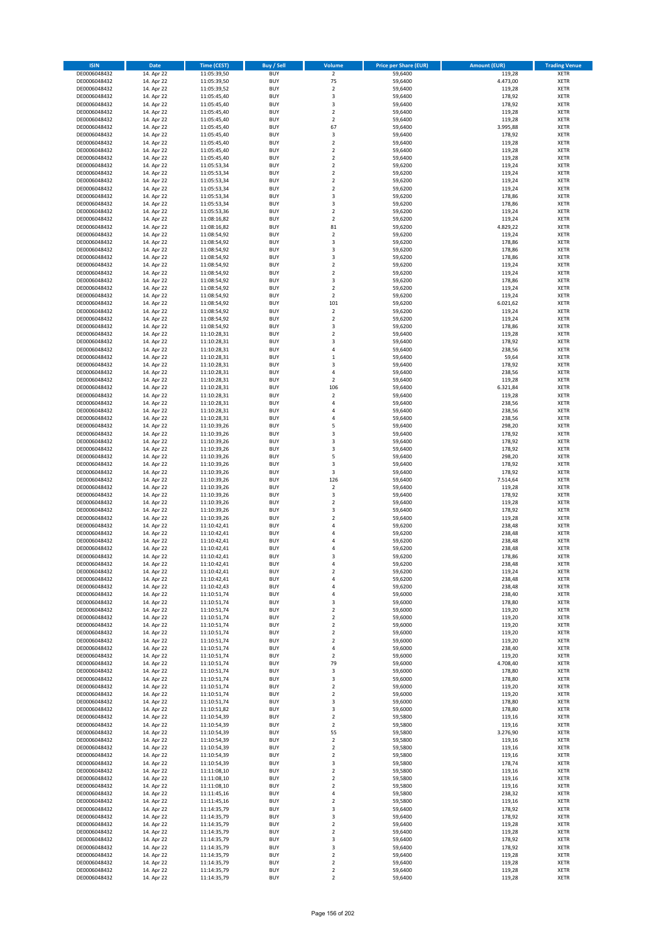| <b>ISIN</b>                  | <b>Date</b>              | Time (CEST)                | <b>Buy / Sell</b>        | Volume                                 | <b>Price per Share (EUR)</b> | <b>Amount (EUR)</b> | <b>Trading Venue</b>       |
|------------------------------|--------------------------|----------------------------|--------------------------|----------------------------------------|------------------------------|---------------------|----------------------------|
| DE0006048432                 | 14. Apr 22               | 11:05:39,50                | <b>BUY</b>               | $\overline{2}$                         | 59,6400                      | 119,28              | <b>XETR</b>                |
| DE0006048432                 | 14. Apr 22               | 11:05:39,50                | <b>BUY</b>               | 75                                     | 59,6400                      | 4.473,00            | <b>XETR</b>                |
| DE0006048432                 | 14. Apr 22               | 11:05:39,52                | <b>BUY</b>               | $\overline{2}$                         | 59,6400                      | 119,28              | <b>XETR</b>                |
| DE0006048432<br>DE0006048432 | 14. Apr 22<br>14. Apr 22 | 11:05:45,40<br>11:05:45,40 | <b>BUY</b><br><b>BUY</b> | 3<br>3                                 | 59,6400<br>59,6400           | 178,92<br>178,92    | <b>XETR</b><br><b>XETR</b> |
| DE0006048432                 | 14. Apr 22               | 11:05:45,40                | <b>BUY</b>               | $\mathbf 2$                            | 59,6400                      | 119,28              | <b>XETR</b>                |
| DE0006048432                 | 14. Apr 22               | 11:05:45,40                | <b>BUY</b>               | $\mathbf 2$                            | 59,6400                      | 119,28              | <b>XETR</b>                |
| DE0006048432                 | 14. Apr 22               | 11:05:45,40                | <b>BUY</b>               | 67                                     | 59,6400                      | 3.995,88            | <b>XETR</b>                |
| DE0006048432                 | 14. Apr 22               | 11:05:45,40                | <b>BUY</b>               | 3                                      | 59,6400                      | 178,92              | <b>XETR</b>                |
| DE0006048432                 | 14. Apr 22               | 11:05:45,40                | <b>BUY</b><br><b>BUY</b> | $\mathbf 2$                            | 59,6400                      | 119,28              | <b>XETR</b><br><b>XETR</b> |
| DE0006048432<br>DE0006048432 | 14. Apr 22<br>14. Apr 22 | 11:05:45,40<br>11:05:45,40 | <b>BUY</b>               | $\mathbf 2$<br>$\overline{\mathbf{c}}$ | 59,6400<br>59,6400           | 119,28<br>119,28    | <b>XETR</b>                |
| DE0006048432                 | 14. Apr 22               | 11:05:53,34                | <b>BUY</b>               | $\mathbf 2$                            | 59,6200                      | 119,24              | <b>XETR</b>                |
| DE0006048432                 | 14. Apr 22               | 11:05:53,34                | <b>BUY</b>               | $\overline{\mathbf{c}}$                | 59,6200                      | 119,24              | <b>XETR</b>                |
| DE0006048432                 | 14. Apr 22               | 11:05:53,34                | <b>BUY</b>               | $\mathbf 2$                            | 59,6200                      | 119,24              | <b>XETR</b>                |
| DE0006048432                 | 14. Apr 22               | 11:05:53,34                | <b>BUY</b>               | $\mathbf 2$                            | 59,6200                      | 119,24              | <b>XETR</b>                |
| DE0006048432<br>DE0006048432 | 14. Apr 22<br>14. Apr 22 | 11:05:53,34<br>11:05:53,34 | <b>BUY</b><br><b>BUY</b> | 3<br>3                                 | 59,6200<br>59,6200           | 178,86<br>178,86    | <b>XETR</b><br><b>XETR</b> |
| DE0006048432                 | 14. Apr 22               | 11:05:53,36                | <b>BUY</b>               | $\overline{\mathbf{c}}$                | 59,6200                      | 119,24              | <b>XETR</b>                |
| DE0006048432                 | 14. Apr 22               | 11:08:16,82                | <b>BUY</b>               | $\mathbf 2$                            | 59,6200                      | 119,24              | <b>XETR</b>                |
| DE0006048432                 | 14. Apr 22               | 11:08:16,82                | <b>BUY</b>               | 81                                     | 59,6200                      | 4.829,22            | <b>XETR</b>                |
| DE0006048432                 | 14. Apr 22               | 11:08:54,92                | <b>BUY</b>               | $\mathbf 2$                            | 59,6200                      | 119,24              | <b>XETR</b>                |
| DE0006048432                 | 14. Apr 22               | 11:08:54,92                | <b>BUY</b><br><b>BUY</b> | 3<br>3                                 | 59,6200                      | 178,86              | <b>XETR</b><br><b>XETR</b> |
| DE0006048432<br>DE0006048432 | 14. Apr 22<br>14. Apr 22 | 11:08:54,92<br>11:08:54,92 | <b>BUY</b>               | 3                                      | 59,6200<br>59,6200           | 178,86<br>178,86    | <b>XETR</b>                |
| DE0006048432                 | 14. Apr 22               | 11:08:54,92                | <b>BUY</b>               | $\mathbf 2$                            | 59,6200                      | 119,24              | <b>XETR</b>                |
| DE0006048432                 | 14. Apr 22               | 11:08:54,92                | <b>BUY</b>               | $\mathbf 2$                            | 59,6200                      | 119,24              | <b>XETR</b>                |
| DE0006048432                 | 14. Apr 22               | 11:08:54,92                | <b>BUY</b>               | 3                                      | 59,6200                      | 178,86              | <b>XETR</b>                |
| DE0006048432                 | 14. Apr 22               | 11:08:54,92                | <b>BUY</b>               | $\mathbf 2$                            | 59,6200                      | 119,24              | <b>XETR</b>                |
| DE0006048432<br>DE0006048432 | 14. Apr 22<br>14. Apr 22 | 11:08:54,92<br>11:08:54,92 | <b>BUY</b><br><b>BUY</b> | $\overline{2}$<br>101                  | 59,6200<br>59,6200           | 119,24<br>6.021,62  | <b>XETR</b><br><b>XETR</b> |
| DE0006048432                 | 14. Apr 22               | 11:08:54,92                | <b>BUY</b>               | $\mathbf 2$                            | 59,6200                      | 119,24              | <b>XETR</b>                |
| DE0006048432                 | 14. Apr 22               | 11:08:54,92                | <b>BUY</b>               | $\mathbf 2$                            | 59,6200                      | 119,24              | <b>XETR</b>                |
| DE0006048432                 | 14. Apr 22               | 11:08:54,92                | <b>BUY</b>               | 3                                      | 59,6200                      | 178,86              | <b>XETR</b>                |
| DE0006048432                 | 14. Apr 22               | 11:10:28,31                | <b>BUY</b>               | $\mathbf 2$                            | 59,6400                      | 119,28              | <b>XETR</b>                |
| DE0006048432                 | 14. Apr 22               | 11:10:28,31                | <b>BUY</b><br><b>BUY</b> | 3<br>4                                 | 59,6400                      | 178,92              | <b>XETR</b><br><b>XETR</b> |
| DE0006048432<br>DE0006048432 | 14. Apr 22<br>14. Apr 22 | 11:10:28,31<br>11:10:28,31 | <b>BUY</b>               | $\mathbf 1$                            | 59,6400<br>59,6400           | 238,56<br>59,64     | <b>XETR</b>                |
| DE0006048432                 | 14. Apr 22               | 11:10:28,31                | <b>BUY</b>               | 3                                      | 59,6400                      | 178,92              | <b>XETR</b>                |
| DE0006048432                 | 14. Apr 22               | 11:10:28,31                | <b>BUY</b>               | 4                                      | 59,6400                      | 238,56              | <b>XETR</b>                |
| DE0006048432                 | 14. Apr 22               | 11:10:28,31                | <b>BUY</b>               | $\mathbf 2$                            | 59,6400                      | 119,28              | <b>XETR</b>                |
| DE0006048432                 | 14. Apr 22               | 11:10:28,31                | <b>BUY</b>               | 106                                    | 59,6400                      | 6.321,84            | <b>XETR</b>                |
| DE0006048432<br>DE0006048432 | 14. Apr 22<br>14. Apr 22 | 11:10:28,31                | <b>BUY</b><br><b>BUY</b> | $\mathbf 2$<br>4                       | 59,6400<br>59,6400           | 119,28<br>238,56    | <b>XETR</b><br><b>XETR</b> |
| DE0006048432                 | 14. Apr 22               | 11:10:28,31<br>11:10:28,31 | <b>BUY</b>               | 4                                      | 59,6400                      | 238,56              | <b>XETR</b>                |
| DE0006048432                 | 14. Apr 22               | 11:10:28,31                | <b>BUY</b>               | 4                                      | 59,6400                      | 238,56              | <b>XETR</b>                |
| DE0006048432                 | 14. Apr 22               | 11:10:39,26                | <b>BUY</b>               | 5                                      | 59,6400                      | 298,20              | <b>XETR</b>                |
| DE0006048432                 | 14. Apr 22               | 11:10:39,26                | <b>BUY</b>               | 3                                      | 59,6400                      | 178,92              | <b>XETR</b>                |
| DE0006048432                 | 14. Apr 22               | 11:10:39,26                | <b>BUY</b>               | 3                                      | 59,6400                      | 178,92              | <b>XETR</b>                |
| DE0006048432<br>DE0006048432 | 14. Apr 22<br>14. Apr 22 | 11:10:39,26<br>11:10:39,26 | <b>BUY</b><br><b>BUY</b> | 3<br>5                                 | 59,6400<br>59,6400           | 178,92<br>298,20    | <b>XETR</b><br><b>XETR</b> |
| DE0006048432                 | 14. Apr 22               | 11:10:39,26                | <b>BUY</b>               | 3                                      | 59,6400                      | 178,92              | <b>XETR</b>                |
| DE0006048432                 | 14. Apr 22               | 11:10:39,26                | <b>BUY</b>               | 3                                      | 59,6400                      | 178,92              | <b>XETR</b>                |
| DE0006048432                 | 14. Apr 22               | 11:10:39,26                | <b>BUY</b>               | 126                                    | 59,6400                      | 7.514,64            | <b>XETR</b>                |
| DE0006048432                 | 14. Apr 22               | 11:10:39,26                | <b>BUY</b>               | $\overline{\mathbf{c}}$                | 59,6400                      | 119,28              | <b>XETR</b>                |
| DE0006048432<br>DE0006048432 | 14. Apr 22<br>14. Apr 22 | 11:10:39,26<br>11:10:39,26 | <b>BUY</b><br><b>BUY</b> | 3<br>$\overline{\mathbf{c}}$           | 59,6400<br>59,6400           | 178,92<br>119,28    | <b>XETR</b><br><b>XETR</b> |
| DE0006048432                 | 14. Apr 22               | 11:10:39,26                | <b>BUY</b>               | 3                                      | 59,6400                      | 178,92              | <b>XETR</b>                |
| DE0006048432                 | 14. Apr 22               | 11:10:39,26                | <b>BUY</b>               | $\overline{\mathbf{c}}$                | 59,6400                      | 119,28              | <b>XETR</b>                |
| DE0006048432                 | 14. Apr 22               | 11:10:42,41                | <b>BUY</b>               | 4                                      | 59,6200                      | 238,48              | <b>XETR</b>                |
| DE0006048432                 | 14. Apr 22               | 11:10:42,41                | <b>BUY</b>               | 4                                      | 59,6200                      | 238,48              | <b>XETR</b>                |
| DE0006048432                 | 14. Apr 22               | 11:10:42,41                | <b>BUY</b><br><b>BUY</b> | $\overline{a}$                         | 59,6200                      | 238,48              | <b>XETR</b><br><b>XETR</b> |
| DE0006048432<br>DE0006048432 | 14. Apr 22<br>14. Apr 22 | 11:10:42,41<br>11:10:42,41 | <b>BUY</b>               | 4<br>3                                 | 59,6200<br>59,6200           | 238,48<br>178,86    | <b>XETR</b>                |
| DE0006048432                 | 14. Apr 22               | 11:10:42,41                | BUY                      | 4                                      | 59,6200                      | 238,48              | <b>XETR</b>                |
| DE0006048432                 | 14. Apr 22               | 11:10:42,41                | <b>BUY</b>               | $\mathbf 2$                            | 59,6200                      | 119,24              | <b>XETR</b>                |
| DE0006048432                 | 14. Apr 22               | 11:10:42,41                | <b>BUY</b>               | 4                                      | 59,6200                      | 238,48              | <b>XETR</b>                |
| DE0006048432                 | 14. Apr 22               | 11:10:42,43                | <b>BUY</b>               | 4                                      | 59,6200                      | 238,48              | XETR                       |
| DE0006048432<br>DE0006048432 | 14. Apr 22<br>14. Apr 22 | 11:10:51,74<br>11:10:51,74 | <b>BUY</b><br><b>BUY</b> | 4<br>3                                 | 59,6000<br>59,6000           | 238,40<br>178,80    | <b>XETR</b><br><b>XETR</b> |
| DE0006048432                 | 14. Apr 22               | 11:10:51,74                | <b>BUY</b>               | $\mathbf 2$                            | 59,6000                      | 119,20              | <b>XETR</b>                |
| DE0006048432                 | 14. Apr 22               | 11:10:51,74                | <b>BUY</b>               | $\mathbf 2$                            | 59,6000                      | 119,20              | <b>XETR</b>                |
| DE0006048432                 | 14. Apr 22               | 11:10:51,74                | <b>BUY</b>               | $\mathbf 2$                            | 59,6000                      | 119,20              | <b>XETR</b>                |
| DE0006048432                 | 14. Apr 22               | 11:10:51,74                | <b>BUY</b>               | $\mathbf 2$                            | 59,6000                      | 119,20              | <b>XETR</b>                |
| DE0006048432<br>DE0006048432 | 14. Apr 22<br>14. Apr 22 | 11:10:51,74<br>11:10:51,74 | <b>BUY</b><br><b>BUY</b> | $\mathbf 2$<br>4                       | 59,6000<br>59,6000           | 119,20<br>238,40    | <b>XETR</b><br><b>XETR</b> |
| DE0006048432                 | 14. Apr 22               | 11:10:51,74                | <b>BUY</b>               | $\mathbf 2$                            | 59,6000                      | 119,20              | <b>XETR</b>                |
| DE0006048432                 | 14. Apr 22               | 11:10:51,74                | <b>BUY</b>               | 79                                     | 59,6000                      | 4.708,40            | <b>XETR</b>                |
| DE0006048432                 | 14. Apr 22               | 11:10:51,74                | <b>BUY</b>               | 3                                      | 59,6000                      | 178,80              | <b>XETR</b>                |
| DE0006048432                 | 14. Apr 22               | 11:10:51,74                | <b>BUY</b>               | 3                                      | 59,6000                      | 178,80              | <b>XETR</b>                |
| DE0006048432<br>DE0006048432 | 14. Apr 22<br>14. Apr 22 | 11:10:51,74<br>11:10:51,74 | <b>BUY</b><br><b>BUY</b> | $\mathbf 2$<br>$\mathbf 2$             | 59,6000<br>59,6000           | 119,20<br>119,20    | <b>XETR</b><br><b>XETR</b> |
| DE0006048432                 | 14. Apr 22               | 11:10:51,74                | <b>BUY</b>               | 3                                      | 59,6000                      | 178,80              | XETR                       |
| DE0006048432                 | 14. Apr 22               | 11:10:51,82                | <b>BUY</b>               | 3                                      | 59,6000                      | 178,80              | <b>XETR</b>                |
| DE0006048432                 | 14. Apr 22               | 11:10:54,39                | <b>BUY</b>               | $\overline{2}$                         | 59,5800                      | 119,16              | <b>XETR</b>                |
| DE0006048432                 | 14. Apr 22               | 11:10:54,39                | <b>BUY</b>               | 2                                      | 59,5800                      | 119,16              | <b>XETR</b>                |
| DE0006048432<br>DE0006048432 | 14. Apr 22<br>14. Apr 22 | 11:10:54,39<br>11:10:54,39 | <b>BUY</b><br><b>BUY</b> | 55<br>$\mathbf 2$                      | 59,5800<br>59,5800           | 3.276,90<br>119,16  | <b>XETR</b><br><b>XETR</b> |
| DE0006048432                 | 14. Apr 22               | 11:10:54,39                | <b>BUY</b>               | 2                                      | 59,5800                      | 119,16              | <b>XETR</b>                |
| DE0006048432                 | 14. Apr 22               | 11:10:54,39                | <b>BUY</b>               | $\mathbf 2$                            | 59,5800                      | 119,16              | <b>XETR</b>                |
| DE0006048432                 | 14. Apr 22               | 11:10:54,39                | <b>BUY</b>               | 3                                      | 59,5800                      | 178,74              | <b>XETR</b>                |
| DE0006048432                 | 14. Apr 22               | 11:11:08,10                | <b>BUY</b>               | $\overline{2}$                         | 59,5800                      | 119,16              | <b>XETR</b>                |
| DE0006048432<br>DE0006048432 | 14. Apr 22<br>14. Apr 22 | 11:11:08,10<br>11:11:08,10 | <b>BUY</b><br><b>BUY</b> | 2<br>$\overline{\mathbf{c}}$           | 59,5800<br>59,5800           | 119,16<br>119,16    | <b>XETR</b><br><b>XETR</b> |
| DE0006048432                 | 14. Apr 22               | 11:11:45,16                | <b>BUY</b>               | 4                                      | 59,5800                      | 238,32              | <b>XETR</b>                |
| DE0006048432                 | 14. Apr 22               | 11:11:45,16                | <b>BUY</b>               | 2                                      | 59,5800                      | 119,16              | <b>XETR</b>                |
| DE0006048432                 | 14. Apr 22               | 11:14:35,79                | <b>BUY</b>               | 3                                      | 59,6400                      | 178,92              | <b>XETR</b>                |
| DE0006048432                 | 14. Apr 22               | 11:14:35,79                | <b>BUY</b>               | 3                                      | 59,6400                      | 178,92              | <b>XETR</b>                |
| DE0006048432                 | 14. Apr 22<br>14. Apr 22 | 11:14:35,79                | <b>BUY</b><br><b>BUY</b> | $\mathbf 2$                            | 59,6400<br>59,6400           | 119,28<br>119,28    | <b>XETR</b>                |
| DE0006048432<br>DE0006048432 | 14. Apr 22               | 11:14:35,79<br>11:14:35,79 | <b>BUY</b>               | $\mathbf 2$<br>3                       | 59,6400                      | 178,92              | <b>XETR</b><br><b>XETR</b> |
| DE0006048432                 | 14. Apr 22               | 11:14:35,79                | <b>BUY</b>               | 3                                      | 59,6400                      | 178,92              | XETR                       |
| DE0006048432                 | 14. Apr 22               | 11:14:35,79                | <b>BUY</b>               | $\mathbf 2$                            | 59,6400                      | 119,28              | <b>XETR</b>                |
| DE0006048432                 | 14. Apr 22               | 11:14:35,79                | <b>BUY</b>               | $\mathbf 2$                            | 59,6400                      | 119,28              | XETR                       |
| DE0006048432                 | 14. Apr 22               | 11:14:35,79                | <b>BUY</b>               | $\mathbf 2$                            | 59,6400                      | 119,28              | <b>XETR</b>                |
| DE0006048432                 | 14. Apr 22               | 11:14:35,79                | <b>BUY</b>               | $\overline{2}$                         | 59,6400                      | 119,28              | <b>XETR</b>                |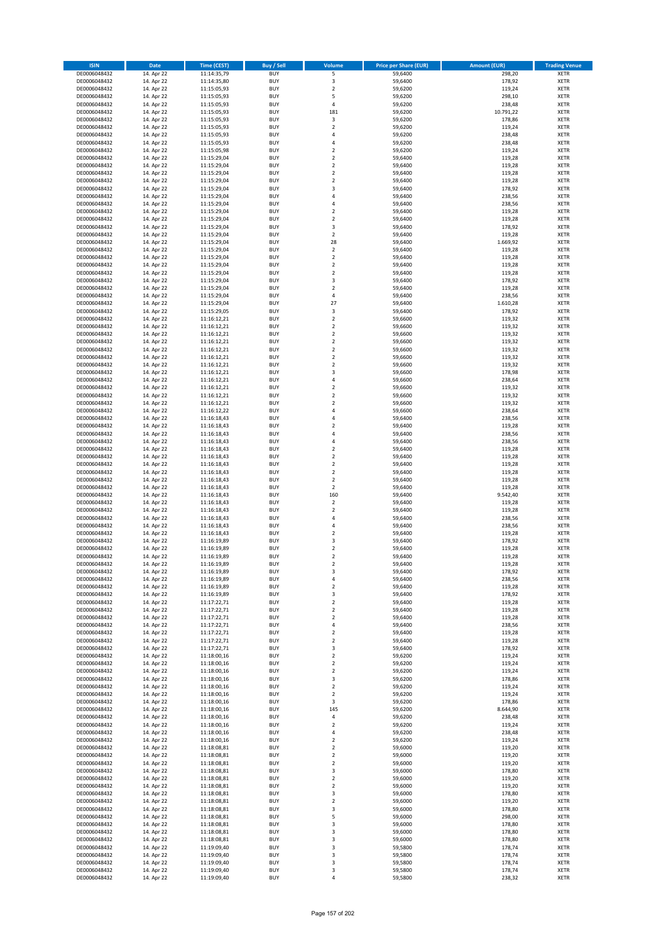| <b>ISIN</b>                  | <b>Date</b>              | Time (CEST)                | Buy / Sell               | Volume                                 | <b>Price per Share (EUR)</b> | <b>Amount (EUR)</b> | <b>Trading Venue</b>       |
|------------------------------|--------------------------|----------------------------|--------------------------|----------------------------------------|------------------------------|---------------------|----------------------------|
| DE0006048432                 | 14. Apr 22               | 11:14:35,79                | <b>BUY</b>               | 5                                      | 59,6400                      | 298,20              | <b>XETR</b>                |
| DE0006048432                 | 14. Apr 22               | 11:14:35,80                | <b>BUY</b>               | 3                                      | 59,6400                      | 178,92              | <b>XETR</b>                |
| DE0006048432                 | 14. Apr 22               | 11:15:05,93                | <b>BUY</b>               | $\mathbf 2$                            | 59,6200                      | 119,24              | <b>XETR</b>                |
| DE0006048432<br>DE0006048432 | 14. Apr 22               | 11:15:05,93<br>11:15:05,93 | <b>BUY</b><br><b>BUY</b> | 5<br>4                                 | 59,6200                      | 298,10<br>238,48    | <b>XETR</b><br><b>XETR</b> |
| DE0006048432                 | 14. Apr 22<br>14. Apr 22 | 11:15:05,93                | <b>BUY</b>               | 181                                    | 59,6200<br>59,6200           | 10.791,22           | <b>XETR</b>                |
| DE0006048432                 | 14. Apr 22               | 11:15:05,93                | <b>BUY</b>               | 3                                      | 59,6200                      | 178,86              | <b>XETR</b>                |
| DE0006048432                 | 14. Apr 22               | 11:15:05,93                | <b>BUY</b>               | $\mathbf 2$                            | 59,6200                      | 119,24              | <b>XETR</b>                |
| DE0006048432                 | 14. Apr 22               | 11:15:05,93                | <b>BUY</b>               | 4                                      | 59,6200                      | 238,48              | <b>XETR</b>                |
| DE0006048432                 | 14. Apr 22               | 11:15:05,93                | <b>BUY</b>               | 4                                      | 59,6200                      | 238,48              | <b>XETR</b>                |
| DE0006048432                 | 14. Apr 22               | 11:15:05,98                | <b>BUY</b>               | $\mathbf 2$                            | 59,6200                      | 119,24              | <b>XETR</b>                |
| DE0006048432<br>DE0006048432 | 14. Apr 22<br>14. Apr 22 | 11:15:29,04<br>11:15:29,04 | <b>BUY</b><br><b>BUY</b> | $\overline{\mathbf{c}}$<br>$\mathbf 2$ | 59,6400<br>59,6400           | 119,28<br>119,28    | <b>XETR</b><br><b>XETR</b> |
| DE0006048432                 | 14. Apr 22               | 11:15:29,04                | <b>BUY</b>               | $\overline{2}$                         | 59,6400                      | 119,28              | <b>XETR</b>                |
| DE0006048432                 | 14. Apr 22               | 11:15:29,04                | <b>BUY</b>               | $\mathbf 2$                            | 59,6400                      | 119,28              | <b>XETR</b>                |
| DE0006048432                 | 14. Apr 22               | 11:15:29,04                | <b>BUY</b>               | 3                                      | 59,6400                      | 178,92              | <b>XETR</b>                |
| DE0006048432                 | 14. Apr 22               | 11:15:29,04                | <b>BUY</b>               | 4                                      | 59,6400                      | 238,56              | <b>XETR</b>                |
| DE0006048432                 | 14. Apr 22               | 11:15:29,04                | <b>BUY</b>               | 4                                      | 59,6400                      | 238,56              | <b>XETR</b>                |
| DE0006048432                 | 14. Apr 22               | 11:15:29,04                | <b>BUY</b>               | $\overline{\mathbf{c}}$                | 59,6400                      | 119,28              | <b>XETR</b>                |
| DE0006048432                 | 14. Apr 22               | 11:15:29,04                | <b>BUY</b>               | $\mathbf 2$                            | 59,6400                      | 119,28              | <b>XETR</b>                |
| DE0006048432<br>DE0006048432 | 14. Apr 22<br>14. Apr 22 | 11:15:29,04<br>11:15:29,04 | <b>BUY</b><br><b>BUY</b> | 3<br>$\mathbf 2$                       | 59,6400<br>59,6400           | 178,92<br>119,28    | <b>XETR</b><br><b>XETR</b> |
| DE0006048432                 | 14. Apr 22               | 11:15:29,04                | <b>BUY</b>               | 28                                     | 59,6400                      | 1.669,92            | <b>XETR</b>                |
| DE0006048432                 | 14. Apr 22               | 11:15:29,04                | <b>BUY</b>               | $\mathbf 2$                            | 59,6400                      | 119,28              | <b>XETR</b>                |
| DE0006048432                 | 14. Apr 22               | 11:15:29,04                | <b>BUY</b>               | $\mathbf 2$                            | 59,6400                      | 119,28              | <b>XETR</b>                |
| DE0006048432                 | 14. Apr 22               | 11:15:29,04                | <b>BUY</b>               | $\mathbf 2$                            | 59,6400                      | 119,28              | <b>XETR</b>                |
| DE0006048432                 | 14. Apr 22               | 11:15:29,04                | <b>BUY</b>               | $\mathbf 2$                            | 59,6400                      | 119,28              | <b>XETR</b>                |
| DE0006048432                 | 14. Apr 22               | 11:15:29,04                | <b>BUY</b>               | 3                                      | 59,6400                      | 178,92              | <b>XETR</b>                |
| DE0006048432<br>DE0006048432 | 14. Apr 22<br>14. Apr 22 | 11:15:29,04<br>11:15:29,04 | <b>BUY</b><br><b>BUY</b> | $\mathbf 2$<br>4                       | 59,6400<br>59,6400           | 119,28<br>238,56    | <b>XETR</b><br><b>XETR</b> |
| DE0006048432                 | 14. Apr 22               | 11:15:29,04                | <b>BUY</b>               | 27                                     | 59,6400                      | 1.610,28            | <b>XETR</b>                |
| DE0006048432                 | 14. Apr 22               | 11:15:29,05                | <b>BUY</b>               | 3                                      | 59,6400                      | 178,92              | <b>XETR</b>                |
| DE0006048432                 | 14. Apr 22               | 11:16:12,21                | <b>BUY</b>               | $\mathbf 2$                            | 59,6600                      | 119,32              | <b>XETR</b>                |
| DE0006048432                 | 14. Apr 22               | 11:16:12,21                | <b>BUY</b>               | $\mathbf 2$                            | 59,6600                      | 119,32              | <b>XETR</b>                |
| DE0006048432                 | 14. Apr 22               | 11:16:12,21                | <b>BUY</b>               | $\overline{2}$                         | 59,6600                      | 119,32              | <b>XETR</b>                |
| DE0006048432                 | 14. Apr 22               | 11:16:12,21                | <b>BUY</b>               | $\mathbf 2$                            | 59,6600                      | 119,32              | <b>XETR</b>                |
| DE0006048432                 | 14. Apr 22               | 11:16:12,21                | <b>BUY</b><br><b>BUY</b> | $\overline{\mathbf{c}}$<br>$\mathbf 2$ | 59,6600                      | 119,32<br>119,32    | <b>XETR</b><br><b>XETR</b> |
| DE0006048432<br>DE0006048432 | 14. Apr 22<br>14. Apr 22 | 11:16:12,21<br>11:16:12,21 | <b>BUY</b>               | $\mathbf 2$                            | 59,6600<br>59,6600           | 119,32              | <b>XETR</b>                |
| DE0006048432                 | 14. Apr 22               | 11:16:12,21                | <b>BUY</b>               | 3                                      | 59,6600                      | 178,98              | <b>XETR</b>                |
| DE0006048432                 | 14. Apr 22               | 11:16:12,21                | <b>BUY</b>               | 4                                      | 59,6600                      | 238,64              | <b>XETR</b>                |
| DE0006048432                 | 14. Apr 22               | 11:16:12,21                | <b>BUY</b>               | $\mathbf 2$                            | 59,6600                      | 119,32              | <b>XETR</b>                |
| DE0006048432                 | 14. Apr 22               | 11:16:12,21                | <b>BUY</b>               | $\mathbf 2$                            | 59,6600                      | 119,32              | <b>XETR</b>                |
| DE0006048432                 | 14. Apr 22               | 11:16:12,21                | <b>BUY</b>               | $\overline{\mathbf{c}}$                | 59,6600                      | 119,32              | <b>XETR</b>                |
| DE0006048432                 | 14. Apr 22               | 11:16:12,22                | <b>BUY</b>               | 4                                      | 59,6600                      | 238,64              | <b>XETR</b>                |
| DE0006048432                 | 14. Apr 22               | 11:16:18,43                | <b>BUY</b>               | 4                                      | 59,6400                      | 238,56              | <b>XETR</b>                |
| DE0006048432<br>DE0006048432 | 14. Apr 22<br>14. Apr 22 | 11:16:18,43<br>11:16:18,43 | <b>BUY</b><br><b>BUY</b> | $\mathbf 2$<br>4                       | 59,6400<br>59,6400           | 119,28<br>238,56    | <b>XETR</b><br><b>XETR</b> |
| DE0006048432                 | 14. Apr 22               | 11:16:18,43                | <b>BUY</b>               | 4                                      | 59,6400                      | 238,56              | <b>XETR</b>                |
| DE0006048432                 | 14. Apr 22               | 11:16:18,43                | <b>BUY</b>               | $\overline{\mathbf{c}}$                | 59,6400                      | 119,28              | <b>XETR</b>                |
| DE0006048432                 | 14. Apr 22               | 11:16:18,43                | <b>BUY</b>               | $\mathbf 2$                            | 59,6400                      | 119,28              | <b>XETR</b>                |
| DE0006048432                 | 14. Apr 22               | 11:16:18,43                | <b>BUY</b>               | $\mathbf 2$                            | 59,6400                      | 119,28              | <b>XETR</b>                |
| DE0006048432                 | 14. Apr 22               | 11:16:18,43                | <b>BUY</b>               | $\overline{2}$                         | 59,6400                      | 119,28              | <b>XETR</b>                |
| DE0006048432                 | 14. Apr 22               | 11:16:18,43                | <b>BUY</b>               | $\mathbf 2$<br>$\mathbf 2$             | 59,6400                      | 119,28              | <b>XETR</b>                |
| DE0006048432<br>DE0006048432 | 14. Apr 22<br>14. Apr 22 | 11:16:18,43<br>11:16:18,43 | <b>BUY</b><br><b>BUY</b> | 160                                    | 59,6400<br>59,6400           | 119,28<br>9.542,40  | <b>XETR</b><br><b>XETR</b> |
| DE0006048432                 | 14. Apr 22               | 11:16:18,43                | <b>BUY</b>               | $\overline{\mathbf{c}}$                | 59,6400                      | 119,28              | <b>XETR</b>                |
| DE0006048432                 | 14. Apr 22               | 11:16:18,43                | <b>BUY</b>               | $\mathbf 2$                            | 59,6400                      | 119,28              | <b>XETR</b>                |
| DE0006048432                 | 14. Apr 22               | 11:16:18,43                | <b>BUY</b>               | 4                                      | 59,6400                      | 238,56              | <b>XETR</b>                |
| DE0006048432                 | 14. Apr 22               | 11:16:18,43                | <b>BUY</b>               | 4                                      | 59,6400                      | 238,56              | <b>XETR</b>                |
| DE0006048432                 | 14. Apr 22               | 11:16:18,43                | <b>BUY</b>               | $\mathbf 2$                            | 59,6400                      | 119,28              | <b>XETR</b>                |
| DE0006048432                 | 14. Apr 22               | 11:16:19,89<br>11:16:19,89 | <b>BUY</b><br><b>BUY</b> | 3<br>$\mathbf 2$                       | 59,6400                      | 178,92              | <b>XETR</b><br><b>XETR</b> |
| DE0006048432<br>DE0006048432 | 14. Apr 22<br>14. Apr 22 | 11:16:19,89                | <b>BUY</b>               | $\overline{2}$                         | 59,6400<br>59,6400           | 119,28<br>119,28    | <b>XETR</b>                |
| DE0006048432                 | 14. Apr 22               | 11:16:19,89                | BUY                      | 2                                      | 59,6400                      | 119,28              | <b>XETR</b>                |
| DE0006048432                 | 14. Apr 22               | 11:16:19,89                | <b>BUY</b>               | 3                                      | 59,6400                      | 178,92              | <b>XETR</b>                |
| DE0006048432                 | 14. Apr 22               | 11:16:19,89                | <b>BUY</b>               | 4                                      | 59,6400                      | 238,56              | XETR                       |
| DE0006048432                 | 14. Apr 22               | 11:16:19,89                | <b>BUY</b>               | $\mathbf 2$                            | 59,6400                      | 119,28              | XETR                       |
| DE0006048432                 | 14. Apr 22               | 11:16:19,89                | <b>BUY</b>               | 3                                      | 59,6400                      | 178,92              | <b>XETR</b>                |
| DE0006048432<br>DE0006048432 | 14. Apr 22<br>14. Apr 22 | 11:17:22,71<br>11:17:22,71 | <b>BUY</b><br><b>BUY</b> | $\mathbf 2$<br>$\overline{2}$          | 59,6400<br>59,6400           | 119,28<br>119,28    | <b>XETR</b><br><b>XETR</b> |
| DE0006048432                 | 14. Apr 22               | 11:17:22,71                | <b>BUY</b>               | $\mathbf 2$                            | 59,6400                      | 119,28              | <b>XETR</b>                |
| DE0006048432                 | 14. Apr 22               | 11:17:22,71                | <b>BUY</b>               | 4                                      | 59,6400                      | 238,56              | <b>XETR</b>                |
| DE0006048432                 | 14. Apr 22               | 11:17:22,71                | <b>BUY</b>               | $\mathbf 2$                            | 59,6400                      | 119,28              | <b>XETR</b>                |
| DE0006048432                 | 14. Apr 22               | 11:17:22,71                | <b>BUY</b>               | $\mathbf 2$                            | 59,6400                      | 119,28              | <b>XETR</b>                |
| DE0006048432                 | 14. Apr 22               | 11:17:22,71                | <b>BUY</b>               | 3                                      | 59,6400                      | 178,92              | <b>XETR</b>                |
| DE0006048432<br>DE0006048432 | 14. Apr 22<br>14. Apr 22 | 11:18:00,16<br>11:18:00,16 | <b>BUY</b><br><b>BUY</b> | $\mathbf 2$<br>$\overline{2}$          | 59,6200<br>59,6200           | 119,24<br>119,24    | XETR<br><b>XETR</b>        |
| DE0006048432                 | 14. Apr 22               | 11:18:00,16                | <b>BUY</b>               | $\mathbf 2$                            | 59,6200                      | 119,24              | <b>XETR</b>                |
| DE0006048432                 | 14. Apr 22               | 11:18:00.16                | <b>BUY</b>               | 3                                      | 59,6200                      | 178,86              | <b>XETR</b>                |
| DE0006048432                 | 14. Apr 22               | 11:18:00,16                | <b>BUY</b>               | $\overline{2}$                         | 59,6200                      | 119,24              | <b>XETR</b>                |
| DE0006048432                 | 14. Apr 22               | 11:18:00,16                | <b>BUY</b>               | $\overline{2}$                         | 59,6200                      | 119,24              | <b>XETR</b>                |
| DE0006048432                 | 14. Apr 22               | 11:18:00,16                | <b>BUY</b>               | 3                                      | 59,6200                      | 178,86              | <b>XETR</b>                |
| DE0006048432                 | 14. Apr 22               | 11:18:00,16                | <b>BUY</b>               | 145                                    | 59,6200                      | 8.644,90            | <b>XETR</b>                |
| DE0006048432<br>DE0006048432 | 14. Apr 22<br>14. Apr 22 | 11:18:00,16<br>11:18:00,16 | <b>BUY</b><br><b>BUY</b> | 4<br>$\mathbf 2$                       | 59,6200<br>59,6200           | 238,48<br>119,24    | <b>XETR</b><br><b>XETR</b> |
| DE0006048432                 | 14. Apr 22               | 11:18:00,16                | <b>BUY</b>               | 4                                      | 59,6200                      | 238,48              | <b>XETR</b>                |
| DE0006048432                 | 14. Apr 22               | 11:18:00,16                | <b>BUY</b>               | $\mathbf 2$                            | 59,6200                      | 119,24              | <b>XETR</b>                |
| DE0006048432                 | 14. Apr 22               | 11:18:08,81                | <b>BUY</b>               | $\mathbf 2$                            | 59,6000                      | 119,20              | <b>XETR</b>                |
| DE0006048432                 | 14. Apr 22               | 11:18:08,81                | <b>BUY</b>               | $\mathbf 2$                            | 59,6000                      | 119,20              | XETR                       |
| DE0006048432                 | 14. Apr 22               | 11:18:08,81                | <b>BUY</b>               | $\mathbf 2$                            | 59,6000                      | 119,20              | <b>XETR</b>                |
| DE0006048432<br>DE0006048432 | 14. Apr 22<br>14. Apr 22 | 11:18:08,81<br>11:18:08,81 | <b>BUY</b><br><b>BUY</b> | 3<br>$\mathbf 2$                       | 59,6000<br>59,6000           | 178,80<br>119,20    | <b>XETR</b><br><b>XETR</b> |
| DE0006048432                 | 14. Apr 22               | 11:18:08,81                | <b>BUY</b>               | $\overline{2}$                         | 59,6000                      | 119,20              | <b>XETR</b>                |
| DE0006048432                 | 14. Apr 22               | 11:18:08,81                | <b>BUY</b>               | 3                                      | 59,6000                      | 178,80              | <b>XETR</b>                |
| DE0006048432                 | 14. Apr 22               | 11:18:08,81                | <b>BUY</b>               | $\mathbf 2$                            | 59,6000                      | 119,20              | <b>XETR</b>                |
| DE0006048432                 | 14. Apr 22               | 11:18:08,81                | <b>BUY</b>               | 3                                      | 59,6000                      | 178,80              | XETR                       |
| DE0006048432                 | 14. Apr 22               | 11:18:08,81                | <b>BUY</b>               | 5                                      | 59,6000                      | 298,00              | <b>XETR</b>                |
| DE0006048432                 | 14. Apr 22               | 11:18:08,81                | <b>BUY</b><br><b>BUY</b> | 3                                      | 59,6000                      | 178,80              | <b>XETR</b>                |
| DE0006048432<br>DE0006048432 | 14. Apr 22<br>14. Apr 22 | 11:18:08,81<br>11:18:08,81 | <b>BUY</b>               | 3<br>3                                 | 59,6000<br>59,6000           | 178,80<br>178,80    | <b>XETR</b><br><b>XETR</b> |
| DE0006048432                 | 14. Apr 22               | 11:19:09,40                | <b>BUY</b>               | 3                                      | 59,5800                      | 178,74              | XETR                       |
| DE0006048432                 | 14. Apr 22               | 11:19:09,40                | <b>BUY</b>               | 3                                      | 59,5800                      | 178,74              | <b>XETR</b>                |
| DE0006048432                 | 14. Apr 22               | 11:19:09,40                | <b>BUY</b>               | 3                                      | 59,5800                      | 178,74              | <b>XETR</b>                |
| DE0006048432                 | 14. Apr 22               | 11:19:09,40                | <b>BUY</b>               | 3                                      | 59,5800                      | 178,74              | <b>XETR</b>                |
| DE0006048432                 | 14. Apr 22               | 11:19:09,40                | <b>BUY</b>               | 4                                      | 59,5800                      | 238,32              | XETR                       |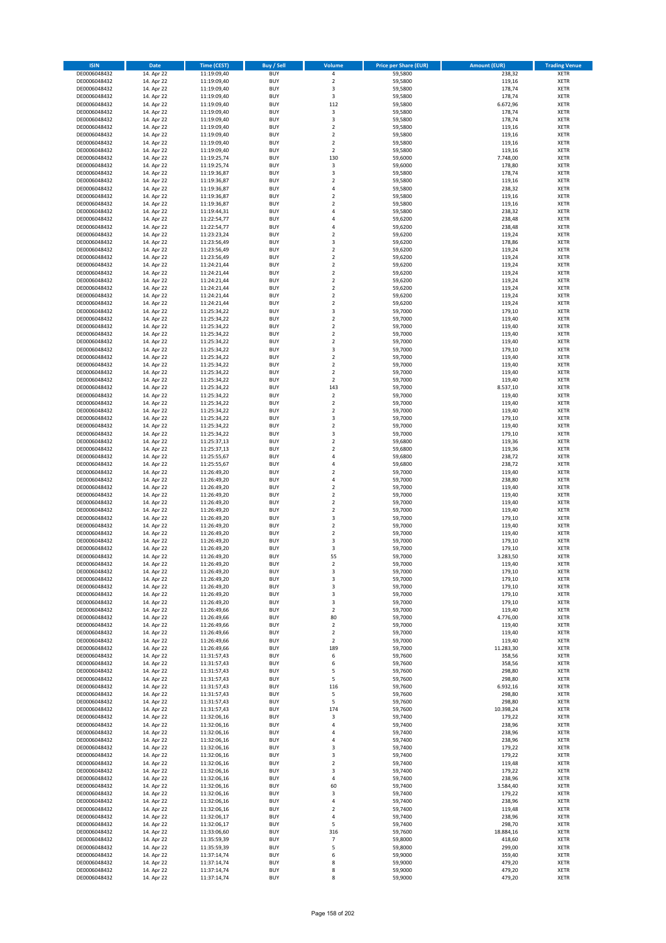| <b>ISIN</b>                  | Date                     | Time (CEST)                | Buy / Sell               | Volume                        | <b>Price per Share (EUR)</b> | <b>Amount (EUR)</b> | <b>Trading Venue</b>       |
|------------------------------|--------------------------|----------------------------|--------------------------|-------------------------------|------------------------------|---------------------|----------------------------|
| DE0006048432                 | 14. Apr 22               | 11:19:09,40                | <b>BUY</b>               | $\pmb{4}$                     | 59,5800                      | 238,32              | <b>XETR</b>                |
| DE0006048432                 | 14. Apr 22               | 11:19:09,40                | <b>BUY</b>               | $\mathbf 2$                   | 59,5800                      | 119,16              | XETR                       |
| DE0006048432                 | 14. Apr 22               | 11:19:09,40                | <b>BUY</b>               | 3                             | 59,5800                      | 178,74              | <b>XETR</b>                |
| DE0006048432<br>DE0006048432 | 14. Apr 22<br>14. Apr 22 | 11:19:09,40<br>11:19:09,40 | <b>BUY</b><br><b>BUY</b> | $\mathsf 3$<br>112            | 59,5800<br>59,5800           | 178,74<br>6.672,96  | <b>XETR</b><br><b>XETR</b> |
| DE0006048432                 | 14. Apr 22               | 11:19:09,40                | <b>BUY</b>               | $\mathsf 3$                   | 59,5800                      | 178,74              | <b>XETR</b>                |
| DE0006048432                 | 14. Apr 22               | 11:19:09,40                | <b>BUY</b>               | 3                             | 59,5800                      | 178,74              | <b>XETR</b>                |
| DE0006048432                 | 14. Apr 22               | 11:19:09,40                | <b>BUY</b>               | $\mathbf 2$                   | 59,5800                      | 119,16              | <b>XETR</b>                |
| DE0006048432                 | 14. Apr 22               | 11:19:09,40                | <b>BUY</b>               | $\overline{2}$                | 59,5800                      | 119,16              | <b>XETR</b>                |
| DE0006048432                 | 14. Apr 22               | 11:19:09,40                | <b>BUY</b>               | $\overline{2}$                | 59,5800                      | 119,16              | <b>XETR</b>                |
| DE0006048432                 | 14. Apr 22               | 11:19:09,40                | <b>BUY</b>               | $\mathbf 2$                   | 59,5800                      | 119,16              | <b>XETR</b>                |
| DE0006048432<br>DE0006048432 | 14. Apr 22<br>14. Apr 22 | 11:19:25,74<br>11:19:25,74 | <b>BUY</b><br><b>BUY</b> | 130<br>$\mathsf 3$            | 59,6000<br>59,6000           | 7.748,00<br>178,80  | <b>XETR</b><br><b>XETR</b> |
| DE0006048432                 | 14. Apr 22               | 11:19:36,87                | <b>BUY</b>               | 3                             | 59,5800                      | 178,74              | <b>XETR</b>                |
| DE0006048432                 | 14. Apr 22               | 11:19:36,87                | <b>BUY</b>               | $\mathbf 2$                   | 59,5800                      | 119,16              | <b>XETR</b>                |
| DE0006048432                 | 14. Apr 22               | 11:19:36,87                | <b>BUY</b>               | $\overline{4}$                | 59,5800                      | 238,32              | <b>XETR</b>                |
| DE0006048432                 | 14. Apr 22               | 11:19:36,87                | <b>BUY</b>               | $\mathbf 2$                   | 59,5800                      | 119,16              | <b>XETR</b>                |
| DE0006048432                 | 14. Apr 22               | 11:19:36,87                | <b>BUY</b>               | $\overline{2}$                | 59,5800                      | 119,16              | <b>XETR</b>                |
| DE0006048432                 | 14. Apr 22               | 11:19:44,31                | <b>BUY</b>               | 4                             | 59,5800                      | 238,32              | <b>XETR</b>                |
| DE0006048432                 | 14. Apr 22               | 11:22:54,77                | <b>BUY</b>               | $\overline{4}$                | 59,6200                      | 238,48              | <b>XETR</b>                |
| DE0006048432<br>DE0006048432 | 14. Apr 22<br>14. Apr 22 | 11:22:54,77<br>11:23:23,24 | <b>BUY</b><br><b>BUY</b> | 4<br>$\mathbf 2$              | 59,6200<br>59,6200           | 238,48<br>119,24    | <b>XETR</b><br><b>XETR</b> |
| DE0006048432                 | 14. Apr 22               | 11:23:56,49                | <b>BUY</b>               | 3                             | 59,6200                      | 178,86              | <b>XETR</b>                |
| DE0006048432                 | 14. Apr 22               | 11:23:56,49                | <b>BUY</b>               | $\mathbf 2$                   | 59,6200                      | 119,24              | <b>XETR</b>                |
| DE0006048432                 | 14. Apr 22               | 11:23:56,49                | <b>BUY</b>               | $\overline{2}$                | 59,6200                      | 119,24              | <b>XETR</b>                |
| DE0006048432                 | 14. Apr 22               | 11:24:21,44                | <b>BUY</b>               | $\mathbf 2$                   | 59,6200                      | 119,24              | <b>XETR</b>                |
| DE0006048432                 | 14. Apr 22               | 11:24:21,44                | <b>BUY</b>               | $\mathbf 2$                   | 59,6200                      | 119,24              | <b>XETR</b>                |
| DE0006048432                 | 14. Apr 22               | 11:24:21,44                | <b>BUY</b>               | $\mathbf 2$                   | 59,6200                      | 119,24              | <b>XETR</b>                |
| DE0006048432<br>DE0006048432 | 14. Apr 22<br>14. Apr 22 | 11:24:21,44<br>11:24:21,44 | <b>BUY</b><br><b>BUY</b> | $\mathbf 2$<br>$\mathbf 2$    | 59,6200<br>59,6200           | 119,24<br>119,24    | <b>XETR</b><br><b>XETR</b> |
| DE0006048432                 | 14. Apr 22               | 11:24:21,44                | <b>BUY</b>               | $\overline{2}$                | 59,6200                      | 119,24              | <b>XETR</b>                |
| DE0006048432                 | 14. Apr 22               | 11:25:34,22                | <b>BUY</b>               | 3                             | 59,7000                      | 179,10              | <b>XETR</b>                |
| DE0006048432                 | 14. Apr 22               | 11:25:34,22                | <b>BUY</b>               | $\mathbf 2$                   | 59,7000                      | 119,40              | <b>XETR</b>                |
| DE0006048432                 | 14. Apr 22               | 11:25:34,22                | <b>BUY</b>               | $\mathbf 2$                   | 59,7000                      | 119,40              | <b>XETR</b>                |
| DE0006048432                 | 14. Apr 22               | 11:25:34.22                | <b>BUY</b>               | $\mathbf 2$                   | 59,7000                      | 119,40              | <b>XETR</b>                |
| DE0006048432                 | 14. Apr 22               | 11:25:34,22                | <b>BUY</b>               | $\mathbf 2$                   | 59,7000                      | 119,40              | <b>XETR</b>                |
| DE0006048432                 | 14. Apr 22               | 11:25:34,22                | <b>BUY</b><br><b>BUY</b> | 3<br>$\mathbf 2$              | 59,7000                      | 179,10              | <b>XETR</b>                |
| DE0006048432<br>DE0006048432 | 14. Apr 22<br>14. Apr 22 | 11:25:34,22<br>11:25:34,22 | <b>BUY</b>               | $\overline{2}$                | 59,7000<br>59,7000           | 119,40<br>119,40    | <b>XETR</b><br><b>XETR</b> |
| DE0006048432                 | 14. Apr 22               | 11:25:34,22                | <b>BUY</b>               | $\mathbf 2$                   | 59,7000                      | 119,40              | <b>XETR</b>                |
| DE0006048432                 | 14. Apr 22               | 11:25:34,22                | <b>BUY</b>               | $\mathbf 2$                   | 59,7000                      | 119,40              | <b>XETR</b>                |
| DE0006048432                 | 14. Apr 22               | 11:25:34,22                | <b>BUY</b>               | 143                           | 59,7000                      | 8.537,10            | <b>XETR</b>                |
| DE0006048432                 | 14. Apr 22               | 11:25:34,22                | <b>BUY</b>               | $\mathbf 2$                   | 59,7000                      | 119,40              | <b>XETR</b>                |
| DE0006048432                 | 14. Apr 22               | 11:25:34,22                | <b>BUY</b>               | $\overline{2}$                | 59,7000                      | 119,40              | <b>XETR</b>                |
| DE0006048432                 | 14. Apr 22               | 11:25:34,22                | <b>BUY</b>               | $\mathbf 2$                   | 59,7000                      | 119,40              | <b>XETR</b>                |
| DE0006048432                 | 14. Apr 22               | 11:25:34,22                | <b>BUY</b>               | 3                             | 59,7000                      | 179,10              | <b>XETR</b>                |
| DE0006048432<br>DE0006048432 | 14. Apr 22<br>14. Apr 22 | 11:25:34,22<br>11:25:34,22 | <b>BUY</b><br><b>BUY</b> | $\mathbf 2$<br>3              | 59,7000<br>59,7000           | 119,40<br>179,10    | <b>XETR</b><br><b>XETR</b> |
| DE0006048432                 | 14. Apr 22               | 11:25:37,13                | <b>BUY</b>               | $\overline{2}$                | 59,6800                      | 119,36              | <b>XETR</b>                |
| DE0006048432                 | 14. Apr 22               | 11:25:37,13                | <b>BUY</b>               | $\mathbf 2$                   | 59,6800                      | 119,36              | <b>XETR</b>                |
| DE0006048432                 | 14. Apr 22               | 11:25:55,67                | <b>BUY</b>               | $\overline{4}$                | 59,6800                      | 238,72              | <b>XETR</b>                |
| DE0006048432                 | 14. Apr 22               | 11:25:55,67                | <b>BUY</b>               | $\overline{4}$                | 59,6800                      | 238,72              | <b>XETR</b>                |
| DE0006048432                 | 14. Apr 22               | 11:26:49,20                | <b>BUY</b>               | $\mathbf 2$                   | 59,7000                      | 119,40              | <b>XETR</b>                |
| DE0006048432                 | 14. Apr 22               | 11:26:49,20                | <b>BUY</b>               | $\pmb{4}$                     | 59,7000                      | 238,80              | <b>XETR</b>                |
| DE0006048432<br>DE0006048432 | 14. Apr 22<br>14. Apr 22 | 11:26:49,20<br>11:26:49,20 | <b>BUY</b><br><b>BUY</b> | $\mathbf 2$<br>$\overline{2}$ | 59,7000<br>59,7000           | 119,40<br>119,40    | <b>XETR</b><br><b>XETR</b> |
| DE0006048432                 | 14. Apr 22               | 11:26:49,20                | <b>BUY</b>               | $\mathbf 2$                   | 59,7000                      | 119,40              | <b>XETR</b>                |
| DE0006048432                 | 14. Apr 22               | 11:26:49,20                | <b>BUY</b>               | $\mathbf 2$                   | 59,7000                      | 119,40              | <b>XETR</b>                |
| DE0006048432                 | 14. Apr 22               | 11:26:49,20                | <b>BUY</b>               | 3                             | 59,7000                      | 179,10              | <b>XETR</b>                |
| DE0006048432                 | 14. Apr 22               | 11:26:49,20                | <b>BUY</b>               | $\mathbf 2$                   | 59,7000                      | 119,40              | <b>XETR</b>                |
| DE0006048432                 | 14. Apr 22               | 11:26:49,20                | <b>BUY</b>               | $\mathbf 2$                   | 59,7000                      | 119,40              | <b>XETR</b>                |
| DE0006048432                 | 14. Apr 22               | 11:26:49,20                | <b>BUY</b>               | 3                             | 59,7000                      | 179,10              | <b>XETR</b>                |
| DE0006048432                 | 14. Apr 22               | 11:26:49,20                | <b>BUY</b><br><b>BUY</b> | 3<br>55                       | 59,7000<br>59,7000           | 179,10              | <b>XETR</b><br><b>XETR</b> |
| DE0006048432<br>DE0006048432 | 14. Apr 22<br>14. Apr 22 | 11:26:49,20<br>11:26:49,20 | <b>BUY</b>               | $\mathbf 2$                   | 59,7000                      | 3.283,50<br>119,40  | XETR                       |
| DE0006048432                 | 14. Apr 22               | 11:26:49,20                | <b>BUY</b>               | 3                             | 59,7000                      | 179,10              | <b>XETR</b>                |
| DE0006048432                 | 14. Apr 22               | 11:26:49,20                | <b>BUY</b>               | 3                             | 59,7000                      | 179,10              | <b>XETR</b>                |
| DE0006048432                 | 14. Apr 22               | 11:26:49,20                | <b>BUY</b>               | 3                             | 59,7000                      | 179,10              | XETR                       |
| DE0006048432                 | 14. Apr 22               | 11:26:49,20                | <b>BUY</b>               | 3                             | 59,7000                      | 179,10              | <b>XETR</b>                |
| DE0006048432                 | 14. Apr 22<br>14. Apr 22 | 11:26:49,20                | <b>BUY</b>               | 3                             | 59,7000                      | 179,10              | <b>XETR</b>                |
| DE0006048432<br>DE0006048432 | 14. Apr 22               | 11:26:49,66<br>11:26:49,66 | <b>BUY</b><br><b>BUY</b> | $\overline{2}$<br>80          | 59,7000<br>59,7000           | 119,40<br>4.776,00  | <b>XETR</b><br><b>XETR</b> |
| DE0006048432                 | 14. Apr 22               | 11:26:49,66                | <b>BUY</b>               | $\overline{2}$                | 59,7000                      | 119,40              | XETR                       |
| DE0006048432                 | 14. Apr 22               | 11:26:49,66                | <b>BUY</b>               | $\overline{2}$                | 59,7000                      | 119,40              | XETR                       |
| DE0006048432                 | 14. Apr 22               | 11:26:49,66                | <b>BUY</b>               | $\overline{2}$                | 59,7000                      | 119,40              | XETR                       |
| DE0006048432                 | 14. Apr 22               | 11:26:49,66                | <b>BUY</b>               | 189                           | 59,7000                      | 11.283,30           | <b>XETR</b>                |
| DE0006048432                 | 14. Apr 22               | 11:31:57,43                | <b>BUY</b>               | 6                             | 59,7600                      | 358,56              | XETR                       |
| DE0006048432<br>DE0006048432 | 14. Apr 22<br>14. Apr 22 | 11:31:57,43<br>11:31:57,43 | <b>BUY</b><br><b>BUY</b> | 6<br>5                        | 59.7600<br>59,7600           | 358,56<br>298,80    | <b>XETR</b><br>XETR        |
| DE0006048432                 | 14. Apr 22               | 11:31:57,43                | <b>BUY</b>               | 5                             | 59,7600                      | 298,80              | <b>XETR</b>                |
| DE0006048432                 | 14. Apr 22               | 11:31:57,43                | <b>BUY</b>               | 116                           | 59,7600                      | 6.932,16            | <b>XETR</b>                |
| DE0006048432                 | 14. Apr 22               | 11:31:57,43                | <b>BUY</b>               | 5                             | 59,7600                      | 298,80              | <b>XETR</b>                |
| DE0006048432                 | 14. Apr 22               | 11:31:57,43                | <b>BUY</b>               | 5                             | 59,7600                      | 298,80              | XETR                       |
| DE0006048432                 | 14. Apr 22               | 11:31:57,43                | <b>BUY</b>               | 174                           | 59,7600                      | 10.398,24           | <b>XETR</b>                |
| DE0006048432                 | 14. Apr 22               | 11:32:06,16                | <b>BUY</b><br><b>BUY</b> | 3<br>$\sqrt{4}$               | 59,7400<br>59,7400           | 179,22<br>238,96    | <b>XETR</b>                |
| DE0006048432<br>DE0006048432 | 14. Apr 22<br>14. Apr 22 | 11:32:06,16<br>11:32:06,16 | <b>BUY</b>               | 4                             | 59,7400                      | 238,96              | <b>XETR</b><br>XETR        |
| DE0006048432                 | 14. Apr 22               | 11:32:06,16                | <b>BUY</b>               | 4                             | 59,7400                      | 238,96              | XETR                       |
| DE0006048432                 | 14. Apr 22               | 11:32:06,16                | <b>BUY</b>               | 3                             | 59,7400                      | 179,22              | XETR                       |
| DE0006048432                 | 14. Apr 22               | 11:32:06,16                | <b>BUY</b>               | 3                             | 59,7400                      | 179,22              | XETR                       |
| DE0006048432                 | 14. Apr 22               | 11:32:06,16                | <b>BUY</b>               | $\overline{2}$                | 59,7400                      | 119,48              | XETR                       |
| DE0006048432                 | 14. Apr 22               | 11:32:06,16                | <b>BUY</b>               | 3                             | 59,7400                      | 179,22              | <b>XETR</b>                |
| DE0006048432<br>DE0006048432 | 14. Apr 22<br>14. Apr 22 | 11:32:06,16<br>11:32:06,16 | <b>BUY</b><br><b>BUY</b> | 4<br>60                       | 59,7400<br>59,7400           | 238,96<br>3.584,40  | XETR<br><b>XETR</b>        |
| DE0006048432                 | 14. Apr 22               | 11:32:06,16                | <b>BUY</b>               | 3                             | 59,7400                      | 179,22              | XETR                       |
| DE0006048432                 | 14. Apr 22               | 11:32:06,16                | <b>BUY</b>               | $\pmb{4}$                     | 59,7400                      | 238,96              | XETR                       |
| DE0006048432                 | 14. Apr 22               | 11:32:06,16                | <b>BUY</b>               | $\mathbf 2$                   | 59,7400                      | 119,48              | XETR                       |
| DE0006048432                 | 14. Apr 22               | 11:32:06,17                | <b>BUY</b>               | $\pmb{4}$                     | 59,7400                      | 238,96              | <b>XETR</b>                |
| DE0006048432                 | 14. Apr 22               | 11:32:06,17                | <b>BUY</b>               | 5                             | 59,7400                      | 298,70              | <b>XETR</b>                |
| DE0006048432                 | 14. Apr 22               | 11:33:06,60                | <b>BUY</b>               | 316                           | 59,7600                      | 18.884,16           | XETR                       |
| DE0006048432                 | 14. Apr 22<br>14. Apr 22 | 11:35:59,39                | <b>BUY</b><br><b>BUY</b> | $\overline{7}$<br>5           | 59,8000<br>59,8000           | 418,60<br>299,00    | <b>XETR</b>                |
| DE0006048432<br>DE0006048432 | 14. Apr 22               | 11:35:59,39<br>11:37:14,74 | <b>BUY</b>               | 6                             | 59,9000                      | 359,40              | XETR<br><b>XETR</b>        |
| DE0006048432                 | 14. Apr 22               | 11:37:14,74                | <b>BUY</b>               | 8                             | 59,9000                      | 479,20              | <b>XETR</b>                |
| DE0006048432                 | 14. Apr 22               | 11:37:14,74                | <b>BUY</b>               | 8                             | 59,9000                      | 479,20              | <b>XETR</b>                |
| DE0006048432                 | 14. Apr 22               | 11:37:14,74                | <b>BUY</b>               | 8                             | 59,9000                      | 479,20              | XETR                       |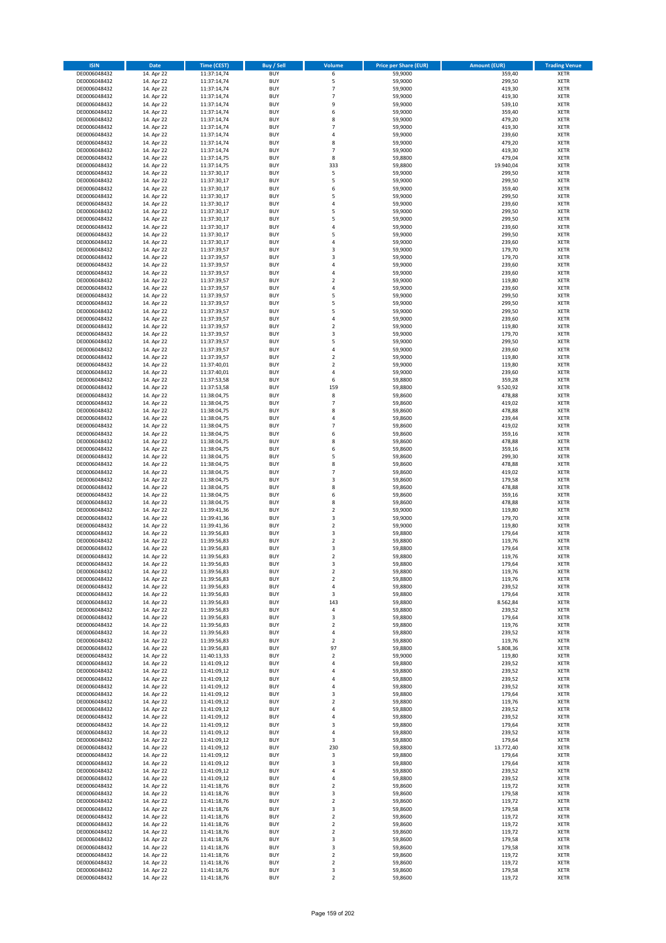| <b>ISIN</b>                  | <b>Date</b>              | Time (CEST)                | <b>Buy / Sell</b>        | <b>Volume</b>                | <b>Price per Share (EUR)</b> | <b>Amount (EUR)</b> | <b>Trading Venue</b>       |
|------------------------------|--------------------------|----------------------------|--------------------------|------------------------------|------------------------------|---------------------|----------------------------|
| DE0006048432                 | 14. Apr 22               | 11:37:14,74                | <b>BUY</b>               | 6                            | 59,9000                      | 359,40              | <b>XETR</b>                |
| DE0006048432                 | 14. Apr 22               | 11:37:14,74                | <b>BUY</b>               | 5                            | 59,9000                      | 299,50              | <b>XETR</b>                |
| DE0006048432                 | 14. Apr 22               | 11:37:14,74                | <b>BUY</b>               | $\overline{7}$               | 59,9000                      | 419,30              | <b>XETR</b>                |
| DE0006048432<br>DE0006048432 | 14. Apr 22<br>14. Apr 22 | 11:37:14,74<br>11:37:14,74 | <b>BUY</b><br><b>BUY</b> | $\overline{7}$<br>9          | 59,9000<br>59,9000           | 419,30<br>539,10    | <b>XETR</b><br><b>XETR</b> |
| DE0006048432                 | 14. Apr 22               | 11:37:14,74                | <b>BUY</b>               | 6                            | 59,9000                      | 359,40              | <b>XETR</b>                |
| DE0006048432                 | 14. Apr 22               | 11:37:14,74                | <b>BUY</b>               | 8                            | 59,9000                      | 479,20              | <b>XETR</b>                |
| DE0006048432                 | 14. Apr 22               | 11:37:14,74                | <b>BUY</b>               | $\overline{7}$               | 59,9000                      | 419,30              | <b>XETR</b>                |
| DE0006048432                 | 14. Apr 22               | 11:37:14,74                | <b>BUY</b>               | 4                            | 59,9000                      | 239,60              | <b>XETR</b>                |
| DE0006048432                 | 14. Apr 22               | 11:37:14,74                | <b>BUY</b>               | 8                            | 59,9000                      | 479,20              | <b>XETR</b>                |
| DE0006048432                 | 14. Apr 22               | 11:37:14,74                | <b>BUY</b>               | $\overline{7}$               | 59,9000                      | 419,30              | <b>XETR</b>                |
| DE0006048432                 | 14. Apr 22<br>14. Apr 22 | 11:37:14,75                | <b>BUY</b><br><b>BUY</b> | 8<br>333                     | 59,8800                      | 479,04<br>19.940,04 | <b>XETR</b><br><b>XETR</b> |
| DE0006048432<br>DE0006048432 | 14. Apr 22               | 11:37:14,75<br>11:37:30,17 | <b>BUY</b>               | 5                            | 59,8800<br>59,9000           | 299,50              | <b>XETR</b>                |
| DE0006048432                 | 14. Apr 22               | 11:37:30,17                | <b>BUY</b>               | 5                            | 59,9000                      | 299,50              | <b>XETR</b>                |
| DE0006048432                 | 14. Apr 22               | 11:37:30,17                | <b>BUY</b>               | 6                            | 59,9000                      | 359,40              | <b>XETR</b>                |
| DE0006048432                 | 14. Apr 22               | 11:37:30,17                | <b>BUY</b>               | 5                            | 59,9000                      | 299,50              | <b>XETR</b>                |
| DE0006048432                 | 14. Apr 22               | 11:37:30,17                | <b>BUY</b>               | 4                            | 59,9000                      | 239,60              | <b>XETR</b>                |
| DE0006048432                 | 14. Apr 22               | 11:37:30,17                | <b>BUY</b>               | 5                            | 59,9000                      | 299,50              | <b>XETR</b>                |
| DE0006048432                 | 14. Apr 22               | 11:37:30,17                | <b>BUY</b>               | 5                            | 59,9000                      | 299,50              | <b>XETR</b>                |
| DE0006048432                 | 14. Apr 22               | 11:37:30,17                | <b>BUY</b>               | 4<br>5                       | 59,9000                      | 239,60<br>299,50    | <b>XETR</b>                |
| DE0006048432<br>DE0006048432 | 14. Apr 22<br>14. Apr 22 | 11:37:30,17<br>11:37:30,17 | <b>BUY</b><br><b>BUY</b> | 4                            | 59,9000<br>59,9000           | 239,60              | <b>XETR</b><br><b>XETR</b> |
| DE0006048432                 | 14. Apr 22               | 11:37:39,57                | <b>BUY</b>               | 3                            | 59,9000                      | 179,70              | <b>XETR</b>                |
| DE0006048432                 | 14. Apr 22               | 11:37:39,57                | <b>BUY</b>               | 3                            | 59,9000                      | 179,70              | <b>XETR</b>                |
| DE0006048432                 | 14. Apr 22               | 11:37:39,57                | <b>BUY</b>               | 4                            | 59,9000                      | 239,60              | <b>XETR</b>                |
| DE0006048432                 | 14. Apr 22               | 11:37:39,57                | <b>BUY</b>               | 4                            | 59,9000                      | 239,60              | <b>XETR</b>                |
| DE0006048432                 | 14. Apr 22               | 11:37:39,57                | <b>BUY</b>               | $\overline{\mathbf{c}}$      | 59,9000                      | 119,80              | <b>XETR</b>                |
| DE0006048432                 | 14. Apr 22               | 11:37:39,57                | <b>BUY</b>               | 4                            | 59,9000                      | 239,60              | <b>XETR</b>                |
| DE0006048432<br>DE0006048432 | 14. Apr 22               | 11:37:39,57                | <b>BUY</b><br><b>BUY</b> | 5<br>5                       | 59,9000                      | 299,50              | <b>XETR</b>                |
| DE0006048432                 | 14. Apr 22<br>14. Apr 22 | 11:37:39,57<br>11:37:39,57 | <b>BUY</b>               | 5                            | 59,9000<br>59,9000           | 299,50<br>299,50    | <b>XETR</b><br><b>XETR</b> |
| DE0006048432                 | 14. Apr 22               | 11:37:39,57                | <b>BUY</b>               | 4                            | 59,9000                      | 239,60              | <b>XETR</b>                |
| DE0006048432                 | 14. Apr 22               | 11:37:39,57                | <b>BUY</b>               | $\overline{\mathbf{c}}$      | 59,9000                      | 119,80              | <b>XETR</b>                |
| DE0006048432                 | 14. Apr 22               | 11:37:39,57                | <b>BUY</b>               | 3                            | 59,9000                      | 179,70              | <b>XETR</b>                |
| DE0006048432                 | 14. Apr 22               | 11:37:39,57                | <b>BUY</b>               | 5                            | 59,9000                      | 299,50              | <b>XETR</b>                |
| DE0006048432                 | 14. Apr 22               | 11:37:39,57                | <b>BUY</b>               | 4                            | 59,9000                      | 239,60              | <b>XETR</b>                |
| DE0006048432                 | 14. Apr 22               | 11:37:39,57                | <b>BUY</b>               | $\overline{\mathbf{c}}$      | 59,9000                      | 119,80              | <b>XETR</b>                |
| DE0006048432                 | 14. Apr 22               | 11:37:40,01                | <b>BUY</b>               | $\overline{\mathbf{c}}$      | 59,9000                      | 119,80              | <b>XETR</b>                |
| DE0006048432<br>DE0006048432 | 14. Apr 22<br>14. Apr 22 | 11:37:40,01<br>11:37:53,58 | <b>BUY</b><br><b>BUY</b> | 4<br>6                       | 59,9000<br>59,8800           | 239,60<br>359,28    | <b>XETR</b><br><b>XETR</b> |
| DE0006048432                 | 14. Apr 22               | 11:37:53,58                | <b>BUY</b>               | 159                          | 59,8800                      | 9.520,92            | <b>XETR</b>                |
| DE0006048432                 | 14. Apr 22               | 11:38:04,75                | <b>BUY</b>               | 8                            | 59,8600                      | 478,88              | <b>XETR</b>                |
| DE0006048432                 | 14. Apr 22               | 11:38:04,75                | <b>BUY</b>               | $\overline{7}$               | 59,8600                      | 419,02              | <b>XETR</b>                |
| DE0006048432                 | 14. Apr 22               | 11:38:04,75                | <b>BUY</b>               | 8                            | 59,8600                      | 478,88              | <b>XETR</b>                |
| DE0006048432                 | 14. Apr 22               | 11:38:04,75                | <b>BUY</b>               | 4                            | 59,8600                      | 239,44              | <b>XETR</b>                |
| DE0006048432                 | 14. Apr 22               | 11:38:04,75                | <b>BUY</b>               | $\overline{7}$               | 59,8600                      | 419,02              | <b>XETR</b>                |
| DE0006048432                 | 14. Apr 22               | 11:38:04,75                | <b>BUY</b>               | 6                            | 59,8600                      | 359,16              | <b>XETR</b>                |
| DE0006048432                 | 14. Apr 22               | 11:38:04,75                | <b>BUY</b>               | 8                            | 59,8600                      | 478,88              | <b>XETR</b>                |
| DE0006048432<br>DE0006048432 | 14. Apr 22<br>14. Apr 22 | 11:38:04,75<br>11:38:04,75 | <b>BUY</b><br><b>BUY</b> | 6<br>5                       | 59,8600<br>59,8600           | 359,16<br>299,30    | <b>XETR</b><br><b>XETR</b> |
| DE0006048432                 | 14. Apr 22               | 11:38:04,75                | <b>BUY</b>               | 8                            | 59,8600                      | 478,88              | <b>XETR</b>                |
| DE0006048432                 | 14. Apr 22               | 11:38:04,75                | <b>BUY</b>               | $\overline{7}$               | 59,8600                      | 419,02              | <b>XETR</b>                |
| DE0006048432                 | 14. Apr 22               | 11:38:04,75                | <b>BUY</b>               | 3                            | 59,8600                      | 179,58              | <b>XETR</b>                |
| DE0006048432                 | 14. Apr 22               | 11:38:04,75                | <b>BUY</b>               | 8                            | 59,8600                      | 478,88              | <b>XETR</b>                |
| DE0006048432                 | 14. Apr 22               | 11:38:04,75                | <b>BUY</b>               | 6                            | 59,8600                      | 359,16              | <b>XETR</b>                |
| DE0006048432                 | 14. Apr 22               | 11:38:04,75                | <b>BUY</b>               | 8                            | 59,8600                      | 478,88              | <b>XETR</b>                |
| DE0006048432                 | 14. Apr 22               | 11:39:41,36                | <b>BUY</b>               | $\overline{\mathbf{c}}$      | 59,9000                      | 119,80              | <b>XETR</b>                |
| DE0006048432<br>DE0006048432 | 14. Apr 22<br>14. Apr 22 | 11:39:41,36<br>11:39:41,36 | <b>BUY</b><br><b>BUY</b> | 3<br>$\overline{2}$          | 59,9000<br>59,9000           | 179,70<br>119,80    | <b>XETR</b><br><b>XETR</b> |
| DE0006048432                 | 14. Apr 22               | 11:39:56,83                | <b>BUY</b>               | 3                            | 59,8800                      | 179,64              | <b>XETR</b>                |
| DE0006048432                 | 14. Apr 22               | 11:39:56,83                | <b>BUY</b>               | $\overline{\mathbf{c}}$      | 59,8800                      | 119,76              | <b>XETR</b>                |
| DE0006048432                 | 14. Apr 22               | 11:39:56,83                | <b>BUY</b>               | 3                            | 59,8800                      | 179,64              | <b>XETR</b>                |
| DE0006048432                 | 14. Apr 22               | 11:39:56,83                | <b>BUY</b>               | $\overline{2}$               | 59,8800                      | 119,76              | <b>XETR</b>                |
| DE0006048432                 | 14. Apr 22               | 11:39:56,83                | BUY                      | 3                            | 59,8800                      | 179,64              | <b>XETR</b>                |
| DE0006048432                 | 14. Apr 22               | 11:39:56,83                | <b>BUY</b>               | $\mathbf 2$                  | 59,8800                      | 119,76              | <b>XETR</b>                |
| DE0006048432<br>DE0006048432 | 14. Apr 22               | 11:39:56,83                | <b>BUY</b><br><b>BUY</b> | $\mathbf 2$                  | 59,8800<br>59,8800           | 119,76<br>239,52    | XETR                       |
| DE0006048432                 | 14. Apr 22<br>14. Apr 22 | 11:39:56,83<br>11:39:56,83 | <b>BUY</b>               | 4<br>3                       | 59.8800                      | 179,64              | XETR<br><b>XETR</b>        |
| DE0006048432                 | 14. Apr 22               | 11:39:56,83                | <b>BUY</b>               | 143                          | 59,8800                      | 8.562,84            | <b>XETR</b>                |
| DE0006048432                 | 14. Apr 22               | 11:39:56,83                | <b>BUY</b>               | 4                            | 59,8800                      | 239,52              | <b>XETR</b>                |
| DE0006048432                 | 14. Apr 22               | 11:39:56,83                | <b>BUY</b>               | 3                            | 59,8800                      | 179,64              | <b>XETR</b>                |
| DE0006048432                 | 14. Apr 22               | 11:39:56,83                | <b>BUY</b>               | $\mathbf 2$                  | 59,8800                      | 119,76              | <b>XETR</b>                |
| DE0006048432                 | 14. Apr 22               | 11:39:56,83                | <b>BUY</b>               | 4                            | 59,8800                      | 239,52              | XETR                       |
| DE0006048432<br>DE0006048432 | 14. Apr 22               | 11:39:56,83                | <b>BUY</b><br><b>BUY</b> | $\mathbf 2$<br>97            | 59,8800<br>59,8800           | 119,76<br>5.808,36  | <b>XETR</b><br><b>XETR</b> |
| DE0006048432                 | 14. Apr 22<br>14. Apr 22 | 11:39:56,83<br>11:40:13,33 | <b>BUY</b>               | $\mathbf 2$                  | 59,9000                      | 119,80              | <b>XETR</b>                |
| DE0006048432                 | 14. Apr 22               | 11:41:09,12                | <b>BUY</b>               | 4                            | 59,8800                      | 239,52              | <b>XETR</b>                |
| DE0006048432                 | 14. Apr 22               | 11:41:09,12                | <b>BUY</b>               | 4                            | 59,8800                      | 239,52              | <b>XETR</b>                |
| DE0006048432                 | 14. Apr 22               | 11:41:09,12                | <b>BUY</b>               | 4                            | 59,8800                      | 239,52              | <b>XETR</b>                |
| DE0006048432                 | 14. Apr 22               | 11:41:09,12                | <b>BUY</b>               | 4                            | 59,8800                      | 239,52              | <b>XETR</b>                |
| DE0006048432                 | 14. Apr 22               | 11:41:09,12                | <b>BUY</b>               | 3                            | 59,8800                      | 179,64              | <b>XETR</b>                |
| DE0006048432                 | 14. Apr 22               | 11:41:09,12                | <b>BUY</b>               | $\mathbf 2$                  | 59,8800                      | 119,76              | XETR                       |
| DE0006048432<br>DE0006048432 | 14. Apr 22<br>14. Apr 22 | 11:41:09,12<br>11:41:09,12 | <b>BUY</b><br><b>BUY</b> | 4<br>4                       | 59,8800<br>59,8800           | 239,52<br>239,52    | <b>XETR</b><br><b>XETR</b> |
| DE0006048432                 | 14. Apr 22               | 11:41:09,12                | <b>BUY</b>               | 3                            | 59,8800                      | 179,64              | <b>XETR</b>                |
| DE0006048432                 | 14. Apr 22               | 11:41:09,12                | <b>BUY</b>               | 4                            | 59,8800                      | 239,52              | <b>XETR</b>                |
| DE0006048432                 | 14. Apr 22               | 11:41:09,12                | <b>BUY</b>               | 3                            | 59,8800                      | 179,64              | <b>XETR</b>                |
| DE0006048432                 | 14. Apr 22               | 11:41:09,12                | <b>BUY</b>               | 230                          | 59,8800                      | 13.772,40           | <b>XETR</b>                |
| DE0006048432                 | 14. Apr 22               | 11:41:09,12                | <b>BUY</b>               | 3                            | 59,8800                      | 179,64              | XETR                       |
| DE0006048432                 | 14. Apr 22               | 11:41:09,12                | <b>BUY</b>               | 3                            | 59,8800                      | 179,64              | <b>XETR</b>                |
| DE0006048432<br>DE0006048432 | 14. Apr 22<br>14. Apr 22 | 11:41:09,12                | <b>BUY</b><br><b>BUY</b> | 4                            | 59,8800<br>59,8800           | 239,52<br>239,52    | <b>XETR</b><br><b>XETR</b> |
| DE0006048432                 | 14. Apr 22               | 11:41:09,12<br>11:41:18,76 | <b>BUY</b>               | 4<br>$\overline{\mathbf{c}}$ | 59,8600                      | 119,72              | <b>XETR</b>                |
| DE0006048432                 | 14. Apr 22               | 11:41:18,76                | <b>BUY</b>               | 3                            | 59,8600                      | 179,58              | <b>XETR</b>                |
| DE0006048432                 | 14. Apr 22               | 11:41:18,76                | <b>BUY</b>               | $\mathbf 2$                  | 59,8600                      | 119,72              | <b>XETR</b>                |
| DE0006048432                 | 14. Apr 22               | 11:41:18,76                | <b>BUY</b>               | 3                            | 59,8600                      | 179,58              | <b>XETR</b>                |
| DE0006048432                 | 14. Apr 22               | 11:41:18,76                | <b>BUY</b>               | $\mathbf 2$                  | 59,8600                      | 119,72              | <b>XETR</b>                |
| DE0006048432                 | 14. Apr 22               | 11:41:18,76                | <b>BUY</b>               | $\mathbf 2$                  | 59,8600                      | 119,72              | <b>XETR</b>                |
| DE0006048432                 | 14. Apr 22               | 11:41:18,76                | <b>BUY</b>               | $\mathbf 2$                  | 59,8600                      | 119,72              | <b>XETR</b>                |
| DE0006048432<br>DE0006048432 | 14. Apr 22<br>14. Apr 22 | 11:41:18,76<br>11:41:18,76 | <b>BUY</b><br><b>BUY</b> | 3<br>3                       | 59,8600<br>59,8600           | 179,58<br>179,58    | <b>XETR</b><br><b>XETR</b> |
| DE0006048432                 | 14. Apr 22               | 11:41:18,76                | <b>BUY</b>               | $\overline{\mathbf{2}}$      | 59,8600                      | 119,72              | <b>XETR</b>                |
| DE0006048432                 | 14. Apr 22               | 11:41:18,76                | <b>BUY</b>               | $\mathbf 2$                  | 59,8600                      | 119,72              | <b>XETR</b>                |
| DE0006048432                 | 14. Apr 22               | 11:41:18,76                | <b>BUY</b>               | 3                            | 59,8600                      | 179,58              | <b>XETR</b>                |
| DE0006048432                 | 14. Apr 22               | 11:41:18,76                | <b>BUY</b>               | $\mathbf 2$                  | 59,8600                      | 119,72              | XETR                       |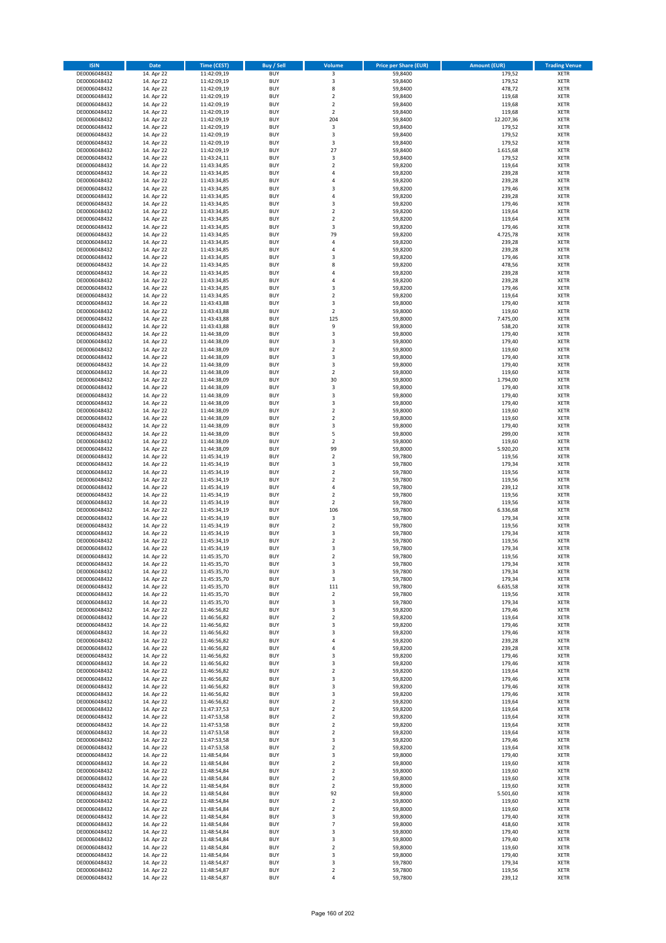| <b>ISIN</b>                  | <b>Date</b>              | Time (CEST)                | Buy / Sell               | Volume                                 | <b>Price per Share (EUR)</b> | <b>Amount (EUR)</b> | <b>Trading Venue</b>       |
|------------------------------|--------------------------|----------------------------|--------------------------|----------------------------------------|------------------------------|---------------------|----------------------------|
| DE0006048432                 | 14. Apr 22               | 11:42:09,19                | <b>BUY</b>               | $\overline{\mathbf{3}}$                | 59,8400                      | 179,52              | <b>XETR</b>                |
| DE0006048432                 | 14. Apr 22               | 11:42:09,19                | <b>BUY</b>               | 3                                      | 59,8400                      | 179,52              | <b>XETR</b>                |
| DE0006048432                 | 14. Apr 22               | 11:42:09,19                | <b>BUY</b>               | 8                                      | 59,8400                      | 478,72              | <b>XETR</b>                |
| DE0006048432<br>DE0006048432 | 14. Apr 22<br>14. Apr 22 | 11:42:09,19<br>11:42:09,19 | <b>BUY</b><br><b>BUY</b> | $\mathbf 2$<br>$\overline{\mathbf{c}}$ | 59,8400<br>59,8400           | 119,68<br>119,68    | <b>XETR</b><br><b>XETR</b> |
| DE0006048432                 | 14. Apr 22               | 11:42:09,19                | <b>BUY</b>               | $\mathbf 2$                            | 59,8400                      | 119,68              | <b>XETR</b>                |
| DE0006048432                 | 14. Apr 22               | 11:42:09,19                | <b>BUY</b>               | 204                                    | 59,8400                      | 12.207,36           | <b>XETR</b>                |
| DE0006048432                 | 14. Apr 22               | 11:42:09,19                | <b>BUY</b>               | 3                                      | 59,8400                      | 179,52              | <b>XETR</b>                |
| DE0006048432                 | 14. Apr 22               | 11:42:09,19                | <b>BUY</b>               | 3                                      | 59,8400                      | 179,52              | <b>XETR</b>                |
| DE0006048432                 | 14. Apr 22               | 11:42:09,19                | <b>BUY</b>               | 3                                      | 59,8400                      | 179,52              | <b>XETR</b>                |
| DE0006048432                 | 14. Apr 22               | 11:42:09,19                | <b>BUY</b>               | 27                                     | 59,8400                      | 1.615,68            | <b>XETR</b>                |
| DE0006048432                 | 14. Apr 22<br>14. Apr 22 | 11:43:24,11                | <b>BUY</b><br><b>BUY</b> | 3<br>$\mathbf 2$                       | 59,8400                      | 179,52<br>119,64    | <b>XETR</b><br><b>XETR</b> |
| DE0006048432<br>DE0006048432 | 14. Apr 22               | 11:43:34,85<br>11:43:34,85 | <b>BUY</b>               | 4                                      | 59,8200<br>59,8200           | 239,28              | <b>XETR</b>                |
| DE0006048432                 | 14. Apr 22               | 11:43:34,85                | <b>BUY</b>               | 4                                      | 59,8200                      | 239,28              | <b>XETR</b>                |
| DE0006048432                 | 14. Apr 22               | 11:43:34,85                | <b>BUY</b>               | 3                                      | 59,8200                      | 179,46              | <b>XETR</b>                |
| DE0006048432                 | 14. Apr 22               | 11:43:34,85                | <b>BUY</b>               | 4                                      | 59,8200                      | 239,28              | <b>XETR</b>                |
| DE0006048432                 | 14. Apr 22               | 11:43:34,85                | <b>BUY</b>               | 3                                      | 59,8200                      | 179,46              | <b>XETR</b>                |
| DE0006048432                 | 14. Apr 22               | 11:43:34,85                | <b>BUY</b>               | $\mathbf 2$                            | 59,8200                      | 119,64              | <b>XETR</b>                |
| DE0006048432                 | 14. Apr 22               | 11:43:34,85                | <b>BUY</b>               | $\mathbf 2$                            | 59,8200                      | 119,64              | <b>XETR</b>                |
| DE0006048432<br>DE0006048432 | 14. Apr 22<br>14. Apr 22 | 11:43:34,85<br>11:43:34,85 | <b>BUY</b><br><b>BUY</b> | 3<br>79                                | 59,8200<br>59,8200           | 179,46<br>4.725,78  | <b>XETR</b><br><b>XETR</b> |
| DE0006048432                 | 14. Apr 22               | 11:43:34,85                | <b>BUY</b>               | 4                                      | 59,8200                      | 239,28              | <b>XETR</b>                |
| DE0006048432                 | 14. Apr 22               | 11:43:34,85                | <b>BUY</b>               | 4                                      | 59,8200                      | 239,28              | <b>XETR</b>                |
| DE0006048432                 | 14. Apr 22               | 11:43:34,85                | <b>BUY</b>               | 3                                      | 59,8200                      | 179,46              | <b>XETR</b>                |
| DE0006048432                 | 14. Apr 22               | 11:43:34,85                | <b>BUY</b>               | 8                                      | 59,8200                      | 478,56              | <b>XETR</b>                |
| DE0006048432                 | 14. Apr 22               | 11:43:34,85                | <b>BUY</b>               | 4                                      | 59,8200                      | 239,28              | <b>XETR</b>                |
| DE0006048432                 | 14. Apr 22               | 11:43:34,85                | <b>BUY</b>               | 4                                      | 59,8200                      | 239,28              | <b>XETR</b>                |
| DE0006048432<br>DE0006048432 | 14. Apr 22<br>14. Apr 22 | 11:43:34,85<br>11:43:34,85 | <b>BUY</b><br><b>BUY</b> | 3<br>$\overline{\mathbf{c}}$           | 59,8200<br>59,8200           | 179,46<br>119,64    | <b>XETR</b><br><b>XETR</b> |
| DE0006048432                 | 14. Apr 22               | 11:43:43,88                | <b>BUY</b>               | 3                                      | 59,8000                      | 179,40              | <b>XETR</b>                |
| DE0006048432                 | 14. Apr 22               | 11:43:43,88                | <b>BUY</b>               | $\mathbf 2$                            | 59,8000                      | 119,60              | <b>XETR</b>                |
| DE0006048432                 | 14. Apr 22               | 11:43:43,88                | <b>BUY</b>               | 125                                    | 59,8000                      | 7.475,00            | <b>XETR</b>                |
| DE0006048432                 | 14. Apr 22               | 11:43:43,88                | <b>BUY</b>               | 9                                      | 59,8000                      | 538,20              | <b>XETR</b>                |
| DE0006048432                 | 14. Apr 22               | 11:44:38.09                | <b>BUY</b>               | 3                                      | 59,8000                      | 179,40              | <b>XETR</b>                |
| DE0006048432                 | 14. Apr 22               | 11:44:38,09                | <b>BUY</b>               | 3                                      | 59,8000                      | 179,40              | <b>XETR</b>                |
| DE0006048432                 | 14. Apr 22               | 11:44:38,09<br>11:44:38,09 | <b>BUY</b><br><b>BUY</b> | $\overline{\mathbf{c}}$<br>3           | 59,8000                      | 119,60              | <b>XETR</b><br><b>XETR</b> |
| DE0006048432<br>DE0006048432 | 14. Apr 22<br>14. Apr 22 | 11:44:38,09                | <b>BUY</b>               | 3                                      | 59,8000<br>59,8000           | 179,40<br>179,40    | <b>XETR</b>                |
| DE0006048432                 | 14. Apr 22               | 11:44:38,09                | <b>BUY</b>               | $\mathbf 2$                            | 59,8000                      | 119,60              | <b>XETR</b>                |
| DE0006048432                 | 14. Apr 22               | 11:44:38,09                | <b>BUY</b>               | 30                                     | 59,8000                      | 1.794,00            | <b>XETR</b>                |
| DE0006048432                 | 14. Apr 22               | 11:44:38,09                | <b>BUY</b>               | 3                                      | 59,8000                      | 179,40              | <b>XETR</b>                |
| DE0006048432                 | 14. Apr 22               | 11:44:38,09                | <b>BUY</b>               | 3                                      | 59,8000                      | 179,40              | <b>XETR</b>                |
| DE0006048432                 | 14. Apr 22               | 11:44:38,09                | <b>BUY</b>               | 3                                      | 59,8000                      | 179,40              | <b>XETR</b>                |
| DE0006048432                 | 14. Apr 22               | 11:44:38,09                | <b>BUY</b>               | $\mathbf 2$                            | 59,8000                      | 119,60              | <b>XETR</b>                |
| DE0006048432                 | 14. Apr 22               | 11:44:38,09                | <b>BUY</b>               | $\overline{\mathbf{2}}$                | 59,8000                      | 119,60              | <b>XETR</b>                |
| DE0006048432<br>DE0006048432 | 14. Apr 22<br>14. Apr 22 | 11:44:38,09<br>11:44:38,09 | <b>BUY</b><br><b>BUY</b> | 3<br>5                                 | 59,8000<br>59,8000           | 179,40<br>299,00    | <b>XETR</b><br><b>XETR</b> |
| DE0006048432                 | 14. Apr 22               | 11:44:38,09                | <b>BUY</b>               | $\mathbf 2$                            | 59,8000                      | 119,60              | <b>XETR</b>                |
| DE0006048432                 | 14. Apr 22               | 11:44:38,09                | <b>BUY</b>               | 99                                     | 59,8000                      | 5.920,20            | <b>XETR</b>                |
| DE0006048432                 | 14. Apr 22               | 11:45:34,19                | <b>BUY</b>               | $\mathbf 2$                            | 59,7800                      | 119,56              | <b>XETR</b>                |
| DE0006048432                 | 14. Apr 22               | 11:45:34,19                | <b>BUY</b>               | 3                                      | 59,7800                      | 179,34              | <b>XETR</b>                |
| DE0006048432                 | 14. Apr 22               | 11:45:34,19                | <b>BUY</b>               | $\overline{\mathbf{2}}$                | 59,7800                      | 119,56              | <b>XETR</b>                |
| DE0006048432<br>DE0006048432 | 14. Apr 22               | 11:45:34,19                | <b>BUY</b><br><b>BUY</b> | $\overline{\mathbf{c}}$<br>4           | 59,7800                      | 119,56              | <b>XETR</b><br><b>XETR</b> |
| DE0006048432                 | 14. Apr 22<br>14. Apr 22 | 11:45:34,19<br>11:45:34,19 | <b>BUY</b>               | $\mathbf 2$                            | 59,7800<br>59,7800           | 239,12<br>119,56    | <b>XETR</b>                |
| DE0006048432                 | 14. Apr 22               | 11:45:34,19                | <b>BUY</b>               | $\overline{\mathbf{c}}$                | 59,7800                      | 119,56              | <b>XETR</b>                |
| DE0006048432                 | 14. Apr 22               | 11:45:34,19                | <b>BUY</b>               | 106                                    | 59,7800                      | 6.336,68            | <b>XETR</b>                |
| DE0006048432                 | 14. Apr 22               | 11:45:34,19                | <b>BUY</b>               | 3                                      | 59,7800                      | 179,34              | <b>XETR</b>                |
| DE0006048432                 | 14. Apr 22               | 11:45:34,19                | <b>BUY</b>               | $\overline{2}$                         | 59,7800                      | 119,56              | <b>XETR</b>                |
| DE0006048432                 | 14. Apr 22               | 11:45:34,19                | <b>BUY</b>               | 3                                      | 59,7800                      | 179,34              | <b>XETR</b>                |
| DE0006048432<br>DE0006048432 | 14. Apr 22<br>14. Apr 22 | 11:45:34,19<br>11:45:34,19 | <b>BUY</b><br><b>BUY</b> | $\overline{\mathbf{c}}$<br>3           | 59,7800<br>59,7800           | 119,56<br>179,34    | <b>XETR</b><br><b>XETR</b> |
| DE0006048432                 | 14. Apr 22               | 11:45:35,70                | <b>BUY</b>               | $\overline{2}$                         | 59,7800                      | 119,56              | <b>XETR</b>                |
| DE0006048432                 | 14. Apr 22               | 11:45:35,70                | BUY                      | 3                                      | 59,7800                      | 179,34              | <b>XETR</b>                |
| DE0006048432                 | 14. Apr 22               | 11:45:35,70                | <b>BUY</b>               | 3                                      | 59,7800                      | 179,34              | <b>XETR</b>                |
| DE0006048432                 | 14. Apr 22               | 11:45:35,70                | <b>BUY</b>               | 3                                      | 59,7800                      | 179,34              | <b>XETR</b>                |
| DE0006048432                 | 14. Apr 22               | 11:45:35,70                | <b>BUY</b>               | 111                                    | 59,7800                      | 6.635,58            | XETR                       |
| DE0006048432                 | 14. Apr 22               | 11:45:35,70                | <b>BUY</b>               | $\mathbf 2$                            | 59,7800                      | 119,56              | <b>XETR</b>                |
| DE0006048432<br>DE0006048432 | 14. Apr 22<br>14. Apr 22 | 11:45:35,70<br>11:46:56,82 | <b>BUY</b><br><b>BUY</b> | 3<br>3                                 | 59,7800<br>59,8200           | 179,34<br>179,46    | <b>XETR</b><br><b>XETR</b> |
| DE0006048432                 | 14. Apr 22               | 11:46:56,82                | <b>BUY</b>               | $\mathbf 2$                            | 59,8200                      | 119,64              | <b>XETR</b>                |
| DE0006048432                 | 14. Apr 22               | 11:46:56,82                | <b>BUY</b>               | 3                                      | 59,8200                      | 179,46              | <b>XETR</b>                |
| DE0006048432                 | 14. Apr 22               | 11:46:56,82                | <b>BUY</b>               | 3                                      | 59,8200                      | 179,46              | XETR                       |
| DE0006048432                 | 14. Apr 22               | 11:46:56,82                | <b>BUY</b>               | 4                                      | 59,8200                      | 239,28              | <b>XETR</b>                |
| DE0006048432                 | 14. Apr 22               | 11:46:56,82                | <b>BUY</b>               | 4                                      | 59,8200                      | 239,28              | <b>XETR</b>                |
| DE0006048432<br>DE0006048432 | 14. Apr 22<br>14. Apr 22 | 11:46:56,82<br>11:46:56,82 | <b>BUY</b><br><b>BUY</b> | 3<br>3                                 | 59,8200<br>59,8200           | 179,46<br>179,46    | <b>XETR</b><br><b>XETR</b> |
| DE0006048432                 | 14. Apr 22               | 11:46:56,82                | <b>BUY</b>               | $\mathbf 2$                            | 59,8200                      | 119,64              | <b>XETR</b>                |
| DE0006048432                 | 14. Apr 22               | 11:46:56,82                | <b>BUY</b>               | 3                                      | 59,8200                      | 179,46              | <b>XETR</b>                |
| DE0006048432                 | 14. Apr 22               | 11:46:56,82                | <b>BUY</b>               | 3                                      | 59,8200                      | 179,46              | <b>XETR</b>                |
| DE0006048432                 | 14. Apr 22               | 11:46:56,82                | <b>BUY</b>               | 3                                      | 59,8200                      | 179,46              | <b>XETR</b>                |
| DE0006048432                 | 14. Apr 22               | 11:46:56,82                | <b>BUY</b>               | $\mathbf 2$                            | 59,8200                      | 119,64              | XETR                       |
| DE0006048432                 | 14. Apr 22               | 11:47:37,53                | <b>BUY</b>               | $\mathbf 2$                            | 59,8200                      | 119,64              | <b>XETR</b>                |
| DE0006048432                 | 14. Apr 22               | 11:47:53,58                | <b>BUY</b><br><b>BUY</b> | $\overline{\mathbf{2}}$                | 59,8200                      | 119,64<br>119,64    | <b>XETR</b>                |
| DE0006048432<br>DE0006048432 | 14. Apr 22<br>14. Apr 22 | 11:47:53,58<br>11:47:53,58 | <b>BUY</b>               | $\mathbf 2$<br>$\overline{\mathbf{2}}$ | 59,8200<br>59,8200           | 119,64              | <b>XETR</b><br><b>XETR</b> |
| DE0006048432                 | 14. Apr 22               | 11:47:53,58                | <b>BUY</b>               | 3                                      | 59,8200                      | 179,46              | <b>XETR</b>                |
| DE0006048432                 | 14. Apr 22               | 11:47:53,58                | <b>BUY</b>               | $\mathbf 2$                            | 59,8200                      | 119,64              | <b>XETR</b>                |
| DE0006048432                 | 14. Apr 22               | 11:48:54,84                | <b>BUY</b>               | 3                                      | 59,8000                      | 179,40              | <b>XETR</b>                |
| DE0006048432                 | 14. Apr 22               | 11:48:54,84                | <b>BUY</b>               | $\mathbf 2$                            | 59,8000                      | 119,60              | <b>XETR</b>                |
| DE0006048432                 | 14. Apr 22               | 11:48:54,84                | <b>BUY</b>               | $\overline{\mathbf{2}}$                | 59,8000                      | 119,60              | <b>XETR</b>                |
| DE0006048432<br>DE0006048432 | 14. Apr 22<br>14. Apr 22 | 11:48:54,84                | <b>BUY</b><br><b>BUY</b> | $\mathbf 2$<br>$\overline{\mathbf{2}}$ | 59,8000<br>59,8000           | 119,60<br>119,60    | <b>XETR</b><br><b>XETR</b> |
| DE0006048432                 | 14. Apr 22               | 11:48:54,84<br>11:48:54,84 | <b>BUY</b>               | 92                                     | 59,8000                      | 5.501,60            | <b>XETR</b>                |
| DE0006048432                 | 14. Apr 22               | 11:48:54,84                | <b>BUY</b>               | 2                                      | 59,8000                      | 119,60              | <b>XETR</b>                |
| DE0006048432                 | 14. Apr 22               | 11:48:54,84                | <b>BUY</b>               | $\mathbf 2$                            | 59,8000                      | 119,60              | <b>XETR</b>                |
| DE0006048432                 | 14. Apr 22               | 11:48:54,84                | <b>BUY</b>               | 3                                      | 59,8000                      | 179,40              | <b>XETR</b>                |
| DE0006048432                 | 14. Apr 22               | 11:48:54,84                | <b>BUY</b>               | $\overline{7}$                         | 59,8000                      | 418,60              | <b>XETR</b>                |
| DE0006048432                 | 14. Apr 22               | 11:48:54,84                | <b>BUY</b>               | 3                                      | 59,8000                      | 179,40              | <b>XETR</b>                |
| DE0006048432<br>DE0006048432 | 14. Apr 22<br>14. Apr 22 | 11:48:54,84<br>11:48:54,84 | <b>BUY</b><br><b>BUY</b> | 3<br>$\mathbf 2$                       | 59,8000<br>59,8000           | 179,40<br>119,60    | <b>XETR</b><br>XETR        |
| DE0006048432                 | 14. Apr 22               | 11:48:54,84                | <b>BUY</b>               | 3                                      | 59,8000                      | 179,40              | <b>XETR</b>                |
| DE0006048432                 | 14. Apr 22               | 11:48:54,87                | <b>BUY</b>               | 3                                      | 59,7800                      | 179,34              | <b>XETR</b>                |
| DE0006048432                 | 14. Apr 22               | 11:48:54,87                | <b>BUY</b>               | $\mathbf 2$                            | 59,7800                      | 119,56              | <b>XETR</b>                |
| DE0006048432                 | 14. Apr 22               | 11:48:54,87                | <b>BUY</b>               | 4                                      | 59,7800                      | 239,12              | <b>XETR</b>                |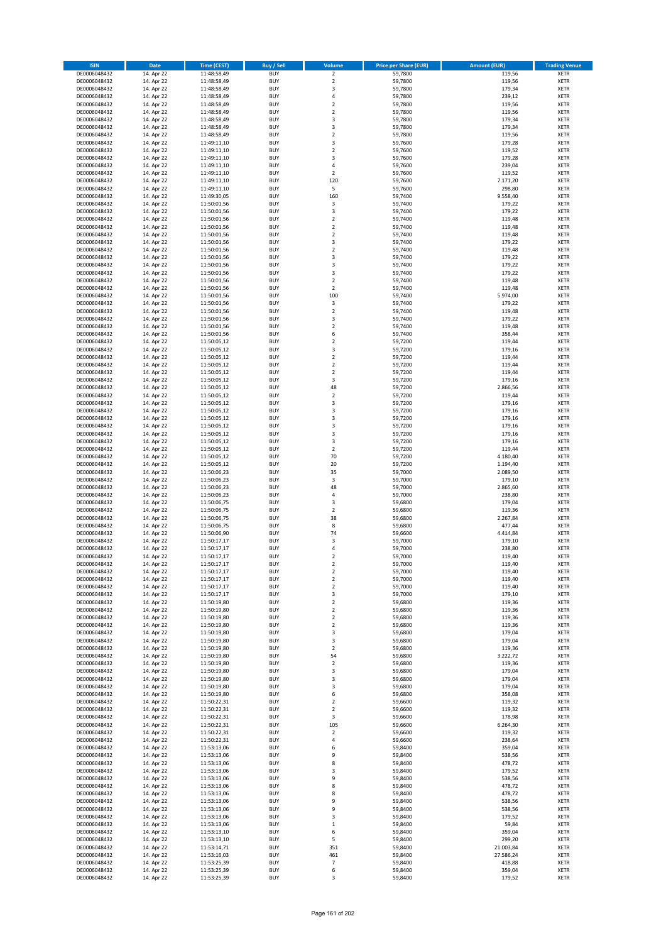| <b>ISIN</b>                  | Date                     | Time (CEST)                | Buy / Sell               | Volume                   | <b>Price per Share (EUR)</b> | <b>Amount (EUR)</b> | <b>Trading Venue</b>       |
|------------------------------|--------------------------|----------------------------|--------------------------|--------------------------|------------------------------|---------------------|----------------------------|
| DE0006048432                 | 14. Apr 22               | 11:48:58,49                | <b>BUY</b>               | $\overline{2}$           | 59,7800                      | 119,56              | <b>XETR</b>                |
| DE0006048432                 | 14. Apr 22               | 11:48:58,49                | <b>BUY</b>               | $\mathbf 2$              | 59,7800                      | 119,56              | XETR                       |
| DE0006048432                 | 14. Apr 22               | 11:48:58,49                | <b>BUY</b>               | 3                        | 59,7800                      | 179,34              | <b>XETR</b>                |
| DE0006048432                 | 14. Apr 22               | 11:48:58,49                | <b>BUY</b>               | $\sqrt{4}$               | 59,7800                      | 239,12              | <b>XETR</b>                |
| DE0006048432                 | 14. Apr 22               | 11:48:58,49                | <b>BUY</b>               | $\overline{2}$           | 59,7800                      | 119,56              | <b>XETR</b>                |
| DE0006048432                 | 14. Apr 22               | 11:48:58,49                | <b>BUY</b>               | $\mathbf 2$              | 59,7800                      | 119,56              | <b>XETR</b>                |
| DE0006048432                 | 14. Apr 22               | 11:48:58,49                | <b>BUY</b>               | 3                        | 59,7800                      | 179,34              | <b>XETR</b>                |
| DE0006048432                 | 14. Apr 22               | 11:48:58,49                | <b>BUY</b>               | 3                        | 59,7800                      | 179,34              | <b>XETR</b>                |
| DE0006048432                 | 14. Apr 22               | 11:48:58,49                | <b>BUY</b>               | $\overline{2}$           | 59,7800                      | 119,56              | <b>XETR</b>                |
| DE0006048432                 | 14. Apr 22               | 11:49:11,10                | <b>BUY</b>               | 3                        | 59,7600                      | 179,28              | <b>XETR</b>                |
| DE0006048432                 | 14. Apr 22               | 11:49:11,10                | <b>BUY</b>               | $\mathbf 2$              | 59,7600                      | 119,52              | <b>XETR</b>                |
| DE0006048432                 | 14. Apr 22               | 11:49:11,10                | <b>BUY</b>               | 3                        | 59,7600                      | 179,28              | <b>XETR</b>                |
| DE0006048432                 | 14. Apr 22               | 11:49:11,10                | <b>BUY</b>               | $\overline{4}$           | 59,7600                      | 239,04              | <b>XETR</b>                |
| DE0006048432<br>DE0006048432 | 14. Apr 22               | 11:49:11,10                | <b>BUY</b><br><b>BUY</b> | $\overline{2}$<br>120    | 59,7600                      | 119,52<br>7.171,20  | <b>XETR</b><br><b>XETR</b> |
| DE0006048432                 | 14. Apr 22<br>14. Apr 22 | 11:49:11,10<br>11:49:11,10 | <b>BUY</b>               | 5                        | 59,7600<br>59,7600           | 298,80              | <b>XETR</b>                |
| DE0006048432                 | 14. Apr 22               | 11:49:30,05                | <b>BUY</b>               | 160                      | 59,7400                      | 9.558,40            | <b>XETR</b>                |
| DE0006048432                 | 14. Apr 22               | 11:50:01,56                | <b>BUY</b>               | 3                        | 59,7400                      | 179,22              | <b>XETR</b>                |
| DE0006048432                 | 14. Apr 22               | 11:50:01,56                | <b>BUY</b>               | 3                        | 59,7400                      | 179,22              | <b>XETR</b>                |
| DE0006048432                 | 14. Apr 22               | 11:50:01,56                | <b>BUY</b>               | $\mathbf 2$              | 59,7400                      | 119,48              | <b>XETR</b>                |
| DE0006048432                 | 14. Apr 22               | 11:50:01,56                | <b>BUY</b>               | $\overline{2}$           | 59,7400                      | 119,48              | <b>XETR</b>                |
| DE0006048432                 | 14. Apr 22               | 11:50:01,56                | <b>BUY</b>               | $\mathbf 2$              | 59,7400                      | 119,48              | <b>XETR</b>                |
| DE0006048432                 | 14. Apr 22               | 11:50:01,56                | <b>BUY</b>               | 3                        | 59,7400                      | 179,22              | <b>XETR</b>                |
| DE0006048432                 | 14. Apr 22               | 11:50:01,56                | <b>BUY</b>               | $\mathbf 2$              | 59,7400                      | 119,48              | <b>XETR</b>                |
| DE0006048432                 | 14. Apr 22               | 11:50:01,56                | <b>BUY</b>               | 3                        | 59,7400                      | 179,22              | <b>XETR</b>                |
| DE0006048432                 | 14. Apr 22               | 11:50:01,56                | <b>BUY</b>               | 3                        | 59,7400                      | 179,22              | <b>XETR</b>                |
| DE0006048432                 | 14. Apr 22               | 11:50:01,56                | <b>BUY</b>               | 3                        | 59,7400                      | 179,22              | <b>XETR</b>                |
| DE0006048432                 | 14. Apr 22               | 11:50:01,56                | <b>BUY</b>               | $\overline{2}$           | 59,7400                      | 119,48              | <b>XETR</b>                |
| DE0006048432                 | 14. Apr 22               | 11:50:01,56                | <b>BUY</b>               | $\mathbf 2$              | 59,7400                      | 119,48              | <b>XETR</b>                |
| DE0006048432                 | 14. Apr 22               | 11:50:01,56                | <b>BUY</b>               | 100                      | 59,7400                      | 5.974,00            | <b>XETR</b>                |
| DE0006048432                 | 14. Apr 22               | 11:50:01,56                | <b>BUY</b>               | $\overline{\mathbf{3}}$  | 59,7400                      | 179,22              | <b>XETR</b>                |
| DE0006048432                 | 14. Apr 22               | 11:50:01,56                | <b>BUY</b>               | $\overline{2}$           | 59,7400                      | 119,48              | <b>XETR</b>                |
| DE0006048432                 | 14. Apr 22               | 11:50:01,56                | <b>BUY</b>               | 3                        | 59,7400                      | 179,22              | <b>XETR</b>                |
| DE0006048432                 | 14. Apr 22               | 11:50:01,56                | <b>BUY</b>               | $\mathbf 2$              | 59,7400                      | 119,48              | <b>XETR</b>                |
| DE0006048432                 | 14. Apr 22               | 11:50:01,56                | <b>BUY</b><br><b>BUY</b> | 6<br>$\overline{2}$      | 59,7400                      | 358,44<br>119,44    | <b>XETR</b><br><b>XETR</b> |
| DE0006048432<br>DE0006048432 | 14. Apr 22<br>14. Apr 22 | 11:50:05,12<br>11:50:05,12 | <b>BUY</b>               | 3                        | 59,7200<br>59,7200           | 179,16              | <b>XETR</b>                |
| DE0006048432                 | 14. Apr 22               | 11:50:05,12                | <b>BUY</b>               | $\mathbf 2$              | 59,7200                      | 119,44              | <b>XETR</b>                |
| DE0006048432                 | 14. Apr 22               | 11:50:05,12                | <b>BUY</b>               | $\overline{2}$           | 59,7200                      | 119,44              | <b>XETR</b>                |
| DE0006048432                 | 14. Apr 22               | 11:50:05,12                | <b>BUY</b>               | $\mathbf 2$              | 59,7200                      | 119,44              | <b>XETR</b>                |
| DE0006048432                 | 14. Apr 22               | 11:50:05,12                | <b>BUY</b>               | 3                        | 59,7200                      | 179,16              | <b>XETR</b>                |
| DE0006048432                 | 14. Apr 22               | 11:50:05,12                | <b>BUY</b>               | 48                       | 59,7200                      | 2.866,56            | <b>XETR</b>                |
| DE0006048432                 | 14. Apr 22               | 11:50:05,12                | <b>BUY</b>               | $\mathbf 2$              | 59,7200                      | 119,44              | <b>XETR</b>                |
| DE0006048432                 | 14. Apr 22               | 11:50:05,12                | <b>BUY</b>               | 3                        | 59,7200                      | 179,16              | <b>XETR</b>                |
| DE0006048432                 | 14. Apr 22               | 11:50:05,12                | <b>BUY</b>               | 3                        | 59,7200                      | 179,16              | <b>XETR</b>                |
| DE0006048432                 | 14. Apr 22               | 11:50:05,12                | <b>BUY</b>               | 3                        | 59,7200                      | 179,16              | <b>XETR</b>                |
| DE0006048432                 | 14. Apr 22               | 11:50:05,12                | <b>BUY</b>               | 3                        | 59,7200                      | 179,16              | <b>XETR</b>                |
| DE0006048432                 | 14. Apr 22               | 11:50:05,12                | <b>BUY</b>               | 3                        | 59,7200                      | 179,16              | <b>XETR</b>                |
| DE0006048432                 | 14. Apr 22               | 11:50:05,12                | <b>BUY</b>               | 3                        | 59,7200                      | 179,16              | <b>XETR</b>                |
| DE0006048432                 | 14. Apr 22               | 11:50:05,12                | <b>BUY</b>               | $\overline{2}$           | 59,7200                      | 119,44              | <b>XETR</b>                |
| DE0006048432                 | 14. Apr 22               | 11:50:05,12                | <b>BUY</b>               | 70                       | 59,7200                      | 4.180,40            | <b>XETR</b>                |
| DE0006048432                 | 14. Apr 22               | 11:50:05,12                | <b>BUY</b>               | 20                       | 59,7200                      | 1.194,40            | <b>XETR</b>                |
| DE0006048432                 | 14. Apr 22               | 11:50:06,23                | <b>BUY</b>               | 35                       | 59,7000                      | 2.089,50            | <b>XETR</b>                |
| DE0006048432<br>DE0006048432 | 14. Apr 22               | 11:50:06,23                | <b>BUY</b><br><b>BUY</b> | $\mathsf 3$<br>48        | 59,7000                      | 179,10              | <b>XETR</b><br><b>XETR</b> |
| DE0006048432                 | 14. Apr 22<br>14. Apr 22 | 11:50:06,23                | <b>BUY</b>               | $\pmb{4}$                | 59,7000                      | 2.865,60            | <b>XETR</b>                |
| DE0006048432                 | 14. Apr 22               | 11:50:06,23<br>11:50:06,75 | <b>BUY</b>               | 3                        | 59,7000<br>59,6800           | 238,80<br>179,04    | <b>XETR</b>                |
| DE0006048432                 | 14. Apr 22               | 11:50:06,75                | <b>BUY</b>               | $\mathbf 2$              | 59,6800                      | 119,36              | <b>XETR</b>                |
| DE0006048432                 | 14. Apr 22               | 11:50:06,75                | <b>BUY</b>               | 38                       | 59,6800                      | 2.267,84            | <b>XETR</b>                |
| DE0006048432                 | 14. Apr 22               | 11:50:06,75                | <b>BUY</b>               | 8                        | 59,6800                      | 477,44              | <b>XETR</b>                |
| DE0006048432                 | 14. Apr 22               | 11:50:06,90                | <b>BUY</b>               | 74                       | 59,6600                      | 4.414,84            | <b>XETR</b>                |
| DE0006048432                 | 14. Apr 22               | 11:50:17,17                | <b>BUY</b>               | 3                        | 59,7000                      | 179,10              | <b>XETR</b>                |
| DE0006048432                 | 14. Apr 22               | 11:50:17,17                | <b>BUY</b>               | $\overline{4}$           | 59,7000                      | 238,80              | <b>XETR</b>                |
| DE0006048432                 | 14. Apr 22               | 11:50:17,17                | <b>BUY</b>               | 2                        | 59,7000                      | 119,40              | <b>XETR</b>                |
| DE0006048432                 | 14. Apr 22               | 11:50:17,17                | <b>BUY</b>               | $\mathbf 2$              | 59,7000                      | 119,40              | XETR                       |
| DE0006048432                 | 14. Apr 22               | 11:50:17,17                | <b>BUY</b>               | $\mathbf 2$              | 59,7000                      | 119,40              | <b>XETR</b>                |
| DE0006048432                 | 14. Apr 22               | 11:50:17,17                | <b>BUY</b>               | $\overline{2}$           | 59,7000                      | 119,40              | <b>XETR</b>                |
| DE0006048432                 | 14. Apr 22               | 11:50:17,17                | <b>BUY</b>               | $\mathbf 2$              | 59,7000                      | 119,40              | <b>XETR</b>                |
| DE0006048432                 | 14. Apr 22               | 11:50:17,17                | <b>BUY</b>               | 3                        | 59,7000                      | 179,10              | <b>XETR</b>                |
| DE0006048432                 | 14. Apr 22               | 11:50:19,80                | <b>BUY</b>               | $\mathbf 2$              | 59,6800                      | 119,36              | <b>XETR</b>                |
| DE0006048432                 | 14. Apr 22               | 11:50:19,80                | <b>BUY</b>               | $\overline{2}$           | 59,6800                      | 119,36              | <b>XETR</b>                |
| DE0006048432                 | 14. Apr 22               | 11:50:19,80                | <b>BUY</b>               | $\mathbf 2$              | 59,6800                      | 119,36              | <b>XETR</b>                |
| DE0006048432                 | 14. Apr 22               | 11:50:19,80                | <b>BUY</b>               | $\overline{2}$           | 59,6800                      | 119,36              | XETR                       |
| DE0006048432                 | 14. Apr 22               | 11:50:19,80                | <b>BUY</b><br><b>BUY</b> | 3                        | 59,6800                      | 179,04              | <b>XETR</b>                |
| DE0006048432<br>DE0006048432 | 14. Apr 22               | 11:50:19,80<br>11:50:19,80 | <b>BUY</b>               | 3<br>$\overline{2}$      | 59,6800<br>59,6800           | 179,04<br>119,36    | XETR<br><b>XETR</b>        |
| DE0006048432                 | 14. Apr 22<br>14. Apr 22 | 11:50:19,80                | <b>BUY</b>               | 54                       | 59,6800                      | 3.222,72            | XETR                       |
| DE0006048432                 | 14. Apr 22               | 11:50:19,80                | <b>BUY</b>               | $\overline{2}$           | 59,6800                      | 119,36              | <b>XETR</b>                |
| DE0006048432                 | 14. Apr 22               | 11:50:19,80                | <b>BUY</b>               | 3                        | 59,6800                      | 179,04              | XETR                       |
| DE0006048432                 | 14. Apr 22               | 11:50:19,80                | <b>BUY</b>               | 3                        | 59,6800                      | 179,04              | <b>XETR</b>                |
| DE0006048432                 | 14. Apr 22               | 11:50:19,80                | <b>BUY</b>               | 3                        | 59,6800                      | 179,04              | <b>XETR</b>                |
| DE0006048432                 | 14. Apr 22               | 11:50:19,80                | <b>BUY</b>               | 6                        | 59,6800                      | 358,08              | <b>XETR</b>                |
| DE0006048432                 | 14. Apr 22               | 11:50:22,31                | <b>BUY</b>               | $\overline{2}$           | 59,6600                      | 119,32              | XETR                       |
| DE0006048432                 | 14. Apr 22               | 11:50:22,31                | <b>BUY</b>               | $\overline{2}$           | 59,6600                      | 119,32              | <b>XETR</b>                |
| DE0006048432                 | 14. Apr 22               | 11:50:22,31                | <b>BUY</b>               | 3                        | 59,6600                      | 178,98              | <b>XETR</b>                |
| DE0006048432                 | 14. Apr 22               | 11:50:22,31                | <b>BUY</b>               | 105                      | 59,6600                      | 6.264,30            | <b>XETR</b>                |
| DE0006048432                 | 14. Apr 22               | 11:50:22,31                | <b>BUY</b>               | $\overline{2}$           | 59,6600                      | 119,32              | XETR                       |
| DE0006048432                 | 14. Apr 22               | 11:50:22,31                | <b>BUY</b>               | $\sqrt{4}$               | 59,6600                      | 238,64              | XETR                       |
| DE0006048432                 | 14. Apr 22               | 11:53:13,06                | <b>BUY</b>               | 6                        | 59,8400                      | 359,04              | XETR                       |
| DE0006048432                 | 14. Apr 22               | 11:53:13,06                | <b>BUY</b>               | 9                        | 59,8400                      | 538,56              | XETR                       |
| DE0006048432                 | 14. Apr 22               | 11:53:13,06                | <b>BUY</b>               | 8                        | 59,8400                      | 478,72              | XETR                       |
| DE0006048432                 | 14. Apr 22               | 11:53:13,06                | <b>BUY</b>               | 3                        | 59,8400                      | 179,52              | <b>XETR</b>                |
| DE0006048432                 | 14. Apr 22               | 11:53:13,06                | <b>BUY</b>               | 9                        | 59,8400                      | 538,56              | <b>XETR</b>                |
| DE0006048432                 | 14. Apr 22               | 11:53:13,06                | <b>BUY</b><br><b>BUY</b> | 8                        | 59,8400<br>59,8400           | 478,72<br>478,72    | <b>XETR</b>                |
| DE0006048432<br>DE0006048432 | 14. Apr 22<br>14. Apr 22 | 11:53:13,06<br>11:53:13,06 | <b>BUY</b>               | 8<br>9                   | 59,8400                      | 538,56              | XETR<br>XETR               |
| DE0006048432                 | 14. Apr 22               | 11:53:13,06                | <b>BUY</b>               | 9                        | 59,8400                      | 538,56              | XETR                       |
| DE0006048432                 | 14. Apr 22               | 11:53:13,06                | <b>BUY</b>               | 3                        | 59,8400                      | 179,52              | <b>XETR</b>                |
| DE0006048432                 | 14. Apr 22               | 11:53:13,06                | <b>BUY</b>               | $\,$ 1                   | 59,8400                      | 59,84               | <b>XETR</b>                |
| DE0006048432                 | 14. Apr 22               | 11:53:13,10                | <b>BUY</b>               | 6                        | 59,8400                      | 359,04              | XETR                       |
| DE0006048432                 | 14. Apr 22               | 11:53:13,10                | <b>BUY</b>               | 5                        | 59,8400                      | 299,20              | <b>XETR</b>                |
| DE0006048432                 | 14. Apr 22               | 11:53:14,71                | <b>BUY</b>               | 351                      | 59,8400                      | 21.003,84           | XETR                       |
| DE0006048432                 | 14. Apr 22               | 11:53:16,03                | <b>BUY</b>               | 461                      | 59,8400                      | 27.586,24           | <b>XETR</b>                |
| DE0006048432                 | 14. Apr 22               | 11:53:25,39                | <b>BUY</b>               | $\overline{\phantom{a}}$ | 59,8400                      | 418,88              | XETR                       |
| DE0006048432                 | 14. Apr 22               | 11:53:25,39                | <b>BUY</b>               | 6                        | 59,8400                      | 359,04              | <b>XETR</b>                |
| DE0006048432                 | 14. Apr 22               | 11:53:25,39                | <b>BUY</b>               | 3                        | 59,8400                      | 179,52              | XETR                       |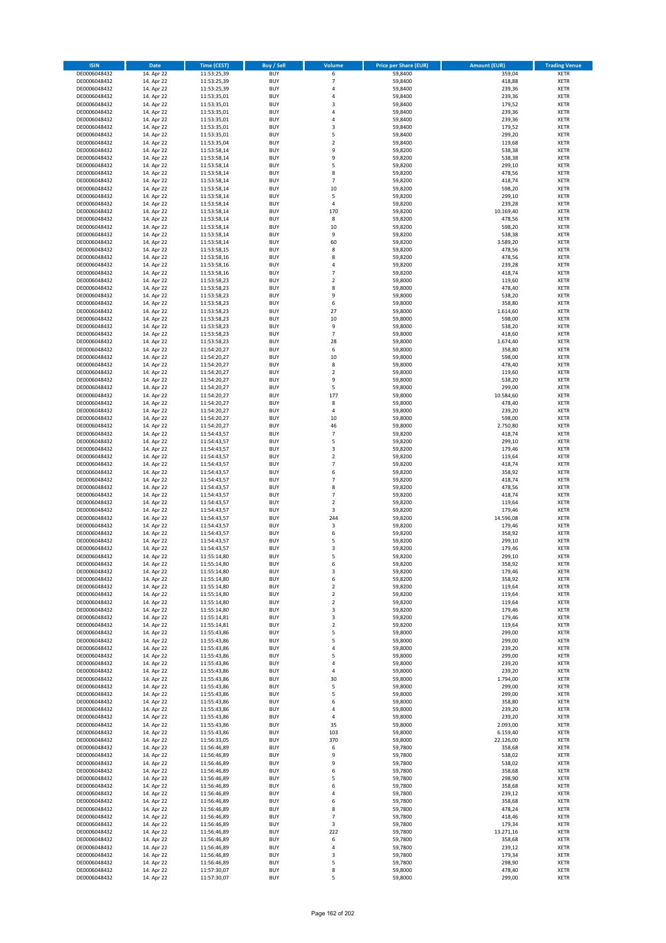| <b>ISIN</b>                  | Date                     | Time (CEST)                | <b>Buy / Sell</b>        | <b>Volume</b>                 | <b>Price per Share (EUR)</b> | <b>Amount (EUR)</b> | <b>Trading Venue</b>       |
|------------------------------|--------------------------|----------------------------|--------------------------|-------------------------------|------------------------------|---------------------|----------------------------|
| DE0006048432                 | 14. Apr 22               | 11:53:25,39                | <b>BUY</b>               | 6                             | 59,8400                      | 359,04              | <b>XETR</b>                |
| DE0006048432                 | 14. Apr 22               | 11:53:25,39                | <b>BUY</b>               | $\overline{7}$                | 59,8400                      | 418,88              | XETR                       |
| DE0006048432                 | 14. Apr 22               | 11:53:25,39                | <b>BUY</b>               | $\overline{4}$                | 59,8400                      | 239,36              | <b>XETR</b>                |
| DE0006048432                 | 14. Apr 22               | 11:53:35,01                | <b>BUY</b>               | $\pmb{4}$                     | 59,8400                      | 239,36              | <b>XETR</b>                |
| DE0006048432<br>DE0006048432 | 14. Apr 22<br>14. Apr 22 | 11:53:35,01<br>11:53:35,01 | <b>BUY</b><br><b>BUY</b> | 3<br>$\overline{4}$           | 59,8400<br>59,8400           | 179,52<br>239,36    | <b>XETR</b><br><b>XETR</b> |
| DE0006048432                 | 14. Apr 22               | 11:53:35,01                | <b>BUY</b>               | $\overline{4}$                | 59,8400                      | 239,36              | <b>XETR</b>                |
| DE0006048432                 | 14. Apr 22               | 11:53:35,01                | <b>BUY</b>               | 3                             | 59,8400                      | 179,52              | <b>XETR</b>                |
| DE0006048432                 | 14. Apr 22               | 11:53:35,01                | <b>BUY</b>               | 5                             | 59,8400                      | 299,20              | <b>XETR</b>                |
| DE0006048432                 | 14. Apr 22               | 11:53:35,04                | <b>BUY</b>               | $\mathbf 2$                   | 59,8400                      | 119,68              | <b>XETR</b>                |
| DE0006048432                 | 14. Apr 22               | 11:53:58,14                | <b>BUY</b>               | 9                             | 59,8200                      | 538,38              | <b>XETR</b>                |
| DE0006048432                 | 14. Apr 22               | 11:53:58,14                | <b>BUY</b>               | 9<br>5                        | 59,8200                      | 538,38              | <b>XETR</b>                |
| DE0006048432<br>DE0006048432 | 14. Apr 22<br>14. Apr 22 | 11:53:58,14<br>11:53:58,14 | <b>BUY</b><br><b>BUY</b> | 8                             | 59,8200<br>59,8200           | 299,10<br>478,56    | <b>XETR</b><br><b>XETR</b> |
| DE0006048432                 | 14. Apr 22               | 11:53:58,14                | <b>BUY</b>               | $\overline{7}$                | 59,8200                      | 418,74              | <b>XETR</b>                |
| DE0006048432                 | 14. Apr 22               | 11:53:58,14                | <b>BUY</b>               | 10                            | 59,8200                      | 598,20              | <b>XETR</b>                |
| DE0006048432                 | 14. Apr 22               | 11:53:58,14                | <b>BUY</b>               | 5                             | 59,8200                      | 299,10              | <b>XETR</b>                |
| DE0006048432                 | 14. Apr 22               | 11:53:58,14                | <b>BUY</b>               | $\sqrt{4}$                    | 59,8200                      | 239,28              | <b>XETR</b>                |
| DE0006048432                 | 14. Apr 22               | 11:53:58,14                | <b>BUY</b>               | 170                           | 59,8200                      | 10.169,40           | <b>XETR</b>                |
| DE0006048432<br>DE0006048432 | 14. Apr 22<br>14. Apr 22 | 11:53:58,14                | <b>BUY</b><br><b>BUY</b> | 8<br>10                       | 59,8200<br>59,8200           | 478,56<br>598,20    | <b>XETR</b><br><b>XETR</b> |
| DE0006048432                 | 14. Apr 22               | 11:53:58,14<br>11:53:58,14 | <b>BUY</b>               | 9                             | 59,8200                      | 538,38              | <b>XETR</b>                |
| DE0006048432                 | 14. Apr 22               | 11:53:58,14                | <b>BUY</b>               | 60                            | 59,8200                      | 3.589,20            | <b>XETR</b>                |
| DE0006048432                 | 14. Apr 22               | 11:53:58,15                | <b>BUY</b>               | 8                             | 59,8200                      | 478,56              | <b>XETR</b>                |
| DE0006048432                 | 14. Apr 22               | 11:53:58,16                | <b>BUY</b>               | 8                             | 59,8200                      | 478,56              | <b>XETR</b>                |
| DE0006048432                 | 14. Apr 22               | 11:53:58,16                | <b>BUY</b>               | 4                             | 59,8200                      | 239,28              | <b>XETR</b>                |
| DE0006048432                 | 14. Apr 22               | 11:53:58,16                | <b>BUY</b>               | $\overline{7}$<br>$\mathbf 2$ | 59,8200                      | 418,74              | <b>XETR</b>                |
| DE0006048432<br>DE0006048432 | 14. Apr 22<br>14. Apr 22 | 11:53:58,23<br>11:53:58,23 | <b>BUY</b><br><b>BUY</b> | 8                             | 59,8000<br>59,8000           | 119,60<br>478,40    | <b>XETR</b><br><b>XETR</b> |
| DE0006048432                 | 14. Apr 22               | 11:53:58,23                | <b>BUY</b>               | 9                             | 59,8000                      | 538,20              | <b>XETR</b>                |
| DE0006048432                 | 14. Apr 22               | 11:53:58,23                | <b>BUY</b>               | 6                             | 59,8000                      | 358,80              | <b>XETR</b>                |
| DE0006048432                 | 14. Apr 22               | 11:53:58,23                | <b>BUY</b>               | 27                            | 59,8000                      | 1.614,60            | <b>XETR</b>                |
| DE0006048432                 | 14. Apr 22               | 11:53:58,23                | <b>BUY</b>               | 10                            | 59,8000                      | 598,00              | <b>XETR</b>                |
| DE0006048432                 | 14. Apr 22               | 11:53:58,23                | <b>BUY</b>               | 9                             | 59,8000                      | 538,20              | <b>XETR</b>                |
| DE0006048432<br>DE0006048432 | 14. Apr 22<br>14. Apr 22 | 11:53:58,23<br>11:53:58,23 | <b>BUY</b><br><b>BUY</b> | $\overline{7}$<br>28          | 59,8000<br>59,8000           | 418,60<br>1.674,40  | <b>XETR</b><br><b>XETR</b> |
| DE0006048432                 | 14. Apr 22               | 11:54:20,27                | <b>BUY</b>               | 6                             | 59,8000                      | 358,80              | <b>XETR</b>                |
| DE0006048432                 | 14. Apr 22               | 11:54:20,27                | <b>BUY</b>               | 10                            | 59,8000                      | 598,00              | <b>XETR</b>                |
| DE0006048432                 | 14. Apr 22               | 11:54:20,27                | <b>BUY</b>               | 8                             | 59,8000                      | 478,40              | <b>XETR</b>                |
| DE0006048432                 | 14. Apr 22               | 11:54:20,27                | <b>BUY</b>               | $\mathbf 2$                   | 59,8000                      | 119,60              | <b>XETR</b>                |
| DE0006048432                 | 14. Apr 22               | 11:54:20,27                | <b>BUY</b>               | 9                             | 59,8000                      | 538,20              | <b>XETR</b>                |
| DE0006048432<br>DE0006048432 | 14. Apr 22<br>14. Apr 22 | 11:54:20,27                | <b>BUY</b><br><b>BUY</b> | 5<br>177                      | 59,8000<br>59,8000           | 299,00<br>10.584,60 | <b>XETR</b><br><b>XETR</b> |
| DE0006048432                 | 14. Apr 22               | 11:54:20,27<br>11:54:20,27 | <b>BUY</b>               | 8                             | 59,8000                      | 478,40              | <b>XETR</b>                |
| DE0006048432                 | 14. Apr 22               | 11:54:20,27                | <b>BUY</b>               | $\sqrt{4}$                    | 59,8000                      | 239,20              | <b>XETR</b>                |
| DE0006048432                 | 14. Apr 22               | 11:54:20,27                | <b>BUY</b>               | 10                            | 59,8000                      | 598,00              | <b>XETR</b>                |
| DE0006048432                 | 14. Apr 22               | 11:54:20,27                | <b>BUY</b>               | 46                            | 59,8000                      | 2.750,80            | <b>XETR</b>                |
| DE0006048432                 | 14. Apr 22               | 11:54:43,57                | <b>BUY</b>               | $\overline{7}$                | 59,8200                      | 418,74              | <b>XETR</b>                |
| DE0006048432<br>DE0006048432 | 14. Apr 22<br>14. Apr 22 | 11:54:43,57                | <b>BUY</b><br><b>BUY</b> | 5<br>3                        | 59,8200<br>59,8200           | 299,10<br>179,46    | <b>XETR</b><br><b>XETR</b> |
| DE0006048432                 | 14. Apr 22               | 11:54:43,57<br>11:54:43,57 | <b>BUY</b>               | $\overline{2}$                | 59,8200                      | 119,64              | <b>XETR</b>                |
| DE0006048432                 | 14. Apr 22               | 11:54:43,57                | <b>BUY</b>               | $\overline{7}$                | 59,8200                      | 418,74              | <b>XETR</b>                |
| DE0006048432                 | 14. Apr 22               | 11:54:43,57                | <b>BUY</b>               | 6                             | 59,8200                      | 358,92              | <b>XETR</b>                |
| DE0006048432                 | 14. Apr 22               | 11:54:43,57                | <b>BUY</b>               | $\overline{7}$                | 59,8200                      | 418,74              | <b>XETR</b>                |
| DE0006048432                 | 14. Apr 22               | 11:54:43,57                | <b>BUY</b>               | 8                             | 59,8200                      | 478,56              | <b>XETR</b>                |
| DE0006048432                 | 14. Apr 22               | 11:54:43,57                | <b>BUY</b>               | $\overline{7}$                | 59,8200                      | 418,74              | <b>XETR</b>                |
| DE0006048432<br>DE0006048432 | 14. Apr 22<br>14. Apr 22 | 11:54:43,57<br>11:54:43,57 | <b>BUY</b><br><b>BUY</b> | $\overline{2}$<br>3           | 59,8200<br>59,8200           | 119,64<br>179,46    | <b>XETR</b><br><b>XETR</b> |
| DE0006048432                 | 14. Apr 22               | 11:54:43,57                | <b>BUY</b>               | 244                           | 59,8200                      | 14.596,08           | <b>XETR</b>                |
| DE0006048432                 | 14. Apr 22               | 11:54:43,57                | <b>BUY</b>               | 3                             | 59,8200                      | 179,46              | <b>XETR</b>                |
| DE0006048432                 | 14. Apr 22               | 11:54:43,57                | <b>BUY</b>               | 6                             | 59,8200                      | 358,92              | <b>XETR</b>                |
| DE0006048432                 | 14. Apr 22               | 11:54:43,57                | <b>BUY</b>               | 5                             | 59,8200                      | 299,10              | <b>XETR</b>                |
| DE0006048432                 | 14. Apr 22               | 11:54:43,57                | <b>BUY</b>               | 3                             | 59,8200                      | 179,46              | <b>XETR</b>                |
| DE0006048432<br>DE0006048432 | 14. Apr 22<br>14. Apr 22 | 11:55:14,80<br>11:55:14,80 | <b>BUY</b><br>BUY        | 5<br>6                        | 59,8200<br>59,8200           | 299,10<br>358,92    | <b>XETR</b><br>XETR        |
| DE0006048432                 | 14. Apr 22               | 11:55:14,80                | <b>BUY</b>               | 3                             | 59,8200                      | 179,46              | <b>XETR</b>                |
| DE0006048432                 | 14. Apr 22               | 11:55:14,80                | <b>BUY</b>               | 6                             | 59,8200                      | 358,92              | <b>XETR</b>                |
| DE0006048432                 | 14. Apr 22               | 11:55:14,80                | <b>BUY</b>               | $\mathbf 2$                   | 59,8200                      | 119,64              | <b>XETR</b>                |
| DE0006048432                 | 14. Apr 22               | 11:55:14,80                | <b>BUY</b>               | $\overline{2}$                | 59,8200                      | 119,64              | <b>XETR</b>                |
| DE0006048432                 | 14. Apr 22               | 11:55:14,80                | <b>BUY</b>               | $\overline{2}$                | 59,8200                      | 119,64              | <b>XETR</b>                |
| DE0006048432                 | 14. Apr 22               | 11:55:14,80                | <b>BUY</b>               | 3                             | 59,8200                      | 179,46              | <b>XETR</b>                |
| DE0006048432<br>DE0006048432 | 14. Apr 22<br>14. Apr 22 | 11:55:14,81<br>11:55:14,81 | <b>BUY</b><br><b>BUY</b> | 3<br>$\overline{2}$           | 59,8200<br>59,8200           | 179,46<br>119,64    | <b>XETR</b><br>XETR        |
| DE0006048432                 | 14. Apr 22               | 11:55:43,86                | <b>BUY</b>               | 5                             | 59,8000                      | 299,00              | <b>XETR</b>                |
| DE0006048432                 | 14. Apr 22               | 11:55:43,86                | <b>BUY</b>               | 5                             | 59,8000                      | 299,00              | XETR                       |
| DE0006048432                 | 14. Apr 22               | 11:55:43,86                | <b>BUY</b>               | 4                             | 59,8000                      | 239,20              | <b>XETR</b>                |
| DE0006048432                 | 14. Apr 22               | 11:55:43,86                | <b>BUY</b>               | 5                             | 59,8000                      | 299,00              | XETR                       |
| DE0006048432                 | 14. Apr 22               | 11:55:43,86                | <b>BUY</b>               | 4                             | 59,8000                      | 239,20              | <b>XETR</b>                |
| DE0006048432<br>DE0006048432 | 14. Apr 22<br>14. Apr 22 | 11:55:43,86<br>11:55:43,86 | <b>BUY</b><br><b>BUY</b> | $\sqrt{4}$<br>30              | 59,8000<br>59,8000           | 239,20<br>1.794,00  | XETR<br><b>XETR</b>        |
| DE0006048432                 | 14. Apr 22               | 11:55:43,86                | <b>BUY</b>               | 5                             | 59,8000                      | 299,00              | <b>XETR</b>                |
| DE0006048432                 | 14. Apr 22               | 11:55:43,86                | <b>BUY</b>               | 5                             | 59,8000                      | 299,00              | <b>XETR</b>                |
| DE0006048432                 | 14. Apr 22               | 11:55:43,86                | <b>BUY</b>               | 6                             | 59,8000                      | 358,80              | XETR                       |
| DE0006048432                 | 14. Apr 22               | 11:55:43,86                | <b>BUY</b>               | 4                             | 59,8000                      | 239,20              | <b>XETR</b>                |
| DE0006048432                 | 14. Apr 22               | 11:55:43,86                | <b>BUY</b><br><b>BUY</b> | $\sqrt{4}$                    | 59,8000                      | 239,20<br>2.093,00  | <b>XETR</b>                |
| DE0006048432<br>DE0006048432 | 14. Apr 22<br>14. Apr 22 | 11:55:43,86<br>11:55:43,86 | <b>BUY</b>               | 35<br>103                     | 59,8000<br>59,8000           | 6.159,40            | <b>XETR</b><br>XETR        |
| DE0006048432                 | 14. Apr 22               | 11:56:33,05                | <b>BUY</b>               | 370                           | 59,8000                      | 22.126,00           | XETR                       |
| DE0006048432                 | 14. Apr 22               | 11:56:46,89                | <b>BUY</b>               | 6                             | 59,7800                      | 358,68              | XETR                       |
| DE0006048432                 | 14. Apr 22               | 11:56:46,89                | <b>BUY</b>               | 9                             | 59,7800                      | 538,02              | XETR                       |
| DE0006048432                 | 14. Apr 22               | 11:56:46,89                | <b>BUY</b>               | 9                             | 59,7800                      | 538,02              | XETR                       |
| DE0006048432                 | 14. Apr 22               | 11:56:46,89                | <b>BUY</b>               | 6                             | 59,7800                      | 358,68              | <b>XETR</b>                |
| DE0006048432<br>DE0006048432 | 14. Apr 22<br>14. Apr 22 | 11:56:46,89<br>11:56:46,89 | <b>BUY</b><br><b>BUY</b> | 5<br>6                        | 59,7800<br>59,7800           | 298,90<br>358,68    | <b>XETR</b><br><b>XETR</b> |
| DE0006048432                 | 14. Apr 22               | 11:56:46,89                | <b>BUY</b>               | 4                             | 59,7800                      | 239,12              | XETR                       |
| DE0006048432                 | 14. Apr 22               | 11:56:46,89                | <b>BUY</b>               | 6                             | 59,7800                      | 358,68              | XETR                       |
| DE0006048432                 | 14. Apr 22               | 11:56:46,89                | <b>BUY</b>               | 8                             | 59,7800                      | 478,24              | XETR                       |
| DE0006048432                 | 14. Apr 22               | 11:56:46,89                | <b>BUY</b>               | $\overline{7}$                | 59,7800                      | 418,46              | <b>XETR</b>                |
| DE0006048432                 | 14. Apr 22               | 11:56:46,89                | <b>BUY</b>               | 3                             | 59,7800                      | 179,34              | <b>XETR</b>                |
| DE0006048432<br>DE0006048432 | 14. Apr 22               | 11:56:46,89                | <b>BUY</b><br><b>BUY</b> | 222<br>6                      | 59,7800                      | 13.271,16           | <b>XETR</b><br><b>XETR</b> |
| DE0006048432                 | 14. Apr 22<br>14. Apr 22 | 11:56:46,89<br>11:56:46,89 | <b>BUY</b>               | $\pmb{4}$                     | 59,7800<br>59,7800           | 358,68<br>239,12    | XETR                       |
| DE0006048432                 | 14. Apr 22               | 11:56:46,89                | <b>BUY</b>               | 3                             | 59,7800                      | 179,34              | <b>XETR</b>                |
| DE0006048432                 | 14. Apr 22               | 11:56:46,89                | <b>BUY</b>               | 5                             | 59,7800                      | 298,90              | XETR                       |
| DE0006048432                 | 14. Apr 22               | 11:57:30,07                | <b>BUY</b>               | 8                             | 59,8000                      | 478,40              | <b>XETR</b>                |
| DE0006048432                 | 14. Apr 22               | 11:57:30,07                | <b>BUY</b>               | 5                             | 59,8000                      | 299,00              | <b>XETR</b>                |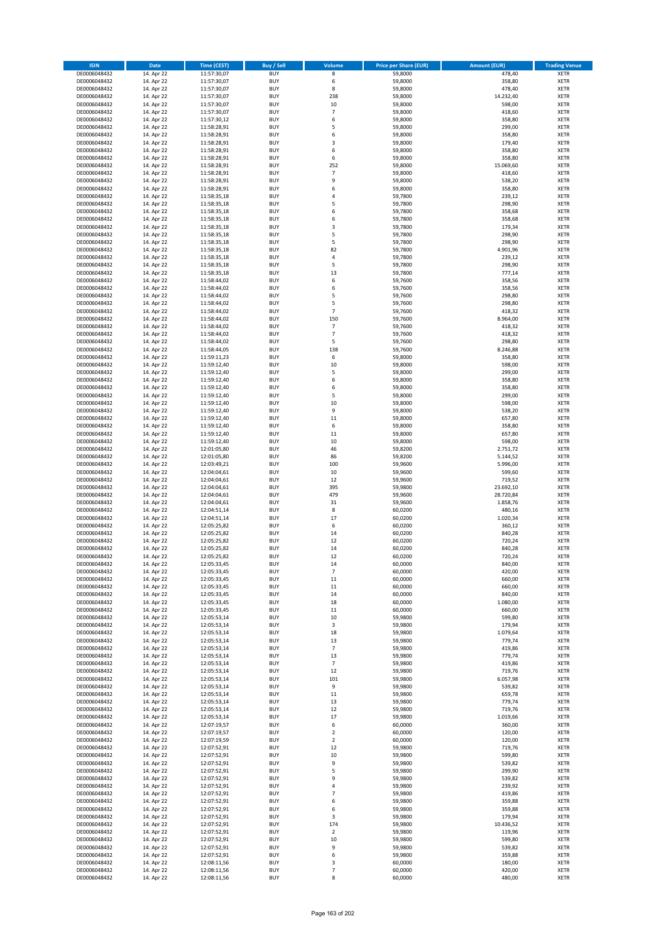| <b>ISIN</b>                  | <b>Date</b>              | Time (CEST)                | <b>Buy / Sell</b>        | Volume                   | <b>Price per Share (EUR)</b> | <b>Amount (EUR)</b>  | <b>Trading Venue</b>       |
|------------------------------|--------------------------|----------------------------|--------------------------|--------------------------|------------------------------|----------------------|----------------------------|
| DE0006048432                 | 14. Apr 22               | 11:57:30,07                | <b>BUY</b>               | 8                        | 59,8000                      | 478,40               | <b>XETR</b>                |
| DE0006048432                 | 14. Apr 22               | 11:57:30,07                | <b>BUY</b>               | 6                        | 59,8000                      | 358,80               | <b>XETR</b>                |
| DE0006048432                 | 14. Apr 22               | 11:57:30,07                | <b>BUY</b>               | 8                        | 59,8000                      | 478,40               | <b>XETR</b>                |
| DE0006048432<br>DE0006048432 | 14. Apr 22<br>14. Apr 22 | 11:57:30,07<br>11:57:30,07 | <b>BUY</b><br><b>BUY</b> | 238<br>10                | 59,8000<br>59,8000           | 14.232,40<br>598,00  | <b>XETR</b><br><b>XETR</b> |
| DE0006048432                 | 14. Apr 22               | 11:57:30,07                | <b>BUY</b>               | $\overline{7}$           | 59,8000                      | 418,60               | <b>XETR</b>                |
| DE0006048432                 | 14. Apr 22               | 11:57:30,12                | <b>BUY</b>               | 6                        | 59,8000                      | 358,80               | <b>XETR</b>                |
| DE0006048432                 | 14. Apr 22               | 11:58:28,91                | <b>BUY</b>               | 5                        | 59,8000                      | 299,00               | <b>XETR</b>                |
| DE0006048432                 | 14. Apr 22               | 11:58:28,91                | <b>BUY</b>               | 6                        | 59,8000                      | 358,80               | <b>XETR</b>                |
| DE0006048432                 | 14. Apr 22               | 11:58:28,91                | <b>BUY</b>               | 3                        | 59,8000                      | 179,40               | <b>XETR</b>                |
| DE0006048432                 | 14. Apr 22               | 11:58:28,91                | <b>BUY</b>               | 6                        | 59,8000                      | 358,80               | <b>XETR</b>                |
| DE0006048432<br>DE0006048432 | 14. Apr 22<br>14. Apr 22 | 11:58:28,91<br>11:58:28,91 | <b>BUY</b><br><b>BUY</b> | 6<br>252                 | 59,8000<br>59,8000           | 358,80<br>15.069,60  | <b>XETR</b><br><b>XETR</b> |
| DE0006048432                 | 14. Apr 22               | 11:58:28,91                | <b>BUY</b>               | $\overline{7}$           | 59,8000                      | 418,60               | <b>XETR</b>                |
| DE0006048432                 | 14. Apr 22               | 11:58:28,91                | <b>BUY</b>               | 9                        | 59,8000                      | 538,20               | <b>XETR</b>                |
| DE0006048432                 | 14. Apr 22               | 11:58:28,91                | <b>BUY</b>               | 6                        | 59,8000                      | 358,80               | <b>XETR</b>                |
| DE0006048432                 | 14. Apr 22               | 11:58:35,18                | <b>BUY</b>               | 4                        | 59,7800                      | 239,12               | <b>XETR</b>                |
| DE0006048432                 | 14. Apr 22               | 11:58:35,18                | <b>BUY</b>               | 5                        | 59,7800                      | 298,90               | <b>XETR</b>                |
| DE0006048432                 | 14. Apr 22               | 11:58:35,18                | <b>BUY</b>               | 6                        | 59,7800                      | 358,68               | <b>XETR</b>                |
| DE0006048432                 | 14. Apr 22               | 11:58:35,18                | <b>BUY</b>               | 6                        | 59,7800                      | 358,68               | <b>XETR</b>                |
| DE0006048432                 | 14. Apr 22               | 11:58:35,18                | <b>BUY</b>               | 3                        | 59,7800                      | 179,34               | <b>XETR</b>                |
| DE0006048432<br>DE0006048432 | 14. Apr 22<br>14. Apr 22 | 11:58:35,18<br>11:58:35,18 | <b>BUY</b><br><b>BUY</b> | 5<br>5                   | 59,7800<br>59,7800           | 298,90<br>298,90     | <b>XETR</b><br><b>XETR</b> |
| DE0006048432                 | 14. Apr 22               | 11:58:35,18                | <b>BUY</b>               | 82                       | 59,7800                      | 4.901,96             | <b>XETR</b>                |
| DE0006048432                 | 14. Apr 22               | 11:58:35,18                | <b>BUY</b>               | 4                        | 59,7800                      | 239,12               | <b>XETR</b>                |
| DE0006048432                 | 14. Apr 22               | 11:58:35,18                | <b>BUY</b>               | 5                        | 59,7800                      | 298,90               | <b>XETR</b>                |
| DE0006048432                 | 14. Apr 22               | 11:58:35,18                | <b>BUY</b>               | 13                       | 59,7800                      | 777,14               | <b>XETR</b>                |
| DE0006048432                 | 14. Apr 22               | 11:58:44,02                | <b>BUY</b>               | 6                        | 59,7600                      | 358,56               | <b>XETR</b>                |
| DE0006048432                 | 14. Apr 22               | 11:58:44,02                | <b>BUY</b>               | 6                        | 59,7600                      | 358,56               | <b>XETR</b>                |
| DE0006048432                 | 14. Apr 22               | 11:58:44,02                | <b>BUY</b>               | 5                        | 59,7600                      | 298,80               | <b>XETR</b>                |
| DE0006048432<br>DE0006048432 | 14. Apr 22<br>14. Apr 22 | 11:58:44,02<br>11:58:44,02 | <b>BUY</b><br><b>BUY</b> | 5<br>$\overline{7}$      | 59,7600<br>59,7600           | 298,80<br>418,32     | <b>XETR</b><br><b>XETR</b> |
| DE0006048432                 | 14. Apr 22               | 11:58:44,02                | <b>BUY</b>               | 150                      | 59,7600                      | 8.964,00             | <b>XETR</b>                |
| DE0006048432                 | 14. Apr 22               | 11:58:44,02                | <b>BUY</b>               | $\overline{7}$           | 59,7600                      | 418,32               | <b>XETR</b>                |
| DE0006048432                 | 14. Apr 22               | 11:58:44.02                | <b>BUY</b>               | $\overline{7}$           | 59,7600                      | 418,32               | <b>XETR</b>                |
| DE0006048432                 | 14. Apr 22               | 11:58:44,02                | <b>BUY</b>               | 5                        | 59,7600                      | 298,80               | <b>XETR</b>                |
| DE0006048432                 | 14. Apr 22               | 11:58:44,05                | <b>BUY</b>               | 138                      | 59,7600                      | 8.246,88             | <b>XETR</b>                |
| DE0006048432                 | 14. Apr 22               | 11:59:11,23                | <b>BUY</b>               | 6                        | 59,8000                      | 358,80               | <b>XETR</b>                |
| DE0006048432                 | 14. Apr 22               | 11:59:12,40                | <b>BUY</b>               | 10                       | 59,8000                      | 598,00               | <b>XETR</b>                |
| DE0006048432                 | 14. Apr 22               | 11:59:12,40                | <b>BUY</b>               | 5                        | 59,8000                      | 299,00               | <b>XETR</b>                |
| DE0006048432<br>DE0006048432 | 14. Apr 22<br>14. Apr 22 | 11:59:12,40<br>11:59:12,40 | <b>BUY</b><br><b>BUY</b> | 6<br>6                   | 59,8000<br>59,8000           | 358,80<br>358,80     | <b>XETR</b><br><b>XETR</b> |
| DE0006048432                 | 14. Apr 22               | 11:59:12,40                | <b>BUY</b>               | 5                        | 59,8000                      | 299,00               | <b>XETR</b>                |
| DE0006048432                 | 14. Apr 22               | 11:59:12,40                | <b>BUY</b>               | 10                       | 59,8000                      | 598,00               | <b>XETR</b>                |
| DE0006048432                 | 14. Apr 22               | 11:59:12,40                | <b>BUY</b>               | 9                        | 59,8000                      | 538,20               | <b>XETR</b>                |
| DE0006048432                 | 14. Apr 22               | 11:59:12,40                | <b>BUY</b>               | 11                       | 59,8000                      | 657,80               | <b>XETR</b>                |
| DE0006048432                 | 14. Apr 22               | 11:59:12,40                | <b>BUY</b>               | 6                        | 59,8000                      | 358,80               | <b>XETR</b>                |
| DE0006048432                 | 14. Apr 22               | 11:59:12,40                | <b>BUY</b>               | 11                       | 59,8000                      | 657,80               | <b>XETR</b>                |
| DE0006048432                 | 14. Apr 22               | 11:59:12,40                | <b>BUY</b>               | 10                       | 59,8000                      | 598,00               | <b>XETR</b>                |
| DE0006048432                 | 14. Apr 22               | 12:01:05,80                | <b>BUY</b>               | 46                       | 59,8200                      | 2.751,72             | <b>XETR</b>                |
| DE0006048432<br>DE0006048432 | 14. Apr 22<br>14. Apr 22 | 12:01:05,80<br>12:03:49,21 | <b>BUY</b><br><b>BUY</b> | 86<br>100                | 59,8200<br>59,9600           | 5.144,52<br>5.996,00 | <b>XETR</b><br><b>XETR</b> |
| DE0006048432                 | 14. Apr 22               | 12:04:04,61                | <b>BUY</b>               | 10                       | 59,9600                      | 599,60               | <b>XETR</b>                |
| DE0006048432                 | 14. Apr 22               | 12:04:04,61                | <b>BUY</b>               | 12                       | 59,9600                      | 719,52               | <b>XETR</b>                |
| DE0006048432                 | 14. Apr 22               | 12:04:04,61                | <b>BUY</b>               | 395                      | 59,9800                      | 23.692,10            | <b>XETR</b>                |
| DE0006048432                 | 14. Apr 22               | 12:04:04,61                | <b>BUY</b>               | 479                      | 59,9600                      | 28.720,84            | <b>XETR</b>                |
| DE0006048432                 | 14. Apr 22               | 12:04:04,61                | <b>BUY</b>               | 31                       | 59,9600                      | 1.858,76             | <b>XETR</b>                |
| DE0006048432                 | 14. Apr 22               | 12:04:51,14                | <b>BUY</b>               | 8                        | 60,0200                      | 480,16               | <b>XETR</b>                |
| DE0006048432                 | 14. Apr 22               | 12:04:51,14                | <b>BUY</b>               | 17                       | 60,0200                      | 1.020,34             | <b>XETR</b>                |
| DE0006048432                 | 14. Apr 22               | 12:05:25,82                | <b>BUY</b><br><b>BUY</b> | 6                        | 60,0200                      | 360,12<br>840,28     | <b>XETR</b><br><b>XETR</b> |
| DE0006048432<br>DE0006048432 | 14. Apr 22<br>14. Apr 22 | 12:05:25,82<br>12:05:25,82 | <b>BUY</b>               | 14<br>12                 | 60,0200<br>60,0200           | 720,24               | <b>XETR</b>                |
| DE0006048432                 | 14. Apr 22               | 12:05:25,82                | <b>BUY</b>               | 14                       | 60,0200                      | 840,28               | <b>XETR</b>                |
| DE0006048432                 | 14. Apr 22               | 12:05:25,82                | <b>BUY</b>               | 12                       | 60,0200                      | 720,24               | <b>XETR</b>                |
| DE0006048432                 | 14. Apr 22               | 12:05:33,45                | BUY                      | 14                       | 60,0000                      | 840,00               | <b>XETR</b>                |
| DE0006048432                 | 14. Apr 22               | 12:05:33,45                | <b>BUY</b>               | $\overline{\phantom{a}}$ | 60,0000                      | 420,00               | XETR                       |
| DE0006048432                 | 14. Apr 22               | 12:05:33,45                | <b>BUY</b>               | 11                       | 60,0000                      | 660,00               | <b>XETR</b>                |
| DE0006048432                 | 14. Apr 22               | 12:05:33,45                | <b>BUY</b>               | 11                       | 60,0000                      | 660,00               | XETR                       |
| DE0006048432<br>DE0006048432 | 14. Apr 22<br>14. Apr 22 | 12:05:33,45<br>12:05:33,45 | <b>BUY</b><br><b>BUY</b> | 14<br>18                 | 60,0000<br>60,0000           | 840,00<br>1.080,00   | <b>XETR</b><br><b>XETR</b> |
| DE0006048432                 | 14. Apr 22               | 12:05:33,45                | <b>BUY</b>               | 11                       | 60,0000                      | 660,00               | <b>XETR</b>                |
| DE0006048432                 | 14. Apr 22               | 12:05:53,14                | <b>BUY</b>               | 10                       | 59,9800                      | 599,80               | <b>XETR</b>                |
| DE0006048432                 | 14. Apr 22               | 12:05:53,14                | <b>BUY</b>               | 3                        | 59,9800                      | 179,94               | <b>XETR</b>                |
| DE0006048432                 | 14. Apr 22               | 12:05:53,14                | <b>BUY</b>               | 18                       | 59,9800                      | 1.079,64             | <b>XETR</b>                |
| DE0006048432                 | 14. Apr 22               | 12:05:53,14                | <b>BUY</b>               | 13                       | 59,9800                      | 779,74               | <b>XETR</b>                |
| DE0006048432                 | 14. Apr 22               | 12:05:53,14                | <b>BUY</b>               | $\overline{7}$           | 59,9800                      | 419,86               | <b>XETR</b>                |
| DE0006048432<br>DE0006048432 | 14. Apr 22<br>14. Apr 22 | 12:05:53,14<br>12:05:53,14 | <b>BUY</b><br><b>BUY</b> | 13<br>$\overline{7}$     | 59,9800<br>59.9800           | 779,74<br>419,86     | <b>XETR</b><br><b>XETR</b> |
| DE0006048432                 | 14. Apr 22               | 12:05:53,14                | <b>BUY</b>               | 12                       | 59,9800                      | 719,76               | <b>XETR</b>                |
| DE0006048432                 | 14. Apr 22               | 12:05:53,14                | <b>BUY</b>               | 101                      | 59,9800                      | 6.057,98             | <b>XETR</b>                |
| DE0006048432                 | 14. Apr 22               | 12:05:53,14                | <b>BUY</b>               | 9                        | 59,9800                      | 539,82               | <b>XETR</b>                |
| DE0006048432                 | 14. Apr 22               | 12:05:53,14                | <b>BUY</b>               | 11                       | 59,9800                      | 659,78               | <b>XETR</b>                |
| DE0006048432                 | 14. Apr 22               | 12:05:53,14                | <b>BUY</b>               | 13                       | 59,9800                      | 779,74               | XETR                       |
| DE0006048432                 | 14. Apr 22               | 12:05:53,14                | <b>BUY</b>               | 12                       | 59,9800                      | 719,76               | <b>XETR</b>                |
| DE0006048432                 | 14. Apr 22               | 12:05:53,14                | <b>BUY</b><br><b>BUY</b> | 17                       | 59,9800                      | 1.019,66             | <b>XETR</b>                |
| DE0006048432<br>DE0006048432 | 14. Apr 22<br>14. Apr 22 | 12:07:19,57<br>12:07:19,57 | <b>BUY</b>               | 6<br>$\overline{2}$      | 60,0000<br>60,0000           | 360,00<br>120,00     | <b>XETR</b><br><b>XETR</b> |
| DE0006048432                 | 14. Apr 22               | 12:07:19,59                | <b>BUY</b>               | $\overline{\mathbf{2}}$  | 60,0000                      | 120,00               | <b>XETR</b>                |
| DE0006048432                 | 14. Apr 22               | 12:07:52,91                | <b>BUY</b>               | 12                       | 59,9800                      | 719,76               | <b>XETR</b>                |
| DE0006048432                 | 14. Apr 22               | 12:07:52,91                | <b>BUY</b>               | 10                       | 59,9800                      | 599,80               | <b>XETR</b>                |
| DE0006048432                 | 14. Apr 22               | 12:07:52,91                | <b>BUY</b>               | 9                        | 59,9800                      | 539,82               | <b>XETR</b>                |
| DE0006048432                 | 14. Apr 22               | 12:07:52,91                | <b>BUY</b>               | 5                        | 59,9800                      | 299,90               | <b>XETR</b>                |
| DE0006048432                 | 14. Apr 22               | 12:07:52,91                | <b>BUY</b>               | 9                        | 59,9800                      | 539,82               | <b>XETR</b>                |
| DE0006048432                 | 14. Apr 22               | 12:07:52,91                | <b>BUY</b>               | 4                        | 59,9800                      | 239,92               | <b>XETR</b>                |
| DE0006048432<br>DE0006048432 | 14. Apr 22<br>14. Apr 22 | 12:07:52,91<br>12:07:52,91 | <b>BUY</b><br><b>BUY</b> | $\overline{7}$<br>6      | 59,9800<br>59,9800           | 419,86<br>359,88     | <b>XETR</b><br><b>XETR</b> |
| DE0006048432                 | 14. Apr 22               | 12:07:52,91                | <b>BUY</b>               | 6                        | 59,9800                      | 359,88               | <b>XETR</b>                |
| DE0006048432                 | 14. Apr 22               | 12:07:52,91                | <b>BUY</b>               | 3                        | 59,9800                      | 179,94               | <b>XETR</b>                |
| DE0006048432                 | 14. Apr 22               | 12:07:52,91                | <b>BUY</b>               | 174                      | 59,9800                      | 10.436,52            | <b>XETR</b>                |
| DE0006048432                 | 14. Apr 22               | 12:07:52,91                | <b>BUY</b>               | $\mathbf 2$              | 59,9800                      | 119,96               | <b>XETR</b>                |
| DE0006048432                 | 14. Apr 22               | 12:07:52,91                | <b>BUY</b>               | 10                       | 59,9800                      | 599,80               | <b>XETR</b>                |
| DE0006048432                 | 14. Apr 22               | 12:07:52,91                | <b>BUY</b>               | 9                        | 59,9800                      | 539,82               | XETR                       |
| DE0006048432<br>DE0006048432 | 14. Apr 22<br>14. Apr 22 | 12:07:52,91<br>12:08:11,56 | <b>BUY</b><br><b>BUY</b> | 6<br>3                   | 59,9800<br>60,0000           | 359,88<br>180,00     | <b>XETR</b><br><b>XETR</b> |
| DE0006048432                 | 14. Apr 22               | 12:08:11,56                | <b>BUY</b>               | $\overline{7}$           | 60,0000                      | 420,00               | <b>XETR</b>                |
| DE0006048432                 | 14. Apr 22               | 12:08:11,56                | <b>BUY</b>               | 8                        | 60,0000                      | 480,00               | XETR                       |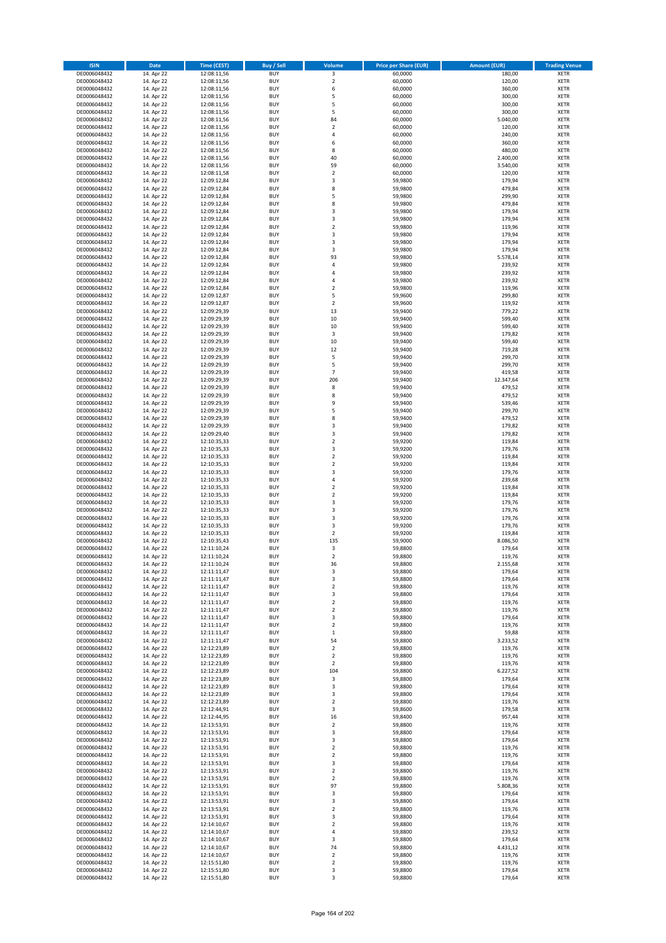| <b>ISIN</b>                  | <b>Date</b>              | Time (CEST)                | <b>Buy / Sell</b>        | Volume                           | <b>Price per Share (EUR)</b> | <b>Amount (EUR)</b>  | <b>Trading Venue</b>       |
|------------------------------|--------------------------|----------------------------|--------------------------|----------------------------------|------------------------------|----------------------|----------------------------|
| DE0006048432                 | 14. Apr 22               | 12:08:11,56                | <b>BUY</b>               | 3                                | 60,0000                      | 180,00               | <b>XETR</b>                |
| DE0006048432                 | 14. Apr 22               | 12:08:11,56                | <b>BUY</b>               | $\mathbf 2$                      | 60,0000                      | 120,00               | <b>XETR</b>                |
| DE0006048432                 | 14. Apr 22               | 12:08:11,56                | <b>BUY</b>               | 6                                | 60,0000                      | 360,00               | <b>XETR</b>                |
| DE0006048432<br>DE0006048432 | 14. Apr 22<br>14. Apr 22 | 12:08:11,56<br>12:08:11,56 | <b>BUY</b><br><b>BUY</b> | 5<br>5                           | 60,0000<br>60,0000           | 300,00<br>300,00     | <b>XETR</b><br><b>XETR</b> |
| DE0006048432                 | 14. Apr 22               | 12:08:11,56                | <b>BUY</b>               | 5                                | 60,0000                      | 300,00               | <b>XETR</b>                |
| DE0006048432                 | 14. Apr 22               | 12:08:11,56                | <b>BUY</b>               | 84                               | 60,0000                      | 5.040,00             | <b>XETR</b>                |
| DE0006048432                 | 14. Apr 22               | 12:08:11,56                | <b>BUY</b>               | $\mathbf 2$                      | 60,0000                      | 120,00               | <b>XETR</b>                |
| DE0006048432                 | 14. Apr 22               | 12:08:11,56                | <b>BUY</b>               | 4                                | 60,0000                      | 240,00               | <b>XETR</b>                |
| DE0006048432                 | 14. Apr 22               | 12:08:11,56                | <b>BUY</b>               | 6                                | 60,0000                      | 360,00               | <b>XETR</b>                |
| DE0006048432                 | 14. Apr 22               | 12:08:11,56                | <b>BUY</b>               | 8                                | 60,0000                      | 480,00               | <b>XETR</b>                |
| DE0006048432<br>DE0006048432 | 14. Apr 22<br>14. Apr 22 | 12:08:11,56<br>12:08:11,56 | <b>BUY</b><br><b>BUY</b> | 40<br>59                         | 60,0000<br>60,0000           | 2.400,00<br>3.540,00 | <b>XETR</b><br><b>XETR</b> |
| DE0006048432                 | 14. Apr 22               | 12:08:11,58                | <b>BUY</b>               | $\overline{2}$                   | 60,0000                      | 120,00               | <b>XETR</b>                |
| DE0006048432                 | 14. Apr 22               | 12:09:12,84                | <b>BUY</b>               | 3                                | 59,9800                      | 179,94               | <b>XETR</b>                |
| DE0006048432                 | 14. Apr 22               | 12:09:12,84                | <b>BUY</b>               | 8                                | 59,9800                      | 479,84               | <b>XETR</b>                |
| DE0006048432                 | 14. Apr 22               | 12:09:12,84                | <b>BUY</b>               | 5                                | 59,9800                      | 299,90               | <b>XETR</b>                |
| DE0006048432                 | 14. Apr 22               | 12:09:12,84                | <b>BUY</b>               | 8                                | 59,9800                      | 479,84               | <b>XETR</b>                |
| DE0006048432                 | 14. Apr 22               | 12:09:12,84                | <b>BUY</b>               | 3                                | 59,9800                      | 179,94               | <b>XETR</b>                |
| DE0006048432                 | 14. Apr 22               | 12:09:12,84                | <b>BUY</b>               | 3                                | 59,9800                      | 179,94               | <b>XETR</b>                |
| DE0006048432                 | 14. Apr 22               | 12:09:12,84                | <b>BUY</b>               | $\overline{\mathbf{c}}$          | 59,9800                      | 119,96               | <b>XETR</b>                |
| DE0006048432<br>DE0006048432 | 14. Apr 22<br>14. Apr 22 | 12:09:12,84<br>12:09:12,84 | <b>BUY</b><br><b>BUY</b> | 3<br>3                           | 59,9800<br>59,9800           | 179,94<br>179,94     | <b>XETR</b><br><b>XETR</b> |
| DE0006048432                 | 14. Apr 22               | 12:09:12,84                | <b>BUY</b>               | 3                                | 59,9800                      | 179,94               | <b>XETR</b>                |
| DE0006048432                 | 14. Apr 22               | 12:09:12,84                | <b>BUY</b>               | 93                               | 59,9800                      | 5.578,14             | <b>XETR</b>                |
| DE0006048432                 | 14. Apr 22               | 12:09:12,84                | <b>BUY</b>               | 4                                | 59,9800                      | 239,92               | <b>XETR</b>                |
| DE0006048432                 | 14. Apr 22               | 12:09:12,84                | <b>BUY</b>               | 4                                | 59,9800                      | 239,92               | <b>XETR</b>                |
| DE0006048432                 | 14. Apr 22               | 12:09:12,84                | <b>BUY</b>               | 4                                | 59,9800                      | 239,92               | <b>XETR</b>                |
| DE0006048432                 | 14. Apr 22               | 12:09:12,84                | <b>BUY</b>               | $\mathbf 2$                      | 59,9800                      | 119,96               | <b>XETR</b>                |
| DE0006048432                 | 14. Apr 22               | 12:09:12,87                | <b>BUY</b>               | 5                                | 59,9600                      | 299,80               | <b>XETR</b>                |
| DE0006048432<br>DE0006048432 | 14. Apr 22<br>14. Apr 22 | 12:09:12,87<br>12:09:29,39 | <b>BUY</b><br><b>BUY</b> | $\mathbf 2$<br>13                | 59,9600<br>59,9400           | 119,92<br>779,22     | <b>XETR</b><br><b>XETR</b> |
| DE0006048432                 | 14. Apr 22               | 12:09:29,39                | <b>BUY</b>               | 10                               | 59,9400                      | 599,40               | <b>XETR</b>                |
| DE0006048432                 | 14. Apr 22               | 12:09:29,39                | <b>BUY</b>               | 10                               | 59,9400                      | 599,40               | <b>XETR</b>                |
| DE0006048432                 | 14. Apr 22               | 12:09:29,39                | <b>BUY</b>               | 3                                | 59,9400                      | 179,82               | <b>XETR</b>                |
| DE0006048432                 | 14. Apr 22               | 12:09:29,39                | <b>BUY</b>               | 10                               | 59,9400                      | 599,40               | <b>XETR</b>                |
| DE0006048432                 | 14. Apr 22               | 12:09:29,39                | <b>BUY</b>               | 12                               | 59,9400                      | 719,28               | <b>XETR</b>                |
| DE0006048432                 | 14. Apr 22               | 12:09:29,39                | <b>BUY</b>               | 5                                | 59,9400                      | 299,70               | <b>XETR</b>                |
| DE0006048432                 | 14. Apr 22               | 12:09:29,39                | <b>BUY</b>               | 5                                | 59,9400                      | 299,70               | <b>XETR</b>                |
| DE0006048432                 | 14. Apr 22               | 12:09:29,39                | <b>BUY</b>               | $\overline{7}$                   | 59,9400                      | 419,58               | <b>XETR</b>                |
| DE0006048432<br>DE0006048432 | 14. Apr 22<br>14. Apr 22 | 12:09:29,39<br>12:09:29,39 | <b>BUY</b><br><b>BUY</b> | 206<br>8                         | 59,9400<br>59,9400           | 12.347,64<br>479,52  | <b>XETR</b><br><b>XETR</b> |
| DE0006048432                 | 14. Apr 22               | 12:09:29,39                | <b>BUY</b>               | 8                                | 59,9400                      | 479,52               | <b>XETR</b>                |
| DE0006048432                 | 14. Apr 22               | 12:09:29,39                | <b>BUY</b>               | 9                                | 59,9400                      | 539,46               | <b>XETR</b>                |
| DE0006048432                 | 14. Apr 22               | 12:09:29,39                | <b>BUY</b>               | 5                                | 59,9400                      | 299,70               | <b>XETR</b>                |
| DE0006048432                 | 14. Apr 22               | 12:09:29,39                | <b>BUY</b>               | 8                                | 59,9400                      | 479,52               | <b>XETR</b>                |
| DE0006048432                 | 14. Apr 22               | 12:09:29,39                | <b>BUY</b>               | 3                                | 59,9400                      | 179,82               | <b>XETR</b>                |
| DE0006048432                 | 14. Apr 22               | 12:09:29,40                | <b>BUY</b>               | 3                                | 59,9400                      | 179,82               | <b>XETR</b>                |
| DE0006048432                 | 14. Apr 22               | 12:10:35,33                | <b>BUY</b>               | $\mathbf 2$                      | 59,9200                      | 119,84               | <b>XETR</b>                |
| DE0006048432                 | 14. Apr 22               | 12:10:35,33                | <b>BUY</b>               | 3                                | 59,9200                      | 179,76               | <b>XETR</b>                |
| DE0006048432<br>DE0006048432 | 14. Apr 22<br>14. Apr 22 | 12:10:35,33<br>12:10:35,33 | <b>BUY</b><br><b>BUY</b> | $\mathbf 2$<br>$\mathbf 2$       | 59,9200<br>59,9200           | 119,84<br>119,84     | <b>XETR</b><br><b>XETR</b> |
| DE0006048432                 | 14. Apr 22               | 12:10:35,33                | <b>BUY</b>               | 3                                | 59,9200                      | 179,76               | <b>XETR</b>                |
| DE0006048432                 | 14. Apr 22               | 12:10:35,33                | <b>BUY</b>               | 4                                | 59,9200                      | 239,68               | <b>XETR</b>                |
| DE0006048432                 | 14. Apr 22               | 12:10:35,33                | <b>BUY</b>               | $\overline{\mathbf{c}}$          | 59,9200                      | 119,84               | <b>XETR</b>                |
| DE0006048432                 | 14. Apr 22               | 12:10:35,33                | <b>BUY</b>               | $\mathbf 2$                      | 59,9200                      | 119,84               | <b>XETR</b>                |
| DE0006048432                 | 14. Apr 22               | 12:10:35,33                | <b>BUY</b>               | 3                                | 59,9200                      | 179,76               | <b>XETR</b>                |
| DE0006048432                 | 14. Apr 22               | 12:10:35,33                | <b>BUY</b>               | 3                                | 59,9200                      | 179,76               | <b>XETR</b>                |
| DE0006048432                 | 14. Apr 22               | 12:10:35,33                | <b>BUY</b>               | 3                                | 59,9200                      | 179,76               | <b>XETR</b>                |
| DE0006048432                 | 14. Apr 22               | 12:10:35,33                | <b>BUY</b>               | 3                                | 59,9200                      | 179,76               | <b>XETR</b>                |
| DE0006048432<br>DE0006048432 | 14. Apr 22<br>14. Apr 22 | 12:10:35,33<br>12:10:35,43 | <b>BUY</b><br><b>BUY</b> | $\mathbf 2$<br>135               | 59,9200<br>59,9000           | 119,84<br>8.086,50   | <b>XETR</b><br><b>XETR</b> |
| DE0006048432                 | 14. Apr 22               | 12:11:10,24                | <b>BUY</b>               | 3                                | 59,8800                      | 179,64               | <b>XETR</b>                |
| DE0006048432                 | 14. Apr 22               | 12:11:10,24                | <b>BUY</b>               | $\overline{2}$                   | 59,8800                      | 119,76               | <b>XETR</b>                |
| DE0006048432                 | 14. Apr 22               | 12:11:10,24                | BUY                      | 36                               | 59,8800                      | 2.155,68             | <b>XETR</b>                |
| DE0006048432                 | 14. Apr 22               | 12:11:11,47                | <b>BUY</b>               | 3                                | 59,8800                      | 179,64               | XETR                       |
| DE0006048432                 | 14. Apr 22               | 12:11:11,47                | <b>BUY</b>               | 3                                | 59,8800                      | 179,64               | XETR                       |
| DE0006048432                 | 14. Apr 22               | 12:11:11,47                | <b>BUY</b>               | $\mathbf 2$                      | 59,8800                      | 119,76               | XETR                       |
| DE0006048432<br>DE0006048432 | 14. Apr 22<br>14. Apr 22 | 12:11:11,47<br>12:11:11,47 | <b>BUY</b><br><b>BUY</b> | 3<br>$\mathbf 2$                 | 59,8800<br>59,8800           | 179,64<br>119,76     | <b>XETR</b><br><b>XETR</b> |
| DE0006048432                 | 14. Apr 22               | 12:11:11,47                | <b>BUY</b>               | $\overline{2}$                   | 59,8800                      | 119,76               | <b>XETR</b>                |
| DE0006048432                 | 14. Apr 22               | 12:11:11,47                | <b>BUY</b>               | 3                                | 59,8800                      | 179,64               | <b>XETR</b>                |
| DE0006048432                 | 14. Apr 22               | 12:11:11,47                | <b>BUY</b>               | $\mathbf 2$                      | 59,8800                      | 119,76               | <b>XETR</b>                |
| DE0006048432                 | 14. Apr 22               | 12:11:11,47                | <b>BUY</b>               | $\,$ 1                           | 59,8800                      | 59,88                | <b>XETR</b>                |
| DE0006048432                 | 14. Apr 22               | 12:11:11,47                | <b>BUY</b>               | 54                               | 59,8800                      | 3.233,52             | <b>XETR</b>                |
| DE0006048432                 | 14. Apr 22               | 12:12:23,89                | <b>BUY</b>               | $\overline{2}$                   | 59,8800                      | 119,76               | <b>XETR</b>                |
| DE0006048432<br>DE0006048432 | 14. Apr 22<br>14. Apr 22 | 12:12:23,89<br>12:12:23,89 | <b>BUY</b><br><b>BUY</b> | $\overline{2}$<br>$\overline{2}$ | 59,8800<br>59,8800           | 119,76<br>119,76     | <b>XETR</b><br><b>XETR</b> |
| DE0006048432                 | 14. Apr 22               | 12:12:23,89                | <b>BUY</b>               | 104                              | 59,8800                      | 6.227,52             | <b>XETR</b>                |
| DE0006048432                 | 14. Apr 22               | 12:12:23,89                | <b>BUY</b>               | 3                                | 59,8800                      | 179,64               | <b>XETR</b>                |
| DE0006048432                 | 14. Apr 22               | 12:12:23,89                | <b>BUY</b>               | 3                                | 59,8800                      | 179,64               | <b>XETR</b>                |
| DE0006048432                 | 14. Apr 22               | 12:12:23,89                | <b>BUY</b>               | 3                                | 59,8800                      | 179,64               | <b>XETR</b>                |
| DE0006048432                 | 14. Apr 22               | 12:12:23,89                | <b>BUY</b>               | $\mathbf 2$                      | 59,8800                      | 119,76               | XETR                       |
| DE0006048432                 | 14. Apr 22               | 12:12:44,91                | <b>BUY</b>               | 3                                | 59,8600                      | 179,58               | <b>XETR</b>                |
| DE0006048432                 | 14. Apr 22               | 12:12:44,95                | <b>BUY</b><br><b>BUY</b> | 16                               | 59,8400                      | 957,44               | <b>XETR</b>                |
| DE0006048432<br>DE0006048432 | 14. Apr 22<br>14. Apr 22 | 12:13:53,91<br>12:13:53,91 | <b>BUY</b>               | $\mathbf 2$<br>3                 | 59,8800<br>59,8800           | 119,76<br>179,64     | <b>XETR</b><br><b>XETR</b> |
| DE0006048432                 | 14. Apr 22               | 12:13:53,91                | <b>BUY</b>               | 3                                | 59,8800                      | 179,64               | <b>XETR</b>                |
| DE0006048432                 | 14. Apr 22               | 12:13:53,91                | <b>BUY</b>               | $\mathbf 2$                      | 59,8800                      | 119,76               | <b>XETR</b>                |
| DE0006048432                 | 14. Apr 22               | 12:13:53,91                | <b>BUY</b>               | $\mathbf 2$                      | 59,8800                      | 119,76               | XETR                       |
| DE0006048432                 | 14. Apr 22               | 12:13:53,91                | <b>BUY</b>               | 3                                | 59,8800                      | 179,64               | <b>XETR</b>                |
| DE0006048432                 | 14. Apr 22               | 12:13:53,91                | <b>BUY</b>               | $\overline{2}$                   | 59,8800                      | 119,76               | <b>XETR</b>                |
| DE0006048432                 | 14. Apr 22               | 12:13:53,91                | <b>BUY</b>               | $\mathbf 2$                      | 59,8800                      | 119,76               | <b>XETR</b>                |
| DE0006048432                 | 14. Apr 22               | 12:13:53,91                | <b>BUY</b>               | 97                               | 59,8800                      | 5.808,36             | XETR                       |
| DE0006048432<br>DE0006048432 | 14. Apr 22<br>14. Apr 22 | 12:13:53,91                | <b>BUY</b><br><b>BUY</b> | 3<br>3                           | 59,8800<br>59,8800           | 179,64               | <b>XETR</b><br><b>XETR</b> |
| DE0006048432                 | 14. Apr 22               | 12:13:53,91<br>12:13:53,91 | <b>BUY</b>               | $\mathbf 2$                      | 59,8800                      | 179,64<br>119,76     | XETR                       |
| DE0006048432                 | 14. Apr 22               | 12:13:53,91                | <b>BUY</b>               | 3                                | 59,8800                      | 179,64               | <b>XETR</b>                |
| DE0006048432                 | 14. Apr 22               | 12:14:10,67                | <b>BUY</b>               | $\mathbf 2$                      | 59,8800                      | 119,76               | <b>XETR</b>                |
| DE0006048432                 | 14. Apr 22               | 12:14:10,67                | <b>BUY</b>               | 4                                | 59,8800                      | 239,52               | <b>XETR</b>                |
| DE0006048432                 | 14. Apr 22               | 12:14:10,67                | <b>BUY</b>               | 3                                | 59,8800                      | 179,64               | <b>XETR</b>                |
| DE0006048432                 | 14. Apr 22               | 12:14:10,67                | <b>BUY</b>               | 74                               | 59,8800                      | 4.431,12             | XETR                       |
| DE0006048432                 | 14. Apr 22               | 12:14:10,67                | <b>BUY</b>               | $\overline{2}$                   | 59,8800                      | 119,76               | <b>XETR</b>                |
| DE0006048432<br>DE0006048432 | 14. Apr 22<br>14. Apr 22 | 12:15:51,80<br>12:15:51,80 | <b>BUY</b><br><b>BUY</b> | $\mathbf 2$<br>3                 | 59,8800<br>59,8800           | 119,76<br>179,64     | <b>XETR</b><br><b>XETR</b> |
| DE0006048432                 | 14. Apr 22               | 12:15:51,80                | <b>BUY</b>               | 3                                | 59,8800                      | 179,64               | XETR                       |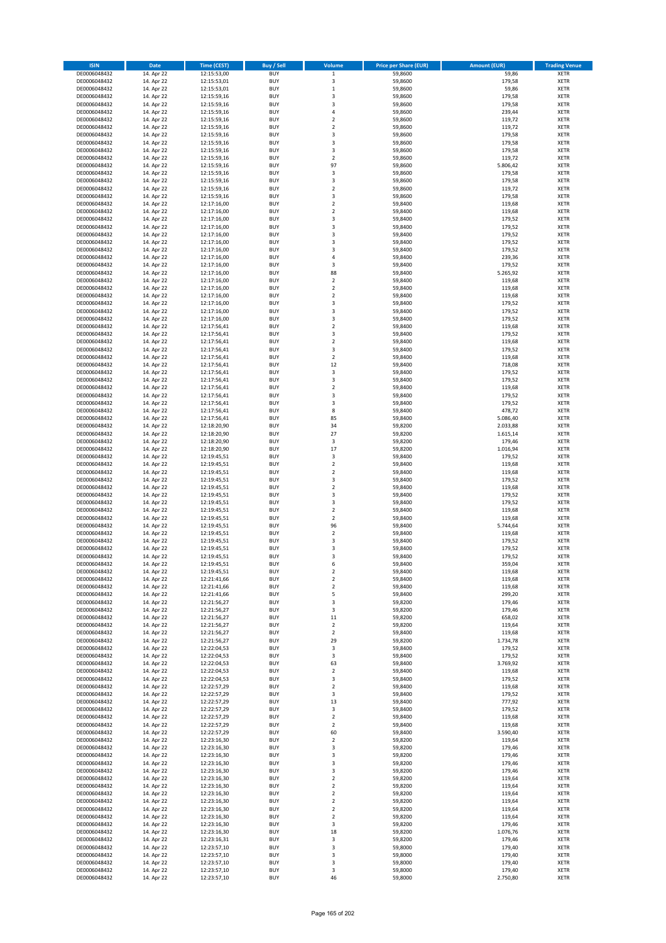| <b>ISIN</b>                  | <b>Date</b>              | Time (CEST)                | <b>Buy / Sell</b>        | Volume                                 | <b>Price per Share (EUR)</b> | <b>Amount (EUR)</b>  | <b>Trading Venue</b>       |
|------------------------------|--------------------------|----------------------------|--------------------------|----------------------------------------|------------------------------|----------------------|----------------------------|
| DE0006048432                 | 14. Apr 22               | 12:15:53,00                | <b>BUY</b>               | $\,1$                                  | 59,8600                      | 59,86                | <b>XETR</b>                |
| DE0006048432                 | 14. Apr 22               | 12:15:53,01                | <b>BUY</b>               | 3                                      | 59,8600                      | 179,58               | <b>XETR</b>                |
| DE0006048432                 | 14. Apr 22               | 12:15:53,01                | <b>BUY</b>               | $\mathbf 1$                            | 59,8600                      | 59,86                | <b>XETR</b>                |
| DE0006048432<br>DE0006048432 | 14. Apr 22<br>14. Apr 22 | 12:15:59,16<br>12:15:59,16 | <b>BUY</b><br><b>BUY</b> | 3<br>3                                 | 59,8600<br>59,8600           | 179,58<br>179,58     | <b>XETR</b><br><b>XETR</b> |
| DE0006048432                 | 14. Apr 22               | 12:15:59,16                | <b>BUY</b>               | 4                                      | 59,8600                      | 239,44               | <b>XETR</b>                |
| DE0006048432                 | 14. Apr 22               | 12:15:59,16                | <b>BUY</b>               | $\overline{\mathbf{c}}$                | 59,8600                      | 119,72               | <b>XETR</b>                |
| DE0006048432                 | 14. Apr 22               | 12:15:59,16                | <b>BUY</b>               | $\mathbf 2$                            | 59,8600                      | 119,72               | <b>XETR</b>                |
| DE0006048432                 | 14. Apr 22               | 12:15:59,16                | <b>BUY</b>               | 3                                      | 59,8600                      | 179,58               | <b>XETR</b>                |
| DE0006048432                 | 14. Apr 22               | 12:15:59,16                | <b>BUY</b>               | 3                                      | 59,8600                      | 179,58               | <b>XETR</b>                |
| DE0006048432                 | 14. Apr 22               | 12:15:59,16                | <b>BUY</b>               | 3                                      | 59,8600                      | 179,58               | <b>XETR</b>                |
| DE0006048432<br>DE0006048432 | 14. Apr 22<br>14. Apr 22 | 12:15:59,16<br>12:15:59,16 | <b>BUY</b><br><b>BUY</b> | $\overline{\mathbf{c}}$<br>97          | 59,8600<br>59,8600           | 119,72<br>5.806,42   | <b>XETR</b><br><b>XETR</b> |
| DE0006048432                 | 14. Apr 22               | 12:15:59,16                | <b>BUY</b>               | 3                                      | 59,8600                      | 179,58               | <b>XETR</b>                |
| DE0006048432                 | 14. Apr 22               | 12:15:59,16                | <b>BUY</b>               | 3                                      | 59,8600                      | 179,58               | <b>XETR</b>                |
| DE0006048432                 | 14. Apr 22               | 12:15:59,16                | <b>BUY</b>               | $\overline{\mathbf{c}}$                | 59,8600                      | 119,72               | <b>XETR</b>                |
| DE0006048432                 | 14. Apr 22               | 12:15:59,16                | <b>BUY</b>               | 3                                      | 59,8600                      | 179,58               | <b>XETR</b>                |
| DE0006048432                 | 14. Apr 22               | 12:17:16,00                | <b>BUY</b>               | $\mathbf 2$                            | 59,8400                      | 119,68               | <b>XETR</b>                |
| DE0006048432                 | 14. Apr 22               | 12:17:16,00                | <b>BUY</b>               | $\overline{\mathbf{c}}$                | 59,8400                      | 119,68               | <b>XETR</b>                |
| DE0006048432                 | 14. Apr 22               | 12:17:16,00                | <b>BUY</b>               | 3                                      | 59,8400                      | 179,52               | <b>XETR</b>                |
| DE0006048432<br>DE0006048432 | 14. Apr 22<br>14. Apr 22 | 12:17:16,00<br>12:17:16,00 | <b>BUY</b><br><b>BUY</b> | 3<br>3                                 | 59,8400<br>59,8400           | 179,52<br>179,52     | <b>XETR</b><br><b>XETR</b> |
| DE0006048432                 | 14. Apr 22               | 12:17:16,00                | <b>BUY</b>               | 3                                      | 59,8400                      | 179,52               | <b>XETR</b>                |
| DE0006048432                 | 14. Apr 22               | 12:17:16,00                | <b>BUY</b>               | 3                                      | 59,8400                      | 179,52               | <b>XETR</b>                |
| DE0006048432                 | 14. Apr 22               | 12:17:16,00                | <b>BUY</b>               | 4                                      | 59,8400                      | 239,36               | <b>XETR</b>                |
| DE0006048432                 | 14. Apr 22               | 12:17:16,00                | <b>BUY</b>               | 3                                      | 59,8400                      | 179,52               | <b>XETR</b>                |
| DE0006048432                 | 14. Apr 22               | 12:17:16,00                | <b>BUY</b>               | 88                                     | 59,8400                      | 5.265,92             | <b>XETR</b>                |
| DE0006048432                 | 14. Apr 22               | 12:17:16,00                | <b>BUY</b>               | $\overline{2}$                         | 59,8400                      | 119,68               | <b>XETR</b>                |
| DE0006048432<br>DE0006048432 | 14. Apr 22<br>14. Apr 22 | 12:17:16,00<br>12:17:16,00 | <b>BUY</b><br><b>BUY</b> | $\mathbf 2$<br>$\overline{\mathbf{c}}$ | 59,8400<br>59,8400           | 119,68<br>119,68     | <b>XETR</b><br><b>XETR</b> |
| DE0006048432                 | 14. Apr 22               | 12:17:16,00                | <b>BUY</b>               | 3                                      | 59,8400                      | 179,52               | <b>XETR</b>                |
| DE0006048432                 | 14. Apr 22               | 12:17:16,00                | <b>BUY</b>               | 3                                      | 59,8400                      | 179,52               | <b>XETR</b>                |
| DE0006048432                 | 14. Apr 22               | 12:17:16,00                | <b>BUY</b>               | 3                                      | 59,8400                      | 179,52               | <b>XETR</b>                |
| DE0006048432                 | 14. Apr 22               | 12:17:56,41                | <b>BUY</b>               | $\mathbf 2$                            | 59,8400                      | 119,68               | <b>XETR</b>                |
| DE0006048432                 | 14. Apr 22               | 12:17:56,41                | <b>BUY</b>               | 3                                      | 59,8400                      | 179,52               | <b>XETR</b>                |
| DE0006048432                 | 14. Apr 22               | 12:17:56,41                | <b>BUY</b>               | $\overline{\mathbf{c}}$                | 59,8400                      | 119,68               | <b>XETR</b>                |
| DE0006048432                 | 14. Apr 22               | 12:17:56,41                | <b>BUY</b>               | 3                                      | 59,8400                      | 179,52               | <b>XETR</b>                |
| DE0006048432<br>DE0006048432 | 14. Apr 22<br>14. Apr 22 | 12:17:56,41<br>12:17:56,41 | <b>BUY</b><br><b>BUY</b> | $\mathbf 2$<br>12                      | 59,8400<br>59,8400           | 119,68<br>718,08     | <b>XETR</b><br><b>XETR</b> |
| DE0006048432                 | 14. Apr 22               | 12:17:56,41                | <b>BUY</b>               | 3                                      | 59,8400                      | 179,52               | <b>XETR</b>                |
| DE0006048432                 | 14. Apr 22               | 12:17:56,41                | <b>BUY</b>               | 3                                      | 59,8400                      | 179,52               | <b>XETR</b>                |
| DE0006048432                 | 14. Apr 22               | 12:17:56,41                | <b>BUY</b>               | $\mathbf 2$                            | 59,8400                      | 119,68               | <b>XETR</b>                |
| DE0006048432                 | 14. Apr 22               | 12:17:56,41                | <b>BUY</b>               | 3                                      | 59,8400                      | 179,52               | <b>XETR</b>                |
| DE0006048432                 | 14. Apr 22               | 12:17:56,41                | <b>BUY</b>               | 3                                      | 59,8400                      | 179,52               | <b>XETR</b>                |
| DE0006048432                 | 14. Apr 22               | 12:17:56,41                | <b>BUY</b>               | 8                                      | 59,8400                      | 478,72               | <b>XETR</b>                |
| DE0006048432                 | 14. Apr 22               | 12:17:56,41                | <b>BUY</b>               | 85                                     | 59,8400                      | 5.086,40             | <b>XETR</b>                |
| DE0006048432<br>DE0006048432 | 14. Apr 22<br>14. Apr 22 | 12:18:20,90<br>12:18:20,90 | <b>BUY</b><br><b>BUY</b> | 34<br>27                               | 59,8200<br>59,8200           | 2.033,88<br>1.615,14 | <b>XETR</b><br><b>XETR</b> |
| DE0006048432                 | 14. Apr 22               | 12:18:20,90                | <b>BUY</b>               | 3                                      | 59,8200                      | 179,46               | <b>XETR</b>                |
| DE0006048432                 | 14. Apr 22               | 12:18:20,90                | <b>BUY</b>               | 17                                     | 59,8200                      | 1.016,94             | <b>XETR</b>                |
| DE0006048432                 | 14. Apr 22               | 12:19:45,51                | <b>BUY</b>               | 3                                      | 59,8400                      | 179,52               | <b>XETR</b>                |
| DE0006048432                 | 14. Apr 22               | 12:19:45,51                | <b>BUY</b>               | $\mathbf 2$                            | 59,8400                      | 119,68               | <b>XETR</b>                |
| DE0006048432                 | 14. Apr 22               | 12:19:45,51                | <b>BUY</b>               | $\overline{2}$                         | 59,8400                      | 119,68               | <b>XETR</b>                |
| DE0006048432                 | 14. Apr 22               | 12:19:45,51                | <b>BUY</b>               | 3                                      | 59,8400                      | 179,52               | <b>XETR</b>                |
| DE0006048432                 | 14. Apr 22               | 12:19:45,51                | <b>BUY</b>               | $\overline{\mathbf{c}}$<br>3           | 59,8400                      | 119,68               | <b>XETR</b>                |
| DE0006048432<br>DE0006048432 | 14. Apr 22<br>14. Apr 22 | 12:19:45,51<br>12:19:45,51 | <b>BUY</b><br><b>BUY</b> | 3                                      | 59,8400<br>59,8400           | 179,52<br>179,52     | <b>XETR</b><br><b>XETR</b> |
| DE0006048432                 | 14. Apr 22               | 12:19:45,51                | <b>BUY</b>               | $\mathbf 2$                            | 59,8400                      | 119,68               | <b>XETR</b>                |
| DE0006048432                 | 14. Apr 22               | 12:19:45,51                | <b>BUY</b>               | $\mathbf 2$                            | 59,8400                      | 119,68               | <b>XETR</b>                |
| DE0006048432                 | 14. Apr 22               | 12:19:45,51                | <b>BUY</b>               | 96                                     | 59,8400                      | 5.744,64             | <b>XETR</b>                |
| DE0006048432                 | 14. Apr 22               | 12:19:45,51                | <b>BUY</b>               | $\mathbf 2$                            | 59,8400                      | 119,68               | <b>XETR</b>                |
| DE0006048432                 | 14. Apr 22               | 12:19:45,51                | <b>BUY</b>               | 3                                      | 59,8400                      | 179,52               | <b>XETR</b>                |
| DE0006048432                 | 14. Apr 22               | 12:19:45,51                | <b>BUY</b><br><b>BUY</b> | 3<br>3                                 | 59,8400                      | 179,52               | <b>XETR</b><br><b>XETR</b> |
| DE0006048432<br>DE0006048432 | 14. Apr 22<br>14. Apr 22 | 12:19:45,51<br>12:19:45,51 | BUY                      | 6                                      | 59,8400<br>59,8400           | 179,52<br>359,04     | <b>XETR</b>                |
| DE0006048432                 | 14. Apr 22               | 12:19:45,51                | <b>BUY</b>               | $\mathbf 2$                            | 59,8400                      | 119,68               | XETR                       |
| DE0006048432                 | 14. Apr 22               | 12:21:41,66                | <b>BUY</b>               | $\mathbf 2$                            | 59,8400                      | 119,68               | XETR                       |
| DE0006048432                 | 14. Apr 22               | 12:21:41,66                | <b>BUY</b>               | $\mathbf 2$                            | 59,8400                      | 119,68               | XETR                       |
| DE0006048432                 | 14. Apr 22               | 12:21:41,66                | <b>BUY</b>               | 5                                      | 59,8400                      | 299,20               | <b>XETR</b>                |
| DE0006048432                 | 14. Apr 22               | 12:21:56,27                | <b>BUY</b>               | 3                                      | 59,8200                      | 179,46               | <b>XETR</b>                |
| DE0006048432<br>DE0006048432 | 14. Apr 22<br>14. Apr 22 | 12:21:56,27<br>12:21:56,27 | <b>BUY</b><br><b>BUY</b> | 3<br>11                                | 59,8200<br>59,8200           | 179,46<br>658,02     | <b>XETR</b><br><b>XETR</b> |
| DE0006048432                 | 14. Apr 22               | 12:21:56,27                | <b>BUY</b>               | $\mathbf 2$                            | 59,8200                      | 119,64               | <b>XETR</b>                |
| DE0006048432                 | 14. Apr 22               | 12:21:56,27                | <b>BUY</b>               | $\mathbf 2$                            | 59,8400                      | 119,68               | <b>XETR</b>                |
| DE0006048432                 | 14. Apr 22               | 12:21:56,27                | <b>BUY</b>               | 29                                     | 59,8200                      | 1.734,78             | <b>XETR</b>                |
| DE0006048432                 | 14. Apr 22               | 12:22:04,53                | <b>BUY</b>               | 3                                      | 59,8400                      | 179,52               | <b>XETR</b>                |
| DE0006048432                 | 14. Apr 22               | 12:22:04,53                | <b>BUY</b>               | 3                                      | 59,8400                      | 179,52               | <b>XETR</b>                |
| DE0006048432<br>DE0006048432 | 14. Apr 22<br>14. Apr 22 | 12:22:04,53<br>12:22:04,53 | <b>BUY</b><br><b>BUY</b> | 63<br>$\mathbf 2$                      | 59.8400<br>59,8400           | 3.769,92<br>119,68   | <b>XETR</b><br><b>XETR</b> |
| DE0006048432                 | 14. Apr 22               | 12:22:04,53                | <b>BUY</b>               | 3                                      | 59,8400                      | 179,52               | <b>XETR</b>                |
| DE0006048432                 | 14. Apr 22               | 12:22:57,29                | <b>BUY</b>               | $\overline{2}$                         | 59,8400                      | 119,68               | <b>XETR</b>                |
| DE0006048432                 | 14. Apr 22               | 12:22:57,29                | <b>BUY</b>               | 3                                      | 59,8400                      | 179,52               | <b>XETR</b>                |
| DE0006048432                 | 14. Apr 22               | 12:22:57,29                | <b>BUY</b>               | 13                                     | 59,8400                      | 777,92               | XETR                       |
| DE0006048432                 | 14. Apr 22               | 12:22:57,29                | <b>BUY</b>               | 3                                      | 59,8400                      | 179,52               | <b>XETR</b>                |
| DE0006048432                 | 14. Apr 22               | 12:22:57,29                | <b>BUY</b>               | $\overline{2}$                         | 59,8400                      | 119,68               | <b>XETR</b>                |
| DE0006048432<br>DE0006048432 | 14. Apr 22<br>14. Apr 22 | 12:22:57,29<br>12:22:57,29 | <b>BUY</b><br><b>BUY</b> | $\mathbf 2$<br>60                      | 59,8400<br>59,8400           | 119,68<br>3.590,40   | <b>XETR</b><br><b>XETR</b> |
| DE0006048432                 | 14. Apr 22               | 12:23:16,30                | <b>BUY</b>               | $\mathbf 2$                            | 59,8200                      | 119,64               | <b>XETR</b>                |
| DE0006048432                 | 14. Apr 22               | 12:23:16,30                | <b>BUY</b>               | 3                                      | 59,8200                      | 179,46               | <b>XETR</b>                |
| DE0006048432                 | 14. Apr 22               | 12:23:16,30                | <b>BUY</b>               | 3                                      | 59,8200                      | 179,46               | XETR                       |
| DE0006048432                 | 14. Apr 22               | 12:23:16,30                | <b>BUY</b>               | 3                                      | 59,8200                      | 179,46               | <b>XETR</b>                |
| DE0006048432                 | 14. Apr 22               | 12:23:16,30                | <b>BUY</b>               | 3                                      | 59,8200                      | 179,46               | <b>XETR</b>                |
| DE0006048432                 | 14. Apr 22               | 12:23:16,30                | <b>BUY</b>               | $\mathbf 2$                            | 59,8200                      | 119,64               | <b>XETR</b>                |
| DE0006048432                 | 14. Apr 22               | 12:23:16,30                | <b>BUY</b>               | $\overline{2}$                         | 59,8200                      | 119,64               | XETR                       |
| DE0006048432<br>DE0006048432 | 14. Apr 22<br>14. Apr 22 | 12:23:16,30<br>12:23:16,30 | <b>BUY</b><br><b>BUY</b> | $\mathbf 2$<br>$\mathbf 2$             | 59,8200<br>59,8200           | 119,64<br>119,64     | <b>XETR</b><br><b>XETR</b> |
| DE0006048432                 | 14. Apr 22               | 12:23:16,30                | <b>BUY</b>               | $\mathbf 2$                            | 59,8200                      | 119,64               | XETR                       |
| DE0006048432                 | 14. Apr 22               | 12:23:16,30                | <b>BUY</b>               | $\overline{2}$                         | 59,8200                      | 119,64               | <b>XETR</b>                |
| DE0006048432                 | 14. Apr 22               | 12:23:16,30                | <b>BUY</b>               | 3                                      | 59,8200                      | 179,46               | <b>XETR</b>                |
| DE0006048432                 | 14. Apr 22               | 12:23:16,30                | <b>BUY</b>               | 18                                     | 59,8200                      | 1.076,76             | <b>XETR</b>                |
| DE0006048432                 | 14. Apr 22               | 12:23:16,31                | <b>BUY</b>               | 3                                      | 59,8200                      | 179,46               | <b>XETR</b>                |
| DE0006048432                 | 14. Apr 22               | 12:23:57,10                | <b>BUY</b>               | 3                                      | 59,8000                      | 179,40               | XETR                       |
| DE0006048432<br>DE0006048432 | 14. Apr 22<br>14. Apr 22 | 12:23:57,10<br>12:23:57,10 | <b>BUY</b><br><b>BUY</b> | 3<br>3                                 | 59,8000<br>59,8000           | 179,40<br>179,40     | <b>XETR</b><br><b>XETR</b> |
| DE0006048432                 | 14. Apr 22               | 12:23:57,10                | <b>BUY</b>               | 3                                      | 59,8000                      | 179,40               | <b>XETR</b>                |
| DE0006048432                 | 14. Apr 22               | 12:23:57,10                | <b>BUY</b>               | 46                                     | 59,8000                      | 2.750,80             | XETR                       |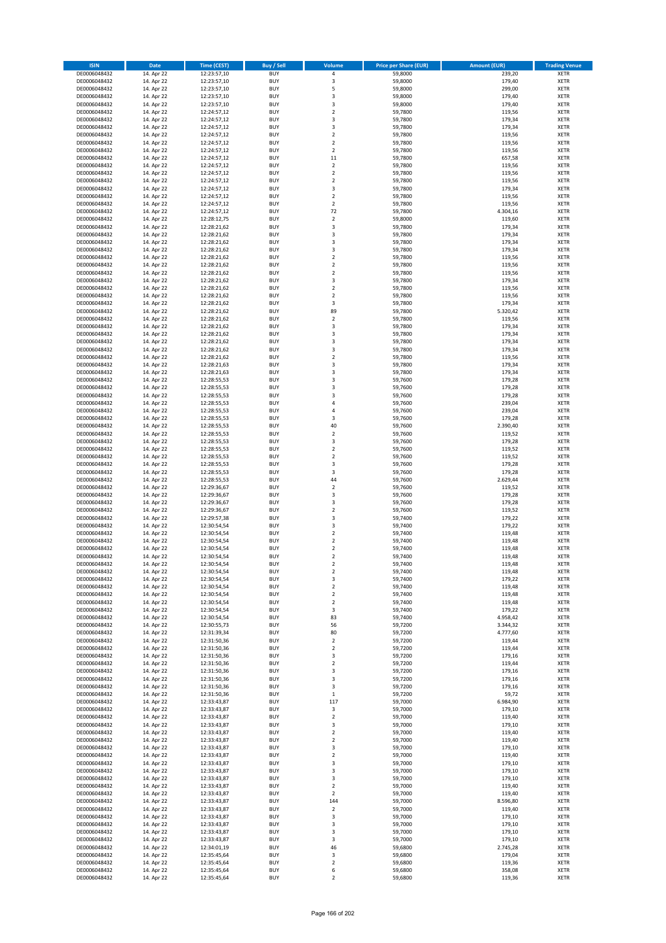| <b>ISIN</b>                  | <b>Date</b>              | Time (CEST)                | <b>Buy / Sell</b>        | Volume                                 | <b>Price per Share (EUR)</b> | <b>Amount (EUR)</b> | <b>Trading Venue</b>       |
|------------------------------|--------------------------|----------------------------|--------------------------|----------------------------------------|------------------------------|---------------------|----------------------------|
| DE0006048432                 | 14. Apr 22               | 12:23:57,10                | <b>BUY</b>               | 4                                      | 59,8000                      | 239,20              | <b>XETR</b>                |
| DE0006048432                 | 14. Apr 22               | 12:23:57,10                | <b>BUY</b>               | 3                                      | 59,8000                      | 179,40              | <b>XETR</b>                |
| DE0006048432                 | 14. Apr 22               | 12:23:57,10                | <b>BUY</b>               | 5                                      | 59,8000                      | 299,00              | <b>XETR</b>                |
| DE0006048432<br>DE0006048432 | 14. Apr 22<br>14. Apr 22 | 12:23:57,10<br>12:23:57,10 | <b>BUY</b><br><b>BUY</b> | 3<br>3                                 | 59,8000<br>59,8000           | 179,40<br>179,40    | <b>XETR</b><br><b>XETR</b> |
| DE0006048432                 | 14. Apr 22               | 12:24:57,12                | <b>BUY</b>               | $\mathbf 2$                            | 59,7800                      | 119,56              | <b>XETR</b>                |
| DE0006048432                 | 14. Apr 22               | 12:24:57,12                | <b>BUY</b>               | 3                                      | 59,7800                      | 179,34              | <b>XETR</b>                |
| DE0006048432                 | 14. Apr 22               | 12:24:57,12                | <b>BUY</b>               | 3                                      | 59,7800                      | 179,34              | <b>XETR</b>                |
| DE0006048432                 | 14. Apr 22               | 12:24:57,12                | <b>BUY</b><br><b>BUY</b> | $\overline{2}$<br>$\overline{2}$       | 59,7800                      | 119,56              | <b>XETR</b>                |
| DE0006048432<br>DE0006048432 | 14. Apr 22<br>14. Apr 22 | 12:24:57,12<br>12:24:57,12 | <b>BUY</b>               | $\mathbf 2$                            | 59,7800<br>59,7800           | 119,56<br>119,56    | <b>XETR</b><br><b>XETR</b> |
| DE0006048432                 | 14. Apr 22               | 12:24:57,12                | <b>BUY</b>               | 11                                     | 59,7800                      | 657,58              | <b>XETR</b>                |
| DE0006048432                 | 14. Apr 22               | 12:24:57,12                | <b>BUY</b>               | $\mathbf 2$                            | 59,7800                      | 119,56              | <b>XETR</b>                |
| DE0006048432                 | 14. Apr 22               | 12:24:57,12                | <b>BUY</b>               | $\overline{\mathbf{c}}$                | 59,7800                      | 119,56              | <b>XETR</b>                |
| DE0006048432                 | 14. Apr 22               | 12:24:57,12                | <b>BUY</b>               | $\mathbf 2$                            | 59,7800                      | 119,56              | <b>XETR</b>                |
| DE0006048432<br>DE0006048432 | 14. Apr 22<br>14. Apr 22 | 12:24:57,12<br>12:24:57,12 | <b>BUY</b><br><b>BUY</b> | 3<br>$\mathbf 2$                       | 59,7800<br>59,7800           | 179,34<br>119,56    | <b>XETR</b><br><b>XETR</b> |
| DE0006048432                 | 14. Apr 22               | 12:24:57,12                | <b>BUY</b>               | $\mathbf 2$                            | 59,7800                      | 119,56              | <b>XETR</b>                |
| DE0006048432                 | 14. Apr 22               | 12:24:57,12                | <b>BUY</b>               | 72                                     | 59,7800                      | 4.304,16            | <b>XETR</b>                |
| DE0006048432                 | 14. Apr 22               | 12:28:12,75                | <b>BUY</b>               | $\mathbf 2$                            | 59,8000                      | 119,60              | <b>XETR</b>                |
| DE0006048432                 | 14. Apr 22               | 12:28:21,62                | <b>BUY</b>               | 3                                      | 59,7800                      | 179,34              | <b>XETR</b>                |
| DE0006048432<br>DE0006048432 | 14. Apr 22<br>14. Apr 22 | 12:28:21,62<br>12:28:21,62 | <b>BUY</b><br><b>BUY</b> | 3<br>3                                 | 59,7800<br>59,7800           | 179,34<br>179,34    | <b>XETR</b><br><b>XETR</b> |
| DE0006048432                 | 14. Apr 22               | 12:28:21,62                | <b>BUY</b>               | 3                                      | 59,7800                      | 179,34              | <b>XETR</b>                |
| DE0006048432                 | 14. Apr 22               | 12:28:21,62                | <b>BUY</b>               | $\mathbf 2$                            | 59,7800                      | 119,56              | <b>XETR</b>                |
| DE0006048432                 | 14. Apr 22               | 12:28:21,62                | <b>BUY</b>               | $\mathbf 2$                            | 59,7800                      | 119,56              | <b>XETR</b>                |
| DE0006048432                 | 14. Apr 22               | 12:28:21,62                | <b>BUY</b>               | $\mathbf 2$                            | 59,7800                      | 119,56              | <b>XETR</b>                |
| DE0006048432<br>DE0006048432 | 14. Apr 22<br>14. Apr 22 | 12:28:21,62<br>12:28:21,62 | <b>BUY</b><br><b>BUY</b> | 3<br>$\mathbf 2$                       | 59,7800<br>59,7800           | 179,34<br>119,56    | <b>XETR</b><br><b>XETR</b> |
| DE0006048432                 | 14. Apr 22               | 12:28:21,62                | <b>BUY</b>               | $\overline{\mathbf{c}}$                | 59,7800                      | 119,56              | <b>XETR</b>                |
| DE0006048432                 | 14. Apr 22               | 12:28:21,62                | <b>BUY</b>               | 3                                      | 59,7800                      | 179,34              | <b>XETR</b>                |
| DE0006048432                 | 14. Apr 22               | 12:28:21,62                | <b>BUY</b>               | 89                                     | 59,7800                      | 5.320,42            | <b>XETR</b>                |
| DE0006048432                 | 14. Apr 22               | 12:28:21,62                | <b>BUY</b>               | $\mathbf 2$                            | 59,7800                      | 119,56              | <b>XETR</b>                |
| DE0006048432<br>DE0006048432 | 14. Apr 22<br>14. Apr 22 | 12:28:21,62<br>12:28:21.62 | <b>BUY</b><br><b>BUY</b> | 3<br>3                                 | 59,7800<br>59,7800           | 179,34<br>179,34    | <b>XETR</b><br><b>XETR</b> |
| DE0006048432                 | 14. Apr 22               | 12:28:21,62                | <b>BUY</b>               | 3                                      | 59,7800                      | 179,34              | <b>XETR</b>                |
| DE0006048432                 | 14. Apr 22               | 12:28:21,62                | <b>BUY</b>               | 3                                      | 59,7800                      | 179,34              | <b>XETR</b>                |
| DE0006048432                 | 14. Apr 22               | 12:28:21,62                | <b>BUY</b>               | $\mathbf 2$                            | 59,7800                      | 119,56              | <b>XETR</b>                |
| DE0006048432                 | 14. Apr 22               | 12:28:21,63                | <b>BUY</b>               | 3                                      | 59,7800                      | 179,34              | <b>XETR</b>                |
| DE0006048432<br>DE0006048432 | 14. Apr 22<br>14. Apr 22 | 12:28:21,63<br>12:28:55,53 | <b>BUY</b><br><b>BUY</b> | 3<br>3                                 | 59,7800<br>59,7600           | 179,34<br>179,28    | <b>XETR</b><br><b>XETR</b> |
| DE0006048432                 | 14. Apr 22               | 12:28:55,53                | <b>BUY</b>               | 3                                      | 59,7600                      | 179,28              | <b>XETR</b>                |
| DE0006048432                 | 14. Apr 22               | 12:28:55,53                | <b>BUY</b>               | 3                                      | 59,7600                      | 179,28              | <b>XETR</b>                |
| DE0006048432                 | 14. Apr 22               | 12:28:55,53                | <b>BUY</b>               | 4                                      | 59,7600                      | 239,04              | <b>XETR</b>                |
| DE0006048432                 | 14. Apr 22               | 12:28:55,53                | <b>BUY</b>               | 4                                      | 59,7600                      | 239,04              | <b>XETR</b>                |
| DE0006048432                 | 14. Apr 22               | 12:28:55,53                | <b>BUY</b>               | 3                                      | 59,7600                      | 179,28              | <b>XETR</b>                |
| DE0006048432<br>DE0006048432 | 14. Apr 22<br>14. Apr 22 | 12:28:55,53<br>12:28:55,53 | <b>BUY</b><br><b>BUY</b> | 40<br>$\mathbf 2$                      | 59,7600<br>59,7600           | 2.390,40<br>119,52  | <b>XETR</b><br><b>XETR</b> |
| DE0006048432                 | 14. Apr 22               | 12:28:55,53                | <b>BUY</b>               | 3                                      | 59,7600                      | 179,28              | <b>XETR</b>                |
| DE0006048432                 | 14. Apr 22               | 12:28:55,53                | <b>BUY</b>               | $\overline{\mathbf{c}}$                | 59,7600                      | 119,52              | <b>XETR</b>                |
| DE0006048432                 | 14. Apr 22               | 12:28:55,53                | <b>BUY</b>               | $\overline{\mathbf{c}}$                | 59,7600                      | 119,52              | <b>XETR</b>                |
| DE0006048432                 | 14. Apr 22               | 12:28:55,53                | <b>BUY</b>               | 3                                      | 59,7600                      | 179,28              | <b>XETR</b>                |
| DE0006048432<br>DE0006048432 | 14. Apr 22<br>14. Apr 22 | 12:28:55,53<br>12:28:55,53 | <b>BUY</b><br><b>BUY</b> | 3<br>44                                | 59,7600<br>59,7600           | 179,28<br>2.629,44  | <b>XETR</b><br><b>XETR</b> |
| DE0006048432                 | 14. Apr 22               | 12:29:36,67                | <b>BUY</b>               | $\overline{\mathbf{c}}$                | 59,7600                      | 119,52              | <b>XETR</b>                |
| DE0006048432                 | 14. Apr 22               | 12:29:36,67                | <b>BUY</b>               | 3                                      | 59,7600                      | 179,28              | <b>XETR</b>                |
| DE0006048432                 | 14. Apr 22               | 12:29:36,67                | <b>BUY</b>               | 3                                      | 59,7600                      | 179,28              | <b>XETR</b>                |
| DE0006048432<br>DE0006048432 | 14. Apr 22<br>14. Apr 22 | 12:29:36,67<br>12:29:57,38 | <b>BUY</b><br><b>BUY</b> | $\mathbf 2$<br>3                       | 59,7600<br>59,7400           | 119,52<br>179,22    | <b>XETR</b><br><b>XETR</b> |
| DE0006048432                 | 14. Apr 22               | 12:30:54,54                | <b>BUY</b>               | 3                                      | 59,7400                      | 179,22              | <b>XETR</b>                |
| DE0006048432                 | 14. Apr 22               | 12:30:54,54                | <b>BUY</b>               | $\mathbf 2$                            | 59,7400                      | 119,48              | <b>XETR</b>                |
| DE0006048432                 | 14. Apr 22               | 12:30:54,54                | <b>BUY</b>               | $\overline{\mathbf{c}}$                | 59,7400                      | 119,48              | <b>XETR</b>                |
| DE0006048432                 | 14. Apr 22               | 12:30:54,54                | <b>BUY</b>               | $\overline{\mathbf{c}}$                | 59,7400                      | 119,48              | <b>XETR</b>                |
| DE0006048432<br>DE0006048432 | 14. Apr 22<br>14. Apr 22 | 12:30:54,54<br>12:30:54,54 | <b>BUY</b><br>BUY        | $\overline{2}$<br>2                    | 59,7400<br>59,7400           | 119,48<br>119,48    | <b>XETR</b><br><b>XETR</b> |
| DE0006048432                 | 14. Apr 22               | 12:30:54,54                | <b>BUY</b>               | $\mathbf 2$                            | 59,7400                      | 119,48              | <b>XETR</b>                |
| DE0006048432                 | 14. Apr 22               | 12:30:54,54                | <b>BUY</b>               | 3                                      | 59,7400                      | 179,22              | <b>XETR</b>                |
| DE0006048432                 | 14. Apr 22               | 12:30:54,54                | <b>BUY</b>               | 2                                      | 59,7400                      | 119,48              | XETR                       |
| DE0006048432                 | 14. Apr 22               | 12:30:54,54                | <b>BUY</b>               | $\mathbf 2$                            | 59,7400                      | 119,48              | <b>XETR</b>                |
| DE0006048432<br>DE0006048432 | 14. Apr 22<br>14. Apr 22 | 12:30:54,54<br>12:30:54,54 | <b>BUY</b><br><b>BUY</b> | $\mathbf 2$<br>3                       | 59,7400<br>59,7400           | 119,48<br>179,22    | <b>XETR</b><br><b>XETR</b> |
| DE0006048432                 | 14. Apr 22               | 12:30:54,54                | <b>BUY</b>               | 83                                     | 59,7400                      | 4.958,42            | <b>XETR</b>                |
| DE0006048432                 | 14. Apr 22               | 12:30:55,73                | <b>BUY</b>               | 56                                     | 59,7200                      | 3.344,32            | <b>XETR</b>                |
| DE0006048432                 | 14. Apr 22               | 12:31:39,34                | <b>BUY</b>               | 80                                     | 59,7200                      | 4.777,60            | <b>XETR</b>                |
| DE0006048432                 | 14. Apr 22               | 12:31:50,36                | <b>BUY</b>               | $\mathbf 2$                            | 59,7200                      | 119,44              | <b>XETR</b>                |
| DE0006048432<br>DE0006048432 | 14. Apr 22<br>14. Apr 22 | 12:31:50,36<br>12:31:50,36 | <b>BUY</b><br><b>BUY</b> | $\overline{2}$<br>3                    | 59,7200<br>59,7200           | 119,44<br>179,16    | <b>XETR</b><br><b>XETR</b> |
| DE0006048432                 | 14. Apr 22               | 12:31:50,36                | <b>BUY</b>               | $\overline{2}$                         | 59,7200                      | 119,44              | <b>XETR</b>                |
| DE0006048432                 | 14. Apr 22               | 12:31:50,36                | <b>BUY</b>               | 3                                      | 59,7200                      | 179,16              | <b>XETR</b>                |
| DE0006048432                 | 14. Apr 22               | 12:31:50,36                | <b>BUY</b>               | 3                                      | 59,7200                      | 179,16              | <b>XETR</b>                |
| DE0006048432<br>DE0006048432 | 14. Apr 22<br>14. Apr 22 | 12:31:50,36<br>12:31:50,36 | <b>BUY</b><br><b>BUY</b> | 3<br>$\,$ 1                            | 59,7200<br>59,7200           | 179,16              | <b>XETR</b><br><b>XETR</b> |
| DE0006048432                 | 14. Apr 22               | 12:33:43,87                | <b>BUY</b>               | 117                                    | 59,7000                      | 59,72<br>6.984,90   | XETR                       |
| DE0006048432                 | 14. Apr 22               | 12:33:43,87                | <b>BUY</b>               | $\mathsf 3$                            | 59,7000                      | 179,10              | <b>XETR</b>                |
| DE0006048432                 | 14. Apr 22               | 12:33:43,87                | <b>BUY</b>               | $\overline{2}$                         | 59,7000                      | 119,40              | <b>XETR</b>                |
| DE0006048432                 | 14. Apr 22               | 12:33:43,87                | <b>BUY</b>               | 3                                      | 59,7000                      | 179,10              | <b>XETR</b>                |
| DE0006048432<br>DE0006048432 | 14. Apr 22<br>14. Apr 22 | 12:33:43,87<br>12:33:43,87 | <b>BUY</b><br><b>BUY</b> | $\overline{\mathbf{c}}$<br>$\mathbf 2$ | 59,7000<br>59,7000           | 119,40<br>119,40    | <b>XETR</b><br><b>XETR</b> |
| DE0006048432                 | 14. Apr 22               | 12:33:43,87                | <b>BUY</b>               | 3                                      | 59,7000                      | 179,10              | <b>XETR</b>                |
| DE0006048432                 | 14. Apr 22               | 12:33:43,87                | <b>BUY</b>               | $\mathbf 2$                            | 59,7000                      | 119,40              | <b>XETR</b>                |
| DE0006048432                 | 14. Apr 22               | 12:33:43,87                | <b>BUY</b>               | 3                                      | 59,7000                      | 179,10              | <b>XETR</b>                |
| DE0006048432                 | 14. Apr 22               | 12:33:43,87                | <b>BUY</b>               | 3                                      | 59,7000                      | 179,10              | <b>XETR</b>                |
| DE0006048432<br>DE0006048432 | 14. Apr 22<br>14. Apr 22 | 12:33:43,87<br>12:33:43,87 | <b>BUY</b><br><b>BUY</b> | 3<br>$\overline{2}$                    | 59,7000<br>59,7000           | 179,10<br>119,40    | <b>XETR</b><br><b>XETR</b> |
| DE0006048432                 | 14. Apr 22               | 12:33:43,87                | <b>BUY</b>               | $\mathbf 2$                            | 59,7000                      | 119,40              | <b>XETR</b>                |
| DE0006048432                 | 14. Apr 22               | 12:33:43,87                | <b>BUY</b>               | 144                                    | 59,7000                      | 8.596,80            | <b>XETR</b>                |
| DE0006048432                 | 14. Apr 22               | 12:33:43,87                | <b>BUY</b>               | $\mathbf 2$                            | 59,7000                      | 119,40              | <b>XETR</b>                |
| DE0006048432                 | 14. Apr 22               | 12:33:43,87                | <b>BUY</b>               | 3                                      | 59,7000                      | 179,10              | <b>XETR</b>                |
| DE0006048432<br>DE0006048432 | 14. Apr 22<br>14. Apr 22 | 12:33:43,87<br>12:33:43,87 | <b>BUY</b><br><b>BUY</b> | 3<br>3                                 | 59,7000<br>59,7000           | 179,10<br>179,10    | <b>XETR</b><br><b>XETR</b> |
| DE0006048432                 | 14. Apr 22               | 12:33:43,87                | <b>BUY</b>               | 3                                      | 59,7000                      | 179,10              | <b>XETR</b>                |
| DE0006048432                 | 14. Apr 22               | 12:34:01,19                | <b>BUY</b>               | 46                                     | 59,6800                      | 2.745,28            | XETR                       |
| DE0006048432                 | 14. Apr 22               | 12:35:45,64                | <b>BUY</b>               | 3                                      | 59,6800                      | 179,04              | <b>XETR</b>                |
| DE0006048432                 | 14. Apr 22               | 12:35:45,64                | <b>BUY</b>               | $\mathbf 2$                            | 59,6800                      | 119,36              | <b>XETR</b>                |
| DE0006048432<br>DE0006048432 | 14. Apr 22<br>14. Apr 22 | 12:35:45,64<br>12:35:45,64 | <b>BUY</b><br><b>BUY</b> | 6<br>$\mathbf 2$                       | 59,6800<br>59,6800           | 358,08<br>119,36    | <b>XETR</b><br>XETR        |
|                              |                          |                            |                          |                                        |                              |                     |                            |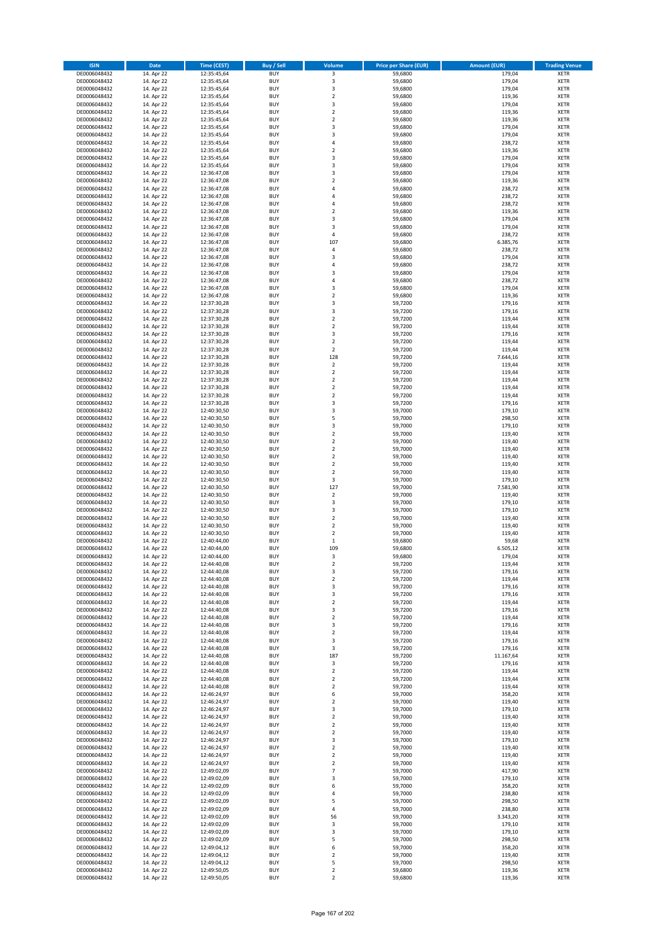| <b>ISIN</b>                  | Date                     | Time (CEST)                | <b>Buy / Sell</b>        | <b>Volume</b>                 | <b>Price per Share (EUR)</b> | <b>Amount (EUR)</b> | <b>Trading Venue</b>       |
|------------------------------|--------------------------|----------------------------|--------------------------|-------------------------------|------------------------------|---------------------|----------------------------|
| DE0006048432                 | 14. Apr 22               | 12:35:45,64                | <b>BUY</b>               | 3                             | 59,6800                      | 179,04              | <b>XETR</b>                |
| DE0006048432                 | 14. Apr 22               | 12:35:45,64                | <b>BUY</b>               | 3                             | 59,6800                      | 179,04              | <b>XETR</b>                |
| DE0006048432                 | 14. Apr 22               | 12:35:45,64                | <b>BUY</b>               | $\mathsf 3$                   | 59,6800<br>59,6800           | 179,04              | <b>XETR</b>                |
| DE0006048432<br>DE0006048432 | 14. Apr 22<br>14. Apr 22 | 12:35:45.64<br>12:35:45,64 | <b>BUY</b><br><b>BUY</b> | $\overline{\mathbf{c}}$<br>3  | 59,6800                      | 119,36<br>179,04    | <b>XETR</b><br><b>XETR</b> |
| DE0006048432                 | 14. Apr 22               | 12:35:45,64                | <b>BUY</b>               | $\overline{2}$                | 59,6800                      | 119,36              | <b>XETR</b>                |
| DE0006048432                 | 14. Apr 22               | 12:35:45,64                | <b>BUY</b>               | $\overline{2}$                | 59,6800                      | 119,36              | <b>XETR</b>                |
| DE0006048432                 | 14. Apr 22               | 12:35:45,64                | <b>BUY</b>               | 3                             | 59,6800                      | 179,04              | <b>XETR</b>                |
| DE0006048432                 | 14. Apr 22               | 12:35:45,64                | <b>BUY</b>               | 3                             | 59,6800                      | 179,04              | <b>XETR</b>                |
| DE0006048432                 | 14. Apr 22               | 12:35:45,64                | <b>BUY</b>               | 4                             | 59,6800                      | 238,72              | <b>XETR</b>                |
| DE0006048432<br>DE0006048432 | 14. Apr 22<br>14. Apr 22 | 12:35:45,64<br>12:35:45,64 | <b>BUY</b><br><b>BUY</b> | $\overline{\mathbf{c}}$<br>3  | 59,6800<br>59,6800           | 119,36<br>179,04    | <b>XETR</b><br><b>XETR</b> |
| DE0006048432                 | 14. Apr 22               | 12:35:45,64                | <b>BUY</b>               | 3                             | 59,6800                      | 179,04              | <b>XETR</b>                |
| DE0006048432                 | 14. Apr 22               | 12:36:47,08                | <b>BUY</b>               | 3                             | 59,6800                      | 179,04              | <b>XETR</b>                |
| DE0006048432                 | 14. Apr 22               | 12:36:47,08                | <b>BUY</b>               | $\overline{\mathbf{c}}$       | 59,6800                      | 119,36              | <b>XETR</b>                |
| DE0006048432                 | 14. Apr 22               | 12:36:47,08                | <b>BUY</b>               | 4                             | 59,6800                      | 238,72              | <b>XETR</b>                |
| DE0006048432<br>DE0006048432 | 14. Apr 22<br>14. Apr 22 | 12:36:47,08<br>12:36:47,08 | <b>BUY</b><br><b>BUY</b> | 4<br>4                        | 59,6800<br>59,6800           | 238,72<br>238,72    | <b>XETR</b><br><b>XETR</b> |
| DE0006048432                 | 14. Apr 22               | 12:36:47,08                | <b>BUY</b>               | $\mathbf 2$                   | 59,6800                      | 119,36              | <b>XETR</b>                |
| DE0006048432                 | 14. Apr 22               | 12:36:47,08                | <b>BUY</b>               | 3                             | 59,6800                      | 179,04              | <b>XETR</b>                |
| DE0006048432                 | 14. Apr 22               | 12:36:47,08                | <b>BUY</b>               | 3                             | 59,6800                      | 179,04              | <b>XETR</b>                |
| DE0006048432                 | 14. Apr 22               | 12:36:47,08                | <b>BUY</b>               | 4                             | 59,6800                      | 238,72              | <b>XETR</b>                |
| DE0006048432<br>DE0006048432 | 14. Apr 22<br>14. Apr 22 | 12:36:47,08<br>12:36:47,08 | <b>BUY</b><br><b>BUY</b> | 107<br>4                      | 59,6800<br>59,6800           | 6.385,76<br>238,72  | <b>XETR</b><br><b>XETR</b> |
| DE0006048432                 | 14. Apr 22               | 12:36:47,08                | <b>BUY</b>               | 3                             | 59,6800                      | 179,04              | <b>XETR</b>                |
| DE0006048432                 | 14. Apr 22               | 12:36:47,08                | <b>BUY</b>               | $\overline{4}$                | 59,6800                      | 238,72              | <b>XETR</b>                |
| DE0006048432                 | 14. Apr 22               | 12:36:47,08                | <b>BUY</b>               | 3                             | 59,6800                      | 179,04              | <b>XETR</b>                |
| DE0006048432                 | 14. Apr 22               | 12:36:47,08                | <b>BUY</b>               | 4                             | 59,6800                      | 238,72              | <b>XETR</b>                |
| DE0006048432                 | 14. Apr 22               | 12:36:47,08                | <b>BUY</b>               | 3                             | 59,6800                      | 179,04              | <b>XETR</b>                |
| DE0006048432<br>DE0006048432 | 14. Apr 22<br>14. Apr 22 | 12:36:47,08<br>12:37:30,28 | <b>BUY</b><br><b>BUY</b> | $\overline{\mathbf{c}}$<br>3  | 59,6800<br>59,7200           | 119,36<br>179,16    | <b>XETR</b><br><b>XETR</b> |
| DE0006048432                 | 14. Apr 22               | 12:37:30,28                | <b>BUY</b>               | 3                             | 59,7200                      | 179,16              | <b>XETR</b>                |
| DE0006048432                 | 14. Apr 22               | 12:37:30,28                | <b>BUY</b>               | $\overline{2}$                | 59,7200                      | 119,44              | <b>XETR</b>                |
| DE0006048432                 | 14. Apr 22               | 12:37:30,28                | <b>BUY</b>               | $\mathbf 2$                   | 59,7200                      | 119,44              | <b>XETR</b>                |
| DE0006048432                 | 14. Apr 22               | 12:37:30,28                | <b>BUY</b>               | 3                             | 59,7200                      | 179,16              | <b>XETR</b>                |
| DE0006048432                 | 14. Apr 22               | 12:37:30,28                | <b>BUY</b>               | $\overline{2}$                | 59,7200                      | 119,44              | <b>XETR</b>                |
| DE0006048432<br>DE0006048432 | 14. Apr 22<br>14. Apr 22 | 12:37:30,28<br>12:37:30,28 | <b>BUY</b><br><b>BUY</b> | $\overline{2}$<br>128         | 59,7200<br>59,7200           | 119,44<br>7.644,16  | <b>XETR</b><br><b>XETR</b> |
| DE0006048432                 | 14. Apr 22               | 12:37:30,28                | <b>BUY</b>               | $\mathbf 2$                   | 59,7200                      | 119,44              | <b>XETR</b>                |
| DE0006048432                 | 14. Apr 22               | 12:37:30,28                | <b>BUY</b>               | $\mathbf 2$                   | 59,7200                      | 119,44              | <b>XETR</b>                |
| DE0006048432                 | 14. Apr 22               | 12:37:30,28                | <b>BUY</b>               | $\overline{2}$                | 59,7200                      | 119,44              | <b>XETR</b>                |
| DE0006048432                 | 14. Apr 22               | 12:37:30,28                | <b>BUY</b>               | $\overline{2}$                | 59,7200                      | 119,44              | <b>XETR</b>                |
| DE0006048432                 | 14. Apr 22               | 12:37:30,28                | <b>BUY</b>               | $\overline{\mathbf{c}}$       | 59,7200                      | 119,44              | <b>XETR</b>                |
| DE0006048432<br>DE0006048432 | 14. Apr 22<br>14. Apr 22 | 12:37:30,28<br>12:40:30,50 | <b>BUY</b><br><b>BUY</b> | 3<br>3                        | 59,7200<br>59,7000           | 179,16<br>179,10    | <b>XETR</b><br><b>XETR</b> |
| DE0006048432                 | 14. Apr 22               | 12:40:30,50                | <b>BUY</b>               | 5                             | 59,7000                      | 298,50              | <b>XETR</b>                |
| DE0006048432                 | 14. Apr 22               | 12:40:30,50                | <b>BUY</b>               | 3                             | 59,7000                      | 179,10              | <b>XETR</b>                |
| DE0006048432                 | 14. Apr 22               | 12:40:30,50                | <b>BUY</b>               | $\overline{2}$                | 59,7000                      | 119,40              | <b>XETR</b>                |
| DE0006048432                 | 14. Apr 22               | 12:40:30,50                | <b>BUY</b>               | $\overline{2}$                | 59,7000                      | 119,40              | <b>XETR</b>                |
| DE0006048432                 | 14. Apr 22               | 12:40:30,50                | <b>BUY</b>               | $\overline{2}$<br>$\mathbf 2$ | 59,7000                      | 119,40              | <b>XETR</b>                |
| DE0006048432<br>DE0006048432 | 14. Apr 22<br>14. Apr 22 | 12:40:30,50<br>12:40:30,50 | <b>BUY</b><br><b>BUY</b> | $\overline{2}$                | 59,7000<br>59,7000           | 119,40<br>119,40    | <b>XETR</b><br><b>XETR</b> |
| DE0006048432                 | 14. Apr 22               | 12:40:30,50                | <b>BUY</b>               | $\mathbf 2$                   | 59,7000                      | 119,40              | <b>XETR</b>                |
| DE0006048432                 | 14. Apr 22               | 12:40:30,50                | <b>BUY</b>               | 3                             | 59,7000                      | 179,10              | <b>XETR</b>                |
| DE0006048432                 | 14. Apr 22               | 12:40:30,50                | <b>BUY</b>               | 127                           | 59,7000                      | 7.581,90            | <b>XETR</b>                |
| DE0006048432                 | 14. Apr 22               | 12:40:30,50                | <b>BUY</b>               | $\overline{2}$                | 59,7000                      | 119,40              | <b>XETR</b>                |
| DE0006048432<br>DE0006048432 | 14. Apr 22<br>14. Apr 22 | 12:40:30,50<br>12:40:30,50 | <b>BUY</b><br><b>BUY</b> | 3<br>3                        | 59,7000<br>59,7000           | 179,10<br>179,10    | <b>XETR</b><br><b>XETR</b> |
| DE0006048432                 | 14. Apr 22               | 12:40:30,50                | <b>BUY</b>               | $\overline{2}$                | 59,7000                      | 119,40              | <b>XETR</b>                |
| DE0006048432                 | 14. Apr 22               | 12:40:30,50                | <b>BUY</b>               | $\mathbf 2$                   | 59,7000                      | 119,40              | <b>XETR</b>                |
| DE0006048432                 | 14. Apr 22               | 12:40:30,50                | <b>BUY</b>               | $\overline{\mathbf{c}}$       | 59,7000                      | 119,40              | <b>XETR</b>                |
| DE0006048432                 | 14. Apr 22               | 12:40:44,00                | <b>BUY</b>               | $\,1\,$                       | 59,6800                      | 59,68               | <b>XETR</b>                |
| DE0006048432                 | 14. Apr 22               | 12:40:44,00                | <b>BUY</b>               | 109                           | 59,6800                      | 6.505,12            | <b>XETR</b>                |
| DE0006048432<br>DE0006048432 | 14. Apr 22<br>14. Apr 22 | 12:40:44,00<br>12:44:40,08 | <b>BUY</b><br><b>BUY</b> | 3<br>$\overline{2}$           | 59,6800<br>59,7200           | 179,04<br>119,44    | <b>XETR</b><br><b>XETR</b> |
| DE0006048432                 | 14. Apr 22               | 12:44:40,08                | <b>BUY</b>               | 3                             | 59,7200                      | 179,16              | <b>XETR</b>                |
| DE0006048432                 | 14. Apr 22               | 12:44:40,08                | <b>BUY</b>               | $\overline{2}$                | 59,7200                      | 119,44              | <b>XETR</b>                |
| DE0006048432                 | 14. Apr 22               | 12:44:40.08                | <b>BUY</b>               | 3                             | 59,7200                      | 179,16              | <b>XETR</b>                |
| DE0006048432                 | 14. Apr 22               | 12:44:40,08                | <b>BUY</b>               | $\mathsf 3$                   | 59,7200                      | 179,16              | <b>XETR</b>                |
| DE0006048432<br>DE0006048432 | 14. Apr 22<br>14. Apr 22 | 12:44:40,08<br>12:44:40,08 | <b>BUY</b><br><b>BUY</b> | $\overline{2}$<br>3           | 59,7200<br>59,7200           | 119,44<br>179,16    | <b>XETR</b><br><b>XETR</b> |
| DE0006048432                 | 14. Apr 22               | 12:44:40,08                | <b>BUY</b>               | $\mathbf 2$                   | 59,7200                      | 119,44              | <b>XETR</b>                |
| DE0006048432                 | 14. Apr 22               | 12:44:40,08                | <b>BUY</b>               | 3                             | 59,7200                      | 179,16              | <b>XETR</b>                |
| DE0006048432                 | 14. Apr 22               | 12:44:40,08                | <b>BUY</b>               | $\overline{2}$                | 59,7200                      | 119,44              | <b>XETR</b>                |
| DE0006048432                 | 14. Apr 22               | 12:44:40,08                | <b>BUY</b>               | 3                             | 59,7200                      | 179,16              | <b>XETR</b>                |
| DE0006048432<br>DE0006048432 | 14. Apr 22<br>14. Apr 22 | 12:44:40,08<br>12:44:40.08 | <b>BUY</b><br><b>BUY</b> | $\mathsf 3$<br>187            | 59,7200<br>59,7200           | 179,16<br>11.167,64 | <b>XETR</b><br><b>XETR</b> |
| DE0006048432                 | 14. Apr 22               | 12:44:40,08                | <b>BUY</b>               | 3                             | 59,7200                      | 179,16              | <b>XETR</b>                |
| DE0006048432                 | 14. Apr 22               | 12:44:40,08                | <b>BUY</b>               | $\overline{2}$                | 59,7200                      | 119,44              | <b>XETR</b>                |
| DE0006048432                 | 14. Apr 22               | 12:44:40,08                | <b>BUY</b>               | $\overline{2}$                | 59,7200                      | 119,44              | <b>XETR</b>                |
| DE0006048432                 | 14. Apr 22               | 12:44:40,08                | <b>BUY</b>               | $\overline{2}$                | 59,7200                      | 119,44              | <b>XETR</b>                |
| DE0006048432<br>DE0006048432 | 14. Apr 22<br>14. Apr 22 | 12:46:24,97<br>12:46:24,97 | <b>BUY</b><br><b>BUY</b> | 6<br>$\overline{2}$           | 59,7000<br>59,7000           | 358,20<br>119,40    | <b>XETR</b><br><b>XETR</b> |
| DE0006048432                 | 14. Apr 22               | 12:46:24,97                | <b>BUY</b>               | 3                             | 59,7000                      | 179,10              | <b>XETR</b>                |
| DE0006048432                 | 14. Apr 22               | 12:46:24,97                | <b>BUY</b>               | $\mathbf 2$                   | 59,7000                      | 119,40              | <b>XETR</b>                |
| DE0006048432                 | 14. Apr 22               | 12:46:24,97                | <b>BUY</b>               | $\overline{2}$                | 59,7000                      | 119,40              | <b>XETR</b>                |
| DE0006048432                 | 14. Apr 22               | 12:46:24,97                | <b>BUY</b>               | $\overline{2}$                | 59,7000                      | 119,40              | <b>XETR</b>                |
| DE0006048432                 | 14. Apr 22               | 12:46:24,97                | <b>BUY</b><br><b>BUY</b> | 3<br>$\mathbf 2$              | 59,7000                      | 179,10<br>119,40    | <b>XETR</b><br><b>XETR</b> |
| DE0006048432<br>DE0006048432 | 14. Apr 22<br>14. Apr 22 | 12:46:24,97<br>12:46:24,97 | <b>BUY</b>               | $\overline{2}$                | 59,7000<br>59,7000           | 119,40              | <b>XETR</b>                |
| DE0006048432                 | 14. Apr 22               | 12:46:24,97                | <b>BUY</b>               | $\overline{2}$                | 59,7000                      | 119,40              | <b>XETR</b>                |
| DE0006048432                 | 14. Apr 22               | 12:49:02,09                | <b>BUY</b>               | $\overline{7}$                | 59,7000                      | 417,90              | <b>XETR</b>                |
| DE0006048432                 | 14. Apr 22               | 12:49:02,09                | <b>BUY</b>               | 3                             | 59,7000                      | 179,10              | <b>XETR</b>                |
| DE0006048432                 | 14. Apr 22               | 12:49:02,09                | <b>BUY</b>               | 6                             | 59,7000                      | 358,20              | <b>XETR</b>                |
| DE0006048432<br>DE0006048432 | 14. Apr 22<br>14. Apr 22 | 12:49:02,09<br>12:49:02,09 | <b>BUY</b><br><b>BUY</b> | $\sqrt{4}$<br>5               | 59,7000<br>59,7000           | 238,80<br>298,50    | <b>XETR</b><br><b>XETR</b> |
| DE0006048432                 | 14. Apr 22               | 12:49:02,09                | <b>BUY</b>               | 4                             | 59,7000                      | 238,80              | <b>XETR</b>                |
| DE0006048432                 | 14. Apr 22               | 12:49:02,09                | <b>BUY</b>               | 56                            | 59,7000                      | 3.343,20            | <b>XETR</b>                |
| DE0006048432                 | 14. Apr 22               | 12:49:02,09                | <b>BUY</b>               | 3                             | 59,7000                      | 179,10              | <b>XETR</b>                |
| DE0006048432                 | 14. Apr 22               | 12:49:02,09                | <b>BUY</b>               | 3                             | 59,7000                      | 179,10              | <b>XETR</b>                |
| DE0006048432                 | 14. Apr 22               | 12:49:02,09                | <b>BUY</b><br><b>BUY</b> | 5<br>6                        | 59,7000                      | 298,50              | <b>XETR</b><br><b>XETR</b> |
| DE0006048432<br>DE0006048432 | 14. Apr 22<br>14. Apr 22 | 12:49:04,12<br>12:49:04,12 | <b>BUY</b>               | $\mathbf 2$                   | 59,7000<br>59,7000           | 358,20<br>119,40    | <b>XETR</b>                |
| DE0006048432                 | 14. Apr 22               | 12:49:04,12                | <b>BUY</b>               | 5                             | 59,7000                      | 298,50              | <b>XETR</b>                |
| DE0006048432                 | 14. Apr 22               | 12:49:50,05                | <b>BUY</b>               | $\mathbf 2$                   | 59,6800                      | 119,36              | <b>XETR</b>                |
| DE0006048432                 | 14. Apr 22               | 12:49:50,05                | <b>BUY</b>               | $\overline{2}$                | 59,6800                      | 119,36              | <b>XETR</b>                |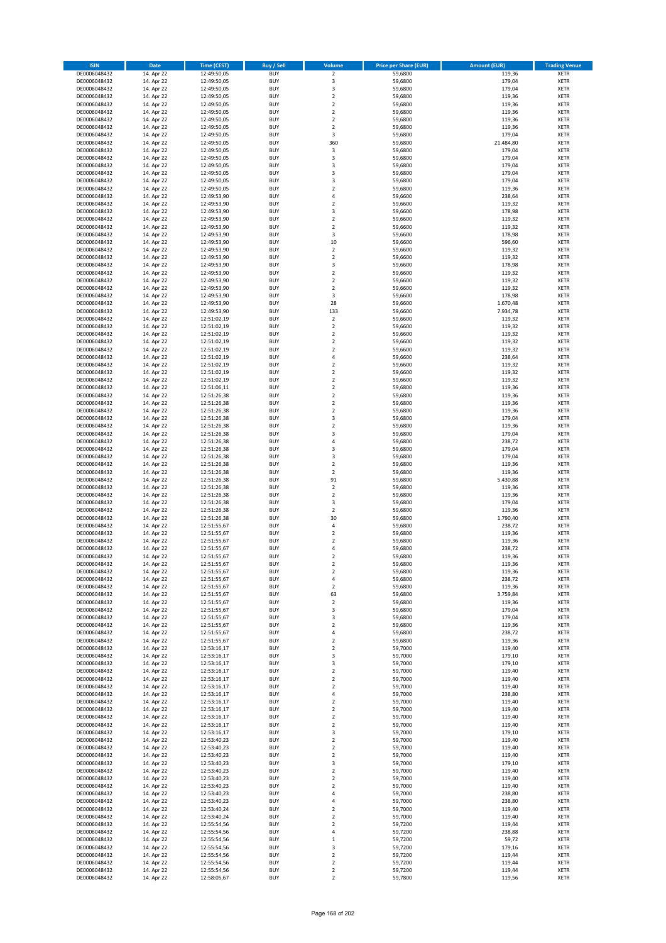| <b>ISIN</b>                  | <b>Date</b>              | <b>Time (CEST)</b>         | <b>Buy / Sell</b>        | Volume                                    | <b>Price per Share (EUR)</b> | <b>Amount (EUR)</b> | <b>Trading Venue</b>       |
|------------------------------|--------------------------|----------------------------|--------------------------|-------------------------------------------|------------------------------|---------------------|----------------------------|
| DE0006048432                 | 14. Apr 22               | 12:49:50,05                | <b>BUY</b>               | $\overline{\mathbf{2}}$                   | 59,6800                      | 119,36              | <b>XETR</b>                |
| DE0006048432                 | 14. Apr 22               | 12:49:50,05                | <b>BUY</b>               | 3                                         | 59,6800                      | 179,04              | <b>XETR</b>                |
| DE0006048432                 | 14. Apr 22               | 12:49:50,05                | <b>BUY</b>               | 3                                         | 59,6800                      | 179,04              | <b>XETR</b>                |
| DE0006048432                 | 14. Apr 22               | 12:49:50,05                | <b>BUY</b>               | $\mathbf 2$                               | 59,6800                      | 119,36              | <b>XETR</b>                |
| DE0006048432<br>DE0006048432 | 14. Apr 22<br>14. Apr 22 | 12:49:50,05<br>12:49:50,05 | <b>BUY</b><br><b>BUY</b> | $\overline{2}$<br>$\mathbf 2$             | 59,6800<br>59,6800           | 119,36<br>119,36    | <b>XETR</b><br><b>XETR</b> |
| DE0006048432                 | 14. Apr 22               | 12:49:50,05                | <b>BUY</b>               | $\overline{2}$                            | 59,6800                      | 119,36              | <b>XETR</b>                |
| DE0006048432                 | 14. Apr 22               | 12:49:50,05                | <b>BUY</b>               | $\overline{2}$                            | 59,6800                      | 119,36              | <b>XETR</b>                |
| DE0006048432                 | 14. Apr 22               | 12:49:50,05                | BUY                      | 3                                         | 59,6800                      | 179,04              | <b>XETR</b>                |
| DE0006048432                 | 14. Apr 22               | 12:49:50,05                | <b>BUY</b>               | 360                                       | 59,6800                      | 21.484,80           | <b>XETR</b>                |
| DE0006048432                 | 14. Apr 22               | 12:49:50,05                | <b>BUY</b>               | 3                                         | 59,6800                      | 179,04              | <b>XETR</b>                |
| DE0006048432                 | 14. Apr 22               | 12:49:50,05                | <b>BUY</b>               | 3<br>$\overline{\mathbf{3}}$              | 59,6800                      | 179,04              | <b>XETR</b>                |
| DE0006048432<br>DE0006048432 | 14. Apr 22<br>14. Apr 22 | 12:49:50,05<br>12:49:50,05 | <b>BUY</b><br><b>BUY</b> | $\overline{\mathbf{3}}$                   | 59,6800<br>59,6800           | 179,04<br>179,04    | <b>XETR</b><br><b>XETR</b> |
| DE0006048432                 | 14. Apr 22               | 12:49:50,05                | <b>BUY</b>               | $\overline{\mathbf{3}}$                   | 59,6800                      | 179,04              | <b>XETR</b>                |
| DE0006048432                 | 14. Apr 22               | 12:49:50,05                | BUY                      | $\overline{\phantom{a}}$                  | 59,6800                      | 119,36              | <b>XETR</b>                |
| DE0006048432                 | 14. Apr 22               | 12:49:53,90                | <b>BUY</b>               | $\overline{4}$                            | 59,6600                      | 238,64              | <b>XETR</b>                |
| DE0006048432                 | 14. Apr 22               | 12:49:53,90                | <b>BUY</b>               | $\overline{2}$                            | 59,6600                      | 119,32              | <b>XETR</b>                |
| DE0006048432                 | 14. Apr 22               | 12:49:53,90                | <b>BUY</b>               | 3                                         | 59,6600                      | 178,98              | <b>XETR</b>                |
| DE0006048432<br>DE0006048432 | 14. Apr 22<br>14. Apr 22 | 12:49:53,90                | <b>BUY</b><br><b>BUY</b> | $\overline{2}$<br>$\overline{2}$          | 59,6600<br>59,6600           | 119,32<br>119,32    | <b>XETR</b><br><b>XETR</b> |
| DE0006048432                 | 14. Apr 22               | 12:49:53,90<br>12:49:53,90 | <b>BUY</b>               | 3                                         | 59,6600                      | 178,98              | <b>XETR</b>                |
| DE0006048432                 | 14. Apr 22               | 12:49:53,90                | <b>BUY</b>               | 10                                        | 59,6600                      | 596,60              | <b>XETR</b>                |
| DE0006048432                 | 14. Apr 22               | 12:49:53,90                | <b>BUY</b>               | $\mathbf 2$                               | 59,6600                      | 119,32              | <b>XETR</b>                |
| DE0006048432                 | 14. Apr 22               | 12:49:53,90                | <b>BUY</b>               | $\mathbf 2$                               | 59,6600                      | 119,32              | <b>XETR</b>                |
| DE0006048432                 | 14. Apr 22               | 12:49:53,90                | <b>BUY</b>               | 3                                         | 59,6600                      | 178,98              | <b>XETR</b>                |
| DE0006048432                 | 14. Apr 22               | 12:49:53,90                | <b>BUY</b>               | $\mathbf 2$                               | 59,6600                      | 119,32              | <b>XETR</b>                |
| DE0006048432<br>DE0006048432 | 14. Apr 22<br>14. Apr 22 | 12:49:53,90<br>12:49:53,90 | <b>BUY</b><br><b>BUY</b> | $\overline{2}$<br>$\mathbf 2$             | 59,6600<br>59,6600           | 119,32<br>119,32    | <b>XETR</b><br><b>XETR</b> |
| DE0006048432                 | 14. Apr 22               | 12:49:53,90                | <b>BUY</b>               | 3                                         | 59,6600                      | 178,98              | <b>XETR</b>                |
| DE0006048432                 | 14. Apr 22               | 12:49:53,90                | <b>BUY</b>               | 28                                        | 59,6600                      | 1.670,48            | <b>XETR</b>                |
| DE0006048432                 | 14. Apr 22               | 12:49:53,90                | <b>BUY</b>               | 133                                       | 59,6600                      | 7.934,78            | <b>XETR</b>                |
| DE0006048432                 | 14. Apr 22               | 12:51:02,19                | <b>BUY</b>               | $\mathbf 2$                               | 59,6600                      | 119,32              | <b>XETR</b>                |
| DE0006048432                 | 14. Apr 22               | 12:51:02,19                | <b>BUY</b>               | $\mathbf 2$                               | 59,6600                      | 119,32              | <b>XETR</b>                |
| DE0006048432<br>DE0006048432 | 14. Apr 22<br>14. Apr 22 | 12:51:02,19<br>12:51:02,19 | <b>BUY</b><br><b>BUY</b> | $\overline{2}$<br>2                       | 59,6600<br>59,6600           | 119,32<br>119,32    | <b>XETR</b><br><b>XETR</b> |
| DE0006048432                 | 14. Apr 22               | 12:51:02,19                | <b>BUY</b>               | $\overline{2}$                            | 59,6600                      | 119,32              | <b>XETR</b>                |
| DE0006048432                 | 14. Apr 22               | 12:51:02,19                | BUY                      | $\overline{4}$                            | 59,6600                      | 238,64              | <b>XETR</b>                |
| DE0006048432                 | 14. Apr 22               | 12:51:02,19                | <b>BUY</b>               | $\mathbf 2$                               | 59,6600                      | 119,32              | <b>XETR</b>                |
| DE0006048432                 | 14. Apr 22               | 12:51:02,19                | <b>BUY</b>               | $\mathbf 2$                               | 59,6600                      | 119,32              | <b>XETR</b>                |
| DE0006048432                 | 14. Apr 22               | 12:51:02,19                | <b>BUY</b>               | $\overline{2}$                            | 59,6600                      | 119,32              | <b>XETR</b>                |
| DE0006048432<br>DE0006048432 | 14. Apr 22<br>14. Apr 22 | 12:51:06,11                | <b>BUY</b><br><b>BUY</b> | $\mathbf 2$<br>$\mathbf 2$                | 59,6800<br>59,6800           | 119,36<br>119,36    | <b>XETR</b><br><b>XETR</b> |
| DE0006048432                 | 14. Apr 22               | 12:51:26,38<br>12:51:26,38 | <b>BUY</b>               | $\overline{2}$                            | 59,6800                      | 119,36              | <b>XETR</b>                |
| DE0006048432                 | 14. Apr 22               | 12:51:26,38                | <b>BUY</b>               | $\mathbf 2$                               | 59,6800                      | 119,36              | <b>XETR</b>                |
| DE0006048432                 | 14. Apr 22               | 12:51:26,38                | <b>BUY</b>               | 3                                         | 59,6800                      | 179,04              | <b>XETR</b>                |
| DE0006048432                 | 14. Apr 22               | 12:51:26,38                | <b>BUY</b>               | $\mathbf 2$                               | 59,6800                      | 119,36              | <b>XETR</b>                |
| DE0006048432                 | 14. Apr 22               | 12:51:26,38                | <b>BUY</b>               | $\overline{\mathbf{3}}$                   | 59,6800                      | 179,04              | <b>XETR</b>                |
| DE0006048432<br>DE0006048432 | 14. Apr 22               | 12:51:26,38<br>12:51:26,38 | <b>BUY</b><br><b>BUY</b> | 4<br>$\overline{\mathbf{3}}$              | 59,6800<br>59,6800           | 238,72<br>179,04    | <b>XETR</b><br><b>XETR</b> |
| DE0006048432                 | 14. Apr 22<br>14. Apr 22 | 12:51:26,38                | <b>BUY</b>               | $\overline{\mathbf{3}}$                   | 59,6800                      | 179,04              | <b>XETR</b>                |
| DE0006048432                 | 14. Apr 22               | 12:51:26,38                | <b>BUY</b>               | $\overline{2}$                            | 59,6800                      | 119,36              | <b>XETR</b>                |
| DE0006048432                 | 14. Apr 22               | 12:51:26,38                | <b>BUY</b>               | $\overline{2}$                            | 59,6800                      | 119,36              | <b>XETR</b>                |
| DE0006048432                 | 14. Apr 22               | 12:51:26,38                | <b>BUY</b>               | 91                                        | 59,6800                      | 5.430,88            | <b>XETR</b>                |
| DE0006048432                 | 14. Apr 22               | 12:51:26,38                | <b>BUY</b>               | $\overline{2}$                            | 59,6800                      | 119,36              | <b>XETR</b>                |
| DE0006048432                 | 14. Apr 22               | 12:51:26,38                | <b>BUY</b>               | $\overline{2}$                            | 59,6800                      | 119,36              | <b>XETR</b>                |
| DE0006048432<br>DE0006048432 | 14. Apr 22<br>14. Apr 22 | 12:51:26,38<br>12:51:26,38 | <b>BUY</b><br><b>BUY</b> | 3<br>$\mathbf 2$                          | 59,6800<br>59,6800           | 179,04<br>119,36    | <b>XETR</b><br><b>XETR</b> |
| DE0006048432                 | 14. Apr 22               | 12:51:26,38                | BUY                      | 30                                        | 59,6800                      | 1.790,40            | <b>XETR</b>                |
| DE0006048432                 | 14. Apr 22               | 12:51:55,67                | <b>BUY</b>               | $\overline{4}$                            | 59,6800                      | 238,72              | <b>XETR</b>                |
| DE0006048432                 | 14. Apr 22               | 12:51:55,67                | <b>BUY</b>               | $\mathbf 2$                               | 59,6800                      | 119,36              | <b>XETR</b>                |
| DE0006048432                 | 14. Apr 22               | 12:51:55,67                | BUY                      | $\overline{2}$                            | 59,6800                      | 119,36              | <b>XETR</b>                |
| DE0006048432                 | 14. Apr 22               | 12:51:55,67                | BUY                      | $\overline{a}$                            | 59,6800                      | 238,72              | <b>XETR</b>                |
| DE0006048432<br>DE0006048432 | 14. Apr 22<br>14. Apr 22 | 12:51:55,67<br>12:51:55,67 | <b>BUY</b><br><b>BUY</b> | $\overline{2}$<br>$\overline{\mathbf{c}}$ | 59,6800<br>59,6800           | 119,36<br>119,36    | <b>XETR</b><br><b>XETR</b> |
| DE0006048432                 | 14. Apr 22               | 12:51:55,67                | <b>BUY</b>               | $\mathbf 2$                               | 59,6800                      | 119,36              | <b>XETR</b>                |
| DE0006048432                 | 14. Apr 22               | 12:51:55,67                | <b>BUY</b>               | 4                                         | 59,6800                      | 238,72              | <b>XETR</b>                |
| DE0006048432                 | 14. Apr 22               | 12:51:55,67                | <b>BUY</b>               | $\mathbf 2$                               | 59,6800                      | 119,36              | <b>XETR</b>                |
| DE0006048432                 | 14. Apr 22               | 12:51:55,67                | <b>BUY</b>               | 63                                        | 59,6800                      | 3.759,84            | <b>XETR</b>                |
| DE0006048432                 | 14. Apr 22               | 12:51:55,67                | <b>BUY</b>               | $\mathbf 2$                               | 59,6800                      | 119,36              | <b>XETR</b>                |
| DE0006048432<br>DE0006048432 | 14. Apr 22<br>14. Apr 22 | 12:51:55,67<br>12:51:55,67 | <b>BUY</b><br><b>BUY</b> | 3<br>3                                    | 59,6800<br>59,6800           | 179,04<br>179,04    | <b>XETR</b><br><b>XETR</b> |
| DE0006048432                 | 14. Apr 22               | 12:51:55,67                | <b>BUY</b>               | $\mathbf 2$                               | 59,6800                      | 119,36              | <b>XETR</b>                |
| DE0006048432                 | 14. Apr 22               | 12:51:55,67                | <b>BUY</b>               | 4                                         | 59,6800                      | 238,72              | <b>XETR</b>                |
| DE0006048432                 | 14. Apr 22               | 12:51:55,67                | <b>BUY</b>               | $\mathbf 2$                               | 59,6800                      | 119,36              | <b>XETR</b>                |
| DE0006048432                 | 14. Apr 22               | 12:53:16,17                | <b>BUY</b>               | $\overline{2}$                            | 59,7000                      | 119,40              | <b>XETR</b>                |
| DE0006048432                 | 14. Apr 22<br>14. Apr 22 | 12:53:16,17                | <b>BUY</b>               | 3<br>$\overline{\mathbf{3}}$              | 59,7000                      | 179,10              | <b>XETR</b>                |
| DE0006048432<br>DE0006048432 | 14. Apr 22               | 12:53:16,17<br>12:53:16,17 | <b>BUY</b><br><b>BUY</b> | $\mathbf 2$                               | 59,7000<br>59,7000           | 179,10<br>119,40    | <b>XETR</b><br><b>XETR</b> |
| DE0006048432                 | 14. Apr 22               | 12:53:16,17                | <b>BUY</b>               | $\mathbf 2$                               | 59,7000                      | 119,40              | <b>XETR</b>                |
| DE0006048432                 | 14. Apr 22               | 12:53:16,17                | <b>BUY</b>               | $\mathbf 2$                               | 59,7000                      | 119,40              | <b>XETR</b>                |
| DE0006048432                 | 14. Apr 22               | 12:53:16,17                | <b>BUY</b>               | 4                                         | 59,7000                      | 238,80              | <b>XETR</b>                |
| DE0006048432                 | 14. Apr 22               | 12:53:16,17                | <b>BUY</b>               | $\mathbf 2$                               | 59,7000                      | 119,40              | <b>XETR</b>                |
| DE0006048432                 | 14. Apr 22               | 12:53:16,17                | <b>BUY</b>               | $\mathbf 2$                               | 59,7000                      | 119,40              | <b>XETR</b>                |
| DE0006048432<br>DE0006048432 | 14. Apr 22<br>14. Apr 22 | 12:53:16,17<br>12:53:16,17 | <b>BUY</b><br><b>BUY</b> | $\overline{2}$<br>$\mathbf 2$             | 59,7000<br>59,7000           | 119,40<br>119,40    | <b>XETR</b><br><b>XETR</b> |
| DE0006048432                 | 14. Apr 22               | 12:53:16,17                | <b>BUY</b>               | $\overline{\mathbf{3}}$                   | 59,7000                      | 179,10              | <b>XETR</b>                |
| DE0006048432                 | 14. Apr 22               | 12:53:40,23                | <b>BUY</b>               | $\mathbf 2$                               | 59,7000                      | 119,40              | <b>XETR</b>                |
| DE0006048432                 | 14. Apr 22               | 12:53:40,23                | <b>BUY</b>               | $\mathbf 2$                               | 59,7000                      | 119,40              | <b>XETR</b>                |
| DE0006048432                 | 14. Apr 22               | 12:53:40,23                | <b>BUY</b>               | $\mathbf 2$                               | 59,7000                      | 119,40              | <b>XETR</b>                |
| DE0006048432                 | 14. Apr 22               | 12:53:40,23                | <b>BUY</b>               | 3                                         | 59,7000                      | 179,10              | <b>XETR</b>                |
| DE0006048432                 | 14. Apr 22               | 12:53:40,23                | <b>BUY</b>               | $\overline{2}$                            | 59,7000                      | 119,40              | <b>XETR</b>                |
| DE0006048432<br>DE0006048432 | 14. Apr 22<br>14. Apr 22 | 12:53:40,23<br>12:53:40,23 | <b>BUY</b><br><b>BUY</b> | 2<br>$\overline{2}$                       | 59,7000<br>59,7000           | 119,40<br>119,40    | <b>XETR</b><br><b>XETR</b> |
| DE0006048432                 | 14. Apr 22               | 12:53:40,23                | <b>BUY</b>               | 4                                         | 59,7000                      | 238,80              | <b>XETR</b>                |
| DE0006048432                 | 14. Apr 22               | 12:53:40,23                | <b>BUY</b>               | $\overline{4}$                            | 59,7000                      | 238,80              | <b>XETR</b>                |
| DE0006048432                 | 14. Apr 22               | 12:53:40,24                | <b>BUY</b>               | $\overline{\mathbf{c}}$                   | 59,7000                      | 119,40              | <b>XETR</b>                |
| DE0006048432                 | 14. Apr 22               | 12:53:40,24                | <b>BUY</b>               | $\overline{2}$                            | 59,7000                      | 119,40              | <b>XETR</b>                |
| DE0006048432                 | 14. Apr 22               | 12:55:54,56                | <b>BUY</b>               | $\overline{2}$                            | 59,7200                      | 119,44              | <b>XETR</b>                |
| DE0006048432<br>DE0006048432 | 14. Apr 22<br>14. Apr 22 | 12:55:54,56<br>12:55:54,56 | <b>BUY</b><br><b>BUY</b> | 4<br>$\mathbf{1}$                         | 59,7200<br>59,7200           | 238,88<br>59,72     | <b>XETR</b><br><b>XETR</b> |
| DE0006048432                 | 14. Apr 22               | 12:55:54,56                | <b>BUY</b>               | 3                                         | 59,7200                      | 179,16              | <b>XETR</b>                |
| DE0006048432                 | 14. Apr 22               | 12:55:54,56                | <b>BUY</b>               | 2                                         | 59,7200                      | 119,44              | <b>XETR</b>                |
| DE0006048432                 | 14. Apr 22               | 12:55:54,56                | <b>BUY</b>               | 2                                         | 59,7200                      | 119,44              | <b>XETR</b>                |
| DE0006048432                 | 14. Apr 22               | 12:55:54,56                | <b>BUY</b>               | $\mathbf 2$                               | 59,7200                      | 119,44              | <b>XETR</b>                |
| DE0006048432                 | 14. Apr 22               | 12:58:05,67                | <b>BUY</b>               | $\mathbf 2$                               | 59,7800                      | 119,56              | <b>XETR</b>                |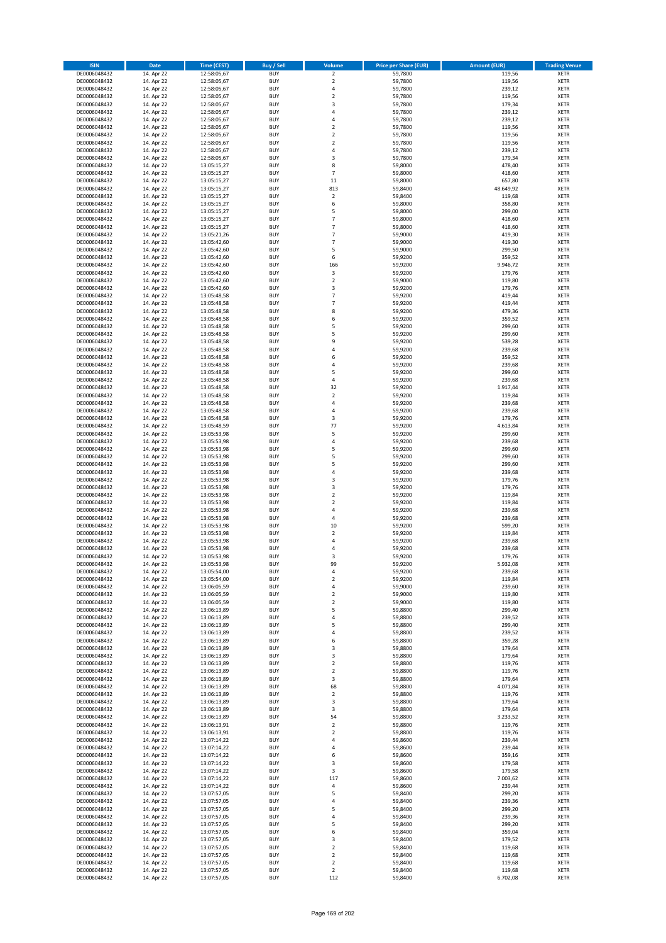| <b>ISIN</b>                  | <b>Date</b>              | <b>Time (CEST)</b>         | <b>Buy / Sell</b>        | <b>Volume</b>                    | <b>Price per Share (EUR)</b> | <b>Amount (EUR)</b> | <b>Trading Venue</b>       |
|------------------------------|--------------------------|----------------------------|--------------------------|----------------------------------|------------------------------|---------------------|----------------------------|
| DE0006048432                 | 14. Apr 22               | 12:58:05,67                | <b>BUY</b>               | $\overline{\mathbf{2}}$          | 59,7800                      | 119,56              | <b>XETR</b>                |
| DE0006048432                 | 14. Apr 22               | 12:58:05,67                | <b>BUY</b>               | $\mathbf 2$                      | 59,7800                      | 119,56              | <b>XETR</b>                |
| DE0006048432                 | 14. Apr 22               | 12:58:05,67                | <b>BUY</b>               | 4                                | 59,7800                      | 239,12              | <b>XETR</b>                |
| DE0006048432<br>DE0006048432 | 14. Apr 22<br>14. Apr 22 | 12:58:05,67<br>12:58:05,67 | <b>BUY</b><br><b>BUY</b> | $\mathbf 2$<br>3                 | 59,7800<br>59,7800           | 119,56<br>179,34    | <b>XETR</b><br><b>XETR</b> |
| DE0006048432                 | 14. Apr 22               | 12:58:05,67                | <b>BUY</b>               | 4                                | 59,7800                      | 239,12              | <b>XETR</b>                |
| DE0006048432                 | 14. Apr 22               | 12:58:05,67                | <b>BUY</b>               | 4                                | 59,7800                      | 239,12              | <b>XETR</b>                |
| DE0006048432                 | 14. Apr 22               | 12:58:05,67                | <b>BUY</b>               | $\overline{\mathbf{c}}$          | 59,7800                      | 119,56              | <b>XETR</b>                |
| DE0006048432                 | 14. Apr 22               | 12:58:05,67                | <b>BUY</b>               | $\overline{2}$                   | 59,7800                      | 119,56              | <b>XETR</b>                |
| DE0006048432                 | 14. Apr 22               | 12:58:05,67                | <b>BUY</b><br><b>BUY</b> | $\overline{2}$                   | 59,7800                      | 119,56              | <b>XETR</b><br><b>XETR</b> |
| DE0006048432<br>DE0006048432 | 14. Apr 22<br>14. Apr 22 | 12:58:05,67<br>12:58:05,67 | <b>BUY</b>               | 4<br>3                           | 59,7800<br>59,7800           | 239,12<br>179,34    | <b>XETR</b>                |
| DE0006048432                 | 14. Apr 22               | 13:05:15,27                | <b>BUY</b>               | 8                                | 59,8000                      | 478,40              | <b>XETR</b>                |
| DE0006048432                 | 14. Apr 22               | 13:05:15,27                | <b>BUY</b>               | $\overline{7}$                   | 59,8000                      | 418,60              | <b>XETR</b>                |
| DE0006048432                 | 14. Apr 22               | 13:05:15,27                | <b>BUY</b>               | 11                               | 59,8000                      | 657,80              | <b>XETR</b>                |
| DE0006048432                 | 14. Apr 22               | 13:05:15,27                | <b>BUY</b>               | 813                              | 59,8400                      | 48.649,92           | <b>XETR</b>                |
| DE0006048432<br>DE0006048432 | 14. Apr 22<br>14. Apr 22 | 13:05:15,27<br>13:05:15,27 | <b>BUY</b><br><b>BUY</b> | $\mathbf 2$<br>6                 | 59,8400<br>59,8000           | 119,68<br>358,80    | <b>XETR</b><br><b>XETR</b> |
| DE0006048432                 | 14. Apr 22               | 13:05:15,27                | <b>BUY</b>               | 5                                | 59,8000                      | 299,00              | <b>XETR</b>                |
| DE0006048432                 | 14. Apr 22               | 13:05:15,27                | <b>BUY</b>               | $\overline{7}$                   | 59,8000                      | 418,60              | <b>XETR</b>                |
| DE0006048432                 | 14. Apr 22               | 13:05:15,27                | <b>BUY</b>               | $\overline{7}$                   | 59,8000                      | 418,60              | <b>XETR</b>                |
| DE0006048432                 | 14. Apr 22               | 13:05:21,26                | <b>BUY</b>               | $\overline{7}$                   | 59,9000                      | 419,30              | <b>XETR</b>                |
| DE0006048432                 | 14. Apr 22               | 13:05:42,60                | <b>BUY</b>               | $\overline{7}$<br>5              | 59,9000                      | 419,30              | <b>XETR</b>                |
| DE0006048432<br>DE0006048432 | 14. Apr 22<br>14. Apr 22 | 13:05:42,60<br>13:05:42,60 | <b>BUY</b><br><b>BUY</b> | 6                                | 59,9000<br>59,9200           | 299,50<br>359,52    | <b>XETR</b><br><b>XETR</b> |
| DE0006048432                 | 14. Apr 22               | 13:05:42,60                | <b>BUY</b>               | 166                              | 59,9200                      | 9.946,72            | <b>XETR</b>                |
| DE0006048432                 | 14. Apr 22               | 13:05:42,60                | <b>BUY</b>               | $\mathsf 3$                      | 59,9200                      | 179,76              | <b>XETR</b>                |
| DE0006048432                 | 14. Apr 22               | 13:05:42,60                | <b>BUY</b>               | $\overline{\mathbf{c}}$          | 59,9000                      | 119,80              | <b>XETR</b>                |
| DE0006048432                 | 14. Apr 22               | 13:05:42,60                | <b>BUY</b>               | 3                                | 59,9200                      | 179,76              | <b>XETR</b>                |
| DE0006048432<br>DE0006048432 | 14. Apr 22<br>14. Apr 22 | 13:05:48,58<br>13:05:48,58 | <b>BUY</b><br><b>BUY</b> | $\overline{7}$<br>$\overline{7}$ | 59,9200<br>59,9200           | 419,44<br>419,44    | <b>XETR</b><br><b>XETR</b> |
| DE0006048432                 | 14. Apr 22               | 13:05:48,58                | <b>BUY</b>               | 8                                | 59,9200                      | 479,36              | <b>XETR</b>                |
| DE0006048432                 | 14. Apr 22               | 13:05:48,58                | <b>BUY</b>               | 6                                | 59,9200                      | 359,52              | <b>XETR</b>                |
| DE0006048432                 | 14. Apr 22               | 13:05:48,58                | <b>BUY</b>               | 5                                | 59,9200                      | 299,60              | <b>XETR</b>                |
| DE0006048432                 | 14. Apr 22               | 13:05:48,58                | <b>BUY</b>               | 5                                | 59,9200                      | 299,60              | <b>XETR</b>                |
| DE0006048432                 | 14. Apr 22               | 13:05:48,58                | <b>BUY</b>               | 9                                | 59,9200                      | 539,28              | <b>XETR</b>                |
| DE0006048432<br>DE0006048432 | 14. Apr 22<br>14. Apr 22 | 13:05:48,58<br>13:05:48,58 | <b>BUY</b><br><b>BUY</b> | 4<br>6                           | 59,9200<br>59,9200           | 239,68<br>359,52    | <b>XETR</b><br><b>XETR</b> |
| DE0006048432                 | 14. Apr 22               | 13:05:48,58                | <b>BUY</b>               | 4                                | 59,9200                      | 239,68              | <b>XETR</b>                |
| DE0006048432                 | 14. Apr 22               | 13:05:48,58                | <b>BUY</b>               | 5                                | 59,9200                      | 299,60              | <b>XETR</b>                |
| DE0006048432                 | 14. Apr 22               | 13:05:48,58                | <b>BUY</b>               | 4                                | 59,9200                      | 239,68              | <b>XETR</b>                |
| DE0006048432                 | 14. Apr 22               | 13:05:48,58                | <b>BUY</b>               | 32                               | 59,9200                      | 1.917,44            | <b>XETR</b>                |
| DE0006048432                 | 14. Apr 22               | 13:05:48,58                | <b>BUY</b>               | $\mathbf 2$                      | 59,9200                      | 119,84              | <b>XETR</b>                |
| DE0006048432<br>DE0006048432 | 14. Apr 22<br>14. Apr 22 | 13:05:48,58<br>13:05:48,58 | <b>BUY</b><br><b>BUY</b> | 4<br>4                           | 59,9200<br>59,9200           | 239,68<br>239,68    | <b>XETR</b><br><b>XETR</b> |
| DE0006048432                 | 14. Apr 22               | 13:05:48,58                | <b>BUY</b>               | 3                                | 59,9200                      | 179,76              | <b>XETR</b>                |
| DE0006048432                 | 14. Apr 22               | 13:05:48,59                | <b>BUY</b>               | 77                               | 59,9200                      | 4.613,84            | <b>XETR</b>                |
| DE0006048432                 | 14. Apr 22               | 13:05:53,98                | <b>BUY</b>               | 5                                | 59,9200                      | 299,60              | <b>XETR</b>                |
| DE0006048432                 | 14. Apr 22               | 13:05:53,98                | <b>BUY</b>               | 4                                | 59,9200                      | 239,68              | <b>XETR</b>                |
| DE0006048432<br>DE0006048432 | 14. Apr 22<br>14. Apr 22 | 13:05:53,98                | <b>BUY</b><br><b>BUY</b> | 5<br>5                           | 59,9200<br>59,9200           | 299,60<br>299,60    | <b>XETR</b><br><b>XETR</b> |
| DE0006048432                 | 14. Apr 22               | 13:05:53,98<br>13:05:53,98 | <b>BUY</b>               | 5                                | 59,9200                      | 299,60              | <b>XETR</b>                |
| DE0006048432                 | 14. Apr 22               | 13:05:53,98                | <b>BUY</b>               | 4                                | 59,9200                      | 239,68              | <b>XETR</b>                |
| DE0006048432                 | 14. Apr 22               | 13:05:53,98                | <b>BUY</b>               | 3                                | 59,9200                      | 179,76              | <b>XETR</b>                |
| DE0006048432                 | 14. Apr 22               | 13:05:53,98                | <b>BUY</b>               | 3                                | 59,9200                      | 179,76              | <b>XETR</b>                |
| DE0006048432                 | 14. Apr 22               | 13:05:53,98                | <b>BUY</b>               | $\mathbf 2$                      | 59,9200                      | 119,84              | <b>XETR</b>                |
| DE0006048432<br>DE0006048432 | 14. Apr 22<br>14. Apr 22 | 13:05:53,98<br>13:05:53,98 | <b>BUY</b><br><b>BUY</b> | $\overline{\mathbf{c}}$<br>4     | 59,9200<br>59,9200           | 119,84<br>239,68    | <b>XETR</b><br><b>XETR</b> |
| DE0006048432                 | 14. Apr 22               | 13:05:53,98                | <b>BUY</b>               | 4                                | 59,9200                      | 239,68              | <b>XETR</b>                |
| DE0006048432                 | 14. Apr 22               | 13:05:53,98                | <b>BUY</b>               | 10                               | 59,9200                      | 599,20              | <b>XETR</b>                |
| DE0006048432                 | 14. Apr 22               | 13:05:53,98                | <b>BUY</b>               | $\mathbf 2$                      | 59,9200                      | 119,84              | <b>XETR</b>                |
| DE0006048432                 | 14. Apr 22               | 13:05:53,98                | <b>BUY</b>               | 4                                | 59,9200                      | 239,68              | <b>XETR</b>                |
| DE0006048432<br>DE0006048432 | 14. Apr 22<br>14. Apr 22 | 13:05:53,98<br>13:05:53,98 | <b>BUY</b><br><b>BUY</b> | 4<br>3                           | 59,9200<br>59,9200           | 239,68<br>179,76    | <b>XETR</b><br><b>XETR</b> |
| DE0006048432                 | 14. Apr 22               | 13:05:53,98                | BUY                      | 99                               | 59,9200                      | 5.932,08            | <b>XETR</b>                |
| DE0006048432                 | 14. Apr 22               | 13:05:54,00                | <b>BUY</b>               | 4                                | 59,9200                      | 239,68              | XETR                       |
| DE0006048432                 | 14. Apr 22               | 13:05:54,00                | <b>BUY</b>               | $\mathbf 2$                      | 59,9200                      | 119,84              | XETR                       |
| DE0006048432                 | 14. Apr 22               | 13:06:05,59                | <b>BUY</b>               | 4                                | 59,9000                      | 239,60              | XETR                       |
| DE0006048432<br>DE0006048432 | 14. Apr 22<br>14. Apr 22 | 13:06:05,59<br>13:06:05,59 | <b>BUY</b><br><b>BUY</b> | $\mathbf 2$<br>$\mathbf 2$       | 59,9000<br>59,9000           | 119,80<br>119,80    | <b>XETR</b><br><b>XETR</b> |
| DE0006048432                 | 14. Apr 22               | 13:06:13,89                | <b>BUY</b>               | 5                                | 59,8800                      | 299,40              | <b>XETR</b>                |
| DE0006048432                 | 14. Apr 22               | 13:06:13,89                | <b>BUY</b>               | 4                                | 59,8800                      | 239,52              | <b>XETR</b>                |
| DE0006048432                 | 14. Apr 22               | 13:06:13,89                | <b>BUY</b>               | 5                                | 59,8800                      | 299,40              | <b>XETR</b>                |
| DE0006048432                 | 14. Apr 22               | 13:06:13,89                | <b>BUY</b>               | 4                                | 59,8800                      | 239,52              | <b>XETR</b>                |
| DE0006048432<br>DE0006048432 | 14. Apr 22<br>14. Apr 22 | 13:06:13,89<br>13:06:13,89 | <b>BUY</b><br><b>BUY</b> | 6<br>3                           | 59,8800<br>59,8800           | 359,28<br>179,64    | <b>XETR</b><br><b>XETR</b> |
| DE0006048432                 | 14. Apr 22               | 13:06:13,89                | <b>BUY</b>               | 3                                | 59,8800                      | 179,64              | <b>XETR</b>                |
| DE0006048432                 | 14. Apr 22               | 13:06:13,89                | <b>BUY</b>               | $\overline{2}$                   | 59.8800                      | 119,76              | <b>XETR</b>                |
| DE0006048432                 | 14. Apr 22               | 13:06:13,89                | <b>BUY</b>               | $\mathbf 2$                      | 59,8800                      | 119,76              | <b>XETR</b>                |
| DE0006048432                 | 14. Apr 22               | 13:06:13,89                | <b>BUY</b>               | 3                                | 59,8800                      | 179,64              | <b>XETR</b>                |
| DE0006048432<br>DE0006048432 | 14. Apr 22<br>14. Apr 22 | 13:06:13,89<br>13:06:13,89 | <b>BUY</b><br><b>BUY</b> | 68<br>$\mathbf 2$                | 59,8800<br>59,8800           | 4.071,84<br>119,76  | <b>XETR</b><br><b>XETR</b> |
| DE0006048432                 | 14. Apr 22               | 13:06:13,89                | <b>BUY</b>               | 3                                | 59,8800                      | 179,64              | XETR                       |
| DE0006048432                 | 14. Apr 22               | 13:06:13,89                | <b>BUY</b>               | 3                                | 59,8800                      | 179,64              | <b>XETR</b>                |
| DE0006048432                 | 14. Apr 22               | 13:06:13,89                | <b>BUY</b>               | 54                               | 59,8800                      | 3.233,52            | <b>XETR</b>                |
| DE0006048432                 | 14. Apr 22               | 13:06:13,91                | <b>BUY</b>               | $\mathbf 2$                      | 59,8800                      | 119,76              | <b>XETR</b>                |
| DE0006048432                 | 14. Apr 22               | 13:06:13,91                | <b>BUY</b><br><b>BUY</b> | $\overline{\mathbf{c}}$          | 59,8800                      | 119,76              | <b>XETR</b>                |
| DE0006048432<br>DE0006048432 | 14. Apr 22<br>14. Apr 22 | 13:07:14,22<br>13:07:14,22 | <b>BUY</b>               | 4<br>4                           | 59,8600<br>59,8600           | 239,44<br>239,44    | <b>XETR</b><br><b>XETR</b> |
| DE0006048432                 | 14. Apr 22               | 13:07:14,22                | <b>BUY</b>               | 6                                | 59,8600                      | 359,16              | XETR                       |
| DE0006048432                 | 14. Apr 22               | 13:07:14,22                | <b>BUY</b>               | 3                                | 59,8600                      | 179,58              | <b>XETR</b>                |
| DE0006048432                 | 14. Apr 22               | 13:07:14,22                | <b>BUY</b>               | 3                                | 59,8600                      | 179,58              | <b>XETR</b>                |
| DE0006048432                 | 14. Apr 22               | 13:07:14,22                | <b>BUY</b>               | 117                              | 59,8600                      | 7.003,62            | <b>XETR</b>                |
| DE0006048432<br>DE0006048432 | 14. Apr 22<br>14. Apr 22 | 13:07:14,22<br>13:07:57,05 | <b>BUY</b><br><b>BUY</b> | 4<br>5                           | 59,8600<br>59,8400           | 239,44<br>299,20    | XETR<br><b>XETR</b>        |
| DE0006048432                 | 14. Apr 22               | 13:07:57,05                | <b>BUY</b>               | 4                                | 59,8400                      | 239,36              | <b>XETR</b>                |
| DE0006048432                 | 14. Apr 22               | 13:07:57,05                | <b>BUY</b>               | 5                                | 59,8400                      | 299,20              | XETR                       |
| DE0006048432                 | 14. Apr 22               | 13:07:57,05                | <b>BUY</b>               | 4                                | 59,8400                      | 239,36              | <b>XETR</b>                |
| DE0006048432                 | 14. Apr 22               | 13:07:57,05                | <b>BUY</b>               | 5                                | 59,8400                      | 299,20              | <b>XETR</b>                |
| DE0006048432<br>DE0006048432 | 14. Apr 22               | 13:07:57,05                | <b>BUY</b><br><b>BUY</b> | 6<br>3                           | 59,8400                      | 359,04              | <b>XETR</b><br><b>XETR</b> |
| DE0006048432                 | 14. Apr 22<br>14. Apr 22 | 13:07:57,05<br>13:07:57,05 | <b>BUY</b>               | $\mathbf 2$                      | 59,8400<br>59,8400           | 179,52<br>119,68    | <b>XETR</b>                |
| DE0006048432                 | 14. Apr 22               | 13:07:57,05                | <b>BUY</b>               | $\overline{2}$                   | 59,8400                      | 119,68              | <b>XETR</b>                |
| DE0006048432                 | 14. Apr 22               | 13:07:57,05                | <b>BUY</b>               | $\mathbf 2$                      | 59,8400                      | 119,68              | <b>XETR</b>                |
| DE0006048432                 | 14. Apr 22               | 13:07:57,05                | <b>BUY</b>               | $\mathbf 2$                      | 59,8400                      | 119,68              | <b>XETR</b>                |
| DE0006048432                 | 14. Apr 22               | 13:07:57,05                | <b>BUY</b>               | 112                              | 59,8400                      | 6.702,08            | XETR                       |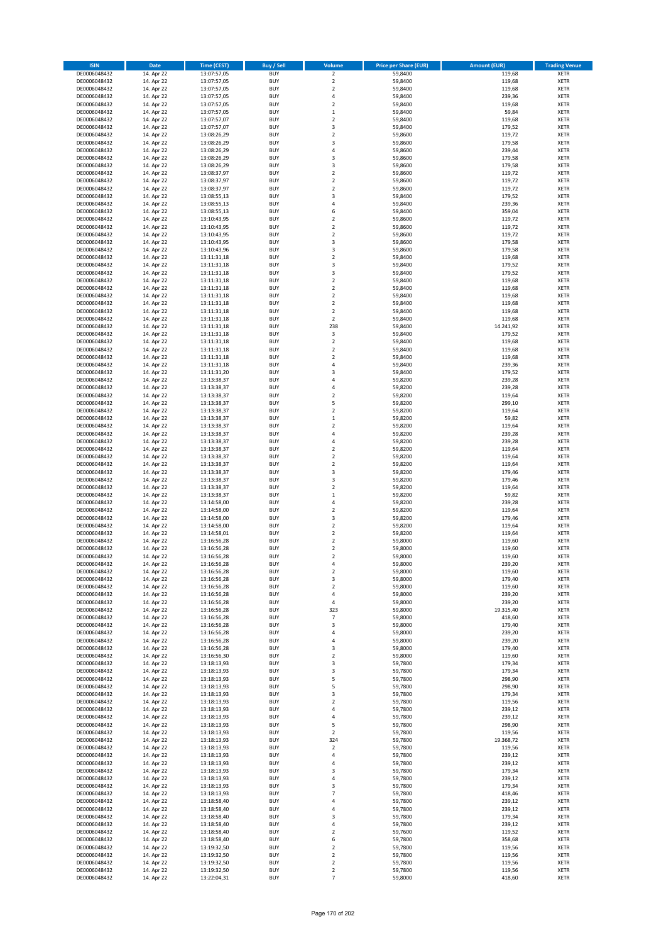| <b>ISIN</b>                  | <b>Date</b>              | Time (CEST)                | <b>Buy / Sell</b>        | Volume                           | <b>Price per Share (EUR)</b> | Amount (EUR)     | <b>Trading Venue</b>       |
|------------------------------|--------------------------|----------------------------|--------------------------|----------------------------------|------------------------------|------------------|----------------------------|
| DE0006048432                 | 14. Apr 22               | 13:07:57,05                | <b>BUY</b>               | $\overline{\mathbf{2}}$          | 59,8400                      | 119,68           | <b>XETR</b>                |
| DE0006048432                 | 14. Apr 22               | 13:07:57,05                | <b>BUY</b>               | $\mathbf 2$                      | 59,8400                      | 119,68           | <b>XETR</b>                |
| DE0006048432                 | 14. Apr 22               | 13:07:57,05                | <b>BUY</b>               | $\mathbf 2$                      | 59,8400                      | 119,68           | <b>XETR</b>                |
| DE0006048432                 | 14. Apr 22               | 13:07:57,05                | <b>BUY</b>               | 4                                | 59,8400                      | 239,36           | <b>XETR</b>                |
| DE0006048432                 | 14. Apr 22               | 13:07:57,05                | <b>BUY</b>               | $\overline{2}$                   | 59,8400                      | 119,68           | <b>XETR</b>                |
| DE0006048432                 | 14. Apr 22               | 13:07:57,05                | <b>BUY</b>               | $\,1\,$                          | 59,8400                      | 59,84            | <b>XETR</b>                |
| DE0006048432                 | 14. Apr 22               | 13:07:57,07                | <b>BUY</b>               | $\overline{2}$                   | 59,8400                      | 119,68           | <b>XETR</b>                |
| DE0006048432                 | 14. Apr 22               | 13:07:57,07                | <b>BUY</b>               | 3                                | 59,8400                      | 179,52           | <b>XETR</b>                |
| DE0006048432                 | 14. Apr 22               | 13:08:26,29                | BUY                      | $\overline{2}$                   | 59,8600                      | 119,72           | <b>XETR</b>                |
| DE0006048432                 | 14. Apr 22               | 13:08:26,29                | <b>BUY</b>               | 3                                | 59,8600                      | 179,58           | <b>XETR</b>                |
| DE0006048432                 | 14. Apr 22               | 13:08:26,29                | <b>BUY</b>               | 4                                | 59,8600                      | 239,44           | <b>XETR</b>                |
| DE0006048432                 | 14. Apr 22               | 13:08:26,29                | <b>BUY</b>               | $\overline{\mathbf{3}}$          | 59,8600                      | 179,58           | <b>XETR</b>                |
| DE0006048432                 | 14. Apr 22               | 13:08:26,29                | <b>BUY</b>               | $\overline{3}$                   | 59,8600                      | 179,58           | <b>XETR</b>                |
| DE0006048432                 | 14. Apr 22<br>14. Apr 22 | 13:08:37,97                | <b>BUY</b><br><b>BUY</b> | $\overline{2}$<br>$\overline{2}$ | 59,8600                      | 119,72<br>119,72 | <b>XETR</b><br><b>XETR</b> |
| DE0006048432<br>DE0006048432 | 14. Apr 22               | 13:08:37,97<br>13:08:37,97 | BUY                      | $\overline{2}$                   | 59,8600<br>59,8600           | 119,72           | <b>XETR</b>                |
| DE0006048432                 | 14. Apr 22               | 13:08:55,13                | <b>BUY</b>               | 3                                | 59,8400                      | 179,52           | <b>XETR</b>                |
| DE0006048432                 | 14. Apr 22               | 13:08:55,13                | <b>BUY</b>               | 4                                | 59,8400                      | 239,36           | <b>XETR</b>                |
| DE0006048432                 | 14. Apr 22               | 13:08:55,13                | <b>BUY</b>               | 6                                | 59,8400                      | 359,04           | <b>XETR</b>                |
| DE0006048432                 | 14. Apr 22               | 13:10:43,95                | <b>BUY</b>               | $\overline{2}$                   | 59,8600                      | 119,72           | <b>XETR</b>                |
| DE0006048432                 | 14. Apr 22               | 13:10:43,95                | <b>BUY</b>               | $\overline{2}$                   | 59,8600                      | 119,72           | <b>XETR</b>                |
| DE0006048432                 | 14. Apr 22               | 13:10:43,95                | <b>BUY</b>               | $\mathbf 2$                      | 59,8600                      | 119,72           | <b>XETR</b>                |
| DE0006048432                 | 14. Apr 22               | 13:10:43,95                | <b>BUY</b>               | $\overline{\mathbf{3}}$          | 59,8600                      | 179,58           | <b>XETR</b>                |
| DE0006048432                 | 14. Apr 22               | 13:10:43,96                | <b>BUY</b>               | 3                                | 59,8600                      | 179,58           | <b>XETR</b>                |
| DE0006048432                 | 14. Apr 22               | 13:11:31,18                | <b>BUY</b>               | $\mathbf 2$                      | 59,8400                      | 119,68           | <b>XETR</b>                |
| DE0006048432                 | 14. Apr 22               | 13:11:31,18                | <b>BUY</b>               | 3                                | 59,8400                      | 179,52           | <b>XETR</b>                |
| DE0006048432                 | 14. Apr 22               | 13:11:31,18                | <b>BUY</b>               | 3                                | 59,8400                      | 179,52           | <b>XETR</b>                |
| DE0006048432                 | 14. Apr 22               | 13:11:31,18                | <b>BUY</b>               | $\overline{2}$                   | 59,8400                      | 119,68           | <b>XETR</b>                |
| DE0006048432                 | 14. Apr 22               | 13:11:31,18                | <b>BUY</b>               | $\mathbf 2$                      | 59,8400                      | 119,68           | <b>XETR</b>                |
| DE0006048432                 | 14. Apr 22               | 13:11:31,18                | <b>BUY</b>               | $\overline{2}$                   | 59,8400                      | 119,68           | <b>XETR</b>                |
| DE0006048432                 | 14. Apr 22               | 13:11:31,18                | <b>BUY</b>               | $\mathbf 2$                      | 59,8400                      | 119,68           | <b>XETR</b>                |
| DE0006048432<br>DE0006048432 | 14. Apr 22<br>14. Apr 22 | 13:11:31,18<br>13:11:31,18 | <b>BUY</b><br><b>BUY</b> | $\mathbf 2$<br>$\mathbf 2$       | 59,8400<br>59,8400           | 119,68<br>119,68 | <b>XETR</b><br><b>XETR</b> |
| DE0006048432                 | 14. Apr 22               | 13:11:31,18                | <b>BUY</b>               | 238                              | 59,8400                      | 14.241,92        | <b>XETR</b>                |
| DE0006048432                 | 14. Apr 22               | 13:11:31,18                | <b>BUY</b>               | 3                                | 59,8400                      | 179,52           | <b>XETR</b>                |
| DE0006048432                 | 14. Apr 22               | 13:11:31,18                | <b>BUY</b>               | $\mathbf 2$                      | 59,8400                      | 119,68           | <b>XETR</b>                |
| DE0006048432                 | 14. Apr 22               | 13:11:31,18                | <b>BUY</b>               | $\overline{2}$                   | 59,8400                      | 119,68           | <b>XETR</b>                |
| DE0006048432                 | 14. Apr 22               | 13:11:31,18                | <b>BUY</b>               | $\mathbf 2$                      | 59,8400                      | 119,68           | <b>XETR</b>                |
| DE0006048432                 | 14. Apr 22               | 13:11:31,18                | <b>BUY</b>               | 4                                | 59,8400                      | 239,36           | <b>XETR</b>                |
| DE0006048432                 | 14. Apr 22               | 13:11:31,20                | <b>BUY</b>               | $\overline{\mathbf{3}}$          | 59,8400                      | 179,52           | <b>XETR</b>                |
| DE0006048432                 | 14. Apr 22               | 13:13:38,37                | <b>BUY</b>               | $\overline{a}$                   | 59,8200                      | 239,28           | <b>XETR</b>                |
| DE0006048432                 | 14. Apr 22               | 13:13:38,37                | <b>BUY</b>               | $\overline{4}$                   | 59,8200                      | 239,28           | <b>XETR</b>                |
| DE0006048432                 | 14. Apr 22               | 13:13:38,37                | <b>BUY</b>               | $\mathbf 2$                      | 59,8200                      | 119,64           | <b>XETR</b>                |
| DE0006048432                 | 14. Apr 22               | 13:13:38,37                | <b>BUY</b>               | 5                                | 59,8200                      | 299,10           | <b>XETR</b>                |
| DE0006048432                 | 14. Apr 22               | 13:13:38,37                | <b>BUY</b>               | $\mathbf 2$                      | 59,8200                      | 119,64           | <b>XETR</b>                |
| DE0006048432                 | 14. Apr 22               | 13:13:38,37                | <b>BUY</b>               | $\mathbf 1$                      | 59,8200                      | 59,82            | <b>XETR</b>                |
| DE0006048432                 | 14. Apr 22               | 13:13:38,37                | <b>BUY</b>               | $\overline{2}$                   | 59,8200                      | 119,64           | <b>XETR</b>                |
| DE0006048432                 | 14. Apr 22               | 13:13:38,37                | <b>BUY</b>               | $\overline{a}$                   | 59,8200                      | 239,28           | <b>XETR</b>                |
| DE0006048432                 | 14. Apr 22               | 13:13:38,37                | <b>BUY</b>               | $\overline{4}$                   | 59,8200                      | 239,28           | <b>XETR</b>                |
| DE0006048432                 | 14. Apr 22               | 13:13:38,37                | <b>BUY</b>               | $\overline{2}$                   | 59,8200                      | 119,64           | <b>XETR</b>                |
| DE0006048432                 | 14. Apr 22               | 13:13:38,37                | <b>BUY</b><br><b>BUY</b> | $\overline{2}$<br>$\overline{2}$ | 59,8200                      | 119,64           | <b>XETR</b>                |
| DE0006048432<br>DE0006048432 | 14. Apr 22<br>14. Apr 22 | 13:13:38,37<br>13:13:38,37 | <b>BUY</b>               | 3                                | 59,8200<br>59,8200           | 119,64<br>179,46 | <b>XETR</b><br><b>XETR</b> |
| DE0006048432                 | 14. Apr 22               | 13:13:38,37                | <b>BUY</b>               | 3                                | 59,8200                      | 179,46           | <b>XETR</b>                |
| DE0006048432                 | 14. Apr 22               | 13:13:38,37                | <b>BUY</b>               | $\overline{2}$                   | 59,8200                      | 119,64           | <b>XETR</b>                |
| DE0006048432                 | 14. Apr 22               | 13:13:38,37                | <b>BUY</b>               | $\mathbf{1}$                     | 59,8200                      | 59,82            | <b>XETR</b>                |
| DE0006048432                 | 14. Apr 22               | 13:14:58,00                | <b>BUY</b>               | $\overline{a}$                   | 59,8200                      | 239,28           | <b>XETR</b>                |
| DE0006048432                 | 14. Apr 22               | 13:14:58,00                | <b>BUY</b>               | $\overline{2}$                   | 59,8200                      | 119,64           | <b>XETR</b>                |
| DE0006048432                 | 14. Apr 22               | 13:14:58,00                | BUY                      | 3                                | 59,8200                      | 179,46           | <b>XETR</b>                |
| DE0006048432                 | 14. Apr 22               | 13:14:58,00                | <b>BUY</b>               | $\overline{2}$                   | 59,8200                      | 119,64           | <b>XETR</b>                |
| DE0006048432                 | 14. Apr 22               | 13:14:58,01                | <b>BUY</b>               | $\mathbf 2$                      | 59,8200                      | 119,64           | <b>XETR</b>                |
| DE0006048432                 | 14. Apr 22               | 13:16:56,28                | BUY                      | $\overline{2}$                   | 59,8000                      | 119,60           | <b>XETR</b>                |
| DE0006048432                 | 14. Apr 22               | 13:16:56,28                | BUY                      | $\mathbf 2$                      | 59,8000                      | 119,60           | <b>XETR</b>                |
| DE0006048432                 | 14. Apr 22               | 13:16:56,28                | <b>BUY</b>               | $\overline{2}$                   | 59,8000                      | 119,60           | <b>XETR</b>                |
| DE0006048432                 | 14. Apr 22               | 13:16:56,28                | BUY                      | 4                                | 59,8000                      | 239,20           | <b>XETR</b>                |
| DE0006048432                 | 14. Apr 22               | 13:16:56,28                | <b>BUY</b>               | $\mathbf 2$                      | 59,8000                      | 119,60           | <b>XETR</b>                |
| DE0006048432                 | 14. Apr 22               | 13:16:56,28                | <b>BUY</b>               | 3                                | 59,8000                      | 179,40           | <b>XETR</b>                |
| DE0006048432                 | 14. Apr 22               | 13:16:56,28                | <b>BUY</b>               | $\mathbf 2$                      | 59,8000                      | 119,60           | <b>XETR</b>                |
| DE0006048432                 | 14. Apr 22               | 13:16:56,28                | <b>BUY</b>               | 4                                | 59,8000                      | 239,20           | <b>XETR</b>                |
| DE0006048432                 | 14. Apr 22               | 13:16:56,28                | <b>BUY</b>               | 4                                | 59,8000                      | 239,20           | <b>XETR</b>                |
| DE0006048432                 | 14. Apr 22               | 13:16:56,28                | <b>BUY</b>               | 323                              | 59,8000                      | 19.315,40        | <b>XETR</b>                |
| DE0006048432                 | 14. Apr 22               | 13:16:56,28                | <b>BUY</b>               | $\overline{7}$                   | 59,8000                      | 418,60           | <b>XETR</b>                |
| DE0006048432<br>DE0006048432 | 14. Apr 22<br>14. Apr 22 | 13:16:56,28<br>13:16:56,28 | <b>BUY</b><br><b>BUY</b> | 3<br>4                           | 59,8000<br>59,8000           | 179,40<br>239,20 | <b>XETR</b><br><b>XETR</b> |
| DE0006048432                 | 14. Apr 22               | 13:16:56,28                | <b>BUY</b>               | 4                                | 59,8000                      | 239,20           | <b>XETR</b>                |
| DE0006048432                 | 14. Apr 22               | 13:16:56,28                | <b>BUY</b>               | 3                                | 59,8000                      | 179,40           | <b>XETR</b>                |
| DE0006048432                 | 14. Apr 22               | 13:16:56,30                | <b>BUY</b>               | $\mathbf 2$                      | 59,8000                      | 119,60           | <b>XETR</b>                |
| DE0006048432                 | 14. Apr 22               | 13:18:13,93                | <b>BUY</b>               | $\overline{\mathbf{3}}$          | 59,7800                      | 179,34           | <b>XETR</b>                |
| DE0006048432                 | 14. Apr 22               | 13:18:13,93                | <b>BUY</b>               | 3                                | 59,7800                      | 179,34           | <b>XETR</b>                |
| DE0006048432                 | 14. Apr 22               | 13:18:13,93                | <b>BUY</b>               | 5                                | 59,7800                      | 298,90           | <b>XETR</b>                |
| DE0006048432                 | 14. Apr 22               | 13:18:13,93                | <b>BUY</b>               | 5                                | 59,7800                      | 298,90           | <b>XETR</b>                |
| DE0006048432                 | 14. Apr 22               | 13:18:13,93                | <b>BUY</b>               | 3                                | 59,7800                      | 179,34           | <b>XETR</b>                |
| DE0006048432                 | 14. Apr 22               | 13:18:13,93                | <b>BUY</b>               | $\mathbf 2$                      | 59,7800                      | 119,56           | <b>XETR</b>                |
| DE0006048432                 | 14. Apr 22               | 13:18:13,93                | <b>BUY</b>               | $\overline{4}$                   | 59,7800                      | 239,12           | <b>XETR</b>                |
| DE0006048432                 | 14. Apr 22               | 13:18:13,93                | <b>BUY</b>               | $\overline{4}$                   | 59,7800                      | 239,12           | <b>XETR</b>                |
| DE0006048432                 | 14. Apr 22               | 13:18:13,93                | <b>BUY</b>               | 5                                | 59,7800                      | 298,90           | <b>XETR</b>                |
| DE0006048432                 | 14. Apr 22               | 13:18:13,93                | <b>BUY</b>               | $\overline{2}$                   | 59,7800                      | 119,56           | <b>XETR</b>                |
| DE0006048432                 | 14. Apr 22               | 13:18:13,93                | <b>BUY</b>               | 324                              | 59,7800                      | 19.368,72        | <b>XETR</b>                |
| DE0006048432                 | 14. Apr 22               | 13:18:13,93                | <b>BUY</b>               | $\mathbf 2$                      | 59,7800                      | 119,56           | <b>XETR</b>                |
| DE0006048432                 | 14. Apr 22               | 13:18:13,93                | <b>BUY</b>               | 4<br>$\overline{a}$              | 59,7800                      | 239,12           | <b>XETR</b><br><b>XETR</b> |
| DE0006048432<br>DE0006048432 | 14. Apr 22<br>14. Apr 22 | 13:18:13,93                | <b>BUY</b><br><b>BUY</b> | $\overline{\mathbf{3}}$          | 59,7800<br>59,7800           | 239,12           | <b>XETR</b>                |
| DE0006048432                 | 14. Apr 22               | 13:18:13,93<br>13:18:13,93 | <b>BUY</b>               | 4                                | 59,7800                      | 179,34<br>239,12 | <b>XETR</b>                |
| DE0006048432                 | 14. Apr 22               | 13:18:13,93                | <b>BUY</b>               | 3                                | 59,7800                      | 179,34           | <b>XETR</b>                |
| DE0006048432                 | 14. Apr 22               | 13:18:13,93                | <b>BUY</b>               | $\overline{7}$                   | 59,7800                      | 418,46           | <b>XETR</b>                |
| DE0006048432                 | 14. Apr 22               | 13:18:58,40                | <b>BUY</b>               | $\overline{4}$                   | 59,7800                      | 239,12           | <b>XETR</b>                |
| DE0006048432                 | 14. Apr 22               | 13:18:58,40                | <b>BUY</b>               | 4                                | 59,7800                      | 239,12           | <b>XETR</b>                |
| DE0006048432                 | 14. Apr 22               | 13:18:58,40                | <b>BUY</b>               | $\overline{\mathbf{3}}$          | 59,7800                      | 179,34           | <b>XETR</b>                |
| DE0006048432                 | 14. Apr 22               | 13:18:58,40                | <b>BUY</b>               | 4                                | 59,7800                      | 239,12           | <b>XETR</b>                |
| DE0006048432                 | 14. Apr 22               | 13:18:58,40                | <b>BUY</b>               | $\mathbf 2$                      | 59,7600                      | 119,52           | <b>XETR</b>                |
| DE0006048432                 | 14. Apr 22               | 13:18:58,40                | <b>BUY</b>               | 6                                | 59,7800                      | 358,68           | <b>XETR</b>                |
| DE0006048432                 | 14. Apr 22               | 13:19:32,50                | <b>BUY</b>               | $\mathbf 2$                      | 59,7800                      | 119,56           | <b>XETR</b>                |
| DE0006048432                 | 14. Apr 22               | 13:19:32,50                | <b>BUY</b>               | 2                                | 59,7800                      | 119,56           | <b>XETR</b>                |
| DE0006048432                 | 14. Apr 22               | 13:19:32,50                | <b>BUY</b>               | 2                                | 59,7800                      | 119,56           | <b>XETR</b>                |
| DE0006048432                 | 14. Apr 22               | 13:19:32,50                | <b>BUY</b>               | 2                                | 59,7800                      | 119,56           | <b>XETR</b>                |
| DE0006048432                 | 14. Apr 22               | 13:22:04,31                | <b>BUY</b>               | $\overline{7}$                   | 59,8000                      | 418,60           | <b>XETR</b>                |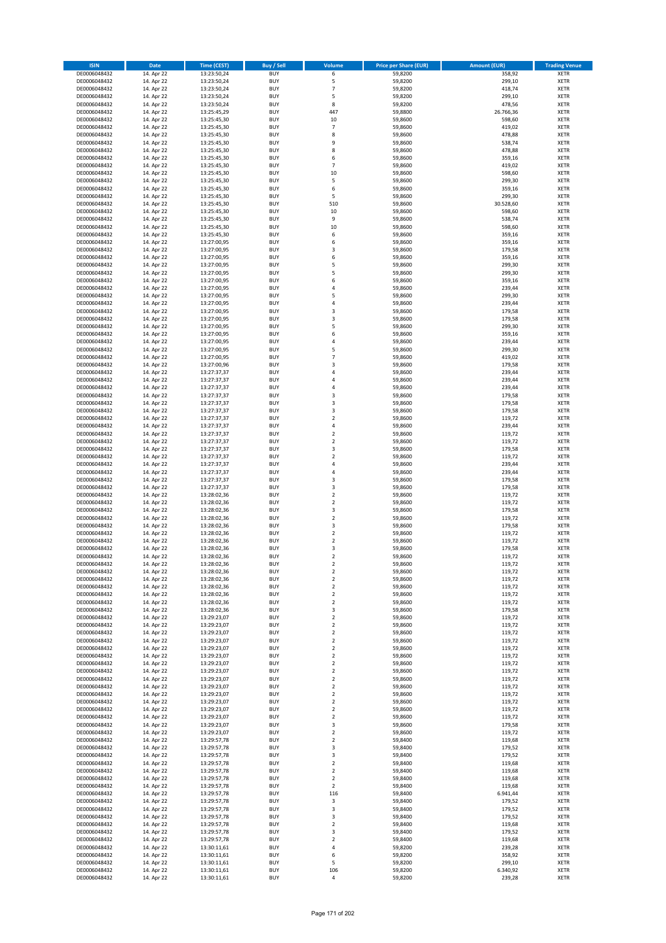| <b>ISIN</b>                  | <b>Date</b>              | <b>Time (CEST)</b>         | <b>Buy / Sell</b>        | <b>Volume</b>                 | <b>Price per Share (EUR)</b> | <b>Amount (EUR)</b> | <b>Trading Venue</b>       |
|------------------------------|--------------------------|----------------------------|--------------------------|-------------------------------|------------------------------|---------------------|----------------------------|
| DE0006048432                 | 14. Apr 22               | 13:23:50,24                | <b>BUY</b>               | 6                             | 59,8200                      | 358,92              | <b>XETR</b>                |
| DE0006048432                 | 14. Apr 22               | 13:23:50,24                | <b>BUY</b>               | 5                             | 59,8200                      | 299,10              | <b>XETR</b>                |
| DE0006048432                 | 14. Apr 22               | 13:23:50,24                | <b>BUY</b>               | $\overline{7}$                | 59,8200                      | 418,74              | <b>XETR</b>                |
| DE0006048432<br>DE0006048432 | 14. Apr 22<br>14. Apr 22 | 13:23:50,24<br>13:23:50,24 | <b>BUY</b><br><b>BUY</b> | 5<br>8                        | 59,8200<br>59,8200           | 299,10<br>478,56    | <b>XETR</b><br><b>XETR</b> |
| DE0006048432                 | 14. Apr 22               | 13:25:45,29                | <b>BUY</b>               | 447                           | 59,8800                      | 26.766,36           | <b>XETR</b>                |
| DE0006048432                 | 14. Apr 22               | 13:25:45,30                | <b>BUY</b>               | 10                            | 59,8600                      | 598,60              | <b>XETR</b>                |
| DE0006048432                 | 14. Apr 22               | 13:25:45,30                | <b>BUY</b>               | $\overline{7}$                | 59,8600                      | 419,02              | <b>XETR</b>                |
| DE0006048432                 | 14. Apr 22               | 13:25:45,30                | <b>BUY</b>               | 8                             | 59,8600                      | 478,88              | <b>XETR</b>                |
| DE0006048432                 | 14. Apr 22               | 13:25:45,30                | <b>BUY</b>               | 9                             | 59,8600                      | 538,74              | <b>XETR</b>                |
| DE0006048432<br>DE0006048432 | 14. Apr 22<br>14. Apr 22 | 13:25:45,30<br>13:25:45,30 | <b>BUY</b><br><b>BUY</b> | 8<br>6                        | 59,8600<br>59,8600           | 478,88<br>359,16    | <b>XETR</b><br><b>XETR</b> |
| DE0006048432                 | 14. Apr 22               | 13:25:45,30                | <b>BUY</b>               | $\overline{7}$                | 59,8600                      | 419,02              | <b>XETR</b>                |
| DE0006048432                 | 14. Apr 22               | 13:25:45,30                | <b>BUY</b>               | 10                            | 59,8600                      | 598,60              | <b>XETR</b>                |
| DE0006048432                 | 14. Apr 22               | 13:25:45,30                | <b>BUY</b>               | 5                             | 59,8600                      | 299,30              | <b>XETR</b>                |
| DE0006048432                 | 14. Apr 22               | 13:25:45,30                | <b>BUY</b>               | 6                             | 59,8600                      | 359,16              | <b>XETR</b>                |
| DE0006048432                 | 14. Apr 22               | 13:25:45,30                | <b>BUY</b>               | 5                             | 59,8600                      | 299,30              | <b>XETR</b>                |
| DE0006048432                 | 14. Apr 22               | 13:25:45,30                | <b>BUY</b>               | 510                           | 59,8600                      | 30.528,60           | <b>XETR</b>                |
| DE0006048432<br>DE0006048432 | 14. Apr 22<br>14. Apr 22 | 13:25:45,30<br>13:25:45,30 | <b>BUY</b><br><b>BUY</b> | 10<br>9                       | 59,8600<br>59,8600           | 598,60<br>538,74    | <b>XETR</b><br><b>XETR</b> |
| DE0006048432                 | 14. Apr 22               | 13:25:45,30                | <b>BUY</b>               | 10                            | 59,8600                      | 598,60              | <b>XETR</b>                |
| DE0006048432                 | 14. Apr 22               | 13:25:45,30                | <b>BUY</b>               | 6                             | 59,8600                      | 359,16              | <b>XETR</b>                |
| DE0006048432                 | 14. Apr 22               | 13:27:00,95                | <b>BUY</b>               | 6                             | 59,8600                      | 359,16              | <b>XETR</b>                |
| DE0006048432                 | 14. Apr 22               | 13:27:00,95                | <b>BUY</b>               | 3                             | 59,8600                      | 179,58              | <b>XETR</b>                |
| DE0006048432                 | 14. Apr 22               | 13:27:00,95                | <b>BUY</b>               | 6                             | 59,8600                      | 359,16              | <b>XETR</b>                |
| DE0006048432<br>DE0006048432 | 14. Apr 22<br>14. Apr 22 | 13:27:00,95<br>13:27:00,95 | <b>BUY</b><br><b>BUY</b> | 5<br>5                        | 59,8600<br>59,8600           | 299,30<br>299,30    | <b>XETR</b><br><b>XETR</b> |
| DE0006048432                 | 14. Apr 22               | 13:27:00,95                | <b>BUY</b>               | 6                             | 59,8600                      | 359,16              | <b>XETR</b>                |
| DE0006048432                 | 14. Apr 22               | 13:27:00,95                | <b>BUY</b>               | 4                             | 59,8600                      | 239,44              | <b>XETR</b>                |
| DE0006048432                 | 14. Apr 22               | 13:27:00,95                | <b>BUY</b>               | 5                             | 59,8600                      | 299,30              | <b>XETR</b>                |
| DE0006048432                 | 14. Apr 22               | 13:27:00,95                | <b>BUY</b>               | 4                             | 59,8600                      | 239,44              | <b>XETR</b>                |
| DE0006048432                 | 14. Apr 22               | 13:27:00,95                | <b>BUY</b>               | 3                             | 59,8600                      | 179,58              | <b>XETR</b>                |
| DE0006048432                 | 14. Apr 22               | 13:27:00,95                | <b>BUY</b><br><b>BUY</b> | 3<br>5                        | 59,8600                      | 179,58              | <b>XETR</b><br><b>XETR</b> |
| DE0006048432<br>DE0006048432 | 14. Apr 22<br>14. Apr 22 | 13:27:00,95<br>13:27:00,95 | <b>BUY</b>               | 6                             | 59,8600<br>59,8600           | 299,30<br>359,16    | <b>XETR</b>                |
| DE0006048432                 | 14. Apr 22               | 13:27:00,95                | <b>BUY</b>               | 4                             | 59,8600                      | 239,44              | <b>XETR</b>                |
| DE0006048432                 | 14. Apr 22               | 13:27:00,95                | <b>BUY</b>               | 5                             | 59,8600                      | 299,30              | <b>XETR</b>                |
| DE0006048432                 | 14. Apr 22               | 13:27:00,95                | <b>BUY</b>               | $\overline{7}$                | 59,8600                      | 419,02              | <b>XETR</b>                |
| DE0006048432                 | 14. Apr 22               | 13:27:00,96                | <b>BUY</b>               | 3                             | 59,8600                      | 179,58              | <b>XETR</b>                |
| DE0006048432                 | 14. Apr 22               | 13:27:37,37                | <b>BUY</b>               | 4                             | 59,8600                      | 239,44              | <b>XETR</b>                |
| DE0006048432<br>DE0006048432 | 14. Apr 22<br>14. Apr 22 | 13:27:37,37<br>13:27:37,37 | <b>BUY</b><br><b>BUY</b> | 4<br>4                        | 59,8600<br>59,8600           | 239,44<br>239,44    | <b>XETR</b><br><b>XETR</b> |
| DE0006048432                 | 14. Apr 22               | 13:27:37,37                | <b>BUY</b>               | 3                             | 59,8600                      | 179,58              | <b>XETR</b>                |
| DE0006048432                 | 14. Apr 22               | 13:27:37,37                | <b>BUY</b>               | 3                             | 59,8600                      | 179,58              | <b>XETR</b>                |
| DE0006048432                 | 14. Apr 22               | 13:27:37,37                | <b>BUY</b>               | 3                             | 59,8600                      | 179,58              | <b>XETR</b>                |
| DE0006048432                 | 14. Apr 22               | 13:27:37,37                | <b>BUY</b>               | $\overline{2}$                | 59,8600                      | 119,72              | <b>XETR</b>                |
| DE0006048432                 | 14. Apr 22               | 13:27:37,37                | <b>BUY</b>               | 4                             | 59,8600                      | 239,44              | <b>XETR</b>                |
| DE0006048432<br>DE0006048432 | 14. Apr 22<br>14. Apr 22 | 13:27:37,37                | <b>BUY</b><br><b>BUY</b> | $\mathbf 2$<br>$\mathbf 2$    | 59,8600<br>59,8600           | 119,72<br>119,72    | <b>XETR</b><br><b>XETR</b> |
| DE0006048432                 | 14. Apr 22               | 13:27:37,37<br>13:27:37,37 | <b>BUY</b>               | 3                             | 59,8600                      | 179,58              | <b>XETR</b>                |
| DE0006048432                 | 14. Apr 22               | 13:27:37,37                | <b>BUY</b>               | $\overline{\mathbf{c}}$       | 59,8600                      | 119,72              | <b>XETR</b>                |
| DE0006048432                 | 14. Apr 22               | 13:27:37,37                | <b>BUY</b>               | 4                             | 59,8600                      | 239,44              | <b>XETR</b>                |
| DE0006048432                 | 14. Apr 22               | 13:27:37,37                | <b>BUY</b>               | 4                             | 59,8600                      | 239,44              | <b>XETR</b>                |
| DE0006048432                 | 14. Apr 22               | 13:27:37,37                | <b>BUY</b>               | 3                             | 59,8600                      | 179,58              | <b>XETR</b>                |
| DE0006048432<br>DE0006048432 | 14. Apr 22<br>14. Apr 22 | 13:27:37,37<br>13:28:02,36 | <b>BUY</b><br><b>BUY</b> | 3<br>$\mathbf 2$              | 59,8600<br>59,8600           | 179,58<br>119,72    | <b>XETR</b><br><b>XETR</b> |
| DE0006048432                 | 14. Apr 22               | 13:28:02,36                | <b>BUY</b>               | $\overline{\mathbf{c}}$       | 59,8600                      | 119,72              | <b>XETR</b>                |
| DE0006048432                 | 14. Apr 22               | 13:28:02,36                | <b>BUY</b>               | 3                             | 59,8600                      | 179,58              | <b>XETR</b>                |
| DE0006048432                 | 14. Apr 22               | 13:28:02,36                | <b>BUY</b>               | $\overline{\mathbf{c}}$       | 59,8600                      | 119,72              | <b>XETR</b>                |
| DE0006048432                 | 14. Apr 22               | 13:28:02,36                | <b>BUY</b>               | 3                             | 59,8600                      | 179,58              | <b>XETR</b>                |
| DE0006048432                 | 14. Apr 22               | 13:28:02,36                | <b>BUY</b>               | $\mathbf 2$                   | 59,8600                      | 119,72              | <b>XETR</b>                |
| DE0006048432<br>DE0006048432 | 14. Apr 22<br>14. Apr 22 | 13:28:02,36<br>13:28:02,36 | <b>BUY</b><br><b>BUY</b> | $\overline{\mathbf{c}}$<br>3  | 59,8600<br>59,8600           | 119,72<br>179,58    | <b>XETR</b><br><b>XETR</b> |
| DE0006048432                 | 14. Apr 22               | 13:28:02,36                | <b>BUY</b>               | $\overline{2}$                | 59,8600                      | 119,72              | <b>XETR</b>                |
| DE0006048432                 | 14. Apr 22               | 13:28:02,36                | <b>BUY</b>               | 2                             | 59,8600                      | 119,72              | <b>XETR</b>                |
| DE0006048432                 | 14. Apr 22               | 13:28:02,36                | <b>BUY</b>               | $\mathbf 2$                   | 59,8600                      | 119,72              | XETR                       |
| DE0006048432                 | 14. Apr 22               | 13:28:02,36                | <b>BUY</b>               | $\mathbf 2$                   | 59,8600                      | 119,72              | XETR                       |
| DE0006048432                 | 14. Apr 22               | 13:28:02,36                | <b>BUY</b>               | 2                             | 59,8600                      | 119,72              | XETR                       |
| DE0006048432<br>DE0006048432 | 14. Apr 22<br>14. Apr 22 | 13:28:02,36<br>13:28:02,36 | <b>BUY</b><br><b>BUY</b> | $\mathbf 2$<br>$\mathbf 2$    | 59,8600<br>59,8600           | 119,72<br>119,72    | <b>XETR</b><br><b>XETR</b> |
| DE0006048432                 | 14. Apr 22               | 13:28:02,36                | <b>BUY</b>               | 3                             | 59,8600                      | 179,58              | <b>XETR</b>                |
| DE0006048432                 | 14. Apr 22               | 13:29:23,07                | <b>BUY</b>               | $\mathbf 2$                   | 59,8600                      | 119,72              | <b>XETR</b>                |
| DE0006048432                 | 14. Apr 22               | 13:29:23,07                | <b>BUY</b>               | $\mathbf 2$                   | 59,8600                      | 119,72              | <b>XETR</b>                |
| DE0006048432                 | 14. Apr 22               | 13:29:23,07                | <b>BUY</b>               | $\mathbf 2$                   | 59,8600                      | 119,72              | XETR                       |
| DE0006048432                 | 14. Apr 22               | 13:29:23,07                | <b>BUY</b>               | $\mathbf 2$                   | 59,8600                      | 119,72              | XETR                       |
| DE0006048432<br>DE0006048432 | 14. Apr 22<br>14. Apr 22 | 13:29:23,07<br>13:29:23,07 | <b>BUY</b><br><b>BUY</b> | $\overline{2}$<br>$\mathbf 2$ | 59,8600<br>59,8600           | 119,72<br>119,72    | <b>XETR</b><br><b>XETR</b> |
| DE0006048432                 | 14. Apr 22               | 13:29:23,07                | <b>BUY</b>               | $\overline{2}$                | 59.8600                      | 119,72              | <b>XETR</b>                |
| DE0006048432                 | 14. Apr 22               | 13:29:23,07                | <b>BUY</b>               | $\mathbf 2$                   | 59,8600                      | 119,72              | <b>XETR</b>                |
| DE0006048432                 | 14. Apr 22               | 13:29:23,07                | <b>BUY</b>               | $\mathbf 2$                   | 59,8600                      | 119,72              | <b>XETR</b>                |
| DE0006048432                 | 14. Apr 22               | 13:29:23,07                | <b>BUY</b>               | $\mathbf 2$                   | 59,8600                      | 119,72              | <b>XETR</b>                |
| DE0006048432                 | 14. Apr 22               | 13:29:23,07                | <b>BUY</b>               | $\mathbf 2$                   | 59,8600                      | 119,72              | <b>XETR</b>                |
| DE0006048432<br>DE0006048432 | 14. Apr 22<br>14. Apr 22 | 13:29:23,07<br>13:29:23,07 | <b>BUY</b><br><b>BUY</b> | $\mathbf 2$<br>$\mathbf 2$    | 59,8600<br>59,8600           | 119,72<br>119,72    | XETR<br><b>XETR</b>        |
| DE0006048432                 | 14. Apr 22               | 13:29:23,07                | <b>BUY</b>               | $\overline{2}$                | 59,8600                      | 119,72              | <b>XETR</b>                |
| DE0006048432                 | 14. Apr 22               | 13:29:23,07                | <b>BUY</b>               | 3                             | 59,8600                      | 179,58              | <b>XETR</b>                |
| DE0006048432                 | 14. Apr 22               | 13:29:23,07                | <b>BUY</b>               | $\overline{2}$                | 59,8600                      | 119,72              | <b>XETR</b>                |
| DE0006048432                 | 14. Apr 22               | 13:29:57,78                | <b>BUY</b>               | $\mathbf 2$                   | 59,8400                      | 119,68              | <b>XETR</b>                |
| DE0006048432                 | 14. Apr 22               | 13:29:57,78                | <b>BUY</b>               | 3                             | 59,8400                      | 179,52              | <b>XETR</b>                |
| DE0006048432                 | 14. Apr 22               | 13:29:57,78                | <b>BUY</b>               | 3                             | 59,8400                      | 179,52              | XETR                       |
| DE0006048432<br>DE0006048432 | 14. Apr 22<br>14. Apr 22 | 13:29:57,78<br>13:29:57,78 | <b>BUY</b><br><b>BUY</b> | $\mathbf 2$<br>$\overline{2}$ | 59,8400<br>59,8400           | 119,68<br>119,68    | <b>XETR</b><br><b>XETR</b> |
| DE0006048432                 | 14. Apr 22               | 13:29:57,78                | <b>BUY</b>               | $\mathbf 2$                   | 59,8400                      | 119,68              | <b>XETR</b>                |
| DE0006048432                 | 14. Apr 22               | 13:29:57,78                | <b>BUY</b>               | $\overline{2}$                | 59,8400                      | 119,68              | XETR                       |
| DE0006048432                 | 14. Apr 22               | 13:29:57,78                | <b>BUY</b>               | 116                           | 59,8400                      | 6.941,44            | <b>XETR</b>                |
| DE0006048432                 | 14. Apr 22               | 13:29:57,78                | <b>BUY</b>               | 3                             | 59,8400                      | 179,52              | <b>XETR</b>                |
| DE0006048432                 | 14. Apr 22               | 13:29:57,78                | <b>BUY</b>               | 3                             | 59,8400                      | 179,52              | XETR                       |
| DE0006048432<br>DE0006048432 | 14. Apr 22<br>14. Apr 22 | 13:29:57,78<br>13:29:57,78 | <b>BUY</b><br><b>BUY</b> | 3<br>$\mathbf 2$              | 59,8400<br>59,8400           | 179,52<br>119,68    | <b>XETR</b><br><b>XETR</b> |
| DE0006048432                 | 14. Apr 22               | 13:29:57,78                | <b>BUY</b>               | 3                             | 59,8400                      | 179,52              | <b>XETR</b>                |
| DE0006048432                 | 14. Apr 22               | 13:29:57,78                | <b>BUY</b>               | $\overline{\mathbf{c}}$       | 59,8400                      | 119,68              | <b>XETR</b>                |
| DE0006048432                 | 14. Apr 22               | 13:30:11,61                | <b>BUY</b>               | 4                             | 59,8200                      | 239,28              | <b>XETR</b>                |
| DE0006048432                 | 14. Apr 22               | 13:30:11,61                | <b>BUY</b>               | 6                             | 59,8200                      | 358,92              | <b>XETR</b>                |
| DE0006048432                 | 14. Apr 22               | 13:30:11,61                | <b>BUY</b>               | 5                             | 59,8200                      | 299,10              | <b>XETR</b>                |
| DE0006048432<br>DE0006048432 | 14. Apr 22<br>14. Apr 22 | 13:30:11,61<br>13:30:11,61 | <b>BUY</b><br><b>BUY</b> | 106<br>4                      | 59,8200<br>59,8200           | 6.340,92<br>239,28  | <b>XETR</b><br>XETR        |
|                              |                          |                            |                          |                               |                              |                     |                            |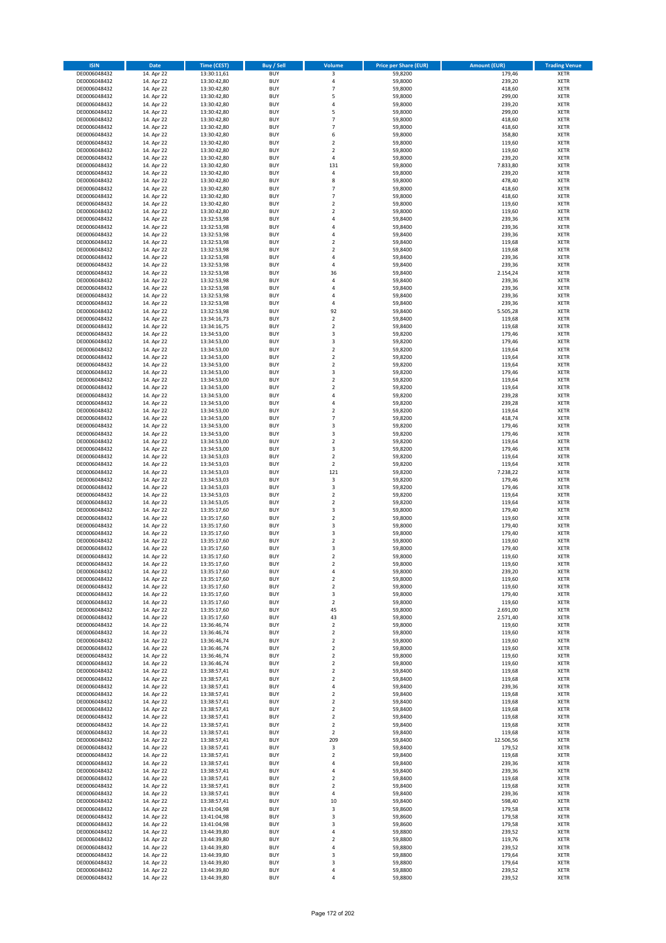| <b>ISIN</b>                  | <b>Date</b>              | <b>Time (CEST)</b>         | <b>Buy / Sell</b>        | <b>Volume</b>              | <b>Price per Share (EUR)</b> | <b>Amount (EUR)</b> | <b>Trading Venue</b>       |
|------------------------------|--------------------------|----------------------------|--------------------------|----------------------------|------------------------------|---------------------|----------------------------|
| DE0006048432                 | 14. Apr 22               | 13:30:11,61                | <b>BUY</b>               | 3                          | 59,8200                      | 179,46              | <b>XETR</b>                |
| DE0006048432                 | 14. Apr 22               | 13:30:42,80                | <b>BUY</b>               | 4                          | 59,8000                      | 239,20              | <b>XETR</b>                |
| DE0006048432                 | 14. Apr 22               | 13:30:42,80                | <b>BUY</b>               | $\overline{7}$             | 59,8000                      | 418,60              | <b>XETR</b>                |
| DE0006048432                 | 14. Apr 22               | 13:30:42,80                | <b>BUY</b>               | 5                          | 59,8000                      | 299,00              | <b>XETR</b>                |
| DE0006048432                 | 14. Apr 22               | 13:30:42,80                | <b>BUY</b>               | 4                          | 59,8000                      | 239,20              | <b>XETR</b>                |
| DE0006048432                 | 14. Apr 22               | 13:30:42,80                | <b>BUY</b>               | 5                          | 59,8000                      | 299,00              | <b>XETR</b>                |
| DE0006048432                 | 14. Apr 22               | 13:30:42,80                | <b>BUY</b>               | $\overline{7}$             | 59,8000                      | 418,60              | <b>XETR</b>                |
| DE0006048432                 | 14. Apr 22               | 13:30:42,80                | <b>BUY</b>               | $\overline{7}$             | 59,8000                      | 418,60              | <b>XETR</b>                |
| DE0006048432                 | 14. Apr 22               | 13:30:42,80                | <b>BUY</b>               | 6                          | 59,8000                      | 358,80              | <b>XETR</b>                |
| DE0006048432                 | 14. Apr 22               | 13:30:42,80                | <b>BUY</b>               | $\mathbf 2$                | 59,8000                      | 119,60              | <b>XETR</b>                |
| DE0006048432                 | 14. Apr 22               | 13:30:42,80                | <b>BUY</b>               | $\mathbf 2$                | 59,8000                      | 119,60              | <b>XETR</b>                |
| DE0006048432                 | 14. Apr 22               | 13:30:42,80                | <b>BUY</b>               | 4                          | 59,8000                      | 239,20              | <b>XETR</b>                |
| DE0006048432<br>DE0006048432 | 14. Apr 22               | 13:30:42,80                | <b>BUY</b>               | 131                        | 59,8000                      | 7.833,80            | <b>XETR</b>                |
|                              | 14. Apr 22               | 13:30:42,80<br>13:30:42,80 | <b>BUY</b><br><b>BUY</b> | 4<br>8                     | 59,8000                      | 239,20<br>478,40    | <b>XETR</b><br><b>XETR</b> |
| DE0006048432<br>DE0006048432 | 14. Apr 22<br>14. Apr 22 | 13:30:42,80                | <b>BUY</b>               | $\overline{7}$             | 59,8000<br>59,8000           | 418,60              | <b>XETR</b>                |
| DE0006048432                 | 14. Apr 22               | 13:30:42,80                | <b>BUY</b>               | $\overline{7}$             | 59,8000                      | 418,60              | <b>XETR</b>                |
| DE0006048432                 | 14. Apr 22               | 13:30:42,80                | <b>BUY</b>               | $\mathbf 2$                | 59,8000                      | 119,60              | <b>XETR</b>                |
| DE0006048432                 | 14. Apr 22               | 13:30:42,80                | <b>BUY</b>               | $\overline{\mathbf{c}}$    | 59,8000                      | 119,60              | <b>XETR</b>                |
| DE0006048432                 | 14. Apr 22               | 13:32:53,98                | <b>BUY</b>               | 4                          | 59,8400                      | 239,36              | <b>XETR</b>                |
| DE0006048432                 | 14. Apr 22               | 13:32:53,98                | <b>BUY</b>               | 4                          | 59,8400                      | 239,36              | <b>XETR</b>                |
| DE0006048432                 | 14. Apr 22               | 13:32:53,98                | <b>BUY</b>               | 4                          | 59,8400                      | 239,36              | <b>XETR</b>                |
| DE0006048432                 | 14. Apr 22               | 13:32:53,98                | <b>BUY</b>               | $\mathbf 2$                | 59,8400                      | 119,68              | <b>XETR</b>                |
| DE0006048432                 | 14. Apr 22               | 13:32:53,98                | <b>BUY</b>               | $\mathbf 2$                | 59,8400                      | 119,68              | <b>XETR</b>                |
| DE0006048432                 | 14. Apr 22               | 13:32:53,98                | <b>BUY</b>               | 4                          | 59,8400                      | 239,36              | <b>XETR</b>                |
| DE0006048432                 | 14. Apr 22               | 13:32:53,98                | <b>BUY</b>               | 4                          | 59,8400                      | 239,36              | <b>XETR</b>                |
| DE0006048432                 | 14. Apr 22               | 13:32:53,98                | <b>BUY</b>               | 36                         | 59,8400                      | 2.154,24            | <b>XETR</b>                |
| DE0006048432                 | 14. Apr 22               | 13:32:53,98                | <b>BUY</b>               | 4                          | 59,8400                      | 239,36              | <b>XETR</b>                |
| DE0006048432                 | 14. Apr 22               | 13:32:53,98                | <b>BUY</b>               | 4                          | 59,8400                      | 239,36              | <b>XETR</b>                |
| DE0006048432                 | 14. Apr 22               | 13:32:53,98                | <b>BUY</b>               | 4                          | 59,8400                      | 239,36              | <b>XETR</b>                |
| DE0006048432                 | 14. Apr 22               | 13:32:53,98                | <b>BUY</b>               | 4                          | 59,8400                      | 239,36              | <b>XETR</b>                |
| DE0006048432                 | 14. Apr 22               | 13:32:53,98                | <b>BUY</b>               | 92                         | 59,8400                      | 5.505,28            | <b>XETR</b>                |
| DE0006048432                 | 14. Apr 22               | 13:34:16,73                | <b>BUY</b>               | $\mathbf 2$<br>$\mathbf 2$ | 59,8400                      | 119,68              | <b>XETR</b>                |
| DE0006048432                 | 14. Apr 22               | 13:34:16,75                | <b>BUY</b>               | 3                          | 59,8400                      | 119,68              | <b>XETR</b>                |
| DE0006048432<br>DE0006048432 | 14. Apr 22<br>14. Apr 22 | 13:34:53,00<br>13:34:53,00 | <b>BUY</b><br><b>BUY</b> | 3                          | 59,8200<br>59,8200           | 179,46<br>179,46    | <b>XETR</b><br><b>XETR</b> |
| DE0006048432                 | 14. Apr 22               | 13:34:53,00                | <b>BUY</b>               | $\overline{\mathbf{c}}$    | 59,8200                      | 119,64              | <b>XETR</b>                |
| DE0006048432                 | 14. Apr 22               | 13:34:53,00                | <b>BUY</b>               | $\mathbf 2$                | 59,8200                      | 119,64              | <b>XETR</b>                |
| DE0006048432                 | 14. Apr 22               | 13:34:53,00                | <b>BUY</b>               | $\mathbf 2$                | 59,8200                      | 119,64              | <b>XETR</b>                |
| DE0006048432                 | 14. Apr 22               | 13:34:53,00                | <b>BUY</b>               | 3                          | 59,8200                      | 179,46              | <b>XETR</b>                |
| DE0006048432                 | 14. Apr 22               | 13:34:53,00                | <b>BUY</b>               | $\mathbf 2$                | 59,8200                      | 119,64              | <b>XETR</b>                |
| DE0006048432                 | 14. Apr 22               | 13:34:53,00                | <b>BUY</b>               | $\mathbf 2$                | 59,8200                      | 119,64              | <b>XETR</b>                |
| DE0006048432                 | 14. Apr 22               | 13:34:53,00                | <b>BUY</b>               | 4                          | 59,8200                      | 239,28              | <b>XETR</b>                |
| DE0006048432                 | 14. Apr 22               | 13:34:53,00                | <b>BUY</b>               | 4                          | 59,8200                      | 239,28              | <b>XETR</b>                |
| DE0006048432                 | 14. Apr 22               | 13:34:53,00                | <b>BUY</b>               | $\mathbf 2$                | 59,8200                      | 119,64              | <b>XETR</b>                |
| DE0006048432                 | 14. Apr 22               | 13:34:53,00                | <b>BUY</b>               | $\overline{7}$             | 59,8200                      | 418,74              | <b>XETR</b>                |
| DE0006048432                 | 14. Apr 22               | 13:34:53,00                | <b>BUY</b>               | 3                          | 59,8200                      | 179,46              | <b>XETR</b>                |
| DE0006048432                 | 14. Apr 22               | 13:34:53,00                | <b>BUY</b>               | 3                          | 59,8200                      | 179,46              | <b>XETR</b>                |
| DE0006048432                 | 14. Apr 22               | 13:34:53,00                | <b>BUY</b>               | $\mathbf 2$                | 59,8200                      | 119,64              | <b>XETR</b>                |
| DE0006048432                 | 14. Apr 22               | 13:34:53,00                | <b>BUY</b>               | 3                          | 59,8200                      | 179,46              | <b>XETR</b>                |
| DE0006048432                 | 14. Apr 22               | 13:34:53,03                | <b>BUY</b>               | $\overline{\mathbf{c}}$    | 59,8200                      | 119,64              | <b>XETR</b>                |
| DE0006048432                 | 14. Apr 22               | 13:34:53,03                | <b>BUY</b>               | $\mathbf 2$                | 59,8200                      | 119,64              | <b>XETR</b>                |
| DE0006048432                 | 14. Apr 22               | 13:34:53,03                | <b>BUY</b><br><b>BUY</b> | 121<br>$\mathsf 3$         | 59,8200                      | 7.238,22<br>179,46  | <b>XETR</b><br><b>XETR</b> |
| DE0006048432<br>DE0006048432 | 14. Apr 22<br>14. Apr 22 | 13:34:53,03<br>13:34:53,03 | <b>BUY</b>               | 3                          | 59,8200<br>59,8200           | 179,46              | <b>XETR</b>                |
| DE0006048432                 | 14. Apr 22               | 13:34:53,03                | <b>BUY</b>               | $\mathbf 2$                | 59,8200                      | 119,64              | <b>XETR</b>                |
| DE0006048432                 | 14. Apr 22               | 13:34:53,05                | <b>BUY</b>               | $\overline{\mathbf{c}}$    | 59,8200                      | 119,64              | <b>XETR</b>                |
| DE0006048432                 | 14. Apr 22               | 13:35:17,60                | <b>BUY</b>               | 3                          | 59,8000                      | 179,40              | <b>XETR</b>                |
| DE0006048432                 | 14. Apr 22               | 13:35:17,60                | <b>BUY</b>               | $\mathbf 2$                | 59,8000                      | 119,60              | <b>XETR</b>                |
| DE0006048432                 | 14. Apr 22               | 13:35:17,60                | <b>BUY</b>               | 3                          | 59,8000                      | 179,40              | <b>XETR</b>                |
| DE0006048432                 | 14. Apr 22               | 13:35:17,60                | <b>BUY</b>               | 3                          | 59,8000                      | 179,40              | <b>XETR</b>                |
| DE0006048432                 | 14. Apr 22               | 13:35:17,60                | <b>BUY</b>               | $\overline{\mathbf{c}}$    | 59,8000                      | 119,60              | <b>XETR</b>                |
| DE0006048432                 | 14. Apr 22               | 13:35:17,60                | <b>BUY</b>               | 3                          | 59,8000                      | 179,40              | <b>XETR</b>                |
| DE0006048432                 | 14. Apr 22               | 13:35:17,60                | <b>BUY</b>               | $\overline{2}$             | 59,8000                      | 119,60              | <b>XETR</b>                |
| DE0006048432                 | 14. Apr 22               | 13:35:17,60                | BUY                      | 2                          | 59,8000                      | 119,60              | <b>XETR</b>                |
| DE0006048432                 | 14. Apr 22               | 13:35:17,60                | <b>BUY</b>               | 4                          | 59,8000                      | 239,20              | <b>XETR</b>                |
| DE0006048432                 | 14. Apr 22               | 13:35:17,60                | <b>BUY</b>               | $\mathbf 2$                | 59,8000                      | 119,60              | <b>XETR</b>                |
| DE0006048432                 | 14. Apr 22               | 13:35:17,60                | <b>BUY</b>               | 2                          | 59,8000                      | 119,60              | <b>XETR</b>                |
| DE0006048432                 | 14. Apr 22               | 13:35:17,60                | <b>BUY</b>               | 3                          | 59,8000                      | 179,40              | <b>XETR</b>                |
| DE0006048432                 | 14. Apr 22               | 13:35:17,60                | <b>BUY</b>               | $\mathbf 2$                | 59,8000                      | 119,60              | <b>XETR</b>                |
| DE0006048432                 | 14. Apr 22               | 13:35:17,60                | <b>BUY</b>               | 45                         | 59,8000                      | 2.691,00            | <b>XETR</b>                |
| DE0006048432                 | 14. Apr 22               | 13:35:17,60                | <b>BUY</b>               | 43                         | 59,8000                      | 2.571,40            | <b>XETR</b>                |
| DE0006048432                 | 14. Apr 22               | 13:36:46,74                | <b>BUY</b>               | $\mathbf 2$                | 59,8000                      | 119,60              | <b>XETR</b>                |
| DE0006048432<br>DE0006048432 | 14. Apr 22<br>14. Apr 22 | 13:36:46,74<br>13:36:46,74 | <b>BUY</b><br><b>BUY</b> | $\mathbf 2$<br>$\mathbf 2$ | 59,8000<br>59,8000           | 119,60<br>119,60    | <b>XETR</b><br><b>XETR</b> |
| DE0006048432                 | 14. Apr 22               | 13:36:46,74                | <b>BUY</b>               | $\overline{2}$             | 59,8000                      | 119,60              | <b>XETR</b>                |
| DE0006048432                 | 14. Apr 22               | 13:36:46,74                | <b>BUY</b>               | $\mathbf 2$                | 59,8000                      | 119,60              | <b>XETR</b>                |
| DE0006048432                 | 14. Apr 22               | 13:36:46,74                | <b>BUY</b>               | $\overline{2}$             | 59,8000                      | 119,60              | <b>XETR</b>                |
| DE0006048432                 | 14. Apr 22               | 13:38:57,41                | <b>BUY</b>               | $\mathbf 2$                | 59,8400                      | 119,68              | <b>XETR</b>                |
| DE0006048432                 | 14. Apr 22               | 13:38:57,41                | <b>BUY</b>               | $\overline{\mathbf{c}}$    | 59,8400                      | 119,68              | <b>XETR</b>                |
| DE0006048432                 | 14. Apr 22               | 13:38:57,41                | <b>BUY</b>               | 4                          | 59,8400                      | 239,36              | <b>XETR</b>                |
| DE0006048432                 | 14. Apr 22               | 13:38:57,41                | <b>BUY</b>               | $\mathbf 2$                | 59,8400                      | 119,68              | <b>XETR</b>                |
| DE0006048432                 | 14. Apr 22               | 13:38:57,41                | <b>BUY</b>               | $\mathbf 2$                | 59,8400                      | 119,68              | <b>XETR</b>                |
| DE0006048432                 | 14. Apr 22               | 13:38:57,41                | <b>BUY</b>               | $\mathbf 2$                | 59,8400                      | 119,68              | <b>XETR</b>                |
| DE0006048432                 | 14. Apr 22               | 13:38:57,41                | <b>BUY</b>               | $\overline{2}$             | 59,8400                      | 119,68              | <b>XETR</b>                |
| DE0006048432                 | 14. Apr 22               | 13:38:57,41                | <b>BUY</b>               | $\mathbf 2$                | 59,8400                      | 119,68              | <b>XETR</b>                |
| DE0006048432                 | 14. Apr 22               | 13:38:57,41                | <b>BUY</b>               | $\mathbf 2$                | 59,8400                      | 119,68              | <b>XETR</b>                |
| DE0006048432                 | 14. Apr 22               | 13:38:57,41                | <b>BUY</b>               | 209                        | 59,8400                      | 12.506,56           | <b>XETR</b>                |
| DE0006048432                 | 14. Apr 22               | 13:38:57,41                | <b>BUY</b>               | 3                          | 59,8400                      | 179,52              | <b>XETR</b>                |
| DE0006048432                 | 14. Apr 22               | 13:38:57,41                | <b>BUY</b>               | $\mathbf 2$                | 59,8400                      | 119,68              | <b>XETR</b>                |
| DE0006048432                 | 14. Apr 22               | 13:38:57,41                | <b>BUY</b>               | 4                          | 59,8400                      | 239,36              | <b>XETR</b>                |
| DE0006048432                 | 14. Apr 22               | 13:38:57,41                | <b>BUY</b>               | 4                          | 59,8400                      | 239,36              | <b>XETR</b>                |
| DE0006048432                 | 14. Apr 22               | 13:38:57,41                | <b>BUY</b>               | 2                          | 59,8400                      | 119,68              | <b>XETR</b>                |
| DE0006048432                 | 14. Apr 22               | 13:38:57,41                | <b>BUY</b>               | $\overline{\mathbf{c}}$    | 59,8400                      | 119,68              | <b>XETR</b>                |
| DE0006048432                 | 14. Apr 22               | 13:38:57,41                | <b>BUY</b><br><b>BUY</b> | 4                          | 59,8400                      | 239,36              | <b>XETR</b>                |
| DE0006048432<br>DE0006048432 | 14. Apr 22<br>14. Apr 22 | 13:38:57,41<br>13:41:04,98 | <b>BUY</b>               | 10<br>3                    | 59,8400<br>59,8600           | 598,40<br>179,58    | <b>XETR</b><br><b>XETR</b> |
| DE0006048432                 | 14. Apr 22               | 13:41:04,98                | <b>BUY</b>               | 3                          | 59,8600                      | 179,58              | <b>XETR</b>                |
| DE0006048432                 | 14. Apr 22               | 13:41:04,98                | <b>BUY</b>               | 3                          | 59,8600                      | 179,58              | <b>XETR</b>                |
| DE0006048432                 | 14. Apr 22               | 13:44:39,80                | <b>BUY</b>               | 4                          | 59,8800                      | 239,52              | <b>XETR</b>                |
| DE0006048432                 | 14. Apr 22               | 13:44:39,80                | <b>BUY</b>               | $\overline{\mathbf{c}}$    | 59,8800                      | 119,76              | <b>XETR</b>                |
| DE0006048432                 | 14. Apr 22               | 13:44:39,80                | <b>BUY</b>               | 4                          | 59,8800                      | 239,52              | <b>XETR</b>                |
| DE0006048432                 | 14. Apr 22               | 13:44:39,80                | <b>BUY</b>               | 3                          | 59,8800                      | 179,64              | <b>XETR</b>                |
| DE0006048432                 | 14. Apr 22               | 13:44:39,80                | <b>BUY</b>               | 3                          | 59,8800                      | 179,64              | XETR                       |
| DE0006048432                 | 14. Apr 22               | 13:44:39,80                | <b>BUY</b>               | 4                          | 59,8800                      | 239,52              | <b>XETR</b>                |
| DE0006048432                 | 14. Apr 22               | 13:44:39,80                | <b>BUY</b>               | 4                          | 59,8800                      | 239,52              | <b>XETR</b>                |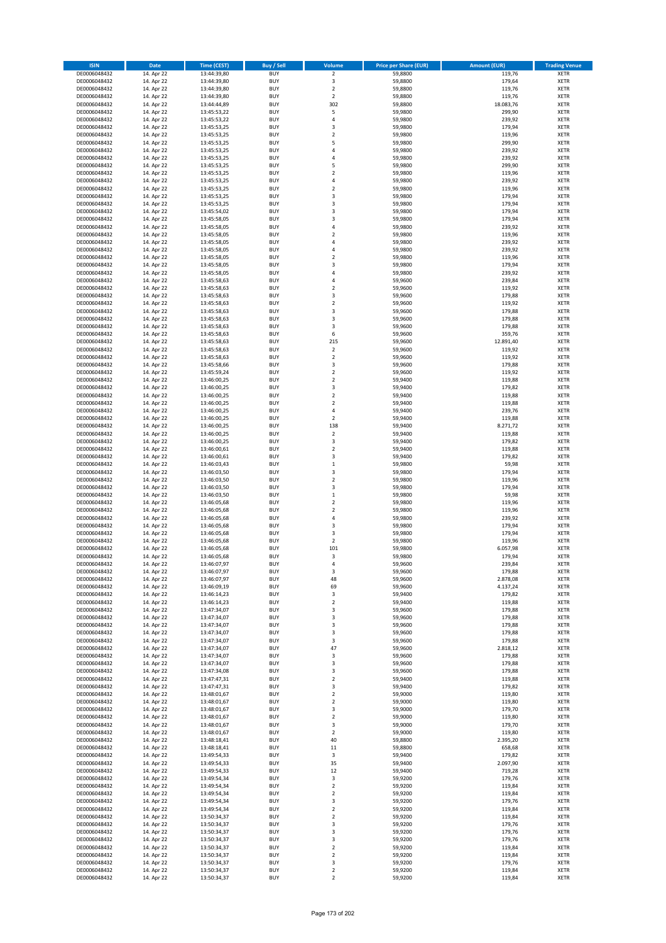| <b>ISIN</b>                  | <b>Date</b>              | <b>Time (CEST)</b>         | <b>Buy / Sell</b>        | Volume                       | <b>Price per Share (EUR)</b> | <b>Amount (EUR)</b> | <b>Trading Venue</b>       |
|------------------------------|--------------------------|----------------------------|--------------------------|------------------------------|------------------------------|---------------------|----------------------------|
| DE0006048432                 | 14. Apr 22               | 13:44:39,80                | <b>BUY</b>               | $\overline{2}$               | 59,8800                      | 119,76              | <b>XETR</b>                |
| DE0006048432                 | 14. Apr 22               | 13:44:39,80                | <b>BUY</b>               | 3                            | 59,8800                      | 179,64              | <b>XETR</b>                |
| DE0006048432                 | 14. Apr 22               | 13:44:39,80                | <b>BUY</b>               | $\overline{2}$               | 59,8800                      | 119,76              | <b>XETR</b>                |
| DE0006048432                 | 14. Apr 22               | 13:44:39,80                | <b>BUY</b>               | $\mathbf 2$                  | 59,8800                      | 119,76              | <b>XETR</b>                |
| DE0006048432                 | 14. Apr 22               | 13:44:44,89                | <b>BUY</b>               | 302                          | 59,8800                      | 18.083,76           | <b>XETR</b>                |
| DE0006048432                 | 14. Apr 22               | 13:45:53,22                | <b>BUY</b>               | 5                            | 59,9800                      | 299,90              | <b>XETR</b>                |
| DE0006048432                 | 14. Apr 22               | 13:45:53,22                | <b>BUY</b>               | 4                            | 59,9800                      | 239,92              | <b>XETR</b>                |
| DE0006048432                 | 14. Apr 22               | 13:45:53,25                | <b>BUY</b>               | 3                            | 59,9800                      | 179,94              | <b>XETR</b>                |
| DE0006048432                 | 14. Apr 22               | 13:45:53,25                | <b>BUY</b>               | $\overline{2}$               | 59,9800                      | 119,96              | <b>XETR</b>                |
| DE0006048432                 | 14. Apr 22               | 13:45:53,25                | <b>BUY</b>               | 5                            | 59,9800                      | 299,90              | <b>XETR</b>                |
| DE0006048432                 | 14. Apr 22               | 13:45:53,25                | <b>BUY</b>               | 4                            | 59,9800                      | 239,92              | <b>XETR</b>                |
| DE0006048432                 | 14. Apr 22               | 13:45:53,25                | <b>BUY</b>               | 4                            | 59,9800                      | 239,92              | <b>XETR</b>                |
| DE0006048432                 | 14. Apr 22               | 13:45:53,25                | <b>BUY</b>               | 5                            | 59,9800                      | 299,90              | <b>XETR</b>                |
| DE0006048432                 | 14. Apr 22               | 13:45:53,25                | <b>BUY</b>               | $\overline{\mathbf{c}}$      | 59,9800                      | 119,96              | <b>XETR</b>                |
| DE0006048432                 | 14. Apr 22               | 13:45:53,25                | <b>BUY</b>               | 4                            | 59,9800                      | 239,92              | <b>XETR</b>                |
| DE0006048432                 | 14. Apr 22               | 13:45:53,25                | <b>BUY</b>               | $\overline{\mathbf{c}}$      | 59,9800                      | 119,96              | <b>XETR</b>                |
| DE0006048432                 | 14. Apr 22               | 13:45:53,25                | <b>BUY</b>               | 3                            | 59,9800                      | 179,94              | <b>XETR</b>                |
| DE0006048432                 | 14. Apr 22               | 13:45:53,25                | <b>BUY</b>               | 3                            | 59,9800                      | 179,94              | <b>XETR</b>                |
| DE0006048432                 | 14. Apr 22               | 13:45:54,02                | <b>BUY</b>               | 3                            | 59,9800                      | 179,94              | <b>XETR</b>                |
| DE0006048432                 | 14. Apr 22               | 13:45:58,05                | <b>BUY</b>               | 3                            | 59,9800                      | 179,94              | <b>XETR</b>                |
| DE0006048432                 | 14. Apr 22               | 13:45:58,05                | <b>BUY</b>               | 4                            | 59,9800                      | 239,92              | <b>XETR</b>                |
| DE0006048432                 | 14. Apr 22               | 13:45:58,05                | <b>BUY</b>               | $\mathbf 2$                  | 59,9800                      | 119,96              | <b>XETR</b>                |
| DE0006048432                 | 14. Apr 22               | 13:45:58,05                | <b>BUY</b>               | 4                            | 59,9800                      | 239,92              | <b>XETR</b>                |
| DE0006048432                 | 14. Apr 22               | 13:45:58,05                | <b>BUY</b>               | 4                            | 59,9800                      | 239,92              | <b>XETR</b>                |
| DE0006048432                 | 14. Apr 22               | 13:45:58,05                | <b>BUY</b>               | $\mathbf 2$                  | 59,9800                      | 119,96              | <b>XETR</b>                |
| DE0006048432                 | 14. Apr 22               | 13:45:58,05                | <b>BUY</b>               | 3                            | 59,9800                      | 179,94              | <b>XETR</b>                |
| DE0006048432                 | 14. Apr 22               | 13:45:58,05                | <b>BUY</b>               | 4                            | 59,9800                      | 239,92              | <b>XETR</b>                |
| DE0006048432                 | 14. Apr 22               | 13:45:58,63                | <b>BUY</b>               | 4                            | 59,9600                      | 239,84              | <b>XETR</b>                |
| DE0006048432                 | 14. Apr 22               | 13:45:58,63                | <b>BUY</b>               | $\mathbf 2$                  | 59,9600                      | 119,92              | <b>XETR</b>                |
| DE0006048432                 | 14. Apr 22               | 13:45:58,63                | <b>BUY</b>               | 3                            | 59,9600                      | 179,88              | <b>XETR</b>                |
| DE0006048432                 | 14. Apr 22               | 13:45:58,63                | <b>BUY</b>               | $\mathbf 2$                  | 59,9600                      | 119,92              | <b>XETR</b>                |
| DE0006048432                 | 14. Apr 22               | 13:45:58,63                | <b>BUY</b>               | 3                            | 59,9600                      | 179,88              | <b>XETR</b>                |
| DE0006048432                 | 14. Apr 22               | 13:45:58,63                | <b>BUY</b>               | 3                            | 59,9600                      | 179,88              | <b>XETR</b>                |
| DE0006048432                 | 14. Apr 22               | 13:45:58,63                | <b>BUY</b>               | 3                            | 59,9600                      | 179,88              | <b>XETR</b>                |
| DE0006048432                 | 14. Apr 22               | 13:45:58,63                | <b>BUY</b>               | 6                            | 59,9600                      | 359,76              | <b>XETR</b>                |
| DE0006048432                 | 14. Apr 22               | 13:45:58,63                | <b>BUY</b>               | 215                          | 59,9600                      | 12.891,40           | <b>XETR</b>                |
| DE0006048432                 | 14. Apr 22               | 13:45:58,63                | <b>BUY</b>               | $\overline{\mathbf{c}}$      | 59,9600                      | 119,92              | <b>XETR</b>                |
| DE0006048432                 | 14. Apr 22               | 13:45:58,63                | <b>BUY</b>               | $\mathbf 2$                  | 59,9600                      | 119,92              | <b>XETR</b>                |
| DE0006048432                 | 14. Apr 22               | 13:45:58,66                | <b>BUY</b>               | 3                            | 59,9600                      | 179,88              | <b>XETR</b>                |
| DE0006048432                 | 14. Apr 22               | 13:45:59,24                | <b>BUY</b>               | $\mathbf 2$                  | 59,9600                      | 119,92              | <b>XETR</b>                |
| DE0006048432                 | 14. Apr 22               | 13:46:00,25                | <b>BUY</b>               | $\overline{\mathbf{c}}$      | 59,9400                      | 119,88              | <b>XETR</b>                |
| DE0006048432                 | 14. Apr 22               | 13:46:00,25                | <b>BUY</b>               | 3                            | 59,9400                      | 179,82              | <b>XETR</b>                |
| DE0006048432                 | 14. Apr 22               | 13:46:00,25                | <b>BUY</b>               | $\mathbf 2$                  | 59,9400                      | 119,88              | <b>XETR</b>                |
| DE0006048432                 | 14. Apr 22               | 13:46:00,25                | <b>BUY</b>               | $\overline{\mathbf{c}}$      | 59,9400                      | 119,88              | <b>XETR</b>                |
| DE0006048432                 | 14. Apr 22               | 13:46:00,25                | <b>BUY</b>               | 4                            | 59,9400                      | 239,76              | <b>XETR</b>                |
| DE0006048432                 | 14. Apr 22               | 13:46:00,25                | <b>BUY</b>               | $\overline{2}$               | 59,9400                      | 119,88              | <b>XETR</b>                |
| DE0006048432                 | 14. Apr 22               | 13:46:00,25                | <b>BUY</b>               | 138                          | 59,9400                      | 8.271,72            | <b>XETR</b>                |
| DE0006048432                 | 14. Apr 22               | 13:46:00,25                | <b>BUY</b>               | $\mathbf 2$                  | 59,9400                      | 119,88              | <b>XETR</b>                |
| DE0006048432                 | 14. Apr 22               | 13:46:00,25                | <b>BUY</b>               | 3                            | 59,9400                      | 179,82              | <b>XETR</b>                |
| DE0006048432                 | 14. Apr 22               | 13:46:00,61                | <b>BUY</b>               | $\mathbf 2$                  | 59,9400                      | 119,88              | <b>XETR</b>                |
| DE0006048432                 | 14. Apr 22               | 13:46:00,61                | <b>BUY</b>               | 3                            | 59,9400                      | 179,82              | <b>XETR</b>                |
| DE0006048432                 | 14. Apr 22               | 13:46:03,43                | <b>BUY</b>               | $\mathbf 1$                  | 59,9800                      | 59,98               | <b>XETR</b>                |
| DE0006048432                 | 14. Apr 22               | 13:46:03,50                | <b>BUY</b>               | 3                            | 59,9800                      | 179,94              | <b>XETR</b>                |
| DE0006048432                 | 14. Apr 22               | 13:46:03,50                | <b>BUY</b>               | $\mathbf 2$                  | 59,9800                      | 119,96              | <b>XETR</b>                |
| DE0006048432                 | 14. Apr 22               | 13:46:03,50                | <b>BUY</b>               | 3                            | 59,9800                      | 179,94              | <b>XETR</b>                |
| DE0006048432                 | 14. Apr 22               | 13:46:03,50                | <b>BUY</b>               | $\mathbf 1$                  | 59,9800                      | 59,98               | <b>XETR</b>                |
| DE0006048432                 | 14. Apr 22               | 13:46:05,68                | <b>BUY</b>               | $\overline{\mathbf{c}}$      | 59,9800                      | 119,96              | <b>XETR</b>                |
| DE0006048432                 | 14. Apr 22               | 13:46:05,68                | <b>BUY</b>               | $\overline{\mathbf{c}}$      | 59,9800                      | 119,96              | <b>XETR</b>                |
| DE0006048432                 | 14. Apr 22               | 13:46:05,68                | <b>BUY</b>               | 4                            | 59,9800                      | 239,92              | <b>XETR</b>                |
| DE0006048432<br>DE0006048432 | 14. Apr 22               | 13:46:05,68                | <b>BUY</b><br><b>BUY</b> | 3                            | 59,9800                      | 179,94              | <b>XETR</b><br><b>XETR</b> |
| DE0006048432                 | 14. Apr 22<br>14. Apr 22 | 13:46:05,68                | <b>BUY</b>               | 3<br>$\overline{\mathbf{c}}$ | 59,9800<br>59,9800           | 179,94<br>119,96    | <b>XETR</b>                |
| DE0006048432                 | 14. Apr 22               | 13:46:05,68<br>13:46:05,68 | <b>BUY</b>               | 101                          | 59,9800                      | 6.057,98            | <b>XETR</b>                |
| DE0006048432                 | 14. Apr 22               | 13:46:05,68                | <b>BUY</b>               | 3                            | 59,9800                      | 179,94              | <b>XETR</b>                |
| DE0006048432                 | 14. Apr 22               | 13:46:07,97                | BUY                      | 4                            | 59,9600                      | 239,84              | <b>XETR</b>                |
| DE0006048432                 | 14. Apr 22               | 13:46:07,97                | <b>BUY</b>               | 3                            | 59,9600                      | 179,88              | <b>XETR</b>                |
| DE0006048432                 | 14. Apr 22               | 13:46:07,97                | <b>BUY</b>               | 48                           | 59,9600                      | 2.878,08            | <b>XETR</b>                |
| DE0006048432                 | 14. Apr 22               | 13:46:09,19                | <b>BUY</b>               | 69                           | 59,9600                      | 4.137,24            | XETR                       |
| DE0006048432                 | 14. Apr 22               | 13:46:14,23                | <b>BUY</b>               | 3                            | 59,9400                      | 179,82              | <b>XETR</b>                |
| DE0006048432                 | 14. Apr 22               | 13:46:14,23                | <b>BUY</b>               | $\mathbf 2$                  | 59,9400                      | 119,88              | <b>XETR</b>                |
| DE0006048432                 | 14. Apr 22               | 13:47:34,07                | <b>BUY</b>               | 3                            | 59,9600                      | 179,88              | <b>XETR</b>                |
| DE0006048432                 | 14. Apr 22               | 13:47:34,07                | <b>BUY</b>               | 3                            | 59,9600                      | 179,88              | <b>XETR</b>                |
| DE0006048432                 | 14. Apr 22               | 13:47:34,07                | <b>BUY</b>               | 3                            | 59,9600                      | 179,88              | <b>XETR</b>                |
| DE0006048432                 | 14. Apr 22               | 13:47:34,07                | <b>BUY</b>               | 3                            | 59,9600                      | 179,88              | XETR                       |
| DE0006048432                 | 14. Apr 22               | 13:47:34,07                | <b>BUY</b>               | 3                            | 59,9600                      | 179,88              | <b>XETR</b>                |
| DE0006048432                 | 14. Apr 22               | 13:47:34,07                | <b>BUY</b>               | 47                           | 59,9600                      | 2.818,12            | <b>XETR</b>                |
| DE0006048432                 | 14. Apr 22               | 13:47:34,07                | <b>BUY</b>               | 3                            | 59,9600                      | 179,88              | <b>XETR</b>                |
| DE0006048432                 | 14. Apr 22               | 13:47:34,07                | <b>BUY</b>               | 3                            | 59.9600                      | 179,88              | <b>XETR</b>                |
| DE0006048432                 | 14. Apr 22               | 13:47:34,08                | <b>BUY</b>               | 3                            | 59,9600                      | 179,88              | <b>XETR</b>                |
| DE0006048432                 | 14. Apr 22               | 13:47:47,31                | <b>BUY</b>               | $\mathbf 2$                  | 59,9400                      | 119,88              | <b>XETR</b>                |
| DE0006048432                 | 14. Apr 22               | 13:47:47,31                | <b>BUY</b>               | 3                            | 59,9400                      | 179,82              | <b>XETR</b>                |
| DE0006048432                 | 14. Apr 22               | 13:48:01,67                | <b>BUY</b>               | $\mathbf 2$                  | 59,9000                      | 119,80              | <b>XETR</b>                |
| DE0006048432                 | 14. Apr 22               | 13:48:01,67                | <b>BUY</b>               | $\mathbf 2$                  | 59,9000                      | 119,80              | XETR                       |
| DE0006048432                 | 14. Apr 22               | 13:48:01,67                | <b>BUY</b>               | 3                            | 59,9000                      | 179,70              | <b>XETR</b>                |
| DE0006048432                 | 14. Apr 22               | 13:48:01,67                | <b>BUY</b>               | $\overline{\mathbf{2}}$      | 59,9000                      | 119,80              | <b>XETR</b>                |
| DE0006048432                 | 14. Apr 22               | 13:48:01,67                | <b>BUY</b>               | 3                            | 59,9000                      | 179,70              | <b>XETR</b>                |
| DE0006048432                 | 14. Apr 22               | 13:48:01,67                | <b>BUY</b>               | $\overline{\mathbf{2}}$      | 59,9000                      | 119,80              | <b>XETR</b>                |
| DE0006048432                 | 14. Apr 22               | 13:48:18,41                | <b>BUY</b>               | 40                           | 59,8800                      | 2.395,20            | <b>XETR</b>                |
| DE0006048432                 | 14. Apr 22               | 13:48:18,41                | <b>BUY</b>               | 11                           | 59,8800                      | 658,68              | <b>XETR</b>                |
| DE0006048432                 | 14. Apr 22               | 13:49:54,33                | <b>BUY</b>               | 3                            | 59,9400                      | 179,82              | <b>XETR</b>                |
| DE0006048432                 | 14. Apr 22               | 13:49:54,33                | <b>BUY</b>               | 35                           | 59,9400                      | 2.097,90            | <b>XETR</b>                |
| DE0006048432                 | 14. Apr 22               | 13:49:54,33                | <b>BUY</b>               | 12                           | 59,9400                      | 719,28              | <b>XETR</b>                |
| DE0006048432                 | 14. Apr 22               | 13:49:54,34                | <b>BUY</b>               | 3                            | 59,9200                      | 179,76              | <b>XETR</b>                |
| DE0006048432                 | 14. Apr 22               | 13:49:54,34                | <b>BUY</b>               | $\overline{\mathbf{c}}$      | 59,9200                      | 119,84              | <b>XETR</b>                |
| DE0006048432                 | 14. Apr 22               | 13:49:54,34                | <b>BUY</b>               | $\mathbf 2$                  | 59,9200                      | 119,84              | <b>XETR</b>                |
| DE0006048432                 | 14. Apr 22               | 13:49:54,34                | <b>BUY</b>               | 3                            | 59,9200                      | 179,76              | <b>XETR</b>                |
| DE0006048432                 | 14. Apr 22               | 13:49:54,34                | <b>BUY</b>               | $\mathbf 2$                  | 59,9200                      | 119,84              | <b>XETR</b>                |
| DE0006048432                 | 14. Apr 22               | 13:50:34,37                | <b>BUY</b>               | $\mathbf 2$                  | 59,9200                      | 119,84              | <b>XETR</b>                |
| DE0006048432                 | 14. Apr 22               | 13:50:34,37                | <b>BUY</b>               | 3                            | 59,9200                      | 179,76              | <b>XETR</b>                |
| DE0006048432                 | 14. Apr 22               | 13:50:34,37                | <b>BUY</b>               | 3                            | 59,9200                      | 179,76              | <b>XETR</b>                |
| DE0006048432                 | 14. Apr 22               | 13:50:34,37                | <b>BUY</b>               | 3                            | 59,9200                      | 179,76              | <b>XETR</b>                |
| DE0006048432                 | 14. Apr 22               | 13:50:34,37                | <b>BUY</b>               | $\mathbf 2$                  | 59,9200                      | 119,84              | XETR                       |
| DE0006048432                 | 14. Apr 22               | 13:50:34,37                | <b>BUY</b>               | $\overline{2}$               | 59,9200                      | 119,84              | <b>XETR</b>                |
| DE0006048432                 | 14. Apr 22               | 13:50:34,37                | <b>BUY</b>               | 3                            | 59,9200                      | 179,76              | <b>XETR</b>                |
| DE0006048432                 | 14. Apr 22               | 13:50:34,37                | <b>BUY</b>               | $\mathbf 2$                  | 59,9200                      | 119,84              | <b>XETR</b>                |
| DE0006048432                 | 14. Apr 22               | 13:50:34,37                | <b>BUY</b>               | $\mathbf 2$                  | 59,9200                      | 119,84              | XETR                       |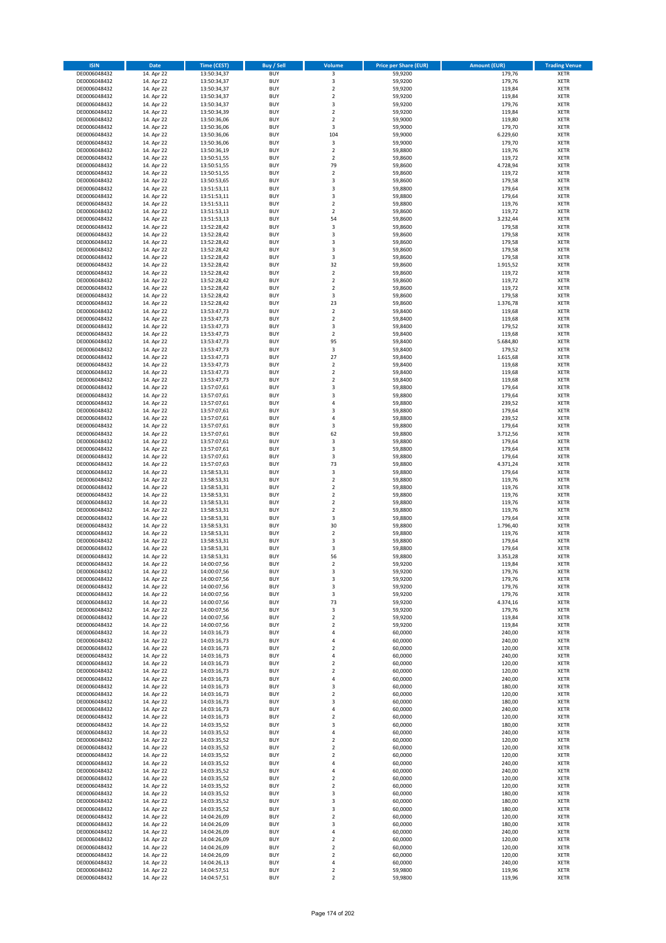| <b>ISIN</b>                  | Date                     | Time (CEST)                | <b>Buy / Sell</b>        | <b>Volume</b>                    | <b>Price per Share (EUR)</b> | <b>Amount (EUR)</b> | <b>Trading Venue</b>       |
|------------------------------|--------------------------|----------------------------|--------------------------|----------------------------------|------------------------------|---------------------|----------------------------|
| DE0006048432                 | 14. Apr 22               | 13:50:34,37                | <b>BUY</b>               | 3                                | 59,9200                      | 179,76              | <b>XETR</b>                |
| DE0006048432                 | 14. Apr 22               | 13:50:34,37                | <b>BUY</b>               | 3                                | 59,9200                      | 179,76              | <b>XETR</b>                |
| DE0006048432                 | 14. Apr 22               | 13:50:34,37                | <b>BUY</b>               | $\mathbf 2$                      | 59,9200                      | 119,84              | <b>XETR</b>                |
| DE0006048432<br>DE0006048432 | 14. Apr 22<br>14. Apr 22 | 13:50:34,37<br>13:50:34,37 | <b>BUY</b><br><b>BUY</b> | $\overline{2}$<br>$\mathsf 3$    | 59,9200<br>59,9200           | 119,84<br>179,76    | <b>XETR</b><br><b>XETR</b> |
| DE0006048432                 | 14. Apr 22               | 13:50:34,39                | <b>BUY</b>               | $\overline{2}$                   | 59,9200                      | 119,84              | <b>XETR</b>                |
| DE0006048432                 | 14. Apr 22               | 13:50:36,06                | <b>BUY</b>               | $\overline{2}$                   | 59,9000                      | 119,80              | <b>XETR</b>                |
| DE0006048432                 | 14. Apr 22               | 13:50:36,06                | <b>BUY</b>               | 3                                | 59,9000                      | 179,70              | <b>XETR</b>                |
| DE0006048432                 | 14. Apr 22               | 13:50:36,06                | <b>BUY</b>               | 104                              | 59,9000                      | 6.229,60            | <b>XETR</b>                |
| DE0006048432<br>DE0006048432 | 14. Apr 22               | 13:50:36,06<br>13:50:36,19 | <b>BUY</b><br><b>BUY</b> | 3<br>$\overline{2}$              | 59,9000<br>59,8800           | 179,70              | <b>XETR</b><br><b>XETR</b> |
| DE0006048432                 | 14. Apr 22<br>14. Apr 22 | 13:50:51,55                | <b>BUY</b>               | $\mathbf 2$                      | 59,8600                      | 119,76<br>119,72    | <b>XETR</b>                |
| DE0006048432                 | 14. Apr 22               | 13:50:51,55                | <b>BUY</b>               | 79                               | 59,8600                      | 4.728,94            | <b>XETR</b>                |
| DE0006048432                 | 14. Apr 22               | 13:50:51,55                | <b>BUY</b>               | $\mathbf 2$                      | 59,8600                      | 119,72              | <b>XETR</b>                |
| DE0006048432                 | 14. Apr 22               | 13:50:53,65                | <b>BUY</b>               | 3                                | 59,8600                      | 179,58              | <b>XETR</b>                |
| DE0006048432                 | 14. Apr 22               | 13:51:53,11                | <b>BUY</b>               | 3                                | 59,8800                      | 179,64              | <b>XETR</b>                |
| DE0006048432<br>DE0006048432 | 14. Apr 22<br>14. Apr 22 | 13:51:53,11<br>13:51:53,11 | <b>BUY</b><br><b>BUY</b> | 3<br>$\mathbf 2$                 | 59,8800<br>59,8800           | 179,64<br>119,76    | <b>XETR</b><br><b>XETR</b> |
| DE0006048432                 | 14. Apr 22               | 13:51:53,13                | <b>BUY</b>               | $\mathbf 2$                      | 59,8600                      | 119,72              | <b>XETR</b>                |
| DE0006048432                 | 14. Apr 22               | 13:51:53,13                | <b>BUY</b>               | 54                               | 59,8600                      | 3.232,44            | <b>XETR</b>                |
| DE0006048432                 | 14. Apr 22               | 13:52:28,42                | <b>BUY</b>               | 3                                | 59,8600                      | 179,58              | <b>XETR</b>                |
| DE0006048432                 | 14. Apr 22               | 13:52:28,42                | <b>BUY</b>               | 3                                | 59,8600                      | 179,58              | <b>XETR</b>                |
| DE0006048432<br>DE0006048432 | 14. Apr 22               | 13:52:28,42                | <b>BUY</b><br><b>BUY</b> | 3<br>3                           | 59,8600                      | 179,58              | <b>XETR</b><br><b>XETR</b> |
| DE0006048432                 | 14. Apr 22<br>14. Apr 22 | 13:52:28,42<br>13:52:28,42 | <b>BUY</b>               | 3                                | 59,8600<br>59,8600           | 179,58<br>179,58    | <b>XETR</b>                |
| DE0006048432                 | 14. Apr 22               | 13:52:28,42                | <b>BUY</b>               | 32                               | 59,8600                      | 1.915,52            | <b>XETR</b>                |
| DE0006048432                 | 14. Apr 22               | 13:52:28,42                | <b>BUY</b>               | $\overline{2}$                   | 59,8600                      | 119,72              | <b>XETR</b>                |
| DE0006048432                 | 14. Apr 22               | 13:52:28,42                | <b>BUY</b>               | $\mathbf 2$                      | 59,8600                      | 119,72              | <b>XETR</b>                |
| DE0006048432                 | 14. Apr 22               | 13:52:28,42                | <b>BUY</b>               | $\overline{2}$                   | 59,8600                      | 119,72              | <b>XETR</b>                |
| DE0006048432<br>DE0006048432 | 14. Apr 22<br>14. Apr 22 | 13:52:28,42<br>13:52:28,42 | <b>BUY</b><br><b>BUY</b> | 3<br>23                          | 59,8600<br>59,8600           | 179,58<br>1.376,78  | <b>XETR</b><br><b>XETR</b> |
| DE0006048432                 | 14. Apr 22               | 13:53:47,73                | <b>BUY</b>               | $\mathbf 2$                      | 59,8400                      | 119,68              | <b>XETR</b>                |
| DE0006048432                 | 14. Apr 22               | 13:53:47,73                | <b>BUY</b>               | $\mathbf 2$                      | 59,8400                      | 119,68              | <b>XETR</b>                |
| DE0006048432                 | 14. Apr 22               | 13:53:47,73                | <b>BUY</b>               | 3                                | 59,8400                      | 179,52              | <b>XETR</b>                |
| DE0006048432                 | 14. Apr 22               | 13:53:47,73                | <b>BUY</b>               | $\mathbf 2$                      | 59,8400                      | 119,68              | <b>XETR</b>                |
| DE0006048432                 | 14. Apr 22               | 13:53:47,73                | <b>BUY</b>               | 95                               | 59.8400                      | 5.684,80            | <b>XETR</b>                |
| DE0006048432<br>DE0006048432 | 14. Apr 22<br>14. Apr 22 | 13:53:47,73<br>13:53:47,73 | <b>BUY</b><br><b>BUY</b> | 3<br>27                          | 59,8400<br>59,8400           | 179,52<br>1.615,68  | <b>XETR</b><br><b>XETR</b> |
| DE0006048432                 | 14. Apr 22               | 13:53:47,73                | <b>BUY</b>               | $\mathbf 2$                      | 59,8400                      | 119,68              | <b>XETR</b>                |
| DE0006048432                 | 14. Apr 22               | 13:53:47,73                | <b>BUY</b>               | $\mathbf 2$                      | 59,8400                      | 119,68              | <b>XETR</b>                |
| DE0006048432                 | 14. Apr 22               | 13:53:47,73                | <b>BUY</b>               | $\overline{2}$                   | 59,8400                      | 119,68              | <b>XETR</b>                |
| DE0006048432                 | 14. Apr 22               | 13:57:07,61                | <b>BUY</b>               | 3                                | 59,8800                      | 179,64              | <b>XETR</b>                |
| DE0006048432                 | 14. Apr 22               | 13:57:07,61                | <b>BUY</b>               | 3                                | 59,8800                      | 179,64              | <b>XETR</b>                |
| DE0006048432<br>DE0006048432 | 14. Apr 22<br>14. Apr 22 | 13:57:07,61<br>13:57:07,61 | <b>BUY</b><br><b>BUY</b> | $\overline{4}$<br>3              | 59,8800<br>59,8800           | 239,52<br>179,64    | <b>XETR</b><br><b>XETR</b> |
| DE0006048432                 | 14. Apr 22               | 13:57:07,61                | <b>BUY</b>               | 4                                | 59,8800                      | 239,52              | <b>XETR</b>                |
| DE0006048432                 | 14. Apr 22               | 13:57:07,61                | <b>BUY</b>               | 3                                | 59,8800                      | 179,64              | <b>XETR</b>                |
| DE0006048432                 | 14. Apr 22               | 13:57:07,61                | <b>BUY</b>               | 62                               | 59,8800                      | 3.712,56            | <b>XETR</b>                |
| DE0006048432                 | 14. Apr 22               | 13:57:07,61                | <b>BUY</b>               | 3                                | 59,8800                      | 179,64              | <b>XETR</b>                |
| DE0006048432                 | 14. Apr 22               | 13:57:07,61                | <b>BUY</b>               | 3<br>3                           | 59,8800                      | 179,64              | <b>XETR</b>                |
| DE0006048432<br>DE0006048432 | 14. Apr 22<br>14. Apr 22 | 13:57:07,61<br>13:57:07,63 | <b>BUY</b><br><b>BUY</b> | 73                               | 59,8800<br>59,8800           | 179,64<br>4.371,24  | <b>XETR</b><br><b>XETR</b> |
| DE0006048432                 | 14. Apr 22               | 13:58:53,31                | <b>BUY</b>               | 3                                | 59,8800                      | 179,64              | <b>XETR</b>                |
| DE0006048432                 | 14. Apr 22               | 13:58:53,31                | <b>BUY</b>               | $\overline{2}$                   | 59,8800                      | 119,76              | <b>XETR</b>                |
| DE0006048432                 | 14. Apr 22               | 13:58:53,31                | <b>BUY</b>               | $\overline{2}$                   | 59,8800                      | 119,76              | <b>XETR</b>                |
| DE0006048432                 | 14. Apr 22               | 13:58:53,31                | <b>BUY</b>               | $\overline{2}$                   | 59,8800                      | 119,76              | <b>XETR</b>                |
| DE0006048432<br>DE0006048432 | 14. Apr 22<br>14. Apr 22 | 13:58:53,31<br>13:58:53,31 | <b>BUY</b><br><b>BUY</b> | $\overline{2}$<br>$\overline{2}$ | 59,8800<br>59,8800           | 119,76<br>119,76    | <b>XETR</b><br><b>XETR</b> |
| DE0006048432                 | 14. Apr 22               | 13:58:53,31                | <b>BUY</b>               | 3                                | 59,8800                      | 179,64              | <b>XETR</b>                |
| DE0006048432                 | 14. Apr 22               | 13:58:53,31                | <b>BUY</b>               | 30                               | 59,8800                      | 1.796,40            | <b>XETR</b>                |
| DE0006048432                 | 14. Apr 22               | 13:58:53,31                | <b>BUY</b>               | $\overline{\mathbf{c}}$          | 59,8800                      | 119,76              | <b>XETR</b>                |
| DE0006048432                 | 14. Apr 22               | 13:58:53,31                | <b>BUY</b>               | 3                                | 59,8800                      | 179,64              | <b>XETR</b>                |
| DE0006048432                 | 14. Apr 22               | 13:58:53,31                | <b>BUY</b>               | 3                                | 59,8800                      | 179,64              | <b>XETR</b>                |
| DE0006048432<br>DE0006048432 | 14. Apr 22<br>14. Apr 22 | 13:58:53,31<br>14:00:07,56 | <b>BUY</b><br><b>BUY</b> | 56<br>$\mathbf 2$                | 59,8800<br>59,9200           | 3.353,28<br>119,84  | <b>XETR</b><br><b>XETR</b> |
| DE0006048432                 | 14. Apr 22               | 14:00:07,56                | <b>BUY</b>               | 3                                | 59,9200                      | 179,76              | <b>XETR</b>                |
| DE0006048432                 | 14. Apr 22               | 14:00:07,56                | <b>BUY</b>               | 3                                | 59,9200                      | 179,76              | <b>XETR</b>                |
| DE0006048432                 | 14. Apr 22               | 14:00:07,56                | <b>BUY</b>               | 3                                | 59,9200                      | 179,76              | <b>XETR</b>                |
| DE0006048432                 | 14. Apr 22               | 14:00:07,56                | <b>BUY</b>               | 3                                | 59,9200                      | 179,76              | <b>XETR</b>                |
| DE0006048432<br>DE0006048432 | 14. Apr 22<br>14. Apr 22 | 14:00:07,56<br>14:00:07,56 | <b>BUY</b><br><b>BUY</b> | 73<br>3                          | 59,9200<br>59,9200           | 4.374,16<br>179,76  | <b>XETR</b><br><b>XETR</b> |
| DE0006048432                 | 14. Apr 22               | 14:00:07,56                | <b>BUY</b>               | $\overline{2}$                   | 59,9200                      | 119,84              | <b>XETR</b>                |
| DE0006048432                 | 14. Apr 22               | 14:00:07,56                | <b>BUY</b>               | $\overline{2}$                   | 59,9200                      | 119,84              | <b>XETR</b>                |
| DE0006048432                 | 14. Apr 22               | 14:03:16,73                | <b>BUY</b>               | 4                                | 60,0000                      | 240,00              | <b>XETR</b>                |
| DE0006048432                 | 14. Apr 22               | 14:03:16,73                | <b>BUY</b>               | 4                                | 60,0000                      | 240,00              | <b>XETR</b>                |
| DE0006048432<br>DE0006048432 | 14. Apr 22<br>14. Apr 22 | 14:03:16,73<br>14:03:16,73 | <b>BUY</b><br><b>BUY</b> | $\overline{\mathbf{2}}$<br>4     | 60,0000<br>60,0000           | 120,00<br>240,00    | <b>XETR</b><br><b>XETR</b> |
| DE0006048432                 | 14. Apr 22               | 14:03:16,73                | <b>BUY</b>               | $\mathbf 2$                      | 60,0000                      | 120,00              | <b>XETR</b>                |
| DE0006048432                 | 14. Apr 22               | 14:03:16,73                | <b>BUY</b>               | $\overline{2}$                   | 60,0000                      | 120,00              | <b>XETR</b>                |
| DE0006048432                 | 14. Apr 22               | 14:03:16,73                | <b>BUY</b>               | 4                                | 60,0000                      | 240,00              | <b>XETR</b>                |
| DE0006048432                 | 14. Apr 22               | 14:03:16,73                | <b>BUY</b>               | 3                                | 60,0000                      | 180,00              | <b>XETR</b>                |
| DE0006048432<br>DE0006048432 | 14. Apr 22<br>14. Apr 22 | 14:03:16,73                | <b>BUY</b><br><b>BUY</b> | $\mathbf 2$<br>3                 | 60,0000<br>60,0000           | 120,00              | <b>XETR</b><br><b>XETR</b> |
| DE0006048432                 | 14. Apr 22               | 14:03:16,73<br>14:03:16,73 | <b>BUY</b>               | 4                                | 60,0000                      | 180,00<br>240,00    | <b>XETR</b>                |
| DE0006048432                 | 14. Apr 22               | 14:03:16,73                | <b>BUY</b>               | $\mathbf 2$                      | 60,0000                      | 120,00              | <b>XETR</b>                |
| DE0006048432                 | 14. Apr 22               | 14:03:35,52                | <b>BUY</b>               | 3                                | 60,0000                      | 180,00              | <b>XETR</b>                |
| DE0006048432                 | 14. Apr 22               | 14:03:35,52                | <b>BUY</b>               | 4                                | 60,0000                      | 240,00              | <b>XETR</b>                |
| DE0006048432                 | 14. Apr 22               | 14:03:35,52                | <b>BUY</b>               | $\overline{2}$                   | 60,0000                      | 120,00              | <b>XETR</b>                |
| DE0006048432<br>DE0006048432 | 14. Apr 22<br>14. Apr 22 | 14:03:35,52<br>14:03:35,52 | <b>BUY</b><br><b>BUY</b> | $\mathbf 2$<br>$\overline{2}$    | 60,0000<br>60,0000           | 120,00<br>120,00    | <b>XETR</b><br><b>XETR</b> |
| DE0006048432                 | 14. Apr 22               | 14:03:35,52                | <b>BUY</b>               | $\sqrt{4}$                       | 60,0000                      | 240,00              | <b>XETR</b>                |
| DE0006048432                 | 14. Apr 22               | 14:03:35,52                | <b>BUY</b>               | $\sqrt{4}$                       | 60,0000                      | 240,00              | <b>XETR</b>                |
| DE0006048432                 | 14. Apr 22               | 14:03:35,52                | <b>BUY</b>               | $\overline{2}$                   | 60,0000                      | 120,00              | <b>XETR</b>                |
| DE0006048432                 | 14. Apr 22               | 14:03:35,52                | <b>BUY</b>               | $\overline{2}$                   | 60,0000                      | 120,00              | <b>XETR</b>                |
| DE0006048432                 | 14. Apr 22               | 14:03:35,52                | <b>BUY</b>               | 3                                | 60,0000                      | 180,00              | <b>XETR</b>                |
| DE0006048432<br>DE0006048432 | 14. Apr 22<br>14. Apr 22 | 14:03:35,52<br>14:03:35,52 | <b>BUY</b><br><b>BUY</b> | 3<br>3                           | 60,0000<br>60,0000           | 180,00<br>180,00    | <b>XETR</b><br><b>XETR</b> |
| DE0006048432                 | 14. Apr 22               | 14:04:26,09                | <b>BUY</b>               | $\mathbf 2$                      | 60,0000                      | 120,00              | <b>XETR</b>                |
| DE0006048432                 | 14. Apr 22               | 14:04:26,09                | <b>BUY</b>               | 3                                | 60,0000                      | 180,00              | <b>XETR</b>                |
| DE0006048432                 | 14. Apr 22               | 14:04:26,09                | <b>BUY</b>               | 4                                | 60,0000                      | 240,00              | <b>XETR</b>                |
| DE0006048432                 | 14. Apr 22               | 14:04:26,09                | <b>BUY</b>               | $\overline{2}$                   | 60,0000                      | 120,00              | <b>XETR</b>                |
| DE0006048432<br>DE0006048432 | 14. Apr 22<br>14. Apr 22 | 14:04:26,09<br>14:04:26,09 | <b>BUY</b><br><b>BUY</b> | $\mathbf 2$<br>$\mathbf 2$       | 60,0000<br>60,0000           | 120,00<br>120,00    | <b>XETR</b><br><b>XETR</b> |
| DE0006048432                 | 14. Apr 22               | 14:04:26,13                | <b>BUY</b>               | $\sqrt{4}$                       | 60,0000                      | 240,00              | <b>XETR</b>                |
| DE0006048432                 | 14. Apr 22               | 14:04:57,51                | <b>BUY</b>               | $\mathbf 2$                      | 59,9800                      | 119,96              | <b>XETR</b>                |
| DE0006048432                 | 14. Apr 22               | 14:04:57,51                | <b>BUY</b>               | $\overline{2}$                   | 59,9800                      | 119,96              | <b>XETR</b>                |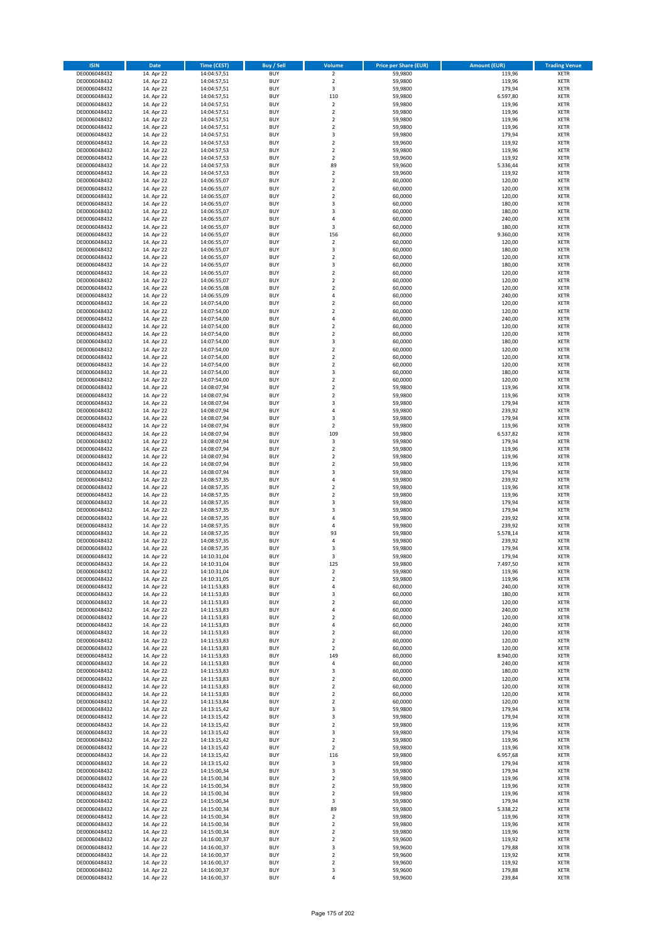| <b>ISIN</b>                  | <b>Date</b>              | <b>Time (CEST)</b>         | <b>Buy / Sell</b>        | Volume                                 | <b>Price per Share (EUR)</b> | <b>Amount (EUR)</b> | <b>Trading Venue</b>       |
|------------------------------|--------------------------|----------------------------|--------------------------|----------------------------------------|------------------------------|---------------------|----------------------------|
| DE0006048432                 | 14. Apr 22               | 14:04:57,51                | <b>BUY</b>               | $\overline{2}$                         | 59,9800                      | 119,96              | <b>XETR</b>                |
| DE0006048432                 | 14. Apr 22               | 14:04:57,51                | <b>BUY</b>               | $\mathbf 2$                            | 59,9800                      | 119,96              | <b>XETR</b>                |
| DE0006048432                 | 14. Apr 22               | 14:04:57,51                | <b>BUY</b>               | 3                                      | 59,9800                      | 179,94              | <b>XETR</b>                |
| DE0006048432<br>DE0006048432 | 14. Apr 22<br>14. Apr 22 | 14:04:57,51<br>14:04:57,51 | <b>BUY</b><br><b>BUY</b> | 110<br>$\overline{\mathbf{c}}$         | 59,9800<br>59,9800           | 6.597,80<br>119,96  | <b>XETR</b><br><b>XETR</b> |
| DE0006048432                 | 14. Apr 22               | 14:04:57,51                | <b>BUY</b>               | $\mathbf 2$                            | 59,9800                      | 119,96              | <b>XETR</b>                |
| DE0006048432                 | 14. Apr 22               | 14:04:57,51                | <b>BUY</b>               | $\mathbf 2$                            | 59,9800                      | 119,96              | <b>XETR</b>                |
| DE0006048432                 | 14. Apr 22               | 14:04:57,51                | <b>BUY</b>               | $\overline{\mathbf{c}}$                | 59,9800                      | 119,96              | <b>XETR</b>                |
| DE0006048432                 | 14. Apr 22               | 14:04:57,51                | <b>BUY</b>               | 3                                      | 59,9800                      | 179,94              | <b>XETR</b>                |
| DE0006048432                 | 14. Apr 22               | 14:04:57,53                | <b>BUY</b>               | $\overline{2}$                         | 59,9600                      | 119,92              | <b>XETR</b>                |
| DE0006048432                 | 14. Apr 22               | 14:04:57,53                | <b>BUY</b>               | $\mathbf 2$                            | 59,9800                      | 119,96              | <b>XETR</b>                |
| DE0006048432                 | 14. Apr 22<br>14. Apr 22 | 14:04:57,53                | <b>BUY</b><br><b>BUY</b> | $\overline{\mathbf{c}}$<br>89          | 59,9600                      | 119,92              | <b>XETR</b><br><b>XETR</b> |
| DE0006048432<br>DE0006048432 | 14. Apr 22               | 14:04:57,53<br>14:04:57,53 | <b>BUY</b>               | $\overline{\mathbf{c}}$                | 59,9600<br>59,9600           | 5.336,44<br>119,92  | <b>XETR</b>                |
| DE0006048432                 | 14. Apr 22               | 14:06:55,07                | <b>BUY</b>               | $\overline{\mathbf{c}}$                | 60,0000                      | 120,00              | <b>XETR</b>                |
| DE0006048432                 | 14. Apr 22               | 14:06:55,07                | <b>BUY</b>               | $\overline{\mathbf{c}}$                | 60,0000                      | 120,00              | <b>XETR</b>                |
| DE0006048432                 | 14. Apr 22               | 14:06:55,07                | <b>BUY</b>               | $\mathbf 2$                            | 60,0000                      | 120,00              | <b>XETR</b>                |
| DE0006048432                 | 14. Apr 22               | 14:06:55,07                | <b>BUY</b>               | 3                                      | 60,0000                      | 180,00              | <b>XETR</b>                |
| DE0006048432                 | 14. Apr 22               | 14:06:55,07                | <b>BUY</b>               | 3                                      | 60,0000                      | 180,00              | <b>XETR</b>                |
| DE0006048432                 | 14. Apr 22               | 14:06:55,07                | <b>BUY</b>               | 4                                      | 60,0000                      | 240,00              | <b>XETR</b>                |
| DE0006048432<br>DE0006048432 | 14. Apr 22<br>14. Apr 22 | 14:06:55,07<br>14:06:55,07 | <b>BUY</b><br><b>BUY</b> | 3<br>156                               | 60,0000<br>60,0000           | 180,00<br>9.360,00  | <b>XETR</b><br><b>XETR</b> |
| DE0006048432                 | 14. Apr 22               | 14:06:55,07                | <b>BUY</b>               | $\mathbf 2$                            | 60,0000                      | 120,00              | <b>XETR</b>                |
| DE0006048432                 | 14. Apr 22               | 14:06:55,07                | <b>BUY</b>               | 3                                      | 60,0000                      | 180,00              | <b>XETR</b>                |
| DE0006048432                 | 14. Apr 22               | 14:06:55,07                | <b>BUY</b>               | $\mathbf 2$                            | 60,0000                      | 120,00              | <b>XETR</b>                |
| DE0006048432                 | 14. Apr 22               | 14:06:55,07                | <b>BUY</b>               | 3                                      | 60,0000                      | 180,00              | <b>XETR</b>                |
| DE0006048432                 | 14. Apr 22               | 14:06:55,07                | <b>BUY</b>               | $\mathbf 2$                            | 60,0000                      | 120,00              | <b>XETR</b>                |
| DE0006048432                 | 14. Apr 22               | 14:06:55,07                | <b>BUY</b>               | $\overline{\mathbf{c}}$                | 60,0000                      | 120,00              | <b>XETR</b>                |
| DE0006048432<br>DE0006048432 | 14. Apr 22<br>14. Apr 22 | 14:06:55,08<br>14:06:55,09 | <b>BUY</b><br><b>BUY</b> | $\mathbf 2$<br>4                       | 60,0000<br>60,0000           | 120,00<br>240,00    | <b>XETR</b><br><b>XETR</b> |
| DE0006048432                 | 14. Apr 22               | 14:07:54,00                | <b>BUY</b>               | $\mathbf 2$                            | 60,0000                      | 120,00              | <b>XETR</b>                |
| DE0006048432                 | 14. Apr 22               | 14:07:54,00                | <b>BUY</b>               | $\overline{\mathbf{c}}$                | 60,0000                      | 120,00              | <b>XETR</b>                |
| DE0006048432                 | 14. Apr 22               | 14:07:54,00                | <b>BUY</b>               | 4                                      | 60,0000                      | 240,00              | <b>XETR</b>                |
| DE0006048432                 | 14. Apr 22               | 14:07:54,00                | <b>BUY</b>               | $\overline{\mathbf{c}}$                | 60,0000                      | 120,00              | <b>XETR</b>                |
| DE0006048432                 | 14. Apr 22               | 14:07:54,00                | <b>BUY</b>               | $\mathbf 2$                            | 60,0000                      | 120,00              | <b>XETR</b>                |
| DE0006048432                 | 14. Apr 22               | 14:07:54,00                | <b>BUY</b>               | 3                                      | 60,0000                      | 180,00              | <b>XETR</b>                |
| DE0006048432                 | 14. Apr 22               | 14:07:54,00                | <b>BUY</b><br><b>BUY</b> | $\overline{\mathbf{c}}$<br>$\mathbf 2$ | 60,0000                      | 120,00              | <b>XETR</b><br><b>XETR</b> |
| DE0006048432<br>DE0006048432 | 14. Apr 22<br>14. Apr 22 | 14:07:54,00<br>14:07:54,00 | <b>BUY</b>               | $\mathbf 2$                            | 60,0000<br>60,0000           | 120,00<br>120,00    | <b>XETR</b>                |
| DE0006048432                 | 14. Apr 22               | 14:07:54,00                | <b>BUY</b>               | 3                                      | 60,0000                      | 180,00              | <b>XETR</b>                |
| DE0006048432                 | 14. Apr 22               | 14:07:54,00                | <b>BUY</b>               | $\mathbf 2$                            | 60,0000                      | 120,00              | <b>XETR</b>                |
| DE0006048432                 | 14. Apr 22               | 14:08:07,94                | <b>BUY</b>               | $\mathbf 2$                            | 59,9800                      | 119,96              | <b>XETR</b>                |
| DE0006048432                 | 14. Apr 22               | 14:08:07,94                | <b>BUY</b>               | $\mathbf 2$                            | 59,9800                      | 119,96              | <b>XETR</b>                |
| DE0006048432                 | 14. Apr 22               | 14:08:07,94                | <b>BUY</b>               | 3                                      | 59,9800                      | 179,94              | <b>XETR</b>                |
| DE0006048432                 | 14. Apr 22               | 14:08:07,94                | <b>BUY</b>               | 4                                      | 59,9800                      | 239,92              | <b>XETR</b>                |
| DE0006048432<br>DE0006048432 | 14. Apr 22<br>14. Apr 22 | 14:08:07,94                | <b>BUY</b><br><b>BUY</b> | 3<br>$\mathbf 2$                       | 59,9800<br>59,9800           | 179,94<br>119,96    | <b>XETR</b><br><b>XETR</b> |
| DE0006048432                 | 14. Apr 22               | 14:08:07,94<br>14:08:07,94 | <b>BUY</b>               | 109                                    | 59,9800                      | 6.537,82            | <b>XETR</b>                |
| DE0006048432                 | 14. Apr 22               | 14:08:07,94                | <b>BUY</b>               | 3                                      | 59,9800                      | 179,94              | <b>XETR</b>                |
| DE0006048432                 | 14. Apr 22               | 14:08:07,94                | <b>BUY</b>               | $\mathbf 2$                            | 59,9800                      | 119,96              | <b>XETR</b>                |
| DE0006048432                 | 14. Apr 22               | 14:08:07,94                | <b>BUY</b>               | $\overline{\mathbf{c}}$                | 59,9800                      | 119,96              | <b>XETR</b>                |
| DE0006048432                 | 14. Apr 22               | 14:08:07,94                | <b>BUY</b>               | $\mathbf 2$                            | 59,9800                      | 119,96              | <b>XETR</b>                |
| DE0006048432                 | 14. Apr 22               | 14:08:07,94                | <b>BUY</b>               | 3                                      | 59,9800                      | 179,94              | <b>XETR</b>                |
| DE0006048432<br>DE0006048432 | 14. Apr 22<br>14. Apr 22 | 14:08:57,35<br>14:08:57,35 | <b>BUY</b><br><b>BUY</b> | 4<br>$\overline{\mathbf{c}}$           | 59,9800<br>59,9800           | 239,92<br>119,96    | <b>XETR</b><br><b>XETR</b> |
| DE0006048432                 | 14. Apr 22               | 14:08:57,35                | <b>BUY</b>               | $\mathbf 2$                            | 59,9800                      | 119,96              | <b>XETR</b>                |
| DE0006048432                 | 14. Apr 22               | 14:08:57,35                | <b>BUY</b>               | 3                                      | 59,9800                      | 179,94              | <b>XETR</b>                |
| DE0006048432                 | 14. Apr 22               | 14:08:57,35                | <b>BUY</b>               | 3                                      | 59,9800                      | 179,94              | <b>XETR</b>                |
| DE0006048432                 | 14. Apr 22               | 14:08:57,35                | <b>BUY</b>               | 4                                      | 59,9800                      | 239,92              | <b>XETR</b>                |
| DE0006048432                 | 14. Apr 22               | 14:08:57,35                | <b>BUY</b>               | 4                                      | 59,9800                      | 239,92              | <b>XETR</b>                |
| DE0006048432                 | 14. Apr 22               | 14:08:57,35                | <b>BUY</b>               | 93                                     | 59,9800                      | 5.578,14            | <b>XETR</b>                |
| DE0006048432<br>DE0006048432 | 14. Apr 22<br>14. Apr 22 | 14:08:57,35<br>14:08:57,35 | <b>BUY</b><br><b>BUY</b> | 4<br>3                                 | 59,9800<br>59,9800           | 239,92<br>179,94    | <b>XETR</b><br><b>XETR</b> |
| DE0006048432                 | 14. Apr 22               | 14:10:31,04                | <b>BUY</b>               | 3                                      | 59,9800                      | 179,94              | <b>XETR</b>                |
| DE0006048432                 | 14. Apr 22               | 14:10:31,04                | BUY                      | 125                                    | 59,9800                      | 7.497,50            | <b>XETR</b>                |
| DE0006048432                 | 14. Apr 22               | 14:10:31,04                | <b>BUY</b>               | $\mathbf 2$                            | 59,9800                      | 119,96              | <b>XETR</b>                |
| DE0006048432                 | 14. Apr 22               | 14:10:31,05                | <b>BUY</b>               | $\mathbf 2$                            | 59,9800                      | 119,96              | <b>XETR</b>                |
| DE0006048432                 | 14. Apr 22               | 14:11:53,83                | <b>BUY</b>               | 4                                      | 60,0000                      | 240,00              | XETR                       |
| DE0006048432                 | 14. Apr 22               | 14:11:53,83                | <b>BUY</b>               | 3                                      | 60,0000                      | 180,00              | <b>XETR</b>                |
| DE0006048432<br>DE0006048432 | 14. Apr 22<br>14. Apr 22 | 14:11:53,83<br>14:11:53,83 | <b>BUY</b><br><b>BUY</b> | $\mathbf 2$<br>4                       | 60,0000<br>60,0000           | 120,00<br>240,00    | <b>XETR</b><br><b>XETR</b> |
| DE0006048432                 | 14. Apr 22               | 14:11:53,83                | <b>BUY</b>               | $\mathbf 2$                            | 60,0000                      | 120,00              | <b>XETR</b>                |
| DE0006048432                 | 14. Apr 22               | 14:11:53,83                | <b>BUY</b>               | 4                                      | 60,0000                      | 240,00              | <b>XETR</b>                |
| DE0006048432                 | 14. Apr 22               | 14:11:53,83                | <b>BUY</b>               | $\mathbf 2$                            | 60,0000                      | 120,00              | XETR                       |
| DE0006048432                 | 14. Apr 22               | 14:11:53,83                | <b>BUY</b>               | $\mathbf 2$                            | 60,0000                      | 120,00              | <b>XETR</b>                |
| DE0006048432                 | 14. Apr 22               | 14:11:53,83                | <b>BUY</b>               | $\overline{2}$                         | 60,0000                      | 120,00              | <b>XETR</b>                |
| DE0006048432<br>DE0006048432 | 14. Apr 22<br>14. Apr 22 | 14:11:53,83<br>14:11:53,83 | <b>BUY</b><br><b>BUY</b> | 149<br>4                               | 60,0000<br>60,0000           | 8.940,00<br>240,00  | <b>XETR</b><br><b>XETR</b> |
| DE0006048432                 | 14. Apr 22               | 14:11:53,83                | <b>BUY</b>               | 3                                      | 60,0000                      | 180,00              | <b>XETR</b>                |
| DE0006048432                 | 14. Apr 22               | 14:11:53,83                | <b>BUY</b>               | $\mathbf 2$                            | 60,0000                      | 120,00              | <b>XETR</b>                |
| DE0006048432                 | 14. Apr 22               | 14:11:53,83                | <b>BUY</b>               | $\mathbf 2$                            | 60,0000                      | 120,00              | <b>XETR</b>                |
| DE0006048432                 | 14. Apr 22               | 14:11:53,83                | <b>BUY</b>               | $\mathbf 2$                            | 60,0000                      | 120,00              | <b>XETR</b>                |
| DE0006048432                 | 14. Apr 22               | 14:11:53,84                | <b>BUY</b>               | $\mathbf 2$                            | 60,0000                      | 120,00              | XETR                       |
| DE0006048432                 | 14. Apr 22               | 14:13:15,42                | <b>BUY</b>               | 3                                      | 59,9800                      | 179,94              | <b>XETR</b>                |
| DE0006048432<br>DE0006048432 | 14. Apr 22<br>14. Apr 22 | 14:13:15,42<br>14:13:15,42 | <b>BUY</b><br><b>BUY</b> | 3<br>$\mathbf 2$                       | 59,9800<br>59,9800           | 179,94<br>119,96    | <b>XETR</b><br><b>XETR</b> |
| DE0006048432                 | 14. Apr 22               | 14:13:15,42                | <b>BUY</b>               | 3                                      | 59,9800                      | 179,94              | <b>XETR</b>                |
| DE0006048432                 | 14. Apr 22               | 14:13:15,42                | <b>BUY</b>               | $\mathbf 2$                            | 59,9800                      | 119,96              | <b>XETR</b>                |
| DE0006048432                 | 14. Apr 22               | 14:13:15,42                | <b>BUY</b>               | $\mathbf 2$                            | 59,9800                      | 119,96              | <b>XETR</b>                |
| DE0006048432                 | 14. Apr 22               | 14:13:15,42                | <b>BUY</b>               | 116                                    | 59,9800                      | 6.957,68            | <b>XETR</b>                |
| DE0006048432                 | 14. Apr 22               | 14:13:15,42                | <b>BUY</b>               | 3                                      | 59,9800                      | 179,94              | <b>XETR</b>                |
| DE0006048432<br>DE0006048432 | 14. Apr 22<br>14. Apr 22 | 14:15:00,34                | <b>BUY</b><br><b>BUY</b> | 3<br>$\mathbf 2$                       | 59,9800<br>59,9800           | 179,94<br>119,96    | <b>XETR</b><br><b>XETR</b> |
| DE0006048432                 | 14. Apr 22               | 14:15:00,34<br>14:15:00,34 | <b>BUY</b>               | $\overline{\mathbf{2}}$                | 59,9800                      | 119,96              | <b>XETR</b>                |
| DE0006048432                 | 14. Apr 22               | 14:15:00,34                | <b>BUY</b>               | $\mathbf 2$                            | 59,9800                      | 119,96              | <b>XETR</b>                |
| DE0006048432                 | 14. Apr 22               | 14:15:00,34                | <b>BUY</b>               | 3                                      | 59,9800                      | 179,94              | <b>XETR</b>                |
| DE0006048432                 | 14. Apr 22               | 14:15:00,34                | <b>BUY</b>               | 89                                     | 59,9800                      | 5.338,22            | <b>XETR</b>                |
| DE0006048432                 | 14. Apr 22               | 14:15:00,34                | <b>BUY</b>               | $\mathbf 2$                            | 59,9800                      | 119,96              | <b>XETR</b>                |
| DE0006048432                 | 14. Apr 22               | 14:15:00,34                | <b>BUY</b>               | $\mathbf 2$                            | 59,9800                      | 119,96              | <b>XETR</b>                |
| DE0006048432<br>DE0006048432 | 14. Apr 22<br>14. Apr 22 | 14:15:00,34<br>14:16:00,37 | <b>BUY</b><br><b>BUY</b> | $\mathbf 2$<br>$\overline{\mathbf{2}}$ | 59,9800<br>59,9600           | 119,96<br>119,92    | <b>XETR</b><br><b>XETR</b> |
| DE0006048432                 | 14. Apr 22               | 14:16:00,37                | <b>BUY</b>               | 3                                      | 59,9600                      | 179,88              | XETR                       |
| DE0006048432                 | 14. Apr 22               | 14:16:00,37                | <b>BUY</b>               | $\overline{\mathbf{2}}$                | 59,9600                      | 119,92              | <b>XETR</b>                |
| DE0006048432                 | 14. Apr 22               | 14:16:00,37                | <b>BUY</b>               | $\mathbf 2$                            | 59,9600                      | 119,92              | <b>XETR</b>                |
| DE0006048432                 | 14. Apr 22               | 14:16:00,37                | <b>BUY</b>               | 3                                      | 59,9600                      | 179,88              | <b>XETR</b>                |
| DE0006048432                 | 14. Apr 22               | 14:16:00,37                | <b>BUY</b>               | 4                                      | 59,9600                      | 239,84              | <b>XETR</b>                |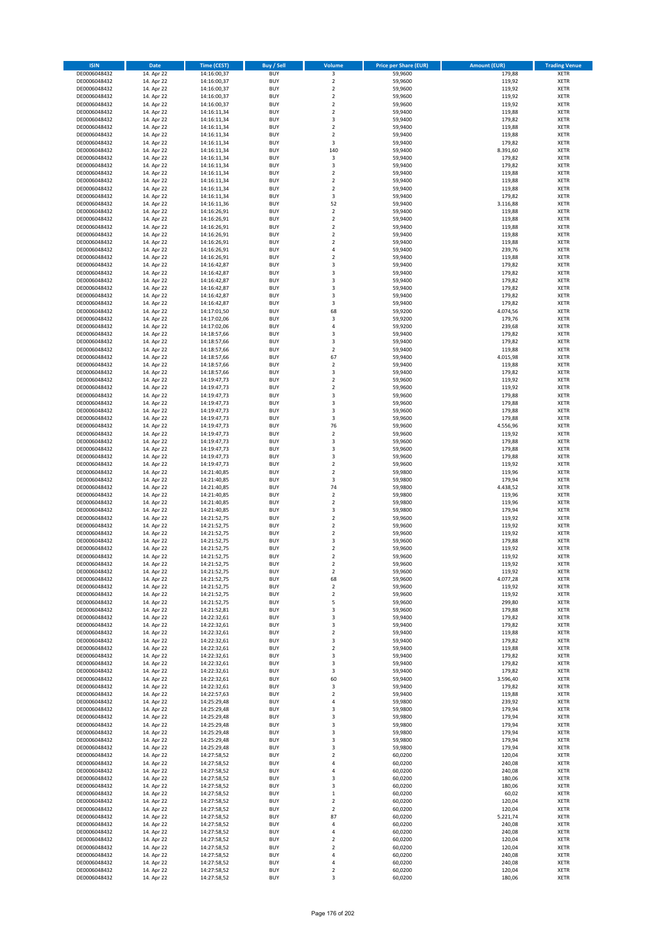| <b>ISIN</b>                  | <b>Date</b>              | <b>Time (CEST)</b>         | <b>Buy / Sell</b>        | Volume                       | <b>Price per Share (EUR)</b> | <b>Amount (EUR)</b> | <b>Trading Venue</b>       |
|------------------------------|--------------------------|----------------------------|--------------------------|------------------------------|------------------------------|---------------------|----------------------------|
| DE0006048432                 | 14. Apr 22               | 14:16:00,37                | <b>BUY</b>               | $\overline{\mathbf{3}}$      | 59,9600                      | 179,88              | <b>XETR</b>                |
| DE0006048432                 | 14. Apr 22               | 14:16:00,37                | <b>BUY</b>               | $\mathbf 2$                  | 59,9600                      | 119,92              | <b>XETR</b>                |
| DE0006048432                 | 14. Apr 22               | 14:16:00,37                | <b>BUY</b>               | $\overline{2}$               | 59,9600                      | 119,92              | <b>XETR</b>                |
| DE0006048432<br>DE0006048432 | 14. Apr 22<br>14. Apr 22 | 14:16:00,37<br>14:16:00,37 | <b>BUY</b><br><b>BUY</b> | $\mathbf 2$<br>$\mathbf 2$   | 59,9600<br>59,9600           | 119,92<br>119,92    | <b>XETR</b><br><b>XETR</b> |
| DE0006048432                 | 14. Apr 22               | 14:16:11,34                | <b>BUY</b>               | $\mathbf 2$                  | 59,9400                      | 119,88              | <b>XETR</b>                |
| DE0006048432                 | 14. Apr 22               | 14:16:11,34                | <b>BUY</b>               | 3                            | 59,9400                      | 179,82              | <b>XETR</b>                |
| DE0006048432                 | 14. Apr 22               | 14:16:11,34                | <b>BUY</b>               | $\mathbf 2$                  | 59,9400                      | 119,88              | <b>XETR</b>                |
| DE0006048432                 | 14. Apr 22               | 14:16:11,34                | <b>BUY</b>               | $\overline{2}$               | 59,9400                      | 119,88              | <b>XETR</b>                |
| DE0006048432                 | 14. Apr 22               | 14:16:11,34                | <b>BUY</b>               | 3                            | 59,9400                      | 179,82              | <b>XETR</b>                |
| DE0006048432                 | 14. Apr 22               | 14:16:11,34                | <b>BUY</b>               | 140                          | 59,9400                      | 8.391,60            | <b>XETR</b>                |
| DE0006048432<br>DE0006048432 | 14. Apr 22<br>14. Apr 22 | 14:16:11,34<br>14:16:11,34 | <b>BUY</b><br><b>BUY</b> | 3<br>3                       | 59,9400<br>59,9400           | 179,82<br>179,82    | <b>XETR</b><br><b>XETR</b> |
| DE0006048432                 | 14. Apr 22               | 14:16:11,34                | <b>BUY</b>               | $\overline{\mathbf{c}}$      | 59,9400                      | 119,88              | <b>XETR</b>                |
| DE0006048432                 | 14. Apr 22               | 14:16:11,34                | <b>BUY</b>               | $\overline{\mathbf{c}}$      | 59,9400                      | 119,88              | <b>XETR</b>                |
| DE0006048432                 | 14. Apr 22               | 14:16:11,34                | <b>BUY</b>               | $\overline{\mathbf{c}}$      | 59,9400                      | 119,88              | <b>XETR</b>                |
| DE0006048432                 | 14. Apr 22               | 14:16:11,34                | <b>BUY</b>               | 3                            | 59,9400                      | 179,82              | <b>XETR</b>                |
| DE0006048432                 | 14. Apr 22               | 14:16:11,36                | <b>BUY</b>               | 52                           | 59,9400                      | 3.116,88            | <b>XETR</b>                |
| DE0006048432                 | 14. Apr 22               | 14:16:26,91                | <b>BUY</b>               | $\mathbf 2$                  | 59,9400                      | 119,88              | <b>XETR</b>                |
| DE0006048432                 | 14. Apr 22               | 14:16:26,91                | <b>BUY</b>               | $\mathbf 2$                  | 59,9400                      | 119,88              | <b>XETR</b>                |
| DE0006048432                 | 14. Apr 22               | 14:16:26,91                | <b>BUY</b>               | $\overline{\mathbf{c}}$      | 59,9400                      | 119,88              | <b>XETR</b>                |
| DE0006048432<br>DE0006048432 | 14. Apr 22<br>14. Apr 22 | 14:16:26,91<br>14:16:26,91 | <b>BUY</b><br><b>BUY</b> | $\mathbf 2$<br>$\mathbf 2$   | 59,9400<br>59,9400           | 119,88<br>119,88    | <b>XETR</b><br><b>XETR</b> |
| DE0006048432                 | 14. Apr 22               | 14:16:26,91                | <b>BUY</b>               | 4                            | 59,9400                      | 239,76              | <b>XETR</b>                |
| DE0006048432                 | 14. Apr 22               | 14:16:26,91                | <b>BUY</b>               | $\mathbf 2$                  | 59,9400                      | 119,88              | <b>XETR</b>                |
| DE0006048432                 | 14. Apr 22               | 14:16:42,87                | <b>BUY</b>               | 3                            | 59,9400                      | 179,82              | <b>XETR</b>                |
| DE0006048432                 | 14. Apr 22               | 14:16:42,87                | <b>BUY</b>               | 3                            | 59,9400                      | 179,82              | <b>XETR</b>                |
| DE0006048432                 | 14. Apr 22               | 14:16:42,87                | <b>BUY</b>               | 3                            | 59,9400                      | 179,82              | <b>XETR</b>                |
| DE0006048432                 | 14. Apr 22               | 14:16:42,87                | <b>BUY</b>               | 3                            | 59,9400                      | 179,82              | <b>XETR</b>                |
| DE0006048432                 | 14. Apr 22               | 14:16:42,87                | <b>BUY</b><br><b>BUY</b> | 3<br>3                       | 59,9400<br>59,9400           | 179,82<br>179,82    | <b>XETR</b><br><b>XETR</b> |
| DE0006048432<br>DE0006048432 | 14. Apr 22<br>14. Apr 22 | 14:16:42,87<br>14:17:01,50 | <b>BUY</b>               | 68                           | 59,9200                      | 4.074,56            | <b>XETR</b>                |
| DE0006048432                 | 14. Apr 22               | 14:17:02,06                | <b>BUY</b>               | 3                            | 59,9200                      | 179,76              | <b>XETR</b>                |
| DE0006048432                 | 14. Apr 22               | 14:17:02,06                | <b>BUY</b>               | 4                            | 59,9200                      | 239,68              | <b>XETR</b>                |
| DE0006048432                 | 14. Apr 22               | 14:18:57,66                | <b>BUY</b>               | 3                            | 59,9400                      | 179,82              | <b>XETR</b>                |
| DE0006048432                 | 14. Apr 22               | 14:18:57,66                | <b>BUY</b>               | 3                            | 59,9400                      | 179,82              | <b>XETR</b>                |
| DE0006048432                 | 14. Apr 22               | 14:18:57,66                | <b>BUY</b>               | $\overline{\mathbf{c}}$      | 59,9400                      | 119,88              | <b>XETR</b>                |
| DE0006048432                 | 14. Apr 22               | 14:18:57,66                | <b>BUY</b>               | 67                           | 59,9400                      | 4.015,98            | <b>XETR</b>                |
| DE0006048432                 | 14. Apr 22               | 14:18:57,66                | <b>BUY</b>               | $\mathbf 2$                  | 59,9400                      | 119,88              | <b>XETR</b>                |
| DE0006048432<br>DE0006048432 | 14. Apr 22<br>14. Apr 22 | 14:18:57,66<br>14:19:47,73 | <b>BUY</b><br><b>BUY</b> | 3<br>$\mathbf 2$             | 59,9400<br>59,9600           | 179,82<br>119,92    | <b>XETR</b><br><b>XETR</b> |
| DE0006048432                 | 14. Apr 22               | 14:19:47,73                | <b>BUY</b>               | $\mathbf 2$                  | 59,9600                      | 119,92              | <b>XETR</b>                |
| DE0006048432                 | 14. Apr 22               | 14:19:47,73                | <b>BUY</b>               | 3                            | 59,9600                      | 179,88              | <b>XETR</b>                |
| DE0006048432                 | 14. Apr 22               | 14:19:47,73                | <b>BUY</b>               | 3                            | 59,9600                      | 179,88              | <b>XETR</b>                |
| DE0006048432                 | 14. Apr 22               | 14:19:47,73                | <b>BUY</b>               | 3                            | 59,9600                      | 179,88              | <b>XETR</b>                |
| DE0006048432                 | 14. Apr 22               | 14:19:47,73                | <b>BUY</b>               | 3                            | 59,9600                      | 179,88              | <b>XETR</b>                |
| DE0006048432                 | 14. Apr 22               | 14:19:47,73                | <b>BUY</b>               | 76                           | 59,9600                      | 4.556,96            | <b>XETR</b>                |
| DE0006048432                 | 14. Apr 22               | 14:19:47,73                | <b>BUY</b>               | $\mathbf 2$                  | 59,9600                      | 119,92              | <b>XETR</b>                |
| DE0006048432<br>DE0006048432 | 14. Apr 22<br>14. Apr 22 | 14:19:47,73<br>14:19:47,73 | <b>BUY</b><br><b>BUY</b> | 3<br>3                       | 59,9600<br>59,9600           | 179,88<br>179,88    | <b>XETR</b><br><b>XETR</b> |
| DE0006048432                 | 14. Apr 22               | 14:19:47,73                | <b>BUY</b>               | 3                            | 59,9600                      | 179,88              | <b>XETR</b>                |
| DE0006048432                 | 14. Apr 22               | 14:19:47,73                | <b>BUY</b>               | $\mathbf 2$                  | 59,9600                      | 119,92              | <b>XETR</b>                |
| DE0006048432                 | 14. Apr 22               | 14:21:40,85                | <b>BUY</b>               | $\overline{2}$               | 59,9800                      | 119,96              | <b>XETR</b>                |
| DE0006048432                 | 14. Apr 22               | 14:21:40,85                | <b>BUY</b>               | 3                            | 59,9800                      | 179,94              | <b>XETR</b>                |
| DE0006048432                 | 14. Apr 22               | 14:21:40,85                | <b>BUY</b>               | 74                           | 59,9800                      | 4.438,52            | <b>XETR</b>                |
| DE0006048432                 | 14. Apr 22               | 14:21:40,85                | <b>BUY</b>               | $\mathbf 2$                  | 59,9800                      | 119,96              | <b>XETR</b>                |
| DE0006048432                 | 14. Apr 22               | 14:21:40,85                | <b>BUY</b>               | $\overline{\mathbf{c}}$      | 59,9800                      | 119,96              | <b>XETR</b>                |
| DE0006048432<br>DE0006048432 | 14. Apr 22<br>14. Apr 22 | 14:21:40,85<br>14:21:52,75 | <b>BUY</b><br><b>BUY</b> | 3<br>$\overline{\mathbf{c}}$ | 59,9800<br>59,9600           | 179,94<br>119,92    | <b>XETR</b><br><b>XETR</b> |
| DE0006048432                 | 14. Apr 22               | 14:21:52,75                | <b>BUY</b>               | $\overline{2}$               | 59,9600                      | 119,92              | <b>XETR</b>                |
| DE0006048432                 | 14. Apr 22               | 14:21:52,75                | <b>BUY</b>               | $\mathbf 2$                  | 59,9600                      | 119,92              | <b>XETR</b>                |
| DE0006048432                 | 14. Apr 22               | 14:21:52,75                | <b>BUY</b>               | 3                            | 59,9600                      | 179,88              | <b>XETR</b>                |
| DE0006048432                 | 14. Apr 22               | 14:21:52,75                | <b>BUY</b>               | $\overline{\mathbf{c}}$      | 59,9600                      | 119,92              | <b>XETR</b>                |
| DE0006048432                 | 14. Apr 22               | 14:21:52,75                | <b>BUY</b>               | $\overline{2}$               | 59,9600                      | 119,92              | <b>XETR</b>                |
| DE0006048432                 | 14. Apr 22               | 14:21:52,75                | BUY                      | 2                            | 59,9600                      | 119,92              | <b>XETR</b>                |
| DE0006048432<br>DE0006048432 | 14. Apr 22<br>14. Apr 22 | 14:21:52,75<br>14:21:52,75 | <b>BUY</b><br><b>BUY</b> | $\mathbf 2$<br>68            | 59,9600<br>59,9600           | 119,92<br>4.077,28  | XETR<br>XETR               |
| DE0006048432                 | 14. Apr 22               | 14:21:52,75                | <b>BUY</b>               | 2                            | 59,9600                      | 119,92              | XETR                       |
| DE0006048432                 | 14. Apr 22               | 14:21:52,75                | <b>BUY</b>               | $\mathbf 2$                  | 59,9600                      | 119,92              | <b>XETR</b>                |
| DE0006048432                 | 14. Apr 22               | 14:21:52,75                | <b>BUY</b>               | 5                            | 59,9600                      | 299,80              | <b>XETR</b>                |
| DE0006048432                 | 14. Apr 22               | 14:21:52,81                | <b>BUY</b>               | 3                            | 59,9600                      | 179,88              | <b>XETR</b>                |
| DE0006048432                 | 14. Apr 22               | 14:22:32,61                | <b>BUY</b>               | 3                            | 59,9400                      | 179,82              | <b>XETR</b>                |
| DE0006048432                 | 14. Apr 22               | 14:22:32,61                | <b>BUY</b>               | 3                            | 59,9400                      | 179,82              | <b>XETR</b>                |
| DE0006048432<br>DE0006048432 | 14. Apr 22<br>14. Apr 22 | 14:22:32,61<br>14:22:32,61 | <b>BUY</b><br><b>BUY</b> | $\mathbf 2$<br>3             | 59,9400<br>59,9400           | 119,88<br>179,82    | <b>XETR</b><br><b>XETR</b> |
| DE0006048432                 | 14. Apr 22               | 14:22:32,61                | <b>BUY</b>               | $\overline{2}$               | 59,9400                      | 119,88              | <b>XETR</b>                |
| DE0006048432                 | 14. Apr 22               | 14:22:32,61                | <b>BUY</b>               | 3                            | 59,9400                      | 179,82              | <b>XETR</b>                |
| DE0006048432                 | 14. Apr 22               | 14:22:32,61                | <b>BUY</b>               | 3                            | 59.9400                      | 179,82              | <b>XETR</b>                |
| DE0006048432                 | 14. Apr 22               | 14:22:32,61                | <b>BUY</b>               | 3                            | 59,9400                      | 179,82              | <b>XETR</b>                |
| DE0006048432                 | 14. Apr 22               | 14:22:32,61                | <b>BUY</b>               | 60                           | 59,9400                      | 3.596,40            | <b>XETR</b>                |
| DE0006048432                 | 14. Apr 22               | 14:22:32,61<br>14:22:57,63 | <b>BUY</b><br><b>BUY</b> | 3<br>$\overline{2}$          | 59,9400<br>59,9400           | 179,82<br>119,88    | <b>XETR</b><br><b>XETR</b> |
| DE0006048432<br>DE0006048432 | 14. Apr 22<br>14. Apr 22 | 14:25:29,48                | <b>BUY</b>               | 4                            | 59,9800                      | 239,92              | XETR                       |
| DE0006048432                 | 14. Apr 22               | 14:25:29,48                | <b>BUY</b>               | 3                            | 59,9800                      | 179,94              | <b>XETR</b>                |
| DE0006048432                 | 14. Apr 22               | 14:25:29,48                | <b>BUY</b>               | 3                            | 59,9800                      | 179,94              | <b>XETR</b>                |
| DE0006048432                 | 14. Apr 22               | 14:25:29,48                | <b>BUY</b>               | 3                            | 59,9800                      | 179,94              | <b>XETR</b>                |
| DE0006048432                 | 14. Apr 22               | 14:25:29,48                | <b>BUY</b>               | 3                            | 59,9800                      | 179,94              | <b>XETR</b>                |
| DE0006048432                 | 14. Apr 22               | 14:25:29,48                | <b>BUY</b>               | 3                            | 59,9800                      | 179,94              | <b>XETR</b>                |
| DE0006048432                 | 14. Apr 22               | 14:25:29,48                | <b>BUY</b>               | 3                            | 59,9800                      | 179,94              | <b>XETR</b>                |
| DE0006048432<br>DE0006048432 | 14. Apr 22               | 14:27:58,52                | <b>BUY</b><br><b>BUY</b> | $\mathbf 2$<br>4             | 60,0200<br>60,0200           | 120,04              | XETR<br><b>XETR</b>        |
| DE0006048432                 | 14. Apr 22<br>14. Apr 22 | 14:27:58,52<br>14:27:58,52 | <b>BUY</b>               | 4                            | 60,0200                      | 240,08<br>240,08    | <b>XETR</b>                |
| DE0006048432                 | 14. Apr 22               | 14:27:58,52                | <b>BUY</b>               | 3                            | 60,0200                      | 180,06              | <b>XETR</b>                |
| DE0006048432                 | 14. Apr 22               | 14:27:58,52                | <b>BUY</b>               | 3                            | 60,0200                      | 180,06              | XETR                       |
| DE0006048432                 | 14. Apr 22               | 14:27:58,52                | <b>BUY</b>               | $\mathbf 1$                  | 60,0200                      | 60,02               | <b>XETR</b>                |
| DE0006048432                 | 14. Apr 22               | 14:27:58,52                | <b>BUY</b>               | $\overline{\mathbf{2}}$      | 60,0200                      | 120,04              | <b>XETR</b>                |
| DE0006048432                 | 14. Apr 22               | 14:27:58,52                | <b>BUY</b>               | $\mathbf 2$                  | 60,0200                      | 120,04              | <b>XETR</b>                |
| DE0006048432                 | 14. Apr 22               | 14:27:58,52                | <b>BUY</b>               | 87                           | 60,0200                      | 5.221,74            | <b>XETR</b>                |
| DE0006048432                 | 14. Apr 22<br>14. Apr 22 | 14:27:58,52                | <b>BUY</b><br><b>BUY</b> | 4<br>4                       | 60,0200<br>60,0200           | 240,08<br>240,08    | <b>XETR</b>                |
| DE0006048432<br>DE0006048432 | 14. Apr 22               | 14:27:58,52<br>14:27:58,52 | <b>BUY</b>               | $\overline{\mathbf{c}}$      | 60,0200                      | 120,04              | <b>XETR</b><br><b>XETR</b> |
| DE0006048432                 | 14. Apr 22               | 14:27:58,52                | <b>BUY</b>               | $\overline{\mathbf{c}}$      | 60,0200                      | 120,04              | <b>XETR</b>                |
| DE0006048432                 | 14. Apr 22               | 14:27:58,52                | <b>BUY</b>               | 4                            | 60,0200                      | 240,08              | <b>XETR</b>                |
| DE0006048432                 | 14. Apr 22               | 14:27:58,52                | <b>BUY</b>               | 4                            | 60,0200                      | 240,08              | <b>XETR</b>                |
| DE0006048432                 | 14. Apr 22               | 14:27:58,52                | <b>BUY</b>               | $\mathbf 2$                  | 60,0200                      | 120,04              | <b>XETR</b>                |
| DE0006048432                 | 14. Apr 22               | 14:27:58,52                | <b>BUY</b>               | 3                            | 60,0200                      | 180,06              | XETR                       |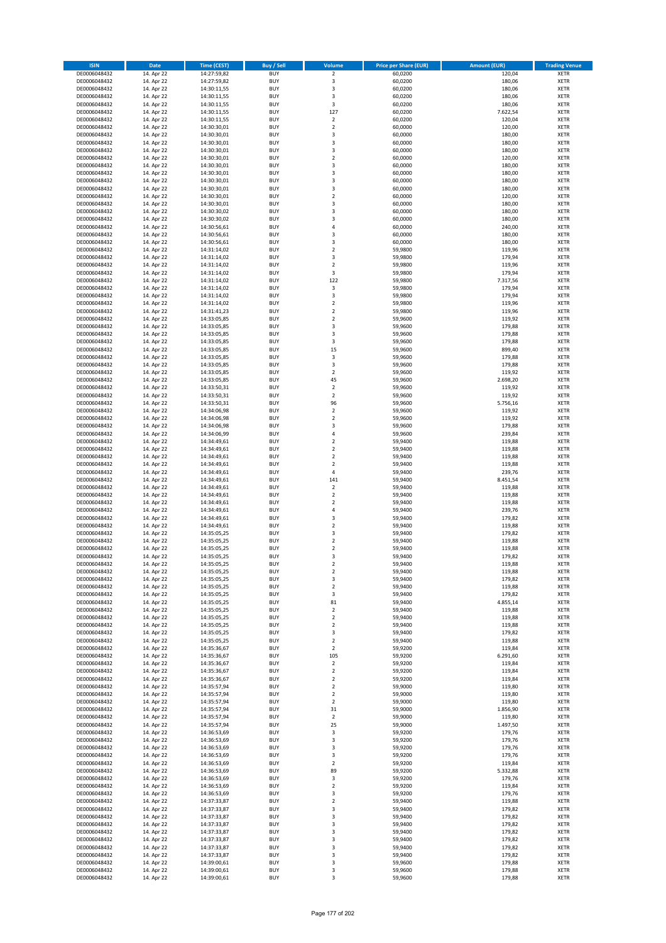| <b>ISIN</b>                  | <b>Date</b>              | <b>Time (CEST)</b>         | <b>Buy / Sell</b>        | Volume                     | <b>Price per Share (EUR)</b> | <b>Amount (EUR)</b> | <b>Trading Venue</b>       |
|------------------------------|--------------------------|----------------------------|--------------------------|----------------------------|------------------------------|---------------------|----------------------------|
| DE0006048432                 | 14. Apr 22               | 14:27:59,82                | <b>BUY</b>               | $\overline{2}$             | 60,0200                      | 120,04              | <b>XETR</b>                |
| DE0006048432                 | 14. Apr 22               | 14:27:59,82                | <b>BUY</b>               | 3                          | 60,0200                      | 180,06              | <b>XETR</b>                |
| DE0006048432                 | 14. Apr 22               | 14:30:11,55                | <b>BUY</b>               | 3                          | 60,0200                      | 180,06              | <b>XETR</b>                |
| DE0006048432                 | 14. Apr 22               | 14:30:11,55                | <b>BUY</b>               | 3                          | 60,0200                      | 180,06              | <b>XETR</b>                |
| DE0006048432                 | 14. Apr 22               | 14:30:11,55                | <b>BUY</b>               | 3                          | 60,0200                      | 180,06              | <b>XETR</b>                |
| DE0006048432                 | 14. Apr 22               | 14:30:11,55                | <b>BUY</b>               | 127                        | 60,0200                      | 7.622,54            | <b>XETR</b>                |
| DE0006048432                 | 14. Apr 22               | 14:30:11,55                | <b>BUY</b>               | $\overline{2}$             | 60.0200                      | 120,04              | <b>XETR</b>                |
| DE0006048432                 | 14. Apr 22               | 14:30:30,01<br>14:30:30,01 | <b>BUY</b>               | $\mathbf 2$                | 60,0000                      | 120,00              | <b>XETR</b>                |
| DE0006048432                 | 14. Apr 22<br>14. Apr 22 |                            | <b>BUY</b><br><b>BUY</b> | 3<br>3                     | 60,0000<br>60,0000           | 180,00<br>180,00    | <b>XETR</b><br><b>XETR</b> |
| DE0006048432<br>DE0006048432 | 14. Apr 22               | 14:30:30,01<br>14:30:30,01 | <b>BUY</b>               | 3                          | 60,0000                      | 180,00              | <b>XETR</b>                |
| DE0006048432                 | 14. Apr 22               | 14:30:30,01                | <b>BUY</b>               | $\overline{\mathbf{c}}$    | 60,0000                      | 120,00              | <b>XETR</b>                |
| DE0006048432                 | 14. Apr 22               | 14:30:30,01                | <b>BUY</b>               | 3                          | 60,0000                      | 180,00              | <b>XETR</b>                |
| DE0006048432                 | 14. Apr 22               | 14:30:30,01                | <b>BUY</b>               | 3                          | 60,0000                      | 180,00              | <b>XETR</b>                |
| DE0006048432                 | 14. Apr 22               | 14:30:30,01                | <b>BUY</b>               | 3                          | 60,0000                      | 180,00              | <b>XETR</b>                |
| DE0006048432                 | 14. Apr 22               | 14:30:30,01                | <b>BUY</b>               | 3                          | 60,0000                      | 180,00              | <b>XETR</b>                |
| DE0006048432                 | 14. Apr 22               | 14:30:30,01                | <b>BUY</b>               | $\mathbf 2$                | 60,0000                      | 120,00              | <b>XETR</b>                |
| DE0006048432                 | 14. Apr 22               | 14:30:30,01                | <b>BUY</b>               | 3                          | 60,0000                      | 180,00              | <b>XETR</b>                |
| DE0006048432                 | 14. Apr 22               | 14:30:30,02                | <b>BUY</b>               | 3                          | 60,0000                      | 180,00              | <b>XETR</b>                |
| DE0006048432                 | 14. Apr 22               | 14:30:30,02                | <b>BUY</b>               | 3                          | 60,0000                      | 180,00              | <b>XETR</b>                |
| DE0006048432                 | 14. Apr 22               | 14:30:56,61                | <b>BUY</b>               | 4                          | 60,0000                      | 240,00              | <b>XETR</b>                |
| DE0006048432<br>DE0006048432 | 14. Apr 22<br>14. Apr 22 | 14:30:56,61<br>14:30:56,61 | <b>BUY</b><br><b>BUY</b> | 3<br>3                     | 60,0000<br>60,0000           | 180,00<br>180,00    | <b>XETR</b><br><b>XETR</b> |
| DE0006048432                 | 14. Apr 22               | 14:31:14,02                | <b>BUY</b>               | $\mathbf 2$                | 59,9800                      | 119,96              | <b>XETR</b>                |
| DE0006048432                 | 14. Apr 22               | 14:31:14,02                | <b>BUY</b>               | 3                          | 59,9800                      | 179,94              | <b>XETR</b>                |
| DE0006048432                 | 14. Apr 22               | 14:31:14,02                | <b>BUY</b>               | $\mathbf 2$                | 59,9800                      | 119,96              | <b>XETR</b>                |
| DE0006048432                 | 14. Apr 22               | 14:31:14,02                | <b>BUY</b>               | 3                          | 59,9800                      | 179,94              | <b>XETR</b>                |
| DE0006048432                 | 14. Apr 22               | 14:31:14,02                | <b>BUY</b>               | 122                        | 59,9800                      | 7.317,56            | <b>XETR</b>                |
| DE0006048432                 | 14. Apr 22               | 14:31:14,02                | <b>BUY</b>               | $\mathsf 3$                | 59,9800                      | 179,94              | <b>XETR</b>                |
| DE0006048432                 | 14. Apr 22               | 14:31:14,02                | <b>BUY</b>               | 3                          | 59,9800                      | 179,94              | <b>XETR</b>                |
| DE0006048432                 | 14. Apr 22               | 14:31:14,02                | <b>BUY</b>               | $\mathbf 2$                | 59,9800                      | 119,96              | <b>XETR</b>                |
| DE0006048432                 | 14. Apr 22               | 14:31:41,23                | <b>BUY</b>               | $\overline{\mathbf{c}}$    | 59,9800                      | 119,96              | <b>XETR</b>                |
| DE0006048432                 | 14. Apr 22               | 14:33:05,85                | <b>BUY</b>               | $\mathbf 2$<br>3           | 59,9600                      | 119,92              | <b>XETR</b>                |
| DE0006048432<br>DE0006048432 | 14. Apr 22<br>14. Apr 22 | 14:33:05,85                | <b>BUY</b><br><b>BUY</b> | 3                          | 59,9600<br>59,9600           | 179,88              | <b>XETR</b><br><b>XETR</b> |
| DE0006048432                 | 14. Apr 22               | 14:33:05,85<br>14:33:05,85 | <b>BUY</b>               | 3                          | 59,9600                      | 179,88<br>179,88    | <b>XETR</b>                |
| DE0006048432                 | 14. Apr 22               | 14:33:05,85                | <b>BUY</b>               | 15                         | 59,9600                      | 899,40              | <b>XETR</b>                |
| DE0006048432                 | 14. Apr 22               | 14:33:05,85                | <b>BUY</b>               | 3                          | 59,9600                      | 179,88              | <b>XETR</b>                |
| DE0006048432                 | 14. Apr 22               | 14:33:05,85                | <b>BUY</b>               | 3                          | 59,9600                      | 179,88              | <b>XETR</b>                |
| DE0006048432                 | 14. Apr 22               | 14:33:05,85                | <b>BUY</b>               | $\mathbf 2$                | 59,9600                      | 119,92              | <b>XETR</b>                |
| DE0006048432                 | 14. Apr 22               | 14:33:05,85                | <b>BUY</b>               | 45                         | 59,9600                      | 2.698,20            | <b>XETR</b>                |
| DE0006048432                 | 14. Apr 22               | 14:33:50,31                | <b>BUY</b>               | $\mathbf 2$                | 59,9600                      | 119,92              | <b>XETR</b>                |
| DE0006048432                 | 14. Apr 22               | 14:33:50,31                | <b>BUY</b>               | $\mathbf 2$                | 59,9600                      | 119,92              | <b>XETR</b>                |
| DE0006048432                 | 14. Apr 22               | 14:33:50,31                | <b>BUY</b>               | 96                         | 59,9600                      | 5.756,16            | <b>XETR</b>                |
| DE0006048432                 | 14. Apr 22               | 14:34:06,98                | <b>BUY</b>               | $\mathbf 2$                | 59,9600                      | 119,92              | <b>XETR</b>                |
| DE0006048432                 | 14. Apr 22               | 14:34:06,98                | <b>BUY</b>               | $\overline{2}$             | 59,9600                      | 119,92              | <b>XETR</b>                |
| DE0006048432<br>DE0006048432 | 14. Apr 22<br>14. Apr 22 | 14:34:06,98<br>14:34:06,99 | <b>BUY</b><br><b>BUY</b> | 3<br>4                     | 59,9600<br>59,9600           | 179,88<br>239,84    | <b>XETR</b><br><b>XETR</b> |
| DE0006048432                 | 14. Apr 22               | 14:34:49,61                | <b>BUY</b>               | $\mathbf 2$                | 59,9400                      | 119,88              | <b>XETR</b>                |
| DE0006048432                 | 14. Apr 22               | 14:34:49,61                | <b>BUY</b>               | $\overline{\mathbf{c}}$    | 59,9400                      | 119,88              | <b>XETR</b>                |
| DE0006048432                 | 14. Apr 22               | 14:34:49,61                | <b>BUY</b>               | $\overline{\mathbf{c}}$    | 59,9400                      | 119,88              | <b>XETR</b>                |
| DE0006048432                 | 14. Apr 22               | 14:34:49,61                | <b>BUY</b>               | $\mathbf 2$                | 59,9400                      | 119,88              | <b>XETR</b>                |
| DE0006048432                 | 14. Apr 22               | 14:34:49,61                | <b>BUY</b>               | 4                          | 59,9400                      | 239,76              | <b>XETR</b>                |
| DE0006048432                 | 14. Apr 22               | 14:34:49,61                | <b>BUY</b>               | 141                        | 59,9400                      | 8.451,54            | <b>XETR</b>                |
| DE0006048432                 | 14. Apr 22               | 14:34:49,61                | <b>BUY</b>               | $\overline{\mathbf{c}}$    | 59,9400                      | 119,88              | <b>XETR</b>                |
| DE0006048432                 | 14. Apr 22               | 14:34:49,61                | <b>BUY</b>               | $\overline{a}$             | 59,9400                      | 119,88              | <b>XETR</b>                |
| DE0006048432                 | 14. Apr 22               | 14:34:49,61                | <b>BUY</b>               | $\overline{\mathbf{c}}$    | 59,9400                      | 119,88              | <b>XETR</b>                |
| DE0006048432<br>DE0006048432 | 14. Apr 22<br>14. Apr 22 | 14:34:49,61<br>14:34:49,61 | <b>BUY</b><br><b>BUY</b> | 4<br>3                     | 59,9400<br>59,9400           | 239,76<br>179,82    | <b>XETR</b><br><b>XETR</b> |
| DE0006048432                 | 14. Apr 22               | 14:34:49,61                | <b>BUY</b>               | $\overline{2}$             | 59,9400                      | 119,88              | <b>XETR</b>                |
| DE0006048432                 | 14. Apr 22               | 14:35:05,25                | <b>BUY</b>               | 3                          | 59,9400                      | 179,82              | <b>XETR</b>                |
| DE0006048432                 | 14. Apr 22               | 14:35:05,25                | <b>BUY</b>               | $\overline{\mathbf{c}}$    | 59,9400                      | 119,88              | <b>XETR</b>                |
| DE0006048432                 | 14. Apr 22               | 14:35:05,25                | <b>BUY</b>               | $\overline{\mathbf{c}}$    | 59,9400                      | 119,88              | <b>XETR</b>                |
| DE0006048432                 | 14. Apr 22               | 14:35:05,25                | <b>BUY</b>               | 3                          | 59,9400                      | 179,82              | <b>XETR</b>                |
| DE0006048432                 | 14. Apr 22               | 14:35:05,25                | BUY                      | 2                          | 59,9400                      | 119,88              | <b>XETR</b>                |
| DE0006048432                 | 14. Apr 22               | 14:35:05,25                | <b>BUY</b>               | $\mathbf 2$                | 59,9400                      | 119,88              | <b>XETR</b>                |
| DE0006048432                 | 14. Apr 22               | 14:35:05,25                | <b>BUY</b>               | 3                          | 59,9400                      | 179,82              | <b>XETR</b>                |
| DE0006048432                 | 14. Apr 22               | 14:35:05,25                | <b>BUY</b>               | $\mathbf 2$                | 59,9400                      | 119,88              | XETR                       |
| DE0006048432<br>DE0006048432 | 14. Apr 22<br>14. Apr 22 | 14:35:05,25<br>14:35:05,25 | <b>BUY</b><br><b>BUY</b> | 3<br>81                    | 59,9400<br>59,9400           | 179,82<br>4.855,14  | <b>XETR</b><br><b>XETR</b> |
| DE0006048432                 | 14. Apr 22               | 14:35:05,25                | <b>BUY</b>               | $\mathbf 2$                | 59,9400                      | 119,88              | <b>XETR</b>                |
| DE0006048432                 | 14. Apr 22               | 14:35:05,25                | <b>BUY</b>               | $\mathbf 2$                | 59,9400                      | 119,88              | <b>XETR</b>                |
| DE0006048432                 | 14. Apr 22               | 14:35:05,25                | <b>BUY</b>               | $\mathbf 2$                | 59,9400                      | 119,88              | <b>XETR</b>                |
| DE0006048432                 | 14. Apr 22               | 14:35:05,25                | <b>BUY</b>               | 3                          | 59,9400                      | 179,82              | XETR                       |
| DE0006048432                 | 14. Apr 22               | 14:35:05,25                | <b>BUY</b>               | $\mathbf 2$                | 59,9400                      | 119,88              | <b>XETR</b>                |
| DE0006048432                 | 14. Apr 22               | 14:35:36,67                | <b>BUY</b>               | $\overline{2}$             | 59,9200                      | 119,84              | <b>XETR</b>                |
| DE0006048432                 | 14. Apr 22               | 14:35:36,67                | <b>BUY</b>               | 105                        | 59,9200                      | 6.291,60            | <b>XETR</b>                |
| DE0006048432                 | 14. Apr 22               | 14:35:36,67                | <b>BUY</b>               | $\overline{\mathbf{2}}$    | 59,9200                      | 119,84              | <b>XETR</b>                |
| DE0006048432<br>DE0006048432 | 14. Apr 22<br>14. Apr 22 | 14:35:36,67                | <b>BUY</b><br><b>BUY</b> | $\mathbf 2$<br>$\mathbf 2$ | 59,9200<br>59,9200           | 119,84<br>119,84    | <b>XETR</b><br><b>XETR</b> |
| DE0006048432                 | 14. Apr 22               | 14:35:36,67<br>14:35:57,94 | <b>BUY</b>               | $\mathbf 2$                | 59,9000                      | 119,80              | <b>XETR</b>                |
| DE0006048432                 | 14. Apr 22               | 14:35:57,94                | <b>BUY</b>               | $\mathbf 2$                | 59,9000                      | 119,80              | <b>XETR</b>                |
| DE0006048432                 | 14. Apr 22               | 14:35:57,94                | <b>BUY</b>               | $\mathbf 2$                | 59,9000                      | 119,80              | XETR                       |
| DE0006048432                 | 14. Apr 22               | 14:35:57,94                | <b>BUY</b>               | 31                         | 59,9000                      | 1.856,90            | <b>XETR</b>                |
| DE0006048432                 | 14. Apr 22               | 14:35:57,94                | <b>BUY</b>               | $\overline{\mathbf{2}}$    | 59,9000                      | 119,80              | <b>XETR</b>                |
| DE0006048432                 | 14. Apr 22               | 14:35:57,94                | <b>BUY</b>               | 25                         | 59,9000                      | 1.497,50            | <b>XETR</b>                |
| DE0006048432                 | 14. Apr 22               | 14:36:53,69                | <b>BUY</b>               | 3                          | 59,9200                      | 179,76              | <b>XETR</b>                |
| DE0006048432                 | 14. Apr 22               | 14:36:53,69                | <b>BUY</b>               | 3                          | 59,9200                      | 179,76              | <b>XETR</b>                |
| DE0006048432                 | 14. Apr 22               | 14:36:53,69                | <b>BUY</b>               | 3                          | 59,9200                      | 179,76              | <b>XETR</b>                |
| DE0006048432                 | 14. Apr 22               | 14:36:53,69                | <b>BUY</b>               | 3                          | 59,9200                      | 179,76              | XETR                       |
| DE0006048432<br>DE0006048432 | 14. Apr 22               | 14:36:53,69                | <b>BUY</b><br><b>BUY</b> | $\mathbf 2$<br>89          | 59,9200                      | 119,84              | <b>XETR</b><br><b>XETR</b> |
| DE0006048432                 | 14. Apr 22<br>14. Apr 22 | 14:36:53,69<br>14:36:53,69 | <b>BUY</b>               | 3                          | 59,9200<br>59,9200           | 5.332,88<br>179,76  | <b>XETR</b>                |
| DE0006048432                 | 14. Apr 22               | 14:36:53,69                | <b>BUY</b>               | $\overline{\mathbf{c}}$    | 59,9200                      | 119,84              | XETR                       |
| DE0006048432                 | 14. Apr 22               | 14:36:53,69                | <b>BUY</b>               | 3                          | 59,9200                      | 179,76              | <b>XETR</b>                |
| DE0006048432                 | 14. Apr 22               | 14:37:33,87                | <b>BUY</b>               | $\mathbf 2$                | 59,9400                      | 119,88              | <b>XETR</b>                |
| DE0006048432                 | 14. Apr 22               | 14:37:33,87                | <b>BUY</b>               | 3                          | 59,9400                      | 179,82              | <b>XETR</b>                |
| DE0006048432                 | 14. Apr 22               | 14:37:33,87                | <b>BUY</b>               | 3                          | 59,9400                      | 179,82              | <b>XETR</b>                |
| DE0006048432                 | 14. Apr 22               | 14:37:33,87                | <b>BUY</b>               | 3                          | 59,9400                      | 179,82              | <b>XETR</b>                |
| DE0006048432                 | 14. Apr 22               | 14:37:33,87                | <b>BUY</b>               | 3                          | 59,9400                      | 179,82              | <b>XETR</b>                |
| DE0006048432                 | 14. Apr 22               | 14:37:33,87                | <b>BUY</b>               | 3                          | 59,9400                      | 179,82              | <b>XETR</b>                |
| DE0006048432<br>DE0006048432 | 14. Apr 22               | 14:37:33,87<br>14:37:33,87 | <b>BUY</b><br><b>BUY</b> | 3<br>3                     | 59,9400<br>59,9400           | 179,82<br>179,82    | <b>XETR</b><br><b>XETR</b> |
| DE0006048432                 | 14. Apr 22<br>14. Apr 22 | 14:39:00,61                | <b>BUY</b>               | 3                          | 59,9600                      | 179,88              | <b>XETR</b>                |
| DE0006048432                 | 14. Apr 22               | 14:39:00,61                | <b>BUY</b>               | 3                          | 59,9600                      | 179,88              | <b>XETR</b>                |
| DE0006048432                 | 14. Apr 22               | 14:39:00,61                | <b>BUY</b>               | 3                          | 59,9600                      | 179,88              | XETR                       |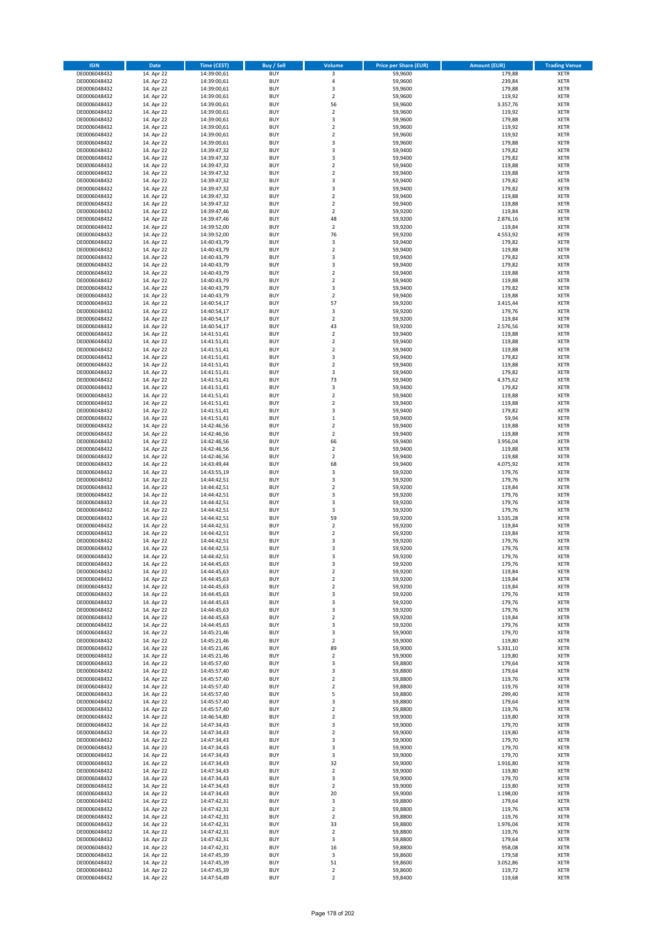| <b>ISIN</b>                  | <b>Date</b>              | <b>Time (CEST)</b>         | <b>Buy / Sell</b>        | Volume                        | <b>Price per Share (EUR)</b> | <b>Amount (EUR)</b> | <b>Trading Venue</b>       |
|------------------------------|--------------------------|----------------------------|--------------------------|-------------------------------|------------------------------|---------------------|----------------------------|
| DE0006048432                 | 14. Apr 22               | 14:39:00,61                | <b>BUY</b>               | 3                             | 59,9600                      | 179,88              | <b>XETR</b>                |
| DE0006048432                 | 14. Apr 22               | 14:39:00,61                | <b>BUY</b>               | 4                             | 59,9600                      | 239,84              | <b>XETR</b>                |
| DE0006048432                 | 14. Apr 22               | 14:39:00,61                | <b>BUY</b>               | 3                             | 59,9600                      | 179,88              | <b>XETR</b>                |
| DE0006048432<br>DE0006048432 | 14. Apr 22               | 14:39:00,61                | <b>BUY</b><br><b>BUY</b> | $\mathbf 2$<br>56             | 59,9600<br>59,9600           | 119,92              | <b>XETR</b><br><b>XETR</b> |
| DE0006048432                 | 14. Apr 22<br>14. Apr 22 | 14:39:00,61<br>14:39:00,61 | <b>BUY</b>               | $\mathbf 2$                   | 59,9600                      | 3.357,76<br>119,92  | <b>XETR</b>                |
| DE0006048432                 | 14. Apr 22               | 14:39:00,61                | <b>BUY</b>               | 3                             | 59,9600                      | 179,88              | <b>XETR</b>                |
| DE0006048432                 | 14. Apr 22               | 14:39:00,61                | <b>BUY</b>               | $\mathbf 2$                   | 59,9600                      | 119,92              | <b>XETR</b>                |
| DE0006048432                 | 14. Apr 22               | 14:39:00,61                | <b>BUY</b>               | $\overline{2}$                | 59,9600                      | 119,92              | <b>XETR</b>                |
| DE0006048432                 | 14. Apr 22               | 14:39:00,61                | <b>BUY</b>               | 3                             | 59,9600                      | 179,88              | <b>XETR</b>                |
| DE0006048432                 | 14. Apr 22               | 14:39:47,32                | <b>BUY</b>               | 3                             | 59,9400                      | 179,82              | <b>XETR</b>                |
| DE0006048432                 | 14. Apr 22<br>14. Apr 22 | 14:39:47,32                | <b>BUY</b><br><b>BUY</b> | 3<br>$\mathbf 2$              | 59,9400                      | 179,82<br>119,88    | <b>XETR</b><br><b>XETR</b> |
| DE0006048432<br>DE0006048432 | 14. Apr 22               | 14:39:47,32<br>14:39:47,32 | <b>BUY</b>               | $\overline{\mathbf{c}}$       | 59,9400<br>59,9400           | 119,88              | <b>XETR</b>                |
| DE0006048432                 | 14. Apr 22               | 14:39:47,32                | <b>BUY</b>               | 3                             | 59,9400                      | 179,82              | <b>XETR</b>                |
| DE0006048432                 | 14. Apr 22               | 14:39:47,32                | <b>BUY</b>               | 3                             | 59,9400                      | 179,82              | <b>XETR</b>                |
| DE0006048432                 | 14. Apr 22               | 14:39:47,32                | <b>BUY</b>               | $\mathbf 2$                   | 59,9400                      | 119,88              | <b>XETR</b>                |
| DE0006048432                 | 14. Apr 22               | 14:39:47,32                | <b>BUY</b>               | $\mathbf 2$                   | 59,9400                      | 119,88              | <b>XETR</b>                |
| DE0006048432                 | 14. Apr 22               | 14:39:47,46                | <b>BUY</b>               | $\overline{\mathbf{c}}$       | 59,9200                      | 119,84              | <b>XETR</b>                |
| DE0006048432                 | 14. Apr 22               | 14:39:47,46                | <b>BUY</b>               | 48                            | 59,9200                      | 2.876,16            | <b>XETR</b>                |
| DE0006048432<br>DE0006048432 | 14. Apr 22<br>14. Apr 22 | 14:39:52,00<br>14:39:52,00 | <b>BUY</b><br><b>BUY</b> | $\overline{\mathbf{c}}$<br>76 | 59,9200<br>59,9200           | 119,84<br>4.553,92  | <b>XETR</b><br><b>XETR</b> |
| DE0006048432                 | 14. Apr 22               | 14:40:43,79                | <b>BUY</b>               | 3                             | 59,9400                      | 179,82              | <b>XETR</b>                |
| DE0006048432                 | 14. Apr 22               | 14:40:43,79                | <b>BUY</b>               | $\mathbf 2$                   | 59,9400                      | 119,88              | <b>XETR</b>                |
| DE0006048432                 | 14. Apr 22               | 14:40:43,79                | <b>BUY</b>               | 3                             | 59,9400                      | 179,82              | <b>XETR</b>                |
| DE0006048432                 | 14. Apr 22               | 14:40:43,79                | <b>BUY</b>               | 3                             | 59,9400                      | 179,82              | <b>XETR</b>                |
| DE0006048432                 | 14. Apr 22               | 14:40:43,79                | <b>BUY</b>               | $\mathbf 2$                   | 59,9400                      | 119,88              | <b>XETR</b>                |
| DE0006048432                 | 14. Apr 22               | 14:40:43,79                | <b>BUY</b>               | $\overline{\mathbf{c}}$       | 59,9400                      | 119,88              | <b>XETR</b>                |
| DE0006048432<br>DE0006048432 | 14. Apr 22<br>14. Apr 22 | 14:40:43,79<br>14:40:43,79 | <b>BUY</b><br><b>BUY</b> | 3<br>$\overline{\mathbf{2}}$  | 59,9400<br>59,9400           | 179,82<br>119,88    | <b>XETR</b><br><b>XETR</b> |
| DE0006048432                 | 14. Apr 22               | 14:40:54,17                | <b>BUY</b>               | 57                            | 59,9200                      | 3.415,44            | <b>XETR</b>                |
| DE0006048432                 | 14. Apr 22               | 14:40:54,17                | <b>BUY</b>               | 3                             | 59,9200                      | 179,76              | <b>XETR</b>                |
| DE0006048432                 | 14. Apr 22               | 14:40:54,17                | <b>BUY</b>               | $\mathbf 2$                   | 59,9200                      | 119,84              | <b>XETR</b>                |
| DE0006048432                 | 14. Apr 22               | 14:40:54,17                | <b>BUY</b>               | 43                            | 59,9200                      | 2.576,56            | <b>XETR</b>                |
| DE0006048432                 | 14. Apr 22               | 14:41:51,41                | <b>BUY</b>               | $\overline{\mathbf{c}}$       | 59,9400                      | 119,88              | <b>XETR</b>                |
| DE0006048432                 | 14. Apr 22               | 14:41:51,41                | <b>BUY</b>               | $\mathbf 2$                   | 59,9400                      | 119,88              | <b>XETR</b>                |
| DE0006048432                 | 14. Apr 22               | 14:41:51,41                | <b>BUY</b>               | $\overline{\mathbf{c}}$<br>3  | 59,9400                      | 119,88              | <b>XETR</b><br><b>XETR</b> |
| DE0006048432<br>DE0006048432 | 14. Apr 22<br>14. Apr 22 | 14:41:51,41<br>14:41:51,41 | <b>BUY</b><br><b>BUY</b> | $\overline{2}$                | 59,9400<br>59,9400           | 179,82<br>119,88    | <b>XETR</b>                |
| DE0006048432                 | 14. Apr 22               | 14:41:51,41                | <b>BUY</b>               | 3                             | 59,9400                      | 179,82              | <b>XETR</b>                |
| DE0006048432                 | 14. Apr 22               | 14:41:51,41                | <b>BUY</b>               | 73                            | 59,9400                      | 4.375,62            | <b>XETR</b>                |
| DE0006048432                 | 14. Apr 22               | 14:41:51,41                | <b>BUY</b>               | 3                             | 59,9400                      | 179,82              | <b>XETR</b>                |
| DE0006048432                 | 14. Apr 22               | 14:41:51,41                | <b>BUY</b>               | $\mathbf 2$                   | 59,9400                      | 119,88              | <b>XETR</b>                |
| DE0006048432                 | 14. Apr 22               | 14:41:51,41                | <b>BUY</b>               | $\overline{\mathbf{c}}$       | 59,9400                      | 119,88              | <b>XETR</b>                |
| DE0006048432                 | 14. Apr 22               | 14:41:51,41                | <b>BUY</b>               | 3                             | 59,9400                      | 179,82              | <b>XETR</b>                |
| DE0006048432                 | 14. Apr 22               | 14:41:51,41                | <b>BUY</b>               | $\mathbf 1$                   | 59,9400                      | 59,94               | <b>XETR</b>                |
| DE0006048432<br>DE0006048432 | 14. Apr 22<br>14. Apr 22 | 14:42:46,56<br>14:42:46,56 | <b>BUY</b><br><b>BUY</b> | $\mathbf 2$<br>$\mathbf 2$    | 59,9400<br>59,9400           | 119,88<br>119,88    | <b>XETR</b><br><b>XETR</b> |
| DE0006048432                 | 14. Apr 22               | 14:42:46,56                | <b>BUY</b>               | 66                            | 59,9400                      | 3.956,04            | <b>XETR</b>                |
| DE0006048432                 | 14. Apr 22               | 14:42:46,56                | <b>BUY</b>               | $\mathbf 2$                   | 59,9400                      | 119,88              | <b>XETR</b>                |
| DE0006048432                 | 14. Apr 22               | 14:42:46,56                | <b>BUY</b>               | $\overline{2}$                | 59,9400                      | 119,88              | <b>XETR</b>                |
| DE0006048432                 | 14. Apr 22               | 14:43:49,44                | <b>BUY</b>               | 68                            | 59,9400                      | 4.075,92            | <b>XETR</b>                |
| DE0006048432                 | 14. Apr 22               | 14:43:55,19                | <b>BUY</b>               | 3                             | 59,9200                      | 179,76              | <b>XETR</b>                |
| DE0006048432                 | 14. Apr 22               | 14:44:42,51                | <b>BUY</b>               | 3                             | 59,9200                      | 179,76              | <b>XETR</b>                |
| DE0006048432<br>DE0006048432 | 14. Apr 22<br>14. Apr 22 | 14:44:42,51<br>14:44:42,51 | <b>BUY</b><br><b>BUY</b> | $\overline{\mathbf{c}}$<br>3  | 59,9200<br>59,9200           | 119,84<br>179,76    | <b>XETR</b><br><b>XETR</b> |
| DE0006048432                 | 14. Apr 22               | 14:44:42,51                | <b>BUY</b>               | 3                             | 59,9200                      | 179,76              | <b>XETR</b>                |
| DE0006048432                 | 14. Apr 22               | 14:44:42,51                | <b>BUY</b>               | 3                             | 59,9200                      | 179,76              | <b>XETR</b>                |
| DE0006048432                 | 14. Apr 22               | 14:44:42,51                | <b>BUY</b>               | 59                            | 59,9200                      | 3.535,28            | <b>XETR</b>                |
| DE0006048432                 | 14. Apr 22               | 14:44:42,51                | <b>BUY</b>               | $\overline{2}$                | 59,9200                      | 119,84              | <b>XETR</b>                |
| DE0006048432                 | 14. Apr 22               | 14:44:42,51                | <b>BUY</b>               | $\mathbf 2$                   | 59,9200                      | 119,84              | <b>XETR</b>                |
| DE0006048432                 | 14. Apr 22               | 14:44:42,51                | <b>BUY</b><br><b>BUY</b> | 3<br>3                        | 59,9200                      | 179,76              | <b>XETR</b><br><b>XETR</b> |
| DE0006048432<br>DE0006048432 | 14. Apr 22<br>14. Apr 22 | 14:44:42,51<br>14:44:42,51 | <b>BUY</b>               | 3                             | 59,9200<br>59,9200           | 179,76<br>179,76    | <b>XETR</b>                |
| DE0006048432                 | 14. Apr 22               | 14:44:45,63                | BUY                      | 3                             | 59,9200                      | 179,76              | <b>XETR</b>                |
| DE0006048432                 | 14. Apr 22               | 14:44:45,63                | <b>BUY</b>               | $\mathbf 2$                   | 59,9200                      | 119,84              | XETR                       |
| DE0006048432                 | 14. Apr 22               | 14:44:45,63                | <b>BUY</b>               | $\mathbf 2$                   | 59,9200                      | 119,84              | XETR                       |
| DE0006048432                 | 14. Apr 22               | 14:44:45,63                | <b>BUY</b>               | $\mathbf 2$                   | 59,9200                      | 119,84              | XETR                       |
| DE0006048432                 | 14. Apr 22               | 14:44:45,63                | <b>BUY</b>               | 3                             | 59,9200                      | 179,76              | <b>XETR</b>                |
| DE0006048432<br>DE0006048432 | 14. Apr 22<br>14. Apr 22 | 14:44:45,63<br>14:44:45,63 | <b>BUY</b><br><b>BUY</b> | 3<br>3                        | 59,9200<br>59,9200           | 179,76<br>179,76    | <b>XETR</b><br><b>XETR</b> |
| DE0006048432                 | 14. Apr 22               | 14:44:45,63                | <b>BUY</b>               | $\mathbf 2$                   | 59,9200                      | 119,84              | <b>XETR</b>                |
| DE0006048432                 | 14. Apr 22               | 14:44:45,63                | <b>BUY</b>               | 3                             | 59,9200                      | 179,76              | <b>XETR</b>                |
| DE0006048432                 | 14. Apr 22               | 14:45:21,46                | <b>BUY</b>               | 3                             | 59,9000                      | 179,70              | XETR                       |
| DE0006048432                 | 14. Apr 22               | 14:45:21,46                | <b>BUY</b>               | $\mathbf 2$                   | 59,9000                      | 119,80              | XETR                       |
| DE0006048432                 | 14. Apr 22               | 14:45:21,46                | <b>BUY</b>               | 89                            | 59,9000                      | 5.331,10            | <b>XETR</b>                |
| DE0006048432<br>DE0006048432 | 14. Apr 22<br>14. Apr 22 | 14:45:21,46<br>14:45:57,40 | <b>BUY</b><br><b>BUY</b> | $\mathbf 2$<br>3              | 59,9000<br>59,8800           | 119,80<br>179,64    | <b>XETR</b><br><b>XETR</b> |
| DE0006048432                 | 14. Apr 22               | 14:45:57,40                | <b>BUY</b>               | 3                             | 59,8800                      | 179,64              | <b>XETR</b>                |
| DE0006048432                 | 14. Apr 22               | 14:45:57,40                | <b>BUY</b>               | $\mathbf 2$                   | 59,8800                      | 119,76              | <b>XETR</b>                |
| DE0006048432                 | 14. Apr 22               | 14:45:57,40                | <b>BUY</b>               | $\mathbf 2$                   | 59,8800                      | 119,76              | <b>XETR</b>                |
| DE0006048432                 | 14. Apr 22               | 14:45:57,40                | <b>BUY</b>               | 5                             | 59,8800                      | 299,40              | <b>XETR</b>                |
| DE0006048432                 | 14. Apr 22               | 14:45:57,40                | <b>BUY</b>               | 3                             | 59,8800                      | 179,64              | XETR                       |
| DE0006048432                 | 14. Apr 22               | 14:45:57,40                | <b>BUY</b>               | $\mathbf 2$                   | 59,8800                      | 119,76              | <b>XETR</b>                |
| DE0006048432<br>DE0006048432 | 14. Apr 22<br>14. Apr 22 | 14:46:54,80<br>14:47:34,43 | <b>BUY</b><br><b>BUY</b> | $\overline{2}$<br>3           | 59,9000<br>59,9000           | 119,80<br>179,70    | <b>XETR</b><br><b>XETR</b> |
| DE0006048432                 | 14. Apr 22               | 14:47:34,43                | <b>BUY</b>               | $\overline{2}$                | 59,9000                      | 119,80              | <b>XETR</b>                |
| DE0006048432                 | 14. Apr 22               | 14:47:34,43                | <b>BUY</b>               | 3                             | 59,9000                      | 179,70              | <b>XETR</b>                |
| DE0006048432                 | 14. Apr 22               | 14:47:34,43                | <b>BUY</b>               | 3                             | 59,9000                      | 179,70              | <b>XETR</b>                |
| DE0006048432                 | 14. Apr 22               | 14:47:34,43                | <b>BUY</b>               | 3                             | 59,9000                      | 179,70              | XETR                       |
| DE0006048432                 | 14. Apr 22               | 14:47:34,43                | <b>BUY</b>               | 32                            | 59,9000                      | 1.916,80            | <b>XETR</b>                |
| DE0006048432                 | 14. Apr 22               | 14:47:34,43                | <b>BUY</b>               | $\mathbf 2$                   | 59,9000                      | 119,80              | <b>XETR</b>                |
| DE0006048432<br>DE0006048432 | 14. Apr 22<br>14. Apr 22 | 14:47:34,43<br>14:47:34,43 | <b>BUY</b><br><b>BUY</b> | 3<br>$\overline{2}$           | 59,9000<br>59,9000           | 179,70<br>119,80    | <b>XETR</b><br>XETR        |
| DE0006048432                 | 14. Apr 22               | 14:47:34,43                | <b>BUY</b>               | 20                            | 59,9000                      | 1.198,00            | <b>XETR</b>                |
| DE0006048432                 | 14. Apr 22               | 14:47:42,31                | <b>BUY</b>               | 3                             | 59,8800                      | 179,64              | <b>XETR</b>                |
| DE0006048432                 | 14. Apr 22               | 14:47:42,31                | <b>BUY</b>               | $\mathbf 2$                   | 59,8800                      | 119,76              | XETR                       |
| DE0006048432                 | 14. Apr 22               | 14:47:42,31                | <b>BUY</b>               | $\mathbf 2$                   | 59,8800                      | 119,76              | <b>XETR</b>                |
| DE0006048432                 | 14. Apr 22               | 14:47:42,31                | <b>BUY</b>               | 33                            | 59,8800                      | 1.976,04            | <b>XETR</b>                |
| DE0006048432                 | 14. Apr 22               | 14:47:42,31                | <b>BUY</b>               | $\mathbf 2$                   | 59,8800                      | 119,76              | <b>XETR</b>                |
| DE0006048432<br>DE0006048432 | 14. Apr 22<br>14. Apr 22 | 14:47:42,31<br>14:47:42,31 | <b>BUY</b><br><b>BUY</b> | 3<br>16                       | 59,8800<br>59,8800           | 179,64<br>958,08    | <b>XETR</b><br>XETR        |
| DE0006048432                 | 14. Apr 22               | 14:47:45,39                | <b>BUY</b>               | 3                             | 59,8600                      | 179,58              | <b>XETR</b>                |
| DE0006048432                 | 14. Apr 22               | 14:47:45,39                | <b>BUY</b>               | 51                            | 59,8600                      | 3.052,86            | <b>XETR</b>                |
| DE0006048432                 | 14. Apr 22               | 14:47:45,39                | <b>BUY</b>               | $\mathbf 2$                   | 59,8600                      | 119,72              | <b>XETR</b>                |
| DE0006048432                 | 14. Apr 22               | 14:47:54,49                | <b>BUY</b>               | $\mathbf 2$                   | 59,8400                      | 119,68              | XETR                       |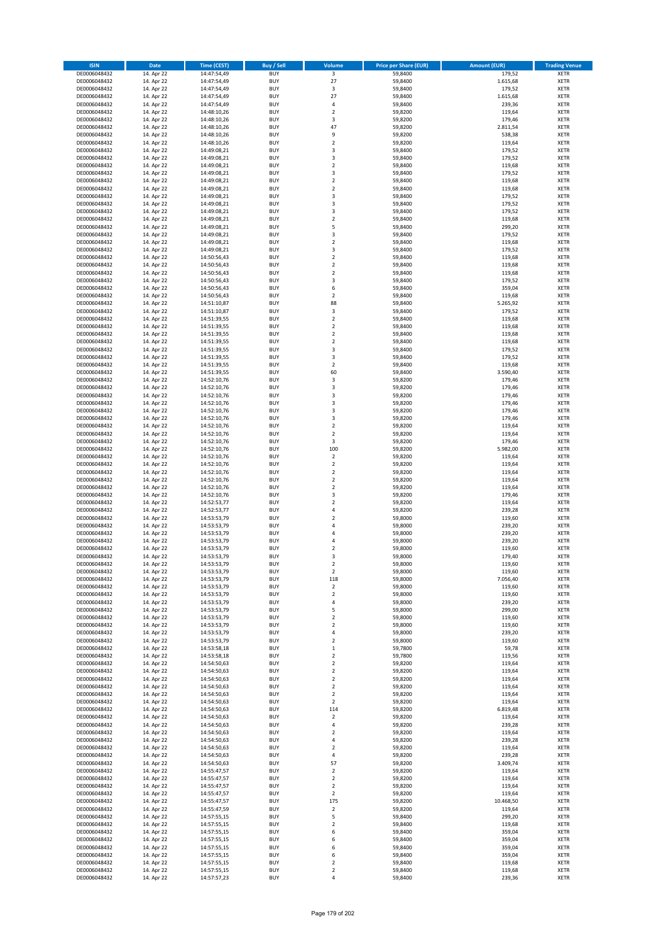| <b>ISIN</b>                  | Date                     | Time (CEST)                | <b>Buy / Sell</b>        | <b>Volume</b>                    | <b>Price per Share (EUR)</b> | <b>Amount (EUR)</b> | <b>Trading Venue</b>       |
|------------------------------|--------------------------|----------------------------|--------------------------|----------------------------------|------------------------------|---------------------|----------------------------|
| DE0006048432                 | 14. Apr 22               | 14:47:54,49                | <b>BUY</b>               | $\overline{\mathbf{3}}$          | 59,8400                      | 179,52              | <b>XETR</b>                |
| DE0006048432                 | 14. Apr 22               | 14:47:54,49                | <b>BUY</b>               | 27                               | 59,8400                      | 1.615,68            | XETR                       |
| DE0006048432                 | 14. Apr 22               | 14:47:54,49                | <b>BUY</b>               | $\mathsf 3$                      | 59,8400                      | 179,52              | XETR                       |
| DE0006048432<br>DE0006048432 | 14. Apr 22<br>14. Apr 22 | 14:47:54,49<br>14:47:54,49 | <b>BUY</b><br><b>BUY</b> | 27<br>4                          | 59,8400<br>59,8400           | 1.615,68<br>239,36  | <b>XETR</b><br><b>XETR</b> |
| DE0006048432                 | 14. Apr 22               | 14:48:10,26                | <b>BUY</b>               | $\overline{2}$                   | 59,8200                      | 119,64              | <b>XETR</b>                |
| DE0006048432                 | 14. Apr 22               | 14:48:10,26                | <b>BUY</b>               | 3                                | 59,8200                      | 179,46              | <b>XETR</b>                |
| DE0006048432                 | 14. Apr 22               | 14:48:10,26                | <b>BUY</b>               | 47                               | 59,8200                      | 2.811,54            | <b>XETR</b>                |
| DE0006048432                 | 14. Apr 22               | 14:48:10,26                | <b>BUY</b>               | 9                                | 59,8200                      | 538,38              | <b>XETR</b>                |
| DE0006048432<br>DE0006048432 | 14. Apr 22<br>14. Apr 22 | 14:48:10,26<br>14:49:08,21 | <b>BUY</b><br><b>BUY</b> | $\mathbf 2$<br>3                 | 59,8200<br>59,8400           | 119,64<br>179,52    | <b>XETR</b><br><b>XETR</b> |
| DE0006048432                 | 14. Apr 22               | 14:49:08,21                | <b>BUY</b>               | 3                                | 59,8400                      | 179,52              | <b>XETR</b>                |
| DE0006048432                 | 14. Apr 22               | 14:49:08,21                | <b>BUY</b>               | $\mathbf 2$                      | 59,8400                      | 119,68              | <b>XETR</b>                |
| DE0006048432                 | 14. Apr 22               | 14:49:08,21                | <b>BUY</b>               | 3                                | 59,8400                      | 179,52              | <b>XETR</b>                |
| DE0006048432                 | 14. Apr 22               | 14:49:08,21                | <b>BUY</b>               | $\mathbf 2$                      | 59,8400                      | 119,68              | <b>XETR</b>                |
| DE0006048432<br>DE0006048432 | 14. Apr 22               | 14:49:08,21<br>14:49:08,21 | <b>BUY</b><br><b>BUY</b> | $\mathbf 2$<br>3                 | 59,8400<br>59,8400           | 119,68<br>179,52    | <b>XETR</b><br><b>XETR</b> |
| DE0006048432                 | 14. Apr 22<br>14. Apr 22 | 14:49:08,21                | <b>BUY</b>               | 3                                | 59,8400                      | 179,52              | <b>XETR</b>                |
| DE0006048432                 | 14. Apr 22               | 14:49:08,21                | <b>BUY</b>               | 3                                | 59,8400                      | 179,52              | <b>XETR</b>                |
| DE0006048432                 | 14. Apr 22               | 14:49:08,21                | <b>BUY</b>               | $\mathbf 2$                      | 59.8400                      | 119,68              | <b>XETR</b>                |
| DE0006048432                 | 14. Apr 22               | 14:49:08,21                | <b>BUY</b>               | 5                                | 59,8400                      | 299,20              | <b>XETR</b>                |
| DE0006048432                 | 14. Apr 22               | 14:49:08,21                | <b>BUY</b>               | 3                                | 59,8400                      | 179,52              | <b>XETR</b>                |
| DE0006048432<br>DE0006048432 | 14. Apr 22<br>14. Apr 22 | 14:49:08,21<br>14:49:08,21 | <b>BUY</b><br><b>BUY</b> | $\mathbf 2$<br>3                 | 59,8400<br>59,8400           | 119,68<br>179,52    | <b>XETR</b><br><b>XETR</b> |
| DE0006048432                 | 14. Apr 22               | 14:50:56,43                | <b>BUY</b>               | $\mathbf 2$                      | 59,8400                      | 119,68              | <b>XETR</b>                |
| DE0006048432                 | 14. Apr 22               | 14:50:56,43                | <b>BUY</b>               | $\mathbf 2$                      | 59,8400                      | 119,68              | <b>XETR</b>                |
| DE0006048432                 | 14. Apr 22               | 14:50:56,43                | <b>BUY</b>               | $\overline{2}$                   | 59,8400                      | 119,68              | <b>XETR</b>                |
| DE0006048432                 | 14. Apr 22               | 14:50:56,43                | <b>BUY</b>               | 3                                | 59,8400                      | 179,52              | <b>XETR</b>                |
| DE0006048432<br>DE0006048432 | 14. Apr 22<br>14. Apr 22 | 14:50:56,43<br>14:50:56,43 | <b>BUY</b><br><b>BUY</b> | 6<br>$\mathbf 2$                 | 59,8400<br>59,8400           | 359,04<br>119,68    | <b>XETR</b><br><b>XETR</b> |
| DE0006048432                 | 14. Apr 22               | 14:51:10,87                | <b>BUY</b>               | 88                               | 59,8400                      | 5.265,92            | <b>XETR</b>                |
| DE0006048432                 | 14. Apr 22               | 14:51:10,87                | <b>BUY</b>               | 3                                | 59,8400                      | 179,52              | <b>XETR</b>                |
| DE0006048432                 | 14. Apr 22               | 14:51:39,55                | <b>BUY</b>               | $\mathbf 2$                      | 59,8400                      | 119,68              | <b>XETR</b>                |
| DE0006048432                 | 14. Apr 22               | 14:51:39,55                | <b>BUY</b>               | $\mathbf 2$                      | 59,8400                      | 119,68              | <b>XETR</b>                |
| DE0006048432                 | 14. Apr 22               | 14:51:39,55                | <b>BUY</b>               | $\mathbf 2$                      | 59,8400                      | 119,68              | <b>XETR</b>                |
| DE0006048432<br>DE0006048432 | 14. Apr 22<br>14. Apr 22 | 14:51:39,55<br>14:51:39,55 | <b>BUY</b><br><b>BUY</b> | $\overline{2}$<br>3              | 59,8400<br>59,8400           | 119,68<br>179,52    | <b>XETR</b><br><b>XETR</b> |
| DE0006048432                 | 14. Apr 22               | 14:51:39,55                | <b>BUY</b>               | 3                                | 59,8400                      | 179,52              | <b>XETR</b>                |
| DE0006048432                 | 14. Apr 22               | 14:51:39,55                | <b>BUY</b>               | $\mathbf 2$                      | 59,8400                      | 119,68              | <b>XETR</b>                |
| DE0006048432                 | 14. Apr 22               | 14:51:39,55                | <b>BUY</b>               | 60                               | 59,8400                      | 3.590,40            | <b>XETR</b>                |
| DE0006048432                 | 14. Apr 22               | 14:52:10,76                | <b>BUY</b>               | 3                                | 59,8200                      | 179,46              | <b>XETR</b>                |
| DE0006048432                 | 14. Apr 22               | 14:52:10,76                | <b>BUY</b>               | 3                                | 59,8200                      | 179,46              | <b>XETR</b>                |
| DE0006048432                 | 14. Apr 22               | 14:52:10,76                | <b>BUY</b>               | 3<br>3                           | 59,8200                      | 179,46              | <b>XETR</b>                |
| DE0006048432<br>DE0006048432 | 14. Apr 22<br>14. Apr 22 | 14:52:10,76<br>14:52:10,76 | <b>BUY</b><br><b>BUY</b> | 3                                | 59,8200<br>59,8200           | 179,46<br>179,46    | <b>XETR</b><br><b>XETR</b> |
| DE0006048432                 | 14. Apr 22               | 14:52:10,76                | <b>BUY</b>               | 3                                | 59,8200                      | 179,46              | <b>XETR</b>                |
| DE0006048432                 | 14. Apr 22               | 14:52:10,76                | <b>BUY</b>               | $\mathbf 2$                      | 59,8200                      | 119,64              | <b>XETR</b>                |
| DE0006048432                 | 14. Apr 22               | 14:52:10,76                | <b>BUY</b>               | $\mathbf 2$                      | 59,8200                      | 119,64              | <b>XETR</b>                |
| DE0006048432                 | 14. Apr 22               | 14:52:10,76                | <b>BUY</b>               | 3                                | 59,8200                      | 179,46              | <b>XETR</b>                |
| DE0006048432                 | 14. Apr 22               | 14:52:10,76                | <b>BUY</b>               | 100                              | 59,8200                      | 5.982,00            | <b>XETR</b>                |
| DE0006048432<br>DE0006048432 | 14. Apr 22<br>14. Apr 22 | 14:52:10,76<br>14:52:10,76 | <b>BUY</b><br><b>BUY</b> | $\sqrt{2}$<br>$\overline{2}$     | 59,8200<br>59,8200           | 119,64<br>119,64    | <b>XETR</b><br><b>XETR</b> |
| DE0006048432                 | 14. Apr 22               | 14:52:10,76                | <b>BUY</b>               | $\mathbf 2$                      | 59,8200                      | 119,64              | <b>XETR</b>                |
| DE0006048432                 | 14. Apr 22               | 14:52:10,76                | <b>BUY</b>               | $\overline{2}$                   | 59,8200                      | 119,64              | <b>XETR</b>                |
| DE0006048432                 | 14. Apr 22               | 14:52:10,76                | <b>BUY</b>               | $\mathbf 2$                      | 59,8200                      | 119,64              | <b>XETR</b>                |
| DE0006048432                 | 14. Apr 22               | 14:52:10,76                | <b>BUY</b>               | 3                                | 59,8200                      | 179,46              | <b>XETR</b>                |
| DE0006048432                 | 14. Apr 22<br>14. Apr 22 | 14:52:53,77<br>14:52:53,77 | <b>BUY</b><br><b>BUY</b> | $\mathbf 2$<br>4                 | 59,8200                      | 119,64              | <b>XETR</b><br><b>XETR</b> |
| DE0006048432<br>DE0006048432 | 14. Apr 22               | 14:53:53,79                | <b>BUY</b>               | $\mathbf 2$                      | 59,8200<br>59,8000           | 239,28<br>119,60    | <b>XETR</b>                |
| DE0006048432                 | 14. Apr 22               | 14:53:53,79                | <b>BUY</b>               | $\overline{4}$                   | 59,8000                      | 239,20              | <b>XETR</b>                |
| DE0006048432                 | 14. Apr 22               | 14:53:53,79                | <b>BUY</b>               | 4                                | 59,8000                      | 239,20              | <b>XETR</b>                |
| DE0006048432                 | 14. Apr 22               | 14:53:53,79                | <b>BUY</b>               | $\overline{4}$                   | 59,8000                      | 239,20              | <b>XETR</b>                |
| DE0006048432                 | 14. Apr 22               | 14:53:53,79                | <b>BUY</b>               | $\overline{2}$                   | 59.8000                      | 119,60              | <b>XETR</b>                |
| DE0006048432<br>DE0006048432 | 14. Apr 22               | 14:53:53,79                | <b>BUY</b><br><b>BUY</b> | 3<br>$\overline{2}$              | 59,8000<br>59,8000           | 179,40<br>119,60    | <b>XETR</b><br><b>XETR</b> |
| DE0006048432                 | 14. Apr 22<br>14. Apr 22 | 14:53:53,79<br>14:53:53,79 | <b>BUY</b>               | $\overline{2}$                   | 59,8000                      | 119,60              | <b>XETR</b>                |
| DE0006048432                 | 14. Apr 22               | 14:53:53,79                | <b>BUY</b>               | 118                              | 59,8000                      | 7.056,40            | XETR                       |
| DE0006048432                 | 14. Apr 22               | 14:53:53,79                | <b>BUY</b>               | $\overline{2}$                   | 59.8000                      | 119,60              | <b>XETR</b>                |
| DE0006048432                 | 14. Apr 22               | 14:53:53,79                | <b>BUY</b>               | $\mathbf 2$                      | 59,8000                      | 119,60              | <b>XETR</b>                |
| DE0006048432                 | 14. Apr 22               | 14:53:53,79                | <b>BUY</b>               | 4                                | 59,8000                      | 239,20              | <b>XETR</b>                |
| DE0006048432<br>DE0006048432 | 14. Apr 22<br>14. Apr 22 | 14:53:53,79<br>14:53:53,79 | <b>BUY</b><br><b>BUY</b> | 5<br>$\overline{2}$              | 59,8000<br>59,8000           | 299,00<br>119,60    | <b>XETR</b><br><b>XETR</b> |
| DE0006048432                 | 14. Apr 22               | 14:53:53,79                | <b>BUY</b>               | $\overline{2}$                   | 59,8000                      | 119,60              | <b>XETR</b>                |
| DE0006048432                 | 14. Apr 22               | 14:53:53,79                | <b>BUY</b>               | 4                                | 59,8000                      | 239,20              | XETR                       |
| DE0006048432                 | 14. Apr 22               | 14:53:53,79                | <b>BUY</b>               | $\overline{\mathbf{2}}$          | 59,8000                      | 119,60              | <b>XETR</b>                |
| DE0006048432                 | 14. Apr 22               | 14:53:58,18                | <b>BUY</b>               | $\,$ 1                           | 59,7800                      | 59,78               | <b>XETR</b>                |
| DE0006048432                 | 14. Apr 22               | 14:53:58,18                | <b>BUY</b>               | $\overline{2}$                   | 59,7800                      | 119,56              | <b>XETR</b>                |
| DE0006048432<br>DE0006048432 | 14. Apr 22<br>14. Apr 22 | 14:54:50,63<br>14:54:50,63 | <b>BUY</b><br><b>BUY</b> | $\overline{2}$<br>$\overline{2}$ | 59,8200<br>59,8200           | 119,64<br>119,64    | <b>XETR</b><br><b>XETR</b> |
| DE0006048432                 | 14. Apr 22               | 14:54:50,63                | <b>BUY</b>               | $\mathbf 2$                      | 59,8200                      | 119,64              | <b>XETR</b>                |
| DE0006048432                 | 14. Apr 22               | 14:54:50,63                | <b>BUY</b>               | $\mathbf 2$                      | 59,8200                      | 119,64              | XETR                       |
| DE0006048432                 | 14. Apr 22               | 14:54:50,63                | <b>BUY</b>               | $\mathbf 2$                      | 59,8200                      | 119,64              | <b>XETR</b>                |
| DE0006048432                 | 14. Apr 22               | 14:54:50,63                | <b>BUY</b>               | $\overline{2}$                   | 59,8200                      | 119,64              | <b>XETR</b>                |
| DE0006048432                 | 14. Apr 22               | 14:54:50,63                | <b>BUY</b>               | 114                              | 59,8200                      | 6.819,48            | <b>XETR</b>                |
| DE0006048432<br>DE0006048432 | 14. Apr 22<br>14. Apr 22 | 14:54:50,63<br>14:54:50,63 | <b>BUY</b><br><b>BUY</b> | $\overline{2}$<br>$\pmb{4}$      | 59,8200<br>59,8200           | 119,64<br>239,28    | XETR<br><b>XETR</b>        |
| DE0006048432                 | 14. Apr 22               | 14:54:50,63                | <b>BUY</b>               | $\overline{2}$                   | 59,8200                      | 119,64              | XETR                       |
| DE0006048432                 | 14. Apr 22               | 14:54:50,63                | <b>BUY</b>               | $\pmb{4}$                        | 59,8200                      | 239,28              | <b>XETR</b>                |
| DE0006048432                 | 14. Apr 22               | 14:54:50,63                | <b>BUY</b>               | $\mathbf 2$                      | 59,8200                      | 119,64              | XETR                       |
| DE0006048432                 | 14. Apr 22               | 14:54:50,63                | <b>BUY</b>               | 4                                | 59,8200                      | 239,28              | <b>XETR</b>                |
| DE0006048432                 | 14. Apr 22               | 14:54:50,63                | <b>BUY</b>               | 57<br>$\mathbf 2$                | 59,8200                      | 3.409,74<br>119,64  | <b>XETR</b>                |
| DE0006048432<br>DE0006048432 | 14. Apr 22<br>14. Apr 22 | 14:55:47,57<br>14:55:47,57 | <b>BUY</b><br><b>BUY</b> | $\overline{2}$                   | 59,8200<br>59,8200           | 119,64              | <b>XETR</b><br><b>XETR</b> |
| DE0006048432                 | 14. Apr 22               | 14:55:47,57                | <b>BUY</b>               | $\overline{2}$                   | 59,8200                      | 119,64              | XETR                       |
| DE0006048432                 | 14. Apr 22               | 14:55:47,57                | <b>BUY</b>               | $\overline{2}$                   | 59,8200                      | 119,64              | <b>XETR</b>                |
| DE0006048432                 | 14. Apr 22               | 14:55:47,57                | <b>BUY</b>               | 175                              | 59,8200                      | 10.468,50           | <b>XETR</b>                |
| DE0006048432                 | 14. Apr 22               | 14:55:47,59                | <b>BUY</b>               | $\overline{2}$                   | 59,8200                      | 119,64              | <b>XETR</b>                |
| DE0006048432<br>DE0006048432 | 14. Apr 22<br>14. Apr 22 | 14:57:55,15                | <b>BUY</b><br><b>BUY</b> | 5<br>$\overline{2}$              | 59,8400<br>59,8400           | 299,20<br>119,68    | <b>XETR</b><br>XETR        |
| DE0006048432                 | 14. Apr 22               | 14:57:55,15<br>14:57:55,15 | <b>BUY</b>               | 6                                | 59,8400                      | 359,04              | <b>XETR</b>                |
| DE0006048432                 | 14. Apr 22               | 14:57:55,15                | <b>BUY</b>               | 6                                | 59,8400                      | 359,04              | XETR                       |
| DE0006048432                 | 14. Apr 22               | 14:57:55,15                | <b>BUY</b>               | 6                                | 59,8400                      | 359,04              | <b>XETR</b>                |
| DE0006048432                 | 14. Apr 22               | 14:57:55,15                | <b>BUY</b>               | 6                                | 59,8400                      | 359,04              | XETR                       |
| DE0006048432                 | 14. Apr 22               | 14:57:55,15                | <b>BUY</b>               | $\mathbf 2$                      | 59,8400                      | 119,68              | XETR                       |
| DE0006048432<br>DE0006048432 | 14. Apr 22<br>14. Apr 22 | 14:57:55,15<br>14:57:57,23 | BUY<br><b>BUY</b>        | $\mathbf 2$<br>4                 | 59,8400<br>59,8400           | 119,68<br>239,36    | <b>XETR</b><br>XETR        |
|                              |                          |                            |                          |                                  |                              |                     |                            |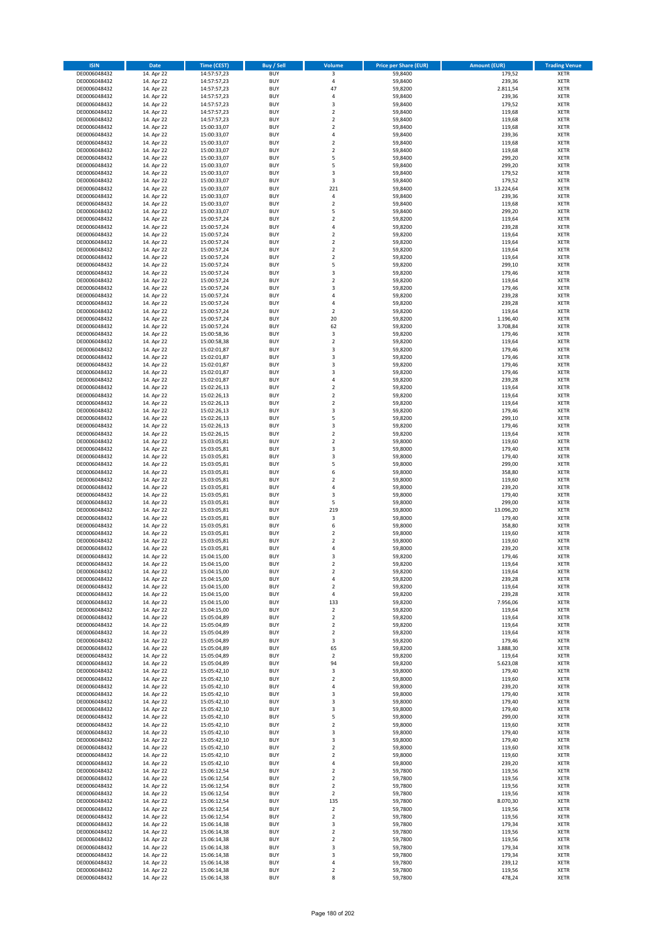| <b>ISIN</b>                  | Date                     | Time (CEST)                | <b>Buy / Sell</b>        | <b>Volume</b>            | <b>Price per Share (EUR)</b> | <b>Amount (EUR)</b> | <b>Trading Venue</b>       |
|------------------------------|--------------------------|----------------------------|--------------------------|--------------------------|------------------------------|---------------------|----------------------------|
| DE0006048432                 | 14. Apr 22               | 14:57:57,23                | <b>BUY</b>               | 3                        | 59,8400                      | 179,52              | <b>XETR</b>                |
| DE0006048432                 | 14. Apr 22               | 14:57:57,23                | <b>BUY</b>               | $\sqrt{4}$               | 59,8400                      | 239,36              | XETR                       |
| DE0006048432                 | 14. Apr 22               | 14:57:57,23                | <b>BUY</b>               | 47                       | 59,8200                      | 2.811,54            | <b>XETR</b>                |
| DE0006048432                 | 14. Apr 22               | 14:57:57,23                | <b>BUY</b>               | 4                        | 59,8400                      | 239,36              | XETR                       |
| DE0006048432<br>DE0006048432 | 14. Apr 22<br>14. Apr 22 | 14:57:57,23<br>14:57:57,23 | <b>BUY</b><br><b>BUY</b> | 3<br>$\mathbf 2$         | 59,8400<br>59,8400           | 179,52<br>119,68    | <b>XETR</b><br><b>XETR</b> |
| DE0006048432                 | 14. Apr 22               | 14:57:57,23                | <b>BUY</b>               | $\mathbf 2$              | 59,8400                      | 119,68              | <b>XETR</b>                |
| DE0006048432                 | 14. Apr 22               | 15:00:33,07                | <b>BUY</b>               | $\mathbf 2$              | 59,8400                      | 119,68              | <b>XETR</b>                |
| DE0006048432                 | 14. Apr 22               | 15:00:33,07                | <b>BUY</b>               | $\overline{4}$           | 59,8400                      | 239,36              | <b>XETR</b>                |
| DE0006048432                 | 14. Apr 22               | 15:00:33,07                | <b>BUY</b>               | $\mathbf 2$              | 59,8400                      | 119,68              | <b>XETR</b>                |
| DE0006048432                 | 14. Apr 22               | 15:00:33,07                | <b>BUY</b>               | $\mathbf 2$              | 59,8400                      | 119,68              | <b>XETR</b>                |
| DE0006048432                 | 14. Apr 22               | 15:00:33,07                | <b>BUY</b>               | 5<br>5                   | 59,8400                      | 299,20              | <b>XETR</b>                |
| DE0006048432<br>DE0006048432 | 14. Apr 22<br>14. Apr 22 | 15:00:33,07<br>15:00:33,07 | <b>BUY</b><br><b>BUY</b> | 3                        | 59,8400<br>59,8400           | 299,20<br>179,52    | <b>XETR</b><br><b>XETR</b> |
| DE0006048432                 | 14. Apr 22               | 15:00:33,07                | <b>BUY</b>               | 3                        | 59,8400                      | 179,52              | <b>XETR</b>                |
| DE0006048432                 | 14. Apr 22               | 15:00:33,07                | <b>BUY</b>               | 221                      | 59,8400                      | 13.224,64           | <b>XETR</b>                |
| DE0006048432                 | 14. Apr 22               | 15:00:33,07                | <b>BUY</b>               | 4                        | 59,8400                      | 239,36              | <b>XETR</b>                |
| DE0006048432                 | 14. Apr 22               | 15:00:33,07                | <b>BUY</b>               | $\mathbf 2$              | 59,8400                      | 119,68              | <b>XETR</b>                |
| DE0006048432                 | 14. Apr 22               | 15:00:33,07                | <b>BUY</b>               | 5                        | 59,8400                      | 299,20              | <b>XETR</b>                |
| DE0006048432<br>DE0006048432 | 14. Apr 22<br>14. Apr 22 | 15:00:57,24<br>15:00:57,24 | <b>BUY</b><br><b>BUY</b> | $\mathbf 2$<br>4         | 59,8200<br>59,8200           | 119,64<br>239,28    | <b>XETR</b><br><b>XETR</b> |
| DE0006048432                 | 14. Apr 22               | 15:00:57,24                | <b>BUY</b>               | $\mathbf 2$              | 59,8200                      | 119,64              | <b>XETR</b>                |
| DE0006048432                 | 14. Apr 22               | 15:00:57,24                | <b>BUY</b>               | $\overline{2}$           | 59,8200                      | 119,64              | <b>XETR</b>                |
| DE0006048432                 | 14. Apr 22               | 15:00:57,24                | <b>BUY</b>               | $\mathbf 2$              | 59,8200                      | 119,64              | <b>XETR</b>                |
| DE0006048432                 | 14. Apr 22               | 15:00:57,24                | <b>BUY</b>               | $\mathbf 2$              | 59,8200                      | 119,64              | <b>XETR</b>                |
| DE0006048432                 | 14. Apr 22               | 15:00:57,24                | <b>BUY</b>               | 5                        | 59,8200                      | 299,10              | <b>XETR</b>                |
| DE0006048432                 | 14. Apr 22               | 15:00:57,24                | <b>BUY</b>               | $\mathsf 3$              | 59,8200                      | 179,46              | <b>XETR</b>                |
| DE0006048432                 | 14. Apr 22<br>14. Apr 22 | 15:00:57,24                | <b>BUY</b>               | $\overline{2}$           | 59,8200                      | 119,64              | <b>XETR</b>                |
| DE0006048432<br>DE0006048432 | 14. Apr 22               | 15:00:57,24<br>15:00:57,24 | <b>BUY</b><br><b>BUY</b> | 3<br>$\overline{4}$      | 59,8200<br>59,8200           | 179,46<br>239,28    | <b>XETR</b><br><b>XETR</b> |
| DE0006048432                 | 14. Apr 22               | 15:00:57,24                | <b>BUY</b>               | 4                        | 59,8200                      | 239,28              | <b>XETR</b>                |
| DE0006048432                 | 14. Apr 22               | 15:00:57,24                | <b>BUY</b>               | $\overline{2}$           | 59,8200                      | 119,64              | <b>XETR</b>                |
| DE0006048432                 | 14. Apr 22               | 15:00:57,24                | <b>BUY</b>               | 20                       | 59,8200                      | 1.196,40            | <b>XETR</b>                |
| DE0006048432                 | 14. Apr 22               | 15:00:57,24                | <b>BUY</b>               | 62                       | 59,8200                      | 3.708,84            | <b>XETR</b>                |
| DE0006048432                 | 14. Apr 22               | 15:00:58,36                | <b>BUY</b>               | 3                        | 59,8200                      | 179,46              | <b>XETR</b>                |
| DE0006048432                 | 14. Apr 22               | 15:00:58,38                | <b>BUY</b>               | $\mathbf 2$              | 59,8200                      | 119,64              | <b>XETR</b>                |
| DE0006048432                 | 14. Apr 22               | 15:02:01,87                | <b>BUY</b>               | 3                        | 59,8200                      | 179,46              | <b>XETR</b>                |
| DE0006048432                 | 14. Apr 22               | 15:02:01,87                | <b>BUY</b>               | 3                        | 59,8200                      | 179,46              | <b>XETR</b>                |
| DE0006048432<br>DE0006048432 | 14. Apr 22<br>14. Apr 22 | 15:02:01,87<br>15:02:01,87 | <b>BUY</b><br><b>BUY</b> | 3<br>3                   | 59,8200<br>59,8200           | 179,46<br>179,46    | <b>XETR</b><br><b>XETR</b> |
| DE0006048432                 | 14. Apr 22               | 15:02:01,87                | <b>BUY</b>               | 4                        | 59,8200                      | 239,28              | <b>XETR</b>                |
| DE0006048432                 | 14. Apr 22               | 15:02:26,13                | <b>BUY</b>               | $\mathbf 2$              | 59,8200                      | 119,64              | <b>XETR</b>                |
| DE0006048432                 | 14. Apr 22               | 15:02:26,13                | <b>BUY</b>               | $\mathbf 2$              | 59,8200                      | 119,64              | <b>XETR</b>                |
| DE0006048432                 | 14. Apr 22               | 15:02:26,13                | <b>BUY</b>               | $\overline{2}$           | 59,8200                      | 119,64              | <b>XETR</b>                |
| DE0006048432                 | 14. Apr 22               | 15:02:26,13                | <b>BUY</b>               | 3                        | 59,8200                      | 179,46              | <b>XETR</b>                |
| DE0006048432                 | 14. Apr 22               | 15:02:26,13                | <b>BUY</b>               | 5                        | 59,8200                      | 299,10              | <b>XETR</b>                |
| DE0006048432                 | 14. Apr 22               | 15:02:26,13                | <b>BUY</b>               | 3                        | 59,8200                      | 179,46              | <b>XETR</b>                |
| DE0006048432                 | 14. Apr 22               | 15:02:26,15                | <b>BUY</b>               | $\mathbf 2$              | 59,8200                      | 119,64              | <b>XETR</b>                |
| DE0006048432<br>DE0006048432 | 14. Apr 22<br>14. Apr 22 | 15:03:05,81<br>15:03:05,81 | <b>BUY</b><br><b>BUY</b> | $\mathbf 2$<br>3         | 59,8000<br>59,8000           | 119,60<br>179,40    | <b>XETR</b><br><b>XETR</b> |
| DE0006048432                 | 14. Apr 22               | 15:03:05,81                | <b>BUY</b>               | 3                        | 59,8000                      | 179,40              | <b>XETR</b>                |
| DE0006048432                 | 14. Apr 22               | 15:03:05,81                | <b>BUY</b>               | 5                        | 59,8000                      | 299,00              | <b>XETR</b>                |
| DE0006048432                 | 14. Apr 22               | 15:03:05,81                | <b>BUY</b>               | 6                        | 59,8000                      | 358,80              | <b>XETR</b>                |
| DE0006048432                 | 14. Apr 22               | 15:03:05,81                | <b>BUY</b>               | $\overline{\mathbf{c}}$  | 59,8000                      | 119,60              | <b>XETR</b>                |
| DE0006048432                 | 14. Apr 22               | 15:03:05,81                | <b>BUY</b>               | 4                        | 59,8000                      | 239,20              | <b>XETR</b>                |
| DE0006048432                 | 14. Apr 22               | 15:03:05,81                | <b>BUY</b>               | 3                        | 59,8000                      | 179,40              | <b>XETR</b>                |
| DE0006048432                 | 14. Apr 22               | 15:03:05,81                | <b>BUY</b>               | 5                        | 59,8000                      | 299,00              | <b>XETR</b>                |
| DE0006048432                 | 14. Apr 22               | 15:03:05,81                | <b>BUY</b>               | 219                      | 59,8000                      | 13.096,20           | <b>XETR</b>                |
| DE0006048432<br>DE0006048432 | 14. Apr 22<br>14. Apr 22 | 15:03:05,81<br>15:03:05,81 | <b>BUY</b><br><b>BUY</b> | 3<br>6                   | 59,8000<br>59,8000           | 179,40<br>358,80    | <b>XETR</b><br><b>XETR</b> |
| DE0006048432                 | 14. Apr 22               | 15:03:05,81                | <b>BUY</b>               | $\mathbf 2$              | 59,8000                      | 119,60              | <b>XETR</b>                |
| DE0006048432                 | 14. Apr 22               | 15:03:05,81                | <b>BUY</b>               | $\overline{\mathbf{c}}$  | 59,8000                      | 119,60              | <b>XETR</b>                |
| DE0006048432                 | 14. Apr 22               | 15:03:05,81                | <b>BUY</b>               | $\overline{4}$           | 59,8000                      | 239,20              | <b>XETR</b>                |
| DE0006048432                 | 14. Apr 22               | 15:04:15,00                | <b>BUY</b>               | 3                        | 59,8200                      | 179,46              | <b>XETR</b>                |
| DE0006048432                 | 14. Apr 22               | 15:04:15,00                | BUY                      | 2                        | 59,8200                      | 119,64              | XETR                       |
| DE0006048432                 | 14. Apr 22               | 15:04:15,00                | <b>BUY</b>               | $\mathbf 2$              | 59,8200                      | 119,64              | <b>XETR</b>                |
| DE0006048432                 | 14. Apr 22<br>14. Apr 22 | 15:04:15,00                | <b>BUY</b>               | 4                        | 59,8200                      | 239,28              | <b>XETR</b>                |
| DE0006048432<br>DE0006048432 | 14. Apr 22               | 15:04:15,00<br>15:04:15,00 | <b>BUY</b><br><b>BUY</b> | $\mathbf 2$<br>$\pmb{4}$ | 59,8200<br>59,8200           | 119,64<br>239,28    | <b>XETR</b><br><b>XETR</b> |
| DE0006048432                 | 14. Apr 22               | 15:04:15,00                | <b>BUY</b>               | 133                      | 59,8200                      | 7.956,06            | <b>XETR</b>                |
| DE0006048432                 | 14. Apr 22               | 15:04:15,00                | <b>BUY</b>               | $\overline{2}$           | 59,8200                      | 119,64              | <b>XETR</b>                |
| DE0006048432                 | 14. Apr 22               | 15:05:04,89                | <b>BUY</b>               | $\overline{2}$           | 59,8200                      | 119,64              | <b>XETR</b>                |
| DE0006048432                 | 14. Apr 22               | 15:05:04,89                | <b>BUY</b>               | $\overline{2}$           | 59,8200                      | 119,64              | XETR                       |
| DE0006048432                 | 14. Apr 22               | 15:05:04,89                | <b>BUY</b>               | $\overline{2}$           | 59,8200                      | 119,64              | <b>XETR</b>                |
| DE0006048432                 | 14. Apr 22               | 15:05:04,89                | <b>BUY</b>               | 3                        | 59,8200                      | 179,46              | XETR                       |
| DE0006048432<br>DE0006048432 | 14. Apr 22<br>14. Apr 22 | 15:05:04,89<br>15:05:04,89 | <b>BUY</b><br><b>BUY</b> | 65<br>$\mathbf 2$        | 59,8200<br>59,8200           | 3.888,30<br>119,64  | <b>XETR</b><br>XETR        |
| DE0006048432                 | 14. Apr 22               | 15:05:04,89                | <b>BUY</b>               | 94                       | 59,8200                      | 5.623,08            | <b>XETR</b>                |
| DE0006048432                 | 14. Apr 22               | 15:05:42,10                | <b>BUY</b>               | 3                        | 59,8000                      | 179,40              | <b>XETR</b>                |
| DE0006048432                 | 14. Apr 22               | 15:05:42,10                | <b>BUY</b>               | $\overline{2}$           | 59,8000                      | 119,60              | <b>XETR</b>                |
| DE0006048432                 | 14. Apr 22               | 15:05:42,10                | <b>BUY</b>               | $\pmb{4}$                | 59,8000                      | 239,20              | <b>XETR</b>                |
| DE0006048432                 | 14. Apr 22               | 15:05:42,10                | <b>BUY</b>               | 3                        | 59,8000                      | 179,40              | <b>XETR</b>                |
| DE0006048432                 | 14. Apr 22               | 15:05:42,10                | <b>BUY</b>               | 3                        | 59,8000                      | 179,40              | XETR                       |
| DE0006048432                 | 14. Apr 22               | 15:05:42,10                | <b>BUY</b>               | $\mathsf 3$              | 59,8000                      | 179,40              | <b>XETR</b>                |
| DE0006048432<br>DE0006048432 | 14. Apr 22<br>14. Apr 22 | 15:05:42,10<br>15:05:42,10 | <b>BUY</b><br><b>BUY</b> | 5<br>$\mathbf 2$         | 59,8000<br>59,8000           | 299,00<br>119,60    | <b>XETR</b><br><b>XETR</b> |
| DE0006048432                 | 14. Apr 22               | 15:05:42,10                | <b>BUY</b>               | 3                        | 59,8000                      | 179,40              | XETR                       |
| DE0006048432                 | 14. Apr 22               | 15:05:42,10                | <b>BUY</b>               | 3                        | 59,8000                      | 179,40              | <b>XETR</b>                |
| DE0006048432                 | 14. Apr 22               | 15:05:42,10                | <b>BUY</b>               | $\overline{2}$           | 59,8000                      | 119,60              | XETR                       |
| DE0006048432                 | 14. Apr 22               | 15:05:42,10                | <b>BUY</b>               | $\mathbf 2$              | 59,8000                      | 119,60              | <b>XETR</b>                |
| DE0006048432                 | 14. Apr 22               | 15:05:42,10                | <b>BUY</b>               | 4                        | 59,8000                      | 239,20              | XETR                       |
| DE0006048432                 | 14. Apr 22               | 15:06:12,54                | <b>BUY</b>               | $\overline{2}$           | 59,7800                      | 119,56              | <b>XETR</b>                |
| DE0006048432                 | 14. Apr 22               | 15:06:12,54                | <b>BUY</b>               | 2                        | 59,7800                      | 119,56              | <b>XETR</b>                |
| DE0006048432                 | 14. Apr 22               | 15:06:12,54                | <b>BUY</b>               | $\overline{2}$           | 59,7800                      | 119,56              | <b>XETR</b>                |
| DE0006048432<br>DE0006048432 | 14. Apr 22<br>14. Apr 22 | 15:06:12,54<br>15:06:12,54 | <b>BUY</b><br><b>BUY</b> | $\overline{2}$<br>135    | 59,7800<br>59,7800           | 119,56<br>8.070,30  | <b>XETR</b><br>XETR        |
| DE0006048432                 | 14. Apr 22               | 15:06:12,54                | <b>BUY</b>               | $\mathbf 2$              | 59,7800                      | 119,56              | XETR                       |
| DE0006048432                 | 14. Apr 22               | 15:06:12,54                | <b>BUY</b>               | $\mathbf 2$              | 59,7800                      | 119,56              | <b>XETR</b>                |
| DE0006048432                 | 14. Apr 22               | 15:06:14,38                | <b>BUY</b>               | 3                        | 59,7800                      | 179,34              | <b>XETR</b>                |
| DE0006048432                 | 14. Apr 22               | 15:06:14,38                | <b>BUY</b>               | $\mathbf 2$              | 59,7800                      | 119,56              | <b>XETR</b>                |
| DE0006048432                 | 14. Apr 22               | 15:06:14,38                | <b>BUY</b>               | $\overline{2}$           | 59,7800                      | 119,56              | <b>XETR</b>                |
| DE0006048432                 | 14. Apr 22               | 15:06:14,38                | <b>BUY</b>               | 3                        | 59,7800                      | 179,34              | XETR                       |
| DE0006048432                 | 14. Apr 22               | 15:06:14,38                | <b>BUY</b>               | 3                        | 59,7800                      | 179,34              | <b>XETR</b>                |
| DE0006048432<br>DE0006048432 | 14. Apr 22<br>14. Apr 22 | 15:06:14,38<br>15:06:14,38 | <b>BUY</b><br><b>BUY</b> | 4<br>$\mathbf 2$         | 59,7800<br>59,7800           | 239,12<br>119,56    | XETR<br><b>XETR</b>        |
| DE0006048432                 | 14. Apr 22               | 15:06:14,38                | <b>BUY</b>               | 8                        | 59,7800                      | 478,24              | <b>XETR</b>                |
|                              |                          |                            |                          |                          |                              |                     |                            |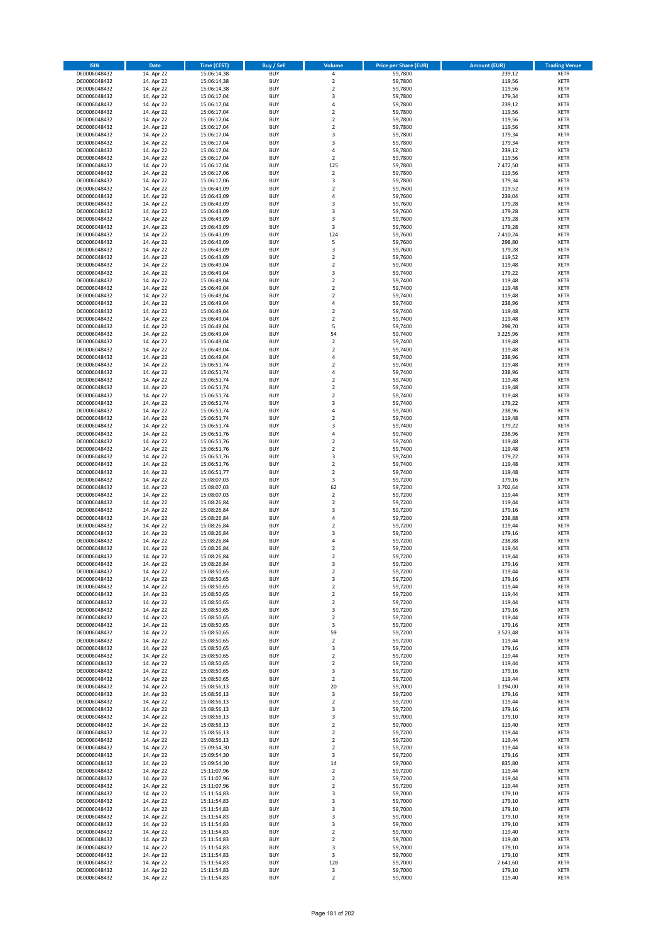| <b>ISIN</b>                  | <b>Date</b>              | <b>Time (CEST)</b>         | <b>Buy / Sell</b>        | Volume                                    | <b>Price per Share (EUR)</b> | <b>Amount (EUR)</b> | <b>Trading Venue</b>       |
|------------------------------|--------------------------|----------------------------|--------------------------|-------------------------------------------|------------------------------|---------------------|----------------------------|
| DE0006048432                 | 14. Apr 22               | 15:06:14,38                | <b>BUY</b>               | 4                                         | 59,7800                      | 239,12              | <b>XETR</b>                |
| DE0006048432                 | 14. Apr 22               | 15:06:14,38                | <b>BUY</b>               | $\mathbf 2$                               | 59,7800                      | 119,56              | <b>XETR</b>                |
| DE0006048432                 | 14. Apr 22               | 15:06:14,38                | <b>BUY</b>               | $\overline{2}$                            | 59,7800                      | 119,56              | <b>XETR</b>                |
| DE0006048432<br>DE0006048432 | 14. Apr 22<br>14. Apr 22 | 15:06:17,04<br>15:06:17,04 | <b>BUY</b><br><b>BUY</b> | 3<br>4                                    | 59,7800<br>59,7800           | 179,34<br>239,12    | <b>XETR</b><br><b>XETR</b> |
| DE0006048432                 | 14. Apr 22               | 15:06:17,04                | <b>BUY</b>               | $\mathbf 2$                               | 59,7800                      | 119,56              | <b>XETR</b>                |
| DE0006048432                 | 14. Apr 22               | 15:06:17,04                | <b>BUY</b>               | $\mathbf 2$                               | 59,7800                      | 119,56              | <b>XETR</b>                |
| DE0006048432                 | 14. Apr 22               | 15:06:17,04                | <b>BUY</b>               | $\mathbf 2$                               | 59,7800                      | 119,56              | <b>XETR</b>                |
| DE0006048432                 | 14. Apr 22               | 15:06:17,04                | <b>BUY</b>               | 3                                         | 59,7800                      | 179,34              | <b>XETR</b>                |
| DE0006048432                 | 14. Apr 22               | 15:06:17,04                | <b>BUY</b>               | 3                                         | 59,7800                      | 179,34              | <b>XETR</b>                |
| DE0006048432                 | 14. Apr 22               | 15:06:17,04                | <b>BUY</b>               | 4                                         | 59,7800                      | 239,12              | <b>XETR</b>                |
| DE0006048432<br>DE0006048432 | 14. Apr 22<br>14. Apr 22 | 15:06:17,04                | <b>BUY</b><br><b>BUY</b> | $\overline{\mathbf{c}}$<br>125            | 59,7800<br>59,7800           | 119,56<br>7.472,50  | <b>XETR</b><br><b>XETR</b> |
| DE0006048432                 | 14. Apr 22               | 15:06:17,04<br>15:06:17,06 | <b>BUY</b>               | $\overline{\mathbf{c}}$                   | 59,7800                      | 119,56              | <b>XETR</b>                |
| DE0006048432                 | 14. Apr 22               | 15:06:17,06                | <b>BUY</b>               | 3                                         | 59,7800                      | 179,34              | <b>XETR</b>                |
| DE0006048432                 | 14. Apr 22               | 15:06:43,09                | <b>BUY</b>               | $\overline{\mathbf{c}}$                   | 59,7600                      | 119,52              | <b>XETR</b>                |
| DE0006048432                 | 14. Apr 22               | 15:06:43,09                | <b>BUY</b>               | 4                                         | 59,7600                      | 239,04              | <b>XETR</b>                |
| DE0006048432                 | 14. Apr 22               | 15:06:43,09                | <b>BUY</b>               | 3                                         | 59,7600                      | 179,28              | <b>XETR</b>                |
| DE0006048432                 | 14. Apr 22               | 15:06:43,09                | <b>BUY</b>               | 3                                         | 59,7600                      | 179,28              | <b>XETR</b>                |
| DE0006048432                 | 14. Apr 22               | 15:06:43,09                | <b>BUY</b>               | 3                                         | 59,7600                      | 179,28              | <b>XETR</b>                |
| DE0006048432<br>DE0006048432 | 14. Apr 22<br>14. Apr 22 | 15:06:43,09<br>15:06:43,09 | <b>BUY</b><br><b>BUY</b> | 3<br>124                                  | 59,7600<br>59,7600           | 179,28<br>7.410,24  | <b>XETR</b><br><b>XETR</b> |
| DE0006048432                 | 14. Apr 22               | 15:06:43,09                | <b>BUY</b>               | 5                                         | 59,7600                      | 298,80              | <b>XETR</b>                |
| DE0006048432                 | 14. Apr 22               | 15:06:43,09                | <b>BUY</b>               | 3                                         | 59,7600                      | 179,28              | <b>XETR</b>                |
| DE0006048432                 | 14. Apr 22               | 15:06:43,09                | <b>BUY</b>               | $\mathbf 2$                               | 59,7600                      | 119,52              | <b>XETR</b>                |
| DE0006048432                 | 14. Apr 22               | 15:06:49,04                | <b>BUY</b>               | $\mathbf 2$                               | 59,7400                      | 119,48              | <b>XETR</b>                |
| DE0006048432                 | 14. Apr 22               | 15:06:49,04                | <b>BUY</b>               | 3                                         | 59,7400                      | 179,22              | <b>XETR</b>                |
| DE0006048432                 | 14. Apr 22               | 15:06:49,04                | <b>BUY</b>               | $\overline{\mathbf{c}}$                   | 59,7400                      | 119,48              | <b>XETR</b>                |
| DE0006048432<br>DE0006048432 | 14. Apr 22<br>14. Apr 22 | 15:06:49,04<br>15:06:49,04 | <b>BUY</b><br><b>BUY</b> | $\mathbf 2$<br>$\overline{\mathbf{c}}$    | 59,7400<br>59,7400           | 119,48<br>119,48    | <b>XETR</b><br><b>XETR</b> |
| DE0006048432                 | 14. Apr 22               | 15:06:49,04                | <b>BUY</b>               | 4                                         | 59,7400                      | 238,96              | <b>XETR</b>                |
| DE0006048432                 | 14. Apr 22               | 15:06:49,04                | <b>BUY</b>               | $\overline{\mathbf{c}}$                   | 59,7400                      | 119,48              | <b>XETR</b>                |
| DE0006048432                 | 14. Apr 22               | 15:06:49,04                | <b>BUY</b>               | $\mathbf 2$                               | 59,7400                      | 119,48              | <b>XETR</b>                |
| DE0006048432                 | 14. Apr 22               | 15:06:49,04                | <b>BUY</b>               | 5                                         | 59,7400                      | 298,70              | <b>XETR</b>                |
| DE0006048432                 | 14. Apr 22               | 15:06:49,04                | <b>BUY</b>               | 54                                        | 59,7400                      | 3.225,96            | <b>XETR</b>                |
| DE0006048432                 | 14. Apr 22               | 15:06:49,04                | <b>BUY</b>               | $\mathbf 2$                               | 59,7400                      | 119,48              | <b>XETR</b>                |
| DE0006048432                 | 14. Apr 22               | 15:06:49,04<br>15:06:49,04 | <b>BUY</b><br><b>BUY</b> | $\overline{\mathbf{c}}$<br>4              | 59.7400                      | 119,48              | <b>XETR</b><br><b>XETR</b> |
| DE0006048432<br>DE0006048432 | 14. Apr 22<br>14. Apr 22 | 15:06:51,74                | <b>BUY</b>               | $\overline{\mathbf{c}}$                   | 59,7400<br>59,7400           | 238,96<br>119,48    | <b>XETR</b>                |
| DE0006048432                 | 14. Apr 22               | 15:06:51,74                | <b>BUY</b>               | 4                                         | 59,7400                      | 238,96              | <b>XETR</b>                |
| DE0006048432                 | 14. Apr 22               | 15:06:51,74                | <b>BUY</b>               | $\mathbf 2$                               | 59,7400                      | 119,48              | <b>XETR</b>                |
| DE0006048432                 | 14. Apr 22               | 15:06:51,74                | <b>BUY</b>               | $\mathbf 2$                               | 59,7400                      | 119,48              | <b>XETR</b>                |
| DE0006048432                 | 14. Apr 22               | 15:06:51,74                | <b>BUY</b>               | $\mathbf 2$                               | 59,7400                      | 119,48              | <b>XETR</b>                |
| DE0006048432                 | 14. Apr 22               | 15:06:51,74                | <b>BUY</b>               | 3                                         | 59,7400                      | 179,22              | <b>XETR</b>                |
| DE0006048432                 | 14. Apr 22               | 15:06:51,74                | <b>BUY</b>               | 4                                         | 59,7400                      | 238,96              | <b>XETR</b>                |
| DE0006048432                 | 14. Apr 22               | 15:06:51,74                | <b>BUY</b><br><b>BUY</b> | $\overline{2}$<br>3                       | 59,7400                      | 119,48              | <b>XETR</b>                |
| DE0006048432<br>DE0006048432 | 14. Apr 22<br>14. Apr 22 | 15:06:51,74<br>15:06:51,76 | <b>BUY</b>               | 4                                         | 59,7400<br>59,7400           | 179,22<br>238,96    | <b>XETR</b><br><b>XETR</b> |
| DE0006048432                 | 14. Apr 22               | 15:06:51,76                | <b>BUY</b>               | $\mathbf 2$                               | 59,7400                      | 119,48              | <b>XETR</b>                |
| DE0006048432                 | 14. Apr 22               | 15:06:51,76                | <b>BUY</b>               | $\mathbf 2$                               | 59,7400                      | 119,48              | <b>XETR</b>                |
| DE0006048432                 | 14. Apr 22               | 15:06:51,76                | <b>BUY</b>               | 3                                         | 59,7400                      | 179,22              | <b>XETR</b>                |
| DE0006048432                 | 14. Apr 22               | 15:06:51,76                | <b>BUY</b>               | $\mathbf 2$                               | 59,7400                      | 119,48              | <b>XETR</b>                |
| DE0006048432                 | 14. Apr 22               | 15:06:51,77                | <b>BUY</b>               | $\overline{2}$                            | 59,7400                      | 119,48              | <b>XETR</b>                |
| DE0006048432                 | 14. Apr 22               | 15:08:07,03                | <b>BUY</b>               | 3                                         | 59,7200                      | 179,16              | <b>XETR</b>                |
| DE0006048432<br>DE0006048432 | 14. Apr 22<br>14. Apr 22 | 15:08:07,03<br>15:08:07,03 | <b>BUY</b><br><b>BUY</b> | 62<br>$\mathbf 2$                         | 59,7200<br>59,7200           | 3.702,64<br>119,44  | <b>XETR</b><br><b>XETR</b> |
| DE0006048432                 | 14. Apr 22               | 15:08:26,84                | <b>BUY</b>               | $\overline{\mathbf{c}}$                   | 59,7200                      | 119,44              | <b>XETR</b>                |
| DE0006048432                 | 14. Apr 22               | 15:08:26,84                | <b>BUY</b>               | 3                                         | 59,7200                      | 179,16              | <b>XETR</b>                |
| DE0006048432                 | 14. Apr 22               | 15:08:26,84                | <b>BUY</b>               | 4                                         | 59,7200                      | 238,88              | <b>XETR</b>                |
| DE0006048432                 | 14. Apr 22               | 15:08:26,84                | <b>BUY</b>               | $\overline{2}$                            | 59,7200                      | 119,44              | <b>XETR</b>                |
| DE0006048432                 | 14. Apr 22               | 15:08:26,84                | <b>BUY</b>               | 3                                         | 59,7200                      | 179,16              | <b>XETR</b>                |
| DE0006048432                 | 14. Apr 22               | 15:08:26,84                | <b>BUY</b>               | 4                                         | 59,7200                      | 238,88              | <b>XETR</b>                |
| DE0006048432<br>DE0006048432 | 14. Apr 22<br>14. Apr 22 | 15:08:26,84<br>15:08:26,84 | <b>BUY</b><br><b>BUY</b> | $\overline{\mathbf{c}}$<br>$\overline{2}$ | 59,7200<br>59,7200           | 119,44<br>119,44    | <b>XETR</b><br><b>XETR</b> |
| DE0006048432                 | 14. Apr 22               | 15:08:26,84                | BUY                      | 3                                         | 59,7200                      | 179,16              | <b>XETR</b>                |
| DE0006048432                 | 14. Apr 22               | 15:08:50,65                | <b>BUY</b>               | $\mathbf 2$                               | 59,7200                      | 119,44              | <b>XETR</b>                |
| DE0006048432                 | 14. Apr 22               | 15:08:50,65                | <b>BUY</b>               | 3                                         | 59,7200                      | 179,16              | <b>XETR</b>                |
| DE0006048432                 | 14. Apr 22               | 15:08:50,65                | <b>BUY</b>               | 2                                         | 59,7200                      | 119,44              | XETR                       |
| DE0006048432                 | 14. Apr 22               | 15:08:50,65                | <b>BUY</b>               | $\mathbf 2$                               | 59,7200                      | 119,44              | <b>XETR</b>                |
| DE0006048432<br>DE0006048432 | 14. Apr 22<br>14. Apr 22 | 15:08:50,65                | <b>BUY</b><br><b>BUY</b> | $\mathbf 2$<br>3                          | 59,7200<br>59,7200           | 119,44<br>179,16    | <b>XETR</b><br><b>XETR</b> |
| DE0006048432                 | 14. Apr 22               | 15:08:50,65<br>15:08:50,65 | <b>BUY</b>               | $\mathbf 2$                               | 59,7200                      | 119,44              | <b>XETR</b>                |
| DE0006048432                 | 14. Apr 22               | 15:08:50,65                | <b>BUY</b>               | 3                                         | 59,7200                      | 179,16              | <b>XETR</b>                |
| DE0006048432                 | 14. Apr 22               | 15:08:50,65                | <b>BUY</b>               | 59                                        | 59,7200                      | 3.523,48            | <b>XETR</b>                |
| DE0006048432                 | 14. Apr 22               | 15:08:50,65                | <b>BUY</b>               | $\mathbf 2$                               | 59,7200                      | 119,44              | <b>XETR</b>                |
| DE0006048432                 | 14. Apr 22               | 15:08:50,65                | <b>BUY</b>               | 3                                         | 59,7200                      | 179,16              | <b>XETR</b>                |
| DE0006048432<br>DE0006048432 | 14. Apr 22               | 15:08:50,65                | <b>BUY</b><br><b>BUY</b> | $\mathbf 2$<br>$\overline{2}$             | 59,7200                      | 119,44              | <b>XETR</b><br><b>XETR</b> |
| DE0006048432                 | 14. Apr 22<br>14. Apr 22 | 15:08:50,65<br>15:08:50,65 | <b>BUY</b>               | 3                                         | 59,7200<br>59,7200           | 119,44<br>179,16    | <b>XETR</b>                |
| DE0006048432                 | 14. Apr 22               | 15:08:50,65                | <b>BUY</b>               | $\overline{\mathbf{c}}$                   | 59,7200                      | 119,44              | <b>XETR</b>                |
| DE0006048432                 | 14. Apr 22               | 15:08:56,13                | <b>BUY</b>               | 20                                        | 59,7000                      | 1.194,00            | <b>XETR</b>                |
| DE0006048432                 | 14. Apr 22               | 15:08:56,13                | <b>BUY</b>               | 3                                         | 59,7200                      | 179,16              | <b>XETR</b>                |
| DE0006048432                 | 14. Apr 22               | 15:08:56,13                | <b>BUY</b>               | $\mathbf 2$                               | 59,7200                      | 119,44              | XETR                       |
| DE0006048432                 | 14. Apr 22               | 15:08:56,13                | <b>BUY</b>               | 3                                         | 59,7200                      | 179,16              | <b>XETR</b>                |
| DE0006048432                 | 14. Apr 22               | 15:08:56,13                | <b>BUY</b>               | 3                                         | 59,7000                      | 179,10              | <b>XETR</b>                |
| DE0006048432<br>DE0006048432 | 14. Apr 22<br>14. Apr 22 | 15:08:56,13<br>15:08:56,13 | <b>BUY</b><br><b>BUY</b> | $\mathbf 2$<br>$\overline{2}$             | 59,7000<br>59,7200           | 119,40<br>119,44    | <b>XETR</b><br><b>XETR</b> |
| DE0006048432                 | 14. Apr 22               | 15:08:56,13                | <b>BUY</b>               | $\mathbf 2$                               | 59,7200                      | 119,44              | <b>XETR</b>                |
| DE0006048432                 | 14. Apr 22               | 15:09:54,30                | <b>BUY</b>               | $\mathbf 2$                               | 59,7200                      | 119,44              | <b>XETR</b>                |
| DE0006048432                 | 14. Apr 22               | 15:09:54,30                | <b>BUY</b>               | 3                                         | 59,7200                      | 179,16              | <b>XETR</b>                |
| DE0006048432                 | 14. Apr 22               | 15:09:54,30                | <b>BUY</b>               | 14                                        | 59,7000                      | 835,80              | <b>XETR</b>                |
| DE0006048432                 | 14. Apr 22               | 15:11:07,96                | <b>BUY</b>               | $\mathbf 2$                               | 59,7200                      | 119,44              | <b>XETR</b>                |
| DE0006048432                 | 14. Apr 22               | 15:11:07,96                | <b>BUY</b><br><b>BUY</b> | 2<br>$\overline{\mathbf{c}}$              | 59,7200                      | 119,44              | <b>XETR</b>                |
| DE0006048432<br>DE0006048432 | 14. Apr 22<br>14. Apr 22 | 15:11:07,96<br>15:11:54,83 | <b>BUY</b>               | 3                                         | 59,7200<br>59,7000           | 119,44<br>179,10    | <b>XETR</b><br><b>XETR</b> |
| DE0006048432                 | 14. Apr 22               | 15:11:54,83                | <b>BUY</b>               | 3                                         | 59,7000                      | 179,10              | <b>XETR</b>                |
| DE0006048432                 | 14. Apr 22               | 15:11:54,83                | <b>BUY</b>               | 3                                         | 59,7000                      | 179,10              | <b>XETR</b>                |
| DE0006048432                 | 14. Apr 22               | 15:11:54,83                | <b>BUY</b>               | 3                                         | 59,7000                      | 179,10              | <b>XETR</b>                |
| DE0006048432                 | 14. Apr 22               | 15:11:54,83                | <b>BUY</b>               | 3                                         | 59,7000                      | 179,10              | <b>XETR</b>                |
| DE0006048432                 | 14. Apr 22               | 15:11:54,83                | <b>BUY</b>               | $\mathbf 2$                               | 59,7000                      | 119,40              | <b>XETR</b>                |
| DE0006048432                 | 14. Apr 22               | 15:11:54,83                | <b>BUY</b>               | $\overline{\mathbf{c}}$                   | 59,7000<br>59,7000           | 119,40<br>179,10    | <b>XETR</b>                |
| DE0006048432<br>DE0006048432 | 14. Apr 22<br>14. Apr 22 | 15:11:54,83<br>15:11:54,83 | <b>BUY</b><br><b>BUY</b> | 3<br>3                                    | 59,7000                      | 179,10              | XETR<br><b>XETR</b>        |
| DE0006048432                 | 14. Apr 22               | 15:11:54,83                | <b>BUY</b>               | 128                                       | 59,7000                      | 7.641,60            | <b>XETR</b>                |
| DE0006048432                 | 14. Apr 22               | 15:11:54,83                | <b>BUY</b>               | 3                                         | 59,7000                      | 179,10              | <b>XETR</b>                |
| DE0006048432                 | 14. Apr 22               | 15:11:54,83                | <b>BUY</b>               | $\mathbf 2$                               | 59,7000                      | 119,40              | <b>XETR</b>                |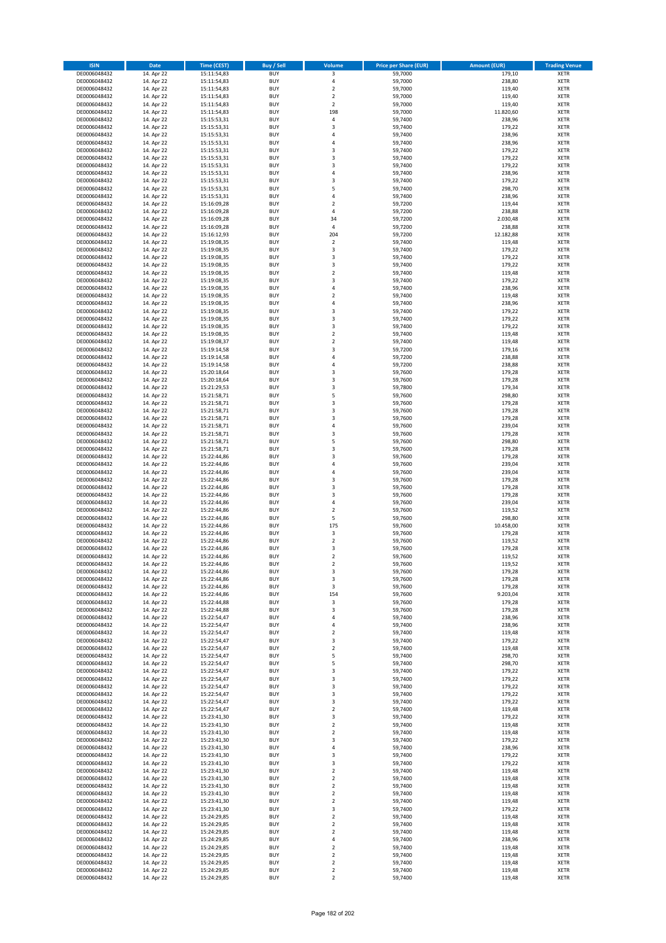| <b>ISIN</b>                  | <b>Date</b>              | Time (CEST)                | <b>Buy / Sell</b>        | Volume                                 | <b>Price per Share (EUR)</b> | <b>Amount (EUR)</b> | <b>Trading Venue</b>       |
|------------------------------|--------------------------|----------------------------|--------------------------|----------------------------------------|------------------------------|---------------------|----------------------------|
| DE0006048432                 | 14. Apr 22               | 15:11:54,83                | <b>BUY</b>               | 3                                      | 59,7000                      | 179,10              | <b>XETR</b>                |
| DE0006048432                 | 14. Apr 22               | 15:11:54,83                | <b>BUY</b>               | 4                                      | 59,7000                      | 238,80              | <b>XETR</b>                |
| DE0006048432                 | 14. Apr 22               | 15:11:54,83                | <b>BUY</b>               | $\mathbf 2$                            | 59,7000                      | 119,40              | <b>XETR</b>                |
| DE0006048432<br>DE0006048432 | 14. Apr 22<br>14. Apr 22 | 15:11:54,83<br>15:11:54,83 | <b>BUY</b><br><b>BUY</b> | $\mathbf 2$<br>$\overline{\mathbf{c}}$ | 59,7000<br>59,7000           | 119,40<br>119,40    | <b>XETR</b><br><b>XETR</b> |
| DE0006048432                 | 14. Apr 22               | 15:11:54,83                | <b>BUY</b>               | 198                                    | 59,7000                      | 11.820,60           | <b>XETR</b>                |
| DE0006048432                 | 14. Apr 22               | 15:15:53,31                | <b>BUY</b>               | 4                                      | 59,7400                      | 238,96              | <b>XETR</b>                |
| DE0006048432                 | 14. Apr 22               | 15:15:53,31                | <b>BUY</b>               | 3                                      | 59,7400                      | 179,22              | <b>XETR</b>                |
| DE0006048432                 | 14. Apr 22               | 15:15:53,31                | <b>BUY</b>               | 4                                      | 59,7400                      | 238,96              | <b>XETR</b>                |
| DE0006048432                 | 14. Apr 22               | 15:15:53,31                | <b>BUY</b>               | 4                                      | 59,7400                      | 238,96              | <b>XETR</b>                |
| DE0006048432                 | 14. Apr 22               | 15:15:53,31                | <b>BUY</b>               | 3                                      | 59,7400                      | 179,22              | <b>XETR</b>                |
| DE0006048432<br>DE0006048432 | 14. Apr 22<br>14. Apr 22 | 15:15:53,31<br>15:15:53,31 | <b>BUY</b><br><b>BUY</b> | 3<br>3                                 | 59,7400<br>59,7400           | 179,22<br>179,22    | <b>XETR</b><br><b>XETR</b> |
| DE0006048432                 | 14. Apr 22               | 15:15:53,31                | <b>BUY</b>               | 4                                      | 59,7400                      | 238,96              | <b>XETR</b>                |
| DE0006048432                 | 14. Apr 22               | 15:15:53,31                | <b>BUY</b>               | 3                                      | 59,7400                      | 179,22              | <b>XETR</b>                |
| DE0006048432                 | 14. Apr 22               | 15:15:53,31                | <b>BUY</b>               | 5                                      | 59,7400                      | 298,70              | <b>XETR</b>                |
| DE0006048432                 | 14. Apr 22               | 15:15:53,31                | <b>BUY</b>               | 4                                      | 59,7400                      | 238,96              | <b>XETR</b>                |
| DE0006048432                 | 14. Apr 22               | 15:16:09,28                | <b>BUY</b>               | $\mathbf 2$                            | 59,7200                      | 119,44              | <b>XETR</b>                |
| DE0006048432                 | 14. Apr 22               | 15:16:09,28                | <b>BUY</b>               | 4                                      | 59,7200                      | 238,88              | <b>XETR</b>                |
| DE0006048432                 | 14. Apr 22               | 15:16:09,28                | <b>BUY</b>               | 34                                     | 59,7200                      | 2.030,48            | <b>XETR</b>                |
| DE0006048432<br>DE0006048432 | 14. Apr 22<br>14. Apr 22 | 15:16:09,28<br>15:16:12,93 | <b>BUY</b><br><b>BUY</b> | 4<br>204                               | 59,7200<br>59,7200           | 238,88<br>12.182,88 | <b>XETR</b><br><b>XETR</b> |
| DE0006048432                 | 14. Apr 22               | 15:19:08,35                | <b>BUY</b>               | $\mathbf 2$                            | 59,7400                      | 119,48              | <b>XETR</b>                |
| DE0006048432                 | 14. Apr 22               | 15:19:08,35                | <b>BUY</b>               | 3                                      | 59,7400                      | 179,22              | <b>XETR</b>                |
| DE0006048432                 | 14. Apr 22               | 15:19:08,35                | <b>BUY</b>               | 3                                      | 59,7400                      | 179,22              | <b>XETR</b>                |
| DE0006048432                 | 14. Apr 22               | 15:19:08,35                | <b>BUY</b>               | 3                                      | 59,7400                      | 179,22              | <b>XETR</b>                |
| DE0006048432                 | 14. Apr 22               | 15:19:08,35                | <b>BUY</b>               | $\mathbf 2$                            | 59,7400                      | 119,48              | <b>XETR</b>                |
| DE0006048432                 | 14. Apr 22               | 15:19:08,35                | <b>BUY</b>               | 3                                      | 59.7400                      | 179,22              | <b>XETR</b>                |
| DE0006048432<br>DE0006048432 | 14. Apr 22<br>14. Apr 22 | 15:19:08,35<br>15:19:08,35 | <b>BUY</b><br><b>BUY</b> | 4<br>$\overline{\mathbf{c}}$           | 59,7400<br>59,7400           | 238,96<br>119,48    | <b>XETR</b><br><b>XETR</b> |
| DE0006048432                 | 14. Apr 22               | 15:19:08,35                | <b>BUY</b>               | 4                                      | 59,7400                      | 238,96              | <b>XETR</b>                |
| DE0006048432                 | 14. Apr 22               | 15:19:08,35                | <b>BUY</b>               | 3                                      | 59,7400                      | 179,22              | <b>XETR</b>                |
| DE0006048432                 | 14. Apr 22               | 15:19:08,35                | <b>BUY</b>               | 3                                      | 59,7400                      | 179,22              | <b>XETR</b>                |
| DE0006048432                 | 14. Apr 22               | 15:19:08,35                | <b>BUY</b>               | 3                                      | 59,7400                      | 179,22              | <b>XETR</b>                |
| DE0006048432                 | 14. Apr 22               | 15:19:08,35                | <b>BUY</b>               | $\mathbf 2$                            | 59,7400                      | 119,48              | <b>XETR</b>                |
| DE0006048432                 | 14. Apr 22               | 15:19:08,37                | <b>BUY</b>               | $\overline{\mathbf{c}}$                | 59,7400                      | 119,48              | <b>XETR</b>                |
| DE0006048432                 | 14. Apr 22               | 15:19:14,58<br>15:19:14,58 | <b>BUY</b><br><b>BUY</b> | 3<br>4                                 | 59,7200                      | 179,16              | <b>XETR</b><br><b>XETR</b> |
| DE0006048432<br>DE0006048432 | 14. Apr 22<br>14. Apr 22 | 15:19:14,58                | <b>BUY</b>               | 4                                      | 59,7200<br>59,7200           | 238,88<br>238,88    | <b>XETR</b>                |
| DE0006048432                 | 14. Apr 22               | 15:20:18,64                | <b>BUY</b>               | 3                                      | 59,7600                      | 179,28              | <b>XETR</b>                |
| DE0006048432                 | 14. Apr 22               | 15:20:18,64                | <b>BUY</b>               | 3                                      | 59,7600                      | 179,28              | <b>XETR</b>                |
| DE0006048432                 | 14. Apr 22               | 15:21:29,53                | <b>BUY</b>               | 3                                      | 59,7800                      | 179,34              | <b>XETR</b>                |
| DE0006048432                 | 14. Apr 22               | 15:21:58,71                | <b>BUY</b>               | 5                                      | 59,7600                      | 298,80              | <b>XETR</b>                |
| DE0006048432                 | 14. Apr 22               | 15:21:58,71                | <b>BUY</b>               | 3                                      | 59,7600                      | 179,28              | <b>XETR</b>                |
| DE0006048432                 | 14. Apr 22               | 15:21:58,71                | <b>BUY</b>               | 3                                      | 59,7600                      | 179,28              | <b>XETR</b>                |
| DE0006048432<br>DE0006048432 | 14. Apr 22<br>14. Apr 22 | 15:21:58,71                | <b>BUY</b><br><b>BUY</b> | 3<br>4                                 | 59,7600<br>59,7600           | 179,28<br>239,04    | <b>XETR</b><br><b>XETR</b> |
| DE0006048432                 | 14. Apr 22               | 15:21:58,71<br>15:21:58,71 | <b>BUY</b>               | 3                                      | 59,7600                      | 179,28              | <b>XETR</b>                |
| DE0006048432                 | 14. Apr 22               | 15:21:58,71                | <b>BUY</b>               | 5                                      | 59,7600                      | 298,80              | <b>XETR</b>                |
| DE0006048432                 | 14. Apr 22               | 15:21:58,71                | <b>BUY</b>               | 3                                      | 59,7600                      | 179,28              | <b>XETR</b>                |
| DE0006048432                 | 14. Apr 22               | 15:22:44,86                | <b>BUY</b>               | 3                                      | 59,7600                      | 179,28              | <b>XETR</b>                |
| DE0006048432                 | 14. Apr 22               | 15:22:44,86                | <b>BUY</b>               | 4                                      | 59,7600                      | 239,04              | <b>XETR</b>                |
| DE0006048432                 | 14. Apr 22               | 15:22:44,86                | <b>BUY</b>               | 4                                      | 59,7600                      | 239,04              | <b>XETR</b>                |
| DE0006048432<br>DE0006048432 | 14. Apr 22<br>14. Apr 22 | 15:22:44,86<br>15:22:44,86 | <b>BUY</b><br><b>BUY</b> | 3<br>3                                 | 59,7600<br>59,7600           | 179,28<br>179,28    | <b>XETR</b><br><b>XETR</b> |
| DE0006048432                 | 14. Apr 22               | 15:22:44,86                | <b>BUY</b>               | 3                                      | 59,7600                      | 179,28              | <b>XETR</b>                |
| DE0006048432                 | 14. Apr 22               | 15:22:44,86                | <b>BUY</b>               | 4                                      | 59,7600                      | 239,04              | <b>XETR</b>                |
| DE0006048432                 | 14. Apr 22               | 15:22:44,86                | <b>BUY</b>               | $\mathbf 2$                            | 59,7600                      | 119,52              | <b>XETR</b>                |
| DE0006048432                 | 14. Apr 22               | 15:22:44,86                | <b>BUY</b>               | 5                                      | 59,7600                      | 298,80              | <b>XETR</b>                |
| DE0006048432                 | 14. Apr 22               | 15:22:44,86                | <b>BUY</b>               | 175                                    | 59,7600                      | 10.458,00           | <b>XETR</b>                |
| DE0006048432                 | 14. Apr 22               | 15:22:44,86                | <b>BUY</b>               | $\mathsf 3$                            | 59,7600                      | 179,28              | <b>XETR</b>                |
| DE0006048432<br>DE0006048432 | 14. Apr 22<br>14. Apr 22 | 15:22:44,86<br>15:22:44,86 | <b>BUY</b><br><b>BUY</b> | $\overline{\mathbf{c}}$<br>3           | 59,7600<br>59,7600           | 119,52<br>179,28    | <b>XETR</b><br><b>XETR</b> |
| DE0006048432                 | 14. Apr 22               | 15:22:44,86                | <b>BUY</b>               | $\overline{2}$                         | 59,7600                      | 119,52              | <b>XETR</b>                |
| DE0006048432                 | 14. Apr 22               | 15:22:44,86                | BUY                      | 2                                      | 59,7600                      | 119,52              | <b>XETR</b>                |
| DE0006048432                 | 14. Apr 22               | 15:22:44,86                | <b>BUY</b>               | 3                                      | 59,7600                      | 179,28              | <b>XETR</b>                |
| DE0006048432                 | 14. Apr 22               | 15:22:44,86                | <b>BUY</b>               | 3                                      | 59,7600                      | 179,28              | <b>XETR</b>                |
| DE0006048432                 | 14. Apr 22               | 15:22:44,86                | <b>BUY</b>               | 3                                      | 59,7600                      | 179,28              | XETR                       |
| DE0006048432                 | 14. Apr 22               | 15:22:44,86                | <b>BUY</b>               | 154                                    | 59,7600                      | 9.203,04            | <b>XETR</b>                |
| DE0006048432<br>DE0006048432 | 14. Apr 22<br>14. Apr 22 | 15:22:44,88<br>15:22:44,88 | <b>BUY</b><br><b>BUY</b> | 3<br>3                                 | 59,7600<br>59,7600           | 179,28<br>179,28    | <b>XETR</b><br><b>XETR</b> |
| DE0006048432                 | 14. Apr 22               | 15:22:54,47                | <b>BUY</b>               | 4                                      | 59,7400                      | 238,96              | <b>XETR</b>                |
| DE0006048432                 | 14. Apr 22               | 15:22:54,47                | <b>BUY</b>               | 4                                      | 59,7400                      | 238,96              | <b>XETR</b>                |
| DE0006048432                 | 14. Apr 22               | 15:22:54,47                | <b>BUY</b>               | $\mathbf 2$                            | 59,7400                      | 119,48              | <b>XETR</b>                |
| DE0006048432                 | 14. Apr 22               | 15:22:54,47                | <b>BUY</b>               | 3                                      | 59,7400                      | 179,22              | <b>XETR</b>                |
| DE0006048432                 | 14. Apr 22               | 15:22:54,47                | <b>BUY</b>               | $\overline{2}$                         | 59.7400                      | 119,48              | <b>XETR</b>                |
| DE0006048432<br>DE0006048432 | 14. Apr 22<br>14. Apr 22 | 15:22:54,47<br>15:22:54,47 | <b>BUY</b><br><b>BUY</b> | 5<br>5                                 | 59,7400<br>59,7400           | 298,70<br>298,70    | <b>XETR</b><br><b>XETR</b> |
| DE0006048432                 | 14. Apr 22               | 15:22:54,47                | <b>BUY</b>               | 3                                      | 59,7400                      | 179,22              | <b>XETR</b>                |
| DE0006048432                 | 14. Apr 22               | 15:22:54,47                | <b>BUY</b>               | 3                                      | 59,7400                      | 179,22              | <b>XETR</b>                |
| DE0006048432                 | 14. Apr 22               | 15:22:54,47                | <b>BUY</b>               | 3                                      | 59,7400                      | 179,22              | <b>XETR</b>                |
| DE0006048432                 | 14. Apr 22               | 15:22:54,47                | <b>BUY</b>               | 3                                      | 59,7400                      | 179,22              | <b>XETR</b>                |
| DE0006048432                 | 14. Apr 22               | 15:22:54,47                | <b>BUY</b>               | 3                                      | 59,7400                      | 179,22              | XETR                       |
| DE0006048432                 | 14. Apr 22               | 15:22:54,47                | <b>BUY</b>               | $\mathbf 2$                            | 59,7400                      | 119,48              | <b>XETR</b>                |
| DE0006048432<br>DE0006048432 | 14. Apr 22<br>14. Apr 22 | 15:23:41,30<br>15:23:41,30 | <b>BUY</b><br><b>BUY</b> | 3<br>$\mathbf 2$                       | 59,7400<br>59,7400           | 179,22<br>119,48    | <b>XETR</b><br><b>XETR</b> |
| DE0006048432                 | 14. Apr 22               | 15:23:41,30                | <b>BUY</b>               | $\overline{2}$                         | 59,7400                      | 119,48              | <b>XETR</b>                |
| DE0006048432                 | 14. Apr 22               | 15:23:41,30                | <b>BUY</b>               | 3                                      | 59,7400                      | 179,22              | <b>XETR</b>                |
| DE0006048432                 | 14. Apr 22               | 15:23:41,30                | <b>BUY</b>               | 4                                      | 59,7400                      | 238,96              | <b>XETR</b>                |
| DE0006048432                 | 14. Apr 22               | 15:23:41,30                | <b>BUY</b>               | 3                                      | 59,7400                      | 179,22              | <b>XETR</b>                |
| DE0006048432                 | 14. Apr 22               | 15:23:41,30                | <b>BUY</b>               | 3                                      | 59,7400                      | 179,22              | <b>XETR</b>                |
| DE0006048432<br>DE0006048432 | 14. Apr 22<br>14. Apr 22 | 15:23:41,30<br>15:23:41,30 | <b>BUY</b><br><b>BUY</b> | $\overline{2}$<br>$\mathbf 2$          | 59,7400<br>59,7400           | 119,48<br>119,48    | <b>XETR</b><br><b>XETR</b> |
| DE0006048432                 | 14. Apr 22               | 15:23:41,30                | <b>BUY</b>               | $\overline{2}$                         | 59,7400                      | 119,48              | XETR                       |
| DE0006048432                 | 14. Apr 22               | 15:23:41,30                | <b>BUY</b>               | $\mathbf 2$                            | 59,7400                      | 119,48              | <b>XETR</b>                |
| DE0006048432                 | 14. Apr 22               | 15:23:41,30                | <b>BUY</b>               | 2                                      | 59,7400                      | 119,48              | <b>XETR</b>                |
| DE0006048432                 | 14. Apr 22               | 15:23:41,30                | <b>BUY</b>               | 3                                      | 59,7400                      | 179,22              | <b>XETR</b>                |
| DE0006048432                 | 14. Apr 22               | 15:24:29,85                | <b>BUY</b>               | $\mathbf 2$                            | 59,7400                      | 119,48              | <b>XETR</b>                |
| DE0006048432                 | 14. Apr 22               | 15:24:29,85                | <b>BUY</b>               | $\mathbf 2$                            | 59,7400                      | 119,48              | <b>XETR</b>                |
| DE0006048432<br>DE0006048432 | 14. Apr 22<br>14. Apr 22 | 15:24:29,85<br>15:24:29,85 | <b>BUY</b><br><b>BUY</b> | $\mathbf 2$<br>4                       | 59,7400<br>59,7400           | 119,48<br>238,96    | <b>XETR</b><br><b>XETR</b> |
| DE0006048432                 | 14. Apr 22               | 15:24:29,85                | <b>BUY</b>               | $\overline{\mathbf{c}}$                | 59,7400                      | 119,48              | XETR                       |
| DE0006048432                 | 14. Apr 22               | 15:24:29,85                | <b>BUY</b>               | $\overline{2}$                         | 59,7400                      | 119,48              | <b>XETR</b>                |
| DE0006048432                 | 14. Apr 22               | 15:24:29,85                | <b>BUY</b>               | $\mathbf 2$                            | 59,7400                      | 119,48              | <b>XETR</b>                |
| DE0006048432                 | 14. Apr 22               | 15:24:29,85                | <b>BUY</b>               | $\mathbf 2$                            | 59,7400                      | 119,48              | <b>XETR</b>                |
| DE0006048432                 | 14. Apr 22               | 15:24:29,85                | <b>BUY</b>               | $\mathbf 2$                            | 59,7400                      | 119,48              | XETR                       |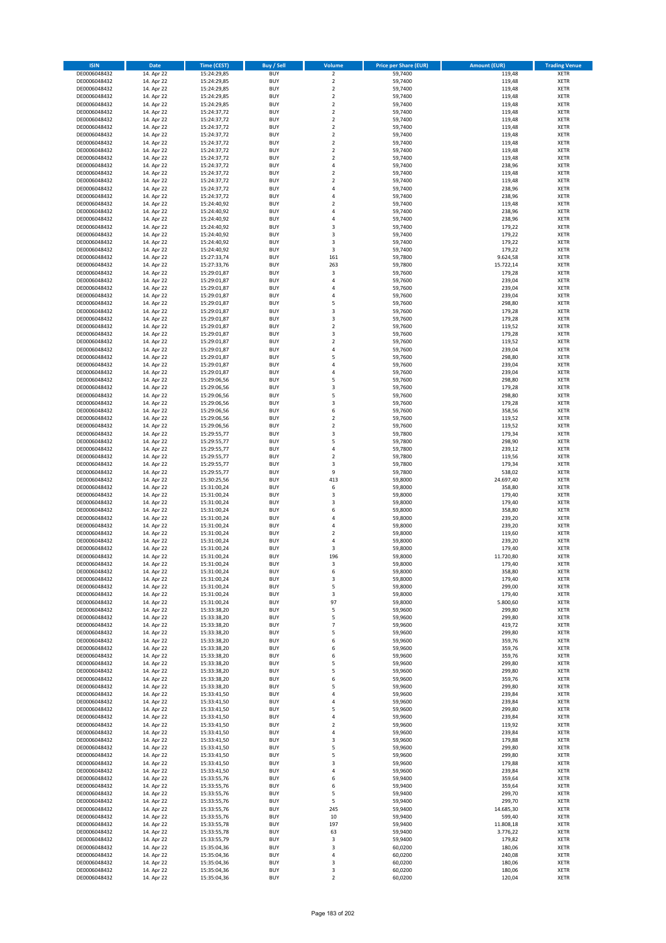| <b>ISIN</b>                  | <b>Date</b>              | <b>Time (CEST)</b>         | <b>Buy / Sell</b>        | Volume                                 | <b>Price per Share (EUR)</b> | <b>Amount (EUR)</b> | <b>Trading Venue</b>       |
|------------------------------|--------------------------|----------------------------|--------------------------|----------------------------------------|------------------------------|---------------------|----------------------------|
| DE0006048432                 | 14. Apr 22               | 15:24:29,85                | <b>BUY</b>               | $\overline{2}$                         | 59,7400                      | 119,48              | <b>XETR</b>                |
| DE0006048432                 | 14. Apr 22               | 15:24:29,85                | <b>BUY</b>               | $\mathbf 2$                            | 59,7400                      | 119,48              | <b>XETR</b>                |
| DE0006048432                 | 14. Apr 22               | 15:24:29,85                | <b>BUY</b>               | $\overline{2}$                         | 59,7400                      | 119,48              | <b>XETR</b>                |
| DE0006048432<br>DE0006048432 | 14. Apr 22<br>14. Apr 22 | 15:24:29,85<br>15:24:29,85 | <b>BUY</b><br><b>BUY</b> | $\mathbf 2$<br>$\overline{\mathbf{c}}$ | 59,7400<br>59,7400           | 119,48<br>119,48    | <b>XETR</b><br><b>XETR</b> |
| DE0006048432                 | 14. Apr 22               | 15:24:37,72                | <b>BUY</b>               | $\mathbf 2$                            | 59,7400                      | 119,48              | <b>XETR</b>                |
| DE0006048432                 | 14. Apr 22               | 15:24:37,72                | <b>BUY</b>               | $\mathbf 2$                            | 59,7400                      | 119,48              | <b>XETR</b>                |
| DE0006048432                 | 14. Apr 22               | 15:24:37,72                | <b>BUY</b>               | $\mathbf 2$                            | 59,7400                      | 119,48              | <b>XETR</b>                |
| DE0006048432                 | 14. Apr 22               | 15:24:37,72                | <b>BUY</b>               | $\overline{2}$                         | 59,7400                      | 119,48              | <b>XETR</b>                |
| DE0006048432                 | 14. Apr 22               | 15:24:37,72                | <b>BUY</b>               | $\overline{2}$                         | 59,7400                      | 119,48              | <b>XETR</b>                |
| DE0006048432                 | 14. Apr 22               | 15:24:37,72                | <b>BUY</b>               | $\mathbf 2$                            | 59,7400                      | 119,48              | <b>XETR</b>                |
| DE0006048432<br>DE0006048432 | 14. Apr 22<br>14. Apr 22 | 15:24:37,72                | <b>BUY</b><br><b>BUY</b> | $\overline{\mathbf{c}}$<br>4           | 59,7400<br>59,7400           | 119,48<br>238,96    | <b>XETR</b><br><b>XETR</b> |
| DE0006048432                 | 14. Apr 22               | 15:24:37,72<br>15:24:37,72 | <b>BUY</b>               | $\overline{\mathbf{c}}$                | 59,7400                      | 119,48              | <b>XETR</b>                |
| DE0006048432                 | 14. Apr 22               | 15:24:37,72                | <b>BUY</b>               | $\overline{\mathbf{c}}$                | 59,7400                      | 119,48              | <b>XETR</b>                |
| DE0006048432                 | 14. Apr 22               | 15:24:37,72                | <b>BUY</b>               | 4                                      | 59,7400                      | 238,96              | <b>XETR</b>                |
| DE0006048432                 | 14. Apr 22               | 15:24:37,72                | <b>BUY</b>               | 4                                      | 59,7400                      | 238,96              | <b>XETR</b>                |
| DE0006048432                 | 14. Apr 22               | 15:24:40,92                | <b>BUY</b>               | $\mathbf 2$                            | 59,7400                      | 119,48              | <b>XETR</b>                |
| DE0006048432                 | 14. Apr 22               | 15:24:40,92                | <b>BUY</b>               | 4                                      | 59.7400                      | 238,96              | <b>XETR</b>                |
| DE0006048432                 | 14. Apr 22               | 15:24:40,92                | <b>BUY</b>               | 4                                      | 59,7400                      | 238,96              | <b>XETR</b>                |
| DE0006048432<br>DE0006048432 | 14. Apr 22<br>14. Apr 22 | 15:24:40,92<br>15:24:40,92 | <b>BUY</b><br><b>BUY</b> | 3<br>3                                 | 59,7400<br>59,7400           | 179,22<br>179,22    | <b>XETR</b><br><b>XETR</b> |
| DE0006048432                 | 14. Apr 22               | 15:24:40,92                | <b>BUY</b>               | 3                                      | 59,7400                      | 179,22              | <b>XETR</b>                |
| DE0006048432                 | 14. Apr 22               | 15:24:40,92                | <b>BUY</b>               | 3                                      | 59,7400                      | 179,22              | <b>XETR</b>                |
| DE0006048432                 | 14. Apr 22               | 15:27:33,74                | <b>BUY</b>               | 161                                    | 59,7800                      | 9.624,58            | <b>XETR</b>                |
| DE0006048432                 | 14. Apr 22               | 15:27:33,76                | <b>BUY</b>               | 263                                    | 59,7800                      | 15.722,14           | <b>XETR</b>                |
| DE0006048432                 | 14. Apr 22               | 15:29:01,87                | <b>BUY</b>               | $\mathsf 3$                            | 59,7600                      | 179,28              | <b>XETR</b>                |
| DE0006048432                 | 14. Apr 22               | 15:29:01,87                | <b>BUY</b>               | 4                                      | 59,7600                      | 239,04              | <b>XETR</b>                |
| DE0006048432<br>DE0006048432 | 14. Apr 22<br>14. Apr 22 | 15:29:01,87<br>15:29:01,87 | <b>BUY</b><br><b>BUY</b> | 4<br>$\overline{a}$                    | 59,7600<br>59,7600           | 239,04<br>239,04    | <b>XETR</b><br><b>XETR</b> |
| DE0006048432                 | 14. Apr 22               | 15:29:01,87                | <b>BUY</b>               | 5                                      | 59,7600                      | 298,80              | <b>XETR</b>                |
| DE0006048432                 | 14. Apr 22               | 15:29:01,87                | <b>BUY</b>               | 3                                      | 59,7600                      | 179,28              | <b>XETR</b>                |
| DE0006048432                 | 14. Apr 22               | 15:29:01,87                | <b>BUY</b>               | 3                                      | 59,7600                      | 179,28              | <b>XETR</b>                |
| DE0006048432                 | 14. Apr 22               | 15:29:01,87                | <b>BUY</b>               | $\mathbf 2$                            | 59,7600                      | 119,52              | <b>XETR</b>                |
| DE0006048432                 | 14. Apr 22               | 15:29:01,87                | <b>BUY</b>               | 3                                      | 59,7600                      | 179,28              | <b>XETR</b>                |
| DE0006048432                 | 14. Apr 22               | 15:29:01,87                | <b>BUY</b>               | $\mathbf 2$                            | 59,7600                      | 119,52              | <b>XETR</b>                |
| DE0006048432                 | 14. Apr 22               | 15:29:01,87<br>15:29:01,87 | <b>BUY</b><br><b>BUY</b> | 4<br>5                                 | 59,7600                      | 239,04              | <b>XETR</b>                |
| DE0006048432<br>DE0006048432 | 14. Apr 22<br>14. Apr 22 | 15:29:01,87                | <b>BUY</b>               | 4                                      | 59,7600<br>59,7600           | 298,80<br>239,04    | <b>XETR</b><br><b>XETR</b> |
| DE0006048432                 | 14. Apr 22               | 15:29:01,87                | <b>BUY</b>               | 4                                      | 59,7600                      | 239,04              | <b>XETR</b>                |
| DE0006048432                 | 14. Apr 22               | 15:29:06,56                | <b>BUY</b>               | 5                                      | 59,7600                      | 298,80              | <b>XETR</b>                |
| DE0006048432                 | 14. Apr 22               | 15:29:06,56                | <b>BUY</b>               | 3                                      | 59,7600                      | 179,28              | <b>XETR</b>                |
| DE0006048432                 | 14. Apr 22               | 15:29:06,56                | <b>BUY</b>               | 5                                      | 59,7600                      | 298,80              | <b>XETR</b>                |
| DE0006048432                 | 14. Apr 22               | 15:29:06,56                | <b>BUY</b>               | 3                                      | 59,7600                      | 179,28              | <b>XETR</b>                |
| DE0006048432                 | 14. Apr 22               | 15:29:06,56                | <b>BUY</b>               | 6                                      | 59,7600                      | 358,56              | <b>XETR</b>                |
| DE0006048432<br>DE0006048432 | 14. Apr 22<br>14. Apr 22 | 15:29:06,56                | <b>BUY</b><br><b>BUY</b> | $\overline{2}$<br>$\mathbf 2$          | 59,7600<br>59,7600           | 119,52<br>119,52    | <b>XETR</b><br><b>XETR</b> |
| DE0006048432                 | 14. Apr 22               | 15:29:06,56<br>15:29:55,77 | <b>BUY</b>               | 3                                      | 59,7800                      | 179,34              | <b>XETR</b>                |
| DE0006048432                 | 14. Apr 22               | 15:29:55,77                | <b>BUY</b>               | 5                                      | 59,7800                      | 298,90              | <b>XETR</b>                |
| DE0006048432                 | 14. Apr 22               | 15:29:55,77                | <b>BUY</b>               | 4                                      | 59,7800                      | 239,12              | <b>XETR</b>                |
| DE0006048432                 | 14. Apr 22               | 15:29:55,77                | <b>BUY</b>               | $\overline{\mathbf{c}}$                | 59,7800                      | 119,56              | <b>XETR</b>                |
| DE0006048432                 | 14. Apr 22               | 15:29:55,77                | <b>BUY</b>               | 3                                      | 59,7800                      | 179,34              | <b>XETR</b>                |
| DE0006048432                 | 14. Apr 22               | 15:29:55,77                | <b>BUY</b>               | 9                                      | 59,7800                      | 538,02              | <b>XETR</b>                |
| DE0006048432<br>DE0006048432 | 14. Apr 22<br>14. Apr 22 | 15:30:25,56<br>15:31:00,24 | <b>BUY</b><br><b>BUY</b> | 413<br>6                               | 59,8000<br>59,8000           | 24.697,40<br>358,80 | <b>XETR</b><br><b>XETR</b> |
| DE0006048432                 | 14. Apr 22               | 15:31:00,24                | <b>BUY</b>               | 3                                      | 59,8000                      | 179,40              | <b>XETR</b>                |
| DE0006048432                 | 14. Apr 22               | 15:31:00,24                | <b>BUY</b>               | 3                                      | 59,8000                      | 179,40              | <b>XETR</b>                |
| DE0006048432                 | 14. Apr 22               | 15:31:00,24                | <b>BUY</b>               | 6                                      | 59,8000                      | 358,80              | <b>XETR</b>                |
| DE0006048432                 | 14. Apr 22               | 15:31:00,24                | <b>BUY</b>               | 4                                      | 59,8000                      | 239,20              | <b>XETR</b>                |
| DE0006048432                 | 14. Apr 22               | 15:31:00,24                | <b>BUY</b>               | 4                                      | 59,8000                      | 239,20              | <b>XETR</b>                |
| DE0006048432                 | 14. Apr 22               | 15:31:00,24                | <b>BUY</b>               | $\mathbf 2$                            | 59,8000                      | 119,60              | <b>XETR</b>                |
| DE0006048432<br>DE0006048432 | 14. Apr 22<br>14. Apr 22 | 15:31:00,24<br>15:31:00,24 | <b>BUY</b><br><b>BUY</b> | 4<br>3                                 | 59,8000<br>59,8000           | 239,20<br>179,40    | <b>XETR</b><br><b>XETR</b> |
| DE0006048432                 | 14. Apr 22               | 15:31:00,24                | <b>BUY</b>               | 196                                    | 59,8000                      | 11.720,80           | <b>XETR</b>                |
| DE0006048432                 | 14. Apr 22               | 15:31:00,24                | BUY                      | 3                                      | 59,8000                      | 179,40              | <b>XETR</b>                |
| DE0006048432                 | 14. Apr 22               | 15:31:00,24                | <b>BUY</b>               | 6                                      | 59,8000                      | 358,80              | <b>XETR</b>                |
| DE0006048432                 | 14. Apr 22               | 15:31:00,24                | <b>BUY</b>               | 3                                      | 59,8000                      | 179,40              | <b>XETR</b>                |
| DE0006048432                 | 14. Apr 22               | 15:31:00,24                | <b>BUY</b>               | 5                                      | 59,8000                      | 299,00              | XETR                       |
| DE0006048432                 | 14. Apr 22               | 15:31:00,24                | <b>BUY</b>               | 3                                      | 59,8000                      | 179,40              | <b>XETR</b>                |
| DE0006048432<br>DE0006048432 | 14. Apr 22<br>14. Apr 22 | 15:31:00,24<br>15:33:38,20 | <b>BUY</b><br><b>BUY</b> | 97<br>5                                | 59,8000<br>59,9600           | 5.800,60<br>299,80  | <b>XETR</b><br><b>XETR</b> |
| DE0006048432                 | 14. Apr 22               | 15:33:38,20                | <b>BUY</b>               | 5                                      | 59,9600                      | 299,80              | <b>XETR</b>                |
| DE0006048432                 | 14. Apr 22               | 15:33:38,20                | <b>BUY</b>               | $\overline{7}$                         | 59,9600                      | 419,72              | <b>XETR</b>                |
| DE0006048432                 | 14. Apr 22               | 15:33:38,20                | <b>BUY</b>               | 5                                      | 59,9600                      | 299,80              | <b>XETR</b>                |
| DE0006048432                 | 14. Apr 22               | 15:33:38,20                | <b>BUY</b>               | 6                                      | 59,9600                      | 359,76              | <b>XETR</b>                |
| DE0006048432                 | 14. Apr 22               | 15:33:38,20                | <b>BUY</b>               | 6                                      | 59,9600                      | 359,76              | <b>XETR</b>                |
| DE0006048432<br>DE0006048432 | 14. Apr 22<br>14. Apr 22 | 15:33:38,20<br>15:33:38,20 | <b>BUY</b><br><b>BUY</b> | 6<br>5                                 | 59,9600<br>59,9600           | 359,76<br>299,80    | <b>XETR</b><br><b>XETR</b> |
| DE0006048432                 | 14. Apr 22               | 15:33:38,20                | <b>BUY</b>               | 5                                      | 59,9600                      | 299,80              | <b>XETR</b>                |
| DE0006048432                 | 14. Apr 22               | 15:33:38,20                | <b>BUY</b>               | 6                                      | 59,9600                      | 359,76              | <b>XETR</b>                |
| DE0006048432                 | 14. Apr 22               | 15:33:38,20                | <b>BUY</b>               | 5                                      | 59,9600                      | 299,80              | <b>XETR</b>                |
| DE0006048432                 | 14. Apr 22               | 15:33:41,50                | <b>BUY</b>               | 4                                      | 59,9600                      | 239,84              | <b>XETR</b>                |
| DE0006048432                 | 14. Apr 22               | 15:33:41,50                | <b>BUY</b>               | 4                                      | 59,9600                      | 239,84              | XETR                       |
| DE0006048432                 | 14. Apr 22               | 15:33:41,50                | <b>BUY</b>               | 5                                      | 59,9600                      | 299,80              | <b>XETR</b>                |
| DE0006048432<br>DE0006048432 | 14. Apr 22<br>14. Apr 22 | 15:33:41,50<br>15:33:41,50 | <b>BUY</b><br><b>BUY</b> | 4<br>$\mathbf 2$                       | 59,9600<br>59,9600           | 239,84<br>119,92    | <b>XETR</b><br><b>XETR</b> |
| DE0006048432                 | 14. Apr 22               | 15:33:41,50                | <b>BUY</b>               | 4                                      | 59,9600                      | 239,84              | <b>XETR</b>                |
| DE0006048432                 | 14. Apr 22               | 15:33:41,50                | <b>BUY</b>               | 3                                      | 59,9600                      | 179,88              | <b>XETR</b>                |
| DE0006048432                 | 14. Apr 22               | 15:33:41,50                | <b>BUY</b>               | 5                                      | 59,9600                      | 299,80              | <b>XETR</b>                |
| DE0006048432                 | 14. Apr 22               | 15:33:41,50                | <b>BUY</b>               | 5                                      | 59,9600                      | 299,80              | <b>XETR</b>                |
| DE0006048432                 | 14. Apr 22               | 15:33:41,50                | <b>BUY</b>               | 3                                      | 59,9600                      | 179,88              | <b>XETR</b>                |
| DE0006048432<br>DE0006048432 | 14. Apr 22<br>14. Apr 22 | 15:33:41,50<br>15:33:55,76 | <b>BUY</b><br><b>BUY</b> | 4<br>6                                 | 59,9600<br>59,9400           | 239,84<br>359,64    | <b>XETR</b><br><b>XETR</b> |
| DE0006048432                 | 14. Apr 22               | 15:33:55,76                | <b>BUY</b>               | 6                                      | 59,9400                      | 359,64              | <b>XETR</b>                |
| DE0006048432                 | 14. Apr 22               | 15:33:55,76                | <b>BUY</b>               | 5                                      | 59,9400                      | 299,70              | <b>XETR</b>                |
| DE0006048432                 | 14. Apr 22               | 15:33:55,76                | <b>BUY</b>               | 5                                      | 59,9400                      | 299,70              | <b>XETR</b>                |
| DE0006048432                 | 14. Apr 22               | 15:33:55,76                | <b>BUY</b>               | 245                                    | 59,9400                      | 14.685,30           | <b>XETR</b>                |
| DE0006048432                 | 14. Apr 22               | 15:33:55,76                | <b>BUY</b>               | 10                                     | 59,9400                      | 599,40              | <b>XETR</b>                |
| DE0006048432                 | 14. Apr 22               | 15:33:55,78                | <b>BUY</b>               | 197                                    | 59,9400                      | 11.808,18           | <b>XETR</b>                |
| DE0006048432<br>DE0006048432 | 14. Apr 22<br>14. Apr 22 | 15:33:55,78<br>15:33:55,79 | <b>BUY</b><br><b>BUY</b> | 63<br>3                                | 59,9400<br>59,9400           | 3.776,22<br>179,82  | <b>XETR</b><br><b>XETR</b> |
| DE0006048432                 | 14. Apr 22               | 15:35:04,36                | <b>BUY</b>               | 3                                      | 60,0200                      | 180,06              | XETR                       |
| DE0006048432                 | 14. Apr 22               | 15:35:04,36                | <b>BUY</b>               | 4                                      | 60,0200                      | 240,08              | <b>XETR</b>                |
| DE0006048432                 | 14. Apr 22               | 15:35:04,36                | <b>BUY</b>               | 3                                      | 60,0200                      | 180,06              | <b>XETR</b>                |
| DE0006048432                 | 14. Apr 22               | 15:35:04,36                | <b>BUY</b>               | 3                                      | 60,0200                      | 180,06              | <b>XETR</b>                |
| DE0006048432                 | 14. Apr 22               | 15:35:04,36                | <b>BUY</b>               | $\mathbf 2$                            | 60,0200                      | 120,04              | <b>XETR</b>                |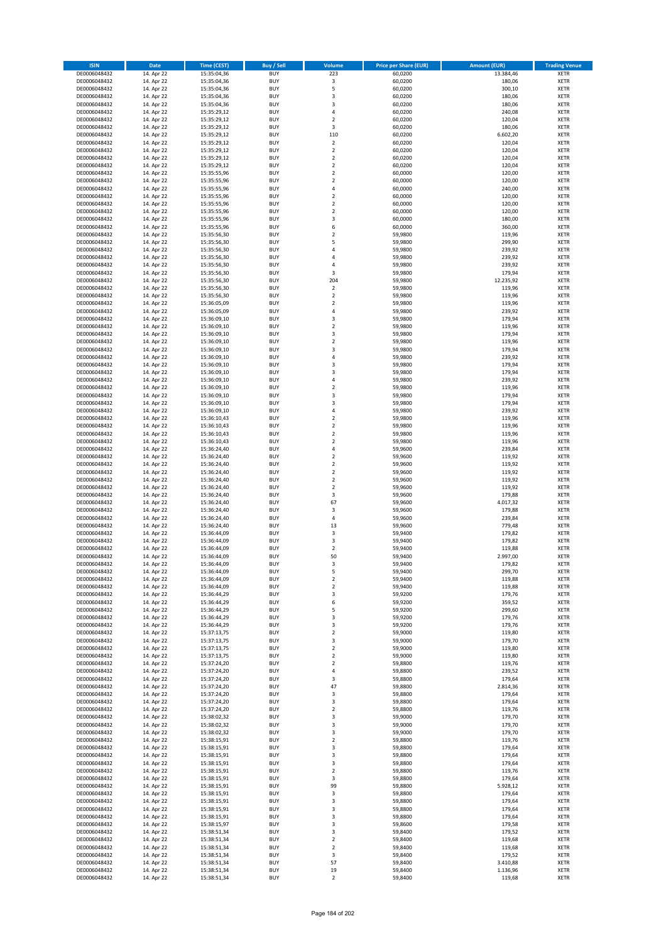| <b>ISIN</b>                  | <b>Date</b>              | <b>Time (CEST)</b>         | <b>Buy / Sell</b>        | Volume                                 | <b>Price per Share (EUR)</b> | <b>Amount (EUR)</b> | <b>Trading Venue</b>       |
|------------------------------|--------------------------|----------------------------|--------------------------|----------------------------------------|------------------------------|---------------------|----------------------------|
| DE0006048432                 | 14. Apr 22               | 15:35:04,36                | <b>BUY</b>               | 223                                    | 60,0200                      | 13.384,46           | <b>XETR</b>                |
| DE0006048432                 | 14. Apr 22               | 15:35:04,36                | <b>BUY</b>               | $\mathsf 3$                            | 60,0200                      | 180,06              | <b>XETR</b>                |
| DE0006048432                 | 14. Apr 22               | 15:35:04,36                | <b>BUY</b>               | 5                                      | 60,0200                      | 300,10              | <b>XETR</b>                |
| DE0006048432                 | 14. Apr 22               | 15:35:04,36                | <b>BUY</b>               | 3                                      | 60,0200                      | 180,06              | <b>XETR</b>                |
| DE0006048432                 | 14. Apr 22               | 15:35:04,36                | <b>BUY</b>               | 3                                      | 60,0200                      | 180,06              | <b>XETR</b>                |
| DE0006048432                 | 14. Apr 22               | 15:35:29,12                | <b>BUY</b>               | 4                                      | 60,0200                      | 240,08              | <b>XETR</b>                |
| DE0006048432                 | 14. Apr 22               | 15:35:29,12                | <b>BUY</b>               | $\overline{\mathbf{c}}$                | 60.0200                      | 120,04              | <b>XETR</b>                |
| DE0006048432                 | 14. Apr 22               | 15:35:29,12                | <b>BUY</b>               | 3                                      | 60,0200                      | 180,06              | <b>XETR</b>                |
| DE0006048432                 | 14. Apr 22               | 15:35:29,12                | <b>BUY</b>               | 110                                    | 60,0200                      | 6.602,20            | <b>XETR</b>                |
| DE0006048432                 | 14. Apr 22               | 15:35:29,12                | <b>BUY</b>               | $\mathbf 2$                            | 60,0200                      | 120,04              | <b>XETR</b>                |
| DE0006048432                 | 14. Apr 22               | 15:35:29,12                | <b>BUY</b>               | $\mathbf 2$                            | 60,0200                      | 120,04              | <b>XETR</b>                |
| DE0006048432                 | 14. Apr 22               | 15:35:29,12                | <b>BUY</b>               | $\overline{\mathbf{c}}$                | 60,0200                      | 120,04              | <b>XETR</b>                |
| DE0006048432                 | 14. Apr 22               | 15:35:29,12                | <b>BUY</b>               | $\mathbf 2$                            | 60,0200                      | 120,04              | <b>XETR</b>                |
| DE0006048432                 | 14. Apr 22               | 15:35:55,96                | <b>BUY</b>               | $\overline{\mathbf{c}}$<br>$\mathbf 2$ | 60,0000                      | 120,00              | <b>XETR</b>                |
| DE0006048432<br>DE0006048432 | 14. Apr 22<br>14. Apr 22 | 15:35:55,96<br>15:35:55,96 | <b>BUY</b><br><b>BUY</b> | 4                                      | 60,0000<br>60,0000           | 120,00<br>240,00    | <b>XETR</b><br><b>XETR</b> |
| DE0006048432                 | 14. Apr 22               | 15:35:55,96                | <b>BUY</b>               | $\mathbf 2$                            | 60,0000                      | 120,00              | <b>XETR</b>                |
| DE0006048432                 | 14. Apr 22               | 15:35:55,96                | <b>BUY</b>               | $\mathbf 2$                            | 60,0000                      | 120,00              | <b>XETR</b>                |
| DE0006048432                 | 14. Apr 22               | 15:35:55,96                | <b>BUY</b>               | $\overline{\mathbf{c}}$                | 60,0000                      | 120,00              | <b>XETR</b>                |
| DE0006048432                 | 14. Apr 22               | 15:35:55,96                | <b>BUY</b>               | 3                                      | 60,0000                      | 180,00              | <b>XETR</b>                |
| DE0006048432                 | 14. Apr 22               | 15:35:55,96                | <b>BUY</b>               | 6                                      | 60,0000                      | 360,00              | <b>XETR</b>                |
| DE0006048432                 | 14. Apr 22               | 15:35:56,30                | <b>BUY</b>               | $\mathbf 2$                            | 59,9800                      | 119,96              | <b>XETR</b>                |
| DE0006048432                 | 14. Apr 22               | 15:35:56,30                | <b>BUY</b>               | 5                                      | 59,9800                      | 299,90              | <b>XETR</b>                |
| DE0006048432                 | 14. Apr 22               | 15:35:56,30                | <b>BUY</b>               | 4                                      | 59,9800                      | 239,92              | <b>XETR</b>                |
| DE0006048432                 | 14. Apr 22               | 15:35:56,30                | <b>BUY</b>               | 4                                      | 59,9800                      | 239,92              | <b>XETR</b>                |
| DE0006048432                 | 14. Apr 22               | 15:35:56,30                | <b>BUY</b>               | 4                                      | 59,9800                      | 239,92              | <b>XETR</b>                |
| DE0006048432                 | 14. Apr 22               | 15:35:56,30                | <b>BUY</b>               | 3                                      | 59,9800                      | 179,94              | <b>XETR</b>                |
| DE0006048432                 | 14. Apr 22               | 15:35:56,30                | <b>BUY</b>               | 204                                    | 59,9800                      | 12.235,92           | <b>XETR</b>                |
| DE0006048432                 | 14. Apr 22               | 15:35:56,30                | <b>BUY</b>               | $\mathbf 2$                            | 59,9800                      | 119,96              | <b>XETR</b>                |
| DE0006048432                 | 14. Apr 22               | 15:35:56,30                | <b>BUY</b>               | $\overline{\mathbf{c}}$                | 59,9800                      | 119,96              | <b>XETR</b>                |
| DE0006048432                 | 14. Apr 22               | 15:36:05,09                | <b>BUY</b>               | $\mathbf 2$                            | 59,9800                      | 119,96              | <b>XETR</b>                |
| DE0006048432                 | 14. Apr 22               | 15:36:05,09                | <b>BUY</b>               | 4                                      | 59,9800                      | 239,92              | <b>XETR</b>                |
| DE0006048432                 | 14. Apr 22               | 15:36:09,10                | <b>BUY</b>               | 3                                      | 59,9800                      | 179,94              | <b>XETR</b>                |
| DE0006048432                 | 14. Apr 22               | 15:36:09,10                | <b>BUY</b>               | $\mathbf 2$                            | 59,9800                      | 119,96              | <b>XETR</b>                |
| DE0006048432                 | 14. Apr 22               | 15:36:09,10                | <b>BUY</b><br><b>BUY</b> | 3<br>$\overline{\mathbf{c}}$           | 59,9800                      | 179,94<br>119,96    | <b>XETR</b><br><b>XETR</b> |
| DE0006048432<br>DE0006048432 | 14. Apr 22<br>14. Apr 22 | 15:36:09,10<br>15:36:09,10 | <b>BUY</b>               | 3                                      | 59,9800<br>59,9800           | 179,94              | <b>XETR</b>                |
| DE0006048432                 | 14. Apr 22               | 15:36:09,10                | <b>BUY</b>               | 4                                      | 59,9800                      | 239,92              | <b>XETR</b>                |
| DE0006048432                 | 14. Apr 22               | 15:36:09,10                | <b>BUY</b>               | 3                                      | 59,9800                      | 179,94              | <b>XETR</b>                |
| DE0006048432                 | 14. Apr 22               | 15:36:09,10                | <b>BUY</b>               | 3                                      | 59,9800                      | 179,94              | <b>XETR</b>                |
| DE0006048432                 | 14. Apr 22               | 15:36:09,10                | <b>BUY</b>               | 4                                      | 59,9800                      | 239,92              | <b>XETR</b>                |
| DE0006048432                 | 14. Apr 22               | 15:36:09,10                | <b>BUY</b>               | $\mathbf 2$                            | 59,9800                      | 119,96              | <b>XETR</b>                |
| DE0006048432                 | 14. Apr 22               | 15:36:09,10                | <b>BUY</b>               | 3                                      | 59,9800                      | 179,94              | <b>XETR</b>                |
| DE0006048432                 | 14. Apr 22               | 15:36:09,10                | <b>BUY</b>               | 3                                      | 59,9800                      | 179,94              | <b>XETR</b>                |
| DE0006048432                 | 14. Apr 22               | 15:36:09,10                | <b>BUY</b>               | 4                                      | 59,9800                      | 239,92              | <b>XETR</b>                |
| DE0006048432                 | 14. Apr 22               | 15:36:10,43                | <b>BUY</b>               | $\overline{2}$                         | 59,9800                      | 119,96              | <b>XETR</b>                |
| DE0006048432                 | 14. Apr 22               | 15:36:10,43                | <b>BUY</b>               | $\mathbf 2$                            | 59,9800                      | 119,96              | <b>XETR</b>                |
| DE0006048432                 | 14. Apr 22               | 15:36:10,43                | <b>BUY</b>               | $\mathbf 2$                            | 59,9800                      | 119,96              | <b>XETR</b>                |
| DE0006048432                 | 14. Apr 22               | 15:36:10,43                | <b>BUY</b>               | $\mathbf 2$                            | 59,9800                      | 119,96              | <b>XETR</b>                |
| DE0006048432                 | 14. Apr 22               | 15:36:24,40                | <b>BUY</b>               | 4                                      | 59,9600                      | 239,84              | <b>XETR</b>                |
| DE0006048432                 | 14. Apr 22               | 15:36:24,40                | <b>BUY</b>               | $\overline{\mathbf{c}}$                | 59,9600                      | 119,92              | <b>XETR</b>                |
| DE0006048432                 | 14. Apr 22               | 15:36:24,40                | <b>BUY</b>               | $\mathbf 2$                            | 59,9600                      | 119,92              | <b>XETR</b>                |
| DE0006048432                 | 14. Apr 22               | 15:36:24,40                | <b>BUY</b>               | $\overline{2}$                         | 59,9600                      | 119,92              | <b>XETR</b>                |
| DE0006048432<br>DE0006048432 | 14. Apr 22               | 15:36:24,40                | <b>BUY</b><br><b>BUY</b> | $\mathbf 2$<br>$\overline{\mathbf{c}}$ | 59,9600                      | 119,92              | <b>XETR</b><br><b>XETR</b> |
| DE0006048432                 | 14. Apr 22<br>14. Apr 22 | 15:36:24,40                | <b>BUY</b>               | 3                                      | 59,9600                      | 119,92              | <b>XETR</b>                |
| DE0006048432                 | 14. Apr 22               | 15:36:24,40<br>15:36:24,40 | <b>BUY</b>               | 67                                     | 59,9600<br>59,9600           | 179,88<br>4.017,32  | <b>XETR</b>                |
| DE0006048432                 | 14. Apr 22               | 15:36:24,40                | <b>BUY</b>               | 3                                      | 59,9600                      | 179,88              | <b>XETR</b>                |
| DE0006048432                 | 14. Apr 22               | 15:36:24,40                | <b>BUY</b>               | 4                                      | 59,9600                      | 239,84              | <b>XETR</b>                |
| DE0006048432                 | 14. Apr 22               | 15:36:24,40                | <b>BUY</b>               | 13                                     | 59,9600                      | 779,48              | <b>XETR</b>                |
| DE0006048432                 | 14. Apr 22               | 15:36:44,09                | <b>BUY</b>               | 3                                      | 59,9400                      | 179,82              | <b>XETR</b>                |
| DE0006048432                 | 14. Apr 22               | 15:36:44.09                | <b>BUY</b>               | 3                                      | 59,9400                      | 179,82              | <b>XETR</b>                |
| DE0006048432                 | 14. Apr 22               | 15:36:44,09                | <b>BUY</b>               | $\overline{\mathbf{c}}$                | 59,9400                      | 119,88              | <b>XETR</b>                |
| DE0006048432                 | 14. Apr 22               | 15:36:44,09                | <b>BUY</b>               | 50                                     | 59,9400                      | 2.997,00            | <b>XETR</b>                |
| DE0006048432                 | 14. Apr 22               | 15:36:44,09                | BUY                      | 3                                      | 59,9400                      | 179,82              | <b>XETR</b>                |
| DE0006048432                 | 14. Apr 22               | 15:36:44,09                | <b>BUY</b>               | 5                                      | 59,9400                      | 299,70              | <b>XETR</b>                |
| DE0006048432                 | 14. Apr 22               | 15:36:44,09                | <b>BUY</b>               | $\mathbf 2$                            | 59,9400                      | 119,88              | XETR                       |
| DE0006048432                 | 14. Apr 22               | 15:36:44,09                | <b>BUY</b>               | $\mathbf 2$                            | 59,9400                      | 119,88              | XETR                       |
| DE0006048432                 | 14. Apr 22               | 15:36:44,29                | <b>BUY</b>               | 3                                      | 59,9200                      | 179,76              | <b>XETR</b>                |
| DE0006048432                 | 14. Apr 22               | 15:36:44,29                | <b>BUY</b>               | 6                                      | 59,9200                      | 359,52              | <b>XETR</b>                |
| DE0006048432                 | 14. Apr 22               | 15:36:44,29                | <b>BUY</b>               | 5                                      | 59,9200                      | 299,60              | <b>XETR</b>                |
| DE0006048432                 | 14. Apr 22               | 15:36:44,29                | <b>BUY</b>               | 3                                      | 59,9200                      | 179,76              | <b>XETR</b>                |
| DE0006048432                 | 14. Apr 22               | 15:36:44,29                | <b>BUY</b>               | 3                                      | 59,9200                      | 179,76              | <b>XETR</b>                |
| DE0006048432                 | 14. Apr 22               | 15:37:13,75                | <b>BUY</b><br><b>BUY</b> | $\mathbf 2$                            | 59,9000                      | 119,80              | XETR                       |
| DE0006048432<br>DE0006048432 | 14. Apr 22<br>14. Apr 22 | 15:37:13,75<br>15:37:13,75 | <b>BUY</b>               | 3<br>$\overline{2}$                    | 59,9000<br>59,9000           | 179,70<br>119,80    | <b>XETR</b><br><b>XETR</b> |
|                              | 14. Apr 22               |                            | <b>BUY</b>               | $\mathbf 2$                            | 59,9000                      | 119,80              |                            |
| DE0006048432<br>DE0006048432 | 14. Apr 22               | 15:37:13,75<br>15:37:24,20 | <b>BUY</b>               | $\overline{2}$                         | 59.8800                      | 119,76              | <b>XETR</b><br><b>XETR</b> |
| DE0006048432                 | 14. Apr 22               | 15:37:24,20                | <b>BUY</b>               | 4                                      | 59,8800                      | 239,52              | <b>XETR</b>                |
| DE0006048432                 | 14. Apr 22               | 15:37:24,20                | <b>BUY</b>               | 3                                      | 59,8800                      | 179,64              | <b>XETR</b>                |
| DE0006048432                 | 14. Apr 22               | 15:37:24,20                | <b>BUY</b>               | 47                                     | 59,8800                      | 2.814,36            | <b>XETR</b>                |
| DE0006048432                 | 14. Apr 22               | 15:37:24,20                | <b>BUY</b>               | 3                                      | 59,8800                      | 179,64              | <b>XETR</b>                |
| DE0006048432                 | 14. Apr 22               | 15:37:24,20                | <b>BUY</b>               | 3                                      | 59,8800                      | 179,64              | XETR                       |
| DE0006048432                 | 14. Apr 22               | 15:37:24,20                | <b>BUY</b>               | $\mathbf 2$                            | 59,8800                      | 119,76              | <b>XETR</b>                |
| DE0006048432                 | 14. Apr 22               | 15:38:02,32                | <b>BUY</b>               | 3                                      | 59,9000                      | 179,70              | <b>XETR</b>                |
| DE0006048432                 | 14. Apr 22               | 15:38:02,32                | <b>BUY</b>               | 3                                      | 59,9000                      | 179,70              | <b>XETR</b>                |
| DE0006048432                 | 14. Apr 22               | 15:38:02,32                | <b>BUY</b>               | 3                                      | 59,9000                      | 179,70              | <b>XETR</b>                |
| DE0006048432                 | 14. Apr 22               | 15:38:15,91                | <b>BUY</b>               | $\mathbf 2$                            | 59,8800                      | 119,76              | <b>XETR</b>                |
| DE0006048432                 | 14. Apr 22               | 15:38:15,91                | <b>BUY</b>               | 3                                      | 59,8800                      | 179,64              | <b>XETR</b>                |
| DE0006048432                 | 14. Apr 22               | 15:38:15,91                | <b>BUY</b>               | 3                                      | 59,8800                      | 179,64              | XETR                       |
| DE0006048432                 | 14. Apr 22               | 15:38:15,91                | <b>BUY</b>               | 3                                      | 59,8800                      | 179,64              | <b>XETR</b>                |
| DE0006048432                 | 14. Apr 22               | 15:38:15,91                | <b>BUY</b>               | $\overline{2}$                         | 59,8800                      | 119,76              | <b>XETR</b>                |
| DE0006048432                 | 14. Apr 22               | 15:38:15,91                | <b>BUY</b>               | 3                                      | 59,8800                      | 179,64              | <b>XETR</b>                |
| DE0006048432                 | 14. Apr 22               | 15:38:15,91                | <b>BUY</b>               | 99                                     | 59,8800                      | 5.928,12            | XETR                       |
| DE0006048432                 | 14. Apr 22               | 15:38:15,91                | <b>BUY</b>               | 3                                      | 59,8800                      | 179,64              | <b>XETR</b>                |
| DE0006048432<br>DE0006048432 | 14. Apr 22<br>14. Apr 22 | 15:38:15,91                | <b>BUY</b><br><b>BUY</b> | 3<br>3                                 | 59,8800<br>59,8800           | 179,64<br>179,64    | <b>XETR</b><br><b>XETR</b> |
| DE0006048432                 | 14. Apr 22               | 15:38:15,91<br>15:38:15,91 | <b>BUY</b>               | 3                                      | 59,8800                      | 179,64              | <b>XETR</b>                |
| DE0006048432                 | 14. Apr 22               | 15:38:15,97                | <b>BUY</b>               | 3                                      | 59,8600                      | 179,58              | <b>XETR</b>                |
| DE0006048432                 | 14. Apr 22               | 15:38:51,34                | <b>BUY</b>               | 3                                      | 59,8400                      | 179,52              | <b>XETR</b>                |
| DE0006048432                 | 14. Apr 22               | 15:38:51,34                | <b>BUY</b>               | $\overline{2}$                         | 59,8400                      | 119,68              | <b>XETR</b>                |
| DE0006048432                 | 14. Apr 22               | 15:38:51,34                | <b>BUY</b>               | $\mathbf 2$                            | 59,8400                      | 119,68              | XETR                       |
| DE0006048432                 | 14. Apr 22               | 15:38:51,34                | <b>BUY</b>               | 3                                      | 59,8400                      | 179,52              | <b>XETR</b>                |
| DE0006048432                 | 14. Apr 22               | 15:38:51,34                | <b>BUY</b>               | 57                                     | 59,8400                      | 3.410,88            | <b>XETR</b>                |
| DE0006048432                 | 14. Apr 22               | 15:38:51,34                | <b>BUY</b>               | 19                                     | 59,8400                      | 1.136,96            | <b>XETR</b>                |
| DE0006048432                 | 14. Apr 22               | 15:38:51,34                | <b>BUY</b>               | $\mathbf 2$                            | 59,8400                      | 119,68              | XETR                       |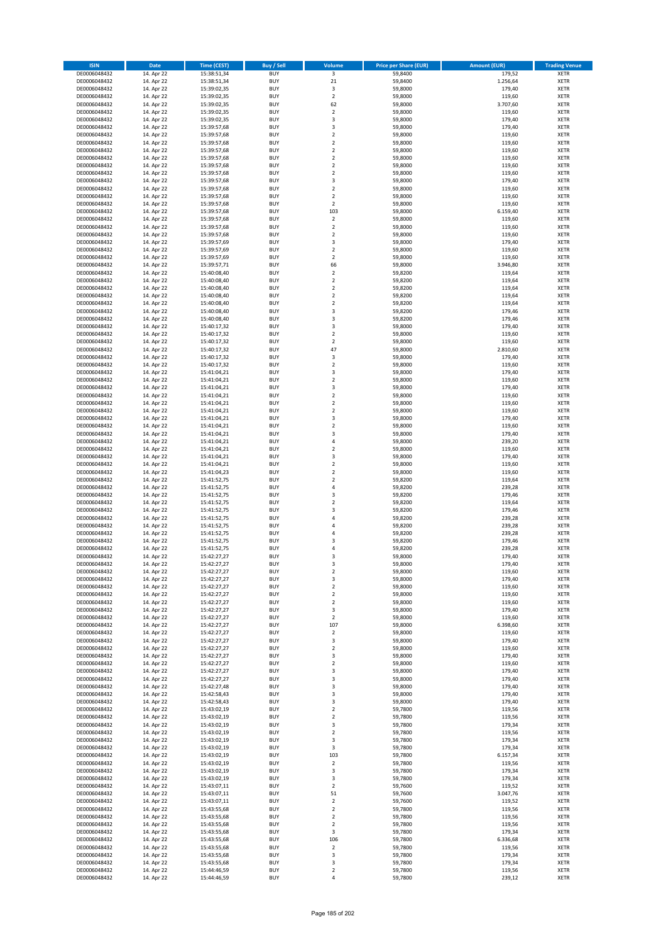| <b>ISIN</b>                  | Date                     | Time (CEST)                | <b>Buy / Sell</b>        | Volume                        | <b>Price per Share (EUR)</b> | <b>Amount (EUR)</b> | <b>Trading Venue</b>       |
|------------------------------|--------------------------|----------------------------|--------------------------|-------------------------------|------------------------------|---------------------|----------------------------|
| DE0006048432                 | 14. Apr 22               | 15:38:51,34                | <b>BUY</b>               | $\overline{\mathbf{3}}$       | 59,8400                      | 179,52              | <b>XETR</b>                |
| DE0006048432                 | 14. Apr 22               | 15:38:51,34                | <b>BUY</b>               | $21\,$                        | 59,8400                      | 1.256,64            | XETR                       |
| DE0006048432                 | 14. Apr 22               | 15:39:02,35                | <b>BUY</b>               | 3                             | 59,8000                      | 179,40              | <b>XETR</b>                |
| DE0006048432                 | 14. Apr 22               | 15:39:02,35                | <b>BUY</b>               | $\mathbf 2$                   | 59,8000                      | 119,60              | XETR                       |
| DE0006048432<br>DE0006048432 | 14. Apr 22<br>14. Apr 22 | 15:39:02,35<br>15:39:02,35 | <b>BUY</b><br><b>BUY</b> | 62<br>$\mathbf 2$             | 59,8000<br>59,8000           | 3.707,60<br>119,60  | <b>XETR</b><br><b>XETR</b> |
| DE0006048432                 | 14. Apr 22               | 15:39:02,35                | <b>BUY</b>               | 3                             | 59,8000                      | 179,40              | <b>XETR</b>                |
| DE0006048432                 | 14. Apr 22               | 15:39:57,68                | <b>BUY</b>               | 3                             | 59,8000                      | 179,40              | <b>XETR</b>                |
| DE0006048432                 | 14. Apr 22               | 15:39:57,68                | <b>BUY</b>               | $\overline{2}$                | 59,8000                      | 119,60              | <b>XETR</b>                |
| DE0006048432                 | 14. Apr 22               | 15:39:57,68                | <b>BUY</b>               | $\overline{2}$                | 59,8000                      | 119,60              | <b>XETR</b>                |
| DE0006048432                 | 14. Apr 22               | 15:39:57,68                | <b>BUY</b>               | $\mathbf 2$                   | 59,8000                      | 119,60              | <b>XETR</b>                |
| DE0006048432                 | 14. Apr 22               | 15:39:57,68                | <b>BUY</b>               | $\mathbf 2$<br>$\mathbf 2$    | 59,8000                      | 119,60              | <b>XETR</b>                |
| DE0006048432<br>DE0006048432 | 14. Apr 22<br>14. Apr 22 | 15:39:57,68<br>15:39:57,68 | <b>BUY</b><br><b>BUY</b> | $\overline{2}$                | 59,8000<br>59,8000           | 119,60<br>119,60    | <b>XETR</b><br><b>XETR</b> |
| DE0006048432                 | 14. Apr 22               | 15:39:57,68                | <b>BUY</b>               | 3                             | 59,8000                      | 179,40              | <b>XETR</b>                |
| DE0006048432                 | 14. Apr 22               | 15:39:57,68                | <b>BUY</b>               | $\overline{2}$                | 59,8000                      | 119,60              | <b>XETR</b>                |
| DE0006048432                 | 14. Apr 22               | 15:39:57,68                | <b>BUY</b>               | $\overline{2}$                | 59,8000                      | 119,60              | <b>XETR</b>                |
| DE0006048432                 | 14. Apr 22               | 15:39:57,68                | <b>BUY</b>               | $\overline{2}$                | 59,8000                      | 119,60              | <b>XETR</b>                |
| DE0006048432                 | 14. Apr 22               | 15:39:57,68                | <b>BUY</b>               | 103                           | 59,8000                      | 6.159,40            | <b>XETR</b>                |
| DE0006048432<br>DE0006048432 | 14. Apr 22<br>14. Apr 22 | 15:39:57,68<br>15:39:57,68 | <b>BUY</b><br><b>BUY</b> | $\mathbf 2$<br>$\overline{2}$ | 59,8000<br>59,8000           | 119,60<br>119,60    | <b>XETR</b><br><b>XETR</b> |
| DE0006048432                 | 14. Apr 22               | 15:39:57,68                | <b>BUY</b>               | $\mathbf 2$                   | 59,8000                      | 119,60              | <b>XETR</b>                |
| DE0006048432                 | 14. Apr 22               | 15:39:57,69                | <b>BUY</b>               | 3                             | 59,8000                      | 179,40              | <b>XETR</b>                |
| DE0006048432                 | 14. Apr 22               | 15:39:57,69                | <b>BUY</b>               | $\mathbf 2$                   | 59,8000                      | 119,60              | <b>XETR</b>                |
| DE0006048432                 | 14. Apr 22               | 15:39:57,69                | <b>BUY</b>               | $\overline{2}$                | 59,8000                      | 119,60              | <b>XETR</b>                |
| DE0006048432                 | 14. Apr 22               | 15:39:57,71                | <b>BUY</b>               | 66                            | 59,8000                      | 3.946,80            | <b>XETR</b>                |
| DE0006048432<br>DE0006048432 | 14. Apr 22               | 15:40:08,40                | <b>BUY</b><br><b>BUY</b> | $\mathbf 2$<br>$\mathbf 2$    | 59,8200                      | 119,64<br>119,64    | <b>XETR</b><br><b>XETR</b> |
| DE0006048432                 | 14. Apr 22<br>14. Apr 22 | 15:40:08,40<br>15:40:08,40 | <b>BUY</b>               | $\mathbf 2$                   | 59,8200<br>59,8200           | 119,64              | <b>XETR</b>                |
| DE0006048432                 | 14. Apr 22               | 15:40:08,40                | <b>BUY</b>               | $\overline{2}$                | 59,8200                      | 119,64              | <b>XETR</b>                |
| DE0006048432                 | 14. Apr 22               | 15:40:08,40                | <b>BUY</b>               | $\overline{2}$                | 59,8200                      | 119,64              | <b>XETR</b>                |
| DE0006048432                 | 14. Apr 22               | 15:40:08,40                | <b>BUY</b>               | 3                             | 59,8200                      | 179,46              | <b>XETR</b>                |
| DE0006048432                 | 14. Apr 22               | 15:40:08,40                | <b>BUY</b>               | 3                             | 59,8200                      | 179,46              | <b>XETR</b>                |
| DE0006048432                 | 14. Apr 22               | 15:40:17,32                | <b>BUY</b>               | 3                             | 59,8000                      | 179,40              | <b>XETR</b>                |
| DE0006048432<br>DE0006048432 | 14. Apr 22<br>14. Apr 22 | 15:40:17,32<br>15:40:17,32 | <b>BUY</b><br><b>BUY</b> | $\mathbf 2$<br>$\mathbf 2$    | 59,8000<br>59,8000           | 119,60<br>119,60    | <b>XETR</b><br><b>XETR</b> |
| DE0006048432                 | 14. Apr 22               | 15:40:17,32                | <b>BUY</b>               | 47                            | 59,8000                      | 2.810,60            | <b>XETR</b>                |
| DE0006048432                 | 14. Apr 22               | 15:40:17,32                | <b>BUY</b>               | 3                             | 59,8000                      | 179,40              | <b>XETR</b>                |
| DE0006048432                 | 14. Apr 22               | 15:40:17,32                | <b>BUY</b>               | $\overline{2}$                | 59,8000                      | 119,60              | <b>XETR</b>                |
| DE0006048432                 | 14. Apr 22               | 15:41:04,21                | <b>BUY</b>               | 3                             | 59,8000                      | 179,40              | <b>XETR</b>                |
| DE0006048432                 | 14. Apr 22               | 15:41:04,21                | <b>BUY</b>               | $\mathbf 2$                   | 59,8000                      | 119,60              | <b>XETR</b>                |
| DE0006048432                 | 14. Apr 22               | 15:41:04,21                | <b>BUY</b>               | 3                             | 59,8000                      | 179,40              | <b>XETR</b>                |
| DE0006048432<br>DE0006048432 | 14. Apr 22<br>14. Apr 22 | 15:41:04,21<br>15:41:04,21 | <b>BUY</b><br><b>BUY</b> | $\mathbf 2$<br>$\overline{2}$ | 59,8000<br>59,8000           | 119,60<br>119,60    | <b>XETR</b><br><b>XETR</b> |
| DE0006048432                 | 14. Apr 22               | 15:41:04,21                | <b>BUY</b>               | $\mathbf 2$                   | 59,8000                      | 119,60              | <b>XETR</b>                |
| DE0006048432                 | 14. Apr 22               | 15:41:04,21                | <b>BUY</b>               | 3                             | 59,8000                      | 179,40              | <b>XETR</b>                |
| DE0006048432                 | 14. Apr 22               | 15:41:04,21                | <b>BUY</b>               | $\mathbf 2$                   | 59,8000                      | 119,60              | <b>XETR</b>                |
| DE0006048432                 | 14. Apr 22               | 15:41:04,21                | <b>BUY</b>               | 3                             | 59,8000                      | 179,40              | <b>XETR</b>                |
| DE0006048432                 | 14. Apr 22               | 15:41:04,21                | <b>BUY</b><br><b>BUY</b> | 4<br>$\mathbf 2$              | 59,8000                      | 239,20              | <b>XETR</b><br><b>XETR</b> |
| DE0006048432<br>DE0006048432 | 14. Apr 22<br>14. Apr 22 | 15:41:04,21<br>15:41:04,21 | <b>BUY</b>               | 3                             | 59,8000<br>59,8000           | 119,60<br>179,40    | <b>XETR</b>                |
| DE0006048432                 | 14. Apr 22               | 15:41:04,21                | <b>BUY</b>               | $\mathbf 2$                   | 59,8000                      | 119,60              | <b>XETR</b>                |
| DE0006048432                 | 14. Apr 22               | 15:41:04,23                | <b>BUY</b>               | $\mathbf 2$                   | 59,8000                      | 119,60              | <b>XETR</b>                |
| DE0006048432                 | 14. Apr 22               | 15:41:52,75                | <b>BUY</b>               | $\overline{2}$                | 59,8200                      | 119,64              | <b>XETR</b>                |
| DE0006048432                 | 14. Apr 22               | 15:41:52,75                | <b>BUY</b>               | 4                             | 59,8200                      | 239,28              | <b>XETR</b>                |
| DE0006048432                 | 14. Apr 22               | 15:41:52,75                | <b>BUY</b>               | 3                             | 59,8200                      | 179,46              | <b>XETR</b>                |
| DE0006048432<br>DE0006048432 | 14. Apr 22<br>14. Apr 22 | 15:41:52,75<br>15:41:52,75 | <b>BUY</b><br><b>BUY</b> | $\overline{2}$<br>3           | 59,8200<br>59,8200           | 119,64<br>179,46    | <b>XETR</b><br><b>XETR</b> |
| DE0006048432                 | 14. Apr 22               | 15:41:52,75                | <b>BUY</b>               | $\overline{a}$                | 59,8200                      | 239,28              | <b>XETR</b>                |
| DE0006048432                 | 14. Apr 22               | 15:41:52,75                | <b>BUY</b>               | $\overline{4}$                | 59,8200                      | 239,28              | <b>XETR</b>                |
| DE0006048432                 | 14. Apr 22               | 15:41:52,75                | <b>BUY</b>               | 4                             | 59,8200                      | 239,28              | <b>XETR</b>                |
| DE0006048432                 | 14. Apr 22               | 15:41:52,75                | <b>BUY</b>               | 3                             | 59,8200                      | 179,46              | <b>XETR</b>                |
| DE0006048432                 | 14. Apr 22               | 15:41:52,75                | <b>BUY</b>               | $\overline{4}$                | 59,8200                      | 239,28              | <b>XETR</b>                |
| DE0006048432                 | 14. Apr 22               | 15:42:27,27<br>15:42:27,27 | <b>BUY</b>               | 3                             | 59,8000<br>59,8000           | 179,40              | <b>XETR</b>                |
| DE0006048432<br>DE0006048432 | 14. Apr 22<br>14. Apr 22 | 15:42:27,27                | BUY<br><b>BUY</b>        | 3<br>$\mathbf 2$              | 59,8000                      | 179,40<br>119,60    | XETR<br>XETR               |
| DE0006048432                 | 14. Apr 22               | 15:42:27,27                | <b>BUY</b>               | 3                             | 59,8000                      | 179,40              | XETR                       |
| DE0006048432                 | 14. Apr 22               | 15:42:27,27                | <b>BUY</b>               | $\overline{2}$                | 59,8000                      | 119,60              | XETR                       |
| DE0006048432                 | 14. Apr 22               | 15:42:27,27                | <b>BUY</b>               | $\overline{2}$                | 59,8000                      | 119,60              | <b>XETR</b>                |
| DE0006048432                 | 14. Apr 22               | 15:42:27,27                | <b>BUY</b>               | $\overline{2}$                | 59,8000                      | 119,60              | XETR                       |
| DE0006048432                 | 14. Apr 22               | 15:42:27,27                | <b>BUY</b>               | 3                             | 59,8000                      | 179,40              | <b>XETR</b>                |
| DE0006048432<br>DE0006048432 | 14. Apr 22<br>14. Apr 22 | 15:42:27,27<br>15:42:27,27 | <b>BUY</b><br><b>BUY</b> | $\overline{2}$<br>107         | 59,8000<br>59,8000           | 119,60<br>6.398,60  | <b>XETR</b><br>XETR        |
| DE0006048432                 | 14. Apr 22               | 15:42:27,27                | <b>BUY</b>               | $\mathbf 2$                   | 59,8000                      | 119,60              | <b>XETR</b>                |
| DE0006048432                 | 14. Apr 22               | 15:42:27,27                | <b>BUY</b>               | 3                             | 59,8000                      | 179,40              | XETR                       |
| DE0006048432                 | 14. Apr 22               | 15:42:27,27                | <b>BUY</b>               | $\overline{2}$                | 59,8000                      | 119,60              | <b>XETR</b>                |
| DE0006048432                 | 14. Apr 22               | 15:42:27,27                | <b>BUY</b>               | $\mathsf 3$                   | 59,8000                      | 179,40              | XETR                       |
| DE0006048432                 | 14. Apr 22               | 15:42:27,27                | <b>BUY</b>               | $\overline{2}$                | 59,8000                      | 119,60              | <b>XETR</b>                |
| DE0006048432<br>DE0006048432 | 14. Apr 22<br>14. Apr 22 | 15:42:27,27<br>15:42:27,27 | <b>BUY</b><br><b>BUY</b> | 3<br>3                        | 59,8000<br>59,8000           | 179,40<br>179,40    | XETR<br><b>XETR</b>        |
| DE0006048432                 | 14. Apr 22               | 15:42:27,48                | <b>BUY</b>               | 3                             | 59,8000                      | 179,40              | <b>XETR</b>                |
| DE0006048432                 | 14. Apr 22               | 15:42:58,43                | <b>BUY</b>               | 3                             | 59,8000                      | 179,40              | <b>XETR</b>                |
| DE0006048432                 | 14. Apr 22               | 15:42:58,43                | <b>BUY</b>               | 3                             | 59,8000                      | 179,40              | XETR                       |
| DE0006048432                 | 14. Apr 22               | 15:43:02,19                | <b>BUY</b>               | $\overline{2}$                | 59,7800                      | 119,56              | <b>XETR</b>                |
| DE0006048432                 | 14. Apr 22               | 15:43:02,19                | <b>BUY</b>               | $\overline{2}$                | 59,7800                      | 119,56              | <b>XETR</b>                |
| DE0006048432<br>DE0006048432 | 14. Apr 22<br>14. Apr 22 | 15:43:02,19<br>15:43:02,19 | <b>BUY</b><br><b>BUY</b> | 3<br>$\overline{2}$           | 59,7800<br>59,7800           | 179,34<br>119,56    | XETR<br>XETR               |
| DE0006048432                 | 14. Apr 22               | 15:43:02,19                | <b>BUY</b>               | 3                             | 59,7800                      | 179,34              | XETR                       |
| DE0006048432                 | 14. Apr 22               | 15:43:02,19                | <b>BUY</b>               | 3                             | 59,7800                      | 179,34              | XETR                       |
| DE0006048432                 | 14. Apr 22               | 15:43:02,19                | <b>BUY</b>               | 103                           | 59,7800                      | 6.157,34            | XETR                       |
| DE0006048432                 | 14. Apr 22               | 15:43:02,19                | <b>BUY</b>               | $\mathbf 2$                   | 59,7800                      | 119,56              | XETR                       |
| DE0006048432                 | 14. Apr 22               | 15:43:02,19                | <b>BUY</b>               | 3                             | 59,7800                      | 179,34              | <b>XETR</b>                |
| DE0006048432<br>DE0006048432 | 14. Apr 22<br>14. Apr 22 | 15:43:02,19<br>15:43:07,11 | <b>BUY</b><br><b>BUY</b> | 3<br>$\overline{2}$           | 59,7800<br>59,7600           | 179,34<br>119,52    | XETR<br><b>XETR</b>        |
| DE0006048432                 | 14. Apr 22               | 15:43:07,11                | <b>BUY</b>               | 51                            | 59,7600                      | 3.047,76            | XETR                       |
| DE0006048432                 | 14. Apr 22               | 15:43:07,11                | <b>BUY</b>               | $\mathbf 2$                   | 59,7600                      | 119,52              | XETR                       |
| DE0006048432                 | 14. Apr 22               | 15:43:55,68                | <b>BUY</b>               | $\mathbf 2$                   | 59,7800                      | 119,56              | XETR                       |
| DE0006048432                 | 14. Apr 22               | 15:43:55,68                | <b>BUY</b>               | $\overline{2}$                | 59,7800                      | 119,56              | <b>XETR</b>                |
| DE0006048432                 | 14. Apr 22               | 15:43:55,68                | <b>BUY</b>               | $\overline{2}$                | 59,7800                      | 119,56              | <b>XETR</b>                |
| DE0006048432                 | 14. Apr 22               | 15:43:55,68                | <b>BUY</b>               | 3                             | 59,7800                      | 179,34              | XETR                       |
| DE0006048432<br>DE0006048432 | 14. Apr 22<br>14. Apr 22 | 15:43:55,68<br>15:43:55,68 | <b>BUY</b><br><b>BUY</b> | 106<br>$\mathbf 2$            | 59,7800<br>59,7800           | 6.336,68<br>119,56  | <b>XETR</b><br>XETR        |
| DE0006048432                 | 14. Apr 22               | 15:43:55,68                | <b>BUY</b>               | 3                             | 59,7800                      | 179,34              | <b>XETR</b>                |
| DE0006048432                 | 14. Apr 22               | 15:43:55,68                | <b>BUY</b>               | 3                             | 59,7800                      | 179,34              | XETR                       |
| DE0006048432                 | 14. Apr 22               | 15:44:46,59                | <b>BUY</b>               | $\mathbf 2$                   | 59,7800                      | 119,56              | <b>XETR</b>                |
| DE0006048432                 | 14. Apr 22               | 15:44:46,59                | <b>BUY</b>               | $\pmb{4}$                     | 59,7800                      | 239,12              | XETR                       |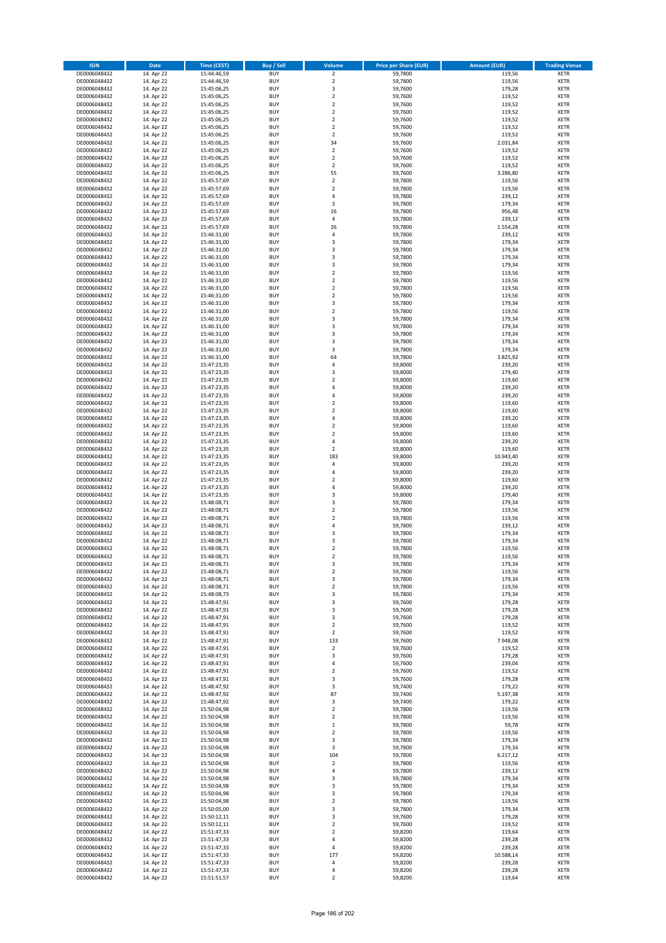| <b>ISIN</b>                  | <b>Date</b>              | <b>Time (CEST)</b>         | <b>Buy / Sell</b>        | Volume                                 | <b>Price per Share (EUR)</b> | <b>Amount (EUR)</b> | <b>Trading Venue</b>       |
|------------------------------|--------------------------|----------------------------|--------------------------|----------------------------------------|------------------------------|---------------------|----------------------------|
| DE0006048432                 | 14. Apr 22               | 15:44:46,59                | <b>BUY</b>               | $\overline{2}$                         | 59,7800                      | 119,56              | <b>XETR</b>                |
| DE0006048432                 | 14. Apr 22               | 15:44:46,59                | <b>BUY</b>               | $\mathbf 2$                            | 59,7800                      | 119,56              | <b>XETR</b>                |
| DE0006048432                 | 14. Apr 22               | 15:45:06,25                | <b>BUY</b>               | 3                                      | 59,7600                      | 179,28              | <b>XETR</b>                |
| DE0006048432                 | 14. Apr 22               | 15:45:06,25                | <b>BUY</b>               | $\mathbf 2$                            | 59,7600                      | 119,52              | <b>XETR</b>                |
| DE0006048432<br>DE0006048432 | 14. Apr 22<br>14. Apr 22 | 15:45:06,25<br>15:45:06,25 | <b>BUY</b><br><b>BUY</b> | $\overline{\mathbf{c}}$<br>$\mathbf 2$ | 59,7600<br>59,7600           | 119,52<br>119,52    | <b>XETR</b><br><b>XETR</b> |
| DE0006048432                 | 14. Apr 22               | 15:45:06,25                | <b>BUY</b>               | $\mathbf 2$                            | 59,7600                      | 119,52              | <b>XETR</b>                |
| DE0006048432                 | 14. Apr 22               | 15:45:06,25                | <b>BUY</b>               | $\mathbf 2$                            | 59,7600                      | 119,52              | <b>XETR</b>                |
| DE0006048432                 | 14. Apr 22               | 15:45:06,25                | <b>BUY</b>               | $\mathbf 2$                            | 59,7600                      | 119,52              | <b>XETR</b>                |
| DE0006048432                 | 14. Apr 22               | 15:45:06,25                | <b>BUY</b>               | 34                                     | 59,7600                      | 2.031,84            | <b>XETR</b>                |
| DE0006048432                 | 14. Apr 22               | 15:45:06,25                | <b>BUY</b>               | $\mathbf 2$                            | 59,7600                      | 119,52              | <b>XETR</b>                |
| DE0006048432                 | 14. Apr 22               | 15:45:06,25                | <b>BUY</b>               | $\overline{\mathbf{c}}$<br>$\mathbf 2$ | 59,7600                      | 119,52              | <b>XETR</b><br><b>XETR</b> |
| DE0006048432<br>DE0006048432 | 14. Apr 22<br>14. Apr 22 | 15:45:06,25<br>15:45:06,25 | <b>BUY</b><br><b>BUY</b> | 55                                     | 59,7600<br>59,7600           | 119,52<br>3.286,80  | <b>XETR</b>                |
| DE0006048432                 | 14. Apr 22               | 15:45:57,69                | <b>BUY</b>               | $\mathbf 2$                            | 59,7800                      | 119,56              | <b>XETR</b>                |
| DE0006048432                 | 14. Apr 22               | 15:45:57,69                | <b>BUY</b>               | $\overline{\mathbf{c}}$                | 59,7800                      | 119,56              | <b>XETR</b>                |
| DE0006048432                 | 14. Apr 22               | 15:45:57,69                | <b>BUY</b>               | 4                                      | 59,7800                      | 239,12              | <b>XETR</b>                |
| DE0006048432                 | 14. Apr 22               | 15:45:57,69                | <b>BUY</b>               | 3                                      | 59,7800                      | 179,34              | <b>XETR</b>                |
| DE0006048432                 | 14. Apr 22               | 15:45:57,69                | <b>BUY</b>               | 16                                     | 59,7800                      | 956,48              | <b>XETR</b>                |
| DE0006048432<br>DE0006048432 | 14. Apr 22<br>14. Apr 22 | 15:45:57,69<br>15:45:57,69 | <b>BUY</b><br><b>BUY</b> | 4<br>26                                | 59,7800<br>59,7800           | 239,12<br>1.554,28  | <b>XETR</b><br><b>XETR</b> |
| DE0006048432                 | 14. Apr 22               | 15:46:31,00                | <b>BUY</b>               | 4                                      | 59,7800                      | 239,12              | <b>XETR</b>                |
| DE0006048432                 | 14. Apr 22               | 15:46:31,00                | <b>BUY</b>               | 3                                      | 59,7800                      | 179,34              | <b>XETR</b>                |
| DE0006048432                 | 14. Apr 22               | 15:46:31,00                | <b>BUY</b>               | 3                                      | 59,7800                      | 179,34              | <b>XETR</b>                |
| DE0006048432                 | 14. Apr 22               | 15:46:31,00                | <b>BUY</b>               | 3                                      | 59,7800                      | 179,34              | <b>XETR</b>                |
| DE0006048432                 | 14. Apr 22               | 15:46:31,00                | <b>BUY</b>               | 3                                      | 59,7800                      | 179,34              | <b>XETR</b>                |
| DE0006048432<br>DE0006048432 | 14. Apr 22               | 15:46:31,00                | <b>BUY</b><br><b>BUY</b> | $\mathbf 2$<br>$\overline{\mathbf{c}}$ | 59,7800                      | 119,56              | <b>XETR</b><br><b>XETR</b> |
| DE0006048432                 | 14. Apr 22<br>14. Apr 22 | 15:46:31,00<br>15:46:31,00 | <b>BUY</b>               | $\mathbf 2$                            | 59,7800<br>59,7800           | 119,56<br>119,56    | <b>XETR</b>                |
| DE0006048432                 | 14. Apr 22               | 15:46:31,00                | <b>BUY</b>               | $\overline{\mathbf{c}}$                | 59,7800                      | 119,56              | <b>XETR</b>                |
| DE0006048432                 | 14. Apr 22               | 15:46:31,00                | <b>BUY</b>               | 3                                      | 59,7800                      | 179,34              | <b>XETR</b>                |
| DE0006048432                 | 14. Apr 22               | 15:46:31,00                | <b>BUY</b>               | $\overline{\mathbf{c}}$                | 59,7800                      | 119,56              | <b>XETR</b>                |
| DE0006048432                 | 14. Apr 22               | 15:46:31,00                | <b>BUY</b>               | 3                                      | 59,7800                      | 179,34              | <b>XETR</b>                |
| DE0006048432                 | 14. Apr 22               | 15:46:31,00                | <b>BUY</b>               | 3                                      | 59,7800                      | 179,34              | <b>XETR</b>                |
| DE0006048432<br>DE0006048432 | 14. Apr 22<br>14. Apr 22 | 15:46:31,00<br>15:46:31,00 | <b>BUY</b><br><b>BUY</b> | 3<br>3                                 | 59.7800<br>59,7800           | 179,34<br>179,34    | <b>XETR</b><br><b>XETR</b> |
| DE0006048432                 | 14. Apr 22               | 15:46:31,00                | <b>BUY</b>               | 3                                      | 59,7800                      | 179,34              | <b>XETR</b>                |
| DE0006048432                 | 14. Apr 22               | 15:46:31,00                | <b>BUY</b>               | 64                                     | 59,7800                      | 3.825,92            | <b>XETR</b>                |
| DE0006048432                 | 14. Apr 22               | 15:47:23,35                | <b>BUY</b>               | 4                                      | 59,8000                      | 239,20              | <b>XETR</b>                |
| DE0006048432                 | 14. Apr 22               | 15:47:23,35                | <b>BUY</b>               | 3                                      | 59,8000                      | 179,40              | <b>XETR</b>                |
| DE0006048432                 | 14. Apr 22               | 15:47:23,35                | <b>BUY</b>               | $\overline{\mathbf{c}}$                | 59,8000                      | 119,60              | <b>XETR</b>                |
| DE0006048432                 | 14. Apr 22<br>14. Apr 22 | 15:47:23,35                | <b>BUY</b><br><b>BUY</b> | 4<br>4                                 | 59,8000<br>59,8000           | 239,20<br>239,20    | <b>XETR</b><br><b>XETR</b> |
| DE0006048432<br>DE0006048432 | 14. Apr 22               | 15:47:23,35<br>15:47:23,35 | <b>BUY</b>               | $\overline{\mathbf{c}}$                | 59,8000                      | 119,60              | <b>XETR</b>                |
| DE0006048432                 | 14. Apr 22               | 15:47:23,35                | <b>BUY</b>               | $\mathbf 2$                            | 59,8000                      | 119,60              | <b>XETR</b>                |
| DE0006048432                 | 14. Apr 22               | 15:47:23,35                | <b>BUY</b>               | 4                                      | 59,8000                      | 239,20              | <b>XETR</b>                |
| DE0006048432                 | 14. Apr 22               | 15:47:23,35                | <b>BUY</b>               | $\mathbf 2$                            | 59,8000                      | 119,60              | <b>XETR</b>                |
| DE0006048432                 | 14. Apr 22               | 15:47:23,35                | <b>BUY</b>               | $\overline{\mathbf{c}}$                | 59,8000                      | 119,60              | <b>XETR</b>                |
| DE0006048432<br>DE0006048432 | 14. Apr 22<br>14. Apr 22 | 15:47:23,35<br>15:47:23,35 | <b>BUY</b><br><b>BUY</b> | 4<br>$\mathbf 2$                       | 59,8000<br>59,8000           | 239,20<br>119,60    | <b>XETR</b><br><b>XETR</b> |
| DE0006048432                 | 14. Apr 22               | 15:47:23,35                | <b>BUY</b>               | 183                                    | 59,8000                      | 10.943,40           | <b>XETR</b>                |
| DE0006048432                 | 14. Apr 22               | 15:47:23,35                | <b>BUY</b>               | 4                                      | 59,8000                      | 239,20              | <b>XETR</b>                |
| DE0006048432                 | 14. Apr 22               | 15:47:23,35                | <b>BUY</b>               | 4                                      | 59,8000                      | 239,20              | <b>XETR</b>                |
| DE0006048432                 | 14. Apr 22               | 15:47:23,35                | <b>BUY</b>               | $\mathbf 2$                            | 59,8000                      | 119,60              | <b>XETR</b>                |
| DE0006048432                 | 14. Apr 22               | 15:47:23,35                | <b>BUY</b>               | 4                                      | 59,8000                      | 239,20              | <b>XETR</b>                |
| DE0006048432                 | 14. Apr 22               | 15:47:23,35                | <b>BUY</b>               | 3                                      | 59,8000                      | 179,40              | <b>XETR</b>                |
| DE0006048432<br>DE0006048432 | 14. Apr 22<br>14. Apr 22 | 15:48:08,71<br>15:48:08,71 | <b>BUY</b><br><b>BUY</b> | 3<br>$\overline{\mathbf{c}}$           | 59,7800<br>59,7800           | 179,34<br>119,56    | <b>XETR</b><br><b>XETR</b> |
| DE0006048432                 | 14. Apr 22               | 15:48:08,71                | <b>BUY</b>               | $\overline{\mathbf{c}}$                | 59,7800                      | 119,56              | <b>XETR</b>                |
| DE0006048432                 | 14. Apr 22               | 15:48:08,71                | <b>BUY</b>               | 4                                      | 59,7800                      | 239,12              | <b>XETR</b>                |
| DE0006048432                 | 14. Apr 22               | 15:48:08,71                | <b>BUY</b>               | 3                                      | 59,7800                      | 179,34              | <b>XETR</b>                |
| DE0006048432                 | 14. Apr 22               | 15:48:08,71                | <b>BUY</b>               | 3                                      | 59,7800                      | 179,34              | <b>XETR</b>                |
| DE0006048432                 | 14. Apr 22               | 15:48:08,71                | <b>BUY</b>               | $\overline{\mathbf{c}}$                | 59,7800                      | 119,56              | <b>XETR</b>                |
| DE0006048432<br>DE0006048432 | 14. Apr 22<br>14. Apr 22 | 15:48:08,71<br>15:48:08,71 | <b>BUY</b><br>BUY        | $\overline{2}$<br>3                    | 59,7800<br>59,7800           | 119,56<br>179,34    | <b>XETR</b><br><b>XETR</b> |
| DE0006048432                 | 14. Apr 22               | 15:48:08,71                | <b>BUY</b>               | $\mathbf 2$                            | 59,7800                      | 119,56              | <b>XETR</b>                |
| DE0006048432                 | 14. Apr 22               | 15:48:08,71                | <b>BUY</b>               | 3                                      | 59,7800                      | 179,34              | <b>XETR</b>                |
| DE0006048432                 | 14. Apr 22               | 15:48:08,71                | <b>BUY</b>               | $\mathbf 2$                            | 59,7800                      | 119,56              | XETR                       |
| DE0006048432                 | 14. Apr 22               | 15:48:08,73                | <b>BUY</b>               | 3                                      | 59,7800                      | 179,34              | <b>XETR</b>                |
| DE0006048432                 | 14. Apr 22               | 15:48:47,91                | <b>BUY</b>               | 3                                      | 59,7600                      | 179,28              | <b>XETR</b>                |
| DE0006048432<br>DE0006048432 | 14. Apr 22<br>14. Apr 22 | 15:48:47,91<br>15:48:47,91 | <b>BUY</b><br><b>BUY</b> | 3<br>3                                 | 59,7600<br>59,7600           | 179,28<br>179,28    | <b>XETR</b><br><b>XETR</b> |
| DE0006048432                 | 14. Apr 22               | 15:48:47,91                | <b>BUY</b>               | $\mathbf 2$                            | 59,7600                      | 119,52              | <b>XETR</b>                |
| DE0006048432                 | 14. Apr 22               | 15:48:47,91                | <b>BUY</b>               | $\overline{\mathbf{2}}$                | 59,7600                      | 119,52              | <b>XETR</b>                |
| DE0006048432                 | 14. Apr 22               | 15:48:47,91                | <b>BUY</b>               | 133                                    | 59,7600                      | 7.948,08            | <b>XETR</b>                |
| DE0006048432                 | 14. Apr 22               | 15:48:47,91                | <b>BUY</b>               | $\overline{2}$                         | 59.7600                      | 119,52              | <b>XETR</b>                |
| DE0006048432<br>DE0006048432 | 14. Apr 22<br>14. Apr 22 | 15:48:47,91<br>15:48:47,91 | <b>BUY</b><br><b>BUY</b> | 3<br>4                                 | 59,7600<br>59,7600           | 179,28<br>239,04    | <b>XETR</b><br><b>XETR</b> |
| DE0006048432                 | 14. Apr 22               | 15:48:47,91                | <b>BUY</b>               | $\mathbf 2$                            | 59,7600                      | 119,52              | <b>XETR</b>                |
| DE0006048432                 | 14. Apr 22               | 15:48:47,91                | <b>BUY</b>               | 3                                      | 59,7600                      | 179,28              | <b>XETR</b>                |
| DE0006048432                 | 14. Apr 22               | 15:48:47,92                | <b>BUY</b>               | 3                                      | 59,7400                      | 179,22              | <b>XETR</b>                |
| DE0006048432                 | 14. Apr 22               | 15:48:47,92                | <b>BUY</b>               | 87                                     | 59,7400                      | 5.197,38            | <b>XETR</b>                |
| DE0006048432                 | 14. Apr 22               | 15:48:47,92                | <b>BUY</b>               | 3                                      | 59,7400                      | 179,22              | XETR                       |
| DE0006048432                 | 14. Apr 22               | 15:50:04,98                | <b>BUY</b>               | $\mathbf 2$                            | 59,7800                      | 119,56              | <b>XETR</b>                |
| DE0006048432<br>DE0006048432 | 14. Apr 22<br>14. Apr 22 | 15:50:04,98<br>15:50:04,98 | <b>BUY</b><br><b>BUY</b> | $\overline{\mathbf{c}}$<br>$\mathbf 1$ | 59,7800<br>59,7800           | 119,56<br>59,78     | <b>XETR</b><br><b>XETR</b> |
| DE0006048432                 | 14. Apr 22               | 15:50:04,98                | <b>BUY</b>               | $\overline{\mathbf{c}}$                | 59,7800                      | 119,56              | <b>XETR</b>                |
| DE0006048432                 | 14. Apr 22               | 15:50:04,98                | <b>BUY</b>               | 3                                      | 59,7800                      | 179,34              | <b>XETR</b>                |
| DE0006048432                 | 14. Apr 22               | 15:50:04,98                | <b>BUY</b>               | 3                                      | 59,7800                      | 179,34              | <b>XETR</b>                |
| DE0006048432                 | 14. Apr 22               | 15:50:04,98                | <b>BUY</b>               | 104                                    | 59,7800                      | 6.217,12            | <b>XETR</b>                |
| DE0006048432                 | 14. Apr 22               | 15:50:04,98                | <b>BUY</b>               | 2                                      | 59,7800                      | 119,56              | <b>XETR</b>                |
| DE0006048432<br>DE0006048432 | 14. Apr 22<br>14. Apr 22 | 15:50:04,98<br>15:50:04,98 | <b>BUY</b><br><b>BUY</b> | 4<br>3                                 | 59,7800<br>59,7800           | 239,12<br>179,34    | <b>XETR</b><br><b>XETR</b> |
| DE0006048432                 | 14. Apr 22               | 15:50:04,98                | <b>BUY</b>               | 3                                      | 59,7800                      | 179,34              | <b>XETR</b>                |
| DE0006048432                 | 14. Apr 22               | 15:50:04,98                | <b>BUY</b>               | 3                                      | 59,7800                      | 179,34              | <b>XETR</b>                |
| DE0006048432                 | 14. Apr 22               | 15:50:04,98                | <b>BUY</b>               | $\mathbf 2$                            | 59,7800                      | 119,56              | <b>XETR</b>                |
| DE0006048432                 | 14. Apr 22               | 15:50:05,00                | <b>BUY</b>               | 3                                      | 59,7800                      | 179,34              | <b>XETR</b>                |
| DE0006048432                 | 14. Apr 22               | 15:50:12,11                | <b>BUY</b>               | 3                                      | 59,7600                      | 179,28              | <b>XETR</b>                |
| DE0006048432<br>DE0006048432 | 14. Apr 22<br>14. Apr 22 | 15:50:12,11<br>15:51:47,33 | <b>BUY</b><br><b>BUY</b> | $\mathbf 2$<br>$\mathbf 2$             | 59,7600<br>59,8200           | 119,52<br>119,64    | <b>XETR</b><br><b>XETR</b> |
| DE0006048432                 | 14. Apr 22               | 15:51:47,33                | <b>BUY</b>               | 4                                      | 59,8200                      | 239,28              | <b>XETR</b>                |
| DE0006048432                 | 14. Apr 22               | 15:51:47,33                | <b>BUY</b>               | 4                                      | 59,8200                      | 239,28              | XETR                       |
| DE0006048432                 | 14. Apr 22               | 15:51:47,33                | <b>BUY</b>               | 177                                    | 59,8200                      | 10.588,14           | <b>XETR</b>                |
| DE0006048432                 | 14. Apr 22               | 15:51:47,33                | <b>BUY</b>               | 4                                      | 59,8200                      | 239,28              | <b>XETR</b>                |
| DE0006048432                 | 14. Apr 22               | 15:51:47,33                | <b>BUY</b>               | 4                                      | 59,8200                      | 239,28              | <b>XETR</b>                |
| DE0006048432                 | 14. Apr 22               | 15:51:51,57                | <b>BUY</b>               | $\overline{2}$                         | 59,8200                      | 119,64              | <b>XETR</b>                |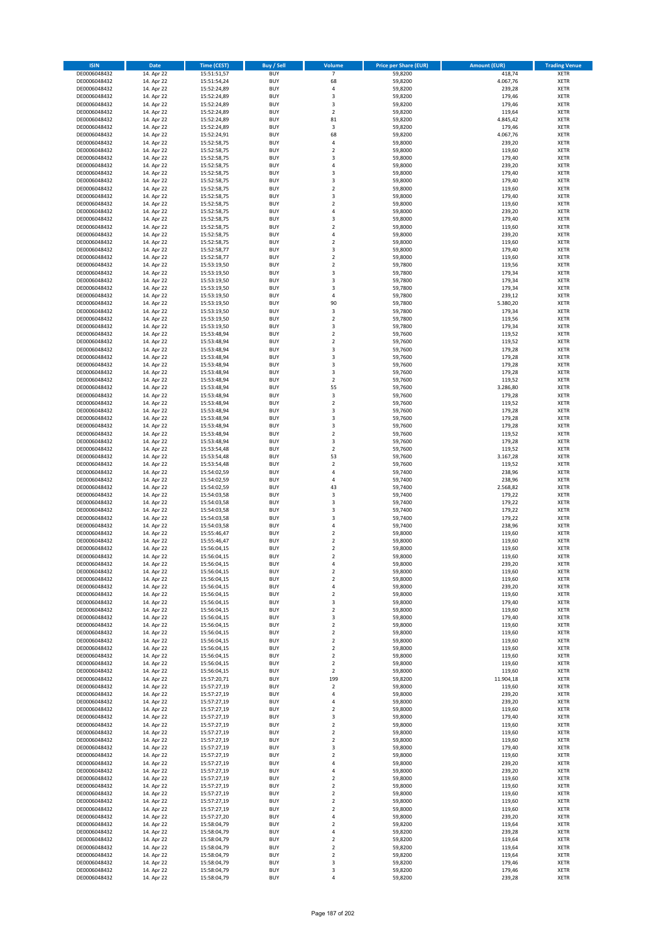| <b>ISIN</b>                  | <b>Date</b>              | <b>Time (CEST)</b>         | <b>Buy / Sell</b>        | <b>Volume</b>                 | <b>Price per Share (EUR)</b> | <b>Amount (EUR)</b> | <b>Trading Venue</b>       |
|------------------------------|--------------------------|----------------------------|--------------------------|-------------------------------|------------------------------|---------------------|----------------------------|
| DE0006048432                 | 14. Apr 22               | 15:51:51,57                | <b>BUY</b>               | $\overline{7}$                | 59,8200                      | 418,74              | <b>XETR</b>                |
| DE0006048432                 | 14. Apr 22               | 15:51:54,24                | <b>BUY</b>               | 68                            | 59,8200                      | 4.067,76            | <b>XETR</b>                |
| DE0006048432                 | 14. Apr 22               | 15:52:24,89                | <b>BUY</b>               | 4                             | 59,8200                      | 239,28              | <b>XETR</b>                |
| DE0006048432<br>DE0006048432 | 14. Apr 22<br>14. Apr 22 | 15:52:24,89<br>15:52:24,89 | <b>BUY</b><br><b>BUY</b> | 3<br>3                        | 59,8200<br>59,8200           | 179,46<br>179,46    | <b>XETR</b><br><b>XETR</b> |
| DE0006048432                 | 14. Apr 22               | 15:52:24,89                | <b>BUY</b>               | $\mathbf 2$                   | 59,8200                      | 119,64              | <b>XETR</b>                |
| DE0006048432                 | 14. Apr 22               | 15:52:24,89                | <b>BUY</b>               | 81                            | 59,8200                      | 4.845,42            | <b>XETR</b>                |
| DE0006048432                 | 14. Apr 22               | 15:52:24,89                | <b>BUY</b>               | 3                             | 59,8200                      | 179,46              | <b>XETR</b>                |
| DE0006048432                 | 14. Apr 22               | 15:52:24,91                | <b>BUY</b>               | 68                            | 59,8200                      | 4.067,76            | <b>XETR</b>                |
| DE0006048432                 | 14. Apr 22               | 15:52:58,75                | <b>BUY</b><br><b>BUY</b> | 4                             | 59,8000                      | 239,20              | <b>XETR</b><br><b>XETR</b> |
| DE0006048432<br>DE0006048432 | 14. Apr 22<br>14. Apr 22 | 15:52:58,75<br>15:52:58,75 | <b>BUY</b>               | $\mathbf 2$<br>3              | 59,8000<br>59,8000           | 119,60<br>179,40    | <b>XETR</b>                |
| DE0006048432                 | 14. Apr 22               | 15:52:58,75                | <b>BUY</b>               | 4                             | 59,8000                      | 239,20              | <b>XETR</b>                |
| DE0006048432                 | 14. Apr 22               | 15:52:58,75                | <b>BUY</b>               | 3                             | 59,8000                      | 179,40              | <b>XETR</b>                |
| DE0006048432                 | 14. Apr 22               | 15:52:58,75                | <b>BUY</b>               | 3                             | 59,8000                      | 179,40              | <b>XETR</b>                |
| DE0006048432                 | 14. Apr 22               | 15:52:58,75                | <b>BUY</b>               | $\overline{\mathbf{c}}$       | 59,8000                      | 119,60              | <b>XETR</b>                |
| DE0006048432                 | 14. Apr 22               | 15:52:58,75                | <b>BUY</b><br><b>BUY</b> | 3                             | 59,8000                      | 179,40              | <b>XETR</b><br><b>XETR</b> |
| DE0006048432<br>DE0006048432 | 14. Apr 22<br>14. Apr 22 | 15:52:58,75<br>15:52:58,75 | <b>BUY</b>               | $\mathbf 2$<br>4              | 59,8000<br>59,8000           | 119,60<br>239,20    | <b>XETR</b>                |
| DE0006048432                 | 14. Apr 22               | 15:52:58,75                | <b>BUY</b>               | 3                             | 59,8000                      | 179,40              | <b>XETR</b>                |
| DE0006048432                 | 14. Apr 22               | 15:52:58,75                | <b>BUY</b>               | $\overline{\mathbf{c}}$       | 59,8000                      | 119,60              | <b>XETR</b>                |
| DE0006048432                 | 14. Apr 22               | 15:52:58,75                | <b>BUY</b>               | 4                             | 59,8000                      | 239,20              | <b>XETR</b>                |
| DE0006048432                 | 14. Apr 22               | 15:52:58,75                | <b>BUY</b>               | $\mathbf 2$                   | 59,8000                      | 119,60              | <b>XETR</b>                |
| DE0006048432<br>DE0006048432 | 14. Apr 22               | 15:52:58,77<br>15:52:58,77 | <b>BUY</b><br><b>BUY</b> | 3<br>$\mathbf 2$              | 59,8000<br>59,8000           | 179,40              | <b>XETR</b><br><b>XETR</b> |
| DE0006048432                 | 14. Apr 22<br>14. Apr 22 | 15:53:19,50                | <b>BUY</b>               | $\mathbf 2$                   | 59,7800                      | 119,60<br>119,56    | <b>XETR</b>                |
| DE0006048432                 | 14. Apr 22               | 15:53:19,50                | <b>BUY</b>               | 3                             | 59,7800                      | 179,34              | <b>XETR</b>                |
| DE0006048432                 | 14. Apr 22               | 15:53:19,50                | <b>BUY</b>               | 3                             | 59,7800                      | 179,34              | <b>XETR</b>                |
| DE0006048432                 | 14. Apr 22               | 15:53:19,50                | <b>BUY</b>               | 3                             | 59,7800                      | 179,34              | <b>XETR</b>                |
| DE0006048432                 | 14. Apr 22               | 15:53:19,50                | <b>BUY</b>               | 4                             | 59,7800                      | 239,12              | <b>XETR</b>                |
| DE0006048432<br>DE0006048432 | 14. Apr 22<br>14. Apr 22 | 15:53:19,50<br>15:53:19,50 | <b>BUY</b><br><b>BUY</b> | 90<br>3                       | 59,7800<br>59,7800           | 5.380,20<br>179,34  | <b>XETR</b><br><b>XETR</b> |
| DE0006048432                 | 14. Apr 22               | 15:53:19,50                | <b>BUY</b>               | $\mathbf 2$                   | 59,7800                      | 119,56              | <b>XETR</b>                |
| DE0006048432                 | 14. Apr 22               | 15:53:19,50                | <b>BUY</b>               | 3                             | 59,7800                      | 179,34              | <b>XETR</b>                |
| DE0006048432                 | 14. Apr 22               | 15:53:48.94                | <b>BUY</b>               | $\mathbf 2$                   | 59,7600                      | 119,52              | <b>XETR</b>                |
| DE0006048432                 | 14. Apr 22               | 15:53:48,94                | <b>BUY</b>               | $\overline{\mathbf{c}}$       | 59,7600                      | 119,52              | <b>XETR</b>                |
| DE0006048432                 | 14. Apr 22               | 15:53:48,94                | <b>BUY</b>               | 3                             | 59,7600                      | 179,28              | <b>XETR</b>                |
| DE0006048432<br>DE0006048432 | 14. Apr 22<br>14. Apr 22 | 15:53:48,94<br>15:53:48,94 | <b>BUY</b><br><b>BUY</b> | 3<br>3                        | 59,7600<br>59,7600           | 179,28<br>179,28    | <b>XETR</b><br><b>XETR</b> |
| DE0006048432                 | 14. Apr 22               | 15:53:48,94                | <b>BUY</b>               | 3                             | 59,7600                      | 179,28              | <b>XETR</b>                |
| DE0006048432                 | 14. Apr 22               | 15:53:48,94                | <b>BUY</b>               | $\overline{\mathbf{c}}$       | 59,7600                      | 119,52              | <b>XETR</b>                |
| DE0006048432                 | 14. Apr 22               | 15:53:48,94                | <b>BUY</b>               | 55                            | 59,7600                      | 3.286,80            | <b>XETR</b>                |
| DE0006048432                 | 14. Apr 22               | 15:53:48,94                | <b>BUY</b>               | 3                             | 59,7600                      | 179,28              | <b>XETR</b>                |
| DE0006048432                 | 14. Apr 22               | 15:53:48,94                | <b>BUY</b>               | $\overline{\mathbf{c}}$       | 59,7600                      | 119,52              | <b>XETR</b>                |
| DE0006048432<br>DE0006048432 | 14. Apr 22               | 15:53:48,94                | <b>BUY</b><br><b>BUY</b> | 3<br>3                        | 59,7600<br>59,7600           | 179,28              | <b>XETR</b><br><b>XETR</b> |
| DE0006048432                 | 14. Apr 22<br>14. Apr 22 | 15:53:48,94<br>15:53:48,94 | <b>BUY</b>               | 3                             | 59,7600                      | 179,28<br>179,28    | <b>XETR</b>                |
| DE0006048432                 | 14. Apr 22               | 15:53:48,94                | <b>BUY</b>               | $\mathbf 2$                   | 59,7600                      | 119,52              | <b>XETR</b>                |
| DE0006048432                 | 14. Apr 22               | 15:53:48,94                | <b>BUY</b>               | 3                             | 59,7600                      | 179,28              | <b>XETR</b>                |
| DE0006048432                 | 14. Apr 22               | 15:53:54,48                | <b>BUY</b>               | $\mathbf 2$                   | 59,7600                      | 119,52              | <b>XETR</b>                |
| DE0006048432                 | 14. Apr 22               | 15:53:54,48                | <b>BUY</b>               | 53                            | 59,7600                      | 3.167,28            | <b>XETR</b>                |
| DE0006048432                 | 14. Apr 22               | 15:53:54,48                | <b>BUY</b>               | $\mathbf 2$                   | 59,7600                      | 119,52              | <b>XETR</b>                |
| DE0006048432<br>DE0006048432 | 14. Apr 22<br>14. Apr 22 | 15:54:02,59<br>15:54:02,59 | <b>BUY</b><br><b>BUY</b> | 4<br>4                        | 59,7400<br>59,7400           | 238,96<br>238,96    | <b>XETR</b><br><b>XETR</b> |
| DE0006048432                 | 14. Apr 22               | 15:54:02,59                | <b>BUY</b>               | 43                            | 59,7400                      | 2.568,82            | <b>XETR</b>                |
| DE0006048432                 | 14. Apr 22               | 15:54:03,58                | <b>BUY</b>               | 3                             | 59,7400                      | 179,22              | <b>XETR</b>                |
| DE0006048432                 | 14. Apr 22               | 15:54:03,58                | <b>BUY</b>               | 3                             | 59,7400                      | 179,22              | <b>XETR</b>                |
| DE0006048432                 | 14. Apr 22               | 15:54:03,58                | <b>BUY</b>               | 3                             | 59,7400                      | 179,22              | <b>XETR</b>                |
| DE0006048432                 | 14. Apr 22               | 15:54:03,58                | <b>BUY</b>               | 3                             | 59,7400                      | 179,22              | <b>XETR</b>                |
| DE0006048432<br>DE0006048432 | 14. Apr 22<br>14. Apr 22 | 15:54:03,58<br>15:55:46,47 | <b>BUY</b><br><b>BUY</b> | 4<br>$\mathbf 2$              | 59,7400<br>59,8000           | 238,96<br>119,60    | <b>XETR</b><br><b>XETR</b> |
| DE0006048432                 | 14. Apr 22               | 15:55:46,47                | <b>BUY</b>               | $\overline{\mathbf{c}}$       | 59,8000                      | 119,60              | <b>XETR</b>                |
| DE0006048432                 | 14. Apr 22               | 15:56:04,15                | <b>BUY</b>               | $\overline{\mathbf{c}}$       | 59,8000                      | 119,60              | <b>XETR</b>                |
| DE0006048432                 | 14. Apr 22               | 15:56:04,15                | <b>BUY</b>               | $\overline{2}$                | 59,8000                      | 119,60              | <b>XETR</b>                |
| DE0006048432                 | 14. Apr 22               | 15:56:04,15                | BUY                      | 4                             | 59,8000                      | 239,20              | <b>XETR</b>                |
| DE0006048432                 | 14. Apr 22               | 15:56:04,15                | <b>BUY</b><br><b>BUY</b> | $\mathbf 2$                   | 59,8000                      | 119,60              | <b>XETR</b>                |
| DE0006048432<br>DE0006048432 | 14. Apr 22<br>14. Apr 22 | 15:56:04,15<br>15:56:04,15 | <b>BUY</b>               | $\mathbf 2$<br>4              | 59,8000<br>59,8000           | 119,60<br>239,20    | <b>XETR</b><br>XETR        |
| DE0006048432                 | 14. Apr 22               | 15:56:04,15                | <b>BUY</b>               | $\mathbf 2$                   | 59,8000                      | 119,60              | <b>XETR</b>                |
| DE0006048432                 | 14. Apr 22               | 15:56:04,15                | <b>BUY</b>               | 3                             | 59,8000                      | 179,40              | <b>XETR</b>                |
| DE0006048432                 | 14. Apr 22               | 15:56:04,15                | <b>BUY</b>               | $\overline{2}$                | 59,8000                      | 119,60              | <b>XETR</b>                |
| DE0006048432                 | 14. Apr 22               | 15:56:04,15                | <b>BUY</b>               | 3                             | 59,8000                      | 179,40              | <b>XETR</b>                |
| DE0006048432<br>DE0006048432 | 14. Apr 22<br>14. Apr 22 | 15:56:04,15<br>15:56:04,15 | <b>BUY</b><br><b>BUY</b> | $\mathbf 2$<br>$\mathbf 2$    | 59,8000<br>59,8000           | 119,60<br>119,60    | <b>XETR</b><br><b>XETR</b> |
| DE0006048432                 | 14. Apr 22               | 15:56:04,15                | <b>BUY</b>               | $\mathbf 2$                   | 59,8000                      | 119,60              | <b>XETR</b>                |
| DE0006048432                 | 14. Apr 22               | 15:56:04,15                | <b>BUY</b>               | $\overline{2}$                | 59.8000                      | 119,60              | <b>XETR</b>                |
| DE0006048432                 | 14. Apr 22               | 15:56:04,15                | <b>BUY</b>               | $\mathbf 2$                   | 59,8000                      | 119,60              | <b>XETR</b>                |
| DE0006048432                 | 14. Apr 22               | 15:56:04,15                | <b>BUY</b>               | $\overline{2}$                | 59,8000                      | 119,60              | <b>XETR</b>                |
| DE0006048432                 | 14. Apr 22               | 15:56:04,15                | <b>BUY</b>               | $\mathbf 2$                   | 59,8000                      | 119,60              | <b>XETR</b>                |
| DE0006048432                 | 14. Apr 22<br>14. Apr 22 | 15:57:20,71                | <b>BUY</b><br><b>BUY</b> | 199<br>$\mathbf 2$            | 59,8200<br>59,8000           | 11.904,18<br>119,60 | <b>XETR</b><br><b>XETR</b> |
| DE0006048432<br>DE0006048432 | 14. Apr 22               | 15:57:27,19<br>15:57:27,19 | <b>BUY</b>               | 4                             | 59,8000                      | 239,20              | <b>XETR</b>                |
| DE0006048432                 | 14. Apr 22               | 15:57:27,19                | <b>BUY</b>               | 4                             | 59,8000                      | 239,20              | XETR                       |
| DE0006048432                 | 14. Apr 22               | 15:57:27,19                | <b>BUY</b>               | $\mathbf 2$                   | 59,8000                      | 119,60              | <b>XETR</b>                |
| DE0006048432                 | 14. Apr 22               | 15:57:27,19                | <b>BUY</b>               | 3                             | 59,8000                      | 179,40              | <b>XETR</b>                |
| DE0006048432                 | 14. Apr 22               | 15:57:27,19                | <b>BUY</b>               | $\mathbf 2$                   | 59,8000                      | 119,60              | <b>XETR</b>                |
| DE0006048432                 | 14. Apr 22               | 15:57:27,19                | <b>BUY</b><br><b>BUY</b> | $\overline{2}$                | 59,8000                      | 119,60              | <b>XETR</b>                |
| DE0006048432<br>DE0006048432 | 14. Apr 22<br>14. Apr 22 | 15:57:27,19<br>15:57:27,19 | <b>BUY</b>               | $\mathbf 2$<br>3              | 59,8000<br>59,8000           | 119,60<br>179,40    | <b>XETR</b><br><b>XETR</b> |
| DE0006048432                 | 14. Apr 22               | 15:57:27,19                | <b>BUY</b>               | $\mathbf 2$                   | 59,8000                      | 119,60              | <b>XETR</b>                |
| DE0006048432                 | 14. Apr 22               | 15:57:27,19                | <b>BUY</b>               | 4                             | 59,8000                      | 239,20              | <b>XETR</b>                |
| DE0006048432                 | 14. Apr 22               | 15:57:27,19                | <b>BUY</b>               | 4                             | 59,8000                      | 239,20              | <b>XETR</b>                |
| DE0006048432                 | 14. Apr 22               | 15:57:27,19                | <b>BUY</b>               | $\mathbf 2$                   | 59,8000                      | 119,60              | <b>XETR</b>                |
| DE0006048432                 | 14. Apr 22               | 15:57:27,19                | <b>BUY</b>               | $\overline{2}$                | 59,8000                      | 119,60              | XETR                       |
| DE0006048432<br>DE0006048432 | 14. Apr 22<br>14. Apr 22 | 15:57:27,19<br>15:57:27,19 | <b>BUY</b><br><b>BUY</b> | $\mathbf 2$<br>$\mathbf 2$    | 59,8000<br>59,8000           | 119,60<br>119,60    | <b>XETR</b><br><b>XETR</b> |
| DE0006048432                 | 14. Apr 22               | 15:57:27,19                | <b>BUY</b>               | $\mathbf 2$                   | 59,8000                      | 119,60              | <b>XETR</b>                |
| DE0006048432                 | 14. Apr 22               | 15:57:27,20                | <b>BUY</b>               | 4                             | 59,8000                      | 239,20              | <b>XETR</b>                |
| DE0006048432                 | 14. Apr 22               | 15:58:04,79                | <b>BUY</b>               | $\mathbf 2$                   | 59,8200                      | 119,64              | <b>XETR</b>                |
| DE0006048432                 | 14. Apr 22               | 15:58:04,79                | <b>BUY</b>               | 4                             | 59,8200                      | 239,28              | <b>XETR</b>                |
| DE0006048432                 | 14. Apr 22               | 15:58:04,79                | <b>BUY</b>               | $\overline{\mathbf{c}}$       | 59,8200                      | 119,64              | <b>XETR</b>                |
| DE0006048432<br>DE0006048432 | 14. Apr 22<br>14. Apr 22 | 15:58:04,79<br>15:58:04,79 | <b>BUY</b><br><b>BUY</b> | $\mathbf 2$<br>$\overline{2}$ | 59,8200<br>59,8200           | 119,64<br>119,64    | XETR<br><b>XETR</b>        |
| DE0006048432                 | 14. Apr 22               | 15:58:04,79                | <b>BUY</b>               | 3                             | 59,8200                      | 179,46              | <b>XETR</b>                |
| DE0006048432                 | 14. Apr 22               | 15:58:04,79                | <b>BUY</b>               | 3                             | 59,8200                      | 179,46              | <b>XETR</b>                |
| DE0006048432                 | 14. Apr 22               | 15:58:04,79                | <b>BUY</b>               | 4                             | 59,8200                      | 239,28              | XETR                       |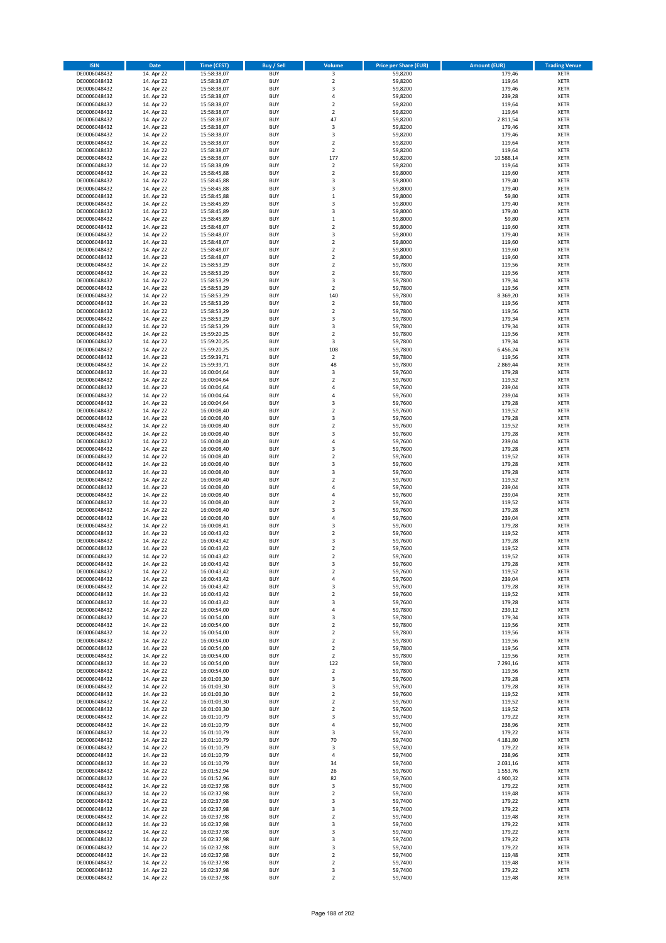| <b>ISIN</b>                  | <b>Date</b>              | <b>Time (CEST)</b>         | <b>Buy / Sell</b>        | Volume                        | <b>Price per Share (EUR)</b> | <b>Amount (EUR)</b>  | <b>Trading Venue</b>       |
|------------------------------|--------------------------|----------------------------|--------------------------|-------------------------------|------------------------------|----------------------|----------------------------|
| DE0006048432                 | 14. Apr 22               | 15:58:38,07                | <b>BUY</b>               | 3                             | 59,8200                      | 179,46               | <b>XETR</b>                |
| DE0006048432                 | 14. Apr 22               | 15:58:38,07                | <b>BUY</b>               | $\mathbf 2$                   | 59,8200                      | 119,64               | <b>XETR</b>                |
| DE0006048432                 | 14. Apr 22               | 15:58:38,07                | <b>BUY</b>               | 3                             | 59,8200                      | 179,46               | <b>XETR</b>                |
| DE0006048432<br>DE0006048432 | 14. Apr 22<br>14. Apr 22 | 15:58:38,07<br>15:58:38,07 | <b>BUY</b><br><b>BUY</b> | 4<br>$\overline{\mathbf{c}}$  | 59,8200<br>59,8200           | 239,28<br>119,64     | <b>XETR</b><br><b>XETR</b> |
| DE0006048432                 | 14. Apr 22               | 15:58:38,07                | <b>BUY</b>               | $\mathbf 2$                   | 59,8200                      | 119,64               | <b>XETR</b>                |
| DE0006048432                 | 14. Apr 22               | 15:58:38,07                | <b>BUY</b>               | 47                            | 59,8200                      | 2.811,54             | <b>XETR</b>                |
| DE0006048432                 | 14. Apr 22               | 15:58:38,07                | <b>BUY</b>               | 3                             | 59,8200                      | 179,46               | <b>XETR</b>                |
| DE0006048432                 | 14. Apr 22               | 15:58:38,07                | <b>BUY</b>               | 3                             | 59,8200                      | 179,46               | <b>XETR</b>                |
| DE0006048432                 | 14. Apr 22               | 15:58:38,07                | <b>BUY</b>               | $\mathbf 2$                   | 59,8200                      | 119,64               | <b>XETR</b>                |
| DE0006048432                 | 14. Apr 22               | 15:58:38,07                | <b>BUY</b>               | $\mathbf 2$                   | 59,8200                      | 119,64               | <b>XETR</b>                |
| DE0006048432                 | 14. Apr 22<br>14. Apr 22 | 15:58:38,07                | <b>BUY</b><br><b>BUY</b> | 177<br>$\mathbf 2$            | 59,8200                      | 10.588,14            | <b>XETR</b><br><b>XETR</b> |
| DE0006048432<br>DE0006048432 | 14. Apr 22               | 15:58:38,09<br>15:58:45,88 | <b>BUY</b>               | $\overline{\mathbf{c}}$       | 59,8200<br>59,8000           | 119,64<br>119,60     | <b>XETR</b>                |
| DE0006048432                 | 14. Apr 22               | 15:58:45,88                | <b>BUY</b>               | 3                             | 59,8000                      | 179,40               | <b>XETR</b>                |
| DE0006048432                 | 14. Apr 22               | 15:58:45,88                | <b>BUY</b>               | 3                             | 59,8000                      | 179,40               | <b>XETR</b>                |
| DE0006048432                 | 14. Apr 22               | 15:58:45,88                | <b>BUY</b>               | $\mathbf 1$                   | 59,8000                      | 59,80                | <b>XETR</b>                |
| DE0006048432                 | 14. Apr 22               | 15:58:45,89                | <b>BUY</b>               | 3                             | 59,8000                      | 179,40               | <b>XETR</b>                |
| DE0006048432                 | 14. Apr 22               | 15:58:45,89                | <b>BUY</b>               | 3                             | 59,8000                      | 179,40               | <b>XETR</b>                |
| DE0006048432                 | 14. Apr 22               | 15:58:45,89                | <b>BUY</b>               | $\mathbf 1$                   | 59,8000                      | 59,80                | <b>XETR</b>                |
| DE0006048432                 | 14. Apr 22               | 15:58:48,07                | <b>BUY</b>               | $\overline{\mathbf{c}}$       | 59,8000                      | 119,60               | <b>XETR</b>                |
| DE0006048432<br>DE0006048432 | 14. Apr 22<br>14. Apr 22 | 15:58:48,07<br>15:58:48,07 | <b>BUY</b><br><b>BUY</b> | 3<br>$\mathbf 2$              | 59,8000<br>59,8000           | 179,40<br>119,60     | <b>XETR</b><br><b>XETR</b> |
| DE0006048432                 | 14. Apr 22               | 15:58:48,07                | <b>BUY</b>               | $\mathbf 2$                   | 59,8000                      | 119,60               | <b>XETR</b>                |
| DE0006048432                 | 14. Apr 22               | 15:58:48,07                | <b>BUY</b>               | $\mathbf 2$                   | 59,8000                      | 119,60               | <b>XETR</b>                |
| DE0006048432                 | 14. Apr 22               | 15:58:53,29                | <b>BUY</b>               | $\mathbf 2$                   | 59,7800                      | 119,56               | <b>XETR</b>                |
| DE0006048432                 | 14. Apr 22               | 15:58:53,29                | <b>BUY</b>               | $\mathbf 2$                   | 59,7800                      | 119,56               | <b>XETR</b>                |
| DE0006048432                 | 14. Apr 22               | 15:58:53,29                | <b>BUY</b>               | 3                             | 59,7800                      | 179,34               | <b>XETR</b>                |
| DE0006048432                 | 14. Apr 22               | 15:58:53,29                | <b>BUY</b>               | $\mathbf 2$                   | 59,7800                      | 119,56               | <b>XETR</b>                |
| DE0006048432                 | 14. Apr 22               | 15:58:53,29                | <b>BUY</b>               | 140                           | 59,7800                      | 8.369,20             | <b>XETR</b>                |
| DE0006048432<br>DE0006048432 | 14. Apr 22<br>14. Apr 22 | 15:58:53,29<br>15:58:53,29 | <b>BUY</b><br><b>BUY</b> | $\mathbf 2$<br>$\overline{2}$ | 59,7800<br>59,7800           | 119,56<br>119,56     | <b>XETR</b><br><b>XETR</b> |
| DE0006048432                 | 14. Apr 22               | 15:58:53,29                | <b>BUY</b>               | 3                             | 59,7800                      | 179,34               | <b>XETR</b>                |
| DE0006048432                 | 14. Apr 22               | 15:58:53,29                | <b>BUY</b>               | 3                             | 59,7800                      | 179,34               | <b>XETR</b>                |
| DE0006048432                 | 14. Apr 22               | 15:59:20,25                | <b>BUY</b>               | $\overline{\mathbf{c}}$       | 59.7800                      | 119,56               | <b>XETR</b>                |
| DE0006048432                 | 14. Apr 22               | 15:59:20,25                | <b>BUY</b>               | 3                             | 59,7800                      | 179,34               | <b>XETR</b>                |
| DE0006048432                 | 14. Apr 22               | 15:59:20,25                | <b>BUY</b>               | 108                           | 59,7800                      | 6.456,24             | <b>XETR</b>                |
| DE0006048432                 | 14. Apr 22               | 15:59:39,71                | <b>BUY</b>               | $\mathbf 2$                   | 59,7800                      | 119,56               | <b>XETR</b>                |
| DE0006048432                 | 14. Apr 22               | 15:59:39,71                | <b>BUY</b>               | 48                            | 59,7800                      | 2.869,44             | <b>XETR</b>                |
| DE0006048432                 | 14. Apr 22<br>14. Apr 22 | 16:00:04,64                | <b>BUY</b><br><b>BUY</b> | 3<br>$\overline{\mathbf{c}}$  | 59,7600                      | 179,28               | <b>XETR</b><br><b>XETR</b> |
| DE0006048432<br>DE0006048432 | 14. Apr 22               | 16:00:04,64<br>16:00:04,64 | <b>BUY</b>               | 4                             | 59,7600<br>59,7600           | 119,52<br>239,04     | <b>XETR</b>                |
| DE0006048432                 | 14. Apr 22               | 16:00:04,64                | <b>BUY</b>               | 4                             | 59,7600                      | 239,04               | <b>XETR</b>                |
| DE0006048432                 | 14. Apr 22               | 16:00:04,64                | <b>BUY</b>               | 3                             | 59,7600                      | 179,28               | <b>XETR</b>                |
| DE0006048432                 | 14. Apr 22               | 16:00:08,40                | <b>BUY</b>               | $\mathbf 2$                   | 59,7600                      | 119,52               | <b>XETR</b>                |
| DE0006048432                 | 14. Apr 22               | 16:00:08,40                | <b>BUY</b>               | 3                             | 59,7600                      | 179,28               | <b>XETR</b>                |
| DE0006048432                 | 14. Apr 22               | 16:00:08,40                | <b>BUY</b>               | $\mathbf 2$                   | 59,7600                      | 119,52               | <b>XETR</b>                |
| DE0006048432                 | 14. Apr 22               | 16:00:08,40                | <b>BUY</b>               | 3                             | 59,7600                      | 179,28               | <b>XETR</b>                |
| DE0006048432                 | 14. Apr 22               | 16:00:08,40                | <b>BUY</b>               | 4                             | 59,7600                      | 239,04               | <b>XETR</b>                |
| DE0006048432<br>DE0006048432 | 14. Apr 22<br>14. Apr 22 | 16:00:08,40<br>16:00:08,40 | <b>BUY</b><br><b>BUY</b> | 3<br>$\overline{\mathbf{c}}$  | 59,7600<br>59,7600           | 179,28<br>119,52     | <b>XETR</b><br><b>XETR</b> |
| DE0006048432                 | 14. Apr 22               | 16:00:08,40                | <b>BUY</b>               | 3                             | 59,7600                      | 179,28               | <b>XETR</b>                |
| DE0006048432                 | 14. Apr 22               | 16:00:08,40                | <b>BUY</b>               | 3                             | 59,7600                      | 179,28               | <b>XETR</b>                |
| DE0006048432                 | 14. Apr 22               | 16:00:08,40                | <b>BUY</b>               | $\mathbf 2$                   | 59,7600                      | 119,52               | <b>XETR</b>                |
| DE0006048432                 | 14. Apr 22               | 16:00:08,40                | <b>BUY</b>               | 4                             | 59,7600                      | 239,04               | <b>XETR</b>                |
| DE0006048432                 | 14. Apr 22               | 16:00:08,40                | <b>BUY</b>               | 4                             | 59,7600                      | 239,04               | <b>XETR</b>                |
| DE0006048432                 | 14. Apr 22               | 16:00:08,40                | <b>BUY</b>               | $\overline{\mathbf{c}}$       | 59,7600                      | 119,52               | <b>XETR</b>                |
| DE0006048432                 | 14. Apr 22               | 16:00:08,40                | <b>BUY</b>               | 3                             | 59,7600                      | 179,28               | <b>XETR</b>                |
| DE0006048432<br>DE0006048432 | 14. Apr 22<br>14. Apr 22 | 16:00:08,40<br>16:00:08,41 | <b>BUY</b><br><b>BUY</b> | 4<br>3                        | 59,7600<br>59,7600           | 239,04<br>179,28     | <b>XETR</b><br><b>XETR</b> |
| DE0006048432                 | 14. Apr 22               | 16:00:43,42                | <b>BUY</b>               | $\mathbf 2$                   | 59,7600                      | 119,52               | <b>XETR</b>                |
| DE0006048432                 | 14. Apr 22               | 16:00:43,42                | <b>BUY</b>               | 3                             | 59,7600                      | 179,28               | <b>XETR</b>                |
| DE0006048432                 | 14. Apr 22               | 16:00:43,42                | <b>BUY</b>               | $\overline{\mathbf{c}}$       | 59,7600                      | 119,52               | <b>XETR</b>                |
| DE0006048432                 | 14. Apr 22               | 16:00:43,42                | <b>BUY</b>               | $\overline{2}$                | 59,7600                      | 119,52               | <b>XETR</b>                |
| DE0006048432                 | 14. Apr 22               | 16:00:43,42                | BUY                      | 3                             | 59,7600                      | 179,28               | <b>XETR</b>                |
| DE0006048432                 | 14. Apr 22               | 16:00:43,42                | <b>BUY</b>               | $\mathbf 2$                   | 59,7600                      | 119,52               | <b>XETR</b>                |
| DE0006048432<br>DE0006048432 | 14. Apr 22<br>14. Apr 22 | 16:00:43,42<br>16:00:43,42 | <b>BUY</b><br><b>BUY</b> | 4<br>3                        | 59,7600<br>59,7600           | 239,04<br>179,28     | <b>XETR</b><br>XETR        |
| DE0006048432                 | 14. Apr 22               | 16:00:43,42                | <b>BUY</b>               | $\mathbf 2$                   | 59,7600                      | 119,52               | <b>XETR</b>                |
| DE0006048432                 | 14. Apr 22               | 16:00:43,42                | <b>BUY</b>               | 3                             | 59,7600                      | 179,28               | <b>XETR</b>                |
| DE0006048432                 | 14. Apr 22               | 16:00:54,00                | <b>BUY</b>               | 4                             | 59,7800                      | 239,12               | <b>XETR</b>                |
| DE0006048432                 | 14. Apr 22               | 16:00:54,00                | <b>BUY</b>               | 3                             | 59,7800                      | 179,34               | <b>XETR</b>                |
| DE0006048432                 | 14. Apr 22               | 16:00:54,00                | <b>BUY</b>               | $\mathbf 2$                   | 59,7800                      | 119,56               | <b>XETR</b>                |
| DE0006048432                 | 14. Apr 22               | 16:00:54,00                | <b>BUY</b>               | $\mathbf 2$                   | 59,7800                      | 119,56               | <b>XETR</b>                |
| DE0006048432<br>DE0006048432 | 14. Apr 22<br>14. Apr 22 | 16:00:54,00<br>16:00:54,00 | <b>BUY</b><br><b>BUY</b> | $\mathbf 2$<br>$\overline{2}$ | 59,7800<br>59,7800           | 119,56<br>119,56     | <b>XETR</b><br><b>XETR</b> |
| DE0006048432                 | 14. Apr 22               | 16:00:54,00                | <b>BUY</b>               | $\mathbf 2$                   | 59,7800                      | 119,56               | <b>XETR</b>                |
| DE0006048432                 | 14. Apr 22               | 16:00:54,00                | <b>BUY</b>               | 122                           | 59,7800                      | 7.293,16             | <b>XETR</b>                |
| DE0006048432                 | 14. Apr 22               | 16:00:54,00                | <b>BUY</b>               | $\mathbf 2$                   | 59,7800                      | 119,56               | <b>XETR</b>                |
| DE0006048432                 | 14. Apr 22               | 16:01:03,30                | <b>BUY</b>               | 3                             | 59,7600                      | 179,28               | <b>XETR</b>                |
| DE0006048432                 | 14. Apr 22               | 16:01:03,30                | <b>BUY</b>               | 3                             | 59,7600                      | 179,28               | <b>XETR</b>                |
| DE0006048432                 | 14. Apr 22               | 16:01:03,30                | <b>BUY</b>               | $\mathbf 2$                   | 59,7600                      | 119,52               | <b>XETR</b>                |
| DE0006048432<br>DE0006048432 | 14. Apr 22<br>14. Apr 22 | 16:01:03,30<br>16:01:03,30 | <b>BUY</b><br><b>BUY</b> | $\mathbf 2$<br>$\mathbf 2$    | 59,7600<br>59,7600           | 119,52<br>119,52     | XETR<br><b>XETR</b>        |
| DE0006048432                 | 14. Apr 22               | 16:01:10,79                | <b>BUY</b>               | 3                             | 59,7400                      | 179,22               | <b>XETR</b>                |
| DE0006048432                 | 14. Apr 22               | 16:01:10,79                | <b>BUY</b>               | 4                             | 59,7400                      | 238,96               | <b>XETR</b>                |
| DE0006048432                 | 14. Apr 22               | 16:01:10,79                | <b>BUY</b>               | 3                             | 59,7400                      | 179,22               | <b>XETR</b>                |
| DE0006048432                 | 14. Apr 22               | 16:01:10,79                | <b>BUY</b>               | 70                            | 59,7400                      | 4.181,80             | <b>XETR</b>                |
| DE0006048432                 | 14. Apr 22               | 16:01:10,79                | <b>BUY</b>               | 3                             | 59,7400                      | 179,22               | <b>XETR</b>                |
| DE0006048432                 | 14. Apr 22               | 16:01:10,79                | <b>BUY</b>               | 4                             | 59,7400                      | 238,96               | <b>XETR</b>                |
| DE0006048432                 | 14. Apr 22               | 16:01:10,79                | <b>BUY</b>               | 34                            | 59,7400                      | 2.031,16             | <b>XETR</b>                |
| DE0006048432<br>DE0006048432 | 14. Apr 22<br>14. Apr 22 | 16:01:52,94<br>16:01:52,96 | <b>BUY</b><br><b>BUY</b> | 26<br>82                      | 59,7600<br>59,7600           | 1.553,76<br>4.900,32 | <b>XETR</b><br><b>XETR</b> |
| DE0006048432                 | 14. Apr 22               | 16:02:37,98                | <b>BUY</b>               | 3                             | 59,7400                      | 179,22               | <b>XETR</b>                |
| DE0006048432                 | 14. Apr 22               | 16:02:37,98                | <b>BUY</b>               | $\mathbf 2$                   | 59,7400                      | 119,48               | <b>XETR</b>                |
| DE0006048432                 | 14. Apr 22               | 16:02:37,98                | <b>BUY</b>               | 3                             | 59,7400                      | 179,22               | <b>XETR</b>                |
| DE0006048432                 | 14. Apr 22               | 16:02:37,98                | <b>BUY</b>               | 3                             | 59,7400                      | 179,22               | <b>XETR</b>                |
| DE0006048432                 | 14. Apr 22               | 16:02:37,98                | <b>BUY</b>               | $\mathbf 2$                   | 59,7400                      | 119,48               | <b>XETR</b>                |
| DE0006048432                 | 14. Apr 22               | 16:02:37,98                | <b>BUY</b>               | 3                             | 59,7400                      | 179,22               | <b>XETR</b>                |
| DE0006048432                 | 14. Apr 22               | 16:02:37,98                | <b>BUY</b>               | 3                             | 59,7400                      | 179,22               | <b>XETR</b>                |
| DE0006048432<br>DE0006048432 | 14. Apr 22<br>14. Apr 22 | 16:02:37,98<br>16:02:37,98 | <b>BUY</b><br><b>BUY</b> | 3<br>3                        | 59,7400<br>59,7400           | 179,22<br>179,22     | <b>XETR</b><br>XETR        |
| DE0006048432                 | 14. Apr 22               | 16:02:37,98                | <b>BUY</b>               | $\overline{\mathbf{2}}$       | 59,7400                      | 119,48               | <b>XETR</b>                |
| DE0006048432                 | 14. Apr 22               | 16:02:37,98                | <b>BUY</b>               | $\mathbf 2$                   | 59,7400                      | 119,48               | <b>XETR</b>                |
| DE0006048432                 | 14. Apr 22               | 16:02:37,98                | <b>BUY</b>               | 3                             | 59,7400                      | 179,22               | <b>XETR</b>                |
| DE0006048432                 | 14. Apr 22               | 16:02:37,98                | <b>BUY</b>               | $\mathbf 2$                   | 59,7400                      | 119,48               | XETR                       |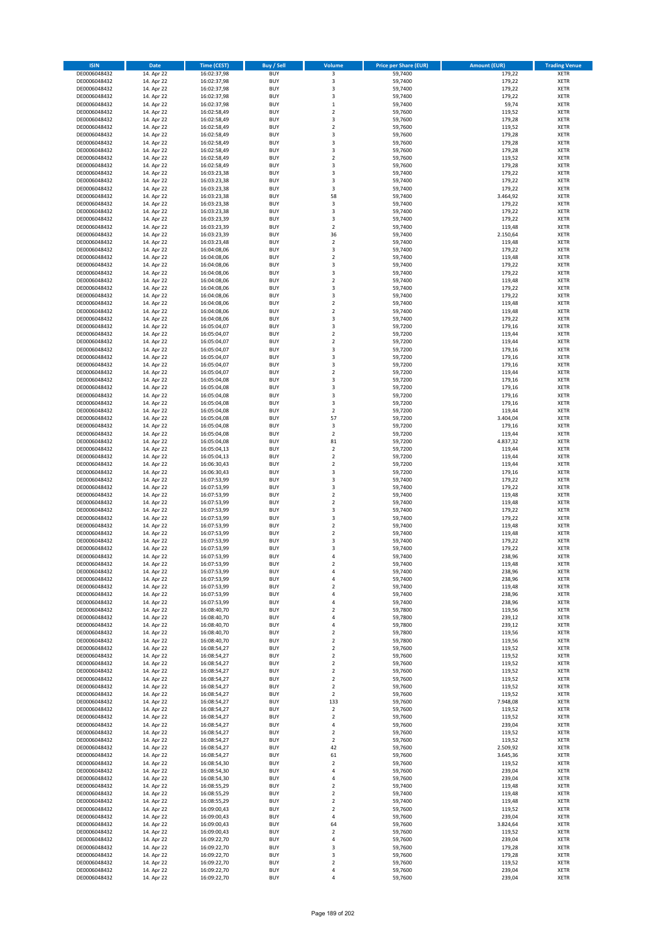| <b>ISIN</b>                  | <b>Date</b>              | <b>Time (CEST)</b>         | <b>Buy / Sell</b>        | Volume                                 | <b>Price per Share (EUR)</b> | <b>Amount (EUR)</b> | <b>Trading Venue</b>       |
|------------------------------|--------------------------|----------------------------|--------------------------|----------------------------------------|------------------------------|---------------------|----------------------------|
| DE0006048432                 | 14. Apr 22               | 16:02:37,98                | <b>BUY</b>               | 3                                      | 59,7400                      | 179,22              | <b>XETR</b>                |
| DE0006048432                 | 14. Apr 22               | 16:02:37,98                | <b>BUY</b>               | 3                                      | 59,7400                      | 179,22              | <b>XETR</b>                |
| DE0006048432                 | 14. Apr 22               | 16:02:37,98                | <b>BUY</b>               | 3                                      | 59,7400                      | 179,22              | <b>XETR</b>                |
| DE0006048432<br>DE0006048432 | 14. Apr 22<br>14. Apr 22 | 16:02:37,98<br>16:02:37,98 | <b>BUY</b><br><b>BUY</b> | 3<br>$\mathbf 1$                       | 59,7400<br>59,7400           | 179,22<br>59,74     | <b>XETR</b><br><b>XETR</b> |
| DE0006048432                 | 14. Apr 22               | 16:02:58,49                | <b>BUY</b>               | $\mathbf 2$                            | 59,7600                      | 119,52              | <b>XETR</b>                |
| DE0006048432                 | 14. Apr 22               | 16:02:58,49                | <b>BUY</b>               | 3                                      | 59,7600                      | 179,28              | <b>XETR</b>                |
| DE0006048432                 | 14. Apr 22               | 16:02:58,49                | <b>BUY</b>               | $\overline{\mathbf{c}}$                | 59,7600                      | 119,52              | <b>XETR</b>                |
| DE0006048432                 | 14. Apr 22               | 16:02:58,49                | <b>BUY</b>               | 3                                      | 59,7600                      | 179,28              | <b>XETR</b>                |
| DE0006048432                 | 14. Apr 22               | 16:02:58,49                | <b>BUY</b>               | 3                                      | 59,7600                      | 179,28              | <b>XETR</b>                |
| DE0006048432                 | 14. Apr 22               | 16:02:58,49                | <b>BUY</b>               | 3                                      | 59,7600                      | 179,28              | <b>XETR</b>                |
| DE0006048432<br>DE0006048432 | 14. Apr 22<br>14. Apr 22 | 16:02:58,49                | <b>BUY</b><br><b>BUY</b> | $\overline{\mathbf{c}}$<br>3           | 59,7600<br>59,7600           | 119,52<br>179,28    | <b>XETR</b><br><b>XETR</b> |
| DE0006048432                 | 14. Apr 22               | 16:02:58,49<br>16:03:23,38 | <b>BUY</b>               | 3                                      | 59,7400                      | 179,22              | <b>XETR</b>                |
| DE0006048432                 | 14. Apr 22               | 16:03:23,38                | <b>BUY</b>               | 3                                      | 59,7400                      | 179,22              | <b>XETR</b>                |
| DE0006048432                 | 14. Apr 22               | 16:03:23,38                | <b>BUY</b>               | 3                                      | 59,7400                      | 179,22              | <b>XETR</b>                |
| DE0006048432                 | 14. Apr 22               | 16:03:23,38                | <b>BUY</b>               | 58                                     | 59,7400                      | 3.464,92            | <b>XETR</b>                |
| DE0006048432                 | 14. Apr 22               | 16:03:23,38                | <b>BUY</b>               | 3                                      | 59,7400                      | 179,22              | <b>XETR</b>                |
| DE0006048432                 | 14. Apr 22               | 16:03:23,38                | <b>BUY</b>               | 3                                      | 59.7400                      | 179,22              | <b>XETR</b>                |
| DE0006048432                 | 14. Apr 22               | 16:03:23,39                | <b>BUY</b>               | 3                                      | 59,7400                      | 179,22              | <b>XETR</b>                |
| DE0006048432<br>DE0006048432 | 14. Apr 22<br>14. Apr 22 | 16:03:23,39<br>16:03:23,39 | <b>BUY</b><br><b>BUY</b> | $\overline{\mathbf{c}}$<br>36          | 59,7400<br>59,7400           | 119,48<br>2.150,64  | <b>XETR</b><br><b>XETR</b> |
| DE0006048432                 | 14. Apr 22               | 16:03:23,48                | <b>BUY</b>               | $\mathbf 2$                            | 59,7400                      | 119,48              | <b>XETR</b>                |
| DE0006048432                 | 14. Apr 22               | 16:04:08,06                | <b>BUY</b>               | 3                                      | 59,7400                      | 179,22              | <b>XETR</b>                |
| DE0006048432                 | 14. Apr 22               | 16:04:08,06                | <b>BUY</b>               | $\mathbf 2$                            | 59,7400                      | 119,48              | <b>XETR</b>                |
| DE0006048432                 | 14. Apr 22               | 16:04:08,06                | <b>BUY</b>               | 3                                      | 59,7400                      | 179,22              | <b>XETR</b>                |
| DE0006048432                 | 14. Apr 22               | 16:04:08,06                | <b>BUY</b>               | 3                                      | 59,7400                      | 179,22              | <b>XETR</b>                |
| DE0006048432                 | 14. Apr 22               | 16:04:08,06                | <b>BUY</b>               | $\overline{\mathbf{c}}$                | 59,7400                      | 119,48              | <b>XETR</b>                |
| DE0006048432<br>DE0006048432 | 14. Apr 22<br>14. Apr 22 | 16:04:08,06<br>16:04:08,06 | <b>BUY</b><br><b>BUY</b> | 3<br>3                                 | 59,7400<br>59,7400           | 179,22<br>179,22    | <b>XETR</b><br><b>XETR</b> |
| DE0006048432                 | 14. Apr 22               | 16:04:08,06                | <b>BUY</b>               | $\mathbf 2$                            | 59,7400                      | 119,48              | <b>XETR</b>                |
| DE0006048432                 | 14. Apr 22               | 16:04:08,06                | <b>BUY</b>               | $\overline{\mathbf{c}}$                | 59,7400                      | 119,48              | <b>XETR</b>                |
| DE0006048432                 | 14. Apr 22               | 16:04:08,06                | <b>BUY</b>               | 3                                      | 59,7400                      | 179,22              | <b>XETR</b>                |
| DE0006048432                 | 14. Apr 22               | 16:05:04,07                | <b>BUY</b>               | 3                                      | 59,7200                      | 179,16              | <b>XETR</b>                |
| DE0006048432                 | 14. Apr 22               | 16:05:04,07                | <b>BUY</b>               | $\mathbf 2$                            | 59,7200                      | 119,44              | <b>XETR</b>                |
| DE0006048432                 | 14. Apr 22               | 16:05:04,07                | <b>BUY</b>               | $\mathbf 2$                            | 59,7200                      | 119,44              | <b>XETR</b>                |
| DE0006048432                 | 14. Apr 22               | 16:05:04,07                | <b>BUY</b>               | 3                                      | 59,7200                      | 179,16              | <b>XETR</b>                |
| DE0006048432<br>DE0006048432 | 14. Apr 22               | 16:05:04,07<br>16:05:04,07 | <b>BUY</b><br><b>BUY</b> | 3<br>3                                 | 59,7200<br>59,7200           | 179,16              | <b>XETR</b><br><b>XETR</b> |
| DE0006048432                 | 14. Apr 22<br>14. Apr 22 | 16:05:04,07                | <b>BUY</b>               | $\mathbf 2$                            | 59,7200                      | 179,16<br>119,44    | <b>XETR</b>                |
| DE0006048432                 | 14. Apr 22               | 16:05:04,08                | <b>BUY</b>               | 3                                      | 59,7200                      | 179,16              | <b>XETR</b>                |
| DE0006048432                 | 14. Apr 22               | 16:05:04,08                | <b>BUY</b>               | 3                                      | 59,7200                      | 179,16              | <b>XETR</b>                |
| DE0006048432                 | 14. Apr 22               | 16:05:04,08                | <b>BUY</b>               | 3                                      | 59,7200                      | 179,16              | <b>XETR</b>                |
| DE0006048432                 | 14. Apr 22               | 16:05:04,08                | <b>BUY</b>               | 3                                      | 59,7200                      | 179,16              | <b>XETR</b>                |
| DE0006048432                 | 14. Apr 22               | 16:05:04,08                | <b>BUY</b>               | $\mathbf 2$                            | 59,7200                      | 119,44              | <b>XETR</b>                |
| DE0006048432                 | 14. Apr 22               | 16:05:04,08                | <b>BUY</b>               | 57                                     | 59,7200                      | 3.404,04            | <b>XETR</b>                |
| DE0006048432                 | 14. Apr 22               | 16:05:04,08                | <b>BUY</b><br><b>BUY</b> | 3                                      | 59,7200                      | 179,16              | <b>XETR</b><br><b>XETR</b> |
| DE0006048432<br>DE0006048432 | 14. Apr 22<br>14. Apr 22 | 16:05:04,08<br>16:05:04,08 | <b>BUY</b>               | $\mathbf 2$<br>81                      | 59,7200<br>59,7200           | 119,44<br>4.837,32  | <b>XETR</b>                |
| DE0006048432                 | 14. Apr 22               | 16:05:04,13                | <b>BUY</b>               | $\mathbf 2$                            | 59,7200                      | 119,44              | <b>XETR</b>                |
| DE0006048432                 | 14. Apr 22               | 16:05:04,13                | <b>BUY</b>               | $\overline{\mathbf{c}}$                | 59,7200                      | 119,44              | <b>XETR</b>                |
| DE0006048432                 | 14. Apr 22               | 16:06:30,43                | <b>BUY</b>               | $\mathbf 2$                            | 59,7200                      | 119,44              | <b>XETR</b>                |
| DE0006048432                 | 14. Apr 22               | 16:06:30,43                | <b>BUY</b>               | 3                                      | 59,7200                      | 179,16              | <b>XETR</b>                |
| DE0006048432                 | 14. Apr 22               | 16:07:53,99                | <b>BUY</b>               | 3                                      | 59,7400                      | 179,22              | <b>XETR</b>                |
| DE0006048432                 | 14. Apr 22               | 16:07:53,99                | <b>BUY</b>               | 3                                      | 59,7400                      | 179,22              | <b>XETR</b>                |
| DE0006048432<br>DE0006048432 | 14. Apr 22<br>14. Apr 22 | 16:07:53,99<br>16:07:53,99 | <b>BUY</b><br><b>BUY</b> | $\mathbf 2$<br>$\overline{\mathbf{c}}$ | 59,7400<br>59,7400           | 119,48<br>119,48    | <b>XETR</b><br><b>XETR</b> |
| DE0006048432                 | 14. Apr 22               | 16:07:53,99                | <b>BUY</b>               | 3                                      | 59,7400                      | 179,22              | <b>XETR</b>                |
| DE0006048432                 | 14. Apr 22               | 16:07:53,99                | <b>BUY</b>               | 3                                      | 59,7400                      | 179,22              | <b>XETR</b>                |
| DE0006048432                 | 14. Apr 22               | 16:07:53,99                | <b>BUY</b>               | $\overline{2}$                         | 59,7400                      | 119,48              | <b>XETR</b>                |
| DE0006048432                 | 14. Apr 22               | 16:07:53,99                | <b>BUY</b>               | $\mathbf 2$                            | 59,7400                      | 119,48              | <b>XETR</b>                |
| DE0006048432                 | 14. Apr 22               | 16:07:53,99                | <b>BUY</b>               | 3                                      | 59.7400                      | 179,22              | <b>XETR</b>                |
| DE0006048432                 | 14. Apr 22               | 16:07:53,99                | <b>BUY</b>               | 3                                      | 59,7400                      | 179,22              | <b>XETR</b>                |
| DE0006048432<br>DE0006048432 | 14. Apr 22<br>14. Apr 22 | 16:07:53,99<br>16:07:53,99 | <b>BUY</b><br>BUY        | 4<br>2                                 | 59,7400<br>59,7400           | 238,96<br>119,48    | <b>XETR</b><br><b>XETR</b> |
| DE0006048432                 | 14. Apr 22               | 16:07:53,99                | <b>BUY</b>               | 4                                      | 59,7400                      | 238,96              | <b>XETR</b>                |
| DE0006048432                 | 14. Apr 22               | 16:07:53,99                | <b>BUY</b>               | 4                                      | 59,7400                      | 238,96              | <b>XETR</b>                |
| DE0006048432                 | 14. Apr 22               | 16:07:53,99                | <b>BUY</b>               | $\mathbf 2$                            | 59,7400                      | 119,48              | XETR                       |
| DE0006048432                 | 14. Apr 22               | 16:07:53,99                | <b>BUY</b>               | 4                                      | 59.7400                      | 238,96              | <b>XETR</b>                |
| DE0006048432                 | 14. Apr 22               | 16:07:53,99                | <b>BUY</b>               | 4                                      | 59,7400                      | 238,96              | <b>XETR</b>                |
| DE0006048432                 | 14. Apr 22               | 16:08:40,70                | <b>BUY</b>               | $\overline{\mathbf{2}}$                | 59,7800                      | 119,56              | <b>XETR</b>                |
| DE0006048432<br>DE0006048432 | 14. Apr 22<br>14. Apr 22 | 16:08:40,70<br>16:08:40,70 | <b>BUY</b><br><b>BUY</b> | 4<br>4                                 | 59,7800<br>59,7800           | 239,12<br>239,12    | <b>XETR</b><br><b>XETR</b> |
| DE0006048432                 | 14. Apr 22               | 16:08:40,70                | <b>BUY</b>               | $\mathbf 2$                            | 59,7800                      | 119,56              | <b>XETR</b>                |
| DE0006048432                 | 14. Apr 22               | 16:08:40,70                | <b>BUY</b>               | $\mathbf 2$                            | 59,7800                      | 119,56              | <b>XETR</b>                |
| DE0006048432                 | 14. Apr 22               | 16:08:54,27                | <b>BUY</b>               | $\overline{2}$                         | 59.7600                      | 119,52              | <b>XETR</b>                |
| DE0006048432                 | 14. Apr 22               | 16:08:54,27                | <b>BUY</b>               | $\mathbf 2$                            | 59,7600                      | 119,52              | <b>XETR</b>                |
| DE0006048432                 | 14. Apr 22               | 16:08:54,27                | <b>BUY</b>               | $\overline{\mathbf{2}}$                | 59,7600                      | 119,52              | <b>XETR</b>                |
| DE0006048432                 | 14. Apr 22               | 16:08:54,27                | <b>BUY</b>               | $\mathbf 2$                            | 59,7600                      | 119,52              | <b>XETR</b>                |
| DE0006048432<br>DE0006048432 | 14. Apr 22<br>14. Apr 22 | 16:08:54,27<br>16:08:54,27 | <b>BUY</b><br><b>BUY</b> | $\mathbf 2$<br>$\overline{2}$          | 59,7600<br>59,7600           | 119,52<br>119,52    | <b>XETR</b><br><b>XETR</b> |
| DE0006048432                 | 14. Apr 22               | 16:08:54,27                | <b>BUY</b>               | $\overline{\mathbf{2}}$                | 59,7600                      | 119,52              | <b>XETR</b>                |
| DE0006048432                 | 14. Apr 22               | 16:08:54,27                | <b>BUY</b>               | 133                                    | 59,7600                      | 7.948,08            | XETR                       |
| DE0006048432                 | 14. Apr 22               | 16:08:54,27                | <b>BUY</b>               | $\mathbf 2$                            | 59,7600                      | 119,52              | <b>XETR</b>                |
| DE0006048432                 | 14. Apr 22               | 16:08:54,27                | <b>BUY</b>               | $\overline{\mathbf{2}}$                | 59,7600                      | 119,52              | <b>XETR</b>                |
| DE0006048432                 | 14. Apr 22               | 16:08:54,27                | <b>BUY</b>               | 4                                      | 59,7600                      | 239,04              | <b>XETR</b>                |
| DE0006048432                 | 14. Apr 22               | 16:08:54,27                | <b>BUY</b>               | $\overline{\mathbf{2}}$                | 59,7600                      | 119,52              | <b>XETR</b>                |
| DE0006048432<br>DE0006048432 | 14. Apr 22<br>14. Apr 22 | 16:08:54,27<br>16:08:54,27 | <b>BUY</b><br><b>BUY</b> | $\mathbf 2$<br>42                      | 59,7600<br>59,7600           | 119,52<br>2.509,92  | <b>XETR</b><br><b>XETR</b> |
| DE0006048432                 | 14. Apr 22               | 16:08:54,27                | <b>BUY</b>               | 61                                     | 59,7600                      | 3.645,36            | <b>XETR</b>                |
| DE0006048432                 | 14. Apr 22               | 16:08:54,30                | <b>BUY</b>               | $\mathbf 2$                            | 59,7600                      | 119,52              | <b>XETR</b>                |
| DE0006048432                 | 14. Apr 22               | 16:08:54,30                | <b>BUY</b>               | 4                                      | 59,7600                      | 239,04              | <b>XETR</b>                |
| DE0006048432                 | 14. Apr 22               | 16:08:54,30                | <b>BUY</b>               | 4                                      | 59,7600                      | 239,04              | <b>XETR</b>                |
| DE0006048432                 | 14. Apr 22               | 16:08:55,29                | <b>BUY</b>               | $\overline{\mathbf{c}}$                | 59,7400                      | 119,48              | XETR                       |
| DE0006048432                 | 14. Apr 22               | 16:08:55,29                | <b>BUY</b><br><b>BUY</b> | $\mathbf 2$                            | 59,7400<br>59,7400           | 119,48              | <b>XETR</b><br><b>XETR</b> |
| DE0006048432<br>DE0006048432 | 14. Apr 22<br>14. Apr 22 | 16:08:55,29<br>16:09:00,43 | <b>BUY</b>               | $\mathbf 2$<br>$\mathbf 2$             | 59,7600                      | 119,48<br>119,52    | <b>XETR</b>                |
| DE0006048432                 | 14. Apr 22               | 16:09:00,43                | <b>BUY</b>               | 4                                      | 59,7600                      | 239,04              | <b>XETR</b>                |
| DE0006048432                 | 14. Apr 22               | 16:09:00,43                | <b>BUY</b>               | 64                                     | 59,7600                      | 3.824,64            | <b>XETR</b>                |
| DE0006048432                 | 14. Apr 22               | 16:09:00,43                | <b>BUY</b>               | $\mathbf 2$                            | 59,7600                      | 119,52              | <b>XETR</b>                |
| DE0006048432                 | 14. Apr 22               | 16:09:22,70                | <b>BUY</b>               | 4                                      | 59,7600                      | 239,04              | <b>XETR</b>                |
| DE0006048432                 | 14. Apr 22               | 16:09:22,70                | <b>BUY</b>               | 3                                      | 59,7600                      | 179,28              | XETR                       |
| DE0006048432<br>DE0006048432 | 14. Apr 22<br>14. Apr 22 | 16:09:22,70<br>16:09:22,70 | <b>BUY</b><br><b>BUY</b> | 3<br>$\mathbf 2$                       | 59,7600<br>59,7600           | 179,28<br>119,52    | <b>XETR</b><br><b>XETR</b> |
| DE0006048432                 | 14. Apr 22               | 16:09:22,70                | <b>BUY</b>               | 4                                      | 59,7600                      | 239,04              | <b>XETR</b>                |
| DE0006048432                 | 14. Apr 22               | 16:09:22,70                | <b>BUY</b>               | 4                                      | 59,7600                      | 239,04              | <b>XETR</b>                |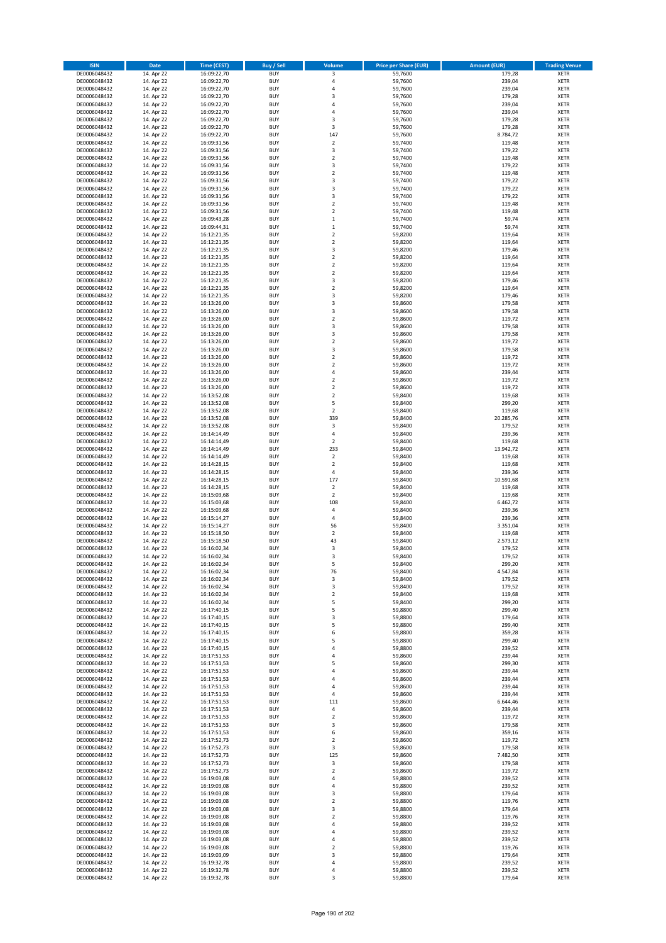| <b>ISIN</b>                  | <b>Date</b>              | <b>Time (CEST)</b>         | <b>Buy / Sell</b>        | <b>Volume</b>                | <b>Price per Share (EUR)</b> | <b>Amount (EUR)</b> | <b>Trading Venue</b>       |
|------------------------------|--------------------------|----------------------------|--------------------------|------------------------------|------------------------------|---------------------|----------------------------|
| DE0006048432                 | 14. Apr 22               | 16:09:22,70                | <b>BUY</b>               | 3                            | 59,7600                      | 179,28              | <b>XETR</b>                |
| DE0006048432                 | 14. Apr 22               | 16:09:22,70                | <b>BUY</b>               | 4                            | 59,7600                      | 239,04              | <b>XETR</b>                |
| DE0006048432                 | 14. Apr 22               | 16:09:22,70                | <b>BUY</b>               | 4                            | 59,7600                      | 239,04              | <b>XETR</b>                |
| DE0006048432<br>DE0006048432 | 14. Apr 22<br>14. Apr 22 | 16:09:22,70<br>16:09:22,70 | <b>BUY</b><br><b>BUY</b> | 3<br>4                       | 59,7600<br>59,7600           | 179,28<br>239,04    | <b>XETR</b><br><b>XETR</b> |
| DE0006048432                 | 14. Apr 22               | 16:09:22,70                | <b>BUY</b>               | 4                            | 59,7600                      | 239,04              | <b>XETR</b>                |
| DE0006048432                 | 14. Apr 22               | 16:09:22,70                | <b>BUY</b>               | 3                            | 59,7600                      | 179,28              | <b>XETR</b>                |
| DE0006048432                 | 14. Apr 22               | 16:09:22,70                | <b>BUY</b>               | 3                            | 59,7600                      | 179,28              | <b>XETR</b>                |
| DE0006048432                 | 14. Apr 22               | 16:09:22,70                | <b>BUY</b>               | 147                          | 59,7600                      | 8.784,72            | <b>XETR</b>                |
| DE0006048432                 | 14. Apr 22               | 16:09:31,56                | <b>BUY</b>               | $\mathbf 2$                  | 59,7400                      | 119,48              | <b>XETR</b>                |
| DE0006048432                 | 14. Apr 22               | 16:09:31,56                | <b>BUY</b>               | 3                            | 59,7400                      | 179,22              | <b>XETR</b>                |
| DE0006048432<br>DE0006048432 | 14. Apr 22<br>14. Apr 22 | 16:09:31,56                | <b>BUY</b><br><b>BUY</b> | $\overline{\mathbf{c}}$<br>3 | 59,7400<br>59,7400           | 119,48<br>179,22    | <b>XETR</b><br><b>XETR</b> |
| DE0006048432                 | 14. Apr 22               | 16:09:31,56<br>16:09:31,56 | <b>BUY</b>               | $\overline{\mathbf{c}}$      | 59,7400                      | 119,48              | <b>XETR</b>                |
| DE0006048432                 | 14. Apr 22               | 16:09:31,56                | <b>BUY</b>               | 3                            | 59,7400                      | 179,22              | <b>XETR</b>                |
| DE0006048432                 | 14. Apr 22               | 16:09:31,56                | <b>BUY</b>               | 3                            | 59,7400                      | 179,22              | <b>XETR</b>                |
| DE0006048432                 | 14. Apr 22               | 16:09:31,56                | <b>BUY</b>               | 3                            | 59,7400                      | 179,22              | <b>XETR</b>                |
| DE0006048432                 | 14. Apr 22               | 16:09:31,56                | <b>BUY</b>               | $\mathbf 2$                  | 59,7400                      | 119,48              | <b>XETR</b>                |
| DE0006048432                 | 14. Apr 22               | 16:09:31,56                | <b>BUY</b>               | $\overline{\mathbf{c}}$      | 59.7400                      | 119,48              | <b>XETR</b>                |
| DE0006048432                 | 14. Apr 22               | 16:09:43,28                | <b>BUY</b>               | $\mathbf 1$                  | 59,7400                      | 59,74               | <b>XETR</b>                |
| DE0006048432                 | 14. Apr 22               | 16:09:44,31                | <b>BUY</b>               | $\mathbf 1$                  | 59,7400                      | 59,74               | <b>XETR</b>                |
| DE0006048432<br>DE0006048432 | 14. Apr 22<br>14. Apr 22 | 16:12:21,35<br>16:12:21,35 | <b>BUY</b><br><b>BUY</b> | $\mathbf 2$<br>$\mathbf 2$   | 59,8200<br>59,8200           | 119,64<br>119,64    | <b>XETR</b><br><b>XETR</b> |
| DE0006048432                 | 14. Apr 22               | 16:12:21,35                | <b>BUY</b>               | 3                            | 59,8200                      | 179,46              | <b>XETR</b>                |
| DE0006048432                 | 14. Apr 22               | 16:12:21,35                | <b>BUY</b>               | $\mathbf 2$                  | 59,8200                      | 119,64              | <b>XETR</b>                |
| DE0006048432                 | 14. Apr 22               | 16:12:21,35                | <b>BUY</b>               | $\mathbf 2$                  | 59,8200                      | 119,64              | <b>XETR</b>                |
| DE0006048432                 | 14. Apr 22               | 16:12:21,35                | <b>BUY</b>               | $\mathbf 2$                  | 59,8200                      | 119,64              | <b>XETR</b>                |
| DE0006048432                 | 14. Apr 22               | 16:12:21,35                | <b>BUY</b>               | 3                            | 59,8200                      | 179,46              | <b>XETR</b>                |
| DE0006048432                 | 14. Apr 22               | 16:12:21,35                | <b>BUY</b>               | $\mathbf 2$                  | 59,8200                      | 119,64              | <b>XETR</b>                |
| DE0006048432                 | 14. Apr 22               | 16:12:21,35                | <b>BUY</b><br><b>BUY</b> | 3<br>3                       | 59,8200<br>59,8600           | 179,46<br>179,58    | <b>XETR</b><br><b>XETR</b> |
| DE0006048432<br>DE0006048432 | 14. Apr 22<br>14. Apr 22 | 16:13:26,00<br>16:13:26,00 | <b>BUY</b>               | 3                            | 59,8600                      | 179,58              | <b>XETR</b>                |
| DE0006048432                 | 14. Apr 22               | 16:13:26,00                | <b>BUY</b>               | $\mathbf 2$                  | 59,8600                      | 119,72              | <b>XETR</b>                |
| DE0006048432                 | 14. Apr 22               | 16:13:26,00                | <b>BUY</b>               | 3                            | 59,8600                      | 179,58              | <b>XETR</b>                |
| DE0006048432                 | 14. Apr 22               | 16:13:26.00                | <b>BUY</b>               | 3                            | 59,8600                      | 179,58              | <b>XETR</b>                |
| DE0006048432                 | 14. Apr 22               | 16:13:26,00                | <b>BUY</b>               | $\overline{\mathbf{c}}$      | 59,8600                      | 119,72              | <b>XETR</b>                |
| DE0006048432                 | 14. Apr 22               | 16:13:26,00                | <b>BUY</b>               | 3                            | 59,8600                      | 179,58              | <b>XETR</b>                |
| DE0006048432                 | 14. Apr 22               | 16:13:26,00                | <b>BUY</b>               | $\mathbf 2$                  | 59,8600                      | 119,72              | <b>XETR</b>                |
| DE0006048432                 | 14. Apr 22               | 16:13:26,00                | <b>BUY</b>               | $\mathbf 2$                  | 59,8600                      | 119,72              | <b>XETR</b>                |
| DE0006048432<br>DE0006048432 | 14. Apr 22<br>14. Apr 22 | 16:13:26,00<br>16:13:26,00 | <b>BUY</b><br><b>BUY</b> | 4<br>$\overline{\mathbf{c}}$ | 59,8600<br>59,8600           | 239,44<br>119,72    | <b>XETR</b><br><b>XETR</b> |
| DE0006048432                 | 14. Apr 22               | 16:13:26,00                | <b>BUY</b>               | $\mathbf 2$                  | 59,8600                      | 119,72              | <b>XETR</b>                |
| DE0006048432                 | 14. Apr 22               | 16:13:52,08                | <b>BUY</b>               | $\mathbf 2$                  | 59,8400                      | 119,68              | <b>XETR</b>                |
| DE0006048432                 | 14. Apr 22               | 16:13:52,08                | <b>BUY</b>               | 5                            | 59,8400                      | 299,20              | <b>XETR</b>                |
| DE0006048432                 | 14. Apr 22               | 16:13:52,08                | <b>BUY</b>               | $\mathbf 2$                  | 59,8400                      | 119,68              | <b>XETR</b>                |
| DE0006048432                 | 14. Apr 22               | 16:13:52,08                | <b>BUY</b>               | 339                          | 59,8400                      | 20.285,76           | <b>XETR</b>                |
| DE0006048432                 | 14. Apr 22               | 16:13:52,08                | <b>BUY</b>               | $\mathsf 3$                  | 59,8400                      | 179,52              | <b>XETR</b>                |
| DE0006048432                 | 14. Apr 22               | 16:14:14,49                | <b>BUY</b>               | 4                            | 59,8400                      | 239,36              | <b>XETR</b>                |
| DE0006048432<br>DE0006048432 | 14. Apr 22<br>14. Apr 22 | 16:14:14,49<br>16:14:14,49 | <b>BUY</b><br><b>BUY</b> | $\mathbf 2$<br>233           | 59,8400<br>59,8400           | 119,68<br>13.942,72 | <b>XETR</b><br><b>XETR</b> |
| DE0006048432                 | 14. Apr 22               | 16:14:14,49                | <b>BUY</b>               | $\mathbf 2$                  | 59,8400                      | 119,68              | <b>XETR</b>                |
| DE0006048432                 | 14. Apr 22               | 16:14:28,15                | <b>BUY</b>               | $\mathbf 2$                  | 59,8400                      | 119,68              | <b>XETR</b>                |
| DE0006048432                 | 14. Apr 22               | 16:14:28,15                | <b>BUY</b>               | 4                            | 59,8400                      | 239,36              | <b>XETR</b>                |
| DE0006048432                 | 14. Apr 22               | 16:14:28,15                | <b>BUY</b>               | 177                          | 59,8400                      | 10.591,68           | <b>XETR</b>                |
| DE0006048432                 | 14. Apr 22               | 16:14:28,15                | <b>BUY</b>               | $\overline{\mathbf{2}}$      | 59,8400                      | 119,68              | <b>XETR</b>                |
| DE0006048432                 | 14. Apr 22               | 16:15:03,68                | <b>BUY</b>               | $\mathbf 2$                  | 59,8400                      | 119,68              | <b>XETR</b>                |
| DE0006048432                 | 14. Apr 22               | 16:15:03,68                | <b>BUY</b><br><b>BUY</b> | 108                          | 59,8400                      | 6.462,72            | <b>XETR</b><br><b>XETR</b> |
| DE0006048432<br>DE0006048432 | 14. Apr 22<br>14. Apr 22 | 16:15:03,68<br>16:15:14,27 | <b>BUY</b>               | 4<br>4                       | 59,8400<br>59,8400           | 239,36<br>239,36    | <b>XETR</b>                |
| DE0006048432                 | 14. Apr 22               | 16:15:14,27                | <b>BUY</b>               | 56                           | 59,8400                      | 3.351,04            | <b>XETR</b>                |
| DE0006048432                 | 14. Apr 22               | 16:15:18,50                | <b>BUY</b>               | $\mathbf 2$                  | 59,8400                      | 119,68              | <b>XETR</b>                |
| DE0006048432                 | 14. Apr 22               | 16:15:18,50                | <b>BUY</b>               | 43                           | 59,8400                      | 2.573,12            | <b>XETR</b>                |
| DE0006048432                 | 14. Apr 22               | 16:16:02,34                | <b>BUY</b>               | 3                            | 59,8400                      | 179,52              | <b>XETR</b>                |
| DE0006048432                 | 14. Apr 22               | 16:16:02,34                | <b>BUY</b>               | 3                            | 59,8400                      | 179,52              | <b>XETR</b>                |
| DE0006048432                 | 14. Apr 22               | 16:16:02,34                | BUY                      | 5                            | 59,8400                      | 299,20              | <b>XETR</b>                |
| DE0006048432<br>DE0006048432 | 14. Apr 22<br>14. Apr 22 | 16:16:02,34<br>16:16:02,34 | <b>BUY</b><br><b>BUY</b> | 76<br>3                      | 59,8400<br>59,8400           | 4.547,84<br>179,52  | <b>XETR</b><br><b>XETR</b> |
| DE0006048432                 | 14. Apr 22               | 16:16:02,34                | <b>BUY</b>               | 3                            | 59,8400                      | 179,52              | XETR                       |
| DE0006048432                 | 14. Apr 22               | 16:16:02,34                | <b>BUY</b>               | $\mathbf 2$                  | 59,8400                      | 119,68              | <b>XETR</b>                |
| DE0006048432                 | 14. Apr 22               | 16:16:02,34                | <b>BUY</b>               | 5                            | 59,8400                      | 299,20              | <b>XETR</b>                |
| DE0006048432                 | 14. Apr 22               | 16:17:40,15                | <b>BUY</b>               | 5                            | 59,8800                      | 299,40              | <b>XETR</b>                |
| DE0006048432                 | 14. Apr 22               | 16:17:40,15                | <b>BUY</b>               | 3                            | 59,8800                      | 179,64              | <b>XETR</b>                |
| DE0006048432                 | 14. Apr 22               | 16:17:40,15                | <b>BUY</b>               | 5                            | 59,8800                      | 299,40              | <b>XETR</b>                |
| DE0006048432<br>DE0006048432 | 14. Apr 22<br>14. Apr 22 | 16:17:40,15<br>16:17:40,15 | <b>BUY</b><br><b>BUY</b> | 6<br>5                       | 59,8800<br>59,8800           | 359,28<br>299,40    | <b>XETR</b><br><b>XETR</b> |
| DE0006048432                 | 14. Apr 22               | 16:17:40,15                | <b>BUY</b>               | 4                            | 59,8800                      | 239,52              | <b>XETR</b>                |
| DE0006048432                 | 14. Apr 22               | 16:17:51,53                | <b>BUY</b>               | 4                            | 59,8600                      | 239,44              | <b>XETR</b>                |
| DE0006048432                 | 14. Apr 22               | 16:17:51,53                | <b>BUY</b>               | 5                            | 59,8600                      | 299,30              | <b>XETR</b>                |
| DE0006048432                 | 14. Apr 22               | 16:17:51,53                | <b>BUY</b>               | 4                            | 59,8600                      | 239,44              | <b>XETR</b>                |
| DE0006048432                 | 14. Apr 22               | 16:17:51,53                | <b>BUY</b>               | 4                            | 59,8600                      | 239,44              | <b>XETR</b>                |
| DE0006048432                 | 14. Apr 22               | 16:17:51,53                | <b>BUY</b>               | 4                            | 59,8600                      | 239,44              | <b>XETR</b>                |
| DE0006048432<br>DE0006048432 | 14. Apr 22<br>14. Apr 22 | 16:17:51,53<br>16:17:51,53 | <b>BUY</b><br><b>BUY</b> | 4<br>111                     | 59,8600<br>59,8600           | 239,44<br>6.644,46  | <b>XETR</b><br>XETR        |
| DE0006048432                 | 14. Apr 22               | 16:17:51,53                | <b>BUY</b>               | 4                            | 59,8600                      | 239,44              | <b>XETR</b>                |
| DE0006048432                 | 14. Apr 22               | 16:17:51,53                | <b>BUY</b>               | $\overline{\mathbf{2}}$      | 59,8600                      | 119,72              | <b>XETR</b>                |
| DE0006048432                 | 14. Apr 22               | 16:17:51,53                | <b>BUY</b>               | 3                            | 59,8600                      | 179,58              | <b>XETR</b>                |
| DE0006048432                 | 14. Apr 22               | 16:17:51,53                | <b>BUY</b>               | 6                            | 59,8600                      | 359,16              | <b>XETR</b>                |
| DE0006048432                 | 14. Apr 22               | 16:17:52,73                | <b>BUY</b>               | $\mathbf 2$                  | 59,8600                      | 119,72              | <b>XETR</b>                |
| DE0006048432                 | 14. Apr 22               | 16:17:52,73                | <b>BUY</b>               | 3                            | 59,8600                      | 179,58              | <b>XETR</b>                |
| DE0006048432<br>DE0006048432 | 14. Apr 22<br>14. Apr 22 | 16:17:52,73<br>16:17:52,73 | <b>BUY</b><br><b>BUY</b> | 125<br>3                     | 59,8600<br>59,8600           | 7.482,50<br>179,58  | <b>XETR</b><br><b>XETR</b> |
| DE0006048432                 | 14. Apr 22               | 16:17:52,73                | <b>BUY</b>               | $\overline{\mathbf{2}}$      | 59,8600                      | 119,72              | <b>XETR</b>                |
| DE0006048432                 | 14. Apr 22               | 16:19:03,08                | <b>BUY</b>               | 4                            | 59,8800                      | 239,52              | <b>XETR</b>                |
| DE0006048432                 | 14. Apr 22               | 16:19:03,08                | <b>BUY</b>               | 4                            | 59,8800                      | 239,52              | <b>XETR</b>                |
| DE0006048432                 | 14. Apr 22               | 16:19:03,08                | <b>BUY</b>               | 3                            | 59,8800                      | 179,64              | <b>XETR</b>                |
| DE0006048432                 | 14. Apr 22               | 16:19:03,08                | <b>BUY</b>               | $\mathbf 2$                  | 59,8800                      | 119,76              | <b>XETR</b>                |
| DE0006048432                 | 14. Apr 22               | 16:19:03,08                | <b>BUY</b>               | 3                            | 59,8800                      | 179,64              | <b>XETR</b>                |
| DE0006048432                 | 14. Apr 22               | 16:19:03,08                | <b>BUY</b>               | $\overline{\mathbf{c}}$      | 59,8800                      | 119,76              | <b>XETR</b>                |
| DE0006048432<br>DE0006048432 | 14. Apr 22<br>14. Apr 22 | 16:19:03,08<br>16:19:03,08 | <b>BUY</b><br><b>BUY</b> | 4<br>4                       | 59,8800<br>59,8800           | 239,52<br>239,52    | <b>XETR</b><br><b>XETR</b> |
| DE0006048432                 | 14. Apr 22               | 16:19:03,08                | <b>BUY</b>               | 4                            | 59,8800                      | 239,52              | <b>XETR</b>                |
| DE0006048432                 | 14. Apr 22               | 16:19:03,08                | <b>BUY</b>               | $\overline{\mathbf{c}}$      | 59,8800                      | 119,76              | XETR                       |
| DE0006048432                 | 14. Apr 22               | 16:19:03,09                | <b>BUY</b>               | 3                            | 59,8800                      | 179,64              | <b>XETR</b>                |
| DE0006048432                 | 14. Apr 22               | 16:19:32,78                | <b>BUY</b>               | 4                            | 59,8800                      | 239,52              | <b>XETR</b>                |
| DE0006048432                 | 14. Apr 22               | 16:19:32,78                | <b>BUY</b>               | 4                            | 59,8800                      | 239,52              | <b>XETR</b>                |
| DE0006048432                 | 14. Apr 22               | 16:19:32,78                | <b>BUY</b>               | 3                            | 59,8800                      | 179,64              | <b>XETR</b>                |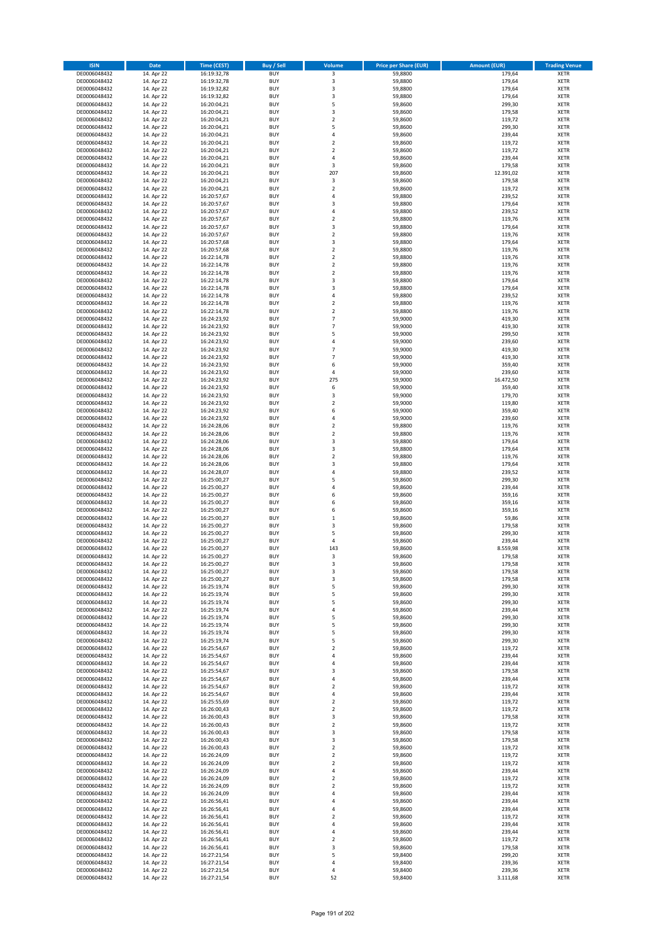| <b>ISIN</b>                  | <b>Date</b>              | <b>Time (CEST)</b>         | <b>Buy / Sell</b>        | <b>Volume</b>                    | <b>Price per Share (EUR)</b> | <b>Amount (EUR)</b> | <b>Trading Venue</b>       |
|------------------------------|--------------------------|----------------------------|--------------------------|----------------------------------|------------------------------|---------------------|----------------------------|
| DE0006048432                 | 14. Apr 22               | 16:19:32,78                | <b>BUY</b>               | 3                                | 59,8800                      | 179,64              | <b>XETR</b>                |
| DE0006048432                 | 14. Apr 22               | 16:19:32,78                | <b>BUY</b>               | 3                                | 59,8800                      | 179,64              | <b>XETR</b>                |
| DE0006048432                 | 14. Apr 22               | 16:19:32,82                | <b>BUY</b>               | 3                                | 59,8800                      | 179,64              | <b>XETR</b>                |
| DE0006048432<br>DE0006048432 | 14. Apr 22<br>14. Apr 22 | 16:19:32,82<br>16:20:04,21 | <b>BUY</b><br><b>BUY</b> | 3<br>5                           | 59,8800<br>59,8600           | 179,64<br>299,30    | <b>XETR</b><br><b>XETR</b> |
| DE0006048432                 | 14. Apr 22               | 16:20:04,21                | <b>BUY</b>               | 3                                | 59,8600                      | 179,58              | <b>XETR</b>                |
| DE0006048432                 | 14. Apr 22               | 16:20:04,21                | <b>BUY</b>               | $\mathbf 2$                      | 59,8600                      | 119,72              | <b>XETR</b>                |
| DE0006048432                 | 14. Apr 22               | 16:20:04,21                | <b>BUY</b>               | 5                                | 59,8600                      | 299,30              | <b>XETR</b>                |
| DE0006048432                 | 14. Apr 22               | 16:20:04,21                | <b>BUY</b>               | 4                                | 59,8600                      | 239,44              | <b>XETR</b>                |
| DE0006048432                 | 14. Apr 22               | 16:20:04,21                | <b>BUY</b>               | $\mathbf 2$                      | 59,8600                      | 119,72              | <b>XETR</b>                |
| DE0006048432<br>DE0006048432 | 14. Apr 22<br>14. Apr 22 | 16:20:04,21<br>16:20:04,21 | <b>BUY</b><br><b>BUY</b> | $\overline{\mathbf{c}}$<br>4     | 59,8600<br>59,8600           | 119,72<br>239,44    | <b>XETR</b><br><b>XETR</b> |
| DE0006048432                 | 14. Apr 22               | 16:20:04,21                | <b>BUY</b>               | 3                                | 59,8600                      | 179,58              | <b>XETR</b>                |
| DE0006048432                 | 14. Apr 22               | 16:20:04,21                | <b>BUY</b>               | 207                              | 59,8600                      | 12.391,02           | <b>XETR</b>                |
| DE0006048432                 | 14. Apr 22               | 16:20:04,21                | <b>BUY</b>               | 3                                | 59,8600                      | 179,58              | <b>XETR</b>                |
| DE0006048432                 | 14. Apr 22               | 16:20:04,21                | <b>BUY</b>               | $\overline{\mathbf{c}}$          | 59,8600                      | 119,72              | <b>XETR</b>                |
| DE0006048432                 | 14. Apr 22               | 16:20:57,67                | <b>BUY</b>               | 4                                | 59,8800                      | 239,52              | <b>XETR</b>                |
| DE0006048432                 | 14. Apr 22               | 16:20:57,67                | <b>BUY</b>               | 3                                | 59,8800                      | 179,64              | <b>XETR</b>                |
| DE0006048432<br>DE0006048432 | 14. Apr 22<br>14. Apr 22 | 16:20:57,67<br>16:20:57,67 | <b>BUY</b><br><b>BUY</b> | 4<br>$\mathbf 2$                 | 59,8800<br>59,8800           | 239,52<br>119,76    | <b>XETR</b><br><b>XETR</b> |
| DE0006048432                 | 14. Apr 22               | 16:20:57,67                | <b>BUY</b>               | 3                                | 59,8800                      | 179,64              | <b>XETR</b>                |
| DE0006048432                 | 14. Apr 22               | 16:20:57,67                | <b>BUY</b>               | $\mathbf 2$                      | 59,8800                      | 119,76              | <b>XETR</b>                |
| DE0006048432                 | 14. Apr 22               | 16:20:57,68                | <b>BUY</b>               | 3                                | 59,8800                      | 179,64              | <b>XETR</b>                |
| DE0006048432                 | 14. Apr 22               | 16:20:57,68                | <b>BUY</b>               | $\mathbf 2$                      | 59,8800                      | 119,76              | <b>XETR</b>                |
| DE0006048432                 | 14. Apr 22               | 16:22:14,78                | <b>BUY</b>               | $\mathbf 2$                      | 59,8800                      | 119,76              | <b>XETR</b>                |
| DE0006048432<br>DE0006048432 | 14. Apr 22<br>14. Apr 22 | 16:22:14,78<br>16:22:14,78 | <b>BUY</b><br><b>BUY</b> | $\mathbf 2$<br>$\mathbf 2$       | 59,8800<br>59,8800           | 119,76<br>119,76    | <b>XETR</b><br><b>XETR</b> |
| DE0006048432                 | 14. Apr 22               | 16:22:14,78                | <b>BUY</b>               | 3                                | 59,8800                      | 179,64              | <b>XETR</b>                |
| DE0006048432                 | 14. Apr 22               | 16:22:14,78                | <b>BUY</b>               | 3                                | 59,8800                      | 179,64              | <b>XETR</b>                |
| DE0006048432                 | 14. Apr 22               | 16:22:14,78                | <b>BUY</b>               | 4                                | 59,8800                      | 239,52              | <b>XETR</b>                |
| DE0006048432                 | 14. Apr 22               | 16:22:14,78                | <b>BUY</b>               | $\mathbf 2$                      | 59,8800                      | 119,76              | <b>XETR</b>                |
| DE0006048432                 | 14. Apr 22               | 16:22:14,78                | <b>BUY</b>               | $\overline{\mathbf{c}}$          | 59,8800                      | 119,76              | <b>XETR</b>                |
| DE0006048432<br>DE0006048432 | 14. Apr 22               | 16:24:23,92<br>16:24:23,92 | <b>BUY</b><br><b>BUY</b> | $\overline{7}$<br>$\overline{7}$ | 59,9000<br>59,9000           | 419,30<br>419,30    | <b>XETR</b><br><b>XETR</b> |
| DE0006048432                 | 14. Apr 22<br>14. Apr 22 | 16:24:23,92                | <b>BUY</b>               | 5                                | 59,9000                      | 299,50              | <b>XETR</b>                |
| DE0006048432                 | 14. Apr 22               | 16:24:23,92                | <b>BUY</b>               | 4                                | 59,9000                      | 239,60              | <b>XETR</b>                |
| DE0006048432                 | 14. Apr 22               | 16:24:23,92                | <b>BUY</b>               | $\overline{7}$                   | 59,9000                      | 419,30              | <b>XETR</b>                |
| DE0006048432                 | 14. Apr 22               | 16:24:23,92                | <b>BUY</b>               | $\overline{7}$                   | 59,9000                      | 419,30              | <b>XETR</b>                |
| DE0006048432                 | 14. Apr 22               | 16:24:23,92                | <b>BUY</b>               | 6                                | 59,9000                      | 359,40              | <b>XETR</b>                |
| DE0006048432                 | 14. Apr 22               | 16:24:23,92                | <b>BUY</b>               | 4                                | 59,9000                      | 239,60              | <b>XETR</b>                |
| DE0006048432<br>DE0006048432 | 14. Apr 22<br>14. Apr 22 | 16:24:23,92<br>16:24:23,92 | <b>BUY</b><br><b>BUY</b> | 275<br>6                         | 59,9000<br>59,9000           | 16.472,50<br>359,40 | <b>XETR</b><br><b>XETR</b> |
| DE0006048432                 | 14. Apr 22               | 16:24:23,92                | <b>BUY</b>               | 3                                | 59,9000                      | 179,70              | <b>XETR</b>                |
| DE0006048432                 | 14. Apr 22               | 16:24:23,92                | <b>BUY</b>               | $\overline{\mathbf{c}}$          | 59,9000                      | 119,80              | <b>XETR</b>                |
| DE0006048432                 | 14. Apr 22               | 16:24:23,92                | <b>BUY</b>               | 6                                | 59,9000                      | 359,40              | <b>XETR</b>                |
| DE0006048432                 | 14. Apr 22               | 16:24:23,92                | <b>BUY</b>               | 4                                | 59,9000                      | 239,60              | <b>XETR</b>                |
| DE0006048432                 | 14. Apr 22               | 16:24:28,06                | <b>BUY</b>               | $\mathbf 2$                      | 59,8800                      | 119,76              | <b>XETR</b>                |
| DE0006048432<br>DE0006048432 | 14. Apr 22<br>14. Apr 22 | 16:24:28,06<br>16:24:28,06 | <b>BUY</b><br><b>BUY</b> | $\mathbf 2$<br>3                 | 59,8800<br>59,8800           | 119,76<br>179,64    | <b>XETR</b><br><b>XETR</b> |
| DE0006048432                 | 14. Apr 22               | 16:24:28,06                | <b>BUY</b>               | 3                                | 59,8800                      | 179,64              | <b>XETR</b>                |
| DE0006048432                 | 14. Apr 22               | 16:24:28,06                | <b>BUY</b>               | $\overline{\mathbf{c}}$          | 59,8800                      | 119,76              | <b>XETR</b>                |
| DE0006048432                 | 14. Apr 22               | 16:24:28,06                | <b>BUY</b>               | 3                                | 59,8800                      | 179,64              | <b>XETR</b>                |
| DE0006048432                 | 14. Apr 22               | 16:24:28,07                | <b>BUY</b>               | 4                                | 59,8800                      | 239,52              | <b>XETR</b>                |
| DE0006048432                 | 14. Apr 22               | 16:25:00,27                | <b>BUY</b>               | 5                                | 59,8600                      | 299,30              | <b>XETR</b>                |
| DE0006048432<br>DE0006048432 | 14. Apr 22<br>14. Apr 22 | 16:25:00,27<br>16:25:00,27 | <b>BUY</b><br><b>BUY</b> | 4<br>6                           | 59,8600<br>59,8600           | 239,44<br>359,16    | <b>XETR</b><br><b>XETR</b> |
| DE0006048432                 | 14. Apr 22               | 16:25:00,27                | <b>BUY</b>               | 6                                | 59,8600                      | 359,16              | <b>XETR</b>                |
| DE0006048432                 | 14. Apr 22               | 16:25:00,27                | <b>BUY</b>               | 6                                | 59,8600                      | 359,16              | <b>XETR</b>                |
| DE0006048432                 | 14. Apr 22               | 16:25:00,27                | <b>BUY</b>               | $\mathbf 1$                      | 59,8600                      | 59,86               | <b>XETR</b>                |
| DE0006048432                 | 14. Apr 22               | 16:25:00,27                | <b>BUY</b>               | 3                                | 59,8600                      | 179,58              | <b>XETR</b>                |
| DE0006048432                 | 14. Apr 22               | 16:25:00,27                | <b>BUY</b>               | 5                                | 59,8600                      | 299,30              | <b>XETR</b>                |
| DE0006048432<br>DE0006048432 | 14. Apr 22<br>14. Apr 22 | 16:25:00,27<br>16:25:00,27 | <b>BUY</b><br><b>BUY</b> | 4<br>143                         | 59,8600<br>59,8600           | 239,44<br>8.559,98  | <b>XETR</b><br><b>XETR</b> |
| DE0006048432                 | 14. Apr 22               | 16:25:00,27                | <b>BUY</b>               | 3                                | 59,8600                      | 179,58              | <b>XETR</b>                |
| DE0006048432                 | 14. Apr 22               | 16:25:00,27                | BUY                      | 3                                | 59,8600                      | 179,58              | <b>XETR</b>                |
| DE0006048432                 | 14. Apr 22               | 16:25:00,27                | <b>BUY</b>               | 3                                | 59,8600                      | 179,58              | <b>XETR</b>                |
| DE0006048432                 | 14. Apr 22               | 16:25:00,27                | <b>BUY</b>               | 3                                | 59,8600                      | 179,58              | <b>XETR</b>                |
| DE0006048432                 | 14. Apr 22               | 16:25:19,74                | <b>BUY</b>               | 5                                | 59,8600                      | 299,30              | XETR                       |
| DE0006048432<br>DE0006048432 | 14. Apr 22               | 16:25:19,74                | <b>BUY</b>               | 5                                | 59.8600                      | 299,30<br>299,30    | <b>XETR</b>                |
| DE0006048432                 | 14. Apr 22<br>14. Apr 22 | 16:25:19,74<br>16:25:19,74 | <b>BUY</b><br><b>BUY</b> | 5<br>4                           | 59,8600<br>59,8600           | 239,44              | <b>XETR</b><br><b>XETR</b> |
| DE0006048432                 | 14. Apr 22               | 16:25:19,74                | <b>BUY</b>               | 5                                | 59,8600                      | 299,30              | <b>XETR</b>                |
| DE0006048432                 | 14. Apr 22               | 16:25:19,74                | <b>BUY</b>               | 5                                | 59,8600                      | 299,30              | <b>XETR</b>                |
| DE0006048432                 | 14. Apr 22               | 16:25:19,74                | <b>BUY</b>               | 5                                | 59,8600                      | 299,30              | <b>XETR</b>                |
| DE0006048432                 | 14. Apr 22               | 16:25:19,74                | <b>BUY</b>               | 5                                | 59,8600                      | 299,30              | <b>XETR</b>                |
| DE0006048432                 | 14. Apr 22<br>14. Apr 22 | 16:25:54,67                | <b>BUY</b>               | $\overline{\mathbf{c}}$<br>4     | 59.8600<br>59,8600           | 119,72<br>239,44    | <b>XETR</b>                |
| DE0006048432<br>DE0006048432 | 14. Apr 22               | 16:25:54,67<br>16:25:54,67 | <b>BUY</b><br><b>BUY</b> | 4                                | 59,8600                      | 239,44              | <b>XETR</b><br><b>XETR</b> |
| DE0006048432                 | 14. Apr 22               | 16:25:54,67                | <b>BUY</b>               | 3                                | 59,8600                      | 179,58              | <b>XETR</b>                |
| DE0006048432                 | 14. Apr 22               | 16:25:54,67                | <b>BUY</b>               | 4                                | 59,8600                      | 239,44              | <b>XETR</b>                |
| DE0006048432                 | 14. Apr 22               | 16:25:54,67                | <b>BUY</b>               | $\mathbf 2$                      | 59,8600                      | 119,72              | <b>XETR</b>                |
| DE0006048432                 | 14. Apr 22               | 16:25:54,67                | <b>BUY</b>               | 4                                | 59,8600                      | 239,44              | <b>XETR</b>                |
| DE0006048432                 | 14. Apr 22               | 16:25:55,69                | <b>BUY</b>               | $\mathbf 2$                      | 59,8600                      | 119,72              | XETR                       |
| DE0006048432<br>DE0006048432 | 14. Apr 22<br>14. Apr 22 | 16:26:00,43<br>16:26:00,43 | <b>BUY</b><br><b>BUY</b> | $\mathbf 2$<br>3                 | 59,8600<br>59,8600           | 119,72<br>179,58    | <b>XETR</b><br><b>XETR</b> |
| DE0006048432                 | 14. Apr 22               | 16:26:00,43                | <b>BUY</b>               | $\mathbf 2$                      | 59,8600                      | 119,72              | <b>XETR</b>                |
| DE0006048432                 | 14. Apr 22               | 16:26:00,43                | <b>BUY</b>               | 3                                | 59,8600                      | 179,58              | <b>XETR</b>                |
| DE0006048432                 | 14. Apr 22               | 16:26:00,43                | <b>BUY</b>               | 3                                | 59,8600                      | 179,58              | <b>XETR</b>                |
| DE0006048432                 | 14. Apr 22               | 16:26:00,43                | <b>BUY</b>               | $\mathbf 2$                      | 59,8600                      | 119,72              | <b>XETR</b>                |
| DE0006048432                 | 14. Apr 22               | 16:26:24,09                | <b>BUY</b>               | $\mathbf 2$                      | 59,8600                      | 119,72              | <b>XETR</b>                |
| DE0006048432<br>DE0006048432 | 14. Apr 22<br>14. Apr 22 | 16:26:24,09<br>16:26:24,09 | <b>BUY</b><br><b>BUY</b> | $\mathbf 2$<br>4                 | 59,8600<br>59,8600           | 119,72<br>239,44    | <b>XETR</b><br><b>XETR</b> |
| DE0006048432                 | 14. Apr 22               | 16:26:24,09                | <b>BUY</b>               | $\mathbf 2$                      | 59,8600                      | 119,72              | <b>XETR</b>                |
| DE0006048432                 | 14. Apr 22               | 16:26:24,09                | <b>BUY</b>               | $\overline{\mathbf{c}}$          | 59,8600                      | 119,72              | <b>XETR</b>                |
| DE0006048432                 | 14. Apr 22               | 16:26:24,09                | <b>BUY</b>               | 4                                | 59,8600                      | 239,44              | <b>XETR</b>                |
| DE0006048432                 | 14. Apr 22               | 16:26:56,41                | <b>BUY</b>               | 4                                | 59,8600                      | 239,44              | <b>XETR</b>                |
| DE0006048432                 | 14. Apr 22               | 16:26:56,41                | <b>BUY</b>               | 4                                | 59,8600                      | 239,44              | <b>XETR</b>                |
| DE0006048432                 | 14. Apr 22               | 16:26:56,41                | <b>BUY</b>               | $\mathbf 2$<br>4                 | 59,8600                      | 119,72<br>239,44    | <b>XETR</b>                |
| DE0006048432<br>DE0006048432 | 14. Apr 22<br>14. Apr 22 | 16:26:56,41<br>16:26:56,41 | <b>BUY</b><br><b>BUY</b> | 4                                | 59,8600<br>59,8600           | 239,44              | <b>XETR</b><br><b>XETR</b> |
| DE0006048432                 | 14. Apr 22               | 16:26:56,41                | <b>BUY</b>               | $\overline{\mathbf{c}}$          | 59,8600                      | 119,72              | <b>XETR</b>                |
| DE0006048432                 | 14. Apr 22               | 16:26:56,41                | <b>BUY</b>               | 3                                | 59,8600                      | 179,58              | XETR                       |
| DE0006048432                 | 14. Apr 22               | 16:27:21,54                | <b>BUY</b>               | 5                                | 59,8400                      | 299,20              | <b>XETR</b>                |
| DE0006048432                 | 14. Apr 22               | 16:27:21,54                | <b>BUY</b>               | 4                                | 59,8400                      | 239,36              | <b>XETR</b>                |
| DE0006048432                 | 14. Apr 22               | 16:27:21,54                | <b>BUY</b>               | 4                                | 59,8400                      | 239,36              | <b>XETR</b>                |
| DE0006048432                 | 14. Apr 22               | 16:27:21,54                | <b>BUY</b>               | 52                               | 59,8400                      | 3.111,68            | <b>XETR</b>                |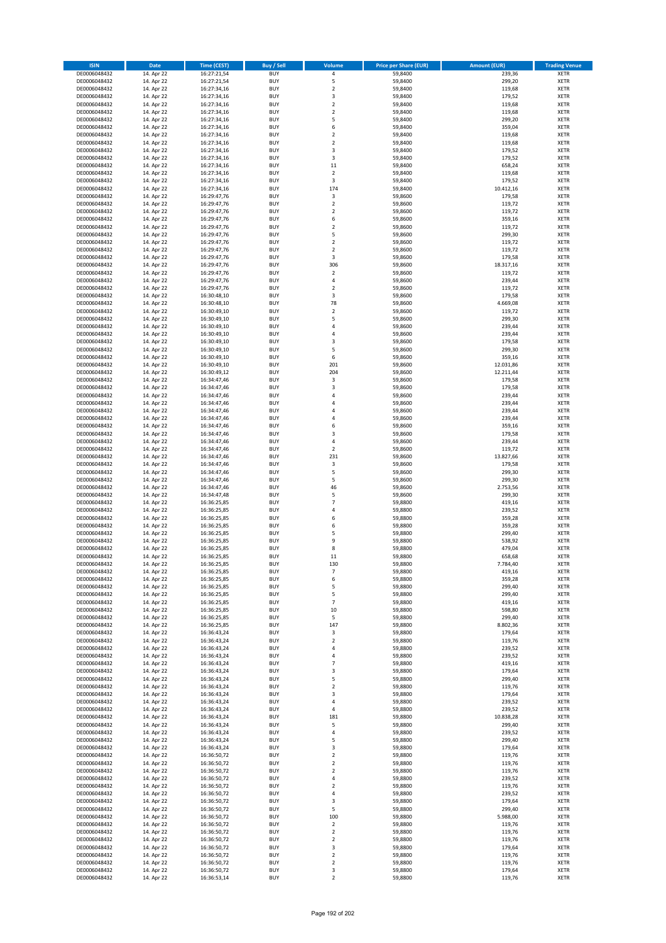| <b>ISIN</b>                  | Date                     | Time (CEST)                | <b>Buy / Sell</b>        | <b>Volume</b>                    | <b>Price per Share (EUR)</b> | <b>Amount (EUR)</b> | <b>Trading Venue</b>       |
|------------------------------|--------------------------|----------------------------|--------------------------|----------------------------------|------------------------------|---------------------|----------------------------|
| DE0006048432                 | 14. Apr 22               | 16:27:21,54                | <b>BUY</b>               | $\pmb{4}$                        | 59,8400                      | 239,36              | <b>XETR</b>                |
| DE0006048432                 | 14. Apr 22               | 16:27:21,54                | <b>BUY</b>               | 5                                | 59,8400                      | 299,20              | XETR                       |
| DE0006048432                 | 14. Apr 22               | 16:27:34,16                | <b>BUY</b>               | $\mathbf 2$                      | 59,8400                      | 119,68              | <b>XETR</b>                |
| DE0006048432<br>DE0006048432 | 14. Apr 22<br>14. Apr 22 | 16:27:34,16<br>16:27:34,16 | <b>BUY</b><br><b>BUY</b> | $\mathsf 3$<br>$\mathbf 2$       | 59,8400<br>59,8400           | 179,52<br>119,68    | <b>XETR</b><br><b>XETR</b> |
| DE0006048432                 | 14. Apr 22               | 16:27:34,16                | <b>BUY</b>               | $\mathbf 2$                      | 59,8400                      | 119,68              | <b>XETR</b>                |
| DE0006048432                 | 14. Apr 22               | 16:27:34,16                | <b>BUY</b>               | 5                                | 59,8400                      | 299,20              | <b>XETR</b>                |
| DE0006048432                 | 14. Apr 22               | 16:27:34,16                | <b>BUY</b>               | 6                                | 59,8400                      | 359,04              | <b>XETR</b>                |
| DE0006048432                 | 14. Apr 22               | 16:27:34,16                | <b>BUY</b>               | $\overline{2}$                   | 59,8400                      | 119,68              | <b>XETR</b>                |
| DE0006048432                 | 14. Apr 22               | 16:27:34,16                | <b>BUY</b>               | $\overline{2}$                   | 59,8400                      | 119,68              | <b>XETR</b>                |
| DE0006048432<br>DE0006048432 | 14. Apr 22<br>14. Apr 22 | 16:27:34,16<br>16:27:34,16 | <b>BUY</b><br><b>BUY</b> | $\mathsf 3$<br>3                 | 59,8400<br>59,8400           | 179,52<br>179,52    | <b>XETR</b><br><b>XETR</b> |
| DE0006048432                 | 14. Apr 22               | 16:27:34,16                | <b>BUY</b>               | 11                               | 59,8400                      | 658,24              | <b>XETR</b>                |
| DE0006048432                 | 14. Apr 22               | 16:27:34,16                | <b>BUY</b>               | $\overline{2}$                   | 59,8400                      | 119,68              | <b>XETR</b>                |
| DE0006048432                 | 14. Apr 22               | 16:27:34,16                | <b>BUY</b>               | 3                                | 59,8400                      | 179,52              | <b>XETR</b>                |
| DE0006048432                 | 14. Apr 22               | 16:27:34,16                | <b>BUY</b>               | 174                              | 59,8400                      | 10.412,16           | <b>XETR</b>                |
| DE0006048432                 | 14. Apr 22               | 16:29:47,76                | <b>BUY</b>               | 3                                | 59,8600                      | 179,58              | <b>XETR</b>                |
| DE0006048432                 | 14. Apr 22               | 16:29:47,76                | <b>BUY</b>               | $\mathbf 2$                      | 59,8600                      | 119,72              | <b>XETR</b>                |
| DE0006048432<br>DE0006048432 | 14. Apr 22<br>14. Apr 22 | 16:29:47,76<br>16:29:47,76 | <b>BUY</b><br><b>BUY</b> | $\overline{2}$<br>6              | 59,8600<br>59,8600           | 119,72<br>359,16    | <b>XETR</b><br><b>XETR</b> |
| DE0006048432                 | 14. Apr 22               | 16:29:47,76                | <b>BUY</b>               | $\overline{2}$                   | 59,8600                      | 119,72              | <b>XETR</b>                |
| DE0006048432                 | 14. Apr 22               | 16:29:47,76                | <b>BUY</b>               | 5                                | 59,8600                      | 299,30              | <b>XETR</b>                |
| DE0006048432                 | 14. Apr 22               | 16:29:47,76                | <b>BUY</b>               | $\mathbf 2$                      | 59,8600                      | 119,72              | <b>XETR</b>                |
| DE0006048432                 | 14. Apr 22               | 16:29:47,76                | <b>BUY</b>               | $\mathbf 2$                      | 59,8600                      | 119,72              | <b>XETR</b>                |
| DE0006048432                 | 14. Apr 22               | 16:29:47,76                | <b>BUY</b>               | 3                                | 59,8600                      | 179,58              | <b>XETR</b>                |
| DE0006048432<br>DE0006048432 | 14. Apr 22<br>14. Apr 22 | 16:29:47,76<br>16:29:47,76 | <b>BUY</b><br><b>BUY</b> | 306<br>$\mathbf 2$               | 59,8600<br>59,8600           | 18.317,16<br>119,72 | <b>XETR</b><br><b>XETR</b> |
| DE0006048432                 | 14. Apr 22               | 16:29:47,76                | <b>BUY</b>               | 4                                | 59,8600                      | 239,44              | <b>XETR</b>                |
| DE0006048432                 | 14. Apr 22               | 16:29:47,76                | <b>BUY</b>               | $\mathbf 2$                      | 59,8600                      | 119,72              | <b>XETR</b>                |
| DE0006048432                 | 14. Apr 22               | 16:30:48,10                | <b>BUY</b>               | 3                                | 59,8600                      | 179,58              | <b>XETR</b>                |
| DE0006048432                 | 14. Apr 22               | 16:30:48,10                | <b>BUY</b>               | 78                               | 59,8600                      | 4.669,08            | <b>XETR</b>                |
| DE0006048432                 | 14. Apr 22               | 16:30:49,10                | <b>BUY</b>               | $\mathbf 2$                      | 59,8600                      | 119,72              | <b>XETR</b>                |
| DE0006048432                 | 14. Apr 22               | 16:30:49,10                | <b>BUY</b><br><b>BUY</b> | 5<br>$\overline{4}$              | 59,8600                      | 299,30              | <b>XETR</b><br><b>XETR</b> |
| DE0006048432<br>DE0006048432 | 14. Apr 22<br>14. Apr 22 | 16:30:49,10<br>16:30:49,10 | <b>BUY</b>               | 4                                | 59,8600<br>59,8600           | 239,44<br>239,44    | <b>XETR</b>                |
| DE0006048432                 | 14. Apr 22               | 16:30:49,10                | <b>BUY</b>               | $\mathsf 3$                      | 59,8600                      | 179,58              | <b>XETR</b>                |
| DE0006048432                 | 14. Apr 22               | 16:30:49,10                | <b>BUY</b>               | 5                                | 59,8600                      | 299,30              | <b>XETR</b>                |
| DE0006048432                 | 14. Apr 22               | 16:30:49,10                | <b>BUY</b>               | 6                                | 59,8600                      | 359,16              | <b>XETR</b>                |
| DE0006048432                 | 14. Apr 22               | 16:30:49,10                | <b>BUY</b>               | 201                              | 59,8600                      | 12.031,86           | <b>XETR</b>                |
| DE0006048432                 | 14. Apr 22               | 16:30:49,12                | <b>BUY</b>               | 204                              | 59,8600                      | 12.211,44           | <b>XETR</b>                |
| DE0006048432<br>DE0006048432 | 14. Apr 22<br>14. Apr 22 | 16:34:47,46<br>16:34:47,46 | <b>BUY</b><br><b>BUY</b> | 3<br>3                           | 59,8600<br>59,8600           | 179,58<br>179,58    | <b>XETR</b><br><b>XETR</b> |
| DE0006048432                 | 14. Apr 22               | 16:34:47,46                | <b>BUY</b>               | 4                                | 59,8600                      | 239,44              | <b>XETR</b>                |
| DE0006048432                 | 14. Apr 22               | 16:34:47,46                | <b>BUY</b>               | 4                                | 59,8600                      | 239,44              | <b>XETR</b>                |
| DE0006048432                 | 14. Apr 22               | 16:34:47,46                | <b>BUY</b>               | $\overline{4}$                   | 59,8600                      | 239,44              | <b>XETR</b>                |
| DE0006048432                 | 14. Apr 22               | 16:34:47,46                | <b>BUY</b>               | 4                                | 59,8600                      | 239,44              | <b>XETR</b>                |
| DE0006048432                 | 14. Apr 22               | 16:34:47,46                | <b>BUY</b>               | 6                                | 59,8600                      | 359,16              | <b>XETR</b>                |
| DE0006048432<br>DE0006048432 | 14. Apr 22<br>14. Apr 22 | 16:34:47,46                | <b>BUY</b><br><b>BUY</b> | 3<br>4                           | 59,8600<br>59,8600           | 179,58<br>239,44    | <b>XETR</b>                |
| DE0006048432                 | 14. Apr 22               | 16:34:47,46<br>16:34:47,46 | <b>BUY</b>               | $\mathbf 2$                      | 59,8600                      | 119,72              | <b>XETR</b><br><b>XETR</b> |
| DE0006048432                 | 14. Apr 22               | 16:34:47,46                | <b>BUY</b>               | 231                              | 59,8600                      | 13.827,66           | <b>XETR</b>                |
| DE0006048432                 | 14. Apr 22               | 16:34:47,46                | <b>BUY</b>               | $\overline{\mathbf{3}}$          | 59,8600                      | 179,58              | <b>XETR</b>                |
| DE0006048432                 | 14. Apr 22               | 16:34:47,46                | <b>BUY</b>               | 5                                | 59,8600                      | 299,30              | <b>XETR</b>                |
| DE0006048432                 | 14. Apr 22               | 16:34:47,46                | <b>BUY</b>               | 5                                | 59,8600                      | 299,30              | <b>XETR</b>                |
| DE0006048432<br>DE0006048432 | 14. Apr 22<br>14. Apr 22 | 16:34:47,46<br>16:34:47,48 | <b>BUY</b><br><b>BUY</b> | 46<br>5                          | 59,8600<br>59,8600           | 2.753,56<br>299,30  | <b>XETR</b><br><b>XETR</b> |
| DE0006048432                 | 14. Apr 22               | 16:36:25,85                | <b>BUY</b>               | $\overline{7}$                   | 59,8800                      | 419,16              | <b>XETR</b>                |
| DE0006048432                 | 14. Apr 22               | 16:36:25,85                | <b>BUY</b>               | 4                                | 59,8800                      | 239,52              | <b>XETR</b>                |
| DE0006048432                 | 14. Apr 22               | 16:36:25,85                | <b>BUY</b>               | 6                                | 59,8800                      | 359,28              | <b>XETR</b>                |
| DE0006048432                 | 14. Apr 22               | 16:36:25,85                | <b>BUY</b>               | 6                                | 59,8800                      | 359,28              | <b>XETR</b>                |
| DE0006048432                 | 14. Apr 22               | 16:36:25,85                | <b>BUY</b>               | 5                                | 59,8800                      | 299,40              | <b>XETR</b>                |
| DE0006048432<br>DE0006048432 | 14. Apr 22<br>14. Apr 22 | 16:36:25,85<br>16:36:25,85 | <b>BUY</b><br><b>BUY</b> | 9<br>8                           | 59,8800<br>59,8800           | 538,92<br>479,04    | <b>XETR</b><br><b>XETR</b> |
| DE0006048432                 | 14. Apr 22               | 16:36:25,85                | <b>BUY</b>               | 11                               | 59,8800                      | 658,68              | <b>XETR</b>                |
| DE0006048432                 | 14. Apr 22               | 16:36:25,85                | BUY                      | 130                              | 59,8800                      | 7.784,40            | XETR                       |
| DE0006048432                 | 14. Apr 22               | 16:36:25,85                | <b>BUY</b>               | $\overline{7}$                   | 59,8800                      | 419,16              | <b>XETR</b>                |
| DE0006048432                 | 14. Apr 22               | 16:36:25,85                | <b>BUY</b>               | 6                                | 59,8800                      | 359,28              | <b>XETR</b>                |
| DE0006048432                 | 14. Apr 22               | 16:36:25,85                | <b>BUY</b>               | 5                                | 59,8800                      | 299,40              | XETR                       |
| DE0006048432<br>DE0006048432 | 14. Apr 22               | 16:36:25,85                | <b>BUY</b>               | 5                                | 59,8800                      | 299,40              | <b>XETR</b>                |
| DE0006048432                 | 14. Apr 22<br>14. Apr 22 | 16:36:25,85<br>16:36:25,85 | <b>BUY</b><br><b>BUY</b> | $\overline{7}$<br>10             | 59,8800<br>59,8800           | 419,16<br>598,80    | <b>XETR</b><br><b>XETR</b> |
| DE0006048432                 | 14. Apr 22               | 16:36:25,85                | <b>BUY</b>               | 5                                | 59,8800                      | 299,40              | <b>XETR</b>                |
| DE0006048432                 | 14. Apr 22               | 16:36:25,85                | <b>BUY</b>               | 147                              | 59,8800                      | 8.802,36            | XETR                       |
| DE0006048432                 | 14. Apr 22               | 16:36:43,24                | <b>BUY</b>               | 3                                | 59,8800                      | 179,64              | <b>XETR</b>                |
| DE0006048432                 | 14. Apr 22               | 16:36:43,24                | <b>BUY</b>               | $\mathbf 2$                      | 59,8800                      | 119,76              | XETR                       |
| DE0006048432                 | 14. Apr 22               | 16:36:43,24                | <b>BUY</b>               | 4                                | 59,8800                      | 239,52              | <b>XETR</b>                |
| DE0006048432<br>DE0006048432 | 14. Apr 22<br>14. Apr 22 | 16:36:43,24<br>16:36:43,24 | <b>BUY</b><br><b>BUY</b> | 4<br>$\overline{7}$              | 59,8800<br>59,8800           | 239,52<br>419,16    | XETR<br><b>XETR</b>        |
| DE0006048432                 | 14. Apr 22               | 16:36:43,24                | <b>BUY</b>               | 3                                | 59,8800                      | 179,64              | XETR                       |
| DE0006048432                 | 14. Apr 22               | 16:36:43,24                | <b>BUY</b>               | 5                                | 59,8800                      | 299,40              | <b>XETR</b>                |
| DE0006048432                 | 14. Apr 22               | 16:36:43,24                | <b>BUY</b>               | $\mathbf 2$                      | 59,8800                      | 119,76              | <b>XETR</b>                |
| DE0006048432                 | 14. Apr 22               | 16:36:43,24                | <b>BUY</b>               | 3                                | 59,8800                      | 179,64              | <b>XETR</b>                |
| DE0006048432                 | 14. Apr 22               | 16:36:43,24                | <b>BUY</b>               | 4                                | 59,8800                      | 239,52              | XETR                       |
| DE0006048432<br>DE0006048432 | 14. Apr 22<br>14. Apr 22 | 16:36:43,24<br>16:36:43,24 | <b>BUY</b><br><b>BUY</b> | 4<br>181                         | 59,8800<br>59,8800           | 239,52<br>10.838,28 | <b>XETR</b><br><b>XETR</b> |
| DE0006048432                 | 14. Apr 22               | 16:36:43,24                | <b>BUY</b>               | 5                                | 59,8800                      | 299,40              | <b>XETR</b>                |
| DE0006048432                 | 14. Apr 22               | 16:36:43,24                | <b>BUY</b>               | $\sqrt{4}$                       | 59,8800                      | 239,52              | XETR                       |
| DE0006048432                 | 14. Apr 22               | 16:36:43,24                | <b>BUY</b>               | 5                                | 59,8800                      | 299,40              | XETR                       |
| DE0006048432                 | 14. Apr 22               | 16:36:43,24                | <b>BUY</b>               | 3                                | 59,8800                      | 179,64              | XETR                       |
| DE0006048432                 | 14. Apr 22               | 16:36:50,72                | <b>BUY</b>               | $\overline{2}$                   | 59,8800                      | 119,76              | XETR                       |
| DE0006048432                 | 14. Apr 22               | 16:36:50,72                | <b>BUY</b><br><b>BUY</b> | $\overline{2}$<br>$\overline{2}$ | 59,8800                      | 119,76              | XETR<br><b>XETR</b>        |
| DE0006048432<br>DE0006048432 | 14. Apr 22<br>14. Apr 22 | 16:36:50,72<br>16:36:50,72 | <b>BUY</b>               | 4                                | 59,8800<br>59,8800           | 119,76<br>239,52    | <b>XETR</b>                |
| DE0006048432                 | 14. Apr 22               | 16:36:50,72                | <b>BUY</b>               | $\overline{2}$                   | 59,8800                      | 119,76              | <b>XETR</b>                |
| DE0006048432                 | 14. Apr 22               | 16:36:50,72                | <b>BUY</b>               | $\sqrt{4}$                       | 59,8800                      | 239,52              | XETR                       |
| DE0006048432                 | 14. Apr 22               | 16:36:50,72                | <b>BUY</b>               | 3                                | 59,8800                      | 179,64              | XETR                       |
| DE0006048432                 | 14. Apr 22               | 16:36:50,72                | <b>BUY</b>               | 5                                | 59,8800                      | 299,40              | XETR                       |
| DE0006048432                 | 14. Apr 22               | 16:36:50,72                | <b>BUY</b>               | 100                              | 59,8800                      | 5.988,00            | <b>XETR</b>                |
| DE0006048432<br>DE0006048432 | 14. Apr 22<br>14. Apr 22 | 16:36:50,72<br>16:36:50,72 | <b>BUY</b><br><b>BUY</b> | $\mathbf 2$<br>$\mathbf 2$       | 59,8800<br>59,8800           | 119,76<br>119,76    | <b>XETR</b><br><b>XETR</b> |
| DE0006048432                 | 14. Apr 22               | 16:36:50,72                | <b>BUY</b>               | $\overline{2}$                   | 59,8800                      | 119,76              | <b>XETR</b>                |
| DE0006048432                 | 14. Apr 22               | 16:36:50,72                | <b>BUY</b>               | 3                                | 59,8800                      | 179,64              | XETR                       |
| DE0006048432                 | 14. Apr 22               | 16:36:50,72                | <b>BUY</b>               | $\overline{2}$                   | 59,8800                      | 119,76              | <b>XETR</b>                |
| DE0006048432                 | 14. Apr 22               | 16:36:50,72                | <b>BUY</b>               | $\mathbf 2$                      | 59,8800                      | 119,76              | XETR                       |
| DE0006048432                 | 14. Apr 22               | 16:36:50,72                | <b>BUY</b>               | 3                                | 59,8800                      | 179,64              | <b>XETR</b>                |
| DE0006048432                 | 14. Apr 22               | 16:36:53,14                | <b>BUY</b>               | $\mathbf 2$                      | 59,8800                      | 119,76              | XETR                       |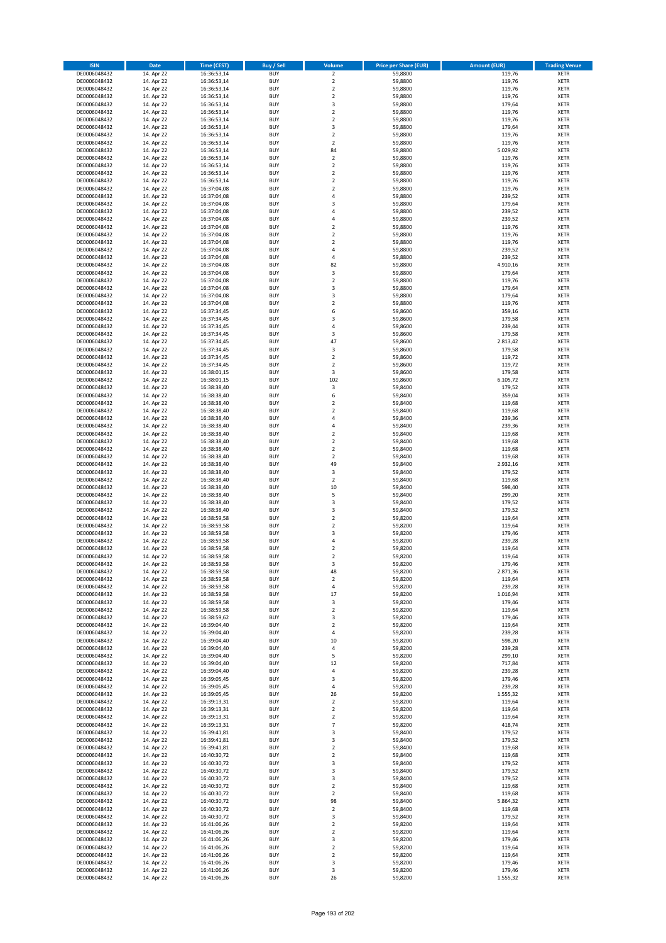| <b>ISIN</b>                  | <b>Date</b>              | <b>Time (CEST)</b>         | <b>Buy / Sell</b>        | Volume                           | <b>Price per Share (EUR)</b> | <b>Amount (EUR)</b> | <b>Trading Venue</b>       |
|------------------------------|--------------------------|----------------------------|--------------------------|----------------------------------|------------------------------|---------------------|----------------------------|
| DE0006048432                 | 14. Apr 22               | 16:36:53,14                | <b>BUY</b>               | $\overline{\mathbf{2}}$          | 59,8800                      | 119,76              | <b>XETR</b>                |
| DE0006048432                 | 14. Apr 22               | 16:36:53,14                | <b>BUY</b>               | $\mathbf 2$                      | 59,8800                      | 119,76              | <b>XETR</b>                |
| DE0006048432                 | 14. Apr 22               | 16:36:53,14                | <b>BUY</b>               | $\overline{2}$                   | 59,8800                      | 119,76              | <b>XETR</b>                |
| DE0006048432                 | 14. Apr 22               | 16:36:53,14                | <b>BUY</b>               | $\mathbf 2$                      | 59,8800                      | 119,76              | <b>XETR</b>                |
| DE0006048432                 | 14. Apr 22               | 16:36:53,14                | <b>BUY</b>               | 3                                | 59,8800                      | 179,64              | <b>XETR</b>                |
| DE0006048432                 | 14. Apr 22               | 16:36:53,14                | <b>BUY</b>               | $\mathbf 2$                      | 59,8800                      | 119,76              | <b>XETR</b>                |
| DE0006048432                 | 14. Apr 22               | 16:36:53,14                | <b>BUY</b>               | $\overline{2}$                   | 59,8800                      | 119,76              | <b>XETR</b>                |
| DE0006048432                 | 14. Apr 22               | 16:36:53,14                | <b>BUY</b>               | 3                                | 59,8800                      | 179,64              | <b>XETR</b>                |
| DE0006048432                 | 14. Apr 22               | 16:36:53,14                | BUY                      | $\overline{2}$                   | 59,8800                      | 119,76              | <b>XETR</b>                |
| DE0006048432                 | 14. Apr 22               | 16:36:53,14                | <b>BUY</b>               | $\mathbf 2$                      | 59,8800                      | 119,76              | <b>XETR</b>                |
| DE0006048432                 | 14. Apr 22               | 16:36:53,14                | <b>BUY</b>               | 84                               | 59,8800                      | 5.029,92            | <b>XETR</b>                |
| DE0006048432                 | 14. Apr 22               | 16:36:53,14                | <b>BUY</b>               | $\overline{2}$                   | 59,8800                      | 119,76              | <b>XETR</b>                |
| DE0006048432                 | 14. Apr 22               | 16:36:53,14                | BUY                      | $\overline{2}$                   | 59,8800                      | 119,76              | <b>XETR</b>                |
| DE0006048432                 | 14. Apr 22               | 16:36:53,14                | <b>BUY</b><br><b>BUY</b> | $\overline{2}$<br>$\overline{2}$ | 59,8800                      | 119,76              | <b>XETR</b><br><b>XETR</b> |
| DE0006048432<br>DE0006048432 | 14. Apr 22<br>14. Apr 22 | 16:36:53,14<br>16:37:04,08 | BUY                      | $\overline{2}$                   | 59,8800<br>59,8800           | 119,76<br>119,76    | <b>XETR</b>                |
| DE0006048432                 | 14. Apr 22               | 16:37:04,08                | <b>BUY</b>               | $\overline{4}$                   | 59,8800                      | 239,52              | <b>XETR</b>                |
| DE0006048432                 | 14. Apr 22               | 16:37:04,08                | <b>BUY</b>               | $\overline{\mathbf{3}}$          | 59,8800                      | 179,64              | <b>XETR</b>                |
| DE0006048432                 | 14. Apr 22               | 16:37:04.08                | <b>BUY</b>               | $\overline{4}$                   | 59,8800                      | 239,52              | <b>XETR</b>                |
| DE0006048432                 | 14. Apr 22               | 16:37:04,08                | <b>BUY</b>               | $\overline{a}$                   | 59,8800                      | 239,52              | <b>XETR</b>                |
| DE0006048432                 | 14. Apr 22               | 16:37:04,08                | <b>BUY</b>               | $\overline{2}$                   | 59,8800                      | 119,76              | <b>XETR</b>                |
| DE0006048432                 | 14. Apr 22               | 16:37:04,08                | <b>BUY</b>               | $\mathbf 2$                      | 59,8800                      | 119,76              | <b>XETR</b>                |
| DE0006048432                 | 14. Apr 22               | 16:37:04,08                | <b>BUY</b>               | $\overline{2}$                   | 59,8800                      | 119,76              | <b>XETR</b>                |
| DE0006048432                 | 14. Apr 22               | 16:37:04,08                | <b>BUY</b>               | 4                                | 59,8800                      | 239,52              | <b>XETR</b>                |
| DE0006048432                 | 14. Apr 22               | 16:37:04,08                | <b>BUY</b>               | 4                                | 59,8800                      | 239,52              | <b>XETR</b>                |
| DE0006048432                 | 14. Apr 22               | 16:37:04,08                | <b>BUY</b>               | 82                               | 59,8800                      | 4.910,16            | <b>XETR</b>                |
| DE0006048432                 | 14. Apr 22               | 16:37:04,08                | <b>BUY</b>               | 3                                | 59,8800                      | 179,64              | <b>XETR</b>                |
| DE0006048432                 | 14. Apr 22               | 16:37:04,08                | <b>BUY</b>               | $\overline{2}$                   | 59,8800                      | 119,76              | <b>XETR</b>                |
| DE0006048432                 | 14. Apr 22               | 16:37:04,08                | <b>BUY</b>               | 3                                | 59,8800                      | 179,64              | <b>XETR</b>                |
| DE0006048432                 | 14. Apr 22               | 16:37:04,08                | <b>BUY</b>               | $\overline{\mathbf{3}}$          | 59,8800                      | 179,64              | <b>XETR</b>                |
| DE0006048432                 | 14. Apr 22               | 16:37:04,08                | <b>BUY</b>               | $\mathbf 2$                      | 59,8800                      | 119,76              | <b>XETR</b>                |
| DE0006048432                 | 14. Apr 22               | 16:37:34,45                | <b>BUY</b>               | 6                                | 59,8600                      | 359,16              | <b>XETR</b>                |
| DE0006048432                 | 14. Apr 22               | 16:37:34,45                | <b>BUY</b>               | 3<br>$\overline{a}$              | 59,8600                      | 179,58              | <b>XETR</b>                |
| DE0006048432                 | 14. Apr 22               | 16:37:34,45                | <b>BUY</b>               |                                  | 59,8600                      | 239,44              | <b>XETR</b>                |
| DE0006048432<br>DE0006048432 | 14. Apr 22               | 16:37:34,45<br>16:37:34,45 | <b>BUY</b>               | 3<br>47                          | 59,8600                      | 179,58              | <b>XETR</b>                |
| DE0006048432                 | 14. Apr 22<br>14. Apr 22 | 16:37:34,45                | <b>BUY</b><br><b>BUY</b> | 3                                | 59,8600<br>59,8600           | 2.813,42<br>179,58  | <b>XETR</b><br><b>XETR</b> |
| DE0006048432                 | 14. Apr 22               | 16:37:34,45                | BUY                      | $\mathbf 2$                      | 59,8600                      | 119,72              | <b>XETR</b>                |
| DE0006048432                 | 14. Apr 22               | 16:37:34,45                | <b>BUY</b>               | $\mathbf 2$                      | 59,8600                      | 119,72              | <b>XETR</b>                |
| DE0006048432                 | 14. Apr 22               | 16:38:01,15                | <b>BUY</b>               | 3                                | 59,8600                      | 179,58              | <b>XETR</b>                |
| DE0006048432                 | 14. Apr 22               | 16:38:01,15                | <b>BUY</b>               | 102                              | 59,8600                      | 6.105,72            | <b>XETR</b>                |
| DE0006048432                 | 14. Apr 22               | 16:38:38,40                | <b>BUY</b>               | 3                                | 59,8400                      | 179,52              | <b>XETR</b>                |
| DE0006048432                 | 14. Apr 22               | 16:38:38,40                | <b>BUY</b>               | 6                                | 59,8400                      | 359,04              | <b>XETR</b>                |
| DE0006048432                 | 14. Apr 22               | 16:38:38,40                | <b>BUY</b>               | $\overline{2}$                   | 59,8400                      | 119,68              | <b>XETR</b>                |
| DE0006048432                 | 14. Apr 22               | 16:38:38,40                | <b>BUY</b>               | $\overline{2}$                   | 59,8400                      | 119,68              | <b>XETR</b>                |
| DE0006048432                 | 14. Apr 22               | 16:38:38,40                | <b>BUY</b>               | $\overline{4}$                   | 59,8400                      | 239,36              | <b>XETR</b>                |
| DE0006048432                 | 14. Apr 22               | 16:38:38,40                | <b>BUY</b>               | 4                                | 59,8400                      | 239,36              | <b>XETR</b>                |
| DE0006048432                 | 14. Apr 22               | 16:38:38,40                | <b>BUY</b>               | $\overline{2}$                   | 59,8400                      | 119,68              | <b>XETR</b>                |
| DE0006048432                 | 14. Apr 22               | 16:38:38,40                | <b>BUY</b>               | $\overline{2}$                   | 59,8400                      | 119,68              | <b>XETR</b>                |
| DE0006048432                 | 14. Apr 22               | 16:38:38,40                | <b>BUY</b>               | $\overline{2}$                   | 59,8400                      | 119,68              | <b>XETR</b>                |
| DE0006048432                 | 14. Apr 22               | 16:38:38,40                | <b>BUY</b>               | $\overline{2}$                   | 59,8400                      | 119,68              | <b>XETR</b>                |
| DE0006048432                 | 14. Apr 22               | 16:38:38,40                | <b>BUY</b>               | 49                               | 59,8400                      | 2.932,16            | <b>XETR</b>                |
| DE0006048432                 | 14. Apr 22               | 16:38:38,40                | <b>BUY</b>               | 3                                | 59,8400                      | 179,52              | <b>XETR</b>                |
| DE0006048432<br>DE0006048432 | 14. Apr 22               | 16:38:38,40                | <b>BUY</b><br><b>BUY</b> | $\mathbf 2$<br>10                | 59,8400                      | 119,68              | <b>XETR</b><br><b>XETR</b> |
|                              | 14. Apr 22               | 16:38:38,40                | <b>BUY</b>               | 5                                | 59,8400                      | 598,40              | <b>XETR</b>                |
| DE0006048432<br>DE0006048432 | 14. Apr 22<br>14. Apr 22 | 16:38:38,40<br>16:38:38,40 | <b>BUY</b>               | $\overline{\mathbf{3}}$          | 59,8400<br>59,8400           | 299,20<br>179,52    | <b>XETR</b>                |
| DE0006048432                 | 14. Apr 22               | 16:38:38,40                | <b>BUY</b>               | 3                                | 59,8400                      | 179,52              | <b>XETR</b>                |
| DE0006048432                 | 14. Apr 22               | 16:38:59,58                | BUY                      | $\overline{2}$                   | 59,8200                      | 119,64              | <b>XETR</b>                |
| DE0006048432                 | 14. Apr 22               | 16:38:59,58                | <b>BUY</b>               | $\overline{2}$                   | 59,8200                      | 119,64              | <b>XETR</b>                |
| DE0006048432                 | 14. Apr 22               | 16:38:59,58                | <b>BUY</b>               | 3                                | 59,8200                      | 179,46              | <b>XETR</b>                |
| DE0006048432                 | 14. Apr 22               | 16:38:59,58                | BUY                      | 4                                | 59,8200                      | 239,28              | <b>XETR</b>                |
| DE0006048432                 | 14. Apr 22               | 16:38:59,58                | BUY                      | $\mathbf 2$                      | 59,8200                      | 119,64              | <b>XETR</b>                |
| DE0006048432                 | 14. Apr 22               | 16:38:59,58                | <b>BUY</b>               | $\overline{2}$                   | 59,8200                      | 119,64              | <b>XETR</b>                |
| DE0006048432                 | 14. Apr 22               | 16:38:59,58                | <b>BUY</b>               | 3                                | 59,8200                      | 179,46              | <b>XETR</b>                |
| DE0006048432                 | 14. Apr 22               | 16:38:59,58                | <b>BUY</b>               | 48                               | 59,8200                      | 2.871,36            | <b>XETR</b>                |
| DE0006048432                 | 14. Apr 22               | 16:38:59,58                | <b>BUY</b>               | 2                                | 59,8200                      | 119,64              | <b>XETR</b>                |
| DE0006048432                 | 14. Apr 22               | 16:38:59,58                | <b>BUY</b>               | 4                                | 59,8200                      | 239,28              | <b>XETR</b>                |
| DE0006048432                 | 14. Apr 22               | 16:38:59,58                | <b>BUY</b>               | 17                               | 59,8200                      | 1.016,94            | <b>XETR</b>                |
| DE0006048432                 | 14. Apr 22               | 16:38:59,58                | <b>BUY</b>               | 3                                | 59,8200                      | 179,46              | <b>XETR</b>                |
| DE0006048432                 | 14. Apr 22               | 16:38:59,58                | <b>BUY</b>               | 2                                | 59,8200                      | 119,64              | <b>XETR</b>                |
| DE0006048432                 | 14. Apr 22               | 16:38:59,62                | <b>BUY</b>               | 3                                | 59,8200                      | 179,46              | <b>XETR</b>                |
| DE0006048432                 | 14. Apr 22               | 16:39:04,40                | <b>BUY</b>               | $\mathbf 2$                      | 59,8200                      | 119,64              | <b>XETR</b>                |
| DE0006048432                 | 14. Apr 22               | 16:39:04,40                | <b>BUY</b>               | 4                                | 59,8200                      | 239,28              | <b>XETR</b>                |
| DE0006048432<br>DE0006048432 | 14. Apr 22<br>14. Apr 22 | 16:39:04,40<br>16:39:04,40 | <b>BUY</b><br><b>BUY</b> | $10\,$<br>$\sqrt{4}$             | 59,8200<br>59,8200           | 598,20<br>239,28    | <b>XETR</b><br><b>XETR</b> |
| DE0006048432                 | 14. Apr 22               | 16:39:04,40                | <b>BUY</b>               | 5                                | 59,8200                      | 299,10              | <b>XETR</b>                |
| DE0006048432                 | 14. Apr 22               | 16:39:04,40                | <b>BUY</b>               | 12                               | 59,8200                      | 717,84              | <b>XETR</b>                |
| DE0006048432                 | 14. Apr 22               | 16:39:04,40                | <b>BUY</b>               | 4                                | 59,8200                      | 239,28              | <b>XETR</b>                |
| DE0006048432                 | 14. Apr 22               | 16:39:05,45                | <b>BUY</b>               | 3                                | 59,8200                      | 179,46              | <b>XETR</b>                |
| DE0006048432                 | 14. Apr 22               | 16:39:05,45                | <b>BUY</b>               | 4                                | 59,8200                      | 239,28              | <b>XETR</b>                |
| DE0006048432                 | 14. Apr 22               | 16:39:05,45                | <b>BUY</b>               | 26                               | 59,8200                      | 1.555,32            | <b>XETR</b>                |
| DE0006048432                 | 14. Apr 22               | 16:39:13,31                | <b>BUY</b>               | $\mathbf 2$                      | 59,8200                      | 119,64              | <b>XETR</b>                |
| DE0006048432                 | 14. Apr 22               | 16:39:13,31                | <b>BUY</b>               | $\mathbf 2$                      | 59,8200                      | 119,64              | <b>XETR</b>                |
| DE0006048432                 | 14. Apr 22               | 16:39:13,31                | <b>BUY</b>               | $\overline{2}$                   | 59,8200                      | 119,64              | <b>XETR</b>                |
| DE0006048432                 | 14. Apr 22               | 16:39:13,31                | <b>BUY</b>               | $\overline{7}$                   | 59,8200                      | 418,74              | <b>XETR</b>                |
| DE0006048432                 | 14. Apr 22               | 16:39:41,81                | <b>BUY</b>               | $\overline{\mathbf{3}}$          | 59,8400                      | 179,52              | <b>XETR</b>                |
| DE0006048432                 | 14. Apr 22               | 16:39:41,81                | <b>BUY</b>               | 3                                | 59,8400                      | 179,52              | <b>XETR</b>                |
| DE0006048432                 | 14. Apr 22               | 16:39:41,81                | <b>BUY</b>               | $\mathbf 2$                      | 59,8400                      | 119,68              | <b>XETR</b>                |
| DE0006048432                 | 14. Apr 22               | 16:40:30,72                | <b>BUY</b>               | $\mathbf 2$                      | 59,8400                      | 119,68              | <b>XETR</b>                |
| DE0006048432                 | 14. Apr 22               | 16:40:30,72                | <b>BUY</b>               | 3                                | 59,8400                      | 179,52              | <b>XETR</b>                |
| DE0006048432                 | 14. Apr 22               | 16:40:30,72                | <b>BUY</b>               | $\overline{\mathbf{3}}$          | 59,8400                      | 179,52              | <b>XETR</b>                |
| DE0006048432                 | 14. Apr 22               | 16:40:30,72                | <b>BUY</b>               | 3                                | 59,8400                      | 179,52              | <b>XETR</b>                |
| DE0006048432                 | 14. Apr 22               | 16:40:30,72                | <b>BUY</b><br><b>BUY</b> | $\overline{2}$                   | 59,8400                      | 119,68              | <b>XETR</b>                |
| DE0006048432<br>DE0006048432 | 14. Apr 22<br>14. Apr 22 | 16:40:30,72<br>16:40:30,72 | <b>BUY</b>               | $\mathbf 2$<br>98                | 59,8400<br>59,8400           | 119,68<br>5.864,32  | <b>XETR</b><br><b>XETR</b> |
| DE0006048432                 | 14. Apr 22               | 16:40:30,72                | <b>BUY</b>               | $\mathbf 2$                      | 59,8400                      | 119,68              | <b>XETR</b>                |
| DE0006048432                 | 14. Apr 22               | 16:40:30,72                | <b>BUY</b>               | 3                                | 59,8400                      | 179,52              | <b>XETR</b>                |
| DE0006048432                 | 14. Apr 22               | 16:41:06,26                | <b>BUY</b>               | $\mathbf 2$                      | 59,8200                      | 119,64              | <b>XETR</b>                |
| DE0006048432                 | 14. Apr 22               | 16:41:06,26                | <b>BUY</b>               | $\mathbf 2$                      | 59,8200                      | 119,64              | <b>XETR</b>                |
| DE0006048432                 | 14. Apr 22               | 16:41:06,26                | <b>BUY</b>               | 3                                | 59,8200                      | 179,46              | <b>XETR</b>                |
| DE0006048432                 | 14. Apr 22               | 16:41:06,26                | <b>BUY</b>               | $\mathbf 2$                      | 59,8200                      | 119,64              | <b>XETR</b>                |
| DE0006048432                 | 14. Apr 22               | 16:41:06,26                | <b>BUY</b>               | 2                                | 59,8200                      | 119,64              | <b>XETR</b>                |
| DE0006048432                 | 14. Apr 22               | 16:41:06,26                | <b>BUY</b>               | 3                                | 59,8200                      | 179,46              | <b>XETR</b>                |
| DE0006048432                 | 14. Apr 22               | 16:41:06,26                | <b>BUY</b>               | 3                                | 59,8200                      | 179,46              | <b>XETR</b>                |
| DE0006048432                 | 14. Apr 22               | 16:41:06,26                | <b>BUY</b>               | 26                               | 59,8200                      | 1.555,32            | <b>XETR</b>                |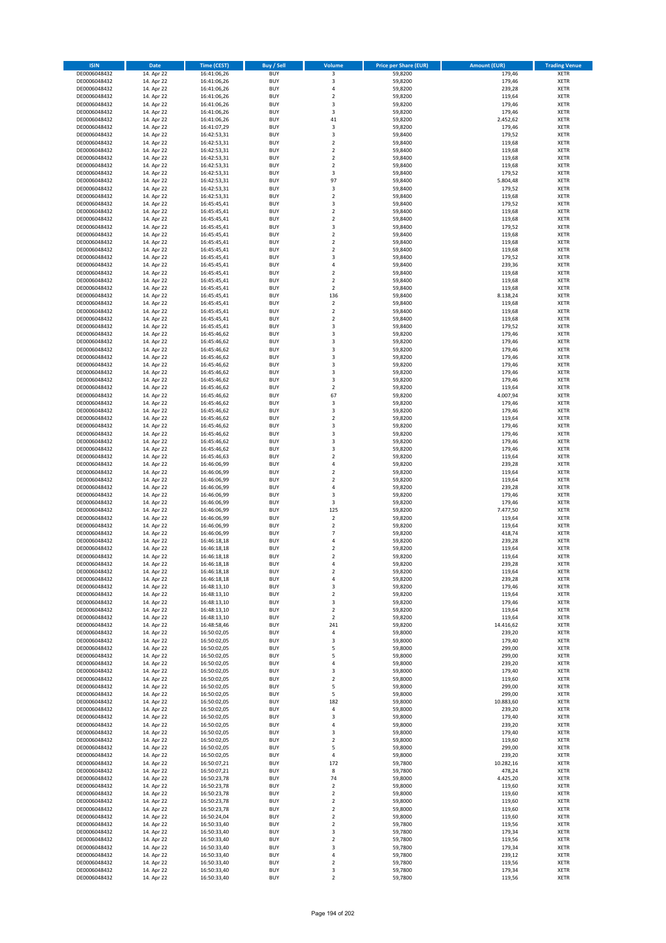| <b>ISIN</b>                  | Date                     | Time (CEST)                | <b>Buy / Sell</b>        | <b>Volume</b>                 | <b>Price per Share (EUR)</b> | <b>Amount (EUR)</b> | <b>Trading Venue</b>       |
|------------------------------|--------------------------|----------------------------|--------------------------|-------------------------------|------------------------------|---------------------|----------------------------|
| DE0006048432                 | 14. Apr 22               | 16:41:06,26                | <b>BUY</b>               | 3                             | 59,8200                      | 179,46              | <b>XETR</b>                |
| DE0006048432                 | 14. Apr 22               | 16:41:06,26                | <b>BUY</b>               | $\mathsf 3$                   | 59,8200                      | 179,46              | XETR                       |
| DE0006048432                 | 14. Apr 22               | 16:41:06,26                | <b>BUY</b>               | 4                             | 59,8200                      | 239,28              | <b>XETR</b>                |
| DE0006048432                 | 14. Apr 22               | 16:41:06,26                | <b>BUY</b>               | $\mathbf 2$                   | 59,8200                      | 119,64              | <b>XETR</b>                |
| DE0006048432<br>DE0006048432 | 14. Apr 22<br>14. Apr 22 | 16:41:06,26<br>16:41:06,26 | <b>BUY</b><br><b>BUY</b> | 3<br>3                        | 59,8200<br>59,8200           | 179,46<br>179,46    | <b>XETR</b><br><b>XETR</b> |
| DE0006048432                 | 14. Apr 22               | 16:41:06,26                | <b>BUY</b>               | 41                            | 59,8200                      | 2.452,62            | <b>XETR</b>                |
| DE0006048432                 | 14. Apr 22               | 16:41:07,29                | <b>BUY</b>               | 3                             | 59,8200                      | 179,46              | <b>XETR</b>                |
| DE0006048432                 | 14. Apr 22               | 16:42:53,31                | <b>BUY</b>               | 3                             | 59,8400                      | 179,52              | <b>XETR</b>                |
| DE0006048432                 | 14. Apr 22               | 16:42:53,31                | <b>BUY</b>               | $\mathbf 2$                   | 59,8400                      | 119,68              | <b>XETR</b>                |
| DE0006048432                 | 14. Apr 22               | 16:42:53,31                | <b>BUY</b>               | $\mathbf 2$                   | 59,8400                      | 119,68              | <b>XETR</b>                |
| DE0006048432                 | 14. Apr 22               | 16:42:53,31                | <b>BUY</b>               | $\mathbf 2$                   | 59,8400                      | 119,68              | <b>XETR</b>                |
| DE0006048432<br>DE0006048432 | 14. Apr 22<br>14. Apr 22 | 16:42:53,31<br>16:42:53,31 | <b>BUY</b><br><b>BUY</b> | $\mathbf 2$<br>3              | 59,8400<br>59,8400           | 119,68<br>179,52    | <b>XETR</b><br><b>XETR</b> |
| DE0006048432                 | 14. Apr 22               | 16:42:53,31                | <b>BUY</b>               | 97                            | 59,8400                      | 5.804,48            | <b>XETR</b>                |
| DE0006048432                 | 14. Apr 22               | 16:42:53,31                | <b>BUY</b>               | 3                             | 59,8400                      | 179,52              | <b>XETR</b>                |
| DE0006048432                 | 14. Apr 22               | 16:42:53,31                | <b>BUY</b>               | $\mathbf 2$                   | 59,8400                      | 119,68              | <b>XETR</b>                |
| DE0006048432                 | 14. Apr 22               | 16:45:45,41                | <b>BUY</b>               | 3                             | 59,8400                      | 179,52              | <b>XETR</b>                |
| DE0006048432                 | 14. Apr 22               | 16:45:45,41                | <b>BUY</b>               | $\overline{2}$                | 59,8400                      | 119,68              | <b>XETR</b>                |
| DE0006048432<br>DE0006048432 | 14. Apr 22<br>14. Apr 22 | 16:45:45,41<br>16:45:45,41 | <b>BUY</b><br><b>BUY</b> | $\mathbf 2$<br>3              | 59,8400<br>59,8400           | 119,68<br>179,52    | <b>XETR</b><br><b>XETR</b> |
| DE0006048432                 | 14. Apr 22               | 16:45:45,41                | <b>BUY</b>               | $\mathbf 2$                   | 59,8400                      | 119,68              | <b>XETR</b>                |
| DE0006048432                 | 14. Apr 22               | 16:45:45,41                | <b>BUY</b>               | $\mathbf 2$                   | 59,8400                      | 119,68              | <b>XETR</b>                |
| DE0006048432                 | 14. Apr 22               | 16:45:45,41                | <b>BUY</b>               | $\mathbf 2$                   | 59,8400                      | 119,68              | <b>XETR</b>                |
| DE0006048432                 | 14. Apr 22               | 16:45:45,41                | <b>BUY</b>               | 3                             | 59,8400                      | 179,52              | <b>XETR</b>                |
| DE0006048432                 | 14. Apr 22               | 16:45:45,41                | <b>BUY</b>               | 4                             | 59,8400                      | 239,36              | <b>XETR</b>                |
| DE0006048432<br>DE0006048432 | 14. Apr 22               | 16:45:45,41                | <b>BUY</b><br><b>BUY</b> | $\mathbf 2$<br>$\overline{2}$ | 59,8400                      | 119,68              | <b>XETR</b><br><b>XETR</b> |
| DE0006048432                 | 14. Apr 22<br>14. Apr 22 | 16:45:45,41<br>16:45:45,41 | <b>BUY</b>               | $\mathbf 2$                   | 59,8400<br>59,8400           | 119,68<br>119,68    | <b>XETR</b>                |
| DE0006048432                 | 14. Apr 22               | 16:45:45,41                | <b>BUY</b>               | 136                           | 59,8400                      | 8.138,24            | <b>XETR</b>                |
| DE0006048432                 | 14. Apr 22               | 16:45:45,41                | <b>BUY</b>               | $\overline{\mathbf{2}}$       | 59,8400                      | 119,68              | <b>XETR</b>                |
| DE0006048432                 | 14. Apr 22               | 16:45:45,41                | <b>BUY</b>               | $\overline{2}$                | 59,8400                      | 119,68              | <b>XETR</b>                |
| DE0006048432                 | 14. Apr 22               | 16:45:45,41                | <b>BUY</b>               | $\mathbf 2$                   | 59,8400                      | 119,68              | <b>XETR</b>                |
| DE0006048432                 | 14. Apr 22               | 16:45:45,41                | <b>BUY</b>               | 3                             | 59,8400                      | 179,52              | <b>XETR</b>                |
| DE0006048432<br>DE0006048432 | 14. Apr 22<br>14. Apr 22 | 16:45:46,62<br>16:45:46,62 | <b>BUY</b><br><b>BUY</b> | 3<br>3                        | 59,8200<br>59,8200           | 179,46<br>179,46    | <b>XETR</b><br><b>XETR</b> |
| DE0006048432                 | 14. Apr 22               | 16:45:46,62                | <b>BUY</b>               | 3                             | 59,8200                      | 179,46              | <b>XETR</b>                |
| DE0006048432                 | 14. Apr 22               | 16:45:46,62                | <b>BUY</b>               | 3                             | 59,8200                      | 179,46              | <b>XETR</b>                |
| DE0006048432                 | 14. Apr 22               | 16:45:46,62                | <b>BUY</b>               | 3                             | 59,8200                      | 179,46              | <b>XETR</b>                |
| DE0006048432                 | 14. Apr 22               | 16:45:46,62                | <b>BUY</b>               | 3                             | 59,8200                      | 179,46              | <b>XETR</b>                |
| DE0006048432                 | 14. Apr 22               | 16:45:46,62                | <b>BUY</b>               | 3                             | 59,8200                      | 179,46              | <b>XETR</b>                |
| DE0006048432                 | 14. Apr 22               | 16:45:46,62                | <b>BUY</b>               | $\mathbf 2$                   | 59,8200                      | 119,64              | <b>XETR</b>                |
| DE0006048432<br>DE0006048432 | 14. Apr 22<br>14. Apr 22 | 16:45:46,62<br>16:45:46,62 | <b>BUY</b><br><b>BUY</b> | 67<br>3                       | 59,8200<br>59,8200           | 4.007,94<br>179,46  | <b>XETR</b><br><b>XETR</b> |
| DE0006048432                 | 14. Apr 22               | 16:45:46,62                | <b>BUY</b>               | $\mathsf 3$                   | 59,8200                      | 179,46              | <b>XETR</b>                |
| DE0006048432                 | 14. Apr 22               | 16:45:46,62                | <b>BUY</b>               | $\overline{2}$                | 59,8200                      | 119,64              | <b>XETR</b>                |
| DE0006048432                 | 14. Apr 22               | 16:45:46,62                | <b>BUY</b>               | 3                             | 59,8200                      | 179,46              | <b>XETR</b>                |
| DE0006048432                 | 14. Apr 22               | 16:45:46,62                | <b>BUY</b>               | 3                             | 59,8200                      | 179,46              | <b>XETR</b>                |
| DE0006048432                 | 14. Apr 22               | 16:45:46,62                | <b>BUY</b><br><b>BUY</b> | 3<br>3                        | 59,8200                      | 179,46              | <b>XETR</b>                |
| DE0006048432<br>DE0006048432 | 14. Apr 22<br>14. Apr 22 | 16:45:46,62<br>16:45:46,63 | <b>BUY</b>               | $\overline{2}$                | 59,8200<br>59,8200           | 179,46<br>119,64    | <b>XETR</b><br><b>XETR</b> |
| DE0006048432                 | 14. Apr 22               | 16:46:06,99                | <b>BUY</b>               | $\overline{4}$                | 59,8200                      | 239,28              | <b>XETR</b>                |
| DE0006048432                 | 14. Apr 22               | 16:46:06,99                | <b>BUY</b>               | $\mathbf 2$                   | 59,8200                      | 119,64              | <b>XETR</b>                |
| DE0006048432                 | 14. Apr 22               | 16:46:06,99                | <b>BUY</b>               | $\overline{\mathbf{2}}$       | 59,8200                      | 119,64              | <b>XETR</b>                |
| DE0006048432                 | 14. Apr 22               | 16:46:06,99                | <b>BUY</b>               | 4                             | 59,8200                      | 239,28              | <b>XETR</b>                |
| DE0006048432                 | 14. Apr 22               | 16:46:06,99                | <b>BUY</b>               | 3                             | 59,8200                      | 179,46              | <b>XETR</b>                |
| DE0006048432<br>DE0006048432 | 14. Apr 22<br>14. Apr 22 | 16:46:06,99<br>16:46:06,99 | <b>BUY</b><br><b>BUY</b> | 3<br>125                      | 59,8200<br>59,8200           | 179,46<br>7.477,50  | <b>XETR</b><br><b>XETR</b> |
| DE0006048432                 | 14. Apr 22               | 16:46:06,99                | <b>BUY</b>               | $\mathbf 2$                   | 59,8200                      | 119,64              | <b>XETR</b>                |
| DE0006048432                 | 14. Apr 22               | 16:46:06,99                | <b>BUY</b>               | $\overline{2}$                | 59,8200                      | 119,64              | <b>XETR</b>                |
| DE0006048432                 | 14. Apr 22               | 16:46:06,99                | <b>BUY</b>               | $\overline{7}$                | 59,8200                      | 418,74              | <b>XETR</b>                |
| DE0006048432                 | 14. Apr 22               | 16:46:18,18                | <b>BUY</b>               | 4                             | 59,8200                      | 239,28              | <b>XETR</b>                |
| DE0006048432                 | 14. Apr 22               | 16:46:18,18                | <b>BUY</b>               | $\overline{2}$                | 59,8200                      | 119,64              | <b>XETR</b>                |
| DE0006048432                 | 14. Apr 22               | 16:46:18,18                | <b>BUY</b>               | 2                             | 59,8200                      | 119,64              | <b>XETR</b>                |
| DE0006048432<br>DE0006048432 | 14. Apr 22<br>14. Apr 22 | 16:46:18,18<br>16:46:18,18 | BUY<br><b>BUY</b>        | 4<br>$\mathbf 2$              | 59,8200<br>59,8200           | 239,28<br>119,64    | XETR<br><b>XETR</b>        |
| DE0006048432                 | 14. Apr 22               | 16:46:18,18                | <b>BUY</b>               | 4                             | 59,8200                      | 239,28              | <b>XETR</b>                |
| DE0006048432                 | 14. Apr 22               | 16:48:13,10                | <b>BUY</b>               | 3                             | 59,8200                      | 179,46              | <b>XETR</b>                |
| DE0006048432                 | 14. Apr 22               | 16:48:13,10                | <b>BUY</b>               | $\overline{2}$                | 59,8200                      | 119,64              | <b>XETR</b>                |
| DE0006048432                 | 14. Apr 22               | 16:48:13,10                | <b>BUY</b>               | 3                             | 59,8200                      | 179,46              | <b>XETR</b>                |
| DE0006048432                 | 14. Apr 22               | 16:48:13,10                | <b>BUY</b>               | $\overline{2}$                | 59,8200                      | 119,64              | <b>XETR</b>                |
| DE0006048432<br>DE0006048432 | 14. Apr 22<br>14. Apr 22 | 16:48:13,10<br>16:48:58,46 | <b>BUY</b><br><b>BUY</b> | $\overline{2}$<br>241         | 59,8200<br>59,8200           | 119,64<br>14.416,62 | <b>XETR</b><br>XETR        |
| DE0006048432                 | 14. Apr 22               | 16:50:02,05                | <b>BUY</b>               | 4                             | 59,8000                      | 239,20              | <b>XETR</b>                |
| DE0006048432                 | 14. Apr 22               | 16:50:02,05                | <b>BUY</b>               | 3                             | 59,8000                      | 179,40              | XETR                       |
| DE0006048432                 | 14. Apr 22               | 16:50:02,05                | <b>BUY</b>               | 5                             | 59,8000                      | 299,00              | <b>XETR</b>                |
| DE0006048432                 | 14. Apr 22               | 16:50:02,05                | <b>BUY</b>               | 5                             | 59,8000                      | 299,00              | XETR                       |
| DE0006048432<br>DE0006048432 | 14. Apr 22               | 16:50:02,05<br>16:50:02,05 | <b>BUY</b><br><b>BUY</b> | $\sqrt{4}$<br>3               | 59,8000<br>59,8000           | 239,20<br>179,40    | <b>XETR</b><br>XETR        |
| DE0006048432                 | 14. Apr 22<br>14. Apr 22 | 16:50:02,05                | <b>BUY</b>               | $\mathbf 2$                   | 59,8000                      | 119,60              | <b>XETR</b>                |
| DE0006048432                 | 14. Apr 22               | 16:50:02,05                | <b>BUY</b>               | 5                             | 59,8000                      | 299,00              | <b>XETR</b>                |
| DE0006048432                 | 14. Apr 22               | 16:50:02,05                | <b>BUY</b>               | 5                             | 59,8000                      | 299,00              | <b>XETR</b>                |
| DE0006048432                 | 14. Apr 22               | 16:50:02,05                | <b>BUY</b>               | 182                           | 59,8000                      | 10.883,60           | XETR                       |
| DE0006048432                 | 14. Apr 22               | 16:50:02,05                | <b>BUY</b>               | $\pmb{4}$                     | 59,8000                      | 239,20              | <b>XETR</b>                |
| DE0006048432                 | 14. Apr 22               | 16:50:02,05                | <b>BUY</b>               | 3                             | 59,8000                      | 179,40              | <b>XETR</b>                |
| DE0006048432<br>DE0006048432 | 14. Apr 22<br>14. Apr 22 | 16:50:02,05<br>16:50:02,05 | <b>BUY</b><br><b>BUY</b> | $\sqrt{4}$<br>3               | 59,8000<br>59,8000           | 239,20<br>179,40    | <b>XETR</b><br>XETR        |
| DE0006048432                 | 14. Apr 22               | 16:50:02,05                | <b>BUY</b>               | $\overline{2}$                | 59,8000                      | 119,60              | XETR                       |
| DE0006048432                 | 14. Apr 22               | 16:50:02,05                | <b>BUY</b>               | 5                             | 59,8000                      | 299,00              | XETR                       |
| DE0006048432                 | 14. Apr 22               | 16:50:02,05                | <b>BUY</b>               | 4                             | 59,8000                      | 239,20              | XETR                       |
| DE0006048432                 | 14. Apr 22               | 16:50:07,21                | <b>BUY</b>               | 172                           | 59,7800                      | 10.282,16           | XETR                       |
| DE0006048432                 | 14. Apr 22               | 16:50:07,21                | <b>BUY</b>               | 8                             | 59,7800                      | 478,24              | <b>XETR</b>                |
| DE0006048432<br>DE0006048432 | 14. Apr 22<br>14. Apr 22 | 16:50:23,78                | <b>BUY</b><br><b>BUY</b> | 74<br>$\mathbf 2$             | 59,8000<br>59,8000           | 4.425,20<br>119,60  | XETR<br><b>XETR</b>        |
| DE0006048432                 | 14. Apr 22               | 16:50:23,78<br>16:50:23,78 | <b>BUY</b>               | $\overline{2}$                | 59,8000                      | 119,60              | XETR                       |
| DE0006048432                 | 14. Apr 22               | 16:50:23,78                | <b>BUY</b>               | $\overline{2}$                | 59,8000                      | 119,60              | XETR                       |
| DE0006048432                 | 14. Apr 22               | 16:50:23,78                | <b>BUY</b>               | $\overline{2}$                | 59,8000                      | 119,60              | XETR                       |
| DE0006048432                 | 14. Apr 22               | 16:50:24,04                | <b>BUY</b>               | $\mathbf 2$                   | 59,8000                      | 119,60              | <b>XETR</b>                |
| DE0006048432                 | 14. Apr 22               | 16:50:33,40                | <b>BUY</b>               | $\mathbf 2$                   | 59,7800                      | 119,56              | <b>XETR</b>                |
| DE0006048432                 | 14. Apr 22               | 16:50:33,40                | <b>BUY</b>               | 3                             | 59,7800                      | 179,34              | XETR                       |
| DE0006048432<br>DE0006048432 | 14. Apr 22<br>14. Apr 22 | 16:50:33,40<br>16:50:33,40 | <b>BUY</b><br><b>BUY</b> | $\overline{2}$<br>3           | 59,7800<br>59,7800           | 119,56<br>179,34    | <b>XETR</b><br>XETR        |
| DE0006048432                 | 14. Apr 22               | 16:50:33,40                | <b>BUY</b>               | $\sqrt{4}$                    | 59,7800                      | 239,12              | <b>XETR</b>                |
| DE0006048432                 | 14. Apr 22               | 16:50:33,40                | <b>BUY</b>               | $\mathbf 2$                   | 59,7800                      | 119,56              | XETR                       |
| DE0006048432                 | 14. Apr 22               | 16:50:33,40                | <b>BUY</b>               | 3                             | 59,7800                      | 179,34              | <b>XETR</b>                |
| DE0006048432                 | 14. Apr 22               | 16:50:33,40                | <b>BUY</b>               | $\mathbf 2$                   | 59,7800                      | 119,56              | XETR                       |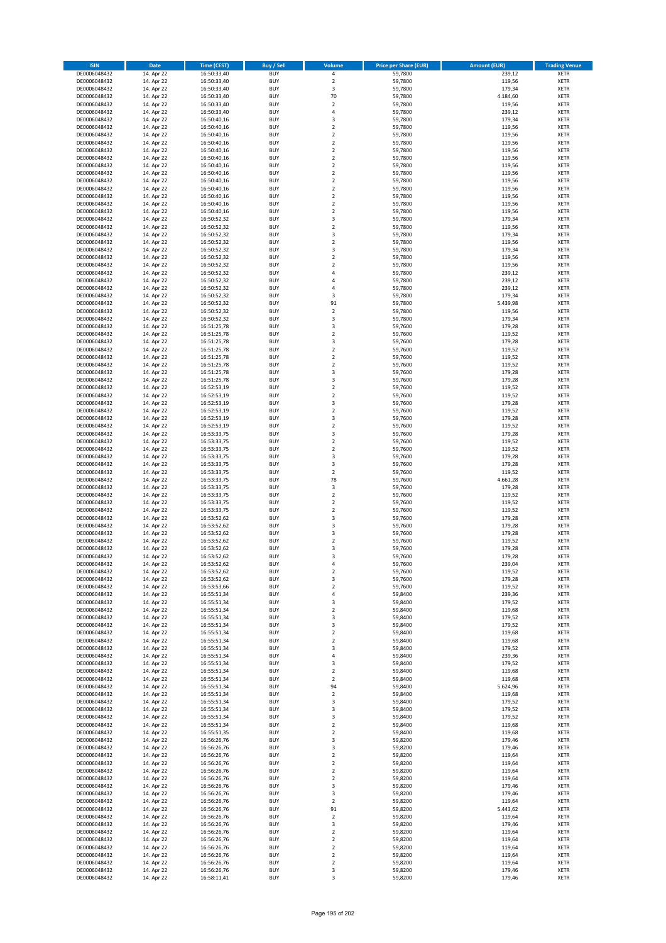| <b>ISIN</b>                  | <b>Date</b>              | <b>Time (CEST)</b>         | <b>Buy / Sell</b>        | Volume                                 | <b>Price per Share (EUR)</b> | <b>Amount (EUR)</b> | <b>Trading Venue</b>       |
|------------------------------|--------------------------|----------------------------|--------------------------|----------------------------------------|------------------------------|---------------------|----------------------------|
| DE0006048432                 | 14. Apr 22               | 16:50:33,40                | <b>BUY</b>               | 4                                      | 59,7800                      | 239,12              | <b>XETR</b>                |
| DE0006048432                 | 14. Apr 22               | 16:50:33,40                | <b>BUY</b>               | $\mathbf 2$                            | 59,7800                      | 119,56              | <b>XETR</b>                |
| DE0006048432                 | 14. Apr 22               | 16:50:33,40                | <b>BUY</b>               | 3                                      | 59,7800                      | 179,34              | <b>XETR</b>                |
| DE0006048432<br>DE0006048432 | 14. Apr 22<br>14. Apr 22 | 16:50:33,40<br>16:50:33,40 | <b>BUY</b><br><b>BUY</b> | 70<br>$\overline{\mathbf{c}}$          | 59,7800<br>59,7800           | 4.184,60<br>119,56  | <b>XETR</b><br><b>XETR</b> |
| DE0006048432                 | 14. Apr 22               | 16:50:33,40                | <b>BUY</b>               | 4                                      | 59,7800                      | 239,12              | <b>XETR</b>                |
| DE0006048432                 | 14. Apr 22               | 16:50:40,16                | <b>BUY</b>               | 3                                      | 59,7800                      | 179,34              | <b>XETR</b>                |
| DE0006048432                 | 14. Apr 22               | 16:50:40,16                | <b>BUY</b>               | $\overline{\mathbf{c}}$                | 59,7800                      | 119,56              | <b>XETR</b>                |
| DE0006048432                 | 14. Apr 22               | 16:50:40,16                | <b>BUY</b>               | $\overline{2}$                         | 59,7800                      | 119,56              | <b>XETR</b>                |
| DE0006048432                 | 14. Apr 22               | 16:50:40,16                | <b>BUY</b><br><b>BUY</b> | $\overline{2}$                         | 59,7800                      | 119,56              | <b>XETR</b>                |
| DE0006048432<br>DE0006048432 | 14. Apr 22<br>14. Apr 22 | 16:50:40,16<br>16:50:40,16 | <b>BUY</b>               | $\mathbf 2$<br>$\overline{\mathbf{c}}$ | 59,7800<br>59,7800           | 119,56<br>119,56    | <b>XETR</b><br><b>XETR</b> |
| DE0006048432                 | 14. Apr 22               | 16:50:40,16                | <b>BUY</b>               | $\mathbf 2$                            | 59,7800                      | 119,56              | <b>XETR</b>                |
| DE0006048432                 | 14. Apr 22               | 16:50:40,16                | <b>BUY</b>               | $\overline{\mathbf{c}}$                | 59,7800                      | 119,56              | <b>XETR</b>                |
| DE0006048432                 | 14. Apr 22               | 16:50:40,16                | <b>BUY</b>               | $\mathbf 2$                            | 59,7800                      | 119,56              | <b>XETR</b>                |
| DE0006048432                 | 14. Apr 22               | 16:50:40,16                | <b>BUY</b>               | $\overline{\mathbf{c}}$                | 59,7800                      | 119,56              | <b>XETR</b>                |
| DE0006048432                 | 14. Apr 22               | 16:50:40,16                | <b>BUY</b><br><b>BUY</b> | $\mathbf 2$                            | 59,7800                      | 119,56              | <b>XETR</b><br><b>XETR</b> |
| DE0006048432<br>DE0006048432 | 14. Apr 22<br>14. Apr 22 | 16:50:40,16<br>16:50:40,16 | <b>BUY</b>               | $\mathbf 2$<br>$\overline{\mathbf{c}}$ | 59,7800<br>59,7800           | 119,56<br>119,56    | <b>XETR</b>                |
| DE0006048432                 | 14. Apr 22               | 16:50:52,32                | <b>BUY</b>               | 3                                      | 59,7800                      | 179,34              | <b>XETR</b>                |
| DE0006048432                 | 14. Apr 22               | 16:50:52,32                | <b>BUY</b>               | $\overline{\mathbf{c}}$                | 59,7800                      | 119,56              | <b>XETR</b>                |
| DE0006048432                 | 14. Apr 22               | 16:50:52,32                | <b>BUY</b>               | 3                                      | 59,7800                      | 179,34              | <b>XETR</b>                |
| DE0006048432                 | 14. Apr 22               | 16:50:52,32                | <b>BUY</b>               | $\mathbf 2$                            | 59,7800                      | 119,56              | <b>XETR</b>                |
| DE0006048432<br>DE0006048432 | 14. Apr 22               | 16:50:52,32                | <b>BUY</b><br><b>BUY</b> | 3<br>$\mathbf 2$                       | 59,7800<br>59,7800           | 179,34              | <b>XETR</b><br><b>XETR</b> |
| DE0006048432                 | 14. Apr 22<br>14. Apr 22 | 16:50:52,32<br>16:50:52,32 | <b>BUY</b>               | $\mathbf 2$                            | 59,7800                      | 119,56<br>119,56    | <b>XETR</b>                |
| DE0006048432                 | 14. Apr 22               | 16:50:52,32                | <b>BUY</b>               | 4                                      | 59,7800                      | 239,12              | <b>XETR</b>                |
| DE0006048432                 | 14. Apr 22               | 16:50:52,32                | <b>BUY</b>               | 4                                      | 59,7800                      | 239,12              | <b>XETR</b>                |
| DE0006048432                 | 14. Apr 22               | 16:50:52,32                | <b>BUY</b>               | 4                                      | 59,7800                      | 239,12              | <b>XETR</b>                |
| DE0006048432                 | 14. Apr 22               | 16:50:52,32                | <b>BUY</b>               | 3                                      | 59,7800                      | 179,34              | <b>XETR</b>                |
| DE0006048432<br>DE0006048432 | 14. Apr 22<br>14. Apr 22 | 16:50:52,32<br>16:50:52,32 | <b>BUY</b><br><b>BUY</b> | 91<br>$\overline{\mathbf{c}}$          | 59,7800<br>59,7800           | 5.439,98<br>119,56  | <b>XETR</b><br><b>XETR</b> |
| DE0006048432                 | 14. Apr 22               | 16:50:52,32                | <b>BUY</b>               | 3                                      | 59,7800                      | 179,34              | <b>XETR</b>                |
| DE0006048432                 | 14. Apr 22               | 16:51:25,78                | <b>BUY</b>               | 3                                      | 59,7600                      | 179,28              | <b>XETR</b>                |
| DE0006048432                 | 14. Apr 22               | 16:51:25,78                | <b>BUY</b>               | $\mathbf 2$                            | 59,7600                      | 119,52              | <b>XETR</b>                |
| DE0006048432                 | 14. Apr 22               | 16:51:25,78                | <b>BUY</b>               | 3                                      | 59,7600                      | 179,28              | <b>XETR</b>                |
| DE0006048432                 | 14. Apr 22               | 16:51:25,78                | <b>BUY</b>               | $\overline{\mathbf{c}}$                | 59,7600                      | 119,52              | <b>XETR</b>                |
| DE0006048432<br>DE0006048432 | 14. Apr 22               | 16:51:25,78                | <b>BUY</b><br><b>BUY</b> | $\mathbf 2$<br>$\mathbf 2$             | 59,7600<br>59,7600           | 119,52<br>119,52    | <b>XETR</b><br><b>XETR</b> |
| DE0006048432                 | 14. Apr 22<br>14. Apr 22 | 16:51:25,78<br>16:51:25,78 | <b>BUY</b>               | 3                                      | 59,7600                      | 179,28              | <b>XETR</b>                |
| DE0006048432                 | 14. Apr 22               | 16:51:25,78                | <b>BUY</b>               | 3                                      | 59,7600                      | 179,28              | <b>XETR</b>                |
| DE0006048432                 | 14. Apr 22               | 16:52:53,19                | <b>BUY</b>               | $\mathbf 2$                            | 59,7600                      | 119,52              | <b>XETR</b>                |
| DE0006048432                 | 14. Apr 22               | 16:52:53,19                | <b>BUY</b>               | $\mathbf 2$                            | 59,7600                      | 119,52              | <b>XETR</b>                |
| DE0006048432                 | 14. Apr 22               | 16:52:53,19                | <b>BUY</b>               | 3                                      | 59,7600                      | 179,28              | <b>XETR</b>                |
| DE0006048432<br>DE0006048432 | 14. Apr 22               | 16:52:53,19                | <b>BUY</b><br><b>BUY</b> | $\mathbf 2$<br>3                       | 59,7600<br>59,7600           | 119,52              | <b>XETR</b><br><b>XETR</b> |
| DE0006048432                 | 14. Apr 22<br>14. Apr 22 | 16:52:53,19<br>16:52:53,19 | <b>BUY</b>               | $\mathbf 2$                            | 59,7600                      | 179,28<br>119,52    | <b>XETR</b>                |
| DE0006048432                 | 14. Apr 22               | 16:53:33,75                | <b>BUY</b>               | 3                                      | 59,7600                      | 179,28              | <b>XETR</b>                |
| DE0006048432                 | 14. Apr 22               | 16:53:33,75                | <b>BUY</b>               | $\mathbf 2$                            | 59,7600                      | 119,52              | <b>XETR</b>                |
| DE0006048432                 | 14. Apr 22               | 16:53:33,75                | <b>BUY</b>               | $\mathbf 2$                            | 59,7600                      | 119,52              | <b>XETR</b>                |
| DE0006048432                 | 14. Apr 22               | 16:53:33,75                | <b>BUY</b>               | 3                                      | 59,7600                      | 179,28              | <b>XETR</b>                |
| DE0006048432                 | 14. Apr 22               | 16:53:33,75                | <b>BUY</b>               | 3                                      | 59,7600                      | 179,28              | <b>XETR</b>                |
| DE0006048432<br>DE0006048432 | 14. Apr 22<br>14. Apr 22 | 16:53:33,75<br>16:53:33,75 | <b>BUY</b><br><b>BUY</b> | $\overline{\mathbf{2}}$<br>78          | 59,7600<br>59,7600           | 119,52<br>4.661,28  | <b>XETR</b><br><b>XETR</b> |
| DE0006048432                 | 14. Apr 22               | 16:53:33,75                | <b>BUY</b>               | 3                                      | 59,7600                      | 179,28              | <b>XETR</b>                |
| DE0006048432                 | 14. Apr 22               | 16:53:33,75                | <b>BUY</b>               | $\mathbf 2$                            | 59,7600                      | 119,52              | <b>XETR</b>                |
| DE0006048432                 | 14. Apr 22               | 16:53:33,75                | <b>BUY</b>               | $\overline{\mathbf{c}}$                | 59,7600                      | 119,52              | <b>XETR</b>                |
| DE0006048432                 | 14. Apr 22               | 16:53:33,75                | <b>BUY</b>               | $\overline{\mathbf{c}}$                | 59,7600                      | 119,52              | <b>XETR</b>                |
| DE0006048432                 | 14. Apr 22               | 16:53:52,62                | <b>BUY</b>               | 3                                      | 59,7600                      | 179,28              | <b>XETR</b>                |
| DE0006048432<br>DE0006048432 | 14. Apr 22<br>14. Apr 22 | 16:53:52,62<br>16:53:52,62 | <b>BUY</b><br><b>BUY</b> | 3<br>3                                 | 59,7600<br>59,7600           | 179,28<br>179,28    | <b>XETR</b><br><b>XETR</b> |
| DE0006048432                 | 14. Apr 22               | 16:53:52,62                | <b>BUY</b>               | $\overline{\mathbf{c}}$                | 59,7600                      | 119,52              | <b>XETR</b>                |
| DE0006048432                 | 14. Apr 22               | 16:53:52,62                | <b>BUY</b>               | 3                                      | 59,7600                      | 179,28              | <b>XETR</b>                |
| DE0006048432                 | 14. Apr 22               | 16:53:52,62                | <b>BUY</b>               | 3                                      | 59,7600                      | 179,28              | <b>XETR</b>                |
| DE0006048432                 | 14. Apr 22               | 16:53:52,62                | BUY                      | 4                                      | 59,7600                      | 239,04              | <b>XETR</b>                |
| DE0006048432                 | 14. Apr 22               | 16:53:52,62                | <b>BUY</b>               | $\mathbf 2$                            | 59,7600                      | 119,52              | XETR                       |
| DE0006048432<br>DE0006048432 | 14. Apr 22<br>14. Apr 22 | 16:53:52,62<br>16:53:53,66 | <b>BUY</b><br><b>BUY</b> | 3<br>$\mathbf 2$                       | 59,7600<br>59,7600           | 179,28<br>119,52    | XETR<br>XETR               |
| DE0006048432                 | 14. Apr 22               | 16:55:51,34                | <b>BUY</b>               | 4                                      | 59,8400                      | 239,36              | <b>XETR</b>                |
| DE0006048432                 | 14. Apr 22               | 16:55:51,34                | <b>BUY</b>               | 3                                      | 59,8400                      | 179,52              | <b>XETR</b>                |
| DE0006048432                 | 14. Apr 22               | 16:55:51,34                | <b>BUY</b>               | $\overline{\mathbf{2}}$                | 59,8400                      | 119,68              | <b>XETR</b>                |
| DE0006048432                 | 14. Apr 22               | 16:55:51,34                | <b>BUY</b>               | 3                                      | 59,8400                      | 179,52              | <b>XETR</b>                |
| DE0006048432<br>DE0006048432 | 14. Apr 22<br>14. Apr 22 | 16:55:51,34<br>16:55:51,34 | <b>BUY</b><br><b>BUY</b> | 3<br>$\mathbf 2$                       | 59,8400<br>59,8400           | 179,52<br>119,68    | <b>XETR</b><br>XETR        |
| DE0006048432                 | 14. Apr 22               | 16:55:51,34                | <b>BUY</b>               | $\mathbf 2$                            | 59,8400                      | 119,68              | <b>XETR</b>                |
| DE0006048432                 | 14. Apr 22               | 16:55:51,34                | <b>BUY</b>               | 3                                      | 59,8400                      | 179,52              | <b>XETR</b>                |
| DE0006048432                 | 14. Apr 22               | 16:55:51,34                | <b>BUY</b>               | 4                                      | 59,8400                      | 239,36              | <b>XETR</b>                |
| DE0006048432                 | 14. Apr 22               | 16:55:51,34                | <b>BUY</b>               | 3                                      | 59,8400                      | 179,52              | <b>XETR</b>                |
| DE0006048432<br>DE0006048432 | 14. Apr 22<br>14. Apr 22 | 16:55:51,34<br>16:55:51,34 | <b>BUY</b><br><b>BUY</b> | $\mathbf 2$<br>$\mathbf 2$             | 59,8400<br>59,8400           | 119,68<br>119,68    | <b>XETR</b><br><b>XETR</b> |
| DE0006048432                 | 14. Apr 22               | 16:55:51,34                | <b>BUY</b>               | 94                                     | 59,8400                      | 5.624,96            | <b>XETR</b>                |
| DE0006048432                 | 14. Apr 22               | 16:55:51,34                | <b>BUY</b>               | $\mathbf 2$                            | 59,8400                      | 119,68              | <b>XETR</b>                |
| DE0006048432                 | 14. Apr 22               | 16:55:51,34                | <b>BUY</b>               | 3                                      | 59,8400                      | 179,52              | XETR                       |
| DE0006048432                 | 14. Apr 22               | 16:55:51,34                | <b>BUY</b>               | 3                                      | 59,8400                      | 179,52              | <b>XETR</b>                |
| DE0006048432                 | 14. Apr 22               | 16:55:51,34                | <b>BUY</b>               | 3                                      | 59,8400                      | 179,52              | <b>XETR</b>                |
| DE0006048432                 | 14. Apr 22               | 16:55:51,34                | <b>BUY</b>               | $\mathbf 2$                            | 59,8400                      | 119,68              | <b>XETR</b>                |
| DE0006048432<br>DE0006048432 | 14. Apr 22<br>14. Apr 22 | 16:55:51,35<br>16:56:26,76 | <b>BUY</b><br><b>BUY</b> | $\overline{\mathbf{2}}$<br>3           | 59,8400<br>59,8200           | 119,68<br>179,46    | <b>XETR</b><br><b>XETR</b> |
| DE0006048432                 | 14. Apr 22               | 16:56:26,76                | <b>BUY</b>               | 3                                      | 59,8200                      | 179,46              | <b>XETR</b>                |
| DE0006048432                 | 14. Apr 22               | 16:56:26,76                | <b>BUY</b>               | $\mathbf 2$                            | 59,8200                      | 119,64              | <b>XETR</b>                |
| DE0006048432                 | 14. Apr 22               | 16:56:26,76                | <b>BUY</b>               | $\mathbf 2$                            | 59,8200                      | 119,64              | <b>XETR</b>                |
| DE0006048432                 | 14. Apr 22               | 16:56:26,76                | <b>BUY</b>               | $\overline{\mathbf{2}}$                | 59,8200                      | 119,64              | <b>XETR</b>                |
| DE0006048432                 | 14. Apr 22               | 16:56:26,76                | <b>BUY</b><br><b>BUY</b> | $\mathbf 2$<br>3                       | 59,8200                      | 119,64              | <b>XETR</b>                |
| DE0006048432<br>DE0006048432 | 14. Apr 22<br>14. Apr 22 | 16:56:26,76<br>16:56:26,76 | <b>BUY</b>               | 3                                      | 59,8200<br>59,8200           | 179,46<br>179,46    | XETR<br><b>XETR</b>        |
| DE0006048432                 | 14. Apr 22               | 16:56:26,76                | <b>BUY</b>               | $\mathbf 2$                            | 59,8200                      | 119,64              | <b>XETR</b>                |
| DE0006048432                 | 14. Apr 22               | 16:56:26,76                | <b>BUY</b>               | 91                                     | 59,8200                      | 5.443,62            | <b>XETR</b>                |
| DE0006048432                 | 14. Apr 22               | 16:56:26,76                | <b>BUY</b>               | $\mathbf 2$                            | 59,8200                      | 119,64              | <b>XETR</b>                |
| DE0006048432                 | 14. Apr 22               | 16:56:26,76                | <b>BUY</b>               | 3                                      | 59,8200                      | 179,46              | <b>XETR</b>                |
| DE0006048432<br>DE0006048432 | 14. Apr 22               | 16:56:26,76                | <b>BUY</b><br><b>BUY</b> | $\mathbf 2$<br>$\overline{\mathbf{c}}$ | 59,8200                      | 119,64              | <b>XETR</b><br><b>XETR</b> |
| DE0006048432                 | 14. Apr 22<br>14. Apr 22 | 16:56:26,76<br>16:56:26,76 | <b>BUY</b>               | $\mathbf 2$                            | 59,8200<br>59,8200           | 119,64<br>119,64    | <b>XETR</b>                |
| DE0006048432                 | 14. Apr 22               | 16:56:26,76                | <b>BUY</b>               | $\overline{2}$                         | 59,8200                      | 119,64              | <b>XETR</b>                |
| DE0006048432                 | 14. Apr 22               | 16:56:26,76                | <b>BUY</b>               | $\mathbf 2$                            | 59,8200                      | 119,64              | <b>XETR</b>                |
| DE0006048432                 | 14. Apr 22               | 16:56:26,76                | <b>BUY</b>               | 3                                      | 59,8200                      | 179,46              | <b>XETR</b>                |
| DE0006048432                 | 14. Apr 22               | 16:58:11,41                | <b>BUY</b>               | 3                                      | 59,8200                      | 179,46              | XETR                       |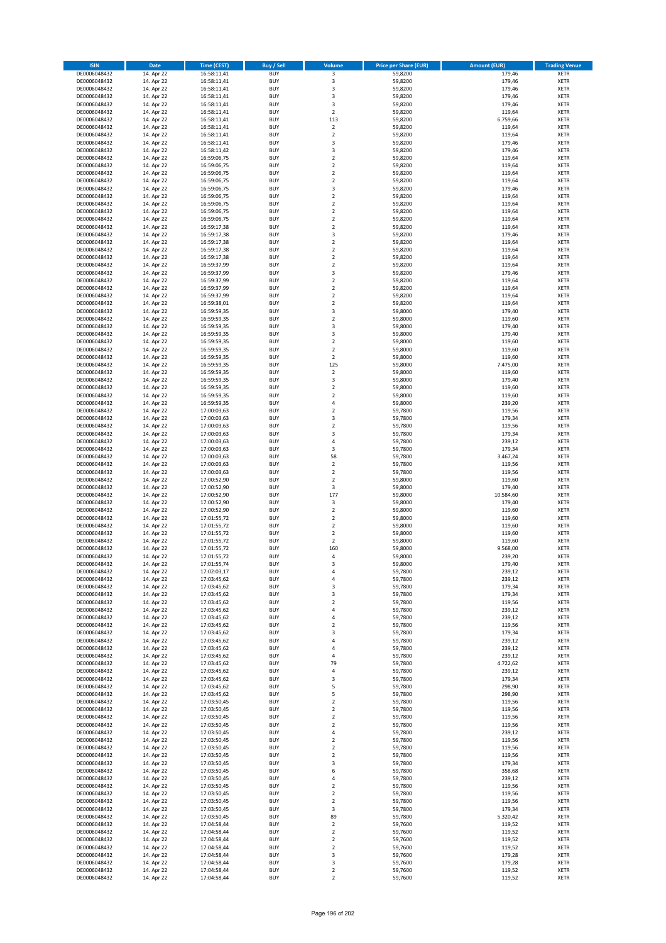| <b>ISIN</b>                  | <b>Date</b>              | <b>Time (CEST)</b>         | <b>Buy / Sell</b>        | Volume                                             | <b>Price per Share (EUR)</b> | <b>Amount (EUR)</b> | <b>Trading Venue</b>       |
|------------------------------|--------------------------|----------------------------|--------------------------|----------------------------------------------------|------------------------------|---------------------|----------------------------|
| DE0006048432                 | 14. Apr 22               | 16:58:11,41                | <b>BUY</b>               | 3                                                  | 59,8200                      | 179,46              | <b>XETR</b>                |
| DE0006048432                 | 14. Apr 22               | 16:58:11,41                | <b>BUY</b>               | 3                                                  | 59,8200                      | 179,46              | <b>XETR</b>                |
| DE0006048432                 | 14. Apr 22               | 16:58:11,41                | <b>BUY</b>               | 3                                                  | 59,8200                      | 179,46              | <b>XETR</b>                |
| DE0006048432<br>DE0006048432 | 14. Apr 22<br>14. Apr 22 | 16:58:11,41<br>16:58:11,41 | <b>BUY</b><br><b>BUY</b> | 3<br>3                                             | 59,8200<br>59,8200           | 179,46<br>179,46    | <b>XETR</b><br><b>XETR</b> |
| DE0006048432                 | 14. Apr 22               | 16:58:11,41                | <b>BUY</b>               | $\mathbf 2$                                        | 59,8200                      | 119,64              | <b>XETR</b>                |
| DE0006048432                 | 14. Apr 22               | 16:58:11,41                | <b>BUY</b>               | 113                                                | 59,8200                      | 6.759,66            | <b>XETR</b>                |
| DE0006048432                 | 14. Apr 22               | 16:58:11,41                | <b>BUY</b>               | $\mathbf 2$                                        | 59,8200                      | 119,64              | <b>XETR</b>                |
| DE0006048432                 | 14. Apr 22               | 16:58:11,41                | <b>BUY</b>               | $\mathbf 2$                                        | 59,8200                      | 119,64              | <b>XETR</b>                |
| DE0006048432                 | 14. Apr 22               | 16:58:11,41                | <b>BUY</b><br><b>BUY</b> | 3<br>3                                             | 59,8200<br>59,8200           | 179,46<br>179,46    | <b>XETR</b><br><b>XETR</b> |
| DE0006048432<br>DE0006048432 | 14. Apr 22<br>14. Apr 22 | 16:58:11,42<br>16:59:06,75 | <b>BUY</b>               | $\overline{\mathbf{c}}$                            | 59,8200                      | 119,64              | <b>XETR</b>                |
| DE0006048432                 | 14. Apr 22               | 16:59:06,75                | <b>BUY</b>               | $\mathbf 2$                                        | 59,8200                      | 119,64              | <b>XETR</b>                |
| DE0006048432                 | 14. Apr 22               | 16:59:06,75                | <b>BUY</b>               | $\overline{\mathbf{c}}$                            | 59,8200                      | 119,64              | <b>XETR</b>                |
| DE0006048432                 | 14. Apr 22               | 16:59:06,75                | <b>BUY</b>               | $\mathbf 2$                                        | 59,8200                      | 119,64              | <b>XETR</b>                |
| DE0006048432                 | 14. Apr 22               | 16:59:06,75                | <b>BUY</b>               | 3                                                  | 59,8200                      | 179,46              | <b>XETR</b>                |
| DE0006048432<br>DE0006048432 | 14. Apr 22<br>14. Apr 22 | 16:59:06,75<br>16:59:06,75 | <b>BUY</b><br><b>BUY</b> | $\mathbf 2$<br>$\mathbf 2$                         | 59,8200<br>59,8200           | 119,64<br>119,64    | <b>XETR</b><br><b>XETR</b> |
| DE0006048432                 | 14. Apr 22               | 16:59:06,75                | <b>BUY</b>               | $\overline{\mathbf{c}}$                            | 59,8200                      | 119,64              | <b>XETR</b>                |
| DE0006048432                 | 14. Apr 22               | 16:59:06,75                | <b>BUY</b>               | $\mathbf 2$                                        | 59,8200                      | 119,64              | <b>XETR</b>                |
| DE0006048432                 | 14. Apr 22               | 16:59:17,38                | <b>BUY</b>               | $\overline{\mathbf{c}}$                            | 59,8200                      | 119,64              | <b>XETR</b>                |
| DE0006048432                 | 14. Apr 22               | 16:59:17,38                | <b>BUY</b>               | 3                                                  | 59,8200                      | 179,46              | <b>XETR</b>                |
| DE0006048432                 | 14. Apr 22               | 16:59:17,38                | <b>BUY</b><br><b>BUY</b> | $\mathbf 2$<br>$\mathbf 2$                         | 59,8200                      | 119,64              | <b>XETR</b>                |
| DE0006048432<br>DE0006048432 | 14. Apr 22<br>14. Apr 22 | 16:59:17,38<br>16:59:17,38 | <b>BUY</b>               | $\mathbf 2$                                        | 59,8200<br>59,8200           | 119,64<br>119,64    | <b>XETR</b><br><b>XETR</b> |
| DE0006048432                 | 14. Apr 22               | 16:59:37,99                | <b>BUY</b>               | $\mathbf 2$                                        | 59,8200                      | 119,64              | <b>XETR</b>                |
| DE0006048432                 | 14. Apr 22               | 16:59:37,99                | <b>BUY</b>               | 3                                                  | 59,8200                      | 179,46              | <b>XETR</b>                |
| DE0006048432                 | 14. Apr 22               | 16:59:37,99                | <b>BUY</b>               | $\overline{\mathbf{c}}$                            | 59,8200                      | 119,64              | <b>XETR</b>                |
| DE0006048432                 | 14. Apr 22               | 16:59:37,99                | <b>BUY</b>               | $\mathbf 2$                                        | 59,8200                      | 119,64              | <b>XETR</b>                |
| DE0006048432<br>DE0006048432 | 14. Apr 22<br>14. Apr 22 | 16:59:37,99<br>16:59:38,01 | <b>BUY</b><br><b>BUY</b> | $\overline{\mathbf{c}}$<br>$\overline{2}$          | 59,8200<br>59,8200           | 119,64<br>119,64    | <b>XETR</b><br><b>XETR</b> |
| DE0006048432                 | 14. Apr 22               | 16:59:59,35                | <b>BUY</b>               | 3                                                  | 59,8000                      | 179,40              | <b>XETR</b>                |
| DE0006048432                 | 14. Apr 22               | 16:59:59,35                | <b>BUY</b>               | $\mathbf 2$                                        | 59,8000                      | 119,60              | <b>XETR</b>                |
| DE0006048432                 | 14. Apr 22               | 16:59:59,35                | <b>BUY</b>               | 3                                                  | 59,8000                      | 179,40              | <b>XETR</b>                |
| DE0006048432                 | 14. Apr 22               | 16:59:59,35                | <b>BUY</b>               | 3                                                  | 59,8000                      | 179,40              | <b>XETR</b>                |
| DE0006048432                 | 14. Apr 22               | 16:59:59,35<br>16:59:59,35 | <b>BUY</b><br><b>BUY</b> | $\overline{\mathbf{c}}$<br>$\overline{\mathbf{c}}$ | 59,8000                      | 119,60              | <b>XETR</b><br><b>XETR</b> |
| DE0006048432<br>DE0006048432 | 14. Apr 22<br>14. Apr 22 | 16:59:59,35                | <b>BUY</b>               | $\mathbf 2$                                        | 59,8000<br>59,8000           | 119,60<br>119,60    | <b>XETR</b>                |
| DE0006048432                 | 14. Apr 22               | 16:59:59,35                | <b>BUY</b>               | 125                                                | 59,8000                      | 7.475,00            | <b>XETR</b>                |
| DE0006048432                 | 14. Apr 22               | 16:59:59,35                | <b>BUY</b>               | $\mathbf 2$                                        | 59,8000                      | 119,60              | <b>XETR</b>                |
| DE0006048432                 | 14. Apr 22               | 16:59:59,35                | <b>BUY</b>               | 3                                                  | 59,8000                      | 179,40              | <b>XETR</b>                |
| DE0006048432                 | 14. Apr 22               | 16:59:59,35                | <b>BUY</b>               | $\mathbf 2$                                        | 59,8000                      | 119,60              | <b>XETR</b>                |
| DE0006048432<br>DE0006048432 | 14. Apr 22<br>14. Apr 22 | 16:59:59,35                | <b>BUY</b><br><b>BUY</b> | $\mathbf 2$<br>4                                   | 59,8000<br>59,8000           | 119,60<br>239,20    | <b>XETR</b><br><b>XETR</b> |
| DE0006048432                 | 14. Apr 22               | 16:59:59,35<br>17:00:03,63 | <b>BUY</b>               | $\mathbf 2$                                        | 59,7800                      | 119,56              | <b>XETR</b>                |
| DE0006048432                 | 14. Apr 22               | 17:00:03,63                | <b>BUY</b>               | 3                                                  | 59,7800                      | 179,34              | <b>XETR</b>                |
| DE0006048432                 | 14. Apr 22               | 17:00:03,63                | <b>BUY</b>               | $\mathbf 2$                                        | 59,7800                      | 119,56              | <b>XETR</b>                |
| DE0006048432                 | 14. Apr 22               | 17:00:03,63                | <b>BUY</b>               | 3                                                  | 59,7800                      | 179,34              | <b>XETR</b>                |
| DE0006048432                 | 14. Apr 22               | 17:00:03,63                | <b>BUY</b>               | 4                                                  | 59,7800                      | 239,12              | <b>XETR</b>                |
| DE0006048432<br>DE0006048432 | 14. Apr 22<br>14. Apr 22 | 17:00:03,63<br>17:00:03,63 | <b>BUY</b><br><b>BUY</b> | 3<br>58                                            | 59,7800<br>59,7800           | 179,34<br>3.467,24  | <b>XETR</b><br><b>XETR</b> |
| DE0006048432                 | 14. Apr 22               | 17:00:03,63                | <b>BUY</b>               | $\mathbf 2$                                        | 59,7800                      | 119,56              | <b>XETR</b>                |
| DE0006048432                 | 14. Apr 22               | 17:00:03,63                | <b>BUY</b>               | $\overline{2}$                                     | 59,7800                      | 119,56              | <b>XETR</b>                |
| DE0006048432                 | 14. Apr 22               | 17:00:52,90                | <b>BUY</b>               | $\mathbf 2$                                        | 59,8000                      | 119,60              | <b>XETR</b>                |
| DE0006048432                 | 14. Apr 22               | 17:00:52,90                | <b>BUY</b>               | 3                                                  | 59,8000                      | 179,40              | <b>XETR</b>                |
| DE0006048432<br>DE0006048432 | 14. Apr 22<br>14. Apr 22 | 17:00:52,90<br>17:00:52,90 | <b>BUY</b><br><b>BUY</b> | 177<br>3                                           | 59,8000<br>59,8000           | 10.584,60<br>179,40 | <b>XETR</b><br><b>XETR</b> |
| DE0006048432                 | 14. Apr 22               | 17:00:52,90                | <b>BUY</b>               | $\overline{\mathbf{c}}$                            | 59,8000                      | 119,60              | <b>XETR</b>                |
| DE0006048432                 | 14. Apr 22               | 17:01:55,72                | <b>BUY</b>               | $\overline{\mathbf{c}}$                            | 59,8000                      | 119,60              | <b>XETR</b>                |
| DE0006048432                 | 14. Apr 22               | 17:01:55,72                | <b>BUY</b>               | $\overline{2}$                                     | 59,8000                      | 119,60              | <b>XETR</b>                |
| DE0006048432                 | 14. Apr 22               | 17:01:55,72                | <b>BUY</b>               | $\mathbf 2$                                        | 59,8000                      | 119,60              | <b>XETR</b>                |
| DE0006048432                 | 14. Apr 22               | 17:01:55,72                | <b>BUY</b><br><b>BUY</b> | $\overline{\mathbf{c}}$<br>160                     | 59,8000                      | 119,60              | <b>XETR</b><br><b>XETR</b> |
| DE0006048432<br>DE0006048432 | 14. Apr 22<br>14. Apr 22 | 17:01:55,72<br>17:01:55,72 | <b>BUY</b>               | 4                                                  | 59,8000<br>59,8000           | 9.568,00<br>239,20  | <b>XETR</b>                |
| DE0006048432                 | 14. Apr 22               | 17:01:55,74                | BUY                      | 3                                                  | 59,8000                      | 179,40              | <b>XETR</b>                |
| DE0006048432                 | 14. Apr 22               | 17:02:03,17                | <b>BUY</b>               | 4                                                  | 59,7800                      | 239,12              | <b>XETR</b>                |
| DE0006048432                 | 14. Apr 22               | 17:03:45,62                | <b>BUY</b>               | 4                                                  | 59,7800                      | 239,12              | <b>XETR</b>                |
| DE0006048432                 | 14. Apr 22               | 17:03:45,62                | <b>BUY</b>               | 3                                                  | 59,7800                      | 179,34              | <b>XETR</b>                |
| DE0006048432<br>DE0006048432 | 14. Apr 22<br>14. Apr 22 | 17:03:45,62<br>17:03:45,62 | <b>BUY</b><br><b>BUY</b> | 3<br>$\mathbf 2$                                   | 59,7800<br>59,7800           | 179,34<br>119,56    | <b>XETR</b><br><b>XETR</b> |
| DE0006048432                 | 14. Apr 22               | 17:03:45,62                | <b>BUY</b>               | 4                                                  | 59,7800                      | 239,12              | <b>XETR</b>                |
| DE0006048432                 | 14. Apr 22               | 17:03:45,62                | <b>BUY</b>               | 4                                                  | 59,7800                      | 239,12              | <b>XETR</b>                |
| DE0006048432                 | 14. Apr 22               | 17:03:45,62                | <b>BUY</b>               | $\mathbf 2$                                        | 59,7800                      | 119,56              | <b>XETR</b>                |
| DE0006048432                 | 14. Apr 22               | 17:03:45,62                | <b>BUY</b>               | 3                                                  | 59,7800                      | 179,34              | <b>XETR</b>                |
| DE0006048432<br>DE0006048432 | 14. Apr 22<br>14. Apr 22 | 17:03:45,62<br>17:03:45,62 | <b>BUY</b><br><b>BUY</b> | 4<br>4                                             | 59,7800<br>59,7800           | 239,12<br>239,12    | <b>XETR</b><br><b>XETR</b> |
| DE0006048432                 | 14. Apr 22               | 17:03:45,62                | <b>BUY</b>               | 4                                                  | 59,7800                      | 239,12              | <b>XETR</b>                |
| DE0006048432                 | 14. Apr 22               | 17:03:45,62                | <b>BUY</b>               | 79                                                 | 59,7800                      | 4.722,62            | <b>XETR</b>                |
| DE0006048432                 | 14. Apr 22               | 17:03:45,62                | <b>BUY</b>               | 4                                                  | 59,7800                      | 239,12              | <b>XETR</b>                |
| DE0006048432                 | 14. Apr 22               | 17:03:45,62                | <b>BUY</b>               | 3                                                  | 59,7800                      | 179,34              | <b>XETR</b>                |
| DE0006048432<br>DE0006048432 | 14. Apr 22<br>14. Apr 22 | 17:03:45,62<br>17:03:45,62 | <b>BUY</b><br><b>BUY</b> | 5<br>5                                             | 59,7800<br>59,7800           | 298,90<br>298,90    | <b>XETR</b><br><b>XETR</b> |
| DE0006048432                 | 14. Apr 22               | 17:03:50,45                | <b>BUY</b>               | $\mathbf 2$                                        | 59,7800                      | 119,56              | <b>XETR</b>                |
| DE0006048432                 | 14. Apr 22               | 17:03:50,45                | <b>BUY</b>               | $\mathbf 2$                                        | 59,7800                      | 119,56              | <b>XETR</b>                |
| DE0006048432                 | 14. Apr 22               | 17:03:50,45                | <b>BUY</b>               | $\overline{2}$                                     | 59,7800                      | 119,56              | <b>XETR</b>                |
| DE0006048432                 | 14. Apr 22               | 17:03:50,45                | <b>BUY</b>               | $\mathbf 2$                                        | 59,7800                      | 119,56              | <b>XETR</b>                |
| DE0006048432<br>DE0006048432 | 14. Apr 22<br>14. Apr 22 | 17:03:50,45<br>17:03:50,45 | <b>BUY</b><br><b>BUY</b> | 4<br>$\mathbf 2$                                   | 59,7800<br>59,7800           | 239,12<br>119,56    | <b>XETR</b><br><b>XETR</b> |
| DE0006048432                 | 14. Apr 22               | 17:03:50,45                | <b>BUY</b>               | 2                                                  | 59,7800                      | 119,56              | <b>XETR</b>                |
| DE0006048432                 | 14. Apr 22               | 17:03:50,45                | <b>BUY</b>               | $\mathbf 2$                                        | 59,7800                      | 119,56              | <b>XETR</b>                |
| DE0006048432                 | 14. Apr 22               | 17:03:50,45                | <b>BUY</b>               | 3                                                  | 59,7800                      | 179,34              | <b>XETR</b>                |
| DE0006048432                 | 14. Apr 22               | 17:03:50,45                | <b>BUY</b>               | 6                                                  | 59,7800                      | 358,68              | <b>XETR</b>                |
| DE0006048432                 | 14. Apr 22               | 17:03:50,45                | <b>BUY</b>               | 4                                                  | 59,7800                      | 239,12              | <b>XETR</b>                |
| DE0006048432<br>DE0006048432 | 14. Apr 22<br>14. Apr 22 | 17:03:50,45<br>17:03:50,45 | <b>BUY</b><br><b>BUY</b> | 2<br>$\mathbf 2$                                   | 59,7800<br>59,7800           | 119,56<br>119,56    | <b>XETR</b><br><b>XETR</b> |
| DE0006048432                 | 14. Apr 22               | 17:03:50,45                | <b>BUY</b>               | 2                                                  | 59,7800                      | 119,56              | <b>XETR</b>                |
| DE0006048432                 | 14. Apr 22               | 17:03:50,45                | <b>BUY</b>               | 3                                                  | 59,7800                      | 179,34              | <b>XETR</b>                |
| DE0006048432                 | 14. Apr 22               | 17:03:50,45                | <b>BUY</b>               | 89                                                 | 59,7800                      | 5.320,42            | <b>XETR</b>                |
| DE0006048432                 | 14. Apr 22               | 17:04:58,44                | <b>BUY</b>               | $\mathbf 2$                                        | 59,7600                      | 119,52              | <b>XETR</b>                |
| DE0006048432<br>DE0006048432 | 14. Apr 22<br>14. Apr 22 | 17:04:58,44<br>17:04:58,44 | <b>BUY</b><br><b>BUY</b> | $\mathbf 2$<br>$\overline{\mathbf{c}}$             | 59,7600<br>59,7600           | 119,52<br>119,52    | <b>XETR</b><br><b>XETR</b> |
| DE0006048432                 | 14. Apr 22               | 17:04:58,44                | <b>BUY</b>               | $\mathbf 2$                                        | 59,7600                      | 119,52              | <b>XETR</b>                |
| DE0006048432                 | 14. Apr 22               | 17:04:58,44                | <b>BUY</b>               | 3                                                  | 59,7600                      | 179,28              | <b>XETR</b>                |
| DE0006048432                 | 14. Apr 22               | 17:04:58,44                | <b>BUY</b>               | 3                                                  | 59,7600                      | 179,28              | <b>XETR</b>                |
| DE0006048432                 | 14. Apr 22               | 17:04:58,44                | <b>BUY</b>               | $\mathbf 2$                                        | 59,7600                      | 119,52              | <b>XETR</b>                |
| DE0006048432                 | 14. Apr 22               | 17:04:58,44                | <b>BUY</b>               | $\overline{2}$                                     | 59,7600                      | 119,52              | <b>XETR</b>                |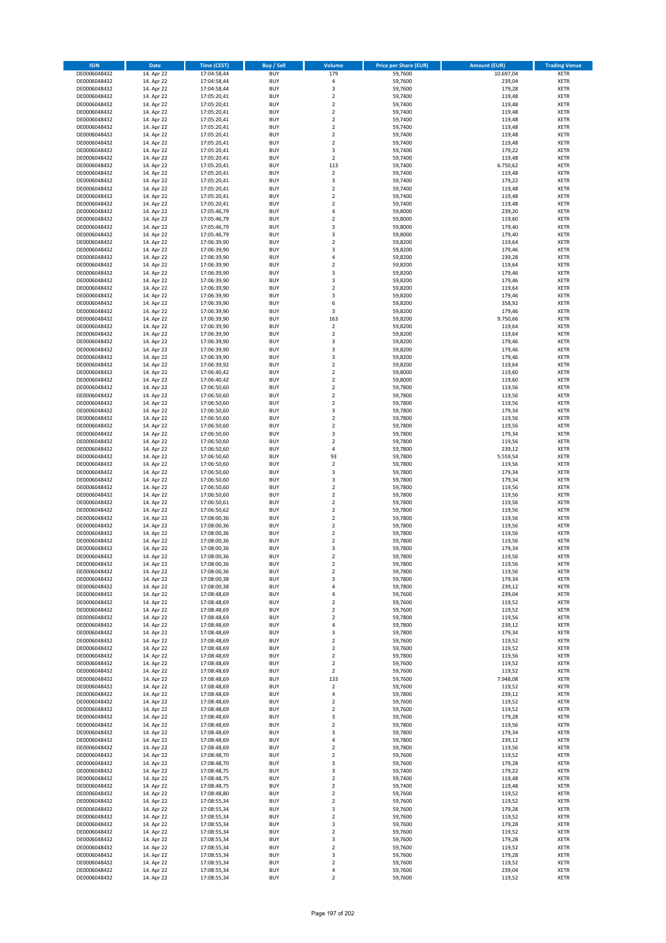| <b>ISIN</b>                  | <b>Date</b>              | <b>Time (CEST)</b>         | <b>Buy / Sell</b>        | Volume                        | <b>Price per Share (EUR)</b> | <b>Amount (EUR)</b> | <b>Trading Venue</b>       |
|------------------------------|--------------------------|----------------------------|--------------------------|-------------------------------|------------------------------|---------------------|----------------------------|
| DE0006048432                 | 14. Apr 22               | 17:04:58,44                | <b>BUY</b>               | 179                           | 59,7600                      | 10.697,04           | <b>XETR</b>                |
| DE0006048432                 | 14. Apr 22               | 17:04:58,44                | <b>BUY</b>               | $\sqrt{4}$                    | 59,7600                      | 239,04              | <b>XETR</b>                |
| DE0006048432                 | 14. Apr 22               | 17:04:58,44                | <b>BUY</b>               | 3                             | 59,7600                      | 179,28              | <b>XETR</b>                |
| DE0006048432                 | 14. Apr 22               | 17:05:20,41                | <b>BUY</b>               | $\mathbf 2$                   | 59,7400                      | 119,48              | <b>XETR</b>                |
| DE0006048432                 | 14. Apr 22               | 17:05:20,41                | <b>BUY</b>               | $\overline{2}$                | 59,7400                      | 119,48              | <b>XETR</b>                |
| DE0006048432                 | 14. Apr 22               | 17:05:20,41                | <b>BUY</b>               | $\mathbf 2$                   | 59,7400                      | 119,48              | <b>XETR</b>                |
| DE0006048432                 | 14. Apr 22               | 17:05:20,41                | <b>BUY</b>               | $\overline{2}$                | 59.7400                      | 119,48              | <b>XETR</b>                |
| DE0006048432                 | 14. Apr 22               | 17:05:20,41                | <b>BUY</b>               | $\overline{2}$                | 59,7400                      | 119,48              | <b>XETR</b>                |
| DE0006048432                 | 14. Apr 22               | 17:05:20,41                | BUY                      | $\overline{2}$                | 59,7400                      | 119,48              | <b>XETR</b>                |
| DE0006048432                 | 14. Apr 22               | 17:05:20,41                | <b>BUY</b>               | $\mathbf 2$                   | 59,7400                      | 119,48              | <b>XETR</b>                |
| DE0006048432                 | 14. Apr 22               | 17:05:20,41                | <b>BUY</b>               | 3                             | 59,7400                      | 179,22              | <b>XETR</b>                |
| DE0006048432                 | 14. Apr 22               | 17:05:20,41                | <b>BUY</b>               | $\overline{2}$                | 59,7400                      | 119,48              | <b>XETR</b>                |
| DE0006048432                 | 14. Apr 22               | 17:05:20,41                | <b>BUY</b>               | 113                           | 59,7400                      | 6.750,62            | <b>XETR</b>                |
| DE0006048432<br>DE0006048432 | 14. Apr 22               | 17:05:20,41                | <b>BUY</b><br><b>BUY</b> | $\overline{2}$<br>3           | 59,7400                      | 119,48<br>179,22    | <b>XETR</b><br><b>XETR</b> |
| DE0006048432                 | 14. Apr 22<br>14. Apr 22 | 17:05:20,41<br>17:05:20,41 | BUY                      | $\overline{2}$                | 59,7400<br>59,7400           | 119,48              | <b>XETR</b>                |
| DE0006048432                 | 14. Apr 22               | 17:05:20,41                | <b>BUY</b>               | $\mathbf 2$                   | 59,7400                      | 119,48              | <b>XETR</b>                |
| DE0006048432                 | 14. Apr 22               | 17:05:20,41                | <b>BUY</b>               | $\overline{2}$                | 59,7400                      | 119,48              | <b>XETR</b>                |
| DE0006048432                 | 14. Apr 22               | 17:05:46,79                | <b>BUY</b>               | $\overline{4}$                | 59,8000                      | 239,20              | <b>XETR</b>                |
| DE0006048432                 | 14. Apr 22               | 17:05:46,79                | <b>BUY</b>               | $\overline{2}$                | 59,8000                      | 119,60              | <b>XETR</b>                |
| DE0006048432                 | 14. Apr 22               | 17:05:46,79                | <b>BUY</b>               | $\overline{\mathbf{3}}$       | 59,8000                      | 179,40              | <b>XETR</b>                |
| DE0006048432                 | 14. Apr 22               | 17:05:46,79                | <b>BUY</b>               | 3                             | 59,8000                      | 179,40              | <b>XETR</b>                |
| DE0006048432                 | 14. Apr 22               | 17:06:39,90                | <b>BUY</b>               | $\overline{2}$                | 59,8200                      | 119,64              | <b>XETR</b>                |
| DE0006048432                 | 14. Apr 22               | 17:06:39,90                | <b>BUY</b>               | 3                             | 59,8200                      | 179,46              | <b>XETR</b>                |
| DE0006048432                 | 14. Apr 22               | 17:06:39,90                | <b>BUY</b>               | 4                             | 59,8200                      | 239,28              | <b>XETR</b>                |
| DE0006048432                 | 14. Apr 22               | 17:06:39,90                | <b>BUY</b>               | $\overline{\mathbf{c}}$       | 59,8200                      | 119,64              | <b>XETR</b>                |
| DE0006048432                 | 14. Apr 22               | 17:06:39,90                | <b>BUY</b>               | 3                             | 59,8200                      | 179,46              | <b>XETR</b>                |
| DE0006048432                 | 14. Apr 22               | 17:06:39,90                | <b>BUY</b>               | $\overline{\mathbf{3}}$       | 59,8200                      | 179,46              | <b>XETR</b>                |
| DE0006048432                 | 14. Apr 22               | 17:06:39,90                | <b>BUY</b>               | $\mathbf 2$                   | 59,8200                      | 119,64              | <b>XETR</b>                |
| DE0006048432                 | 14. Apr 22               | 17:06:39,90                | <b>BUY</b>               | $\overline{\mathbf{3}}$<br>6  | 59,8200                      | 179,46              | <b>XETR</b>                |
| DE0006048432<br>DE0006048432 | 14. Apr 22<br>14. Apr 22 | 17:06:39,90                | <b>BUY</b><br><b>BUY</b> | 3                             | 59,8200<br>59,8200           | 358,92<br>179,46    | <b>XETR</b><br><b>XETR</b> |
| DE0006048432                 | 14. Apr 22               | 17:06:39,90<br>17:06:39,90 | <b>BUY</b>               | 163                           | 59,8200                      | 9.750,66            | <b>XETR</b>                |
| DE0006048432                 | 14. Apr 22               | 17:06:39,90                | <b>BUY</b>               | $\mathbf 2$                   | 59,8200                      | 119,64              | <b>XETR</b>                |
| DE0006048432                 | 14. Apr 22               | 17:06:39,90                | <b>BUY</b>               | $\overline{2}$                | 59,8200                      | 119,64              | <b>XETR</b>                |
| DE0006048432                 | 14. Apr 22               | 17:06:39,90                | <b>BUY</b>               | 3                             | 59,8200                      | 179,46              | <b>XETR</b>                |
| DE0006048432                 | 14. Apr 22               | 17:06:39,90                | <b>BUY</b>               | $\overline{3}$                | 59,8200                      | 179,46              | <b>XETR</b>                |
| DE0006048432                 | 14. Apr 22               | 17:06:39,90                | BUY                      | 3                             | 59,8200                      | 179,46              | <b>XETR</b>                |
| DE0006048432                 | 14. Apr 22               | 17:06:39,92                | <b>BUY</b>               | $\mathbf 2$                   | 59,8200                      | 119,64              | <b>XETR</b>                |
| DE0006048432                 | 14. Apr 22               | 17:06:40,42                | <b>BUY</b>               | $\mathbf 2$                   | 59,8000                      | 119,60              | <b>XETR</b>                |
| DE0006048432                 | 14. Apr 22               | 17:06:40,42                | <b>BUY</b>               | $\overline{2}$                | 59,8000                      | 119,60              | <b>XETR</b>                |
| DE0006048432                 | 14. Apr 22               | 17:06:50,60                | <b>BUY</b>               | $\overline{2}$                | 59,7800                      | 119,56              | <b>XETR</b>                |
| DE0006048432                 | 14. Apr 22               | 17:06:50,60                | <b>BUY</b>               | $\mathbf 2$                   | 59,7800                      | 119,56              | <b>XETR</b>                |
| DE0006048432                 | 14. Apr 22               | 17:06:50,60                | <b>BUY</b>               | $\overline{2}$                | 59,7800                      | 119,56              | <b>XETR</b>                |
| DE0006048432                 | 14. Apr 22               | 17:06:50,60                | <b>BUY</b>               | 3                             | 59,7800                      | 179,34              | <b>XETR</b>                |
| DE0006048432                 | 14. Apr 22               | 17:06:50,60                | <b>BUY</b>               | $\overline{2}$                | 59,7800                      | 119,56              | <b>XETR</b>                |
| DE0006048432                 | 14. Apr 22               | 17:06:50,60                | <b>BUY</b>               | $\mathbf 2$                   | 59,7800                      | 119,56              | <b>XETR</b>                |
| DE0006048432                 | 14. Apr 22               | 17:06:50,60                | <b>BUY</b>               | 3                             | 59,7800                      | 179,34              | <b>XETR</b>                |
| DE0006048432                 | 14. Apr 22               | 17:06:50,60                | <b>BUY</b><br><b>BUY</b> | $\overline{2}$<br>4           | 59,7800                      | 119,56              | <b>XETR</b><br><b>XETR</b> |
| DE0006048432<br>DE0006048432 | 14. Apr 22<br>14. Apr 22 | 17:06:50,60<br>17:06:50,60 | <b>BUY</b>               | 93                            | 59,7800<br>59,7800           | 239,12<br>5.559,54  | <b>XETR</b>                |
| DE0006048432                 | 14. Apr 22               | 17:06:50,60                | <b>BUY</b>               | $\mathbf 2$                   | 59,7800                      | 119,56              | <b>XETR</b>                |
| DE0006048432                 | 14. Apr 22               | 17:06:50,60                | <b>BUY</b>               | 3                             | 59,7800                      | 179,34              | <b>XETR</b>                |
| DE0006048432                 | 14. Apr 22               | 17:06:50,60                | <b>BUY</b>               | 3                             | 59,7800                      | 179,34              | <b>XETR</b>                |
| DE0006048432                 | 14. Apr 22               | 17:06:50,60                | <b>BUY</b>               | $\overline{2}$                | 59,7800                      | 119,56              | <b>XETR</b>                |
| DE0006048432                 | 14. Apr 22               | 17:06:50,60                | <b>BUY</b>               | $\overline{2}$                | 59,7800                      | 119,56              | <b>XETR</b>                |
| DE0006048432                 | 14. Apr 22               | 17:06:50,61                | <b>BUY</b>               | $\overline{2}$                | 59,7800                      | 119,56              | <b>XETR</b>                |
| DE0006048432                 | 14. Apr 22               | 17:06:50,62                | <b>BUY</b>               | $\overline{2}$                | 59,7800                      | 119,56              | <b>XETR</b>                |
| DE0006048432                 | 14. Apr 22               | 17:08:00,36                | BUY                      | $\overline{2}$                | 59,7800                      | 119,56              | <b>XETR</b>                |
| DE0006048432                 | 14. Apr 22               | 17:08:00,36                | <b>BUY</b>               | $\overline{2}$                | 59,7800                      | 119,56              | <b>XETR</b>                |
| DE0006048432                 | 14. Apr 22               | 17:08:00,36                | <b>BUY</b>               | $\mathbf 2$                   | 59,7800                      | 119,56              | <b>XETR</b>                |
| DE0006048432                 | 14. Apr 22               | 17:08:00,36                | BUY                      | $\overline{2}$                | 59,7800                      | 119,56              | <b>XETR</b>                |
| DE0006048432                 | 14. Apr 22               | 17:08:00,36                | BUY                      | 3                             | 59,7800                      | 179,34              | <b>XETR</b>                |
| DE0006048432                 | 14. Apr 22               | 17:08:00,36                | <b>BUY</b>               | $\overline{2}$                | 59,7800                      | 119,56              | <b>XETR</b>                |
| DE0006048432                 | 14. Apr 22               | 17:08:00,36                | <b>BUY</b>               | $\overline{\mathbf{c}}$       | 59,7800                      | 119,56              | <b>XETR</b>                |
| DE0006048432                 | 14. Apr 22               | 17:08:00,36                | <b>BUY</b>               | $\mathbf 2$                   | 59,7800                      | 119,56              | <b>XETR</b>                |
| DE0006048432                 | 14. Apr 22               | 17:08:00,38                | <b>BUY</b>               | 3                             | 59,7800                      | 179,34              | <b>XETR</b>                |
| DE0006048432                 | 14. Apr 22               | 17:08:00,38                | <b>BUY</b>               | 4                             | 59,7800                      | 239,12              | <b>XETR</b>                |
| DE0006048432                 | 14. Apr 22<br>14. Apr 22 | 17:08:48,69<br>17:08:48,69 | <b>BUY</b>               | 4                             | 59,7600                      | 239,04              | <b>XETR</b>                |
| DE0006048432<br>DE0006048432 |                          | 17:08:48,69                | <b>BUY</b><br><b>BUY</b> | $\mathbf 2$<br>2              | 59,7600<br>59,7600           | 119,52<br>119,52    | <b>XETR</b><br><b>XETR</b> |
| DE0006048432                 | 14. Apr 22<br>14. Apr 22 | 17:08:48,69                | <b>BUY</b>               | $\overline{\mathbf{c}}$       | 59,7800                      | 119,56              | <b>XETR</b>                |
| DE0006048432                 | 14. Apr 22               | 17:08:48,69                | <b>BUY</b>               | $\overline{4}$                | 59,7800                      | 239,12              | <b>XETR</b>                |
| DE0006048432                 | 14. Apr 22               | 17:08:48,69                | <b>BUY</b>               | 3                             | 59,7800                      | 179,34              | <b>XETR</b>                |
| DE0006048432                 | 14. Apr 22               | 17:08:48,69                | <b>BUY</b>               | $\mathbf 2$                   | 59,7600                      | 119,52              | <b>XETR</b>                |
| DE0006048432                 | 14. Apr 22               | 17:08:48,69                | <b>BUY</b>               | $\overline{2}$                | 59,7600                      | 119,52              | <b>XETR</b>                |
| DE0006048432                 | 14. Apr 22               | 17:08:48,69                | <b>BUY</b>               | $\mathbf 2$                   | 59,7800                      | 119,56              | <b>XETR</b>                |
| DE0006048432                 | 14. Apr 22               | 17:08:48,69                | <b>BUY</b>               | 2                             | 59,7600                      | 119,52              | <b>XETR</b>                |
| DE0006048432                 | 14. Apr 22               | 17:08:48,69                | <b>BUY</b>               | 2                             | 59,7600                      | 119,52              | <b>XETR</b>                |
| DE0006048432                 | 14. Apr 22               | 17:08:48,69                | <b>BUY</b>               | 133                           | 59,7600                      | 7.948,08            | <b>XETR</b>                |
| DE0006048432                 | 14. Apr 22               | 17:08:48,69                | <b>BUY</b>               | $\mathbf 2$                   | 59,7600                      | 119,52              | <b>XETR</b>                |
| DE0006048432                 | 14. Apr 22               | 17:08:48,69                | <b>BUY</b>               | 4                             | 59,7800                      | 239,12              | <b>XETR</b>                |
| DE0006048432                 | 14. Apr 22               | 17:08:48,69                | <b>BUY</b>               | $\overline{\mathbf{c}}$       | 59,7600                      | 119,52              | <b>XETR</b>                |
| DE0006048432                 | 14. Apr 22               | 17:08:48,69                | <b>BUY</b>               | $\mathbf 2$                   | 59,7600                      | 119,52              | <b>XETR</b>                |
| DE0006048432<br>DE0006048432 | 14. Apr 22<br>14. Apr 22 | 17:08:48,69<br>17:08:48,69 | <b>BUY</b><br><b>BUY</b> | $\overline{3}$<br>$\mathbf 2$ | 59,7600<br>59,7800           | 179,28<br>119,56    | <b>XETR</b><br><b>XETR</b> |
| DE0006048432                 | 14. Apr 22               | 17:08:48,69                | <b>BUY</b>               | 3                             | 59,7800                      | 179,34              | <b>XETR</b>                |
| DE0006048432                 | 14. Apr 22               | 17:08:48,69                | <b>BUY</b>               | 4                             | 59,7800                      | 239,12              | <b>XETR</b>                |
| DE0006048432                 | 14. Apr 22               | 17:08:48,69                | <b>BUY</b>               | $\mathbf 2$                   | 59,7800                      | 119,56              | <b>XETR</b>                |
| DE0006048432                 | 14. Apr 22               | 17:08:48,70                | <b>BUY</b>               | $\mathbf 2$                   | 59,7600                      | 119,52              | <b>XETR</b>                |
| DE0006048432                 | 14. Apr 22               | 17:08:48,70                | <b>BUY</b>               | 3                             | 59,7600                      | 179,28              | <b>XETR</b>                |
| DE0006048432                 | 14. Apr 22               | 17:08:48,75                | <b>BUY</b>               | $\overline{3}$                | 59,7400                      | 179,22              | <b>XETR</b>                |
| DE0006048432                 | 14. Apr 22               | 17:08:48,75                | <b>BUY</b>               | 2                             | 59,7400                      | 119,48              | <b>XETR</b>                |
| DE0006048432                 | 14. Apr 22               | 17:08:48,75                | <b>BUY</b>               | $\overline{2}$                | 59,7400                      | 119,48              | <b>XETR</b>                |
| DE0006048432                 | 14. Apr 22               | 17:08:48,80                | <b>BUY</b>               | $\mathbf 2$                   | 59,7600                      | 119,52              | <b>XETR</b>                |
| DE0006048432                 | 14. Apr 22               | 17:08:55,34                | <b>BUY</b>               | $\mathbf 2$                   | 59,7600                      | 119,52              | <b>XETR</b>                |
| DE0006048432                 | 14. Apr 22               | 17:08:55,34                | <b>BUY</b>               | 3                             | 59,7600                      | 179,28              | <b>XETR</b>                |
| DE0006048432                 | 14. Apr 22               | 17:08:55,34                | <b>BUY</b>               | $\overline{2}$                | 59,7600                      | 119,52              | <b>XETR</b>                |
| DE0006048432                 | 14. Apr 22               | 17:08:55,34                | <b>BUY</b>               | 3                             | 59,7600                      | 179,28              | <b>XETR</b>                |
| DE0006048432                 | 14. Apr 22               | 17:08:55,34                | <b>BUY</b>               | $\mathbf 2$                   | 59,7600                      | 119,52              | <b>XETR</b>                |
| DE0006048432                 | 14. Apr 22               | 17:08:55,34                | <b>BUY</b>               | 3                             | 59,7600                      | 179,28              | <b>XETR</b>                |
| DE0006048432                 | 14. Apr 22               | 17:08:55,34                | <b>BUY</b>               | $\mathbf 2$                   | 59,7600                      | 119,52              | <b>XETR</b>                |
| DE0006048432                 | 14. Apr 22               | 17:08:55,34                | <b>BUY</b>               | 3                             | 59,7600                      | 179,28              | <b>XETR</b>                |
| DE0006048432<br>DE0006048432 | 14. Apr 22               | 17:08:55,34                | <b>BUY</b><br><b>BUY</b> | $\mathbf 2$<br>4              | 59,7600                      | 119,52              | <b>XETR</b>                |
| DE0006048432                 | 14. Apr 22<br>14. Apr 22 | 17:08:55,34<br>17:08:55,34 | <b>BUY</b>               | $\mathbf 2$                   | 59,7600<br>59,7600           | 239,04<br>119,52    | <b>XETR</b><br><b>XETR</b> |
|                              |                          |                            |                          |                               |                              |                     |                            |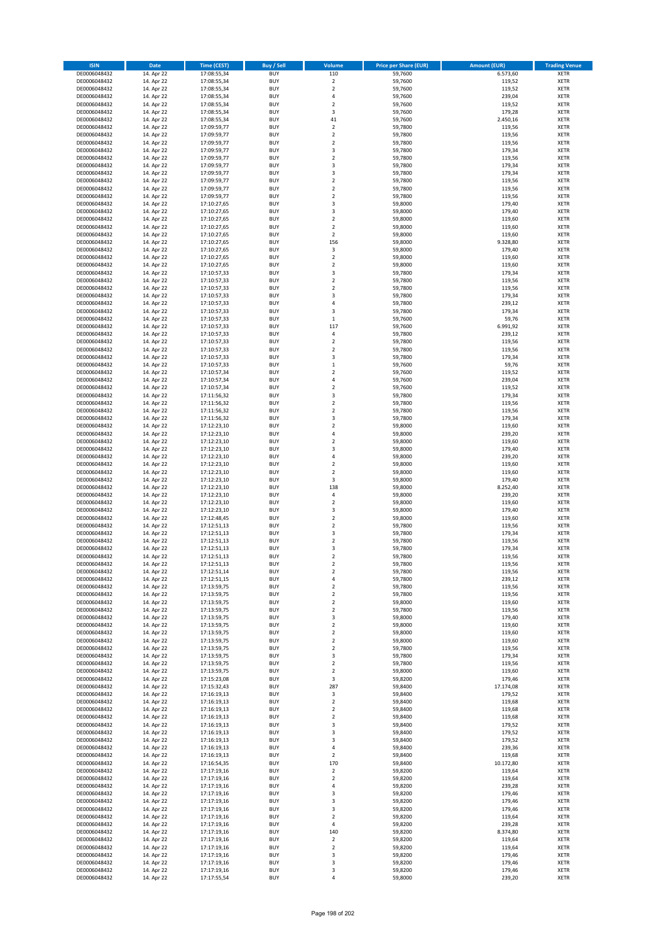| <b>ISIN</b>                  | <b>Date</b>              | <b>Time (CEST)</b>         | <b>Buy / Sell</b>        | Volume                                 | <b>Price per Share (EUR)</b> | <b>Amount (EUR)</b> | <b>Trading Venue</b>       |
|------------------------------|--------------------------|----------------------------|--------------------------|----------------------------------------|------------------------------|---------------------|----------------------------|
| DE0006048432                 | 14. Apr 22               | 17:08:55,34                | <b>BUY</b>               | 110                                    | 59,7600                      | 6.573,60            | <b>XETR</b>                |
| DE0006048432                 | 14. Apr 22               | 17:08:55,34                | <b>BUY</b>               | $\mathbf 2$                            | 59,7600                      | 119,52              | <b>XETR</b>                |
| DE0006048432                 | 14. Apr 22               | 17:08:55,34                | <b>BUY</b>               | $\overline{2}$                         | 59,7600                      | 119,52              | <b>XETR</b>                |
| DE0006048432<br>DE0006048432 | 14. Apr 22<br>14. Apr 22 | 17:08:55,34<br>17:08:55,34 | <b>BUY</b><br><b>BUY</b> | 4<br>$\overline{\mathbf{c}}$           | 59,7600<br>59,7600           | 239,04<br>119,52    | <b>XETR</b><br><b>XETR</b> |
| DE0006048432                 | 14. Apr 22               | 17:08:55,34                | <b>BUY</b>               | 3                                      | 59,7600                      | 179,28              | <b>XETR</b>                |
| DE0006048432                 | 14. Apr 22               | 17:08:55,34                | <b>BUY</b>               | 41                                     | 59,7600                      | 2.450,16            | <b>XETR</b>                |
| DE0006048432                 | 14. Apr 22               | 17:09:59,77                | <b>BUY</b>               | $\mathbf 2$                            | 59,7800                      | 119,56              | <b>XETR</b>                |
| DE0006048432                 | 14. Apr 22               | 17:09:59,77                | <b>BUY</b>               | $\mathbf 2$                            | 59,7800                      | 119,56              | <b>XETR</b>                |
| DE0006048432                 | 14. Apr 22               | 17:09:59,77                | <b>BUY</b>               | $\overline{2}$                         | 59,7800                      | 119,56              | <b>XETR</b>                |
| DE0006048432                 | 14. Apr 22               | 17:09:59,77                | <b>BUY</b>               | 3                                      | 59,7800                      | 179,34              | <b>XETR</b>                |
| DE0006048432<br>DE0006048432 | 14. Apr 22<br>14. Apr 22 | 17:09:59,77<br>17:09:59,77 | <b>BUY</b><br><b>BUY</b> | $\overline{\mathbf{c}}$<br>3           | 59,7800<br>59,7800           | 119,56<br>179,34    | <b>XETR</b><br><b>XETR</b> |
| DE0006048432                 | 14. Apr 22               | 17:09:59,77                | <b>BUY</b>               | 3                                      | 59,7800                      | 179,34              | <b>XETR</b>                |
| DE0006048432                 | 14. Apr 22               | 17:09:59,77                | <b>BUY</b>               | $\mathbf 2$                            | 59,7800                      | 119,56              | <b>XETR</b>                |
| DE0006048432                 | 14. Apr 22               | 17:09:59,77                | <b>BUY</b>               | $\overline{\mathbf{c}}$                | 59,7800                      | 119,56              | <b>XETR</b>                |
| DE0006048432                 | 14. Apr 22               | 17:09:59,77                | <b>BUY</b>               | $\mathbf 2$                            | 59,7800                      | 119,56              | <b>XETR</b>                |
| DE0006048432                 | 14. Apr 22               | 17:10:27,65                | <b>BUY</b>               | 3                                      | 59,8000                      | 179,40              | <b>XETR</b>                |
| DE0006048432                 | 14. Apr 22               | 17:10:27,65                | <b>BUY</b>               | 3                                      | 59,8000                      | 179,40              | <b>XETR</b>                |
| DE0006048432<br>DE0006048432 | 14. Apr 22<br>14. Apr 22 | 17:10:27,65<br>17:10:27,65 | <b>BUY</b><br><b>BUY</b> | $\mathbf 2$<br>$\overline{\mathbf{c}}$ | 59,8000<br>59,8000           | 119,60<br>119,60    | <b>XETR</b><br><b>XETR</b> |
| DE0006048432                 | 14. Apr 22               | 17:10:27,65                | <b>BUY</b>               | $\mathbf 2$                            | 59,8000                      | 119,60              | <b>XETR</b>                |
| DE0006048432                 | 14. Apr 22               | 17:10:27,65                | <b>BUY</b>               | 156                                    | 59,8000                      | 9.328,80            | <b>XETR</b>                |
| DE0006048432                 | 14. Apr 22               | 17:10:27,65                | <b>BUY</b>               | 3                                      | 59,8000                      | 179,40              | <b>XETR</b>                |
| DE0006048432                 | 14. Apr 22               | 17:10:27,65                | <b>BUY</b>               | $\mathbf 2$                            | 59,8000                      | 119,60              | <b>XETR</b>                |
| DE0006048432                 | 14. Apr 22               | 17:10:27,65                | <b>BUY</b>               | $\mathbf 2$                            | 59,8000                      | 119,60              | <b>XETR</b>                |
| DE0006048432                 | 14. Apr 22               | 17:10:57,33                | <b>BUY</b>               | 3                                      | 59,7800                      | 179,34              | <b>XETR</b>                |
| DE0006048432                 | 14. Apr 22               | 17:10:57,33                | <b>BUY</b><br><b>BUY</b> | $\overline{\mathbf{c}}$                | 59,7800                      | 119,56<br>119,56    | <b>XETR</b><br><b>XETR</b> |
| DE0006048432<br>DE0006048432 | 14. Apr 22<br>14. Apr 22 | 17:10:57,33<br>17:10:57,33 | <b>BUY</b>               | $\mathbf 2$<br>3                       | 59,7800<br>59,7800           | 179,34              | <b>XETR</b>                |
| DE0006048432                 | 14. Apr 22               | 17:10:57,33                | <b>BUY</b>               | 4                                      | 59,7800                      | 239,12              | <b>XETR</b>                |
| DE0006048432                 | 14. Apr 22               | 17:10:57,33                | <b>BUY</b>               | 3                                      | 59,7800                      | 179,34              | <b>XETR</b>                |
| DE0006048432                 | 14. Apr 22               | 17:10:57,33                | <b>BUY</b>               | $\mathbf 1$                            | 59,7600                      | 59,76               | <b>XETR</b>                |
| DE0006048432                 | 14. Apr 22               | 17:10:57,33                | <b>BUY</b>               | 117                                    | 59,7600                      | 6.991,92            | <b>XETR</b>                |
| DE0006048432                 | 14. Apr 22               | 17:10:57,33                | <b>BUY</b>               | 4                                      | 59,7800                      | 239,12              | <b>XETR</b>                |
| DE0006048432                 | 14. Apr 22               | 17:10:57,33                | <b>BUY</b>               | $\mathbf 2$                            | 59,7800                      | 119,56              | <b>XETR</b>                |
| DE0006048432                 | 14. Apr 22               | 17:10:57,33                | <b>BUY</b><br><b>BUY</b> | $\overline{\mathbf{c}}$<br>3           | 59,7800                      | 119,56<br>179,34    | <b>XETR</b><br><b>XETR</b> |
| DE0006048432<br>DE0006048432 | 14. Apr 22<br>14. Apr 22 | 17:10:57,33<br>17:10:57,33 | <b>BUY</b>               | $\mathbf 1$                            | 59,7800<br>59,7600           | 59,76               | <b>XETR</b>                |
| DE0006048432                 | 14. Apr 22               | 17:10:57,34                | <b>BUY</b>               | $\mathbf 2$                            | 59,7600                      | 119,52              | <b>XETR</b>                |
| DE0006048432                 | 14. Apr 22               | 17:10:57,34                | <b>BUY</b>               | 4                                      | 59,7600                      | 239,04              | <b>XETR</b>                |
| DE0006048432                 | 14. Apr 22               | 17:10:57,34                | <b>BUY</b>               | $\mathbf 2$                            | 59,7600                      | 119,52              | <b>XETR</b>                |
| DE0006048432                 | 14. Apr 22               | 17:11:56,32                | <b>BUY</b>               | 3                                      | 59,7800                      | 179,34              | <b>XETR</b>                |
| DE0006048432                 | 14. Apr 22               | 17:11:56,32                | <b>BUY</b>               | $\overline{\mathbf{c}}$                | 59,7800                      | 119,56              | <b>XETR</b>                |
| DE0006048432                 | 14. Apr 22               | 17:11:56,32                | <b>BUY</b>               | $\mathbf 2$                            | 59,7800                      | 119,56              | <b>XETR</b>                |
| DE0006048432                 | 14. Apr 22               | 17:11:56,32                | <b>BUY</b>               | 3                                      | 59,7800                      | 179,34              | <b>XETR</b>                |
| DE0006048432<br>DE0006048432 | 14. Apr 22<br>14. Apr 22 | 17:12:23,10<br>17:12:23,10 | <b>BUY</b><br><b>BUY</b> | $\mathbf 2$<br>4                       | 59,8000<br>59,8000           | 119,60<br>239,20    | <b>XETR</b><br><b>XETR</b> |
| DE0006048432                 | 14. Apr 22               | 17:12:23,10                | <b>BUY</b>               | $\mathbf 2$                            | 59,8000                      | 119,60              | <b>XETR</b>                |
| DE0006048432                 | 14. Apr 22               | 17:12:23,10                | <b>BUY</b>               | 3                                      | 59,8000                      | 179,40              | <b>XETR</b>                |
| DE0006048432                 | 14. Apr 22               | 17:12:23,10                | <b>BUY</b>               | 4                                      | 59,8000                      | 239,20              | <b>XETR</b>                |
| DE0006048432                 | 14. Apr 22               | 17:12:23,10                | <b>BUY</b>               | $\mathbf 2$                            | 59,8000                      | 119,60              | <b>XETR</b>                |
| DE0006048432                 | 14. Apr 22               | 17:12:23,10                | <b>BUY</b>               | $\overline{2}$                         | 59,8000                      | 119,60              | <b>XETR</b>                |
| DE0006048432                 | 14. Apr 22               | 17:12:23,10                | <b>BUY</b>               | 3                                      | 59,8000                      | 179,40              | <b>XETR</b>                |
| DE0006048432<br>DE0006048432 | 14. Apr 22<br>14. Apr 22 | 17:12:23,10                | <b>BUY</b><br><b>BUY</b> | 138<br>4                               | 59,8000                      | 8.252,40            | <b>XETR</b><br><b>XETR</b> |
| DE0006048432                 | 14. Apr 22               | 17:12:23,10<br>17:12:23,10 | <b>BUY</b>               | $\overline{\mathbf{c}}$                | 59,8000<br>59,8000           | 239,20<br>119,60    | <b>XETR</b>                |
| DE0006048432                 | 14. Apr 22               | 17:12:23,10                | <b>BUY</b>               | 3                                      | 59,8000                      | 179,40              | <b>XETR</b>                |
| DE0006048432                 | 14. Apr 22               | 17:12:48,45                | <b>BUY</b>               | $\overline{\mathbf{c}}$                | 59,8000                      | 119,60              | <b>XETR</b>                |
| DE0006048432                 | 14. Apr 22               | 17:12:51,13                | <b>BUY</b>               | $\overline{2}$                         | 59,7800                      | 119,56              | <b>XETR</b>                |
| DE0006048432                 | 14. Apr 22               | 17:12:51,13                | <b>BUY</b>               | 3                                      | 59,7800                      | 179,34              | <b>XETR</b>                |
| DE0006048432                 | 14. Apr 22               | 17:12:51,13                | <b>BUY</b>               | $\overline{\mathbf{c}}$                | 59,7800                      | 119,56              | <b>XETR</b>                |
| DE0006048432                 | 14. Apr 22               | 17:12:51,13                | <b>BUY</b><br><b>BUY</b> | 3<br>$\overline{2}$                    | 59,7800                      | 179,34              | <b>XETR</b><br><b>XETR</b> |
| DE0006048432<br>DE0006048432 | 14. Apr 22<br>14. Apr 22 | 17:12:51,13<br>17:12:51,13 | BUY                      | 2                                      | 59,7800<br>59,7800           | 119,56<br>119,56    | <b>XETR</b>                |
| DE0006048432                 | 14. Apr 22               | 17:12:51,14                | <b>BUY</b>               | $\mathbf 2$                            | 59,7800                      | 119,56              | XETR                       |
| DE0006048432                 | 14. Apr 22               | 17:12:51,15                | <b>BUY</b>               | 4                                      | 59,7800                      | 239,12              | XETR                       |
| DE0006048432                 | 14. Apr 22               | 17:13:59,75                | <b>BUY</b>               | $\mathbf 2$                            | 59,7800                      | 119,56              | XETR                       |
| DE0006048432                 | 14. Apr 22               | 17:13:59,75                | <b>BUY</b>               | $\mathbf 2$                            | 59,7800                      | 119,56              | <b>XETR</b>                |
| DE0006048432                 | 14. Apr 22               | 17:13:59,75                | <b>BUY</b>               | $\mathbf 2$                            | 59,8000                      | 119,60              | XETR                       |
| DE0006048432<br>DE0006048432 | 14. Apr 22<br>14. Apr 22 | 17:13:59,75<br>17:13:59,75 | <b>BUY</b><br><b>BUY</b> | $\overline{2}$<br>3                    | 59,7800<br>59,8000           | 119,56<br>179,40    | <b>XETR</b><br><b>XETR</b> |
| DE0006048432                 | 14. Apr 22               | 17:13:59,75                | <b>BUY</b>               | $\mathbf 2$                            | 59,8000                      | 119,60              | <b>XETR</b>                |
| DE0006048432                 | 14. Apr 22               | 17:13:59,75                | <b>BUY</b>               | $\mathbf 2$                            | 59,8000                      | 119,60              | <b>XETR</b>                |
| DE0006048432                 | 14. Apr 22               | 17:13:59,75                | <b>BUY</b>               | $\mathbf 2$                            | 59,8000                      | 119,60              | XETR                       |
| DE0006048432                 | 14. Apr 22               | 17:13:59,75                | <b>BUY</b>               | $\overline{2}$                         | 59.7800                      | 119,56              | <b>XETR</b>                |
| DE0006048432                 | 14. Apr 22               | 17:13:59,75                | <b>BUY</b>               | 3                                      | 59,7800                      | 179,34              | <b>XETR</b>                |
| DE0006048432<br>DE0006048432 | 14. Apr 22<br>14. Apr 22 | 17:13:59,75<br>17:13:59,75 | <b>BUY</b><br><b>BUY</b> | $\overline{2}$<br>$\mathbf 2$          | 59,7800<br>59,8000           | 119,56<br>119,60    | <b>XETR</b><br><b>XETR</b> |
| DE0006048432                 | 14. Apr 22               | 17:15:23,08                | <b>BUY</b>               | 3                                      | 59,8200                      | 179,46              | <b>XETR</b>                |
| DE0006048432                 | 14. Apr 22               | 17:15:32,43                | <b>BUY</b>               | 287                                    | 59,8400                      | 17.174,08           | <b>XETR</b>                |
| DE0006048432                 | 14. Apr 22               | 17:16:19,13                | <b>BUY</b>               | 3                                      | 59,8400                      | 179,52              | <b>XETR</b>                |
| DE0006048432                 | 14. Apr 22               | 17:16:19,13                | <b>BUY</b>               | $\mathbf 2$                            | 59,8400                      | 119,68              | XETR                       |
| DE0006048432                 | 14. Apr 22               | 17:16:19,13                | <b>BUY</b>               | $\mathbf 2$                            | 59,8400                      | 119,68              | <b>XETR</b>                |
| DE0006048432                 | 14. Apr 22               | 17:16:19,13                | <b>BUY</b>               | $\overline{2}$                         | 59,8400                      | 119,68              | <b>XETR</b>                |
| DE0006048432<br>DE0006048432 | 14. Apr 22<br>14. Apr 22 | 17:16:19,13<br>17:16:19,13 | <b>BUY</b><br><b>BUY</b> | 3<br>3                                 | 59,8400<br>59,8400           | 179,52<br>179,52    | XETR<br><b>XETR</b>        |
| DE0006048432                 | 14. Apr 22               | 17:16:19,13                | <b>BUY</b>               | 3                                      | 59,8400                      | 179,52              | <b>XETR</b>                |
| DE0006048432                 | 14. Apr 22               | 17:16:19,13                | <b>BUY</b>               | 4                                      | 59,8400                      | 239,36              | <b>XETR</b>                |
| DE0006048432                 | 14. Apr 22               | 17:16:19,13                | <b>BUY</b>               | $\mathbf 2$                            | 59,8400                      | 119,68              | XETR                       |
| DE0006048432                 | 14. Apr 22               | 17:16:54,35                | <b>BUY</b>               | 170                                    | 59,8400                      | 10.172,80           | <b>XETR</b>                |
| DE0006048432                 | 14. Apr 22               | 17:17:19,16                | <b>BUY</b>               | $\mathbf 2$                            | 59,8200                      | 119,64              | <b>XETR</b>                |
| DE0006048432                 | 14. Apr 22               | 17:17:19,16                | <b>BUY</b>               | $\mathbf 2$                            | 59,8200                      | 119,64              | <b>XETR</b>                |
| DE0006048432                 | 14. Apr 22               | 17:17:19,16                | <b>BUY</b>               | 4                                      | 59,8200                      | 239,28              | XETR                       |
| DE0006048432<br>DE0006048432 | 14. Apr 22<br>14. Apr 22 | 17:17:19,16<br>17:17:19,16 | <b>BUY</b><br><b>BUY</b> | 3<br>3                                 | 59,8200<br>59,8200           | 179,46<br>179,46    | <b>XETR</b><br><b>XETR</b> |
| DE0006048432                 | 14. Apr 22               | 17:17:19,16                | <b>BUY</b>               | 3                                      | 59,8200                      | 179,46              | XETR                       |
| DE0006048432                 | 14. Apr 22               | 17:17:19,16                | <b>BUY</b>               | $\overline{\mathbf{c}}$                | 59,8200                      | 119,64              | <b>XETR</b>                |
| DE0006048432                 | 14. Apr 22               | 17:17:19,16                | <b>BUY</b>               | 4                                      | 59,8200                      | 239,28              | <b>XETR</b>                |
| DE0006048432                 | 14. Apr 22               | 17:17:19,16                | <b>BUY</b>               | 140                                    | 59,8200                      | 8.374,80            | <b>XETR</b>                |
| DE0006048432                 | 14. Apr 22               | 17:17:19,16                | <b>BUY</b>               | $\overline{2}$                         | 59,8200                      | 119,64              | <b>XETR</b>                |
| DE0006048432<br>DE0006048432 | 14. Apr 22<br>14. Apr 22 | 17:17:19,16<br>17:17:19,16 | <b>BUY</b><br><b>BUY</b> | $\mathbf 2$<br>3                       | 59,8200<br>59,8200           | 119,64<br>179,46    | <b>XETR</b><br><b>XETR</b> |
| DE0006048432                 | 14. Apr 22               | 17:17:19,16                | <b>BUY</b>               | 3                                      | 59,8200                      | 179,46              | <b>XETR</b>                |
| DE0006048432                 | 14. Apr 22               | 17:17:19,16                | <b>BUY</b>               | 3                                      | 59,8200                      | 179,46              | <b>XETR</b>                |
| DE0006048432                 | 14. Apr 22               | 17:17:55,54                | <b>BUY</b>               | 4                                      | 59,8000                      | 239,20              | XETR                       |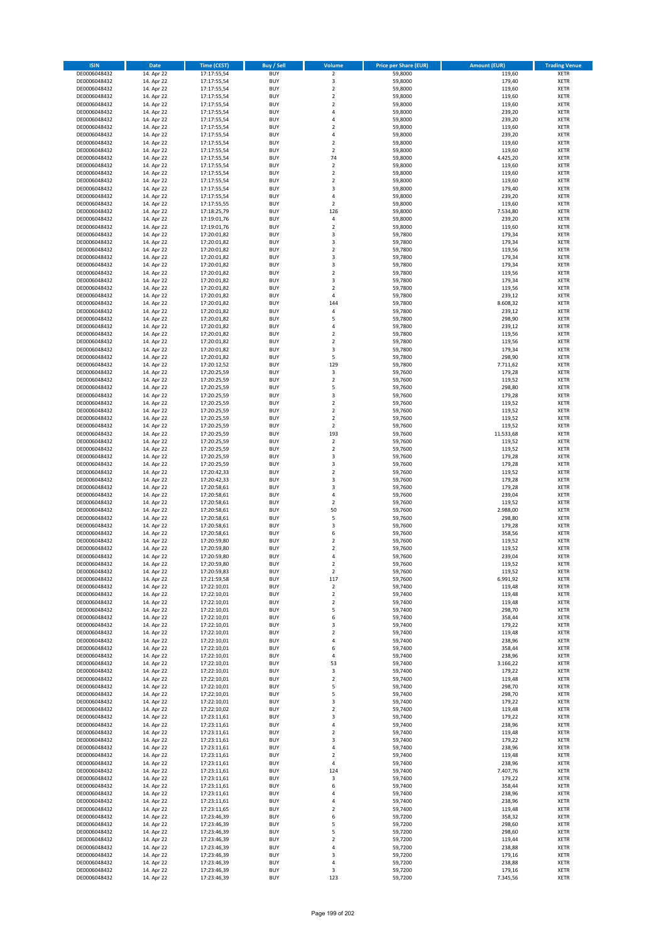| <b>ISIN</b>                  | <b>Date</b>              | <b>Time (CEST)</b>         | <b>Buy / Sell</b>        | Volume                                             | <b>Price per Share (EUR)</b> | <b>Amount (EUR)</b> | <b>Trading Venue</b>       |
|------------------------------|--------------------------|----------------------------|--------------------------|----------------------------------------------------|------------------------------|---------------------|----------------------------|
| DE0006048432                 | 14. Apr 22               | 17:17:55,54                | <b>BUY</b>               | $\overline{2}$                                     | 59,8000                      | 119,60              | <b>XETR</b>                |
| DE0006048432                 | 14. Apr 22               | 17:17:55,54                | <b>BUY</b>               | 3                                                  | 59,8000                      | 179,40              | <b>XETR</b>                |
| DE0006048432                 | 14. Apr 22               | 17:17:55,54                | <b>BUY</b>               | $\overline{2}$                                     | 59,8000                      | 119,60              | <b>XETR</b>                |
| DE0006048432<br>DE0006048432 | 14. Apr 22<br>14. Apr 22 | 17:17:55,54<br>17:17:55,54 | <b>BUY</b><br><b>BUY</b> | $\mathbf 2$<br>$\overline{\mathbf{c}}$             | 59,8000<br>59,8000           | 119,60<br>119,60    | <b>XETR</b><br><b>XETR</b> |
| DE0006048432                 | 14. Apr 22               | 17:17:55,54                | <b>BUY</b>               | 4                                                  | 59,8000                      | 239,20              | <b>XETR</b>                |
| DE0006048432                 | 14. Apr 22               | 17:17:55,54                | <b>BUY</b>               | 4                                                  | 59,8000                      | 239,20              | <b>XETR</b>                |
| DE0006048432                 | 14. Apr 22               | 17:17:55,54                | <b>BUY</b>               | $\mathbf 2$                                        | 59,8000                      | 119,60              | <b>XETR</b>                |
| DE0006048432                 | 14. Apr 22               | 17:17:55,54                | <b>BUY</b>               | 4                                                  | 59,8000                      | 239,20              | <b>XETR</b>                |
| DE0006048432                 | 14. Apr 22               | 17:17:55,54                | <b>BUY</b>               | $\mathbf 2$                                        | 59,8000                      | 119,60              | <b>XETR</b>                |
| DE0006048432<br>DE0006048432 | 14. Apr 22<br>14. Apr 22 | 17:17:55,54<br>17:17:55,54 | <b>BUY</b><br><b>BUY</b> | $\mathbf 2$<br>74                                  | 59,8000<br>59,8000           | 119,60<br>4.425,20  | <b>XETR</b><br><b>XETR</b> |
| DE0006048432                 | 14. Apr 22               | 17:17:55,54                | <b>BUY</b>               | $\mathbf 2$                                        | 59,8000                      | 119,60              | <b>XETR</b>                |
| DE0006048432                 | 14. Apr 22               | 17:17:55,54                | <b>BUY</b>               | $\overline{\mathbf{c}}$                            | 59,8000                      | 119,60              | <b>XETR</b>                |
| DE0006048432                 | 14. Apr 22               | 17:17:55,54                | <b>BUY</b>               | $\overline{\mathbf{c}}$                            | 59,8000                      | 119,60              | <b>XETR</b>                |
| DE0006048432                 | 14. Apr 22               | 17:17:55,54                | <b>BUY</b>               | 3                                                  | 59,8000                      | 179,40              | <b>XETR</b>                |
| DE0006048432                 | 14. Apr 22               | 17:17:55,54                | <b>BUY</b>               | 4                                                  | 59,8000                      | 239,20              | <b>XETR</b>                |
| DE0006048432                 | 14. Apr 22               | 17:17:55,55                | <b>BUY</b>               | $\mathbf 2$                                        | 59,8000                      | 119,60              | <b>XETR</b>                |
| DE0006048432<br>DE0006048432 | 14. Apr 22<br>14. Apr 22 | 17:18:25,79<br>17:19:01,76 | <b>BUY</b><br><b>BUY</b> | 126<br>4                                           | 59,8000<br>59,8000           | 7.534,80<br>239,20  | <b>XETR</b><br><b>XETR</b> |
| DE0006048432                 | 14. Apr 22               | 17:19:01,76                | <b>BUY</b>               | $\overline{\mathbf{c}}$                            | 59,8000                      | 119,60              | <b>XETR</b>                |
| DE0006048432                 | 14. Apr 22               | 17:20:01,82                | <b>BUY</b>               | 3                                                  | 59,7800                      | 179,34              | <b>XETR</b>                |
| DE0006048432                 | 14. Apr 22               | 17:20:01,82                | <b>BUY</b>               | 3                                                  | 59,7800                      | 179,34              | <b>XETR</b>                |
| DE0006048432                 | 14. Apr 22               | 17:20:01,82                | <b>BUY</b>               | $\mathbf 2$                                        | 59,7800                      | 119,56              | <b>XETR</b>                |
| DE0006048432                 | 14. Apr 22               | 17:20:01,82                | <b>BUY</b>               | 3                                                  | 59,7800                      | 179,34              | <b>XETR</b>                |
| DE0006048432<br>DE0006048432 | 14. Apr 22<br>14. Apr 22 | 17:20:01,82<br>17:20:01,82 | <b>BUY</b><br><b>BUY</b> | 3<br>$\mathbf 2$                                   | 59,7800<br>59,7800           | 179,34<br>119,56    | <b>XETR</b><br><b>XETR</b> |
| DE0006048432                 | 14. Apr 22               | 17:20:01,82                | <b>BUY</b>               | 3                                                  | 59,7800                      | 179,34              | <b>XETR</b>                |
| DE0006048432                 | 14. Apr 22               | 17:20:01,82                | <b>BUY</b>               | $\overline{\mathbf{c}}$                            | 59,7800                      | 119,56              | <b>XETR</b>                |
| DE0006048432                 | 14. Apr 22               | 17:20:01,82                | <b>BUY</b>               | 4                                                  | 59,7800                      | 239,12              | <b>XETR</b>                |
| DE0006048432                 | 14. Apr 22               | 17:20:01,82                | <b>BUY</b>               | 144                                                | 59,7800                      | 8.608,32            | <b>XETR</b>                |
| DE0006048432                 | 14. Apr 22               | 17:20:01,82                | <b>BUY</b>               | 4                                                  | 59,7800                      | 239,12              | <b>XETR</b>                |
| DE0006048432<br>DE0006048432 | 14. Apr 22               | 17:20:01,82<br>17:20:01,82 | <b>BUY</b><br><b>BUY</b> | 5<br>4                                             | 59,7800<br>59,7800           | 298,90<br>239,12    | <b>XETR</b><br><b>XETR</b> |
| DE0006048432                 | 14. Apr 22<br>14. Apr 22 | 17:20:01,82                | <b>BUY</b>               | $\mathbf 2$                                        | 59.7800                      | 119,56              | <b>XETR</b>                |
| DE0006048432                 | 14. Apr 22               | 17:20:01,82                | <b>BUY</b>               | $\overline{\mathbf{c}}$                            | 59,7800                      | 119,56              | <b>XETR</b>                |
| DE0006048432                 | 14. Apr 22               | 17:20:01,82                | <b>BUY</b>               | 3                                                  | 59,7800                      | 179,34              | <b>XETR</b>                |
| DE0006048432                 | 14. Apr 22               | 17:20:01,82                | <b>BUY</b>               | 5                                                  | 59,7800                      | 298,90              | <b>XETR</b>                |
| DE0006048432                 | 14. Apr 22               | 17:20:12,52                | <b>BUY</b>               | 129                                                | 59,7800                      | 7.711,62            | <b>XETR</b>                |
| DE0006048432                 | 14. Apr 22<br>14. Apr 22 | 17:20:25,59                | <b>BUY</b>               | 3                                                  | 59,7600                      | 179,28              | <b>XETR</b>                |
| DE0006048432<br>DE0006048432 | 14. Apr 22               | 17:20:25,59<br>17:20:25,59 | <b>BUY</b><br><b>BUY</b> | $\mathbf 2$<br>5                                   | 59,7600<br>59,7600           | 119,52<br>298,80    | <b>XETR</b><br><b>XETR</b> |
| DE0006048432                 | 14. Apr 22               | 17:20:25,59                | <b>BUY</b>               | 3                                                  | 59,7600                      | 179,28              | <b>XETR</b>                |
| DE0006048432                 | 14. Apr 22               | 17:20:25,59                | <b>BUY</b>               | $\overline{\mathbf{c}}$                            | 59,7600                      | 119,52              | <b>XETR</b>                |
| DE0006048432                 | 14. Apr 22               | 17:20:25,59                | <b>BUY</b>               | $\mathbf 2$                                        | 59,7600                      | 119,52              | <b>XETR</b>                |
| DE0006048432                 | 14. Apr 22               | 17:20:25,59                | <b>BUY</b>               | $\overline{2}$                                     | 59,7600                      | 119,52              | <b>XETR</b>                |
| DE0006048432                 | 14. Apr 22               | 17:20:25,59                | <b>BUY</b>               | $\mathbf 2$                                        | 59,7600                      | 119,52              | <b>XETR</b>                |
| DE0006048432<br>DE0006048432 | 14. Apr 22<br>14. Apr 22 | 17:20:25,59<br>17:20:25,59 | <b>BUY</b><br><b>BUY</b> | 193<br>$\mathbf 2$                                 | 59,7600<br>59,7600           | 11.533,68<br>119,52 | <b>XETR</b><br><b>XETR</b> |
| DE0006048432                 | 14. Apr 22               | 17:20:25,59                | <b>BUY</b>               | $\mathbf 2$                                        | 59,7600                      | 119,52              | <b>XETR</b>                |
| DE0006048432                 | 14. Apr 22               | 17:20:25,59                | <b>BUY</b>               | 3                                                  | 59,7600                      | 179,28              | <b>XETR</b>                |
| DE0006048432                 | 14. Apr 22               | 17:20:25,59                | <b>BUY</b>               | 3                                                  | 59,7600                      | 179,28              | <b>XETR</b>                |
| DE0006048432                 | 14. Apr 22               | 17:20:42,33                | <b>BUY</b>               | $\overline{\mathbf{2}}$                            | 59,7600                      | 119,52              | <b>XETR</b>                |
| DE0006048432                 | 14. Apr 22               | 17:20:42,33                | <b>BUY</b>               | 3                                                  | 59,7600                      | 179,28              | <b>XETR</b>                |
| DE0006048432<br>DE0006048432 | 14. Apr 22<br>14. Apr 22 | 17:20:58,61<br>17:20:58,61 | <b>BUY</b><br><b>BUY</b> | 3<br>4                                             | 59,7600<br>59,7600           | 179,28<br>239,04    | <b>XETR</b><br><b>XETR</b> |
| DE0006048432                 | 14. Apr 22               | 17:20:58,61                | <b>BUY</b>               | $\overline{\mathbf{c}}$                            | 59,7600                      | 119,52              | <b>XETR</b>                |
| DE0006048432                 | 14. Apr 22               | 17:20:58,61                | <b>BUY</b>               | 50                                                 | 59,7600                      | 2.988,00            | <b>XETR</b>                |
| DE0006048432                 | 14. Apr 22               | 17:20:58,61                | <b>BUY</b>               | 5                                                  | 59,7600                      | 298,80              | <b>XETR</b>                |
| DE0006048432                 | 14. Apr 22               | 17:20:58,61                | <b>BUY</b>               | 3                                                  | 59,7600                      | 179,28              | <b>XETR</b>                |
| DE0006048432                 | 14. Apr 22               | 17:20:58,61                | <b>BUY</b>               | 6                                                  | 59,7600                      | 358,56              | <b>XETR</b>                |
| DE0006048432                 | 14. Apr 22               | 17:20:59,80<br>17:20:59,80 | <b>BUY</b><br><b>BUY</b> | $\overline{\mathbf{c}}$<br>$\overline{\mathbf{c}}$ | 59,7600                      | 119,52              | <b>XETR</b><br><b>XETR</b> |
| DE0006048432<br>DE0006048432 | 14. Apr 22<br>14. Apr 22 | 17:20:59,80                | <b>BUY</b>               | 4                                                  | 59,7600<br>59,7600           | 119,52<br>239,04    | <b>XETR</b>                |
| DE0006048432                 | 14. Apr 22               | 17:20:59,80                | BUY                      | 2                                                  | 59,7600                      | 119,52              | <b>XETR</b>                |
| DE0006048432                 | 14. Apr 22               | 17:20:59,83                | <b>BUY</b>               | $\overline{2}$                                     | 59,7600                      | 119,52              | <b>XETR</b>                |
| DE0006048432                 | 14. Apr 22               | 17:21:59,58                | <b>BUY</b>               | 117                                                | 59,7600                      | 6.991,92            | <b>XETR</b>                |
| DE0006048432                 | 14. Apr 22               | 17:22:10,01                | <b>BUY</b>               | $\mathbf 2$                                        | 59,7400                      | 119,48              | XETR                       |
| DE0006048432                 | 14. Apr 22               | 17:22:10,01                | <b>BUY</b>               | $\mathbf 2$                                        | 59,7400<br>59,7400           | 119,48<br>119,48    | <b>XETR</b>                |
| DE0006048432<br>DE0006048432 | 14. Apr 22<br>14. Apr 22 | 17:22:10,01<br>17:22:10,01 | <b>BUY</b><br><b>BUY</b> | $\mathbf 2$<br>5                                   | 59,7400                      | 298,70              | <b>XETR</b><br><b>XETR</b> |
| DE0006048432                 | 14. Apr 22               | 17:22:10,01                | <b>BUY</b>               | 6                                                  | 59,7400                      | 358,44              | <b>XETR</b>                |
| DE0006048432                 | 14. Apr 22               | 17:22:10,01                | <b>BUY</b>               | 3                                                  | 59,7400                      | 179,22              | <b>XETR</b>                |
| DE0006048432                 | 14. Apr 22               | 17:22:10,01                | <b>BUY</b>               | $\mathbf 2$                                        | 59,7400                      | 119,48              | <b>XETR</b>                |
| DE0006048432                 | 14. Apr 22               | 17:22:10,01                | <b>BUY</b>               | 4                                                  | 59,7400                      | 238,96              | <b>XETR</b>                |
| DE0006048432                 | 14. Apr 22               | 17:22:10,01<br>17:22:10,01 | <b>BUY</b>               | 6                                                  | 59.7400                      | 358,44              | <b>XETR</b>                |
| DE0006048432<br>DE0006048432 | 14. Apr 22<br>14. Apr 22 | 17:22:10,01                | <b>BUY</b><br><b>BUY</b> | 4<br>53                                            | 59,7400<br>59,7400           | 238,96<br>3.166,22  | <b>XETR</b><br><b>XETR</b> |
| DE0006048432                 | 14. Apr 22               | 17:22:10,01                | <b>BUY</b>               | 3                                                  | 59,7400                      | 179,22              | <b>XETR</b>                |
| DE0006048432                 | 14. Apr 22               | 17:22:10,01                | <b>BUY</b>               | $\mathbf 2$                                        | 59,7400                      | 119,48              | <b>XETR</b>                |
| DE0006048432                 | 14. Apr 22               | 17:22:10,01                | <b>BUY</b>               | 5                                                  | 59,7400                      | 298,70              | <b>XETR</b>                |
| DE0006048432                 | 14. Apr 22               | 17:22:10,01                | <b>BUY</b>               | 5                                                  | 59,7400                      | 298,70              | <b>XETR</b>                |
| DE0006048432                 | 14. Apr 22               | 17:22:10,01                | <b>BUY</b>               | 3                                                  | 59,7400                      | 179,22              | XETR                       |
| DE0006048432<br>DE0006048432 | 14. Apr 22<br>14. Apr 22 | 17:22:10,02<br>17:23:11,61 | <b>BUY</b><br><b>BUY</b> | $\mathbf 2$<br>3                                   | 59,7400<br>59,7400           | 119,48<br>179,22    | <b>XETR</b><br><b>XETR</b> |
| DE0006048432                 | 14. Apr 22               | 17:23:11,61                | <b>BUY</b>               | 4                                                  | 59,7400                      | 238,96              | <b>XETR</b>                |
| DE0006048432                 | 14. Apr 22               | 17:23:11,61                | <b>BUY</b>               | $\overline{\mathbf{c}}$                            | 59,7400                      | 119,48              | <b>XETR</b>                |
| DE0006048432                 | 14. Apr 22               | 17:23:11,61                | <b>BUY</b>               | 3                                                  | 59,7400                      | 179,22              | <b>XETR</b>                |
| DE0006048432                 | 14. Apr 22               | 17:23:11,61                | <b>BUY</b>               | 4                                                  | 59,7400                      | 238,96              | <b>XETR</b>                |
| DE0006048432                 | 14. Apr 22               | 17:23:11,61                | <b>BUY</b>               | $\mathbf 2$                                        | 59,7400                      | 119,48              | <b>XETR</b>                |
| DE0006048432                 | 14. Apr 22               | 17:23:11,61                | <b>BUY</b><br><b>BUY</b> | 4<br>124                                           | 59,7400<br>59,7400           | 238,96              | <b>XETR</b><br><b>XETR</b> |
| DE0006048432<br>DE0006048432 | 14. Apr 22<br>14. Apr 22 | 17:23:11,61<br>17:23:11,61 | <b>BUY</b>               | 3                                                  | 59,7400                      | 7.407,76<br>179,22  | <b>XETR</b>                |
| DE0006048432                 | 14. Apr 22               | 17:23:11,61                | <b>BUY</b>               | 6                                                  | 59,7400                      | 358,44              | <b>XETR</b>                |
| DE0006048432                 | 14. Apr 22               | 17:23:11,61                | <b>BUY</b>               | 4                                                  | 59,7400                      | 238,96              | <b>XETR</b>                |
| DE0006048432                 | 14. Apr 22               | 17:23:11,61                | <b>BUY</b>               | 4                                                  | 59,7400                      | 238,96              | <b>XETR</b>                |
| DE0006048432                 | 14. Apr 22               | 17:23:11,65                | <b>BUY</b>               | $\mathbf 2$                                        | 59,7400                      | 119,48              | <b>XETR</b>                |
| DE0006048432                 | 14. Apr 22               | 17:23:46,39                | <b>BUY</b>               | 6                                                  | 59,7200                      | 358,32              | <b>XETR</b>                |
| DE0006048432<br>DE0006048432 | 14. Apr 22<br>14. Apr 22 | 17:23:46,39<br>17:23:46,39 | <b>BUY</b><br><b>BUY</b> | 5<br>5                                             | 59,7200<br>59,7200           | 298,60<br>298,60    | <b>XETR</b><br><b>XETR</b> |
| DE0006048432                 | 14. Apr 22               | 17:23:46,39                | <b>BUY</b>               | $\overline{\mathbf{c}}$                            | 59,7200                      | 119,44              | <b>XETR</b>                |
| DE0006048432                 | 14. Apr 22               | 17:23:46,39                | <b>BUY</b>               | 4                                                  | 59,7200                      | 238,88              | XETR                       |
| DE0006048432                 | 14. Apr 22               | 17:23:46,39                | <b>BUY</b>               | 3                                                  | 59,7200                      | 179,16              | <b>XETR</b>                |
| DE0006048432                 | 14. Apr 22               | 17:23:46,39                | <b>BUY</b>               | 4                                                  | 59,7200                      | 238,88              | <b>XETR</b>                |
| DE0006048432                 | 14. Apr 22               | 17:23:46,39                | <b>BUY</b>               | 3                                                  | 59,7200                      | 179,16              | <b>XETR</b>                |
| DE0006048432                 | 14. Apr 22               | 17:23:46,39                | <b>BUY</b>               | 123                                                | 59,7200                      | 7.345,56            | <b>XETR</b>                |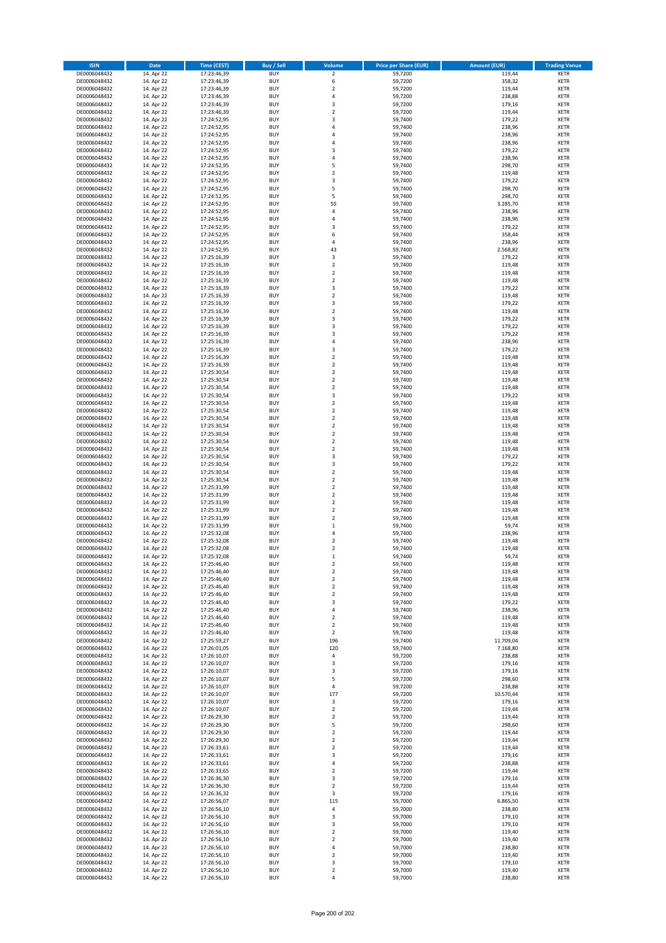| <b>ISIN</b>                  | <b>Date</b>              | <b>Time (CEST)</b>         | <b>Buy / Sell</b>        | <b>Volume</b>                 | <b>Price per Share (EUR)</b> | <b>Amount (EUR)</b> | <b>Trading Venue</b>       |
|------------------------------|--------------------------|----------------------------|--------------------------|-------------------------------|------------------------------|---------------------|----------------------------|
| DE0006048432                 | 14. Apr 22               | 17:23:46,39                | <b>BUY</b>               | $\overline{\mathbf{2}}$       | 59,7200                      | 119,44              | <b>XETR</b>                |
| DE0006048432                 | 14. Apr 22               | 17:23:46,39                | <b>BUY</b>               | 6                             | 59,7200                      | 358,32              | <b>XETR</b>                |
| DE0006048432                 | 14. Apr 22               | 17:23:46,39                | <b>BUY</b>               | $\mathbf 2$                   | 59,7200                      | 119,44              | <b>XETR</b>                |
| DE0006048432<br>DE0006048432 | 14. Apr 22<br>14. Apr 22 | 17:23:46,39<br>17:23:46,39 | <b>BUY</b><br><b>BUY</b> | 4<br>3                        | 59,7200<br>59,7200           | 238,88<br>179,16    | <b>XETR</b><br><b>XETR</b> |
| DE0006048432                 | 14. Apr 22               | 17:23:46,39                | <b>BUY</b>               | $\mathbf 2$                   | 59,7200                      | 119,44              | <b>XETR</b>                |
| DE0006048432                 | 14. Apr 22               | 17:24:52,95                | <b>BUY</b>               | 3                             | 59,7400                      | 179,22              | <b>XETR</b>                |
| DE0006048432                 | 14. Apr 22               | 17:24:52,95                | <b>BUY</b>               | 4                             | 59,7400                      | 238,96              | <b>XETR</b>                |
| DE0006048432                 | 14. Apr 22               | 17:24:52,95                | <b>BUY</b>               | 4                             | 59,7400                      | 238,96              | <b>XETR</b>                |
| DE0006048432                 | 14. Apr 22               | 17:24:52,95                | <b>BUY</b>               | 4                             | 59,7400                      | 238,96              | <b>XETR</b>                |
| DE0006048432                 | 14. Apr 22               | 17:24:52,95                | <b>BUY</b>               | 3                             | 59,7400                      | 179,22              | <b>XETR</b>                |
| DE0006048432                 | 14. Apr 22<br>14. Apr 22 | 17:24:52,95                | <b>BUY</b><br><b>BUY</b> | 4<br>5                        | 59,7400                      | 238,96<br>298,70    | <b>XETR</b><br><b>XETR</b> |
| DE0006048432<br>DE0006048432 | 14. Apr 22               | 17:24:52,95<br>17:24:52,95 | <b>BUY</b>               | $\overline{\mathbf{c}}$       | 59,7400<br>59,7400           | 119,48              | <b>XETR</b>                |
| DE0006048432                 | 14. Apr 22               | 17:24:52,95                | <b>BUY</b>               | 3                             | 59,7400                      | 179,22              | <b>XETR</b>                |
| DE0006048432                 | 14. Apr 22               | 17:24:52,95                | <b>BUY</b>               | 5                             | 59,7400                      | 298,70              | <b>XETR</b>                |
| DE0006048432                 | 14. Apr 22               | 17:24:52,95                | <b>BUY</b>               | 5                             | 59,7400                      | 298,70              | <b>XETR</b>                |
| DE0006048432                 | 14. Apr 22               | 17:24:52,95                | <b>BUY</b>               | 55                            | 59,7400                      | 3.285,70            | <b>XETR</b>                |
| DE0006048432                 | 14. Apr 22               | 17:24:52,95                | <b>BUY</b>               | 4                             | 59.7400                      | 238,96              | <b>XETR</b>                |
| DE0006048432                 | 14. Apr 22               | 17:24:52,95                | <b>BUY</b>               | 4                             | 59,7400                      | 238,96              | <b>XETR</b>                |
| DE0006048432                 | 14. Apr 22               | 17:24:52,95                | <b>BUY</b><br><b>BUY</b> | 3<br>6                        | 59,7400                      | 179,22              | <b>XETR</b>                |
| DE0006048432<br>DE0006048432 | 14. Apr 22<br>14. Apr 22 | 17:24:52,95<br>17:24:52,95 | <b>BUY</b>               | 4                             | 59,7400<br>59,7400           | 358,44<br>238,96    | <b>XETR</b><br><b>XETR</b> |
| DE0006048432                 | 14. Apr 22               | 17:24:52,95                | <b>BUY</b>               | 43                            | 59,7400                      | 2.568,82            | <b>XETR</b>                |
| DE0006048432                 | 14. Apr 22               | 17:25:16,39                | <b>BUY</b>               | 3                             | 59,7400                      | 179,22              | <b>XETR</b>                |
| DE0006048432                 | 14. Apr 22               | 17:25:16,39                | <b>BUY</b>               | $\mathbf 2$                   | 59,7400                      | 119,48              | <b>XETR</b>                |
| DE0006048432                 | 14. Apr 22               | 17:25:16,39                | <b>BUY</b>               | $\mathbf 2$                   | 59,7400                      | 119,48              | <b>XETR</b>                |
| DE0006048432                 | 14. Apr 22               | 17:25:16,39                | <b>BUY</b>               | $\overline{\mathbf{c}}$       | 59,7400                      | 119,48              | <b>XETR</b>                |
| DE0006048432                 | 14. Apr 22               | 17:25:16,39                | <b>BUY</b>               | 3                             | 59,7400                      | 179,22              | <b>XETR</b>                |
| DE0006048432<br>DE0006048432 | 14. Apr 22               | 17:25:16,39                | <b>BUY</b><br><b>BUY</b> | $\overline{\mathbf{c}}$<br>3  | 59,7400                      | 119,48              | <b>XETR</b>                |
| DE0006048432                 | 14. Apr 22<br>14. Apr 22 | 17:25:16,39<br>17:25:16,39 | <b>BUY</b>               | $\overline{\mathbf{c}}$       | 59,7400<br>59,7400           | 179,22<br>119,48    | <b>XETR</b><br><b>XETR</b> |
| DE0006048432                 | 14. Apr 22               | 17:25:16,39                | <b>BUY</b>               | 3                             | 59,7400                      | 179,22              | <b>XETR</b>                |
| DE0006048432                 | 14. Apr 22               | 17:25:16,39                | <b>BUY</b>               | 3                             | 59,7400                      | 179,22              | <b>XETR</b>                |
| DE0006048432                 | 14. Apr 22               | 17:25:16,39                | <b>BUY</b>               | 3                             | 59,7400                      | 179,22              | <b>XETR</b>                |
| DE0006048432                 | 14. Apr 22               | 17:25:16,39                | <b>BUY</b>               | 4                             | 59,7400                      | 238,96              | <b>XETR</b>                |
| DE0006048432                 | 14. Apr 22               | 17:25:16,39                | <b>BUY</b>               | 3                             | 59.7400                      | 179,22              | <b>XETR</b>                |
| DE0006048432                 | 14. Apr 22               | 17:25:16,39                | <b>BUY</b>               | $\mathbf 2$                   | 59,7400                      | 119,48              | <b>XETR</b>                |
| DE0006048432                 | 14. Apr 22               | 17:25:16,39                | <b>BUY</b>               | $\mathbf 2$                   | 59,7400                      | 119,48              | <b>XETR</b>                |
| DE0006048432                 | 14. Apr 22<br>14. Apr 22 | 17:25:30,54                | <b>BUY</b><br><b>BUY</b> | $\mathbf 2$<br>$\mathbf 2$    | 59,7400                      | 119,48              | <b>XETR</b><br><b>XETR</b> |
| DE0006048432<br>DE0006048432 | 14. Apr 22               | 17:25:30,54<br>17:25:30,54 | <b>BUY</b>               | $\mathbf 2$                   | 59,7400<br>59,7400           | 119,48<br>119,48    | <b>XETR</b>                |
| DE0006048432                 | 14. Apr 22               | 17:25:30,54                | <b>BUY</b>               | 3                             | 59,7400                      | 179,22              | <b>XETR</b>                |
| DE0006048432                 | 14. Apr 22               | 17:25:30,54                | <b>BUY</b>               | $\overline{\mathbf{c}}$       | 59,7400                      | 119,48              | <b>XETR</b>                |
| DE0006048432                 | 14. Apr 22               | 17:25:30,54                | <b>BUY</b>               | $\mathbf 2$                   | 59,7400                      | 119,48              | <b>XETR</b>                |
| DE0006048432                 | 14. Apr 22               | 17:25:30,54                | <b>BUY</b>               | $\overline{\mathbf{2}}$       | 59,7400                      | 119,48              | <b>XETR</b>                |
| DE0006048432                 | 14. Apr 22               | 17:25:30,54                | <b>BUY</b>               | $\mathbf 2$                   | 59,7400                      | 119,48              | <b>XETR</b>                |
| DE0006048432                 | 14. Apr 22               | 17:25:30,54                | <b>BUY</b>               | $\mathbf 2$                   | 59,7400                      | 119,48              | <b>XETR</b>                |
| DE0006048432                 | 14. Apr 22               | 17:25:30,54                | <b>BUY</b>               | $\mathbf 2$                   | 59,7400                      | 119,48              | <b>XETR</b>                |
| DE0006048432<br>DE0006048432 | 14. Apr 22<br>14. Apr 22 | 17:25:30,54<br>17:25:30,54 | <b>BUY</b><br><b>BUY</b> | $\mathbf 2$<br>3              | 59,7400<br>59,7400           | 119,48<br>179,22    | <b>XETR</b><br><b>XETR</b> |
| DE0006048432                 | 14. Apr 22               | 17:25:30,54                | <b>BUY</b>               | 3                             | 59,7400                      | 179,22              | <b>XETR</b>                |
| DE0006048432                 | 14. Apr 22               | 17:25:30,54                | <b>BUY</b>               | $\overline{\mathbf{2}}$       | 59,7400                      | 119,48              | <b>XETR</b>                |
| DE0006048432                 | 14. Apr 22               | 17:25:30,54                | <b>BUY</b>               | $\mathbf 2$                   | 59,7400                      | 119,48              | <b>XETR</b>                |
| DE0006048432                 | 14. Apr 22               | 17:25:31,99                | <b>BUY</b>               | $\mathbf 2$                   | 59,7400                      | 119,48              | <b>XETR</b>                |
| DE0006048432                 | 14. Apr 22               | 17:25:31,99                | <b>BUY</b>               | $\mathbf 2$                   | 59,7400                      | 119,48              | <b>XETR</b>                |
| DE0006048432                 | 14. Apr 22               | 17:25:31,99                | <b>BUY</b>               | $\overline{\mathbf{c}}$       | 59,7400                      | 119,48              | <b>XETR</b>                |
| DE0006048432                 | 14. Apr 22               | 17:25:31,99                | <b>BUY</b>               | $\mathbf 2$                   | 59,7400                      | 119,48              | <b>XETR</b>                |
| DE0006048432                 | 14. Apr 22               | 17:25:31,99                | <b>BUY</b>               | $\overline{\mathbf{c}}$       | 59,7400                      | 119,48              | <b>XETR</b>                |
| DE0006048432<br>DE0006048432 | 14. Apr 22<br>14. Apr 22 | 17:25:31,99<br>17:25:32,08 | <b>BUY</b><br><b>BUY</b> | $\mathbf 1$<br>4              | 59,7400<br>59,7400           | 59,74<br>238,96     | <b>XETR</b><br><b>XETR</b> |
| DE0006048432                 | 14. Apr 22               | 17:25:32,08                | <b>BUY</b>               | $\overline{\mathbf{c}}$       | 59.7400                      | 119,48              | <b>XETR</b>                |
| DE0006048432                 | 14. Apr 22               | 17:25:32,08                | <b>BUY</b>               | $\overline{\mathbf{c}}$       | 59,7400                      | 119,48              | <b>XETR</b>                |
| DE0006048432                 | 14. Apr 22               | 17:25:32,08                | <b>BUY</b>               | $\mathbf{1}$                  | 59,7400                      | 59,74               | <b>XETR</b>                |
| DE0006048432                 | 14. Apr 22               | 17:25:46,40                | BUY                      | 2                             | 59,7400                      | 119,48              | <b>XETR</b>                |
| DE0006048432                 | 14. Apr 22               | 17:25:46,40                | <b>BUY</b>               | $\mathbf 2$                   | 59,7400                      | 119,48              | XETR                       |
| DE0006048432                 | 14. Apr 22               | 17:25:46,40                | <b>BUY</b>               | $\mathbf 2$                   | 59,7400                      | 119,48              | XETR                       |
| DE0006048432<br>DE0006048432 | 14. Apr 22<br>14. Apr 22 | 17:25:46,40<br>17:25:46,40 | <b>BUY</b><br><b>BUY</b> | $\mathbf 2$<br>$\mathbf 2$    | 59,7400<br>59.7400           | 119,48<br>119,48    | XETR<br><b>XETR</b>        |
| DE0006048432                 | 14. Apr 22               | 17:25:46,40                | <b>BUY</b>               | 3                             | 59,7400                      | 179,22              | <b>XETR</b>                |
| DE0006048432                 | 14. Apr 22               | 17:25:46,40                | <b>BUY</b>               | 4                             | 59,7400                      | 238,96              | <b>XETR</b>                |
| DE0006048432                 | 14. Apr 22               | 17:25:46,40                | <b>BUY</b>               | $\mathbf 2$                   | 59,7400                      | 119,48              | <b>XETR</b>                |
| DE0006048432                 | 14. Apr 22               | 17:25:46,40                | <b>BUY</b>               | $\overline{\mathbf{2}}$       | 59,7400                      | 119,48              | <b>XETR</b>                |
| DE0006048432                 | 14. Apr 22               | 17:25:46,40                | <b>BUY</b>               | $\overline{2}$                | 59,7400                      | 119,48              | <b>XETR</b>                |
| DE0006048432                 | 14. Apr 22               | 17:25:59,27                | <b>BUY</b>               | 196                           | 59,7400                      | 11.709,04           | XETR                       |
| DE0006048432<br>DE0006048432 | 14. Apr 22<br>14. Apr 22 | 17:26:01,05<br>17:26:10,07 | <b>BUY</b><br><b>BUY</b> | 120<br>$\pmb{4}$              | 59.7400<br>59,7200           | 7.168,80<br>238,88  | <b>XETR</b><br><b>XETR</b> |
| DE0006048432                 | 14. Apr 22               | 17:26:10,07                | <b>BUY</b>               | 3                             | 59,7200                      | 179,16              | <b>XETR</b>                |
| DE0006048432                 | 14. Apr 22               | 17:26:10,07                | <b>BUY</b>               | 3                             | 59,7200                      | 179,16              | <b>XETR</b>                |
| DE0006048432                 | 14. Apr 22               | 17:26:10,07                | <b>BUY</b>               | 5                             | 59,7200                      | 298,60              | <b>XETR</b>                |
| DE0006048432                 | 14. Apr 22               | 17:26:10,07                | <b>BUY</b>               | 4                             | 59,7200                      | 238,88              | <b>XETR</b>                |
| DE0006048432                 | 14. Apr 22               | 17:26:10,07                | <b>BUY</b>               | 177                           | 59,7200                      | 10.570,44           | <b>XETR</b>                |
| DE0006048432                 | 14. Apr 22               | 17:26:10,07                | <b>BUY</b>               | 3                             | 59,7200                      | 179,16              | XETR                       |
| DE0006048432<br>DE0006048432 | 14. Apr 22<br>14. Apr 22 | 17:26:10,07<br>17:26:29,30 | <b>BUY</b><br><b>BUY</b> | $\mathbf 2$<br>$\overline{2}$ | 59,7200<br>59,7200           | 119,44<br>119,44    | <b>XETR</b><br><b>XETR</b> |
| DE0006048432                 | 14. Apr 22               | 17:26:29,30                | <b>BUY</b>               | 5                             | 59,7200                      | 298,60              | <b>XETR</b>                |
| DE0006048432                 | 14. Apr 22               | 17:26:29,30                | <b>BUY</b>               | $\overline{2}$                | 59,7200                      | 119,44              | <b>XETR</b>                |
| DE0006048432                 | 14. Apr 22               | 17:26:29,30                | <b>BUY</b>               | $\mathbf 2$                   | 59,7200                      | 119,44              | <b>XETR</b>                |
| DE0006048432                 | 14. Apr 22               | 17:26:33,61                | <b>BUY</b>               | $\mathbf 2$                   | 59,7200                      | 119,44              | <b>XETR</b>                |
| DE0006048432                 | 14. Apr 22               | 17:26:33,61                | <b>BUY</b>               | 3                             | 59,7200                      | 179,16              | XETR                       |
| DE0006048432                 | 14. Apr 22               | 17:26:33,61                | <b>BUY</b>               | 4                             | 59,7200                      | 238,88              | <b>XETR</b>                |
| DE0006048432                 | 14. Apr 22               | 17:26:33,65                | <b>BUY</b>               | $\overline{2}$                | 59,7200                      | 119,44              | <b>XETR</b>                |
| DE0006048432<br>DE0006048432 | 14. Apr 22<br>14. Apr 22 | 17:26:36,30                | <b>BUY</b><br><b>BUY</b> | 3<br>$\overline{2}$           | 59,7200<br>59,7200           | 179,16<br>119,44    | <b>XETR</b><br>XETR        |
| DE0006048432                 | 14. Apr 22               | 17:26:36,30<br>17:26:36,32 | <b>BUY</b>               | 3                             | 59,7200                      | 179,16              | <b>XETR</b>                |
| DE0006048432                 | 14. Apr 22               | 17:26:56,07                | <b>BUY</b>               | 115                           | 59,7000                      | 6.865,50            | <b>XETR</b>                |
| DE0006048432                 | 14. Apr 22               | 17:26:56,10                | <b>BUY</b>               | 4                             | 59,7000                      | 238,80              | XETR                       |
| DE0006048432                 | 14. Apr 22               | 17:26:56,10                | <b>BUY</b>               | 3                             | 59,7000                      | 179,10              | <b>XETR</b>                |
| DE0006048432                 | 14. Apr 22               | 17:26:56,10                | <b>BUY</b>               | 3                             | 59,7000                      | 179,10              | <b>XETR</b>                |
| DE0006048432                 | 14. Apr 22               | 17:26:56,10                | <b>BUY</b>               | $\mathbf 2$                   | 59,7000                      | 119,40              | <b>XETR</b>                |
| DE0006048432                 | 14. Apr 22               | 17:26:56,10                | <b>BUY</b>               | $\overline{\mathbf{c}}$       | 59,7000                      | 119,40              | <b>XETR</b>                |
| DE0006048432<br>DE0006048432 | 14. Apr 22<br>14. Apr 22 | 17:26:56,10<br>17:26:56,10 | <b>BUY</b><br><b>BUY</b> | 4<br>$\overline{2}$           | 59,7000<br>59,7000           | 238,80<br>119,40    | XETR<br><b>XETR</b>        |
| DE0006048432                 | 14. Apr 22               | 17:26:56,10                | <b>BUY</b>               | 3                             | 59,7000                      | 179,10              | <b>XETR</b>                |
| DE0006048432                 | 14. Apr 22               | 17:26:56,10                | <b>BUY</b>               | $\mathbf 2$                   | 59,7000                      | 119,40              | <b>XETR</b>                |
| DE0006048432                 | 14. Apr 22               | 17:26:56,10                | <b>BUY</b>               | 4                             | 59,7000                      | 238,80              | XETR                       |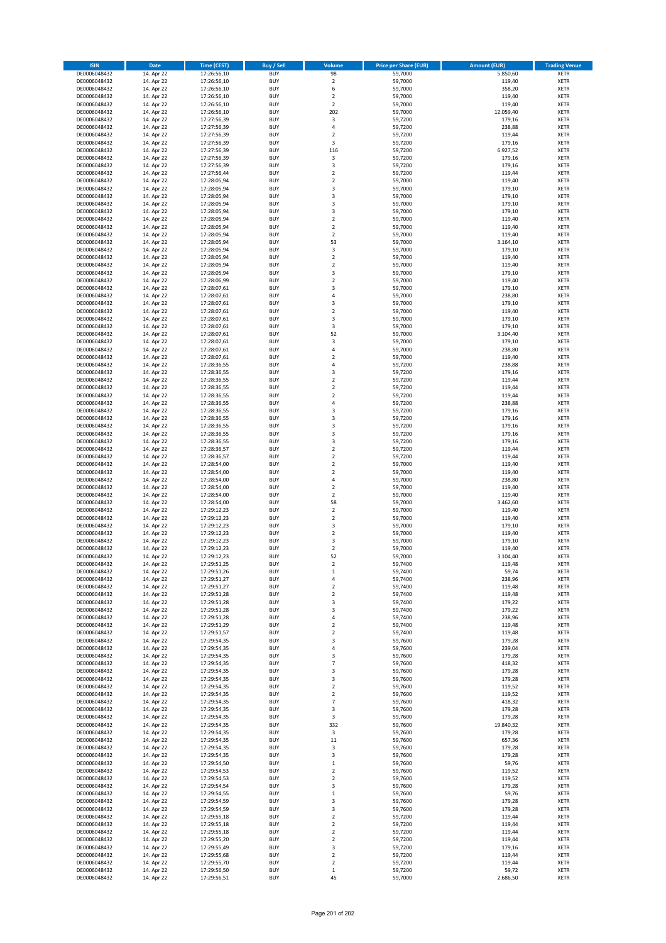| <b>ISIN</b>                  | <b>Date</b>              | Time (CEST)                | <b>Buy / Sell</b>        | Volume                           | <b>Price per Share (EUR)</b> | <b>Amount (EUR)</b> | <b>Trading Venue</b>       |
|------------------------------|--------------------------|----------------------------|--------------------------|----------------------------------|------------------------------|---------------------|----------------------------|
| DE0006048432                 | 14. Apr 22               | 17:26:56,10                | <b>BUY</b>               | 98                               | 59,7000                      | 5.850,60            | <b>XETR</b>                |
| DE0006048432                 | 14. Apr 22               | 17:26:56,10                | <b>BUY</b>               | $\mathbf 2$                      | 59,7000                      | 119,40              | <b>XETR</b>                |
| DE0006048432                 | 14. Apr 22               | 17:26:56,10                | <b>BUY</b>               | 6                                | 59,7000                      | 358,20              | <b>XETR</b>                |
| DE0006048432                 | 14. Apr 22               | 17:26:56,10                | <b>BUY</b>               | $\mathbf 2$                      | 59,7000                      | 119,40              | <b>XETR</b>                |
| DE0006048432<br>DE0006048432 | 14. Apr 22<br>14. Apr 22 | 17:26:56,10<br>17:26:56,10 | <b>BUY</b><br><b>BUY</b> | $\overline{2}$<br>202            | 59,7000<br>59,7000           | 119,40<br>12.059,40 | <b>XETR</b><br><b>XETR</b> |
| DE0006048432                 | 14. Apr 22               | 17:27:56,39                | <b>BUY</b>               | 3                                | 59,7200                      | 179,16              | <b>XETR</b>                |
| DE0006048432                 | 14. Apr 22               | 17:27:56,39                | <b>BUY</b>               | 4                                | 59,7200                      | 238,88              | <b>XETR</b>                |
| DE0006048432                 | 14. Apr 22               | 17:27:56,39                | BUY                      | $\overline{2}$                   | 59,7200                      | 119,44              | <b>XETR</b>                |
| DE0006048432                 | 14. Apr 22               | 17:27:56,39                | <b>BUY</b>               | 3                                | 59,7200                      | 179,16              | <b>XETR</b>                |
| DE0006048432                 | 14. Apr 22               | 17:27:56,39                | <b>BUY</b>               | 116                              | 59,7200                      | 6.927,52            | <b>XETR</b>                |
| DE0006048432<br>DE0006048432 | 14. Apr 22<br>14. Apr 22 | 17:27:56,39<br>17:27:56,39 | <b>BUY</b><br><b>BUY</b> | 3<br>3                           | 59,7200<br>59,7200           | 179,16<br>179,16    | <b>XETR</b><br><b>XETR</b> |
| DE0006048432                 | 14. Apr 22               | 17:27:56,44                | <b>BUY</b>               | $\overline{2}$                   | 59,7200                      | 119,44              | <b>XETR</b>                |
| DE0006048432                 | 14. Apr 22               | 17:28:05,94                | <b>BUY</b>               | $\overline{2}$                   | 59,7000                      | 119,40              | <b>XETR</b>                |
| DE0006048432                 | 14. Apr 22               | 17:28:05,94                | BUY                      | $\overline{3}$                   | 59,7000                      | 179,10              | <b>XETR</b>                |
| DE0006048432                 | 14. Apr 22               | 17:28:05,94                | <b>BUY</b>               | 3                                | 59,7000                      | 179,10              | <b>XETR</b>                |
| DE0006048432                 | 14. Apr 22               | 17:28:05,94                | <b>BUY</b>               | 3                                | 59,7000                      | 179,10              | <b>XETR</b>                |
| DE0006048432                 | 14. Apr 22<br>14. Apr 22 | 17:28:05,94                | <b>BUY</b><br><b>BUY</b> | 3<br>$\overline{2}$              | 59.7000                      | 179,10<br>119,40    | <b>XETR</b><br><b>XETR</b> |
| DE0006048432<br>DE0006048432 | 14. Apr 22               | 17:28:05,94<br>17:28:05,94 | <b>BUY</b>               | $\overline{2}$                   | 59,7000<br>59,7000           | 119,40              | <b>XETR</b>                |
| DE0006048432                 | 14. Apr 22               | 17:28:05,94                | <b>BUY</b>               | $\mathbf 2$                      | 59,7000                      | 119,40              | <b>XETR</b>                |
| DE0006048432                 | 14. Apr 22               | 17:28:05,94                | <b>BUY</b>               | 53                               | 59,7000                      | 3.164,10            | <b>XETR</b>                |
| DE0006048432                 | 14. Apr 22               | 17:28:05,94                | <b>BUY</b>               | 3                                | 59,7000                      | 179,10              | <b>XETR</b>                |
| DE0006048432                 | 14. Apr 22               | 17:28:05,94                | <b>BUY</b>               | $\mathbf 2$                      | 59,7000                      | 119,40              | <b>XETR</b>                |
| DE0006048432                 | 14. Apr 22               | 17:28:05,94                | <b>BUY</b>               | $\mathbf 2$                      | 59,7000                      | 119,40              | <b>XETR</b>                |
| DE0006048432<br>DE0006048432 | 14. Apr 22<br>14. Apr 22 | 17:28:05,94<br>17:28:06,99 | <b>BUY</b><br><b>BUY</b> | 3<br>$\overline{2}$              | 59,7000<br>59,7000           | 179,10<br>119,40    | <b>XETR</b><br><b>XETR</b> |
| DE0006048432                 | 14. Apr 22               | 17:28:07,61                | <b>BUY</b>               | 3                                | 59,7000                      | 179,10              | <b>XETR</b>                |
| DE0006048432                 | 14. Apr 22               | 17:28:07,61                | <b>BUY</b>               | 4                                | 59,7000                      | 238,80              | <b>XETR</b>                |
| DE0006048432                 | 14. Apr 22               | 17:28:07,61                | <b>BUY</b>               | $\overline{\mathbf{3}}$          | 59,7000                      | 179,10              | <b>XETR</b>                |
| DE0006048432                 | 14. Apr 22               | 17:28:07,61                | <b>BUY</b>               | $\mathbf 2$                      | 59,7000                      | 119,40              | <b>XETR</b>                |
| DE0006048432                 | 14. Apr 22               | 17:28:07,61                | <b>BUY</b>               | 3                                | 59,7000                      | 179,10              | <b>XETR</b>                |
| DE0006048432<br>DE0006048432 | 14. Apr 22               | 17:28:07,61<br>17:28:07,61 | <b>BUY</b><br><b>BUY</b> | 3<br>52                          | 59,7000                      | 179,10              | <b>XETR</b><br><b>XETR</b> |
| DE0006048432                 | 14. Apr 22<br>14. Apr 22 | 17:28:07,61                | <b>BUY</b>               | 3                                | 59,7000<br>59,7000           | 3.104,40<br>179,10  | <b>XETR</b>                |
| DE0006048432                 | 14. Apr 22               | 17:28:07,61                | <b>BUY</b>               | 4                                | 59,7000                      | 238,80              | <b>XETR</b>                |
| DE0006048432                 | 14. Apr 22               | 17:28:07,61                | <b>BUY</b>               | $\mathbf 2$                      | 59,7000                      | 119,40              | <b>XETR</b>                |
| DE0006048432                 | 14. Apr 22               | 17:28:36,55                | <b>BUY</b>               | 4                                | 59,7200                      | 238,88              | <b>XETR</b>                |
| DE0006048432                 | 14. Apr 22               | 17:28:36,55                | <b>BUY</b>               | 3                                | 59,7200                      | 179,16              | <b>XETR</b>                |
| DE0006048432                 | 14. Apr 22               | 17:28:36,55                | <b>BUY</b><br><b>BUY</b> | $\overline{2}$<br>$\overline{2}$ | 59,7200                      | 119,44              | <b>XETR</b>                |
| DE0006048432<br>DE0006048432 | 14. Apr 22<br>14. Apr 22 | 17:28:36,55<br>17:28:36,55 | <b>BUY</b>               | $\mathbf 2$                      | 59,7200<br>59,7200           | 119,44<br>119,44    | <b>XETR</b><br><b>XETR</b> |
| DE0006048432                 | 14. Apr 22               | 17:28:36,55                | <b>BUY</b>               | $\overline{4}$                   | 59,7200                      | 238,88              | <b>XETR</b>                |
| DE0006048432                 | 14. Apr 22               | 17:28:36,55                | <b>BUY</b>               | $\overline{\mathbf{3}}$          | 59,7200                      | 179,16              | <b>XETR</b>                |
| DE0006048432                 | 14. Apr 22               | 17:28:36,55                | <b>BUY</b>               | $\overline{\mathbf{3}}$          | 59,7200                      | 179,16              | <b>XETR</b>                |
| DE0006048432                 | 14. Apr 22               | 17:28:36,55                | <b>BUY</b>               | 3                                | 59,7200                      | 179,16              | <b>XETR</b>                |
| DE0006048432                 | 14. Apr 22               | 17:28:36,55                | <b>BUY</b>               | $\overline{\mathbf{3}}$          | 59,7200                      | 179,16              | <b>XETR</b>                |
| DE0006048432<br>DE0006048432 | 14. Apr 22<br>14. Apr 22 | 17:28:36,55<br>17:28:36,57 | <b>BUY</b><br><b>BUY</b> | 3<br>$\overline{\mathbf{2}}$     | 59,7200<br>59,7200           | 179,16<br>119,44    | <b>XETR</b><br><b>XETR</b> |
| DE0006048432                 | 14. Apr 22               | 17:28:36,57                | <b>BUY</b>               | $\overline{\mathbf{2}}$          | 59,7200                      | 119,44              | <b>XETR</b>                |
| DE0006048432                 | 14. Apr 22               | 17:28:54,00                | <b>BUY</b>               | $\overline{2}$                   | 59,7000                      | 119,40              | <b>XETR</b>                |
| DE0006048432                 | 14. Apr 22               | 17:28:54,00                | <b>BUY</b>               | $\overline{\mathbf{2}}$          | 59,7000                      | 119,40              | <b>XETR</b>                |
| DE0006048432                 | 14. Apr 22               | 17:28:54,00                | <b>BUY</b>               | $\overline{4}$                   | 59,7000                      | 238,80              | <b>XETR</b>                |
| DE0006048432                 | 14. Apr 22               | 17:28:54,00                | <b>BUY</b>               | $\overline{\mathbf{2}}$          | 59,7000                      | 119,40              | <b>XETR</b>                |
| DE0006048432<br>DE0006048432 | 14. Apr 22<br>14. Apr 22 | 17:28:54,00<br>17:28:54,00 | <b>BUY</b><br><b>BUY</b> | $\mathbf 2$<br>58                | 59,7000<br>59,7000           | 119,40<br>3.462,60  | <b>XETR</b><br><b>XETR</b> |
| DE0006048432                 | 14. Apr 22               | 17:29:12,23                | <b>BUY</b>               | $\overline{\mathbf{2}}$          | 59,7000                      | 119,40              | <b>XETR</b>                |
| DE0006048432                 | 14. Apr 22               | 17:29:12,23                | BUY                      | $\overline{\mathbf{2}}$          | 59,7000                      | 119,40              | <b>XETR</b>                |
| DE0006048432                 | 14. Apr 22               | 17:29:12,23                | <b>BUY</b>               | 3                                | 59,7000                      | 179,10              | <b>XETR</b>                |
| DE0006048432                 | 14. Apr 22               | 17:29:12,23                | <b>BUY</b>               | $\mathbf 2$                      | 59,7000                      | 119,40              | <b>XETR</b>                |
| DE0006048432                 | 14. Apr 22               | 17:29:12,23                | BUY                      | $\overline{\mathbf{3}}$          | 59,7000                      | 179,10              | <b>XETR</b>                |
| DE0006048432<br>DE0006048432 | 14. Apr 22<br>14. Apr 22 | 17:29:12,23<br>17:29:12,23 | BUY<br><b>BUY</b>        | $\mathbf 2$<br>52                | 59,7000<br>59,7000           | 119,40<br>3.104,40  | <b>XETR</b><br><b>XETR</b> |
| DE0006048432                 | 14. Apr 22               | 17:29:51,25                | <b>BUY</b>               | $\overline{\mathbf{2}}$          | 59,7400                      | 119,48              | <b>XETR</b>                |
| DE0006048432                 | 14. Apr 22               | 17:29:51,26                | <b>BUY</b>               | $\mathbf 1$                      | 59,7400                      | 59,74               | <b>XETR</b>                |
| DE0006048432                 | 14. Apr 22               | 17:29:51,27                | <b>BUY</b>               | 4                                | 59,7400                      | 238,96              | <b>XETR</b>                |
| DE0006048432                 | 14. Apr 22               | 17:29:51,27                | <b>BUY</b>               | $\mathbf 2$                      | 59,7400                      | 119,48              | <b>XETR</b>                |
| DE0006048432                 | 14. Apr 22               | 17:29:51,28                | <b>BUY</b>               | $\overline{\mathbf{2}}$          | 59,7400                      | 119,48              | <b>XETR</b>                |
| DE0006048432<br>DE0006048432 | 14. Apr 22<br>14. Apr 22 | 17:29:51,28<br>17:29:51,28 | <b>BUY</b><br><b>BUY</b> | 3<br>3                           | 59,7400<br>59,7400           | 179,22<br>179,22    | <b>XETR</b><br><b>XETR</b> |
| DE0006048432                 | 14. Apr 22               | 17:29:51,28                | <b>BUY</b>               | 4                                | 59,7400                      | 238,96              | <b>XETR</b>                |
| DE0006048432                 | 14. Apr 22               | 17:29:51,29                | <b>BUY</b>               | $\mathbf 2$                      | 59,7400                      | 119,48              | <b>XETR</b>                |
| DE0006048432                 | 14. Apr 22               | 17:29:51,57                | <b>BUY</b>               | $\mathbf 2$                      | 59,7400                      | 119,48              | <b>XETR</b>                |
| DE0006048432                 | 14. Apr 22               | 17:29:54,35                | <b>BUY</b>               | 3                                | 59,7600                      | 179,28              | <b>XETR</b>                |
| DE0006048432<br>DE0006048432 | 14. Apr 22<br>14. Apr 22 | 17:29:54,35<br>17:29:54,35 | <b>BUY</b><br><b>BUY</b> | 4<br>3                           | 59,7600<br>59,7600           | 239,04<br>179,28    | <b>XETR</b><br><b>XETR</b> |
| DE0006048432                 | 14. Apr 22               | 17:29:54,35                | <b>BUY</b>               | 7                                | 59,7600                      | 418,32              | <b>XETR</b>                |
| DE0006048432                 | 14. Apr 22               | 17:29:54,35                | <b>BUY</b>               | 3                                | 59,7600                      | 179,28              | <b>XETR</b>                |
| DE0006048432                 | 14. Apr 22               | 17:29:54,35                | <b>BUY</b>               | 3                                | 59,7600                      | 179,28              | <b>XETR</b>                |
| DE0006048432                 | 14. Apr 22               | 17:29:54,35                | <b>BUY</b>               | $\mathbf 2$                      | 59,7600                      | 119,52              | <b>XETR</b>                |
| DE0006048432                 | 14. Apr 22               | 17:29:54,35                | <b>BUY</b>               | $\mathbf 2$                      | 59,7600                      | 119,52              | <b>XETR</b>                |
| DE0006048432<br>DE0006048432 | 14. Apr 22<br>14. Apr 22 | 17:29:54,35<br>17:29:54,35 | <b>BUY</b><br><b>BUY</b> | $\overline{7}$<br>3              | 59,7600<br>59,7600           | 418,32<br>179,28    | <b>XETR</b><br><b>XETR</b> |
| DE0006048432                 | 14. Apr 22               | 17:29:54,35                | <b>BUY</b>               | 3                                | 59,7600                      | 179,28              | <b>XETR</b>                |
| DE0006048432                 | 14. Apr 22               | 17:29:54,35                | <b>BUY</b>               | 332                              | 59,7600                      | 19.840,32           | <b>XETR</b>                |
| DE0006048432                 | 14. Apr 22               | 17:29:54,35                | <b>BUY</b>               | 3                                | 59,7600                      | 179,28              | <b>XETR</b>                |
| DE0006048432                 | 14. Apr 22               | 17:29:54,35                | <b>BUY</b>               | $11\,$                           | 59,7600                      | 657,36              | <b>XETR</b>                |
| DE0006048432                 | 14. Apr 22               | 17:29:54,35                | <b>BUY</b>               | 3                                | 59,7600                      | 179,28              | <b>XETR</b>                |
| DE0006048432<br>DE0006048432 | 14. Apr 22<br>14. Apr 22 | 17:29:54,35<br>17:29:54,50 | <b>BUY</b><br><b>BUY</b> | 3<br>$\mathbf 1$                 | 59,7600<br>59,7600           | 179,28<br>59,76     | <b>XETR</b><br><b>XETR</b> |
| DE0006048432                 | 14. Apr 22               | 17:29:54,53                | <b>BUY</b>               | $\overline{2}$                   | 59,7600                      | 119,52              | <b>XETR</b>                |
| DE0006048432                 | 14. Apr 22               | 17:29:54,53                | <b>BUY</b>               | 2                                | 59,7600                      | 119,52              | <b>XETR</b>                |
| DE0006048432                 | 14. Apr 22               | 17:29:54,54                | <b>BUY</b>               | 3                                | 59,7600                      | 179,28              | <b>XETR</b>                |
| DE0006048432                 | 14. Apr 22               | 17:29:54,55                | <b>BUY</b>               | $\mathbf{1}$                     | 59,7600                      | 59,76               | <b>XETR</b>                |
| DE0006048432                 | 14. Apr 22               | 17:29:54,59                | <b>BUY</b>               | 3                                | 59,7600                      | 179,28              | <b>XETR</b>                |
| DE0006048432<br>DE0006048432 | 14. Apr 22<br>14. Apr 22 | 17:29:54,59<br>17:29:55,18 | <b>BUY</b><br><b>BUY</b> | 3<br>$\overline{2}$              | 59,7600<br>59,7200           | 179,28<br>119,44    | <b>XETR</b><br><b>XETR</b> |
| DE0006048432                 | 14. Apr 22               | 17:29:55,18                | <b>BUY</b>               | $\mathbf 2$                      | 59,7200                      | 119,44              | <b>XETR</b>                |
| DE0006048432                 | 14. Apr 22               | 17:29:55,18                | <b>BUY</b>               | $\mathbf 2$                      | 59,7200                      | 119,44              | <b>XETR</b>                |
| DE0006048432                 | 14. Apr 22               | 17:29:55,20                | <b>BUY</b>               | $\overline{2}$                   | 59,7200                      | 119,44              | <b>XETR</b>                |
| DE0006048432                 | 14. Apr 22               | 17:29:55,49                | <b>BUY</b>               | 3                                | 59,7200                      | 179,16              | <b>XETR</b>                |
| DE0006048432                 | 14. Apr 22               | 17:29:55,68                | <b>BUY</b>               | 2                                | 59,7200                      | 119,44              | <b>XETR</b>                |
| DE0006048432                 | 14. Apr 22               | 17:29:55,70                | <b>BUY</b>               | $\mathbf 2$                      | 59,7200                      | 119,44              | <b>XETR</b>                |
| DE0006048432<br>DE0006048432 | 14. Apr 22<br>14. Apr 22 | 17:29:56,50<br>17:29:56,51 | <b>BUY</b><br><b>BUY</b> | $\,$ 1<br>45                     | 59,7200<br>59,7000           | 59,72<br>2.686,50   | <b>XETR</b><br><b>XETR</b> |
|                              |                          |                            |                          |                                  |                              |                     |                            |